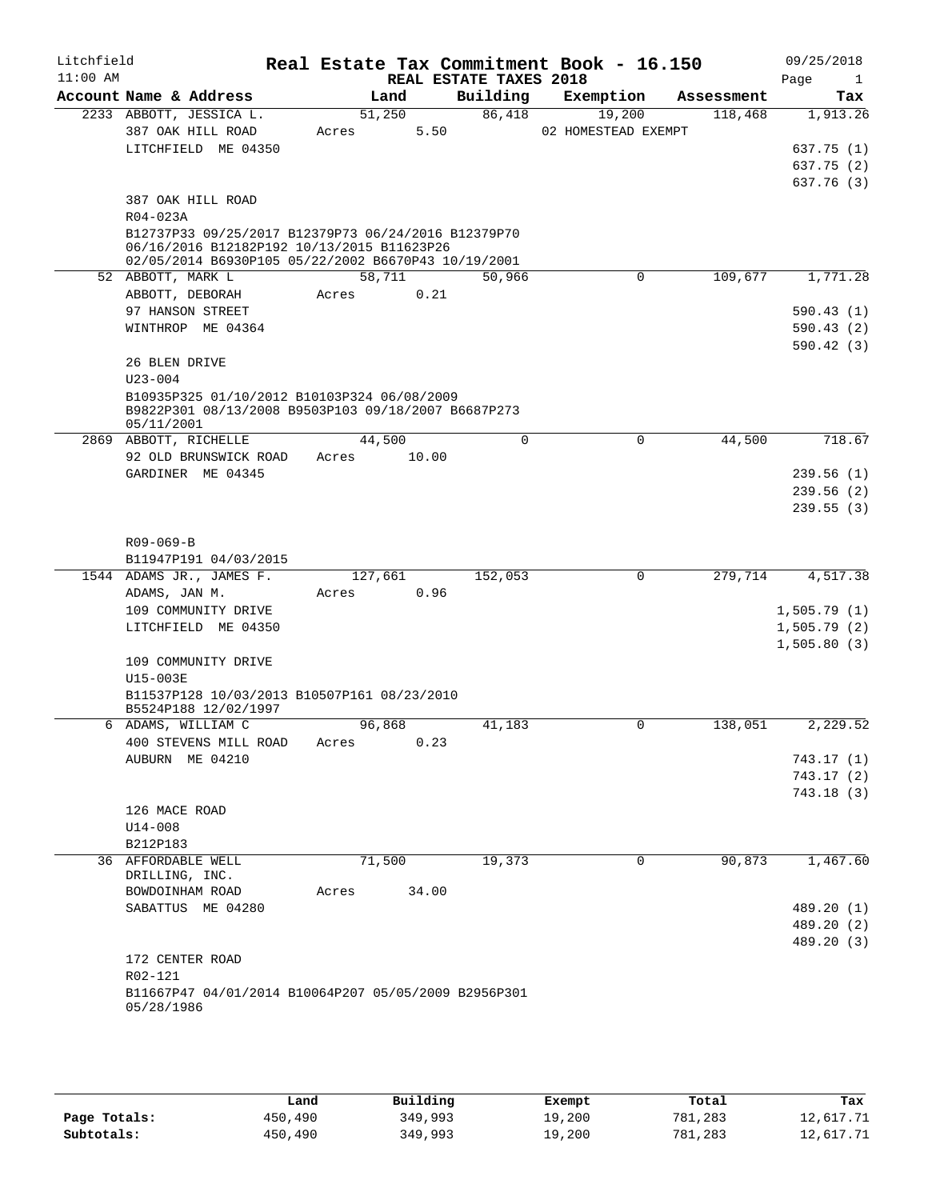| Litchfield<br>$11:00$ AM |                                                                                                   |       |         | REAL ESTATE TAXES 2018 | Real Estate Tax Commitment Book - 16.150 |            | 09/25/2018<br>Page<br>$\mathbf{1}$ |
|--------------------------|---------------------------------------------------------------------------------------------------|-------|---------|------------------------|------------------------------------------|------------|------------------------------------|
|                          | Account Name & Address                                                                            |       | Land    | Building               | Exemption                                | Assessment | Tax                                |
|                          | 2233 ABBOTT, JESSICA L.                                                                           |       | 51,250  | 86,418                 | 19,200                                   | 118,468    | 1,913.26                           |
|                          | 387 OAK HILL ROAD                                                                                 | Acres | 5.50    |                        | 02 HOMESTEAD EXEMPT                      |            |                                    |
|                          | LITCHFIELD ME 04350                                                                               |       |         |                        |                                          |            | 637.75 (1)                         |
|                          |                                                                                                   |       |         |                        |                                          |            | 637.75 (2)                         |
|                          |                                                                                                   |       |         |                        |                                          |            | 637.76 (3)                         |
|                          | 387 OAK HILL ROAD                                                                                 |       |         |                        |                                          |            |                                    |
|                          | R04-023A                                                                                          |       |         |                        |                                          |            |                                    |
|                          | B12737P33 09/25/2017 B12379P73 06/24/2016 B12379P70<br>06/16/2016 B12182P192 10/13/2015 B11623P26 |       |         |                        |                                          |            |                                    |
|                          | 02/05/2014 B6930P105 05/22/2002 B6670P43 10/19/2001                                               |       |         |                        |                                          |            |                                    |
|                          | 52 ABBOTT, MARK L                                                                                 |       | 58,711  | 50,966                 | $\mathbf 0$                              | 109,677    | 1,771.28                           |
|                          | ABBOTT, DEBORAH                                                                                   | Acres | 0.21    |                        |                                          |            |                                    |
|                          | 97 HANSON STREET                                                                                  |       |         |                        |                                          |            | 590.43(1)                          |
|                          | WINTHROP ME 04364                                                                                 |       |         |                        |                                          |            | 590.43(2)                          |
|                          |                                                                                                   |       |         |                        |                                          |            | 590.42(3)                          |
|                          | 26 BLEN DRIVE                                                                                     |       |         |                        |                                          |            |                                    |
|                          | $U23 - 004$                                                                                       |       |         |                        |                                          |            |                                    |
|                          | B10935P325 01/10/2012 B10103P324 06/08/2009                                                       |       |         |                        |                                          |            |                                    |
|                          | B9822P301 08/13/2008 B9503P103 09/18/2007 B6687P273                                               |       |         |                        |                                          |            |                                    |
|                          | 05/11/2001<br>2869 ABBOTT, RICHELLE                                                               |       | 44,500  |                        | $\mathbf 0$<br>$\mathbf 0$               | 44,500     | 718.67                             |
|                          | 92 OLD BRUNSWICK ROAD                                                                             | Acres | 10.00   |                        |                                          |            |                                    |
|                          | GARDINER ME 04345                                                                                 |       |         |                        |                                          |            | 239.56(1)                          |
|                          |                                                                                                   |       |         |                        |                                          |            | 239.56(2)                          |
|                          |                                                                                                   |       |         |                        |                                          |            | 239.55(3)                          |
|                          |                                                                                                   |       |         |                        |                                          |            |                                    |
|                          | $R09 - 069 - B$                                                                                   |       |         |                        |                                          |            |                                    |
|                          | B11947P191 04/03/2015                                                                             |       |         |                        |                                          |            |                                    |
|                          | 1544 ADAMS JR., JAMES F.                                                                          |       | 127,661 | 152,053                | $\mathbf 0$                              | 279,714    | 4,517.38                           |
|                          | ADAMS, JAN M.                                                                                     | Acres | 0.96    |                        |                                          |            |                                    |
|                          | 109 COMMUNITY DRIVE                                                                               |       |         |                        |                                          |            | 1,505.79(1)                        |
|                          | LITCHFIELD ME 04350                                                                               |       |         |                        |                                          |            | 1,505.79(2)                        |
|                          |                                                                                                   |       |         |                        |                                          |            | 1,505.80(3)                        |
|                          | 109 COMMUNITY DRIVE                                                                               |       |         |                        |                                          |            |                                    |
|                          | $U15-003E$                                                                                        |       |         |                        |                                          |            |                                    |
|                          | B11537P128 10/03/2013 B10507P161 08/23/2010                                                       |       |         |                        |                                          |            |                                    |
|                          | B5524P188 12/02/1997                                                                              |       |         |                        |                                          |            |                                    |
|                          | 6 ADAMS, WILLIAM C                                                                                |       | 96,868  | 41,183                 | $\mathbf 0$                              | 138,051    | 2,229.52                           |
|                          | 400 STEVENS MILL ROAD                                                                             | Acres | 0.23    |                        |                                          |            |                                    |
|                          | AUBURN ME 04210                                                                                   |       |         |                        |                                          |            | 743.17 (1)                         |
|                          |                                                                                                   |       |         |                        |                                          |            | 743.17(2)                          |
|                          |                                                                                                   |       |         |                        |                                          |            | 743.18(3)                          |
|                          | 126 MACE ROAD                                                                                     |       |         |                        |                                          |            |                                    |
|                          | U14-008                                                                                           |       |         |                        |                                          |            |                                    |
|                          | B212P183                                                                                          |       |         |                        |                                          |            |                                    |
|                          | 36 AFFORDABLE WELL<br>DRILLING, INC.                                                              |       | 71,500  | 19,373                 | 0                                        | 90,873     | 1,467.60                           |
|                          | BOWDOINHAM ROAD                                                                                   | Acres | 34.00   |                        |                                          |            |                                    |
|                          | SABATTUS ME 04280                                                                                 |       |         |                        |                                          |            | 489.20 (1)                         |
|                          |                                                                                                   |       |         |                        |                                          |            | 489.20 (2)                         |
|                          |                                                                                                   |       |         |                        |                                          |            | 489.20 (3)                         |
|                          | 172 CENTER ROAD                                                                                   |       |         |                        |                                          |            |                                    |
|                          | R02-121                                                                                           |       |         |                        |                                          |            |                                    |
|                          | B11667P47 04/01/2014 B10064P207 05/05/2009 B2956P301                                              |       |         |                        |                                          |            |                                    |
|                          | 05/28/1986                                                                                        |       |         |                        |                                          |            |                                    |
|                          |                                                                                                   |       |         |                        |                                          |            |                                    |
|                          |                                                                                                   |       |         |                        |                                          |            |                                    |

|              | Land    | Building | Exempt | Total   | Tax       |
|--------------|---------|----------|--------|---------|-----------|
| Page Totals: | 450,490 | 349,993  | 19,200 | 781,283 | 12,617.71 |
| Subtotals:   | 450,490 | 349,993  | 19,200 | 781,283 | 12,617.71 |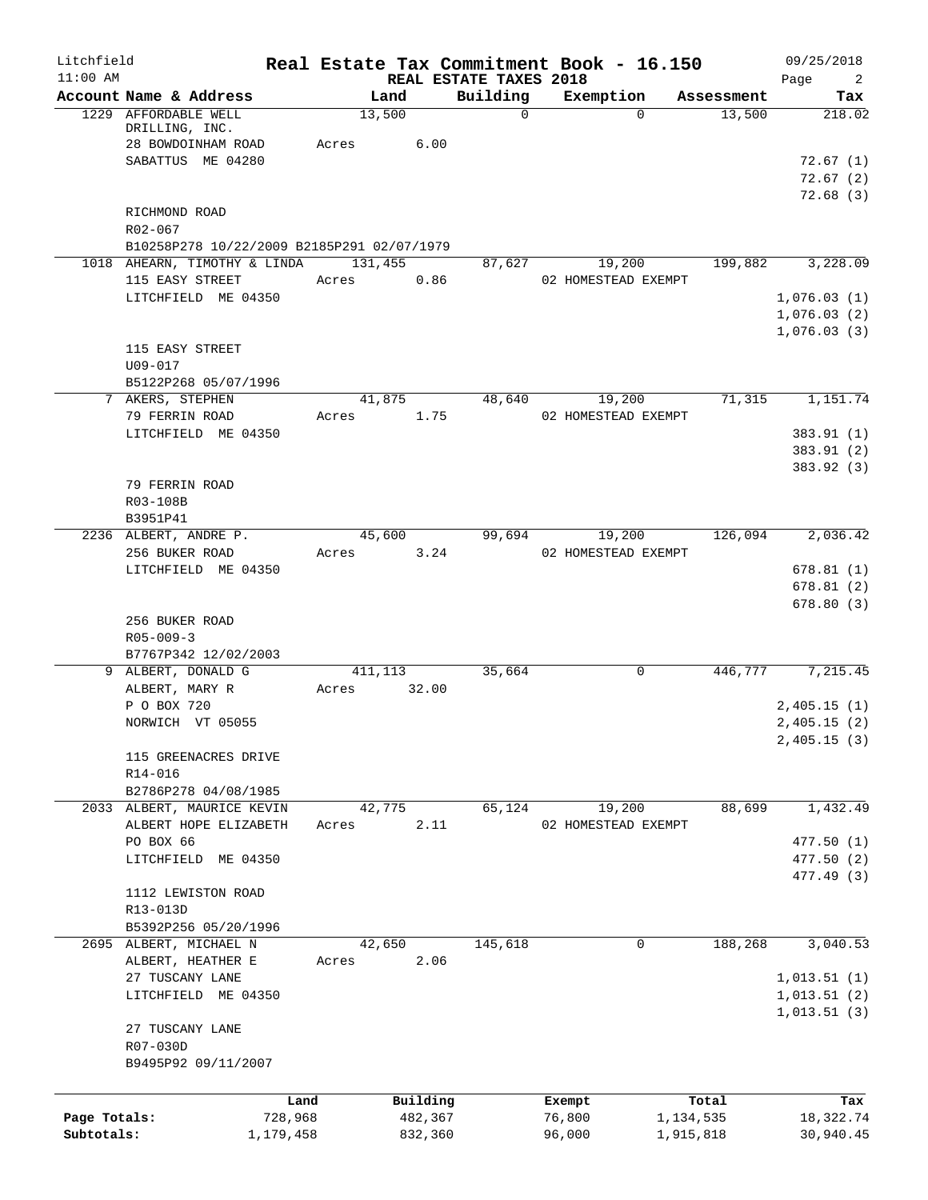| Litchfield<br>$11:00$ AM |                                            | Real Estate Tax Commitment Book - 16.150 |                                    |                     |            | 09/25/2018                    |
|--------------------------|--------------------------------------------|------------------------------------------|------------------------------------|---------------------|------------|-------------------------------|
|                          | Account Name & Address                     | Land                                     | REAL ESTATE TAXES 2018<br>Building | Exemption           | Assessment | $\overline{2}$<br>Page<br>Tax |
|                          | 1229 AFFORDABLE WELL<br>DRILLING, INC.     | 13,500                                   | $\mathbf 0$                        | $\Omega$            | 13,500     | 218.02                        |
|                          | 28 BOWDOINHAM ROAD                         | 6.00<br>Acres                            |                                    |                     |            |                               |
|                          | SABATTUS ME 04280                          |                                          |                                    |                     |            | 72.67(1)                      |
|                          |                                            |                                          |                                    |                     |            | 72.67(2)                      |
|                          |                                            |                                          |                                    |                     |            | 72.68(3)                      |
|                          | RICHMOND ROAD                              |                                          |                                    |                     |            |                               |
|                          | R02-067                                    |                                          |                                    |                     |            |                               |
|                          | B10258P278 10/22/2009 B2185P291 02/07/1979 |                                          |                                    |                     |            |                               |
|                          | 1018 AHEARN, TIMOTHY & LINDA               | 131,455                                  | 87,627                             | 19,200              | 199,882    | 3,228.09                      |
|                          | 115 EASY STREET                            | 0.86<br>Acres                            |                                    | 02 HOMESTEAD EXEMPT |            |                               |
|                          | LITCHFIELD ME 04350                        |                                          |                                    |                     |            | 1,076.03(1)                   |
|                          |                                            |                                          |                                    |                     |            | 1,076.03(2)                   |
|                          |                                            |                                          |                                    |                     |            | 1,076.03(3)                   |
|                          | 115 EASY STREET                            |                                          |                                    |                     |            |                               |
|                          | U09-017                                    |                                          |                                    |                     |            |                               |
|                          | B5122P268 05/07/1996<br>7 AKERS, STEPHEN   | 41,875                                   | 48,640                             | 19,200              | 71,315     | 1,151.74                      |
|                          | 79 FERRIN ROAD                             | 1.75<br>Acres                            |                                    | 02 HOMESTEAD EXEMPT |            |                               |
|                          | LITCHFIELD ME 04350                        |                                          |                                    |                     |            | 383.91 (1)                    |
|                          |                                            |                                          |                                    |                     |            | 383.91 (2)                    |
|                          |                                            |                                          |                                    |                     |            | 383.92 (3)                    |
|                          | 79 FERRIN ROAD                             |                                          |                                    |                     |            |                               |
|                          | R03-108B                                   |                                          |                                    |                     |            |                               |
|                          | B3951P41                                   |                                          |                                    |                     |            |                               |
|                          | 2236 ALBERT, ANDRE P.                      | 45,600                                   | 99,694                             | 19,200              | 126,094    | 2,036.42                      |
|                          | 256 BUKER ROAD                             | 3.24<br>Acres                            |                                    | 02 HOMESTEAD EXEMPT |            |                               |
|                          | LITCHFIELD ME 04350                        |                                          |                                    |                     |            | 678.81(1)                     |
|                          |                                            |                                          |                                    |                     |            | 678.81(2)                     |
|                          |                                            |                                          |                                    |                     |            | 678.80(3)                     |
|                          | 256 BUKER ROAD                             |                                          |                                    |                     |            |                               |
|                          | $R05 - 009 - 3$                            |                                          |                                    |                     |            |                               |
|                          | B7767P342 12/02/2003                       |                                          |                                    |                     |            |                               |
|                          | 9 ALBERT, DONALD G                         | 411,113                                  | 35,664                             | 0                   | 446,777    | 7,215.45                      |
|                          | ALBERT, MARY R                             | 32.00<br>Acres                           |                                    |                     |            |                               |
|                          | P O BOX 720                                |                                          |                                    |                     |            | 2,405.15(1)                   |
|                          | NORWICH VT 05055                           |                                          |                                    |                     |            | 2,405.15(2)                   |
|                          |                                            |                                          |                                    |                     |            | 2,405.15(3)                   |
|                          | 115 GREENACRES DRIVE                       |                                          |                                    |                     |            |                               |
|                          | R14-016<br>B2786P278 04/08/1985            |                                          |                                    |                     |            |                               |
|                          | 2033 ALBERT, MAURICE KEVIN                 | 42,775                                   | 65,124                             | 19,200              | 88,699     | 1,432.49                      |
|                          | ALBERT HOPE ELIZABETH                      | 2.11<br>Acres                            |                                    | 02 HOMESTEAD EXEMPT |            |                               |
|                          | PO BOX 66                                  |                                          |                                    |                     |            | 477.50(1)                     |
|                          | LITCHFIELD ME 04350                        |                                          |                                    |                     |            | 477.50 (2)                    |
|                          |                                            |                                          |                                    |                     |            | 477.49 (3)                    |
|                          | 1112 LEWISTON ROAD                         |                                          |                                    |                     |            |                               |
|                          | R13-013D                                   |                                          |                                    |                     |            |                               |
|                          | B5392P256 05/20/1996                       |                                          |                                    |                     |            |                               |
|                          | 2695 ALBERT, MICHAEL N                     | 42,650                                   | 145,618                            | 0                   | 188,268    | 3,040.53                      |
|                          | ALBERT, HEATHER E                          | 2.06<br>Acres                            |                                    |                     |            |                               |
|                          | 27 TUSCANY LANE                            |                                          |                                    |                     |            | 1,013.51(1)                   |
|                          | LITCHFIELD ME 04350                        |                                          |                                    |                     |            | 1,013.51(2)                   |
|                          |                                            |                                          |                                    |                     |            | 1,013.51(3)                   |
|                          | 27 TUSCANY LANE                            |                                          |                                    |                     |            |                               |
|                          | R07-030D                                   |                                          |                                    |                     |            |                               |
|                          | B9495P92 09/11/2007                        |                                          |                                    |                     |            |                               |
|                          |                                            |                                          |                                    |                     |            |                               |
|                          | Land                                       | Building                                 |                                    | Exempt              | Total      | Tax                           |
| Page Totals:             | 728,968                                    | 482,367                                  |                                    | 76,800              | 1,134,535  | 18,322.74                     |
| Subtotals:               | 1,179,458                                  | 832,360                                  |                                    | 96,000              | 1,915,818  | 30,940.45                     |
|                          |                                            |                                          |                                    |                     |            |                               |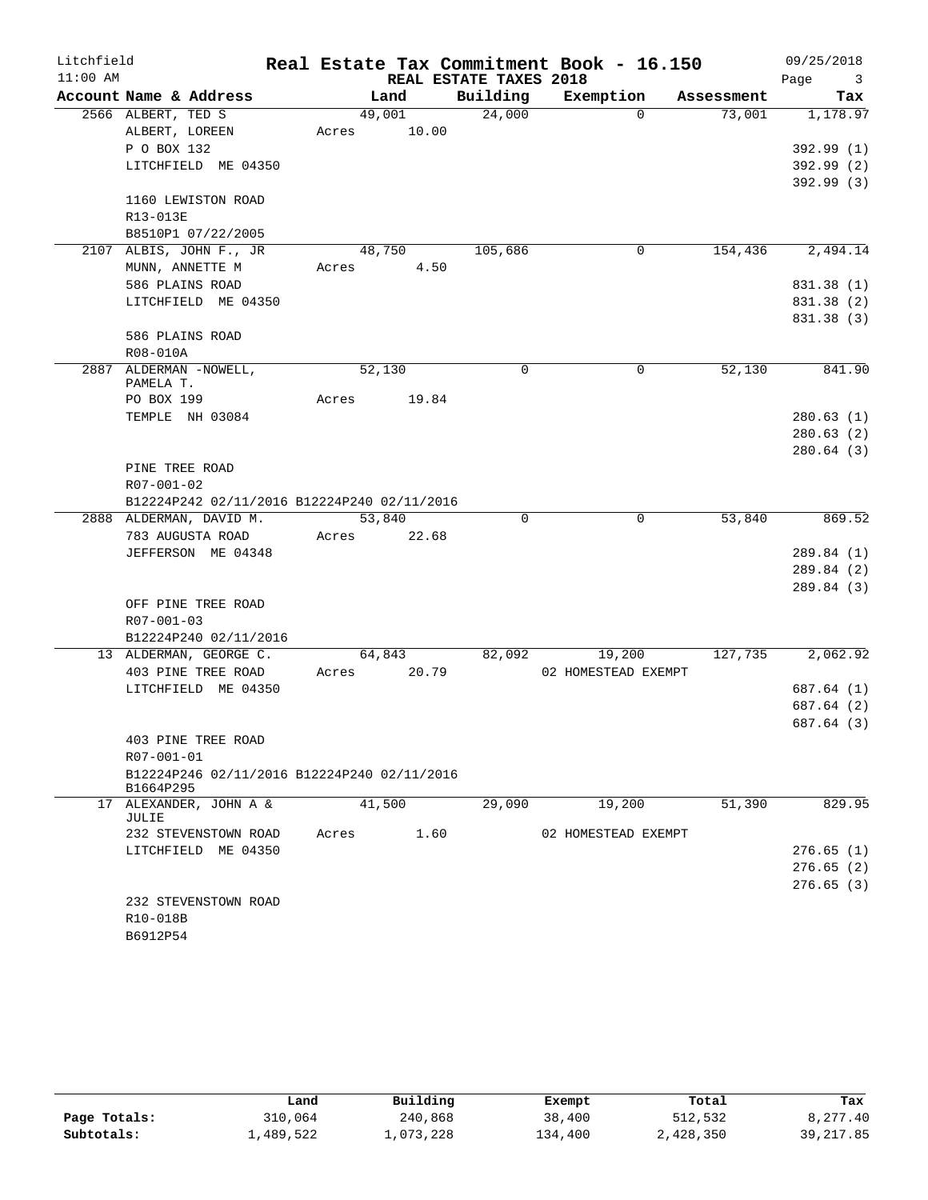| Litchfield |                                                          |       |        |                        | Real Estate Tax Commitment Book - 16.150 |            | 09/25/2018                      |
|------------|----------------------------------------------------------|-------|--------|------------------------|------------------------------------------|------------|---------------------------------|
| $11:00$ AM |                                                          |       |        | REAL ESTATE TAXES 2018 |                                          |            | Page<br>$\overline{\mathbf{3}}$ |
|            | Account Name & Address                                   |       | Land   | Building               | Exemption                                | Assessment | Tax                             |
|            | 2566 ALBERT, TED S                                       |       | 49,001 | 24,000                 | $\Omega$                                 | 73,001     | 1,178.97                        |
|            | ALBERT, LOREEN                                           | Acres | 10.00  |                        |                                          |            |                                 |
|            | P O BOX 132                                              |       |        |                        |                                          |            | 392.99 (1)                      |
|            | LITCHFIELD ME 04350                                      |       |        |                        |                                          |            | 392.99(2)                       |
|            |                                                          |       |        |                        |                                          |            | 392.99 (3)                      |
|            | 1160 LEWISTON ROAD                                       |       |        |                        |                                          |            |                                 |
|            | R13-013E                                                 |       |        |                        |                                          |            |                                 |
|            | B8510P1 07/22/2005                                       |       |        |                        |                                          |            |                                 |
|            | 2107 ALBIS, JOHN F., JR                                  |       | 48,750 | 105,686                | 0                                        | 154,436    | 2,494.14                        |
|            | MUNN, ANNETTE M                                          | Acres | 4.50   |                        |                                          |            |                                 |
|            | 586 PLAINS ROAD                                          |       |        |                        |                                          |            | 831.38 (1)                      |
|            | LITCHFIELD ME 04350                                      |       |        |                        |                                          |            | 831.38 (2)                      |
|            |                                                          |       |        |                        |                                          |            | 831.38 (3)                      |
|            | 586 PLAINS ROAD<br>R08-010A                              |       |        |                        |                                          |            |                                 |
|            | 2887 ALDERMAN -NOWELL,                                   |       | 52,130 | $\Omega$               | 0                                        | 52,130     | 841.90                          |
|            | PAMELA T.                                                |       |        |                        |                                          |            |                                 |
|            | PO BOX 199                                               | Acres | 19.84  |                        |                                          |            |                                 |
|            | TEMPLE NH 03084                                          |       |        |                        |                                          |            | 280.63(1)                       |
|            |                                                          |       |        |                        |                                          |            | 280.63(2)                       |
|            |                                                          |       |        |                        |                                          |            | 280.64(3)                       |
|            | PINE TREE ROAD                                           |       |        |                        |                                          |            |                                 |
|            | R07-001-02                                               |       |        |                        |                                          |            |                                 |
|            | B12224P242 02/11/2016 B12224P240 02/11/2016              |       |        |                        |                                          |            |                                 |
|            | 2888 ALDERMAN, DAVID M.                                  |       | 53,840 | $\Omega$               | 0                                        | 53,840     | 869.52                          |
|            | 783 AUGUSTA ROAD                                         | Acres | 22.68  |                        |                                          |            |                                 |
|            | JEFFERSON ME 04348                                       |       |        |                        |                                          |            | 289.84 (1)                      |
|            |                                                          |       |        |                        |                                          |            | 289.84(2)                       |
|            |                                                          |       |        |                        |                                          |            | 289.84(3)                       |
|            | OFF PINE TREE ROAD                                       |       |        |                        |                                          |            |                                 |
|            | $R07 - 001 - 03$                                         |       |        |                        |                                          |            |                                 |
|            | B12224P240 02/11/2016                                    |       |        |                        |                                          |            |                                 |
|            | 13 ALDERMAN, GEORGE C.                                   |       | 64,843 | 82,092                 | 19,200                                   | 127,735    | 2,062.92                        |
|            | 403 PINE TREE ROAD                                       | Acres | 20.79  |                        | 02 HOMESTEAD EXEMPT                      |            |                                 |
|            | LITCHFIELD ME 04350                                      |       |        |                        |                                          |            | 687.64 (1)                      |
|            |                                                          |       |        |                        |                                          |            | 687.64 (2)                      |
|            |                                                          |       |        |                        |                                          |            | 687.64 (3)                      |
|            | 403 PINE TREE ROAD                                       |       |        |                        |                                          |            |                                 |
|            | R07-001-01                                               |       |        |                        |                                          |            |                                 |
|            | B12224P246 02/11/2016 B12224P240 02/11/2016<br>B1664P295 |       |        |                        |                                          |            |                                 |
|            | 17 ALEXANDER, JOHN A &<br>JULIE                          |       | 41,500 | 29,090                 | 19,200                                   | 51,390     | 829.95                          |
|            | 232 STEVENSTOWN ROAD                                     | Acres | 1.60   |                        | 02 HOMESTEAD EXEMPT                      |            |                                 |
|            | LITCHFIELD ME 04350                                      |       |        |                        |                                          |            | 276.65(1)                       |
|            |                                                          |       |        |                        |                                          |            | 276.65(2)                       |
|            |                                                          |       |        |                        |                                          |            | 276.65(3)                       |
|            | 232 STEVENSTOWN ROAD                                     |       |        |                        |                                          |            |                                 |
|            | R10-018B                                                 |       |        |                        |                                          |            |                                 |
|            | B6912P54                                                 |       |        |                        |                                          |            |                                 |

|              | Land      | Building  | Exempt  | Total     | Tax        |
|--------------|-----------|-----------|---------|-----------|------------|
| Page Totals: | 310,064   | 240,868   | 38,400  | 512,532   | 8,277.40   |
| Subtotals:   | 1,489,522 | 1,073,228 | 134,400 | 2,428,350 | 39, 217.85 |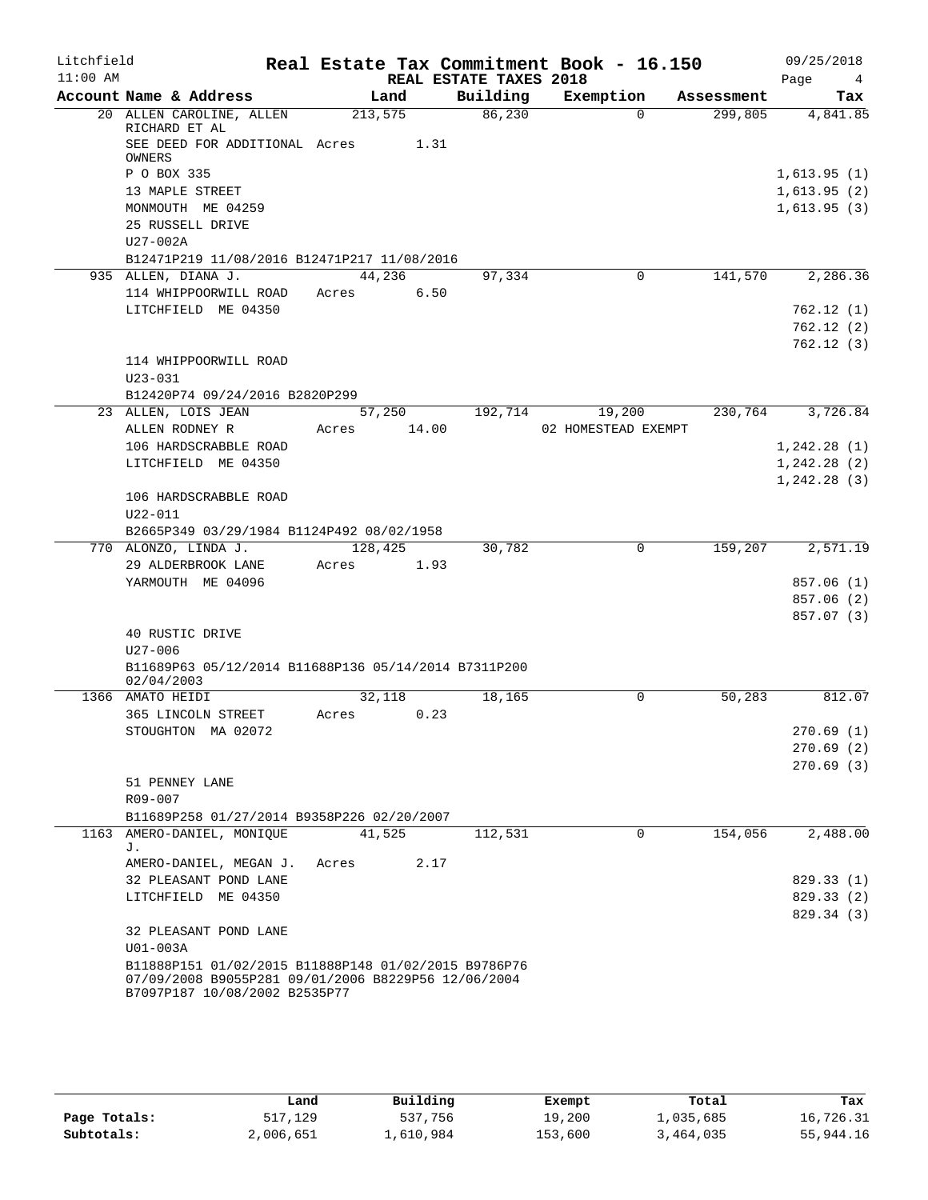| Litchfield |                                                                    |         |       |                        | Real Estate Tax Commitment Book - 16.150 |            | 09/25/2018             |
|------------|--------------------------------------------------------------------|---------|-------|------------------------|------------------------------------------|------------|------------------------|
| $11:00$ AM |                                                                    |         |       | REAL ESTATE TAXES 2018 |                                          |            | Page<br>$\overline{4}$ |
|            | Account Name & Address                                             | Land    |       | Building               | Exemption                                | Assessment | Tax                    |
|            | 20 ALLEN CAROLINE, ALLEN<br>RICHARD ET AL                          | 213,575 |       | 86,230                 | $\Omega$                                 | 299,805    | 4,841.85               |
|            | SEE DEED FOR ADDITIONAL Acres 1.31<br><b>OWNERS</b>                |         |       |                        |                                          |            |                        |
|            | P O BOX 335                                                        |         |       |                        |                                          |            | 1,613.95(1)            |
|            | 13 MAPLE STREET                                                    |         |       |                        |                                          |            | 1,613.95(2)            |
|            | MONMOUTH ME 04259                                                  |         |       |                        |                                          |            | 1,613.95(3)            |
|            | 25 RUSSELL DRIVE                                                   |         |       |                        |                                          |            |                        |
|            | $U27-002A$                                                         |         |       |                        |                                          |            |                        |
|            | B12471P219 11/08/2016 B12471P217 11/08/2016                        |         |       |                        |                                          |            |                        |
|            | 935 ALLEN, DIANA J.                                                | 44,236  |       | 97,334                 | 0                                        | 141,570    | 2,286.36               |
|            | 114 WHIPPOORWILL ROAD                                              | Acres   | 6.50  |                        |                                          |            |                        |
|            | LITCHFIELD ME 04350                                                |         |       |                        |                                          |            | 762.12(1)              |
|            |                                                                    |         |       |                        |                                          |            | 762.12(2)              |
|            |                                                                    |         |       |                        |                                          |            | 762.12(3)              |
|            | 114 WHIPPOORWILL ROAD                                              |         |       |                        |                                          |            |                        |
|            | $U23 - 031$                                                        |         |       |                        |                                          |            |                        |
|            | B12420P74 09/24/2016 B2820P299                                     |         |       |                        |                                          |            |                        |
|            | 23 ALLEN, LOIS JEAN                                                | 57,250  |       | 192,714                | 19,200                                   | 230,764    | 3,726.84               |
|            | ALLEN RODNEY R                                                     | Acres   | 14.00 |                        | 02 HOMESTEAD EXEMPT                      |            |                        |
|            | 106 HARDSCRABBLE ROAD                                              |         |       |                        |                                          |            | 1, 242.28(1)           |
|            | LITCHFIELD ME 04350                                                |         |       |                        |                                          |            | 1, 242.28(2)           |
|            | 106 HARDSCRABBLE ROAD                                              |         |       |                        |                                          |            | 1, 242.28(3)           |
|            | $U22 - 011$                                                        |         |       |                        |                                          |            |                        |
|            | B2665P349 03/29/1984 B1124P492 08/02/1958                          |         |       |                        |                                          |            |                        |
|            | 770 ALONZO, LINDA J.                                               | 128,425 |       | 30,782                 | 0                                        | 159,207    | 2,571.19               |
|            | 29 ALDERBROOK LANE                                                 | Acres   | 1.93  |                        |                                          |            |                        |
|            | YARMOUTH ME 04096                                                  |         |       |                        |                                          |            | 857.06(1)              |
|            |                                                                    |         |       |                        |                                          |            | 857.06 (2)             |
|            |                                                                    |         |       |                        |                                          |            | 857.07 (3)             |
|            | 40 RUSTIC DRIVE                                                    |         |       |                        |                                          |            |                        |
|            | U27-006                                                            |         |       |                        |                                          |            |                        |
|            | B11689P63 05/12/2014 B11688P136 05/14/2014 B7311P200<br>02/04/2003 |         |       |                        |                                          |            |                        |
|            | 1366 AMATO HEIDI                                                   | 32,118  |       | 18,165                 | 0                                        | 50,283     | 812.07                 |
|            | 365 LINCOLN STREET                                                 | Acres   | 0.23  |                        |                                          |            |                        |
|            | STOUGHTON MA 02072                                                 |         |       |                        |                                          |            | 270.69(1)              |
|            |                                                                    |         |       |                        |                                          |            | 270.69(2)              |
|            |                                                                    |         |       |                        |                                          |            | 270.69(3)              |
|            | 51 PENNEY LANE                                                     |         |       |                        |                                          |            |                        |
|            | R09-007                                                            |         |       |                        |                                          |            |                        |
|            | B11689P258 01/27/2014 B9358P226 02/20/2007                         |         |       |                        |                                          |            |                        |
|            | 1163 AMERO-DANIEL, MONIQUE                                         | 41,525  |       | 112,531                | $\Omega$                                 | 154,056    | 2,488.00               |
|            | J.                                                                 |         |       |                        |                                          |            |                        |
|            | AMERO-DANIEL, MEGAN J.                                             | Acres   | 2.17  |                        |                                          |            |                        |
|            | 32 PLEASANT POND LANE                                              |         |       |                        |                                          |            | 829.33 (1)             |
|            | LITCHFIELD ME 04350                                                |         |       |                        |                                          |            | 829.33(2)              |
|            |                                                                    |         |       |                        |                                          |            | 829.34 (3)             |
|            | 32 PLEASANT POND LANE                                              |         |       |                        |                                          |            |                        |
|            | U01-003A<br>B11888P151 01/02/2015 B11888P148 01/02/2015 B9786P76   |         |       |                        |                                          |            |                        |
|            | 07/09/2008 B9055P281 09/01/2006 B8229P56 12/06/2004                |         |       |                        |                                          |            |                        |
|            | B7097P187 10/08/2002 B2535P77                                      |         |       |                        |                                          |            |                        |

|              | Land      | Building  | Exempt  | Total     | Tax       |
|--------------|-----------|-----------|---------|-----------|-----------|
| Page Totals: | 517,129   | 537,756   | 19,200  | ⊥,035,685 | 16,726.31 |
| Subtotals:   | 2,006,651 | 1,610,984 | 153,600 | 3,464,035 | 55,944.16 |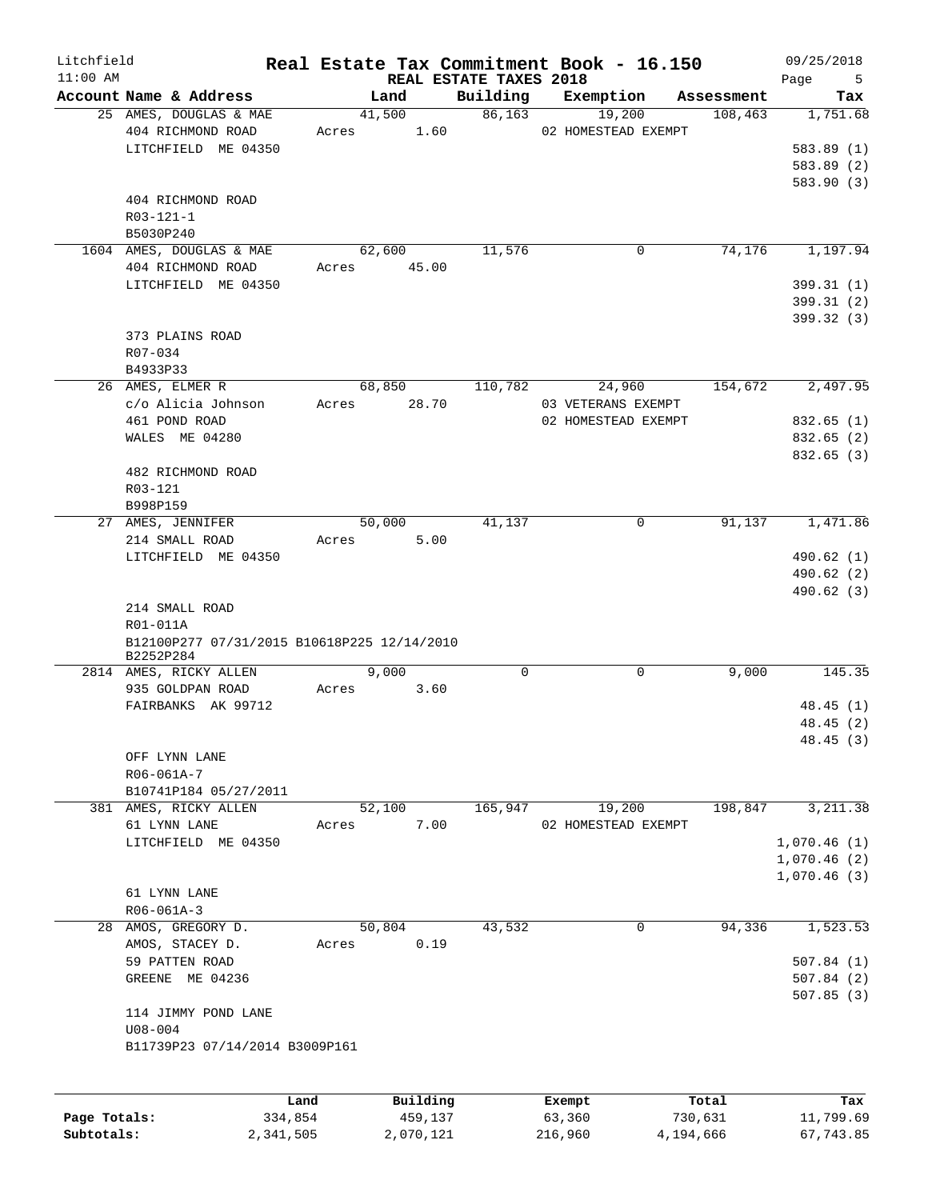| Litchfield   |                                             |           |           |                                    | Real Estate Tax Commitment Book - 16.150 |            | 09/25/2018       |
|--------------|---------------------------------------------|-----------|-----------|------------------------------------|------------------------------------------|------------|------------------|
| $11:00$ AM   | Account Name & Address                      |           | Land      | REAL ESTATE TAXES 2018<br>Building | Exemption                                | Assessment | Page<br>5<br>Tax |
|              | 25 AMES, DOUGLAS & MAE                      |           | 41,500    | 86,163                             | 19,200                                   | 108,463    | 1,751.68         |
|              | 404 RICHMOND ROAD                           | Acres     | 1.60      |                                    | 02 HOMESTEAD EXEMPT                      |            |                  |
|              | LITCHFIELD ME 04350                         |           |           |                                    |                                          |            | 583.89 (1)       |
|              |                                             |           |           |                                    |                                          |            | 583.89 (2)       |
|              |                                             |           |           |                                    |                                          |            | 583.90 (3)       |
|              | 404 RICHMOND ROAD                           |           |           |                                    |                                          |            |                  |
|              | $R03 - 121 - 1$                             |           |           |                                    |                                          |            |                  |
|              | B5030P240                                   |           |           |                                    |                                          |            |                  |
|              | 1604 AMES, DOUGLAS & MAE                    |           | 62,600    | 11,576                             | 0                                        | 74,176     | 1,197.94         |
|              | 404 RICHMOND ROAD                           | Acres     | 45.00     |                                    |                                          |            |                  |
|              | LITCHFIELD ME 04350                         |           |           |                                    |                                          |            | 399.31(1)        |
|              |                                             |           |           |                                    |                                          |            | 399.31(2)        |
|              |                                             |           |           |                                    |                                          |            | 399.32 (3)       |
|              | 373 PLAINS ROAD                             |           |           |                                    |                                          |            |                  |
|              | R07-034                                     |           |           |                                    |                                          |            |                  |
|              | B4933P33                                    |           |           |                                    |                                          |            |                  |
|              | 26 AMES, ELMER R                            |           | 68,850    | 110,782                            | 24,960                                   | 154,672    | 2,497.95         |
|              | c/o Alicia Johnson                          | Acres     | 28.70     |                                    | 03 VETERANS EXEMPT                       |            |                  |
|              | 461 POND ROAD                               |           |           |                                    | 02 HOMESTEAD EXEMPT                      |            | 832.65 (1)       |
|              | WALES ME 04280                              |           |           |                                    |                                          |            | 832.65 (2)       |
|              |                                             |           |           |                                    |                                          |            | 832.65(3)        |
|              | 482 RICHMOND ROAD                           |           |           |                                    |                                          |            |                  |
|              | R03-121                                     |           |           |                                    |                                          |            |                  |
|              | B998P159                                    |           |           |                                    |                                          |            |                  |
| 27           | AMES, JENNIFER                              |           | 50,000    | 41,137                             | $\mathsf{O}$                             | 91,137     | 1,471.86         |
|              | 214 SMALL ROAD                              | Acres     | 5.00      |                                    |                                          |            |                  |
|              | LITCHFIELD ME 04350                         |           |           |                                    |                                          |            | 490.62 (1)       |
|              |                                             |           |           |                                    |                                          |            | 490.62 (2)       |
|              |                                             |           |           |                                    |                                          |            | 490.62 (3)       |
|              | 214 SMALL ROAD                              |           |           |                                    |                                          |            |                  |
|              | R01-011A                                    |           |           |                                    |                                          |            |                  |
|              | B12100P277 07/31/2015 B10618P225 12/14/2010 |           |           |                                    |                                          |            |                  |
|              | B2252P284<br>2814 AMES, RICKY ALLEN         |           | 9,000     | $\mathbf 0$                        | 0                                        | 9,000      | 145.35           |
|              | 935 GOLDPAN ROAD                            | Acres     | 3.60      |                                    |                                          |            |                  |
|              | FAIRBANKS AK 99712                          |           |           |                                    |                                          |            | 48.45(1)         |
|              |                                             |           |           |                                    |                                          |            | 48.45(2)         |
|              |                                             |           |           |                                    |                                          |            | 48.45 (3)        |
|              | OFF LYNN LANE                               |           |           |                                    |                                          |            |                  |
|              | R06-061A-7                                  |           |           |                                    |                                          |            |                  |
|              | B10741P184 05/27/2011                       |           |           |                                    |                                          |            |                  |
|              | 381 AMES, RICKY ALLEN                       |           | 52,100    | 165,947                            | 19,200                                   | 198,847    | 3, 211.38        |
|              | 61 LYNN LANE                                | Acres     | 7.00      |                                    | 02 HOMESTEAD EXEMPT                      |            |                  |
|              | LITCHFIELD ME 04350                         |           |           |                                    |                                          |            | 1,070.46(1)      |
|              |                                             |           |           |                                    |                                          |            | 1,070.46(2)      |
|              |                                             |           |           |                                    |                                          |            | 1,070.46(3)      |
|              | 61 LYNN LANE                                |           |           |                                    |                                          |            |                  |
|              | R06-061A-3                                  |           |           |                                    |                                          |            |                  |
|              | 28 AMOS, GREGORY D.                         |           | 50,804    | 43,532                             | $\mathbf 0$                              | 94,336     | 1,523.53         |
|              | AMOS, STACEY D.                             | Acres     | 0.19      |                                    |                                          |            |                  |
|              | 59 PATTEN ROAD                              |           |           |                                    |                                          |            | 507.84(1)        |
|              | GREENE ME 04236                             |           |           |                                    |                                          |            | 507.84(2)        |
|              |                                             |           |           |                                    |                                          |            | 507.85(3)        |
|              | 114 JIMMY POND LANE                         |           |           |                                    |                                          |            |                  |
|              | $U08 - 004$                                 |           |           |                                    |                                          |            |                  |
|              | B11739P23 07/14/2014 B3009P161              |           |           |                                    |                                          |            |                  |
|              |                                             |           |           |                                    |                                          |            |                  |
|              |                                             |           |           |                                    |                                          |            |                  |
|              |                                             | Land      | Building  |                                    | Exempt                                   | Total      | Tax              |
| Page Totals: |                                             | 334,854   | 459,137   |                                    | 63,360                                   | 730,631    | 11,799.69        |
| Subtotals:   |                                             | 2,341,505 | 2,070,121 |                                    | 216,960                                  | 4,194,666  | 67,743.85        |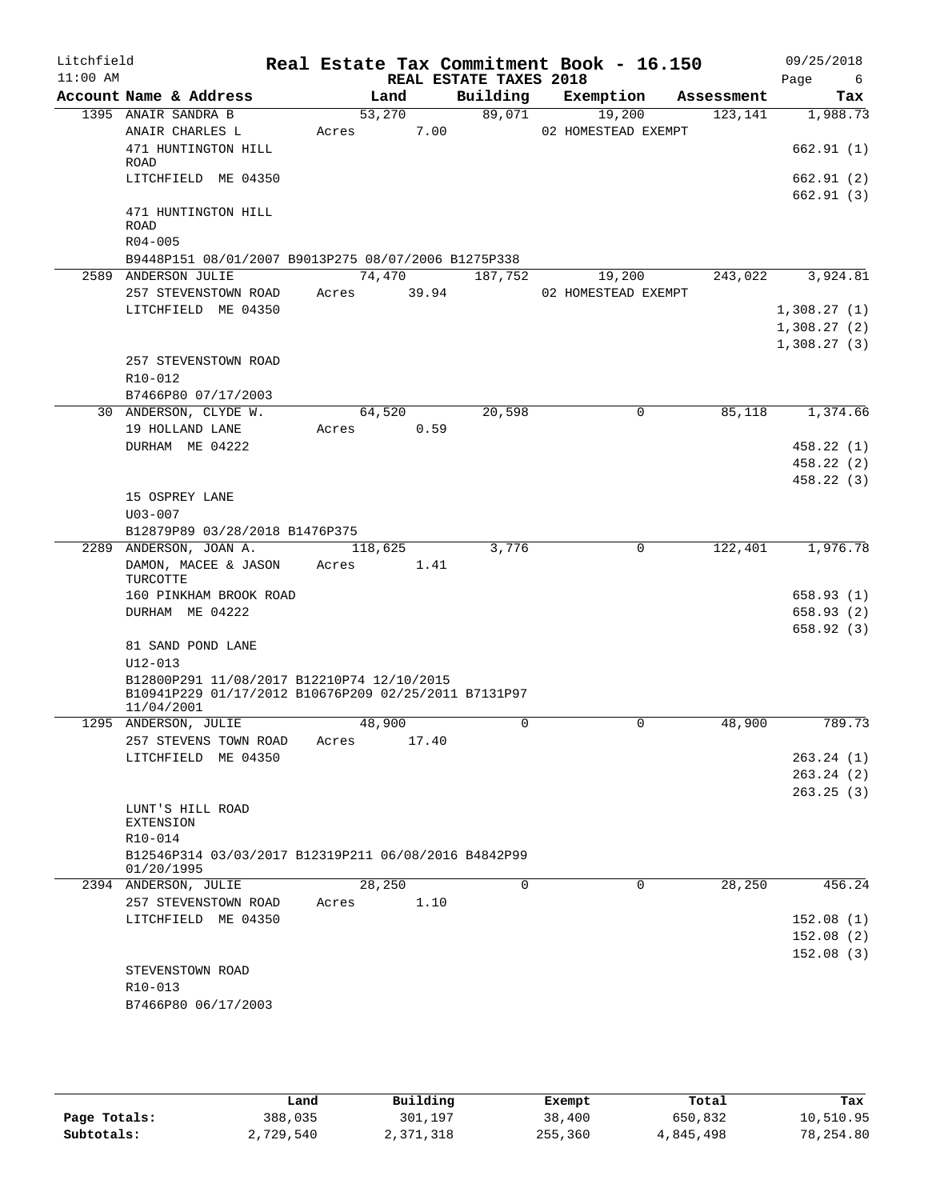| Litchfield<br>$11:00$ AM |                      |                                                                                                    |       |         | REAL ESTATE TAXES 2018 | Real Estate Tax Commitment Book - 16.150 |            | 09/25/2018<br>Page<br>- 6 |
|--------------------------|----------------------|----------------------------------------------------------------------------------------------------|-------|---------|------------------------|------------------------------------------|------------|---------------------------|
|                          |                      | Account Name & Address                                                                             |       | Land    | Building               | Exemption                                | Assessment | Tax                       |
|                          |                      | 1395 ANAIR SANDRA B                                                                                |       | 53,270  | 89,071                 | 19,200                                   | 123,141    | 1,988.73                  |
|                          |                      | ANAIR CHARLES L                                                                                    | Acres | 7.00    |                        | 02 HOMESTEAD EXEMPT                      |            |                           |
|                          |                      | 471 HUNTINGTON HILL                                                                                |       |         |                        |                                          |            | 662.91(1)                 |
|                          | ROAD                 | LITCHFIELD ME 04350                                                                                |       |         |                        |                                          |            | 662.91 (2)                |
|                          |                      |                                                                                                    |       |         |                        |                                          |            | 662.91(3)                 |
|                          | ROAD                 | 471 HUNTINGTON HILL                                                                                |       |         |                        |                                          |            |                           |
|                          | $R04 - 005$          |                                                                                                    |       |         |                        |                                          |            |                           |
|                          |                      | B9448P151 08/01/2007 B9013P275 08/07/2006 B1275P338                                                |       |         |                        |                                          |            |                           |
|                          |                      | 2589 ANDERSON JULIE                                                                                |       | 74,470  | 187,752                | 19,200                                   | 243,022    | 3,924.81                  |
|                          |                      | 257 STEVENSTOWN ROAD                                                                               | Acres | 39.94   |                        | 02 HOMESTEAD EXEMPT                      |            |                           |
|                          |                      | LITCHFIELD ME 04350                                                                                |       |         |                        |                                          |            | 1,308.27(1)               |
|                          |                      |                                                                                                    |       |         |                        |                                          |            | 1,308.27(2)               |
|                          |                      |                                                                                                    |       |         |                        |                                          |            | 1,308.27(3)               |
|                          |                      | 257 STEVENSTOWN ROAD                                                                               |       |         |                        |                                          |            |                           |
|                          | R10-012              | B7466P80 07/17/2003                                                                                |       |         |                        |                                          |            |                           |
|                          |                      | 30 ANDERSON, CLYDE W.                                                                              |       | 64,520  | 20,598                 | $\mathbf 0$                              | 85,118     | 1,374.66                  |
|                          |                      | 19 HOLLAND LANE                                                                                    | Acres | 0.59    |                        |                                          |            |                           |
|                          |                      | DURHAM ME 04222                                                                                    |       |         |                        |                                          |            | 458.22 (1)                |
|                          |                      |                                                                                                    |       |         |                        |                                          |            | 458.22 (2)                |
|                          |                      |                                                                                                    |       |         |                        |                                          |            | 458.22(3)                 |
|                          |                      | 15 OSPREY LANE                                                                                     |       |         |                        |                                          |            |                           |
|                          | $U03 - 007$          |                                                                                                    |       |         |                        |                                          |            |                           |
|                          |                      | B12879P89 03/28/2018 B1476P375                                                                     |       |         |                        |                                          |            |                           |
|                          |                      | 2289 ANDERSON, JOAN A.                                                                             |       | 118,625 | 3,776                  | $\mathbf 0$                              | 122,401    | 1,976.78                  |
|                          | TURCOTTE             | DAMON, MACEE & JASON                                                                               | Acres | 1.41    |                        |                                          |            |                           |
|                          |                      | 160 PINKHAM BROOK ROAD                                                                             |       |         |                        |                                          |            | 658.93(1)                 |
|                          |                      | DURHAM ME 04222                                                                                    |       |         |                        |                                          |            | 658.93 (2)                |
|                          |                      |                                                                                                    |       |         |                        |                                          |            | 658.92(3)                 |
|                          |                      | 81 SAND POND LANE                                                                                  |       |         |                        |                                          |            |                           |
|                          | $U12 - 013$          |                                                                                                    |       |         |                        |                                          |            |                           |
|                          | 11/04/2001           | B12800P291 11/08/2017 B12210P74 12/10/2015<br>B10941P229 01/17/2012 B10676P209 02/25/2011 B7131P97 |       |         |                        |                                          |            |                           |
|                          |                      | 1295 ANDERSON, JULIE                                                                               |       | 48,900  | 0                      | 0                                        | 48,900     | 789.73                    |
|                          |                      | 257 STEVENS TOWN ROAD                                                                              | Acres | 17.40   |                        |                                          |            |                           |
|                          |                      | LITCHFIELD ME 04350                                                                                |       |         |                        |                                          |            | 263.24(1)                 |
|                          |                      |                                                                                                    |       |         |                        |                                          |            | 263.24(2)                 |
|                          |                      |                                                                                                    |       |         |                        |                                          |            | 263.25(3)                 |
|                          | <b>EXTENSION</b>     | LUNT'S HILL ROAD                                                                                   |       |         |                        |                                          |            |                           |
|                          | R10-014              |                                                                                                    |       |         |                        |                                          |            |                           |
|                          | 01/20/1995           | B12546P314 03/03/2017 B12319P211 06/08/2016 B4842P99                                               |       |         |                        |                                          |            |                           |
|                          |                      | 2394 ANDERSON, JULIE                                                                               |       | 28,250  | 0                      | $\mathbf 0$                              | 28,250     | 456.24                    |
|                          |                      | 257 STEVENSTOWN ROAD                                                                               | Acres | 1.10    |                        |                                          |            |                           |
|                          |                      | LITCHFIELD ME 04350                                                                                |       |         |                        |                                          |            | 152.08(1)                 |
|                          |                      |                                                                                                    |       |         |                        |                                          |            | 152.08(2)                 |
|                          |                      |                                                                                                    |       |         |                        |                                          |            | 152.08(3)                 |
|                          |                      | STEVENSTOWN ROAD                                                                                   |       |         |                        |                                          |            |                           |
|                          | R <sub>10</sub> -013 |                                                                                                    |       |         |                        |                                          |            |                           |
|                          |                      | B7466P80 06/17/2003                                                                                |       |         |                        |                                          |            |                           |
|                          |                      |                                                                                                    |       |         |                        |                                          |            |                           |

|              | Land      | Building  | Exempt  | Total     | Tax       |
|--------------|-----------|-----------|---------|-----------|-----------|
| Page Totals: | 388,035   | 301,197   | 38,400  | 650,832   | 10,510.95 |
| Subtotals:   | 2,729,540 | 2,371,318 | 255,360 | 4,845,498 | 78,254.80 |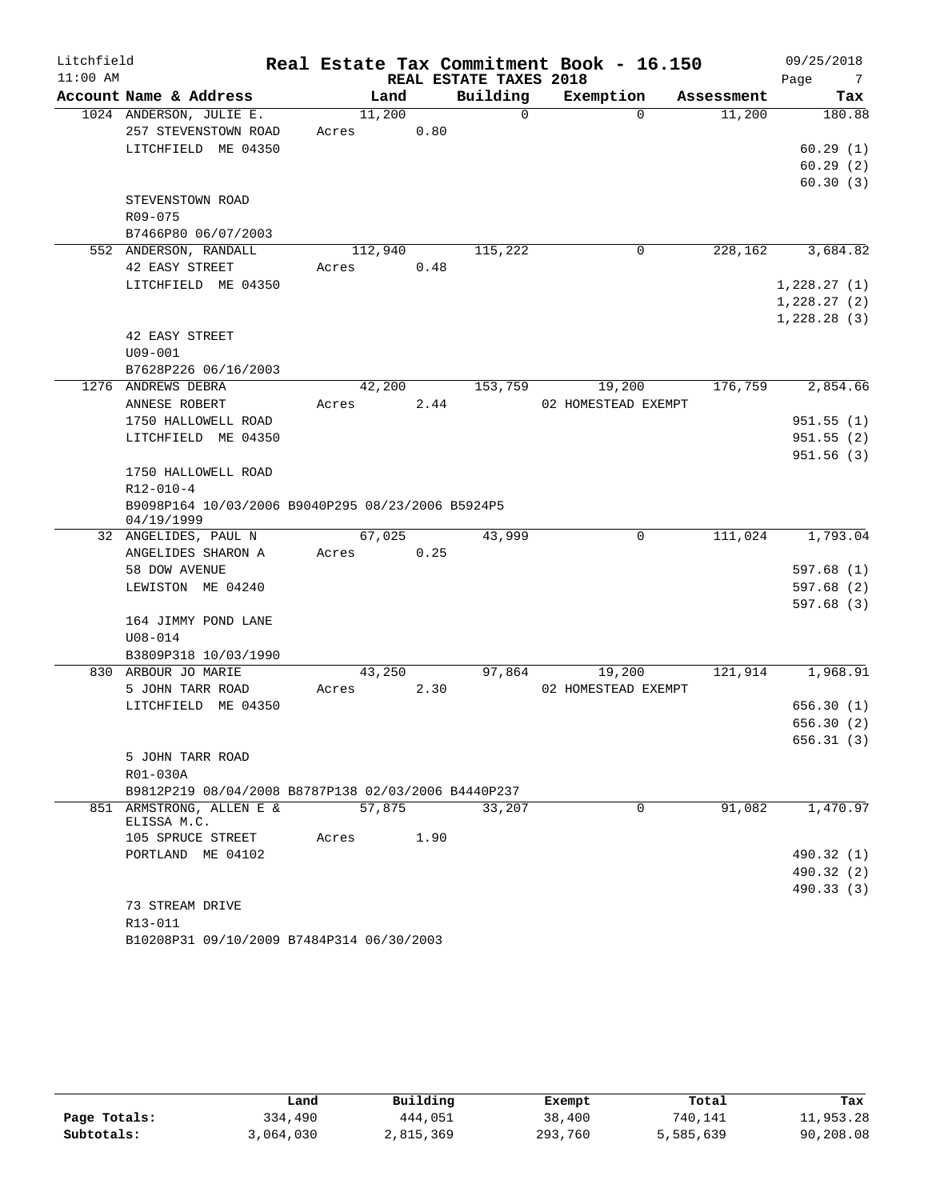| Litchfield |                                                                 |         |      |                        | Real Estate Tax Commitment Book - 16.150 |            | 09/25/2018  |
|------------|-----------------------------------------------------------------|---------|------|------------------------|------------------------------------------|------------|-------------|
| $11:00$ AM |                                                                 |         |      | REAL ESTATE TAXES 2018 |                                          |            | Page<br>7   |
|            | Account Name & Address                                          | Land    |      | Building               | Exemption                                | Assessment | Tax         |
|            | 1024 ANDERSON, JULIE E.                                         | 11,200  |      | 0                      | $\Omega$                                 | 11,200     | 180.88      |
|            | 257 STEVENSTOWN ROAD                                            | Acres   | 0.80 |                        |                                          |            |             |
|            | LITCHFIELD ME 04350                                             |         |      |                        |                                          |            | 60.29(1)    |
|            |                                                                 |         |      |                        |                                          |            | 60.29(2)    |
|            |                                                                 |         |      |                        |                                          |            | 60.30(3)    |
|            | STEVENSTOWN ROAD                                                |         |      |                        |                                          |            |             |
|            | R09-075                                                         |         |      |                        |                                          |            |             |
|            | B7466P80 06/07/2003                                             |         |      |                        |                                          |            |             |
|            | 552 ANDERSON, RANDALL                                           | 112,940 |      | 115,222                | $\mathbf 0$                              | 228,162    | 3,684.82    |
|            | 42 EASY STREET                                                  | Acres   | 0.48 |                        |                                          |            |             |
|            | LITCHFIELD ME 04350                                             |         |      |                        |                                          |            | 1,228.27(1) |
|            |                                                                 |         |      |                        |                                          |            | 1,228.27(2) |
|            |                                                                 |         |      |                        |                                          |            | 1,228.28(3) |
|            | 42 EASY STREET                                                  |         |      |                        |                                          |            |             |
|            | $U09 - 001$                                                     |         |      |                        |                                          |            |             |
|            | B7628P226 06/16/2003<br>1276 ANDREWS DEBRA                      | 42,200  |      | 153,759                |                                          | 176,759    | 2,854.66    |
|            |                                                                 |         |      |                        | 19,200                                   |            |             |
|            | ANNESE ROBERT<br>1750 HALLOWELL ROAD                            | Acres   | 2.44 |                        | 02 HOMESTEAD EXEMPT                      |            | 951.55(1)   |
|            | LITCHFIELD ME 04350                                             |         |      |                        |                                          |            | 951.55(2)   |
|            |                                                                 |         |      |                        |                                          |            | 951.56(3)   |
|            | 1750 HALLOWELL ROAD                                             |         |      |                        |                                          |            |             |
|            | $R12 - 010 - 4$                                                 |         |      |                        |                                          |            |             |
|            | B9098P164 10/03/2006 B9040P295 08/23/2006 B5924P5               |         |      |                        |                                          |            |             |
|            | 04/19/1999                                                      |         |      |                        |                                          |            |             |
|            | 32 ANGELIDES, PAUL N                                            | 67,025  |      | 43,999                 | $\mathbf 0$                              | 111,024    | 1,793.04    |
|            | ANGELIDES SHARON A                                              | Acres   | 0.25 |                        |                                          |            |             |
|            | 58 DOW AVENUE                                                   |         |      |                        |                                          |            | 597.68(1)   |
|            | LEWISTON ME 04240                                               |         |      |                        |                                          |            | 597.68(2)   |
|            |                                                                 |         |      |                        |                                          |            | 597.68(3)   |
|            | 164 JIMMY POND LANE                                             |         |      |                        |                                          |            |             |
|            | $U08 - 014$                                                     |         |      |                        |                                          |            |             |
|            | B3809P318 10/03/1990                                            |         |      |                        |                                          |            |             |
|            | 830 ARBOUR JO MARIE                                             | 43,250  |      | 97,864                 | 19,200                                   | 121,914    | 1,968.91    |
|            | 5 JOHN TARR ROAD                                                | Acres   | 2.30 |                        | 02 HOMESTEAD EXEMPT                      |            |             |
|            | LITCHFIELD ME 04350                                             |         |      |                        |                                          |            | 656.30(1)   |
|            |                                                                 |         |      |                        |                                          |            | 656.30(2)   |
|            |                                                                 |         |      |                        |                                          |            | 656.31 (3)  |
|            | 5 JOHN TARR ROAD                                                |         |      |                        |                                          |            |             |
|            | R01-030A<br>B9812P219 08/04/2008 B8787P138 02/03/2006 B4440P237 |         |      |                        |                                          |            |             |
|            | 851 ARMSTRONG, ALLEN E &                                        | 57,875  |      | 33,207                 | $\overline{0}$                           | 91,082     | 1,470.97    |
|            | ELISSA M.C.                                                     |         |      |                        |                                          |            |             |
|            | 105 SPRUCE STREET                                               | Acres   | 1.90 |                        |                                          |            |             |
|            | PORTLAND ME 04102                                               |         |      |                        |                                          |            | 490.32 (1)  |
|            |                                                                 |         |      |                        |                                          |            | 490.32 (2)  |
|            |                                                                 |         |      |                        |                                          |            | 490.33 (3)  |
|            | 73 STREAM DRIVE                                                 |         |      |                        |                                          |            |             |
|            | R13-011                                                         |         |      |                        |                                          |            |             |
|            | B10208P31 09/10/2009 B7484P314 06/30/2003                       |         |      |                        |                                          |            |             |

|              | Land      | Building  | Exempt  | Total     | Tax       |
|--------------|-----------|-----------|---------|-----------|-----------|
| Page Totals: | 334,490   | 444,051   | 38,400  | 740,141   | 11,953.28 |
| Subtotals:   | 3,064,030 | 2,815,369 | 293,760 | 5,585,639 | 90,208.08 |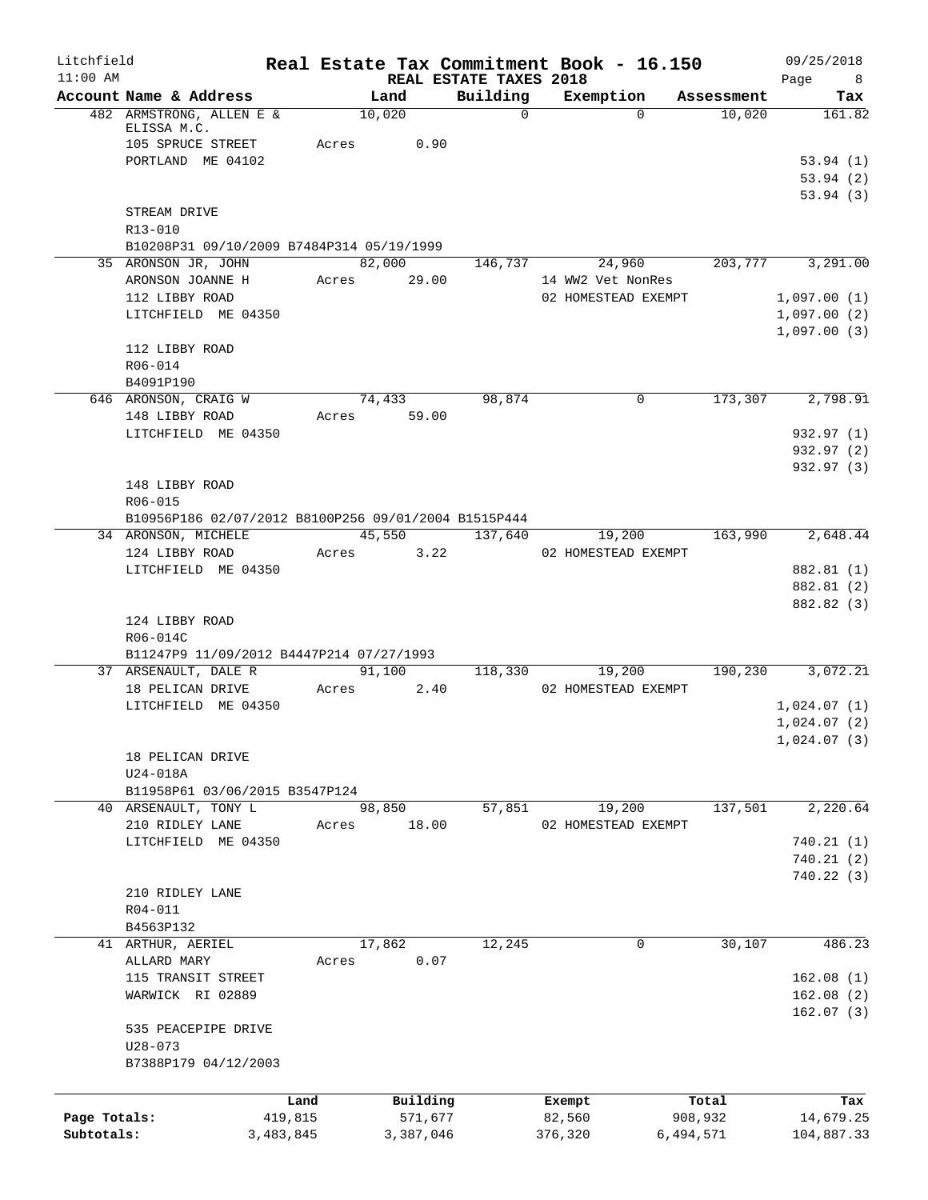| Litchfield<br>$11:00$ AM |                                         |           | Real Estate Tax Commitment Book - 16.150             |                                    |                     |                     |            | 09/25/2018                    |
|--------------------------|-----------------------------------------|-----------|------------------------------------------------------|------------------------------------|---------------------|---------------------|------------|-------------------------------|
|                          | Account Name & Address                  |           | Land                                                 | REAL ESTATE TAXES 2018<br>Building | Exemption           |                     | Assessment | Page<br>8 <sup>8</sup><br>Tax |
|                          | 482 ARMSTRONG, ALLEN E &                |           | 10,020                                               | $\Omega$                           |                     | $\Omega$            | 10,020     | 161.82                        |
|                          | ELISSA M.C.                             |           |                                                      |                                    |                     |                     |            |                               |
|                          | 105 SPRUCE STREET                       |           | 0.90<br>Acres                                        |                                    |                     |                     |            |                               |
|                          | PORTLAND ME 04102                       |           |                                                      |                                    |                     |                     |            | 53.94(1)                      |
|                          |                                         |           |                                                      |                                    |                     |                     |            | 53.94(2)<br>53.94(3)          |
|                          | STREAM DRIVE                            |           |                                                      |                                    |                     |                     |            |                               |
|                          | R13-010                                 |           |                                                      |                                    |                     |                     |            |                               |
|                          |                                         |           | B10208P31 09/10/2009 B7484P314 05/19/1999            |                                    |                     |                     |            |                               |
|                          | 35 ARONSON JR, JOHN                     |           | 82,000                                               | 146,737                            |                     | 24,960              | 203,777    | 3,291.00                      |
|                          | ARONSON JOANNE H                        |           | Acres<br>29.00                                       |                                    | 14 WW2 Vet NonRes   |                     |            |                               |
|                          | 112 LIBBY ROAD                          |           |                                                      |                                    | 02 HOMESTEAD EXEMPT |                     |            | 1,097.00(1)                   |
|                          | LITCHFIELD ME 04350                     |           |                                                      |                                    |                     |                     |            | 1,097.00(2)                   |
|                          | 112 LIBBY ROAD                          |           |                                                      |                                    |                     |                     |            | 1,097.00(3)                   |
|                          | R06-014                                 |           |                                                      |                                    |                     |                     |            |                               |
|                          | B4091P190                               |           |                                                      |                                    |                     |                     |            |                               |
|                          | 646 ARONSON, CRAIG W                    |           | 74,433                                               | 98,874                             |                     | 0                   | 173,307    | 2,798.91                      |
|                          | 148 LIBBY ROAD                          |           | Acres 59.00                                          |                                    |                     |                     |            |                               |
|                          | LITCHFIELD ME 04350                     |           |                                                      |                                    |                     |                     |            | 932.97 (1)                    |
|                          |                                         |           |                                                      |                                    |                     |                     |            | 932.97 (2)                    |
|                          |                                         |           |                                                      |                                    |                     |                     |            | 932.97 (3)                    |
|                          | 148 LIBBY ROAD                          |           |                                                      |                                    |                     |                     |            |                               |
|                          | R06-015                                 |           | B10956P186 02/07/2012 B8100P256 09/01/2004 B1515P444 |                                    |                     |                     |            |                               |
|                          | 34 ARONSON, MICHELE                     |           | 45,550                                               | 137,640                            |                     | 19,200              | 163,990    | 2,648.44                      |
|                          | 124 LIBBY ROAD                          |           | Acres<br>3.22                                        |                                    | 02 HOMESTEAD EXEMPT |                     |            |                               |
|                          | LITCHFIELD ME 04350                     |           |                                                      |                                    |                     |                     |            | 882.81 (1)                    |
|                          |                                         |           |                                                      |                                    |                     |                     |            | 882.81 (2)                    |
|                          |                                         |           |                                                      |                                    |                     |                     |            | 882.82 (3)                    |
|                          | 124 LIBBY ROAD                          |           |                                                      |                                    |                     |                     |            |                               |
|                          | R06-014C                                |           |                                                      |                                    |                     |                     |            |                               |
|                          |                                         |           | B11247P9 11/09/2012 B4447P214 07/27/1993             |                                    |                     |                     |            |                               |
|                          | 37 ARSENAULT, DALE R                    |           | 91,100                                               | 118,330                            |                     | 19,200              | 190,230    | 3,072.21                      |
|                          | 18 PELICAN DRIVE<br>LITCHFIELD ME 04350 |           | 2.40<br>Acres                                        |                                    | 02 HOMESTEAD EXEMPT |                     |            | 1,024.07(1)                   |
|                          |                                         |           |                                                      |                                    |                     |                     |            | 1,024.07(2)                   |
|                          |                                         |           |                                                      |                                    |                     |                     |            | 1,024.07(3)                   |
|                          | 18 PELICAN DRIVE                        |           |                                                      |                                    |                     |                     |            |                               |
|                          | U24-018A                                |           |                                                      |                                    |                     |                     |            |                               |
|                          | B11958P61 03/06/2015 B3547P124          |           |                                                      |                                    |                     |                     |            |                               |
|                          | 40 ARSENAULT, TONY L                    |           | 98,850                                               | 57,851                             |                     | 19,200              | 137,501    | 2,220.64                      |
|                          | 210 RIDLEY LANE                         |           | 18.00<br>Acres                                       |                                    |                     | 02 HOMESTEAD EXEMPT |            |                               |
|                          | LITCHFIELD ME 04350                     |           |                                                      |                                    |                     |                     |            | 740.21(1)                     |
|                          |                                         |           |                                                      |                                    |                     |                     |            | 740.21(2)<br>740.22(3)        |
|                          | 210 RIDLEY LANE                         |           |                                                      |                                    |                     |                     |            |                               |
|                          | R04-011                                 |           |                                                      |                                    |                     |                     |            |                               |
|                          | B4563P132                               |           |                                                      |                                    |                     |                     |            |                               |
|                          | 41 ARTHUR, AERIEL                       |           | 17,862                                               | 12,245                             |                     | 0                   | 30,107     | 486.23                        |
|                          | ALLARD MARY                             |           | 0.07<br>Acres                                        |                                    |                     |                     |            |                               |
|                          | 115 TRANSIT STREET                      |           |                                                      |                                    |                     |                     |            | 162.08(1)                     |
|                          | WARWICK RI 02889                        |           |                                                      |                                    |                     |                     |            | 162.08(2)                     |
|                          |                                         |           |                                                      |                                    |                     |                     |            | 162.07(3)                     |
|                          | 535 PEACEPIPE DRIVE                     |           |                                                      |                                    |                     |                     |            |                               |
|                          | $U28 - 073$                             |           |                                                      |                                    |                     |                     |            |                               |
|                          | B7388P179 04/12/2003                    |           |                                                      |                                    |                     |                     |            |                               |
|                          |                                         | Land      | Building                                             |                                    | Exempt              |                     | Total      | Tax                           |
| Page Totals:             |                                         | 419,815   | 571,677                                              |                                    | 82,560              |                     | 908,932    | 14,679.25                     |
| Subtotals:               |                                         | 3,483,845 | 3,387,046                                            |                                    | 376,320             |                     | 6,494,571  | 104,887.33                    |
|                          |                                         |           |                                                      |                                    |                     |                     |            |                               |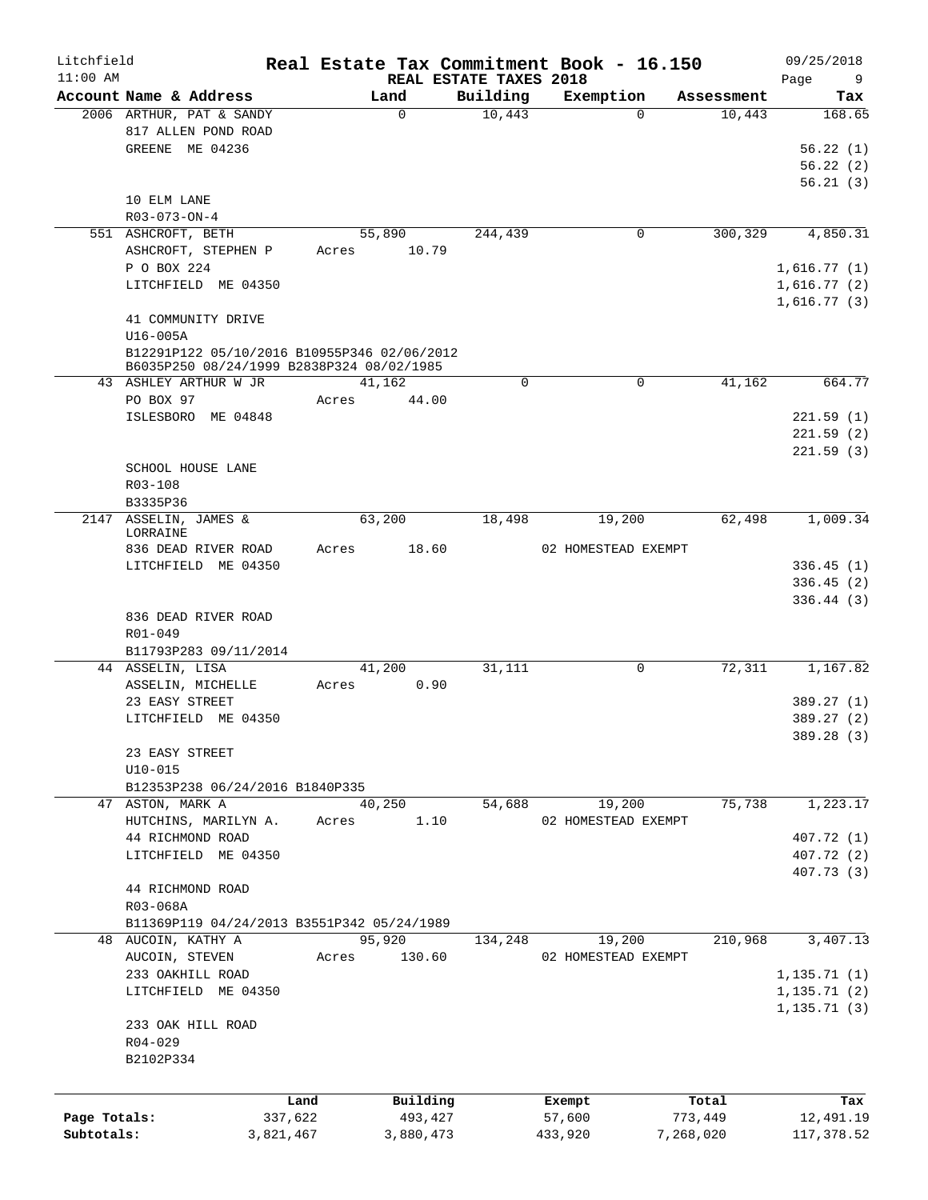| Litchfield   |                                                     |           |       |                  |                        | Real Estate Tax Commitment Book - 16.150 |                      | 09/25/2018    |
|--------------|-----------------------------------------------------|-----------|-------|------------------|------------------------|------------------------------------------|----------------------|---------------|
| $11:00$ AM   |                                                     |           |       |                  | REAL ESTATE TAXES 2018 |                                          |                      | Page<br>9     |
|              | Account Name & Address<br>2006 ARTHUR, PAT & SANDY  |           |       | Land<br>$\Omega$ | Building<br>10,443     | Exemption<br>$\Omega$                    | Assessment<br>10,443 | Tax<br>168.65 |
|              | 817 ALLEN POND ROAD                                 |           |       |                  |                        |                                          |                      |               |
|              | GREENE ME 04236                                     |           |       |                  |                        |                                          |                      | 56.22(1)      |
|              |                                                     |           |       |                  |                        |                                          |                      | 56.22(2)      |
|              |                                                     |           |       |                  |                        |                                          |                      | 56.21(3)      |
|              | 10 ELM LANE                                         |           |       |                  |                        |                                          |                      |               |
|              | R03-073-ON-4                                        |           |       |                  |                        |                                          |                      |               |
|              | 551 ASHCROFT, BETH                                  |           |       | 55,890           | 244,439                | 0                                        | 300,329              | 4,850.31      |
|              | ASHCROFT, STEPHEN P                                 |           | Acres | 10.79            |                        |                                          |                      |               |
|              | P O BOX 224                                         |           |       |                  |                        |                                          |                      | 1,616.77(1)   |
|              | LITCHFIELD ME 04350                                 |           |       |                  |                        |                                          |                      | 1,616.77(2)   |
|              |                                                     |           |       |                  |                        |                                          |                      | 1,616.77(3)   |
|              | 41 COMMUNITY DRIVE                                  |           |       |                  |                        |                                          |                      |               |
|              | U16-005A                                            |           |       |                  |                        |                                          |                      |               |
|              | B12291P122 05/10/2016 B10955P346 02/06/2012         |           |       |                  |                        |                                          |                      |               |
|              | B6035P250 08/24/1999 B2838P324 08/02/1985           |           |       |                  |                        |                                          |                      |               |
|              | 43 ASHLEY ARTHUR W JR                               |           |       | 41,162           | 0                      | $\mathsf{O}$                             | 41,162               | 664.77        |
|              | PO BOX 97                                           |           | Acres | 44.00            |                        |                                          |                      |               |
|              | ISLESBORO ME 04848                                  |           |       |                  |                        |                                          |                      | 221.59(1)     |
|              |                                                     |           |       |                  |                        |                                          |                      | 221.59(2)     |
|              |                                                     |           |       |                  |                        |                                          |                      | 221.59(3)     |
|              | SCHOOL HOUSE LANE                                   |           |       |                  |                        |                                          |                      |               |
|              | R03-108                                             |           |       |                  |                        |                                          |                      |               |
|              | B3335P36                                            |           |       |                  |                        |                                          |                      |               |
|              | 2147 ASSELIN, JAMES &                               |           |       | 63,200           | 18,498                 | 19,200                                   | 62,498               | 1,009.34      |
|              | LORRAINE                                            |           |       |                  |                        |                                          |                      |               |
|              | 836 DEAD RIVER ROAD                                 |           | Acres | 18.60            |                        | 02 HOMESTEAD EXEMPT                      |                      |               |
|              | LITCHFIELD ME 04350                                 |           |       |                  |                        |                                          |                      | 336.45(1)     |
|              |                                                     |           |       |                  |                        |                                          |                      | 336.45(2)     |
|              |                                                     |           |       |                  |                        |                                          |                      | 336.44(3)     |
|              | 836 DEAD RIVER ROAD                                 |           |       |                  |                        |                                          |                      |               |
|              | R01-049                                             |           |       |                  |                        |                                          |                      |               |
|              | B11793P283 09/11/2014                               |           |       |                  |                        |                                          |                      |               |
|              | 44 ASSELIN, LISA                                    |           |       | 41,200           | 31,111                 | 0                                        | 72,311               | 1,167.82      |
|              | ASSELIN, MICHELLE                                   |           | Acres | 0.90             |                        |                                          |                      |               |
|              | 23 EASY STREET                                      |           |       |                  |                        |                                          |                      | 389.27 (1)    |
|              | LITCHFIELD ME 04350                                 |           |       |                  |                        |                                          |                      | 389.27 (2)    |
|              |                                                     |           |       |                  |                        |                                          |                      | 389.28 (3)    |
|              | 23 EASY STREET                                      |           |       |                  |                        |                                          |                      |               |
|              | $U10 - 015$                                         |           |       |                  |                        |                                          |                      |               |
|              | B12353P238 06/24/2016 B1840P335<br>47 ASTON, MARK A |           |       | 40,250           | 54,688                 | 19,200                                   | 75,738               | 1,223.17      |
|              | HUTCHINS, MARILYN A.                                |           | Acres | 1.10             |                        | 02 HOMESTEAD EXEMPT                      |                      |               |
|              | 44 RICHMOND ROAD                                    |           |       |                  |                        |                                          |                      | 407.72 (1)    |
|              | LITCHFIELD ME 04350                                 |           |       |                  |                        |                                          |                      | 407.72 (2)    |
|              |                                                     |           |       |                  |                        |                                          |                      | 407.73 (3)    |
|              | 44 RICHMOND ROAD                                    |           |       |                  |                        |                                          |                      |               |
|              | R03-068A                                            |           |       |                  |                        |                                          |                      |               |
|              | B11369P119 04/24/2013 B3551P342 05/24/1989          |           |       |                  |                        |                                          |                      |               |
|              | 48 AUCOIN, KATHY A                                  |           |       | 95,920           | 134,248                | 19,200                                   | 210,968              | 3,407.13      |
|              | AUCOIN, STEVEN                                      |           | Acres | 130.60           |                        | 02 HOMESTEAD EXEMPT                      |                      |               |
|              | 233 OAKHILL ROAD                                    |           |       |                  |                        |                                          |                      | 1, 135.71(1)  |
|              | LITCHFIELD ME 04350                                 |           |       |                  |                        |                                          |                      | 1, 135.71(2)  |
|              |                                                     |           |       |                  |                        |                                          |                      | 1, 135.71(3)  |
|              | 233 OAK HILL ROAD                                   |           |       |                  |                        |                                          |                      |               |
|              | $R04 - 029$                                         |           |       |                  |                        |                                          |                      |               |
|              | B2102P334                                           |           |       |                  |                        |                                          |                      |               |
|              |                                                     |           |       |                  |                        |                                          |                      |               |
|              |                                                     |           |       |                  |                        |                                          |                      |               |
|              |                                                     | Land      |       | Building         |                        | Exempt                                   | Total                | Tax           |
| Page Totals: |                                                     | 337,622   |       | 493,427          |                        | 57,600                                   | 773,449              | 12,491.19     |
| Subtotals:   |                                                     | 3,821,467 |       | 3,880,473        |                        | 433,920                                  | 7,268,020            | 117,378.52    |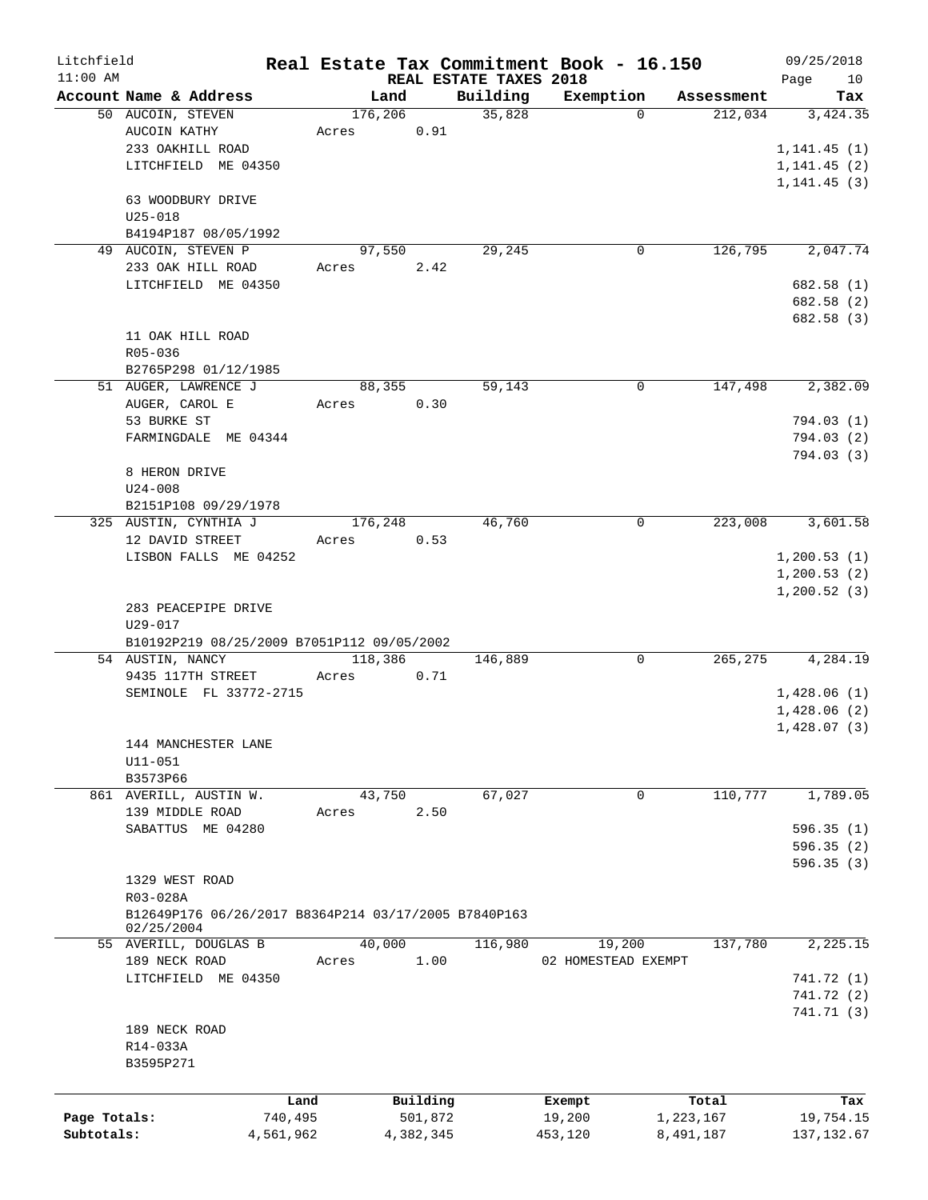| Litchfield   |                                                           |                 |                      |                        | Real Estate Tax Commitment Book - 16.150 |                        | 09/25/2018               |
|--------------|-----------------------------------------------------------|-----------------|----------------------|------------------------|------------------------------------------|------------------------|--------------------------|
| $11:00$ AM   |                                                           |                 |                      | REAL ESTATE TAXES 2018 |                                          |                        | Page<br>10               |
|              | Account Name & Address<br>50 AUCOIN, STEVEN               | Land<br>176,206 |                      | Building<br>35,828     | Exemption<br>$\Omega$                    | Assessment<br>212,034  | Tax<br>3,424.35          |
|              | AUCOIN KATHY                                              | Acres           | 0.91                 |                        |                                          |                        |                          |
|              | 233 OAKHILL ROAD                                          |                 |                      |                        |                                          |                        | 1, 141.45(1)             |
|              | LITCHFIELD ME 04350                                       |                 |                      |                        |                                          |                        | 1, 141.45(2)             |
|              |                                                           |                 |                      |                        |                                          |                        | 1, 141.45(3)             |
|              | 63 WOODBURY DRIVE                                         |                 |                      |                        |                                          |                        |                          |
|              | $U25 - 018$                                               |                 |                      |                        |                                          |                        |                          |
|              | B4194P187 08/05/1992                                      |                 |                      |                        |                                          |                        |                          |
|              | 49 AUCOIN, STEVEN P                                       | 97,550          |                      | 29,245                 | 0                                        | 126,795                | 2,047.74                 |
|              | 233 OAK HILL ROAD                                         | Acres           | 2.42                 |                        |                                          |                        |                          |
|              | LITCHFIELD ME 04350                                       |                 |                      |                        |                                          |                        | 682.58 (1)               |
|              |                                                           |                 |                      |                        |                                          |                        | 682.58 (2)               |
|              |                                                           |                 |                      |                        |                                          |                        | 682.58 (3)               |
|              | 11 OAK HILL ROAD                                          |                 |                      |                        |                                          |                        |                          |
|              | R05-036                                                   |                 |                      |                        |                                          |                        |                          |
|              | B2765P298 01/12/1985                                      |                 |                      |                        |                                          |                        |                          |
|              | 51 AUGER, LAWRENCE J                                      | 88,355          |                      | 59,143                 | 0                                        | 147,498                | 2,382.09                 |
|              | AUGER, CAROL E                                            | Acres           | 0.30                 |                        |                                          |                        |                          |
|              | 53 BURKE ST                                               |                 |                      |                        |                                          |                        | 794.03(1)                |
|              | FARMINGDALE ME 04344                                      |                 |                      |                        |                                          |                        | 794.03 (2)               |
|              |                                                           |                 |                      |                        |                                          |                        | 794.03(3)                |
|              | 8 HERON DRIVE                                             |                 |                      |                        |                                          |                        |                          |
|              | $U24 - 008$                                               |                 |                      |                        |                                          |                        |                          |
|              | B2151P108 09/29/1978                                      |                 |                      |                        |                                          |                        |                          |
|              | 325 AUSTIN, CYNTHIA J                                     | 176,248         |                      | 46,760                 | 0                                        | 223,008                | 3,601.58                 |
|              | 12 DAVID STREET                                           | Acres           | 0.53                 |                        |                                          |                        |                          |
|              | LISBON FALLS ME 04252                                     |                 |                      |                        |                                          |                        | 1, 200.53(1)             |
|              |                                                           |                 |                      |                        |                                          |                        | 1, 200.53(2)             |
|              |                                                           |                 |                      |                        |                                          |                        | 1, 200.52(3)             |
|              | 283 PEACEPIPE DRIVE                                       |                 |                      |                        |                                          |                        |                          |
|              | $U29 - 017$<br>B10192P219 08/25/2009 B7051P112 09/05/2002 |                 |                      |                        |                                          |                        |                          |
|              | 54 AUSTIN, NANCY                                          | 118,386         |                      | 146,889                | 0                                        | 265,275                | 4,284.19                 |
|              | 9435 117TH STREET                                         | Acres           | 0.71                 |                        |                                          |                        |                          |
|              | SEMINOLE FL 33772-2715                                    |                 |                      |                        |                                          |                        | 1,428.06(1)              |
|              |                                                           |                 |                      |                        |                                          |                        | 1,428.06(2)              |
|              |                                                           |                 |                      |                        |                                          |                        | 1,428.07(3)              |
|              | 144 MANCHESTER LANE                                       |                 |                      |                        |                                          |                        |                          |
|              | $U11 - 051$                                               |                 |                      |                        |                                          |                        |                          |
|              | B3573P66                                                  |                 |                      |                        |                                          |                        |                          |
|              | 861 AVERILL, AUSTIN W.                                    | 43,750          |                      | 67,027                 | $\mathbf 0$                              | 110,777                | 1,789.05                 |
|              | 139 MIDDLE ROAD                                           | Acres           | 2.50                 |                        |                                          |                        |                          |
|              | SABATTUS ME 04280                                         |                 |                      |                        |                                          |                        | 596.35(1)                |
|              |                                                           |                 |                      |                        |                                          |                        | 596.35(2)                |
|              |                                                           |                 |                      |                        |                                          |                        | 596.35(3)                |
|              | 1329 WEST ROAD                                            |                 |                      |                        |                                          |                        |                          |
|              | R03-028A                                                  |                 |                      |                        |                                          |                        |                          |
|              | B12649P176 06/26/2017 B8364P214 03/17/2005 B7840P163      |                 |                      |                        |                                          |                        |                          |
|              | 02/25/2004                                                |                 |                      |                        |                                          |                        |                          |
|              | 55 AVERILL, DOUGLAS B                                     | 40,000          |                      | 116,980                | 19,200                                   | 137,780                | 2,225.15                 |
|              | 189 NECK ROAD                                             | Acres           | 1.00                 |                        | 02 HOMESTEAD EXEMPT                      |                        |                          |
|              | LITCHFIELD ME 04350                                       |                 |                      |                        |                                          |                        | 741.72 (1)               |
|              |                                                           |                 |                      |                        |                                          |                        | 741.72 (2)               |
|              |                                                           |                 |                      |                        |                                          |                        | 741.71 (3)               |
|              | 189 NECK ROAD                                             |                 |                      |                        |                                          |                        |                          |
|              | R14-033A<br>B3595P271                                     |                 |                      |                        |                                          |                        |                          |
|              |                                                           |                 |                      |                        |                                          |                        |                          |
|              |                                                           |                 |                      |                        |                                          |                        |                          |
| Page Totals: | Land<br>740,495                                           |                 | Building             |                        | Exempt                                   | Total                  | Tax                      |
| Subtotals:   | 4,561,962                                                 |                 | 501,872<br>4,382,345 |                        | 19,200<br>453,120                        | 1,223,167<br>8,491,187 | 19,754.15<br>137, 132.67 |
|              |                                                           |                 |                      |                        |                                          |                        |                          |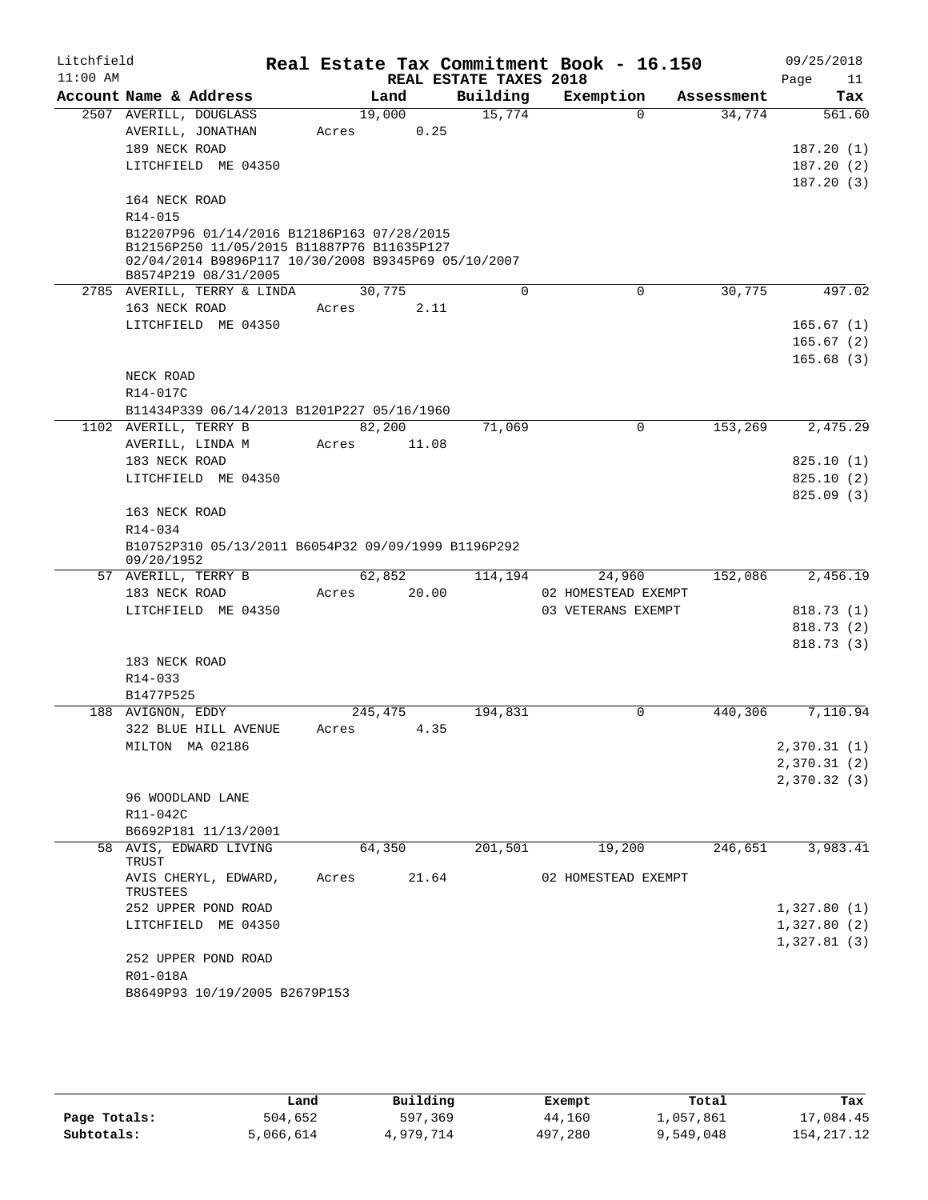| Litchfield |                   |                                                     |       |                |                        | Real Estate Tax Commitment Book - 16.150 |            | 09/25/2018                 |
|------------|-------------------|-----------------------------------------------------|-------|----------------|------------------------|------------------------------------------|------------|----------------------------|
| $11:00$ AM |                   |                                                     |       |                | REAL ESTATE TAXES 2018 |                                          |            | Page<br>11                 |
|            |                   | Account Name & Address                              |       | Land           | Building               | Exemption<br>$\Omega$                    | Assessment | Tax                        |
|            |                   | 2507 AVERILL, DOUGLASS<br>AVERILL, JONATHAN         | Acres | 19,000<br>0.25 | 15,774                 |                                          | 34,774     | 561.60                     |
|            | 189 NECK ROAD     |                                                     |       |                |                        |                                          |            | 187.20(1)                  |
|            |                   | LITCHFIELD ME 04350                                 |       |                |                        |                                          |            | 187.20(2)                  |
|            |                   |                                                     |       |                |                        |                                          |            | 187.20(3)                  |
|            | 164 NECK ROAD     |                                                     |       |                |                        |                                          |            |                            |
|            | R14-015           |                                                     |       |                |                        |                                          |            |                            |
|            |                   | B12207P96 01/14/2016 B12186P163 07/28/2015          |       |                |                        |                                          |            |                            |
|            |                   | B12156P250 11/05/2015 B11887P76 B11635P127          |       |                |                        |                                          |            |                            |
|            |                   | 02/04/2014 B9896P117 10/30/2008 B9345P69 05/10/2007 |       |                |                        |                                          |            |                            |
|            |                   | B8574P219 08/31/2005                                |       | 30,775         | 0                      | 0                                        | 30,775     | 497.02                     |
|            |                   | 2785 AVERILL, TERRY & LINDA                         |       |                |                        |                                          |            |                            |
|            | 163 NECK ROAD     |                                                     | Acres | 2.11           |                        |                                          |            |                            |
|            |                   | LITCHFIELD ME 04350                                 |       |                |                        |                                          |            | 165.67(1)                  |
|            |                   |                                                     |       |                |                        |                                          |            | 165.67(2)                  |
|            | NECK ROAD         |                                                     |       |                |                        |                                          |            | 165.68(3)                  |
|            |                   |                                                     |       |                |                        |                                          |            |                            |
|            | R14-017C          | B11434P339 06/14/2013 B1201P227 05/16/1960          |       |                |                        |                                          |            |                            |
|            |                   | 1102 AVERILL, TERRY B                               |       | 82,200         | 71,069                 | 0                                        | 153,269    | 2,475.29                   |
|            |                   | AVERILL, LINDA M                                    | Acres | 11.08          |                        |                                          |            |                            |
|            | 183 NECK ROAD     |                                                     |       |                |                        |                                          |            | 825.10(1)                  |
|            |                   | LITCHFIELD ME 04350                                 |       |                |                        |                                          |            | 825.10(2)                  |
|            |                   |                                                     |       |                |                        |                                          |            | 825.09 (3)                 |
|            | 163 NECK ROAD     |                                                     |       |                |                        |                                          |            |                            |
|            | R14-034           |                                                     |       |                |                        |                                          |            |                            |
|            |                   | B10752P310 05/13/2011 B6054P32 09/09/1999 B1196P292 |       |                |                        |                                          |            |                            |
|            | 09/20/1952        |                                                     |       |                |                        |                                          |            |                            |
|            |                   | 57 AVERILL, TERRY B                                 |       | 62,852         | 114,194                | 24,960                                   | 152,086    | 2,456.19                   |
|            | 183 NECK ROAD     |                                                     | Acres | 20.00          |                        | 02 HOMESTEAD EXEMPT                      |            |                            |
|            |                   | LITCHFIELD ME 04350                                 |       |                |                        | 03 VETERANS EXEMPT                       |            | 818.73(1)                  |
|            |                   |                                                     |       |                |                        |                                          |            | 818.73 (2)                 |
|            |                   |                                                     |       |                |                        |                                          |            | 818.73(3)                  |
|            | 183 NECK ROAD     |                                                     |       |                |                        |                                          |            |                            |
|            | R14-033           |                                                     |       |                |                        |                                          |            |                            |
|            | B1477P525         |                                                     |       |                |                        |                                          |            |                            |
|            | 188 AVIGNON, EDDY |                                                     |       | 245,475        | 194,831                | 0                                        | 440,306    | 7,110.94                   |
|            |                   | 322 BLUE HILL AVENUE                                |       | Acres 4.35     |                        |                                          |            |                            |
|            |                   | MILTON MA 02186                                     |       |                |                        |                                          |            | 2,370.31(1)<br>2,370.31(2) |
|            |                   |                                                     |       |                |                        |                                          |            | 2,370.32(3)                |
|            |                   | 96 WOODLAND LANE                                    |       |                |                        |                                          |            |                            |
|            | R11-042C          |                                                     |       |                |                        |                                          |            |                            |
|            |                   | B6692P181 11/13/2001                                |       |                |                        |                                          |            |                            |
|            |                   | 58 AVIS, EDWARD LIVING                              |       | 64,350         | 201,501                | 19,200                                   | 246,651    | 3,983.41                   |
|            | TRUST             |                                                     |       |                |                        |                                          |            |                            |
|            | TRUSTEES          | AVIS CHERYL, EDWARD,                                | Acres | 21.64          |                        | 02 HOMESTEAD EXEMPT                      |            |                            |
|            |                   | 252 UPPER POND ROAD                                 |       |                |                        |                                          |            | 1,327.80(1)                |
|            |                   | LITCHFIELD ME 04350                                 |       |                |                        |                                          |            | 1,327.80(2)                |
|            |                   |                                                     |       |                |                        |                                          |            | 1,327.81(3)                |
|            |                   | 252 UPPER POND ROAD                                 |       |                |                        |                                          |            |                            |
|            | R01-018A          |                                                     |       |                |                        |                                          |            |                            |
|            |                   | B8649P93 10/19/2005 B2679P153                       |       |                |                        |                                          |            |                            |
|            |                   |                                                     |       |                |                        |                                          |            |                            |

|              | Land      | Building  | Exempt  | Total     | Tax        |
|--------------|-----------|-----------|---------|-----------|------------|
| Page Totals: | 504,652   | 597,369   | 44,160  | 1,057,861 | 17,084.45  |
| Subtotals:   | 5,066,614 | 4,979,714 | 497,280 | 9,549,048 | 154,217.12 |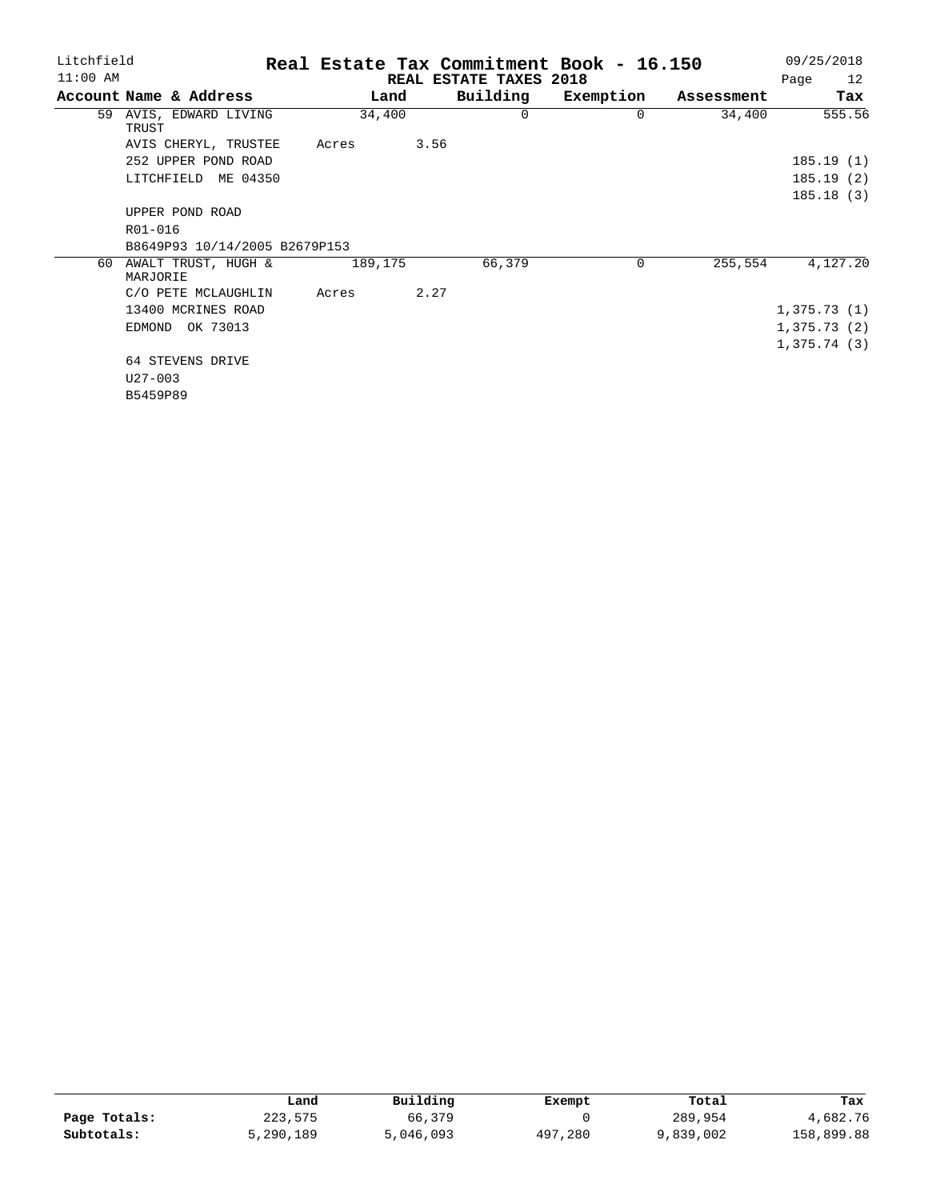| Litchfield |                                 | Real Estate Tax Commitment Book - 16.150 | 09/25/2018 |          |           |            |             |
|------------|---------------------------------|------------------------------------------|------------|----------|-----------|------------|-------------|
| $11:00$ AM |                                 | REAL ESTATE TAXES 2018                   | 12<br>Page |          |           |            |             |
|            | Account Name & Address          | Land                                     |            | Building | Exemption | Assessment | Tax         |
| 59         | AVIS, EDWARD LIVING<br>TRUST    | 34,400                                   |            | 0        | $\Omega$  | 34,400     | 555.56      |
|            | AVIS CHERYL, TRUSTEE            | Acres                                    | 3.56       |          |           |            |             |
|            | 252 UPPER POND ROAD             |                                          |            |          |           |            | 185.19(1)   |
|            | LITCHFIELD<br>ME 04350          |                                          |            |          |           |            | 185.19(2)   |
|            |                                 |                                          |            |          |           |            | 185.18(3)   |
|            | UPPER POND ROAD                 |                                          |            |          |           |            |             |
|            | R01-016                         |                                          |            |          |           |            |             |
|            | B8649P93 10/14/2005 B2679P153   |                                          |            |          |           |            |             |
| 60         | AWALT TRUST, HUGH &<br>MARJORIE | 189,175                                  |            | 66,379   | $\Omega$  | 255,554    | 4,127.20    |
|            | C/O PETE MCLAUGHLIN             | Acres                                    | 2.27       |          |           |            |             |
|            | 13400 MCRINES ROAD              |                                          |            |          |           |            | 1,375.73(1) |
|            | OK 73013<br>EDMOND              |                                          |            |          |           |            | 1,375.73(2) |
|            |                                 |                                          |            |          |           |            | 1,375.74(3) |
|            | 64 STEVENS DRIVE                |                                          |            |          |           |            |             |
|            | $U27 - 003$                     |                                          |            |          |           |            |             |
|            |                                 |                                          |            |          |           |            |             |

B5459P89

|              | Land      | Building  | Exempt  | Total     | Tax        |
|--------------|-----------|-----------|---------|-----------|------------|
| Page Totals: | 223,575   | 66,379    |         | 289,954   | 4,682.76   |
| Subtotals:   | 5,290,189 | 5,046,093 | 497,280 | 9,839,002 | 158,899.88 |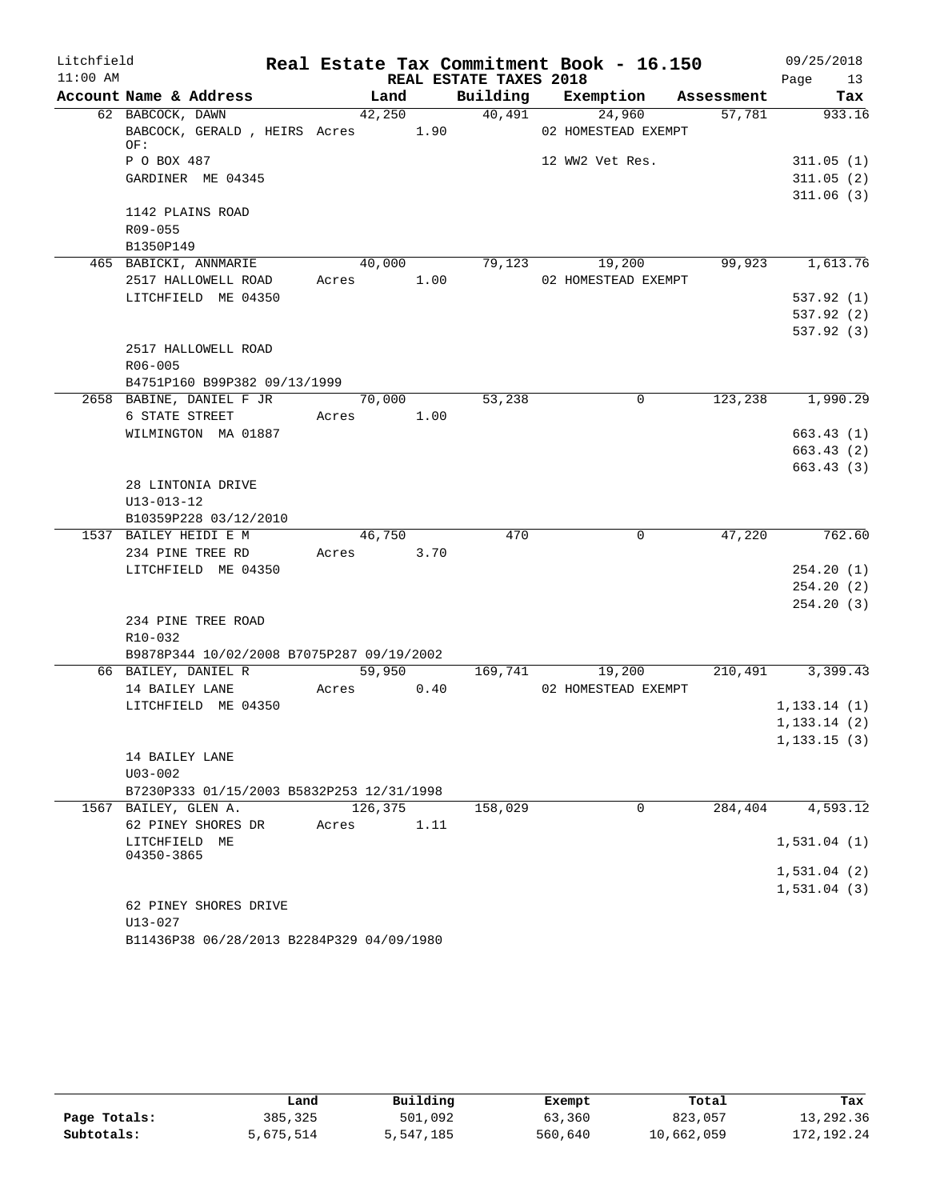| Litchfield<br>$11:00$ AM |                                                                  |            |        | REAL ESTATE TAXES 2018 | Real Estate Tax Commitment Book - 16.150 |         | 09/25/2018       |
|--------------------------|------------------------------------------------------------------|------------|--------|------------------------|------------------------------------------|---------|------------------|
|                          | Account Name & Address                                           |            | Land   |                        | Building Exemption Assessment            |         | Page 13<br>Tax   |
|                          | 62 BABCOCK, DAWN                                                 |            | 42,250 |                        | 40,491<br>24,960                         | 57,781  | 933.16           |
|                          | BABCOCK, GERALD, HEIRS Acres 1.90<br>OF:                         |            |        |                        | 02 HOMESTEAD EXEMPT                      |         |                  |
|                          | P O BOX 487                                                      |            |        |                        | 12 WW2 Vet Res.                          |         | 311.05(1)        |
|                          | GARDINER ME 04345                                                |            |        |                        |                                          |         | 311.05(2)        |
|                          |                                                                  |            |        |                        |                                          |         | 311.06(3)        |
|                          | 1142 PLAINS ROAD                                                 |            |        |                        |                                          |         |                  |
|                          | $R09 - 055$                                                      |            |        |                        |                                          |         |                  |
|                          | B1350P149                                                        |            |        |                        |                                          |         |                  |
|                          | 465 BABICKI, ANNMARIE                                            |            | 40,000 |                        | 79,123<br>19,200                         |         | 99,923 1,613.76  |
|                          | 2517 HALLOWELL ROAD                                              | Acres 1.00 |        |                        | 02 HOMESTEAD EXEMPT                      |         |                  |
|                          | LITCHFIELD ME 04350                                              |            |        |                        |                                          |         | 537.92 (1)       |
|                          |                                                                  |            |        |                        |                                          |         | 537.92(2)        |
|                          |                                                                  |            |        |                        |                                          |         | 537.92(3)        |
|                          | 2517 HALLOWELL ROAD                                              |            |        |                        |                                          |         |                  |
|                          | R06-005                                                          |            |        |                        |                                          |         |                  |
|                          | B4751P160 B99P382 09/13/1999                                     |            |        |                        |                                          |         |                  |
|                          | 2658 BABINE, DANIEL F JR                                         | 70,000     |        | 53,238                 | $\mathbf 0$                              |         | 123,238 1,990.29 |
|                          | 6 STATE STREET                                                   | Acres 1.00 |        |                        |                                          |         |                  |
|                          | WILMINGTON MA 01887                                              |            |        |                        |                                          |         | 663.43(1)        |
|                          |                                                                  |            |        |                        |                                          |         | 663.43(2)        |
|                          |                                                                  |            |        |                        |                                          |         | 663.43(3)        |
|                          | 28 LINTONIA DRIVE                                                |            |        |                        |                                          |         |                  |
|                          | $U13 - 013 - 12$                                                 |            |        |                        |                                          |         |                  |
|                          | B10359P228 03/12/2010                                            |            |        |                        |                                          |         |                  |
|                          | 1537 BAILEY HEIDI E M                                            |            | 46,750 | 470                    | $\overline{0}$                           | 47,220  | 762.60           |
|                          | 234 PINE TREE RD                                                 | Acres 3.70 |        |                        |                                          |         |                  |
|                          | LITCHFIELD ME 04350                                              |            |        |                        |                                          |         | 254.20(1)        |
|                          |                                                                  |            |        |                        |                                          |         | 254.20(2)        |
|                          |                                                                  |            |        |                        |                                          |         | 254.20(3)        |
|                          | 234 PINE TREE ROAD                                               |            |        |                        |                                          |         |                  |
|                          | R10-032                                                          |            |        |                        |                                          |         |                  |
|                          | B9878P344 10/02/2008 B7075P287 09/19/2002<br>66 BAILEY, DANIEL R |            | 59,950 |                        | 169,741 19,200                           |         | 210,491 3,399.43 |
|                          | 14 BAILEY LANE                                                   | Acres      | 0.40   |                        | 02 HOMESTEAD EXEMPT                      |         |                  |
|                          | LITCHFIELD ME 04350                                              |            |        |                        |                                          |         | 1, 133.14(1)     |
|                          |                                                                  |            |        |                        |                                          |         | 1, 133.14(2)     |
|                          |                                                                  |            |        |                        |                                          |         | 1, 133.15(3)     |
|                          | 14 BAILEY LANE                                                   |            |        |                        |                                          |         |                  |
|                          | $U03 - 002$                                                      |            |        |                        |                                          |         |                  |
|                          | B7230P333 01/15/2003 B5832P253 12/31/1998                        |            |        |                        |                                          |         |                  |
|                          | 1567 BAILEY, GLEN A.                                             | 126,375    |        | 158,029                | 0                                        | 284,404 | 4,593.12         |
|                          | 62 PINEY SHORES DR                                               | Acres      | 1.11   |                        |                                          |         |                  |
|                          | LITCHFIELD ME                                                    |            |        |                        |                                          |         | 1,531.04(1)      |
|                          | 04350-3865                                                       |            |        |                        |                                          |         |                  |
|                          |                                                                  |            |        |                        |                                          |         | 1,531.04(2)      |
|                          |                                                                  |            |        |                        |                                          |         | 1,531.04(3)      |
|                          | 62 PINEY SHORES DRIVE                                            |            |        |                        |                                          |         |                  |
|                          | $U13 - 027$                                                      |            |        |                        |                                          |         |                  |

B11436P38 06/28/2013 B2284P329 04/09/1980

|              | Land      | Building  | Exempt  | Total      | Tax        |
|--------------|-----------|-----------|---------|------------|------------|
| Page Totals: | 385,325   | 501,092   | 63,360  | 823,057    | 13,292.36  |
| Subtotals:   | 5,675,514 | 5,547,185 | 560,640 | 10,662,059 | 172,192.24 |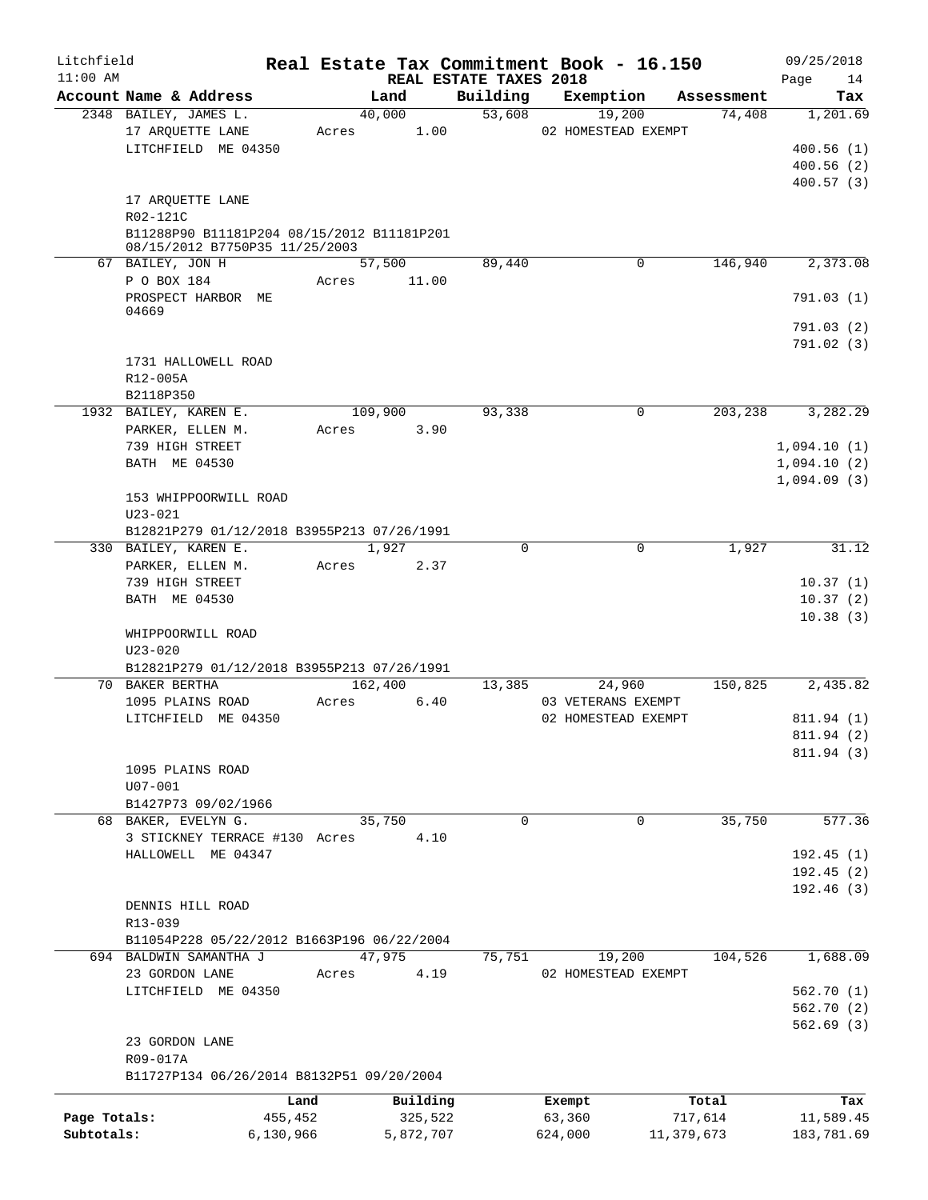| Litchfield<br>$11:00$ AM |                                                                                                              |       |                     | REAL ESTATE TAXES 2018 | Real Estate Tax Commitment Book - 16.150 |                  | 09/25/2018<br>14<br>Page                  |
|--------------------------|--------------------------------------------------------------------------------------------------------------|-------|---------------------|------------------------|------------------------------------------|------------------|-------------------------------------------|
|                          | Account Name & Address                                                                                       |       | Land                | Building               | Exemption                                | Assessment       | Tax                                       |
|                          | 2348 BAILEY, JAMES L.                                                                                        |       | 40,000              | 53,608                 | 19,200                                   | 74,408           | 1,201.69                                  |
|                          | 17 ARQUETTE LANE<br>LITCHFIELD ME 04350                                                                      | Acres | 1.00                |                        | 02 HOMESTEAD EXEMPT                      |                  | 400.56(1)<br>400.56(2)<br>400.57(3)       |
|                          | 17 ARQUETTE LANE<br>R02-121C<br>B11288P90 B11181P204 08/15/2012 B11181P201<br>08/15/2012 B7750P35 11/25/2003 |       |                     |                        |                                          |                  |                                           |
|                          | 67 BAILEY, JON H                                                                                             |       | 57,500              | 89,440                 | $\mathbf{0}$                             | 146,940          | 2,373.08                                  |
|                          | P O BOX 184<br>PROSPECT HARBOR ME                                                                            | Acres | 11.00               |                        |                                          |                  | 791.03(1)                                 |
|                          | 04669                                                                                                        |       |                     |                        |                                          |                  | 791.03(2)<br>791.02(3)                    |
|                          | 1731 HALLOWELL ROAD<br>R12-005A<br>B2118P350                                                                 |       |                     |                        |                                          |                  |                                           |
|                          | 1932 BAILEY, KAREN E.<br>PARKER, ELLEN M.                                                                    | Acres | 109,900<br>3.90     | 93,338                 | 0                                        | 203,238          | 3,282.29                                  |
|                          | 739 HIGH STREET<br>BATH ME 04530                                                                             |       |                     |                        |                                          |                  | 1,094.10(1)<br>1,094.10(2)<br>1,094.09(3) |
|                          | 153 WHIPPOORWILL ROAD<br>$U23 - 021$                                                                         |       |                     |                        |                                          |                  |                                           |
|                          | B12821P279 01/12/2018 B3955P213 07/26/1991<br>330 BAILEY, KAREN E.                                           |       | 1,927               | $\Omega$               | $\Omega$                                 | 1,927            | 31.12                                     |
|                          | PARKER, ELLEN M.                                                                                             | Acres | 2.37                |                        |                                          |                  |                                           |
|                          | 739 HIGH STREET<br>BATH ME 04530                                                                             |       |                     |                        |                                          |                  | 10.37(1)<br>10.37(2)                      |
|                          | WHIPPOORWILL ROAD<br>$U23 - 020$                                                                             |       |                     |                        |                                          |                  | 10.38(3)                                  |
|                          | B12821P279 01/12/2018 B3955P213 07/26/1991                                                                   |       |                     |                        |                                          |                  |                                           |
|                          | 70 BAKER BERTHA<br>1095 PLAINS ROAD                                                                          | Acres | 162,400<br>6.40     | 13,385                 | 24,960<br>03 VETERANS EXEMPT             | 150,825          | 2,435.82                                  |
|                          | LITCHFIELD ME 04350                                                                                          |       |                     |                        | 02 HOMESTEAD EXEMPT                      |                  | 811.94 (1)<br>811.94 (2)                  |
|                          | 1095 PLAINS ROAD                                                                                             |       |                     |                        |                                          |                  | 811.94 (3)                                |
|                          | $U07 - 001$<br>B1427P73 09/02/1966                                                                           |       |                     |                        |                                          |                  |                                           |
|                          | 68 BAKER, EVELYN G.<br>3 STICKNEY TERRACE #130 Acres                                                         |       | 35,750<br>4.10      | $\Omega$               | 0                                        | 35,750           | 577.36                                    |
|                          | HALLOWELL ME 04347                                                                                           |       |                     |                        |                                          |                  | 192.45(1)                                 |
|                          |                                                                                                              |       |                     |                        |                                          |                  | 192.45(2)                                 |
|                          | DENNIS HILL ROAD<br>R13-039                                                                                  |       |                     |                        |                                          |                  | 192.46(3)                                 |
|                          | B11054P228 05/22/2012 B1663P196 06/22/2004<br>694 BALDWIN SAMANTHA J                                         |       | 47,975              | 75,751                 | 19,200                                   | 104,526          | 1,688.09                                  |
|                          | 23 GORDON LANE                                                                                               | Acres | 4.19                |                        | 02 HOMESTEAD EXEMPT                      |                  |                                           |
|                          | LITCHFIELD ME 04350                                                                                          |       |                     |                        |                                          |                  | 562.70(1)                                 |
|                          |                                                                                                              |       |                     |                        |                                          |                  | 562.70(2)<br>562.69(3)                    |
|                          | 23 GORDON LANE<br>R09-017A                                                                                   |       |                     |                        |                                          |                  |                                           |
|                          | B11727P134 06/26/2014 B8132P51 09/20/2004                                                                    |       |                     |                        |                                          |                  |                                           |
| Page Totals:             | Land<br>455,452                                                                                              |       | Building<br>325,522 |                        | Exempt<br>63,360                         | Total<br>717,614 | Tax<br>11,589.45                          |
| Subtotals:               | 6,130,966                                                                                                    |       | 5,872,707           |                        | 624,000                                  | 11,379,673       | 183,781.69                                |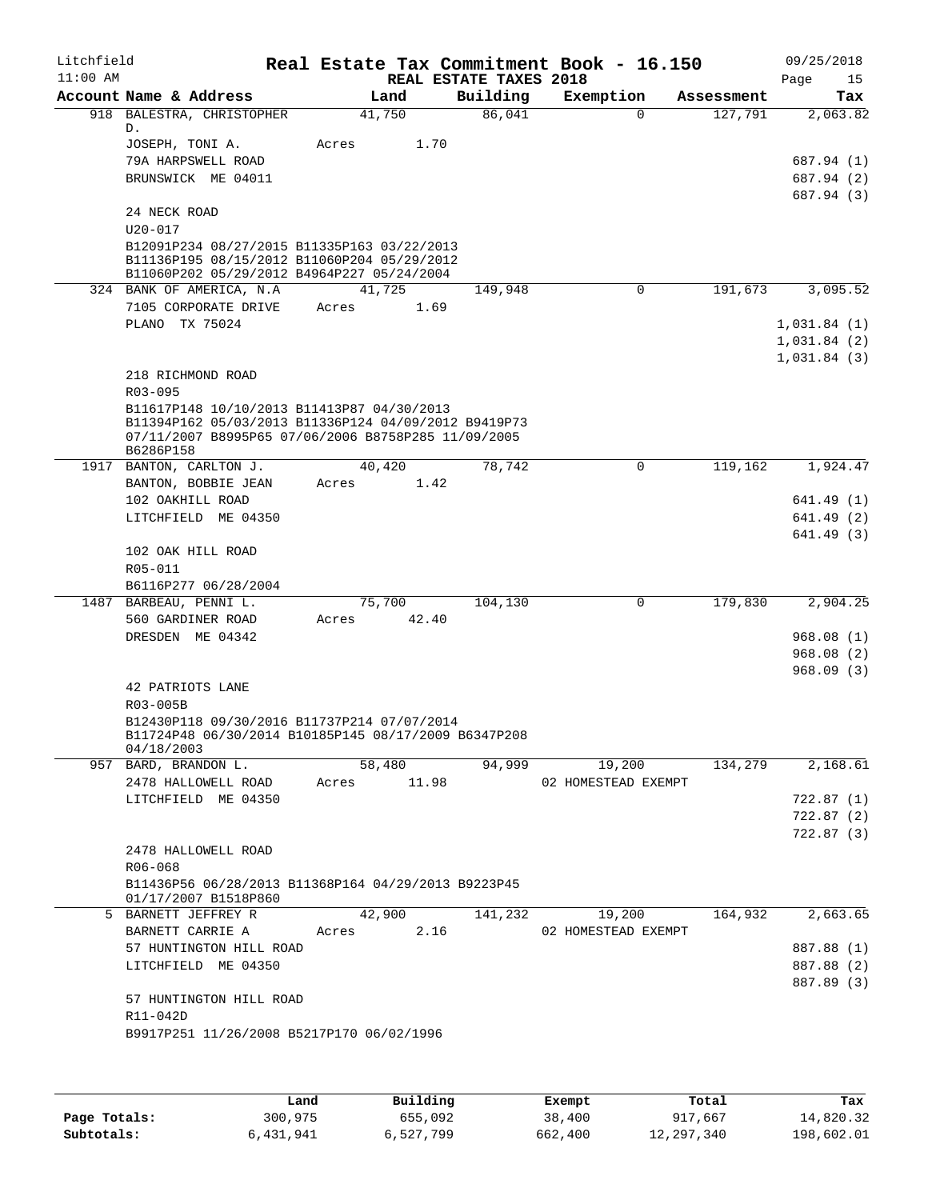| Litchfield<br>$11:00$ AM |                                                                                                                                                                        |                 |       | REAL ESTATE TAXES 2018 | Real Estate Tax Commitment Book - 16.150 |            | 09/25/2018<br>Page<br>15 |
|--------------------------|------------------------------------------------------------------------------------------------------------------------------------------------------------------------|-----------------|-------|------------------------|------------------------------------------|------------|--------------------------|
|                          | Account Name & Address                                                                                                                                                 | Land            |       | Building               | Exemption                                | Assessment | Tax                      |
|                          | 918 BALESTRA, CHRISTOPHER<br>D.                                                                                                                                        | 41,750          |       | 86,041                 | $\Omega$                                 | 127,791    | 2,063.82                 |
|                          | JOSEPH, TONI A.<br>79A HARPSWELL ROAD                                                                                                                                  | Acres           | 1.70  |                        |                                          |            | 687.94 (1)               |
|                          | BRUNSWICK ME 04011                                                                                                                                                     |                 |       |                        |                                          |            | 687.94 (2)<br>687.94 (3) |
|                          | 24 NECK ROAD<br>$U20 - 017$                                                                                                                                            |                 |       |                        |                                          |            |                          |
|                          | B12091P234 08/27/2015 B11335P163 03/22/2013<br>B11136P195 08/15/2012 B11060P204 05/29/2012<br>B11060P202 05/29/2012 B4964P227 05/24/2004                               |                 |       |                        |                                          |            |                          |
|                          | 324 BANK OF AMERICA, N.A.<br>7105 CORPORATE DRIVE                                                                                                                      | 41,725<br>Acres | 1.69  | 149,948                | $\mathbf 0$                              | 191,673    | 3,095.52                 |
|                          | PLANO TX 75024                                                                                                                                                         |                 |       |                        |                                          |            | 1,031.84(1)              |
|                          |                                                                                                                                                                        |                 |       |                        |                                          |            | 1,031.84(2)              |
|                          |                                                                                                                                                                        |                 |       |                        |                                          |            | 1,031.84(3)              |
|                          | 218 RICHMOND ROAD<br>$R03 - 095$                                                                                                                                       |                 |       |                        |                                          |            |                          |
|                          | B11617P148 10/10/2013 B11413P87 04/30/2013<br>B11394P162 05/03/2013 B11336P124 04/09/2012 B9419P73<br>07/11/2007 B8995P65 07/06/2006 B8758P285 11/09/2005<br>B6286P158 |                 |       |                        |                                          |            |                          |
|                          | 1917 BANTON, CARLTON J.                                                                                                                                                | 40,420          |       | 78,742                 | 0                                        | 119,162    | 1,924.47                 |
|                          | BANTON, BOBBIE JEAN                                                                                                                                                    | Acres           | 1.42  |                        |                                          |            |                          |
|                          | 102 OAKHILL ROAD                                                                                                                                                       |                 |       |                        |                                          |            | 641.49 (1)               |
|                          | LITCHFIELD ME 04350                                                                                                                                                    |                 |       |                        |                                          |            | 641.49 (2)               |
|                          |                                                                                                                                                                        |                 |       |                        |                                          |            | 641.49 (3)               |
|                          | 102 OAK HILL ROAD                                                                                                                                                      |                 |       |                        |                                          |            |                          |
|                          | R05-011                                                                                                                                                                |                 |       |                        |                                          |            |                          |
|                          | B6116P277 06/28/2004                                                                                                                                                   |                 |       |                        |                                          |            |                          |
|                          | 1487 BARBEAU, PENNI L.<br>560 GARDINER ROAD                                                                                                                            | 75,700<br>Acres | 42.40 | 104,130                | 0                                        | 179,830    | 2,904.25                 |
|                          | DRESDEN ME 04342                                                                                                                                                       |                 |       |                        |                                          |            | 968.08(1)                |
|                          |                                                                                                                                                                        |                 |       |                        |                                          |            | 968.08 (2)               |
|                          |                                                                                                                                                                        |                 |       |                        |                                          |            | 968.09(3)                |
|                          | 42 PATRIOTS LANE                                                                                                                                                       |                 |       |                        |                                          |            |                          |
|                          | R03-005B                                                                                                                                                               |                 |       |                        |                                          |            |                          |
|                          | B12430P118 09/30/2016 B11737P214 07/07/2014<br>B11724P48 06/30/2014 B10185P145 08/17/2009 B6347P208<br>04/18/2003                                                      |                 |       |                        |                                          |            |                          |
|                          | 957 BARD, BRANDON L.                                                                                                                                                   | 58,480          |       | 94,999                 | 19,200                                   | 134,279    | 2,168.61                 |
|                          | 2478 HALLOWELL ROAD                                                                                                                                                    | Acres 11.98     |       |                        | 02 HOMESTEAD EXEMPT                      |            |                          |
|                          | LITCHFIELD ME 04350                                                                                                                                                    |                 |       |                        |                                          |            | 722.87 (1)               |
|                          |                                                                                                                                                                        |                 |       |                        |                                          |            | 722.87(2)                |
|                          |                                                                                                                                                                        |                 |       |                        |                                          |            | 722.87(3)                |
|                          | 2478 HALLOWELL ROAD                                                                                                                                                    |                 |       |                        |                                          |            |                          |
|                          | R06-068<br>B11436P56 06/28/2013 B11368P164 04/29/2013 B9223P45                                                                                                         |                 |       |                        |                                          |            |                          |
|                          | 01/17/2007 B1518P860                                                                                                                                                   |                 |       |                        |                                          |            |                          |
|                          | 5 BARNETT JEFFREY R                                                                                                                                                    | 42,900          |       | 141,232                | 19,200                                   | 164,932    | 2,663.65                 |
|                          | BARNETT CARRIE A                                                                                                                                                       | Acres           | 2.16  |                        | 02 HOMESTEAD EXEMPT                      |            |                          |
|                          | 57 HUNTINGTON HILL ROAD                                                                                                                                                |                 |       |                        |                                          |            | 887.88 (1)               |
|                          | LITCHFIELD ME 04350                                                                                                                                                    |                 |       |                        |                                          |            | 887.88 (2)               |
|                          |                                                                                                                                                                        |                 |       |                        |                                          |            | 887.89 (3)               |
|                          | 57 HUNTINGTON HILL ROAD<br>R11-042D                                                                                                                                    |                 |       |                        |                                          |            |                          |
|                          | B9917P251 11/26/2008 B5217P170 06/02/1996                                                                                                                              |                 |       |                        |                                          |            |                          |
|                          |                                                                                                                                                                        |                 |       |                        |                                          |            |                          |
|                          |                                                                                                                                                                        |                 |       |                        |                                          |            |                          |
|                          |                                                                                                                                                                        |                 |       |                        |                                          |            |                          |

|              | Land      | Building  | Exempt  | Total      | Tax        |
|--------------|-----------|-----------|---------|------------|------------|
| Page Totals: | 300,975   | 655,092   | 38,400  | 917,667    | 14,820.32  |
| Subtotals:   | 6,431,941 | 6,527,799 | 662,400 | 12,297,340 | 198,602.01 |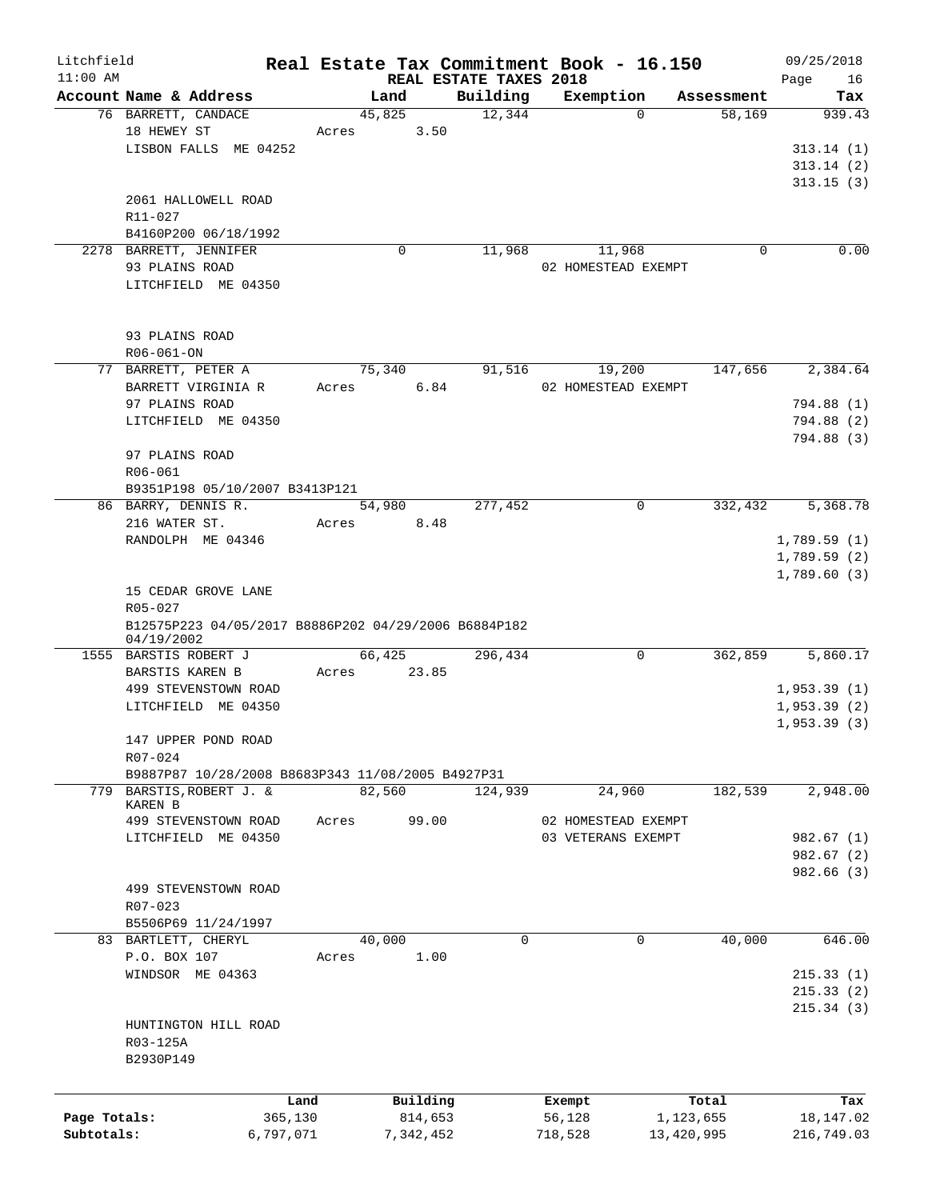| Litchfield<br>$11:00$ AM |                                                      |           |               | REAL ESTATE TAXES 2018 | Real Estate Tax Commitment Book - 16.150 |            | 09/25/2018<br>Page<br>16 |
|--------------------------|------------------------------------------------------|-----------|---------------|------------------------|------------------------------------------|------------|--------------------------|
|                          | Account Name & Address                               |           | Land          | Building               | Exemption                                | Assessment | Tax                      |
|                          | 76 BARRETT, CANDACE                                  |           | 45,825        | 12,344                 | $\Omega$                                 | 58,169     | 939.43                   |
|                          | 18 HEWEY ST                                          | Acres     | 3.50          |                        |                                          |            |                          |
|                          | LISBON FALLS ME 04252                                |           |               |                        |                                          |            | 313.14(1)                |
|                          |                                                      |           |               |                        |                                          |            | 313.14(2)                |
|                          |                                                      |           |               |                        |                                          |            | 313.15(3)                |
|                          | 2061 HALLOWELL ROAD                                  |           |               |                        |                                          |            |                          |
|                          | R11-027                                              |           |               |                        |                                          |            |                          |
|                          | B4160P200 06/18/1992                                 |           |               |                        |                                          |            |                          |
|                          | 2278 BARRETT, JENNIFER                               |           | 0             | 11,968                 | 11,968                                   | 0          | 0.00                     |
|                          | 93 PLAINS ROAD                                       |           |               |                        | 02 HOMESTEAD EXEMPT                      |            |                          |
|                          | LITCHFIELD ME 04350                                  |           |               |                        |                                          |            |                          |
|                          |                                                      |           |               |                        |                                          |            |                          |
|                          |                                                      |           |               |                        |                                          |            |                          |
|                          | 93 PLAINS ROAD                                       |           |               |                        |                                          |            |                          |
|                          | R06-061-ON                                           |           |               |                        |                                          |            |                          |
|                          | 77 BARRETT, PETER A                                  |           | 75,340        | 91,516                 | 19,200                                   | 147,656    | 2,384.64                 |
|                          | BARRETT VIRGINIA R                                   |           | 6.84<br>Acres |                        | 02 HOMESTEAD EXEMPT                      |            |                          |
|                          | 97 PLAINS ROAD                                       |           |               |                        |                                          |            | 794.88 (1)               |
|                          | LITCHFIELD ME 04350                                  |           |               |                        |                                          |            | 794.88 (2)               |
|                          |                                                      |           |               |                        |                                          |            | 794.88 (3)               |
|                          | 97 PLAINS ROAD                                       |           |               |                        |                                          |            |                          |
|                          | R06-061                                              |           |               |                        |                                          |            |                          |
|                          | B9351P198 05/10/2007 B3413P121                       |           |               |                        |                                          |            |                          |
|                          | 86 BARRY, DENNIS R.                                  |           | 54,980        | 277,452                | 0                                        | 332,432    | 5,368.78                 |
|                          | 216 WATER ST.                                        | Acres     | 8.48          |                        |                                          |            |                          |
|                          | RANDOLPH ME 04346                                    |           |               |                        |                                          |            | 1,789.59(1)              |
|                          |                                                      |           |               |                        |                                          |            | 1,789.59(2)              |
|                          |                                                      |           |               |                        |                                          |            | 1,789.60(3)              |
|                          | 15 CEDAR GROVE LANE                                  |           |               |                        |                                          |            |                          |
|                          | R05-027                                              |           |               |                        |                                          |            |                          |
|                          | B12575P223 04/05/2017 B8886P202 04/29/2006 B6884P182 |           |               |                        |                                          |            |                          |
|                          | 04/19/2002                                           |           |               |                        |                                          |            |                          |
|                          | 1555 BARSTIS ROBERT J                                |           | 66,425        | 296,434                | $\mathbf 0$                              | 362,859    | 5,860.17                 |
|                          | BARSTIS KAREN B                                      | Acres     | 23.85         |                        |                                          |            |                          |
|                          | 499 STEVENSTOWN ROAD                                 |           |               |                        |                                          |            | 1,953.39(1)              |
|                          | LITCHFIELD ME 04350                                  |           |               |                        |                                          |            | 1,953.39(2)              |
|                          |                                                      |           |               |                        |                                          |            | 1,953.39(3)              |
|                          | 147 UPPER POND ROAD                                  |           |               |                        |                                          |            |                          |
|                          | R07-024                                              |           |               |                        |                                          |            |                          |
|                          | B9887P87 10/28/2008 B8683P343 11/08/2005 B4927P31    |           |               |                        |                                          |            |                          |
| 779                      | BARSTIS, ROBERT J. &                                 |           | 82,560        | 124,939                | 24,960                                   | 182,539    | 2,948.00                 |
|                          | <b>KAREN B</b><br>499 STEVENSTOWN ROAD               |           | 99.00         |                        |                                          |            |                          |
|                          |                                                      | Acres     |               |                        | 02 HOMESTEAD EXEMPT                      |            |                          |
|                          | LITCHFIELD ME 04350                                  |           |               |                        | 03 VETERANS EXEMPT                       |            | 982.67(1)                |
|                          |                                                      |           |               |                        |                                          |            | 982.67(2)                |
|                          |                                                      |           |               |                        |                                          |            | 982.66(3)                |
|                          | 499 STEVENSTOWN ROAD                                 |           |               |                        |                                          |            |                          |
|                          | R07-023                                              |           |               |                        |                                          |            |                          |
|                          | B5506P69 11/24/1997                                  |           |               |                        |                                          |            |                          |
|                          | 83 BARTLETT, CHERYL                                  |           | 40,000        | 0                      | $\mathbf 0$                              | 40,000     | 646.00                   |
|                          | P.O. BOX 107                                         | Acres     | 1.00          |                        |                                          |            |                          |
|                          | WINDSOR ME 04363                                     |           |               |                        |                                          |            | 215.33(1)                |
|                          |                                                      |           |               |                        |                                          |            | 215.33(2)                |
|                          |                                                      |           |               |                        |                                          |            | 215.34(3)                |
|                          | HUNTINGTON HILL ROAD                                 |           |               |                        |                                          |            |                          |
|                          | R03-125A                                             |           |               |                        |                                          |            |                          |
|                          | B2930P149                                            |           |               |                        |                                          |            |                          |
|                          |                                                      |           |               |                        |                                          |            |                          |
|                          |                                                      | Land      | Building      |                        | Exempt                                   | Total      | Tax                      |
| Page Totals:             |                                                      | 365,130   | 814,653       |                        | 56,128                                   | 1,123,655  | 18, 147.02               |
| Subtotals:               |                                                      | 6,797,071 | 7,342,452     |                        | 718,528                                  | 13,420,995 | 216,749.03               |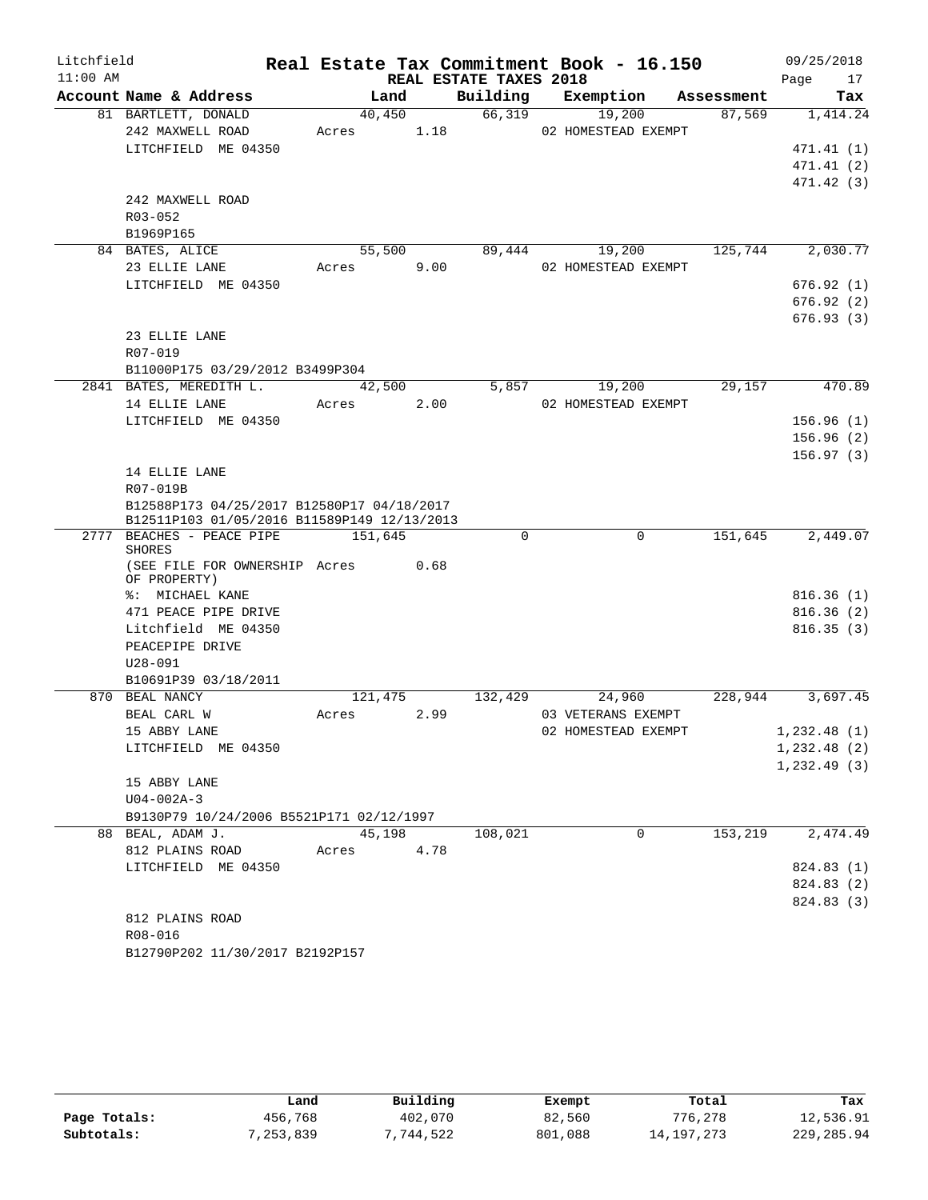| $11:00$ AM<br>REAL ESTATE TAXES 2018<br>Page<br>Building Exemption Assessment<br>Account Name & Address<br>Land<br>40,450<br>66,319<br>19,200<br>81 BARTLETT, DONALD<br>87,569<br>02 HOMESTEAD EXEMPT<br>Acres 1.18<br>242 MAXWELL ROAD<br>LITCHFIELD ME 04350<br>242 MAXWELL ROAD<br>R03-052<br>B1969P165<br>84 BATES, ALICE<br>55,500<br>89,444 19,200<br>125,744<br>Acres 9.00<br>23 ELLIE LANE<br>02 HOMESTEAD EXEMPT<br>LITCHFIELD ME 04350<br>23 ELLIE LANE<br>R07-019<br>B11000P175 03/29/2012 B3499P304<br>2841 BATES, MEREDITH L.<br>42,500<br>5,857 19,200<br>29,157<br>Acres 2.00<br>14 ELLIE LANE<br>02 HOMESTEAD EXEMPT<br>LITCHFIELD ME 04350<br>14 ELLIE LANE<br>R07-019B<br>B12588P173 04/25/2017 B12580P17 04/18/2017<br>B12511P103 01/05/2016 B11589P149 12/13/2013<br>151,645<br>2777 BEACHES - PEACE PIPE 151,645<br>$\Omega$<br>0<br>SHORES<br>(SEE FILE FOR OWNERSHIP Acres 0.68<br>OF PROPERTY)<br>%: MICHAEL KANE<br>471 PEACE PIPE DRIVE<br>Litchfield ME 04350<br>PEACEPIPE DRIVE<br>$U28 - 091$<br>B10691P39 03/18/2011<br>870 BEAL NANCY<br>2.99<br>BEAL CARL W<br>03 VETERANS EXEMPT<br>Acres<br>15 ABBY LANE<br>LITCHFIELD ME 04350<br>15 ABBY LANE<br>$U04 - 002A - 3$<br>B9130P79 10/24/2006 B5521P171 02/12/1997<br>88 BEAL, ADAM J.<br>45,198<br>0<br>153,219<br>108,021<br>812 PLAINS ROAD<br>4.78<br>Acres<br>LITCHFIELD ME 04350<br>812 PLAINS ROAD<br>R08-016<br>B12790P202 11/30/2017 B2192P157 | Litchfield |  |  | Real Estate Tax Commitment Book - 16.150 | 09/25/2018 |
|----------------------------------------------------------------------------------------------------------------------------------------------------------------------------------------------------------------------------------------------------------------------------------------------------------------------------------------------------------------------------------------------------------------------------------------------------------------------------------------------------------------------------------------------------------------------------------------------------------------------------------------------------------------------------------------------------------------------------------------------------------------------------------------------------------------------------------------------------------------------------------------------------------------------------------------------------------------------------------------------------------------------------------------------------------------------------------------------------------------------------------------------------------------------------------------------------------------------------------------------------------------------------------------------------------------------------------------------------------------------------------------------------------------------------------------|------------|--|--|------------------------------------------|------------|
| 1,414.24                                                                                                                                                                                                                                                                                                                                                                                                                                                                                                                                                                                                                                                                                                                                                                                                                                                                                                                                                                                                                                                                                                                                                                                                                                                                                                                                                                                                                               |            |  |  |                                          | 17         |
| 471.41(1)<br>471.41(2)<br>471.42 (3)<br>2,030.77<br>676.92(1)<br>676.92(2)<br>676.93(3)<br>470.89<br>156.96(1)<br>156.96(2)<br>156.97(3)<br>2,449.07<br>816.36(1)<br>816.36(2)<br>816.35(3)<br>121,475 132,429 24,960 228,944 3,697.45<br>02 HOMESTEAD EXEMPT 1,232.48 (1)<br>1,232.48(2)<br>$1, 232.49$ (3)<br>2,474.49<br>824.83 (1)<br>824.83 (2)<br>824.83 (3)                                                                                                                                                                                                                                                                                                                                                                                                                                                                                                                                                                                                                                                                                                                                                                                                                                                                                                                                                                                                                                                                     |            |  |  |                                          | Tax        |
|                                                                                                                                                                                                                                                                                                                                                                                                                                                                                                                                                                                                                                                                                                                                                                                                                                                                                                                                                                                                                                                                                                                                                                                                                                                                                                                                                                                                                                        |            |  |  |                                          |            |
|                                                                                                                                                                                                                                                                                                                                                                                                                                                                                                                                                                                                                                                                                                                                                                                                                                                                                                                                                                                                                                                                                                                                                                                                                                                                                                                                                                                                                                        |            |  |  |                                          |            |
|                                                                                                                                                                                                                                                                                                                                                                                                                                                                                                                                                                                                                                                                                                                                                                                                                                                                                                                                                                                                                                                                                                                                                                                                                                                                                                                                                                                                                                        |            |  |  |                                          |            |
|                                                                                                                                                                                                                                                                                                                                                                                                                                                                                                                                                                                                                                                                                                                                                                                                                                                                                                                                                                                                                                                                                                                                                                                                                                                                                                                                                                                                                                        |            |  |  |                                          |            |
|                                                                                                                                                                                                                                                                                                                                                                                                                                                                                                                                                                                                                                                                                                                                                                                                                                                                                                                                                                                                                                                                                                                                                                                                                                                                                                                                                                                                                                        |            |  |  |                                          |            |
|                                                                                                                                                                                                                                                                                                                                                                                                                                                                                                                                                                                                                                                                                                                                                                                                                                                                                                                                                                                                                                                                                                                                                                                                                                                                                                                                                                                                                                        |            |  |  |                                          |            |
|                                                                                                                                                                                                                                                                                                                                                                                                                                                                                                                                                                                                                                                                                                                                                                                                                                                                                                                                                                                                                                                                                                                                                                                                                                                                                                                                                                                                                                        |            |  |  |                                          |            |
|                                                                                                                                                                                                                                                                                                                                                                                                                                                                                                                                                                                                                                                                                                                                                                                                                                                                                                                                                                                                                                                                                                                                                                                                                                                                                                                                                                                                                                        |            |  |  |                                          |            |
|                                                                                                                                                                                                                                                                                                                                                                                                                                                                                                                                                                                                                                                                                                                                                                                                                                                                                                                                                                                                                                                                                                                                                                                                                                                                                                                                                                                                                                        |            |  |  |                                          |            |
|                                                                                                                                                                                                                                                                                                                                                                                                                                                                                                                                                                                                                                                                                                                                                                                                                                                                                                                                                                                                                                                                                                                                                                                                                                                                                                                                                                                                                                        |            |  |  |                                          |            |
|                                                                                                                                                                                                                                                                                                                                                                                                                                                                                                                                                                                                                                                                                                                                                                                                                                                                                                                                                                                                                                                                                                                                                                                                                                                                                                                                                                                                                                        |            |  |  |                                          |            |
|                                                                                                                                                                                                                                                                                                                                                                                                                                                                                                                                                                                                                                                                                                                                                                                                                                                                                                                                                                                                                                                                                                                                                                                                                                                                                                                                                                                                                                        |            |  |  |                                          |            |
|                                                                                                                                                                                                                                                                                                                                                                                                                                                                                                                                                                                                                                                                                                                                                                                                                                                                                                                                                                                                                                                                                                                                                                                                                                                                                                                                                                                                                                        |            |  |  |                                          |            |
|                                                                                                                                                                                                                                                                                                                                                                                                                                                                                                                                                                                                                                                                                                                                                                                                                                                                                                                                                                                                                                                                                                                                                                                                                                                                                                                                                                                                                                        |            |  |  |                                          |            |
|                                                                                                                                                                                                                                                                                                                                                                                                                                                                                                                                                                                                                                                                                                                                                                                                                                                                                                                                                                                                                                                                                                                                                                                                                                                                                                                                                                                                                                        |            |  |  |                                          |            |
|                                                                                                                                                                                                                                                                                                                                                                                                                                                                                                                                                                                                                                                                                                                                                                                                                                                                                                                                                                                                                                                                                                                                                                                                                                                                                                                                                                                                                                        |            |  |  |                                          |            |
|                                                                                                                                                                                                                                                                                                                                                                                                                                                                                                                                                                                                                                                                                                                                                                                                                                                                                                                                                                                                                                                                                                                                                                                                                                                                                                                                                                                                                                        |            |  |  |                                          |            |
|                                                                                                                                                                                                                                                                                                                                                                                                                                                                                                                                                                                                                                                                                                                                                                                                                                                                                                                                                                                                                                                                                                                                                                                                                                                                                                                                                                                                                                        |            |  |  |                                          |            |
|                                                                                                                                                                                                                                                                                                                                                                                                                                                                                                                                                                                                                                                                                                                                                                                                                                                                                                                                                                                                                                                                                                                                                                                                                                                                                                                                                                                                                                        |            |  |  |                                          |            |
|                                                                                                                                                                                                                                                                                                                                                                                                                                                                                                                                                                                                                                                                                                                                                                                                                                                                                                                                                                                                                                                                                                                                                                                                                                                                                                                                                                                                                                        |            |  |  |                                          |            |
|                                                                                                                                                                                                                                                                                                                                                                                                                                                                                                                                                                                                                                                                                                                                                                                                                                                                                                                                                                                                                                                                                                                                                                                                                                                                                                                                                                                                                                        |            |  |  |                                          |            |
|                                                                                                                                                                                                                                                                                                                                                                                                                                                                                                                                                                                                                                                                                                                                                                                                                                                                                                                                                                                                                                                                                                                                                                                                                                                                                                                                                                                                                                        |            |  |  |                                          |            |
|                                                                                                                                                                                                                                                                                                                                                                                                                                                                                                                                                                                                                                                                                                                                                                                                                                                                                                                                                                                                                                                                                                                                                                                                                                                                                                                                                                                                                                        |            |  |  |                                          |            |
|                                                                                                                                                                                                                                                                                                                                                                                                                                                                                                                                                                                                                                                                                                                                                                                                                                                                                                                                                                                                                                                                                                                                                                                                                                                                                                                                                                                                                                        |            |  |  |                                          |            |
|                                                                                                                                                                                                                                                                                                                                                                                                                                                                                                                                                                                                                                                                                                                                                                                                                                                                                                                                                                                                                                                                                                                                                                                                                                                                                                                                                                                                                                        |            |  |  |                                          |            |
|                                                                                                                                                                                                                                                                                                                                                                                                                                                                                                                                                                                                                                                                                                                                                                                                                                                                                                                                                                                                                                                                                                                                                                                                                                                                                                                                                                                                                                        |            |  |  |                                          |            |
|                                                                                                                                                                                                                                                                                                                                                                                                                                                                                                                                                                                                                                                                                                                                                                                                                                                                                                                                                                                                                                                                                                                                                                                                                                                                                                                                                                                                                                        |            |  |  |                                          |            |
|                                                                                                                                                                                                                                                                                                                                                                                                                                                                                                                                                                                                                                                                                                                                                                                                                                                                                                                                                                                                                                                                                                                                                                                                                                                                                                                                                                                                                                        |            |  |  |                                          |            |
|                                                                                                                                                                                                                                                                                                                                                                                                                                                                                                                                                                                                                                                                                                                                                                                                                                                                                                                                                                                                                                                                                                                                                                                                                                                                                                                                                                                                                                        |            |  |  |                                          |            |
|                                                                                                                                                                                                                                                                                                                                                                                                                                                                                                                                                                                                                                                                                                                                                                                                                                                                                                                                                                                                                                                                                                                                                                                                                                                                                                                                                                                                                                        |            |  |  |                                          |            |
|                                                                                                                                                                                                                                                                                                                                                                                                                                                                                                                                                                                                                                                                                                                                                                                                                                                                                                                                                                                                                                                                                                                                                                                                                                                                                                                                                                                                                                        |            |  |  |                                          |            |
|                                                                                                                                                                                                                                                                                                                                                                                                                                                                                                                                                                                                                                                                                                                                                                                                                                                                                                                                                                                                                                                                                                                                                                                                                                                                                                                                                                                                                                        |            |  |  |                                          |            |
|                                                                                                                                                                                                                                                                                                                                                                                                                                                                                                                                                                                                                                                                                                                                                                                                                                                                                                                                                                                                                                                                                                                                                                                                                                                                                                                                                                                                                                        |            |  |  |                                          |            |
|                                                                                                                                                                                                                                                                                                                                                                                                                                                                                                                                                                                                                                                                                                                                                                                                                                                                                                                                                                                                                                                                                                                                                                                                                                                                                                                                                                                                                                        |            |  |  |                                          |            |
|                                                                                                                                                                                                                                                                                                                                                                                                                                                                                                                                                                                                                                                                                                                                                                                                                                                                                                                                                                                                                                                                                                                                                                                                                                                                                                                                                                                                                                        |            |  |  |                                          |            |
|                                                                                                                                                                                                                                                                                                                                                                                                                                                                                                                                                                                                                                                                                                                                                                                                                                                                                                                                                                                                                                                                                                                                                                                                                                                                                                                                                                                                                                        |            |  |  |                                          |            |
|                                                                                                                                                                                                                                                                                                                                                                                                                                                                                                                                                                                                                                                                                                                                                                                                                                                                                                                                                                                                                                                                                                                                                                                                                                                                                                                                                                                                                                        |            |  |  |                                          |            |
|                                                                                                                                                                                                                                                                                                                                                                                                                                                                                                                                                                                                                                                                                                                                                                                                                                                                                                                                                                                                                                                                                                                                                                                                                                                                                                                                                                                                                                        |            |  |  |                                          |            |
|                                                                                                                                                                                                                                                                                                                                                                                                                                                                                                                                                                                                                                                                                                                                                                                                                                                                                                                                                                                                                                                                                                                                                                                                                                                                                                                                                                                                                                        |            |  |  |                                          |            |
|                                                                                                                                                                                                                                                                                                                                                                                                                                                                                                                                                                                                                                                                                                                                                                                                                                                                                                                                                                                                                                                                                                                                                                                                                                                                                                                                                                                                                                        |            |  |  |                                          |            |
|                                                                                                                                                                                                                                                                                                                                                                                                                                                                                                                                                                                                                                                                                                                                                                                                                                                                                                                                                                                                                                                                                                                                                                                                                                                                                                                                                                                                                                        |            |  |  |                                          |            |
|                                                                                                                                                                                                                                                                                                                                                                                                                                                                                                                                                                                                                                                                                                                                                                                                                                                                                                                                                                                                                                                                                                                                                                                                                                                                                                                                                                                                                                        |            |  |  |                                          |            |
|                                                                                                                                                                                                                                                                                                                                                                                                                                                                                                                                                                                                                                                                                                                                                                                                                                                                                                                                                                                                                                                                                                                                                                                                                                                                                                                                                                                                                                        |            |  |  |                                          |            |
|                                                                                                                                                                                                                                                                                                                                                                                                                                                                                                                                                                                                                                                                                                                                                                                                                                                                                                                                                                                                                                                                                                                                                                                                                                                                                                                                                                                                                                        |            |  |  |                                          |            |
|                                                                                                                                                                                                                                                                                                                                                                                                                                                                                                                                                                                                                                                                                                                                                                                                                                                                                                                                                                                                                                                                                                                                                                                                                                                                                                                                                                                                                                        |            |  |  |                                          |            |
|                                                                                                                                                                                                                                                                                                                                                                                                                                                                                                                                                                                                                                                                                                                                                                                                                                                                                                                                                                                                                                                                                                                                                                                                                                                                                                                                                                                                                                        |            |  |  |                                          |            |
|                                                                                                                                                                                                                                                                                                                                                                                                                                                                                                                                                                                                                                                                                                                                                                                                                                                                                                                                                                                                                                                                                                                                                                                                                                                                                                                                                                                                                                        |            |  |  |                                          |            |

|              | Land      | Building | Exempt  | Total        | Tax        |
|--------------|-----------|----------|---------|--------------|------------|
| Page Totals: | 456,768   | 402,070  | 82,560  | 776,278      | 12,536.91  |
| Subtotals:   | 7,253,839 | ,744,522 | 801,088 | 14, 197, 273 | 229,285.94 |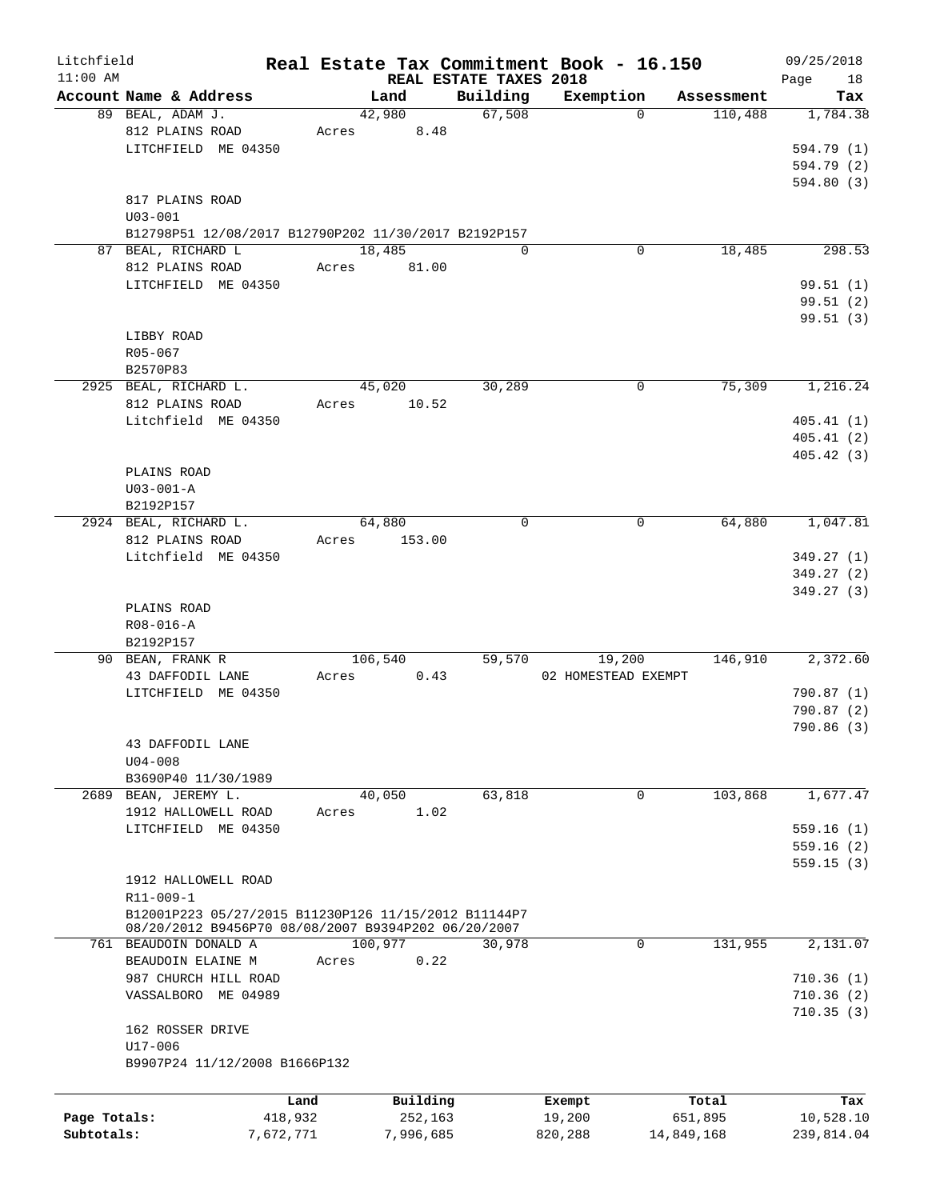| Litchfield<br>$11:00$ AM |                                                      |           |       |           |                                    | Real Estate Tax Commitment Book - 16.150 |            | 09/25/2018        |
|--------------------------|------------------------------------------------------|-----------|-------|-----------|------------------------------------|------------------------------------------|------------|-------------------|
|                          | Account Name & Address                               |           |       | Land      | REAL ESTATE TAXES 2018<br>Building | Exemption                                | Assessment | 18<br>Page<br>Tax |
|                          | 89 BEAL, ADAM J.                                     |           |       | 42,980    | 67,508                             | $\Omega$                                 | 110,488    | 1,784.38          |
|                          | 812 PLAINS ROAD                                      |           | Acres | 8.48      |                                    |                                          |            |                   |
|                          | LITCHFIELD ME 04350                                  |           |       |           |                                    |                                          |            | 594.79 (1)        |
|                          |                                                      |           |       |           |                                    |                                          |            | 594.79 (2)        |
|                          |                                                      |           |       |           |                                    |                                          |            | 594.80 (3)        |
|                          | 817 PLAINS ROAD                                      |           |       |           |                                    |                                          |            |                   |
|                          | $U03 - 001$                                          |           |       |           |                                    |                                          |            |                   |
|                          | B12798P51 12/08/2017 B12790P202 11/30/2017 B2192P157 |           |       |           |                                    |                                          |            |                   |
|                          | 87 BEAL, RICHARD L                                   |           |       | 18,485    | $\Omega$                           | 0                                        | 18,485     | 298.53            |
|                          | 812 PLAINS ROAD                                      |           | Acres | 81.00     |                                    |                                          |            |                   |
|                          | LITCHFIELD ME 04350                                  |           |       |           |                                    |                                          |            | 99.51(1)          |
|                          |                                                      |           |       |           |                                    |                                          |            | 99.51(2)          |
|                          |                                                      |           |       |           |                                    |                                          |            | 99.51(3)          |
|                          | LIBBY ROAD                                           |           |       |           |                                    |                                          |            |                   |
|                          | R05-067                                              |           |       |           |                                    |                                          |            |                   |
|                          |                                                      |           |       |           |                                    |                                          |            |                   |
|                          | B2570P83                                             |           |       |           |                                    |                                          |            |                   |
|                          | 2925 BEAL, RICHARD L.                                |           |       | 45,020    | 30,289                             | $\mathbf 0$                              | 75,309     | 1,216.24          |
|                          | 812 PLAINS ROAD                                      |           | Acres | 10.52     |                                    |                                          |            |                   |
|                          | Litchfield ME 04350                                  |           |       |           |                                    |                                          |            | 405.41(1)         |
|                          |                                                      |           |       |           |                                    |                                          |            | 405.41(2)         |
|                          |                                                      |           |       |           |                                    |                                          |            | 405.42(3)         |
|                          | PLAINS ROAD                                          |           |       |           |                                    |                                          |            |                   |
|                          | $U03 - 001 - A$                                      |           |       |           |                                    |                                          |            |                   |
|                          | B2192P157                                            |           |       |           |                                    |                                          |            |                   |
|                          | 2924 BEAL, RICHARD L.                                |           |       | 64,880    | $\mathbf 0$                        | 0                                        | 64,880     | 1,047.81          |
|                          | 812 PLAINS ROAD                                      |           | Acres | 153.00    |                                    |                                          |            |                   |
|                          | Litchfield ME 04350                                  |           |       |           |                                    |                                          |            | 349.27(1)         |
|                          |                                                      |           |       |           |                                    |                                          |            | 349.27(2)         |
|                          |                                                      |           |       |           |                                    |                                          |            | 349.27 (3)        |
|                          | PLAINS ROAD                                          |           |       |           |                                    |                                          |            |                   |
|                          | R08-016-A                                            |           |       |           |                                    |                                          |            |                   |
|                          | B2192P157                                            |           |       |           |                                    |                                          |            |                   |
|                          | 90 BEAN, FRANK R                                     |           |       | 106,540   | 59,570                             | 19,200                                   | 146,910    | 2,372.60          |
|                          | 43 DAFFODIL LANE                                     |           | Acres | 0.43      |                                    | 02 HOMESTEAD EXEMPT                      |            |                   |
|                          | LITCHFIELD ME 04350                                  |           |       |           |                                    |                                          |            | 790.87 (1)        |
|                          |                                                      |           |       |           |                                    |                                          |            | 790.87 (2)        |
|                          |                                                      |           |       |           |                                    |                                          |            | 790.86(3)         |
|                          | 43 DAFFODIL LANE                                     |           |       |           |                                    |                                          |            |                   |
|                          | $U04 - 008$                                          |           |       |           |                                    |                                          |            |                   |
|                          | B3690P40 11/30/1989                                  |           |       |           |                                    |                                          |            |                   |
|                          |                                                      |           |       | 40,050    | 63,818                             | $\mathbf 0$                              | 103,868    |                   |
| 2689                     | BEAN, JEREMY L.                                      |           |       |           |                                    |                                          |            | 1,677.47          |
|                          | 1912 HALLOWELL ROAD                                  |           | Acres | 1.02      |                                    |                                          |            |                   |
|                          | LITCHFIELD ME 04350                                  |           |       |           |                                    |                                          |            | 559.16(1)         |
|                          |                                                      |           |       |           |                                    |                                          |            | 559.16(2)         |
|                          |                                                      |           |       |           |                                    |                                          |            | 559.15(3)         |
|                          | 1912 HALLOWELL ROAD                                  |           |       |           |                                    |                                          |            |                   |
|                          | R11-009-1                                            |           |       |           |                                    |                                          |            |                   |
|                          | B12001P223 05/27/2015 B11230P126 11/15/2012 B11144P7 |           |       |           |                                    |                                          |            |                   |
|                          | 08/20/2012 B9456P70 08/08/2007 B9394P202 06/20/2007  |           |       |           |                                    |                                          |            |                   |
|                          | 761 BEAUDOIN DONALD A                                |           |       | 100,977   | 30,978                             | $\mathbf{0}$                             | 131,955    | 2,131.07          |
|                          | BEAUDOIN ELAINE M                                    |           | Acres | 0.22      |                                    |                                          |            |                   |
|                          | 987 CHURCH HILL ROAD                                 |           |       |           |                                    |                                          |            | 710.36(1)         |
|                          | VASSALBORO ME 04989                                  |           |       |           |                                    |                                          |            | 710.36(2)         |
|                          |                                                      |           |       |           |                                    |                                          |            | 710.35(3)         |
|                          | 162 ROSSER DRIVE                                     |           |       |           |                                    |                                          |            |                   |
|                          | U17-006                                              |           |       |           |                                    |                                          |            |                   |
|                          | B9907P24 11/12/2008 B1666P132                        |           |       |           |                                    |                                          |            |                   |
|                          |                                                      |           |       |           |                                    |                                          |            |                   |
|                          |                                                      | Land      |       | Building  |                                    | Exempt                                   | Total      | Tax               |
| Page Totals:             |                                                      | 418,932   |       | 252,163   |                                    | 19,200                                   | 651,895    | 10,528.10         |
| Subtotals:               |                                                      | 7,672,771 |       | 7,996,685 |                                    | 820,288                                  | 14,849,168 | 239,814.04        |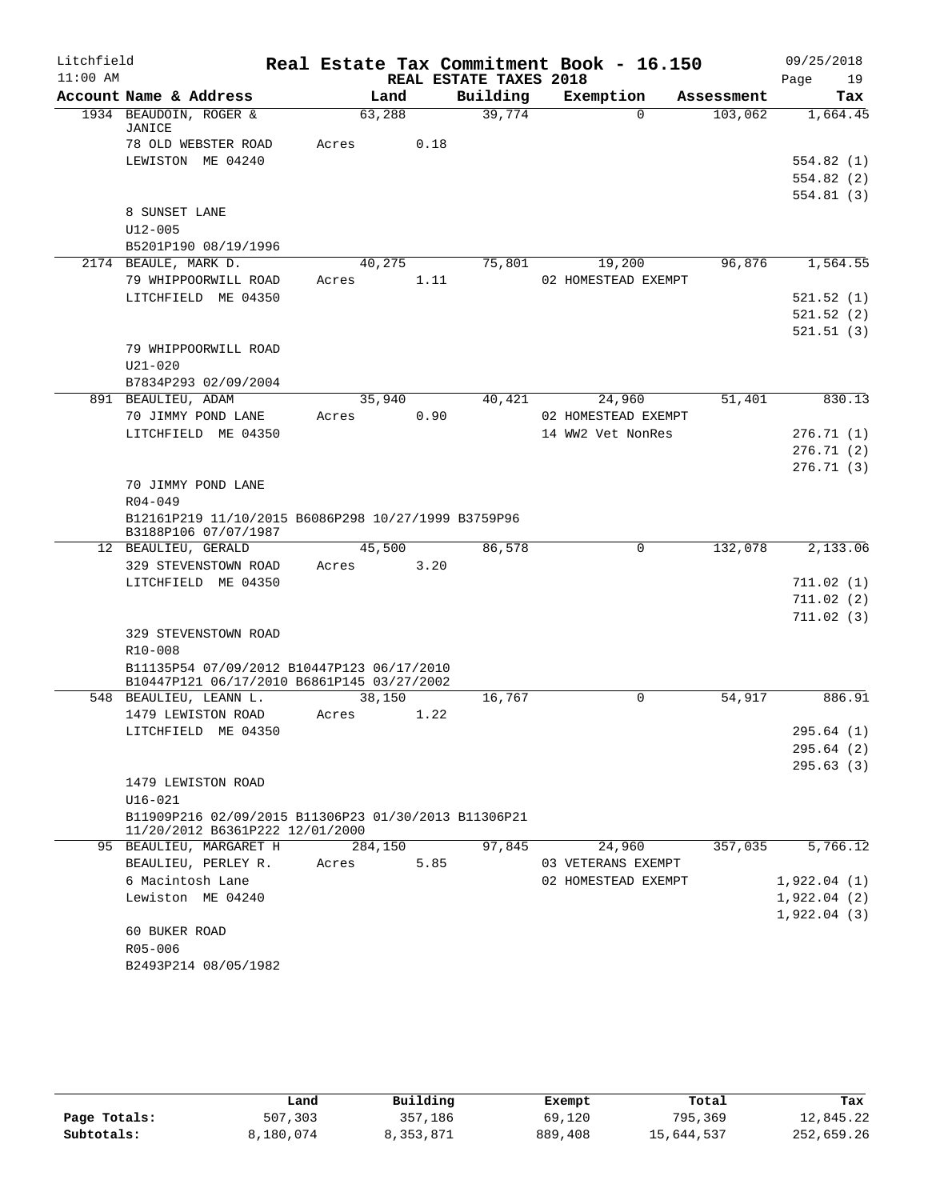| Litchfield |                                                                                          |               |                        | Real Estate Tax Commitment Book - 16.150 |            | 09/25/2018  |
|------------|------------------------------------------------------------------------------------------|---------------|------------------------|------------------------------------------|------------|-------------|
| $11:00$ AM |                                                                                          |               | REAL ESTATE TAXES 2018 |                                          |            | Page<br>19  |
|            | Account Name & Address                                                                   | Land          | Building               | Exemption                                | Assessment | Tax         |
|            | 1934 BEAUDOIN, ROGER &<br>JANICE                                                         | 63,288        | 39,774                 | $\Omega$                                 | 103,062    | 1,664.45    |
|            | 78 OLD WEBSTER ROAD                                                                      | 0.18<br>Acres |                        |                                          |            |             |
|            | LEWISTON ME 04240                                                                        |               |                        |                                          |            | 554.82(1)   |
|            |                                                                                          |               |                        |                                          |            | 554.82 (2)  |
|            |                                                                                          |               |                        |                                          |            | 554.81(3)   |
|            | 8 SUNSET LANE                                                                            |               |                        |                                          |            |             |
|            | $U12 - 005$                                                                              |               |                        |                                          |            |             |
|            | B5201P190 08/19/1996<br>2174 BEAULE, MARK D.                                             | 40,275        | 75,801                 | 19,200                                   | 96,876     | 1,564.55    |
|            | 79 WHIPPOORWILL ROAD                                                                     | 1.11<br>Acres |                        | 02 HOMESTEAD EXEMPT                      |            |             |
|            | LITCHFIELD ME 04350                                                                      |               |                        |                                          |            | 521.52(1)   |
|            |                                                                                          |               |                        |                                          |            | 521.52(2)   |
|            |                                                                                          |               |                        |                                          |            | 521.51(3)   |
|            | 79 WHIPPOORWILL ROAD                                                                     |               |                        |                                          |            |             |
|            | $U21 - 020$                                                                              |               |                        |                                          |            |             |
|            | B7834P293 02/09/2004                                                                     |               |                        |                                          |            |             |
|            | 891 BEAULIEU, ADAM                                                                       | 35,940        | 40,421                 | 24,960                                   | 51,401     | 830.13      |
|            | 70 JIMMY POND LANE                                                                       | Acres<br>0.90 |                        | 02 HOMESTEAD EXEMPT                      |            |             |
|            | LITCHFIELD ME 04350                                                                      |               |                        | 14 WW2 Vet NonRes                        |            | 276.71(1)   |
|            |                                                                                          |               |                        |                                          |            | 276.71 (2)  |
|            |                                                                                          |               |                        |                                          |            | 276.71(3)   |
|            | 70 JIMMY POND LANE                                                                       |               |                        |                                          |            |             |
|            | $R04 - 049$                                                                              |               |                        |                                          |            |             |
|            | B12161P219 11/10/2015 B6086P298 10/27/1999 B3759P96<br>B3188P106 07/07/1987              |               |                        |                                          |            |             |
|            | 12 BEAULIEU, GERALD                                                                      | 45,500        | 86,578                 | $\mathbf 0$                              | 132,078    | 2,133.06    |
|            | 329 STEVENSTOWN ROAD                                                                     | 3.20<br>Acres |                        |                                          |            |             |
|            | LITCHFIELD ME 04350                                                                      |               |                        |                                          |            | 711.02(1)   |
|            |                                                                                          |               |                        |                                          |            | 711.02(2)   |
|            |                                                                                          |               |                        |                                          |            | 711.02(3)   |
|            | 329 STEVENSTOWN ROAD                                                                     |               |                        |                                          |            |             |
|            | R10-008                                                                                  |               |                        |                                          |            |             |
|            | B11135P54 07/09/2012 B10447P123 06/17/2010<br>B10447P121 06/17/2010 B6861P145 03/27/2002 |               |                        |                                          |            |             |
|            | 548 BEAULIEU, LEANN L.                                                                   | 38,150        | 16,767                 | $\Omega$                                 | 54,917     | 886.91      |
|            | 1479 LEWISTON ROAD                                                                       | Acres<br>1.22 |                        |                                          |            |             |
|            | LITCHFIELD ME 04350                                                                      |               |                        |                                          |            | 295.64 (1)  |
|            |                                                                                          |               |                        |                                          |            | 295.64 (2)  |
|            | 1479 LEWISTON ROAD                                                                       |               |                        |                                          |            | 295.63(3)   |
|            | $U16 - 021$                                                                              |               |                        |                                          |            |             |
|            | B11909P216 02/09/2015 B11306P23 01/30/2013 B11306P21                                     |               |                        |                                          |            |             |
|            | 11/20/2012 B6361P222 12/01/2000                                                          |               |                        |                                          |            |             |
|            | 95 BEAULIEU, MARGARET H                                                                  | 284,150       | 97,845                 | 24,960                                   | 357,035    | 5,766.12    |
|            | BEAULIEU, PERLEY R.                                                                      | 5.85<br>Acres |                        | 03 VETERANS EXEMPT                       |            |             |
|            | 6 Macintosh Lane                                                                         |               |                        | 02 HOMESTEAD EXEMPT                      |            | 1,922.04(1) |
|            | Lewiston ME 04240                                                                        |               |                        |                                          |            | 1,922.04(2) |
|            |                                                                                          |               |                        |                                          |            | 1,922.04(3) |
|            | 60 BUKER ROAD                                                                            |               |                        |                                          |            |             |
|            | R05-006                                                                                  |               |                        |                                          |            |             |
|            | B2493P214 08/05/1982                                                                     |               |                        |                                          |            |             |

|              | Land      | Building  | Exempt  | Total      | Tax        |
|--------------|-----------|-----------|---------|------------|------------|
| Page Totals: | 507,303   | 357,186   | 69,120  | 795,369    | 12,845.22  |
| Subtotals:   | 8,180,074 | 8,353,871 | 889,408 | 15,644,537 | 252,659.26 |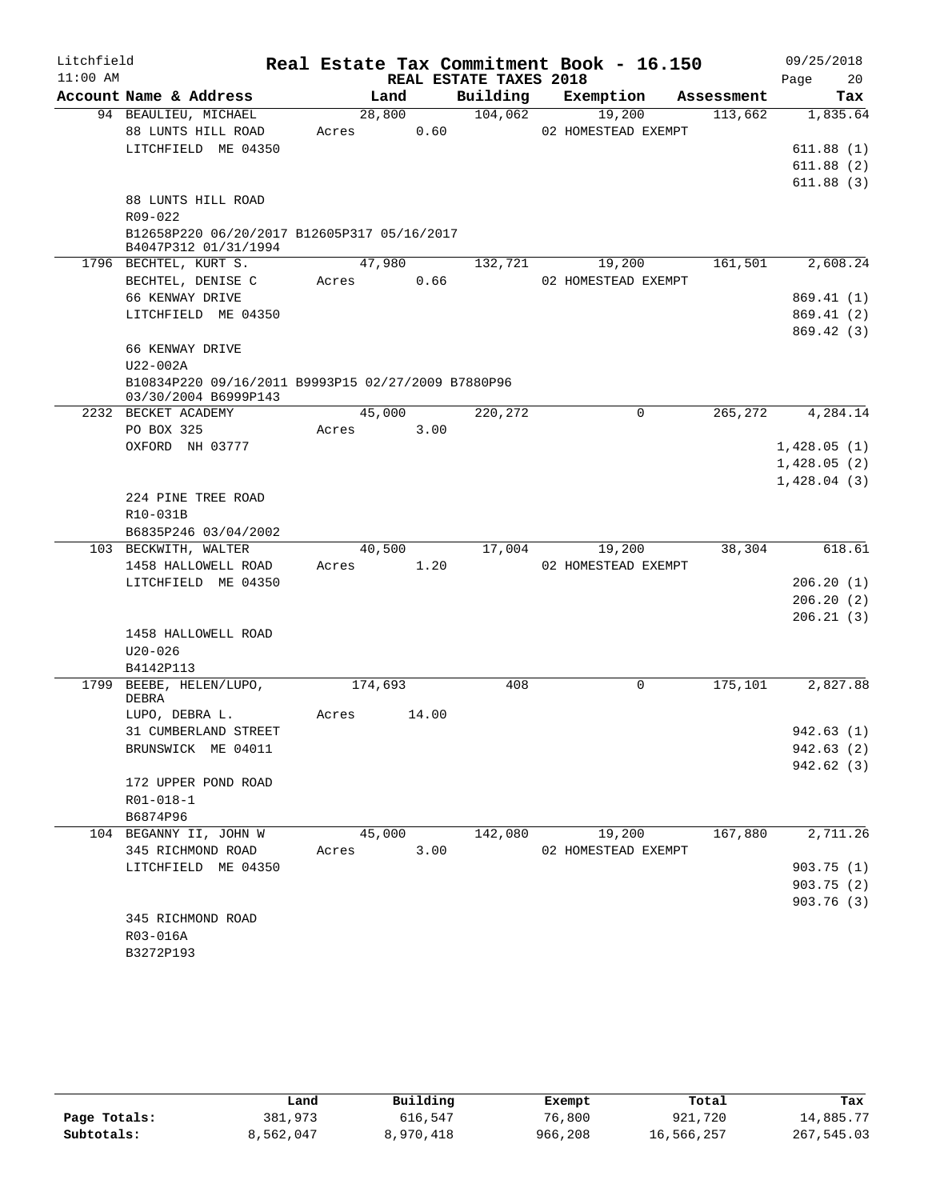| Litchfield |                                                                            |         |       |                        | Real Estate Tax Commitment Book - 16.150 |            | 09/25/2018  |
|------------|----------------------------------------------------------------------------|---------|-------|------------------------|------------------------------------------|------------|-------------|
| $11:00$ AM |                                                                            |         |       | REAL ESTATE TAXES 2018 |                                          |            | 20<br>Page  |
|            | Account Name & Address                                                     | Land    |       | Building               | Exemption                                | Assessment | Tax         |
|            | 94 BEAULIEU, MICHAEL                                                       | 28,800  |       | 104,062                | 19,200                                   | 113,662    | 1,835.64    |
|            | 88 LUNTS HILL ROAD<br>LITCHFIELD ME 04350                                  | Acres   | 0.60  |                        | 02 HOMESTEAD EXEMPT                      |            | 611.88(1)   |
|            |                                                                            |         |       |                        |                                          |            | 611.88(2)   |
|            |                                                                            |         |       |                        |                                          |            | 611.88(3)   |
|            | 88 LUNTS HILL ROAD                                                         |         |       |                        |                                          |            |             |
|            | R09-022                                                                    |         |       |                        |                                          |            |             |
|            | B12658P220 06/20/2017 B12605P317 05/16/2017<br>B4047P312 01/31/1994        |         |       |                        |                                          |            |             |
|            | 1796 BECHTEL, KURT S.                                                      | 47,980  |       | 132,721                | 19,200                                   | 161,501    | 2,608.24    |
|            | BECHTEL, DENISE C                                                          | Acres   | 0.66  |                        | 02 HOMESTEAD EXEMPT                      |            |             |
|            | 66 KENWAY DRIVE                                                            |         |       |                        |                                          |            | 869.41 (1)  |
|            | LITCHFIELD ME 04350                                                        |         |       |                        |                                          |            | 869.41 (2)  |
|            |                                                                            |         |       |                        |                                          |            | 869.42(3)   |
|            | 66 KENWAY DRIVE                                                            |         |       |                        |                                          |            |             |
|            | U22-002A                                                                   |         |       |                        |                                          |            |             |
|            | B10834P220 09/16/2011 B9993P15 02/27/2009 B7880P96<br>03/30/2004 B6999P143 |         |       |                        |                                          |            |             |
|            | 2232 BECKET ACADEMY                                                        | 45,000  |       | 220,272                | 0                                        | 265,272    | 4,284.14    |
|            | PO BOX 325                                                                 | Acres   | 3.00  |                        |                                          |            |             |
|            | OXFORD NH 03777                                                            |         |       |                        |                                          |            | 1,428.05(1) |
|            |                                                                            |         |       |                        |                                          |            | 1,428.05(2) |
|            |                                                                            |         |       |                        |                                          |            | 1,428.04(3) |
|            | 224 PINE TREE ROAD                                                         |         |       |                        |                                          |            |             |
|            | R10-031B                                                                   |         |       |                        |                                          |            |             |
|            | B6835P246 03/04/2002<br>103 BECKWITH, WALTER                               | 40,500  |       | 17,004                 | 19,200                                   | 38,304     | 618.61      |
|            | 1458 HALLOWELL ROAD                                                        | Acres   | 1.20  |                        | 02 HOMESTEAD EXEMPT                      |            |             |
|            | LITCHFIELD ME 04350                                                        |         |       |                        |                                          |            | 206.20(1)   |
|            |                                                                            |         |       |                        |                                          |            | 206.20(2)   |
|            |                                                                            |         |       |                        |                                          |            | 206.21(3)   |
|            | 1458 HALLOWELL ROAD                                                        |         |       |                        |                                          |            |             |
|            | $U20 - 026$                                                                |         |       |                        |                                          |            |             |
|            | B4142P113                                                                  |         |       |                        |                                          |            |             |
|            | 1799 BEEBE, HELEN/LUPO,                                                    | 174,693 |       | 408                    | $\mathsf{O}$                             | 175, 101   | 2,827.88    |
|            | DEBRA                                                                      |         |       |                        |                                          |            |             |
|            | LUPO, DEBRA L.                                                             | Acres   | 14.00 |                        |                                          |            |             |
|            | 31 CUMBERLAND STREET                                                       |         |       |                        |                                          |            | 942.63 (1)  |
|            | BRUNSWICK ME 04011                                                         |         |       |                        |                                          |            | 942.63 (2)  |
|            |                                                                            |         |       |                        |                                          |            | 942.62 (3)  |
|            | 172 UPPER POND ROAD                                                        |         |       |                        |                                          |            |             |
|            | $R01 - 018 - 1$<br>B6874P96                                                |         |       |                        |                                          |            |             |
|            | 104 BEGANNY II, JOHN W                                                     | 45,000  |       |                        | 142,080 19,200                           | 167,880    | 2,711.26    |
|            | 345 RICHMOND ROAD                                                          | Acres   | 3.00  |                        | 02 HOMESTEAD EXEMPT                      |            |             |
|            | LITCHFIELD ME 04350                                                        |         |       |                        |                                          |            | 903.75(1)   |
|            |                                                                            |         |       |                        |                                          |            | 903.75(2)   |
|            |                                                                            |         |       |                        |                                          |            | 903.76 (3)  |
|            | 345 RICHMOND ROAD                                                          |         |       |                        |                                          |            |             |
|            | R03-016A                                                                   |         |       |                        |                                          |            |             |
|            | B3272P193                                                                  |         |       |                        |                                          |            |             |

|              | Land      | Building  | Exempt  | Total      | Tax        |
|--------------|-----------|-----------|---------|------------|------------|
| Page Totals: | 381,973   | 616,547   | 76,800  | 921,720    | 14,885.77  |
| Subtotals:   | 8,562,047 | 8,970,418 | 966,208 | 16,566,257 | 267,545.03 |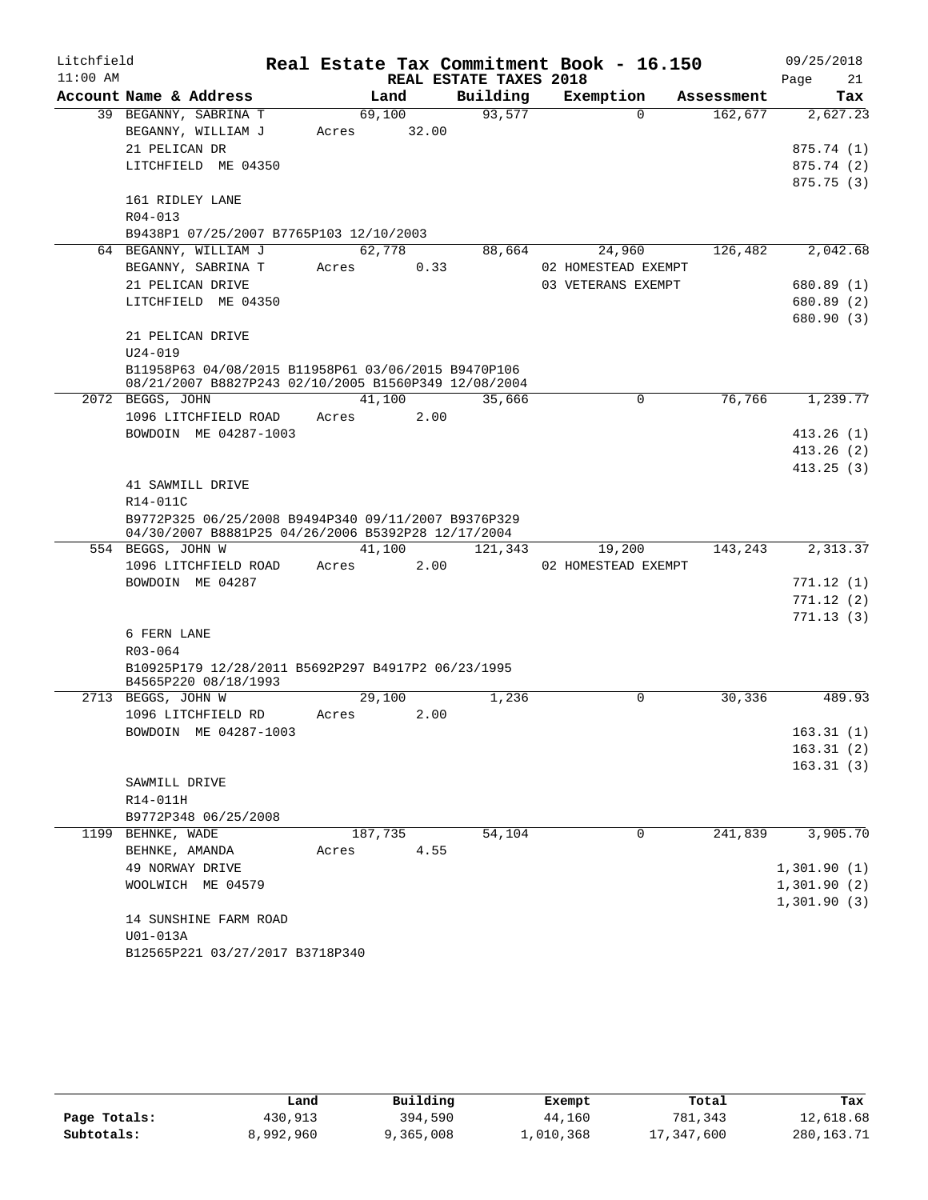| Litchfield |                                                                                                             |         |       |                        | Real Estate Tax Commitment Book - 16.150 |            | 09/25/2018  |
|------------|-------------------------------------------------------------------------------------------------------------|---------|-------|------------------------|------------------------------------------|------------|-------------|
| $11:00$ AM |                                                                                                             |         |       | REAL ESTATE TAXES 2018 |                                          |            | 21<br>Page  |
|            | Account Name & Address                                                                                      | Land    |       | Building               | Exemption                                | Assessment | Tax         |
|            | 39 BEGANNY, SABRINA T                                                                                       | 69,100  |       | 93,577                 | $\Omega$                                 | 162,677    | 2,627.23    |
|            | BEGANNY, WILLIAM J                                                                                          | Acres   | 32.00 |                        |                                          |            |             |
|            | 21 PELICAN DR                                                                                               |         |       |                        |                                          |            | 875.74 (1)  |
|            | LITCHFIELD ME 04350                                                                                         |         |       |                        |                                          |            | 875.74(2)   |
|            |                                                                                                             |         |       |                        |                                          |            | 875.75(3)   |
|            | 161 RIDLEY LANE                                                                                             |         |       |                        |                                          |            |             |
|            | R04-013                                                                                                     |         |       |                        |                                          |            |             |
|            | B9438P1 07/25/2007 B7765P103 12/10/2003                                                                     |         |       |                        |                                          |            |             |
|            | 64 BEGANNY, WILLIAM J                                                                                       | 62,778  |       | 88,664                 | 24,960                                   | 126,482    | 2,042.68    |
|            | BEGANNY, SABRINA T                                                                                          | Acres   | 0.33  |                        | 02 HOMESTEAD EXEMPT                      |            |             |
|            | 21 PELICAN DRIVE                                                                                            |         |       |                        | 03 VETERANS EXEMPT                       |            | 680.89 (1)  |
|            | LITCHFIELD ME 04350                                                                                         |         |       |                        |                                          |            | 680.89 (2)  |
|            |                                                                                                             |         |       |                        |                                          |            | 680.90 (3)  |
|            | 21 PELICAN DRIVE<br>$U24 - 019$                                                                             |         |       |                        |                                          |            |             |
|            |                                                                                                             |         |       |                        |                                          |            |             |
|            | B11958P63 04/08/2015 B11958P61 03/06/2015 B9470P106<br>08/21/2007 B8827P243 02/10/2005 B1560P349 12/08/2004 |         |       |                        |                                          |            |             |
|            | 2072 BEGGS, JOHN                                                                                            | 41,100  |       | 35,666                 | $\mathbf 0$                              | 76,766     | 1,239.77    |
|            | 1096 LITCHFIELD ROAD                                                                                        | Acres   | 2.00  |                        |                                          |            |             |
|            | BOWDOIN ME 04287-1003                                                                                       |         |       |                        |                                          |            | 413.26(1)   |
|            |                                                                                                             |         |       |                        |                                          |            | 413.26(2)   |
|            |                                                                                                             |         |       |                        |                                          |            | 413.25(3)   |
|            | 41 SAWMILL DRIVE                                                                                            |         |       |                        |                                          |            |             |
|            | R14-011C                                                                                                    |         |       |                        |                                          |            |             |
|            | B9772P325 06/25/2008 B9494P340 09/11/2007 B9376P329                                                         |         |       |                        |                                          |            |             |
|            | 04/30/2007 B8881P25 04/26/2006 B5392P28 12/17/2004                                                          |         |       |                        |                                          |            |             |
|            | 554 BEGGS, JOHN W                                                                                           | 41,100  |       | 121,343                | 19,200                                   | 143,243    | 2,313.37    |
|            | 1096 LITCHFIELD ROAD                                                                                        | Acres   | 2.00  |                        | 02 HOMESTEAD EXEMPT                      |            |             |
|            | BOWDOIN ME 04287                                                                                            |         |       |                        |                                          |            | 771.12(1)   |
|            |                                                                                                             |         |       |                        |                                          |            | 771.12(2)   |
|            | 6 FERN LANE                                                                                                 |         |       |                        |                                          |            | 771.13(3)   |
|            | R03-064                                                                                                     |         |       |                        |                                          |            |             |
|            | B10925P179 12/28/2011 B5692P297 B4917P2 06/23/1995                                                          |         |       |                        |                                          |            |             |
|            | B4565P220 08/18/1993                                                                                        |         |       |                        |                                          |            |             |
|            | 2713 BEGGS, JOHN W                                                                                          | 29,100  |       | 1,236                  | $\Omega$                                 | 30,336     | 489.93      |
|            | 1096 LITCHFIELD RD                                                                                          | Acres   | 2.00  |                        |                                          |            |             |
|            | BOWDOIN ME 04287-1003                                                                                       |         |       |                        |                                          |            | 163.31(1)   |
|            |                                                                                                             |         |       |                        |                                          |            | 163.31(2)   |
|            |                                                                                                             |         |       |                        |                                          |            | 163.31(3)   |
|            | SAWMILL DRIVE                                                                                               |         |       |                        |                                          |            |             |
|            | R14-011H                                                                                                    |         |       |                        |                                          |            |             |
|            | B9772P348 06/25/2008                                                                                        |         |       |                        |                                          |            |             |
|            | 1199 BEHNKE, WADE                                                                                           | 187,735 |       | 54,104                 | 0                                        | 241,839    | 3,905.70    |
|            | BEHNKE, AMANDA                                                                                              | Acres   | 4.55  |                        |                                          |            |             |
|            | 49 NORWAY DRIVE                                                                                             |         |       |                        |                                          |            | 1,301.90(1) |
|            | WOOLWICH ME 04579                                                                                           |         |       |                        |                                          |            | 1,301.90(2) |
|            |                                                                                                             |         |       |                        |                                          |            | 1,301.90(3) |
|            | 14 SUNSHINE FARM ROAD                                                                                       |         |       |                        |                                          |            |             |
|            | U01-013A                                                                                                    |         |       |                        |                                          |            |             |
|            | B12565P221 03/27/2017 B3718P340                                                                             |         |       |                        |                                          |            |             |

|              | Land      | Building  | Exempt    | Total      | Tax          |
|--------------|-----------|-----------|-----------|------------|--------------|
| Page Totals: | 430,913   | 394,590   | 44,160    | 781,343    | 12,618.68    |
| Subtotals:   | 8,992,960 | 9,365,008 | 1,010,368 | 17,347,600 | 280, 163. 71 |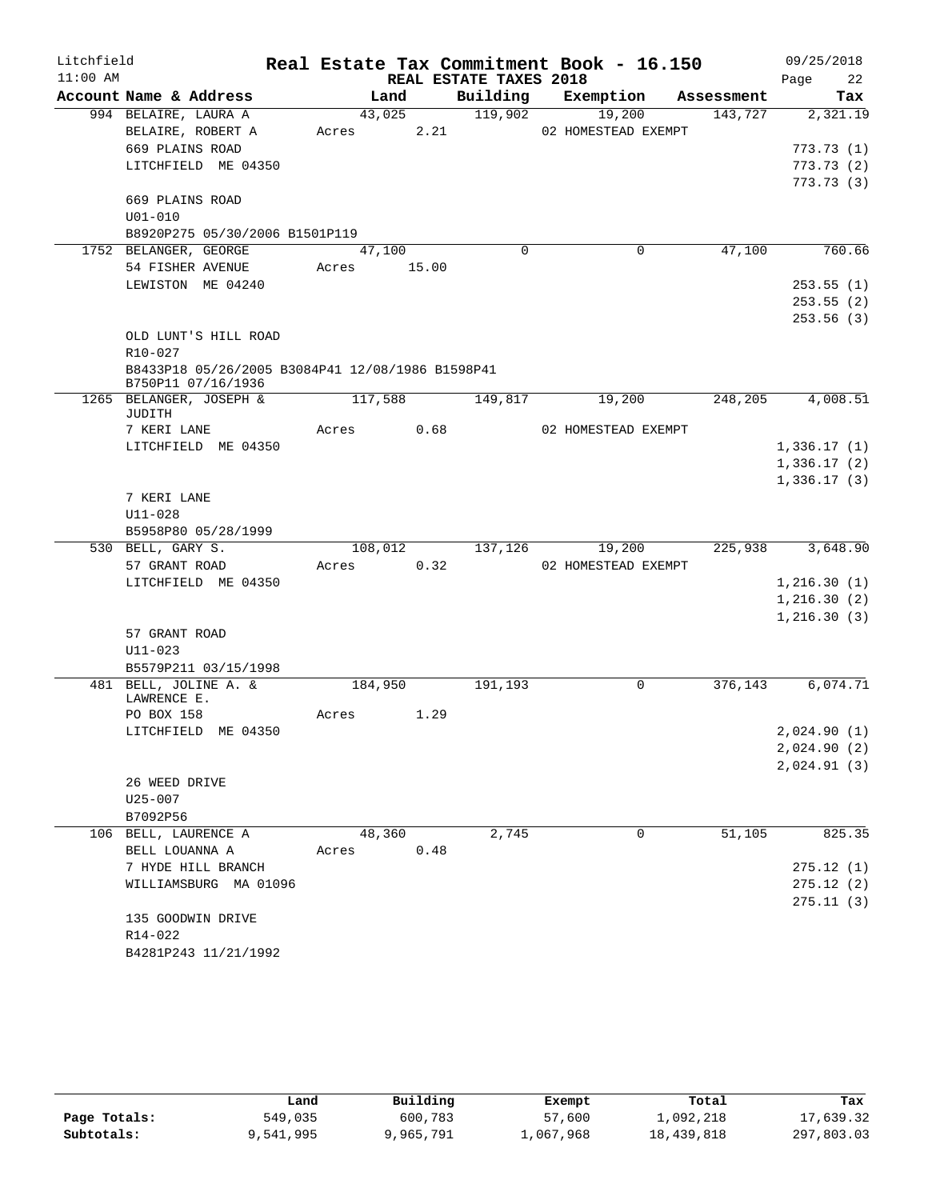| Litchfield |                                                                        |         |       |                        | Real Estate Tax Commitment Book - 16.150 |            | 09/25/2018   |
|------------|------------------------------------------------------------------------|---------|-------|------------------------|------------------------------------------|------------|--------------|
| $11:00$ AM |                                                                        |         |       | REAL ESTATE TAXES 2018 |                                          |            | 22<br>Page   |
|            | Account Name & Address                                                 | Land    |       | Building               | Exemption                                | Assessment | Tax          |
|            | 994 BELAIRE, LAURA A                                                   | 43,025  |       | 119,902                | 19,200                                   | 143,727    | 2,321.19     |
|            | BELAIRE, ROBERT A                                                      | Acres   | 2.21  |                        | 02 HOMESTEAD EXEMPT                      |            |              |
|            | 669 PLAINS ROAD                                                        |         |       |                        |                                          |            | 773.73(1)    |
|            | LITCHFIELD ME 04350                                                    |         |       |                        |                                          |            | 773.73(2)    |
|            |                                                                        |         |       |                        |                                          |            | 773.73(3)    |
|            | 669 PLAINS ROAD                                                        |         |       |                        |                                          |            |              |
|            | $U01 - 010$                                                            |         |       |                        |                                          |            |              |
|            | B8920P275 05/30/2006 B1501P119                                         |         |       |                        |                                          |            |              |
|            | 1752 BELANGER, GEORGE                                                  | 47,100  |       | $\Omega$               | $\mathbf 0$                              | 47,100     | 760.66       |
|            | 54 FISHER AVENUE                                                       | Acres   | 15.00 |                        |                                          |            |              |
|            | LEWISTON ME 04240                                                      |         |       |                        |                                          |            | 253.55(1)    |
|            |                                                                        |         |       |                        |                                          |            | 253.55(2)    |
|            |                                                                        |         |       |                        |                                          |            | 253.56(3)    |
|            | OLD LUNT'S HILL ROAD                                                   |         |       |                        |                                          |            |              |
|            | $R10 - 027$                                                            |         |       |                        |                                          |            |              |
|            | B8433P18 05/26/2005 B3084P41 12/08/1986 B1598P41<br>B750P11 07/16/1936 |         |       |                        |                                          |            |              |
|            | 1265 BELANGER, JOSEPH &                                                | 117,588 |       | 149,817                | 19,200                                   | 248,205    | 4,008.51     |
|            | JUDITH                                                                 |         |       |                        |                                          |            |              |
|            | 7 KERI LANE                                                            | Acres   | 0.68  |                        | 02 HOMESTEAD EXEMPT                      |            |              |
|            | LITCHFIELD ME 04350                                                    |         |       |                        |                                          |            | 1,336.17(1)  |
|            |                                                                        |         |       |                        |                                          |            | 1,336.17(2)  |
|            |                                                                        |         |       |                        |                                          |            | 1,336.17(3)  |
|            | 7 KERI LANE                                                            |         |       |                        |                                          |            |              |
|            | $U11 - 028$                                                            |         |       |                        |                                          |            |              |
|            | B5958P80 05/28/1999                                                    |         |       |                        |                                          |            |              |
|            | 530 BELL, GARY S.                                                      | 108,012 |       | 137,126                | 19,200                                   | 225,938    | 3,648.90     |
|            | 57 GRANT ROAD                                                          | Acres   | 0.32  |                        | 02 HOMESTEAD EXEMPT                      |            |              |
|            | LITCHFIELD ME 04350                                                    |         |       |                        |                                          |            | 1,216.30(1)  |
|            |                                                                        |         |       |                        |                                          |            | 1, 216.30(2) |
|            | 57 GRANT ROAD                                                          |         |       |                        |                                          |            | 1, 216.30(3) |
|            | $U11 - 023$                                                            |         |       |                        |                                          |            |              |
|            | B5579P211 03/15/1998                                                   |         |       |                        |                                          |            |              |
|            | 481 BELL, JOLINE A. &                                                  | 184,950 |       | 191,193                | $\mathbf 0$                              | 376,143    | 6,074.71     |
|            | LAWRENCE E.                                                            |         |       |                        |                                          |            |              |
|            | PO BOX 158                                                             | Acres   | 1.29  |                        |                                          |            |              |
|            | LITCHFIELD ME 04350                                                    |         |       |                        |                                          |            | 2,024.90 (1) |
|            |                                                                        |         |       |                        |                                          |            | 2,024.90(2)  |
|            |                                                                        |         |       |                        |                                          |            | 2,024.91(3)  |
|            | 26 WEED DRIVE                                                          |         |       |                        |                                          |            |              |
|            | U25-007                                                                |         |       |                        |                                          |            |              |
|            | B7092P56                                                               |         |       |                        |                                          |            |              |
|            | 106 BELL, LAURENCE A                                                   | 48,360  |       | 2,745                  | 0                                        | 51,105     | 825.35       |
|            | BELL LOUANNA A                                                         | Acres   | 0.48  |                        |                                          |            |              |
|            | 7 HYDE HILL BRANCH                                                     |         |       |                        |                                          |            | 275.12(1)    |
|            | WILLIAMSBURG MA 01096                                                  |         |       |                        |                                          |            | 275.12(2)    |
|            |                                                                        |         |       |                        |                                          |            | 275.11(3)    |
|            | 135 GOODWIN DRIVE                                                      |         |       |                        |                                          |            |              |
|            | R14-022                                                                |         |       |                        |                                          |            |              |
|            | B4281P243 11/21/1992                                                   |         |       |                        |                                          |            |              |

|              | Land      | Building  | Exempt    | Total      | Tax        |
|--------------|-----------|-----------|-----------|------------|------------|
| Page Totals: | 549,035   | 600,783   | 57,600    | 1,092,218  | 17,639.32  |
| Subtotals:   | 9,541,995 | 9,965,791 | ⊥,067,968 | 18,439,818 | 297,803.03 |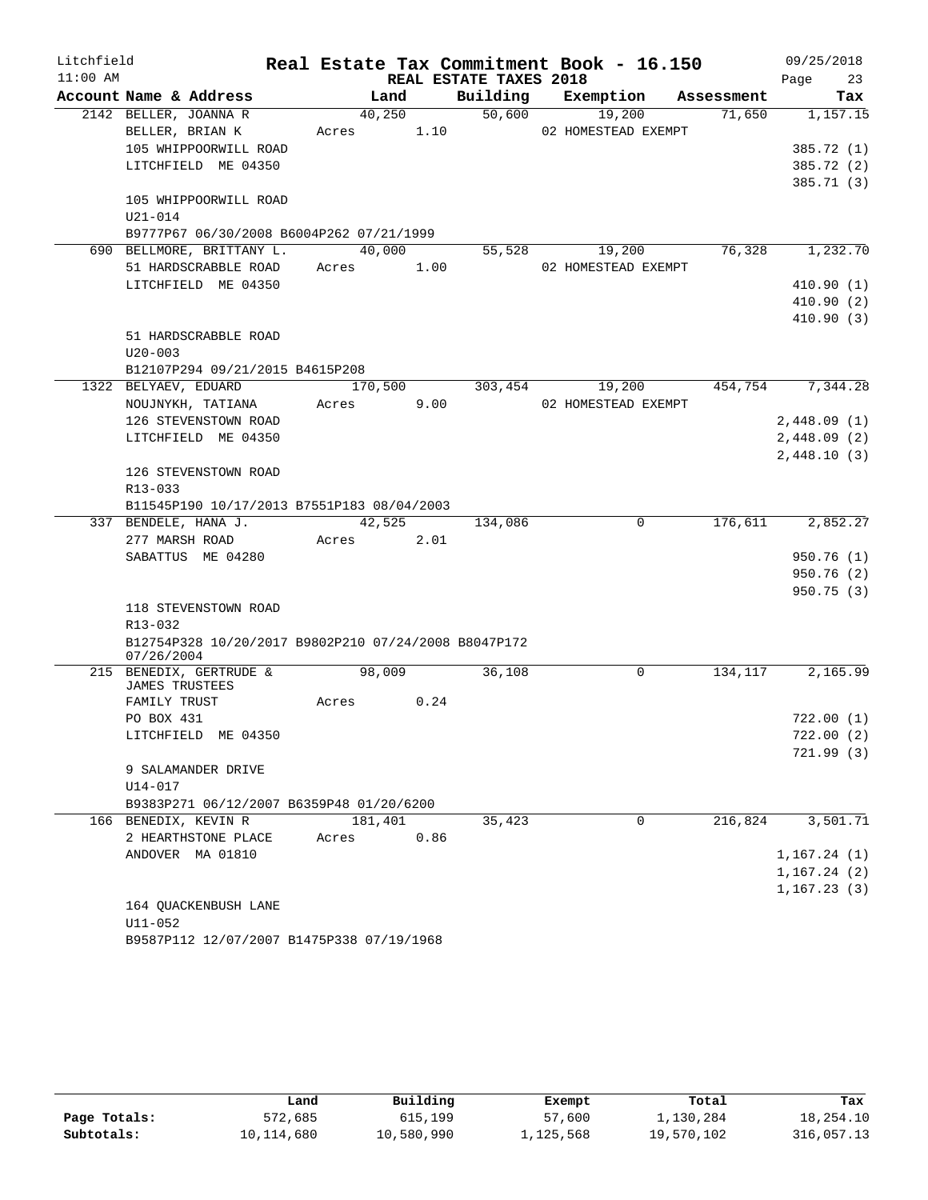| Litchfield |                                                                       |            |         |                        | Real Estate Tax Commitment Book - 16.150 |         | 09/25/2018   |
|------------|-----------------------------------------------------------------------|------------|---------|------------------------|------------------------------------------|---------|--------------|
| $11:00$ AM |                                                                       |            |         | REAL ESTATE TAXES 2018 |                                          |         | 23<br>Page   |
|            | Account Name & Address                                                |            | Land    |                        | Building Exemption Assessment            |         | Tax          |
|            | 2142 BELLER, JOANNA R                                                 |            | 40,250  | 50,600                 | 19,200                                   | 71,650  | 1,157.15     |
|            | BELLER, BRIAN K                                                       | Acres 1.10 |         |                        | 02 HOMESTEAD EXEMPT                      |         |              |
|            | 105 WHIPPOORWILL ROAD                                                 |            |         |                        |                                          |         | 385.72 (1)   |
|            | LITCHFIELD ME 04350                                                   |            |         |                        |                                          |         | 385.72 (2)   |
|            |                                                                       |            |         |                        |                                          |         | 385.71(3)    |
|            | 105 WHIPPOORWILL ROAD                                                 |            |         |                        |                                          |         |              |
|            | $U21 - 014$                                                           |            |         |                        |                                          |         |              |
|            | B9777P67 06/30/2008 B6004P262 07/21/1999<br>690 BELLMORE, BRITTANY L. |            | 40,000  | 55,528                 | 19,200                                   | 76,328  | 1,232.70     |
|            | 51 HARDSCRABBLE ROAD                                                  | Acres 1.00 |         |                        | 02 HOMESTEAD EXEMPT                      |         |              |
|            | LITCHFIELD ME 04350                                                   |            |         |                        |                                          |         | 410.90(1)    |
|            |                                                                       |            |         |                        |                                          |         | 410.90(2)    |
|            |                                                                       |            |         |                        |                                          |         | 410.90(3)    |
|            | 51 HARDSCRABBLE ROAD                                                  |            |         |                        |                                          |         |              |
|            | $U20 - 003$                                                           |            |         |                        |                                          |         |              |
|            | B12107P294 09/21/2015 B4615P208                                       |            |         |                        |                                          |         |              |
|            | 1322 BELYAEV, EDUARD                                                  |            | 170,500 | 303,454                | 19,200                                   | 454,754 | 7,344.28     |
|            | NOUJNYKH, TATIANA                                                     | Acres 9.00 |         |                        | 02 HOMESTEAD EXEMPT                      |         |              |
|            | 126 STEVENSTOWN ROAD                                                  |            |         |                        |                                          |         | 2,448.09(1)  |
|            | LITCHFIELD ME 04350                                                   |            |         |                        |                                          |         | 2,448.09(2)  |
|            |                                                                       |            |         |                        |                                          |         | 2,448.10(3)  |
|            | 126 STEVENSTOWN ROAD                                                  |            |         |                        |                                          |         |              |
|            | R13-033                                                               |            |         |                        |                                          |         |              |
|            | B11545P190 10/17/2013 B7551P183 08/04/2003                            |            |         |                        |                                          |         |              |
|            | 337 BENDELE, HANA J.                                                  |            | 42,525  | 134,086                | $\mathbf 0$                              | 176,611 | 2,852.27     |
|            | 277 MARSH ROAD                                                        | Acres 2.01 |         |                        |                                          |         |              |
|            | SABATTUS ME 04280                                                     |            |         |                        |                                          |         | 950.76(1)    |
|            |                                                                       |            |         |                        |                                          |         | 950.76 (2)   |
|            |                                                                       |            |         |                        |                                          |         | 950.75(3)    |
|            | 118 STEVENSTOWN ROAD                                                  |            |         |                        |                                          |         |              |
|            | R13-032                                                               |            |         |                        |                                          |         |              |
|            | B12754P328 10/20/2017 B9802P210 07/24/2008 B8047P172                  |            |         |                        |                                          |         |              |
|            | 07/26/2004<br>215 BENEDIX, GERTRUDE &                                 | 98,009     |         | 36,108                 | 0                                        | 134,117 | 2,165.99     |
|            | JAMES TRUSTEES                                                        |            |         |                        |                                          |         |              |
|            | FAMILY TRUST                                                          | Acres 0.24 |         |                        |                                          |         |              |
|            | PO BOX 431                                                            |            |         |                        |                                          |         | 722.00(1)    |
|            | LITCHFIELD ME 04350                                                   |            |         |                        |                                          |         | 722.00(2)    |
|            |                                                                       |            |         |                        |                                          |         | 721.99(3)    |
|            | 9 SALAMANDER DRIVE                                                    |            |         |                        |                                          |         |              |
|            | $U14 - 017$                                                           |            |         |                        |                                          |         |              |
|            | B9383P271 06/12/2007 B6359P48 01/20/6200                              |            |         |                        |                                          |         |              |
|            | 166 BENEDIX, KEVIN R                                                  | 181,401    |         | 35,423                 | 0                                        | 216,824 | 3,501.71     |
|            | 2 HEARTHSTONE PLACE                                                   | Acres      | 0.86    |                        |                                          |         |              |
|            | ANDOVER MA 01810                                                      |            |         |                        |                                          |         | 1, 167.24(1) |
|            |                                                                       |            |         |                        |                                          |         | 1, 167.24(2) |
|            |                                                                       |            |         |                        |                                          |         | 1, 167.23(3) |
|            | 164 QUACKENBUSH LANE                                                  |            |         |                        |                                          |         |              |
|            | $U11 - 052$                                                           |            |         |                        |                                          |         |              |

B9587P112 12/07/2007 B1475P338 07/19/1968

|              | Land       | Building   | Exempt    | Total      | Tax        |
|--------------|------------|------------|-----------|------------|------------|
| Page Totals: | 572,685    | 615,199    | 57,600    | 1,130,284  | 18,254.10  |
| Subtotals:   | 10,114,680 | 10,580,990 | 1,125,568 | 19,570,102 | 316,057.13 |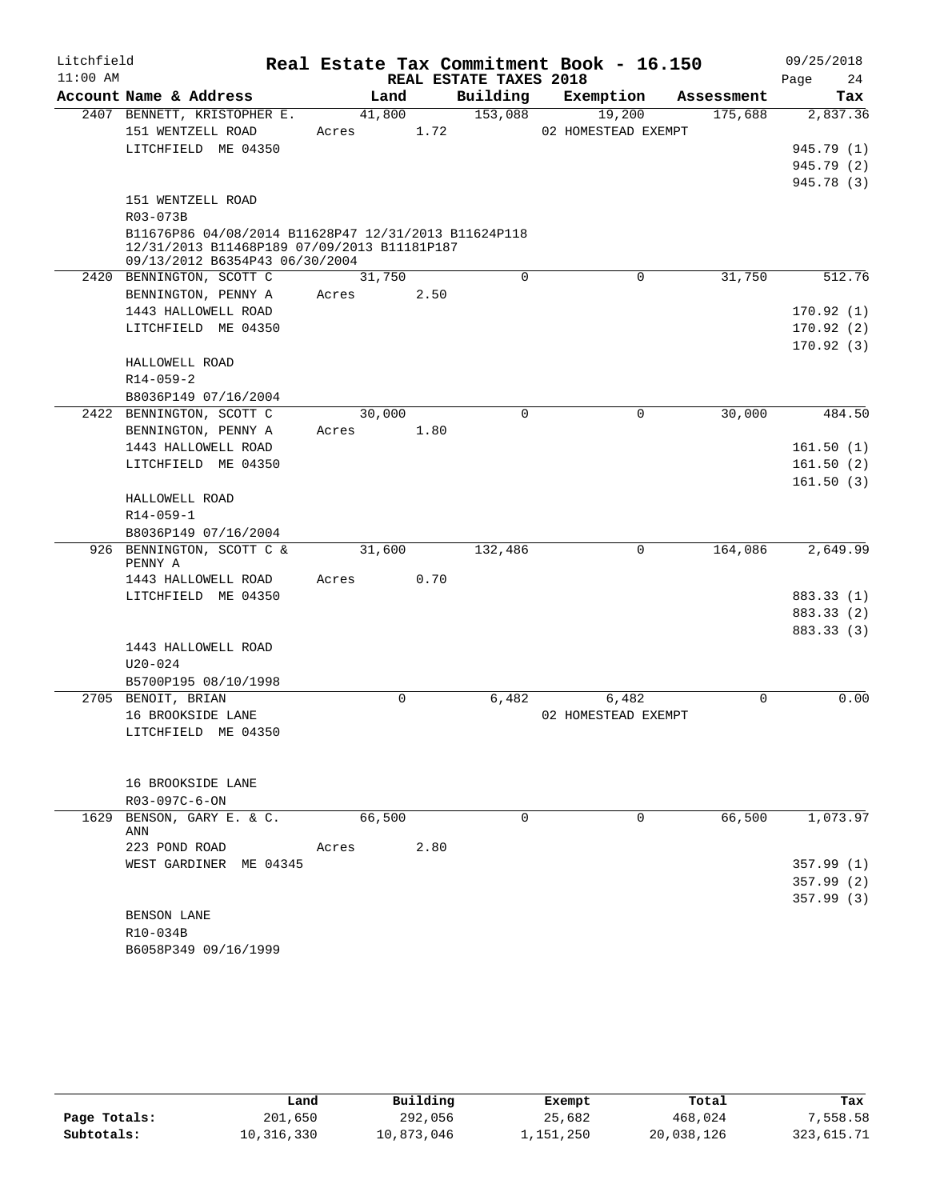| Litchfield<br>$11:00$ AM |                                                                               |             |      | REAL ESTATE TAXES 2018 | Real Estate Tax Commitment Book - 16.150 |            | 09/25/2018<br>24<br>Page |
|--------------------------|-------------------------------------------------------------------------------|-------------|------|------------------------|------------------------------------------|------------|--------------------------|
|                          | Account Name & Address                                                        | Land        |      | Building               | Exemption                                | Assessment | Tax                      |
|                          | 2407 BENNETT, KRISTOPHER E.                                                   | 41,800      |      | 153,088                | 19,200                                   | 175,688    | 2,837.36                 |
|                          | 151 WENTZELL ROAD                                                             | Acres       | 1.72 |                        | 02 HOMESTEAD EXEMPT                      |            |                          |
|                          | LITCHFIELD ME 04350                                                           |             |      |                        |                                          |            | 945.79 (1)               |
|                          |                                                                               |             |      |                        |                                          |            | 945.79 (2)               |
|                          |                                                                               |             |      |                        |                                          |            | 945.78 (3)               |
|                          | 151 WENTZELL ROAD                                                             |             |      |                        |                                          |            |                          |
|                          | R03-073B                                                                      |             |      |                        |                                          |            |                          |
|                          | B11676P86 04/08/2014 B11628P47 12/31/2013 B11624P118                          |             |      |                        |                                          |            |                          |
|                          | 12/31/2013 B11468P189 07/09/2013 B11181P187<br>09/13/2012 B6354P43 06/30/2004 |             |      |                        |                                          |            |                          |
|                          | 2420 BENNINGTON, SCOTT C                                                      | 31,750      |      | $\mathbf 0$            | 0                                        | 31,750     | 512.76                   |
|                          | BENNINGTON, PENNY A                                                           | Acres       | 2.50 |                        |                                          |            |                          |
|                          | 1443 HALLOWELL ROAD                                                           |             |      |                        |                                          |            | 170.92(1)                |
|                          | LITCHFIELD ME 04350                                                           |             |      |                        |                                          |            | 170.92(2)                |
|                          |                                                                               |             |      |                        |                                          |            | 170.92(3)                |
|                          | HALLOWELL ROAD                                                                |             |      |                        |                                          |            |                          |
|                          | $R14 - 059 - 2$                                                               |             |      |                        |                                          |            |                          |
|                          | B8036P149 07/16/2004                                                          |             |      |                        |                                          |            |                          |
|                          | 2422 BENNINGTON, SCOTT C                                                      | 30,000      |      | $\Omega$               | 0                                        | 30,000     | 484.50                   |
|                          | BENNINGTON, PENNY A                                                           | Acres       | 1.80 |                        |                                          |            |                          |
|                          | 1443 HALLOWELL ROAD                                                           |             |      |                        |                                          |            | 161.50(1)                |
|                          | LITCHFIELD ME 04350                                                           |             |      |                        |                                          |            | 161.50(2)                |
|                          |                                                                               |             |      |                        |                                          |            | 161.50(3)                |
|                          | HALLOWELL ROAD                                                                |             |      |                        |                                          |            |                          |
|                          | $R14 - 059 - 1$                                                               |             |      |                        |                                          |            |                          |
|                          | B8036P149 07/16/2004                                                          |             |      |                        |                                          |            |                          |
|                          | 926 BENNINGTON, SCOTT C &                                                     | 31,600      |      | 132,486                | 0                                        | 164,086    | 2,649.99                 |
|                          | PENNY A                                                                       |             |      |                        |                                          |            |                          |
|                          | 1443 HALLOWELL ROAD                                                           | Acres       | 0.70 |                        |                                          |            |                          |
|                          | LITCHFIELD ME 04350                                                           |             |      |                        |                                          |            | 883.33 (1)               |
|                          |                                                                               |             |      |                        |                                          |            | 883.33 (2)               |
|                          |                                                                               |             |      |                        |                                          |            | 883.33 (3)               |
|                          | 1443 HALLOWELL ROAD                                                           |             |      |                        |                                          |            |                          |
|                          | $U20 - 024$                                                                   |             |      |                        |                                          |            |                          |
|                          | B5700P195 08/10/1998                                                          |             |      |                        |                                          |            |                          |
|                          | 2705 BENOIT, BRIAN                                                            | $\mathbf 0$ |      | 6,482                  | 6,482                                    | $\Omega$   | 0.00                     |
|                          | 16 BROOKSIDE LANE                                                             |             |      |                        | 02 HOMESTEAD EXEMPT                      |            |                          |
|                          | LITCHFIELD ME 04350                                                           |             |      |                        |                                          |            |                          |
|                          |                                                                               |             |      |                        |                                          |            |                          |
|                          |                                                                               |             |      |                        |                                          |            |                          |
|                          | 16 BROOKSIDE LANE                                                             |             |      |                        |                                          |            |                          |
|                          | R03-097C-6-ON                                                                 |             |      |                        |                                          |            |                          |
|                          | 1629 BENSON, GARY E. & C.                                                     | 66,500      |      | $\Omega$               | $\Omega$                                 | 66,500     | 1,073.97                 |
|                          | ANN                                                                           |             |      |                        |                                          |            |                          |
|                          | 223 POND ROAD                                                                 | Acres       | 2.80 |                        |                                          |            |                          |
|                          | WEST GARDINER ME 04345                                                        |             |      |                        |                                          |            | 357.99(1)                |
|                          |                                                                               |             |      |                        |                                          |            | 357.99(2)                |
|                          |                                                                               |             |      |                        |                                          |            | 357.99(3)                |
|                          | BENSON LANE                                                                   |             |      |                        |                                          |            |                          |
|                          | R10-034B                                                                      |             |      |                        |                                          |            |                          |
|                          | B6058P349 09/16/1999                                                          |             |      |                        |                                          |            |                          |

|              | Land       | Building   | Exempt    | Total      | Tax        |
|--------------|------------|------------|-----------|------------|------------|
| Page Totals: | 201,650    | 292,056    | 25,682    | 468,024    | 7,558.58   |
| Subtotals:   | 10,316,330 | 10,873,046 | 1,151,250 | 20,038,126 | 323,615.71 |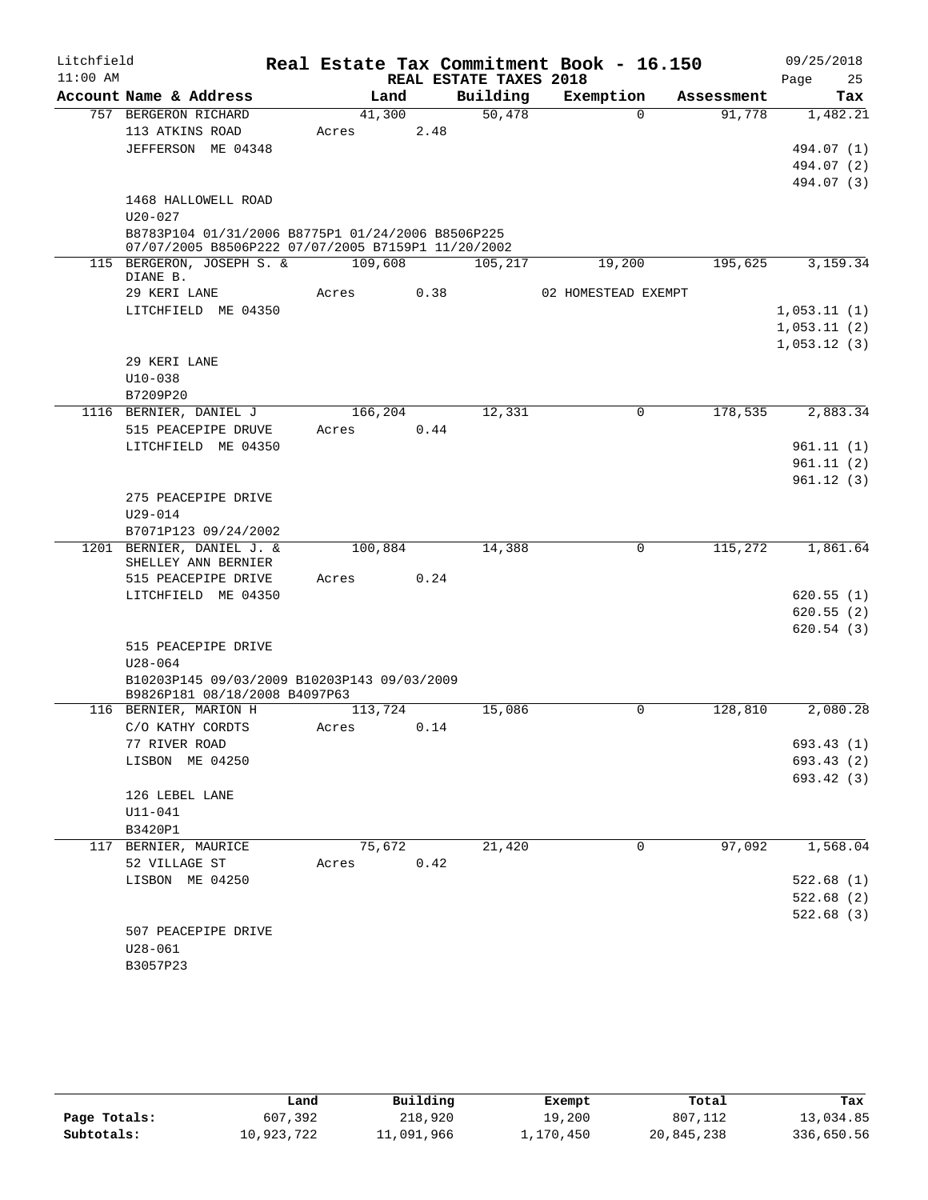| Litchfield |                                                    |         |      |                        | Real Estate Tax Commitment Book - 16.150 |            | 09/25/2018             |
|------------|----------------------------------------------------|---------|------|------------------------|------------------------------------------|------------|------------------------|
| $11:00$ AM |                                                    |         |      | REAL ESTATE TAXES 2018 |                                          |            | 25<br>Page             |
|            | Account Name & Address                             | Land    |      | Building               | Exemption                                | Assessment | Tax                    |
|            | 757 BERGERON RICHARD                               | 41,300  |      | 50,478                 | $\Omega$                                 | 91,778     | 1,482.21               |
|            | 113 ATKINS ROAD                                    | Acres   | 2.48 |                        |                                          |            |                        |
|            | JEFFERSON ME 04348                                 |         |      |                        |                                          |            | 494.07 (1)             |
|            |                                                    |         |      |                        |                                          |            | 494.07 (2)             |
|            | 1468 HALLOWELL ROAD                                |         |      |                        |                                          |            | 494.07 (3)             |
|            | $U20 - 027$                                        |         |      |                        |                                          |            |                        |
|            | B8783P104 01/31/2006 B8775P1 01/24/2006 B8506P225  |         |      |                        |                                          |            |                        |
|            | 07/07/2005 B8506P222 07/07/2005 B7159P1 11/20/2002 |         |      |                        |                                          |            |                        |
|            | 115 BERGERON, JOSEPH S. &<br>DIANE B.              | 109,608 |      | 105,217                | 19,200                                   | 195,625    | 3,159.34               |
|            | 29 KERI LANE                                       | Acres   | 0.38 |                        | 02 HOMESTEAD EXEMPT                      |            |                        |
|            | LITCHFIELD ME 04350                                |         |      |                        |                                          |            | 1,053.11(1)            |
|            |                                                    |         |      |                        |                                          |            | 1,053.11(2)            |
|            |                                                    |         |      |                        |                                          |            | 1,053.12(3)            |
|            | 29 KERI LANE                                       |         |      |                        |                                          |            |                        |
|            | $U10 - 038$                                        |         |      |                        |                                          |            |                        |
|            | B7209P20                                           |         |      |                        |                                          |            |                        |
|            | 1116 BERNIER, DANIEL J                             | 166,204 |      | 12,331                 | $\mathbf 0$                              | 178,535    | 2,883.34               |
|            | 515 PEACEPIPE DRUVE                                | Acres   | 0.44 |                        |                                          |            |                        |
|            | LITCHFIELD ME 04350                                |         |      |                        |                                          |            | 961.11(1)<br>961.11(2) |
|            |                                                    |         |      |                        |                                          |            | 961.12(3)              |
|            | 275 PEACEPIPE DRIVE                                |         |      |                        |                                          |            |                        |
|            | U29-014                                            |         |      |                        |                                          |            |                        |
|            | B7071P123 09/24/2002                               |         |      |                        |                                          |            |                        |
|            | 1201 BERNIER, DANIEL J. &                          | 100,884 |      | 14,388                 | $\mathbf 0$                              | 115,272    | 1,861.64               |
|            | SHELLEY ANN BERNIER                                |         |      |                        |                                          |            |                        |
|            | 515 PEACEPIPE DRIVE                                | Acres   | 0.24 |                        |                                          |            |                        |
|            | LITCHFIELD ME 04350                                |         |      |                        |                                          |            | 620.55(1)              |
|            |                                                    |         |      |                        |                                          |            | 620.55(2)              |
|            |                                                    |         |      |                        |                                          |            | 620.54(3)              |
|            | 515 PEACEPIPE DRIVE<br>$U28 - 064$                 |         |      |                        |                                          |            |                        |
|            | B10203P145 09/03/2009 B10203P143 09/03/2009        |         |      |                        |                                          |            |                        |
|            | B9826P181 08/18/2008 B4097P63                      |         |      |                        |                                          |            |                        |
|            | 116 BERNIER, MARION H                              | 113,724 |      | 15,086                 | 0                                        | 128,810    | 2,080.28               |
|            | C/O KATHY CORDTS                                   | Acres   | 0.14 |                        |                                          |            |                        |
|            | 77 RIVER ROAD                                      |         |      |                        |                                          |            | 693.43 (1)             |
|            | LISBON ME 04250                                    |         |      |                        |                                          |            | 693.43(2)              |
|            |                                                    |         |      |                        |                                          |            | 693.42 (3)             |
|            | 126 LEBEL LANE                                     |         |      |                        |                                          |            |                        |
|            | U11-041                                            |         |      |                        |                                          |            |                        |
|            | B3420P1                                            | 75,672  |      | 21,420                 | 0                                        | 97,092     | 1,568.04               |
|            | 117 BERNIER, MAURICE<br>52 VILLAGE ST              | Acres   | 0.42 |                        |                                          |            |                        |
|            | LISBON ME 04250                                    |         |      |                        |                                          |            | 522.68(1)              |
|            |                                                    |         |      |                        |                                          |            | 522.68(2)              |
|            |                                                    |         |      |                        |                                          |            | 522.68(3)              |
|            | 507 PEACEPIPE DRIVE                                |         |      |                        |                                          |            |                        |
|            | U28-061                                            |         |      |                        |                                          |            |                        |
|            | B3057P23                                           |         |      |                        |                                          |            |                        |

|              | Land       | Building   | Exempt    | Total      | Tax        |
|--------------|------------|------------|-----------|------------|------------|
| Page Totals: | 607,392    | 218,920    | 19,200    | 807,112    | 13,034.85  |
| Subtotals:   | 10,923,722 | 11,091,966 | 1,170,450 | 20,845,238 | 336,650.56 |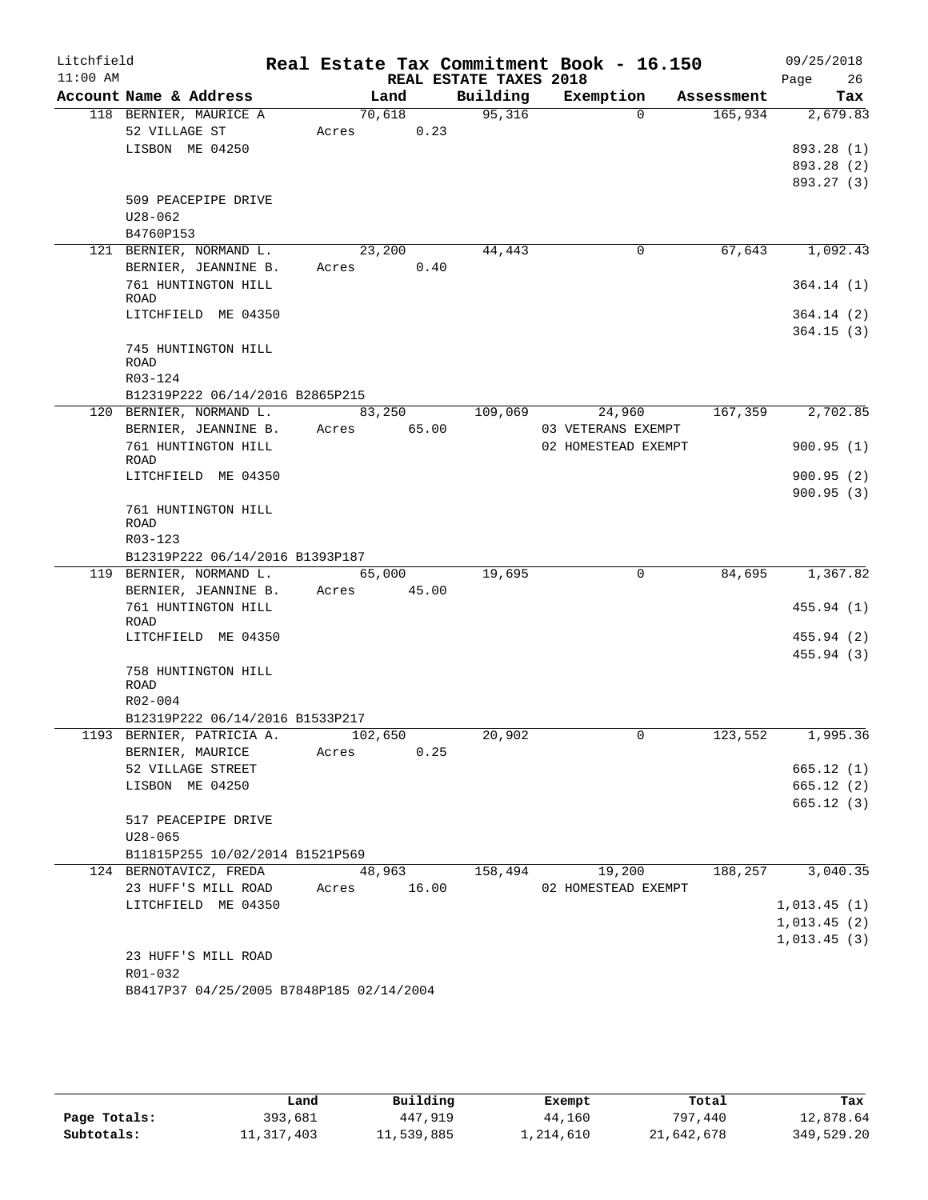| Litchfield<br>$11:00$ AM |                                                            |                         | REAL ESTATE TAXES 2018 | Real Estate Tax Commitment Book - 16.150 |            | 09/25/2018<br>26           |
|--------------------------|------------------------------------------------------------|-------------------------|------------------------|------------------------------------------|------------|----------------------------|
|                          | Account Name & Address                                     | Land                    |                        | Building Exemption                       | Assessment | Page<br>Tax                |
|                          | 118 BERNIER, MAURICE A                                     | 70,618                  | 95,316                 | $\Omega$                                 | 165,934    | 2,679.83                   |
|                          | 52 VILLAGE ST                                              | Acres 0.23              |                        |                                          |            |                            |
|                          | LISBON ME 04250                                            |                         |                        |                                          |            | 893.28 (1)                 |
|                          |                                                            |                         |                        |                                          |            | 893.28 (2)                 |
|                          |                                                            |                         |                        |                                          |            | 893.27 (3)                 |
|                          | 509 PEACEPIPE DRIVE                                        |                         |                        |                                          |            |                            |
|                          | U28-062                                                    |                         |                        |                                          |            |                            |
|                          | B4760P153                                                  |                         |                        | 0                                        | 67,643     | 1,092.43                   |
|                          | 121 BERNIER, NORMAND L.<br>BERNIER, JEANNINE B.            | 23,200<br>0.40<br>Acres | 44,443                 |                                          |            |                            |
|                          | 761 HUNTINGTON HILL                                        |                         |                        |                                          |            | 364.14 (1)                 |
|                          | ROAD                                                       |                         |                        |                                          |            |                            |
|                          | LITCHFIELD ME 04350                                        |                         |                        |                                          |            | 364.14 (2)                 |
|                          |                                                            |                         |                        |                                          |            | 364.15(3)                  |
|                          | 745 HUNTINGTON HILL                                        |                         |                        |                                          |            |                            |
|                          | ROAD                                                       |                         |                        |                                          |            |                            |
|                          | R03-124                                                    |                         |                        |                                          |            |                            |
|                          | B12319P222 06/14/2016 B2865P215<br>120 BERNIER, NORMAND L. | 83,250                  | 109,069                | 24,960                                   | 167,359    | 2,702.85                   |
|                          | BERNIER, JEANNINE B. Acres 65.00                           |                         |                        | 03 VETERANS EXEMPT                       |            |                            |
|                          | 761 HUNTINGTON HILL                                        |                         |                        | 02 HOMESTEAD EXEMPT                      |            | 900.95(1)                  |
|                          | ROAD                                                       |                         |                        |                                          |            |                            |
|                          | LITCHFIELD ME 04350                                        |                         |                        |                                          |            | 900.95(2)                  |
|                          |                                                            |                         |                        |                                          |            | 900.95(3)                  |
|                          | 761 HUNTINGTON HILL                                        |                         |                        |                                          |            |                            |
|                          | ROAD<br>R03-123                                            |                         |                        |                                          |            |                            |
|                          | B12319P222 06/14/2016 B1393P187                            |                         |                        |                                          |            |                            |
|                          | 119 BERNIER, NORMAND L.                                    | 65,000                  | 19,695                 | $\mathbf 0$                              | 84,695     | 1,367.82                   |
|                          | BERNIER, JEANNINE B.                                       | 45.00<br>Acres          |                        |                                          |            |                            |
|                          | 761 HUNTINGTON HILL                                        |                         |                        |                                          |            | 455.94(1)                  |
|                          | ROAD                                                       |                         |                        |                                          |            |                            |
|                          | LITCHFIELD ME 04350                                        |                         |                        |                                          |            | 455.94 (2)                 |
|                          |                                                            |                         |                        |                                          |            | 455.94(3)                  |
|                          | 758 HUNTINGTON HILL<br><b>ROAD</b>                         |                         |                        |                                          |            |                            |
|                          | R02-004                                                    |                         |                        |                                          |            |                            |
|                          | B12319P222 06/14/2016 B1533P217                            |                         |                        |                                          |            |                            |
|                          | 1193 BERNIER, PATRICIA A.                                  | 102,650                 | 20,902                 |                                          | 123,552    | 1,995.36                   |
|                          | BERNIER, MAURICE                                           | 0.25<br>Acres           |                        |                                          |            |                            |
|                          | 52 VILLAGE STREET                                          |                         |                        |                                          |            | 665.12(1)                  |
|                          | LISBON ME 04250                                            |                         |                        |                                          |            | 665.12(2)                  |
|                          |                                                            |                         |                        |                                          |            | 665.12(3)                  |
|                          | 517 PEACEPIPE DRIVE                                        |                         |                        |                                          |            |                            |
|                          | $U28 - 065$                                                |                         |                        |                                          |            |                            |
|                          | B11815P255 10/02/2014 B1521P569                            |                         |                        |                                          |            |                            |
|                          | 124 BERNOTAVICZ, FREDA                                     | 48,963                  | 158,494                | 19,200                                   | 188,257    | 3,040.35                   |
|                          | 23 HUFF'S MILL ROAD                                        | Acres 16.00             |                        | 02 HOMESTEAD EXEMPT                      |            |                            |
|                          | LITCHFIELD ME 04350                                        |                         |                        |                                          |            | 1,013.45(1)<br>1,013.45(2) |
|                          |                                                            |                         |                        |                                          |            | 1,013.45(3)                |
|                          | 23 HUFF'S MILL ROAD                                        |                         |                        |                                          |            |                            |
|                          | R01-032                                                    |                         |                        |                                          |            |                            |
|                          | B8417P37 04/25/2005 B7848P185 02/14/2004                   |                         |                        |                                          |            |                            |
|                          |                                                            |                         |                        |                                          |            |                            |

|              | Land         | Building   | Exempt    | Total      | Tax        |
|--------------|--------------|------------|-----------|------------|------------|
| Page Totals: | 393,681      | 447,919    | 44,160    | 797,440    | 12,878.64  |
| Subtotals:   | 11, 317, 403 | 11,539,885 | 1,214,610 | 21,642,678 | 349,529.20 |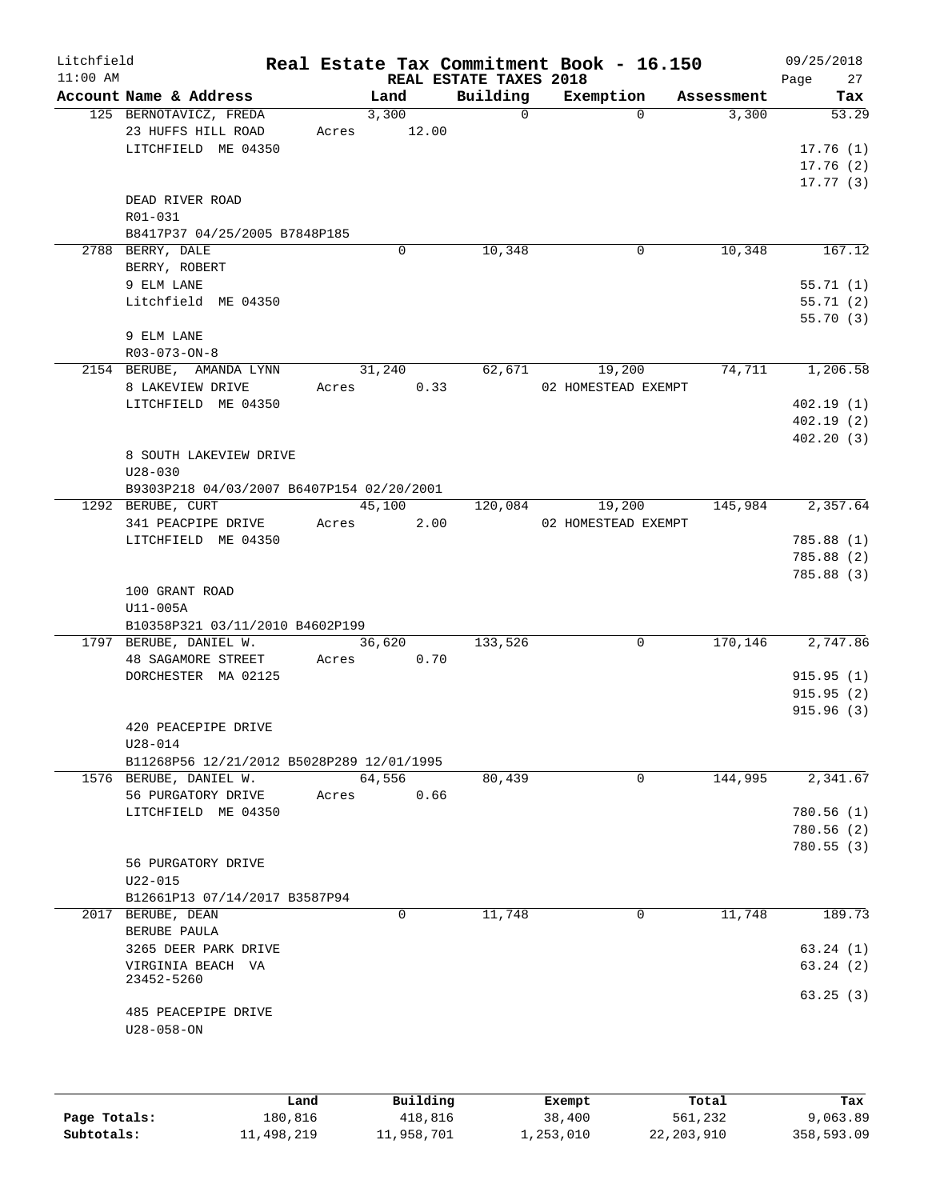| Litchfield                                                                                                   |                                        |                                                                |                                                                                                       |                                                                                                                                           |                                                                                  | 09/25/2018<br>27<br>Page                                                                                                                    |
|--------------------------------------------------------------------------------------------------------------|----------------------------------------|----------------------------------------------------------------|-------------------------------------------------------------------------------------------------------|-------------------------------------------------------------------------------------------------------------------------------------------|----------------------------------------------------------------------------------|---------------------------------------------------------------------------------------------------------------------------------------------|
| Account Name & Address                                                                                       |                                        | Land                                                           |                                                                                                       | Exemption                                                                                                                                 | Assessment                                                                       | Tax                                                                                                                                         |
| 125 BERNOTAVICZ, FREDA<br>23 HUFFS HILL ROAD<br>LITCHFIELD ME 04350                                          |                                        | 3,300                                                          | $\Omega$                                                                                              | $\Omega$                                                                                                                                  | 3,300                                                                            | 53.29<br>17.76(1)<br>17.76(2)                                                                                                               |
| DEAD RIVER ROAD<br>R01-031                                                                                   |                                        |                                                                |                                                                                                       |                                                                                                                                           |                                                                                  | 17.77(3)                                                                                                                                    |
| 2788 BERRY, DALE<br>BERRY, ROBERT                                                                            |                                        | $\Omega$                                                       | 10,348                                                                                                | 0                                                                                                                                         | 10,348                                                                           | 167.12                                                                                                                                      |
| 9 ELM LANE<br>Litchfield ME 04350                                                                            |                                        |                                                                |                                                                                                       |                                                                                                                                           |                                                                                  | 55.71(1)<br>55.71(2)<br>55.70(3)                                                                                                            |
| 9 ELM LANE<br>R03-073-ON-8                                                                                   |                                        |                                                                |                                                                                                       |                                                                                                                                           |                                                                                  |                                                                                                                                             |
| 2154 BERUBE, AMANDA LYNN<br>8 LAKEVIEW DRIVE<br>LITCHFIELD ME 04350<br>8 SOUTH LAKEVIEW DRIVE<br>$U28 - 030$ |                                        |                                                                |                                                                                                       | 19,200                                                                                                                                    |                                                                                  | 1,206.58<br>402.19(1)<br>402.19(2)<br>402.20(3)                                                                                             |
|                                                                                                              |                                        |                                                                |                                                                                                       |                                                                                                                                           |                                                                                  | 2,357.64                                                                                                                                    |
| 341 PEACPIPE DRIVE<br>LITCHFIELD ME 04350                                                                    |                                        |                                                                |                                                                                                       |                                                                                                                                           |                                                                                  | 785.88(1)<br>785.88 (2)                                                                                                                     |
| 100 GRANT ROAD<br>U11-005A                                                                                   |                                        |                                                                |                                                                                                       |                                                                                                                                           |                                                                                  | 785.88 (3)                                                                                                                                  |
| 1797 BERUBE, DANIEL W.<br>48 SAGAMORE STREET<br>DORCHESTER MA 02125                                          |                                        | 36,620                                                         | 133,526                                                                                               | 0                                                                                                                                         |                                                                                  | 2,747.86<br>915.95(1)<br>915.95(2)<br>915.96(3)                                                                                             |
| 420 PEACEPIPE DRIVE<br>U28-014                                                                               |                                        |                                                                |                                                                                                       |                                                                                                                                           |                                                                                  |                                                                                                                                             |
| 1576 BERUBE, DANIEL W.<br>56 PURGATORY DRIVE<br>LITCHFIELD ME 04350                                          |                                        | 64,556                                                         |                                                                                                       | $\Omega$                                                                                                                                  |                                                                                  | 2,341.67<br>780.56(1)<br>780.56(2)                                                                                                          |
| 56 PURGATORY DRIVE<br>$U22 - 015$                                                                            |                                        |                                                                |                                                                                                       |                                                                                                                                           |                                                                                  | 780.55(3)                                                                                                                                   |
|                                                                                                              |                                        |                                                                |                                                                                                       |                                                                                                                                           |                                                                                  | 189.73                                                                                                                                      |
| BERUBE PAULA<br>3265 DEER PARK DRIVE<br>VIRGINIA BEACH VA                                                    |                                        |                                                                |                                                                                                       |                                                                                                                                           |                                                                                  | 63.24(1)<br>63.24(2)                                                                                                                        |
|                                                                                                              | 1292 BERUBE, CURT<br>2017 BERUBE, DEAN | B8417P37 04/25/2005 B7848P185<br>B12661P13 07/14/2017 B3587P94 | Acres<br>31,240<br>Acres<br>45,100<br>Acres<br>B10358P321 03/11/2010 B4602P199<br>Acres<br>Acres<br>0 | 12.00<br>0.33<br>B9303P218 04/03/2007 B6407P154 02/20/2001<br>2.00<br>0.70<br>B11268P56 12/21/2012 B5028P289 12/01/1995<br>0.66<br>11,748 | REAL ESTATE TAXES 2018<br>Building<br>62,671<br>19,200<br>120,084<br>80,439<br>0 | Real Estate Tax Commitment Book - 16.150<br>74,711<br>02 HOMESTEAD EXEMPT<br>145,984<br>02 HOMESTEAD EXEMPT<br>170,146<br>144,995<br>11,748 |

|              | Land       | Building   | Exempt    | Total        | Tax        |
|--------------|------------|------------|-----------|--------------|------------|
| Page Totals: | 180,816    | 418,816    | 38,400    | 561,232      | 9,063.89   |
| Subtotals:   | 11,498,219 | 11,958,701 | 1,253,010 | 22, 203, 910 | 358,593.09 |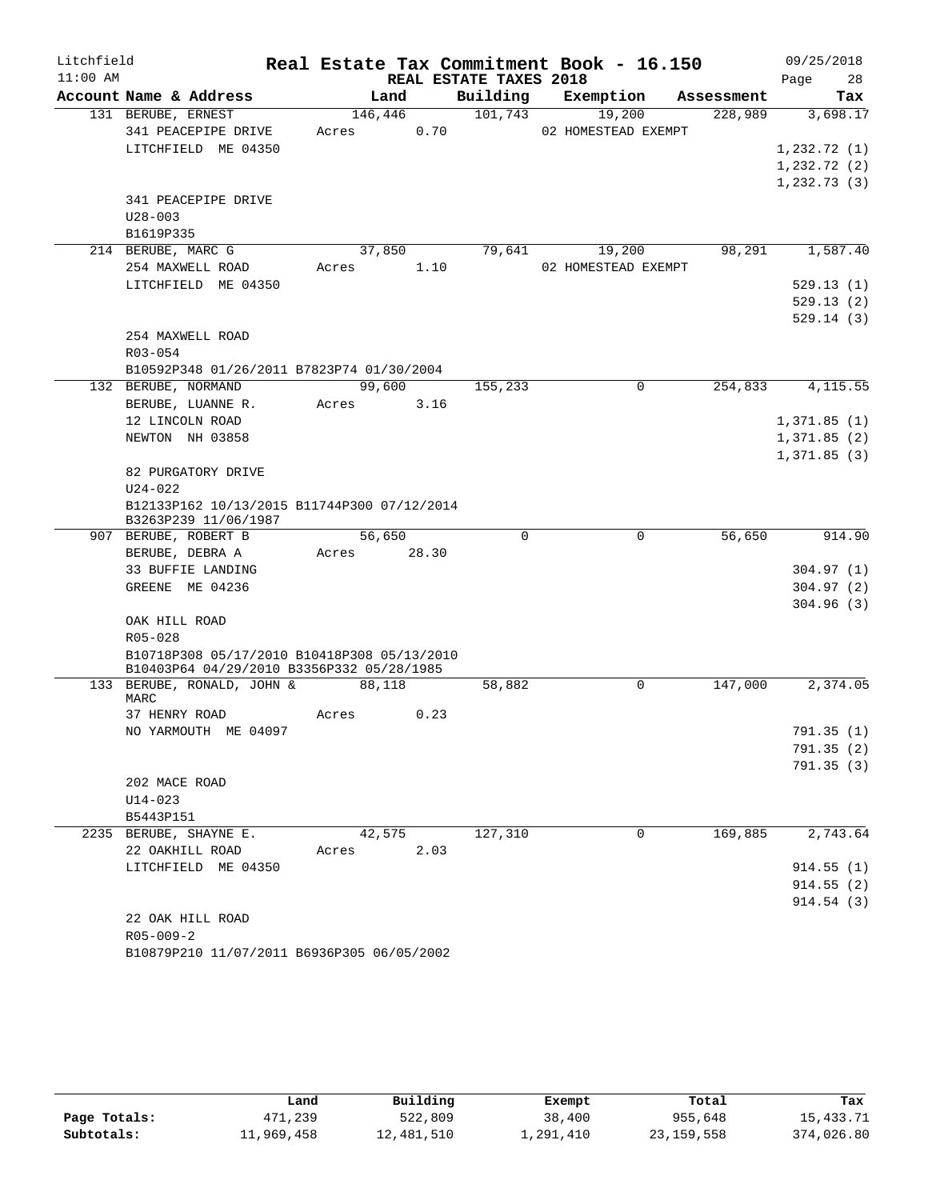| Litchfield |                                                                     |                  |       |                        | Real Estate Tax Commitment Book - 16.150 |            | 09/25/2018   |
|------------|---------------------------------------------------------------------|------------------|-------|------------------------|------------------------------------------|------------|--------------|
| $11:00$ AM |                                                                     |                  |       | REAL ESTATE TAXES 2018 |                                          |            | Page<br>28   |
|            | Account Name & Address                                              | Land             |       | Building               | Exemption                                | Assessment | Tax          |
|            | 131 BERUBE, ERNEST<br>341 PEACEPIPE DRIVE                           | 146,446<br>Acres | 0.70  | 101,743                | 19,200<br>02 HOMESTEAD EXEMPT            | 228,989    | 3,698.17     |
|            | LITCHFIELD ME 04350                                                 |                  |       |                        |                                          |            | 1, 232.72(1) |
|            |                                                                     |                  |       |                        |                                          |            | 1, 232.72(2) |
|            |                                                                     |                  |       |                        |                                          |            | 1,232.73(3)  |
|            | 341 PEACEPIPE DRIVE                                                 |                  |       |                        |                                          |            |              |
|            | $U28 - 003$                                                         |                  |       |                        |                                          |            |              |
|            | B1619P335                                                           |                  |       |                        |                                          |            |              |
|            | 214 BERUBE, MARC G                                                  | 37,850           |       | 79,641                 | 19,200                                   | 98,291     | 1,587.40     |
|            | 254 MAXWELL ROAD                                                    | Acres            | 1.10  |                        | 02 HOMESTEAD EXEMPT                      |            |              |
|            | LITCHFIELD ME 04350                                                 |                  |       |                        |                                          |            | 529.13(1)    |
|            |                                                                     |                  |       |                        |                                          |            | 529.13(2)    |
|            |                                                                     |                  |       |                        |                                          |            | 529.14(3)    |
|            | 254 MAXWELL ROAD                                                    |                  |       |                        |                                          |            |              |
|            | R03-054                                                             |                  |       |                        |                                          |            |              |
|            | B10592P348 01/26/2011 B7823P74 01/30/2004                           |                  |       |                        |                                          |            |              |
|            | 132 BERUBE, NORMAND                                                 | 99,600           |       | 155,233                | $\Omega$                                 | 254,833    | 4, 115.55    |
|            | BERUBE, LUANNE R.                                                   | Acres            | 3.16  |                        |                                          |            |              |
|            | 12 LINCOLN ROAD                                                     |                  |       |                        |                                          |            | 1,371.85(1)  |
|            | NEWTON NH 03858                                                     |                  |       |                        |                                          |            | 1,371.85(2)  |
|            |                                                                     |                  |       |                        |                                          |            | 1,371.85(3)  |
|            | 82 PURGATORY DRIVE                                                  |                  |       |                        |                                          |            |              |
|            | $U24 - 022$                                                         |                  |       |                        |                                          |            |              |
|            | B12133P162 10/13/2015 B11744P300 07/12/2014<br>B3263P239 11/06/1987 |                  |       |                        |                                          |            |              |
|            | 907 BERUBE, ROBERT B                                                | 56,650           |       | $\Omega$               | 0                                        | 56,650     | 914.90       |
|            | BERUBE, DEBRA A                                                     | Acres            | 28.30 |                        |                                          |            |              |
|            | 33 BUFFIE LANDING                                                   |                  |       |                        |                                          |            | 304.97(1)    |
|            | GREENE ME 04236                                                     |                  |       |                        |                                          |            | 304.97(2)    |
|            |                                                                     |                  |       |                        |                                          |            | 304.96(3)    |
|            | OAK HILL ROAD                                                       |                  |       |                        |                                          |            |              |
|            | $R05 - 028$                                                         |                  |       |                        |                                          |            |              |
|            | B10718P308 05/17/2010 B10418P308 05/13/2010                         |                  |       |                        |                                          |            |              |
|            | B10403P64 04/29/2010 B3356P332 05/28/1985                           |                  |       |                        |                                          |            |              |
|            | 133 BERUBE, RONALD, JOHN &<br>MARC                                  | 88,118           |       | 58,882                 | 0                                        | 147,000    | 2,374.05     |
|            | 37 HENRY ROAD                                                       | Acres            | 0.23  |                        |                                          |            |              |
|            | NO YARMOUTH ME 04097                                                |                  |       |                        |                                          |            | 791.35 (1)   |
|            |                                                                     |                  |       |                        |                                          |            | 791.35(2)    |
|            |                                                                     |                  |       |                        |                                          |            | 791.35 (3)   |
|            | 202 MACE ROAD                                                       |                  |       |                        |                                          |            |              |
|            | $U14 - 023$                                                         |                  |       |                        |                                          |            |              |
|            | B5443P151                                                           |                  |       |                        |                                          |            |              |
|            | 2235 BERUBE, SHAYNE E.                                              | 42,575           |       | 127,310                | $\Omega$                                 | 169,885    | 2,743.64     |
|            | 22 OAKHILL ROAD                                                     | Acres            | 2.03  |                        |                                          |            |              |
|            | LITCHFIELD ME 04350                                                 |                  |       |                        |                                          |            | 914.55(1)    |
|            |                                                                     |                  |       |                        |                                          |            | 914.55(2)    |
|            |                                                                     |                  |       |                        |                                          |            | 914.54(3)    |
|            | 22 OAK HILL ROAD                                                    |                  |       |                        |                                          |            |              |
|            | $R05 - 009 - 2$                                                     |                  |       |                        |                                          |            |              |

|              | Land       | Building   | Exempt    | Total      | Tax        |
|--------------|------------|------------|-----------|------------|------------|
| Page Totals: | 471,239    | 522,809    | 38,400    | 955,648    | 15,433.71  |
| Subtotals:   | 11,969,458 | 12,481,510 | ⊥,291,410 | 23,159,558 | 374,026.80 |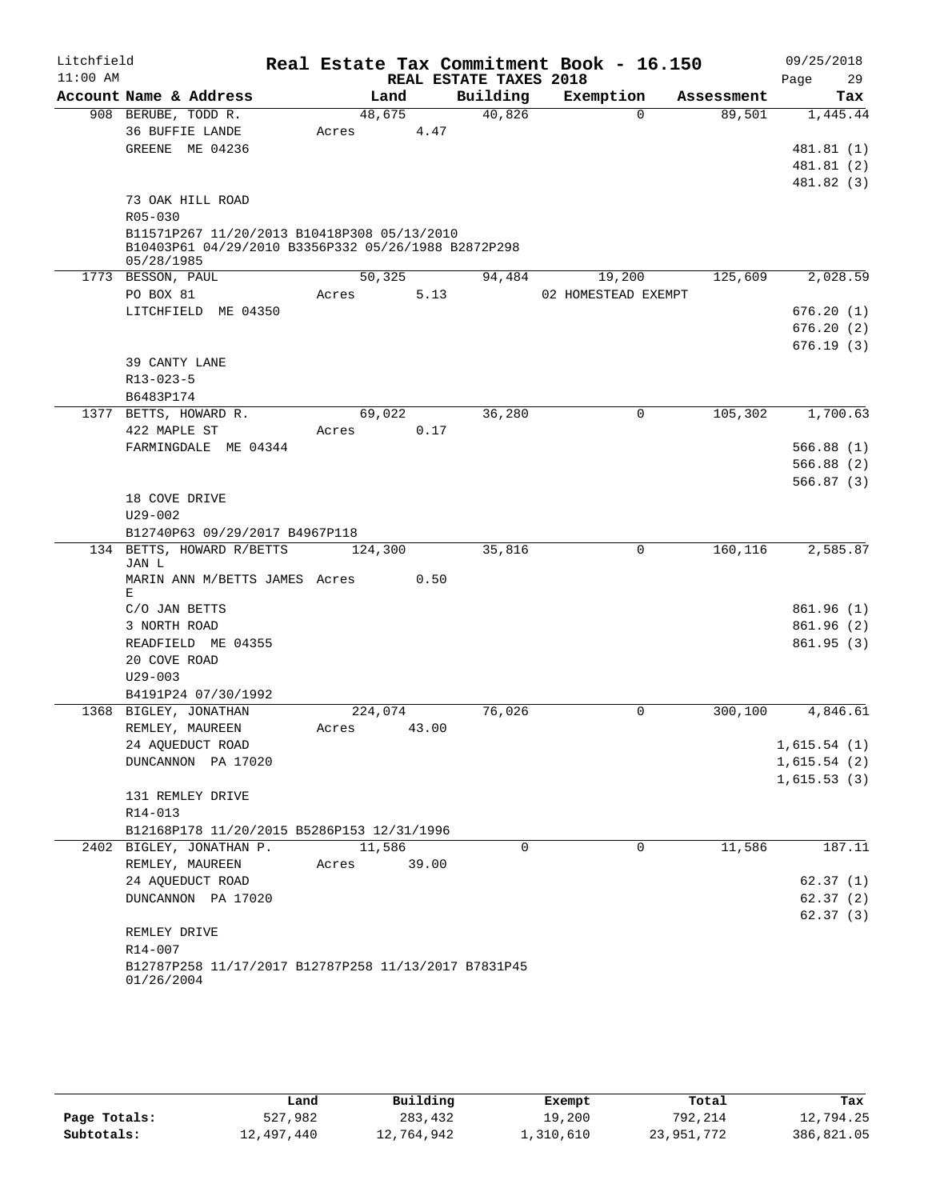| Litchfield |                                                            |         |        |                        |          | Real Estate Tax Commitment Book - 16.150 |            | 09/25/2018              |
|------------|------------------------------------------------------------|---------|--------|------------------------|----------|------------------------------------------|------------|-------------------------|
| $11:00$ AM |                                                            |         |        | REAL ESTATE TAXES 2018 |          |                                          |            | 29<br>Page              |
|            | Account Name & Address                                     |         | Land   |                        | Building | Exemption                                | Assessment | Tax                     |
|            | 908 BERUBE, TODD R.                                        |         | 48,675 |                        | 40,826   | $\Omega$                                 | 89,501     | 1,445.44                |
|            | 36 BUFFIE LANDE                                            | Acres   |        | 4.47                   |          |                                          |            |                         |
|            | GREENE ME 04236                                            |         |        |                        |          |                                          |            | 481.81 (1)              |
|            |                                                            |         |        |                        |          |                                          |            | 481.81 (2)              |
|            |                                                            |         |        |                        |          |                                          |            | 481.82 (3)              |
|            | 73 OAK HILL ROAD                                           |         |        |                        |          |                                          |            |                         |
|            | $R05 - 030$<br>B11571P267 11/20/2013 B10418P308 05/13/2010 |         |        |                        |          |                                          |            |                         |
|            | B10403P61 04/29/2010 B3356P332 05/26/1988 B2872P298        |         |        |                        |          |                                          |            |                         |
|            | 05/28/1985                                                 |         |        |                        |          |                                          |            |                         |
|            | 1773 BESSON, PAUL                                          |         | 50,325 |                        | 94,484   | 19,200                                   | 125,609    | 2,028.59                |
|            | PO BOX 81                                                  | Acres   |        | 5.13                   |          | 02 HOMESTEAD EXEMPT                      |            |                         |
|            | LITCHFIELD ME 04350                                        |         |        |                        |          |                                          |            | 676.20(1)               |
|            |                                                            |         |        |                        |          |                                          |            | 676.20(2)               |
|            |                                                            |         |        |                        |          |                                          |            | 676.19(3)               |
|            | 39 CANTY LANE                                              |         |        |                        |          |                                          |            |                         |
|            | R13-023-5                                                  |         |        |                        |          |                                          |            |                         |
|            | B6483P174                                                  |         |        |                        |          |                                          |            |                         |
|            | 1377 BETTS, HOWARD R.                                      |         | 69,022 |                        | 36,280   | $\mathbf 0$                              | 105,302    | 1,700.63                |
|            | 422 MAPLE ST<br>FARMINGDALE ME 04344                       | Acres   |        | 0.17                   |          |                                          |            |                         |
|            |                                                            |         |        |                        |          |                                          |            | 566.88(1)<br>566.88 (2) |
|            |                                                            |         |        |                        |          |                                          |            | 566.87(3)               |
|            | 18 COVE DRIVE                                              |         |        |                        |          |                                          |            |                         |
|            | $U29 - 002$                                                |         |        |                        |          |                                          |            |                         |
|            | B12740P63 09/29/2017 B4967P118                             |         |        |                        |          |                                          |            |                         |
|            | 134 BETTS, HOWARD R/BETTS                                  | 124,300 |        |                        | 35,816   | $\Omega$                                 | 160,116    | 2,585.87                |
|            | JAN L                                                      |         |        |                        |          |                                          |            |                         |
|            | MARIN ANN M/BETTS JAMES Acres                              |         |        | 0.50                   |          |                                          |            |                         |
|            | Е                                                          |         |        |                        |          |                                          |            | 861.96(1)               |
|            | C/O JAN BETTS<br>3 NORTH ROAD                              |         |        |                        |          |                                          |            | 861.96(2)               |
|            | READFIELD ME 04355                                         |         |        |                        |          |                                          |            | 861.95(3)               |
|            | 20 COVE ROAD                                               |         |        |                        |          |                                          |            |                         |
|            | $U29 - 003$                                                |         |        |                        |          |                                          |            |                         |
|            | B4191P24 07/30/1992                                        |         |        |                        |          |                                          |            |                         |
|            | 1368 BIGLEY, JONATHAN                                      | 224,074 |        |                        | 76,026   | 0                                        | 300,100    | 4,846.61                |
|            | REMLEY, MAUREEN                                            | Acres   | 43.00  |                        |          |                                          |            |                         |
|            | 24 AQUEDUCT ROAD                                           |         |        |                        |          |                                          |            | 1,615.54(1)             |
|            | DUNCANNON PA 17020                                         |         |        |                        |          |                                          |            | 1,615.54(2)             |
|            |                                                            |         |        |                        |          |                                          |            | 1,615.53(3)             |
|            | 131 REMLEY DRIVE                                           |         |        |                        |          |                                          |            |                         |
|            | R14-013                                                    |         |        |                        |          |                                          |            |                         |
|            | B12168P178 11/20/2015 B5286P153 12/31/1996                 |         |        |                        |          |                                          |            |                         |
|            | 2402 BIGLEY, JONATHAN P.                                   |         | 11,586 |                        | 0        | 0                                        | 11,586     | 187.11                  |
|            | REMLEY, MAUREEN                                            | Acres   |        | 39.00                  |          |                                          |            |                         |
|            | 24 AQUEDUCT ROAD                                           |         |        |                        |          |                                          |            | 62.37(1)                |
|            | DUNCANNON PA 17020                                         |         |        |                        |          |                                          |            | 62.37(2)                |
|            |                                                            |         |        |                        |          |                                          |            | 62.37(3)                |
|            | REMLEY DRIVE<br>R14-007                                    |         |        |                        |          |                                          |            |                         |
|            | B12787P258 11/17/2017 B12787P258 11/13/2017 B7831P45       |         |        |                        |          |                                          |            |                         |
|            | 01/26/2004                                                 |         |        |                        |          |                                          |            |                         |
|            |                                                            |         |        |                        |          |                                          |            |                         |

|              | Land       | Building   | Exempt    | Total      | Tax        |
|--------------|------------|------------|-----------|------------|------------|
| Page Totals: | 527,982    | 283,432    | 19,200    | 792,214    | 12,794.25  |
| Subtotals:   | 12,497,440 | 12,764,942 | 1,310,610 | 23,951,772 | 386,821.05 |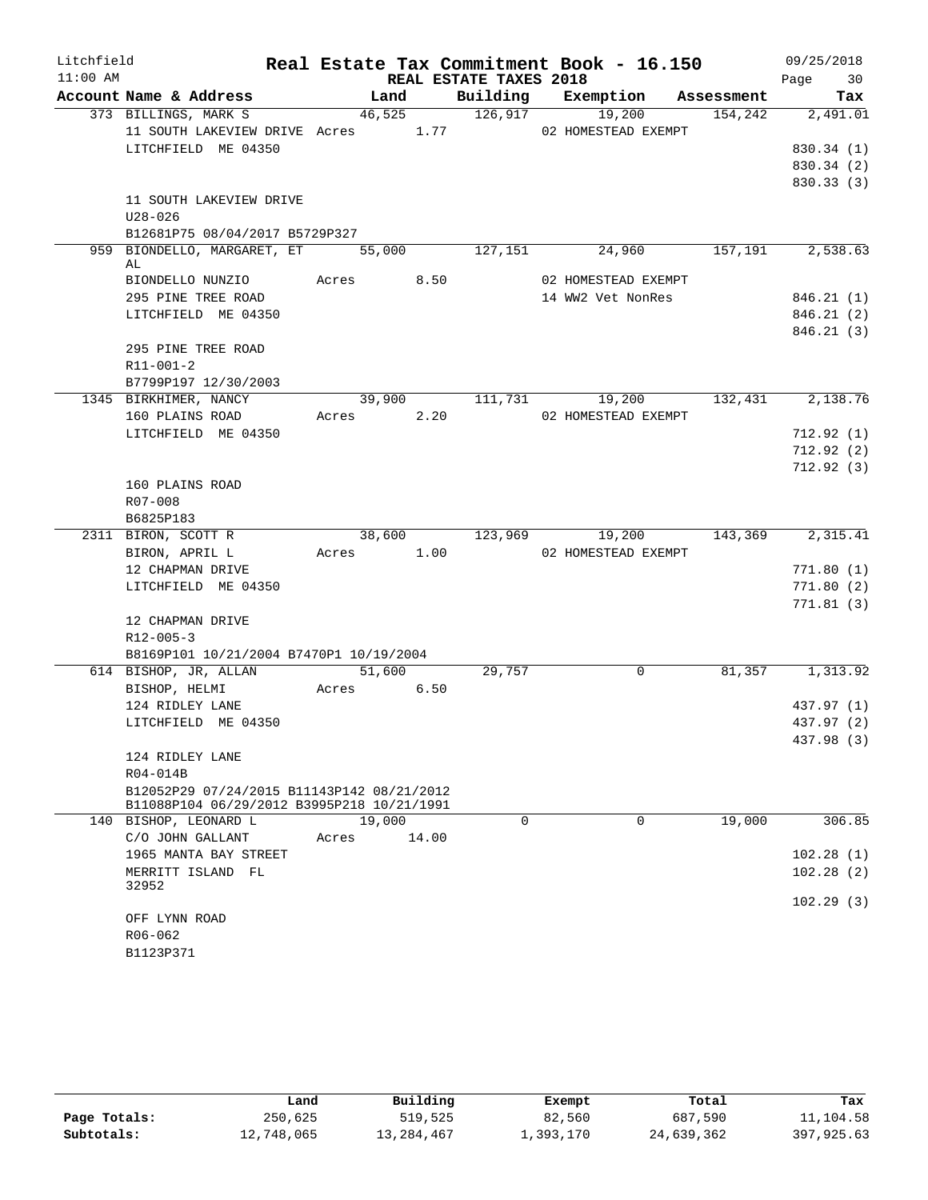| Litchfield |                                                                                          |       |            |                        | Real Estate Tax Commitment Book - 16.150 |            | 09/25/2018 |
|------------|------------------------------------------------------------------------------------------|-------|------------|------------------------|------------------------------------------|------------|------------|
| $11:00$ AM |                                                                                          |       |            | REAL ESTATE TAXES 2018 |                                          |            | 30<br>Page |
|            | Account Name & Address                                                                   |       | Land       |                        | Building Exemption                       | Assessment | Tax        |
|            | 373 BILLINGS, MARK S                                                                     |       | 46,525     | 126,917                | 19,200                                   | 154,242    | 2,491.01   |
|            | 11 SOUTH LAKEVIEW DRIVE Acres 1.77                                                       |       |            |                        | 02 HOMESTEAD EXEMPT                      |            |            |
|            | LITCHFIELD ME 04350                                                                      |       |            |                        |                                          |            | 830.34 (1) |
|            |                                                                                          |       |            |                        |                                          |            | 830.34 (2) |
|            |                                                                                          |       |            |                        |                                          |            | 830.33 (3) |
|            | 11 SOUTH LAKEVIEW DRIVE                                                                  |       |            |                        |                                          |            |            |
|            | $U28 - 026$                                                                              |       |            |                        |                                          |            |            |
|            | B12681P75 08/04/2017 B5729P327                                                           |       |            |                        |                                          |            |            |
|            | 959 BIONDELLO, MARGARET, ET                                                              |       | 55,000     | 127,151                | 24,960                                   | 157,191    | 2,538.63   |
|            | AL                                                                                       |       |            |                        |                                          |            |            |
|            | BIONDELLO NUNZIO                                                                         |       | Acres 8.50 |                        | 02 HOMESTEAD EXEMPT                      |            |            |
|            | 295 PINE TREE ROAD                                                                       |       |            |                        | 14 WW2 Vet NonRes                        |            | 846.21(1)  |
|            | LITCHFIELD ME 04350                                                                      |       |            |                        |                                          |            | 846.21(2)  |
|            | 295 PINE TREE ROAD                                                                       |       |            |                        |                                          |            | 846.21(3)  |
|            | R11-001-2                                                                                |       |            |                        |                                          |            |            |
|            | B7799P197 12/30/2003                                                                     |       |            |                        |                                          |            |            |
|            | 1345 BIRKHIMER, NANCY                                                                    |       |            |                        | 39,900 111,731 19,200                    | 132,431    | 2,138.76   |
|            | 160 PLAINS ROAD                                                                          | Acres | 2.20       |                        | 02 HOMESTEAD EXEMPT                      |            |            |
|            | LITCHFIELD ME 04350                                                                      |       |            |                        |                                          |            | 712.92(1)  |
|            |                                                                                          |       |            |                        |                                          |            | 712.92(2)  |
|            |                                                                                          |       |            |                        |                                          |            | 712.92(3)  |
|            | 160 PLAINS ROAD                                                                          |       |            |                        |                                          |            |            |
|            | R07-008                                                                                  |       |            |                        |                                          |            |            |
|            | B6825P183                                                                                |       |            |                        |                                          |            |            |
|            | 2311 BIRON, SCOTT R                                                                      |       | 38,600     | 123,969                | 19,200                                   | 143,369    | 2,315.41   |
|            | BIRON, APRIL L                                                                           |       | Acres 1.00 |                        | 02 HOMESTEAD EXEMPT                      |            |            |
|            | 12 CHAPMAN DRIVE                                                                         |       |            |                        |                                          |            | 771.80(1)  |
|            | LITCHFIELD ME 04350                                                                      |       |            |                        |                                          |            | 771.80(2)  |
|            |                                                                                          |       |            |                        |                                          |            | 771.81(3)  |
|            | 12 CHAPMAN DRIVE                                                                         |       |            |                        |                                          |            |            |
|            | $R12 - 005 - 3$                                                                          |       |            |                        |                                          |            |            |
|            | B8169P101 10/21/2004 B7470P1 10/19/2004                                                  |       |            |                        |                                          |            |            |
|            | 614 BISHOP, JR, ALLAN                                                                    |       | 51,600     | 29,757                 | $\overline{0}$                           | 81,357     | 1,313.92   |
|            | BISHOP, HELMI                                                                            | Acres | 6.50       |                        |                                          |            |            |
|            | 124 RIDLEY LANE                                                                          |       |            |                        |                                          |            | 437.97 (1) |
|            | LITCHFIELD ME 04350                                                                      |       |            |                        |                                          |            | 437.97 (2) |
|            |                                                                                          |       |            |                        |                                          |            | 437.98 (3) |
|            | 124 RIDLEY LANE                                                                          |       |            |                        |                                          |            |            |
|            | R04-014B                                                                                 |       |            |                        |                                          |            |            |
|            | B12052P29 07/24/2015 B11143P142 08/21/2012<br>B11088P104 06/29/2012 B3995P218 10/21/1991 |       |            |                        |                                          |            |            |
|            | 140 BISHOP, LEONARD L                                                                    |       | 19,000     | $\Omega$               | $\Omega$                                 | 19,000     | 306.85     |
|            | C/O JOHN GALLANT                                                                         | Acres | 14.00      |                        |                                          |            |            |
|            | 1965 MANTA BAY STREET                                                                    |       |            |                        |                                          |            | 102.28(1)  |
|            | MERRITT ISLAND FL                                                                        |       |            |                        |                                          |            | 102.28(2)  |
|            | 32952                                                                                    |       |            |                        |                                          |            |            |
|            | OFF LYNN ROAD                                                                            |       |            |                        |                                          |            | 102.29(3)  |
|            | R06-062                                                                                  |       |            |                        |                                          |            |            |
|            | B1123P371                                                                                |       |            |                        |                                          |            |            |
|            |                                                                                          |       |            |                        |                                          |            |            |

|              | Land       | Building   | Exempt    | Total      | Tax        |
|--------------|------------|------------|-----------|------------|------------|
| Page Totals: | 250,625    | 519,525    | 82,560    | 687,590    | 11,104.58  |
| Subtotals:   | 12,748,065 | 13,284,467 | 1,393,170 | 24,639,362 | 397,925.63 |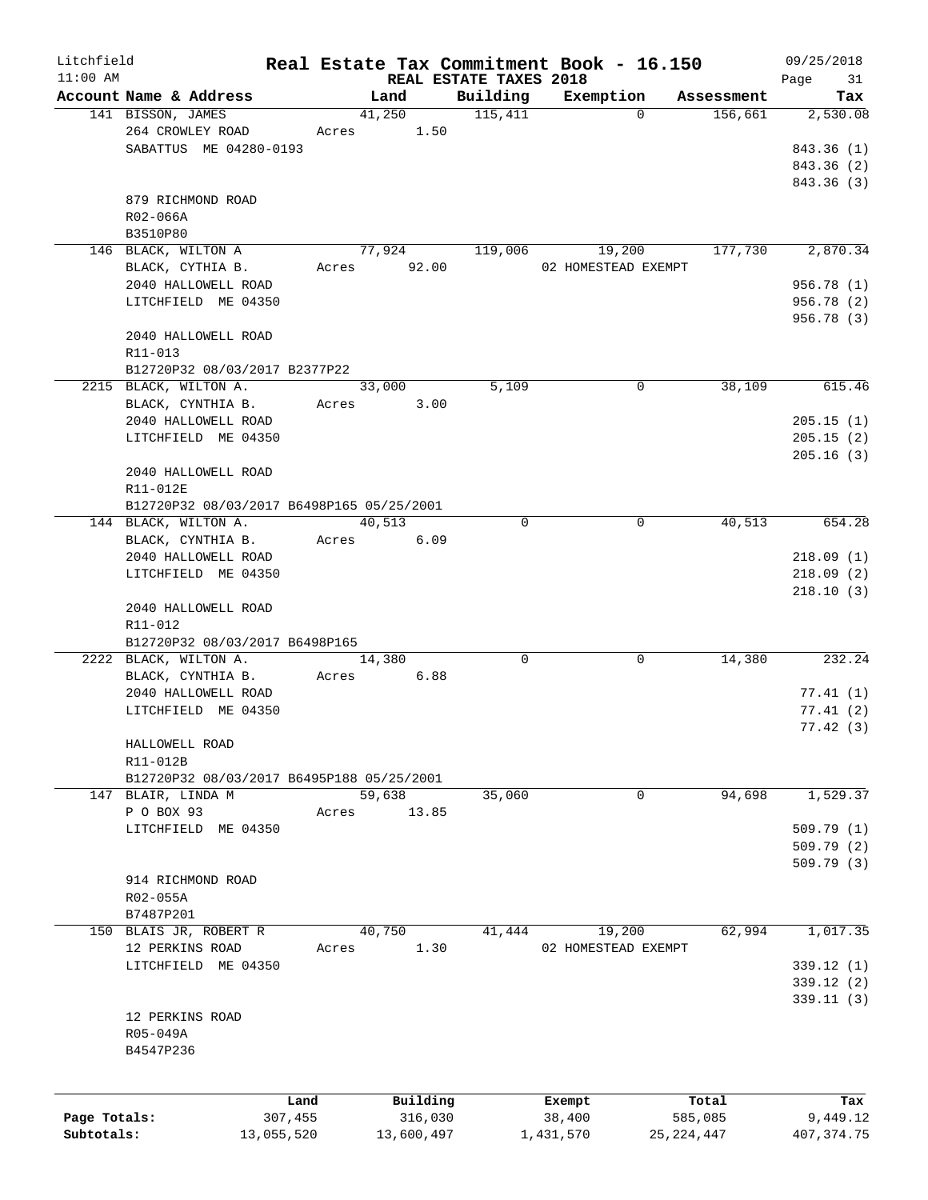| Litchfield   |                                           |       |                |                        | Real Estate Tax Commitment Book - 16.150 |                       | 09/25/2018      |
|--------------|-------------------------------------------|-------|----------------|------------------------|------------------------------------------|-----------------------|-----------------|
| $11:00$ AM   | Account Name & Address                    |       |                | REAL ESTATE TAXES 2018 |                                          |                       | Page<br>31      |
|              | 141 BISSON, JAMES                         |       | Land<br>41,250 | Building<br>115,411    | Exemption<br>$\Omega$                    | Assessment<br>156,661 | Tax<br>2,530.08 |
|              | 264 CROWLEY ROAD                          |       | 1.50<br>Acres  |                        |                                          |                       |                 |
|              | SABATTUS ME 04280-0193                    |       |                |                        |                                          |                       | 843.36 (1)      |
|              |                                           |       |                |                        |                                          |                       |                 |
|              |                                           |       |                |                        |                                          |                       | 843.36 (2)      |
|              |                                           |       |                |                        |                                          |                       | 843.36 (3)      |
|              | 879 RICHMOND ROAD                         |       |                |                        |                                          |                       |                 |
|              | $R02 - 066A$                              |       |                |                        |                                          |                       |                 |
|              | B3510P80                                  |       |                |                        |                                          |                       |                 |
|              | 146 BLACK, WILTON A                       |       | 77,924         | 119,006                | 19,200                                   | 177,730               | 2,870.34        |
|              | BLACK, CYTHIA B.                          |       | Acres 92.00    |                        | 02 HOMESTEAD EXEMPT                      |                       |                 |
|              | 2040 HALLOWELL ROAD                       |       |                |                        |                                          |                       | 956.78 (1)      |
|              | LITCHFIELD ME 04350                       |       |                |                        |                                          |                       | 956.78 (2)      |
|              |                                           |       |                |                        |                                          |                       | 956.78 (3)      |
|              | 2040 HALLOWELL ROAD                       |       |                |                        |                                          |                       |                 |
|              | $R11 - 013$                               |       |                |                        |                                          |                       |                 |
|              | B12720P32 08/03/2017 B2377P22             |       |                |                        |                                          |                       |                 |
|              | 2215 BLACK, WILTON A.                     |       | 33,000         | 5,109                  | 0                                        | 38,109                | 615.46          |
|              | BLACK, CYNTHIA B.                         | Acres | 3.00           |                        |                                          |                       |                 |
|              | 2040 HALLOWELL ROAD                       |       |                |                        |                                          |                       | 205.15(1)       |
|              | LITCHFIELD ME 04350                       |       |                |                        |                                          |                       | 205.15(2)       |
|              |                                           |       |                |                        |                                          |                       | 205.16(3)       |
|              | 2040 HALLOWELL ROAD                       |       |                |                        |                                          |                       |                 |
|              | R11-012E                                  |       |                |                        |                                          |                       |                 |
|              | B12720P32 08/03/2017 B6498P165 05/25/2001 |       |                |                        |                                          |                       |                 |
|              | 144 BLACK, WILTON A.                      |       | 40,513         | $\Omega$               | 0                                        | 40,513                | 654.28          |
|              | BLACK, CYNTHIA B.                         | Acres | 6.09           |                        |                                          |                       |                 |
|              | 2040 HALLOWELL ROAD                       |       |                |                        |                                          |                       | 218.09(1)       |
|              | LITCHFIELD ME 04350                       |       |                |                        |                                          |                       | 218.09(2)       |
|              |                                           |       |                |                        |                                          |                       | 218.10(3)       |
|              | 2040 HALLOWELL ROAD                       |       |                |                        |                                          |                       |                 |
|              | R11-012                                   |       |                |                        |                                          |                       |                 |
|              | B12720P32 08/03/2017 B6498P165            |       |                |                        |                                          |                       |                 |
|              | 2222 BLACK, WILTON A.                     |       | 14,380         | 0                      | 0                                        | 14,380                | 232.24          |
|              | BLACK, CYNTHIA B.                         | Acres | 6.88           |                        |                                          |                       |                 |
|              | 2040 HALLOWELL ROAD                       |       |                |                        |                                          |                       | 77.41(1)        |
|              | LITCHFIELD ME 04350                       |       |                |                        |                                          |                       | 77.41(2)        |
|              |                                           |       |                |                        |                                          |                       | 77.42(3)        |
|              |                                           |       |                |                        |                                          |                       |                 |
|              | HALLOWELL ROAD                            |       |                |                        |                                          |                       |                 |
|              | R11-012B                                  |       |                |                        |                                          |                       |                 |
|              | B12720P32 08/03/2017 B6495P188 05/25/2001 |       |                |                        |                                          |                       |                 |
|              | 147 BLAIR, LINDA M                        |       | 59,638         | 35,060                 | 0                                        | 94,698                | 1,529.37        |
|              | P O BOX 93                                | Acres | 13.85          |                        |                                          |                       |                 |
|              | LITCHFIELD ME 04350                       |       |                |                        |                                          |                       | 509.79(1)       |
|              |                                           |       |                |                        |                                          |                       | 509.79(2)       |
|              |                                           |       |                |                        |                                          |                       | 509.79(3)       |
|              | 914 RICHMOND ROAD                         |       |                |                        |                                          |                       |                 |
|              | R02-055A                                  |       |                |                        |                                          |                       |                 |
|              | B7487P201                                 |       |                |                        |                                          |                       |                 |
|              | 150 BLAIS JR, ROBERT R                    |       | 40,750         | 41,444                 | 19,200                                   | 62,994                | 1,017.35        |
|              | 12 PERKINS ROAD                           | Acres | 1.30           |                        | 02 HOMESTEAD EXEMPT                      |                       |                 |
|              | LITCHFIELD ME 04350                       |       |                |                        |                                          |                       | 339.12(1)       |
|              |                                           |       |                |                        |                                          |                       | 339.12 (2)      |
|              |                                           |       |                |                        |                                          |                       | 339.11(3)       |
|              | 12 PERKINS ROAD                           |       |                |                        |                                          |                       |                 |
|              | R05-049A                                  |       |                |                        |                                          |                       |                 |
|              | B4547P236                                 |       |                |                        |                                          |                       |                 |
|              |                                           |       |                |                        |                                          |                       |                 |
|              |                                           |       |                |                        |                                          |                       |                 |
|              |                                           | Land  | Building       |                        | Exempt                                   | Total                 | Tax             |
| Page Totals: | 307,455                                   |       | 316,030        |                        | 38,400                                   | 585,085               | 9,449.12        |
| Subtotals:   | 13,055,520                                |       | 13,600,497     |                        | 1,431,570                                | 25, 224, 447          | 407, 374.75     |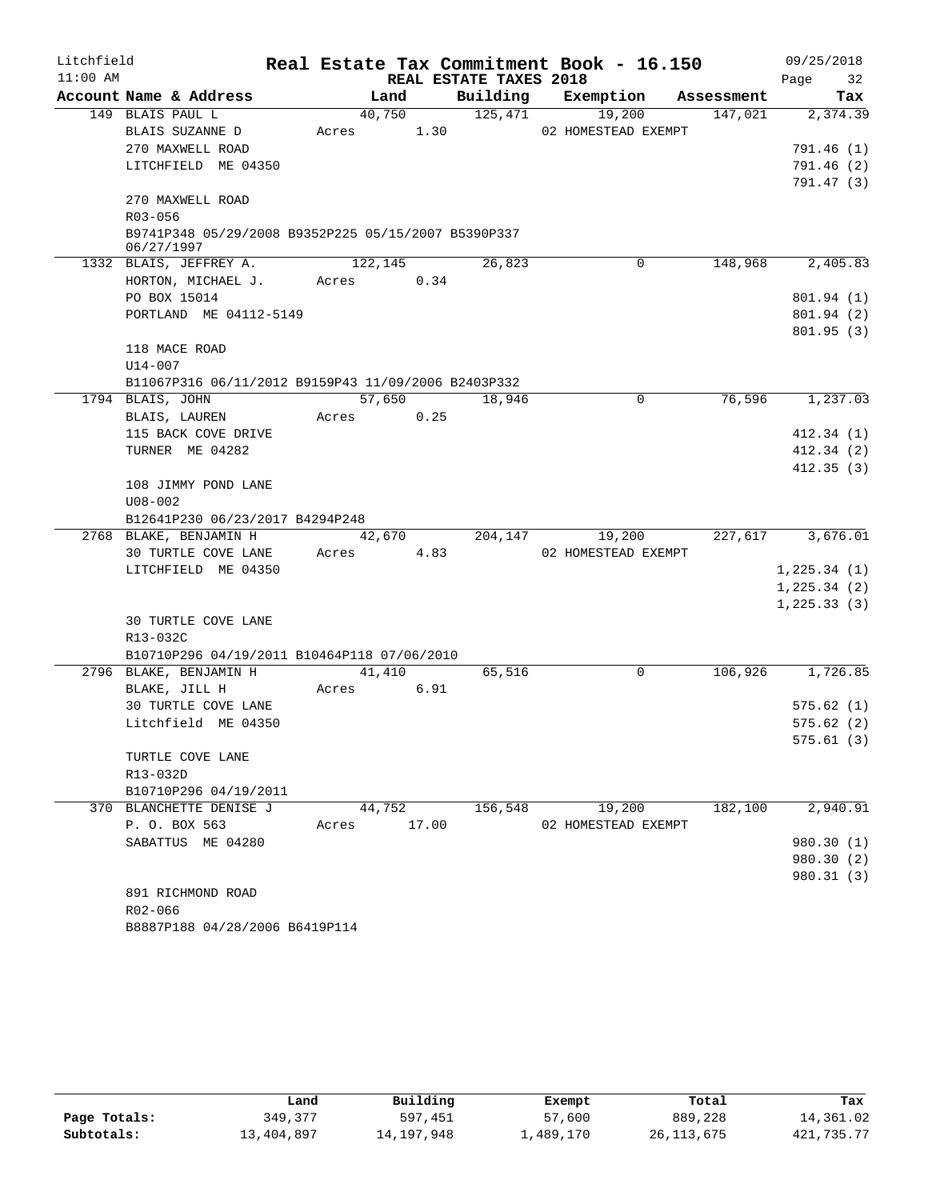| Litchfield |             |                                                     |             |         |      |                        | Real Estate Tax Commitment Book - 16.150 |            | 09/25/2018    |                          |
|------------|-------------|-----------------------------------------------------|-------------|---------|------|------------------------|------------------------------------------|------------|---------------|--------------------------|
| $11:00$ AM |             |                                                     |             |         |      | REAL ESTATE TAXES 2018 |                                          |            | Page          | 32                       |
|            |             | Account Name & Address                              |             | Land    |      | Building               | Exemption                                | Assessment |               | Tax                      |
|            |             | 149 BLAIS PAUL L                                    |             | 40,750  |      | 125,471                | 19,200                                   | 147,021    |               | 2,374.39                 |
|            |             | BLAIS SUZANNE D                                     | Acres       |         | 1.30 |                        | 02 HOMESTEAD EXEMPT                      |            |               |                          |
|            |             | 270 MAXWELL ROAD                                    |             |         |      |                        |                                          |            |               | 791.46 (1)               |
|            |             | LITCHFIELD ME 04350                                 |             |         |      |                        |                                          |            |               | 791.46(2)                |
|            |             |                                                     |             |         |      |                        |                                          |            |               | 791.47 (3)               |
|            |             | 270 MAXWELL ROAD                                    |             |         |      |                        |                                          |            |               |                          |
|            | R03-056     |                                                     |             |         |      |                        |                                          |            |               |                          |
|            |             | B9741P348 05/29/2008 B9352P225 05/15/2007 B5390P337 |             |         |      |                        |                                          |            |               |                          |
|            | 06/27/1997  |                                                     |             | 122,145 |      |                        | $\Omega$                                 | 148,968    |               | 2,405.83                 |
|            |             | 1332 BLAIS, JEFFREY A.                              |             |         | 0.34 | 26,823                 |                                          |            |               |                          |
|            |             | HORTON, MICHAEL J.<br>PO BOX 15014                  | Acres       |         |      |                        |                                          |            |               |                          |
|            |             | PORTLAND ME 04112-5149                              |             |         |      |                        |                                          |            |               | 801.94 (1)<br>801.94 (2) |
|            |             |                                                     |             |         |      |                        |                                          |            |               | 801.95(3)                |
|            |             | 118 MACE ROAD                                       |             |         |      |                        |                                          |            |               |                          |
|            | U14-007     |                                                     |             |         |      |                        |                                          |            |               |                          |
|            |             | B11067P316 06/11/2012 B9159P43 11/09/2006 B2403P332 |             |         |      |                        |                                          |            |               |                          |
|            |             | 1794 BLAIS, JOHN                                    |             | 57,650  |      | 18,946                 | 0                                        | 76,596     |               | 1,237.03                 |
|            |             | BLAIS, LAUREN                                       | Acres       |         | 0.25 |                        |                                          |            |               |                          |
|            |             | 115 BACK COVE DRIVE                                 |             |         |      |                        |                                          |            |               | 412.34(1)                |
|            |             | TURNER ME 04282                                     |             |         |      |                        |                                          |            |               | 412.34(2)                |
|            |             |                                                     |             |         |      |                        |                                          |            |               | 412.35(3)                |
|            |             | 108 JIMMY POND LANE                                 |             |         |      |                        |                                          |            |               |                          |
|            | $U08 - 002$ |                                                     |             |         |      |                        |                                          |            |               |                          |
|            |             | B12641P230 06/23/2017 B4294P248                     |             |         |      |                        |                                          |            |               |                          |
|            |             | 2768 BLAKE, BENJAMIN H                              |             | 42,670  |      | 204,147                | 19,200                                   | 227,617    |               | 3,676.01                 |
|            |             | 30 TURTLE COVE LANE                                 | Acres       |         | 4.83 |                        | 02 HOMESTEAD EXEMPT                      |            |               |                          |
|            |             | LITCHFIELD ME 04350                                 |             |         |      |                        |                                          |            | 1,225.34(1)   |                          |
|            |             |                                                     |             |         |      |                        |                                          |            | 1, 225.34 (2) |                          |
|            |             |                                                     |             |         |      |                        |                                          |            | 1,225.33(3)   |                          |
|            |             | <b>30 TURTLE COVE LANE</b>                          |             |         |      |                        |                                          |            |               |                          |
|            | R13-032C    |                                                     |             |         |      |                        |                                          |            |               |                          |
|            |             | B10710P296 04/19/2011 B10464P118 07/06/2010         |             |         |      |                        |                                          |            |               |                          |
|            |             | 2796 BLAKE, BENJAMIN H                              |             | 41,410  |      | 65,516                 | 0                                        | 106,926    |               | 1,726.85                 |
|            |             | BLAKE, JILL H                                       | Acres       |         | 6.91 |                        |                                          |            |               |                          |
|            |             | 30 TURTLE COVE LANE                                 |             |         |      |                        |                                          |            |               | 575.62(1)                |
|            |             | Litchfield ME 04350                                 |             |         |      |                        |                                          |            |               | 575.62(2)                |
|            |             |                                                     |             |         |      |                        |                                          |            |               | 575.61(3)                |
|            |             | TURTLE COVE LANE                                    |             |         |      |                        |                                          |            |               |                          |
|            | R13-032D    |                                                     |             |         |      |                        |                                          |            |               |                          |
|            |             | B10710P296 04/19/2011                               |             |         |      |                        |                                          |            |               |                          |
|            |             | 370 BLANCHETTE DENISE J                             |             | 44,752  |      | 156,548                | 19,200                                   | 182,100    |               | 2,940.91                 |
|            |             | P. O. BOX 563                                       | Acres 17.00 |         |      |                        | 02 HOMESTEAD EXEMPT                      |            |               |                          |
|            |             | SABATTUS ME 04280                                   |             |         |      |                        |                                          |            |               | 980.30 (1)               |
|            |             |                                                     |             |         |      |                        |                                          |            |               | 980.30 (2)               |
|            |             |                                                     |             |         |      |                        |                                          |            |               | 980.31 (3)               |
|            |             | 891 RICHMOND ROAD                                   |             |         |      |                        |                                          |            |               |                          |
|            | $R02 - 066$ |                                                     |             |         |      |                        |                                          |            |               |                          |

B8887P188 04/28/2006 B6419P114

|              | Land       | Building   | Exempt     | Total        | Tax        |
|--------------|------------|------------|------------|--------------|------------|
| Page Totals: | 349,377    | 597,451    | 57,600     | 889,228      | 14,361.02  |
| Subtotals:   | 13,404,897 | 14,197,948 | 489,170 ــ | 26, 113, 675 | 421,735.77 |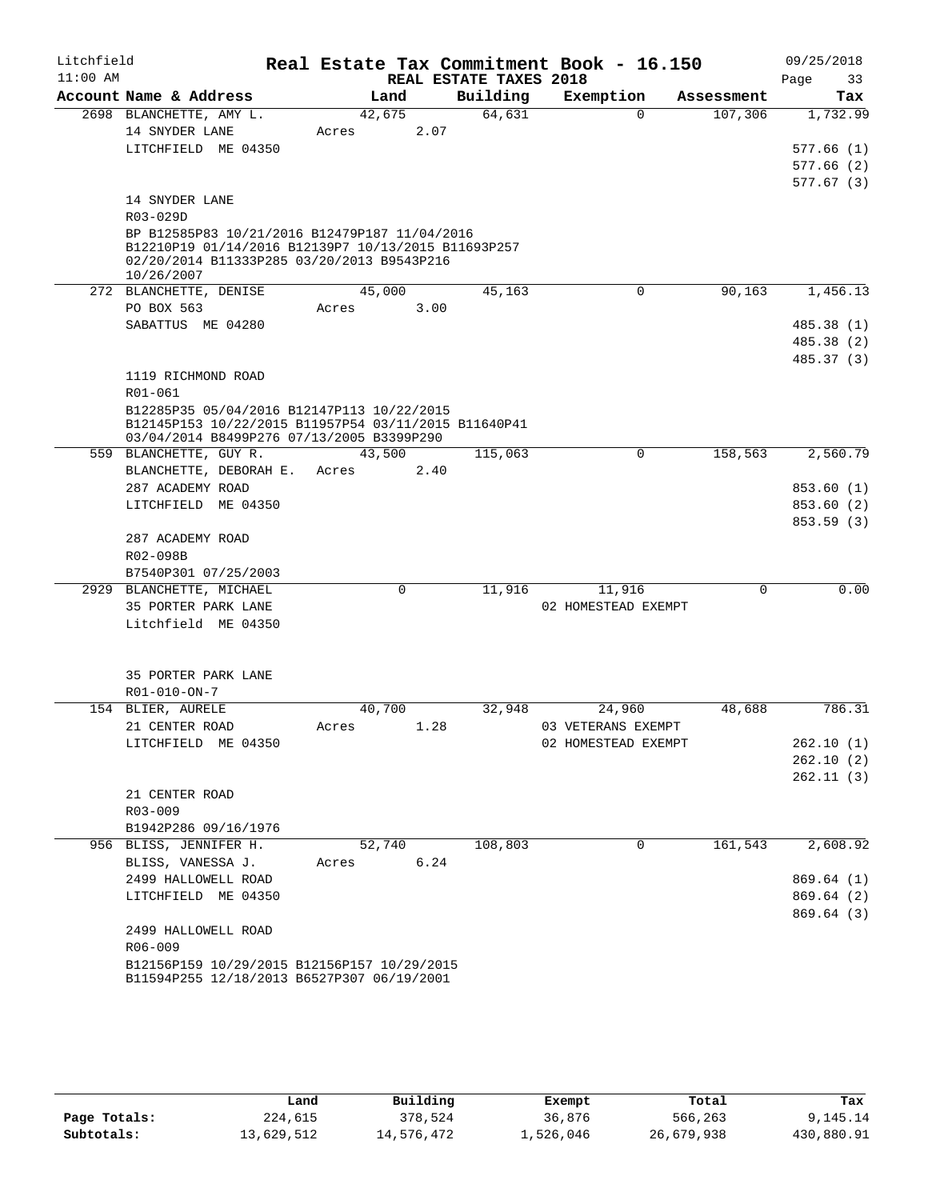| Litchfield |                                                                                                   |        |             |                                    | Real Estate Tax Commitment Book - 16.150 |            | 09/25/2018        |
|------------|---------------------------------------------------------------------------------------------------|--------|-------------|------------------------------------|------------------------------------------|------------|-------------------|
| $11:00$ AM | Account Name & Address                                                                            | Land   |             | REAL ESTATE TAXES 2018<br>Building | Exemption                                | Assessment | Page<br>33<br>Tax |
|            | 2698 BLANCHETTE, AMY L.                                                                           | 42,675 |             | 64,631                             | $\Omega$                                 | 107,306    | 1,732.99          |
|            | 14 SNYDER LANE                                                                                    | Acres  | 2.07        |                                    |                                          |            |                   |
|            | LITCHFIELD ME 04350                                                                               |        |             |                                    |                                          |            | 577.66(1)         |
|            |                                                                                                   |        |             |                                    |                                          |            | 577.66(2)         |
|            |                                                                                                   |        |             |                                    |                                          |            | 577.67(3)         |
|            | 14 SNYDER LANE                                                                                    |        |             |                                    |                                          |            |                   |
|            | R03-029D                                                                                          |        |             |                                    |                                          |            |                   |
|            | BP B12585P83 10/21/2016 B12479P187 11/04/2016                                                     |        |             |                                    |                                          |            |                   |
|            | B12210P19 01/14/2016 B12139P7 10/13/2015 B11693P257                                               |        |             |                                    |                                          |            |                   |
|            | 02/20/2014 B11333P285 03/20/2013 B9543P216                                                        |        |             |                                    |                                          |            |                   |
|            | 10/26/2007                                                                                        |        |             |                                    |                                          |            |                   |
|            | 272 BLANCHETTE, DENISE                                                                            | 45,000 |             | 45,163                             | $\mathbf 0$                              | 90,163     | 1,456.13          |
|            | PO BOX 563                                                                                        | Acres  | 3.00        |                                    |                                          |            |                   |
|            | SABATTUS ME 04280                                                                                 |        |             |                                    |                                          |            | 485.38 (1)        |
|            |                                                                                                   |        |             |                                    |                                          |            | 485.38 (2)        |
|            |                                                                                                   |        |             |                                    |                                          |            | 485.37 (3)        |
|            | 1119 RICHMOND ROAD                                                                                |        |             |                                    |                                          |            |                   |
|            | R01-061                                                                                           |        |             |                                    |                                          |            |                   |
|            | B12285P35 05/04/2016 B12147P113 10/22/2015                                                        |        |             |                                    |                                          |            |                   |
|            | B12145P153 10/22/2015 B11957P54 03/11/2015 B11640P41<br>03/04/2014 B8499P276 07/13/2005 B3399P290 |        |             |                                    |                                          |            |                   |
|            | 559 BLANCHETTE, GUY R.                                                                            | 43,500 |             | 115,063                            | $\mathbf 0$                              | 158,563    | 2,560.79          |
|            | BLANCHETTE, DEBORAH E.                                                                            | Acres  | 2.40        |                                    |                                          |            |                   |
|            | 287 ACADEMY ROAD                                                                                  |        |             |                                    |                                          |            | 853.60 (1)        |
|            | LITCHFIELD ME 04350                                                                               |        |             |                                    |                                          |            | 853.60 (2)        |
|            |                                                                                                   |        |             |                                    |                                          |            | 853.59 (3)        |
|            | 287 ACADEMY ROAD                                                                                  |        |             |                                    |                                          |            |                   |
|            | R02-098B                                                                                          |        |             |                                    |                                          |            |                   |
|            | B7540P301 07/25/2003                                                                              |        |             |                                    |                                          |            |                   |
|            | 2929 BLANCHETTE, MICHAEL                                                                          |        | $\mathbf 0$ | 11,916                             | 11,916                                   | $\Omega$   | 0.00              |
|            | 35 PORTER PARK LANE                                                                               |        |             |                                    | 02 HOMESTEAD EXEMPT                      |            |                   |
|            | Litchfield ME 04350                                                                               |        |             |                                    |                                          |            |                   |
|            |                                                                                                   |        |             |                                    |                                          |            |                   |
|            |                                                                                                   |        |             |                                    |                                          |            |                   |
|            | 35 PORTER PARK LANE                                                                               |        |             |                                    |                                          |            |                   |
|            | R01-010-ON-7                                                                                      |        |             |                                    |                                          |            |                   |
|            | 154 BLIER, AURELE                                                                                 | 40,700 |             | 32,948                             | 24,960                                   | 48,688     | 786.31            |
|            | 21 CENTER ROAD                                                                                    | Acres  | 1.28        |                                    | 03 VETERANS EXEMPT                       |            |                   |
|            | LITCHFIELD ME 04350                                                                               |        |             |                                    | 02 HOMESTEAD EXEMPT                      |            | 262.10(1)         |
|            |                                                                                                   |        |             |                                    |                                          |            | 262.10(2)         |
|            |                                                                                                   |        |             |                                    |                                          |            | 262.11(3)         |
|            | 21 CENTER ROAD                                                                                    |        |             |                                    |                                          |            |                   |
|            | R03-009                                                                                           |        |             |                                    |                                          |            |                   |
|            | B1942P286 09/16/1976                                                                              |        |             |                                    |                                          |            |                   |
|            | 956 BLISS, JENNIFER H.                                                                            | 52,740 |             | 108,803                            | 0                                        | 161,543    | 2,608.92          |
|            | BLISS, VANESSA J.                                                                                 | Acres  | 6.24        |                                    |                                          |            |                   |
|            | 2499 HALLOWELL ROAD                                                                               |        |             |                                    |                                          |            | 869.64(1)         |
|            | LITCHFIELD ME 04350                                                                               |        |             |                                    |                                          |            | 869.64(2)         |
|            |                                                                                                   |        |             |                                    |                                          |            | 869.64 (3)        |
|            | 2499 HALLOWELL ROAD                                                                               |        |             |                                    |                                          |            |                   |
|            | R06-009                                                                                           |        |             |                                    |                                          |            |                   |
|            | B12156P159 10/29/2015 B12156P157 10/29/2015                                                       |        |             |                                    |                                          |            |                   |
|            | B11594P255 12/18/2013 B6527P307 06/19/2001                                                        |        |             |                                    |                                          |            |                   |

|              | Land       | Building   | Exempt    | Total      | Tax        |
|--------------|------------|------------|-----------|------------|------------|
| Page Totals: | 224,615    | 378,524    | 36,876    | 566,263    | 9,145.14   |
| Subtotals:   | 13,629,512 | 14,576,472 | 1,526,046 | 26,679,938 | 430,880.91 |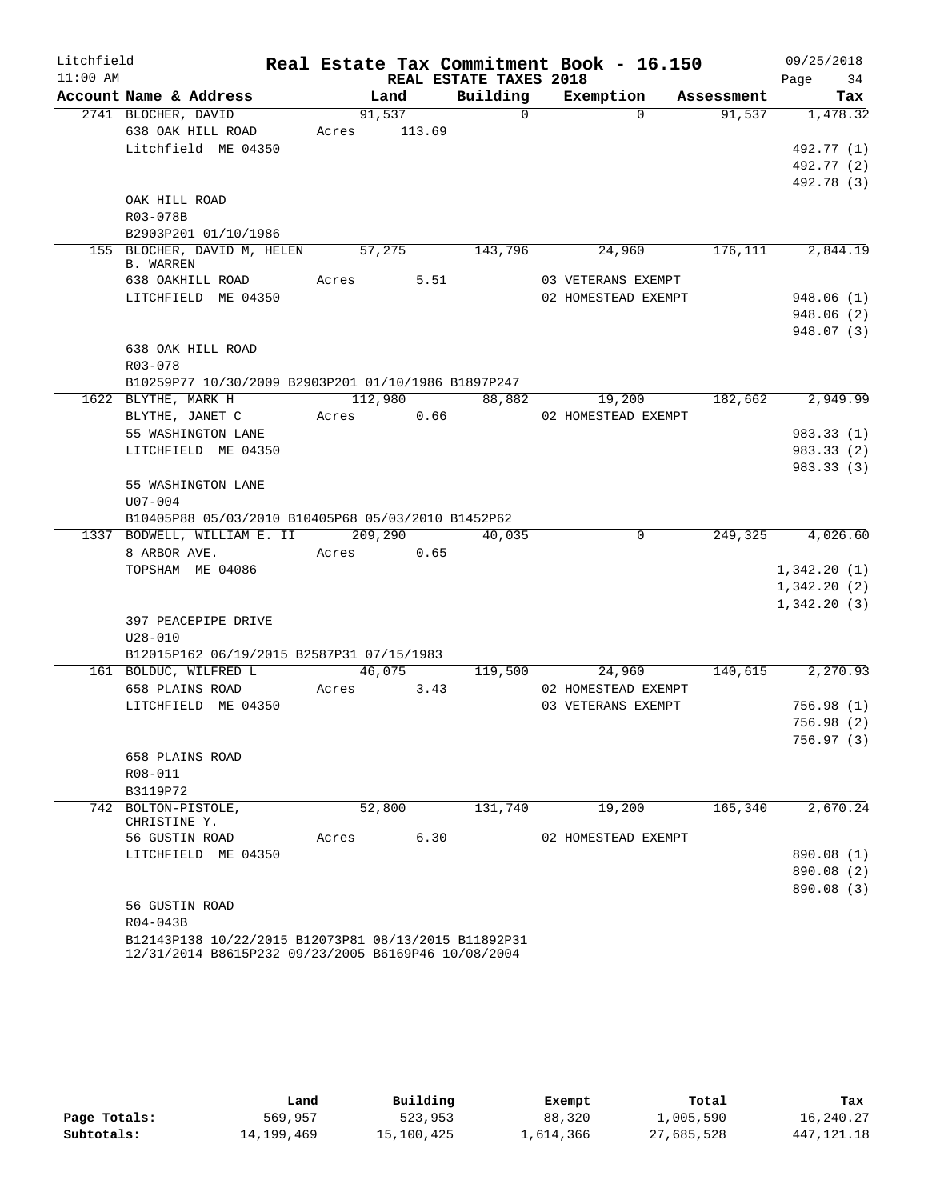| Litchfield |                                                      |       |         |                        | Real Estate Tax Commitment Book - 16.150 |            | 09/25/2018  |           |
|------------|------------------------------------------------------|-------|---------|------------------------|------------------------------------------|------------|-------------|-----------|
| $11:00$ AM |                                                      |       |         | REAL ESTATE TAXES 2018 |                                          |            | Page        | 34        |
|            | Account Name & Address                               |       | Land    | Building               | Exemption                                | Assessment |             | Tax       |
|            | 2741 BLOCHER, DAVID                                  |       | 91,537  | $\Omega$               | $\Omega$                                 | 91,537     |             | 1,478.32  |
|            | 638 OAK HILL ROAD                                    | Acres | 113.69  |                        |                                          |            |             |           |
|            | Litchfield ME 04350                                  |       |         |                        |                                          |            | 492.77 (1)  |           |
|            |                                                      |       |         |                        |                                          |            | 492.77 (2)  |           |
|            |                                                      |       |         |                        |                                          |            | 492.78 (3)  |           |
|            | OAK HILL ROAD<br>R03-078B                            |       |         |                        |                                          |            |             |           |
|            | B2903P201 01/10/1986                                 |       |         |                        |                                          |            |             |           |
|            | 155 BLOCHER, DAVID M, HELEN                          |       | 57,275  | 143,796                | 24,960                                   | 176, 111   |             | 2,844.19  |
|            | <b>B. WARREN</b>                                     |       |         |                        |                                          |            |             |           |
|            | 638 OAKHILL ROAD                                     | Acres | 5.51    |                        | 03 VETERANS EXEMPT                       |            |             |           |
|            | LITCHFIELD ME 04350                                  |       |         |                        | 02 HOMESTEAD EXEMPT                      |            | 948.06(1)   |           |
|            |                                                      |       |         |                        |                                          |            | 948.06 (2)  |           |
|            |                                                      |       |         |                        |                                          |            | 948.07 (3)  |           |
|            | 638 OAK HILL ROAD                                    |       |         |                        |                                          |            |             |           |
|            | R03-078                                              |       |         |                        |                                          |            |             |           |
|            | B10259P77 10/30/2009 B2903P201 01/10/1986 B1897P247  |       |         |                        |                                          |            |             |           |
|            | 1622 BLYTHE, MARK H                                  |       | 112,980 | 88,882                 | 19,200                                   | 182,662    |             | 2,949.99  |
|            | BLYTHE, JANET C                                      | Acres | 0.66    |                        | 02 HOMESTEAD EXEMPT                      |            |             |           |
|            | 55 WASHINGTON LANE                                   |       |         |                        |                                          |            | 983.33 (1)  |           |
|            | LITCHFIELD ME 04350                                  |       |         |                        |                                          |            | 983.33 (2)  |           |
|            |                                                      |       |         |                        |                                          |            | 983.33 (3)  |           |
|            | 55 WASHINGTON LANE<br>$U07 - 004$                    |       |         |                        |                                          |            |             |           |
|            | B10405P88 05/03/2010 B10405P68 05/03/2010 B1452P62   |       |         |                        |                                          |            |             |           |
|            | 1337 BODWELL, WILLIAM E. II                          |       | 209,290 | 40,035                 | $\Omega$                                 | 249,325    |             | 4,026.60  |
|            | 8 ARBOR AVE.                                         | Acres | 0.65    |                        |                                          |            |             |           |
|            | TOPSHAM ME 04086                                     |       |         |                        |                                          |            | 1,342.20(1) |           |
|            |                                                      |       |         |                        |                                          |            | 1,342.20(2) |           |
|            |                                                      |       |         |                        |                                          |            | 1,342.20(3) |           |
|            | 397 PEACEPIPE DRIVE                                  |       |         |                        |                                          |            |             |           |
|            | $U28 - 010$                                          |       |         |                        |                                          |            |             |           |
|            | B12015P162 06/19/2015 B2587P31 07/15/1983            |       |         |                        |                                          |            |             |           |
|            | 161 BOLDUC, WILFRED L                                |       | 46,075  | 119,500                | 24,960                                   | 140,615    |             | 2, 270.93 |
|            | 658 PLAINS ROAD                                      | Acres | 3.43    |                        | 02 HOMESTEAD EXEMPT                      |            |             |           |
|            | LITCHFIELD ME 04350                                  |       |         |                        | 03 VETERANS EXEMPT                       |            | 756.98(1)   |           |
|            |                                                      |       |         |                        |                                          |            | 756.98(2)   |           |
|            |                                                      |       |         |                        |                                          |            | 756.97 (3)  |           |
|            | 658 PLAINS ROAD                                      |       |         |                        |                                          |            |             |           |
|            | R08-011                                              |       |         |                        |                                          |            |             |           |
|            | B3119P72                                             |       |         |                        |                                          |            |             |           |
|            | 742 BOLTON-PISTOLE,<br>CHRISTINE Y.                  |       | 52,800  | 131,740                | 19,200                                   | 165,340    |             | 2,670.24  |
|            | 56 GUSTIN ROAD                                       | Acres | 6.30    |                        | 02 HOMESTEAD EXEMPT                      |            |             |           |
|            | LITCHFIELD ME 04350                                  |       |         |                        |                                          |            | 890.08 (1)  |           |
|            |                                                      |       |         |                        |                                          |            | 890.08 (2)  |           |
|            |                                                      |       |         |                        |                                          |            | 890.08 (3)  |           |
|            | 56 GUSTIN ROAD                                       |       |         |                        |                                          |            |             |           |
|            | R04-043B                                             |       |         |                        |                                          |            |             |           |
|            | B12143P138 10/22/2015 B12073P81 08/13/2015 B11892P31 |       |         |                        |                                          |            |             |           |

12/31/2014 B8615P232 09/23/2005 B6169P46 10/08/2004

|              | Land       | Building   | Exempt    | Total      | Tax          |
|--------------|------------|------------|-----------|------------|--------------|
| Page Totals: | 569,957    | 523,953    | 88,320    | 1,005,590  | 16,240.27    |
| Subtotals:   | 14,199,469 | 15,100,425 | 1,614,366 | 27,685,528 | 447, 121, 18 |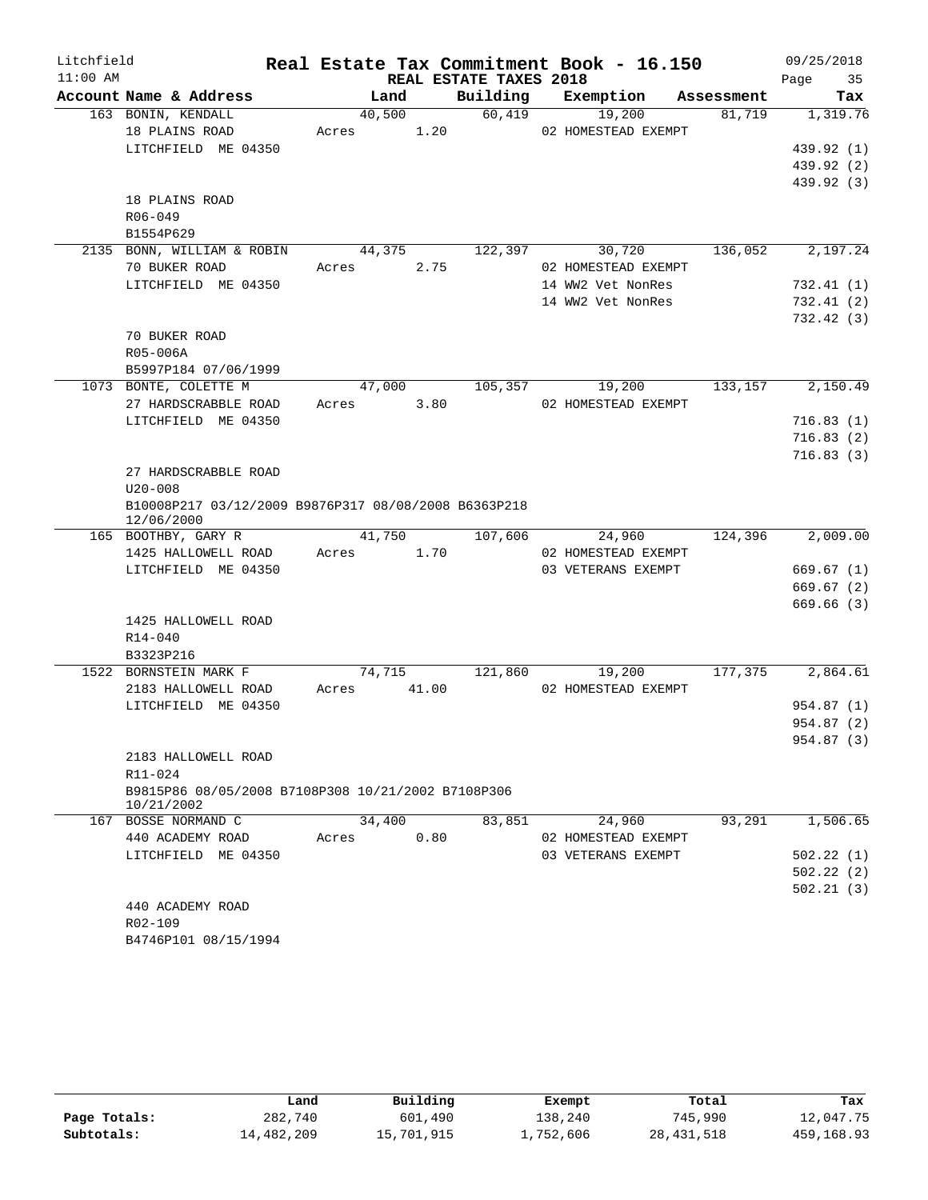| Litchfield |                                                                    |            |       |                        | Real Estate Tax Commitment Book - 16.150 |            | 09/25/2018 |
|------------|--------------------------------------------------------------------|------------|-------|------------------------|------------------------------------------|------------|------------|
| $11:00$ AM |                                                                    |            |       | REAL ESTATE TAXES 2018 |                                          |            | Page<br>35 |
|            | Account Name & Address                                             | Land       |       | Building               | Exemption                                | Assessment | Tax        |
|            | 163 BONIN, KENDALL                                                 | 40,500     |       | 60,419                 | 19,200                                   | 81,719     | 1,319.76   |
|            | 18 PLAINS ROAD<br>LITCHFIELD ME 04350                              | Acres 1.20 |       |                        | 02 HOMESTEAD EXEMPT                      |            | 439.92 (1) |
|            |                                                                    |            |       |                        |                                          |            | 439.92 (2) |
|            |                                                                    |            |       |                        |                                          |            | 439.92 (3) |
|            | 18 PLAINS ROAD                                                     |            |       |                        |                                          |            |            |
|            | $R06 - 049$                                                        |            |       |                        |                                          |            |            |
|            | B1554P629                                                          |            |       |                        |                                          |            |            |
|            | 2135 BONN, WILLIAM & ROBIN                                         | 44,375     |       | 122,397                | 30,720                                   | 136,052    | 2,197.24   |
|            | 70 BUKER ROAD                                                      | Acres      | 2.75  |                        | 02 HOMESTEAD EXEMPT                      |            |            |
|            | LITCHFIELD ME 04350                                                |            |       |                        | 14 WW2 Vet NonRes                        |            | 732.41(1)  |
|            |                                                                    |            |       |                        | 14 WW2 Vet NonRes                        |            | 732.41(2)  |
|            |                                                                    |            |       |                        |                                          |            | 732.42 (3) |
|            | 70 BUKER ROAD                                                      |            |       |                        |                                          |            |            |
|            | R05-006A                                                           |            |       |                        |                                          |            |            |
|            | B5997P184 07/06/1999                                               |            |       |                        |                                          |            |            |
|            | 1073 BONTE, COLETTE M                                              | 47,000     |       | 105,357                | 19,200                                   | 133,157    | 2,150.49   |
|            | 27 HARDSCRABBLE ROAD                                               | Acres      | 3.80  |                        | 02 HOMESTEAD EXEMPT                      |            |            |
|            | LITCHFIELD ME 04350                                                |            |       |                        |                                          |            | 716.83(1)  |
|            |                                                                    |            |       |                        |                                          |            | 716.83(2)  |
|            |                                                                    |            |       |                        |                                          |            | 716.83(3)  |
|            | 27 HARDSCRABBLE ROAD                                               |            |       |                        |                                          |            |            |
|            | $U20 - 008$                                                        |            |       |                        |                                          |            |            |
|            | B10008P217 03/12/2009 B9876P317 08/08/2008 B6363P218<br>12/06/2000 |            |       |                        |                                          |            |            |
|            | 165 BOOTHBY, GARY R                                                | 41,750     |       | 107,606                | 24,960                                   | 124,396    | 2,009.00   |
|            | 1425 HALLOWELL ROAD                                                | Acres      | 1.70  |                        | 02 HOMESTEAD EXEMPT                      |            |            |
|            | LITCHFIELD ME 04350                                                |            |       |                        | 03 VETERANS EXEMPT                       |            | 669.67(1)  |
|            |                                                                    |            |       |                        |                                          |            | 669.67(2)  |
|            |                                                                    |            |       |                        |                                          |            | 669.66 (3) |
|            | 1425 HALLOWELL ROAD                                                |            |       |                        |                                          |            |            |
|            | $R14 - 040$                                                        |            |       |                        |                                          |            |            |
|            | B3323P216                                                          |            |       |                        |                                          |            |            |
|            | 1522 BORNSTEIN MARK F                                              | 74,715     |       | 121,860                | 19,200                                   | 177,375    | 2,864.61   |
|            | 2183 HALLOWELL ROAD                                                | Acres      | 41.00 |                        | 02 HOMESTEAD EXEMPT                      |            |            |
|            | LITCHFIELD ME 04350                                                |            |       |                        |                                          |            | 954.87 (1) |
|            |                                                                    |            |       |                        |                                          |            | 954.87 (2) |
|            |                                                                    |            |       |                        |                                          |            | 954.87 (3) |
|            | 2183 HALLOWELL ROAD                                                |            |       |                        |                                          |            |            |
|            | R11-024<br>B9815P86 08/05/2008 B7108P308 10/21/2002 B7108P306      |            |       |                        |                                          |            |            |
|            | 10/21/2002                                                         |            |       |                        |                                          |            |            |
|            | 167 BOSSE NORMAND C                                                | 34,400     |       | 83,851                 | 24,960                                   | 93,291     | 1,506.65   |
|            | 440 ACADEMY ROAD                                                   | Acres      | 0.80  |                        | 02 HOMESTEAD EXEMPT                      |            |            |
|            | LITCHFIELD ME 04350                                                |            |       |                        | 03 VETERANS EXEMPT                       |            | 502.22(1)  |
|            |                                                                    |            |       |                        |                                          |            | 502.22 (2) |
|            |                                                                    |            |       |                        |                                          |            | 502.21(3)  |
|            | 440 ACADEMY ROAD                                                   |            |       |                        |                                          |            |            |
|            | R02-109                                                            |            |       |                        |                                          |            |            |
|            | B4746P101 08/15/1994                                               |            |       |                        |                                          |            |            |

|              | Land       | Building   | Exempt    | Total        | Tax        |
|--------------|------------|------------|-----------|--------------|------------|
| Page Totals: | 282,740    | 601,490    | 138,240   | 745,990      | 12,047.75  |
| Subtotals:   | 14,482,209 | 15,701,915 | 1,752,606 | 28, 431, 518 | 459,168.93 |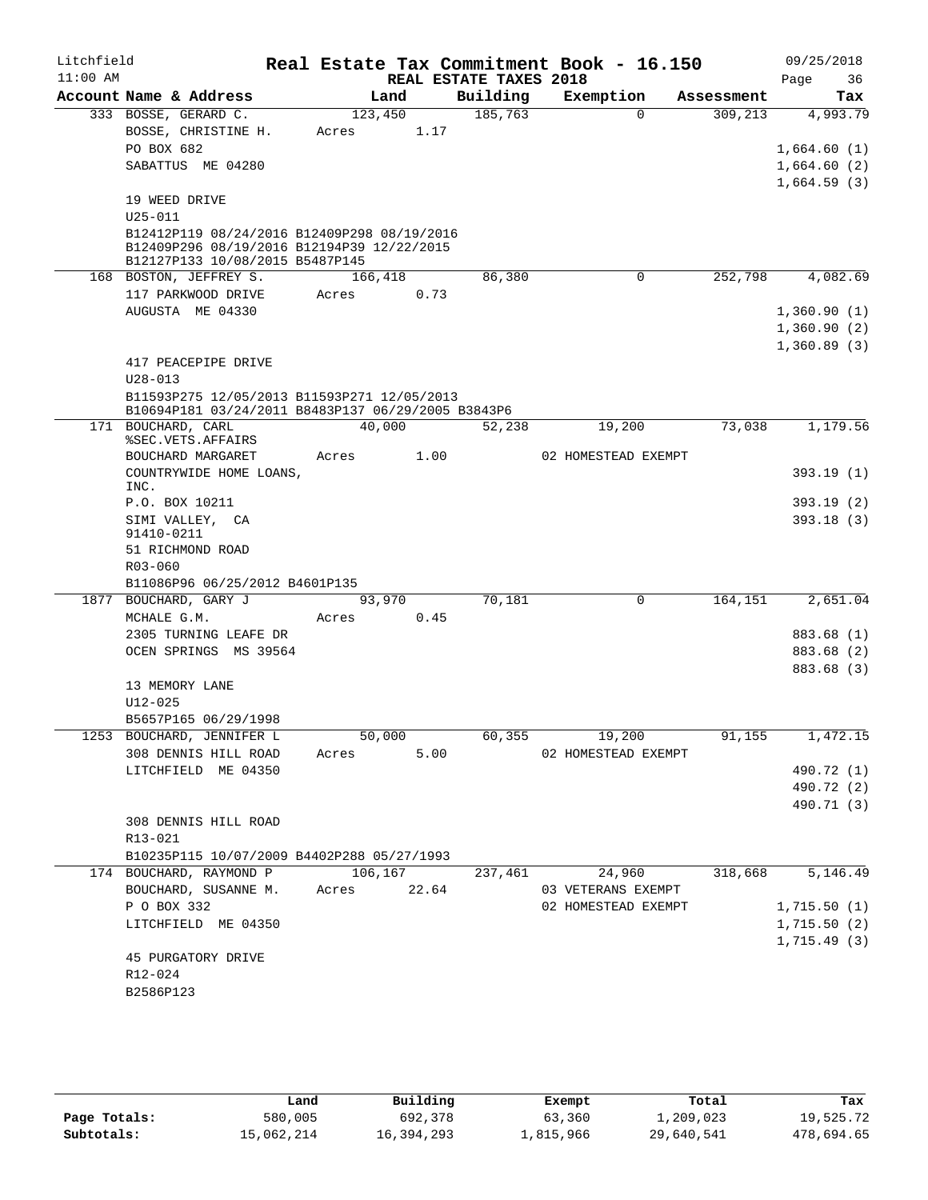| Litchfield |                                                                               |         |      |                        | Real Estate Tax Commitment Book - 16.150 |            | 09/25/2018                 |
|------------|-------------------------------------------------------------------------------|---------|------|------------------------|------------------------------------------|------------|----------------------------|
| $11:00$ AM |                                                                               |         |      | REAL ESTATE TAXES 2018 |                                          |            | Page<br>36                 |
|            | Account Name & Address                                                        | Land    |      | Building               | Exemption                                | Assessment | Tax                        |
|            | 333 BOSSE, GERARD C.                                                          | 123,450 |      | 185,763                | $\Omega$                                 | 309,213    | 4,993.79                   |
|            | BOSSE, CHRISTINE H.                                                           | Acres   | 1.17 |                        |                                          |            |                            |
|            | PO BOX 682                                                                    |         |      |                        |                                          |            | 1,664.60(1)                |
|            | SABATTUS ME 04280                                                             |         |      |                        |                                          |            | 1,664.60(2)                |
|            |                                                                               |         |      |                        |                                          |            | 1,664.59(3)                |
|            | 19 WEED DRIVE                                                                 |         |      |                        |                                          |            |                            |
|            | $U25 - 011$<br>B12412P119 08/24/2016 B12409P298 08/19/2016                    |         |      |                        |                                          |            |                            |
|            | B12409P296 08/19/2016 B12194P39 12/22/2015<br>B12127P133 10/08/2015 B5487P145 |         |      |                        |                                          |            |                            |
|            | 168 BOSTON, JEFFREY S.                                                        | 166,418 |      | 86,380                 | $\mathbf 0$                              | 252,798    | 4,082.69                   |
|            | 117 PARKWOOD DRIVE                                                            | Acres   | 0.73 |                        |                                          |            |                            |
|            | AUGUSTA ME 04330                                                              |         |      |                        |                                          |            | 1,360.90(1)                |
|            |                                                                               |         |      |                        |                                          |            | 1,360.90(2)                |
|            |                                                                               |         |      |                        |                                          |            | 1,360.89(3)                |
|            | 417 PEACEPIPE DRIVE                                                           |         |      |                        |                                          |            |                            |
|            | $U28 - 013$                                                                   |         |      |                        |                                          |            |                            |
|            | B11593P275 12/05/2013 B11593P271 12/05/2013                                   |         |      |                        |                                          |            |                            |
|            | B10694P181 03/24/2011 B8483P137 06/29/2005 B3843P6                            |         |      |                        |                                          |            |                            |
|            | 171 BOUCHARD, CARL                                                            | 40,000  |      | 52,238                 | 19,200                                   | 73,038     | 1,179.56                   |
|            | %SEC.VETS.AFFAIRS                                                             |         |      |                        |                                          |            |                            |
|            | BOUCHARD MARGARET                                                             | Acres   | 1.00 |                        | 02 HOMESTEAD EXEMPT                      |            |                            |
|            | COUNTRYWIDE HOME LOANS,<br>INC.                                               |         |      |                        |                                          |            | 393.19(1)                  |
|            | P.O. BOX 10211                                                                |         |      |                        |                                          |            | 393.19(2)                  |
|            | SIMI VALLEY, CA                                                               |         |      |                        |                                          |            | 393.18(3)                  |
|            | 91410-0211                                                                    |         |      |                        |                                          |            |                            |
|            | 51 RICHMOND ROAD                                                              |         |      |                        |                                          |            |                            |
|            | R03-060                                                                       |         |      |                        |                                          |            |                            |
|            | B11086P96 06/25/2012 B4601P135                                                |         |      |                        |                                          |            |                            |
|            | 1877 BOUCHARD, GARY J                                                         | 93,970  |      | 70,181                 | $\mathbf 0$                              | 164,151    | 2,651.04                   |
|            | MCHALE G.M.                                                                   | Acres   | 0.45 |                        |                                          |            |                            |
|            | 2305 TURNING LEAFE DR                                                         |         |      |                        |                                          |            | 883.68 (1)                 |
|            | OCEN SPRINGS MS 39564                                                         |         |      |                        |                                          |            | 883.68 (2)                 |
|            |                                                                               |         |      |                        |                                          |            | 883.68 (3)                 |
|            | 13 MEMORY LANE                                                                |         |      |                        |                                          |            |                            |
|            | $U12 - 025$                                                                   |         |      |                        |                                          |            |                            |
|            | B5657P165 06/29/1998                                                          |         |      |                        |                                          |            |                            |
|            | 1253 BOUCHARD, JENNIFER L                                                     | 50,000  |      |                        | 60,355<br>19,200                         | 91,155     | 1,472.15                   |
|            | 308 DENNIS HILL ROAD                                                          | Acres   | 5.00 |                        | 02 HOMESTEAD EXEMPT                      |            |                            |
|            | LITCHFIELD ME 04350                                                           |         |      |                        |                                          |            | 490.72 (1)                 |
|            |                                                                               |         |      |                        |                                          |            | 490.72 (2)                 |
|            |                                                                               |         |      |                        |                                          |            | 490.71 (3)                 |
|            | 308 DENNIS HILL ROAD                                                          |         |      |                        |                                          |            |                            |
|            | R13-021                                                                       |         |      |                        |                                          |            |                            |
|            | B10235P115 10/07/2009 B4402P288 05/27/1993<br>174 BOUCHARD, RAYMOND P 106,167 |         |      |                        |                                          | 318,668    | 5,146.49                   |
|            | BOUCHARD, SUSANNE M. Acres 22.64                                              |         |      | 237,461                | 24,960<br>03 VETERANS EXEMPT             |            |                            |
|            | P O BOX 332                                                                   |         |      |                        | 02 HOMESTEAD EXEMPT                      |            | 1,715.50(1)                |
|            |                                                                               |         |      |                        |                                          |            |                            |
|            | LITCHFIELD ME 04350                                                           |         |      |                        |                                          |            | 1,715.50(2)<br>1,715.49(3) |
|            | 45 PURGATORY DRIVE                                                            |         |      |                        |                                          |            |                            |
|            | R12-024                                                                       |         |      |                        |                                          |            |                            |
|            | B2586P123                                                                     |         |      |                        |                                          |            |                            |
|            |                                                                               |         |      |                        |                                          |            |                            |

|              | Land       | Building   | Exempt    | Total      | Tax        |
|--------------|------------|------------|-----------|------------|------------|
| Page Totals: | 580,005    | 692,378    | 63,360    | 1,209,023  | 19,525.72  |
| Subtotals:   | 15,062,214 | 16,394,293 | 1,815,966 | 29,640,541 | 478,694.65 |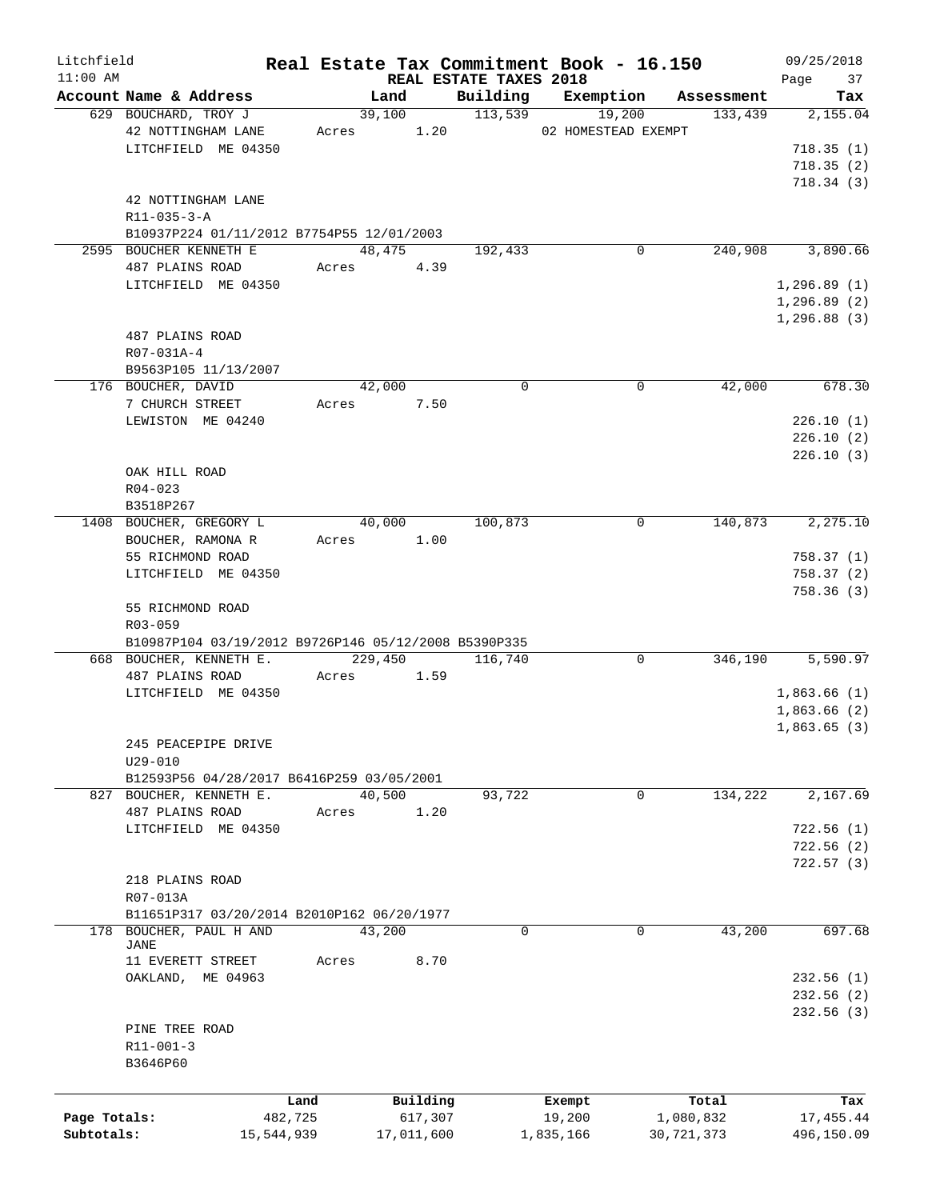| Litchfield   |                                                      |       |            |            |                                    | Real Estate Tax Commitment Book - 16.150 |            | 09/25/2018        |
|--------------|------------------------------------------------------|-------|------------|------------|------------------------------------|------------------------------------------|------------|-------------------|
| $11:00$ AM   | Account Name & Address                               |       | Land       |            | REAL ESTATE TAXES 2018<br>Building | Exemption                                | Assessment | 37<br>Page<br>Tax |
|              | 629 BOUCHARD, TROY J                                 |       | 39,100     |            | 113,539                            | 19,200                                   | 133,439    | 2,155.04          |
|              | 42 NOTTINGHAM LANE                                   |       | Acres      | 1.20       |                                    | 02 HOMESTEAD EXEMPT                      |            |                   |
|              | LITCHFIELD ME 04350                                  |       |            |            |                                    |                                          |            | 718.35(1)         |
|              |                                                      |       |            |            |                                    |                                          |            | 718.35(2)         |
|              |                                                      |       |            |            |                                    |                                          |            |                   |
|              |                                                      |       |            |            |                                    |                                          |            | 718.34(3)         |
|              | 42 NOTTINGHAM LANE                                   |       |            |            |                                    |                                          |            |                   |
|              | $R11 - 035 - 3 - A$                                  |       |            |            |                                    |                                          |            |                   |
|              | B10937P224 01/11/2012 B7754P55 12/01/2003            |       |            |            |                                    |                                          |            |                   |
|              | 2595 BOUCHER KENNETH E                               |       | 48,475     |            | 192,433                            | 0                                        | 240,908    | 3,890.66          |
|              | 487 PLAINS ROAD                                      | Acres |            | 4.39       |                                    |                                          |            |                   |
|              | LITCHFIELD ME 04350                                  |       |            |            |                                    |                                          |            | 1, 296.89(1)      |
|              |                                                      |       |            |            |                                    |                                          |            | 1, 296.89(2)      |
|              |                                                      |       |            |            |                                    |                                          |            | 1, 296.88(3)      |
|              | 487 PLAINS ROAD                                      |       |            |            |                                    |                                          |            |                   |
|              | R07-031A-4                                           |       |            |            |                                    |                                          |            |                   |
|              | B9563P105 11/13/2007                                 |       |            |            |                                    |                                          |            |                   |
|              | 176 BOUCHER, DAVID                                   |       | 42,000     |            | $\Omega$                           | $\mathbf 0$                              | 42,000     | 678.30            |
|              | 7 CHURCH STREET                                      |       | Acres 7.50 |            |                                    |                                          |            |                   |
|              | LEWISTON ME 04240                                    |       |            |            |                                    |                                          |            | 226.10(1)         |
|              |                                                      |       |            |            |                                    |                                          |            | 226.10(2)         |
|              |                                                      |       |            |            |                                    |                                          |            | 226.10(3)         |
|              | OAK HILL ROAD                                        |       |            |            |                                    |                                          |            |                   |
|              | $R04 - 023$                                          |       |            |            |                                    |                                          |            |                   |
|              | B3518P267                                            |       |            |            |                                    |                                          |            |                   |
|              | 1408 BOUCHER, GREGORY L                              |       | 40,000     |            | 100,873                            | 0                                        | 140,873    | 2,275.10          |
|              | BOUCHER, RAMONA R                                    |       | Acres      | 1.00       |                                    |                                          |            |                   |
|              | 55 RICHMOND ROAD                                     |       |            |            |                                    |                                          |            | 758.37(1)         |
|              | LITCHFIELD ME 04350                                  |       |            |            |                                    |                                          |            | 758.37(2)         |
|              |                                                      |       |            |            |                                    |                                          |            | 758.36(3)         |
|              | 55 RICHMOND ROAD                                     |       |            |            |                                    |                                          |            |                   |
|              | R03-059                                              |       |            |            |                                    |                                          |            |                   |
|              | B10987P104 03/19/2012 B9726P146 05/12/2008 B5390P335 |       |            |            |                                    |                                          |            |                   |
|              | 668 BOUCHER, KENNETH E.                              |       | 229,450    |            | 116,740                            | 0                                        | 346,190    | 5,590.97          |
|              |                                                      | Acres |            | 1.59       |                                    |                                          |            |                   |
|              | 487 PLAINS ROAD                                      |       |            |            |                                    |                                          |            |                   |
|              | LITCHFIELD ME 04350                                  |       |            |            |                                    |                                          |            | 1,863.66(1)       |
|              |                                                      |       |            |            |                                    |                                          |            | 1,863.66(2)       |
|              |                                                      |       |            |            |                                    |                                          |            | 1,863.65(3)       |
|              | 245 PEACEPIPE DRIVE                                  |       |            |            |                                    |                                          |            |                   |
|              | $U29 - 010$                                          |       |            |            |                                    |                                          |            |                   |
|              | B12593P56 04/28/2017 B6416P259 03/05/2001            |       |            |            |                                    |                                          |            |                   |
|              | 827 BOUCHER, KENNETH E.                              |       | 40,500     |            | 93,722                             | 0                                        | 134,222    | 2,167.69          |
|              | 487 PLAINS ROAD                                      | Acres |            | 1.20       |                                    |                                          |            |                   |
|              | LITCHFIELD ME 04350                                  |       |            |            |                                    |                                          |            | 722.56(1)         |
|              |                                                      |       |            |            |                                    |                                          |            | 722.56(2)         |
|              |                                                      |       |            |            |                                    |                                          |            | 722.57(3)         |
|              | 218 PLAINS ROAD                                      |       |            |            |                                    |                                          |            |                   |
|              | R07-013A                                             |       |            |            |                                    |                                          |            |                   |
|              | B11651P317 03/20/2014 B2010P162 06/20/1977           |       |            |            |                                    |                                          |            |                   |
|              | 178 BOUCHER, PAUL H AND                              |       | 43,200     |            | 0                                  | $\mathbf 0$                              | 43,200     | 697.68            |
|              | <b>JANE</b>                                          |       |            |            |                                    |                                          |            |                   |
|              | 11 EVERETT STREET                                    | Acres |            | 8.70       |                                    |                                          |            |                   |
|              | OAKLAND, ME 04963                                    |       |            |            |                                    |                                          |            | 232.56(1)         |
|              |                                                      |       |            |            |                                    |                                          |            | 232.56(2)         |
|              |                                                      |       |            |            |                                    |                                          |            | 232.56 (3)        |
|              | PINE TREE ROAD                                       |       |            |            |                                    |                                          |            |                   |
|              | $R11 - 001 - 3$                                      |       |            |            |                                    |                                          |            |                   |
|              | B3646P60                                             |       |            |            |                                    |                                          |            |                   |
|              |                                                      |       |            |            |                                    |                                          |            |                   |
|              |                                                      |       |            |            |                                    |                                          |            |                   |
|              |                                                      | Land  |            | Building   |                                    | Exempt                                   | Total      | Tax               |
| Page Totals: | 482,725                                              |       |            | 617,307    |                                    | 19,200                                   | 1,080,832  | 17,455.44         |
| Subtotals:   | 15,544,939                                           |       |            | 17,011,600 |                                    | 1,835,166                                | 30,721,373 | 496,150.09        |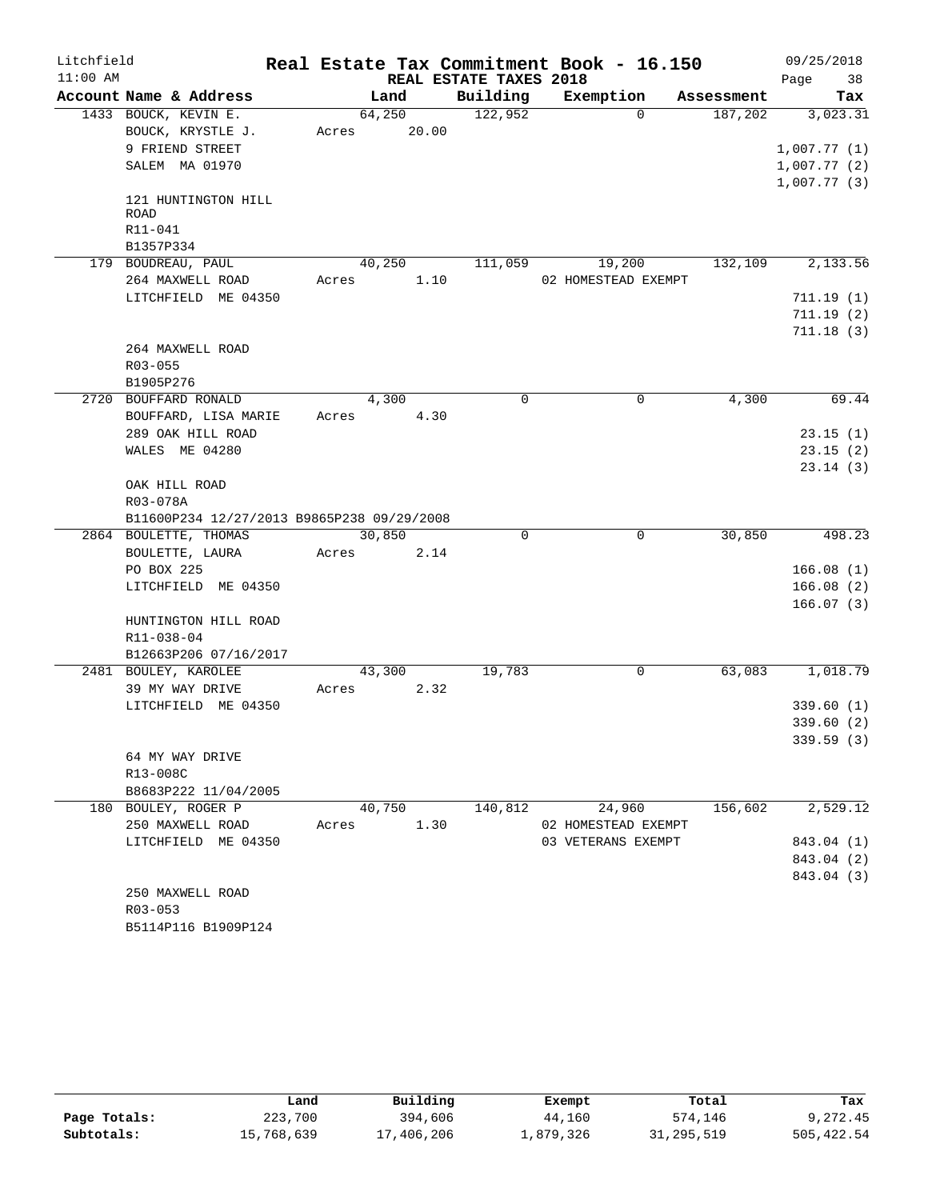| Litchfield |                                            |       |                 |                        | Real Estate Tax Commitment Book - 16.150 |            | 09/25/2018  |
|------------|--------------------------------------------|-------|-----------------|------------------------|------------------------------------------|------------|-------------|
| $11:00$ AM |                                            |       |                 | REAL ESTATE TAXES 2018 |                                          |            | 38<br>Page  |
|            | Account Name & Address                     |       | Land            | Building               | Exemption                                | Assessment | Tax         |
|            | 1433 BOUCK, KEVIN E.<br>BOUCK, KRYSTLE J.  | Acres | 64,250<br>20.00 | 122,952                | $\Omega$                                 | 187,202    | 3,023.31    |
|            | 9 FRIEND STREET                            |       |                 |                        |                                          |            | 1,007.77(1) |
|            | SALEM MA 01970                             |       |                 |                        |                                          |            | 1,007.77(2) |
|            |                                            |       |                 |                        |                                          |            | 1,007.77(3) |
|            | 121 HUNTINGTON HILL<br><b>ROAD</b>         |       |                 |                        |                                          |            |             |
|            | R11-041                                    |       |                 |                        |                                          |            |             |
|            | B1357P334                                  |       |                 |                        |                                          |            |             |
|            | 179 BOUDREAU, PAUL                         |       | 40,250          | 111,059                | 19,200                                   | 132,109    | 2,133.56    |
|            | 264 MAXWELL ROAD                           | Acres | 1.10            |                        | 02 HOMESTEAD EXEMPT                      |            |             |
|            | LITCHFIELD ME 04350                        |       |                 |                        |                                          |            | 711.19(1)   |
|            |                                            |       |                 |                        |                                          |            | 711.19(2)   |
|            |                                            |       |                 |                        |                                          |            | 711.18(3)   |
|            | 264 MAXWELL ROAD                           |       |                 |                        |                                          |            |             |
|            | R03-055                                    |       |                 |                        |                                          |            |             |
|            | B1905P276                                  |       |                 |                        |                                          |            |             |
|            | 2720 BOUFFARD RONALD                       |       | 4,300           | $\mathbf 0$            | 0                                        | 4,300      | 69.44       |
|            | BOUFFARD, LISA MARIE                       | Acres | 4.30            |                        |                                          |            |             |
|            | 289 OAK HILL ROAD                          |       |                 |                        |                                          |            | 23.15(1)    |
|            | WALES ME 04280                             |       |                 |                        |                                          |            | 23.15(2)    |
|            |                                            |       |                 |                        |                                          |            | 23.14(3)    |
|            | OAK HILL ROAD                              |       |                 |                        |                                          |            |             |
|            | R03-078A                                   |       |                 |                        |                                          |            |             |
|            | B11600P234 12/27/2013 B9865P238 09/29/2008 |       |                 |                        |                                          |            |             |
|            | 2864 BOULETTE, THOMAS                      |       | 30,850          | 0                      | $\overline{0}$                           | 30,850     | 498.23      |
|            | BOULETTE, LAURA                            | Acres | 2.14            |                        |                                          |            |             |
|            | PO BOX 225                                 |       |                 |                        |                                          |            | 166.08(1)   |
|            | LITCHFIELD ME 04350                        |       |                 |                        |                                          |            | 166.08(2)   |
|            |                                            |       |                 |                        |                                          |            | 166.07(3)   |
|            | HUNTINGTON HILL ROAD                       |       |                 |                        |                                          |            |             |
|            | R11-038-04                                 |       |                 |                        |                                          |            |             |
|            | B12663P206 07/16/2017                      |       |                 |                        |                                          |            |             |
|            | 2481 BOULEY, KAROLEE                       |       | 43,300          | 19,783                 | 0                                        | 63,083     | 1,018.79    |
|            | 39 MY WAY DRIVE                            | Acres | 2.32            |                        |                                          |            |             |
|            | LITCHFIELD ME 04350                        |       |                 |                        |                                          |            | 339.60(1)   |
|            |                                            |       |                 |                        |                                          |            | 339.60(2)   |
|            |                                            |       |                 |                        |                                          |            | 339.59(3)   |
|            | 64 MY WAY DRIVE                            |       |                 |                        |                                          |            |             |
|            | R13-008C                                   |       |                 |                        |                                          |            |             |
|            | B8683P222 11/04/2005                       |       |                 |                        |                                          |            |             |
|            | 180 BOULEY, ROGER P                        |       | 40,750          | 140,812                | 24,960                                   | 156,602    | 2,529.12    |
|            | 250 MAXWELL ROAD                           | Acres | 1.30            |                        | 02 HOMESTEAD EXEMPT                      |            |             |
|            | LITCHFIELD ME 04350                        |       |                 |                        | 03 VETERANS EXEMPT                       |            | 843.04 (1)  |
|            |                                            |       |                 |                        |                                          |            | 843.04 (2)  |
|            |                                            |       |                 |                        |                                          |            | 843.04 (3)  |
|            | 250 MAXWELL ROAD                           |       |                 |                        |                                          |            |             |
|            | R03-053                                    |       |                 |                        |                                          |            |             |
|            | B5114P116 B1909P124                        |       |                 |                        |                                          |            |             |

|              | Land       | Building   | Exempt    | Total        | Tax        |
|--------------|------------|------------|-----------|--------------|------------|
| Page Totals: | 223,700    | 394,606    | 44,160    | 574,146      | 9,272.45   |
| Subtotals:   | 15,768,639 | 17,406,206 | 1,879,326 | 31, 295, 519 | 505,422.54 |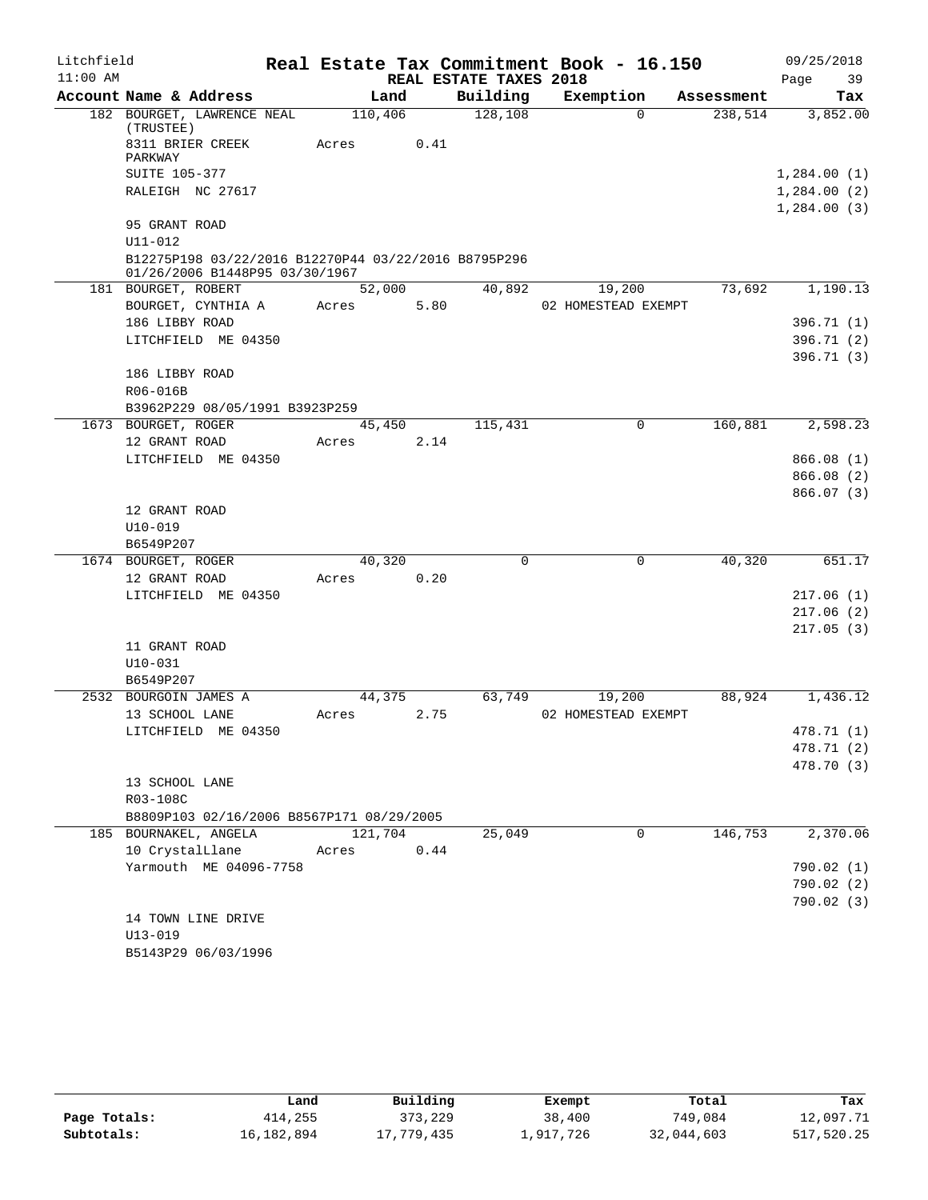| Litchfield |                                                                                        |         |      |                        | Real Estate Tax Commitment Book - 16.150 |            | 09/25/2018             |
|------------|----------------------------------------------------------------------------------------|---------|------|------------------------|------------------------------------------|------------|------------------------|
| $11:00$ AM |                                                                                        |         |      | REAL ESTATE TAXES 2018 |                                          |            | Page<br>39             |
|            | Account Name & Address                                                                 | Land    |      | Building               | Exemption                                | Assessment | Tax                    |
|            | 182 BOURGET, LAWRENCE NEAL<br>(TRUSTEE)                                                | 110,406 |      | 128,108                | $\Omega$                                 | 238,514    | 3,852.00               |
|            | 8311 BRIER CREEK                                                                       | Acres   | 0.41 |                        |                                          |            |                        |
|            | PARKWAY                                                                                |         |      |                        |                                          |            |                        |
|            | <b>SUITE 105-377</b>                                                                   |         |      |                        |                                          |            | 1,284.00(1)            |
|            | RALEIGH NC 27617                                                                       |         |      |                        |                                          |            | 1,284.00(2)            |
|            | 95 GRANT ROAD                                                                          |         |      |                        |                                          |            | 1,284.00(3)            |
|            | U11-012                                                                                |         |      |                        |                                          |            |                        |
|            | B12275P198 03/22/2016 B12270P44 03/22/2016 B8795P296<br>01/26/2006 B1448P95 03/30/1967 |         |      |                        |                                          |            |                        |
|            | 181 BOURGET, ROBERT                                                                    | 52,000  |      | 40,892                 | 19,200                                   | 73,692     | 1,190.13               |
|            | BOURGET, CYNTHIA A                                                                     | Acres   | 5.80 |                        | 02 HOMESTEAD EXEMPT                      |            |                        |
|            | 186 LIBBY ROAD                                                                         |         |      |                        |                                          |            | 396.71 (1)             |
|            | LITCHFIELD ME 04350                                                                    |         |      |                        |                                          |            | 396.71 (2)             |
|            |                                                                                        |         |      |                        |                                          |            | 396.71(3)              |
|            | 186 LIBBY ROAD                                                                         |         |      |                        |                                          |            |                        |
|            | R06-016B                                                                               |         |      |                        |                                          |            |                        |
|            | B3962P229 08/05/1991 B3923P259                                                         |         |      |                        |                                          |            |                        |
|            | 1673 BOURGET, ROGER                                                                    | 45,450  |      | 115,431                | $\mathbf 0$                              | 160,881    | 2,598.23               |
|            | 12 GRANT ROAD                                                                          | Acres   | 2.14 |                        |                                          |            |                        |
|            | LITCHFIELD ME 04350                                                                    |         |      |                        |                                          |            | 866.08 (1)             |
|            |                                                                                        |         |      |                        |                                          |            | 866.08(2)<br>866.07(3) |
|            | 12 GRANT ROAD                                                                          |         |      |                        |                                          |            |                        |
|            | $U10 - 019$                                                                            |         |      |                        |                                          |            |                        |
|            | B6549P207                                                                              |         |      |                        |                                          |            |                        |
|            | 1674 BOURGET, ROGER                                                                    | 40,320  |      | 0                      | $\mathbf 0$                              | 40,320     | 651.17                 |
|            | 12 GRANT ROAD                                                                          | Acres   | 0.20 |                        |                                          |            |                        |
|            | LITCHFIELD ME 04350                                                                    |         |      |                        |                                          |            | 217.06(1)              |
|            |                                                                                        |         |      |                        |                                          |            | 217.06(2)              |
|            |                                                                                        |         |      |                        |                                          |            | 217.05(3)              |
|            | 11 GRANT ROAD                                                                          |         |      |                        |                                          |            |                        |
|            | $U10 - 031$                                                                            |         |      |                        |                                          |            |                        |
|            | B6549P207                                                                              |         |      |                        |                                          |            |                        |
|            | 2532 BOURGOIN JAMES A                                                                  | 44,375  |      | 63,749                 | 19,200                                   | 88,924     | 1,436.12               |
|            | 13 SCHOOL LANE                                                                         | Acres   | 2.75 |                        | 02 HOMESTEAD EXEMPT                      |            |                        |
|            | LITCHFIELD ME 04350                                                                    |         |      |                        |                                          |            | 478.71 (1)             |
|            |                                                                                        |         |      |                        |                                          |            | 478.71 (2)             |
|            |                                                                                        |         |      |                        |                                          |            | 478.70 (3)             |
|            | 13 SCHOOL LANE                                                                         |         |      |                        |                                          |            |                        |
|            | R03-108C<br>B8809P103 02/16/2006 B8567P171 08/29/2005                                  |         |      |                        |                                          |            |                        |
|            | 185 BOURNAKEL, ANGELA                                                                  | 121,704 |      | 25,049                 | $\Omega$                                 | 146,753    | 2,370.06               |
|            | 10 CrystalLlane                                                                        | Acres   | 0.44 |                        |                                          |            |                        |
|            | Yarmouth ME 04096-7758                                                                 |         |      |                        |                                          |            | 790.02 (1)             |
|            |                                                                                        |         |      |                        |                                          |            | 790.02(2)              |
|            |                                                                                        |         |      |                        |                                          |            | 790.02(3)              |
|            | 14 TOWN LINE DRIVE                                                                     |         |      |                        |                                          |            |                        |
|            | $U13 - 019$                                                                            |         |      |                        |                                          |            |                        |
|            | B5143P29 06/03/1996                                                                    |         |      |                        |                                          |            |                        |

|              | Land       | Building   | Exempt    | Total      | Tax        |
|--------------|------------|------------|-----------|------------|------------|
| Page Totals: | 414,255    | 373,229    | 38,400    | 749,084    | 12,097.71  |
| Subtotals:   | 16,182,894 | 17,779,435 | 1,917,726 | 32,044,603 | 517,520.25 |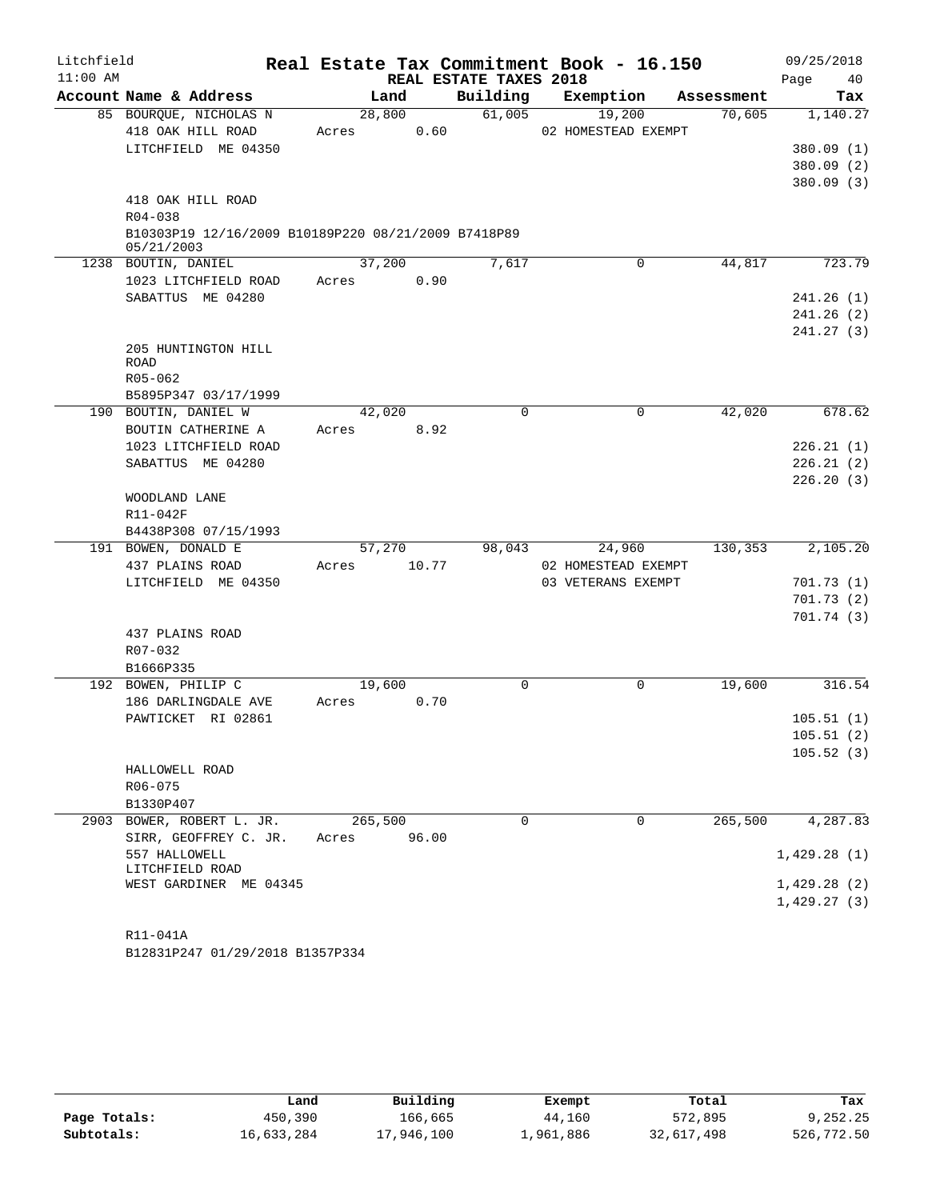| Litchfield |                                                     |         |        |                        | Real Estate Tax Commitment Book - 16.150 |            | 09/25/2018              |
|------------|-----------------------------------------------------|---------|--------|------------------------|------------------------------------------|------------|-------------------------|
| $11:00$ AM |                                                     |         |        | REAL ESTATE TAXES 2018 |                                          |            | Page<br>40              |
|            | Account Name & Address                              |         | Land   | Building               | Exemption                                | Assessment | Tax                     |
|            | 85 BOURQUE, NICHOLAS N                              |         | 28,800 | 61,005                 | 19,200                                   | 70,605     | 1,140.27                |
|            | 418 OAK HILL ROAD                                   | Acres   | 0.60   |                        | 02 HOMESTEAD EXEMPT                      |            |                         |
|            | LITCHFIELD ME 04350                                 |         |        |                        |                                          |            | 380.09(1)               |
|            |                                                     |         |        |                        |                                          |            | 380.09(2)<br>380.09 (3) |
|            | 418 OAK HILL ROAD                                   |         |        |                        |                                          |            |                         |
|            | $R04 - 038$                                         |         |        |                        |                                          |            |                         |
|            | B10303P19 12/16/2009 B10189P220 08/21/2009 B7418P89 |         |        |                        |                                          |            |                         |
|            | 05/21/2003                                          |         |        |                        |                                          |            |                         |
|            | 1238 BOUTIN, DANIEL                                 |         | 37,200 | 7,617                  | $\mathbf 0$                              | 44,817     | 723.79                  |
|            | 1023 LITCHFIELD ROAD                                | Acres   | 0.90   |                        |                                          |            |                         |
|            | SABATTUS ME 04280                                   |         |        |                        |                                          |            | 241.26(1)               |
|            |                                                     |         |        |                        |                                          |            | 241.26(2)               |
|            |                                                     |         |        |                        |                                          |            | 241.27(3)               |
|            | 205 HUNTINGTON HILL<br><b>ROAD</b>                  |         |        |                        |                                          |            |                         |
|            | R05-062                                             |         |        |                        |                                          |            |                         |
|            | B5895P347 03/17/1999                                |         |        |                        |                                          |            |                         |
|            | 190 BOUTIN, DANIEL W                                |         | 42,020 | $\Omega$               | 0                                        | 42,020     | 678.62                  |
|            | BOUTIN CATHERINE A                                  | Acres   | 8.92   |                        |                                          |            |                         |
|            | 1023 LITCHFIELD ROAD                                |         |        |                        |                                          |            | 226.21(1)               |
|            | SABATTUS ME 04280                                   |         |        |                        |                                          |            | 226.21(2)               |
|            |                                                     |         |        |                        |                                          |            | 226.20(3)               |
|            | WOODLAND LANE                                       |         |        |                        |                                          |            |                         |
|            | R11-042F                                            |         |        |                        |                                          |            |                         |
|            | B4438P308 07/15/1993                                |         |        |                        |                                          |            |                         |
|            | 191 BOWEN, DONALD E                                 |         | 57,270 | 98,043                 | 24,960                                   | 130,353    | 2,105.20                |
|            | 437 PLAINS ROAD                                     | Acres   | 10.77  |                        | 02 HOMESTEAD EXEMPT                      |            |                         |
|            | LITCHFIELD ME 04350                                 |         |        |                        | 03 VETERANS EXEMPT                       |            | 701.73(1)               |
|            |                                                     |         |        |                        |                                          |            | 701.73(2)<br>701.74(3)  |
|            | 437 PLAINS ROAD                                     |         |        |                        |                                          |            |                         |
|            | R07-032                                             |         |        |                        |                                          |            |                         |
|            | B1666P335                                           |         |        |                        |                                          |            |                         |
|            | 192 BOWEN, PHILIP C                                 |         | 19,600 | 0                      | 0                                        | 19,600     | 316.54                  |
|            | 186 DARLINGDALE AVE                                 | Acres   | 0.70   |                        |                                          |            |                         |
|            | PAWTICKET RI 02861                                  |         |        |                        |                                          |            | 105.51(1)               |
|            |                                                     |         |        |                        |                                          |            | 105.51(2)               |
|            |                                                     |         |        |                        |                                          |            | 105.52(3)               |
|            | HALLOWELL ROAD                                      |         |        |                        |                                          |            |                         |
|            | R06-075                                             |         |        |                        |                                          |            |                         |
|            | B1330P407                                           |         |        |                        |                                          |            |                         |
| 2903       | BOWER, ROBERT L. JR.                                | 265,500 |        | $\Omega$               | 0                                        | 265,500    | 4,287.83                |
|            | SIRR, GEOFFREY C. JR.                               | Acres   | 96.00  |                        |                                          |            |                         |
|            | 557 HALLOWELL<br>LITCHFIELD ROAD                    |         |        |                        |                                          |            | 1,429.28(1)             |
|            | WEST GARDINER ME 04345                              |         |        |                        |                                          |            | 1,429.28(2)             |
|            |                                                     |         |        |                        |                                          |            | 1,429.27(3)             |
|            |                                                     |         |        |                        |                                          |            |                         |
|            | R11-041A                                            |         |        |                        |                                          |            |                         |

B12831P247 01/29/2018 B1357P334

|              | Land       | Building   | Exempt    | Total      | Tax        |
|--------------|------------|------------|-----------|------------|------------|
| Page Totals: | 450,390    | 166,665    | 44,160    | 572,895    | 9,252.25   |
| Subtotals:   | 16,633,284 | 17,946,100 | 1,961,886 | 32,617,498 | 526,772.50 |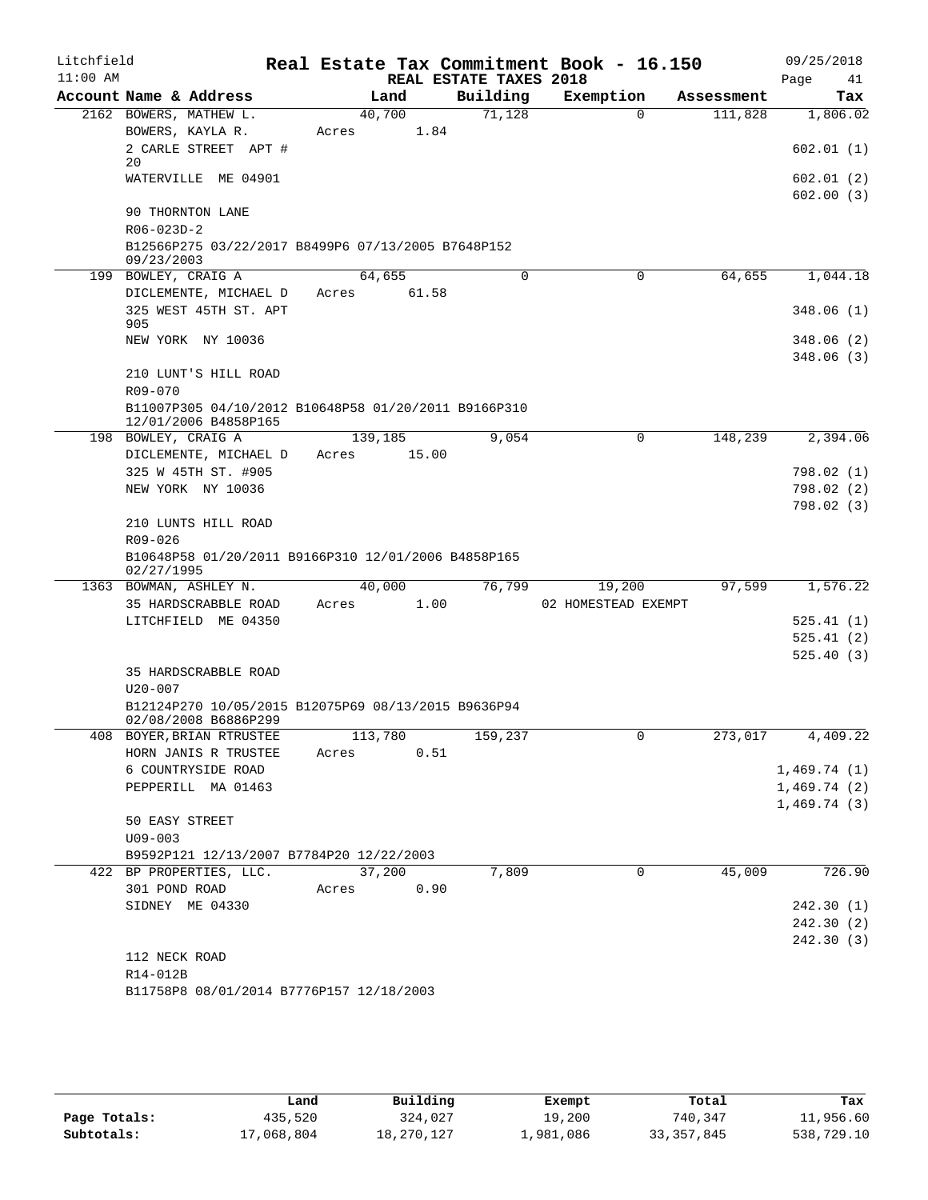| Litchfield<br>$11:00$ AM |                                                                              |         |         |       | REAL ESTATE TAXES 2018 | Real Estate Tax Commitment Book - 16.150 |            | 09/25/2018<br>Page<br>41 |
|--------------------------|------------------------------------------------------------------------------|---------|---------|-------|------------------------|------------------------------------------|------------|--------------------------|
|                          | Account Name & Address                                                       |         | Land    |       | Building               | Exemption                                | Assessment | Tax                      |
|                          | 2162 BOWERS, MATHEW L.                                                       |         | 40,700  |       | 71,128                 | $\Omega$                                 | 111,828    | 1,806.02                 |
|                          | BOWERS, KAYLA R.<br>2 CARLE STREET APT #                                     | Acres   |         | 1.84  |                        |                                          |            | 602.01(1)                |
|                          | 20                                                                           |         |         |       |                        |                                          |            |                          |
|                          | WATERVILLE ME 04901                                                          |         |         |       |                        |                                          |            | 602.01 (2)<br>602.00(3)  |
|                          | 90 THORNTON LANE<br>R06-023D-2                                               |         |         |       |                        |                                          |            |                          |
|                          | B12566P275 03/22/2017 B8499P6 07/13/2005 B7648P152<br>09/23/2003             |         |         |       |                        |                                          |            |                          |
|                          | 199 BOWLEY, CRAIG A                                                          |         | 64,655  |       | 0                      | $\mathbf 0$                              | 64,655     | 1,044.18                 |
|                          | DICLEMENTE, MICHAEL D<br>325 WEST 45TH ST. APT                               | Acres   |         | 61.58 |                        |                                          |            | 348.06 (1)               |
|                          | 905                                                                          |         |         |       |                        |                                          |            |                          |
|                          | NEW YORK NY 10036                                                            |         |         |       |                        |                                          |            | 348.06 (2)<br>348.06(3)  |
|                          | 210 LUNT'S HILL ROAD<br>$R09 - 070$                                          |         |         |       |                        |                                          |            |                          |
|                          | B11007P305 04/10/2012 B10648P58 01/20/2011 B9166P310<br>12/01/2006 B4858P165 |         |         |       |                        |                                          |            |                          |
|                          | 198 BOWLEY, CRAIG A                                                          |         | 139,185 |       | 9,054                  | 0                                        | 148,239    | 2,394.06                 |
|                          | DICLEMENTE, MICHAEL D                                                        | Acres   | 15.00   |       |                        |                                          |            |                          |
|                          | 325 W 45TH ST. #905                                                          |         |         |       |                        |                                          |            | 798.02 (1)               |
|                          | NEW YORK NY 10036                                                            |         |         |       |                        |                                          |            | 798.02 (2)               |
|                          | 210 LUNTS HILL ROAD                                                          |         |         |       |                        |                                          |            | 798.02 (3)               |
|                          | R09-026                                                                      |         |         |       |                        |                                          |            |                          |
|                          | B10648P58 01/20/2011 B9166P310 12/01/2006 B4858P165<br>02/27/1995            |         |         |       |                        |                                          |            |                          |
|                          | 1363 BOWMAN, ASHLEY N.                                                       |         | 40,000  |       | 76,799                 | 19,200                                   | 97,599     | 1,576.22                 |
|                          | 35 HARDSCRABBLE ROAD                                                         | Acres   |         | 1.00  |                        | 02 HOMESTEAD EXEMPT                      |            |                          |
|                          | LITCHFIELD ME 04350                                                          |         |         |       |                        |                                          |            | 525.41 (1)               |
|                          |                                                                              |         |         |       |                        |                                          |            | 525.41(2)                |
|                          |                                                                              |         |         |       |                        |                                          |            | 525.40(3)                |
|                          | 35 HARDSCRABBLE ROAD<br>$U20 - 007$                                          |         |         |       |                        |                                          |            |                          |
|                          | B12124P270 10/05/2015 B12075P69 08/13/2015 B9636P94                          |         |         |       |                        |                                          |            |                          |
|                          | 02/08/2008 B6886P299<br>408 BOYER, BRIAN RTRUSTEE                            | 113,780 |         |       | 159,237                | $\overline{0}$                           |            | 273,017 4,409.22         |
|                          | HORN JANIS R TRUSTEE                                                         | Acres   |         | 0.51  |                        |                                          |            |                          |
|                          | 6 COUNTRYSIDE ROAD                                                           |         |         |       |                        |                                          |            | 1,469.74(1)              |
|                          | PEPPERILL MA 01463                                                           |         |         |       |                        |                                          |            | 1,469.74(2)              |
|                          |                                                                              |         |         |       |                        |                                          |            | 1,469.74(3)              |
|                          | 50 EASY STREET                                                               |         |         |       |                        |                                          |            |                          |
|                          | $U09 - 003$                                                                  |         |         |       |                        |                                          |            |                          |
|                          | B9592P121 12/13/2007 B7784P20 12/22/2003                                     |         |         |       |                        |                                          |            |                          |
|                          | 422 BP PROPERTIES, LLC.                                                      |         | 37,200  |       | 7,809                  | 0                                        | 45,009     | 726.90                   |
|                          | 301 POND ROAD<br>SIDNEY ME 04330                                             | Acres   |         | 0.90  |                        |                                          |            | 242.30(1)                |
|                          |                                                                              |         |         |       |                        |                                          |            | 242.30 (2)               |
|                          |                                                                              |         |         |       |                        |                                          |            | 242.30 (3)               |
|                          | 112 NECK ROAD                                                                |         |         |       |                        |                                          |            |                          |
|                          | R14-012B                                                                     |         |         |       |                        |                                          |            |                          |
|                          | B11758P8 08/01/2014 B7776P157 12/18/2003                                     |         |         |       |                        |                                          |            |                          |

|              | Land       | Building   | Exempt    | Total        | Tax        |
|--------------|------------|------------|-----------|--------------|------------|
| Page Totals: | 435,520    | 324,027    | 19,200    | 740,347      | 11,956.60  |
| Subtotals:   | 17,068,804 | 18,270,127 | 1,981,086 | 33, 357, 845 | 538,729.10 |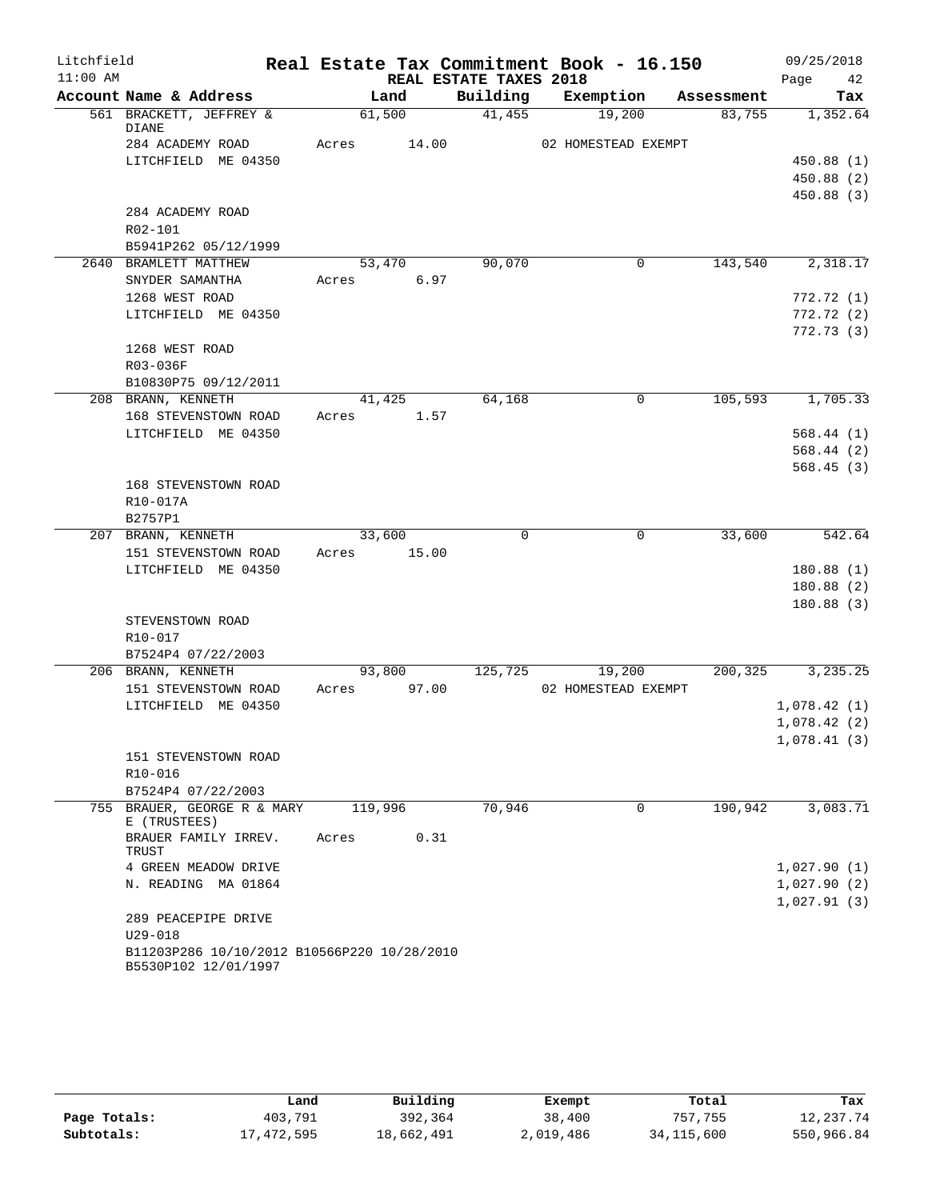| Litchfield |                                                                     |                |                        | Real Estate Tax Commitment Book - 16.150 |            | 09/25/2018  |
|------------|---------------------------------------------------------------------|----------------|------------------------|------------------------------------------|------------|-------------|
| $11:00$ AM |                                                                     |                | REAL ESTATE TAXES 2018 |                                          |            | 42<br>Page  |
|            | Account Name & Address                                              | Land           | Building               | Exemption                                | Assessment | Tax         |
|            | 561 BRACKETT, JEFFREY &<br>DIANE                                    | 61,500         | 41,455                 | 19,200                                   | 83,755     | 1,352.64    |
|            | 284 ACADEMY ROAD                                                    | Acres<br>14.00 |                        | 02 HOMESTEAD EXEMPT                      |            |             |
|            | LITCHFIELD ME 04350                                                 |                |                        |                                          |            | 450.88(1)   |
|            |                                                                     |                |                        |                                          |            | 450.88 (2)  |
|            |                                                                     |                |                        |                                          |            | 450.88 (3)  |
|            | 284 ACADEMY ROAD                                                    |                |                        |                                          |            |             |
|            | R02-101                                                             |                |                        |                                          |            |             |
|            | B5941P262 05/12/1999                                                |                |                        |                                          |            |             |
|            | 2640 BRAMLETT MATTHEW                                               | 53,470         | 90,070                 | $\mathbf{0}$                             | 143,540    | 2,318.17    |
|            | SNYDER SAMANTHA                                                     | 6.97<br>Acres  |                        |                                          |            |             |
|            | 1268 WEST ROAD                                                      |                |                        |                                          |            | 772.72(1)   |
|            | LITCHFIELD ME 04350                                                 |                |                        |                                          |            | 772.72(2)   |
|            | 1268 WEST ROAD                                                      |                |                        |                                          |            | 772.73(3)   |
|            | R03-036F                                                            |                |                        |                                          |            |             |
|            | B10830P75 09/12/2011                                                |                |                        |                                          |            |             |
|            | 208 BRANN, KENNETH                                                  | 41,425         | 64,168                 | 0                                        | 105,593    | 1,705.33    |
|            | 168 STEVENSTOWN ROAD                                                | Acres<br>1.57  |                        |                                          |            |             |
|            | LITCHFIELD ME 04350                                                 |                |                        |                                          |            | 568.44(1)   |
|            |                                                                     |                |                        |                                          |            | 568.44(2)   |
|            |                                                                     |                |                        |                                          |            | 568.45(3)   |
|            | 168 STEVENSTOWN ROAD                                                |                |                        |                                          |            |             |
|            | R10-017A                                                            |                |                        |                                          |            |             |
|            | B2757P1                                                             |                |                        |                                          |            |             |
|            | 207 BRANN, KENNETH                                                  | 33,600         | $\Omega$               | $\Omega$                                 | 33,600     | 542.64      |
|            | 151 STEVENSTOWN ROAD                                                | 15.00<br>Acres |                        |                                          |            | 180.88(1)   |
|            | LITCHFIELD ME 04350                                                 |                |                        |                                          |            | 180.88(2)   |
|            |                                                                     |                |                        |                                          |            | 180.88(3)   |
|            | STEVENSTOWN ROAD                                                    |                |                        |                                          |            |             |
|            | R10-017                                                             |                |                        |                                          |            |             |
|            | B7524P4 07/22/2003                                                  |                |                        |                                          |            |             |
|            | 206 BRANN, KENNETH                                                  | 93,800         | 125,725                | 19,200                                   | 200,325    | 3,235.25    |
|            | 151 STEVENSTOWN ROAD                                                | 97.00<br>Acres |                        | 02 HOMESTEAD EXEMPT                      |            |             |
|            | LITCHFIELD ME 04350                                                 |                |                        |                                          |            | 1,078.42(1) |
|            |                                                                     |                |                        |                                          |            | 1,078.42(2) |
|            |                                                                     |                |                        |                                          |            | 1,078.41(3) |
|            | 151 STEVENSTOWN ROAD                                                |                |                        |                                          |            |             |
|            | R10-016                                                             |                |                        |                                          |            |             |
|            | B7524P4 07/22/2003                                                  |                | 70,946                 | $\mathbf 0$                              | 190,942    |             |
|            | 755 BRAUER, GEORGE R & MARY<br>E (TRUSTEES)                         | 119,996        |                        |                                          |            | 3,083.71    |
|            | BRAUER FAMILY IRREV.<br>TRUST                                       | Acres<br>0.31  |                        |                                          |            |             |
|            | 4 GREEN MEADOW DRIVE                                                |                |                        |                                          |            | 1,027.90(1) |
|            | N. READING MA 01864                                                 |                |                        |                                          |            | 1,027.90(2) |
|            |                                                                     |                |                        |                                          |            | 1,027.91(3) |
|            | 289 PEACEPIPE DRIVE<br>U29-018                                      |                |                        |                                          |            |             |
|            | B11203P286 10/10/2012 B10566P220 10/28/2010<br>B5530P102 12/01/1997 |                |                        |                                          |            |             |

|              | Land       | Building   | Exempt    | Total        | Tax        |
|--------------|------------|------------|-----------|--------------|------------|
| Page Totals: | 403,791    | 392,364    | 38,400    | 757,755      | 12,237.74  |
| Subtotals:   | 17,472,595 | 18,662,491 | 2,019,486 | 34, 115, 600 | 550,966.84 |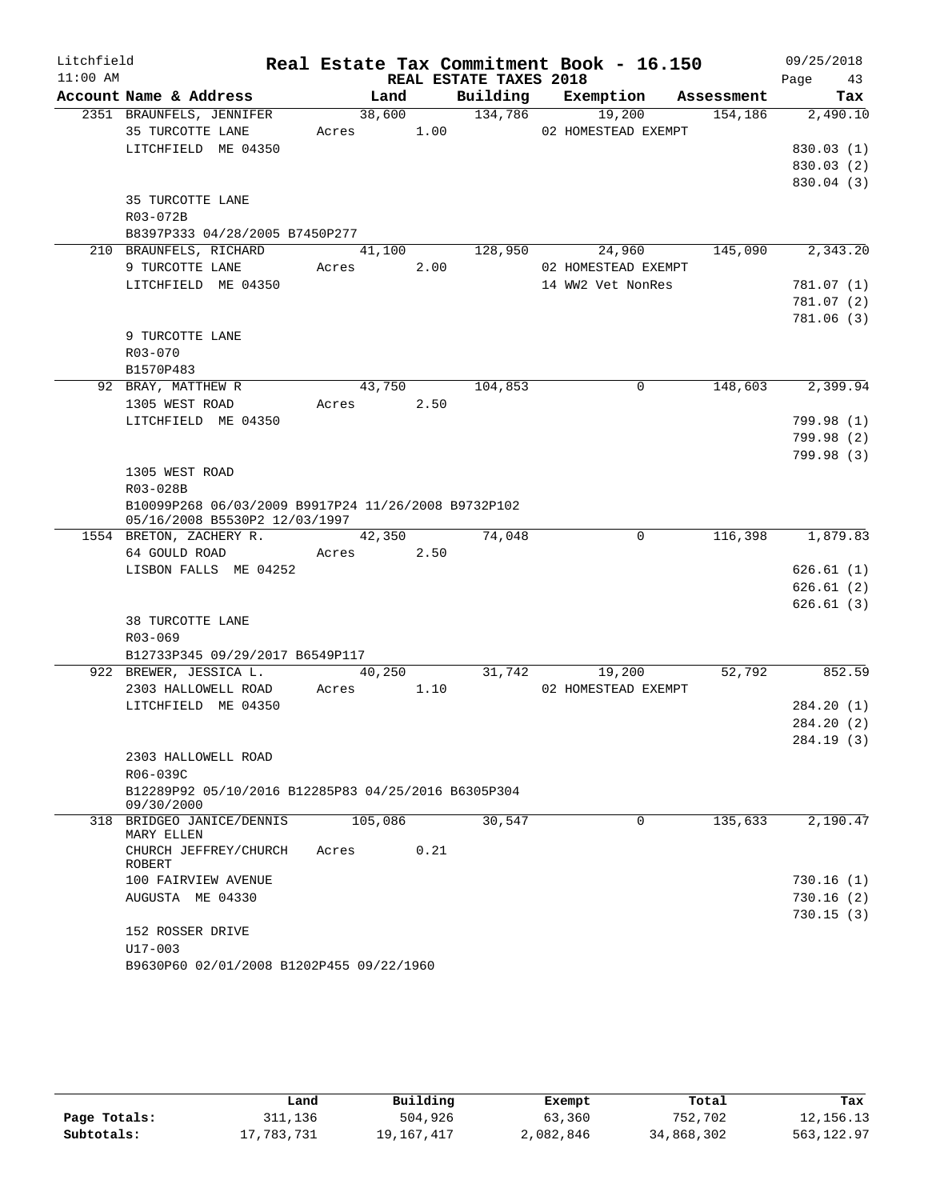| Litchfield |                                                                 |            |         |                        | Real Estate Tax Commitment Book - 16.150 |                | 09/25/2018       |
|------------|-----------------------------------------------------------------|------------|---------|------------------------|------------------------------------------|----------------|------------------|
| $11:00$ AM |                                                                 |            |         | REAL ESTATE TAXES 2018 |                                          |                | Page 43          |
|            | Account Name & Address                                          |            | Land    |                        | Building Exemption Assessment            |                | Tax              |
|            | 2351 BRAUNFELS, JENNIFER                                        |            | 38,600  | 134,786                | 19,200                                   | 154,186        | 2,490.10         |
|            | 35 TURCOTTE LANE                                                | Acres 1.00 |         |                        | 02 HOMESTEAD EXEMPT                      |                |                  |
|            | LITCHFIELD ME 04350                                             |            |         |                        |                                          |                | 830.03(1)        |
|            |                                                                 |            |         |                        |                                          |                | 830.03 (2)       |
|            | 35 TURCOTTE LANE                                                |            |         |                        |                                          |                | 830.04 (3)       |
|            | R03-072B                                                        |            |         |                        |                                          |                |                  |
|            | B8397P333 04/28/2005 B7450P277                                  |            |         |                        |                                          |                |                  |
|            | 210 BRAUNFELS, RICHARD                                          |            |         | 41,100 128,950         |                                          | 24,960 145,090 | 2,343.20         |
|            | 9 TURCOTTE LANE                                                 | Acres 2.00 |         |                        | 02 HOMESTEAD EXEMPT                      |                |                  |
|            | LITCHFIELD ME 04350                                             |            |         |                        | 14 WW2 Vet NonRes                        |                | 781.07 (1)       |
|            |                                                                 |            |         |                        |                                          |                | 781.07 (2)       |
|            |                                                                 |            |         |                        |                                          |                | 781.06 (3)       |
|            | 9 TURCOTTE LANE                                                 |            |         |                        |                                          |                |                  |
|            | R03-070                                                         |            |         |                        |                                          |                |                  |
|            | B1570P483                                                       |            |         |                        |                                          |                |                  |
|            | 92 BRAY, MATTHEW R                                              |            | 43,750  | 104,853                | $\Omega$                                 | 148,603        | 2,399.94         |
|            | 1305 WEST ROAD                                                  | Acres 2.50 |         |                        |                                          |                |                  |
|            | LITCHFIELD ME 04350                                             |            |         |                        |                                          |                | 799.98 (1)       |
|            |                                                                 |            |         |                        |                                          |                | 799.98(2)        |
|            |                                                                 |            |         |                        |                                          |                | 799.98(3)        |
|            | 1305 WEST ROAD                                                  |            |         |                        |                                          |                |                  |
|            | R03-028B                                                        |            |         |                        |                                          |                |                  |
|            | B10099P268 06/03/2009 B9917P24 11/26/2008 B9732P102             |            |         |                        |                                          |                |                  |
|            | 05/16/2008 B5530P2 12/03/1997<br>1554 BRETON, ZACHERY R. 42,350 |            |         | 74,048                 | $\overline{0}$                           |                | 116,398 1,879.83 |
|            | 64 GOULD ROAD                                                   | Acres 2.50 |         |                        |                                          |                |                  |
|            | LISBON FALLS ME 04252                                           |            |         |                        |                                          |                | 626.61(1)        |
|            |                                                                 |            |         |                        |                                          |                | 626.61(2)        |
|            |                                                                 |            |         |                        |                                          |                | 626.61(3)        |
|            | 38 TURCOTTE LANE                                                |            |         |                        |                                          |                |                  |
|            | $R03 - 069$                                                     |            |         |                        |                                          |                |                  |
|            | B12733P345 09/29/2017 B6549P117                                 |            |         |                        |                                          |                |                  |
|            | 922 BREWER, JESSICA L.                                          |            | 40,250  |                        | 31,742<br>19,200                         | 52,792         | 852.59           |
|            | 2303 HALLOWELL ROAD                                             | Acres 1.10 |         |                        | 02 HOMESTEAD EXEMPT                      |                |                  |
|            | LITCHFIELD ME 04350                                             |            |         |                        |                                          |                | 284.20 (1)       |
|            |                                                                 |            |         |                        |                                          |                | 284.20 (2)       |
|            |                                                                 |            |         |                        |                                          |                | 284.19 (3)       |
|            | 2303 HALLOWELL ROAD                                             |            |         |                        |                                          |                |                  |
|            | R06-039C                                                        |            |         |                        |                                          |                |                  |
|            | B12289P92 05/10/2016 B12285P83 04/25/2016 B6305P304             |            |         |                        |                                          |                |                  |
|            | 09/30/2000<br>318 BRIDGEO JANICE/DENNIS                         |            | 105,086 | 30,547                 | $\Omega$                                 | 135,633        | 2,190.47         |
|            | MARY ELLEN                                                      |            |         |                        |                                          |                |                  |
|            | CHURCH JEFFREY/CHURCH                                           | Acres      | 0.21    |                        |                                          |                |                  |
|            | ROBERT                                                          |            |         |                        |                                          |                |                  |
|            | 100 FAIRVIEW AVENUE                                             |            |         |                        |                                          |                | 730.16(1)        |
|            | AUGUSTA ME 04330                                                |            |         |                        |                                          |                | 730.16(2)        |
|            |                                                                 |            |         |                        |                                          |                | 730.15(3)        |
|            | 152 ROSSER DRIVE                                                |            |         |                        |                                          |                |                  |
|            | $U17 - 003$<br>B9630P60 02/01/2008 B1202P455 09/22/1960         |            |         |                        |                                          |                |                  |
|            |                                                                 |            |         |                        |                                          |                |                  |

|              | Land       | Building   | Exempt    | Total      | Tax         |
|--------------|------------|------------|-----------|------------|-------------|
| Page Totals: | 311,136    | 504,926    | 63,360    | 752,702    | 12, 156. 13 |
| Subtotals:   | 17,783,731 | 19,167,417 | 2,082,846 | 34,868,302 | 563,122.97  |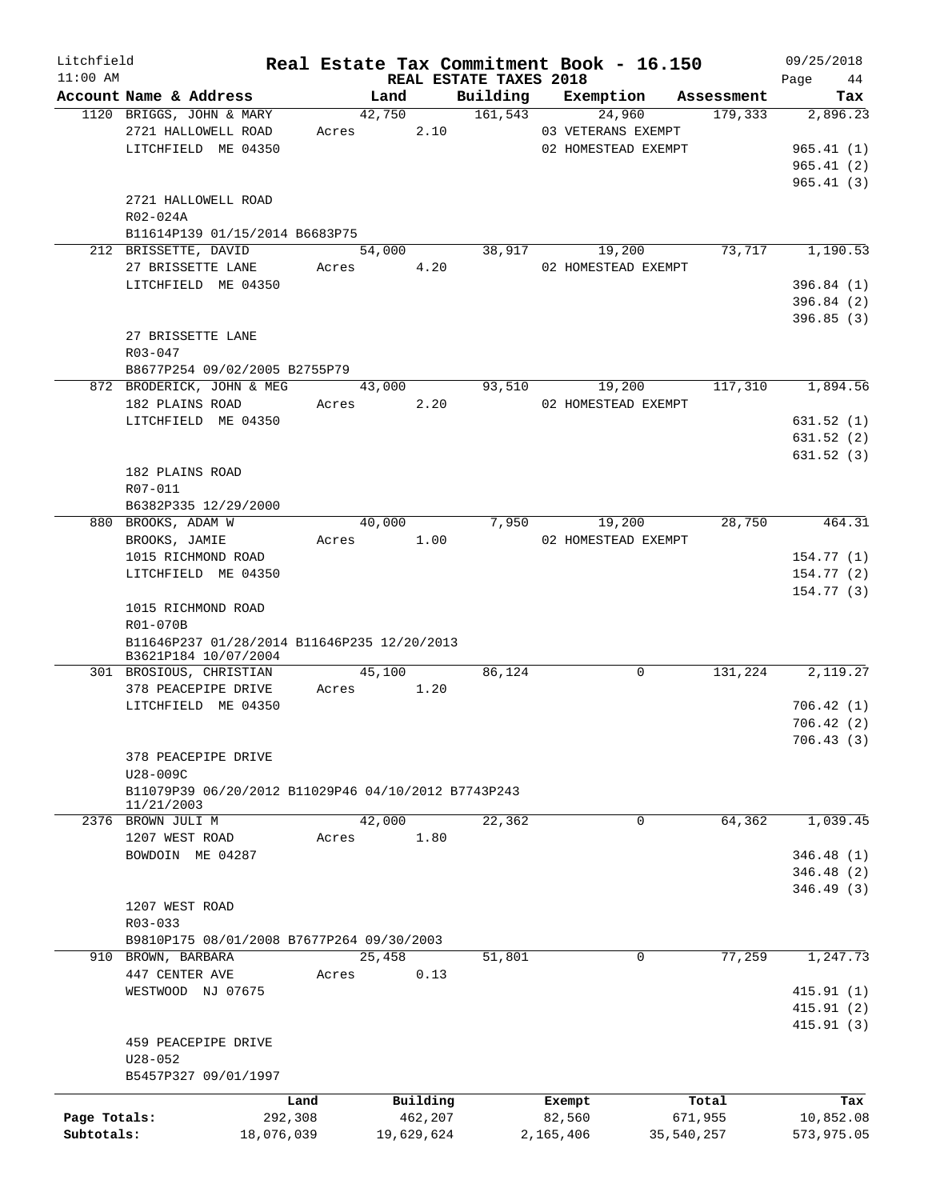| Litchfield   |                                                     | Real Estate Tax Commitment Book - 16.150 |        |            |                                    |           |                     |            | 09/25/2018        |
|--------------|-----------------------------------------------------|------------------------------------------|--------|------------|------------------------------------|-----------|---------------------|------------|-------------------|
| $11:00$ AM   | Account Name & Address                              |                                          | Land   |            | REAL ESTATE TAXES 2018<br>Building |           | Exemption           | Assessment | 44<br>Page<br>Tax |
|              | 1120 BRIGGS, JOHN & MARY                            |                                          | 42,750 |            | 161,543                            |           | 24,960              | 179,333    | 2,896.23          |
|              | 2721 HALLOWELL ROAD                                 |                                          | Acres  | 2.10       |                                    |           | 03 VETERANS EXEMPT  |            |                   |
|              | LITCHFIELD ME 04350                                 |                                          |        |            |                                    |           | 02 HOMESTEAD EXEMPT |            | 965.41(1)         |
|              |                                                     |                                          |        |            |                                    |           |                     |            | 965.41(2)         |
|              |                                                     |                                          |        |            |                                    |           |                     |            | 965.41(3)         |
|              | 2721 HALLOWELL ROAD                                 |                                          |        |            |                                    |           |                     |            |                   |
|              | R02-024A                                            |                                          |        |            |                                    |           |                     |            |                   |
|              | B11614P139 01/15/2014 B6683P75                      |                                          |        |            |                                    |           |                     |            |                   |
|              | 212 BRISSETTE, DAVID                                |                                          | 54,000 |            | 38,917                             |           | 19,200              | 73,717     | 1,190.53          |
|              | 27 BRISSETTE LANE                                   | Acres                                    |        | 4.20       |                                    |           | 02 HOMESTEAD EXEMPT |            |                   |
|              | LITCHFIELD ME 04350                                 |                                          |        |            |                                    |           |                     |            | 396.84(1)         |
|              |                                                     |                                          |        |            |                                    |           |                     |            | 396.84 (2)        |
|              |                                                     |                                          |        |            |                                    |           |                     |            | 396.85(3)         |
|              | 27 BRISSETTE LANE                                   |                                          |        |            |                                    |           |                     |            |                   |
|              | R03-047                                             |                                          |        |            |                                    |           |                     |            |                   |
|              | B8677P254 09/02/2005 B2755P79                       |                                          |        |            |                                    |           |                     |            |                   |
|              | 872 BRODERICK, JOHN & MEG                           |                                          | 43,000 |            | 93,510                             |           | 19,200              | 117,310    | 1,894.56          |
|              | 182 PLAINS ROAD                                     |                                          |        | Acres 2.20 |                                    |           | 02 HOMESTEAD EXEMPT |            |                   |
|              | LITCHFIELD ME 04350                                 |                                          |        |            |                                    |           |                     |            | 631.52(1)         |
|              |                                                     |                                          |        |            |                                    |           |                     |            | 631.52(2)         |
|              |                                                     |                                          |        |            |                                    |           |                     |            | 631.52(3)         |
|              | 182 PLAINS ROAD                                     |                                          |        |            |                                    |           |                     |            |                   |
|              | R07-011                                             |                                          |        |            |                                    |           |                     |            |                   |
|              | B6382P335 12/29/2000                                |                                          |        |            |                                    |           |                     |            |                   |
|              | 880 BROOKS, ADAM W                                  |                                          | 40,000 |            | 7,950                              |           | 19,200              | 28,750     | 464.31            |
|              | BROOKS, JAMIE                                       |                                          | Acres  | 1.00       |                                    |           | 02 HOMESTEAD EXEMPT |            |                   |
|              | 1015 RICHMOND ROAD                                  |                                          |        |            |                                    |           |                     |            | 154.77(1)         |
|              | LITCHFIELD ME 04350                                 |                                          |        |            |                                    |           |                     |            | 154.77(2)         |
|              |                                                     |                                          |        |            |                                    |           |                     |            | 154.77(3)         |
|              | 1015 RICHMOND ROAD                                  |                                          |        |            |                                    |           |                     |            |                   |
|              | R01-070B                                            |                                          |        |            |                                    |           |                     |            |                   |
|              | B11646P237 01/28/2014 B11646P235 12/20/2013         |                                          |        |            |                                    |           |                     |            |                   |
|              | B3621P184 10/07/2004                                |                                          |        |            |                                    |           |                     |            |                   |
|              | 301 BROSIOUS, CHRISTIAN                             |                                          |        | 45,100     | 86,124                             |           | $\mathsf{O}$        | 131,224    | 2,119.27          |
|              | 378 PEACEPIPE DRIVE                                 |                                          | Acres  | 1.20       |                                    |           |                     |            |                   |
|              | LITCHFIELD ME 04350                                 |                                          |        |            |                                    |           |                     |            | 706.42(1)         |
|              |                                                     |                                          |        |            |                                    |           |                     |            | 706.42(2)         |
|              |                                                     |                                          |        |            |                                    |           |                     |            | 706.43(3)         |
|              | 378 PEACEPIPE DRIVE<br>U28-009C                     |                                          |        |            |                                    |           |                     |            |                   |
|              | B11079P39 06/20/2012 B11029P46 04/10/2012 B7743P243 |                                          |        |            |                                    |           |                     |            |                   |
|              | 11/21/2003                                          |                                          |        |            |                                    |           |                     |            |                   |
|              | 2376 BROWN JULI M                                   |                                          | 42,000 |            | 22,362                             |           | $\Omega$            | 64,362     | 1,039.45          |
|              | 1207 WEST ROAD                                      | Acres                                    |        | 1.80       |                                    |           |                     |            |                   |
|              | BOWDOIN ME 04287                                    |                                          |        |            |                                    |           |                     |            | 346.48(1)         |
|              |                                                     |                                          |        |            |                                    |           |                     |            | 346.48 (2)        |
|              |                                                     |                                          |        |            |                                    |           |                     |            | 346.49 (3)        |
|              | 1207 WEST ROAD                                      |                                          |        |            |                                    |           |                     |            |                   |
|              | R03-033                                             |                                          |        |            |                                    |           |                     |            |                   |
|              | B9810P175 08/01/2008 B7677P264 09/30/2003           |                                          |        |            |                                    |           |                     |            |                   |
|              | 910 BROWN, BARBARA                                  |                                          | 25,458 |            | 51,801                             |           | $\mathbf 0$         | 77,259     | 1,247.73          |
|              | 447 CENTER AVE                                      | Acres                                    |        | 0.13       |                                    |           |                     |            |                   |
|              | WESTWOOD NJ 07675                                   |                                          |        |            |                                    |           |                     |            | 415.91(1)         |
|              |                                                     |                                          |        |            |                                    |           |                     |            | 415.91 (2)        |
|              |                                                     |                                          |        |            |                                    |           |                     |            | 415.91(3)         |
|              | 459 PEACEPIPE DRIVE                                 |                                          |        |            |                                    |           |                     |            |                   |
|              | $U28 - 052$                                         |                                          |        |            |                                    |           |                     |            |                   |
|              | B5457P327 09/01/1997                                |                                          |        |            |                                    |           |                     |            |                   |
|              |                                                     | Land                                     |        | Building   |                                    | Exempt    |                     | Total      | Tax               |
| Page Totals: |                                                     | 292,308                                  |        | 462,207    |                                    | 82,560    |                     | 671,955    | 10,852.08         |
| Subtotals:   |                                                     | 18,076,039                               |        | 19,629,624 |                                    | 2,165,406 |                     | 35,540,257 | 573,975.05        |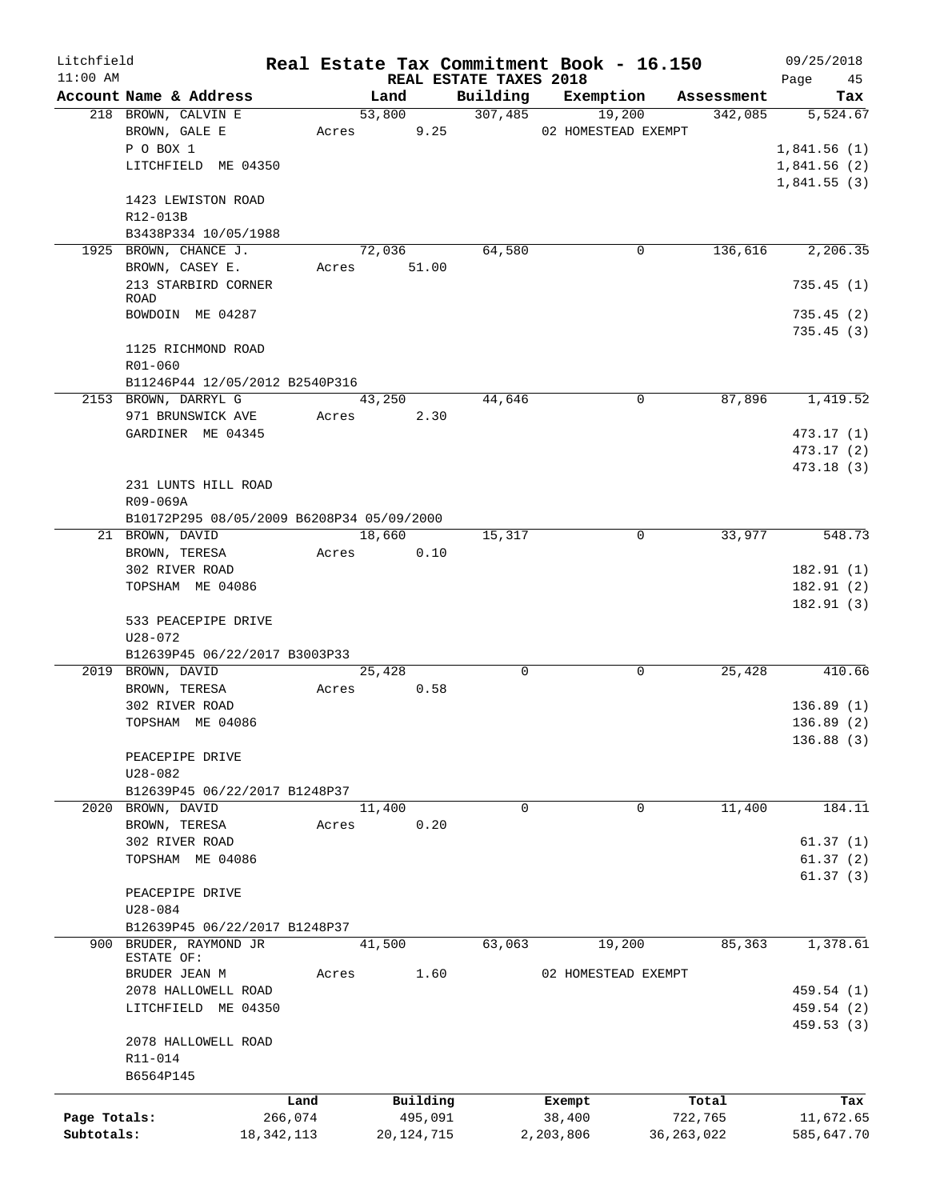| Litchfield   |                        |                                           |               |                                    | Real Estate Tax Commitment Book - 16.150 |              | 09/25/2018      |
|--------------|------------------------|-------------------------------------------|---------------|------------------------------------|------------------------------------------|--------------|-----------------|
| $11:00$ AM   | Account Name & Address |                                           | Land          | REAL ESTATE TAXES 2018<br>Building | Exemption                                | Assessment   | Page<br>45      |
|              | 218 BROWN, CALVIN E    |                                           | 53,800        | 307,485                            | 19,200                                   | 342,085      | Tax<br>5,524.67 |
|              | BROWN, GALE E          |                                           | 9.25<br>Acres |                                    | 02 HOMESTEAD EXEMPT                      |              |                 |
|              | P O BOX 1              |                                           |               |                                    |                                          |              | 1,841.56(1)     |
|              | LITCHFIELD ME 04350    |                                           |               |                                    |                                          |              | 1,841.56(2)     |
|              |                        |                                           |               |                                    |                                          |              | 1,841.55(3)     |
|              | 1423 LEWISTON ROAD     |                                           |               |                                    |                                          |              |                 |
|              | R12-013B               |                                           |               |                                    |                                          |              |                 |
|              | B3438P334 10/05/1988   |                                           |               |                                    |                                          |              |                 |
|              | 1925 BROWN, CHANCE J.  |                                           | 72,036        | 64,580                             | 0                                        | 136,616      | 2,206.35        |
|              | BROWN, CASEY E.        |                                           | Acres 51.00   |                                    |                                          |              |                 |
|              | 213 STARBIRD CORNER    |                                           |               |                                    |                                          |              | 735.45(1)       |
|              | <b>ROAD</b>            |                                           |               |                                    |                                          |              |                 |
|              | BOWDOIN ME 04287       |                                           |               |                                    |                                          |              | 735.45(2)       |
|              |                        |                                           |               |                                    |                                          |              | 735.45 (3)      |
|              | 1125 RICHMOND ROAD     |                                           |               |                                    |                                          |              |                 |
|              | R01-060                |                                           |               |                                    |                                          |              |                 |
|              |                        | B11246P44 12/05/2012 B2540P316            |               |                                    |                                          |              |                 |
|              | 2153 BROWN, DARRYL G   |                                           | 43,250        | 44,646                             | $\mathbf 0$                              | 87,896       | 1,419.52        |
|              | 971 BRUNSWICK AVE      | Acres                                     | 2.30          |                                    |                                          |              |                 |
|              | GARDINER ME 04345      |                                           |               |                                    |                                          |              | 473.17 (1)      |
|              |                        |                                           |               |                                    |                                          |              | 473.17 (2)      |
|              |                        |                                           |               |                                    |                                          |              | 473.18 (3)      |
|              | 231 LUNTS HILL ROAD    |                                           |               |                                    |                                          |              |                 |
|              | R09-069A               |                                           |               |                                    |                                          |              |                 |
|              |                        | B10172P295 08/05/2009 B6208P34 05/09/2000 |               |                                    |                                          |              |                 |
|              | 21 BROWN, DAVID        |                                           | 18,660        | 15,317                             | 0                                        | 33,977       | 548.73          |
|              | BROWN, TERESA          |                                           | 0.10<br>Acres |                                    |                                          |              |                 |
|              | 302 RIVER ROAD         |                                           |               |                                    |                                          |              | 182.91(1)       |
|              | TOPSHAM ME 04086       |                                           |               |                                    |                                          |              | 182.91(2)       |
|              |                        |                                           |               |                                    |                                          |              | 182.91(3)       |
|              | 533 PEACEPIPE DRIVE    |                                           |               |                                    |                                          |              |                 |
|              | $U28 - 072$            |                                           |               |                                    |                                          |              |                 |
|              |                        | B12639P45 06/22/2017 B3003P33             |               |                                    |                                          |              |                 |
|              | 2019 BROWN, DAVID      |                                           | 25,428        | $\mathbf 0$                        | $\mathbf 0$                              | 25,428       | 410.66          |
|              | BROWN, TERESA          | Acres                                     | 0.58          |                                    |                                          |              |                 |
|              | 302 RIVER ROAD         |                                           |               |                                    |                                          |              | 136.89(1)       |
|              | TOPSHAM ME 04086       |                                           |               |                                    |                                          |              | 136.89(2)       |
|              |                        |                                           |               |                                    |                                          |              | 136.88(3)       |
|              | PEACEPIPE DRIVE        |                                           |               |                                    |                                          |              |                 |
|              | $U28 - 082$            |                                           |               |                                    |                                          |              |                 |
|              |                        | B12639P45 06/22/2017 B1248P37             |               |                                    |                                          |              |                 |
|              | 2020 BROWN, DAVID      |                                           | 11,400        | $\Omega$                           | 0                                        | 11,400       | 184.11          |
|              | BROWN, TERESA          | Acres                                     | 0.20          |                                    |                                          |              |                 |
|              | 302 RIVER ROAD         |                                           |               |                                    |                                          |              | 61.37(1)        |
|              | TOPSHAM ME 04086       |                                           |               |                                    |                                          |              | 61.37(2)        |
|              | PEACEPIPE DRIVE        |                                           |               |                                    |                                          |              | 61.37(3)        |
|              | $U28 - 084$            |                                           |               |                                    |                                          |              |                 |
|              |                        | B12639P45 06/22/2017 B1248P37             |               |                                    |                                          |              |                 |
|              | 900 BRUDER, RAYMOND JR |                                           | 41,500        | 63,063                             | 19,200                                   | 85,363       | 1,378.61        |
|              | ESTATE OF:             |                                           |               |                                    |                                          |              |                 |
|              | BRUDER JEAN M          | Acres                                     | 1.60          |                                    | 02 HOMESTEAD EXEMPT                      |              |                 |
|              | 2078 HALLOWELL ROAD    |                                           |               |                                    |                                          |              | 459.54 (1)      |
|              | LITCHFIELD ME 04350    |                                           |               |                                    |                                          |              | 459.54 (2)      |
|              |                        |                                           |               |                                    |                                          |              | 459.53(3)       |
|              | 2078 HALLOWELL ROAD    |                                           |               |                                    |                                          |              |                 |
|              | R11-014                |                                           |               |                                    |                                          |              |                 |
|              | B6564P145              |                                           |               |                                    |                                          |              |                 |
|              |                        | Land                                      | Building      |                                    | Exempt                                   | Total        | Tax             |
| Page Totals: |                        | 266,074                                   | 495,091       |                                    | 38,400                                   | 722,765      | 11,672.65       |
| Subtotals:   |                        | 18, 342, 113                              | 20, 124, 715  |                                    | 2,203,806                                | 36, 263, 022 | 585,647.70      |
|              |                        |                                           |               |                                    |                                          |              |                 |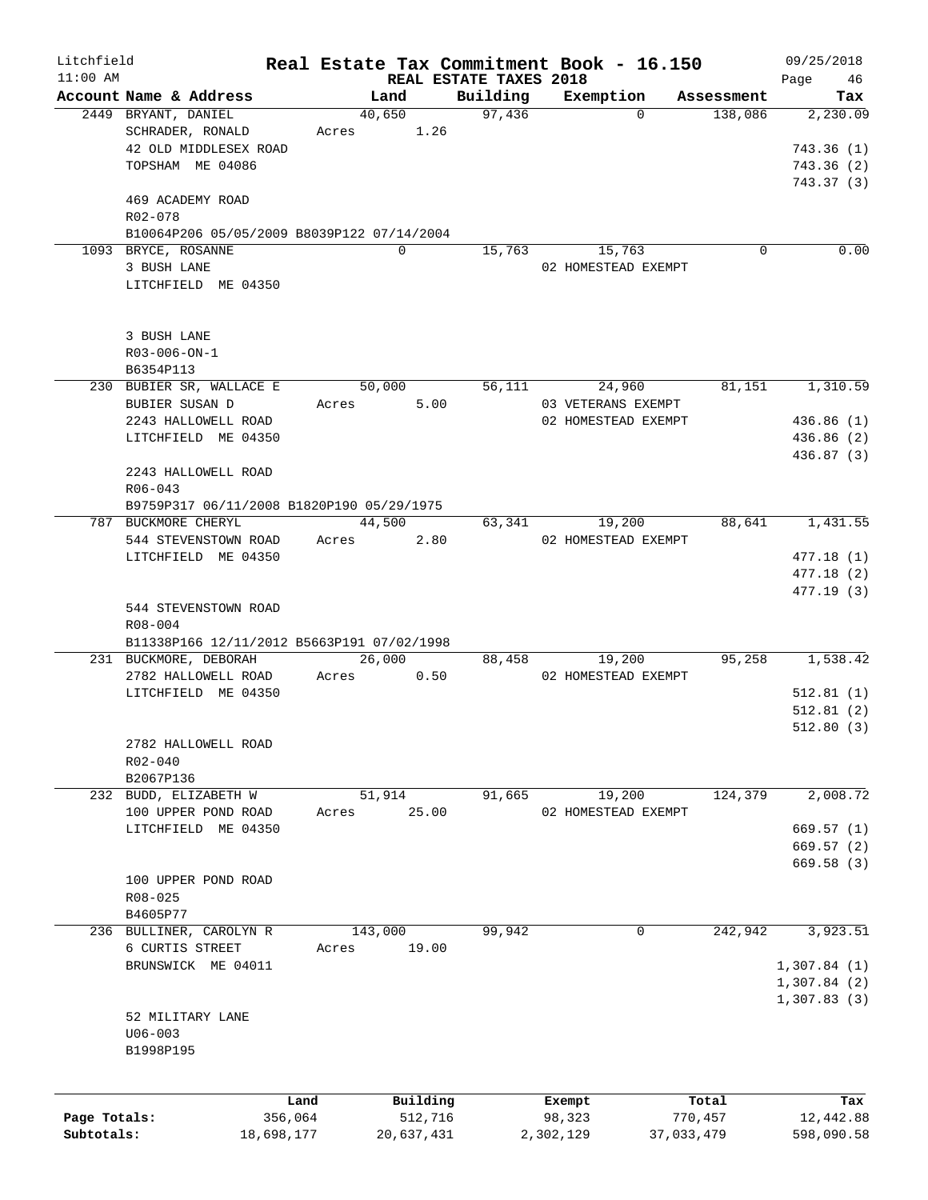| Litchfield<br>$11:00$ AM |                                            |         |            | REAL ESTATE TAXES 2018 | Real Estate Tax Commitment Book - 16.150 |            | 09/25/2018<br>Page<br>46 |
|--------------------------|--------------------------------------------|---------|------------|------------------------|------------------------------------------|------------|--------------------------|
|                          | Account Name & Address                     |         | Land       | Building               | Exemption                                | Assessment | Tax                      |
|                          | 2449 BRYANT, DANIEL                        |         | 40,650     | 97,436                 | $\Omega$                                 | 138,086    | 2,230.09                 |
|                          | SCHRADER, RONALD                           | Acres   | 1.26       |                        |                                          |            |                          |
|                          | 42 OLD MIDDLESEX ROAD                      |         |            |                        |                                          |            | 743.36(1)                |
|                          | TOPSHAM ME 04086                           |         |            |                        |                                          |            | 743.36 (2)               |
|                          |                                            |         |            |                        |                                          |            | 743.37(3)                |
|                          | 469 ACADEMY ROAD                           |         |            |                        |                                          |            |                          |
|                          | R02-078                                    |         |            |                        |                                          |            |                          |
|                          | B10064P206 05/05/2009 B8039P122 07/14/2004 |         |            |                        |                                          |            |                          |
|                          | 1093 BRYCE, ROSANNE                        |         | $\Omega$   | 15,763                 | 15,763                                   | 0          | 0.00                     |
|                          | 3 BUSH LANE                                |         |            |                        | 02 HOMESTEAD EXEMPT                      |            |                          |
|                          | LITCHFIELD ME 04350                        |         |            |                        |                                          |            |                          |
|                          |                                            |         |            |                        |                                          |            |                          |
|                          |                                            |         |            |                        |                                          |            |                          |
|                          | 3 BUSH LANE                                |         |            |                        |                                          |            |                          |
|                          | R03-006-ON-1                               |         |            |                        |                                          |            |                          |
|                          | B6354P113                                  |         |            |                        |                                          |            |                          |
|                          | 230 BUBIER SR, WALLACE E                   |         | 50,000     | 56,111                 | 24,960                                   | 81,151     | 1,310.59                 |
|                          | BUBIER SUSAN D                             | Acres   | 5.00       |                        | 03 VETERANS EXEMPT                       |            |                          |
|                          | 2243 HALLOWELL ROAD                        |         |            |                        | 02 HOMESTEAD EXEMPT                      |            | 436.86 (1)               |
|                          | LITCHFIELD ME 04350                        |         |            |                        |                                          |            | 436.86 (2)               |
|                          |                                            |         |            |                        |                                          |            | 436.87 (3)               |
|                          | 2243 HALLOWELL ROAD                        |         |            |                        |                                          |            |                          |
|                          | $R06 - 043$                                |         |            |                        |                                          |            |                          |
|                          | B9759P317 06/11/2008 B1820P190 05/29/1975  |         |            |                        |                                          |            |                          |
|                          | 787 BUCKMORE CHERYL                        |         | 44,500     | 63,341                 | 19,200                                   | 88,641     | 1,431.55                 |
|                          | 544 STEVENSTOWN ROAD                       | Acres   | 2.80       |                        | 02 HOMESTEAD EXEMPT                      |            |                          |
|                          | LITCHFIELD ME 04350                        |         |            |                        |                                          |            | 477.18 (1)               |
|                          |                                            |         |            |                        |                                          |            | 477.18(2)                |
|                          |                                            |         |            |                        |                                          |            | 477.19 (3)               |
|                          | 544 STEVENSTOWN ROAD                       |         |            |                        |                                          |            |                          |
|                          | R08-004                                    |         |            |                        |                                          |            |                          |
|                          | B11338P166 12/11/2012 B5663P191 07/02/1998 |         |            |                        |                                          |            |                          |
|                          | 231 BUCKMORE, DEBORAH                      |         | 26,000     | 88,458                 | 19,200                                   | 95,258     | 1,538.42                 |
|                          | 2782 HALLOWELL ROAD                        | Acres   | 0.50       |                        | 02 HOMESTEAD EXEMPT                      |            |                          |
|                          | LITCHFIELD ME 04350                        |         |            |                        |                                          |            | 512.81(1)                |
|                          |                                            |         |            |                        |                                          |            | 512.81(2)                |
|                          |                                            |         |            |                        |                                          |            | 512.80(3)                |
|                          | 2782 HALLOWELL ROAD                        |         |            |                        |                                          |            |                          |
|                          | R02-040                                    |         |            |                        |                                          |            |                          |
|                          | B2067P136                                  |         |            |                        |                                          |            |                          |
|                          | 232 BUDD, ELIZABETH W                      |         | 51,914     | 91,665                 | 19,200                                   | 124,379    | 2,008.72                 |
|                          | 100 UPPER POND ROAD                        | Acres   | 25.00      |                        | 02 HOMESTEAD EXEMPT                      |            |                          |
|                          | LITCHFIELD ME 04350                        |         |            |                        |                                          |            | 669.57(1)                |
|                          |                                            |         |            |                        |                                          |            | 669.57(2)                |
|                          |                                            |         |            |                        |                                          |            | 669.58(3)                |
|                          | 100 UPPER POND ROAD                        |         |            |                        |                                          |            |                          |
|                          | $R08 - 025$                                |         |            |                        |                                          |            |                          |
|                          | B4605P77                                   |         |            |                        |                                          |            |                          |
|                          | 236 BULLINER, CAROLYN R                    |         | 143,000    | 99,942                 | 0                                        | 242,942    | 3,923.51                 |
|                          | 6 CURTIS STREET                            | Acres   | 19.00      |                        |                                          |            |                          |
|                          | BRUNSWICK ME 04011                         |         |            |                        |                                          |            | 1,307.84(1)              |
|                          |                                            |         |            |                        |                                          |            | 1,307.84(2)              |
|                          |                                            |         |            |                        |                                          |            | 1,307.83(3)              |
|                          | 52 MILITARY LANE                           |         |            |                        |                                          |            |                          |
|                          | $U06 - 003$                                |         |            |                        |                                          |            |                          |
|                          | B1998P195                                  |         |            |                        |                                          |            |                          |
|                          |                                            |         |            |                        |                                          |            |                          |
|                          |                                            |         |            |                        |                                          |            |                          |
|                          |                                            | Land    | Building   |                        | Exempt                                   | Total      | Tax                      |
| Page Totals:             |                                            | 356,064 | 512,716    |                        | 98,323                                   | 770,457    | 12,442.88                |
| Subtotals:               | 18,698,177                                 |         | 20,637,431 |                        | 2,302,129<br>37,033,479                  |            | 598,090.58               |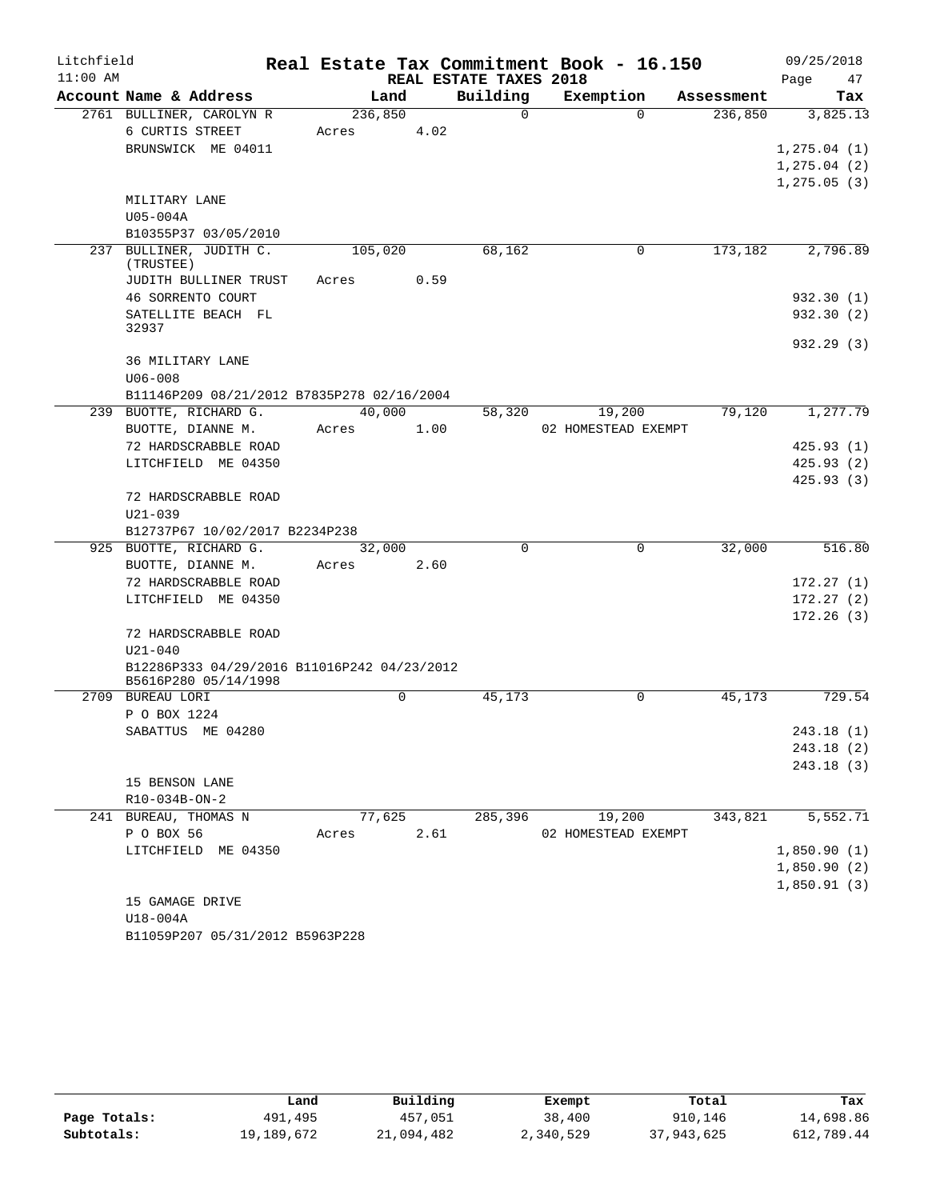| Litchfield |                                             |         |             |      | Real Estate Tax Commitment Book - 16.150 |                     |          |            | 09/25/2018   |
|------------|---------------------------------------------|---------|-------------|------|------------------------------------------|---------------------|----------|------------|--------------|
| $11:00$ AM |                                             |         |             |      | REAL ESTATE TAXES 2018                   |                     |          |            | Page<br>47   |
|            | Account Name & Address                      | Land    |             |      | Building                                 | Exemption           |          | Assessment | Tax          |
|            | 2761 BULLINER, CAROLYN R                    | 236,850 |             |      | $\Omega$                                 |                     | $\Omega$ | 236,850    | 3,825.13     |
|            | 6 CURTIS STREET                             | Acres   |             | 4.02 |                                          |                     |          |            |              |
|            | BRUNSWICK ME 04011                          |         |             |      |                                          |                     |          |            | 1, 275.04(1) |
|            |                                             |         |             |      |                                          |                     |          |            | 1, 275.04(2) |
|            |                                             |         |             |      |                                          |                     |          |            | 1, 275.05(3) |
|            | MILITARY LANE                               |         |             |      |                                          |                     |          |            |              |
|            | U05-004A                                    |         |             |      |                                          |                     |          |            |              |
|            | B10355P37 03/05/2010                        |         |             |      |                                          |                     |          |            |              |
|            | 237 BULLINER, JUDITH C.<br>(TRUSTEE)        | 105,020 |             |      | 68,162                                   |                     | 0        | 173,182    | 2,796.89     |
|            | JUDITH BULLINER TRUST                       | Acres   |             | 0.59 |                                          |                     |          |            |              |
|            | 46 SORRENTO COURT                           |         |             |      |                                          |                     |          |            | 932.30(1)    |
|            | SATELLITE BEACH FL<br>32937                 |         |             |      |                                          |                     |          |            | 932.30(2)    |
|            |                                             |         |             |      |                                          |                     |          |            | 932.29(3)    |
|            | 36 MILITARY LANE                            |         |             |      |                                          |                     |          |            |              |
|            | $U06 - 008$                                 |         |             |      |                                          |                     |          |            |              |
|            | B11146P209 08/21/2012 B7835P278 02/16/2004  |         |             |      |                                          |                     |          |            |              |
|            | 239 BUOTTE, RICHARD G.                      | 40,000  |             |      | 58,320                                   |                     | 19,200   | 79,120     | 1,277.79     |
|            | BUOTTE, DIANNE M.                           | Acres   |             | 1.00 |                                          | 02 HOMESTEAD EXEMPT |          |            |              |
|            | 72 HARDSCRABBLE ROAD                        |         |             |      |                                          |                     |          |            | 425.93(1)    |
|            | LITCHFIELD ME 04350                         |         |             |      |                                          |                     |          |            | 425.93(2)    |
|            |                                             |         |             |      |                                          |                     |          |            | 425.93(3)    |
|            | 72 HARDSCRABBLE ROAD                        |         |             |      |                                          |                     |          |            |              |
|            | $U21 - 039$                                 |         |             |      |                                          |                     |          |            |              |
|            | B12737P67 10/02/2017 B2234P238              |         |             |      |                                          |                     |          |            |              |
|            | 925 BUOTTE, RICHARD G.                      | 32,000  |             |      | $\Omega$                                 |                     | $\Omega$ | 32,000     | 516.80       |
|            | BUOTTE, DIANNE M.                           | Acres   |             | 2.60 |                                          |                     |          |            |              |
|            | 72 HARDSCRABBLE ROAD                        |         |             |      |                                          |                     |          |            | 172.27(1)    |
|            | LITCHFIELD ME 04350                         |         |             |      |                                          |                     |          |            | 172.27(2)    |
|            |                                             |         |             |      |                                          |                     |          |            | 172.26(3)    |
|            | 72 HARDSCRABBLE ROAD<br>$U21 - 040$         |         |             |      |                                          |                     |          |            |              |
|            | B12286P333 04/29/2016 B11016P242 04/23/2012 |         |             |      |                                          |                     |          |            |              |
|            | B5616P280 05/14/1998                        |         |             |      |                                          |                     |          |            |              |
|            | 2709 BUREAU LORI                            |         | $\mathbf 0$ |      | 45,173                                   |                     | $\Omega$ | 45,173     | 729.54       |
|            | P O BOX 1224                                |         |             |      |                                          |                     |          |            |              |
|            | SABATTUS ME 04280                           |         |             |      |                                          |                     |          |            | 243.18 (1)   |
|            |                                             |         |             |      |                                          |                     |          |            | 243.18(2)    |
|            |                                             |         |             |      |                                          |                     |          |            | 243.18(3)    |
|            | 15 BENSON LANE                              |         |             |      |                                          |                     |          |            |              |
|            | R10-034B-ON-2                               |         |             |      |                                          |                     |          |            |              |
|            | 241 BUREAU, THOMAS N                        | 77,625  |             |      | 285,396                                  |                     | 19,200   | 343,821    | 5,552.71     |
|            | P O BOX 56                                  | Acres   |             | 2.61 |                                          | 02 HOMESTEAD EXEMPT |          |            |              |
|            | LITCHFIELD ME 04350                         |         |             |      |                                          |                     |          |            | 1,850.90(1)  |
|            |                                             |         |             |      |                                          |                     |          |            | 1,850.90(2)  |
|            |                                             |         |             |      |                                          |                     |          |            | 1,850.91(3)  |
|            | 15 GAMAGE DRIVE                             |         |             |      |                                          |                     |          |            |              |
|            | $U18-004A$                                  |         |             |      |                                          |                     |          |            |              |

B11059P207 05/31/2012 B5963P228

|              | Land       | Building   | Exempt    | Total      | Tax        |
|--------------|------------|------------|-----------|------------|------------|
| Page Totals: | 491,495    | 457,051    | 38,400    | 910,146    | 14,698.86  |
| Subtotals:   | 19,189,672 | 21,094,482 | 2,340,529 | 37,943,625 | 612,789.44 |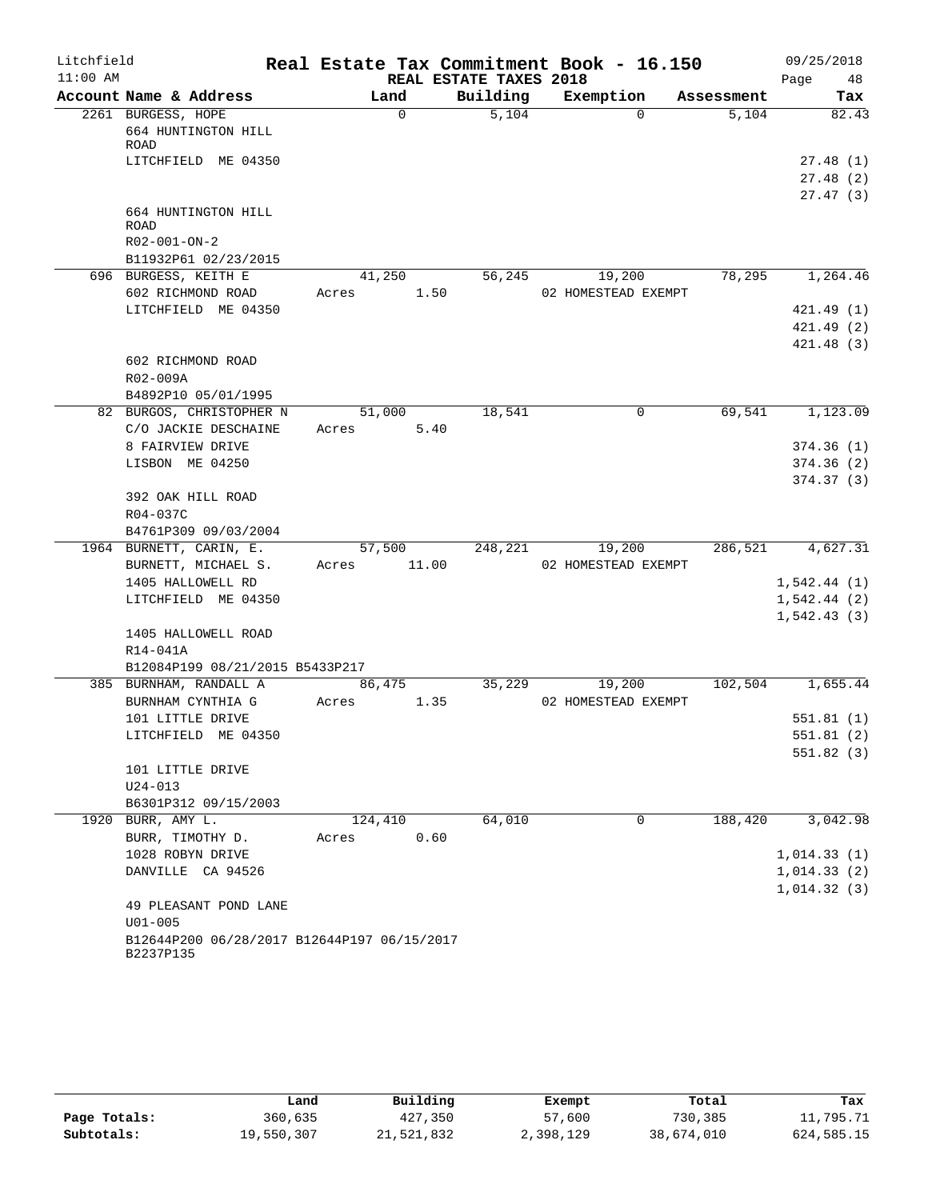| Litchfield |                                                          | Real Estate Tax Commitment Book - 16.150 |                        |                     |            | 09/25/2018              |
|------------|----------------------------------------------------------|------------------------------------------|------------------------|---------------------|------------|-------------------------|
| $11:00$ AM |                                                          |                                          | REAL ESTATE TAXES 2018 |                     |            | Page<br>48              |
|            | Account Name & Address                                   | Land                                     | Building               | Exemption           | Assessment | Tax                     |
|            | 2261 BURGESS, HOPE<br>664 HUNTINGTON HILL                | $\mathbf 0$                              | 5,104                  | $\Omega$            | 5,104      | 82.43                   |
|            | ROAD                                                     |                                          |                        |                     |            |                         |
|            | LITCHFIELD ME 04350                                      |                                          |                        |                     |            | 27.48(1)                |
|            |                                                          |                                          |                        |                     |            | 27.48(2)<br>27.47(3)    |
|            | 664 HUNTINGTON HILL                                      |                                          |                        |                     |            |                         |
|            | <b>ROAD</b>                                              |                                          |                        |                     |            |                         |
|            | R02-001-ON-2                                             |                                          |                        |                     |            |                         |
|            | B11932P61 02/23/2015                                     |                                          |                        |                     |            |                         |
|            | 696 BURGESS, KEITH E                                     | 41,250                                   | 56,245                 | 19,200              | 78,295     | 1,264.46                |
|            | 602 RICHMOND ROAD                                        | 1.50<br>Acres                            |                        | 02 HOMESTEAD EXEMPT |            |                         |
|            | LITCHFIELD ME 04350                                      |                                          |                        |                     |            | 421.49(1)               |
|            |                                                          |                                          |                        |                     |            | 421.49 (2)              |
|            |                                                          |                                          |                        |                     |            | 421.48(3)               |
|            | 602 RICHMOND ROAD                                        |                                          |                        |                     |            |                         |
|            | R02-009A                                                 |                                          |                        |                     |            |                         |
|            | B4892P10 05/01/1995                                      |                                          |                        |                     |            |                         |
|            | 82 BURGOS, CHRISTOPHER N                                 | 51,000                                   | 18,541                 | 0                   | 69,541     | 1,123.09                |
|            | C/O JACKIE DESCHAINE<br>8 FAIRVIEW DRIVE                 | Acres<br>5.40                            |                        |                     |            |                         |
|            | LISBON ME 04250                                          |                                          |                        |                     |            | 374.36(1)<br>374.36 (2) |
|            |                                                          |                                          |                        |                     |            | 374.37(3)               |
|            | 392 OAK HILL ROAD                                        |                                          |                        |                     |            |                         |
|            | R04-037C                                                 |                                          |                        |                     |            |                         |
|            | B4761P309 09/03/2004                                     |                                          |                        |                     |            |                         |
|            | 1964 BURNETT, CARIN, E.                                  | 57,500                                   | 248,221                | 19,200              | 286,521    | 4,627.31                |
|            | BURNETT, MICHAEL S.                                      | 11.00<br>Acres                           |                        | 02 HOMESTEAD EXEMPT |            |                         |
|            | 1405 HALLOWELL RD                                        |                                          |                        |                     |            | 1,542.44(1)             |
|            | LITCHFIELD ME 04350                                      |                                          |                        |                     |            | 1,542.44(2)             |
|            |                                                          |                                          |                        |                     |            | 1,542.43(3)             |
|            | 1405 HALLOWELL ROAD                                      |                                          |                        |                     |            |                         |
|            | R14-041A                                                 |                                          |                        |                     |            |                         |
|            | B12084P199 08/21/2015 B5433P217                          |                                          |                        |                     |            |                         |
|            | 385 BURNHAM, RANDALL A                                   | 86,475                                   | 35,229                 | 19,200              | 102,504    | 1,655.44                |
|            | BURNHAM CYNTHIA G                                        | 1.35<br>Acres                            |                        | 02 HOMESTEAD EXEMPT |            |                         |
|            | 101 LITTLE DRIVE                                         |                                          |                        |                     |            | 551.81(1)               |
|            | LITCHFIELD ME 04350                                      |                                          |                        |                     |            | 551.81(2)               |
|            |                                                          |                                          |                        |                     |            | 551.82 (3)              |
|            | 101 LITTLE DRIVE<br>$U24 - 013$                          |                                          |                        |                     |            |                         |
|            | B6301P312 09/15/2003                                     |                                          |                        |                     |            |                         |
|            | 1920 BURR, AMY L.                                        | 124,410                                  | 64,010                 | $\Omega$            | 188,420    | 3,042.98                |
|            | BURR, TIMOTHY D.                                         | 0.60<br>Acres                            |                        |                     |            |                         |
|            | 1028 ROBYN DRIVE                                         |                                          |                        |                     |            | 1,014.33(1)             |
|            | DANVILLE CA 94526                                        |                                          |                        |                     |            | 1,014.33(2)             |
|            |                                                          |                                          |                        |                     |            | 1,014.32(3)             |
|            | 49 PLEASANT POND LANE                                    |                                          |                        |                     |            |                         |
|            | $U01 - 005$                                              |                                          |                        |                     |            |                         |
|            | B12644P200 06/28/2017 B12644P197 06/15/2017<br>B2237P135 |                                          |                        |                     |            |                         |

|              | Land       | Building   | Exempt    | Total      | Tax        |
|--------------|------------|------------|-----------|------------|------------|
| Page Totals: | 360,635    | 427,350    | 57,600    | 730,385    | 11,795.71  |
| Subtotals:   | 19,550,307 | 21,521,832 | 2,398,129 | 38,674,010 | 624,585.15 |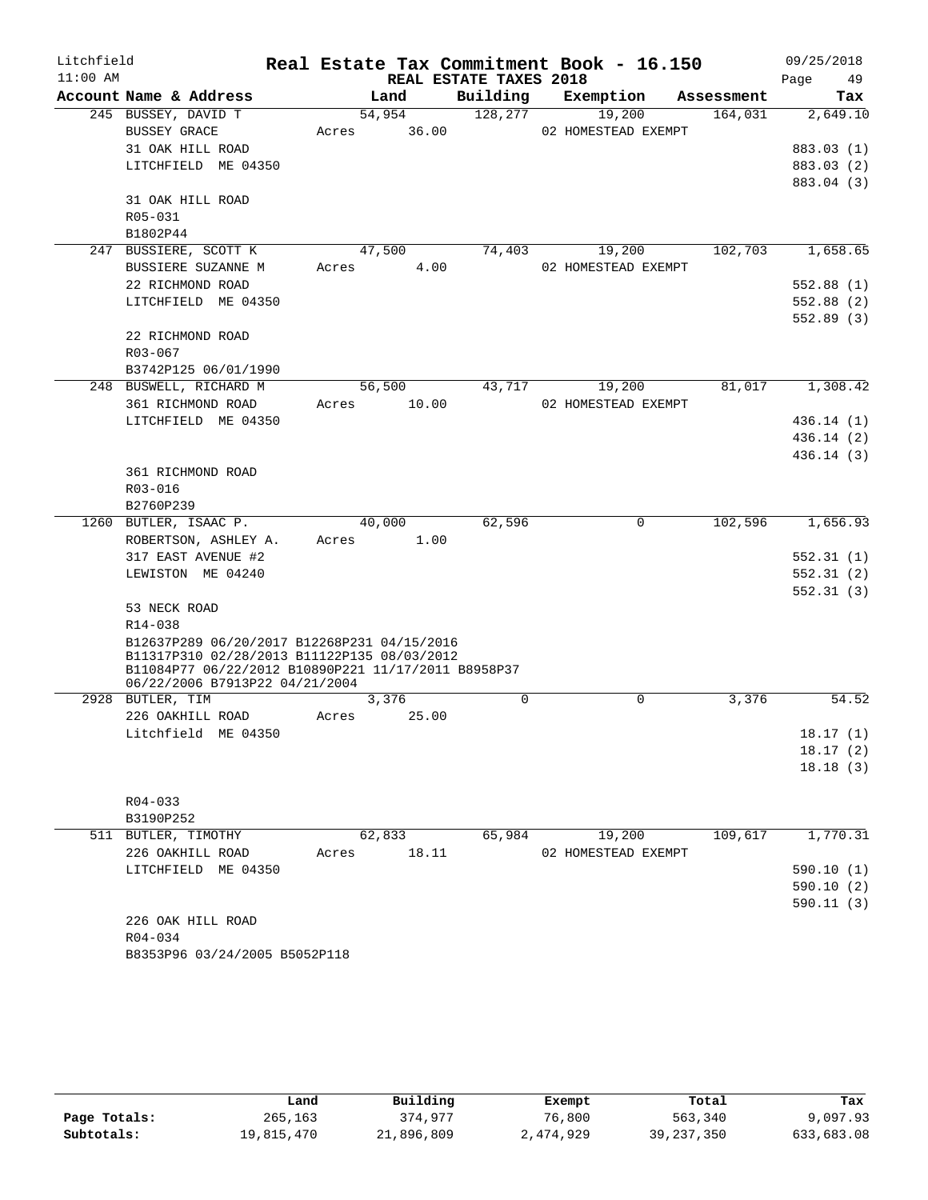| Litchfield |                                                        |       |                 |                        | Real Estate Tax Commitment Book - 16.150 |            | 09/25/2018 |
|------------|--------------------------------------------------------|-------|-----------------|------------------------|------------------------------------------|------------|------------|
| $11:00$ AM |                                                        |       |                 | REAL ESTATE TAXES 2018 |                                          |            | Page<br>49 |
|            | Account Name & Address                                 |       | Land            | Building               | Exemption                                | Assessment | Tax        |
|            | 245 BUSSEY, DAVID T<br><b>BUSSEY GRACE</b>             | Acres | 54,954<br>36.00 | 128,277                | 19,200<br>02 HOMESTEAD EXEMPT            | 164,031    | 2,649.10   |
|            | 31 OAK HILL ROAD                                       |       |                 |                        |                                          |            | 883.03 (1) |
|            | LITCHFIELD ME 04350                                    |       |                 |                        |                                          |            | 883.03 (2) |
|            |                                                        |       |                 |                        |                                          |            | 883.04 (3) |
|            | 31 OAK HILL ROAD                                       |       |                 |                        |                                          |            |            |
|            | R05-031                                                |       |                 |                        |                                          |            |            |
|            | B1802P44                                               |       |                 |                        |                                          |            |            |
|            | 247 BUSSIERE, SCOTT K                                  |       | 47,500          | 74,403                 | 19,200                                   | 102,703    | 1,658.65   |
|            | BUSSIERE SUZANNE M                                     | Acres | 4.00            |                        | 02 HOMESTEAD EXEMPT                      |            |            |
|            | 22 RICHMOND ROAD                                       |       |                 |                        |                                          |            | 552.88(1)  |
|            | LITCHFIELD ME 04350                                    |       |                 |                        |                                          |            | 552.88 (2) |
|            |                                                        |       |                 |                        |                                          |            | 552.89(3)  |
|            | 22 RICHMOND ROAD                                       |       |                 |                        |                                          |            |            |
|            | $R03 - 067$                                            |       |                 |                        |                                          |            |            |
|            | B3742P125 06/01/1990                                   |       |                 |                        |                                          |            |            |
|            | 248 BUSWELL, RICHARD M                                 |       | 56,500          | 43,717                 | 19,200                                   | 81,017     | 1,308.42   |
|            | 361 RICHMOND ROAD                                      | Acres | 10.00           |                        | 02 HOMESTEAD EXEMPT                      |            |            |
|            | LITCHFIELD ME 04350                                    |       |                 |                        |                                          |            | 436.14(1)  |
|            |                                                        |       |                 |                        |                                          |            | 436.14(2)  |
|            |                                                        |       |                 |                        |                                          |            | 436.14 (3) |
|            | 361 RICHMOND ROAD                                      |       |                 |                        |                                          |            |            |
|            | R03-016                                                |       |                 |                        |                                          |            |            |
|            | B2760P239                                              |       |                 |                        |                                          |            |            |
|            | 1260 BUTLER, ISAAC P.                                  |       | 40,000          | 62,596                 | 0                                        | 102,596    | 1,656.93   |
|            | ROBERTSON, ASHLEY A.                                   | Acres | 1.00            |                        |                                          |            |            |
|            | 317 EAST AVENUE #2                                     |       |                 |                        |                                          |            | 552.31 (1) |
|            | LEWISTON ME 04240                                      |       |                 |                        |                                          |            | 552.31(2)  |
|            |                                                        |       |                 |                        |                                          |            | 552.31(3)  |
|            | 53 NECK ROAD                                           |       |                 |                        |                                          |            |            |
|            | R14-038<br>B12637P289 06/20/2017 B12268P231 04/15/2016 |       |                 |                        |                                          |            |            |
|            | B11317P310 02/28/2013 B11122P135 08/03/2012            |       |                 |                        |                                          |            |            |
|            | B11084P77 06/22/2012 B10890P221 11/17/2011 B8958P37    |       |                 |                        |                                          |            |            |
|            | 06/22/2006 B7913P22 04/21/2004                         |       |                 |                        |                                          |            |            |
|            | 2928 BUTLER, TIM                                       |       | 3,376           | $\Omega$               | $\mathbf 0$                              | 3,376      | 54.52      |
|            | 226 OAKHILL ROAD                                       | Acres | 25.00           |                        |                                          |            |            |
|            | Litchfield ME 04350                                    |       |                 |                        |                                          |            | 18.17(1)   |
|            |                                                        |       |                 |                        |                                          |            | 18.17(2)   |
|            |                                                        |       |                 |                        |                                          |            | 18.18(3)   |
|            |                                                        |       |                 |                        |                                          |            |            |
|            | $R04 - 033$                                            |       |                 |                        |                                          |            |            |
|            | B3190P252<br>511 BUTLER, TIMOTHY                       |       | 62,833          | 65,984                 | 19,200                                   | 109,617    | 1,770.31   |
|            | 226 OAKHILL ROAD                                       | Acres | 18.11           |                        | 02 HOMESTEAD EXEMPT                      |            |            |
|            | LITCHFIELD ME 04350                                    |       |                 |                        |                                          |            | 590.10(1)  |
|            |                                                        |       |                 |                        |                                          |            | 590.10(2)  |
|            |                                                        |       |                 |                        |                                          |            | 590.11(3)  |
|            | 226 OAK HILL ROAD                                      |       |                 |                        |                                          |            |            |
|            | $R04 - 034$                                            |       |                 |                        |                                          |            |            |
|            | B8353P96 03/24/2005 B5052P118                          |       |                 |                        |                                          |            |            |

|              | Land       | Building   | Exempt    | Total        | Tax        |
|--------------|------------|------------|-----------|--------------|------------|
| Page Totals: | 265,163    | 374,977    | 76,800    | 563,340      | 9,097.93   |
| Subtotals:   | 19,815,470 | 21,896,809 | 2,474,929 | 39, 237, 350 | 633,683.08 |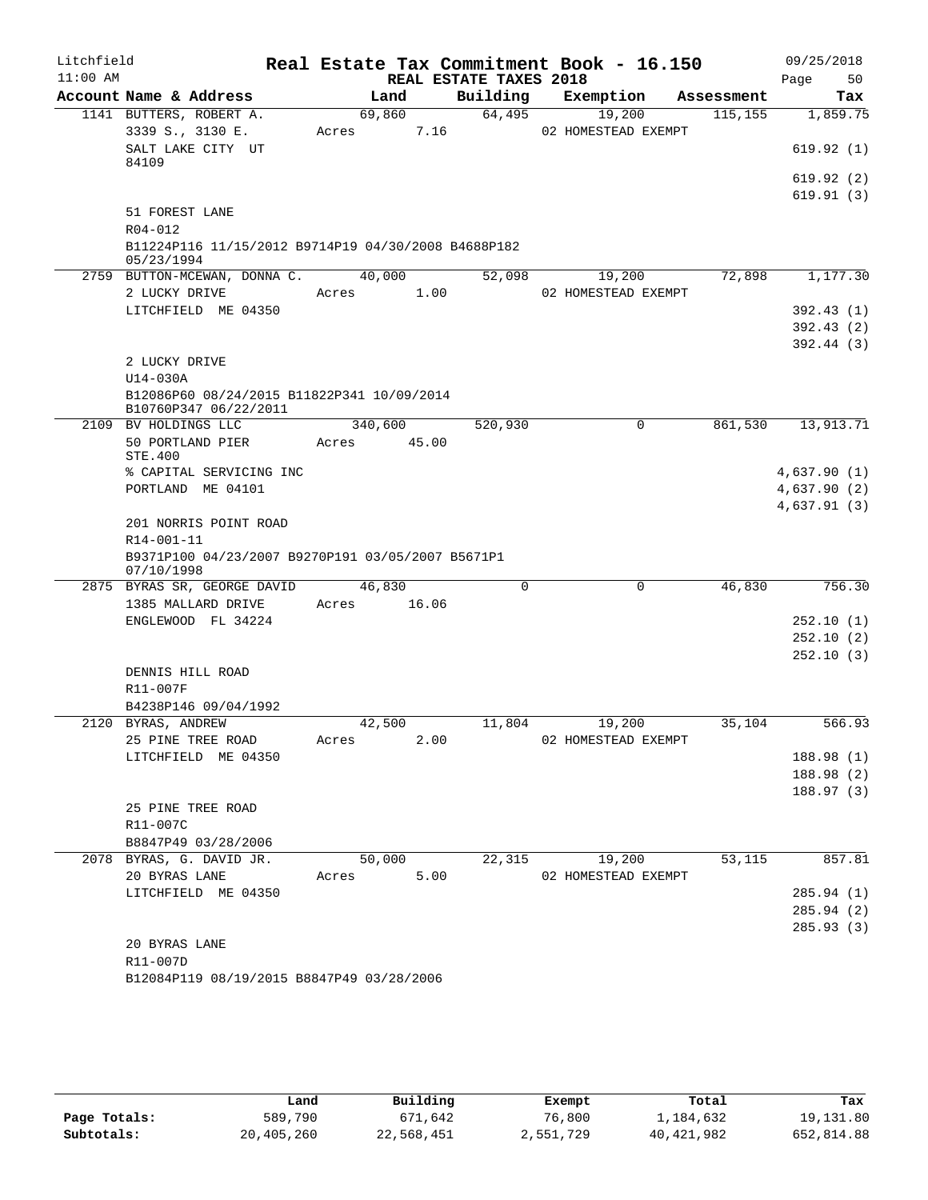| Litchfield<br>$11:00$ AM |                                                                 |         |       | REAL ESTATE TAXES 2018 | Real Estate Tax Commitment Book - 16.150 |            | 09/25/2018<br>Page<br>50 |
|--------------------------|-----------------------------------------------------------------|---------|-------|------------------------|------------------------------------------|------------|--------------------------|
|                          | Account Name & Address                                          | Land    |       | Building               | Exemption                                | Assessment | Tax                      |
|                          | 1141 BUTTERS, ROBERT A.                                         | 69,860  |       | 64,495                 | 19,200                                   | 115, 155   | 1,859.75                 |
|                          | 3339 S., 3130 E.                                                | Acres   | 7.16  |                        | 02 HOMESTEAD EXEMPT                      |            |                          |
|                          | SALT LAKE CITY UT<br>84109                                      |         |       |                        |                                          |            | 619.92(1)                |
|                          |                                                                 |         |       |                        |                                          |            | 619.92(2)                |
|                          |                                                                 |         |       |                        |                                          |            | 619.91(3)                |
|                          | 51 FOREST LANE                                                  |         |       |                        |                                          |            |                          |
|                          | R04-012<br>B11224P116 11/15/2012 B9714P19 04/30/2008 B4688P182  |         |       |                        |                                          |            |                          |
|                          | 05/23/1994                                                      |         |       |                        |                                          |            |                          |
|                          | 2759 BUTTON-MCEWAN, DONNA C.                                    | 40,000  |       | 52,098                 | 19,200                                   | 72,898     | 1,177.30                 |
|                          | 2 LUCKY DRIVE                                                   | Acres   | 1.00  |                        | 02 HOMESTEAD EXEMPT                      |            |                          |
|                          | LITCHFIELD ME 04350                                             |         |       |                        |                                          |            | 392.43(1)                |
|                          |                                                                 |         |       |                        |                                          |            | 392.43(2)                |
|                          | 2 LUCKY DRIVE                                                   |         |       |                        |                                          |            | 392.44(3)                |
|                          | U14-030A                                                        |         |       |                        |                                          |            |                          |
|                          | B12086P60 08/24/2015 B11822P341 10/09/2014                      |         |       |                        |                                          |            |                          |
|                          | B10760P347 06/22/2011                                           |         |       |                        |                                          |            |                          |
|                          | 2109 BV HOLDINGS LLC                                            | 340,600 |       | 520,930                | 0                                        | 861,530    | 13,913.71                |
|                          | 50 PORTLAND PIER<br>STE.400                                     | Acres   | 45.00 |                        |                                          |            |                          |
|                          | % CAPITAL SERVICING INC                                         |         |       |                        |                                          |            | 4,637.90(1)              |
|                          | PORTLAND ME 04101                                               |         |       |                        |                                          |            | 4,637.90(2)              |
|                          |                                                                 |         |       |                        |                                          |            | 4,637.91(3)              |
|                          | 201 NORRIS POINT ROAD                                           |         |       |                        |                                          |            |                          |
|                          | R14-001-11                                                      |         |       |                        |                                          |            |                          |
|                          | B9371P100 04/23/2007 B9270P191 03/05/2007 B5671P1<br>07/10/1998 |         |       |                        |                                          |            |                          |
|                          | 2875 BYRAS SR, GEORGE DAVID                                     | 46,830  |       | $\Omega$               | $\mathbf 0$                              | 46,830     | 756.30                   |
|                          | 1385 MALLARD DRIVE                                              | Acres   | 16.06 |                        |                                          |            |                          |
|                          | ENGLEWOOD FL 34224                                              |         |       |                        |                                          |            | 252.10 (1)               |
|                          |                                                                 |         |       |                        |                                          |            | 252.10(2)                |
|                          |                                                                 |         |       |                        |                                          |            | 252.10(3)                |
|                          | DENNIS HILL ROAD<br>R11-007F                                    |         |       |                        |                                          |            |                          |
|                          | B4238P146 09/04/1992                                            |         |       |                        |                                          |            |                          |
|                          | 2120 BYRAS, ANDREW                                              | 42,500  |       | 11,804                 | 19,200                                   | 35,104     | 566.93                   |
|                          | 25 PINE TREE ROAD                                               | Acres   | 2.00  |                        | 02 HOMESTEAD EXEMPT                      |            |                          |
|                          | LITCHFIELD ME 04350                                             |         |       |                        |                                          |            | 188.98(1)                |
|                          |                                                                 |         |       |                        |                                          |            | 188.98 (2)               |
|                          |                                                                 |         |       |                        |                                          |            | 188.97(3)                |
|                          | 25 PINE TREE ROAD                                               |         |       |                        |                                          |            |                          |
|                          | R11-007C<br>B8847P49 03/28/2006                                 |         |       |                        |                                          |            |                          |
|                          | 2078 BYRAS, G. DAVID JR.                                        | 50,000  |       | 22,315                 | 19,200                                   | 53,115     | 857.81                   |
|                          | 20 BYRAS LANE                                                   | Acres   | 5.00  |                        | 02 HOMESTEAD EXEMPT                      |            |                          |
|                          | LITCHFIELD ME 04350                                             |         |       |                        |                                          |            | 285.94(1)                |
|                          |                                                                 |         |       |                        |                                          |            | 285.94 (2)               |
|                          |                                                                 |         |       |                        |                                          |            | 285.93(3)                |
|                          | 20 BYRAS LANE                                                   |         |       |                        |                                          |            |                          |
|                          | R11-007D                                                        |         |       |                        |                                          |            |                          |
|                          | B12084P119 08/19/2015 B8847P49 03/28/2006                       |         |       |                        |                                          |            |                          |

|              | Land       | Building   | Exempt    | Total      | Tax        |
|--------------|------------|------------|-----------|------------|------------|
| Page Totals: | 589,790    | 671,642    | 76,800    | 1,184,632  | 19,131.80  |
| Subtotals:   | 20,405,260 | 22,568,451 | 2,551,729 | 40,421,982 | 652,814.88 |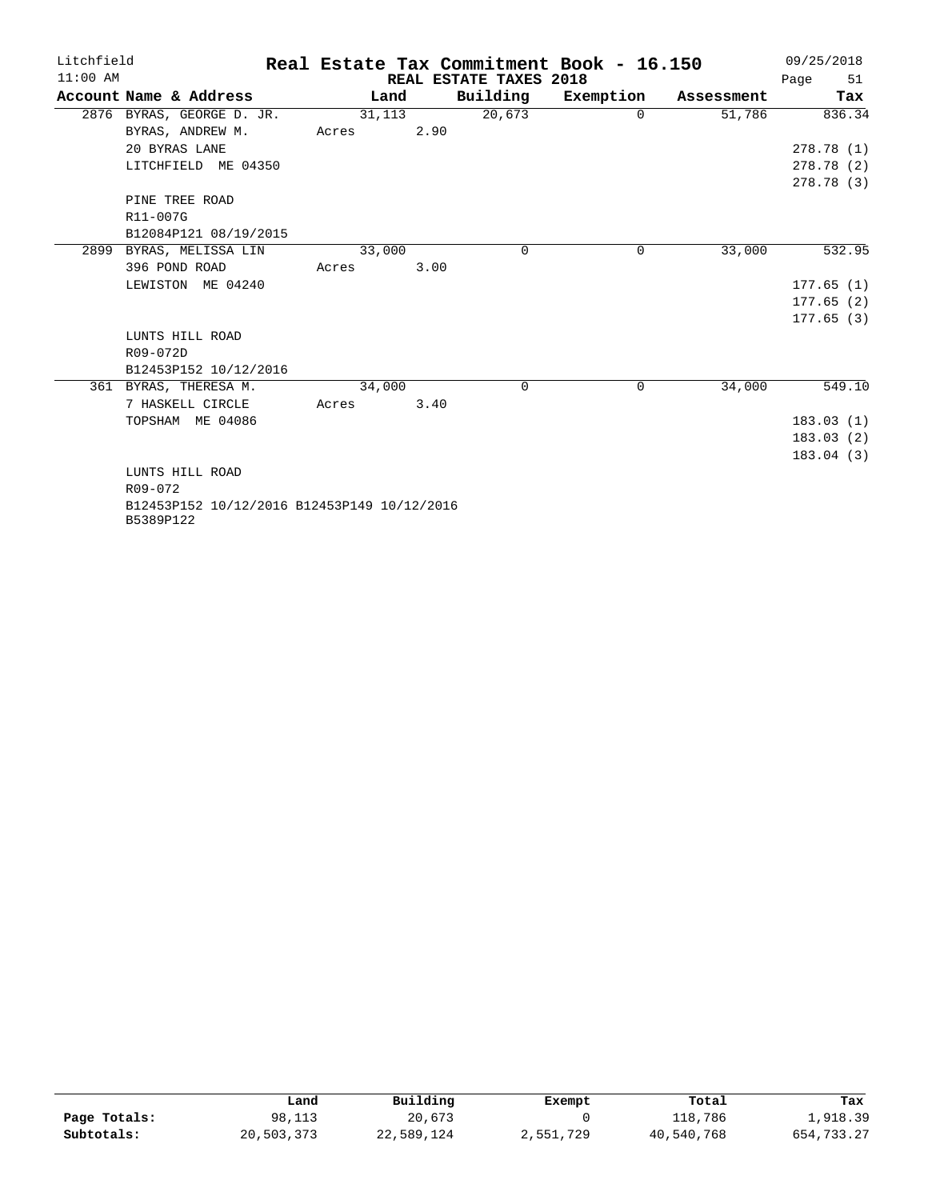| Litchfield |                                                          |        |      |                        | Real Estate Tax Commitment Book - 16.150 |            | 09/25/2018 |
|------------|----------------------------------------------------------|--------|------|------------------------|------------------------------------------|------------|------------|
| $11:00$ AM |                                                          |        |      | REAL ESTATE TAXES 2018 |                                          |            | 51<br>Page |
|            | Account Name & Address                                   | Land   |      | Building               | Exemption                                | Assessment | Tax        |
|            | 2876 BYRAS, GEORGE D. JR.                                | 31,113 |      | 20,673                 | $\Omega$                                 | 51,786     | 836.34     |
|            | BYRAS, ANDREW M.                                         | Acres  | 2.90 |                        |                                          |            |            |
|            | 20 BYRAS LANE                                            |        |      |                        |                                          |            | 278.78(1)  |
|            | LITCHFIELD ME 04350                                      |        |      |                        |                                          |            | 278.78(2)  |
|            |                                                          |        |      |                        |                                          |            | 278.78(3)  |
|            | PINE TREE ROAD                                           |        |      |                        |                                          |            |            |
|            | R11-007G                                                 |        |      |                        |                                          |            |            |
|            | B12084P121 08/19/2015                                    |        |      |                        |                                          |            |            |
| 2899       | BYRAS, MELISSA LIN                                       | 33,000 |      | $\Omega$               | $\Omega$                                 | 33,000     | 532.95     |
|            | 396 POND ROAD                                            | Acres  | 3.00 |                        |                                          |            |            |
|            | LEWISTON ME 04240                                        |        |      |                        |                                          |            | 177.65(1)  |
|            |                                                          |        |      |                        |                                          |            | 177.65(2)  |
|            |                                                          |        |      |                        |                                          |            | 177.65(3)  |
|            | LUNTS HILL ROAD                                          |        |      |                        |                                          |            |            |
|            | R09-072D                                                 |        |      |                        |                                          |            |            |
|            | B12453P152 10/12/2016                                    |        |      |                        |                                          |            |            |
|            | 361 BYRAS, THERESA M.                                    | 34,000 |      | $\Omega$               | $\Omega$                                 | 34,000     | 549.10     |
|            | 7 HASKELL CIRCLE                                         | Acres  | 3.40 |                        |                                          |            |            |
|            | TOPSHAM ME 04086                                         |        |      |                        |                                          |            | 183.03(1)  |
|            |                                                          |        |      |                        |                                          |            | 183.03(2)  |
|            |                                                          |        |      |                        |                                          |            | 183.04(3)  |
|            | LUNTS HILL ROAD                                          |        |      |                        |                                          |            |            |
|            | R09-072                                                  |        |      |                        |                                          |            |            |
|            | B12453P152 10/12/2016 B12453P149 10/12/2016<br>B5389P122 |        |      |                        |                                          |            |            |

|              | Land       | Building   | Exempt    | Total      | Tax          |
|--------------|------------|------------|-----------|------------|--------------|
| Page Totals: | 98,113     | 20,673     |           | 118,786    | 1,918.39     |
| Subtotals:   | 20,503,373 | 22,589,124 | 2,551,729 | 40,540,768 | 654, 733, 27 |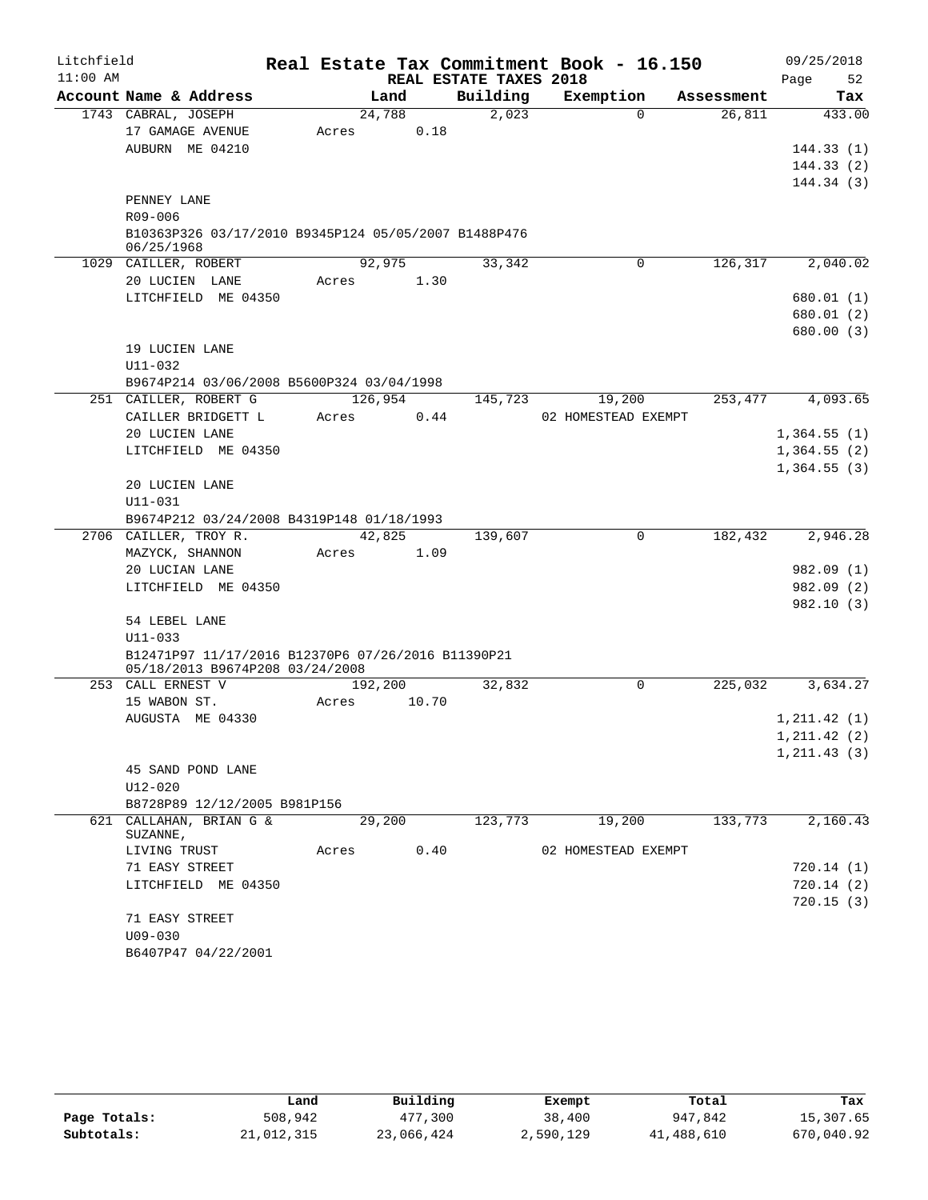| Litchfield |                                                                 |       |         |       |                        | Real Estate Tax Commitment Book - 16.150 |            | 09/25/2018    |
|------------|-----------------------------------------------------------------|-------|---------|-------|------------------------|------------------------------------------|------------|---------------|
| $11:00$ AM |                                                                 |       |         |       | REAL ESTATE TAXES 2018 |                                          |            | Page<br>52    |
|            | Account Name & Address                                          |       | Land    |       | Building               | Exemption                                | Assessment | Tax           |
|            | 1743 CABRAL, JOSEPH                                             |       | 24,788  |       | 2,023                  | $\Omega$                                 | 26,811     | 433.00        |
|            | 17 GAMAGE AVENUE                                                | Acres |         | 0.18  |                        |                                          |            |               |
|            | AUBURN ME 04210                                                 |       |         |       |                        |                                          |            | 144.33(1)     |
|            |                                                                 |       |         |       |                        |                                          |            | 144.33(2)     |
|            |                                                                 |       |         |       |                        |                                          |            | 144.34(3)     |
|            | PENNEY LANE                                                     |       |         |       |                        |                                          |            |               |
|            | R09-006<br>B10363P326 03/17/2010 B9345P124 05/05/2007 B1488P476 |       |         |       |                        |                                          |            |               |
|            | 06/25/1968                                                      |       |         |       |                        |                                          |            |               |
|            | 1029 CAILLER, ROBERT                                            |       | 92,975  |       | 33,342                 | $\Omega$                                 | 126,317    | 2,040.02      |
|            | 20 LUCIEN LANE                                                  | Acres |         | 1.30  |                        |                                          |            |               |
|            | LITCHFIELD ME 04350                                             |       |         |       |                        |                                          |            | 680.01 (1)    |
|            |                                                                 |       |         |       |                        |                                          |            | 680.01 (2)    |
|            |                                                                 |       |         |       |                        |                                          |            | 680.00 (3)    |
|            | 19 LUCIEN LANE                                                  |       |         |       |                        |                                          |            |               |
|            | $U11 - 032$                                                     |       |         |       |                        |                                          |            |               |
|            | B9674P214 03/06/2008 B5600P324 03/04/1998                       |       |         |       |                        |                                          |            |               |
|            | 251 CAILLER, ROBERT G                                           |       | 126,954 |       | 145,723                | 19,200                                   | 253,477    | 4,093.65      |
|            | CAILLER BRIDGETT L                                              | Acres |         | 0.44  |                        | 02 HOMESTEAD EXEMPT                      |            |               |
|            | 20 LUCIEN LANE                                                  |       |         |       |                        |                                          |            | 1,364.55(1)   |
|            | LITCHFIELD ME 04350                                             |       |         |       |                        |                                          |            | 1,364.55(2)   |
|            |                                                                 |       |         |       |                        |                                          |            | 1,364.55(3)   |
|            | 20 LUCIEN LANE                                                  |       |         |       |                        |                                          |            |               |
|            | U11-031<br>B9674P212 03/24/2008 B4319P148 01/18/1993            |       |         |       |                        |                                          |            |               |
|            | 2706 CAILLER, TROY R.                                           |       | 42,825  |       | 139,607                | 0                                        | 182,432    | 2,946.28      |
|            | MAZYCK, SHANNON                                                 | Acres |         | 1.09  |                        |                                          |            |               |
|            | 20 LUCIAN LANE                                                  |       |         |       |                        |                                          |            | 982.09 (1)    |
|            | LITCHFIELD ME 04350                                             |       |         |       |                        |                                          |            | 982.09 (2)    |
|            |                                                                 |       |         |       |                        |                                          |            | 982.10(3)     |
|            | 54 LEBEL LANE                                                   |       |         |       |                        |                                          |            |               |
|            | $U11 - 033$                                                     |       |         |       |                        |                                          |            |               |
|            | B12471P97 11/17/2016 B12370P6 07/26/2016 B11390P21              |       |         |       |                        |                                          |            |               |
|            | 05/18/2013 B9674P208 03/24/2008                                 |       |         |       |                        |                                          |            |               |
|            | 253 CALL ERNEST V                                               |       | 192,200 |       | 32,832                 | 0                                        | 225,032    | 3,634.27      |
|            | 15 WABON ST.                                                    | Acres |         | 10.70 |                        |                                          |            |               |
|            | AUGUSTA ME 04330                                                |       |         |       |                        |                                          |            | 1, 211.42(1)  |
|            |                                                                 |       |         |       |                        |                                          |            | 1, 211.42 (2) |
|            |                                                                 |       |         |       |                        |                                          |            | 1, 211.43(3)  |
|            | 45 SAND POND LANE                                               |       |         |       |                        |                                          |            |               |
|            | $U12 - 020$                                                     |       |         |       |                        |                                          |            |               |
|            | B8728P89 12/12/2005 B981P156<br>621 CALLAHAN, BRIAN G &         |       | 29,200  |       | 123,773                | 19,200                                   | 133,773    | 2,160.43      |
|            | SUZANNE,                                                        |       |         |       |                        |                                          |            |               |
|            | LIVING TRUST                                                    |       |         |       | Acres 0.40             | 02 HOMESTEAD EXEMPT                      |            |               |
|            | 71 EASY STREET                                                  |       |         |       |                        |                                          |            | 720.14(1)     |
|            | LITCHFIELD ME 04350                                             |       |         |       |                        |                                          |            | 720.14(2)     |
|            |                                                                 |       |         |       |                        |                                          |            | 720.15(3)     |
|            | 71 EASY STREET                                                  |       |         |       |                        |                                          |            |               |
|            | $U09 - 030$                                                     |       |         |       |                        |                                          |            |               |
|            | B6407P47 04/22/2001                                             |       |         |       |                        |                                          |            |               |

|              | Land       | Building   | Exempt    | Total      | Tax        |
|--------------|------------|------------|-----------|------------|------------|
| Page Totals: | 508,942    | 477,300    | 38,400    | 947,842    | 15,307.65  |
| Subtotals:   | 21,012,315 | 23,066,424 | 2,590,129 | 41,488,610 | 670,040.92 |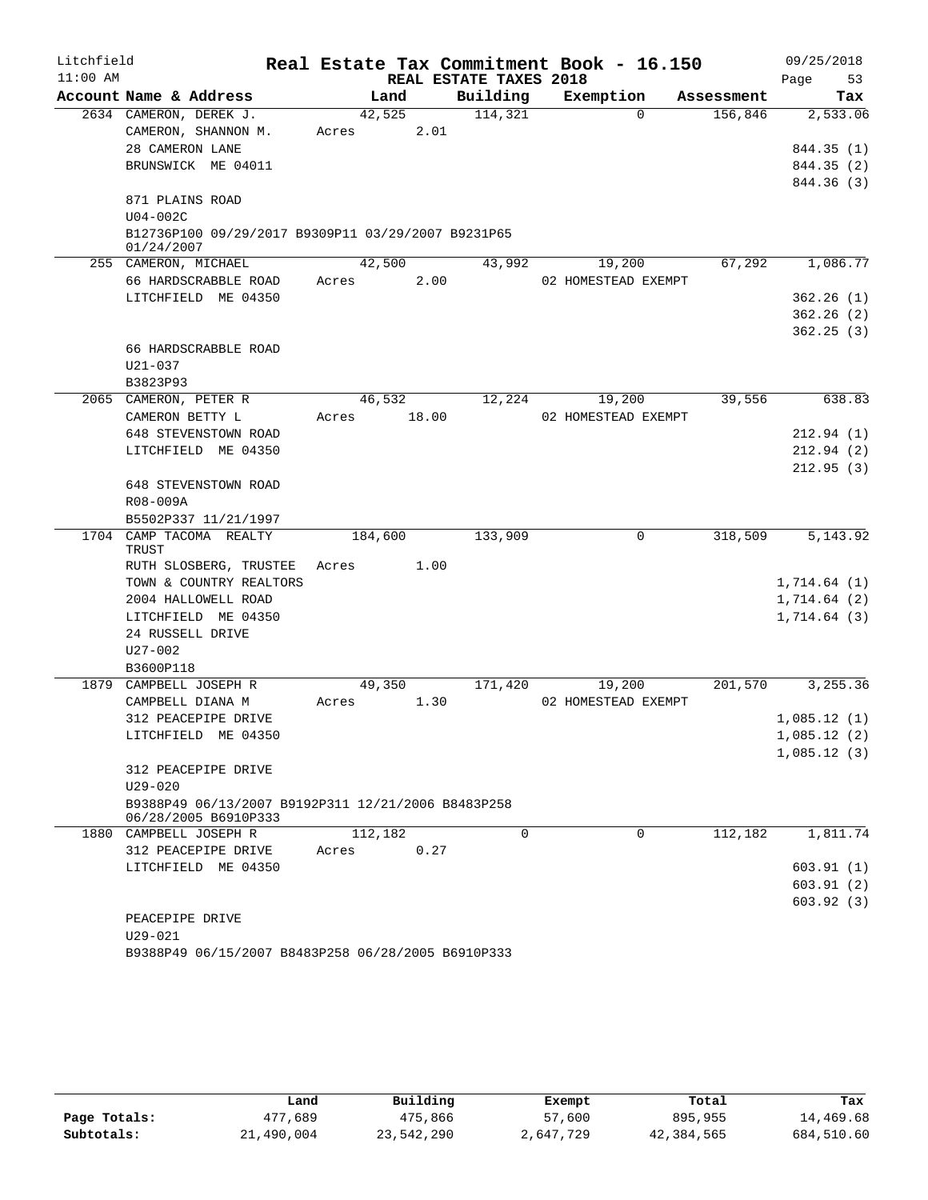| Litchfield |                                                                            |       |         |       |                        | Real Estate Tax Commitment Book - 16.150 |            |             | 09/25/2018 |
|------------|----------------------------------------------------------------------------|-------|---------|-------|------------------------|------------------------------------------|------------|-------------|------------|
| $11:00$ AM |                                                                            |       |         |       | REAL ESTATE TAXES 2018 |                                          |            | Page        | 53         |
|            | Account Name & Address                                                     |       | Land    |       | Building               | Exemption                                | Assessment |             | Tax        |
|            | 2634 CAMERON, DEREK J.                                                     |       | 42,525  |       | 114,321                | $\Omega$                                 | 156,846    |             | 2,533.06   |
|            | CAMERON, SHANNON M.                                                        | Acres |         | 2.01  |                        |                                          |            |             |            |
|            | 28 CAMERON LANE                                                            |       |         |       |                        |                                          |            |             | 844.35 (1) |
|            | BRUNSWICK ME 04011                                                         |       |         |       |                        |                                          |            |             | 844.35 (2) |
|            |                                                                            |       |         |       |                        |                                          |            |             | 844.36 (3) |
|            | 871 PLAINS ROAD                                                            |       |         |       |                        |                                          |            |             |            |
|            | U04-002C                                                                   |       |         |       |                        |                                          |            |             |            |
|            | B12736P100 09/29/2017 B9309P11 03/29/2007 B9231P65<br>01/24/2007           |       |         |       |                        |                                          |            |             |            |
|            | 255 CAMERON, MICHAEL                                                       |       | 42,500  |       | 43,992                 | 19,200                                   | 67,292     |             | 1,086.77   |
|            | 66 HARDSCRABBLE ROAD                                                       | Acres |         | 2.00  |                        | 02 HOMESTEAD EXEMPT                      |            |             |            |
|            | LITCHFIELD ME 04350                                                        |       |         |       |                        |                                          |            |             | 362.26(1)  |
|            |                                                                            |       |         |       |                        |                                          |            |             | 362.26(2)  |
|            |                                                                            |       |         |       |                        |                                          |            |             | 362.25(3)  |
|            | 66 HARDSCRABBLE ROAD                                                       |       |         |       |                        |                                          |            |             |            |
|            | U21-037                                                                    |       |         |       |                        |                                          |            |             |            |
|            | B3823P93                                                                   |       |         |       |                        |                                          |            |             |            |
|            | 2065 CAMERON, PETER R                                                      |       | 46,532  |       | 12,224                 | 19,200                                   | 39,556     |             | 638.83     |
|            | CAMERON BETTY L                                                            | Acres |         | 18.00 |                        | 02 HOMESTEAD EXEMPT                      |            |             |            |
|            | 648 STEVENSTOWN ROAD                                                       |       |         |       |                        |                                          |            |             | 212.94(1)  |
|            | LITCHFIELD ME 04350                                                        |       |         |       |                        |                                          |            |             | 212.94(2)  |
|            |                                                                            |       |         |       |                        |                                          |            |             | 212.95(3)  |
|            | 648 STEVENSTOWN ROAD                                                       |       |         |       |                        |                                          |            |             |            |
|            | R08-009A                                                                   |       |         |       |                        |                                          |            |             |            |
|            | B5502P337 11/21/1997                                                       |       |         |       |                        |                                          |            |             |            |
|            | 1704 CAMP TACOMA REALTY                                                    |       | 184,600 |       | 133,909                | $\mathbf 0$                              | 318,509    |             | 5, 143.92  |
|            | TRUST                                                                      |       |         |       |                        |                                          |            |             |            |
|            | RUTH SLOSBERG, TRUSTEE                                                     | Acres |         | 1.00  |                        |                                          |            |             |            |
|            | TOWN & COUNTRY REALTORS                                                    |       |         |       |                        |                                          |            | 1,714.64(1) |            |
|            | 2004 HALLOWELL ROAD                                                        |       |         |       |                        |                                          |            | 1,714.64(2) |            |
|            | LITCHFIELD ME 04350                                                        |       |         |       |                        |                                          |            | 1,714.64(3) |            |
|            | 24 RUSSELL DRIVE                                                           |       |         |       |                        |                                          |            |             |            |
|            | U27-002                                                                    |       |         |       |                        |                                          |            |             |            |
|            | B3600P118                                                                  |       |         |       |                        |                                          |            |             |            |
|            | 1879 CAMPBELL JOSEPH R                                                     |       | 49,350  |       | 171,420                | 19,200                                   | 201,570    |             | 3,255.36   |
|            | CAMPBELL DIANA M                                                           | Acres |         | 1.30  |                        | 02 HOMESTEAD EXEMPT                      |            |             |            |
|            | 312 PEACEPIPE DRIVE                                                        |       |         |       |                        |                                          |            | 1,085.12(1) |            |
|            | LITCHFIELD ME 04350                                                        |       |         |       |                        |                                          |            | 1,085.12(2) |            |
|            |                                                                            |       |         |       |                        |                                          |            | 1,085.12(3) |            |
|            | 312 PEACEPIPE DRIVE                                                        |       |         |       |                        |                                          |            |             |            |
|            | $U29 - 020$                                                                |       |         |       |                        |                                          |            |             |            |
|            | B9388P49 06/13/2007 B9192P311 12/21/2006 B8483P258<br>06/28/2005 B6910P333 |       |         |       |                        |                                          |            |             |            |
|            | 1880 CAMPBELL JOSEPH R                                                     |       | 112,182 |       | $\Omega$               | $\Omega$                                 | 112, 182   |             | 1,811.74   |
|            | 312 PEACEPIPE DRIVE                                                        | Acres |         | 0.27  |                        |                                          |            |             |            |
|            | LITCHFIELD ME 04350                                                        |       |         |       |                        |                                          |            |             | 603.91(1)  |
|            |                                                                            |       |         |       |                        |                                          |            |             | 603.91(2)  |
|            |                                                                            |       |         |       |                        |                                          |            |             | 603.92(3)  |
|            | PEACEPIPE DRIVE                                                            |       |         |       |                        |                                          |            |             |            |
|            | $U29 - 021$                                                                |       |         |       |                        |                                          |            |             |            |
|            |                                                                            |       |         |       |                        |                                          |            |             |            |

|  | B9388P49 06/15/2007 B8483P258 06/28/2005 B6910P333 |  |
|--|----------------------------------------------------|--|
|  |                                                    |  |

|              | Land       | Building   | Exempt    | Total      | Tax        |
|--------------|------------|------------|-----------|------------|------------|
| Page Totals: | 477,689    | 475,866    | 57,600    | 895,955    | 14,469.68  |
| Subtotals:   | 21,490,004 | 23,542,290 | 2,647,729 | 42,384,565 | 684,510.60 |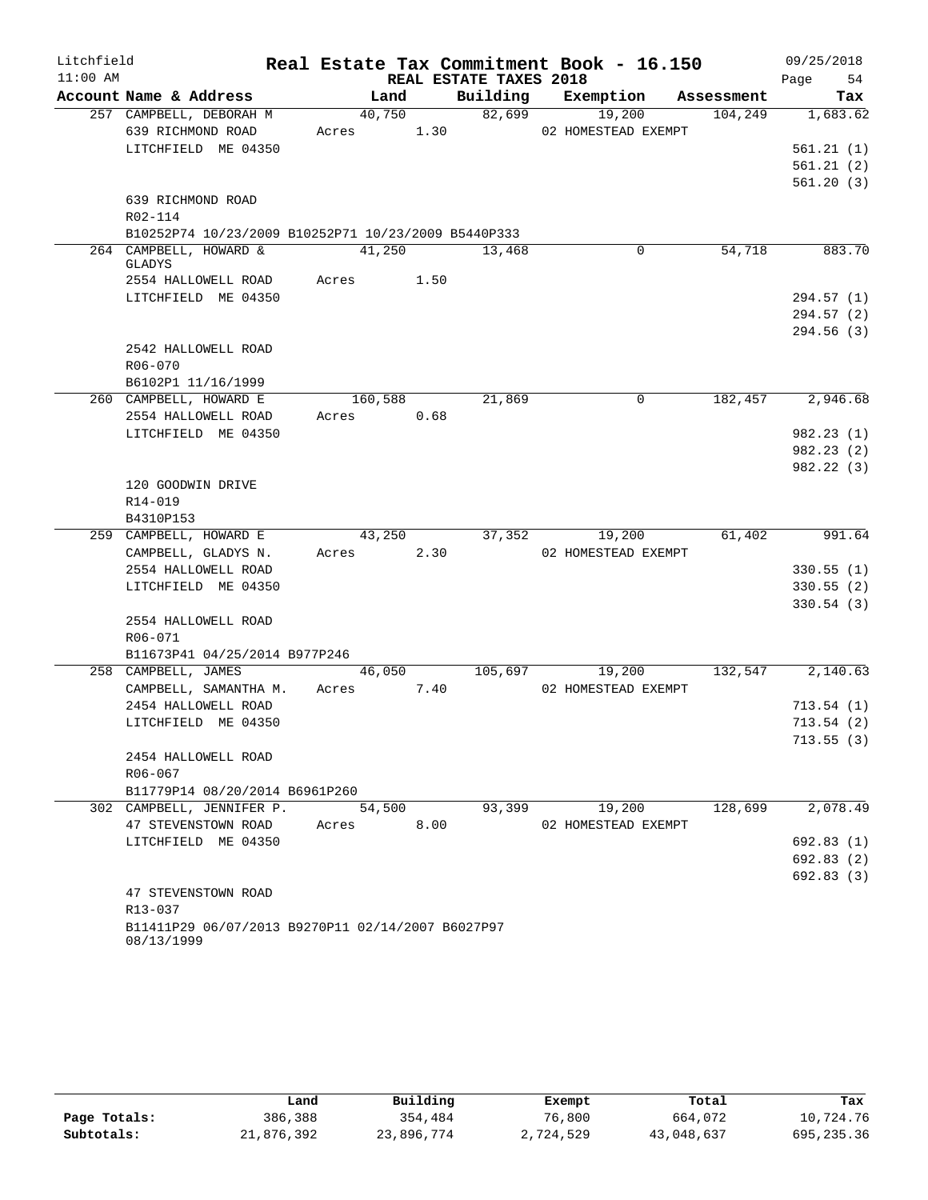| Litchfield |                                                                 |            |      |                        | Real Estate Tax Commitment Book - 16.150 |            | 09/25/2018             |
|------------|-----------------------------------------------------------------|------------|------|------------------------|------------------------------------------|------------|------------------------|
| $11:00$ AM |                                                                 |            |      | REAL ESTATE TAXES 2018 |                                          |            | 54<br>Page             |
|            | Account Name & Address                                          | Land       |      | Building               | Exemption                                | Assessment | Tax                    |
|            | 257 CAMPBELL, DEBORAH M                                         | 40,750     |      | 82,699                 | 19,200                                   | 104,249    | 1,683.62               |
|            | 639 RICHMOND ROAD                                               | Acres 1.30 |      |                        | 02 HOMESTEAD EXEMPT                      |            |                        |
|            | LITCHFIELD ME 04350                                             |            |      |                        |                                          |            | 561.21(1)              |
|            |                                                                 |            |      |                        |                                          |            | 561.21(2)              |
|            |                                                                 |            |      |                        |                                          |            | 561.20(3)              |
|            | 639 RICHMOND ROAD<br>R02-114                                    |            |      |                        |                                          |            |                        |
|            | B10252P74 10/23/2009 B10252P71 10/23/2009 B5440P333             |            |      |                        |                                          |            |                        |
|            | 264 CAMPBELL, HOWARD &                                          | 41,250     |      | 13,468                 | 0                                        | 54,718     | 883.70                 |
|            | GLADYS                                                          |            |      |                        |                                          |            |                        |
|            | 2554 HALLOWELL ROAD                                             | Acres      | 1.50 |                        |                                          |            |                        |
|            | LITCHFIELD ME 04350                                             |            |      |                        |                                          |            | 294.57(1)              |
|            |                                                                 |            |      |                        |                                          |            | 294.57(2)              |
|            |                                                                 |            |      |                        |                                          |            | 294.56(3)              |
|            | 2542 HALLOWELL ROAD                                             |            |      |                        |                                          |            |                        |
|            | $R06 - 070$                                                     |            |      |                        |                                          |            |                        |
|            | B6102P1 11/16/1999                                              |            |      |                        |                                          |            |                        |
|            | 260 CAMPBELL, HOWARD E                                          | 160,588    |      | 21,869                 | 0                                        | 182,457    | 2,946.68               |
|            | 2554 HALLOWELL ROAD                                             | Acres      | 0.68 |                        |                                          |            |                        |
|            | LITCHFIELD ME 04350                                             |            |      |                        |                                          |            | 982.23(1)<br>982.23(2) |
|            |                                                                 |            |      |                        |                                          |            | 982.22(3)              |
|            | 120 GOODWIN DRIVE                                               |            |      |                        |                                          |            |                        |
|            | R14-019                                                         |            |      |                        |                                          |            |                        |
|            | B4310P153                                                       |            |      |                        |                                          |            |                        |
|            | 259 CAMPBELL, HOWARD E                                          | 43,250     |      | 37,352                 | 19,200                                   | 61,402     | 991.64                 |
|            | CAMPBELL, GLADYS N.                                             | Acres      | 2.30 |                        | 02 HOMESTEAD EXEMPT                      |            |                        |
|            | 2554 HALLOWELL ROAD                                             |            |      |                        |                                          |            | 330.55(1)              |
|            | LITCHFIELD ME 04350                                             |            |      |                        |                                          |            | 330.55(2)              |
|            |                                                                 |            |      |                        |                                          |            | 330.54(3)              |
|            | 2554 HALLOWELL ROAD                                             |            |      |                        |                                          |            |                        |
|            | R06-071                                                         |            |      |                        |                                          |            |                        |
|            | B11673P41 04/25/2014 B977P246                                   |            |      |                        |                                          |            |                        |
|            | 258 CAMPBELL, JAMES                                             | 46,050     |      | 105,697                | 19,200                                   | 132,547    | 2,140.63               |
|            | CAMPBELL, SAMANTHA M.                                           | Acres 7.40 |      |                        | 02 HOMESTEAD EXEMPT                      |            |                        |
|            | 2454 HALLOWELL ROAD<br>LITCHFIELD ME 04350                      |            |      |                        |                                          |            | 713.54(1)<br>713.54(2) |
|            |                                                                 |            |      |                        |                                          |            | 713.55(3)              |
|            | 2454 HALLOWELL ROAD                                             |            |      |                        |                                          |            |                        |
|            | R06-067                                                         |            |      |                        |                                          |            |                        |
|            | B11779P14 08/20/2014 B6961P260                                  |            |      |                        |                                          |            |                        |
|            | 302 CAMPBELL, JENNIFER P.                                       | 54,500     |      | 93,399                 | 19,200                                   | 128,699    | 2,078.49               |
|            | 47 STEVENSTOWN ROAD                                             | Acres      | 8.00 |                        | 02 HOMESTEAD EXEMPT                      |            |                        |
|            | LITCHFIELD ME 04350                                             |            |      |                        |                                          |            | 692.83(1)              |
|            |                                                                 |            |      |                        |                                          |            | 692.83(2)              |
|            |                                                                 |            |      |                        |                                          |            | 692.83(3)              |
|            | 47 STEVENSTOWN ROAD                                             |            |      |                        |                                          |            |                        |
|            | R13-037                                                         |            |      |                        |                                          |            |                        |
|            | B11411P29 06/07/2013 B9270P11 02/14/2007 B6027P97<br>08/13/1999 |            |      |                        |                                          |            |                        |

|              | Land       | Building   | Exempt    | Total      | Tax        |
|--------------|------------|------------|-----------|------------|------------|
| Page Totals: | 386,388    | 354,484    | 76,800    | 664,072    | 10,724.76  |
| Subtotals:   | 21,876,392 | 23,896,774 | 2,724,529 | 43,048,637 | 695,235.36 |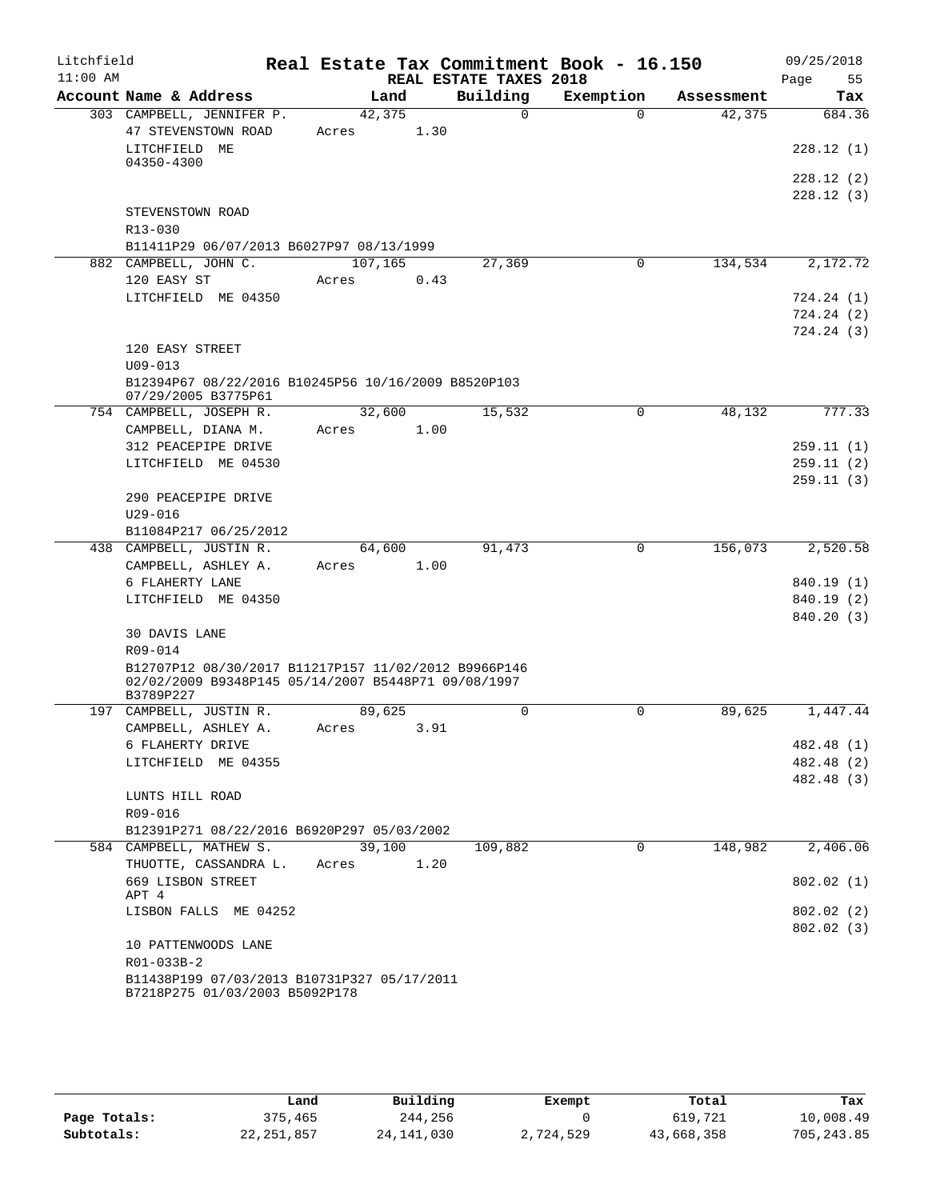| Litchfield |                                                                                                             |                 |      |                        | Real Estate Tax Commitment Book - 16.150 |            | 09/25/2018             |
|------------|-------------------------------------------------------------------------------------------------------------|-----------------|------|------------------------|------------------------------------------|------------|------------------------|
| $11:00$ AM |                                                                                                             |                 |      | REAL ESTATE TAXES 2018 |                                          |            | 55<br>Page             |
|            | Account Name & Address                                                                                      | Land            |      | Building               | Exemption                                | Assessment | Tax                    |
|            | 303 CAMPBELL, JENNIFER P.<br>47 STEVENSTOWN ROAD                                                            | 42,375<br>Acres | 1.30 | $\Omega$               | $\Omega$                                 | 42,375     | 684.36                 |
|            | LITCHFIELD ME                                                                                               |                 |      |                        |                                          |            | 228.12(1)              |
|            | 04350-4300                                                                                                  |                 |      |                        |                                          |            |                        |
|            |                                                                                                             |                 |      |                        |                                          |            | 228.12(2)              |
|            |                                                                                                             |                 |      |                        |                                          |            | 228.12(3)              |
|            | STEVENSTOWN ROAD                                                                                            |                 |      |                        |                                          |            |                        |
|            | R13-030<br>B11411P29 06/07/2013 B6027P97 08/13/1999                                                         |                 |      |                        |                                          |            |                        |
|            | 882 CAMPBELL, JOHN C.                                                                                       | 107,165         |      | 27,369                 | 0                                        | 134,534    | 2,172.72               |
|            | 120 EASY ST                                                                                                 | Acres           | 0.43 |                        |                                          |            |                        |
|            | LITCHFIELD ME 04350                                                                                         |                 |      |                        |                                          |            | 724.24(1)              |
|            |                                                                                                             |                 |      |                        |                                          |            | 724.24(2)              |
|            |                                                                                                             |                 |      |                        |                                          |            | 724.24(3)              |
|            | 120 EASY STREET                                                                                             |                 |      |                        |                                          |            |                        |
|            | $U09 - 013$                                                                                                 |                 |      |                        |                                          |            |                        |
|            | B12394P67 08/22/2016 B10245P56 10/16/2009 B8520P103<br>07/29/2005 B3775P61                                  |                 |      |                        |                                          |            |                        |
|            | 754 CAMPBELL, JOSEPH R.                                                                                     | 32,600          |      | 15,532                 | 0                                        | 48,132     | 777.33                 |
|            | CAMPBELL, DIANA M.                                                                                          | Acres           | 1.00 |                        |                                          |            |                        |
|            | 312 PEACEPIPE DRIVE                                                                                         |                 |      |                        |                                          |            | 259.11(1)              |
|            | LITCHFIELD ME 04530                                                                                         |                 |      |                        |                                          |            | 259.11(2)              |
|            |                                                                                                             |                 |      |                        |                                          |            | 259.11(3)              |
|            | 290 PEACEPIPE DRIVE                                                                                         |                 |      |                        |                                          |            |                        |
|            | $U29 - 016$                                                                                                 |                 |      |                        |                                          |            |                        |
|            | B11084P217 06/25/2012<br>438 CAMPBELL, JUSTIN R.                                                            | 64,600          |      | 91,473                 | $\mathbf 0$                              | 156,073    | 2,520.58               |
|            | CAMPBELL, ASHLEY A.                                                                                         | Acres           | 1.00 |                        |                                          |            |                        |
|            | 6 FLAHERTY LANE                                                                                             |                 |      |                        |                                          |            | 840.19 (1)             |
|            | LITCHFIELD ME 04350                                                                                         |                 |      |                        |                                          |            | 840.19 (2)             |
|            |                                                                                                             |                 |      |                        |                                          |            | 840.20 (3)             |
|            | 30 DAVIS LANE                                                                                               |                 |      |                        |                                          |            |                        |
|            | R09-014                                                                                                     |                 |      |                        |                                          |            |                        |
|            | B12707P12 08/30/2017 B11217P157 11/02/2012 B9966P146<br>02/02/2009 B9348P145 05/14/2007 B5448P71 09/08/1997 |                 |      |                        |                                          |            |                        |
|            | B3789P227                                                                                                   |                 |      |                        |                                          |            |                        |
|            | 197 CAMPBELL, JUSTIN R.                                                                                     | 89,625          |      | 0                      | 0                                        | 89,625     | 1,447.44               |
|            | CAMPBELL, ASHLEY A.                                                                                         | Acres           | 3.91 |                        |                                          |            |                        |
|            | 6 FLAHERTY DRIVE                                                                                            |                 |      |                        |                                          |            | 482.48 (1)             |
|            | LITCHFIELD ME 04355                                                                                         |                 |      |                        |                                          |            | 482.48 (2)             |
|            | LUNTS HILL ROAD                                                                                             |                 |      |                        |                                          |            | 482.48 (3)             |
|            | R09-016                                                                                                     |                 |      |                        |                                          |            |                        |
|            | B12391P271 08/22/2016 B6920P297 05/03/2002                                                                  |                 |      |                        |                                          |            |                        |
|            | 584 CAMPBELL, MATHEW S.                                                                                     | 39,100          |      | 109,882                | 0                                        | 148,982    | 2,406.06               |
|            | THUOTTE, CASSANDRA L.                                                                                       | Acres           | 1.20 |                        |                                          |            |                        |
|            | 669 LISBON STREET                                                                                           |                 |      |                        |                                          |            | 802.02(1)              |
|            | APT 4                                                                                                       |                 |      |                        |                                          |            |                        |
|            | LISBON FALLS ME 04252                                                                                       |                 |      |                        |                                          |            | 802.02(2)<br>802.02(3) |
|            | 10 PATTENWOODS LANE                                                                                         |                 |      |                        |                                          |            |                        |
|            | R01-033B-2                                                                                                  |                 |      |                        |                                          |            |                        |
|            | B11438P199 07/03/2013 B10731P327 05/17/2011                                                                 |                 |      |                        |                                          |            |                        |
|            | B7218P275 01/03/2003 B5092P178                                                                              |                 |      |                        |                                          |            |                        |

|              | Land         | Building     | Exempt    | Total      | Tax        |
|--------------|--------------|--------------|-----------|------------|------------|
| Page Totals: | 375,465      | 244,256      |           | 619,721    | 10,008.49  |
| Subtotals:   | 22, 251, 857 | 24, 141, 030 | 2,724,529 | 43,668,358 | 705,243.85 |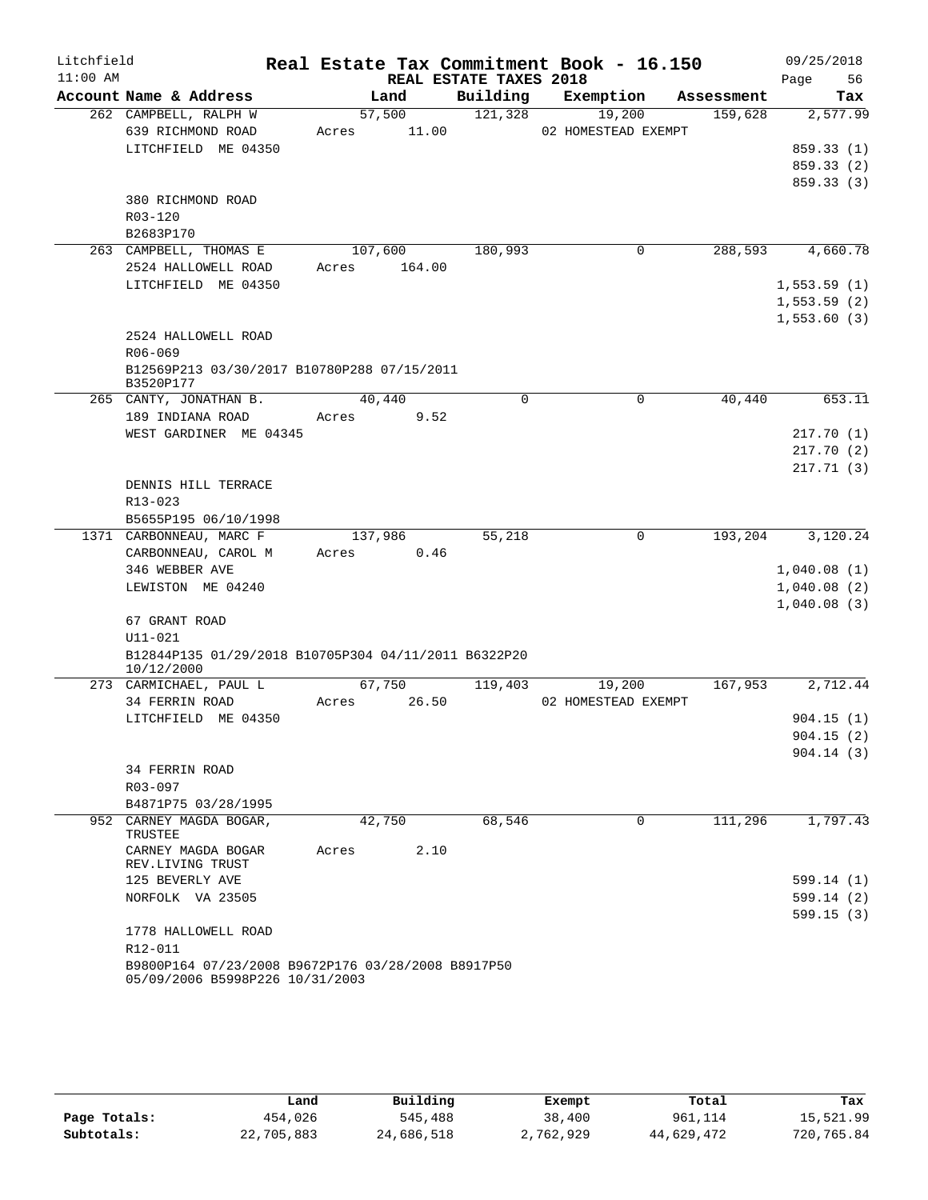| Litchfield |                                                                                       |                 |                                    | Real Estate Tax Commitment Book - 16.150 |            | 09/25/2018      |
|------------|---------------------------------------------------------------------------------------|-----------------|------------------------------------|------------------------------------------|------------|-----------------|
| $11:00$ AM | Account Name & Address                                                                | Land            | REAL ESTATE TAXES 2018<br>Building |                                          | Assessment | 56<br>Page      |
|            | 262 CAMPBELL, RALPH W                                                                 | 57,500          | 121,328                            | Exemption<br>19,200                      | 159,628    | Tax<br>2,577.99 |
|            | 639 RICHMOND ROAD                                                                     | 11.00<br>Acres  |                                    |                                          |            |                 |
|            | LITCHFIELD ME 04350                                                                   |                 |                                    | 02 HOMESTEAD EXEMPT                      |            | 859.33 (1)      |
|            |                                                                                       |                 |                                    |                                          |            | 859.33 (2)      |
|            |                                                                                       |                 |                                    |                                          |            | 859.33 (3)      |
|            | 380 RICHMOND ROAD                                                                     |                 |                                    |                                          |            |                 |
|            | R03-120                                                                               |                 |                                    |                                          |            |                 |
|            | B2683P170                                                                             |                 |                                    |                                          |            |                 |
|            | 263 CAMPBELL, THOMAS E                                                                | 107,600         | 180,993                            | 0                                        | 288,593    | 4,660.78        |
|            | 2524 HALLOWELL ROAD                                                                   | 164.00<br>Acres |                                    |                                          |            |                 |
|            | LITCHFIELD ME 04350                                                                   |                 |                                    |                                          |            | 1,553.59(1)     |
|            |                                                                                       |                 |                                    |                                          |            | 1,553.59(2)     |
|            |                                                                                       |                 |                                    |                                          |            | 1,553.60(3)     |
|            | 2524 HALLOWELL ROAD                                                                   |                 |                                    |                                          |            |                 |
|            | $R06 - 069$                                                                           |                 |                                    |                                          |            |                 |
|            | B12569P213 03/30/2017 B10780P288 07/15/2011                                           |                 |                                    |                                          |            |                 |
|            | B3520P177                                                                             |                 |                                    |                                          |            |                 |
|            | 265 CANTY, JONATHAN B.                                                                | 40,440          | $\mathbf 0$                        | $\mathbf 0$                              | 40,440     | 653.11          |
|            | 189 INDIANA ROAD                                                                      | Acres           | 9.52                               |                                          |            |                 |
|            | WEST GARDINER ME 04345                                                                |                 |                                    |                                          |            | 217.70(1)       |
|            |                                                                                       |                 |                                    |                                          |            | 217.70(2)       |
|            |                                                                                       |                 |                                    |                                          |            | 217.71(3)       |
|            | DENNIS HILL TERRACE                                                                   |                 |                                    |                                          |            |                 |
|            | R13-023                                                                               |                 |                                    |                                          |            |                 |
|            | B5655P195 06/10/1998                                                                  |                 |                                    |                                          |            |                 |
|            | 1371 CARBONNEAU, MARC F                                                               | 137,986         | 55,218                             | $\mathbf 0$                              | 193,204    | 3,120.24        |
|            | CARBONNEAU, CAROL M                                                                   | Acres           | 0.46                               |                                          |            |                 |
|            | 346 WEBBER AVE                                                                        |                 |                                    |                                          |            | 1,040.08(1)     |
|            | LEWISTON ME 04240                                                                     |                 |                                    |                                          |            | 1,040.08(2)     |
|            |                                                                                       |                 |                                    |                                          |            | 1,040.08(3)     |
|            | 67 GRANT ROAD                                                                         |                 |                                    |                                          |            |                 |
|            | $U11 - 021$                                                                           |                 |                                    |                                          |            |                 |
|            | B12844P135 01/29/2018 B10705P304 04/11/2011 B6322P20<br>10/12/2000                    |                 |                                    |                                          |            |                 |
|            | 273 CARMICHAEL, PAUL L                                                                | 67,750          | 119,403                            | 19,200                                   | 167,953    | 2,712.44        |
|            | 34 FERRIN ROAD                                                                        | Acres           | 26.50                              | 02 HOMESTEAD EXEMPT                      |            |                 |
|            | LITCHFIELD ME 04350                                                                   |                 |                                    |                                          |            | 904.15(1)       |
|            |                                                                                       |                 |                                    |                                          |            | 904.15(2)       |
|            |                                                                                       |                 |                                    |                                          |            | 904.14(3)       |
|            | 34 FERRIN ROAD                                                                        |                 |                                    |                                          |            |                 |
|            | R03-097                                                                               |                 |                                    |                                          |            |                 |
|            | B4871P75 03/28/1995                                                                   |                 |                                    |                                          |            |                 |
|            | 952 CARNEY MAGDA BOGAR,<br>TRUSTEE                                                    | 42,750          | 68,546                             | $\Omega$                                 | 111,296    | 1,797.43        |
|            | CARNEY MAGDA BOGAR<br>REV.LIVING TRUST                                                | Acres           | 2.10                               |                                          |            |                 |
|            | 125 BEVERLY AVE                                                                       |                 |                                    |                                          |            | 599.14 (1)      |
|            | NORFOLK VA 23505                                                                      |                 |                                    |                                          |            | 599.14(2)       |
|            |                                                                                       |                 |                                    |                                          |            | 599.15(3)       |
|            | 1778 HALLOWELL ROAD                                                                   |                 |                                    |                                          |            |                 |
|            | R12-011                                                                               |                 |                                    |                                          |            |                 |
|            | B9800P164 07/23/2008 B9672P176 03/28/2008 B8917P50<br>05/09/2006 B5998P226 10/31/2003 |                 |                                    |                                          |            |                 |

|              | Land       | Building   | Exempt    | Total      | Tax        |
|--------------|------------|------------|-----------|------------|------------|
| Page Totals: | 454,026    | 545,488    | 38,400    | 961,114    | 15,521.99  |
| Subtotals:   | 22,705,883 | 24,686,518 | 2,762,929 | 44,629,472 | 720,765.84 |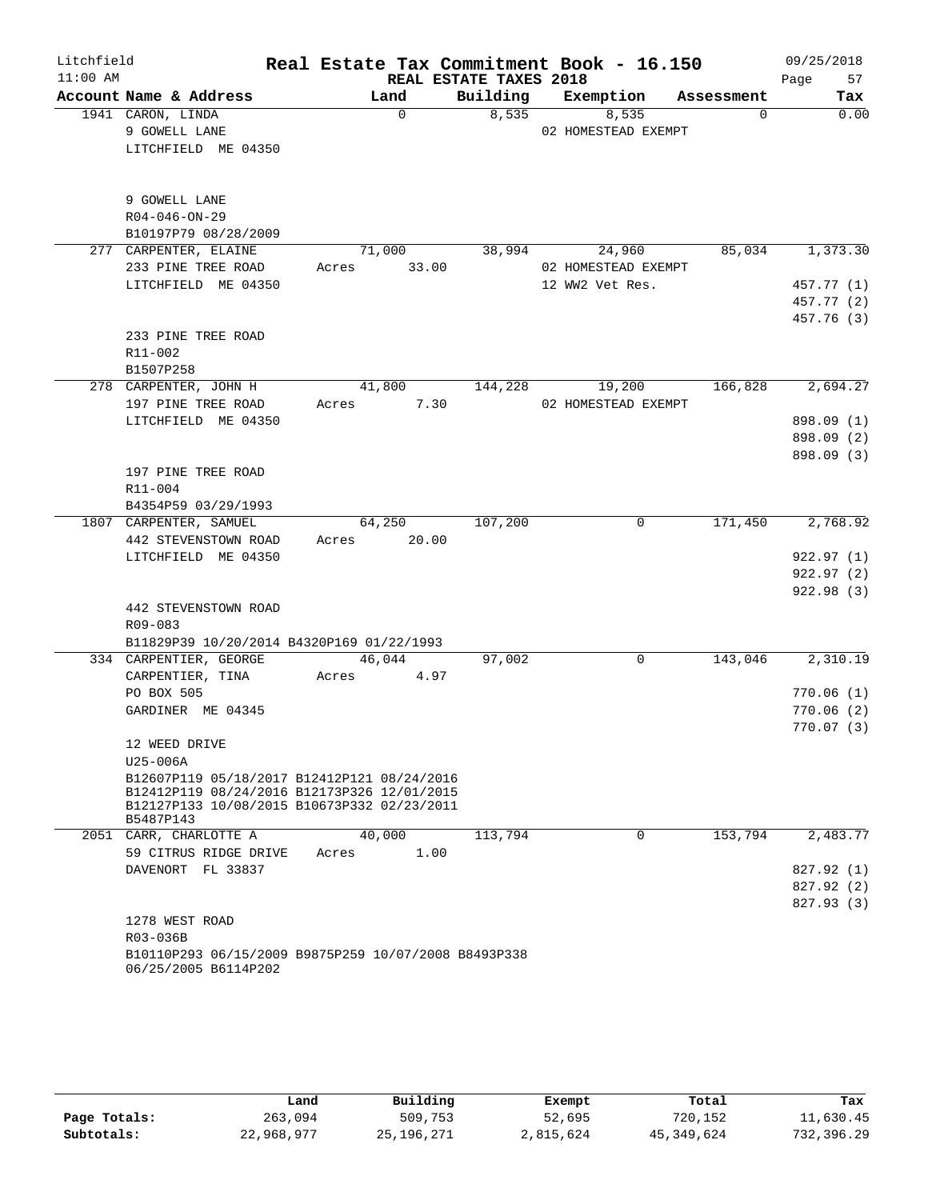| Litchfield |                                                      |       |          |                        | Real Estate Tax Commitment Book - 16.150 |            | 09/25/2018 |
|------------|------------------------------------------------------|-------|----------|------------------------|------------------------------------------|------------|------------|
| $11:00$ AM |                                                      |       |          | REAL ESTATE TAXES 2018 |                                          |            | 57<br>Page |
|            | Account Name & Address                               |       | Land     | Building               | Exemption                                | Assessment | Tax        |
|            | 1941 CARON, LINDA                                    |       | $\Omega$ | 8,535                  | 8,535                                    | $\Omega$   | 0.00       |
|            | 9 GOWELL LANE                                        |       |          |                        | 02 HOMESTEAD EXEMPT                      |            |            |
|            | LITCHFIELD ME 04350                                  |       |          |                        |                                          |            |            |
|            |                                                      |       |          |                        |                                          |            |            |
|            |                                                      |       |          |                        |                                          |            |            |
|            | 9 GOWELL LANE                                        |       |          |                        |                                          |            |            |
|            | $R04 - 046 - ON - 29$                                |       |          |                        |                                          |            |            |
|            | B10197P79 08/28/2009                                 |       |          |                        |                                          |            |            |
|            | 277 CARPENTER, ELAINE                                |       | 71,000   | 38,994                 | 24,960                                   | 85,034     | 1,373.30   |
|            | 233 PINE TREE ROAD                                   | Acres | 33.00    |                        | 02 HOMESTEAD EXEMPT                      |            |            |
|            | LITCHFIELD ME 04350                                  |       |          |                        | 12 WW2 Vet Res.                          |            | 457.77 (1) |
|            |                                                      |       |          |                        |                                          |            | 457.77 (2) |
|            |                                                      |       |          |                        |                                          |            | 457.76 (3) |
|            | 233 PINE TREE ROAD                                   |       |          |                        |                                          |            |            |
|            | R11-002                                              |       |          |                        |                                          |            |            |
|            | B1507P258                                            |       |          |                        |                                          |            |            |
|            | 278 CARPENTER, JOHN H                                |       | 41,800   | 144,228                | 19,200                                   | 166,828    | 2,694.27   |
|            | 197 PINE TREE ROAD                                   | Acres | 7.30     |                        | 02 HOMESTEAD EXEMPT                      |            |            |
|            | LITCHFIELD ME 04350                                  |       |          |                        |                                          |            | 898.09 (1) |
|            |                                                      |       |          |                        |                                          |            | 898.09 (2) |
|            |                                                      |       |          |                        |                                          |            | 898.09 (3) |
|            | 197 PINE TREE ROAD                                   |       |          |                        |                                          |            |            |
|            | R11-004                                              |       |          |                        |                                          |            |            |
|            | B4354P59 03/29/1993                                  |       |          |                        |                                          |            |            |
|            | 1807 CARPENTER, SAMUEL                               |       | 64,250   | 107,200                | $\mathbf 0$                              | 171,450    | 2,768.92   |
|            | 442 STEVENSTOWN ROAD                                 | Acres | 20.00    |                        |                                          |            |            |
|            | LITCHFIELD ME 04350                                  |       |          |                        |                                          |            | 922.97(1)  |
|            |                                                      |       |          |                        |                                          |            | 922.97 (2) |
|            |                                                      |       |          |                        |                                          |            | 922.98 (3) |
|            | 442 STEVENSTOWN ROAD                                 |       |          |                        |                                          |            |            |
|            | R09-083                                              |       |          |                        |                                          |            |            |
|            | B11829P39 10/20/2014 B4320P169 01/22/1993            |       |          |                        |                                          |            |            |
|            | 334 CARPENTIER, GEORGE                               |       | 46,044   | 97,002                 | 0                                        | 143,046    | 2,310.19   |
|            | CARPENTIER, TINA                                     | Acres | 4.97     |                        |                                          |            |            |
|            | PO BOX 505                                           |       |          |                        |                                          |            | 770.06(1)  |
|            | GARDINER ME 04345                                    |       |          |                        |                                          |            | 770.06(2)  |
|            |                                                      |       |          |                        |                                          |            | 770.07(3)  |
|            | 12 WEED DRIVE                                        |       |          |                        |                                          |            |            |
|            | U25-006A                                             |       |          |                        |                                          |            |            |
|            | B12607P119 05/18/2017 B12412P121 08/24/2016          |       |          |                        |                                          |            |            |
|            | B12412P119 08/24/2016 B12173P326 12/01/2015          |       |          |                        |                                          |            |            |
|            | B12127P133 10/08/2015 B10673P332 02/23/2011          |       |          |                        |                                          |            |            |
|            | B5487P143                                            |       |          |                        |                                          |            |            |
|            | 2051 CARR, CHARLOTTE A                               |       | 40,000   | 113,794                | $\Omega$                                 | 153,794    | 2,483.77   |
|            | 59 CITRUS RIDGE DRIVE                                | Acres | 1.00     |                        |                                          |            |            |
|            | DAVENORT FL 33837                                    |       |          |                        |                                          |            | 827.92 (1) |
|            |                                                      |       |          |                        |                                          |            | 827.92 (2) |
|            |                                                      |       |          |                        |                                          |            | 827.93(3)  |
|            | 1278 WEST ROAD                                       |       |          |                        |                                          |            |            |
|            | R03-036B                                             |       |          |                        |                                          |            |            |
|            | B10110P293 06/15/2009 B9875P259 10/07/2008 B8493P338 |       |          |                        |                                          |            |            |
|            | 06/25/2005 B6114P202                                 |       |          |                        |                                          |            |            |

|              | Land       | Building   | Exempt    | Total      | Tax        |
|--------------|------------|------------|-----------|------------|------------|
| Page Totals: | 263,094    | 509,753    | 52,695    | 720,152    | 11,630.45  |
| Subtotals:   | 22,968,977 | 25,196,271 | 2,815,624 | 45,349,624 | 732,396.29 |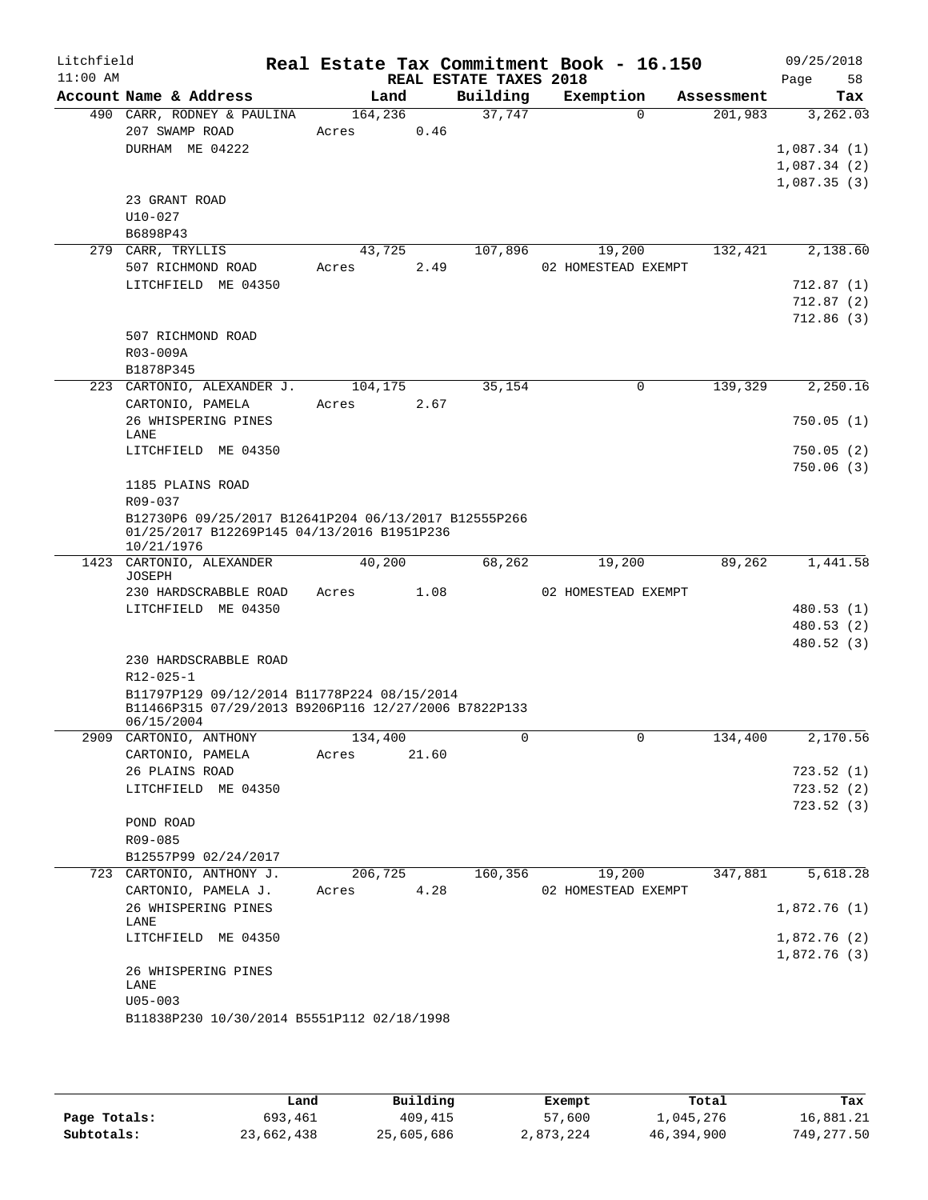| Litchfield |                                                                                                                   |         |       |                                    | Real Estate Tax Commitment Book - 16.150 |            | 09/25/2018             |
|------------|-------------------------------------------------------------------------------------------------------------------|---------|-------|------------------------------------|------------------------------------------|------------|------------------------|
| $11:00$ AM | Account Name & Address                                                                                            | Land    |       | REAL ESTATE TAXES 2018<br>Building | Exemption                                | Assessment | Page<br>58<br>Tax      |
|            | 490 CARR, RODNEY & PAULINA                                                                                        | 164,236 |       | 37,747                             | $\Omega$                                 | 201,983    | 3,262.03               |
|            | 207 SWAMP ROAD                                                                                                    | Acres   | 0.46  |                                    |                                          |            |                        |
|            | DURHAM ME 04222                                                                                                   |         |       |                                    |                                          |            | 1,087.34(1)            |
|            |                                                                                                                   |         |       |                                    |                                          |            | 1,087.34(2)            |
|            |                                                                                                                   |         |       |                                    |                                          |            | 1,087.35(3)            |
|            | 23 GRANT ROAD                                                                                                     |         |       |                                    |                                          |            |                        |
|            | $U10-027$                                                                                                         |         |       |                                    |                                          |            |                        |
|            | B6898P43                                                                                                          |         |       |                                    |                                          |            |                        |
|            | 279 CARR, TRYLLIS                                                                                                 | 43,725  |       | 107,896                            | 19,200                                   | 132,421    | 2,138.60               |
|            | 507 RICHMOND ROAD                                                                                                 | Acres   | 2.49  |                                    | 02 HOMESTEAD EXEMPT                      |            |                        |
|            | LITCHFIELD ME 04350                                                                                               |         |       |                                    |                                          |            | 712.87(1)              |
|            |                                                                                                                   |         |       |                                    |                                          |            | 712.87(2)              |
|            |                                                                                                                   |         |       |                                    |                                          |            | 712.86(3)              |
|            | 507 RICHMOND ROAD                                                                                                 |         |       |                                    |                                          |            |                        |
|            | R03-009A                                                                                                          |         |       |                                    |                                          |            |                        |
|            | B1878P345                                                                                                         |         |       |                                    |                                          |            |                        |
|            | 223 CARTONIO, ALEXANDER J.                                                                                        | 104,175 |       | 35,154                             | 0                                        | 139,329    | 2,250.16               |
|            | CARTONIO, PAMELA                                                                                                  | Acres   | 2.67  |                                    |                                          |            |                        |
|            | 26 WHISPERING PINES                                                                                               |         |       |                                    |                                          |            | 750.05(1)              |
|            | LANE                                                                                                              |         |       |                                    |                                          |            |                        |
|            | LITCHFIELD ME 04350                                                                                               |         |       |                                    |                                          |            | 750.05(2)              |
|            |                                                                                                                   |         |       |                                    |                                          |            | 750.06(3)              |
|            | 1185 PLAINS ROAD                                                                                                  |         |       |                                    |                                          |            |                        |
|            | R09-037                                                                                                           |         |       |                                    |                                          |            |                        |
|            | B12730P6 09/25/2017 B12641P204 06/13/2017 B12555P266<br>01/25/2017 B12269P145 04/13/2016 B1951P236<br>10/21/1976  |         |       |                                    |                                          |            |                        |
|            | 1423 CARTONIO, ALEXANDER                                                                                          | 40,200  |       | 68,262                             | 19,200                                   | 89,262     | $\overline{1,}$ 441.58 |
|            | JOSEPH                                                                                                            |         |       |                                    |                                          |            |                        |
|            | 230 HARDSCRABBLE ROAD                                                                                             | Acres   | 1.08  |                                    | 02 HOMESTEAD EXEMPT                      |            |                        |
|            | LITCHFIELD ME 04350                                                                                               |         |       |                                    |                                          |            | 480.53 (1)             |
|            |                                                                                                                   |         |       |                                    |                                          |            | 480.53 (2)             |
|            |                                                                                                                   |         |       |                                    |                                          |            | 480.52 (3)             |
|            | 230 HARDSCRABBLE ROAD                                                                                             |         |       |                                    |                                          |            |                        |
|            | R12-025-1                                                                                                         |         |       |                                    |                                          |            |                        |
|            | B11797P129 09/12/2014 B11778P224 08/15/2014<br>B11466P315 07/29/2013 B9206P116 12/27/2006 B7822P133<br>06/15/2004 |         |       |                                    |                                          |            |                        |
|            | 2909 CARTONIO, ANTHONY                                                                                            | 134,400 |       | 0                                  | 0                                        | 134,400    | 2,170.56               |
|            | CARTONIO, PAMELA                                                                                                  | Acres   | 21.60 |                                    |                                          |            |                        |
|            | 26 PLAINS ROAD                                                                                                    |         |       |                                    |                                          |            | 723.52(1)              |
|            | LITCHFIELD ME 04350                                                                                               |         |       |                                    |                                          |            | 723.52(2)              |
|            |                                                                                                                   |         |       |                                    |                                          |            | 723.52(3)              |
|            | POND ROAD                                                                                                         |         |       |                                    |                                          |            |                        |
|            | R09-085                                                                                                           |         |       |                                    |                                          |            |                        |
|            | B12557P99 02/24/2017                                                                                              |         |       |                                    |                                          |            |                        |
|            | 723 CARTONIO, ANTHONY J.                                                                                          | 206,725 |       | 160,356                            | 19,200                                   | 347,881    | 5,618.28               |
|            | CARTONIO, PAMELA J.                                                                                               | Acres   | 4.28  |                                    | 02 HOMESTEAD EXEMPT                      |            |                        |
|            | 26 WHISPERING PINES                                                                                               |         |       |                                    |                                          |            | 1,872.76(1)            |
|            | LANE                                                                                                              |         |       |                                    |                                          |            |                        |
|            | LITCHFIELD ME 04350                                                                                               |         |       |                                    |                                          |            | 1,872.76(2)            |
|            |                                                                                                                   |         |       |                                    |                                          |            | 1,872.76 (3)           |
|            | 26 WHISPERING PINES<br>LANE                                                                                       |         |       |                                    |                                          |            |                        |
|            | $U05 - 003$                                                                                                       |         |       |                                    |                                          |            |                        |
|            | B11838P230 10/30/2014 B5551P112 02/18/1998                                                                        |         |       |                                    |                                          |            |                        |
|            |                                                                                                                   |         |       |                                    |                                          |            |                        |
|            |                                                                                                                   |         |       |                                    |                                          |            |                        |

|              | Land       | Building   | Exempt    | Total      | Tax         |
|--------------|------------|------------|-----------|------------|-------------|
| Page Totals: | 693,461    | 409,415    | 57,600    | 1,045,276  | 16,881.21   |
| Subtotals:   | 23,662,438 | 25,605,686 | 2,873,224 | 46,394,900 | 749, 277.50 |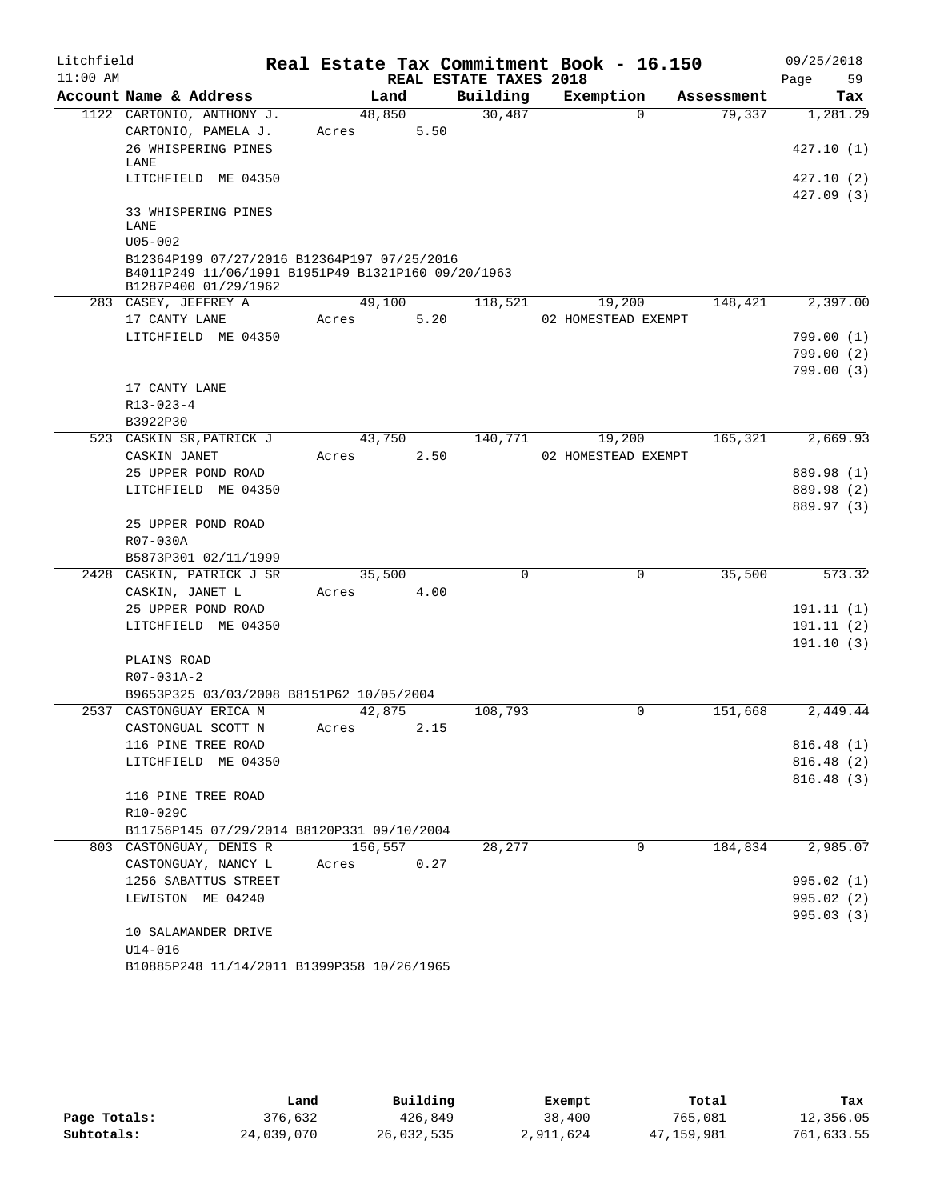| Litchfield |                                                    |         |      |                        | Real Estate Tax Commitment Book - 16.150 |            | 09/25/2018             |
|------------|----------------------------------------------------|---------|------|------------------------|------------------------------------------|------------|------------------------|
| $11:00$ AM |                                                    |         |      | REAL ESTATE TAXES 2018 |                                          |            | 59<br>Page             |
|            | Account Name & Address                             | Land    |      | Building               | Exemption                                | Assessment | Tax                    |
|            | 1122 CARTONIO, ANTHONY J.                          | 48,850  |      | 30,487                 | $\Omega$                                 | 79,337     | 1,281.29               |
|            | CARTONIO, PAMELA J.                                | Acres   | 5.50 |                        |                                          |            |                        |
|            | 26 WHISPERING PINES<br>LANE                        |         |      |                        |                                          |            | 427.10 (1)             |
|            | LITCHFIELD ME 04350                                |         |      |                        |                                          |            | 427.10 (2)             |
|            |                                                    |         |      |                        |                                          |            | 427.09(3)              |
|            | 33 WHISPERING PINES<br>LANE                        |         |      |                        |                                          |            |                        |
|            | $U05 - 002$                                        |         |      |                        |                                          |            |                        |
|            | B12364P199 07/27/2016 B12364P197 07/25/2016        |         |      |                        |                                          |            |                        |
|            | B4011P249 11/06/1991 B1951P49 B1321P160 09/20/1963 |         |      |                        |                                          |            |                        |
|            | B1287P400 01/29/1962                               |         |      |                        |                                          |            |                        |
|            | 283 CASEY, JEFFREY A                               | 49,100  |      | 118,521                | 19,200                                   | 148,421    | 2,397.00               |
|            | 17 CANTY LANE                                      | Acres   | 5.20 |                        | 02 HOMESTEAD EXEMPT                      |            |                        |
|            | LITCHFIELD ME 04350                                |         |      |                        |                                          |            | 799.00(1)<br>799.00(2) |
|            |                                                    |         |      |                        |                                          |            | 799.00 (3)             |
|            | 17 CANTY LANE                                      |         |      |                        |                                          |            |                        |
|            | R13-023-4                                          |         |      |                        |                                          |            |                        |
|            | B3922P30                                           |         |      |                        |                                          |            |                        |
|            | 523 CASKIN SR, PATRICK J                           | 43,750  |      | 140,771                | 19,200                                   | 165,321    | 2,669.93               |
|            | CASKIN JANET                                       | Acres   | 2.50 |                        | 02 HOMESTEAD EXEMPT                      |            |                        |
|            | 25 UPPER POND ROAD                                 |         |      |                        |                                          |            | 889.98 (1)             |
|            | LITCHFIELD ME 04350                                |         |      |                        |                                          |            | 889.98 (2)             |
|            |                                                    |         |      |                        |                                          |            | 889.97 (3)             |
|            | 25 UPPER POND ROAD                                 |         |      |                        |                                          |            |                        |
|            | R07-030A                                           |         |      |                        |                                          |            |                        |
|            | B5873P301 02/11/1999<br>CASKIN, PATRICK J SR       | 35,500  |      | 0                      | 0                                        | 35,500     | 573.32                 |
| 2428       | CASKIN, JANET L                                    | Acres   | 4.00 |                        |                                          |            |                        |
|            | 25 UPPER POND ROAD                                 |         |      |                        |                                          |            | 191.11(1)              |
|            | LITCHFIELD ME 04350                                |         |      |                        |                                          |            | 191.11(2)              |
|            |                                                    |         |      |                        |                                          |            | 191.10(3)              |
|            | PLAINS ROAD                                        |         |      |                        |                                          |            |                        |
|            | R07-031A-2                                         |         |      |                        |                                          |            |                        |
|            | B9653P325 03/03/2008 B8151P62 10/05/2004           |         |      |                        |                                          |            |                        |
| 2537       | CASTONGUAY ERICA M                                 | 42,875  |      | 108,793                | 0                                        | 151,668    | 2,449.44               |
|            | CASTONGUAL SCOTT N                                 | Acres   | 2.15 |                        |                                          |            |                        |
|            | 116 PINE TREE ROAD                                 |         |      |                        |                                          |            | 816.48(1)              |
|            | LITCHFIELD ME 04350                                |         |      |                        |                                          |            | 816.48(2)              |
|            | 116 PINE TREE ROAD                                 |         |      |                        |                                          |            | 816.48(3)              |
|            | R10-029C                                           |         |      |                        |                                          |            |                        |
|            | B11756P145 07/29/2014 B8120P331 09/10/2004         |         |      |                        |                                          |            |                        |
|            | 803 CASTONGUAY, DENIS R                            | 156,557 |      | 28,277                 | 0                                        | 184,834    | 2,985.07               |
|            | CASTONGUAY, NANCY L                                | Acres   | 0.27 |                        |                                          |            |                        |
|            | 1256 SABATTUS STREET                               |         |      |                        |                                          |            | 995.02 (1)             |
|            | LEWISTON ME 04240                                  |         |      |                        |                                          |            | 995.02 (2)             |
|            |                                                    |         |      |                        |                                          |            | 995.03 (3)             |
|            | 10 SALAMANDER DRIVE                                |         |      |                        |                                          |            |                        |
|            | $U14 - 016$                                        |         |      |                        |                                          |            |                        |
|            | B10885P248 11/14/2011 B1399P358 10/26/1965         |         |      |                        |                                          |            |                        |

|              | úand       | Building   | Exempt    | Total      | Tax        |
|--------------|------------|------------|-----------|------------|------------|
| Page Totals: | 376,632    | 426,849    | 38,400    | 765,081    | 12,356.05  |
| Subtotals:   | 24,039,070 | 26,032,535 | 2,911,624 | 47,159,981 | 761,633.55 |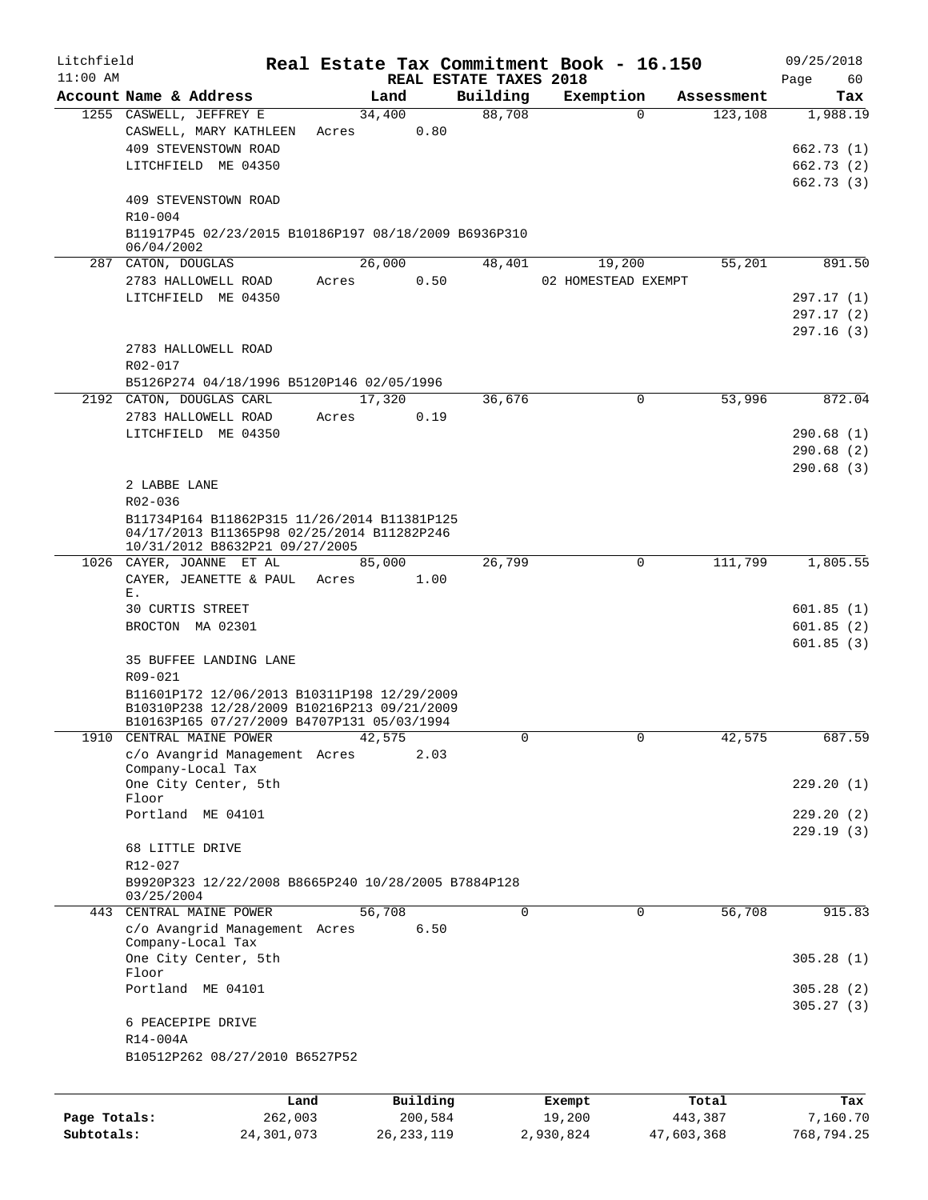| Litchfield   |                                                                                                                             |       |              | Real Estate Tax Commitment Book - 16.150 |           |                     |                       | 09/25/2018        |
|--------------|-----------------------------------------------------------------------------------------------------------------------------|-------|--------------|------------------------------------------|-----------|---------------------|-----------------------|-------------------|
| $11:00$ AM   | Account Name & Address                                                                                                      |       | Land         | REAL ESTATE TAXES 2018<br>Building       |           | Exemption           |                       | 60<br>Page<br>Tax |
|              | 1255 CASWELL, JEFFREY E                                                                                                     |       | 34,400       | 88,708                                   |           | $\Omega$            | Assessment<br>123,108 | 1,988.19          |
|              | CASWELL, MARY KATHLEEN                                                                                                      | Acres | 0.80         |                                          |           |                     |                       |                   |
|              | 409 STEVENSTOWN ROAD                                                                                                        |       |              |                                          |           |                     |                       | 662.73(1)         |
|              | LITCHFIELD ME 04350                                                                                                         |       |              |                                          |           |                     |                       | 662.73(2)         |
|              |                                                                                                                             |       |              |                                          |           |                     |                       | 662.73(3)         |
|              | 409 STEVENSTOWN ROAD                                                                                                        |       |              |                                          |           |                     |                       |                   |
|              | R <sub>10</sub> -004                                                                                                        |       |              |                                          |           |                     |                       |                   |
|              | B11917P45 02/23/2015 B10186P197 08/18/2009 B6936P310<br>06/04/2002                                                          |       |              |                                          |           |                     |                       |                   |
|              | 287 CATON, DOUGLAS                                                                                                          |       | 26,000       | 48,401                                   |           | 19,200              | 55,201                | 891.50            |
|              | 2783 HALLOWELL ROAD                                                                                                         | Acres | 0.50         |                                          |           | 02 HOMESTEAD EXEMPT |                       |                   |
|              | LITCHFIELD ME 04350                                                                                                         |       |              |                                          |           |                     |                       | 297.17(1)         |
|              |                                                                                                                             |       |              |                                          |           |                     |                       | 297.17(2)         |
|              |                                                                                                                             |       |              |                                          |           |                     |                       | 297.16(3)         |
|              | 2783 HALLOWELL ROAD                                                                                                         |       |              |                                          |           |                     |                       |                   |
|              | R02-017                                                                                                                     |       |              |                                          |           |                     |                       |                   |
|              | B5126P274 04/18/1996 B5120P146 02/05/1996                                                                                   |       |              |                                          |           |                     |                       |                   |
|              | 2192 CATON, DOUGLAS CARL                                                                                                    |       | 17,320       | 36,676                                   |           | $\mathbf 0$         | 53,996                | 872.04            |
|              | 2783 HALLOWELL ROAD                                                                                                         | Acres | 0.19         |                                          |           |                     |                       |                   |
|              | LITCHFIELD ME 04350                                                                                                         |       |              |                                          |           |                     |                       | 290.68(1)         |
|              |                                                                                                                             |       |              |                                          |           |                     |                       | 290.68(2)         |
|              |                                                                                                                             |       |              |                                          |           |                     |                       | 290.68(3)         |
|              | 2 LABBE LANE                                                                                                                |       |              |                                          |           |                     |                       |                   |
|              | R02-036                                                                                                                     |       |              |                                          |           |                     |                       |                   |
|              | B11734P164 B11862P315 11/26/2014 B11381P125<br>04/17/2013 B11365P98 02/25/2014 B11282P246<br>10/31/2012 B8632P21 09/27/2005 |       |              |                                          |           |                     |                       |                   |
|              | 1026 CAYER, JOANNE ET AL                                                                                                    |       | 85,000       | 26,799                                   |           | $\mathbf 0$         | 111,799               | 1,805.55          |
|              | CAYER, JEANETTE & PAUL                                                                                                      | Acres | 1.00         |                                          |           |                     |                       |                   |
|              | Ε.                                                                                                                          |       |              |                                          |           |                     |                       |                   |
|              | 30 CURTIS STREET                                                                                                            |       |              |                                          |           |                     |                       | 601.85(1)         |
|              | BROCTON MA 02301                                                                                                            |       |              |                                          |           |                     |                       | 601.85(2)         |
|              |                                                                                                                             |       |              |                                          |           |                     |                       | 601.85(3)         |
|              | 35 BUFFEE LANDING LANE                                                                                                      |       |              |                                          |           |                     |                       |                   |
|              | R09-021                                                                                                                     |       |              |                                          |           |                     |                       |                   |
|              | B11601P172 12/06/2013 B10311P198 12/29/2009                                                                                 |       |              |                                          |           |                     |                       |                   |
|              | B10310P238 12/28/2009 B10216P213 09/21/2009<br>B10163P165 07/27/2009 B4707P131 05/03/1994                                   |       |              |                                          |           |                     |                       |                   |
| 1910         | CENTRAL MAINE POWER                                                                                                         |       | 42,575       | 0                                        |           | $\mathbf{0}$        | 42,575                | 687.59            |
|              | c/o Avangrid Management Acres                                                                                               |       | 2.03         |                                          |           |                     |                       |                   |
|              | Company-Local Tax                                                                                                           |       |              |                                          |           |                     |                       |                   |
|              | One City Center, 5th                                                                                                        |       |              |                                          |           |                     |                       | 229.20(1)         |
|              | Floor                                                                                                                       |       |              |                                          |           |                     |                       |                   |
|              | Portland ME 04101                                                                                                           |       |              |                                          |           |                     |                       | 229.20(2)         |
|              | 68 LITTLE DRIVE                                                                                                             |       |              |                                          |           |                     |                       | 229.19(3)         |
|              | R12-027                                                                                                                     |       |              |                                          |           |                     |                       |                   |
|              | B9920P323 12/22/2008 B8665P240 10/28/2005 B7884P128                                                                         |       |              |                                          |           |                     |                       |                   |
|              | 03/25/2004                                                                                                                  |       |              |                                          |           |                     |                       |                   |
|              | 443 CENTRAL MAINE POWER                                                                                                     |       | 56,708       | $\Omega$                                 |           | $\Omega$            | 56,708                | 915.83            |
|              | c/o Avangrid Management Acres                                                                                               |       | 6.50         |                                          |           |                     |                       |                   |
|              | Company-Local Tax                                                                                                           |       |              |                                          |           |                     |                       |                   |
|              | One City Center, 5th                                                                                                        |       |              |                                          |           |                     |                       | 305.28(1)         |
|              | Floor<br>Portland ME 04101                                                                                                  |       |              |                                          |           |                     |                       | 305.28(2)         |
|              |                                                                                                                             |       |              |                                          |           |                     |                       | 305.27(3)         |
|              | 6 PEACEPIPE DRIVE                                                                                                           |       |              |                                          |           |                     |                       |                   |
|              | R14-004A                                                                                                                    |       |              |                                          |           |                     |                       |                   |
|              | B10512P262 08/27/2010 B6527P52                                                                                              |       |              |                                          |           |                     |                       |                   |
|              |                                                                                                                             |       |              |                                          |           |                     |                       |                   |
|              |                                                                                                                             |       |              |                                          |           |                     |                       |                   |
|              |                                                                                                                             | Land  | Building     |                                          | Exempt    |                     | Total                 | Tax               |
| Page Totals: | 262,003                                                                                                                     |       | 200,584      |                                          | 19,200    |                     | 443,387               | 7,160.70          |
| Subtotals:   | 24, 301, 073                                                                                                                |       | 26, 233, 119 |                                          | 2,930,824 |                     | 47,603,368            | 768,794.25        |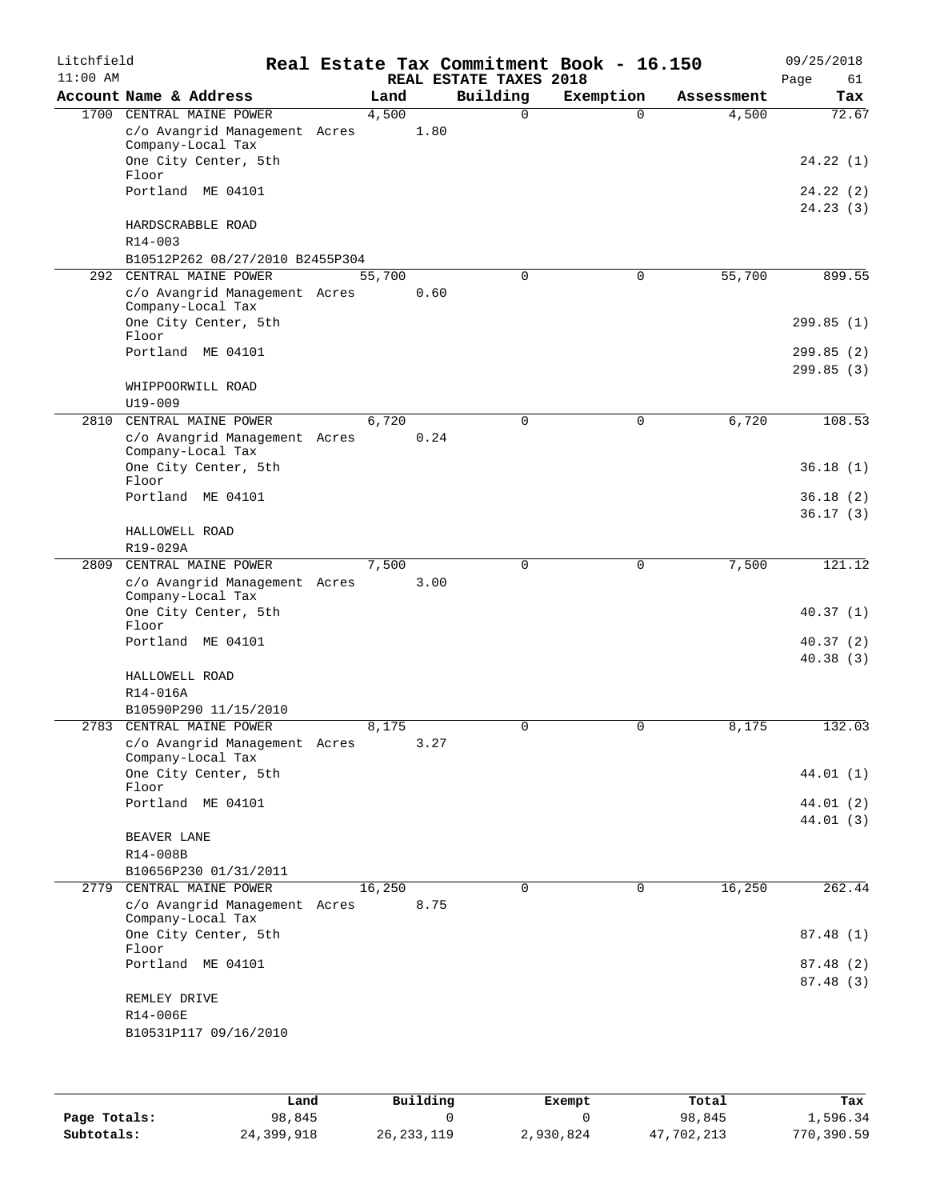| Litchfield<br>$11:00$ AM |                                                    |        |      | REAL ESTATE TAXES 2018 | Real Estate Tax Commitment Book - 16.150 |            | 09/25/2018<br>Page<br>61 |
|--------------------------|----------------------------------------------------|--------|------|------------------------|------------------------------------------|------------|--------------------------|
|                          | Account Name & Address                             | Land   |      | Building               | Exemption                                | Assessment | Tax                      |
|                          | 1700 CENTRAL MAINE POWER                           | 4,500  |      | $\Omega$               | 0                                        | 4,500      | 72.67                    |
|                          | c/o Avangrid Management Acres                      |        | 1.80 |                        |                                          |            |                          |
|                          | Company-Local Tax                                  |        |      |                        |                                          |            |                          |
|                          | One City Center, 5th<br>Floor                      |        |      |                        |                                          |            | 24.22(1)                 |
|                          | Portland ME 04101                                  |        |      |                        |                                          |            | 24.22 (2)                |
|                          |                                                    |        |      |                        |                                          |            | 24.23(3)                 |
|                          | HARDSCRABBLE ROAD                                  |        |      |                        |                                          |            |                          |
|                          | $R14 - 003$                                        |        |      |                        |                                          |            |                          |
|                          | B10512P262 08/27/2010 B2455P304                    |        |      |                        |                                          |            |                          |
| 292                      | CENTRAL MAINE POWER                                | 55,700 |      | $\mathbf 0$            | 0                                        | 55,700     | 899.55                   |
|                          | c/o Avangrid Management Acres                      |        | 0.60 |                        |                                          |            |                          |
|                          | Company-Local Tax<br>One City Center, 5th          |        |      |                        |                                          |            | 299.85(1)                |
|                          | Floor                                              |        |      |                        |                                          |            |                          |
|                          | Portland ME 04101                                  |        |      |                        |                                          |            | 299.85 (2)               |
|                          |                                                    |        |      |                        |                                          |            | 299.85(3)                |
|                          | WHIPPOORWILL ROAD                                  |        |      |                        |                                          |            |                          |
|                          | $U19 - 009$                                        |        |      |                        |                                          |            |                          |
| 2810                     | CENTRAL MAINE POWER                                | 6,720  |      | $\mathbf 0$            | $\mathbf 0$                              | 6,720      | 108.53                   |
|                          | c/o Avangrid Management Acres                      |        | 0.24 |                        |                                          |            |                          |
|                          | Company-Local Tax<br>One City Center, 5th          |        |      |                        |                                          |            | 36.18(1)                 |
|                          | Floor                                              |        |      |                        |                                          |            |                          |
|                          | Portland ME 04101                                  |        |      |                        |                                          |            | 36.18(2)                 |
|                          |                                                    |        |      |                        |                                          |            | 36.17(3)                 |
|                          | HALLOWELL ROAD                                     |        |      |                        |                                          |            |                          |
|                          | R19-029A                                           |        |      |                        |                                          |            |                          |
| 2809                     | CENTRAL MAINE POWER                                | 7,500  |      | 0                      | 0                                        | 7,500      | 121.12                   |
|                          | c/o Avangrid Management Acres<br>Company-Local Tax |        | 3.00 |                        |                                          |            |                          |
|                          | One City Center, 5th<br>Floor                      |        |      |                        |                                          |            | 40.37(1)                 |
|                          | Portland ME 04101                                  |        |      |                        |                                          |            | 40.37(2)                 |
|                          |                                                    |        |      |                        |                                          |            | 40.38(3)                 |
|                          | HALLOWELL ROAD                                     |        |      |                        |                                          |            |                          |
|                          | R14-016A                                           |        |      |                        |                                          |            |                          |
|                          | B10590P290 11/15/2010                              |        |      |                        |                                          |            |                          |
| 2783                     | CENTRAL MAINE POWER                                | 8,175  |      | $\mathbf 0$            | 0                                        | 8,175      | 132.03                   |
|                          | c/o Avangrid Management Acres                      |        | 3.27 |                        |                                          |            |                          |
|                          | Company-Local Tax<br>One City Center, 5th          |        |      |                        |                                          |            | 44.01 (1)                |
|                          | Floor                                              |        |      |                        |                                          |            |                          |
|                          | Portland ME 04101                                  |        |      |                        |                                          |            | 44.01(2)                 |
|                          |                                                    |        |      |                        |                                          |            | 44.01 (3)                |
|                          | BEAVER LANE                                        |        |      |                        |                                          |            |                          |
|                          | R14-008B                                           |        |      |                        |                                          |            |                          |
|                          | B10656P230 01/31/2011                              |        |      |                        |                                          |            |                          |
|                          | 2779 CENTRAL MAINE POWER                           | 16,250 |      | $\Omega$               | $\Omega$                                 | 16,250     | 262.44                   |
|                          | c/o Avangrid Management Acres<br>Company-Local Tax |        | 8.75 |                        |                                          |            |                          |
|                          | One City Center, 5th                               |        |      |                        |                                          |            | 87.48(1)                 |
|                          | Floor                                              |        |      |                        |                                          |            |                          |
|                          | Portland ME 04101                                  |        |      |                        |                                          |            | 87.48 (2)                |
|                          |                                                    |        |      |                        |                                          |            | 87.48 (3)                |
|                          | REMLEY DRIVE                                       |        |      |                        |                                          |            |                          |
|                          | R14-006E<br>B10531P117 09/16/2010                  |        |      |                        |                                          |            |                          |
|                          |                                                    |        |      |                        |                                          |            |                          |
|                          |                                                    |        |      |                        |                                          |            |                          |

|              | Land       | Building     | Exempt    | Total      | Tax        |
|--------------|------------|--------------|-----------|------------|------------|
| Page Totals: | 98,845     |              |           | 98,845     | 1,596.34   |
| Subtotals:   | 24,399,918 | 26, 233, 119 | 2,930,824 | 47,702,213 | 770,390.59 |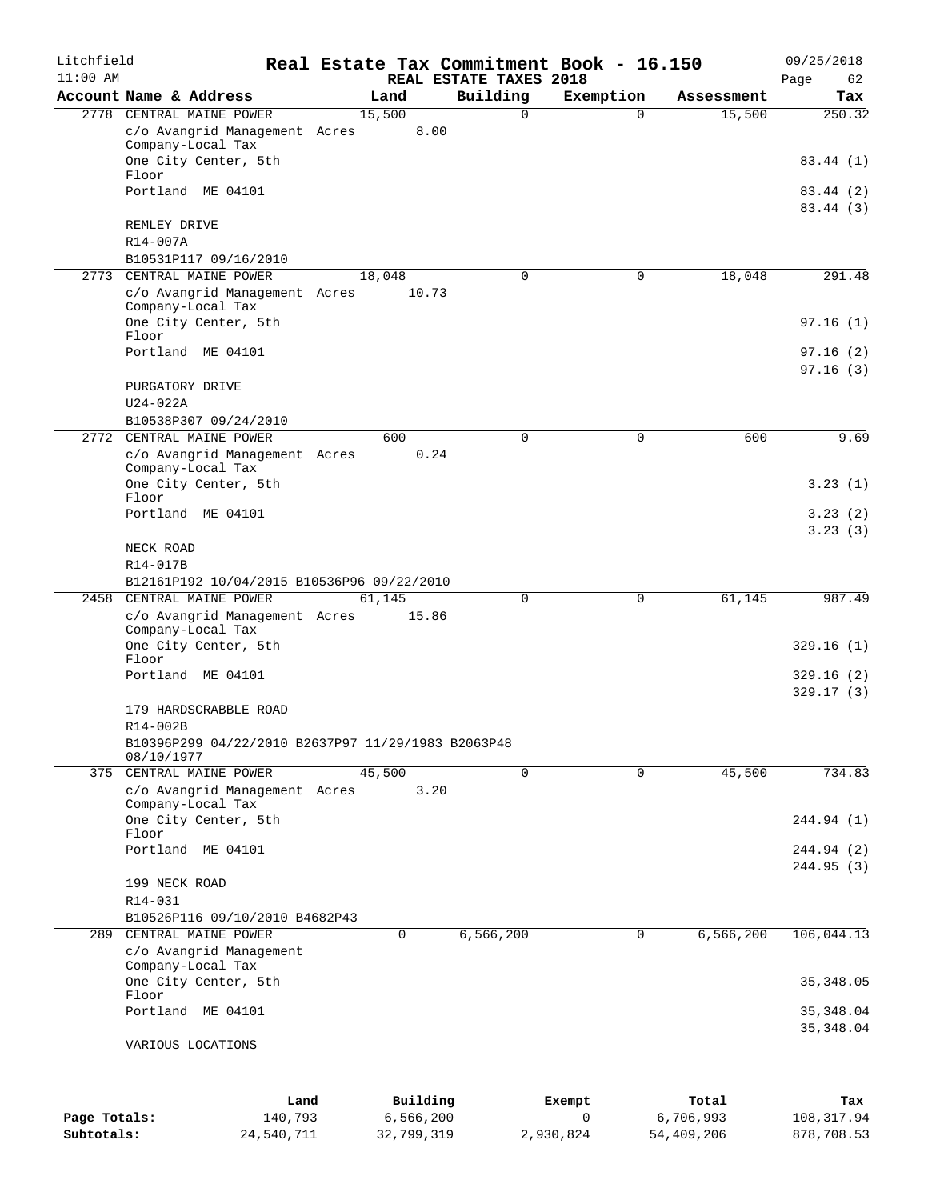| Litchfield<br>$11:00$ AM |                                                                  |            | Real Estate Tax Commitment Book - 16.150<br>REAL ESTATE TAXES 2018 |             |             | 09/25/2018             |
|--------------------------|------------------------------------------------------------------|------------|--------------------------------------------------------------------|-------------|-------------|------------------------|
|                          | Account Name & Address                                           | Land       | Building                                                           | Exemption   | Assessment  | Page<br>62<br>Tax      |
|                          | 2778 CENTRAL MAINE POWER                                         | 15,500     | 0                                                                  | $\Omega$    | 15,500      | $\overline{250.32}$    |
|                          | c/o Avangrid Management Acres<br>Company-Local Tax               |            | 8.00                                                               |             |             |                        |
|                          | One City Center, 5th<br>Floor                                    |            |                                                                    |             |             | 83.44 (1)              |
|                          | Portland ME 04101                                                |            |                                                                    |             |             | 83.44 (2)<br>83.44 (3) |
|                          | REMLEY DRIVE<br>R14-007A                                         |            |                                                                    |             |             |                        |
|                          | B10531P117 09/16/2010                                            |            |                                                                    |             |             |                        |
| 2773                     | CENTRAL MAINE POWER                                              | 18,048     | 0                                                                  | 0           | 18,048      | 291.48                 |
|                          | c/o Avangrid Management Acres<br>Company-Local Tax               |            | 10.73                                                              |             |             |                        |
|                          | One City Center, 5th<br>Floor                                    |            |                                                                    |             |             | 97.16(1)               |
|                          | Portland ME 04101                                                |            |                                                                    |             |             | 97.16(2)               |
|                          | PURGATORY DRIVE                                                  |            |                                                                    |             |             | 97.16(3)               |
|                          | $U24-022A$                                                       |            |                                                                    |             |             |                        |
|                          | B10538P307 09/24/2010<br>2772 CENTRAL MAINE POWER                | 600        | 0                                                                  | 0           | 600         | 9.69                   |
|                          | c/o Avangrid Management Acres                                    |            | 0.24                                                               |             |             |                        |
|                          | Company-Local Tax<br>One City Center, 5th                        |            |                                                                    |             |             | 3.23(1)                |
|                          | Floor                                                            |            |                                                                    |             |             |                        |
|                          | Portland ME 04101                                                |            |                                                                    |             |             | 3.23(2)<br>3.23(3)     |
|                          | NECK ROAD                                                        |            |                                                                    |             |             |                        |
|                          | R14-017B<br>B12161P192 10/04/2015 B10536P96 09/22/2010           |            |                                                                    |             |             |                        |
| 2458                     | CENTRAL MAINE POWER                                              | 61,145     | 0                                                                  | 0           | 61,145      | 987.49                 |
|                          | c/o Avangrid Management Acres<br>Company-Local Tax               |            | 15.86                                                              |             |             |                        |
|                          | One City Center, 5th<br>Floor                                    |            |                                                                    |             |             | 329.16(1)              |
|                          | Portland ME 04101                                                |            |                                                                    |             |             | 329.16(2)<br>329.17(3) |
|                          | 179 HARDSCRABBLE ROAD<br>R14-002B                                |            |                                                                    |             |             |                        |
|                          | B10396P299 04/22/2010 B2637P97 11/29/1983 B2063P48<br>08/10/1977 |            |                                                                    |             |             |                        |
|                          | 375 CENTRAL MAINE POWER                                          | 45,500     | $\Omega$                                                           | 0           | 45,500      | 734.83                 |
|                          | c/o Avangrid Management Acres<br>Company-Local Tax               |            | 3.20                                                               |             |             |                        |
|                          | One City Center, 5th<br>Floor                                    |            |                                                                    |             |             | 244.94 (1)             |
|                          | Portland ME 04101                                                |            |                                                                    |             |             | 244.94 (2)             |
|                          | 199 NECK ROAD                                                    |            |                                                                    |             |             | 244.95(3)              |
|                          | R14-031                                                          |            |                                                                    |             |             |                        |
|                          | B10526P116 09/10/2010 B4682P43                                   |            |                                                                    |             |             |                        |
| 289                      | CENTRAL MAINE POWER<br>c/o Avangrid Management                   | $\Omega$   | 6,566,200                                                          | $\mathbf 0$ | 6, 566, 200 | 106,044.13             |
|                          | Company-Local Tax<br>One City Center, 5th                        |            |                                                                    |             |             | 35, 348.05             |
|                          | Floor<br>Portland ME 04101                                       |            |                                                                    |             |             | 35, 348.04             |
|                          | VARIOUS LOCATIONS                                                |            |                                                                    |             |             | 35, 348.04             |
|                          | Land                                                             |            | Building                                                           | Exempt      | Total       | Tax                    |
| Page Totals:             | 140,793                                                          | 6,566,200  |                                                                    | 0           | 6,706,993   | 108, 317.94            |
| Subtotals:               | 24,540,711                                                       | 32,799,319 |                                                                    | 2,930,824   | 54,409,206  | 878,708.53             |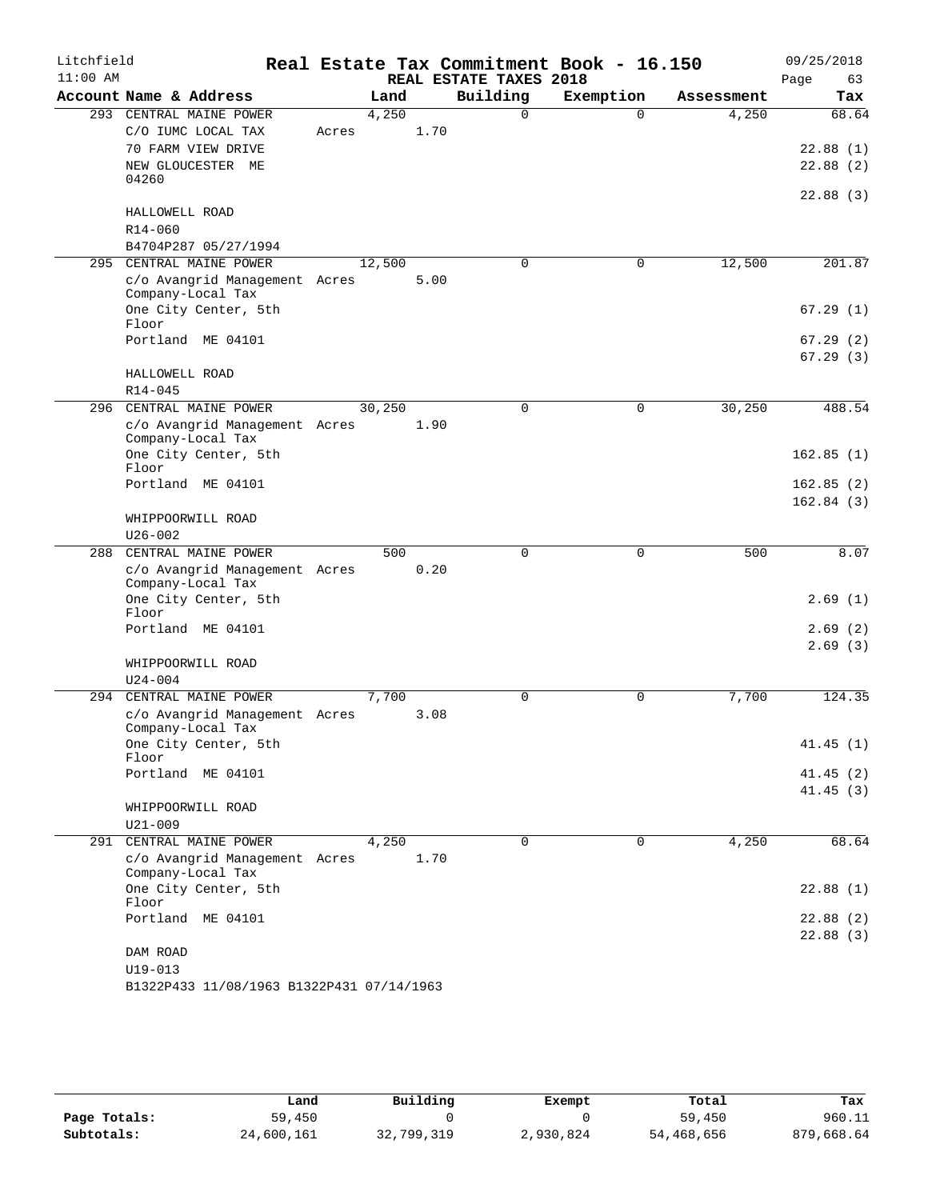| Litchfield |                                                                     |       |         |      |                        | Real Estate Tax Commitment Book - 16.150 |            | 09/25/2018             |
|------------|---------------------------------------------------------------------|-------|---------|------|------------------------|------------------------------------------|------------|------------------------|
| $11:00$ AM |                                                                     |       |         |      | REAL ESTATE TAXES 2018 |                                          |            | Page<br>63             |
|            | Account Name & Address                                              |       | Land    |      | Building               | Exemption                                | Assessment | Tax                    |
|            | 293 CENTRAL MAINE POWER<br>C/O IUMC LOCAL TAX<br>70 FARM VIEW DRIVE | Acres | 4,250   | 1.70 | $\Omega$               | $\Omega$                                 | 4,250      | 68.64<br>22.88(1)      |
|            | NEW GLOUCESTER ME<br>04260                                          |       |         |      |                        |                                          |            | 22.88(2)               |
|            | HALLOWELL ROAD                                                      |       |         |      |                        |                                          |            | 22.88(3)               |
|            | R14-060<br>B4704P287 05/27/1994                                     |       |         |      |                        |                                          |            |                        |
| 295        | CENTRAL MAINE POWER                                                 |       | 12,500  |      | $\Omega$               | $\mathbf 0$                              | 12,500     | 201.87                 |
|            | c/o Avangrid Management Acres<br>Company-Local Tax                  |       |         | 5.00 |                        |                                          |            |                        |
|            | One City Center, 5th<br>Floor                                       |       |         |      |                        |                                          |            | 67.29(1)               |
|            | Portland ME 04101                                                   |       |         |      |                        |                                          |            | 67.29(2)<br>67.29(3)   |
|            | HALLOWELL ROAD<br>$R14 - 045$                                       |       |         |      |                        |                                          |            |                        |
| 296        | CENTRAL MAINE POWER                                                 |       | 30, 250 |      | $\Omega$               | $\mathbf 0$                              | 30, 250    | 488.54                 |
|            | c/o Avangrid Management Acres<br>Company-Local Tax                  |       |         | 1.90 |                        |                                          |            |                        |
|            | One City Center, 5th<br>Floor                                       |       |         |      |                        |                                          |            | 162.85(1)              |
|            | Portland ME 04101                                                   |       |         |      |                        |                                          |            | 162.85(2)<br>162.84(3) |
|            | WHIPPOORWILL ROAD                                                   |       |         |      |                        |                                          |            |                        |
|            | $U26 - 002$<br>CENTRAL MAINE POWER                                  |       |         |      |                        |                                          |            |                        |
| 288        | c/o Avangrid Management Acres<br>Company-Local Tax                  |       | 500     | 0.20 | $\mathbf 0$            | $\mathbf 0$                              | 500        | 8.07                   |
|            | One City Center, 5th<br>Floor                                       |       |         |      |                        |                                          |            | 2.69(1)                |
|            | Portland ME 04101                                                   |       |         |      |                        |                                          |            | 2.69(2)<br>2.69(3)     |
|            | WHIPPOORWILL ROAD<br>$U24 - 004$                                    |       |         |      |                        |                                          |            |                        |
|            | 294 CENTRAL MAINE POWER                                             |       | 7,700   |      | $\Omega$               | $\mathbf 0$                              | 7,700      | 124.35                 |
|            | c/o Avangrid Management Acres<br>Company-Local Tax                  |       |         | 3.08 |                        |                                          |            |                        |
|            | One City Center, 5th<br>Floor                                       |       |         |      |                        |                                          |            | 41.45(1)               |
|            | Portland ME 04101                                                   |       |         |      |                        |                                          |            | 41.45(2)<br>41.45(3)   |
|            | WHIPPOORWILL ROAD<br>$U21 - 009$                                    |       |         |      |                        |                                          |            |                        |
|            | 291 CENTRAL MAINE POWER                                             |       | 4,250   |      | $\Omega$               | 0                                        | 4,250      | 68.64                  |
|            | c/o Avangrid Management Acres<br>Company-Local Tax                  |       |         | 1.70 |                        |                                          |            |                        |
|            | One City Center, 5th<br>Floor                                       |       |         |      |                        |                                          |            | 22.88(1)               |
|            | Portland ME 04101                                                   |       |         |      |                        |                                          |            | 22.88(2)<br>22.88(3)   |
|            | DAM ROAD<br>$U19 - 013$                                             |       |         |      |                        |                                          |            |                        |
|            | B1322P433 11/08/1963 B1322P431 07/14/1963                           |       |         |      |                        |                                          |            |                        |

|              | Land       | Building   | Exempt    | Total      | Tax        |
|--------------|------------|------------|-----------|------------|------------|
| Page Totals: | 59,450     |            |           | 59,450     | 960.11     |
| Subtotals:   | 24,600,161 | 32,799,319 | 2,930,824 | 54,468,656 | 879,668.64 |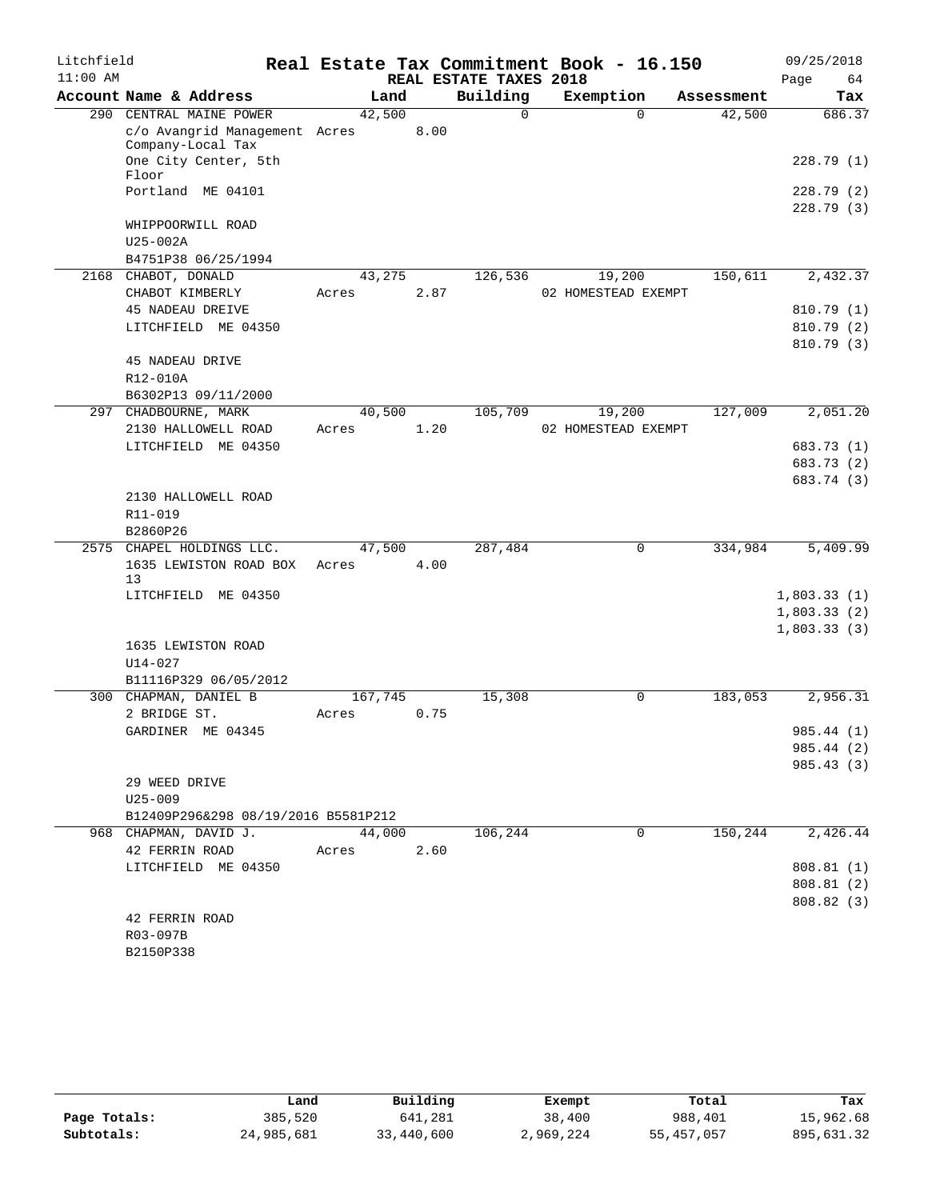| Litchfield |                                                          |                 |      |                        | Real Estate Tax Commitment Book - 16.150 |            | 09/25/2018              |
|------------|----------------------------------------------------------|-----------------|------|------------------------|------------------------------------------|------------|-------------------------|
| $11:00$ AM |                                                          |                 |      | REAL ESTATE TAXES 2018 |                                          |            | Page<br>64              |
|            | Account Name & Address                                   | Land            |      | Building               | Exemption                                | Assessment | Tax                     |
|            | 290 CENTRAL MAINE POWER<br>c/o Avangrid Management Acres | 42,500          | 8.00 | $\Omega$               | $\Omega$                                 | 42,500     | 686.37                  |
|            | Company-Local Tax<br>One City Center, 5th<br>Floor       |                 |      |                        |                                          |            | 228.79(1)               |
|            | Portland ME 04101                                        |                 |      |                        |                                          |            | 228.79 (2)<br>228.79(3) |
|            | WHIPPOORWILL ROAD<br>$U25-002A$                          |                 |      |                        |                                          |            |                         |
|            | B4751P38 06/25/1994                                      |                 |      |                        |                                          |            |                         |
|            | 2168 CHABOT, DONALD<br>CHABOT KIMBERLY                   | 43,275<br>Acres | 2.87 | 126,536                | 19,200<br>02 HOMESTEAD EXEMPT            | 150,611    | 2,432.37                |
|            | <b>45 NADEAU DREIVE</b>                                  |                 |      |                        |                                          |            | 810.79 (1)              |
|            | LITCHFIELD ME 04350                                      |                 |      |                        |                                          |            | 810.79 (2)              |
|            | <b>45 NADEAU DRIVE</b><br>R12-010A                       |                 |      |                        |                                          |            | 810.79 (3)              |
| 297        | B6302P13 09/11/2000<br>CHADBOURNE, MARK                  | 40,500          |      | 105,709                | 19,200                                   | 127,009    | 2,051.20                |
|            | 2130 HALLOWELL ROAD                                      | Acres           | 1.20 |                        | 02 HOMESTEAD EXEMPT                      |            |                         |
|            | LITCHFIELD ME 04350                                      |                 |      |                        |                                          |            | 683.73 (1)              |
|            |                                                          |                 |      |                        |                                          |            | 683.73 (2)              |
|            |                                                          |                 |      |                        |                                          |            | 683.74 (3)              |
|            | 2130 HALLOWELL ROAD                                      |                 |      |                        |                                          |            |                         |
|            | R11-019                                                  |                 |      |                        |                                          |            |                         |
|            | B2860P26                                                 |                 |      |                        |                                          |            |                         |
| 2575       | CHAPEL HOLDINGS LLC.                                     | 47,500          |      | 287,484                | $\mathbf 0$                              | 334,984    | 5,409.99                |
|            | 1635 LEWISTON ROAD BOX<br>13                             | Acres           | 4.00 |                        |                                          |            |                         |
|            | LITCHFIELD ME 04350                                      |                 |      |                        |                                          |            | 1,803.33(1)             |
|            |                                                          |                 |      |                        |                                          |            | 1,803.33(2)             |
|            | 1635 LEWISTON ROAD                                       |                 |      |                        |                                          |            | 1,803.33(3)             |
|            | $U14 - 027$                                              |                 |      |                        |                                          |            |                         |
|            | B11116P329 06/05/2012                                    |                 |      |                        |                                          |            |                         |
|            | 300 CHAPMAN, DANIEL B                                    | 167,745         |      | 15,308                 | 0                                        | 183,053    | 2,956.31                |
|            | 2 BRIDGE ST.                                             | Acres           | 0.75 |                        |                                          |            |                         |
|            | GARDINER ME 04345                                        |                 |      |                        |                                          |            | 985.44 (1)              |
|            |                                                          |                 |      |                        |                                          |            | 985.44 (2)              |
|            |                                                          |                 |      |                        |                                          |            | 985.43 (3)              |
|            | 29 WEED DRIVE                                            |                 |      |                        |                                          |            |                         |
|            | $U25 - 009$                                              |                 |      |                        |                                          |            |                         |
|            | B12409P296&298 08/19/2016 B5581P212                      |                 |      |                        |                                          |            |                         |
|            | 968 CHAPMAN, DAVID J.<br>42 FERRIN ROAD                  | 44,000<br>Acres | 2.60 | 106,244                | 0                                        | 150,244    | 2,426.44                |
|            | LITCHFIELD ME 04350                                      |                 |      |                        |                                          |            | 808.81(1)               |
|            |                                                          |                 |      |                        |                                          |            | 808.81 (2)              |
|            |                                                          |                 |      |                        |                                          |            | 808.82 (3)              |
|            | 42 FERRIN ROAD                                           |                 |      |                        |                                          |            |                         |
|            | R03-097B                                                 |                 |      |                        |                                          |            |                         |
|            | B2150P338                                                |                 |      |                        |                                          |            |                         |

|              | Land       | Building   | Exempt    | Total      | Tax        |
|--------------|------------|------------|-----------|------------|------------|
| Page Totals: | 385,520    | 641,281    | 38,400    | 988,401    | 15,962.68  |
| Subtotals:   | 24,985,681 | 33,440,600 | 2,969,224 | 55,457,057 | 895,631.32 |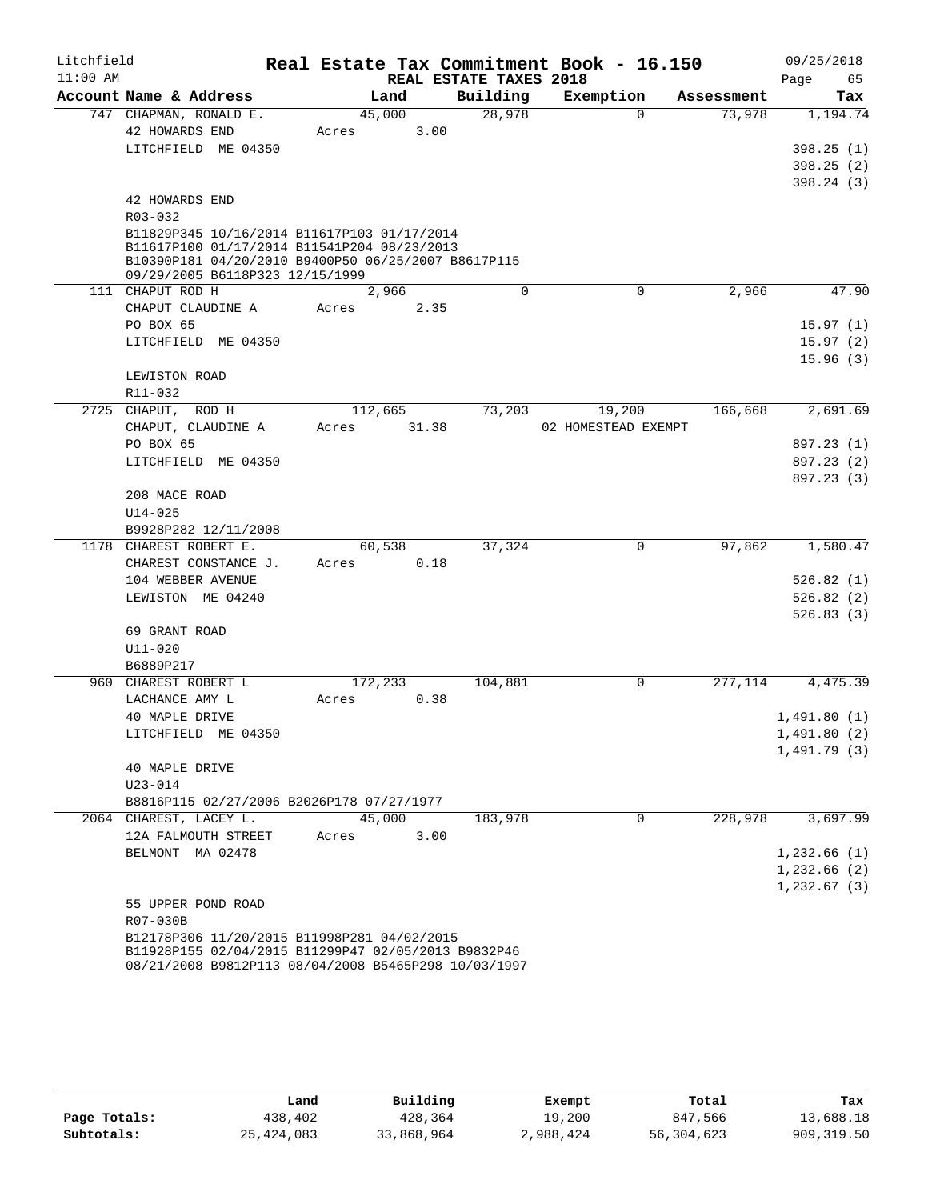| Litchfield |                                                                                            |         |       |      |                        | Real Estate Tax Commitment Book - 16.150 |             |            | 09/25/2018   |            |
|------------|--------------------------------------------------------------------------------------------|---------|-------|------|------------------------|------------------------------------------|-------------|------------|--------------|------------|
| $11:00$ AM |                                                                                            |         |       |      | REAL ESTATE TAXES 2018 |                                          |             |            | Page         | 65         |
|            | Account Name & Address                                                                     |         | Land  |      | Building               | Exemption                                |             | Assessment |              | Tax        |
|            | 747 CHAPMAN, RONALD E.                                                                     | 45,000  |       |      | 28,978                 |                                          | $\Omega$    | 73,978     |              | 1,194.74   |
|            | 42 HOWARDS END                                                                             | Acres   |       | 3.00 |                        |                                          |             |            |              |            |
|            | LITCHFIELD ME 04350                                                                        |         |       |      |                        |                                          |             |            |              | 398.25(1)  |
|            |                                                                                            |         |       |      |                        |                                          |             |            |              | 398.25(2)  |
|            |                                                                                            |         |       |      |                        |                                          |             |            |              | 398.24(3)  |
|            | 42 HOWARDS END<br>$R03 - 032$                                                              |         |       |      |                        |                                          |             |            |              |            |
|            |                                                                                            |         |       |      |                        |                                          |             |            |              |            |
|            | B11829P345 10/16/2014 B11617P103 01/17/2014<br>B11617P100 01/17/2014 B11541P204 08/23/2013 |         |       |      |                        |                                          |             |            |              |            |
|            | B10390P181 04/20/2010 B9400P50 06/25/2007 B8617P115                                        |         |       |      |                        |                                          |             |            |              |            |
|            | 09/29/2005 B6118P323 12/15/1999                                                            |         |       |      |                        |                                          |             |            |              |            |
|            | 111 CHAPUT ROD H                                                                           |         | 2,966 |      | $\mathbf 0$            |                                          | $\mathbf 0$ | 2,966      |              | 47.90      |
|            | CHAPUT CLAUDINE A                                                                          | Acres   |       | 2.35 |                        |                                          |             |            |              |            |
|            | PO BOX 65                                                                                  |         |       |      |                        |                                          |             |            |              | 15.97(1)   |
|            | LITCHFIELD ME 04350                                                                        |         |       |      |                        |                                          |             |            |              | 15.97(2)   |
|            |                                                                                            |         |       |      |                        |                                          |             |            |              | 15.96(3)   |
|            | LEWISTON ROAD                                                                              |         |       |      |                        |                                          |             |            |              |            |
|            | R11-032                                                                                    |         |       |      |                        |                                          |             |            |              |            |
|            | 2725 CHAPUT, ROD H                                                                         | 112,665 |       |      | 73,203                 |                                          | 19,200      | 166,668    |              | 2,691.69   |
|            | CHAPUT, CLAUDINE A                                                                         | Acres   | 31.38 |      |                        | 02 HOMESTEAD EXEMPT                      |             |            |              |            |
|            | PO BOX 65                                                                                  |         |       |      |                        |                                          |             |            |              | 897.23 (1) |
|            | LITCHFIELD ME 04350                                                                        |         |       |      |                        |                                          |             |            |              | 897.23 (2) |
|            | 208 MACE ROAD                                                                              |         |       |      |                        |                                          |             |            |              | 897.23 (3) |
|            | $U14 - 025$                                                                                |         |       |      |                        |                                          |             |            |              |            |
|            | B9928P282 12/11/2008                                                                       |         |       |      |                        |                                          |             |            |              |            |
|            | 1178 CHAREST ROBERT E.                                                                     | 60,538  |       |      | 37,324                 |                                          | 0           | 97,862     |              | 1,580.47   |
|            | CHAREST CONSTANCE J.                                                                       | Acres   |       | 0.18 |                        |                                          |             |            |              |            |
|            | 104 WEBBER AVENUE                                                                          |         |       |      |                        |                                          |             |            |              | 526.82(1)  |
|            | LEWISTON ME 04240                                                                          |         |       |      |                        |                                          |             |            |              | 526.82(2)  |
|            |                                                                                            |         |       |      |                        |                                          |             |            |              | 526.83(3)  |
|            | 69 GRANT ROAD                                                                              |         |       |      |                        |                                          |             |            |              |            |
|            | $U11 - 020$                                                                                |         |       |      |                        |                                          |             |            |              |            |
|            | B6889P217                                                                                  |         |       |      |                        |                                          |             |            |              |            |
|            | 960 CHAREST ROBERT L                                                                       | 172,233 |       |      | 104,881                |                                          | $\mathbf 0$ | 277,114    |              | 4,475.39   |
|            | LACHANCE AMY L                                                                             | Acres   |       | 0.38 |                        |                                          |             |            |              |            |
|            | 40 MAPLE DRIVE                                                                             |         |       |      |                        |                                          |             |            | 1,491.80(1)  |            |
|            | LITCHFIELD ME 04350                                                                        |         |       |      |                        |                                          |             |            | 1,491.80(2)  |            |
|            |                                                                                            |         |       |      |                        |                                          |             |            | 1,491.79(3)  |            |
|            | 40 MAPLE DRIVE                                                                             |         |       |      |                        |                                          |             |            |              |            |
|            | $U23 - 014$                                                                                |         |       |      |                        |                                          |             |            |              |            |
|            | B8816P115 02/27/2006 B2026P178 07/27/1977                                                  |         |       |      |                        |                                          |             |            |              |            |
|            | 2064 CHAREST, LACEY L.                                                                     | 45,000  |       |      | 183,978                |                                          | $\Omega$    | 228,978    |              | 3,697.99   |
|            | 12A FALMOUTH STREET                                                                        | Acres   |       | 3.00 |                        |                                          |             |            |              |            |
|            | BELMONT MA 02478                                                                           |         |       |      |                        |                                          |             |            | 1,232.66(1)  |            |
|            |                                                                                            |         |       |      |                        |                                          |             |            | 1,232.66(2)  |            |
|            |                                                                                            |         |       |      |                        |                                          |             |            | 1, 232.67(3) |            |
|            | 55 UPPER POND ROAD<br>R07-030B                                                             |         |       |      |                        |                                          |             |            |              |            |
|            | B12178P306 11/20/2015 B11998P281 04/02/2015                                                |         |       |      |                        |                                          |             |            |              |            |
|            | B11928P155 02/04/2015 B11299P47 02/05/2013 B9832P46                                        |         |       |      |                        |                                          |             |            |              |            |

|              | Land         | Building   | Exempt    | Total      | Tax        |
|--------------|--------------|------------|-----------|------------|------------|
| Page Totals: | 438,402      | 428,364    | 19,200    | 847,566    | 13,688.18  |
| Subtotals:   | 25, 424, 083 | 33,868,964 | 2,988,424 | 56,304,623 | 909,319.50 |

08/21/2008 B9812P113 08/04/2008 B5465P298 10/03/1997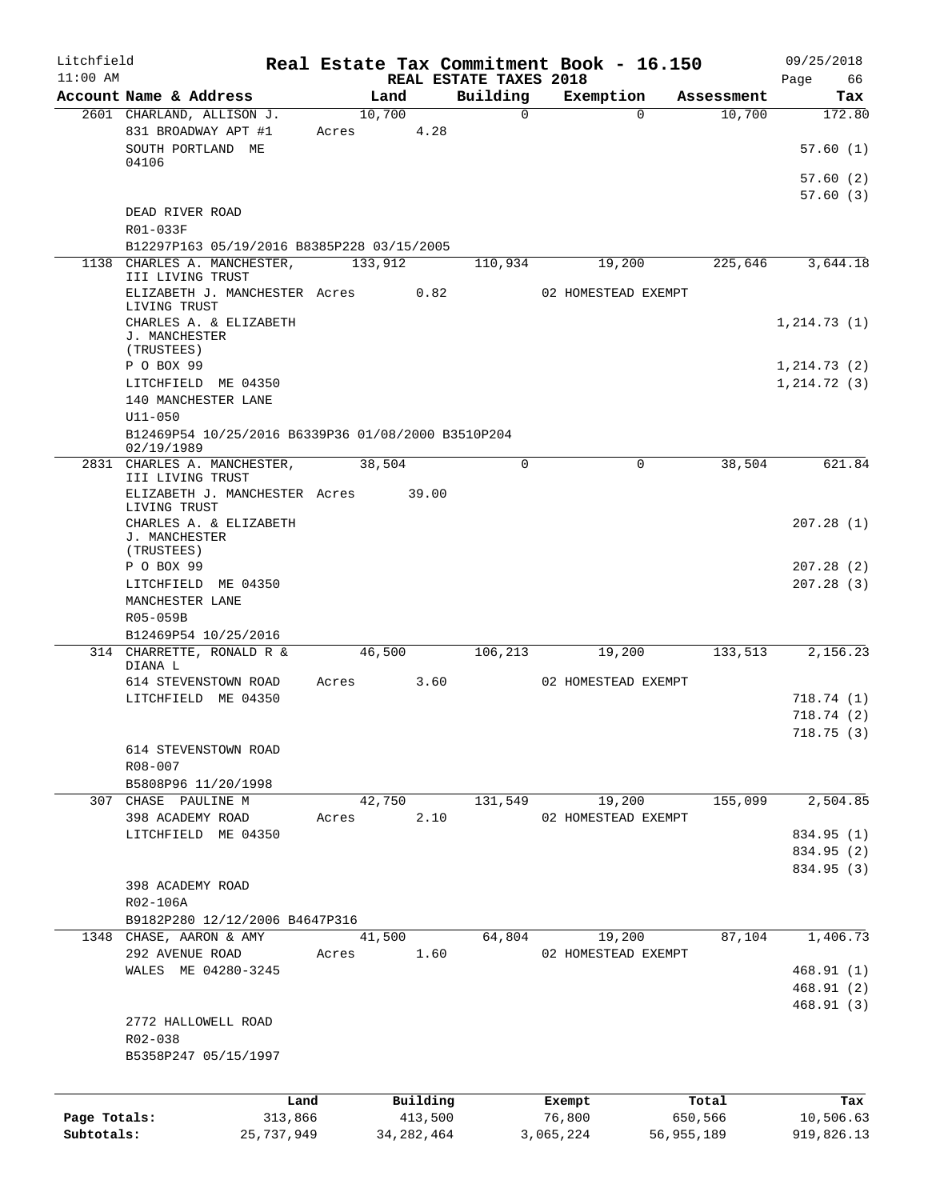| Litchfield   |                                                                  |       |              |                                    | Real Estate Tax Commitment Book - 16.150 |            | 09/25/2018        |
|--------------|------------------------------------------------------------------|-------|--------------|------------------------------------|------------------------------------------|------------|-------------------|
| $11:00$ AM   | Account Name & Address                                           |       | Land         | REAL ESTATE TAXES 2018<br>Building | Exemption                                | Assessment | 66<br>Page<br>Tax |
|              | 2601 CHARLAND, ALLISON J.                                        |       | 10,700       | $\mathbf 0$                        | $\Omega$                                 | 10,700     | 172.80            |
|              | 831 BROADWAY APT #1<br>SOUTH PORTLAND ME                         | Acres | 4.28         |                                    |                                          |            | 57.60(1)          |
|              | 04106                                                            |       |              |                                    |                                          |            | 57.60 (2)         |
|              |                                                                  |       |              |                                    |                                          |            | 57.60(3)          |
|              | DEAD RIVER ROAD<br>R01-033F                                      |       |              |                                    |                                          |            |                   |
|              | B12297P163 05/19/2016 B8385P228 03/15/2005                       |       |              |                                    |                                          |            |                   |
|              | 1138 CHARLES A. MANCHESTER,<br>III LIVING TRUST                  |       | 133,912      | 110,934                            | 19,200                                   | 225,646    | 3,644.18          |
|              | ELIZABETH J. MANCHESTER Acres 0.82<br>LIVING TRUST               |       |              |                                    | 02 HOMESTEAD EXEMPT                      |            |                   |
|              | CHARLES A. & ELIZABETH<br>J. MANCHESTER                          |       |              |                                    |                                          |            | 1, 214.73(1)      |
|              | (TRUSTEES)                                                       |       |              |                                    |                                          |            |                   |
|              | P O BOX 99                                                       |       |              |                                    |                                          |            | 1, 214.73(2)      |
|              | LITCHFIELD ME 04350<br>140 MANCHESTER LANE                       |       |              |                                    |                                          |            | 1,214.72(3)       |
|              | U11-050                                                          |       |              |                                    |                                          |            |                   |
|              | B12469P54 10/25/2016 B6339P36 01/08/2000 B3510P204<br>02/19/1989 |       |              |                                    |                                          |            |                   |
|              | 2831 CHARLES A. MANCHESTER,<br>III LIVING TRUST                  |       | 38,504       | $\Omega$                           | 0                                        | 38,504     | 621.84            |
|              | ELIZABETH J. MANCHESTER Acres<br>LIVING TRUST                    |       | 39.00        |                                    |                                          |            |                   |
|              | CHARLES A. & ELIZABETH<br>J. MANCHESTER<br>(TRUSTEES)            |       |              |                                    |                                          |            | 207.28(1)         |
|              | P O BOX 99                                                       |       |              |                                    |                                          |            | 207.28(2)         |
|              | LITCHFIELD ME 04350                                              |       |              |                                    |                                          |            | 207.28(3)         |
|              | MANCHESTER LANE<br>R05-059B                                      |       |              |                                    |                                          |            |                   |
|              | B12469P54 10/25/2016                                             |       |              |                                    |                                          |            |                   |
|              | 314 CHARRETTE, RONALD R &<br>DIANA L                             |       | 46,500       | 106, 213                           | 19,200                                   | 133,513    | 2,156.23          |
|              | 614 STEVENSTOWN ROAD                                             | Acres | 3.60         |                                    | 02 HOMESTEAD EXEMPT                      |            |                   |
|              | LITCHFIELD ME 04350                                              |       |              |                                    |                                          |            | 718.74(1)         |
|              |                                                                  |       |              |                                    |                                          |            | 718.74 (2)        |
|              |                                                                  |       |              |                                    |                                          |            | 718.75(3)         |
|              | 614 STEVENSTOWN ROAD                                             |       |              |                                    |                                          |            |                   |
|              | R08-007<br>B5808P96 11/20/1998                                   |       |              |                                    |                                          |            |                   |
|              | 307 CHASE PAULINE M                                              |       | 42,750       | 131,549                            | 19,200                                   | 155,099    | 2,504.85          |
|              | 398 ACADEMY ROAD                                                 | Acres | 2.10         |                                    | 02 HOMESTEAD EXEMPT                      |            |                   |
|              | LITCHFIELD ME 04350                                              |       |              |                                    |                                          |            | 834.95 (1)        |
|              |                                                                  |       |              |                                    |                                          |            | 834.95 (2)        |
|              |                                                                  |       |              |                                    |                                          |            | 834.95 (3)        |
|              | 398 ACADEMY ROAD                                                 |       |              |                                    |                                          |            |                   |
|              | R02-106A                                                         |       |              |                                    |                                          |            |                   |
|              | B9182P280 12/12/2006 B4647P316                                   |       |              |                                    |                                          |            |                   |
|              | 1348 CHASE, AARON & AMY                                          |       | 41,500       | 64,804                             | 19,200                                   | 87,104     | 1,406.73          |
|              | 292 AVENUE ROAD                                                  | Acres | 1.60         |                                    | 02 HOMESTEAD EXEMPT                      |            |                   |
|              | WALES ME 04280-3245                                              |       |              |                                    |                                          |            | 468.91(1)         |
|              |                                                                  |       |              |                                    |                                          |            | 468.91 (2)        |
|              |                                                                  |       |              |                                    |                                          |            | 468.91(3)         |
|              | 2772 HALLOWELL ROAD                                              |       |              |                                    |                                          |            |                   |
|              | R02-038                                                          |       |              |                                    |                                          |            |                   |
|              | B5358P247 05/15/1997                                             |       |              |                                    |                                          |            |                   |
|              |                                                                  |       |              |                                    |                                          |            |                   |
|              | Land                                                             |       | Building     |                                    | Exempt                                   | Total      | Tax               |
| Page Totals: | 313,866                                                          |       | 413,500      |                                    | 76,800                                   | 650,566    | 10,506.63         |
| Subtotals:   | 25,737,949                                                       |       | 34, 282, 464 |                                    | 3,065,224                                | 56,955,189 | 919,826.13        |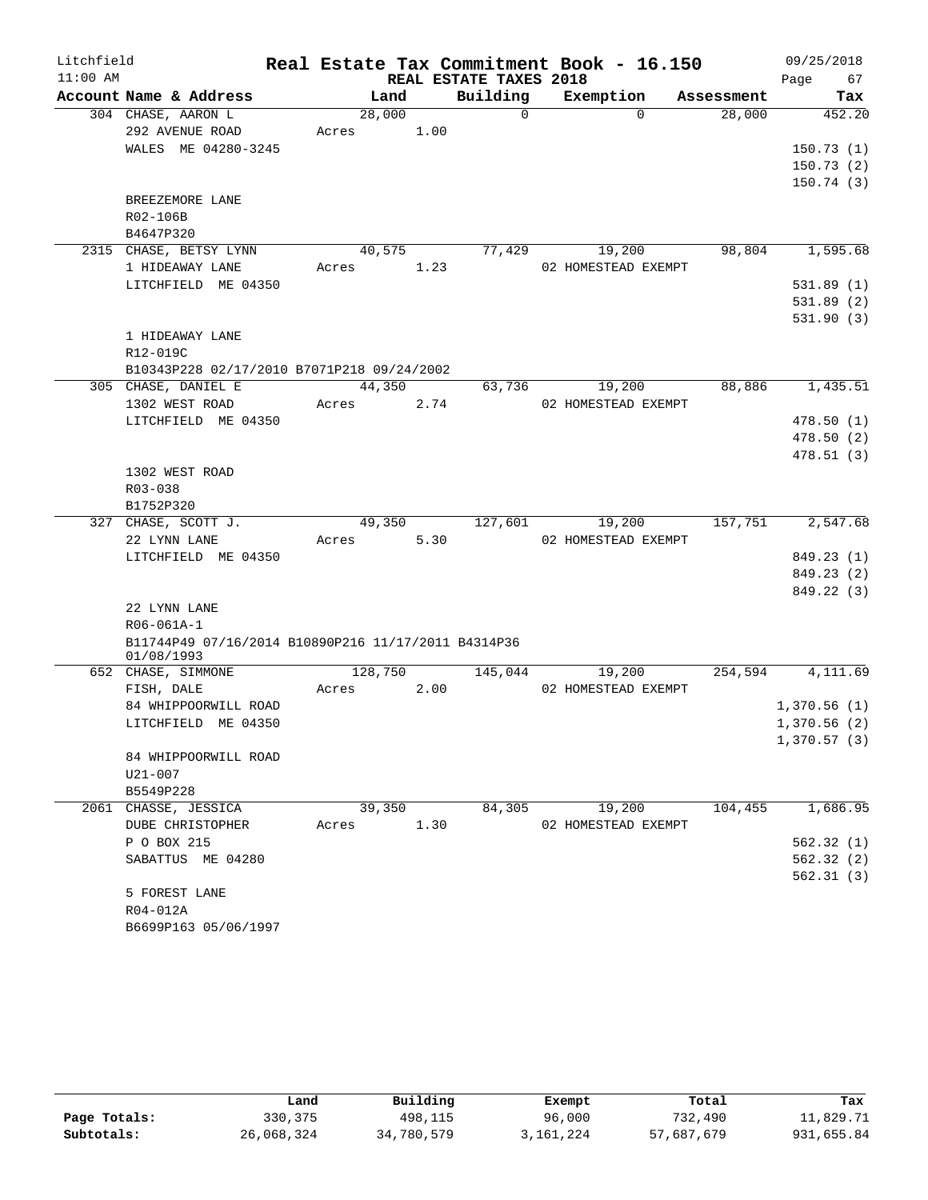| Litchfield |                                                     |         |        |                        | Real Estate Tax Commitment Book - 16.150 |            | 09/25/2018                 |
|------------|-----------------------------------------------------|---------|--------|------------------------|------------------------------------------|------------|----------------------------|
| $11:00$ AM |                                                     |         |        | REAL ESTATE TAXES 2018 |                                          |            | 67<br>Page                 |
|            | Account Name & Address                              |         | Land   | Building               | Exemption                                | Assessment | Tax                        |
|            | 304 CHASE, AARON L                                  | 28,000  |        | $\Omega$               | $\Omega$                                 | 28,000     | 452.20                     |
|            | 292 AVENUE ROAD                                     | Acres   | 1.00   |                        |                                          |            |                            |
|            | WALES ME 04280-3245                                 |         |        |                        |                                          |            | 150.73(1)                  |
|            |                                                     |         |        |                        |                                          |            | 150.73(2)                  |
|            |                                                     |         |        |                        |                                          |            | 150.74(3)                  |
|            | BREEZEMORE LANE                                     |         |        |                        |                                          |            |                            |
|            | R02-106B                                            |         |        |                        |                                          |            |                            |
|            | B4647P320                                           |         |        |                        |                                          |            |                            |
|            | 2315 CHASE, BETSY LYNN                              | 40,575  |        | 77,429                 | 19,200                                   | 98,804     | 1,595.68                   |
|            | 1 HIDEAWAY LANE                                     | Acres   | 1.23   |                        | 02 HOMESTEAD EXEMPT                      |            |                            |
|            | LITCHFIELD ME 04350                                 |         |        |                        |                                          |            | 531.89(1)                  |
|            |                                                     |         |        |                        |                                          |            | 531.89(2)                  |
|            | 1 HIDEAWAY LANE                                     |         |        |                        |                                          |            | 531.90(3)                  |
|            | R12-019C                                            |         |        |                        |                                          |            |                            |
|            | B10343P228 02/17/2010 B7071P218 09/24/2002          |         |        |                        |                                          |            |                            |
|            | 305 CHASE, DANIEL E                                 | 44,350  |        | 63,736                 | 19,200                                   | 88,886     | 1,435.51                   |
|            | 1302 WEST ROAD                                      | Acres   | 2.74   |                        | 02 HOMESTEAD EXEMPT                      |            |                            |
|            | LITCHFIELD ME 04350                                 |         |        |                        |                                          |            | 478.50(1)                  |
|            |                                                     |         |        |                        |                                          |            | 478.50(2)                  |
|            |                                                     |         |        |                        |                                          |            | 478.51(3)                  |
|            | 1302 WEST ROAD                                      |         |        |                        |                                          |            |                            |
|            | R03-038                                             |         |        |                        |                                          |            |                            |
|            | B1752P320                                           |         |        |                        |                                          |            |                            |
|            | 327 CHASE, SCOTT J.                                 | 49,350  |        | 127,601                | 19,200                                   | 157,751    | 2,547.68                   |
|            | 22 LYNN LANE                                        | Acres   | 5.30   |                        | 02 HOMESTEAD EXEMPT                      |            |                            |
|            | LITCHFIELD ME 04350                                 |         |        |                        |                                          |            | 849.23 (1)                 |
|            |                                                     |         |        |                        |                                          |            | 849.23 (2)                 |
|            |                                                     |         |        |                        |                                          |            | 849.22 (3)                 |
|            | 22 LYNN LANE                                        |         |        |                        |                                          |            |                            |
|            | R06-061A-1                                          |         |        |                        |                                          |            |                            |
|            | B11744P49 07/16/2014 B10890P216 11/17/2011 B4314P36 |         |        |                        |                                          |            |                            |
|            | 01/08/1993                                          |         |        |                        |                                          |            |                            |
|            | 652 CHASE, SIMMONE                                  | 128,750 |        | 145,044                | 19,200                                   | 254,594    | $\overline{4,111.69}$      |
|            | FISH, DALE                                          | Acres   | 2.00   |                        | 02 HOMESTEAD EXEMPT                      |            |                            |
|            | 84 WHIPPOORWILL ROAD                                |         |        |                        |                                          |            | 1,370.56(1)<br>1,370.56(2) |
|            | LITCHFIELD ME 04350                                 |         |        |                        |                                          |            |                            |
|            | 84 WHIPPOORWILL ROAD                                |         |        |                        |                                          |            | 1,370.57(3)                |
|            | U21-007                                             |         |        |                        |                                          |            |                            |
|            | B5549P228                                           |         |        |                        |                                          |            |                            |
|            | 2061 CHASSE, JESSICA                                |         | 39,350 | 84,305                 | 19,200                                   | 104,455    | 1,686.95                   |
|            | DUBE CHRISTOPHER                                    | Acres   | 1.30   |                        | 02 HOMESTEAD EXEMPT                      |            |                            |
|            | P O BOX 215                                         |         |        |                        |                                          |            | 562.32(1)                  |
|            | SABATTUS ME 04280                                   |         |        |                        |                                          |            | 562.32(2)                  |
|            |                                                     |         |        |                        |                                          |            | 562.31(3)                  |
|            | 5 FOREST LANE                                       |         |        |                        |                                          |            |                            |
|            | R04-012A                                            |         |        |                        |                                          |            |                            |
|            | B6699P163 05/06/1997                                |         |        |                        |                                          |            |                            |

|              | Land       | Building   | Exempt    | Total      | Tax        |
|--------------|------------|------------|-----------|------------|------------|
| Page Totals: | 330, 375   | 498,115    | 96,000    | 732,490    | 11,829.71  |
| Subtotals:   | 26,068,324 | 34,780,579 | 3,161,224 | 57,687,679 | 931,655.84 |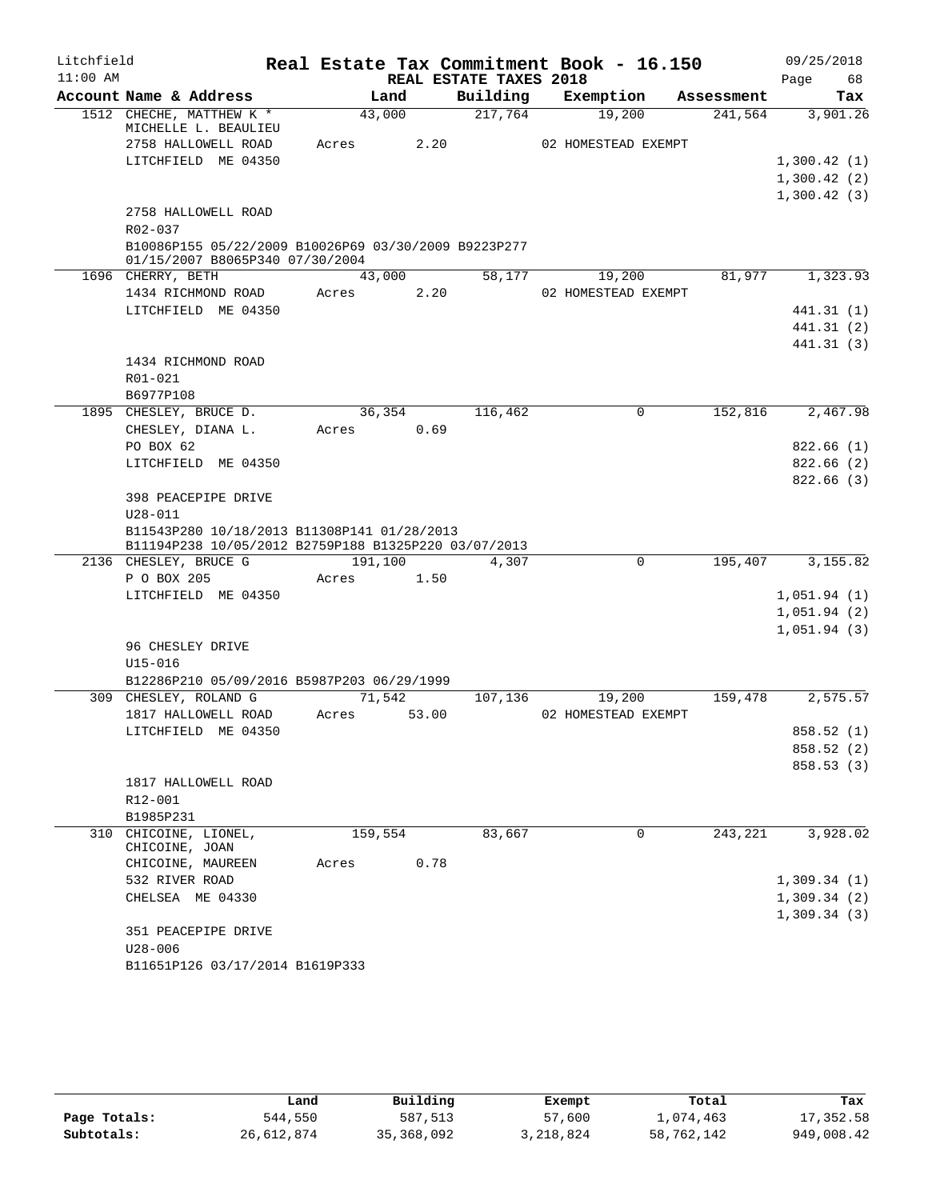| Litchfield |                                                                                                     |         |        |                        | Real Estate Tax Commitment Book - 16.150 |            | 09/25/2018  |
|------------|-----------------------------------------------------------------------------------------------------|---------|--------|------------------------|------------------------------------------|------------|-------------|
| $11:00$ AM |                                                                                                     |         |        | REAL ESTATE TAXES 2018 |                                          |            | Page<br>68  |
|            | Account Name & Address                                                                              |         | Land   | Building               | Exemption                                | Assessment | Tax         |
|            | 1512 CHECHE, MATTHEW K *<br>MICHELLE L. BEAULIEU                                                    |         | 43,000 | 217,764                | 19,200                                   | 241,564    | 3,901.26    |
|            | 2758 HALLOWELL ROAD                                                                                 | Acres   | 2.20   |                        | 02 HOMESTEAD EXEMPT                      |            |             |
|            | LITCHFIELD ME 04350                                                                                 |         |        |                        |                                          |            | 1,300.42(1) |
|            |                                                                                                     |         |        |                        |                                          |            | 1,300.42(2) |
|            |                                                                                                     |         |        |                        |                                          |            | 1,300.42(3) |
|            | 2758 HALLOWELL ROAD<br>$R02 - 037$                                                                  |         |        |                        |                                          |            |             |
|            | B10086P155 05/22/2009 B10026P69 03/30/2009 B9223P277<br>01/15/2007 B8065P340 07/30/2004             |         |        |                        |                                          |            |             |
|            | 1696 CHERRY, BETH                                                                                   |         | 43,000 | 58,177                 | 19,200                                   | 81,977     | 1,323.93    |
|            | 1434 RICHMOND ROAD                                                                                  | Acres   | 2.20   |                        | 02 HOMESTEAD EXEMPT                      |            |             |
|            | LITCHFIELD ME 04350                                                                                 |         |        |                        |                                          |            | 441.31 (1)  |
|            |                                                                                                     |         |        |                        |                                          |            | 441.31 (2)  |
|            |                                                                                                     |         |        |                        |                                          |            | 441.31 (3)  |
|            | 1434 RICHMOND ROAD                                                                                  |         |        |                        |                                          |            |             |
|            | R01-021                                                                                             |         |        |                        |                                          |            |             |
|            | B6977P108                                                                                           |         |        |                        |                                          |            |             |
|            | 1895 CHESLEY, BRUCE D.                                                                              |         | 36,354 | 116,462                | 0                                        | 152,816    | 2,467.98    |
|            | CHESLEY, DIANA L.                                                                                   | Acres   | 0.69   |                        |                                          |            |             |
|            | PO BOX 62                                                                                           |         |        |                        |                                          |            | 822.66(1)   |
|            | LITCHFIELD ME 04350                                                                                 |         |        |                        |                                          |            | 822.66(2)   |
|            |                                                                                                     |         |        |                        |                                          |            | 822.66(3)   |
|            | 398 PEACEPIPE DRIVE                                                                                 |         |        |                        |                                          |            |             |
|            | $U28 - 011$                                                                                         |         |        |                        |                                          |            |             |
|            | B11543P280 10/18/2013 B11308P141 01/28/2013<br>B11194P238 10/05/2012 B2759P188 B1325P220 03/07/2013 |         |        |                        |                                          |            |             |
|            | 2136 CHESLEY, BRUCE G                                                                               | 191,100 |        | 4,307                  | 0                                        | 195,407    | 3,155.82    |
|            | P O BOX 205                                                                                         | Acres   | 1.50   |                        |                                          |            |             |
|            | LITCHFIELD ME 04350                                                                                 |         |        |                        |                                          |            | 1,051.94(1) |
|            |                                                                                                     |         |        |                        |                                          |            | 1,051.94(2) |
|            |                                                                                                     |         |        |                        |                                          |            | 1,051.94(3) |
|            | 96 CHESLEY DRIVE                                                                                    |         |        |                        |                                          |            |             |
|            | $U15 - 016$                                                                                         |         |        |                        |                                          |            |             |
|            | B12286P210 05/09/2016 B5987P203 06/29/1999                                                          |         |        |                        |                                          |            |             |
|            | 309 CHESLEY, ROLAND G                                                                               |         | 71,542 | 107,136                | 19,200                                   | 159,478    | 2,575.57    |
|            | 1817 HALLOWELL ROAD                                                                                 | Acres   | 53.00  |                        | 02 HOMESTEAD EXEMPT                      |            |             |
|            | LITCHFIELD ME 04350                                                                                 |         |        |                        |                                          |            | 858.52 (1)  |
|            |                                                                                                     |         |        |                        |                                          |            | 858.52 (2)  |
|            |                                                                                                     |         |        |                        |                                          |            | 858.53 (3)  |
|            | 1817 HALLOWELL ROAD                                                                                 |         |        |                        |                                          |            |             |
|            | R12-001                                                                                             |         |        |                        |                                          |            |             |
|            | B1985P231                                                                                           |         |        |                        |                                          |            |             |
|            | 310 CHICOINE, LIONEL,                                                                               | 159,554 |        | 83,667                 | $\Omega$                                 | 243,221    | 3,928.02    |
|            | CHICOINE, JOAN                                                                                      |         |        |                        |                                          |            |             |
|            | CHICOINE, MAUREEN                                                                                   | Acres   | 0.78   |                        |                                          |            |             |
|            | 532 RIVER ROAD                                                                                      |         |        |                        |                                          |            | 1,309.34(1) |
|            | CHELSEA ME 04330                                                                                    |         |        |                        |                                          |            | 1,309.34(2) |
|            |                                                                                                     |         |        |                        |                                          |            | 1,309.34(3) |
|            | 351 PEACEPIPE DRIVE                                                                                 |         |        |                        |                                          |            |             |
|            | $U28 - 006$                                                                                         |         |        |                        |                                          |            |             |
|            | B11651P126 03/17/2014 B1619P333                                                                     |         |        |                        |                                          |            |             |

|              | Land       | Building   | Exempt    | Total      | Tax        |
|--------------|------------|------------|-----------|------------|------------|
| Page Totals: | 544,550    | 587,513    | 57,600    | 1,074,463  | 17,352.58  |
| Subtotals:   | 26,612,874 | 35,368,092 | 3,218,824 | 58,762,142 | 949,008.42 |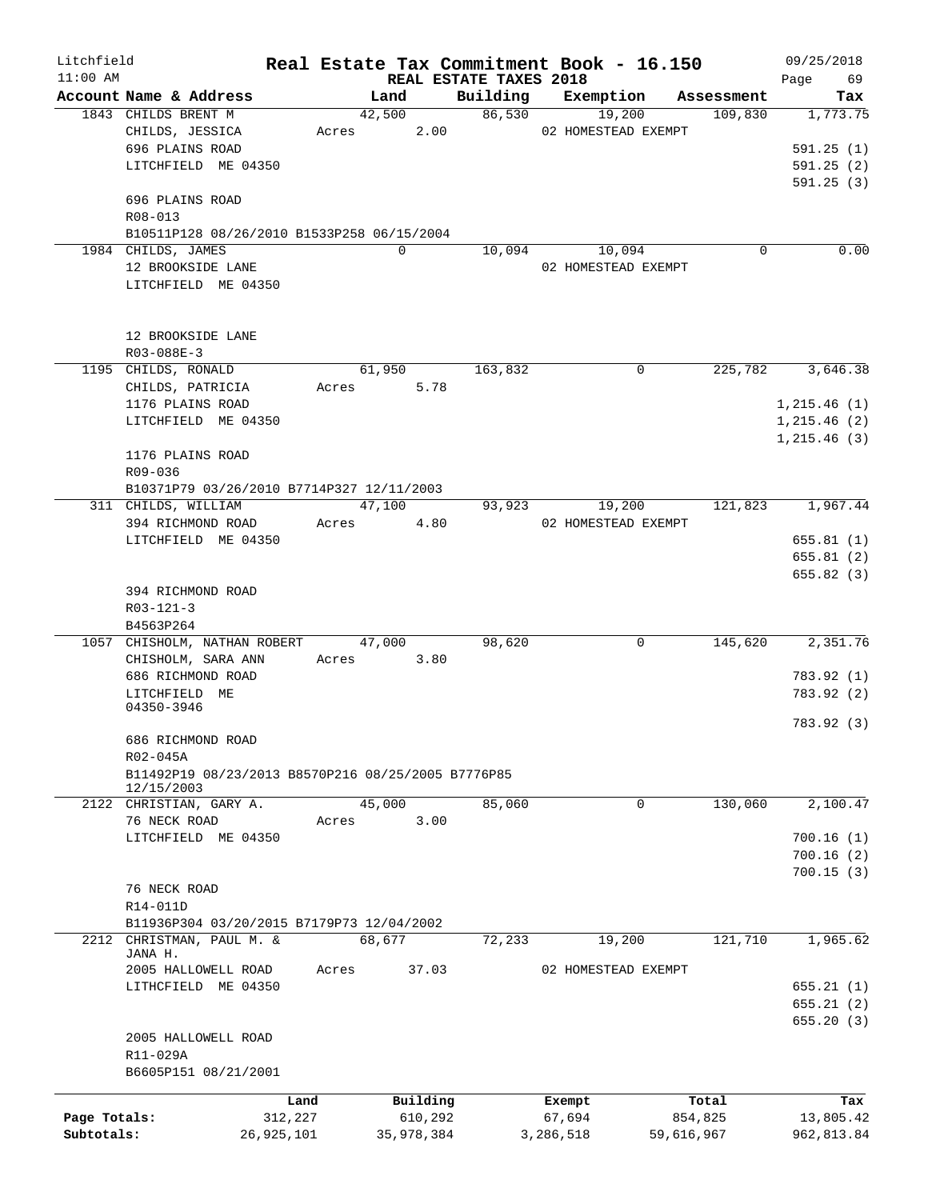| Litchfield   |                                                    |            |                |                        | Real Estate Tax Commitment Book - 16.150 |                       | 09/25/2018      |
|--------------|----------------------------------------------------|------------|----------------|------------------------|------------------------------------------|-----------------------|-----------------|
| $11:00$ AM   | Account Name & Address                             |            |                | REAL ESTATE TAXES 2018 |                                          |                       | 69<br>Page      |
|              | 1843 CHILDS BRENT M                                |            | Land<br>42,500 | 86,530                 | Building Exemption<br>19,200             | Assessment<br>109,830 | Tax<br>1,773.75 |
|              | CHILDS, JESSICA                                    |            | 2.00<br>Acres  |                        | 02 HOMESTEAD EXEMPT                      |                       |                 |
|              | 696 PLAINS ROAD                                    |            |                |                        |                                          |                       | 591.25(1)       |
|              | LITCHFIELD ME 04350                                |            |                |                        |                                          |                       | 591.25(2)       |
|              |                                                    |            |                |                        |                                          |                       | 591.25(3)       |
|              | 696 PLAINS ROAD                                    |            |                |                        |                                          |                       |                 |
|              | R08-013                                            |            |                |                        |                                          |                       |                 |
|              | B10511P128 08/26/2010 B1533P258 06/15/2004         |            |                |                        |                                          |                       |                 |
|              | 1984 CHILDS, JAMES                                 |            | $\Omega$       | 10,094                 | 10,094                                   | 0                     | 0.00            |
|              | 12 BROOKSIDE LANE                                  |            |                |                        | 02 HOMESTEAD EXEMPT                      |                       |                 |
|              | LITCHFIELD ME 04350                                |            |                |                        |                                          |                       |                 |
|              |                                                    |            |                |                        |                                          |                       |                 |
|              |                                                    |            |                |                        |                                          |                       |                 |
|              | 12 BROOKSIDE LANE                                  |            |                |                        |                                          |                       |                 |
|              | $R03 - 088E - 3$                                   |            |                |                        |                                          |                       |                 |
|              | 1195 CHILDS, RONALD                                |            | 61,950         | 163,832                | 0                                        | 225,782               | 3,646.38        |
|              | CHILDS, PATRICIA                                   |            | 5.78<br>Acres  |                        |                                          |                       |                 |
|              | 1176 PLAINS ROAD                                   |            |                |                        |                                          |                       | 1, 215.46(1)    |
|              | LITCHFIELD ME 04350                                |            |                |                        |                                          |                       | 1, 215.46(2)    |
|              |                                                    |            |                |                        |                                          |                       | 1, 215.46(3)    |
|              | 1176 PLAINS ROAD                                   |            |                |                        |                                          |                       |                 |
|              | R09-036                                            |            |                |                        |                                          |                       |                 |
|              | B10371P79 03/26/2010 B7714P327 12/11/2003          |            |                |                        |                                          |                       |                 |
|              | 311 CHILDS, WILLIAM                                |            | 47,100         |                        | 93,923<br>19,200                         | 121,823               | 1,967.44        |
|              | 394 RICHMOND ROAD                                  |            | 4.80<br>Acres  |                        | 02 HOMESTEAD EXEMPT                      |                       |                 |
|              | LITCHFIELD ME 04350                                |            |                |                        |                                          |                       | 655.81(1)       |
|              |                                                    |            |                |                        |                                          |                       | 655.81(2)       |
|              |                                                    |            |                |                        |                                          |                       | 655.82(3)       |
|              | 394 RICHMOND ROAD                                  |            |                |                        |                                          |                       |                 |
|              | $R03 - 121 - 3$                                    |            |                |                        |                                          |                       |                 |
|              | B4563P264<br>1057 CHISHOLM, NATHAN ROBERT          |            | 47,000         | 98,620                 | 0                                        | 145,620               | 2,351.76        |
|              | CHISHOLM, SARA ANN                                 |            | 3.80<br>Acres  |                        |                                          |                       |                 |
|              | 686 RICHMOND ROAD                                  |            |                |                        |                                          |                       | 783.92 (1)      |
|              | LITCHFIELD ME                                      |            |                |                        |                                          |                       | 783.92 (2)      |
|              | 04350-3946                                         |            |                |                        |                                          |                       |                 |
|              |                                                    |            |                |                        |                                          |                       | 783.92 (3)      |
|              | 686 RICHMOND ROAD                                  |            |                |                        |                                          |                       |                 |
|              | R02-045A                                           |            |                |                        |                                          |                       |                 |
|              | B11492P19 08/23/2013 B8570P216 08/25/2005 B7776P85 |            |                |                        |                                          |                       |                 |
|              | 12/15/2003                                         |            |                |                        |                                          |                       |                 |
|              | 2122 CHRISTIAN, GARY A.                            |            | 45,000         | 85,060                 | 0                                        | 130,060               | 2,100.47        |
|              | 76 NECK ROAD                                       |            | 3.00<br>Acres  |                        |                                          |                       |                 |
|              | LITCHFIELD ME 04350                                |            |                |                        |                                          |                       | 700.16(1)       |
|              |                                                    |            |                |                        |                                          |                       | 700.16(2)       |
|              | 76 NECK ROAD                                       |            |                |                        |                                          |                       | 700.15(3)       |
|              | R14-011D                                           |            |                |                        |                                          |                       |                 |
|              | B11936P304 03/20/2015 B7179P73 12/04/2002          |            |                |                        |                                          |                       |                 |
| 2212         | CHRISTMAN, PAUL M. &                               |            | 68,677         | 72,233                 | 19,200                                   | 121,710               | 1,965.62        |
|              | JANA H.                                            |            |                |                        |                                          |                       |                 |
|              | 2005 HALLOWELL ROAD                                |            | Acres<br>37.03 |                        | 02 HOMESTEAD EXEMPT                      |                       |                 |
|              | LITHCFIELD ME 04350                                |            |                |                        |                                          |                       | 655.21 (1)      |
|              |                                                    |            |                |                        |                                          |                       | 655.21 (2)      |
|              |                                                    |            |                |                        |                                          |                       | 655.20(3)       |
|              | 2005 HALLOWELL ROAD                                |            |                |                        |                                          |                       |                 |
|              | R11-029A                                           |            |                |                        |                                          |                       |                 |
|              | B6605P151 08/21/2001                               |            |                |                        |                                          |                       |                 |
|              |                                                    | Land       | Building       |                        | Exempt                                   | Total                 | Tax             |
| Page Totals: |                                                    | 312,227    | 610,292        |                        | 67,694                                   | 854,825               | 13,805.42       |
| Subtotals:   |                                                    | 26,925,101 | 35,978,384     |                        | 3,286,518                                | 59,616,967            | 962,813.84      |
|              |                                                    |            |                |                        |                                          |                       |                 |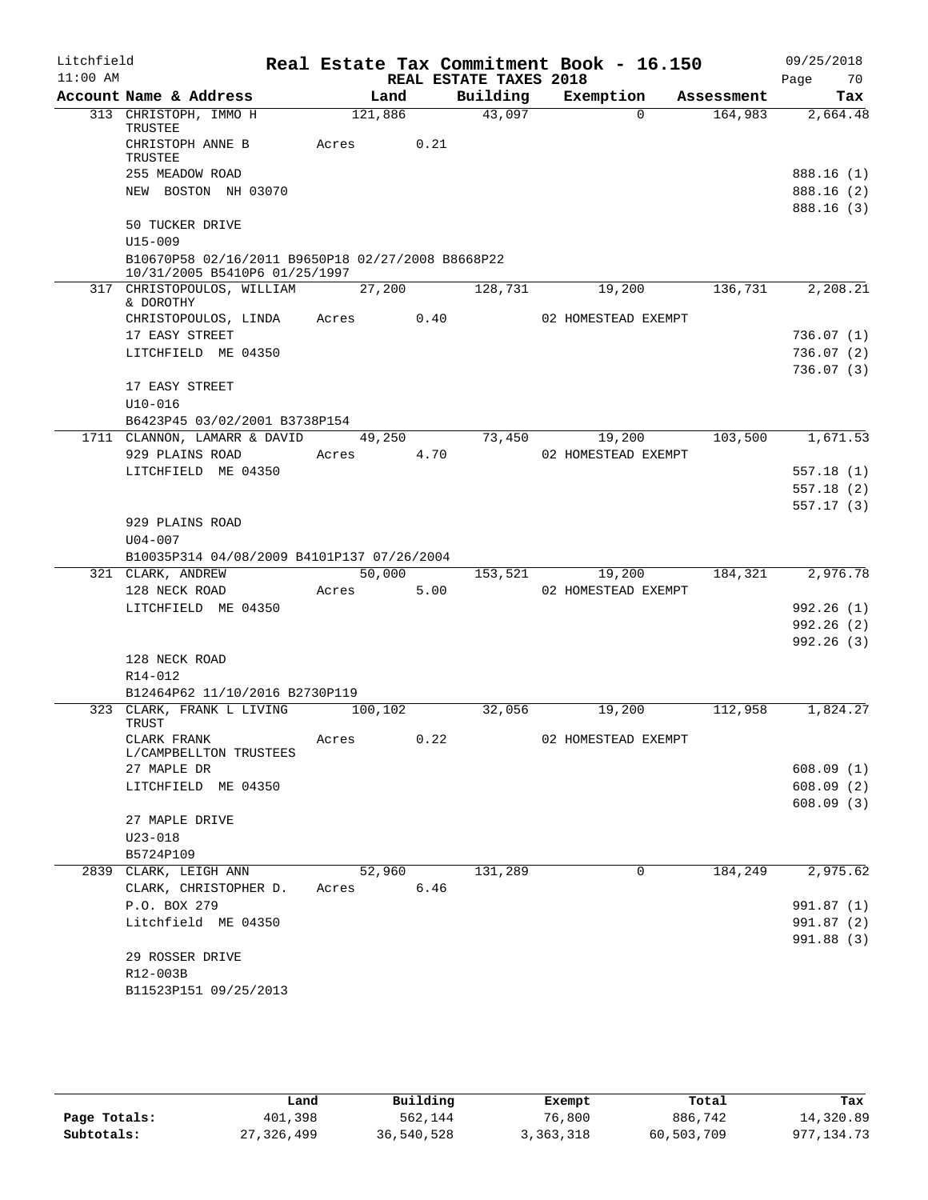| Litchfield |                                                                                    |            |      |                        | Real Estate Tax Commitment Book - 16.150 |            | 09/25/2018               |
|------------|------------------------------------------------------------------------------------|------------|------|------------------------|------------------------------------------|------------|--------------------------|
| $11:00$ AM |                                                                                    |            |      | REAL ESTATE TAXES 2018 |                                          |            | Page<br>70               |
|            | Account Name & Address                                                             | Land       |      |                        | Building Exemption                       | Assessment | Tax                      |
|            | 313 CHRISTOPH, IMMO H<br>TRUSTEE                                                   | 121,886    |      | 43,097                 | $\Omega$                                 | 164,983    | 2,664.48                 |
|            | CHRISTOPH ANNE B<br>TRUSTEE                                                        | Acres      | 0.21 |                        |                                          |            |                          |
|            | 255 MEADOW ROAD                                                                    |            |      |                        |                                          |            | 888.16 (1)               |
|            | NEW BOSTON NH 03070                                                                |            |      |                        |                                          |            | 888.16 (2)               |
|            |                                                                                    |            |      |                        |                                          |            | 888.16 (3)               |
|            | 50 TUCKER DRIVE                                                                    |            |      |                        |                                          |            |                          |
|            | $U15 - 009$                                                                        |            |      |                        |                                          |            |                          |
|            | B10670P58 02/16/2011 B9650P18 02/27/2008 B8668P22<br>10/31/2005 B5410P6 01/25/1997 |            |      |                        |                                          |            |                          |
|            | 317 CHRISTOPOULOS, WILLIAM                                                         | 27,200     |      | 128,731                | 19,200                                   | 136,731    | 2,208.21                 |
|            | & DOROTHY                                                                          |            |      |                        |                                          |            |                          |
|            | CHRISTOPOULOS, LINDA Acres 0.40                                                    |            |      |                        | 02 HOMESTEAD EXEMPT                      |            |                          |
|            | 17 EASY STREET                                                                     |            |      |                        |                                          |            | 736.07(1)                |
|            | LITCHFIELD ME 04350                                                                |            |      |                        |                                          |            | 736.07(2)                |
|            |                                                                                    |            |      |                        |                                          |            | 736.07(3)                |
|            | 17 EASY STREET                                                                     |            |      |                        |                                          |            |                          |
|            | $U10 - 016$                                                                        |            |      |                        |                                          |            |                          |
|            | B6423P45 03/02/2001 B3738P154                                                      |            |      |                        |                                          |            |                          |
|            | 1711 CLANNON, LAMARR & DAVID                                                       | 49,250     |      | 73,450                 | 19,200                                   | 103,500    | 1,671.53                 |
|            | 929 PLAINS ROAD                                                                    | Acres 4.70 |      |                        | 02 HOMESTEAD EXEMPT                      |            |                          |
|            | LITCHFIELD ME 04350                                                                |            |      |                        |                                          |            | 557.18(1)                |
|            |                                                                                    |            |      |                        |                                          |            | 557.18(2)<br>557.17(3)   |
|            | 929 PLAINS ROAD                                                                    |            |      |                        |                                          |            |                          |
|            | $U04 - 007$                                                                        |            |      |                        |                                          |            |                          |
|            | B10035P314 04/08/2009 B4101P137 07/26/2004                                         |            |      |                        |                                          |            |                          |
|            | 321 CLARK, ANDREW                                                                  | 50,000     |      | 153,521                | 19,200                                   | 184,321    | 2,976.78                 |
|            | 128 NECK ROAD                                                                      | Acres      | 5.00 |                        | 02 HOMESTEAD EXEMPT                      |            |                          |
|            | LITCHFIELD ME 04350                                                                |            |      |                        |                                          |            | 992.26(1)                |
|            |                                                                                    |            |      |                        |                                          |            | 992.26(2)                |
|            |                                                                                    |            |      |                        |                                          |            | 992.26(3)                |
|            | 128 NECK ROAD                                                                      |            |      |                        |                                          |            |                          |
|            | R14-012                                                                            |            |      |                        |                                          |            |                          |
|            | B12464P62 11/10/2016 B2730P119                                                     |            |      |                        |                                          |            |                          |
|            | 323 CLARK, FRANK L LIVING<br>TRUST                                                 | 100,102    |      | 32,056                 | 19,200                                   | 112,958    | 1,824.27                 |
|            | CLARK FRANK                                                                        | Acres      | 0.22 |                        | 02 HOMESTEAD EXEMPT                      |            |                          |
|            | L/CAMPBELLTON TRUSTEES                                                             |            |      |                        |                                          |            |                          |
|            | 27 MAPLE DR                                                                        |            |      |                        |                                          |            | 608.09(1)                |
|            | LITCHFIELD ME 04350                                                                |            |      |                        |                                          |            | 608.09(2)                |
|            |                                                                                    |            |      |                        |                                          |            | 608.09(3)                |
|            | 27 MAPLE DRIVE                                                                     |            |      |                        |                                          |            |                          |
|            | $U23 - 018$                                                                        |            |      |                        |                                          |            |                          |
|            | B5724P109                                                                          |            |      |                        |                                          |            |                          |
|            | 2839 CLARK, LEIGH ANN                                                              | 52,960     |      | 131,289                | $\mathbf 0$                              | 184,249    | 2,975.62                 |
|            | CLARK, CHRISTOPHER D.<br>P.O. BOX 279                                              | Acres      | 6.46 |                        |                                          |            | 991.87 (1)               |
|            | Litchfield ME 04350                                                                |            |      |                        |                                          |            |                          |
|            |                                                                                    |            |      |                        |                                          |            | 991.87 (2)<br>991.88 (3) |
|            | 29 ROSSER DRIVE                                                                    |            |      |                        |                                          |            |                          |
|            | R12-003B                                                                           |            |      |                        |                                          |            |                          |
|            | B11523P151 09/25/2013                                                              |            |      |                        |                                          |            |                          |
|            |                                                                                    |            |      |                        |                                          |            |                          |

|              | Land       | Building   | Exempt    | Total      | Tax          |
|--------------|------------|------------|-----------|------------|--------------|
| Page Totals: | 401,398    | 562,144    | 76,800    | 886,742    | 14,320.89    |
| Subtotals:   | 27,326,499 | 36,540,528 | 3,363,318 | 60,503,709 | 977, 134, 73 |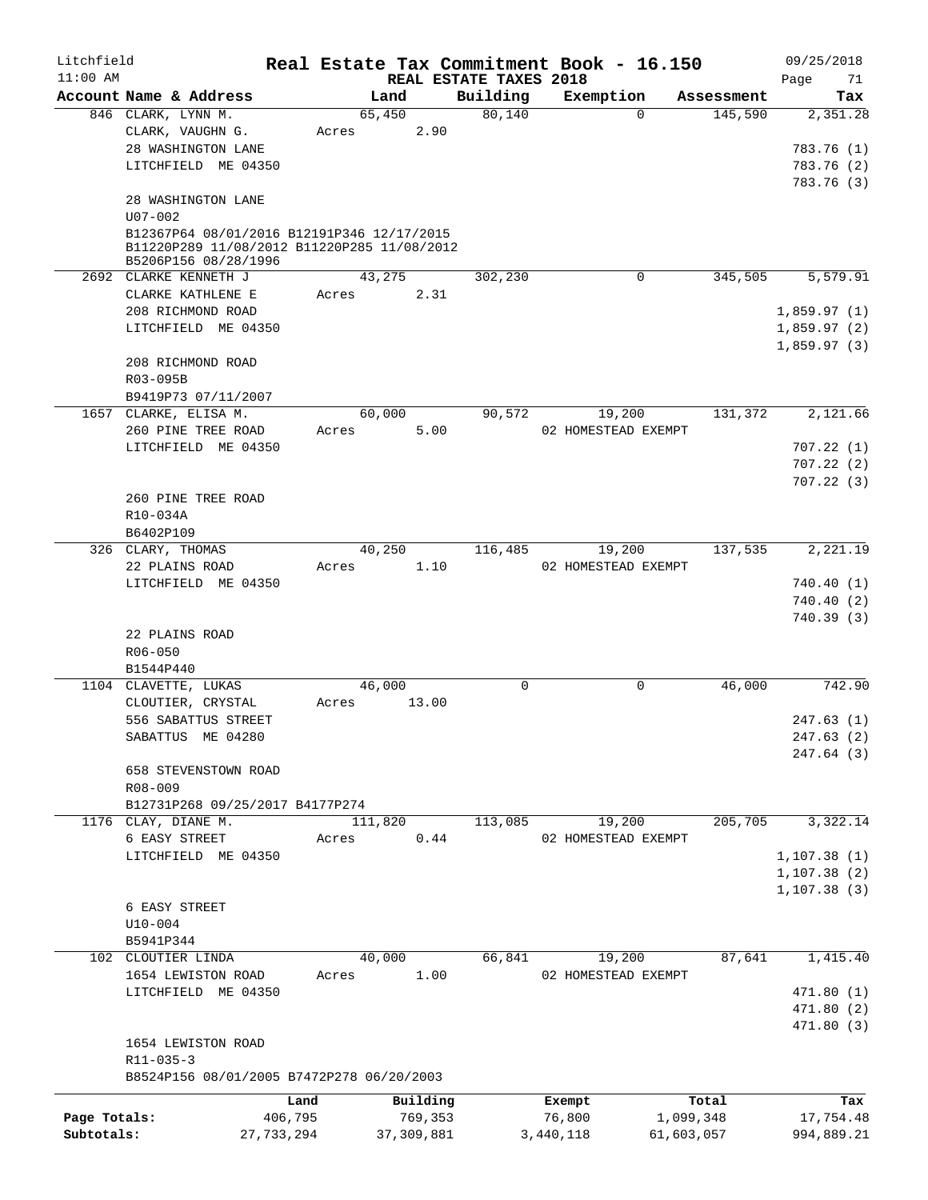| Litchfield   |                                                                                           |            |         |              |                        | Real Estate Tax Commitment Book - 16.150 |             |            | 09/25/2018      |
|--------------|-------------------------------------------------------------------------------------------|------------|---------|--------------|------------------------|------------------------------------------|-------------|------------|-----------------|
| $11:00$ AM   | Account Name & Address                                                                    |            | Land    |              | REAL ESTATE TAXES 2018 |                                          |             | Assessment | Page<br>71      |
|              | 846 CLARK, LYNN M.                                                                        |            | 65,450  |              | Building<br>80,140     | Exemption                                | $\Omega$    | 145,590    | Tax<br>2,351.28 |
|              | CLARK, VAUGHN G.                                                                          |            | Acres   | 2.90         |                        |                                          |             |            |                 |
|              | 28 WASHINGTON LANE                                                                        |            |         |              |                        |                                          |             |            | 783.76 (1)      |
|              | LITCHFIELD ME 04350                                                                       |            |         |              |                        |                                          |             |            | 783.76 (2)      |
|              |                                                                                           |            |         |              |                        |                                          |             |            | 783.76 (3)      |
|              | 28 WASHINGTON LANE<br>$U07 - 002$                                                         |            |         |              |                        |                                          |             |            |                 |
|              | B12367P64 08/01/2016 B12191P346 12/17/2015<br>B11220P289 11/08/2012 B11220P285 11/08/2012 |            |         |              |                        |                                          |             |            |                 |
|              | B5206P156 08/28/1996<br>2692 CLARKE KENNETH J                                             |            | 43,275  |              | 302,230                |                                          | $\mathbf 0$ | 345,505    | 5,579.91        |
|              | CLARKE KATHLENE E                                                                         |            | Acres   | 2.31         |                        |                                          |             |            |                 |
|              | 208 RICHMOND ROAD                                                                         |            |         |              |                        |                                          |             |            | 1,859.97(1)     |
|              | LITCHFIELD ME 04350                                                                       |            |         |              |                        |                                          |             |            | 1,859.97(2)     |
|              |                                                                                           |            |         |              |                        |                                          |             |            | 1,859.97(3)     |
|              | 208 RICHMOND ROAD<br>R03-095B                                                             |            |         |              |                        |                                          |             |            |                 |
|              | B9419P73 07/11/2007                                                                       |            |         |              |                        |                                          |             |            |                 |
|              | 1657 CLARKE, ELISA M.                                                                     |            | 60,000  |              | 90,572                 | 19,200                                   |             | 131,372    | 2,121.66        |
|              | 260 PINE TREE ROAD                                                                        |            | Acres   | 5.00         |                        | 02 HOMESTEAD EXEMPT                      |             |            |                 |
|              | LITCHFIELD ME 04350                                                                       |            |         |              |                        |                                          |             |            | 707.22(1)       |
|              |                                                                                           |            |         |              |                        |                                          |             |            | 707.22(2)       |
|              |                                                                                           |            |         |              |                        |                                          |             |            | 707.22(3)       |
|              | 260 PINE TREE ROAD                                                                        |            |         |              |                        |                                          |             |            |                 |
|              | R10-034A                                                                                  |            |         |              |                        |                                          |             |            |                 |
|              | B6402P109                                                                                 |            |         |              |                        |                                          |             |            |                 |
|              | 326 CLARY, THOMAS                                                                         |            | 40,250  |              | 116,485                | 19,200                                   |             | 137,535    | 2,221.19        |
|              | 22 PLAINS ROAD                                                                            |            | Acres   | 1.10         |                        | 02 HOMESTEAD EXEMPT                      |             |            |                 |
|              | LITCHFIELD ME 04350                                                                       |            |         |              |                        |                                          |             |            | 740.40(1)       |
|              |                                                                                           |            |         |              |                        |                                          |             |            | 740.40(2)       |
|              |                                                                                           |            |         |              |                        |                                          |             |            | 740.39(3)       |
|              | 22 PLAINS ROAD                                                                            |            |         |              |                        |                                          |             |            |                 |
|              | R06-050                                                                                   |            |         |              |                        |                                          |             |            |                 |
|              | B1544P440                                                                                 |            |         |              |                        |                                          |             |            |                 |
|              | 1104 CLAVETTE, LUKAS                                                                      |            | 46,000  |              | 0                      |                                          | 0           | 46,000     | 742.90          |
|              | CLOUTIER, CRYSTAL                                                                         |            | Acres   | 13.00        |                        |                                          |             |            |                 |
|              | 556 SABATTUS STREET                                                                       |            |         |              |                        |                                          |             |            | 247.63(1)       |
|              | SABATTUS ME 04280                                                                         |            |         |              |                        |                                          |             |            | 247.63(2)       |
|              |                                                                                           |            |         |              |                        |                                          |             |            | 247.64 (3)      |
|              | 658 STEVENSTOWN ROAD                                                                      |            |         |              |                        |                                          |             |            |                 |
|              | $R08 - 009$                                                                               |            |         |              |                        |                                          |             |            |                 |
|              | B12731P268 09/25/2017 B4177P274                                                           |            |         |              |                        |                                          |             |            |                 |
|              | 1176 CLAY, DIANE M.                                                                       |            | 111,820 |              | 113,085                | 19,200                                   |             | 205,705    | 3,322.14        |
|              | 6 EASY STREET                                                                             |            | Acres   | 0.44         |                        | 02 HOMESTEAD EXEMPT                      |             |            |                 |
|              | LITCHFIELD ME 04350                                                                       |            |         |              |                        |                                          |             |            | 1, 107.38(1)    |
|              |                                                                                           |            |         |              |                        |                                          |             |            | 1, 107.38(2)    |
|              |                                                                                           |            |         |              |                        |                                          |             |            | 1, 107.38(3)    |
|              | 6 EASY STREET                                                                             |            |         |              |                        |                                          |             |            |                 |
|              | $U10 - 004$                                                                               |            |         |              |                        |                                          |             |            |                 |
|              | B5941P344                                                                                 |            |         |              |                        |                                          |             |            |                 |
|              | 102 CLOUTIER LINDA                                                                        |            | 40,000  |              | 66,841                 | 19,200                                   |             | 87,641     | 1,415.40        |
|              | 1654 LEWISTON ROAD                                                                        |            | Acres   | 1.00         |                        | 02 HOMESTEAD EXEMPT                      |             |            |                 |
|              | LITCHFIELD ME 04350                                                                       |            |         |              |                        |                                          |             |            | 471.80 (1)      |
|              |                                                                                           |            |         |              |                        |                                          |             |            | 471.80 (2)      |
|              |                                                                                           |            |         |              |                        |                                          |             |            | 471.80 (3)      |
|              | 1654 LEWISTON ROAD                                                                        |            |         |              |                        |                                          |             |            |                 |
|              | $R11 - 035 - 3$                                                                           |            |         |              |                        |                                          |             |            |                 |
|              | B8524P156 08/01/2005 B7472P278 06/20/2003                                                 |            |         |              |                        |                                          |             |            |                 |
|              |                                                                                           | Land       |         | Building     |                        | Exempt                                   |             | Total      | Tax             |
| Page Totals: |                                                                                           | 406,795    |         | 769,353      |                        | 76,800                                   | 1,099,348   |            | 17,754.48       |
| Subtotals:   |                                                                                           | 27,733,294 |         | 37, 309, 881 |                        | 3,440,118                                | 61,603,057  |            | 994,889.21      |
|              |                                                                                           |            |         |              |                        |                                          |             |            |                 |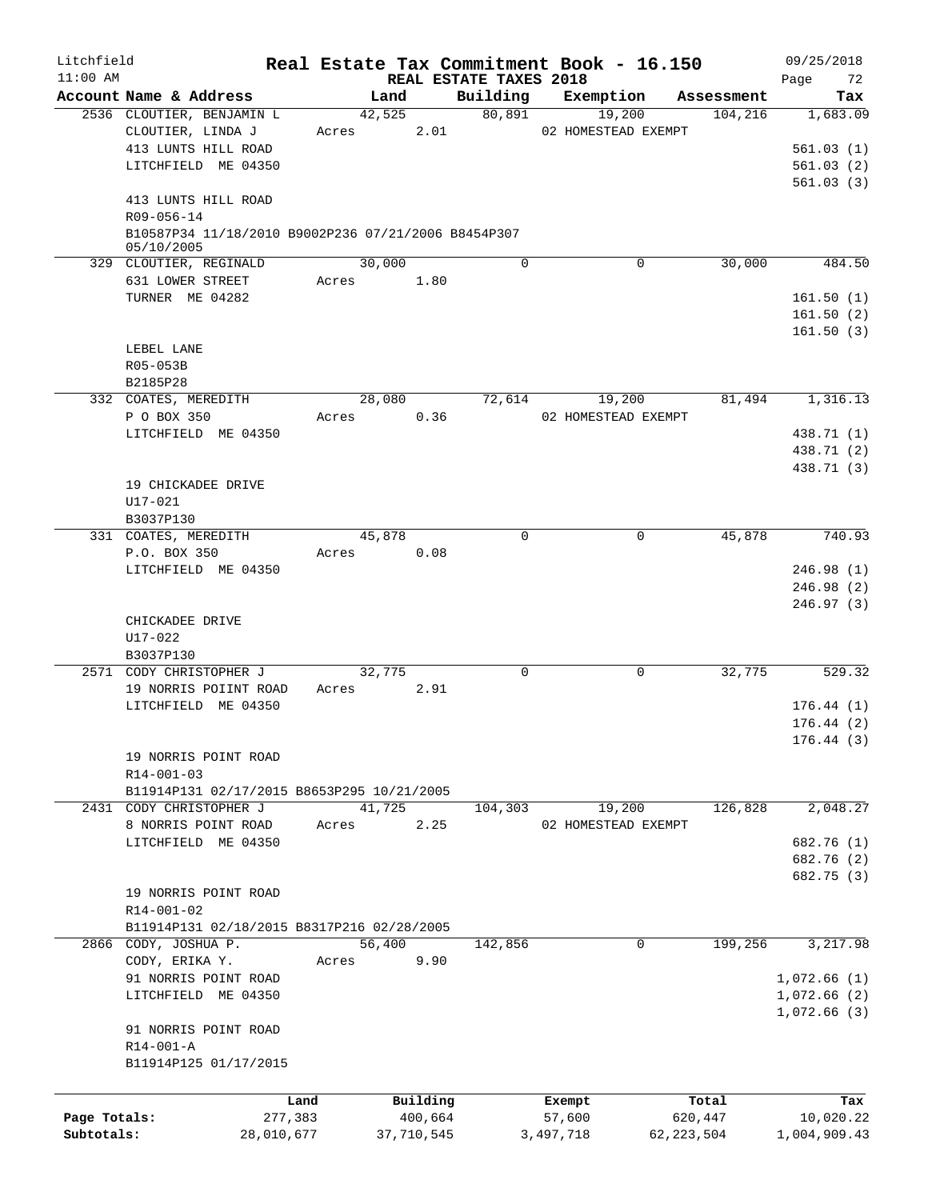| Litchfield<br>$11:00$ AM |                                                                   | Real Estate Tax Commitment Book - 16.150 |          | REAL ESTATE TAXES 2018 |                     |              |            | 09/25/2018<br>72<br>Page |
|--------------------------|-------------------------------------------------------------------|------------------------------------------|----------|------------------------|---------------------|--------------|------------|--------------------------|
|                          | Account Name & Address                                            | Land                                     |          | Building               | Exemption           |              | Assessment | Tax                      |
|                          | 2536 CLOUTIER, BENJAMIN L                                         | 42,525                                   |          | 80,891                 | 19,200              |              | 104,216    | 1,683.09                 |
|                          | CLOUTIER, LINDA J                                                 | Acres                                    | 2.01     |                        | 02 HOMESTEAD EXEMPT |              |            |                          |
|                          | 413 LUNTS HILL ROAD                                               |                                          |          |                        |                     |              |            | 561.03(1)                |
|                          | LITCHFIELD ME 04350                                               |                                          |          |                        |                     |              |            | 561.03(2)                |
|                          |                                                                   |                                          |          |                        |                     |              |            | 561.03(3)                |
|                          | 413 LUNTS HILL ROAD                                               |                                          |          |                        |                     |              |            |                          |
|                          | R09-056-14                                                        |                                          |          |                        |                     |              |            |                          |
|                          | B10587P34 11/18/2010 B9002P236 07/21/2006 B8454P307<br>05/10/2005 |                                          |          |                        |                     |              |            |                          |
|                          | 329 CLOUTIER, REGINALD                                            | 30,000                                   |          | $\Omega$               | $\mathbf 0$         |              | 30,000     | 484.50                   |
|                          | 631 LOWER STREET                                                  | Acres                                    | 1.80     |                        |                     |              |            |                          |
|                          | TURNER ME 04282                                                   |                                          |          |                        |                     |              |            | 161.50(1)                |
|                          |                                                                   |                                          |          |                        |                     |              |            | 161.50(2)                |
|                          |                                                                   |                                          |          |                        |                     |              |            | 161.50(3)                |
|                          | LEBEL LANE                                                        |                                          |          |                        |                     |              |            |                          |
|                          | R05-053B                                                          |                                          |          |                        |                     |              |            |                          |
|                          | B2185P28                                                          |                                          |          |                        |                     |              |            |                          |
|                          | 332 COATES, MEREDITH                                              | 28,080                                   |          | 72,614                 | 19,200              |              | 81,494     | 1,316.13                 |
|                          |                                                                   |                                          | 0.36     |                        |                     |              |            |                          |
|                          | P O BOX 350                                                       | Acres                                    |          |                        | 02 HOMESTEAD EXEMPT |              |            |                          |
|                          | LITCHFIELD ME 04350                                               |                                          |          |                        |                     |              |            | 438.71 (1)               |
|                          |                                                                   |                                          |          |                        |                     |              |            | 438.71 (2)               |
|                          |                                                                   |                                          |          |                        |                     |              |            | 438.71 (3)               |
|                          | 19 CHICKADEE DRIVE                                                |                                          |          |                        |                     |              |            |                          |
|                          | U17-021                                                           |                                          |          |                        |                     |              |            |                          |
|                          | B3037P130                                                         |                                          |          |                        |                     |              |            |                          |
|                          | 331 COATES, MEREDITH                                              | 45,878                                   |          | $\Omega$               | $\mathbf 0$         |              | 45,878     | 740.93                   |
|                          | P.O. BOX 350                                                      | Acres                                    | 0.08     |                        |                     |              |            |                          |
|                          | LITCHFIELD ME 04350                                               |                                          |          |                        |                     |              |            | 246.98(1)                |
|                          |                                                                   |                                          |          |                        |                     |              |            | 246.98(2)                |
|                          |                                                                   |                                          |          |                        |                     |              |            | 246.97(3)                |
|                          | CHICKADEE DRIVE                                                   |                                          |          |                        |                     |              |            |                          |
|                          | U17-022                                                           |                                          |          |                        |                     |              |            |                          |
|                          | B3037P130                                                         |                                          |          |                        |                     |              |            |                          |
|                          | 2571 CODY CHRISTOPHER J                                           | 32,775                                   |          | $\mathbf 0$            |                     | 0            | 32,775     | 529.32                   |
|                          | 19 NORRIS POIINT ROAD                                             | Acres                                    | 2.91     |                        |                     |              |            |                          |
|                          | LITCHFIELD ME 04350                                               |                                          |          |                        |                     |              |            | 176.44(1)                |
|                          |                                                                   |                                          |          |                        |                     |              |            | 176.44(2)                |
|                          |                                                                   |                                          |          |                        |                     |              |            | 176.44 (3)               |
|                          | 19 NORRIS POINT ROAD                                              |                                          |          |                        |                     |              |            |                          |
|                          | R14-001-03                                                        |                                          |          |                        |                     |              |            |                          |
|                          | B11914P131 02/17/2015 B8653P295 10/21/2005                        |                                          |          |                        |                     |              |            |                          |
|                          | 2431 CODY CHRISTOPHER J                                           | 41,725                                   |          | 104,303                | 19,200              |              | 126,828    | 2,048.27                 |
|                          | 8 NORRIS POINT ROAD                                               | Acres                                    | 2.25     |                        | 02 HOMESTEAD EXEMPT |              |            |                          |
|                          | LITCHFIELD ME 04350                                               |                                          |          |                        |                     |              |            | 682.76 (1)               |
|                          |                                                                   |                                          |          |                        |                     |              |            | 682.76 (2)               |
|                          |                                                                   |                                          |          |                        |                     |              |            | 682.75 (3)               |
|                          | 19 NORRIS POINT ROAD                                              |                                          |          |                        |                     |              |            |                          |
|                          | R14-001-02                                                        |                                          |          |                        |                     |              |            |                          |
|                          | B11914P131 02/18/2015 B8317P216 02/28/2005                        |                                          |          |                        |                     |              |            |                          |
|                          | 2866 CODY, JOSHUA P.                                              | 56,400                                   |          | 142,856                |                     | $\mathbf{0}$ | 199,256    | 3,217.98                 |
|                          | CODY, ERIKA Y.                                                    | Acres                                    | 9.90     |                        |                     |              |            |                          |
|                          | 91 NORRIS POINT ROAD                                              |                                          |          |                        |                     |              |            | 1,072.66(1)              |
|                          | LITCHFIELD ME 04350                                               |                                          |          |                        |                     |              |            | 1,072.66(2)              |
|                          |                                                                   |                                          |          |                        |                     |              |            | 1,072.66(3)              |
|                          | 91 NORRIS POINT ROAD                                              |                                          |          |                        |                     |              |            |                          |
|                          | R14-001-A                                                         |                                          |          |                        |                     |              |            |                          |
|                          | B11914P125 01/17/2015                                             |                                          |          |                        |                     |              |            |                          |
|                          |                                                                   |                                          |          |                        |                     |              |            |                          |
|                          |                                                                   |                                          |          |                        |                     |              |            |                          |
|                          | Land                                                              |                                          | Building |                        | Exempt              |              | Total      | Tax                      |
| Page Totals:             | 277,383                                                           |                                          | 400,664  |                        | 57,600              | 620,447      |            | 10,020.22                |
| Subtotals:               | 28,010,677                                                        | 37,710,545                               |          |                        | 3,497,718           | 62, 223, 504 |            | 1,004,909.43             |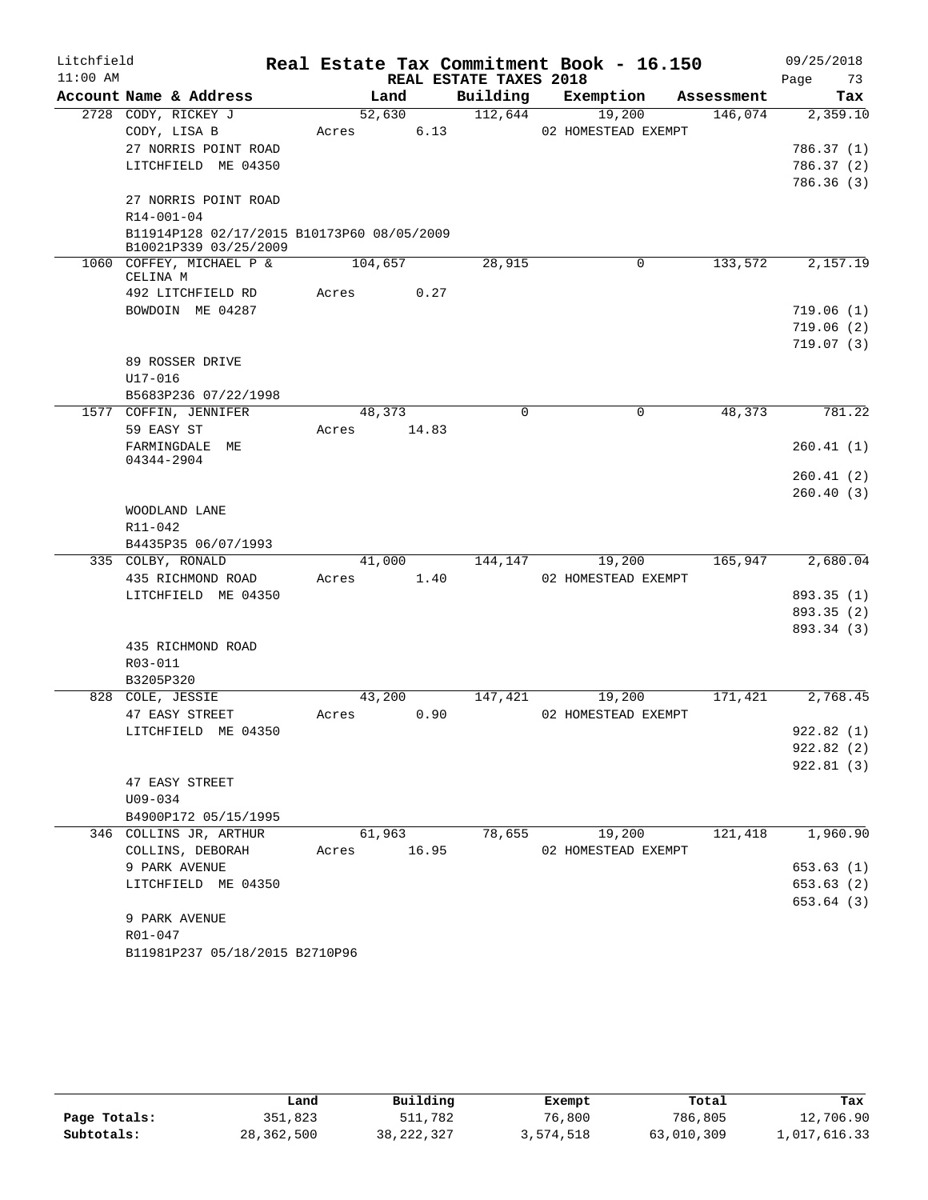| Litchfield |                                                                     |         |                |                        | Real Estate Tax Commitment Book - 16.150 |                       |      | 09/25/2018      |
|------------|---------------------------------------------------------------------|---------|----------------|------------------------|------------------------------------------|-----------------------|------|-----------------|
| $11:00$ AM | Account Name & Address                                              |         |                | REAL ESTATE TAXES 2018 |                                          |                       | Page | 73              |
|            | 2728 CODY, RICKEY J                                                 |         | Land<br>52,630 | Building<br>112,644    | Exemption<br>19,200                      | Assessment<br>146,074 |      | Tax<br>2,359.10 |
|            | CODY, LISA B                                                        | Acres   | 6.13           |                        | 02 HOMESTEAD EXEMPT                      |                       |      |                 |
|            | 27 NORRIS POINT ROAD                                                |         |                |                        |                                          |                       |      | 786.37 (1)      |
|            | LITCHFIELD ME 04350                                                 |         |                |                        |                                          |                       |      | 786.37 (2)      |
|            |                                                                     |         |                |                        |                                          |                       |      | 786.36(3)       |
|            | 27 NORRIS POINT ROAD                                                |         |                |                        |                                          |                       |      |                 |
|            | R14-001-04                                                          |         |                |                        |                                          |                       |      |                 |
|            | B11914P128 02/17/2015 B10173P60 08/05/2009<br>B10021P339 03/25/2009 |         |                |                        |                                          |                       |      |                 |
|            | 1060 COFFEY, MICHAEL P &<br>CELINA M                                | 104,657 |                | 28,915                 | $\mathbf 0$                              | 133,572               |      | 2,157.19        |
|            | 492 LITCHFIELD RD                                                   | Acres   | 0.27           |                        |                                          |                       |      |                 |
|            | BOWDOIN ME 04287                                                    |         |                |                        |                                          |                       |      | 719.06(1)       |
|            |                                                                     |         |                |                        |                                          |                       |      | 719.06(2)       |
|            |                                                                     |         |                |                        |                                          |                       |      | 719.07(3)       |
|            | 89 ROSSER DRIVE                                                     |         |                |                        |                                          |                       |      |                 |
|            | $U17 - 016$                                                         |         |                |                        |                                          |                       |      |                 |
|            | B5683P236 07/22/1998                                                |         |                |                        |                                          |                       |      |                 |
|            | 1577 COFFIN, JENNIFER                                               |         | 48,373         | $\Omega$               | $\mathbf 0$                              | 48,373                |      | 781.22          |
|            | 59 EASY ST                                                          | Acres   | 14.83          |                        |                                          |                       |      |                 |
|            | FARMINGDALE ME                                                      |         |                |                        |                                          |                       |      | 260.41(1)       |
|            | 04344-2904                                                          |         |                |                        |                                          |                       |      |                 |
|            |                                                                     |         |                |                        |                                          |                       |      | 260.41(2)       |
|            |                                                                     |         |                |                        |                                          |                       |      | 260.40(3)       |
|            | WOODLAND LANE                                                       |         |                |                        |                                          |                       |      |                 |
|            | R11-042<br>B4435P35 06/07/1993                                      |         |                |                        |                                          |                       |      |                 |
|            | 335 COLBY, RONALD                                                   |         | 41,000         | 144,147                | 19,200                                   | 165,947               |      | 2,680.04        |
|            | 435 RICHMOND ROAD                                                   | Acres   | 1.40           |                        | 02 HOMESTEAD EXEMPT                      |                       |      |                 |
|            | LITCHFIELD ME 04350                                                 |         |                |                        |                                          |                       |      | 893.35 (1)      |
|            |                                                                     |         |                |                        |                                          |                       |      | 893.35 (2)      |
|            |                                                                     |         |                |                        |                                          |                       |      | 893.34 (3)      |
|            | 435 RICHMOND ROAD                                                   |         |                |                        |                                          |                       |      |                 |
|            | R03-011                                                             |         |                |                        |                                          |                       |      |                 |
|            | B3205P320                                                           |         |                |                        |                                          |                       |      |                 |
|            | 828 COLE, JESSIE                                                    |         | 43,200         | 147,421                | 19,200                                   | 171,421               |      | 2,768.45        |
|            | 47 EASY STREET                                                      | Acres   | 0.90           |                        | 02 HOMESTEAD EXEMPT                      |                       |      |                 |
|            | LITCHFIELD ME 04350                                                 |         |                |                        |                                          |                       |      | 922.82 (1)      |
|            |                                                                     |         |                |                        |                                          |                       |      | 922.82 (2)      |
|            |                                                                     |         |                |                        |                                          |                       |      | 922.81(3)       |
|            | 47 EASY STREET                                                      |         |                |                        |                                          |                       |      |                 |
|            | U09-034                                                             |         |                |                        |                                          |                       |      |                 |
|            | B4900P172 05/15/1995                                                |         |                |                        |                                          |                       |      |                 |
|            | 346 COLLINS JR, ARTHUR                                              |         | 61,963         | 78,655                 | 19,200                                   | 121,418               |      | 1,960.90        |
|            | COLLINS, DEBORAH                                                    | Acres   | 16.95          |                        | 02 HOMESTEAD EXEMPT                      |                       |      |                 |
|            | 9 PARK AVENUE                                                       |         |                |                        |                                          |                       |      | 653.63 (1)      |
|            | LITCHFIELD ME 04350                                                 |         |                |                        |                                          |                       |      | 653.63 (2)      |
|            |                                                                     |         |                |                        |                                          |                       |      | 653.64 (3)      |
|            | 9 PARK AVENUE                                                       |         |                |                        |                                          |                       |      |                 |
|            | R01-047                                                             |         |                |                        |                                          |                       |      |                 |
|            | B11981P237 05/18/2015 B2710P96                                      |         |                |                        |                                          |                       |      |                 |

|              | Land       | Building     | Exempt    | Total      | Tax          |
|--------------|------------|--------------|-----------|------------|--------------|
| Page Totals: | 351,823    | 511,782      | 76,800    | 786,805    | 12,706.90    |
| Subtotals:   | 28,362,500 | 38, 222, 327 | 3,574,518 | 63,010,309 | 1,017,616.33 |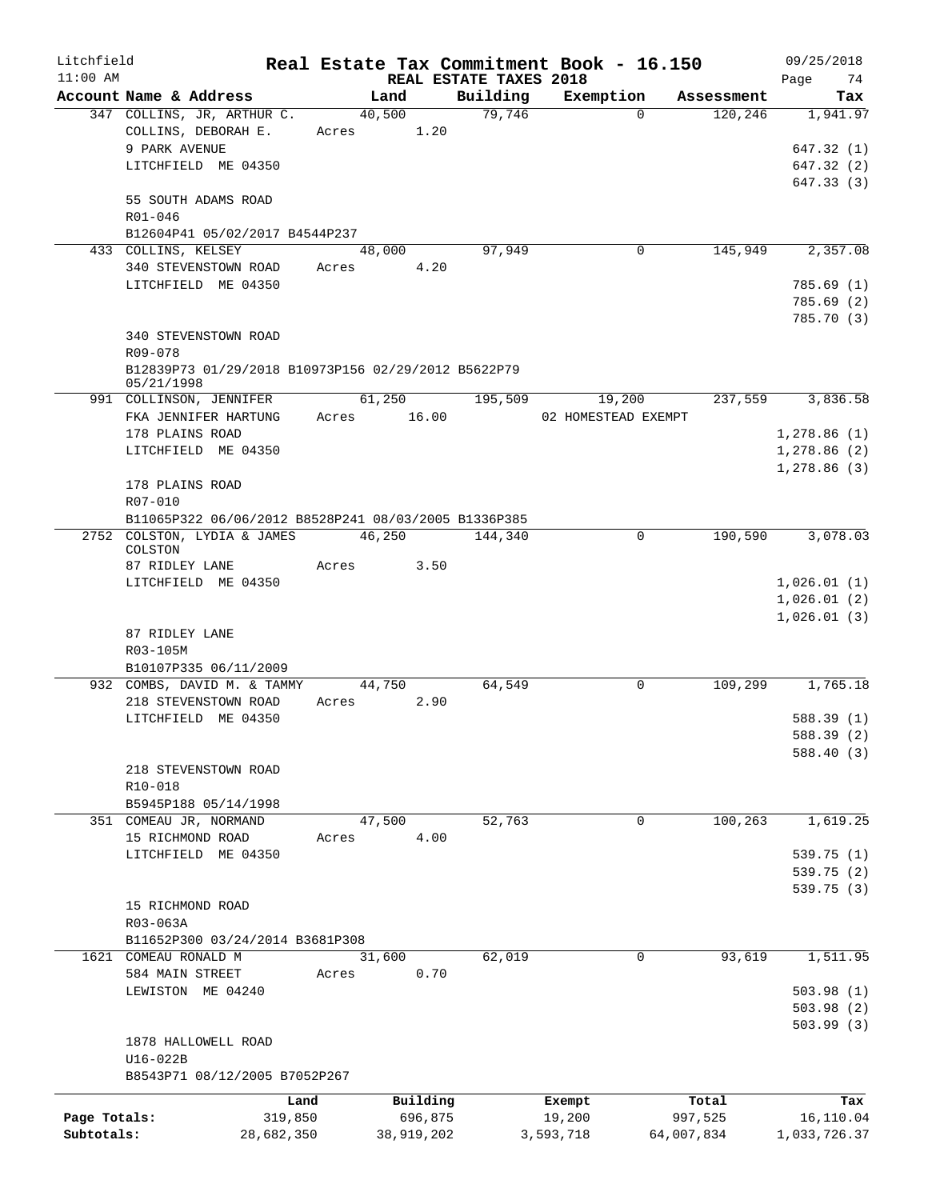| Litchfield   |                                                                   |            |             |        |            |                                    |           | Real Estate Tax Commitment Book - 16.150 |            | 09/25/2018        |
|--------------|-------------------------------------------------------------------|------------|-------------|--------|------------|------------------------------------|-----------|------------------------------------------|------------|-------------------|
| $11:00$ AM   | Account Name & Address                                            |            |             | Land   |            | REAL ESTATE TAXES 2018<br>Building |           | Exemption                                | Assessment | 74<br>Page<br>Tax |
|              | 347 COLLINS, JR, ARTHUR C.                                        |            |             | 40,500 |            | 79,746                             |           | $\Omega$                                 | 120,246    | 1,941.97          |
|              | COLLINS, DEBORAH E.                                               |            | Acres       |        | 1.20       |                                    |           |                                          |            |                   |
|              | 9 PARK AVENUE                                                     |            |             |        |            |                                    |           |                                          |            | 647.32 (1)        |
|              | LITCHFIELD ME 04350                                               |            |             |        |            |                                    |           |                                          |            | 647.32 (2)        |
|              |                                                                   |            |             |        |            |                                    |           |                                          |            | 647.33 (3)        |
|              | 55 SOUTH ADAMS ROAD                                               |            |             |        |            |                                    |           |                                          |            |                   |
|              | $R01 - 046$                                                       |            |             |        |            |                                    |           |                                          |            |                   |
|              | B12604P41 05/02/2017 B4544P237                                    |            |             |        |            |                                    |           |                                          |            |                   |
|              | 433 COLLINS, KELSEY                                               |            |             | 48,000 |            | 97,949                             |           | 0                                        | 145,949    | 2,357.08          |
|              | 340 STEVENSTOWN ROAD                                              |            | Acres       |        | 4.20       |                                    |           |                                          |            |                   |
|              | LITCHFIELD ME 04350                                               |            |             |        |            |                                    |           |                                          |            | 785.69(1)         |
|              |                                                                   |            |             |        |            |                                    |           |                                          |            | 785.69(2)         |
|              |                                                                   |            |             |        |            |                                    |           |                                          |            | 785.70 (3)        |
|              | 340 STEVENSTOWN ROAD                                              |            |             |        |            |                                    |           |                                          |            |                   |
|              | R09-078                                                           |            |             |        |            |                                    |           |                                          |            |                   |
|              | B12839P73 01/29/2018 B10973P156 02/29/2012 B5622P79<br>05/21/1998 |            |             |        |            |                                    |           |                                          |            |                   |
|              | 991 COLLINSON, JENNIFER                                           |            |             | 61,250 |            | 195,509                            |           | 19,200                                   | 237,559    | 3,836.58          |
|              | FKA JENNIFER HARTUNG                                              |            | Acres 16.00 |        |            |                                    |           | 02 HOMESTEAD EXEMPT                      |            |                   |
|              | 178 PLAINS ROAD                                                   |            |             |        |            |                                    |           |                                          |            | 1,278.86(1)       |
|              | LITCHFIELD ME 04350                                               |            |             |        |            |                                    |           |                                          |            | 1,278.86(2)       |
|              |                                                                   |            |             |        |            |                                    |           |                                          |            | 1,278.86(3)       |
|              | 178 PLAINS ROAD                                                   |            |             |        |            |                                    |           |                                          |            |                   |
|              | R07-010                                                           |            |             |        |            |                                    |           |                                          |            |                   |
|              | B11065P322 06/06/2012 B8528P241 08/03/2005 B1336P385              |            |             |        |            |                                    |           |                                          |            |                   |
|              | 2752 COLSTON, LYDIA & JAMES<br>COLSTON                            |            |             | 46,250 |            | 144,340                            |           | 0                                        | 190,590    | 3,078.03          |
|              | 87 RIDLEY LANE                                                    |            | Acres       |        | 3.50       |                                    |           |                                          |            |                   |
|              | LITCHFIELD ME 04350                                               |            |             |        |            |                                    |           |                                          |            | 1,026.01(1)       |
|              |                                                                   |            |             |        |            |                                    |           |                                          |            | 1,026.01(2)       |
|              |                                                                   |            |             |        |            |                                    |           |                                          |            | 1,026.01(3)       |
|              | 87 RIDLEY LANE                                                    |            |             |        |            |                                    |           |                                          |            |                   |
|              | R03-105M                                                          |            |             |        |            |                                    |           |                                          |            |                   |
|              | B10107P335 06/11/2009                                             |            |             |        |            |                                    |           |                                          |            |                   |
|              | 932 COMBS, DAVID M. & TAMMY                                       |            |             | 44,750 |            | 64,549                             |           | 0                                        | 109,299    | 1,765.18          |
|              | 218 STEVENSTOWN ROAD                                              |            | Acres       |        | 2.90       |                                    |           |                                          |            |                   |
|              | LITCHFIELD ME 04350                                               |            |             |        |            |                                    |           |                                          |            | 588.39 (1)        |
|              |                                                                   |            |             |        |            |                                    |           |                                          |            | 588.39 (2)        |
|              |                                                                   |            |             |        |            |                                    |           |                                          |            | 588.40 (3)        |
|              | 218 STEVENSTOWN ROAD                                              |            |             |        |            |                                    |           |                                          |            |                   |
|              | R10-018                                                           |            |             |        |            |                                    |           |                                          |            |                   |
|              | B5945P188 05/14/1998                                              |            |             |        |            |                                    |           |                                          |            |                   |
|              | 351 COMEAU JR, NORMAND                                            |            |             | 47,500 |            | 52,763                             |           | 0                                        | 100,263    | 1,619.25          |
|              | 15 RICHMOND ROAD                                                  |            | Acres       |        | 4.00       |                                    |           |                                          |            |                   |
|              | LITCHFIELD ME 04350                                               |            |             |        |            |                                    |           |                                          |            | 539.75 (1)        |
|              |                                                                   |            |             |        |            |                                    |           |                                          |            | 539.75 (2)        |
|              |                                                                   |            |             |        |            |                                    |           |                                          |            | 539.75 (3)        |
|              | 15 RICHMOND ROAD                                                  |            |             |        |            |                                    |           |                                          |            |                   |
|              | R03-063A                                                          |            |             |        |            |                                    |           |                                          |            |                   |
|              | B11652P300 03/24/2014 B3681P308                                   |            |             |        |            |                                    |           |                                          |            |                   |
|              | 1621 COMEAU RONALD M                                              |            |             | 31,600 |            | 62,019                             |           | 0                                        | 93,619     | 1,511.95          |
|              | 584 MAIN STREET                                                   |            | Acres       |        | 0.70       |                                    |           |                                          |            |                   |
|              | LEWISTON ME 04240                                                 |            |             |        |            |                                    |           |                                          |            | 503.98(1)         |
|              |                                                                   |            |             |        |            |                                    |           |                                          |            | 503.98(2)         |
|              |                                                                   |            |             |        |            |                                    |           |                                          |            | 503.99(3)         |
|              | 1878 HALLOWELL ROAD                                               |            |             |        |            |                                    |           |                                          |            |                   |
|              | U16-022B<br>B8543P71 08/12/2005 B7052P267                         |            |             |        |            |                                    |           |                                          |            |                   |
|              |                                                                   |            |             |        |            |                                    |           |                                          |            |                   |
|              |                                                                   | Land       |             |        | Building   |                                    | Exempt    |                                          | Total      | Tax               |
| Page Totals: |                                                                   | 319,850    |             |        | 696,875    |                                    | 19,200    |                                          | 997,525    | 16,110.04         |
| Subtotals:   |                                                                   | 28,682,350 |             |        | 38,919,202 |                                    | 3,593,718 |                                          | 64,007,834 | 1,033,726.37      |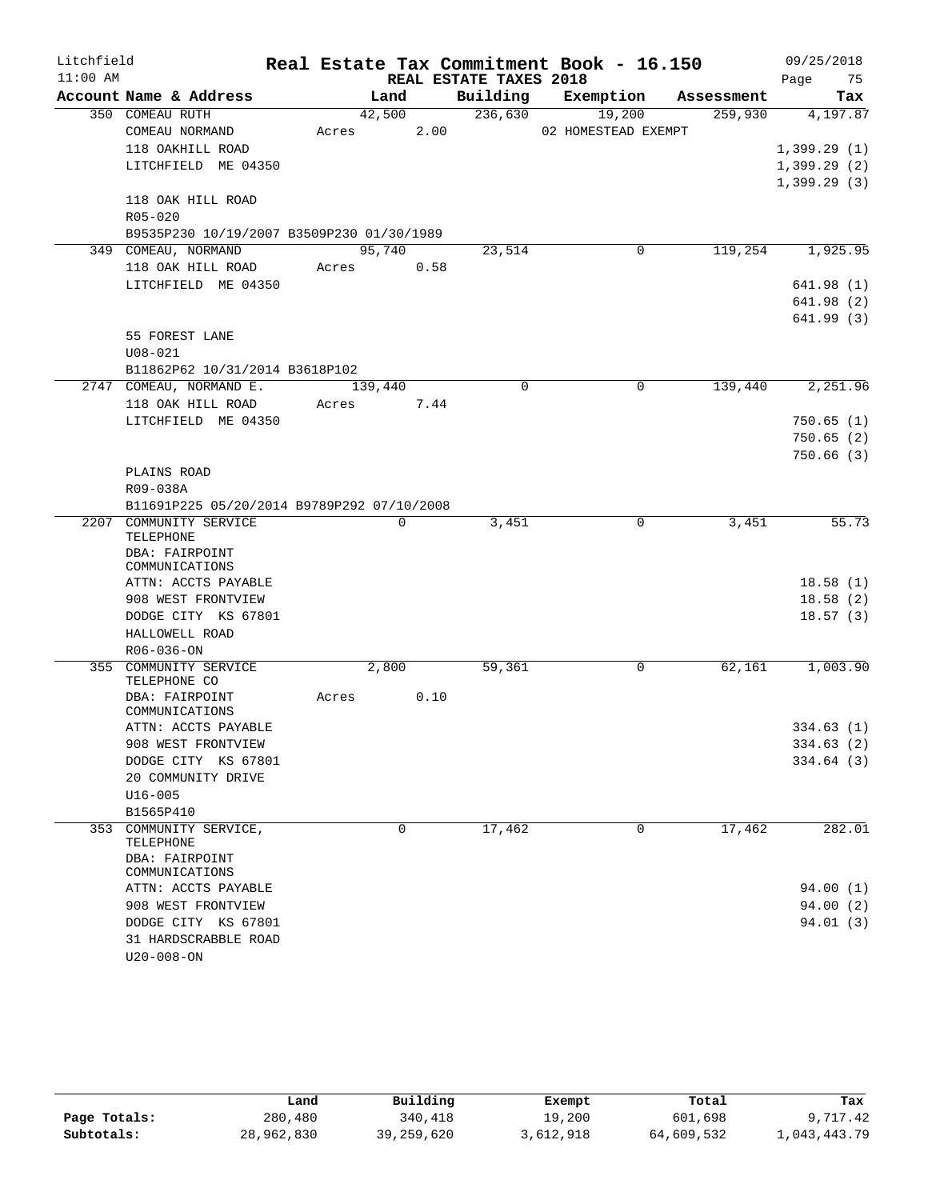| Litchfield |                                            |       |             |      |                        | Real Estate Tax Commitment Book - 16.150 |            | 09/25/2018  |    |
|------------|--------------------------------------------|-------|-------------|------|------------------------|------------------------------------------|------------|-------------|----|
| $11:00$ AM |                                            |       |             |      | REAL ESTATE TAXES 2018 |                                          |            | Page        | 75 |
|            | Account Name & Address                     |       | Land        |      | Building               | Exemption                                | Assessment | Tax         |    |
|            | 350 COMEAU RUTH                            |       | 42,500      |      | 236,630                | 19,200                                   | 259,930    | 4,197.87    |    |
|            | COMEAU NORMAND                             | Acres |             | 2.00 |                        | 02 HOMESTEAD EXEMPT                      |            |             |    |
|            | 118 OAKHILL ROAD                           |       |             |      |                        |                                          |            | 1,399.29(1) |    |
|            | LITCHFIELD ME 04350                        |       |             |      |                        |                                          |            | 1,399.29(2) |    |
|            |                                            |       |             |      |                        |                                          |            | 1,399.29(3) |    |
|            | 118 OAK HILL ROAD                          |       |             |      |                        |                                          |            |             |    |
|            | R05-020                                    |       |             |      |                        |                                          |            |             |    |
|            | B9535P230 10/19/2007 B3509P230 01/30/1989  |       |             |      |                        |                                          |            |             |    |
|            | 349 COMEAU, NORMAND                        |       | 95,740      |      | 23,514                 | 0                                        | 119,254    | 1,925.95    |    |
|            | 118 OAK HILL ROAD                          | Acres |             | 0.58 |                        |                                          |            |             |    |
|            | LITCHFIELD ME 04350                        |       |             |      |                        |                                          |            | 641.98 (1)  |    |
|            |                                            |       |             |      |                        |                                          |            | 641.98(2)   |    |
|            |                                            |       |             |      |                        |                                          |            | 641.99(3)   |    |
|            | 55 FOREST LANE                             |       |             |      |                        |                                          |            |             |    |
|            | $U08 - 021$                                |       |             |      |                        |                                          |            |             |    |
|            | B11862P62 10/31/2014 B3618P102             |       |             |      |                        |                                          |            |             |    |
|            | 2747 COMEAU, NORMAND E.                    |       | 139,440     |      | $\Omega$               | $\Omega$                                 | 139,440    | 2,251.96    |    |
|            | 118 OAK HILL ROAD                          | Acres |             | 7.44 |                        |                                          |            |             |    |
|            | LITCHFIELD ME 04350                        |       |             |      |                        |                                          |            | 750.65(1)   |    |
|            |                                            |       |             |      |                        |                                          |            | 750.65(2)   |    |
|            |                                            |       |             |      |                        |                                          |            | 750.66(3)   |    |
|            | PLAINS ROAD                                |       |             |      |                        |                                          |            |             |    |
|            | R09-038A                                   |       |             |      |                        |                                          |            |             |    |
|            | B11691P225 05/20/2014 B9789P292 07/10/2008 |       |             |      |                        |                                          |            |             |    |
|            | 2207 COMMUNITY SERVICE                     |       | $\mathbf 0$ |      | 3,451                  | 0                                        | 3,451      | 55.73       |    |
|            | TELEPHONE                                  |       |             |      |                        |                                          |            |             |    |
|            | DBA: FAIRPOINT                             |       |             |      |                        |                                          |            |             |    |
|            | COMMUNICATIONS                             |       |             |      |                        |                                          |            |             |    |
|            | ATTN: ACCTS PAYABLE                        |       |             |      |                        |                                          |            | 18.58(1)    |    |
|            | 908 WEST FRONTVIEW                         |       |             |      |                        |                                          |            | 18.58(2)    |    |
|            | DODGE CITY KS 67801                        |       |             |      |                        |                                          |            | 18.57(3)    |    |
|            | HALLOWELL ROAD                             |       |             |      |                        |                                          |            |             |    |
|            | $R06 - 036 - ON$                           |       |             |      |                        |                                          |            |             |    |
| 355        | COMMUNITY SERVICE                          |       | 2,800       |      | 59,361                 | 0                                        | 62,161     | 1,003.90    |    |
|            | TELEPHONE CO<br>DBA: FAIRPOINT             | Acres |             | 0.10 |                        |                                          |            |             |    |
|            | COMMUNICATIONS                             |       |             |      |                        |                                          |            |             |    |
|            | ATTN: ACCTS PAYABLE                        |       |             |      |                        |                                          |            | 334.63(1)   |    |
|            | 908 WEST FRONTVIEW                         |       |             |      |                        |                                          |            | 334.63 (2)  |    |
|            | DODGE CITY KS 67801                        |       |             |      |                        |                                          |            | 334.64 (3)  |    |
|            | 20 COMMUNITY DRIVE                         |       |             |      |                        |                                          |            |             |    |
|            | $U16 - 005$                                |       |             |      |                        |                                          |            |             |    |
|            | B1565P410                                  |       |             |      |                        |                                          |            |             |    |
|            | 353 COMMUNITY SERVICE,                     |       | 0           |      | 17,462                 | 0                                        | 17,462     | 282.01      |    |
|            | TELEPHONE                                  |       |             |      |                        |                                          |            |             |    |
|            | DBA: FAIRPOINT                             |       |             |      |                        |                                          |            |             |    |
|            | COMMUNICATIONS                             |       |             |      |                        |                                          |            |             |    |
|            | ATTN: ACCTS PAYABLE                        |       |             |      |                        |                                          |            | 94.00 (1)   |    |
|            | 908 WEST FRONTVIEW                         |       |             |      |                        |                                          |            | 94.00(2)    |    |
|            | DODGE CITY KS 67801                        |       |             |      |                        |                                          |            | 94.01 (3)   |    |
|            | 31 HARDSCRABBLE ROAD                       |       |             |      |                        |                                          |            |             |    |
|            | U20-008-ON                                 |       |             |      |                        |                                          |            |             |    |

|              | Land       | Building   | Exempt    | Total      | Tax          |
|--------------|------------|------------|-----------|------------|--------------|
| Page Totals: | 280,480    | 340,418    | 19,200    | 601,698    | 9,717.42     |
| Subtotals:   | 28,962,830 | 39,259,620 | 3,612,918 | 64,609,532 | 1,043,443.79 |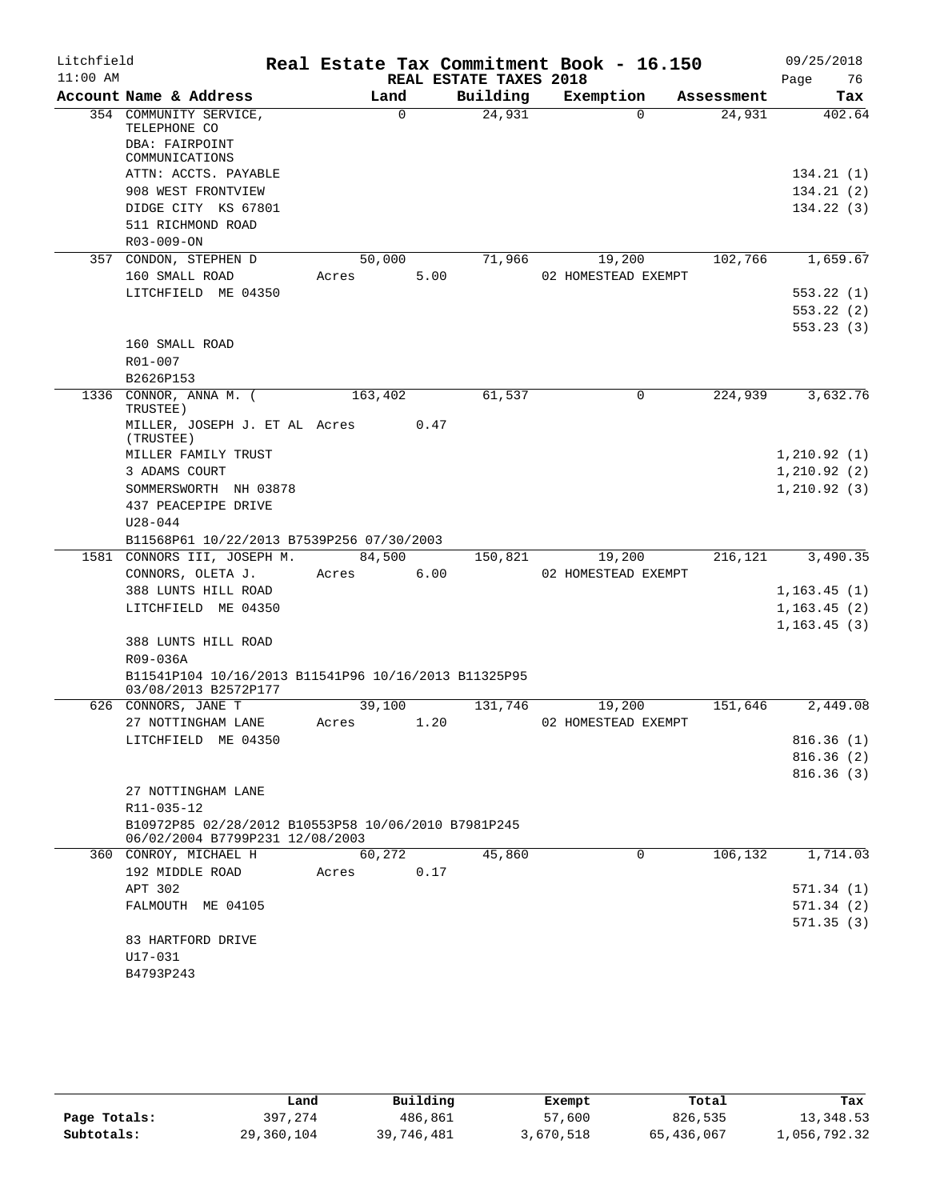| Litchfield |                                                                                        |         |          |                        | Real Estate Tax Commitment Book - 16.150 |            | 09/25/2018             |
|------------|----------------------------------------------------------------------------------------|---------|----------|------------------------|------------------------------------------|------------|------------------------|
| $11:00$ AM |                                                                                        |         |          | REAL ESTATE TAXES 2018 |                                          |            | Page<br>76             |
|            | Account Name & Address                                                                 |         | Land     | Building               | Exemption                                | Assessment | Tax                    |
|            | 354 COMMUNITY SERVICE,<br>TELEPHONE CO<br>DBA: FAIRPOINT                               |         | $\Omega$ | 24,931                 | $\Omega$                                 | 24,931     | 402.64                 |
|            | COMMUNICATIONS                                                                         |         |          |                        |                                          |            |                        |
|            | ATTN: ACCTS. PAYABLE<br>908 WEST FRONTVIEW                                             |         |          |                        |                                          |            | 134.21(1)<br>134.21(2) |
|            | DIDGE CITY KS 67801                                                                    |         |          |                        |                                          |            | 134.22(3)              |
|            | 511 RICHMOND ROAD                                                                      |         |          |                        |                                          |            |                        |
|            | R03-009-ON                                                                             |         |          |                        |                                          |            |                        |
|            | 357 CONDON, STEPHEN D                                                                  | 50,000  |          | 71,966                 | 19,200                                   | 102,766    | 1,659.67               |
|            | 160 SMALL ROAD                                                                         | Acres   | 5.00     |                        | 02 HOMESTEAD EXEMPT                      |            |                        |
|            | LITCHFIELD ME 04350                                                                    |         |          |                        |                                          |            | 553.22(1)              |
|            |                                                                                        |         |          |                        |                                          |            | 553.22(2)              |
|            |                                                                                        |         |          |                        |                                          |            | 553.23 (3)             |
|            | 160 SMALL ROAD                                                                         |         |          |                        |                                          |            |                        |
|            | R01-007                                                                                |         |          |                        |                                          |            |                        |
|            | B2626P153                                                                              |         |          |                        |                                          |            |                        |
|            | 1336 CONNOR, ANNA M. (<br>TRUSTEE)                                                     | 163,402 |          | 61,537                 | 0                                        | 224,939    | 3,632.76               |
|            | MILLER, JOSEPH J. ET AL Acres<br>(TRUSTEE)                                             |         | 0.47     |                        |                                          |            |                        |
|            | MILLER FAMILY TRUST                                                                    |         |          |                        |                                          |            | 1,210.92(1)            |
|            | 3 ADAMS COURT                                                                          |         |          |                        |                                          |            | 1,210.92(2)            |
|            | SOMMERSWORTH NH 03878                                                                  |         |          |                        |                                          |            | 1,210.92(3)            |
|            | 437 PEACEPIPE DRIVE                                                                    |         |          |                        |                                          |            |                        |
|            | $U28 - 044$                                                                            |         |          |                        |                                          |            |                        |
|            | B11568P61 10/22/2013 B7539P256 07/30/2003<br>1581 CONNORS III, JOSEPH M.               | 84,500  |          | 150,821                | 19,200                                   | 216,121    | 3,490.35               |
|            | CONNORS, OLETA J.                                                                      | Acres   | 6.00     |                        | 02 HOMESTEAD EXEMPT                      |            |                        |
|            | 388 LUNTS HILL ROAD                                                                    |         |          |                        |                                          |            | 1,163.45(1)            |
|            | LITCHFIELD ME 04350                                                                    |         |          |                        |                                          |            | 1,163.45(2)            |
|            |                                                                                        |         |          |                        |                                          |            | 1, 163.45(3)           |
|            | 388 LUNTS HILL ROAD                                                                    |         |          |                        |                                          |            |                        |
|            | R09-036A<br>B11541P104 10/16/2013 B11541P96 10/16/2013 B11325P95                       |         |          |                        |                                          |            |                        |
|            | 03/08/2013 B2572P177                                                                   |         |          |                        |                                          |            |                        |
|            | 626 CONNORS, JANE T                                                                    | 39,100  |          | 131,746                | 19,200                                   | 151,646    | 2,449.08               |
|            | 27 NOTTINGHAM LANE                                                                     | Acres   | 1.20     |                        | 02 HOMESTEAD EXEMPT                      |            |                        |
|            | LITCHFIELD ME 04350                                                                    |         |          |                        |                                          |            | 816.36(1)              |
|            |                                                                                        |         |          |                        |                                          |            | 816.36(2)              |
|            |                                                                                        |         |          |                        |                                          |            | 816.36(3)              |
|            | 27 NOTTINGHAM LANE                                                                     |         |          |                        |                                          |            |                        |
|            | R11-035-12                                                                             |         |          |                        |                                          |            |                        |
|            | B10972P85 02/28/2012 B10553P58 10/06/2010 B7981P245<br>06/02/2004 B7799P231 12/08/2003 |         |          |                        |                                          |            |                        |
|            | 360 CONROY, MICHAEL H                                                                  | 60,272  |          | 45,860                 | 0                                        | 106,132    | 1,714.03               |
|            | 192 MIDDLE ROAD                                                                        | Acres   | 0.17     |                        |                                          |            |                        |
|            | APT 302                                                                                |         |          |                        |                                          |            | 571.34(1)              |
|            | FALMOUTH ME 04105                                                                      |         |          |                        |                                          |            | 571.34(2)              |
|            | 83 HARTFORD DRIVE                                                                      |         |          |                        |                                          |            | 571.35 (3)             |
|            | U17-031                                                                                |         |          |                        |                                          |            |                        |
|            | B4793P243                                                                              |         |          |                        |                                          |            |                        |
|            |                                                                                        |         |          |                        |                                          |            |                        |

|              | Land       | Building   | Exempt    | Total      | Tax          |
|--------------|------------|------------|-----------|------------|--------------|
| Page Totals: | 397,274    | 486,861    | 57,600    | 826,535    | 13,348.53    |
| Subtotals:   | 29,360,104 | 39,746,481 | 3,670,518 | 65,436,067 | 1,056,792.32 |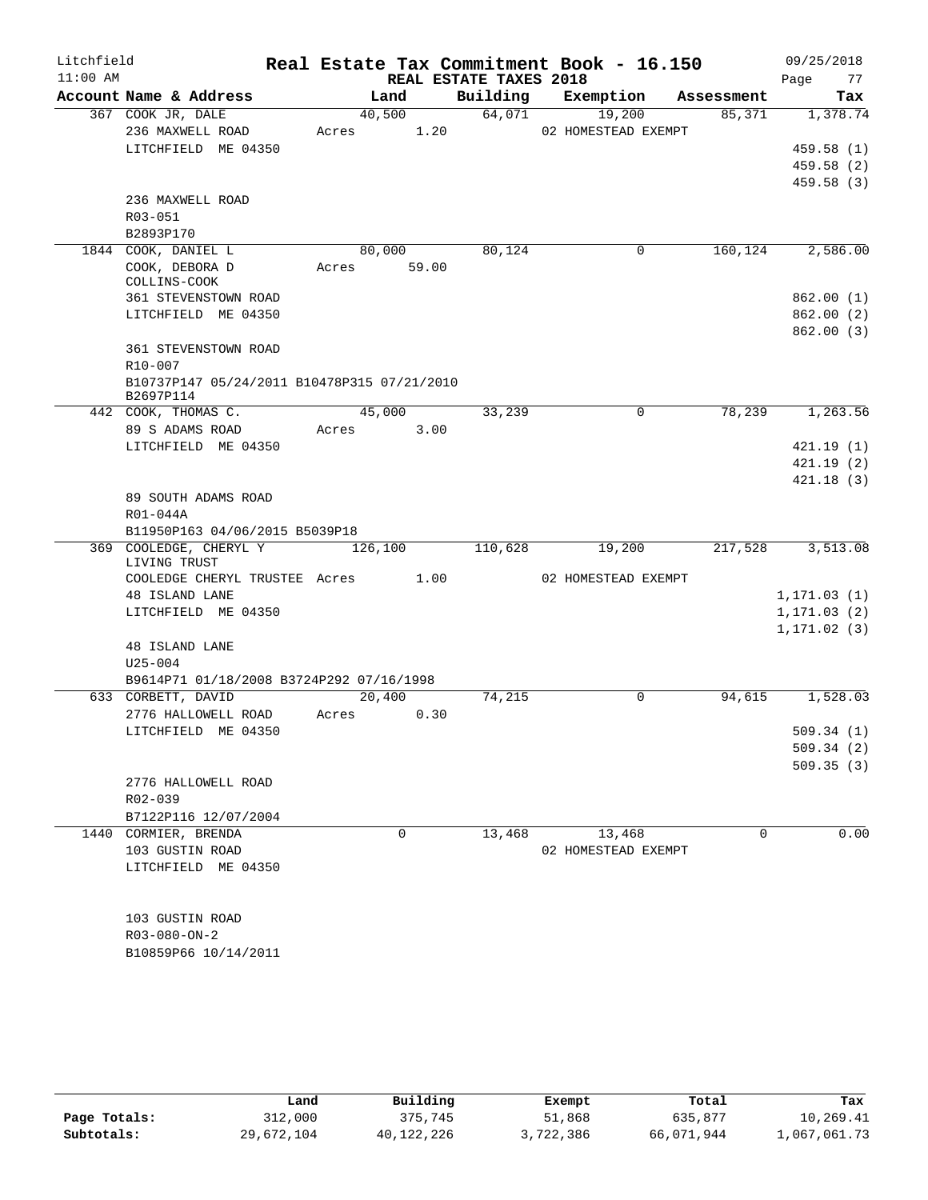| Litchfield |                                                         |         |       |                        | Real Estate Tax Commitment Book - 16.150 |            | 09/25/2018   |
|------------|---------------------------------------------------------|---------|-------|------------------------|------------------------------------------|------------|--------------|
| $11:00$ AM |                                                         |         |       | REAL ESTATE TAXES 2018 |                                          |            | Page<br>77   |
|            | Account Name & Address                                  |         | Land  | Building               | Exemption                                | Assessment | Tax          |
|            | 367 COOK JR, DALE                                       | 40,500  |       | 64,071                 | 19,200                                   | 85,371     | 1,378.74     |
|            | 236 MAXWELL ROAD                                        | Acres   | 1.20  |                        | 02 HOMESTEAD EXEMPT                      |            |              |
|            | LITCHFIELD ME 04350                                     |         |       |                        |                                          |            | 459.58 (1)   |
|            |                                                         |         |       |                        |                                          |            | 459.58 (2)   |
|            |                                                         |         |       |                        |                                          |            | 459.58(3)    |
|            | 236 MAXWELL ROAD                                        |         |       |                        |                                          |            |              |
|            | R03-051                                                 |         |       |                        |                                          |            |              |
|            | B2893P170                                               |         |       |                        |                                          |            |              |
|            | 1844 COOK, DANIEL L                                     | 80,000  |       | 80,124                 | 0                                        | 160,124    | 2,586.00     |
|            | COOK, DEBORA D<br>COLLINS-COOK                          | Acres   | 59.00 |                        |                                          |            |              |
|            | 361 STEVENSTOWN ROAD                                    |         |       |                        |                                          |            | 862.00(1)    |
|            | LITCHFIELD ME 04350                                     |         |       |                        |                                          |            | 862.00(2)    |
|            |                                                         |         |       |                        |                                          |            | 862.00(3)    |
|            | <b>361 STEVENSTOWN ROAD</b>                             |         |       |                        |                                          |            |              |
|            | R10-007                                                 |         |       |                        |                                          |            |              |
|            | B10737P147 05/24/2011 B10478P315 07/21/2010             |         |       |                        |                                          |            |              |
|            | B2697P114                                               |         |       |                        |                                          |            |              |
|            | 442 COOK, THOMAS C.                                     | 45,000  |       | 33,239                 | 0                                        | 78,239     | 1,263.56     |
|            | 89 S ADAMS ROAD                                         | Acres   | 3.00  |                        |                                          |            |              |
|            | LITCHFIELD ME 04350                                     |         |       |                        |                                          |            | 421.19(1)    |
|            |                                                         |         |       |                        |                                          |            | 421.19(2)    |
|            |                                                         |         |       |                        |                                          |            | 421.18(3)    |
|            | 89 SOUTH ADAMS ROAD                                     |         |       |                        |                                          |            |              |
|            | R01-044A                                                |         |       |                        |                                          |            |              |
|            | B11950P163 04/06/2015 B5039P18                          |         |       |                        |                                          |            |              |
|            | 369 COOLEDGE, CHERYL Y                                  | 126,100 |       | 110,628                | 19,200                                   | 217,528    | 3,513.08     |
|            | LIVING TRUST                                            |         |       |                        |                                          |            |              |
|            | COOLEDGE CHERYL TRUSTEE Acres                           |         | 1.00  |                        | 02 HOMESTEAD EXEMPT                      |            |              |
|            | 48 ISLAND LANE                                          |         |       |                        |                                          |            | 1, 171.03(1) |
|            | LITCHFIELD ME 04350                                     |         |       |                        |                                          |            | 1, 171.03(2) |
|            |                                                         |         |       |                        |                                          |            | 1, 171.02(3) |
|            | 48 ISLAND LANE                                          |         |       |                        |                                          |            |              |
|            | $U25 - 004$<br>B9614P71 01/18/2008 B3724P292 07/16/1998 |         |       |                        |                                          |            |              |
|            | 633 CORBETT, DAVID                                      | 20,400  |       | 74,215                 | $\mathbf 0$                              | 94,615     | 1,528.03     |
|            | 2776 HALLOWELL ROAD                                     | Acres   | 0.30  |                        |                                          |            |              |
|            | LITCHFIELD ME 04350                                     |         |       |                        |                                          |            | 509.34(1)    |
|            |                                                         |         |       |                        |                                          |            | 509.34(2)    |
|            |                                                         |         |       |                        |                                          |            | 509.35(3)    |
|            | 2776 HALLOWELL ROAD                                     |         |       |                        |                                          |            |              |
|            | R02-039                                                 |         |       |                        |                                          |            |              |
|            | B7122P116 12/07/2004                                    |         |       |                        |                                          |            |              |
|            | 1440 CORMIER, BRENDA                                    |         | 0     | 13,468                 | 13,468                                   | 0          | 0.00         |
|            | 103 GUSTIN ROAD                                         |         |       |                        | 02 HOMESTEAD EXEMPT                      |            |              |
|            | LITCHFIELD ME 04350                                     |         |       |                        |                                          |            |              |
|            |                                                         |         |       |                        |                                          |            |              |
|            | 103 GUSTIN ROAD                                         |         |       |                        |                                          |            |              |
|            | $R03-080-ON-2$                                          |         |       |                        |                                          |            |              |
|            | B10859P66 10/14/2011                                    |         |       |                        |                                          |            |              |
|            |                                                         |         |       |                        |                                          |            |              |

|              | Land       | Building   | Exempt    | Total      | Tax          |
|--------------|------------|------------|-----------|------------|--------------|
| Page Totals: | 312,000    | 375,745    | 51,868    | 635,877    | 10,269.41    |
| Subtotals:   | 29,672,104 | 40,122,226 | 3,722,386 | 66,071,944 | 1,067,061.73 |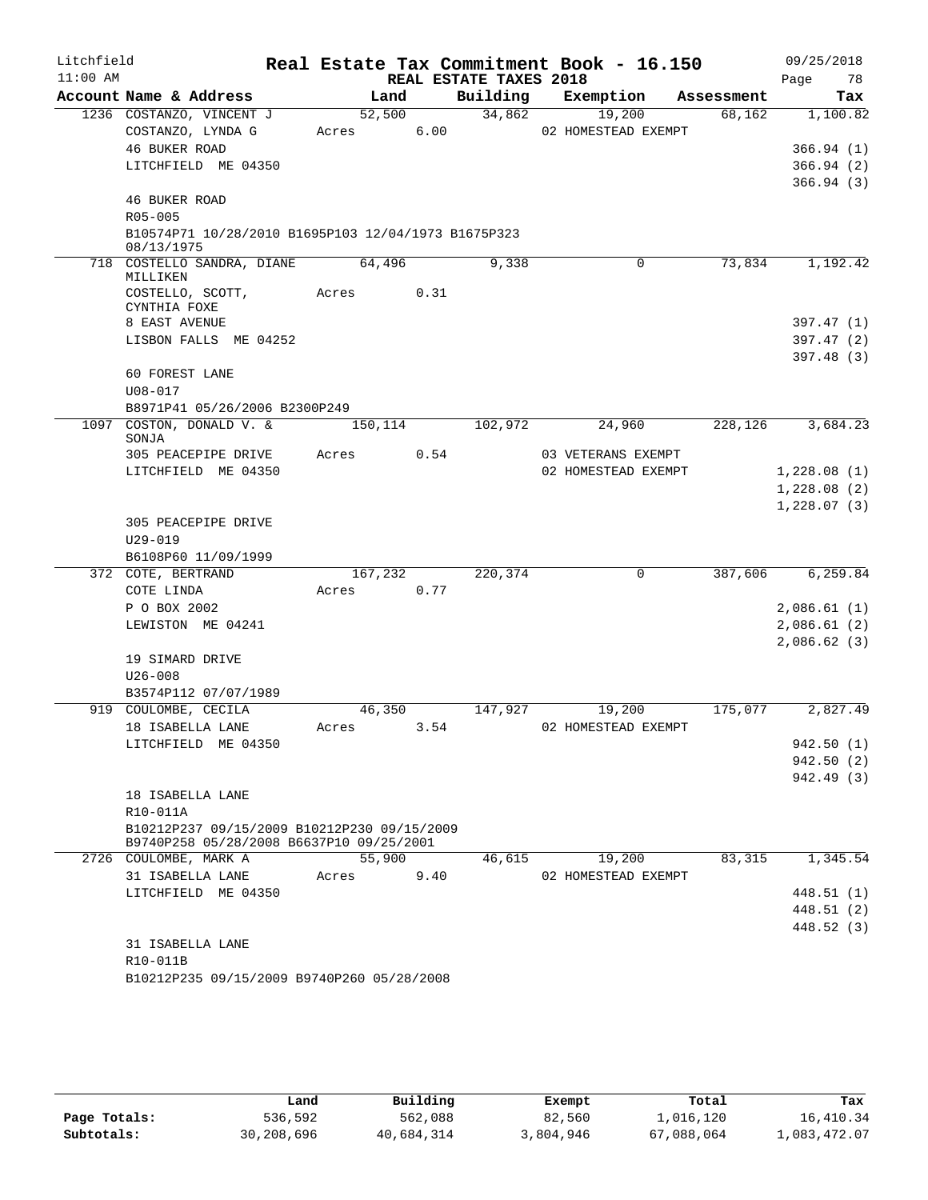| Litchfield |                                                                                         |         |      |                        | Real Estate Tax Commitment Book - 16.150 |            | 09/25/2018  |
|------------|-----------------------------------------------------------------------------------------|---------|------|------------------------|------------------------------------------|------------|-------------|
| $11:00$ AM |                                                                                         |         |      | REAL ESTATE TAXES 2018 |                                          |            | Page<br>78  |
|            | Account Name & Address                                                                  | Land    |      | Building               | Exemption                                | Assessment | Tax         |
|            | 1236 COSTANZO, VINCENT J                                                                | 52,500  |      | 34,862                 | 19,200                                   | 68,162     | 1,100.82    |
|            | COSTANZO, LYNDA G                                                                       | Acres   | 6.00 |                        | 02 HOMESTEAD EXEMPT                      |            |             |
|            | 46 BUKER ROAD                                                                           |         |      |                        |                                          |            | 366.94(1)   |
|            | LITCHFIELD ME 04350                                                                     |         |      |                        |                                          |            | 366.94(2)   |
|            | <b>46 BUKER ROAD</b>                                                                    |         |      |                        |                                          |            | 366.94(3)   |
|            | R05-005                                                                                 |         |      |                        |                                          |            |             |
|            | B10574P71 10/28/2010 B1695P103 12/04/1973 B1675P323                                     |         |      |                        |                                          |            |             |
|            | 08/13/1975                                                                              |         |      |                        |                                          |            |             |
|            | 718 COSTELLO SANDRA, DIANE<br>MILLIKEN                                                  | 64,496  |      | 9,338                  | $\Omega$                                 | 73,834     | 1,192.42    |
|            | COSTELLO, SCOTT,<br>CYNTHIA FOXE                                                        | Acres   | 0.31 |                        |                                          |            |             |
|            | 8 EAST AVENUE                                                                           |         |      |                        |                                          |            | 397.47(1)   |
|            | LISBON FALLS ME 04252                                                                   |         |      |                        |                                          |            | 397.47(2)   |
|            |                                                                                         |         |      |                        |                                          |            | 397.48(3)   |
|            | <b>60 FOREST LANE</b>                                                                   |         |      |                        |                                          |            |             |
|            | $U08 - 017$                                                                             |         |      |                        |                                          |            |             |
|            | B8971P41 05/26/2006 B2300P249                                                           |         |      |                        |                                          |            |             |
|            | 1097 COSTON, DONALD V. &<br>SONJA                                                       | 150,114 |      | 102,972                | 24,960                                   | 228,126    | 3,684.23    |
|            | 305 PEACEPIPE DRIVE                                                                     | Acres   | 0.54 |                        | 03 VETERANS EXEMPT                       |            |             |
|            | LITCHFIELD ME 04350                                                                     |         |      |                        | 02 HOMESTEAD EXEMPT                      |            | 1,228.08(1) |
|            |                                                                                         |         |      |                        |                                          |            | 1,228.08(2) |
|            |                                                                                         |         |      |                        |                                          |            | 1,228.07(3) |
|            | 305 PEACEPIPE DRIVE                                                                     |         |      |                        |                                          |            |             |
|            | $U29 - 019$                                                                             |         |      |                        |                                          |            |             |
|            | B6108P60 11/09/1999                                                                     |         |      |                        |                                          |            |             |
|            | 372 COTE, BERTRAND                                                                      | 167,232 |      | 220,374                | 0                                        | 387,606    | 6,259.84    |
|            | COTE LINDA                                                                              | Acres   | 0.77 |                        |                                          |            |             |
|            | P O BOX 2002                                                                            |         |      |                        |                                          |            | 2,086.61(1) |
|            | LEWISTON ME 04241                                                                       |         |      |                        |                                          |            | 2,086.61(2) |
|            |                                                                                         |         |      |                        |                                          |            | 2,086.62(3) |
|            | 19 SIMARD DRIVE<br>$U26 - 008$                                                          |         |      |                        |                                          |            |             |
|            | B3574P112 07/07/1989                                                                    |         |      |                        |                                          |            |             |
|            | 919 COULOMBE, CECILA                                                                    | 46,350  |      | 147,927                | 19,200                                   | 175,077    | 2,827.49    |
|            | 18 ISABELLA LANE                                                                        | Acres   | 3.54 |                        | 02 HOMESTEAD EXEMPT                      |            |             |
|            | LITCHFIELD ME 04350                                                                     |         |      |                        |                                          |            | 942.50 (1)  |
|            |                                                                                         |         |      |                        |                                          |            | 942.50(2)   |
|            |                                                                                         |         |      |                        |                                          |            | 942.49 (3)  |
|            | 18 ISABELLA LANE                                                                        |         |      |                        |                                          |            |             |
|            | R10-011A                                                                                |         |      |                        |                                          |            |             |
|            | B10212P237 09/15/2009 B10212P230 09/15/2009<br>B9740P258 05/28/2008 B6637P10 09/25/2001 |         |      |                        |                                          |            |             |
|            | 2726 COULOMBE, MARK A                                                                   | 55,900  |      | 46,615                 | 19,200                                   | 83,315     | 1,345.54    |
|            | 31 ISABELLA LANE                                                                        | Acres   | 9.40 |                        | 02 HOMESTEAD EXEMPT                      |            |             |
|            | LITCHFIELD ME 04350                                                                     |         |      |                        |                                          |            | 448.51 (1)  |
|            |                                                                                         |         |      |                        |                                          |            | 448.51 (2)  |
|            |                                                                                         |         |      |                        |                                          |            | 448.52 (3)  |
|            | 31 ISABELLA LANE                                                                        |         |      |                        |                                          |            |             |
|            | R10-011B                                                                                |         |      |                        |                                          |            |             |
|            | B10212P235 09/15/2009 B9740P260 05/28/2008                                              |         |      |                        |                                          |            |             |

|              | Land       | Building   | Exempt    | Total      | Tax          |
|--------------|------------|------------|-----------|------------|--------------|
| Page Totals: | 536,592    | 562,088    | 82,560    | 1,016,120  | 16,410.34    |
| Subtotals:   | 30,208,696 | 40,684,314 | 3,804,946 | 67,088,064 | 1,083,472.07 |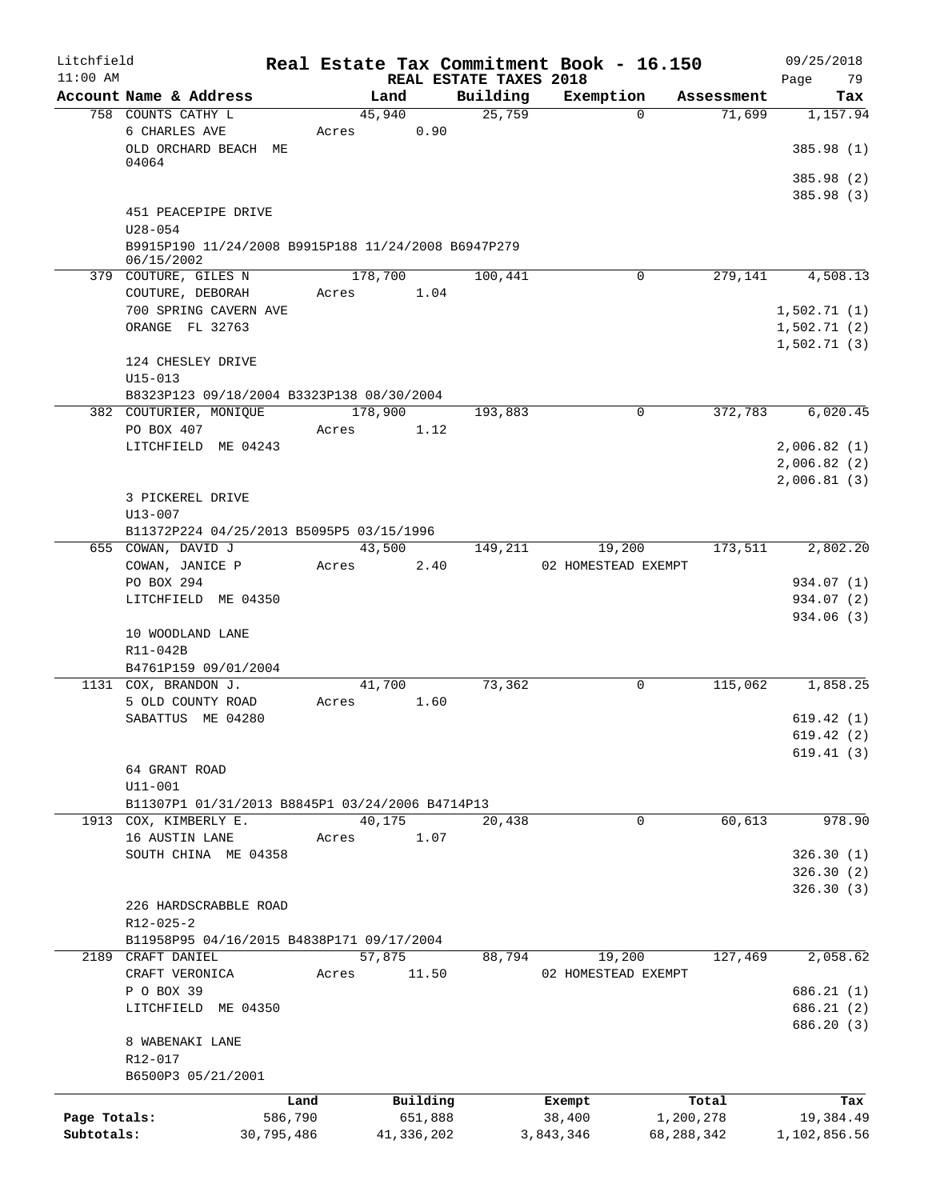| Litchfield                 |                                                                     |                       |         |                       |                                    | Real Estate Tax Commitment Book - 16.150 |                         |            | 09/25/2018                |
|----------------------------|---------------------------------------------------------------------|-----------------------|---------|-----------------------|------------------------------------|------------------------------------------|-------------------------|------------|---------------------------|
| $11:00$ AM                 | Account Name & Address                                              |                       | Land    |                       | REAL ESTATE TAXES 2018<br>Building | Exemption                                |                         | Assessment | Page<br>79<br>Tax         |
|                            | 758 COUNTS CATHY L                                                  |                       | 45,940  |                       | 25,759                             |                                          | $\Omega$                | 71,699     | 1,157.94                  |
|                            | 6 CHARLES AVE<br>OLD ORCHARD BEACH ME                               |                       | Acres   | 0.90                  |                                    |                                          |                         |            | 385.98 (1)                |
|                            | 04064                                                               |                       |         |                       |                                    |                                          |                         |            |                           |
|                            |                                                                     |                       |         |                       |                                    |                                          |                         |            | 385.98 (2)<br>385.98 (3)  |
|                            | 451 PEACEPIPE DRIVE                                                 |                       |         |                       |                                    |                                          |                         |            |                           |
|                            | $U28 - 054$                                                         |                       |         |                       |                                    |                                          |                         |            |                           |
|                            | B9915P190 11/24/2008 B9915P188 11/24/2008 B6947P279                 |                       |         |                       |                                    |                                          |                         |            |                           |
|                            | 06/15/2002<br>379 COUTURE, GILES N                                  |                       | 178,700 |                       | 100,441                            |                                          | 0                       | 279,141    | 4,508.13                  |
|                            | COUTURE, DEBORAH                                                    |                       | Acres   | 1.04                  |                                    |                                          |                         |            |                           |
|                            | 700 SPRING CAVERN AVE                                               |                       |         |                       |                                    |                                          |                         |            | 1,502.71(1)               |
|                            | ORANGE FL 32763                                                     |                       |         |                       |                                    |                                          |                         |            | 1,502.71(2)               |
|                            |                                                                     |                       |         |                       |                                    |                                          |                         |            | 1,502.71(3)               |
|                            | 124 CHESLEY DRIVE                                                   |                       |         |                       |                                    |                                          |                         |            |                           |
|                            | $U15 - 013$                                                         |                       |         |                       |                                    |                                          |                         |            |                           |
|                            | B8323P123 09/18/2004 B3323P138 08/30/2004<br>382 COUTURIER, MONIQUE |                       | 178,900 |                       | 193,883                            |                                          | 0                       | 372,783    | 6,020.45                  |
|                            | PO BOX 407                                                          |                       | Acres   | 1.12                  |                                    |                                          |                         |            |                           |
|                            | LITCHFIELD ME 04243                                                 |                       |         |                       |                                    |                                          |                         |            | 2,006.82(1)               |
|                            |                                                                     |                       |         |                       |                                    |                                          |                         |            | 2,006.82(2)               |
|                            |                                                                     |                       |         |                       |                                    |                                          |                         |            | 2,006.81(3)               |
|                            | 3 PICKEREL DRIVE                                                    |                       |         |                       |                                    |                                          |                         |            |                           |
|                            | $U13 - 007$                                                         |                       |         |                       |                                    |                                          |                         |            |                           |
|                            | B11372P224 04/25/2013 B5095P5 03/15/1996<br>655 COWAN, DAVID J      |                       | 43,500  |                       | 149,211                            | 19,200                                   |                         | 173,511    | 2,802.20                  |
|                            | COWAN, JANICE P                                                     |                       | Acres   | 2.40                  |                                    | 02 HOMESTEAD EXEMPT                      |                         |            |                           |
|                            | PO BOX 294                                                          |                       |         |                       |                                    |                                          |                         |            | 934.07 (1)                |
|                            | LITCHFIELD ME 04350                                                 |                       |         |                       |                                    |                                          |                         |            | 934.07 (2)                |
|                            |                                                                     |                       |         |                       |                                    |                                          |                         |            | 934.06 (3)                |
|                            | 10 WOODLAND LANE                                                    |                       |         |                       |                                    |                                          |                         |            |                           |
|                            | R11-042B                                                            |                       |         |                       |                                    |                                          |                         |            |                           |
|                            | B4761P159 09/01/2004<br>1131 COX, BRANDON J.                        |                       | 41,700  |                       | 73,362                             |                                          | 0                       | 115,062    | 1,858.25                  |
|                            | 5 OLD COUNTY ROAD                                                   |                       | Acres   | 1.60                  |                                    |                                          |                         |            |                           |
|                            | SABATTUS ME 04280                                                   |                       |         |                       |                                    |                                          |                         |            | 619.42(1)                 |
|                            |                                                                     |                       |         |                       |                                    |                                          |                         |            | 619.42(2)                 |
|                            |                                                                     |                       |         |                       |                                    |                                          |                         |            | 619.41(3)                 |
|                            | 64 GRANT ROAD                                                       |                       |         |                       |                                    |                                          |                         |            |                           |
|                            | $U11 - 001$<br>B11307P1 01/31/2013 B8845P1 03/24/2006 B4714P13      |                       |         |                       |                                    |                                          |                         |            |                           |
|                            | 1913 COX, KIMBERLY E.                                               |                       | 40,175  |                       | 20,438                             |                                          | 0                       | 60,613     | 978.90                    |
|                            | 16 AUSTIN LANE                                                      |                       | Acres   | 1.07                  |                                    |                                          |                         |            |                           |
|                            | SOUTH CHINA ME 04358                                                |                       |         |                       |                                    |                                          |                         |            | 326.30(1)                 |
|                            |                                                                     |                       |         |                       |                                    |                                          |                         |            | 326.30(2)                 |
|                            |                                                                     |                       |         |                       |                                    |                                          |                         |            | 326.30(3)                 |
|                            | 226 HARDSCRABBLE ROAD                                               |                       |         |                       |                                    |                                          |                         |            |                           |
|                            | R12-025-2<br>B11958P95 04/16/2015 B4838P171 09/17/2004              |                       |         |                       |                                    |                                          |                         |            |                           |
|                            | 2189 CRAFT DANIEL                                                   |                       | 57,875  |                       | 88,794                             | 19,200                                   |                         | 127,469    | 2,058.62                  |
|                            | CRAFT VERONICA                                                      |                       | Acres   | 11.50                 |                                    | 02 HOMESTEAD EXEMPT                      |                         |            |                           |
|                            | P O BOX 39                                                          |                       |         |                       |                                    |                                          |                         |            | 686.21(1)                 |
|                            | LITCHFIELD ME 04350                                                 |                       |         |                       |                                    |                                          |                         |            | 686.21(2)                 |
|                            |                                                                     |                       |         |                       |                                    |                                          |                         |            | 686.20 (3)                |
|                            | 8 WABENAKI LANE                                                     |                       |         |                       |                                    |                                          |                         |            |                           |
|                            | R12-017<br>B6500P3 05/21/2001                                       |                       |         |                       |                                    |                                          |                         |            |                           |
|                            |                                                                     |                       |         |                       |                                    |                                          |                         |            |                           |
|                            |                                                                     | Land                  |         | Building              |                                    | Exempt                                   |                         | Total      | Tax                       |
| Page Totals:<br>Subtotals: |                                                                     | 586,790<br>30,795,486 |         | 651,888<br>41,336,202 |                                    | 38,400<br>3,843,346                      | 1,200,278<br>68,288,342 |            | 19,384.49<br>1,102,856.56 |
|                            |                                                                     |                       |         |                       |                                    |                                          |                         |            |                           |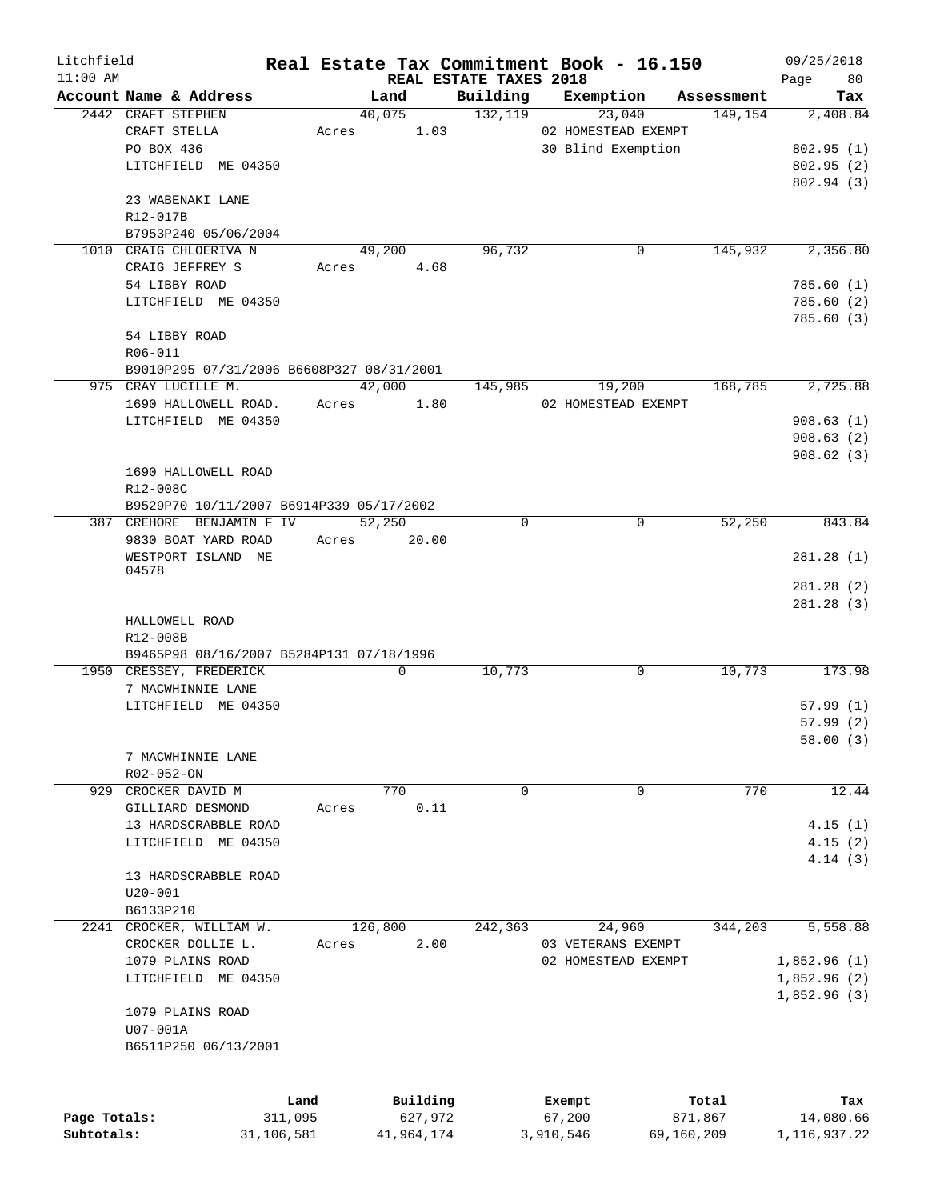| Litchfield   |                                           |       |             |                                    | Real Estate Tax Commitment Book - 16.150 |            | 09/25/2018        |
|--------------|-------------------------------------------|-------|-------------|------------------------------------|------------------------------------------|------------|-------------------|
| $11:00$ AM   | Account Name & Address                    |       | Land        | REAL ESTATE TAXES 2018<br>Building | Exemption                                | Assessment | Page<br>80<br>Tax |
|              | 2442 CRAFT STEPHEN                        |       | 40,075      | 132, 119                           | 23,040                                   | 149,154    | 2,408.84          |
|              | CRAFT STELLA                              | Acres | 1.03        |                                    | 02 HOMESTEAD EXEMPT                      |            |                   |
|              | PO BOX 436                                |       |             |                                    | 30 Blind Exemption                       |            | 802.95(1)         |
|              | LITCHFIELD ME 04350                       |       |             |                                    |                                          |            | 802.95(2)         |
|              |                                           |       |             |                                    |                                          |            | 802.94(3)         |
|              | 23 WABENAKI LANE                          |       |             |                                    |                                          |            |                   |
|              | R12-017B                                  |       |             |                                    |                                          |            |                   |
|              | B7953P240 05/06/2004                      |       |             |                                    |                                          |            |                   |
|              | 1010 CRAIG CHLOERIVA N                    |       | 49,200      | 96,732                             | 0                                        | 145,932    | 2,356.80          |
|              | CRAIG JEFFREY S                           | Acres | 4.68        |                                    |                                          |            |                   |
|              | 54 LIBBY ROAD                             |       |             |                                    |                                          |            | 785.60(1)         |
|              | LITCHFIELD ME 04350                       |       |             |                                    |                                          |            | 785.60(2)         |
|              |                                           |       |             |                                    |                                          |            | 785.60(3)         |
|              | 54 LIBBY ROAD                             |       |             |                                    |                                          |            |                   |
|              | R06-011                                   |       |             |                                    |                                          |            |                   |
|              | B9010P295 07/31/2006 B6608P327 08/31/2001 |       |             |                                    |                                          |            |                   |
|              | 975 CRAY LUCILLE M.                       |       | 42,000      | 145,985                            | 19,200                                   | 168,785    | 2,725.88          |
|              | 1690 HALLOWELL ROAD.                      | Acres | 1.80        |                                    | 02 HOMESTEAD EXEMPT                      |            |                   |
|              | LITCHFIELD ME 04350                       |       |             |                                    |                                          |            | 908.63(1)         |
|              |                                           |       |             |                                    |                                          |            | 908.63(2)         |
|              |                                           |       |             |                                    |                                          |            | 908.62(3)         |
|              | 1690 HALLOWELL ROAD                       |       |             |                                    |                                          |            |                   |
|              | R12-008C                                  |       |             |                                    |                                          |            |                   |
|              | B9529P70 10/11/2007 B6914P339 05/17/2002  |       |             |                                    |                                          |            |                   |
|              | 387 CREHORE BENJAMIN F IV                 |       | 52,250      | $\Omega$                           | 0                                        | 52,250     | 843.84            |
|              | 9830 BOAT YARD ROAD                       | Acres | 20.00       |                                    |                                          |            |                   |
|              | WESTPORT ISLAND ME                        |       |             |                                    |                                          |            | 281.28(1)         |
|              | 04578                                     |       |             |                                    |                                          |            |                   |
|              |                                           |       |             |                                    |                                          |            | 281.28(2)         |
|              |                                           |       |             |                                    |                                          |            | 281.28(3)         |
|              | HALLOWELL ROAD                            |       |             |                                    |                                          |            |                   |
|              | R12-008B                                  |       |             |                                    |                                          |            |                   |
|              | B9465P98 08/16/2007 B5284P131 07/18/1996  |       |             |                                    |                                          |            |                   |
|              | 1950 CRESSEY, FREDERICK                   |       | $\mathbf 0$ | 10,773                             | 0                                        | 10,773     | 173.98            |
|              | 7 MACWHINNIE LANE                         |       |             |                                    |                                          |            |                   |
|              | LITCHFIELD ME 04350                       |       |             |                                    |                                          |            | 57.99(1)          |
|              |                                           |       |             |                                    |                                          |            | 57.99(2)          |
|              |                                           |       |             |                                    |                                          |            | 58.00 (3)         |
|              | 7 MACWHINNIE LANE                         |       |             |                                    |                                          |            |                   |
|              | R02-052-ON                                |       |             |                                    |                                          |            |                   |
|              | 929 CROCKER DAVID M                       |       | 770         | $\Omega$                           | 0                                        | 770        | 12.44             |
|              | GILLIARD DESMOND                          | Acres | 0.11        |                                    |                                          |            |                   |
|              | 13 HARDSCRABBLE ROAD                      |       |             |                                    |                                          |            | 4.15(1)           |
|              | LITCHFIELD ME 04350                       |       |             |                                    |                                          |            | 4.15(2)           |
|              |                                           |       |             |                                    |                                          |            | 4.14(3)           |
|              | 13 HARDSCRABBLE ROAD                      |       |             |                                    |                                          |            |                   |
|              | $U20 - 001$                               |       |             |                                    |                                          |            |                   |
|              | B6133P210                                 |       |             |                                    |                                          |            |                   |
|              | 2241 CROCKER, WILLIAM W.                  |       | 126,800     | 242,363                            | 24,960                                   | 344,203    | 5,558.88          |
|              | CROCKER DOLLIE L.                         | Acres | 2.00        |                                    | 03 VETERANS EXEMPT                       |            |                   |
|              | 1079 PLAINS ROAD                          |       |             |                                    | 02 HOMESTEAD EXEMPT                      |            | 1,852.96(1)       |
|              | LITCHFIELD ME 04350                       |       |             |                                    |                                          |            | 1,852.96(2)       |
|              |                                           |       |             |                                    |                                          |            | 1,852.96(3)       |
|              | 1079 PLAINS ROAD                          |       |             |                                    |                                          |            |                   |
|              | U07-001A                                  |       |             |                                    |                                          |            |                   |
|              | B6511P250 06/13/2001                      |       |             |                                    |                                          |            |                   |
|              |                                           |       |             |                                    |                                          |            |                   |
|              |                                           |       |             |                                    |                                          |            |                   |
|              |                                           | Land  | Building    |                                    | Exempt                                   | Total      | Tax               |
| Page Totals: | 311,095                                   |       | 627,972     |                                    | 67,200                                   | 871,867    | 14,080.66         |
| Subtotals:   | 31,106,581                                |       | 41,964,174  |                                    | 3,910,546                                | 69,160,209 | 1, 116, 937. 22   |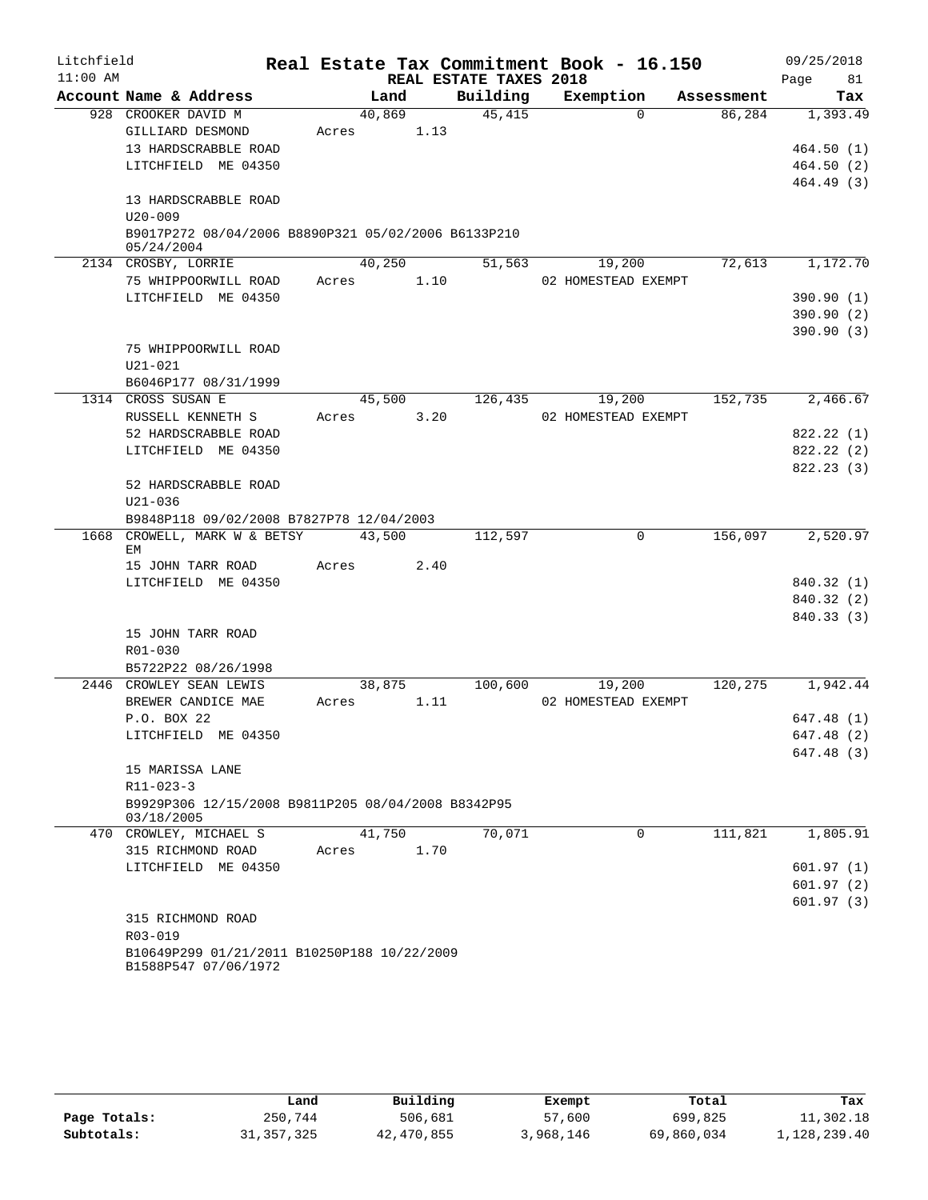| Litchfield |                                                                          |       |        |                        | Real Estate Tax Commitment Book - 16.150 |            | 09/25/2018      |
|------------|--------------------------------------------------------------------------|-------|--------|------------------------|------------------------------------------|------------|-----------------|
| $11:00$ AM |                                                                          |       |        | REAL ESTATE TAXES 2018 |                                          |            | 81<br>Page      |
|            | Account Name & Address                                                   |       | Land   | Building               | Exemption                                | Assessment | Tax             |
|            | 928 CROOKER DAVID M                                                      |       | 40,869 | 45,415                 | $\Omega$                                 | 86,284     | 1,393.49        |
|            | GILLIARD DESMOND                                                         | Acres | 1.13   |                        |                                          |            |                 |
|            | 13 HARDSCRABBLE ROAD                                                     |       |        |                        |                                          |            | 464.50(1)       |
|            | LITCHFIELD ME 04350                                                      |       |        |                        |                                          |            | 464.50(2)       |
|            |                                                                          |       |        |                        |                                          |            | 464.49 (3)      |
|            | 13 HARDSCRABBLE ROAD                                                     |       |        |                        |                                          |            |                 |
|            | $U20 - 009$<br>B9017P272 08/04/2006 B8890P321 05/02/2006 B6133P210       |       |        |                        |                                          |            |                 |
|            | 05/24/2004                                                               |       |        |                        |                                          |            |                 |
|            | 2134 CROSBY, LORRIE                                                      |       | 40,250 | 51,563                 | 19,200                                   |            | 72,613 1,172.70 |
|            | 75 WHIPPOORWILL ROAD                                                     | Acres | 1.10   |                        | 02 HOMESTEAD EXEMPT                      |            |                 |
|            | LITCHFIELD ME 04350                                                      |       |        |                        |                                          |            | 390.90(1)       |
|            |                                                                          |       |        |                        |                                          |            | 390.90 (2)      |
|            |                                                                          |       |        |                        |                                          |            | 390.90(3)       |
|            | 75 WHIPPOORWILL ROAD                                                     |       |        |                        |                                          |            |                 |
|            | $U21 - 021$                                                              |       |        |                        |                                          |            |                 |
|            | B6046P177 08/31/1999                                                     |       |        |                        |                                          |            |                 |
|            | 1314 CROSS SUSAN E                                                       |       | 45,500 | 126,435                | 19,200                                   | 152,735    | 2,466.67        |
|            | RUSSELL KENNETH S                                                        | Acres | 3.20   |                        | 02 HOMESTEAD EXEMPT                      |            |                 |
|            | 52 HARDSCRABBLE ROAD                                                     |       |        |                        |                                          |            | 822.22 (1)      |
|            | LITCHFIELD ME 04350                                                      |       |        |                        |                                          |            | 822.22 (2)      |
|            |                                                                          |       |        |                        |                                          |            | 822.23(3)       |
|            | 52 HARDSCRABBLE ROAD                                                     |       |        |                        |                                          |            |                 |
|            | $U21 - 036$                                                              |       |        |                        |                                          |            |                 |
|            | B9848P118 09/02/2008 B7827P78 12/04/2003<br>1668 CROWELL, MARK W & BETSY |       |        |                        | 0                                        | 156,097    | 2,520.97        |
|            | EМ                                                                       |       | 43,500 | 112,597                |                                          |            |                 |
|            | 15 JOHN TARR ROAD                                                        | Acres | 2.40   |                        |                                          |            |                 |
|            | LITCHFIELD ME 04350                                                      |       |        |                        |                                          |            | 840.32 (1)      |
|            |                                                                          |       |        |                        |                                          |            | 840.32 (2)      |
|            |                                                                          |       |        |                        |                                          |            | 840.33 (3)      |
|            | 15 JOHN TARR ROAD                                                        |       |        |                        |                                          |            |                 |
|            | R01-030                                                                  |       |        |                        |                                          |            |                 |
|            | B5722P22 08/26/1998                                                      |       |        |                        |                                          |            |                 |
|            | 2446 CROWLEY SEAN LEWIS                                                  |       | 38,875 | 100,600                | 19,200                                   | 120,275    | 1,942.44        |
|            | BREWER CANDICE MAE                                                       | Acres | 1.11   |                        | 02 HOMESTEAD EXEMPT                      |            |                 |
|            | P.O. BOX 22                                                              |       |        |                        |                                          |            | 647.48 (1)      |
|            | LITCHFIELD ME 04350                                                      |       |        |                        |                                          |            | 647.48(2)       |
|            |                                                                          |       |        |                        |                                          |            | 647.48 (3)      |
|            | 15 MARISSA LANE<br>$R11 - 023 - 3$                                       |       |        |                        |                                          |            |                 |
|            | B9929P306 12/15/2008 B9811P205 08/04/2008 B8342P95                       |       |        |                        |                                          |            |                 |
|            | 03/18/2005                                                               |       |        |                        |                                          |            |                 |
|            | 470 CROWLEY, MICHAEL S                                                   |       | 41,750 | 70,071                 | $\Omega$                                 | 111,821    | 1,805.91        |
|            | 315 RICHMOND ROAD                                                        | Acres | 1.70   |                        |                                          |            |                 |
|            | LITCHFIELD ME 04350                                                      |       |        |                        |                                          |            | 601.97(1)       |
|            |                                                                          |       |        |                        |                                          |            | 601.97(2)       |
|            |                                                                          |       |        |                        |                                          |            | 601.97(3)       |
|            | 315 RICHMOND ROAD                                                        |       |        |                        |                                          |            |                 |
|            | R03-019                                                                  |       |        |                        |                                          |            |                 |
|            | B10649P299 01/21/2011 B10250P188 10/22/2009                              |       |        |                        |                                          |            |                 |
|            | B1588P547 07/06/1972                                                     |       |        |                        |                                          |            |                 |

|              | Land         | Building   | Exempt    | Total      | Tax          |
|--------------|--------------|------------|-----------|------------|--------------|
| Page Totals: | 250,744      | 506,681    | 57,600    | 699,825    | 11,302.18    |
| Subtotals:   | 31, 357, 325 | 42,470,855 | 3,968,146 | 69,860,034 | 1,128,239.40 |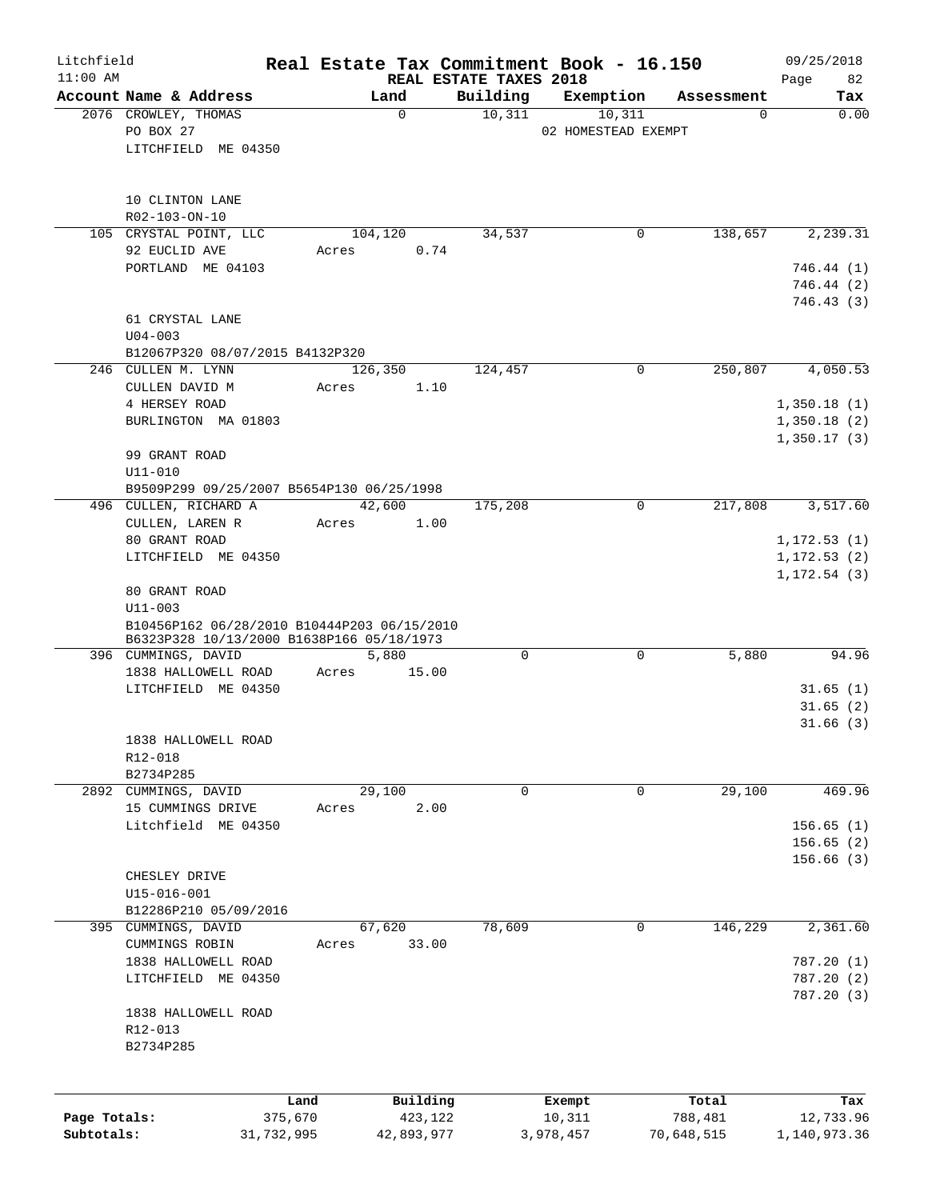| Litchfield<br>$11:00$ AM |                                                                                          |            |                 |                                    | Real Estate Tax Commitment Book - 16.150 |             | 09/25/2018                   |
|--------------------------|------------------------------------------------------------------------------------------|------------|-----------------|------------------------------------|------------------------------------------|-------------|------------------------------|
|                          | Account Name & Address                                                                   |            | Land            | REAL ESTATE TAXES 2018<br>Building | Exemption                                | Assessment  | Page<br>82<br>Tax            |
|                          | 2076 CROWLEY, THOMAS                                                                     |            | $\mathbf 0$     | 10,311                             | 10,311                                   | $\mathbf 0$ | 0.00                         |
|                          | PO BOX 27                                                                                |            |                 |                                    | 02 HOMESTEAD EXEMPT                      |             |                              |
|                          | LITCHFIELD ME 04350                                                                      |            |                 |                                    |                                          |             |                              |
|                          |                                                                                          |            |                 |                                    |                                          |             |                              |
|                          | 10 CLINTON LANE                                                                          |            |                 |                                    |                                          |             |                              |
|                          | R02-103-ON-10                                                                            |            |                 |                                    |                                          |             |                              |
|                          | 105 CRYSTAL POINT, LLC<br>92 EUCLID AVE                                                  | Acres      | 104,120<br>0.74 | 34,537                             | 0                                        | 138,657     | 2,239.31                     |
|                          | PORTLAND ME 04103                                                                        |            |                 |                                    |                                          |             | 746.44(1)                    |
|                          |                                                                                          |            |                 |                                    |                                          |             | 746.44 (2)                   |
|                          |                                                                                          |            |                 |                                    |                                          |             | 746.43(3)                    |
|                          | 61 CRYSTAL LANE<br>$U04 - 003$                                                           |            |                 |                                    |                                          |             |                              |
|                          | B12067P320 08/07/2015 B4132P320                                                          |            |                 |                                    |                                          |             |                              |
|                          | 246 CULLEN M. LYNN                                                                       |            | 126,350         | 124,457                            | $\mathbf 0$                              | 250,807     | 4,050.53                     |
|                          | CULLEN DAVID M                                                                           | Acres      | 1.10            |                                    |                                          |             |                              |
|                          | 4 HERSEY ROAD                                                                            |            |                 |                                    |                                          |             | 1,350.18(1)                  |
|                          | BURLINGTON MA 01803                                                                      |            |                 |                                    |                                          |             | 1,350.18(2)<br>1,350.17(3)   |
|                          | 99 GRANT ROAD                                                                            |            |                 |                                    |                                          |             |                              |
|                          | $U11 - 010$                                                                              |            |                 |                                    |                                          |             |                              |
|                          | B9509P299 09/25/2007 B5654P130 06/25/1998                                                |            |                 |                                    |                                          |             |                              |
|                          | 496 CULLEN, RICHARD A                                                                    |            | 42,600          | 175,208                            | 0                                        | 217,808     | 3,517.60                     |
|                          | CULLEN, LAREN R                                                                          | Acres      | 1.00            |                                    |                                          |             |                              |
|                          | 80 GRANT ROAD<br>LITCHFIELD ME 04350                                                     |            |                 |                                    |                                          |             | 1, 172.53(1)<br>1, 172.53(2) |
|                          |                                                                                          |            |                 |                                    |                                          |             | 1, 172.54(3)                 |
|                          | 80 GRANT ROAD                                                                            |            |                 |                                    |                                          |             |                              |
|                          | $U11 - 003$                                                                              |            |                 |                                    |                                          |             |                              |
|                          | B10456P162 06/28/2010 B10444P203 06/15/2010<br>B6323P328 10/13/2000 B1638P166 05/18/1973 |            |                 |                                    |                                          |             |                              |
|                          | 396 CUMMINGS, DAVID                                                                      |            | 5,880           | 0                                  | $\mathbf 0$                              | 5,880       | 94.96                        |
|                          | 1838 HALLOWELL ROAD                                                                      | Acres      | 15.00           |                                    |                                          |             |                              |
|                          | LITCHFIELD ME 04350                                                                      |            |                 |                                    |                                          |             | 31.65(1)                     |
|                          |                                                                                          |            |                 |                                    |                                          |             | 31.65(2)                     |
|                          | 1838 HALLOWELL ROAD                                                                      |            |                 |                                    |                                          |             | 31.66(3)                     |
|                          | R12-018                                                                                  |            |                 |                                    |                                          |             |                              |
|                          | B2734P285                                                                                |            |                 |                                    |                                          |             |                              |
|                          | 2892 CUMMINGS, DAVID                                                                     |            | 29,100          | 0                                  | 0                                        | 29,100      | 469.96                       |
|                          | 15 CUMMINGS DRIVE                                                                        | Acres      | 2.00            |                                    |                                          |             |                              |
|                          | Litchfield ME 04350                                                                      |            |                 |                                    |                                          |             | 156.65(1)                    |
|                          |                                                                                          |            |                 |                                    |                                          |             | 156.65(2)<br>156.66(3)       |
|                          | CHESLEY DRIVE                                                                            |            |                 |                                    |                                          |             |                              |
|                          | U15-016-001                                                                              |            |                 |                                    |                                          |             |                              |
|                          | B12286P210 05/09/2016                                                                    |            |                 |                                    |                                          |             |                              |
|                          | 395 CUMMINGS, DAVID                                                                      |            | 67,620          | 78,609                             | 0                                        | 146,229     | 2,361.60                     |
|                          | CUMMINGS ROBIN                                                                           | Acres      | 33.00           |                                    |                                          |             |                              |
|                          | 1838 HALLOWELL ROAD<br>LITCHFIELD ME 04350                                               |            |                 |                                    |                                          |             | 787.20(1)<br>787.20(2)       |
|                          |                                                                                          |            |                 |                                    |                                          |             | 787.20(3)                    |
|                          | 1838 HALLOWELL ROAD                                                                      |            |                 |                                    |                                          |             |                              |
|                          | R12-013                                                                                  |            |                 |                                    |                                          |             |                              |
|                          | B2734P285                                                                                |            |                 |                                    |                                          |             |                              |
|                          |                                                                                          |            |                 |                                    |                                          |             |                              |
|                          |                                                                                          | Land       | Building        |                                    | Exempt                                   | Total       | Tax                          |
| Page Totals:             |                                                                                          | 375,670    | 423,122         |                                    | 10,311                                   | 788,481     | 12,733.96                    |
| Subtotals:               |                                                                                          | 31,732,995 | 42,893,977      |                                    | 3,978,457                                | 70,648,515  | 1,140,973.36                 |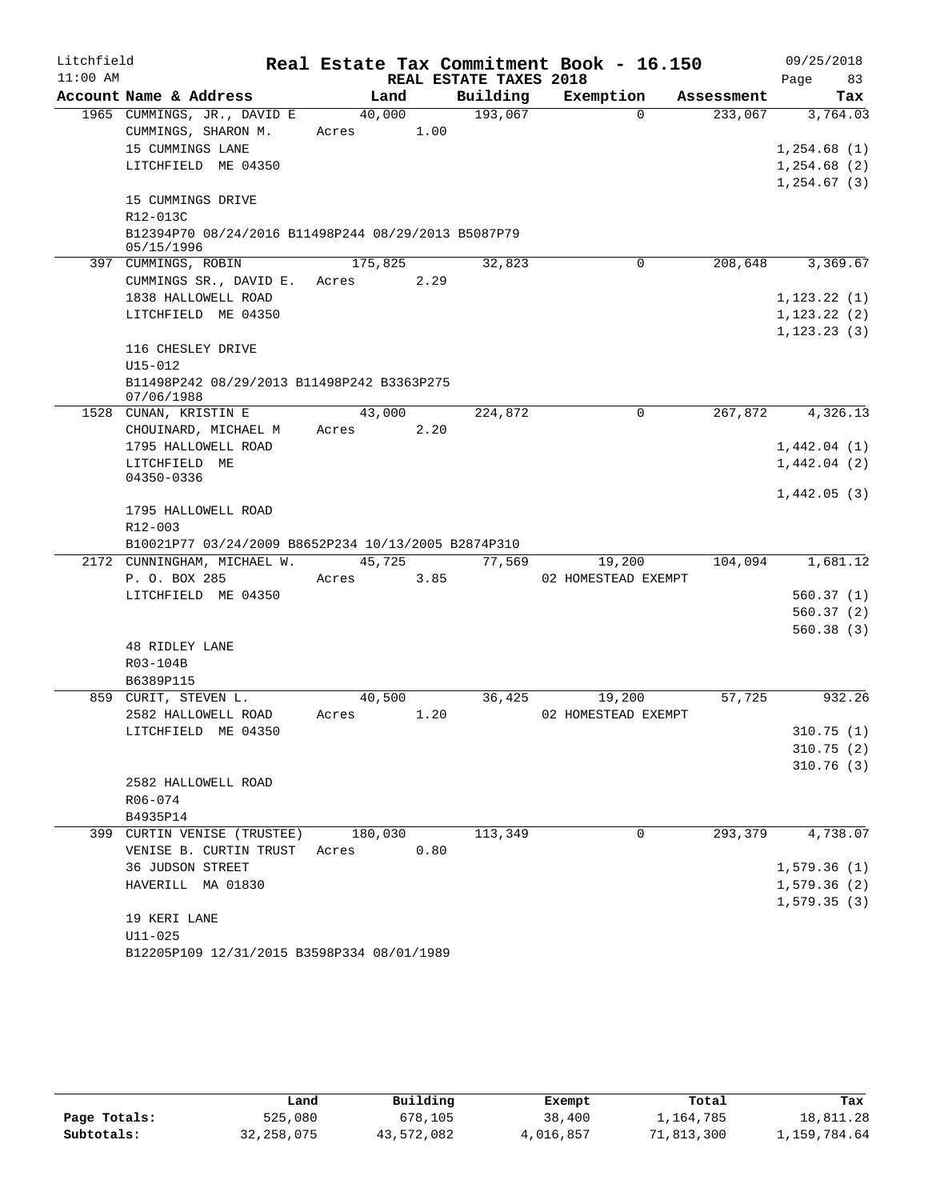| Litchfield |                                                                                       |                 |      |                        | Real Estate Tax Commitment Book - 16.150 |            | 09/25/2018                  |
|------------|---------------------------------------------------------------------------------------|-----------------|------|------------------------|------------------------------------------|------------|-----------------------------|
| $11:00$ AM | Account Name & Address                                                                |                 |      | REAL ESTATE TAXES 2018 |                                          |            | Page<br>83                  |
|            |                                                                                       | Land            |      | Building               | Exemption<br>$\Omega$                    | Assessment | Tax                         |
|            | 1965 CUMMINGS, JR., DAVID E<br>CUMMINGS, SHARON M.<br>15 CUMMINGS LANE                | 40,000<br>Acres | 1.00 | 193,067                |                                          | 233,067    | 3,764.03<br>1,254.68(1)     |
|            | LITCHFIELD ME 04350<br>15 CUMMINGS DRIVE                                              |                 |      |                        |                                          |            | 1,254.68(2)<br>1, 254.67(3) |
|            | R12-013C                                                                              |                 |      |                        |                                          |            |                             |
|            | B12394P70 08/24/2016 B11498P244 08/29/2013 B5087P79<br>05/15/1996                     |                 |      |                        |                                          |            |                             |
|            | 397 CUMMINGS, ROBIN                                                                   | 175,825         |      | 32,823                 | 0                                        | 208,648    | 3,369.67                    |
|            | CUMMINGS SR., DAVID E.                                                                | Acres           | 2.29 |                        |                                          |            |                             |
|            | 1838 HALLOWELL ROAD                                                                   |                 |      |                        |                                          |            | 1, 123.22(1)                |
|            | LITCHFIELD ME 04350                                                                   |                 |      |                        |                                          |            | 1, 123.22(2)                |
|            | 116 CHESLEY DRIVE                                                                     |                 |      |                        |                                          |            | 1, 123.23(3)                |
|            | $U15 - 012$                                                                           |                 |      |                        |                                          |            |                             |
|            | B11498P242 08/29/2013 B11498P242 B3363P275<br>07/06/1988                              |                 |      |                        |                                          |            |                             |
|            | 1528 CUNAN, KRISTIN E                                                                 | 43,000          |      | 224,872                | $\mathbf 0$                              | 267,872    | 4,326.13                    |
|            | CHOUINARD, MICHAEL M                                                                  | Acres           | 2.20 |                        |                                          |            |                             |
|            | 1795 HALLOWELL ROAD                                                                   |                 |      |                        |                                          |            | 1,442.04(1)                 |
|            | LITCHFIELD ME<br>04350-0336                                                           |                 |      |                        |                                          |            | 1,442.04(2)                 |
|            | 1795 HALLOWELL ROAD<br>R12-003<br>B10021P77 03/24/2009 B8652P234 10/13/2005 B2874P310 |                 |      |                        |                                          |            | 1,442.05(3)                 |
|            | 2172 CUNNINGHAM, MICHAEL W.                                                           | 45,725          |      | 77,569                 | 19,200                                   | 104,094    | 1,681.12                    |
|            | P. O. BOX 285                                                                         | Acres           | 3.85 |                        | 02 HOMESTEAD EXEMPT                      |            |                             |
|            | LITCHFIELD ME 04350                                                                   |                 |      |                        |                                          |            | 560.37(1)                   |
|            |                                                                                       |                 |      |                        |                                          |            | 560.37(2)                   |
|            |                                                                                       |                 |      |                        |                                          |            | 560.38(3)                   |
|            | 48 RIDLEY LANE                                                                        |                 |      |                        |                                          |            |                             |
|            | R03-104B                                                                              |                 |      |                        |                                          |            |                             |
|            | B6389P115                                                                             |                 |      | 36,425                 |                                          |            |                             |
|            | 859 CURIT, STEVEN L.<br>2582 HALLOWELL ROAD                                           | 40,500<br>Acres | 1.20 |                        | 19,200<br>02 HOMESTEAD EXEMPT            | 57,725     | 932.26                      |
|            | LITCHFIELD ME 04350                                                                   |                 |      |                        |                                          |            | 310.75(1)                   |
|            |                                                                                       |                 |      |                        |                                          |            | 310.75(2)                   |
|            |                                                                                       |                 |      |                        |                                          |            | 310.76(3)                   |
|            | 2582 HALLOWELL ROAD                                                                   |                 |      |                        |                                          |            |                             |
|            | R06-074                                                                               |                 |      |                        |                                          |            |                             |
|            | B4935P14                                                                              |                 |      |                        |                                          |            |                             |
|            | 399 CURTIN VENISE (TRUSTEE)                                                           | 180,030         |      | 113,349                | 0                                        | 293, 379   | 4,738.07                    |
|            | VENISE B. CURTIN TRUST                                                                | Acres           | 0.80 |                        |                                          |            |                             |
|            | 36 JUDSON STREET                                                                      |                 |      |                        |                                          |            | 1,579.36(1)                 |
|            | HAVERILL MA 01830                                                                     |                 |      |                        |                                          |            | 1,579.36(2)<br>1, 579.35(3) |
|            | 19 KERI LANE                                                                          |                 |      |                        |                                          |            |                             |
|            | $U11 - 025$                                                                           |                 |      |                        |                                          |            |                             |
|            | B12205P109 12/31/2015 B3598P334 08/01/1989                                            |                 |      |                        |                                          |            |                             |

|              | Land         | Building   | Exempt    | Total      | Tax          |
|--------------|--------------|------------|-----------|------------|--------------|
| Page Totals: | 525,080      | 678,105    | 38,400    | 1,164,785  | 18,811.28    |
| Subtotals:   | 32, 258, 075 | 43,572,082 | 4,016,857 | 71,813,300 | 1,159,784.64 |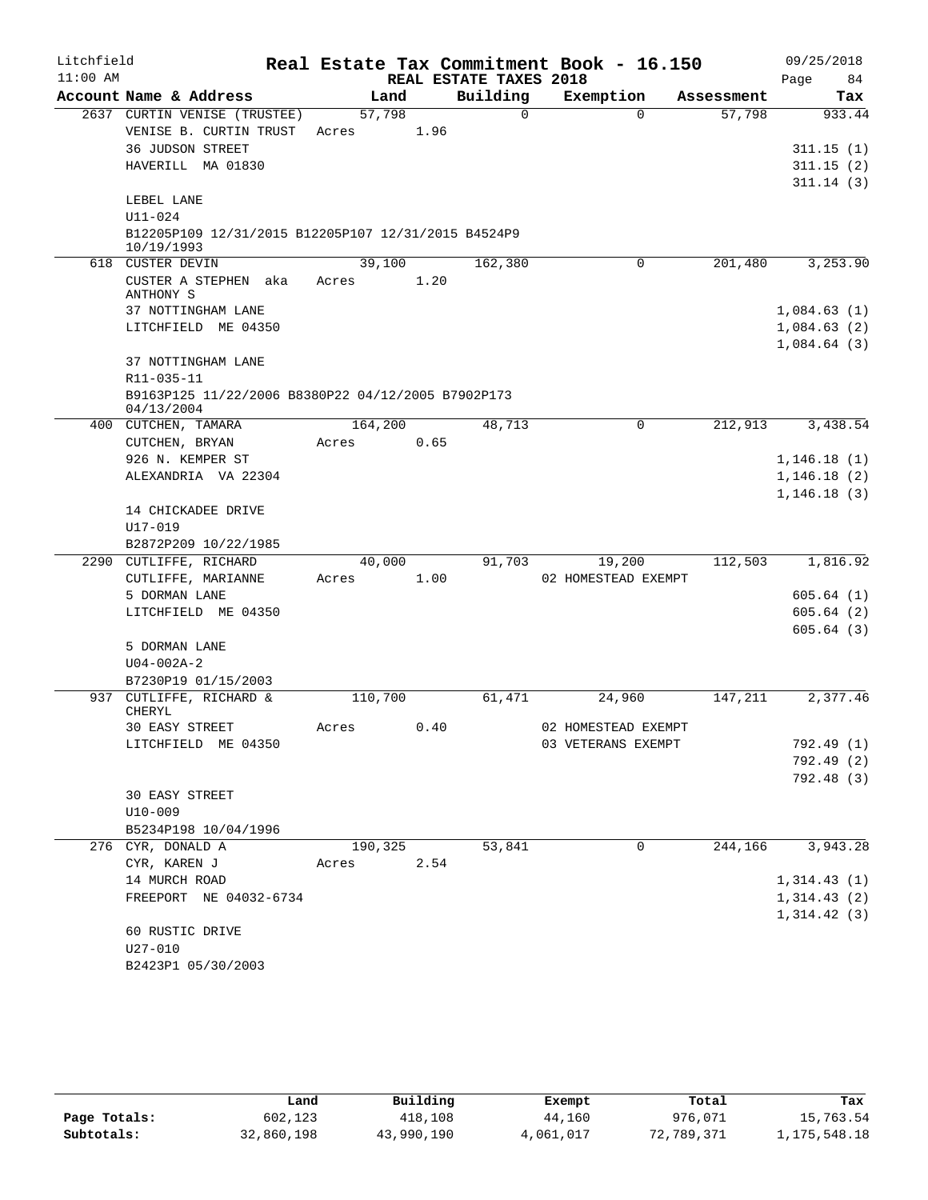| Litchfield |                                                                  |         |      |                        | Real Estate Tax Commitment Book - 16.150 |            | 09/25/2018             |
|------------|------------------------------------------------------------------|---------|------|------------------------|------------------------------------------|------------|------------------------|
| $11:00$ AM |                                                                  |         |      | REAL ESTATE TAXES 2018 |                                          |            | 84<br>Page             |
|            | Account Name & Address                                           |         | Land | Building               | Exemption                                | Assessment | Tax                    |
|            | 2637 CURTIN VENISE (TRUSTEE)                                     | 57,798  |      | $\Omega$               | $\Omega$                                 | 57,798     | 933.44                 |
|            | VENISE B. CURTIN TRUST                                           | Acres   | 1.96 |                        |                                          |            |                        |
|            | <b>36 JUDSON STREET</b>                                          |         |      |                        |                                          |            | 311.15(1)              |
|            | HAVERILL MA 01830                                                |         |      |                        |                                          |            | 311.15(2)              |
|            | LEBEL LANE                                                       |         |      |                        |                                          |            | 311.14(3)              |
|            | U11-024                                                          |         |      |                        |                                          |            |                        |
|            | B12205P109 12/31/2015 B12205P107 12/31/2015 B4524P9              |         |      |                        |                                          |            |                        |
|            | 10/19/1993                                                       |         |      |                        |                                          |            |                        |
|            | 618 CUSTER DEVIN                                                 | 39,100  |      | 162,380                | 0                                        | 201,480    | 3, 253.90              |
|            | CUSTER A STEPHEN aka<br>ANTHONY S                                | Acres   | 1.20 |                        |                                          |            |                        |
|            | 37 NOTTINGHAM LANE                                               |         |      |                        |                                          |            | 1,084.63(1)            |
|            | LITCHFIELD ME 04350                                              |         |      |                        |                                          |            | 1,084.63(2)            |
|            |                                                                  |         |      |                        |                                          |            | 1,084.64(3)            |
|            | 37 NOTTINGHAM LANE                                               |         |      |                        |                                          |            |                        |
|            | R11-035-11                                                       |         |      |                        |                                          |            |                        |
|            | B9163P125 11/22/2006 B8380P22 04/12/2005 B7902P173<br>04/13/2004 |         |      |                        |                                          |            |                        |
|            | 400 CUTCHEN, TAMARA                                              | 164,200 |      | 48,713                 | $\Omega$                                 | 212,913    | 3,438.54               |
|            | CUTCHEN, BRYAN                                                   | Acres   | 0.65 |                        |                                          |            |                        |
|            | 926 N. KEMPER ST                                                 |         |      |                        |                                          |            | 1,146.18(1)            |
|            | ALEXANDRIA VA 22304                                              |         |      |                        |                                          |            | 1,146.18(2)            |
|            |                                                                  |         |      |                        |                                          |            | 1, 146.18(3)           |
|            | 14 CHICKADEE DRIVE                                               |         |      |                        |                                          |            |                        |
|            | U17-019                                                          |         |      |                        |                                          |            |                        |
|            | B2872P209 10/22/1985                                             |         |      |                        |                                          |            |                        |
|            | 2290 CUTLIFFE, RICHARD                                           | 40,000  |      | 91,703                 | 19,200                                   | 112,503    | 1,816.92               |
|            | CUTLIFFE, MARIANNE                                               | Acres   | 1.00 |                        | 02 HOMESTEAD EXEMPT                      |            |                        |
|            | 5 DORMAN LANE                                                    |         |      |                        |                                          |            | 605.64(1)              |
|            | LITCHFIELD ME 04350                                              |         |      |                        |                                          |            | 605.64(2)<br>605.64(3) |
|            | 5 DORMAN LANE                                                    |         |      |                        |                                          |            |                        |
|            | $U04 - 002A - 2$                                                 |         |      |                        |                                          |            |                        |
|            | B7230P19 01/15/2003                                              |         |      |                        |                                          |            |                        |
|            | 937 CUTLIFFE, RICHARD &                                          | 110,700 |      | 61,471                 | 24,960                                   | 147,211    | 2,377.46               |
|            | <b>CHERYL</b>                                                    |         |      |                        |                                          |            |                        |
|            | 30 EASY STREET                                                   | Acres   | 0.40 |                        | 02 HOMESTEAD EXEMPT                      |            |                        |
|            | LITCHFIELD ME 04350                                              |         |      |                        | 03 VETERANS EXEMPT                       |            | 792.49 (1)             |
|            |                                                                  |         |      |                        |                                          |            | 792.49 (2)             |
|            |                                                                  |         |      |                        |                                          |            | 792.48 (3)             |
|            | 30 EASY STREET                                                   |         |      |                        |                                          |            |                        |
|            | $U10 - 009$                                                      |         |      |                        |                                          |            |                        |
|            | B5234P198 10/04/1996                                             |         |      |                        |                                          |            |                        |
|            | 276 CYR, DONALD A                                                | 190,325 |      | 53,841                 | 0                                        | 244,166    | 3,943.28               |
|            | CYR, KAREN J                                                     | Acres   | 2.54 |                        |                                          |            |                        |
|            | 14 MURCH ROAD                                                    |         |      |                        |                                          |            | 1,314.43(1)            |
|            | FREEPORT NE 04032-6734                                           |         |      |                        |                                          |            | 1,314.43(2)            |
|            | 60 RUSTIC DRIVE                                                  |         |      |                        |                                          |            | 1,314.42(3)            |
|            | $U27 - 010$                                                      |         |      |                        |                                          |            |                        |
|            | B2423P1 05/30/2003                                               |         |      |                        |                                          |            |                        |

|              | Land       | Building   | Exempt    | Total      | Tax          |
|--------------|------------|------------|-----------|------------|--------------|
| Page Totals: | 602,123    | 418,108    | 44,160    | 976,071    | 15,763.54    |
| Subtotals:   | 32,860,198 | 43,990,190 | 4,061,017 | 72,789,371 | 1,175,548.18 |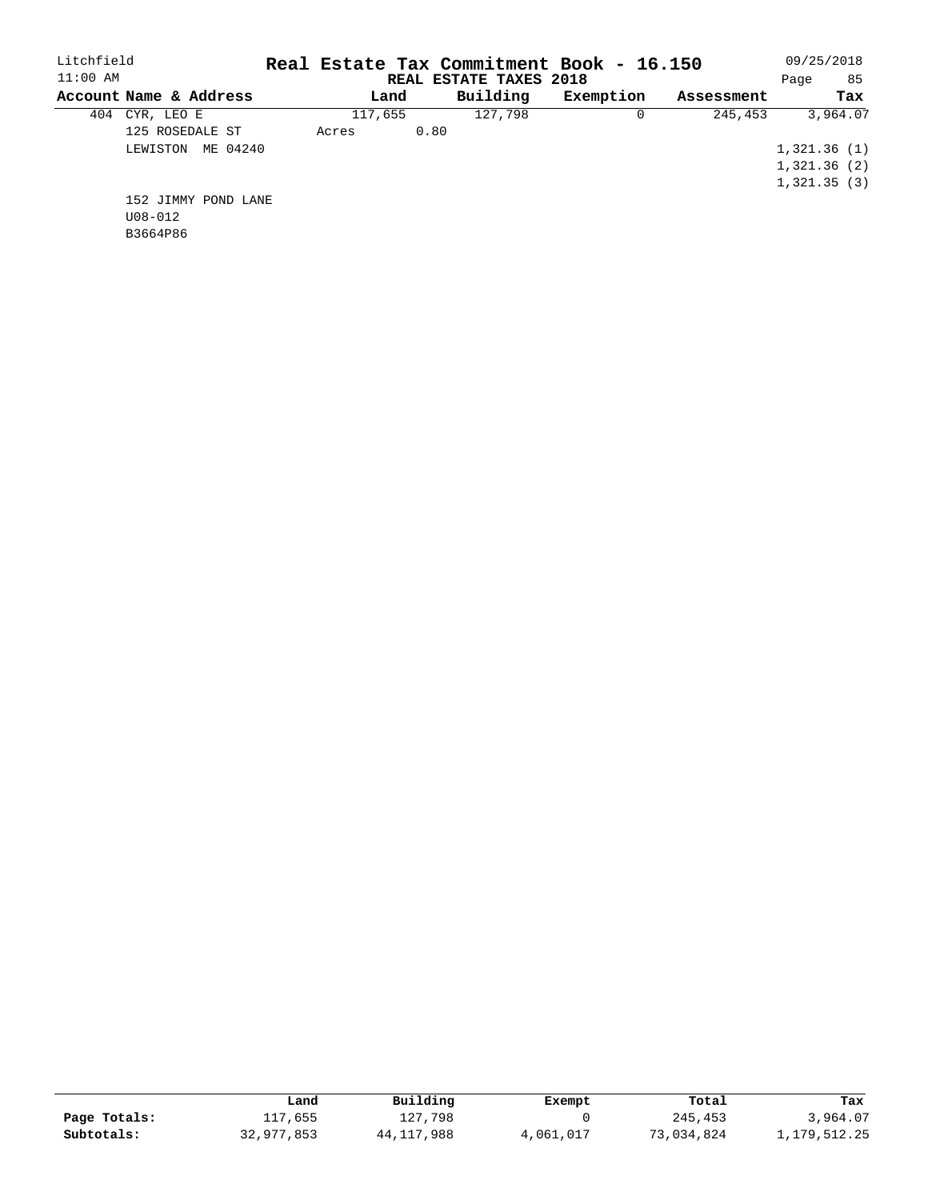| Litchfield             |       |         | Real Estate Tax Commitment Book - 16.150 |           |            | 09/25/2018  |
|------------------------|-------|---------|------------------------------------------|-----------|------------|-------------|
| $11:00$ AM             |       |         | REAL ESTATE TAXES 2018                   |           |            | 85<br>Page  |
| Account Name & Address |       | Land    | Building                                 | Exemption | Assessment | Tax         |
| 404<br>CYR, LEO E      |       | 117,655 | 127,798                                  |           | 245,453    | 3,964.07    |
| 125 ROSEDALE ST        | Acres |         | 0.80                                     |           |            |             |
| ME 04240<br>LEWISTON   |       |         |                                          |           |            | 1,321.36(1) |
|                        |       |         |                                          |           |            | 1,321.36(2) |
|                        |       |         |                                          |           |            | 1,321.35(3) |
| 152 JIMMY POND LANE    |       |         |                                          |           |            |             |
| $U08 - 012$            |       |         |                                          |           |            |             |
| B3664P86               |       |         |                                          |           |            |             |

|              | Land       | Building   | Exempt    | Total      | Tax          |
|--------------|------------|------------|-----------|------------|--------------|
| Page Totals: | 117,655    | 127,798    |           | 245,453    | 3,964.07     |
| Subtotals:   | 32,977,853 | 44,117,988 | 4,061,017 | 73,034,824 | 1,179,512.25 |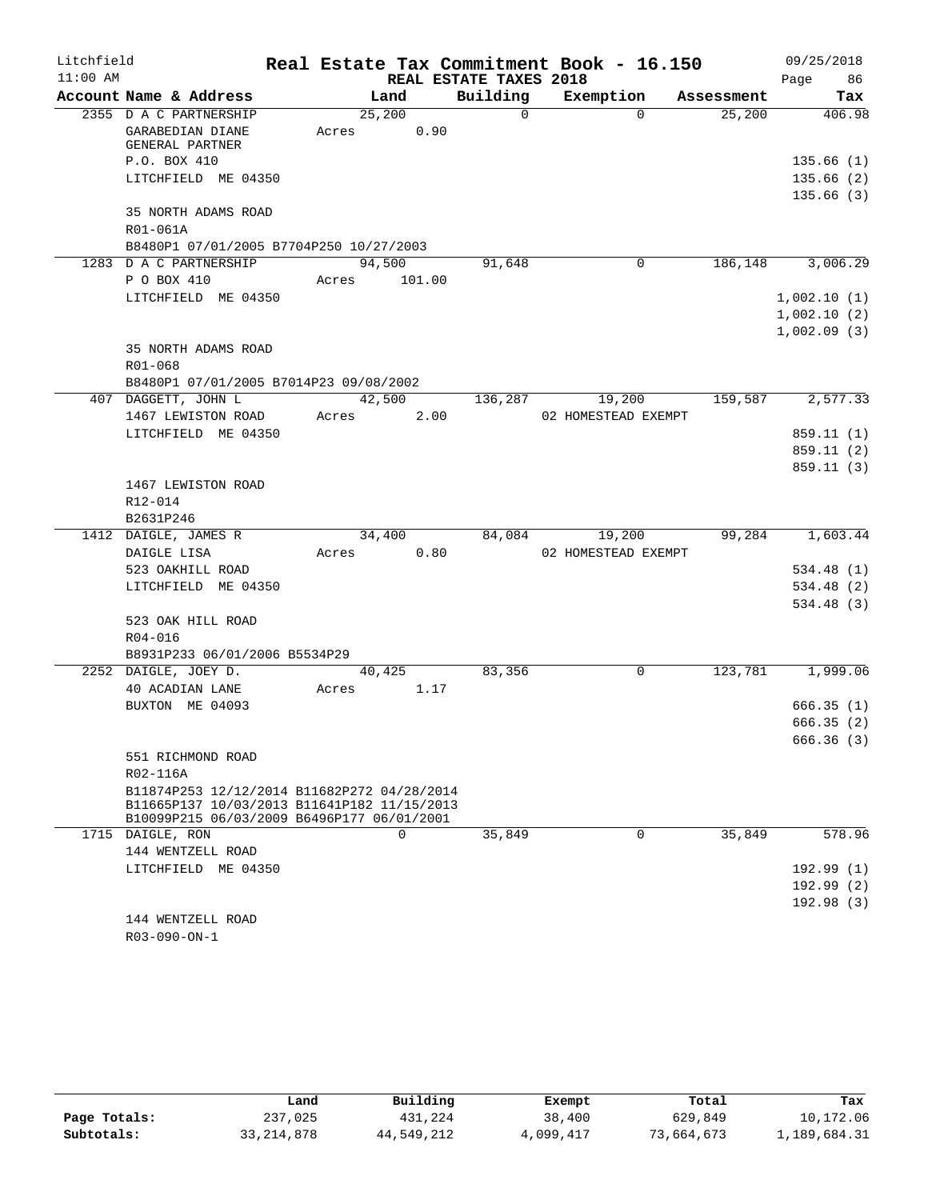| Litchfield |                                                                                           |       |                      |                        | Real Estate Tax Commitment Book - 16.150 |            | 09/25/2018  |
|------------|-------------------------------------------------------------------------------------------|-------|----------------------|------------------------|------------------------------------------|------------|-------------|
| $11:00$ AM | Account Name & Address                                                                    |       |                      | REAL ESTATE TAXES 2018 |                                          |            | Page 86     |
|            |                                                                                           |       | Land                 | Building               | Exemption                                | Assessment | Tax         |
|            | 2355 D A C PARTNERSHIP<br>GARABEDIAN DIANE<br>GENERAL PARTNER                             |       | 25,200<br>Acres 0.90 | $\Omega$               | $\Omega$                                 | 25,200     | 406.98      |
|            | P.O. BOX 410                                                                              |       |                      |                        |                                          |            | 135.66 (1)  |
|            | LITCHFIELD ME 04350                                                                       |       |                      |                        |                                          |            | 135.66(2)   |
|            |                                                                                           |       |                      |                        |                                          |            | 135.66(3)   |
|            | 35 NORTH ADAMS ROAD                                                                       |       |                      |                        |                                          |            |             |
|            | R01-061A                                                                                  |       |                      |                        |                                          |            |             |
|            | B8480P1 07/01/2005 B7704P250 10/27/2003                                                   |       |                      |                        |                                          |            |             |
|            | 1283 D A C PARTNERSHIP                                                                    |       | 94,500               | 91,648                 | $\mathbf 0$                              | 186,148    | 3,006.29    |
|            | P O BOX 410                                                                               | Acres | 101.00               |                        |                                          |            |             |
|            | LITCHFIELD ME 04350                                                                       |       |                      |                        |                                          |            | 1,002.10(1) |
|            |                                                                                           |       |                      |                        |                                          |            | 1,002.10(2) |
|            |                                                                                           |       |                      |                        |                                          |            | 1,002.09(3) |
|            | 35 NORTH ADAMS ROAD                                                                       |       |                      |                        |                                          |            |             |
|            | R01-068                                                                                   |       |                      |                        |                                          |            |             |
|            | B8480P1 07/01/2005 B7014P23 09/08/2002                                                    |       |                      |                        |                                          |            |             |
|            | 407 DAGGETT, JOHN L                                                                       |       | 42,500               | 136,287                | 19,200                                   | 159,587    | 2,577.33    |
|            | 1467 LEWISTON ROAD                                                                        |       | Acres 2.00           |                        | 02 HOMESTEAD EXEMPT                      |            |             |
|            | LITCHFIELD ME 04350                                                                       |       |                      |                        |                                          |            | 859.11 (1)  |
|            |                                                                                           |       |                      |                        |                                          |            | 859.11 (2)  |
|            |                                                                                           |       |                      |                        |                                          |            | 859.11(3)   |
|            | 1467 LEWISTON ROAD<br>R12-014                                                             |       |                      |                        |                                          |            |             |
|            | B2631P246                                                                                 |       |                      |                        |                                          |            |             |
|            | 1412 DAIGLE, JAMES R                                                                      |       | 34,400               |                        | 84,084 19,200                            | 99,284     | 1,603.44    |
|            | DAIGLE LISA                                                                               | Acres |                      | 0.80                   | 02 HOMESTEAD EXEMPT                      |            |             |
|            | 523 OAKHILL ROAD                                                                          |       |                      |                        |                                          |            | 534.48(1)   |
|            | LITCHFIELD ME 04350                                                                       |       |                      |                        |                                          |            | 534.48(2)   |
|            |                                                                                           |       |                      |                        |                                          |            | 534.48(3)   |
|            | 523 OAK HILL ROAD                                                                         |       |                      |                        |                                          |            |             |
|            | R04-016                                                                                   |       |                      |                        |                                          |            |             |
|            | B8931P233 06/01/2006 B5534P29                                                             |       |                      |                        |                                          |            |             |
|            | 2252 DAIGLE, JOEY D.                                                                      |       | 40,425               | 83,356                 | 0                                        | 123,781    | 1,999.06    |
|            | 40 ACADIAN LANE                                                                           | Acres | 1.17                 |                        |                                          |            |             |
|            | BUXTON ME 04093                                                                           |       |                      |                        |                                          |            | 666.35(1)   |
|            |                                                                                           |       |                      |                        |                                          |            | 666.35(2)   |
|            |                                                                                           |       |                      |                        |                                          |            | 666.36(3)   |
|            | 551 RICHMOND ROAD                                                                         |       |                      |                        |                                          |            |             |
|            | R02-116A                                                                                  |       |                      |                        |                                          |            |             |
|            | B11874P253 12/12/2014 B11682P272 04/28/2014                                               |       |                      |                        |                                          |            |             |
|            | B11665P137 10/03/2013 B11641P182 11/15/2013<br>B10099P215 06/03/2009 B6496P177 06/01/2001 |       |                      |                        |                                          |            |             |
|            | 1715 DAIGLE, RON                                                                          |       | $\Omega$             | 35,849                 | $\Omega$                                 | 35,849     | 578.96      |
|            | 144 WENTZELL ROAD                                                                         |       |                      |                        |                                          |            |             |
|            | LITCHFIELD ME 04350                                                                       |       |                      |                        |                                          |            | 192.99(1)   |
|            |                                                                                           |       |                      |                        |                                          |            | 192.99 (2)  |
|            |                                                                                           |       |                      |                        |                                          |            | 192.98(3)   |
|            | 144 WENTZELL ROAD                                                                         |       |                      |                        |                                          |            |             |
|            | R03-090-ON-1                                                                              |       |                      |                        |                                          |            |             |

|              | Land         | Building   | Exempt    | Total      | Tax          |
|--------------|--------------|------------|-----------|------------|--------------|
| Page Totals: | 237,025      | 431,224    | 38,400    | 629,849    | 10,172.06    |
| Subtotals:   | 33, 214, 878 | 44,549,212 | 4,099,417 | 73,664,673 | 1,189,684.31 |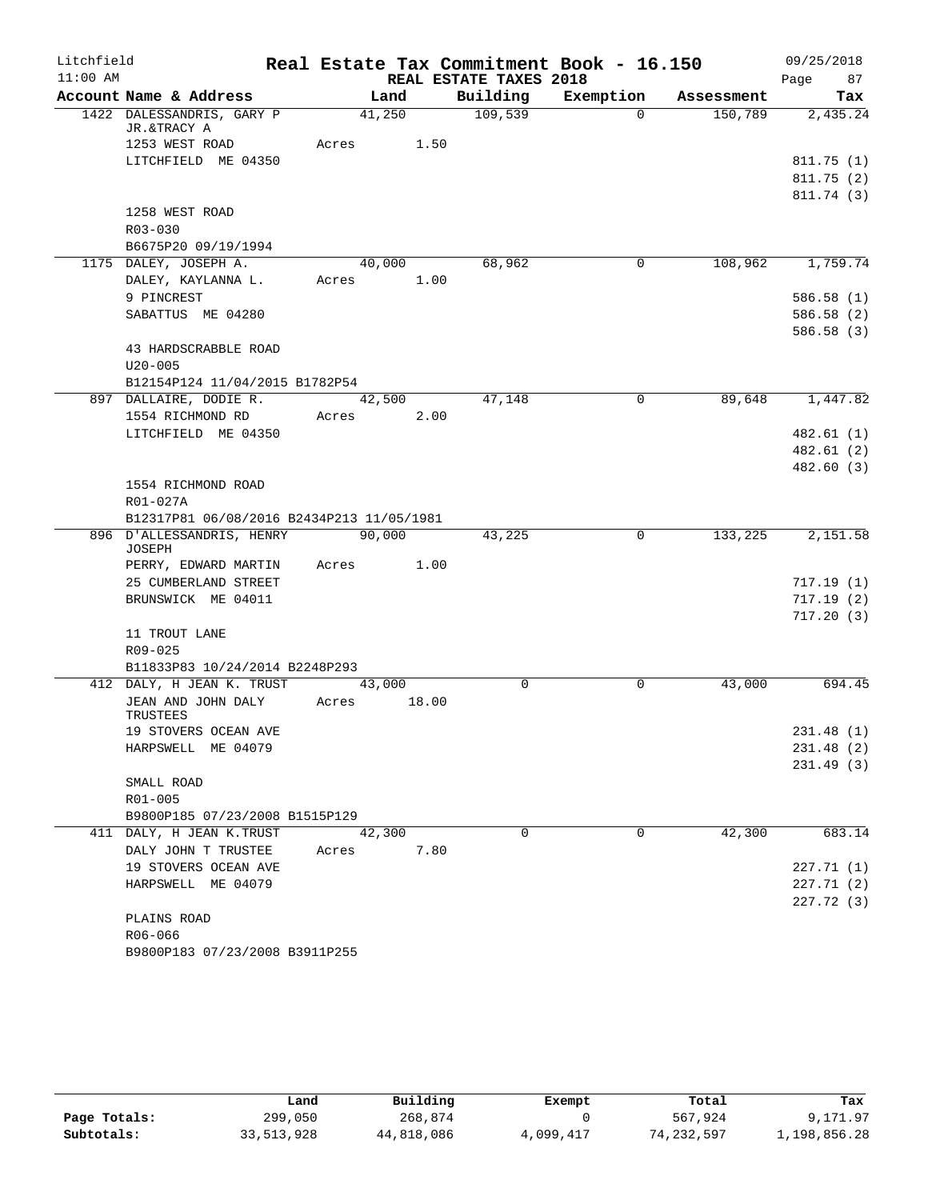| Litchfield |                                           |            |        |                        | Real Estate Tax Commitment Book - 16.150 |            | 09/25/2018        |
|------------|-------------------------------------------|------------|--------|------------------------|------------------------------------------|------------|-------------------|
| $11:00$ AM | Account Name & Address                    |            | Land   | REAL ESTATE TAXES 2018 | Building Exemption                       | Assessment | 87<br>Page<br>Tax |
|            | 1422 DALESSANDRIS, GARY P                 | 41,250     |        | 109,539                | $\Omega$                                 | 150,789    | 2,435.24          |
|            | JR.&TRACY A                               |            |        |                        |                                          |            |                   |
|            | 1253 WEST ROAD                            | Acres 1.50 |        |                        |                                          |            |                   |
|            | LITCHFIELD ME 04350                       |            |        |                        |                                          |            | 811.75(1)         |
|            |                                           |            |        |                        |                                          |            | 811.75(2)         |
|            |                                           |            |        |                        |                                          |            | 811.74 (3)        |
|            | 1258 WEST ROAD                            |            |        |                        |                                          |            |                   |
|            | $R03 - 030$                               |            |        |                        |                                          |            |                   |
|            | B6675P20 09/19/1994                       |            |        |                        |                                          |            |                   |
|            | 1175 DALEY, JOSEPH A.                     |            | 40,000 | 68,962                 | $\overline{0}$                           | 108,962    | 1,759.74          |
|            | DALEY, KAYLANNA L.                        | Acres 1.00 |        |                        |                                          |            |                   |
|            | 9 PINCREST                                |            |        |                        |                                          |            | 586.58(1)         |
|            | SABATTUS ME 04280                         |            |        |                        |                                          |            | 586.58 (2)        |
|            |                                           |            |        |                        |                                          |            | 586.58(3)         |
|            | 43 HARDSCRABBLE ROAD                      |            |        |                        |                                          |            |                   |
|            | $U20 - 005$                               |            |        |                        |                                          |            |                   |
|            | B12154P124 11/04/2015 B1782P54            |            |        |                        |                                          |            |                   |
|            | 897 DALLAIRE, DODIE R.                    | 42,500     |        | 47,148                 | 0                                        | 89,648     | 1,447.82          |
|            | 1554 RICHMOND RD                          | Acres 2.00 |        |                        |                                          |            |                   |
|            | LITCHFIELD ME 04350                       |            |        |                        |                                          |            | 482.61(1)         |
|            |                                           |            |        |                        |                                          |            | 482.61(2)         |
|            |                                           |            |        |                        |                                          |            | 482.60 (3)        |
|            | 1554 RICHMOND ROAD                        |            |        |                        |                                          |            |                   |
|            | R01-027A                                  |            |        |                        |                                          |            |                   |
|            | B12317P81 06/08/2016 B2434P213 11/05/1981 |            |        |                        |                                          |            |                   |
|            | 896 D'ALLESSANDRIS, HENRY 90,000          |            |        | 43,225                 | $\Omega$                                 | 133,225    | 2,151.58          |
|            | <b>JOSEPH</b>                             |            |        |                        |                                          |            |                   |
|            | PERRY, EDWARD MARTIN                      | Acres      | 1.00   |                        |                                          |            |                   |
|            | 25 CUMBERLAND STREET                      |            |        |                        |                                          |            | 717.19(1)         |
|            | BRUNSWICK ME 04011                        |            |        |                        |                                          |            | 717.19(2)         |
|            |                                           |            |        |                        |                                          |            | 717.20(3)         |
|            | 11 TROUT LANE                             |            |        |                        |                                          |            |                   |
|            | R09-025                                   |            |        |                        |                                          |            |                   |
|            | B11833P83 10/24/2014 B2248P293            |            |        |                        |                                          |            |                   |
|            | 412 DALY, H JEAN K. TRUST                 | 43,000     |        | $\Omega$               | 0                                        | 43,000     | 694.45            |
|            | JEAN AND JOHN DALY                        | Acres      | 18.00  |                        |                                          |            |                   |
|            | TRUSTEES                                  |            |        |                        |                                          |            |                   |
|            | 19 STOVERS OCEAN AVE                      |            |        |                        |                                          |            | 231.48(1)         |
|            | HARPSWELL ME 04079                        |            |        |                        |                                          |            | 231.48(2)         |
|            |                                           |            |        |                        |                                          |            | 231.49(3)         |
|            | SMALL ROAD                                |            |        |                        |                                          |            |                   |
|            | R01-005                                   |            |        |                        |                                          |            |                   |
|            | B9800P185 07/23/2008 B1515P129            |            |        |                        |                                          |            |                   |
|            | 411 DALY, H JEAN K.TRUST                  | 42,300     |        | $\Omega$               | $\Omega$                                 | 42,300     | 683.14            |
|            | DALY JOHN T TRUSTEE                       | Acres      | 7.80   |                        |                                          |            |                   |
|            | 19 STOVERS OCEAN AVE                      |            |        |                        |                                          |            | 227.71(1)         |
|            | HARPSWELL ME 04079                        |            |        |                        |                                          |            | 227.71(2)         |
|            |                                           |            |        |                        |                                          |            | 227.72(3)         |
|            | PLAINS ROAD                               |            |        |                        |                                          |            |                   |
|            | R06-066                                   |            |        |                        |                                          |            |                   |
|            | B9800P183 07/23/2008 B3911P255            |            |        |                        |                                          |            |                   |

|              | Land       | Building   | Exempt    | Total      | Tax          |
|--------------|------------|------------|-----------|------------|--------------|
| Page Totals: | 299,050    | 268,874    |           | 567,924    | 9,171.97     |
| Subtotals:   | 33,513,928 | 44,818,086 | 4,099,417 | 74,232,597 | 1,198,856.28 |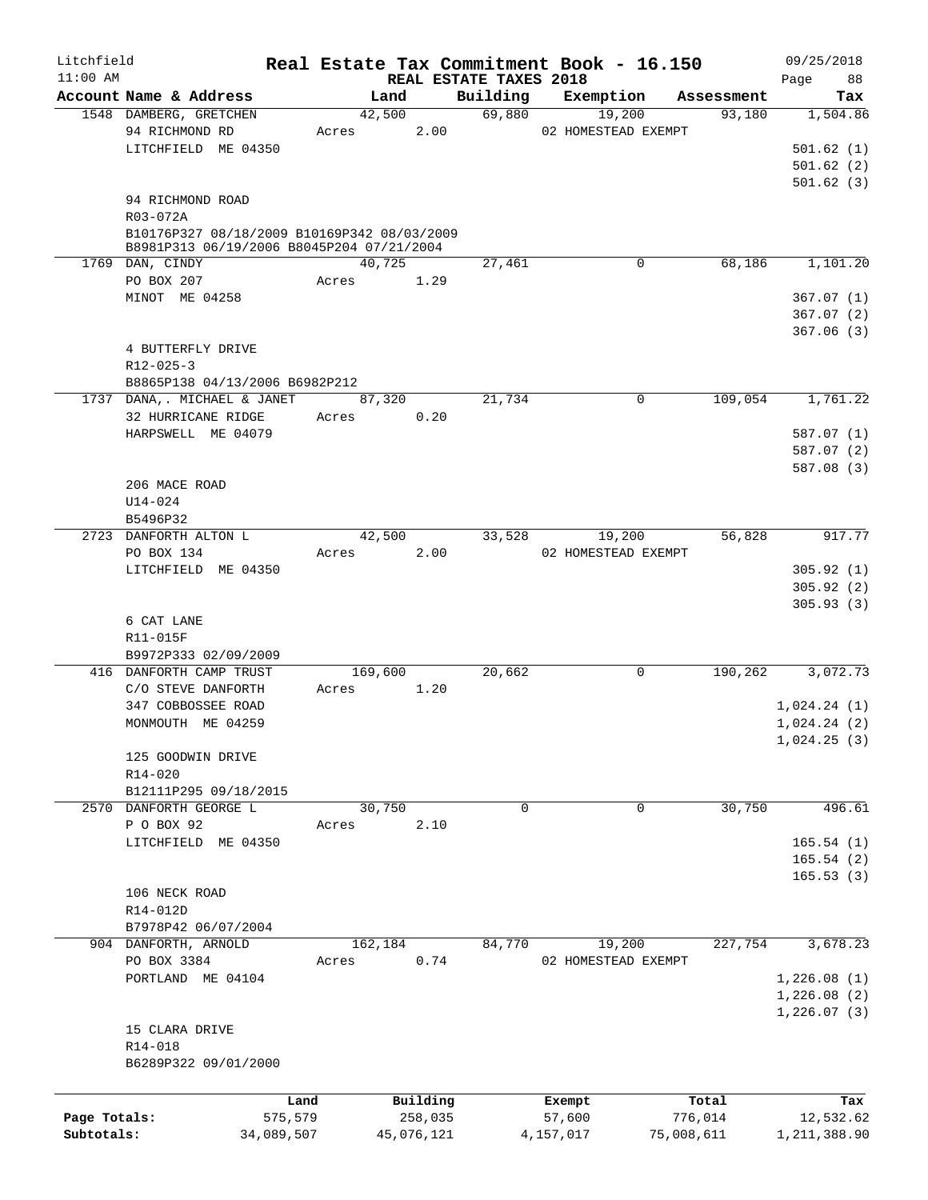| Litchfield   |                                                                                          |         |            |                                    | Real Estate Tax Commitment Book - 16.150 |             |            | 09/25/2018        |
|--------------|------------------------------------------------------------------------------------------|---------|------------|------------------------------------|------------------------------------------|-------------|------------|-------------------|
| $11:00$ AM   | Account Name & Address                                                                   | Land    |            | REAL ESTATE TAXES 2018<br>Building | Exemption                                |             | Assessment | 88<br>Page<br>Tax |
|              | 1548 DAMBERG, GRETCHEN                                                                   | 42,500  |            | 69,880                             | 19,200                                   |             | 93,180     | 1,504.86          |
|              | 94 RICHMOND RD                                                                           | Acres   | 2.00       |                                    | 02 HOMESTEAD EXEMPT                      |             |            |                   |
|              | LITCHFIELD ME 04350                                                                      |         |            |                                    |                                          |             |            | 501.62(1)         |
|              |                                                                                          |         |            |                                    |                                          |             |            | 501.62(2)         |
|              |                                                                                          |         |            |                                    |                                          |             |            |                   |
|              |                                                                                          |         |            |                                    |                                          |             |            | 501.62(3)         |
|              | 94 RICHMOND ROAD                                                                         |         |            |                                    |                                          |             |            |                   |
|              | R03-072A                                                                                 |         |            |                                    |                                          |             |            |                   |
|              | B10176P327 08/18/2009 B10169P342 08/03/2009<br>B8981P313 06/19/2006 B8045P204 07/21/2004 |         |            |                                    |                                          |             |            |                   |
|              | 1769 DAN, CINDY                                                                          | 40,725  |            | 27,461                             |                                          | $\mathbf 0$ | 68,186     | 1,101.20          |
|              | PO BOX 207                                                                               | Acres   | 1.29       |                                    |                                          |             |            |                   |
|              | MINOT ME 04258                                                                           |         |            |                                    |                                          |             |            | 367.07(1)         |
|              |                                                                                          |         |            |                                    |                                          |             |            | 367.07(2)         |
|              |                                                                                          |         |            |                                    |                                          |             |            | 367.06(3)         |
|              | 4 BUTTERFLY DRIVE                                                                        |         |            |                                    |                                          |             |            |                   |
|              |                                                                                          |         |            |                                    |                                          |             |            |                   |
|              | $R12 - 025 - 3$                                                                          |         |            |                                    |                                          |             |            |                   |
|              | B8865P138 04/13/2006 B6982P212                                                           |         |            |                                    |                                          |             |            |                   |
|              | 1737 DANA,. MICHAEL & JANET                                                              | 87,320  |            | 21,734                             |                                          | 0           | 109,054    | 1,761.22          |
|              | 32 HURRICANE RIDGE                                                                       | Acres   | 0.20       |                                    |                                          |             |            |                   |
|              | HARPSWELL ME 04079                                                                       |         |            |                                    |                                          |             |            | 587.07(1)         |
|              |                                                                                          |         |            |                                    |                                          |             |            | 587.07(2)         |
|              |                                                                                          |         |            |                                    |                                          |             |            | 587.08 (3)        |
|              | 206 MACE ROAD                                                                            |         |            |                                    |                                          |             |            |                   |
|              | U14-024                                                                                  |         |            |                                    |                                          |             |            |                   |
|              | B5496P32                                                                                 |         |            |                                    |                                          |             |            |                   |
|              | 2723 DANFORTH ALTON L                                                                    | 42,500  |            | 33,528                             | 19,200                                   |             | 56,828     | 917.77            |
|              | PO BOX 134                                                                               | Acres   | 2.00       |                                    | 02 HOMESTEAD EXEMPT                      |             |            |                   |
|              | LITCHFIELD ME 04350                                                                      |         |            |                                    |                                          |             |            | 305.92(1)         |
|              |                                                                                          |         |            |                                    |                                          |             |            | 305.92(2)         |
|              |                                                                                          |         |            |                                    |                                          |             |            | 305.93(3)         |
|              | 6 CAT LANE                                                                               |         |            |                                    |                                          |             |            |                   |
|              | R11-015F                                                                                 |         |            |                                    |                                          |             |            |                   |
|              | B9972P333 02/09/2009                                                                     |         |            |                                    |                                          |             |            |                   |
|              | 416 DANFORTH CAMP TRUST                                                                  | 169,600 |            | 20,662                             |                                          | 0           | 190,262    | 3,072.73          |
|              | C/O STEVE DANFORTH                                                                       | Acres   | 1.20       |                                    |                                          |             |            |                   |
|              | 347 COBBOSSEE ROAD                                                                       |         |            |                                    |                                          |             |            | 1,024.24(1)       |
|              | MONMOUTH ME 04259                                                                        |         |            |                                    |                                          |             |            | 1,024.24(2)       |
|              |                                                                                          |         |            |                                    |                                          |             |            | 1,024.25(3)       |
|              | 125 GOODWIN DRIVE                                                                        |         |            |                                    |                                          |             |            |                   |
|              | $R14 - 020$                                                                              |         |            |                                    |                                          |             |            |                   |
|              | B12111P295 09/18/2015                                                                    |         |            |                                    |                                          |             |            |                   |
|              | 2570 DANFORTH GEORGE L                                                                   | 30,750  |            | 0                                  |                                          | 0           | 30,750     | 496.61            |
|              | P O BOX 92                                                                               | Acres   | 2.10       |                                    |                                          |             |            |                   |
|              | LITCHFIELD ME 04350                                                                      |         |            |                                    |                                          |             |            | 165.54(1)         |
|              |                                                                                          |         |            |                                    |                                          |             |            | 165.54(2)         |
|              |                                                                                          |         |            |                                    |                                          |             |            | 165.53(3)         |
|              | 106 NECK ROAD                                                                            |         |            |                                    |                                          |             |            |                   |
|              | R14-012D                                                                                 |         |            |                                    |                                          |             |            |                   |
|              | B7978P42 06/07/2004                                                                      |         |            |                                    |                                          |             |            |                   |
|              | 904 DANFORTH, ARNOLD                                                                     | 162,184 |            | 84,770                             | 19,200                                   |             | 227,754    | 3,678.23          |
|              |                                                                                          |         | 0.74       |                                    |                                          |             |            |                   |
|              | PO BOX 3384                                                                              | Acres   |            |                                    | 02 HOMESTEAD EXEMPT                      |             |            |                   |
|              | PORTLAND ME 04104                                                                        |         |            |                                    |                                          |             |            | 1,226.08(1)       |
|              |                                                                                          |         |            |                                    |                                          |             |            | 1,226.08(2)       |
|              |                                                                                          |         |            |                                    |                                          |             |            | 1,226.07(3)       |
|              | 15 CLARA DRIVE                                                                           |         |            |                                    |                                          |             |            |                   |
|              | R14-018                                                                                  |         |            |                                    |                                          |             |            |                   |
|              | B6289P322 09/01/2000                                                                     |         |            |                                    |                                          |             |            |                   |
|              |                                                                                          |         |            |                                    |                                          |             |            |                   |
|              |                                                                                          | Land    | Building   |                                    | Exempt                                   |             | Total      | Tax               |
| Page Totals: | 575,579                                                                                  |         | 258,035    |                                    | 57,600                                   |             | 776,014    | 12,532.62         |
| Subtotals:   | 34,089,507                                                                               |         | 45,076,121 |                                    | 4,157,017                                | 75,008,611  |            | 1,211,388.90      |
|              |                                                                                          |         |            |                                    |                                          |             |            |                   |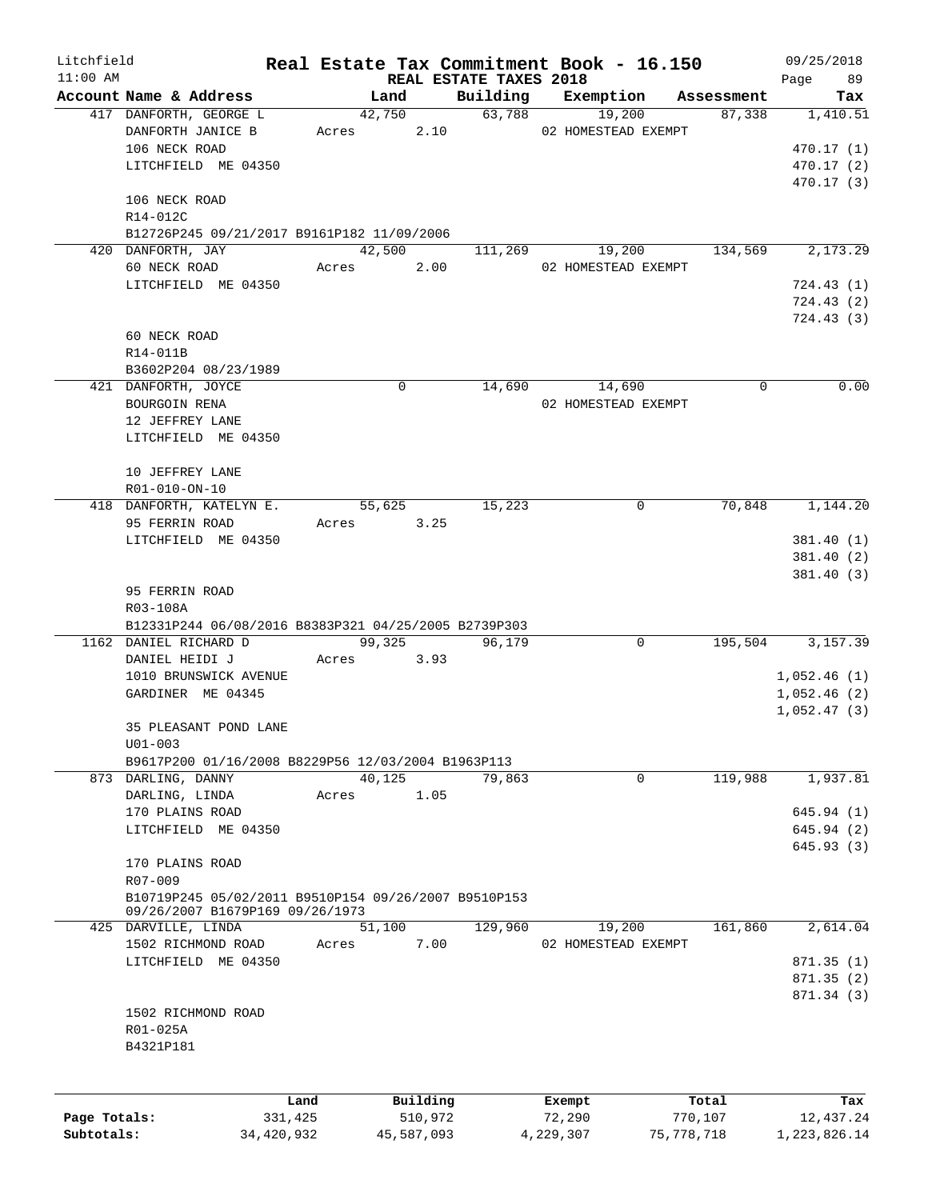|              |                                                      |         |               |                        | Real Estate Tax Commitment Book - 16.150 |            | 09/25/2018   |
|--------------|------------------------------------------------------|---------|---------------|------------------------|------------------------------------------|------------|--------------|
| $11:00$ AM   |                                                      |         |               | REAL ESTATE TAXES 2018 |                                          |            | 89<br>Page   |
|              | Account Name & Address                               |         | Land          | Building               | Exemption                                | Assessment | Tax          |
|              | 417 DANFORTH, GEORGE L                               |         | 42,750        |                        | 63,788<br>19,200                         | 87,338     | 1,410.51     |
|              | DANFORTH JANICE B                                    |         | 2.10<br>Acres |                        | 02 HOMESTEAD EXEMPT                      |            |              |
|              | 106 NECK ROAD                                        |         |               |                        |                                          |            | 470.17 (1)   |
|              | LITCHFIELD ME 04350                                  |         |               |                        |                                          |            | 470.17(2)    |
|              |                                                      |         |               |                        |                                          |            | 470.17 (3)   |
|              | 106 NECK ROAD                                        |         |               |                        |                                          |            |              |
|              | R14-012C                                             |         |               |                        |                                          |            |              |
|              | B12726P245 09/21/2017 B9161P182 11/09/2006           |         |               |                        |                                          |            |              |
|              | 420 DANFORTH, JAY                                    |         | 42,500        | 111,269                | 19,200                                   | 134,569    | 2,173.29     |
|              | 60 NECK ROAD                                         |         | 2.00<br>Acres |                        | 02 HOMESTEAD EXEMPT                      |            |              |
|              | LITCHFIELD ME 04350                                  |         |               |                        |                                          |            | 724.43 (1)   |
|              |                                                      |         |               |                        |                                          |            | 724.43 (2)   |
|              |                                                      |         |               |                        |                                          |            | 724.43 (3)   |
|              | 60 NECK ROAD                                         |         |               |                        |                                          |            |              |
|              | R14-011B                                             |         |               |                        |                                          |            |              |
|              | B3602P204 08/23/1989                                 |         |               |                        |                                          |            |              |
|              | 421 DANFORTH, JOYCE                                  |         | 0             | 14,690                 | 14,690                                   | 0          | 0.00         |
|              | BOURGOIN RENA                                        |         |               |                        | 02 HOMESTEAD EXEMPT                      |            |              |
|              | 12 JEFFREY LANE                                      |         |               |                        |                                          |            |              |
|              |                                                      |         |               |                        |                                          |            |              |
|              | LITCHFIELD ME 04350                                  |         |               |                        |                                          |            |              |
|              |                                                      |         |               |                        |                                          |            |              |
|              | 10 JEFFREY LANE                                      |         |               |                        |                                          |            |              |
|              | R01-010-ON-10                                        |         |               |                        |                                          |            |              |
|              | 418 DANFORTH, KATELYN E.                             |         | 55,625        | 15,223                 | 0                                        | 70,848     | 1,144.20     |
|              | 95 FERRIN ROAD                                       |         | Acres<br>3.25 |                        |                                          |            |              |
|              | LITCHFIELD ME 04350                                  |         |               |                        |                                          |            | 381.40 (1)   |
|              |                                                      |         |               |                        |                                          |            | 381.40 (2)   |
|              |                                                      |         |               |                        |                                          |            | 381.40(3)    |
|              | 95 FERRIN ROAD                                       |         |               |                        |                                          |            |              |
|              | R03-108A                                             |         |               |                        |                                          |            |              |
|              | B12331P244 06/08/2016 B8383P321 04/25/2005 B2739P303 |         |               |                        |                                          |            |              |
|              | 1162 DANIEL RICHARD D                                |         | 99,325        | 96,179                 | 0                                        | 195,504    | 3,157.39     |
|              | DANIEL HEIDI J                                       | Acres   | 3.93          |                        |                                          |            |              |
|              | 1010 BRUNSWICK AVENUE                                |         |               |                        |                                          |            | 1,052.46(1)  |
|              | GARDINER ME 04345                                    |         |               |                        |                                          |            | 1,052.46(2)  |
|              |                                                      |         |               |                        |                                          |            | 1,052.47(3)  |
|              | 35 PLEASANT POND LANE                                |         |               |                        |                                          |            |              |
|              | $U01 - 003$                                          |         |               |                        |                                          |            |              |
|              | B9617P200 01/16/2008 B8229P56 12/03/2004 B1963P113   |         |               |                        |                                          |            |              |
|              | 873 DARLING, DANNY                                   |         | 40,125        | 79,863                 | $\mathbf 0$                              | 119,988    | 1,937.81     |
|              |                                                      |         |               |                        |                                          |            |              |
|              | DARLING, LINDA                                       | Acres   | 1.05          |                        |                                          |            |              |
|              | 170 PLAINS ROAD                                      |         |               |                        |                                          |            | 645.94 (1)   |
|              | LITCHFIELD ME 04350                                  |         |               |                        |                                          |            | 645.94 (2)   |
|              |                                                      |         |               |                        |                                          |            | 645.93(3)    |
|              | 170 PLAINS ROAD                                      |         |               |                        |                                          |            |              |
|              | R07-009                                              |         |               |                        |                                          |            |              |
|              | B10719P245 05/02/2011 B9510P154 09/26/2007 B9510P153 |         |               |                        |                                          |            |              |
|              | 09/26/2007 B1679P169 09/26/1973                      |         |               |                        |                                          |            |              |
|              | 425 DARVILLE, LINDA                                  |         | 51,100        | 129,960                | 19,200                                   | 161,860    | 2,614.04     |
|              | 1502 RICHMOND ROAD                                   | Acres   | 7.00          |                        | 02 HOMESTEAD EXEMPT                      |            |              |
|              | LITCHFIELD ME 04350                                  |         |               |                        |                                          |            | 871.35(1)    |
|              |                                                      |         |               |                        |                                          |            | 871.35(2)    |
|              |                                                      |         |               |                        |                                          |            | 871.34 (3)   |
|              | 1502 RICHMOND ROAD                                   |         |               |                        |                                          |            |              |
|              | R01-025A                                             |         |               |                        |                                          |            |              |
|              | B4321P181                                            |         |               |                        |                                          |            |              |
|              |                                                      |         |               |                        |                                          |            |              |
|              |                                                      |         |               |                        |                                          |            |              |
|              |                                                      | Land    | Building      |                        | Exempt                                   | Total      | Tax          |
| Page Totals: |                                                      | 331,425 | 510,972       |                        | 72,290                                   | 770,107    | 12,437.24    |
| Subtotals:   | 34,420,932                                           |         | 45,587,093    |                        | 4,229,307                                | 75,778,718 | 1,223,826.14 |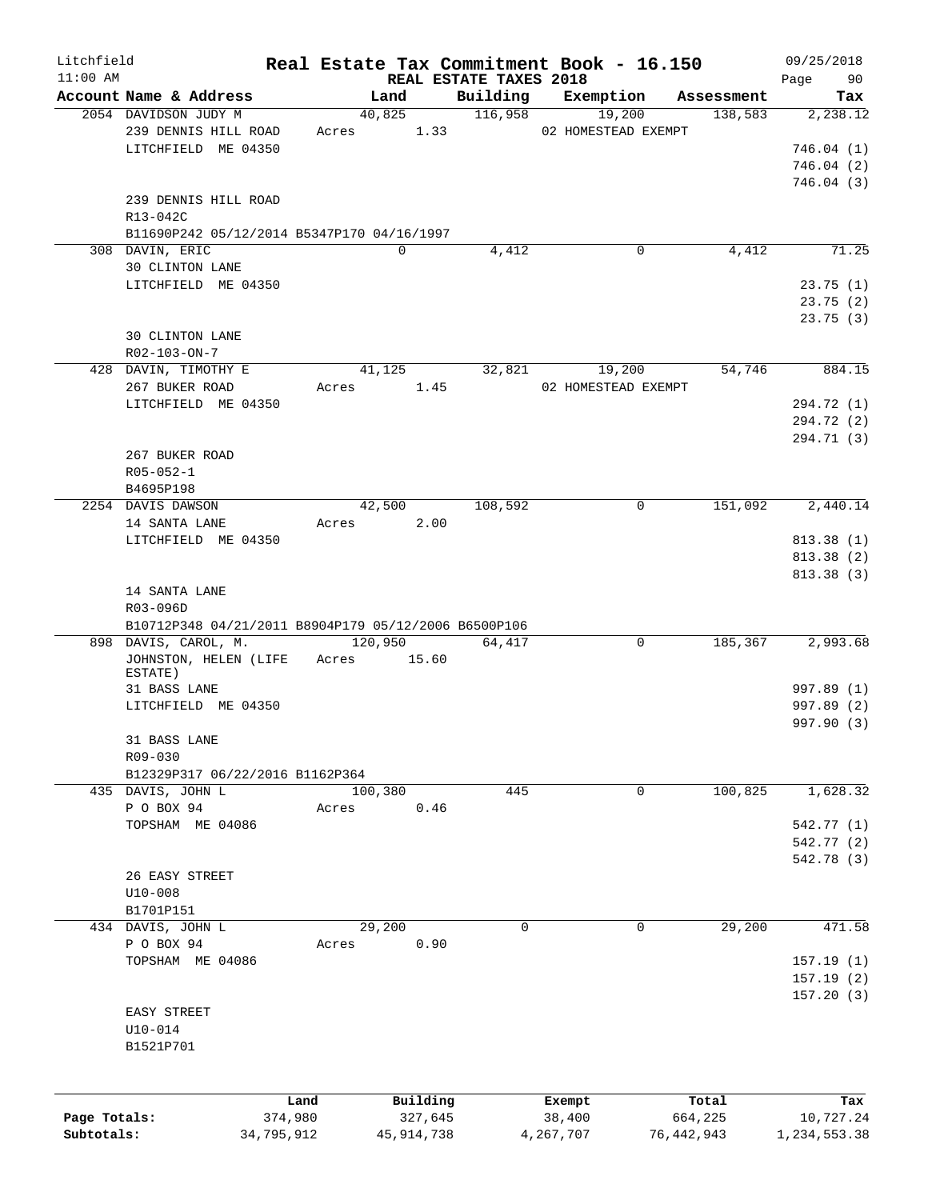| Litchfield   |                                                      |            |              |                                    | Real Estate Tax Commitment Book - 16.150 |            | 09/25/2018        |
|--------------|------------------------------------------------------|------------|--------------|------------------------------------|------------------------------------------|------------|-------------------|
| $11:00$ AM   | Account Name & Address                               |            | Land         | REAL ESTATE TAXES 2018<br>Building | Exemption                                | Assessment | 90<br>Page<br>Tax |
|              | 2054 DAVIDSON JUDY M                                 |            | 40,825       | 116,958                            | 19,200                                   | 138,583    | 2,238.12          |
|              | 239 DENNIS HILL ROAD                                 | Acres      | 1.33         |                                    | 02 HOMESTEAD EXEMPT                      |            |                   |
|              | LITCHFIELD ME 04350                                  |            |              |                                    |                                          |            | 746.04(1)         |
|              |                                                      |            |              |                                    |                                          |            |                   |
|              |                                                      |            |              |                                    |                                          |            | 746.04(2)         |
|              |                                                      |            |              |                                    |                                          |            | 746.04(3)         |
|              | 239 DENNIS HILL ROAD                                 |            |              |                                    |                                          |            |                   |
|              | R13-042C                                             |            |              |                                    |                                          |            |                   |
|              | B11690P242 05/12/2014 B5347P170 04/16/1997           |            |              |                                    |                                          |            |                   |
|              | 308 DAVIN, ERIC                                      |            | $\mathbf 0$  | 4,412                              | 0                                        | 4,412      | 71.25             |
|              | 30 CLINTON LANE                                      |            |              |                                    |                                          |            |                   |
|              | LITCHFIELD ME 04350                                  |            |              |                                    |                                          |            | 23.75(1)          |
|              |                                                      |            |              |                                    |                                          |            | 23.75(2)          |
|              |                                                      |            |              |                                    |                                          |            | 23.75(3)          |
|              | 30 CLINTON LANE                                      |            |              |                                    |                                          |            |                   |
|              | R02-103-ON-7                                         |            |              |                                    |                                          |            |                   |
|              | 428 DAVIN, TIMOTHY E                                 |            | 41,125       | 32,821                             | 19,200                                   | 54,746     | 884.15            |
|              | 267 BUKER ROAD                                       | Acres      | 1.45         |                                    | 02 HOMESTEAD EXEMPT                      |            |                   |
|              | LITCHFIELD ME 04350                                  |            |              |                                    |                                          |            | 294.72 (1)        |
|              |                                                      |            |              |                                    |                                          |            | 294.72 (2)        |
|              |                                                      |            |              |                                    |                                          |            | 294.71 (3)        |
|              | 267 BUKER ROAD                                       |            |              |                                    |                                          |            |                   |
|              | $R05 - 052 - 1$                                      |            |              |                                    |                                          |            |                   |
|              | B4695P198                                            |            |              |                                    |                                          |            |                   |
|              | 2254 DAVIS DAWSON                                    |            | 42,500       | 108,592                            | 0                                        | 151,092    | 2,440.14          |
|              |                                                      |            | 2.00         |                                    |                                          |            |                   |
|              | 14 SANTA LANE                                        | Acres      |              |                                    |                                          |            |                   |
|              | LITCHFIELD ME 04350                                  |            |              |                                    |                                          |            | 813.38 (1)        |
|              |                                                      |            |              |                                    |                                          |            | 813.38 (2)        |
|              |                                                      |            |              |                                    |                                          |            | 813.38 (3)        |
|              | 14 SANTA LANE                                        |            |              |                                    |                                          |            |                   |
|              | R03-096D                                             |            |              |                                    |                                          |            |                   |
|              | B10712P348 04/21/2011 B8904P179 05/12/2006 B6500P106 |            |              |                                    |                                          |            |                   |
|              | 898 DAVIS, CAROL, M.                                 |            | 120,950      | 64,417                             | 0                                        | 185,367    | 2,993.68          |
|              | JOHNSTON, HELEN (LIFE                                | Acres      | 15.60        |                                    |                                          |            |                   |
|              | ESTATE)                                              |            |              |                                    |                                          |            |                   |
|              | 31 BASS LANE                                         |            |              |                                    |                                          |            | 997.89 (1)        |
|              | LITCHFIELD ME 04350                                  |            |              |                                    |                                          |            | 997.89 (2)        |
|              |                                                      |            |              |                                    |                                          |            | 997.90 (3)        |
|              | 31 BASS LANE                                         |            |              |                                    |                                          |            |                   |
|              | R09-030                                              |            |              |                                    |                                          |            |                   |
|              | B12329P317 06/22/2016 B1162P364                      |            |              |                                    |                                          |            |                   |
|              | 435 DAVIS, JOHN L                                    |            | 100,380      | 445                                | 0                                        | 100,825    | 1,628.32          |
|              | P O BOX 94                                           | Acres      | 0.46         |                                    |                                          |            |                   |
|              | TOPSHAM ME 04086                                     |            |              |                                    |                                          |            | 542.77 (1)        |
|              |                                                      |            |              |                                    |                                          |            | 542.77 (2)        |
|              |                                                      |            |              |                                    |                                          |            | 542.78 (3)        |
|              | 26 EASY STREET                                       |            |              |                                    |                                          |            |                   |
|              | $U10 - 008$                                          |            |              |                                    |                                          |            |                   |
|              | B1701P151                                            |            |              |                                    |                                          |            |                   |
|              | 434 DAVIS, JOHN L                                    |            | 29,200       | $\mathbf 0$                        | 0                                        | 29,200     | 471.58            |
|              | P O BOX 94                                           | Acres      | 0.90         |                                    |                                          |            |                   |
|              | TOPSHAM ME 04086                                     |            |              |                                    |                                          |            | 157.19(1)         |
|              |                                                      |            |              |                                    |                                          |            | 157.19(2)         |
|              |                                                      |            |              |                                    |                                          |            |                   |
|              |                                                      |            |              |                                    |                                          |            | 157.20(3)         |
|              | EASY STREET                                          |            |              |                                    |                                          |            |                   |
|              | $U10 - 014$                                          |            |              |                                    |                                          |            |                   |
|              | B1521P701                                            |            |              |                                    |                                          |            |                   |
|              |                                                      |            |              |                                    |                                          |            |                   |
|              |                                                      |            |              |                                    |                                          |            |                   |
|              |                                                      | Land       | Building     |                                    | Exempt                                   | Total      | Tax               |
| Page Totals: |                                                      | 374,980    | 327,645      |                                    | 38,400                                   | 664,225    | 10,727.24         |
| Subtotals:   |                                                      | 34,795,912 | 45, 914, 738 |                                    | 4,267,707                                | 76,442,943 | 1,234,553.38      |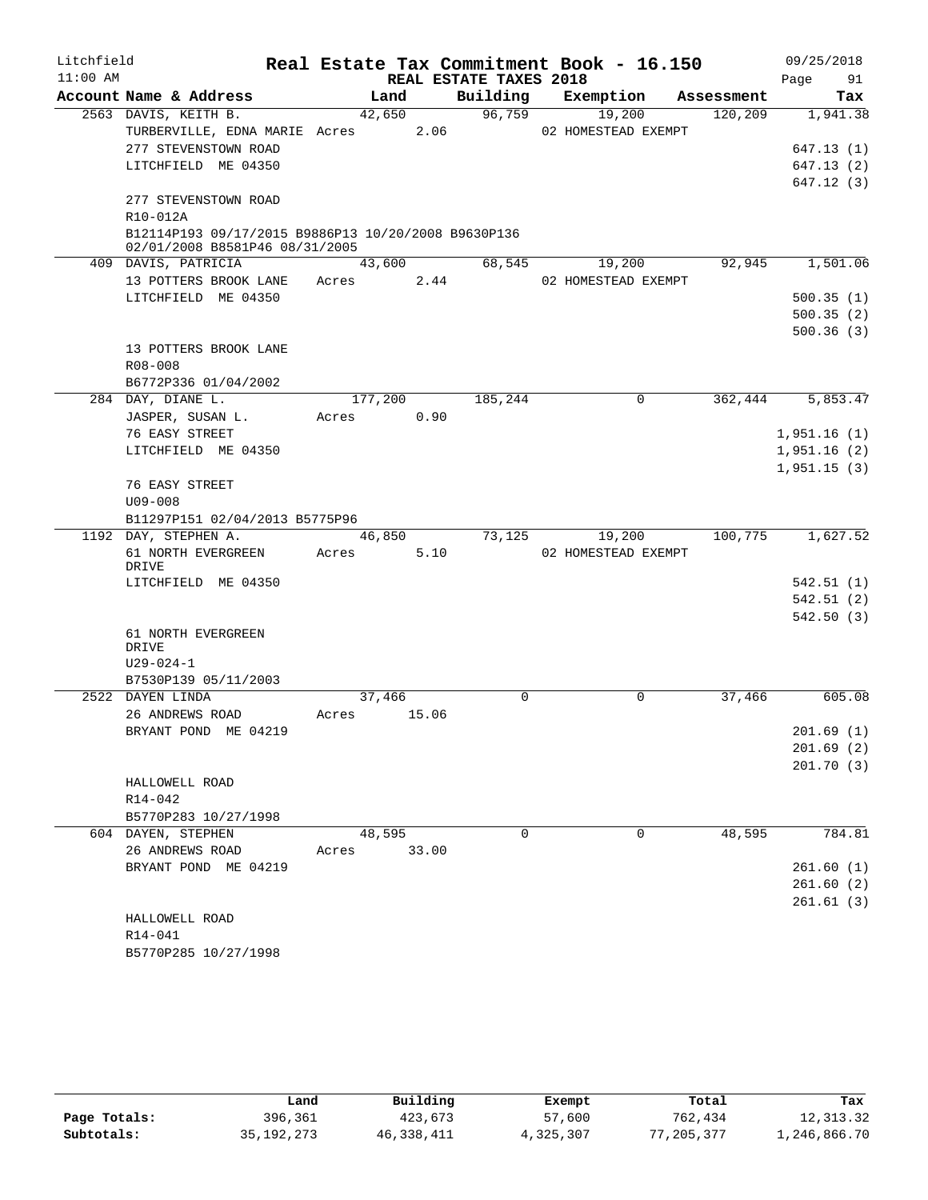| Litchfield |                                                                                       |         |       |                        | Real Estate Tax Commitment Book - 16.150 |            | 09/25/2018  |
|------------|---------------------------------------------------------------------------------------|---------|-------|------------------------|------------------------------------------|------------|-------------|
| $11:00$ AM |                                                                                       |         |       | REAL ESTATE TAXES 2018 |                                          |            | 91<br>Page  |
|            | Account Name & Address                                                                | Land    |       | Building               | Exemption                                | Assessment | Tax         |
|            | 2563 DAVIS, KEITH B.                                                                  | 42,650  |       | 96,759                 | 19,200                                   | 120,209    | 1,941.38    |
|            | TURBERVILLE, EDNA MARIE Acres                                                         |         | 2.06  |                        | 02 HOMESTEAD EXEMPT                      |            |             |
|            | 277 STEVENSTOWN ROAD                                                                  |         |       |                        |                                          |            | 647.13(1)   |
|            | LITCHFIELD ME 04350                                                                   |         |       |                        |                                          |            | 647.13(2)   |
|            |                                                                                       |         |       |                        |                                          |            | 647.12(3)   |
|            | 277 STEVENSTOWN ROAD                                                                  |         |       |                        |                                          |            |             |
|            | R10-012A                                                                              |         |       |                        |                                          |            |             |
|            | B12114P193 09/17/2015 B9886P13 10/20/2008 B9630P136<br>02/01/2008 B8581P46 08/31/2005 |         |       |                        |                                          |            |             |
|            | 409 DAVIS, PATRICIA                                                                   | 43,600  |       | 68,545                 | 19,200                                   | 92,945     | 1,501.06    |
|            | 13 POTTERS BROOK LANE                                                                 | Acres   | 2.44  |                        | 02 HOMESTEAD EXEMPT                      |            |             |
|            | LITCHFIELD ME 04350                                                                   |         |       |                        |                                          |            | 500.35(1)   |
|            |                                                                                       |         |       |                        |                                          |            | 500.35(2)   |
|            |                                                                                       |         |       |                        |                                          |            | 500.36(3)   |
|            | 13 POTTERS BROOK LANE                                                                 |         |       |                        |                                          |            |             |
|            | R08-008                                                                               |         |       |                        |                                          |            |             |
|            | B6772P336 01/04/2002                                                                  |         |       |                        |                                          |            |             |
|            | 284 DAY, DIANE L.                                                                     | 177,200 |       | 185,244                | 0                                        | 362,444    | 5,853.47    |
|            | JASPER, SUSAN L.                                                                      | Acres   | 0.90  |                        |                                          |            |             |
|            | 76 EASY STREET                                                                        |         |       |                        |                                          |            | 1,951.16(1) |
|            | LITCHFIELD ME 04350                                                                   |         |       |                        |                                          |            | 1,951.16(2) |
|            |                                                                                       |         |       |                        |                                          |            | 1,951.15(3) |
|            | 76 EASY STREET                                                                        |         |       |                        |                                          |            |             |
|            | $U09 - 008$                                                                           |         |       |                        |                                          |            |             |
|            | B11297P151 02/04/2013 B5775P96                                                        |         |       |                        |                                          |            |             |
|            | 1192 DAY, STEPHEN A.                                                                  | 46,850  |       | 73,125                 | 19,200                                   | 100,775    | 1,627.52    |
|            | 61 NORTH EVERGREEN                                                                    | Acres   | 5.10  |                        | 02 HOMESTEAD EXEMPT                      |            |             |
|            | DRIVE                                                                                 |         |       |                        |                                          |            |             |
|            | LITCHFIELD ME 04350                                                                   |         |       |                        |                                          |            | 542.51(1)   |
|            |                                                                                       |         |       |                        |                                          |            | 542.51(2)   |
|            |                                                                                       |         |       |                        |                                          |            | 542.50(3)   |
|            | 61 NORTH EVERGREEN<br>DRIVE                                                           |         |       |                        |                                          |            |             |
|            | $U29 - 024 - 1$                                                                       |         |       |                        |                                          |            |             |
|            | B7530P139 05/11/2003                                                                  |         |       |                        |                                          |            |             |
|            | 2522 DAYEN LINDA                                                                      | 37,466  |       | 0                      | $\Omega$                                 | 37,466     | 605.08      |
|            | 26 ANDREWS ROAD                                                                       | Acres   | 15.06 |                        |                                          |            |             |
|            | BRYANT POND ME 04219                                                                  |         |       |                        |                                          |            | 201.69(1)   |
|            |                                                                                       |         |       |                        |                                          |            | 201.69(2)   |
|            |                                                                                       |         |       |                        |                                          |            | 201.70(3)   |
|            | HALLOWELL ROAD                                                                        |         |       |                        |                                          |            |             |
|            | R14-042                                                                               |         |       |                        |                                          |            |             |
|            | B5770P283 10/27/1998                                                                  |         |       |                        |                                          |            |             |
|            | 604 DAYEN, STEPHEN                                                                    | 48,595  |       | $\Omega$               | $\Omega$                                 | 48,595     | 784.81      |
|            | 26 ANDREWS ROAD                                                                       | Acres   | 33.00 |                        |                                          |            |             |
|            | BRYANT POND ME 04219                                                                  |         |       |                        |                                          |            | 261.60(1)   |
|            |                                                                                       |         |       |                        |                                          |            | 261.60(2)   |
|            |                                                                                       |         |       |                        |                                          |            | 261.61(3)   |
|            | HALLOWELL ROAD                                                                        |         |       |                        |                                          |            |             |
|            | R14-041                                                                               |         |       |                        |                                          |            |             |
|            | B5770P285 10/27/1998                                                                  |         |       |                        |                                          |            |             |

|              | Land       | Building   | Exempt    | Total          | Tax          |
|--------------|------------|------------|-----------|----------------|--------------|
| Page Totals: | 396,361    | 423,673    | 57,600    | 762,434        | 12,313.32    |
| Subtotals:   | 35,192,273 | 46,338,411 | 4,325,307 | ,205,377<br>77 | 1,246,866.70 |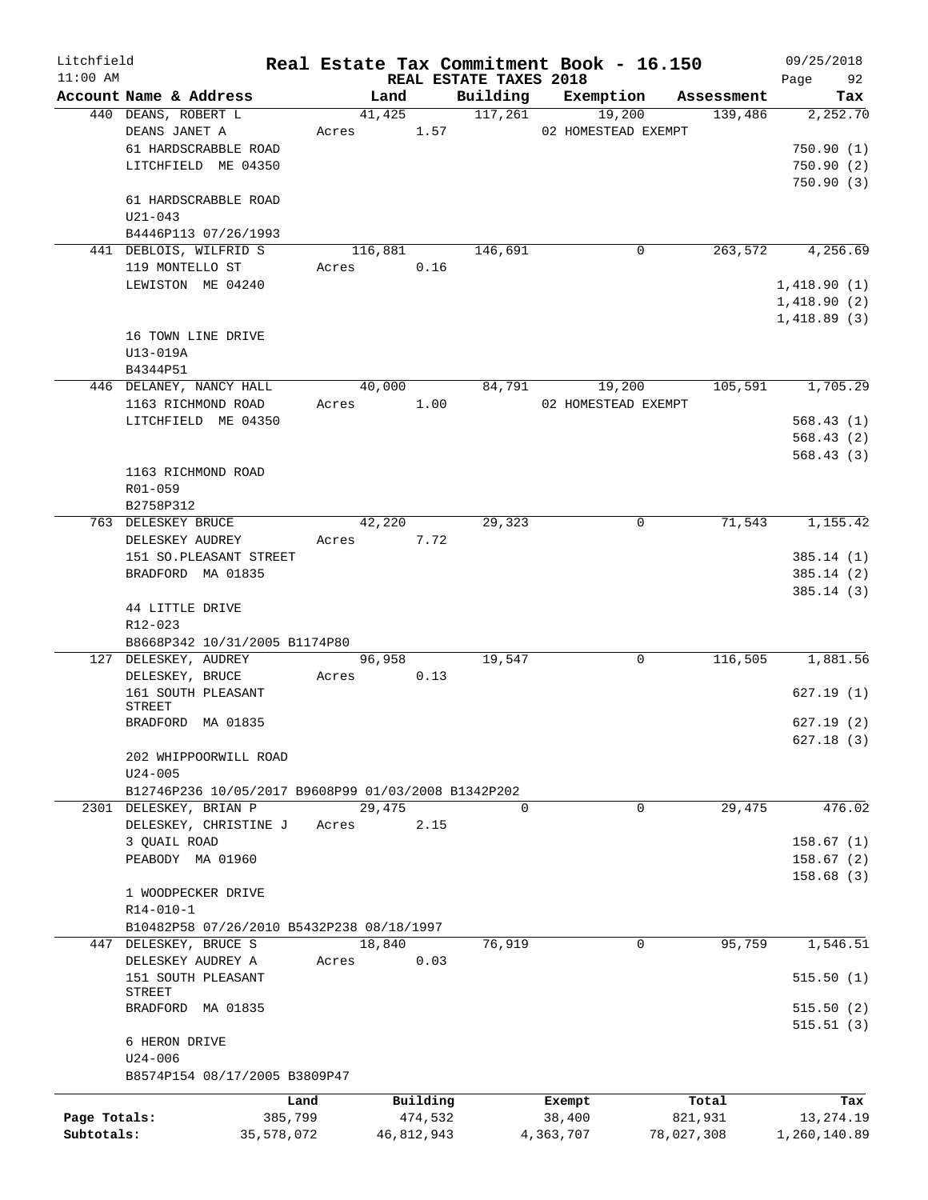| Litchfield   |                                                     |            |         |            |                        | Real Estate Tax Commitment Book - 16.150 |            | 09/25/2018   |
|--------------|-----------------------------------------------------|------------|---------|------------|------------------------|------------------------------------------|------------|--------------|
| $11:00$ AM   |                                                     |            |         |            | REAL ESTATE TAXES 2018 |                                          |            | Page<br>92   |
|              | Account Name & Address                              |            | Land    |            | Building               | Exemption                                | Assessment | Tax          |
|              | 440 DEANS, ROBERT L                                 |            | 41,425  |            | 117,261                | 19,200                                   | 139,486    | 2,252.70     |
|              | DEANS JANET A                                       | Acres      |         | 1.57       |                        | 02 HOMESTEAD EXEMPT                      |            |              |
|              | 61 HARDSCRABBLE ROAD                                |            |         |            |                        |                                          |            | 750.90(1)    |
|              | LITCHFIELD ME 04350                                 |            |         |            |                        |                                          |            | 750.90(2)    |
|              |                                                     |            |         |            |                        |                                          |            | 750.90(3)    |
|              | 61 HARDSCRABBLE ROAD                                |            |         |            |                        |                                          |            |              |
|              | $U21 - 043$                                         |            |         |            |                        |                                          |            |              |
|              | B4446P113 07/26/1993                                |            |         |            |                        |                                          |            |              |
|              | 441 DEBLOIS, WILFRID S                              |            | 116,881 |            | 146,691                | 0                                        | 263,572    | 4,256.69     |
|              | 119 MONTELLO ST                                     | Acres      |         | 0.16       |                        |                                          |            |              |
|              | LEWISTON ME 04240                                   |            |         |            |                        |                                          |            | 1,418.90(1)  |
|              |                                                     |            |         |            |                        |                                          |            | 1,418.90(2)  |
|              |                                                     |            |         |            |                        |                                          |            | 1,418.89(3)  |
|              | 16 TOWN LINE DRIVE                                  |            |         |            |                        |                                          |            |              |
|              | U13-019A                                            |            |         |            |                        |                                          |            |              |
|              | B4344P51                                            |            |         |            |                        |                                          |            |              |
|              | 446 DELANEY, NANCY HALL                             |            | 40,000  |            | 84,791                 | 19,200                                   | 105,591    | 1,705.29     |
|              | 1163 RICHMOND ROAD                                  | Acres      |         | 1.00       |                        | 02 HOMESTEAD EXEMPT                      |            |              |
|              | LITCHFIELD ME 04350                                 |            |         |            |                        |                                          |            | 568.43(1)    |
|              |                                                     |            |         |            |                        |                                          |            | 568.43(2)    |
|              |                                                     |            |         |            |                        |                                          |            | 568.43(3)    |
|              | 1163 RICHMOND ROAD                                  |            |         |            |                        |                                          |            |              |
|              | R01-059                                             |            |         |            |                        |                                          |            |              |
|              | B2758P312                                           |            |         |            |                        |                                          |            |              |
|              | 763 DELESKEY BRUCE                                  |            | 42,220  |            | 29,323                 | 0                                        | 71,543     | 1,155.42     |
|              | DELESKEY AUDREY                                     | Acres      |         | 7.72       |                        |                                          |            |              |
|              | 151 SO. PLEASANT STREET                             |            |         |            |                        |                                          |            | 385.14(1)    |
|              | BRADFORD MA 01835                                   |            |         |            |                        |                                          |            | 385.14 (2)   |
|              |                                                     |            |         |            |                        |                                          |            | 385.14(3)    |
|              | 44 LITTLE DRIVE                                     |            |         |            |                        |                                          |            |              |
|              | R12-023                                             |            |         |            |                        |                                          |            |              |
|              | B8668P342 10/31/2005 B1174P80                       |            |         |            |                        |                                          |            |              |
|              | 127 DELESKEY, AUDREY                                |            | 96,958  |            | 19,547                 | 0                                        | 116,505    | 1,881.56     |
|              | DELESKEY, BRUCE                                     | Acres      |         | 0.13       |                        |                                          |            |              |
|              | 161 SOUTH PLEASANT                                  |            |         |            |                        |                                          |            | 627.19 (1)   |
|              | STREET                                              |            |         |            |                        |                                          |            |              |
|              | BRADFORD MA 01835                                   |            |         |            |                        |                                          |            | 627.19(2)    |
|              |                                                     |            |         |            |                        |                                          |            | 627.18(3)    |
|              | 202 WHIPPOORWILL ROAD                               |            |         |            |                        |                                          |            |              |
|              | $U24 - 005$                                         |            |         |            |                        |                                          |            |              |
|              | B12746P236 10/05/2017 B9608P99 01/03/2008 B1342P202 |            |         |            |                        |                                          |            |              |
|              | 2301 DELESKEY, BRIAN P                              |            | 29,475  |            | $\Omega$               | $\Omega$                                 | 29,475     | 476.02       |
|              | DELESKEY, CHRISTINE J                               | Acres      |         | 2.15       |                        |                                          |            |              |
|              | 3 OUAIL ROAD                                        |            |         |            |                        |                                          |            | 158.67(1)    |
|              | PEABODY MA 01960                                    |            |         |            |                        |                                          |            | 158.67(2)    |
|              |                                                     |            |         |            |                        |                                          |            | 158.68(3)    |
|              | 1 WOODPECKER DRIVE                                  |            |         |            |                        |                                          |            |              |
|              | $R14 - 010 - 1$                                     |            |         |            |                        |                                          |            |              |
|              | B10482P58 07/26/2010 B5432P238 08/18/1997           |            |         |            |                        |                                          |            |              |
|              | 447 DELESKEY, BRUCE S                               |            | 18,840  |            | 76,919                 | 0                                        | 95,759     | 1,546.51     |
|              | DELESKEY AUDREY A                                   | Acres      |         | 0.03       |                        |                                          |            |              |
|              | 151 SOUTH PLEASANT<br>STREET                        |            |         |            |                        |                                          |            | 515.50(1)    |
|              | BRADFORD MA 01835                                   |            |         |            |                        |                                          |            | 515.50(2)    |
|              |                                                     |            |         |            |                        |                                          |            | 515.51(3)    |
|              | 6 HERON DRIVE                                       |            |         |            |                        |                                          |            |              |
|              | $U24 - 006$                                         |            |         |            |                        |                                          |            |              |
|              | B8574P154 08/17/2005 B3809P47                       |            |         |            |                        |                                          |            |              |
|              |                                                     |            |         |            |                        |                                          |            |              |
|              |                                                     | Land       |         | Building   |                        | Exempt                                   | Total      | Tax          |
| Page Totals: |                                                     | 385,799    |         | 474,532    |                        | 38,400                                   | 821,931    | 13,274.19    |
| Subtotals:   |                                                     | 35,578,072 |         | 46,812,943 |                        | 4,363,707                                | 78,027,308 | 1,260,140.89 |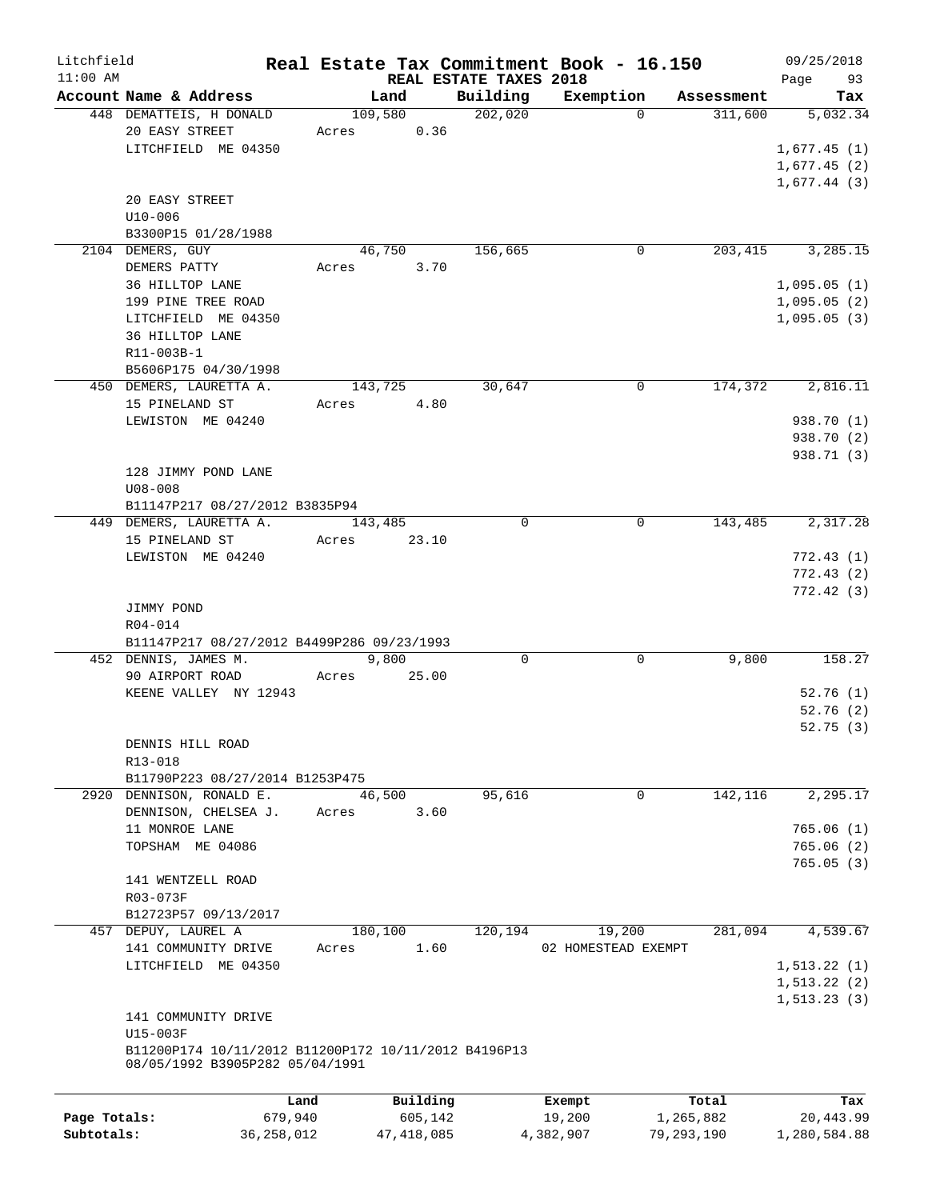| Litchfield<br>$11:00$ AM |                                                                                         |         |          | REAL ESTATE TAXES 2018 | Real Estate Tax Commitment Book - 16.150 |            | 09/25/2018<br>Page<br>93 |
|--------------------------|-----------------------------------------------------------------------------------------|---------|----------|------------------------|------------------------------------------|------------|--------------------------|
|                          | Account Name & Address                                                                  | Land    |          | Building               | Exemption                                | Assessment | Tax                      |
|                          | 448 DEMATTEIS, H DONALD                                                                 | 109,580 |          | 202,020                | $\Omega$                                 | 311,600    | 5,032.34                 |
|                          | 20 EASY STREET                                                                          | Acres   | 0.36     |                        |                                          |            |                          |
|                          | LITCHFIELD ME 04350                                                                     |         |          |                        |                                          |            | 1,677.45(1)              |
|                          |                                                                                         |         |          |                        |                                          |            | 1,677.45(2)              |
|                          |                                                                                         |         |          |                        |                                          |            | 1,677.44(3)              |
|                          | 20 EASY STREET                                                                          |         |          |                        |                                          |            |                          |
|                          | $U10 - 006$                                                                             |         |          |                        |                                          |            |                          |
|                          | B3300P15 01/28/1988                                                                     |         |          |                        |                                          |            |                          |
|                          | 2104 DEMERS, GUY                                                                        | 46,750  |          | 156,665                | 0                                        | 203,415    | 3,285.15                 |
|                          | DEMERS PATTY                                                                            | Acres   | 3.70     |                        |                                          |            |                          |
|                          | 36 HILLTOP LANE                                                                         |         |          |                        |                                          |            | 1,095.05(1)              |
|                          | 199 PINE TREE ROAD                                                                      |         |          |                        |                                          |            | 1,095.05(2)              |
|                          | LITCHFIELD ME 04350                                                                     |         |          |                        |                                          |            | 1,095.05(3)              |
|                          | 36 HILLTOP LANE                                                                         |         |          |                        |                                          |            |                          |
|                          | R11-003B-1                                                                              |         |          |                        |                                          |            |                          |
|                          | B5606P175 04/30/1998                                                                    |         |          |                        |                                          |            |                          |
|                          | 450 DEMERS, LAURETTA A.                                                                 | 143,725 |          | 30,647                 | 0                                        | 174,372    | 2,816.11                 |
|                          | 15 PINELAND ST                                                                          | Acres   | 4.80     |                        |                                          |            |                          |
|                          | LEWISTON ME 04240                                                                       |         |          |                        |                                          |            | 938.70 (1)               |
|                          |                                                                                         |         |          |                        |                                          |            | 938.70 (2)               |
|                          |                                                                                         |         |          |                        |                                          |            | 938.71 (3)               |
|                          | 128 JIMMY POND LANE                                                                     |         |          |                        |                                          |            |                          |
|                          | $U08 - 008$                                                                             |         |          |                        |                                          |            |                          |
|                          | B11147P217 08/27/2012 B3835P94                                                          |         |          |                        |                                          |            |                          |
|                          | 449 DEMERS, LAURETTA A.                                                                 | 143,485 |          | $\Omega$               | 0                                        | 143,485    | 2,317.28                 |
|                          | 15 PINELAND ST                                                                          | Acres   | 23.10    |                        |                                          |            |                          |
|                          | LEWISTON ME 04240                                                                       |         |          |                        |                                          |            | 772.43(1)                |
|                          |                                                                                         |         |          |                        |                                          |            | 772.43(2)                |
|                          |                                                                                         |         |          |                        |                                          |            | 772.42(3)                |
|                          | JIMMY POND                                                                              |         |          |                        |                                          |            |                          |
|                          | R04-014                                                                                 |         |          |                        |                                          |            |                          |
|                          | B11147P217 08/27/2012 B4499P286 09/23/1993                                              |         |          |                        |                                          |            |                          |
|                          | 452 DENNIS, JAMES M.                                                                    | 9,800   |          | 0                      | 0                                        | 9,800      | 158.27                   |
|                          | 90 AIRPORT ROAD                                                                         | Acres   | 25.00    |                        |                                          |            |                          |
|                          | KEENE VALLEY NY 12943                                                                   |         |          |                        |                                          |            | 52.76(1)                 |
|                          |                                                                                         |         |          |                        |                                          |            | 52.76(2)                 |
|                          |                                                                                         |         |          |                        |                                          |            | 52.75(3)                 |
|                          | DENNIS HILL ROAD                                                                        |         |          |                        |                                          |            |                          |
|                          | R13-018                                                                                 |         |          |                        |                                          |            |                          |
|                          | B11790P223 08/27/2014 B1253P475                                                         |         |          |                        |                                          |            |                          |
|                          | 2920 DENNISON, RONALD E.                                                                | 46,500  |          | 95,616                 | 0                                        | 142,116    | 2,295.17                 |
|                          | DENNISON, CHELSEA J.                                                                    | Acres   | 3.60     |                        |                                          |            |                          |
|                          | 11 MONROE LANE                                                                          |         |          |                        |                                          |            | 765.06(1)                |
|                          | TOPSHAM ME 04086                                                                        |         |          |                        |                                          |            | 765.06(2)                |
|                          |                                                                                         |         |          |                        |                                          |            | 765.05(3)                |
|                          | 141 WENTZELL ROAD                                                                       |         |          |                        |                                          |            |                          |
|                          | R03-073F                                                                                |         |          |                        |                                          |            |                          |
|                          | B12723P57 09/13/2017                                                                    |         |          |                        |                                          |            |                          |
|                          |                                                                                         |         |          |                        |                                          |            | 4,539.67                 |
|                          | 457 DEPUY, LAUREL A                                                                     | 180,100 |          | 120,194                | 19,200                                   | 281,094    |                          |
|                          | 141 COMMUNITY DRIVE<br>LITCHFIELD ME 04350                                              | Acres   | 1.60     |                        | 02 HOMESTEAD EXEMPT                      |            |                          |
|                          |                                                                                         |         |          |                        |                                          |            | 1, 513.22(1)             |
|                          |                                                                                         |         |          |                        |                                          |            | 1, 513.22(2)             |
|                          |                                                                                         |         |          |                        |                                          |            | 1, 513.23(3)             |
|                          | 141 COMMUNITY DRIVE                                                                     |         |          |                        |                                          |            |                          |
|                          | U15-003F                                                                                |         |          |                        |                                          |            |                          |
|                          | B11200P174 10/11/2012 B11200P172 10/11/2012 B4196P13<br>08/05/1992 B3905P282 05/04/1991 |         |          |                        |                                          |            |                          |
|                          |                                                                                         |         |          |                        |                                          |            |                          |
|                          |                                                                                         | Land    | Building |                        | Exempt                                   | Total      | Tax                      |
| Page Totals:             | 679,940                                                                                 |         | 605,142  |                        | 19,200                                   | 1,265,882  | 20,443.99                |
|                          |                                                                                         |         |          |                        |                                          |            |                          |

**Subtotals:** 36,258,012 47,418,085 4,382,907 79,293,190 1,280,584.88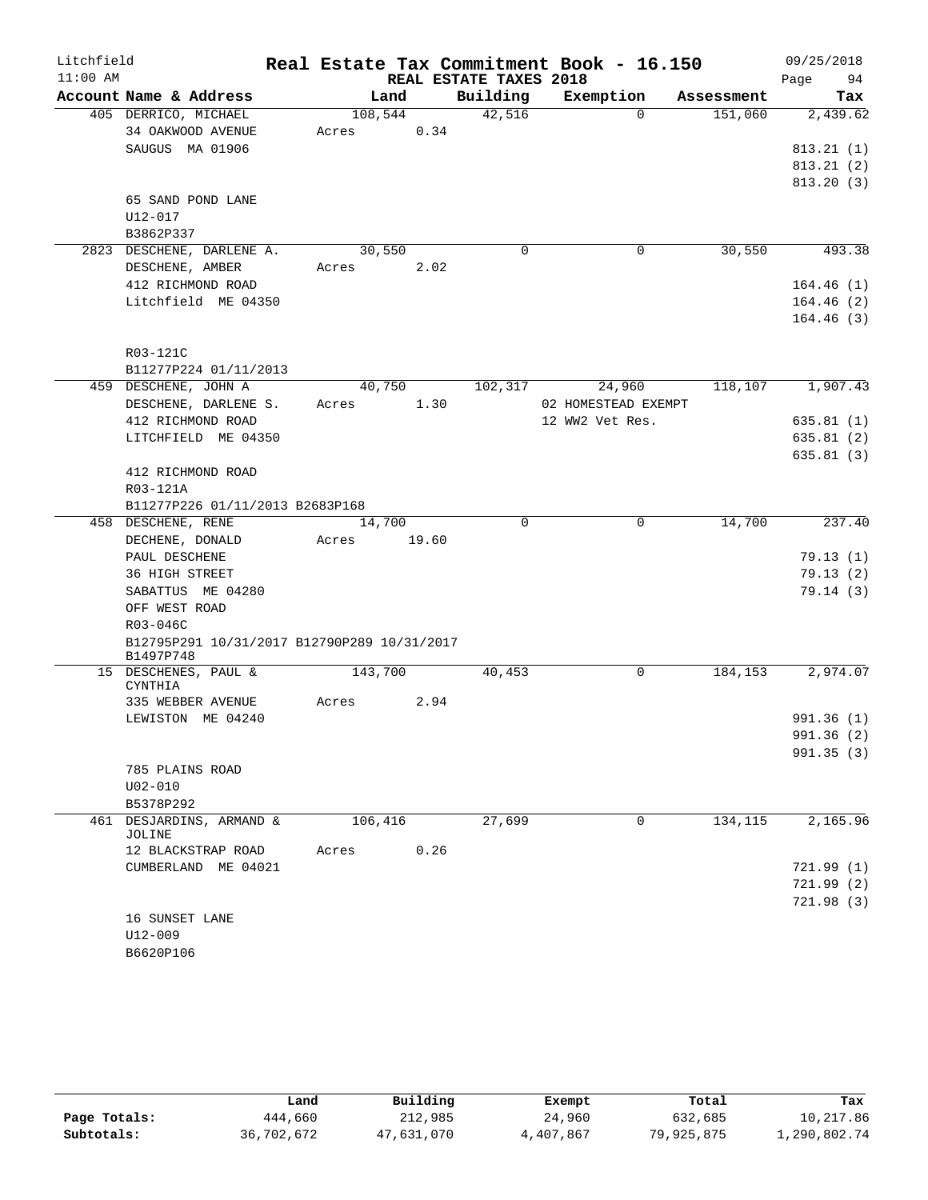| Litchfield |                                             |            |       |                        | Real Estate Tax Commitment Book - 16.150 |            | 09/25/2018               |
|------------|---------------------------------------------|------------|-------|------------------------|------------------------------------------|------------|--------------------------|
| $11:00$ AM |                                             |            |       | REAL ESTATE TAXES 2018 |                                          |            | 94<br>Page               |
|            | Account Name & Address                      |            | Land  | Building               | Exemption                                | Assessment | Tax                      |
|            | 405 DERRICO, MICHAEL                        | 108,544    |       | 42,516                 | $\Omega$                                 | 151,060    | 2,439.62                 |
|            | 34 OAKWOOD AVENUE                           | Acres      | 0.34  |                        |                                          |            |                          |
|            | SAUGUS MA 01906                             |            |       |                        |                                          |            | 813.21(1)                |
|            |                                             |            |       |                        |                                          |            | 813.21(2)                |
|            |                                             |            |       |                        |                                          |            | 813.20(3)                |
|            | 65 SAND POND LANE                           |            |       |                        |                                          |            |                          |
|            | U12-017                                     |            |       |                        |                                          |            |                          |
|            | B3862P337                                   |            |       |                        |                                          |            |                          |
|            | 2823 DESCHENE, DARLENE A.                   | 30,550     |       | $\mathbf 0$            | 0                                        | 30,550     | 493.38                   |
|            | DESCHENE, AMBER                             | Acres 2.02 |       |                        |                                          |            |                          |
|            | 412 RICHMOND ROAD                           |            |       |                        |                                          |            | 164.46(1)                |
|            | Litchfield ME 04350                         |            |       |                        |                                          |            | 164.46(2)                |
|            |                                             |            |       |                        |                                          |            | 164.46(3)                |
|            |                                             |            |       |                        |                                          |            |                          |
|            | R03-121C                                    |            |       |                        |                                          |            |                          |
|            | B11277P224 01/11/2013                       |            |       |                        |                                          |            |                          |
|            | 459 DESCHENE, JOHN A                        | 40,750     | 1.30  | 102,317                | 24,960                                   | 118,107    | 1,907.43                 |
|            | DESCHENE, DARLENE S.                        | Acres      |       |                        | 02 HOMESTEAD EXEMPT                      |            |                          |
|            | 412 RICHMOND ROAD<br>LITCHFIELD ME 04350    |            |       |                        | 12 WW2 Vet Res.                          |            | 635.81(1)                |
|            |                                             |            |       |                        |                                          |            | 635.81(2)                |
|            | 412 RICHMOND ROAD                           |            |       |                        |                                          |            | 635.81(3)                |
|            | R03-121A                                    |            |       |                        |                                          |            |                          |
|            | B11277P226 01/11/2013 B2683P168             |            |       |                        |                                          |            |                          |
|            | 458 DESCHENE, RENE                          | 14,700     |       | $\mathbf 0$            | $\mathbf 0$                              | 14,700     | 237.40                   |
|            | DECHENE, DONALD                             | Acres      | 19.60 |                        |                                          |            |                          |
|            | PAUL DESCHENE                               |            |       |                        |                                          |            | 79.13(1)                 |
|            | 36 HIGH STREET                              |            |       |                        |                                          |            | 79.13(2)                 |
|            | SABATTUS ME 04280                           |            |       |                        |                                          |            | 79.14(3)                 |
|            | OFF WEST ROAD                               |            |       |                        |                                          |            |                          |
|            | R03-046C                                    |            |       |                        |                                          |            |                          |
|            | B12795P291 10/31/2017 B12790P289 10/31/2017 |            |       |                        |                                          |            |                          |
|            | B1497P748                                   |            |       |                        |                                          |            |                          |
|            | 15 DESCHENES, PAUL &                        | 143,700    |       | 40,453                 | $\mathbf 0$                              | 184,153    | 2,974.07                 |
|            | CYNTHIA                                     |            |       |                        |                                          |            |                          |
|            | 335 WEBBER AVENUE                           | Acres      | 2.94  |                        |                                          |            |                          |
|            | LEWISTON ME 04240                           |            |       |                        |                                          |            | 991.36 (1)<br>991.36 (2) |
|            |                                             |            |       |                        |                                          |            |                          |
|            | 785 PLAINS ROAD                             |            |       |                        |                                          |            | 991.35(3)                |
|            | $U02 - 010$                                 |            |       |                        |                                          |            |                          |
|            | B5378P292                                   |            |       |                        |                                          |            |                          |
|            | 461 DESJARDINS, ARMAND &                    | 106,416    |       | 27,699                 | $\mathbf 0$                              | 134,115    | 2,165.96                 |
|            | JOLINE                                      |            |       |                        |                                          |            |                          |
|            | 12 BLACKSTRAP ROAD                          | Acres      | 0.26  |                        |                                          |            |                          |
|            | CUMBERLAND ME 04021                         |            |       |                        |                                          |            | 721.99(1)                |
|            |                                             |            |       |                        |                                          |            | 721.99(2)                |
|            |                                             |            |       |                        |                                          |            | 721.98(3)                |
|            | 16 SUNSET LANE                              |            |       |                        |                                          |            |                          |
|            | U12-009                                     |            |       |                        |                                          |            |                          |
|            | B6620P106                                   |            |       |                        |                                          |            |                          |

|              | Land       | Building   | Exempt    | Total      | Tax          |
|--------------|------------|------------|-----------|------------|--------------|
| Page Totals: | 444,660    | 212,985    | 24,960    | 632,685    | 10,217.86    |
| Subtotals:   | 36,702,672 | 47,631,070 | 4,407,867 | 79,925,875 | 1,290,802.74 |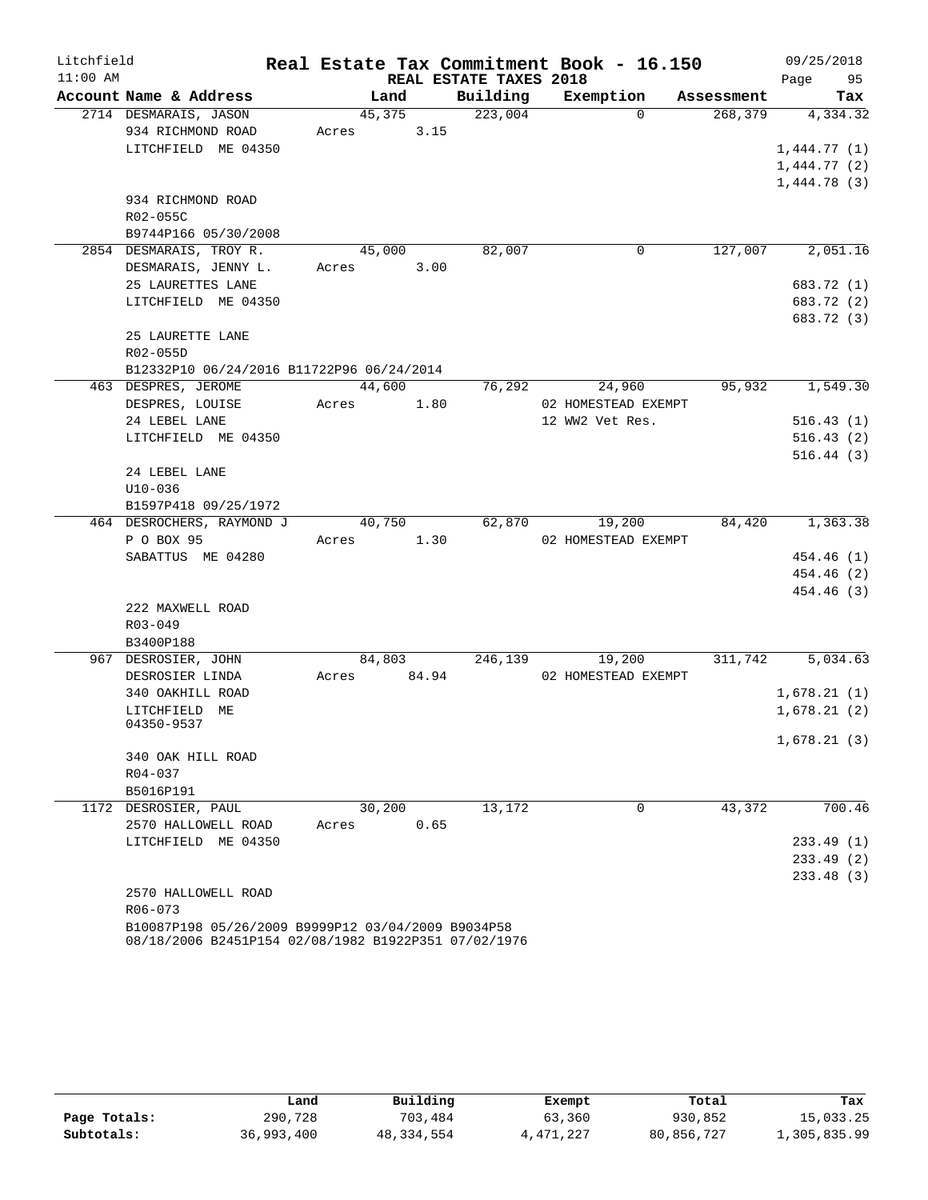| Litchfield |                                                    |        |       |                        | Real Estate Tax Commitment Book - 16.150 |            | 09/25/2018  |
|------------|----------------------------------------------------|--------|-------|------------------------|------------------------------------------|------------|-------------|
| $11:00$ AM |                                                    |        |       | REAL ESTATE TAXES 2018 |                                          |            | 95<br>Page  |
|            | Account Name & Address                             | Land   |       | Building               | Exemption                                | Assessment | Tax         |
|            | 2714 DESMARAIS, JASON                              | 45,375 |       | 223,004                | $\Omega$                                 | 268,379    | 4,334.32    |
|            | 934 RICHMOND ROAD                                  | Acres  | 3.15  |                        |                                          |            |             |
|            | LITCHFIELD ME 04350                                |        |       |                        |                                          |            | 1,444.77(1) |
|            |                                                    |        |       |                        |                                          |            | 1,444.77(2) |
|            |                                                    |        |       |                        |                                          |            | 1,444.78(3) |
|            | 934 RICHMOND ROAD                                  |        |       |                        |                                          |            |             |
|            | R02-055C<br>B9744P166 05/30/2008                   |        |       |                        |                                          |            |             |
|            | 2854 DESMARAIS, TROY R.                            | 45,000 |       | 82,007                 | 0                                        | 127,007    | 2,051.16    |
|            | DESMARAIS, JENNY L.                                | Acres  | 3.00  |                        |                                          |            |             |
|            | 25 LAURETTES LANE                                  |        |       |                        |                                          |            | 683.72 (1)  |
|            | LITCHFIELD ME 04350                                |        |       |                        |                                          |            | 683.72 (2)  |
|            |                                                    |        |       |                        |                                          |            | 683.72 (3)  |
|            | 25 LAURETTE LANE                                   |        |       |                        |                                          |            |             |
|            | R02-055D                                           |        |       |                        |                                          |            |             |
|            | B12332P10 06/24/2016 B11722P96 06/24/2014          |        |       |                        |                                          |            |             |
|            | 463 DESPRES, JEROME                                | 44,600 |       | 76,292                 | 24,960                                   | 95,932     | 1,549.30    |
|            | DESPRES, LOUISE                                    | Acres  | 1.80  |                        | 02 HOMESTEAD EXEMPT                      |            |             |
|            | 24 LEBEL LANE                                      |        |       |                        | 12 WW2 Vet Res.                          |            | 516.43(1)   |
|            | LITCHFIELD ME 04350                                |        |       |                        |                                          |            | 516.43(2)   |
|            |                                                    |        |       |                        |                                          |            | 516.44(3)   |
|            | 24 LEBEL LANE                                      |        |       |                        |                                          |            |             |
|            | $U10-036$                                          |        |       |                        |                                          |            |             |
|            | B1597P418 09/25/1972                               |        |       |                        |                                          |            |             |
|            | 464 DESROCHERS, RAYMOND J                          | 40,750 |       | 62,870                 | 19,200                                   | 84,420     | 1,363.38    |
|            | P O BOX 95                                         | Acres  | 1.30  |                        | 02 HOMESTEAD EXEMPT                      |            |             |
|            | SABATTUS ME 04280                                  |        |       |                        |                                          |            | 454.46 (1)  |
|            |                                                    |        |       |                        |                                          |            | 454.46 (2)  |
|            |                                                    |        |       |                        |                                          |            | 454.46 (3)  |
|            | 222 MAXWELL ROAD                                   |        |       |                        |                                          |            |             |
|            | R03-049                                            |        |       |                        |                                          |            |             |
|            | B3400P188<br>967 DESROSIER, JOHN                   | 84,803 |       | 246,139                | 19,200                                   | 311,742    | 5,034.63    |
|            | DESROSIER LINDA                                    | Acres  | 84.94 |                        | 02 HOMESTEAD EXEMPT                      |            |             |
|            | 340 OAKHILL ROAD                                   |        |       |                        |                                          |            | 1,678.21(1) |
|            | LITCHFIELD ME                                      |        |       |                        |                                          |            | 1,678.21(2) |
|            | 04350-9537                                         |        |       |                        |                                          |            |             |
|            |                                                    |        |       |                        |                                          |            | 1,678.21(3) |
|            | 340 OAK HILL ROAD                                  |        |       |                        |                                          |            |             |
|            | R04-037                                            |        |       |                        |                                          |            |             |
|            | B5016P191                                          |        |       |                        |                                          |            |             |
|            | 1172 DESROSIER, PAUL                               | 30,200 |       | 13,172                 | 0                                        | 43,372     | 700.46      |
|            | 2570 HALLOWELL ROAD                                | Acres  | 0.65  |                        |                                          |            |             |
|            | LITCHFIELD ME 04350                                |        |       |                        |                                          |            | 233.49(1)   |
|            |                                                    |        |       |                        |                                          |            | 233.49(2)   |
|            |                                                    |        |       |                        |                                          |            | 233.48 (3)  |
|            | 2570 HALLOWELL ROAD                                |        |       |                        |                                          |            |             |
|            | R06-073                                            |        |       |                        |                                          |            |             |
|            | B10087P198 05/26/2009 B9999P12 03/04/2009 B9034P58 |        |       |                        |                                          |            |             |

08/18/2006 B2451P154 02/08/1982 B1922P351 07/02/1976

|              | Land       | Building   | Exempt    | Total      | Tax          |
|--------------|------------|------------|-----------|------------|--------------|
| Page Totals: | 290,728    | 703,484    | 63,360    | 930,852    | 15,033.25    |
| Subtotals:   | 36,993,400 | 48,334,554 | 4,471,227 | 80,856,727 | 1,305,835.99 |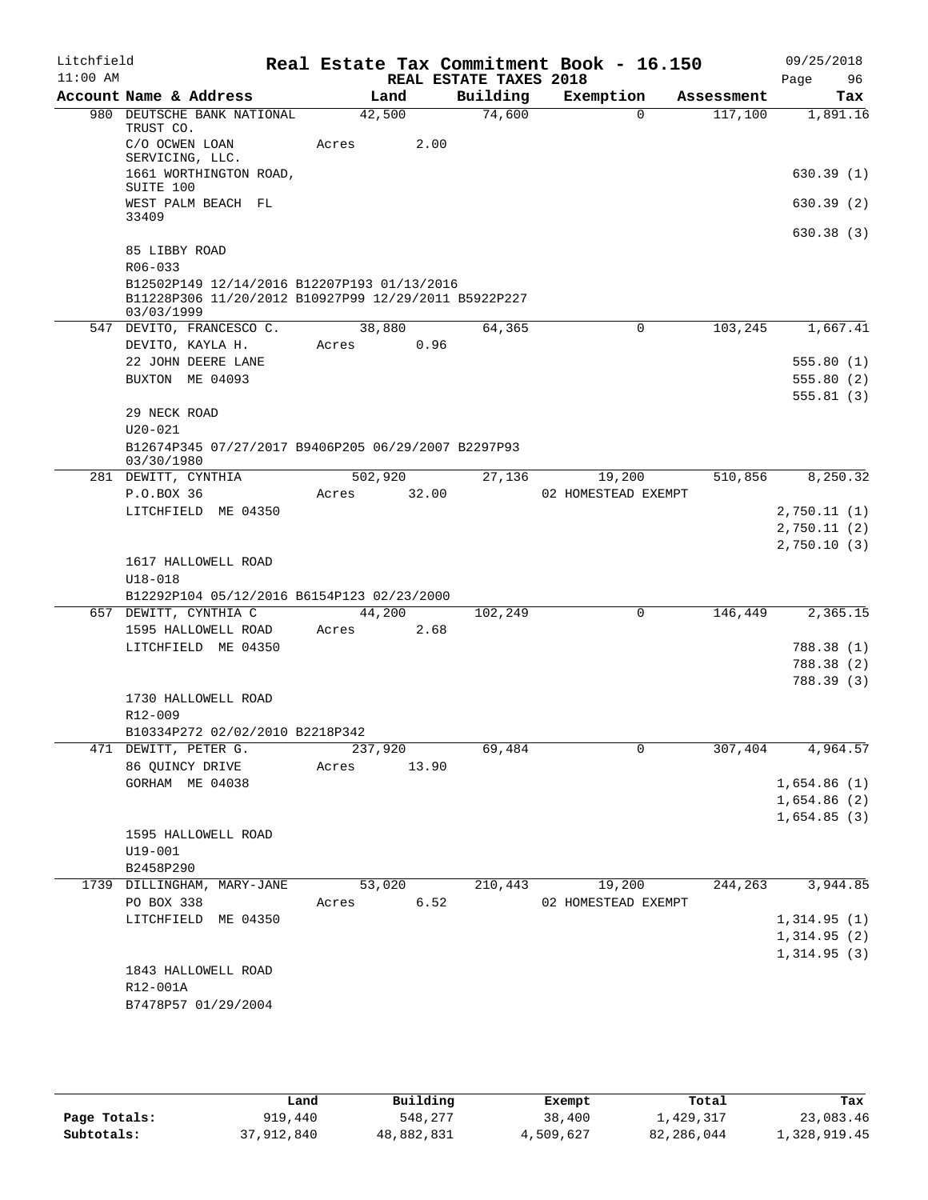| Litchfield |                                                                    |         |                |                        | Real Estate Tax Commitment Book - 16.150 |                       | 09/25/2018                 |
|------------|--------------------------------------------------------------------|---------|----------------|------------------------|------------------------------------------|-----------------------|----------------------------|
| $11:00$ AM |                                                                    |         |                | REAL ESTATE TAXES 2018 |                                          |                       | Page<br>96                 |
|            | Account Name & Address<br>980 DEUTSCHE BANK NATIONAL               |         | Land<br>42,500 | Building<br>74,600     | Exemption<br>$\Omega$                    | Assessment<br>117,100 | Tax<br>1,891.16            |
|            | TRUST CO.<br>C/O OCWEN LOAN                                        | Acres   | 2.00           |                        |                                          |                       |                            |
|            | SERVICING, LLC.<br>1661 WORTHINGTON ROAD,                          |         |                |                        |                                          |                       | 630.39(1)                  |
|            | SUITE 100                                                          |         |                |                        |                                          |                       |                            |
|            | WEST PALM BEACH FL<br>33409                                        |         |                |                        |                                          |                       | 630.39(2)                  |
|            | 85 LIBBY ROAD                                                      |         |                |                        |                                          |                       | 630.38(3)                  |
|            | R06-033<br>B12502P149 12/14/2016 B12207P193 01/13/2016             |         |                |                        |                                          |                       |                            |
|            | B11228P306 11/20/2012 B10927P99 12/29/2011 B5922P227<br>03/03/1999 |         |                |                        |                                          |                       |                            |
|            | 547 DEVITO, FRANCESCO C.                                           |         | 38,880         | 64,365                 | $\mathbf 0$                              | 103,245               | 1,667.41                   |
|            | DEVITO, KAYLA H.                                                   |         | Acres 0.96     |                        |                                          |                       |                            |
|            | 22 JOHN DEERE LANE<br>BUXTON ME 04093                              |         |                |                        |                                          |                       | 555.80(1)<br>555.80(2)     |
|            |                                                                    |         |                |                        |                                          |                       | 555.81(3)                  |
|            | 29 NECK ROAD                                                       |         |                |                        |                                          |                       |                            |
|            | $U20 - 021$                                                        |         |                |                        |                                          |                       |                            |
|            | B12674P345 07/27/2017 B9406P205 06/29/2007 B2297P93<br>03/30/1980  |         |                |                        |                                          |                       |                            |
|            | 281 DEWITT, CYNTHIA                                                |         | 502,920        | 27,136                 | 19,200                                   | 510,856               | 8,250.32                   |
|            | P.O.BOX 36                                                         | Acres   | 32.00          |                        | 02 HOMESTEAD EXEMPT                      |                       |                            |
|            | LITCHFIELD ME 04350                                                |         |                |                        |                                          |                       | 2,750.11(1)<br>2,750.11(2) |
|            |                                                                    |         |                |                        |                                          |                       | 2,750.10(3)                |
|            | 1617 HALLOWELL ROAD                                                |         |                |                        |                                          |                       |                            |
|            | $U18 - 018$                                                        |         |                |                        |                                          |                       |                            |
|            | B12292P104 05/12/2016 B6154P123 02/23/2000                         |         |                |                        |                                          |                       |                            |
|            | 657 DEWITT, CYNTHIA C<br>1595 HALLOWELL ROAD                       | Acres   | 44,200<br>2.68 | 102,249                | $\mathsf{O}$                             | 146,449               | 2,365.15                   |
|            | LITCHFIELD ME 04350                                                |         |                |                        |                                          |                       | 788.38 (1)                 |
|            |                                                                    |         |                |                        |                                          |                       | 788.38 (2)                 |
|            |                                                                    |         |                |                        |                                          |                       | 788.39 (3)                 |
|            | 1730 HALLOWELL ROAD                                                |         |                |                        |                                          |                       |                            |
|            | R12-009                                                            |         |                |                        |                                          |                       |                            |
|            | B10334P272 02/02/2010 B2218P342<br>471 DEWITT, PETER G.            | 237,920 |                | 69,484                 | 0                                        | 307,404               | 4,964.57                   |
|            | 86 QUINCY DRIVE                                                    | Acres   | 13.90          |                        |                                          |                       |                            |
|            | GORHAM ME 04038                                                    |         |                |                        |                                          |                       | 1,654.86(1)                |
|            |                                                                    |         |                |                        |                                          |                       | 1,654.86(2)                |
|            |                                                                    |         |                |                        |                                          |                       | 1,654.85(3)                |
|            | 1595 HALLOWELL ROAD                                                |         |                |                        |                                          |                       |                            |
|            | U19-001                                                            |         |                |                        |                                          |                       |                            |
|            | B2458P290<br>1739 DILLINGHAM, MARY-JANE                            |         | 53,020         | 210,443                | 19,200                                   | 244,263               | 3,944.85                   |
|            | PO BOX 338                                                         | Acres   | 6.52           |                        | 02 HOMESTEAD EXEMPT                      |                       |                            |
|            | LITCHFIELD ME 04350                                                |         |                |                        |                                          |                       | 1,314.95(1)                |
|            |                                                                    |         |                |                        |                                          |                       | 1,314.95(2)                |
|            |                                                                    |         |                |                        |                                          |                       | 1,314.95(3)                |
|            | 1843 HALLOWELL ROAD                                                |         |                |                        |                                          |                       |                            |
|            | R12-001A<br>B7478P57 01/29/2004                                    |         |                |                        |                                          |                       |                            |
|            |                                                                    |         |                |                        |                                          |                       |                            |

|              | Land       | Building   | Exempt    | Total      | Tax          |
|--------------|------------|------------|-----------|------------|--------------|
| Page Totals: | 919,440    | 548,277    | 38,400    | 1,429,317  | 23,083.46    |
| Subtotals:   | 37,912,840 | 48,882,831 | 4,509,627 | 82,286,044 | 1,328,919.45 |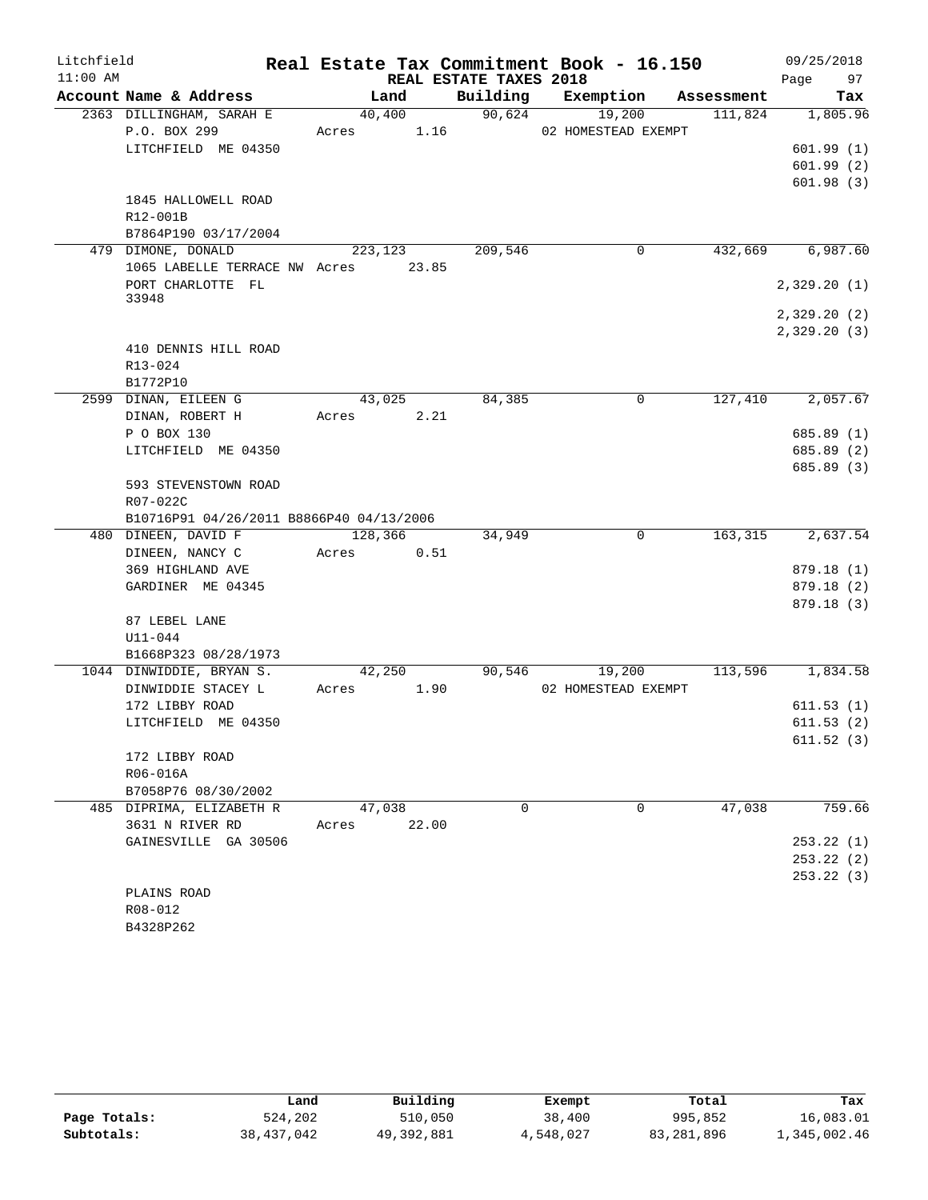| Litchfield |                                          |                 |                        | Real Estate Tax Commitment Book - 16.150 |            | 09/25/2018  |
|------------|------------------------------------------|-----------------|------------------------|------------------------------------------|------------|-------------|
| $11:00$ AM |                                          |                 | REAL ESTATE TAXES 2018 |                                          |            | 97<br>Page  |
|            | Account Name & Address                   | Land            | Building               | Exemption                                | Assessment | Tax         |
|            | 2363 DILLINGHAM, SARAH E                 | 40,400          | 90,624                 | 19,200                                   | 111,824    | 1,805.96    |
|            | P.O. BOX 299                             | Acres           | 1.16                   | 02 HOMESTEAD EXEMPT                      |            |             |
|            | LITCHFIELD ME 04350                      |                 |                        |                                          |            | 601.99(1)   |
|            |                                          |                 |                        |                                          |            | 601.99(2)   |
|            |                                          |                 |                        |                                          |            | 601.98(3)   |
|            | 1845 HALLOWELL ROAD<br>R12-001B          |                 |                        |                                          |            |             |
|            | B7864P190 03/17/2004                     |                 |                        |                                          |            |             |
|            | 479 DIMONE, DONALD                       | 223, 123        | 209,546                | 0                                        | 432,669    | 6,987.60    |
|            | 1065 LABELLE TERRACE NW Acres            | 23.85           |                        |                                          |            |             |
|            | PORT CHARLOTTE FL                        |                 |                        |                                          |            | 2,329.20(1) |
|            | 33948                                    |                 |                        |                                          |            |             |
|            |                                          |                 |                        |                                          |            | 2,329.20(2) |
|            |                                          |                 |                        |                                          |            | 2,329.20(3) |
|            | 410 DENNIS HILL ROAD                     |                 |                        |                                          |            |             |
|            | R13-024                                  |                 |                        |                                          |            |             |
|            | B1772P10                                 |                 |                        |                                          |            |             |
|            | 2599 DINAN, EILEEN G                     | 43,025          | 84,385                 | 0                                        | 127,410    | 2,057.67    |
|            | DINAN, ROBERT H                          | Acres           | 2.21                   |                                          |            |             |
|            | P O BOX 130                              |                 |                        |                                          |            | 685.89 (1)  |
|            | LITCHFIELD ME 04350                      |                 |                        |                                          |            | 685.89 (2)  |
|            |                                          |                 |                        |                                          |            | 685.89 (3)  |
|            | 593 STEVENSTOWN ROAD                     |                 |                        |                                          |            |             |
|            | R07-022C                                 |                 |                        |                                          |            |             |
|            | B10716P91 04/26/2011 B8866P40 04/13/2006 |                 |                        |                                          |            |             |
|            | 480 DINEEN, DAVID F                      | 128,366         | 34,949                 | $\Omega$                                 | 163,315    | 2,637.54    |
|            | DINEEN, NANCY C                          | Acres           | 0.51                   |                                          |            |             |
|            | 369 HIGHLAND AVE                         |                 |                        |                                          |            | 879.18 (1)  |
|            | GARDINER ME 04345                        |                 |                        |                                          |            | 879.18 (2)  |
|            |                                          |                 |                        |                                          |            | 879.18 (3)  |
|            | 87 LEBEL LANE                            |                 |                        |                                          |            |             |
|            | $U11 - 044$                              |                 |                        |                                          |            |             |
|            | B1668P323 08/28/1973                     |                 |                        |                                          |            |             |
|            | 1044 DINWIDDIE, BRYAN S.                 | 42,250<br>Acres | 90,546                 | 19,200                                   | 113,596    | 1,834.58    |
|            | DINWIDDIE STACEY L                       |                 | 1.90                   | 02 HOMESTEAD EXEMPT                      |            | 611.53(1)   |
|            | 172 LIBBY ROAD<br>LITCHFIELD ME 04350    |                 |                        |                                          |            | 611.53(2)   |
|            |                                          |                 |                        |                                          |            | 611.52(3)   |
|            | 172 LIBBY ROAD                           |                 |                        |                                          |            |             |
|            | R06-016A                                 |                 |                        |                                          |            |             |
|            | B7058P76 08/30/2002                      |                 |                        |                                          |            |             |
|            | 485 DIPRIMA, ELIZABETH R                 | 47,038          | $\Omega$               | 0                                        | 47,038     | 759.66      |
|            | 3631 N RIVER RD                          | 22.00<br>Acres  |                        |                                          |            |             |
|            | GAINESVILLE GA 30506                     |                 |                        |                                          |            | 253.22(1)   |
|            |                                          |                 |                        |                                          |            | 253.22(2)   |
|            |                                          |                 |                        |                                          |            | 253.22(3)   |
|            | PLAINS ROAD                              |                 |                        |                                          |            |             |
|            | R08-012                                  |                 |                        |                                          |            |             |
|            | B4328P262                                |                 |                        |                                          |            |             |

|              | Land       | Building   | Exempt    | Total      | Tax          |
|--------------|------------|------------|-----------|------------|--------------|
| Page Totals: | 524,202    | 510,050    | 38,400    | 995,852    | 16,083.01    |
| Subtotals:   | 38,437,042 | 49,392,881 | 4,548,027 | 83,281,896 | 1,345,002.46 |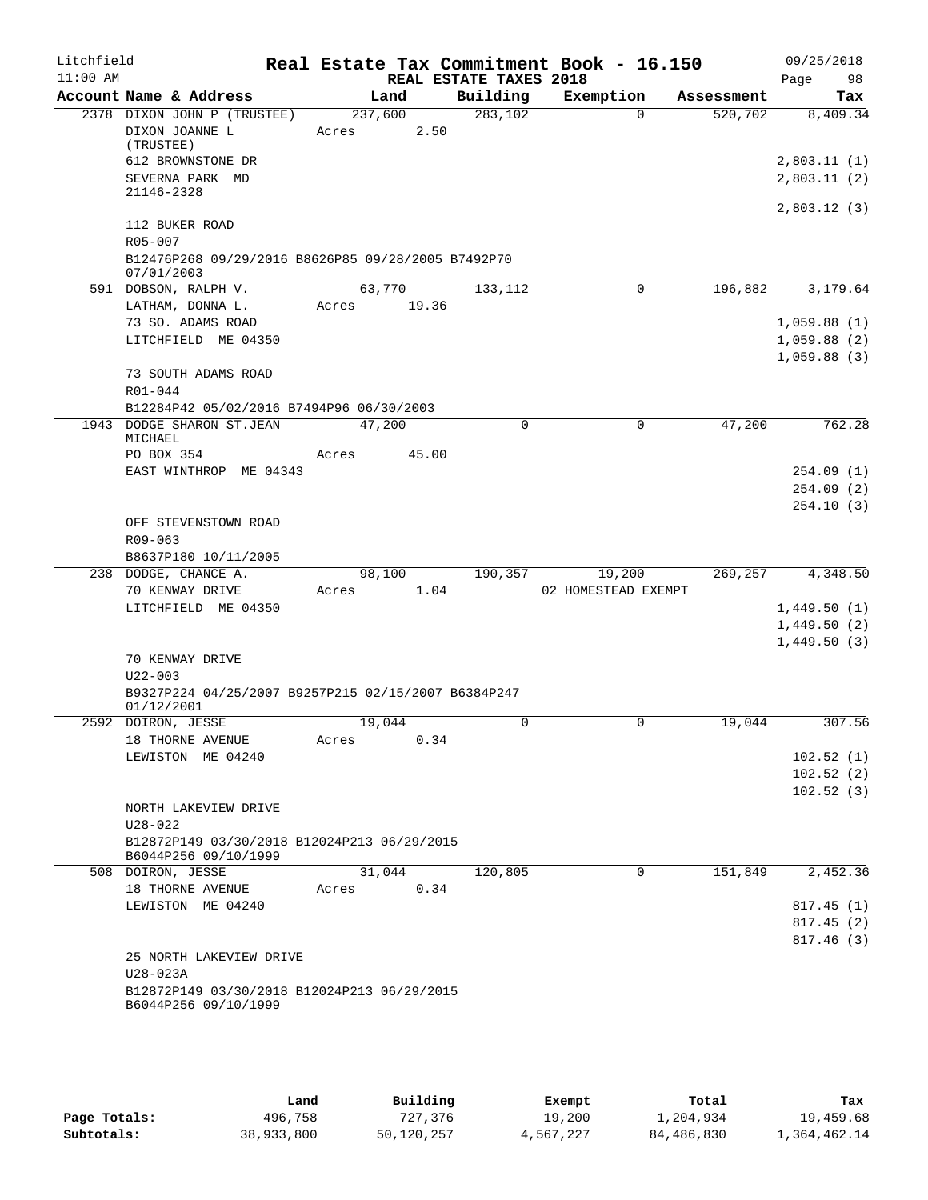| Litchfield |                       |                                                                       |       |         |       |                        | Real Estate Tax Commitment Book - 16.150 |            | 09/25/2018                 |
|------------|-----------------------|-----------------------------------------------------------------------|-------|---------|-------|------------------------|------------------------------------------|------------|----------------------------|
| $11:00$ AM |                       |                                                                       |       |         |       | REAL ESTATE TAXES 2018 |                                          |            | Page<br>98                 |
|            |                       | Account Name & Address                                                |       | Land    |       | Building               | Exemption                                | Assessment | Tax                        |
|            | (TRUSTEE)             | 2378 DIXON JOHN P (TRUSTEE)<br>DIXON JOANNE L                         | Acres | 237,600 | 2.50  | 283,102                | $\Omega$                                 | 520,702    | 8,409.34                   |
|            | 21146-2328            | 612 BROWNSTONE DR<br>SEVERNA PARK MD                                  |       |         |       |                        |                                          |            | 2,803.11(1)<br>2,803.11(2) |
|            |                       |                                                                       |       |         |       |                        |                                          |            | 2,803.12(3)                |
|            | R05-007               | 112 BUKER ROAD                                                        |       |         |       |                        |                                          |            |                            |
|            | 07/01/2003            | B12476P268 09/29/2016 B8626P85 09/28/2005 B7492P70                    |       |         |       |                        |                                          |            |                            |
|            |                       | 591 DOBSON, RALPH V.                                                  |       | 63,770  |       | 133,112                | 0                                        | 196,882    | 3,179.64                   |
|            |                       | LATHAM, DONNA L.                                                      | Acres |         | 19.36 |                        |                                          |            |                            |
|            |                       | 73 SO. ADAMS ROAD                                                     |       |         |       |                        |                                          |            | 1,059.88(1)                |
|            |                       | LITCHFIELD ME 04350                                                   |       |         |       |                        |                                          |            | 1,059.88(2)<br>1,059.88(3) |
|            |                       | 73 SOUTH ADAMS ROAD                                                   |       |         |       |                        |                                          |            |                            |
|            | R01-044               |                                                                       |       |         |       |                        |                                          |            |                            |
|            |                       | B12284P42 05/02/2016 B7494P96 06/30/2003<br>1943 DODGE SHARON ST.JEAN |       | 47,200  |       | $\Omega$               | $\Omega$                                 | 47,200     | 762.28                     |
|            | MICHAEL<br>PO BOX 354 |                                                                       | Acres |         | 45.00 |                        |                                          |            |                            |
|            |                       | EAST WINTHROP ME 04343                                                |       |         |       |                        |                                          |            | 254.09(1)                  |
|            |                       |                                                                       |       |         |       |                        |                                          |            | 254.09(2)                  |
|            |                       |                                                                       |       |         |       |                        |                                          |            | 254.10(3)                  |
|            |                       | OFF STEVENSTOWN ROAD                                                  |       |         |       |                        |                                          |            |                            |
|            | R09-063               |                                                                       |       |         |       |                        |                                          |            |                            |
|            |                       | B8637P180 10/11/2005                                                  |       |         |       |                        |                                          |            |                            |
|            |                       | 238 DODGE, CHANCE A.                                                  |       | 98,100  |       | 190,357                | 19,200                                   | 269,257    | 4,348.50                   |
|            |                       | 70 KENWAY DRIVE                                                       | Acres |         | 1.04  |                        | 02 HOMESTEAD EXEMPT                      |            |                            |
|            |                       | LITCHFIELD ME 04350                                                   |       |         |       |                        |                                          |            | 1,449.50(1)                |
|            |                       |                                                                       |       |         |       |                        |                                          |            | 1,449.50(2)                |
|            |                       |                                                                       |       |         |       |                        |                                          |            | 1,449.50(3)                |
|            |                       | 70 KENWAY DRIVE                                                       |       |         |       |                        |                                          |            |                            |
|            | $U22 - 003$           |                                                                       |       |         |       |                        |                                          |            |                            |
|            |                       | B9327P224 04/25/2007 B9257P215 02/15/2007 B6384P247                   |       |         |       |                        |                                          |            |                            |
|            | 01/12/2001            |                                                                       |       |         |       |                        |                                          |            |                            |
|            |                       | 2592 DOIRON, JESSE                                                    |       | 19,044  |       | $\mathbf 0$            | 0                                        | 19,044     | 307.56                     |
|            |                       | 18 THORNE AVENUE                                                      | Acres |         | 0.34  |                        |                                          |            |                            |
|            |                       | LEWISTON ME 04240                                                     |       |         |       |                        |                                          |            | 102.52(1)                  |
|            |                       |                                                                       |       |         |       |                        |                                          |            | 102.52(2)                  |
|            |                       |                                                                       |       |         |       |                        |                                          |            | 102.52(3)                  |
|            | $U28 - 022$           | NORTH LAKEVIEW DRIVE                                                  |       |         |       |                        |                                          |            |                            |
|            |                       | B12872P149 03/30/2018 B12024P213 06/29/2015<br>B6044P256 09/10/1999   |       |         |       |                        |                                          |            |                            |
|            |                       | 508 DOIRON, JESSE                                                     |       | 31,044  |       | 120,805                | $\Omega$                                 | 151,849    | 2,452.36                   |
|            |                       | 18 THORNE AVENUE                                                      | Acres |         | 0.34  |                        |                                          |            |                            |
|            |                       | LEWISTON ME 04240                                                     |       |         |       |                        |                                          |            | 817.45 (1)                 |
|            |                       |                                                                       |       |         |       |                        |                                          |            | 817.45(2)                  |
|            |                       |                                                                       |       |         |       |                        |                                          |            | 817.46(3)                  |
|            |                       | 25 NORTH LAKEVIEW DRIVE                                               |       |         |       |                        |                                          |            |                            |
|            | U28-023A              |                                                                       |       |         |       |                        |                                          |            |                            |
|            |                       | B12872P149 03/30/2018 B12024P213 06/29/2015<br>B6044P256 09/10/1999   |       |         |       |                        |                                          |            |                            |
|            |                       |                                                                       |       |         |       |                        |                                          |            |                            |

|              | Land       | Building   | Exempt    | Total      | Tax          |
|--------------|------------|------------|-----------|------------|--------------|
| Page Totals: | 496,758    | 727,376    | 19,200    | l,204,934  | 19,459.68    |
| Subtotals:   | 38,933,800 | 50,120,257 | 4,567,227 | 84,486,830 | 1,364,462.14 |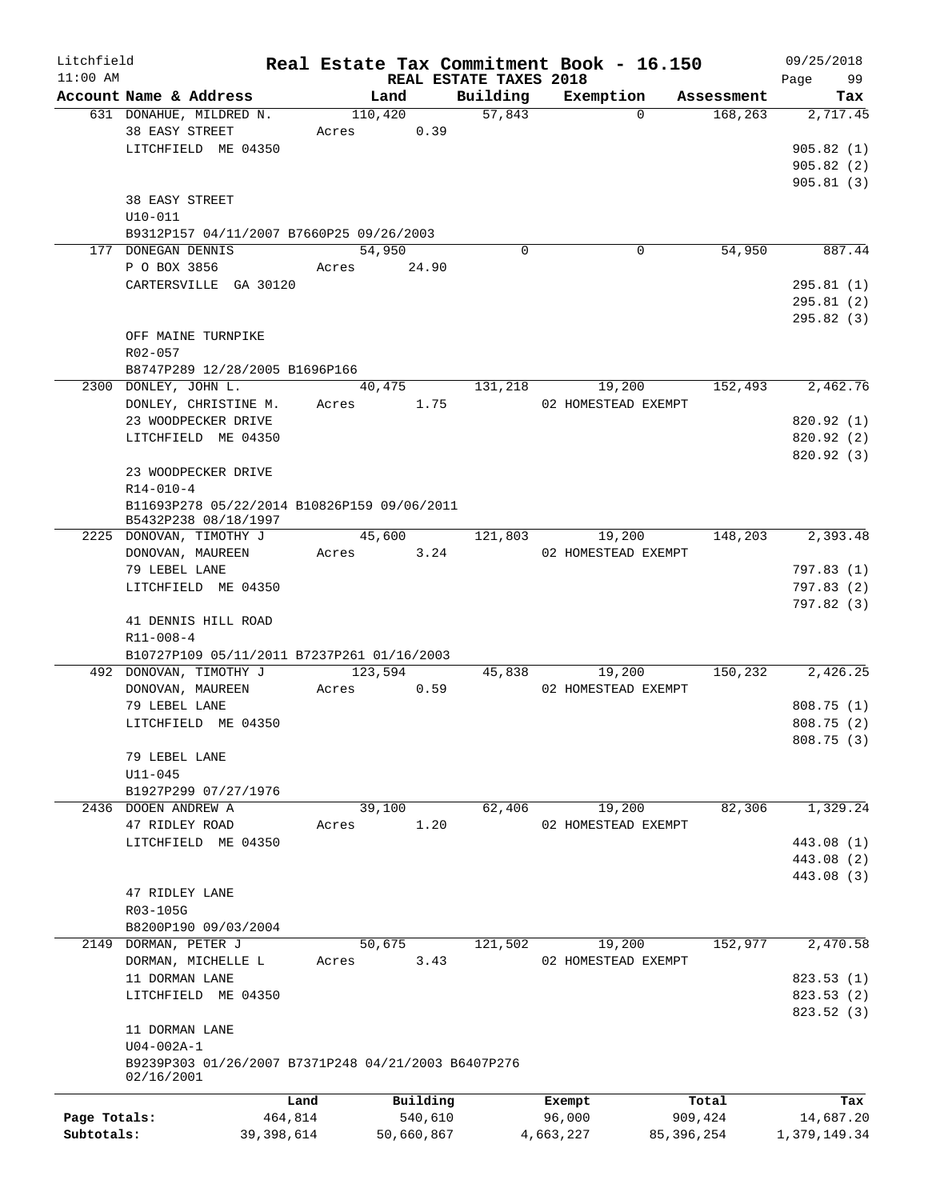| Litchfield   |                                                     |       |                        |                    | Real Estate Tax Commitment Book - 16.150 |                       | 09/25/2018             |
|--------------|-----------------------------------------------------|-------|------------------------|--------------------|------------------------------------------|-----------------------|------------------------|
| $11:00$ AM   |                                                     |       | REAL ESTATE TAXES 2018 |                    |                                          |                       | Page<br>99             |
|              | Account Name & Address<br>631 DONAHUE, MILDRED N.   |       | Land<br>110,420        | Building<br>57,843 | Exemption<br>$\Omega$                    | Assessment<br>168,263 | Tax<br>2,717.45        |
|              | 38 EASY STREET                                      |       | 0.39                   |                    |                                          |                       |                        |
|              | LITCHFIELD ME 04350                                 | Acres |                        |                    |                                          |                       | 905.82(1)              |
|              |                                                     |       |                        |                    |                                          |                       |                        |
|              |                                                     |       |                        |                    |                                          |                       | 905.82(2)<br>905.81(3) |
|              |                                                     |       |                        |                    |                                          |                       |                        |
|              | 38 EASY STREET                                      |       |                        |                    |                                          |                       |                        |
|              | $U10 - 011$                                         |       |                        |                    |                                          |                       |                        |
|              | B9312P157 04/11/2007 B7660P25 09/26/2003            |       |                        | $\mathbf 0$        |                                          |                       |                        |
|              | 177 DONEGAN DENNIS                                  |       | 54,950                 |                    | 0                                        | 54,950                | 887.44                 |
|              | P O BOX 3856                                        | Acres | 24.90                  |                    |                                          |                       |                        |
|              | CARTERSVILLE GA 30120                               |       |                        |                    |                                          |                       | 295.81(1)              |
|              |                                                     |       |                        |                    |                                          |                       | 295.81(2)              |
|              |                                                     |       |                        |                    |                                          |                       | 295.82(3)              |
|              | OFF MAINE TURNPIKE                                  |       |                        |                    |                                          |                       |                        |
|              | R02-057                                             |       |                        |                    |                                          |                       |                        |
|              | B8747P289 12/28/2005 B1696P166                      |       |                        |                    |                                          |                       |                        |
|              | 2300 DONLEY, JOHN L.                                |       | 40,475                 | 131,218            | 19,200                                   | 152,493               | 2,462.76               |
|              | DONLEY, CHRISTINE M.                                | Acres | 1.75                   |                    | 02 HOMESTEAD EXEMPT                      |                       |                        |
|              | 23 WOODPECKER DRIVE                                 |       |                        |                    |                                          |                       | 820.92 (1)             |
|              | LITCHFIELD ME 04350                                 |       |                        |                    |                                          |                       | 820.92(2)              |
|              |                                                     |       |                        |                    |                                          |                       | 820.92(3)              |
|              | 23 WOODPECKER DRIVE                                 |       |                        |                    |                                          |                       |                        |
|              | $R14 - 010 - 4$                                     |       |                        |                    |                                          |                       |                        |
|              | B11693P278 05/22/2014 B10826P159 09/06/2011         |       |                        |                    |                                          |                       |                        |
|              | B5432P238 08/18/1997                                |       |                        |                    |                                          |                       |                        |
|              | 2225 DONOVAN, TIMOTHY J                             |       | 45,600                 | 121,803            | 19,200                                   | 148,203               | 2,393.48               |
|              | DONOVAN, MAUREEN                                    | Acres | 3.24                   |                    | 02 HOMESTEAD EXEMPT                      |                       |                        |
|              | 79 LEBEL LANE                                       |       |                        |                    |                                          |                       | 797.83(1)              |
|              | LITCHFIELD ME 04350                                 |       |                        |                    |                                          |                       | 797.83(2)              |
|              |                                                     |       |                        |                    |                                          |                       | 797.82 (3)             |
|              | 41 DENNIS HILL ROAD                                 |       |                        |                    |                                          |                       |                        |
|              | $R11 - 008 - 4$                                     |       |                        |                    |                                          |                       |                        |
|              | B10727P109 05/11/2011 B7237P261 01/16/2003          |       |                        |                    |                                          |                       |                        |
|              | 492 DONOVAN, TIMOTHY J                              |       | 123,594                | 45,838             | 19,200                                   | 150,232               | 2,426.25               |
|              | DONOVAN, MAUREEN                                    | Acres | 0.59                   |                    | 02 HOMESTEAD EXEMPT                      |                       |                        |
|              | 79 LEBEL LANE                                       |       |                        |                    |                                          |                       | 808.75(1)              |
|              | LITCHFIELD ME 04350                                 |       |                        |                    |                                          |                       | 808.75(2)              |
|              |                                                     |       |                        |                    |                                          |                       | 808.75 (3)             |
|              | 79 LEBEL LANE                                       |       |                        |                    |                                          |                       |                        |
|              | $U11 - 045$                                         |       |                        |                    |                                          |                       |                        |
|              | B1927P299 07/27/1976                                |       |                        |                    |                                          |                       |                        |
|              | 2436 DOOEN ANDREW A                                 |       | 39,100                 | 62,406             | 19,200                                   | 82,306                | 1,329.24               |
|              | 47 RIDLEY ROAD                                      | Acres | 1.20                   |                    | 02 HOMESTEAD EXEMPT                      |                       |                        |
|              | LITCHFIELD ME 04350                                 |       |                        |                    |                                          |                       | 443.08 (1)             |
|              |                                                     |       |                        |                    |                                          |                       | 443.08 (2)             |
|              |                                                     |       |                        |                    |                                          |                       | 443.08 (3)             |
|              | 47 RIDLEY LANE                                      |       |                        |                    |                                          |                       |                        |
|              | R03-105G                                            |       |                        |                    |                                          |                       |                        |
|              | B8200P190 09/03/2004                                |       |                        |                    |                                          |                       |                        |
|              | 2149 DORMAN, PETER J                                |       | 50,675                 | 121,502            | 19,200                                   | 152,977               | 2,470.58               |
|              | DORMAN, MICHELLE L                                  | Acres | 3.43                   |                    | 02 HOMESTEAD EXEMPT                      |                       |                        |
|              | 11 DORMAN LANE                                      |       |                        |                    |                                          |                       | 823.53(1)              |
|              | LITCHFIELD ME 04350                                 |       |                        |                    |                                          |                       | 823.53 (2)             |
|              |                                                     |       |                        |                    |                                          |                       | 823.52 (3)             |
|              | 11 DORMAN LANE                                      |       |                        |                    |                                          |                       |                        |
|              | $U04 - 002A - 1$                                    |       |                        |                    |                                          |                       |                        |
|              | B9239P303 01/26/2007 B7371P248 04/21/2003 B6407P276 |       |                        |                    |                                          |                       |                        |
|              | 02/16/2001                                          |       |                        |                    |                                          |                       |                        |
|              |                                                     | Land  | Building               |                    | Exempt                                   | Total                 | Tax                    |
| Page Totals: | 464,814                                             |       | 540,610                |                    | 96,000                                   | 909,424               | 14,687.20              |
| Subtotals:   | 39,398,614                                          |       | 50,660,867             |                    | 4,663,227                                | 85,396,254            | 1,379,149.34           |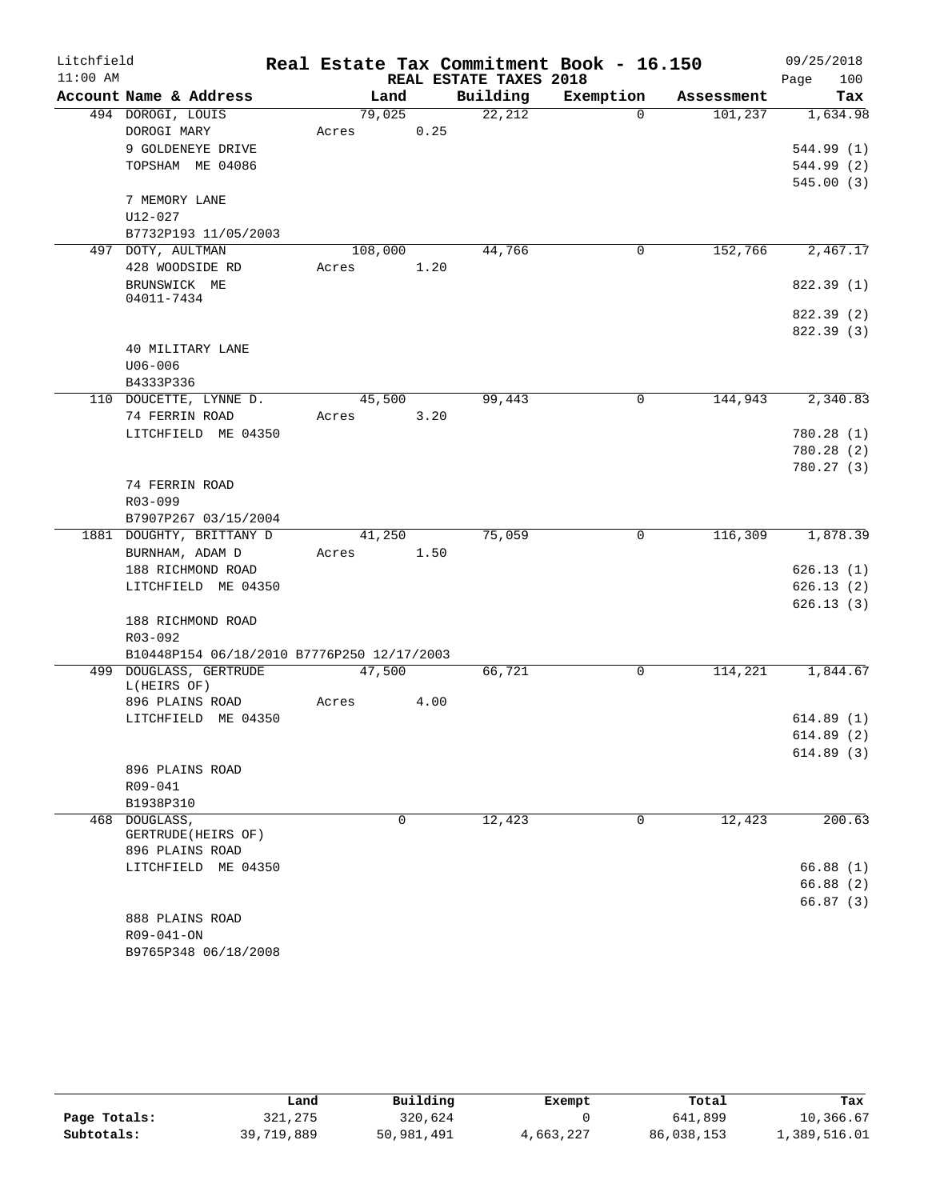| Litchfield |                                                  |         |          |                        | Real Estate Tax Commitment Book - 16.150 |            | 09/25/2018             |
|------------|--------------------------------------------------|---------|----------|------------------------|------------------------------------------|------------|------------------------|
| $11:00$ AM |                                                  |         |          | REAL ESTATE TAXES 2018 |                                          |            | 100<br>Page            |
|            | Account Name & Address                           |         | Land     | Building               | Exemption                                | Assessment | Tax                    |
|            | 494 DOROGI, LOUIS                                | 79,025  |          | 22,212                 | $\Omega$                                 | 101,237    | 1,634.98               |
|            | DOROGI MARY                                      | Acres   | 0.25     |                        |                                          |            |                        |
|            | 9 GOLDENEYE DRIVE                                |         |          |                        |                                          |            | 544.99 (1)             |
|            | TOPSHAM ME 04086                                 |         |          |                        |                                          |            | 544.99 (2)             |
|            |                                                  |         |          |                        |                                          |            | 545.00(3)              |
|            | 7 MEMORY LANE                                    |         |          |                        |                                          |            |                        |
|            | U12-027                                          |         |          |                        |                                          |            |                        |
|            | B7732P193 11/05/2003                             |         |          |                        |                                          |            |                        |
|            | 497 DOTY, AULTMAN                                | 108,000 |          | 44,766                 | 0                                        | 152,766    | 2,467.17               |
|            | 428 WOODSIDE RD                                  | Acres   | 1.20     |                        |                                          |            |                        |
|            | BRUNSWICK ME                                     |         |          |                        |                                          |            | 822.39 (1)             |
|            | 04011-7434                                       |         |          |                        |                                          |            |                        |
|            |                                                  |         |          |                        |                                          |            | 822.39 (2)             |
|            |                                                  |         |          |                        |                                          |            | 822.39 (3)             |
|            | 40 MILITARY LANE                                 |         |          |                        |                                          |            |                        |
|            | U06-006                                          |         |          |                        |                                          |            |                        |
|            | B4333P336                                        |         |          |                        |                                          |            |                        |
|            | 110 DOUCETTE, LYNNE D.                           | 45,500  |          | 99,443                 | 0                                        | 144,943    | 2,340.83               |
|            | 74 FERRIN ROAD                                   | Acres   | 3.20     |                        |                                          |            |                        |
|            | LITCHFIELD ME 04350                              |         |          |                        |                                          |            | 780.28(1)              |
|            |                                                  |         |          |                        |                                          |            | 780.28(2)<br>780.27(3) |
|            |                                                  |         |          |                        |                                          |            |                        |
|            | 74 FERRIN ROAD                                   |         |          |                        |                                          |            |                        |
|            | R03-099                                          |         |          |                        |                                          |            |                        |
|            | B7907P267 03/15/2004<br>1881 DOUGHTY, BRITTANY D | 41,250  |          | 75,059                 | 0                                        | 116,309    | 1,878.39               |
|            | BURNHAM, ADAM D                                  | Acres   | 1.50     |                        |                                          |            |                        |
|            | 188 RICHMOND ROAD                                |         |          |                        |                                          |            | 626.13(1)              |
|            | LITCHFIELD ME 04350                              |         |          |                        |                                          |            | 626.13(2)              |
|            |                                                  |         |          |                        |                                          |            | 626.13(3)              |
|            | 188 RICHMOND ROAD                                |         |          |                        |                                          |            |                        |
|            | R03-092                                          |         |          |                        |                                          |            |                        |
|            | B10448P154 06/18/2010 B7776P250 12/17/2003       |         |          |                        |                                          |            |                        |
|            | 499 DOUGLASS, GERTRUDE                           | 47,500  |          | 66,721                 | 0                                        | 114,221    | 1,844.67               |
|            | L(HEIRS OF)                                      |         |          |                        |                                          |            |                        |
|            | 896 PLAINS ROAD                                  | Acres   | 4.00     |                        |                                          |            |                        |
|            | LITCHFIELD ME 04350                              |         |          |                        |                                          |            | 614.89(1)              |
|            |                                                  |         |          |                        |                                          |            | 614.89(2)              |
|            |                                                  |         |          |                        |                                          |            | 614.89 (3)             |
|            | 896 PLAINS ROAD                                  |         |          |                        |                                          |            |                        |
|            | $R09 - 041$                                      |         |          |                        |                                          |            |                        |
|            | B1938P310                                        |         |          |                        |                                          |            |                        |
| 468        | DOUGLASS,                                        |         | $\Omega$ | 12,423                 | 0                                        | 12,423     | 200.63                 |
|            | GERTRUDE (HEIRS OF)                              |         |          |                        |                                          |            |                        |
|            | 896 PLAINS ROAD                                  |         |          |                        |                                          |            |                        |
|            | LITCHFIELD ME 04350                              |         |          |                        |                                          |            | 66.88(1)               |
|            |                                                  |         |          |                        |                                          |            | 66.88(2)               |
|            |                                                  |         |          |                        |                                          |            | 66.87(3)               |
|            | 888 PLAINS ROAD                                  |         |          |                        |                                          |            |                        |
|            | R09-041-ON                                       |         |          |                        |                                          |            |                        |
|            | B9765P348 06/18/2008                             |         |          |                        |                                          |            |                        |

|              | Land       | Building   | Exempt    | Total      | Tax          |
|--------------|------------|------------|-----------|------------|--------------|
| Page Totals: | 321,275    | 320,624    |           | 641,899    | 10,366.67    |
| Subtotals:   | 39,719,889 | 50,981,491 | 4,663,227 | 86,038,153 | 1,389,516.01 |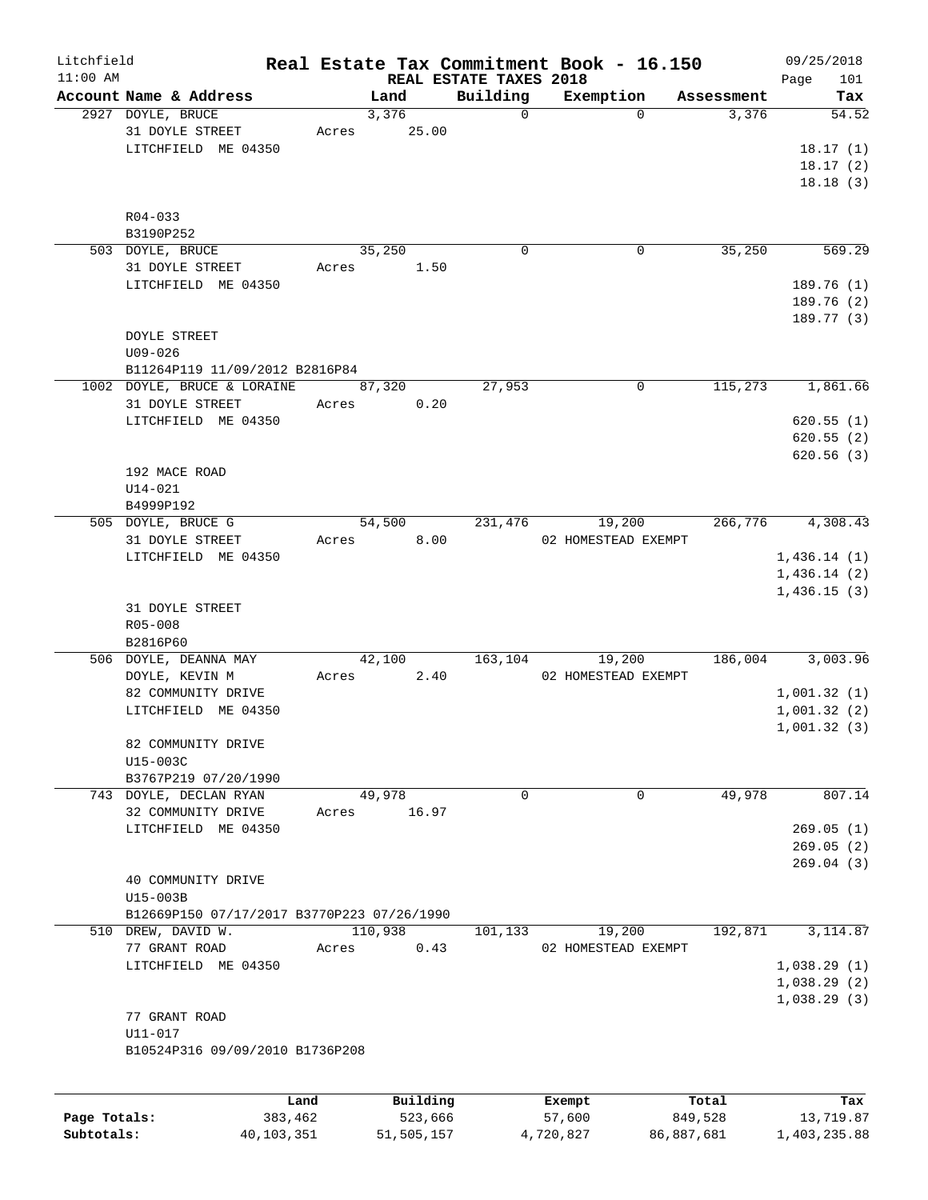| Litchfield |                                            |       |          |                        | Real Estate Tax Commitment Book - 16.150 |            | 09/25/2018  |
|------------|--------------------------------------------|-------|----------|------------------------|------------------------------------------|------------|-------------|
| $11:00$ AM |                                            |       |          | REAL ESTATE TAXES 2018 |                                          |            | Page<br>101 |
|            | Account Name & Address                     |       | Land     | Building               | Exemption                                | Assessment | Tax         |
|            | 2927 DOYLE, BRUCE                          |       | 3,376    | $\mathbf 0$            | $\Omega$                                 | 3,376      | 54.52       |
|            | 31 DOYLE STREET                            | Acres | 25.00    |                        |                                          |            |             |
|            | LITCHFIELD ME 04350                        |       |          |                        |                                          |            | 18.17(1)    |
|            |                                            |       |          |                        |                                          |            | 18.17(2)    |
|            |                                            |       |          |                        |                                          |            | 18.18(3)    |
|            |                                            |       |          |                        |                                          |            |             |
|            | R04-033<br>B3190P252                       |       |          |                        |                                          |            |             |
|            | 503 DOYLE, BRUCE                           |       | 35,250   | $\mathbf 0$            | $\mathbf 0$                              | 35,250     | 569.29      |
|            | 31 DOYLE STREET                            | Acres | 1.50     |                        |                                          |            |             |
|            | LITCHFIELD ME 04350                        |       |          |                        |                                          |            | 189.76 (1)  |
|            |                                            |       |          |                        |                                          |            | 189.76 (2)  |
|            |                                            |       |          |                        |                                          |            | 189.77 (3)  |
|            | <b>DOYLE STREET</b>                        |       |          |                        |                                          |            |             |
|            | $U09 - 026$                                |       |          |                        |                                          |            |             |
|            |                                            |       |          |                        |                                          |            |             |
|            | B11264P119 11/09/2012 B2816P84             |       |          |                        |                                          |            |             |
|            | 1002 DOYLE, BRUCE & LORAINE                |       | 87,320   | 27,953                 | $\mathbf 0$                              | 115,273    | 1,861.66    |
|            | 31 DOYLE STREET                            | Acres | 0.20     |                        |                                          |            |             |
|            | LITCHFIELD ME 04350                        |       |          |                        |                                          |            | 620.55(1)   |
|            |                                            |       |          |                        |                                          |            | 620.55(2)   |
|            |                                            |       |          |                        |                                          |            | 620.56 (3)  |
|            | 192 MACE ROAD                              |       |          |                        |                                          |            |             |
|            | $U14 - 021$                                |       |          |                        |                                          |            |             |
|            | B4999P192                                  |       |          |                        |                                          |            |             |
|            | 505 DOYLE, BRUCE G                         |       | 54,500   | 231,476                | 19,200                                   | 266,776    | 4,308.43    |
|            | 31 DOYLE STREET                            | Acres | 8.00     |                        | 02 HOMESTEAD EXEMPT                      |            |             |
|            | LITCHFIELD ME 04350                        |       |          |                        |                                          |            | 1,436.14(1) |
|            |                                            |       |          |                        |                                          |            | 1,436.14(2) |
|            |                                            |       |          |                        |                                          |            | 1,436.15(3) |
|            | 31 DOYLE STREET                            |       |          |                        |                                          |            |             |
|            | $R05 - 008$                                |       |          |                        |                                          |            |             |
|            | B2816P60                                   |       |          |                        |                                          |            |             |
|            | 506 DOYLE, DEANNA MAY                      |       | 42,100   | 163,104                | 19,200                                   | 186,004    | 3,003.96    |
|            | DOYLE, KEVIN M                             | Acres | 2.40     |                        | 02 HOMESTEAD EXEMPT                      |            |             |
|            |                                            |       |          |                        |                                          |            |             |
|            | 82 COMMUNITY DRIVE                         |       |          |                        |                                          |            | 1,001.32(1) |
|            | LITCHFIELD ME 04350                        |       |          |                        |                                          |            | 1,001.32(2) |
|            |                                            |       |          |                        |                                          |            | 1,001.32(3) |
|            | 82 COMMUNITY DRIVE                         |       |          |                        |                                          |            |             |
|            | U15-003C                                   |       |          |                        |                                          |            |             |
|            | B3767P219 07/20/1990                       |       |          |                        |                                          |            |             |
|            | 743 DOYLE, DECLAN RYAN                     |       | 49,978   | 0                      | 0                                        | 49,978     | 807.14      |
|            | 32 COMMUNITY DRIVE                         | Acres | 16.97    |                        |                                          |            |             |
|            | LITCHFIELD ME 04350                        |       |          |                        |                                          |            | 269.05(1)   |
|            |                                            |       |          |                        |                                          |            | 269.05(2)   |
|            |                                            |       |          |                        |                                          |            | 269.04(3)   |
|            | 40 COMMUNITY DRIVE                         |       |          |                        |                                          |            |             |
|            | U15-003B                                   |       |          |                        |                                          |            |             |
|            | B12669P150 07/17/2017 B3770P223 07/26/1990 |       |          |                        |                                          |            |             |
|            | 510 DREW, DAVID W.                         |       | 110,938  | 101,133                | 19,200                                   | 192,871    | 3, 114.87   |
|            | 77 GRANT ROAD                              | Acres | 0.43     |                        | 02 HOMESTEAD EXEMPT                      |            |             |
|            | LITCHFIELD ME 04350                        |       |          |                        |                                          |            | 1,038.29(1) |
|            |                                            |       |          |                        |                                          |            | 1,038.29(2) |
|            |                                            |       |          |                        |                                          |            |             |
|            |                                            |       |          |                        |                                          |            | 1,038.29(3) |
|            | 77 GRANT ROAD                              |       |          |                        |                                          |            |             |
|            | U11-017                                    |       |          |                        |                                          |            |             |
|            | B10524P316 09/09/2010 B1736P208            |       |          |                        |                                          |            |             |
|            |                                            |       |          |                        |                                          |            |             |
|            |                                            | Land  | Building |                        | Exempt                                   | Total      | Tax         |
|            |                                            |       |          |                        |                                          |            |             |

|              | ⊥ano       | Building   | Exempt    | тосат      | rax.         |
|--------------|------------|------------|-----------|------------|--------------|
| Page Totals: | 383,462    | 523,666    | 57,600    | 849,528    | 13,719.87    |
| Subtotals:   | 40,103,351 | 51,505,157 | 4,720,827 | 86,887,681 | 1,403,235.88 |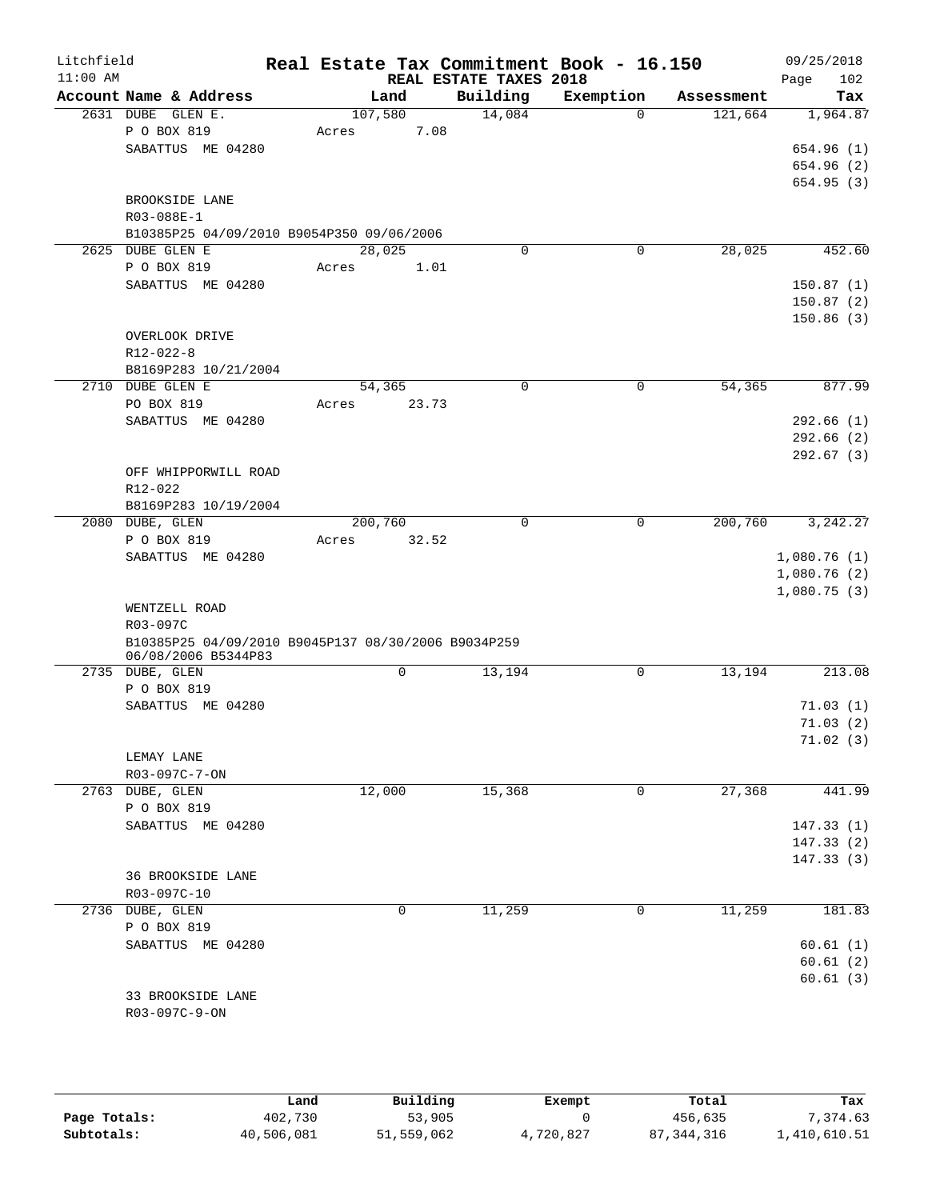| Litchfield<br>$11:00$ AM |                                                                            |                  |        | REAL ESTATE TAXES 2018 | Real Estate Tax Commitment Book - 16.150 |            | 09/25/2018<br>Page<br>102                 |
|--------------------------|----------------------------------------------------------------------------|------------------|--------|------------------------|------------------------------------------|------------|-------------------------------------------|
|                          | Account Name & Address                                                     |                  | Land   | Building               | Exemption                                | Assessment | Tax                                       |
|                          | 2631 DUBE GLEN E.<br>P O BOX 819<br>SABATTUS ME 04280                      | 107,580<br>Acres | 7.08   | 14,084                 | $\Omega$                                 | 121,664    | 1,964.87<br>654.96 (1)<br>654.96 (2)      |
|                          | BROOKSIDE LANE<br>R03-088E-1<br>B10385P25 04/09/2010 B9054P350 09/06/2006  |                  |        |                        |                                          |            | 654.95(3)                                 |
|                          | 2625 DUBE GLEN E                                                           |                  | 28,025 | 0                      | 0                                        | 28,025     | 452.60                                    |
|                          | P O BOX 819                                                                | Acres            | 1.01   |                        |                                          |            |                                           |
|                          | SABATTUS ME 04280                                                          |                  |        |                        |                                          |            | 150.87(1)<br>150.87(2)<br>150.86(3)       |
|                          | OVERLOOK DRIVE<br>$R12 - 022 - 8$<br>B8169P283 10/21/2004                  |                  |        |                        |                                          |            |                                           |
|                          | 2710 DUBE GLEN E                                                           |                  | 54,365 | 0                      | $\mathbf 0$                              | 54,365     | 877.99                                    |
|                          | PO BOX 819                                                                 | Acres            | 23.73  |                        |                                          |            |                                           |
|                          | SABATTUS ME 04280                                                          |                  |        |                        |                                          |            | 292.66(1)                                 |
|                          |                                                                            |                  |        |                        |                                          |            | 292.66(2)                                 |
|                          |                                                                            |                  |        |                        |                                          |            | 292.67(3)                                 |
|                          | OFF WHIPPORWILL ROAD                                                       |                  |        |                        |                                          |            |                                           |
|                          | R12-022                                                                    |                  |        |                        |                                          |            |                                           |
|                          | B8169P283 10/19/2004                                                       |                  |        |                        |                                          |            |                                           |
|                          | 2080 DUBE, GLEN                                                            | 200,760          |        | 0                      | $\mathsf{O}$                             | 200,760    | 3, 242.27                                 |
|                          | P O BOX 819                                                                | Acres            | 32.52  |                        |                                          |            |                                           |
|                          | SABATTUS ME 04280                                                          |                  |        |                        |                                          |            | 1,080.76(1)<br>1,080.76(2)<br>1,080.75(3) |
|                          | WENTZELL ROAD                                                              |                  |        |                        |                                          |            |                                           |
|                          | R03-097C                                                                   |                  |        |                        |                                          |            |                                           |
|                          | B10385P25 04/09/2010 B9045P137 08/30/2006 B9034P259<br>06/08/2006 B5344P83 |                  |        |                        |                                          |            |                                           |
|                          | 2735 DUBE, GLEN                                                            |                  | 0      | 13,194                 | 0                                        | 13,194     | 213.08                                    |
|                          | P O BOX 819<br>SABATTUS ME 04280                                           |                  |        |                        |                                          |            | 71.03(1)                                  |
|                          |                                                                            |                  |        |                        |                                          |            | 71.03(2)                                  |
|                          |                                                                            |                  |        |                        |                                          |            | 71.02(3)                                  |
|                          | LEMAY LANE                                                                 |                  |        |                        |                                          |            |                                           |
|                          | R03-097C-7-ON                                                              |                  |        |                        |                                          |            |                                           |
|                          | 2763 DUBE, GLEN                                                            |                  | 12,000 | 15,368                 | 0                                        | 27,368     | 441.99                                    |
|                          | P O BOX 819                                                                |                  |        |                        |                                          |            |                                           |
|                          | SABATTUS ME 04280                                                          |                  |        |                        |                                          |            | 147.33(1)                                 |
|                          |                                                                            |                  |        |                        |                                          |            | 147.33 (2)                                |
|                          |                                                                            |                  |        |                        |                                          |            | 147.33(3)                                 |
|                          | <b>36 BROOKSIDE LANE</b>                                                   |                  |        |                        |                                          |            |                                           |
|                          | R03-097C-10                                                                |                  |        |                        |                                          |            |                                           |
|                          | 2736 DUBE, GLEN                                                            |                  | 0      | 11,259                 | 0                                        | 11,259     | 181.83                                    |
|                          | P O BOX 819                                                                |                  |        |                        |                                          |            |                                           |
|                          | SABATTUS ME 04280                                                          |                  |        |                        |                                          |            | 60.61(1)                                  |
|                          |                                                                            |                  |        |                        |                                          |            | 60.61(2)                                  |
|                          |                                                                            |                  |        |                        |                                          |            | 60.61(3)                                  |
|                          | 33 BROOKSIDE LANE                                                          |                  |        |                        |                                          |            |                                           |
|                          | R03-097C-9-ON                                                              |                  |        |                        |                                          |            |                                           |

|              | Land       | Building   | Exempt    | Total      | Tax          |
|--------------|------------|------------|-----------|------------|--------------|
| Page Totals: | 402,730    | 53,905     |           | 456,635    | .374.63      |
| Subtotals:   | 40,506,081 | 51,559,062 | 4,720,827 | 87,344,316 | .,410,610.51 |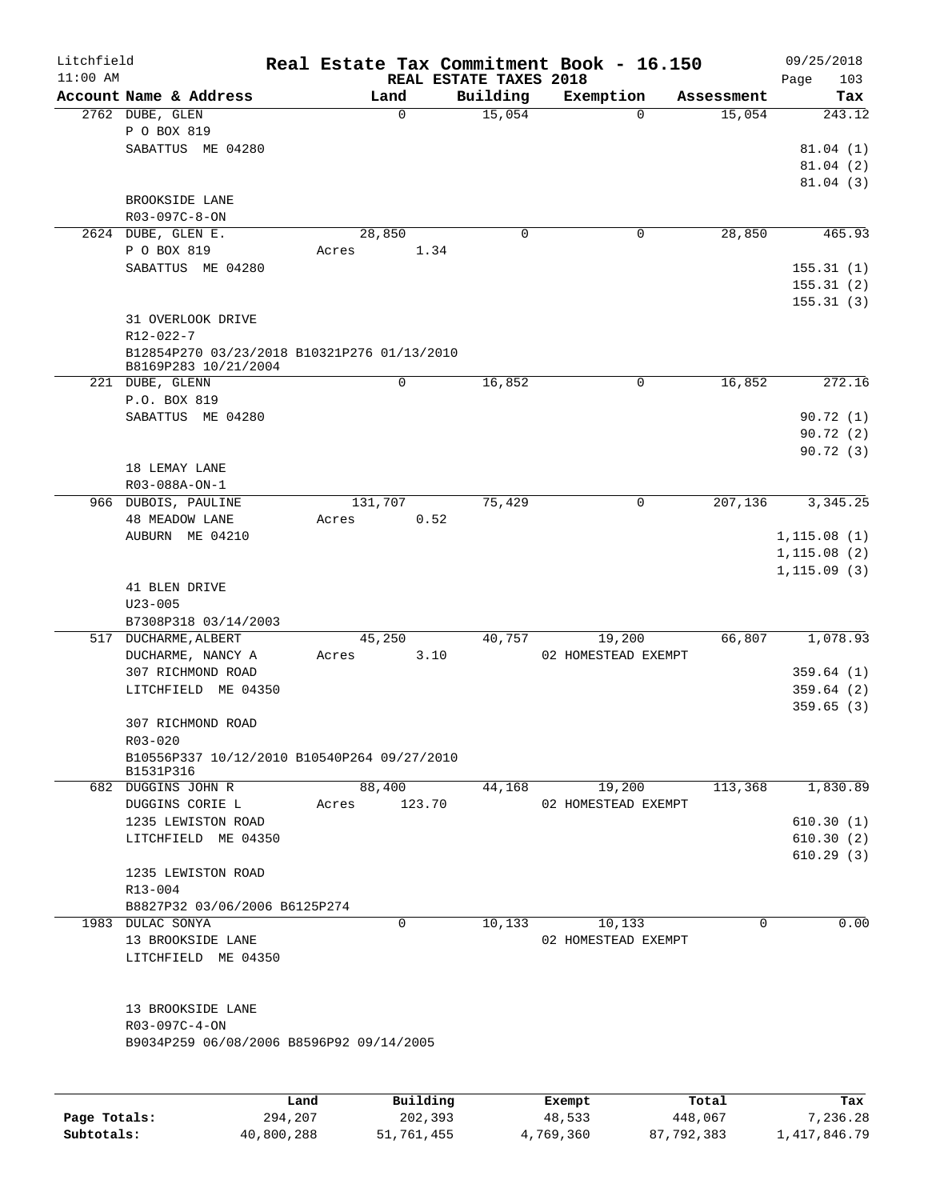| Litchfield |                                             |       |                        |          | Real Estate Tax Commitment Book - 16.150 |            | 09/25/2018   |
|------------|---------------------------------------------|-------|------------------------|----------|------------------------------------------|------------|--------------|
| $11:00$ AM |                                             |       | REAL ESTATE TAXES 2018 |          |                                          |            | Page<br>103  |
|            | Account Name & Address                      |       | Land                   | Building | Exemption                                | Assessment | Tax          |
|            | 2762 DUBE, GLEN                             |       | $\mathbf 0$            | 15,054   | 0                                        | 15,054     | 243.12       |
|            | P O BOX 819                                 |       |                        |          |                                          |            |              |
|            | SABATTUS ME 04280                           |       |                        |          |                                          |            | 81.04(1)     |
|            |                                             |       |                        |          |                                          |            | 81.04(2)     |
|            |                                             |       |                        |          |                                          |            | 81.04(3)     |
|            | BROOKSIDE LANE                              |       |                        |          |                                          |            |              |
|            | R03-097C-8-ON                               |       |                        |          |                                          |            |              |
|            | 2624 DUBE, GLEN E.                          |       | 28,850                 | 0        | 0                                        | 28,850     | 465.93       |
|            | P O BOX 819                                 | Acres | 1.34                   |          |                                          |            |              |
|            | SABATTUS ME 04280                           |       |                        |          |                                          |            | 155.31(1)    |
|            |                                             |       |                        |          |                                          |            | 155.31(2)    |
|            |                                             |       |                        |          |                                          |            | 155.31(3)    |
|            | 31 OVERLOOK DRIVE                           |       |                        |          |                                          |            |              |
|            | R12-022-7                                   |       |                        |          |                                          |            |              |
|            | B12854P270 03/23/2018 B10321P276 01/13/2010 |       |                        |          |                                          |            |              |
|            | B8169P283 10/21/2004                        |       |                        |          |                                          |            |              |
|            | 221 DUBE, GLENN                             |       | 0                      | 16,852   | 0                                        | 16,852     | 272.16       |
|            | P.O. BOX 819                                |       |                        |          |                                          |            |              |
|            | SABATTUS ME 04280                           |       |                        |          |                                          |            | 90.72(1)     |
|            |                                             |       |                        |          |                                          |            | 90.72 (2)    |
|            |                                             |       |                        |          |                                          |            | 90.72(3)     |
|            | 18 LEMAY LANE                               |       |                        |          |                                          |            |              |
|            | R03-088A-ON-1                               |       |                        |          |                                          |            |              |
|            | 966 DUBOIS, PAULINE                         |       | 131,707                | 75,429   | $\mathbf 0$                              | 207,136    | 3, 345.25    |
|            | <b>48 MEADOW LANE</b>                       | Acres | 0.52                   |          |                                          |            |              |
|            | AUBURN ME 04210                             |       |                        |          |                                          |            | 1, 115.08(1) |
|            |                                             |       |                        |          |                                          |            | 1, 115.08(2) |
|            |                                             |       |                        |          |                                          |            | 1, 115.09(3) |
|            | 41 BLEN DRIVE                               |       |                        |          |                                          |            |              |
|            | $U23 - 005$                                 |       |                        |          |                                          |            |              |
|            | B7308P318 03/14/2003                        |       |                        |          |                                          |            |              |
|            | 517 DUCHARME, ALBERT                        |       | 45,250                 | 40,757   | 19,200                                   | 66,807     | 1,078.93     |
|            | DUCHARME, NANCY A                           | Acres | 3.10                   |          | 02 HOMESTEAD EXEMPT                      |            |              |
|            | 307 RICHMOND ROAD                           |       |                        |          |                                          |            | 359.64(1)    |
|            | LITCHFIELD ME 04350                         |       |                        |          |                                          |            | 359.64(2)    |
|            |                                             |       |                        |          |                                          |            | 359.65(3)    |
|            | 307 RICHMOND ROAD                           |       |                        |          |                                          |            |              |
|            | R03-020                                     |       |                        |          |                                          |            |              |
|            | B10556P337 10/12/2010 B10540P264 09/27/2010 |       |                        |          |                                          |            |              |
|            | B1531P316                                   |       |                        |          |                                          |            |              |
|            | 682 DUGGINS JOHN R                          |       | 88,400                 | 44,168   | 19,200                                   | 113,368    | 1,830.89     |
|            | DUGGINS CORIE L                             | Acres | 123.70                 |          | 02 HOMESTEAD EXEMPT                      |            |              |
|            | 1235 LEWISTON ROAD                          |       |                        |          |                                          |            | 610.30(1)    |
|            | LITCHFIELD ME 04350                         |       |                        |          |                                          |            | 610.30(2)    |
|            |                                             |       |                        |          |                                          |            | 610.29(3)    |
|            | 1235 LEWISTON ROAD                          |       |                        |          |                                          |            |              |
|            | $R13 - 004$                                 |       |                        |          |                                          |            |              |
|            | B8827P32 03/06/2006 B6125P274               |       |                        |          |                                          |            |              |
|            | 1983 DULAC SONYA                            |       | 0                      | 10,133   | 10,133                                   | 0          | 0.00         |
|            | 13 BROOKSIDE LANE                           |       |                        |          | 02 HOMESTEAD EXEMPT                      |            |              |
|            | LITCHFIELD ME 04350                         |       |                        |          |                                          |            |              |
|            |                                             |       |                        |          |                                          |            |              |
|            |                                             |       |                        |          |                                          |            |              |
|            | 13 BROOKSIDE LANE                           |       |                        |          |                                          |            |              |
|            |                                             |       |                        |          |                                          |            |              |
|            | R03-097C-4-ON                               |       |                        |          |                                          |            |              |
|            | B9034P259 06/08/2006 B8596P92 09/14/2005    |       |                        |          |                                          |            |              |
|            |                                             |       |                        |          |                                          |            |              |
|            |                                             |       |                        |          |                                          |            |              |
|            |                                             | Land  | Building               |          | Exempt                                   | Total      | Tax          |

|              | ------     | ---------  | --------  | -----      | ----         |
|--------------|------------|------------|-----------|------------|--------------|
| Page Totals: | 294,207    | 202,393    | 48,533    | 448,067    | 7,236.28     |
| Subtotals:   | 40,800,288 | 51,761,455 | 4,769,360 | 87,792,383 | 1,417,846.79 |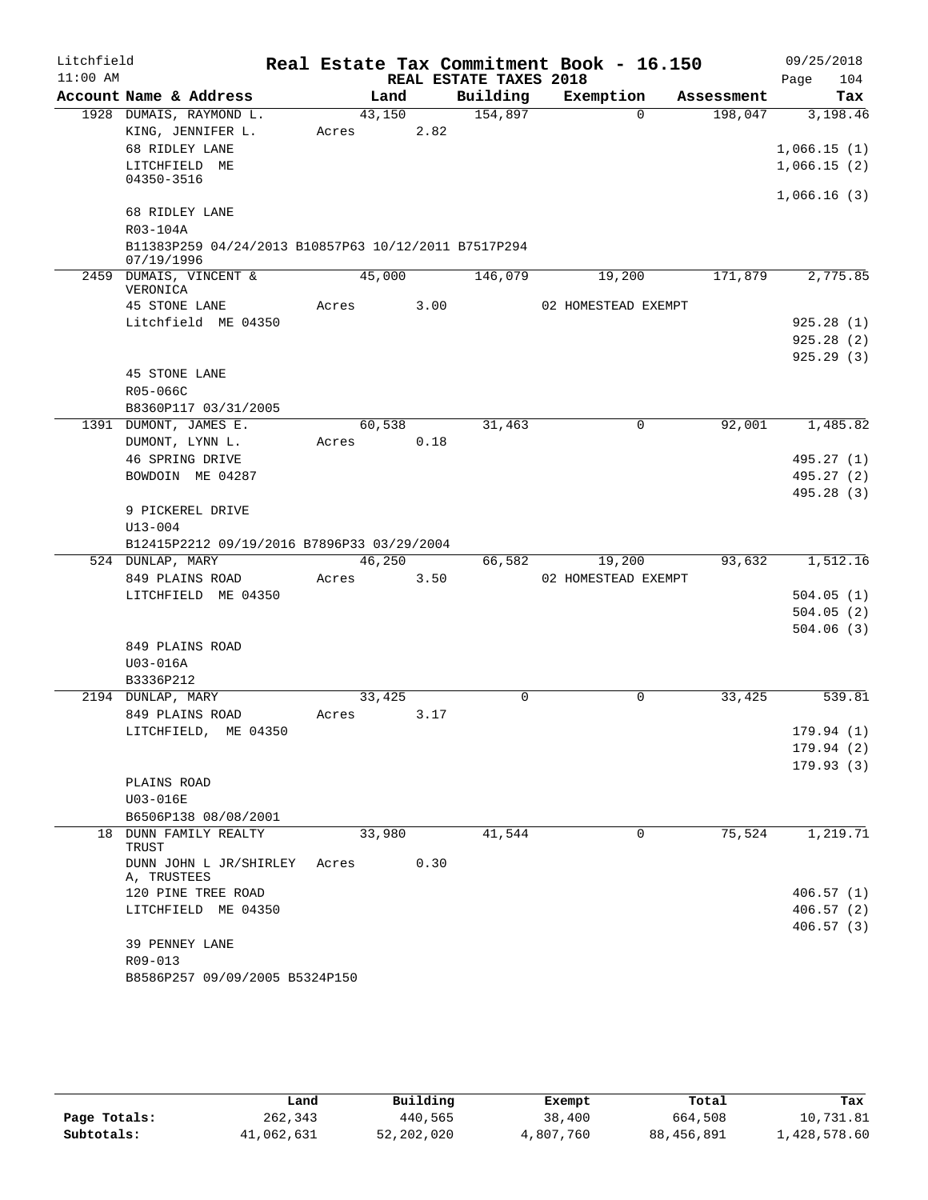| Litchfield |                                                      |            |      |                        | Real Estate Tax Commitment Book - 16.150 |            | 09/25/2018             |
|------------|------------------------------------------------------|------------|------|------------------------|------------------------------------------|------------|------------------------|
| $11:00$ AM |                                                      |            |      | REAL ESTATE TAXES 2018 |                                          |            | Page<br>104            |
|            | Account Name & Address                               | Land       |      | Building               | Exemption                                | Assessment | Tax                    |
|            | 1928 DUMAIS, RAYMOND L.                              | 43,150     |      | 154,897                | $\Omega$                                 | 198,047    | 3,198.46               |
|            | KING, JENNIFER L.                                    | Acres      | 2.82 |                        |                                          |            |                        |
|            | 68 RIDLEY LANE                                       |            |      |                        |                                          |            | 1,066.15(1)            |
|            | LITCHFIELD ME<br>04350-3516                          |            |      |                        |                                          |            | 1,066.15(2)            |
|            |                                                      |            |      |                        |                                          |            | 1,066.16(3)            |
|            | 68 RIDLEY LANE                                       |            |      |                        |                                          |            |                        |
|            | R03-104A                                             |            |      |                        |                                          |            |                        |
|            | B11383P259 04/24/2013 B10857P63 10/12/2011 B7517P294 |            |      |                        |                                          |            |                        |
|            | 07/19/1996                                           |            |      |                        |                                          |            |                        |
|            | 2459 DUMAIS, VINCENT &<br>VERONICA                   | 45,000     |      | 146,079                | 19,200                                   | 171,879    | 2,775.85               |
|            | 45 STONE LANE                                        | Acres      | 3.00 |                        | 02 HOMESTEAD EXEMPT                      |            |                        |
|            | Litchfield ME 04350                                  |            |      |                        |                                          |            | 925.28(1)              |
|            |                                                      |            |      |                        |                                          |            | 925.28(2)              |
|            |                                                      |            |      |                        |                                          |            | 925.29(3)              |
|            | <b>45 STONE LANE</b>                                 |            |      |                        |                                          |            |                        |
|            | R05-066C                                             |            |      |                        |                                          |            |                        |
|            | B8360P117 03/31/2005                                 |            |      |                        |                                          |            |                        |
|            | 1391 DUMONT, JAMES E.                                | 60,538     |      | 31,463                 | $\mathbf 0$                              | 92,001     | 1,485.82               |
|            | DUMONT, LYNN L.                                      | Acres      | 0.18 |                        |                                          |            |                        |
|            | 46 SPRING DRIVE                                      |            |      |                        |                                          |            | 495.27 (1)             |
|            | BOWDOIN ME 04287                                     |            |      |                        |                                          |            | 495.27 (2)             |
|            |                                                      |            |      |                        |                                          |            | 495.28 (3)             |
|            | 9 PICKEREL DRIVE                                     |            |      |                        |                                          |            |                        |
|            | $U13 - 004$                                          |            |      |                        |                                          |            |                        |
|            | B12415P2212 09/19/2016 B7896P33 03/29/2004           |            |      |                        |                                          |            |                        |
|            | 524 DUNLAP, MARY                                     | 46,250     |      | 66,582                 | 19,200                                   | 93,632     | 1,512.16               |
|            | 849 PLAINS ROAD                                      | Acres 3.50 |      |                        | 02 HOMESTEAD EXEMPT                      |            |                        |
|            | LITCHFIELD ME 04350                                  |            |      |                        |                                          |            | 504.05(1)              |
|            |                                                      |            |      |                        |                                          |            | 504.05(2)              |
|            |                                                      |            |      |                        |                                          |            | 504.06(3)              |
|            | 849 PLAINS ROAD                                      |            |      |                        |                                          |            |                        |
|            | U03-016A<br>B3336P212                                |            |      |                        |                                          |            |                        |
|            | 2194 DUNLAP, MARY                                    | 33,425     |      | $\Omega$               | $\Omega$                                 | 33,425     | 539.81                 |
|            | 849 PLAINS ROAD                                      | Acres      | 3.17 |                        |                                          |            |                        |
|            | LITCHFIELD, ME 04350                                 |            |      |                        |                                          |            | 179.94 (1)             |
|            |                                                      |            |      |                        |                                          |            | 179.94(2)              |
|            |                                                      |            |      |                        |                                          |            | 179.93(3)              |
|            | PLAINS ROAD                                          |            |      |                        |                                          |            |                        |
|            | U03-016E                                             |            |      |                        |                                          |            |                        |
|            | B6506P138 08/08/2001                                 |            |      |                        |                                          |            |                        |
|            | 18 DUNN FAMILY REALTY                                | 33,980     |      | 41,544                 | 0                                        | 75,524     | 1,219.71               |
|            | TRUST                                                |            |      |                        |                                          |            |                        |
|            | DUNN JOHN L JR/SHIRLEY                               | Acres      | 0.30 |                        |                                          |            |                        |
|            | A, TRUSTEES<br>120 PINE TREE ROAD                    |            |      |                        |                                          |            |                        |
|            | LITCHFIELD ME 04350                                  |            |      |                        |                                          |            | 406.57(1)<br>406.57(2) |
|            |                                                      |            |      |                        |                                          |            | 406.57(3)              |
|            | 39 PENNEY LANE                                       |            |      |                        |                                          |            |                        |
|            | R09-013                                              |            |      |                        |                                          |            |                        |
|            | B8586P257 09/09/2005 B5324P150                       |            |      |                        |                                          |            |                        |

|              | Land       | Building     | Exempt    | Total      | Tax          |
|--------------|------------|--------------|-----------|------------|--------------|
| Page Totals: | 262,343    | 440,565      | 38,400    | 664,508    | 10,731.81    |
| Subtotals:   | 41,062,631 | 52, 202, 020 | 4,807,760 | 88,456,891 | 1,428,578.60 |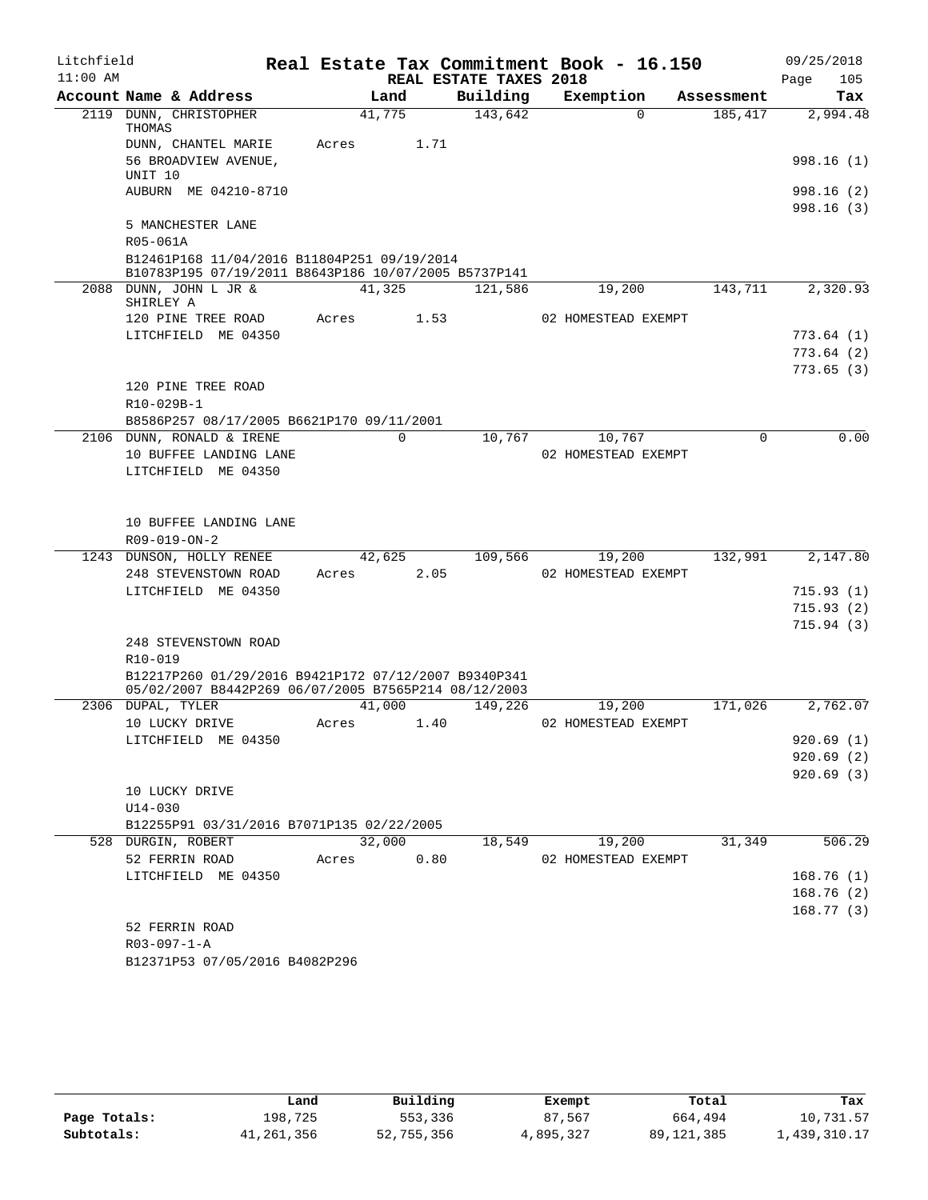| Litchfield<br>$11:00$ AM |                                                                                                     |        |                                    | Real Estate Tax Commitment Book - 16.150 |            | 09/25/2018         |
|--------------------------|-----------------------------------------------------------------------------------------------------|--------|------------------------------------|------------------------------------------|------------|--------------------|
|                          | Account Name & Address                                                                              | Land   | REAL ESTATE TAXES 2018<br>Building | Exemption                                | Assessment | 105<br>Page<br>Tax |
|                          | 2119 DUNN, CHRISTOPHER                                                                              | 41,775 | 143,642                            | $\Omega$                                 | 185,417    | 2,994.48           |
|                          | THOMAS                                                                                              |        |                                    |                                          |            |                    |
|                          | DUNN, CHANTEL MARIE                                                                                 | Acres  | 1.71                               |                                          |            |                    |
|                          | 56 BROADVIEW AVENUE,<br>UNIT 10                                                                     |        |                                    |                                          |            | 998.16 (1)         |
|                          | AUBURN ME 04210-8710                                                                                |        |                                    |                                          |            | 998.16 (2)         |
|                          |                                                                                                     |        |                                    |                                          |            | 998.16(3)          |
|                          | 5 MANCHESTER LANE                                                                                   |        |                                    |                                          |            |                    |
|                          | R05-061A                                                                                            |        |                                    |                                          |            |                    |
|                          | B12461P168 11/04/2016 B11804P251 09/19/2014<br>B10783P195 07/19/2011 B8643P186 10/07/2005 B5737P141 |        |                                    |                                          |            |                    |
|                          | 2088 DUNN, JOHN L JR &                                                                              | 41,325 | 121,586                            | 19,200                                   | 143,711    | 2,320.93           |
|                          | SHIRLEY A                                                                                           |        |                                    |                                          |            |                    |
|                          | 120 PINE TREE ROAD<br>LITCHFIELD ME 04350                                                           | Acres  | 1.53                               | 02 HOMESTEAD EXEMPT                      |            | 773.64(1)          |
|                          |                                                                                                     |        |                                    |                                          |            | 773.64(2)          |
|                          |                                                                                                     |        |                                    |                                          |            | 773.65(3)          |
|                          | 120 PINE TREE ROAD                                                                                  |        |                                    |                                          |            |                    |
|                          | R10-029B-1                                                                                          |        |                                    |                                          |            |                    |
|                          | B8586P257 08/17/2005 B6621P170 09/11/2001                                                           |        |                                    |                                          |            |                    |
|                          | 2106 DUNN, RONALD & IRENE                                                                           | 0      | 10,767                             | 10,767                                   | 0          | 0.00               |
|                          | 10 BUFFEE LANDING LANE                                                                              |        |                                    | 02 HOMESTEAD EXEMPT                      |            |                    |
|                          | LITCHFIELD ME 04350                                                                                 |        |                                    |                                          |            |                    |
|                          |                                                                                                     |        |                                    |                                          |            |                    |
|                          | 10 BUFFEE LANDING LANE                                                                              |        |                                    |                                          |            |                    |
|                          | R09-019-ON-2                                                                                        |        |                                    |                                          |            |                    |
|                          | 1243 DUNSON, HOLLY RENEE                                                                            | 42,625 | 109,566                            | 19,200                                   | 132,991    | 2,147.80           |
|                          | 248 STEVENSTOWN ROAD                                                                                | Acres  | 2.05                               | 02 HOMESTEAD EXEMPT                      |            |                    |
|                          | LITCHFIELD ME 04350                                                                                 |        |                                    |                                          |            | 715.93(1)          |
|                          |                                                                                                     |        |                                    |                                          |            | 715.93(2)          |
|                          |                                                                                                     |        |                                    |                                          |            | 715.94(3)          |
|                          | 248 STEVENSTOWN ROAD                                                                                |        |                                    |                                          |            |                    |
|                          | $R10 - 019$<br>B12217P260 01/29/2016 B9421P172 07/12/2007 B9340P341                                 |        |                                    |                                          |            |                    |
|                          | 05/02/2007 B8442P269 06/07/2005 B7565P214 08/12/2003                                                |        |                                    |                                          |            |                    |
|                          | 2306 DUPAL, TYLER                                                                                   | 41,000 | 149,226                            | 19,200                                   | 171,026    | 2,762.07           |
|                          | 10 LUCKY DRIVE                                                                                      | Acres  | 1.40                               | 02 HOMESTEAD EXEMPT                      |            |                    |
|                          | LITCHFIELD ME 04350                                                                                 |        |                                    |                                          |            | 920.69(1)          |
|                          |                                                                                                     |        |                                    |                                          |            | 920.69(2)          |
|                          |                                                                                                     |        |                                    |                                          |            | 920.69(3)          |
|                          | 10 LUCKY DRIVE                                                                                      |        |                                    |                                          |            |                    |
|                          | $U14 - 030$<br>B12255P91 03/31/2016 B7071P135 02/22/2005                                            |        |                                    |                                          |            |                    |
|                          | 528 DURGIN, ROBERT                                                                                  | 32,000 | 18,549                             | 19,200                                   | 31,349     | 506.29             |
|                          | 52 FERRIN ROAD                                                                                      | Acres  | 0.80                               | 02 HOMESTEAD EXEMPT                      |            |                    |
|                          | LITCHFIELD ME 04350                                                                                 |        |                                    |                                          |            | 168.76(1)          |
|                          |                                                                                                     |        |                                    |                                          |            | 168.76(2)          |
|                          |                                                                                                     |        |                                    |                                          |            | 168.77(3)          |
|                          | 52 FERRIN ROAD                                                                                      |        |                                    |                                          |            |                    |
|                          | $R03 - 097 - 1 - A$                                                                                 |        |                                    |                                          |            |                    |
|                          | B12371P53 07/05/2016 B4082P296                                                                      |        |                                    |                                          |            |                    |

|              | Land       | Building   | Exempt    | Total        | Tax          |
|--------------|------------|------------|-----------|--------------|--------------|
| Page Totals: | 198,725    | 553,336    | 87,567    | 664,494      | 10,731.57    |
| Subtotals:   | 41,261,356 | 52,755,356 | 4,895,327 | 89, 121, 385 | 1,439,310.17 |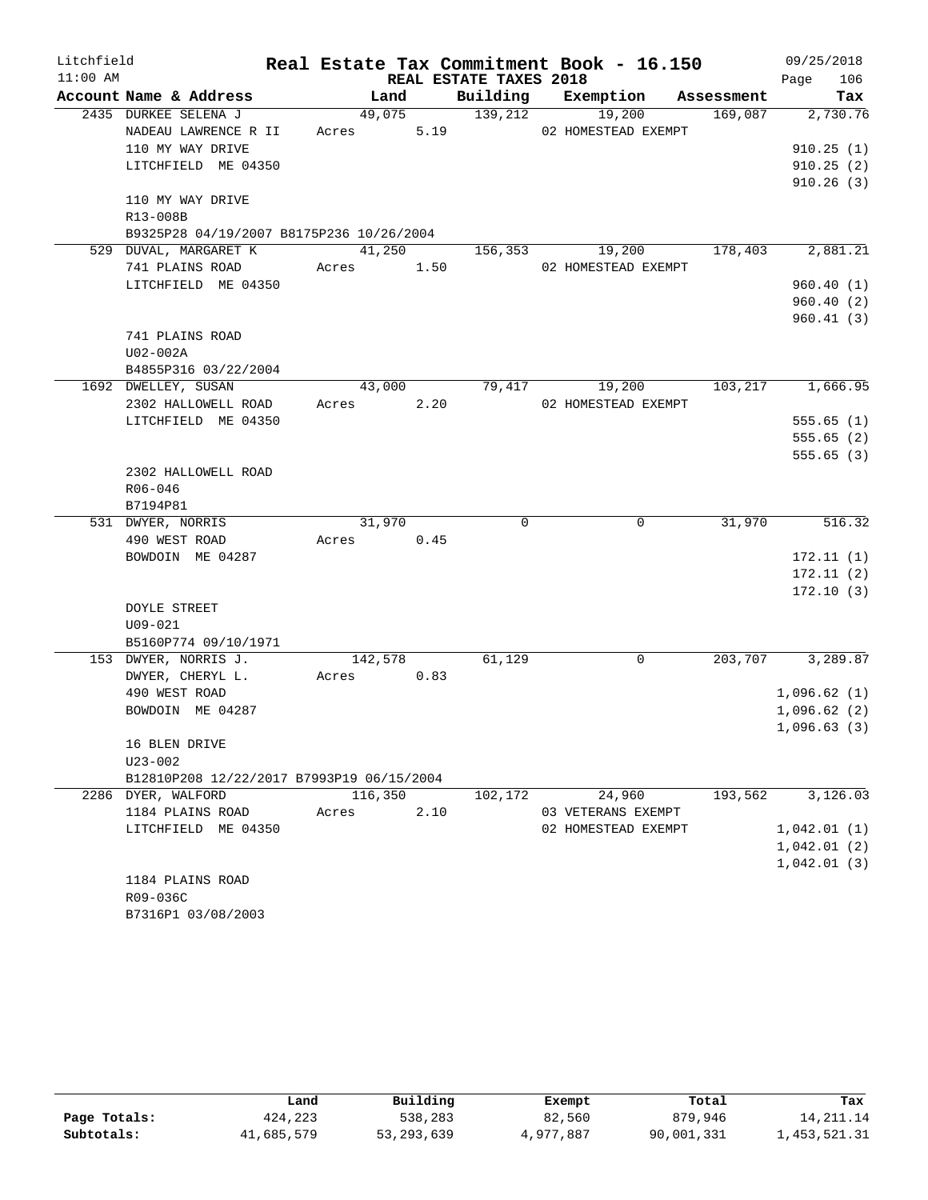| Litchfield |                                                                          |                 |      |                        | Real Estate Tax Commitment Book - 16.150 |            | 09/25/2018             |
|------------|--------------------------------------------------------------------------|-----------------|------|------------------------|------------------------------------------|------------|------------------------|
| $11:00$ AM |                                                                          |                 |      | REAL ESTATE TAXES 2018 |                                          |            | 106<br>Page            |
|            | Account Name & Address                                                   | Land            |      | Building               | Exemption                                | Assessment | Tax                    |
|            | 2435 DURKEE SELENA J<br>NADEAU LAWRENCE R II                             | 49,075<br>Acres | 5.19 | 139,212                | 19,200<br>02 HOMESTEAD EXEMPT            | 169,087    | 2,730.76               |
|            | 110 MY WAY DRIVE                                                         |                 |      |                        |                                          |            | 910.25(1)              |
|            | LITCHFIELD ME 04350                                                      |                 |      |                        |                                          |            | 910.25(2)              |
|            |                                                                          |                 |      |                        |                                          |            | 910.26(3)              |
|            | 110 MY WAY DRIVE<br>R13-008B<br>B9325P28 04/19/2007 B8175P236 10/26/2004 |                 |      |                        |                                          |            |                        |
|            | 529 DUVAL, MARGARET K                                                    | 41,250          |      | 156,353                | 19,200                                   | 178,403    | 2,881.21               |
|            | 741 PLAINS ROAD                                                          | Acres           | 1.50 |                        | 02 HOMESTEAD EXEMPT                      |            |                        |
|            | LITCHFIELD ME 04350                                                      |                 |      |                        |                                          |            | 960.40(1)              |
|            |                                                                          |                 |      |                        |                                          |            | 960.40(2)              |
|            |                                                                          |                 |      |                        |                                          |            | 960.41(3)              |
|            | 741 PLAINS ROAD                                                          |                 |      |                        |                                          |            |                        |
|            | U02-002A                                                                 |                 |      |                        |                                          |            |                        |
|            | B4855P316 03/22/2004                                                     |                 |      |                        |                                          |            |                        |
|            | 1692 DWELLEY, SUSAN                                                      | 43,000          |      | 79,417                 | 19,200                                   | 103,217    | 1,666.95               |
|            | 2302 HALLOWELL ROAD                                                      | Acres           | 2.20 |                        | 02 HOMESTEAD EXEMPT                      |            |                        |
|            | LITCHFIELD ME 04350                                                      |                 |      |                        |                                          |            | 555.65(1)              |
|            |                                                                          |                 |      |                        |                                          |            | 555.65(2)<br>555.65(3) |
|            | 2302 HALLOWELL ROAD                                                      |                 |      |                        |                                          |            |                        |
|            | $R06 - 046$                                                              |                 |      |                        |                                          |            |                        |
|            | B7194P81                                                                 |                 |      |                        |                                          |            |                        |
|            | 531 DWYER, NORRIS                                                        | 31,970          |      | $\mathbf 0$            | $\mathbf 0$                              | 31,970     | 516.32                 |
|            | 490 WEST ROAD                                                            | Acres           | 0.45 |                        |                                          |            |                        |
|            | BOWDOIN ME 04287                                                         |                 |      |                        |                                          |            | 172.11(1)              |
|            |                                                                          |                 |      |                        |                                          |            | 172.11(2)              |
|            |                                                                          |                 |      |                        |                                          |            | 172.10(3)              |
|            | DOYLE STREET                                                             |                 |      |                        |                                          |            |                        |
|            | $U09 - 021$                                                              |                 |      |                        |                                          |            |                        |
|            | B5160P774 09/10/1971                                                     |                 |      |                        |                                          |            |                        |
|            | 153 DWYER, NORRIS J.                                                     | 142,578         |      | 61,129                 | 0                                        | 203,707    | 3,289.87               |
|            | DWYER, CHERYL L.                                                         | Acres           | 0.83 |                        |                                          |            |                        |
|            | 490 WEST ROAD                                                            |                 |      |                        |                                          |            | 1,096.62(1)            |
|            | BOWDOIN ME 04287                                                         |                 |      |                        |                                          |            | 1,096.62(2)            |
|            | 16 BLEN DRIVE                                                            |                 |      |                        |                                          |            | 1,096.63(3)            |
|            | $U23 - 002$                                                              |                 |      |                        |                                          |            |                        |
|            | B12810P208 12/22/2017 B7993P19 06/15/2004                                |                 |      |                        |                                          |            |                        |
|            | 2286 DYER, WALFORD                                                       | 116,350         |      | 102,172                | 24,960                                   | 193,562    | 3,126.03               |
|            | 1184 PLAINS ROAD                                                         | Acres           | 2.10 |                        | 03 VETERANS EXEMPT                       |            |                        |
|            | LITCHFIELD ME 04350                                                      |                 |      |                        | 02 HOMESTEAD EXEMPT                      |            | 1,042.01(1)            |
|            |                                                                          |                 |      |                        |                                          |            | 1,042.01(2)            |
|            | 1184 PLAINS ROAD                                                         |                 |      |                        |                                          |            | 1,042.01(3)            |
|            | R09-036C                                                                 |                 |      |                        |                                          |            |                        |
|            | B7316P1 03/08/2003                                                       |                 |      |                        |                                          |            |                        |
|            |                                                                          |                 |      |                        |                                          |            |                        |

|              | Land       | Building     | Exempt    | Total      | Tax          |
|--------------|------------|--------------|-----------|------------|--------------|
| Page Totals: | 424,223    | 538,283      | 82,560    | 879,946    | 14, 211, 14  |
| Subtotals:   | 41,685,579 | 53, 293, 639 | 4,977,887 | 90,001,331 | 1,453,521.31 |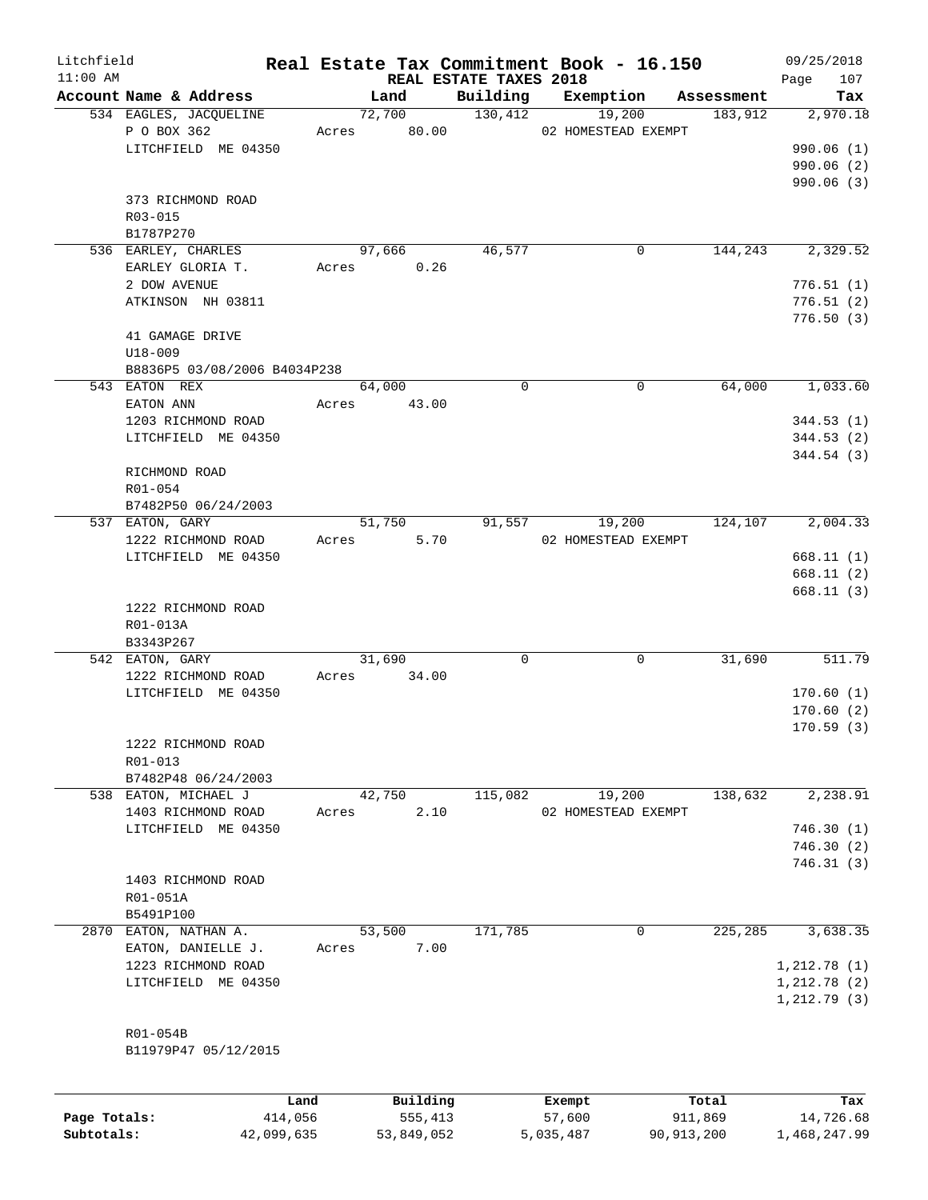| Litchfield<br>$11:00$ AM |                              |       | REAL ESTATE TAXES 2018 |          | Real Estate Tax Commitment Book - 16.150 |            | 09/25/2018             |
|--------------------------|------------------------------|-------|------------------------|----------|------------------------------------------|------------|------------------------|
|                          | Account Name & Address       |       | Land                   | Building | Exemption                                | Assessment | 107<br>Page<br>Tax     |
|                          | 534 EAGLES, JACQUELINE       |       | 72,700                 | 130,412  | 19,200                                   | 183,912    | 2,970.18               |
|                          | P O BOX 362                  | Acres | 80.00                  |          | 02 HOMESTEAD EXEMPT                      |            |                        |
|                          | LITCHFIELD ME 04350          |       |                        |          |                                          |            | 990.06(1)              |
|                          |                              |       |                        |          |                                          |            | 990.06 (2)             |
|                          |                              |       |                        |          |                                          |            | 990.06(3)              |
|                          | 373 RICHMOND ROAD            |       |                        |          |                                          |            |                        |
|                          | $R03 - 015$                  |       |                        |          |                                          |            |                        |
|                          | B1787P270                    |       |                        |          |                                          |            |                        |
|                          | 536 EARLEY, CHARLES          |       | 97,666                 | 46,577   | 0                                        | 144,243    | 2,329.52               |
|                          | EARLEY GLORIA T.             | Acres | 0.26                   |          |                                          |            |                        |
|                          | 2 DOW AVENUE                 |       |                        |          |                                          |            | 776.51(1)              |
|                          | ATKINSON NH 03811            |       |                        |          |                                          |            | 776.51(2)              |
|                          |                              |       |                        |          |                                          |            | 776.50(3)              |
|                          | 41 GAMAGE DRIVE              |       |                        |          |                                          |            |                        |
|                          | $U18 - 009$                  |       |                        |          |                                          |            |                        |
|                          | B8836P5 03/08/2006 B4034P238 |       |                        |          |                                          |            |                        |
|                          | 543 EATON REX                |       | 64,000                 | $\Omega$ | $\mathbf 0$                              | 64,000     | 1,033.60               |
|                          | EATON ANN                    | Acres | 43.00                  |          |                                          |            |                        |
|                          | 1203 RICHMOND ROAD           |       |                        |          |                                          |            | 344.53(1)              |
|                          | LITCHFIELD ME 04350          |       |                        |          |                                          |            | 344.53(2)              |
|                          |                              |       |                        |          |                                          |            | 344.54(3)              |
|                          | RICHMOND ROAD                |       |                        |          |                                          |            |                        |
|                          | R01-054                      |       |                        |          |                                          |            |                        |
|                          | B7482P50 06/24/2003          |       |                        |          |                                          |            |                        |
|                          | 537 EATON, GARY              |       | 51,750                 | 91,557   | 19,200                                   | 124,107    | 2,004.33               |
|                          | 1222 RICHMOND ROAD           | Acres | 5.70                   |          | 02 HOMESTEAD EXEMPT                      |            |                        |
|                          | LITCHFIELD ME 04350          |       |                        |          |                                          |            | 668.11(1)              |
|                          |                              |       |                        |          |                                          |            | 668.11(2)<br>668.11(3) |
|                          | 1222 RICHMOND ROAD           |       |                        |          |                                          |            |                        |
|                          | R01-013A                     |       |                        |          |                                          |            |                        |
|                          | B3343P267                    |       |                        |          |                                          |            |                        |
|                          | 542 EATON, GARY              |       | 31,690                 | 0        | 0                                        | 31,690     | 511.79                 |
|                          | 1222 RICHMOND ROAD           | Acres | 34.00                  |          |                                          |            |                        |
|                          | LITCHFIELD ME 04350          |       |                        |          |                                          |            | 170.60(1)              |
|                          |                              |       |                        |          |                                          |            | 170.60(2)              |
|                          |                              |       |                        |          |                                          |            | 170.59(3)              |
|                          | 1222 RICHMOND ROAD           |       |                        |          |                                          |            |                        |
|                          | R01-013                      |       |                        |          |                                          |            |                        |
|                          | B7482P48 06/24/2003          |       |                        |          |                                          |            |                        |
|                          | 538 EATON, MICHAEL J         |       | 42,750                 | 115,082  | 19,200                                   | 138,632    | 2,238.91               |
|                          | 1403 RICHMOND ROAD           | Acres | 2.10                   |          | 02 HOMESTEAD EXEMPT                      |            |                        |
|                          | LITCHFIELD ME 04350          |       |                        |          |                                          |            | 746.30(1)              |
|                          |                              |       |                        |          |                                          |            | 746.30(2)              |
|                          |                              |       |                        |          |                                          |            | 746.31(3)              |
|                          | 1403 RICHMOND ROAD           |       |                        |          |                                          |            |                        |
|                          | R01-051A                     |       |                        |          |                                          |            |                        |
|                          | B5491P100                    |       |                        |          |                                          |            |                        |
|                          | 2870 EATON, NATHAN A.        |       | 53,500                 | 171,785  | 0                                        | 225,285    | 3,638.35               |
|                          | EATON, DANIELLE J.           | Acres | 7.00                   |          |                                          |            |                        |
|                          | 1223 RICHMOND ROAD           |       |                        |          |                                          |            | 1, 212.78(1)           |
|                          | LITCHFIELD ME 04350          |       |                        |          |                                          |            | 1,212.78(2)            |
|                          |                              |       |                        |          |                                          |            | 1, 212.79(3)           |
|                          |                              |       |                        |          |                                          |            |                        |
|                          | R01-054B                     |       |                        |          |                                          |            |                        |
|                          | B11979P47 05/12/2015         |       |                        |          |                                          |            |                        |
|                          |                              |       |                        |          |                                          |            |                        |
|                          |                              |       |                        |          |                                          |            |                        |
|                          |                              | Land  | Building               |          | Exempt                                   | Total      | Tax                    |
| Page Totals:             | 414,056                      |       | 555,413                |          | 57,600                                   | 911,869    | 14,726.68              |

**Subtotals:** 42,099,635 53,849,052 5,035,487 90,913,200 1,468,247.99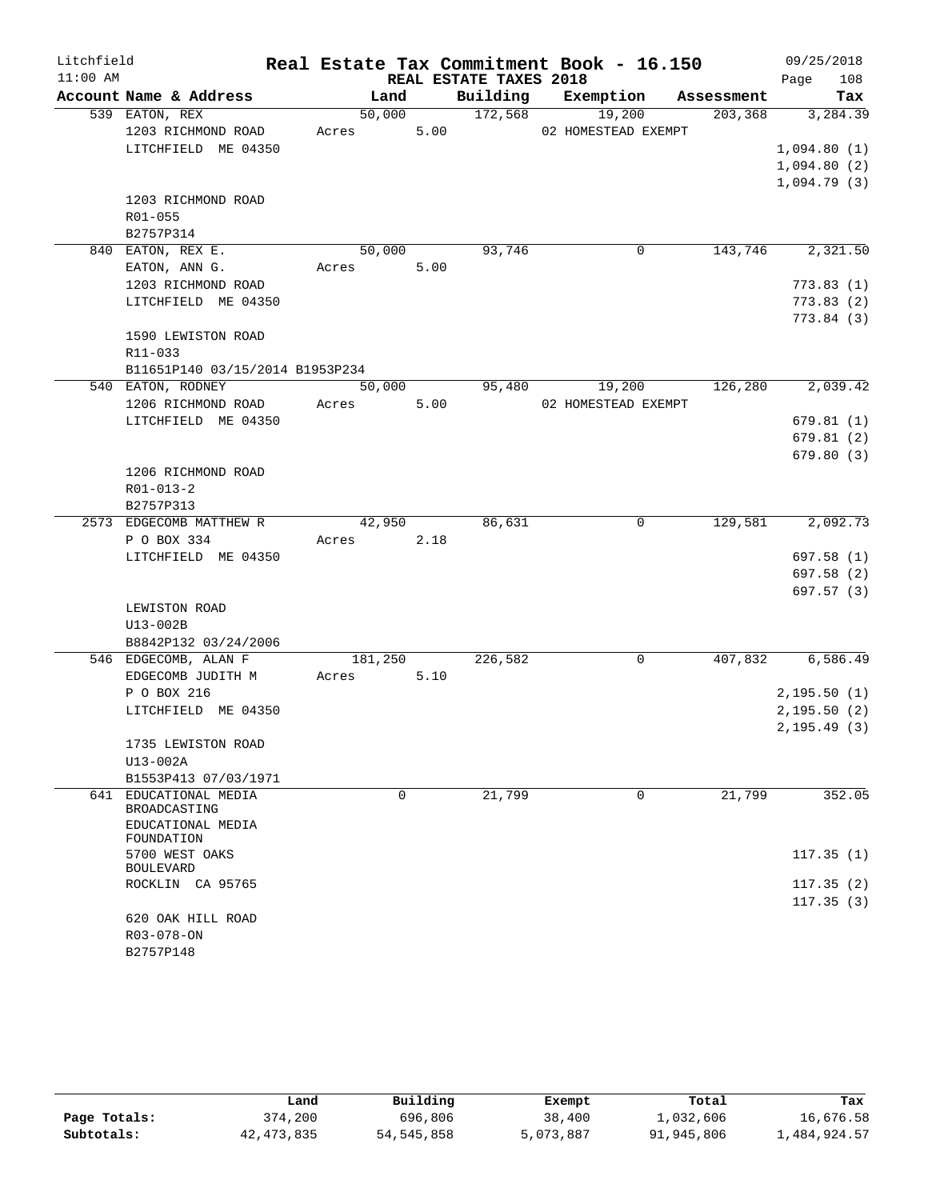| Litchfield |                                    |         |      |                        | Real Estate Tax Commitment Book - 16.150 |            | 09/25/2018             |
|------------|------------------------------------|---------|------|------------------------|------------------------------------------|------------|------------------------|
| $11:00$ AM |                                    |         |      | REAL ESTATE TAXES 2018 |                                          |            | 108<br>Page            |
|            | Account Name & Address             |         | Land | Building               | Exemption                                | Assessment | Tax                    |
|            | 539 EATON, REX                     | 50,000  |      | 172,568                | 19,200                                   | 203, 368   | 3, 284.39              |
|            | 1203 RICHMOND ROAD                 | Acres   | 5.00 |                        | 02 HOMESTEAD EXEMPT                      |            |                        |
|            | LITCHFIELD ME 04350                |         |      |                        |                                          |            | 1,094.80(1)            |
|            |                                    |         |      |                        |                                          |            | 1,094.80(2)            |
|            |                                    |         |      |                        |                                          |            | 1,094.79(3)            |
|            | 1203 RICHMOND ROAD                 |         |      |                        |                                          |            |                        |
|            | R01-055                            |         |      |                        |                                          |            |                        |
|            | B2757P314                          |         |      |                        |                                          |            |                        |
|            | 840 EATON, REX E.                  | 50,000  |      | 93,746                 | 0                                        | 143,746    | 2,321.50               |
|            | EATON, ANN G.                      | Acres   | 5.00 |                        |                                          |            |                        |
|            | 1203 RICHMOND ROAD                 |         |      |                        |                                          |            | 773.83(1)              |
|            | LITCHFIELD ME 04350                |         |      |                        |                                          |            | 773.83(2)              |
|            |                                    |         |      |                        |                                          |            | 773.84 (3)             |
|            | 1590 LEWISTON ROAD                 |         |      |                        |                                          |            |                        |
|            | R11-033                            |         |      |                        |                                          |            |                        |
|            | B11651P140 03/15/2014 B1953P234    |         |      |                        |                                          |            |                        |
|            | 540 EATON, RODNEY                  | 50,000  |      | 95,480                 | 19,200                                   | 126,280    | 2,039.42               |
|            | 1206 RICHMOND ROAD                 | Acres   | 5.00 |                        | 02 HOMESTEAD EXEMPT                      |            |                        |
|            | LITCHFIELD ME 04350                |         |      |                        |                                          |            | 679.81(1)              |
|            |                                    |         |      |                        |                                          |            | 679.81(2)              |
|            |                                    |         |      |                        |                                          |            | 679.80(3)              |
|            | 1206 RICHMOND ROAD                 |         |      |                        |                                          |            |                        |
|            | $R01 - 013 - 2$                    |         |      |                        |                                          |            |                        |
|            | B2757P313                          |         |      |                        |                                          |            |                        |
|            | 2573 EDGECOMB MATTHEW R            | 42,950  |      | 86,631                 | 0                                        | 129,581    | 2,092.73               |
|            | P O BOX 334                        | Acres   | 2.18 |                        |                                          |            |                        |
|            | LITCHFIELD ME 04350                |         |      |                        |                                          |            | 697.58 (1)             |
|            |                                    |         |      |                        |                                          |            | 697.58 (2)             |
|            |                                    |         |      |                        |                                          |            | 697.57 (3)             |
|            | LEWISTON ROAD                      |         |      |                        |                                          |            |                        |
|            | U13-002B                           |         |      |                        |                                          |            |                        |
|            | B8842P132 03/24/2006               |         |      |                        |                                          |            |                        |
|            | 546 EDGECOMB, ALAN F               | 181,250 |      | 226,582                | 0                                        | 407,832    | 6,586.49               |
|            | EDGECOMB JUDITH M                  | Acres   | 5.10 |                        |                                          |            |                        |
|            | P O BOX 216                        |         |      |                        |                                          |            | 2,195.50(1)            |
|            | LITCHFIELD ME 04350                |         |      |                        |                                          |            | 2,195.50(2)            |
|            |                                    |         |      |                        |                                          |            | 2, 195.49(3)           |
|            | 1735 LEWISTON ROAD                 |         |      |                        |                                          |            |                        |
|            | U13-002A                           |         |      |                        |                                          |            |                        |
|            | B1553P413 07/03/1971               |         |      |                        |                                          |            |                        |
| 641        | EDUCATIONAL MEDIA<br>BROADCASTING  |         | 0    | 21,799                 | 0                                        | 21,799     | 352.05                 |
|            | EDUCATIONAL MEDIA<br>FOUNDATION    |         |      |                        |                                          |            |                        |
|            | 5700 WEST OAKS<br><b>BOULEVARD</b> |         |      |                        |                                          |            | 117.35(1)              |
|            | ROCKLIN CA 95765                   |         |      |                        |                                          |            | 117.35(2)<br>117.35(3) |
|            | 620 OAK HILL ROAD                  |         |      |                        |                                          |            |                        |
|            | R03-078-ON                         |         |      |                        |                                          |            |                        |
|            | B2757P148                          |         |      |                        |                                          |            |                        |

|              | Land       | Building     | Exempt    | Total      | Tax          |
|--------------|------------|--------------|-----------|------------|--------------|
| Page Totals: | 374,200    | 696,806      | 38,400    | 1,032,606  | 16,676.58    |
| Subtotals:   | 42,473,835 | 54, 545, 858 | 5,073,887 | 91,945,806 | 1,484,924.57 |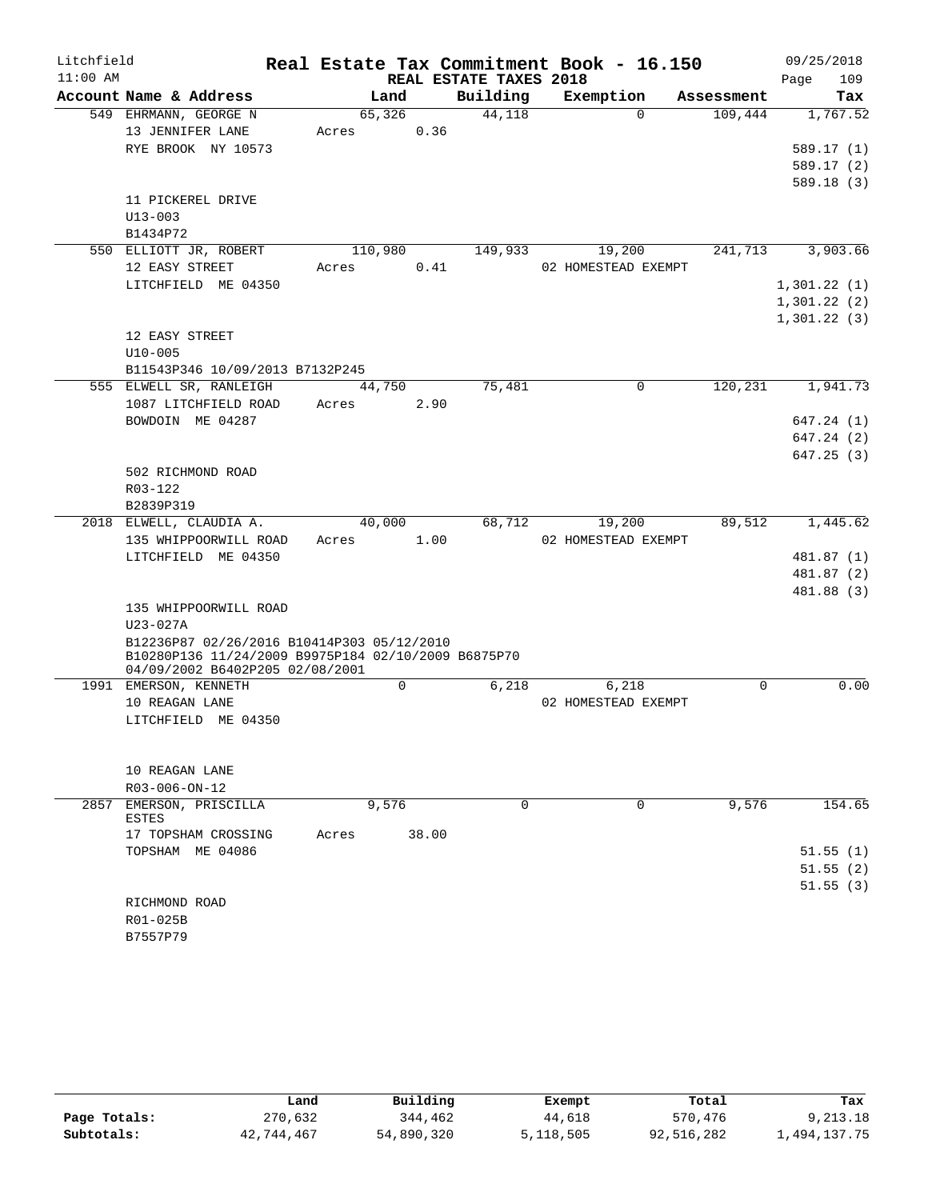| Litchfield<br>$11:00$ AM |                                                     |         |       |                                    | Real Estate Tax Commitment Book - 16.150 |            | 09/25/2018            |
|--------------------------|-----------------------------------------------------|---------|-------|------------------------------------|------------------------------------------|------------|-----------------------|
|                          | Account Name & Address                              | Land    |       | REAL ESTATE TAXES 2018<br>Building | Exemption                                | Assessment | Page<br>109<br>Tax    |
|                          | 549 EHRMANN, GEORGE N                               | 65,326  |       | 44,118                             | $\Omega$                                 | 109,444    | 1,767.52              |
|                          | 13 JENNIFER LANE                                    | Acres   | 0.36  |                                    |                                          |            |                       |
|                          | RYE BROOK NY 10573                                  |         |       |                                    |                                          |            | 589.17(1)             |
|                          |                                                     |         |       |                                    |                                          |            | 589.17(2)             |
|                          |                                                     |         |       |                                    |                                          |            | 589.18(3)             |
|                          | 11 PICKEREL DRIVE                                   |         |       |                                    |                                          |            |                       |
|                          | $U13 - 003$                                         |         |       |                                    |                                          |            |                       |
|                          | B1434P72                                            |         |       |                                    |                                          |            |                       |
|                          | 550 ELLIOTT JR, ROBERT                              | 110,980 |       | 149,933                            | 19,200                                   | 241,713    | 3,903.66              |
|                          | 12 EASY STREET                                      | Acres   | 0.41  |                                    | 02 HOMESTEAD EXEMPT                      |            |                       |
|                          | LITCHFIELD ME 04350                                 |         |       |                                    |                                          |            | 1,301.22(1)           |
|                          |                                                     |         |       |                                    |                                          |            | 1,301.22(2)           |
|                          |                                                     |         |       |                                    |                                          |            | 1,301.22(3)           |
|                          | 12 EASY STREET                                      |         |       |                                    |                                          |            |                       |
|                          | $U10 - 005$<br>B11543P346 10/09/2013 B7132P245      |         |       |                                    |                                          |            |                       |
|                          | 555 ELWELL SR, RANLEIGH                             | 44,750  |       | 75,481                             | $\Omega$                                 | 120, 231   | 1,941.73              |
|                          | 1087 LITCHFIELD ROAD                                | Acres   | 2.90  |                                    |                                          |            |                       |
|                          | BOWDOIN ME 04287                                    |         |       |                                    |                                          |            | 647.24 (1)            |
|                          |                                                     |         |       |                                    |                                          |            | 647.24 (2)            |
|                          |                                                     |         |       |                                    |                                          |            | 647.25(3)             |
|                          | 502 RICHMOND ROAD                                   |         |       |                                    |                                          |            |                       |
|                          | R03-122                                             |         |       |                                    |                                          |            |                       |
|                          | B2839P319                                           |         |       |                                    |                                          |            |                       |
|                          | 2018 ELWELL, CLAUDIA A.                             | 40,000  |       | 68,712                             | 19,200                                   | 89,512     | $1,445.\overline{62}$ |
|                          | 135 WHIPPOORWILL ROAD                               | Acres   | 1.00  |                                    | 02 HOMESTEAD EXEMPT                      |            |                       |
|                          | LITCHFIELD ME 04350                                 |         |       |                                    |                                          |            | 481.87 (1)            |
|                          |                                                     |         |       |                                    |                                          |            | 481.87 (2)            |
|                          |                                                     |         |       |                                    |                                          |            | 481.88 (3)            |
|                          | 135 WHIPPOORWILL ROAD<br>$U23 - 027A$               |         |       |                                    |                                          |            |                       |
|                          | B12236P87 02/26/2016 B10414P303 05/12/2010          |         |       |                                    |                                          |            |                       |
|                          | B10280P136 11/24/2009 B9975P184 02/10/2009 B6875P70 |         |       |                                    |                                          |            |                       |
|                          | 04/09/2002 B6402P205 02/08/2001                     |         |       |                                    |                                          |            |                       |
|                          | 1991 EMERSON, KENNETH                               |         | 0     | 6,218                              | 6,218                                    | 0          | 0.00                  |
|                          | 10 REAGAN LANE                                      |         |       |                                    | 02 HOMESTEAD EXEMPT                      |            |                       |
|                          | LITCHFIELD ME 04350                                 |         |       |                                    |                                          |            |                       |
|                          |                                                     |         |       |                                    |                                          |            |                       |
|                          | 10 REAGAN LANE                                      |         |       |                                    |                                          |            |                       |
|                          | $R03 - 006 - ON - 12$                               |         |       |                                    |                                          |            |                       |
|                          | 2857 EMERSON, PRISCILLA                             | 9,576   |       | $\Omega$                           | $\Omega$                                 | 9,576      | 154.65                |
|                          | ESTES                                               |         |       |                                    |                                          |            |                       |
|                          | 17 TOPSHAM CROSSING                                 | Acres   | 38.00 |                                    |                                          |            |                       |
|                          | TOPSHAM ME 04086                                    |         |       |                                    |                                          |            | 51.55(1)              |
|                          |                                                     |         |       |                                    |                                          |            | 51.55(2)              |
|                          |                                                     |         |       |                                    |                                          |            | 51.55(3)              |
|                          | RICHMOND ROAD                                       |         |       |                                    |                                          |            |                       |
|                          | R01-025B                                            |         |       |                                    |                                          |            |                       |
|                          | B7557P79                                            |         |       |                                    |                                          |            |                       |

|              | Land       | Building   | Exempt    | Total      | Tax          |  |
|--------------|------------|------------|-----------|------------|--------------|--|
| Page Totals: | 270,632    | 344,462    | 44,618    | 570,476    | 9,213.18     |  |
| Subtotals:   | 42,744,467 | 54,890,320 | 5,118,505 | 92,516,282 | l,494,137.75 |  |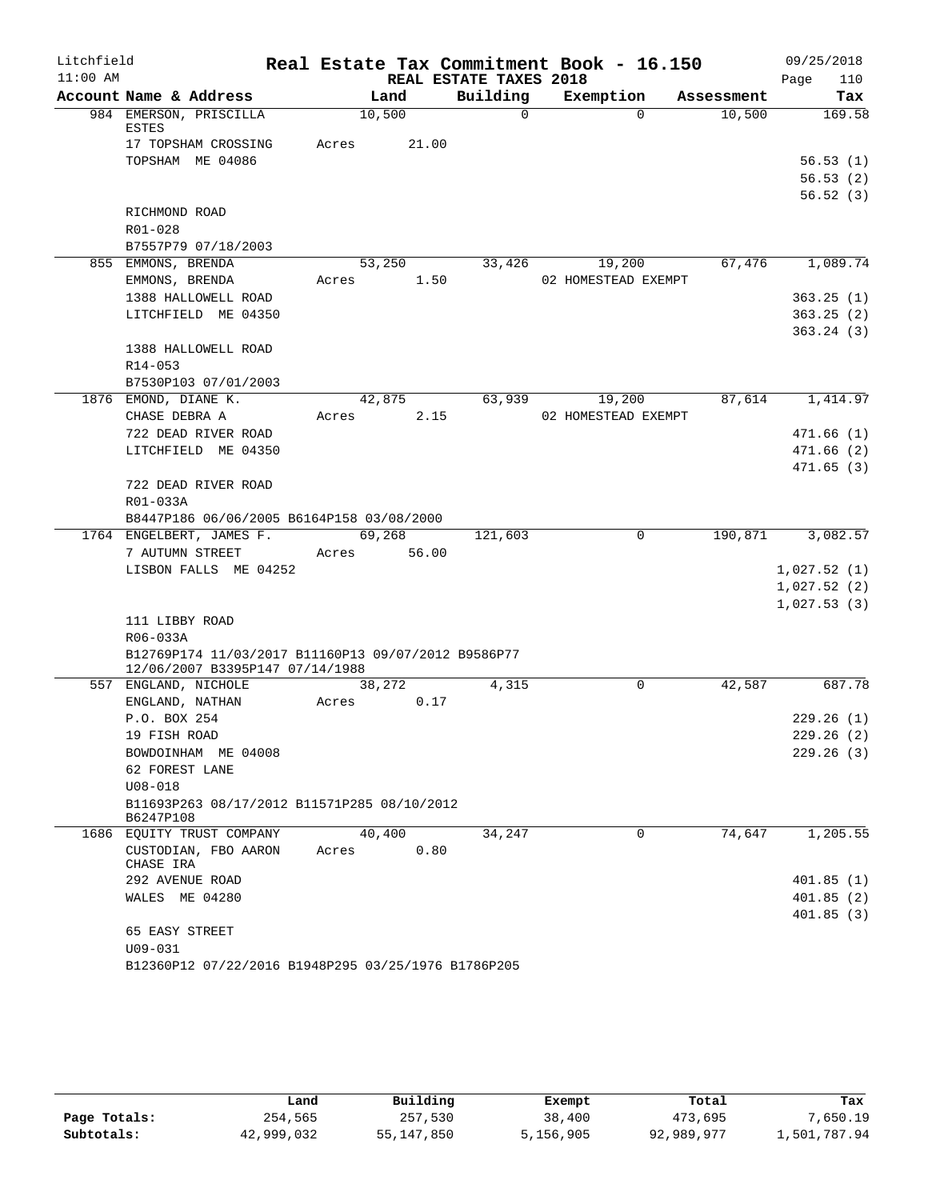| Litchfield |                                                          |                |                        | Real Estate Tax Commitment Book - 16.150 |            | 09/25/2018                 |
|------------|----------------------------------------------------------|----------------|------------------------|------------------------------------------|------------|----------------------------|
| $11:00$ AM |                                                          |                | REAL ESTATE TAXES 2018 |                                          |            | 110<br>Page                |
|            | Account Name & Address                                   | Land           | Building               | Exemption                                | Assessment | Tax                        |
|            | 984 EMERSON, PRISCILLA<br>ESTES                          | 10,500         | $\Omega$               | $\Omega$                                 | 10,500     | 169.58                     |
|            | 17 TOPSHAM CROSSING                                      | 21.00<br>Acres |                        |                                          |            |                            |
|            | TOPSHAM ME 04086                                         |                |                        |                                          |            | 56.53(1)                   |
|            |                                                          |                |                        |                                          |            | 56.53(2)                   |
|            |                                                          |                |                        |                                          |            | 56.52(3)                   |
|            | RICHMOND ROAD                                            |                |                        |                                          |            |                            |
|            | R01-028                                                  |                |                        |                                          |            |                            |
|            | B7557P79 07/18/2003                                      |                |                        |                                          |            |                            |
|            | 855 EMMONS, BRENDA                                       | 53,250         | 33,426                 | 19,200                                   | 67,476     | 1,089.74                   |
|            | EMMONS, BRENDA                                           | 1.50<br>Acres  |                        | 02 HOMESTEAD EXEMPT                      |            |                            |
|            | 1388 HALLOWELL ROAD                                      |                |                        |                                          |            | 363.25(1)                  |
|            | LITCHFIELD ME 04350                                      |                |                        |                                          |            | 363.25(2)                  |
|            |                                                          |                |                        |                                          |            | 363.24(3)                  |
|            | 1388 HALLOWELL ROAD                                      |                |                        |                                          |            |                            |
|            | R14-053                                                  |                |                        |                                          |            |                            |
|            | B7530P103 07/01/2003                                     |                |                        |                                          |            |                            |
|            | 1876 EMOND, DIANE K.                                     | 42,875         | 63,939                 | 19,200                                   | 87,614     | 1,414.97                   |
|            | CHASE DEBRA A                                            | 2.15<br>Acres  |                        | 02 HOMESTEAD EXEMPT                      |            |                            |
|            | 722 DEAD RIVER ROAD                                      |                |                        |                                          |            | 471.66(1)                  |
|            | LITCHFIELD ME 04350                                      |                |                        |                                          |            | 471.66(2)                  |
|            |                                                          |                |                        |                                          |            | 471.65(3)                  |
|            | 722 DEAD RIVER ROAD                                      |                |                        |                                          |            |                            |
|            | R01-033A                                                 |                |                        |                                          |            |                            |
|            | B8447P186 06/06/2005 B6164P158 03/08/2000                |                |                        |                                          |            |                            |
|            | 1764 ENGELBERT, JAMES F.                                 | 69,268         | 121,603                | $\Omega$                                 | 190,871    | 3,082.57                   |
|            | 7 AUTUMN STREET                                          | 56.00<br>Acres |                        |                                          |            |                            |
|            | LISBON FALLS ME 04252                                    |                |                        |                                          |            | 1,027.52(1)                |
|            |                                                          |                |                        |                                          |            | 1,027.52(2)<br>1,027.53(3) |
|            | 111 LIBBY ROAD                                           |                |                        |                                          |            |                            |
|            | R06-033A                                                 |                |                        |                                          |            |                            |
|            | B12769P174 11/03/2017 B11160P13 09/07/2012 B9586P77      |                |                        |                                          |            |                            |
|            | 12/06/2007 B3395P147 07/14/1988                          |                |                        |                                          |            |                            |
|            | 557 ENGLAND, NICHOLE                                     | 38,272         | 4,315                  | 0                                        | 42,587     | 687.78                     |
|            | ENGLAND, NATHAN                                          | Acres<br>0.17  |                        |                                          |            |                            |
|            | P.O. BOX 254                                             |                |                        |                                          |            | 229.26(1)                  |
|            | 19 FISH ROAD                                             |                |                        |                                          |            | 229.26 (2)                 |
|            | BOWDOINHAM ME 04008                                      |                |                        |                                          |            | 229.26(3)                  |
|            | 62 FOREST LANE                                           |                |                        |                                          |            |                            |
|            | $U08 - 018$                                              |                |                        |                                          |            |                            |
|            | B11693P263 08/17/2012 B11571P285 08/10/2012<br>B6247P108 |                |                        |                                          |            |                            |
|            | 1686 EQUITY TRUST COMPANY                                | 40,400         | 34,247                 | 0                                        | 74,647     | 1,205.55                   |
|            | CUSTODIAN, FBO AARON<br>CHASE IRA                        | 0.80<br>Acres  |                        |                                          |            |                            |
|            | 292 AVENUE ROAD                                          |                |                        |                                          |            | 401.85(1)                  |
|            | WALES ME 04280                                           |                |                        |                                          |            | 401.85(2)                  |
|            |                                                          |                |                        |                                          |            | 401.85(3)                  |
|            | 65 EASY STREET                                           |                |                        |                                          |            |                            |
|            | $U09 - 031$                                              |                |                        |                                          |            |                            |
|            | B12360P12 07/22/2016 B1948P295 03/25/1976 B1786P205      |                |                        |                                          |            |                            |

|              | Land       | Building     | Exempt    | Total      | Tax          |
|--------------|------------|--------------|-----------|------------|--------------|
| Page Totals: | 254,565    | 257,530      | 38,400    | 473,695    | 7,650.19     |
| Subtotals:   | 42,999,032 | 55, 147, 850 | 5,156,905 | 92,989,977 | 1,501,787.94 |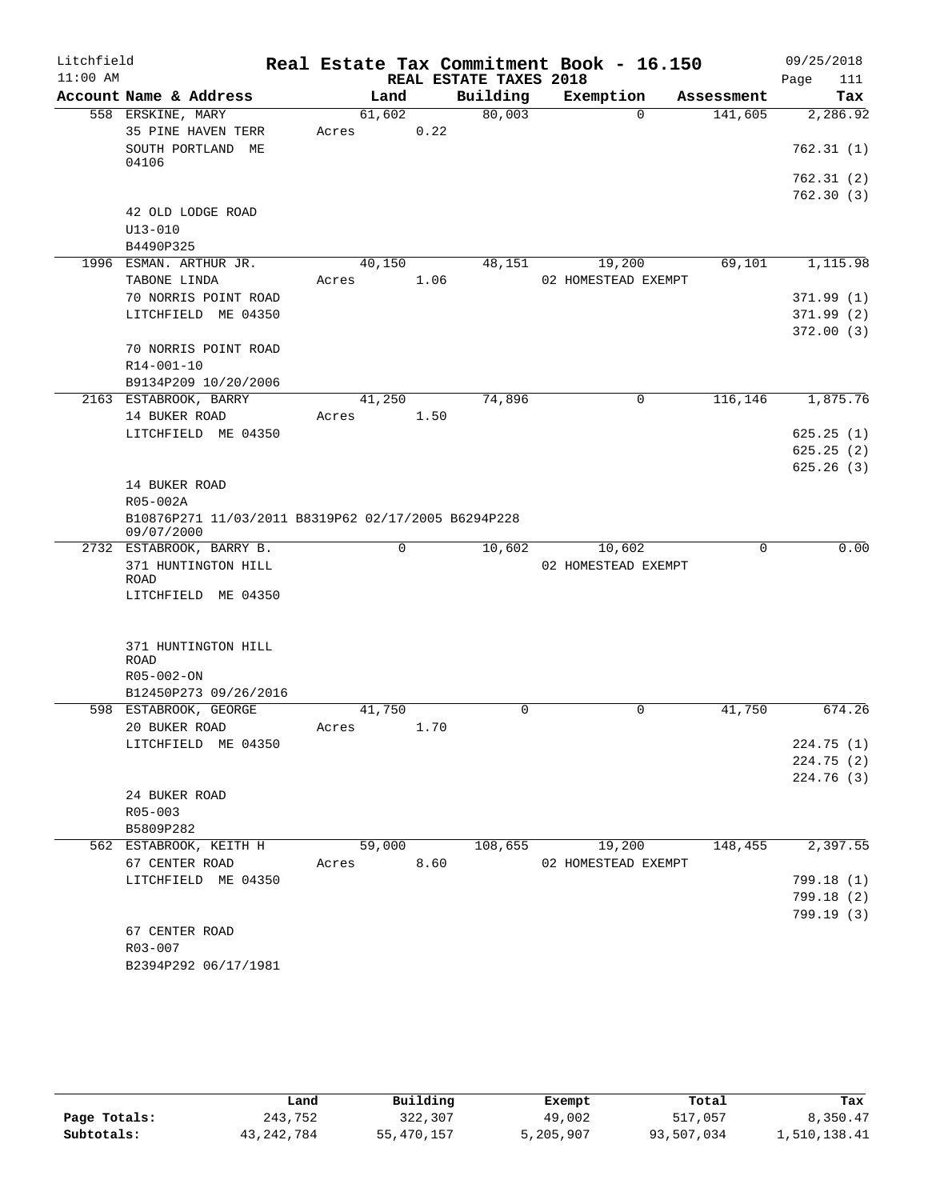| Litchfield<br>$11:00$ AM |                                                                   |        |      | REAL ESTATE TAXES 2018 | Real Estate Tax Commitment Book - 16.150 |            | 09/25/2018         |
|--------------------------|-------------------------------------------------------------------|--------|------|------------------------|------------------------------------------|------------|--------------------|
|                          | Account Name & Address                                            | Land   |      | Building               | Exemption                                | Assessment | Page<br>111<br>Tax |
|                          | 558 ERSKINE, MARY                                                 | 61,602 |      | 80,003                 | $\Omega$                                 | 141,605    | 2,286.92           |
|                          | 35 PINE HAVEN TERR                                                | Acres  | 0.22 |                        |                                          |            |                    |
|                          | SOUTH PORTLAND ME                                                 |        |      |                        |                                          |            | 762.31 (1)         |
|                          | 04106                                                             |        |      |                        |                                          |            |                    |
|                          |                                                                   |        |      |                        |                                          |            | 762.31 (2)         |
|                          |                                                                   |        |      |                        |                                          |            | 762.30(3)          |
|                          | 42 OLD LODGE ROAD                                                 |        |      |                        |                                          |            |                    |
|                          | $U13 - 010$                                                       |        |      |                        |                                          |            |                    |
|                          | B4490P325                                                         |        |      |                        |                                          |            |                    |
|                          | 1996 ESMAN. ARTHUR JR.                                            | 40,150 |      | 48,151                 | 19,200                                   | 69,101     | 1,115.98           |
|                          | TABONE LINDA                                                      | Acres  | 1.06 |                        | 02 HOMESTEAD EXEMPT                      |            |                    |
|                          | 70 NORRIS POINT ROAD                                              |        |      |                        |                                          |            | 371.99(1)          |
|                          | LITCHFIELD ME 04350                                               |        |      |                        |                                          |            | 371.99(2)          |
|                          |                                                                   |        |      |                        |                                          |            | 372.00(3)          |
|                          | 70 NORRIS POINT ROAD                                              |        |      |                        |                                          |            |                    |
|                          | R14-001-10                                                        |        |      |                        |                                          |            |                    |
|                          | B9134P209 10/20/2006                                              |        |      |                        |                                          |            |                    |
|                          | 2163 ESTABROOK, BARRY                                             | 41,250 |      | 74,896                 | 0                                        | 116,146    | 1,875.76           |
|                          | 14 BUKER ROAD                                                     | Acres  | 1.50 |                        |                                          |            |                    |
|                          | LITCHFIELD ME 04350                                               |        |      |                        |                                          |            | 625.25(1)          |
|                          |                                                                   |        |      |                        |                                          |            | 625.25(2)          |
|                          |                                                                   |        |      |                        |                                          |            | 625.26(3)          |
|                          | 14 BUKER ROAD                                                     |        |      |                        |                                          |            |                    |
|                          | R05-002A                                                          |        |      |                        |                                          |            |                    |
|                          | B10876P271 11/03/2011 B8319P62 02/17/2005 B6294P228<br>09/07/2000 |        |      |                        |                                          |            |                    |
|                          | 2732 ESTABROOK, BARRY B.                                          | 0      |      | 10,602                 | 10,602                                   | 0          | 0.00               |
|                          | 371 HUNTINGTON HILL                                               |        |      |                        | 02 HOMESTEAD EXEMPT                      |            |                    |
|                          | ROAD                                                              |        |      |                        |                                          |            |                    |
|                          | LITCHFIELD ME 04350                                               |        |      |                        |                                          |            |                    |
|                          |                                                                   |        |      |                        |                                          |            |                    |
|                          |                                                                   |        |      |                        |                                          |            |                    |
|                          | 371 HUNTINGTON HILL<br><b>ROAD</b>                                |        |      |                        |                                          |            |                    |
|                          | R05-002-ON                                                        |        |      |                        |                                          |            |                    |
|                          | B12450P273 09/26/2016                                             |        |      |                        |                                          |            |                    |
|                          | 598 ESTABROOK, GEORGE                                             | 41,750 |      | 0                      | 0                                        | 41,750     | 674.26             |
|                          | 20 BUKER ROAD                                                     | Acres  | 1.70 |                        |                                          |            |                    |
|                          | LITCHFIELD ME 04350                                               |        |      |                        |                                          |            | 224.75(1)          |
|                          |                                                                   |        |      |                        |                                          |            | 224.75(2)          |
|                          |                                                                   |        |      |                        |                                          |            | 224.76(3)          |
|                          | 24 BUKER ROAD                                                     |        |      |                        |                                          |            |                    |
|                          | $R05 - 003$                                                       |        |      |                        |                                          |            |                    |
|                          | B5809P282                                                         |        |      |                        |                                          |            |                    |
|                          | 562 ESTABROOK, KEITH H                                            | 59,000 |      | 108,655                | 19,200                                   | 148,455    | 2,397.55           |
|                          | 67 CENTER ROAD                                                    | Acres  | 8.60 |                        | 02 HOMESTEAD EXEMPT                      |            |                    |
|                          | LITCHFIELD ME 04350                                               |        |      |                        |                                          |            | 799.18 (1)         |
|                          |                                                                   |        |      |                        |                                          |            | 799.18(2)          |
|                          |                                                                   |        |      |                        |                                          |            | 799.19(3)          |
|                          | 67 CENTER ROAD                                                    |        |      |                        |                                          |            |                    |
|                          | R03-007                                                           |        |      |                        |                                          |            |                    |
|                          | B2394P292 06/17/1981                                              |        |      |                        |                                          |            |                    |
|                          |                                                                   |        |      |                        |                                          |            |                    |

|              | Land         | Building   | Exempt    | Total      | Tax          |
|--------------|--------------|------------|-----------|------------|--------------|
| Page Totals: | 243,752      | 322,307    | 49,002    | 517,057    | 8,350.47     |
| Subtotals:   | 43, 242, 784 | 55,470,157 | 5,205,907 | 93,507,034 | 1,510,138.41 |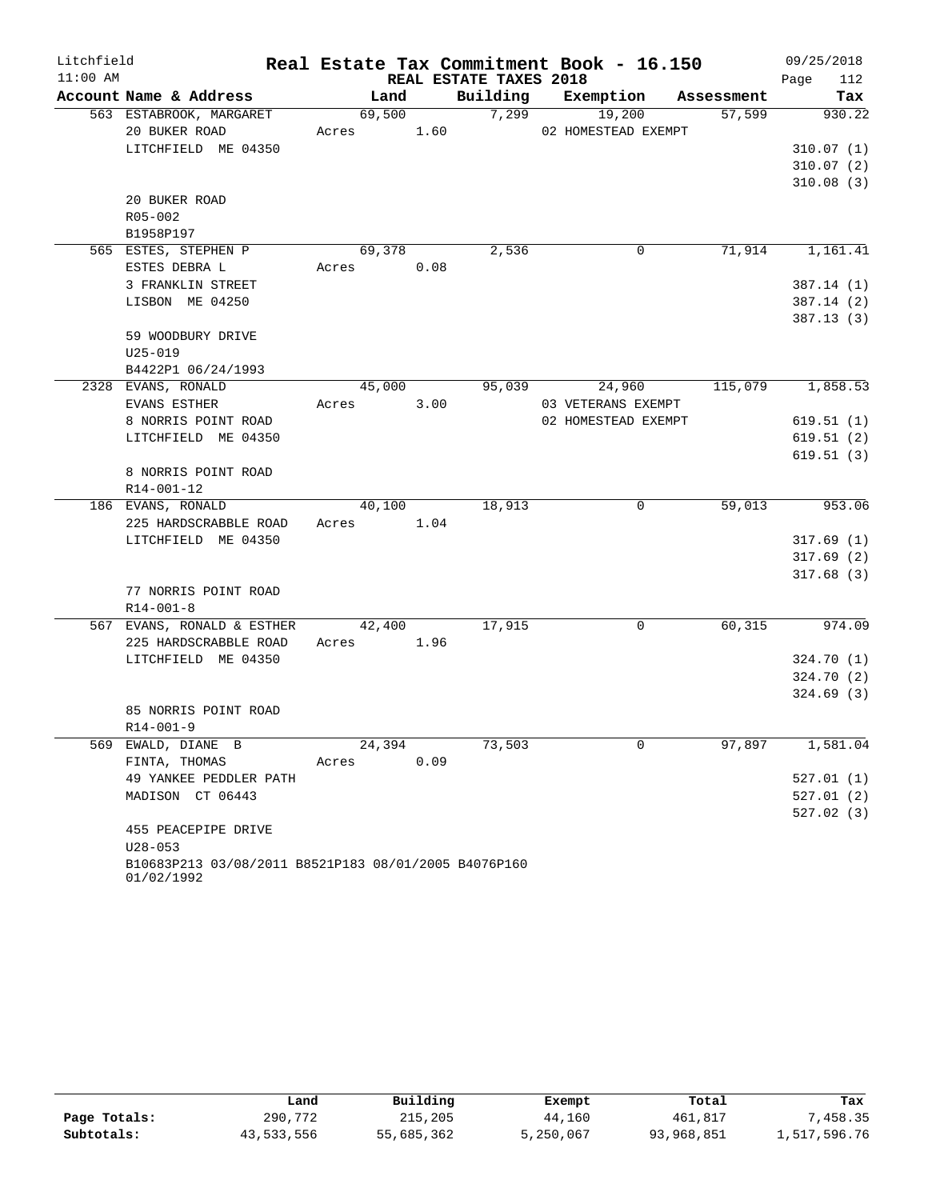| Litchfield |                                                      |        |      |                        | Real Estate Tax Commitment Book - 16.150 |            | 09/25/2018  |
|------------|------------------------------------------------------|--------|------|------------------------|------------------------------------------|------------|-------------|
| $11:00$ AM |                                                      |        |      | REAL ESTATE TAXES 2018 |                                          |            | 112<br>Page |
|            | Account Name & Address                               | Land   |      | Building               | Exemption                                | Assessment | Tax         |
|            | 563 ESTABROOK, MARGARET                              | 69,500 |      | 7,299                  | 19,200                                   | 57,599     | 930.22      |
|            | 20 BUKER ROAD                                        | Acres  | 1.60 |                        | 02 HOMESTEAD EXEMPT                      |            |             |
|            | LITCHFIELD ME 04350                                  |        |      |                        |                                          |            | 310.07(1)   |
|            |                                                      |        |      |                        |                                          |            | 310.07(2)   |
|            |                                                      |        |      |                        |                                          |            | 310.08(3)   |
|            | 20 BUKER ROAD                                        |        |      |                        |                                          |            |             |
|            | R05-002                                              |        |      |                        |                                          |            |             |
|            | B1958P197                                            |        |      |                        |                                          |            |             |
|            | 565 ESTES, STEPHEN P                                 | 69,378 |      | 2,536                  | $\mathbf 0$                              | 71,914     | 1,161.41    |
|            | ESTES DEBRA L                                        | Acres  | 0.08 |                        |                                          |            |             |
|            | 3 FRANKLIN STREET                                    |        |      |                        |                                          |            | 387.14 (1)  |
|            | LISBON ME 04250                                      |        |      |                        |                                          |            | 387.14(2)   |
|            |                                                      |        |      |                        |                                          |            | 387.13(3)   |
|            | 59 WOODBURY DRIVE                                    |        |      |                        |                                          |            |             |
|            | $U25 - 019$                                          |        |      |                        |                                          |            |             |
|            | B4422P1 06/24/1993                                   |        |      |                        |                                          |            |             |
|            | 2328 EVANS, RONALD                                   | 45,000 |      | 95,039                 | 24,960                                   | 115,079    | 1,858.53    |
|            | EVANS ESTHER                                         | Acres  | 3.00 |                        | 03 VETERANS EXEMPT                       |            |             |
|            | 8 NORRIS POINT ROAD                                  |        |      |                        | 02 HOMESTEAD EXEMPT                      |            | 619.51(1)   |
|            | LITCHFIELD ME 04350                                  |        |      |                        |                                          |            | 619.51(2)   |
|            |                                                      |        |      |                        |                                          |            | 619.51(3)   |
|            | 8 NORRIS POINT ROAD                                  |        |      |                        |                                          |            |             |
|            | R14-001-12                                           |        |      |                        |                                          |            |             |
|            | 186 EVANS, RONALD                                    | 40,100 |      | 18,913                 | 0                                        | 59,013     | 953.06      |
|            | 225 HARDSCRABBLE ROAD                                | Acres  | 1.04 |                        |                                          |            |             |
|            | LITCHFIELD ME 04350                                  |        |      |                        |                                          |            | 317.69(1)   |
|            |                                                      |        |      |                        |                                          |            | 317.69(2)   |
|            |                                                      |        |      |                        |                                          |            | 317.68(3)   |
|            | 77 NORRIS POINT ROAD                                 |        |      |                        |                                          |            |             |
|            | $R14 - 001 - 8$                                      |        |      |                        |                                          |            |             |
|            | 567 EVANS, RONALD & ESTHER                           | 42,400 |      | 17,915                 | 0                                        | 60,315     | 974.09      |
|            | 225 HARDSCRABBLE ROAD                                | Acres  | 1.96 |                        |                                          |            |             |
|            | LITCHFIELD ME 04350                                  |        |      |                        |                                          |            | 324.70(1)   |
|            |                                                      |        |      |                        |                                          |            | 324.70 (2)  |
|            |                                                      |        |      |                        |                                          |            | 324.69(3)   |
|            | 85 NORRIS POINT ROAD                                 |        |      |                        |                                          |            |             |
|            | $R14 - 001 - 9$                                      |        |      |                        |                                          |            |             |
|            | 569 EWALD, DIANE B                                   | 24,394 |      | 73,503                 | 0                                        | 97,897     | 1, 581.04   |
|            | FINTA, THOMAS                                        | Acres  | 0.09 |                        |                                          |            |             |
|            | 49 YANKEE PEDDLER PATH                               |        |      |                        |                                          |            | 527.01(1)   |
|            | MADISON CT 06443                                     |        |      |                        |                                          |            | 527.01(2)   |
|            |                                                      |        |      |                        |                                          |            | 527.02(3)   |
|            | 455 PEACEPIPE DRIVE                                  |        |      |                        |                                          |            |             |
|            | $U28 - 053$                                          |        |      |                        |                                          |            |             |
|            | B10683P213 03/08/2011 B8521P183 08/01/2005 B4076P160 |        |      |                        |                                          |            |             |
|            | 01/02/1992                                           |        |      |                        |                                          |            |             |

|              | Land       | Building   | Exempt    | Total      | Tax          |
|--------------|------------|------------|-----------|------------|--------------|
| Page Totals: | 290,772    | 215,205    | 44,160    | 461,817    | , 458.35     |
| Subtotals:   | 43,533,556 | 55,685,362 | 5,250,067 | 93,968,851 | 1,517,596.76 |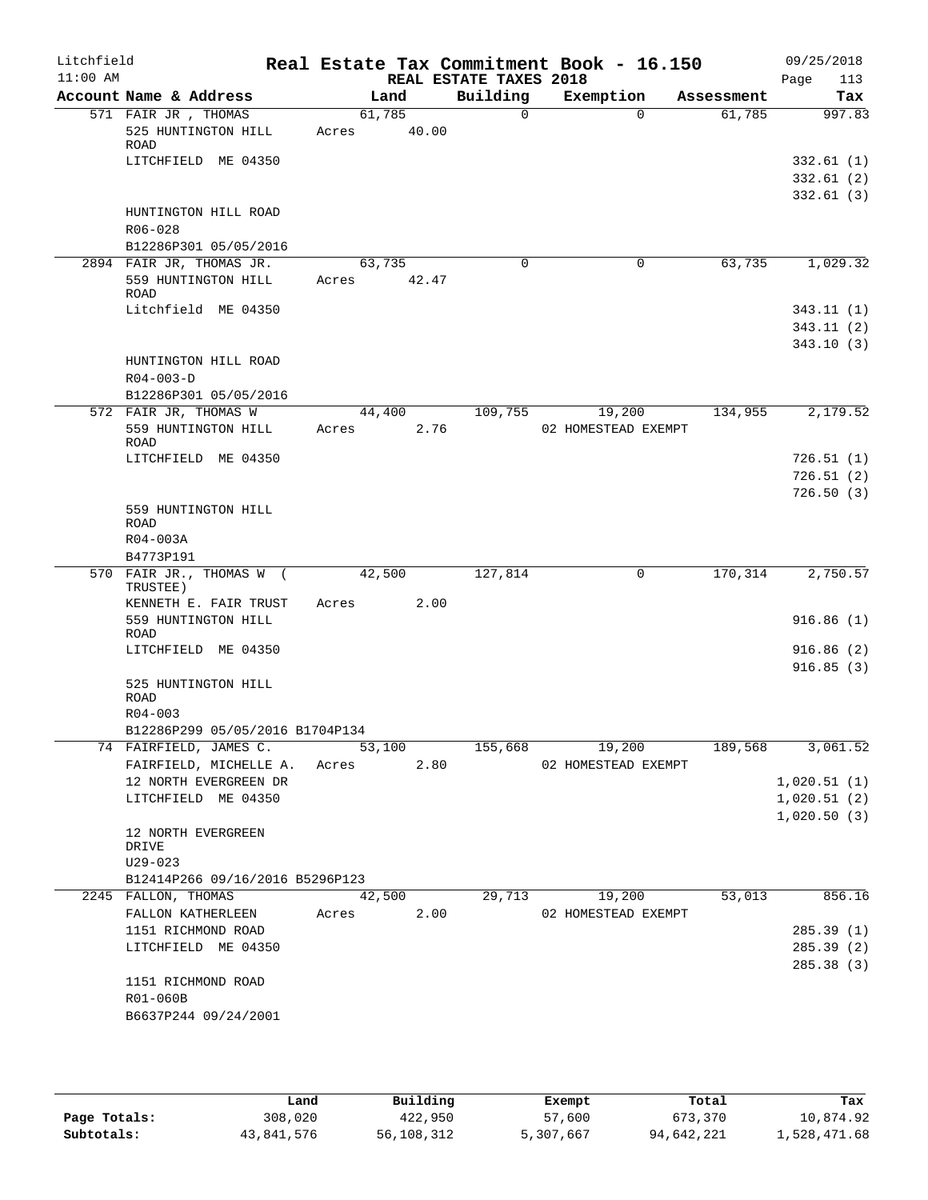| Litchfield<br>$11:00$ AM |                                                            | Real Estate Tax Commitment Book - 16.150 | REAL ESTATE TAXES 2018 |                     |            | 09/25/2018<br>Page<br>113           |
|--------------------------|------------------------------------------------------------|------------------------------------------|------------------------|---------------------|------------|-------------------------------------|
|                          | Account Name & Address                                     | Land                                     | Building               | Exemption           | Assessment | Tax                                 |
|                          | 571 FAIR JR , THOMAS<br>525 HUNTINGTON HILL<br>ROAD        | 61,785<br>40.00<br>Acres                 | $\Omega$               | $\Omega$            | 61,785     | 997.83                              |
|                          | LITCHFIELD ME 04350                                        |                                          |                        |                     |            | 332.61(1)<br>332.61(2)<br>332.61(3) |
|                          | HUNTINGTON HILL ROAD<br>R06-028<br>B12286P301 05/05/2016   |                                          |                        |                     |            |                                     |
|                          | 2894 FAIR JR, THOMAS JR.                                   | 63,735                                   | $\Omega$               | 0                   | 63,735     | 1,029.32                            |
|                          | 559 HUNTINGTON HILL<br><b>ROAD</b>                         | 42.47<br>Acres                           |                        |                     |            |                                     |
|                          | Litchfield ME 04350                                        |                                          |                        |                     |            | 343.11(1)                           |
|                          |                                                            |                                          |                        |                     |            | 343.11(2)<br>343.10(3)              |
|                          | HUNTINGTON HILL ROAD<br>$R04 - 003 - D$                    |                                          |                        |                     |            |                                     |
|                          | B12286P301 05/05/2016                                      |                                          |                        |                     |            |                                     |
|                          | 572 FAIR JR, THOMAS W                                      | 44,400                                   | 109,755                | 19,200              | 134,955    | 2,179.52                            |
|                          | 559 HUNTINGTON HILL<br>ROAD                                | 2.76<br>Acres                            |                        | 02 HOMESTEAD EXEMPT |            |                                     |
|                          | LITCHFIELD ME 04350                                        |                                          |                        |                     |            | 726.51(1)                           |
|                          |                                                            |                                          |                        |                     |            | 726.51(2)                           |
|                          | 559 HUNTINGTON HILL<br><b>ROAD</b><br>R04-003A             |                                          |                        |                     |            | 726.50(3)                           |
|                          | B4773P191                                                  |                                          |                        |                     |            |                                     |
|                          | 570 FAIR JR., THOMAS W (<br>TRUSTEE)                       | 42,500                                   | 127,814                | 0                   | 170, 314   | 2,750.57                            |
|                          | KENNETH E. FAIR TRUST<br>559 HUNTINGTON HILL<br>ROAD       | 2.00<br>Acres                            |                        |                     |            | 916.86(1)                           |
|                          | LITCHFIELD ME 04350                                        |                                          |                        |                     |            | 916.86(2)<br>916.85(3)              |
|                          | 525 HUNTINGTON HILL<br><b>ROAD</b>                         |                                          |                        |                     |            |                                     |
|                          | $R04 - 003$                                                |                                          |                        |                     |            |                                     |
|                          | B12286P299 05/05/2016 B1704P134<br>74 FAIRFIELD, JAMES C.  |                                          | 53,100 155,668         | 19,200              | 189,568    |                                     |
|                          | FAIRFIELD, MICHELLE A. Acres 2.80<br>12 NORTH EVERGREEN DR |                                          |                        | 02 HOMESTEAD EXEMPT |            | 3,061.52<br>1,020.51(1)             |
|                          | LITCHFIELD ME 04350                                        |                                          |                        |                     |            | 1,020.51(2)                         |
|                          |                                                            |                                          |                        |                     |            | 1,020.50(3)                         |
|                          | 12 NORTH EVERGREEN<br>DRIVE<br>$U29 - 023$                 |                                          |                        |                     |            |                                     |
|                          | B12414P266 09/16/2016 B5296P123                            |                                          |                        |                     |            |                                     |
|                          | 2245 FALLON, THOMAS                                        | 42,500                                   | 29,713                 | 19,200              | 53,013     | 856.16                              |
|                          | FALLON KATHERLEEN                                          | Acres 2.00                               |                        | 02 HOMESTEAD EXEMPT |            |                                     |
|                          | 1151 RICHMOND ROAD                                         |                                          |                        |                     |            | 285.39(1)                           |
|                          | LITCHFIELD ME 04350                                        |                                          |                        |                     |            | 285.39 (2)                          |
|                          |                                                            |                                          |                        |                     |            | 285.38 (3)                          |
|                          | 1151 RICHMOND ROAD<br>R01-060B                             |                                          |                        |                     |            |                                     |
|                          | B6637P244 09/24/2001                                       |                                          |                        |                     |            |                                     |
|                          |                                                            |                                          |                        |                     |            |                                     |

|              | Land       | Building   | Exempt    | Total      | Tax          |
|--------------|------------|------------|-----------|------------|--------------|
| Page Totals: | 308,020    | 422,950    | 57,600    | 673,370    | 10,874.92    |
| Subtotals:   | 43,841,576 | 56,108,312 | 5,307,667 | 94,642,221 | 1,528,471.68 |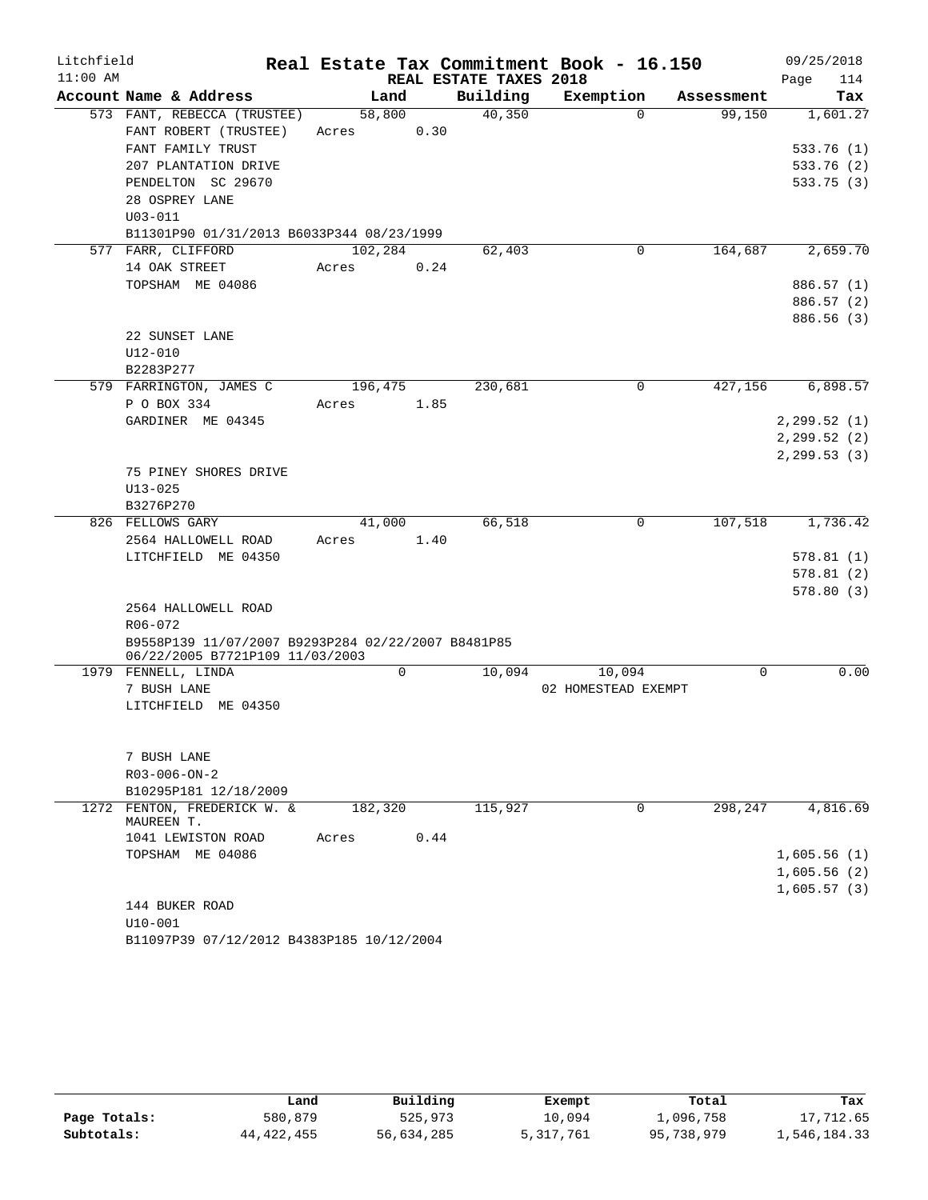| Litchfield |                                                                                                                                           |                  |      |                        | Real Estate Tax Commitment Book - 16.150 |            | 09/25/2018                                         |
|------------|-------------------------------------------------------------------------------------------------------------------------------------------|------------------|------|------------------------|------------------------------------------|------------|----------------------------------------------------|
| $11:00$ AM |                                                                                                                                           |                  |      | REAL ESTATE TAXES 2018 |                                          |            | Page<br>114                                        |
|            | Account Name & Address                                                                                                                    | Land             |      | Building               | Exemption                                | Assessment | Tax                                                |
|            | 573 FANT, REBECCA (TRUSTEE)<br>FANT ROBERT (TRUSTEE)<br>FANT FAMILY TRUST<br>207 PLANTATION DRIVE<br>PENDELTON SC 29670<br>28 OSPREY LANE | 58,800<br>Acres  | 0.30 | 40,350                 | $\Omega$                                 | 99,150     | 1,601.27<br>533.76(1)<br>533.76 (2)<br>533.75(3)   |
|            | $U03 - 011$                                                                                                                               |                  |      |                        |                                          |            |                                                    |
|            | B11301P90 01/31/2013 B6033P344 08/23/1999                                                                                                 |                  |      |                        |                                          |            |                                                    |
|            | 577 FARR, CLIFFORD<br>14 OAK STREET<br>TOPSHAM ME 04086                                                                                   | 102,284<br>Acres | 0.24 | 62,403                 | 0                                        | 164,687    | 2,659.70<br>886.57 (1)<br>886.57 (2)<br>886.56 (3) |
|            | 22 SUNSET LANE<br>U12-010<br>B2283P277                                                                                                    |                  |      |                        |                                          |            |                                                    |
|            | 579 FARRINGTON, JAMES C                                                                                                                   | 196,475          |      | 230,681                | 0                                        | 427,156    | 6,898.57                                           |
|            | P O BOX 334<br>GARDINER ME 04345                                                                                                          | Acres            | 1.85 |                        |                                          |            | 2, 299.52(1)<br>2, 299.52(2)                       |
|            | 75 PINEY SHORES DRIVE<br>$U13 - 025$<br>B3276P270                                                                                         |                  |      |                        |                                          |            | 2, 299.53(3)                                       |
|            | 826 FELLOWS GARY                                                                                                                          | 41,000           |      | 66,518                 | 0                                        | 107,518    | 1,736.42                                           |
|            | 2564 HALLOWELL ROAD<br>LITCHFIELD ME 04350                                                                                                | Acres            | 1.40 |                        |                                          |            | 578.81(1)<br>578.81(2)<br>578.80(3)                |
|            | 2564 HALLOWELL ROAD<br>R06-072<br>B9558P139 11/07/2007 B9293P284 02/22/2007 B8481P85<br>06/22/2005 B7721P109 11/03/2003                   |                  |      |                        |                                          |            |                                                    |
|            | 1979 FENNELL, LINDA                                                                                                                       | 0                |      | 10,094                 | 10,094                                   | 0          | 0.00                                               |
|            | 7 BUSH LANE<br>LITCHFIELD ME 04350                                                                                                        |                  |      |                        | 02 HOMESTEAD EXEMPT                      |            |                                                    |
|            | 7 BUSH LANE<br>$R03 - 006 - ON - 2$<br>B10295P181 12/18/2009                                                                              |                  |      |                        |                                          |            |                                                    |
|            | 1272 FENTON, FREDERICK W. &                                                                                                               | 182,320          |      | 115,927                | 0                                        | 298,247    | 4,816.69                                           |
|            | MAUREEN T.<br>1041 LEWISTON ROAD<br>TOPSHAM ME 04086                                                                                      | Acres            | 0.44 |                        |                                          |            | 1,605.56(1)<br>1,605.56(2)<br>1,605.57(3)          |
|            | 144 BUKER ROAD<br>$U10-001$                                                                                                               |                  |      |                        |                                          |            |                                                    |
|            | B11097P39 07/12/2012 B4383P185 10/12/2004                                                                                                 |                  |      |                        |                                          |            |                                                    |

|              | Land       | Building   | Exempt    | Total      | Tax          |
|--------------|------------|------------|-----------|------------|--------------|
| Page Totals: | 580,879    | 525,973    | 10.094    | 1,096,758  | 17,712.65    |
| Subtotals:   | 44,422,455 | 56,634,285 | 5,317,761 | 95,738,979 | 1,546,184.33 |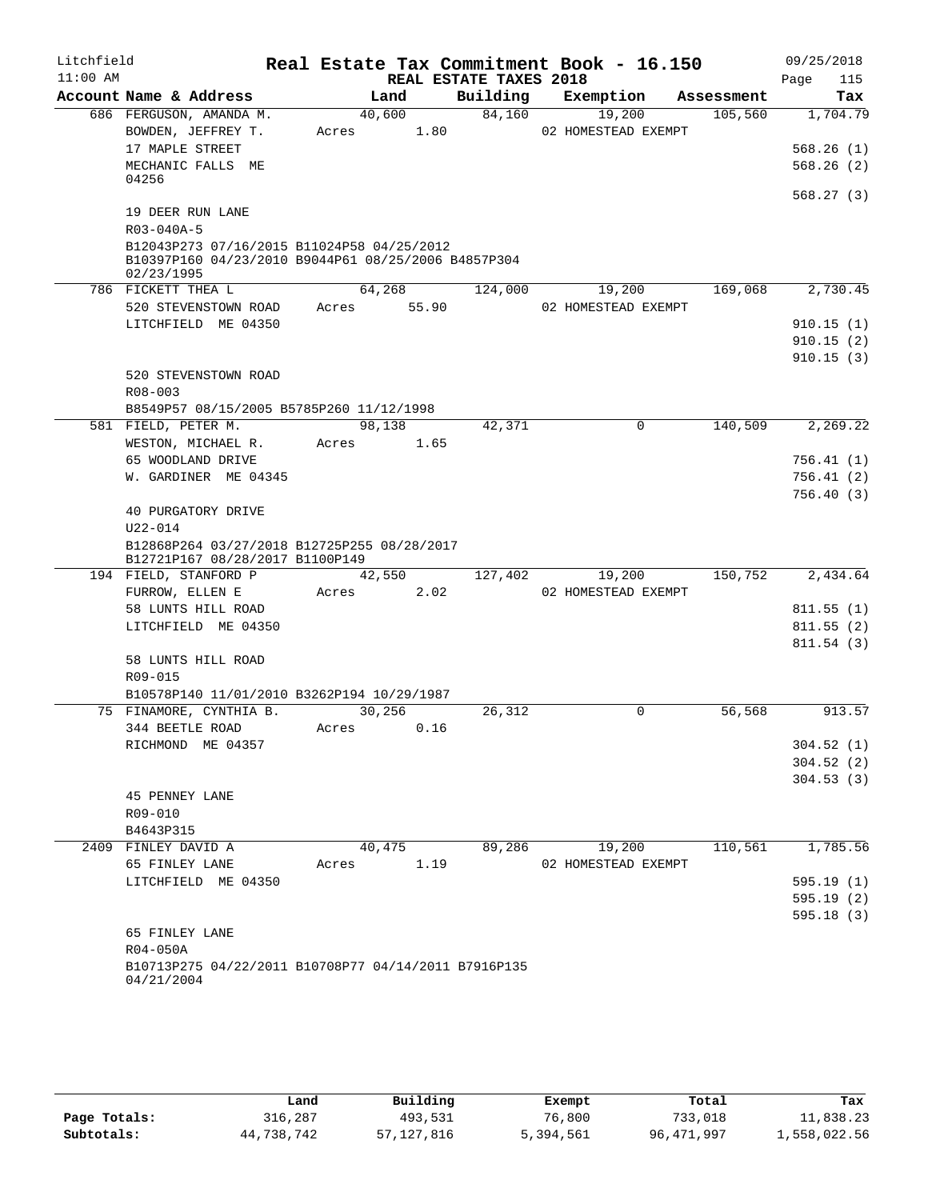| Litchfield<br>$11:00$ AM |                                                                                |             |        | REAL ESTATE TAXES 2018 | Real Estate Tax Commitment Book - 16.150 |            | 09/25/2018<br>115<br>Page |
|--------------------------|--------------------------------------------------------------------------------|-------------|--------|------------------------|------------------------------------------|------------|---------------------------|
|                          | Account Name & Address                                                         |             | Land   | Building               | Exemption                                | Assessment | Tax                       |
|                          | 686 FERGUSON, AMANDA M.                                                        |             | 40,600 | 84,160                 | 19,200                                   | 105,560    | 1,704.79                  |
|                          | BOWDEN, JEFFREY T.                                                             | Acres       | 1.80   |                        | 02 HOMESTEAD EXEMPT                      |            |                           |
|                          | 17 MAPLE STREET                                                                |             |        |                        |                                          |            | 568.26(1)                 |
|                          | MECHANIC FALLS ME                                                              |             |        |                        |                                          |            | 568.26(2)                 |
|                          | 04256                                                                          |             |        |                        |                                          |            |                           |
|                          |                                                                                |             |        |                        |                                          |            | 568.27(3)                 |
|                          | 19 DEER RUN LANE                                                               |             |        |                        |                                          |            |                           |
|                          | R03-040A-5                                                                     |             |        |                        |                                          |            |                           |
|                          | B12043P273 07/16/2015 B11024P58 04/25/2012                                     |             |        |                        |                                          |            |                           |
|                          | B10397P160 04/23/2010 B9044P61 08/25/2006 B4857P304                            |             |        |                        |                                          |            |                           |
|                          | 02/23/1995                                                                     |             | 64,268 | 124,000                | 19,200                                   | 169,068    | 2,730.45                  |
|                          | 786 FICKETT THEA L                                                             |             |        |                        |                                          |            |                           |
|                          | 520 STEVENSTOWN ROAD                                                           | Acres 55.90 |        |                        | 02 HOMESTEAD EXEMPT                      |            |                           |
|                          | LITCHFIELD ME 04350                                                            |             |        |                        |                                          |            | 910.15(1)                 |
|                          |                                                                                |             |        |                        |                                          |            | 910.15(2)                 |
|                          |                                                                                |             |        |                        |                                          |            | 910.15(3)                 |
|                          | 520 STEVENSTOWN ROAD                                                           |             |        |                        |                                          |            |                           |
|                          | $R08 - 003$                                                                    |             |        |                        |                                          |            |                           |
|                          | B8549P57 08/15/2005 B5785P260 11/12/1998                                       |             |        |                        |                                          |            |                           |
|                          | 581 FIELD, PETER M.                                                            |             | 98,138 | 42,371                 | $\Omega$                                 | 140,509    | 2,269.22                  |
|                          | WESTON, MICHAEL R.                                                             | Acres       | 1.65   |                        |                                          |            |                           |
|                          | 65 WOODLAND DRIVE                                                              |             |        |                        |                                          |            | 756.41(1)                 |
|                          | W. GARDINER ME 04345                                                           |             |        |                        |                                          |            | 756.41(2)                 |
|                          |                                                                                |             |        |                        |                                          |            | 756.40(3)                 |
|                          | 40 PURGATORY DRIVE                                                             |             |        |                        |                                          |            |                           |
|                          | U22-014                                                                        |             |        |                        |                                          |            |                           |
|                          | B12868P264 03/27/2018 B12725P255 08/28/2017<br>B12721P167 08/28/2017 B1100P149 |             |        |                        |                                          |            |                           |
|                          | 194 FIELD, STANFORD P                                                          |             | 42,550 | 127,402                | 19,200                                   | 150,752    | 2,434.64                  |
|                          | FURROW, ELLEN E                                                                | Acres       | 2.02   |                        | 02 HOMESTEAD EXEMPT                      |            |                           |
|                          | 58 LUNTS HILL ROAD                                                             |             |        |                        |                                          |            | 811.55(1)                 |
|                          | LITCHFIELD ME 04350                                                            |             |        |                        |                                          |            | 811.55(2)                 |
|                          |                                                                                |             |        |                        |                                          |            | 811.54(3)                 |
|                          | 58 LUNTS HILL ROAD                                                             |             |        |                        |                                          |            |                           |
|                          | R09-015                                                                        |             |        |                        |                                          |            |                           |
|                          | B10578P140 11/01/2010 B3262P194 10/29/1987                                     |             |        |                        |                                          |            |                           |
|                          | 75 FINAMORE, CYNTHIA B.                                                        |             | 30.256 | 26,312                 | 0                                        | 56,568     | 913.57                    |
|                          | 344 BEETLE ROAD                                                                | Acres       | 0.16   |                        |                                          |            |                           |
|                          | RICHMOND ME 04357                                                              |             |        |                        |                                          |            | 304.52(1)                 |
|                          |                                                                                |             |        |                        |                                          |            | 304.52(2)                 |
|                          |                                                                                |             |        |                        |                                          |            | 304.53(3)                 |
|                          | <b>45 PENNEY LANE</b>                                                          |             |        |                        |                                          |            |                           |
|                          | R09-010                                                                        |             |        |                        |                                          |            |                           |
|                          | B4643P315                                                                      |             |        |                        |                                          |            |                           |
|                          | 2409 FINLEY DAVID A                                                            |             | 40,475 | 89,286                 | 19,200                                   | 110,561    | 1,785.56                  |
|                          | 65 FINLEY LANE                                                                 | Acres       | 1.19   |                        | 02 HOMESTEAD EXEMPT                      |            |                           |
|                          | LITCHFIELD ME 04350                                                            |             |        |                        |                                          |            | 595.19(1)                 |
|                          |                                                                                |             |        |                        |                                          |            | 595.19(2)                 |
|                          |                                                                                |             |        |                        |                                          |            | 595.18(3)                 |
|                          | 65 FINLEY LANE                                                                 |             |        |                        |                                          |            |                           |
|                          | R04-050A                                                                       |             |        |                        |                                          |            |                           |
|                          | B10713P275 04/22/2011 B10708P77 04/14/2011 B7916P135                           |             |        |                        |                                          |            |                           |
|                          | 04/21/2004                                                                     |             |        |                        |                                          |            |                           |
|                          |                                                                                |             |        |                        |                                          |            |                           |

|              | Land       | Building   | Exempt    | Total      | Tax          |
|--------------|------------|------------|-----------|------------|--------------|
| Page Totals: | 316,287    | 493,531    | 76,800    | 733,018    | 11,838.23    |
| Subtotals:   | 44,738,742 | 57,127,816 | 5,394,561 | 96,471,997 | 1,558,022.56 |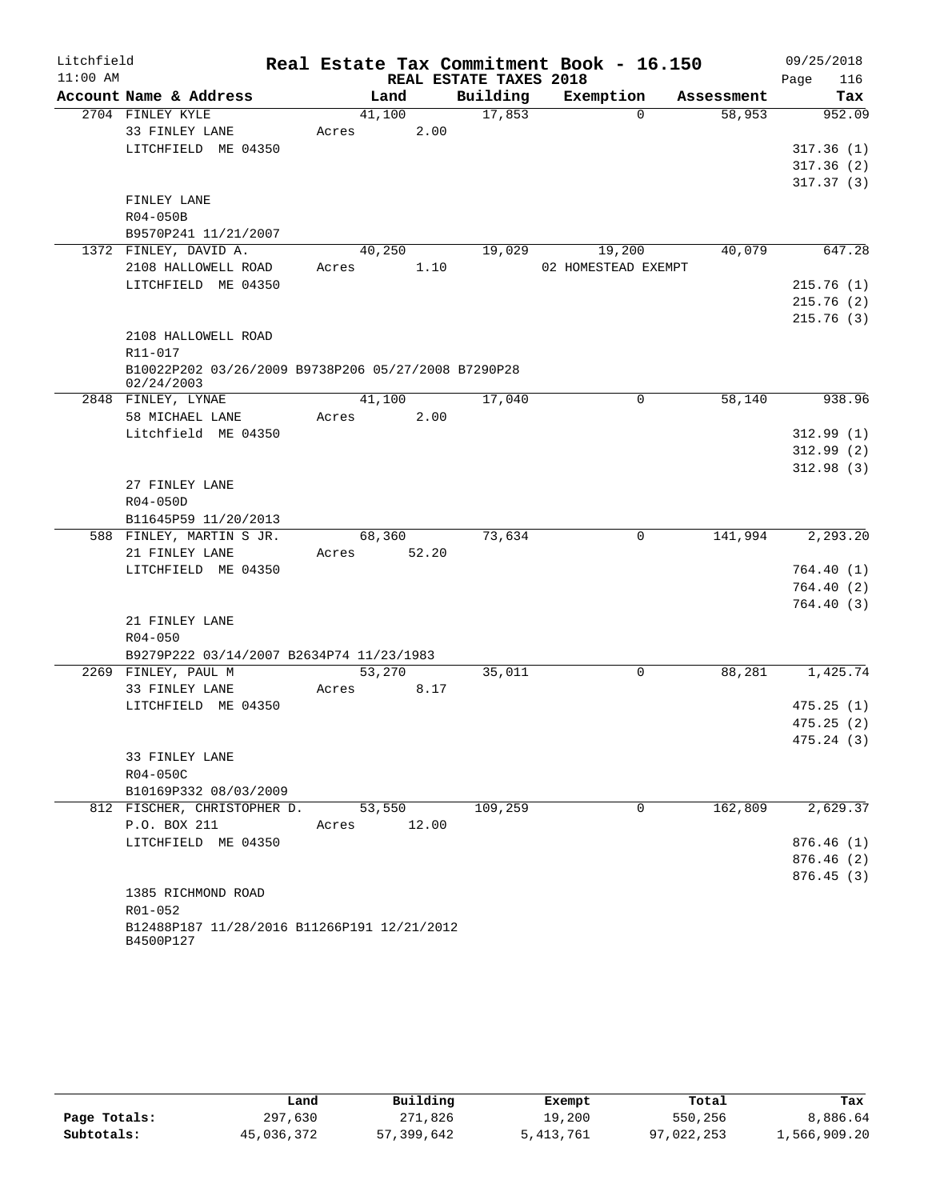| Litchfield |                                                     |                 |                        | Real Estate Tax Commitment Book - 16.150 |            | 09/25/2018             |
|------------|-----------------------------------------------------|-----------------|------------------------|------------------------------------------|------------|------------------------|
| $11:00$ AM |                                                     |                 | REAL ESTATE TAXES 2018 |                                          |            | 116<br>Page            |
|            | Account Name & Address                              | Land            | Building               | Exemption                                | Assessment | Tax                    |
|            | 2704 FINLEY KYLE                                    | 41,100          | 17,853                 | $\Omega$                                 | 58,953     | 952.09                 |
|            | 33 FINLEY LANE                                      | Acres           | 2.00                   |                                          |            |                        |
|            | LITCHFIELD ME 04350                                 |                 |                        |                                          |            | 317.36(1)              |
|            |                                                     |                 |                        |                                          |            | 317.36(2)              |
|            |                                                     |                 |                        |                                          |            | 317.37(3)              |
|            | FINLEY LANE                                         |                 |                        |                                          |            |                        |
|            | R04-050B                                            |                 |                        |                                          |            |                        |
|            | B9570P241 11/21/2007<br>1372 FINLEY, DAVID A.       | 40,250          | 19,029                 | 19,200                                   | 40,079     | 647.28                 |
|            | 2108 HALLOWELL ROAD                                 | Acres           | 1.10                   | 02 HOMESTEAD EXEMPT                      |            |                        |
|            | LITCHFIELD ME 04350                                 |                 |                        |                                          |            | 215.76(1)              |
|            |                                                     |                 |                        |                                          |            | 215.76(2)              |
|            |                                                     |                 |                        |                                          |            | 215.76(3)              |
|            | 2108 HALLOWELL ROAD                                 |                 |                        |                                          |            |                        |
|            | R11-017                                             |                 |                        |                                          |            |                        |
|            | B10022P202 03/26/2009 B9738P206 05/27/2008 B7290P28 |                 |                        |                                          |            |                        |
|            | 02/24/2003                                          |                 |                        |                                          |            |                        |
|            | 2848 FINLEY, LYNAE                                  | 41,100          | 17,040                 | 0                                        | 58,140     | 938.96                 |
|            | 58 MICHAEL LANE                                     | Acres           | 2.00                   |                                          |            |                        |
|            | Litchfield ME 04350                                 |                 |                        |                                          |            | 312.99(1)              |
|            |                                                     |                 |                        |                                          |            | 312.99(2)              |
|            |                                                     |                 |                        |                                          |            | 312.98(3)              |
|            | 27 FINLEY LANE                                      |                 |                        |                                          |            |                        |
|            | R04-050D                                            |                 |                        |                                          |            |                        |
|            | B11645P59 11/20/2013                                |                 |                        | $\mathbf{0}$                             | 141,994    | 2, 293.20              |
|            | 588 FINLEY, MARTIN S JR.<br>21 FINLEY LANE          | 68,360<br>Acres | 73,634<br>52.20        |                                          |            |                        |
|            | LITCHFIELD ME 04350                                 |                 |                        |                                          |            | 764.40(1)              |
|            |                                                     |                 |                        |                                          |            | 764.40(2)              |
|            |                                                     |                 |                        |                                          |            | 764.40(3)              |
|            | 21 FINLEY LANE                                      |                 |                        |                                          |            |                        |
|            | $R04 - 050$                                         |                 |                        |                                          |            |                        |
|            | B9279P222 03/14/2007 B2634P74 11/23/1983            |                 |                        |                                          |            |                        |
|            | 2269 FINLEY, PAUL M                                 | 53,270          | 35,011                 | 0                                        | 88,281     | 1,425.74               |
|            | 33 FINLEY LANE                                      | Acres           | 8.17                   |                                          |            |                        |
|            | LITCHFIELD ME 04350                                 |                 |                        |                                          |            | 475.25(1)              |
|            |                                                     |                 |                        |                                          |            | 475.25(2)              |
|            |                                                     |                 |                        |                                          |            | 475.24(3)              |
|            | 33 FINLEY LANE                                      |                 |                        |                                          |            |                        |
|            | R04-050C                                            |                 |                        |                                          |            |                        |
|            | B10169P332 08/03/2009                               |                 |                        |                                          |            |                        |
|            | 812 FISCHER, CHRISTOPHER D.                         | 53,550          | 109,259                | $\mathbf{0}$                             | 162,809    | 2,629.37               |
|            | P.O. BOX 211                                        | Acres           | 12.00                  |                                          |            |                        |
|            | LITCHFIELD ME 04350                                 |                 |                        |                                          |            | 876.46(1)              |
|            |                                                     |                 |                        |                                          |            | 876.46(2)<br>876.45(3) |
|            | 1385 RICHMOND ROAD                                  |                 |                        |                                          |            |                        |
|            | R01-052                                             |                 |                        |                                          |            |                        |
|            | B12488P187 11/28/2016 B11266P191 12/21/2012         |                 |                        |                                          |            |                        |
|            | B4500P127                                           |                 |                        |                                          |            |                        |

|              | Land       | Building   | Exempt    | Total      | Tax          |
|--------------|------------|------------|-----------|------------|--------------|
| Page Totals: | 297,630    | 271,826    | 19,200    | 550,256    | 8,886.64     |
| Subtotals:   | 45,036,372 | 57,399,642 | 5,413,761 | 97,022,253 | 1,566,909.20 |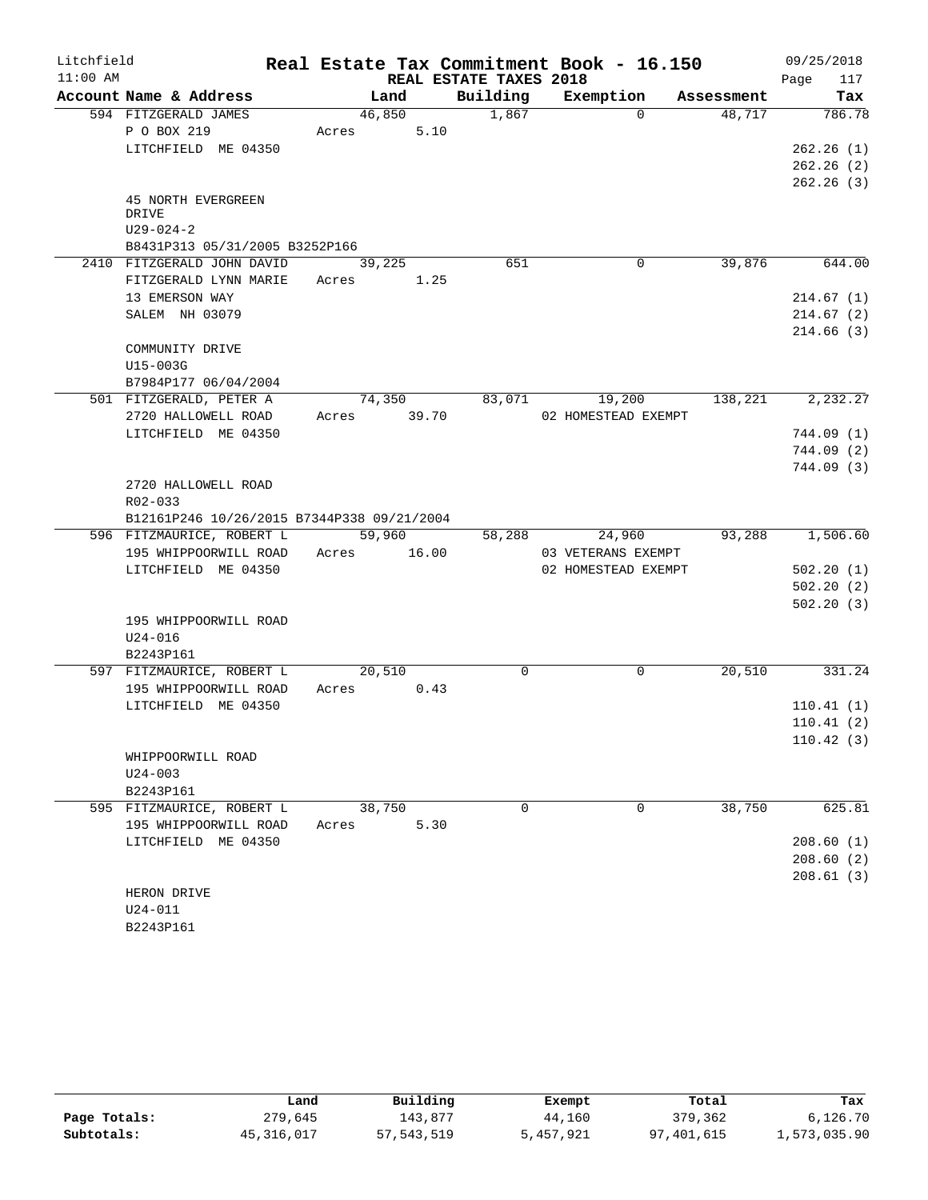| Litchfield |                                            |             |        |                        | Real Estate Tax Commitment Book - 16.150 |            | 09/25/2018  |
|------------|--------------------------------------------|-------------|--------|------------------------|------------------------------------------|------------|-------------|
| $11:00$ AM |                                            |             |        | REAL ESTATE TAXES 2018 |                                          |            | 117<br>Page |
|            | Account Name & Address                     |             | Land   | Building               | Exemption                                | Assessment | Tax         |
|            | 594 FITZGERALD JAMES                       | 46,850      |        | 1,867                  | $\Omega$                                 | 48.717     | 786.78      |
|            | P O BOX 219                                | Acres       | 5.10   |                        |                                          |            |             |
|            | LITCHFIELD ME 04350                        |             |        |                        |                                          |            | 262.26(1)   |
|            |                                            |             |        |                        |                                          |            | 262.26(2)   |
|            |                                            |             |        |                        |                                          |            | 262.26(3)   |
|            | 45 NORTH EVERGREEN<br>DRIVE                |             |        |                        |                                          |            |             |
|            | $U29 - 024 - 2$                            |             |        |                        |                                          |            |             |
|            | B8431P313 05/31/2005 B3252P166             |             |        |                        |                                          |            |             |
|            | 2410 FITZGERALD JOHN DAVID                 | 39,225      |        | 651                    | $\mathbf 0$                              | 39,876     | 644.00      |
|            | FITZGERALD LYNN MARIE                      | Acres 1.25  |        |                        |                                          |            |             |
|            | 13 EMERSON WAY                             |             |        |                        |                                          |            | 214.67(1)   |
|            | SALEM NH 03079                             |             |        |                        |                                          |            | 214.67(2)   |
|            |                                            |             |        |                        |                                          |            | 214.66(3)   |
|            | COMMUNITY DRIVE                            |             |        |                        |                                          |            |             |
|            | U15-003G                                   |             |        |                        |                                          |            |             |
|            | B7984P177 06/04/2004                       |             |        |                        |                                          |            |             |
|            | 501 FITZGERALD, PETER A                    |             | 74,350 | 83,071                 | 19,200                                   | 138,221    | 2,232.27    |
|            | 2720 HALLOWELL ROAD                        | Acres 39.70 |        |                        | 02 HOMESTEAD EXEMPT                      |            |             |
|            | LITCHFIELD ME 04350                        |             |        |                        |                                          |            | 744.09 (1)  |
|            |                                            |             |        |                        |                                          |            | 744.09(2)   |
|            |                                            |             |        |                        |                                          |            | 744.09(3)   |
|            | 2720 HALLOWELL ROAD                        |             |        |                        |                                          |            |             |
|            | R02-033                                    |             |        |                        |                                          |            |             |
|            | B12161P246 10/26/2015 B7344P338 09/21/2004 |             |        |                        |                                          |            |             |
|            | 596 FITZMAURICE, ROBERT L                  | 59,960      |        | 58,288                 | 24,960                                   | 93,288     | 1,506.60    |
|            | 195 WHIPPOORWILL ROAD                      | Acres 16.00 |        |                        | 03 VETERANS EXEMPT                       |            |             |
|            | LITCHFIELD ME 04350                        |             |        |                        | 02 HOMESTEAD EXEMPT                      |            | 502.20(1)   |
|            |                                            |             |        |                        |                                          |            | 502.20(2)   |
|            |                                            |             |        |                        |                                          |            | 502.20(3)   |
|            | 195 WHIPPOORWILL ROAD                      |             |        |                        |                                          |            |             |
|            | $U24 - 016$                                |             |        |                        |                                          |            |             |
|            | B2243P161                                  |             |        |                        |                                          |            |             |
|            | 597 FITZMAURICE, ROBERT L                  | 20,510      |        | 0                      | 0                                        | 20,510     | 331.24      |
|            | 195 WHIPPOORWILL ROAD                      | Acres       | 0.43   |                        |                                          |            |             |
|            | LITCHFIELD ME 04350                        |             |        |                        |                                          |            | 110.41(1)   |
|            |                                            |             |        |                        |                                          |            | 110.41(2)   |
|            |                                            |             |        |                        |                                          |            | 110.42(3)   |
|            | WHIPPOORWILL ROAD                          |             |        |                        |                                          |            |             |
|            | $U24 - 003$                                |             |        |                        |                                          |            |             |
|            | B2243P161<br>595 FITZMAURICE, ROBERT L     | 38,750      |        | $\Omega$               | 0                                        | 38,750     | 625.81      |
|            | 195 WHIPPOORWILL ROAD                      | Acres       | 5.30   |                        |                                          |            |             |
|            | LITCHFIELD ME 04350                        |             |        |                        |                                          |            | 208.60(1)   |
|            |                                            |             |        |                        |                                          |            | 208.60(2)   |
|            |                                            |             |        |                        |                                          |            | 208.61(3)   |
|            | HERON DRIVE                                |             |        |                        |                                          |            |             |
|            | $U24 - 011$                                |             |        |                        |                                          |            |             |
|            | B2243P161                                  |             |        |                        |                                          |            |             |

|              | Land         | Building     | Exempt    | Total      | Tax          |
|--------------|--------------|--------------|-----------|------------|--------------|
| Page Totals: | 279,645      | 143,877      | 44,160    | 379,362    | 6,126.70     |
| Subtotals:   | 45, 316, 017 | 57, 543, 519 | 5,457,921 | 97,401,615 | 1,573,035.90 |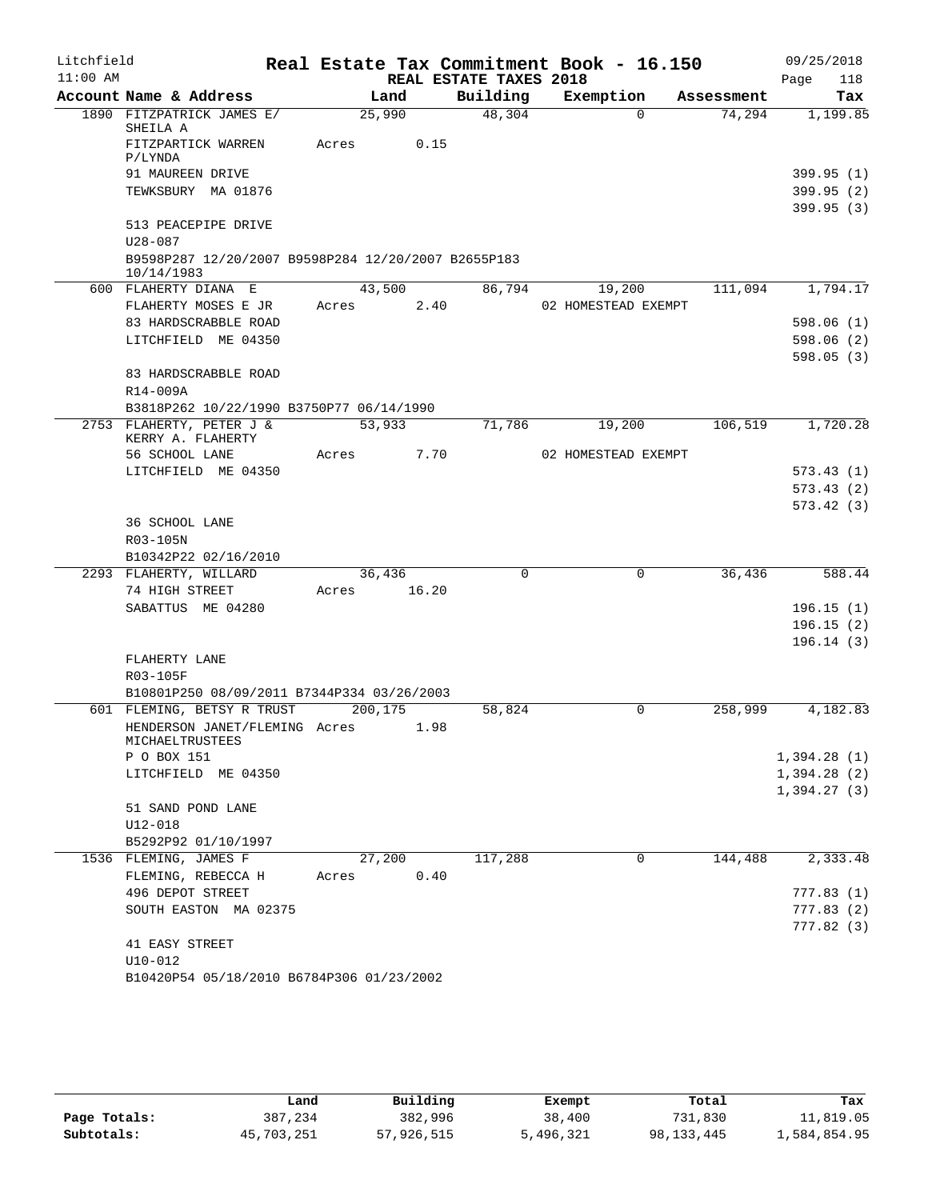| Litchfield |                                                                    |         |        |                        | Real Estate Tax Commitment Book - 16.150 |                    | 09/25/2018  |
|------------|--------------------------------------------------------------------|---------|--------|------------------------|------------------------------------------|--------------------|-------------|
| $11:00$ AM |                                                                    |         |        | REAL ESTATE TAXES 2018 |                                          |                    | Page<br>118 |
|            | Account Name & Address                                             |         | Land   | Building               | Exemption                                | Assessment         | Tax         |
|            | 1890 FITZPATRICK JAMES E/<br>SHEILA A                              |         | 25,990 | 48,304                 |                                          | 74,294<br>$\Omega$ | 1,199.85    |
|            | FITZPARTICK WARREN                                                 | Acres   | 0.15   |                        |                                          |                    |             |
|            | P/LYNDA                                                            |         |        |                        |                                          |                    |             |
|            | 91 MAUREEN DRIVE                                                   |         |        |                        |                                          |                    | 399.95 (1)  |
|            | TEWKSBURY MA 01876                                                 |         |        |                        |                                          |                    | 399.95(2)   |
|            |                                                                    |         |        |                        |                                          |                    | 399.95(3)   |
|            | 513 PEACEPIPE DRIVE                                                |         |        |                        |                                          |                    |             |
|            | $U28 - 087$<br>B9598P287 12/20/2007 B9598P284 12/20/2007 B2655P183 |         |        |                        |                                          |                    |             |
|            | 10/14/1983                                                         |         |        |                        |                                          |                    |             |
|            | 600 FLAHERTY DIANA E                                               |         | 43,500 | 86,794                 | 19,200                                   | 111,094            | 1,794.17    |
|            | FLAHERTY MOSES E JR                                                | Acres   | 2.40   |                        | 02 HOMESTEAD EXEMPT                      |                    |             |
|            | 83 HARDSCRABBLE ROAD                                               |         |        |                        |                                          |                    | 598.06 (1)  |
|            | LITCHFIELD ME 04350                                                |         |        |                        |                                          |                    | 598.06(2)   |
|            |                                                                    |         |        |                        |                                          |                    | 598.05(3)   |
|            | 83 HARDSCRABBLE ROAD                                               |         |        |                        |                                          |                    |             |
|            | R14-009A                                                           |         |        |                        |                                          |                    |             |
|            | B3818P262 10/22/1990 B3750P77 06/14/1990                           |         |        |                        |                                          |                    |             |
|            | 2753 FLAHERTY, PETER J &<br>KERRY A. FLAHERTY                      |         | 53,933 | 71,786                 | 19,200                                   | 106,519            | 1,720.28    |
|            | 56 SCHOOL LANE                                                     | Acres   | 7.70   |                        | 02 HOMESTEAD EXEMPT                      |                    |             |
|            | LITCHFIELD ME 04350                                                |         |        |                        |                                          |                    | 573.43(1)   |
|            |                                                                    |         |        |                        |                                          |                    | 573.43(2)   |
|            |                                                                    |         |        |                        |                                          |                    | 573.42(3)   |
|            | 36 SCHOOL LANE<br>R03-105N                                         |         |        |                        |                                          |                    |             |
|            | B10342P22 02/16/2010                                               |         |        |                        |                                          |                    |             |
|            | 2293 FLAHERTY, WILLARD                                             |         | 36,436 | $\Omega$               |                                          | 36,436<br>0        | 588.44      |
|            | 74 HIGH STREET                                                     | Acres   | 16.20  |                        |                                          |                    |             |
|            | SABATTUS ME 04280                                                  |         |        |                        |                                          |                    | 196.15(1)   |
|            |                                                                    |         |        |                        |                                          |                    | 196.15(2)   |
|            |                                                                    |         |        |                        |                                          |                    | 196.14(3)   |
|            | FLAHERTY LANE                                                      |         |        |                        |                                          |                    |             |
|            | R03-105F                                                           |         |        |                        |                                          |                    |             |
|            | B10801P250 08/09/2011 B7344P334 03/26/2003                         |         |        |                        |                                          |                    |             |
|            | 601 FLEMING, BETSY R TRUST                                         | 200,175 |        | 58,824                 |                                          | 0<br>258,999       | 4,182.83    |
|            | HENDERSON JANET/FLEMING Acres<br>MICHAELTRUSTEES                   |         | 1.98   |                        |                                          |                    |             |
|            | P O BOX 151                                                        |         |        |                        |                                          |                    | 1,394.28(1) |
|            | LITCHFIELD ME 04350                                                |         |        |                        |                                          |                    | 1,394.28(2) |
|            |                                                                    |         |        |                        |                                          |                    | 1,394.27(3) |
|            | 51 SAND POND LANE                                                  |         |        |                        |                                          |                    |             |
|            | U12-018                                                            |         |        |                        |                                          |                    |             |
|            | B5292P92 01/10/1997                                                |         |        |                        |                                          |                    |             |
|            | 1536 FLEMING, JAMES F                                              |         | 27,200 | 117,288                |                                          | 0<br>144,488       | 2,333.48    |
|            | FLEMING, REBECCA H                                                 | Acres   | 0.40   |                        |                                          |                    |             |
|            | 496 DEPOT STREET                                                   |         |        |                        |                                          |                    | 777.83 (1)  |
|            | SOUTH EASTON MA 02375                                              |         |        |                        |                                          |                    | 777.83 (2)  |
|            |                                                                    |         |        |                        |                                          |                    | 777.82 (3)  |
|            | 41 EASY STREET<br>$U10 - 012$                                      |         |        |                        |                                          |                    |             |
|            | B10420P54 05/18/2010 B6784P306 01/23/2002                          |         |        |                        |                                          |                    |             |
|            |                                                                    |         |        |                        |                                          |                    |             |

|              | Land       | Building   | Exempt    | Total        | Tax          |
|--------------|------------|------------|-----------|--------------|--------------|
| Page Totals: | 387,234    | 382,996    | 38,400    | 731,830      | 11,819.05    |
| Subtotals:   | 45,703,251 | 57,926,515 | 5,496,321 | 98, 133, 445 | 1,584,854.95 |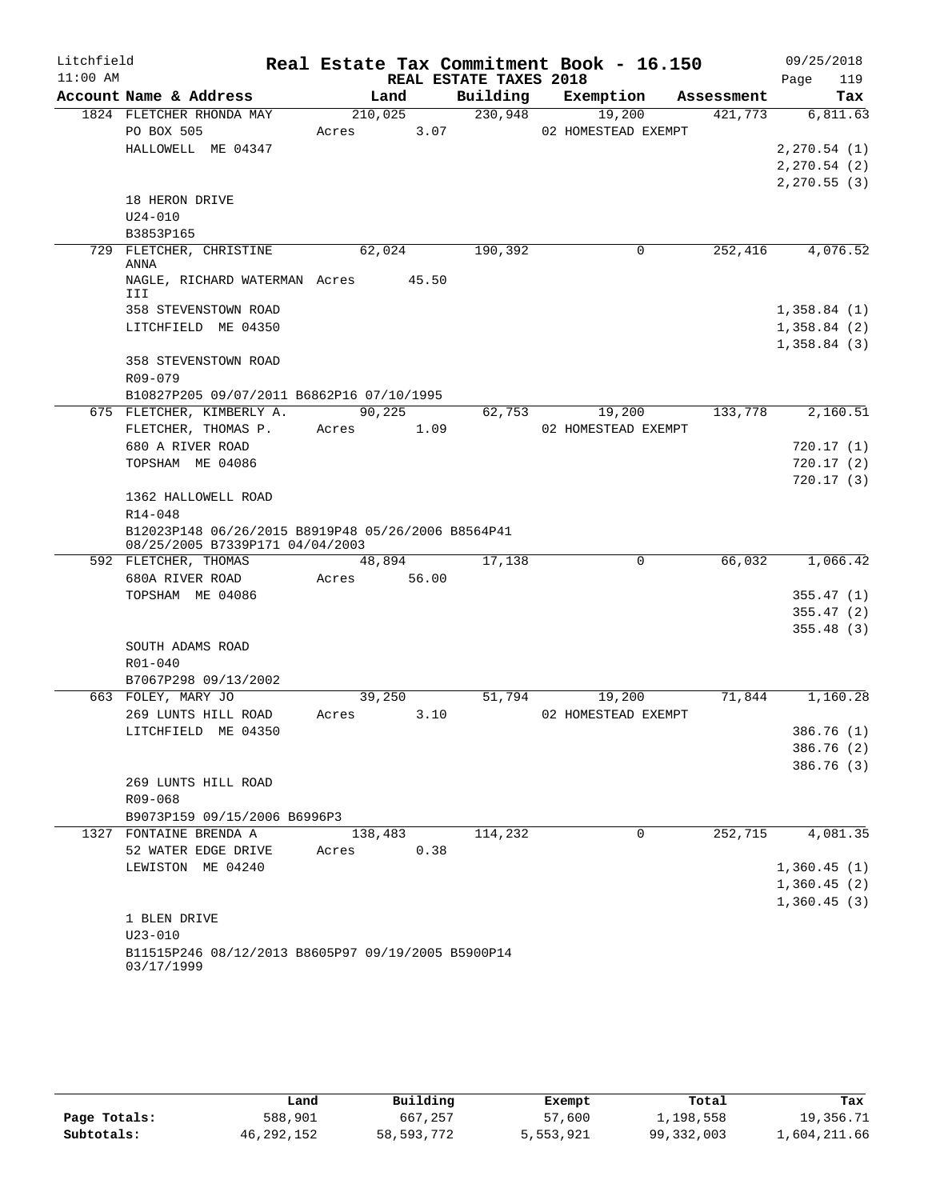| Litchfield |                                                                  |         |        |                        | Real Estate Tax Commitment Book - 16.150 |            | 09/25/2018    |
|------------|------------------------------------------------------------------|---------|--------|------------------------|------------------------------------------|------------|---------------|
| $11:00$ AM |                                                                  |         |        | REAL ESTATE TAXES 2018 |                                          |            | Page<br>119   |
|            | Account Name & Address                                           |         | Land   | Building               | Exemption                                | Assessment | Tax           |
|            | 1824 FLETCHER RHONDA MAY                                         | 210,025 |        | 230,948                | 19,200                                   | 421,773    | 6,811.63      |
|            | PO BOX 505                                                       | Acres   | 3.07   |                        | 02 HOMESTEAD EXEMPT                      |            |               |
|            | HALLOWELL ME 04347                                               |         |        |                        |                                          |            | 2, 270.54(1)  |
|            |                                                                  |         |        |                        |                                          |            | 2, 270.54 (2) |
|            |                                                                  |         |        |                        |                                          |            | 2, 270.55(3)  |
|            | 18 HERON DRIVE                                                   |         |        |                        |                                          |            |               |
|            | $U24 - 010$                                                      |         |        |                        |                                          |            |               |
|            | B3853P165                                                        |         |        |                        |                                          |            |               |
|            | 729 FLETCHER, CHRISTINE                                          | 62,024  |        | 190,392                | $\mathbf 0$                              | 252, 416   | 4,076.52      |
|            | ANNA                                                             |         |        |                        |                                          |            |               |
|            | NAGLE, RICHARD WATERMAN Acres 45.50<br>III                       |         |        |                        |                                          |            |               |
|            | 358 STEVENSTOWN ROAD                                             |         |        |                        |                                          |            | 1,358.84(1)   |
|            | LITCHFIELD ME 04350                                              |         |        |                        |                                          |            | 1,358.84(2)   |
|            |                                                                  |         |        |                        |                                          |            | 1,358.84(3)   |
|            | 358 STEVENSTOWN ROAD                                             |         |        |                        |                                          |            |               |
|            | R09-079                                                          |         |        |                        |                                          |            |               |
|            | B10827P205 09/07/2011 B6862P16 07/10/1995                        |         |        |                        |                                          |            |               |
|            | 675 FLETCHER, KIMBERLY A.                                        | 90,225  |        | 62,753                 | 19,200                                   | 133,778    | 2,160.51      |
|            | FLETCHER, THOMAS P.                                              | Acres   | 1.09   |                        | 02 HOMESTEAD EXEMPT                      |            |               |
|            | 680 A RIVER ROAD                                                 |         |        |                        |                                          |            | 720.17 (1)    |
|            | TOPSHAM ME 04086                                                 |         |        |                        |                                          |            | 720.17(2)     |
|            |                                                                  |         |        |                        |                                          |            | 720.17(3)     |
|            | 1362 HALLOWELL ROAD                                              |         |        |                        |                                          |            |               |
|            | $R14 - 048$                                                      |         |        |                        |                                          |            |               |
|            | B12023P148 06/26/2015 B8919P48 05/26/2006 B8564P41               |         |        |                        |                                          |            |               |
|            | 08/25/2005 B7339P171 04/04/2003                                  |         |        |                        |                                          |            |               |
|            | 592 FLETCHER, THOMAS                                             |         | 48,894 | 17,138                 | $\mathbf 0$                              | 66,032     | 1,066.42      |
|            | 680A RIVER ROAD                                                  | Acres   | 56.00  |                        |                                          |            |               |
|            | TOPSHAM ME 04086                                                 |         |        |                        |                                          |            | 355.47(1)     |
|            |                                                                  |         |        |                        |                                          |            | 355.47(2)     |
|            |                                                                  |         |        |                        |                                          |            | 355.48(3)     |
|            | SOUTH ADAMS ROAD                                                 |         |        |                        |                                          |            |               |
|            | $R01 - 040$                                                      |         |        |                        |                                          |            |               |
|            | B7067P298 09/13/2002                                             |         |        |                        |                                          |            |               |
|            | 663 FOLEY, MARY JO                                               |         | 39,250 | 51,794                 | 19,200                                   | 71,844     | 1,160.28      |
|            | 269 LUNTS HILL ROAD                                              | Acres   | 3.10   |                        | 02 HOMESTEAD EXEMPT                      |            |               |
|            | LITCHFIELD ME 04350                                              |         |        |                        |                                          |            | 386.76 (1)    |
|            |                                                                  |         |        |                        |                                          |            | 386.76 (2)    |
|            |                                                                  |         |        |                        |                                          |            | 386.76 (3)    |
|            | 269 LUNTS HILL ROAD                                              |         |        |                        |                                          |            |               |
|            | R09-068                                                          |         |        |                        |                                          |            |               |
|            | B9073P159 09/15/2006 B6996P3                                     |         |        |                        |                                          |            |               |
|            | 1327 FONTAINE BRENDA A                                           | 138,483 |        | 114,232                | $\Omega$                                 | 252,715    | 4,081.35      |
|            | 52 WATER EDGE DRIVE                                              | Acres   | 0.38   |                        |                                          |            |               |
|            | LEWISTON ME 04240                                                |         |        |                        |                                          |            | 1,360.45(1)   |
|            |                                                                  |         |        |                        |                                          |            | 1,360.45(2)   |
|            |                                                                  |         |        |                        |                                          |            | 1,360.45(3)   |
|            | 1 BLEN DRIVE                                                     |         |        |                        |                                          |            |               |
|            | $U23 - 010$                                                      |         |        |                        |                                          |            |               |
|            | B11515P246 08/12/2013 B8605P97 09/19/2005 B5900P14<br>03/17/1999 |         |        |                        |                                          |            |               |

|              | Land         | Building   | Exempt    | Total        | Tax          |
|--------------|--------------|------------|-----------|--------------|--------------|
| Page Totals: | 588,901      | 667,257    | 57,600    | 1,198,558    | 19,356.71    |
| Subtotals:   | 46, 292, 152 | 58,593,772 | 5,553,921 | 99, 332, 003 | 1,604,211.66 |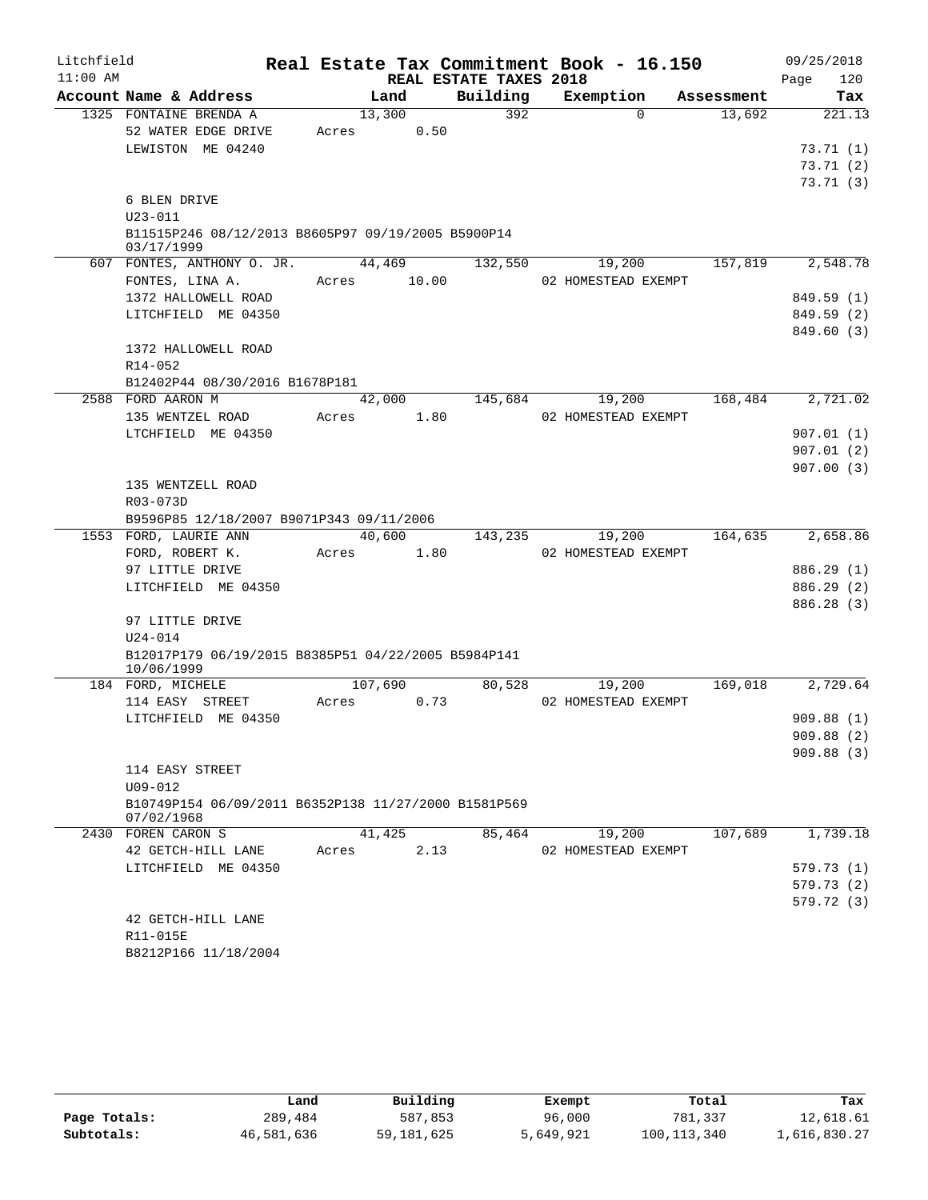| Litchfield |                                                                    |         |        |                        | Real Estate Tax Commitment Book - 16.150 |            | 09/25/2018              |
|------------|--------------------------------------------------------------------|---------|--------|------------------------|------------------------------------------|------------|-------------------------|
| $11:00$ AM |                                                                    |         |        | REAL ESTATE TAXES 2018 |                                          |            | 120<br>Page             |
|            | Account Name & Address                                             |         | Land   | Building               | Exemption                                | Assessment | Tax                     |
|            | 1325 FONTAINE BRENDA A                                             |         | 13,300 | 392                    | $\Omega$                                 | 13,692     | 221.13                  |
|            | 52 WATER EDGE DRIVE                                                | Acres   | 0.50   |                        |                                          |            |                         |
|            | LEWISTON ME 04240                                                  |         |        |                        |                                          |            | 73.71(1)                |
|            |                                                                    |         |        |                        |                                          |            | 73.71(2)                |
|            | 6 BLEN DRIVE                                                       |         |        |                        |                                          |            | 73.71(3)                |
|            | $U23 - 011$                                                        |         |        |                        |                                          |            |                         |
|            | B11515P246 08/12/2013 B8605P97 09/19/2005 B5900P14                 |         |        |                        |                                          |            |                         |
|            | 03/17/1999                                                         |         |        |                        |                                          |            |                         |
|            | 607 FONTES, ANTHONY O. JR.                                         |         | 44,469 | 132,550                | 19,200                                   | 157,819    | 2,548.78                |
|            | FONTES, LINA A.                                                    | Acres   | 10.00  |                        | 02 HOMESTEAD EXEMPT                      |            |                         |
|            | 1372 HALLOWELL ROAD                                                |         |        |                        |                                          |            | 849.59 (1)              |
|            | LITCHFIELD ME 04350                                                |         |        |                        |                                          |            | 849.59 (2)              |
|            |                                                                    |         |        |                        |                                          |            | 849.60 (3)              |
|            | 1372 HALLOWELL ROAD                                                |         |        |                        |                                          |            |                         |
|            | R14-052                                                            |         |        |                        |                                          |            |                         |
|            | B12402P44 08/30/2016 B1678P181                                     |         |        |                        |                                          |            |                         |
|            | 2588 FORD AARON M                                                  |         | 42,000 | 145,684                | 19,200                                   | 168,484    | 2,721.02                |
|            | 135 WENTZEL ROAD                                                   | Acres   | 1.80   |                        | 02 HOMESTEAD EXEMPT                      |            |                         |
|            | LTCHFIELD ME 04350                                                 |         |        |                        |                                          |            | 907.01 (1)<br>907.01(2) |
|            |                                                                    |         |        |                        |                                          |            | 907.00(3)               |
|            | 135 WENTZELL ROAD                                                  |         |        |                        |                                          |            |                         |
|            | R03-073D                                                           |         |        |                        |                                          |            |                         |
|            | B9596P85 12/18/2007 B9071P343 09/11/2006                           |         |        |                        |                                          |            |                         |
|            | 1553 FORD, LAURIE ANN                                              |         | 40,600 | 143,235                | 19,200                                   | 164,635    | 2,658.86                |
|            | FORD, ROBERT K.                                                    | Acres   | 1.80   |                        | 02 HOMESTEAD EXEMPT                      |            |                         |
|            | 97 LITTLE DRIVE                                                    |         |        |                        |                                          |            | 886.29 (1)              |
|            | LITCHFIELD ME 04350                                                |         |        |                        |                                          |            | 886.29 (2)              |
|            |                                                                    |         |        |                        |                                          |            | 886.28 (3)              |
|            | 97 LITTLE DRIVE                                                    |         |        |                        |                                          |            |                         |
|            | $U24 - 014$                                                        |         |        |                        |                                          |            |                         |
|            | B12017P179 06/19/2015 B8385P51 04/22/2005 B5984P141                |         |        |                        |                                          |            |                         |
|            | 10/06/1999<br>184 FORD, MICHELE                                    | 107,690 |        | 80,528                 | 19,200                                   | 169,018    | 2,729.64                |
|            | 114 EASY STREET                                                    | Acres   | 0.73   |                        | 02 HOMESTEAD EXEMPT                      |            |                         |
|            | LITCHFIELD ME 04350                                                |         |        |                        |                                          |            | 909.88(1)               |
|            |                                                                    |         |        |                        |                                          |            | 909.88 (2)              |
|            |                                                                    |         |        |                        |                                          |            | 909.88(3)               |
|            | 114 EASY STREET                                                    |         |        |                        |                                          |            |                         |
|            | $U09 - 012$                                                        |         |        |                        |                                          |            |                         |
|            | B10749P154 06/09/2011 B6352P138 11/27/2000 B1581P569<br>07/02/1968 |         |        |                        |                                          |            |                         |
|            | 2430 FOREN CARON S                                                 |         | 41,425 | 85,464                 | 19,200                                   | 107,689    | 1,739.18                |
|            | 42 GETCH-HILL LANE                                                 | Acres   | 2.13   |                        | 02 HOMESTEAD EXEMPT                      |            |                         |
|            | LITCHFIELD ME 04350                                                |         |        |                        |                                          |            | 579.73 (1)              |
|            |                                                                    |         |        |                        |                                          |            | 579.73(2)               |
|            |                                                                    |         |        |                        |                                          |            | 579.72 (3)              |
|            | 42 GETCH-HILL LANE                                                 |         |        |                        |                                          |            |                         |
|            | R11-015E                                                           |         |        |                        |                                          |            |                         |
|            | B8212P166 11/18/2004                                               |         |        |                        |                                          |            |                         |
|            |                                                                    |         |        |                        |                                          |            |                         |

|              | Land       | Building     | Exempt    | Total       | Tax          |
|--------------|------------|--------------|-----------|-------------|--------------|
| Page Totals: | 289,484    | 587,853      | 96,000    | 781,337     | 12,618.61    |
| Subtotals:   | 46,581,636 | 59, 181, 625 | 5,649,921 | 100,113,340 | 1,616,830.27 |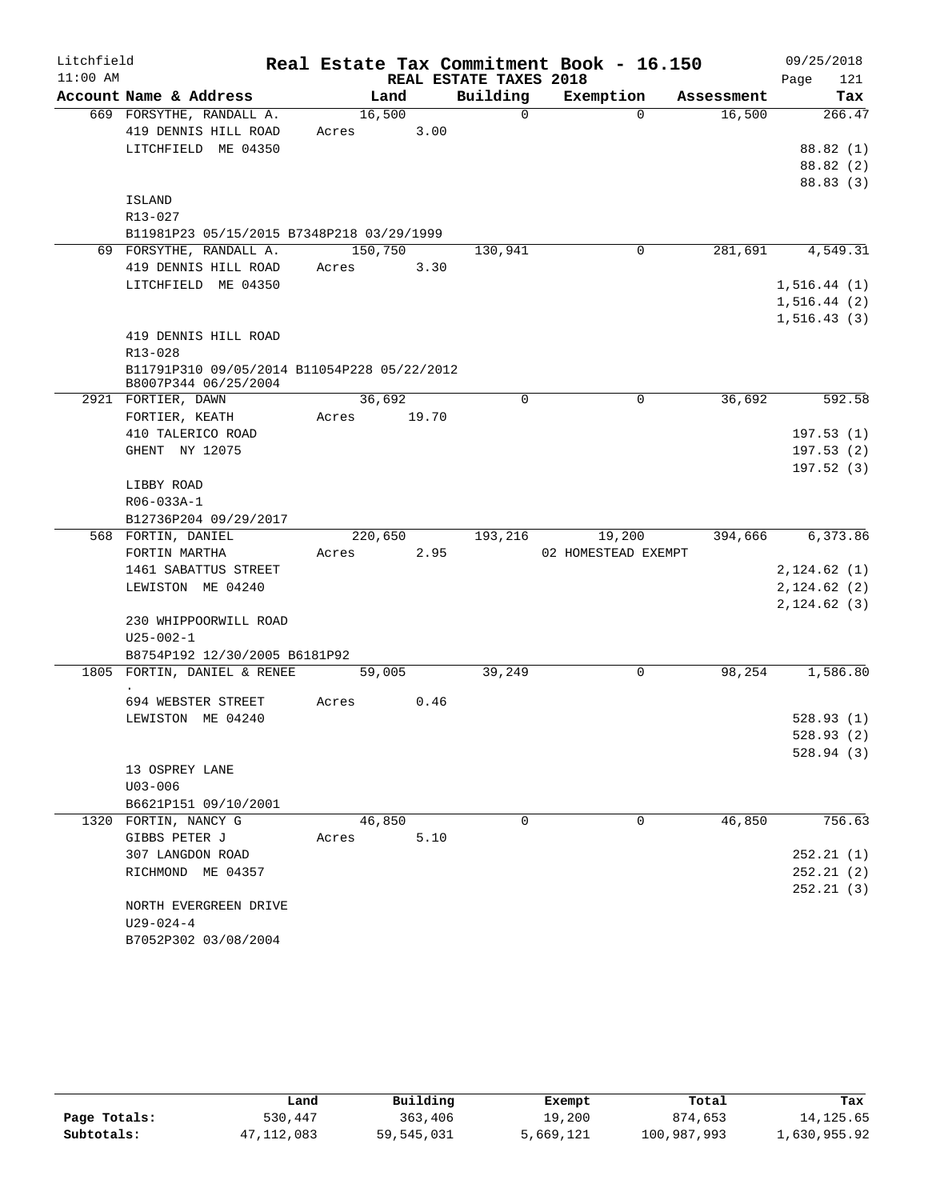| Litchfield |                                                                     |             |      |                        | Real Estate Tax Commitment Book - 16.150 |            | 09/25/2018   |
|------------|---------------------------------------------------------------------|-------------|------|------------------------|------------------------------------------|------------|--------------|
| $11:00$ AM |                                                                     |             |      | REAL ESTATE TAXES 2018 |                                          |            | 121<br>Page  |
|            | Account Name & Address                                              | Land        |      | Building               | Exemption                                | Assessment | Tax          |
|            | 669 FORSYTHE, RANDALL A.                                            | 16,500      |      | $\mathbf 0$            | $\Omega$                                 | 16,500     | 266.47       |
|            | 419 DENNIS HILL ROAD                                                | Acres       | 3.00 |                        |                                          |            |              |
|            | LITCHFIELD ME 04350                                                 |             |      |                        |                                          |            | 88.82 (1)    |
|            |                                                                     |             |      |                        |                                          |            | 88.82 (2)    |
|            |                                                                     |             |      |                        |                                          |            | 88.83 (3)    |
|            | ISLAND                                                              |             |      |                        |                                          |            |              |
|            | R13-027                                                             |             |      |                        |                                          |            |              |
|            | B11981P23 05/15/2015 B7348P218 03/29/1999                           |             |      |                        |                                          |            |              |
|            | 69 FORSYTHE, RANDALL A.                                             | 150,750     |      | 130,941                | 0                                        | 281,691    | 4,549.31     |
|            | 419 DENNIS HILL ROAD                                                | Acres       | 3.30 |                        |                                          |            |              |
|            | LITCHFIELD ME 04350                                                 |             |      |                        |                                          |            | 1, 516.44(1) |
|            |                                                                     |             |      |                        |                                          |            | 1,516.44(2)  |
|            |                                                                     |             |      |                        |                                          |            | 1, 516.43(3) |
|            | 419 DENNIS HILL ROAD                                                |             |      |                        |                                          |            |              |
|            | R13-028                                                             |             |      |                        |                                          |            |              |
|            | B11791P310 09/05/2014 B11054P228 05/22/2012<br>B8007P344 06/25/2004 |             |      |                        |                                          |            |              |
|            | 2921 FORTIER, DAWN                                                  | 36,692      |      | 0                      | 0                                        | 36,692     | 592.58       |
|            | FORTIER, KEATH                                                      | Acres 19.70 |      |                        |                                          |            |              |
|            | 410 TALERICO ROAD                                                   |             |      |                        |                                          |            | 197.53(1)    |
|            | GHENT NY 12075                                                      |             |      |                        |                                          |            | 197.53(2)    |
|            |                                                                     |             |      |                        |                                          |            | 197.52(3)    |
|            | LIBBY ROAD                                                          |             |      |                        |                                          |            |              |
|            | R06-033A-1                                                          |             |      |                        |                                          |            |              |
|            | B12736P204 09/29/2017                                               |             |      |                        |                                          |            |              |
|            | 568 FORTIN, DANIEL                                                  | 220,650     |      | 193,216                | 19,200                                   | 394,666    | 6,373.86     |
|            | FORTIN MARTHA                                                       | Acres       | 2.95 |                        | 02 HOMESTEAD EXEMPT                      |            |              |
|            | 1461 SABATTUS STREET                                                |             |      |                        |                                          |            | 2,124.62(1)  |
|            | LEWISTON ME 04240                                                   |             |      |                        |                                          |            | 2,124.62(2)  |
|            |                                                                     |             |      |                        |                                          |            | 2,124.62(3)  |
|            | 230 WHIPPOORWILL ROAD                                               |             |      |                        |                                          |            |              |
|            | $U25 - 002 - 1$                                                     |             |      |                        |                                          |            |              |
|            | B8754P192 12/30/2005 B6181P92                                       |             |      |                        |                                          |            |              |
|            | 1805 FORTIN, DANIEL & RENEE                                         | 59,005      |      | 39,249                 | 0                                        | 98,254     | 1,586.80     |
|            | 694 WEBSTER STREET                                                  | Acres       | 0.46 |                        |                                          |            |              |
|            | LEWISTON ME 04240                                                   |             |      |                        |                                          |            | 528.93(1)    |
|            |                                                                     |             |      |                        |                                          |            | 528.93(2)    |
|            |                                                                     |             |      |                        |                                          |            | 528.94(3)    |
|            | 13 OSPREY LANE                                                      |             |      |                        |                                          |            |              |
|            | $U03 - 006$                                                         |             |      |                        |                                          |            |              |
|            | B6621P151 09/10/2001                                                |             |      |                        |                                          |            |              |
|            | 1320 FORTIN, NANCY G                                                | 46,850      |      | $\Omega$               | $\Omega$                                 | 46,850     | 756.63       |
|            | GIBBS PETER J                                                       | Acres       | 5.10 |                        |                                          |            |              |
|            | 307 LANGDON ROAD                                                    |             |      |                        |                                          |            | 252.21(1)    |
|            | RICHMOND ME 04357                                                   |             |      |                        |                                          |            | 252.21(2)    |
|            |                                                                     |             |      |                        |                                          |            | 252.21(3)    |
|            | NORTH EVERGREEN DRIVE                                               |             |      |                        |                                          |            |              |
|            | $U29 - 024 - 4$                                                     |             |      |                        |                                          |            |              |
|            | B7052P302 03/08/2004                                                |             |      |                        |                                          |            |              |

|              | Land       | Building   | Exempt    | Total       | Tax          |
|--------------|------------|------------|-----------|-------------|--------------|
| Page Totals: | 530,447    | 363,406    | 19,200    | 874,653     | 14, 125.65   |
| Subtotals:   | 47,112,083 | 59,545,031 | 5,669,121 | 100,987,993 | 1,630,955.92 |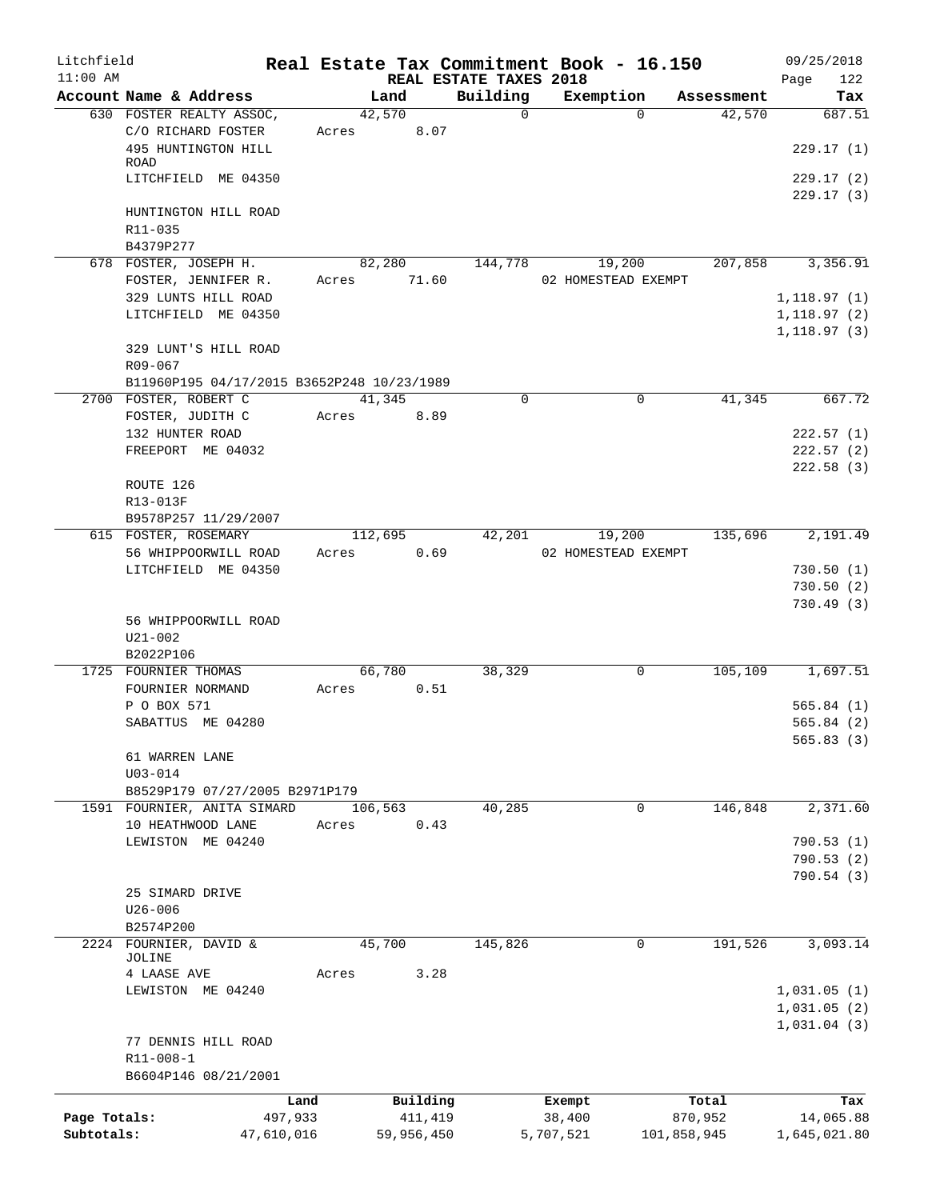| Litchfield   |                                                                     |       |            | Real Estate Tax Commitment Book - 16.150 |           |                     |            | 09/25/2018                  |
|--------------|---------------------------------------------------------------------|-------|------------|------------------------------------------|-----------|---------------------|------------|-----------------------------|
| $11:00$ AM   | Account Name & Address                                              |       | Land       | REAL ESTATE TAXES 2018<br>Building       |           | Exemption           | Assessment | 122<br>Page<br>Tax          |
|              | 630 FOSTER REALTY ASSOC,                                            |       | 42,570     | $\Omega$                                 |           | $\Omega$            | 42,570     | 687.51                      |
|              | C/O RICHARD FOSTER                                                  | Acres | 8.07       |                                          |           |                     |            |                             |
|              | 495 HUNTINGTON HILL<br>ROAD                                         |       |            |                                          |           |                     |            | 229.17(1)                   |
|              | LITCHFIELD ME 04350                                                 |       |            |                                          |           |                     |            | 229.17(2)<br>229.17(3)      |
|              | HUNTINGTON HILL ROAD                                                |       |            |                                          |           |                     |            |                             |
|              | R11-035                                                             |       |            |                                          |           |                     |            |                             |
|              | B4379P277<br>678 FOSTER, JOSEPH H.                                  |       | 82,280     | 144,778                                  |           | 19,200              | 207,858    | 3,356.91                    |
|              | FOSTER, JENNIFER R.                                                 | Acres | 71.60      |                                          |           | 02 HOMESTEAD EXEMPT |            |                             |
|              | 329 LUNTS HILL ROAD                                                 |       |            |                                          |           |                     |            | 1, 118.97(1)                |
|              | LITCHFIELD ME 04350                                                 |       |            |                                          |           |                     |            | 1,118.97(2)<br>1, 118.97(3) |
|              | 329 LUNT'S HILL ROAD                                                |       |            |                                          |           |                     |            |                             |
|              | R09-067                                                             |       |            |                                          |           |                     |            |                             |
|              | B11960P195 04/17/2015 B3652P248 10/23/1989<br>2700 FOSTER, ROBERT C |       | 41,345     | $\mathbf 0$                              |           | $\mathbf 0$         | 41,345     | 667.72                      |
|              | FOSTER, JUDITH C                                                    | Acres | 8.89       |                                          |           |                     |            |                             |
|              | 132 HUNTER ROAD                                                     |       |            |                                          |           |                     |            | 222.57(1)                   |
|              | FREEPORT ME 04032                                                   |       |            |                                          |           |                     |            | 222.57(2)                   |
|              |                                                                     |       |            |                                          |           |                     |            | 222.58(3)                   |
|              | ROUTE 126                                                           |       |            |                                          |           |                     |            |                             |
|              | R13-013F                                                            |       |            |                                          |           |                     |            |                             |
|              | B9578P257 11/29/2007                                                |       |            |                                          |           |                     |            |                             |
|              | 615 FOSTER, ROSEMARY                                                |       | 112,695    | 42,201                                   |           | 19,200              | 135,696    | 2,191.49                    |
|              | 56 WHIPPOORWILL ROAD                                                | Acres | 0.69       |                                          |           | 02 HOMESTEAD EXEMPT |            |                             |
|              | LITCHFIELD ME 04350                                                 |       |            |                                          |           |                     |            | 730.50(1)<br>730.50(2)      |
|              |                                                                     |       |            |                                          |           |                     |            | 730.49(3)                   |
|              | 56 WHIPPOORWILL ROAD                                                |       |            |                                          |           |                     |            |                             |
|              | $U21 - 002$                                                         |       |            |                                          |           |                     |            |                             |
|              | B2022P106                                                           |       |            |                                          |           |                     |            |                             |
|              | 1725 FOURNIER THOMAS                                                |       | 66,780     | 38,329                                   |           | 0                   | 105,109    | 1,697.51                    |
|              | FOURNIER NORMAND                                                    | Acres | 0.51       |                                          |           |                     |            |                             |
|              | P O BOX 571                                                         |       |            |                                          |           |                     |            | 565.84(1)                   |
|              | SABATTUS ME 04280                                                   |       |            |                                          |           |                     |            | 565.84(2)                   |
|              | 61 WARREN LANE                                                      |       |            |                                          |           |                     |            | 565.83 (3)                  |
|              | $U03 - 014$                                                         |       |            |                                          |           |                     |            |                             |
|              | B8529P179 07/27/2005 B2971P179                                      |       |            |                                          |           |                     |            |                             |
|              | 1591 FOURNIER, ANITA SIMARD                                         |       | 106,563    | 40,285                                   |           | 0                   | 146,848    | 2,371.60                    |
|              | 10 HEATHWOOD LANE                                                   | Acres | 0.43       |                                          |           |                     |            |                             |
|              | LEWISTON ME 04240                                                   |       |            |                                          |           |                     |            | 790.53(1)                   |
|              |                                                                     |       |            |                                          |           |                     |            | 790.53 (2)                  |
|              |                                                                     |       |            |                                          |           |                     |            | 790.54 (3)                  |
|              | 25 SIMARD DRIVE                                                     |       |            |                                          |           |                     |            |                             |
|              | $U26 - 006$<br>B2574P200                                            |       |            |                                          |           |                     |            |                             |
|              | 2224 FOURNIER, DAVID &                                              |       | 45,700     | 145,826                                  |           | 0                   | 191,526    | 3,093.14                    |
|              | JOLINE                                                              |       |            |                                          |           |                     |            |                             |
|              | 4 LAASE AVE                                                         | Acres | 3.28       |                                          |           |                     |            |                             |
|              | LEWISTON ME 04240                                                   |       |            |                                          |           |                     |            | 1,031.05(1)                 |
|              |                                                                     |       |            |                                          |           |                     |            | 1,031.05(2)                 |
|              |                                                                     |       |            |                                          |           |                     |            | 1,031.04(3)                 |
|              | 77 DENNIS HILL ROAD<br>R11-008-1                                    |       |            |                                          |           |                     |            |                             |
|              | B6604P146 08/21/2001                                                |       |            |                                          |           |                     |            |                             |
|              |                                                                     | Land  | Building   |                                          | Exempt    |                     | Total      | Tax                         |
| Page Totals: | 497,933                                                             |       | 411,419    |                                          | 38,400    |                     | 870,952    | 14,065.88                   |
| Subtotals:   | 47,610,016                                                          |       | 59,956,450 |                                          | 5,707,521 | 101,858,945         |            | 1,645,021.80                |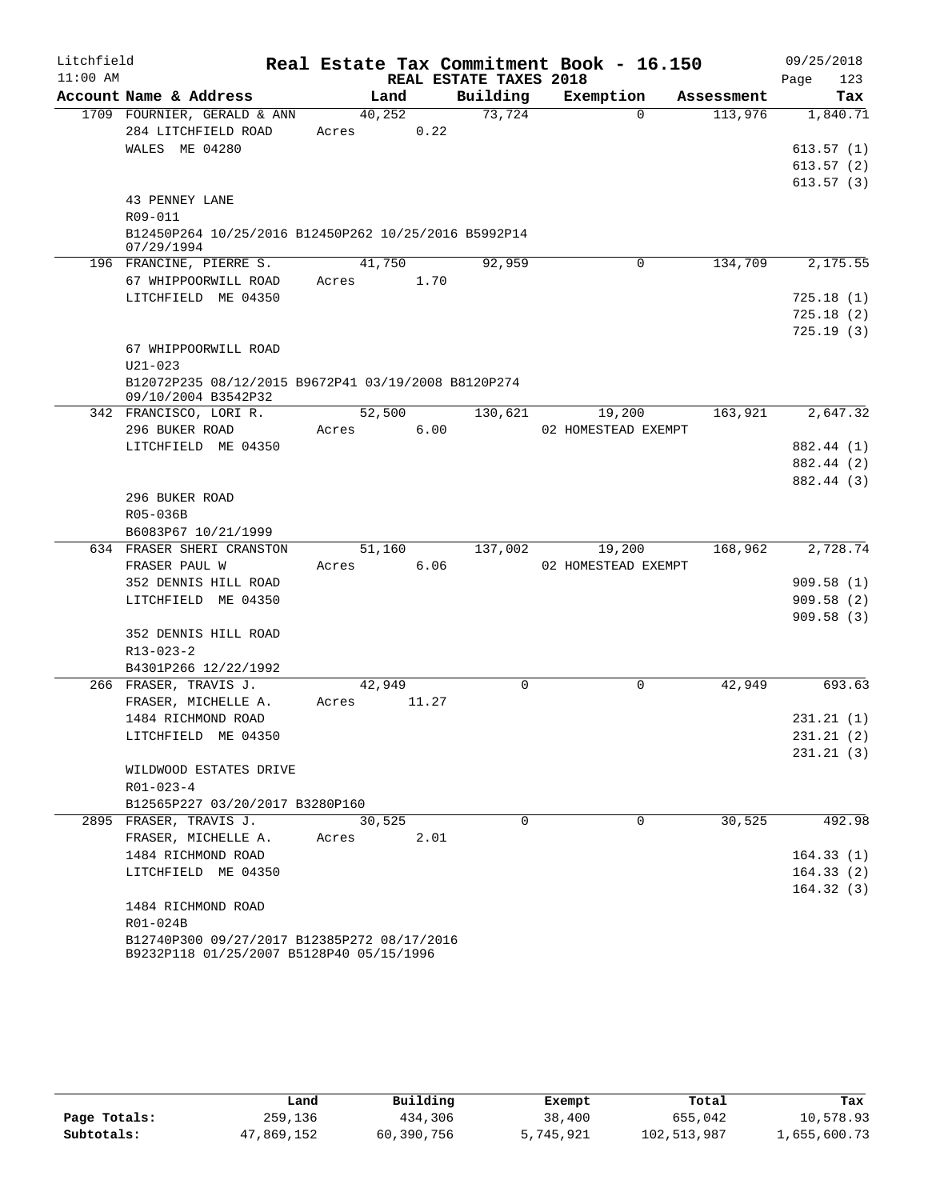| Litchfield |                                                                                         |         |       |                        | Real Estate Tax Commitment Book - 16.150 |            | 09/25/2018  |
|------------|-----------------------------------------------------------------------------------------|---------|-------|------------------------|------------------------------------------|------------|-------------|
| $11:00$ AM |                                                                                         |         |       | REAL ESTATE TAXES 2018 |                                          |            | 123<br>Page |
|            | Account Name & Address                                                                  | Land    |       | Building               | Exemption                                | Assessment | Tax         |
|            | 1709 FOURNIER, GERALD & ANN                                                             | 40, 252 |       | 73,724                 | $\Omega$                                 | 113,976    | 1,840.71    |
|            | 284 LITCHFIELD ROAD                                                                     | Acres   | 0.22  |                        |                                          |            |             |
|            | WALES ME 04280                                                                          |         |       |                        |                                          |            | 613.57(1)   |
|            |                                                                                         |         |       |                        |                                          |            | 613.57(2)   |
|            |                                                                                         |         |       |                        |                                          |            | 613.57(3)   |
|            | 43 PENNEY LANE                                                                          |         |       |                        |                                          |            |             |
|            | R09-011                                                                                 |         |       |                        |                                          |            |             |
|            | B12450P264 10/25/2016 B12450P262 10/25/2016 B5992P14<br>07/29/1994                      |         |       |                        |                                          |            |             |
|            | 196 FRANCINE, PIERRE S.                                                                 | 41,750  |       | 92,959                 | 0                                        | 134,709    | 2,175.55    |
|            | 67 WHIPPOORWILL ROAD                                                                    | Acres   | 1.70  |                        |                                          |            |             |
|            | LITCHFIELD ME 04350                                                                     |         |       |                        |                                          |            | 725.18(1)   |
|            |                                                                                         |         |       |                        |                                          |            | 725.18(2)   |
|            |                                                                                         |         |       |                        |                                          |            | 725.19(3)   |
|            | 67 WHIPPOORWILL ROAD                                                                    |         |       |                        |                                          |            |             |
|            | $U21 - 023$                                                                             |         |       |                        |                                          |            |             |
|            | B12072P235 08/12/2015 B9672P41 03/19/2008 B8120P274                                     |         |       |                        |                                          |            |             |
|            | 09/10/2004 B3542P32                                                                     |         |       |                        |                                          |            |             |
|            | 342 FRANCISCO, LORI R.                                                                  | 52,500  |       | 130,621                | 19,200                                   | 163,921    | 2,647.32    |
|            | 296 BUKER ROAD                                                                          | Acres   | 6.00  |                        | 02 HOMESTEAD EXEMPT                      |            |             |
|            | LITCHFIELD ME 04350                                                                     |         |       |                        |                                          |            | 882.44 (1)  |
|            |                                                                                         |         |       |                        |                                          |            | 882.44 (2)  |
|            |                                                                                         |         |       |                        |                                          |            | 882.44 (3)  |
|            | 296 BUKER ROAD                                                                          |         |       |                        |                                          |            |             |
|            | R05-036B                                                                                |         |       |                        |                                          |            |             |
|            | B6083P67 10/21/1999<br>634 FRASER SHERI CRANSTON                                        | 51,160  |       | 137,002                | 19,200                                   | 168,962    | 2,728.74    |
|            | FRASER PAUL W                                                                           | Acres   | 6.06  |                        | 02 HOMESTEAD EXEMPT                      |            |             |
|            | 352 DENNIS HILL ROAD                                                                    |         |       |                        |                                          |            | 909.58(1)   |
|            | LITCHFIELD ME 04350                                                                     |         |       |                        |                                          |            | 909.58(2)   |
|            |                                                                                         |         |       |                        |                                          |            | 909.58(3)   |
|            | 352 DENNIS HILL ROAD                                                                    |         |       |                        |                                          |            |             |
|            | R13-023-2                                                                               |         |       |                        |                                          |            |             |
|            | B4301P266 12/22/1992                                                                    |         |       |                        |                                          |            |             |
|            | 266 FRASER, TRAVIS J.                                                                   | 42,949  |       | 0                      | $\mathbf 0$                              | 42,949     | 693.63      |
|            | FRASER, MICHELLE A.                                                                     | Acres   | 11.27 |                        |                                          |            |             |
|            | 1484 RICHMOND ROAD                                                                      |         |       |                        |                                          |            | 231.21(1)   |
|            | LITCHFIELD ME 04350                                                                     |         |       |                        |                                          |            | 231.21(2)   |
|            |                                                                                         |         |       |                        |                                          |            | 231.21(3)   |
|            | WILDWOOD ESTATES DRIVE                                                                  |         |       |                        |                                          |            |             |
|            | $R01 - 023 - 4$                                                                         |         |       |                        |                                          |            |             |
|            | B12565P227 03/20/2017 B3280P160                                                         |         |       |                        |                                          |            |             |
|            | 2895 FRASER, TRAVIS J.                                                                  | 30,525  |       | $\Omega$               | $\Omega$                                 | 30,525     | 492.98      |
|            | FRASER, MICHELLE A.                                                                     | Acres   | 2.01  |                        |                                          |            |             |
|            | 1484 RICHMOND ROAD                                                                      |         |       |                        |                                          |            | 164.33(1)   |
|            | LITCHFIELD ME 04350                                                                     |         |       |                        |                                          |            | 164.33(2)   |
|            |                                                                                         |         |       |                        |                                          |            | 164.32(3)   |
|            | 1484 RICHMOND ROAD                                                                      |         |       |                        |                                          |            |             |
|            | R01-024B                                                                                |         |       |                        |                                          |            |             |
|            | B12740P300 09/27/2017 B12385P272 08/17/2016<br>B9232P118 01/25/2007 B5128P40 05/15/1996 |         |       |                        |                                          |            |             |

|              | Land       | Building   | Exempt    | Total       | Tax          |
|--------------|------------|------------|-----------|-------------|--------------|
| Page Totals: | 259,136    | 434,306    | 38,400    | 655,042     | 10,578.93    |
| Subtotals:   | 47,869,152 | 60,390,756 | 5,745,921 | 102,513,987 | 1,655,600.73 |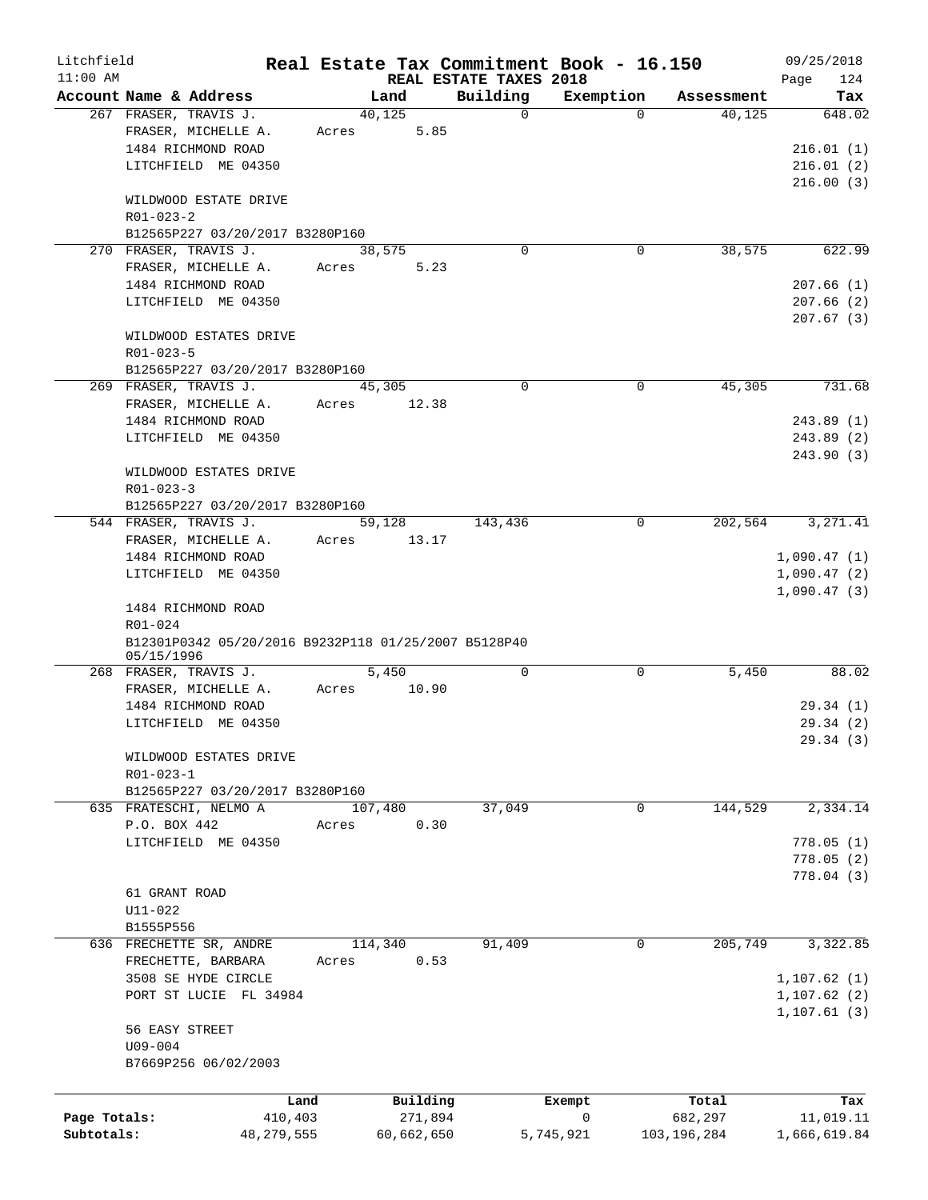| Litchfield   |                                                      |         |            |                                    | Real Estate Tax Commitment Book - 16.150 |             | 09/25/2018    |
|--------------|------------------------------------------------------|---------|------------|------------------------------------|------------------------------------------|-------------|---------------|
| $11:00$ AM   | Account Name & Address                               |         | Land       | REAL ESTATE TAXES 2018<br>Building | Exemption                                | Assessment  | Page<br>124   |
|              | 267 FRASER, TRAVIS J.                                |         | 40,125     | 0                                  | $\Omega$                                 | 40,125      | Tax<br>648.02 |
|              | FRASER, MICHELLE A.                                  | Acres   | 5.85       |                                    |                                          |             |               |
|              | 1484 RICHMOND ROAD                                   |         |            |                                    |                                          |             | 216.01(1)     |
|              | LITCHFIELD ME 04350                                  |         |            |                                    |                                          |             | 216.01(2)     |
|              |                                                      |         |            |                                    |                                          |             | 216.00(3)     |
|              | WILDWOOD ESTATE DRIVE                                |         |            |                                    |                                          |             |               |
|              | $R01 - 023 - 2$                                      |         |            |                                    |                                          |             |               |
|              | B12565P227 03/20/2017 B3280P160                      |         |            |                                    |                                          |             |               |
|              | 270 FRASER, TRAVIS J.                                |         | 38,575     | 0                                  | 0                                        | 38,575      | 622.99        |
|              | FRASER, MICHELLE A.                                  | Acres   | 5.23       |                                    |                                          |             |               |
|              | 1484 RICHMOND ROAD                                   |         |            |                                    |                                          |             | 207.66(1)     |
|              | LITCHFIELD ME 04350                                  |         |            |                                    |                                          |             | 207.66(2)     |
|              |                                                      |         |            |                                    |                                          |             |               |
|              |                                                      |         |            |                                    |                                          |             | 207.67(3)     |
|              | WILDWOOD ESTATES DRIVE                               |         |            |                                    |                                          |             |               |
|              | $R01 - 023 - 5$                                      |         |            |                                    |                                          |             |               |
|              | B12565P227 03/20/2017 B3280P160                      |         |            |                                    |                                          |             |               |
|              | 269 FRASER, TRAVIS J.                                |         | 45,305     | 0                                  | $\mathbf 0$                              | 45,305      | 731.68        |
|              | FRASER, MICHELLE A.                                  | Acres   | 12.38      |                                    |                                          |             |               |
|              | 1484 RICHMOND ROAD                                   |         |            |                                    |                                          |             | 243.89 (1)    |
|              | LITCHFIELD ME 04350                                  |         |            |                                    |                                          |             | 243.89(2)     |
|              |                                                      |         |            |                                    |                                          |             | 243.90(3)     |
|              | WILDWOOD ESTATES DRIVE                               |         |            |                                    |                                          |             |               |
|              | $R01 - 023 - 3$                                      |         |            |                                    |                                          |             |               |
|              | B12565P227 03/20/2017 B3280P160                      |         |            |                                    |                                          |             |               |
|              | 544 FRASER, TRAVIS J.                                |         | 59,128     | 143,436                            | 0                                        | 202,564     | 3, 271.41     |
|              | FRASER, MICHELLE A.                                  | Acres   | 13.17      |                                    |                                          |             |               |
|              | 1484 RICHMOND ROAD                                   |         |            |                                    |                                          |             | 1,090.47(1)   |
|              | LITCHFIELD ME 04350                                  |         |            |                                    |                                          |             | 1,090.47(2)   |
|              |                                                      |         |            |                                    |                                          |             | 1,090.47(3)   |
|              | 1484 RICHMOND ROAD                                   |         |            |                                    |                                          |             |               |
|              | R01-024                                              |         |            |                                    |                                          |             |               |
|              | B12301P0342 05/20/2016 B9232P118 01/25/2007 B5128P40 |         |            |                                    |                                          |             |               |
|              | 05/15/1996                                           |         |            |                                    |                                          |             |               |
|              | 268 FRASER, TRAVIS J.                                |         | 5,450      | 0                                  | 0                                        | 5,450       | 88.02         |
|              | FRASER, MICHELLE A.                                  | Acres   | 10.90      |                                    |                                          |             |               |
|              | 1484 RICHMOND ROAD                                   |         |            |                                    |                                          |             | 29.34(1)      |
|              | LITCHFIELD ME 04350                                  |         |            |                                    |                                          |             | 29.34(2)      |
|              |                                                      |         |            |                                    |                                          |             | 29.34(3)      |
|              | WILDWOOD ESTATES DRIVE                               |         |            |                                    |                                          |             |               |
|              | $R01 - 023 - 1$                                      |         |            |                                    |                                          |             |               |
|              | B12565P227 03/20/2017 B3280P160                      |         |            |                                    |                                          |             |               |
|              | 635 FRATESCHI, NELMO A                               |         | 107,480    | 37,049                             | 0                                        | 144,529     | 2,334.14      |
|              | P.O. BOX 442                                         | Acres   | 0.30       |                                    |                                          |             |               |
|              | LITCHFIELD ME 04350                                  |         |            |                                    |                                          |             | 778.05(1)     |
|              |                                                      |         |            |                                    |                                          |             | 778.05(2)     |
|              |                                                      |         |            |                                    |                                          |             | 778.04 (3)    |
|              | 61 GRANT ROAD                                        |         |            |                                    |                                          |             |               |
|              | $U11 - 022$                                          |         |            |                                    |                                          |             |               |
|              | B1555P556                                            |         |            |                                    |                                          |             |               |
|              | 636 FRECHETTE SR, ANDRE                              |         | 114,340    | 91,409                             | 0                                        | 205,749     | 3,322.85      |
|              | FRECHETTE, BARBARA                                   | Acres   | 0.53       |                                    |                                          |             |               |
|              | 3508 SE HYDE CIRCLE                                  |         |            |                                    |                                          |             | 1, 107.62(1)  |
|              | PORT ST LUCIE FL 34984                               |         |            |                                    |                                          |             | 1, 107.62(2)  |
|              |                                                      |         |            |                                    |                                          |             | 1, 107.61(3)  |
|              | 56 EASY STREET                                       |         |            |                                    |                                          |             |               |
|              | $U09 - 004$                                          |         |            |                                    |                                          |             |               |
|              | B7669P256 06/02/2003                                 |         |            |                                    |                                          |             |               |
|              |                                                      |         |            |                                    |                                          |             |               |
|              |                                                      | Land    | Building   |                                    | Exempt                                   | Total       | Tax           |
| Page Totals: |                                                      | 410,403 | 271,894    |                                    | $\mathsf{O}$                             | 682,297     | 11,019.11     |
| Subtotals:   | 48, 279, 555                                         |         | 60,662,650 |                                    | 5,745,921                                | 103,196,284 | 1,666,619.84  |
|              |                                                      |         |            |                                    |                                          |             |               |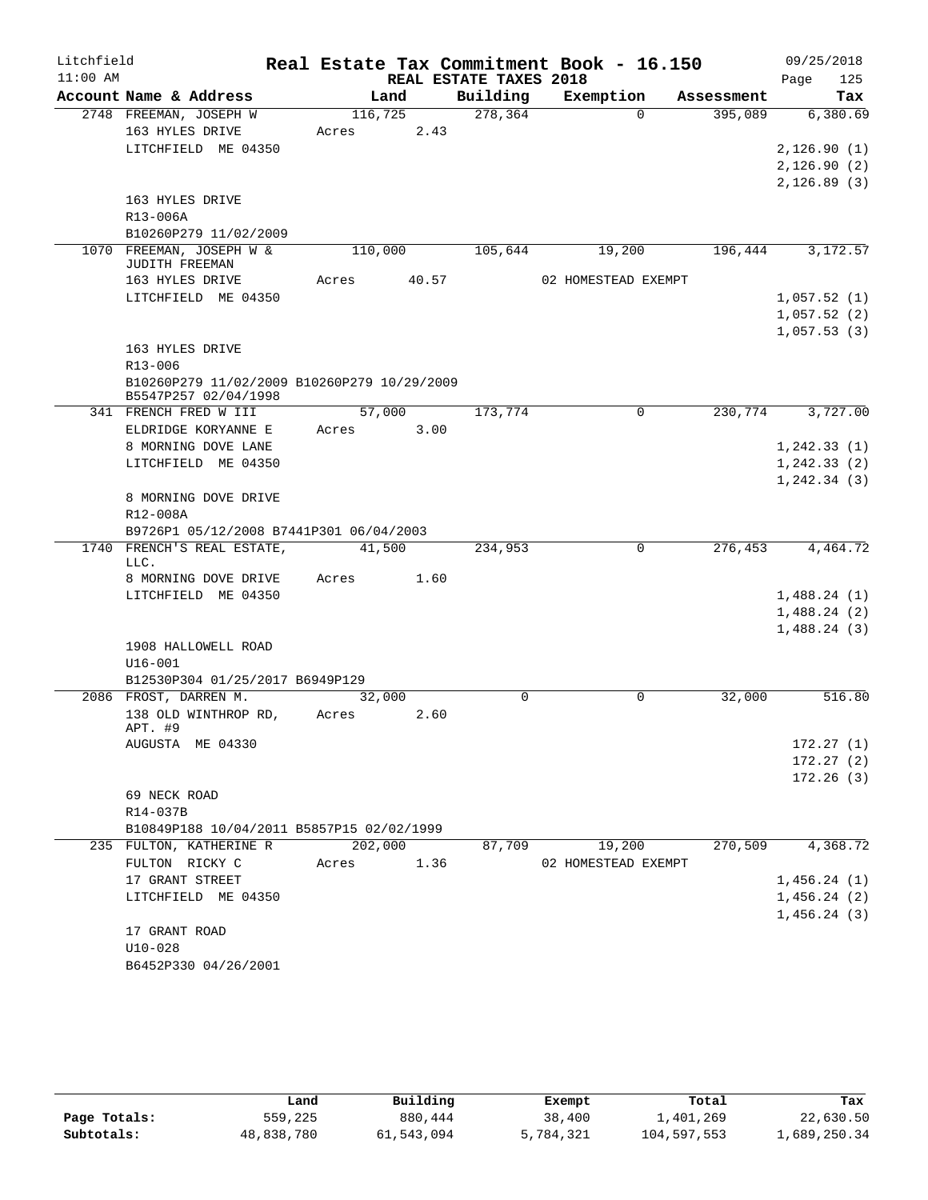| Litchfield |                                             |         |       |                        | Real Estate Tax Commitment Book - 16.150 |            | 09/25/2018   |
|------------|---------------------------------------------|---------|-------|------------------------|------------------------------------------|------------|--------------|
| $11:00$ AM |                                             |         |       | REAL ESTATE TAXES 2018 |                                          |            | 125<br>Page  |
|            | Account Name & Address                      |         | Land  | Building               | Exemption                                | Assessment | Tax          |
|            | 2748 FREEMAN, JOSEPH W                      | 116,725 |       | 278,364                | $\Omega$                                 | 395,089    | 6,380.69     |
|            | 163 HYLES DRIVE                             | Acres   | 2.43  |                        |                                          |            |              |
|            | LITCHFIELD ME 04350                         |         |       |                        |                                          |            | 2,126.90(1)  |
|            |                                             |         |       |                        |                                          |            | 2,126.90(2)  |
|            |                                             |         |       |                        |                                          |            | 2, 126.89(3) |
|            | 163 HYLES DRIVE<br>R13-006A                 |         |       |                        |                                          |            |              |
|            | B10260P279 11/02/2009                       |         |       |                        |                                          |            |              |
|            | 1070 FREEMAN, JOSEPH W &                    | 110,000 |       | 105,644                | 19,200                                   | 196,444    | 3,172.57     |
|            | JUDITH FREEMAN                              |         |       |                        |                                          |            |              |
|            | 163 HYLES DRIVE                             | Acres   | 40.57 |                        | 02 HOMESTEAD EXEMPT                      |            |              |
|            | LITCHFIELD ME 04350                         |         |       |                        |                                          |            | 1,057.52(1)  |
|            |                                             |         |       |                        |                                          |            | 1,057.52(2)  |
|            |                                             |         |       |                        |                                          |            | 1,057.53(3)  |
|            | 163 HYLES DRIVE                             |         |       |                        |                                          |            |              |
|            | R13-006                                     |         |       |                        |                                          |            |              |
|            | B10260P279 11/02/2009 B10260P279 10/29/2009 |         |       |                        |                                          |            |              |
|            | B5547P257 02/04/1998                        |         |       |                        |                                          |            |              |
|            | 341 FRENCH FRED W III                       | 57,000  |       | 173,774                | $\mathbf 0$                              | 230,774    | 3,727.00     |
|            | ELDRIDGE KORYANNE E                         | Acres   | 3.00  |                        |                                          |            |              |
|            | 8 MORNING DOVE LANE                         |         |       |                        |                                          |            | 1,242.33(1)  |
|            | LITCHFIELD ME 04350                         |         |       |                        |                                          |            | 1, 242.33(2) |
|            |                                             |         |       |                        |                                          |            | 1, 242.34(3) |
|            | 8 MORNING DOVE DRIVE<br>R12-008A            |         |       |                        |                                          |            |              |
|            | B9726P1 05/12/2008 B7441P301 06/04/2003     |         |       |                        |                                          |            |              |
|            | 1740 FRENCH'S REAL ESTATE,                  | 41,500  |       | 234,953                | 0                                        | 276,453    | 4,464.72     |
|            | LLC.                                        |         |       |                        |                                          |            |              |
|            | 8 MORNING DOVE DRIVE                        | Acres   | 1.60  |                        |                                          |            |              |
|            | LITCHFIELD ME 04350                         |         |       |                        |                                          |            | 1,488.24(1)  |
|            |                                             |         |       |                        |                                          |            | 1,488.24(2)  |
|            |                                             |         |       |                        |                                          |            | 1,488.24(3)  |
|            | 1908 HALLOWELL ROAD                         |         |       |                        |                                          |            |              |
|            | $U16 - 001$                                 |         |       |                        |                                          |            |              |
|            | B12530P304 01/25/2017 B6949P129             |         |       |                        |                                          |            |              |
|            | 2086 FROST, DARREN M.                       | 32,000  |       | $\Omega$               | $\Omega$                                 | 32,000     | 516.80       |
|            | 138 OLD WINTHROP RD,<br>APT. #9             | Acres   | 2.60  |                        |                                          |            |              |
|            | AUGUSTA ME 04330                            |         |       |                        |                                          |            | 172.27(1)    |
|            |                                             |         |       |                        |                                          |            | 172.27(2)    |
|            |                                             |         |       |                        |                                          |            | 172.26(3)    |
|            | 69 NECK ROAD                                |         |       |                        |                                          |            |              |
|            | R14-037B                                    |         |       |                        |                                          |            |              |
|            | B10849P188 10/04/2011 B5857P15 02/02/1999   |         |       |                        |                                          |            |              |
|            | 235 FULTON, KATHERINE R                     | 202,000 |       | 87,709                 | 19,200                                   | 270,509    | 4,368.72     |
|            | FULTON RICKY C                              | Acres   | 1.36  |                        | 02 HOMESTEAD EXEMPT                      |            |              |
|            | 17 GRANT STREET                             |         |       |                        |                                          |            | 1,456.24(1)  |
|            | LITCHFIELD ME 04350                         |         |       |                        |                                          |            | 1,456.24(2)  |
|            |                                             |         |       |                        |                                          |            | 1,456.24(3)  |
|            | 17 GRANT ROAD                               |         |       |                        |                                          |            |              |
|            | $U10-028$                                   |         |       |                        |                                          |            |              |
|            | B6452P330 04/26/2001                        |         |       |                        |                                          |            |              |

|              | Land       | Building   | Exempt    | Total       | Tax          |  |
|--------------|------------|------------|-----------|-------------|--------------|--|
| Page Totals: | 559,225    | 880,444    | 38,400    | 1,401,269   | 22,630.50    |  |
| Subtotals:   | 48,838,780 | 61,543,094 | 5,784,321 | 104,597,553 | 1,689,250.34 |  |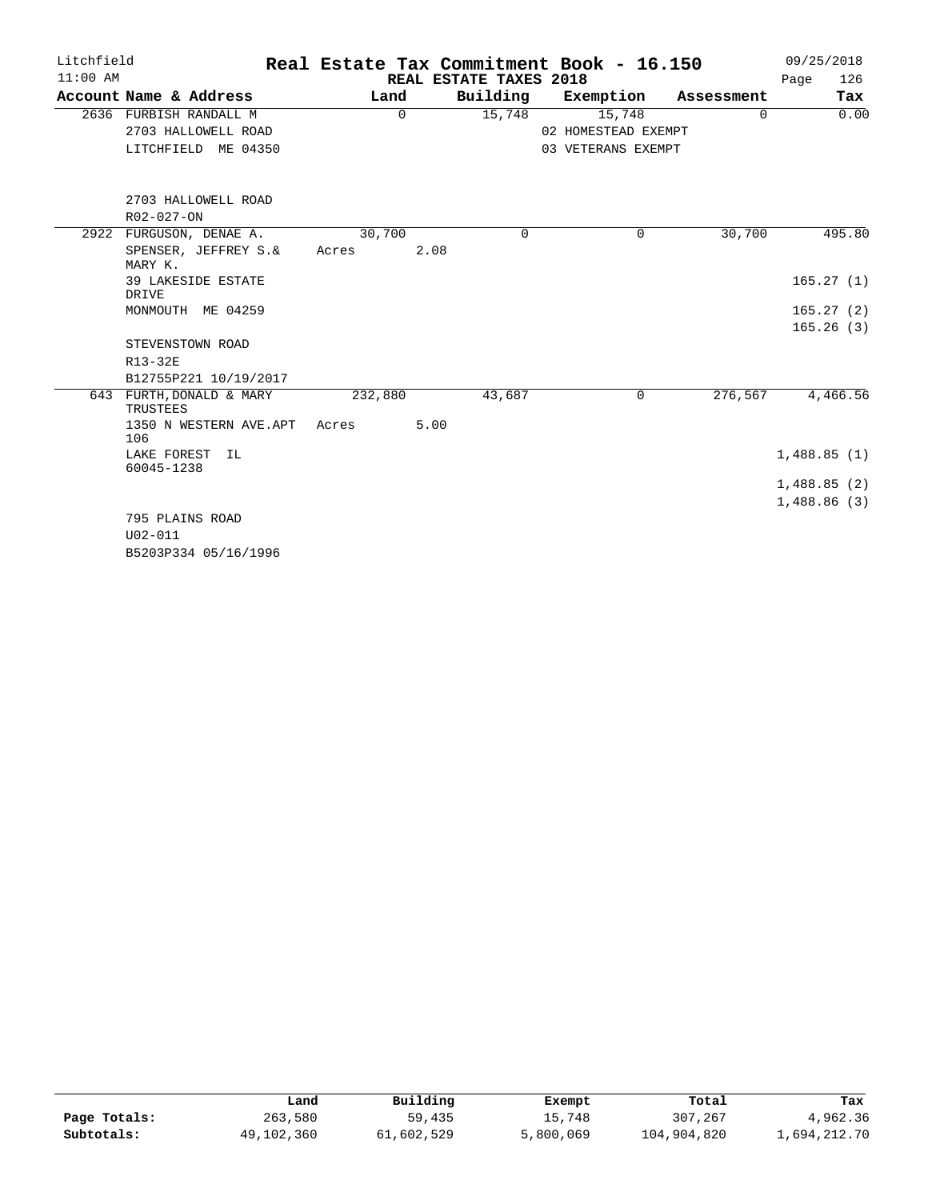| Litchfield |                                  |         | Real Estate Tax Commitment Book - 16.150 |                        |                     |            |             |  |
|------------|----------------------------------|---------|------------------------------------------|------------------------|---------------------|------------|-------------|--|
| $11:00$ AM |                                  |         |                                          | REAL ESTATE TAXES 2018 |                     |            | 126<br>Page |  |
|            | Account Name & Address           |         | Land                                     | Building               | Exemption           | Assessment | Tax         |  |
|            | 2636 FURBISH RANDALL M           |         | 0                                        | 15,748                 | 15,748              | 0          | 0.00        |  |
|            | 2703 HALLOWELL ROAD              |         |                                          |                        | 02 HOMESTEAD EXEMPT |            |             |  |
|            | LITCHFIELD ME 04350              |         |                                          |                        | 03 VETERANS EXEMPT  |            |             |  |
|            | 2703 HALLOWELL ROAD              |         |                                          |                        |                     |            |             |  |
|            | R02-027-ON                       |         |                                          |                        |                     |            |             |  |
| 2922       | FURGUSON, DENAE A.               | 30,700  |                                          | $\Omega$               | 0                   | 30,700     | 495.80      |  |
|            | SPENSER, JEFFREY S.&<br>MARY K.  | Acres   | 2.08                                     |                        |                     |            |             |  |
|            | 39 LAKESIDE ESTATE<br>DRIVE      |         |                                          |                        |                     |            | 165.27(1)   |  |
|            | MONMOUTH ME 04259                |         |                                          |                        |                     |            | 165.27(2)   |  |
|            |                                  |         |                                          |                        |                     |            | 165.26(3)   |  |
|            | STEVENSTOWN ROAD                 |         |                                          |                        |                     |            |             |  |
|            | R13-32E                          |         |                                          |                        |                     |            |             |  |
|            | B12755P221 10/19/2017            |         |                                          |                        |                     |            |             |  |
| 643        | FURTH, DONALD & MARY<br>TRUSTEES | 232,880 |                                          | 43,687                 | 0                   | 276,567    | 4,466.56    |  |
|            | 1350 N WESTERN AVE.APT<br>106    | Acres   | 5.00                                     |                        |                     |            |             |  |
|            | LAKE FOREST IL<br>60045-1238     |         |                                          |                        |                     |            | 1,488.85(1) |  |
|            |                                  |         |                                          |                        |                     |            | 1,488.85(2) |  |
|            |                                  |         |                                          |                        |                     |            | 1,488.86(3) |  |
|            | 795 PLAINS ROAD                  |         |                                          |                        |                     |            |             |  |
|            | $U02 - 011$                      |         |                                          |                        |                     |            |             |  |
|            | B5203P334 05/16/1996             |         |                                          |                        |                     |            |             |  |

|              | Land       | Building   | Exempt    | Total       | Tax          |
|--------------|------------|------------|-----------|-------------|--------------|
| Page Totals: | 263,580    | 59,435     | 15,748    | 307,267     | 4,962.36     |
| Subtotals:   | 49,102,360 | 61,602,529 | 5,800,069 | 104,904,820 | 1,694,212.70 |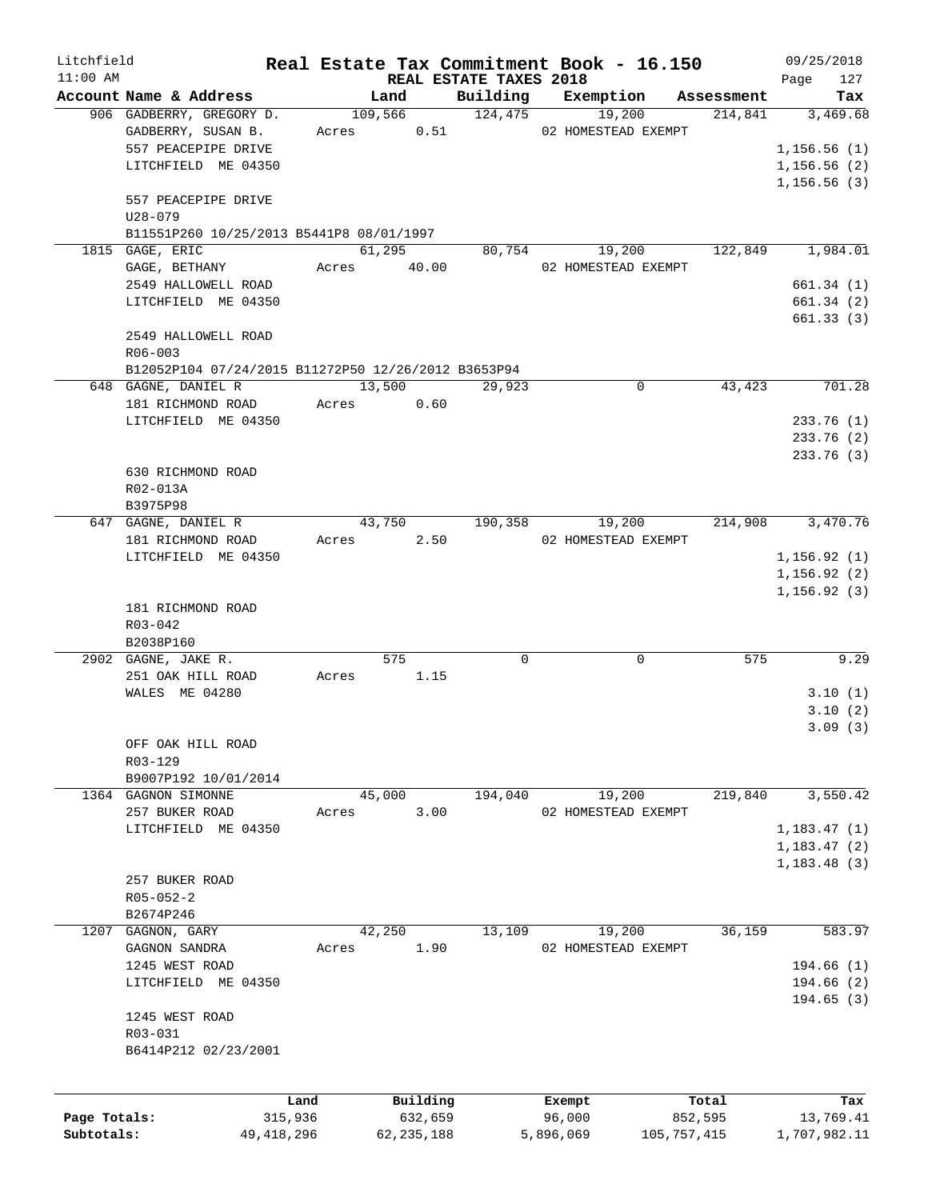| Litchfield   |                                                     |            |               |                        | Real Estate Tax Commitment Book - 16.150 |             | 09/25/2018                 |
|--------------|-----------------------------------------------------|------------|---------------|------------------------|------------------------------------------|-------------|----------------------------|
| $11:00$ AM   |                                                     |            |               | REAL ESTATE TAXES 2018 |                                          |             | 127<br>Page                |
|              | Account Name & Address                              |            | Land          | Building               | Exemption                                | Assessment  | Tax                        |
|              | 906 GADBERRY, GREGORY D.                            |            | 109,566       | 124, 475               | 19,200                                   | 214,841     | 3,469.68                   |
|              | GADBERRY, SUSAN B.                                  | Acres      | 0.51          |                        | 02 HOMESTEAD EXEMPT                      |             |                            |
|              | 557 PEACEPIPE DRIVE                                 |            |               |                        |                                          |             | 1,156.56(1)                |
|              | LITCHFIELD ME 04350                                 |            |               |                        |                                          |             | 1,156.56(2)<br>1,156.56(3) |
|              | 557 PEACEPIPE DRIVE                                 |            |               |                        |                                          |             |                            |
|              | $U28 - 079$                                         |            |               |                        |                                          |             |                            |
|              | B11551P260 10/25/2013 B5441P8 08/01/1997            |            |               |                        |                                          |             |                            |
|              | 1815 GAGE, ERIC                                     |            | 61,295        | 80,754                 | 19,200                                   | 122,849     | 1,984.01                   |
|              | GAGE, BETHANY                                       |            | Acres 40.00   |                        | 02 HOMESTEAD EXEMPT                      |             |                            |
|              | 2549 HALLOWELL ROAD                                 |            |               |                        |                                          |             | 661.34(1)                  |
|              | LITCHFIELD ME 04350                                 |            |               |                        |                                          |             | 661.34(2)                  |
|              |                                                     |            |               |                        |                                          |             | 661.33(3)                  |
|              | 2549 HALLOWELL ROAD                                 |            |               |                        |                                          |             |                            |
|              | $R06 - 003$                                         |            |               |                        |                                          |             |                            |
|              | B12052P104 07/24/2015 B11272P50 12/26/2012 B3653P94 |            |               |                        |                                          |             |                            |
|              | 648 GAGNE, DANIEL R                                 |            | 13,500        | 29,923                 | 0                                        | 43,423      | 701.28                     |
|              | 181 RICHMOND ROAD                                   |            | Acres 0.60    |                        |                                          |             |                            |
|              | LITCHFIELD ME 04350                                 |            |               |                        |                                          |             | 233.76(1)                  |
|              |                                                     |            |               |                        |                                          |             | 233.76 (2)                 |
|              |                                                     |            |               |                        |                                          |             | 233.76 (3)                 |
|              | 630 RICHMOND ROAD                                   |            |               |                        |                                          |             |                            |
|              | R02-013A                                            |            |               |                        |                                          |             |                            |
|              | B3975P98                                            |            |               |                        |                                          |             |                            |
|              | 647 GAGNE, DANIEL R                                 |            | 43,750        | 190,358                | 19,200                                   | 214,908     | 3,470.76                   |
|              | 181 RICHMOND ROAD                                   |            | 2.50<br>Acres |                        | 02 HOMESTEAD EXEMPT                      |             |                            |
|              | LITCHFIELD ME 04350                                 |            |               |                        |                                          |             | 1, 156.92(1)               |
|              |                                                     |            |               |                        |                                          |             | 1, 156.92(2)               |
|              |                                                     |            |               |                        |                                          |             | 1, 156.92(3)               |
|              | 181 RICHMOND ROAD                                   |            |               |                        |                                          |             |                            |
|              | R03-042                                             |            |               |                        |                                          |             |                            |
|              | B2038P160                                           |            |               |                        |                                          |             |                            |
|              | 2902 GAGNE, JAKE R.                                 |            | 575           | 0                      | 0                                        | 575         | 9.29                       |
|              | 251 OAK HILL ROAD                                   | Acres      | 1.15          |                        |                                          |             |                            |
|              | WALES ME 04280                                      |            |               |                        |                                          |             | 3.10(1)                    |
|              |                                                     |            |               |                        |                                          |             | 3.10(2)                    |
|              |                                                     |            |               |                        |                                          |             | 3.09(3)                    |
|              | OFF OAK HILL ROAD                                   |            |               |                        |                                          |             |                            |
|              | R03-129                                             |            |               |                        |                                          |             |                            |
|              | B9007P192 10/01/2014                                |            |               |                        |                                          |             |                            |
|              | 1364 GAGNON SIMONNE                                 |            | 45,000        | 194,040                | 19,200                                   | 219,840     | 3,550.42                   |
|              | 257 BUKER ROAD                                      | Acres      | 3.00          |                        | 02 HOMESTEAD EXEMPT                      |             |                            |
|              | LITCHFIELD ME 04350                                 |            |               |                        |                                          |             | 1,183.47(1)                |
|              |                                                     |            |               |                        |                                          |             | 1,183.47(2)                |
|              |                                                     |            |               |                        |                                          |             | 1,183.48(3)                |
|              | 257 BUKER ROAD                                      |            |               |                        |                                          |             |                            |
|              | $R05 - 052 - 2$                                     |            |               |                        |                                          |             |                            |
|              | B2674P246                                           |            |               |                        |                                          |             |                            |
| 1207         | GAGNON, GARY                                        |            | 42,250        | 13,109                 | 19,200                                   | 36,159      | 583.97                     |
|              | GAGNON SANDRA                                       | Acres      | 1.90          |                        | 02 HOMESTEAD EXEMPT                      |             |                            |
|              | 1245 WEST ROAD                                      |            |               |                        |                                          |             | 194.66 (1)                 |
|              | LITCHFIELD ME 04350                                 |            |               |                        |                                          |             | 194.66(2)                  |
|              |                                                     |            |               |                        |                                          |             | 194.65(3)                  |
|              | 1245 WEST ROAD                                      |            |               |                        |                                          |             |                            |
|              | R03-031                                             |            |               |                        |                                          |             |                            |
|              | B6414P212 02/23/2001                                |            |               |                        |                                          |             |                            |
|              |                                                     |            |               |                        |                                          |             |                            |
|              |                                                     | Land       | Building      |                        | Exempt                                   | Total       | Tax                        |
| Page Totals: |                                                     | 315,936    | 632,659       |                        | 96,000                                   | 852,595     | 13,769.41                  |
| Subtotals:   |                                                     | 49,418,296 | 62, 235, 188  |                        | 5,896,069                                | 105,757,415 | 1,707,982.11               |
|              |                                                     |            |               |                        |                                          |             |                            |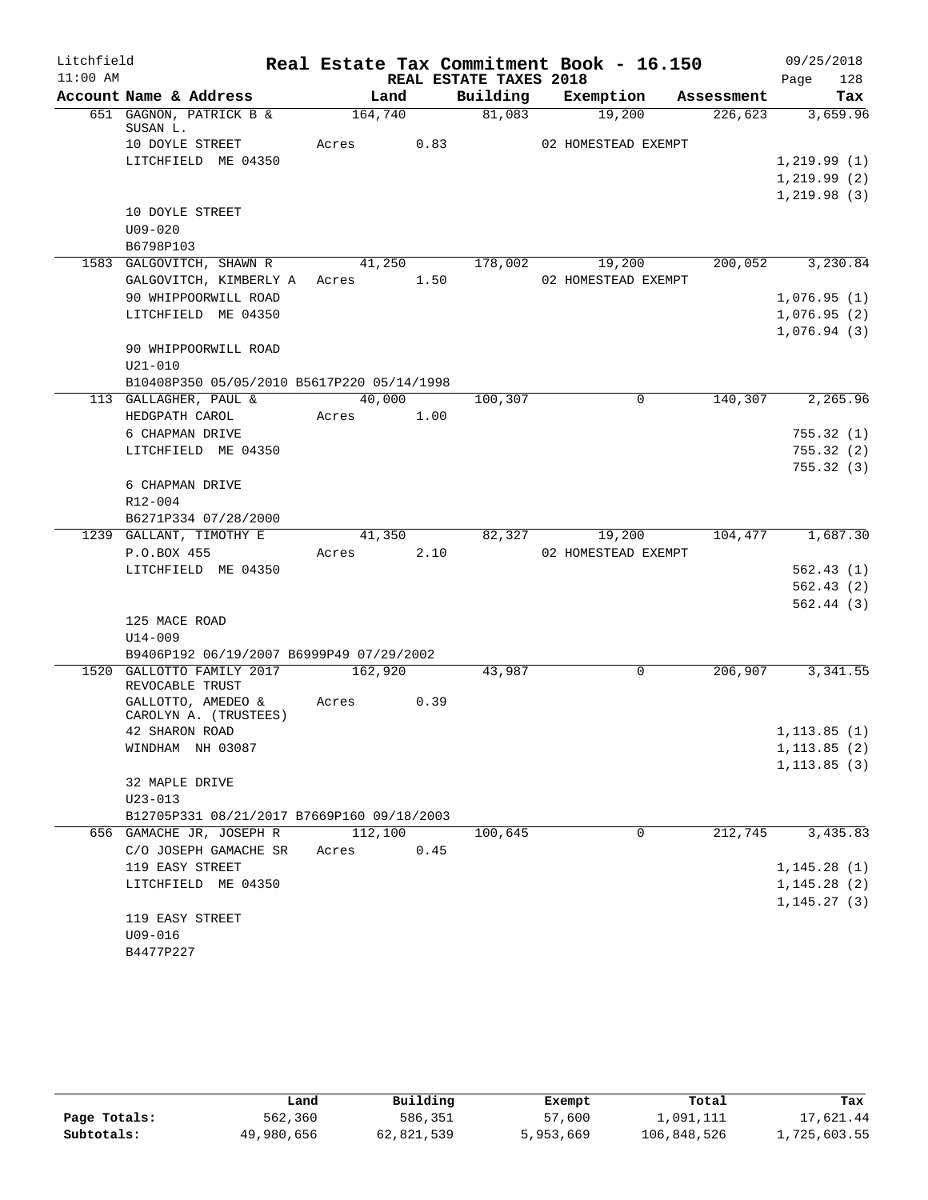| Litchfield |                                                 |            |      |                        | Real Estate Tax Commitment Book - 16.150 |         | 09/25/2018       |
|------------|-------------------------------------------------|------------|------|------------------------|------------------------------------------|---------|------------------|
| $11:00$ AM |                                                 |            |      | REAL ESTATE TAXES 2018 |                                          |         | 128<br>Page      |
|            | Account Name & Address                          | Land       |      |                        | Building Exemption Assessment            |         | Tax              |
|            | 651 GAGNON, PATRICK B &<br>SUSAN L.             | 164,740    |      | 81,083                 | 19,200                                   | 226,623 | 3,659.96         |
|            | 10 DOYLE STREET                                 | Acres 0.83 |      |                        | 02 HOMESTEAD EXEMPT                      |         |                  |
|            | LITCHFIELD ME 04350                             |            |      |                        |                                          |         | 1,219.99(1)      |
|            |                                                 |            |      |                        |                                          |         | 1, 219.99(2)     |
|            |                                                 |            |      |                        |                                          |         | 1,219.98(3)      |
|            | 10 DOYLE STREET                                 |            |      |                        |                                          |         |                  |
|            | $U09 - 020$                                     |            |      |                        |                                          |         |                  |
|            | B6798P103                                       |            |      |                        |                                          |         |                  |
|            | 1583 GALGOVITCH, SHAWN R                        |            |      |                        | 41,250 178,002 19,200                    |         | 200,052 3,230.84 |
|            | GALGOVITCH, KIMBERLY A Acres 1.50               |            |      |                        | 02 HOMESTEAD EXEMPT                      |         |                  |
|            | 90 WHIPPOORWILL ROAD                            |            |      |                        |                                          |         | 1,076.95(1)      |
|            | LITCHFIELD ME 04350                             |            |      |                        |                                          |         | 1,076.95(2)      |
|            |                                                 |            |      |                        |                                          |         | 1,076.94(3)      |
|            | 90 WHIPPOORWILL ROAD                            |            |      |                        |                                          |         |                  |
|            | $U21 - 010$                                     |            |      |                        |                                          |         |                  |
|            | B10408P350 05/05/2010 B5617P220 05/14/1998      |            |      |                        |                                          |         |                  |
|            | 113 GALLAGHER, PAUL &                           | 40,000     |      | 100,307                | $\mathbf{0}$                             |         | 140,307 2,265.96 |
|            | HEDGPATH CAROL                                  | Acres 1.00 |      |                        |                                          |         |                  |
|            | 6 CHAPMAN DRIVE                                 |            |      |                        |                                          |         | 755.32(1)        |
|            | LITCHFIELD ME 04350                             |            |      |                        |                                          |         | 755.32(2)        |
|            |                                                 |            |      |                        |                                          |         | 755.32(3)        |
|            | 6 CHAPMAN DRIVE                                 |            |      |                        |                                          |         |                  |
|            | R12-004                                         |            |      |                        |                                          |         |                  |
|            | B6271P334 07/28/2000<br>1239 GALLANT, TIMOTHY E | 41,350     |      |                        | 82,327 19,200                            | 104,477 | 1,687.30         |
|            | P.O.BOX 455                                     | Acres 2.10 |      |                        | 02 HOMESTEAD EXEMPT                      |         |                  |
|            | LITCHFIELD ME 04350                             |            |      |                        |                                          |         | 562.43(1)        |
|            |                                                 |            |      |                        |                                          |         | 562.43(2)        |
|            |                                                 |            |      |                        |                                          |         | 562.44(3)        |
|            | 125 MACE ROAD                                   |            |      |                        |                                          |         |                  |
|            | $U14 - 009$                                     |            |      |                        |                                          |         |                  |
|            | B9406P192 06/19/2007 B6999P49 07/29/2002        |            |      |                        |                                          |         |                  |
|            | 1520 GALLOTTO FAMILY 2017                       | 162,920    |      | 43,987                 | 0                                        | 206,907 | 3,341.55         |
|            | REVOCABLE TRUST                                 |            |      |                        |                                          |         |                  |
|            | GALLOTTO, AMEDEO &                              | Acres 0.39 |      |                        |                                          |         |                  |
|            | CAROLYN A. (TRUSTEES)<br>42 SHARON ROAD         |            |      |                        |                                          |         | 1,113.85(1)      |
|            | WINDHAM NH 03087                                |            |      |                        |                                          |         | 1, 113.85(2)     |
|            |                                                 |            |      |                        |                                          |         | 1, 113.85(3)     |
|            | 32 MAPLE DRIVE                                  |            |      |                        |                                          |         |                  |
|            | $U23 - 013$                                     |            |      |                        |                                          |         |                  |
|            | B12705P331 08/21/2017 B7669P160 09/18/2003      |            |      |                        |                                          |         |                  |
|            | 656 GAMACHE JR, JOSEPH R                        | 112,100    |      | 100,645                | $\mathbf 0$                              | 212,745 | 3,435.83         |
|            | C/O JOSEPH GAMACHE SR                           | Acres      | 0.45 |                        |                                          |         |                  |
|            | 119 EASY STREET                                 |            |      |                        |                                          |         | 1, 145.28(1)     |
|            | LITCHFIELD ME 04350                             |            |      |                        |                                          |         | 1, 145.28(2)     |
|            |                                                 |            |      |                        |                                          |         | 1, 145.27(3)     |
|            | 119 EASY STREET                                 |            |      |                        |                                          |         |                  |
|            | U09-016                                         |            |      |                        |                                          |         |                  |
|            | B4477P227                                       |            |      |                        |                                          |         |                  |

|              | Land       | Building   | Exempt    | Total       | Tax          |  |
|--------------|------------|------------|-----------|-------------|--------------|--|
| Page Totals: | 562,360    | 586,351    | 57,600    | 1,091,111   | 17,621.44    |  |
| Subtotals:   | 49,980,656 | 62,821,539 | 5,953,669 | 106,848,526 | 1,725,603.55 |  |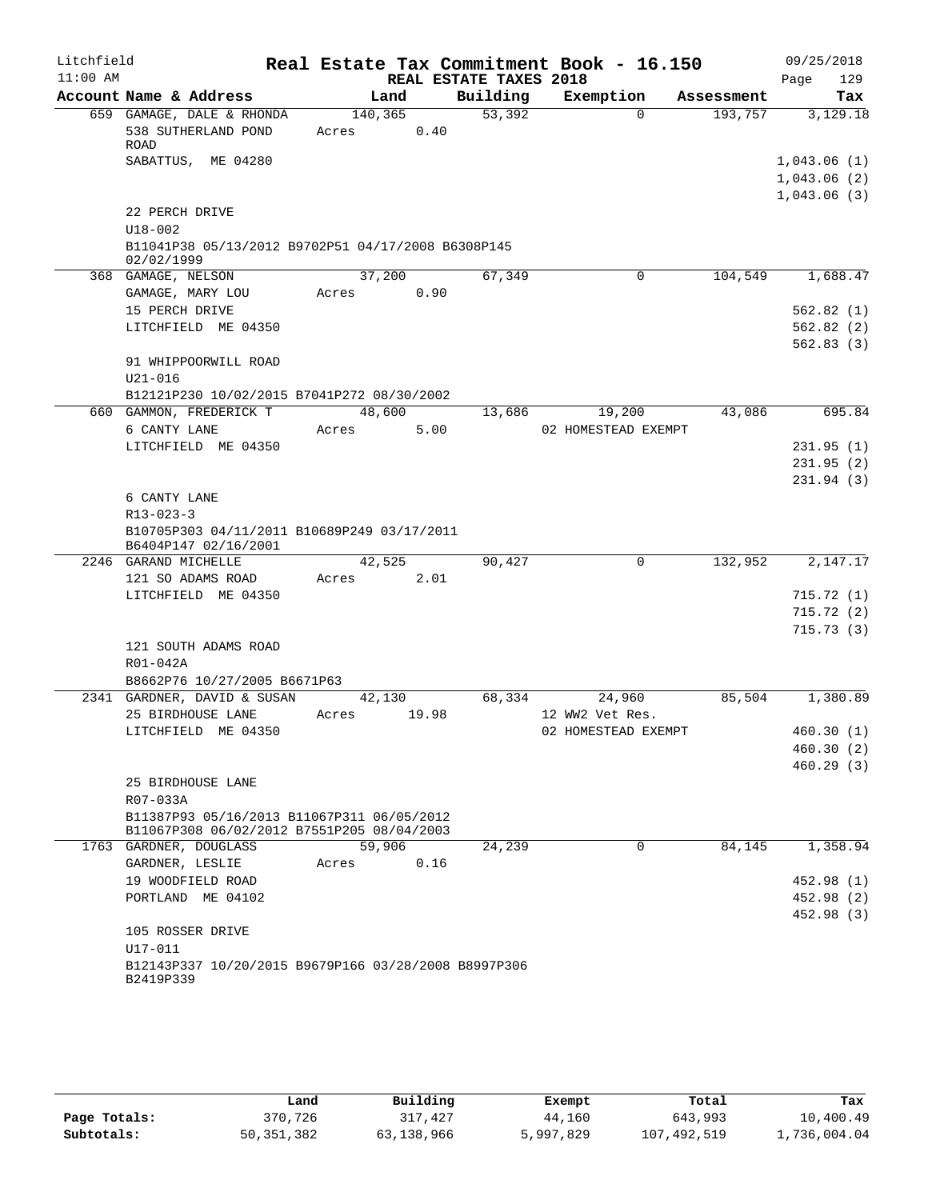| Litchfield |                                                                                     |                  |                 |                        | Real Estate Tax Commitment Book - 16.150 |            | 09/25/2018                 |
|------------|-------------------------------------------------------------------------------------|------------------|-----------------|------------------------|------------------------------------------|------------|----------------------------|
| $11:00$ AM |                                                                                     |                  |                 | REAL ESTATE TAXES 2018 |                                          |            | 129<br>Page                |
|            | Account Name & Address                                                              |                  | Land            | Building               | Exemption                                | Assessment | Tax                        |
|            | 659 GAMAGE, DALE & RHONDA<br>538 SUTHERLAND POND<br><b>ROAD</b>                     | 140,365<br>Acres | 0.40            | 53,392                 | $\Omega$                                 | 193,757    | 3,129.18                   |
|            | SABATTUS, ME 04280                                                                  |                  |                 |                        |                                          |            | 1,043.06(1)<br>1,043.06(2) |
|            | 22 PERCH DRIVE<br>$U18 - 002$<br>B11041P38 05/13/2012 B9702P51 04/17/2008 B6308P145 |                  |                 |                        |                                          |            | 1,043.06(3)                |
|            | 02/02/1999<br>368 GAMAGE, NELSON                                                    | 37,200           |                 | 67,349                 | 0                                        | 104,549    | 1,688.47                   |
|            | GAMAGE, MARY LOU                                                                    | Acres            | 0.90            |                        |                                          |            |                            |
|            | 15 PERCH DRIVE                                                                      |                  |                 |                        |                                          |            | 562.82(1)                  |
|            | LITCHFIELD ME 04350                                                                 |                  |                 |                        |                                          |            | 562.82(2)                  |
|            |                                                                                     |                  |                 |                        |                                          |            | 562.83(3)                  |
|            | 91 WHIPPOORWILL ROAD                                                                |                  |                 |                        |                                          |            |                            |
|            | $U21 - 016$                                                                         |                  |                 |                        |                                          |            |                            |
|            | B12121P230 10/02/2015 B7041P272 08/30/2002                                          |                  |                 |                        |                                          |            |                            |
|            | 660 GAMMON, FREDERICK T                                                             | 48,600           |                 | 13,686                 | 19,200                                   | 43,086     | 695.84                     |
|            | 6 CANTY LANE                                                                        | Acres            | 5.00            |                        | 02 HOMESTEAD EXEMPT                      |            |                            |
|            | LITCHFIELD ME 04350                                                                 |                  |                 |                        |                                          |            | 231.95(1)                  |
|            |                                                                                     |                  |                 |                        |                                          |            | 231.95(2)                  |
|            |                                                                                     |                  |                 |                        |                                          |            | 231.94(3)                  |
|            | 6 CANTY LANE                                                                        |                  |                 |                        |                                          |            |                            |
|            | $R13 - 023 - 3$<br>B10705P303 04/11/2011 B10689P249 03/17/2011                      |                  |                 |                        |                                          |            |                            |
|            | B6404P147 02/16/2001                                                                |                  |                 |                        |                                          |            |                            |
|            | 2246 GARAND MICHELLE                                                                |                  | 42,525          | 90,427                 | 0                                        | 132,952    | 2,147.17                   |
|            | 121 SO ADAMS ROAD                                                                   | Acres            | 2.01            |                        |                                          |            |                            |
|            | LITCHFIELD ME 04350                                                                 |                  |                 |                        |                                          |            | 715.72(1)                  |
|            |                                                                                     |                  |                 |                        |                                          |            | 715.72(2)                  |
|            |                                                                                     |                  |                 |                        |                                          |            | 715.73(3)                  |
|            | 121 SOUTH ADAMS ROAD                                                                |                  |                 |                        |                                          |            |                            |
|            | R01-042A                                                                            |                  |                 |                        |                                          |            |                            |
|            | B8662P76 10/27/2005 B6671P63                                                        |                  |                 |                        |                                          |            |                            |
|            | 2341 GARDNER, DAVID & SUSAN<br>25 BIRDHOUSE LANE                                    |                  | 42,130<br>19.98 | 68,334                 | 24,960<br>12 WW2 Vet Res.                | 85,504     | 1,380.89                   |
|            | LITCHFIELD ME 04350                                                                 | Acres            |                 |                        | 02 HOMESTEAD EXEMPT                      |            | 460.30(1)                  |
|            |                                                                                     |                  |                 |                        |                                          |            | 460.30 (2)                 |
|            |                                                                                     |                  |                 |                        |                                          |            | 460.29(3)                  |
|            | 25 BIRDHOUSE LANE                                                                   |                  |                 |                        |                                          |            |                            |
|            | R07-033A                                                                            |                  |                 |                        |                                          |            |                            |
|            | B11387P93 05/16/2013 B11067P311 06/05/2012                                          |                  |                 |                        |                                          |            |                            |
|            | B11067P308 06/02/2012 B7551P205 08/04/2003                                          |                  |                 |                        |                                          |            |                            |
|            | 1763 GARDNER, DOUGLASS                                                              | 59,906           |                 | 24,239                 | 0                                        | 84,145     | 1,358.94                   |
|            | GARDNER, LESLIE                                                                     | Acres            | 0.16            |                        |                                          |            |                            |
|            | 19 WOODFIELD ROAD                                                                   |                  |                 |                        |                                          |            | 452.98 (1)                 |
|            | PORTLAND ME 04102                                                                   |                  |                 |                        |                                          |            | 452.98 (2)                 |
|            | 105 ROSSER DRIVE                                                                    |                  |                 |                        |                                          |            | 452.98 (3)                 |
|            | U17-011                                                                             |                  |                 |                        |                                          |            |                            |
|            | B12143P337 10/20/2015 B9679P166 03/28/2008 B8997P306                                |                  |                 |                        |                                          |            |                            |
|            | B2419P339                                                                           |                  |                 |                        |                                          |            |                            |
|            |                                                                                     |                  |                 |                        |                                          |            |                            |

|              | Land       | Building   | Exempt    | Total       | Tax          |
|--------------|------------|------------|-----------|-------------|--------------|
| Page Totals: | 370,726    | 317,427    | 44,160    | 643,993     | 10,400.49    |
| Subtotals:   | 50,351,382 | 63,138,966 | 5,997,829 | 107,492,519 | 1,736,004.04 |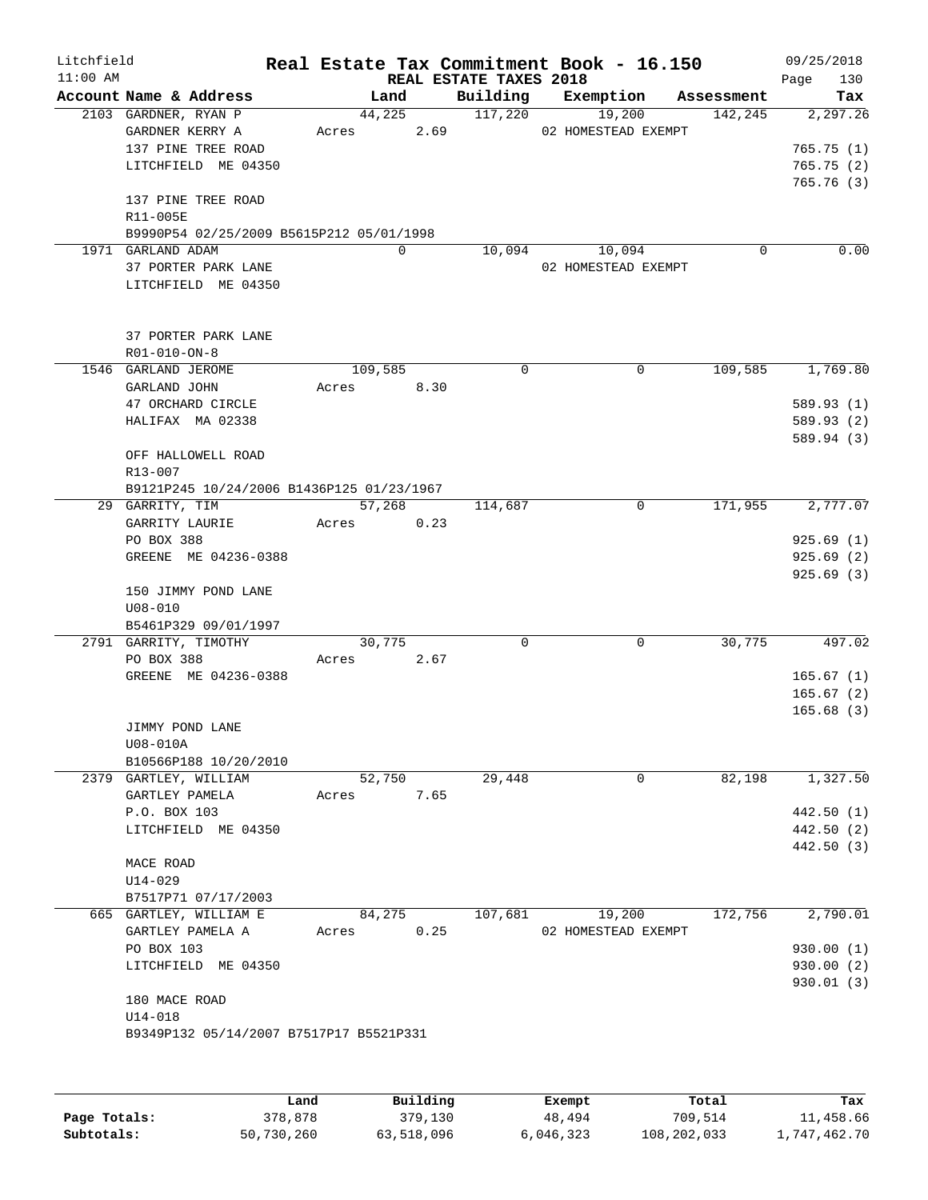| Litchfield<br>$11:00$ AM |                                                                                                                                                            |                  |                | REAL ESTATE TAXES 2018 | Real Estate Tax Commitment Book - 16.150 |            | 09/25/2018<br>130<br>Page                          |
|--------------------------|------------------------------------------------------------------------------------------------------------------------------------------------------------|------------------|----------------|------------------------|------------------------------------------|------------|----------------------------------------------------|
|                          | Account Name & Address                                                                                                                                     |                  | Land           | Building               | Exemption                                | Assessment | Tax                                                |
|                          | 2103 GARDNER, RYAN P<br>GARDNER KERRY A<br>137 PINE TREE ROAD<br>LITCHFIELD ME 04350                                                                       | Acres            | 44,225<br>2.69 | 117,220                | 19,200<br>02 HOMESTEAD EXEMPT            | 142,245    | 2, 297.26<br>765.75(1)<br>765.75(2)<br>765.76(3)   |
|                          | 137 PINE TREE ROAD<br>R11-005E<br>B9990P54 02/25/2009 B5615P212 05/01/1998                                                                                 |                  |                |                        |                                          |            |                                                    |
|                          | 1971 GARLAND ADAM<br>37 PORTER PARK LANE<br>LITCHFIELD ME 04350                                                                                            |                  | $\Omega$       | 10,094                 | 10,094<br>02 HOMESTEAD EXEMPT            | 0          | 0.00                                               |
|                          | 37 PORTER PARK LANE<br>R01-010-ON-8                                                                                                                        |                  |                |                        |                                          |            |                                                    |
|                          | 1546 GARLAND JEROME<br>GARLAND JOHN<br>47 ORCHARD CIRCLE<br>HALIFAX MA 02338<br>OFF HALLOWELL ROAD<br>R13-007<br>B9121P245 10/24/2006 B1436P125 01/23/1967 | 109,585<br>Acres | 8.30           | $\Omega$               | $\Omega$                                 | 109,585    | 1,769.80<br>589.93 (1)<br>589.93 (2)<br>589.94 (3) |
|                          | 29 GARRITY, TIM<br>GARRITY LAURIE<br>PO BOX 388<br>GREENE ME 04236-0388<br>150 JIMMY POND LANE                                                             | Acres            | 57,268<br>0.23 | 114,687                | 0                                        | 171,955    | 2,777.07<br>925.69(1)<br>925.69(2)<br>925.69(3)    |
|                          | $U08 - 010$<br>B5461P329 09/01/1997<br>2791 GARRITY, TIMOTHY                                                                                               |                  | 30,775         | $\Omega$               | 0                                        | 30,775     | 497.02                                             |
|                          | PO BOX 388<br>GREENE ME 04236-0388<br>JIMMY POND LANE<br>U08-010A                                                                                          | Acres            | 2.67           |                        |                                          |            | 165.67(1)<br>165.67(2)<br>165.68(3)                |
|                          | B10566P188 10/20/2010                                                                                                                                      |                  |                |                        |                                          |            |                                                    |
|                          | 2379 GARTLEY, WILLIAM<br>GARTLEY PAMELA<br>P.O. BOX 103<br>LITCHFIELD ME 04350<br>MACE ROAD<br>U14-029<br>B7517P71 07/17/2003                              | Acres            | 52,750<br>7.65 | 29,448                 | $\mathbf 0$                              | 82,198     | 1,327.50<br>442.50 (1)<br>442.50 (2)<br>442.50 (3) |
|                          | 665 GARTLEY, WILLIAM E                                                                                                                                     |                  | 84,275         | 107,681                | 19,200                                   | 172,756    | 2,790.01                                           |
|                          | GARTLEY PAMELA A<br>PO BOX 103<br>LITCHFIELD ME 04350<br>180 MACE ROAD<br>$U14 - 018$<br>B9349P132 05/14/2007 B7517P17 B5521P331                           | Acres            | 0.25           |                        | 02 HOMESTEAD EXEMPT                      |            | 930.00 (1)<br>930.00 (2)<br>930.01 (3)             |

|              | Land       | Building   | Exempt    | Total       | Tax          |
|--------------|------------|------------|-----------|-------------|--------------|
| Page Totals: | 378,878    | 379,130    | 48,494    | 709,514     | 11,458.66    |
| Subtotals:   | 50,730,260 | 63,518,096 | 6,046,323 | 108,202,033 | 1,747,462.70 |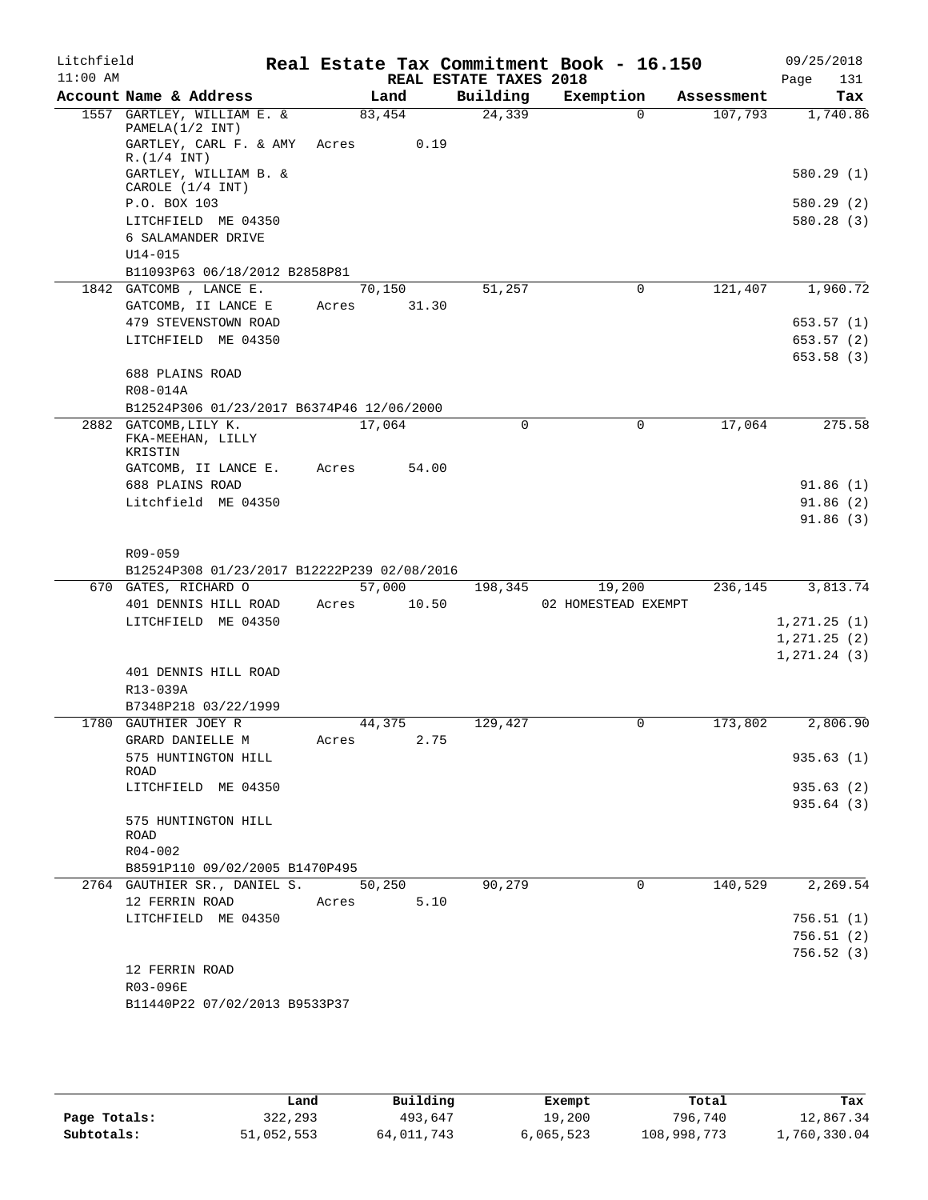| Litchfield |                                                                |       |        |       |                        | Real Estate Tax Commitment Book - 16.150 |            | 09/25/2018               |
|------------|----------------------------------------------------------------|-------|--------|-------|------------------------|------------------------------------------|------------|--------------------------|
| $11:00$ AM |                                                                |       |        |       | REAL ESTATE TAXES 2018 |                                          |            | Page<br>131              |
|            | Account Name & Address                                         |       | Land   |       | Building               | Exemption                                | Assessment | Tax                      |
|            | 1557 GARTLEY, WILLIAM E. &<br>PAMELA(1/2 INT)                  |       | 83,454 |       | 24,339                 | $\Omega$                                 | 107,793    | 1,740.86                 |
|            | GARTLEY, CARL F. & AMY<br>R.(1/4 INT)                          | Acres |        | 0.19  |                        |                                          |            |                          |
|            | GARTLEY, WILLIAM B. &<br>CAROLE (1/4 INT)                      |       |        |       |                        |                                          |            | 580.29(1)                |
|            | P.O. BOX 103                                                   |       |        |       |                        |                                          |            | 580.29 (2)               |
|            | LITCHFIELD ME 04350                                            |       |        |       |                        |                                          |            | 580.28(3)                |
|            | 6 SALAMANDER DRIVE                                             |       |        |       |                        |                                          |            |                          |
|            | $U14 - 015$                                                    |       |        |       |                        |                                          |            |                          |
|            | B11093P63 06/18/2012 B2858P81                                  |       |        |       |                        |                                          |            |                          |
|            | 1842 GATCOMB, LANCE E.                                         |       | 70,150 |       | 51,257                 | 0                                        | 121,407    | 1,960.72                 |
|            | GATCOMB, II LANCE E                                            | Acres |        | 31.30 |                        |                                          |            |                          |
|            | 479 STEVENSTOWN ROAD<br>LITCHFIELD ME 04350                    |       |        |       |                        |                                          |            | 653.57 (1)               |
|            |                                                                |       |        |       |                        |                                          |            | 653.57 (2)<br>653.58 (3) |
|            | 688 PLAINS ROAD                                                |       |        |       |                        |                                          |            |                          |
|            | R08-014A                                                       |       |        |       |                        |                                          |            |                          |
|            | B12524P306 01/23/2017 B6374P46 12/06/2000                      |       |        |       |                        |                                          |            |                          |
|            | 2882 GATCOMB, LILY K.                                          |       | 17,064 |       | 0                      | $\Omega$                                 | 17,064     | 275.58                   |
|            | FKA-MEEHAN, LILLY<br>KRISTIN                                   |       |        |       |                        |                                          |            |                          |
|            | GATCOMB, II LANCE E.                                           | Acres |        | 54.00 |                        |                                          |            |                          |
|            | 688 PLAINS ROAD                                                |       |        |       |                        |                                          |            | 91.86(1)                 |
|            | Litchfield ME 04350                                            |       |        |       |                        |                                          |            | 91.86(2)                 |
|            |                                                                |       |        |       |                        |                                          |            | 91.86(3)                 |
|            | R09-059                                                        |       |        |       |                        |                                          |            |                          |
|            | B12524P308 01/23/2017 B12222P239 02/08/2016                    |       |        |       |                        |                                          |            |                          |
|            | 670 GATES, RICHARD O                                           |       | 57,000 |       | 198,345                | 19,200                                   | 236,145    | 3,813.74                 |
|            | 401 DENNIS HILL ROAD                                           | Acres |        | 10.50 |                        | 02 HOMESTEAD EXEMPT                      |            |                          |
|            | LITCHFIELD ME 04350                                            |       |        |       |                        |                                          |            | 1,271.25(1)              |
|            |                                                                |       |        |       |                        |                                          |            | 1, 271.25 (2)            |
|            |                                                                |       |        |       |                        |                                          |            | 1, 271.24(3)             |
|            | 401 DENNIS HILL ROAD                                           |       |        |       |                        |                                          |            |                          |
|            | R13-039A                                                       |       |        |       |                        |                                          |            |                          |
|            | B7348P218 03/22/1999                                           |       |        |       |                        |                                          |            |                          |
|            | 1780 GAUTHIER JOEY R                                           |       | 44,375 |       | 129,427                | 0                                        | 173,802    | 2,806.90                 |
|            | GRARD DANIELLE M                                               | Acres |        | 2.75  |                        |                                          |            |                          |
|            | 575 HUNTINGTON HILL<br>ROAD                                    |       |        |       |                        |                                          |            | 935.63(1)                |
|            | LITCHFIELD ME 04350                                            |       |        |       |                        |                                          |            | 935.63(2)                |
|            |                                                                |       |        |       |                        |                                          |            | 935.64 (3)               |
|            | 575 HUNTINGTON HILL                                            |       |        |       |                        |                                          |            |                          |
|            | ROAD                                                           |       |        |       |                        |                                          |            |                          |
|            | R04-002                                                        |       |        |       |                        |                                          |            |                          |
|            | B8591P110 09/02/2005 B1470P495<br>2764 GAUTHIER SR., DANIEL S. |       | 50,250 |       | 90,279                 | 0                                        | 140,529    | 2,269.54                 |
|            | 12 FERRIN ROAD                                                 | Acres |        | 5.10  |                        |                                          |            |                          |
|            | LITCHFIELD ME 04350                                            |       |        |       |                        |                                          |            | 756.51 (1)               |
|            |                                                                |       |        |       |                        |                                          |            | 756.51 (2)               |
|            |                                                                |       |        |       |                        |                                          |            | 756.52 (3)               |
|            | 12 FERRIN ROAD                                                 |       |        |       |                        |                                          |            |                          |
|            | R03-096E                                                       |       |        |       |                        |                                          |            |                          |
|            | B11440P22 07/02/2013 B9533P37                                  |       |        |       |                        |                                          |            |                          |

|              | Land       | Building   | Exempt    | Total       | Tax          |
|--------------|------------|------------|-----------|-------------|--------------|
| Page Totals: | 322,293    | 493,647    | 19,200    | 796,740     | 12,867.34    |
| Subtotals:   | 51,052,553 | 64,011,743 | 6,065,523 | 108,998,773 | 1,760,330.04 |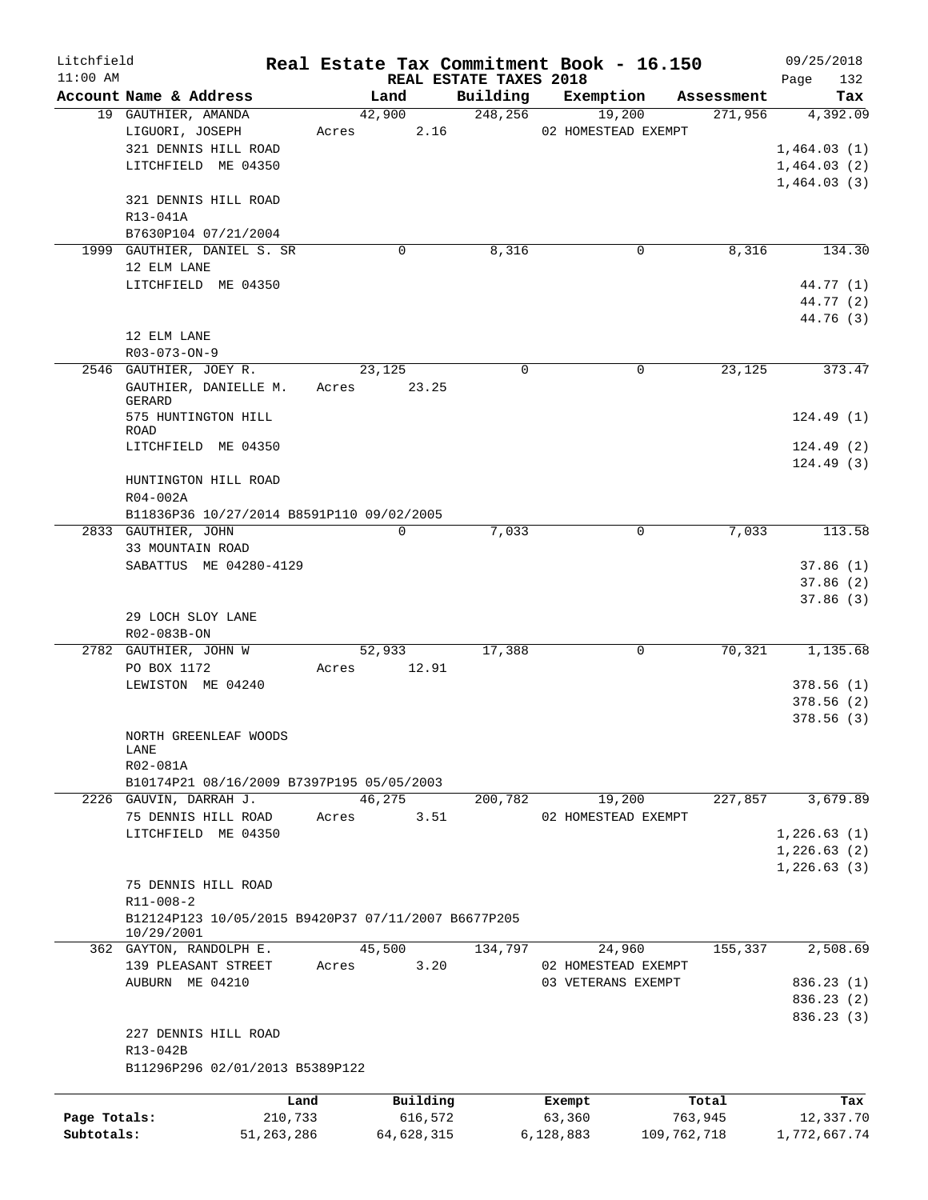| Litchfield   |                                                                     |         |            |                                    | Real Estate Tax Commitment Book - 16.150 |             | 09/25/2018         |
|--------------|---------------------------------------------------------------------|---------|------------|------------------------------------|------------------------------------------|-------------|--------------------|
| $11:00$ AM   | Account Name & Address                                              |         | Land       | REAL ESTATE TAXES 2018<br>Building | Exemption                                | Assessment  | Page<br>132<br>Tax |
|              | 19 GAUTHIER, AMANDA                                                 |         | 42,900     | 248,256                            | 19,200                                   | 271,956     | 4,392.09           |
|              | LIGUORI, JOSEPH                                                     | Acres   | 2.16       |                                    | 02 HOMESTEAD EXEMPT                      |             |                    |
|              | 321 DENNIS HILL ROAD                                                |         |            |                                    |                                          |             | 1,464.03(1)        |
|              | LITCHFIELD ME 04350                                                 |         |            |                                    |                                          |             | 1,464.03(2)        |
|              |                                                                     |         |            |                                    |                                          |             | 1,464.03(3)        |
|              | 321 DENNIS HILL ROAD                                                |         |            |                                    |                                          |             |                    |
|              | R13-041A                                                            |         |            |                                    |                                          |             |                    |
|              | B7630P104 07/21/2004                                                |         |            |                                    |                                          |             |                    |
|              | 1999 GAUTHIER, DANIEL S. SR                                         |         | 0          | 8,316                              | 0                                        | 8,316       | 134.30             |
|              | 12 ELM LANE                                                         |         |            |                                    |                                          |             |                    |
|              | LITCHFIELD ME 04350                                                 |         |            |                                    |                                          |             | 44.77 (1)          |
|              |                                                                     |         |            |                                    |                                          |             | 44.77 (2)          |
|              |                                                                     |         |            |                                    |                                          |             | 44.76 (3)          |
|              | 12 ELM LANE<br>R03-073-ON-9                                         |         |            |                                    |                                          |             |                    |
|              | 2546 GAUTHIER, JOEY R.                                              |         | 23,125     | $\Omega$                           | $\Omega$                                 | 23,125      | 373.47             |
|              | GAUTHIER, DANIELLE M.                                               | Acres   | 23.25      |                                    |                                          |             |                    |
|              | GERARD                                                              |         |            |                                    |                                          |             |                    |
|              | 575 HUNTINGTON HILL                                                 |         |            |                                    |                                          |             | 124.49(1)          |
|              | ROAD                                                                |         |            |                                    |                                          |             |                    |
|              | LITCHFIELD ME 04350                                                 |         |            |                                    |                                          |             | 124.49(2)          |
|              |                                                                     |         |            |                                    |                                          |             | 124.49(3)          |
|              | HUNTINGTON HILL ROAD                                                |         |            |                                    |                                          |             |                    |
|              | $R04-002A$                                                          |         |            |                                    |                                          |             |                    |
|              | B11836P36 10/27/2014 B8591P110 09/02/2005                           |         |            |                                    |                                          |             |                    |
|              | 2833 GAUTHIER, JOHN<br>33 MOUNTAIN ROAD                             |         | 0          | 7,033                              | $\mathbf 0$                              | 7,033       | 113.58             |
|              | SABATTUS ME 04280-4129                                              |         |            |                                    |                                          |             | 37.86(1)           |
|              |                                                                     |         |            |                                    |                                          |             | 37.86(2)           |
|              |                                                                     |         |            |                                    |                                          |             | 37.86(3)           |
|              | 29 LOCH SLOY LANE                                                   |         |            |                                    |                                          |             |                    |
|              | R02-083B-ON                                                         |         |            |                                    |                                          |             |                    |
|              | 2782 GAUTHIER, JOHN W                                               |         | 52,933     | 17,388                             | 0                                        | 70,321      | 1,135.68           |
|              | PO BOX 1172                                                         | Acres   | 12.91      |                                    |                                          |             |                    |
|              | LEWISTON ME 04240                                                   |         |            |                                    |                                          |             | 378.56(1)          |
|              |                                                                     |         |            |                                    |                                          |             | 378.56(2)          |
|              |                                                                     |         |            |                                    |                                          |             | 378.56(3)          |
|              | NORTH GREENLEAF WOODS                                               |         |            |                                    |                                          |             |                    |
|              | LANE                                                                |         |            |                                    |                                          |             |                    |
|              | R02-081A                                                            |         |            |                                    |                                          |             |                    |
|              | B10174P21 08/16/2009 B7397P195 05/05/2003<br>2226 GAUVIN, DARRAH J. |         | 46,275     | 200,782                            | 19,200                                   | 227,857     | 3,679.89           |
|              | 75 DENNIS HILL ROAD                                                 | Acres   | 3.51       |                                    | 02 HOMESTEAD EXEMPT                      |             |                    |
|              | LITCHFIELD ME 04350                                                 |         |            |                                    |                                          |             | 1,226.63(1)        |
|              |                                                                     |         |            |                                    |                                          |             | 1,226.63(2)        |
|              |                                                                     |         |            |                                    |                                          |             | 1, 226.63(3)       |
|              | 75 DENNIS HILL ROAD                                                 |         |            |                                    |                                          |             |                    |
|              | $R11 - 008 - 2$                                                     |         |            |                                    |                                          |             |                    |
|              | B12124P123 10/05/2015 B9420P37 07/11/2007 B6677P205                 |         |            |                                    |                                          |             |                    |
|              | 10/29/2001                                                          |         |            |                                    |                                          |             |                    |
|              | 362 GAYTON, RANDOLPH E.                                             |         | 45,500     | 134,797                            | 24,960                                   | 155,337     | 2,508.69           |
|              | 139 PLEASANT STREET                                                 | Acres   | 3.20       |                                    | 02 HOMESTEAD EXEMPT                      |             |                    |
|              | AUBURN ME 04210                                                     |         |            |                                    | 03 VETERANS EXEMPT                       |             | 836.23 (1)         |
|              |                                                                     |         |            |                                    |                                          |             | 836.23 (2)         |
|              |                                                                     |         |            |                                    |                                          |             | 836.23 (3)         |
|              | 227 DENNIS HILL ROAD                                                |         |            |                                    |                                          |             |                    |
|              | R13-042B                                                            |         |            |                                    |                                          |             |                    |
|              | B11296P296 02/01/2013 B5389P122                                     |         |            |                                    |                                          |             |                    |
|              |                                                                     | Land    | Building   |                                    | Exempt                                   | Total       | Tax                |
| Page Totals: |                                                                     | 210,733 | 616,572    |                                    | 63,360                                   | 763,945     | 12,337.70          |
| Subtotals:   | 51, 263, 286                                                        |         | 64,628,315 |                                    | 6,128,883                                | 109,762,718 | 1,772,667.74       |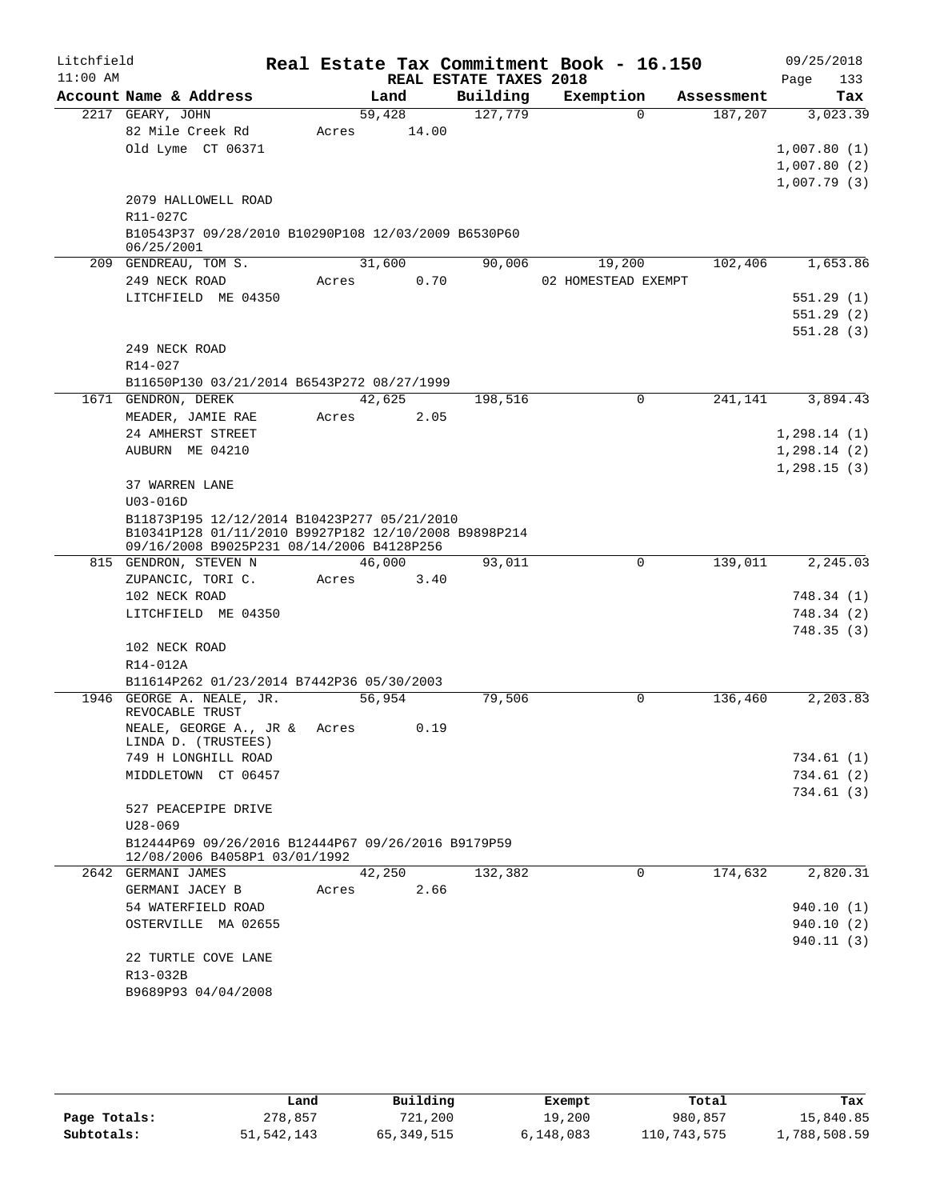| Litchfield |                                                                                                     |       |                 |                        | Real Estate Tax Commitment Book - 16.150 |            | 09/25/2018             |
|------------|-----------------------------------------------------------------------------------------------------|-------|-----------------|------------------------|------------------------------------------|------------|------------------------|
| $11:00$ AM |                                                                                                     |       |                 | REAL ESTATE TAXES 2018 |                                          |            | Page<br>133            |
|            | Account Name & Address                                                                              |       | Land            | Building               | Exemption                                | Assessment | Tax                    |
|            | 2217 GEARY, JOHN<br>82 Mile Creek Rd                                                                | Acres | 59,428<br>14.00 | 127,779                | $\Omega$                                 | 187,207    | 3,023.39               |
|            | Old Lyme CT 06371                                                                                   |       |                 |                        |                                          |            | 1,007.80(1)            |
|            |                                                                                                     |       |                 |                        |                                          |            | 1,007.80(2)            |
|            |                                                                                                     |       |                 |                        |                                          |            | 1,007.79(3)            |
|            | 2079 HALLOWELL ROAD                                                                                 |       |                 |                        |                                          |            |                        |
|            | R11-027C                                                                                            |       |                 |                        |                                          |            |                        |
|            | B10543P37 09/28/2010 B10290P108 12/03/2009 B6530P60                                                 |       |                 |                        |                                          |            |                        |
|            | 06/25/2001                                                                                          |       |                 |                        |                                          |            |                        |
|            | 209 GENDREAU, TOM S.                                                                                |       | 31,600          | 90,006                 | 19,200                                   | 102,406    | 1,653.86               |
|            | 249 NECK ROAD                                                                                       | Acres | 0.70            |                        | 02 HOMESTEAD EXEMPT                      |            |                        |
|            | LITCHFIELD ME 04350                                                                                 |       |                 |                        |                                          |            | 551.29(1)              |
|            |                                                                                                     |       |                 |                        |                                          |            | 551.29(2)<br>551.28(3) |
|            | 249 NECK ROAD                                                                                       |       |                 |                        |                                          |            |                        |
|            | R14-027                                                                                             |       |                 |                        |                                          |            |                        |
|            | B11650P130 03/21/2014 B6543P272 08/27/1999                                                          |       |                 |                        |                                          |            |                        |
|            | 1671 GENDRON, DEREK                                                                                 |       | 42,625          | 198,516                | $\mathbf 0$                              | 241,141    | 3,894.43               |
|            | MEADER, JAMIE RAE                                                                                   | Acres | 2.05            |                        |                                          |            |                        |
|            | 24 AMHERST STREET                                                                                   |       |                 |                        |                                          |            | 1,298.14(1)            |
|            | AUBURN ME 04210                                                                                     |       |                 |                        |                                          |            | 1, 298.14(2)           |
|            |                                                                                                     |       |                 |                        |                                          |            | 1,298.15(3)            |
|            | 37 WARREN LANE                                                                                      |       |                 |                        |                                          |            |                        |
|            | $U03 - 016D$                                                                                        |       |                 |                        |                                          |            |                        |
|            | B11873P195 12/12/2014 B10423P277 05/21/2010<br>B10341P128 01/11/2010 B9927P182 12/10/2008 B9898P214 |       |                 |                        |                                          |            |                        |
|            | 09/16/2008 B9025P231 08/14/2006 B4128P256                                                           |       |                 |                        |                                          |            |                        |
|            | 815 GENDRON, STEVEN N                                                                               |       | 46,000          | 93,011                 | 0                                        | 139,011    | 2,245.03               |
|            | ZUPANCIC, TORI C.                                                                                   | Acres | 3.40            |                        |                                          |            |                        |
|            | 102 NECK ROAD                                                                                       |       |                 |                        |                                          |            | 748.34(1)              |
|            | LITCHFIELD ME 04350                                                                                 |       |                 |                        |                                          |            | 748.34(2)              |
|            |                                                                                                     |       |                 |                        |                                          |            | 748.35(3)              |
|            | 102 NECK ROAD                                                                                       |       |                 |                        |                                          |            |                        |
|            | R14-012A                                                                                            |       |                 |                        |                                          |            |                        |
|            | B11614P262 01/23/2014 B7442P36 05/30/2003<br>1946 GEORGE A. NEALE, JR.                              |       | 56,954          | 79,506                 | 0                                        | 136,460    | 2,203.83               |
|            | REVOCABLE TRUST                                                                                     |       |                 |                        |                                          |            |                        |
|            | NEALE, GEORGE A., JR & Acres<br>LINDA D. (TRUSTEES)                                                 |       | 0.19            |                        |                                          |            |                        |
|            | 749 H LONGHILL ROAD                                                                                 |       |                 |                        |                                          |            | 734.61 (1)             |
|            | MIDDLETOWN CT 06457                                                                                 |       |                 |                        |                                          |            | 734.61(2)              |
|            |                                                                                                     |       |                 |                        |                                          |            | 734.61(3)              |
|            | 527 PEACEPIPE DRIVE                                                                                 |       |                 |                        |                                          |            |                        |
|            | $U28 - 069$                                                                                         |       |                 |                        |                                          |            |                        |
|            | B12444P69 09/26/2016 B12444P67 09/26/2016 B9179P59<br>12/08/2006 B4058P1 03/01/1992                 |       |                 |                        |                                          |            |                        |
|            | 2642 GERMANI JAMES                                                                                  |       | 42,250          | 132,382                | 0                                        | 174,632    | 2,820.31               |
|            | GERMANI JACEY B                                                                                     | Acres | 2.66            |                        |                                          |            |                        |
|            | 54 WATERFIELD ROAD                                                                                  |       |                 |                        |                                          |            | 940.10 (1)             |
|            | OSTERVILLE MA 02655                                                                                 |       |                 |                        |                                          |            | 940.10(2)              |
|            |                                                                                                     |       |                 |                        |                                          |            | 940.11(3)              |
|            | 22 TURTLE COVE LANE                                                                                 |       |                 |                        |                                          |            |                        |
|            | R13-032B                                                                                            |       |                 |                        |                                          |            |                        |
|            | B9689P93 04/04/2008                                                                                 |       |                 |                        |                                          |            |                        |

|              | Land         | Building   | Exempt    | Total       | Tax          |
|--------------|--------------|------------|-----------|-------------|--------------|
| Page Totals: | 278,857      | 721,200    | 19,200    | 980,857     | 15,840.85    |
| Subtotals:   | 51, 542, 143 | 65,349,515 | 6,148,083 | 110,743,575 | 1,788,508.59 |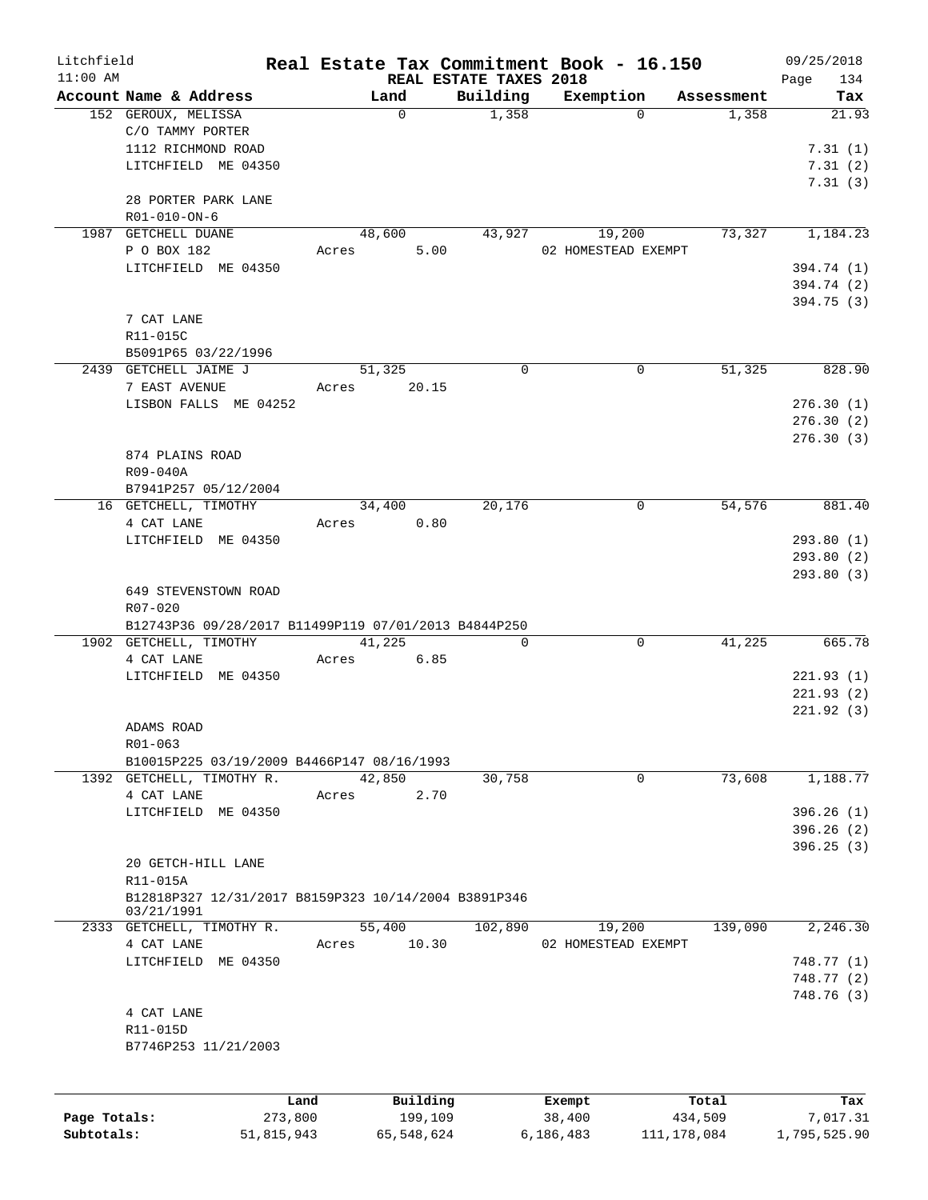| Litchfield   |                                                      |                     |                        | Real Estate Tax Commitment Book - 16.150 |                     | 09/25/2018   |
|--------------|------------------------------------------------------|---------------------|------------------------|------------------------------------------|---------------------|--------------|
| $11:00$ AM   |                                                      |                     | REAL ESTATE TAXES 2018 |                                          |                     | 134<br>Page  |
|              | Account Name & Address                               | Land<br>$\mathbf 0$ | Building<br>1,358      | Exemption<br>$\Omega$                    | Assessment<br>1,358 | Tax<br>21.93 |
|              | 152 GEROUX, MELISSA<br>C/O TAMMY PORTER              |                     |                        |                                          |                     |              |
|              | 1112 RICHMOND ROAD                                   |                     |                        |                                          |                     | 7.31(1)      |
|              | LITCHFIELD ME 04350                                  |                     |                        |                                          |                     | 7.31(2)      |
|              |                                                      |                     |                        |                                          |                     | 7.31(3)      |
|              | 28 PORTER PARK LANE                                  |                     |                        |                                          |                     |              |
|              | R01-010-ON-6                                         |                     |                        |                                          |                     |              |
|              | 1987 GETCHELL DUANE                                  | 48,600              | 43,927                 | 19,200                                   | 73,327              | 1,184.23     |
|              | P O BOX 182                                          | 5.00<br>Acres       |                        | 02 HOMESTEAD EXEMPT                      |                     |              |
|              | LITCHFIELD ME 04350                                  |                     |                        |                                          |                     | 394.74 (1)   |
|              |                                                      |                     |                        |                                          |                     | 394.74 (2)   |
|              |                                                      |                     |                        |                                          |                     | 394.75 (3)   |
|              | 7 CAT LANE                                           |                     |                        |                                          |                     |              |
|              | R11-015C                                             |                     |                        |                                          |                     |              |
|              | B5091P65 03/22/1996                                  |                     |                        |                                          |                     |              |
|              | 2439 GETCHELL JAIME J                                | 51,325              | $\Omega$               | $\mathbf 0$                              | 51,325              | 828.90       |
|              | 7 EAST AVENUE                                        | 20.15<br>Acres      |                        |                                          |                     |              |
|              | LISBON FALLS ME 04252                                |                     |                        |                                          |                     | 276.30(1)    |
|              |                                                      |                     |                        |                                          |                     | 276.30(2)    |
|              |                                                      |                     |                        |                                          |                     | 276.30 (3)   |
|              | 874 PLAINS ROAD                                      |                     |                        |                                          |                     |              |
|              | R09-040A                                             |                     |                        |                                          |                     |              |
|              | B7941P257 05/12/2004                                 |                     |                        |                                          |                     |              |
|              | 16 GETCHELL, TIMOTHY                                 | 34,400              | 20,176                 | 0                                        | 54,576              | 881.40       |
|              | 4 CAT LANE                                           | 0.80<br>Acres       |                        |                                          |                     |              |
|              | LITCHFIELD ME 04350                                  |                     |                        |                                          |                     | 293.80(1)    |
|              |                                                      |                     |                        |                                          |                     | 293.80 (2)   |
|              |                                                      |                     |                        |                                          |                     | 293.80(3)    |
|              | 649 STEVENSTOWN ROAD                                 |                     |                        |                                          |                     |              |
|              | R07-020                                              |                     |                        |                                          |                     |              |
|              | B12743P36 09/28/2017 B11499P119 07/01/2013 B4844P250 |                     |                        |                                          |                     |              |
|              | 1902 GETCHELL, TIMOTHY                               | 41,225              | $\Omega$               | 0                                        | 41,225              | 665.78       |
|              | 4 CAT LANE                                           | 6.85<br>Acres       |                        |                                          |                     |              |
|              | LITCHFIELD ME 04350                                  |                     |                        |                                          |                     | 221.93(1)    |
|              |                                                      |                     |                        |                                          |                     | 221.93(2)    |
|              |                                                      |                     |                        |                                          |                     | 221.92(3)    |
|              | ADAMS ROAD                                           |                     |                        |                                          |                     |              |
|              | R01-063                                              |                     |                        |                                          |                     |              |
|              | B10015P225 03/19/2009 B4466P147 08/16/1993           |                     |                        |                                          |                     |              |
|              | 1392 GETCHELL, TIMOTHY R.                            | 42,850              | 30,758                 | $\mathbf 0$                              | 73,608              | 1,188.77     |
|              | 4 CAT LANE                                           | 2.70<br>Acres       |                        |                                          |                     |              |
|              | LITCHFIELD ME 04350                                  |                     |                        |                                          |                     | 396.26(1)    |
|              |                                                      |                     |                        |                                          |                     | 396.26(2)    |
|              |                                                      |                     |                        |                                          |                     | 396.25(3)    |
|              | 20 GETCH-HILL LANE                                   |                     |                        |                                          |                     |              |
|              | R11-015A                                             |                     |                        |                                          |                     |              |
|              | B12818P327 12/31/2017 B8159P323 10/14/2004 B3891P346 |                     |                        |                                          |                     |              |
|              | 03/21/1991                                           |                     |                        |                                          |                     |              |
|              | 2333 GETCHELL, TIMOTHY R.                            | 55,400              | 102,890                | 19,200                                   | 139,090             | 2,246.30     |
|              | 4 CAT LANE                                           | 10.30<br>Acres      |                        | 02 HOMESTEAD EXEMPT                      |                     |              |
|              | LITCHFIELD ME 04350                                  |                     |                        |                                          |                     | 748.77 (1)   |
|              |                                                      |                     |                        |                                          |                     | 748.77 (2)   |
|              |                                                      |                     |                        |                                          |                     | 748.76 (3)   |
|              | 4 CAT LANE                                           |                     |                        |                                          |                     |              |
|              | R11-015D                                             |                     |                        |                                          |                     |              |
|              | B7746P253 11/21/2003                                 |                     |                        |                                          |                     |              |
|              |                                                      |                     |                        |                                          |                     |              |
|              |                                                      |                     |                        |                                          |                     |              |
|              |                                                      | Building<br>Land    |                        | Exempt                                   | Total               | Tax          |
| Page Totals: | 273,800                                              | 199,109             |                        | 38,400                                   | 434,509             | 7,017.31     |

**Subtotals:** 51,815,943 65,548,624 6,186,483 111,178,084 1,795,525.90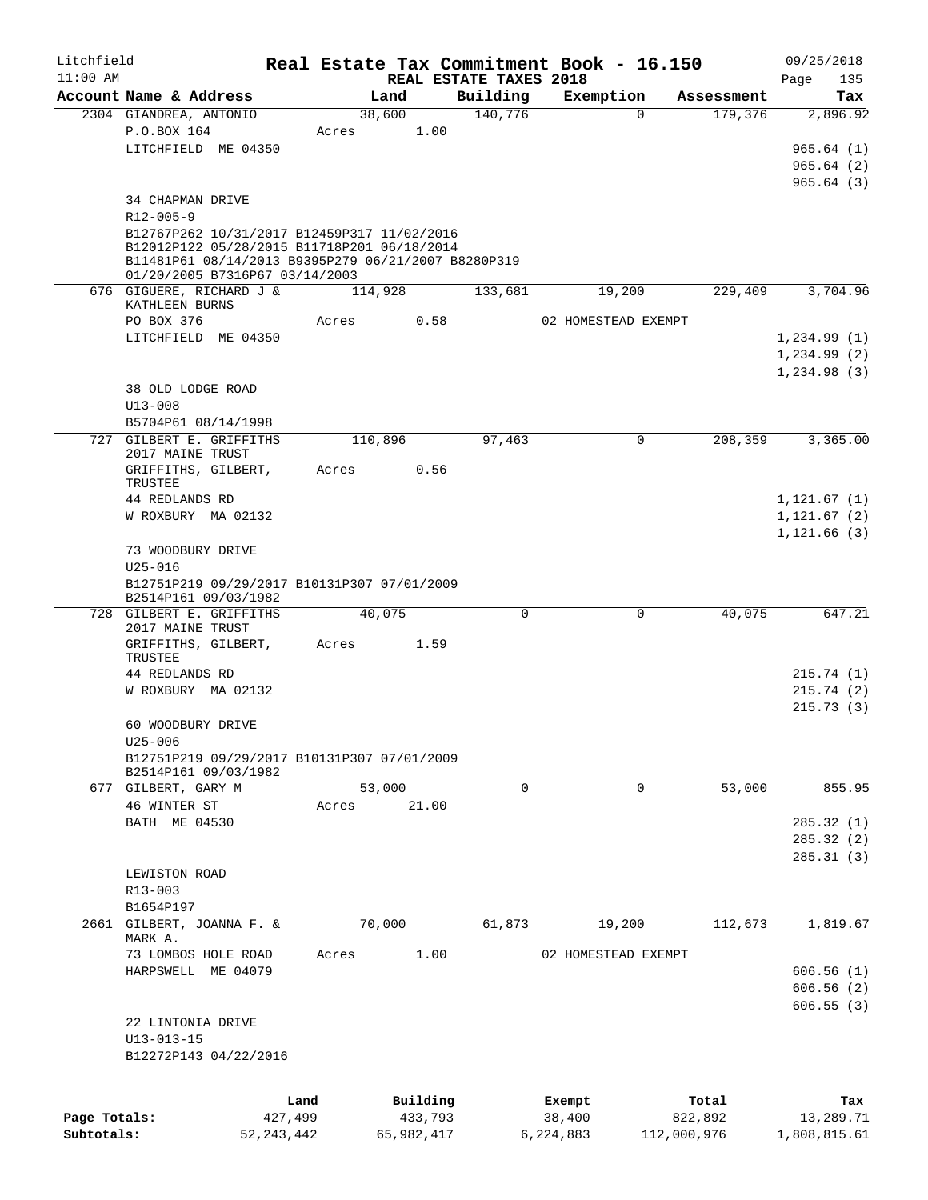| Litchfield   |                                                                                            |         |                                |             | Real Estate Tax Commitment Book - 16.150 |            | 09/25/2018         |
|--------------|--------------------------------------------------------------------------------------------|---------|--------------------------------|-------------|------------------------------------------|------------|--------------------|
| $11:00$ AM   | Account Name & Address                                                                     |         | REAL ESTATE TAXES 2018<br>Land | Building    | Exemption                                | Assessment | Page<br>135<br>Tax |
|              | 2304 GIANDREA, ANTONIO                                                                     |         | 38,600                         | 140,776     | $\mathbf 0$                              | 179,376    | 2,896.92           |
|              | P.O.BOX 164                                                                                | Acres   | 1.00                           |             |                                          |            |                    |
|              | LITCHFIELD ME 04350                                                                        |         |                                |             |                                          |            | 965.64(1)          |
|              |                                                                                            |         |                                |             |                                          |            | 965.64(2)          |
|              |                                                                                            |         |                                |             |                                          |            | 965.64(3)          |
|              |                                                                                            |         |                                |             |                                          |            |                    |
|              | 34 CHAPMAN DRIVE                                                                           |         |                                |             |                                          |            |                    |
|              | $R12 - 005 - 9$                                                                            |         |                                |             |                                          |            |                    |
|              | B12767P262 10/31/2017 B12459P317 11/02/2016<br>B12012P122 05/28/2015 B11718P201 06/18/2014 |         |                                |             |                                          |            |                    |
|              | B11481P61 08/14/2013 B9395P279 06/21/2007 B8280P319                                        |         |                                |             |                                          |            |                    |
|              | 01/20/2005 B7316P67 03/14/2003                                                             |         |                                |             |                                          |            |                    |
|              | 676 GIGUERE, RICHARD J &                                                                   |         | 114,928                        | 133,681     | 19,200                                   | 229,409    | 3,704.96           |
|              | KATHLEEN BURNS                                                                             |         |                                |             |                                          |            |                    |
|              | PO BOX 376                                                                                 | Acres   | 0.58                           |             | 02 HOMESTEAD EXEMPT                      |            |                    |
|              | LITCHFIELD ME 04350                                                                        |         |                                |             |                                          |            | 1,234.99(1)        |
|              |                                                                                            |         |                                |             |                                          |            | 1,234.99(2)        |
|              |                                                                                            |         |                                |             |                                          |            | 1,234.98(3)        |
|              | 38 OLD LODGE ROAD                                                                          |         |                                |             |                                          |            |                    |
|              | $U13 - 008$                                                                                |         |                                |             |                                          |            |                    |
|              | B5704P61 08/14/1998                                                                        |         |                                |             |                                          |            |                    |
|              | 727 GILBERT E. GRIFFITHS<br>2017 MAINE TRUST                                               |         | 110,896                        | 97,463      | $\mathbf 0$                              | 208,359    | 3,365.00           |
|              | GRIFFITHS, GILBERT,                                                                        | Acres   | 0.56                           |             |                                          |            |                    |
|              | TRUSTEE                                                                                    |         |                                |             |                                          |            |                    |
|              | 44 REDLANDS RD                                                                             |         |                                |             |                                          |            | 1,121.67(1)        |
|              | W ROXBURY MA 02132                                                                         |         |                                |             |                                          |            | 1,121.67(2)        |
|              |                                                                                            |         |                                |             |                                          |            | 1, 121.66(3)       |
|              | 73 WOODBURY DRIVE<br>$U25 - 016$                                                           |         |                                |             |                                          |            |                    |
|              | B12751P219 09/29/2017 B10131P307 07/01/2009                                                |         |                                |             |                                          |            |                    |
|              | B2514P161 09/03/1982                                                                       |         |                                |             |                                          |            |                    |
|              | 728 GILBERT E. GRIFFITHS<br>2017 MAINE TRUST                                               |         | 40,075                         | $\mathbf 0$ | 0                                        | 40,075     | 647.21             |
|              | GRIFFITHS, GILBERT,<br>TRUSTEE                                                             | Acres   | 1.59                           |             |                                          |            |                    |
|              | 44 REDLANDS RD                                                                             |         |                                |             |                                          |            | 215.74(1)          |
|              | W ROXBURY MA 02132                                                                         |         |                                |             |                                          |            | 215.74(2)          |
|              |                                                                                            |         |                                |             |                                          |            | 215.73(3)          |
|              | 60 WOODBURY DRIVE                                                                          |         |                                |             |                                          |            |                    |
|              | $U25 - 006$                                                                                |         |                                |             |                                          |            |                    |
|              | B12751P219 09/29/2017 B10131P307 07/01/2009                                                |         |                                |             |                                          |            |                    |
|              | B2514P161 09/03/1982                                                                       |         |                                |             |                                          |            |                    |
|              | 677 GILBERT, GARY M                                                                        |         | 53,000                         | $\Omega$    | 0                                        | 53,000     | 855.95             |
|              | 46 WINTER ST                                                                               | Acres   | 21.00                          |             |                                          |            |                    |
|              | BATH ME 04530                                                                              |         |                                |             |                                          |            | 285.32(1)          |
|              |                                                                                            |         |                                |             |                                          |            | 285.32 (2)         |
|              |                                                                                            |         |                                |             |                                          |            | 285.31(3)          |
|              | LEWISTON ROAD                                                                              |         |                                |             |                                          |            |                    |
|              | R13-003                                                                                    |         |                                |             |                                          |            |                    |
|              | B1654P197                                                                                  |         |                                |             |                                          |            |                    |
| 2661         | GILBERT, JOANNA F. &                                                                       |         | 70,000                         | 61,873      | 19,200                                   | 112,673    | 1,819.67           |
|              | MARK A.                                                                                    |         |                                |             |                                          |            |                    |
|              | 73 LOMBOS HOLE ROAD                                                                        | Acres   | 1.00                           |             | 02 HOMESTEAD EXEMPT                      |            |                    |
|              | HARPSWELL ME 04079                                                                         |         |                                |             |                                          |            | 606.56(1)          |
|              |                                                                                            |         |                                |             |                                          |            | 606.56(2)          |
|              |                                                                                            |         |                                |             |                                          |            | 606.55(3)          |
|              | 22 LINTONIA DRIVE                                                                          |         |                                |             |                                          |            |                    |
|              | $U13 - 013 - 15$                                                                           |         |                                |             |                                          |            |                    |
|              | B12272P143 04/22/2016                                                                      |         |                                |             |                                          |            |                    |
|              |                                                                                            |         |                                |             |                                          |            |                    |
|              |                                                                                            | Land    | Building                       |             | Exempt                                   | Total      | Tax                |
| Page Totals: |                                                                                            | 427,499 | 433,793                        |             | 38,400                                   | 822,892    | 13,289.71          |

**Subtotals:** 52,243,442 65,982,417 6,224,883 112,000,976 1,808,815.61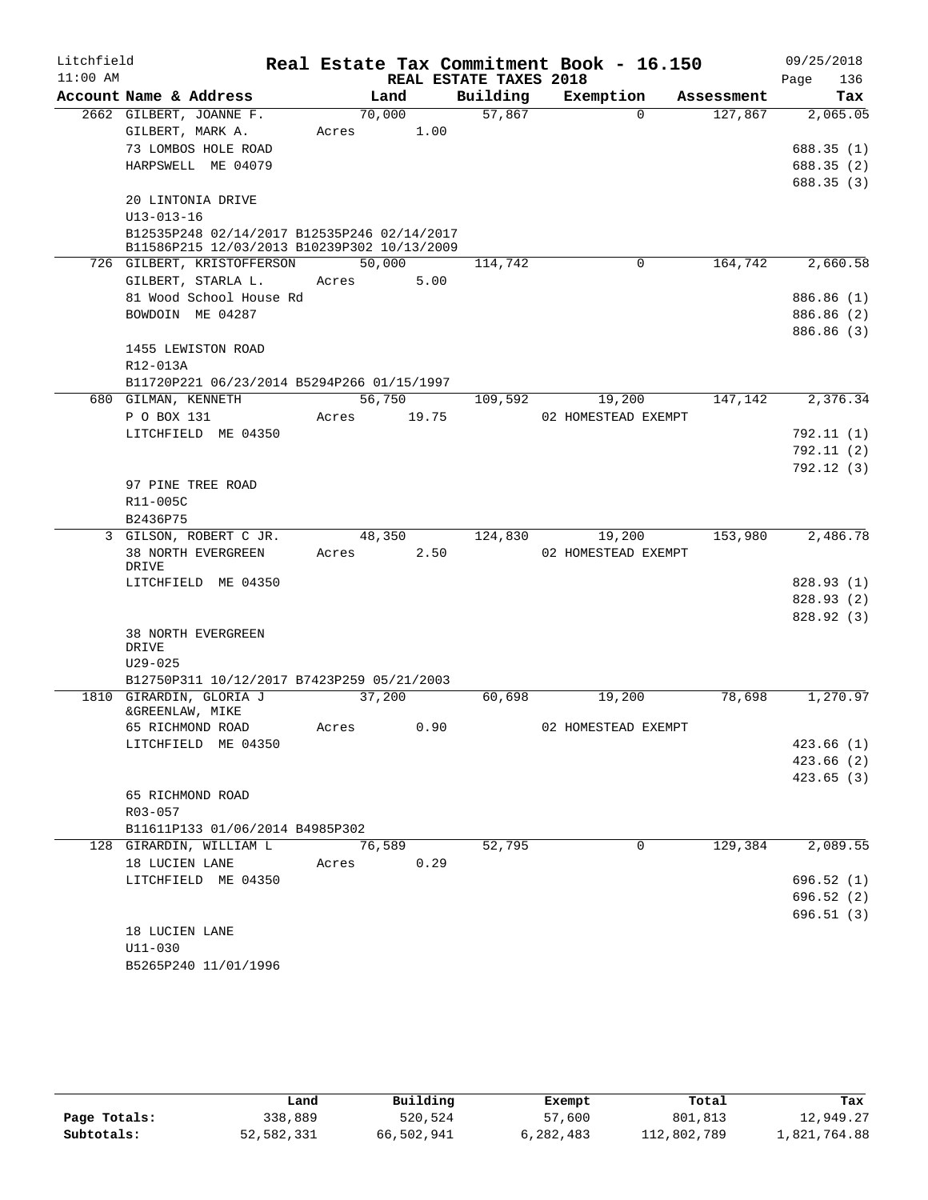| Litchfield |                                             |             |        |                                    | Real Estate Tax Commitment Book - 16.150 |            | 09/25/2018         |
|------------|---------------------------------------------|-------------|--------|------------------------------------|------------------------------------------|------------|--------------------|
| $11:00$ AM | Account Name & Address                      | Land        |        | REAL ESTATE TAXES 2018<br>Building | Exemption                                | Assessment | 136<br>Page<br>Tax |
|            | 2662 GILBERT, JOANNE F.                     | 70,000      |        | 57,867                             | $\Omega$                                 | 127,867    | 2,065.05           |
|            | GILBERT, MARK A.                            | Acres       | 1.00   |                                    |                                          |            |                    |
|            | 73 LOMBOS HOLE ROAD                         |             |        |                                    |                                          |            | 688.35(1)          |
|            | HARPSWELL ME 04079                          |             |        |                                    |                                          |            |                    |
|            |                                             |             |        |                                    |                                          |            | 688.35(2)          |
|            |                                             |             |        |                                    |                                          |            | 688.35(3)          |
|            | 20 LINTONIA DRIVE<br>$U13 - 013 - 16$       |             |        |                                    |                                          |            |                    |
|            | B12535P248 02/14/2017 B12535P246 02/14/2017 |             |        |                                    |                                          |            |                    |
|            | B11586P215 12/03/2013 B10239P302 10/13/2009 |             |        |                                    |                                          |            |                    |
|            | 726 GILBERT, KRISTOFFERSON                  |             | 50,000 | 114,742                            | $\Omega$                                 | 164,742    | 2,660.58           |
|            | GILBERT, STARLA L.                          | Acres       | 5.00   |                                    |                                          |            |                    |
|            | 81 Wood School House Rd                     |             |        |                                    |                                          |            | 886.86 (1)         |
|            | BOWDOIN ME 04287                            |             |        |                                    |                                          |            | 886.86 (2)         |
|            |                                             |             |        |                                    |                                          |            | 886.86 (3)         |
|            | 1455 LEWISTON ROAD                          |             |        |                                    |                                          |            |                    |
|            | R12-013A                                    |             |        |                                    |                                          |            |                    |
|            | B11720P221 06/23/2014 B5294P266 01/15/1997  |             |        |                                    |                                          |            |                    |
|            | 680 GILMAN, KENNETH                         |             | 56,750 | 109,592                            | 19,200                                   | 147,142    | 2,376.34           |
|            | P O BOX 131                                 | Acres 19.75 |        |                                    | 02 HOMESTEAD EXEMPT                      |            |                    |
|            | LITCHFIELD ME 04350                         |             |        |                                    |                                          |            | 792.11(1)          |
|            |                                             |             |        |                                    |                                          |            | 792.11(2)          |
|            |                                             |             |        |                                    |                                          |            | 792.12(3)          |
|            | 97 PINE TREE ROAD                           |             |        |                                    |                                          |            |                    |
|            | R11-005C                                    |             |        |                                    |                                          |            |                    |
|            | B2436P75                                    |             |        |                                    |                                          |            |                    |
|            | 3 GILSON, ROBERT C JR.                      | 48,350      |        | 124,830                            | 19,200                                   | 153,980    | 2,486.78           |
|            | 38 NORTH EVERGREEN                          | Acres       | 2.50   |                                    | 02 HOMESTEAD EXEMPT                      |            |                    |
|            | DRIVE                                       |             |        |                                    |                                          |            |                    |
|            | LITCHFIELD ME 04350                         |             |        |                                    |                                          |            | 828.93(1)          |
|            |                                             |             |        |                                    |                                          |            | 828.93(2)          |
|            |                                             |             |        |                                    |                                          |            | 828.92(3)          |
|            | <b>38 NORTH EVERGREEN</b>                   |             |        |                                    |                                          |            |                    |
|            | DRIVE<br>$U29 - 025$                        |             |        |                                    |                                          |            |                    |
|            | B12750P311 10/12/2017 B7423P259 05/21/2003  |             |        |                                    |                                          |            |                    |
|            | 1810 GIRARDIN, GLORIA J                     | 37,200      |        | 60,698                             | 19,200                                   | 78,698     | 1,270.97           |
|            | &GREENLAW, MIKE                             |             |        |                                    |                                          |            |                    |
|            | 65 RICHMOND ROAD                            | Acres       | 0.90   |                                    | 02 HOMESTEAD EXEMPT                      |            |                    |
|            | LITCHFIELD ME 04350                         |             |        |                                    |                                          |            | 423.66(1)          |
|            |                                             |             |        |                                    |                                          |            | 423.66 (2)         |
|            |                                             |             |        |                                    |                                          |            | 423.65(3)          |
|            | 65 RICHMOND ROAD                            |             |        |                                    |                                          |            |                    |
|            | R03-057                                     |             |        |                                    |                                          |            |                    |
|            | B11611P133 01/06/2014 B4985P302             |             |        |                                    |                                          |            |                    |
|            | 128 GIRARDIN, WILLIAM L                     | 76,589      |        | 52,795                             | 0                                        | 129,384    | 2,089.55           |
|            | 18 LUCIEN LANE                              | Acres       | 0.29   |                                    |                                          |            |                    |
|            | LITCHFIELD ME 04350                         |             |        |                                    |                                          |            | 696.52(1)          |
|            |                                             |             |        |                                    |                                          |            | 696.52(2)          |
|            |                                             |             |        |                                    |                                          |            | 696.51(3)          |
|            | 18 LUCIEN LANE                              |             |        |                                    |                                          |            |                    |
|            | U11-030                                     |             |        |                                    |                                          |            |                    |
|            | B5265P240 11/01/1996                        |             |        |                                    |                                          |            |                    |

|              | Land       | Building   | Exempt    | Total       | Tax          |
|--------------|------------|------------|-----------|-------------|--------------|
| Page Totals: | 338,889    | 520,524    | 57,600    | 801,813     | 12,949.27    |
| Subtotals:   | 52,582,331 | 66,502,941 | 6,282,483 | 112,802,789 | 1,821,764.88 |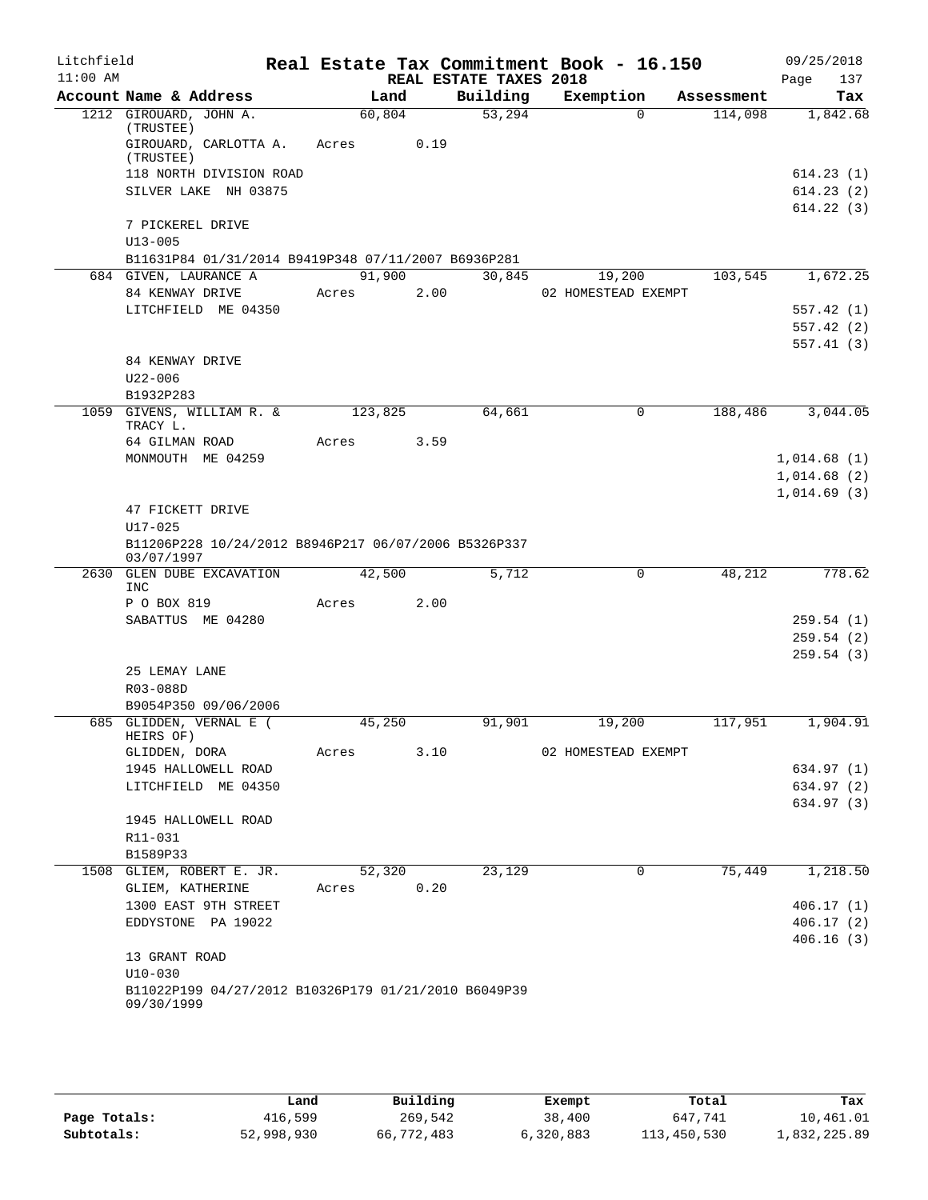| Litchfield |                                                                              |         |      |                        | Real Estate Tax Commitment Book - 16.150 |            | 09/25/2018  |
|------------|------------------------------------------------------------------------------|---------|------|------------------------|------------------------------------------|------------|-------------|
| $11:00$ AM |                                                                              |         |      | REAL ESTATE TAXES 2018 |                                          |            | 137<br>Page |
|            | Account Name & Address                                                       | Land    |      | Building               | Exemption                                | Assessment | Tax         |
|            | 1212 GIROUARD, JOHN A.                                                       | 60,804  |      | 53,294                 | $\Omega$                                 | 114,098    | 1,842.68    |
|            | (TRUSTEE)<br>GIROUARD, CARLOTTA A.                                           | Acres   | 0.19 |                        |                                          |            |             |
|            | (TRUSTEE)                                                                    |         |      |                        |                                          |            |             |
|            | 118 NORTH DIVISION ROAD                                                      |         |      |                        |                                          |            | 614.23(1)   |
|            | SILVER LAKE NH 03875                                                         |         |      |                        |                                          |            | 614.23(2)   |
|            |                                                                              |         |      |                        |                                          |            | 614.22(3)   |
|            | 7 PICKEREL DRIVE                                                             |         |      |                        |                                          |            |             |
|            | $U13 - 005$                                                                  |         |      |                        |                                          |            |             |
|            | B11631P84 01/31/2014 B9419P348 07/11/2007 B6936P281<br>684 GIVEN, LAURANCE A | 91,900  |      |                        |                                          | 103,545    | 1,672.25    |
|            | 84 KENWAY DRIVE                                                              | Acres   | 2.00 | 30,845                 | 19,200<br>02 HOMESTEAD EXEMPT            |            |             |
|            | LITCHFIELD ME 04350                                                          |         |      |                        |                                          |            | 557.42(1)   |
|            |                                                                              |         |      |                        |                                          |            | 557.42(2)   |
|            |                                                                              |         |      |                        |                                          |            | 557.41(3)   |
|            | 84 KENWAY DRIVE                                                              |         |      |                        |                                          |            |             |
|            | $U22 - 006$                                                                  |         |      |                        |                                          |            |             |
|            | B1932P283                                                                    |         |      |                        |                                          |            |             |
|            | 1059 GIVENS, WILLIAM R. &                                                    | 123,825 |      | 64,661                 | $\mathbf 0$                              | 188,486    | 3,044.05    |
|            | TRACY L.                                                                     |         |      |                        |                                          |            |             |
|            | 64 GILMAN ROAD                                                               | Acres   | 3.59 |                        |                                          |            |             |
|            | MONMOUTH ME 04259                                                            |         |      |                        |                                          |            | 1,014.68(1) |
|            |                                                                              |         |      |                        |                                          |            | 1,014.68(2) |
|            | 47 FICKETT DRIVE                                                             |         |      |                        |                                          |            | 1,014.69(3) |
|            | $U17 - 025$                                                                  |         |      |                        |                                          |            |             |
|            | B11206P228 10/24/2012 B8946P217 06/07/2006 B5326P337<br>03/07/1997           |         |      |                        |                                          |            |             |
| 2630       | <b>GLEN DUBE EXCAVATION</b>                                                  | 42,500  |      | 5,712                  | $\Omega$                                 | 48,212     | 778.62      |
|            | <b>INC</b>                                                                   |         |      |                        |                                          |            |             |
|            | P O BOX 819                                                                  | Acres   | 2.00 |                        |                                          |            |             |
|            | SABATTUS ME 04280                                                            |         |      |                        |                                          |            | 259.54(1)   |
|            |                                                                              |         |      |                        |                                          |            | 259.54(2)   |
|            |                                                                              |         |      |                        |                                          |            | 259.54(3)   |
|            | 25 LEMAY LANE                                                                |         |      |                        |                                          |            |             |
|            | R03-088D                                                                     |         |      |                        |                                          |            |             |
|            | B9054P350 09/06/2006<br>685 GLIDDEN, VERNAL E (                              | 45,250  |      | 91,901                 |                                          | 117,951    | 1,904.91    |
|            | HEIRS OF)                                                                    |         |      |                        | 19,200                                   |            |             |
|            | GLIDDEN, DORA                                                                | Acres   | 3.10 |                        | 02 HOMESTEAD EXEMPT                      |            |             |
|            | 1945 HALLOWELL ROAD                                                          |         |      |                        |                                          |            | 634.97 (1)  |
|            | LITCHFIELD ME 04350                                                          |         |      |                        |                                          |            | 634.97 (2)  |
|            |                                                                              |         |      |                        |                                          |            | 634.97 (3)  |
|            | 1945 HALLOWELL ROAD                                                          |         |      |                        |                                          |            |             |
|            | R11-031                                                                      |         |      |                        |                                          |            |             |
|            | B1589P33                                                                     |         |      |                        | 0                                        |            |             |
|            | 1508 GLIEM, ROBERT E. JR.<br>GLIEM, KATHERINE                                | 52,320  | 0.20 | 23,129                 |                                          | 75,449     | 1,218.50    |
|            | 1300 EAST 9TH STREET                                                         | Acres   |      |                        |                                          |            | 406.17(1)   |
|            | EDDYSTONE PA 19022                                                           |         |      |                        |                                          |            | 406.17(2)   |
|            |                                                                              |         |      |                        |                                          |            | 406.16(3)   |
|            | 13 GRANT ROAD                                                                |         |      |                        |                                          |            |             |
|            | $U10 - 030$<br>B11022P199 04/27/2012 B10326P179 01/21/2010 B6049P39          |         |      |                        |                                          |            |             |
|            | 09/30/1999                                                                   |         |      |                        |                                          |            |             |
|            |                                                                              |         |      |                        |                                          |            |             |
|            |                                                                              |         |      |                        |                                          |            |             |

|              | Land       | Building   | Exempt    | Total       | Tax          |
|--------------|------------|------------|-----------|-------------|--------------|
| Page Totals: | 416,599    | 269,542    | 38,400    | 647.741     | 10,461.01    |
| Subtotals:   | 52,998,930 | 66,772,483 | 6,320,883 | 113,450,530 | 1,832,225.89 |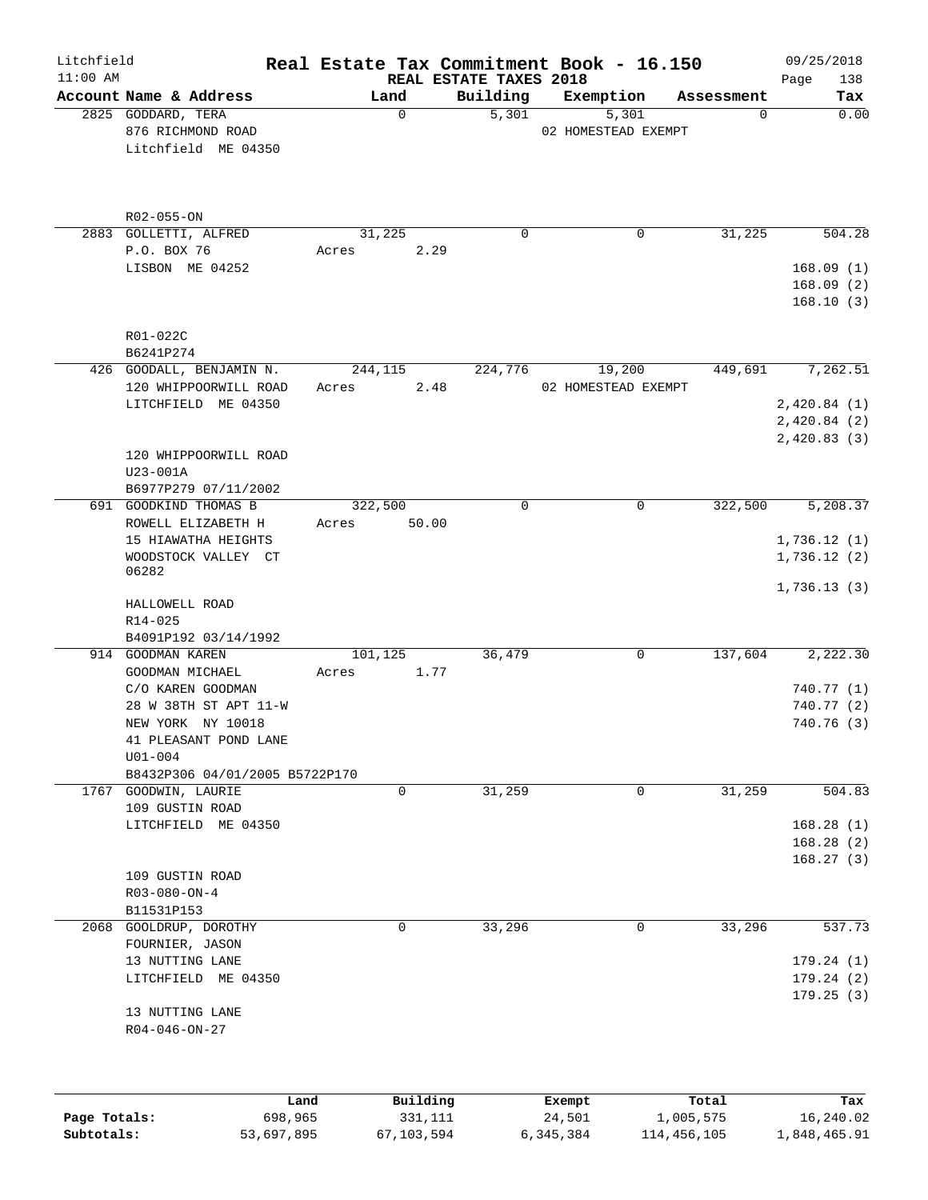| Litchfield<br>$11:00$ AM |                                                                                                                      |                           | REAL ESTATE TAXES 2018 | Real Estate Tax Commitment Book - 16.150 |            | 09/25/2018<br>138<br>Page                 |
|--------------------------|----------------------------------------------------------------------------------------------------------------------|---------------------------|------------------------|------------------------------------------|------------|-------------------------------------------|
|                          | Account Name & Address                                                                                               | Land                      | Building               | Exemption                                | Assessment | Tax                                       |
|                          | 2825 GODDARD, TERA<br>876 RICHMOND ROAD<br>Litchfield ME 04350                                                       | $\mathbf 0$               | 5,301                  | 5,301<br>02 HOMESTEAD EXEMPT             | 0          | 0.00                                      |
|                          | R02-055-ON                                                                                                           |                           |                        |                                          |            |                                           |
|                          | 2883 GOLLETTI, ALFRED                                                                                                | 31,225                    | $\mathbf 0$            | $\mathbf 0$                              | 31,225     | 504.28                                    |
|                          | P.O. BOX 76<br>LISBON ME 04252                                                                                       | 2.29<br>Acres             |                        |                                          |            | 168.09(1)<br>168.09(2)                    |
|                          | R01-022C<br>B6241P274                                                                                                |                           |                        |                                          |            | 168.10(3)                                 |
|                          | 426 GOODALL, BENJAMIN N.                                                                                             | 244,115                   | 224,776                | 19,200                                   | 449,691    | 7,262.51                                  |
|                          | 120 WHIPPOORWILL ROAD<br>LITCHFIELD ME 04350                                                                         | 2.48<br>Acres             |                        | 02 HOMESTEAD EXEMPT                      |            | 2,420.84(1)<br>2,420.84(2)<br>2,420.83(3) |
|                          | 120 WHIPPOORWILL ROAD<br>U23-001A<br>B6977P279 07/11/2002                                                            |                           |                        |                                          |            |                                           |
|                          | 691 GOODKIND THOMAS B<br>ROWELL ELIZABETH H                                                                          | 322,500<br>50.00<br>Acres | $\mathbf 0$            | 0                                        | 322,500    | 5,208.37                                  |
|                          | 15 HIAWATHA HEIGHTS<br>WOODSTOCK VALLEY CT<br>06282                                                                  |                           |                        |                                          |            | 1,736.12(1)<br>1,736.12(2)                |
|                          | HALLOWELL ROAD<br>R14-025<br>B4091P192 03/14/1992                                                                    |                           |                        |                                          |            | 1,736.13(3)                               |
|                          | 914 GOODMAN KAREN<br>GOODMAN MICHAEL                                                                                 | 101,125<br>1.77<br>Acres  | 36,479                 | 0                                        | 137,604    | 2,222.30                                  |
|                          | C/O KAREN GOODMAN                                                                                                    |                           |                        |                                          |            | 740.77 (1)                                |
|                          | 28 W 38TH ST APT 11-W<br>NEW YORK NY 10018<br>41 PLEASANT POND LANE<br>$U01 - 004$<br>B8432P306 04/01/2005 B5722P170 |                           |                        |                                          |            | 740.77 (2)<br>740.76 (3)                  |
|                          | 1767 GOODWIN, LAURIE                                                                                                 | 0                         | 31,259                 | 0                                        | 31,259     | 504.83                                    |
|                          | 109 GUSTIN ROAD<br>LITCHFIELD ME 04350                                                                               |                           |                        |                                          |            | 168.28(1)                                 |
|                          | 109 GUSTIN ROAD<br>$R03 - 080 - ON - 4$                                                                              |                           |                        |                                          |            | 168.28(2)<br>168.27(3)                    |
|                          | B11531P153                                                                                                           |                           |                        |                                          |            |                                           |
|                          | 2068 GOOLDRUP, DOROTHY<br>FOURNIER, JASON                                                                            | $\mathbf 0$               | 33,296                 | $\mathbf{0}$                             | 33,296     | 537.73                                    |
|                          | 13 NUTTING LANE<br>LITCHFIELD ME 04350                                                                               |                           |                        |                                          |            | 179.24(1)<br>179.24(2)<br>179.25(3)       |
|                          | 13 NUTTING LANE<br>$R04 - 046 - ON - 27$                                                                             |                           |                        |                                          |            |                                           |
|                          | Land                                                                                                                 | Building                  |                        | Exempt                                   | Total      | Tax                                       |
| Page Totals:             | 698,965                                                                                                              | 331,111                   |                        | 24,501                                   | 1,005,575  | 16,240.02                                 |

**Subtotals:** 53,697,895 67,103,594 6,345,384 114,456,105 1,848,465.91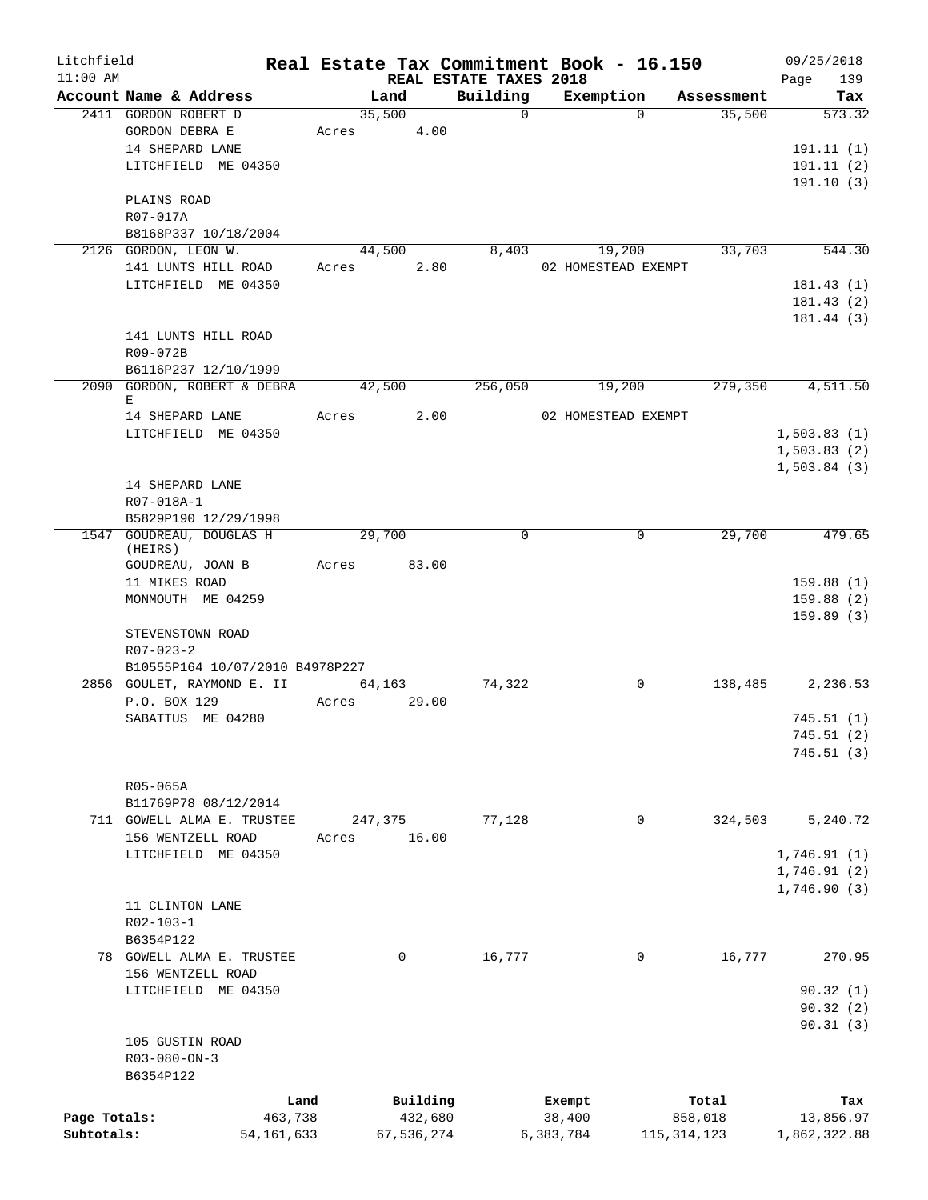| Litchfield<br>$11:00$ AM |                                                                      |       |                      |                     | REAL ESTATE TAXES 2018 |           |                               | Real Estate Tax Commitment Book - 16.150 | 09/25/2018<br>139<br>Page                 |
|--------------------------|----------------------------------------------------------------------|-------|----------------------|---------------------|------------------------|-----------|-------------------------------|------------------------------------------|-------------------------------------------|
|                          | Account Name & Address                                               |       | Land                 |                     | Building               |           |                               | Exemption Assessment                     | Tax                                       |
|                          | 2411 GORDON ROBERT D<br>GORDON DEBRA E                               |       | 35,500<br>Acres 4.00 |                     | $\overline{0}$         |           | $\Omega$                      | 35,500                                   | 573.32                                    |
|                          | 14 SHEPARD LANE<br>LITCHFIELD ME 04350                               |       |                      |                     |                        |           |                               |                                          | 191.11(1)<br>191.11(2)<br>191.10(3)       |
|                          | PLAINS ROAD<br>R07-017A<br>B8168P337 10/18/2004                      |       |                      |                     |                        |           |                               |                                          |                                           |
|                          | 2126 GORDON, LEON W.                                                 |       | 44,500               |                     | 8,403                  |           | 19,200                        | 33,703                                   | 544.30                                    |
|                          | 141 LUNTS HILL ROAD<br>LITCHFIELD ME 04350                           |       | Acres 2.80           |                     |                        |           | 02 HOMESTEAD EXEMPT           |                                          | 181.43(1)                                 |
|                          |                                                                      |       |                      |                     |                        |           |                               |                                          | 181.43(2)<br>181.44 (3)                   |
|                          | 141 LUNTS HILL ROAD<br>R09-072B                                      |       |                      |                     |                        |           |                               |                                          |                                           |
|                          | B6116P237 12/10/1999                                                 |       |                      |                     |                        |           |                               |                                          |                                           |
|                          | 2090 GORDON, ROBERT & DEBRA<br>Е<br>14 SHEPARD LANE                  |       | 42,500<br>Acres 2.00 |                     | 256,050                |           | 19,200<br>02 HOMESTEAD EXEMPT |                                          | 279,350 4,511.50                          |
|                          | LITCHFIELD ME 04350                                                  |       |                      |                     |                        |           |                               |                                          | 1,503.83(1)<br>1,503.83(2)<br>1,503.84(3) |
|                          | 14 SHEPARD LANE<br>R07-018A-1<br>B5829P190 12/29/1998                |       |                      |                     |                        |           |                               |                                          |                                           |
|                          | 1547 GOUDREAU, DOUGLAS H<br>(HEIRS)                                  |       | 29,700               |                     | $\Omega$               |           | $\Omega$                      | 29,700                                   | 479.65                                    |
|                          | GOUDREAU, JOAN B<br>11 MIKES ROAD<br>MONMOUTH ME 04259               |       | Acres 83.00          |                     |                        |           |                               |                                          | 159.88(1)<br>159.88(2)                    |
|                          | STEVENSTOWN ROAD<br>$R07 - 023 - 2$                                  |       |                      |                     |                        |           |                               |                                          | 159.89(3)                                 |
|                          | B10555P164 10/07/2010 B4978P227<br>2856 GOULET, RAYMOND E. II 64,163 |       |                      |                     | 74,322                 |           | $\mathbf 0$                   |                                          | 138,485 2,236.53                          |
|                          | P.O. BOX 129<br>SABATTUS ME 04280                                    |       | Acres 29.00          |                     |                        |           |                               |                                          | 745.51(1)                                 |
|                          |                                                                      |       |                      |                     |                        |           |                               |                                          | 745.51 (2)<br>745.51(3)                   |
|                          | R05-065A<br>B11769P78 08/12/2014                                     |       |                      |                     |                        |           |                               |                                          |                                           |
| 711                      | <b>GOWELL ALMA E. TRUSTEE</b><br>156 WENTZELL ROAD                   |       | 247,375              | 16.00               | 77,128                 |           | 0                             | 324,503                                  | 5, 240.72                                 |
|                          | LITCHFIELD ME 04350                                                  | Acres |                      |                     |                        |           |                               |                                          | 1,746.91(1)<br>1,746.91(2)                |
|                          | 11 CLINTON LANE<br>$R02 - 103 - 1$                                   |       |                      |                     |                        |           |                               |                                          | 1,746.90(3)                               |
|                          | B6354P122<br>78 GOWELL ALMA E. TRUSTEE                               |       | 0                    |                     | 16,777                 |           | 0                             | 16,777                                   | 270.95                                    |
|                          | 156 WENTZELL ROAD<br>LITCHFIELD<br>ME 04350                          |       |                      |                     |                        |           |                               |                                          | 90.32(1)                                  |
|                          | 105 GUSTIN ROAD<br>$R03 - 080 - ON - 3$                              |       |                      |                     |                        |           |                               |                                          | 90.32(2)<br>90.31(3)                      |
|                          | B6354P122                                                            |       |                      |                     |                        |           |                               |                                          |                                           |
| Page Totals:             | Land<br>463,738                                                      |       |                      | Building<br>432,680 |                        |           | Exempt<br>38,400              | Total<br>858,018                         | Tax<br>13,856.97                          |
| Subtotals:               | 54, 161, 633                                                         |       |                      | 67,536,274          |                        | 6,383,784 |                               | 115, 314, 123                            | 1,862,322.88                              |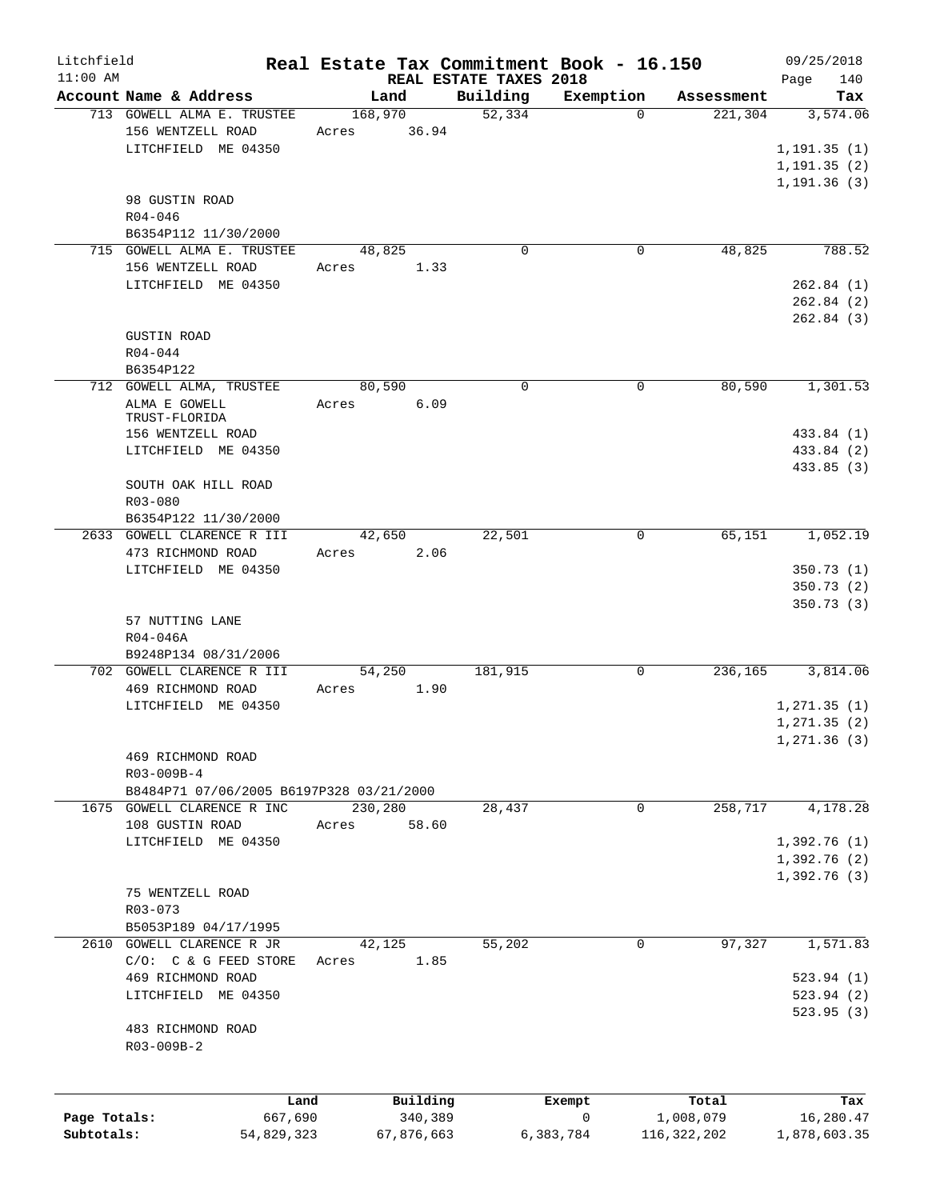| Litchfield   |                                                        | Real Estate Tax Commitment Book - 16.150 |                        |                       |                        | 09/25/2018                   |
|--------------|--------------------------------------------------------|------------------------------------------|------------------------|-----------------------|------------------------|------------------------------|
| $11:00$ AM   | Account Name & Address                                 |                                          | REAL ESTATE TAXES 2018 |                       |                        | 140<br>Page                  |
|              | 713 GOWELL ALMA E. TRUSTEE                             | Land<br>168,970                          | Building<br>52,334     | Exemption<br>$\Omega$ | Assessment<br>221, 304 | Tax<br>3,574.06              |
|              | 156 WENTZELL ROAD<br>LITCHFIELD ME 04350               | 36.94<br>Acres                           |                        |                       |                        | 1, 191.35(1)<br>1, 191.35(2) |
|              | 98 GUSTIN ROAD<br>$R04 - 046$                          |                                          |                        |                       |                        | 1, 191.36(3)                 |
|              | B6354P112 11/30/2000                                   |                                          |                        |                       |                        |                              |
|              | 715 GOWELL ALMA E. TRUSTEE                             | 48,825                                   | $\mathbf 0$            | 0                     | 48,825                 | 788.52                       |
|              | 156 WENTZELL ROAD                                      | Acres<br>1.33                            |                        |                       |                        |                              |
|              | LITCHFIELD ME 04350                                    |                                          |                        |                       |                        | 262.84(1)                    |
|              |                                                        |                                          |                        |                       |                        | 262.84(2)                    |
|              | <b>GUSTIN ROAD</b>                                     |                                          |                        |                       |                        | 262.84 (3)                   |
|              | $R04 - 044$                                            |                                          |                        |                       |                        |                              |
|              | B6354P122                                              |                                          |                        |                       |                        |                              |
|              | 712 GOWELL ALMA, TRUSTEE                               | 80,590                                   | $\mathbf 0$            | 0                     | 80,590                 | 1,301.53                     |
|              | ALMA E GOWELL<br>TRUST-FLORIDA                         | 6.09<br>Acres                            |                        |                       |                        |                              |
|              | 156 WENTZELL ROAD                                      |                                          |                        |                       |                        | 433.84 (1)                   |
|              | LITCHFIELD ME 04350                                    |                                          |                        |                       |                        | 433.84 (2)                   |
|              |                                                        |                                          |                        |                       |                        | 433.85 (3)                   |
|              | SOUTH OAK HILL ROAD<br>R03-080                         |                                          |                        |                       |                        |                              |
|              | B6354P122 11/30/2000                                   |                                          |                        |                       |                        |                              |
|              | 2633 GOWELL CLARENCE R III                             | 42,650                                   | 22,501                 | 0                     | 65,151                 | 1,052.19                     |
|              | 473 RICHMOND ROAD                                      | 2.06<br>Acres                            |                        |                       |                        |                              |
|              | LITCHFIELD ME 04350                                    |                                          |                        |                       |                        | 350.73(1)                    |
|              |                                                        |                                          |                        |                       |                        | 350.73(2)<br>350.73(3)       |
|              | 57 NUTTING LANE                                        |                                          |                        |                       |                        |                              |
|              | R04-046A                                               |                                          |                        |                       |                        |                              |
|              | B9248P134 08/31/2006                                   |                                          |                        |                       |                        |                              |
|              | 702 GOWELL CLARENCE R III<br>469 RICHMOND ROAD         | 54,250<br>1.90<br>Acres                  | 181,915                | 0                     | 236,165                | 3,814.06                     |
|              | LITCHFIELD ME 04350                                    |                                          |                        |                       |                        | 1,271.35(1)                  |
|              |                                                        |                                          |                        |                       |                        | 1, 271.35(2)                 |
|              |                                                        |                                          |                        |                       |                        | 1, 271.36(3)                 |
|              | 469 RICHMOND ROAD                                      |                                          |                        |                       |                        |                              |
|              | R03-009B-4<br>B8484P71 07/06/2005 B6197P328 03/21/2000 |                                          |                        |                       |                        |                              |
|              | 1675 GOWELL CLARENCE R INC                             | 230,280                                  | 28,437                 | 0                     | 258,717                | 4,178.28                     |
|              | 108 GUSTIN ROAD                                        | 58.60<br>Acres                           |                        |                       |                        |                              |
|              | LITCHFIELD ME 04350                                    |                                          |                        |                       |                        | 1,392.76(1)                  |
|              |                                                        |                                          |                        |                       |                        | 1,392.76(2)<br>1,392.76(3)   |
|              | 75 WENTZELL ROAD                                       |                                          |                        |                       |                        |                              |
|              | R03-073                                                |                                          |                        |                       |                        |                              |
|              | B5053P189 04/17/1995                                   |                                          |                        |                       |                        |                              |
|              | 2610 GOWELL CLARENCE R JR                              | 42, 125                                  | 55,202                 | 0                     | 97,327                 | 1,571.83                     |
|              | $C/O:$ $C & G$ FEED STORE<br>469 RICHMOND ROAD         | 1.85<br>Acres                            |                        |                       |                        | 523.94(1)                    |
|              | LITCHFIELD ME 04350                                    |                                          |                        |                       |                        | 523.94(2)                    |
|              |                                                        |                                          |                        |                       |                        | 523.95(3)                    |
|              | 483 RICHMOND ROAD<br>R03-009B-2                        |                                          |                        |                       |                        |                              |
|              | Land                                                   | Building                                 |                        | Exempt                | Total                  | Tax                          |
| Page Totals: | 667,690                                                | 340,389                                  |                        | 0                     | 1,008,079              | 16,280.47                    |
| Subtotals:   | 54,829,323                                             | 67,876,663                               |                        | 6,383,784             | 116, 322, 202          | 1,878,603.35                 |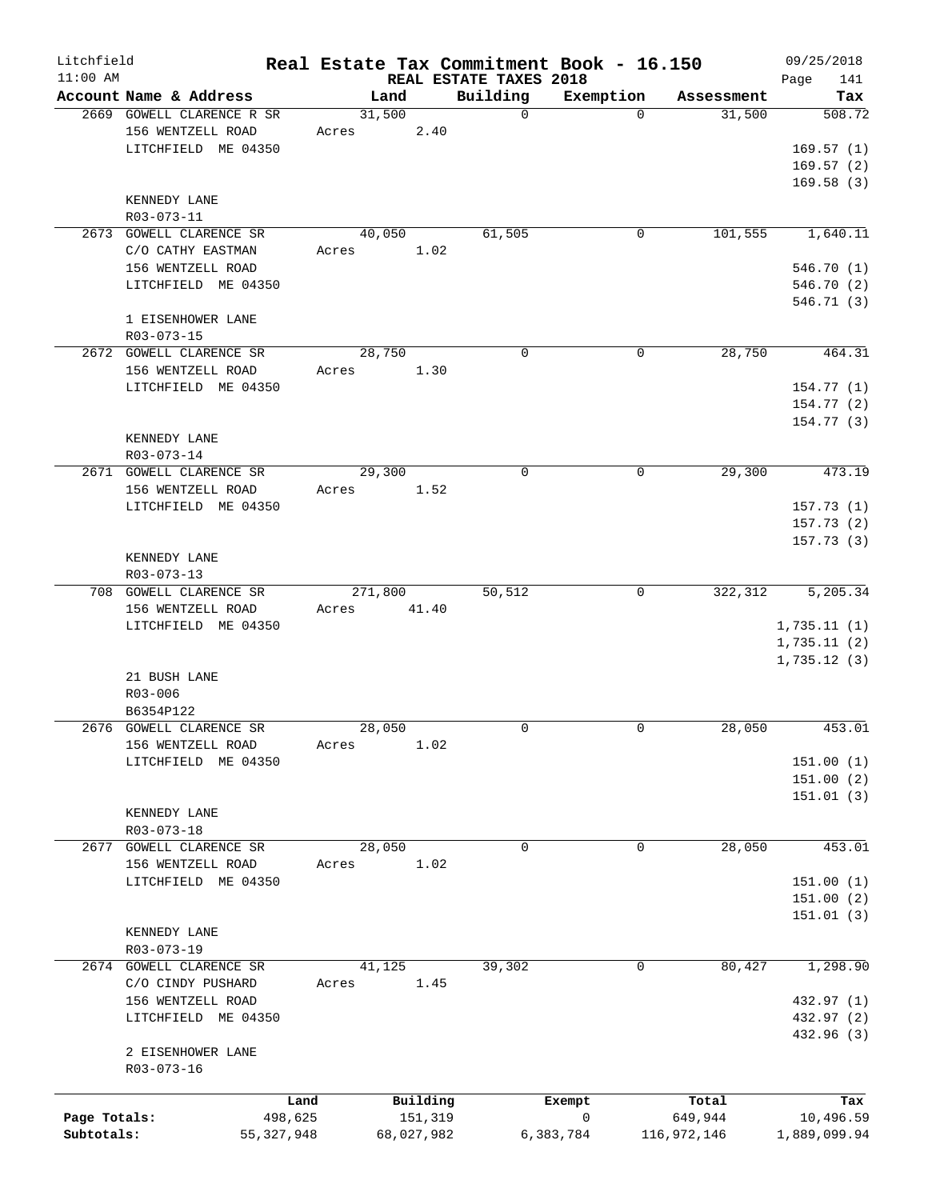| Litchfield<br>$11:00$ AM |                           | Real Estate Tax Commitment Book - 16.150 | REAL ESTATE TAXES 2018 |              |                      | 09/25/2018            |
|--------------------------|---------------------------|------------------------------------------|------------------------|--------------|----------------------|-----------------------|
|                          | Account Name & Address    | Land                                     | Building               |              | Exemption Assessment | 141<br>Page<br>Tax    |
|                          | 2669 GOWELL CLARENCE R SR | 31,500                                   | $\Omega$               | $\Omega$     | 31,500               | 508.72                |
|                          | 156 WENTZELL ROAD         | Acres 2.40                               |                        |              |                      |                       |
|                          | LITCHFIELD ME 04350       |                                          |                        |              |                      | 169.57(1)             |
|                          |                           |                                          |                        |              |                      | 169.57(2)             |
|                          |                           |                                          |                        |              |                      | 169.58(3)             |
|                          | KENNEDY LANE              |                                          |                        |              |                      |                       |
|                          | R03-073-11                |                                          |                        |              |                      |                       |
|                          |                           | 40,050                                   | 61,505                 | $\mathsf{O}$ |                      | 101,555 1,640.11      |
|                          | 2673 GOWELL CLARENCE SR   |                                          |                        |              |                      |                       |
|                          | C/O CATHY EASTMAN         | Acres 1.02                               |                        |              |                      |                       |
|                          | 156 WENTZELL ROAD         |                                          |                        |              |                      | 546.70 (1)            |
|                          | LITCHFIELD ME 04350       |                                          |                        |              |                      | 546.70 (2)            |
|                          |                           |                                          |                        |              |                      | 546.71(3)             |
|                          | 1 EISENHOWER LANE         |                                          |                        |              |                      |                       |
|                          | R03-073-15                |                                          |                        |              |                      |                       |
|                          | 2672 GOWELL CLARENCE SR   | 28,750                                   | $\Omega$               | 0            | 28,750               | 464.31                |
|                          | 156 WENTZELL ROAD         | Acres<br>1.30                            |                        |              |                      |                       |
|                          | LITCHFIELD ME 04350       |                                          |                        |              |                      | 154.77(1)             |
|                          |                           |                                          |                        |              |                      | 154.77(2)             |
|                          |                           |                                          |                        |              |                      | 154.77(3)             |
|                          | KENNEDY LANE              |                                          |                        |              |                      |                       |
|                          | R03-073-14                |                                          |                        |              |                      |                       |
|                          | 2671 GOWELL CLARENCE SR   | 29,300                                   | 0                      | $\mathbf 0$  | 29,300               | 473.19                |
|                          | 156 WENTZELL ROAD         | Acres 1.52                               |                        |              |                      |                       |
|                          | LITCHFIELD ME 04350       |                                          |                        |              |                      | 157.73(1)             |
|                          |                           |                                          |                        |              |                      | 157.73(2)             |
|                          |                           |                                          |                        |              |                      | 157.73(3)             |
|                          |                           |                                          |                        |              |                      |                       |
|                          | KENNEDY LANE              |                                          |                        |              |                      |                       |
|                          | R03-073-13                |                                          |                        |              |                      |                       |
|                          | 708 GOWELL CLARENCE SR    | 271,800                                  | 50, 512                | $\mathbf 0$  | 322, 312             | $\overline{5,205.34}$ |
|                          | 156 WENTZELL ROAD         | Acres 41.40                              |                        |              |                      |                       |
|                          | LITCHFIELD ME 04350       |                                          |                        |              |                      | 1,735.11(1)           |
|                          |                           |                                          |                        |              |                      | 1,735.11(2)           |
|                          |                           |                                          |                        |              |                      | 1,735.12(3)           |
|                          | 21 BUSH LANE              |                                          |                        |              |                      |                       |
|                          | R03-006                   |                                          |                        |              |                      |                       |
|                          | B6354P122                 |                                          |                        |              |                      |                       |
|                          | 2676 GOWELL CLARENCE SR   | 28,050                                   | $\Omega$               | $\Omega$     | 28,050               | 453.01                |
|                          | 156 WENTZELL ROAD         | Acres<br>1.02                            |                        |              |                      |                       |
|                          | LITCHFIELD ME 04350       |                                          |                        |              |                      | 151.00(1)             |
|                          |                           |                                          |                        |              |                      | 151.00 (2)            |
|                          |                           |                                          |                        |              |                      | 151.01(3)             |
|                          | KENNEDY LANE              |                                          |                        |              |                      |                       |
|                          | R03-073-18                |                                          |                        |              |                      |                       |
| 2677                     | GOWELL CLARENCE SR        | 28,050                                   | 0                      | $\mathbf 0$  | 28,050               | 453.01                |
|                          | 156 WENTZELL ROAD         | 1.02<br>Acres                            |                        |              |                      |                       |
|                          | LITCHFIELD ME 04350       |                                          |                        |              |                      | 151.00(1)             |
|                          |                           |                                          |                        |              |                      | 151.00 (2)            |
|                          |                           |                                          |                        |              |                      | 151.01(3)             |
|                          |                           |                                          |                        |              |                      |                       |
|                          | KENNEDY LANE              |                                          |                        |              |                      |                       |
|                          | R03-073-19                |                                          |                        |              |                      |                       |
|                          | 2674 GOWELL CLARENCE SR   | 41,125                                   | 39,302                 | 0            | 80,427               | 1,298.90              |
|                          | C/O CINDY PUSHARD         | 1.45<br>Acres                            |                        |              |                      |                       |
|                          | 156 WENTZELL ROAD         |                                          |                        |              |                      | 432.97 (1)            |
|                          | LITCHFIELD ME 04350       |                                          |                        |              |                      | 432.97 (2)            |
|                          |                           |                                          |                        |              |                      | 432.96 (3)            |
|                          | 2 EISENHOWER LANE         |                                          |                        |              |                      |                       |
|                          | R03-073-16                |                                          |                        |              |                      |                       |
|                          |                           |                                          |                        |              |                      |                       |
|                          | Land                      | Building                                 |                        | Exempt       | Total                | Tax                   |
| Page Totals:             | 498,625                   | 151,319                                  |                        | 0            | 649,944              | 10,496.59             |
| Subtotals:               | 55, 327, 948              | 68,027,982                               |                        | 6,383,784    | 116,972,146          | 1,889,099.94          |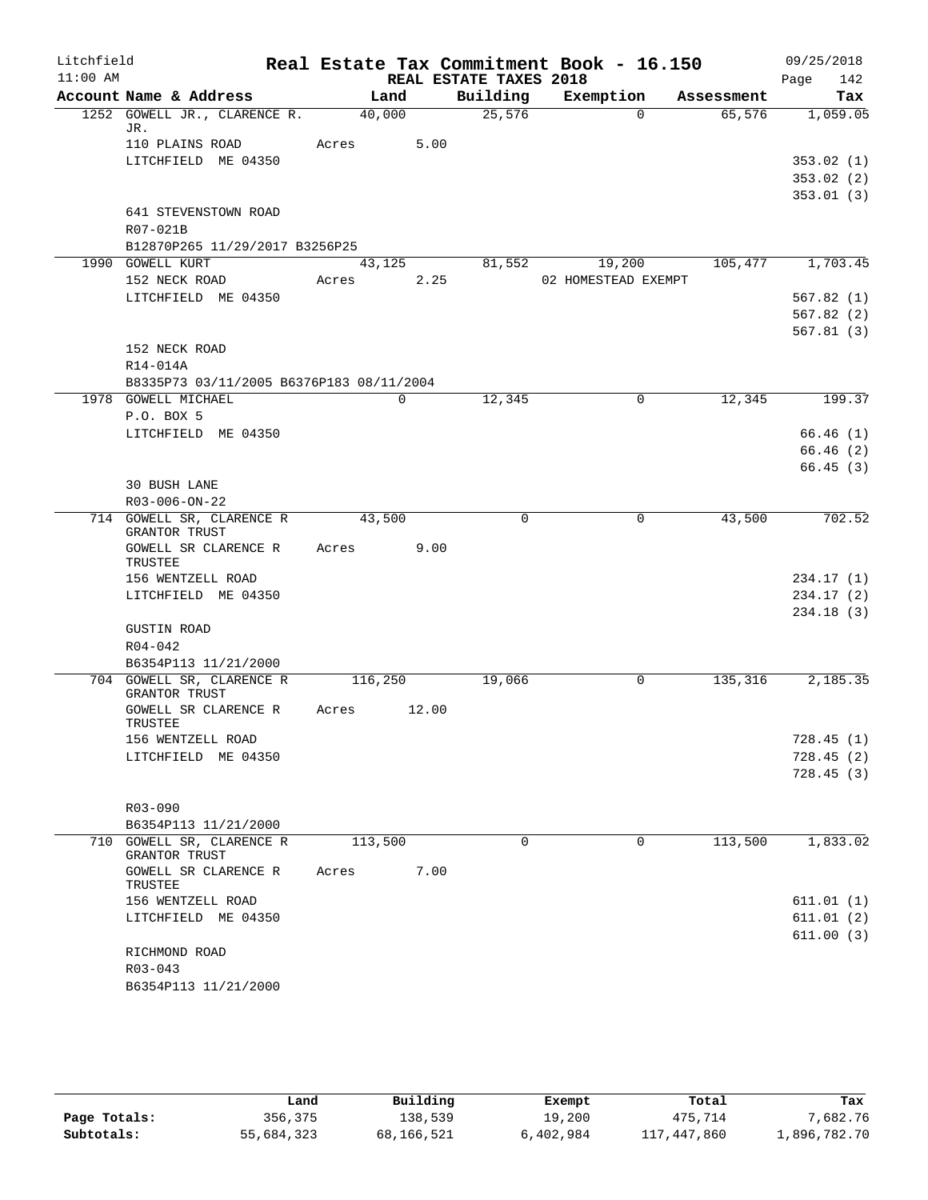| Litchfield |                                                                 |         |             |                        | Real Estate Tax Commitment Book - 16.150 |            | 09/25/2018  |
|------------|-----------------------------------------------------------------|---------|-------------|------------------------|------------------------------------------|------------|-------------|
| $11:00$ AM |                                                                 |         |             | REAL ESTATE TAXES 2018 |                                          |            | Page<br>142 |
|            | Account Name & Address                                          |         | Land        | Building               | Exemption                                | Assessment | Tax         |
|            | 1252 GOWELL JR., CLARENCE R.<br>JR.                             | 40,000  |             | 25,576                 | $\Omega$                                 | 65,576     | 1,059.05    |
|            | 110 PLAINS ROAD                                                 | Acres   | 5.00        |                        |                                          |            |             |
|            | LITCHFIELD ME 04350                                             |         |             |                        |                                          |            | 353.02(1)   |
|            |                                                                 |         |             |                        |                                          |            | 353.02(2)   |
|            |                                                                 |         |             |                        |                                          |            | 353.01(3)   |
|            | 641 STEVENSTOWN ROAD                                            |         |             |                        |                                          |            |             |
|            | R07-021B<br>B12870P265 11/29/2017 B3256P25                      |         |             |                        |                                          |            |             |
|            | 1990 GOWELL KURT                                                |         | 43,125      | 81,552                 | 19,200                                   | 105,477    | 1,703.45    |
|            | 152 NECK ROAD                                                   | Acres   | 2.25        |                        | 02 HOMESTEAD EXEMPT                      |            |             |
|            | LITCHFIELD ME 04350                                             |         |             |                        |                                          |            | 567.82(1)   |
|            |                                                                 |         |             |                        |                                          |            | 567.82(2)   |
|            |                                                                 |         |             |                        |                                          |            | 567.81(3)   |
|            | 152 NECK ROAD                                                   |         |             |                        |                                          |            |             |
|            | R14-014A                                                        |         |             |                        |                                          |            |             |
|            | B8335P73 03/11/2005 B6376P183 08/11/2004<br>1978 GOWELL MICHAEL |         | $\mathbf 0$ | 12,345                 | $\mathbf 0$                              | 12,345     | 199.37      |
|            | P.O. BOX 5                                                      |         |             |                        |                                          |            |             |
|            | LITCHFIELD ME 04350                                             |         |             |                        |                                          |            | 66.46(1)    |
|            |                                                                 |         |             |                        |                                          |            | 66.46(2)    |
|            |                                                                 |         |             |                        |                                          |            | 66.45(3)    |
|            | <b>30 BUSH LANE</b>                                             |         |             |                        |                                          |            |             |
|            | R03-006-ON-22                                                   |         |             |                        |                                          |            |             |
|            | 714 GOWELL SR, CLARENCE R<br><b>GRANTOR TRUST</b>               | 43,500  |             | $\Omega$               | 0                                        | 43,500     | 702.52      |
|            | GOWELL SR CLARENCE R<br>TRUSTEE                                 | Acres   | 9.00        |                        |                                          |            |             |
|            | 156 WENTZELL ROAD                                               |         |             |                        |                                          |            | 234.17(1)   |
|            | LITCHFIELD ME 04350                                             |         |             |                        |                                          |            | 234.17(2)   |
|            |                                                                 |         |             |                        |                                          |            | 234.18(3)   |
|            | <b>GUSTIN ROAD</b>                                              |         |             |                        |                                          |            |             |
|            | $R04 - 042$                                                     |         |             |                        |                                          |            |             |
|            | B6354P113 11/21/2000<br>704 GOWELL SR, CLARENCE R               | 116,250 |             | 19,066                 | 0                                        | 135,316    | 2,185.35    |
|            | GRANTOR TRUST                                                   |         |             |                        |                                          |            |             |
|            | GOWELL SR CLARENCE R<br>TRUSTEE                                 | Acres   | 12.00       |                        |                                          |            |             |
|            | 156 WENTZELL ROAD                                               |         |             |                        |                                          |            | 728.45(1)   |
|            | LITCHFIELD ME 04350                                             |         |             |                        |                                          |            | 728.45(2)   |
|            |                                                                 |         |             |                        |                                          |            | 728.45(3)   |
|            | $R03 - 090$                                                     |         |             |                        |                                          |            |             |
|            | B6354P113 11/21/2000                                            |         |             |                        |                                          |            |             |
|            | 710 GOWELL SR, CLARENCE R<br>GRANTOR TRUST                      | 113,500 |             | $\Omega$               | 0                                        | 113,500    | 1,833.02    |
|            | GOWELL SR CLARENCE R<br>TRUSTEE                                 | Acres   | 7.00        |                        |                                          |            |             |
|            | 156 WENTZELL ROAD                                               |         |             |                        |                                          |            | 611.01 (1)  |
|            | LITCHFIELD ME 04350                                             |         |             |                        |                                          |            | 611.01(2)   |
|            |                                                                 |         |             |                        |                                          |            | 611.00(3)   |
|            | RICHMOND ROAD<br>$R03 - 043$                                    |         |             |                        |                                          |            |             |
|            | B6354P113 11/21/2000                                            |         |             |                        |                                          |            |             |
|            |                                                                 |         |             |                        |                                          |            |             |

|              | Land       | Building   | Exempt    | Total       | Tax          |
|--------------|------------|------------|-----------|-------------|--------------|
| Page Totals: | 356,375    | 138,539    | 19,200    | 475,714     | 7,682.76     |
| Subtotals:   | 55,684,323 | 68,166,521 | 6,402,984 | 117,447,860 | 1,896,782.70 |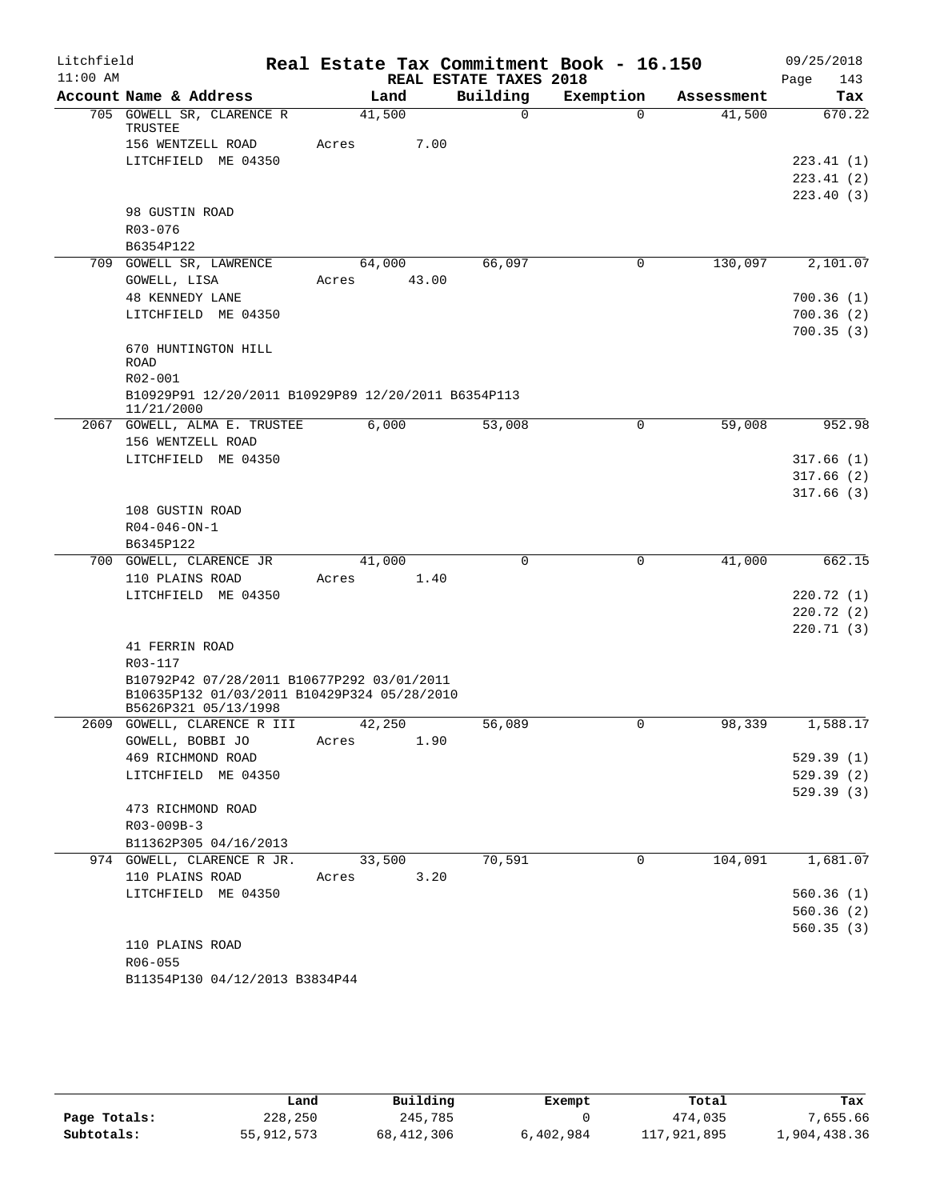| Litchfield |                                                                     | Real Estate Tax Commitment Book - 16.150 |                        |           |            | 09/25/2018  |
|------------|---------------------------------------------------------------------|------------------------------------------|------------------------|-----------|------------|-------------|
| $11:00$ AM |                                                                     |                                          | REAL ESTATE TAXES 2018 |           |            | 143<br>Page |
|            | Account Name & Address                                              | Land                                     | Building               | Exemption | Assessment | Tax         |
|            | 705 GOWELL SR, CLARENCE R<br>TRUSTEE                                | 41,500                                   | $\Omega$               | $\Omega$  | 41,500     | 670.22      |
|            | 156 WENTZELL ROAD                                                   | 7.00<br>Acres                            |                        |           |            |             |
|            | LITCHFIELD ME 04350                                                 |                                          |                        |           |            | 223.41(1)   |
|            |                                                                     |                                          |                        |           |            | 223.41(2)   |
|            |                                                                     |                                          |                        |           |            | 223.40(3)   |
|            | 98 GUSTIN ROAD<br>R03-076                                           |                                          |                        |           |            |             |
|            | B6354P122                                                           |                                          |                        |           |            |             |
|            | 709 GOWELL SR, LAWRENCE                                             | 64,000                                   | 66,097                 | 0         | 130,097    | 2,101.07    |
|            | GOWELL, LISA                                                        | 43.00<br>Acres                           |                        |           |            |             |
|            | <b>48 KENNEDY LANE</b>                                              |                                          |                        |           |            | 700.36(1)   |
|            | LITCHFIELD ME 04350                                                 |                                          |                        |           |            | 700.36(2)   |
|            |                                                                     |                                          |                        |           |            | 700.35(3)   |
|            | 670 HUNTINGTON HILL                                                 |                                          |                        |           |            |             |
|            | ROAD                                                                |                                          |                        |           |            |             |
|            | R02-001                                                             |                                          |                        |           |            |             |
|            | B10929P91 12/20/2011 B10929P89 12/20/2011 B6354P113<br>11/21/2000   |                                          |                        |           |            |             |
|            | 2067 GOWELL, ALMA E. TRUSTEE                                        | 6,000                                    | 53,008                 | 0         | 59,008     | 952.98      |
|            | 156 WENTZELL ROAD                                                   |                                          |                        |           |            |             |
|            | LITCHFIELD ME 04350                                                 |                                          |                        |           |            | 317.66(1)   |
|            |                                                                     |                                          |                        |           |            | 317.66(2)   |
|            |                                                                     |                                          |                        |           |            | 317.66(3)   |
|            | 108 GUSTIN ROAD<br>$R04 - 046 - ON - 1$                             |                                          |                        |           |            |             |
|            | B6345P122                                                           |                                          |                        |           |            |             |
|            | 700 GOWELL, CLARENCE JR                                             | 41,000                                   | $\mathbf 0$            | 0         | 41,000     | 662.15      |
|            | 110 PLAINS ROAD                                                     | Acres<br>1.40                            |                        |           |            |             |
|            | LITCHFIELD ME 04350                                                 |                                          |                        |           |            | 220.72(1)   |
|            |                                                                     |                                          |                        |           |            | 220.72(2)   |
|            |                                                                     |                                          |                        |           |            | 220.71(3)   |
|            | 41 FERRIN ROAD                                                      |                                          |                        |           |            |             |
|            | R03-117                                                             |                                          |                        |           |            |             |
|            | B10792P42 07/28/2011 B10677P292 03/01/2011                          |                                          |                        |           |            |             |
|            | B10635P132 01/03/2011 B10429P324 05/28/2010<br>B5626P321 05/13/1998 |                                          |                        |           |            |             |
|            | 2609 GOWELL, CLARENCE R III                                         | 42,250                                   | 56,089                 | 0         | 98,339     | 1,588.17    |
|            | GOWELL, BOBBI JO                                                    | 1.90<br>Acres                            |                        |           |            |             |
|            | 469 RICHMOND ROAD                                                   |                                          |                        |           |            | 529.39(1)   |
|            | LITCHFIELD ME 04350                                                 |                                          |                        |           |            | 529.39(2)   |
|            |                                                                     |                                          |                        |           |            | 529.39 (3)  |
|            | 473 RICHMOND ROAD                                                   |                                          |                        |           |            |             |
|            | R03-009B-3<br>B11362P305 04/16/2013                                 |                                          |                        |           |            |             |
|            | 974 GOWELL, CLARENCE R JR.                                          | 33,500                                   | 70,591                 | 0         | 104,091    | 1,681.07    |
|            | 110 PLAINS ROAD                                                     | 3.20<br>Acres                            |                        |           |            |             |
|            | LITCHFIELD ME 04350                                                 |                                          |                        |           |            | 560.36(1)   |
|            |                                                                     |                                          |                        |           |            | 560.36(2)   |
|            |                                                                     |                                          |                        |           |            | 560.35(3)   |
|            | 110 PLAINS ROAD                                                     |                                          |                        |           |            |             |
|            | R06-055                                                             |                                          |                        |           |            |             |
|            | B11354P130 04/12/2013 B3834P44                                      |                                          |                        |           |            |             |

|              | Land       | Building     | Exempt    | Total       | Tax          |
|--------------|------------|--------------|-----------|-------------|--------------|
| Page Totals: | 228,250    | 245,785      |           | 474,035     | 7,655.66     |
| Subtotals:   | 55,912,573 | 68, 412, 306 | 6,402,984 | 117,921,895 | 1,904,438.36 |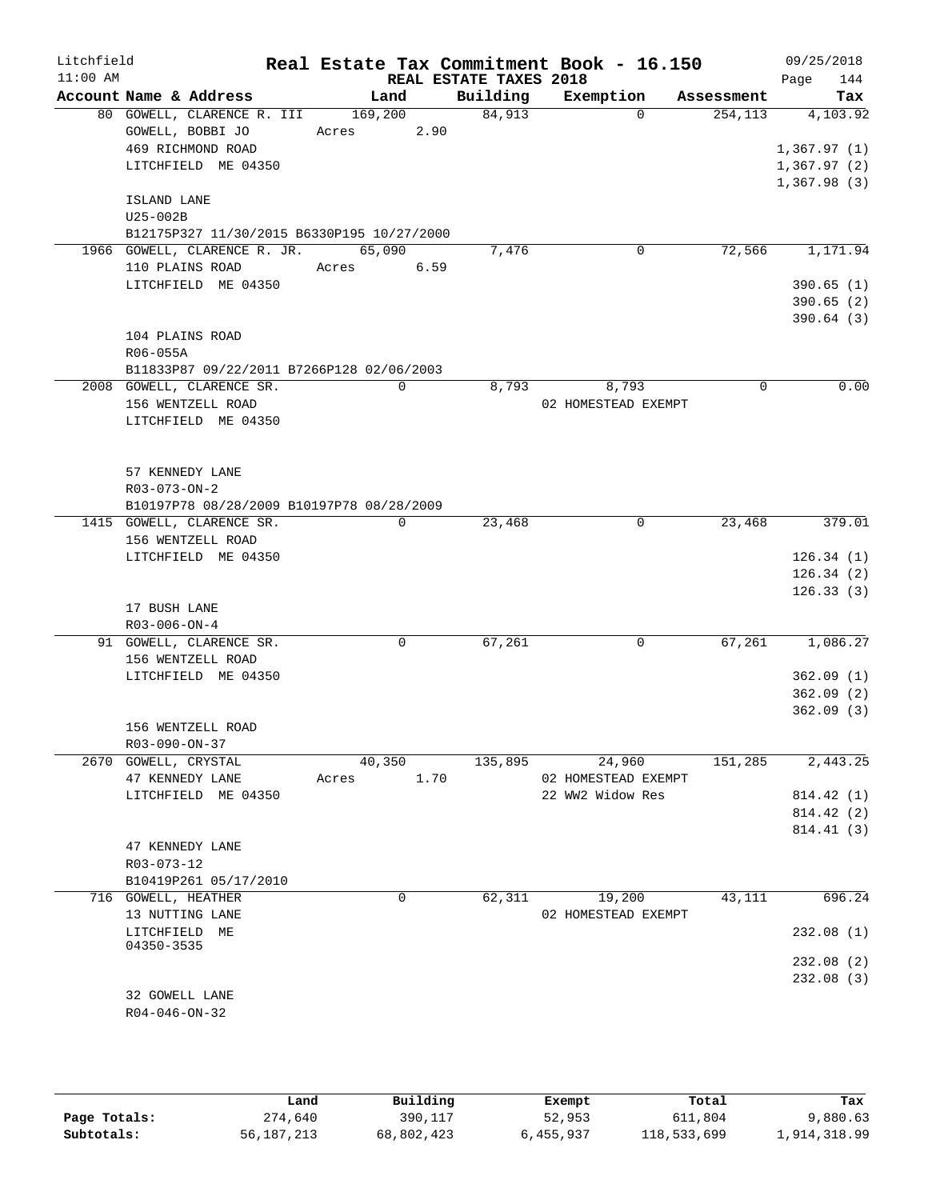| Litchfield<br>$11:00$ AM |                                            |         |             |      |                                    | Real Estate Tax Commitment Book - 16.150 |            |      | 09/25/2018                 |
|--------------------------|--------------------------------------------|---------|-------------|------|------------------------------------|------------------------------------------|------------|------|----------------------------|
|                          | Account Name & Address                     | Land    |             |      | REAL ESTATE TAXES 2018<br>Building | Exemption                                | Assessment | Page | 144<br>Tax                 |
|                          | 80 GOWELL, CLARENCE R. III                 | 169,200 |             |      | 84,913                             | $\Omega$                                 | 254, 113   |      | 4,103.92                   |
|                          | GOWELL, BOBBI JO                           | Acres   |             | 2.90 |                                    |                                          |            |      |                            |
|                          | 469 RICHMOND ROAD                          |         |             |      |                                    |                                          |            |      | 1,367.97(1)                |
|                          | LITCHFIELD ME 04350                        |         |             |      |                                    |                                          |            |      | 1,367.97(2)<br>1,367.98(3) |
|                          | ISLAND LANE                                |         |             |      |                                    |                                          |            |      |                            |
|                          | U25-002B                                   |         |             |      |                                    |                                          |            |      |                            |
|                          | B12175P327 11/30/2015 B6330P195 10/27/2000 |         |             |      |                                    |                                          |            |      |                            |
|                          | 1966 GOWELL, CLARENCE R. JR.               | 65,090  |             |      | 7,476                              | 0                                        | 72,566     |      | 1,171.94                   |
|                          | 110 PLAINS ROAD                            | Acres   |             | 6.59 |                                    |                                          |            |      |                            |
|                          | LITCHFIELD ME 04350                        |         |             |      |                                    |                                          |            |      | 390.65(1)                  |
|                          |                                            |         |             |      |                                    |                                          |            |      | 390.65(2)<br>390.64(3)     |
|                          | 104 PLAINS ROAD                            |         |             |      |                                    |                                          |            |      |                            |
|                          | R06-055A                                   |         |             |      |                                    |                                          |            |      |                            |
|                          | B11833P87 09/22/2011 B7266P128 02/06/2003  |         |             |      |                                    |                                          |            |      |                            |
|                          | 2008 GOWELL, CLARENCE SR.                  |         | $\mathbf 0$ |      | 8,793                              | 8,793                                    | 0          |      | 0.00                       |
|                          | 156 WENTZELL ROAD                          |         |             |      |                                    | 02 HOMESTEAD EXEMPT                      |            |      |                            |
|                          | LITCHFIELD ME 04350                        |         |             |      |                                    |                                          |            |      |                            |
|                          |                                            |         |             |      |                                    |                                          |            |      |                            |
|                          | 57 KENNEDY LANE                            |         |             |      |                                    |                                          |            |      |                            |
|                          | R03-073-ON-2                               |         |             |      |                                    |                                          |            |      |                            |
|                          | B10197P78 08/28/2009 B10197P78 08/28/2009  |         |             |      |                                    |                                          |            |      |                            |
|                          | 1415 GOWELL, CLARENCE SR.                  |         | $\mathbf 0$ |      | 23,468                             | $\mathsf{O}$                             | 23,468     |      | 379.01                     |
|                          | 156 WENTZELL ROAD                          |         |             |      |                                    |                                          |            |      |                            |
|                          | LITCHFIELD ME 04350                        |         |             |      |                                    |                                          |            |      | 126.34(1)                  |
|                          |                                            |         |             |      |                                    |                                          |            |      | 126.34(2)                  |
|                          | 17 BUSH LANE                               |         |             |      |                                    |                                          |            |      | 126.33(3)                  |
|                          | $R03 - 006 - ON - 4$                       |         |             |      |                                    |                                          |            |      |                            |
|                          | 91 GOWELL, CLARENCE SR.                    |         | 0           |      | 67,261                             | 0                                        | 67,261     |      | 1,086.27                   |
|                          | 156 WENTZELL ROAD                          |         |             |      |                                    |                                          |            |      |                            |
|                          | LITCHFIELD ME 04350                        |         |             |      |                                    |                                          |            |      | 362.09(1)                  |
|                          |                                            |         |             |      |                                    |                                          |            |      | 362.09(2)                  |
|                          |                                            |         |             |      |                                    |                                          |            |      | 362.09(3)                  |
|                          | 156 WENTZELL ROAD                          |         |             |      |                                    |                                          |            |      |                            |
|                          | R03-090-ON-37<br>2670 GOWELL, CRYSTAL      | 40,350  |             |      | 135,895                            | 24,960                                   | 151,285    |      | 2,443.25                   |
|                          | 47 KENNEDY LANE                            | Acres   |             | 1.70 |                                    | 02 HOMESTEAD EXEMPT                      |            |      |                            |
|                          | LITCHFIELD ME 04350                        |         |             |      |                                    | 22 WW2 Widow Res                         |            |      | 814.42 (1)                 |
|                          |                                            |         |             |      |                                    |                                          |            |      | 814.42 (2)                 |
|                          |                                            |         |             |      |                                    |                                          |            |      | 814.41 (3)                 |
|                          | 47 KENNEDY LANE                            |         |             |      |                                    |                                          |            |      |                            |
|                          | R03-073-12<br>B10419P261 05/17/2010        |         |             |      |                                    |                                          |            |      |                            |
|                          | 716 GOWELL, HEATHER                        |         | 0           |      | 62,311                             | 19,200                                   | 43,111     |      | 696.24                     |
|                          | 13 NUTTING LANE                            |         |             |      |                                    | 02 HOMESTEAD EXEMPT                      |            |      |                            |
|                          | LITCHFIELD ME                              |         |             |      |                                    |                                          |            |      | 232.08(1)                  |
|                          | 04350-3535                                 |         |             |      |                                    |                                          |            |      |                            |
|                          |                                            |         |             |      |                                    |                                          |            |      | 232.08 (2)<br>232.08(3)    |
|                          | 32 GOWELL LANE                             |         |             |      |                                    |                                          |            |      |                            |
|                          | $R04 - 046 - ON - 32$                      |         |             |      |                                    |                                          |            |      |                            |
|                          |                                            |         |             |      |                                    |                                          |            |      |                            |
|                          |                                            |         |             |      |                                    |                                          |            |      |                            |
|                          |                                            |         |             |      |                                    |                                          |            |      |                            |

|              | Land         | Building   | Exempt    | Total       | Tax          |
|--------------|--------------|------------|-----------|-------------|--------------|
| Page Totals: | 274,640      | 390,117    | 52,953    | 611,804     | 9,880.63     |
| Subtotals:   | 56, 187, 213 | 68,802,423 | 6,455,937 | 118,533,699 | 1,914,318.99 |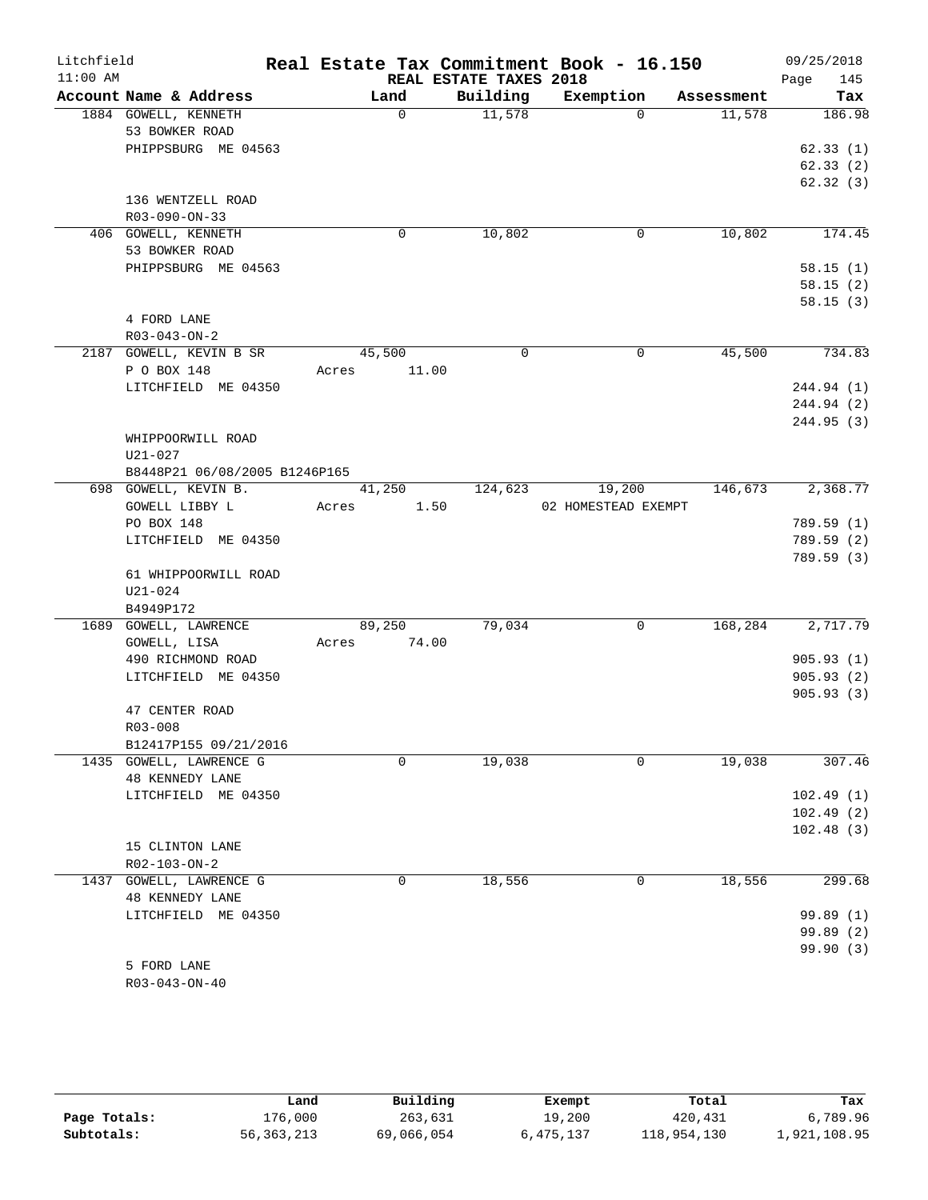| Litchfield<br>$11:00$ AM |                                        |       |          |                                    | Real Estate Tax Commitment Book - 16.150 |            | 09/25/2018              |
|--------------------------|----------------------------------------|-------|----------|------------------------------------|------------------------------------------|------------|-------------------------|
|                          | Account Name & Address                 |       | Land     | REAL ESTATE TAXES 2018<br>Building | Exemption                                | Assessment | 145<br>Page<br>Tax      |
|                          | 1884 GOWELL, KENNETH                   |       | $\Omega$ | 11,578                             | $\Omega$                                 | 11,578     | 186.98                  |
|                          | 53 BOWKER ROAD                         |       |          |                                    |                                          |            |                         |
|                          | PHIPPSBURG ME 04563                    |       |          |                                    |                                          |            | 62.33(1)                |
|                          |                                        |       |          |                                    |                                          |            | 62.33(2)                |
|                          |                                        |       |          |                                    |                                          |            | 62.32(3)                |
|                          | 136 WENTZELL ROAD                      |       |          |                                    |                                          |            |                         |
|                          | R03-090-ON-33<br>406 GOWELL, KENNETH   |       | 0        | 10,802                             | 0                                        | 10,802     | 174.45                  |
|                          | 53 BOWKER ROAD                         |       |          |                                    |                                          |            |                         |
|                          | PHIPPSBURG ME 04563                    |       |          |                                    |                                          |            | 58.15(1)                |
|                          |                                        |       |          |                                    |                                          |            | 58.15(2)                |
|                          |                                        |       |          |                                    |                                          |            | 58.15(3)                |
|                          | 4 FORD LANE                            |       |          |                                    |                                          |            |                         |
|                          | $R03 - 043 - ON - 2$                   |       |          |                                    |                                          |            |                         |
|                          | 2187 GOWELL, KEVIN B SR                |       | 45,500   | 0                                  | $\mathbf 0$                              | 45,500     | 734.83                  |
|                          | P O BOX 148                            | Acres | 11.00    |                                    |                                          |            |                         |
|                          | LITCHFIELD ME 04350                    |       |          |                                    |                                          |            | 244.94 (1)              |
|                          |                                        |       |          |                                    |                                          |            | 244.94 (2)<br>244.95(3) |
|                          | WHIPPOORWILL ROAD                      |       |          |                                    |                                          |            |                         |
|                          | $U21 - 027$                            |       |          |                                    |                                          |            |                         |
|                          | B8448P21 06/08/2005 B1246P165          |       |          |                                    |                                          |            |                         |
|                          | 698 GOWELL, KEVIN B.                   |       | 41,250   | 124,623                            | 19,200                                   | 146,673    | 2,368.77                |
|                          | GOWELL LIBBY L                         | Acres | 1.50     |                                    | 02 HOMESTEAD EXEMPT                      |            |                         |
|                          | PO BOX 148                             |       |          |                                    |                                          |            | 789.59 (1)              |
|                          | LITCHFIELD ME 04350                    |       |          |                                    |                                          |            | 789.59 (2)              |
|                          |                                        |       |          |                                    |                                          |            | 789.59 (3)              |
|                          | 61 WHIPPOORWILL ROAD                   |       |          |                                    |                                          |            |                         |
|                          | $U21 - 024$<br>B4949P172               |       |          |                                    |                                          |            |                         |
|                          | 1689 GOWELL, LAWRENCE                  |       | 89,250   | 79,034                             | 0                                        | 168,284    | 2,717.79                |
|                          | GOWELL, LISA                           | Acres | 74.00    |                                    |                                          |            |                         |
|                          | 490 RICHMOND ROAD                      |       |          |                                    |                                          |            | 905.93(1)               |
|                          | LITCHFIELD ME 04350                    |       |          |                                    |                                          |            | 905.93(2)               |
|                          |                                        |       |          |                                    |                                          |            | 905.93(3)               |
|                          | 47 CENTER ROAD                         |       |          |                                    |                                          |            |                         |
|                          | R03-008                                |       |          |                                    |                                          |            |                         |
|                          | B12417P155 09/21/2016                  |       |          |                                    |                                          |            |                         |
|                          | 1435 GOWELL, LAWRENCE G                |       | 0        | 19,038                             | 0                                        | 19,038     | 307.46                  |
|                          | 48 KENNEDY LANE<br>LITCHFIELD ME 04350 |       |          |                                    |                                          |            | 102.49(1)               |
|                          |                                        |       |          |                                    |                                          |            | 102.49(2)               |
|                          |                                        |       |          |                                    |                                          |            | 102.48(3)               |
|                          | 15 CLINTON LANE                        |       |          |                                    |                                          |            |                         |
|                          | R02-103-ON-2                           |       |          |                                    |                                          |            |                         |
|                          | 1437 GOWELL, LAWRENCE G                |       | 0        | 18,556                             | 0                                        | 18,556     | 299.68                  |
|                          | <b>48 KENNEDY LANE</b>                 |       |          |                                    |                                          |            |                         |
|                          | LITCHFIELD ME 04350                    |       |          |                                    |                                          |            | 99.89(1)                |
|                          |                                        |       |          |                                    |                                          |            | 99.89(2)                |
|                          | 5 FORD LANE                            |       |          |                                    |                                          |            | 99.90(3)                |
|                          | $R03 - 043 - ON - 40$                  |       |          |                                    |                                          |            |                         |
|                          |                                        |       |          |                                    |                                          |            |                         |

|              | Land         | Building   | Exempt    | Total       | Tax          |
|--------------|--------------|------------|-----------|-------------|--------------|
| Page Totals: | 176,000      | 263,631    | 19,200    | 420,431     | 6,789.96     |
| Subtotals:   | 56, 363, 213 | 69,066,054 | 6,475,137 | 118,954,130 | 1,921,108.95 |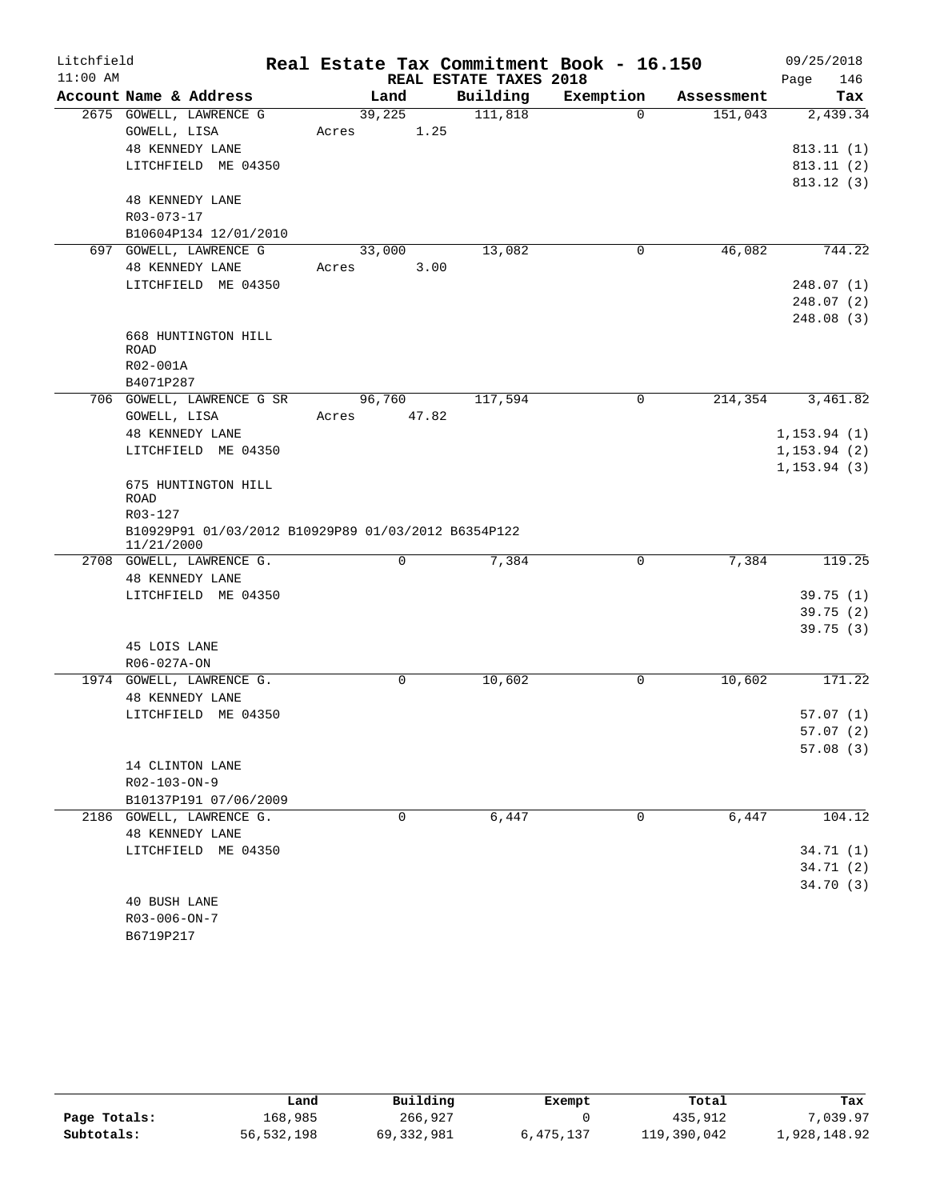| Litchfield |                                                                   | Real Estate Tax Commitment Book - 16.150 |                        |             |            | 09/25/2018                   |
|------------|-------------------------------------------------------------------|------------------------------------------|------------------------|-------------|------------|------------------------------|
| $11:00$ AM |                                                                   |                                          | REAL ESTATE TAXES 2018 |             |            | 146<br>Page                  |
|            | Account Name & Address                                            | Land                                     | Building               | Exemption   | Assessment | Tax                          |
|            | 2675 GOWELL, LAWRENCE G<br>GOWELL, LISA                           | 39,225<br>1.25<br>Acres                  | 111,818                | $\Omega$    | 151,043    | 2,439.34                     |
|            | <b>48 KENNEDY LANE</b>                                            |                                          |                        |             |            | 813.11(1)                    |
|            | LITCHFIELD ME 04350                                               |                                          |                        |             |            | 813.11(2)                    |
|            |                                                                   |                                          |                        |             |            | 813.12(3)                    |
|            | <b>48 KENNEDY LANE</b>                                            |                                          |                        |             |            |                              |
|            | R03-073-17                                                        |                                          |                        |             |            |                              |
|            | B10604P134 12/01/2010                                             |                                          |                        |             |            |                              |
|            | 697 GOWELL, LAWRENCE G<br><b>48 KENNEDY LANE</b>                  | 33,000<br>3.00<br>Acres                  | 13,082                 | 0           | 46,082     | 744.22                       |
|            | LITCHFIELD ME 04350                                               |                                          |                        |             |            | 248.07(1)                    |
|            |                                                                   |                                          |                        |             |            | 248.07(2)                    |
|            |                                                                   |                                          |                        |             |            | 248.08(3)                    |
|            | 668 HUNTINGTON HILL                                               |                                          |                        |             |            |                              |
|            | <b>ROAD</b>                                                       |                                          |                        |             |            |                              |
|            | R02-001A                                                          |                                          |                        |             |            |                              |
|            | B4071P287                                                         |                                          |                        |             |            |                              |
|            | 706 GOWELL, LAWRENCE G SR                                         | 96,760                                   | 117,594                | 0           | 214,354    | 3,461.82                     |
|            | GOWELL, LISA                                                      | 47.82<br>Acres                           |                        |             |            |                              |
|            | <b>48 KENNEDY LANE</b>                                            |                                          |                        |             |            | 1, 153.94(1)                 |
|            | LITCHFIELD ME 04350                                               |                                          |                        |             |            | 1, 153.94(2)<br>1, 153.94(3) |
|            | 675 HUNTINGTON HILL<br>ROAD<br>R03-127                            |                                          |                        |             |            |                              |
|            | B10929P91 01/03/2012 B10929P89 01/03/2012 B6354P122<br>11/21/2000 |                                          |                        |             |            |                              |
|            | 2708 GOWELL, LAWRENCE G.                                          | $\mathbf 0$                              | 7,384                  | $\mathbf 0$ | 7,384      | 119.25                       |
|            | 48 KENNEDY LANE                                                   |                                          |                        |             |            |                              |
|            | LITCHFIELD ME 04350                                               |                                          |                        |             |            | 39.75(1)                     |
|            |                                                                   |                                          |                        |             |            | 39.75(2)<br>39.75(3)         |
|            | 45 LOIS LANE                                                      |                                          |                        |             |            |                              |
|            | R06-027A-ON                                                       |                                          |                        |             |            |                              |
|            | 1974 GOWELL, LAWRENCE G.                                          | $\mathbf 0$                              | 10,602                 | 0           | 10,602     | 171.22                       |
|            | <b>48 KENNEDY LANE</b>                                            |                                          |                        |             |            |                              |
|            | LITCHFIELD ME 04350                                               |                                          |                        |             |            | 57.07(1)                     |
|            |                                                                   |                                          |                        |             |            | 57.07(2)                     |
|            |                                                                   |                                          |                        |             |            | 57.08(3)                     |
|            | 14 CLINTON LANE                                                   |                                          |                        |             |            |                              |
|            | $R02 - 103 - ON - 9$                                              |                                          |                        |             |            |                              |
|            | B10137P191 07/06/2009                                             |                                          |                        |             |            |                              |
|            | 2186 GOWELL, LAWRENCE G.                                          | 0                                        | 6,447                  | $\mathbf 0$ | 6,447      | 104.12                       |
|            | <b>48 KENNEDY LANE</b>                                            |                                          |                        |             |            |                              |
|            | LITCHFIELD ME 04350                                               |                                          |                        |             |            | 34.71(1)                     |
|            |                                                                   |                                          |                        |             |            | 34.71(2)<br>34.70(3)         |
|            | 40 BUSH LANE                                                      |                                          |                        |             |            |                              |
|            | $R03 - 006 - ON - 7$                                              |                                          |                        |             |            |                              |
|            |                                                                   |                                          |                        |             |            |                              |

|              | Land       | Building   | Exempt    | Total       | Tax          |
|--------------|------------|------------|-----------|-------------|--------------|
| Page Totals: | 168,985    | 266,927    |           | 435,912     | 7,039.97     |
| Subtotals:   | 56,532,198 | 69,332,981 | 6,475,137 | 119,390,042 | 1,928,148.92 |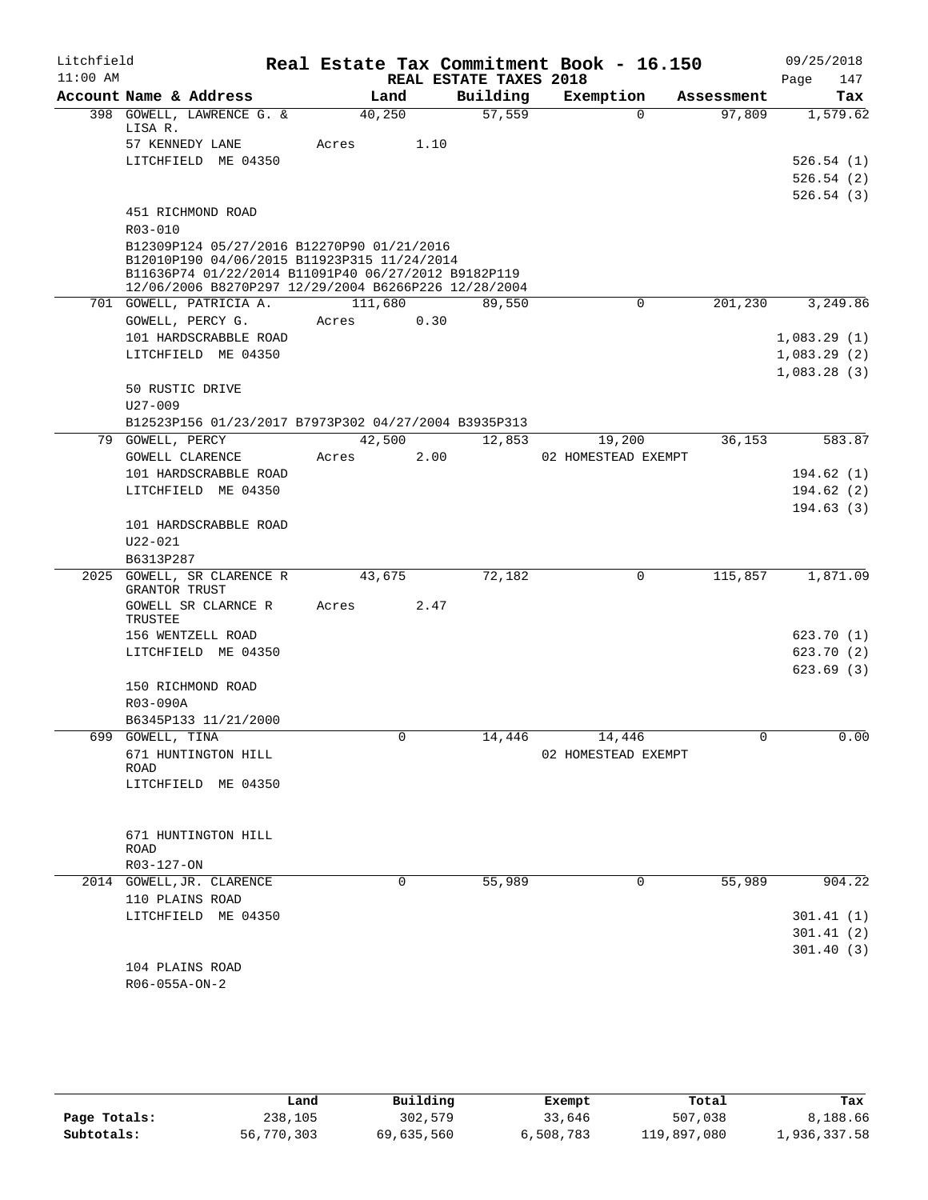| Litchfield |                  |                                                                                           |         |          |                        | Real Estate Tax Commitment Book - 16.150 |            | 09/25/2018  |
|------------|------------------|-------------------------------------------------------------------------------------------|---------|----------|------------------------|------------------------------------------|------------|-------------|
| $11:00$ AM |                  |                                                                                           |         |          | REAL ESTATE TAXES 2018 |                                          |            | 147<br>Page |
|            |                  | Account Name & Address                                                                    |         | Land     | Building               | Exemption                                | Assessment | Tax         |
|            | LISA R.          | 398 GOWELL, LAWRENCE G. &                                                                 | 40,250  |          | 57,559                 | $\Omega$                                 | 97,809     | 1,579.62    |
|            |                  | 57 KENNEDY LANE                                                                           | Acres   | 1.10     |                        |                                          |            |             |
|            |                  | LITCHFIELD ME 04350                                                                       |         |          |                        |                                          |            | 526.54(1)   |
|            |                  |                                                                                           |         |          |                        |                                          |            | 526.54(2)   |
|            |                  |                                                                                           |         |          |                        |                                          |            | 526.54(3)   |
|            |                  | 451 RICHMOND ROAD                                                                         |         |          |                        |                                          |            |             |
|            | R03-010          |                                                                                           |         |          |                        |                                          |            |             |
|            |                  | B12309P124 05/27/2016 B12270P90 01/21/2016<br>B12010P190 04/06/2015 B11923P315 11/24/2014 |         |          |                        |                                          |            |             |
|            |                  | B11636P74 01/22/2014 B11091P40 06/27/2012 B9182P119                                       |         |          |                        |                                          |            |             |
|            |                  | 12/06/2006 B8270P297 12/29/2004 B6266P226 12/28/2004                                      |         |          |                        |                                          |            |             |
|            |                  | 701 GOWELL, PATRICIA A.                                                                   | 111,680 |          | 89,550                 | 0                                        | 201,230    | 3,249.86    |
|            |                  | GOWELL, PERCY G.                                                                          | Acres   | 0.30     |                        |                                          |            |             |
|            |                  | 101 HARDSCRABBLE ROAD                                                                     |         |          |                        |                                          |            | 1,083.29(1) |
|            |                  | LITCHFIELD ME 04350                                                                       |         |          |                        |                                          |            | 1,083.29(2) |
|            |                  |                                                                                           |         |          |                        |                                          |            | 1,083.28(3) |
|            |                  | 50 RUSTIC DRIVE                                                                           |         |          |                        |                                          |            |             |
|            | $U27 - 009$      |                                                                                           |         |          |                        |                                          |            |             |
|            | 79 GOWELL, PERCY | B12523P156 01/23/2017 B7973P302 04/27/2004 B3935P313                                      |         | 42,500   | 12,853                 | 19,200                                   | 36,153     | 583.87      |
|            |                  | <b>GOWELL CLARENCE</b>                                                                    | Acres   | 2.00     |                        | 02 HOMESTEAD EXEMPT                      |            |             |
|            |                  | 101 HARDSCRABBLE ROAD                                                                     |         |          |                        |                                          |            | 194.62(1)   |
|            |                  | LITCHFIELD ME 04350                                                                       |         |          |                        |                                          |            | 194.62(2)   |
|            |                  |                                                                                           |         |          |                        |                                          |            | 194.63(3)   |
|            |                  | 101 HARDSCRABBLE ROAD                                                                     |         |          |                        |                                          |            |             |
|            | $U22 - 021$      |                                                                                           |         |          |                        |                                          |            |             |
|            | B6313P287        |                                                                                           |         |          |                        |                                          |            |             |
|            |                  | 2025 GOWELL, SR CLARENCE R                                                                | 43,675  |          | 72,182                 | 0                                        | 115,857    | 1,871.09    |
|            | GRANTOR TRUST    |                                                                                           |         |          |                        |                                          |            |             |
|            | TRUSTEE          | GOWELL SR CLARNCE R                                                                       | Acres   | 2.47     |                        |                                          |            |             |
|            |                  | 156 WENTZELL ROAD                                                                         |         |          |                        |                                          |            | 623.70(1)   |
|            |                  | LITCHFIELD ME 04350                                                                       |         |          |                        |                                          |            | 623.70(2)   |
|            |                  |                                                                                           |         |          |                        |                                          |            | 623.69(3)   |
|            |                  | 150 RICHMOND ROAD                                                                         |         |          |                        |                                          |            |             |
|            | R03-090A         |                                                                                           |         |          |                        |                                          |            |             |
|            |                  | B6345P133 11/21/2000                                                                      |         |          |                        |                                          |            |             |
|            | 699 GOWELL, TINA |                                                                                           |         |          | 14,446                 | 14,446                                   |            | 0.00        |
|            |                  | 671 HUNTINGTON HILL                                                                       |         |          |                        | 02 HOMESTEAD EXEMPT                      |            |             |
|            | ROAD             |                                                                                           |         |          |                        |                                          |            |             |
|            |                  | LITCHFIELD ME 04350                                                                       |         |          |                        |                                          |            |             |
|            |                  |                                                                                           |         |          |                        |                                          |            |             |
|            |                  | 671 HUNTINGTON HILL                                                                       |         |          |                        |                                          |            |             |
|            | ROAD             |                                                                                           |         |          |                        |                                          |            |             |
|            | R03-127-ON       |                                                                                           |         |          |                        |                                          |            |             |
|            |                  | 2014 GOWELL, JR. CLARENCE                                                                 |         | $\Omega$ | 55,989                 | 0                                        | 55,989     | 904.22      |
|            |                  | 110 PLAINS ROAD                                                                           |         |          |                        |                                          |            |             |
|            |                  | LITCHFIELD ME 04350                                                                       |         |          |                        |                                          |            | 301.41(1)   |
|            |                  |                                                                                           |         |          |                        |                                          |            | 301.41(2)   |
|            |                  | 104 PLAINS ROAD                                                                           |         |          |                        |                                          |            | 301.40(3)   |
|            | R06-055A-ON-2    |                                                                                           |         |          |                        |                                          |            |             |
|            |                  |                                                                                           |         |          |                        |                                          |            |             |

|              | Land       | Building   | Exempt    | Total       | Tax          |
|--------------|------------|------------|-----------|-------------|--------------|
| Page Totals: | 238,105    | 302,579    | 33,646    | 507,038     | 8,188.66     |
| Subtotals:   | 56,770,303 | 69,635,560 | 6,508,783 | 119,897,080 | 1,936,337.58 |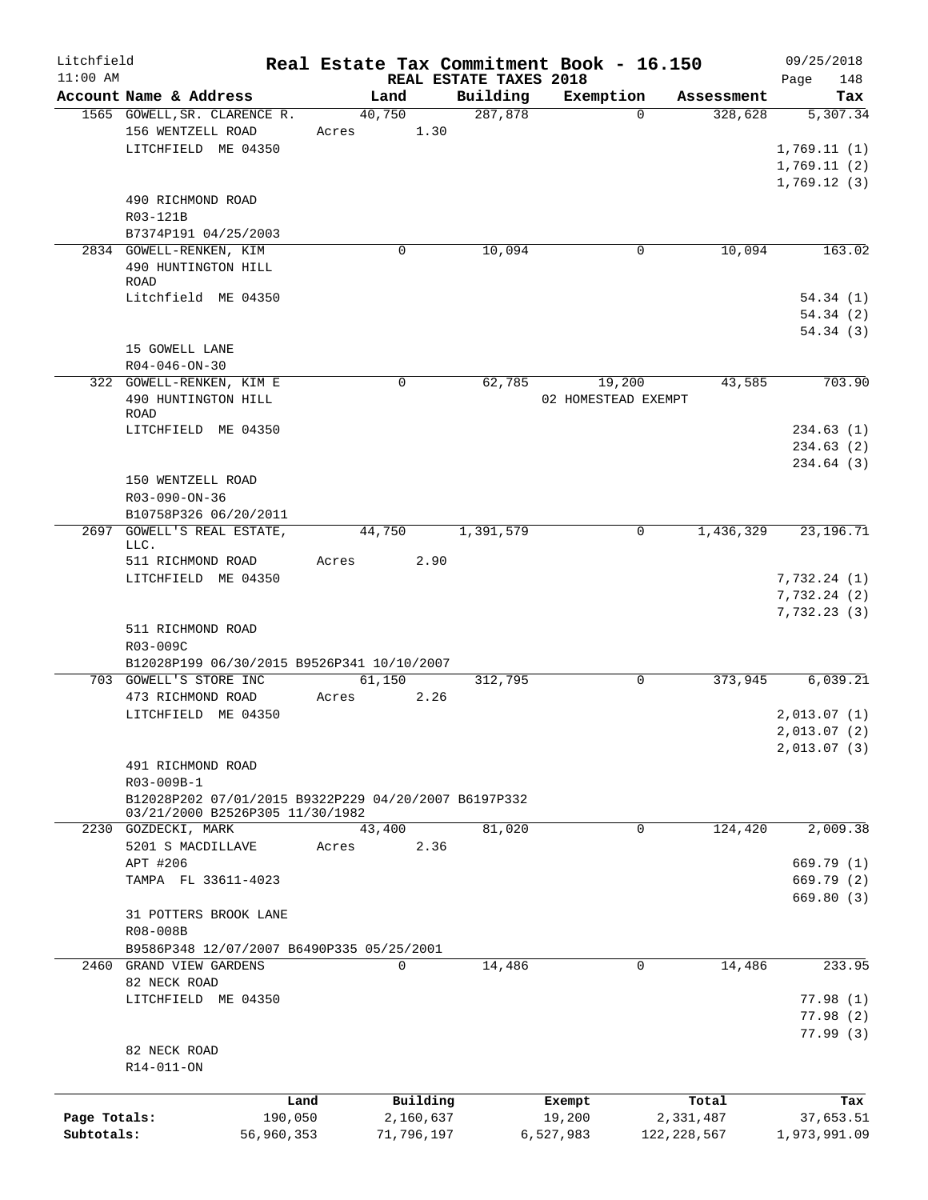| Litchfield<br>$11:00$ AM   |                                                                                         |                 |                         | REAL ESTATE TAXES 2018 | Real Estate Tax Commitment Book - 16.150 |                            | 09/25/2018<br>Page<br>148                 |
|----------------------------|-----------------------------------------------------------------------------------------|-----------------|-------------------------|------------------------|------------------------------------------|----------------------------|-------------------------------------------|
|                            | Account Name & Address                                                                  | Land            |                         | Building               | Exemption                                | Assessment                 | Tax                                       |
|                            | 1565 GOWELL, SR. CLARENCE R.<br>156 WENTZELL ROAD<br>LITCHFIELD ME 04350                | 40,750<br>Acres | 1.30                    | 287,878                | $\Omega$                                 | 328,628                    | 5,307.34<br>1,769.11(1)<br>1,769.11(2)    |
|                            | 490 RICHMOND ROAD<br>R03-121B<br>B7374P191 04/25/2003                                   |                 |                         |                        |                                          |                            | 1,769.12(3)                               |
|                            | 2834 GOWELL-RENKEN, KIM<br>490 HUNTINGTON HILL<br>ROAD                                  |                 | 0                       | 10,094                 | 0                                        | 10,094                     | 163.02                                    |
|                            | Litchfield ME 04350                                                                     |                 |                         |                        |                                          |                            | 54.34(1)<br>54.34(2)<br>54.34(3)          |
|                            | 15 GOWELL LANE<br>$R04 - 046 - ON - 30$                                                 |                 |                         |                        |                                          |                            |                                           |
|                            | 322 GOWELL-RENKEN, KIM E<br>490 HUNTINGTON HILL<br>ROAD                                 |                 | 0                       | 62,785                 | 19,200<br>02 HOMESTEAD EXEMPT            | 43,585                     | 703.90                                    |
|                            | LITCHFIELD ME 04350<br>150 WENTZELL ROAD                                                |                 |                         |                        |                                          |                            | 234.63(1)<br>234.63 (2)<br>234.64 (3)     |
|                            | R03-090-ON-36<br>B10758P326 06/20/2011                                                  |                 |                         |                        |                                          |                            |                                           |
|                            | 2697 GOWELL'S REAL ESTATE,<br>LLC.<br>511 RICHMOND ROAD                                 | 44,750<br>Acres | 2.90                    | 1,391,579              | 0                                        | 1,436,329                  | 23, 196. 71                               |
|                            | LITCHFIELD ME 04350                                                                     |                 |                         |                        |                                          |                            | 7,732.24(1)<br>7,732.24(2)<br>7,732.23(3) |
|                            | 511 RICHMOND ROAD<br>R03-009C                                                           |                 |                         |                        |                                          |                            |                                           |
|                            | B12028P199 06/30/2015 B9526P341 10/10/2007<br>703 GOWELL'S STORE INC                    | 61,150          |                         | 312,795                | $\mathbf 0$                              | 373,945                    | 6,039.21                                  |
|                            | 473 RICHMOND ROAD<br>LITCHFIELD ME 04350                                                | Acres           | 2.26                    |                        |                                          |                            | 2,013.07(1)                               |
|                            |                                                                                         |                 |                         |                        |                                          |                            | 2,013.07(2)<br>2,013.07(3)                |
|                            | 491 RICHMOND ROAD<br>R03-009B-1<br>B12028P202 07/01/2015 B9322P229 04/20/2007 B6197P332 |                 |                         |                        |                                          |                            |                                           |
|                            | 03/21/2000 B2526P305 11/30/1982                                                         |                 |                         |                        |                                          |                            |                                           |
|                            | 2230 GOZDECKI, MARK<br>5201 S MACDILLAVE                                                | 43,400<br>Acres | 2.36                    | 81,020                 | $\mathbf 0$                              | 124,420                    | 2,009.38                                  |
|                            | APT #206<br>TAMPA FL 33611-4023                                                         |                 |                         |                        |                                          |                            | 669.79 (1)<br>669.79 (2)<br>669.80 (3)    |
|                            | 31 POTTERS BROOK LANE<br>R08-008B                                                       |                 |                         |                        |                                          |                            |                                           |
| 2460                       | B9586P348 12/07/2007 B6490P335 05/25/2001<br>GRAND VIEW GARDENS                         |                 | 0                       | 14,486                 | 0                                        | 14,486                     | 233.95                                    |
|                            | 82 NECK ROAD<br>LITCHFIELD ME 04350                                                     |                 |                         |                        |                                          |                            | 77.98(1)<br>77.98(2)                      |
|                            | 82 NECK ROAD<br>R14-011-ON                                                              |                 |                         |                        |                                          |                            | 77.99(3)                                  |
|                            | Land                                                                                    |                 | Building                |                        | Exempt                                   | Total                      | Tax                                       |
| Page Totals:<br>Subtotals: | 190,050<br>56,960,353                                                                   |                 | 2,160,637<br>71,796,197 |                        | 19,200<br>6,527,983                      | 2,331,487<br>122, 228, 567 | 37,653.51<br>1,973,991.09                 |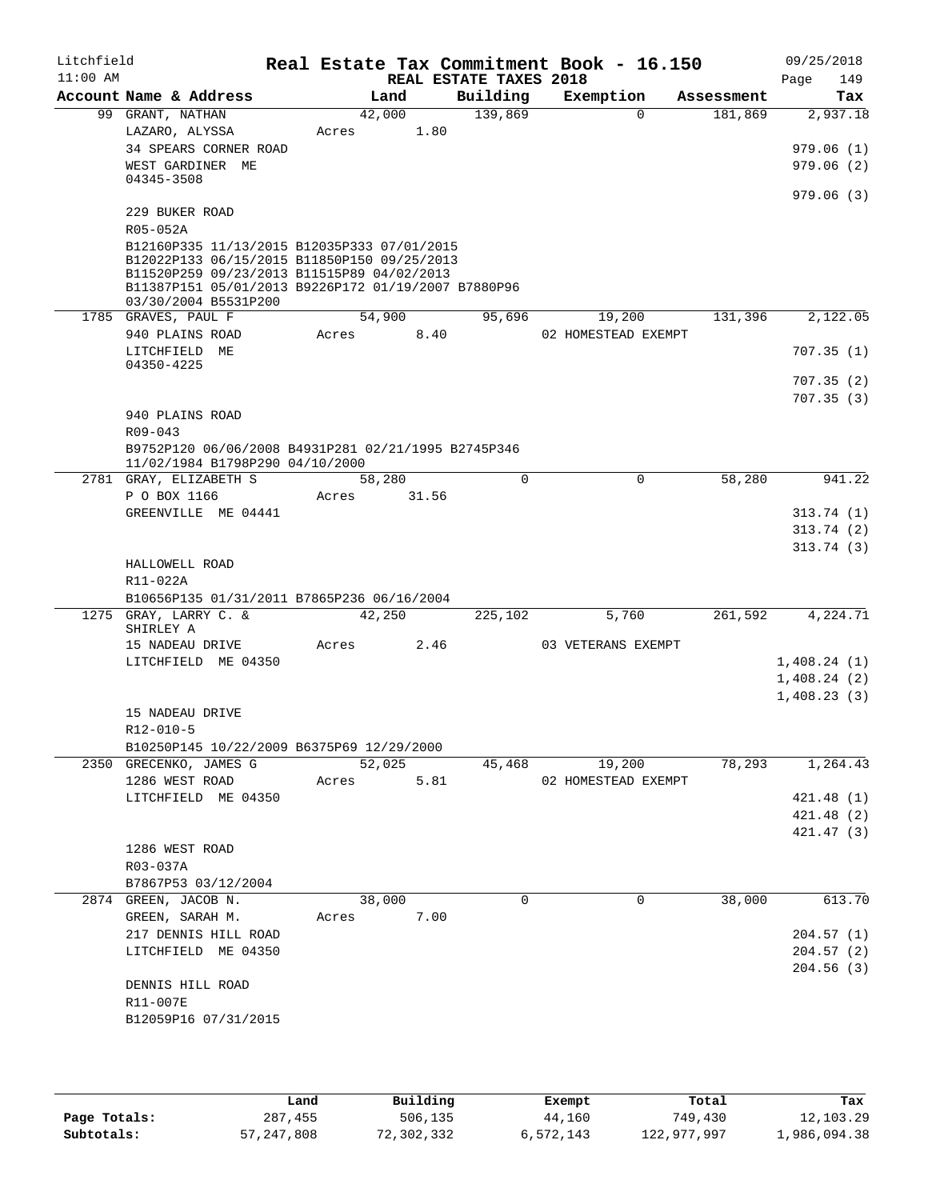| Litchfield<br>$11:00$ AM |                                                                                                   |       |        | REAL ESTATE TAXES 2018 | Real Estate Tax Commitment Book - 16.150 |            | 09/25/2018<br>149<br>Page |
|--------------------------|---------------------------------------------------------------------------------------------------|-------|--------|------------------------|------------------------------------------|------------|---------------------------|
|                          | Account Name & Address                                                                            |       | Land   | Building               | Exemption                                | Assessment | Tax                       |
|                          | 99 GRANT, NATHAN                                                                                  |       | 42,000 | 139,869                | $\Omega$                                 | 181,869    | 2,937.18                  |
|                          | LAZARO, ALYSSA                                                                                    | Acres | 1.80   |                        |                                          |            |                           |
|                          | 34 SPEARS CORNER ROAD                                                                             |       |        |                        |                                          |            | 979.06(1)                 |
|                          | WEST GARDINER ME<br>04345-3508                                                                    |       |        |                        |                                          |            | 979.06(2)                 |
|                          |                                                                                                   |       |        |                        |                                          |            | 979.06(3)                 |
|                          | 229 BUKER ROAD                                                                                    |       |        |                        |                                          |            |                           |
|                          | R05-052A                                                                                          |       |        |                        |                                          |            |                           |
|                          | B12160P335 11/13/2015 B12035P333 07/01/2015                                                       |       |        |                        |                                          |            |                           |
|                          | B12022P133 06/15/2015 B11850P150 09/25/2013                                                       |       |        |                        |                                          |            |                           |
|                          | B11520P259 09/23/2013 B11515P89 04/02/2013<br>B11387P151 05/01/2013 B9226P172 01/19/2007 B7880P96 |       |        |                        |                                          |            |                           |
|                          | 03/30/2004 B5531P200                                                                              |       |        |                        |                                          |            |                           |
|                          | 1785 GRAVES, PAUL F                                                                               |       | 54,900 | 95,696                 | 19,200                                   | 131,396    | 2,122.05                  |
|                          | 940 PLAINS ROAD                                                                                   | Acres | 8.40   |                        | 02 HOMESTEAD EXEMPT                      |            |                           |
|                          | LITCHFIELD ME                                                                                     |       |        |                        |                                          |            | 707.35(1)                 |
|                          | 04350-4225                                                                                        |       |        |                        |                                          |            |                           |
|                          |                                                                                                   |       |        |                        |                                          |            | 707.35(2)                 |
|                          | 940 PLAINS ROAD                                                                                   |       |        |                        |                                          |            | 707.35(3)                 |
|                          | $R09 - 043$                                                                                       |       |        |                        |                                          |            |                           |
|                          | B9752P120 06/06/2008 B4931P281 02/21/1995 B2745P346                                               |       |        |                        |                                          |            |                           |
|                          | 11/02/1984 B1798P290 04/10/2000                                                                   |       |        |                        |                                          |            |                           |
|                          | 2781 GRAY, ELIZABETH S                                                                            |       | 58,280 | $\Omega$               | $\Omega$                                 | 58,280     | 941.22                    |
|                          | P O BOX 1166                                                                                      | Acres | 31.56  |                        |                                          |            |                           |
|                          | GREENVILLE ME 04441                                                                               |       |        |                        |                                          |            | 313.74(1)                 |
|                          |                                                                                                   |       |        |                        |                                          |            | 313.74(2)                 |
|                          |                                                                                                   |       |        |                        |                                          |            | 313.74(3)                 |
|                          | HALLOWELL ROAD                                                                                    |       |        |                        |                                          |            |                           |
|                          | R11-022A                                                                                          |       |        |                        |                                          |            |                           |
|                          | B10656P135 01/31/2011 B7865P236 06/16/2004<br>1275 GRAY, LARRY C. &                               |       | 42,250 | 225,102                | 5,760                                    | 261,592    | 4,224.71                  |
|                          | SHIRLEY A                                                                                         |       |        |                        |                                          |            |                           |
|                          | 15 NADEAU DRIVE                                                                                   | Acres | 2.46   |                        | 03 VETERANS EXEMPT                       |            |                           |
|                          | LITCHFIELD ME 04350                                                                               |       |        |                        |                                          |            | 1,408.24(1)               |
|                          |                                                                                                   |       |        |                        |                                          |            | 1,408.24(2)               |
|                          |                                                                                                   |       |        |                        |                                          |            | 1,408.23(3)               |
|                          | 15 NADEAU DRIVE                                                                                   |       |        |                        |                                          |            |                           |
|                          | R12-010-5                                                                                         |       |        |                        |                                          |            |                           |
|                          | B10250P145 10/22/2009 B6375P69 12/29/2000                                                         |       |        |                        |                                          |            |                           |
|                          | 2350 GRECENKO, JAMES G                                                                            |       | 52,025 | 45,468                 | 19,200                                   | 78,293     | 1,264.43                  |
|                          | 1286 WEST ROAD                                                                                    | Acres | 5.81   |                        | 02 HOMESTEAD EXEMPT                      |            |                           |
|                          | LITCHFIELD ME 04350                                                                               |       |        |                        |                                          |            | 421.48 (1)<br>421.48(2)   |
|                          |                                                                                                   |       |        |                        |                                          |            | 421.47(3)                 |
|                          | 1286 WEST ROAD                                                                                    |       |        |                        |                                          |            |                           |
|                          | R03-037A                                                                                          |       |        |                        |                                          |            |                           |
|                          | B7867P53 03/12/2004                                                                               |       |        |                        |                                          |            |                           |
|                          | 2874 GREEN, JACOB N.                                                                              |       | 38,000 | 0                      | 0                                        | 38,000     | 613.70                    |
|                          | GREEN, SARAH M.                                                                                   | Acres | 7.00   |                        |                                          |            |                           |
|                          | 217 DENNIS HILL ROAD                                                                              |       |        |                        |                                          |            | 204.57(1)                 |
|                          | LITCHFIELD ME 04350                                                                               |       |        |                        |                                          |            | 204.57(2)                 |
|                          |                                                                                                   |       |        |                        |                                          |            | 204.56 (3)                |
|                          | DENNIS HILL ROAD                                                                                  |       |        |                        |                                          |            |                           |
|                          | R11-007E                                                                                          |       |        |                        |                                          |            |                           |
|                          | B12059P16 07/31/2015                                                                              |       |        |                        |                                          |            |                           |
|                          |                                                                                                   |       |        |                        |                                          |            |                           |
|                          |                                                                                                   |       |        |                        |                                          |            |                           |

|              | Land       | Building   | Exempt    | Total       | Tax          |
|--------------|------------|------------|-----------|-------------|--------------|
| Page Totals: | 287,455    | 506,135    | 44,160    | 749,430     | 12,103.29    |
| Subtotals:   | 57,247,808 | 72,302,332 | 6,572,143 | 122,977,997 | 1,986,094.38 |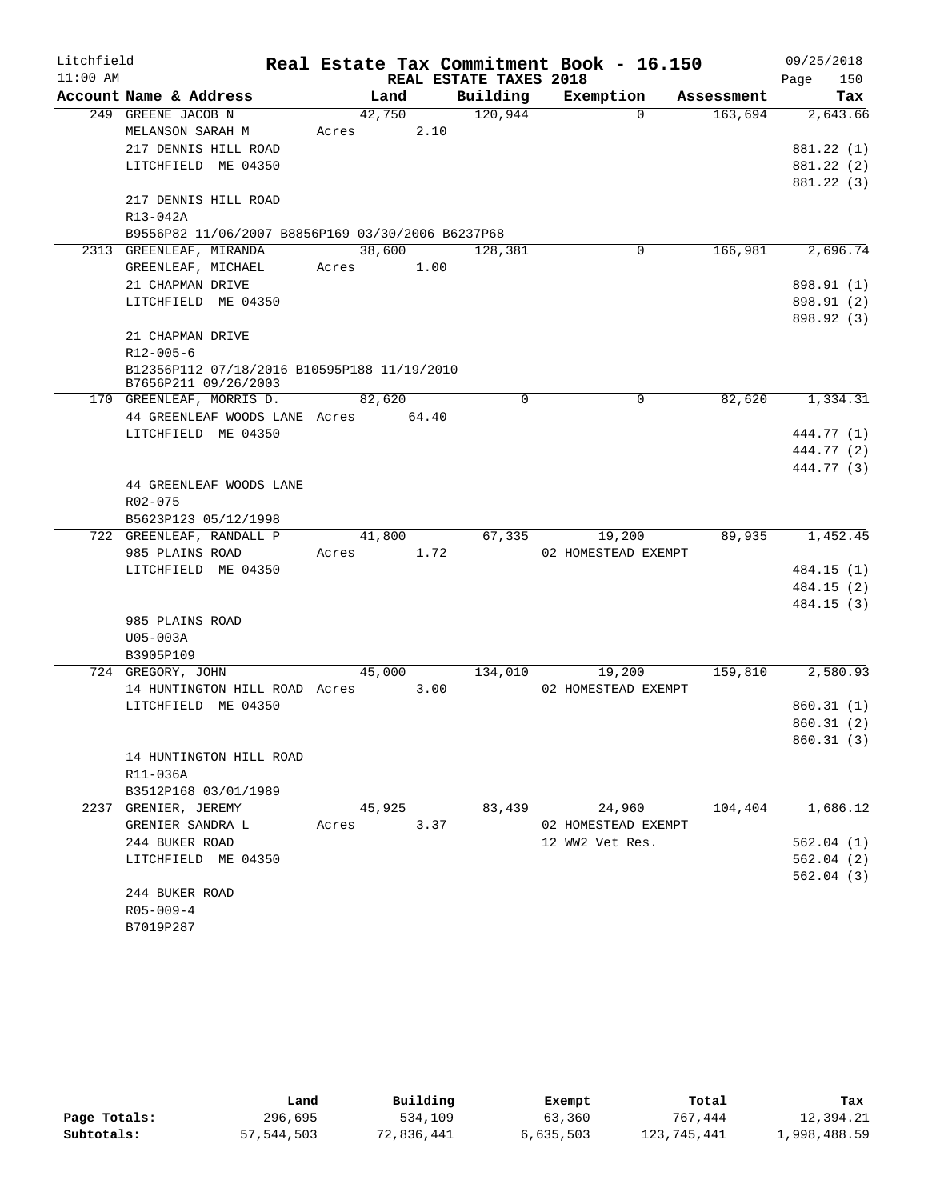| Litchfield |                                                   |        |        |                        | Real Estate Tax Commitment Book - 16.150 |            | 09/25/2018               |
|------------|---------------------------------------------------|--------|--------|------------------------|------------------------------------------|------------|--------------------------|
| $11:00$ AM |                                                   |        |        | REAL ESTATE TAXES 2018 |                                          |            | 150<br>Page              |
|            | Account Name & Address                            |        | Land   | Building               | Exemption                                | Assessment | Tax                      |
|            | 249 GREENE JACOB N                                | 42,750 |        | 120,944                | $\Omega$                                 | 163,694    | 2,643.66                 |
|            | MELANSON SARAH M                                  | Acres  | 2.10   |                        |                                          |            |                          |
|            | 217 DENNIS HILL ROAD                              |        |        |                        |                                          |            | 881.22 (1)               |
|            | LITCHFIELD ME 04350                               |        |        |                        |                                          |            | 881.22 (2)               |
|            |                                                   |        |        |                        |                                          |            | 881.22 (3)               |
|            | 217 DENNIS HILL ROAD                              |        |        |                        |                                          |            |                          |
|            | R13-042A                                          |        |        |                        |                                          |            |                          |
|            | B9556P82 11/06/2007 B8856P169 03/30/2006 B6237P68 |        |        |                        |                                          |            |                          |
|            | 2313 GREENLEAF, MIRANDA                           | 38,600 |        | 128,381                | 0                                        | 166,981    | 2,696.74                 |
|            | GREENLEAF, MICHAEL                                | Acres  | 1.00   |                        |                                          |            |                          |
|            | 21 CHAPMAN DRIVE<br>LITCHFIELD ME 04350           |        |        |                        |                                          |            | 898.91 (1)               |
|            |                                                   |        |        |                        |                                          |            | 898.91 (2)<br>898.92 (3) |
|            | 21 CHAPMAN DRIVE                                  |        |        |                        |                                          |            |                          |
|            | $R12 - 005 - 6$                                   |        |        |                        |                                          |            |                          |
|            | B12356P112 07/18/2016 B10595P188 11/19/2010       |        |        |                        |                                          |            |                          |
|            | B7656P211 09/26/2003                              |        |        |                        |                                          |            |                          |
|            | 170 GREENLEAF, MORRIS D.                          | 82,620 |        | $\mathbf 0$            | 0                                        | 82,620     | 1,334.31                 |
|            | 44 GREENLEAF WOODS LANE Acres 64.40               |        |        |                        |                                          |            |                          |
|            | LITCHFIELD ME 04350                               |        |        |                        |                                          |            | 444.77 (1)               |
|            |                                                   |        |        |                        |                                          |            | 444.77 (2)<br>444.77 (3) |
|            | 44 GREENLEAF WOODS LANE                           |        |        |                        |                                          |            |                          |
|            | R02-075                                           |        |        |                        |                                          |            |                          |
|            | B5623P123 05/12/1998                              |        |        |                        |                                          |            |                          |
|            | 722 GREENLEAF, RANDALL P                          |        | 41,800 | 67,335                 | 19,200                                   | 89,935     | 1,452.45                 |
|            | 985 PLAINS ROAD                                   | Acres  | 1.72   |                        | 02 HOMESTEAD EXEMPT                      |            |                          |
|            | LITCHFIELD ME 04350                               |        |        |                        |                                          |            | 484.15 (1)               |
|            |                                                   |        |        |                        |                                          |            | 484.15 (2)               |
|            |                                                   |        |        |                        |                                          |            | 484.15 (3)               |
|            | 985 PLAINS ROAD                                   |        |        |                        |                                          |            |                          |
|            | U05-003A                                          |        |        |                        |                                          |            |                          |
|            | B3905P109                                         |        |        |                        |                                          |            |                          |
|            | 724 GREGORY, JOHN                                 | 45,000 |        | 134,010                | 19,200                                   | 159,810    | 2,580.93                 |
|            | 14 HUNTINGTON HILL ROAD Acres                     |        | 3.00   |                        | 02 HOMESTEAD EXEMPT                      |            |                          |
|            | LITCHFIELD ME 04350                               |        |        |                        |                                          |            | 860.31(1)                |
|            |                                                   |        |        |                        |                                          |            | 860.31(2)                |
|            |                                                   |        |        |                        |                                          |            | 860.31 (3)               |
|            | 14 HUNTINGTON HILL ROAD                           |        |        |                        |                                          |            |                          |
|            | R11-036A                                          |        |        |                        |                                          |            |                          |
|            | B3512P168 03/01/1989                              |        |        |                        |                                          |            |                          |
|            | 2237 GRENIER, JEREMY                              |        | 45,925 | 83,439                 | 24,960                                   | 104,404    | 1,686.12                 |
|            | GRENIER SANDRA L                                  | Acres  | 3.37   |                        | 02 HOMESTEAD EXEMPT                      |            |                          |
|            | 244 BUKER ROAD                                    |        |        |                        | 12 WW2 Vet Res.                          |            | 562.04(1)                |
|            | LITCHFIELD ME 04350                               |        |        |                        |                                          |            | 562.04(2)                |
|            | 244 BUKER ROAD                                    |        |        |                        |                                          |            | 562.04(3)                |
|            | $R05 - 009 - 4$                                   |        |        |                        |                                          |            |                          |
|            | B7019P287                                         |        |        |                        |                                          |            |                          |
|            |                                                   |        |        |                        |                                          |            |                          |

|              | Land       | Building   | Exempt    | Total       | Tax          |
|--------------|------------|------------|-----------|-------------|--------------|
| Page Totals: | 296,695    | 534,109    | 63,360    | 767,444     | 12,394.21    |
| Subtotals:   | 57,544,503 | 72,836,441 | 6,635,503 | 123,745,441 | 1,998,488.59 |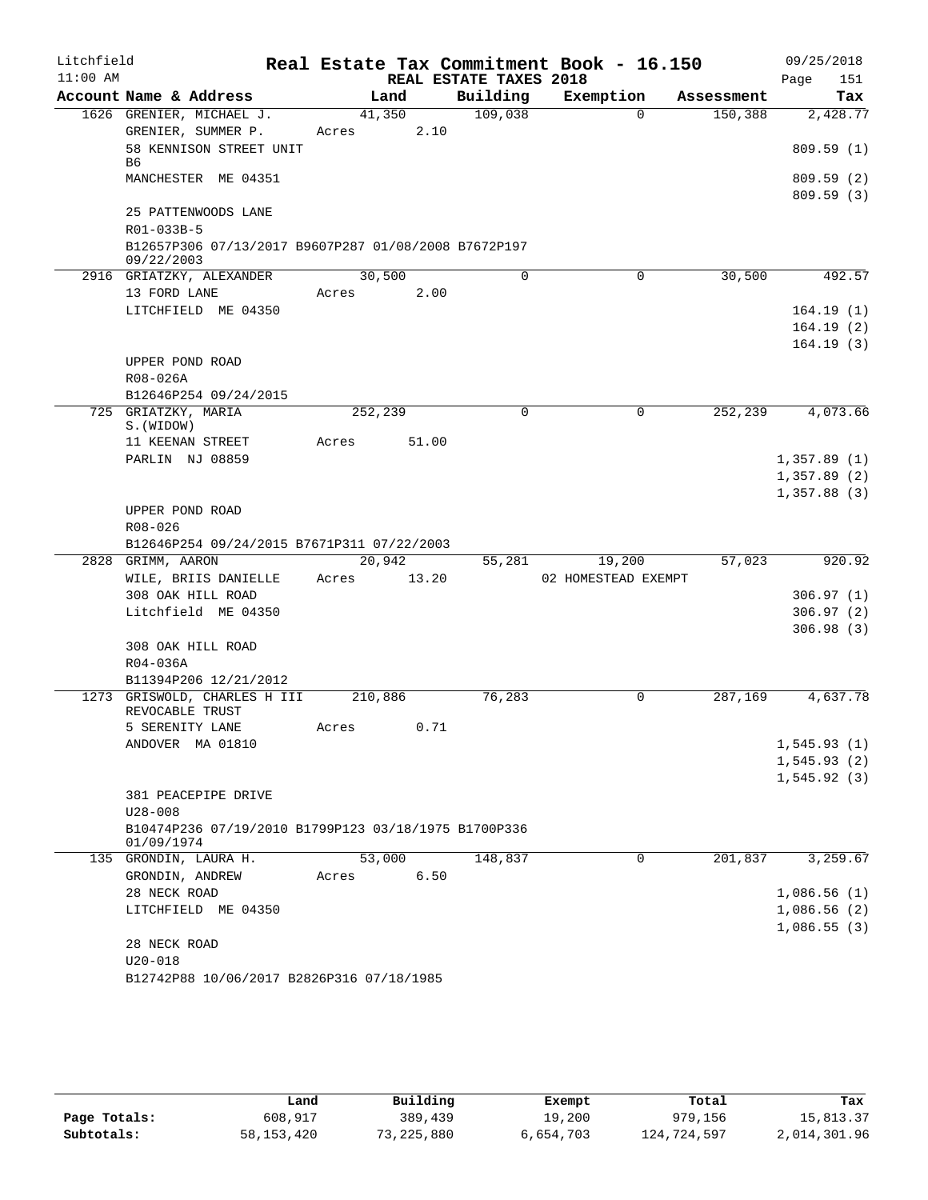| Litchfield |                                                                     |             |        |                        | Real Estate Tax Commitment Book - 16.150 |            | 09/25/2018   |
|------------|---------------------------------------------------------------------|-------------|--------|------------------------|------------------------------------------|------------|--------------|
| $11:00$ AM |                                                                     |             |        | REAL ESTATE TAXES 2018 |                                          |            | 151<br>Page  |
|            | Account Name & Address                                              |             | Land   | Building               | Exemption                                | Assessment | Tax          |
|            | 1626 GRENIER, MICHAEL J.                                            | 41,350      |        | 109,038                | $\Omega$                                 | 150,388    | 2,428.77     |
|            | GRENIER, SUMMER P.                                                  | Acres       | 2.10   |                        |                                          |            |              |
|            | 58 KENNISON STREET UNIT<br>B6                                       |             |        |                        |                                          |            | 809.59(1)    |
|            | MANCHESTER ME 04351                                                 |             |        |                        |                                          |            | 809.59(2)    |
|            | 25 PATTENWOODS LANE                                                 |             |        |                        |                                          |            | 809.59(3)    |
|            | R01-033B-5                                                          |             |        |                        |                                          |            |              |
|            | B12657P306 07/13/2017 B9607P287 01/08/2008 B7672P197<br>09/22/2003  |             |        |                        |                                          |            |              |
|            | 2916 GRIATZKY, ALEXANDER                                            | 30,500      |        | 0                      | 0                                        | 30,500     | 492.57       |
|            | 13 FORD LANE                                                        | Acres       | 2.00   |                        |                                          |            |              |
|            | LITCHFIELD ME 04350                                                 |             |        |                        |                                          |            | 164.19(1)    |
|            |                                                                     |             |        |                        |                                          |            | 164.19(2)    |
|            |                                                                     |             |        |                        |                                          |            | 164.19(3)    |
|            | UPPER POND ROAD                                                     |             |        |                        |                                          |            |              |
|            | R08-026A                                                            |             |        |                        |                                          |            |              |
|            | B12646P254 09/24/2015                                               |             |        |                        |                                          |            |              |
|            | 725 GRIATZKY, MARIA                                                 | 252,239     |        | 0                      | 0                                        | 252,239    | 4,073.66     |
|            | S. (WIDOW)<br>11 KEENAN STREET                                      | Acres       | 51.00  |                        |                                          |            |              |
|            | PARLIN NJ 08859                                                     |             |        |                        |                                          |            | 1,357.89(1)  |
|            |                                                                     |             |        |                        |                                          |            | 1,357.89(2)  |
|            |                                                                     |             |        |                        |                                          |            | 1,357.88(3)  |
|            | UPPER POND ROAD                                                     |             |        |                        |                                          |            |              |
|            | R08-026                                                             |             |        |                        |                                          |            |              |
|            | B12646P254 09/24/2015 B7671P311 07/22/2003                          |             |        |                        |                                          |            |              |
|            | 2828 GRIMM, AARON                                                   |             | 20,942 | 55,281                 | 19,200                                   | 57,023     | 920.92       |
|            | WILE, BRIIS DANIELLE                                                | Acres 13.20 |        |                        | 02 HOMESTEAD EXEMPT                      |            |              |
|            | 308 OAK HILL ROAD                                                   |             |        |                        |                                          |            | 306.97(1)    |
|            | Litchfield ME 04350                                                 |             |        |                        |                                          |            | 306.97(2)    |
|            |                                                                     |             |        |                        |                                          |            | 306.98(3)    |
|            | 308 OAK HILL ROAD                                                   |             |        |                        |                                          |            |              |
|            | $R04 - 036A$                                                        |             |        |                        |                                          |            |              |
|            | B11394P206 12/21/2012                                               |             |        |                        |                                          |            |              |
|            | 1273 GRISWOLD, CHARLES H III<br>REVOCABLE TRUST                     | 210,886     |        | 76,283                 | 0                                        | 287,169    | 4,637.78     |
|            | 5 SERENITY LANE                                                     | Acres       | 0.71   |                        |                                          |            |              |
|            | ANDOVER MA 01810                                                    |             |        |                        |                                          |            | 1,545.93(1)  |
|            |                                                                     |             |        |                        |                                          |            | 1, 545.93(2) |
|            |                                                                     |             |        |                        |                                          |            | 1, 545.92(3) |
|            | 381 PEACEPIPE DRIVE                                                 |             |        |                        |                                          |            |              |
|            | $U28 - 008$<br>B10474P236 07/19/2010 B1799P123 03/18/1975 B1700P336 |             |        |                        |                                          |            |              |
|            | 01/09/1974                                                          |             |        |                        |                                          |            |              |
|            | 135 GRONDIN, LAURA H.                                               | 53,000      |        | 148,837                | 0                                        | 201,837    | 3,259.67     |
|            | GRONDIN, ANDREW                                                     | Acres       | 6.50   |                        |                                          |            |              |
|            | 28 NECK ROAD                                                        |             |        |                        |                                          |            | 1,086.56(1)  |
|            | LITCHFIELD ME 04350                                                 |             |        |                        |                                          |            | 1,086.56(2)  |
|            |                                                                     |             |        |                        |                                          |            | 1,086.55(3)  |
|            | 28 NECK ROAD                                                        |             |        |                        |                                          |            |              |
|            | $U20 - 018$                                                         |             |        |                        |                                          |            |              |
|            | B12742P88 10/06/2017 B2826P316 07/18/1985                           |             |        |                        |                                          |            |              |

|              | Land         | Building   | Exempt    | Total       | Tax          |
|--------------|--------------|------------|-----------|-------------|--------------|
| Page Totals: | 608,917      | 389,439    | 19,200    | 979,156     | 15,813.37    |
| Subtotals:   | 58, 153, 420 | 73,225,880 | 6,654,703 | 124,724,597 | 2,014,301.96 |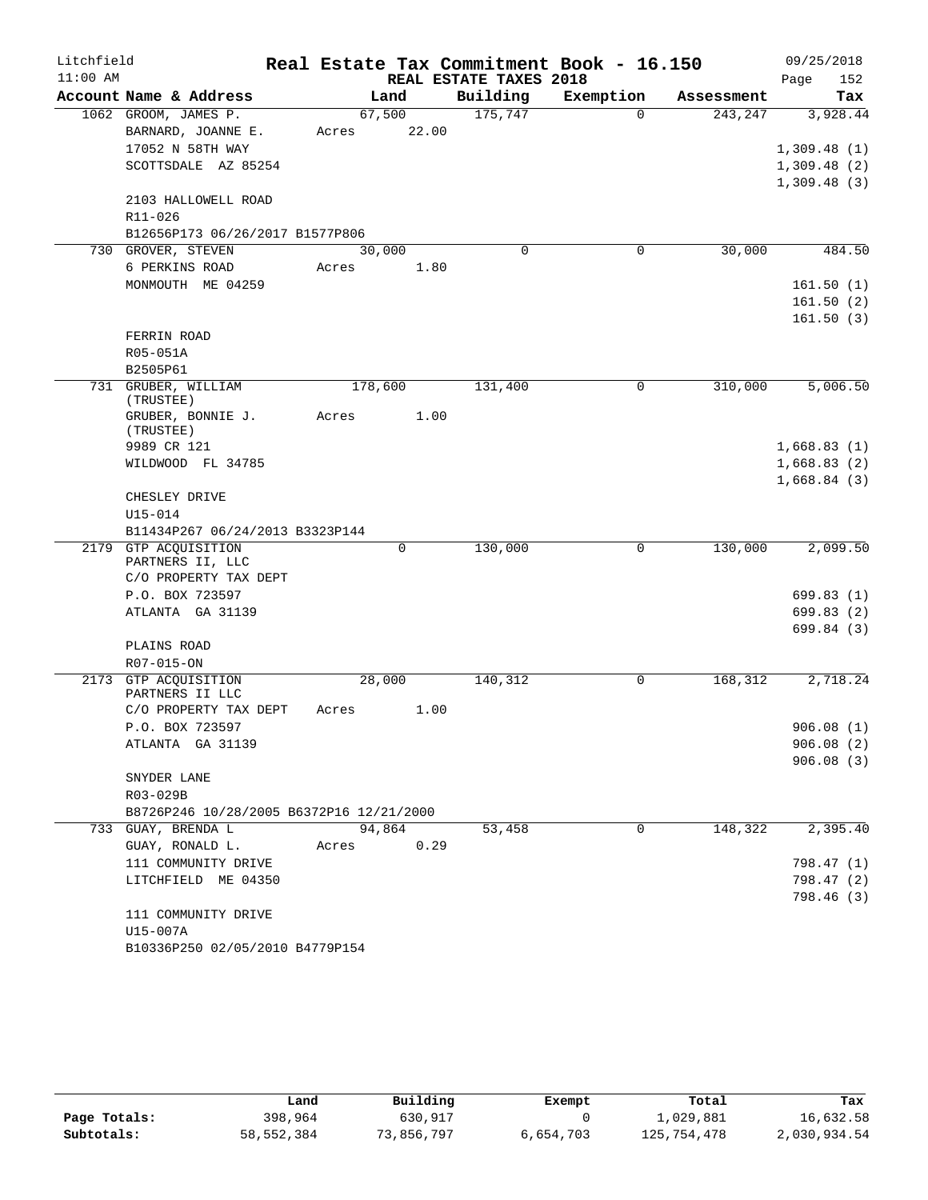| Litchfield |                                           |         |       |                                    | Real Estate Tax Commitment Book - 16.150 |            | 09/25/2018  |            |
|------------|-------------------------------------------|---------|-------|------------------------------------|------------------------------------------|------------|-------------|------------|
| $11:00$ AM | Account Name & Address                    | Land    |       | REAL ESTATE TAXES 2018<br>Building | Exemption                                |            | Page        | 152<br>Tax |
|            |                                           |         |       | 175,747                            | $\Omega$                                 | Assessment |             |            |
|            | 1062 GROOM, JAMES P.                      | 67,500  |       |                                    |                                          | 243, 247   |             | 3,928.44   |
|            | BARNARD, JOANNE E.                        | Acres   | 22.00 |                                    |                                          |            |             |            |
|            | 17052 N 58TH WAY                          |         |       |                                    |                                          |            | 1,309.48(1) |            |
|            | SCOTTSDALE AZ 85254                       |         |       |                                    |                                          |            | 1,309.48(2) |            |
|            | 2103 HALLOWELL ROAD                       |         |       |                                    |                                          |            | 1,309.48(3) |            |
|            | R11-026                                   |         |       |                                    |                                          |            |             |            |
|            | B12656P173 06/26/2017 B1577P806           |         |       |                                    |                                          |            |             |            |
|            | 730 GROVER, STEVEN                        | 30,000  |       | 0                                  | 0                                        | 30,000     |             | 484.50     |
|            | 6 PERKINS ROAD                            | Acres   | 1.80  |                                    |                                          |            |             |            |
|            | MONMOUTH ME 04259                         |         |       |                                    |                                          |            | 161.50(1)   |            |
|            |                                           |         |       |                                    |                                          |            | 161.50(2)   |            |
|            |                                           |         |       |                                    |                                          |            | 161.50(3)   |            |
|            | FERRIN ROAD                               |         |       |                                    |                                          |            |             |            |
|            | R05-051A                                  |         |       |                                    |                                          |            |             |            |
|            | B2505P61                                  |         |       |                                    |                                          |            |             |            |
|            | 731 GRUBER, WILLIAM                       | 178,600 |       | 131,400                            | 0                                        | 310,000    |             | 5,006.50   |
|            | (TRUSTEE)                                 |         |       |                                    |                                          |            |             |            |
|            | GRUBER, BONNIE J.<br>(TRUSTEE)            | Acres   | 1.00  |                                    |                                          |            |             |            |
|            | 9989 CR 121                               |         |       |                                    |                                          |            | 1,668.83(1) |            |
|            | WILDWOOD FL 34785                         |         |       |                                    |                                          |            | 1,668.83(2) |            |
|            |                                           |         |       |                                    |                                          |            | 1,668.84(3) |            |
|            | CHESLEY DRIVE                             |         |       |                                    |                                          |            |             |            |
|            | $U15 - 014$                               |         |       |                                    |                                          |            |             |            |
|            | B11434P267 06/24/2013 B3323P144           |         |       |                                    |                                          |            |             |            |
|            | 2179 GTP ACQUISITION                      |         | 0     | 130,000                            | 0                                        | 130,000    |             | 2,099.50   |
|            | PARTNERS II, LLC<br>C/O PROPERTY TAX DEPT |         |       |                                    |                                          |            |             |            |
|            | P.O. BOX 723597                           |         |       |                                    |                                          |            | 699.83(1)   |            |
|            | ATLANTA GA 31139                          |         |       |                                    |                                          |            | 699.83 (2)  |            |
|            |                                           |         |       |                                    |                                          |            | 699.84(3)   |            |
|            | PLAINS ROAD                               |         |       |                                    |                                          |            |             |            |
|            | R07-015-ON                                |         |       |                                    |                                          |            |             |            |
|            | 2173 GTP ACOUISITION                      | 28,000  |       | 140, 312                           | $\mathbf 0$                              | 168, 312   |             | 2,718.24   |
|            | PARTNERS II LLC                           |         |       |                                    |                                          |            |             |            |
|            | C/O PROPERTY TAX DEPT                     | Acres   | 1.00  |                                    |                                          |            |             |            |
|            | P.O. BOX 723597                           |         |       |                                    |                                          |            | 906.08(1)   |            |
|            | ATLANTA GA 31139                          |         |       |                                    |                                          |            | 906.08(2)   |            |
|            |                                           |         |       |                                    |                                          |            | 906.08(3)   |            |
|            | SNYDER LANE                               |         |       |                                    |                                          |            |             |            |
|            | R03-029B                                  |         |       |                                    |                                          |            |             |            |
|            | B8726P246 10/28/2005 B6372P16 12/21/2000  |         |       |                                    |                                          |            |             |            |
|            | 733 GUAY, BRENDA L                        | 94,864  |       | 53,458                             | 0                                        | 148,322    |             | 2,395.40   |
|            | GUAY, RONALD L.                           | Acres   | 0.29  |                                    |                                          |            |             |            |
|            | 111 COMMUNITY DRIVE                       |         |       |                                    |                                          |            | 798.47 (1)  |            |
|            | LITCHFIELD ME 04350                       |         |       |                                    |                                          |            | 798.47 (2)  |            |
|            |                                           |         |       |                                    |                                          |            | 798.46 (3)  |            |
|            | 111 COMMUNITY DRIVE                       |         |       |                                    |                                          |            |             |            |
|            | U15-007A                                  |         |       |                                    |                                          |            |             |            |
|            | B10336P250 02/05/2010 B4779P154           |         |       |                                    |                                          |            |             |            |

|              | úand       | Building   | Exempt    | Total       | Tax          |
|--------------|------------|------------|-----------|-------------|--------------|
| Page Totals: | 398,964    | 630,917    |           | 1,029,881   | 16,632.58    |
| Subtotals:   | 58,552,384 | 73,856,797 | 6,654,703 | 125,754,478 | 2,030,934.54 |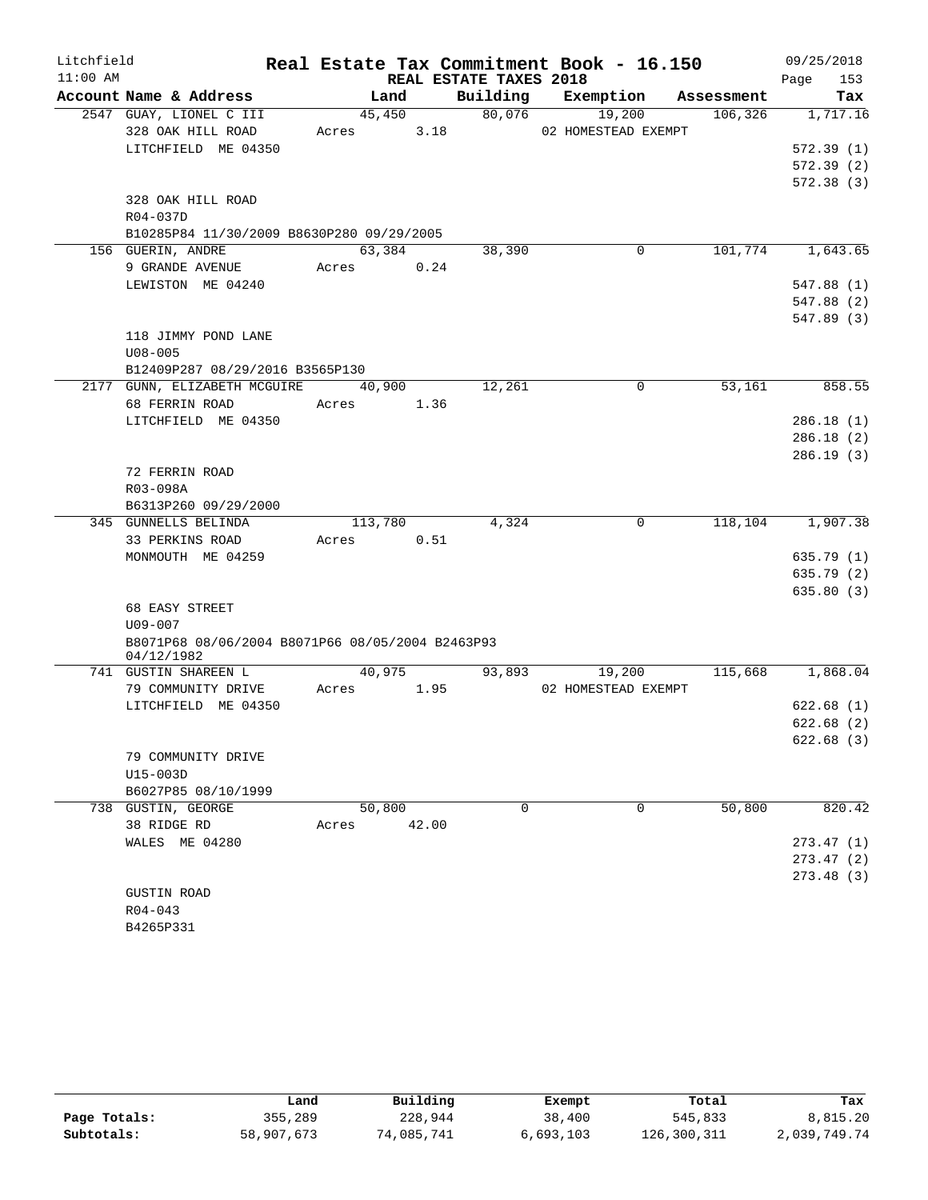| Litchfield |                                                  |            |        |                        | Real Estate Tax Commitment Book - 16.150 |            | 09/25/2018  |
|------------|--------------------------------------------------|------------|--------|------------------------|------------------------------------------|------------|-------------|
| $11:00$ AM |                                                  |            |        | REAL ESTATE TAXES 2018 |                                          |            | 153<br>Page |
|            | Account Name & Address                           | Land       |        | Building               | Exemption                                | Assessment | Tax         |
|            | 2547 GUAY, LIONEL C III                          | 45,450     |        | 80,076                 | 19,200                                   | 106, 326   | 1,717.16    |
|            | 328 OAK HILL ROAD                                | Acres      | 3.18   |                        | 02 HOMESTEAD EXEMPT                      |            |             |
|            | LITCHFIELD ME 04350                              |            |        |                        |                                          |            | 572.39(1)   |
|            |                                                  |            |        |                        |                                          |            | 572.39(2)   |
|            |                                                  |            |        |                        |                                          |            | 572.38(3)   |
|            | 328 OAK HILL ROAD                                |            |        |                        |                                          |            |             |
|            | R04-037D                                         |            |        |                        |                                          |            |             |
|            | B10285P84 11/30/2009 B8630P280 09/29/2005        |            |        |                        |                                          |            |             |
|            | 156 GUERIN, ANDRE                                | 63,384     |        | 38,390                 | 0                                        | 101,774    | 1,643.65    |
|            | 9 GRANDE AVENUE                                  | Acres      | 0.24   |                        |                                          |            |             |
|            | LEWISTON ME 04240                                |            |        |                        |                                          |            | 547.88 (1)  |
|            |                                                  |            |        |                        |                                          |            | 547.88 (2)  |
|            |                                                  |            |        |                        |                                          |            | 547.89 (3)  |
|            | 118 JIMMY POND LANE                              |            |        |                        |                                          |            |             |
|            | $U08 - 005$                                      |            |        |                        |                                          |            |             |
|            | B12409P287 08/29/2016 B3565P130                  | 40,900     |        | 12,261                 | 0                                        | 53,161     | 858.55      |
|            | 2177 GUNN, ELIZABETH MCGUIRE<br>68 FERRIN ROAD   | Acres 1.36 |        |                        |                                          |            |             |
|            | LITCHFIELD ME 04350                              |            |        |                        |                                          |            | 286.18(1)   |
|            |                                                  |            |        |                        |                                          |            | 286.18(2)   |
|            |                                                  |            |        |                        |                                          |            | 286.19(3)   |
|            | 72 FERRIN ROAD                                   |            |        |                        |                                          |            |             |
|            | R03-098A                                         |            |        |                        |                                          |            |             |
|            | B6313P260 09/29/2000                             |            |        |                        |                                          |            |             |
|            | 345 GUNNELLS BELINDA                             | 113,780    |        | 4,324                  | 0                                        | 118,104    | 1,907.38    |
|            | 33 PERKINS ROAD                                  | Acres      | 0.51   |                        |                                          |            |             |
|            | MONMOUTH ME 04259                                |            |        |                        |                                          |            | 635.79(1)   |
|            |                                                  |            |        |                        |                                          |            | 635.79 (2)  |
|            |                                                  |            |        |                        |                                          |            | 635.80(3)   |
|            | 68 EASY STREET                                   |            |        |                        |                                          |            |             |
|            | $U09 - 007$                                      |            |        |                        |                                          |            |             |
|            | B8071P68 08/06/2004 B8071P66 08/05/2004 B2463P93 |            |        |                        |                                          |            |             |
|            | 04/12/1982                                       |            |        |                        |                                          |            |             |
|            | 741 GUSTIN SHAREEN L                             |            | 40,975 | 93,893                 | 19,200                                   | 115,668    | 1,868.04    |
|            | 79 COMMUNITY DRIVE                               | Acres      | 1.95   |                        | 02 HOMESTEAD EXEMPT                      |            |             |
|            | LITCHFIELD ME 04350                              |            |        |                        |                                          |            | 622.68(1)   |
|            |                                                  |            |        |                        |                                          |            | 622.68(2)   |
|            |                                                  |            |        |                        |                                          |            | 622.68(3)   |
|            | 79 COMMUNITY DRIVE                               |            |        |                        |                                          |            |             |
|            | U15-003D                                         |            |        |                        |                                          |            |             |
|            | B6027P85 08/10/1999                              |            |        |                        |                                          |            |             |
|            | 738 GUSTIN, GEORGE                               | 50,800     |        | 0                      | 0                                        | 50,800     | 820.42      |
|            | 38 RIDGE RD                                      | Acres      | 42.00  |                        |                                          |            |             |
|            | WALES ME 04280                                   |            |        |                        |                                          |            | 273.47(1)   |
|            |                                                  |            |        |                        |                                          |            | 273.47(2)   |
|            |                                                  |            |        |                        |                                          |            | 273.48(3)   |
|            | <b>GUSTIN ROAD</b>                               |            |        |                        |                                          |            |             |
|            | $R04 - 043$                                      |            |        |                        |                                          |            |             |
|            | B4265P331                                        |            |        |                        |                                          |            |             |

|              | Land       | Building   | Exempt    | Total       | Tax          |
|--------------|------------|------------|-----------|-------------|--------------|
| Page Totals: | 355,289    | 228,944    | 38,400    | 545,833     | 8,815.20     |
| Subtotals:   | 58,907,673 | 74,085,741 | 6,693,103 | 126,300,311 | 2,039,749.74 |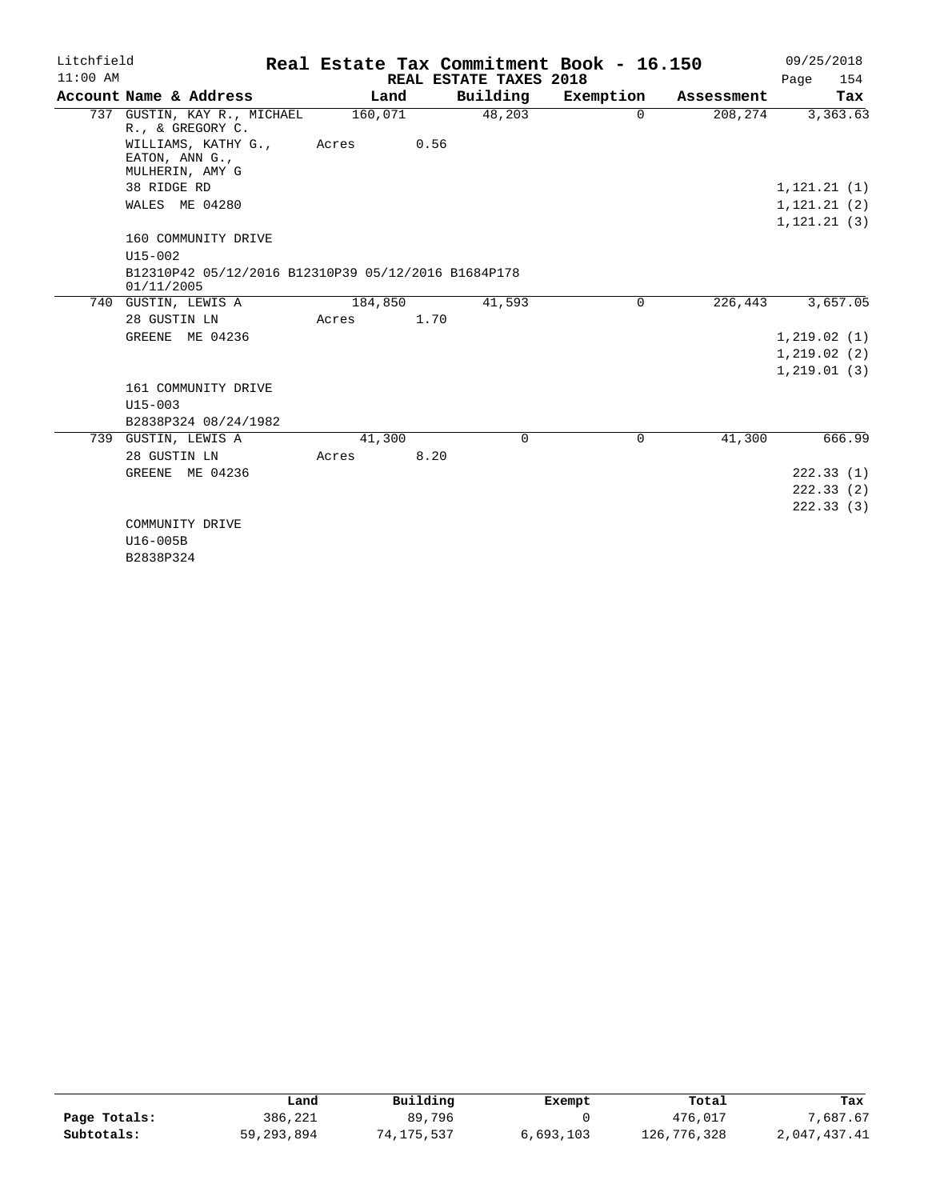| Litchfield |                                                                   |         |      |                        | Real Estate Tax Commitment Book - 16.150 |            |              | 09/25/2018 |
|------------|-------------------------------------------------------------------|---------|------|------------------------|------------------------------------------|------------|--------------|------------|
| $11:00$ AM |                                                                   |         |      | REAL ESTATE TAXES 2018 |                                          |            | Page         | 154        |
|            | Account Name & Address                                            | Land    |      | Building               | Exemption                                | Assessment |              | Tax        |
|            | 737 GUSTIN, KAY R., MICHAEL<br>R., & GREGORY C.                   | 160,071 |      | 48,203                 | $\Omega$                                 | 208,274    |              | 3,363.63   |
|            | WILLIAMS, KATHY G.,<br>EATON, ANN G.,<br>MULHERIN, AMY G          | Acres   | 0.56 |                        |                                          |            |              |            |
|            | 38 RIDGE RD                                                       |         |      |                        |                                          |            | 1,121.21(1)  |            |
|            | WALES ME 04280                                                    |         |      |                        |                                          |            | 1, 121.21(2) |            |
|            |                                                                   |         |      |                        |                                          |            | 1, 121.21(3) |            |
|            | 160 COMMUNITY DRIVE                                               |         |      |                        |                                          |            |              |            |
|            | $U15 - 002$                                                       |         |      |                        |                                          |            |              |            |
|            | B12310P42 05/12/2016 B12310P39 05/12/2016 B1684P178<br>01/11/2005 |         |      |                        |                                          |            |              |            |
|            | 740 GUSTIN, LEWIS A                                               | 184,850 |      | 41,593                 | $\Omega$                                 | 226,443    |              | 3,657.05   |
|            | 28 GUSTIN LN                                                      | Acres   | 1.70 |                        |                                          |            |              |            |
|            | GREENE ME 04236                                                   |         |      |                        |                                          |            | 1, 219.02(1) |            |
|            |                                                                   |         |      |                        |                                          |            | 1,219.02(2)  |            |
|            |                                                                   |         |      |                        |                                          |            | 1,219.01(3)  |            |
|            | 161 COMMUNITY DRIVE                                               |         |      |                        |                                          |            |              |            |
|            | $U15 - 003$                                                       |         |      |                        |                                          |            |              |            |
|            | B2838P324 08/24/1982                                              |         |      |                        |                                          |            |              |            |
|            | 739 GUSTIN, LEWIS A                                               | 41,300  |      | $\Omega$               | $\Omega$                                 | 41,300     |              | 666.99     |
|            | 28 GUSTIN LN                                                      | Acres   | 8.20 |                        |                                          |            |              |            |
|            | GREENE ME 04236                                                   |         |      |                        |                                          |            |              | 222.33(1)  |
|            |                                                                   |         |      |                        |                                          |            |              | 222.33(2)  |
|            |                                                                   |         |      |                        |                                          |            |              | 222.33(3)  |
|            | COMMUNITY DRIVE                                                   |         |      |                        |                                          |            |              |            |
|            | U16-005B                                                          |         |      |                        |                                          |            |              |            |
|            | B2838P324                                                         |         |      |                        |                                          |            |              |            |

|              | Land       | Building   | Exempt    | Total       | Tax          |
|--------------|------------|------------|-----------|-------------|--------------|
| Page Totals: | 386,221    | 89,796     |           | 476,017     | 7,687.67     |
| Subtotals:   | 59,293,894 | 74,175,537 | 6,693,103 | 126,776,328 | 2,047,437.41 |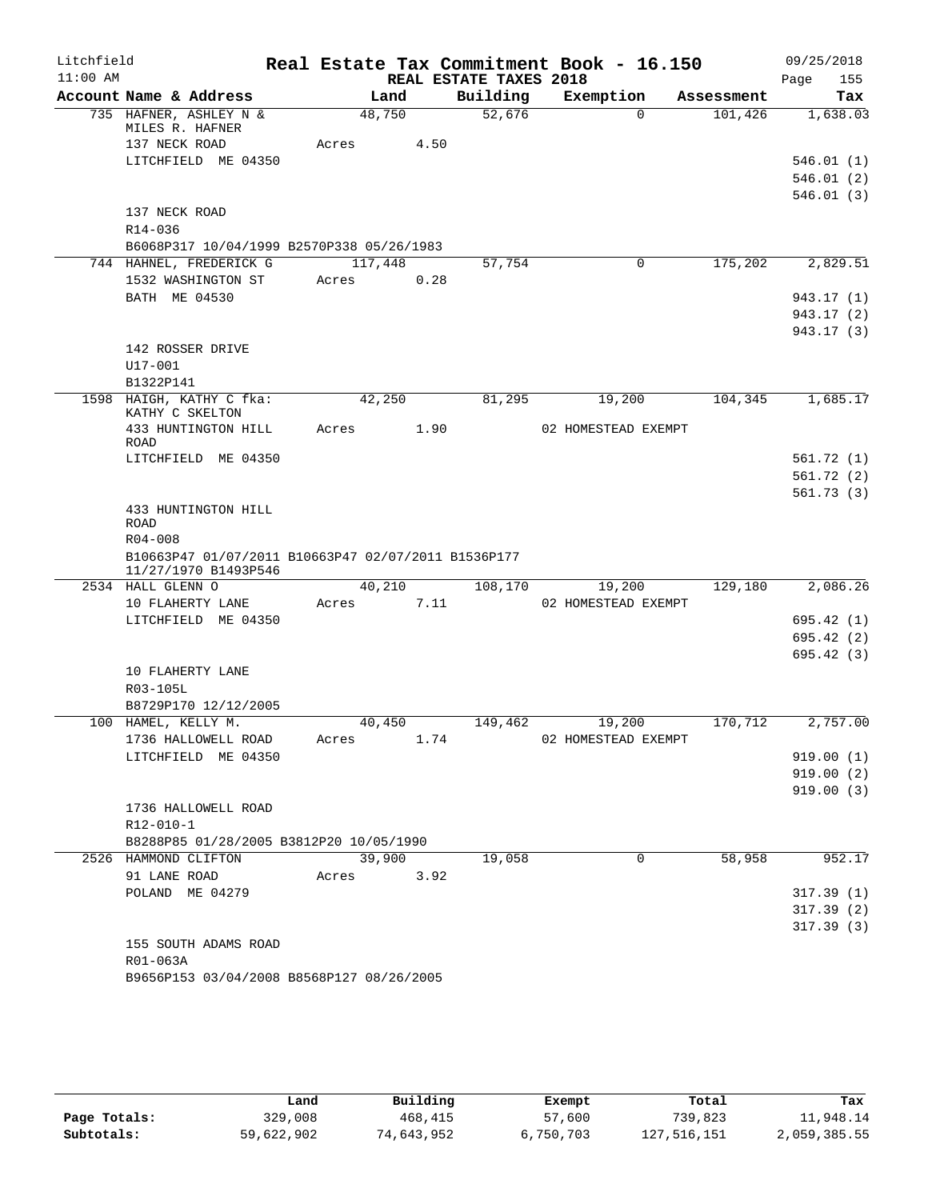| Litchfield |                                                     |       |         |      |                        | Real Estate Tax Commitment Book - 16.150 |            | 09/25/2018             |
|------------|-----------------------------------------------------|-------|---------|------|------------------------|------------------------------------------|------------|------------------------|
| $11:00$ AM |                                                     |       |         |      | REAL ESTATE TAXES 2018 |                                          |            | Page<br>155            |
|            | Account Name & Address                              |       | Land    |      | Building               | Exemption                                | Assessment | Tax                    |
|            | 735 HAFNER, ASHLEY N &<br>MILES R. HAFNER           |       | 48,750  |      | 52,676                 | $\Omega$                                 | 101,426    | 1,638.03               |
|            | 137 NECK ROAD                                       | Acres |         | 4.50 |                        |                                          |            |                        |
|            | LITCHFIELD ME 04350                                 |       |         |      |                        |                                          |            | 546.01(1)              |
|            |                                                     |       |         |      |                        |                                          |            | 546.01(2)              |
|            |                                                     |       |         |      |                        |                                          |            | 546.01(3)              |
|            | 137 NECK ROAD                                       |       |         |      |                        |                                          |            |                        |
|            | R14-036                                             |       |         |      |                        |                                          |            |                        |
|            | B6068P317 10/04/1999 B2570P338 05/26/1983           |       |         |      |                        |                                          |            |                        |
|            | 744 HAHNEL, FREDERICK G                             |       | 117,448 |      | 57,754                 | 0                                        | 175,202    | 2,829.51               |
|            | 1532 WASHINGTON ST                                  | Acres |         | 0.28 |                        |                                          |            |                        |
|            | BATH ME 04530                                       |       |         |      |                        |                                          |            | 943.17 (1)             |
|            |                                                     |       |         |      |                        |                                          |            | 943.17 (2)             |
|            | 142 ROSSER DRIVE                                    |       |         |      |                        |                                          |            | 943.17 (3)             |
|            | U17-001                                             |       |         |      |                        |                                          |            |                        |
|            | B1322P141                                           |       |         |      |                        |                                          |            |                        |
|            | 1598 HAIGH, KATHY C fka:                            |       | 42,250  |      | 81,295                 | 19,200                                   | 104,345    | 1,685.17               |
|            | KATHY C SKELTON                                     |       |         |      |                        |                                          |            |                        |
|            | 433 HUNTINGTON HILL                                 | Acres |         | 1.90 |                        | 02 HOMESTEAD EXEMPT                      |            |                        |
|            | <b>ROAD</b>                                         |       |         |      |                        |                                          |            |                        |
|            | LITCHFIELD ME 04350                                 |       |         |      |                        |                                          |            | 561.72(1)<br>561.72(2) |
|            |                                                     |       |         |      |                        |                                          |            | 561.73(3)              |
|            | 433 HUNTINGTON HILL                                 |       |         |      |                        |                                          |            |                        |
|            | <b>ROAD</b>                                         |       |         |      |                        |                                          |            |                        |
|            | $R04 - 008$                                         |       |         |      |                        |                                          |            |                        |
|            | B10663P47 01/07/2011 B10663P47 02/07/2011 B1536P177 |       |         |      |                        |                                          |            |                        |
|            | 11/27/1970 B1493P546<br>2534 HALL GLENN O           |       | 40,210  |      | 108,170                | 19,200                                   | 129,180    | 2,086.26               |
|            | 10 FLAHERTY LANE                                    | Acres |         | 7.11 |                        | 02 HOMESTEAD EXEMPT                      |            |                        |
|            | LITCHFIELD ME 04350                                 |       |         |      |                        |                                          |            | 695.42(1)              |
|            |                                                     |       |         |      |                        |                                          |            | 695.42(2)              |
|            |                                                     |       |         |      |                        |                                          |            | 695.42(3)              |
|            | 10 FLAHERTY LANE                                    |       |         |      |                        |                                          |            |                        |
|            | R03-105L                                            |       |         |      |                        |                                          |            |                        |
|            | B8729P170 12/12/2005                                |       |         |      |                        |                                          |            |                        |
|            | 100 HAMEL, KELLY M.                                 |       | 40,450  |      | 149,462                | 19,200                                   | 170,712    | 2,757.00               |
|            | 1736 HALLOWELL ROAD                                 | Acres |         | 1.74 |                        | 02 HOMESTEAD EXEMPT                      |            |                        |
|            | LITCHFIELD ME 04350                                 |       |         |      |                        |                                          |            | 919.00(1)              |
|            |                                                     |       |         |      |                        |                                          |            | 919.00(2)              |
|            | 1736 HALLOWELL ROAD                                 |       |         |      |                        |                                          |            | 919.00(3)              |
|            | R12-010-1                                           |       |         |      |                        |                                          |            |                        |
|            | B8288P85 01/28/2005 B3812P20 10/05/1990             |       |         |      |                        |                                          |            |                        |
|            | 2526 HAMMOND CLIFTON                                |       | 39,900  |      | 19,058                 | 0                                        | 58,958     | 952.17                 |
|            | 91 LANE ROAD                                        | Acres |         | 3.92 |                        |                                          |            |                        |
|            | POLAND ME 04279                                     |       |         |      |                        |                                          |            | 317.39(1)              |
|            |                                                     |       |         |      |                        |                                          |            | 317.39(2)              |
|            |                                                     |       |         |      |                        |                                          |            | 317.39(3)              |
|            | 155 SOUTH ADAMS ROAD                                |       |         |      |                        |                                          |            |                        |
|            | R01-063A                                            |       |         |      |                        |                                          |            |                        |
|            | B9656P153 03/04/2008 B8568P127 08/26/2005           |       |         |      |                        |                                          |            |                        |

|              | Land       | Building   | Exempt    | Total       | Tax          |
|--------------|------------|------------|-----------|-------------|--------------|
| Page Totals: | 329,008    | 468,415    | 57,600    | 739,823     | 11,948.14    |
| Subtotals:   | 59,622,902 | 74,643,952 | 6,750,703 | 127,516,151 | 2,059,385.55 |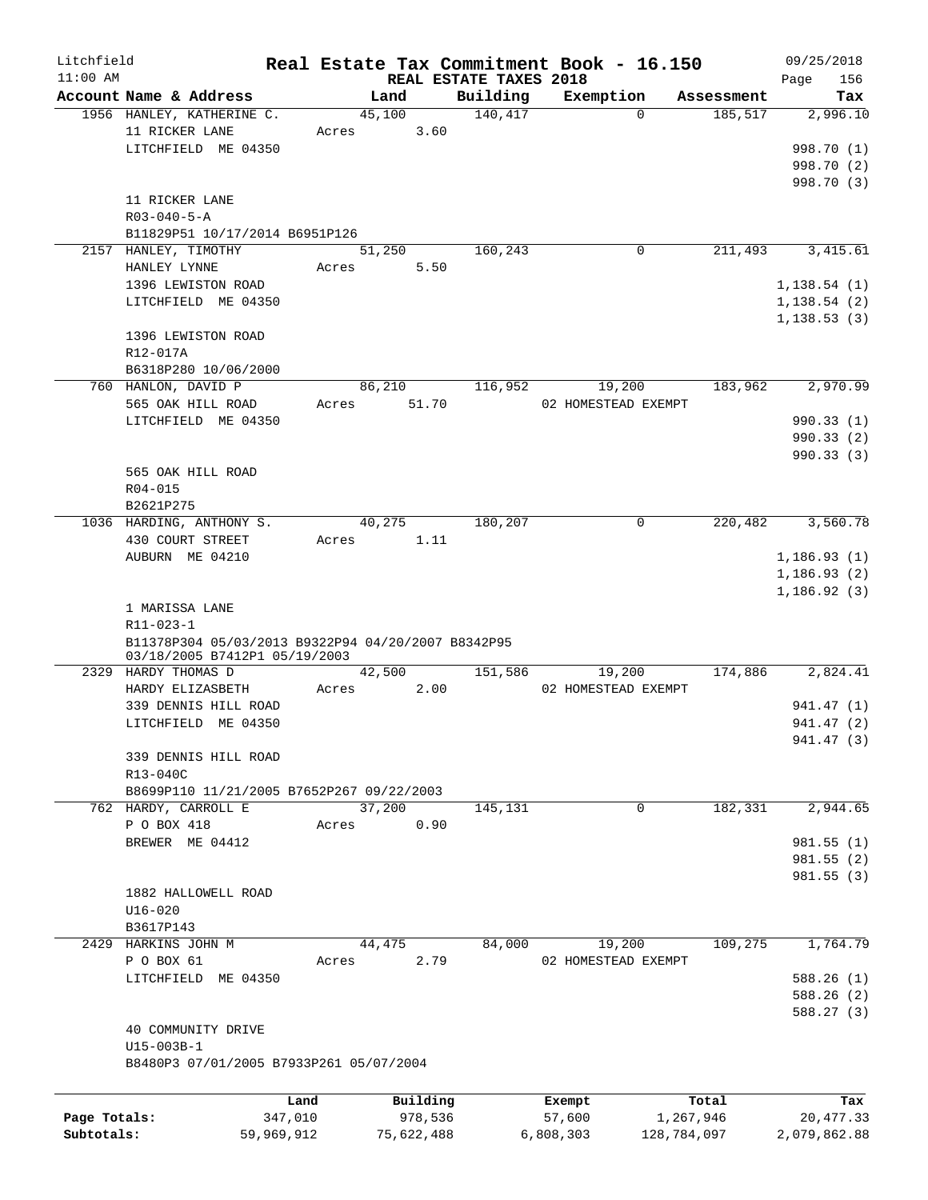| Litchfield   |                                                      |            |            |                        | Real Estate Tax Commitment Book - 16.150 |             | 09/25/2018   |
|--------------|------------------------------------------------------|------------|------------|------------------------|------------------------------------------|-------------|--------------|
| $11:00$ AM   |                                                      |            |            | REAL ESTATE TAXES 2018 |                                          |             | 156<br>Page  |
|              | Account Name & Address                               |            | Land       | Building               | Exemption                                | Assessment  | Tax          |
|              | 1956 HANLEY, KATHERINE C.                            |            | 45,100     | 140, 417               | $\Omega$                                 | 185,517     | 2,996.10     |
|              | 11 RICKER LANE                                       | Acres      | 3.60       |                        |                                          |             |              |
|              | LITCHFIELD ME 04350                                  |            |            |                        |                                          |             | 998.70 (1)   |
|              |                                                      |            |            |                        |                                          |             | 998.70 (2)   |
|              |                                                      |            |            |                        |                                          |             | 998.70 (3)   |
|              | 11 RICKER LANE                                       |            |            |                        |                                          |             |              |
|              | $R03 - 040 - 5 - A$                                  |            |            |                        |                                          |             |              |
|              | B11829P51 10/17/2014 B6951P126                       |            |            |                        |                                          |             | 3,415.61     |
| 2157         | HANLEY, TIMOTHY                                      |            | 51,250     | 160,243                | 0                                        | 211,493     |              |
|              | HANLEY LYNNE                                         | Acres      | 5.50       |                        |                                          |             |              |
|              | 1396 LEWISTON ROAD                                   |            |            |                        |                                          |             | 1,138.54(1)  |
|              | LITCHFIELD ME 04350                                  |            |            |                        |                                          |             | 1,138.54(2)  |
|              |                                                      |            |            |                        |                                          |             | 1, 138.53(3) |
|              | 1396 LEWISTON ROAD                                   |            |            |                        |                                          |             |              |
|              | R12-017A                                             |            |            |                        |                                          |             |              |
|              | B6318P280 10/06/2000                                 |            |            |                        |                                          |             |              |
|              | 760 HANLON, DAVID P                                  |            | 86,210     | 116,952                | 19,200                                   | 183,962     | 2,970.99     |
|              | 565 OAK HILL ROAD                                    | Acres      | 51.70      |                        | 02 HOMESTEAD EXEMPT                      |             |              |
|              | LITCHFIELD ME 04350                                  |            |            |                        |                                          |             | 990.33 (1)   |
|              |                                                      |            |            |                        |                                          |             | 990.33(2)    |
|              |                                                      |            |            |                        |                                          |             | 990.33(3)    |
|              | 565 OAK HILL ROAD                                    |            |            |                        |                                          |             |              |
|              | R04-015                                              |            |            |                        |                                          |             |              |
|              | B2621P275                                            |            |            |                        |                                          |             |              |
|              | 1036 HARDING, ANTHONY S.                             |            | 40,275     | 180,207                | 0                                        | 220,482     | 3,560.78     |
|              | 430 COURT STREET                                     | Acres      | 1.11       |                        |                                          |             |              |
|              | AUBURN ME 04210                                      |            |            |                        |                                          |             | 1,186.93(1)  |
|              |                                                      |            |            |                        |                                          |             | 1, 186.93(2) |
|              |                                                      |            |            |                        |                                          |             | 1,186.92(3)  |
|              | 1 MARISSA LANE                                       |            |            |                        |                                          |             |              |
|              | R11-023-1                                            |            |            |                        |                                          |             |              |
|              | B11378P304 05/03/2013 B9322P94 04/20/2007 B8342P95   |            |            |                        |                                          |             |              |
|              | 03/18/2005 B7412P1 05/19/2003<br>2329 HARDY THOMAS D |            | 42,500     | 151,586                | 19,200                                   | 174,886     | 2,824.41     |
|              | HARDY ELIZASBETH                                     | Acres      | 2.00       |                        | 02 HOMESTEAD EXEMPT                      |             |              |
|              | 339 DENNIS HILL ROAD                                 |            |            |                        |                                          |             | 941.47 (1)   |
|              |                                                      |            |            |                        |                                          |             |              |
|              | LITCHFIELD ME 04350                                  |            |            |                        |                                          |             | 941.47 (2)   |
|              |                                                      |            |            |                        |                                          |             | 941.47 (3)   |
|              | 339 DENNIS HILL ROAD                                 |            |            |                        |                                          |             |              |
|              | R13-040C                                             |            |            |                        |                                          |             |              |
|              | B8699P110 11/21/2005 B7652P267 09/22/2003            |            |            |                        |                                          |             |              |
|              | 762 HARDY, CARROLL E                                 |            | 37,200     | 145,131                | 0                                        | 182,331     | 2,944.65     |
|              | P O BOX 418                                          | Acres      | 0.90       |                        |                                          |             |              |
|              | BREWER ME 04412                                      |            |            |                        |                                          |             | 981.55(1)    |
|              |                                                      |            |            |                        |                                          |             | 981.55 (2)   |
|              |                                                      |            |            |                        |                                          |             | 981.55(3)    |
|              | 1882 HALLOWELL ROAD                                  |            |            |                        |                                          |             |              |
|              | $U16 - 020$                                          |            |            |                        |                                          |             |              |
|              | B3617P143                                            |            |            |                        |                                          |             |              |
|              | 2429 HARKINS JOHN M                                  |            | 44,475     | 84,000                 | 19,200                                   | 109,275     | 1,764.79     |
|              | P O BOX 61                                           | Acres      | 2.79       |                        | 02 HOMESTEAD EXEMPT                      |             |              |
|              | LITCHFIELD ME 04350                                  |            |            |                        |                                          |             | 588.26(1)    |
|              |                                                      |            |            |                        |                                          |             | 588.26(2)    |
|              |                                                      |            |            |                        |                                          |             | 588.27 (3)   |
|              | 40 COMMUNITY DRIVE                                   |            |            |                        |                                          |             |              |
|              | U15-003B-1                                           |            |            |                        |                                          |             |              |
|              | B8480P3 07/01/2005 B7933P261 05/07/2004              |            |            |                        |                                          |             |              |
|              |                                                      | Land       | Building   |                        | Exempt                                   | Total       | Tax          |
| Page Totals: |                                                      | 347,010    | 978,536    |                        | 57,600                                   | 1,267,946   | 20, 477.33   |
| Subtotals:   |                                                      | 59,969,912 | 75,622,488 |                        | 6,808,303                                | 128,784,097 | 2,079,862.88 |
|              |                                                      |            |            |                        |                                          |             |              |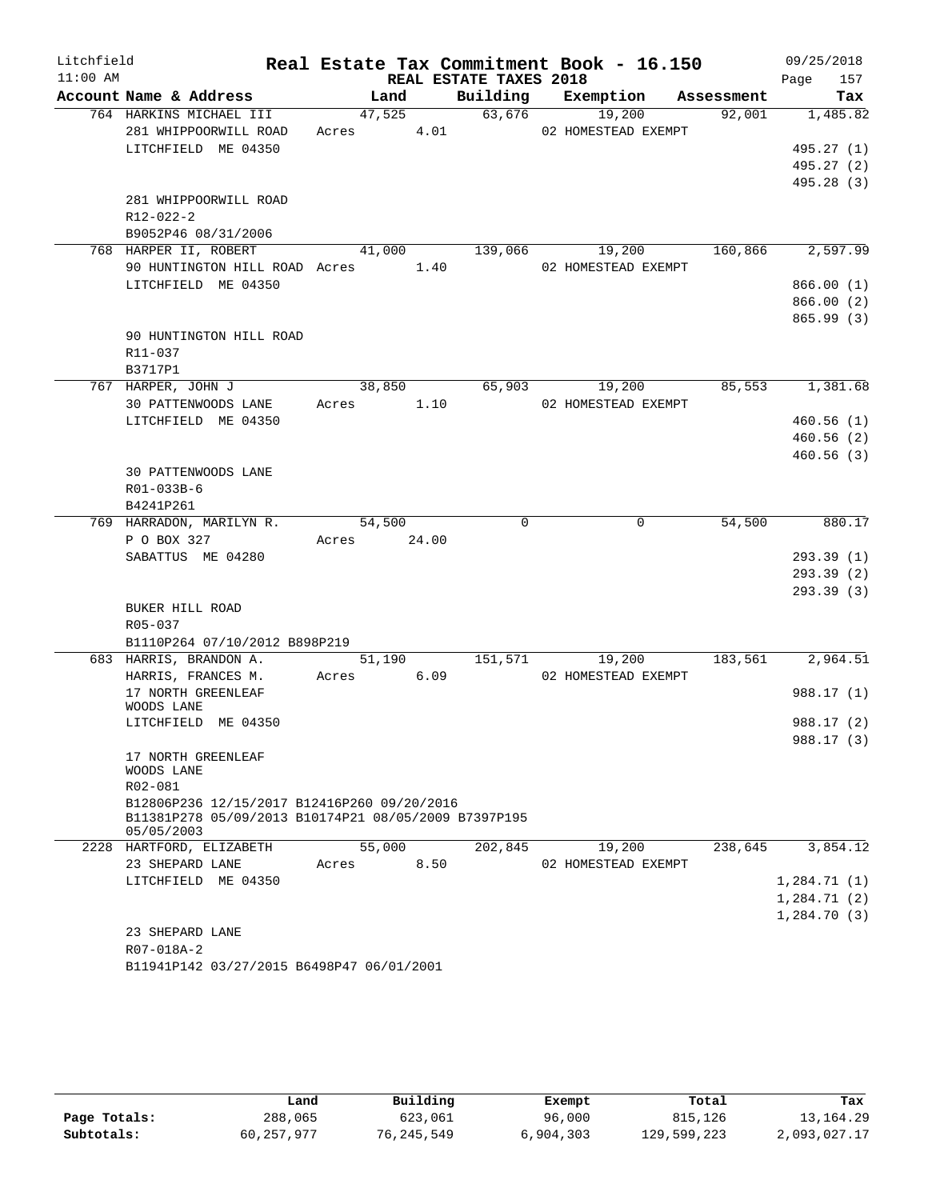| Litchfield |                                                                                                     |             |                        | Real Estate Tax Commitment Book - 16.150 |         | 09/25/2018        |
|------------|-----------------------------------------------------------------------------------------------------|-------------|------------------------|------------------------------------------|---------|-------------------|
| $11:00$ AM |                                                                                                     |             | REAL ESTATE TAXES 2018 |                                          |         | Page<br>157       |
|            | Account Name & Address                                                                              | Land        |                        | Building Exemption Assessment            |         | Tax               |
|            | 764 HARKINS MICHAEL III                                                                             |             |                        | 47,525 63,676 19,200                     |         | $92,001$ 1,485.82 |
|            | 281 WHIPPOORWILL ROAD                                                                               | Acres 4.01  |                        | 02 HOMESTEAD EXEMPT                      |         |                   |
|            | LITCHFIELD ME 04350                                                                                 |             |                        |                                          |         | 495.27(1)         |
|            |                                                                                                     |             |                        |                                          |         | 495.27 (2)        |
|            |                                                                                                     |             |                        |                                          |         | 495.28 (3)        |
|            | 281 WHIPPOORWILL ROAD                                                                               |             |                        |                                          |         |                   |
|            | R12-022-2<br>B9052P46 08/31/2006                                                                    |             |                        |                                          |         |                   |
|            | 768 HARPER II, ROBERT                                                                               |             |                        | 41,000 139,066 19,200                    | 160,866 | 2,597.99          |
|            | 90 HUNTINGTON HILL ROAD Acres 1.40                                                                  |             |                        | 02 HOMESTEAD EXEMPT                      |         |                   |
|            | LITCHFIELD ME 04350                                                                                 |             |                        |                                          |         | 866.00(1)         |
|            |                                                                                                     |             |                        |                                          |         | 866.00(2)         |
|            |                                                                                                     |             |                        |                                          |         | 865.99(3)         |
|            | 90 HUNTINGTON HILL ROAD                                                                             |             |                        |                                          |         |                   |
|            | R11-037                                                                                             |             |                        |                                          |         |                   |
|            | B3717P1                                                                                             |             |                        |                                          |         |                   |
|            | 767 HARPER, JOHN J                                                                                  | 38,850      | 65,903                 | 19,200                                   | 85,553  | 1,381.68          |
|            | 30 PATTENWOODS LANE                                                                                 | Acres 1.10  |                        | 02 HOMESTEAD EXEMPT                      |         |                   |
|            | LITCHFIELD ME 04350                                                                                 |             |                        |                                          |         | 460.56(1)         |
|            |                                                                                                     |             |                        |                                          |         | 460.56(2)         |
|            |                                                                                                     |             |                        |                                          |         | 460.56(3)         |
|            | 30 PATTENWOODS LANE                                                                                 |             |                        |                                          |         |                   |
|            | R01-033B-6                                                                                          |             |                        |                                          |         |                   |
|            | B4241P261                                                                                           |             |                        |                                          |         |                   |
|            | 769 HARRADON, MARILYN R.                                                                            | 54,500      | $\mathbf 0$            | 0                                        | 54,500  | 880.17            |
|            | P O BOX 327                                                                                         | Acres 24.00 |                        |                                          |         |                   |
|            | SABATTUS ME 04280                                                                                   |             |                        |                                          |         | 293.39(1)         |
|            |                                                                                                     |             |                        |                                          |         | 293.39(2)         |
|            |                                                                                                     |             |                        |                                          |         | 293.39 (3)        |
|            | BUKER HILL ROAD                                                                                     |             |                        |                                          |         |                   |
|            | R05-037<br>B1110P264 07/10/2012 B898P219                                                            |             |                        |                                          |         |                   |
|            | 683 HARRIS, BRANDON A.                                                                              | 51,190      | 151,571                | 19,200                                   | 183,561 | 2,964.51          |
|            | HARRIS, FRANCES M.                                                                                  | Acres 6.09  |                        | 02 HOMESTEAD EXEMPT                      |         |                   |
|            | 17 NORTH GREENLEAF                                                                                  |             |                        |                                          |         | 988.17(1)         |
|            | WOODS LANE                                                                                          |             |                        |                                          |         |                   |
|            | LITCHFIELD ME 04350                                                                                 |             |                        |                                          |         | 988.17 (2)        |
|            |                                                                                                     |             |                        |                                          |         | 988.17 (3)        |
|            | 17 NORTH GREENLEAF                                                                                  |             |                        |                                          |         |                   |
|            | WOODS LANE                                                                                          |             |                        |                                          |         |                   |
|            | R02-081                                                                                             |             |                        |                                          |         |                   |
|            | B12806P236 12/15/2017 B12416P260 09/20/2016<br>B11381P278 05/09/2013 B10174P21 08/05/2009 B7397P195 |             |                        |                                          |         |                   |
|            | 05/05/2003                                                                                          |             |                        |                                          |         |                   |
|            | 2228 HARTFORD, ELIZABETH                                                                            | 55,000      | 202,845                | 19,200                                   | 238,645 | 3,854.12          |
|            | 23 SHEPARD LANE                                                                                     | Acres       | 8.50                   | 02 HOMESTEAD EXEMPT                      |         |                   |
|            | LITCHFIELD ME 04350                                                                                 |             |                        |                                          |         | 1,284.71(1)       |
|            |                                                                                                     |             |                        |                                          |         | 1,284.71(2)       |
|            |                                                                                                     |             |                        |                                          |         | 1,284.70(3)       |
|            | 23 SHEPARD LANE                                                                                     |             |                        |                                          |         |                   |
|            | R07-018A-2                                                                                          |             |                        |                                          |         |                   |
|            | B11941P142 03/27/2015 B6498P47 06/01/2001                                                           |             |                        |                                          |         |                   |
|            |                                                                                                     |             |                        |                                          |         |                   |

|              | Land         | Building   | Exempt    | Total       | Tax          |
|--------------|--------------|------------|-----------|-------------|--------------|
| Page Totals: | 288,065      | 623,061    | 96,000    | 815,126     | 13, 164, 29  |
| Subtotals:   | 60, 257, 977 | 76,245,549 | 6,904,303 | 129,599,223 | 2,093,027.17 |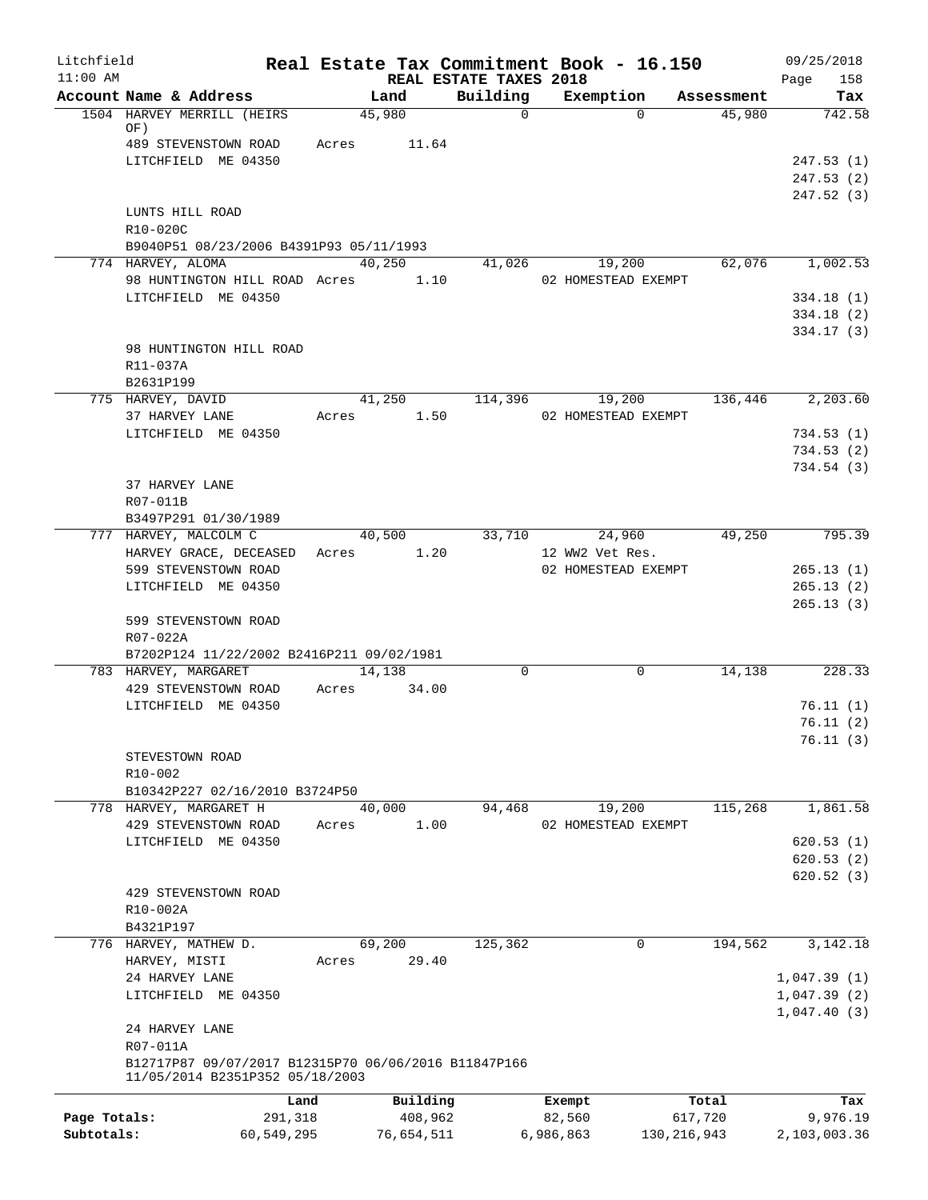| Litchfield   |                                                                   |            | Real Estate Tax Commitment Book - 16.150 |                                    |                 |                     |            | 09/25/2018             |
|--------------|-------------------------------------------------------------------|------------|------------------------------------------|------------------------------------|-----------------|---------------------|------------|------------------------|
| $11:00$ AM   | Account Name & Address                                            |            | Land                                     | REAL ESTATE TAXES 2018<br>Building |                 | Exemption           | Assessment | Page<br>158<br>Tax     |
|              | 1504 HARVEY MERRILL (HEIRS                                        |            | 45,980                                   | $\mathsf{O}$                       |                 | $\Omega$            | 45,980     | 742.58                 |
|              | OF)                                                               |            |                                          |                                    |                 |                     |            |                        |
|              | 489 STEVENSTOWN ROAD                                              | Acres      | 11.64                                    |                                    |                 |                     |            |                        |
|              | LITCHFIELD ME 04350                                               |            |                                          |                                    |                 |                     |            | 247.53(1)<br>247.53(2) |
|              |                                                                   |            |                                          |                                    |                 |                     |            | 247.52 (3)             |
|              | LUNTS HILL ROAD                                                   |            |                                          |                                    |                 |                     |            |                        |
|              | R10-020C                                                          |            |                                          |                                    |                 |                     |            |                        |
|              | B9040P51 08/23/2006 B4391P93 05/11/1993                           |            |                                          |                                    |                 |                     |            |                        |
|              | 774 HARVEY, ALOMA                                                 |            | 40,250                                   | 41,026                             |                 | 19,200              | 62,076     | 1,002.53               |
|              | 98 HUNTINGTON HILL ROAD Acres<br>LITCHFIELD ME 04350              |            | 1.10                                     |                                    |                 | 02 HOMESTEAD EXEMPT |            | 334.18(1)              |
|              |                                                                   |            |                                          |                                    |                 |                     |            | 334.18(2)              |
|              |                                                                   |            |                                          |                                    |                 |                     |            | 334.17(3)              |
|              | 98 HUNTINGTON HILL ROAD                                           |            |                                          |                                    |                 |                     |            |                        |
|              | R11-037A                                                          |            |                                          |                                    |                 |                     |            |                        |
|              | B2631P199                                                         |            |                                          |                                    |                 |                     |            |                        |
|              | 775 HARVEY, DAVID                                                 |            | 41,250                                   | 114,396                            |                 | 19,200              | 136,446    | 2,203.60               |
|              | 37 HARVEY LANE<br>LITCHFIELD ME 04350                             | Acres      | 1.50                                     |                                    |                 | 02 HOMESTEAD EXEMPT |            | 734.53(1)              |
|              |                                                                   |            |                                          |                                    |                 |                     |            | 734.53(2)              |
|              |                                                                   |            |                                          |                                    |                 |                     |            | 734.54(3)              |
|              | 37 HARVEY LANE                                                    |            |                                          |                                    |                 |                     |            |                        |
|              | R07-011B                                                          |            |                                          |                                    |                 |                     |            |                        |
|              | B3497P291 01/30/1989                                              |            |                                          |                                    |                 |                     |            |                        |
|              | 777 HARVEY, MALCOLM C<br>HARVEY GRACE, DECEASED                   |            | 40,500<br>1.20<br>Acres                  | 33,710                             | 12 WW2 Vet Res. | 24,960              | 49,250     | 795.39                 |
|              | 599 STEVENSTOWN ROAD                                              |            |                                          |                                    |                 | 02 HOMESTEAD EXEMPT |            | 265.13(1)              |
|              | LITCHFIELD ME 04350                                               |            |                                          |                                    |                 |                     |            | 265.13(2)              |
|              |                                                                   |            |                                          |                                    |                 |                     |            | 265.13(3)              |
|              | 599 STEVENSTOWN ROAD                                              |            |                                          |                                    |                 |                     |            |                        |
|              | R07-022A                                                          |            |                                          |                                    |                 |                     |            |                        |
|              | B7202P124 11/22/2002 B2416P211 09/02/1981<br>783 HARVEY, MARGARET |            | 14,138                                   | $\Omega$                           |                 | $\mathbf 0$         | 14,138     | 228.33                 |
|              | 429 STEVENSTOWN ROAD                                              | Acres      | 34.00                                    |                                    |                 |                     |            |                        |
|              | LITCHFIELD ME 04350                                               |            |                                          |                                    |                 |                     |            | 76.11(1)               |
|              |                                                                   |            |                                          |                                    |                 |                     |            | 76.11(2)               |
|              |                                                                   |            |                                          |                                    |                 |                     |            | 76.11(3)               |
|              | STEVESTOWN ROAD                                                   |            |                                          |                                    |                 |                     |            |                        |
|              | R10-002                                                           |            |                                          |                                    |                 |                     |            |                        |
|              | B10342P227 02/16/2010 B3724P50<br>778 HARVEY, MARGARET H          |            | 40,000                                   | 94,468                             |                 | 19,200              | 115,268    | 1,861.58               |
|              | 429 STEVENSTOWN ROAD                                              | Acres      | 1.00                                     |                                    |                 | 02 HOMESTEAD EXEMPT |            |                        |
|              | LITCHFIELD ME 04350                                               |            |                                          |                                    |                 |                     |            | 620.53(1)              |
|              |                                                                   |            |                                          |                                    |                 |                     |            | 620.53(2)              |
|              |                                                                   |            |                                          |                                    |                 |                     |            | 620.52(3)              |
|              | 429 STEVENSTOWN ROAD                                              |            |                                          |                                    |                 |                     |            |                        |
|              | R10-002A<br>B4321P197                                             |            |                                          |                                    |                 |                     |            |                        |
|              | 776 HARVEY, MATHEW D.                                             |            | 69,200                                   | 125,362                            |                 | 0                   | 194,562    | 3,142.18               |
|              | HARVEY, MISTI                                                     | Acres      | 29.40                                    |                                    |                 |                     |            |                        |
|              | 24 HARVEY LANE                                                    |            |                                          |                                    |                 |                     |            | 1,047.39(1)            |
|              | LITCHFIELD ME 04350                                               |            |                                          |                                    |                 |                     |            | 1,047.39(2)            |
|              |                                                                   |            |                                          |                                    |                 |                     |            | 1,047.40(3)            |
|              | 24 HARVEY LANE<br>R07-011A                                        |            |                                          |                                    |                 |                     |            |                        |
|              | B12717P87 09/07/2017 B12315P70 06/06/2016 B11847P166              |            |                                          |                                    |                 |                     |            |                        |
|              | 11/05/2014 B2351P352 05/18/2003                                   |            |                                          |                                    |                 |                     |            |                        |
|              |                                                                   | Land       | Building                                 |                                    | Exempt          |                     | Total      | Tax                    |
| Page Totals: |                                                                   | 291,318    | 408,962                                  |                                    | 82,560          |                     | 617,720    | 9,976.19               |
| Subtotals:   |                                                                   | 60,549,295 | 76,654,511                               |                                    | 6,986,863       | 130, 216, 943       |            | 2,103,003.36           |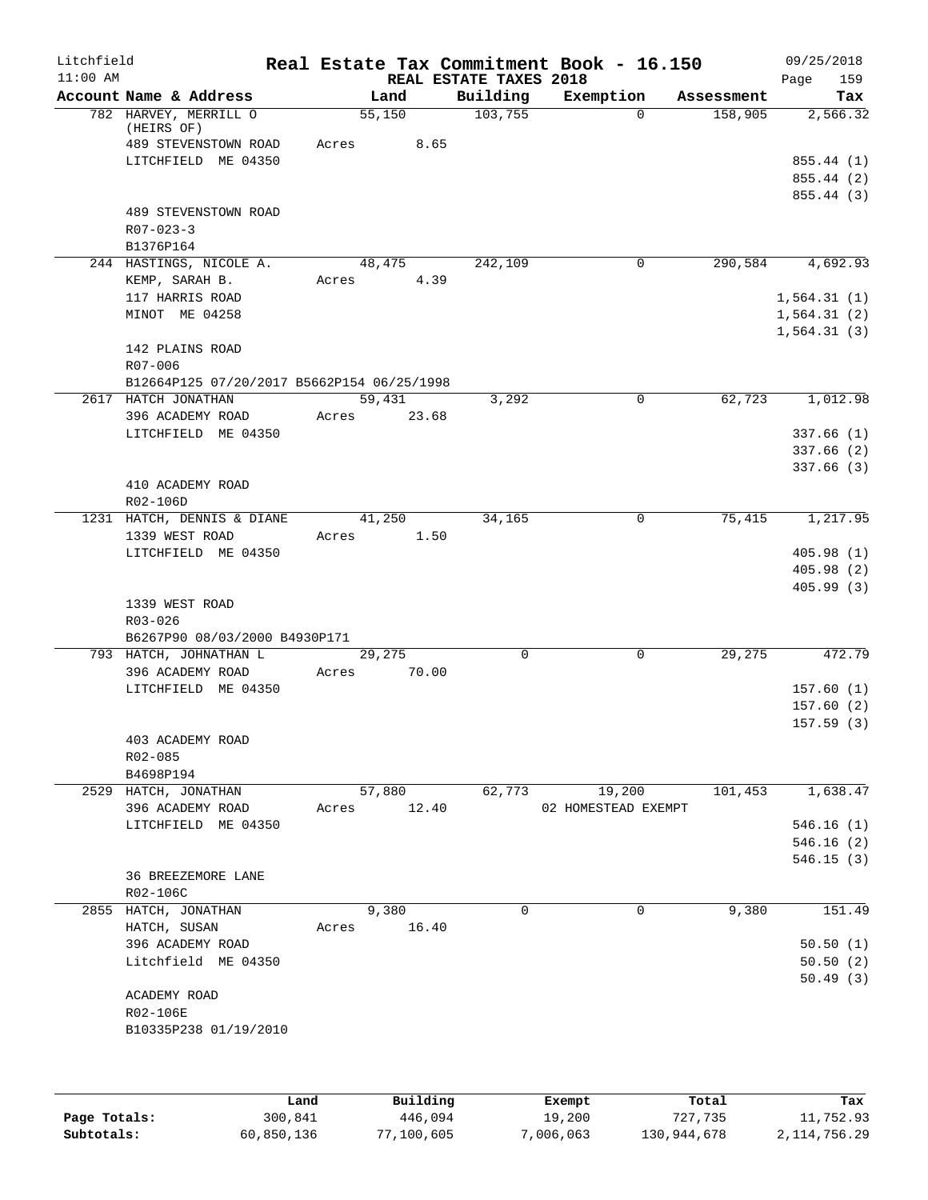| Litchfield |                                                             |       |                 |                                    | Real Estate Tax Commitment Book - 16.150 |            | 09/25/2018                             |
|------------|-------------------------------------------------------------|-------|-----------------|------------------------------------|------------------------------------------|------------|----------------------------------------|
| $11:00$ AM | Account Name & Address                                      |       | Land            | REAL ESTATE TAXES 2018<br>Building | Exemption                                | Assessment | 159<br>Page<br>Tax                     |
|            | 782 HARVEY, MERRILL O<br>(HEIRS OF)<br>489 STEVENSTOWN ROAD | Acres | 55,150<br>8.65  | 103,755                            | $\Omega$                                 | 158,905    | 2,566.32                               |
|            | LITCHFIELD ME 04350                                         |       |                 |                                    |                                          |            | 855.44 (1)<br>855.44 (2)<br>855.44 (3) |
|            | 489 STEVENSTOWN ROAD<br>$R07 - 023 - 3$<br>B1376P164        |       |                 |                                    |                                          |            |                                        |
|            | 244 HASTINGS, NICOLE A.                                     |       | 48,475          | 242,109                            | 0                                        | 290,584    | 4,692.93                               |
|            | KEMP, SARAH B.                                              | Acres | 4.39            |                                    |                                          |            |                                        |
|            | 117 HARRIS ROAD<br>MINOT ME 04258                           |       |                 |                                    |                                          |            | 1,564.31(1)<br>1,564.31(2)             |
|            |                                                             |       |                 |                                    |                                          |            | 1,564.31(3)                            |
|            | 142 PLAINS ROAD<br>R07-006                                  |       |                 |                                    |                                          |            |                                        |
|            | B12664P125 07/20/2017 B5662P154 06/25/1998                  |       |                 |                                    |                                          |            |                                        |
|            | 2617 HATCH JONATHAN<br>396 ACADEMY ROAD                     | Acres | 59,431<br>23.68 | 3,292                              | $\mathbf 0$                              | 62,723     | 1,012.98                               |
|            | LITCHFIELD ME 04350                                         |       |                 |                                    |                                          |            | 337.66(1)                              |
|            |                                                             |       |                 |                                    |                                          |            | 337.66(2)                              |
|            | 410 ACADEMY ROAD                                            |       |                 |                                    |                                          |            | 337.66(3)                              |
|            | R02-106D                                                    |       |                 |                                    |                                          |            |                                        |
|            | 1231 HATCH, DENNIS & DIANE                                  |       | 41,250          | 34,165                             | $\mathbf 0$                              | 75,415     | 1,217.95                               |
|            | 1339 WEST ROAD                                              | Acres | 1.50            |                                    |                                          |            |                                        |
|            | LITCHFIELD ME 04350                                         |       |                 |                                    |                                          |            | 405.98(1)<br>405.98(2)                 |
|            |                                                             |       |                 |                                    |                                          |            | 405.99(3)                              |
|            | 1339 WEST ROAD<br>R03-026                                   |       |                 |                                    |                                          |            |                                        |
|            | B6267P90 08/03/2000 B4930P171<br>793 HATCH, JOHNATHAN L     |       | 29,275          | 0                                  | 0                                        | 29,275     | 472.79                                 |
|            | 396 ACADEMY ROAD                                            | Acres | 70.00           |                                    |                                          |            |                                        |
|            | LITCHFIELD ME 04350                                         |       |                 |                                    |                                          |            | 157.60(1)                              |
|            |                                                             |       |                 |                                    |                                          |            | 157.60(2)                              |
|            |                                                             |       |                 |                                    |                                          |            | 157.59(3)                              |
|            | 403 ACADEMY ROAD<br>R02-085                                 |       |                 |                                    |                                          |            |                                        |
|            | B4698P194                                                   |       |                 |                                    |                                          |            |                                        |
|            | 2529 HATCH, JONATHAN                                        |       | 57,880          | 62,773                             | 19,200                                   | 101,453    | 1,638.47                               |
|            | 396 ACADEMY ROAD                                            | Acres | 12.40           |                                    | 02 HOMESTEAD EXEMPT                      |            |                                        |
|            | LITCHFIELD ME 04350                                         |       |                 |                                    |                                          |            | 546.16(1)<br>546.16(2)                 |
|            |                                                             |       |                 |                                    |                                          |            | 546.15(3)                              |
|            | <b>36 BREEZEMORE LANE</b><br>R02-106C                       |       |                 |                                    |                                          |            |                                        |
|            | 2855 HATCH, JONATHAN                                        |       | 9,380           | $\Omega$                           | $\mathbf 0$                              | 9,380      | 151.49                                 |
|            | HATCH, SUSAN                                                | Acres | 16.40           |                                    |                                          |            |                                        |
|            | 396 ACADEMY ROAD<br>Litchfield ME 04350                     |       |                 |                                    |                                          |            | 50.50(1)<br>50.50(2)                   |
|            |                                                             |       |                 |                                    |                                          |            | 50.49(3)                               |
|            | ACADEMY ROAD                                                |       |                 |                                    |                                          |            |                                        |
|            | R02-106E                                                    |       |                 |                                    |                                          |            |                                        |
|            | B10335P238 01/19/2010                                       |       |                 |                                    |                                          |            |                                        |
|            |                                                             |       |                 |                                    |                                          |            |                                        |
|            |                                                             | Land, | Building        |                                    | <b>Exempt</b>                            | Total      | Tax                                    |

|              | Land       | Building   | Exempt    | Total       | Tax          |
|--------------|------------|------------|-----------|-------------|--------------|
| Page Totals: | 300,841    | 446,094    | 19,200    | 727.735     | 11,752.93    |
| Subtotals:   | 60,850,136 | 77,100,605 | 7,006,063 | 130,944,678 | 2,114,756.29 |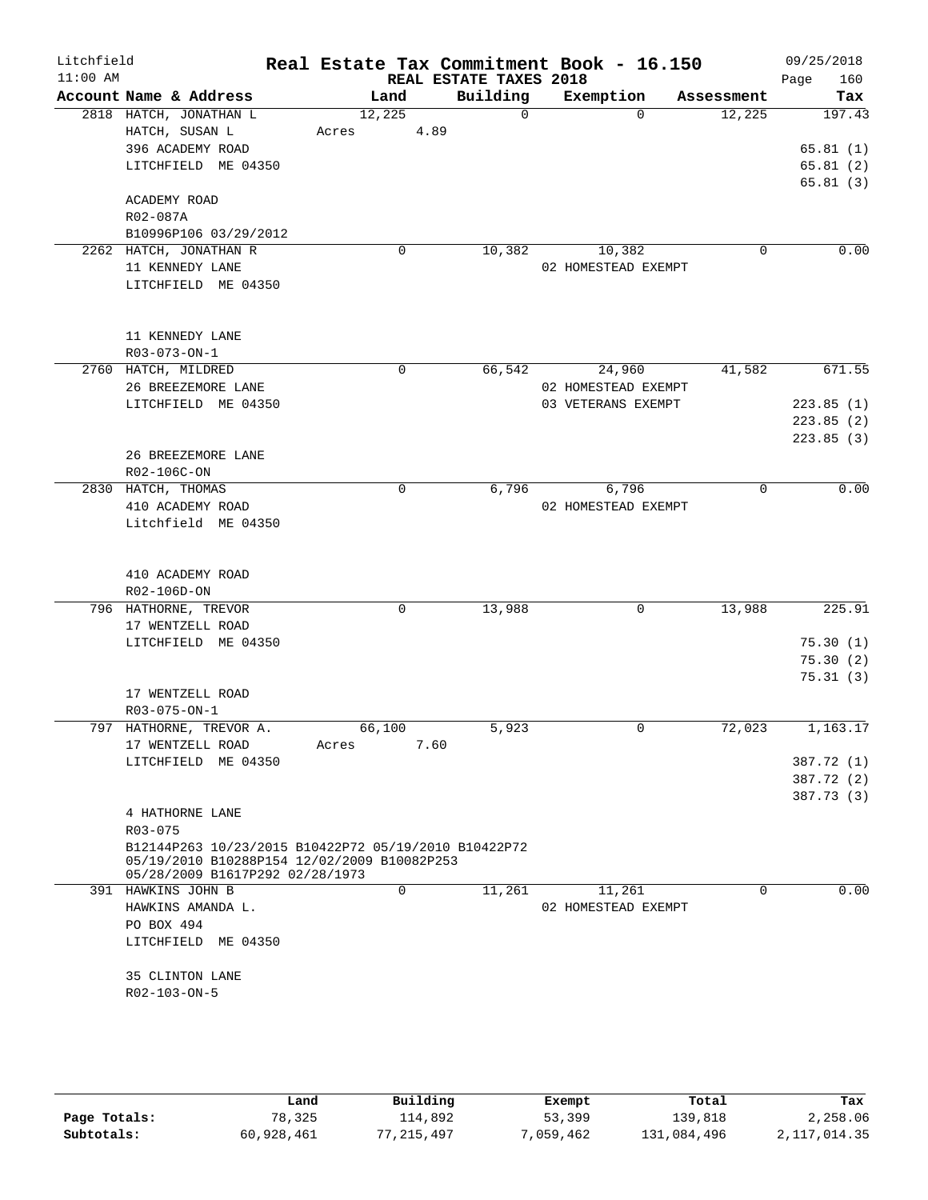| Litchfield<br>$11:00$ AM |                                                                                     |                 | REAL ESTATE TAXES 2018 | Real Estate Tax Commitment Book - 16.150  |             | 09/25/2018<br>160<br>Page              |
|--------------------------|-------------------------------------------------------------------------------------|-----------------|------------------------|-------------------------------------------|-------------|----------------------------------------|
|                          | Account Name & Address                                                              | Land            | Building               | Exemption                                 | Assessment  | Tax                                    |
|                          | 2818 HATCH, JONATHAN L<br>HATCH, SUSAN L<br>396 ACADEMY ROAD<br>LITCHFIELD ME 04350 | 12,225<br>Acres | $\Omega$<br>4.89       | $\Omega$                                  | 12,225      | 197.43<br>65.81(1)<br>65.81(2)         |
|                          | ACADEMY ROAD<br>R02-087A<br>B10996P106 03/29/2012                                   |                 |                        |                                           |             | 65.81(3)                               |
|                          | 2262 HATCH, JONATHAN R<br>11 KENNEDY LANE<br>LITCHFIELD ME 04350                    | 0               | 10,382                 | 10,382<br>02 HOMESTEAD EXEMPT             | 0           | 0.00                                   |
|                          | 11 KENNEDY LANE<br>R03-073-ON-1                                                     |                 |                        |                                           |             |                                        |
|                          | 2760 HATCH, MILDRED                                                                 | 0               | 66,542                 | 24,960                                    | 41,582      | 671.55                                 |
|                          | 26 BREEZEMORE LANE<br>LITCHFIELD ME 04350                                           |                 |                        | 02 HOMESTEAD EXEMPT<br>03 VETERANS EXEMPT |             | 223.85(1)<br>223.85(2)                 |
|                          | 26 BREEZEMORE LANE<br>R02-106C-ON                                                   |                 |                        |                                           |             | 223.85(3)                              |
|                          | 2830 HATCH, THOMAS<br>410 ACADEMY ROAD<br>Litchfield ME 04350                       | $\mathbf 0$     | 6,796                  | 6,796<br>02 HOMESTEAD EXEMPT              | $\mathbf 0$ | 0.00                                   |
|                          | 410 ACADEMY ROAD<br>R02-106D-ON                                                     |                 |                        |                                           |             |                                        |
|                          | 796 HATHORNE, TREVOR                                                                | 0               | 13,988                 | 0                                         | 13,988      | 225.91                                 |
|                          | 17 WENTZELL ROAD                                                                    |                 |                        |                                           |             |                                        |
|                          | LITCHFIELD ME 04350                                                                 |                 |                        |                                           |             | 75.30(1)<br>75.30(2)<br>75.31(3)       |
|                          | 17 WENTZELL ROAD<br>R03-075-ON-1                                                    |                 |                        |                                           |             |                                        |
| 797                      | HATHORNE, TREVOR A.<br>17 WENTZELL ROAD                                             | 66,100<br>Acres | 5,923<br>7.60          | 0                                         | 72,023      | 1,163.17                               |
|                          | LITCHFIELD ME 04350                                                                 |                 |                        |                                           |             | 387.72 (1)<br>387.72 (2)<br>387.73 (3) |
|                          | 4 HATHORNE LANE<br>R03-075<br>B12144P263 10/23/2015 B10422P72 05/19/2010 B10422P72  |                 |                        |                                           |             |                                        |
|                          | 05/19/2010 B10288P154 12/02/2009 B10082P253<br>05/28/2009 B1617P292 02/28/1973      |                 |                        |                                           |             |                                        |
|                          | 391 HAWKINS JOHN B<br>HAWKINS AMANDA L.<br>PO BOX 494                               | 0               | 11,261                 | 11,261<br>02 HOMESTEAD EXEMPT             | $\Omega$    | 0.00                                   |
|                          | LITCHFIELD ME 04350<br>35 CLINTON LANE                                              |                 |                        |                                           |             |                                        |
|                          | R02-103-ON-5                                                                        |                 |                        |                                           |             |                                        |

|              | Land       | Building | Exempt    | Total       | Tax          |
|--------------|------------|----------|-----------|-------------|--------------|
| Page Totals: | 78,325     | 114,892  | 53,399    | 139,818     | 2,258.06     |
| Subtotals:   | 60,928,461 | .215.497 | 7,059,462 | 131,084,496 | 2,117,014.35 |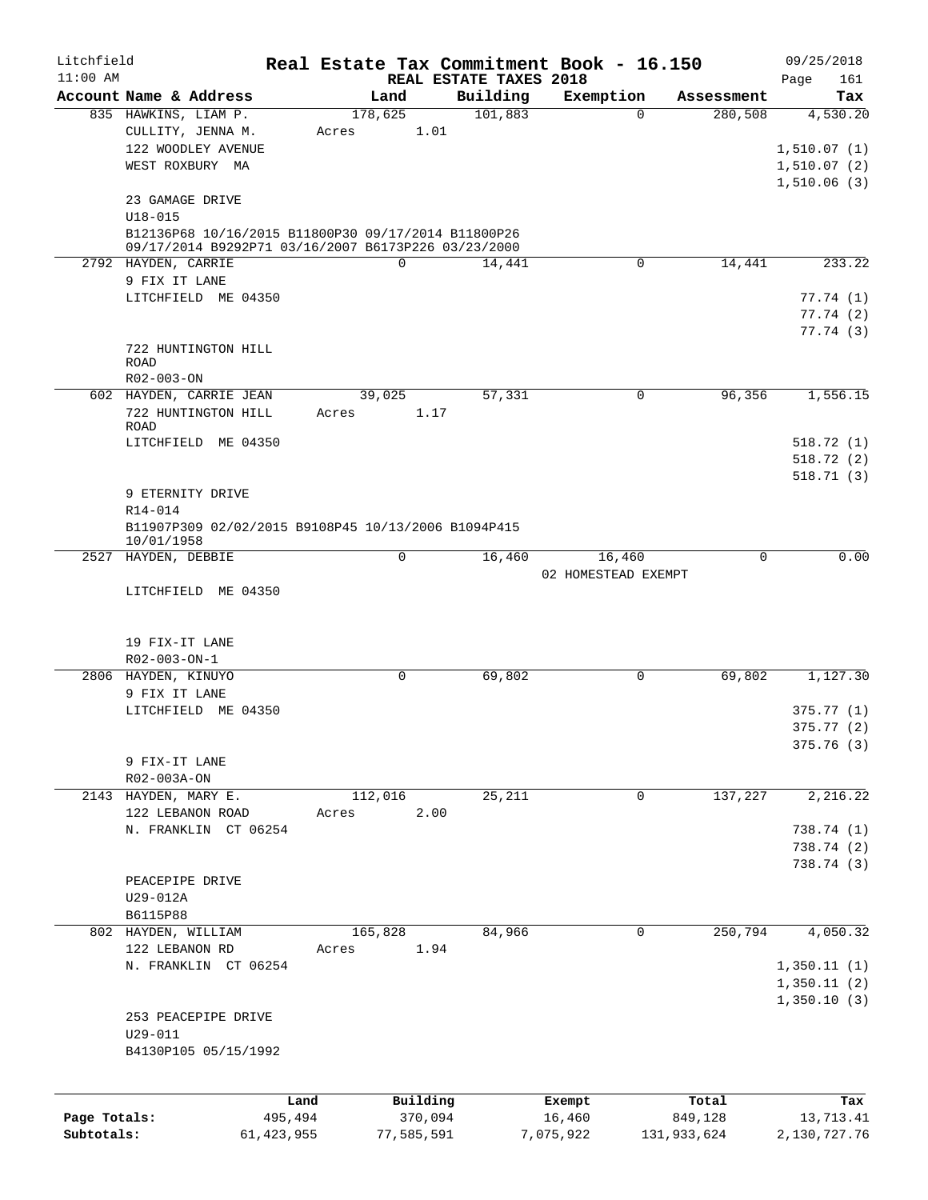| Litchfield   |                                                                                                            |       |                     |                        | Real Estate Tax Commitment Book - 16.150 |                       | 09/25/2018       |
|--------------|------------------------------------------------------------------------------------------------------------|-------|---------------------|------------------------|------------------------------------------|-----------------------|------------------|
| $11:00$ AM   | Account Name & Address                                                                                     |       | Land                | REAL ESTATE TAXES 2018 | Exemption                                |                       | 161<br>Page      |
|              | 835 HAWKINS, LIAM P.                                                                                       |       | 178,625             | Building<br>101,883    | $\Omega$                                 | Assessment<br>280,508 | Tax<br>4,530.20  |
|              | CULLITY, JENNA M.                                                                                          | Acres | 1.01                |                        |                                          |                       |                  |
|              | 122 WOODLEY AVENUE                                                                                         |       |                     |                        |                                          |                       | 1,510.07(1)      |
|              | WEST ROXBURY MA                                                                                            |       |                     |                        |                                          |                       | 1,510.07(2)      |
|              |                                                                                                            |       |                     |                        |                                          |                       | 1,510.06(3)      |
|              | 23 GAMAGE DRIVE                                                                                            |       |                     |                        |                                          |                       |                  |
|              | $U18 - 015$                                                                                                |       |                     |                        |                                          |                       |                  |
|              | B12136P68 10/16/2015 B11800P30 09/17/2014 B11800P26<br>09/17/2014 B9292P71 03/16/2007 B6173P226 03/23/2000 |       |                     |                        |                                          |                       |                  |
|              | 2792 HAYDEN, CARRIE                                                                                        |       | $\Omega$            | 14,441                 | 0                                        | 14,441                | 233.22           |
|              | 9 FIX IT LANE                                                                                              |       |                     |                        |                                          |                       |                  |
|              | LITCHFIELD ME 04350                                                                                        |       |                     |                        |                                          |                       | 77.74(1)         |
|              |                                                                                                            |       |                     |                        |                                          |                       | 77.74(2)         |
|              |                                                                                                            |       |                     |                        |                                          |                       | 77.74 (3)        |
|              | 722 HUNTINGTON HILL                                                                                        |       |                     |                        |                                          |                       |                  |
|              | <b>ROAD</b>                                                                                                |       |                     |                        |                                          |                       |                  |
|              | R02-003-ON                                                                                                 |       |                     |                        |                                          |                       |                  |
|              | 602 HAYDEN, CARRIE JEAN                                                                                    |       | 39,025              | 57,331                 | $\mathbf 0$                              | 96,356                | 1,556.15         |
|              | 722 HUNTINGTON HILL                                                                                        | Acres | 1.17                |                        |                                          |                       |                  |
|              | ROAD                                                                                                       |       |                     |                        |                                          |                       |                  |
|              | LITCHFIELD ME 04350                                                                                        |       |                     |                        |                                          |                       | 518.72(1)        |
|              |                                                                                                            |       |                     |                        |                                          |                       | 518.72(2)        |
|              |                                                                                                            |       |                     |                        |                                          |                       | 518.71 (3)       |
|              | 9 ETERNITY DRIVE                                                                                           |       |                     |                        |                                          |                       |                  |
|              | R14-014                                                                                                    |       |                     |                        |                                          |                       |                  |
|              | B11907P309 02/02/2015 B9108P45 10/13/2006 B1094P415<br>10/01/1958                                          |       |                     |                        |                                          |                       |                  |
| 2527         | HAYDEN, DEBBIE                                                                                             |       | 0                   | 16,460                 | 16,460                                   | 0                     | 0.00             |
|              |                                                                                                            |       |                     |                        | 02 HOMESTEAD EXEMPT                      |                       |                  |
|              | LITCHFIELD ME 04350                                                                                        |       |                     |                        |                                          |                       |                  |
|              | 19 FIX-IT LANE<br>$R02 - 003 - ON - 1$                                                                     |       |                     |                        |                                          |                       |                  |
|              | 2806 HAYDEN, KINUYO                                                                                        |       | 0                   | 69,802                 | 0                                        | 69,802                | 1,127.30         |
|              | 9 FIX IT LANE                                                                                              |       |                     |                        |                                          |                       |                  |
|              | LITCHFIELD ME 04350                                                                                        |       |                     |                        |                                          |                       | 375.77 (1)       |
|              |                                                                                                            |       |                     |                        |                                          |                       | 375.77(2)        |
|              |                                                                                                            |       |                     |                        |                                          |                       | 375.76 (3)       |
|              | 9 FIX-IT LANE                                                                                              |       |                     |                        |                                          |                       |                  |
|              | R02-003A-ON                                                                                                |       |                     |                        |                                          |                       |                  |
|              | 2143 HAYDEN, MARY E.                                                                                       |       | 112,016             | 25,211                 | $\mathbf 0$                              | 137,227               | 2,216.22         |
|              | 122 LEBANON ROAD                                                                                           | Acres | 2.00                |                        |                                          |                       |                  |
|              | N. FRANKLIN CT 06254                                                                                       |       |                     |                        |                                          |                       | 738.74 (1)       |
|              |                                                                                                            |       |                     |                        |                                          |                       | 738.74 (2)       |
|              |                                                                                                            |       |                     |                        |                                          |                       | 738.74 (3)       |
|              | PEACEPIPE DRIVE                                                                                            |       |                     |                        |                                          |                       |                  |
|              | U29-012A                                                                                                   |       |                     |                        |                                          |                       |                  |
|              | B6115P88                                                                                                   |       |                     |                        |                                          |                       |                  |
|              | 802 HAYDEN, WILLIAM                                                                                        |       | 165,828             | 84,966                 | $\mathbf 0$                              | 250,794               | 4,050.32         |
|              | 122 LEBANON RD                                                                                             | Acres | 1.94                |                        |                                          |                       |                  |
|              | N. FRANKLIN CT 06254                                                                                       |       |                     |                        |                                          |                       | 1,350.11(1)      |
|              |                                                                                                            |       |                     |                        |                                          |                       | 1,350.11(2)      |
|              |                                                                                                            |       |                     |                        |                                          |                       | 1,350.10(3)      |
|              | 253 PEACEPIPE DRIVE                                                                                        |       |                     |                        |                                          |                       |                  |
|              | $U29 - 011$                                                                                                |       |                     |                        |                                          |                       |                  |
|              | B4130P105 05/15/1992                                                                                       |       |                     |                        |                                          |                       |                  |
|              |                                                                                                            |       |                     |                        |                                          |                       |                  |
| Page Totals: | 495,494                                                                                                    | Land  | Building<br>370,094 |                        | Exempt<br>16,460                         | Total<br>849,128      | Tax<br>13,713.41 |
| Subtotals:   | 61, 423, 955                                                                                               |       | 77,585,591          |                        | 7,075,922                                | 131,933,624           | 2,130,727.76     |
|              |                                                                                                            |       |                     |                        |                                          |                       |                  |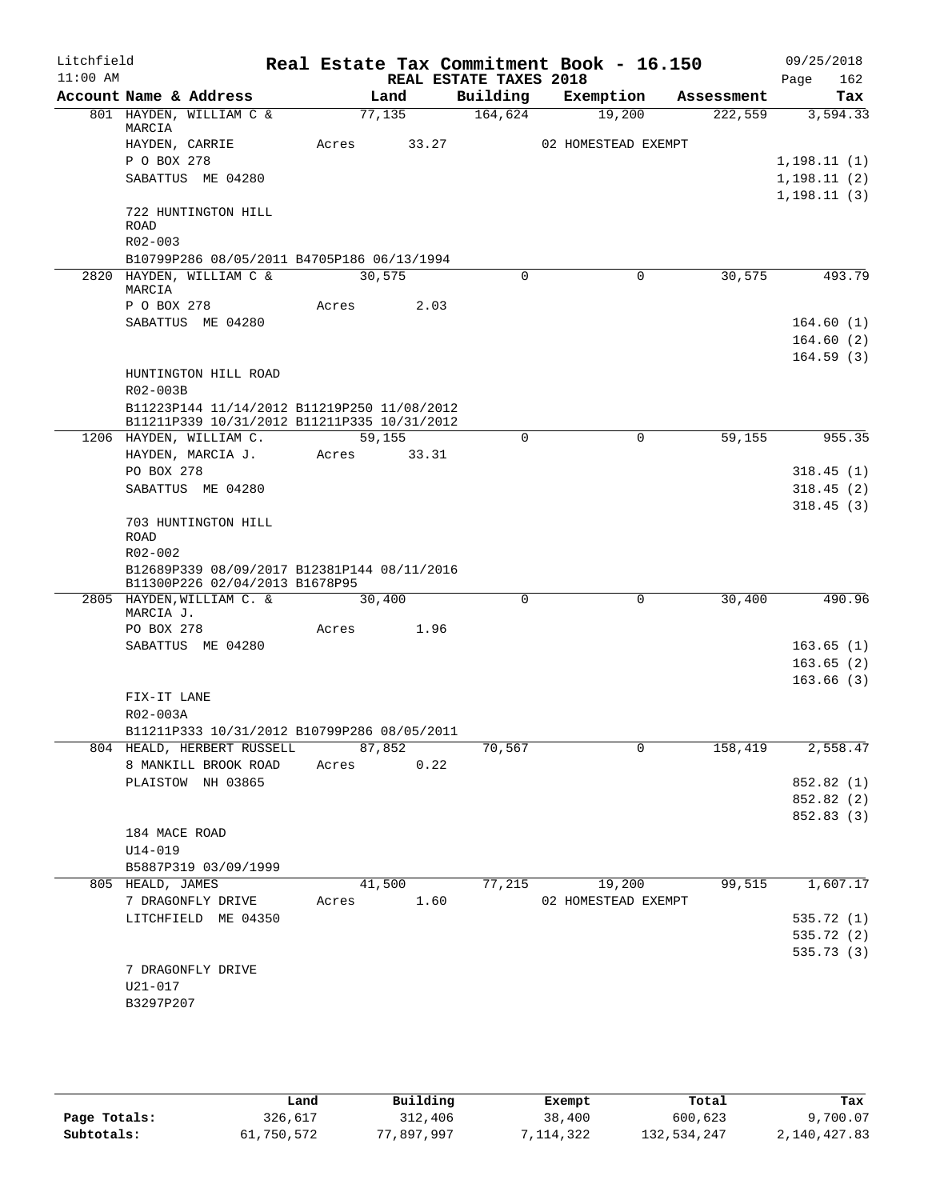| Litchfield |                  |                                                                                            |       |                         |                        | Real Estate Tax Commitment Book - 16.150 |            | 09/25/2018   |
|------------|------------------|--------------------------------------------------------------------------------------------|-------|-------------------------|------------------------|------------------------------------------|------------|--------------|
| $11:00$ AM |                  |                                                                                            |       |                         | REAL ESTATE TAXES 2018 |                                          |            | 162<br>Page  |
|            |                  | Account Name & Address                                                                     |       | Land                    | Building               | Exemption                                | Assessment | Tax          |
|            | MARCIA           | 801 HAYDEN, WILLIAM C &                                                                    |       | 77,135                  | 164,624                | 19,200                                   | 222,559    | 3,594.33     |
|            | HAYDEN, CARRIE   |                                                                                            | Acres | 33.27                   |                        | 02 HOMESTEAD EXEMPT                      |            |              |
|            | P O BOX 278      |                                                                                            |       |                         |                        |                                          |            | 1,198.11(1)  |
|            |                  | SABATTUS ME 04280                                                                          |       |                         |                        |                                          |            | 1, 198.11(2) |
|            |                  |                                                                                            |       |                         |                        |                                          |            | 1, 198.11(3) |
|            |                  | 722 HUNTINGTON HILL                                                                        |       |                         |                        |                                          |            |              |
|            | <b>ROAD</b>      |                                                                                            |       |                         |                        |                                          |            |              |
|            | R02-003          | B10799P286 08/05/2011 B4705P186 06/13/1994                                                 |       |                         |                        |                                          |            |              |
|            |                  | 2820 HAYDEN, WILLIAM C &                                                                   |       | 30,575                  | $\mathbf 0$            | $\mathbf 0$                              | 30,575     | 493.79       |
|            | MARCIA           |                                                                                            |       |                         |                        |                                          |            |              |
|            | P O BOX 278      |                                                                                            | Acres | 2.03                    |                        |                                          |            |              |
|            |                  | SABATTUS ME 04280                                                                          |       |                         |                        |                                          |            | 164.60(1)    |
|            |                  |                                                                                            |       |                         |                        |                                          |            | 164.60(2)    |
|            |                  |                                                                                            |       |                         |                        |                                          |            | 164.59(3)    |
|            |                  | HUNTINGTON HILL ROAD                                                                       |       |                         |                        |                                          |            |              |
|            | R02-003B         |                                                                                            |       |                         |                        |                                          |            |              |
|            |                  | B11223P144 11/14/2012 B11219P250 11/08/2012<br>B11211P339 10/31/2012 B11211P335 10/31/2012 |       |                         |                        |                                          |            |              |
|            |                  | 1206 HAYDEN, WILLIAM C.                                                                    |       | 59,155                  | 0                      | 0                                        | 59,155     | 955.35       |
|            |                  | HAYDEN, MARCIA J.                                                                          | Acres | 33.31                   |                        |                                          |            |              |
|            | PO BOX 278       |                                                                                            |       |                         |                        |                                          |            | 318.45(1)    |
|            |                  | SABATTUS ME 04280                                                                          |       |                         |                        |                                          |            | 318.45(2)    |
|            |                  |                                                                                            |       |                         |                        |                                          |            | 318.45(3)    |
|            |                  | 703 HUNTINGTON HILL                                                                        |       |                         |                        |                                          |            |              |
|            | ROAD             |                                                                                            |       |                         |                        |                                          |            |              |
|            | R02-002          |                                                                                            |       |                         |                        |                                          |            |              |
|            |                  | B12689P339 08/09/2017 B12381P144 08/11/2016<br>B11300P226 02/04/2013 B1678P95              |       |                         |                        |                                          |            |              |
|            |                  | 2805 HAYDEN, WILLIAM C. &                                                                  |       | 30,400                  | $\mathbf 0$            | 0                                        | 30,400     | 490.96       |
|            | MARCIA J.        |                                                                                            |       |                         |                        |                                          |            |              |
|            | PO BOX 278       |                                                                                            | Acres | 1.96                    |                        |                                          |            |              |
|            |                  | SABATTUS ME 04280                                                                          |       |                         |                        |                                          |            | 163.65(1)    |
|            |                  |                                                                                            |       |                         |                        |                                          |            | 163.65(2)    |
|            |                  |                                                                                            |       |                         |                        |                                          |            | 163.66(3)    |
|            | FIX-IT LANE      |                                                                                            |       |                         |                        |                                          |            |              |
|            | R02-003A         |                                                                                            |       |                         |                        |                                          |            |              |
|            |                  | B11211P333 10/31/2012 B10799P286 08/05/2011                                                |       |                         |                        |                                          |            |              |
|            |                  | 804 HEALD, HERBERT RUSSELL<br>8 MANKILL BROOK ROAD                                         |       | 87,852<br>Acres<br>0.22 | 70,567                 | $\mathbf 0$                              | 158,419    | 2,558.47     |
|            |                  | PLAISTOW NH 03865                                                                          |       |                         |                        |                                          |            | 852.82 (1)   |
|            |                  |                                                                                            |       |                         |                        |                                          |            | 852.82 (2)   |
|            |                  |                                                                                            |       |                         |                        |                                          |            | 852.83 (3)   |
|            | 184 MACE ROAD    |                                                                                            |       |                         |                        |                                          |            |              |
|            | $U14 - 019$      |                                                                                            |       |                         |                        |                                          |            |              |
|            |                  | B5887P319 03/09/1999                                                                       |       |                         |                        |                                          |            |              |
|            | 805 HEALD, JAMES |                                                                                            |       | 41,500                  | 77,215                 | 19,200                                   | 99,515     | 1,607.17     |
|            |                  | 7 DRAGONFLY DRIVE                                                                          | Acres | 1.60                    |                        | 02 HOMESTEAD EXEMPT                      |            |              |
|            |                  | LITCHFIELD ME 04350                                                                        |       |                         |                        |                                          |            | 535.72(1)    |
|            |                  |                                                                                            |       |                         |                        |                                          |            | 535.72 (2)   |
|            |                  |                                                                                            |       |                         |                        |                                          |            | 535.73(3)    |
|            |                  | 7 DRAGONFLY DRIVE                                                                          |       |                         |                        |                                          |            |              |
|            | U21-017          |                                                                                            |       |                         |                        |                                          |            |              |
|            | B3297P207        |                                                                                            |       |                         |                        |                                          |            |              |
|            |                  |                                                                                            |       |                         |                        |                                          |            |              |

|              | Land       | Building   | Exempt     | Total       | Tax          |
|--------------|------------|------------|------------|-------------|--------------|
| Page Totals: | 326,617    | 312,406    | 38,400     | 600,623     | 9,700.07     |
| Subtotals:   | 61,750,572 | 77,897,997 | , 114, 322 | 132,534,247 | 2,140,427.83 |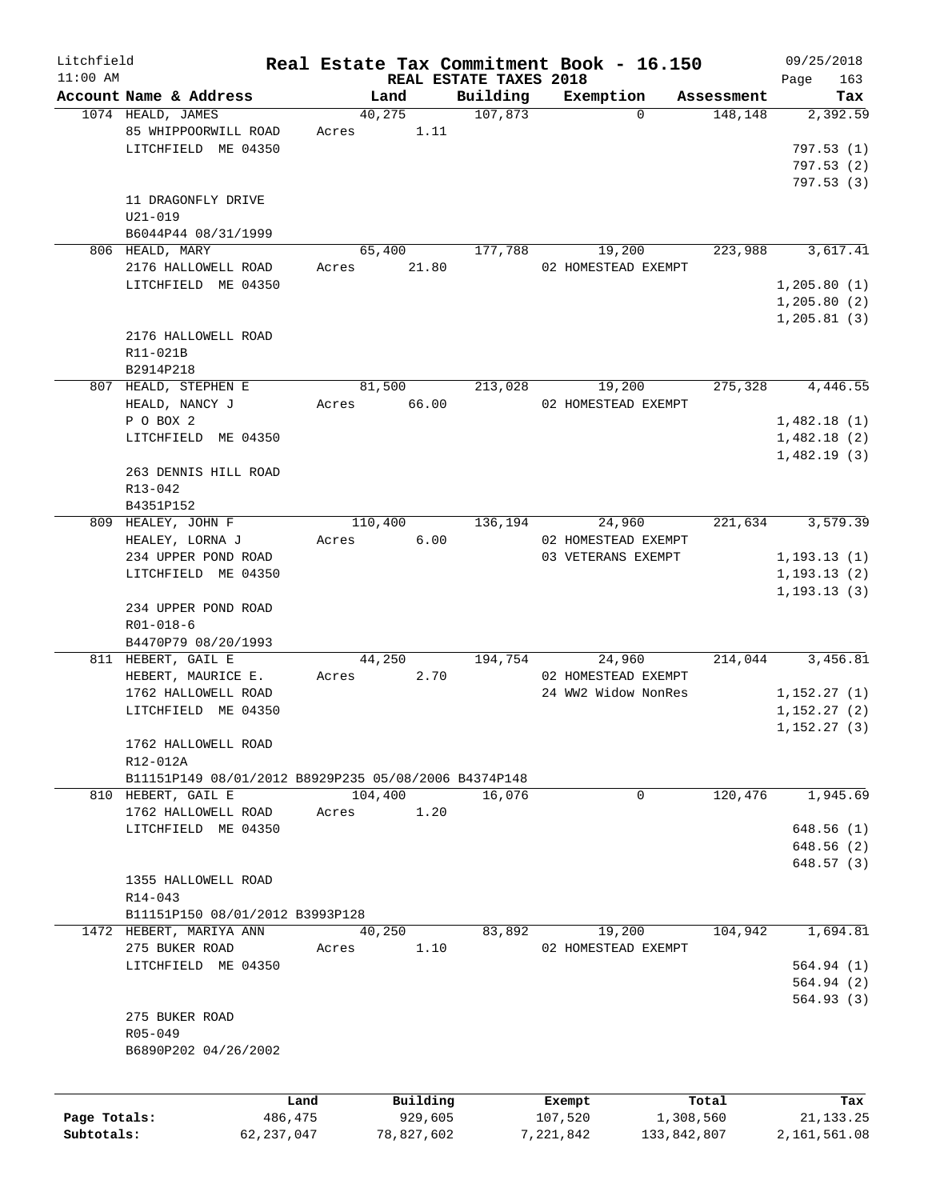| Litchfield   |                                                      |              |         |            |                        | Real Estate Tax Commitment Book - 16.150 |             | 09/25/2018   |
|--------------|------------------------------------------------------|--------------|---------|------------|------------------------|------------------------------------------|-------------|--------------|
| $11:00$ AM   |                                                      |              |         |            | REAL ESTATE TAXES 2018 |                                          |             | 163<br>Page  |
|              | Account Name & Address                               |              | Land    |            | Building               | Exemption                                | Assessment  | Tax          |
|              | 1074 HEALD, JAMES                                    |              | 40,275  |            | 107,873                | $\Omega$                                 | 148,148     | 2,392.59     |
|              | 85 WHIPPOORWILL ROAD                                 | Acres        |         | 1.11       |                        |                                          |             |              |
|              | LITCHFIELD ME 04350                                  |              |         |            |                        |                                          |             | 797.53(1)    |
|              |                                                      |              |         |            |                        |                                          |             | 797.53(2)    |
|              |                                                      |              |         |            |                        |                                          |             | 797.53(3)    |
|              | 11 DRAGONFLY DRIVE                                   |              |         |            |                        |                                          |             |              |
|              | $U21 - 019$                                          |              |         |            |                        |                                          |             |              |
|              | B6044P44 08/31/1999                                  |              |         |            |                        |                                          |             |              |
|              | 806 HEALD, MARY                                      |              | 65,400  |            | 177,788                | 19,200                                   | 223,988     | 3,617.41     |
|              | 2176 HALLOWELL ROAD                                  | Acres        |         | 21.80      |                        | 02 HOMESTEAD EXEMPT                      |             |              |
|              | LITCHFIELD ME 04350                                  |              |         |            |                        |                                          |             | 1, 205.80(1) |
|              |                                                      |              |         |            |                        |                                          |             | 1,205.80(2)  |
|              |                                                      |              |         |            |                        |                                          |             | 1, 205.81(3) |
|              | 2176 HALLOWELL ROAD                                  |              |         |            |                        |                                          |             |              |
|              | R11-021B                                             |              |         |            |                        |                                          |             |              |
|              | B2914P218                                            |              |         |            |                        |                                          |             |              |
|              | 807 HEALD, STEPHEN E                                 |              |         |            | 213,028                |                                          | 275,328     | 4,446.55     |
|              |                                                      |              | 81,500  |            |                        | 19,200                                   |             |              |
|              | HEALD, NANCY J                                       | Acres        |         | 66.00      |                        | 02 HOMESTEAD EXEMPT                      |             |              |
|              | P O BOX 2                                            |              |         |            |                        |                                          |             | 1,482.18(1)  |
|              | LITCHFIELD ME 04350                                  |              |         |            |                        |                                          |             | 1,482.18(2)  |
|              |                                                      |              |         |            |                        |                                          |             | 1,482.19(3)  |
|              | 263 DENNIS HILL ROAD                                 |              |         |            |                        |                                          |             |              |
|              | R13-042                                              |              |         |            |                        |                                          |             |              |
|              | B4351P152                                            |              |         |            |                        |                                          |             |              |
| 809          | HEALEY, JOHN F                                       |              | 110,400 |            | 136,194                | 24,960                                   | 221,634     | 3,579.39     |
|              | HEALEY, LORNA J                                      | Acres        |         | 6.00       |                        | 02 HOMESTEAD EXEMPT                      |             |              |
|              | 234 UPPER POND ROAD                                  |              |         |            |                        | 03 VETERANS EXEMPT                       |             | 1, 193.13(1) |
|              | LITCHFIELD ME 04350                                  |              |         |            |                        |                                          |             | 1, 193.13(2) |
|              |                                                      |              |         |            |                        |                                          |             | 1, 193.13(3) |
|              | 234 UPPER POND ROAD                                  |              |         |            |                        |                                          |             |              |
|              |                                                      |              |         |            |                        |                                          |             |              |
|              | $R01 - 018 - 6$                                      |              |         |            |                        |                                          |             |              |
|              | B4470P79 08/20/1993                                  |              |         |            |                        |                                          |             |              |
|              | 811 HEBERT, GAIL E                                   |              | 44,250  |            | 194,754                | 24,960                                   | 214,044     | 3,456.81     |
|              | HEBERT, MAURICE E.                                   | Acres        |         | 2.70       |                        | 02 HOMESTEAD EXEMPT                      |             |              |
|              | 1762 HALLOWELL ROAD                                  |              |         |            |                        | 24 WW2 Widow NonRes                      |             | 1,152.27(1)  |
|              | LITCHFIELD ME 04350                                  |              |         |            |                        |                                          |             | 1,152.27(2)  |
|              |                                                      |              |         |            |                        |                                          |             | 1,152.27(3)  |
|              | 1762 HALLOWELL ROAD                                  |              |         |            |                        |                                          |             |              |
|              | R12-012A                                             |              |         |            |                        |                                          |             |              |
|              | B11151P149 08/01/2012 B8929P235 05/08/2006 B4374P148 |              |         |            |                        |                                          |             |              |
|              | 810 HEBERT, GAIL E                                   |              | 104,400 |            | 16,076                 | 0                                        | 120,476     | 1,945.69     |
|              | 1762 HALLOWELL ROAD                                  | Acres        |         | 1.20       |                        |                                          |             |              |
|              | LITCHFIELD ME 04350                                  |              |         |            |                        |                                          |             | 648.56(1)    |
|              |                                                      |              |         |            |                        |                                          |             | 648.56 (2)   |
|              |                                                      |              |         |            |                        |                                          |             |              |
|              |                                                      |              |         |            |                        |                                          |             | 648.57 (3)   |
|              | 1355 HALLOWELL ROAD                                  |              |         |            |                        |                                          |             |              |
|              | $R14 - 043$                                          |              |         |            |                        |                                          |             |              |
|              | B11151P150 08/01/2012 B3993P128                      |              |         |            |                        |                                          |             |              |
|              | 1472 HEBERT, MARIYA ANN                              |              | 40,250  |            | 83,892                 | 19,200                                   | 104,942     | 1,694.81     |
|              | 275 BUKER ROAD                                       | Acres        |         | 1.10       |                        | 02 HOMESTEAD EXEMPT                      |             |              |
|              | LITCHFIELD ME 04350                                  |              |         |            |                        |                                          |             | 564.94 (1)   |
|              |                                                      |              |         |            |                        |                                          |             | 564.94 (2)   |
|              |                                                      |              |         |            |                        |                                          |             | 564.93 (3)   |
|              | 275 BUKER ROAD                                       |              |         |            |                        |                                          |             |              |
|              | $R05 - 049$                                          |              |         |            |                        |                                          |             |              |
|              | B6890P202 04/26/2002                                 |              |         |            |                        |                                          |             |              |
|              |                                                      |              |         |            |                        |                                          |             |              |
|              |                                                      |              |         |            |                        |                                          |             |              |
|              |                                                      | Land         |         | Building   |                        | Exempt                                   | Total       | Tax          |
| Page Totals: |                                                      | 486,475      |         | 929,605    |                        | 107,520                                  | 1,308,560   | 21, 133. 25  |
| Subtotals:   |                                                      | 62, 237, 047 |         | 78,827,602 |                        | 7,221,842                                | 133,842,807 | 2,161,561.08 |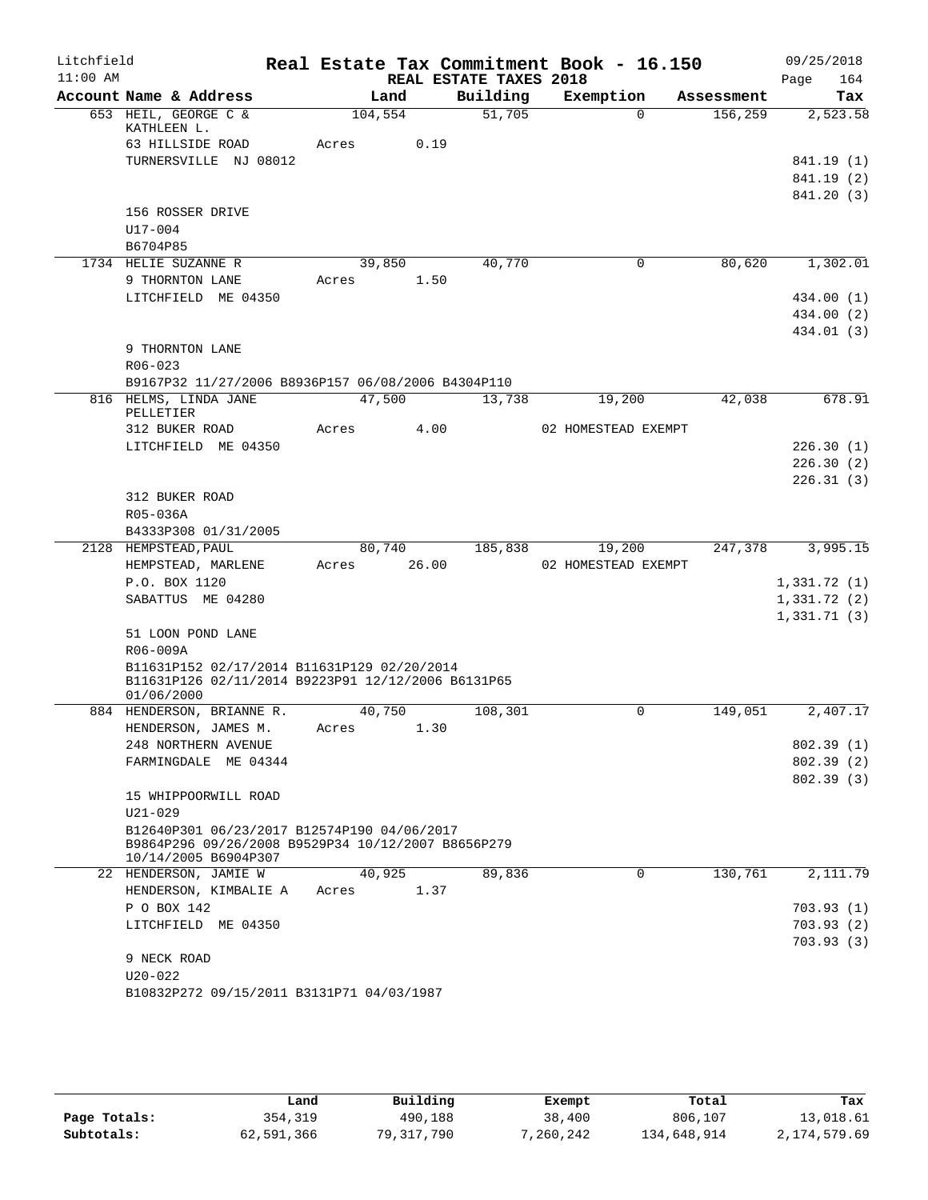| Litchfield |             |                                                    |       |         |       |                        | Real Estate Tax Commitment Book - 16.150 |            | 09/25/2018  |          |
|------------|-------------|----------------------------------------------------|-------|---------|-------|------------------------|------------------------------------------|------------|-------------|----------|
| $11:00$ AM |             |                                                    |       |         |       | REAL ESTATE TAXES 2018 |                                          |            | Page        | 164      |
|            |             | Account Name & Address                             |       | Land    |       | Building               | Exemption                                | Assessment |             | Tax      |
|            |             | 653 HEIL, GEORGE C &<br>KATHLEEN L.                |       | 104,554 |       | 51,705                 | $\Omega$                                 | 156,259    |             | 2,523.58 |
|            |             | 63 HILLSIDE ROAD                                   | Acres |         | 0.19  |                        |                                          |            |             |          |
|            |             | TURNERSVILLE NJ 08012                              |       |         |       |                        |                                          |            | 841.19 (1)  |          |
|            |             |                                                    |       |         |       |                        |                                          |            | 841.19 (2)  |          |
|            |             |                                                    |       |         |       |                        |                                          |            | 841.20 (3)  |          |
|            |             | 156 ROSSER DRIVE                                   |       |         |       |                        |                                          |            |             |          |
|            | U17-004     |                                                    |       |         |       |                        |                                          |            |             |          |
|            | B6704P85    |                                                    |       |         |       |                        |                                          |            |             |          |
|            |             | 1734 HELIE SUZANNE R                               |       | 39,850  |       | 40,770                 | 0                                        | 80,620     |             | 1,302.01 |
|            |             | 9 THORNTON LANE                                    | Acres |         | 1.50  |                        |                                          |            |             |          |
|            |             | LITCHFIELD ME 04350                                |       |         |       |                        |                                          |            | 434.00 (1)  |          |
|            |             |                                                    |       |         |       |                        |                                          |            | 434.00 (2)  |          |
|            |             |                                                    |       |         |       |                        |                                          |            | 434.01 (3)  |          |
|            |             | 9 THORNTON LANE                                    |       |         |       |                        |                                          |            |             |          |
|            | $R06 - 023$ |                                                    |       |         |       |                        |                                          |            |             |          |
|            |             | B9167P32 11/27/2006 B8936P157 06/08/2006 B4304P110 |       |         |       |                        |                                          |            |             |          |
|            |             | 816 HELMS, LINDA JANE                              |       | 47,500  |       | 13,738                 | 19,200                                   | 42,038     |             | 678.91   |
|            | PELLETIER   |                                                    |       |         |       |                        |                                          |            |             |          |
|            |             | 312 BUKER ROAD                                     | Acres |         | 4.00  |                        | 02 HOMESTEAD EXEMPT                      |            |             |          |
|            |             | LITCHFIELD ME 04350                                |       |         |       |                        |                                          |            | 226.30(1)   |          |
|            |             |                                                    |       |         |       |                        |                                          |            | 226.30(2)   |          |
|            |             |                                                    |       |         |       |                        |                                          |            | 226.31(3)   |          |
|            |             | 312 BUKER ROAD                                     |       |         |       |                        |                                          |            |             |          |
|            | R05-036A    | B4333P308 01/31/2005                               |       |         |       |                        |                                          |            |             |          |
|            |             | 2128 HEMPSTEAD, PAUL                               |       | 80,740  |       | 185,838                | 19,200                                   | 247,378    |             | 3,995.15 |
|            |             | HEMPSTEAD, MARLENE                                 | Acres |         | 26.00 |                        | 02 HOMESTEAD EXEMPT                      |            |             |          |
|            |             | P.O. BOX 1120                                      |       |         |       |                        |                                          |            | 1,331.72(1) |          |
|            |             | SABATTUS ME 04280                                  |       |         |       |                        |                                          |            | 1,331.72(2) |          |
|            |             |                                                    |       |         |       |                        |                                          |            | 1,331.71(3) |          |
|            |             | 51 LOON POND LANE                                  |       |         |       |                        |                                          |            |             |          |
|            | R06-009A    |                                                    |       |         |       |                        |                                          |            |             |          |
|            |             | B11631P152 02/17/2014 B11631P129 02/20/2014        |       |         |       |                        |                                          |            |             |          |
|            |             | B11631P126 02/11/2014 B9223P91 12/12/2006 B6131P65 |       |         |       |                        |                                          |            |             |          |
|            | 01/06/2000  |                                                    |       |         |       |                        |                                          |            |             |          |
|            |             | 884 HENDERSON, BRIANNE R.                          |       | 40,750  |       | 108,301                | 0                                        | 149,051    |             | 2,407.17 |
|            |             | HENDERSON, JAMES M.                                | Acres |         | 1.30  |                        |                                          |            |             |          |
|            |             | 248 NORTHERN AVENUE                                |       |         |       |                        |                                          |            | 802.39(1)   |          |
|            |             | FARMINGDALE ME 04344                               |       |         |       |                        |                                          |            | 802.39(2)   |          |
|            |             |                                                    |       |         |       |                        |                                          |            | 802.39(3)   |          |
|            |             | 15 WHIPPOORWILL ROAD                               |       |         |       |                        |                                          |            |             |          |
|            | $U21 - 029$ | B12640P301 06/23/2017 B12574P190 04/06/2017        |       |         |       |                        |                                          |            |             |          |
|            |             | B9864P296 09/26/2008 B9529P34 10/12/2007 B8656P279 |       |         |       |                        |                                          |            |             |          |
|            |             | 10/14/2005 B6904P307                               |       |         |       |                        |                                          |            |             |          |
|            |             | 22 HENDERSON, JAMIE W                              |       | 40,925  |       | 89,836                 | $\Omega$                                 | 130,761    |             | 2,111.79 |
|            |             | HENDERSON, KIMBALIE A                              | Acres |         | 1.37  |                        |                                          |            |             |          |
|            |             | P O BOX 142                                        |       |         |       |                        |                                          |            | 703.93(1)   |          |
|            |             | LITCHFIELD ME 04350                                |       |         |       |                        |                                          |            | 703.93(2)   |          |
|            |             |                                                    |       |         |       |                        |                                          |            | 703.93(3)   |          |
|            |             | 9 NECK ROAD                                        |       |         |       |                        |                                          |            |             |          |
|            | $U20 - 022$ |                                                    |       |         |       |                        |                                          |            |             |          |
|            |             | B10832P272 09/15/2011 B3131P71 04/03/1987          |       |         |       |                        |                                          |            |             |          |
|            |             |                                                    |       |         |       |                        |                                          |            |             |          |

|              | Land       | Building   | Exempt    | Total       | Tax          |
|--------------|------------|------------|-----------|-------------|--------------|
| Page Totals: | 354,319    | 490,188    | 38,400    | 806,107     | 13,018.61    |
| Subtotals:   | 62,591,366 | 79,317,790 | 7,260,242 | 134,648,914 | 2,174,579.69 |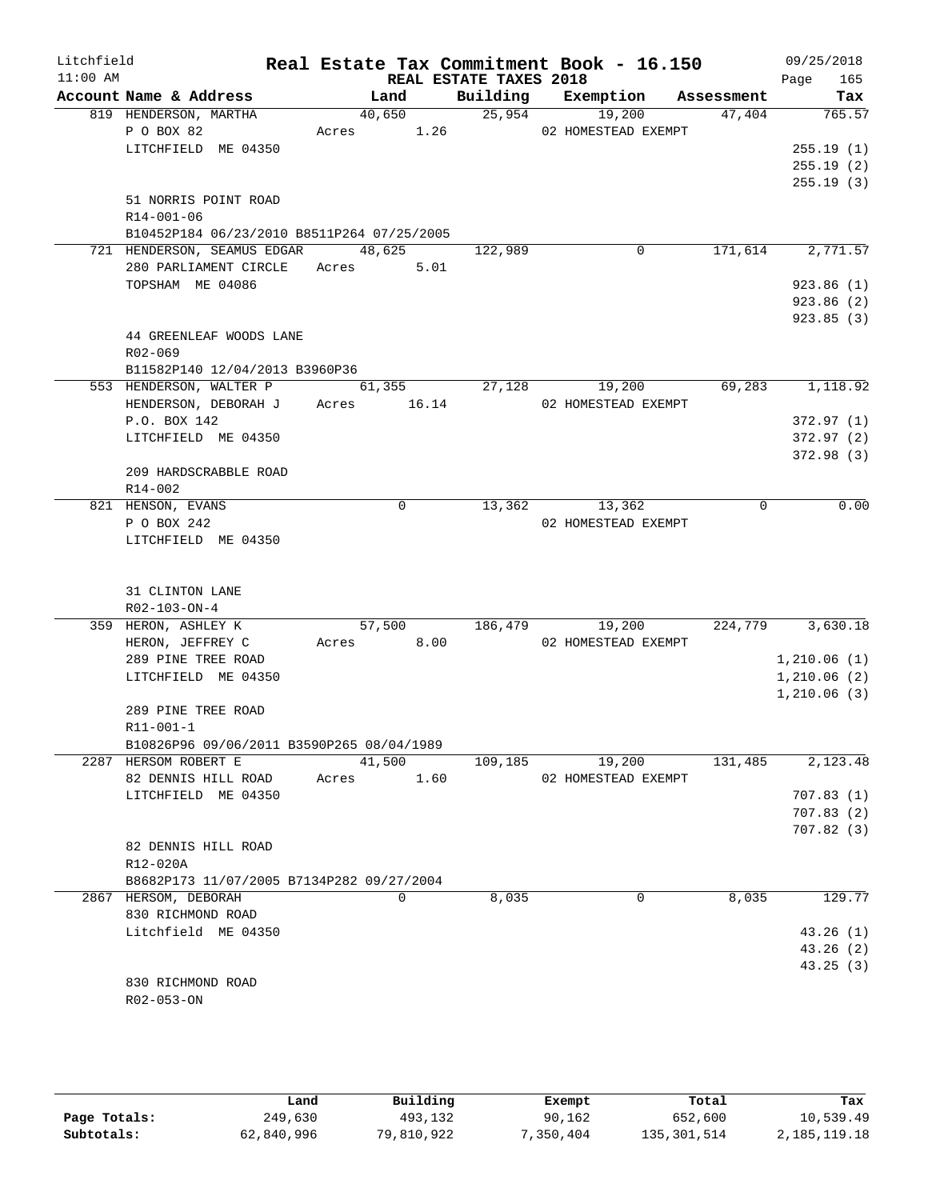| Litchfield |                                            |            |             |                        | Real Estate Tax Commitment Book - 16.150 |          | 09/25/2018         |
|------------|--------------------------------------------|------------|-------------|------------------------|------------------------------------------|----------|--------------------|
| $11:00$ AM | Account Name & Address                     | Land       |             | REAL ESTATE TAXES 2018 | Building Exemption Assessment            |          | 165<br>Page<br>Tax |
|            | 819 HENDERSON, MARTHA                      |            |             |                        | 40,650 25,954 19,200                     | 47,404   | 765.57             |
|            | P O BOX 82                                 | Acres 1.26 |             |                        | 02 HOMESTEAD EXEMPT                      |          |                    |
|            | LITCHFIELD ME 04350                        |            |             |                        |                                          |          | 255.19(1)          |
|            |                                            |            |             |                        |                                          |          | 255.19(2)          |
|            |                                            |            |             |                        |                                          |          | 255.19(3)          |
|            | 51 NORRIS POINT ROAD                       |            |             |                        |                                          |          |                    |
|            | R14-001-06                                 |            |             |                        |                                          |          |                    |
|            | B10452P184 06/23/2010 B8511P264 07/25/2005 |            |             |                        |                                          |          |                    |
|            | 721 HENDERSON, SEAMUS EDGAR 48,625         |            |             | 122,989                | 0                                        | 171,614  | 2,771.57           |
|            | 280 PARLIAMENT CIRCLE Acres 5.01           |            |             |                        |                                          |          |                    |
|            | TOPSHAM ME 04086                           |            |             |                        |                                          |          | 923.86(1)          |
|            |                                            |            |             |                        |                                          |          | 923.86 (2)         |
|            |                                            |            |             |                        |                                          |          |                    |
|            |                                            |            |             |                        |                                          |          | 923.85 (3)         |
|            | 44 GREENLEAF WOODS LANE                    |            |             |                        |                                          |          |                    |
|            | R02-069                                    |            |             |                        |                                          |          |                    |
|            | B11582P140 12/04/2013 B3960P36             |            |             |                        |                                          |          |                    |
|            | 553 HENDERSON, WALTER P                    | 61,355     |             | 27,128                 | 19,200                                   | 69,283   | 1,118.92           |
|            | HENDERSON, DEBORAH J Acres 16.14           |            |             |                        | 02 HOMESTEAD EXEMPT                      |          |                    |
|            | P.O. BOX 142                               |            |             |                        |                                          |          | 372.97(1)          |
|            | LITCHFIELD ME 04350                        |            |             |                        |                                          |          | 372.97(2)          |
|            |                                            |            |             |                        |                                          |          | 372.98(3)          |
|            | 209 HARDSCRABBLE ROAD                      |            |             |                        |                                          |          |                    |
|            | R14-002                                    |            |             |                        |                                          |          |                    |
|            | 821 HENSON, EVANS                          |            | $\mathbf 0$ |                        | 13,362<br>13,362                         | $\Omega$ | 0.00               |
|            | P O BOX 242                                |            |             |                        | 02 HOMESTEAD EXEMPT                      |          |                    |
|            | LITCHFIELD ME 04350                        |            |             |                        |                                          |          |                    |
|            |                                            |            |             |                        |                                          |          |                    |
|            | 31 CLINTON LANE                            |            |             |                        |                                          |          |                    |
|            | R02-103-ON-4                               |            |             |                        |                                          |          |                    |
|            | 359 HERON, ASHLEY K                        |            |             |                        | 57,500 186,479 19,200                    |          | 224,779 3,630.18   |
|            | HERON, JEFFREY C                           | Acres 8.00 |             |                        | 02 HOMESTEAD EXEMPT                      |          |                    |
|            | 289 PINE TREE ROAD                         |            |             |                        |                                          |          | 1,210.06(1)        |
|            | LITCHFIELD ME 04350                        |            |             |                        |                                          |          | 1,210.06(2)        |
|            |                                            |            |             |                        |                                          |          | 1,210.06(3)        |
|            | 289 PINE TREE ROAD                         |            |             |                        |                                          |          |                    |
|            | R11-001-1                                  |            |             |                        |                                          |          |                    |
|            | B10826P96 09/06/2011 B3590P265 08/04/1989  |            |             |                        |                                          |          |                    |
|            | 2287 HERSOM ROBERT E                       | 41,500     |             | 109,185                | 19,200                                   | 131,485  | 2,123.48           |
|            | 82 DENNIS HILL ROAD                        | Acres      | 1.60        |                        | 02 HOMESTEAD EXEMPT                      |          |                    |
|            | LITCHFIELD ME 04350                        |            |             |                        |                                          |          | 707.83(1)          |
|            |                                            |            |             |                        |                                          |          | 707.83(2)          |
|            |                                            |            |             |                        |                                          |          | 707.82(3)          |
|            | 82 DENNIS HILL ROAD                        |            |             |                        |                                          |          |                    |
|            | R12-020A                                   |            |             |                        |                                          |          |                    |
|            | B8682P173 11/07/2005 B7134P282 09/27/2004  |            |             |                        |                                          |          |                    |
|            | 2867 HERSOM, DEBORAH                       |            | 0           | 8,035                  | 0                                        | 8,035    | 129.77             |
|            | 830 RICHMOND ROAD                          |            |             |                        |                                          |          |                    |
|            | Litchfield ME 04350                        |            |             |                        |                                          |          | 43.26(1)           |
|            |                                            |            |             |                        |                                          |          | 43.26(2)           |
|            |                                            |            |             |                        |                                          |          | 43.25 (3)          |
|            | 830 RICHMOND ROAD                          |            |             |                        |                                          |          |                    |
|            | R02-053-ON                                 |            |             |                        |                                          |          |                    |
|            |                                            |            |             |                        |                                          |          |                    |

|              | Land       | Building   | Exempt   | Total       | Tax          |
|--------------|------------|------------|----------|-------------|--------------|
| Page Totals: | 249,630    | 493,132    | 90,162   | 652,600     | 10,539.49    |
| Subtotals:   | 62,840,996 | 79,810,922 | .350.404 | 135,301,514 | 2,185,119.18 |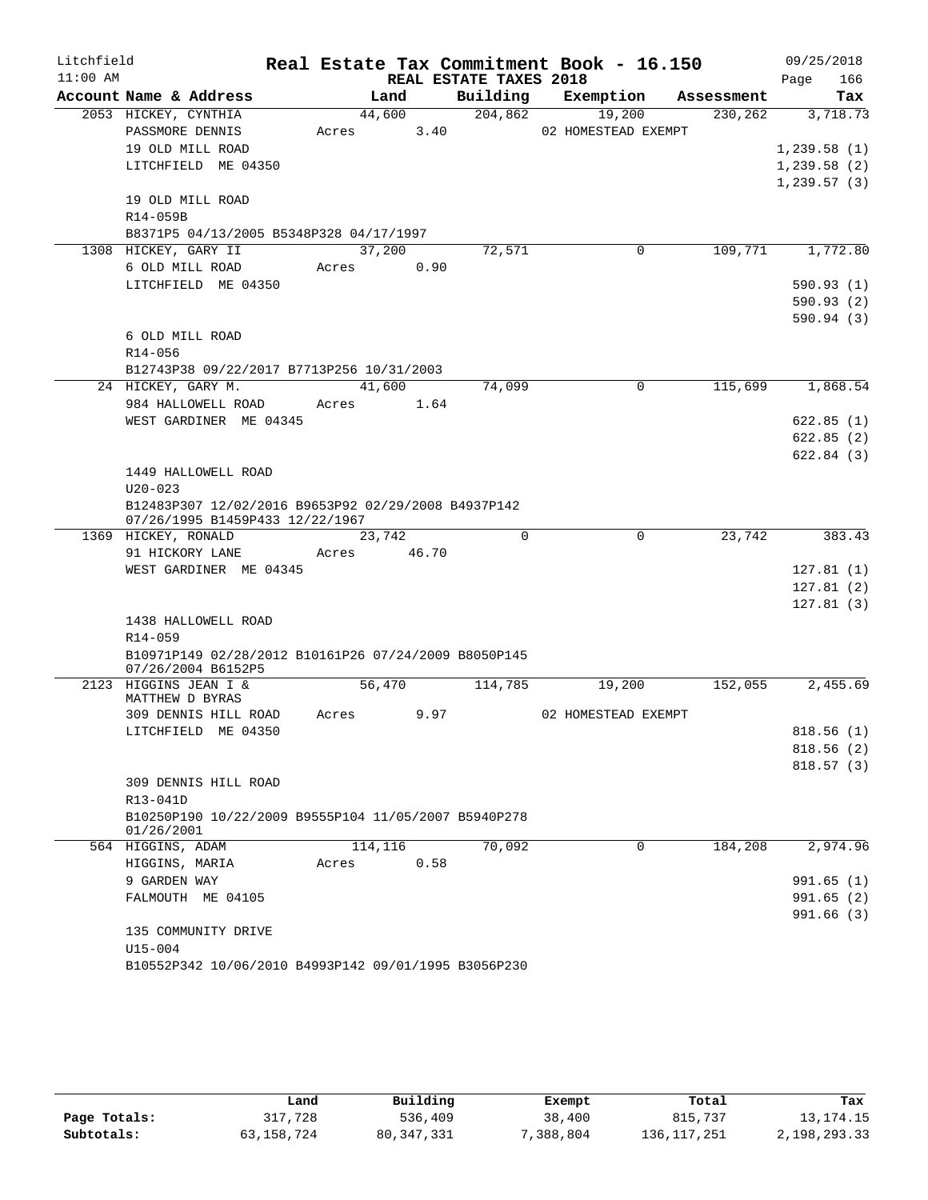| Litchfield |                                                                    |            |        |                        | Real Estate Tax Commitment Book - 16.150 |            | 09/25/2018             |
|------------|--------------------------------------------------------------------|------------|--------|------------------------|------------------------------------------|------------|------------------------|
| $11:00$ AM |                                                                    |            |        | REAL ESTATE TAXES 2018 |                                          |            | 166<br>Page            |
|            | Account Name & Address                                             |            | Land   | Building               | Exemption                                | Assessment | Tax                    |
|            | 2053 HICKEY, CYNTHIA                                               |            | 44,600 | 204,862                | 19,200                                   | 230,262    | 3,718.73               |
|            | PASSMORE DENNIS                                                    | Acres 3.40 |        |                        | 02 HOMESTEAD EXEMPT                      |            |                        |
|            | 19 OLD MILL ROAD                                                   |            |        |                        |                                          |            | 1,239.58(1)            |
|            | LITCHFIELD ME 04350                                                |            |        |                        |                                          |            | 1,239.58(2)            |
|            | 19 OLD MILL ROAD                                                   |            |        |                        |                                          |            | 1, 239.57(3)           |
|            | R14-059B                                                           |            |        |                        |                                          |            |                        |
|            | B8371P5 04/13/2005 B5348P328 04/17/1997                            |            |        |                        |                                          |            |                        |
|            | 1308 HICKEY, GARY II                                               |            | 37,200 | 72,571                 | 0                                        | 109,771    | 1,772.80               |
|            | 6 OLD MILL ROAD                                                    | Acres 0.90 |        |                        |                                          |            |                        |
|            | LITCHFIELD ME 04350                                                |            |        |                        |                                          |            | 590.93(1)              |
|            |                                                                    |            |        |                        |                                          |            | 590.93(2)              |
|            |                                                                    |            |        |                        |                                          |            | 590.94(3)              |
|            | 6 OLD MILL ROAD                                                    |            |        |                        |                                          |            |                        |
|            | R14-056                                                            |            |        |                        |                                          |            |                        |
|            | B12743P38 09/22/2017 B7713P256 10/31/2003                          |            |        |                        |                                          |            |                        |
|            | 24 HICKEY, GARY M.                                                 |            | 41,600 | 74,099                 | $\Omega$                                 | 115,699    | 1,868.54               |
|            | 984 HALLOWELL ROAD                                                 | Acres      | 1.64   |                        |                                          |            |                        |
|            | WEST GARDINER ME 04345                                             |            |        |                        |                                          |            | 622.85(1)              |
|            |                                                                    |            |        |                        |                                          |            | 622.85(2)<br>622.84(3) |
|            | 1449 HALLOWELL ROAD                                                |            |        |                        |                                          |            |                        |
|            | $U20 - 023$                                                        |            |        |                        |                                          |            |                        |
|            | B12483P307 12/02/2016 B9653P92 02/29/2008 B4937P142                |            |        |                        |                                          |            |                        |
|            | 07/26/1995 B1459P433 12/22/1967                                    |            |        |                        |                                          |            |                        |
|            | 1369 HICKEY, RONALD                                                | 23,742     |        | $\Omega$               | $\Omega$                                 | 23,742     | 383.43                 |
|            | 91 HICKORY LANE                                                    | Acres      | 46.70  |                        |                                          |            |                        |
|            | WEST GARDINER ME 04345                                             |            |        |                        |                                          |            | 127.81(1)              |
|            |                                                                    |            |        |                        |                                          |            | 127.81(2)<br>127.81(3) |
|            | 1438 HALLOWELL ROAD                                                |            |        |                        |                                          |            |                        |
|            | R14-059                                                            |            |        |                        |                                          |            |                        |
|            | B10971P149 02/28/2012 B10161P26 07/24/2009 B8050P145               |            |        |                        |                                          |            |                        |
|            | 07/26/2004 B6152P5                                                 |            |        |                        |                                          |            |                        |
|            | 2123 HIGGINS JEAN I &<br>MATTHEW D BYRAS                           |            | 56,470 | 114,785                | 19,200                                   | 152,055    | 2,455.69               |
|            | 309 DENNIS HILL ROAD                                               | Acres      | 9.97   |                        | 02 HOMESTEAD EXEMPT                      |            |                        |
|            | LITCHFIELD ME 04350                                                |            |        |                        |                                          |            | 818.56(1)              |
|            |                                                                    |            |        |                        |                                          |            | 818.56(2)              |
|            |                                                                    |            |        |                        |                                          |            | 818.57(3)              |
|            | 309 DENNIS HILL ROAD                                               |            |        |                        |                                          |            |                        |
|            | R13-041D                                                           |            |        |                        |                                          |            |                        |
|            | B10250P190 10/22/2009 B9555P104 11/05/2007 B5940P278<br>01/26/2001 |            |        |                        |                                          |            |                        |
|            | 564 HIGGINS, ADAM                                                  | 114,116    |        | 70,092                 | 0                                        | 184,208    | 2,974.96               |
|            | HIGGINS, MARIA                                                     | Acres      | 0.58   |                        |                                          |            |                        |
|            | 9 GARDEN WAY                                                       |            |        |                        |                                          |            | 991.65 (1)             |
|            | FALMOUTH ME 04105                                                  |            |        |                        |                                          |            | 991.65(2)              |
|            | 135 COMMUNITY DRIVE                                                |            |        |                        |                                          |            | 991.66 (3)             |
|            | $U15 - 004$                                                        |            |        |                        |                                          |            |                        |
|            | B10552P342 10/06/2010 B4993P142 09/01/1995 B3056P230               |            |        |                        |                                          |            |                        |
|            |                                                                    |            |        |                        |                                          |            |                        |

|              | ⊥and       | Building     | Exempt   | Total       | Tax          |
|--------------|------------|--------------|----------|-------------|--------------|
| Page Totals: | 317,728    | 536,409      | 38,400   | 815,737     | 13, 174. 15  |
| Subtotals:   | 63,158,724 | 80, 347, 331 | ,388,804 | 136,117,251 | 2,198,293.33 |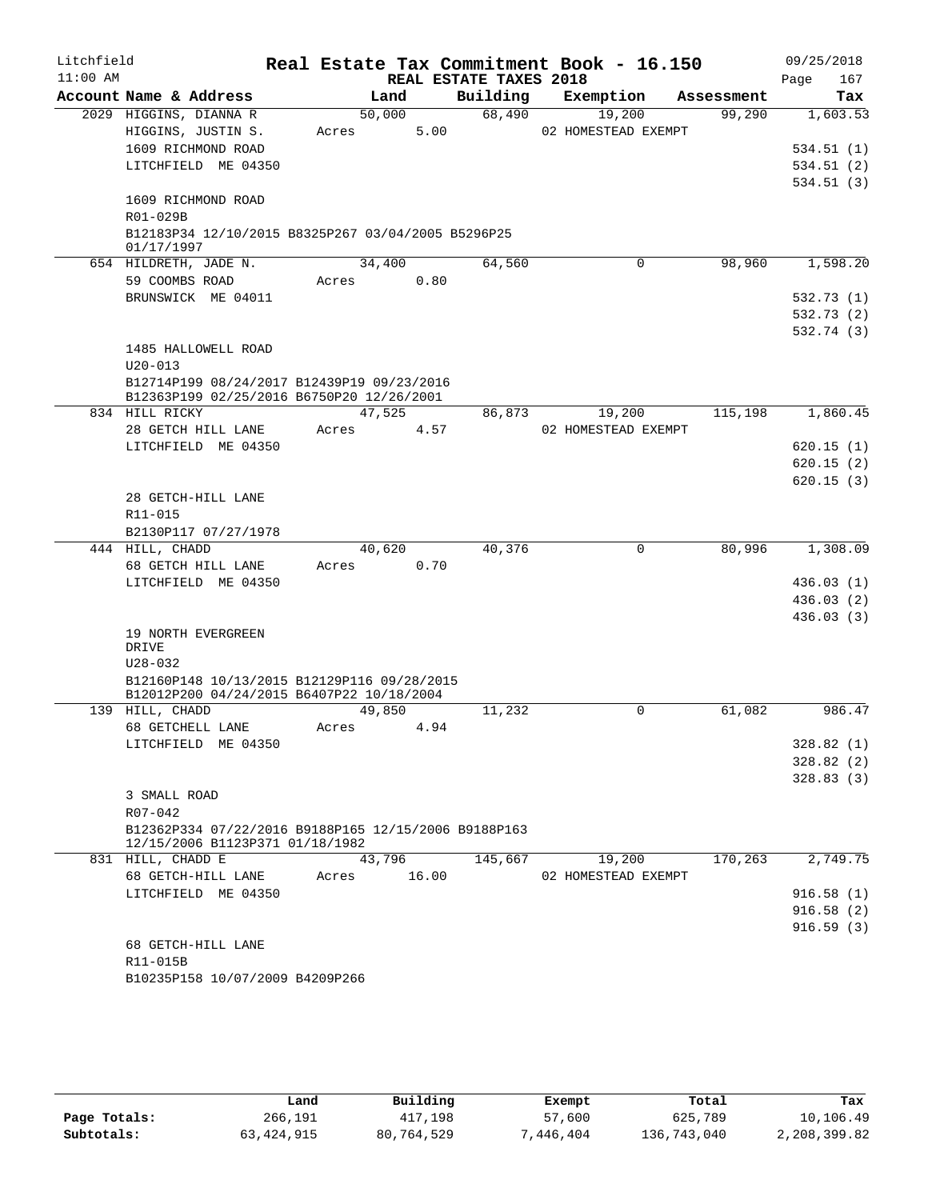| Litchfield<br>$11:00$ AM |                                                                                          |       |        | REAL ESTATE TAXES 2018 | Real Estate Tax Commitment Book - 16.150 |            | 09/25/2018<br>Page<br>167 |
|--------------------------|------------------------------------------------------------------------------------------|-------|--------|------------------------|------------------------------------------|------------|---------------------------|
|                          | Account Name & Address                                                                   |       | Land   | Building               | Exemption                                | Assessment | Tax                       |
|                          | 2029 HIGGINS, DIANNA R                                                                   |       | 50,000 | 68,490                 | 19,200                                   | 99,290     | 1,603.53                  |
|                          | HIGGINS, JUSTIN S.                                                                       | Acres | 5.00   |                        | 02 HOMESTEAD EXEMPT                      |            |                           |
|                          | 1609 RICHMOND ROAD                                                                       |       |        |                        |                                          |            | 534.51(1)                 |
|                          | LITCHFIELD ME 04350                                                                      |       |        |                        |                                          |            | 534.51 (2)                |
|                          |                                                                                          |       |        |                        |                                          |            | 534.51(3)                 |
|                          | 1609 RICHMOND ROAD                                                                       |       |        |                        |                                          |            |                           |
|                          | R01-029B                                                                                 |       |        |                        |                                          |            |                           |
|                          | B12183P34 12/10/2015 B8325P267 03/04/2005 B5296P25                                       |       |        |                        |                                          |            |                           |
|                          | 01/17/1997                                                                               |       |        |                        |                                          |            |                           |
|                          | 654 HILDRETH, JADE N.                                                                    |       | 34,400 | 64,560                 | 0                                        | 98,960     | 1,598.20                  |
|                          | 59 COOMBS ROAD                                                                           | Acres | 0.80   |                        |                                          |            |                           |
|                          | BRUNSWICK ME 04011                                                                       |       |        |                        |                                          |            | 532.73 (1)                |
|                          |                                                                                          |       |        |                        |                                          |            | 532.73 (2)                |
|                          |                                                                                          |       |        |                        |                                          |            | 532.74 (3)                |
|                          | 1485 HALLOWELL ROAD                                                                      |       |        |                        |                                          |            |                           |
|                          | $U20 - 013$                                                                              |       |        |                        |                                          |            |                           |
|                          | B12714P199 08/24/2017 B12439P19 09/23/2016                                               |       |        |                        |                                          |            |                           |
|                          | B12363P199 02/25/2016 B6750P20 12/26/2001                                                |       |        |                        |                                          |            |                           |
|                          | 834 HILL RICKY                                                                           |       | 47,525 | 86,873                 | 19,200                                   | 115,198    | 1,860.45                  |
|                          | 28 GETCH HILL LANE                                                                       | Acres | 4.57   |                        | 02 HOMESTEAD EXEMPT                      |            |                           |
|                          | LITCHFIELD ME 04350                                                                      |       |        |                        |                                          |            | 620.15(1)                 |
|                          |                                                                                          |       |        |                        |                                          |            | 620.15(2)                 |
|                          |                                                                                          |       |        |                        |                                          |            | 620.15(3)                 |
|                          | 28 GETCH-HILL LANE                                                                       |       |        |                        |                                          |            |                           |
|                          | R11-015                                                                                  |       |        |                        |                                          |            |                           |
|                          | B2130P117 07/27/1978                                                                     |       |        |                        |                                          |            |                           |
|                          | 444 HILL, CHADD                                                                          |       | 40,620 | 40,376                 | 0                                        | 80,996     | 1,308.09                  |
|                          | 68 GETCH HILL LANE                                                                       | Acres | 0.70   |                        |                                          |            |                           |
|                          | LITCHFIELD ME 04350                                                                      |       |        |                        |                                          |            | 436.03(1)                 |
|                          |                                                                                          |       |        |                        |                                          |            | 436.03(2)                 |
|                          |                                                                                          |       |        |                        |                                          |            | 436.03(3)                 |
|                          | 19 NORTH EVERGREEN                                                                       |       |        |                        |                                          |            |                           |
|                          | DRIVE                                                                                    |       |        |                        |                                          |            |                           |
|                          | $U28 - 032$                                                                              |       |        |                        |                                          |            |                           |
|                          | B12160P148 10/13/2015 B12129P116 09/28/2015<br>B12012P200 04/24/2015 B6407P22 10/18/2004 |       |        |                        |                                          |            |                           |
|                          | 139 HILL, CHADD                                                                          |       | 49,850 | 11,232                 | 0                                        | 61,082     | 986.47                    |
|                          | 68 GETCHELL LANE                                                                         | Acres | 4.94   |                        |                                          |            |                           |
|                          | LITCHFIELD ME 04350                                                                      |       |        |                        |                                          |            | 328.82 (1)                |
|                          |                                                                                          |       |        |                        |                                          |            | 328.82(2)                 |
|                          |                                                                                          |       |        |                        |                                          |            | 328.83(3)                 |
|                          | 3 SMALL ROAD                                                                             |       |        |                        |                                          |            |                           |
|                          | $R07 - 042$                                                                              |       |        |                        |                                          |            |                           |
|                          | B12362P334 07/22/2016 B9188P165 12/15/2006 B9188P163                                     |       |        |                        |                                          |            |                           |
|                          | 12/15/2006 B1123P371 01/18/1982                                                          |       |        |                        |                                          |            |                           |
|                          | 831 HILL, CHADD E                                                                        |       | 43,796 | 145,667                | 19,200                                   | 170, 263   | 2,749.75                  |
|                          | 68 GETCH-HILL LANE                                                                       | Acres | 16.00  |                        | 02 HOMESTEAD EXEMPT                      |            |                           |
|                          | LITCHFIELD ME 04350                                                                      |       |        |                        |                                          |            | 916.58(1)                 |
|                          |                                                                                          |       |        |                        |                                          |            | 916.58(2)                 |
|                          |                                                                                          |       |        |                        |                                          |            | 916.59(3)                 |
|                          | 68 GETCH-HILL LANE                                                                       |       |        |                        |                                          |            |                           |
|                          | R11-015B                                                                                 |       |        |                        |                                          |            |                           |
|                          | B10235P158 10/07/2009 B4209P266                                                          |       |        |                        |                                          |            |                           |
|                          |                                                                                          |       |        |                        |                                          |            |                           |

|              | Land         | Building   | Exempt    | Total       | Tax          |
|--------------|--------------|------------|-----------|-------------|--------------|
| Page Totals: | 266,191      | 417,198    | 57,600    | 625,789     | 10,106.49    |
| Subtotals:   | 63, 424, 915 | 80,764,529 | 7,446,404 | 136,743,040 | 2,208,399.82 |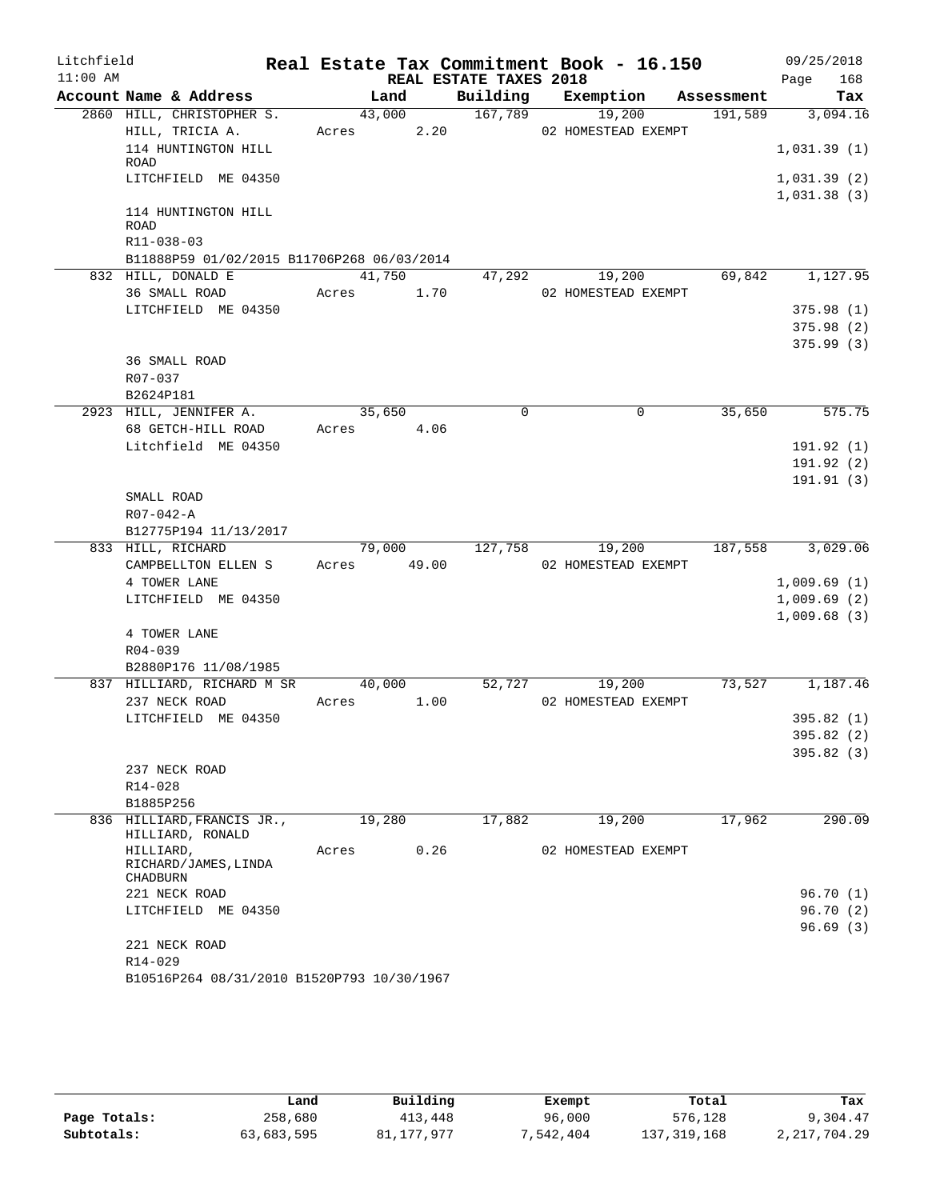| Litchfield |                                                |             |        |      |                        | Real Estate Tax Commitment Book - 16.150 |            |             | 09/25/2018             |
|------------|------------------------------------------------|-------------|--------|------|------------------------|------------------------------------------|------------|-------------|------------------------|
| $11:00$ AM |                                                |             |        |      | REAL ESTATE TAXES 2018 |                                          |            | Page        | 168                    |
|            | Account Name & Address                         |             | Land   |      | Building               | Exemption                                | Assessment |             | Tax                    |
|            | 2860 HILL, CHRISTOPHER S.                      |             | 43,000 |      | 167,789                | 19,200                                   | 191,589    |             | 3,094.16               |
|            | HILL, TRICIA A.                                | Acres       |        | 2.20 |                        | 02 HOMESTEAD EXEMPT                      |            |             |                        |
|            | 114 HUNTINGTON HILL                            |             |        |      |                        |                                          |            | 1,031.39(1) |                        |
|            | ROAD<br>LITCHFIELD ME 04350                    |             |        |      |                        |                                          |            | 1,031.39(2) |                        |
|            |                                                |             |        |      |                        |                                          |            | 1,031.38(3) |                        |
|            | 114 HUNTINGTON HILL                            |             |        |      |                        |                                          |            |             |                        |
|            | ROAD                                           |             |        |      |                        |                                          |            |             |                        |
|            | R11-038-03                                     |             |        |      |                        |                                          |            |             |                        |
|            | B11888P59 01/02/2015 B11706P268 06/03/2014     |             |        |      |                        |                                          |            |             |                        |
|            | 832 HILL, DONALD E                             |             | 41,750 |      |                        | 47,292 19,200                            | 69,842     |             | 1,127.95               |
|            | 36 SMALL ROAD                                  | Acres 1.70  |        |      |                        | 02 HOMESTEAD EXEMPT                      |            |             |                        |
|            | LITCHFIELD ME 04350                            |             |        |      |                        |                                          |            |             | 375.98(1)              |
|            |                                                |             |        |      |                        |                                          |            |             | 375.98(2)              |
|            |                                                |             |        |      |                        |                                          |            |             | 375.99(3)              |
|            | <b>36 SMALL ROAD</b>                           |             |        |      |                        |                                          |            |             |                        |
|            | R07-037                                        |             |        |      |                        |                                          |            |             |                        |
|            | B2624P181                                      |             |        |      |                        |                                          |            |             |                        |
|            | 2923 HILL, JENNIFER A.                         |             | 35,650 |      | $\mathbf 0$            | 0                                        | 35,650     |             | 575.75                 |
|            | 68 GETCH-HILL ROAD                             | Acres 4.06  |        |      |                        |                                          |            |             |                        |
|            | Litchfield ME 04350                            |             |        |      |                        |                                          |            |             | 191.92(1)              |
|            |                                                |             |        |      |                        |                                          |            |             | 191.92(2)<br>191.91(3) |
|            | SMALL ROAD                                     |             |        |      |                        |                                          |            |             |                        |
|            | $R07 - 042 - A$                                |             |        |      |                        |                                          |            |             |                        |
|            | B12775P194 11/13/2017                          |             |        |      |                        |                                          |            |             |                        |
|            | 833 HILL, RICHARD                              |             | 79,000 |      | 127,758                | 19,200                                   | 187,558    |             | 3,029.06               |
|            | CAMPBELLTON ELLEN S                            | Acres 49.00 |        |      |                        | 02 HOMESTEAD EXEMPT                      |            |             |                        |
|            | 4 TOWER LANE                                   |             |        |      |                        |                                          |            | 1,009.69(1) |                        |
|            | LITCHFIELD ME 04350                            |             |        |      |                        |                                          |            | 1,009.69(2) |                        |
|            |                                                |             |        |      |                        |                                          |            | 1,009.68(3) |                        |
|            | 4 TOWER LANE                                   |             |        |      |                        |                                          |            |             |                        |
|            | R04-039                                        |             |        |      |                        |                                          |            |             |                        |
|            | B2880P176 11/08/1985                           |             |        |      |                        |                                          |            |             |                        |
|            | 837 HILLIARD, RICHARD M SR                     |             | 40,000 |      | 52,727                 | 19,200                                   | 73,527     |             | 1,187.46               |
|            | 237 NECK ROAD                                  | Acres       |        | 1.00 |                        | 02 HOMESTEAD EXEMPT                      |            |             |                        |
|            | LITCHFIELD ME 04350                            |             |        |      |                        |                                          |            |             | 395.82(1)              |
|            |                                                |             |        |      |                        |                                          |            |             | 395.82 (2)             |
|            |                                                |             |        |      |                        |                                          |            |             | 395.82(3)              |
|            | 237 NECK ROAD                                  |             |        |      |                        |                                          |            |             |                        |
|            | $R14 - 028$                                    |             |        |      |                        |                                          |            |             |                        |
|            | B1885P256                                      |             |        |      |                        |                                          |            |             |                        |
|            | 836 HILLIARD, FRANCIS JR.,<br>HILLIARD, RONALD |             | 19,280 |      | 17,882                 | 19,200                                   | 17,962     |             | 290.09                 |
|            | HILLIARD,                                      | Acres       |        | 0.26 |                        | 02 HOMESTEAD EXEMPT                      |            |             |                        |
|            | RICHARD/JAMES, LINDA                           |             |        |      |                        |                                          |            |             |                        |
|            | CHADBURN                                       |             |        |      |                        |                                          |            |             |                        |
|            | 221 NECK ROAD                                  |             |        |      |                        |                                          |            |             | 96.70 (1)              |
|            | LITCHFIELD ME 04350                            |             |        |      |                        |                                          |            |             | 96.70(2)               |
|            |                                                |             |        |      |                        |                                          |            |             | 96.69(3)               |
|            | 221 NECK ROAD<br>R14-029                       |             |        |      |                        |                                          |            |             |                        |
|            | B10516P264 08/31/2010 B1520P793 10/30/1967     |             |        |      |                        |                                          |            |             |                        |
|            |                                                |             |        |      |                        |                                          |            |             |                        |

|              | Land       | Building   | Exempt   | Total       | Tax            |
|--------------|------------|------------|----------|-------------|----------------|
| Page Totals: | 258,680    | 413,448    | 96,000   | 576,128     | 9,304.47       |
| Subtotals:   | 63,683,595 | 81,177,977 | .542.404 | 137,319,168 | 2, 217, 704.29 |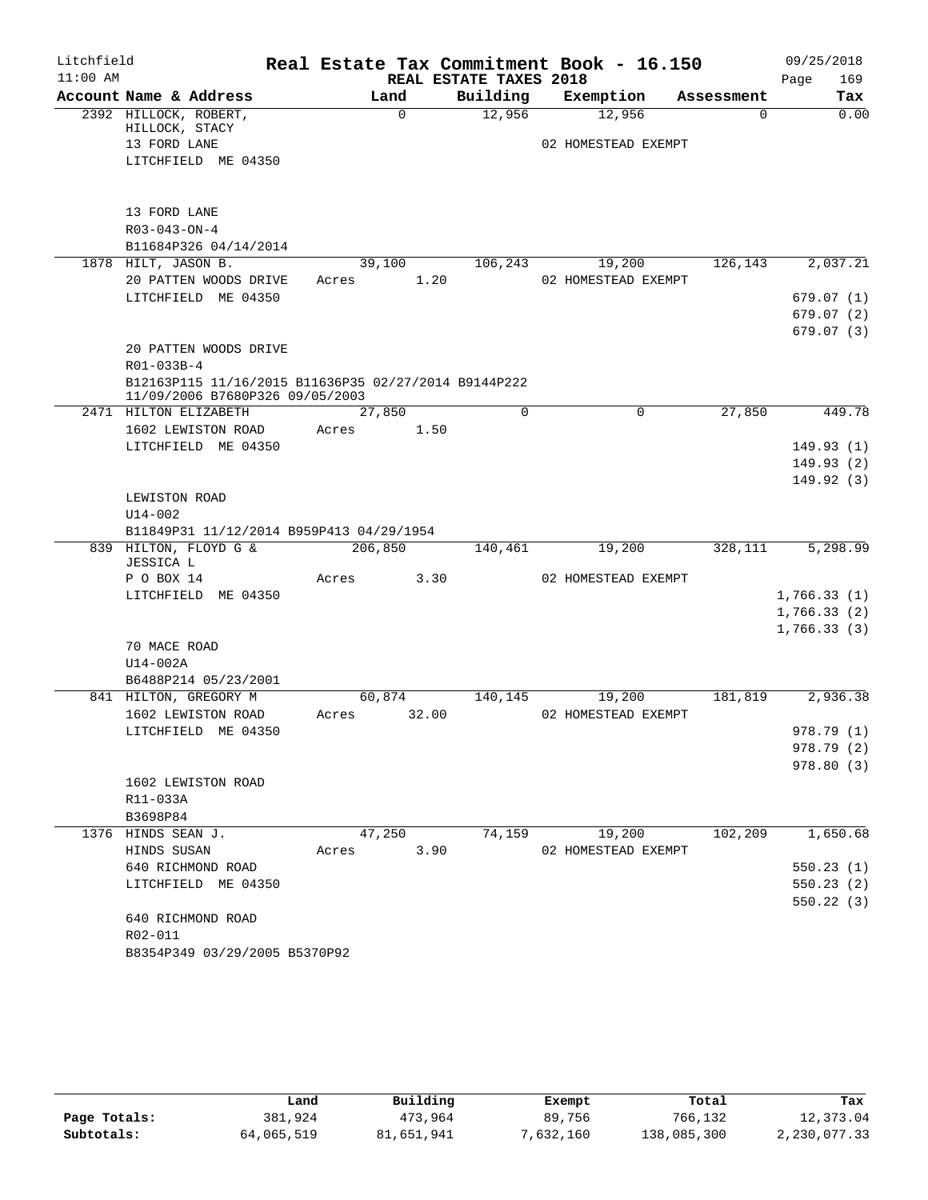| Litchfield |                                                                                         |                |                        | Real Estate Tax Commitment Book - 16.150 |             | 09/25/2018  |
|------------|-----------------------------------------------------------------------------------------|----------------|------------------------|------------------------------------------|-------------|-------------|
| $11:00$ AM |                                                                                         |                | REAL ESTATE TAXES 2018 |                                          |             | 169<br>Page |
|            | Account Name & Address                                                                  | Land           | Building               | Exemption                                | Assessment  | Tax         |
|            | 2392 HILLOCK, ROBERT,<br>HILLOCK, STACY                                                 | $\mathbf 0$    | 12,956                 | 12,956                                   | $\mathbf 0$ | 0.00        |
|            | 13 FORD LANE                                                                            |                |                        | 02 HOMESTEAD EXEMPT                      |             |             |
|            | LITCHFIELD ME 04350                                                                     |                |                        |                                          |             |             |
|            |                                                                                         |                |                        |                                          |             |             |
|            | 13 FORD LANE                                                                            |                |                        |                                          |             |             |
|            | $R03 - 043 - ON - 4$                                                                    |                |                        |                                          |             |             |
|            | B11684P326 04/14/2014                                                                   |                |                        |                                          |             |             |
|            | 1878 HILT, JASON B.                                                                     | 39,100         | 106,243                | 19,200                                   | 126,143     | 2,037.21    |
|            | 20 PATTEN WOODS DRIVE                                                                   | 1.20<br>Acres  |                        | 02 HOMESTEAD EXEMPT                      |             |             |
|            | LITCHFIELD ME 04350                                                                     |                |                        |                                          |             | 679.07(1)   |
|            |                                                                                         |                |                        |                                          |             | 679.07(2)   |
|            |                                                                                         |                |                        |                                          |             | 679.07(3)   |
|            | 20 PATTEN WOODS DRIVE                                                                   |                |                        |                                          |             |             |
|            | R01-033B-4                                                                              |                |                        |                                          |             |             |
|            | B12163P115 11/16/2015 B11636P35 02/27/2014 B9144P222<br>11/09/2006 B7680P326 09/05/2003 |                |                        |                                          |             |             |
|            | 2471 HILTON ELIZABETH                                                                   | 27,850         | $\Omega$               | 0                                        | 27,850      | 449.78      |
|            | 1602 LEWISTON ROAD                                                                      | Acres<br>1.50  |                        |                                          |             |             |
|            | LITCHFIELD ME 04350                                                                     |                |                        |                                          |             | 149.93(1)   |
|            |                                                                                         |                |                        |                                          |             | 149.93(2)   |
|            |                                                                                         |                |                        |                                          |             | 149.92(3)   |
|            | LEWISTON ROAD                                                                           |                |                        |                                          |             |             |
|            | $U14 - 002$                                                                             |                |                        |                                          |             |             |
|            | B11849P31 11/12/2014 B959P413 04/29/1954                                                |                |                        |                                          |             |             |
|            | 839 HILTON, FLOYD G &<br><b>JESSICA L</b>                                               | 206,850        | 140,461                | 19,200                                   | 328,111     | 5,298.99    |
|            | P O BOX 14                                                                              | 3.30<br>Acres  |                        | 02 HOMESTEAD EXEMPT                      |             |             |
|            | LITCHFIELD ME 04350                                                                     |                |                        |                                          |             | 1,766.33(1) |
|            |                                                                                         |                |                        |                                          |             | 1,766.33(2) |
|            |                                                                                         |                |                        |                                          |             | 1,766.33(3) |
|            | 70 MACE ROAD                                                                            |                |                        |                                          |             |             |
|            | U14-002A<br>B6488P214 05/23/2001                                                        |                |                        |                                          |             |             |
|            | 841 HILTON, GREGORY M                                                                   | 60,874         | 140,145                | 19,200                                   | 181,819     | 2,936.38    |
|            | 1602 LEWISTON ROAD                                                                      | 32.00<br>Acres |                        | 02 HOMESTEAD EXEMPT                      |             |             |
|            | LITCHFIELD ME 04350                                                                     |                |                        |                                          |             | 978.79 (1)  |
|            |                                                                                         |                |                        |                                          |             | 978.79 (2)  |
|            |                                                                                         |                |                        |                                          |             | 978.80(3)   |
|            | 1602 LEWISTON ROAD                                                                      |                |                        |                                          |             |             |
|            | R11-033A                                                                                |                |                        |                                          |             |             |
|            | B3698P84                                                                                |                |                        |                                          |             |             |
|            | 1376 HINDS SEAN J.                                                                      | 47,250         | 74,159                 | 19,200                                   | 102,209     | 1,650.68    |
|            | HINDS SUSAN                                                                             | 3.90<br>Acres  |                        | 02 HOMESTEAD EXEMPT                      |             |             |
|            | 640 RICHMOND ROAD                                                                       |                |                        |                                          |             | 550.23(1)   |
|            | LITCHFIELD ME 04350                                                                     |                |                        |                                          |             | 550.23(2)   |
|            |                                                                                         |                |                        |                                          |             | 550.22 (3)  |
|            | 640 RICHMOND ROAD                                                                       |                |                        |                                          |             |             |
|            | R02-011                                                                                 |                |                        |                                          |             |             |
|            | B8354P349 03/29/2005 B5370P92                                                           |                |                        |                                          |             |             |

|              | Land       | Building   | Exempt    | Total       | Tax          |
|--------------|------------|------------|-----------|-------------|--------------|
| Page Totals: | 381,924    | 473,964    | 89,756    | 766,132     | 12,373.04    |
| Subtotals:   | 64,065,519 | 81,651,941 | 7,632,160 | 138,085,300 | 2,230,077.33 |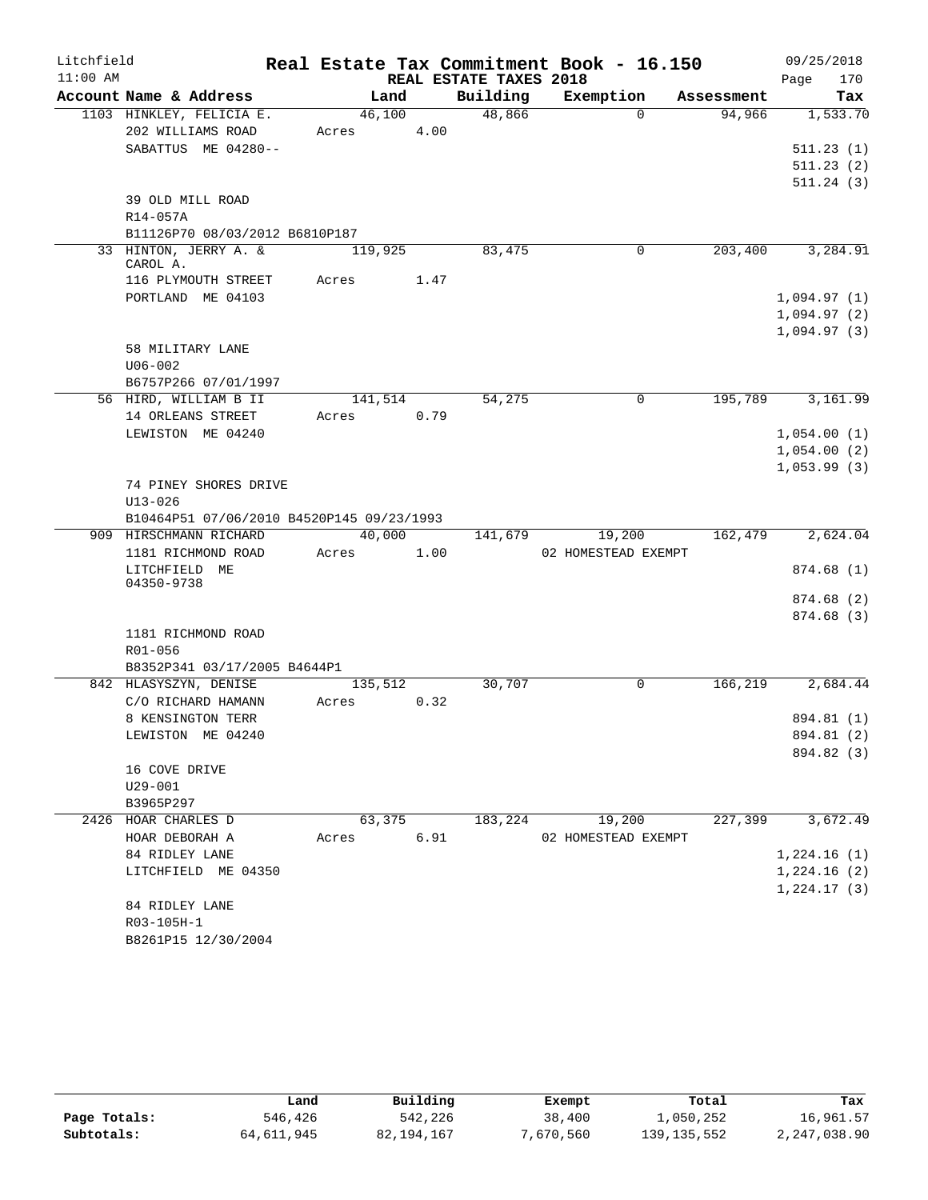| Litchfield |                                            |            |      |                        | Real Estate Tax Commitment Book - 16.150 |            | 09/25/2018               |
|------------|--------------------------------------------|------------|------|------------------------|------------------------------------------|------------|--------------------------|
| $11:00$ AM |                                            |            |      | REAL ESTATE TAXES 2018 |                                          |            | 170<br>Page              |
|            | Account Name & Address                     | Land       |      | Building               | Exemption                                | Assessment | Tax                      |
|            | 1103 HINKLEY, FELICIA E.                   | 46,100     |      | 48,866                 | $\Omega$                                 | 94,966     | 1,533.70                 |
|            | 202 WILLIAMS ROAD                          | Acres      | 4.00 |                        |                                          |            |                          |
|            | SABATTUS ME 04280--                        |            |      |                        |                                          |            | 511.23(1)                |
|            |                                            |            |      |                        |                                          |            | 511.23(2)                |
|            |                                            |            |      |                        |                                          |            | 511.24(3)                |
|            | 39 OLD MILL ROAD                           |            |      |                        |                                          |            |                          |
|            | R14-057A<br>B11126P70 08/03/2012 B6810P187 |            |      |                        |                                          |            |                          |
|            | 33 HINTON, JERRY A. &                      | 119,925    |      | 83,475                 | 0                                        | 203,400    | 3,284.91                 |
|            | CAROL A.                                   |            |      |                        |                                          |            |                          |
|            | 116 PLYMOUTH STREET                        | Acres      | 1.47 |                        |                                          |            |                          |
|            | PORTLAND ME 04103                          |            |      |                        |                                          |            | 1,094.97(1)              |
|            |                                            |            |      |                        |                                          |            | 1,094.97(2)              |
|            |                                            |            |      |                        |                                          |            | 1,094.97(3)              |
|            | 58 MILITARY LANE                           |            |      |                        |                                          |            |                          |
|            | $U06 - 002$                                |            |      |                        |                                          |            |                          |
|            | B6757P266 07/01/1997                       |            |      |                        |                                          |            |                          |
|            | 56 HIRD, WILLIAM B II                      | 141,514    |      | 54,275                 | $\mathbf 0$                              | 195,789    | 3,161.99                 |
|            | 14 ORLEANS STREET                          | Acres      | 0.79 |                        |                                          |            |                          |
|            | LEWISTON ME 04240                          |            |      |                        |                                          |            | 1,054.00(1)              |
|            |                                            |            |      |                        |                                          |            | 1,054.00(2)              |
|            |                                            |            |      |                        |                                          |            | 1,053.99(3)              |
|            | 74 PINEY SHORES DRIVE<br>$U13 - 026$       |            |      |                        |                                          |            |                          |
|            | B10464P51 07/06/2010 B4520P145 09/23/1993  |            |      |                        |                                          |            |                          |
|            | 909 HIRSCHMANN RICHARD                     | 40,000     |      | 141,679                | 19,200                                   | 162,479    | 2,624.04                 |
|            | 1181 RICHMOND ROAD                         | Acres      | 1.00 |                        | 02 HOMESTEAD EXEMPT                      |            |                          |
|            | LITCHFIELD ME                              |            |      |                        |                                          |            | 874.68(1)                |
|            | 04350-9738                                 |            |      |                        |                                          |            |                          |
|            |                                            |            |      |                        |                                          |            | 874.68(2)                |
|            |                                            |            |      |                        |                                          |            | 874.68(3)                |
|            | 1181 RICHMOND ROAD                         |            |      |                        |                                          |            |                          |
|            | R01-056                                    |            |      |                        |                                          |            |                          |
|            | B8352P341 03/17/2005 B4644P1               |            |      |                        |                                          |            |                          |
|            | 842 HLASYSZYN, DENISE                      | 135,512    |      | 30,707                 | 0                                        | 166,219    | 2,684.44                 |
|            | C/O RICHARD HAMANN                         | Acres      | 0.32 |                        |                                          |            |                          |
|            | 8 KENSINGTON TERR                          |            |      |                        |                                          |            | 894.81 (1)               |
|            | LEWISTON ME 04240                          |            |      |                        |                                          |            | 894.81 (2)<br>894.82 (3) |
|            | 16 COVE DRIVE                              |            |      |                        |                                          |            |                          |
|            | $U29 - 001$                                |            |      |                        |                                          |            |                          |
|            | B3965P297                                  |            |      |                        |                                          |            |                          |
|            | 2426 HOAR CHARLES D                        | 63,375     |      | 183,224                | 19,200                                   | 227,399    | 3,672.49                 |
|            | HOAR DEBORAH A                             | Acres 6.91 |      |                        | 02 HOMESTEAD EXEMPT                      |            |                          |
|            | 84 RIDLEY LANE                             |            |      |                        |                                          |            | 1,224.16(1)              |
|            | LITCHFIELD ME 04350                        |            |      |                        |                                          |            | 1,224.16(2)              |
|            |                                            |            |      |                        |                                          |            | 1,224.17(3)              |
|            | 84 RIDLEY LANE                             |            |      |                        |                                          |            |                          |
|            | R03-105H-1                                 |            |      |                        |                                          |            |                          |
|            | B8261P15 12/30/2004                        |            |      |                        |                                          |            |                          |

|              | Land         | Building   | Exempt   | Total         | Tax          |
|--------------|--------------|------------|----------|---------------|--------------|
| Page Totals: | 546,426      | 542,226    | 38,400   | 1,050,252     | 16,961.57    |
| Subtotals:   | 64, 611, 945 | 82,194,167 | .670.560 | 139, 135, 552 | 2,247,038.90 |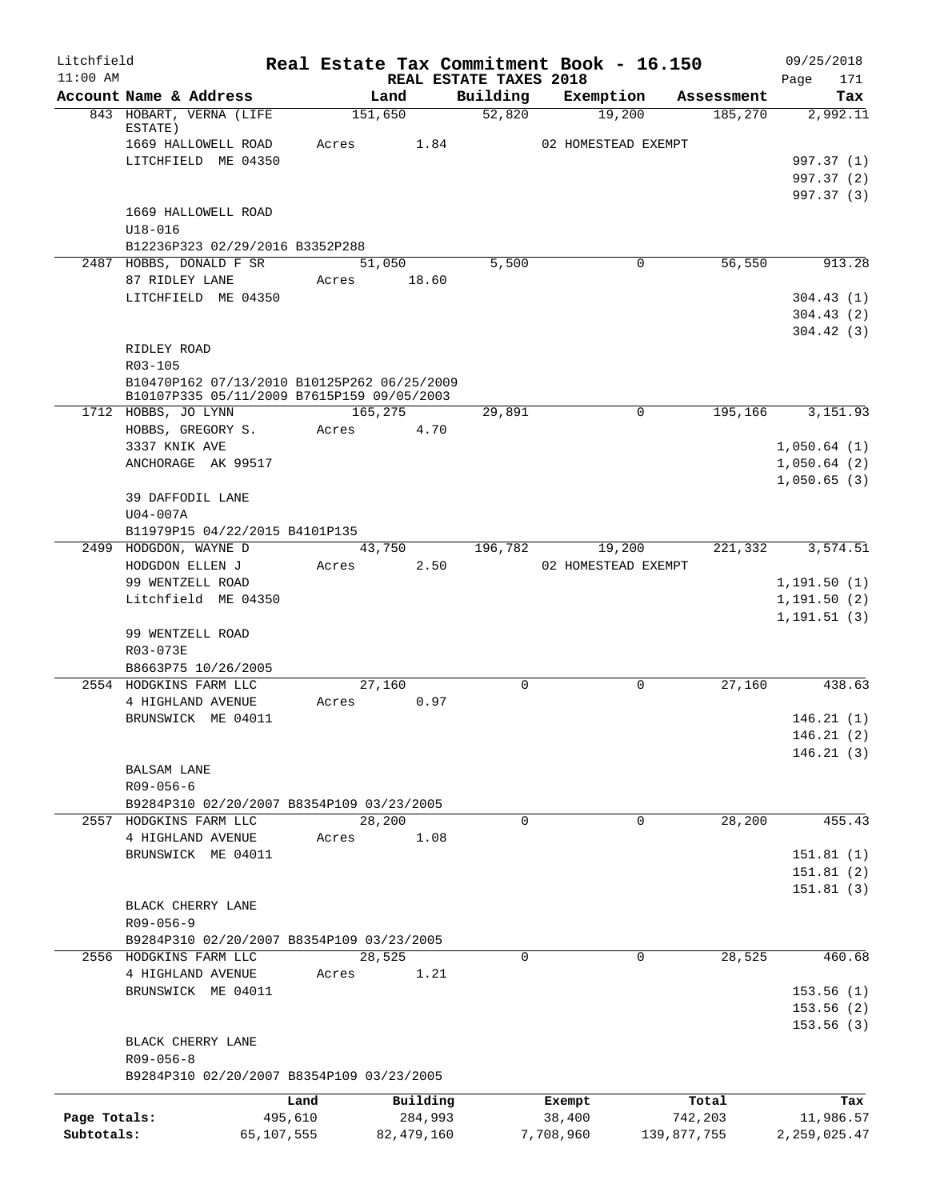| Litchfield   |                              |                                            |         |                                                                                           |          | Real Estate Tax Commitment Book - 16.150 |                       | 09/25/2018             |
|--------------|------------------------------|--------------------------------------------|---------|-------------------------------------------------------------------------------------------|----------|------------------------------------------|-----------------------|------------------------|
| $11:00$ AM   | Account Name & Address       |                                            |         | REAL ESTATE TAXES 2018<br>Land                                                            | Building | Exemption                                | Assessment            | Page<br>171<br>Tax     |
|              |                              | 843 HOBART, VERNA (LIFE                    |         | 151,650                                                                                   | 52,820   | 19,200                                   | 185,270               | 2,992.11               |
|              | ESTATE)                      |                                            |         |                                                                                           |          |                                          |                       |                        |
|              |                              | 1669 HALLOWELL ROAD<br>LITCHFIELD ME 04350 | Acres   | 1.84                                                                                      |          | 02 HOMESTEAD EXEMPT                      |                       | 997.37 (1)             |
|              |                              |                                            |         |                                                                                           |          |                                          |                       | 997.37 (2)             |
|              |                              |                                            |         |                                                                                           |          |                                          |                       | 997.37 (3)             |
|              |                              | 1669 HALLOWELL ROAD                        |         |                                                                                           |          |                                          |                       |                        |
|              | $U18 - 016$                  |                                            |         |                                                                                           |          |                                          |                       |                        |
|              |                              | B12236P323 02/29/2016 B3352P288            |         |                                                                                           |          |                                          |                       |                        |
|              | 87 RIDLEY LANE               | 2487 HOBBS, DONALD F SR                    | Acres   | 51,050<br>18.60                                                                           | 5,500    |                                          | $\mathbf 0$<br>56,550 | 913.28                 |
|              |                              | LITCHFIELD ME 04350                        |         |                                                                                           |          |                                          |                       | 304.43(1)              |
|              |                              |                                            |         |                                                                                           |          |                                          |                       | 304.43(2)              |
|              |                              |                                            |         |                                                                                           |          |                                          |                       | 304.42(3)              |
|              | RIDLEY ROAD                  |                                            |         |                                                                                           |          |                                          |                       |                        |
|              | R03-105                      |                                            |         |                                                                                           |          |                                          |                       |                        |
|              |                              |                                            |         | B10470P162 07/13/2010 B10125P262 06/25/2009<br>B10107P335 05/11/2009 B7615P159 09/05/2003 |          |                                          |                       |                        |
|              | 1712 HOBBS, JO LYNN          |                                            |         | 165,275                                                                                   | 29,891   |                                          | 195,166<br>0          | 3,151.93               |
|              |                              | HOBBS, GREGORY S.                          | Acres   | 4.70                                                                                      |          |                                          |                       |                        |
|              | 3337 KNIK AVE                |                                            |         |                                                                                           |          |                                          |                       | 1,050.64(1)            |
|              |                              | ANCHORAGE AK 99517                         |         |                                                                                           |          |                                          |                       | 1,050.64(2)            |
|              |                              |                                            |         |                                                                                           |          |                                          |                       | 1,050.65(3)            |
|              | 39 DAFFODIL LANE<br>U04-007A |                                            |         |                                                                                           |          |                                          |                       |                        |
|              |                              | B11979P15 04/22/2015 B4101P135             |         |                                                                                           |          |                                          |                       |                        |
|              | 2499 HODGDON, WAYNE D        |                                            |         | 43,750                                                                                    | 196,782  | 19,200                                   | 221,332               | 3,574.51               |
|              | HODGDON ELLEN J              |                                            | Acres   | 2.50                                                                                      |          | 02 HOMESTEAD EXEMPT                      |                       |                        |
|              | 99 WENTZELL ROAD             |                                            |         |                                                                                           |          |                                          |                       | 1,191.50(1)            |
|              |                              | Litchfield ME 04350                        |         |                                                                                           |          |                                          |                       | 1, 191.50(2)           |
|              | 99 WENTZELL ROAD             |                                            |         |                                                                                           |          |                                          |                       | 1, 191.51(3)           |
|              | R03-073E                     |                                            |         |                                                                                           |          |                                          |                       |                        |
|              |                              | B8663P75 10/26/2005                        |         |                                                                                           |          |                                          |                       |                        |
|              | 2554 HODGKINS FARM LLC       |                                            |         | 27,160                                                                                    | 0        |                                          | 27,160<br>0           | 438.63                 |
|              | 4 HIGHLAND AVENUE            |                                            | Acres   | 0.97                                                                                      |          |                                          |                       |                        |
|              |                              | BRUNSWICK ME 04011                         |         |                                                                                           |          |                                          |                       | 146.21(1)              |
|              |                              |                                            |         |                                                                                           |          |                                          |                       | 146.21(2)              |
|              | BALSAM LANE                  |                                            |         |                                                                                           |          |                                          |                       | 146.21(3)              |
|              | $R09 - 056 - 6$              |                                            |         |                                                                                           |          |                                          |                       |                        |
|              |                              | B9284P310 02/20/2007 B8354P109 03/23/2005  |         |                                                                                           |          |                                          |                       |                        |
|              | 2557 HODGKINS FARM LLC       |                                            |         | 28,200                                                                                    | $\Omega$ |                                          | 28,200<br>0           | 455.43                 |
|              |                              | 4 HIGHLAND AVENUE                          | Acres   | 1.08                                                                                      |          |                                          |                       |                        |
|              |                              | BRUNSWICK ME 04011                         |         |                                                                                           |          |                                          |                       | 151.81(1)              |
|              |                              |                                            |         |                                                                                           |          |                                          |                       | 151.81(2)<br>151.81(3) |
|              | BLACK CHERRY LANE            |                                            |         |                                                                                           |          |                                          |                       |                        |
|              | R09-056-9                    |                                            |         |                                                                                           |          |                                          |                       |                        |
|              |                              | B9284P310 02/20/2007 B8354P109 03/23/2005  |         |                                                                                           |          |                                          |                       |                        |
|              | 2556 HODGKINS FARM LLC       |                                            |         | 28,525                                                                                    | 0        |                                          | 0<br>28,525           | 460.68                 |
|              |                              | 4 HIGHLAND AVENUE                          | Acres   | 1.21                                                                                      |          |                                          |                       |                        |
|              |                              | BRUNSWICK ME 04011                         |         |                                                                                           |          |                                          |                       | 153.56(1)<br>153.56(2) |
|              |                              |                                            |         |                                                                                           |          |                                          |                       | 153.56(3)              |
|              | BLACK CHERRY LANE            |                                            |         |                                                                                           |          |                                          |                       |                        |
|              | $R09 - 056 - 8$              |                                            |         |                                                                                           |          |                                          |                       |                        |
|              |                              | B9284P310 02/20/2007 B8354P109 03/23/2005  |         |                                                                                           |          |                                          |                       |                        |
|              |                              |                                            | Land    | Building                                                                                  |          | Exempt                                   | Total                 | Tax                    |
| Page Totals: |                              |                                            | 495,610 | 284,993                                                                                   |          | 38,400                                   | 742,203               | 11,986.57              |
| Subtotals:   |                              | 65,107,555                                 |         | 82,479,160                                                                                |          | 7,708,960                                | 139,877,755           | 2, 259, 025.47         |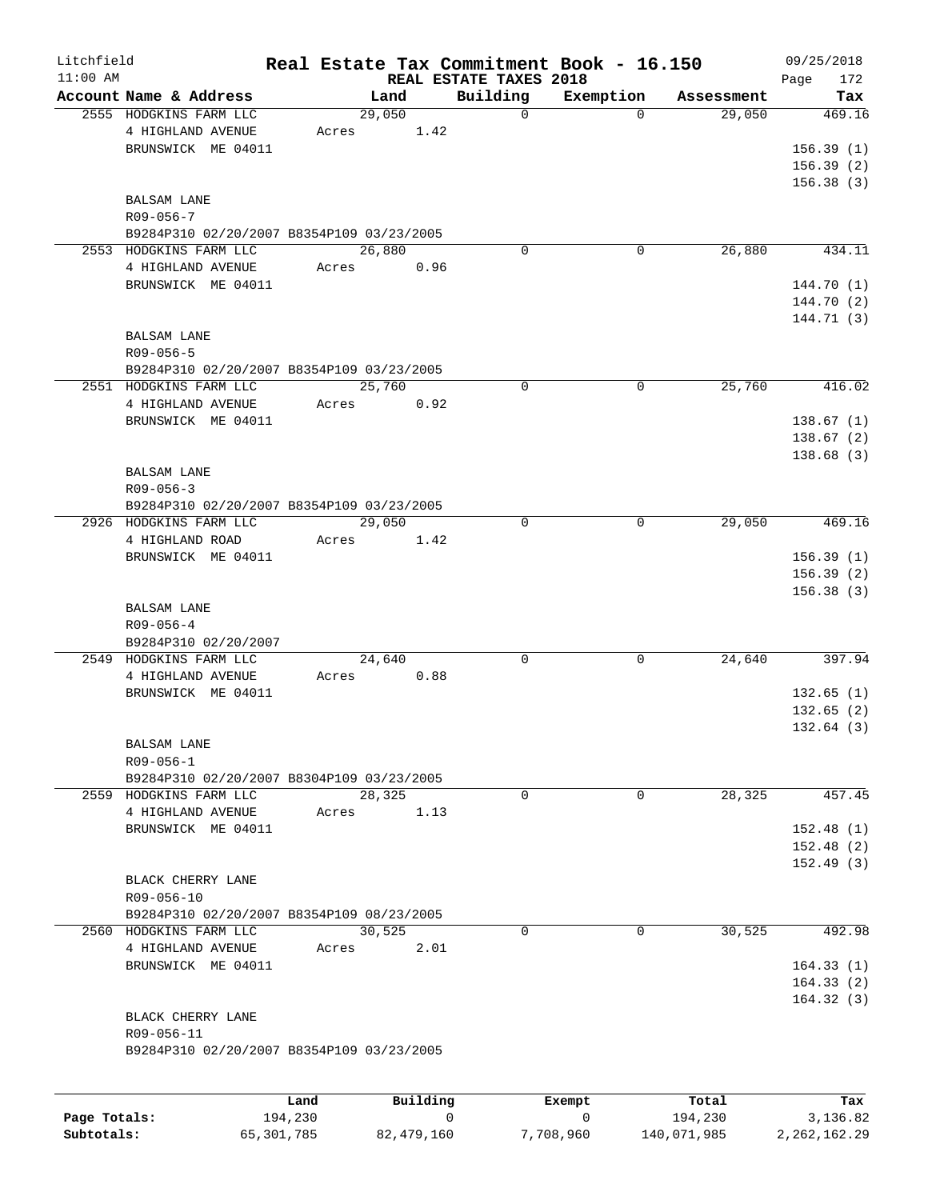| Litchfield |                                           |       |          |                                    | Real Estate Tax Commitment Book - 16.150 |                      | 09/25/2018             |
|------------|-------------------------------------------|-------|----------|------------------------------------|------------------------------------------|----------------------|------------------------|
| $11:00$ AM | Account Name & Address                    |       | Land     | REAL ESTATE TAXES 2018<br>Building |                                          |                      | 172<br>Page            |
|            | 2555 HODGKINS FARM LLC                    |       | 29,050   | $\mathbf 0$                        | Exemption<br>$\Omega$                    | Assessment<br>29,050 | Tax<br>469.16          |
|            | 4 HIGHLAND AVENUE                         | Acres | 1.42     |                                    |                                          |                      |                        |
|            | BRUNSWICK ME 04011                        |       |          |                                    |                                          |                      | 156.39(1)              |
|            |                                           |       |          |                                    |                                          |                      | 156.39(2)              |
|            |                                           |       |          |                                    |                                          |                      | 156.38(3)              |
|            | <b>BALSAM LANE</b>                        |       |          |                                    |                                          |                      |                        |
|            | $R09 - 056 - 7$                           |       |          |                                    |                                          |                      |                        |
|            | B9284P310 02/20/2007 B8354P109 03/23/2005 |       |          |                                    |                                          |                      |                        |
|            | 2553 HODGKINS FARM LLC                    |       | 26,880   | $\mathbf 0$                        | 0                                        | 26,880               | 434.11                 |
|            | 4 HIGHLAND AVENUE                         | Acres | 0.96     |                                    |                                          |                      |                        |
|            | BRUNSWICK ME 04011                        |       |          |                                    |                                          |                      | 144.70 (1)             |
|            |                                           |       |          |                                    |                                          |                      | 144.70 (2)             |
|            |                                           |       |          |                                    |                                          |                      | 144.71 (3)             |
|            | BALSAM LANE                               |       |          |                                    |                                          |                      |                        |
|            | $R09 - 056 - 5$                           |       |          |                                    |                                          |                      |                        |
|            | B9284P310 02/20/2007 B8354P109 03/23/2005 |       |          |                                    |                                          |                      |                        |
|            | 2551 HODGKINS FARM LLC                    |       | 25,760   | $\mathbf 0$                        | $\mathbf 0$                              | 25,760               | 416.02                 |
|            | 4 HIGHLAND AVENUE<br>BRUNSWICK ME 04011   | Acres | 0.92     |                                    |                                          |                      |                        |
|            |                                           |       |          |                                    |                                          |                      | 138.67(1)<br>138.67(2) |
|            |                                           |       |          |                                    |                                          |                      | 138.68(3)              |
|            | <b>BALSAM LANE</b>                        |       |          |                                    |                                          |                      |                        |
|            | $R09 - 056 - 3$                           |       |          |                                    |                                          |                      |                        |
|            | B9284P310 02/20/2007 B8354P109 03/23/2005 |       |          |                                    |                                          |                      |                        |
|            | 2926 HODGKINS FARM LLC                    |       | 29,050   | $\mathbf 0$                        | 0                                        | 29,050               | 469.16                 |
|            | 4 HIGHLAND ROAD                           | Acres | 1.42     |                                    |                                          |                      |                        |
|            | BRUNSWICK ME 04011                        |       |          |                                    |                                          |                      | 156.39(1)              |
|            |                                           |       |          |                                    |                                          |                      | 156.39(2)              |
|            |                                           |       |          |                                    |                                          |                      | 156.38(3)              |
|            | <b>BALSAM LANE</b>                        |       |          |                                    |                                          |                      |                        |
|            | $R09 - 056 - 4$                           |       |          |                                    |                                          |                      |                        |
|            | B9284P310 02/20/2007                      |       |          |                                    |                                          |                      |                        |
|            | 2549 HODGKINS FARM LLC                    |       | 24,640   | 0                                  | 0                                        | 24,640               | 397.94                 |
|            | 4 HIGHLAND AVENUE<br>BRUNSWICK ME 04011   | Acres | 0.88     |                                    |                                          |                      | 132.65(1)              |
|            |                                           |       |          |                                    |                                          |                      | 132.65(2)              |
|            |                                           |       |          |                                    |                                          |                      | 132.64(3)              |
|            | <b>BALSAM LANE</b>                        |       |          |                                    |                                          |                      |                        |
|            | R09-056-1                                 |       |          |                                    |                                          |                      |                        |
|            | B9284P310 02/20/2007 B8304P109 03/23/2005 |       |          |                                    |                                          |                      |                        |
|            | 2559 HODGKINS FARM LLC                    |       | 28,325   | $\mathbf 0$                        | $\mathbf 0$                              | 28,325               | 457.45                 |
|            | 4 HIGHLAND AVENUE                         | Acres | 1.13     |                                    |                                          |                      |                        |
|            | BRUNSWICK ME 04011                        |       |          |                                    |                                          |                      | 152.48(1)              |
|            |                                           |       |          |                                    |                                          |                      | 152.48(2)              |
|            |                                           |       |          |                                    |                                          |                      | 152.49(3)              |
|            | BLACK CHERRY LANE                         |       |          |                                    |                                          |                      |                        |
|            | R09-056-10                                |       |          |                                    |                                          |                      |                        |
|            | B9284P310 02/20/2007 B8354P109 08/23/2005 |       |          |                                    |                                          |                      |                        |
|            | 2560 HODGKINS FARM LLC                    |       | 30,525   | 0                                  | 0                                        | 30,525               | 492.98                 |
|            | 4 HIGHLAND AVENUE                         | Acres | 2.01     |                                    |                                          |                      |                        |
|            | BRUNSWICK ME 04011                        |       |          |                                    |                                          |                      | 164.33(1)<br>164.33(2) |
|            |                                           |       |          |                                    |                                          |                      | 164.32(3)              |
|            | BLACK CHERRY LANE                         |       |          |                                    |                                          |                      |                        |
|            | R09-056-11                                |       |          |                                    |                                          |                      |                        |
|            | B9284P310 02/20/2007 B8354P109 03/23/2005 |       |          |                                    |                                          |                      |                        |
|            |                                           |       |          |                                    |                                          |                      |                        |
|            |                                           |       |          |                                    |                                          |                      |                        |
|            |                                           | Land  | Building |                                    | Exempt                                   | Total                | Tax                    |

|              | Land       | Building   | Exempt    | Total       | Tax          |
|--------------|------------|------------|-----------|-------------|--------------|
| Page Totals: | 194,230    |            |           | 194,230     | 3,136.82     |
| Subtotals:   | 65,301,785 | 82,479,160 | 7,708,960 | 140,071,985 | 2,262,162.29 |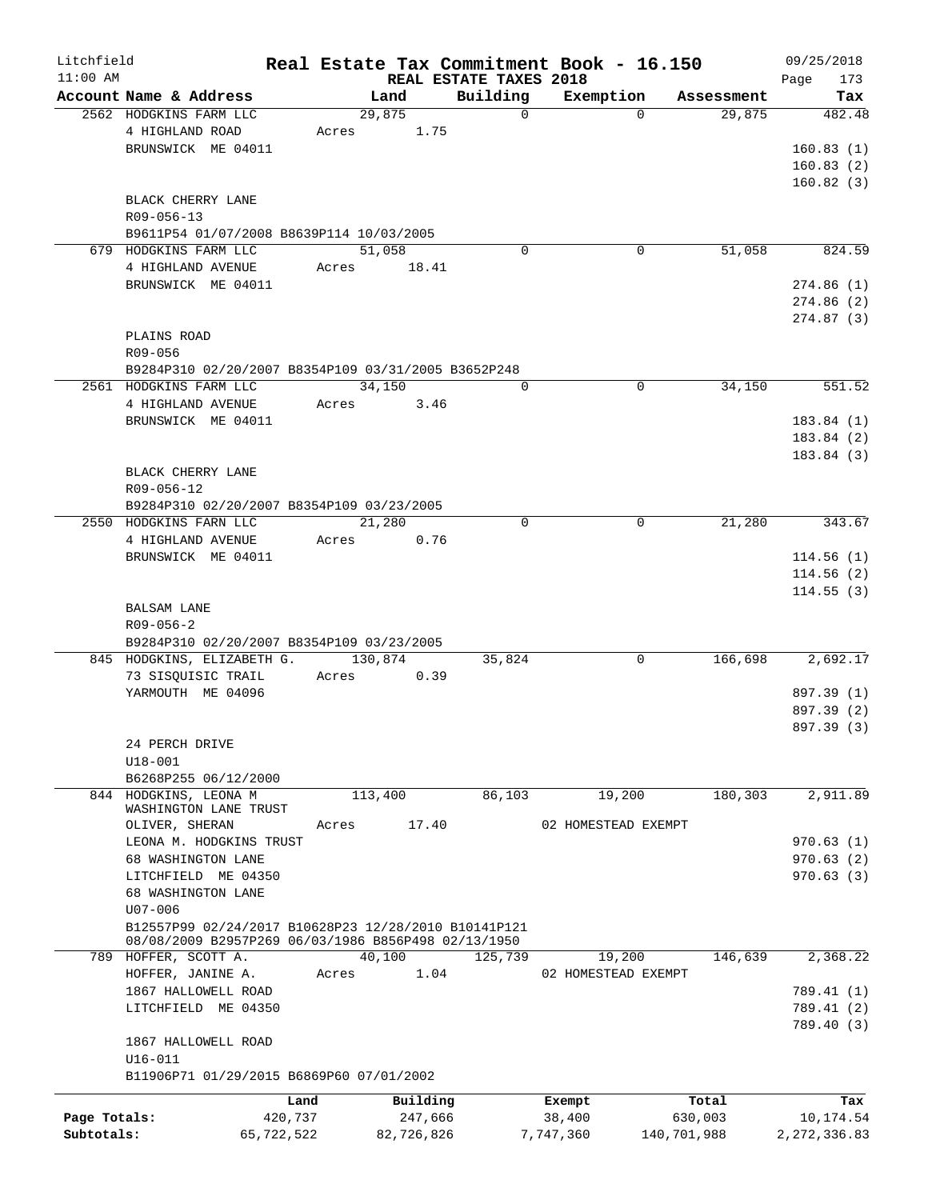| Litchfield   |                                                      |       |            |                        | Real Estate Tax Commitment Book - 16.150 |             | 09/25/2018     |
|--------------|------------------------------------------------------|-------|------------|------------------------|------------------------------------------|-------------|----------------|
| $11:00$ AM   |                                                      |       |            | REAL ESTATE TAXES 2018 |                                          |             | 173<br>Page    |
|              | Account Name & Address<br>2562 HODGKINS FARM LLC     |       | Land       | Building<br>$\Omega$   | Exemption<br>$\Omega$                    | Assessment  | Tax            |
|              | 4 HIGHLAND ROAD                                      | Acres | 29,875     |                        |                                          | 29,875      | 482.48         |
|              |                                                      |       | 1.75       |                        |                                          |             |                |
|              | BRUNSWICK ME 04011                                   |       |            |                        |                                          |             | 160.83(1)      |
|              |                                                      |       |            |                        |                                          |             | 160.83(2)      |
|              |                                                      |       |            |                        |                                          |             | 160.82(3)      |
|              | BLACK CHERRY LANE                                    |       |            |                        |                                          |             |                |
|              | R09-056-13                                           |       |            |                        |                                          |             |                |
|              | B9611P54 01/07/2008 B8639P114 10/03/2005             |       |            |                        |                                          |             |                |
|              | 679 HODGKINS FARM LLC                                |       | 51,058     | $\Omega$               | 0                                        | 51,058      | 824.59         |
|              | 4 HIGHLAND AVENUE                                    | Acres | 18.41      |                        |                                          |             |                |
|              | BRUNSWICK ME 04011                                   |       |            |                        |                                          |             | 274.86(1)      |
|              |                                                      |       |            |                        |                                          |             | 274.86(2)      |
|              |                                                      |       |            |                        |                                          |             | 274.87 (3)     |
|              | PLAINS ROAD                                          |       |            |                        |                                          |             |                |
|              | R09-056                                              |       |            |                        |                                          |             |                |
|              | B9284P310 02/20/2007 B8354P109 03/31/2005 B3652P248  |       |            |                        |                                          |             |                |
|              | 2561 HODGKINS FARM LLC                               |       | 34,150     | $\Omega$               | $\Omega$                                 | 34,150      | 551.52         |
|              | 4 HIGHLAND AVENUE                                    | Acres | 3.46       |                        |                                          |             |                |
|              | BRUNSWICK ME 04011                                   |       |            |                        |                                          |             | 183.84(1)      |
|              |                                                      |       |            |                        |                                          |             | 183.84(2)      |
|              |                                                      |       |            |                        |                                          |             |                |
|              |                                                      |       |            |                        |                                          |             | 183.84(3)      |
|              | BLACK CHERRY LANE                                    |       |            |                        |                                          |             |                |
|              | R09-056-12                                           |       |            |                        |                                          |             |                |
|              | B9284P310 02/20/2007 B8354P109 03/23/2005            |       |            |                        |                                          |             |                |
|              | 2550 HODGKINS FARN LLC                               |       | 21,280     | $\mathbf 0$            | 0                                        | 21,280      | 343.67         |
|              | 4 HIGHLAND AVENUE                                    | Acres | 0.76       |                        |                                          |             |                |
|              | BRUNSWICK ME 04011                                   |       |            |                        |                                          |             | 114.56(1)      |
|              |                                                      |       |            |                        |                                          |             | 114.56(2)      |
|              |                                                      |       |            |                        |                                          |             | 114.55(3)      |
|              | BALSAM LANE                                          |       |            |                        |                                          |             |                |
|              | $R09 - 056 - 2$                                      |       |            |                        |                                          |             |                |
|              | B9284P310 02/20/2007 B8354P109 03/23/2005            |       |            |                        |                                          |             |                |
|              | 845 HODGKINS, ELIZABETH G.                           |       | 130,874    | 35,824                 | 0                                        | 166,698     | 2,692.17       |
|              | 73 SISQUISIC TRAIL                                   | Acres | 0.39       |                        |                                          |             |                |
|              | YARMOUTH ME 04096                                    |       |            |                        |                                          |             | 897.39 (1)     |
|              |                                                      |       |            |                        |                                          |             | 897.39 (2)     |
|              |                                                      |       |            |                        |                                          |             | 897.39 (3)     |
|              |                                                      |       |            |                        |                                          |             |                |
|              | 24 PERCH DRIVE                                       |       |            |                        |                                          |             |                |
|              | $U18 - 001$                                          |       |            |                        |                                          |             |                |
|              | B6268P255 06/12/2000                                 |       |            |                        |                                          |             |                |
|              | 844 HODGKINS, LEONA M                                |       | 113,400    | 86,103                 | 19,200                                   | 180,303     | 2,911.89       |
|              | WASHINGTON LANE TRUST                                |       |            |                        |                                          |             |                |
|              | OLIVER, SHERAN                                       | Acres | 17.40      |                        | 02 HOMESTEAD EXEMPT                      |             |                |
|              | LEONA M. HODGKINS TRUST                              |       |            |                        |                                          |             | 970.63(1)      |
|              | 68 WASHINGTON LANE                                   |       |            |                        |                                          |             | 970.63(2)      |
|              | LITCHFIELD ME 04350                                  |       |            |                        |                                          |             | 970.63(3)      |
|              | 68 WASHINGTON LANE                                   |       |            |                        |                                          |             |                |
|              | $U07 - 006$                                          |       |            |                        |                                          |             |                |
|              | B12557P99 02/24/2017 B10628P23 12/28/2010 B10141P121 |       |            |                        |                                          |             |                |
|              | 08/08/2009 B2957P269 06/03/1986 B856P498 02/13/1950  |       |            |                        |                                          |             |                |
|              | 789 HOFFER, SCOTT A.                                 |       | 40,100     | 125,739                | 19,200                                   | 146,639     | 2,368.22       |
|              | HOFFER, JANINE A.                                    | Acres | 1.04       |                        | 02 HOMESTEAD EXEMPT                      |             |                |
|              | 1867 HALLOWELL ROAD                                  |       |            |                        |                                          |             | 789.41 (1)     |
|              | LITCHFIELD ME 04350                                  |       |            |                        |                                          |             | 789.41 (2)     |
|              |                                                      |       |            |                        |                                          |             | 789.40 (3)     |
|              | 1867 HALLOWELL ROAD                                  |       |            |                        |                                          |             |                |
|              | $U16 - 011$                                          |       |            |                        |                                          |             |                |
|              | B11906P71 01/29/2015 B6869P60 07/01/2002             |       |            |                        |                                          |             |                |
|              |                                                      |       |            |                        |                                          |             |                |
|              |                                                      | Land  | Building   |                        | Exempt                                   | Total       | Tax            |
| Page Totals: | 420,737                                              |       | 247,666    |                        | 38,400                                   | 630,003     | 10,174.54      |
| Subtotals:   | 65,722,522                                           |       | 82,726,826 |                        | 7,747,360                                | 140,701,988 | 2, 272, 336.83 |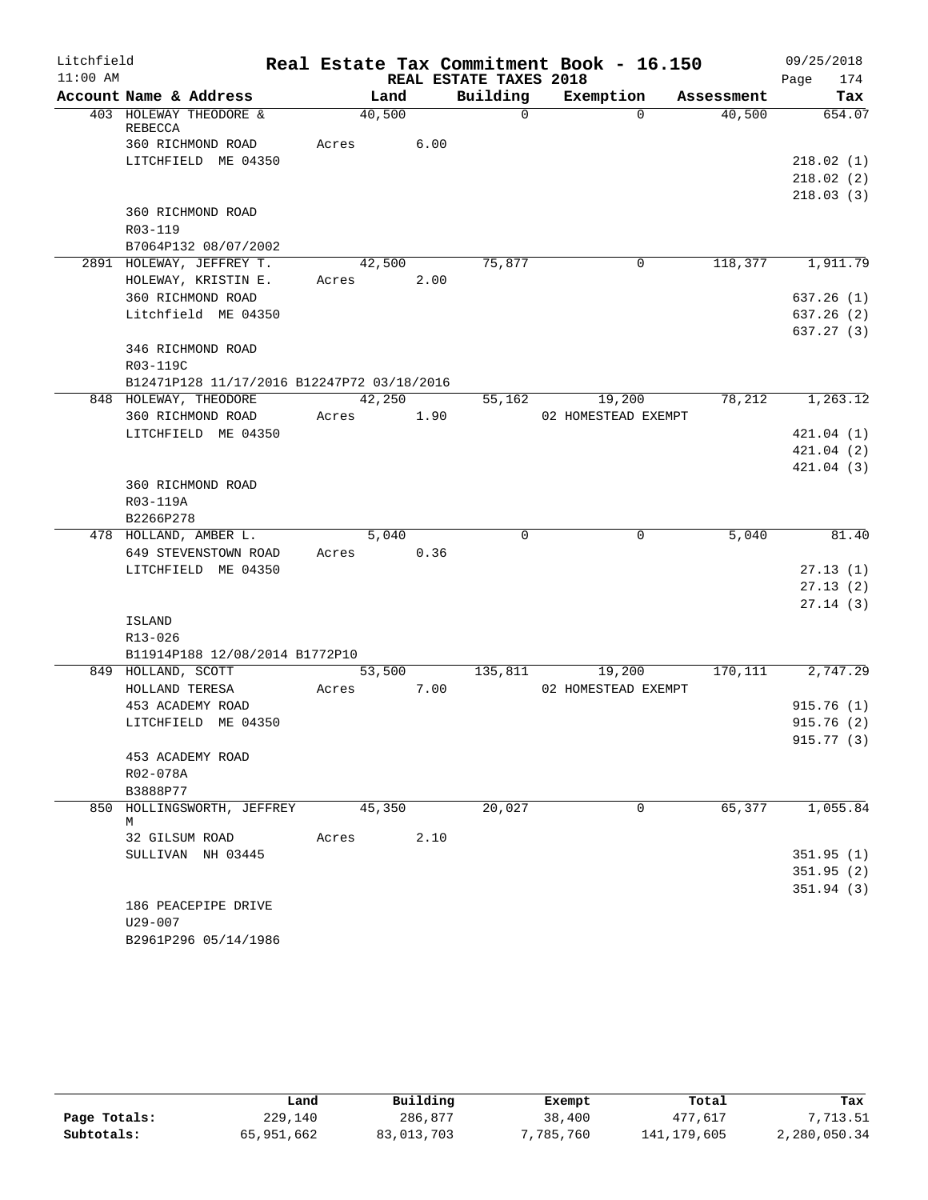| Litchfield |                                            |       |        |                        | Real Estate Tax Commitment Book - 16.150 |            | 09/25/2018              |
|------------|--------------------------------------------|-------|--------|------------------------|------------------------------------------|------------|-------------------------|
| $11:00$ AM |                                            |       |        | REAL ESTATE TAXES 2018 |                                          |            | 174<br>Page             |
|            | Account Name & Address                     |       | Land   | Building               | Exemption                                | Assessment | Tax                     |
|            | 403 HOLEWAY THEODORE &                     |       | 40,500 | $\Omega$               | $\Omega$                                 | 40,500     | 654.07                  |
|            | REBECCA<br>360 RICHMOND ROAD               | Acres | 6.00   |                        |                                          |            |                         |
|            | LITCHFIELD ME 04350                        |       |        |                        |                                          |            | 218.02(1)               |
|            |                                            |       |        |                        |                                          |            | 218.02(2)               |
|            |                                            |       |        |                        |                                          |            | 218.03(3)               |
|            | 360 RICHMOND ROAD                          |       |        |                        |                                          |            |                         |
|            | R03-119                                    |       |        |                        |                                          |            |                         |
|            | B7064P132 08/07/2002                       |       |        |                        |                                          |            |                         |
|            | 2891 HOLEWAY, JEFFREY T.                   |       | 42,500 | 75,877                 | 0                                        | 118,377    | 1,911.79                |
|            | HOLEWAY, KRISTIN E.                        | Acres | 2.00   |                        |                                          |            |                         |
|            | 360 RICHMOND ROAD                          |       |        |                        |                                          |            | 637.26(1)               |
|            | Litchfield ME 04350                        |       |        |                        |                                          |            | 637.26(2)               |
|            |                                            |       |        |                        |                                          |            | 637.27(3)               |
|            | 346 RICHMOND ROAD                          |       |        |                        |                                          |            |                         |
|            | R03-119C                                   |       |        |                        |                                          |            |                         |
|            | B12471P128 11/17/2016 B12247P72 03/18/2016 |       |        |                        |                                          |            |                         |
|            | 848 HOLEWAY, THEODORE                      |       | 42,250 | 55,162                 | 19,200                                   | 78,212     | 1,263.12                |
|            | 360 RICHMOND ROAD                          | Acres | 1.90   |                        | 02 HOMESTEAD EXEMPT                      |            |                         |
|            | LITCHFIELD ME 04350                        |       |        |                        |                                          |            | 421.04(1)<br>421.04(2)  |
|            |                                            |       |        |                        |                                          |            | 421.04(3)               |
|            | 360 RICHMOND ROAD                          |       |        |                        |                                          |            |                         |
|            | R03-119A                                   |       |        |                        |                                          |            |                         |
|            | B2266P278                                  |       |        |                        |                                          |            |                         |
|            | 478 HOLLAND, AMBER L.                      |       | 5,040  | $\Omega$               | $\Omega$                                 | 5,040      | 81.40                   |
|            | 649 STEVENSTOWN ROAD                       | Acres | 0.36   |                        |                                          |            |                         |
|            | LITCHFIELD ME 04350                        |       |        |                        |                                          |            | 27.13(1)                |
|            |                                            |       |        |                        |                                          |            | 27.13(2)                |
|            |                                            |       |        |                        |                                          |            | 27.14(3)                |
|            | <b>ISLAND</b>                              |       |        |                        |                                          |            |                         |
|            | R13-026                                    |       |        |                        |                                          |            |                         |
|            | B11914P188 12/08/2014 B1772P10             |       |        |                        |                                          |            |                         |
|            | 849 HOLLAND, SCOTT                         |       | 53,500 | 135,811                | 19,200                                   | 170,111    | 2,747.29                |
|            | HOLLAND TERESA                             | Acres | 7.00   |                        | 02 HOMESTEAD EXEMPT                      |            |                         |
|            | 453 ACADEMY ROAD                           |       |        |                        |                                          |            | 915.76(1)               |
|            | LITCHFIELD ME 04350                        |       |        |                        |                                          |            | 915.76(2)<br>915.77 (3) |
|            | 453 ACADEMY ROAD                           |       |        |                        |                                          |            |                         |
|            | R02-078A                                   |       |        |                        |                                          |            |                         |
|            | B3888P77                                   |       |        |                        |                                          |            |                         |
|            | 850 HOLLINGSWORTH, JEFFREY                 |       | 45,350 | 20,027                 | 0                                        | 65,377     | 1,055.84                |
|            | М                                          |       |        |                        |                                          |            |                         |
|            | 32 GILSUM ROAD                             | Acres | 2.10   |                        |                                          |            |                         |
|            | SULLIVAN NH 03445                          |       |        |                        |                                          |            | 351.95(1)               |
|            |                                            |       |        |                        |                                          |            | 351.95(2)               |
|            |                                            |       |        |                        |                                          |            | 351.94(3)               |
|            | 186 PEACEPIPE DRIVE                        |       |        |                        |                                          |            |                         |
|            | U29-007<br>B2961P296 05/14/1986            |       |        |                        |                                          |            |                         |
|            |                                            |       |        |                        |                                          |            |                         |

|              | Land       | Building   | Exempt    | Total       | Tax          |
|--------------|------------|------------|-----------|-------------|--------------|
| Page Totals: | 229,140    | 286,877    | 38,400    | 477.617     | 7,713.51     |
| Subtotals:   | 65,951,662 | 83,013,703 | 7,785,760 | 141,179,605 | 2,280,050.34 |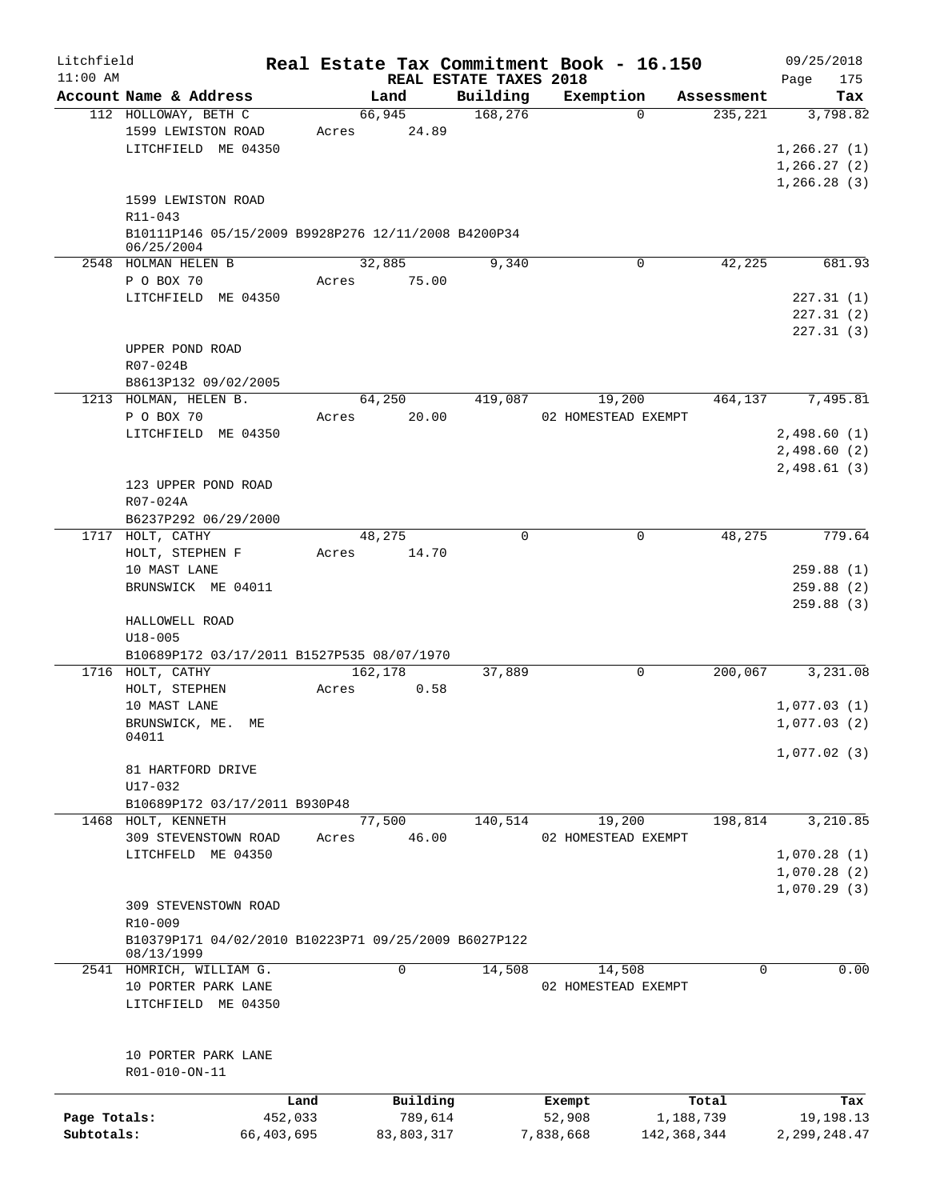| Litchfield   |                                                                    |            | Real Estate Tax Commitment Book - 16.150 |                                    |                     |             | 09/25/2018         |
|--------------|--------------------------------------------------------------------|------------|------------------------------------------|------------------------------------|---------------------|-------------|--------------------|
| $11:00$ AM   | Account Name & Address                                             |            | Land                                     | REAL ESTATE TAXES 2018<br>Building | Exemption           | Assessment  | Page<br>175<br>Tax |
|              | 112 HOLLOWAY, BETH C                                               |            | 66,945                                   | 168,276                            | $\Omega$            | 235,221     | 3,798.82           |
|              | 1599 LEWISTON ROAD                                                 |            | 24.89<br>Acres                           |                                    |                     |             |                    |
|              | LITCHFIELD ME 04350                                                |            |                                          |                                    |                     |             | 1, 266.27(1)       |
|              |                                                                    |            |                                          |                                    |                     |             | 1,266.27(2)        |
|              |                                                                    |            |                                          |                                    |                     |             | 1,266.28(3)        |
|              | 1599 LEWISTON ROAD                                                 |            |                                          |                                    |                     |             |                    |
|              |                                                                    |            |                                          |                                    |                     |             |                    |
|              | R11-043                                                            |            |                                          |                                    |                     |             |                    |
|              | B10111P146 05/15/2009 B9928P276 12/11/2008 B4200P34<br>06/25/2004  |            |                                          |                                    |                     |             |                    |
|              | 2548 HOLMAN HELEN B                                                |            | 32,885                                   | 9,340                              | 0                   | 42,225      | 681.93             |
|              | P O BOX 70                                                         |            | 75.00<br>Acres                           |                                    |                     |             |                    |
|              | LITCHFIELD ME 04350                                                |            |                                          |                                    |                     |             | 227.31(1)          |
|              |                                                                    |            |                                          |                                    |                     |             | 227.31(2)          |
|              |                                                                    |            |                                          |                                    |                     |             | 227.31(3)          |
|              | UPPER POND ROAD                                                    |            |                                          |                                    |                     |             |                    |
|              |                                                                    |            |                                          |                                    |                     |             |                    |
|              | R07-024B                                                           |            |                                          |                                    |                     |             |                    |
|              | B8613P132 09/02/2005                                               |            |                                          |                                    |                     |             |                    |
|              | 1213 HOLMAN, HELEN B.                                              |            | 64,250                                   | 419,087                            | 19,200              | 464,137     | 7,495.81           |
|              | P O BOX 70                                                         |            | 20.00<br>Acres                           |                                    | 02 HOMESTEAD EXEMPT |             |                    |
|              | LITCHFIELD ME 04350                                                |            |                                          |                                    |                     |             | 2,498.60(1)        |
|              |                                                                    |            |                                          |                                    |                     |             | 2,498.60(2)        |
|              |                                                                    |            |                                          |                                    |                     |             | 2,498.61(3)        |
|              | 123 UPPER POND ROAD                                                |            |                                          |                                    |                     |             |                    |
|              | R07-024A                                                           |            |                                          |                                    |                     |             |                    |
|              | B6237P292 06/29/2000                                               |            |                                          |                                    |                     |             |                    |
|              | 1717 HOLT, CATHY                                                   |            | 48,275                                   | $\Omega$                           | $\mathbf 0$         | 48,275      | 779.64             |
|              | HOLT, STEPHEN F                                                    |            | 14.70<br>Acres                           |                                    |                     |             |                    |
|              | 10 MAST LANE                                                       |            |                                          |                                    |                     |             | 259.88(1)          |
|              | BRUNSWICK ME 04011                                                 |            |                                          |                                    |                     |             | 259.88(2)          |
|              |                                                                    |            |                                          |                                    |                     |             | 259.88(3)          |
|              | HALLOWELL ROAD                                                     |            |                                          |                                    |                     |             |                    |
|              | $U18 - 005$                                                        |            |                                          |                                    |                     |             |                    |
|              | B10689P172 03/17/2011 B1527P535 08/07/1970                         |            |                                          |                                    |                     |             |                    |
|              | 1716 HOLT, CATHY                                                   |            | 162,178                                  | 37,889                             | $\mathbf 0$         | 200,067     | 3,231.08           |
|              | HOLT, STEPHEN                                                      |            | 0.58<br>Acres                            |                                    |                     |             |                    |
|              | 10 MAST LANE                                                       |            |                                          |                                    |                     |             | 1,077.03(1)        |
|              | BRUNSWICK, ME.                                                     | МE         |                                          |                                    |                     |             | 1,077.03(2)        |
|              | 04011                                                              |            |                                          |                                    |                     |             |                    |
|              |                                                                    |            |                                          |                                    |                     |             | 1,077.02(3)        |
|              | 81 HARTFORD DRIVE                                                  |            |                                          |                                    |                     |             |                    |
|              | U17-032                                                            |            |                                          |                                    |                     |             |                    |
|              | B10689P172 03/17/2011 B930P48                                      |            |                                          |                                    |                     |             |                    |
| 1468         | HOLT, KENNETH                                                      |            | 77,500                                   | 140,514                            | 19,200              | 198,814     | 3,210.85           |
|              | 309 STEVENSTOWN ROAD                                               |            | 46.00<br>Acres                           |                                    | 02 HOMESTEAD EXEMPT |             |                    |
|              | LITCHFELD ME 04350                                                 |            |                                          |                                    |                     |             | 1,070.28(1)        |
|              |                                                                    |            |                                          |                                    |                     |             | 1,070.28(2)        |
|              |                                                                    |            |                                          |                                    |                     |             | 1,070.29(3)        |
|              | 309 STEVENSTOWN ROAD                                               |            |                                          |                                    |                     |             |                    |
|              | R10-009                                                            |            |                                          |                                    |                     |             |                    |
|              |                                                                    |            |                                          |                                    |                     |             |                    |
|              | B10379P171 04/02/2010 B10223P71 09/25/2009 B6027P122<br>08/13/1999 |            |                                          |                                    |                     |             |                    |
|              | 2541 HOMRICH, WILLIAM G.                                           |            | 0                                        | 14,508                             | 14,508              | 0           | 0.00               |
|              | 10 PORTER PARK LANE                                                |            |                                          |                                    | 02 HOMESTEAD EXEMPT |             |                    |
|              | LITCHFIELD ME 04350                                                |            |                                          |                                    |                     |             |                    |
|              |                                                                    |            |                                          |                                    |                     |             |                    |
|              |                                                                    |            |                                          |                                    |                     |             |                    |
|              | 10 PORTER PARK LANE                                                |            |                                          |                                    |                     |             |                    |
|              | R01-010-ON-11                                                      |            |                                          |                                    |                     |             |                    |
|              |                                                                    |            |                                          |                                    |                     |             |                    |
|              |                                                                    | Land       | Building                                 |                                    | Exempt              | Total       | Tax                |
| Page Totals: |                                                                    | 452,033    | 789,614                                  |                                    | 52,908              | 1,188,739   | 19,198.13          |
| Subtotals:   |                                                                    | 66,403,695 | 83,803,317                               |                                    | 7,838,668           | 142,368,344 | 2, 299, 248.47     |
|              |                                                                    |            |                                          |                                    |                     |             |                    |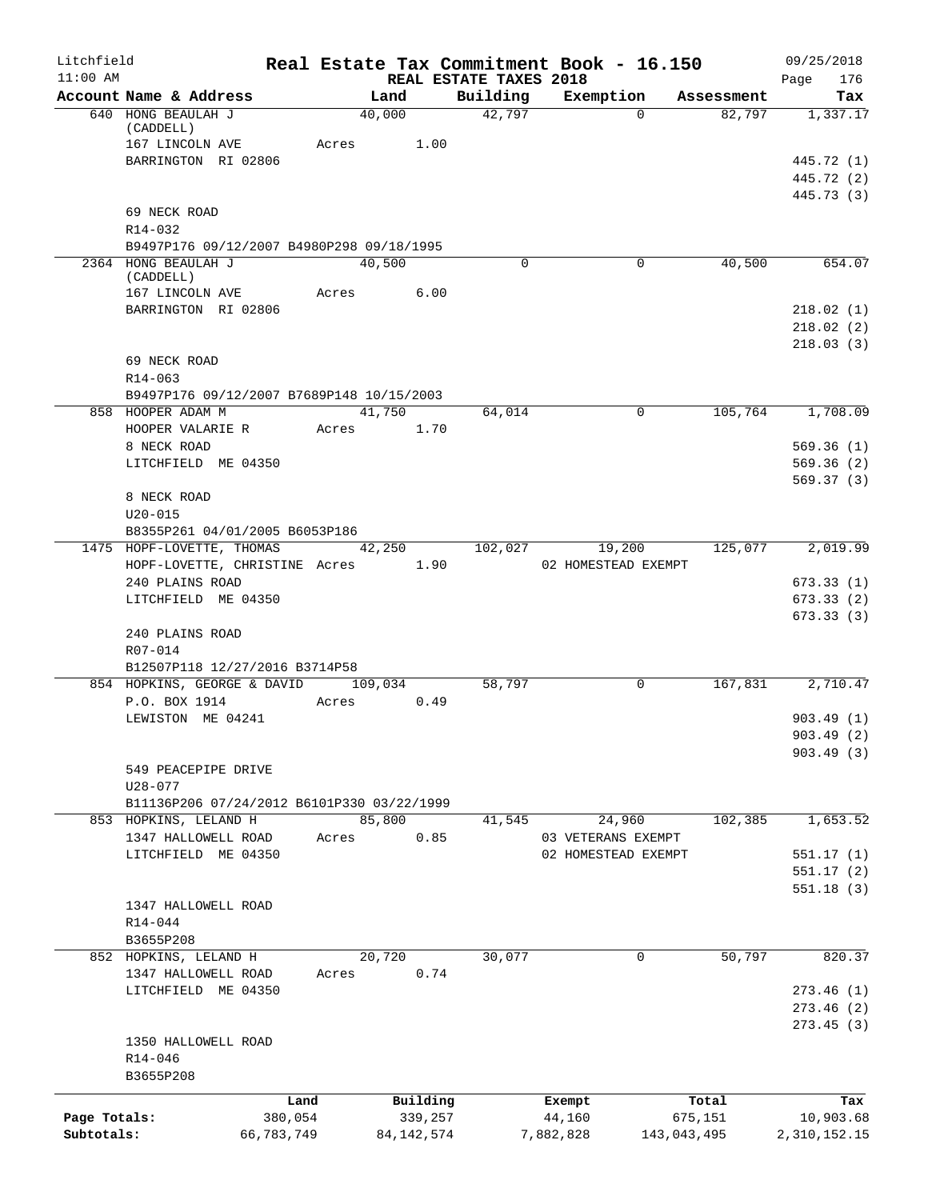| Litchfield   |                                                             |            |                 |              |                                    | Real Estate Tax Commitment Book - 16.150  |             |            | 09/25/2018                             |
|--------------|-------------------------------------------------------------|------------|-----------------|--------------|------------------------------------|-------------------------------------------|-------------|------------|----------------------------------------|
| $11:00$ AM   | Account Name & Address                                      |            | Land            |              | REAL ESTATE TAXES 2018<br>Building | Exemption                                 |             | Assessment | 176<br>Page<br>Tax                     |
|              | 640 HONG BEAULAH J<br>(CADDELL)<br>167 LINCOLN AVE          |            | 40,000<br>Acres | 1.00         | 42,797                             |                                           | $\Omega$    | 82,797     | 1,337.17                               |
|              | BARRINGTON RI 02806                                         |            |                 |              |                                    |                                           |             |            | 445.72 (1)<br>445.72 (2)<br>445.73 (3) |
|              | 69 NECK ROAD                                                |            |                 |              |                                    |                                           |             |            |                                        |
|              | R14-032<br>B9497P176 09/12/2007 B4980P298 09/18/1995        |            |                 |              |                                    |                                           |             |            |                                        |
|              | 2364 HONG BEAULAH J<br>(CADDELL)                            |            | 40,500          |              | $\Omega$                           |                                           | 0           | 40,500     | 654.07                                 |
|              | 167 LINCOLN AVE                                             |            | Acres           | 6.00         |                                    |                                           |             |            |                                        |
|              | BARRINGTON RI 02806                                         |            |                 |              |                                    |                                           |             |            | 218.02(1)<br>218.02(2)<br>218.03(3)    |
|              | 69 NECK ROAD<br>$R14 - 063$                                 |            |                 |              |                                    |                                           |             |            |                                        |
|              | B9497P176 09/12/2007 B7689P148 10/15/2003                   |            |                 |              |                                    |                                           |             |            |                                        |
|              | 858 HOOPER ADAM M<br>HOOPER VALARIE R                       |            | 41,750<br>Acres | 1.70         | 64,014                             |                                           | 0           | 105,764    | 1,708.09                               |
|              | 8 NECK ROAD<br>LITCHFIELD ME 04350                          |            |                 |              |                                    |                                           |             |            | 569.36(1)<br>569.36(2)                 |
|              | 8 NECK ROAD                                                 |            |                 |              |                                    |                                           |             |            | 569.37(3)                              |
|              | $U20 - 015$                                                 |            |                 |              |                                    |                                           |             |            |                                        |
|              | B8355P261 04/01/2005 B6053P186<br>1475 HOPF-LOVETTE, THOMAS |            | 42,250          |              | 102,027                            | 19,200                                    |             | 125,077    | 2,019.99                               |
|              | HOPF-LOVETTE, CHRISTINE Acres 1.90                          |            |                 |              |                                    | 02 HOMESTEAD EXEMPT                       |             |            |                                        |
|              | 240 PLAINS ROAD                                             |            |                 |              |                                    |                                           |             |            | 673.33(1)                              |
|              | LITCHFIELD ME 04350                                         |            |                 |              |                                    |                                           |             |            | 673.33(2)                              |
|              | 240 PLAINS ROAD<br>R07-014                                  |            |                 |              |                                    |                                           |             |            | 673.33(3)                              |
|              | B12507P118 12/27/2016 B3714P58                              |            |                 |              |                                    |                                           |             |            |                                        |
|              | 854 HOPKINS, GEORGE & DAVID<br>P.O. BOX 1914                | Acres      | 109,034         | 0.49         | 58,797                             |                                           | 0           | 167,831    | 2,710.47                               |
|              | LEWISTON ME 04241                                           |            |                 |              |                                    |                                           |             |            | 903.49(1)<br>903.49 (2)                |
|              | 549 PEACEPIPE DRIVE                                         |            |                 |              |                                    |                                           |             |            | 903.49(3)                              |
|              | $U28 - 077$                                                 |            |                 |              |                                    |                                           |             |            |                                        |
|              | B11136P206 07/24/2012 B6101P330 03/22/1999                  |            |                 |              |                                    |                                           |             |            |                                        |
|              | 853 HOPKINS, LELAND H                                       |            | 85,800          |              | 41,545                             | 24,960                                    |             | 102,385    | 1,653.52                               |
|              | 1347 HALLOWELL ROAD<br>LITCHFIELD ME 04350                  | Acres      |                 | 0.85         |                                    | 03 VETERANS EXEMPT<br>02 HOMESTEAD EXEMPT |             |            | 551.17(1)                              |
|              |                                                             |            |                 |              |                                    |                                           |             |            | 551.17(2)                              |
|              | 1347 HALLOWELL ROAD                                         |            |                 |              |                                    |                                           |             |            | 551.18(3)                              |
|              | $R14 - 044$                                                 |            |                 |              |                                    |                                           |             |            |                                        |
|              | B3655P208                                                   |            |                 |              |                                    |                                           |             |            |                                        |
|              | 852 HOPKINS, LELAND H<br>1347 HALLOWELL ROAD                | Acres      | 20,720          | 0.74         | 30,077                             |                                           | 0           | 50,797     | 820.37                                 |
|              | LITCHFIELD ME 04350                                         |            |                 |              |                                    |                                           |             |            | 273.46(1)                              |
|              |                                                             |            |                 |              |                                    |                                           |             |            | 273.46 (2)                             |
|              | 1350 HALLOWELL ROAD<br>R14-046                              |            |                 |              |                                    |                                           |             |            | 273.45(3)                              |
|              | B3655P208                                                   |            |                 |              |                                    |                                           |             |            |                                        |
|              |                                                             | Land       |                 | Building     |                                    | Exempt                                    | Total       |            | Tax                                    |
| Page Totals: |                                                             | 380,054    |                 | 339,257      |                                    | 44,160                                    | 675,151     |            | 10,903.68                              |
| Subtotals:   |                                                             | 66,783,749 |                 | 84, 142, 574 |                                    | 7,882,828                                 | 143,043,495 |            | 2,310,152.15                           |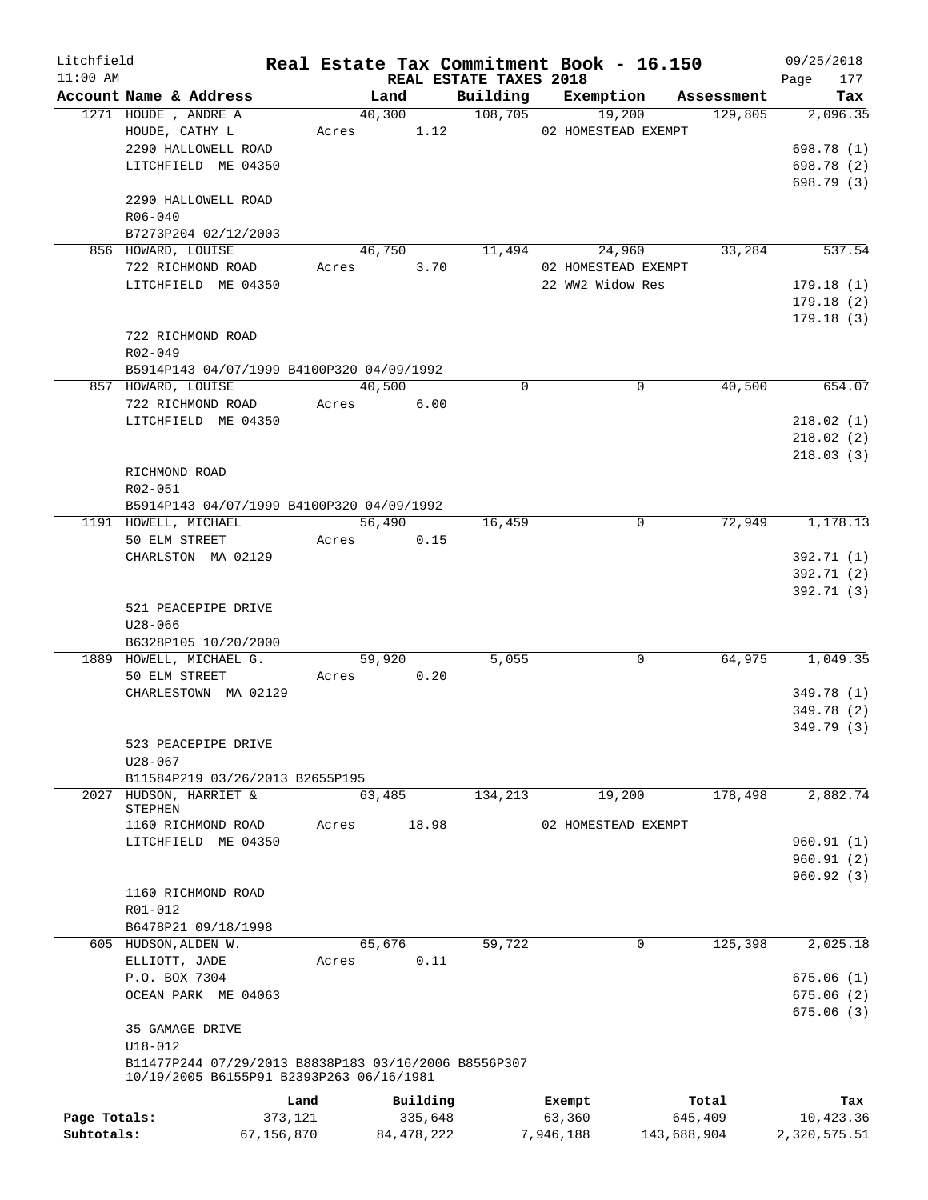| Litchfield   |                                                      |         |                         |                        | Real Estate Tax Commitment Book - 16.150 |                        | 09/25/2018               |
|--------------|------------------------------------------------------|---------|-------------------------|------------------------|------------------------------------------|------------------------|--------------------------|
| $11:00$ AM   |                                                      |         |                         | REAL ESTATE TAXES 2018 |                                          |                        | 177<br>Page              |
|              | Account Name & Address                               |         | Land                    | Building               | Exemption                                | Assessment             | Tax                      |
|              | 1271 HOUDE, ANDRE A<br>HOUDE, CATHY L                |         | 40,300<br>1.12<br>Acres | 108,705                | 19,200<br>02 HOMESTEAD EXEMPT            | 129,805                | 2,096.35                 |
|              | 2290 HALLOWELL ROAD                                  |         |                         |                        |                                          |                        | 698.78 (1)               |
|              | LITCHFIELD ME 04350                                  |         |                         |                        |                                          |                        | 698.78 (2)               |
|              |                                                      |         |                         |                        |                                          |                        | 698.79 (3)               |
|              | 2290 HALLOWELL ROAD                                  |         |                         |                        |                                          |                        |                          |
|              | $R06 - 040$                                          |         |                         |                        |                                          |                        |                          |
|              | B7273P204 02/12/2003                                 |         |                         |                        |                                          |                        |                          |
|              | 856 HOWARD, LOUISE                                   |         | 46,750                  | 11,494                 | 24,960                                   | 33,284                 | 537.54                   |
|              | 722 RICHMOND ROAD                                    | Acres   | 3.70                    |                        | 02 HOMESTEAD EXEMPT                      |                        |                          |
|              | LITCHFIELD ME 04350                                  |         |                         |                        | 22 WW2 Widow Res                         |                        | 179.18(1)                |
|              |                                                      |         |                         |                        |                                          |                        | 179.18(2)                |
|              |                                                      |         |                         |                        |                                          |                        | 179.18(3)                |
|              | 722 RICHMOND ROAD                                    |         |                         |                        |                                          |                        |                          |
|              | R02-049                                              |         |                         |                        |                                          |                        |                          |
|              | B5914P143 04/07/1999 B4100P320 04/09/1992            |         |                         |                        |                                          |                        |                          |
|              | 857 HOWARD, LOUISE                                   |         | 40,500                  | $\mathbf 0$            |                                          | $\mathbf 0$<br>40,500  | 654.07                   |
|              | 722 RICHMOND ROAD                                    |         | 6.00<br>Acres           |                        |                                          |                        |                          |
|              | LITCHFIELD ME 04350                                  |         |                         |                        |                                          |                        | 218.02(1)                |
|              |                                                      |         |                         |                        |                                          |                        | 218.02(2)                |
|              |                                                      |         |                         |                        |                                          |                        | 218.03(3)                |
|              | RICHMOND ROAD                                        |         |                         |                        |                                          |                        |                          |
|              | R02-051                                              |         |                         |                        |                                          |                        |                          |
|              | B5914P143 04/07/1999 B4100P320 04/09/1992            |         |                         |                        |                                          |                        |                          |
|              | 1191 HOWELL, MICHAEL                                 |         | 56,490                  | 16,459                 |                                          | 72,949<br>$\mathbf 0$  | 1,178.13                 |
|              | 50 ELM STREET                                        |         | 0.15<br>Acres           |                        |                                          |                        |                          |
|              | CHARLSTON MA 02129                                   |         |                         |                        |                                          |                        | 392.71 (1)<br>392.71 (2) |
|              |                                                      |         |                         |                        |                                          |                        | 392.71 (3)               |
|              | 521 PEACEPIPE DRIVE                                  |         |                         |                        |                                          |                        |                          |
|              | $U28 - 066$                                          |         |                         |                        |                                          |                        |                          |
|              | B6328P105 10/20/2000                                 |         |                         |                        |                                          |                        |                          |
|              | 1889 HOWELL, MICHAEL G.                              |         | 59,920                  | 5,055                  |                                          | 0<br>64,975            | 1,049.35                 |
|              | 50 ELM STREET                                        | Acres   | 0.20                    |                        |                                          |                        |                          |
|              | CHARLESTOWN MA 02129                                 |         |                         |                        |                                          |                        | 349.78 (1)               |
|              |                                                      |         |                         |                        |                                          |                        | 349.78 (2)               |
|              |                                                      |         |                         |                        |                                          |                        | 349.79(3)                |
|              | 523 PEACEPIPE DRIVE                                  |         |                         |                        |                                          |                        |                          |
|              | $U28 - 067$                                          |         |                         |                        |                                          |                        |                          |
|              | B11584P219 03/26/2013 B2655P195                      |         |                         |                        |                                          |                        |                          |
| 2027         | HUDSON, HARRIET &                                    |         | 63,485                  | 134,213                | 19,200                                   | 178,498                | 2,882.74                 |
|              | STEPHEN                                              |         |                         |                        |                                          |                        |                          |
|              | 1160 RICHMOND ROAD                                   | Acres   | 18.98                   |                        | 02 HOMESTEAD EXEMPT                      |                        |                          |
|              | LITCHFIELD ME 04350                                  |         |                         |                        |                                          |                        | 960.91(1)                |
|              |                                                      |         |                         |                        |                                          |                        | 960.91(2)<br>960.92 (3)  |
|              | 1160 RICHMOND ROAD                                   |         |                         |                        |                                          |                        |                          |
|              | R01-012                                              |         |                         |                        |                                          |                        |                          |
|              | B6478P21 09/18/1998                                  |         |                         |                        |                                          |                        |                          |
|              | 605 HUDSON, ALDEN W.                                 |         | 65,676                  | 59,722                 |                                          | 125,398<br>$\mathbf 0$ | 2,025.18                 |
|              | ELLIOTT, JADE                                        | Acres   | 0.11                    |                        |                                          |                        |                          |
|              | P.O. BOX 7304                                        |         |                         |                        |                                          |                        | 675.06(1)                |
|              | OCEAN PARK ME 04063                                  |         |                         |                        |                                          |                        | 675.06 (2)               |
|              |                                                      |         |                         |                        |                                          |                        | 675.06(3)                |
|              | 35 GAMAGE DRIVE                                      |         |                         |                        |                                          |                        |                          |
|              | $U18 - 012$                                          |         |                         |                        |                                          |                        |                          |
|              | B11477P244 07/29/2013 B8838P183 03/16/2006 B8556P307 |         |                         |                        |                                          |                        |                          |
|              | 10/19/2005 B6155P91 B2393P263 06/16/1981             |         |                         |                        |                                          |                        |                          |
|              |                                                      | Land    | Building                |                        | Exempt                                   | Total                  | Tax                      |
| Page Totals: |                                                      | 373,121 | 335,648                 |                        | 63,360                                   | 645,409                | 10,423.36                |
| Subtotals:   | 67,156,870                                           |         | 84, 478, 222            |                        | 7,946,188                                | 143,688,904            | 2,320,575.51             |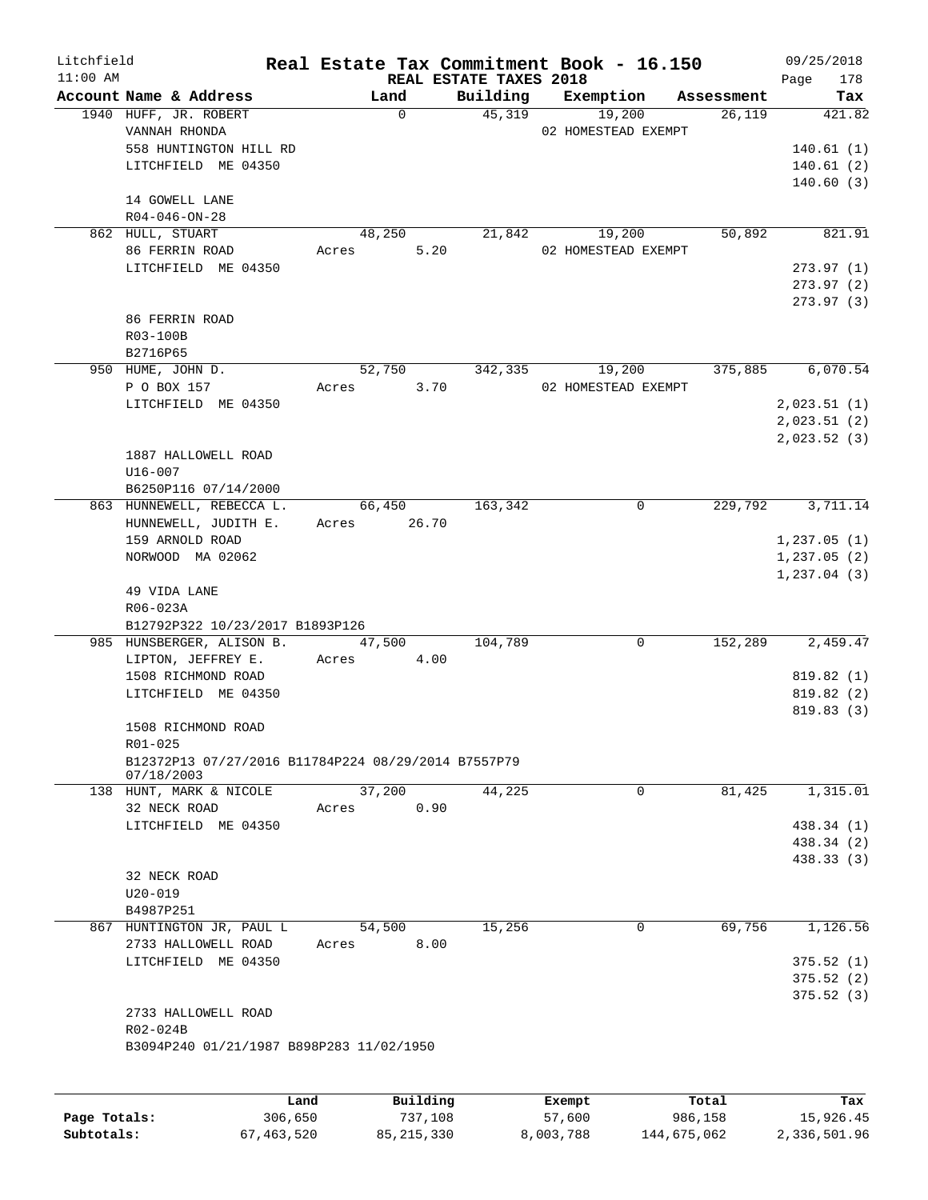| Litchfield |                                                                   |       |             | Real Estate Tax Commitment Book - 16.150 |                     |                     |                      | 09/25/2018              |
|------------|-------------------------------------------------------------------|-------|-------------|------------------------------------------|---------------------|---------------------|----------------------|-------------------------|
| $11:00$ AM | Account Name & Address                                            |       | Land        | REAL ESTATE TAXES 2018<br>Building       |                     |                     |                      | 178<br>Page<br>Tax      |
|            | 1940 HUFF, JR. ROBERT                                             |       | $\mathbf 0$ | 45,319                                   |                     | Exemption<br>19,200 | Assessment<br>26,119 | 421.82                  |
|            | VANNAH RHONDA                                                     |       |             |                                          |                     | 02 HOMESTEAD EXEMPT |                      |                         |
|            | 558 HUNTINGTON HILL RD                                            |       |             |                                          |                     |                     |                      | 140.61(1)               |
|            | LITCHFIELD ME 04350                                               |       |             |                                          |                     |                     |                      | 140.61(2)               |
|            |                                                                   |       |             |                                          |                     |                     |                      | 140.60(3)               |
|            | 14 GOWELL LANE                                                    |       |             |                                          |                     |                     |                      |                         |
|            | $R04 - 046 - ON - 28$                                             |       |             |                                          |                     |                     |                      |                         |
|            | 862 HULL, STUART                                                  |       | 48,250      | 21,842                                   |                     | 19,200              | 50,892               | 821.91                  |
|            | 86 FERRIN ROAD                                                    | Acres | 5.20        |                                          | 02 HOMESTEAD EXEMPT |                     |                      |                         |
|            | LITCHFIELD ME 04350                                               |       |             |                                          |                     |                     |                      | 273.97(1)               |
|            |                                                                   |       |             |                                          |                     |                     |                      | 273.97(2)<br>273.97 (3) |
|            | 86 FERRIN ROAD                                                    |       |             |                                          |                     |                     |                      |                         |
|            | R03-100B                                                          |       |             |                                          |                     |                     |                      |                         |
|            | B2716P65                                                          |       |             |                                          |                     |                     |                      |                         |
|            | 950 HUME, JOHN D.                                                 |       | 52,750      | 342,335                                  |                     | 19,200              | 375,885              | 6,070.54                |
|            | P O BOX 157                                                       | Acres | 3.70        |                                          |                     | 02 HOMESTEAD EXEMPT |                      |                         |
|            | LITCHFIELD ME 04350                                               |       |             |                                          |                     |                     |                      | 2,023.51(1)             |
|            |                                                                   |       |             |                                          |                     |                     |                      | 2,023.51(2)             |
|            |                                                                   |       |             |                                          |                     |                     |                      | 2,023.52(3)             |
|            | 1887 HALLOWELL ROAD                                               |       |             |                                          |                     |                     |                      |                         |
|            | U16-007                                                           |       |             |                                          |                     |                     |                      |                         |
|            | B6250P116 07/14/2000                                              |       |             |                                          |                     |                     |                      |                         |
|            | 863 HUNNEWELL, REBECCA L.                                         |       | 66,450      | 163,342                                  |                     | 0                   | 229,792              | 3,711.14                |
|            | HUNNEWELL, JUDITH E.                                              |       | Acres 26.70 |                                          |                     |                     |                      |                         |
|            | 159 ARNOLD ROAD                                                   |       |             |                                          |                     |                     |                      | 1,237.05(1)             |
|            | NORWOOD MA 02062                                                  |       |             |                                          |                     |                     |                      | 1,237.05(2)             |
|            | 49 VIDA LANE                                                      |       |             |                                          |                     |                     |                      | 1,237.04(3)             |
|            | R06-023A                                                          |       |             |                                          |                     |                     |                      |                         |
|            | B12792P322 10/23/2017 B1893P126                                   |       |             |                                          |                     |                     |                      |                         |
|            | 985 HUNSBERGER, ALISON B.                                         |       | 47,500      | 104,789                                  |                     | 0                   | 152,289              | 2,459.47                |
|            | LIPTON, JEFFREY E.                                                | Acres | 4.00        |                                          |                     |                     |                      |                         |
|            | 1508 RICHMOND ROAD                                                |       |             |                                          |                     |                     |                      | 819.82(1)               |
|            | LITCHFIELD ME 04350                                               |       |             |                                          |                     |                     |                      | 819.82 (2)              |
|            |                                                                   |       |             |                                          |                     |                     |                      | 819.83(3)               |
|            | 1508 RICHMOND ROAD                                                |       |             |                                          |                     |                     |                      |                         |
|            | R01-025                                                           |       |             |                                          |                     |                     |                      |                         |
|            | B12372P13 07/27/2016 B11784P224 08/29/2014 B7557P79<br>07/18/2003 |       |             |                                          |                     |                     |                      |                         |
|            | 138 HUNT, MARK & NICOLE                                           |       | 37,200      | 44,225                                   |                     | 0                   | 81,425               | 1,315.01                |
|            | 32 NECK ROAD                                                      | Acres | 0.90        |                                          |                     |                     |                      |                         |
|            | LITCHFIELD ME 04350                                               |       |             |                                          |                     |                     |                      | 438.34 (1)              |
|            |                                                                   |       |             |                                          |                     |                     |                      | 438.34 (2)              |
|            |                                                                   |       |             |                                          |                     |                     |                      | 438.33(3)               |
|            | 32 NECK ROAD                                                      |       |             |                                          |                     |                     |                      |                         |
|            | $U20 - 019$                                                       |       |             |                                          |                     |                     |                      |                         |
|            | B4987P251                                                         |       |             |                                          |                     |                     |                      |                         |
|            | 867 HUNTINGTON JR, PAUL L                                         |       | 54,500      | 15,256                                   |                     | $\mathbf 0$         | 69,756               | 1,126.56                |
|            | 2733 HALLOWELL ROAD                                               | Acres | 8.00        |                                          |                     |                     |                      |                         |
|            | LITCHFIELD ME 04350                                               |       |             |                                          |                     |                     |                      | 375.52(1)               |
|            |                                                                   |       |             |                                          |                     |                     |                      | 375.52(2)<br>375.52(3)  |
|            | 2733 HALLOWELL ROAD                                               |       |             |                                          |                     |                     |                      |                         |
|            | R02-024B                                                          |       |             |                                          |                     |                     |                      |                         |
|            | B3094P240 01/21/1987 B898P283 11/02/1950                          |       |             |                                          |                     |                     |                      |                         |
|            |                                                                   |       |             |                                          |                     |                     |                      |                         |
|            |                                                                   |       |             |                                          |                     |                     |                      |                         |
|            | Land                                                              |       | Building    |                                          | Exempt              |                     | Total                | Tax                     |

|              | nand L       | Building     | Exempt    | Total       | тах          |
|--------------|--------------|--------------|-----------|-------------|--------------|
| Page Totals: | 306,650      | 737.108      | 57,600    | 986,158     | 15,926.45    |
| Subtotals:   | 67, 463, 520 | 85, 215, 330 | 8,003,788 | 144,675,062 | 2,336,501.96 |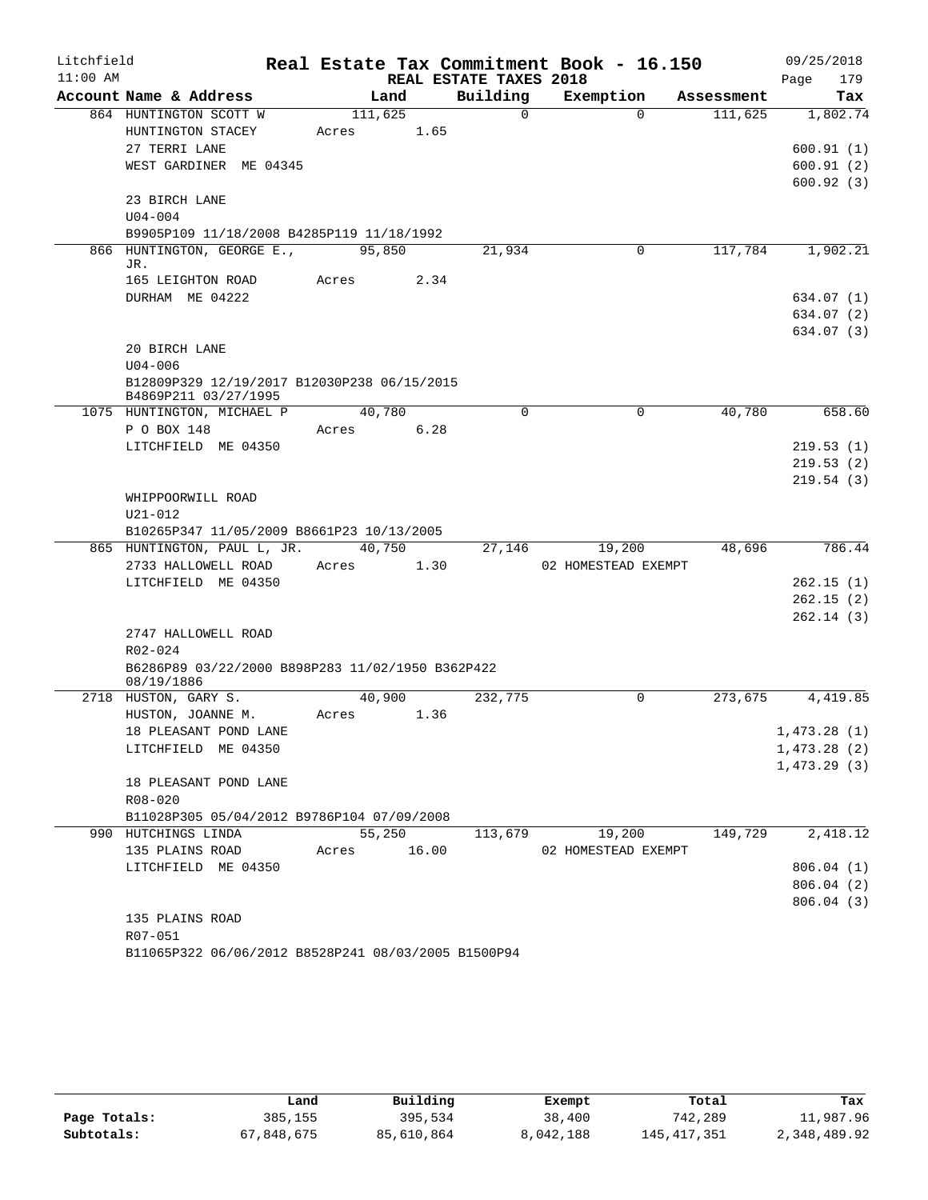| Litchfield |                                                                     |             |        |                        | Real Estate Tax Commitment Book - 16.150 |                      | 09/25/2018  |
|------------|---------------------------------------------------------------------|-------------|--------|------------------------|------------------------------------------|----------------------|-------------|
| $11:00$ AM |                                                                     |             |        | REAL ESTATE TAXES 2018 |                                          |                      | 179<br>Page |
|            | Account Name & Address                                              | Land        |        | Building               | Exemption                                | Assessment           | Tax         |
|            | 864 HUNTINGTON SCOTT W                                              | 111,625     |        | $\Omega$               | $\Omega$                                 | $\overline{11}1,625$ | 1,802.74    |
|            | HUNTINGTON STACEY                                                   | Acres       | 1.65   |                        |                                          |                      |             |
|            | 27 TERRI LANE                                                       |             |        |                        |                                          |                      | 600.91(1)   |
|            | WEST GARDINER ME 04345                                              |             |        |                        |                                          |                      | 600.91(2)   |
|            |                                                                     |             |        |                        |                                          |                      | 600.92(3)   |
|            | 23 BIRCH LANE                                                       |             |        |                        |                                          |                      |             |
|            | $U04 - 004$<br>B9905P109 11/18/2008 B4285P119 11/18/1992            |             |        |                        |                                          |                      |             |
|            | 866 HUNTINGTON, GEORGE E.,                                          | 95,850      |        | 21,934                 | 0                                        | 117,784              | 1,902.21    |
|            | JR.                                                                 |             |        |                        |                                          |                      |             |
|            | 165 LEIGHTON ROAD                                                   | Acres       | 2.34   |                        |                                          |                      |             |
|            | DURHAM ME 04222                                                     |             |        |                        |                                          |                      | 634.07 (1)  |
|            |                                                                     |             |        |                        |                                          |                      | 634.07 (2)  |
|            |                                                                     |             |        |                        |                                          |                      | 634.07 (3)  |
|            | 20 BIRCH LANE                                                       |             |        |                        |                                          |                      |             |
|            | $U04 - 006$                                                         |             |        |                        |                                          |                      |             |
|            | B12809P329 12/19/2017 B12030P238 06/15/2015<br>B4869P211 03/27/1995 |             |        |                        |                                          |                      |             |
|            | 1075 HUNTINGTON, MICHAEL P                                          | 40,780      |        | $\Omega$               | $\mathbf 0$                              | 40,780               | 658.60      |
|            | P O BOX 148                                                         | Acres       | 6.28   |                        |                                          |                      |             |
|            | LITCHFIELD ME 04350                                                 |             |        |                        |                                          |                      | 219.53(1)   |
|            |                                                                     |             |        |                        |                                          |                      | 219.53(2)   |
|            |                                                                     |             |        |                        |                                          |                      | 219.54(3)   |
|            | WHIPPOORWILL ROAD                                                   |             |        |                        |                                          |                      |             |
|            | $U21 - 012$                                                         |             |        |                        |                                          |                      |             |
|            | B10265P347 11/05/2009 B8661P23 10/13/2005                           |             |        |                        |                                          |                      |             |
|            | 865 HUNTINGTON, PAUL L, JR.                                         | 40,750      |        | 27,146                 | 19,200                                   | 48,696               | 786.44      |
|            | 2733 HALLOWELL ROAD                                                 | Acres       | 1.30   |                        | 02 HOMESTEAD EXEMPT                      |                      |             |
|            | LITCHFIELD ME 04350                                                 |             |        |                        |                                          |                      | 262.15(1)   |
|            |                                                                     |             |        |                        |                                          |                      | 262.15(2)   |
|            |                                                                     |             |        |                        |                                          |                      | 262.14(3)   |
|            | 2747 HALLOWELL ROAD                                                 |             |        |                        |                                          |                      |             |
|            | R02-024<br>B6286P89 03/22/2000 B898P283 11/02/1950 B362P422         |             |        |                        |                                          |                      |             |
|            | 08/19/1886                                                          |             |        |                        |                                          |                      |             |
|            | 2718 HUSTON, GARY S.                                                | 40,900      |        | 232,775                | $\Omega$                                 | 273,675              | 4,419.85    |
|            | HUSTON, JOANNE M.                                                   | Acres       | 1.36   |                        |                                          |                      |             |
|            | 18 PLEASANT POND LANE                                               |             |        |                        |                                          |                      | 1,473.28(1) |
|            | LITCHFIELD ME 04350                                                 |             |        |                        |                                          |                      | 1,473.28(2) |
|            |                                                                     |             |        |                        |                                          |                      | 1,473.29(3) |
|            | 18 PLEASANT POND LANE                                               |             |        |                        |                                          |                      |             |
|            | $R08 - 020$                                                         |             |        |                        |                                          |                      |             |
|            | B11028P305 05/04/2012 B9786P104 07/09/2008                          |             |        |                        |                                          |                      |             |
|            | 990 HUTCHINGS LINDA                                                 |             | 55,250 |                        | 113,679 19,200                           | 149,729              | 2,418.12    |
|            | 135 PLAINS ROAD                                                     | Acres 16.00 |        |                        | 02 HOMESTEAD EXEMPT                      |                      |             |
|            | LITCHFIELD ME 04350                                                 |             |        |                        |                                          |                      | 806.04(1)   |
|            |                                                                     |             |        |                        |                                          |                      | 806.04(2)   |
|            | 135 PLAINS ROAD                                                     |             |        |                        |                                          |                      | 806.04(3)   |
|            | R07-051                                                             |             |        |                        |                                          |                      |             |
|            |                                                                     |             |        |                        |                                          |                      |             |

B11065P322 06/06/2012 B8528P241 08/03/2005 B1500P94

|              | Land       | Building   | Exempt    | Total       | Tax          |
|--------------|------------|------------|-----------|-------------|--------------|
| Page Totals: | 385,155    | 395,534    | 38,400    | 742,289     | 11,987.96    |
| Subtotals:   | 67,848,675 | 85,610,864 | 8,042,188 | 145,417,351 | 2,348,489.92 |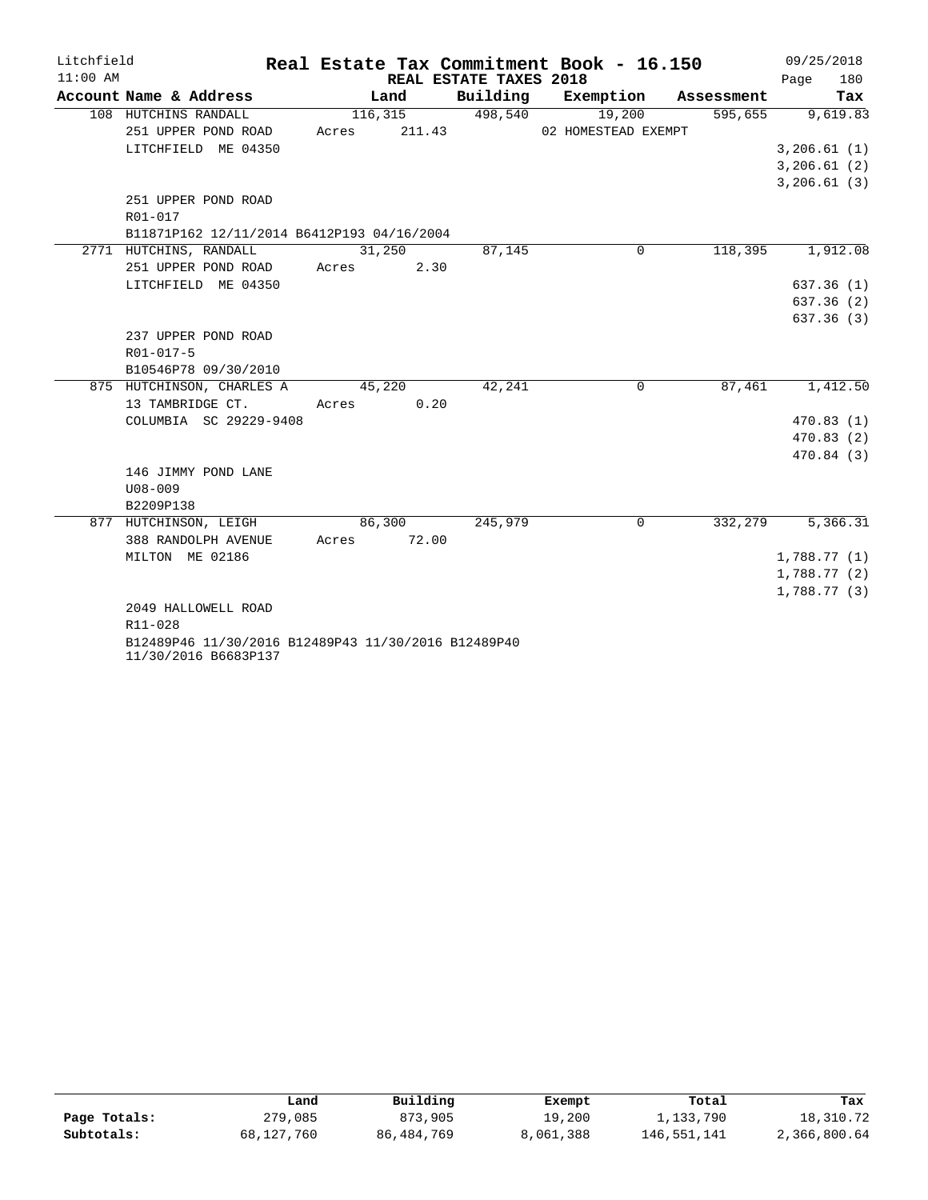| Litchfield |                                                     |       |          |                        | Real Estate Tax Commitment Book - 16.150 |            | 09/25/2018   |
|------------|-----------------------------------------------------|-------|----------|------------------------|------------------------------------------|------------|--------------|
| $11:00$ AM |                                                     |       |          | REAL ESTATE TAXES 2018 |                                          |            | 180<br>Page  |
|            | Account Name & Address                              |       | Land     | Building               | Exemption                                | Assessment | Tax          |
|            | 108 HUTCHINS RANDALL                                |       | 116, 315 | 498,540                | 19,200                                   | 595,655    | 9,619.83     |
|            | 251 UPPER POND ROAD                                 | Acres | 211.43   |                        | 02 HOMESTEAD EXEMPT                      |            |              |
|            | LITCHFIELD ME 04350                                 |       |          |                        |                                          |            | 3, 206.61(1) |
|            |                                                     |       |          |                        |                                          |            | 3, 206.61(2) |
|            |                                                     |       |          |                        |                                          |            | 3, 206.61(3) |
|            | 251 UPPER POND ROAD                                 |       |          |                        |                                          |            |              |
|            | R01-017                                             |       |          |                        |                                          |            |              |
|            | B11871P162 12/11/2014 B6412P193 04/16/2004          |       |          |                        |                                          |            |              |
|            | 2771 HUTCHINS, RANDALL                              |       | 31,250   | 87,145                 | 0                                        | 118,395    | 1,912.08     |
|            | 251 UPPER POND ROAD                                 | Acres | 2.30     |                        |                                          |            |              |
|            | LITCHFIELD ME 04350                                 |       |          |                        |                                          |            | 637.36(1)    |
|            |                                                     |       |          |                        |                                          |            | 637.36(2)    |
|            |                                                     |       |          |                        |                                          |            | 637.36(3)    |
|            | 237 UPPER POND ROAD                                 |       |          |                        |                                          |            |              |
|            | R01-017-5                                           |       |          |                        |                                          |            |              |
|            | B10546P78 09/30/2010                                |       |          |                        |                                          |            |              |
|            | 875 HUTCHINSON, CHARLES A                           |       | 45,220   | 42,241                 | $\Omega$                                 | 87,461     | 1,412.50     |
|            | 13 TAMBRIDGE CT.                                    | Acres | 0.20     |                        |                                          |            |              |
|            | COLUMBIA SC 29229-9408                              |       |          |                        |                                          |            | 470.83(1)    |
|            |                                                     |       |          |                        |                                          |            | 470.83(2)    |
|            |                                                     |       |          |                        |                                          |            | 470.84 (3)   |
|            | 146 JIMMY POND LANE                                 |       |          |                        |                                          |            |              |
|            | $U08 - 009$                                         |       |          |                        |                                          |            |              |
|            | B2209P138                                           |       |          |                        |                                          |            |              |
|            | 877 HUTCHINSON, LEIGH                               |       | 86,300   | 245,979                | 0                                        | 332,279    | 5,366.31     |
|            | 388 RANDOLPH AVENUE                                 | Acres | 72.00    |                        |                                          |            |              |
|            | MILTON ME 02186                                     |       |          |                        |                                          |            | 1,788.77(1)  |
|            |                                                     |       |          |                        |                                          |            | 1,788.77(2)  |
|            |                                                     |       |          |                        |                                          |            | 1,788.77(3)  |
|            | 2049 HALLOWELL ROAD                                 |       |          |                        |                                          |            |              |
|            | R11-028                                             |       |          |                        |                                          |            |              |
|            | B12489P46 11/30/2016 B12489P43 11/30/2016 B12489P40 |       |          |                        |                                          |            |              |
|            | 11/30/2016 B6683P137                                |       |          |                        |                                          |            |              |

|              | Land       | Building     | Exempt    | Total       | Tax          |
|--------------|------------|--------------|-----------|-------------|--------------|
|              |            |              |           |             |              |
| Page Totals: | 279,085    | 873,905      | 19,200    | 1,133,790   | 18,310.72    |
| Subtotals:   | 68,127,760 | 86, 484, 769 | 8,061,388 | 146,551,141 | 2,366,800.64 |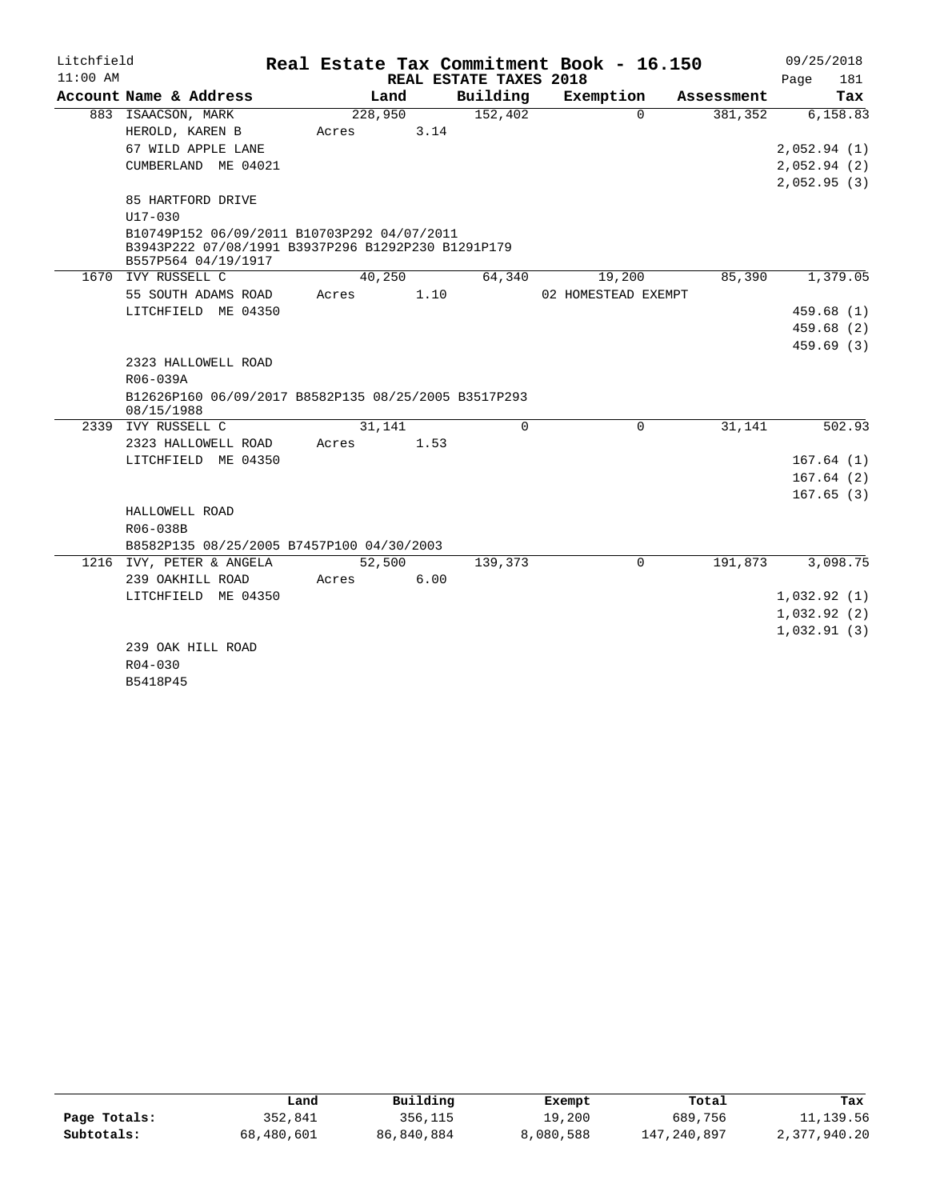| Litchfield |                                                                                                                          |         |        |                        | Real Estate Tax Commitment Book - 16.150 |                        | 09/25/2018  |
|------------|--------------------------------------------------------------------------------------------------------------------------|---------|--------|------------------------|------------------------------------------|------------------------|-------------|
| $11:00$ AM |                                                                                                                          |         |        | REAL ESTATE TAXES 2018 |                                          |                        | Page<br>181 |
|            | Account Name & Address                                                                                                   |         | Land   | Building               | Exemption                                | Assessment             | Tax         |
|            | 883 ISAACSON, MARK                                                                                                       | 228,950 |        | 152,402                |                                          | $\Omega$<br>381,352    | 6,158.83    |
|            | HEROLD, KAREN B                                                                                                          | Acres   | 3.14   |                        |                                          |                        |             |
|            | 67 WILD APPLE LANE                                                                                                       |         |        |                        |                                          |                        | 2,052.94(1) |
|            | CUMBERLAND ME 04021                                                                                                      |         |        |                        |                                          |                        | 2,052.94(2) |
|            |                                                                                                                          |         |        |                        |                                          |                        | 2,052.95(3) |
|            | 85 HARTFORD DRIVE                                                                                                        |         |        |                        |                                          |                        |             |
|            | U17-030                                                                                                                  |         |        |                        |                                          |                        |             |
|            | B10749P152 06/09/2011 B10703P292 04/07/2011<br>B3943P222 07/08/1991 B3937P296 B1292P230 B1291P179<br>B557P564 04/19/1917 |         |        |                        |                                          |                        |             |
|            | 1670 IVY RUSSELL C                                                                                                       |         | 40,250 | 64,340                 | 19,200                                   | 85,390                 | 1,379.05    |
|            | 55 SOUTH ADAMS ROAD                                                                                                      | Acres   | 1.10   |                        | 02 HOMESTEAD EXEMPT                      |                        |             |
|            | LITCHFIELD ME 04350                                                                                                      |         |        |                        |                                          |                        | 459.68(1)   |
|            |                                                                                                                          |         |        |                        |                                          |                        | 459.68(2)   |
|            |                                                                                                                          |         |        |                        |                                          |                        | 459.69(3)   |
|            | 2323 HALLOWELL ROAD                                                                                                      |         |        |                        |                                          |                        |             |
|            | R06-039A                                                                                                                 |         |        |                        |                                          |                        |             |
|            | B12626P160 06/09/2017 B8582P135 08/25/2005 B3517P293<br>08/15/1988                                                       |         |        |                        |                                          |                        |             |
|            | 2339 IVY RUSSELL C                                                                                                       |         | 31,141 | $\Omega$               |                                          | 31,141<br>$\Omega$     | 502.93      |
|            | 2323 HALLOWELL ROAD                                                                                                      | Acres   | 1.53   |                        |                                          |                        |             |
|            | LITCHFIELD ME 04350                                                                                                      |         |        |                        |                                          |                        | 167.64(1)   |
|            |                                                                                                                          |         |        |                        |                                          |                        | 167.64(2)   |
|            |                                                                                                                          |         |        |                        |                                          |                        | 167.65(3)   |
|            | HALLOWELL ROAD                                                                                                           |         |        |                        |                                          |                        |             |
|            | R06-038B                                                                                                                 |         |        |                        |                                          |                        |             |
|            | B8582P135 08/25/2005 B7457P100 04/30/2003                                                                                |         |        |                        |                                          |                        |             |
|            | 1216 IVY, PETER & ANGELA                                                                                                 |         | 52,500 | 139,373                |                                          | 191,873<br>$\mathbf 0$ | 3,098.75    |
|            | 239 OAKHILL ROAD                                                                                                         | Acres   | 6.00   |                        |                                          |                        |             |
|            | LITCHFIELD ME 04350                                                                                                      |         |        |                        |                                          |                        | 1,032.92(1) |
|            |                                                                                                                          |         |        |                        |                                          |                        | 1,032.92(2) |
|            |                                                                                                                          |         |        |                        |                                          |                        | 1,032.91(3) |
|            | 239 OAK HILL ROAD                                                                                                        |         |        |                        |                                          |                        |             |
|            | $R04 - 030$                                                                                                              |         |        |                        |                                          |                        |             |
|            | B5418P45                                                                                                                 |         |        |                        |                                          |                        |             |

|              | Land       | Building   | Exempt    | Total       | Tax          |
|--------------|------------|------------|-----------|-------------|--------------|
| Page Totals: | 352,841    | 356,115    | 19,200    | 689,756     | 11,139.56    |
| Subtotals:   | 68,480,601 | 86,840,884 | 8,080,588 | 147,240,897 | 2,377,940.20 |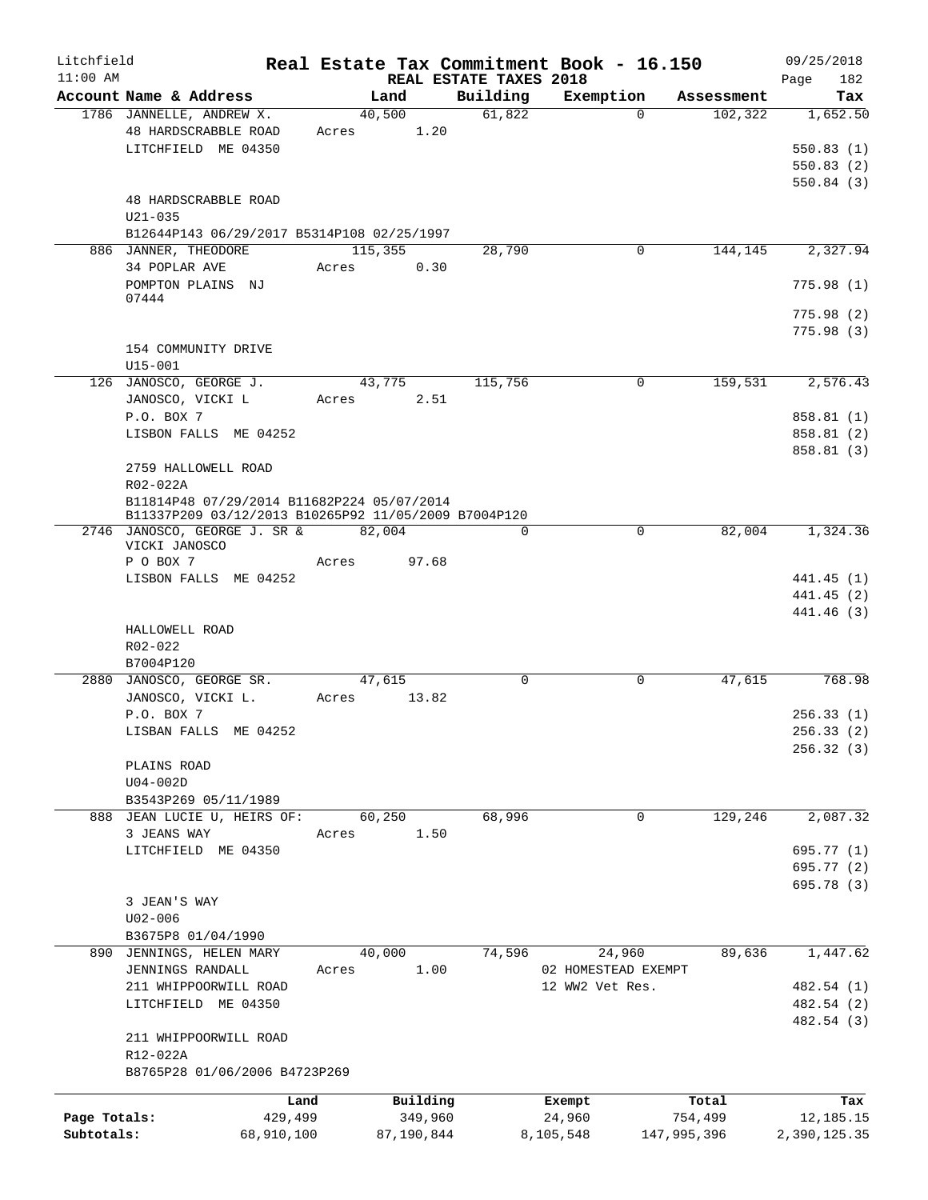| Litchfield   |                                                                                                    |            |       |            |                                    | Real Estate Tax Commitment Book - 16.150 |             | 09/25/2018         |
|--------------|----------------------------------------------------------------------------------------------------|------------|-------|------------|------------------------------------|------------------------------------------|-------------|--------------------|
| $11:00$ AM   | Account Name & Address                                                                             |            |       | Land       | REAL ESTATE TAXES 2018<br>Building | Exemption                                | Assessment  | 182<br>Page<br>Tax |
|              | 1786 JANNELLE, ANDREW X.                                                                           |            |       | 40,500     | 61,822                             | $\Omega$                                 | 102, 322    | 1,652.50           |
|              | 48 HARDSCRABBLE ROAD                                                                               |            | Acres | 1.20       |                                    |                                          |             |                    |
|              | LITCHFIELD ME 04350                                                                                |            |       |            |                                    |                                          |             | 550.83(1)          |
|              |                                                                                                    |            |       |            |                                    |                                          |             | 550.83(2)          |
|              |                                                                                                    |            |       |            |                                    |                                          |             | 550.84(3)          |
|              | 48 HARDSCRABBLE ROAD                                                                               |            |       |            |                                    |                                          |             |                    |
|              | $U21 - 035$                                                                                        |            |       |            |                                    |                                          |             |                    |
|              | B12644P143 06/29/2017 B5314P108 02/25/1997                                                         |            |       |            |                                    |                                          |             |                    |
|              | 886 JANNER, THEODORE                                                                               |            |       | 115,355    | 28,790                             | $\mathbf 0$                              | 144,145     | 2,327.94           |
|              | 34 POPLAR AVE                                                                                      |            | Acres | 0.30       |                                    |                                          |             |                    |
|              | POMPTON PLAINS NJ                                                                                  |            |       |            |                                    |                                          |             | 775.98(1)          |
|              | 07444                                                                                              |            |       |            |                                    |                                          |             |                    |
|              |                                                                                                    |            |       |            |                                    |                                          |             | 775.98(2)          |
|              |                                                                                                    |            |       |            |                                    |                                          |             | 775.98(3)          |
|              | 154 COMMUNITY DRIVE                                                                                |            |       |            |                                    |                                          |             |                    |
|              | $U15 - 001$                                                                                        |            |       |            |                                    |                                          |             |                    |
|              | 126 JANOSCO, GEORGE J.                                                                             |            |       | 43,775     | 115,756                            | $\mathbf 0$                              | 159,531     | 2,576.43           |
|              | JANOSCO, VICKI L                                                                                   |            | Acres | 2.51       |                                    |                                          |             |                    |
|              | P.O. BOX 7                                                                                         |            |       |            |                                    |                                          |             | 858.81 (1)         |
|              | LISBON FALLS ME 04252                                                                              |            |       |            |                                    |                                          |             |                    |
|              |                                                                                                    |            |       |            |                                    |                                          |             | 858.81 (2)         |
|              |                                                                                                    |            |       |            |                                    |                                          |             | 858.81 (3)         |
|              | 2759 HALLOWELL ROAD                                                                                |            |       |            |                                    |                                          |             |                    |
|              | R02-022A                                                                                           |            |       |            |                                    |                                          |             |                    |
|              | B11814P48 07/29/2014 B11682P224 05/07/2014<br>B11337P209 03/12/2013 B10265P92 11/05/2009 B7004P120 |            |       |            |                                    |                                          |             |                    |
|              | 2746 JANOSCO, GEORGE J. SR &                                                                       |            |       | 82,004     | $\Omega$                           | $\mathbf 0$                              | 82,004      | 1,324.36           |
|              | VICKI JANOSCO                                                                                      |            |       |            |                                    |                                          |             |                    |
|              | P O BOX 7                                                                                          |            | Acres | 97.68      |                                    |                                          |             |                    |
|              | LISBON FALLS ME 04252                                                                              |            |       |            |                                    |                                          |             | 441.45 (1)         |
|              |                                                                                                    |            |       |            |                                    |                                          |             | 441.45 (2)         |
|              |                                                                                                    |            |       |            |                                    |                                          |             | 441.46 (3)         |
|              | HALLOWELL ROAD                                                                                     |            |       |            |                                    |                                          |             |                    |
|              | R02-022                                                                                            |            |       |            |                                    |                                          |             |                    |
|              | B7004P120                                                                                          |            |       |            |                                    |                                          |             |                    |
|              | 2880 JANOSCO, GEORGE SR.                                                                           |            |       | 47,615     | $\Omega$                           | $\mathbf 0$                              | 47,615      | 768.98             |
|              | JANOSCO, VICKI L.                                                                                  |            | Acres | 13.82      |                                    |                                          |             |                    |
|              | P.O. BOX 7                                                                                         |            |       |            |                                    |                                          |             | 256.33(1)          |
|              | LISBAN FALLS ME 04252                                                                              |            |       |            |                                    |                                          |             | 256.33 (2)         |
|              |                                                                                                    |            |       |            |                                    |                                          |             | 256.32(3)          |
|              | PLAINS ROAD                                                                                        |            |       |            |                                    |                                          |             |                    |
|              | $U04-002D$                                                                                         |            |       |            |                                    |                                          |             |                    |
|              | B3543P269 05/11/1989                                                                               |            |       |            |                                    |                                          |             |                    |
|              | 888 JEAN LUCIE U, HEIRS OF:                                                                        |            |       | 60,250     | 68,996                             | $\mathbf 0$                              | 129,246     | 2,087.32           |
|              | 3 JEANS WAY                                                                                        |            | Acres | 1.50       |                                    |                                          |             |                    |
|              | LITCHFIELD ME 04350                                                                                |            |       |            |                                    |                                          |             | 695.77 (1)         |
|              |                                                                                                    |            |       |            |                                    |                                          |             | 695.77 (2)         |
|              |                                                                                                    |            |       |            |                                    |                                          |             | 695.78 (3)         |
|              | 3 JEAN'S WAY                                                                                       |            |       |            |                                    |                                          |             |                    |
|              |                                                                                                    |            |       |            |                                    |                                          |             |                    |
|              | $U02 - 006$                                                                                        |            |       |            |                                    |                                          |             |                    |
|              | B3675P8 01/04/1990                                                                                 |            |       | 40,000     | 74,596                             |                                          | 89,636      | 1,447.62           |
|              | 890 JENNINGS, HELEN MARY                                                                           |            |       | 1.00       |                                    | 24,960<br>02 HOMESTEAD EXEMPT            |             |                    |
|              | <b>JENNINGS RANDALL</b>                                                                            |            | Acres |            |                                    | 12 WW2 Vet Res.                          |             |                    |
|              | 211 WHIPPOORWILL ROAD                                                                              |            |       |            |                                    |                                          |             | 482.54 (1)         |
|              | LITCHFIELD ME 04350                                                                                |            |       |            |                                    |                                          |             | 482.54 (2)         |
|              |                                                                                                    |            |       |            |                                    |                                          |             | 482.54 (3)         |
|              | 211 WHIPPOORWILL ROAD                                                                              |            |       |            |                                    |                                          |             |                    |
|              | R12-022A                                                                                           |            |       |            |                                    |                                          |             |                    |
|              | B8765P28 01/06/2006 B4723P269                                                                      |            |       |            |                                    |                                          |             |                    |
|              |                                                                                                    | Land       |       | Building   |                                    | Exempt                                   | Total       | Tax                |
| Page Totals: |                                                                                                    | 429,499    |       | 349,960    |                                    | 24,960                                   | 754,499     | 12,185.15          |
| Subtotals:   |                                                                                                    | 68,910,100 |       | 87,190,844 |                                    | 8,105,548                                | 147,995,396 | 2,390,125.35       |
|              |                                                                                                    |            |       |            |                                    |                                          |             |                    |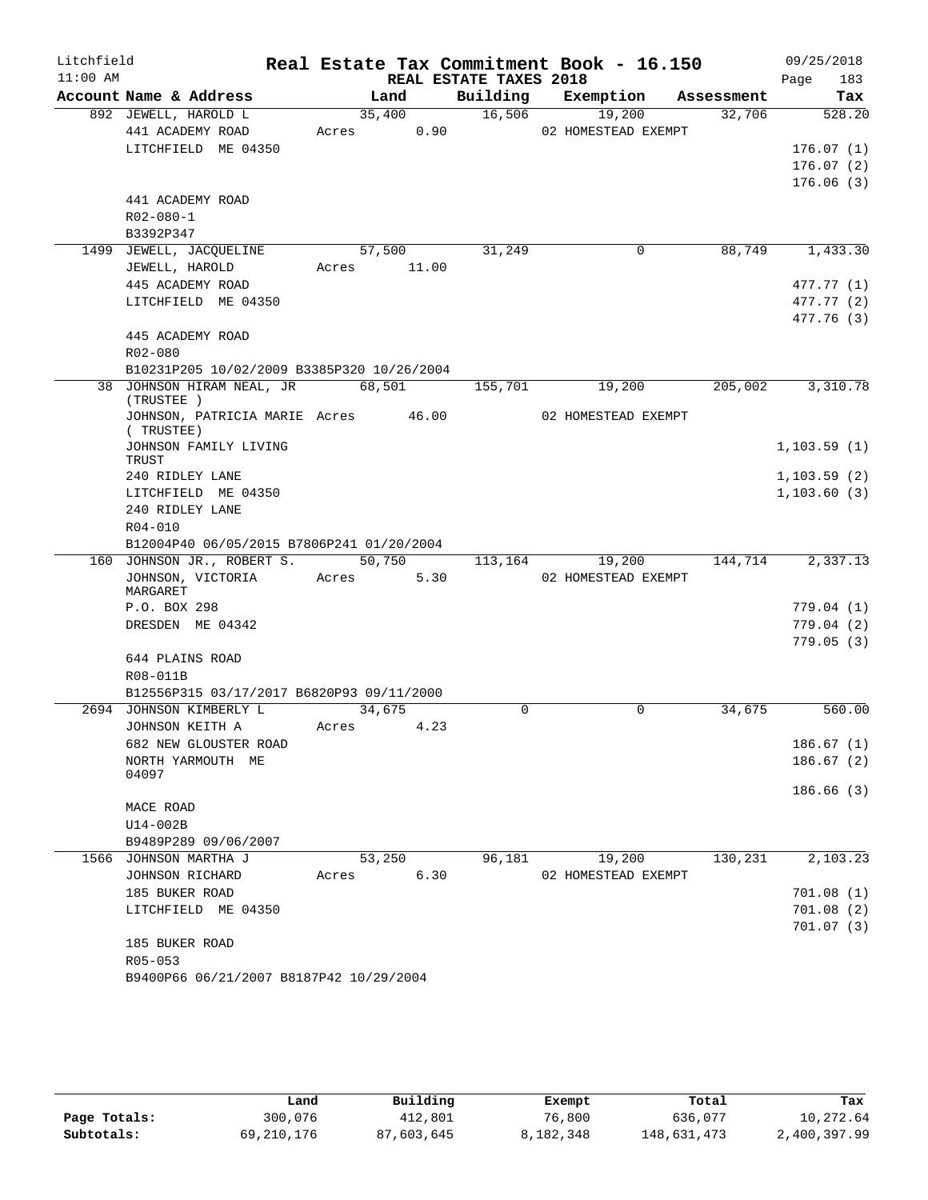| Litchfield |                                                                         |       |        |                        | Real Estate Tax Commitment Book - 16.150 |            | 09/25/2018  |
|------------|-------------------------------------------------------------------------|-------|--------|------------------------|------------------------------------------|------------|-------------|
| $11:00$ AM |                                                                         |       |        | REAL ESTATE TAXES 2018 |                                          |            | Page<br>183 |
|            | Account Name & Address                                                  |       | Land   | Building               | Exemption                                | Assessment | Tax         |
|            | 892 JEWELL, HAROLD L                                                    |       | 35,400 | 16,506                 | 19,200                                   | 32,706     | 528.20      |
|            | 441 ACADEMY ROAD                                                        | Acres | 0.90   |                        | 02 HOMESTEAD EXEMPT                      |            |             |
|            | LITCHFIELD ME 04350                                                     |       |        |                        |                                          |            | 176.07(1)   |
|            |                                                                         |       |        |                        |                                          |            | 176.07(2)   |
|            |                                                                         |       |        |                        |                                          |            | 176.06(3)   |
|            | 441 ACADEMY ROAD                                                        |       |        |                        |                                          |            |             |
|            | $R02 - 080 - 1$                                                         |       |        |                        |                                          |            |             |
|            | B3392P347                                                               |       |        |                        |                                          |            |             |
|            | 1499 JEWELL, JACQUELINE                                                 |       | 57,500 | 31,249                 | 0                                        | 88,749     | 1,433.30    |
|            | JEWELL, HAROLD                                                          | Acres | 11.00  |                        |                                          |            |             |
|            | 445 ACADEMY ROAD                                                        |       |        |                        |                                          |            | 477.77 (1)  |
|            | LITCHFIELD ME 04350                                                     |       |        |                        |                                          |            | 477.77 (2)  |
|            |                                                                         |       |        |                        |                                          |            | 477.76 (3)  |
|            | 445 ACADEMY ROAD                                                        |       |        |                        |                                          |            |             |
|            | R02-080                                                                 |       |        |                        |                                          |            |             |
|            | B10231P205 10/02/2009 B3385P320 10/26/2004<br>38 JOHNSON HIRAM NEAL, JR |       | 68,501 |                        |                                          | 205,002    |             |
|            | (TRUSTEE)                                                               |       |        | 155,701                | 19,200                                   |            | 3,310.78    |
|            | JOHNSON, PATRICIA MARIE Acres 46.00                                     |       |        |                        | 02 HOMESTEAD EXEMPT                      |            |             |
|            | (TRUSTEE)                                                               |       |        |                        |                                          |            |             |
|            | JOHNSON FAMILY LIVING                                                   |       |        |                        |                                          |            | 1,103.59(1) |
|            | TRUST                                                                   |       |        |                        |                                          |            |             |
|            | 240 RIDLEY LANE                                                         |       |        |                        |                                          |            | 1,103.59(2) |
|            | LITCHFIELD ME 04350                                                     |       |        |                        |                                          |            | 1,103.60(3) |
|            | 240 RIDLEY LANE                                                         |       |        |                        |                                          |            |             |
|            | R04-010                                                                 |       |        |                        |                                          |            |             |
|            | B12004P40 06/05/2015 B7806P241 01/20/2004<br>160 JOHNSON JR., ROBERT S. |       | 50,750 | 113,164                | 19,200                                   | 144,714    | 2,337.13    |
|            | JOHNSON, VICTORIA                                                       | Acres | 5.30   |                        | 02 HOMESTEAD EXEMPT                      |            |             |
|            | MARGARET                                                                |       |        |                        |                                          |            |             |
|            | P.O. BOX 298                                                            |       |        |                        |                                          |            | 779.04 (1)  |
|            | DRESDEN ME 04342                                                        |       |        |                        |                                          |            | 779.04 (2)  |
|            |                                                                         |       |        |                        |                                          |            | 779.05(3)   |
|            | 644 PLAINS ROAD                                                         |       |        |                        |                                          |            |             |
|            | R08-011B                                                                |       |        |                        |                                          |            |             |
|            | B12556P315 03/17/2017 B6820P93 09/11/2000                               |       |        |                        |                                          |            |             |
|            | 2694 JOHNSON KIMBERLY L                                                 |       | 34,675 | 0                      | 0                                        | 34,675     | 560.00      |
|            | JOHNSON KEITH A                                                         | Acres | 4.23   |                        |                                          |            |             |
|            | 682 NEW GLOUSTER ROAD                                                   |       |        |                        |                                          |            | 186.67(1)   |
|            | NORTH YARMOUTH ME                                                       |       |        |                        |                                          |            | 186.67(2)   |
|            | 04097                                                                   |       |        |                        |                                          |            |             |
|            |                                                                         |       |        |                        |                                          |            | 186.66(3)   |
|            | MACE ROAD                                                               |       |        |                        |                                          |            |             |
|            | U14-002B                                                                |       |        |                        |                                          |            |             |
|            | B9489P289 09/06/2007                                                    |       |        |                        |                                          |            |             |
|            | 1566 JOHNSON MARTHA J                                                   |       | 53,250 | 96,181                 | 19,200                                   | 130,231    | 2,103.23    |
|            | JOHNSON RICHARD                                                         | Acres | 6.30   |                        | 02 HOMESTEAD EXEMPT                      |            |             |
|            | 185 BUKER ROAD                                                          |       |        |                        |                                          |            | 701.08(1)   |
|            | LITCHFIELD ME 04350                                                     |       |        |                        |                                          |            | 701.08 (2)  |
|            |                                                                         |       |        |                        |                                          |            | 701.07(3)   |
|            | 185 BUKER ROAD<br>R05-053                                               |       |        |                        |                                          |            |             |
|            | B9400P66 06/21/2007 B8187P42 10/29/2004                                 |       |        |                        |                                          |            |             |
|            |                                                                         |       |        |                        |                                          |            |             |

|              | Land       | Building   | Exempt    | Total       | Tax          |
|--------------|------------|------------|-----------|-------------|--------------|
| Page Totals: | 300,076    | 412,801    | 76,800    | 636,077     | 10,272.64    |
| Subtotals:   | 69,210,176 | 87,603,645 | 8,182,348 | 148,631,473 | 2,400,397.99 |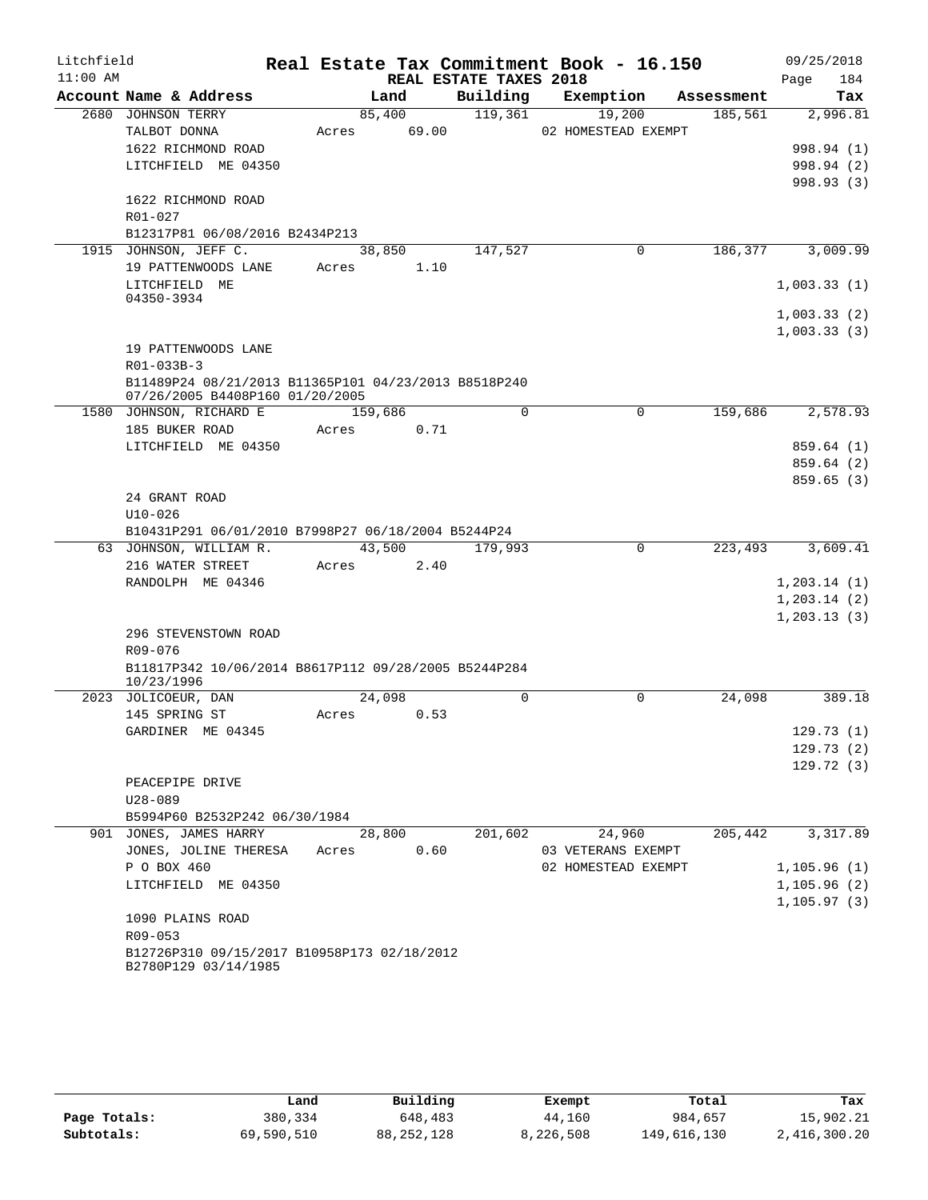| Litchfield |                                                                              |         |        |                        | Real Estate Tax Commitment Book - 16.150 |            | 09/25/2018   |
|------------|------------------------------------------------------------------------------|---------|--------|------------------------|------------------------------------------|------------|--------------|
| $11:00$ AM |                                                                              |         |        | REAL ESTATE TAXES 2018 |                                          |            | 184<br>Page  |
|            | Account Name & Address                                                       |         | Land   | Building               | Exemption                                | Assessment | Tax          |
|            | 2680 JOHNSON TERRY                                                           | 85,400  |        | 119,361                | 19,200                                   | 185,561    | 2,996.81     |
|            | TALBOT DONNA                                                                 | Acres   | 69.00  |                        | 02 HOMESTEAD EXEMPT                      |            |              |
|            | 1622 RICHMOND ROAD                                                           |         |        |                        |                                          |            | 998.94 (1)   |
|            | LITCHFIELD ME 04350                                                          |         |        |                        |                                          |            | 998.94 (2)   |
|            |                                                                              |         |        |                        |                                          |            | 998.93 (3)   |
|            | 1622 RICHMOND ROAD                                                           |         |        |                        |                                          |            |              |
|            | R01-027                                                                      |         |        |                        |                                          |            |              |
|            | B12317P81 06/08/2016 B2434P213<br>1915 JOHNSON, JEFF C.                      | 38,850  |        | 147,527                | 0                                        | 186,377    | 3,009.99     |
|            | 19 PATTENWOODS LANE                                                          | Acres   | 1.10   |                        |                                          |            |              |
|            | LITCHFIELD ME                                                                |         |        |                        |                                          |            | 1,003.33(1)  |
|            | 04350-3934                                                                   |         |        |                        |                                          |            |              |
|            |                                                                              |         |        |                        |                                          |            | 1,003.33(2)  |
|            |                                                                              |         |        |                        |                                          |            | 1,003.33(3)  |
|            | 19 PATTENWOODS LANE                                                          |         |        |                        |                                          |            |              |
|            | R01-033B-3                                                                   |         |        |                        |                                          |            |              |
|            | B11489P24 08/21/2013 B11365P101 04/23/2013 B8518P240                         |         |        |                        |                                          |            |              |
|            | 07/26/2005 B4408P160 01/20/2005                                              |         |        |                        |                                          |            |              |
|            | 1580 JOHNSON, RICHARD E                                                      | 159,686 |        | $\Omega$               | $\Omega$                                 | 159,686    | 2,578.93     |
|            | 185 BUKER ROAD                                                               | Acres   | 0.71   |                        |                                          |            |              |
|            | LITCHFIELD ME 04350                                                          |         |        |                        |                                          |            | 859.64(1)    |
|            |                                                                              |         |        |                        |                                          |            | 859.64(2)    |
|            |                                                                              |         |        |                        |                                          |            | 859.65(3)    |
|            | 24 GRANT ROAD                                                                |         |        |                        |                                          |            |              |
|            | $U10 - 026$                                                                  |         |        |                        |                                          |            |              |
|            | B10431P291 06/01/2010 B7998P27 06/18/2004 B5244P24<br>63 JOHNSON, WILLIAM R. | 43,500  |        | 179,993                | $\mathbf 0$                              | 223,493    | 3,609.41     |
|            | 216 WATER STREET                                                             | Acres   | 2.40   |                        |                                          |            |              |
|            | RANDOLPH ME 04346                                                            |         |        |                        |                                          |            | 1,203.14(1)  |
|            |                                                                              |         |        |                        |                                          |            | 1, 203.14(2) |
|            |                                                                              |         |        |                        |                                          |            | 1,203.13(3)  |
|            | 296 STEVENSTOWN ROAD                                                         |         |        |                        |                                          |            |              |
|            | R09-076                                                                      |         |        |                        |                                          |            |              |
|            | B11817P342 10/06/2014 B8617P112 09/28/2005 B5244P284                         |         |        |                        |                                          |            |              |
|            | 10/23/1996                                                                   |         |        |                        |                                          |            |              |
|            | 2023 JOLICOEUR, DAN                                                          | 24,098  |        | $\Omega$               | $\Omega$                                 | 24,098     | 389.18       |
|            | 145 SPRING ST                                                                | Acres   | 0.53   |                        |                                          |            |              |
|            | GARDINER ME 04345                                                            |         |        |                        |                                          |            | 129.73(1)    |
|            |                                                                              |         |        |                        |                                          |            | 129.73(2)    |
|            |                                                                              |         |        |                        |                                          |            | 129.72(3)    |
|            | PEACEPIPE DRIVE                                                              |         |        |                        |                                          |            |              |
|            | $U28 - 089$                                                                  |         |        |                        |                                          |            |              |
|            | B5994P60 B2532P242 06/30/1984                                                |         |        |                        |                                          |            |              |
|            | 901 JONES, JAMES HARRY                                                       |         | 28,800 | 201,602                | 24,960                                   | 205,442    | 3,317.89     |
|            | JONES, JOLINE THERESA                                                        | Acres   | 0.60   |                        | 03 VETERANS EXEMPT                       |            |              |
|            | P O BOX 460                                                                  |         |        |                        | 02 HOMESTEAD EXEMPT                      |            | 1,105.96(1)  |
|            | LITCHFIELD ME 04350                                                          |         |        |                        |                                          |            | 1,105.96(2)  |
|            | 1090 PLAINS ROAD                                                             |         |        |                        |                                          |            | 1, 105.97(3) |
|            | R09-053                                                                      |         |        |                        |                                          |            |              |
|            | B12726P310 09/15/2017 B10958P173 02/18/2012                                  |         |        |                        |                                          |            |              |
|            | B2780P129 03/14/1985                                                         |         |        |                        |                                          |            |              |
|            |                                                                              |         |        |                        |                                          |            |              |

|              | Land       | Building   | Exempt    | Total       | Tax          |
|--------------|------------|------------|-----------|-------------|--------------|
| Page Totals: | 380,334    | 648,483    | 44,160    | 984,657     | 15,902.21    |
| Subtotals:   | 69,590,510 | 88,252,128 | 8,226,508 | 149,616,130 | 2,416,300.20 |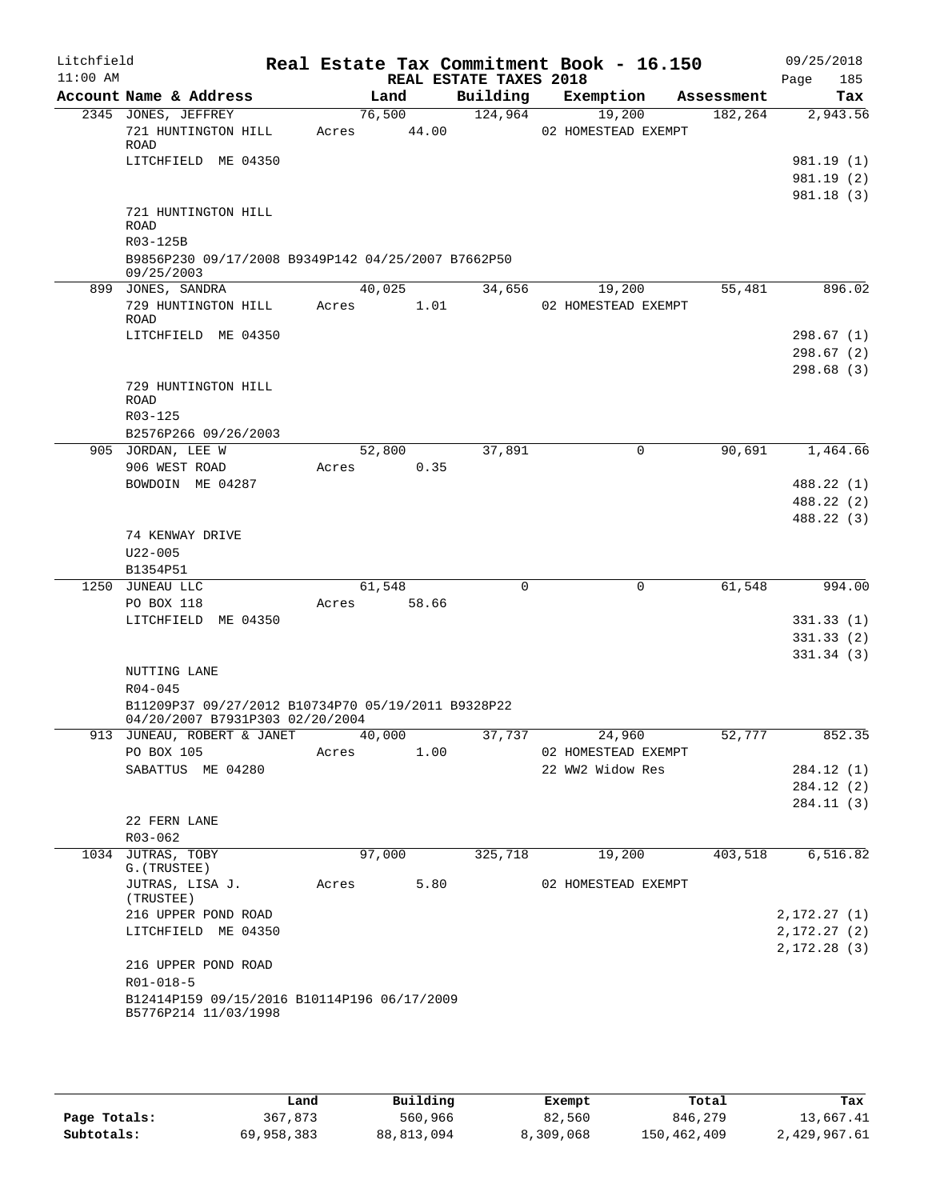| Litchfield<br>$11:00$ AM |                                                                     |        |                 | REAL ESTATE TAXES 2018 | Real Estate Tax Commitment Book - 16.150 |            | 09/25/2018<br>185<br>Page  |
|--------------------------|---------------------------------------------------------------------|--------|-----------------|------------------------|------------------------------------------|------------|----------------------------|
|                          | Account Name & Address                                              |        | Land            | Building               | Exemption                                | Assessment | Tax                        |
|                          | 2345 JONES, JEFFREY<br>721 HUNTINGTON HILL<br>ROAD                  | Acres  | 76,500<br>44.00 | 124,964                | 19,200<br>02 HOMESTEAD EXEMPT            | 182,264    | 2,943.56                   |
|                          | LITCHFIELD ME 04350                                                 |        |                 |                        |                                          |            | 981.19(1)                  |
|                          |                                                                     |        |                 |                        |                                          |            | 981.19 (2)                 |
|                          | 721 HUNTINGTON HILL<br><b>ROAD</b><br>R03-125B                      |        |                 |                        |                                          |            | 981.18(3)                  |
|                          | B9856P230 09/17/2008 B9349P142 04/25/2007 B7662P50<br>09/25/2003    |        |                 |                        |                                          |            |                            |
|                          | 899 JONES, SANDRA                                                   |        | 40,025          | 34,656                 | 19,200                                   | 55,481     | 896.02                     |
|                          | 729 HUNTINGTON HILL<br>ROAD                                         |        | Acres 1.01      |                        | 02 HOMESTEAD EXEMPT                      |            |                            |
|                          | LITCHFIELD ME 04350                                                 |        |                 |                        |                                          |            | 298.67(1)<br>298.67(2)     |
|                          | 729 HUNTINGTON HILL<br>ROAD                                         |        |                 |                        |                                          |            | 298.68(3)                  |
|                          | R03-125                                                             |        |                 |                        |                                          |            |                            |
|                          | B2576P266 09/26/2003                                                |        |                 |                        |                                          |            |                            |
|                          | 905 JORDAN, LEE W                                                   | Acres  | 52,800          | 37,891                 | $\mathbf 0$                              | 90,691     | 1,464.66                   |
|                          | 906 WEST ROAD<br>BOWDOIN ME 04287                                   |        | 0.35            |                        |                                          |            | 488.22 (1)                 |
|                          |                                                                     |        |                 |                        |                                          |            | 488.22 (2)                 |
|                          |                                                                     |        |                 |                        |                                          |            | 488.22 (3)                 |
|                          | 74 KENWAY DRIVE                                                     |        |                 |                        |                                          |            |                            |
|                          | $U22 - 005$                                                         |        |                 |                        |                                          |            |                            |
|                          | B1354P51                                                            |        |                 |                        |                                          |            |                            |
|                          | 1250 JUNEAU LLC                                                     |        | 61,548          | $\Omega$               | $\Omega$                                 | 61,548     | 994.00                     |
|                          | PO BOX 118<br>LITCHFIELD ME 04350                                   | Acres  | 58.66           |                        |                                          |            | 331.33(1)                  |
|                          |                                                                     |        |                 |                        |                                          |            | 331.33(2)                  |
|                          |                                                                     |        |                 |                        |                                          |            | 331.34(3)                  |
|                          | NUTTING LANE                                                        |        |                 |                        |                                          |            |                            |
|                          | $R04 - 045$<br>B11209P37 09/27/2012 B10734P70 05/19/2011 B9328P22   |        |                 |                        |                                          |            |                            |
|                          | 04/20/2007 B7931P303 02/20/2004<br>913 JUNEAU, ROBERT & JANET       | 40,000 |                 | 37,737                 | 24,960                                   | 52,777     | 852.35                     |
|                          | PO BOX 105                                                          | Acres  | 1.00            |                        | 02 HOMESTEAD EXEMPT                      |            |                            |
|                          | SABATTUS ME 04280                                                   |        |                 |                        | 22 WW2 Widow Res                         |            | 284.12 (1)                 |
|                          |                                                                     |        |                 |                        |                                          |            | 284.12 (2)                 |
|                          |                                                                     |        |                 |                        |                                          |            | 284.11(3)                  |
|                          | 22 FERN LANE                                                        |        |                 |                        |                                          |            |                            |
|                          | $R03 - 062$                                                         |        |                 |                        |                                          |            |                            |
|                          | 1034 JUTRAS, TOBY<br>G. (TRUSTEE)                                   |        | 97,000          | 325,718                | 19,200                                   | 403,518    | 6, 516.82                  |
|                          | JUTRAS, LISA J.<br>(TRUSTEE)                                        | Acres  | 5.80            |                        | 02 HOMESTEAD EXEMPT                      |            |                            |
|                          | 216 UPPER POND ROAD                                                 |        |                 |                        |                                          |            | 2,172.27(1)                |
|                          | LITCHFIELD ME 04350                                                 |        |                 |                        |                                          |            | 2,172.27(2)<br>2,172.28(3) |
|                          | 216 UPPER POND ROAD                                                 |        |                 |                        |                                          |            |                            |
|                          | $R01 - 018 - 5$                                                     |        |                 |                        |                                          |            |                            |
|                          | B12414P159 09/15/2016 B10114P196 06/17/2009<br>B5776P214 11/03/1998 |        |                 |                        |                                          |            |                            |
|                          |                                                                     |        |                 |                        |                                          |            |                            |

|              | Land       | Building     | Exempt    | Total       | Tax          |
|--------------|------------|--------------|-----------|-------------|--------------|
| Page Totals: | 367,873    | 560,966      | 82,560    | 846,279     | 13,667.41    |
| Subtotals:   | 69,958,383 | 88, 813, 094 | 8,309,068 | 150,462,409 | 2,429,967.61 |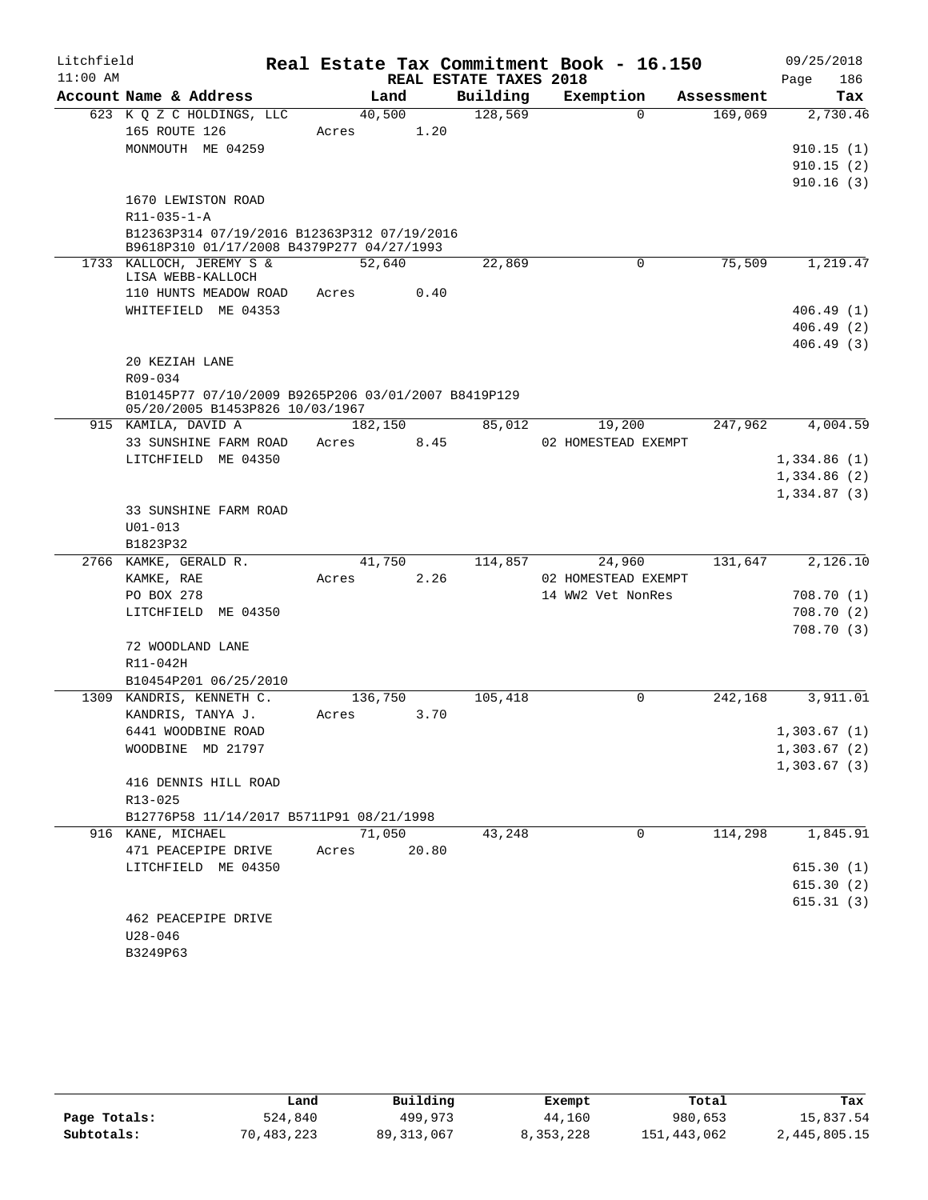| Litchfield |                                                                                          |                  |       |                        | Real Estate Tax Commitment Book - 16.150 |            | 09/25/2018             |
|------------|------------------------------------------------------------------------------------------|------------------|-------|------------------------|------------------------------------------|------------|------------------------|
| $11:00$ AM |                                                                                          |                  |       | REAL ESTATE TAXES 2018 |                                          |            | 186<br>Page            |
|            | Account Name & Address                                                                   | Land             |       | Building               | Exemption                                | Assessment | Tax                    |
|            | 623 K Q Z C HOLDINGS, LLC                                                                | 40,500           |       | 128,569                | $\Omega$                                 | 169,069    | 2,730.46               |
|            | 165 ROUTE 126<br>MONMOUTH ME 04259                                                       | Acres            | 1.20  |                        |                                          |            |                        |
|            |                                                                                          |                  |       |                        |                                          |            | 910.15(1)<br>910.15(2) |
|            |                                                                                          |                  |       |                        |                                          |            | 910.16(3)              |
|            | 1670 LEWISTON ROAD                                                                       |                  |       |                        |                                          |            |                        |
|            | $R11 - 035 - 1 - A$                                                                      |                  |       |                        |                                          |            |                        |
|            | B12363P314 07/19/2016 B12363P312 07/19/2016<br>B9618P310 01/17/2008 B4379P277 04/27/1993 |                  |       |                        |                                          |            |                        |
|            | 1733 KALLOCH, JEREMY S &<br>LISA WEBB-KALLOCH                                            | 52,640           |       | 22,869                 | 0                                        | 75,509     | 1,219.47               |
|            | 110 HUNTS MEADOW ROAD                                                                    | Acres            | 0.40  |                        |                                          |            |                        |
|            | WHITEFIELD ME 04353                                                                      |                  |       |                        |                                          |            | 406.49(1)              |
|            |                                                                                          |                  |       |                        |                                          |            | 406.49(2)              |
|            |                                                                                          |                  |       |                        |                                          |            | 406.49(3)              |
|            | 20 KEZIAH LANE                                                                           |                  |       |                        |                                          |            |                        |
|            | R09-034<br>B10145P77 07/10/2009 B9265P206 03/01/2007 B8419P129                           |                  |       |                        |                                          |            |                        |
|            | 05/20/2005 B1453P826 10/03/1967                                                          |                  |       |                        |                                          |            |                        |
|            | 915 KAMILA, DAVID A                                                                      | 182,150          |       | 85,012                 | 19,200                                   | 247,962    | 4,004.59               |
|            | 33 SUNSHINE FARM ROAD                                                                    | Acres            | 8.45  |                        | 02 HOMESTEAD EXEMPT                      |            |                        |
|            | LITCHFIELD ME 04350                                                                      |                  |       |                        |                                          |            | 1,334.86(1)            |
|            |                                                                                          |                  |       |                        |                                          |            | 1,334.86(2)            |
|            | 33 SUNSHINE FARM ROAD                                                                    |                  |       |                        |                                          |            | 1,334.87(3)            |
|            | $U01 - 013$                                                                              |                  |       |                        |                                          |            |                        |
|            | B1823P32                                                                                 |                  |       |                        |                                          |            |                        |
|            | 2766 KAMKE, GERALD R.                                                                    | 41,750           |       | 114,857                | 24,960                                   | 131,647    | 2,126.10               |
|            | KAMKE, RAE                                                                               | Acres            | 2.26  |                        | 02 HOMESTEAD EXEMPT                      |            |                        |
|            | PO BOX 278                                                                               |                  |       |                        | 14 WW2 Vet NonRes                        |            | 708.70(1)              |
|            | LITCHFIELD ME 04350                                                                      |                  |       |                        |                                          |            | 708.70 (2)             |
|            |                                                                                          |                  |       |                        |                                          |            | 708.70 (3)             |
|            | 72 WOODLAND LANE                                                                         |                  |       |                        |                                          |            |                        |
|            | R11-042H                                                                                 |                  |       |                        |                                          |            |                        |
|            | B10454P201 06/25/2010<br>1309 KANDRIS, KENNETH C.                                        |                  |       |                        | $\Omega$                                 | 242,168    | 3,911.01               |
|            | KANDRIS, TANYA J.                                                                        | 136,750<br>Acres | 3.70  | 105,418                |                                          |            |                        |
|            | 6441 WOODBINE ROAD                                                                       |                  |       |                        |                                          |            | 1,303.67(1)            |
|            | WOODBINE MD 21797                                                                        |                  |       |                        |                                          |            | 1,303.67(2)            |
|            |                                                                                          |                  |       |                        |                                          |            | 1,303.67(3)            |
|            | 416 DENNIS HILL ROAD                                                                     |                  |       |                        |                                          |            |                        |
|            | $R13 - 025$                                                                              |                  |       |                        |                                          |            |                        |
|            | B12776P58 11/14/2017 B5711P91 08/21/1998                                                 |                  |       |                        |                                          |            |                        |
|            | 916 KANE, MICHAEL                                                                        | 71,050           |       | 43,248                 | 0                                        | 114,298    | 1,845.91               |
|            | 471 PEACEPIPE DRIVE                                                                      | Acres            | 20.80 |                        |                                          |            |                        |
|            | LITCHFIELD ME 04350                                                                      |                  |       |                        |                                          |            | 615.30(1)              |
|            |                                                                                          |                  |       |                        |                                          |            | 615.30(2)<br>615.31(3) |
|            | 462 PEACEPIPE DRIVE                                                                      |                  |       |                        |                                          |            |                        |
|            | $U28 - 046$                                                                              |                  |       |                        |                                          |            |                        |
|            | B3249P63                                                                                 |                  |       |                        |                                          |            |                        |

|              | Land       | Building     | Exempt    | Total       | Tax          |
|--------------|------------|--------------|-----------|-------------|--------------|
| Page Totals: | 524,840    | 499,973      | 44,160    | 980,653     | 15,837.54    |
| Subtotals:   | 70,483,223 | 89, 313, 067 | 8,353,228 | 151,443,062 | 2,445,805.15 |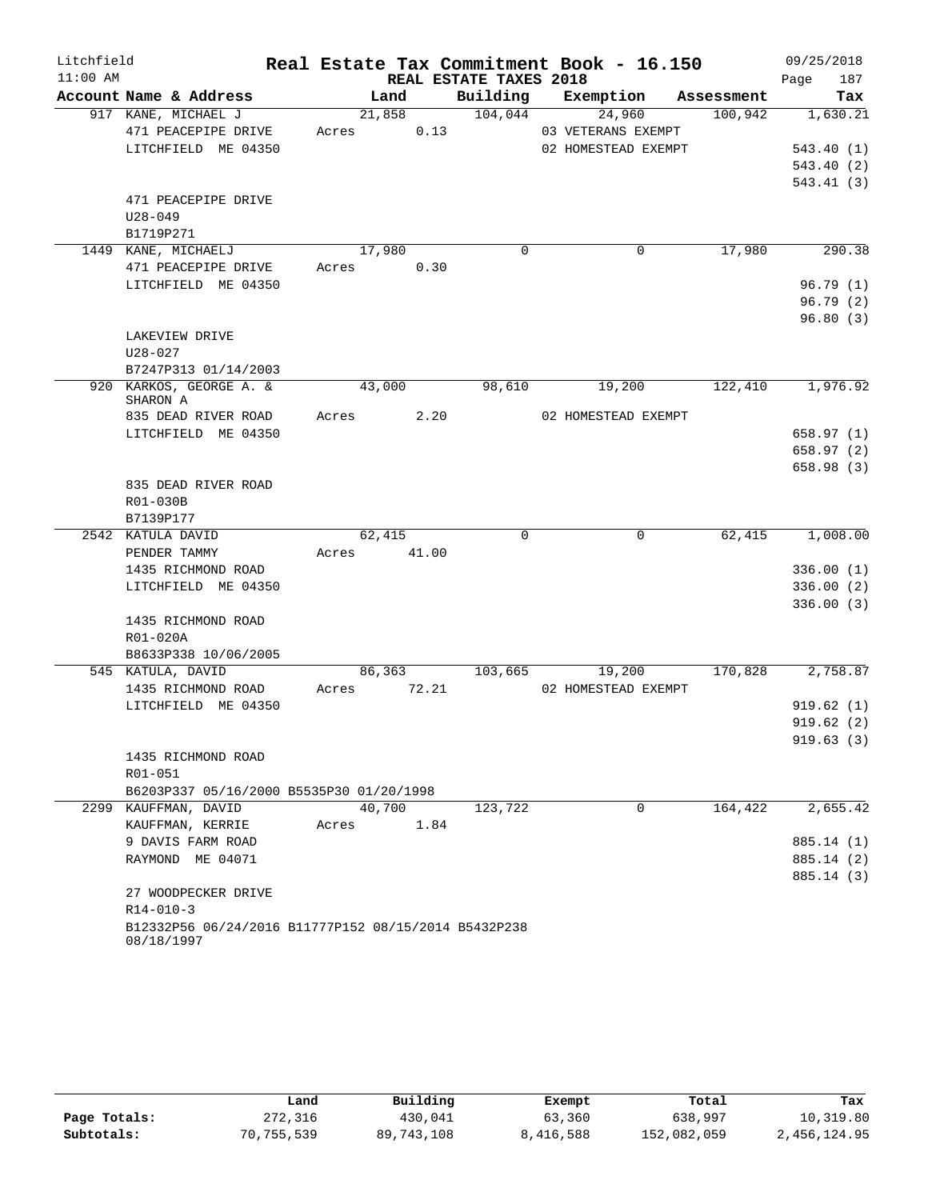| Litchfield |                                                                         |       |             |                        | Real Estate Tax Commitment Book - 16.150 |          | 09/25/2018          |
|------------|-------------------------------------------------------------------------|-------|-------------|------------------------|------------------------------------------|----------|---------------------|
| $11:00$ AM |                                                                         |       |             | REAL ESTATE TAXES 2018 |                                          |          | 187<br>Page         |
|            | Account Name & Address                                                  |       | Land        |                        | Building Exemption Assessment            |          | Tax                 |
|            | 917 KANE, MICHAEL J                                                     |       | 21,858      | 104,044                | 24,960                                   | 100,942  | 1,630.21            |
|            | 471 PEACEPIPE DRIVE                                                     | Acres | 0.13        |                        | 03 VETERANS EXEMPT                       |          |                     |
|            | LITCHFIELD ME 04350                                                     |       |             |                        | 02 HOMESTEAD EXEMPT                      |          | 543.40(1)           |
|            |                                                                         |       |             |                        |                                          |          | 543.40(2)           |
|            |                                                                         |       |             |                        |                                          |          | 543.41(3)           |
|            | 471 PEACEPIPE DRIVE                                                     |       |             |                        |                                          |          |                     |
|            | $U28 - 049$                                                             |       |             |                        |                                          |          |                     |
|            | B1719P271<br>1449 KANE, MICHAELJ                                        |       | 17,980      | $\Omega$               | 0                                        | 17,980   | 290.38              |
|            | 471 PEACEPIPE DRIVE                                                     |       | Acres 0.30  |                        |                                          |          |                     |
|            | LITCHFIELD ME 04350                                                     |       |             |                        |                                          |          | 96.79(1)            |
|            |                                                                         |       |             |                        |                                          |          | 96.79(2)            |
|            |                                                                         |       |             |                        |                                          |          | 96.80(3)            |
|            | LAKEVIEW DRIVE                                                          |       |             |                        |                                          |          |                     |
|            | $U28 - 027$                                                             |       |             |                        |                                          |          |                     |
|            | B7247P313 01/14/2003                                                    |       |             |                        |                                          |          |                     |
|            | 920 KARKOS, GEORGE A. &<br>SHARON A                                     |       | 43,000      | 98,610                 | 19,200                                   | 122,410  | 1,976.92            |
|            | 835 DEAD RIVER ROAD                                                     |       | Acres 2.20  |                        | 02 HOMESTEAD EXEMPT                      |          |                     |
|            | LITCHFIELD ME 04350                                                     |       |             |                        |                                          |          | 658.97 (1)          |
|            |                                                                         |       |             |                        |                                          |          | 658.97(2)           |
|            |                                                                         |       |             |                        |                                          |          | 658.98 (3)          |
|            | 835 DEAD RIVER ROAD                                                     |       |             |                        |                                          |          |                     |
|            | R01-030B                                                                |       |             |                        |                                          |          |                     |
|            | B7139P177                                                               |       |             |                        |                                          |          |                     |
|            | 2542 KATULA DAVID                                                       |       | 62,415      | $\Omega$               | $\Omega$                                 |          | $62,415$ $1,008.00$ |
|            | PENDER TAMMY                                                            |       | Acres 41.00 |                        |                                          |          |                     |
|            | 1435 RICHMOND ROAD                                                      |       |             |                        |                                          |          | 336.00(1)           |
|            | LITCHFIELD ME 04350                                                     |       |             |                        |                                          |          | 336.00(2)           |
|            | 1435 RICHMOND ROAD                                                      |       |             |                        |                                          |          | 336.00(3)           |
|            | R01-020A                                                                |       |             |                        |                                          |          |                     |
|            | B8633P338 10/06/2005                                                    |       |             |                        |                                          |          |                     |
|            | 545 KATULA, DAVID                                                       |       | 86,363      | 103,665                | 19,200                                   | 170,828  | 2,758.87            |
|            | 1435 RICHMOND ROAD                                                      | Acres | 72.21       |                        | 02 HOMESTEAD EXEMPT                      |          |                     |
|            | LITCHFIELD ME 04350                                                     |       |             |                        |                                          |          | 919.62(1)           |
|            |                                                                         |       |             |                        |                                          |          | 919.62(2)           |
|            |                                                                         |       |             |                        |                                          |          | 919.63(3)           |
|            | 1435 RICHMOND ROAD                                                      |       |             |                        |                                          |          |                     |
|            | R01-051                                                                 |       |             |                        |                                          |          |                     |
|            | B6203P337 05/16/2000 B5535P30 01/20/1998                                |       |             |                        |                                          |          |                     |
|            | 2299 KAUFFMAN, DAVID                                                    |       | 40,700      | 123,722                | 0                                        | 164, 422 | 2,655.42            |
|            | KAUFFMAN, KERRIE                                                        | Acres | 1.84        |                        |                                          |          |                     |
|            | 9 DAVIS FARM ROAD                                                       |       |             |                        |                                          |          | 885.14 (1)          |
|            | RAYMOND ME 04071                                                        |       |             |                        |                                          |          | 885.14 (2)          |
|            |                                                                         |       |             |                        |                                          |          | 885.14 (3)          |
|            | 27 WOODPECKER DRIVE                                                     |       |             |                        |                                          |          |                     |
|            | $R14 - 010 - 3$<br>B12332P56 06/24/2016 B11777P152 08/15/2014 B5432P238 |       |             |                        |                                          |          |                     |
|            | 08/18/1997                                                              |       |             |                        |                                          |          |                     |

|              | Land       | Building   | Exempt    | Total       | Tax          |
|--------------|------------|------------|-----------|-------------|--------------|
| Page Totals: | 272,316    | 430,041    | 63,360    | 638,997     | 10,319.80    |
| Subtotals:   | 70,755,539 | 89,743,108 | 8,416,588 | 152,082,059 | 2,456,124.95 |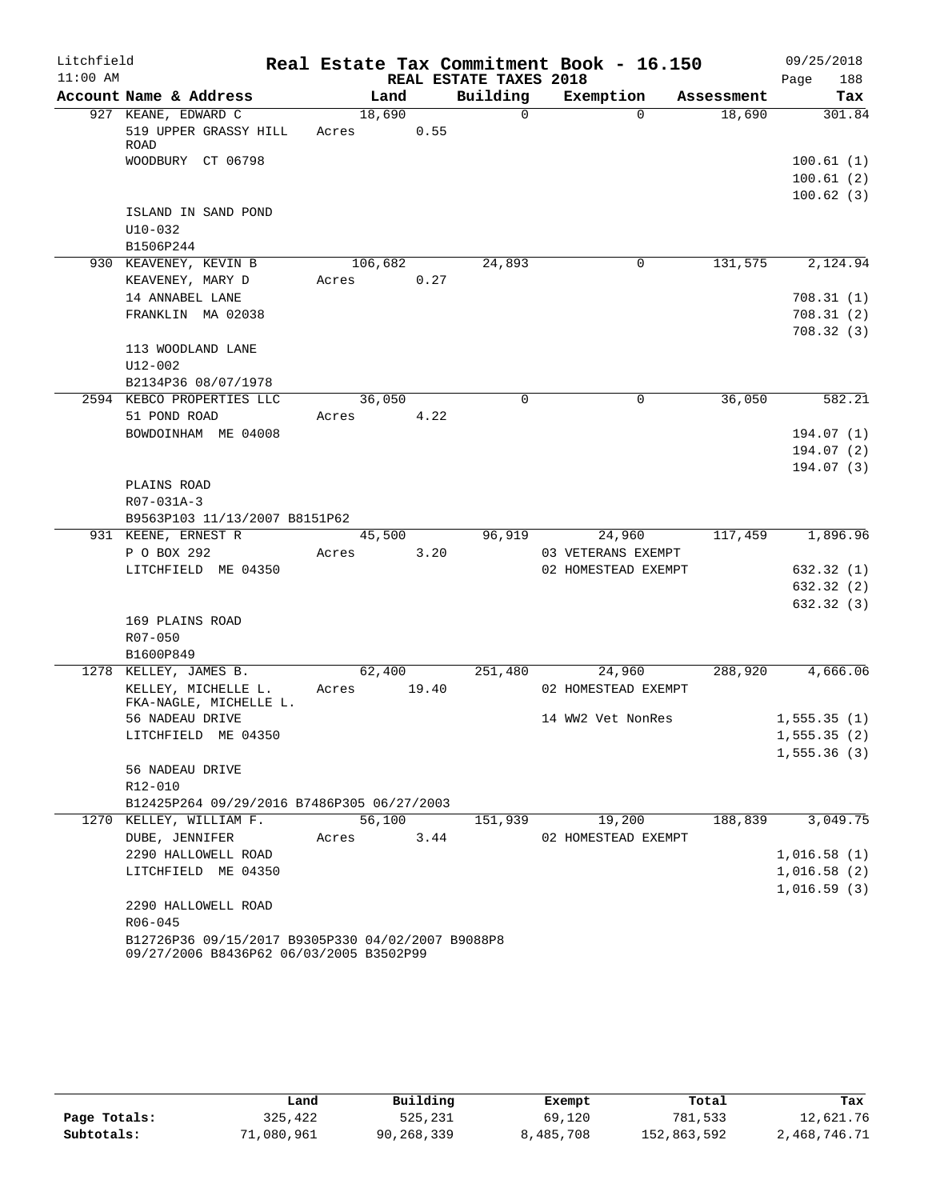| Litchfield |                                                                                              |                 |        |                        | Real Estate Tax Commitment Book - 16.150 |            | 09/25/2018                          |
|------------|----------------------------------------------------------------------------------------------|-----------------|--------|------------------------|------------------------------------------|------------|-------------------------------------|
| $11:00$ AM |                                                                                              |                 |        | REAL ESTATE TAXES 2018 |                                          |            | 188<br>Page                         |
|            | Account Name & Address                                                                       | Land            |        | Building               | Exemption                                | Assessment | Tax                                 |
|            | 927 KEANE, EDWARD C<br>519 UPPER GRASSY HILL<br>ROAD                                         | 18,690<br>Acres | 0.55   | $\Omega$               | $\Omega$                                 | 18,690     | 301.84                              |
|            | WOODBURY CT 06798                                                                            |                 |        |                        |                                          |            | 100.61(1)<br>100.61(2)<br>100.62(3) |
|            | ISLAND IN SAND POND<br>$U10 - 032$                                                           |                 |        |                        |                                          |            |                                     |
|            | B1506P244                                                                                    |                 |        |                        |                                          |            |                                     |
|            | 930 KEAVENEY, KEVIN B                                                                        | 106,682         |        | 24,893                 | 0                                        | 131,575    | 2,124.94                            |
|            | KEAVENEY, MARY D                                                                             | Acres           | 0.27   |                        |                                          |            |                                     |
|            | 14 ANNABEL LANE                                                                              |                 |        |                        |                                          |            | 708.31(1)                           |
|            | FRANKLIN MA 02038                                                                            |                 |        |                        |                                          |            | 708.31(2)<br>708.32(3)              |
|            | 113 WOODLAND LANE                                                                            |                 |        |                        |                                          |            |                                     |
|            | $U12 - 002$                                                                                  |                 |        |                        |                                          |            |                                     |
|            | B2134P36 08/07/1978                                                                          |                 |        |                        |                                          |            |                                     |
|            | 2594 KEBCO PROPERTIES LLC                                                                    | 36,050          |        | $\mathbf 0$            | $\mathbf 0$                              | 36,050     | 582.21                              |
|            | 51 POND ROAD                                                                                 | Acres           | 4.22   |                        |                                          |            |                                     |
|            | BOWDOINHAM ME 04008                                                                          |                 |        |                        |                                          |            | 194.07(1)                           |
|            |                                                                                              |                 |        |                        |                                          |            | 194.07(2)                           |
|            |                                                                                              |                 |        |                        |                                          |            | 194.07(3)                           |
|            | PLAINS ROAD                                                                                  |                 |        |                        |                                          |            |                                     |
|            | R07-031A-3                                                                                   |                 |        |                        |                                          |            |                                     |
|            | B9563P103 11/13/2007 B8151P62                                                                |                 |        |                        |                                          |            |                                     |
|            | 931 KEENE, ERNEST R                                                                          |                 | 45,500 | 96,919                 | 24,960                                   |            | 117,459 1,896.96                    |
|            | P O BOX 292                                                                                  | Acres           | 3.20   |                        | 03 VETERANS EXEMPT                       |            |                                     |
|            | LITCHFIELD ME 04350                                                                          |                 |        |                        | 02 HOMESTEAD EXEMPT                      |            | 632.32 (1)                          |
|            |                                                                                              |                 |        |                        |                                          |            | 632.32 (2)                          |
|            |                                                                                              |                 |        |                        |                                          |            | 632.32(3)                           |
|            | 169 PLAINS ROAD                                                                              |                 |        |                        |                                          |            |                                     |
|            | R07-050                                                                                      |                 |        |                        |                                          |            |                                     |
|            | B1600P849                                                                                    |                 |        |                        |                                          |            |                                     |
|            | 1278 KELLEY, JAMES B.<br>KELLEY, MICHELLE L.<br>FKA-NAGLE, MICHELLE L.                       | Acres 19.40     | 62,400 | 251,480                | 24,960<br>02 HOMESTEAD EXEMPT            | 288,920    | 4,666.06                            |
|            | 56 NADEAU DRIVE                                                                              |                 |        |                        | 14 WW2 Vet NonRes                        |            | 1,555.35(1)                         |
|            | LITCHFIELD ME 04350                                                                          |                 |        |                        |                                          |            | 1, 555.35(2)                        |
|            | 56 NADEAU DRIVE                                                                              |                 |        |                        |                                          |            | 1,555.36(3)                         |
|            | R12-010                                                                                      |                 |        |                        |                                          |            |                                     |
|            | B12425P264 09/29/2016 B7486P305 06/27/2003                                                   |                 |        |                        |                                          |            |                                     |
|            | 1270 KELLEY, WILLIAM F.                                                                      | 56,100          |        | 151,939                | 19,200                                   | 188,839    | 3,049.75                            |
|            | DUBE, JENNIFER                                                                               | Acres           | 3.44   |                        | 02 HOMESTEAD EXEMPT                      |            |                                     |
|            | 2290 HALLOWELL ROAD                                                                          |                 |        |                        |                                          |            | 1,016.58(1)                         |
|            | LITCHFIELD ME 04350                                                                          |                 |        |                        |                                          |            | 1,016.58(2)                         |
|            |                                                                                              |                 |        |                        |                                          |            | 1,016.59(3)                         |
|            | 2290 HALLOWELL ROAD                                                                          |                 |        |                        |                                          |            |                                     |
|            | $R06 - 045$                                                                                  |                 |        |                        |                                          |            |                                     |
|            | B12726P36 09/15/2017 B9305P330 04/02/2007 B9088P8<br>09/27/2006 B8436P62 06/03/2005 B3502P99 |                 |        |                        |                                          |            |                                     |

|              | Land       | Building   | Exempt    | Total       | Tax          |
|--------------|------------|------------|-----------|-------------|--------------|
| Page Totals: | 325,422    | 525,231    | 69,120    | 781,533     | 12,621.76    |
| Subtotals:   | 71,080,961 | 90,268,339 | 8,485,708 | 152,863,592 | 2,468,746.71 |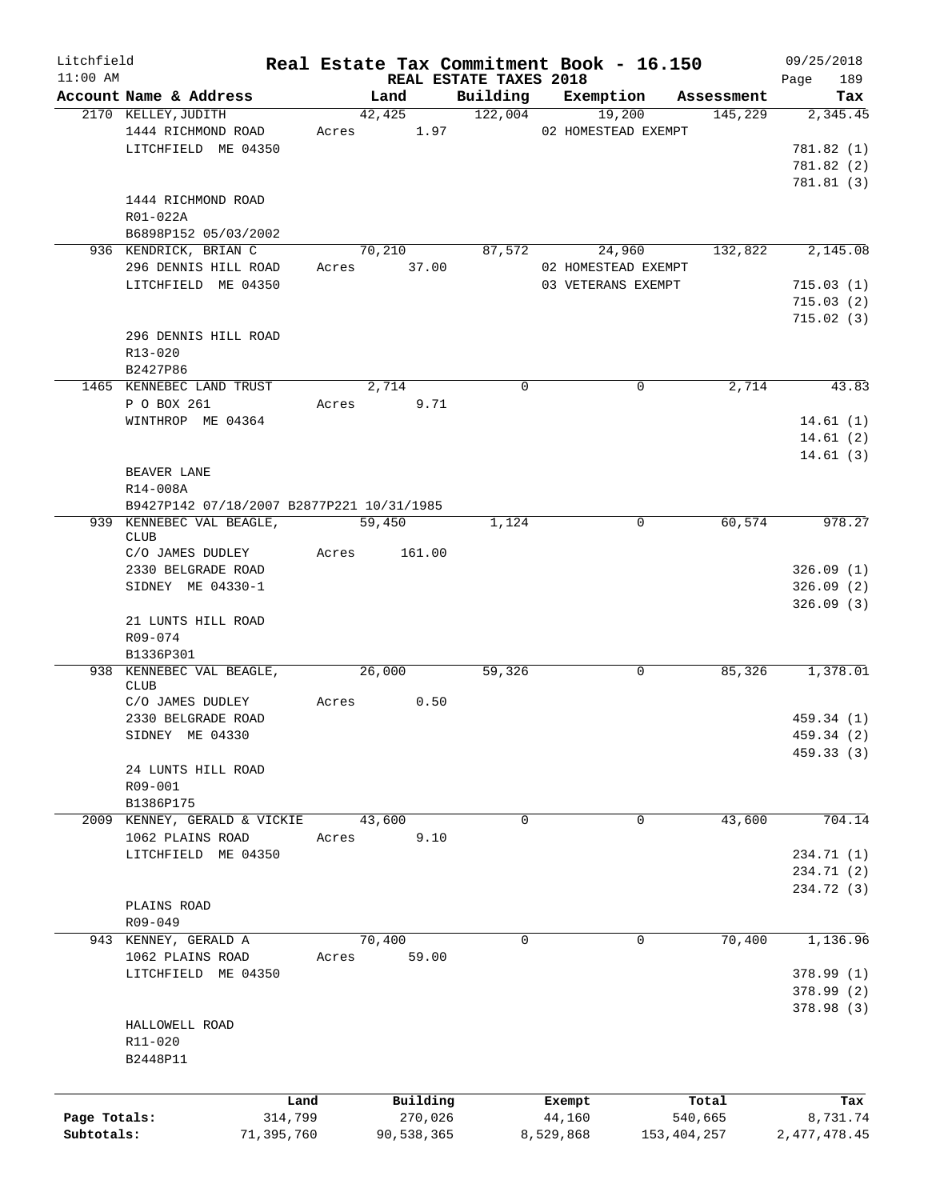| Litchfield<br>$11:00$ AM |                                           |       |               | REAL ESTATE TAXES 2018 | Real Estate Tax Commitment Book - 16.150 |               | 09/25/2018<br>189 |
|--------------------------|-------------------------------------------|-------|---------------|------------------------|------------------------------------------|---------------|-------------------|
|                          | Account Name & Address                    |       | Land          | Building               | Exemption                                | Assessment    | Page<br>Tax       |
|                          | 2170 KELLEY, JUDITH                       |       | 42,425        | 122,004                | 19,200                                   | 145,229       | 2,345.45          |
|                          | 1444 RICHMOND ROAD                        |       | Acres 1.97    |                        | 02 HOMESTEAD EXEMPT                      |               |                   |
|                          | LITCHFIELD ME 04350                       |       |               |                        |                                          |               | 781.82 (1)        |
|                          |                                           |       |               |                        |                                          |               | 781.82 (2)        |
|                          |                                           |       |               |                        |                                          |               | 781.81 (3)        |
|                          | 1444 RICHMOND ROAD                        |       |               |                        |                                          |               |                   |
|                          | R01-022A                                  |       |               |                        |                                          |               |                   |
|                          | B6898P152 05/03/2002                      |       |               |                        |                                          |               |                   |
|                          | 936 KENDRICK, BRIAN C                     |       | 70,210        | 87,572                 | 24,960                                   | 132,822       | 2,145.08          |
|                          | 296 DENNIS HILL ROAD                      | Acres | 37.00         |                        | 02 HOMESTEAD EXEMPT                      |               |                   |
|                          | LITCHFIELD ME 04350                       |       |               |                        | 03 VETERANS EXEMPT                       |               | 715.03(1)         |
|                          |                                           |       |               |                        |                                          |               | 715.03(2)         |
|                          |                                           |       |               |                        |                                          |               | 715.02(3)         |
|                          | 296 DENNIS HILL ROAD                      |       |               |                        |                                          |               |                   |
|                          | $R13 - 020$                               |       |               |                        |                                          |               |                   |
|                          | B2427P86                                  |       |               |                        |                                          |               |                   |
|                          | 1465 KENNEBEC LAND TRUST                  |       | 2,714         | 0                      | $\mathbf 0$                              | 2,714         | 43.83             |
|                          | P O BOX 261                               |       | 9.71<br>Acres |                        |                                          |               |                   |
|                          | WINTHROP ME 04364                         |       |               |                        |                                          |               | 14.61(1)          |
|                          |                                           |       |               |                        |                                          |               | 14.61(2)          |
|                          |                                           |       |               |                        |                                          |               | 14.61(3)          |
|                          | <b>BEAVER LANE</b>                        |       |               |                        |                                          |               |                   |
|                          | R14-008A                                  |       |               |                        |                                          |               |                   |
|                          | B9427P142 07/18/2007 B2877P221 10/31/1985 |       |               |                        |                                          |               |                   |
|                          | 939 KENNEBEC VAL BEAGLE,                  |       | 59,450        | 1,124                  | 0                                        | 60, 574       | 978.27            |
|                          | <b>CLUB</b>                               |       |               |                        |                                          |               |                   |
|                          | C/O JAMES DUDLEY                          | Acres | 161.00        |                        |                                          |               |                   |
|                          | 2330 BELGRADE ROAD                        |       |               |                        |                                          |               | 326.09(1)         |
|                          | SIDNEY ME 04330-1                         |       |               |                        |                                          |               | 326.09(2)         |
|                          |                                           |       |               |                        |                                          |               | 326.09(3)         |
|                          | 21 LUNTS HILL ROAD                        |       |               |                        |                                          |               |                   |
|                          | R09-074                                   |       |               |                        |                                          |               |                   |
|                          | B1336P301                                 |       |               |                        |                                          |               |                   |
|                          | 938 KENNEBEC VAL BEAGLE,                  |       | 26,000        | 59,326                 | 0                                        | 85,326        | 1,378.01          |
|                          | <b>CLUB</b>                               |       |               |                        |                                          |               |                   |
|                          | C/O JAMES DUDLEY                          | Acres | 0.50          |                        |                                          |               |                   |
|                          | 2330 BELGRADE ROAD                        |       |               |                        |                                          |               | 459.34 (1)        |
|                          | SIDNEY ME 04330                           |       |               |                        |                                          |               | 459.34 (2)        |
|                          |                                           |       |               |                        |                                          |               | 459.33 (3)        |
|                          | 24 LUNTS HILL ROAD                        |       |               |                        |                                          |               |                   |
|                          | R09-001                                   |       |               |                        |                                          |               |                   |
|                          | B1386P175                                 |       |               |                        |                                          |               |                   |
|                          | 2009 KENNEY, GERALD & VICKIE              |       | 43,600        | $\Omega$               | $\mathbf 0$                              | 43,600        | 704.14            |
|                          | 1062 PLAINS ROAD                          | Acres | 9.10          |                        |                                          |               |                   |
|                          | LITCHFIELD ME 04350                       |       |               |                        |                                          |               | 234.71 (1)        |
|                          |                                           |       |               |                        |                                          |               | 234.71 (2)        |
|                          |                                           |       |               |                        |                                          |               | 234.72 (3)        |
|                          | PLAINS ROAD                               |       |               |                        |                                          |               |                   |
|                          | R09-049                                   |       |               |                        |                                          |               |                   |
|                          | 943 KENNEY, GERALD A                      |       | 70,400        | 0                      | 0                                        | 70,400        | 1,136.96          |
|                          | 1062 PLAINS ROAD                          | Acres | 59.00         |                        |                                          |               |                   |
|                          | LITCHFIELD ME 04350                       |       |               |                        |                                          |               | 378.99(1)         |
|                          |                                           |       |               |                        |                                          |               | 378.99(2)         |
|                          |                                           |       |               |                        |                                          |               | 378.98(3)         |
|                          | HALLOWELL ROAD                            |       |               |                        |                                          |               |                   |
|                          | R11-020                                   |       |               |                        |                                          |               |                   |
|                          | B2448P11                                  |       |               |                        |                                          |               |                   |
|                          |                                           |       |               |                        |                                          |               |                   |
|                          | Land                                      |       | Building      |                        | Exempt                                   | Total         | Tax               |
| Page Totals:             | 314,799                                   |       | 270,026       |                        | 44,160                                   | 540,665       | 8,731.74          |
| Subtotals:               | 71,395,760                                |       | 90,538,365    |                        | 8,529,868                                | 153, 404, 257 | 2, 477, 478.45    |
|                          |                                           |       |               |                        |                                          |               |                   |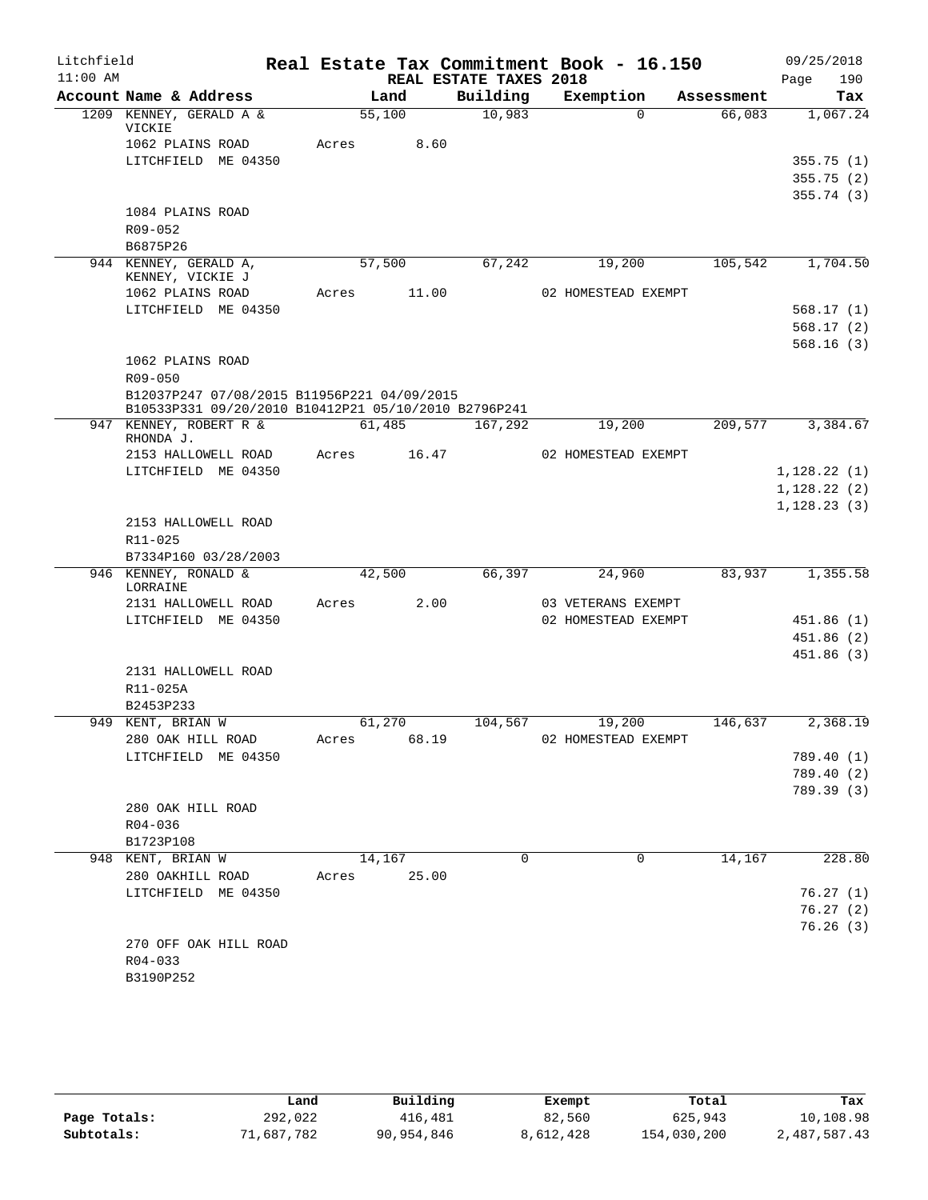| Litchfield<br>$11:00$ AM |                                                      |       |        | REAL ESTATE TAXES 2018 | Real Estate Tax Commitment Book - 16.150 |            | 09/25/2018<br>190<br>Page |
|--------------------------|------------------------------------------------------|-------|--------|------------------------|------------------------------------------|------------|---------------------------|
|                          | Account Name & Address                               |       | Land   | Building               | Exemption                                | Assessment | Tax                       |
|                          | 1209 KENNEY, GERALD A &                              |       | 55,100 | 10,983                 | $\Omega$                                 | 66,083     | 1,067.24                  |
|                          | VICKIE<br>1062 PLAINS ROAD                           | Acres | 8.60   |                        |                                          |            |                           |
|                          | LITCHFIELD ME 04350                                  |       |        |                        |                                          |            | 355.75(1)                 |
|                          |                                                      |       |        |                        |                                          |            | 355.75(2)                 |
|                          |                                                      |       |        |                        |                                          |            | 355.74(3)                 |
|                          | 1084 PLAINS ROAD                                     |       |        |                        |                                          |            |                           |
|                          | R09-052                                              |       |        |                        |                                          |            |                           |
|                          | B6875P26                                             |       |        |                        |                                          |            |                           |
|                          | 944 KENNEY, GERALD A,                                |       | 57,500 | 67, 242                | 19,200                                   | 105,542    | 1,704.50                  |
|                          | KENNEY, VICKIE J<br>1062 PLAINS ROAD                 | Acres | 11.00  |                        | 02 HOMESTEAD EXEMPT                      |            |                           |
|                          | LITCHFIELD ME 04350                                  |       |        |                        |                                          |            | 568.17(1)                 |
|                          |                                                      |       |        |                        |                                          |            | 568.17(2)                 |
|                          |                                                      |       |        |                        |                                          |            | 568.16(3)                 |
|                          | 1062 PLAINS ROAD                                     |       |        |                        |                                          |            |                           |
|                          | $R09 - 050$                                          |       |        |                        |                                          |            |                           |
|                          | B12037P247 07/08/2015 B11956P221 04/09/2015          |       |        |                        |                                          |            |                           |
|                          | B10533P331 09/20/2010 B10412P21 05/10/2010 B2796P241 |       |        |                        |                                          |            |                           |
|                          | 947 KENNEY, ROBERT R &                               |       | 61,485 | 167,292                | 19,200                                   | 209,577    | 3,384.67                  |
|                          | RHONDA J.<br>2153 HALLOWELL ROAD                     |       | 16.47  |                        | 02 HOMESTEAD EXEMPT                      |            |                           |
|                          | LITCHFIELD ME 04350                                  | Acres |        |                        |                                          |            | 1,128.22(1)               |
|                          |                                                      |       |        |                        |                                          |            | 1,128.22(2)               |
|                          |                                                      |       |        |                        |                                          |            | 1,128.23(3)               |
|                          | 2153 HALLOWELL ROAD                                  |       |        |                        |                                          |            |                           |
|                          | R11-025                                              |       |        |                        |                                          |            |                           |
|                          | B7334P160 03/28/2003                                 |       |        |                        |                                          |            |                           |
|                          | 946 KENNEY, RONALD &                                 |       | 42,500 | 66,397                 | 24,960                                   | 83,937     | 1,355.58                  |
|                          | LORRAINE                                             |       |        |                        |                                          |            |                           |
|                          | 2131 HALLOWELL ROAD                                  | Acres | 2.00   |                        | 03 VETERANS EXEMPT                       |            |                           |
|                          | LITCHFIELD ME 04350                                  |       |        |                        | 02 HOMESTEAD EXEMPT                      |            | 451.86(1)                 |
|                          |                                                      |       |        |                        |                                          |            | 451.86(2)                 |
|                          | 2131 HALLOWELL ROAD                                  |       |        |                        |                                          |            | 451.86(3)                 |
|                          | R11-025A                                             |       |        |                        |                                          |            |                           |
|                          | B2453P233                                            |       |        |                        |                                          |            |                           |
|                          | 949 KENT, BRIAN W                                    |       | 61,270 | 104,567                | 19,200                                   | 146,637    | 2,368.19                  |
|                          | 280 OAK HILL ROAD                                    | Acres | 68.19  |                        | 02 HOMESTEAD EXEMPT                      |            |                           |
|                          | LITCHFIELD ME 04350                                  |       |        |                        |                                          |            | 789.40 (1)                |
|                          |                                                      |       |        |                        |                                          |            | 789.40 (2)                |
|                          |                                                      |       |        |                        |                                          |            | 789.39 (3)                |
|                          | 280 OAK HILL ROAD                                    |       |        |                        |                                          |            |                           |
|                          | R04-036                                              |       |        |                        |                                          |            |                           |
|                          | B1723P108                                            |       |        |                        |                                          |            |                           |
|                          | 948 KENT, BRIAN W                                    |       | 14,167 | 0                      | 0                                        | 14,167     | 228.80                    |
|                          | 280 OAKHILL ROAD                                     | Acres | 25.00  |                        |                                          |            |                           |
|                          | LITCHFIELD ME 04350                                  |       |        |                        |                                          |            | 76.27(1)                  |
|                          |                                                      |       |        |                        |                                          |            | 76.27(2)                  |
|                          | 270 OFF OAK HILL ROAD                                |       |        |                        |                                          |            | 76.26(3)                  |
|                          | $R04 - 033$                                          |       |        |                        |                                          |            |                           |
|                          | B3190P252                                            |       |        |                        |                                          |            |                           |
|                          |                                                      |       |        |                        |                                          |            |                           |

|              | Land       | Building   | Exempt    | Total       | Tax          |
|--------------|------------|------------|-----------|-------------|--------------|
| Page Totals: | 292,022    | 416,481    | 82,560    | 625,943     | 10,108.98    |
| Subtotals:   | 71,687,782 | 90,954,846 | 8,612,428 | 154,030,200 | 2,487,587.43 |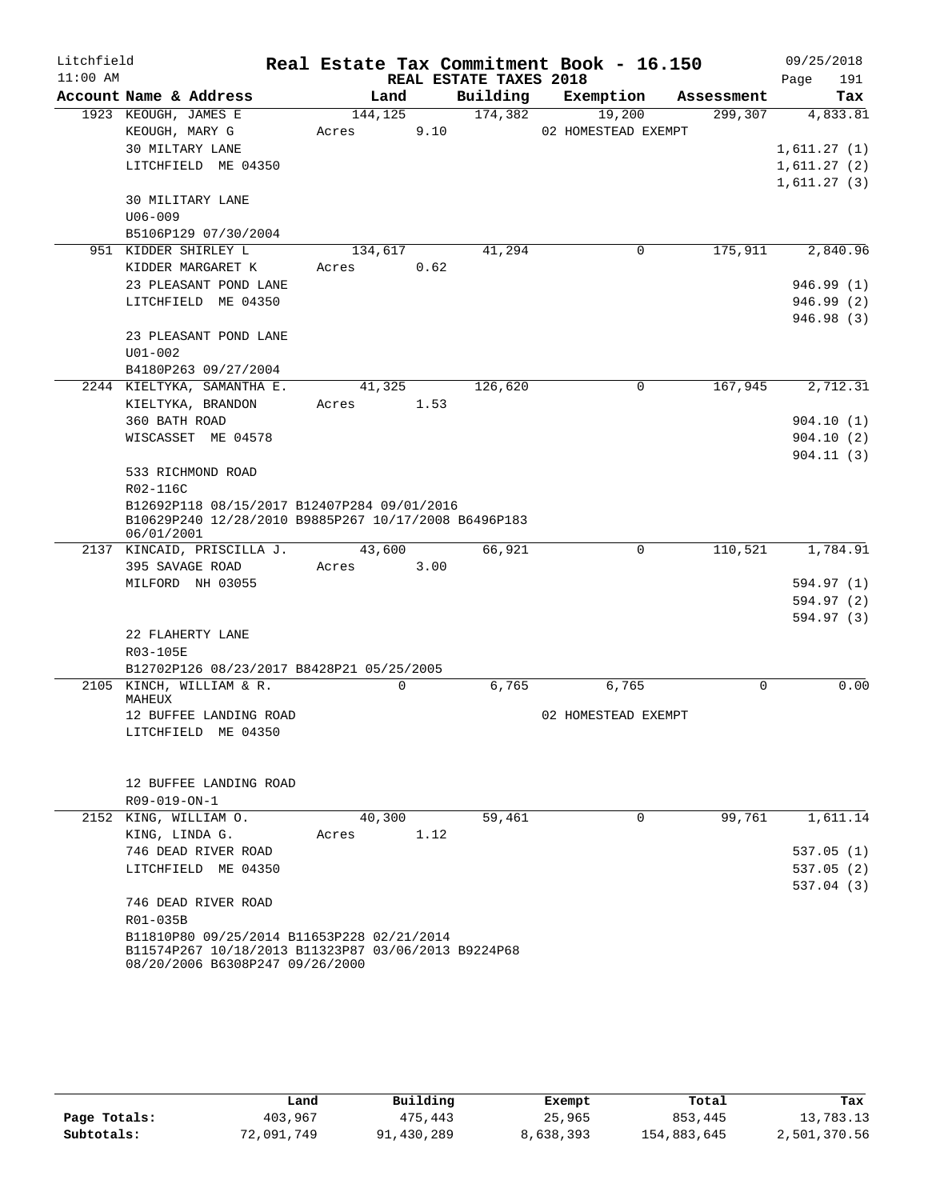| Litchfield |                                                                                        |         |             |                        | Real Estate Tax Commitment Book - 16.150 |             | 09/25/2018  |
|------------|----------------------------------------------------------------------------------------|---------|-------------|------------------------|------------------------------------------|-------------|-------------|
| $11:00$ AM |                                                                                        |         |             | REAL ESTATE TAXES 2018 |                                          |             | Page<br>191 |
|            | Account Name & Address                                                                 | Land    |             | Building               | Exemption                                | Assessment  | Tax         |
|            | 1923 KEOUGH, JAMES E                                                                   | 144,125 |             | 174,382                | 19,200                                   | 299,307     | 4,833.81    |
|            | KEOUGH, MARY G                                                                         | Acres   | 9.10        |                        | 02 HOMESTEAD EXEMPT                      |             |             |
|            | 30 MILTARY LANE                                                                        |         |             |                        |                                          |             | 1,611.27(1) |
|            | LITCHFIELD ME 04350                                                                    |         |             |                        |                                          |             | 1,611.27(2) |
|            | 30 MILITARY LANE                                                                       |         |             |                        |                                          |             | 1,611.27(3) |
|            | $U06 - 009$                                                                            |         |             |                        |                                          |             |             |
|            | B5106P129 07/30/2004                                                                   |         |             |                        |                                          |             |             |
|            | 951 KIDDER SHIRLEY L                                                                   | 134,617 |             | 41,294                 | 0                                        | 175,911     | 2,840.96    |
|            | KIDDER MARGARET K                                                                      | Acres   | 0.62        |                        |                                          |             |             |
|            | 23 PLEASANT POND LANE                                                                  |         |             |                        |                                          |             | 946.99(1)   |
|            | LITCHFIELD ME 04350                                                                    |         |             |                        |                                          |             | 946.99(2)   |
|            |                                                                                        |         |             |                        |                                          |             | 946.98 (3)  |
|            | 23 PLEASANT POND LANE                                                                  |         |             |                        |                                          |             |             |
|            | $U01 - 002$                                                                            |         |             |                        |                                          |             |             |
|            | B4180P263 09/27/2004                                                                   |         |             |                        |                                          |             |             |
|            | 2244 KIELTYKA, SAMANTHA E.                                                             | 41,325  |             | 126,620                | $\Omega$                                 | 167,945     | 2,712.31    |
|            | KIELTYKA, BRANDON                                                                      | Acres   | 1.53        |                        |                                          |             |             |
|            | 360 BATH ROAD                                                                          |         |             |                        |                                          |             | 904.10(1)   |
|            | WISCASSET ME 04578                                                                     |         |             |                        |                                          |             | 904.10(2)   |
|            |                                                                                        |         |             |                        |                                          |             | 904.11(3)   |
|            | 533 RICHMOND ROAD                                                                      |         |             |                        |                                          |             |             |
|            | R02-116C                                                                               |         |             |                        |                                          |             |             |
|            | B12692P118 08/15/2017 B12407P284 09/01/2016                                            |         |             |                        |                                          |             |             |
|            | B10629P240 12/28/2010 B9885P267 10/17/2008 B6496P183                                   |         |             |                        |                                          |             |             |
|            | 06/01/2001<br>2137 KINCAID, PRISCILLA J.                                               | 43,600  |             | 66,921                 | 0                                        | 110,521     | 1,784.91    |
|            | 395 SAVAGE ROAD                                                                        | Acres   | 3.00        |                        |                                          |             |             |
|            | MILFORD NH 03055                                                                       |         |             |                        |                                          |             | 594.97 (1)  |
|            |                                                                                        |         |             |                        |                                          |             | 594.97 (2)  |
|            |                                                                                        |         |             |                        |                                          |             | 594.97 (3)  |
|            | 22 FLAHERTY LANE                                                                       |         |             |                        |                                          |             |             |
|            | R03-105E                                                                               |         |             |                        |                                          |             |             |
|            | B12702P126 08/23/2017 B8428P21 05/25/2005                                              |         |             |                        |                                          |             |             |
|            | 2105 KINCH, WILLIAM & R.                                                               |         | $\mathbf 0$ | 6,765                  | 6,765                                    | $\mathbf 0$ | 0.00        |
|            | MAHEUX                                                                                 |         |             |                        |                                          |             |             |
|            | 12 BUFFEE LANDING ROAD                                                                 |         |             |                        | 02 HOMESTEAD EXEMPT                      |             |             |
|            | LITCHFIELD ME 04350                                                                    |         |             |                        |                                          |             |             |
|            |                                                                                        |         |             |                        |                                          |             |             |
|            |                                                                                        |         |             |                        |                                          |             |             |
|            | 12 BUFFEE LANDING ROAD                                                                 |         |             |                        |                                          |             |             |
|            | $R09 - 019 - ON - 1$                                                                   |         |             |                        |                                          |             |             |
|            | 2152 KING, WILLIAM O.                                                                  | 40,300  |             | 59,461                 | $\mathbf 0$                              | 99,761      | 1,611.14    |
|            | KING, LINDA G.<br>746 DEAD RIVER ROAD                                                  | Acres   | 1.12        |                        |                                          |             |             |
|            | LITCHFIELD ME 04350                                                                    |         |             |                        |                                          |             | 537.05(1)   |
|            |                                                                                        |         |             |                        |                                          |             | 537.05(2)   |
|            | 746 DEAD RIVER ROAD                                                                    |         |             |                        |                                          |             | 537.04(3)   |
|            | R01-035B                                                                               |         |             |                        |                                          |             |             |
|            | B11810P80 09/25/2014 B11653P228 02/21/2014                                             |         |             |                        |                                          |             |             |
|            | B11574P267 10/18/2013 B11323P87 03/06/2013 B9224P68<br>08/20/2006 B6308P247 09/26/2000 |         |             |                        |                                          |             |             |

|              | Land       | Building   | Exempt    | Total       | Tax          |
|--------------|------------|------------|-----------|-------------|--------------|
| Page Totals: | 403,967    | 475,443    | 25,965    | 853,445     | 13,783.13    |
| Subtotals:   | 72,091,749 | 91,430,289 | 8,638,393 | 154,883,645 | 2,501,370.56 |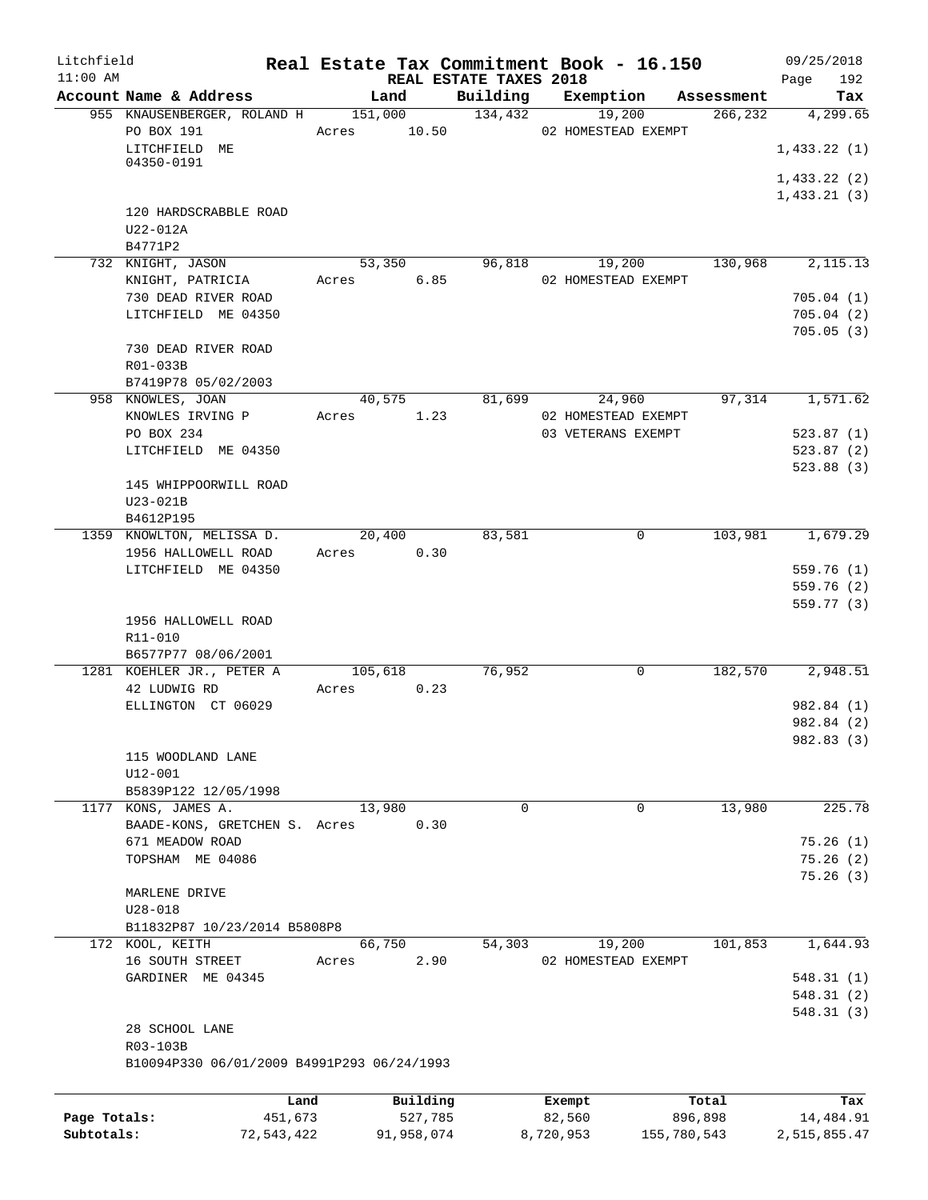| Litchfield   |                                            |                |                     |                                    | Real Estate Tax Commitment Book - 16.150 |                  | 09/25/2018         |
|--------------|--------------------------------------------|----------------|---------------------|------------------------------------|------------------------------------------|------------------|--------------------|
| $11:00$ AM   | Account Name & Address                     | Land           |                     | REAL ESTATE TAXES 2018<br>Building | Exemption                                | Assessment       | 192<br>Page<br>Tax |
|              | 955 KNAUSENBERGER, ROLAND H 151,000        |                |                     | 134,432                            | 19,200                                   | 266,232          | 4,299.65           |
|              | PO BOX 191                                 | 10.50<br>Acres |                     |                                    | 02 HOMESTEAD EXEMPT                      |                  |                    |
|              | LITCHFIELD ME                              |                |                     |                                    |                                          |                  | 1,433.22(1)        |
|              | 04350-0191                                 |                |                     |                                    |                                          |                  |                    |
|              |                                            |                |                     |                                    |                                          |                  | 1,433.22(2)        |
|              |                                            |                |                     |                                    |                                          |                  | 1,433.21(3)        |
|              | 120 HARDSCRABBLE ROAD                      |                |                     |                                    |                                          |                  |                    |
|              | U22-012A<br>B4771P2                        |                |                     |                                    |                                          |                  |                    |
|              | 732 KNIGHT, JASON                          | 53,350         |                     | 96,818                             | 19,200                                   | 130,968          | 2, 115. 13         |
|              | KNIGHT, PATRICIA                           | Acres 6.85     |                     |                                    | 02 HOMESTEAD EXEMPT                      |                  |                    |
|              | 730 DEAD RIVER ROAD                        |                |                     |                                    |                                          |                  | 705.04(1)          |
|              | LITCHFIELD ME 04350                        |                |                     |                                    |                                          |                  | 705.04(2)          |
|              |                                            |                |                     |                                    |                                          |                  | 705.05(3)          |
|              | 730 DEAD RIVER ROAD                        |                |                     |                                    |                                          |                  |                    |
|              | R01-033B                                   |                |                     |                                    |                                          |                  |                    |
|              | B7419P78 05/02/2003                        |                |                     |                                    |                                          |                  |                    |
|              | 958 KNOWLES, JOAN                          | 40,575         |                     | 81,699                             | 24,960                                   | 97,314           | 1,571.62           |
|              | KNOWLES IRVING P                           | Acres          | 1.23                |                                    | 02 HOMESTEAD EXEMPT                      |                  |                    |
|              | PO BOX 234                                 |                |                     |                                    | 03 VETERANS EXEMPT                       |                  | 523.87(1)          |
|              | LITCHFIELD ME 04350                        |                |                     |                                    |                                          |                  | 523.87(2)          |
|              |                                            |                |                     |                                    |                                          |                  | 523.88(3)          |
|              | 145 WHIPPOORWILL ROAD                      |                |                     |                                    |                                          |                  |                    |
|              | U23-021B                                   |                |                     |                                    |                                          |                  |                    |
|              | B4612P195                                  |                |                     |                                    |                                          |                  |                    |
|              | 1359 KNOWLTON, MELISSA D.                  | 20,400         |                     | 83,581                             | $\Omega$                                 | 103,981          | 1,679.29           |
|              | 1956 HALLOWELL ROAD                        | Acres          | 0.30                |                                    |                                          |                  |                    |
|              | LITCHFIELD ME 04350                        |                |                     |                                    |                                          |                  | 559.76(1)          |
|              |                                            |                |                     |                                    |                                          |                  | 559.76(2)          |
|              |                                            |                |                     |                                    |                                          |                  | 559.77(3)          |
|              | 1956 HALLOWELL ROAD                        |                |                     |                                    |                                          |                  |                    |
|              | R11-010                                    |                |                     |                                    |                                          |                  |                    |
|              | B6577P77 08/06/2001                        |                |                     |                                    |                                          |                  |                    |
|              | 1281 KOEHLER JR., PETER A                  | 105,618        |                     | 76,952                             | 0                                        | 182,570          | 2,948.51           |
|              | 42 LUDWIG RD                               | 0.23<br>Acres  |                     |                                    |                                          |                  |                    |
|              | ELLINGTON CT 06029                         |                |                     |                                    |                                          |                  | 982.84 (1)         |
|              |                                            |                |                     |                                    |                                          |                  | 982.84 (2)         |
|              |                                            |                |                     |                                    |                                          |                  | 982.83 (3)         |
|              | 115 WOODLAND LANE<br>$U12 - 001$           |                |                     |                                    |                                          |                  |                    |
|              | B5839P122 12/05/1998                       |                |                     |                                    |                                          |                  |                    |
|              | 1177 KONS, JAMES A.                        | 13,980         |                     | 0                                  | 0                                        | 13,980           | 225.78             |
|              | BAADE-KONS, GRETCHEN S. Acres              |                | 0.30                |                                    |                                          |                  |                    |
|              | 671 MEADOW ROAD                            |                |                     |                                    |                                          |                  | 75.26(1)           |
|              | TOPSHAM ME 04086                           |                |                     |                                    |                                          |                  | 75.26(2)           |
|              |                                            |                |                     |                                    |                                          |                  | 75.26(3)           |
|              | MARLENE DRIVE                              |                |                     |                                    |                                          |                  |                    |
|              | $U28 - 018$                                |                |                     |                                    |                                          |                  |                    |
|              | B11832P87 10/23/2014 B5808P8               |                |                     |                                    |                                          |                  |                    |
|              | 172 KOOL, KEITH                            | 66,750         |                     | 54,303                             | 19,200                                   | 101,853          | 1,644.93           |
|              | 16 SOUTH STREET                            | Acres          | 2.90                |                                    | 02 HOMESTEAD EXEMPT                      |                  |                    |
|              | GARDINER ME 04345                          |                |                     |                                    |                                          |                  | 548.31(1)          |
|              |                                            |                |                     |                                    |                                          |                  | 548.31(2)          |
|              |                                            |                |                     |                                    |                                          |                  | 548.31(3)          |
|              | 28 SCHOOL LANE                             |                |                     |                                    |                                          |                  |                    |
|              | R03-103B                                   |                |                     |                                    |                                          |                  |                    |
|              | B10094P330 06/01/2009 B4991P293 06/24/1993 |                |                     |                                    |                                          |                  |                    |
|              |                                            |                |                     |                                    |                                          |                  |                    |
| Page Totals: | Land<br>451,673                            |                | Building<br>527,785 |                                    | Exempt<br>82,560                         | Total<br>896,898 | Tax<br>14,484.91   |
| Subtotals:   | 72,543,422                                 |                | 91,958,074          |                                    | 8,720,953                                | 155,780,543      | 2,515,855.47       |
|              |                                            |                |                     |                                    |                                          |                  |                    |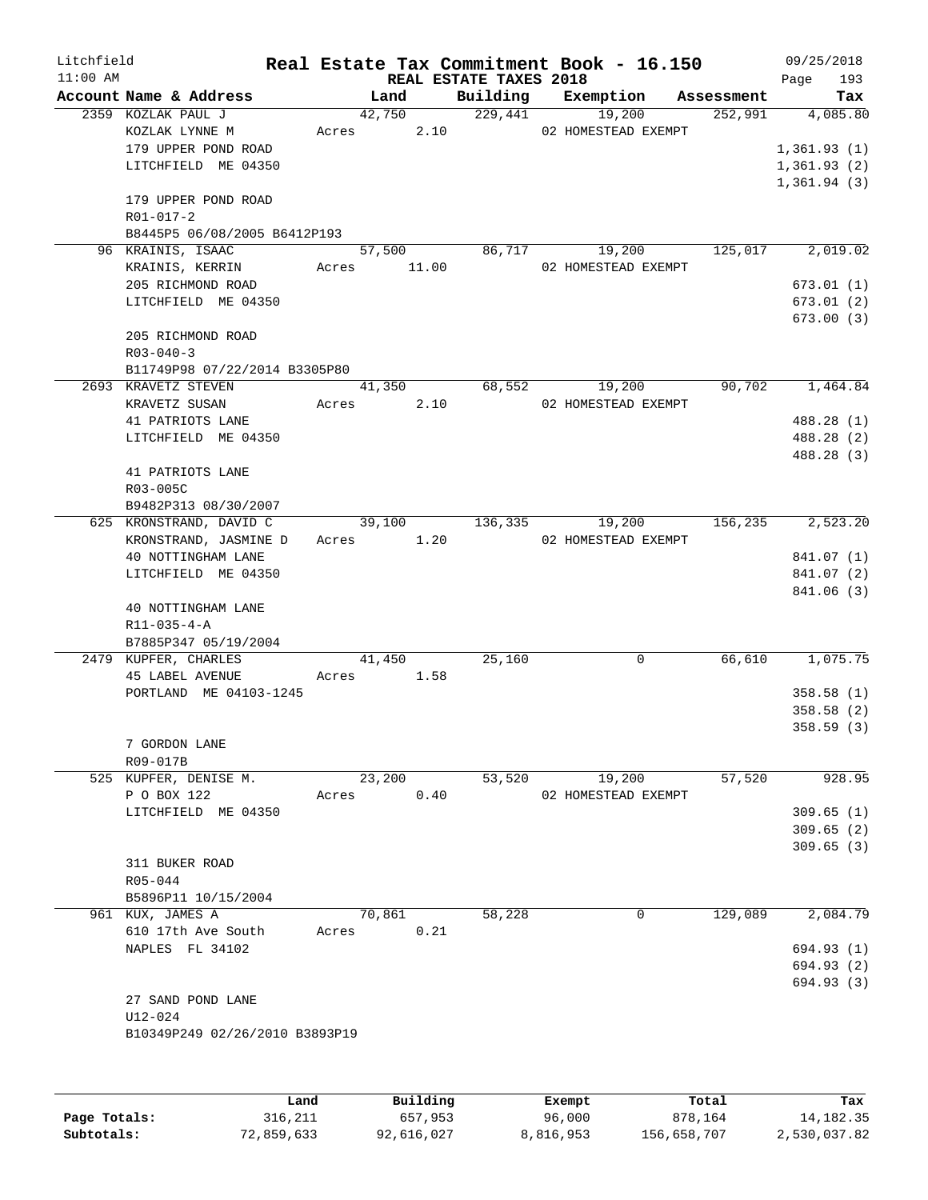| Litchfield |                                              |       |             |                            | Real Estate Tax Commitment Book - 16.150 |                       | 09/25/2018               |
|------------|----------------------------------------------|-------|-------------|----------------------------|------------------------------------------|-----------------------|--------------------------|
| $11:00$ AM |                                              |       | Land        | REAL ESTATE TAXES 2018     | Exemption                                |                       | 193<br>Page              |
|            | Account Name & Address<br>2359 KOZLAK PAUL J |       |             | Building<br>42,750 229,441 | 19,200                                   | Assessment<br>252,991 | Tax<br>4,085.80          |
|            | KOZLAK LYNNE M                               | Acres |             |                            | 2.10 02 HOMESTEAD EXEMPT                 |                       |                          |
|            | 179 UPPER POND ROAD                          |       |             |                            |                                          |                       | 1,361.93(1)              |
|            | LITCHFIELD ME 04350                          |       |             |                            |                                          |                       | 1,361.93(2)              |
|            |                                              |       |             |                            |                                          |                       | 1,361.94(3)              |
|            | 179 UPPER POND ROAD                          |       |             |                            |                                          |                       |                          |
|            | R01-017-2                                    |       |             |                            |                                          |                       |                          |
|            | B8445P5 06/08/2005 B6412P193                 |       |             |                            |                                          |                       |                          |
|            | 96 KRAINIS, ISAAC                            |       | 57,500      |                            | 86,717<br>19,200                         | 125,017               | 2,019.02                 |
|            | KRAINIS, KERRIN                              |       | Acres 11.00 |                            | 02 HOMESTEAD EXEMPT                      |                       |                          |
|            | 205 RICHMOND ROAD                            |       |             |                            |                                          |                       | 673.01(1)                |
|            | LITCHFIELD ME 04350                          |       |             |                            |                                          |                       | 673.01(2)                |
|            |                                              |       |             |                            |                                          |                       | 673.00(3)                |
|            | 205 RICHMOND ROAD                            |       |             |                            |                                          |                       |                          |
|            | $R03 - 040 - 3$                              |       |             |                            |                                          |                       |                          |
|            | B11749P98 07/22/2014 B3305P80                |       |             |                            |                                          |                       |                          |
|            | 2693 KRAVETZ STEVEN                          |       | 41,350      |                            | 68,552<br>19,200                         | 90,702                | 1,464.84                 |
|            | KRAVETZ SUSAN                                | Acres | 2.10        |                            | 02 HOMESTEAD EXEMPT                      |                       |                          |
|            | 41 PATRIOTS LANE<br>LITCHFIELD ME 04350      |       |             |                            |                                          |                       | 488.28 (1)<br>488.28 (2) |
|            |                                              |       |             |                            |                                          |                       | 488.28 (3)               |
|            | 41 PATRIOTS LANE                             |       |             |                            |                                          |                       |                          |
|            | R03-005C                                     |       |             |                            |                                          |                       |                          |
|            | B9482P313 08/30/2007                         |       |             |                            |                                          |                       |                          |
|            | 625 KRONSTRAND, DAVID C                      |       | 39,100      | 136,335                    | 19,200                                   | 156,235               | 2,523.20                 |
|            | KRONSTRAND, JASMINE D                        |       | Acres 1.20  |                            | 02 HOMESTEAD EXEMPT                      |                       |                          |
|            | 40 NOTTINGHAM LANE                           |       |             |                            |                                          |                       | 841.07 (1)               |
|            | LITCHFIELD ME 04350                          |       |             |                            |                                          |                       | 841.07 (2)               |
|            |                                              |       |             |                            |                                          |                       | 841.06 (3)               |
|            | 40 NOTTINGHAM LANE                           |       |             |                            |                                          |                       |                          |
|            | $R11 - 035 - 4 - A$                          |       |             |                            |                                          |                       |                          |
|            | B7885P347 05/19/2004                         |       |             |                            |                                          |                       |                          |
|            | 2479 KUPFER, CHARLES                         |       | 41,450      | 25,160                     | 0                                        | 66,610                | 1,075.75                 |
|            | <b>45 LABEL AVENUE</b>                       |       | Acres 1.58  |                            |                                          |                       |                          |
|            | PORTLAND ME 04103-1245                       |       |             |                            |                                          |                       | 358.58(1)                |
|            |                                              |       |             |                            |                                          |                       | 358.58(2)<br>358.59(3)   |
|            | 7 GORDON LANE                                |       |             |                            |                                          |                       |                          |
|            | R09-017B                                     |       |             |                            |                                          |                       |                          |
|            | 525 KUPFER, DENISE M.                        |       | 23,200      | 53,520                     | 19,200                                   | 57,520                | 928.95                   |
|            | P O BOX 122                                  | Acres | 0.40        |                            | 02 HOMESTEAD EXEMPT                      |                       |                          |
|            | LITCHFIELD ME 04350                          |       |             |                            |                                          |                       | 309.65(1)                |
|            |                                              |       |             |                            |                                          |                       | 309.65(2)                |
|            |                                              |       |             |                            |                                          |                       | 309.65(3)                |
|            | 311 BUKER ROAD                               |       |             |                            |                                          |                       |                          |
|            | R05-044                                      |       |             |                            |                                          |                       |                          |
|            | B5896P11 10/15/2004                          |       |             |                            |                                          |                       |                          |
|            | 961 KUX, JAMES A                             |       | 70,861      | 58,228                     | 0                                        | 129,089               | 2,084.79                 |
|            | 610 17th Ave South                           | Acres | 0.21        |                            |                                          |                       |                          |
|            | NAPLES FL 34102                              |       |             |                            |                                          |                       | 694.93 (1)               |
|            |                                              |       |             |                            |                                          |                       | 694.93 (2)               |
|            |                                              |       |             |                            |                                          |                       | 694.93 (3)               |
|            | 27 SAND POND LANE                            |       |             |                            |                                          |                       |                          |
|            | U12-024                                      |       |             |                            |                                          |                       |                          |
|            | B10349P249 02/26/2010 B3893P19               |       |             |                            |                                          |                       |                          |
|            |                                              |       |             |                            |                                          |                       |                          |
|            |                                              |       |             |                            |                                          |                       |                          |
|            | Land                                         |       | Building    |                            | Exempt.                                  | Total                 | Tax                      |

|              | Land       | Building   | Exempt    | Total       | Tax          |
|--------------|------------|------------|-----------|-------------|--------------|
| Page Totals: | 316,211    | 657,953    | 96,000    | 878,164     | 14, 182, 35  |
| Subtotals:   | 72,859,633 | 92,616,027 | 8,816,953 | 156,658,707 | 2,530,037.82 |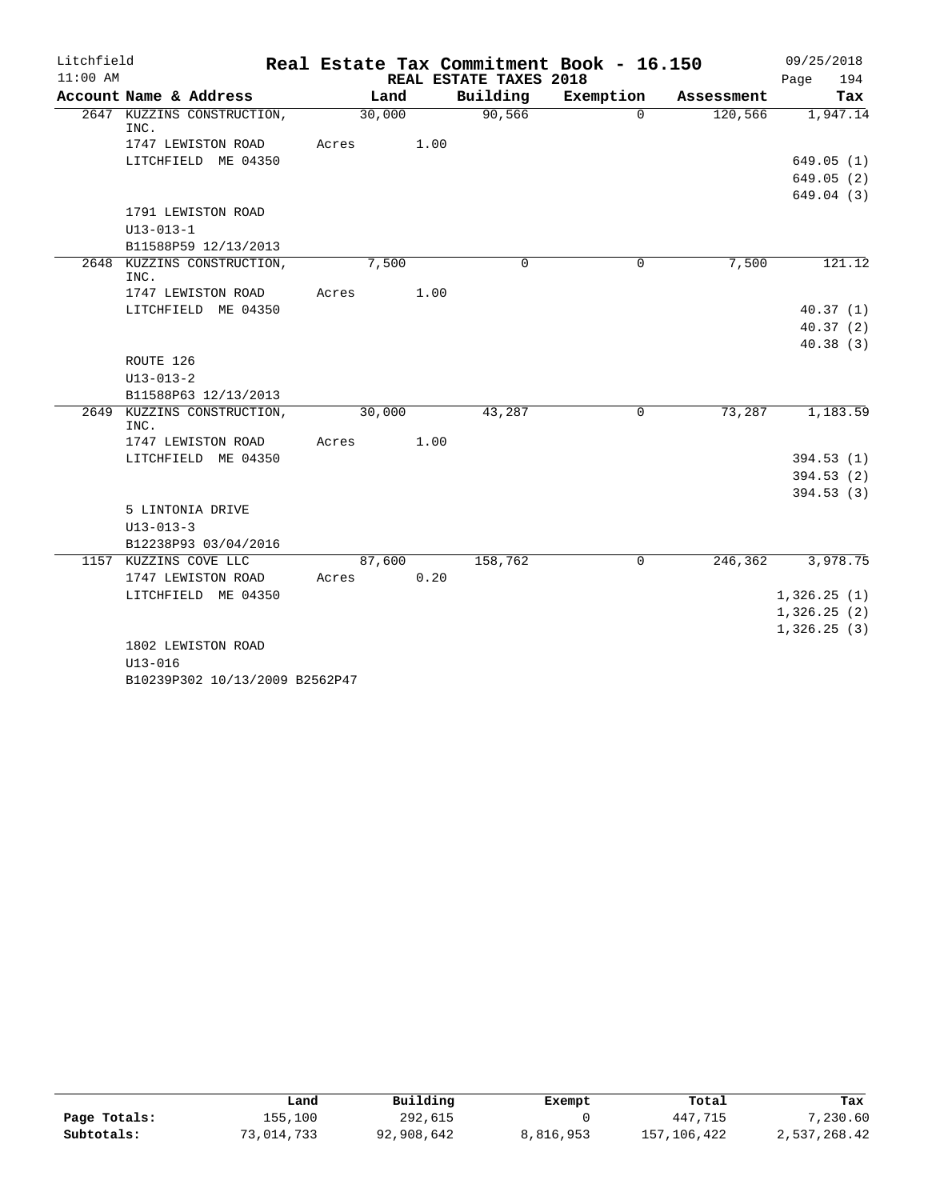| Litchfield |                                             |        |       |                        | Real Estate Tax Commitment Book - 16.150 |            | 09/25/2018                 |
|------------|---------------------------------------------|--------|-------|------------------------|------------------------------------------|------------|----------------------------|
| $11:00$ AM |                                             |        |       | REAL ESTATE TAXES 2018 |                                          |            | 194<br>Page                |
|            | Account Name & Address                      |        | Land  | Building               | Exemption                                | Assessment | Tax                        |
|            | 2647 KUZZINS CONSTRUCTION,<br>INC.          | 30,000 |       | 90,566                 | $\Omega$                                 | 120,566    | 1,947.14                   |
|            | 1747 LEWISTON ROAD                          | Acres  | 1.00  |                        |                                          |            |                            |
|            | LITCHFIELD ME 04350                         |        |       |                        |                                          |            | 649.05(1)                  |
|            |                                             |        |       |                        |                                          |            | 649.05(2)                  |
|            |                                             |        |       |                        |                                          |            | 649.04(3)                  |
|            | 1791 LEWISTON ROAD                          |        |       |                        |                                          |            |                            |
|            | $U13 - 013 - 1$                             |        |       |                        |                                          |            |                            |
|            | B11588P59 12/13/2013                        |        |       |                        |                                          |            |                            |
|            | 2648 KUZZINS CONSTRUCTION,<br>INC.          |        | 7,500 | $\Omega$               | $\Omega$                                 | 7,500      | 121.12                     |
|            | 1747 LEWISTON ROAD                          | Acres  | 1.00  |                        |                                          |            |                            |
|            | LITCHFIELD ME 04350                         |        |       |                        |                                          |            | 40.37(1)                   |
|            |                                             |        |       |                        |                                          |            | 40.37(2)                   |
|            | ROUTE 126                                   |        |       |                        |                                          |            | 40.38(3)                   |
|            | $U13 - 013 - 2$                             |        |       |                        |                                          |            |                            |
|            | B11588P63 12/13/2013                        |        |       |                        |                                          |            |                            |
|            | 2649 KUZZINS CONSTRUCTION,                  | 30,000 |       | 43,287                 | 0                                        | 73,287     | 1,183.59                   |
|            | INC.                                        |        |       |                        |                                          |            |                            |
|            | 1747 LEWISTON ROAD                          | Acres  | 1.00  |                        |                                          |            |                            |
|            | LITCHFIELD ME 04350                         |        |       |                        |                                          |            | 394.53(1)                  |
|            |                                             |        |       |                        |                                          |            | 394.53(2)                  |
|            |                                             |        |       |                        |                                          |            | 394.53(3)                  |
|            | 5 LINTONIA DRIVE                            |        |       |                        |                                          |            |                            |
|            | $U13 - 013 - 3$                             |        |       |                        |                                          |            |                            |
|            | B12238P93 03/04/2016                        |        |       |                        |                                          | 246, 362   |                            |
|            | 1157 KUZZINS COVE LLC<br>1747 LEWISTON ROAD | 87,600 | 0.20  | 158,762                | $\mathbf 0$                              |            | 3,978.75                   |
|            | LITCHFIELD ME 04350                         | Acres  |       |                        |                                          |            |                            |
|            |                                             |        |       |                        |                                          |            | 1,326.25(1)                |
|            |                                             |        |       |                        |                                          |            | 1,326.25(2)<br>1,326.25(3) |
|            | 1802 LEWISTON ROAD                          |        |       |                        |                                          |            |                            |
|            | $U13 - 016$                                 |        |       |                        |                                          |            |                            |
|            |                                             |        |       |                        |                                          |            |                            |

B10239P302 10/13/2009 B2562P47

|              | Land       | Building   | Exempt    | Total       | Tax          |
|--------------|------------|------------|-----------|-------------|--------------|
| Page Totals: | 155,100    | 292,615    |           | 447,715     | 7,230.60     |
| Subtotals:   | 73,014,733 | 92,908,642 | 8,816,953 | 157,106,422 | 2,537,268.42 |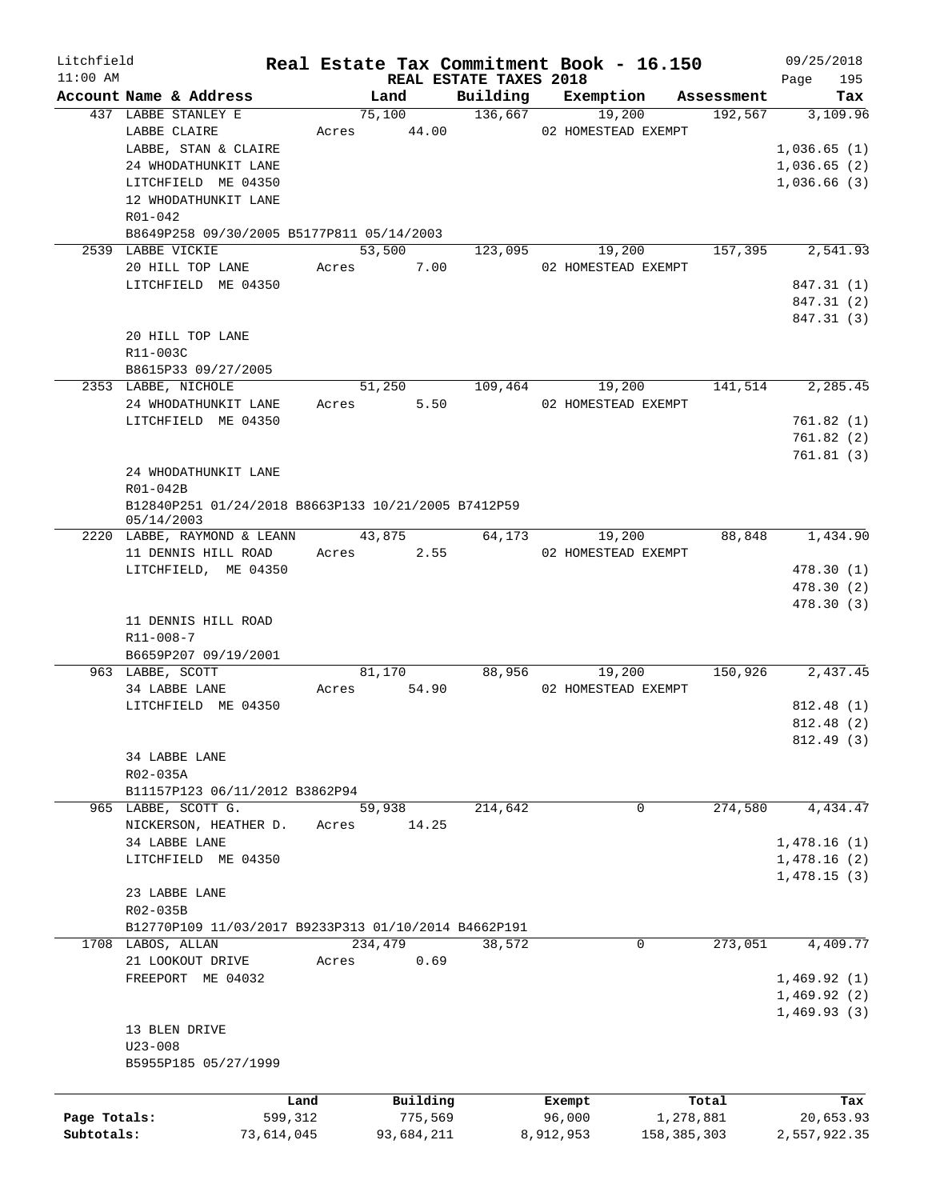| Litchfield   |                                                      |            |       |            |                                    | Real Estate Tax Commitment Book - 16.150 |               |            | 09/25/2018   |            |
|--------------|------------------------------------------------------|------------|-------|------------|------------------------------------|------------------------------------------|---------------|------------|--------------|------------|
| $11:00$ AM   | Account Name & Address                               |            |       | Land       | REAL ESTATE TAXES 2018<br>Building | Exemption                                |               | Assessment | Page         | 195<br>Tax |
|              | 437 LABBE STANLEY E                                  |            |       | 75,100     | 136,667                            | 19,200                                   |               | 192,567    |              | 3,109.96   |
|              | LABBE CLAIRE                                         |            | Acres | 44.00      |                                    | 02 HOMESTEAD EXEMPT                      |               |            |              |            |
|              | LABBE, STAN & CLAIRE                                 |            |       |            |                                    |                                          |               |            | 1,036.65(1)  |            |
|              | 24 WHODATHUNKIT LANE                                 |            |       |            |                                    |                                          |               |            | 1,036.65(2)  |            |
|              | LITCHFIELD ME 04350                                  |            |       |            |                                    |                                          |               |            | 1,036.66(3)  |            |
|              | 12 WHODATHUNKIT LANE                                 |            |       |            |                                    |                                          |               |            |              |            |
|              | $R01 - 042$                                          |            |       |            |                                    |                                          |               |            |              |            |
|              |                                                      |            |       |            |                                    |                                          |               |            |              |            |
|              | B8649P258 09/30/2005 B5177P811 05/14/2003            |            |       | 53,500     |                                    |                                          |               | 157,395    |              | 2,541.93   |
|              | 2539 LABBE VICKIE                                    |            |       |            | 123,095                            | 19,200                                   |               |            |              |            |
|              | 20 HILL TOP LANE                                     |            | Acres | 7.00       |                                    | 02 HOMESTEAD EXEMPT                      |               |            |              |            |
|              | LITCHFIELD ME 04350                                  |            |       |            |                                    |                                          |               |            | 847.31 (1)   |            |
|              |                                                      |            |       |            |                                    |                                          |               |            | 847.31 (2)   |            |
|              |                                                      |            |       |            |                                    |                                          |               |            | 847.31 (3)   |            |
|              | 20 HILL TOP LANE                                     |            |       |            |                                    |                                          |               |            |              |            |
|              | R11-003C                                             |            |       |            |                                    |                                          |               |            |              |            |
|              | B8615P33 09/27/2005                                  |            |       |            |                                    |                                          |               |            |              |            |
|              | 2353 LABBE, NICHOLE                                  |            |       | 51,250     | 109,464                            | 19,200                                   |               | 141,514    |              | 2,285.45   |
|              | 24 WHODATHUNKIT LANE                                 |            | Acres | 5.50       |                                    | 02 HOMESTEAD EXEMPT                      |               |            |              |            |
|              | LITCHFIELD ME 04350                                  |            |       |            |                                    |                                          |               |            | 761.82(1)    |            |
|              |                                                      |            |       |            |                                    |                                          |               |            | 761.82(2)    |            |
|              |                                                      |            |       |            |                                    |                                          |               |            | 761.81(3)    |            |
|              | 24 WHODATHUNKIT LANE                                 |            |       |            |                                    |                                          |               |            |              |            |
|              | R01-042B                                             |            |       |            |                                    |                                          |               |            |              |            |
|              | B12840P251 01/24/2018 B8663P133 10/21/2005 B7412P59  |            |       |            |                                    |                                          |               |            |              |            |
|              | 05/14/2003                                           |            |       |            |                                    |                                          |               |            |              |            |
|              | 2220 LABBE, RAYMOND & LEANN                          |            |       | 43,875     | 64,173                             | 19,200                                   |               | 88,848     |              | 1,434.90   |
|              | 11 DENNIS HILL ROAD                                  |            | Acres | 2.55       |                                    | 02 HOMESTEAD EXEMPT                      |               |            |              |            |
|              | LITCHFIELD, ME 04350                                 |            |       |            |                                    |                                          |               |            | 478.30 (1)   |            |
|              |                                                      |            |       |            |                                    |                                          |               |            | 478.30 (2)   |            |
|              |                                                      |            |       |            |                                    |                                          |               |            | 478.30 (3)   |            |
|              | 11 DENNIS HILL ROAD                                  |            |       |            |                                    |                                          |               |            |              |            |
|              | R11-008-7                                            |            |       |            |                                    |                                          |               |            |              |            |
|              | B6659P207 09/19/2001                                 |            |       |            |                                    |                                          |               |            |              |            |
|              | 963 LABBE, SCOTT                                     |            |       | 81,170     | 88,956                             | 19,200                                   |               | 150,926    |              | 2,437.45   |
|              | 34 LABBE LANE                                        |            | Acres | 54.90      |                                    | 02 HOMESTEAD EXEMPT                      |               |            |              |            |
|              | LITCHFIELD ME 04350                                  |            |       |            |                                    |                                          |               |            | 812.48 (1)   |            |
|              |                                                      |            |       |            |                                    |                                          |               |            | 812.48 (2)   |            |
|              |                                                      |            |       |            |                                    |                                          |               |            | 812.49(3)    |            |
|              | 34 LABBE LANE                                        |            |       |            |                                    |                                          |               |            |              |            |
|              | R02-035A                                             |            |       |            |                                    |                                          |               |            |              |            |
|              | B11157P123 06/11/2012 B3862P94                       |            |       |            |                                    |                                          |               |            |              |            |
|              | 965 LABBE, SCOTT G.                                  |            |       | 59,938     | 214,642                            | 0                                        |               | 274,580    |              | 4,434.47   |
|              | NICKERSON, HEATHER D.                                |            | Acres | 14.25      |                                    |                                          |               |            |              |            |
|              | 34 LABBE LANE                                        |            |       |            |                                    |                                          |               |            | 1,478.16(1)  |            |
|              | LITCHFIELD ME 04350                                  |            |       |            |                                    |                                          |               |            | 1,478.16(2)  |            |
|              |                                                      |            |       |            |                                    |                                          |               |            | 1,478.15(3)  |            |
|              | 23 LABBE LANE                                        |            |       |            |                                    |                                          |               |            |              |            |
|              | R02-035B                                             |            |       |            |                                    |                                          |               |            |              |            |
|              | B12770P109 11/03/2017 B9233P313 01/10/2014 B4662P191 |            |       |            |                                    |                                          |               |            |              |            |
|              | 1708 LABOS, ALLAN                                    |            |       | 234,479    | 38,572                             | 0                                        |               | 273,051    |              | 4,409.77   |
|              | 21 LOOKOUT DRIVE                                     |            | Acres | 0.69       |                                    |                                          |               |            |              |            |
|              | FREEPORT ME 04032                                    |            |       |            |                                    |                                          |               |            | 1,469.92(1)  |            |
|              |                                                      |            |       |            |                                    |                                          |               |            | 1,469.92(2)  |            |
|              |                                                      |            |       |            |                                    |                                          |               |            | 1,469.93(3)  |            |
|              | 13 BLEN DRIVE                                        |            |       |            |                                    |                                          |               |            |              |            |
|              | $U23 - 008$                                          |            |       |            |                                    |                                          |               |            |              |            |
|              | B5955P185 05/27/1999                                 |            |       |            |                                    |                                          |               |            |              |            |
|              |                                                      |            |       |            |                                    |                                          |               |            |              |            |
|              |                                                      |            |       |            |                                    |                                          |               |            |              |            |
|              |                                                      | Land       |       | Building   |                                    | Exempt                                   |               | Total      |              | Tax        |
| Page Totals: |                                                      | 599,312    |       | 775,569    |                                    | 96,000                                   | 1,278,881     |            |              | 20,653.93  |
| Subtotals:   |                                                      | 73,614,045 |       | 93,684,211 |                                    | 8,912,953                                | 158, 385, 303 |            | 2,557,922.35 |            |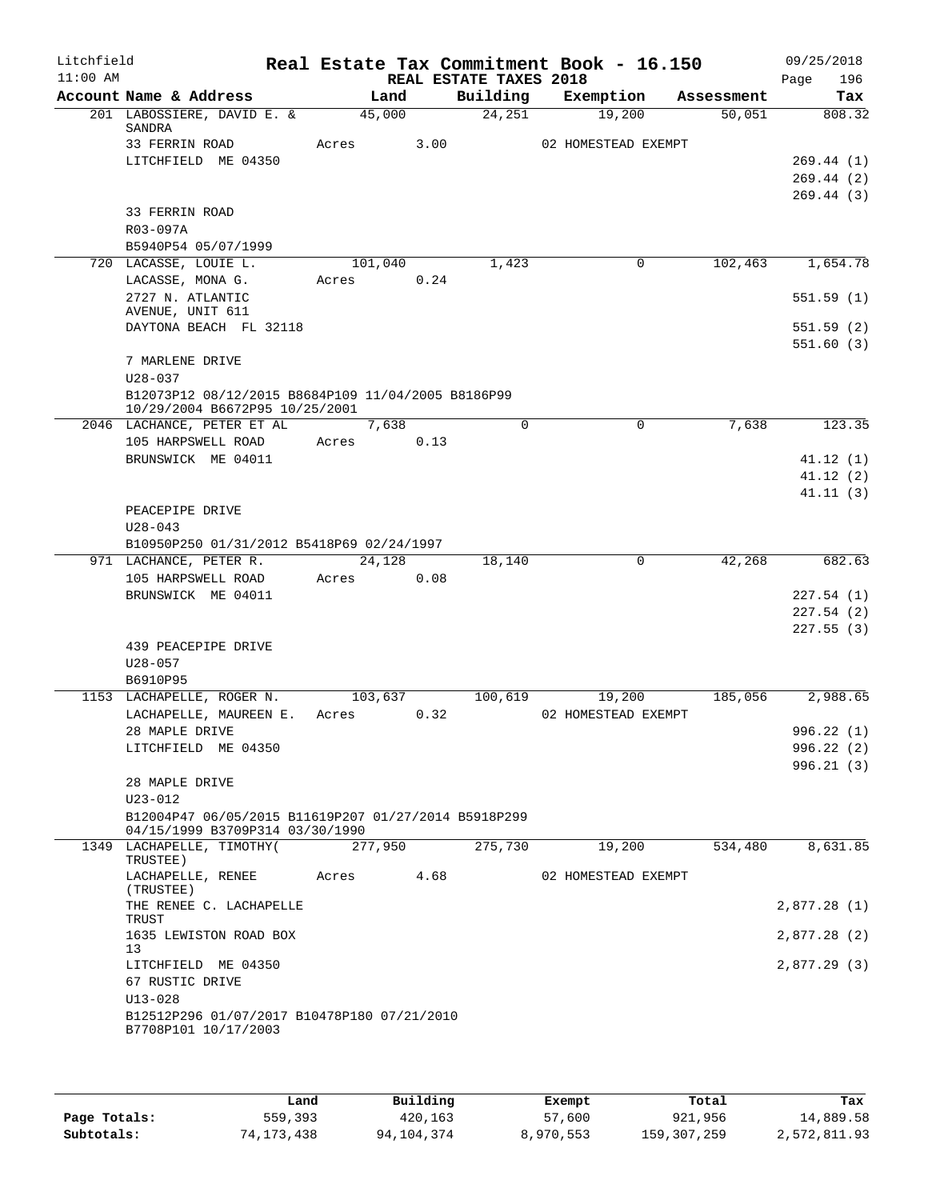| Litchfield<br>$11:00$ AM |                                                                                         |            |      | REAL ESTATE TAXES 2018 | Real Estate Tax Commitment Book - 16.150 |            | 09/25/2018<br>196<br>Page |
|--------------------------|-----------------------------------------------------------------------------------------|------------|------|------------------------|------------------------------------------|------------|---------------------------|
|                          | Account Name & Address                                                                  | Land       |      | Building               | Exemption                                | Assessment | Tax                       |
|                          | 201 LABOSSIERE, DAVID E. &<br>SANDRA                                                    | 45,000     |      | 24,251                 | 19,200                                   | 50,051     | 808.32                    |
|                          | 33 FERRIN ROAD                                                                          | Acres      | 3.00 |                        | 02 HOMESTEAD EXEMPT                      |            |                           |
|                          | LITCHFIELD ME 04350                                                                     |            |      |                        |                                          |            | 269.44(1)                 |
|                          |                                                                                         |            |      |                        |                                          |            | 269.44(2)                 |
|                          |                                                                                         |            |      |                        |                                          |            | 269.44(3)                 |
|                          | 33 FERRIN ROAD                                                                          |            |      |                        |                                          |            |                           |
|                          | R03-097A                                                                                |            |      |                        |                                          |            |                           |
|                          | B5940P54 05/07/1999                                                                     |            |      |                        |                                          |            |                           |
|                          | 720 LACASSE, LOUIE L.                                                                   | 101,040    |      | 1,423                  | 0                                        | 102,463    | 1,654.78                  |
|                          | LACASSE, MONA G.<br>2727 N. ATLANTIC                                                    | Acres      | 0.24 |                        |                                          |            |                           |
|                          | AVENUE, UNIT 611                                                                        |            |      |                        |                                          |            | 551.59(1)                 |
|                          | DAYTONA BEACH FL 32118                                                                  |            |      |                        |                                          |            | 551.59(2)                 |
|                          |                                                                                         |            |      |                        |                                          |            | 551.60(3)                 |
|                          | 7 MARLENE DRIVE                                                                         |            |      |                        |                                          |            |                           |
|                          | $U28 - 037$                                                                             |            |      |                        |                                          |            |                           |
|                          | B12073P12 08/12/2015 B8684P109 11/04/2005 B8186P99                                      |            |      |                        |                                          |            |                           |
|                          | 10/29/2004 B6672P95 10/25/2001<br>2046 LACHANCE, PETER ET AL                            | 7,638      |      | $\Omega$               | $\Omega$                                 | 7,638      | 123.35                    |
|                          | 105 HARPSWELL ROAD                                                                      | Acres      | 0.13 |                        |                                          |            |                           |
|                          | BRUNSWICK ME 04011                                                                      |            |      |                        |                                          |            | 41.12(1)                  |
|                          |                                                                                         |            |      |                        |                                          |            | 41.12(2)                  |
|                          |                                                                                         |            |      |                        |                                          |            | 41.11(3)                  |
|                          | PEACEPIPE DRIVE                                                                         |            |      |                        |                                          |            |                           |
|                          | $U28 - 043$                                                                             |            |      |                        |                                          |            |                           |
|                          | B10950P250 01/31/2012 B5418P69 02/24/1997                                               |            |      |                        |                                          |            |                           |
|                          | 971 LACHANCE, PETER R.                                                                  | 24,128     |      | 18,140                 | $\mathbf 0$                              | 42,268     | 682.63                    |
|                          | 105 HARPSWELL ROAD                                                                      | Acres      | 0.08 |                        |                                          |            |                           |
|                          | BRUNSWICK ME 04011                                                                      |            |      |                        |                                          |            | 227.54 (1)                |
|                          |                                                                                         |            |      |                        |                                          |            | 227.54(2)                 |
|                          | 439 PEACEPIPE DRIVE                                                                     |            |      |                        |                                          |            | 227.55(3)                 |
|                          | $U28 - 057$                                                                             |            |      |                        |                                          |            |                           |
|                          | B6910P95                                                                                |            |      |                        |                                          |            |                           |
|                          | 1153 LACHAPELLE, ROGER N.                                                               | 103,637    |      | 100,619                | 19,200                                   | 185,056    | 2,988.65                  |
|                          | LACHAPELLE, MAUREEN E.                                                                  | Acres      | 0.32 |                        | 02 HOMESTEAD EXEMPT                      |            |                           |
|                          | 28 MAPLE DRIVE                                                                          |            |      |                        |                                          |            | 996.22(1)                 |
|                          | LITCHFIELD ME 04350                                                                     |            |      |                        |                                          |            | 996.22(2)                 |
|                          |                                                                                         |            |      |                        |                                          |            | 996.21(3)                 |
|                          | 28 MAPLE DRIVE                                                                          |            |      |                        |                                          |            |                           |
|                          | $U23 - 012$                                                                             |            |      |                        |                                          |            |                           |
|                          | B12004P47 06/05/2015 B11619P207 01/27/2014 B5918P299<br>04/15/1999 B3709P314 03/30/1990 |            |      |                        |                                          |            |                           |
|                          | 1349 LACHAPELLE, TIMOTHY (                                                              | 277,950    |      | 275,730                | 19,200                                   | 534,480    | 8,631.85                  |
|                          | TRUSTEE)                                                                                |            |      |                        |                                          |            |                           |
|                          | LACHAPELLE, RENEE                                                                       | Acres 4.68 |      |                        | 02 HOMESTEAD EXEMPT                      |            |                           |
|                          | (TRUSTEE)<br>THE RENEE C. LACHAPELLE                                                    |            |      |                        |                                          |            | 2,877.28 (1)              |
|                          | TRUST                                                                                   |            |      |                        |                                          |            |                           |
|                          | 1635 LEWISTON ROAD BOX                                                                  |            |      |                        |                                          |            | 2,877.28 (2)              |
|                          | 13                                                                                      |            |      |                        |                                          |            |                           |
|                          | LITCHFIELD ME 04350                                                                     |            |      |                        |                                          |            | 2,877.29 (3)              |
|                          | 67 RUSTIC DRIVE<br>$U13 - 028$                                                          |            |      |                        |                                          |            |                           |
|                          | B12512P296 01/07/2017 B10478P180 07/21/2010                                             |            |      |                        |                                          |            |                           |
|                          | B7708P101 10/17/2003                                                                    |            |      |                        |                                          |            |                           |
|                          |                                                                                         |            |      |                        |                                          |            |                           |

|              | Land       | Building   | Exempt    | Total       | Tax          |
|--------------|------------|------------|-----------|-------------|--------------|
| Page Totals: | 559,393    | 420,163    | 57,600    | 921,956     | 14,889.58    |
| Subtotals:   | 74,173,438 | 94,104,374 | 8,970,553 | 159,307,259 | 2,572,811.93 |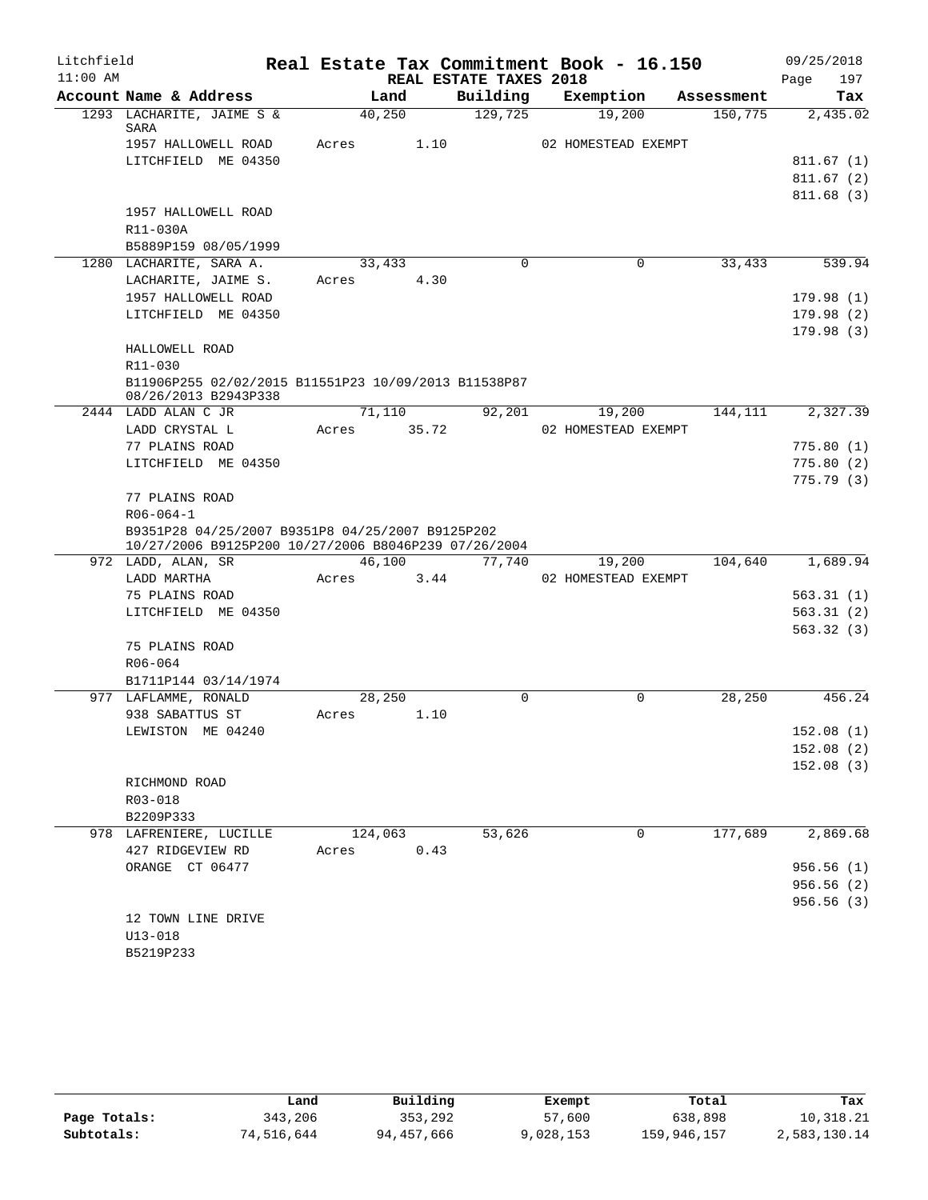| Litchfield |                                                                              |                |                        | Real Estate Tax Commitment Book - 16.150 |            | 09/25/2018  |
|------------|------------------------------------------------------------------------------|----------------|------------------------|------------------------------------------|------------|-------------|
| $11:00$ AM |                                                                              |                | REAL ESTATE TAXES 2018 |                                          |            | Page<br>197 |
|            | Account Name & Address                                                       | Land           | Building               | Exemption                                | Assessment | Tax         |
|            | 1293 LACHARITE, JAIME S &<br>SARA                                            | 40,250         | 129,725                | 19,200                                   | 150, 775   | 2,435.02    |
|            | 1957 HALLOWELL ROAD                                                          | 1.10<br>Acres  |                        | 02 HOMESTEAD EXEMPT                      |            |             |
|            | LITCHFIELD ME 04350                                                          |                |                        |                                          |            | 811.67(1)   |
|            |                                                                              |                |                        |                                          |            | 811.67(2)   |
|            |                                                                              |                |                        |                                          |            | 811.68(3)   |
|            | 1957 HALLOWELL ROAD                                                          |                |                        |                                          |            |             |
|            | R11-030A                                                                     |                |                        |                                          |            |             |
|            | B5889P159 08/05/1999                                                         |                |                        |                                          |            |             |
|            | 1280 LACHARITE, SARA A.                                                      | 33,433         | $\Omega$               | 0                                        | 33,433     | 539.94      |
|            | LACHARITE, JAIME S.                                                          | 4.30<br>Acres  |                        |                                          |            |             |
|            | 1957 HALLOWELL ROAD                                                          |                |                        |                                          |            | 179.98(1)   |
|            | LITCHFIELD ME 04350                                                          |                |                        |                                          |            | 179.98(2)   |
|            |                                                                              |                |                        |                                          |            | 179.98(3)   |
|            | HALLOWELL ROAD                                                               |                |                        |                                          |            |             |
|            | R11-030                                                                      |                |                        |                                          |            |             |
|            | B11906P255 02/02/2015 B11551P23 10/09/2013 B11538P87<br>08/26/2013 B2943P338 |                |                        |                                          |            |             |
|            | 2444 LADD ALAN C JR                                                          | 71,110         | 92,201                 | 19,200                                   | 144,111    | 2,327.39    |
|            | LADD CRYSTAL L                                                               | 35.72<br>Acres |                        | 02 HOMESTEAD EXEMPT                      |            |             |
|            | 77 PLAINS ROAD                                                               |                |                        |                                          |            | 775.80(1)   |
|            | LITCHFIELD ME 04350                                                          |                |                        |                                          |            | 775.80(2)   |
|            |                                                                              |                |                        |                                          |            | 775.79(3)   |
|            | 77 PLAINS ROAD                                                               |                |                        |                                          |            |             |
|            | $R06 - 064 - 1$                                                              |                |                        |                                          |            |             |
|            | B9351P28 04/25/2007 B9351P8 04/25/2007 B9125P202                             |                |                        |                                          |            |             |
|            | 10/27/2006 B9125P200 10/27/2006 B8046P239 07/26/2004                         | 46,100         |                        |                                          | 104,640    | 1,689.94    |
|            | 972 LADD, ALAN, SR<br>LADD MARTHA                                            | Acres<br>3.44  | 77,740                 | 19,200<br>02 HOMESTEAD EXEMPT            |            |             |
|            | 75 PLAINS ROAD                                                               |                |                        |                                          |            | 563.31(1)   |
|            | LITCHFIELD ME 04350                                                          |                |                        |                                          |            | 563.31(2)   |
|            |                                                                              |                |                        |                                          |            | 563.32(3)   |
|            | 75 PLAINS ROAD                                                               |                |                        |                                          |            |             |
|            | R06-064                                                                      |                |                        |                                          |            |             |
|            | B1711P144 03/14/1974                                                         |                |                        |                                          |            |             |
|            | 977 LAFLAMME, RONALD                                                         | 28,250         | $\Omega$               | $\Omega$                                 | 28,250     | 456.24      |
|            | 938 SABATTUS ST                                                              | 1.10<br>Acres  |                        |                                          |            |             |
|            | LEWISTON ME 04240                                                            |                |                        |                                          |            | 152.08(1)   |
|            |                                                                              |                |                        |                                          |            | 152.08(2)   |
|            |                                                                              |                |                        |                                          |            | 152.08(3)   |
|            | RICHMOND ROAD                                                                |                |                        |                                          |            |             |
|            | R03-018                                                                      |                |                        |                                          |            |             |
|            | B2209P333                                                                    |                |                        |                                          |            |             |
|            | 978 LAFRENIERE, LUCILLE                                                      | 124,063        | 53,626                 | 0                                        | 177,689    | 2,869.68    |
|            | 427 RIDGEVIEW RD                                                             | 0.43<br>Acres  |                        |                                          |            |             |
|            | ORANGE CT 06477                                                              |                |                        |                                          |            | 956.56(1)   |
|            |                                                                              |                |                        |                                          |            | 956.56 (2)  |
|            |                                                                              |                |                        |                                          |            | 956.56(3)   |
|            | 12 TOWN LINE DRIVE                                                           |                |                        |                                          |            |             |
|            | $U13 - 018$                                                                  |                |                        |                                          |            |             |
|            | B5219P233                                                                    |                |                        |                                          |            |             |

|              | Land       | Building   | Exempt    | Total       | Tax          |
|--------------|------------|------------|-----------|-------------|--------------|
| Page Totals: | 343,206    | 353,292    | 57,600    | 638,898     | 10,318.21    |
| Subtotals:   | 74,516,644 | 94,457,666 | 9,028,153 | 159,946,157 | 2,583,130.14 |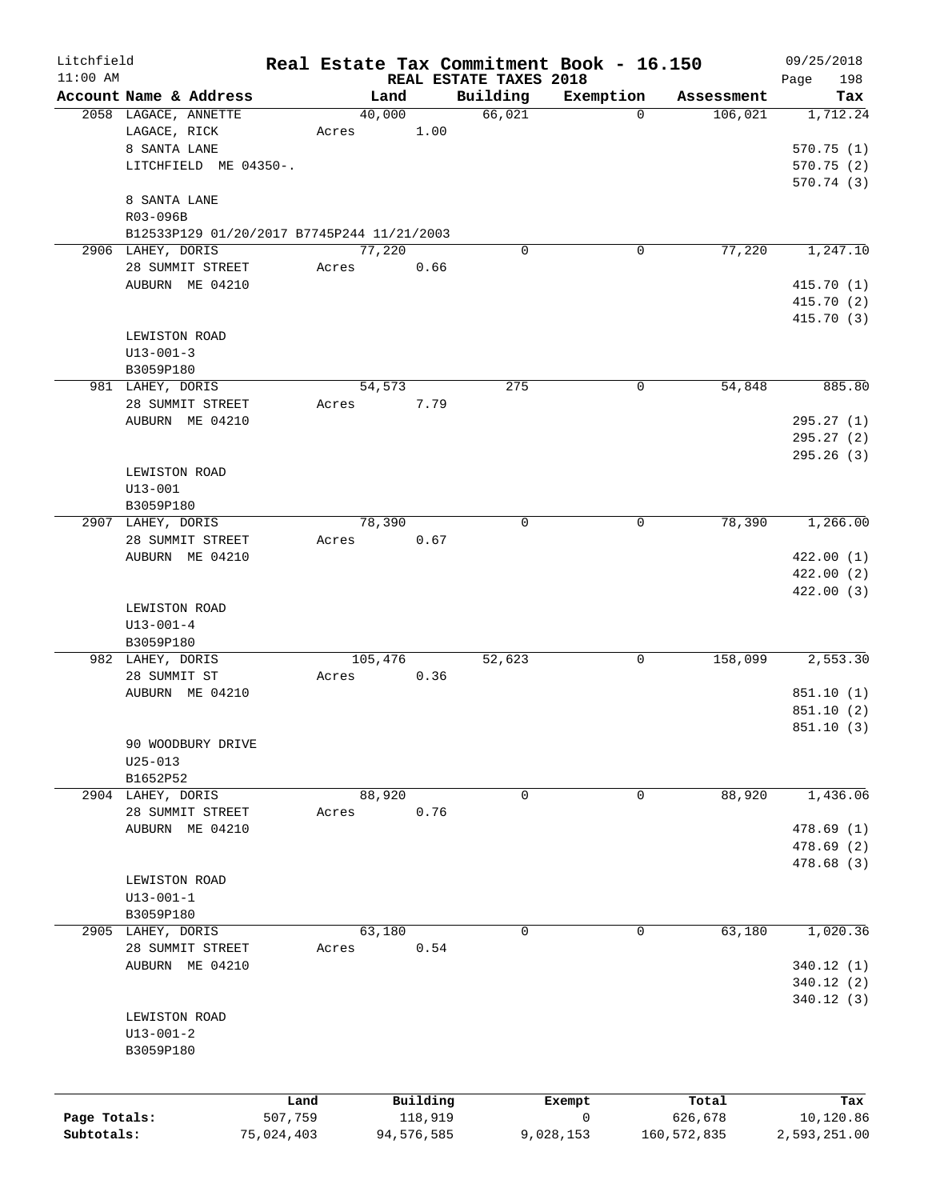| Litchfield   |                                            |            |            |                                    | Real Estate Tax Commitment Book - 16.150 |               | 09/25/2018         |
|--------------|--------------------------------------------|------------|------------|------------------------------------|------------------------------------------|---------------|--------------------|
| $11:00$ AM   | Account Name & Address                     |            | Land       | REAL ESTATE TAXES 2018<br>Building | Exemption                                | Assessment    | 198<br>Page<br>Tax |
|              | 2058 LAGACE, ANNETTE                       |            | 40,000     | 66,021                             | $\mathbf 0$                              | 106,021       | 1,712.24           |
|              | LAGACE, RICK                               | Acres      | 1.00       |                                    |                                          |               |                    |
|              | 8 SANTA LANE                               |            |            |                                    |                                          |               | 570.75(1)          |
|              | LITCHFIELD ME 04350-.                      |            |            |                                    |                                          |               | 570.75(2)          |
|              |                                            |            |            |                                    |                                          |               | 570.74 (3)         |
|              | 8 SANTA LANE                               |            |            |                                    |                                          |               |                    |
|              | R03-096B                                   |            |            |                                    |                                          |               |                    |
|              | B12533P129 01/20/2017 B7745P244 11/21/2003 |            |            |                                    |                                          |               |                    |
|              | 2906 LAHEY, DORIS                          |            | 77,220     | $\Omega$                           | $\mathbf 0$                              | 77,220        | 1,247.10           |
|              | 28 SUMMIT STREET                           | Acres      | 0.66       |                                    |                                          |               |                    |
|              | AUBURN ME 04210                            |            |            |                                    |                                          |               | 415.70 (1)         |
|              |                                            |            |            |                                    |                                          |               | 415.70 (2)         |
|              |                                            |            |            |                                    |                                          |               | 415.70 (3)         |
|              | LEWISTON ROAD                              |            |            |                                    |                                          |               |                    |
|              | $U13 - 001 - 3$                            |            |            |                                    |                                          |               |                    |
|              | B3059P180                                  |            |            |                                    |                                          |               |                    |
|              | 981 LAHEY, DORIS                           |            | 54,573     | 275                                | 0                                        | 54,848        | 885.80             |
|              | 28 SUMMIT STREET                           | Acres      | 7.79       |                                    |                                          |               |                    |
|              | AUBURN ME 04210                            |            |            |                                    |                                          |               | 295.27 (1)         |
|              |                                            |            |            |                                    |                                          |               |                    |
|              |                                            |            |            |                                    |                                          |               | 295.27(2)          |
|              |                                            |            |            |                                    |                                          |               | 295.26 (3)         |
|              | LEWISTON ROAD                              |            |            |                                    |                                          |               |                    |
|              | $U13 - 001$                                |            |            |                                    |                                          |               |                    |
|              | B3059P180                                  |            |            |                                    |                                          |               |                    |
|              | 2907 LAHEY, DORIS                          |            | 78,390     | $\mathbf 0$                        | 0                                        | 78,390        | 1,266.00           |
|              | 28 SUMMIT STREET                           | Acres      | 0.67       |                                    |                                          |               |                    |
|              | AUBURN ME 04210                            |            |            |                                    |                                          |               | 422.00(1)          |
|              |                                            |            |            |                                    |                                          |               | 422.00(2)          |
|              |                                            |            |            |                                    |                                          |               | 422.00 (3)         |
|              | LEWISTON ROAD                              |            |            |                                    |                                          |               |                    |
|              | $U13 - 001 - 4$                            |            |            |                                    |                                          |               |                    |
|              | B3059P180                                  |            |            |                                    |                                          |               |                    |
|              | 982 LAHEY, DORIS                           |            | 105,476    | 52,623                             | 0                                        | 158,099       | 2,553.30           |
|              | 28 SUMMIT ST                               | Acres      | 0.36       |                                    |                                          |               |                    |
|              | AUBURN ME 04210                            |            |            |                                    |                                          |               | 851.10 (1)         |
|              |                                            |            |            |                                    |                                          |               | 851.10 (2)         |
|              |                                            |            |            |                                    |                                          |               | 851.10(3)          |
|              | 90 WOODBURY DRIVE                          |            |            |                                    |                                          |               |                    |
|              | $U25 - 013$                                |            |            |                                    |                                          |               |                    |
|              | B1652P52                                   |            |            |                                    |                                          |               |                    |
|              | 2904 LAHEY, DORIS                          |            | 88,920     | 0                                  | 0                                        | 88,920        | 1,436.06           |
|              | 28 SUMMIT STREET                           | Acres      | 0.76       |                                    |                                          |               |                    |
|              | AUBURN ME 04210                            |            |            |                                    |                                          |               | 478.69(1)          |
|              |                                            |            |            |                                    |                                          |               | 478.69(2)          |
|              |                                            |            |            |                                    |                                          |               | 478.68 (3)         |
|              | LEWISTON ROAD                              |            |            |                                    |                                          |               |                    |
|              | $U13 - 001 - 1$                            |            |            |                                    |                                          |               |                    |
|              | B3059P180                                  |            |            |                                    |                                          |               |                    |
|              | 2905 LAHEY, DORIS                          |            | 63,180     | 0                                  | 0                                        | 63,180        | 1,020.36           |
|              | 28 SUMMIT STREET                           | Acres      | 0.54       |                                    |                                          |               |                    |
|              | AUBURN ME 04210                            |            |            |                                    |                                          |               | 340.12(1)          |
|              |                                            |            |            |                                    |                                          |               | 340.12(2)          |
|              |                                            |            |            |                                    |                                          |               | 340.12(3)          |
|              | LEWISTON ROAD                              |            |            |                                    |                                          |               |                    |
|              | $U13 - 001 - 2$                            |            |            |                                    |                                          |               |                    |
|              | B3059P180                                  |            |            |                                    |                                          |               |                    |
|              |                                            |            |            |                                    |                                          |               |                    |
|              |                                            |            |            |                                    |                                          |               |                    |
|              |                                            | Land       | Building   |                                    | Exempt                                   | Total         | Tax                |
| Page Totals: |                                            | 507,759    | 118,919    |                                    | 0                                        | 626,678       | 10,120.86          |
| Subtotals:   |                                            | 75,024,403 | 94,576,585 |                                    | 9,028,153                                | 160, 572, 835 | 2,593,251.00       |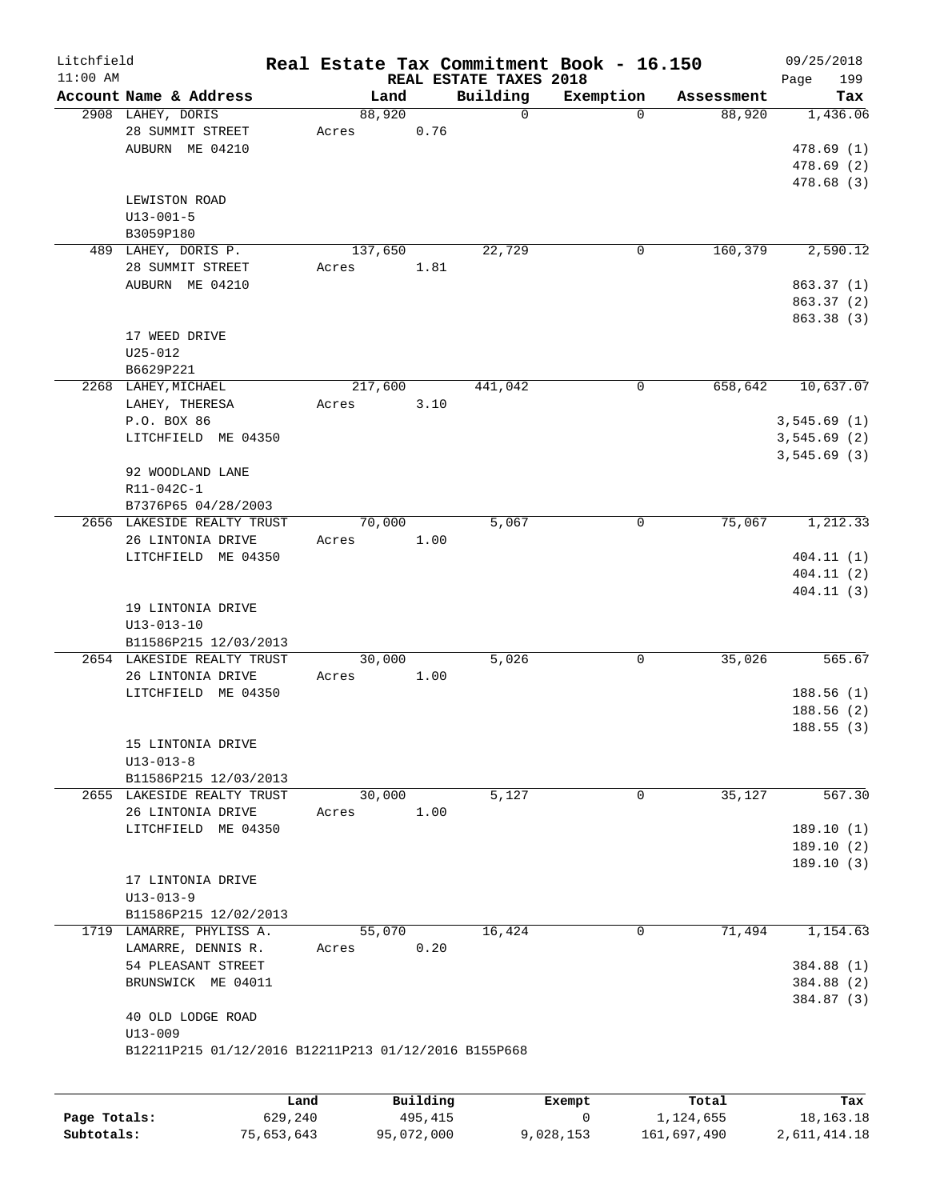| Litchfield |                                                      |         |          |                                    | Real Estate Tax Commitment Book - 16.150 |            | 09/25/2018         |
|------------|------------------------------------------------------|---------|----------|------------------------------------|------------------------------------------|------------|--------------------|
| $11:00$ AM | Account Name & Address                               | Land    |          | REAL ESTATE TAXES 2018<br>Building | Exemption                                | Assessment | Page<br>199<br>Tax |
|            | 2908 LAHEY, DORIS                                    | 88,920  |          | $\mathbf 0$                        | $\Omega$                                 | 88,920     | 1,436.06           |
|            | 28 SUMMIT STREET                                     | Acres   | 0.76     |                                    |                                          |            |                    |
|            | AUBURN ME 04210                                      |         |          |                                    |                                          |            | 478.69(1)          |
|            |                                                      |         |          |                                    |                                          |            | 478.69(2)          |
|            |                                                      |         |          |                                    |                                          |            | 478.68 (3)         |
|            | LEWISTON ROAD                                        |         |          |                                    |                                          |            |                    |
|            | $U13 - 001 - 5$                                      |         |          |                                    |                                          |            |                    |
|            | B3059P180                                            |         |          |                                    |                                          |            |                    |
|            | 489 LAHEY, DORIS P.                                  | 137,650 |          | 22,729                             | $\mathbf 0$                              | 160,379    | 2,590.12           |
|            | 28 SUMMIT STREET                                     | Acres   | 1.81     |                                    |                                          |            |                    |
|            | AUBURN ME 04210                                      |         |          |                                    |                                          |            | 863.37 (1)         |
|            |                                                      |         |          |                                    |                                          |            | 863.37 (2)         |
|            |                                                      |         |          |                                    |                                          |            | 863.38 (3)         |
|            | 17 WEED DRIVE                                        |         |          |                                    |                                          |            |                    |
|            | $U25 - 012$                                          |         |          |                                    |                                          |            |                    |
|            | B6629P221                                            |         |          |                                    |                                          |            |                    |
|            | 2268 LAHEY, MICHAEL                                  | 217,600 |          | 441,042                            | $\mathbf 0$                              | 658,642    | 10,637.07          |
|            | LAHEY, THERESA                                       | Acres   | 3.10     |                                    |                                          |            |                    |
|            | P.O. BOX 86                                          |         |          |                                    |                                          |            | 3,545.69(1)        |
|            | LITCHFIELD ME 04350                                  |         |          |                                    |                                          |            | 3,545.69(2)        |
|            |                                                      |         |          |                                    |                                          |            | 3,545.69(3)        |
|            | 92 WOODLAND LANE                                     |         |          |                                    |                                          |            |                    |
|            | R11-042C-1                                           |         |          |                                    |                                          |            |                    |
|            | B7376P65 04/28/2003                                  |         |          |                                    |                                          |            |                    |
|            | 2656 LAKESIDE REALTY TRUST                           | 70,000  |          | 5,067                              | 0                                        | 75,067     | 1,212.33           |
|            | 26 LINTONIA DRIVE                                    | Acres   | 1.00     |                                    |                                          |            |                    |
|            | LITCHFIELD ME 04350                                  |         |          |                                    |                                          |            | 404.11(1)          |
|            |                                                      |         |          |                                    |                                          |            | 404.11(2)          |
|            |                                                      |         |          |                                    |                                          |            | 404.11(3)          |
|            | 19 LINTONIA DRIVE                                    |         |          |                                    |                                          |            |                    |
|            | $U13 - 013 - 10$                                     |         |          |                                    |                                          |            |                    |
|            | B11586P215 12/03/2013                                |         |          |                                    |                                          |            |                    |
|            | 2654 LAKESIDE REALTY TRUST                           | 30,000  |          | 5,026                              | 0                                        | 35,026     | 565.67             |
|            | 26 LINTONIA DRIVE                                    | Acres   | 1.00     |                                    |                                          |            |                    |
|            | LITCHFIELD ME 04350                                  |         |          |                                    |                                          |            | 188.56(1)          |
|            |                                                      |         |          |                                    |                                          |            | 188.56(2)          |
|            |                                                      |         |          |                                    |                                          |            | 188.55(3)          |
|            | 15 LINTONIA DRIVE                                    |         |          |                                    |                                          |            |                    |
|            | $U13 - 013 - 8$                                      |         |          |                                    |                                          |            |                    |
|            | B11586P215 12/03/2013                                |         |          |                                    |                                          |            |                    |
|            | 2655 LAKESIDE REALTY TRUST                           | 30,000  |          | 5,127                              | 0                                        | 35,127     | 567.30             |
|            | 26 LINTONIA DRIVE                                    | Acres   | 1.00     |                                    |                                          |            |                    |
|            | LITCHFIELD ME 04350                                  |         |          |                                    |                                          |            | 189.10(1)          |
|            |                                                      |         |          |                                    |                                          |            | 189.10(2)          |
|            |                                                      |         |          |                                    |                                          |            | 189.10(3)          |
|            | 17 LINTONIA DRIVE                                    |         |          |                                    |                                          |            |                    |
|            | $U13 - 013 - 9$                                      |         |          |                                    |                                          |            |                    |
|            | B11586P215 12/02/2013                                |         |          |                                    |                                          |            |                    |
|            | 1719 LAMARRE, PHYLISS A.                             | 55,070  |          | 16,424                             | $\mathbf 0$                              | 71,494     | 1,154.63           |
|            | LAMARRE, DENNIS R.                                   | Acres   | 0.20     |                                    |                                          |            |                    |
|            | 54 PLEASANT STREET                                   |         |          |                                    |                                          |            | 384.88 (1)         |
|            | BRUNSWICK ME 04011                                   |         |          |                                    |                                          |            | 384.88 (2)         |
|            |                                                      |         |          |                                    |                                          |            | 384.87 (3)         |
|            | 40 OLD LODGE ROAD                                    |         |          |                                    |                                          |            |                    |
|            | $U13 - 009$                                          |         |          |                                    |                                          |            |                    |
|            | B12211P215 01/12/2016 B12211P213 01/12/2016 B155P668 |         |          |                                    |                                          |            |                    |
|            |                                                      |         |          |                                    |                                          |            |                    |
|            |                                                      |         |          |                                    |                                          |            |                    |
|            | Land                                                 |         | Building |                                    | Exempt                                   | Total      | Tax                |

|              | nana       | <b>DUITOTII</b> | LACINUL   | ⊥∪∟a⊥       | ias.         |
|--------------|------------|-----------------|-----------|-------------|--------------|
| Page Totals: | 629,240    | 495,415         |           | 1,124,655   | 18, 163. 18  |
| Subtotals:   | 75,653,643 | 95,072,000      | 9,028,153 | 161,697,490 | 2,611,414.18 |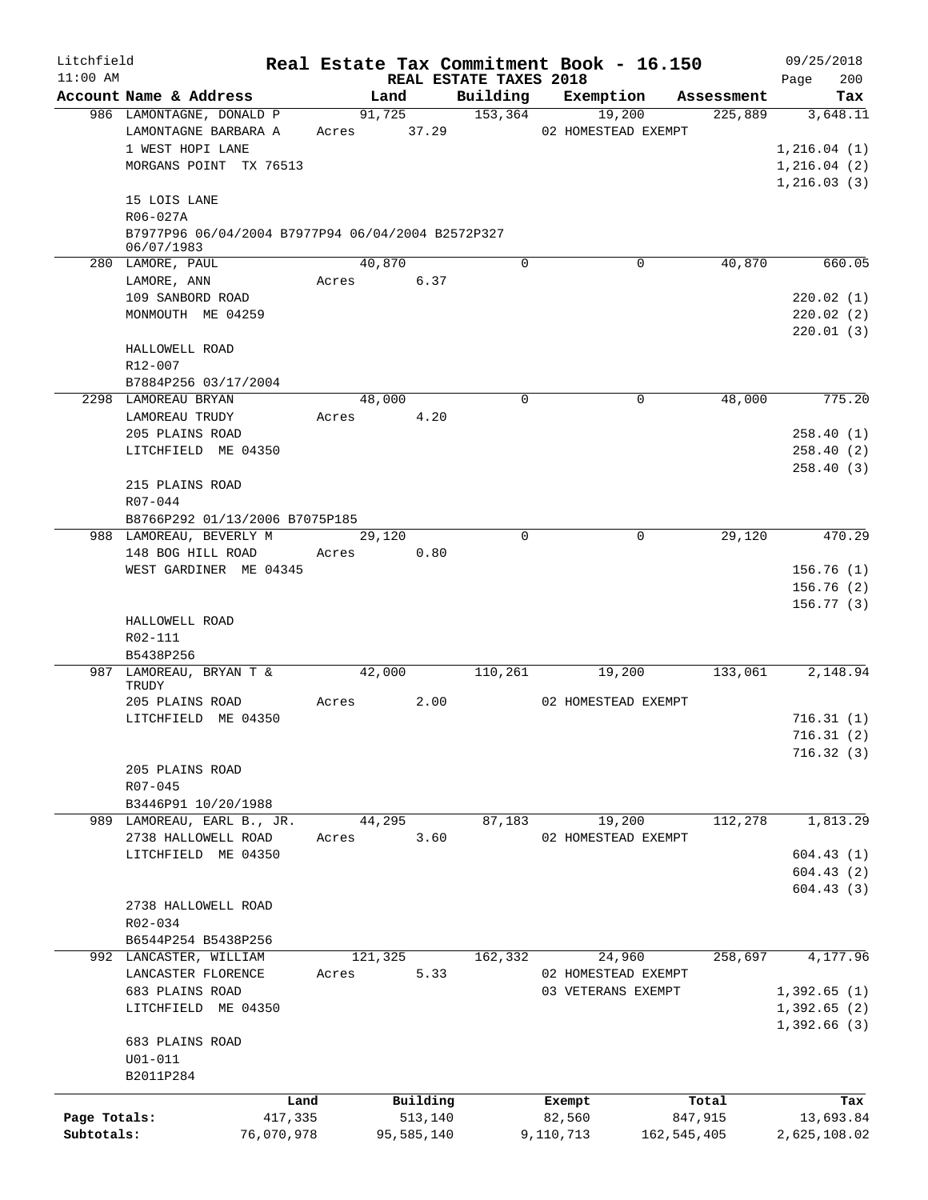| Litchfield                 |                                                                               |                       |             |         |                       |                                    |           | Real Estate Tax Commitment Book - 16.150  |               |            | 09/25/2018                                  |            |
|----------------------------|-------------------------------------------------------------------------------|-----------------------|-------------|---------|-----------------------|------------------------------------|-----------|-------------------------------------------|---------------|------------|---------------------------------------------|------------|
| $11:00$ AM                 | Account Name & Address                                                        |                       |             | Land    |                       | REAL ESTATE TAXES 2018<br>Building |           | Exemption                                 |               | Assessment | Page                                        | 200<br>Tax |
|                            | 986 LAMONTAGNE, DONALD P                                                      |                       |             | 91,725  |                       | 153,364                            |           | 19,200                                    |               | 225,889    | $3,648.\overline{11}$                       |            |
|                            | LAMONTAGNE BARBARA A<br>1 WEST HOPI LANE<br>MORGANS POINT TX 76513            |                       | Acres 37.29 |         |                       |                                    |           | 02 HOMESTEAD EXEMPT                       |               |            | 1, 216.04(1)<br>1, 216.04(2)<br>1,216.03(3) |            |
|                            | 15 LOIS LANE<br>R06-027A<br>B7977P96 06/04/2004 B7977P94 06/04/2004 B2572P327 |                       |             |         |                       |                                    |           |                                           |               |            |                                             |            |
|                            | 06/07/1983<br>280 LAMORE, PAUL                                                |                       |             | 40,870  |                       | $\Omega$                           |           | 0                                         |               | 40,870     |                                             | 660.05     |
|                            | LAMORE, ANN                                                                   |                       | Acres       |         | 6.37                  |                                    |           |                                           |               |            |                                             |            |
|                            | 109 SANBORD ROAD<br>MONMOUTH ME 04259                                         |                       |             |         |                       |                                    |           |                                           |               |            | 220.02(1)<br>220.02(2)<br>220.01(3)         |            |
|                            | HALLOWELL ROAD<br>$R12 - 007$                                                 |                       |             |         |                       |                                    |           |                                           |               |            |                                             |            |
|                            | B7884P256 03/17/2004                                                          |                       |             |         |                       |                                    |           |                                           |               |            |                                             |            |
|                            | 2298 LAMOREAU BRYAN<br>LAMOREAU TRUDY                                         |                       | Acres       | 48,000  | 4.20                  | $\mathbf 0$                        |           | $\mathbf 0$                               |               | 48,000     |                                             | 775.20     |
|                            | 205 PLAINS ROAD<br>LITCHFIELD ME 04350                                        |                       |             |         |                       |                                    |           |                                           |               |            | 258.40(1)<br>258.40(2)                      |            |
|                            | 215 PLAINS ROAD<br>R07-044                                                    |                       |             |         |                       |                                    |           |                                           |               |            | 258.40(3)                                   |            |
|                            | B8766P292 01/13/2006 B7075P185                                                |                       |             |         |                       |                                    |           |                                           |               |            |                                             |            |
|                            | 988 LAMOREAU, BEVERLY M<br>148 BOG HILL ROAD                                  |                       | Acres       | 29,120  | 0.80                  | $\Omega$                           |           |                                           | $\mathbf 0$   | 29,120     |                                             | 470.29     |
|                            | WEST GARDINER ME 04345                                                        |                       |             |         |                       |                                    |           |                                           |               |            | 156.76(1)<br>156.76(2)<br>156.77(3)         |            |
|                            | HALLOWELL ROAD<br>R02-111<br>B5438P256                                        |                       |             |         |                       |                                    |           |                                           |               |            |                                             |            |
|                            | 987 LAMOREAU, BRYAN T &<br>TRUDY                                              |                       |             | 42,000  |                       | 110,261                            |           | 19,200                                    |               | 133,061    | 2,148.94                                    |            |
|                            | 205 PLAINS ROAD                                                               |                       | Acres       |         | 2.00                  |                                    |           | 02 HOMESTEAD EXEMPT                       |               |            |                                             |            |
|                            | LITCHFIELD ME 04350                                                           |                       |             |         |                       |                                    |           |                                           |               |            | 716.31(1)                                   |            |
|                            |                                                                               |                       |             |         |                       |                                    |           |                                           |               |            | 716.31(2)<br>716.32(3)                      |            |
|                            | 205 PLAINS ROAD<br>$R07 - 045$                                                |                       |             |         |                       |                                    |           |                                           |               |            |                                             |            |
|                            | B3446P91 10/20/1988<br>989 LAMOREAU, EARL B., JR.                             |                       |             | 44,295  |                       | 87,183                             |           | 19,200                                    |               | 112,278    | 1,813.29                                    |            |
|                            | 2738 HALLOWELL ROAD                                                           |                       | Acres       |         | 3.60                  |                                    |           | 02 HOMESTEAD EXEMPT                       |               |            |                                             |            |
|                            | LITCHFIELD ME 04350                                                           |                       |             |         |                       |                                    |           |                                           |               |            | 604.43(1)                                   |            |
|                            |                                                                               |                       |             |         |                       |                                    |           |                                           |               |            | 604.43(2)                                   |            |
|                            | 2738 HALLOWELL ROAD<br>R02-034                                                |                       |             |         |                       |                                    |           |                                           |               |            | 604.43(3)                                   |            |
|                            | B6544P254 B5438P256                                                           |                       |             |         |                       |                                    |           |                                           |               |            |                                             |            |
|                            | 992 LANCASTER, WILLIAM                                                        |                       |             | 121,325 |                       | 162,332                            |           | 24,960                                    |               | 258,697    | 4,177.96                                    |            |
|                            | LANCASTER FLORENCE<br>683 PLAINS ROAD                                         |                       | Acres       |         | 5.33                  |                                    |           | 02 HOMESTEAD EXEMPT<br>03 VETERANS EXEMPT |               |            | 1,392.65(1)                                 |            |
|                            | LITCHFIELD ME 04350                                                           |                       |             |         |                       |                                    |           |                                           |               |            | 1,392.65(2)                                 |            |
|                            | 683 PLAINS ROAD<br>$U01 - 011$                                                |                       |             |         |                       |                                    |           |                                           |               |            | 1,392.66(3)                                 |            |
|                            | B2011P284                                                                     |                       |             |         |                       |                                    |           |                                           |               |            |                                             |            |
|                            |                                                                               | Land                  |             |         | Building              |                                    |           | Exempt                                    |               | Total      |                                             | Tax        |
| Page Totals:<br>Subtotals: |                                                                               | 417,335<br>76,070,978 |             |         | 513,140<br>95,585,140 |                                    | 9,110,713 | 82,560                                    | 162, 545, 405 | 847,915    | 13,693.84<br>2,625,108.02                   |            |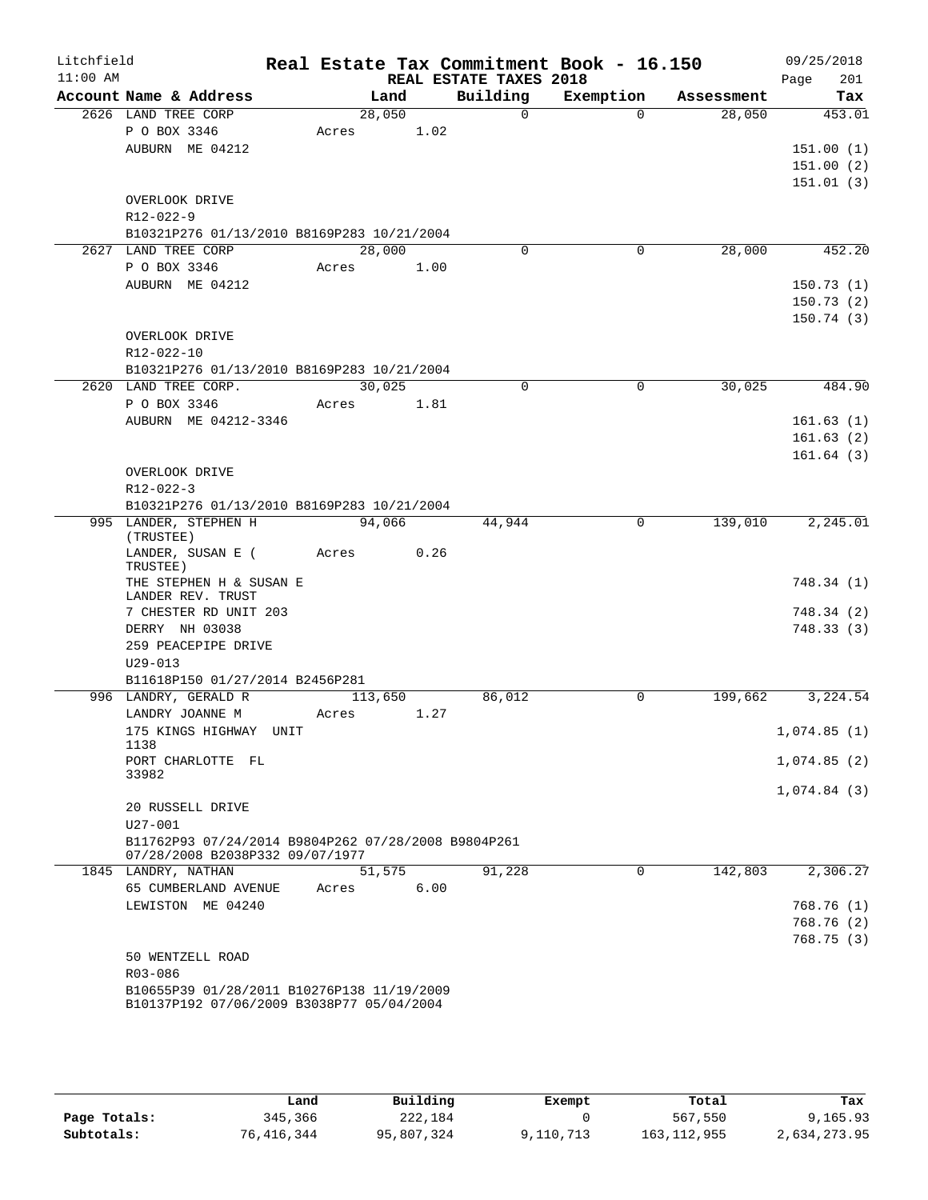| Litchfield<br>$11:00$ AM |                                                                                        |         |      |                                    | Real Estate Tax Commitment Book - 16.150 |            | 09/25/2018             |
|--------------------------|----------------------------------------------------------------------------------------|---------|------|------------------------------------|------------------------------------------|------------|------------------------|
|                          | Account Name & Address                                                                 | Land    |      | REAL ESTATE TAXES 2018<br>Building | Exemption                                | Assessment | 201<br>Page<br>Tax     |
|                          | 2626 LAND TREE CORP                                                                    | 28,050  |      | $\Omega$                           | $\Omega$                                 | 28,050     | 453.01                 |
|                          | P O BOX 3346                                                                           | Acres   | 1.02 |                                    |                                          |            |                        |
|                          | AUBURN ME 04212                                                                        |         |      |                                    |                                          |            | 151.00(1)              |
|                          |                                                                                        |         |      |                                    |                                          |            | 151.00(2)              |
|                          |                                                                                        |         |      |                                    |                                          |            | 151.01(3)              |
|                          | OVERLOOK DRIVE                                                                         |         |      |                                    |                                          |            |                        |
|                          | $R12 - 022 - 9$                                                                        |         |      |                                    |                                          |            |                        |
|                          | B10321P276 01/13/2010 B8169P283 10/21/2004                                             |         |      |                                    |                                          |            |                        |
|                          | 2627 LAND TREE CORP                                                                    | 28,000  |      | $\mathbf 0$                        | $\mathbf 0$                              | 28,000     | 452.20                 |
|                          | P O BOX 3346                                                                           | Acres   | 1.00 |                                    |                                          |            |                        |
|                          | AUBURN ME 04212                                                                        |         |      |                                    |                                          |            | 150.73(1)              |
|                          |                                                                                        |         |      |                                    |                                          |            | 150.73(2)              |
|                          |                                                                                        |         |      |                                    |                                          |            | 150.74(3)              |
|                          | OVERLOOK DRIVE                                                                         |         |      |                                    |                                          |            |                        |
|                          | R12-022-10                                                                             |         |      |                                    |                                          |            |                        |
|                          | B10321P276 01/13/2010 B8169P283 10/21/2004                                             |         |      |                                    |                                          |            |                        |
|                          | 2620 LAND TREE CORP.                                                                   | 30,025  |      | $\Omega$                           | $\Omega$                                 | 30,025     | 484.90                 |
|                          | P O BOX 3346                                                                           | Acres   | 1.81 |                                    |                                          |            |                        |
|                          | AUBURN ME 04212-3346                                                                   |         |      |                                    |                                          |            | 161.63(1)              |
|                          |                                                                                        |         |      |                                    |                                          |            | 161.63(2)              |
|                          | OVERLOOK DRIVE                                                                         |         |      |                                    |                                          |            | 161.64(3)              |
|                          | R12-022-3                                                                              |         |      |                                    |                                          |            |                        |
|                          | B10321P276 01/13/2010 B8169P283 10/21/2004                                             |         |      |                                    |                                          |            |                        |
|                          | 995 LANDER, STEPHEN H                                                                  | 94,066  |      | 44,944                             | 0                                        | 139,010    | 2,245.01               |
|                          | (TRUSTEE)                                                                              |         |      |                                    |                                          |            |                        |
|                          | LANDER, SUSAN E (<br>TRUSTEE)                                                          | Acres   | 0.26 |                                    |                                          |            |                        |
|                          | THE STEPHEN H & SUSAN E<br>LANDER REV. TRUST                                           |         |      |                                    |                                          |            | 748.34 (1)             |
|                          | 7 CHESTER RD UNIT 203                                                                  |         |      |                                    |                                          |            | 748.34(2)              |
|                          | DERRY NH 03038                                                                         |         |      |                                    |                                          |            | 748.33(3)              |
|                          | 259 PEACEPIPE DRIVE                                                                    |         |      |                                    |                                          |            |                        |
|                          | $U29 - 013$                                                                            |         |      |                                    |                                          |            |                        |
|                          | B11618P150 01/27/2014 B2456P281                                                        |         |      |                                    |                                          |            |                        |
|                          | 996 LANDRY, GERALD R                                                                   | 113,650 |      | 86,012                             | $\Omega$                                 | 199,662    | 3,224.54               |
|                          | LANDRY JOANNE M<br>175 KINGS HIGHWAY UNIT                                              | Acres   | 1.27 |                                    |                                          |            |                        |
|                          | 1138                                                                                   |         |      |                                    |                                          |            | 1,074.85(1)            |
|                          | PORT CHARLOTTE FL                                                                      |         |      |                                    |                                          |            | 1,074.85(2)            |
|                          | 33982                                                                                  |         |      |                                    |                                          |            |                        |
|                          |                                                                                        |         |      |                                    |                                          |            | 1,074.84(3)            |
|                          | 20 RUSSELL DRIVE                                                                       |         |      |                                    |                                          |            |                        |
|                          | $U27 - 001$                                                                            |         |      |                                    |                                          |            |                        |
|                          | B11762P93 07/24/2014 B9804P262 07/28/2008 B9804P261<br>07/28/2008 B2038P332 09/07/1977 |         |      |                                    |                                          |            |                        |
|                          | 1845 LANDRY, NATHAN                                                                    | 51,575  |      | 91,228                             | $\mathbf 0$                              | 142,803    | 2,306.27               |
|                          | 65 CUMBERLAND AVENUE                                                                   | Acres   | 6.00 |                                    |                                          |            |                        |
|                          | LEWISTON ME 04240                                                                      |         |      |                                    |                                          |            | 768.76(1)              |
|                          |                                                                                        |         |      |                                    |                                          |            | 768.76(2)<br>768.75(3) |
|                          | 50 WENTZELL ROAD                                                                       |         |      |                                    |                                          |            |                        |
|                          | R03-086                                                                                |         |      |                                    |                                          |            |                        |
|                          | B10655P39 01/28/2011 B10276P138 11/19/2009                                             |         |      |                                    |                                          |            |                        |
|                          | B10137P192 07/06/2009 B3038P77 05/04/2004                                              |         |      |                                    |                                          |            |                        |
|                          |                                                                                        |         |      |                                    |                                          |            |                        |

|              | Land       | Building   | Exempt    | Total         | Tax          |
|--------------|------------|------------|-----------|---------------|--------------|
| Page Totals: | 345,366    | 222,184    |           | 567,550       | 9,165.93     |
| Subtotals:   | 76,416,344 | 95,807,324 | 9,110,713 | 163, 112, 955 | 2,634,273.95 |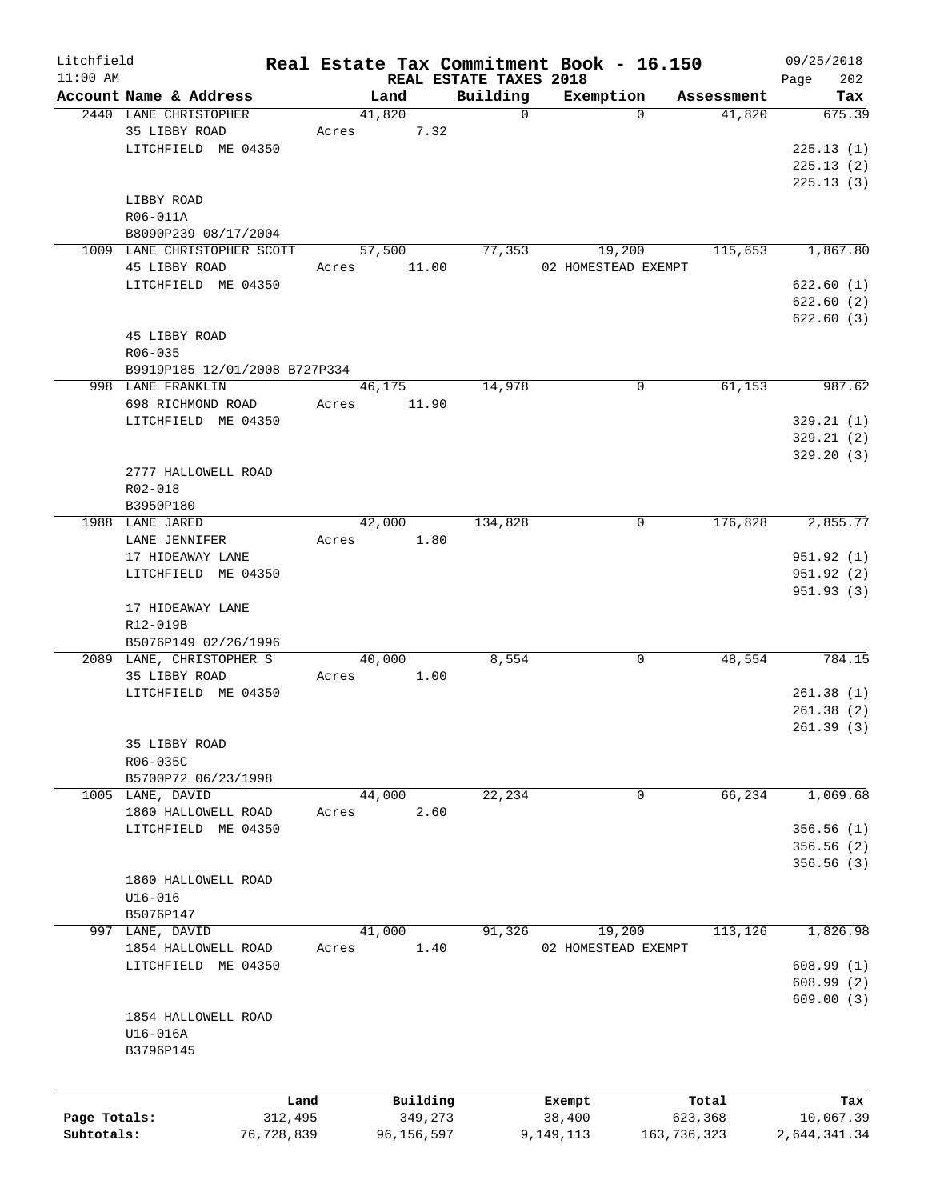| Litchfield   |                               |            |       |            |      |                                    | Real Estate Tax Commitment Book - 16.150 |               |            |      | 09/25/2018   |
|--------------|-------------------------------|------------|-------|------------|------|------------------------------------|------------------------------------------|---------------|------------|------|--------------|
| $11:00$ AM   | Account Name & Address        |            |       | Land       |      | REAL ESTATE TAXES 2018<br>Building | Exemption                                |               | Assessment | Page | 202<br>Tax   |
|              | 2440 LANE CHRISTOPHER         |            |       | 41,820     |      | $\mathbf 0$                        |                                          | $\Omega$      | 41,820     |      | 675.39       |
|              | 35 LIBBY ROAD                 |            | Acres |            | 7.32 |                                    |                                          |               |            |      |              |
|              | LITCHFIELD ME 04350           |            |       |            |      |                                    |                                          |               |            |      | 225.13(1)    |
|              |                               |            |       |            |      |                                    |                                          |               |            |      | 225.13(2)    |
|              |                               |            |       |            |      |                                    |                                          |               |            |      |              |
|              |                               |            |       |            |      |                                    |                                          |               |            |      | 225.13(3)    |
|              | LIBBY ROAD                    |            |       |            |      |                                    |                                          |               |            |      |              |
|              | R06-011A                      |            |       |            |      |                                    |                                          |               |            |      |              |
|              | B8090P239 08/17/2004          |            |       |            |      |                                    |                                          |               |            |      |              |
|              | 1009 LANE CHRISTOPHER SCOTT   |            |       | 57,500     |      | 77,353                             | 19,200                                   |               | 115,653    |      | 1,867.80     |
|              | 45 LIBBY ROAD                 |            | Acres | 11.00      |      |                                    | 02 HOMESTEAD EXEMPT                      |               |            |      |              |
|              | LITCHFIELD ME 04350           |            |       |            |      |                                    |                                          |               |            |      | 622.60(1)    |
|              |                               |            |       |            |      |                                    |                                          |               |            |      | 622.60(2)    |
|              |                               |            |       |            |      |                                    |                                          |               |            |      | 622.60(3)    |
|              | 45 LIBBY ROAD                 |            |       |            |      |                                    |                                          |               |            |      |              |
|              | $R06 - 035$                   |            |       |            |      |                                    |                                          |               |            |      |              |
|              | B9919P185 12/01/2008 B727P334 |            |       |            |      |                                    |                                          |               |            |      |              |
|              | 998 LANE FRANKLIN             |            |       | 46,175     |      | 14,978                             |                                          | 0             | 61,153     |      | 987.62       |
|              | 698 RICHMOND ROAD             |            | Acres | 11.90      |      |                                    |                                          |               |            |      |              |
|              | LITCHFIELD ME 04350           |            |       |            |      |                                    |                                          |               |            |      | 329.21(1)    |
|              |                               |            |       |            |      |                                    |                                          |               |            |      | 329.21(2)    |
|              |                               |            |       |            |      |                                    |                                          |               |            |      | 329.20 (3)   |
|              | 2777 HALLOWELL ROAD           |            |       |            |      |                                    |                                          |               |            |      |              |
|              |                               |            |       |            |      |                                    |                                          |               |            |      |              |
|              | R02-018                       |            |       |            |      |                                    |                                          |               |            |      |              |
|              | B3950P180                     |            |       |            |      |                                    |                                          |               |            |      |              |
|              | 1988 LANE JARED               |            |       | 42,000     |      | 134,828                            |                                          | 0             | 176,828    |      | 2,855.77     |
|              | LANE JENNIFER                 |            | Acres |            | 1.80 |                                    |                                          |               |            |      |              |
|              | 17 HIDEAWAY LANE              |            |       |            |      |                                    |                                          |               |            |      | 951.92 (1)   |
|              | LITCHFIELD ME 04350           |            |       |            |      |                                    |                                          |               |            |      | 951.92 (2)   |
|              |                               |            |       |            |      |                                    |                                          |               |            |      | 951.93(3)    |
|              | 17 HIDEAWAY LANE              |            |       |            |      |                                    |                                          |               |            |      |              |
|              | R12-019B                      |            |       |            |      |                                    |                                          |               |            |      |              |
|              | B5076P149 02/26/1996          |            |       |            |      |                                    |                                          |               |            |      |              |
|              | 2089 LANE, CHRISTOPHER S      |            |       | 40,000     |      | 8,554                              |                                          | 0             | 48,554     |      | 784.15       |
|              | 35 LIBBY ROAD                 |            | Acres |            | 1.00 |                                    |                                          |               |            |      |              |
|              | LITCHFIELD ME 04350           |            |       |            |      |                                    |                                          |               |            |      | 261.38(1)    |
|              |                               |            |       |            |      |                                    |                                          |               |            |      | 261.38(2)    |
|              |                               |            |       |            |      |                                    |                                          |               |            |      | 261.39(3)    |
|              | 35 LIBBY ROAD                 |            |       |            |      |                                    |                                          |               |            |      |              |
|              | R06-035C                      |            |       |            |      |                                    |                                          |               |            |      |              |
|              | B5700P72 06/23/1998           |            |       |            |      |                                    |                                          |               |            |      |              |
|              | 1005 LANE, DAVID              |            |       | 44,000     |      | 22, 234                            |                                          | 0             | 66,234     |      | 1,069.68     |
|              | 1860 HALLOWELL ROAD           |            | Acres |            | 2.60 |                                    |                                          |               |            |      |              |
|              |                               |            |       |            |      |                                    |                                          |               |            |      |              |
|              | LITCHFIELD ME 04350           |            |       |            |      |                                    |                                          |               |            |      | 356.56(1)    |
|              |                               |            |       |            |      |                                    |                                          |               |            |      | 356.56(2)    |
|              |                               |            |       |            |      |                                    |                                          |               |            |      | 356.56(3)    |
|              | 1860 HALLOWELL ROAD           |            |       |            |      |                                    |                                          |               |            |      |              |
|              | $U16 - 016$                   |            |       |            |      |                                    |                                          |               |            |      |              |
|              | B5076P147                     |            |       |            |      |                                    |                                          |               |            |      |              |
|              | 997 LANE, DAVID               |            |       | 41,000     |      | 91,326                             | 19,200                                   |               | 113,126    |      | 1,826.98     |
|              | 1854 HALLOWELL ROAD           |            | Acres |            | 1.40 |                                    | 02 HOMESTEAD EXEMPT                      |               |            |      |              |
|              | LITCHFIELD ME 04350           |            |       |            |      |                                    |                                          |               |            |      | 608.99(1)    |
|              |                               |            |       |            |      |                                    |                                          |               |            |      | 608.99(2)    |
|              |                               |            |       |            |      |                                    |                                          |               |            |      | 609.00(3)    |
|              | 1854 HALLOWELL ROAD           |            |       |            |      |                                    |                                          |               |            |      |              |
|              | U16-016A                      |            |       |            |      |                                    |                                          |               |            |      |              |
|              | B3796P145                     |            |       |            |      |                                    |                                          |               |            |      |              |
|              |                               |            |       |            |      |                                    |                                          |               |            |      |              |
|              |                               |            |       |            |      |                                    |                                          |               |            |      |              |
|              |                               | Land       |       | Building   |      |                                    | Exempt                                   |               | Total      |      | Tax          |
| Page Totals: |                               | 312,495    |       | 349,273    |      |                                    | 38,400                                   |               | 623,368    |      | 10,067.39    |
| Subtotals:   |                               | 76,728,839 |       | 96,156,597 |      |                                    | 9,149,113                                | 163, 736, 323 |            |      | 2,644,341.34 |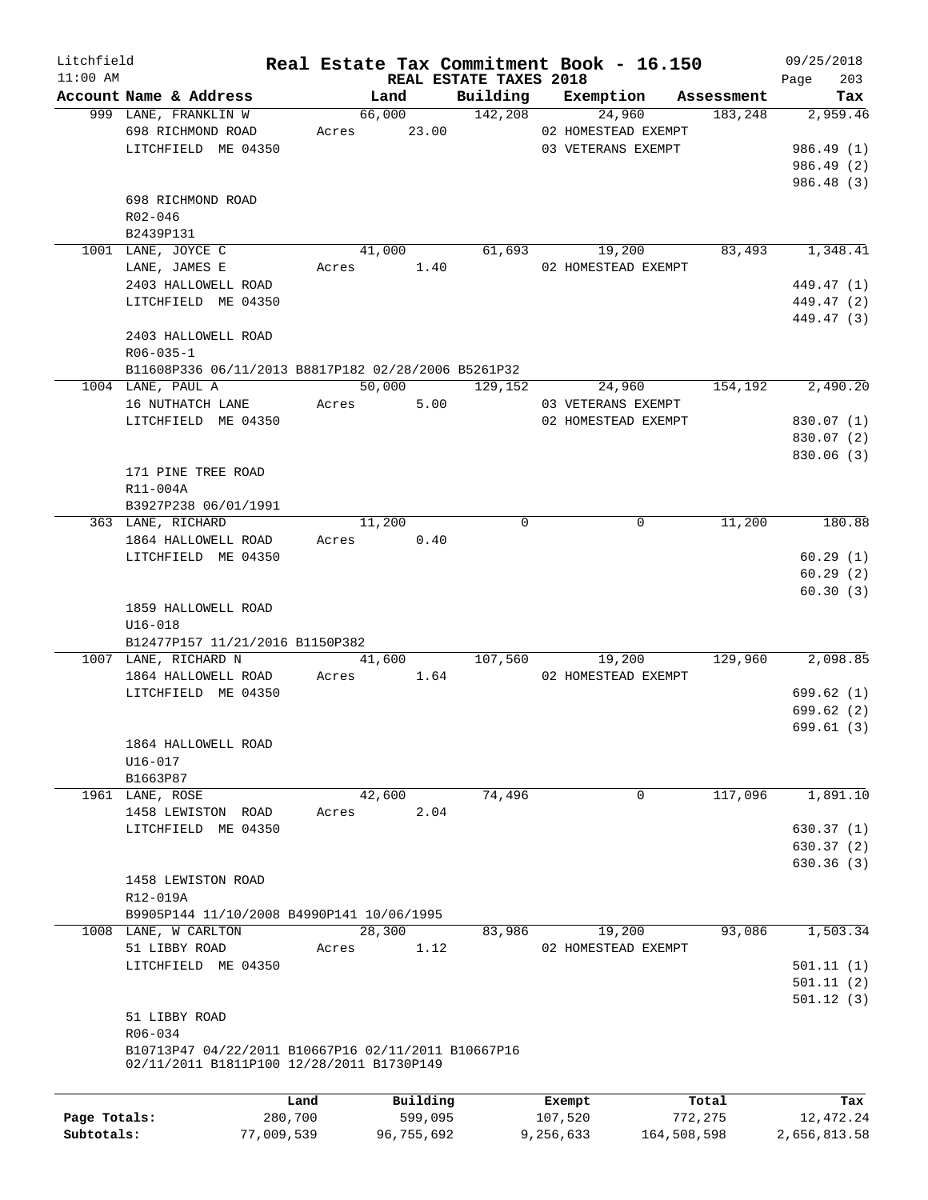| Litchfield   |                                                                                                  |         |             |                                    | Real Estate Tax Commitment Book - 16.150 |            | 09/25/2018           |
|--------------|--------------------------------------------------------------------------------------------------|---------|-------------|------------------------------------|------------------------------------------|------------|----------------------|
| $11:00$ AM   | Account Name & Address                                                                           |         | Land        | REAL ESTATE TAXES 2018<br>Building | Exemption                                | Assessment | Page<br>203<br>Tax   |
|              | 999 LANE, FRANKLIN W                                                                             |         | 66,000      | 142,208                            | 24,960                                   | 183,248    | 2,959.46             |
|              | 698 RICHMOND ROAD                                                                                |         | Acres 23.00 |                                    | 02 HOMESTEAD EXEMPT                      |            |                      |
|              | LITCHFIELD ME 04350                                                                              |         |             |                                    | 03 VETERANS EXEMPT                       |            | 986.49(1)            |
|              |                                                                                                  |         |             |                                    |                                          |            | 986.49 (2)           |
|              |                                                                                                  |         |             |                                    |                                          |            | 986.48 (3)           |
|              | 698 RICHMOND ROAD                                                                                |         |             |                                    |                                          |            |                      |
|              | R02-046                                                                                          |         |             |                                    |                                          |            |                      |
|              | B2439P131                                                                                        |         |             |                                    |                                          |            |                      |
|              | 1001 LANE, JOYCE C                                                                               |         | 41,000      |                                    | 61,693<br>19,200                         | 83,493     | 1,348.41             |
|              | LANE, JAMES E                                                                                    | Acres   | 1.40        |                                    | 02 HOMESTEAD EXEMPT                      |            |                      |
|              | 2403 HALLOWELL ROAD                                                                              |         |             |                                    |                                          |            | 449.47 (1)           |
|              | LITCHFIELD ME 04350                                                                              |         |             |                                    |                                          |            | 449.47 (2)           |
|              |                                                                                                  |         |             |                                    |                                          |            | 449.47 (3)           |
|              | 2403 HALLOWELL ROAD                                                                              |         |             |                                    |                                          |            |                      |
|              | $R06 - 035 - 1$                                                                                  |         |             |                                    |                                          |            |                      |
|              | B11608P336 06/11/2013 B8817P182 02/28/2006 B5261P32                                              |         |             |                                    |                                          |            |                      |
|              | 1004 LANE, PAUL A                                                                                |         | 50,000      | 129,152                            | 24,960                                   | 154,192    | 2,490.20             |
|              | 16 NUTHATCH LANE                                                                                 | Acres   | 5.00        |                                    | 03 VETERANS EXEMPT                       |            |                      |
|              | LITCHFIELD ME 04350                                                                              |         |             |                                    | 02 HOMESTEAD EXEMPT                      |            | 830.07 (1)           |
|              |                                                                                                  |         |             |                                    |                                          |            | 830.07 (2)           |
|              |                                                                                                  |         |             |                                    |                                          |            | 830.06(3)            |
|              | 171 PINE TREE ROAD                                                                               |         |             |                                    |                                          |            |                      |
|              | R11-004A                                                                                         |         |             |                                    |                                          |            |                      |
|              | B3927P238 06/01/1991                                                                             |         |             |                                    |                                          |            |                      |
|              | 363 LANE, RICHARD                                                                                |         | 11,200      | $\Omega$                           | $\mathbf 0$                              | 11,200     | 180.88               |
|              | 1864 HALLOWELL ROAD                                                                              | Acres   | 0.40        |                                    |                                          |            |                      |
|              | LITCHFIELD ME 04350                                                                              |         |             |                                    |                                          |            | 60.29(1)             |
|              |                                                                                                  |         |             |                                    |                                          |            | 60.29(2)<br>60.30(3) |
|              | 1859 HALLOWELL ROAD                                                                              |         |             |                                    |                                          |            |                      |
|              | $U16 - 018$                                                                                      |         |             |                                    |                                          |            |                      |
|              | B12477P157 11/21/2016 B1150P382                                                                  |         |             |                                    |                                          |            |                      |
|              | 1007 LANE, RICHARD N                                                                             |         | 41,600      | 107,560                            | 19,200                                   | 129,960    | 2,098.85             |
|              | 1864 HALLOWELL ROAD                                                                              | Acres   | 1.64        |                                    | 02 HOMESTEAD EXEMPT                      |            |                      |
|              | LITCHFIELD ME 04350                                                                              |         |             |                                    |                                          |            | 699.62(1)            |
|              |                                                                                                  |         |             |                                    |                                          |            | 699.62(2)            |
|              |                                                                                                  |         |             |                                    |                                          |            | 699.61(3)            |
|              | 1864 HALLOWELL ROAD                                                                              |         |             |                                    |                                          |            |                      |
|              | $U16 - 017$                                                                                      |         |             |                                    |                                          |            |                      |
|              | B1663P87                                                                                         |         |             |                                    |                                          |            |                      |
|              | 1961 LANE, ROSE                                                                                  |         | 42,600      | 74,496                             | 0                                        | 117,096    | 1,891.10             |
|              | 1458 LEWISTON ROAD                                                                               | Acres   | 2.04        |                                    |                                          |            |                      |
|              | LITCHFIELD ME 04350                                                                              |         |             |                                    |                                          |            | 630.37(1)            |
|              |                                                                                                  |         |             |                                    |                                          |            | 630.37(2)            |
|              |                                                                                                  |         |             |                                    |                                          |            | 630.36(3)            |
|              | 1458 LEWISTON ROAD                                                                               |         |             |                                    |                                          |            |                      |
|              | R12-019A                                                                                         |         |             |                                    |                                          |            |                      |
|              | B9905P144 11/10/2008 B4990P141 10/06/1995                                                        |         |             |                                    |                                          |            |                      |
|              | 1008 LANE, W CARLTON                                                                             |         | 28,300      | 83,986                             | 19,200                                   | 93,086     | 1,503.34             |
|              | 51 LIBBY ROAD                                                                                    | Acres   | 1.12        |                                    | 02 HOMESTEAD EXEMPT                      |            |                      |
|              | LITCHFIELD ME 04350                                                                              |         |             |                                    |                                          |            | 501.11(1)            |
|              |                                                                                                  |         |             |                                    |                                          |            | 501.11(2)            |
|              |                                                                                                  |         |             |                                    |                                          |            | 501.12(3)            |
|              | 51 LIBBY ROAD                                                                                    |         |             |                                    |                                          |            |                      |
|              | R06-034                                                                                          |         |             |                                    |                                          |            |                      |
|              | B10713P47 04/22/2011 B10667P16 02/11/2011 B10667P16<br>02/11/2011 B1811P100 12/28/2011 B1730P149 |         |             |                                    |                                          |            |                      |
|              |                                                                                                  |         |             |                                    |                                          |            |                      |
|              |                                                                                                  | Land    | Building    |                                    | Exempt                                   | Total      | Tax                  |
| Page Totals: |                                                                                                  | 280,700 | 599,095     |                                    | 107,520                                  | 772,275    | 12, 472.24           |
|              |                                                                                                  |         |             |                                    |                                          |            |                      |

**Subtotals:** 77,009,539 96,755,692 9,256,633 164,508,598 2,656,813.58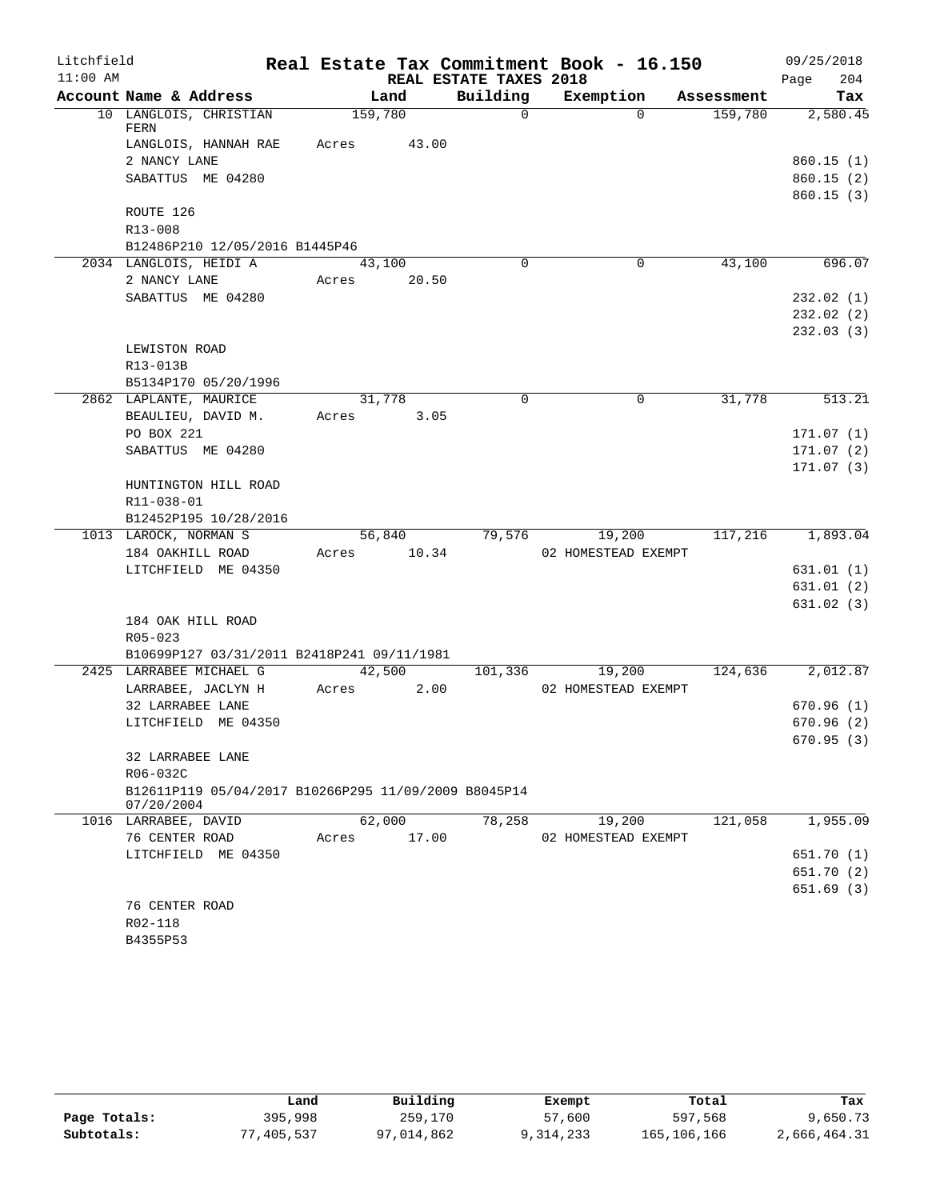| Litchfield |                              |                                                      |         |             |                        | Real Estate Tax Commitment Book - 16.150 |            | 09/25/2018  |
|------------|------------------------------|------------------------------------------------------|---------|-------------|------------------------|------------------------------------------|------------|-------------|
| $11:00$ AM |                              |                                                      |         |             | REAL ESTATE TAXES 2018 |                                          |            | 204<br>Page |
|            | Account Name & Address       |                                                      |         | Land        | Building               | Exemption                                | Assessment | Tax         |
|            | FERN                         | 10 LANGLOIS, CHRISTIAN                               | 159,780 |             | $\Omega$               | $\Omega$                                 | 159,780    | 2,580.45    |
|            |                              | LANGLOIS, HANNAH RAE                                 | Acres   | 43.00       |                        |                                          |            |             |
|            | 2 NANCY LANE                 |                                                      |         |             |                        |                                          |            | 860.15(1)   |
|            |                              | SABATTUS ME 04280                                    |         |             |                        |                                          |            | 860.15(2)   |
|            |                              |                                                      |         |             |                        |                                          |            | 860.15(3)   |
|            | ROUTE 126<br>R13-008         |                                                      |         |             |                        |                                          |            |             |
|            |                              | B12486P210 12/05/2016 B1445P46                       |         |             |                        |                                          |            |             |
|            |                              | 2034 LANGLOIS, HEIDI A                               |         | 43,100      | $\Omega$               | 0                                        | 43,100     | 696.07      |
|            | 2 NANCY LANE                 |                                                      | Acres   | 20.50       |                        |                                          |            |             |
|            |                              | SABATTUS ME 04280                                    |         |             |                        |                                          |            | 232.02(1)   |
|            |                              |                                                      |         |             |                        |                                          |            | 232.02(2)   |
|            |                              |                                                      |         |             |                        |                                          |            | 232.03(3)   |
|            | LEWISTON ROAD                |                                                      |         |             |                        |                                          |            |             |
|            | R13-013B                     |                                                      |         |             |                        |                                          |            |             |
|            |                              | B5134P170 05/20/1996                                 |         |             |                        |                                          |            |             |
|            |                              | 2862 LAPLANTE, MAURICE                               |         | 31,778      | $\mathbf 0$            | $\mathbf 0$                              | 31,778     | 513.21      |
|            |                              | BEAULIEU, DAVID M.                                   | Acres   | 3.05        |                        |                                          |            |             |
|            | PO BOX 221                   |                                                      |         |             |                        |                                          |            | 171.07(1)   |
|            |                              | SABATTUS ME 04280                                    |         |             |                        |                                          |            | 171.07(2)   |
|            |                              |                                                      |         |             |                        |                                          |            | 171.07(3)   |
|            |                              | HUNTINGTON HILL ROAD                                 |         |             |                        |                                          |            |             |
|            | R11-038-01                   |                                                      |         |             |                        |                                          |            |             |
|            | 1013 LAROCK, NORMAN S        | B12452P195 10/28/2016                                |         | 56,840      | 79,576                 | 19,200                                   | 117,216    | 1,893.04    |
|            | 184 OAKHILL ROAD             |                                                      |         | Acres 10.34 |                        | 02 HOMESTEAD EXEMPT                      |            |             |
|            |                              | LITCHFIELD ME 04350                                  |         |             |                        |                                          |            | 631.01(1)   |
|            |                              |                                                      |         |             |                        |                                          |            | 631.01 (2)  |
|            |                              |                                                      |         |             |                        |                                          |            | 631.02(3)   |
|            |                              | 184 OAK HILL ROAD                                    |         |             |                        |                                          |            |             |
|            | $R05 - 023$                  |                                                      |         |             |                        |                                          |            |             |
|            |                              | B10699P127 03/31/2011 B2418P241 09/11/1981           |         |             |                        |                                          |            |             |
|            |                              | 2425 LARRABEE MICHAEL G                              |         | 42,500      | 101,336                | 19,200                                   | 124,636    | 2,012.87    |
|            |                              | LARRABEE, JACLYN H                                   | Acres   | 2.00        |                        | 02 HOMESTEAD EXEMPT                      |            |             |
|            | 32 LARRABEE LANE             |                                                      |         |             |                        |                                          |            | 670.96(1)   |
|            |                              | LITCHFIELD ME 04350                                  |         |             |                        |                                          |            | 670.96(2)   |
|            |                              |                                                      |         |             |                        |                                          |            | 670.95 (3)  |
|            | 32 LARRABEE LANE<br>R06-032C |                                                      |         |             |                        |                                          |            |             |
|            |                              | B12611P119 05/04/2017 B10266P295 11/09/2009 B8045P14 |         |             |                        |                                          |            |             |
|            | 07/20/2004                   |                                                      |         |             |                        |                                          |            |             |
|            | 1016 LARRABEE, DAVID         |                                                      |         | 62,000      | 78,258                 | 19,200                                   | 121,058    | 1,955.09    |
|            | 76 CENTER ROAD               |                                                      | Acres   | 17.00       |                        | 02 HOMESTEAD EXEMPT                      |            |             |
|            |                              | LITCHFIELD ME 04350                                  |         |             |                        |                                          |            | 651.70 (1)  |
|            |                              |                                                      |         |             |                        |                                          |            | 651.70 (2)  |
|            |                              |                                                      |         |             |                        |                                          |            | 651.69 (3)  |
|            | 76 CENTER ROAD               |                                                      |         |             |                        |                                          |            |             |
|            | R02-118                      |                                                      |         |             |                        |                                          |            |             |
|            | B4355P53                     |                                                      |         |             |                        |                                          |            |             |

|              | Land       | Building   | Exempt    | Total       | Tax          |
|--------------|------------|------------|-----------|-------------|--------------|
| Page Totals: | 395,998    | 259,170    | 57,600    | 597,568     | 9,650.73     |
| Subtotals:   | 77,405,537 | 97,014,862 | 9,314,233 | 165,106,166 | 2,666,464.31 |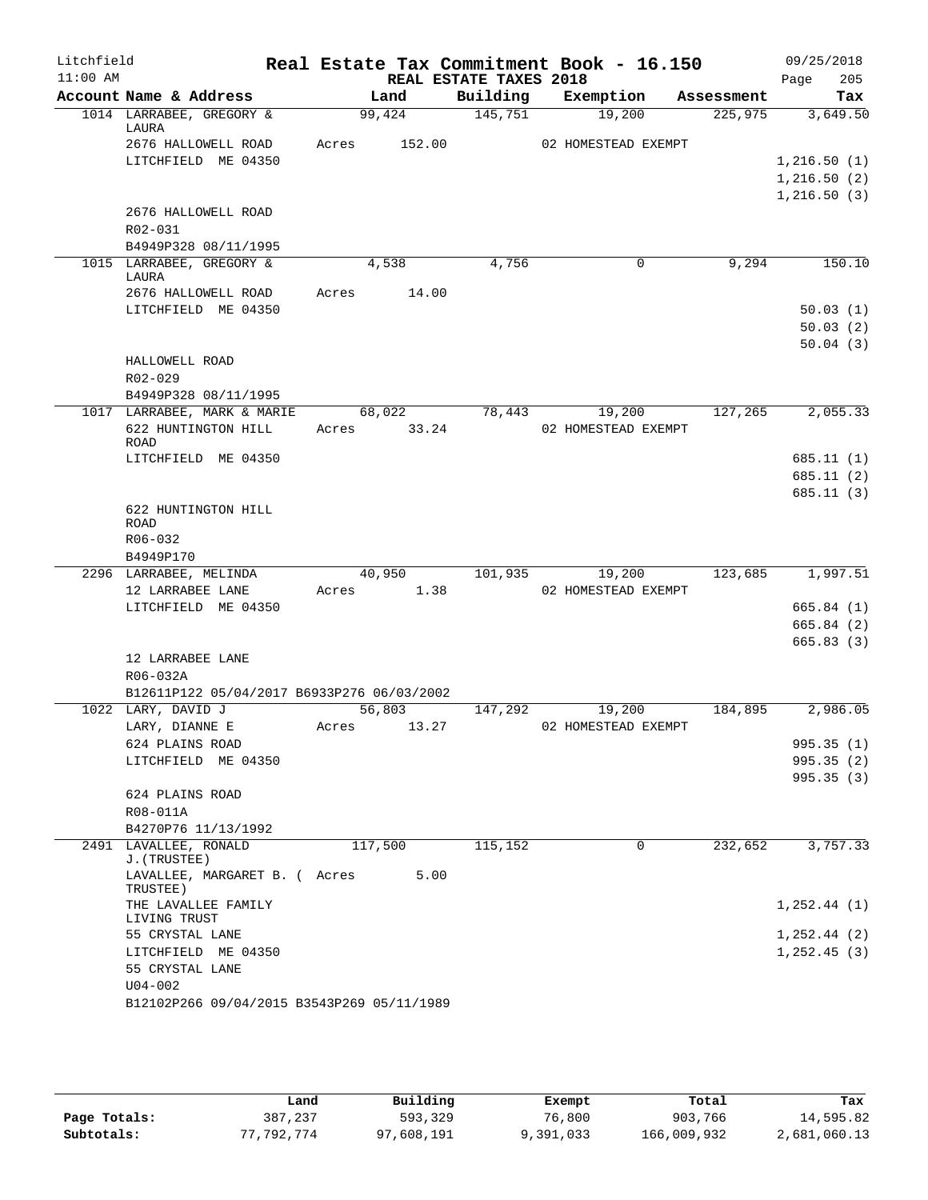| Litchfield<br>$11:00$ AM |                                            |       |             | REAL ESTATE TAXES 2018 | Real Estate Tax Commitment Book - 16.150 |            | 09/25/2018<br>205<br>Page |
|--------------------------|--------------------------------------------|-------|-------------|------------------------|------------------------------------------|------------|---------------------------|
|                          | Account Name & Address                     |       | Land        | Building               | Exemption                                | Assessment | Tax                       |
|                          | 1014 LARRABEE, GREGORY &<br>LAURA          |       | 99,424      | 145,751                | 19,200                                   | 225,975    | 3,649.50                  |
|                          | 2676 HALLOWELL ROAD                        | Acres | 152.00      |                        | 02 HOMESTEAD EXEMPT                      |            |                           |
|                          | LITCHFIELD ME 04350                        |       |             |                        |                                          |            | 1, 216.50(1)              |
|                          |                                            |       |             |                        |                                          |            | 1,216.50(2)               |
|                          |                                            |       |             |                        |                                          |            | 1, 216.50(3)              |
|                          | 2676 HALLOWELL ROAD                        |       |             |                        |                                          |            |                           |
|                          | R02-031                                    |       |             |                        |                                          |            |                           |
|                          | B4949P328 08/11/1995                       |       |             |                        |                                          |            |                           |
|                          | 1015 LARRABEE, GREGORY &                   |       | 4,538       | 4,756                  | 0                                        | 9,294      | 150.10                    |
|                          | LAURA<br>2676 HALLOWELL ROAD               | Acres | 14.00       |                        |                                          |            |                           |
|                          | LITCHFIELD ME 04350                        |       |             |                        |                                          |            | 50.03(1)                  |
|                          |                                            |       |             |                        |                                          |            | 50.03(2)                  |
|                          |                                            |       |             |                        |                                          |            | 50.04(3)                  |
|                          | HALLOWELL ROAD                             |       |             |                        |                                          |            |                           |
|                          | R02-029                                    |       |             |                        |                                          |            |                           |
|                          | B4949P328 08/11/1995                       |       |             |                        |                                          |            |                           |
|                          | 1017 LARRABEE, MARK & MARIE                |       | 68,022      | 78,443                 | 19,200                                   | 127,265    | 2,055.33                  |
|                          | 622 HUNTINGTON HILL                        |       | Acres 33.24 |                        | 02 HOMESTEAD EXEMPT                      |            |                           |
|                          | <b>ROAD</b>                                |       |             |                        |                                          |            |                           |
|                          | LITCHFIELD ME 04350                        |       |             |                        |                                          |            | 685.11(1)                 |
|                          |                                            |       |             |                        |                                          |            | 685.11(2)                 |
|                          |                                            |       |             |                        |                                          |            | 685.11 (3)                |
|                          | 622 HUNTINGTON HILL                        |       |             |                        |                                          |            |                           |
|                          | ROAD<br>R06-032                            |       |             |                        |                                          |            |                           |
|                          | B4949P170                                  |       |             |                        |                                          |            |                           |
|                          | 2296 LARRABEE, MELINDA                     |       | 40,950      | 101,935                | 19,200                                   | 123,685    | 1,997.51                  |
|                          | 12 LARRABEE LANE                           | Acres | 1.38        |                        | 02 HOMESTEAD EXEMPT                      |            |                           |
|                          | LITCHFIELD ME 04350                        |       |             |                        |                                          |            | 665.84(1)                 |
|                          |                                            |       |             |                        |                                          |            | 665.84 (2)                |
|                          |                                            |       |             |                        |                                          |            | 665.83(3)                 |
|                          | 12 LARRABEE LANE                           |       |             |                        |                                          |            |                           |
|                          | R06-032A                                   |       |             |                        |                                          |            |                           |
|                          | B12611P122 05/04/2017 B6933P276 06/03/2002 |       |             |                        |                                          |            |                           |
|                          | 1022 LARY, DAVID J                         |       | 56,803      | 147,292                | 19,200                                   | 184,895    | 2,986.05                  |
|                          | LARY, DIANNE E                             | Acres | 13.27       |                        | 02 HOMESTEAD EXEMPT                      |            |                           |
|                          | 624 PLAINS ROAD                            |       |             |                        |                                          |            | 995.35(1)                 |
|                          | LITCHFIELD ME 04350                        |       |             |                        |                                          |            | 995.35(2)                 |
|                          |                                            |       |             |                        |                                          |            | 995.35 (3)                |
|                          | 624 PLAINS ROAD<br>R08-011A                |       |             |                        |                                          |            |                           |
|                          | B4270P76 11/13/1992                        |       |             |                        |                                          |            |                           |
|                          | 2491 LAVALLEE, RONALD                      |       | 117,500     | 115,152                | 0                                        | 232,652    | 3,757.33                  |
|                          | J. (TRUSTEE)                               |       |             |                        |                                          |            |                           |
|                          | LAVALLEE, MARGARET B. ( Acres<br>TRUSTEE)  |       | 5.00        |                        |                                          |            |                           |
|                          | THE LAVALLEE FAMILY                        |       |             |                        |                                          |            | 1, 252.44 (1)             |
|                          | LIVING TRUST                               |       |             |                        |                                          |            |                           |
|                          | 55 CRYSTAL LANE                            |       |             |                        |                                          |            | $1, 252.44$ (2)           |
|                          | LITCHFIELD ME 04350                        |       |             |                        |                                          |            | 1, 252.45(3)              |
|                          | 55 CRYSTAL LANE                            |       |             |                        |                                          |            |                           |
|                          | $U04 - 002$                                |       |             |                        |                                          |            |                           |
|                          | B12102P266 09/04/2015 B3543P269 05/11/1989 |       |             |                        |                                          |            |                           |

|              | Land       | Building   | Exempt    | Total       | Tax          |
|--------------|------------|------------|-----------|-------------|--------------|
| Page Totals: | 387,237    | 593,329    | 76,800    | 903,766     | 14,595.82    |
| Subtotals:   | 77.792.774 | 97,608,191 | 9,391,033 | 166,009,932 | 2,681,060.13 |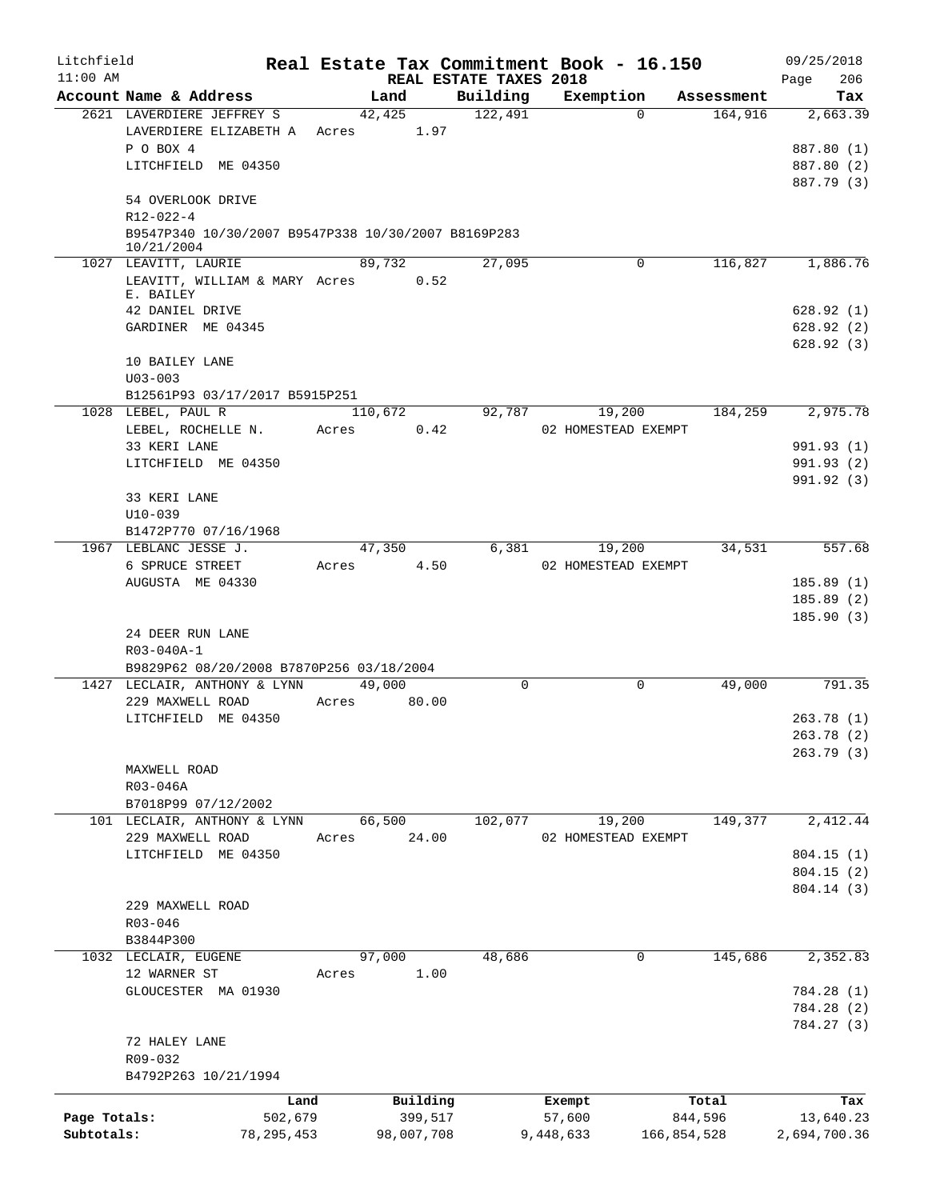| Litchfield                 |                                                                   |              |                |                        | Real Estate Tax Commitment Book - 16.150 |                       | 09/25/2018               |
|----------------------------|-------------------------------------------------------------------|--------------|----------------|------------------------|------------------------------------------|-----------------------|--------------------------|
| $11:00$ AM                 | Account Name & Address                                            |              |                | REAL ESTATE TAXES 2018 |                                          |                       | 206<br>Page              |
|                            | 2621 LAVERDIERE JEFFREY S                                         |              | Land<br>42,425 | Building<br>122,491    | Exemption<br>$\Omega$                    | Assessment<br>164,916 | Tax<br>2,663.39          |
|                            | LAVERDIERE ELIZABETH A                                            |              | Acres 1.97     |                        |                                          |                       |                          |
|                            | P O BOX 4                                                         |              |                |                        |                                          |                       | 887.80 (1)               |
|                            | LITCHFIELD ME 04350                                               |              |                |                        |                                          |                       | 887.80 (2)               |
|                            |                                                                   |              |                |                        |                                          |                       | 887.79 (3)               |
|                            | 54 OVERLOOK DRIVE                                                 |              |                |                        |                                          |                       |                          |
|                            | R12-022-4                                                         |              |                |                        |                                          |                       |                          |
|                            | B9547P340 10/30/2007 B9547P338 10/30/2007 B8169P283<br>10/21/2004 |              |                |                        |                                          |                       |                          |
|                            | 1027 LEAVITT, LAURIE                                              |              | 89,732         | 27,095                 | 0                                        | 116,827               | 1,886.76                 |
|                            | LEAVITT, WILLIAM & MARY Acres                                     |              |                | 0.52                   |                                          |                       |                          |
|                            | E. BAILEY                                                         |              |                |                        |                                          |                       |                          |
|                            | 42 DANIEL DRIVE                                                   |              |                |                        |                                          |                       | 628.92(1)                |
|                            | GARDINER ME 04345                                                 |              |                |                        |                                          |                       | 628.92(2)                |
|                            | 10 BAILEY LANE                                                    |              |                |                        |                                          |                       | 628.92(3)                |
|                            | $U03 - 003$                                                       |              |                |                        |                                          |                       |                          |
|                            | B12561P93 03/17/2017 B5915P251<br>1028 LEBEL, PAUL R              |              |                | $9\overline{2,787}$    | 19,200                                   | 184,259               | 2,975.78                 |
|                            | LEBEL, ROCHELLE N.                                                |              | 110,672        |                        |                                          |                       |                          |
|                            | 33 KERI LANE                                                      | Acres        |                | 0.42                   | 02 HOMESTEAD EXEMPT                      |                       |                          |
|                            | LITCHFIELD ME 04350                                               |              |                |                        |                                          |                       | 991.93 (1)               |
|                            |                                                                   |              |                |                        |                                          |                       | 991.93 (2)<br>991.92 (3) |
|                            | 33 KERI LANE                                                      |              |                |                        |                                          |                       |                          |
|                            | $U10 - 039$                                                       |              |                |                        |                                          |                       |                          |
|                            | B1472P770 07/16/1968                                              |              |                |                        |                                          |                       |                          |
|                            | 1967 LEBLANC JESSE J.                                             |              | 47,350         | 6,381                  | 19,200                                   | 34,531                | 557.68                   |
|                            | 6 SPRUCE STREET                                                   | Acres        |                | 4.50                   | 02 HOMESTEAD EXEMPT                      |                       |                          |
|                            | AUGUSTA ME 04330                                                  |              |                |                        |                                          |                       | 185.89(1)                |
|                            |                                                                   |              |                |                        |                                          |                       | 185.89(2)                |
|                            |                                                                   |              |                |                        |                                          |                       | 185.90(3)                |
|                            | 24 DEER RUN LANE                                                  |              |                |                        |                                          |                       |                          |
|                            | R03-040A-1                                                        |              |                |                        |                                          |                       |                          |
|                            | B9829P62 08/20/2008 B7870P256 03/18/2004                          |              |                |                        |                                          |                       |                          |
|                            | 1427 LECLAIR, ANTHONY & LYNN                                      |              | 49,000         | $\Omega$               | $\mathbf 0$                              | 49,000                | 791.35                   |
|                            | 229 MAXWELL ROAD                                                  | Acres        | 80.00          |                        |                                          |                       |                          |
|                            | LITCHFIELD ME 04350                                               |              |                |                        |                                          |                       | 263.78(1)                |
|                            |                                                                   |              |                |                        |                                          |                       | 263.78(2)                |
|                            |                                                                   |              |                |                        |                                          |                       | 263.79(3)                |
|                            | MAXWELL ROAD                                                      |              |                |                        |                                          |                       |                          |
|                            | R03-046A                                                          |              |                |                        |                                          |                       |                          |
|                            | B7018P99 07/12/2002                                               |              |                |                        |                                          |                       |                          |
|                            | 101 LECLAIR, ANTHONY & LYNN                                       |              | 66,500         | 102,077                | 19,200                                   | 149,377               | 2,412.44                 |
|                            | 229 MAXWELL ROAD                                                  | Acres        |                | 24.00                  | 02 HOMESTEAD EXEMPT                      |                       |                          |
|                            | LITCHFIELD ME 04350                                               |              |                |                        |                                          |                       | 804.15(1)                |
|                            |                                                                   |              |                |                        |                                          |                       | 804.15 (2)               |
|                            |                                                                   |              |                |                        |                                          |                       | 804.14 (3)               |
|                            | 229 MAXWELL ROAD                                                  |              |                |                        |                                          |                       |                          |
|                            | $R03 - 046$                                                       |              |                |                        |                                          |                       |                          |
|                            | B3844P300                                                         |              |                |                        |                                          |                       |                          |
|                            | 1032 LECLAIR, EUGENE                                              |              | 97,000         | 48,686                 | 0                                        | 145,686               | 2,352.83                 |
|                            | 12 WARNER ST                                                      | Acres        |                | 1.00                   |                                          |                       |                          |
|                            | GLOUCESTER MA 01930                                               |              |                |                        |                                          |                       | 784.28 (1)<br>784.28 (2) |
|                            |                                                                   |              |                |                        |                                          |                       | 784.27 (3)               |
|                            | 72 HALEY LANE                                                     |              |                |                        |                                          |                       |                          |
|                            | R09-032                                                           |              |                |                        |                                          |                       |                          |
|                            | B4792P263 10/21/1994                                              |              |                |                        |                                          |                       |                          |
|                            |                                                                   |              |                |                        |                                          |                       |                          |
|                            |                                                                   | Land         | Building       |                        | Exempt                                   | Total                 | Tax                      |
| Page Totals:<br>Subtotals: |                                                                   | 502,679      | 399,517        |                        | 57,600                                   | 844,596               | 13,640.23                |
|                            |                                                                   | 78, 295, 453 | 98,007,708     |                        | 9,448,633                                | 166,854,528           | 2,694,700.36             |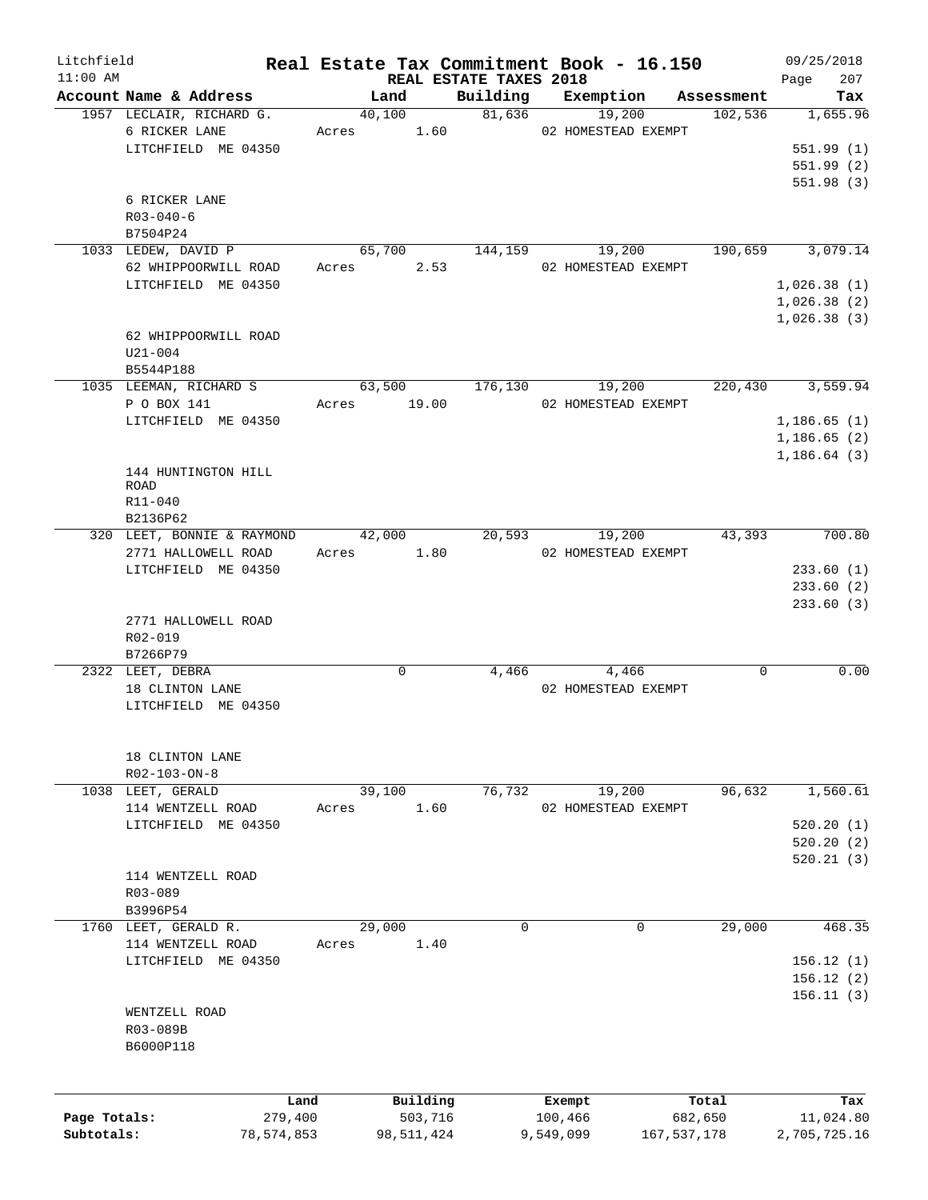| Litchfield   |                            | Real Estate Tax Commitment Book - 16.150 |                                    |                          |            | 09/25/2018         |
|--------------|----------------------------|------------------------------------------|------------------------------------|--------------------------|------------|--------------------|
| $11:00$ AM   | Account Name & Address     | Land                                     | REAL ESTATE TAXES 2018<br>Building | Exemption                | Assessment | 207<br>Page<br>Tax |
|              | 1957 LECLAIR, RICHARD G.   | 40,100                                   | 81,636                             | 19,200                   | 102,536    | 1,655.96           |
|              | 6 RICKER LANE              | Acres 1.60                               |                                    | 02 HOMESTEAD EXEMPT      |            |                    |
|              | LITCHFIELD ME 04350        |                                          |                                    |                          |            | 551.99(1)          |
|              |                            |                                          |                                    |                          |            | 551.99(2)          |
|              |                            |                                          |                                    |                          |            | 551.98(3)          |
|              | 6 RICKER LANE              |                                          |                                    |                          |            |                    |
|              | $R03 - 040 - 6$            |                                          |                                    |                          |            |                    |
|              | B7504P24                   |                                          |                                    |                          |            |                    |
|              | 1033 LEDEW, DAVID P        | 65,700                                   | 144,159                            | 19,200                   | 190,659    | 3,079.14           |
|              |                            |                                          |                                    |                          |            |                    |
|              | 62 WHIPPOORWILL ROAD       | 2.53<br>Acres                            |                                    | 02 HOMESTEAD EXEMPT      |            |                    |
|              | LITCHFIELD ME 04350        |                                          |                                    |                          |            | 1,026.38(1)        |
|              |                            |                                          |                                    |                          |            | 1,026.38(2)        |
|              |                            |                                          |                                    |                          |            | 1,026.38(3)        |
|              | 62 WHIPPOORWILL ROAD       |                                          |                                    |                          |            |                    |
|              | $U21 - 004$                |                                          |                                    |                          |            |                    |
|              | B5544P188                  |                                          |                                    |                          |            |                    |
|              | 1035 LEEMAN, RICHARD S     | 63,500                                   | 176,130                            | 19,200                   | 220,430    | 3,559.94           |
|              | P O BOX 141                | Acres 19.00                              |                                    | 02 HOMESTEAD EXEMPT      |            |                    |
|              | LITCHFIELD ME 04350        |                                          |                                    |                          |            | 1,186.65(1)        |
|              |                            |                                          |                                    |                          |            | 1, 186.65(2)       |
|              |                            |                                          |                                    |                          |            | 1, 186.64(3)       |
|              | 144 HUNTINGTON HILL        |                                          |                                    |                          |            |                    |
|              | <b>ROAD</b>                |                                          |                                    |                          |            |                    |
|              | R11-040                    |                                          |                                    |                          |            |                    |
|              | B2136P62                   |                                          |                                    |                          |            |                    |
|              | 320 LEET, BONNIE & RAYMOND | 42,000                                   | 20,593                             | 19,200                   | 43,393     | 700.80             |
|              | 2771 HALLOWELL ROAD        | 1.80<br>Acres                            |                                    | 02 HOMESTEAD EXEMPT      |            |                    |
|              | LITCHFIELD ME 04350        |                                          |                                    |                          |            | 233.60(1)          |
|              |                            |                                          |                                    |                          |            | 233.60(2)          |
|              |                            |                                          |                                    |                          |            | 233.60(3)          |
|              | 2771 HALLOWELL ROAD        |                                          |                                    |                          |            |                    |
|              | R02-019                    |                                          |                                    |                          |            |                    |
|              | B7266P79                   |                                          |                                    |                          |            |                    |
|              | 2322 LEET, DEBRA           | $\mathbf 0$                              | 4,466                              | 4,466                    | 0          | 0.00               |
|              | 18 CLINTON LANE            |                                          |                                    | 02 HOMESTEAD EXEMPT      |            |                    |
|              | LITCHFIELD ME 04350        |                                          |                                    |                          |            |                    |
|              |                            |                                          |                                    |                          |            |                    |
|              |                            |                                          |                                    |                          |            |                    |
|              | 18 CLINTON LANE            |                                          |                                    |                          |            |                    |
|              | R02-103-ON-8               |                                          |                                    |                          |            |                    |
|              | 1038 LEET, GERALD          | 39,100                                   | 76,732                             | 19,200                   | 96,632     | 1,560.61           |
|              | 114 WENTZELL ROAD          | 1.60<br>Acres                            |                                    | 02 HOMESTEAD EXEMPT      |            |                    |
|              | LITCHFIELD ME 04350        |                                          |                                    |                          |            | 520.20(1)          |
|              |                            |                                          |                                    |                          |            | 520.20(2)          |
|              |                            |                                          |                                    |                          |            | 520.21(3)          |
|              | 114 WENTZELL ROAD          |                                          |                                    |                          |            |                    |
|              | R03-089                    |                                          |                                    |                          |            |                    |
|              | B3996P54                   |                                          |                                    |                          |            |                    |
|              | 1760 LEET, GERALD R.       | 29,000                                   | $\mathbf 0$                        | $\mathbf 0$              | 29,000     | 468.35             |
|              | 114 WENTZELL ROAD          | 1.40<br>Acres                            |                                    |                          |            |                    |
|              | LITCHFIELD ME 04350        |                                          |                                    |                          |            | 156.12(1)          |
|              |                            |                                          |                                    |                          |            | 156.12(2)          |
|              |                            |                                          |                                    |                          |            | 156.11(3)          |
|              | WENTZELL ROAD              |                                          |                                    |                          |            |                    |
|              | R03-089B                   |                                          |                                    |                          |            |                    |
|              | B6000P118                  |                                          |                                    |                          |            |                    |
|              |                            |                                          |                                    |                          |            |                    |
|              |                            |                                          |                                    |                          |            |                    |
|              | Land                       | Building                                 |                                    | Exempt                   | Total      | Tax                |
| Page Totals: | 279,400                    | 503,716                                  |                                    | 100,466                  | 682,650    | 11,024.80          |
| Subtotals:   | 78,574,853                 | 98,511,424                               |                                    | 9,549,099<br>167,537,178 |            | 2,705,725.16       |
|              |                            |                                          |                                    |                          |            |                    |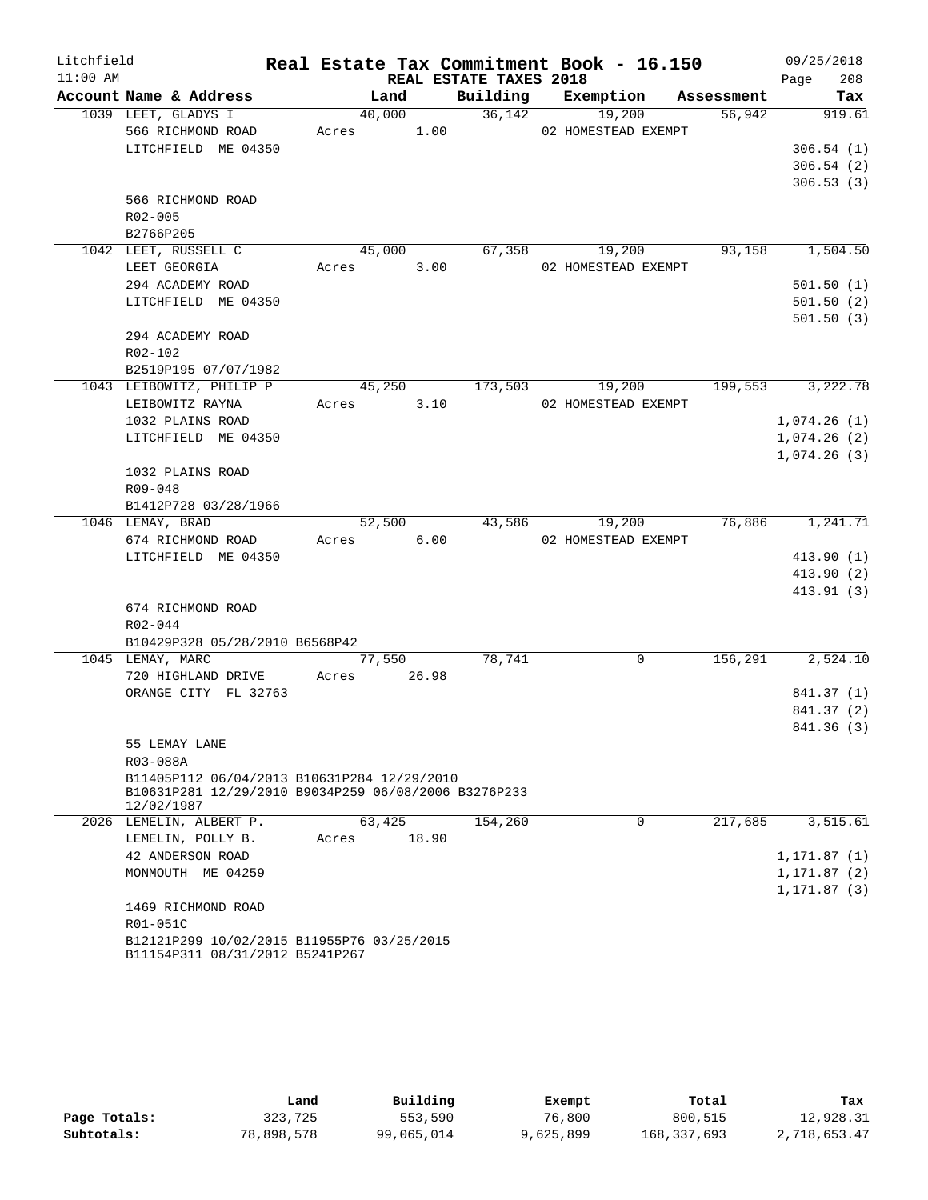| Litchfield |             |                                                                               |       |            |       | Real Estate Tax Commitment Book - 16.150 |        |                     |            |      | 09/25/2018                 |
|------------|-------------|-------------------------------------------------------------------------------|-------|------------|-------|------------------------------------------|--------|---------------------|------------|------|----------------------------|
| $11:00$ AM |             |                                                                               |       |            |       | REAL ESTATE TAXES 2018                   |        |                     |            | Page | 208                        |
|            |             | Account Name & Address                                                        |       | Land       |       | Building Exemption                       |        |                     | Assessment |      | Tax                        |
|            |             | 1039 LEET, GLADYS I                                                           |       | 40,000     |       | 36,142                                   |        | 19,200              | 56,942     |      | 919.61                     |
|            |             | 566 RICHMOND ROAD                                                             |       | Acres 1.00 |       |                                          |        | 02 HOMESTEAD EXEMPT |            |      |                            |
|            |             | LITCHFIELD ME 04350                                                           |       |            |       |                                          |        |                     |            |      | 306.54(1)                  |
|            |             |                                                                               |       |            |       |                                          |        |                     |            |      | 306.54(2)                  |
|            |             |                                                                               |       |            |       |                                          |        |                     |            |      | 306.53(3)                  |
|            |             | 566 RICHMOND ROAD                                                             |       |            |       |                                          |        |                     |            |      |                            |
|            | R02-005     |                                                                               |       |            |       |                                          |        |                     |            |      |                            |
|            | B2766P205   |                                                                               |       |            |       |                                          |        |                     |            |      |                            |
|            |             | 1042 LEET, RUSSELL C                                                          |       | 45,000     |       |                                          | 67,358 | 19,200              | 93,158     |      | 1,504.50                   |
|            |             | LEET GEORGIA                                                                  |       | Acres      | 3.00  |                                          |        | 02 HOMESTEAD EXEMPT |            |      |                            |
|            |             | 294 ACADEMY ROAD                                                              |       |            |       |                                          |        |                     |            |      | 501.50(1)                  |
|            |             | LITCHFIELD ME 04350                                                           |       |            |       |                                          |        |                     |            |      | 501.50(2)                  |
|            |             |                                                                               |       |            |       |                                          |        |                     |            |      | 501.50(3)                  |
|            |             | 294 ACADEMY ROAD                                                              |       |            |       |                                          |        |                     |            |      |                            |
|            | $R02 - 102$ |                                                                               |       |            |       |                                          |        |                     |            |      |                            |
|            |             | B2519P195 07/07/1982                                                          |       |            |       |                                          |        |                     |            |      |                            |
|            |             | 1043 LEIBOWITZ, PHILIP P                                                      |       | 45,250     |       | 173,503                                  |        | 19,200              | 199,553    |      | 3,222.78                   |
|            |             | LEIBOWITZ RAYNA<br>1032 PLAINS ROAD                                           |       | Acres      | 3.10  |                                          |        | 02 HOMESTEAD EXEMPT |            |      | 1,074.26(1)                |
|            |             | LITCHFIELD ME 04350                                                           |       |            |       |                                          |        |                     |            |      |                            |
|            |             |                                                                               |       |            |       |                                          |        |                     |            |      | 1,074.26(2)<br>1,074.26(3) |
|            |             | 1032 PLAINS ROAD                                                              |       |            |       |                                          |        |                     |            |      |                            |
|            | R09-048     |                                                                               |       |            |       |                                          |        |                     |            |      |                            |
|            |             | B1412P728 03/28/1966                                                          |       |            |       |                                          |        |                     |            |      |                            |
|            |             | 1046 LEMAY, BRAD                                                              |       | 52,500     |       |                                          | 43,586 | 19,200              | 76,886     |      | 1,241.71                   |
|            |             | 674 RICHMOND ROAD                                                             |       | Acres      | 6.00  |                                          |        | 02 HOMESTEAD EXEMPT |            |      |                            |
|            |             | LITCHFIELD ME 04350                                                           |       |            |       |                                          |        |                     |            |      | 413.90(1)                  |
|            |             |                                                                               |       |            |       |                                          |        |                     |            |      | 413.90 (2)                 |
|            |             |                                                                               |       |            |       |                                          |        |                     |            |      | 413.91 (3)                 |
|            |             | 674 RICHMOND ROAD                                                             |       |            |       |                                          |        |                     |            |      |                            |
|            | R02-044     |                                                                               |       |            |       |                                          |        |                     |            |      |                            |
|            |             | B10429P328 05/28/2010 B6568P42                                                |       |            |       |                                          |        |                     |            |      |                            |
|            |             | 1045 LEMAY, MARC                                                              |       | 77,550     |       | 78,741                                   |        | $\Omega$            | 156,291    |      | 2,524.10                   |
|            |             | 720 HIGHLAND DRIVE                                                            | Acres |            | 26.98 |                                          |        |                     |            |      |                            |
|            |             | ORANGE CITY FL 32763                                                          |       |            |       |                                          |        |                     |            |      | 841.37 (1)                 |
|            |             |                                                                               |       |            |       |                                          |        |                     |            |      | 841.37 (2)                 |
|            |             |                                                                               |       |            |       |                                          |        |                     |            |      | 841.36 (3)                 |
|            |             | 55 LEMAY LANE                                                                 |       |            |       |                                          |        |                     |            |      |                            |
|            | R03-088A    |                                                                               |       |            |       |                                          |        |                     |            |      |                            |
|            |             | B11405P112 06/04/2013 B10631P284 12/29/2010                                   |       |            |       |                                          |        |                     |            |      |                            |
|            | 12/02/1987  | B10631P281 12/29/2010 B9034P259 06/08/2006 B3276P233                          |       |            |       |                                          |        |                     |            |      |                            |
|            |             | 2026 LEMELIN, ALBERT P.                                                       |       | 63,425     |       | 154,260                                  |        | 0                   | 217,685    |      | 3,515.61                   |
|            |             | LEMELIN, POLLY B.                                                             | Acres |            | 18.90 |                                          |        |                     |            |      |                            |
|            |             | 42 ANDERSON ROAD                                                              |       |            |       |                                          |        |                     |            |      | 1,171.87 (1)               |
|            |             | MONMOUTH ME 04259                                                             |       |            |       |                                          |        |                     |            |      | 1,171.87 (2)               |
|            |             |                                                                               |       |            |       |                                          |        |                     |            |      | 1,171.87 (3)               |
|            |             | 1469 RICHMOND ROAD                                                            |       |            |       |                                          |        |                     |            |      |                            |
|            | R01-051C    |                                                                               |       |            |       |                                          |        |                     |            |      |                            |
|            |             | B12121P299 10/02/2015 B11955P76 03/25/2015<br>B11154P311 08/31/2012 B5241P267 |       |            |       |                                          |        |                     |            |      |                            |

|              | Land       | Building   | Exempt    | Total       | Tax          |
|--------------|------------|------------|-----------|-------------|--------------|
| Page Totals: | 323,725    | 553,590    | 76,800    | 800,515     | 12,928.31    |
| Subtotals:   | 78,898,578 | 99,065,014 | 9,625,899 | 168,337,693 | 2,718,653.47 |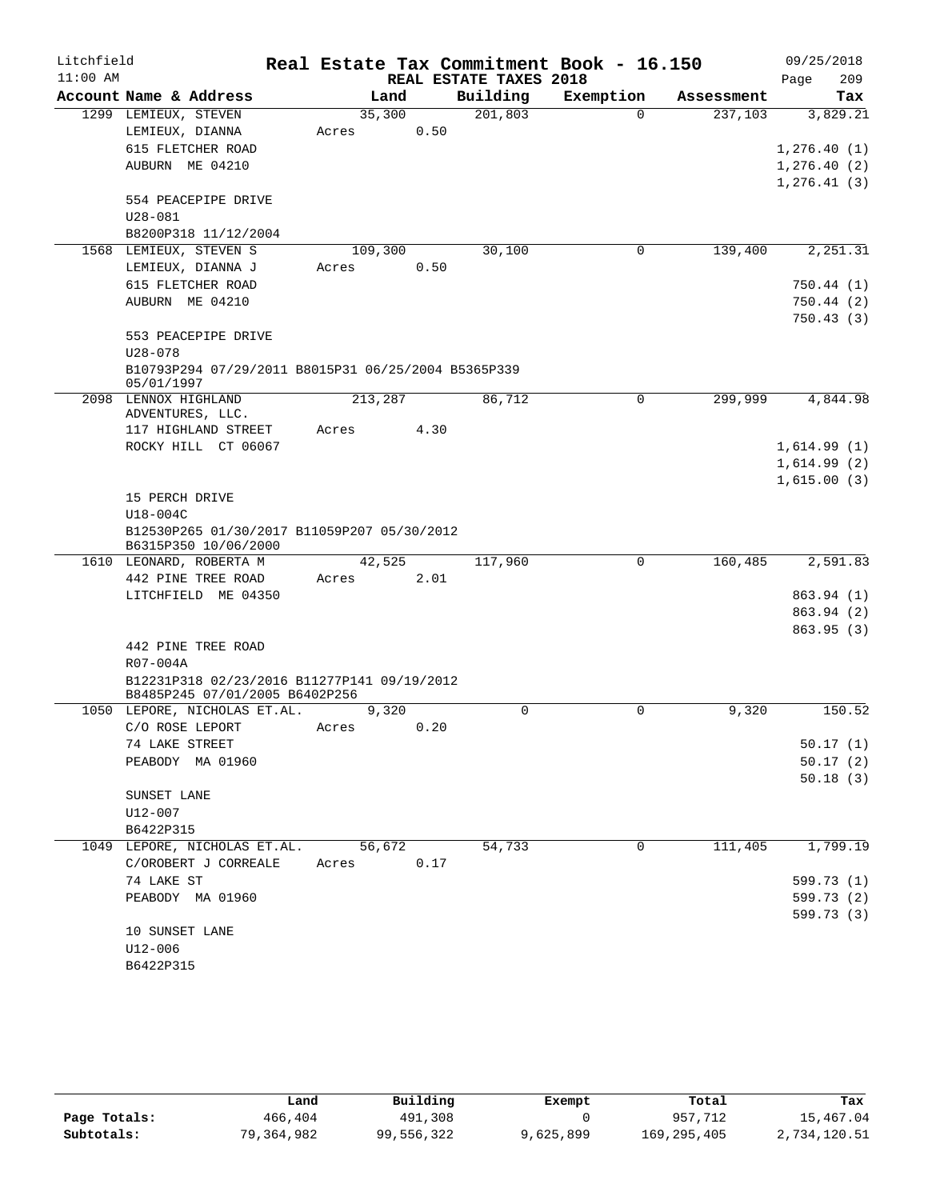| Litchfield |                                                     |         |       |                        | Real Estate Tax Commitment Book - 16.150 |            | 09/25/2018             |
|------------|-----------------------------------------------------|---------|-------|------------------------|------------------------------------------|------------|------------------------|
| $11:00$ AM |                                                     |         |       | REAL ESTATE TAXES 2018 |                                          |            | 209<br>Page            |
|            | Account Name & Address                              |         | Land  | Building               | Exemption                                | Assessment | Tax                    |
|            | 1299 LEMIEUX, STEVEN                                | 35,300  |       | 201,803                | $\Omega$                                 | 237,103    | 3,829.21               |
|            | LEMIEUX, DIANNA                                     | Acres   |       | 0.50                   |                                          |            |                        |
|            | 615 FLETCHER ROAD                                   |         |       |                        |                                          |            | 1, 276.40(1)           |
|            | AUBURN ME 04210                                     |         |       |                        |                                          |            | 1, 276.40(2)           |
|            |                                                     |         |       |                        |                                          |            | 1, 276.41(3)           |
|            | 554 PEACEPIPE DRIVE                                 |         |       |                        |                                          |            |                        |
|            | $U28 - 081$                                         |         |       |                        |                                          |            |                        |
|            | B8200P318 11/12/2004                                |         |       |                        |                                          |            |                        |
|            | 1568 LEMIEUX, STEVEN S                              | 109,300 |       | 30,100                 | 0                                        | 139,400    | 2,251.31               |
|            | LEMIEUX, DIANNA J                                   | Acres   |       | 0.50                   |                                          |            |                        |
|            | 615 FLETCHER ROAD                                   |         |       |                        |                                          |            | 750.44(1)              |
|            | AUBURN ME 04210                                     |         |       |                        |                                          |            | 750.44(2)<br>750.43(3) |
|            | 553 PEACEPIPE DRIVE                                 |         |       |                        |                                          |            |                        |
|            | $U28 - 078$                                         |         |       |                        |                                          |            |                        |
|            | B10793P294 07/29/2011 B8015P31 06/25/2004 B5365P339 |         |       |                        |                                          |            |                        |
|            | 05/01/1997                                          |         |       |                        |                                          |            |                        |
|            | 2098 LENNOX HIGHLAND                                | 213,287 |       | 86,712                 | $\mathbf 0$                              | 299,999    | 4,844.98               |
|            | ADVENTURES, LLC.                                    |         |       |                        |                                          |            |                        |
|            | 117 HIGHLAND STREET                                 | Acres   |       | 4.30                   |                                          |            |                        |
|            | ROCKY HILL CT 06067                                 |         |       |                        |                                          |            | 1,614.99(1)            |
|            |                                                     |         |       |                        |                                          |            | 1,614.99(2)            |
|            |                                                     |         |       |                        |                                          |            | 1,615.00(3)            |
|            | 15 PERCH DRIVE<br>U18-004C                          |         |       |                        |                                          |            |                        |
|            | B12530P265 01/30/2017 B11059P207 05/30/2012         |         |       |                        |                                          |            |                        |
|            | B6315P350 10/06/2000                                |         |       |                        |                                          |            |                        |
|            | 1610 LEONARD, ROBERTA M                             | 42,525  |       | 117,960                | $\mathbf 0$                              | 160,485    | 2,591.83               |
|            | 442 PINE TREE ROAD                                  | Acres   |       | 2.01                   |                                          |            |                        |
|            | LITCHFIELD ME 04350                                 |         |       |                        |                                          |            | 863.94 (1)             |
|            |                                                     |         |       |                        |                                          |            | 863.94 (2)             |
|            |                                                     |         |       |                        |                                          |            | 863.95 (3)             |
|            | 442 PINE TREE ROAD                                  |         |       |                        |                                          |            |                        |
|            | R07-004A                                            |         |       |                        |                                          |            |                        |
|            | B12231P318 02/23/2016 B11277P141 09/19/2012         |         |       |                        |                                          |            |                        |
|            | B8485P245 07/01/2005 B6402P256                      |         |       |                        |                                          |            |                        |
|            | 1050 LEPORE, NICHOLAS ET.AL.                        |         | 9,320 | 0                      | 0                                        | 9,320      | 150.52                 |
|            | C/O ROSE LEPORT                                     | Acres   |       | 0.20                   |                                          |            |                        |
|            | 74 LAKE STREET                                      |         |       |                        |                                          |            | 50.17(1)               |
|            | PEABODY MA 01960                                    |         |       |                        |                                          |            | 50.17(2)<br>50.18(3)   |
|            | SUNSET LANE                                         |         |       |                        |                                          |            |                        |
|            | U12-007                                             |         |       |                        |                                          |            |                        |
|            | B6422P315                                           |         |       |                        |                                          |            |                        |
|            | 1049 LEPORE, NICHOLAS ET.AL.                        | 56,672  |       | 54,733                 | 0                                        | 111,405    | 1,799.19               |
|            | C/OROBERT J CORREALE                                | Acres   |       | 0.17                   |                                          |            |                        |
|            | 74 LAKE ST                                          |         |       |                        |                                          |            | 599.73 (1)             |
|            | PEABODY MA 01960                                    |         |       |                        |                                          |            | 599.73 (2)             |
|            |                                                     |         |       |                        |                                          |            | 599.73 (3)             |
|            | 10 SUNSET LANE                                      |         |       |                        |                                          |            |                        |
|            | U12-006                                             |         |       |                        |                                          |            |                        |
|            | B6422P315                                           |         |       |                        |                                          |            |                        |

|              | Land       | Building   | Exempt    | Total         | Tax          |
|--------------|------------|------------|-----------|---------------|--------------|
| Page Totals: | 466,404    | 491,308    |           | 957,712       | 15,467.04    |
| Subtotals:   | 79,364,982 | 99,556,322 | 9,625,899 | 169, 295, 405 | 2,734,120.51 |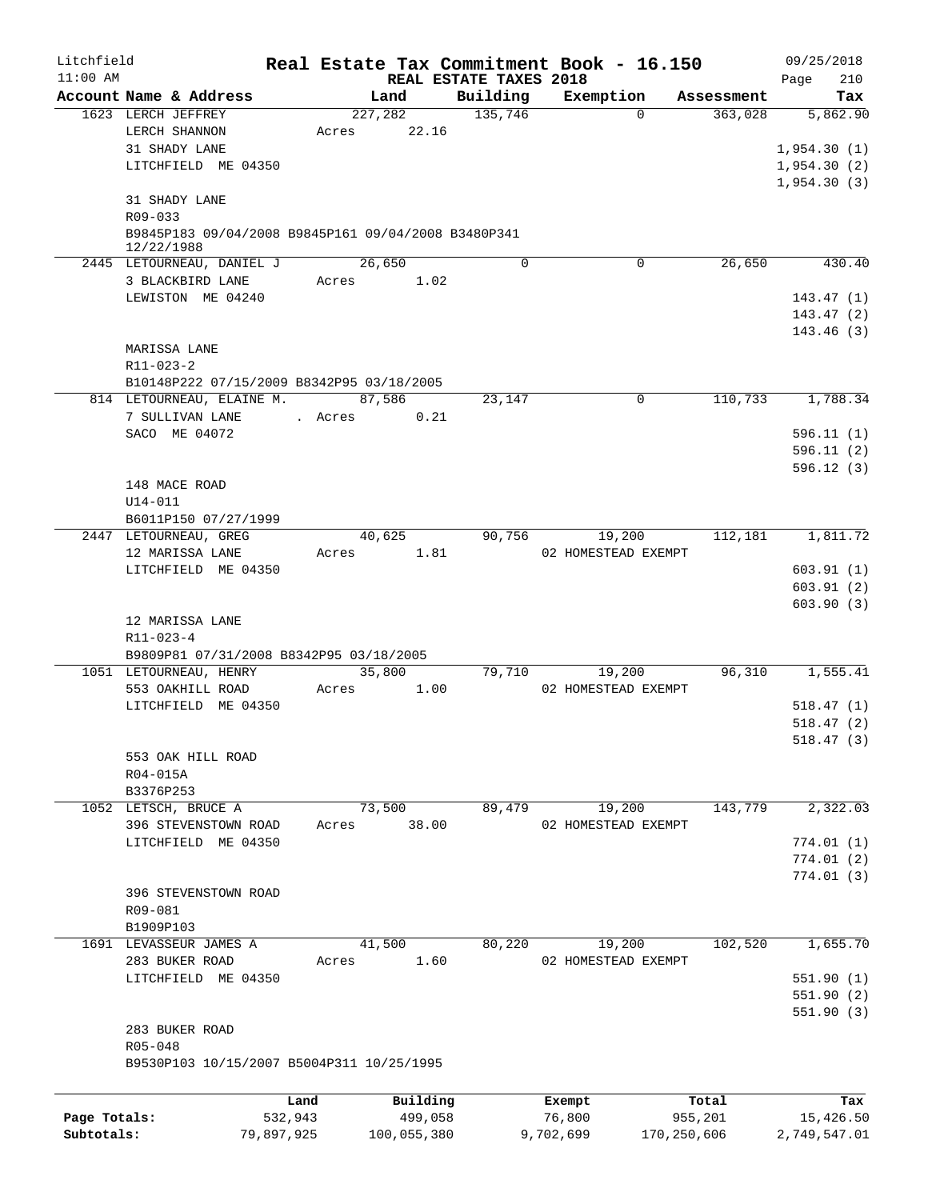| Litchfield   |                                                                   |            |       |                 | Real Estate Tax Commitment Book - 16.150 |           |                       |                       | 09/25/2018      |
|--------------|-------------------------------------------------------------------|------------|-------|-----------------|------------------------------------------|-----------|-----------------------|-----------------------|-----------------|
| $11:00$ AM   |                                                                   |            |       |                 | REAL ESTATE TAXES 2018                   |           |                       |                       | 210<br>Page     |
|              | Account Name & Address<br>1623 LERCH JEFFREY                      |            |       | Land<br>227,282 | Building<br>135,746                      |           | Exemption<br>$\Omega$ | Assessment<br>363,028 | Tax<br>5,862.90 |
|              | LERCH SHANNON                                                     |            | Acres | 22.16           |                                          |           |                       |                       |                 |
|              | 31 SHADY LANE                                                     |            |       |                 |                                          |           |                       |                       | 1,954.30(1)     |
|              | LITCHFIELD ME 04350                                               |            |       |                 |                                          |           |                       |                       | 1,954.30(2)     |
|              |                                                                   |            |       |                 |                                          |           |                       |                       | 1,954.30(3)     |
|              | 31 SHADY LANE                                                     |            |       |                 |                                          |           |                       |                       |                 |
|              | R09-033                                                           |            |       |                 |                                          |           |                       |                       |                 |
|              | B9845P183 09/04/2008 B9845P161 09/04/2008 B3480P341<br>12/22/1988 |            |       |                 |                                          |           |                       |                       |                 |
|              | 2445 LETOURNEAU, DANIEL J                                         |            |       | 26,650          | $\Omega$                                 |           | 0                     | 26,650                | 430.40          |
|              | 3 BLACKBIRD LANE                                                  |            | Acres | 1.02            |                                          |           |                       |                       |                 |
|              | LEWISTON ME 04240                                                 |            |       |                 |                                          |           |                       |                       | 143.47(1)       |
|              |                                                                   |            |       |                 |                                          |           |                       |                       | 143.47(2)       |
|              | MARISSA LANE                                                      |            |       |                 |                                          |           |                       |                       | 143.46(3)       |
|              | R11-023-2                                                         |            |       |                 |                                          |           |                       |                       |                 |
|              | B10148P222 07/15/2009 B8342P95 03/18/2005                         |            |       |                 |                                          |           |                       |                       |                 |
|              | 814 LETOURNEAU, ELAINE M.                                         |            |       | 87,586          | 23,147                                   |           | 0                     | 110,733               | 1,788.34        |
|              | 7 SULLIVAN LANE                                                   | . Acres    |       | 0.21            |                                          |           |                       |                       |                 |
|              | SACO ME 04072                                                     |            |       |                 |                                          |           |                       |                       | 596.11(1)       |
|              |                                                                   |            |       |                 |                                          |           |                       |                       | 596.11(2)       |
|              |                                                                   |            |       |                 |                                          |           |                       |                       | 596.12(3)       |
|              | 148 MACE ROAD                                                     |            |       |                 |                                          |           |                       |                       |                 |
|              | $U14 - 011$                                                       |            |       |                 |                                          |           |                       |                       |                 |
|              | B6011P150 07/27/1999                                              |            |       |                 |                                          |           |                       |                       |                 |
|              | 2447 LETOURNEAU, GREG                                             |            |       | 40,625          | 90,756                                   |           | 19,200                | 112,181               | 1,811.72        |
|              | 12 MARISSA LANE                                                   |            | Acres | 1.81            |                                          |           | 02 HOMESTEAD EXEMPT   |                       |                 |
|              | LITCHFIELD ME 04350                                               |            |       |                 |                                          |           |                       |                       | 603.91(1)       |
|              |                                                                   |            |       |                 |                                          |           |                       |                       | 603.91(2)       |
|              |                                                                   |            |       |                 |                                          |           |                       |                       | 603.90(3)       |
|              | 12 MARISSA LANE                                                   |            |       |                 |                                          |           |                       |                       |                 |
|              | R11-023-4                                                         |            |       |                 |                                          |           |                       |                       |                 |
|              | B9809P81 07/31/2008 B8342P95 03/18/2005<br>1051 LETOURNEAU, HENRY |            |       | 35,800          | 79,710                                   |           | 19,200                | 96,310                | 1,555.41        |
|              | 553 OAKHILL ROAD                                                  |            | Acres | 1.00            |                                          |           | 02 HOMESTEAD EXEMPT   |                       |                 |
|              | LITCHFIELD ME 04350                                               |            |       |                 |                                          |           |                       |                       | 518.47(1)       |
|              |                                                                   |            |       |                 |                                          |           |                       |                       | 518.47(2)       |
|              |                                                                   |            |       |                 |                                          |           |                       |                       | 518.47(3)       |
|              | 553 OAK HILL ROAD                                                 |            |       |                 |                                          |           |                       |                       |                 |
|              | R04-015A                                                          |            |       |                 |                                          |           |                       |                       |                 |
|              | B3376P253                                                         |            |       |                 |                                          |           |                       |                       |                 |
|              | 1052 LETSCH, BRUCE A                                              |            |       | 73,500          | 89,479                                   |           | 19,200                | 143,779               | 2,322.03        |
|              | 396 STEVENSTOWN ROAD                                              |            | Acres | 38.00           |                                          |           | 02 HOMESTEAD EXEMPT   |                       |                 |
|              | LITCHFIELD ME 04350                                               |            |       |                 |                                          |           |                       |                       | 774.01(1)       |
|              |                                                                   |            |       |                 |                                          |           |                       |                       | 774.01(2)       |
|              |                                                                   |            |       |                 |                                          |           |                       |                       | 774.01(3)       |
|              | 396 STEVENSTOWN ROAD                                              |            |       |                 |                                          |           |                       |                       |                 |
|              | R09-081<br>B1909P103                                              |            |       |                 |                                          |           |                       |                       |                 |
|              | 1691 LEVASSEUR JAMES A                                            |            |       | 41,500          | 80,220                                   |           | 19,200                | 102,520               | 1,655.70        |
|              | 283 BUKER ROAD                                                    |            | Acres | 1.60            |                                          |           | 02 HOMESTEAD EXEMPT   |                       |                 |
|              | LITCHFIELD ME 04350                                               |            |       |                 |                                          |           |                       |                       | 551.90(1)       |
|              |                                                                   |            |       |                 |                                          |           |                       |                       | 551.90(2)       |
|              |                                                                   |            |       |                 |                                          |           |                       |                       | 551.90(3)       |
|              | 283 BUKER ROAD                                                    |            |       |                 |                                          |           |                       |                       |                 |
|              | R05-048                                                           |            |       |                 |                                          |           |                       |                       |                 |
|              | B9530P103 10/15/2007 B5004P311 10/25/1995                         |            |       |                 |                                          |           |                       |                       |                 |
|              |                                                                   | Land       |       | Building        |                                          |           | Exempt                | Total                 | Tax             |
| Page Totals: |                                                                   | 532,943    |       | 499,058         |                                          |           | 76,800                | 955,201               | 15,426.50       |
| Subtotals:   |                                                                   | 79,897,925 |       | 100,055,380     |                                          | 9,702,699 |                       | 170,250,606           | 2,749,547.01    |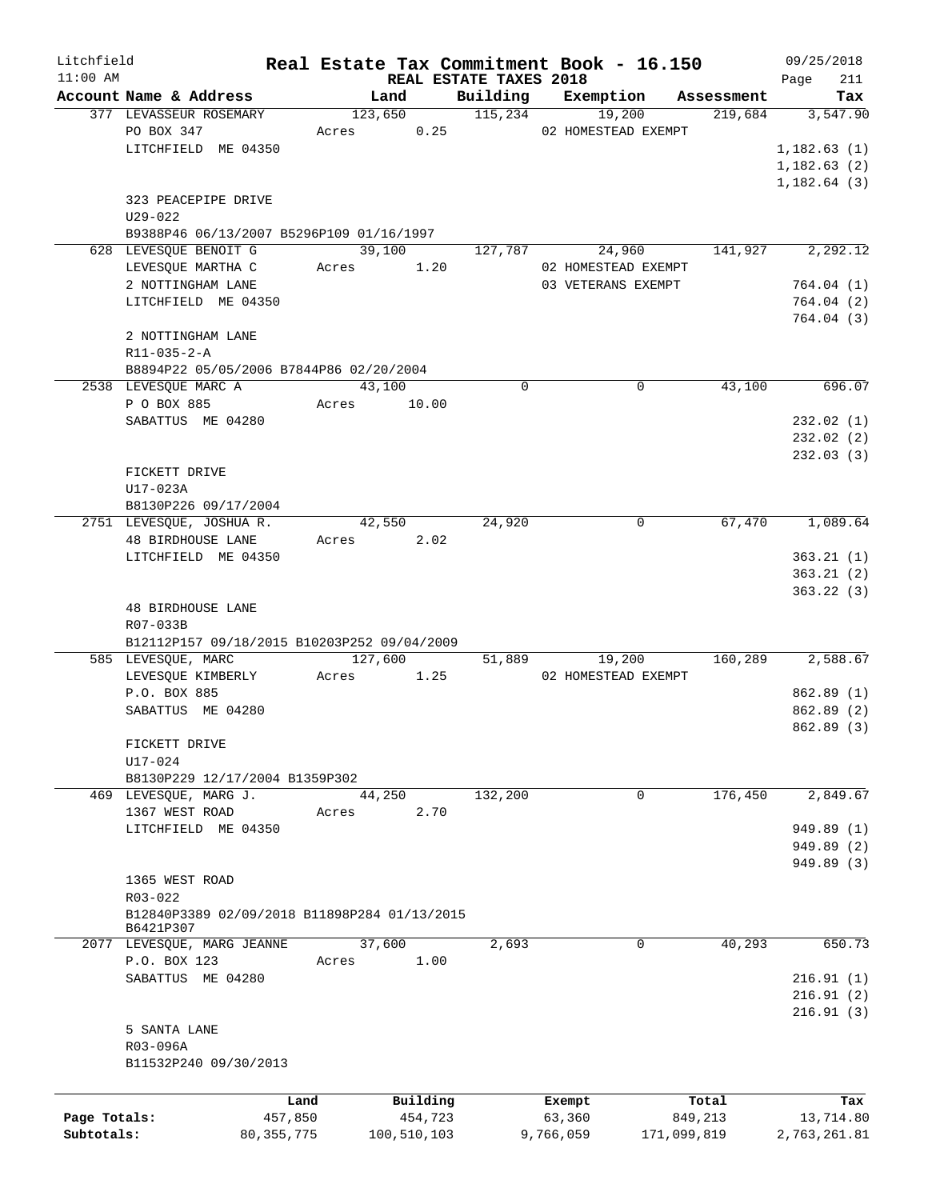| Litchfield   |                                              |              |         |               |                        | Real Estate Tax Commitment Book - 16.150 |             |                       | 09/25/2018      |
|--------------|----------------------------------------------|--------------|---------|---------------|------------------------|------------------------------------------|-------------|-----------------------|-----------------|
| $11:00$ AM   | Account Name & Address                       |              |         |               | REAL ESTATE TAXES 2018 |                                          |             |                       | 211<br>Page     |
|              | 377 LEVASSEUR ROSEMARY                       |              | Land    | 123,650       | Building<br>115,234    | Exemption                                | 19,200      | Assessment<br>219,684 | Tax<br>3,547.90 |
|              | PO BOX 347                                   | Acres        |         | 0.25          |                        | 02 HOMESTEAD EXEMPT                      |             |                       |                 |
|              |                                              |              |         |               |                        |                                          |             |                       |                 |
|              | LITCHFIELD ME 04350                          |              |         |               |                        |                                          |             |                       | 1,182.63(1)     |
|              |                                              |              |         |               |                        |                                          |             |                       | 1,182.63(2)     |
|              |                                              |              |         |               |                        |                                          |             |                       | 1, 182.64(3)    |
|              | 323 PEACEPIPE DRIVE                          |              |         |               |                        |                                          |             |                       |                 |
|              | $U29 - 022$                                  |              |         |               |                        |                                          |             |                       |                 |
|              | B9388P46 06/13/2007 B5296P109 01/16/1997     |              |         |               |                        |                                          |             |                       |                 |
|              | 628 LEVESQUE BENOIT G                        |              | 39,100  |               | 127,787                |                                          | 24,960      | 141,927               | 2,292.12        |
|              | LEVESQUE MARTHA C                            |              | Acres   | 1.20          |                        | 02 HOMESTEAD EXEMPT                      |             |                       |                 |
|              | 2 NOTTINGHAM LANE                            |              |         |               |                        | 03 VETERANS EXEMPT                       |             |                       | 764.04(1)       |
|              | LITCHFIELD ME 04350                          |              |         |               |                        |                                          |             |                       | 764.04(2)       |
|              |                                              |              |         |               |                        |                                          |             |                       | 764.04(3)       |
|              | 2 NOTTINGHAM LANE                            |              |         |               |                        |                                          |             |                       |                 |
|              | R11-035-2-A                                  |              |         |               |                        |                                          |             |                       |                 |
|              | B8894P22 05/05/2006 B7844P86 02/20/2004      |              |         |               |                        |                                          |             |                       |                 |
|              | 2538 LEVESQUE MARC A                         |              | 43,100  |               | $\Omega$               |                                          | 0           | 43,100                | 696.07          |
|              | P O BOX 885                                  | Acres        |         | 10.00         |                        |                                          |             |                       |                 |
|              | SABATTUS ME 04280                            |              |         |               |                        |                                          |             |                       | 232.02(1)       |
|              |                                              |              |         |               |                        |                                          |             |                       | 232.02(2)       |
|              |                                              |              |         |               |                        |                                          |             |                       | 232.03(3)       |
|              | FICKETT DRIVE                                |              |         |               |                        |                                          |             |                       |                 |
|              | U17-023A                                     |              |         |               |                        |                                          |             |                       |                 |
|              | B8130P226 09/17/2004                         |              |         |               |                        |                                          |             |                       |                 |
|              | 2751 LEVESQUE, JOSHUA R.                     |              | 42,550  |               | 24,920                 |                                          | $\mathbf 0$ | 67,470                | 1,089.64        |
|              |                                              |              |         |               |                        |                                          |             |                       |                 |
|              | <b>48 BIRDHOUSE LANE</b>                     |              | Acres   | 2.02          |                        |                                          |             |                       |                 |
|              | LITCHFIELD ME 04350                          |              |         |               |                        |                                          |             |                       | 363.21(1)       |
|              |                                              |              |         |               |                        |                                          |             |                       | 363.21(2)       |
|              |                                              |              |         |               |                        |                                          |             |                       | 363.22(3)       |
|              | <b>48 BIRDHOUSE LANE</b>                     |              |         |               |                        |                                          |             |                       |                 |
|              | R07-033B                                     |              |         |               |                        |                                          |             |                       |                 |
|              | B12112P157 09/18/2015 B10203P252 09/04/2009  |              |         |               |                        |                                          |             |                       |                 |
|              | 585 LEVESQUE, MARC                           |              | 127,600 |               |                        | 51,889                                   | 19,200      | 160,289               | 2,588.67        |
|              | LEVESQUE KIMBERLY                            | Acres        |         | 1.25          |                        | 02 HOMESTEAD EXEMPT                      |             |                       |                 |
|              | P.O. BOX 885                                 |              |         |               |                        |                                          |             |                       | 862.89 (1)      |
|              | SABATTUS ME 04280                            |              |         |               |                        |                                          |             |                       | 862.89(2)       |
|              |                                              |              |         |               |                        |                                          |             |                       | 862.89 (3)      |
|              | FICKETT DRIVE                                |              |         |               |                        |                                          |             |                       |                 |
|              | U17-024                                      |              |         |               |                        |                                          |             |                       |                 |
|              | B8130P229 12/17/2004 B1359P302               |              |         |               |                        |                                          |             |                       |                 |
|              | 469 LEVESQUE, MARG J.                        |              | 44,250  |               | 132,200                |                                          | 0           | 176,450               | 2,849.67        |
|              | 1367 WEST ROAD                               | Acres        |         | 2.70          |                        |                                          |             |                       |                 |
|              | LITCHFIELD ME 04350                          |              |         |               |                        |                                          |             |                       | 949.89 (1)      |
|              |                                              |              |         |               |                        |                                          |             |                       | 949.89 (2)      |
|              |                                              |              |         |               |                        |                                          |             |                       | 949.89 (3)      |
|              | 1365 WEST ROAD                               |              |         |               |                        |                                          |             |                       |                 |
|              | R03-022                                      |              |         |               |                        |                                          |             |                       |                 |
|              | B12840P3389 02/09/2018 B11898P284 01/13/2015 |              |         |               |                        |                                          |             |                       |                 |
|              | B6421P307                                    |              |         |               |                        |                                          |             |                       |                 |
|              | 2077 LEVESQUE, MARG JEANNE                   |              | 37,600  |               | 2,693                  |                                          | 0           | 40,293                | 650.73          |
|              | P.O. BOX 123                                 | Acres        |         | 1.00          |                        |                                          |             |                       |                 |
|              | SABATTUS ME 04280                            |              |         |               |                        |                                          |             |                       | 216.91(1)       |
|              |                                              |              |         |               |                        |                                          |             |                       | 216.91(2)       |
|              |                                              |              |         |               |                        |                                          |             |                       | 216.91(3)       |
|              | 5 SANTA LANE                                 |              |         |               |                        |                                          |             |                       |                 |
|              |                                              |              |         |               |                        |                                          |             |                       |                 |
|              | R03-096A                                     |              |         |               |                        |                                          |             |                       |                 |
|              | B11532P240 09/30/2013                        |              |         |               |                        |                                          |             |                       |                 |
|              |                                              |              |         |               |                        |                                          |             |                       |                 |
|              |                                              | Land         |         | Building      |                        | Exempt                                   |             | Total                 | Tax             |
| Page Totals: |                                              | 457,850      |         | 454,723       |                        | 63,360                                   |             | 849,213               | 13,714.80       |
| Subtotals:   |                                              | 80, 355, 775 |         | 100, 510, 103 |                        | 9,766,059                                | 171,099,819 |                       | 2,763,261.81    |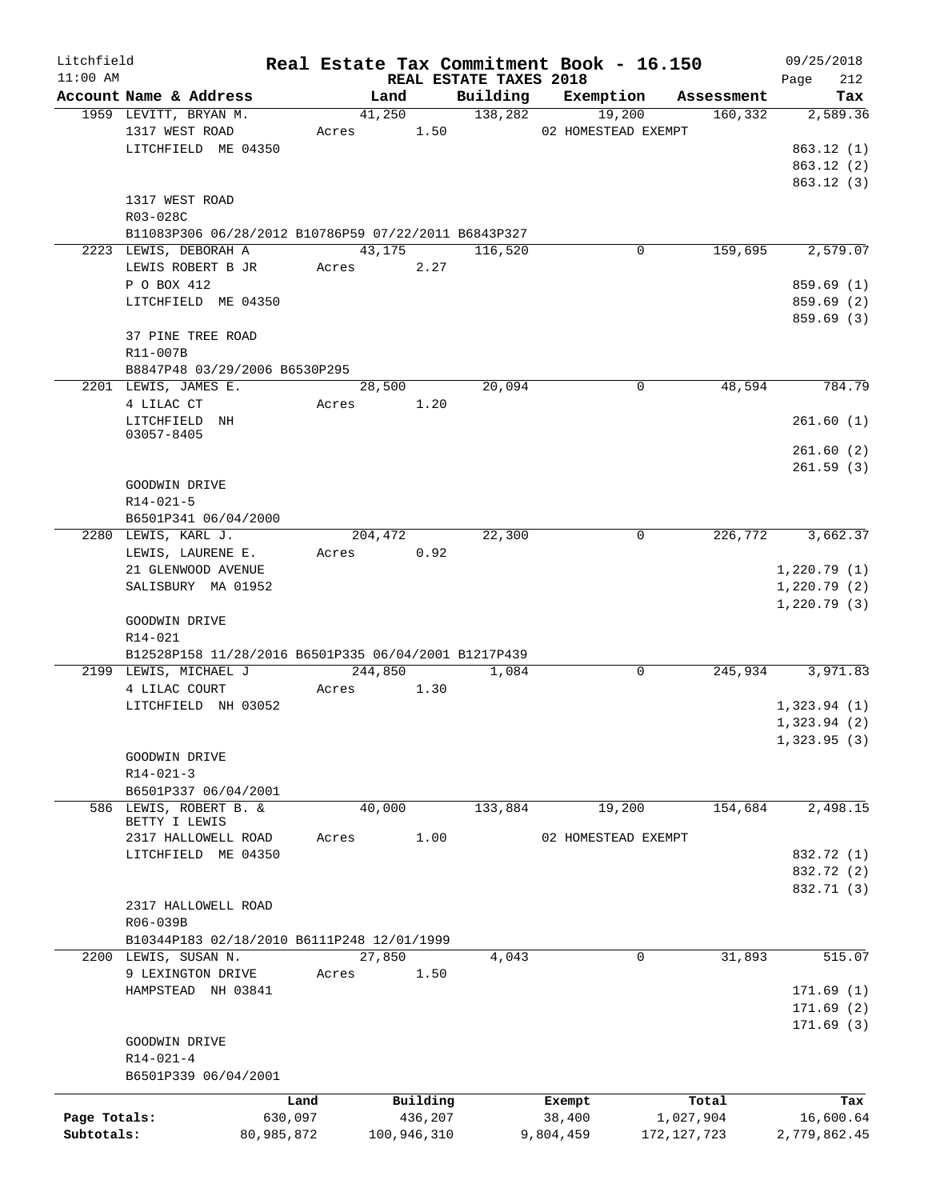| Litchfield   |                                                                 |            |             |                        | Real Estate Tax Commitment Book - 16.150 |               | 09/25/2018         |
|--------------|-----------------------------------------------------------------|------------|-------------|------------------------|------------------------------------------|---------------|--------------------|
| $11:00$ AM   | Account Name & Address                                          |            | Land        | REAL ESTATE TAXES 2018 | Building Exemption                       | Assessment    | 212<br>Page<br>Tax |
|              | 1959 LEVITT, BRYAN M.                                           |            | 41,250      | 138,282                | 19,200                                   | 160,332       | 2,589.36           |
|              | 1317 WEST ROAD                                                  | Acres      | 1.50        |                        | 02 HOMESTEAD EXEMPT                      |               |                    |
|              | LITCHFIELD ME 04350                                             |            |             |                        |                                          |               | 863.12(1)          |
|              |                                                                 |            |             |                        |                                          |               | 863.12(2)          |
|              |                                                                 |            |             |                        |                                          |               | 863.12 (3)         |
|              | 1317 WEST ROAD                                                  |            |             |                        |                                          |               |                    |
|              | R03-028C                                                        |            |             |                        |                                          |               |                    |
|              | B11083P306 06/28/2012 B10786P59 07/22/2011 B6843P327            |            |             |                        |                                          |               |                    |
|              | 2223 LEWIS, DEBORAH A                                           |            | 43,175      | 116,520                | 0                                        | 159,695       | 2,579.07           |
|              | LEWIS ROBERT B JR                                               |            | Acres 2.27  |                        |                                          |               |                    |
|              | P O BOX 412                                                     |            |             |                        |                                          |               | 859.69(1)          |
|              | LITCHFIELD ME 04350                                             |            |             |                        |                                          |               | 859.69(2)          |
|              |                                                                 |            |             |                        |                                          |               | 859.69 (3)         |
|              | 37 PINE TREE ROAD                                               |            |             |                        |                                          |               |                    |
|              | R11-007B                                                        |            |             |                        |                                          |               |                    |
|              | B8847P48 03/29/2006 B6530P295                                   |            |             |                        |                                          |               |                    |
|              | 2201 LEWIS, JAMES E.                                            |            | 28,500      | 20,094                 | 0                                        | 48,594        | 784.79             |
|              | 4 LILAC CT                                                      | Acres      | 1.20        |                        |                                          |               |                    |
|              | LITCHFIELD NH                                                   |            |             |                        |                                          |               | 261.60(1)          |
|              | 03057-8405                                                      |            |             |                        |                                          |               |                    |
|              |                                                                 |            |             |                        |                                          |               | 261.60(2)          |
|              |                                                                 |            |             |                        |                                          |               | 261.59(3)          |
|              | GOODWIN DRIVE                                                   |            |             |                        |                                          |               |                    |
|              | $R14 - 021 - 5$                                                 |            |             |                        |                                          |               |                    |
|              | B6501P341 06/04/2000                                            |            |             |                        |                                          |               |                    |
|              | 2280 LEWIS, KARL J.                                             |            | 204,472     | 22,300                 | 0                                        | 226,772       | 3,662.37           |
|              | LEWIS, LAURENE E.                                               | Acres      | 0.92        |                        |                                          |               |                    |
|              | 21 GLENWOOD AVENUE                                              |            |             |                        |                                          |               | 1,220.79(1)        |
|              | SALISBURY MA 01952                                              |            |             |                        |                                          |               | 1,220.79(2)        |
|              |                                                                 |            |             |                        |                                          |               | 1,220.79(3)        |
|              | GOODWIN DRIVE                                                   |            |             |                        |                                          |               |                    |
|              | R14-021<br>B12528P158 11/28/2016 B6501P335 06/04/2001 B1217P439 |            |             |                        |                                          |               |                    |
|              | 2199 LEWIS, MICHAEL J                                           |            | 244,850     | 1,084                  | $\mathbf 0$                              | 245,934       | 3,971.83           |
|              | 4 LILAC COURT                                                   | Acres      | 1.30        |                        |                                          |               |                    |
|              | LITCHFIELD NH 03052                                             |            |             |                        |                                          |               | 1,323.94(1)        |
|              |                                                                 |            |             |                        |                                          |               | 1,323.94(2)        |
|              |                                                                 |            |             |                        |                                          |               | 1,323.95(3)        |
|              | GOODWIN DRIVE                                                   |            |             |                        |                                          |               |                    |
|              | $R14 - 021 - 3$                                                 |            |             |                        |                                          |               |                    |
|              | B6501P337 06/04/2001                                            |            |             |                        |                                          |               |                    |
|              | 586 LEWIS, ROBERT B. &                                          |            | 40,000      | 133,884                | 19,200                                   | 154,684       | 2,498.15           |
|              | BETTY I LEWIS                                                   |            |             |                        |                                          |               |                    |
|              | 2317 HALLOWELL ROAD                                             | Acres      | 1.00        |                        | 02 HOMESTEAD EXEMPT                      |               |                    |
|              | LITCHFIELD ME 04350                                             |            |             |                        |                                          |               | 832.72 (1)         |
|              |                                                                 |            |             |                        |                                          |               | 832.72 (2)         |
|              |                                                                 |            |             |                        |                                          |               | 832.71 (3)         |
|              | 2317 HALLOWELL ROAD                                             |            |             |                        |                                          |               |                    |
|              | R06-039B                                                        |            |             |                        |                                          |               |                    |
|              | B10344P183 02/18/2010 B6111P248 12/01/1999                      |            |             |                        |                                          |               |                    |
|              | 2200 LEWIS, SUSAN N.                                            |            | 27,850      | 4,043                  | 0                                        | 31,893        | 515.07             |
|              | 9 LEXINGTON DRIVE                                               | Acres      | 1.50        |                        |                                          |               |                    |
|              | HAMPSTEAD NH 03841                                              |            |             |                        |                                          |               | 171.69(1)          |
|              |                                                                 |            |             |                        |                                          |               | 171.69(2)          |
|              |                                                                 |            |             |                        |                                          |               | 171.69(3)          |
|              | GOODWIN DRIVE                                                   |            |             |                        |                                          |               |                    |
|              | $R14 - 021 - 4$                                                 |            |             |                        |                                          |               |                    |
|              | B6501P339 06/04/2001                                            |            |             |                        |                                          |               |                    |
|              |                                                                 | Land       | Building    |                        | Exempt                                   | Total         | Tax                |
| Page Totals: |                                                                 | 630,097    | 436,207     |                        | 38,400                                   | 1,027,904     | 16,600.64          |
| Subtotals:   |                                                                 | 80,985,872 | 100,946,310 |                        | 9,804,459                                | 172, 127, 723 | 2,779,862.45       |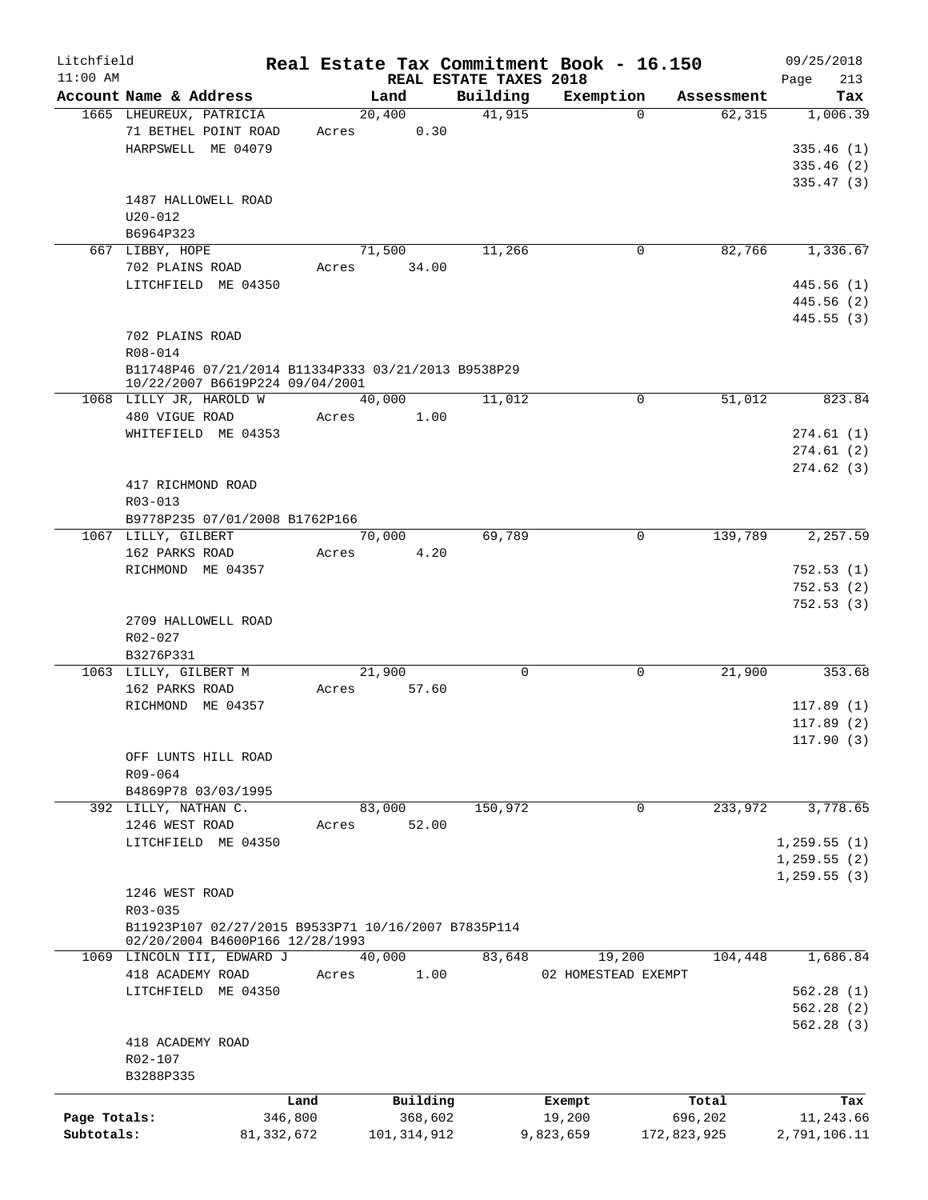| Litchfield<br>$11:00$ AM |                                                     |       |                 | REAL ESTATE TAXES 2018 | Real Estate Tax Commitment Book - 16.150 |             | 09/25/2018<br>213<br>Page |
|--------------------------|-----------------------------------------------------|-------|-----------------|------------------------|------------------------------------------|-------------|---------------------------|
|                          | Account Name & Address                              |       | Land            | Building               | Exemption                                | Assessment  | Tax                       |
|                          | 1665 LHEUREUX, PATRICIA                             |       | 20,400          | 41,915                 | $\Omega$                                 | 62,315      | 1,006.39                  |
|                          | 71 BETHEL POINT ROAD                                | Acres | 0.30            |                        |                                          |             |                           |
|                          | HARPSWELL ME 04079                                  |       |                 |                        |                                          |             | 335.46(1)                 |
|                          |                                                     |       |                 |                        |                                          |             | 335.46(2)                 |
|                          |                                                     |       |                 |                        |                                          |             |                           |
|                          |                                                     |       |                 |                        |                                          |             | 335.47(3)                 |
|                          | 1487 HALLOWELL ROAD                                 |       |                 |                        |                                          |             |                           |
|                          | $U20 - 012$                                         |       |                 |                        |                                          |             |                           |
|                          | B6964P323                                           |       |                 |                        |                                          |             |                           |
|                          | 667 LIBBY, HOPE                                     |       | 71,500          | 11,266                 | 0                                        | 82,766      | 1,336.67                  |
|                          | 702 PLAINS ROAD                                     | Acres | 34.00           |                        |                                          |             |                           |
|                          | LITCHFIELD ME 04350                                 |       |                 |                        |                                          |             | 445.56(1)                 |
|                          |                                                     |       |                 |                        |                                          |             | 445.56 (2)                |
|                          |                                                     |       |                 |                        |                                          |             | 445.55(3)                 |
|                          | 702 PLAINS ROAD                                     |       |                 |                        |                                          |             |                           |
|                          | R08-014                                             |       |                 |                        |                                          |             |                           |
|                          | B11748P46 07/21/2014 B11334P333 03/21/2013 B9538P29 |       |                 |                        |                                          |             |                           |
|                          | 10/22/2007 B6619P224 09/04/2001                     |       |                 |                        |                                          |             |                           |
|                          | 1068 LILLY JR, HAROLD W                             |       | 40,000          | 11,012                 | 0                                        | 51,012      | 823.84                    |
|                          | 480 VIGUE ROAD                                      | Acres | 1.00            |                        |                                          |             |                           |
|                          | WHITEFIELD ME 04353                                 |       |                 |                        |                                          |             | 274.61(1)                 |
|                          |                                                     |       |                 |                        |                                          |             | 274.61(2)                 |
|                          |                                                     |       |                 |                        |                                          |             | 274.62(3)                 |
|                          | 417 RICHMOND ROAD                                   |       |                 |                        |                                          |             |                           |
|                          | R03-013                                             |       |                 |                        |                                          |             |                           |
|                          | B9778P235 07/01/2008 B1762P166                      |       |                 |                        |                                          |             |                           |
|                          | 1067 LILLY, GILBERT                                 |       | 70,000          | 69,789                 | $\mathbf 0$                              | 139,789     | 2,257.59                  |
|                          | 162 PARKS ROAD                                      | Acres | 4.20            |                        |                                          |             |                           |
|                          | RICHMOND ME 04357                                   |       |                 |                        |                                          |             | 752.53(1)                 |
|                          |                                                     |       |                 |                        |                                          |             | 752.53(2)                 |
|                          |                                                     |       |                 |                        |                                          |             | 752.53(3)                 |
|                          | 2709 HALLOWELL ROAD                                 |       |                 |                        |                                          |             |                           |
|                          | R02-027                                             |       |                 |                        |                                          |             |                           |
|                          |                                                     |       |                 |                        |                                          |             |                           |
|                          | B3276P331<br>1063 LILLY, GILBERT M                  |       |                 | $\mathbf 0$            | 0                                        | 21,900      |                           |
|                          |                                                     |       | 21,900<br>57.60 |                        |                                          |             | 353.68                    |
|                          | 162 PARKS ROAD                                      | Acres |                 |                        |                                          |             |                           |
|                          | RICHMOND ME 04357                                   |       |                 |                        |                                          |             | 117.89(1)                 |
|                          |                                                     |       |                 |                        |                                          |             | 117.89(2)                 |
|                          |                                                     |       |                 |                        |                                          |             | 117.90(3)                 |
|                          | OFF LUNTS HILL ROAD                                 |       |                 |                        |                                          |             |                           |
|                          | R09-064                                             |       |                 |                        |                                          |             |                           |
|                          | B4869P78 03/03/1995                                 |       |                 |                        |                                          |             |                           |
|                          | 392 LILLY, NATHAN C.                                |       | 83,000          | 150,972                | 0                                        | 233,972     | 3,778.65                  |
|                          | 1246 WEST ROAD                                      | Acres | 52.00           |                        |                                          |             |                           |
|                          | LITCHFIELD ME 04350                                 |       |                 |                        |                                          |             | 1,259.55(1)               |
|                          |                                                     |       |                 |                        |                                          |             | 1, 259.55(2)              |
|                          |                                                     |       |                 |                        |                                          |             | 1, 259.55(3)              |
|                          | 1246 WEST ROAD                                      |       |                 |                        |                                          |             |                           |
|                          | R03-035                                             |       |                 |                        |                                          |             |                           |
|                          | B11923P107 02/27/2015 B9533P71 10/16/2007 B7835P114 |       |                 |                        |                                          |             |                           |
|                          | 02/20/2004 B4600P166 12/28/1993                     |       |                 |                        |                                          |             |                           |
|                          | 1069 LINCOLN III, EDWARD J                          |       | 40,000          | 83,648                 | 19,200                                   | 104,448     | 1,686.84                  |
|                          | 418 ACADEMY ROAD                                    | Acres | 1.00            |                        | 02 HOMESTEAD EXEMPT                      |             |                           |
|                          | LITCHFIELD ME 04350                                 |       |                 |                        |                                          |             | 562.28(1)                 |
|                          |                                                     |       |                 |                        |                                          |             | 562.28(2)                 |
|                          |                                                     |       |                 |                        |                                          |             | 562.28(3)                 |
|                          | 418 ACADEMY ROAD                                    |       |                 |                        |                                          |             |                           |
|                          | R02-107                                             |       |                 |                        |                                          |             |                           |
|                          | B3288P335                                           |       |                 |                        |                                          |             |                           |
|                          |                                                     |       |                 |                        |                                          |             |                           |
|                          | Land                                                |       | Building        |                        | Exempt                                   | Total       | Tax                       |
| Page Totals:             | 346,800                                             |       | 368,602         |                        | 19,200                                   | 696,202     | 11,243.66                 |
| Subtotals:               | 81,332,672                                          |       | 101, 314, 912   |                        | 9,823,659                                | 172,823,925 | 2,791,106.11              |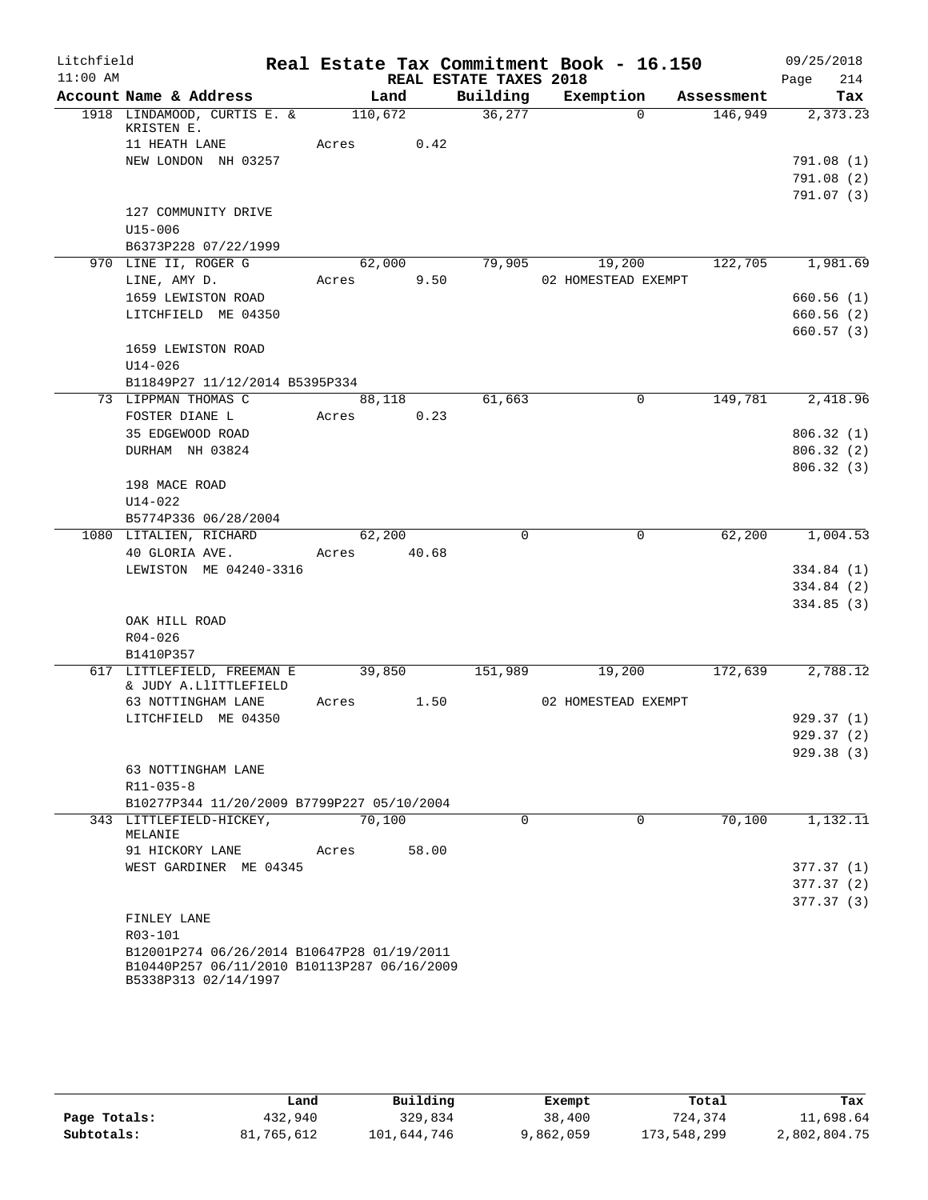| Litchfield |                                                                                                                   |         |        |                        | Real Estate Tax Commitment Book - 16.150 |            | 09/25/2018  |
|------------|-------------------------------------------------------------------------------------------------------------------|---------|--------|------------------------|------------------------------------------|------------|-------------|
| $11:00$ AM |                                                                                                                   |         |        | REAL ESTATE TAXES 2018 |                                          |            | 214<br>Page |
|            | Account Name & Address                                                                                            |         | Land   | Building               | Exemption                                | Assessment | Tax         |
|            | 1918 LINDAMOOD, CURTIS E. &<br>KRISTEN E.                                                                         | 110,672 |        | 36,277                 | $\Omega$                                 | 146,949    | 2,373.23    |
|            | 11 HEATH LANE                                                                                                     | Acres   | 0.42   |                        |                                          |            |             |
|            | NEW LONDON NH 03257                                                                                               |         |        |                        |                                          |            | 791.08(1)   |
|            |                                                                                                                   |         |        |                        |                                          |            | 791.08(2)   |
|            |                                                                                                                   |         |        |                        |                                          |            | 791.07 (3)  |
|            | 127 COMMUNITY DRIVE                                                                                               |         |        |                        |                                          |            |             |
|            | $U15 - 006$                                                                                                       |         |        |                        |                                          |            |             |
|            | B6373P228 07/22/1999<br>970 LINE II, ROGER G                                                                      |         | 62,000 | 79,905                 | 19,200                                   | 122,705    | 1,981.69    |
|            | LINE, AMY D.                                                                                                      | Acres   | 9.50   |                        | 02 HOMESTEAD EXEMPT                      |            |             |
|            | 1659 LEWISTON ROAD                                                                                                |         |        |                        |                                          |            | 660.56(1)   |
|            | LITCHFIELD ME 04350                                                                                               |         |        |                        |                                          |            | 660.56(2)   |
|            |                                                                                                                   |         |        |                        |                                          |            | 660.57(3)   |
|            | 1659 LEWISTON ROAD                                                                                                |         |        |                        |                                          |            |             |
|            | $U14 - 026$                                                                                                       |         |        |                        |                                          |            |             |
|            | B11849P27 11/12/2014 B5395P334                                                                                    |         |        |                        |                                          |            |             |
|            | 73 LIPPMAN THOMAS C                                                                                               |         | 88,118 | 61,663                 | $\mathbf 0$                              | 149,781    | 2,418.96    |
|            | FOSTER DIANE L                                                                                                    | Acres   | 0.23   |                        |                                          |            |             |
|            | 35 EDGEWOOD ROAD                                                                                                  |         |        |                        |                                          |            | 806.32(1)   |
|            | DURHAM NH 03824                                                                                                   |         |        |                        |                                          |            | 806.32(2)   |
|            |                                                                                                                   |         |        |                        |                                          |            | 806.32(3)   |
|            | 198 MACE ROAD                                                                                                     |         |        |                        |                                          |            |             |
|            | $U14 - 022$                                                                                                       |         |        |                        |                                          |            |             |
|            | B5774P336 06/28/2004                                                                                              |         |        |                        |                                          |            |             |
|            | 1080 LITALIEN, RICHARD                                                                                            |         | 62,200 | $\Omega$               | $\mathbf 0$                              | 62,200     | 1,004.53    |
|            | 40 GLORIA AVE.                                                                                                    | Acres   | 40.68  |                        |                                          |            |             |
|            | LEWISTON ME 04240-3316                                                                                            |         |        |                        |                                          |            | 334.84 (1)  |
|            |                                                                                                                   |         |        |                        |                                          |            | 334.84 (2)  |
|            |                                                                                                                   |         |        |                        |                                          |            | 334.85(3)   |
|            | OAK HILL ROAD                                                                                                     |         |        |                        |                                          |            |             |
|            | $R04 - 026$<br>B1410P357                                                                                          |         |        |                        |                                          |            |             |
|            | 617 LITTLEFIELD, FREEMAN E                                                                                        | 39,850  |        | 151,989                | 19,200                                   | 172,639    | 2,788.12    |
|            | & JUDY A.LlITTLEFIELD                                                                                             |         |        |                        |                                          |            |             |
|            | 63 NOTTINGHAM LANE                                                                                                | Acres   | 1.50   |                        | 02 HOMESTEAD EXEMPT                      |            |             |
|            | LITCHFIELD ME 04350                                                                                               |         |        |                        |                                          |            | 929.37(1)   |
|            |                                                                                                                   |         |        |                        |                                          |            | 929.37 (2)  |
|            |                                                                                                                   |         |        |                        |                                          |            | 929.38(3)   |
|            | 63 NOTTINGHAM LANE                                                                                                |         |        |                        |                                          |            |             |
|            | $R11 - 035 - 8$                                                                                                   |         |        |                        |                                          |            |             |
|            | B10277P344 11/20/2009 B7799P227 05/10/2004                                                                        |         |        |                        |                                          |            |             |
|            | 343 LITTLEFIELD-HICKEY,<br>MELANIE                                                                                |         | 70,100 | $\Omega$               | $\Omega$                                 | 70,100     | 1,132.11    |
|            | 91 HICKORY LANE                                                                                                   | Acres   | 58.00  |                        |                                          |            |             |
|            | WEST GARDINER ME 04345                                                                                            |         |        |                        |                                          |            | 377.37(1)   |
|            |                                                                                                                   |         |        |                        |                                          |            | 377.37(2)   |
|            |                                                                                                                   |         |        |                        |                                          |            | 377.37(3)   |
|            | FINLEY LANE                                                                                                       |         |        |                        |                                          |            |             |
|            | R03-101                                                                                                           |         |        |                        |                                          |            |             |
|            | B12001P274 06/26/2014 B10647P28 01/19/2011<br>B10440P257 06/11/2010 B10113P287 06/16/2009<br>B5338P313 02/14/1997 |         |        |                        |                                          |            |             |

|              | Land       | Building    | Exempt    | Total       | Tax          |
|--------------|------------|-------------|-----------|-------------|--------------|
| Page Totals: | 432,940    | 329,834     | 38,400    | 724,374     | 11,698.64    |
| Subtotals:   | 81,765,612 | 101,644,746 | 9,862,059 | 173,548,299 | 2,802,804.75 |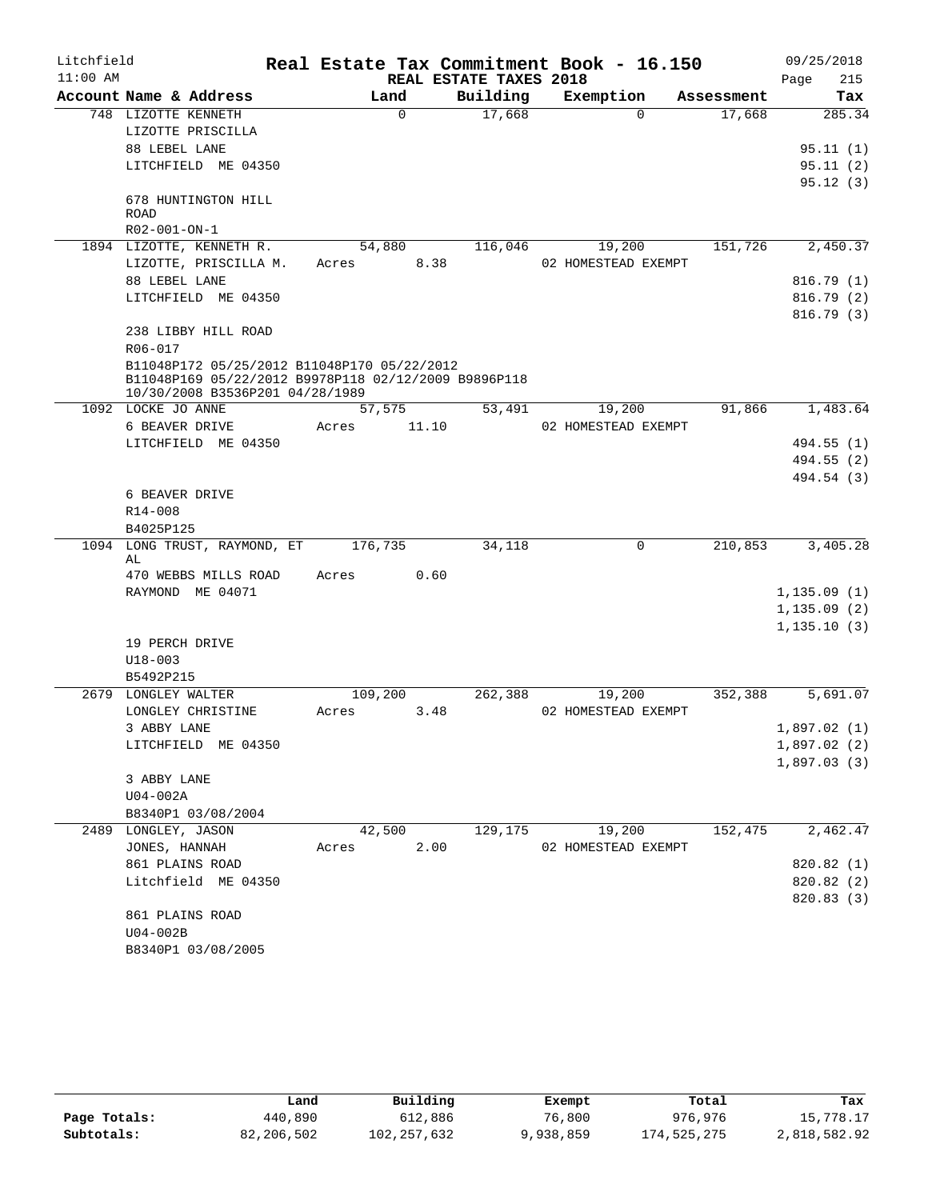| Litchfield |                          |                                                      |          |       |                        | Real Estate Tax Commitment Book - 16.150 |            | 09/25/2018   |
|------------|--------------------------|------------------------------------------------------|----------|-------|------------------------|------------------------------------------|------------|--------------|
| $11:00$ AM |                          |                                                      |          |       | REAL ESTATE TAXES 2018 |                                          |            | 215<br>Page  |
|            |                          | Account Name & Address                               | Land     |       | Building               | Exemption                                | Assessment | Tax          |
|            | 748 LIZOTTE KENNETH      |                                                      | $\Omega$ |       | 17,668                 | $\Omega$                                 | 17,668     | 285.34       |
|            |                          | LIZOTTE PRISCILLA                                    |          |       |                        |                                          |            |              |
|            | 88 LEBEL LANE            |                                                      |          |       |                        |                                          |            | 95.11(1)     |
|            |                          | LITCHFIELD ME 04350                                  |          |       |                        |                                          |            | 95.11(2)     |
|            |                          | 678 HUNTINGTON HILL                                  |          |       |                        |                                          |            | 95.12(3)     |
|            | <b>ROAD</b>              |                                                      |          |       |                        |                                          |            |              |
|            | R02-001-ON-1             |                                                      |          |       |                        |                                          |            |              |
|            |                          | 1894 LIZOTTE, KENNETH R.                             | 54,880   |       | 116,046                | 19,200                                   | 151,726    | 2,450.37     |
|            |                          | LIZOTTE, PRISCILLA M.                                | Acres    | 8.38  |                        | 02 HOMESTEAD EXEMPT                      |            |              |
|            | 88 LEBEL LANE            |                                                      |          |       |                        |                                          |            | 816.79(1)    |
|            |                          | LITCHFIELD ME 04350                                  |          |       |                        |                                          |            | 816.79(2)    |
|            |                          |                                                      |          |       |                        |                                          |            | 816.79(3)    |
|            |                          | 238 LIBBY HILL ROAD                                  |          |       |                        |                                          |            |              |
|            | R06-017                  |                                                      |          |       |                        |                                          |            |              |
|            |                          | B11048P172 05/25/2012 B11048P170 05/22/2012          |          |       |                        |                                          |            |              |
|            |                          | B11048P169 05/22/2012 B9978P118 02/12/2009 B9896P118 |          |       |                        |                                          |            |              |
|            | 1092 LOCKE JO ANNE       | 10/30/2008 B3536P201 04/28/1989                      | 57,575   |       | 53,491                 | 19,200                                   | 91,866     | 1,483.64     |
|            | 6 BEAVER DRIVE           |                                                      | Acres    | 11.10 |                        | 02 HOMESTEAD EXEMPT                      |            |              |
|            |                          | LITCHFIELD ME 04350                                  |          |       |                        |                                          |            | 494.55 (1)   |
|            |                          |                                                      |          |       |                        |                                          |            | 494.55 (2)   |
|            |                          |                                                      |          |       |                        |                                          |            | 494.54 (3)   |
|            | 6 BEAVER DRIVE           |                                                      |          |       |                        |                                          |            |              |
|            | R14-008                  |                                                      |          |       |                        |                                          |            |              |
|            | B4025P125                |                                                      |          |       |                        |                                          |            |              |
|            |                          | 1094 LONG TRUST, RAYMOND, ET                         | 176,735  |       | 34,118                 | $\mathbf 0$                              | 210,853    | 3,405.28     |
|            | AL                       |                                                      |          |       |                        |                                          |            |              |
|            |                          | 470 WEBBS MILLS ROAD                                 | Acres    | 0.60  |                        |                                          |            |              |
|            |                          | RAYMOND ME 04071                                     |          |       |                        |                                          |            | 1, 135.09(1) |
|            |                          |                                                      |          |       |                        |                                          |            | 1, 135.09(2) |
|            |                          |                                                      |          |       |                        |                                          |            | 1,135.10(3)  |
|            | 19 PERCH DRIVE           |                                                      |          |       |                        |                                          |            |              |
|            | $U18 - 003$<br>B5492P215 |                                                      |          |       |                        |                                          |            |              |
|            | 2679 LONGLEY WALTER      |                                                      | 109,200  |       | 262,388                | 19,200                                   | 352,388    | 5,691.07     |
|            |                          | LONGLEY CHRISTINE                                    | Acres    | 3.48  |                        | 02 HOMESTEAD EXEMPT                      |            |              |
|            | 3 ABBY LANE              |                                                      |          |       |                        |                                          |            | 1,897.02(1)  |
|            |                          | LITCHFIELD ME 04350                                  |          |       |                        |                                          |            | 1,897.02(2)  |
|            |                          |                                                      |          |       |                        |                                          |            | 1,897.03(3)  |
|            | 3 ABBY LANE              |                                                      |          |       |                        |                                          |            |              |
|            | U04-002A                 |                                                      |          |       |                        |                                          |            |              |
|            |                          | B8340P1 03/08/2004                                   |          |       |                        |                                          |            |              |
|            | 2489 LONGLEY, JASON      |                                                      | 42,500   |       | 129,175                | 19,200                                   | 152,475    | 2,462.47     |
|            | JONES, HANNAH            |                                                      | Acres    | 2.00  |                        | 02 HOMESTEAD EXEMPT                      |            |              |
|            |                          | 861 PLAINS ROAD                                      |          |       |                        |                                          |            | 820.82 (1)   |
|            |                          | Litchfield ME 04350                                  |          |       |                        |                                          |            | 820.82 (2)   |
|            |                          |                                                      |          |       |                        |                                          |            | 820.83(3)    |
|            |                          | 861 PLAINS ROAD                                      |          |       |                        |                                          |            |              |
|            | $U04-002B$               |                                                      |          |       |                        |                                          |            |              |
|            |                          | B8340P1 03/08/2005                                   |          |       |                        |                                          |            |              |

|              | Land       | Building    | Exempt    | Total       | Tax          |
|--------------|------------|-------------|-----------|-------------|--------------|
| Page Totals: | 440,890    | 612,886     | 76,800    | 976.976     | 15,778.17    |
| Subtotals:   | 82,206,502 | 102,257,632 | 9,938,859 | 174,525,275 | 2,818,582.92 |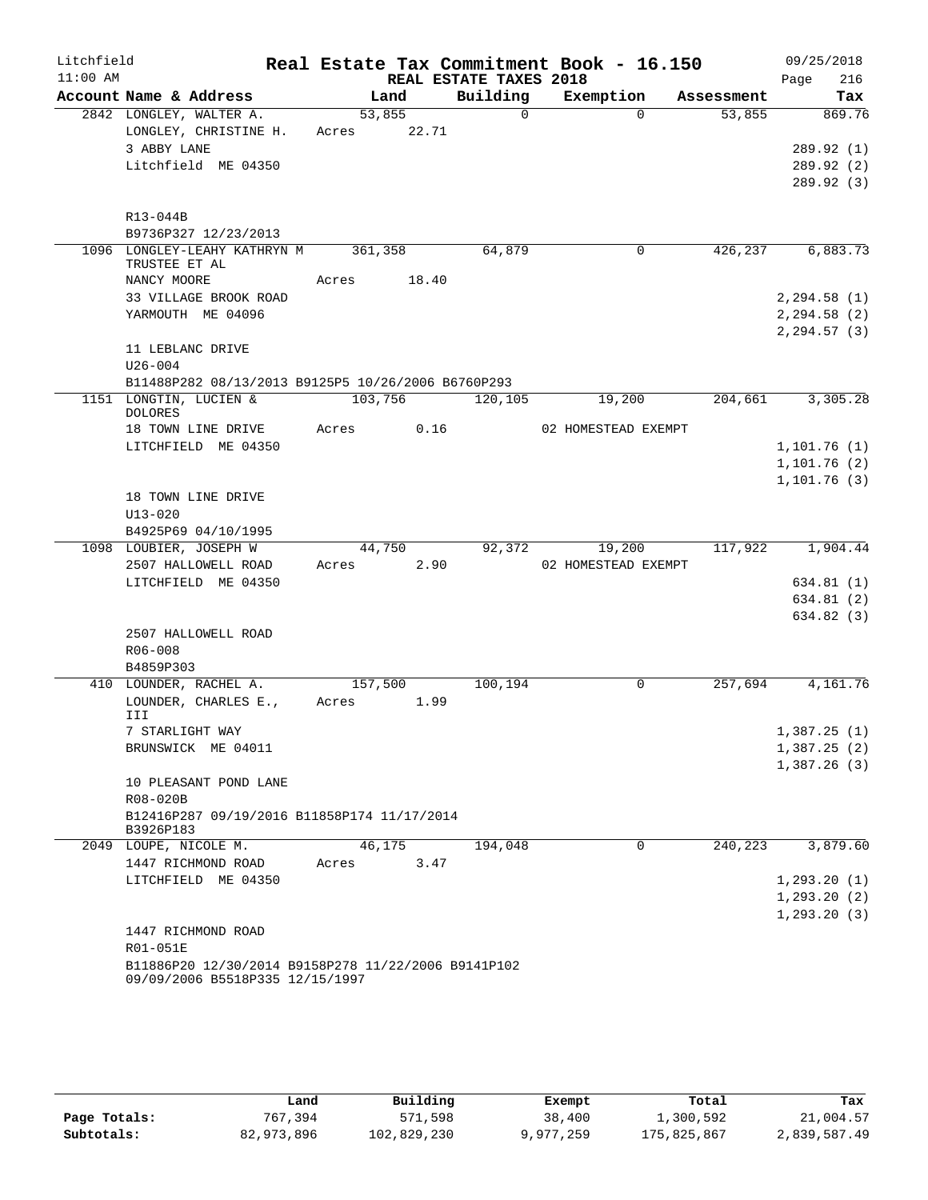| Litchfield |                                                                                        |                 |       |                        | Real Estate Tax Commitment Book - 16.150 |             |         | 09/25/2018                       |
|------------|----------------------------------------------------------------------------------------|-----------------|-------|------------------------|------------------------------------------|-------------|---------|----------------------------------|
| $11:00$ AM |                                                                                        |                 |       | REAL ESTATE TAXES 2018 |                                          |             |         | 216<br>Page                      |
|            | Account Name & Address                                                                 |                 | Land  | Building               | Exemption                                | Assessment  |         | Tax                              |
|            | 2842 LONGLEY, WALTER A.<br>LONGLEY, CHRISTINE H.                                       | 53,855<br>Acres | 22.71 |                        | $\mathsf{O}$                             | $\Omega$    | 53,855  | 869.76                           |
|            | 3 ABBY LANE                                                                            |                 |       |                        |                                          |             |         | 289.92 (1)                       |
|            | Litchfield ME 04350                                                                    |                 |       |                        |                                          |             |         | 289.92 (2)                       |
|            |                                                                                        |                 |       |                        |                                          |             |         | 289.92 (3)                       |
|            | R13-044B                                                                               |                 |       |                        |                                          |             |         |                                  |
|            | B9736P327 12/23/2013<br>1096 LONGLEY-LEAHY KATHRYN M                                   |                 |       |                        |                                          |             | 426,237 |                                  |
|            | TRUSTEE ET AL                                                                          | 361,358         |       | 64,879                 |                                          | 0           |         | 6,883.73                         |
|            | NANCY MOORE                                                                            | Acres           | 18.40 |                        |                                          |             |         |                                  |
|            | 33 VILLAGE BROOK ROAD                                                                  |                 |       |                        |                                          |             |         | 2, 294.58(1)                     |
|            | YARMOUTH ME 04096                                                                      |                 |       |                        |                                          |             |         | 2, 294.58 (2)<br>$2, 294.57$ (3) |
|            | 11 LEBLANC DRIVE                                                                       |                 |       |                        |                                          |             |         |                                  |
|            | $U26 - 004$                                                                            |                 |       |                        |                                          |             |         |                                  |
|            | B11488P282 08/13/2013 B9125P5 10/26/2006 B6760P293                                     |                 |       |                        |                                          |             |         |                                  |
|            | 1151 LONGTIN, LUCIEN &<br><b>DOLORES</b>                                               | 103,756         |       | 120,105                | 19,200                                   |             | 204,661 | 3,305.28                         |
|            | 18 TOWN LINE DRIVE                                                                     | Acres           | 0.16  |                        | 02 HOMESTEAD EXEMPT                      |             |         |                                  |
|            | LITCHFIELD ME 04350                                                                    |                 |       |                        |                                          |             |         | 1, 101.76(1)                     |
|            |                                                                                        |                 |       |                        |                                          |             |         | 1,101.76(2)                      |
|            |                                                                                        |                 |       |                        |                                          |             |         | 1, 101.76(3)                     |
|            | 18 TOWN LINE DRIVE<br>$U13 - 020$                                                      |                 |       |                        |                                          |             |         |                                  |
|            | B4925P69 04/10/1995                                                                    |                 |       |                        |                                          |             |         |                                  |
|            | 1098 LOUBIER, JOSEPH W                                                                 | 44,750          |       | 92,372                 | 19,200                                   |             | 117,922 | 1,904.44                         |
|            | 2507 HALLOWELL ROAD                                                                    | Acres           | 2.90  |                        | 02 HOMESTEAD EXEMPT                      |             |         |                                  |
|            | LITCHFIELD ME 04350                                                                    |                 |       |                        |                                          |             |         | 634.81(1)                        |
|            |                                                                                        |                 |       |                        |                                          |             |         | 634.81 (2)                       |
|            |                                                                                        |                 |       |                        |                                          |             |         | 634.82(3)                        |
|            | 2507 HALLOWELL ROAD                                                                    |                 |       |                        |                                          |             |         |                                  |
|            | R06-008                                                                                |                 |       |                        |                                          |             |         |                                  |
|            | B4859P303                                                                              |                 |       |                        |                                          |             |         |                                  |
|            | 410 LOUNDER, RACHEL A.                                                                 | 157,500         |       | 100,194                |                                          | 0           | 257,694 | 4,161.76                         |
|            | LOUNDER, CHARLES E.,<br>III                                                            | Acres           | 1.99  |                        |                                          |             |         |                                  |
|            | 7 STARLIGHT WAY                                                                        |                 |       |                        |                                          |             |         | 1,387.25(1)                      |
|            | BRUNSWICK ME 04011                                                                     |                 |       |                        |                                          |             |         | 1,387.25(2)                      |
|            | 10 PLEASANT POND LANE                                                                  |                 |       |                        |                                          |             |         | 1,387.26(3)                      |
|            | R08-020B                                                                               |                 |       |                        |                                          |             |         |                                  |
|            | B12416P287 09/19/2016 B11858P174 11/17/2014<br>B3926P183                               |                 |       |                        |                                          |             |         |                                  |
|            | 2049 LOUPE, NICOLE M.                                                                  | 46,175          |       | 194,048                |                                          | $\mathbf 0$ | 240,223 | 3,879.60                         |
|            | 1447 RICHMOND ROAD                                                                     | Acres           | 3.47  |                        |                                          |             |         |                                  |
|            | LITCHFIELD ME 04350                                                                    |                 |       |                        |                                          |             |         | 1,293.20(1)                      |
|            |                                                                                        |                 |       |                        |                                          |             |         | 1, 293.20(2)                     |
|            |                                                                                        |                 |       |                        |                                          |             |         | 1, 293.20(3)                     |
|            | 1447 RICHMOND ROAD                                                                     |                 |       |                        |                                          |             |         |                                  |
|            | R01-051E                                                                               |                 |       |                        |                                          |             |         |                                  |
|            | B11886P20 12/30/2014 B9158P278 11/22/2006 B9141P102<br>09/09/2006 B5518P335 12/15/1997 |                 |       |                        |                                          |             |         |                                  |

|              | Land       | Building    | Exempt    | Total       | Tax          |
|--------------|------------|-------------|-----------|-------------|--------------|
| Page Totals: | 767,394    | 571,598     | 38,400    | 1,300,592   | 21,004.57    |
| Subtotals:   | 82,973,896 | 102,829,230 | 9,977,259 | 175,825,867 | 2,839,587.49 |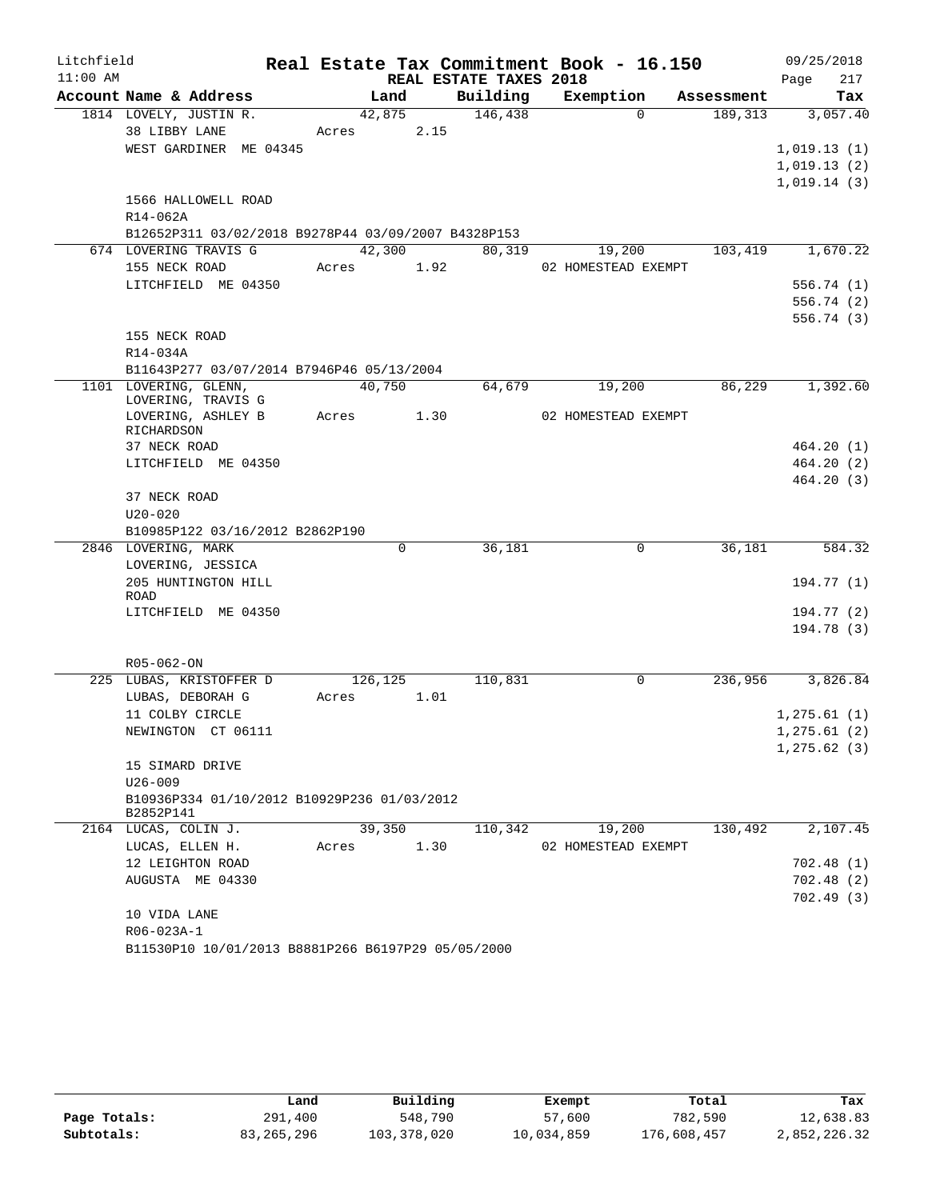| Litchfield |                                                          |       |         |      |                        | Real Estate Tax Commitment Book - 16.150 |             |            | 09/25/2018   |            |
|------------|----------------------------------------------------------|-------|---------|------|------------------------|------------------------------------------|-------------|------------|--------------|------------|
| $11:00$ AM |                                                          |       |         |      | REAL ESTATE TAXES 2018 |                                          |             |            | Page         | 217        |
|            | Account Name & Address                                   |       | Land    |      | Building               | Exemption                                |             | Assessment |              | Tax        |
|            | 1814 LOVELY, JUSTIN R.                                   |       | 42,875  |      | 146,438                |                                          | $\Omega$    | 189,313    |              | 3,057.40   |
|            | 38 LIBBY LANE                                            | Acres |         | 2.15 |                        |                                          |             |            |              |            |
|            | WEST GARDINER ME 04345                                   |       |         |      |                        |                                          |             |            | 1,019.13(1)  |            |
|            |                                                          |       |         |      |                        |                                          |             |            | 1,019.13(2)  |            |
|            | 1566 HALLOWELL ROAD                                      |       |         |      |                        |                                          |             |            | 1,019.14(3)  |            |
|            | R14-062A                                                 |       |         |      |                        |                                          |             |            |              |            |
|            | B12652P311 03/02/2018 B9278P44 03/09/2007 B4328P153      |       |         |      |                        |                                          |             |            |              |            |
|            | 674 LOVERING TRAVIS G                                    |       | 42,300  |      | 80,319                 | 19,200                                   |             | 103,419    |              | 1,670.22   |
|            | 155 NECK ROAD                                            | Acres | 1.92    |      |                        | 02 HOMESTEAD EXEMPT                      |             |            |              |            |
|            | LITCHFIELD ME 04350                                      |       |         |      |                        |                                          |             |            |              | 556.74(1)  |
|            |                                                          |       |         |      |                        |                                          |             |            |              | 556.74(2)  |
|            |                                                          |       |         |      |                        |                                          |             |            |              | 556.74(3)  |
|            | 155 NECK ROAD                                            |       |         |      |                        |                                          |             |            |              |            |
|            | R14-034A                                                 |       |         |      |                        |                                          |             |            |              |            |
|            | B11643P277 03/07/2014 B7946P46 05/13/2004                |       |         |      |                        |                                          |             |            |              |            |
|            | 1101 LOVERING, GLENN,<br>LOVERING, TRAVIS G              |       | 40,750  |      | 64,679                 | 19,200                                   |             | 86,229     |              | 1,392.60   |
|            | LOVERING, ASHLEY B<br>RICHARDSON                         | Acres |         | 1.30 |                        | 02 HOMESTEAD EXEMPT                      |             |            |              |            |
|            | 37 NECK ROAD                                             |       |         |      |                        |                                          |             |            |              | 464.20(1)  |
|            | LITCHFIELD ME 04350                                      |       |         |      |                        |                                          |             |            |              | 464.20(2)  |
|            |                                                          |       |         |      |                        |                                          |             |            |              | 464.20(3)  |
|            | 37 NECK ROAD                                             |       |         |      |                        |                                          |             |            |              |            |
|            | $U20 - 020$                                              |       |         |      |                        |                                          |             |            |              |            |
|            | B10985P122 03/16/2012 B2862P190                          |       |         |      |                        |                                          |             |            |              |            |
|            | 2846 LOVERING, MARK                                      |       | 0       |      | 36,181                 |                                          | 0           | 36,181     |              | 584.32     |
|            | LOVERING, JESSICA<br>205 HUNTINGTON HILL                 |       |         |      |                        |                                          |             |            |              | 194.77 (1) |
|            | ROAD                                                     |       |         |      |                        |                                          |             |            |              |            |
|            | LITCHFIELD ME 04350                                      |       |         |      |                        |                                          |             |            |              | 194.77 (2) |
|            |                                                          |       |         |      |                        |                                          |             |            |              | 194.78(3)  |
|            |                                                          |       |         |      |                        |                                          |             |            |              |            |
|            | R05-062-ON                                               |       |         |      |                        |                                          |             |            |              |            |
|            | 225 LUBAS, KRISTOFFER D                                  |       | 126,125 |      | 110,831                |                                          | $\mathbf 0$ | 236,956    |              | 3,826.84   |
|            | LUBAS, DEBORAH G                                         | Acres |         | 1.01 |                        |                                          |             |            |              |            |
|            | 11 COLBY CIRCLE                                          |       |         |      |                        |                                          |             |            | 1, 275.61(1) |            |
|            | NEWINGTON CT 06111                                       |       |         |      |                        |                                          |             |            | 1, 275.61(2) |            |
|            | 15 SIMARD DRIVE                                          |       |         |      |                        |                                          |             |            | 1, 275.62(3) |            |
|            | $U26 - 009$                                              |       |         |      |                        |                                          |             |            |              |            |
|            | B10936P334 01/10/2012 B10929P236 01/03/2012<br>B2852P141 |       |         |      |                        |                                          |             |            |              |            |
|            | 2164 LUCAS, COLIN J.                                     |       | 39,350  |      | 110,342                | 19,200                                   |             | 130,492    |              | 2,107.45   |
|            | LUCAS, ELLEN H.                                          | Acres |         | 1.30 |                        | 02 HOMESTEAD EXEMPT                      |             |            |              |            |
|            | 12 LEIGHTON ROAD                                         |       |         |      |                        |                                          |             |            |              | 702.48(1)  |
|            | AUGUSTA ME 04330                                         |       |         |      |                        |                                          |             |            |              | 702.48(2)  |
|            |                                                          |       |         |      |                        |                                          |             |            |              | 702.49(3)  |
|            | 10 VIDA LANE                                             |       |         |      |                        |                                          |             |            |              |            |
|            | R06-023A-1                                               |       |         |      |                        |                                          |             |            |              |            |
|            | B11530P10 10/01/2013 B8881P266 B6197P29 05/05/2000       |       |         |      |                        |                                          |             |            |              |            |

|              | Land       | Building      | Exempt     | Total       | Tax          |
|--------------|------------|---------------|------------|-------------|--------------|
| Page Totals: | 291,400    | 548,790       | 57,600     | 782,590     | 12,638.83    |
| Subtotals:   | 83,265,296 | 103, 378, 020 | 10,034,859 | 176,608,457 | 2,852,226.32 |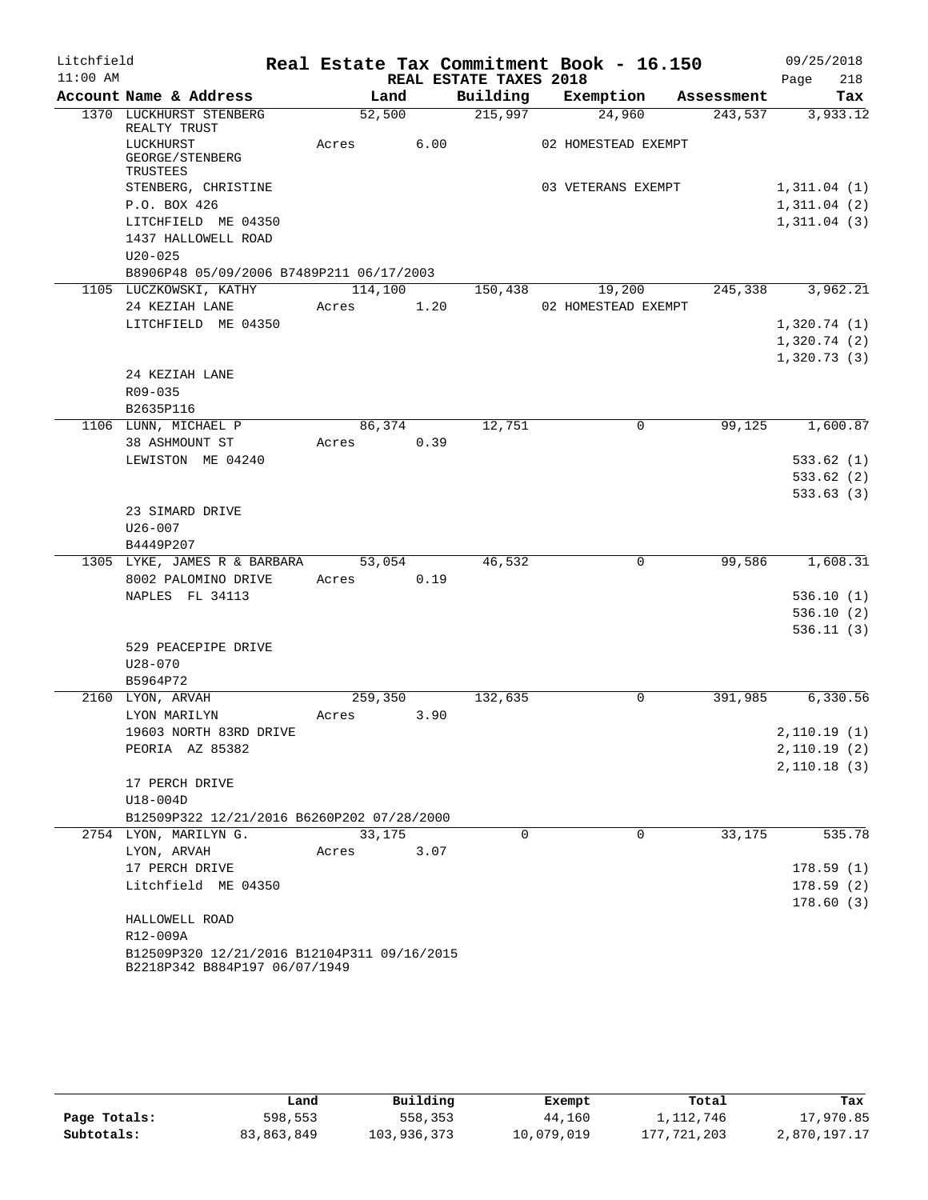| Litchfield |                                                                              |            |        |                        | Real Estate Tax Commitment Book - 16.150 |         | 09/25/2018                 |
|------------|------------------------------------------------------------------------------|------------|--------|------------------------|------------------------------------------|---------|----------------------------|
| $11:00$ AM |                                                                              |            |        | REAL ESTATE TAXES 2018 |                                          |         | Page<br>218                |
|            | Account Name & Address                                                       | Land       |        | Building               | Exemption Assessment                     |         | Tax                        |
|            | 1370 LUCKHURST STENBERG<br>REALTY TRUST                                      | 52,500     |        | $\overline{215,997}$   | 24,960                                   | 243,537 | 3,933.12                   |
|            | LUCKHURST                                                                    | Acres 6.00 |        |                        | 02 HOMESTEAD EXEMPT                      |         |                            |
|            | GEORGE/STENBERG                                                              |            |        |                        |                                          |         |                            |
|            | TRUSTEES                                                                     |            |        |                        |                                          |         |                            |
|            | STENBERG, CHRISTINE<br>P.O. BOX 426                                          |            |        |                        | 03 VETERANS EXEMPT                       |         | 1,311.04(1)                |
|            | LITCHFIELD ME 04350                                                          |            |        |                        |                                          |         | 1,311.04(2)<br>1,311.04(3) |
|            | 1437 HALLOWELL ROAD                                                          |            |        |                        |                                          |         |                            |
|            | $U20 - 025$                                                                  |            |        |                        |                                          |         |                            |
|            | B8906P48 05/09/2006 B7489P211 06/17/2003                                     |            |        |                        |                                          |         |                            |
|            | 1105 LUCZKOWSKI, KATHY                                                       |            |        | 114,100 150,438        | 19,200                                   | 245,338 | 3,962.21                   |
|            | 24 KEZIAH LANE                                                               | Acres      | 1.20   |                        | 02 HOMESTEAD EXEMPT                      |         |                            |
|            | LITCHFIELD ME 04350                                                          |            |        |                        |                                          |         | 1,320.74(1)                |
|            |                                                                              |            |        |                        |                                          |         | 1,320.74(2)                |
|            |                                                                              |            |        |                        |                                          |         | 1,320.73(3)                |
|            | 24 KEZIAH LANE                                                               |            |        |                        |                                          |         |                            |
|            | R09-035                                                                      |            |        |                        |                                          |         |                            |
|            | B2635P116                                                                    |            |        |                        |                                          |         |                            |
|            | 1106 LUNN, MICHAEL P                                                         |            | 86,374 | 12,751                 | 0                                        | 99,125  | 1,600.87                   |
|            | 38 ASHMOUNT ST                                                               | Acres      | 0.39   |                        |                                          |         |                            |
|            | LEWISTON ME 04240                                                            |            |        |                        |                                          |         | 533.62(1)<br>533.62(2)     |
|            |                                                                              |            |        |                        |                                          |         | 533.63(3)                  |
|            | 23 SIMARD DRIVE                                                              |            |        |                        |                                          |         |                            |
|            | $U26 - 007$                                                                  |            |        |                        |                                          |         |                            |
|            | B4449P207                                                                    |            |        |                        |                                          |         |                            |
|            | 1305 LYKE, JAMES R & BARBARA 53,054                                          |            |        | 46,532                 | 0                                        | 99,586  | 1,608.31                   |
|            | 8002 PALOMINO DRIVE                                                          | Acres 0.19 |        |                        |                                          |         |                            |
|            | NAPLES FL 34113                                                              |            |        |                        |                                          |         | 536.10(1)                  |
|            |                                                                              |            |        |                        |                                          |         | 536.10(2)                  |
|            |                                                                              |            |        |                        |                                          |         | 536.11(3)                  |
|            | 529 PEACEPIPE DRIVE                                                          |            |        |                        |                                          |         |                            |
|            | $U28 - 070$                                                                  |            |        |                        |                                          |         |                            |
|            | B5964P72                                                                     |            |        |                        |                                          |         |                            |
|            | 2160 LYON, ARVAH                                                             | 259,350    |        | 132,635                | $\overline{0}$                           | 391,985 | 6,330.56                   |
|            | LYON MARILYN                                                                 | Acres      | 3.90   |                        |                                          |         |                            |
|            | 19603 NORTH 83RD DRIVE<br>PEORIA AZ 85382                                    |            |        |                        |                                          |         | 2,110.19(1)<br>2,110.19(2) |
|            |                                                                              |            |        |                        |                                          |         | 2,110.18(3)                |
|            | 17 PERCH DRIVE                                                               |            |        |                        |                                          |         |                            |
|            | $U18-004D$                                                                   |            |        |                        |                                          |         |                            |
|            | B12509P322 12/21/2016 B6260P202 07/28/2000                                   |            |        |                        |                                          |         |                            |
|            | 2754 LYON, MARILYN G.                                                        | 33,175     |        | $\Omega$               | $\Omega$                                 | 33,175  | 535.78                     |
|            | LYON, ARVAH                                                                  | Acres      | 3.07   |                        |                                          |         |                            |
|            | 17 PERCH DRIVE                                                               |            |        |                        |                                          |         | 178.59(1)                  |
|            | Litchfield ME 04350                                                          |            |        |                        |                                          |         | 178.59(2)                  |
|            |                                                                              |            |        |                        |                                          |         | 178.60(3)                  |
|            | HALLOWELL ROAD                                                               |            |        |                        |                                          |         |                            |
|            | R12-009A                                                                     |            |        |                        |                                          |         |                            |
|            | B12509P320 12/21/2016 B12104P311 09/16/2015<br>B2218P342 B884P197 06/07/1949 |            |        |                        |                                          |         |                            |
|            |                                                                              |            |        |                        |                                          |         |                            |

|              | Land       | Building    | Exempt     | Total       | Tax          |
|--------------|------------|-------------|------------|-------------|--------------|
| Page Totals: | 598,553    | 558,353     | 44,160     | 1,112,746   | 17,970.85    |
| Subtotals:   | 83,863,849 | 103,936,373 | 10,079,019 | 177,721,203 | 2,870,197.17 |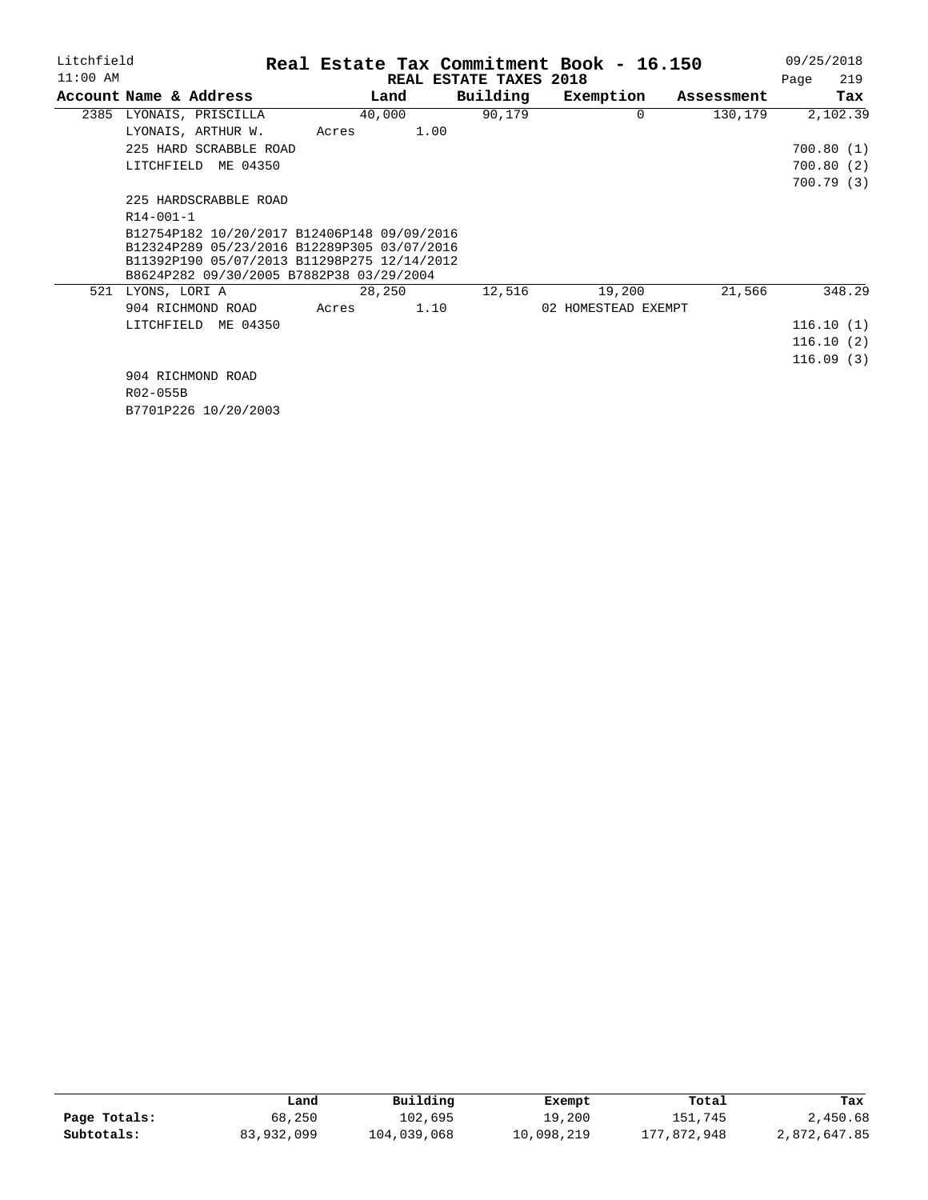| Litchfield |                                                           |        |      |                        | Real Estate Tax Commitment Book - 16.150 |            |      | 09/25/2018 |
|------------|-----------------------------------------------------------|--------|------|------------------------|------------------------------------------|------------|------|------------|
| $11:00$ AM |                                                           |        |      | REAL ESTATE TAXES 2018 |                                          |            | Page | 219        |
|            | Account Name & Address                                    |        | Land |                        | Building<br>Exemption                    | Assessment |      | Tax        |
| 2385       | LYONAIS, PRISCILLA                                        | 40,000 |      | 90,179                 | $\Omega$                                 | 130,179    |      | 2,102.39   |
|            | LYONAIS, ARTHUR W.                                        | Acres  | 1.00 |                        |                                          |            |      |            |
|            | 225 HARD SCRABBLE ROAD                                    |        |      |                        |                                          |            |      | 700.80(1)  |
|            | LITCHFIELD ME 04350                                       |        |      |                        |                                          |            |      | 700.80(2)  |
|            |                                                           |        |      |                        |                                          |            |      | 700.79(3)  |
|            | 225 HARDSCRABBLE ROAD                                     |        |      |                        |                                          |            |      |            |
|            | $R14 - 001 - 1$                                           |        |      |                        |                                          |            |      |            |
|            | B12754P182 10/20/2017 B12406P148 09/09/2016               |        |      |                        |                                          |            |      |            |
|            | B12324P289 05/23/2016 B12289P305 03/07/2016               |        |      |                        |                                          |            |      |            |
|            | B11392P190 05/07/2013 B11298P275 12/14/2012               |        |      |                        |                                          |            |      |            |
| 521        | B8624P282 09/30/2005 B7882P38 03/29/2004<br>LYONS, LORI A | 28,250 |      | 12,516                 | 19,200                                   | 21,566     |      | 348.29     |
|            | 904 RICHMOND ROAD                                         | Acres  | 1.10 |                        | 02 HOMESTEAD EXEMPT                      |            |      |            |
|            |                                                           |        |      |                        |                                          |            |      |            |
|            | ME 04350<br>LITCHFIELD                                    |        |      |                        |                                          |            |      | 116.10(1)  |
|            |                                                           |        |      |                        |                                          |            |      | 116.10(2)  |
|            |                                                           |        |      |                        |                                          |            |      | 116.09(3)  |
|            | 904 RICHMOND ROAD                                         |        |      |                        |                                          |            |      |            |
|            | R02-055B                                                  |        |      |                        |                                          |            |      |            |
|            | B7701P226 10/20/2003                                      |        |      |                        |                                          |            |      |            |

|              | Land       | Building    | Exempt     | Total       | Tax          |
|--------------|------------|-------------|------------|-------------|--------------|
| Page Totals: | 68,250     | 102,695     | 19,200     | 151,745     | 2,450.68     |
| Subtotals:   | 83,932,099 | 104,039,068 | 10,098,219 | 177,872,948 | 2,872,647.85 |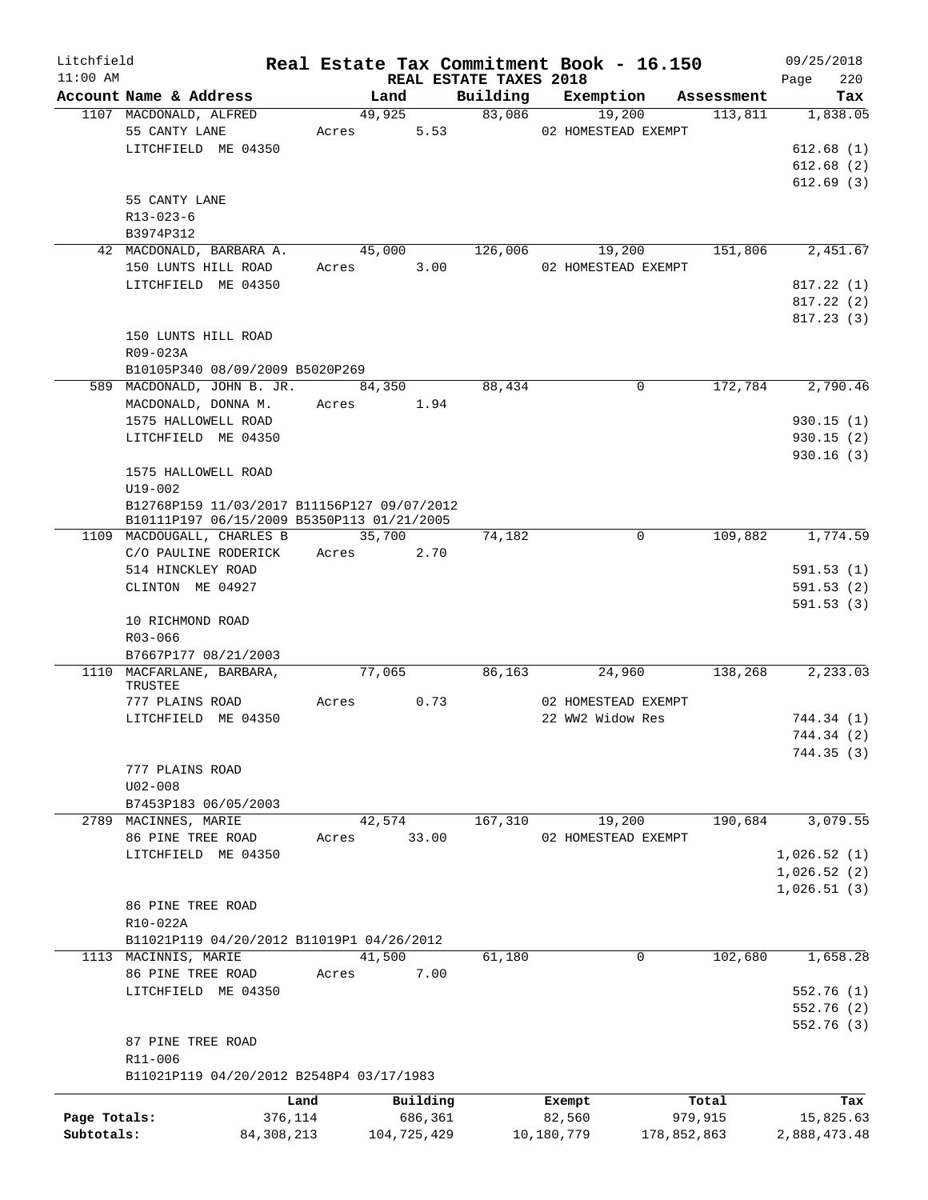| Litchfield   |                                             |              |        |             |                                    | Real Estate Tax Commitment Book - 16.150 |             |            | 09/25/2018   |            |
|--------------|---------------------------------------------|--------------|--------|-------------|------------------------------------|------------------------------------------|-------------|------------|--------------|------------|
| $11:00$ AM   | Account Name & Address                      |              | Land   |             | REAL ESTATE TAXES 2018<br>Building | Exemption                                |             | Assessment | Page         | 220<br>Tax |
|              | 1107 MACDONALD, ALFRED                      |              | 49,925 |             | 83,086                             | 19,200                                   |             | 113,811    |              | 1,838.05   |
|              | 55 CANTY LANE                               | Acres        |        | 5.53        |                                    | 02 HOMESTEAD EXEMPT                      |             |            |              |            |
|              | LITCHFIELD ME 04350                         |              |        |             |                                    |                                          |             |            | 612.68(1)    |            |
|              |                                             |              |        |             |                                    |                                          |             |            | 612.68(2)    |            |
|              |                                             |              |        |             |                                    |                                          |             |            | 612.69(3)    |            |
|              | 55 CANTY LANE                               |              |        |             |                                    |                                          |             |            |              |            |
|              | $R13 - 023 - 6$                             |              |        |             |                                    |                                          |             |            |              |            |
|              | B3974P312                                   |              |        |             |                                    |                                          |             |            |              |            |
|              | 42 MACDONALD, BARBARA A.                    |              | 45,000 |             | 126,006                            | 19,200                                   |             | 151,806    |              | 2,451.67   |
|              | 150 LUNTS HILL ROAD                         | Acres        |        | 3.00        |                                    | 02 HOMESTEAD EXEMPT                      |             |            |              |            |
|              | LITCHFIELD ME 04350                         |              |        |             |                                    |                                          |             |            | 817.22(1)    |            |
|              |                                             |              |        |             |                                    |                                          |             |            |              |            |
|              |                                             |              |        |             |                                    |                                          |             |            | 817.22(2)    |            |
|              |                                             |              |        |             |                                    |                                          |             |            | 817.23(3)    |            |
|              | 150 LUNTS HILL ROAD                         |              |        |             |                                    |                                          |             |            |              |            |
|              | R09-023A                                    |              |        |             |                                    |                                          |             |            |              |            |
|              | B10105P340 08/09/2009 B5020P269             |              |        |             |                                    |                                          |             |            |              |            |
|              | 589 MACDONALD, JOHN B. JR.                  |              | 84,350 |             | 88,434                             |                                          | 0           | 172,784    |              | 2,790.46   |
|              | MACDONALD, DONNA M.                         |              | Acres  | 1.94        |                                    |                                          |             |            |              |            |
|              | 1575 HALLOWELL ROAD                         |              |        |             |                                    |                                          |             |            | 930.15(1)    |            |
|              | LITCHFIELD ME 04350                         |              |        |             |                                    |                                          |             |            | 930.15(2)    |            |
|              |                                             |              |        |             |                                    |                                          |             |            | 930.16(3)    |            |
|              | 1575 HALLOWELL ROAD                         |              |        |             |                                    |                                          |             |            |              |            |
|              | $U19 - 002$                                 |              |        |             |                                    |                                          |             |            |              |            |
|              | B12768P159 11/03/2017 B11156P127 09/07/2012 |              |        |             |                                    |                                          |             |            |              |            |
|              | B10111P197 06/15/2009 B5350P113 01/21/2005  |              |        |             |                                    |                                          |             |            |              |            |
|              | 1109 MACDOUGALL, CHARLES B                  |              | 35,700 |             | 74,182                             |                                          | 0           | 109,882    |              | 1,774.59   |
|              | C/O PAULINE RODERICK                        |              | Acres  | 2.70        |                                    |                                          |             |            |              |            |
|              | 514 HINCKLEY ROAD                           |              |        |             |                                    |                                          |             |            | 591.53(1)    |            |
|              | CLINTON ME 04927                            |              |        |             |                                    |                                          |             |            | 591.53(2)    |            |
|              |                                             |              |        |             |                                    |                                          |             |            | 591.53(3)    |            |
|              | 10 RICHMOND ROAD                            |              |        |             |                                    |                                          |             |            |              |            |
|              | R03-066                                     |              |        |             |                                    |                                          |             |            |              |            |
|              | B7667P177 08/21/2003                        |              |        |             |                                    |                                          |             |            |              |            |
|              | 1110 MACFARLANE, BARBARA,                   |              | 77,065 |             | 86,163                             | 24,960                                   |             | 138,268    |              | 2,233.03   |
|              | TRUSTEE                                     |              |        |             |                                    |                                          |             |            |              |            |
|              | 777 PLAINS ROAD                             | Acres        |        | 0.73        |                                    | 02 HOMESTEAD EXEMPT                      |             |            |              |            |
|              | LITCHFIELD ME 04350                         |              |        |             |                                    | 22 WW2 Widow Res                         |             |            | 744.34 (1)   |            |
|              |                                             |              |        |             |                                    |                                          |             |            | 744.34(2)    |            |
|              |                                             |              |        |             |                                    |                                          |             |            | 744.35(3)    |            |
|              | 777 PLAINS ROAD                             |              |        |             |                                    |                                          |             |            |              |            |
|              | $U02 - 008$                                 |              |        |             |                                    |                                          |             |            |              |            |
|              | B7453P183 06/05/2003                        |              |        |             |                                    |                                          |             |            |              |            |
|              | 2789 MACINNES, MARIE                        |              | 42,574 |             | 167,310                            | 19,200                                   |             | 190,684    |              | 3,079.55   |
|              | 86 PINE TREE ROAD                           | Acres        |        | 33.00       |                                    | 02 HOMESTEAD EXEMPT                      |             |            |              |            |
|              | LITCHFIELD ME 04350                         |              |        |             |                                    |                                          |             |            | 1,026.52(1)  |            |
|              |                                             |              |        |             |                                    |                                          |             |            | 1,026.52(2)  |            |
|              |                                             |              |        |             |                                    |                                          |             |            | 1,026.51(3)  |            |
|              | 86 PINE TREE ROAD                           |              |        |             |                                    |                                          |             |            |              |            |
|              | R10-022A                                    |              |        |             |                                    |                                          |             |            |              |            |
|              | B11021P119 04/20/2012 B11019P1 04/26/2012   |              |        |             |                                    |                                          |             |            |              |            |
|              | 1113 MACINNIS, MARIE                        |              | 41,500 |             | 61,180                             |                                          | $\mathbf 0$ | 102,680    |              | 1,658.28   |
|              | 86 PINE TREE ROAD                           | Acres        |        | 7.00        |                                    |                                          |             |            |              |            |
|              | LITCHFIELD ME 04350                         |              |        |             |                                    |                                          |             |            | 552.76(1)    |            |
|              |                                             |              |        |             |                                    |                                          |             |            | 552.76 (2)   |            |
|              |                                             |              |        |             |                                    |                                          |             |            | 552.76(3)    |            |
|              | 87 PINE TREE ROAD                           |              |        |             |                                    |                                          |             |            |              |            |
|              | R11-006                                     |              |        |             |                                    |                                          |             |            |              |            |
|              | B11021P119 04/20/2012 B2548P4 03/17/1983    |              |        |             |                                    |                                          |             |            |              |            |
|              |                                             | Land         |        | Building    |                                    | Exempt                                   |             | Total      |              | Tax        |
| Page Totals: |                                             | 376,114      |        | 686,361     |                                    | 82,560                                   |             | 979,915    | 15,825.63    |            |
| Subtotals:   |                                             | 84, 308, 213 |        | 104,725,429 |                                    | 10,180,779                               | 178,852,863 |            | 2,888,473.48 |            |
|              |                                             |              |        |             |                                    |                                          |             |            |              |            |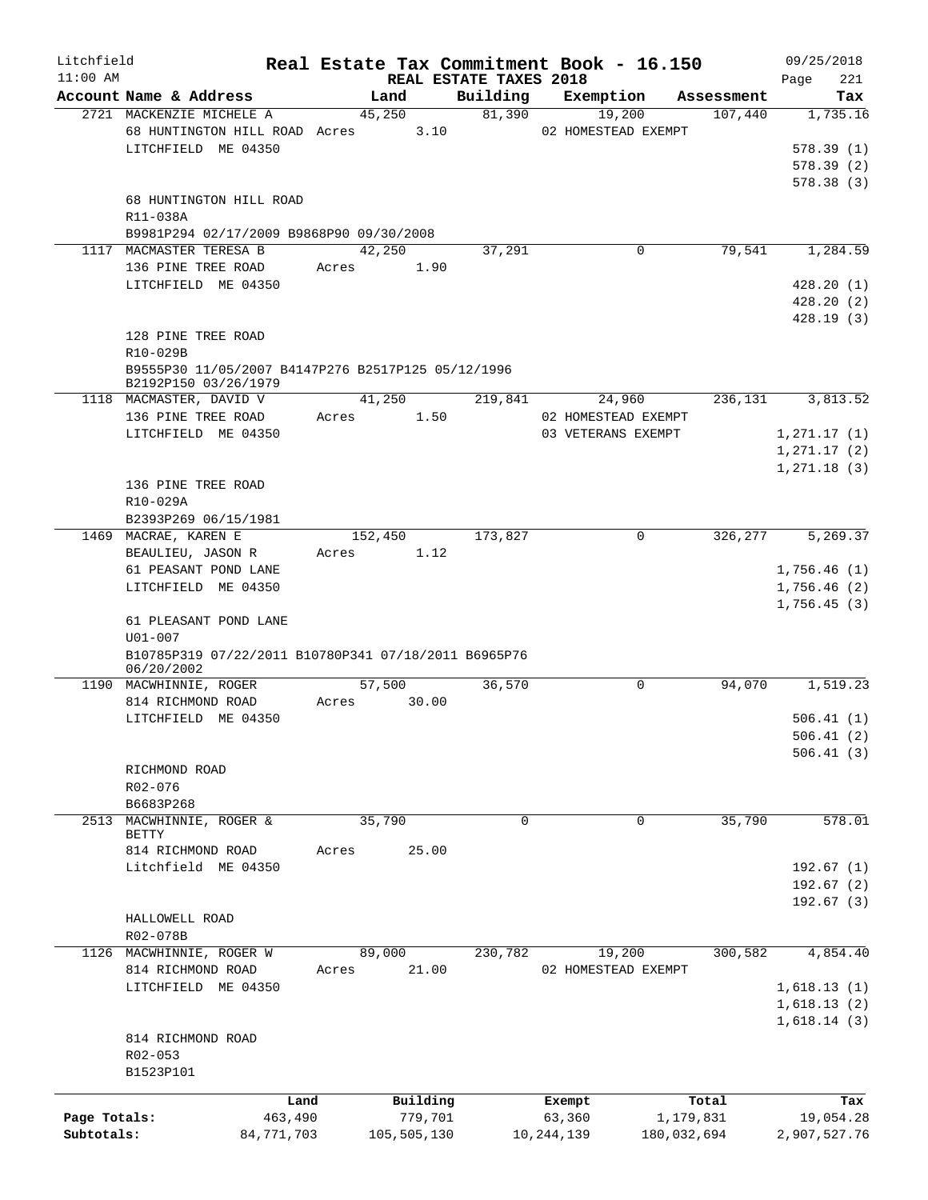| Litchfield<br>$11:00$ AM |                                                      |            |       |             |          |                                    | Real Estate Tax Commitment Book - 16.150 |             |            | 09/25/2018                 |
|--------------------------|------------------------------------------------------|------------|-------|-------------|----------|------------------------------------|------------------------------------------|-------------|------------|----------------------------|
|                          | Account Name & Address                               |            |       | Land        |          | REAL ESTATE TAXES 2018<br>Building | Exemption                                |             | Assessment | 221<br>Page<br>Tax         |
|                          | 2721 MACKENZIE MICHELE A                             |            |       | 45,250      |          | 81,390                             | 19,200                                   |             | 107,440    | 1,735.16                   |
|                          | 68 HUNTINGTON HILL ROAD Acres                        |            |       |             | 3.10     |                                    | 02 HOMESTEAD EXEMPT                      |             |            |                            |
|                          | LITCHFIELD ME 04350                                  |            |       |             |          |                                    |                                          |             |            | 578.39(1)                  |
|                          |                                                      |            |       |             |          |                                    |                                          |             |            | 578.39(2)                  |
|                          |                                                      |            |       |             |          |                                    |                                          |             |            | 578.38(3)                  |
|                          | 68 HUNTINGTON HILL ROAD                              |            |       |             |          |                                    |                                          |             |            |                            |
|                          | R11-038A                                             |            |       |             |          |                                    |                                          |             |            |                            |
|                          | B9981P294 02/17/2009 B9868P90 09/30/2008             |            |       |             |          |                                    |                                          |             |            |                            |
| 1117                     | MACMASTER TERESA B                                   |            |       | 42,250      |          | 37,291                             |                                          | 0           | 79,541     | 1,284.59                   |
|                          | 136 PINE TREE ROAD                                   |            | Acres |             | 1.90     |                                    |                                          |             |            |                            |
|                          | LITCHFIELD ME 04350                                  |            |       |             |          |                                    |                                          |             |            | 428.20(1)                  |
|                          |                                                      |            |       |             |          |                                    |                                          |             |            | 428.20(2)                  |
|                          | 128 PINE TREE ROAD                                   |            |       |             |          |                                    |                                          |             |            | 428.19(3)                  |
|                          | R10-029B                                             |            |       |             |          |                                    |                                          |             |            |                            |
|                          | B9555P30 11/05/2007 B4147P276 B2517P125 05/12/1996   |            |       |             |          |                                    |                                          |             |            |                            |
|                          | B2192P150 03/26/1979                                 |            |       |             |          |                                    |                                          |             |            |                            |
|                          | 1118 MACMASTER, DAVID V                              |            |       | 41,250      |          | 219,841                            | 24,960                                   |             | 236,131    | 3,813.52                   |
|                          | 136 PINE TREE ROAD                                   |            | Acres |             | 1.50     |                                    | 02 HOMESTEAD EXEMPT                      |             |            |                            |
|                          | LITCHFIELD ME 04350                                  |            |       |             |          |                                    | 03 VETERANS EXEMPT                       |             |            | 1, 271.17(1)               |
|                          |                                                      |            |       |             |          |                                    |                                          |             |            | 1, 271.17(2)               |
|                          |                                                      |            |       |             |          |                                    |                                          |             |            | 1, 271.18(3)               |
|                          | 136 PINE TREE ROAD                                   |            |       |             |          |                                    |                                          |             |            |                            |
|                          | R10-029A                                             |            |       |             |          |                                    |                                          |             |            |                            |
|                          | B2393P269 06/15/1981                                 |            |       |             |          |                                    |                                          |             |            |                            |
|                          | 1469 MACRAE, KAREN E                                 |            |       | 152,450     |          | 173,827                            |                                          | 0           | 326,277    | 5,269.37                   |
|                          | BEAULIEU, JASON R                                    |            | Acres |             | 1.12     |                                    |                                          |             |            |                            |
|                          | 61 PEASANT POND LANE<br>LITCHFIELD ME 04350          |            |       |             |          |                                    |                                          |             |            | 1,756.46(1)                |
|                          |                                                      |            |       |             |          |                                    |                                          |             |            | 1,756.46(2)<br>1,756.45(3) |
|                          | 61 PLEASANT POND LANE                                |            |       |             |          |                                    |                                          |             |            |                            |
|                          | $U01 - 007$                                          |            |       |             |          |                                    |                                          |             |            |                            |
|                          | B10785P319 07/22/2011 B10780P341 07/18/2011 B6965P76 |            |       |             |          |                                    |                                          |             |            |                            |
|                          | 06/20/2002                                           |            |       |             |          |                                    |                                          |             |            |                            |
|                          | 1190 MACWHINNIE, ROGER                               |            |       | 57,500      |          | 36,570                             |                                          | 0           | 94,070     | 1,519.23                   |
|                          | 814 RICHMOND ROAD                                    |            | Acres |             | 30.00    |                                    |                                          |             |            |                            |
|                          | LITCHFIELD ME 04350                                  |            |       |             |          |                                    |                                          |             |            | 506.41(1)                  |
|                          |                                                      |            |       |             |          |                                    |                                          |             |            | 506.41(2)<br>506.41(3)     |
|                          | RICHMOND ROAD                                        |            |       |             |          |                                    |                                          |             |            |                            |
|                          | R02-076                                              |            |       |             |          |                                    |                                          |             |            |                            |
|                          | B6683P268                                            |            |       |             |          |                                    |                                          |             |            |                            |
|                          | 2513 MACWHINNIE, ROGER &                             |            |       | 35,790      |          | $\Omega$                           |                                          | $\Omega$    | 35,790     | 578.01                     |
|                          | BETTY                                                |            |       |             |          |                                    |                                          |             |            |                            |
|                          | 814 RICHMOND ROAD                                    |            | Acres |             | 25.00    |                                    |                                          |             |            |                            |
|                          | Litchfield ME 04350                                  |            |       |             |          |                                    |                                          |             |            | 192.67(1)                  |
|                          |                                                      |            |       |             |          |                                    |                                          |             |            | 192.67(2)                  |
|                          |                                                      |            |       |             |          |                                    |                                          |             |            | 192.67(3)                  |
|                          | HALLOWELL ROAD                                       |            |       |             |          |                                    |                                          |             |            |                            |
|                          | R02-078B                                             |            |       | 89,000      |          |                                    |                                          |             | 300,582    |                            |
|                          | 1126 MACWHINNIE, ROGER W<br>814 RICHMOND ROAD        |            | Acres |             | 21.00    | 230,782                            | 19,200<br>02 HOMESTEAD EXEMPT            |             |            | 4,854.40                   |
|                          | LITCHFIELD ME 04350                                  |            |       |             |          |                                    |                                          |             |            | 1,618.13(1)                |
|                          |                                                      |            |       |             |          |                                    |                                          |             |            | 1,618.13(2)                |
|                          |                                                      |            |       |             |          |                                    |                                          |             |            | 1,618.14(3)                |
|                          | 814 RICHMOND ROAD                                    |            |       |             |          |                                    |                                          |             |            |                            |
|                          | R02-053                                              |            |       |             |          |                                    |                                          |             |            |                            |
|                          | B1523P101                                            |            |       |             |          |                                    |                                          |             |            |                            |
|                          |                                                      |            |       |             |          |                                    |                                          |             |            |                            |
|                          |                                                      | Land       |       |             | Building |                                    | Exempt                                   |             | Total      | Tax                        |
| Page Totals:             |                                                      | 463,490    |       |             | 779,701  |                                    | 63,360                                   | 1,179,831   |            | 19,054.28                  |
| Subtotals:               |                                                      | 84,771,703 |       | 105,505,130 |          |                                    | 10,244,139                               | 180,032,694 |            | 2,907,527.76               |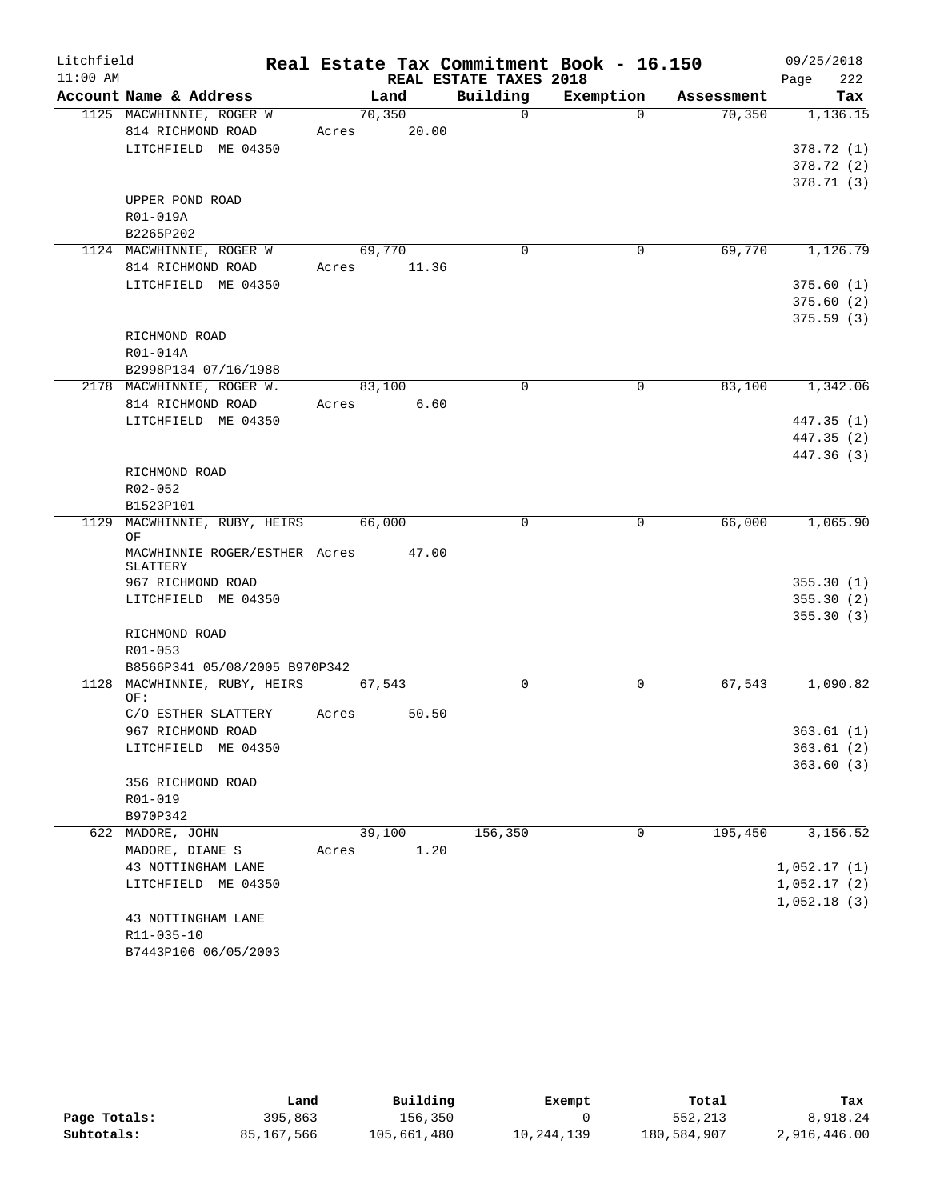| Litchfield |                                     |       |         |                        | Real Estate Tax Commitment Book - 16.150 |            | 09/25/2018  |
|------------|-------------------------------------|-------|---------|------------------------|------------------------------------------|------------|-------------|
| $11:00$ AM |                                     |       |         | REAL ESTATE TAXES 2018 |                                          |            | 222<br>Page |
|            | Account Name & Address              |       | Land    | Building               | Exemption                                | Assessment | Tax         |
|            | 1125 MACWHINNIE, ROGER W            |       | 70, 350 | $\Omega$               | $\Omega$                                 | 70,350     | 1,136.15    |
|            | 814 RICHMOND ROAD                   | Acres | 20.00   |                        |                                          |            |             |
|            | LITCHFIELD ME 04350                 |       |         |                        |                                          |            | 378.72(1)   |
|            |                                     |       |         |                        |                                          |            | 378.72 (2)  |
|            |                                     |       |         |                        |                                          |            | 378.71(3)   |
|            | UPPER POND ROAD<br>R01-019A         |       |         |                        |                                          |            |             |
|            | B2265P202                           |       |         |                        |                                          |            |             |
|            | 1124 MACWHINNIE, ROGER W            |       | 69,770  | 0                      | 0                                        | 69,770     | 1,126.79    |
|            | 814 RICHMOND ROAD                   | Acres | 11.36   |                        |                                          |            |             |
|            | LITCHFIELD ME 04350                 |       |         |                        |                                          |            | 375.60(1)   |
|            |                                     |       |         |                        |                                          |            | 375.60(2)   |
|            |                                     |       |         |                        |                                          |            | 375.59 (3)  |
|            | RICHMOND ROAD                       |       |         |                        |                                          |            |             |
|            | R01-014A                            |       |         |                        |                                          |            |             |
|            | B2998P134 07/16/1988                |       |         |                        |                                          |            |             |
|            | 2178 MACWHINNIE, ROGER W.           |       | 83,100  | $\Omega$               | $\Omega$                                 | 83,100     | 1,342.06    |
|            | 814 RICHMOND ROAD                   | Acres | 6.60    |                        |                                          |            |             |
|            | LITCHFIELD ME 04350                 |       |         |                        |                                          |            | 447.35 (1)  |
|            |                                     |       |         |                        |                                          |            | 447.35(2)   |
|            |                                     |       |         |                        |                                          |            | 447.36 (3)  |
|            | RICHMOND ROAD                       |       |         |                        |                                          |            |             |
|            | R02-052                             |       |         |                        |                                          |            |             |
|            | B1523P101                           |       |         |                        |                                          |            |             |
|            | 1129 MACWHINNIE, RUBY, HEIRS<br>ΟF  |       | 66,000  | $\mathbf 0$            | 0                                        | 66,000     | 1,065.90    |
|            | MACWHINNIE ROGER/ESTHER Acres       |       | 47.00   |                        |                                          |            |             |
|            | SLATTERY                            |       |         |                        |                                          |            |             |
|            | 967 RICHMOND ROAD                   |       |         |                        |                                          |            | 355.30(1)   |
|            | LITCHFIELD ME 04350                 |       |         |                        |                                          |            | 355.30(2)   |
|            |                                     |       |         |                        |                                          |            | 355.30(3)   |
|            | RICHMOND ROAD                       |       |         |                        |                                          |            |             |
|            | R01-053                             |       |         |                        |                                          |            |             |
|            | B8566P341 05/08/2005 B970P342       |       |         |                        |                                          |            |             |
|            | 1128 MACWHINNIE, RUBY, HEIRS<br>OF: |       | 67,543  | $\mathbf 0$            | 0                                        | 67,543     | 1,090.82    |
|            | C/O ESTHER SLATTERY                 | Acres | 50.50   |                        |                                          |            |             |
|            | 967 RICHMOND ROAD                   |       |         |                        |                                          |            | 363.61(1)   |
|            | LITCHFIELD ME 04350                 |       |         |                        |                                          |            | 363.61(2)   |
|            |                                     |       |         |                        |                                          |            | 363.60(3)   |
|            | 356 RICHMOND ROAD                   |       |         |                        |                                          |            |             |
|            | R01-019                             |       |         |                        |                                          |            |             |
|            | B970P342                            |       |         |                        |                                          |            |             |
|            | 622 MADORE, JOHN                    |       | 39,100  | 156,350                | 0                                        | 195,450    | 3,156.52    |
|            | MADORE, DIANE S                     | Acres | 1.20    |                        |                                          |            |             |
|            | 43 NOTTINGHAM LANE                  |       |         |                        |                                          |            | 1,052.17(1) |
|            | LITCHFIELD ME 04350                 |       |         |                        |                                          |            | 1,052.17(2) |
|            |                                     |       |         |                        |                                          |            | 1,052.18(3) |
|            | 43 NOTTINGHAM LANE                  |       |         |                        |                                          |            |             |
|            | R11-035-10                          |       |         |                        |                                          |            |             |
|            | B7443P106 06/05/2003                |       |         |                        |                                          |            |             |

|              | Land       | Building    | Exempt     | Total       | Tax          |
|--------------|------------|-------------|------------|-------------|--------------|
| Page Totals: | 395,863    | 156,350     |            | 552,213     | 8,918.24     |
| Subtotals:   | 85,167,566 | 105,661,480 | 10,244,139 | 180,584,907 | 2,916,446.00 |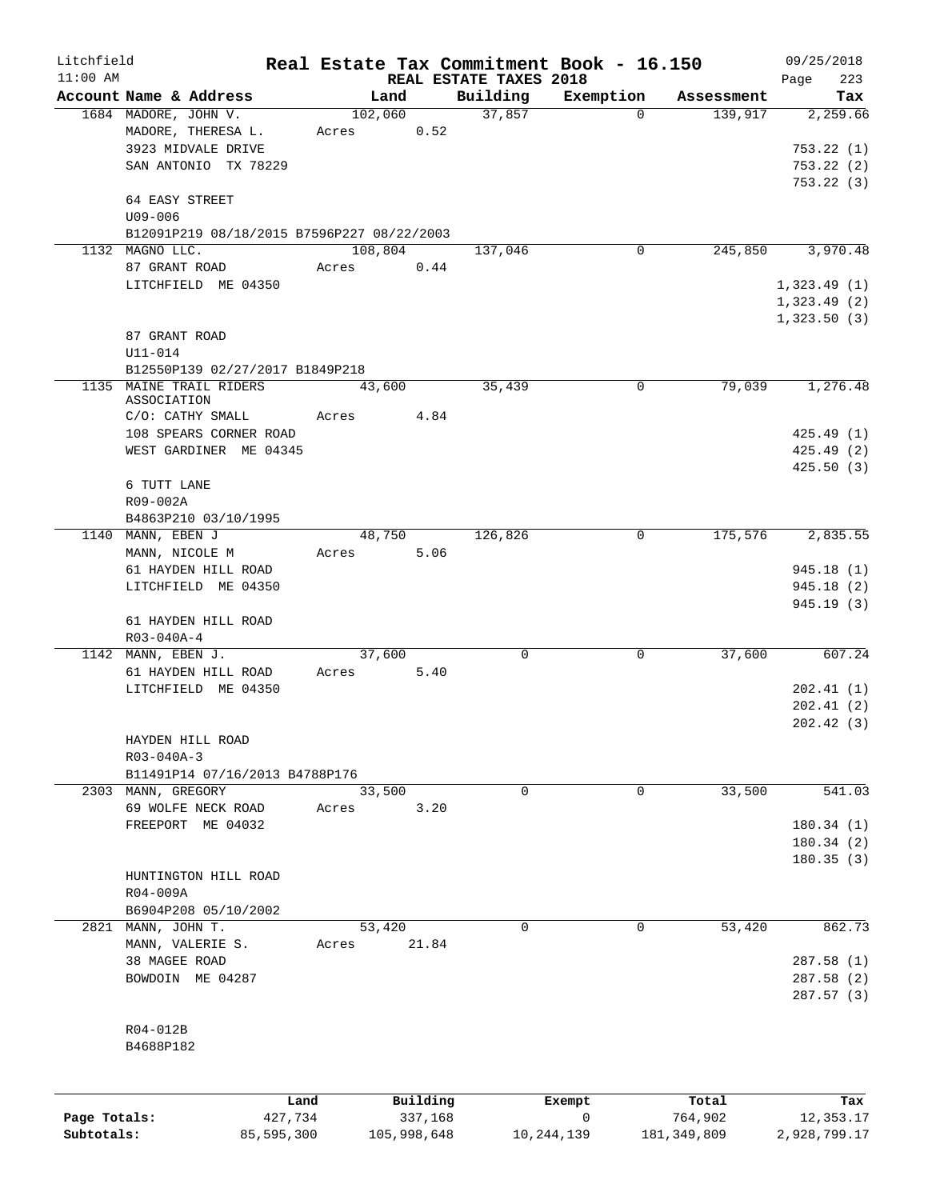| Litchfield   |                                            |            |                |                                    | Real Estate Tax Commitment Book - 16.150 |               | 09/25/2018         |
|--------------|--------------------------------------------|------------|----------------|------------------------------------|------------------------------------------|---------------|--------------------|
| $11:00$ AM   | Account Name & Address                     |            | Land           | REAL ESTATE TAXES 2018<br>Building | Exemption                                | Assessment    | 223<br>Page<br>Tax |
|              | 1684 MADORE, JOHN V.                       |            | 102,060        | 37,857                             | $\Omega$                                 | 139,917       | 2,259.66           |
|              | MADORE, THERESA L.                         | Acres      | 0.52           |                                    |                                          |               |                    |
|              | 3923 MIDVALE DRIVE                         |            |                |                                    |                                          |               | 753.22(1)          |
|              | SAN ANTONIO TX 78229                       |            |                |                                    |                                          |               | 753.22(2)          |
|              |                                            |            |                |                                    |                                          |               | 753.22(3)          |
|              | 64 EASY STREET                             |            |                |                                    |                                          |               |                    |
|              | $U09 - 006$                                |            |                |                                    |                                          |               |                    |
|              | B12091P219 08/18/2015 B7596P227 08/22/2003 |            |                |                                    |                                          |               |                    |
|              | 1132 MAGNO LLC.                            |            | 108,804        | 137,046                            | 0                                        | 245,850       | 3,970.48           |
|              | 87 GRANT ROAD                              | Acres      | 0.44           |                                    |                                          |               |                    |
|              | LITCHFIELD ME 04350                        |            |                |                                    |                                          |               | 1,323.49(1)        |
|              |                                            |            |                |                                    |                                          |               | 1,323.49(2)        |
|              |                                            |            |                |                                    |                                          |               | 1,323.50(3)        |
|              | 87 GRANT ROAD<br>U11-014                   |            |                |                                    |                                          |               |                    |
|              | B12550P139 02/27/2017 B1849P218            |            |                |                                    |                                          |               |                    |
|              | 1135 MAINE TRAIL RIDERS                    |            | 43,600         | 35,439                             | $\mathbf 0$                              | 79,039        | 1,276.48           |
|              | ASSOCIATION                                |            |                |                                    |                                          |               |                    |
|              | C/O: CATHY SMALL                           | Acres      | 4.84           |                                    |                                          |               |                    |
|              | 108 SPEARS CORNER ROAD                     |            |                |                                    |                                          |               | 425.49(1)          |
|              | WEST GARDINER ME 04345                     |            |                |                                    |                                          |               | 425.49(2)          |
|              |                                            |            |                |                                    |                                          |               | 425.50(3)          |
|              | 6 TUTT LANE                                |            |                |                                    |                                          |               |                    |
|              | R09-002A                                   |            |                |                                    |                                          |               |                    |
|              | B4863P210 03/10/1995                       |            |                |                                    |                                          |               |                    |
|              | 1140 MANN, EBEN J<br>MANN, NICOLE M        | Acres      | 48,750<br>5.06 | 126,826                            | 0                                        | 175,576       | 2,835.55           |
|              | 61 HAYDEN HILL ROAD                        |            |                |                                    |                                          |               | 945.18(1)          |
|              | LITCHFIELD ME 04350                        |            |                |                                    |                                          |               | 945.18(2)          |
|              |                                            |            |                |                                    |                                          |               | 945.19(3)          |
|              | 61 HAYDEN HILL ROAD                        |            |                |                                    |                                          |               |                    |
|              | R03-040A-4                                 |            |                |                                    |                                          |               |                    |
|              | 1142 MANN, EBEN J.                         |            | 37,600         | 0                                  | 0                                        | 37,600        | 607.24             |
|              | 61 HAYDEN HILL ROAD                        | Acres      | 5.40           |                                    |                                          |               |                    |
|              | LITCHFIELD ME 04350                        |            |                |                                    |                                          |               | 202.41(1)          |
|              |                                            |            |                |                                    |                                          |               | 202.41(2)          |
|              |                                            |            |                |                                    |                                          |               | 202.42(3)          |
|              | HAYDEN HILL ROAD                           |            |                |                                    |                                          |               |                    |
|              | R03-040A-3                                 |            |                |                                    |                                          |               |                    |
|              | B11491P14 07/16/2013 B4788P176             |            |                |                                    |                                          |               | 541.03             |
|              | 2303 MANN, GREGORY                         | Acres      | 33,500<br>3.20 | 0                                  | 0                                        | 33,500        |                    |
|              | 69 WOLFE NECK ROAD<br>FREEPORT ME 04032    |            |                |                                    |                                          |               | 180.34(1)          |
|              |                                            |            |                |                                    |                                          |               | 180.34(2)          |
|              |                                            |            |                |                                    |                                          |               | 180.35(3)          |
|              | HUNTINGTON HILL ROAD                       |            |                |                                    |                                          |               |                    |
|              | R04-009A                                   |            |                |                                    |                                          |               |                    |
|              | B6904P208 05/10/2002                       |            |                |                                    |                                          |               |                    |
|              | 2821 MANN, JOHN T.                         |            | 53,420         | $\Omega$                           | 0                                        | 53,420        | 862.73             |
|              | MANN, VALERIE S.                           | Acres      | 21.84          |                                    |                                          |               |                    |
|              | 38 MAGEE ROAD                              |            |                |                                    |                                          |               | 287.58(1)          |
|              | BOWDOIN ME 04287                           |            |                |                                    |                                          |               | 287.58(2)          |
|              |                                            |            |                |                                    |                                          |               | 287.57(3)          |
|              |                                            |            |                |                                    |                                          |               |                    |
|              | R04-012B                                   |            |                |                                    |                                          |               |                    |
|              | B4688P182                                  |            |                |                                    |                                          |               |                    |
|              |                                            |            |                |                                    |                                          |               |                    |
|              |                                            | Land       | Building       |                                    | Exempt                                   | Total         | Tax                |
| Page Totals: |                                            | 427,734    | 337,168        |                                    | $\mathbf 0$                              | 764,902       | 12,353.17          |
| Subtotals:   |                                            | 85,595,300 | 105,998,648    |                                    | 10, 244, 139                             | 181, 349, 809 | 2,928,799.17       |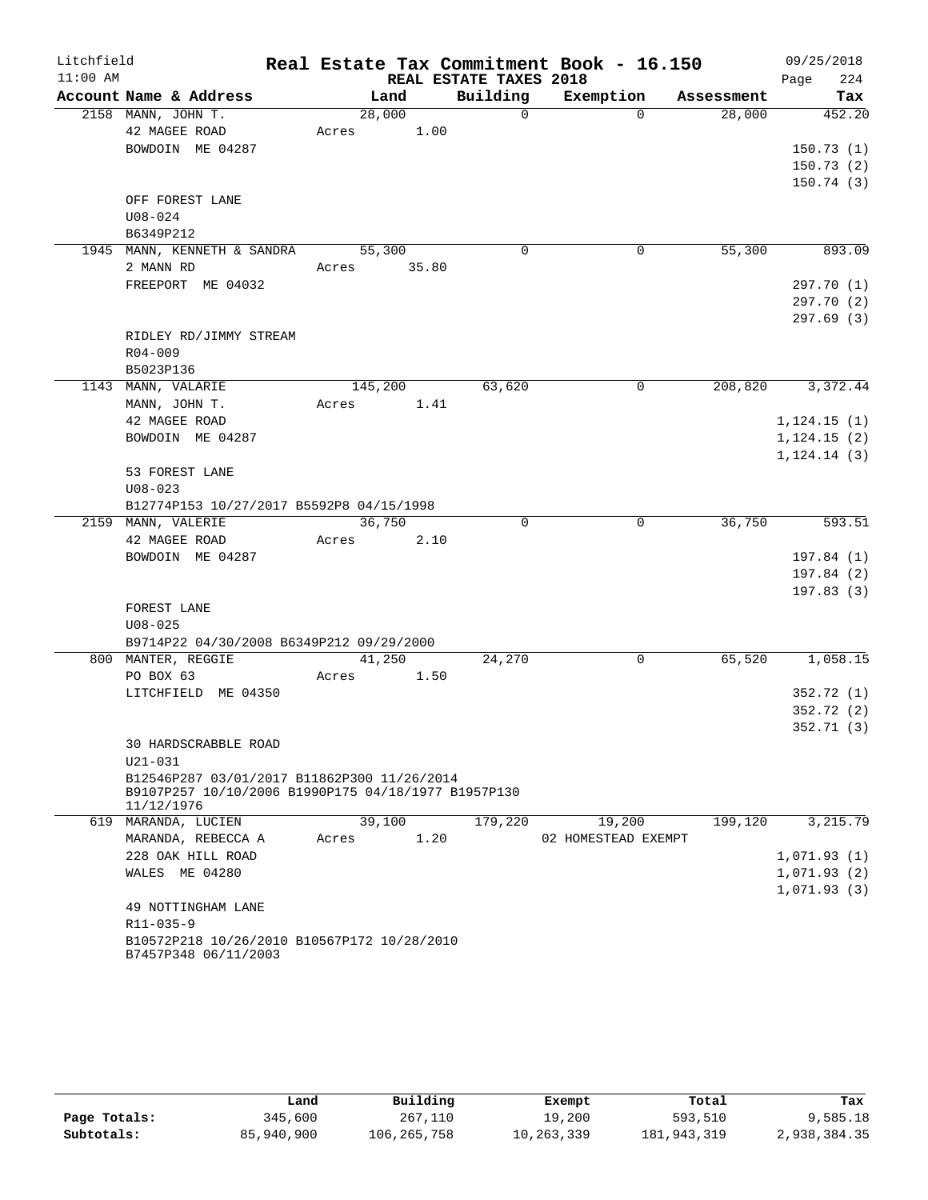| Litchfield |                                                                                                    |       |         |                        | Real Estate Tax Commitment Book - 16.150 |            | 09/25/2018   |
|------------|----------------------------------------------------------------------------------------------------|-------|---------|------------------------|------------------------------------------|------------|--------------|
| $11:00$ AM |                                                                                                    |       |         | REAL ESTATE TAXES 2018 |                                          |            | 224<br>Page  |
|            | Account Name & Address                                                                             |       | Land    | Building               | Exemption                                | Assessment | Tax          |
|            | 2158 MANN, JOHN T.                                                                                 |       | 28,000  | $\Omega$               | $\Omega$                                 | 28,000     | 452.20       |
|            | 42 MAGEE ROAD                                                                                      | Acres | 1.00    |                        |                                          |            |              |
|            | BOWDOIN ME 04287                                                                                   |       |         |                        |                                          |            | 150.73(1)    |
|            |                                                                                                    |       |         |                        |                                          |            | 150.73(2)    |
|            |                                                                                                    |       |         |                        |                                          |            | 150.74(3)    |
|            | OFF FOREST LANE                                                                                    |       |         |                        |                                          |            |              |
|            | $U08 - 024$<br>B6349P212                                                                           |       |         |                        |                                          |            |              |
|            | 1945 MANN, KENNETH & SANDRA                                                                        |       | 55,300  | 0                      | 0                                        | 55,300     | 893.09       |
|            | 2 MANN RD                                                                                          | Acres | 35.80   |                        |                                          |            |              |
|            | FREEPORT ME 04032                                                                                  |       |         |                        |                                          |            | 297.70 (1)   |
|            |                                                                                                    |       |         |                        |                                          |            | 297.70 (2)   |
|            |                                                                                                    |       |         |                        |                                          |            | 297.69 (3)   |
|            | RIDLEY RD/JIMMY STREAM                                                                             |       |         |                        |                                          |            |              |
|            | $R04 - 009$                                                                                        |       |         |                        |                                          |            |              |
|            | B5023P136                                                                                          |       |         |                        |                                          |            |              |
|            | 1143 MANN, VALARIE                                                                                 |       | 145,200 | 63,620                 | 0                                        | 208,820    | 3,372.44     |
|            | MANN, JOHN T.                                                                                      | Acres | 1.41    |                        |                                          |            |              |
|            | 42 MAGEE ROAD                                                                                      |       |         |                        |                                          |            | 1, 124.15(1) |
|            | BOWDOIN ME 04287                                                                                   |       |         |                        |                                          |            | 1, 124.15(2) |
|            |                                                                                                    |       |         |                        |                                          |            | 1, 124.14(3) |
|            | 53 FOREST LANE                                                                                     |       |         |                        |                                          |            |              |
|            | $U08 - 023$                                                                                        |       |         |                        |                                          |            |              |
|            | B12774P153 10/27/2017 B5592P8 04/15/1998                                                           |       |         |                        |                                          |            |              |
|            | 2159 MANN, VALERIE                                                                                 |       | 36,750  | 0                      | $\mathbf 0$                              | 36,750     | 593.51       |
|            | 42 MAGEE ROAD                                                                                      | Acres | 2.10    |                        |                                          |            |              |
|            | BOWDOIN ME 04287                                                                                   |       |         |                        |                                          |            | 197.84(1)    |
|            |                                                                                                    |       |         |                        |                                          |            | 197.84(2)    |
|            |                                                                                                    |       |         |                        |                                          |            | 197.83(3)    |
|            | FOREST LANE                                                                                        |       |         |                        |                                          |            |              |
|            | $U08 - 025$<br>B9714P22 04/30/2008 B6349P212 09/29/2000                                            |       |         |                        |                                          |            |              |
|            | 800 MANTER, REGGIE                                                                                 |       | 41,250  | 24,270                 | 0                                        | 65,520     | 1,058.15     |
|            | PO BOX 63                                                                                          | Acres | 1.50    |                        |                                          |            |              |
|            | LITCHFIELD ME 04350                                                                                |       |         |                        |                                          |            | 352.72 (1)   |
|            |                                                                                                    |       |         |                        |                                          |            | 352.72(2)    |
|            |                                                                                                    |       |         |                        |                                          |            | 352.71(3)    |
|            | <b>30 HARDSCRABBLE ROAD</b>                                                                        |       |         |                        |                                          |            |              |
|            | $U21 - 031$                                                                                        |       |         |                        |                                          |            |              |
|            | B12546P287 03/01/2017 B11862P300 11/26/2014<br>B9107P257 10/10/2006 B1990P175 04/18/1977 B1957P130 |       |         |                        |                                          |            |              |
|            | 11/12/1976<br>619 MARANDA, LUCIEN                                                                  |       | 39,100  |                        |                                          | 199,120    | 3,215.79     |
|            | MARANDA, REBECCA A                                                                                 | Acres | 1.20    | 179,220                | 19,200<br>02 HOMESTEAD EXEMPT            |            |              |
|            | 228 OAK HILL ROAD                                                                                  |       |         |                        |                                          |            | 1,071.93(1)  |
|            | WALES ME 04280                                                                                     |       |         |                        |                                          |            | 1,071.93(2)  |
|            |                                                                                                    |       |         |                        |                                          |            | 1,071.93(3)  |
|            | 49 NOTTINGHAM LANE                                                                                 |       |         |                        |                                          |            |              |
|            | R11-035-9                                                                                          |       |         |                        |                                          |            |              |
|            | B10572P218 10/26/2010 B10567P172 10/28/2010                                                        |       |         |                        |                                          |            |              |
|            | B7457P348 06/11/2003                                                                               |       |         |                        |                                          |            |              |

|              | Land       | Building      | Exempt     | Total       | Tax          |
|--------------|------------|---------------|------------|-------------|--------------|
| Page Totals: | 345,600    | 267,110       | 19,200     | 593,510     | 9,585.18     |
| Subtotals:   | 85,940,900 | 106, 265, 758 | 10,263,339 | 181,943,319 | 2,938,384.35 |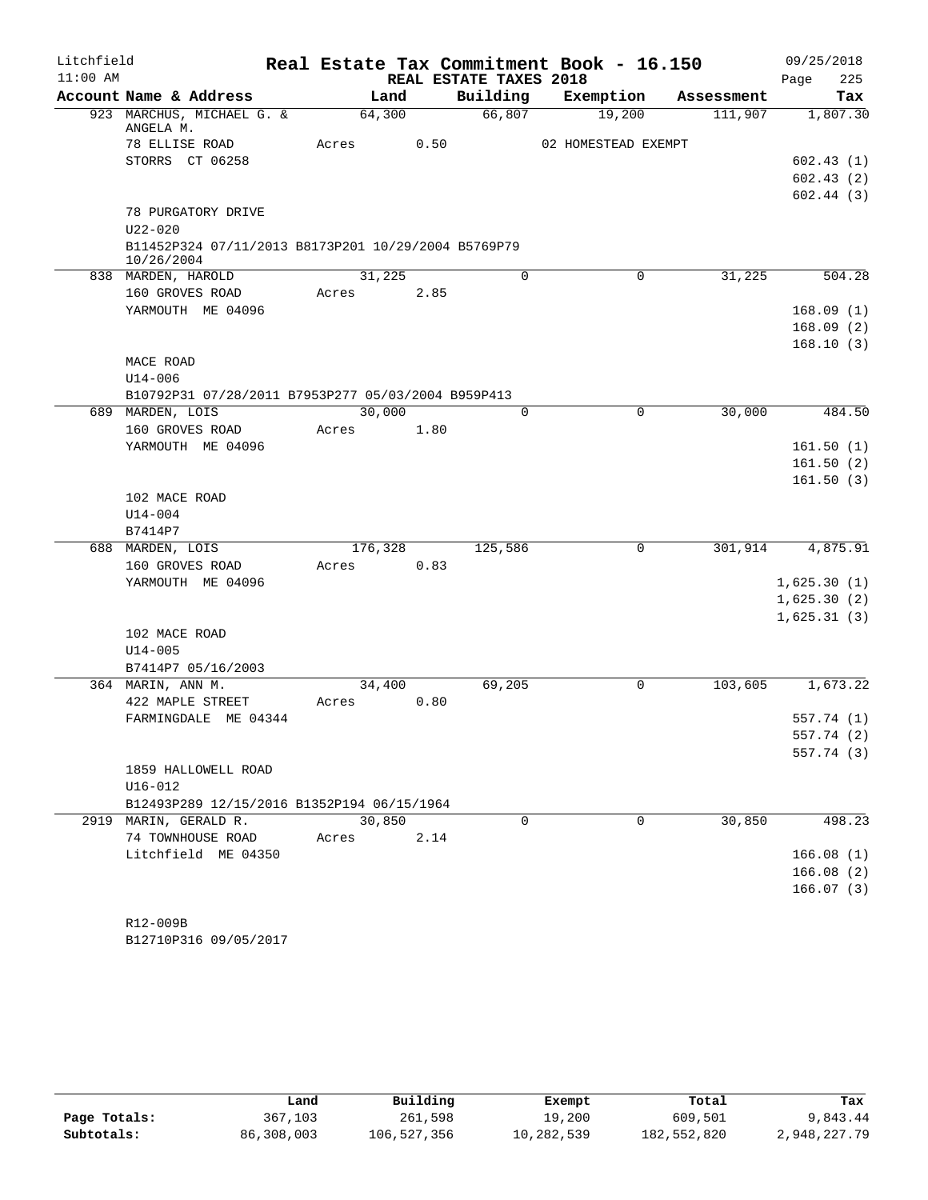| Litchfield |                                                                   |         |      |                        | Real Estate Tax Commitment Book - 16.150 |            | 09/25/2018  |
|------------|-------------------------------------------------------------------|---------|------|------------------------|------------------------------------------|------------|-------------|
| $11:00$ AM |                                                                   |         |      | REAL ESTATE TAXES 2018 |                                          |            | 225<br>Page |
|            | Account Name & Address                                            | Land    |      | Building               | Exemption                                | Assessment | Tax         |
|            | 923 MARCHUS, MICHAEL G. &<br>ANGELA M.                            | 64,300  |      | 66,807                 | 19,200                                   | 111,907    | 1,807.30    |
|            | 78 ELLISE ROAD                                                    | Acres   | 0.50 |                        | 02 HOMESTEAD EXEMPT                      |            |             |
|            | STORRS CT 06258                                                   |         |      |                        |                                          |            | 602.43(1)   |
|            |                                                                   |         |      |                        |                                          |            | 602.43(2)   |
|            |                                                                   |         |      |                        |                                          |            | 602.44(3)   |
|            | 78 PURGATORY DRIVE                                                |         |      |                        |                                          |            |             |
|            | $U22 - 020$                                                       |         |      |                        |                                          |            |             |
|            | B11452P324 07/11/2013 B8173P201 10/29/2004 B5769P79<br>10/26/2004 |         |      |                        |                                          |            |             |
|            | 838 MARDEN, HAROLD                                                | 31,225  |      | $\mathbf 0$            | 0                                        | 31,225     | 504.28      |
|            | 160 GROVES ROAD                                                   | Acres   | 2.85 |                        |                                          |            |             |
|            | YARMOUTH ME 04096                                                 |         |      |                        |                                          |            | 168.09(1)   |
|            |                                                                   |         |      |                        |                                          |            | 168.09(2)   |
|            |                                                                   |         |      |                        |                                          |            | 168.10(3)   |
|            | MACE ROAD                                                         |         |      |                        |                                          |            |             |
|            | $U14 - 006$                                                       |         |      |                        |                                          |            |             |
|            | B10792P31 07/28/2011 B7953P277 05/03/2004 B959P413                |         |      |                        |                                          |            |             |
|            | 689 MARDEN, LOIS                                                  | 30,000  |      | $\Omega$               | 0                                        | 30,000     | 484.50      |
|            | 160 GROVES ROAD                                                   | Acres   | 1.80 |                        |                                          |            |             |
|            | YARMOUTH ME 04096                                                 |         |      |                        |                                          |            | 161.50(1)   |
|            |                                                                   |         |      |                        |                                          |            | 161.50(2)   |
|            |                                                                   |         |      |                        |                                          |            | 161.50(3)   |
|            | 102 MACE ROAD                                                     |         |      |                        |                                          |            |             |
|            | $U14 - 004$                                                       |         |      |                        |                                          |            |             |
|            | B7414P7                                                           |         |      |                        |                                          |            |             |
|            | 688 MARDEN, LOIS                                                  | 176,328 |      | 125,586                | 0                                        | 301,914    | 4,875.91    |
|            | 160 GROVES ROAD                                                   | Acres   | 0.83 |                        |                                          |            |             |
|            | YARMOUTH ME 04096                                                 |         |      |                        |                                          |            | 1,625.30(1) |
|            |                                                                   |         |      |                        |                                          |            | 1,625.30(2) |
|            |                                                                   |         |      |                        |                                          |            | 1,625.31(3) |
|            | 102 MACE ROAD                                                     |         |      |                        |                                          |            |             |
|            | $U14 - 005$                                                       |         |      |                        |                                          |            |             |
|            | B7414P7 05/16/2003                                                |         |      |                        |                                          |            |             |
|            | 364 MARIN, ANN M.                                                 | 34,400  |      | 69,205                 | 0                                        | 103,605    | 1,673.22    |
|            | 422 MAPLE STREET                                                  | Acres   | 0.80 |                        |                                          |            |             |
|            | FARMINGDALE ME 04344                                              |         |      |                        |                                          |            | 557.74(1)   |
|            |                                                                   |         |      |                        |                                          |            | 557.74 (2)  |
|            |                                                                   |         |      |                        |                                          |            | 557.74 (3)  |
|            | 1859 HALLOWELL ROAD                                               |         |      |                        |                                          |            |             |
|            | $U16 - 012$                                                       |         |      |                        |                                          |            |             |
|            | B12493P289 12/15/2016 B1352P194 06/15/1964                        |         |      |                        |                                          |            |             |
|            | 2919 MARIN, GERALD R.                                             | 30,850  |      | $\Omega$               | $\Omega$                                 | 30,850     | 498.23      |
|            | 74 TOWNHOUSE ROAD                                                 | Acres   | 2.14 |                        |                                          |            |             |
|            | Litchfield ME 04350                                               |         |      |                        |                                          |            | 166.08(1)   |
|            |                                                                   |         |      |                        |                                          |            | 166.08(2)   |
|            |                                                                   |         |      |                        |                                          |            | 166.07(3)   |
|            |                                                                   |         |      |                        |                                          |            |             |
|            | R12-009B                                                          |         |      |                        |                                          |            |             |

B12710P316 09/05/2017

|              | Land       | Building    | Exempt     | Total       | Tax          |
|--------------|------------|-------------|------------|-------------|--------------|
| Page Totals: | 367,103    | 261,598     | 19,200     | 609,501     | 9,843.44     |
| Subtotals:   | 86,308,003 | 106,527,356 | 10,282,539 | 182,552,820 | 2,948,227.79 |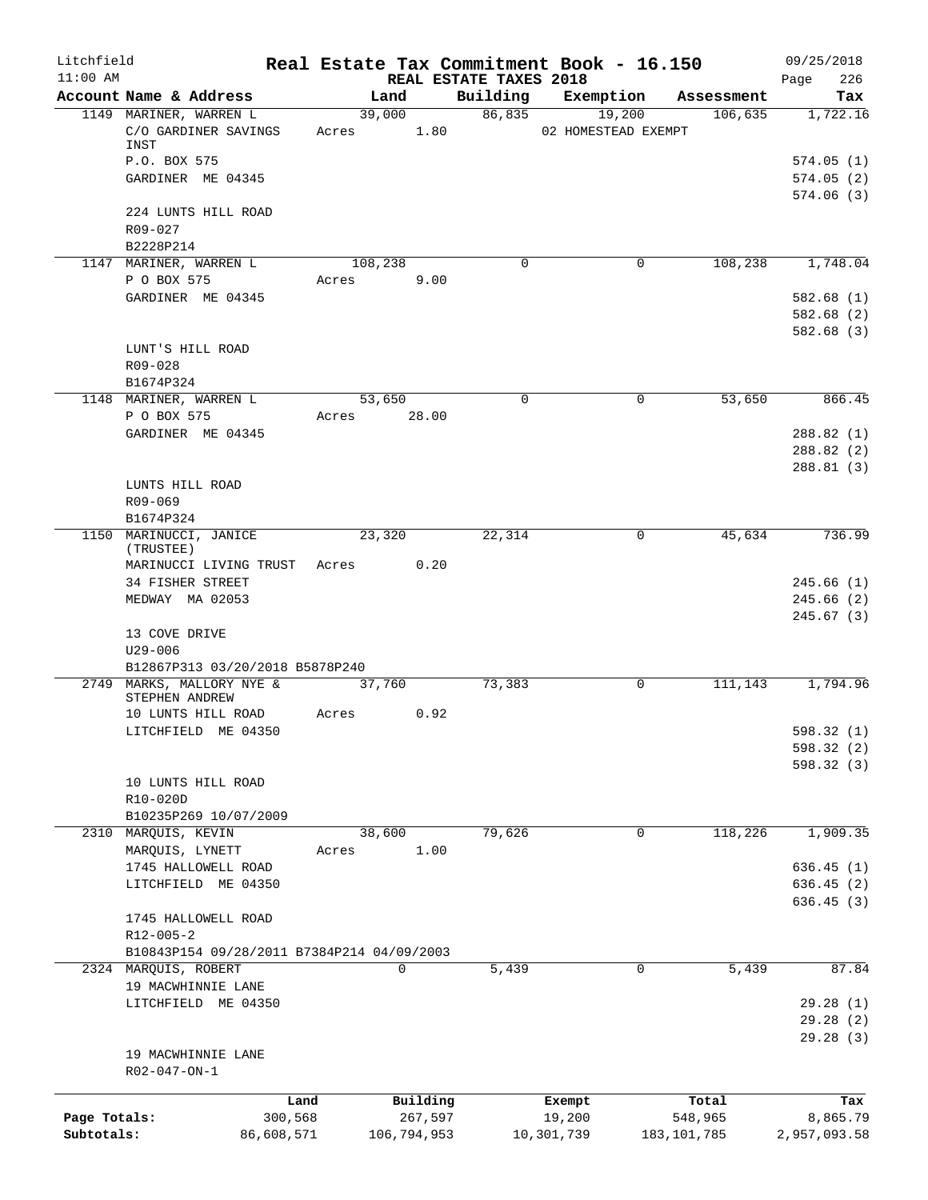| Litchfield<br>$11:00$ AM |                                            |         |                 |                        | Real Estate Tax Commitment Book - 16.150 |               | 09/25/2018               |
|--------------------------|--------------------------------------------|---------|-----------------|------------------------|------------------------------------------|---------------|--------------------------|
|                          | Account Name & Address                     |         | Land            | REAL ESTATE TAXES 2018 | Building Exemption Assessment            |               | 226<br>Page<br>Tax       |
|                          | 1149 MARINER, WARREN L                     |         | 39,000          | 86,835                 | 19,200                                   | 106,635       | 1,722.16                 |
|                          | C/O GARDINER SAVINGS<br>INST               |         | Acres 1.80      |                        | 02 HOMESTEAD EXEMPT                      |               |                          |
|                          | P.O. BOX 575                               |         |                 |                        |                                          |               | 574.05(1)                |
|                          | GARDINER ME 04345                          |         |                 |                        |                                          |               | 574.05(2)<br>574.06(3)   |
|                          | 224 LUNTS HILL ROAD<br>R09-027             |         |                 |                        |                                          |               |                          |
|                          | B2228P214<br>1147 MARINER, WARREN L        | 108,238 |                 | $\Omega$               | 0                                        | 108,238       | 1,748.04                 |
|                          | P O BOX 575                                | Acres   | 9.00            |                        |                                          |               |                          |
|                          | GARDINER ME 04345                          |         |                 |                        |                                          |               | 582.68(1)                |
|                          |                                            |         |                 |                        |                                          |               | 582.68(2)<br>582.68(3)   |
|                          | LUNT'S HILL ROAD<br>$R09 - 028$            |         |                 |                        |                                          |               |                          |
|                          | B1674P324                                  |         |                 |                        |                                          |               |                          |
|                          | 1148 MARINER, WARREN L<br>P O BOX 575      | Acres   | 53,650<br>28.00 | $\mathbf 0$            | $\mathbf 0$                              | 53,650        | 866.45                   |
|                          | GARDINER ME 04345                          |         |                 |                        |                                          |               | 288.82(1)                |
|                          |                                            |         |                 |                        |                                          |               | 288.82(2)<br>288.81(3)   |
|                          | LUNTS HILL ROAD                            |         |                 |                        |                                          |               |                          |
|                          | R09-069                                    |         |                 |                        |                                          |               |                          |
|                          | B1674P324                                  |         |                 |                        |                                          |               |                          |
|                          | 1150 MARINUCCI, JANICE<br>(TRUSTEE)        |         | 23,320          | 22,314                 | $\mathbf 0$                              | 45,634        | 736.99                   |
|                          | MARINUCCI LIVING TRUST                     | Acres   | 0.20            |                        |                                          |               |                          |
|                          | 34 FISHER STREET                           |         |                 |                        |                                          |               | 245.66(1)<br>245.66(2)   |
|                          | MEDWAY MA 02053                            |         |                 |                        |                                          |               | 245.67(3)                |
|                          | 13 COVE DRIVE<br>U29-006                   |         |                 |                        |                                          |               |                          |
|                          | B12867P313 03/20/2018 B5878P240            |         |                 |                        |                                          |               |                          |
|                          | 2749 MARKS, MALLORY NYE &                  |         | 37,760          | 73,383                 | 0                                        | 111, 143      | 1,794.96                 |
|                          | STEPHEN ANDREW                             |         |                 |                        |                                          |               |                          |
|                          | 10 LUNTS HILL ROAD                         | Acres   | 0.92            |                        |                                          |               |                          |
|                          | LITCHFIELD ME 04350                        |         |                 |                        |                                          |               | 598.32 (1)               |
|                          |                                            |         |                 |                        |                                          |               | 598.32 (2)<br>598.32 (3) |
|                          | 10 LUNTS HILL ROAD                         |         |                 |                        |                                          |               |                          |
|                          | R10-020D                                   |         |                 |                        |                                          |               |                          |
|                          | B10235P269 10/07/2009                      |         |                 |                        |                                          |               |                          |
|                          | 2310 MARQUIS, KEVIN                        |         | 38,600          | 79,626                 | 0                                        | 118,226       | 1,909.35                 |
|                          | MARQUIS, LYNETT                            | Acres   | 1.00            |                        |                                          |               |                          |
|                          | 1745 HALLOWELL ROAD                        |         |                 |                        |                                          |               | 636.45(1)                |
|                          | LITCHFIELD ME 04350                        |         |                 |                        |                                          |               | 636.45(2)                |
|                          | 1745 HALLOWELL ROAD<br>R12-005-2           |         |                 |                        |                                          |               | 636.45(3)                |
|                          | B10843P154 09/28/2011 B7384P214 04/09/2003 |         |                 |                        |                                          |               |                          |
|                          | 2324 MARQUIS, ROBERT                       |         | 0               | 5,439                  | 0                                        | 5,439         | 87.84                    |
|                          | 19 MACWHINNIE LANE                         |         |                 |                        |                                          |               |                          |
|                          | LITCHFIELD ME 04350                        |         |                 |                        |                                          |               | 29.28(1)                 |
|                          |                                            |         |                 |                        |                                          |               | 29.28(2)                 |
|                          |                                            |         |                 |                        |                                          |               | 29.28 (3)                |
|                          | 19 MACWHINNIE LANE<br>R02-047-ON-1         |         |                 |                        |                                          |               |                          |
|                          |                                            | Land    | Building        |                        | Exempt                                   | Total         | Tax                      |
| Page Totals:             | 300,568                                    |         | 267,597         |                        | 19,200                                   | 548,965       | 8,865.79                 |
| Subtotals:               | 86,608,571                                 |         | 106,794,953     |                        | 10,301,739                               | 183, 101, 785 | 2,957,093.58             |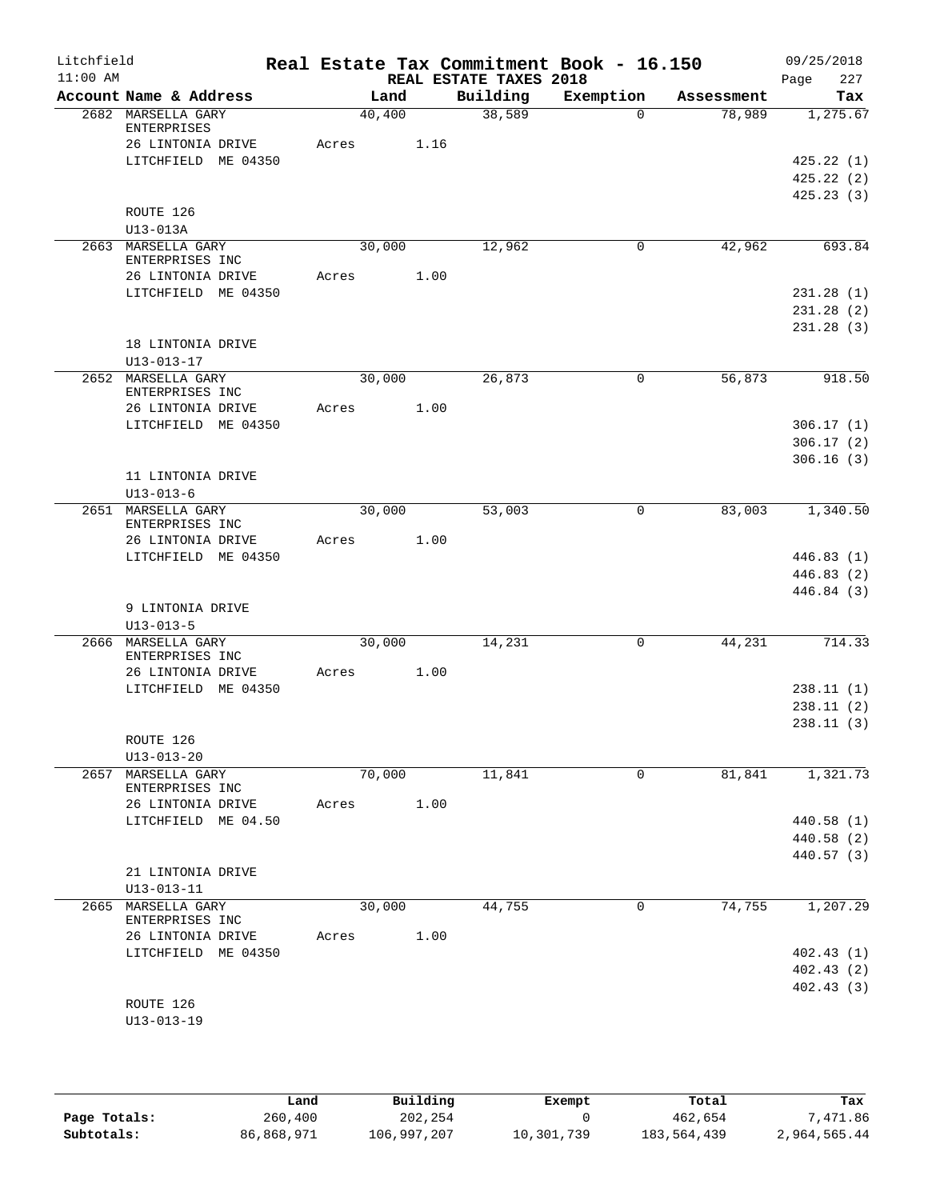| REAL ESTATE TAXES 2018<br>Building<br>Account Name & Address<br>Exemption<br>Land<br>Assessment<br>40,400<br>38,589<br>2682 MARSELLA GARY<br>78,989<br>$\Omega$<br>ENTERPRISES<br>26 LINTONIA DRIVE<br>1.16<br>Acres<br>LITCHFIELD ME 04350<br>ROUTE 126<br>$U13-013A$<br>42,962<br>2663 MARSELLA GARY<br>30,000<br>12,962<br>0<br>ENTERPRISES INC<br>1.00<br>26 LINTONIA DRIVE<br>Acres<br>LITCHFIELD ME 04350<br>18 LINTONIA DRIVE<br>$U13 - 013 - 17$<br>30,000<br>2652 MARSELLA GARY<br>26,873<br>0<br>56,873<br>ENTERPRISES INC<br>1.00<br>26 LINTONIA DRIVE<br>Acres<br>LITCHFIELD ME 04350<br>11 LINTONIA DRIVE<br>$U13 - 013 - 6$<br>2651 MARSELLA GARY<br>30,000<br>53,003<br>0<br>83,003<br>ENTERPRISES INC<br>26 LINTONIA DRIVE<br>1.00<br>Acres<br>LITCHFIELD ME 04350<br>9 LINTONIA DRIVE<br>$U13 - 013 - 5$<br>2666 MARSELLA GARY<br>30,000<br>$\mathbf 0$<br>44,231<br>14,231<br>ENTERPRISES INC<br>1.00<br>26 LINTONIA DRIVE<br>Acres<br>LITCHFIELD ME 04350<br>ROUTE 126<br>$U13 - 013 - 20$<br>70,000<br>2657 MARSELLA GARY<br>11,841<br>81,841<br>0<br>ENTERPRISES INC<br>26 LINTONIA DRIVE<br>1.00<br>Acres<br>LITCHFIELD ME 04.50<br>21 LINTONIA DRIVE<br>$U13 - 013 - 11$<br>MARSELLA GARY<br>74,755<br>2665<br>30,000<br>44,755<br>0<br>ENTERPRISES INC<br>1.00<br>26 LINTONIA DRIVE<br>Acres<br>LITCHFIELD ME 04350 | 09/25/2018<br>227      | Real Estate Tax Commitment Book - 16.150 |  |  | Litchfield<br>$11:00$ AM |
|---------------------------------------------------------------------------------------------------------------------------------------------------------------------------------------------------------------------------------------------------------------------------------------------------------------------------------------------------------------------------------------------------------------------------------------------------------------------------------------------------------------------------------------------------------------------------------------------------------------------------------------------------------------------------------------------------------------------------------------------------------------------------------------------------------------------------------------------------------------------------------------------------------------------------------------------------------------------------------------------------------------------------------------------------------------------------------------------------------------------------------------------------------------------------------------------------------------------------------------------------------------------------------------------------------------------------------------------|------------------------|------------------------------------------|--|--|--------------------------|
|                                                                                                                                                                                                                                                                                                                                                                                                                                                                                                                                                                                                                                                                                                                                                                                                                                                                                                                                                                                                                                                                                                                                                                                                                                                                                                                                             | Page<br>Tax            |                                          |  |  |                          |
|                                                                                                                                                                                                                                                                                                                                                                                                                                                                                                                                                                                                                                                                                                                                                                                                                                                                                                                                                                                                                                                                                                                                                                                                                                                                                                                                             | 1,275.67               |                                          |  |  |                          |
|                                                                                                                                                                                                                                                                                                                                                                                                                                                                                                                                                                                                                                                                                                                                                                                                                                                                                                                                                                                                                                                                                                                                                                                                                                                                                                                                             |                        |                                          |  |  |                          |
|                                                                                                                                                                                                                                                                                                                                                                                                                                                                                                                                                                                                                                                                                                                                                                                                                                                                                                                                                                                                                                                                                                                                                                                                                                                                                                                                             |                        |                                          |  |  |                          |
|                                                                                                                                                                                                                                                                                                                                                                                                                                                                                                                                                                                                                                                                                                                                                                                                                                                                                                                                                                                                                                                                                                                                                                                                                                                                                                                                             | 425.22(1)<br>425.22(2) |                                          |  |  |                          |
|                                                                                                                                                                                                                                                                                                                                                                                                                                                                                                                                                                                                                                                                                                                                                                                                                                                                                                                                                                                                                                                                                                                                                                                                                                                                                                                                             | 425.23(3)              |                                          |  |  |                          |
|                                                                                                                                                                                                                                                                                                                                                                                                                                                                                                                                                                                                                                                                                                                                                                                                                                                                                                                                                                                                                                                                                                                                                                                                                                                                                                                                             |                        |                                          |  |  |                          |
|                                                                                                                                                                                                                                                                                                                                                                                                                                                                                                                                                                                                                                                                                                                                                                                                                                                                                                                                                                                                                                                                                                                                                                                                                                                                                                                                             |                        |                                          |  |  |                          |
|                                                                                                                                                                                                                                                                                                                                                                                                                                                                                                                                                                                                                                                                                                                                                                                                                                                                                                                                                                                                                                                                                                                                                                                                                                                                                                                                             | 693.84                 |                                          |  |  |                          |
|                                                                                                                                                                                                                                                                                                                                                                                                                                                                                                                                                                                                                                                                                                                                                                                                                                                                                                                                                                                                                                                                                                                                                                                                                                                                                                                                             |                        |                                          |  |  |                          |
|                                                                                                                                                                                                                                                                                                                                                                                                                                                                                                                                                                                                                                                                                                                                                                                                                                                                                                                                                                                                                                                                                                                                                                                                                                                                                                                                             |                        |                                          |  |  |                          |
|                                                                                                                                                                                                                                                                                                                                                                                                                                                                                                                                                                                                                                                                                                                                                                                                                                                                                                                                                                                                                                                                                                                                                                                                                                                                                                                                             | 231.28(1)<br>231.28(2) |                                          |  |  |                          |
|                                                                                                                                                                                                                                                                                                                                                                                                                                                                                                                                                                                                                                                                                                                                                                                                                                                                                                                                                                                                                                                                                                                                                                                                                                                                                                                                             | 231.28(3)              |                                          |  |  |                          |
|                                                                                                                                                                                                                                                                                                                                                                                                                                                                                                                                                                                                                                                                                                                                                                                                                                                                                                                                                                                                                                                                                                                                                                                                                                                                                                                                             |                        |                                          |  |  |                          |
|                                                                                                                                                                                                                                                                                                                                                                                                                                                                                                                                                                                                                                                                                                                                                                                                                                                                                                                                                                                                                                                                                                                                                                                                                                                                                                                                             |                        |                                          |  |  |                          |
|                                                                                                                                                                                                                                                                                                                                                                                                                                                                                                                                                                                                                                                                                                                                                                                                                                                                                                                                                                                                                                                                                                                                                                                                                                                                                                                                             | 918.50                 |                                          |  |  |                          |
|                                                                                                                                                                                                                                                                                                                                                                                                                                                                                                                                                                                                                                                                                                                                                                                                                                                                                                                                                                                                                                                                                                                                                                                                                                                                                                                                             |                        |                                          |  |  |                          |
|                                                                                                                                                                                                                                                                                                                                                                                                                                                                                                                                                                                                                                                                                                                                                                                                                                                                                                                                                                                                                                                                                                                                                                                                                                                                                                                                             |                        |                                          |  |  |                          |
|                                                                                                                                                                                                                                                                                                                                                                                                                                                                                                                                                                                                                                                                                                                                                                                                                                                                                                                                                                                                                                                                                                                                                                                                                                                                                                                                             | 306.17(1)              |                                          |  |  |                          |
|                                                                                                                                                                                                                                                                                                                                                                                                                                                                                                                                                                                                                                                                                                                                                                                                                                                                                                                                                                                                                                                                                                                                                                                                                                                                                                                                             | 306.17(2)              |                                          |  |  |                          |
|                                                                                                                                                                                                                                                                                                                                                                                                                                                                                                                                                                                                                                                                                                                                                                                                                                                                                                                                                                                                                                                                                                                                                                                                                                                                                                                                             | 306.16(3)              |                                          |  |  |                          |
|                                                                                                                                                                                                                                                                                                                                                                                                                                                                                                                                                                                                                                                                                                                                                                                                                                                                                                                                                                                                                                                                                                                                                                                                                                                                                                                                             |                        |                                          |  |  |                          |
|                                                                                                                                                                                                                                                                                                                                                                                                                                                                                                                                                                                                                                                                                                                                                                                                                                                                                                                                                                                                                                                                                                                                                                                                                                                                                                                                             | 1,340.50               |                                          |  |  |                          |
|                                                                                                                                                                                                                                                                                                                                                                                                                                                                                                                                                                                                                                                                                                                                                                                                                                                                                                                                                                                                                                                                                                                                                                                                                                                                                                                                             |                        |                                          |  |  |                          |
|                                                                                                                                                                                                                                                                                                                                                                                                                                                                                                                                                                                                                                                                                                                                                                                                                                                                                                                                                                                                                                                                                                                                                                                                                                                                                                                                             |                        |                                          |  |  |                          |
|                                                                                                                                                                                                                                                                                                                                                                                                                                                                                                                                                                                                                                                                                                                                                                                                                                                                                                                                                                                                                                                                                                                                                                                                                                                                                                                                             | 446.83 (1)             |                                          |  |  |                          |
|                                                                                                                                                                                                                                                                                                                                                                                                                                                                                                                                                                                                                                                                                                                                                                                                                                                                                                                                                                                                                                                                                                                                                                                                                                                                                                                                             | 446.83 (2)             |                                          |  |  |                          |
|                                                                                                                                                                                                                                                                                                                                                                                                                                                                                                                                                                                                                                                                                                                                                                                                                                                                                                                                                                                                                                                                                                                                                                                                                                                                                                                                             | 446.84 (3)             |                                          |  |  |                          |
|                                                                                                                                                                                                                                                                                                                                                                                                                                                                                                                                                                                                                                                                                                                                                                                                                                                                                                                                                                                                                                                                                                                                                                                                                                                                                                                                             |                        |                                          |  |  |                          |
|                                                                                                                                                                                                                                                                                                                                                                                                                                                                                                                                                                                                                                                                                                                                                                                                                                                                                                                                                                                                                                                                                                                                                                                                                                                                                                                                             | 714.33                 |                                          |  |  |                          |
|                                                                                                                                                                                                                                                                                                                                                                                                                                                                                                                                                                                                                                                                                                                                                                                                                                                                                                                                                                                                                                                                                                                                                                                                                                                                                                                                             |                        |                                          |  |  |                          |
|                                                                                                                                                                                                                                                                                                                                                                                                                                                                                                                                                                                                                                                                                                                                                                                                                                                                                                                                                                                                                                                                                                                                                                                                                                                                                                                                             |                        |                                          |  |  |                          |
|                                                                                                                                                                                                                                                                                                                                                                                                                                                                                                                                                                                                                                                                                                                                                                                                                                                                                                                                                                                                                                                                                                                                                                                                                                                                                                                                             | 238.11(1)              |                                          |  |  |                          |
|                                                                                                                                                                                                                                                                                                                                                                                                                                                                                                                                                                                                                                                                                                                                                                                                                                                                                                                                                                                                                                                                                                                                                                                                                                                                                                                                             | 238.11(2)              |                                          |  |  |                          |
|                                                                                                                                                                                                                                                                                                                                                                                                                                                                                                                                                                                                                                                                                                                                                                                                                                                                                                                                                                                                                                                                                                                                                                                                                                                                                                                                             | 238.11(3)              |                                          |  |  |                          |
|                                                                                                                                                                                                                                                                                                                                                                                                                                                                                                                                                                                                                                                                                                                                                                                                                                                                                                                                                                                                                                                                                                                                                                                                                                                                                                                                             |                        |                                          |  |  |                          |
|                                                                                                                                                                                                                                                                                                                                                                                                                                                                                                                                                                                                                                                                                                                                                                                                                                                                                                                                                                                                                                                                                                                                                                                                                                                                                                                                             | 1,321.73               |                                          |  |  |                          |
|                                                                                                                                                                                                                                                                                                                                                                                                                                                                                                                                                                                                                                                                                                                                                                                                                                                                                                                                                                                                                                                                                                                                                                                                                                                                                                                                             |                        |                                          |  |  |                          |
|                                                                                                                                                                                                                                                                                                                                                                                                                                                                                                                                                                                                                                                                                                                                                                                                                                                                                                                                                                                                                                                                                                                                                                                                                                                                                                                                             |                        |                                          |  |  |                          |
|                                                                                                                                                                                                                                                                                                                                                                                                                                                                                                                                                                                                                                                                                                                                                                                                                                                                                                                                                                                                                                                                                                                                                                                                                                                                                                                                             | 440.58 (1)             |                                          |  |  |                          |
|                                                                                                                                                                                                                                                                                                                                                                                                                                                                                                                                                                                                                                                                                                                                                                                                                                                                                                                                                                                                                                                                                                                                                                                                                                                                                                                                             | 440.58 (2)             |                                          |  |  |                          |
|                                                                                                                                                                                                                                                                                                                                                                                                                                                                                                                                                                                                                                                                                                                                                                                                                                                                                                                                                                                                                                                                                                                                                                                                                                                                                                                                             | 440.57 (3)             |                                          |  |  |                          |
|                                                                                                                                                                                                                                                                                                                                                                                                                                                                                                                                                                                                                                                                                                                                                                                                                                                                                                                                                                                                                                                                                                                                                                                                                                                                                                                                             |                        |                                          |  |  |                          |
|                                                                                                                                                                                                                                                                                                                                                                                                                                                                                                                                                                                                                                                                                                                                                                                                                                                                                                                                                                                                                                                                                                                                                                                                                                                                                                                                             | 1,207.29               |                                          |  |  |                          |
|                                                                                                                                                                                                                                                                                                                                                                                                                                                                                                                                                                                                                                                                                                                                                                                                                                                                                                                                                                                                                                                                                                                                                                                                                                                                                                                                             |                        |                                          |  |  |                          |
|                                                                                                                                                                                                                                                                                                                                                                                                                                                                                                                                                                                                                                                                                                                                                                                                                                                                                                                                                                                                                                                                                                                                                                                                                                                                                                                                             |                        |                                          |  |  |                          |
|                                                                                                                                                                                                                                                                                                                                                                                                                                                                                                                                                                                                                                                                                                                                                                                                                                                                                                                                                                                                                                                                                                                                                                                                                                                                                                                                             | 402.43 (1)             |                                          |  |  |                          |
|                                                                                                                                                                                                                                                                                                                                                                                                                                                                                                                                                                                                                                                                                                                                                                                                                                                                                                                                                                                                                                                                                                                                                                                                                                                                                                                                             | 402.43 (2)             |                                          |  |  |                          |
|                                                                                                                                                                                                                                                                                                                                                                                                                                                                                                                                                                                                                                                                                                                                                                                                                                                                                                                                                                                                                                                                                                                                                                                                                                                                                                                                             | 402.43(3)              |                                          |  |  |                          |
| ROUTE 126                                                                                                                                                                                                                                                                                                                                                                                                                                                                                                                                                                                                                                                                                                                                                                                                                                                                                                                                                                                                                                                                                                                                                                                                                                                                                                                                   |                        |                                          |  |  |                          |
| $U13 - 013 - 19$                                                                                                                                                                                                                                                                                                                                                                                                                                                                                                                                                                                                                                                                                                                                                                                                                                                                                                                                                                                                                                                                                                                                                                                                                                                                                                                            |                        |                                          |  |  |                          |
|                                                                                                                                                                                                                                                                                                                                                                                                                                                                                                                                                                                                                                                                                                                                                                                                                                                                                                                                                                                                                                                                                                                                                                                                                                                                                                                                             |                        |                                          |  |  |                          |

|              | Land       | Building    | Exempt     | Total       | Tax          |
|--------------|------------|-------------|------------|-------------|--------------|
| Page Totals: | 260,400    | 202,254     |            | 462,654     | .471.86      |
| Subtotals:   | 86,868,971 | 106,997,207 | 10,301,739 | 183,564,439 | 2,964,565.44 |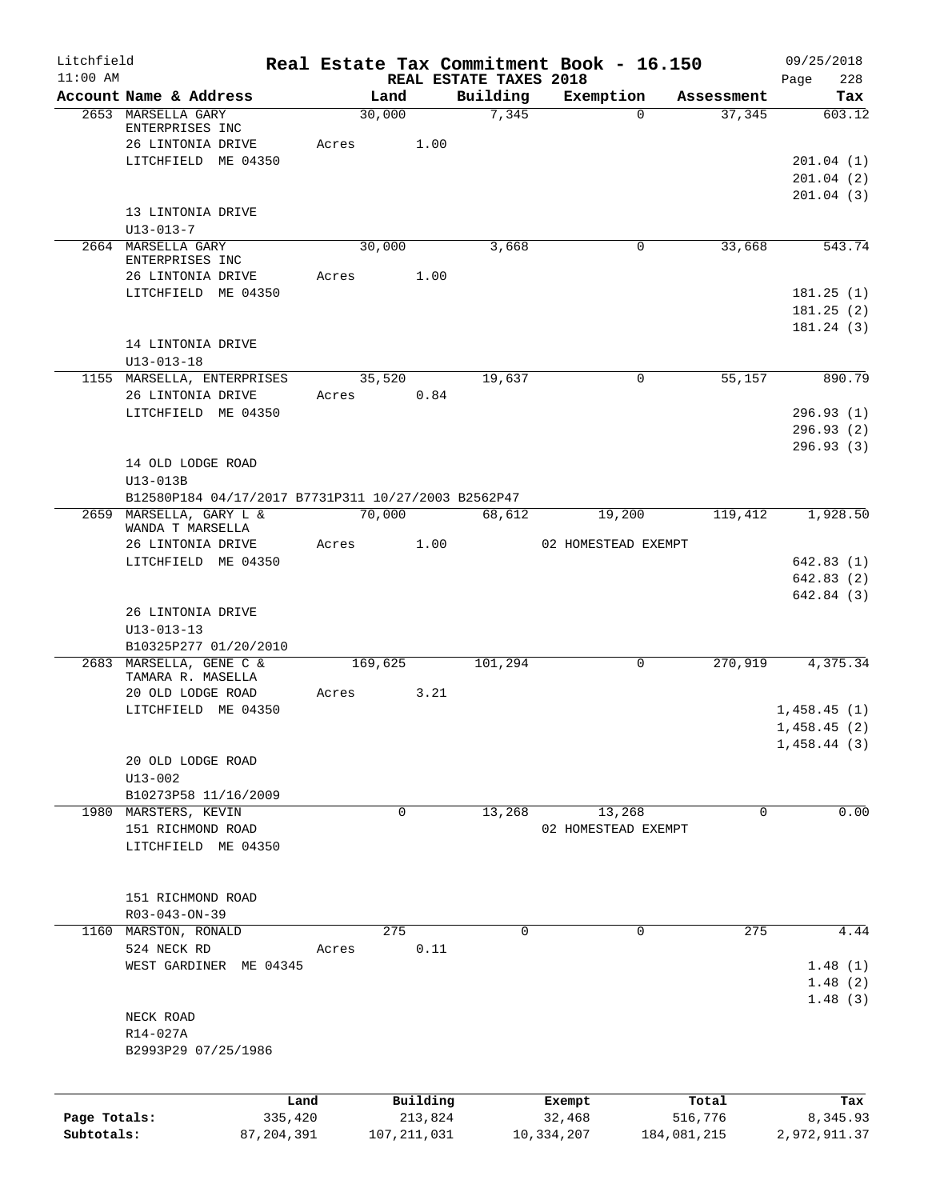| Litchfield   |                                                     |              |         |               |                                    | Real Estate Tax Commitment Book - 16.150 |                      | 09/25/2018    |
|--------------|-----------------------------------------------------|--------------|---------|---------------|------------------------------------|------------------------------------------|----------------------|---------------|
| $11:00$ AM   | Account Name & Address                              |              | Land    |               | REAL ESTATE TAXES 2018<br>Building |                                          |                      | 228<br>Page   |
|              | 2653 MARSELLA GARY                                  |              | 30,000  |               | 7,345                              | Exemption<br>$\Omega$                    | Assessment<br>37,345 | Tax<br>603.12 |
|              | ENTERPRISES INC                                     |              |         |               |                                    |                                          |                      |               |
|              | 26 LINTONIA DRIVE                                   |              | Acres   | 1.00          |                                    |                                          |                      |               |
|              | LITCHFIELD ME 04350                                 |              |         |               |                                    |                                          |                      | 201.04(1)     |
|              |                                                     |              |         |               |                                    |                                          |                      | 201.04(2)     |
|              |                                                     |              |         |               |                                    |                                          |                      | 201.04(3)     |
|              | 13 LINTONIA DRIVE                                   |              |         |               |                                    |                                          |                      |               |
|              | $U13 - 013 - 7$                                     |              |         |               |                                    |                                          |                      |               |
|              | 2664 MARSELLA GARY<br>ENTERPRISES INC               |              | 30,000  |               | 3,668                              | $\mathbf 0$                              | 33,668               | 543.74        |
|              | 26 LINTONIA DRIVE                                   |              | Acres   | 1.00          |                                    |                                          |                      |               |
|              | LITCHFIELD ME 04350                                 |              |         |               |                                    |                                          |                      | 181.25(1)     |
|              |                                                     |              |         |               |                                    |                                          |                      | 181.25(2)     |
|              |                                                     |              |         |               |                                    |                                          |                      | 181.24(3)     |
|              | 14 LINTONIA DRIVE                                   |              |         |               |                                    |                                          |                      |               |
|              | $U13 - 013 - 18$                                    |              |         |               |                                    |                                          |                      |               |
|              | 1155 MARSELLA, ENTERPRISES                          |              | 35,520  |               | 19,637                             | $\mathbf 0$                              | 55,157               | 890.79        |
|              | 26 LINTONIA DRIVE                                   |              | Acres   | 0.84          |                                    |                                          |                      |               |
|              | LITCHFIELD ME 04350                                 |              |         |               |                                    |                                          |                      | 296.93(1)     |
|              |                                                     |              |         |               |                                    |                                          |                      | 296.93(2)     |
|              |                                                     |              |         |               |                                    |                                          |                      | 296.93(3)     |
|              | 14 OLD LODGE ROAD                                   |              |         |               |                                    |                                          |                      |               |
|              | $U13-013B$                                          |              |         |               |                                    |                                          |                      |               |
|              | B12580P184 04/17/2017 B7731P311 10/27/2003 B2562P47 |              |         |               |                                    |                                          |                      |               |
|              | 2659 MARSELLA, GARY L &<br>WANDA T MARSELLA         |              | 70,000  |               | 68,612                             | 19,200                                   | 119,412              | 1,928.50      |
|              | 26 LINTONIA DRIVE                                   |              | Acres   | 1.00          |                                    | 02 HOMESTEAD EXEMPT                      |                      |               |
|              | LITCHFIELD ME 04350                                 |              |         |               |                                    |                                          |                      | 642.83(1)     |
|              |                                                     |              |         |               |                                    |                                          |                      | 642.83(2)     |
|              |                                                     |              |         |               |                                    |                                          |                      | 642.84(3)     |
|              | 26 LINTONIA DRIVE                                   |              |         |               |                                    |                                          |                      |               |
|              | $U13 - 013 - 13$                                    |              |         |               |                                    |                                          |                      |               |
|              | B10325P277 01/20/2010                               |              |         |               |                                    |                                          |                      |               |
|              | 2683 MARSELLA, GENE C &                             |              | 169,625 |               | 101,294                            | 0                                        | 270,919              | 4,375.34      |
|              | TAMARA R. MASELLA                                   |              |         |               |                                    |                                          |                      |               |
|              | 20 OLD LODGE ROAD                                   |              | Acres   | 3.21          |                                    |                                          |                      |               |
|              | LITCHFIELD ME 04350                                 |              |         |               |                                    |                                          |                      | 1,458.45(1)   |
|              |                                                     |              |         |               |                                    |                                          |                      | 1,458.45(2)   |
|              |                                                     |              |         |               |                                    |                                          |                      | 1,458.44(3)   |
|              | 20 OLD LODGE ROAD                                   |              |         |               |                                    |                                          |                      |               |
|              | $U13 - 002$                                         |              |         |               |                                    |                                          |                      |               |
|              | B10273P58 11/16/2009                                |              |         |               |                                    |                                          |                      |               |
|              | 1980 MARSTERS, KEVIN                                |              | 0       |               | 13,268                             | 13,268                                   | 0                    | 0.00          |
|              | 151 RICHMOND ROAD                                   |              |         |               |                                    | 02 HOMESTEAD EXEMPT                      |                      |               |
|              | LITCHFIELD ME 04350                                 |              |         |               |                                    |                                          |                      |               |
|              |                                                     |              |         |               |                                    |                                          |                      |               |
|              | 151 RICHMOND ROAD                                   |              |         |               |                                    |                                          |                      |               |
|              | R03-043-ON-39                                       |              |         |               |                                    |                                          |                      |               |
| 1160         | MARSTON, RONALD                                     |              | 275     |               | $\Omega$                           | 0                                        | 275                  | 4.44          |
|              | 524 NECK RD                                         |              | Acres   | 0.11          |                                    |                                          |                      |               |
|              | WEST GARDINER ME 04345                              |              |         |               |                                    |                                          |                      | 1.48(1)       |
|              |                                                     |              |         |               |                                    |                                          |                      | 1.48(2)       |
|              |                                                     |              |         |               |                                    |                                          |                      | 1.48(3)       |
|              | NECK ROAD                                           |              |         |               |                                    |                                          |                      |               |
|              | R14-027A                                            |              |         |               |                                    |                                          |                      |               |
|              | B2993P29 07/25/1986                                 |              |         |               |                                    |                                          |                      |               |
|              |                                                     |              |         |               |                                    |                                          |                      |               |
|              |                                                     |              |         |               |                                    |                                          |                      |               |
|              |                                                     | Land         |         | Building      |                                    | Exempt                                   | Total                | Tax           |
| Page Totals: |                                                     | 335,420      |         | 213,824       |                                    | 32,468                                   | 516,776              | 8,345.93      |
| Subtotals:   |                                                     | 87, 204, 391 |         | 107, 211, 031 |                                    | 10,334,207                               | 184,081,215          | 2,972,911.37  |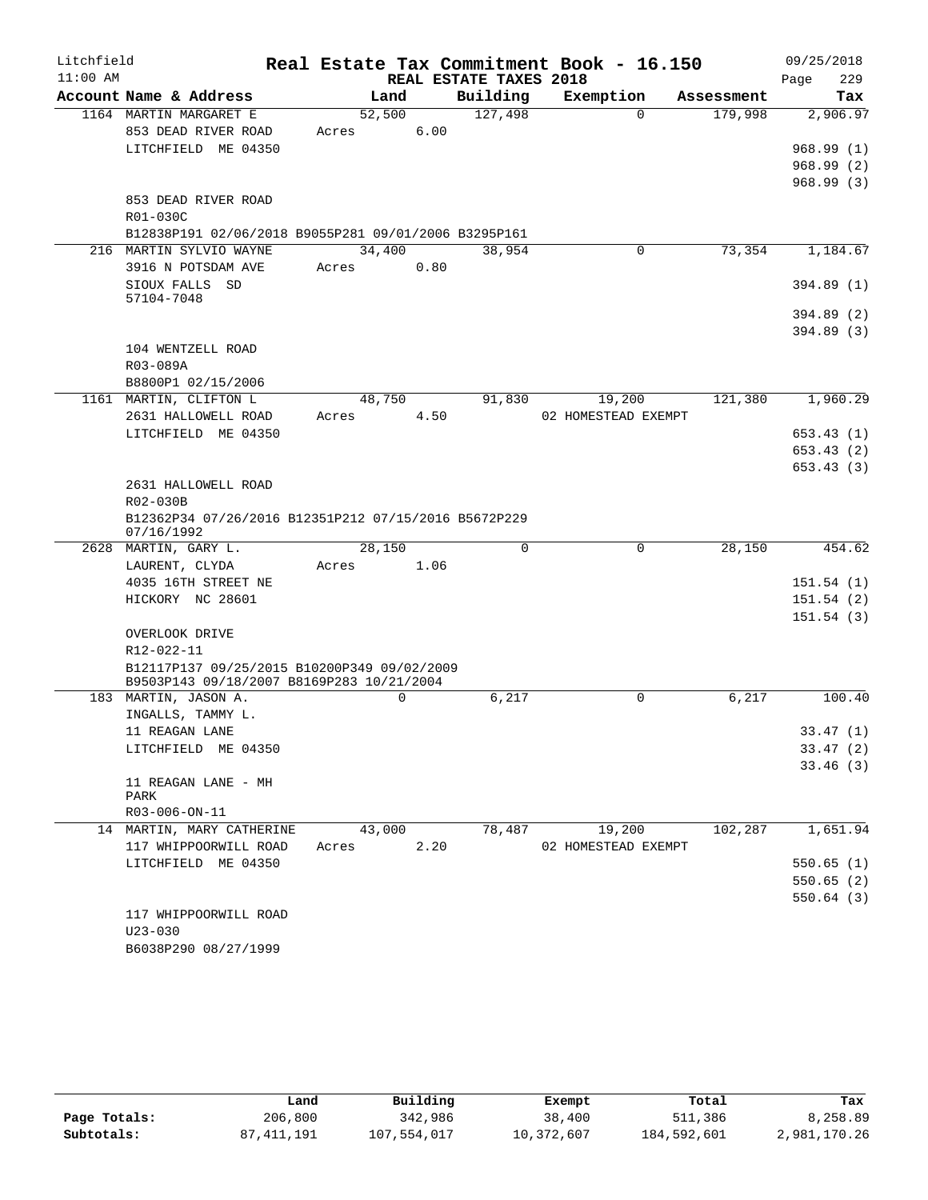| Litchfield |                                                                    |          |                        | Real Estate Tax Commitment Book - 16.150 |            | 09/25/2018  |
|------------|--------------------------------------------------------------------|----------|------------------------|------------------------------------------|------------|-------------|
| $11:00$ AM |                                                                    |          | REAL ESTATE TAXES 2018 |                                          |            | 229<br>Page |
|            | Account Name & Address                                             | Land     | Building               | Exemption                                | Assessment | Tax         |
|            | 1164 MARTIN MARGARET E                                             | 52,500   | 127,498                | $\Omega$                                 | 179,998    | 2,906.97    |
|            | 853 DEAD RIVER ROAD                                                | Acres    | 6.00                   |                                          |            |             |
|            | LITCHFIELD ME 04350                                                |          |                        |                                          |            | 968.99(1)   |
|            |                                                                    |          |                        |                                          |            | 968.99(2)   |
|            | 853 DEAD RIVER ROAD                                                |          |                        |                                          |            | 968.99(3)   |
|            | R01-030C                                                           |          |                        |                                          |            |             |
|            | B12838P191 02/06/2018 B9055P281 09/01/2006 B3295P161               |          |                        |                                          |            |             |
|            | 216 MARTIN SYLVIO WAYNE                                            | 34,400   | 38,954                 | 0                                        | 73,354     | 1,184.67    |
|            | 3916 N POTSDAM AVE                                                 | Acres    | 0.80                   |                                          |            |             |
|            | SIOUX FALLS SD                                                     |          |                        |                                          |            | 394.89(1)   |
|            | 57104-7048                                                         |          |                        |                                          |            |             |
|            |                                                                    |          |                        |                                          |            | 394.89(2)   |
|            |                                                                    |          |                        |                                          |            | 394.89(3)   |
|            | 104 WENTZELL ROAD                                                  |          |                        |                                          |            |             |
|            | R03-089A                                                           |          |                        |                                          |            |             |
|            | B8800P1 02/15/2006                                                 |          |                        |                                          |            |             |
|            | 1161 MARTIN, CLIFTON L                                             | 48,750   | 91,830                 | 19,200                                   | 121,380    | 1,960.29    |
|            | 2631 HALLOWELL ROAD<br>LITCHFIELD ME 04350                         | Acres    | 4.50                   | 02 HOMESTEAD EXEMPT                      |            | 653.43(1)   |
|            |                                                                    |          |                        |                                          |            | 653.43(2)   |
|            |                                                                    |          |                        |                                          |            | 653.43(3)   |
|            | 2631 HALLOWELL ROAD                                                |          |                        |                                          |            |             |
|            | R02-030B                                                           |          |                        |                                          |            |             |
|            | B12362P34 07/26/2016 B12351P212 07/15/2016 B5672P229<br>07/16/1992 |          |                        |                                          |            |             |
|            | 2628 MARTIN, GARY L.                                               | 28,150   | $\mathbf 0$            | $\mathbf 0$                              | 28,150     | 454.62      |
|            | LAURENT, CLYDA                                                     | Acres    | 1.06                   |                                          |            |             |
|            | 4035 16TH STREET NE                                                |          |                        |                                          |            | 151.54(1)   |
|            | HICKORY NC 28601                                                   |          |                        |                                          |            | 151.54(2)   |
|            |                                                                    |          |                        |                                          |            | 151.54(3)   |
|            | OVERLOOK DRIVE                                                     |          |                        |                                          |            |             |
|            | R12-022-11<br>B12117P137 09/25/2015 B10200P349 09/02/2009          |          |                        |                                          |            |             |
|            | B9503P143 09/18/2007 B8169P283 10/21/2004                          |          |                        |                                          |            |             |
|            | 183 MARTIN, JASON A.                                               | $\Omega$ | 6,217                  | $\Omega$                                 | 6,217      | 100.40      |
|            | INGALLS, TAMMY L.                                                  |          |                        |                                          |            |             |
|            | 11 REAGAN LANE                                                     |          |                        |                                          |            | 33.47(1)    |
|            | LITCHFIELD ME 04350                                                |          |                        |                                          |            | 33.47(2)    |
|            |                                                                    |          |                        |                                          |            | 33.46(3)    |
|            | 11 REAGAN LANE - MH                                                |          |                        |                                          |            |             |
|            | PARK<br>R03-006-ON-11                                              |          |                        |                                          |            |             |
|            | 14 MARTIN, MARY CATHERINE                                          | 43,000   | 78,487                 | 19,200                                   | 102,287    | 1,651.94    |
|            | 117 WHIPPOORWILL ROAD                                              | Acres    | 2.20                   | 02 HOMESTEAD EXEMPT                      |            |             |
|            | LITCHFIELD ME 04350                                                |          |                        |                                          |            | 550.65(1)   |
|            |                                                                    |          |                        |                                          |            | 550.65(2)   |
|            |                                                                    |          |                        |                                          |            | 550.64(3)   |
|            | 117 WHIPPOORWILL ROAD                                              |          |                        |                                          |            |             |
|            | $U23 - 030$                                                        |          |                        |                                          |            |             |
|            | B6038P290 08/27/1999                                               |          |                        |                                          |            |             |

|              | Land       | Building    | Exempt     | Total       | Tax          |
|--------------|------------|-------------|------------|-------------|--------------|
| Page Totals: | 206,800    | 342,986     | 38,400     | 511,386     | 8,258.89     |
| Subtotals:   | 87,411,191 | 107,554,017 | 10,372,607 | 184,592,601 | 2,981,170.26 |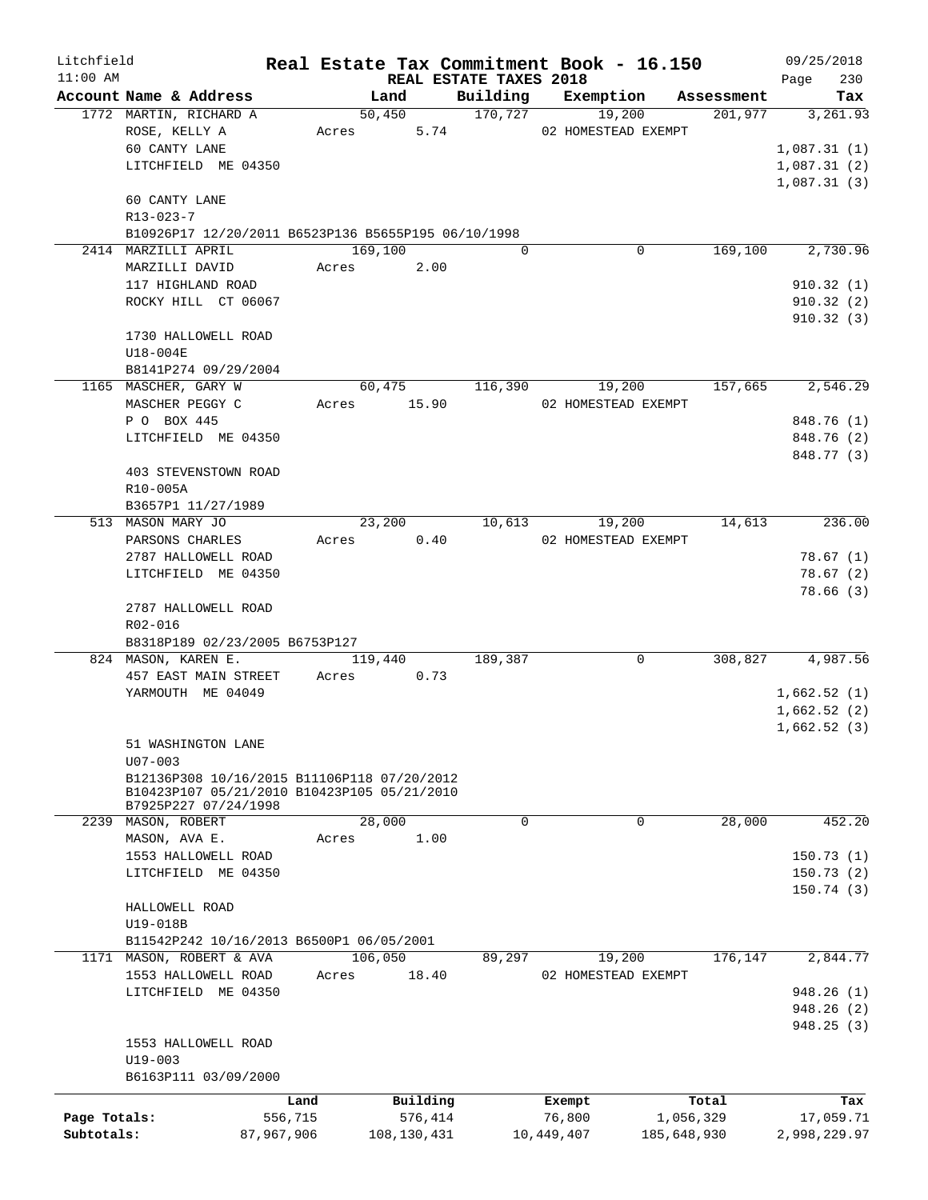| Litchfield   |                                                     |            |                |                        | Real Estate Tax Commitment Book - 16.150 |                       | 09/25/2018      |
|--------------|-----------------------------------------------------|------------|----------------|------------------------|------------------------------------------|-----------------------|-----------------|
| $11:00$ AM   |                                                     |            |                | REAL ESTATE TAXES 2018 |                                          |                       | 230<br>Page     |
|              | Account Name & Address<br>1772 MARTIN, RICHARD A    |            | Land<br>50,450 | 170,727                | Building Exemption<br>19,200             | Assessment<br>201,977 | Tax<br>3,261.93 |
|              | ROSE, KELLY A                                       |            | Acres 5.74     |                        | 02 HOMESTEAD EXEMPT                      |                       |                 |
|              | 60 CANTY LANE                                       |            |                |                        |                                          |                       | 1,087.31(1)     |
|              | LITCHFIELD ME 04350                                 |            |                |                        |                                          |                       | 1,087.31(2)     |
|              |                                                     |            |                |                        |                                          |                       | 1,087.31(3)     |
|              | 60 CANTY LANE                                       |            |                |                        |                                          |                       |                 |
|              | R13-023-7                                           |            |                |                        |                                          |                       |                 |
|              | B10926P17 12/20/2011 B6523P136 B5655P195 06/10/1998 |            |                |                        |                                          |                       |                 |
|              | 2414 MARZILLI APRIL                                 |            | 169,100        | $\Omega$               | 0                                        | 169,100               | 2,730.96        |
|              | MARZILLI DAVID                                      | Acres      | 2.00           |                        |                                          |                       |                 |
|              | 117 HIGHLAND ROAD                                   |            |                |                        |                                          |                       | 910.32(1)       |
|              | ROCKY HILL CT 06067                                 |            |                |                        |                                          |                       | 910.32(2)       |
|              |                                                     |            |                |                        |                                          |                       | 910.32(3)       |
|              | 1730 HALLOWELL ROAD                                 |            |                |                        |                                          |                       |                 |
|              | U18-004E                                            |            |                |                        |                                          |                       |                 |
|              | B8141P274 09/29/2004                                |            |                |                        |                                          |                       |                 |
|              | 1165 MASCHER, GARY W                                |            | 60,475         | 116,390                | 19,200                                   | 157,665               | 2,546.29        |
|              | MASCHER PEGGY C                                     |            | Acres 15.90    |                        | 02 HOMESTEAD EXEMPT                      |                       |                 |
|              | P O BOX 445                                         |            |                |                        |                                          |                       | 848.76 (1)      |
|              | LITCHFIELD ME 04350                                 |            |                |                        |                                          |                       | 848.76 (2)      |
|              |                                                     |            |                |                        |                                          |                       | 848.77 (3)      |
|              | 403 STEVENSTOWN ROAD                                |            |                |                        |                                          |                       |                 |
|              | R10-005A                                            |            |                |                        |                                          |                       |                 |
|              | B3657P1 11/27/1989                                  |            |                |                        |                                          |                       |                 |
|              | 513 MASON MARY JO                                   |            | 23,200         |                        | 10,613<br>19,200                         | 14,613                | 236.00          |
|              | PARSONS CHARLES                                     | Acres      | 0.40           |                        | 02 HOMESTEAD EXEMPT                      |                       |                 |
|              | 2787 HALLOWELL ROAD                                 |            |                |                        |                                          |                       | 78.67(1)        |
|              | LITCHFIELD ME 04350                                 |            |                |                        |                                          |                       | 78.67(2)        |
|              | 2787 HALLOWELL ROAD                                 |            |                |                        |                                          |                       | 78.66(3)        |
|              | R02-016                                             |            |                |                        |                                          |                       |                 |
|              | B8318P189 02/23/2005 B6753P127                      |            |                |                        |                                          |                       |                 |
|              | 824 MASON, KAREN E.                                 |            | 119,440        | 189,387                | 0                                        | 308,827               | 4,987.56        |
|              | 457 EAST MAIN STREET                                | Acres      | 0.73           |                        |                                          |                       |                 |
|              | YARMOUTH ME 04049                                   |            |                |                        |                                          |                       | 1,662.52(1)     |
|              |                                                     |            |                |                        |                                          |                       | 1,662.52(2)     |
|              |                                                     |            |                |                        |                                          |                       | 1,662.52(3)     |
|              | 51 WASHINGTON LANE                                  |            |                |                        |                                          |                       |                 |
|              | $U07 - 003$                                         |            |                |                        |                                          |                       |                 |
|              | B12136P308 10/16/2015 B11106P118 07/20/2012         |            |                |                        |                                          |                       |                 |
|              | B10423P107 05/21/2010 B10423P105 05/21/2010         |            |                |                        |                                          |                       |                 |
|              | B7925P227 07/24/1998                                |            | 28,000         | $\mathbf 0$            | 0                                        | 28,000                | 452.20          |
|              | 2239 MASON, ROBERT<br>MASON, AVA E.                 | Acres      | 1.00           |                        |                                          |                       |                 |
|              | 1553 HALLOWELL ROAD                                 |            |                |                        |                                          |                       | 150.73(1)       |
|              | LITCHFIELD ME 04350                                 |            |                |                        |                                          |                       | 150.73(2)       |
|              |                                                     |            |                |                        |                                          |                       | 150.74(3)       |
|              | HALLOWELL ROAD                                      |            |                |                        |                                          |                       |                 |
|              | U19-018B                                            |            |                |                        |                                          |                       |                 |
|              | B11542P242 10/16/2013 B6500P1 06/05/2001            |            |                |                        |                                          |                       |                 |
|              | 1171 MASON, ROBERT & AVA                            |            | 106,050        | 89,297                 | 19,200                                   | 176,147               | 2,844.77        |
|              | 1553 HALLOWELL ROAD                                 | Acres      | 18.40          |                        | 02 HOMESTEAD EXEMPT                      |                       |                 |
|              | LITCHFIELD ME 04350                                 |            |                |                        |                                          |                       | 948.26(1)       |
|              |                                                     |            |                |                        |                                          |                       | 948.26(2)       |
|              |                                                     |            |                |                        |                                          |                       | 948.25(3)       |
|              | 1553 HALLOWELL ROAD                                 |            |                |                        |                                          |                       |                 |
|              | $U19 - 003$                                         |            |                |                        |                                          |                       |                 |
|              | B6163P111 03/09/2000                                |            |                |                        |                                          |                       |                 |
|              |                                                     | Land       | Building       |                        | Exempt                                   | Total                 | Tax             |
| Page Totals: |                                                     | 556,715    | 576,414        |                        | 76,800                                   | 1,056,329             | 17,059.71       |
| Subtotals:   |                                                     | 87,967,906 | 108, 130, 431  |                        | 10,449,407                               | 185,648,930           | 2,998,229.97    |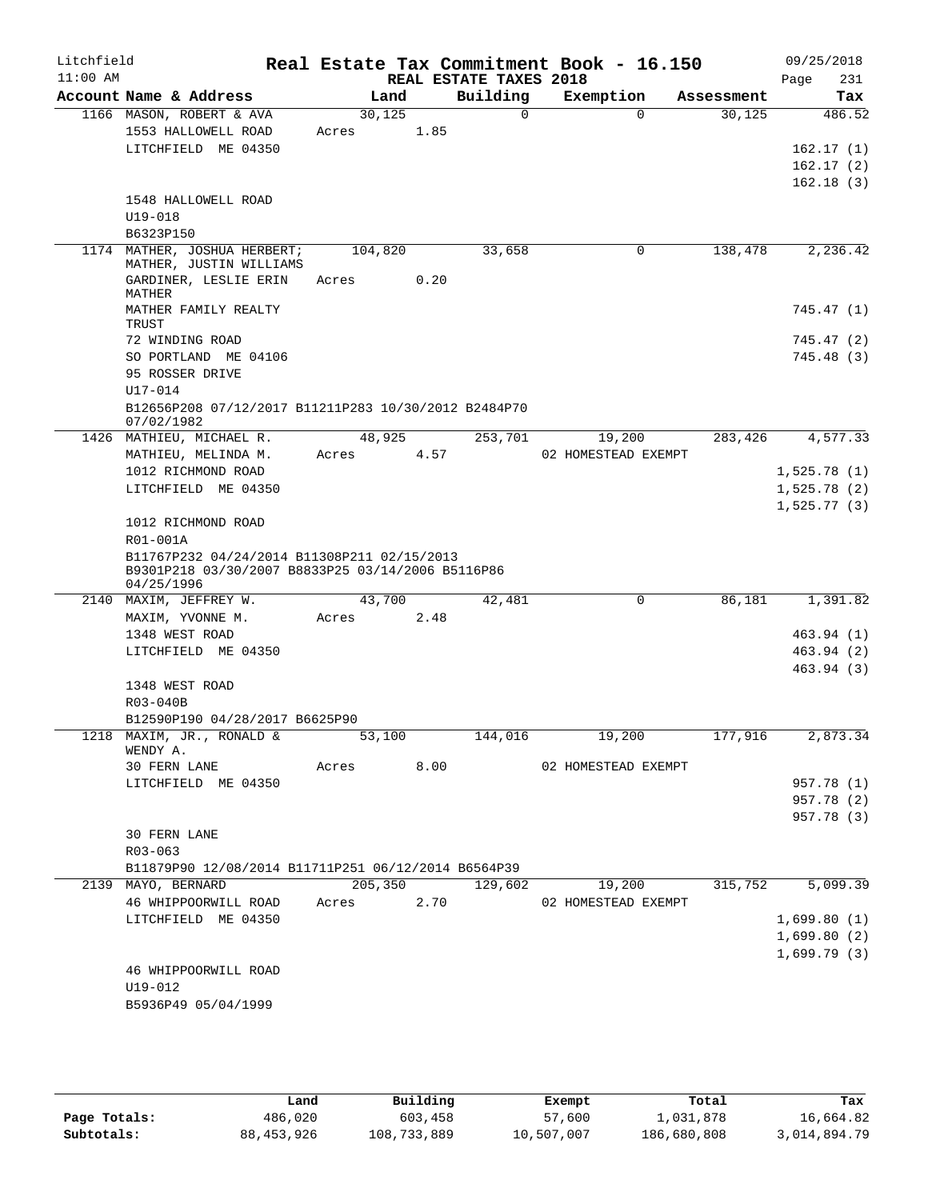| Litchfield<br>$11:00$ AM |                                                                                                                |         |      | REAL ESTATE TAXES 2018 | Real Estate Tax Commitment Book - 16.150 |            | 09/25/2018<br>231<br>Page |
|--------------------------|----------------------------------------------------------------------------------------------------------------|---------|------|------------------------|------------------------------------------|------------|---------------------------|
|                          | Account Name & Address                                                                                         | Land    |      | Building               | Exemption                                | Assessment | Tax                       |
|                          | 1166 MASON, ROBERT & AVA                                                                                       | 30,125  |      | $\Omega$               | $\Omega$                                 | 30,125     | 486.52                    |
|                          | 1553 HALLOWELL ROAD                                                                                            | Acres   | 1.85 |                        |                                          |            |                           |
|                          | LITCHFIELD ME 04350                                                                                            |         |      |                        |                                          |            | 162.17(1)                 |
|                          |                                                                                                                |         |      |                        |                                          |            | 162.17(2)                 |
|                          |                                                                                                                |         |      |                        |                                          |            | 162.18(3)                 |
|                          | 1548 HALLOWELL ROAD                                                                                            |         |      |                        |                                          |            |                           |
|                          | $U19 - 018$                                                                                                    |         |      |                        |                                          |            |                           |
|                          | B6323P150                                                                                                      |         |      |                        |                                          |            |                           |
|                          | 1174 MATHER, JOSHUA HERBERT;<br>MATHER, JUSTIN WILLIAMS                                                        | 104,820 |      | 33,658                 | 0                                        | 138,478    | 2,236.42                  |
|                          | GARDINER, LESLIE ERIN                                                                                          | Acres   | 0.20 |                        |                                          |            |                           |
|                          | MATHER                                                                                                         |         |      |                        |                                          |            |                           |
|                          | MATHER FAMILY REALTY                                                                                           |         |      |                        |                                          |            | 745.47 (1)                |
|                          | TRUST                                                                                                          |         |      |                        |                                          |            |                           |
|                          | 72 WINDING ROAD                                                                                                |         |      |                        |                                          |            | 745.47 (2)                |
|                          | SO PORTLAND ME 04106                                                                                           |         |      |                        |                                          |            | 745.48 (3)                |
|                          | 95 ROSSER DRIVE                                                                                                |         |      |                        |                                          |            |                           |
|                          | $U17 - 014$                                                                                                    |         |      |                        |                                          |            |                           |
|                          | B12656P208 07/12/2017 B11211P283 10/30/2012 B2484P70<br>07/02/1982                                             |         |      |                        |                                          |            |                           |
|                          | 1426 MATHIEU, MICHAEL R.                                                                                       | 48,925  |      | 253,701                | 19,200                                   | 283,426    | 4,577.33                  |
|                          | MATHIEU, MELINDA M.                                                                                            | Acres   | 4.57 |                        | 02 HOMESTEAD EXEMPT                      |            |                           |
|                          | 1012 RICHMOND ROAD                                                                                             |         |      |                        |                                          |            | 1,525.78(1)               |
|                          | LITCHFIELD ME 04350                                                                                            |         |      |                        |                                          |            | 1,525.78(2)               |
|                          |                                                                                                                |         |      |                        |                                          |            | 1,525.77(3)               |
|                          | 1012 RICHMOND ROAD                                                                                             |         |      |                        |                                          |            |                           |
|                          | R01-001A                                                                                                       |         |      |                        |                                          |            |                           |
|                          | B11767P232 04/24/2014 B11308P211 02/15/2013<br>B9301P218 03/30/2007 B8833P25 03/14/2006 B5116P86<br>04/25/1996 |         |      |                        |                                          |            |                           |
|                          | 2140 MAXIM, JEFFREY W.                                                                                         | 43,700  |      | 42,481                 | 0                                        | 86,181     | 1,391.82                  |
|                          | MAXIM, YVONNE M.                                                                                               | Acres   | 2.48 |                        |                                          |            |                           |
|                          | 1348 WEST ROAD                                                                                                 |         |      |                        |                                          |            | 463.94 (1)                |
|                          | LITCHFIELD ME 04350                                                                                            |         |      |                        |                                          |            | 463.94 (2)                |
|                          |                                                                                                                |         |      |                        |                                          |            | 463.94 (3)                |
|                          | 1348 WEST ROAD                                                                                                 |         |      |                        |                                          |            |                           |
|                          | R03-040B                                                                                                       |         |      |                        |                                          |            |                           |
|                          | B12590P190 04/28/2017 B6625P90                                                                                 |         |      |                        |                                          |            |                           |
|                          | 1218 MAXIM, JR., RONALD &                                                                                      | 53,100  |      | 144,016                | 19,200                                   | 177,916    | 2,873.34                  |
|                          | WENDY A.                                                                                                       |         |      |                        |                                          |            |                           |
|                          | 30 FERN LANE                                                                                                   | Acres   | 8.00 |                        | 02 HOMESTEAD EXEMPT                      |            |                           |
|                          | LITCHFIELD ME 04350                                                                                            |         |      |                        |                                          |            | 957.78 (1)<br>957.78 (2)  |
|                          |                                                                                                                |         |      |                        |                                          |            | 957.78 (3)                |
|                          | 30 FERN LANE                                                                                                   |         |      |                        |                                          |            |                           |
|                          | $R03 - 063$                                                                                                    |         |      |                        |                                          |            |                           |
|                          | B11879P90 12/08/2014 B11711P251 06/12/2014 B6564P39                                                            |         |      |                        |                                          |            |                           |
|                          | 2139 MAYO, BERNARD                                                                                             | 205,350 |      | 129,602                | 19,200                                   | 315,752    | 5,099.39                  |
|                          | 46 WHIPPOORWILL ROAD                                                                                           | Acres   | 2.70 |                        | 02 HOMESTEAD EXEMPT                      |            |                           |
|                          | LITCHFIELD ME 04350                                                                                            |         |      |                        |                                          |            | 1,699.80(1)               |
|                          |                                                                                                                |         |      |                        |                                          |            | 1,699.80(2)               |
|                          |                                                                                                                |         |      |                        |                                          |            | 1,699.79(3)               |
|                          | 46 WHIPPOORWILL ROAD                                                                                           |         |      |                        |                                          |            |                           |
|                          | U19-012                                                                                                        |         |      |                        |                                          |            |                           |
|                          | B5936P49 05/04/1999                                                                                            |         |      |                        |                                          |            |                           |
|                          |                                                                                                                |         |      |                        |                                          |            |                           |

|              | Land       | Building    | Exempt     | Total       | Tax          |
|--------------|------------|-------------|------------|-------------|--------------|
| Page Totals: | 486,020    | 603,458     | 57,600     | 1,031,878   | 16,664.82    |
| Subtotals:   | 88,453,926 | 108,733,889 | 10,507,007 | 186,680,808 | 3,014,894.79 |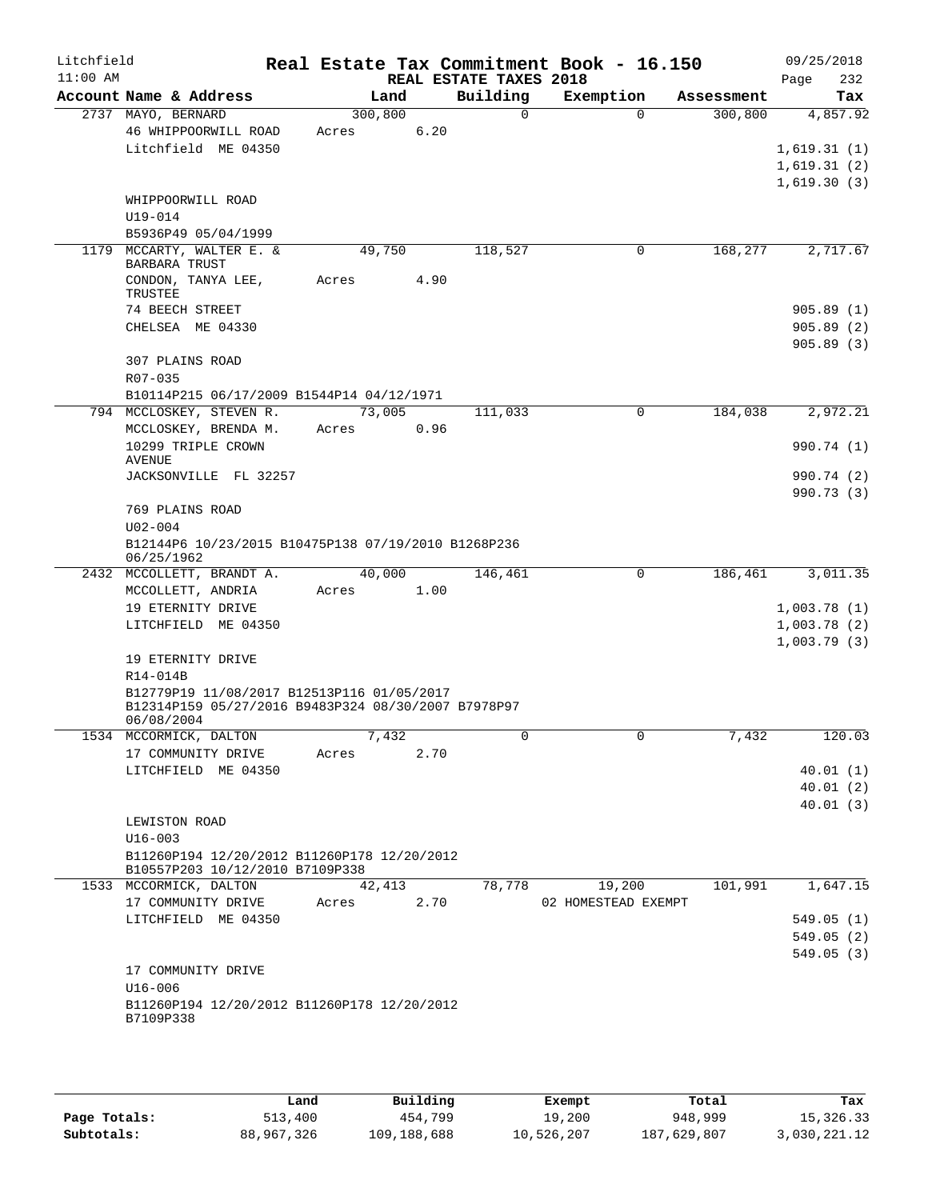| Litchfield<br>$11:00$ AM |                                                     |          |       | REAL ESTATE TAXES 2018 | Real Estate Tax Commitment Book - 16.150 |            | 09/25/2018<br>232<br>Page  |
|--------------------------|-----------------------------------------------------|----------|-------|------------------------|------------------------------------------|------------|----------------------------|
|                          | Account Name & Address                              |          | Land  | Building               | Exemption                                | Assessment | Tax                        |
|                          | 2737 MAYO, BERNARD                                  | 300, 800 |       | $\Omega$               | $\Omega$                                 | 300,800    | 4,857.92                   |
|                          | 46 WHIPPOORWILL ROAD<br>Litchfield ME 04350         | Acres    | 6.20  |                        |                                          |            |                            |
|                          |                                                     |          |       |                        |                                          |            | 1,619.31(1)<br>1,619.31(2) |
|                          |                                                     |          |       |                        |                                          |            | 1,619.30(3)                |
|                          | WHIPPOORWILL ROAD                                   |          |       |                        |                                          |            |                            |
|                          | U19-014                                             |          |       |                        |                                          |            |                            |
|                          | B5936P49 05/04/1999                                 |          |       |                        |                                          |            |                            |
|                          | 1179 MCCARTY, WALTER E. &                           | 49,750   |       | 118,527                | 0                                        | 168,277    | 2,717.67                   |
|                          | <b>BARBARA TRUST</b>                                |          |       |                        |                                          |            |                            |
|                          | CONDON, TANYA LEE,<br>TRUSTEE                       | Acres    | 4.90  |                        |                                          |            |                            |
|                          | 74 BEECH STREET                                     |          |       |                        |                                          |            | 905.89(1)                  |
|                          | CHELSEA ME 04330                                    |          |       |                        |                                          |            | 905.89(2)                  |
|                          |                                                     |          |       |                        |                                          |            | 905.89(3)                  |
|                          | 307 PLAINS ROAD                                     |          |       |                        |                                          |            |                            |
|                          | R07-035                                             |          |       |                        |                                          |            |                            |
|                          | B10114P215 06/17/2009 B1544P14 04/12/1971           |          |       |                        |                                          |            |                            |
|                          | 794 MCCLOSKEY, STEVEN R.                            | 73,005   |       | 111,033                | $\mathbf 0$                              | 184,038    | 2,972.21                   |
|                          | MCCLOSKEY, BRENDA M.                                | Acres    | 0.96  |                        |                                          |            |                            |
|                          | 10299 TRIPLE CROWN                                  |          |       |                        |                                          |            | 990.74 (1)                 |
|                          | <b>AVENUE</b><br>JACKSONVILLE FL 32257              |          |       |                        |                                          |            | 990.74 (2)                 |
|                          |                                                     |          |       |                        |                                          |            | 990.73(3)                  |
|                          | 769 PLAINS ROAD                                     |          |       |                        |                                          |            |                            |
|                          | $U02 - 004$                                         |          |       |                        |                                          |            |                            |
|                          | B12144P6 10/23/2015 B10475P138 07/19/2010 B1268P236 |          |       |                        |                                          |            |                            |
|                          | 06/25/1962                                          |          |       |                        |                                          |            |                            |
|                          | 2432 MCCOLLETT, BRANDT A.                           | 40,000   |       | 146,461                | 0                                        | 186,461    | 3,011.35                   |
|                          | MCCOLLETT, ANDRIA                                   | Acres    | 1.00  |                        |                                          |            |                            |
|                          | 19 ETERNITY DRIVE                                   |          |       |                        |                                          |            | 1,003.78(1)                |
|                          | LITCHFIELD ME 04350                                 |          |       |                        |                                          |            | 1,003.78(2)                |
|                          | 19 ETERNITY DRIVE                                   |          |       |                        |                                          |            | 1,003.79(3)                |
|                          | R14-014B                                            |          |       |                        |                                          |            |                            |
|                          | B12779P19 11/08/2017 B12513P116 01/05/2017          |          |       |                        |                                          |            |                            |
|                          | B12314P159 05/27/2016 B9483P324 08/30/2007 B7978P97 |          |       |                        |                                          |            |                            |
|                          | 06/08/2004                                          |          |       |                        |                                          |            |                            |
|                          | 1534 MCCORMICK, DALTON                              |          | 7,432 | 0                      | $\mathbf{0}$                             | 7,432      | 120.03                     |
|                          | 17 COMMUNITY DRIVE                                  | Acres    | 2.70  |                        |                                          |            |                            |
|                          | LITCHFIELD ME 04350                                 |          |       |                        |                                          |            | 40.01(1)<br>40.01(2)       |
|                          |                                                     |          |       |                        |                                          |            | 40.01(3)                   |
|                          | LEWISTON ROAD                                       |          |       |                        |                                          |            |                            |
|                          | $U16 - 003$                                         |          |       |                        |                                          |            |                            |
|                          | B11260P194 12/20/2012 B11260P178 12/20/2012         |          |       |                        |                                          |            |                            |
|                          | B10557P203 10/12/2010 B7109P338                     |          |       |                        |                                          |            |                            |
|                          | 1533 MCCORMICK, DALTON                              | 42,413   |       | 78,778                 | 19,200                                   | 101,991    | 1,647.15                   |
|                          | 17 COMMUNITY DRIVE                                  | Acres    | 2.70  |                        | 02 HOMESTEAD EXEMPT                      |            |                            |
|                          | LITCHFIELD ME 04350                                 |          |       |                        |                                          |            | 549.05(1)                  |
|                          |                                                     |          |       |                        |                                          |            | 549.05(2)                  |
|                          |                                                     |          |       |                        |                                          |            | 549.05(3)                  |
|                          | 17 COMMUNITY DRIVE<br>$U16 - 006$                   |          |       |                        |                                          |            |                            |
|                          | B11260P194 12/20/2012 B11260P178 12/20/2012         |          |       |                        |                                          |            |                            |
|                          | B7109P338                                           |          |       |                        |                                          |            |                            |
|                          |                                                     |          |       |                        |                                          |            |                            |

|              | Land       | Building    | Exempt     | Total       | Tax          |
|--------------|------------|-------------|------------|-------------|--------------|
| Page Totals: | 513,400    | 454,799     | 19,200     | 948,999     | 15,326.33    |
| Subtotals:   | 88,967,326 | 109,188,688 | 10,526,207 | 187,629,807 | 3,030,221.12 |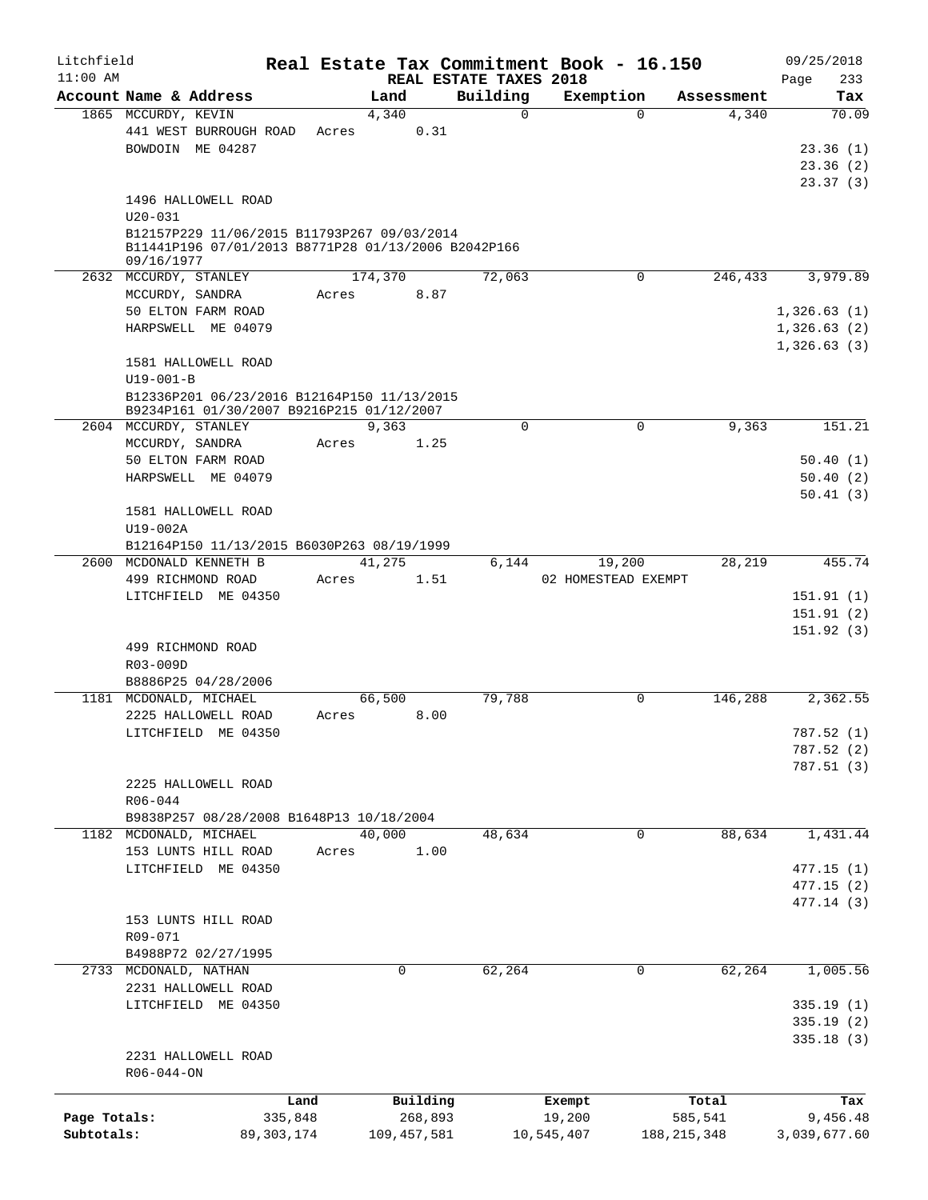| Litchfield   |                                                     |              |       |               |                        | Real Estate Tax Commitment Book - 16.150 |               |            | 09/25/2018   |
|--------------|-----------------------------------------------------|--------------|-------|---------------|------------------------|------------------------------------------|---------------|------------|--------------|
| $11:00$ AM   |                                                     |              |       |               | REAL ESTATE TAXES 2018 |                                          |               |            | 233<br>Page  |
|              | Account Name & Address                              |              |       | Land          | Building               | Exemption                                |               | Assessment | Tax          |
|              | 1865 MCCURDY, KEVIN                                 |              |       | 4,340         | $\mathbf 0$            |                                          | $\Omega$      | 4,340      | 70.09        |
|              | 441 WEST BURROUGH ROAD                              |              | Acres | 0.31          |                        |                                          |               |            |              |
|              | BOWDOIN ME 04287                                    |              |       |               |                        |                                          |               |            | 23.36(1)     |
|              |                                                     |              |       |               |                        |                                          |               |            | 23.36(2)     |
|              |                                                     |              |       |               |                        |                                          |               |            | 23.37(3)     |
|              | 1496 HALLOWELL ROAD<br>$U20 - 031$                  |              |       |               |                        |                                          |               |            |              |
|              | B12157P229 11/06/2015 B11793P267 09/03/2014         |              |       |               |                        |                                          |               |            |              |
|              | B11441P196 07/01/2013 B8771P28 01/13/2006 B2042P166 |              |       |               |                        |                                          |               |            |              |
|              | 09/16/1977                                          |              |       |               |                        |                                          |               |            |              |
|              | 2632 MCCURDY, STANLEY                               |              |       | 174,370       | 72,063                 |                                          | $\mathbf 0$   | 246,433    | 3,979.89     |
|              | MCCURDY, SANDRA                                     |              | Acres | 8.87          |                        |                                          |               |            |              |
|              | 50 ELTON FARM ROAD                                  |              |       |               |                        |                                          |               |            | 1,326.63(1)  |
|              | HARPSWELL ME 04079                                  |              |       |               |                        |                                          |               |            | 1,326.63(2)  |
|              |                                                     |              |       |               |                        |                                          |               |            | 1,326.63(3)  |
|              | 1581 HALLOWELL ROAD                                 |              |       |               |                        |                                          |               |            |              |
|              | $U19 - 001 - B$                                     |              |       |               |                        |                                          |               |            |              |
|              | B12336P201 06/23/2016 B12164P150 11/13/2015         |              |       |               |                        |                                          |               |            |              |
|              | B9234P161 01/30/2007 B9216P215 01/12/2007           |              |       |               |                        |                                          |               |            |              |
|              | 2604 MCCURDY, STANLEY                               |              |       | 9,363         | $\Omega$               |                                          | $\Omega$      | 9,363      | 151.21       |
|              | MCCURDY, SANDRA                                     |              | Acres | 1.25          |                        |                                          |               |            |              |
|              | 50 ELTON FARM ROAD                                  |              |       |               |                        |                                          |               |            | 50.40(1)     |
|              |                                                     |              |       |               |                        |                                          |               |            |              |
|              | HARPSWELL ME 04079                                  |              |       |               |                        |                                          |               |            | 50.40(2)     |
|              |                                                     |              |       |               |                        |                                          |               |            | 50.41(3)     |
|              | 1581 HALLOWELL ROAD                                 |              |       |               |                        |                                          |               |            |              |
|              | U19-002A                                            |              |       |               |                        |                                          |               |            |              |
|              | B12164P150 11/13/2015 B6030P263 08/19/1999          |              |       |               |                        |                                          |               |            |              |
|              | 2600 MCDONALD KENNETH B                             |              |       | 41,275        | 6,144                  | 19,200                                   |               | 28,219     | 455.74       |
|              | 499 RICHMOND ROAD                                   |              | Acres | 1.51          |                        | 02 HOMESTEAD EXEMPT                      |               |            |              |
|              | LITCHFIELD ME 04350                                 |              |       |               |                        |                                          |               |            | 151.91(1)    |
|              |                                                     |              |       |               |                        |                                          |               |            | 151.91(2)    |
|              |                                                     |              |       |               |                        |                                          |               |            | 151.92(3)    |
|              | 499 RICHMOND ROAD                                   |              |       |               |                        |                                          |               |            |              |
|              | R03-009D                                            |              |       |               |                        |                                          |               |            |              |
|              | B8886P25 04/28/2006                                 |              |       |               |                        |                                          |               |            |              |
|              | 1181 MCDONALD, MICHAEL                              |              |       | 66,500        | 79,788                 |                                          | 0             | 146,288    | 2,362.55     |
|              | 2225 HALLOWELL ROAD                                 |              | Acres | 8.00          |                        |                                          |               |            |              |
|              | LITCHFIELD ME 04350                                 |              |       |               |                        |                                          |               |            | 787.52 (1)   |
|              |                                                     |              |       |               |                        |                                          |               |            |              |
|              |                                                     |              |       |               |                        |                                          |               |            | 787.52 (2)   |
|              |                                                     |              |       |               |                        |                                          |               |            | 787.51 (3)   |
|              | 2225 HALLOWELL ROAD                                 |              |       |               |                        |                                          |               |            |              |
|              | R06-044                                             |              |       |               |                        |                                          |               |            |              |
|              | B9838P257 08/28/2008 B1648P13 10/18/2004            |              |       |               |                        |                                          |               |            |              |
|              | 1182 MCDONALD, MICHAEL                              |              |       | 40,000        | 48,634                 |                                          | 0             | 88,634     | 1,431.44     |
|              | 153 LUNTS HILL ROAD                                 |              | Acres | 1.00          |                        |                                          |               |            |              |
|              | LITCHFIELD ME 04350                                 |              |       |               |                        |                                          |               |            | 477.15(1)    |
|              |                                                     |              |       |               |                        |                                          |               |            | 477.15(2)    |
|              |                                                     |              |       |               |                        |                                          |               |            | 477.14 (3)   |
|              | 153 LUNTS HILL ROAD                                 |              |       |               |                        |                                          |               |            |              |
|              | R09-071                                             |              |       |               |                        |                                          |               |            |              |
|              | B4988P72 02/27/1995                                 |              |       |               |                        |                                          |               |            |              |
|              | 2733 MCDONALD, NATHAN                               |              |       | 0             | 62,264                 |                                          | 0             | 62,264     | 1,005.56     |
|              | 2231 HALLOWELL ROAD                                 |              |       |               |                        |                                          |               |            |              |
|              | LITCHFIELD ME 04350                                 |              |       |               |                        |                                          |               |            |              |
|              |                                                     |              |       |               |                        |                                          |               |            | 335.19(1)    |
|              |                                                     |              |       |               |                        |                                          |               |            | 335.19 (2)   |
|              |                                                     |              |       |               |                        |                                          |               |            | 335.18(3)    |
|              | 2231 HALLOWELL ROAD                                 |              |       |               |                        |                                          |               |            |              |
|              | $R06 - 044 - ON$                                    |              |       |               |                        |                                          |               |            |              |
|              |                                                     | Land         |       | Building      |                        | Exempt                                   | Total         |            | Tax          |
| Page Totals: |                                                     | 335,848      |       | 268,893       |                        | 19,200                                   | 585,541       |            | 9,456.48     |
| Subtotals:   |                                                     | 89, 303, 174 |       | 109, 457, 581 |                        | 10,545,407                               | 188, 215, 348 |            | 3,039,677.60 |
|              |                                                     |              |       |               |                        |                                          |               |            |              |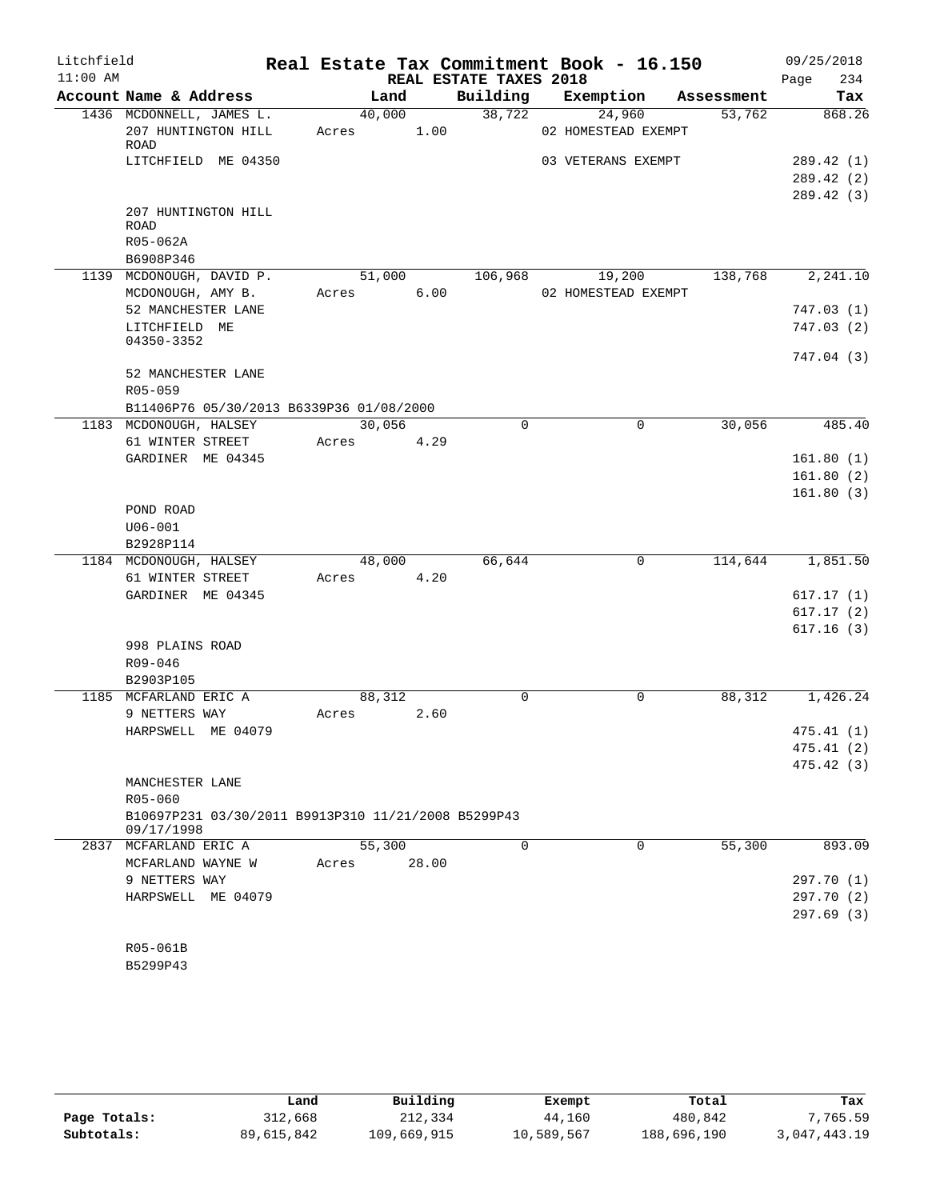| Litchfield<br>$11:00$ AM |                                                                   |       |        | REAL ESTATE TAXES 2018 | Real Estate Tax Commitment Book - 16.150 |            | 09/25/2018<br>234<br>Page |
|--------------------------|-------------------------------------------------------------------|-------|--------|------------------------|------------------------------------------|------------|---------------------------|
|                          | Account Name & Address                                            |       | Land   | Building               | Exemption                                | Assessment | Tax                       |
|                          | 1436 MCDONNELL, JAMES L.                                          |       | 40,000 | 38,722                 | 24,960                                   | 53,762     | 868.26                    |
|                          | 207 HUNTINGTON HILL<br>ROAD                                       | Acres | 1.00   |                        | 02 HOMESTEAD EXEMPT                      |            |                           |
|                          | LITCHFIELD ME 04350                                               |       |        |                        | 03 VETERANS EXEMPT                       |            | 289.42 (1)                |
|                          |                                                                   |       |        |                        |                                          |            | 289.42 (2)                |
|                          |                                                                   |       |        |                        |                                          |            | 289.42 (3)                |
|                          | 207 HUNTINGTON HILL<br>ROAD                                       |       |        |                        |                                          |            |                           |
|                          | R05-062A                                                          |       |        |                        |                                          |            |                           |
|                          | B6908P346                                                         |       |        |                        |                                          |            |                           |
|                          | 1139 MCDONOUGH, DAVID P.                                          |       | 51,000 | 106,968                | 19,200                                   | 138,768    | 2,241.10                  |
|                          | MCDONOUGH, AMY B.                                                 | Acres | 6.00   |                        | 02 HOMESTEAD EXEMPT                      |            |                           |
|                          | 52 MANCHESTER LANE                                                |       |        |                        |                                          |            | 747.03(1)                 |
|                          | LITCHFIELD ME                                                     |       |        |                        |                                          |            | 747.03(2)                 |
|                          | 04350-3352                                                        |       |        |                        |                                          |            | 747.04 (3)                |
|                          | 52 MANCHESTER LANE                                                |       |        |                        |                                          |            |                           |
|                          | $R05 - 059$                                                       |       |        |                        |                                          |            |                           |
|                          | B11406P76 05/30/2013 B6339P36 01/08/2000                          |       |        |                        |                                          |            |                           |
|                          | 1183 MCDONOUGH, HALSEY                                            |       | 30,056 | $\Omega$               | $\Omega$                                 | 30,056     | 485.40                    |
|                          | 61 WINTER STREET<br>GARDINER ME 04345                             | Acres | 4.29   |                        |                                          |            | 161.80(1)                 |
|                          |                                                                   |       |        |                        |                                          |            | 161.80(2)                 |
|                          |                                                                   |       |        |                        |                                          |            | 161.80(3)                 |
|                          | POND ROAD                                                         |       |        |                        |                                          |            |                           |
|                          | $U06 - 001$                                                       |       |        |                        |                                          |            |                           |
|                          | B2928P114                                                         |       |        |                        |                                          |            |                           |
|                          | 1184 MCDONOUGH, HALSEY                                            |       | 48,000 | 66,644                 | 0                                        | 114,644    | 1,851.50                  |
|                          | 61 WINTER STREET                                                  | Acres | 4.20   |                        |                                          |            |                           |
|                          | GARDINER ME 04345                                                 |       |        |                        |                                          |            | 617.17(1)                 |
|                          |                                                                   |       |        |                        |                                          |            | 617.17(2)                 |
|                          |                                                                   |       |        |                        |                                          |            | 617.16(3)                 |
|                          | 998 PLAINS ROAD                                                   |       |        |                        |                                          |            |                           |
|                          | R09-046                                                           |       |        |                        |                                          |            |                           |
|                          | B2903P105                                                         |       |        |                        |                                          |            |                           |
|                          | 1185 MCFARLAND ERIC A                                             |       | 88,312 | $\Omega$               | $\Omega$                                 | 88,312     | 1,426.24                  |
|                          | 9 NETTERS WAY                                                     | Acres | 2.60   |                        |                                          |            |                           |
|                          | HARPSWELL ME 04079                                                |       |        |                        |                                          |            | 475.41 (1)                |
|                          |                                                                   |       |        |                        |                                          |            | 475.41 (2)                |
|                          |                                                                   |       |        |                        |                                          |            | 475.42(3)                 |
|                          | MANCHESTER LANE                                                   |       |        |                        |                                          |            |                           |
|                          | R05-060                                                           |       |        |                        |                                          |            |                           |
|                          | B10697P231 03/30/2011 B9913P310 11/21/2008 B5299P43<br>09/17/1998 |       |        |                        |                                          |            |                           |
|                          | 2837 MCFARLAND ERIC A                                             |       | 55,300 | 0                      | 0                                        | 55,300     | 893.09                    |
|                          | MCFARLAND WAYNE W                                                 | Acres | 28.00  |                        |                                          |            |                           |
|                          | 9 NETTERS WAY                                                     |       |        |                        |                                          |            | 297.70 (1)                |
|                          | HARPSWELL ME 04079                                                |       |        |                        |                                          |            | 297.70 (2)                |
|                          |                                                                   |       |        |                        |                                          |            | 297.69(3)                 |
|                          | R05-061B                                                          |       |        |                        |                                          |            |                           |
|                          | B5299P43                                                          |       |        |                        |                                          |            |                           |

|              | Land       | Building    | Exempt     | Total       | Tax          |
|--------------|------------|-------------|------------|-------------|--------------|
| Page Totals: | 312,668    | 212,334     | 44,160     | 480,842     | 7,765.59     |
| Subtotals:   | 89,615,842 | 109,669,915 | 10,589,567 | 188,696,190 | 3,047,443.19 |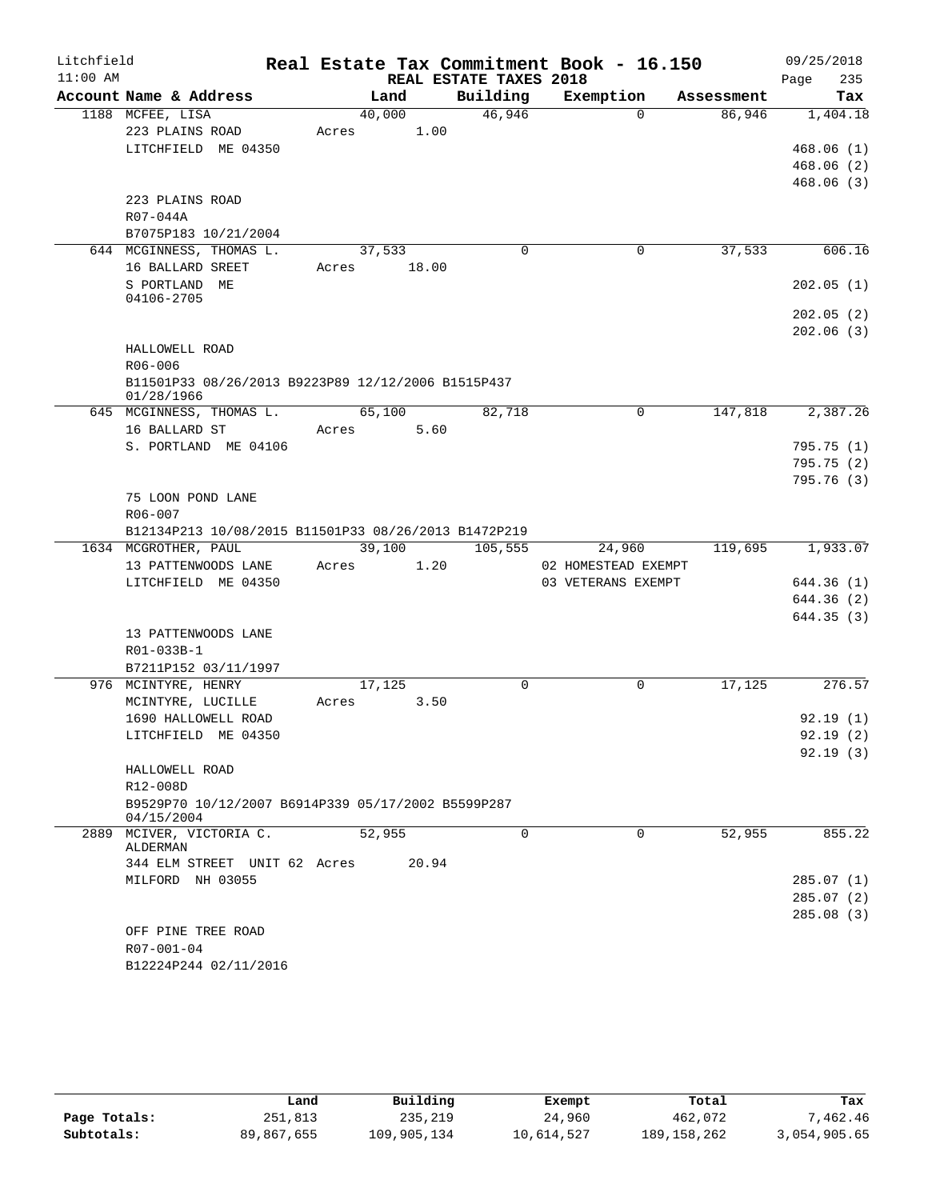| Litchfield |                                                                  |       |        |                        | Real Estate Tax Commitment Book - 16.150 |            | 09/25/2018 |     |
|------------|------------------------------------------------------------------|-------|--------|------------------------|------------------------------------------|------------|------------|-----|
| $11:00$ AM |                                                                  |       |        | REAL ESTATE TAXES 2018 |                                          |            | Page       | 235 |
|            | Account Name & Address                                           |       | Land   | Building               | Exemption                                | Assessment |            | Tax |
|            | 1188 MCFEE, LISA                                                 |       | 40,000 | 46,946                 | $\Omega$                                 | 86,946     | 1,404.18   |     |
|            | 223 PLAINS ROAD                                                  | Acres | 1.00   |                        |                                          |            |            |     |
|            | LITCHFIELD ME 04350                                              |       |        |                        |                                          |            | 468.06(1)  |     |
|            |                                                                  |       |        |                        |                                          |            | 468.06(2)  |     |
|            |                                                                  |       |        |                        |                                          |            | 468.06(3)  |     |
|            | 223 PLAINS ROAD                                                  |       |        |                        |                                          |            |            |     |
|            | R07-044A<br>B7075P183 10/21/2004                                 |       |        |                        |                                          |            |            |     |
|            | 644 MCGINNESS, THOMAS L.                                         |       | 37,533 | $\Omega$               | 0                                        | 37,533     | 606.16     |     |
|            | 16 BALLARD SREET                                                 | Acres | 18.00  |                        |                                          |            |            |     |
|            | S PORTLAND ME                                                    |       |        |                        |                                          |            | 202.05(1)  |     |
|            | 04106-2705                                                       |       |        |                        |                                          |            |            |     |
|            |                                                                  |       |        |                        |                                          |            | 202.05(2)  |     |
|            |                                                                  |       |        |                        |                                          |            | 202.06(3)  |     |
|            | HALLOWELL ROAD                                                   |       |        |                        |                                          |            |            |     |
|            | $R06 - 006$                                                      |       |        |                        |                                          |            |            |     |
|            | B11501P33 08/26/2013 B9223P89 12/12/2006 B1515P437               |       |        |                        |                                          |            |            |     |
|            | 01/28/1966                                                       |       |        |                        |                                          |            |            |     |
|            | 645 MCGINNESS, THOMAS L.                                         |       | 65,100 | 82,718                 | 0                                        | 147,818    | 2,387.26   |     |
|            | 16 BALLARD ST                                                    | Acres | 5.60   |                        |                                          |            | 795.75(1)  |     |
|            | S. PORTLAND ME 04106                                             |       |        |                        |                                          |            | 795.75(2)  |     |
|            |                                                                  |       |        |                        |                                          |            | 795.76(3)  |     |
|            | 75 LOON POND LANE                                                |       |        |                        |                                          |            |            |     |
|            | R06-007                                                          |       |        |                        |                                          |            |            |     |
|            | B12134P213 10/08/2015 B11501P33 08/26/2013 B1472P219             |       |        |                        |                                          |            |            |     |
|            | 1634 MCGROTHER, PAUL                                             |       | 39,100 | 105,555                | 24,960                                   | 119,695    | 1,933.07   |     |
|            | 13 PATTENWOODS LANE                                              | Acres | 1.20   |                        | 02 HOMESTEAD EXEMPT                      |            |            |     |
|            | LITCHFIELD ME 04350                                              |       |        |                        | 03 VETERANS EXEMPT                       |            | 644.36 (1) |     |
|            |                                                                  |       |        |                        |                                          |            | 644.36 (2) |     |
|            |                                                                  |       |        |                        |                                          |            | 644.35(3)  |     |
|            | 13 PATTENWOODS LANE                                              |       |        |                        |                                          |            |            |     |
|            | R01-033B-1                                                       |       |        |                        |                                          |            |            |     |
|            | B7211P152 03/11/1997                                             |       |        |                        |                                          |            |            |     |
|            | 976 MCINTYRE, HENRY                                              |       | 17,125 | $\Omega$               | 0                                        | 17, 125    | 276.57     |     |
|            | MCINTYRE, LUCILLE                                                | Acres | 3.50   |                        |                                          |            |            |     |
|            | 1690 HALLOWELL ROAD                                              |       |        |                        |                                          |            | 92.19(1)   |     |
|            | LITCHFIELD ME 04350                                              |       |        |                        |                                          |            | 92.19(2)   |     |
|            |                                                                  |       |        |                        |                                          |            | 92.19(3)   |     |
|            | HALLOWELL ROAD                                                   |       |        |                        |                                          |            |            |     |
|            | R12-008D                                                         |       |        |                        |                                          |            |            |     |
|            | B9529P70 10/12/2007 B6914P339 05/17/2002 B5599P287<br>04/15/2004 |       |        |                        |                                          |            |            |     |
|            | 2889 MCIVER, VICTORIA C.                                         |       | 52,955 | $\Omega$               | $\Omega$                                 | 52,955     | 855.22     |     |
|            | ALDERMAN                                                         |       |        |                        |                                          |            |            |     |
|            | 344 ELM STREET UNIT 62 Acres                                     |       | 20.94  |                        |                                          |            |            |     |
|            | MILFORD NH 03055                                                 |       |        |                        |                                          |            | 285.07(1)  |     |
|            |                                                                  |       |        |                        |                                          |            | 285.07(2)  |     |
|            |                                                                  |       |        |                        |                                          |            | 285.08 (3) |     |
|            | OFF PINE TREE ROAD<br>R07-001-04                                 |       |        |                        |                                          |            |            |     |
|            | B12224P244 02/11/2016                                            |       |        |                        |                                          |            |            |     |
|            |                                                                  |       |        |                        |                                          |            |            |     |

|              | Land       | Building    | Exempt     | Total         | Tax          |
|--------------|------------|-------------|------------|---------------|--------------|
| Page Totals: | 251,813    | 235,219     | 24,960     | 462,072       | .462.46      |
| Subtotals:   | 89,867,655 | 109,905,134 | 10,614,527 | 189, 158, 262 | 3,054,905.65 |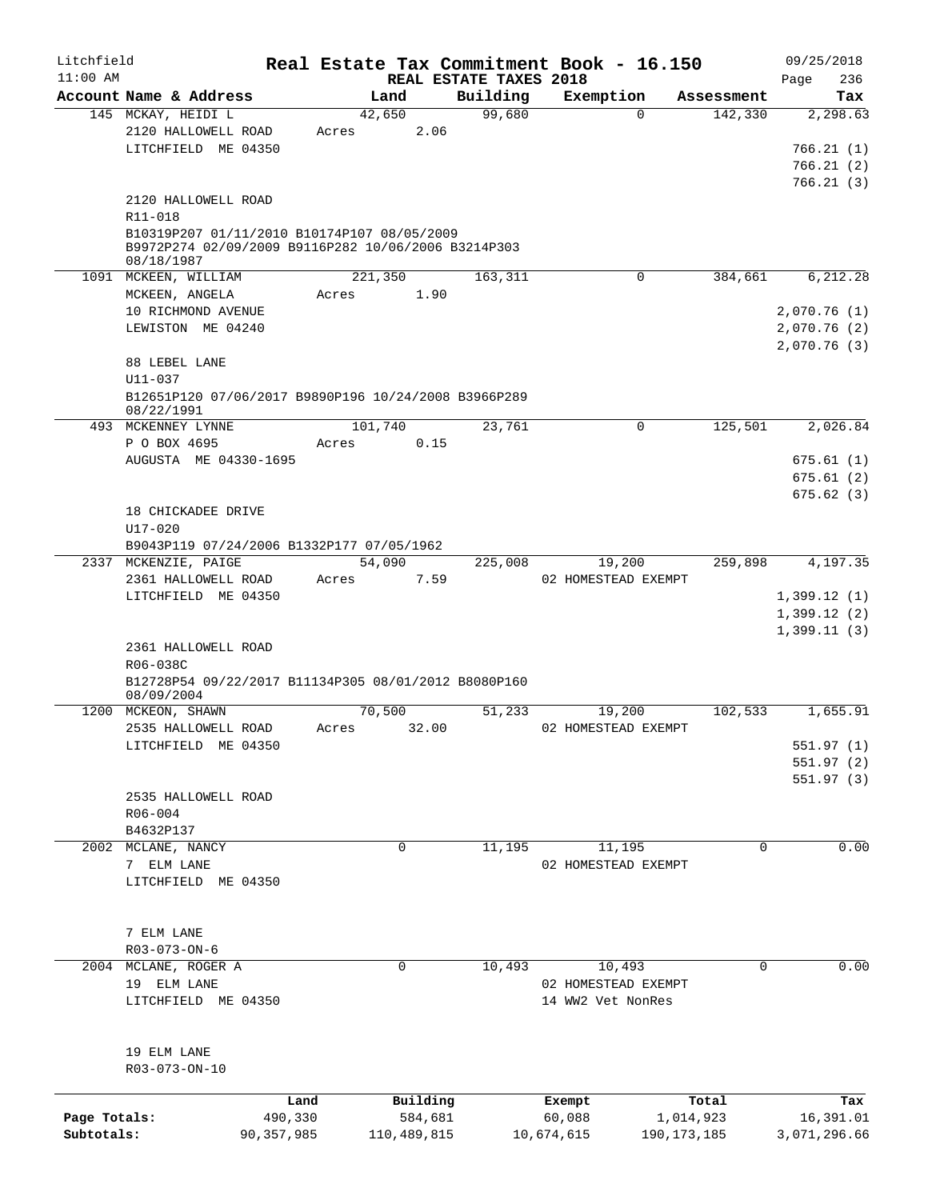| Litchfield   |                                                                                                    |              |             |          |                                    | Real Estate Tax Commitment Book - 16.150 |               |            | 09/25/2018         |
|--------------|----------------------------------------------------------------------------------------------------|--------------|-------------|----------|------------------------------------|------------------------------------------|---------------|------------|--------------------|
| $11:00$ AM   | Account Name & Address                                                                             |              | Land        |          | REAL ESTATE TAXES 2018<br>Building | Exemption                                |               | Assessment | 236<br>Page<br>Tax |
|              | 145 MCKAY, HEIDI L                                                                                 |              | 42,650      |          | 99,680                             |                                          | $\Omega$      | 142,330    | 2,298.63           |
|              | 2120 HALLOWELL ROAD                                                                                | Acres        |             | 2.06     |                                    |                                          |               |            |                    |
|              | LITCHFIELD ME 04350                                                                                |              |             |          |                                    |                                          |               |            | 766.21(1)          |
|              |                                                                                                    |              |             |          |                                    |                                          |               |            | 766.21(2)          |
|              |                                                                                                    |              |             |          |                                    |                                          |               |            | 766.21(3)          |
|              | 2120 HALLOWELL ROAD                                                                                |              |             |          |                                    |                                          |               |            |                    |
|              | R11-018                                                                                            |              |             |          |                                    |                                          |               |            |                    |
|              |                                                                                                    |              |             |          |                                    |                                          |               |            |                    |
|              | B10319P207 01/11/2010 B10174P107 08/05/2009<br>B9972P274 02/09/2009 B9116P282 10/06/2006 B3214P303 |              |             |          |                                    |                                          |               |            |                    |
|              | 08/18/1987                                                                                         |              |             |          |                                    |                                          |               |            |                    |
|              | 1091 MCKEEN, WILLIAM                                                                               |              | 221,350     |          | 163,311                            |                                          | 0             | 384,661    | 6, 212.28          |
|              | MCKEEN, ANGELA                                                                                     | Acres        |             | 1.90     |                                    |                                          |               |            |                    |
|              | 10 RICHMOND AVENUE                                                                                 |              |             |          |                                    |                                          |               |            | 2,070.76(1)        |
|              | LEWISTON ME 04240                                                                                  |              |             |          |                                    |                                          |               |            | 2,070.76(2)        |
|              |                                                                                                    |              |             |          |                                    |                                          |               |            | 2,070.76(3)        |
|              | 88 LEBEL LANE                                                                                      |              |             |          |                                    |                                          |               |            |                    |
|              | U11-037                                                                                            |              |             |          |                                    |                                          |               |            |                    |
|              | B12651P120 07/06/2017 B9890P196 10/24/2008 B3966P289                                               |              |             |          |                                    |                                          |               |            |                    |
|              | 08/22/1991                                                                                         |              |             |          |                                    |                                          |               |            |                    |
|              | 493 MCKENNEY LYNNE                                                                                 |              | 101,740     |          | 23,761                             |                                          | $\Omega$      | 125,501    | 2,026.84           |
|              | P O BOX 4695                                                                                       | Acres        |             | 0.15     |                                    |                                          |               |            |                    |
|              | AUGUSTA ME 04330-1695                                                                              |              |             |          |                                    |                                          |               |            | 675.61(1)          |
|              |                                                                                                    |              |             |          |                                    |                                          |               |            | 675.61(2)          |
|              |                                                                                                    |              |             |          |                                    |                                          |               |            | 675.62(3)          |
|              | 18 CHICKADEE DRIVE                                                                                 |              |             |          |                                    |                                          |               |            |                    |
|              | $U17 - 020$                                                                                        |              |             |          |                                    |                                          |               |            |                    |
|              | B9043P119 07/24/2006 B1332P177 07/05/1962                                                          |              |             |          |                                    |                                          |               |            |                    |
|              | 2337 MCKENZIE, PAIGE                                                                               |              | 54,090      |          | 225,008                            | 19,200                                   |               | 259,898    | 4,197.35           |
|              | 2361 HALLOWELL ROAD                                                                                | Acres        |             | 7.59     |                                    | 02 HOMESTEAD EXEMPT                      |               |            |                    |
|              | LITCHFIELD ME 04350                                                                                |              |             |          |                                    |                                          |               |            | 1,399.12(1)        |
|              |                                                                                                    |              |             |          |                                    |                                          |               |            | 1,399.12(2)        |
|              |                                                                                                    |              |             |          |                                    |                                          |               |            | 1,399.11(3)        |
|              | 2361 HALLOWELL ROAD                                                                                |              |             |          |                                    |                                          |               |            |                    |
|              | R06-038C                                                                                           |              |             |          |                                    |                                          |               |            |                    |
|              | B12728P54 09/22/2017 B11134P305 08/01/2012 B8080P160                                               |              |             |          |                                    |                                          |               |            |                    |
|              | 08/09/2004                                                                                         |              |             |          |                                    |                                          |               |            |                    |
|              | 1200 MCKEON, SHAWN                                                                                 |              | 70,500      |          | 51,233                             | 19,200                                   |               | 102,533    | 1,655.91           |
|              | 2535 HALLOWELL ROAD                                                                                | Acres        |             | 32.00    |                                    | 02 HOMESTEAD EXEMPT                      |               |            |                    |
|              | LITCHFIELD ME 04350                                                                                |              |             |          |                                    |                                          |               |            | 551.97 (1)         |
|              |                                                                                                    |              |             |          |                                    |                                          |               |            | 551.97(2)          |
|              |                                                                                                    |              |             |          |                                    |                                          |               |            | 551.97(3)          |
|              | 2535 HALLOWELL ROAD                                                                                |              |             |          |                                    |                                          |               |            |                    |
|              | R06-004                                                                                            |              |             |          |                                    |                                          |               |            |                    |
|              | B4632P137                                                                                          |              |             |          |                                    |                                          |               |            |                    |
|              | 2002 MCLANE, NANCY                                                                                 |              | 0           |          | 11,195                             | 11,195                                   |               | 0          | 0.00               |
|              | 7 ELM LANE                                                                                         |              |             |          |                                    | 02 HOMESTEAD EXEMPT                      |               |            |                    |
|              | LITCHFIELD ME 04350                                                                                |              |             |          |                                    |                                          |               |            |                    |
|              |                                                                                                    |              |             |          |                                    |                                          |               |            |                    |
|              |                                                                                                    |              |             |          |                                    |                                          |               |            |                    |
|              | 7 ELM LANE                                                                                         |              |             |          |                                    |                                          |               |            |                    |
|              | R03-073-ON-6                                                                                       |              |             |          |                                    |                                          |               |            |                    |
| 2004         | MCLANE, ROGER A                                                                                    |              | 0           |          | 10,493                             | 10,493                                   |               | 0          | 0.00               |
|              | 19 ELM LANE                                                                                        |              |             |          |                                    | 02 HOMESTEAD EXEMPT                      |               |            |                    |
|              | LITCHFIELD ME 04350                                                                                |              |             |          |                                    | 14 WW2 Vet NonRes                        |               |            |                    |
|              |                                                                                                    |              |             |          |                                    |                                          |               |            |                    |
|              |                                                                                                    |              |             |          |                                    |                                          |               |            |                    |
|              | 19 ELM LANE                                                                                        |              |             |          |                                    |                                          |               |            |                    |
|              | R03-073-ON-10                                                                                      |              |             |          |                                    |                                          |               |            |                    |
|              |                                                                                                    |              |             |          |                                    |                                          |               |            |                    |
|              |                                                                                                    | Land         |             | Building |                                    | Exempt                                   |               | Total      | Tax                |
| Page Totals: |                                                                                                    | 490,330      |             | 584,681  |                                    | 60,088                                   | 1,014,923     |            | 16,391.01          |
| Subtotals:   |                                                                                                    | 90, 357, 985 | 110,489,815 |          |                                    | 10,674,615                               | 190, 173, 185 |            | 3,071,296.66       |
|              |                                                                                                    |              |             |          |                                    |                                          |               |            |                    |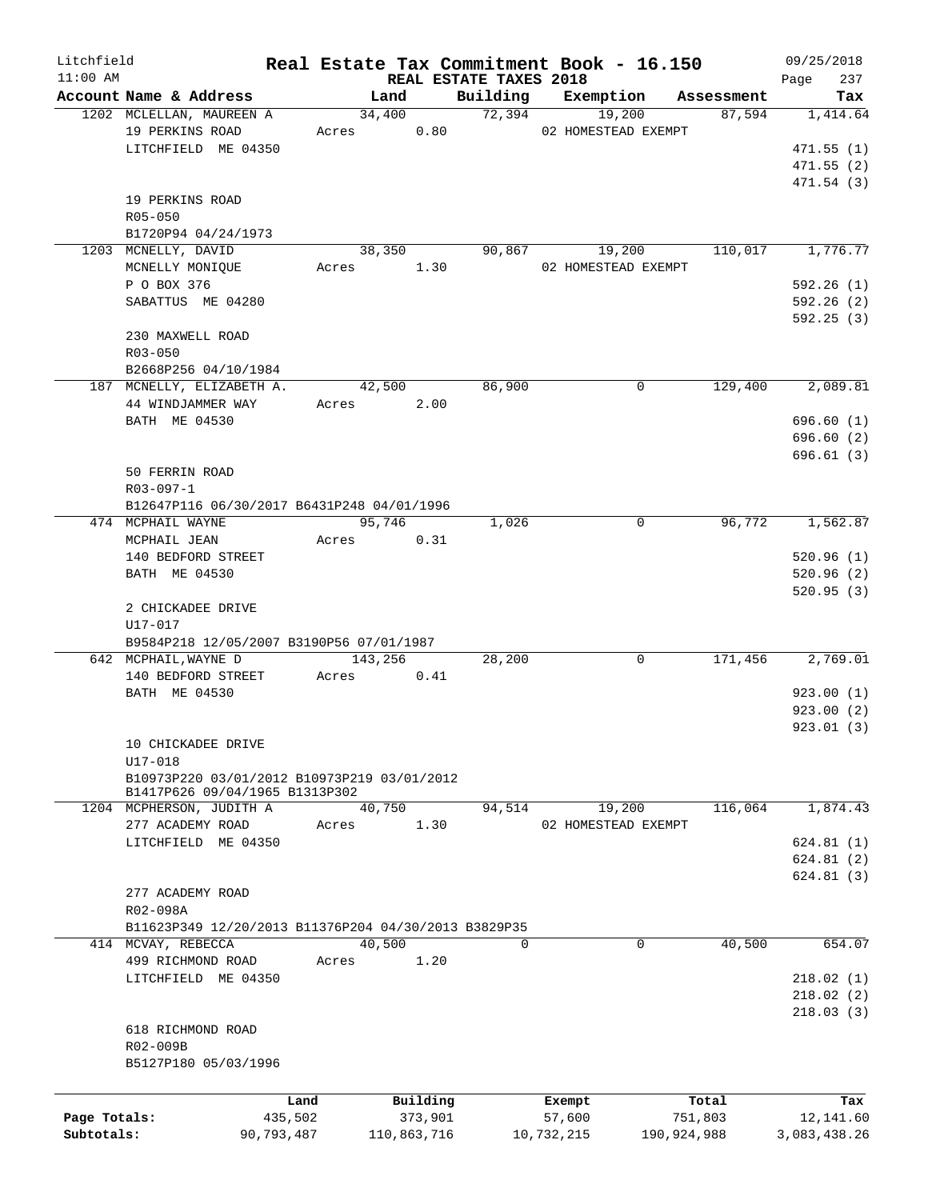| Litchfield   |                                                      |       |             |                                    | Real Estate Tax Commitment Book - 16.150 |             | 09/25/2018         |
|--------------|------------------------------------------------------|-------|-------------|------------------------------------|------------------------------------------|-------------|--------------------|
| $11:00$ AM   | Account Name & Address                               |       | Land        | REAL ESTATE TAXES 2018<br>Building | Exemption                                | Assessment  | 237<br>Page<br>Tax |
|              | 1202 MCLELLAN, MAUREEN A                             |       | 34,400      | 72,394                             | 19,200                                   | 87,594      | 1,414.64           |
|              | 19 PERKINS ROAD                                      | Acres | 0.80        |                                    | 02 HOMESTEAD EXEMPT                      |             |                    |
|              | LITCHFIELD ME 04350                                  |       |             |                                    |                                          |             | 471.55(1)          |
|              |                                                      |       |             |                                    |                                          |             | 471.55(2)          |
|              |                                                      |       |             |                                    |                                          |             | 471.54 (3)         |
|              | 19 PERKINS ROAD                                      |       |             |                                    |                                          |             |                    |
|              | $R05 - 050$                                          |       |             |                                    |                                          |             |                    |
|              | B1720P94 04/24/1973                                  |       |             |                                    |                                          |             |                    |
|              | 1203 MCNELLY, DAVID                                  |       | 38,350      | 90,867                             | 19,200                                   | 110,017     | 1,776.77           |
|              | MCNELLY MONIQUE                                      | Acres | 1.30        |                                    | 02 HOMESTEAD EXEMPT                      |             |                    |
|              | P O BOX 376                                          |       |             |                                    |                                          |             | 592.26(1)          |
|              | SABATTUS ME 04280                                    |       |             |                                    |                                          |             | 592.26(2)          |
|              |                                                      |       |             |                                    |                                          |             | 592.25(3)          |
|              | 230 MAXWELL ROAD                                     |       |             |                                    |                                          |             |                    |
|              | R03-050                                              |       |             |                                    |                                          |             |                    |
|              | B2668P256 04/10/1984                                 |       |             |                                    |                                          |             |                    |
|              | 187 MCNELLY, ELIZABETH A.                            |       | 42,500      | 86,900                             | 0                                        | 129,400     | 2,089.81           |
|              | 44 WINDJAMMER WAY                                    |       | Acres 2.00  |                                    |                                          |             |                    |
|              | BATH ME 04530                                        |       |             |                                    |                                          |             | 696.60(1)          |
|              |                                                      |       |             |                                    |                                          |             | 696.60(2)          |
|              |                                                      |       |             |                                    |                                          |             | 696.61(3)          |
|              | 50 FERRIN ROAD                                       |       |             |                                    |                                          |             |                    |
|              | R03-097-1                                            |       |             |                                    |                                          |             |                    |
|              | B12647P116 06/30/2017 B6431P248 04/01/1996           |       |             |                                    |                                          |             |                    |
|              | 474 MCPHAIL WAYNE                                    |       | 95,746      | 1,026                              | 0                                        | 96,772      | 1,562.87           |
|              | MCPHAIL JEAN                                         |       | Acres 0.31  |                                    |                                          |             |                    |
|              | 140 BEDFORD STREET                                   |       |             |                                    |                                          |             | 520.96(1)          |
|              | BATH ME 04530                                        |       |             |                                    |                                          |             | 520.96(2)          |
|              |                                                      |       |             |                                    |                                          |             | 520.95(3)          |
|              | 2 CHICKADEE DRIVE                                    |       |             |                                    |                                          |             |                    |
|              | U17-017                                              |       |             |                                    |                                          |             |                    |
|              | B9584P218 12/05/2007 B3190P56 07/01/1987             |       |             |                                    |                                          |             |                    |
|              | 642 MCPHAIL, WAYNE D                                 |       | 143,256     | 28,200                             | 0                                        | 171,456     | 2,769.01           |
|              | 140 BEDFORD STREET                                   | Acres | 0.41        |                                    |                                          |             |                    |
|              | BATH ME 04530                                        |       |             |                                    |                                          |             | 923.00(1)          |
|              |                                                      |       |             |                                    |                                          |             | 923.00(2)          |
|              |                                                      |       |             |                                    |                                          |             | 923.01(3)          |
|              | 10 CHICKADEE DRIVE<br>$U17 - 018$                    |       |             |                                    |                                          |             |                    |
|              | B10973P220 03/01/2012 B10973P219 03/01/2012          |       |             |                                    |                                          |             |                    |
|              | B1417P626 09/04/1965 B1313P302                       |       |             |                                    |                                          |             |                    |
|              | 1204 MCPHERSON, JUDITH A                             |       | 40,750      | 94,514                             | 19,200                                   | 116,064     | 1,874.43           |
|              | 277 ACADEMY ROAD                                     | Acres | 1.30        |                                    | 02 HOMESTEAD EXEMPT                      |             |                    |
|              | LITCHFIELD ME 04350                                  |       |             |                                    |                                          |             | 624.81(1)          |
|              |                                                      |       |             |                                    |                                          |             | 624.81(2)          |
|              |                                                      |       |             |                                    |                                          |             | 624.81(3)          |
|              | 277 ACADEMY ROAD                                     |       |             |                                    |                                          |             |                    |
|              | R02-098A                                             |       |             |                                    |                                          |             |                    |
|              | B11623P349 12/20/2013 B11376P204 04/30/2013 B3829P35 |       |             |                                    |                                          |             |                    |
|              | 414 MCVAY, REBECCA                                   |       | 40,500      | $\Omega$                           | $\mathbf 0$                              | 40,500      | 654.07             |
|              | 499 RICHMOND ROAD                                    | Acres | 1.20        |                                    |                                          |             |                    |
|              | LITCHFIELD ME 04350                                  |       |             |                                    |                                          |             | 218.02(1)          |
|              |                                                      |       |             |                                    |                                          |             | 218.02(2)          |
|              |                                                      |       |             |                                    |                                          |             | 218.03(3)          |
|              | 618 RICHMOND ROAD                                    |       |             |                                    |                                          |             |                    |
|              | R02-009B                                             |       |             |                                    |                                          |             |                    |
|              | B5127P180 05/03/1996                                 |       |             |                                    |                                          |             |                    |
|              |                                                      |       |             |                                    |                                          |             |                    |
|              |                                                      | Land  | Building    |                                    | Exempt                                   | Total       | Tax                |
| Page Totals: | 435,502                                              |       | 373,901     |                                    | 57,600                                   | 751,803     | 12,141.60          |
| Subtotals:   | 90,793,487                                           |       | 110,863,716 |                                    | 10,732,215                               | 190,924,988 | 3,083,438.26       |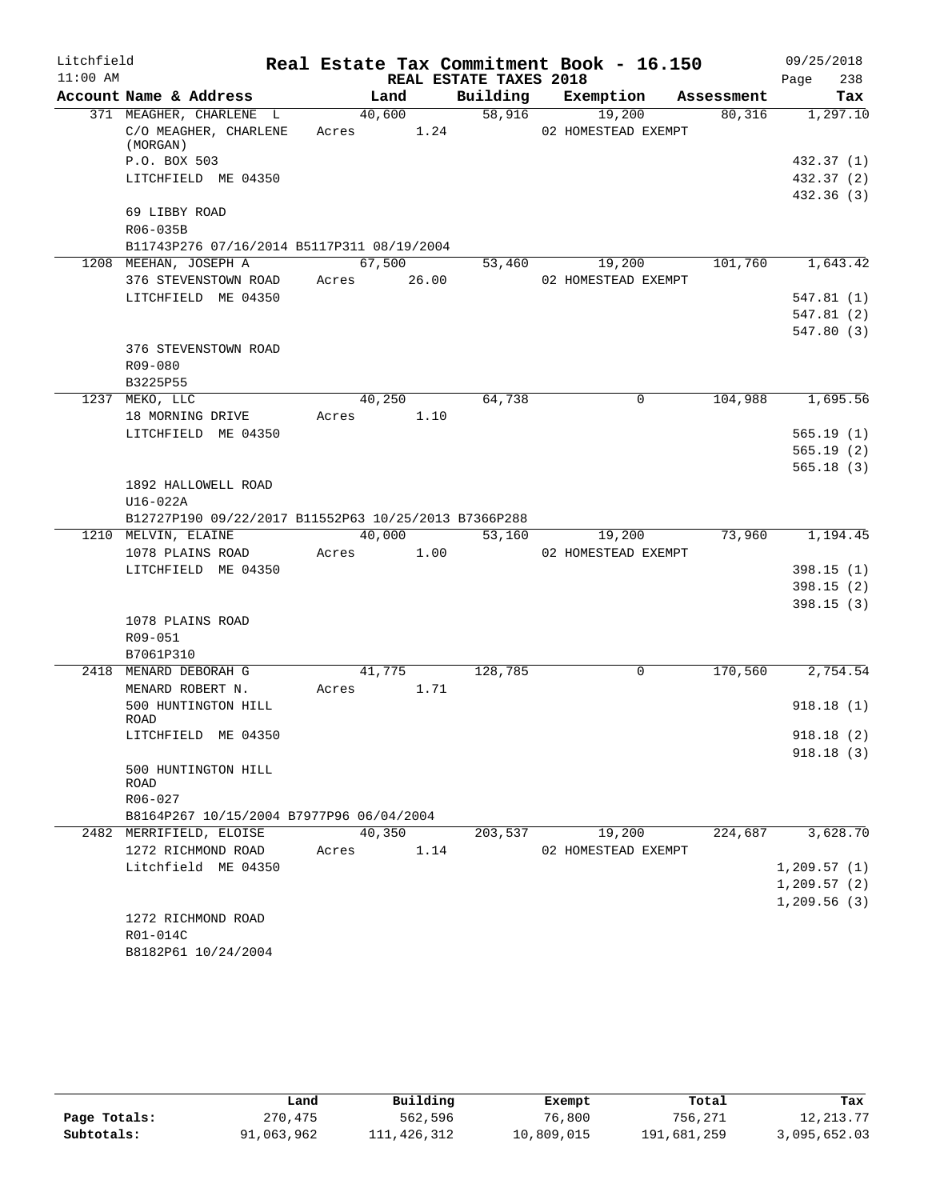| Litchfield |                                                              |            |        |                        | Real Estate Tax Commitment Book - 16.150 |            | 09/25/2018       |
|------------|--------------------------------------------------------------|------------|--------|------------------------|------------------------------------------|------------|------------------|
| $11:00$ AM |                                                              |            |        | REAL ESTATE TAXES 2018 |                                          |            | 238<br>Page      |
|            | Account Name & Address                                       |            | Land   |                        | Building Exemption                       | Assessment | Tax              |
|            | 371 MEAGHER, CHARLENE L<br>C/O MEAGHER, CHARLENE<br>(MORGAN) | Acres 1.24 | 40,600 | 58,916                 | 19,200<br>02 HOMESTEAD EXEMPT            | 80,316     | 1,297.10         |
|            | P.O. BOX 503                                                 |            |        |                        |                                          |            | 432.37 (1)       |
|            | LITCHFIELD ME 04350                                          |            |        |                        |                                          |            | 432.37 (2)       |
|            |                                                              |            |        |                        |                                          |            | 432.36(3)        |
|            | 69 LIBBY ROAD                                                |            |        |                        |                                          |            |                  |
|            | R06-035B                                                     |            |        |                        |                                          |            |                  |
|            | B11743P276 07/16/2014 B5117P311 08/19/2004                   |            |        |                        |                                          |            |                  |
|            | 1208 MEEHAN, JOSEPH A                                        |            | 67,500 |                        | 53,460 19,200                            |            | 101,760 1,643.42 |
|            | 376 STEVENSTOWN ROAD Acres 26.00                             |            |        |                        | 02 HOMESTEAD EXEMPT                      |            |                  |
|            | LITCHFIELD ME 04350                                          |            |        |                        |                                          |            | 547.81(1)        |
|            |                                                              |            |        |                        |                                          |            | 547.81(2)        |
|            |                                                              |            |        |                        |                                          |            | 547.80 (3)       |
|            | 376 STEVENSTOWN ROAD                                         |            |        |                        |                                          |            |                  |
|            | R09-080                                                      |            |        |                        |                                          |            |                  |
|            | B3225P55<br>1237 MEKO, LLC                                   |            | 40,250 | 64,738                 | $\mathbf 0$                              |            | 104,988 1,695.56 |
|            | 18 MORNING DRIVE                                             | Acres 1.10 |        |                        |                                          |            |                  |
|            | LITCHFIELD ME 04350                                          |            |        |                        |                                          |            | 565.19(1)        |
|            |                                                              |            |        |                        |                                          |            | 565.19(2)        |
|            |                                                              |            |        |                        |                                          |            | 565.18(3)        |
|            | 1892 HALLOWELL ROAD                                          |            |        |                        |                                          |            |                  |
|            | $U16-022A$                                                   |            |        |                        |                                          |            |                  |
|            | B12727P190 09/22/2017 B11552P63 10/25/2013 B7366P288         |            |        |                        |                                          |            |                  |
|            | 1210 MELVIN, ELAINE                                          |            | 40,000 | 53,160                 | 19,200                                   | 73,960     | 1,194.45         |
|            | 1078 PLAINS ROAD                                             | Acres 1.00 |        |                        | 02 HOMESTEAD EXEMPT                      |            |                  |
|            | LITCHFIELD ME 04350                                          |            |        |                        |                                          |            | 398.15(1)        |
|            |                                                              |            |        |                        |                                          |            | 398.15(2)        |
|            |                                                              |            |        |                        |                                          |            | 398.15(3)        |
|            | 1078 PLAINS ROAD<br>R09-051                                  |            |        |                        |                                          |            |                  |
|            | B7061P310                                                    |            |        |                        |                                          |            |                  |
|            | 2418 MENARD DEBORAH G                                        |            | 41,775 | 128,785                | $\mathbf 0$                              | 170,560    | 2,754.54         |
|            | MENARD ROBERT N.                                             | Acres 1.71 |        |                        |                                          |            |                  |
|            | 500 HUNTINGTON HILL                                          |            |        |                        |                                          |            | 918.18(1)        |
|            | ROAD                                                         |            |        |                        |                                          |            |                  |
|            | LITCHFIELD ME 04350                                          |            |        |                        |                                          |            | 918.18(2)        |
|            | 500 HUNTINGTON HILL                                          |            |        |                        |                                          |            | 918.18(3)        |
|            | ROAD                                                         |            |        |                        |                                          |            |                  |
|            | R06-027                                                      |            |        |                        |                                          |            |                  |
|            | B8164P267 10/15/2004 B7977P96 06/04/2004                     |            |        |                        |                                          |            |                  |
|            | 2482 MERRIFIELD, ELOISE                                      |            | 40,350 | 203,537                | 19,200                                   | 224,687    | 3,628.70         |
|            | 1272 RICHMOND ROAD<br>Litchfield ME 04350                    | Acres      | 1.14   |                        | 02 HOMESTEAD EXEMPT                      |            | 1, 209.57(1)     |
|            |                                                              |            |        |                        |                                          |            | 1, 209.57(2)     |
|            |                                                              |            |        |                        |                                          |            | 1,209.56(3)      |
|            | 1272 RICHMOND ROAD                                           |            |        |                        |                                          |            |                  |
|            | R01-014C                                                     |            |        |                        |                                          |            |                  |
|            | B8182P61 10/24/2004                                          |            |        |                        |                                          |            |                  |

|              | Land       | Building    | Exempt     | Total       | Tax          |
|--------------|------------|-------------|------------|-------------|--------------|
| Page Totals: | 270,475    | 562,596     | 76,800     | 756,271     | 12, 213, 77  |
| Subtotals:   | 91,063,962 | 111,426,312 | 10,809,015 | 191,681,259 | 3,095,652.03 |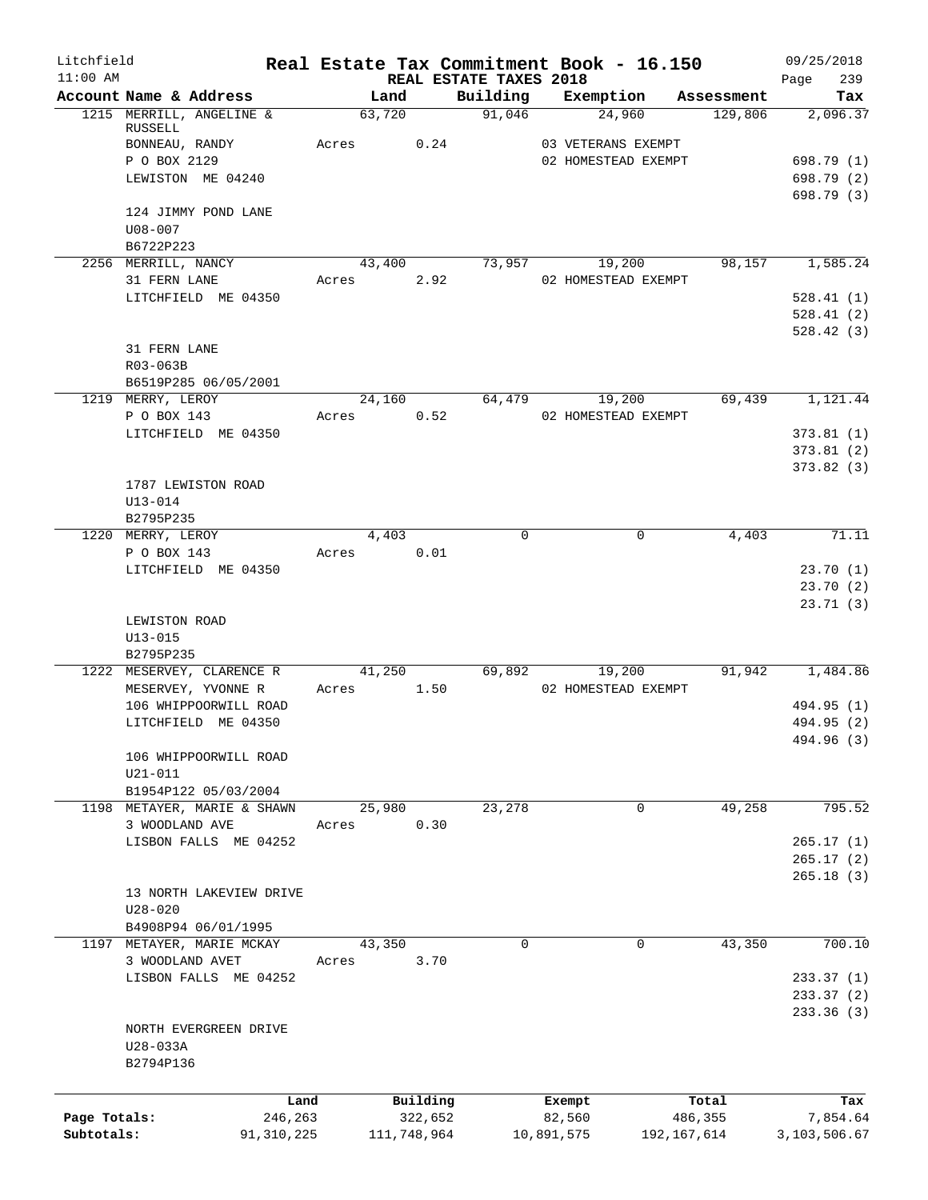| Litchfield<br>$11:00$ AM |                                              | Real Estate Tax Commitment Book - 16.150 |             | REAL ESTATE TAXES 2018 |                     |             |            | 09/25/2018<br>239<br>Page |
|--------------------------|----------------------------------------------|------------------------------------------|-------------|------------------------|---------------------|-------------|------------|---------------------------|
|                          | Account Name & Address                       | Land                                     |             | Building               | Exemption           |             | Assessment | Tax                       |
|                          | 1215 MERRILL, ANGELINE &                     | 63,720                                   |             | 91,046                 | 24,960              |             | 129,806    | 2,096.37                  |
|                          | RUSSELL                                      |                                          |             |                        |                     |             |            |                           |
|                          | BONNEAU, RANDY                               | Acres                                    | 0.24        |                        | 03 VETERANS EXEMPT  |             |            |                           |
|                          | P O BOX 2129                                 |                                          |             |                        | 02 HOMESTEAD EXEMPT |             |            | 698.79 (1)                |
|                          | LEWISTON ME 04240                            |                                          |             |                        |                     |             |            | 698.79 (2)                |
|                          | 124 JIMMY POND LANE                          |                                          |             |                        |                     |             |            | 698.79 (3)                |
|                          | $U08 - 007$                                  |                                          |             |                        |                     |             |            |                           |
|                          | B6722P223                                    |                                          |             |                        |                     |             |            |                           |
|                          | 2256 MERRILL, NANCY                          | 43,400                                   |             |                        | 73,957 19,200       |             | 98,157     | 1,585.24                  |
|                          | 31 FERN LANE                                 | Acres                                    | 2.92        |                        | 02 HOMESTEAD EXEMPT |             |            |                           |
|                          | LITCHFIELD ME 04350                          |                                          |             |                        |                     |             |            | 528.41(1)                 |
|                          |                                              |                                          |             |                        |                     |             |            | 528.41(2)                 |
|                          |                                              |                                          |             |                        |                     |             |            | 528.42(3)                 |
|                          | 31 FERN LANE                                 |                                          |             |                        |                     |             |            |                           |
|                          | R03-063B                                     |                                          |             |                        |                     |             |            |                           |
|                          | B6519P285 06/05/2001                         |                                          |             |                        |                     |             |            |                           |
|                          | 1219 MERRY, LEROY                            | 24,160                                   |             | 64,479                 | 19,200              |             | 69,439     | 1,121.44                  |
|                          | P O BOX 143                                  | Acres                                    | 0.52        |                        | 02 HOMESTEAD EXEMPT |             |            |                           |
|                          | LITCHFIELD ME 04350                          |                                          |             |                        |                     |             |            | 373.81(1)                 |
|                          |                                              |                                          |             |                        |                     |             |            | 373.81(2)                 |
|                          |                                              |                                          |             |                        |                     |             |            | 373.82(3)                 |
|                          | 1787 LEWISTON ROAD                           |                                          |             |                        |                     |             |            |                           |
|                          | $U13 - 014$                                  |                                          |             |                        |                     |             |            |                           |
|                          | B2795P235                                    |                                          |             |                        |                     |             |            |                           |
|                          | 1220 MERRY, LEROY                            | 4,403                                    |             | $\Omega$               |                     | $\Omega$    | 4,403      | 71.11                     |
|                          | P O BOX 143                                  | Acres                                    | 0.01        |                        |                     |             |            |                           |
|                          | LITCHFIELD ME 04350                          |                                          |             |                        |                     |             |            | 23.70(1)                  |
|                          |                                              |                                          |             |                        |                     |             |            | 23.70(2)                  |
|                          | LEWISTON ROAD                                |                                          |             |                        |                     |             |            | 23.71(3)                  |
|                          | U13-015                                      |                                          |             |                        |                     |             |            |                           |
|                          | B2795P235                                    |                                          |             |                        |                     |             |            |                           |
|                          | 1222 MESERVEY, CLARENCE R                    | 41,250                                   |             | 69,892                 | 19,200              |             | 91,942     | 1,484.86                  |
|                          | MESERVEY, YVONNE R                           | Acres                                    | 1.50        |                        | 02 HOMESTEAD EXEMPT |             |            |                           |
|                          | 106 WHIPPOORWILL ROAD                        |                                          |             |                        |                     |             |            | 494.95 (1)                |
|                          | LITCHFIELD ME 04350                          |                                          |             |                        |                     |             |            | 494.95 (2)                |
|                          |                                              |                                          |             |                        |                     |             |            | 494.96 (3)                |
|                          | 106 WHIPPOORWILL ROAD                        |                                          |             |                        |                     |             |            |                           |
|                          | $U21 - 011$                                  |                                          |             |                        |                     |             |            |                           |
|                          | B1954P122 05/03/2004                         |                                          |             |                        |                     |             |            |                           |
|                          | 1198 METAYER, MARIE & SHAWN                  | 25,980                                   |             | 23,278                 |                     | 0           | 49,258     | 795.52                    |
|                          | 3 WOODLAND AVE                               | Acres                                    | 0.30        |                        |                     |             |            |                           |
|                          | LISBON FALLS ME 04252                        |                                          |             |                        |                     |             |            | 265.17(1)                 |
|                          |                                              |                                          |             |                        |                     |             |            | 265.17(2)                 |
|                          |                                              |                                          |             |                        |                     |             |            | 265.18(3)                 |
|                          | 13 NORTH LAKEVIEW DRIVE                      |                                          |             |                        |                     |             |            |                           |
|                          | $U28 - 020$                                  |                                          |             |                        |                     |             |            |                           |
|                          | B4908P94 06/01/1995                          |                                          |             | $\Omega$               |                     | $\mathbf 0$ | 43,350     | 700.10                    |
|                          | 1197 METAYER, MARIE MCKAY<br>3 WOODLAND AVET | 43,350<br>Acres                          | 3.70        |                        |                     |             |            |                           |
|                          | LISBON FALLS ME 04252                        |                                          |             |                        |                     |             |            | 233.37(1)                 |
|                          |                                              |                                          |             |                        |                     |             |            | 233.37(2)                 |
|                          |                                              |                                          |             |                        |                     |             |            | 233.36(3)                 |
|                          | NORTH EVERGREEN DRIVE                        |                                          |             |                        |                     |             |            |                           |
|                          | U28-033A                                     |                                          |             |                        |                     |             |            |                           |
|                          | B2794P136                                    |                                          |             |                        |                     |             |            |                           |
|                          |                                              |                                          |             |                        |                     |             |            |                           |
|                          | Land                                         |                                          | Building    |                        | Exempt              |             | Total      | Tax                       |
| Page Totals:             | 246,263                                      |                                          | 322,652     |                        | 82,560              |             | 486,355    | 7,854.64                  |
| Subtotals:               | 91, 310, 225                                 |                                          | 111,748,964 |                        | 10,891,575          | 192,167,614 |            | 3,103,506.67              |
|                          |                                              |                                          |             |                        |                     |             |            |                           |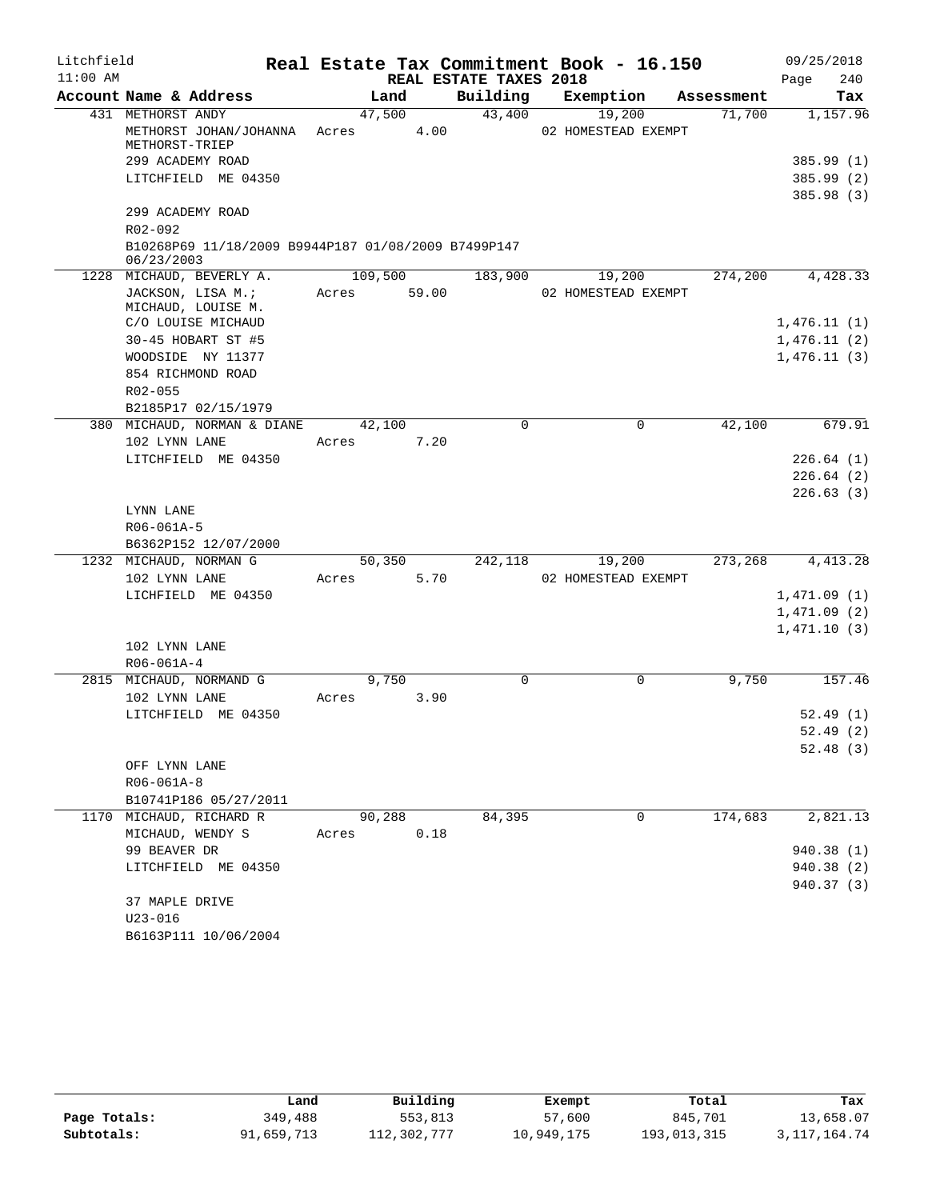| Litchfield |                                                                   |                         |                        | Real Estate Tax Commitment Book - 16.150 |            | 09/25/2018  |
|------------|-------------------------------------------------------------------|-------------------------|------------------------|------------------------------------------|------------|-------------|
| $11:00$ AM |                                                                   |                         | REAL ESTATE TAXES 2018 |                                          |            | 240<br>Page |
|            | Account Name & Address                                            | Land                    | Building               | Exemption                                | Assessment | Tax         |
|            | 431 METHORST ANDY<br>METHORST JOHAN/JOHANNA<br>METHORST-TRIEP     | 47,500<br>Acres         | 43,400<br>4.00         | 19,200<br>02 HOMESTEAD EXEMPT            | 71,700     | 1,157.96    |
|            | 299 ACADEMY ROAD                                                  |                         |                        |                                          |            | 385.99(1)   |
|            | LITCHFIELD ME 04350                                               |                         |                        |                                          |            | 385.99(2)   |
|            |                                                                   |                         |                        |                                          |            | 385.98(3)   |
|            | 299 ACADEMY ROAD                                                  |                         |                        |                                          |            |             |
|            | R02-092                                                           |                         |                        |                                          |            |             |
|            | B10268P69 11/18/2009 B9944P187 01/08/2009 B7499P147<br>06/23/2003 |                         |                        |                                          |            |             |
|            | 1228 MICHAUD, BEVERLY A.                                          | 109,500                 | 183,900                | 19,200                                   | 274,200    | 4,428.33    |
|            | JACKSON, LISA M.;<br>MICHAUD, LOUISE M.                           | 59.00<br>Acres          |                        | 02 HOMESTEAD EXEMPT                      |            |             |
|            | C/O LOUISE MICHAUD                                                |                         |                        |                                          |            | 1,476.11(1) |
|            | 30-45 HOBART ST #5                                                |                         |                        |                                          |            | 1,476.11(2) |
|            | WOODSIDE NY 11377                                                 |                         |                        |                                          |            | 1,476.11(3) |
|            | 854 RICHMOND ROAD                                                 |                         |                        |                                          |            |             |
|            | R02-055                                                           |                         |                        |                                          |            |             |
|            | B2185P17 02/15/1979<br>380 MICHAUD, NORMAN & DIANE                |                         | $\Omega$               | 0                                        |            | 679.91      |
|            | 102 LYNN LANE                                                     | 42,100<br>7.20<br>Acres |                        |                                          | 42,100     |             |
|            | LITCHFIELD ME 04350                                               |                         |                        |                                          |            | 226.64(1)   |
|            |                                                                   |                         |                        |                                          |            | 226.64(2)   |
|            |                                                                   |                         |                        |                                          |            | 226.63(3)   |
|            | LYNN LANE                                                         |                         |                        |                                          |            |             |
|            | R06-061A-5                                                        |                         |                        |                                          |            |             |
|            | B6362P152 12/07/2000                                              |                         |                        |                                          |            |             |
|            | 1232 MICHAUD, NORMAN G                                            | 50,350                  | 242,118                | 19,200                                   | 273,268    | 4, 413.28   |
|            | 102 LYNN LANE                                                     | Acres                   | 5.70                   | 02 HOMESTEAD EXEMPT                      |            |             |
|            | LICHFIELD ME 04350                                                |                         |                        |                                          |            | 1,471.09(1) |
|            |                                                                   |                         |                        |                                          |            | 1,471.09(2) |
|            |                                                                   |                         |                        |                                          |            | 1,471.10(3) |
|            | 102 LYNN LANE                                                     |                         |                        |                                          |            |             |
|            | R06-061A-4                                                        |                         | $\Omega$               | $\Omega$                                 |            |             |
|            | 2815 MICHAUD, NORMAND G<br>102 LYNN LANE                          | 9,750<br>Acres          | 3.90                   |                                          | 9,750      | 157.46      |
|            | LITCHFIELD ME 04350                                               |                         |                        |                                          |            | 52.49(1)    |
|            |                                                                   |                         |                        |                                          |            | 52.49 (2)   |
|            |                                                                   |                         |                        |                                          |            | 52.48(3)    |
|            | OFF LYNN LANE                                                     |                         |                        |                                          |            |             |
|            | R06-061A-8                                                        |                         |                        |                                          |            |             |
|            | B10741P186 05/27/2011                                             |                         |                        |                                          |            |             |
|            | 1170 MICHAUD, RICHARD R                                           | 90,288                  | 84,395                 | 0                                        | 174,683    | 2,821.13    |
|            | MICHAUD, WENDY S                                                  | 0.18<br>Acres           |                        |                                          |            |             |
|            | 99 BEAVER DR                                                      |                         |                        |                                          |            | 940.38(1)   |
|            | LITCHFIELD ME 04350                                               |                         |                        |                                          |            | 940.38 (2)  |
|            |                                                                   |                         |                        |                                          |            | 940.37 (3)  |
|            | 37 MAPLE DRIVE                                                    |                         |                        |                                          |            |             |
|            | $U23 - 016$                                                       |                         |                        |                                          |            |             |
|            | B6163P111 10/06/2004                                              |                         |                        |                                          |            |             |

|              | úand       | Building    | Exempt     | Total       | Tax             |
|--------------|------------|-------------|------------|-------------|-----------------|
| Page Totals: | 349,488    | 553,813     | 57,600     | 845,701     | 13,658.07       |
| Subtotals:   | 91,659,713 | 112,302,777 | 10,949,175 | 193,013,315 | 3, 117, 164. 74 |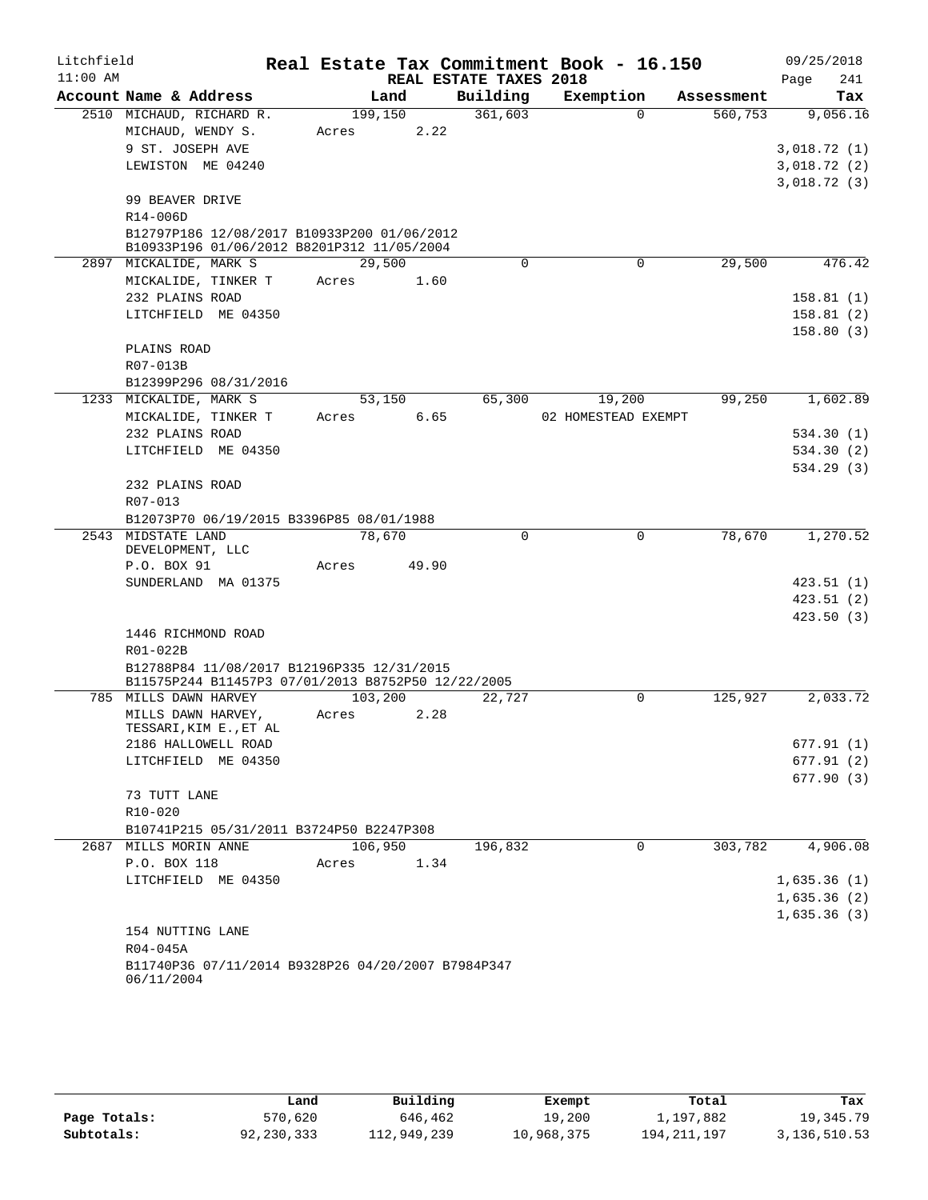| Litchfield |                                                                                           |         |        |                        | Real Estate Tax Commitment Book - 16.150 |            | 09/25/2018  |
|------------|-------------------------------------------------------------------------------------------|---------|--------|------------------------|------------------------------------------|------------|-------------|
| $11:00$ AM |                                                                                           |         |        | REAL ESTATE TAXES 2018 |                                          |            | 241<br>Page |
|            | Account Name & Address                                                                    |         | Land   | Building               | Exemption                                | Assessment | Tax         |
|            | 2510 MICHAUD, RICHARD R.                                                                  | 199,150 |        | 361,603                | $\Omega$                                 | 560,753    | 9,056.16    |
|            | MICHAUD, WENDY S.                                                                         | Acres   |        | 2.22                   |                                          |            |             |
|            | 9 ST. JOSEPH AVE                                                                          |         |        |                        |                                          |            | 3,018.72(1) |
|            | LEWISTON ME 04240                                                                         |         |        |                        |                                          |            | 3,018.72(2) |
|            |                                                                                           |         |        |                        |                                          |            | 3,018.72(3) |
|            | 99 BEAVER DRIVE                                                                           |         |        |                        |                                          |            |             |
|            | R14-006D                                                                                  |         |        |                        |                                          |            |             |
|            | B12797P186 12/08/2017 B10933P200 01/06/2012<br>B10933P196 01/06/2012 B8201P312 11/05/2004 |         |        |                        |                                          |            |             |
|            | 2897 MICKALIDE, MARK S                                                                    | 29,500  |        | $\Omega$               | 0                                        | 29,500     | 476.42      |
|            | MICKALIDE, TINKER T                                                                       | Acres   |        | 1.60                   |                                          |            |             |
|            | 232 PLAINS ROAD                                                                           |         |        |                        |                                          |            | 158.81(1)   |
|            | LITCHFIELD ME 04350                                                                       |         |        |                        |                                          |            | 158.81(2)   |
|            |                                                                                           |         |        |                        |                                          |            | 158.80(3)   |
|            | PLAINS ROAD                                                                               |         |        |                        |                                          |            |             |
|            | R07-013B                                                                                  |         |        |                        |                                          |            |             |
|            | B12399P296 08/31/2016                                                                     |         |        |                        |                                          |            |             |
|            | 1233 MICKALIDE, MARK S                                                                    |         | 53,150 | 65,300                 | 19,200                                   | 99,250     | 1,602.89    |
|            | MICKALIDE, TINKER T                                                                       | Acres   |        | 6.65                   | 02 HOMESTEAD EXEMPT                      |            |             |
|            | 232 PLAINS ROAD                                                                           |         |        |                        |                                          |            | 534.30(1)   |
|            | LITCHFIELD ME 04350                                                                       |         |        |                        |                                          |            | 534.30 (2)  |
|            |                                                                                           |         |        |                        |                                          |            | 534.29(3)   |
|            | 232 PLAINS ROAD                                                                           |         |        |                        |                                          |            |             |
|            | R07-013                                                                                   |         |        |                        |                                          |            |             |
|            | B12073P70 06/19/2015 B3396P85 08/01/1988                                                  |         |        |                        |                                          |            |             |
|            | 2543 MIDSTATE LAND                                                                        | 78,670  |        | $\Omega$               | $\mathbf 0$                              | 78,670     | 1,270.52    |
|            | DEVELOPMENT, LLC<br>P.O. BOX 91                                                           | Acres   | 49.90  |                        |                                          |            |             |
|            | SUNDERLAND MA 01375                                                                       |         |        |                        |                                          |            | 423.51(1)   |
|            |                                                                                           |         |        |                        |                                          |            | 423.51(2)   |
|            |                                                                                           |         |        |                        |                                          |            | 423.50(3)   |
|            | 1446 RICHMOND ROAD                                                                        |         |        |                        |                                          |            |             |
|            | R01-022B                                                                                  |         |        |                        |                                          |            |             |
|            | B12788P84 11/08/2017 B12196P335 12/31/2015                                                |         |        |                        |                                          |            |             |
|            | B11575P244 B11457P3 07/01/2013 B8752P50 12/22/2005                                        |         |        |                        |                                          |            |             |
|            | 785 MILLS DAWN HARVEY                                                                     | 103,200 |        | 22,727                 | $\Omega$                                 | 125,927    | 2,033.72    |
|            | MILLS DAWN HARVEY,                                                                        | Acres   |        | 2.28                   |                                          |            |             |
|            | TESSARI, KIM E., ET AL<br>2186 HALLOWELL ROAD                                             |         |        |                        |                                          |            | 677.91(1)   |
|            | LITCHFIELD ME 04350                                                                       |         |        |                        |                                          |            | 677.91(2)   |
|            |                                                                                           |         |        |                        |                                          |            | 677.90(3)   |
|            | 73 TUTT LANE                                                                              |         |        |                        |                                          |            |             |
|            | R10-020                                                                                   |         |        |                        |                                          |            |             |
|            | B10741P215 05/31/2011 B3724P50 B2247P308                                                  |         |        |                        |                                          |            |             |
|            | 2687 MILLS MORIN ANNE                                                                     | 106,950 |        | 196,832                | 0                                        | 303,782    | 4,906.08    |
|            | P.O. BOX 118                                                                              | Acres   |        | 1.34                   |                                          |            |             |
|            | LITCHFIELD ME 04350                                                                       |         |        |                        |                                          |            | 1,635.36(1) |
|            |                                                                                           |         |        |                        |                                          |            | 1,635.36(2) |
|            |                                                                                           |         |        |                        |                                          |            | 1,635.36(3) |
|            | 154 NUTTING LANE                                                                          |         |        |                        |                                          |            |             |
|            | R04-045A                                                                                  |         |        |                        |                                          |            |             |
|            | B11740P36 07/11/2014 B9328P26 04/20/2007 B7984P347                                        |         |        |                        |                                          |            |             |
|            | 06/11/2004                                                                                |         |        |                        |                                          |            |             |

|              | Land       | Building    | Exempt     | Total         | Tax          |
|--------------|------------|-------------|------------|---------------|--------------|
| Page Totals: | 570,620    | 646,462     | 19,200     | 1,197,882     | 19,345.79    |
| Subtotals:   | 92,230,333 | 112,949,239 | 10,968,375 | 194, 211, 197 | 3,136,510.53 |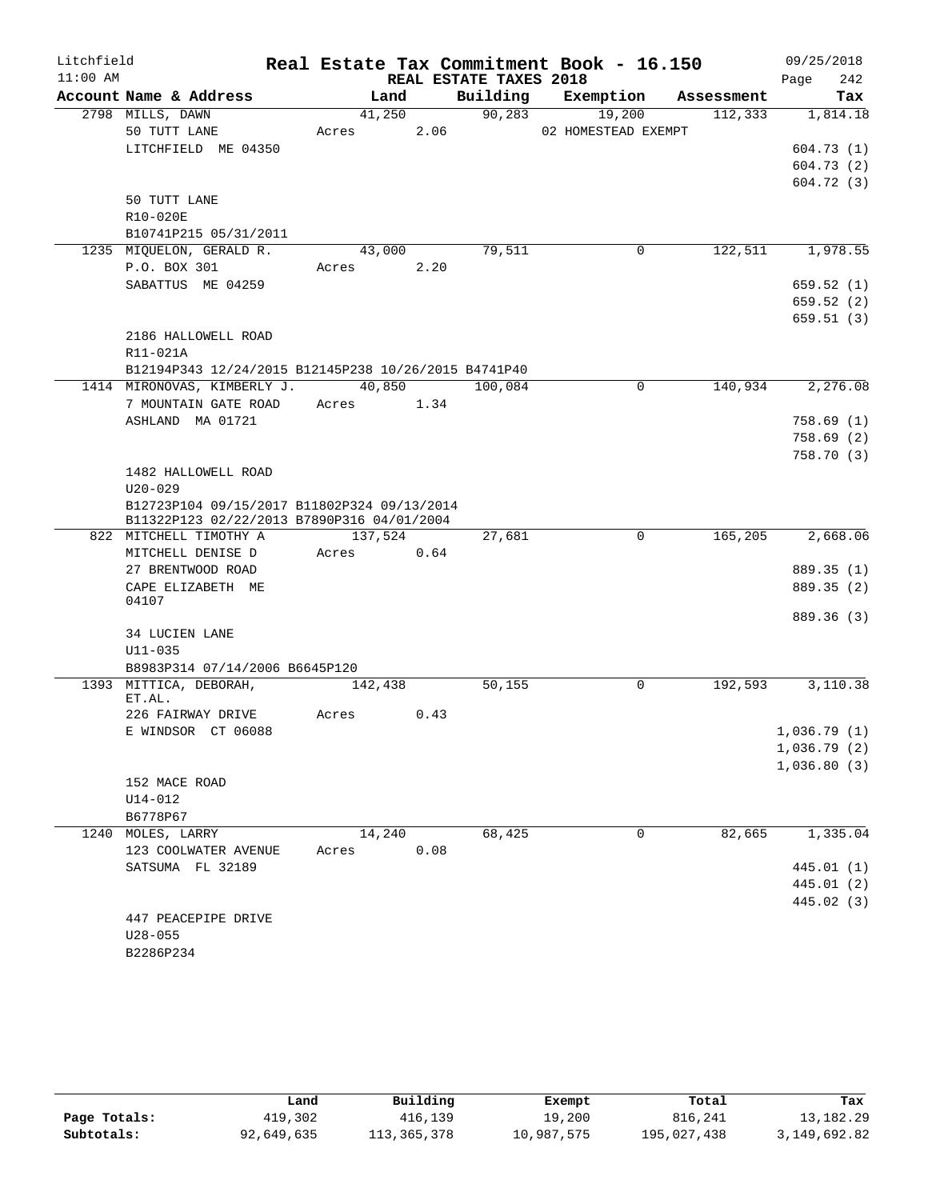| Litchfield |                                                      |               |      |                        | Real Estate Tax Commitment Book - 16.150 |            | 09/25/2018  |
|------------|------------------------------------------------------|---------------|------|------------------------|------------------------------------------|------------|-------------|
| $11:00$ AM |                                                      |               |      | REAL ESTATE TAXES 2018 |                                          |            | 242<br>Page |
|            | Account Name & Address                               | Land          |      |                        | Building Exemption                       | Assessment | Tax         |
|            | 2798 MILLS, DAWN                                     | 41,250        |      | 90, 283                | 19,200                                   | 112,333    | 1,814.18    |
|            | 50 TUTT LANE                                         | Acres         | 2.06 |                        | 02 HOMESTEAD EXEMPT                      |            |             |
|            | LITCHFIELD ME 04350                                  |               |      |                        |                                          |            | 604.73(1)   |
|            |                                                      |               |      |                        |                                          |            | 604.73(2)   |
|            |                                                      |               |      |                        |                                          |            | 604.72(3)   |
|            | 50 TUTT LANE                                         |               |      |                        |                                          |            |             |
|            | R10-020E                                             |               |      |                        |                                          |            |             |
|            | B10741P215 05/31/2011                                |               |      |                        |                                          |            |             |
|            | 1235 MIQUELON, GERALD R.                             | 43,000        |      | 79,511                 | $\mathbf 0$                              | 122,511    | 1,978.55    |
|            | P.O. BOX 301                                         | Acres         | 2.20 |                        |                                          |            |             |
|            | SABATTUS ME 04259                                    |               |      |                        |                                          |            | 659.52(1)   |
|            |                                                      |               |      |                        |                                          |            | 659.52(2)   |
|            |                                                      |               |      |                        |                                          |            | 659.51(3)   |
|            | 2186 HALLOWELL ROAD                                  |               |      |                        |                                          |            |             |
|            | R11-021A                                             |               |      |                        |                                          |            |             |
|            | B12194P343 12/24/2015 B12145P238 10/26/2015 B4741P40 |               |      |                        |                                          |            |             |
|            | 1414 MIRONOVAS, KIMBERLY J.                          | 40,850        |      | 100,084                | $\mathbf 0$                              | 140,934    | 2,276.08    |
|            | 7 MOUNTAIN GATE ROAD                                 | Acres 1.34    |      |                        |                                          |            |             |
|            | ASHLAND MA 01721                                     |               |      |                        |                                          |            | 758.69(1)   |
|            |                                                      |               |      |                        |                                          |            | 758.69(2)   |
|            |                                                      |               |      |                        |                                          |            | 758.70(3)   |
|            | 1482 HALLOWELL ROAD<br>$U20 - 029$                   |               |      |                        |                                          |            |             |
|            | B12723P104 09/15/2017 B11802P324 09/13/2014          |               |      |                        |                                          |            |             |
|            | B11322P123 02/22/2013 B7890P316 04/01/2004           |               |      |                        |                                          |            |             |
|            | 822 MITCHELL TIMOTHY A                               | 137,524       |      | 27,681                 | $\mathbf 0$                              | 165,205    | 2,668.06    |
|            | MITCHELL DENISE D                                    | 0.64<br>Acres |      |                        |                                          |            |             |
|            | 27 BRENTWOOD ROAD                                    |               |      |                        |                                          |            | 889.35 (1)  |
|            | CAPE ELIZABETH ME                                    |               |      |                        |                                          |            | 889.35 (2)  |
|            | 04107                                                |               |      |                        |                                          |            |             |
|            |                                                      |               |      |                        |                                          |            | 889.36 (3)  |
|            | 34 LUCIEN LANE                                       |               |      |                        |                                          |            |             |
|            | $U11 - 035$                                          |               |      |                        |                                          |            |             |
|            | B8983P314 07/14/2006 B6645P120                       |               |      |                        |                                          |            |             |
|            | 1393 MITTICA, DEBORAH,<br>ET.AL.                     | 142,438       |      | 50,155                 | 0                                        | 192,593    | 3,110.38    |
|            | 226 FAIRWAY DRIVE                                    | Acres         | 0.43 |                        |                                          |            |             |
|            | E WINDSOR CT 06088                                   |               |      |                        |                                          |            | 1,036.79(1) |
|            |                                                      |               |      |                        |                                          |            | 1,036.79(2) |
|            |                                                      |               |      |                        |                                          |            | 1,036.80(3) |
|            | 152 MACE ROAD                                        |               |      |                        |                                          |            |             |
|            | U14-012                                              |               |      |                        |                                          |            |             |
|            | B6778P67                                             |               |      |                        |                                          |            |             |
|            | 1240 MOLES, LARRY                                    | 14,240        |      | 68,425                 | 0                                        | 82,665     | 1,335.04    |
|            | 123 COOLWATER AVENUE                                 | Acres         | 0.08 |                        |                                          |            |             |
|            | SATSUMA FL 32189                                     |               |      |                        |                                          |            | 445.01 (1)  |
|            |                                                      |               |      |                        |                                          |            | 445.01 (2)  |
|            |                                                      |               |      |                        |                                          |            | 445.02 (3)  |
|            | 447 PEACEPIPE DRIVE                                  |               |      |                        |                                          |            |             |
|            | $U28 - 055$                                          |               |      |                        |                                          |            |             |
|            | B2286P234                                            |               |      |                        |                                          |            |             |

|              | Land       | Building    | Exempt     | Total       | Tax          |
|--------------|------------|-------------|------------|-------------|--------------|
| Page Totals: | 419,302    | 416,139     | 19,200     | 816,241     | 13,182.29    |
| Subtotals:   | 92,649,635 | 113,365,378 | 10,987,575 | 195,027,438 | 3,149,692.82 |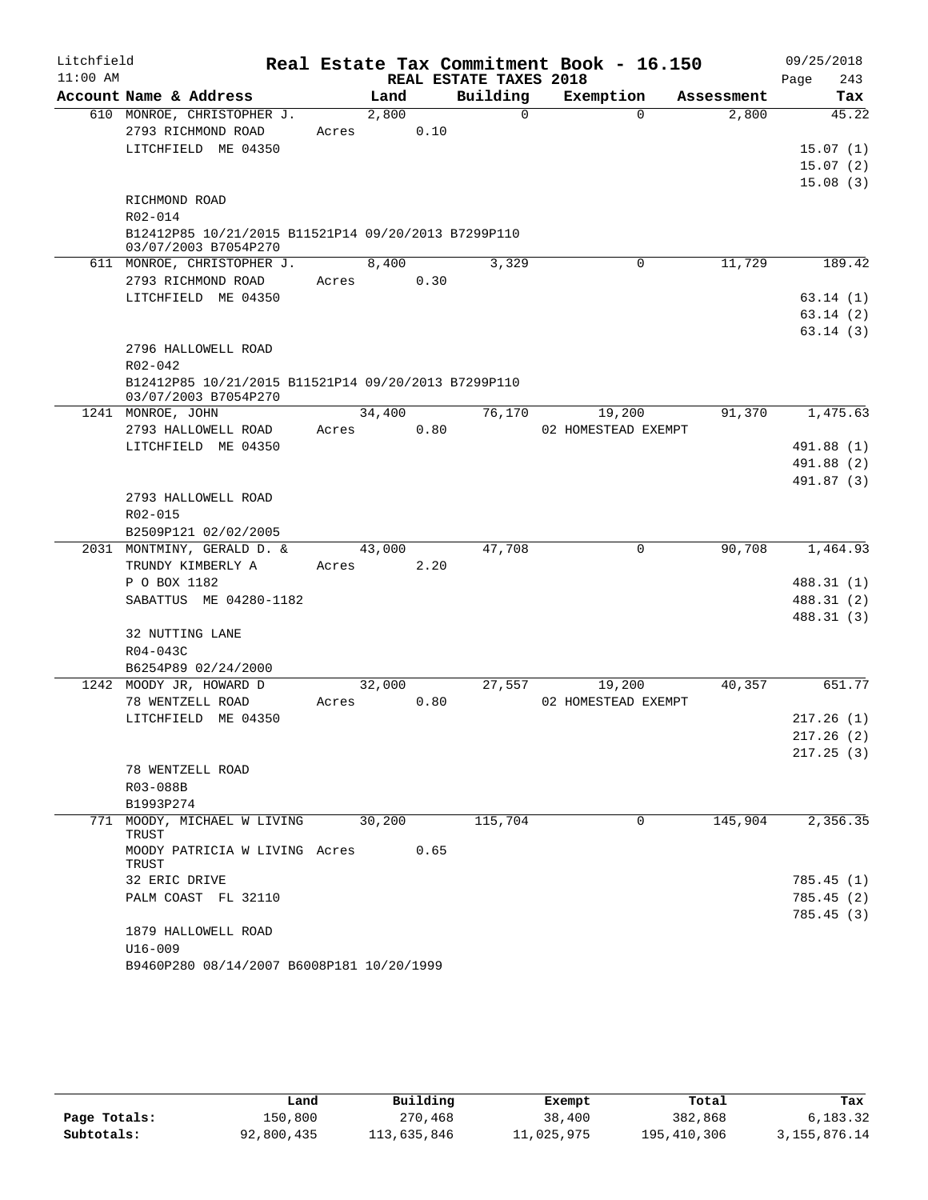| Litchfield |                                                                             |        |                        |          | Real Estate Tax Commitment Book - 16.150 |            | 09/25/2018  |
|------------|-----------------------------------------------------------------------------|--------|------------------------|----------|------------------------------------------|------------|-------------|
| $11:00$ AM |                                                                             |        | REAL ESTATE TAXES 2018 |          |                                          |            | 243<br>Page |
|            | Account Name & Address                                                      | Land   | Building               |          | Exemption                                | Assessment | Tax         |
|            | 610 MONROE, CHRISTOPHER J.                                                  | 2,800  |                        | $\Omega$ | 0                                        | 2,800      | 45.22       |
|            | 2793 RICHMOND ROAD                                                          | Acres  | 0.10                   |          |                                          |            |             |
|            | LITCHFIELD ME 04350                                                         |        |                        |          |                                          |            | 15.07(1)    |
|            |                                                                             |        |                        |          |                                          |            | 15.07(2)    |
|            |                                                                             |        |                        |          |                                          |            | 15.08(3)    |
|            | RICHMOND ROAD<br>R02-014                                                    |        |                        |          |                                          |            |             |
|            | B12412P85 10/21/2015 B11521P14 09/20/2013 B7299P110                         |        |                        |          |                                          |            |             |
|            | 03/07/2003 B7054P270                                                        |        |                        |          |                                          |            |             |
|            | 611 MONROE, CHRISTOPHER J.                                                  | 8,400  |                        | 3,329    | $\Omega$                                 | 11,729     | 189.42      |
|            | 2793 RICHMOND ROAD                                                          | Acres  | 0.30                   |          |                                          |            |             |
|            | LITCHFIELD ME 04350                                                         |        |                        |          |                                          |            | 63.14(1)    |
|            |                                                                             |        |                        |          |                                          |            | 63.14(2)    |
|            |                                                                             |        |                        |          |                                          |            | 63.14(3)    |
|            | 2796 HALLOWELL ROAD                                                         |        |                        |          |                                          |            |             |
|            | R02-042                                                                     |        |                        |          |                                          |            |             |
|            | B12412P85 10/21/2015 B11521P14 09/20/2013 B7299P110<br>03/07/2003 B7054P270 |        |                        |          |                                          |            |             |
|            | 1241 MONROE, JOHN                                                           | 34,400 |                        | 76,170   | 19,200                                   | 91,370     | 1,475.63    |
|            | 2793 HALLOWELL ROAD                                                         | Acres  | 0.80                   |          | 02 HOMESTEAD EXEMPT                      |            |             |
|            | LITCHFIELD ME 04350                                                         |        |                        |          |                                          |            | 491.88 (1)  |
|            |                                                                             |        |                        |          |                                          |            | 491.88 (2)  |
|            |                                                                             |        |                        |          |                                          |            | 491.87 (3)  |
|            | 2793 HALLOWELL ROAD                                                         |        |                        |          |                                          |            |             |
|            | R02-015                                                                     |        |                        |          |                                          |            |             |
|            | B2509P121 02/02/2005<br>2031 MONTMINY, GERALD D. &                          | 43,000 |                        | 47,708   | 0                                        | 90,708     | 1,464.93    |
|            | TRUNDY KIMBERLY A                                                           | Acres  | 2.20                   |          |                                          |            |             |
|            | P O BOX 1182                                                                |        |                        |          |                                          |            | 488.31 (1)  |
|            | SABATTUS ME 04280-1182                                                      |        |                        |          |                                          |            | 488.31 (2)  |
|            |                                                                             |        |                        |          |                                          |            | 488.31 (3)  |
|            | 32 NUTTING LANE                                                             |        |                        |          |                                          |            |             |
|            | R04-043C                                                                    |        |                        |          |                                          |            |             |
|            | B6254P89 02/24/2000                                                         |        |                        |          |                                          |            |             |
|            | 1242 MOODY JR, HOWARD D                                                     | 32,000 |                        | 27,557   | 19,200                                   | 40,357     | 651.77      |
|            | 78 WENTZELL ROAD                                                            | Acres  | 0.80                   |          | 02 HOMESTEAD EXEMPT                      |            |             |
|            | LITCHFIELD ME 04350                                                         |        |                        |          |                                          |            | 217.26(1)   |
|            |                                                                             |        |                        |          |                                          |            | 217.26(2)   |
|            |                                                                             |        |                        |          |                                          |            | 217.25(3)   |
|            | 78 WENTZELL ROAD                                                            |        |                        |          |                                          |            |             |
|            | R03-088B                                                                    |        |                        |          |                                          |            |             |
|            | B1993P274                                                                   |        |                        |          |                                          |            |             |
|            | 771 MOODY, MICHAEL W LIVING<br>TRUST                                        | 30,200 |                        | 115,704  | 0                                        | 145,904    | 2,356.35    |
|            | MOODY PATRICIA W LIVING Acres<br>TRUST                                      |        | 0.65                   |          |                                          |            |             |
|            | 32 ERIC DRIVE                                                               |        |                        |          |                                          |            | 785.45(1)   |
|            | PALM COAST FL 32110                                                         |        |                        |          |                                          |            | 785.45(2)   |
|            |                                                                             |        |                        |          |                                          |            | 785.45(3)   |
|            | 1879 HALLOWELL ROAD                                                         |        |                        |          |                                          |            |             |
|            | $U16 - 009$                                                                 |        |                        |          |                                          |            |             |
|            | B9460P280 08/14/2007 B6008P181 10/20/1999                                   |        |                        |          |                                          |            |             |

|              | Land       | Building    | Exempt     | Total       | Tax             |
|--------------|------------|-------------|------------|-------------|-----------------|
| Page Totals: | 150,800    | 270,468     | 38,400     | 382,868     | 6,183.32        |
| Subtotals:   | 92,800,435 | 113,635,846 | 11,025,975 | 195,410,306 | 3, 155, 876. 14 |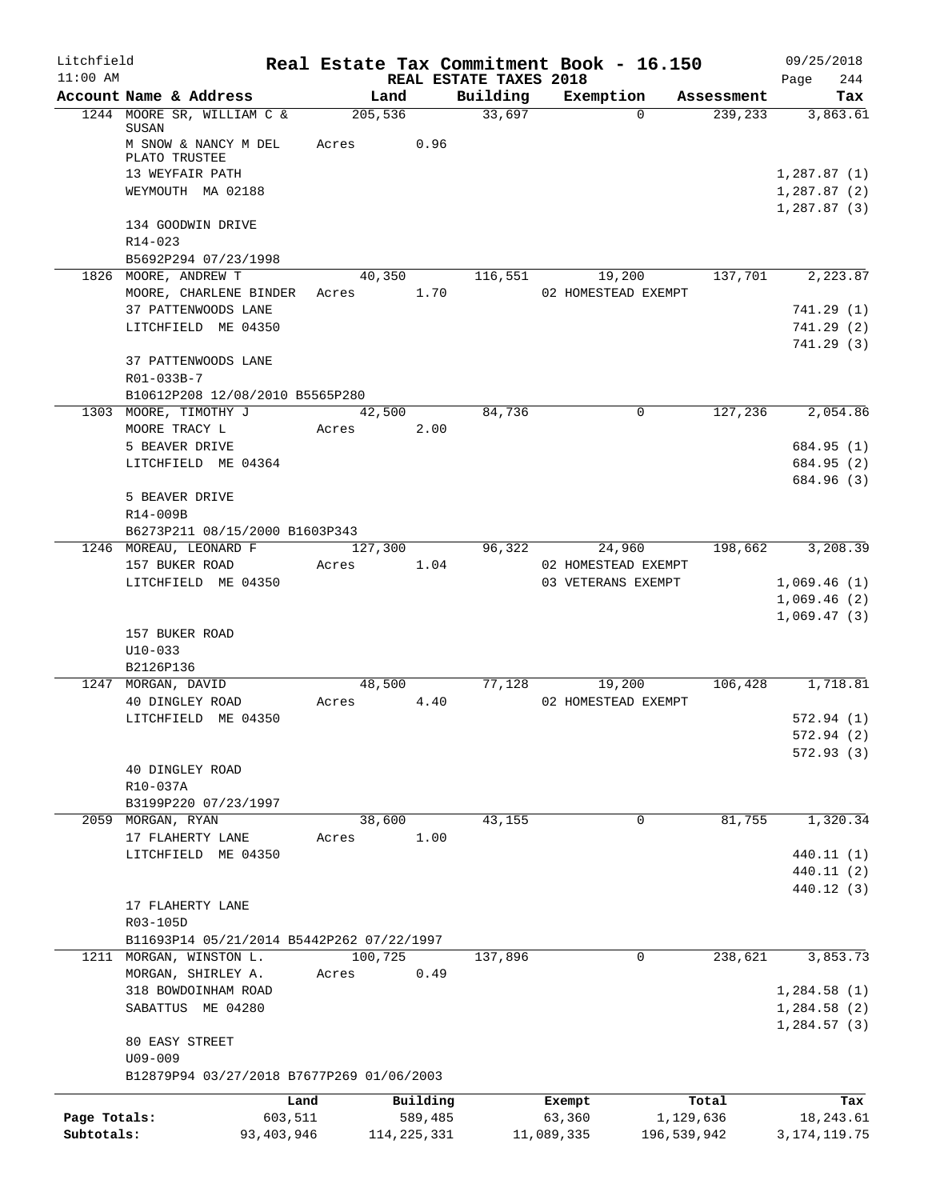| Litchfield                 |                                                                                                 |                         |                          |                        | Real Estate Tax Commitment Book - 16.150 |                                   | 09/25/2018                    |
|----------------------------|-------------------------------------------------------------------------------------------------|-------------------------|--------------------------|------------------------|------------------------------------------|-----------------------------------|-------------------------------|
| $11:00$ AM                 |                                                                                                 |                         |                          | REAL ESTATE TAXES 2018 |                                          |                                   | 244<br>Page                   |
|                            | Account Name & Address                                                                          |                         | Land<br>205,536          | Building<br>33,697     | Exemption                                | Assessment<br>239,233<br>$\Omega$ | Tax<br>3,863.61               |
|                            | 1244 MOORE SR, WILLIAM C &<br>SUSAN<br>M SNOW & NANCY M DEL<br>PLATO TRUSTEE<br>13 WEYFAIR PATH | Acres                   | 0.96                     |                        |                                          |                                   | 1,287.87(1)                   |
|                            | WEYMOUTH MA 02188                                                                               |                         |                          |                        |                                          |                                   | 1,287.87(2)<br>1,287.87(3)    |
|                            | 134 GOODWIN DRIVE<br>$R14 - 023$<br>B5692P294 07/23/1998                                        |                         |                          |                        |                                          |                                   |                               |
|                            | 1826 MOORE, ANDREW T                                                                            |                         | 40,350                   | 116,551                | 19,200                                   | 137,701                           | 2,223.87                      |
|                            | MOORE, CHARLENE BINDER<br>37 PATTENWOODS LANE                                                   |                         | 1.70<br>Acres            |                        | 02 HOMESTEAD EXEMPT                      |                                   | 741.29(1)                     |
|                            | LITCHFIELD ME 04350                                                                             |                         |                          |                        |                                          |                                   | 741.29(2)                     |
|                            | 37 PATTENWOODS LANE                                                                             |                         |                          |                        |                                          |                                   | 741.29(3)                     |
|                            | R01-033B-7<br>B10612P208 12/08/2010 B5565P280                                                   |                         |                          |                        |                                          |                                   |                               |
|                            | 1303 MOORE, TIMOTHY J                                                                           |                         | 42,500                   | 84,736                 |                                          | 127,236<br>0                      | 2,054.86                      |
|                            | MOORE TRACY L                                                                                   | Acres                   | 2.00                     |                        |                                          |                                   |                               |
|                            | 5 BEAVER DRIVE                                                                                  |                         |                          |                        |                                          |                                   | 684.95 (1)                    |
|                            | LITCHFIELD ME 04364<br>5 BEAVER DRIVE                                                           |                         |                          |                        |                                          |                                   | 684.95 (2)<br>684.96 (3)      |
|                            | R14-009B                                                                                        |                         |                          |                        |                                          |                                   |                               |
|                            | B6273P211 08/15/2000 B1603P343<br>1246 MOREAU, LEONARD F                                        |                         | 127,300                  | 96,322                 | 24,960                                   | 198,662                           | 3,208.39                      |
|                            | 157 BUKER ROAD                                                                                  | Acres                   | 1.04                     |                        | 02 HOMESTEAD EXEMPT                      |                                   |                               |
|                            | LITCHFIELD ME 04350                                                                             |                         |                          |                        | 03 VETERANS EXEMPT                       |                                   | 1,069.46(1)                   |
|                            |                                                                                                 |                         |                          |                        |                                          |                                   | 1,069.46(2)                   |
|                            | 157 BUKER ROAD<br>$U10-033$                                                                     |                         |                          |                        |                                          |                                   | 1,069.47(3)                   |
|                            | B2126P136                                                                                       |                         |                          |                        |                                          |                                   |                               |
|                            | 1247 MORGAN, DAVID<br>40 DINGLEY ROAD                                                           | Acres                   | 48,500<br>4.40           |                        | 77,128<br>19,200<br>02 HOMESTEAD EXEMPT  |                                   | 106,428 1,718.81              |
|                            | LITCHFIELD ME 04350                                                                             |                         |                          |                        |                                          |                                   | 572.94(1)                     |
|                            |                                                                                                 |                         |                          |                        |                                          |                                   | 572.94 (2)                    |
|                            | 40 DINGLEY ROAD<br>R10-037A                                                                     |                         |                          |                        |                                          |                                   | 572.93(3)                     |
|                            | B3199P220 07/23/1997                                                                            |                         |                          |                        |                                          |                                   |                               |
| 2059                       | MORGAN, RYAN                                                                                    |                         | 38,600                   | 43,155                 |                                          | 81,755<br>0                       | 1,320.34                      |
|                            | 17 FLAHERTY LANE                                                                                | Acres                   | 1.00                     |                        |                                          |                                   |                               |
|                            | LITCHFIELD ME 04350                                                                             |                         |                          |                        |                                          |                                   | 440.11 (1)<br>440.11 (2)      |
|                            | 17 FLAHERTY LANE                                                                                |                         |                          |                        |                                          |                                   | 440.12 (3)                    |
|                            | R03-105D                                                                                        |                         |                          |                        |                                          |                                   |                               |
|                            | B11693P14 05/21/2014 B5442P262 07/22/1997<br>1211 MORGAN, WINSTON L.                            |                         | 100,725                  | 137,896                |                                          | 238,621<br>0                      | 3,853.73                      |
|                            | MORGAN, SHIRLEY A.                                                                              | Acres                   | 0.49                     |                        |                                          |                                   |                               |
|                            | 318 BOWDOINHAM ROAD                                                                             |                         |                          |                        |                                          |                                   | 1,284.58(1)                   |
|                            | SABATTUS ME 04280                                                                               |                         |                          |                        |                                          |                                   | 1,284.58(2)<br>1,284.57(3)    |
|                            | 80 EASY STREET<br>$U09 - 009$                                                                   |                         |                          |                        |                                          |                                   |                               |
|                            | B12879P94 03/27/2018 B7677P269 01/06/2003                                                       |                         |                          |                        |                                          |                                   |                               |
|                            |                                                                                                 | Land                    | Building                 |                        | Exempt                                   | Total                             | Tax                           |
| Page Totals:<br>Subtotals: |                                                                                                 | 603,511<br>93, 403, 946 | 589,485<br>114, 225, 331 |                        | 63,360<br>11,089,335                     | 1,129,636<br>196,539,942          | 18, 243.61<br>3, 174, 119. 75 |
|                            |                                                                                                 |                         |                          |                        |                                          |                                   |                               |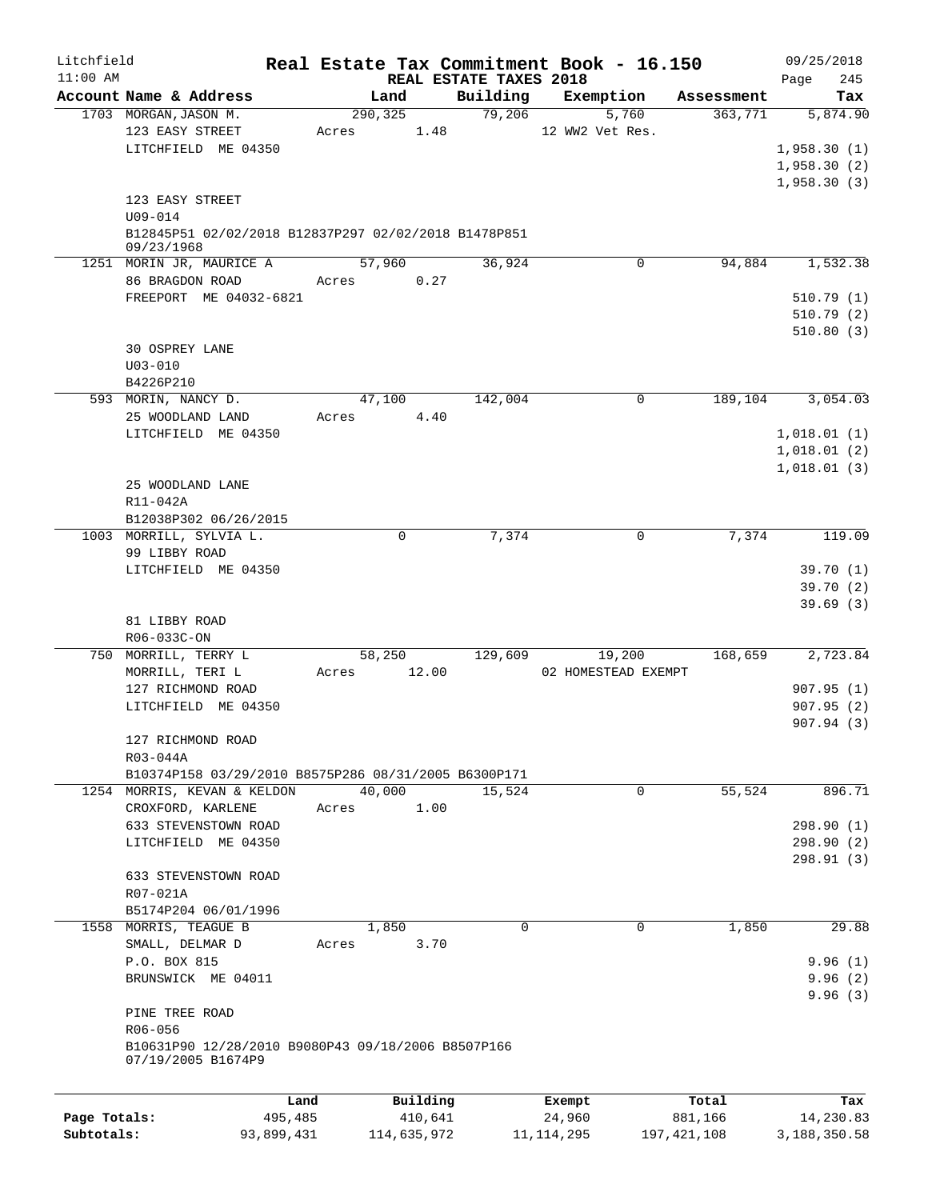| Litchfield   |                                                                  |         |               |                        | Real Estate Tax Commitment Book - 16.150 |            | 09/25/2018  |
|--------------|------------------------------------------------------------------|---------|---------------|------------------------|------------------------------------------|------------|-------------|
| $11:00$ AM   |                                                                  |         |               | REAL ESTATE TAXES 2018 |                                          |            | 245<br>Page |
|              | Account Name & Address                                           |         | Land          | Building               | Exemption                                | Assessment | Tax         |
|              | 1703 MORGAN, JASON M.<br>123 EASY STREET                         |         | 290, 325      | 79,206                 | 5,760<br>12 WW2 Vet Res.                 | 363,771    | 5,874.90    |
|              | LITCHFIELD ME 04350                                              | Acres   | 1.48          |                        |                                          |            | 1,958.30(1) |
|              |                                                                  |         |               |                        |                                          |            | 1,958.30(2) |
|              |                                                                  |         |               |                        |                                          |            | 1,958.30(3) |
|              | 123 EASY STREET                                                  |         |               |                        |                                          |            |             |
|              | $U09 - 014$                                                      |         |               |                        |                                          |            |             |
|              | B12845P51 02/02/2018 B12837P297 02/02/2018 B1478P851             |         |               |                        |                                          |            |             |
|              | 09/23/1968                                                       |         |               |                        |                                          |            |             |
|              | 1251 MORIN JR, MAURICE A                                         |         | 57,960        | 36,924                 | 0                                        | 94,884     | 1,532.38    |
|              | 86 BRAGDON ROAD                                                  |         | 0.27<br>Acres |                        |                                          |            |             |
|              | FREEPORT ME 04032-6821                                           |         |               |                        |                                          |            | 510.79(1)   |
|              |                                                                  |         |               |                        |                                          |            | 510.79(2)   |
|              |                                                                  |         |               |                        |                                          |            | 510.80(3)   |
|              | 30 OSPREY LANE                                                   |         |               |                        |                                          |            |             |
|              | $U03 - 010$                                                      |         |               |                        |                                          |            |             |
|              | B4226P210                                                        |         |               |                        |                                          |            |             |
|              | 593 MORIN, NANCY D.                                              |         | 47,100        | 142,004                | $\mathbf 0$                              | 189, 104   | 3,054.03    |
|              | 25 WOODLAND LAND                                                 | Acres   | 4.40          |                        |                                          |            |             |
|              | LITCHFIELD ME 04350                                              |         |               |                        |                                          |            | 1,018.01(1) |
|              |                                                                  |         |               |                        |                                          |            | 1,018.01(2) |
|              |                                                                  |         |               |                        |                                          |            | 1,018.01(3) |
|              | 25 WOODLAND LANE                                                 |         |               |                        |                                          |            |             |
|              | R11-042A                                                         |         |               |                        |                                          |            |             |
|              | B12038P302 06/26/2015                                            |         |               |                        |                                          |            |             |
|              | 1003 MORRILL, SYLVIA L.                                          |         | 0             | 7,374                  | 0                                        | 7,374      | 119.09      |
|              | 99 LIBBY ROAD                                                    |         |               |                        |                                          |            |             |
|              | LITCHFIELD ME 04350                                              |         |               |                        |                                          |            | 39.70(1)    |
|              |                                                                  |         |               |                        |                                          |            | 39.70(2)    |
|              |                                                                  |         |               |                        |                                          |            | 39.69(3)    |
|              | 81 LIBBY ROAD                                                    |         |               |                        |                                          |            |             |
|              | R06-033C-ON                                                      |         |               |                        |                                          |            |             |
|              | 750 MORRILL, TERRY L                                             |         | 58,250        | 129,609                | 19,200                                   | 168,659    | 2,723.84    |
|              | MORRILL, TERI L                                                  | Acres   | 12.00         |                        | 02 HOMESTEAD EXEMPT                      |            |             |
|              | 127 RICHMOND ROAD                                                |         |               |                        |                                          |            | 907.95(1)   |
|              | LITCHFIELD ME 04350                                              |         |               |                        |                                          |            | 907.95(2)   |
|              |                                                                  |         |               |                        |                                          |            | 907.94 (3)  |
|              | 127 RICHMOND ROAD                                                |         |               |                        |                                          |            |             |
|              | R03-044A<br>B10374P158 03/29/2010 B8575P286 08/31/2005 B6300P171 |         |               |                        |                                          |            |             |
|              | 1254 MORRIS, KEVAN & KELDON                                      |         | 40,000        | 15,524                 | 0                                        | 55,524     | 896.71      |
|              | CROXFORD, KARLENE                                                | Acres   | 1.00          |                        |                                          |            |             |
|              | 633 STEVENSTOWN ROAD                                             |         |               |                        |                                          |            | 298.90 (1)  |
|              | LITCHFIELD ME 04350                                              |         |               |                        |                                          |            | 298.90 (2)  |
|              |                                                                  |         |               |                        |                                          |            | 298.91 (3)  |
|              | 633 STEVENSTOWN ROAD                                             |         |               |                        |                                          |            |             |
|              | R07-021A                                                         |         |               |                        |                                          |            |             |
|              | B5174P204 06/01/1996                                             |         |               |                        |                                          |            |             |
|              | 1558 MORRIS, TEAGUE B                                            |         | 1,850         | $\Omega$               | 0                                        | 1,850      | 29.88       |
|              | SMALL, DELMAR D                                                  | Acres   | 3.70          |                        |                                          |            |             |
|              | P.O. BOX 815                                                     |         |               |                        |                                          |            | 9.96(1)     |
|              | BRUNSWICK ME 04011                                               |         |               |                        |                                          |            | 9.96(2)     |
|              |                                                                  |         |               |                        |                                          |            | 9.96(3)     |
|              | PINE TREE ROAD                                                   |         |               |                        |                                          |            |             |
|              | R06-056                                                          |         |               |                        |                                          |            |             |
|              | B10631P90 12/28/2010 B9080P43 09/18/2006 B8507P166               |         |               |                        |                                          |            |             |
|              | 07/19/2005 B1674P9                                               |         |               |                        |                                          |            |             |
|              |                                                                  |         |               |                        |                                          |            |             |
|              |                                                                  | Land    | Building      |                        | Exempt                                   | Total      | Tax         |
| Page Totals: |                                                                  | 495,485 | 410,641       |                        | 24,960                                   | 881,166    | 14,230.83   |

**Subtotals:** 93,899,431 114,635,972 11,114,295 197,421,108 3,188,350.58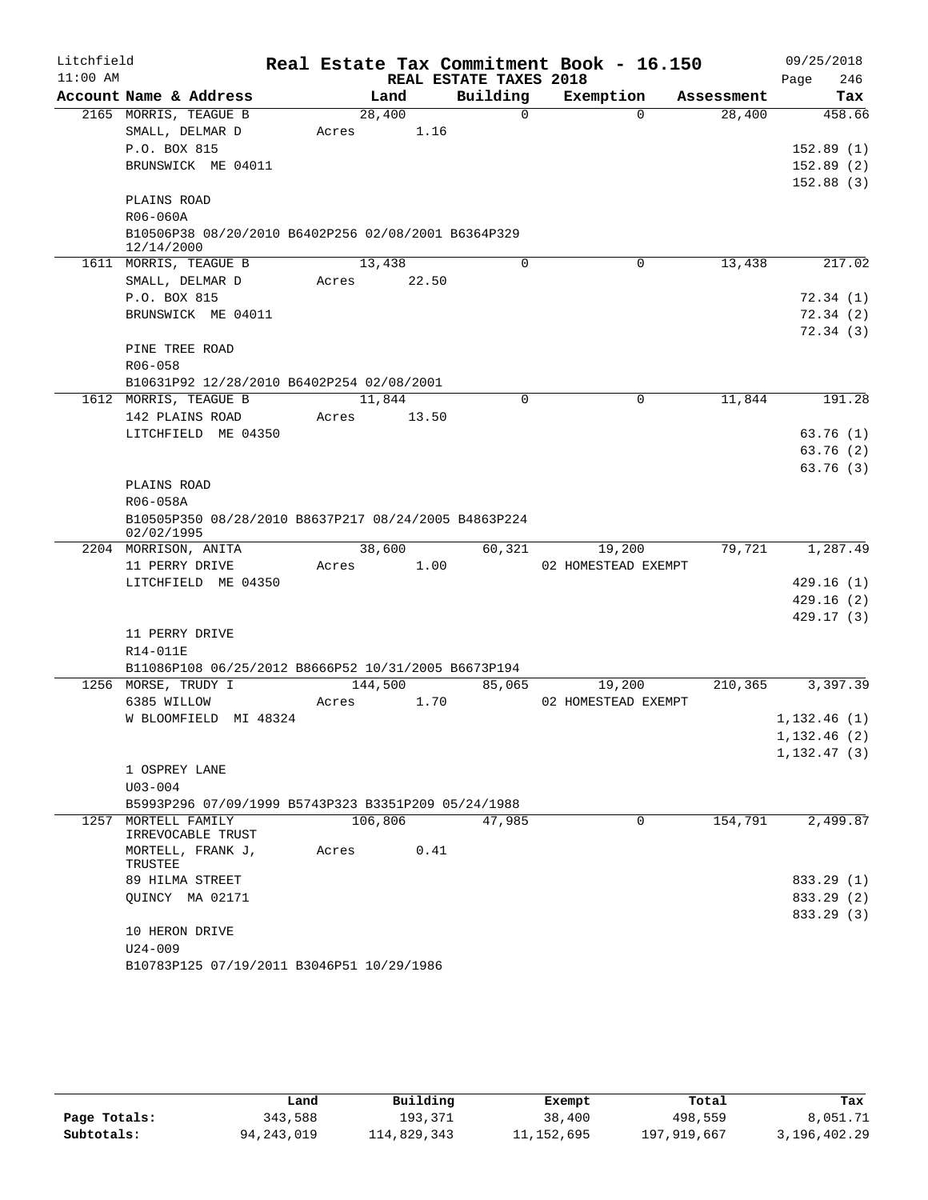| Litchfield |                                                                    |         |        |                        | Real Estate Tax Commitment Book - 16.150 |            | 09/25/2018    |
|------------|--------------------------------------------------------------------|---------|--------|------------------------|------------------------------------------|------------|---------------|
| $11:00$ AM |                                                                    |         |        | REAL ESTATE TAXES 2018 |                                          |            | 246<br>Page   |
|            | Account Name & Address                                             |         | Land   | Building               | Exemption                                | Assessment | Tax           |
|            | 2165 MORRIS, TEAGUE B                                              | 28,400  |        | $\Omega$               | $\Omega$                                 | 28,400     | 458.66        |
|            | SMALL, DELMAR D                                                    | Acres   | 1.16   |                        |                                          |            |               |
|            | P.O. BOX 815                                                       |         |        |                        |                                          |            | 152.89(1)     |
|            | BRUNSWICK ME 04011                                                 |         |        |                        |                                          |            | 152.89(2)     |
|            |                                                                    |         |        |                        |                                          |            | 152.88(3)     |
|            | PLAINS ROAD                                                        |         |        |                        |                                          |            |               |
|            | R06-060A                                                           |         |        |                        |                                          |            |               |
|            | B10506P38 08/20/2010 B6402P256 02/08/2001 B6364P329<br>12/14/2000  |         |        |                        |                                          |            |               |
|            | 1611 MORRIS, TEAGUE B                                              | 13,438  |        | $\Omega$               | $\Omega$                                 | 13,438     | 217.02        |
|            | SMALL, DELMAR D                                                    | Acres   | 22.50  |                        |                                          |            |               |
|            | P.O. BOX 815                                                       |         |        |                        |                                          |            | 72.34(1)      |
|            | BRUNSWICK ME 04011                                                 |         |        |                        |                                          |            | 72.34 (2)     |
|            |                                                                    |         |        |                        |                                          |            | 72.34 (3)     |
|            | PINE TREE ROAD                                                     |         |        |                        |                                          |            |               |
|            | R06-058                                                            |         |        |                        |                                          |            |               |
|            | B10631P92 12/28/2010 B6402P254 02/08/2001                          |         |        |                        |                                          |            |               |
|            | 1612 MORRIS, TEAGUE B                                              |         | 11,844 | 0                      | $\mathbf 0$                              | 11,844     | 191.28        |
|            | 142 PLAINS ROAD                                                    | Acres   | 13.50  |                        |                                          |            |               |
|            | LITCHFIELD ME 04350                                                |         |        |                        |                                          |            | 63.76(1)      |
|            |                                                                    |         |        |                        |                                          |            | 63.76(2)      |
|            |                                                                    |         |        |                        |                                          |            | 63.76(3)      |
|            | PLAINS ROAD                                                        |         |        |                        |                                          |            |               |
|            | R06-058A                                                           |         |        |                        |                                          |            |               |
|            | B10505P350 08/28/2010 B8637P217 08/24/2005 B4863P224<br>02/02/1995 |         |        |                        |                                          |            |               |
|            | 2204 MORRISON, ANITA                                               |         | 38,600 | 60,321                 | 19,200                                   | 79,721     | 1,287.49      |
|            | 11 PERRY DRIVE                                                     | Acres   | 1.00   |                        | 02 HOMESTEAD EXEMPT                      |            |               |
|            | LITCHFIELD ME 04350                                                |         |        |                        |                                          |            | 429.16(1)     |
|            |                                                                    |         |        |                        |                                          |            | 429.16(2)     |
|            |                                                                    |         |        |                        |                                          |            | 429.17 (3)    |
|            | 11 PERRY DRIVE                                                     |         |        |                        |                                          |            |               |
|            | R14-011E                                                           |         |        |                        |                                          |            |               |
|            | B11086P108 06/25/2012 B8666P52 10/31/2005 B6673P194                |         |        |                        |                                          |            |               |
|            | 1256 MORSE, TRUDY I                                                | 144,500 |        | 85,065                 | 19,200                                   | 210,365    | 3,397.39      |
|            | 6385 WILLOW                                                        | Acres   | 1.70   |                        | 02 HOMESTEAD EXEMPT                      |            |               |
|            | W BLOOMFIELD MI 48324                                              |         |        |                        |                                          |            | 1,132.46(1)   |
|            |                                                                    |         |        |                        |                                          |            | 1, 132.46 (2) |
|            |                                                                    |         |        |                        |                                          |            | 1, 132.47(3)  |
|            | 1 OSPREY LANE                                                      |         |        |                        |                                          |            |               |
|            | $U03 - 004$                                                        |         |        |                        |                                          |            |               |
|            | B5993P296 07/09/1999 B5743P323 B3351P209 05/24/1988                |         |        |                        |                                          |            |               |
|            | 1257 MORTELL FAMILY<br>IRREVOCABLE TRUST                           | 106,806 |        | 47,985                 | $\Omega$                                 | 154,791    | 2,499.87      |
|            | MORTELL, FRANK J,<br>TRUSTEE                                       | Acres   | 0.41   |                        |                                          |            |               |
|            | 89 HILMA STREET                                                    |         |        |                        |                                          |            | 833.29 (1)    |
|            | QUINCY MA 02171                                                    |         |        |                        |                                          |            | 833.29 (2)    |
|            |                                                                    |         |        |                        |                                          |            | 833.29 (3)    |
|            | 10 HERON DRIVE                                                     |         |        |                        |                                          |            |               |
|            | $U24 - 009$                                                        |         |        |                        |                                          |            |               |
|            | B10783P125 07/19/2011 B3046P51 10/29/1986                          |         |        |                        |                                          |            |               |

|              | Land         | Building    | Exempt       | Total       | Tax          |
|--------------|--------------|-------------|--------------|-------------|--------------|
| Page Totals: | 343,588      | 193.371     | 38,400       | 498,559     | 8,051.71     |
| Subtotals:   | 94, 243, 019 | 114,829,343 | 11, 152, 695 | 197,919,667 | 3,196,402.29 |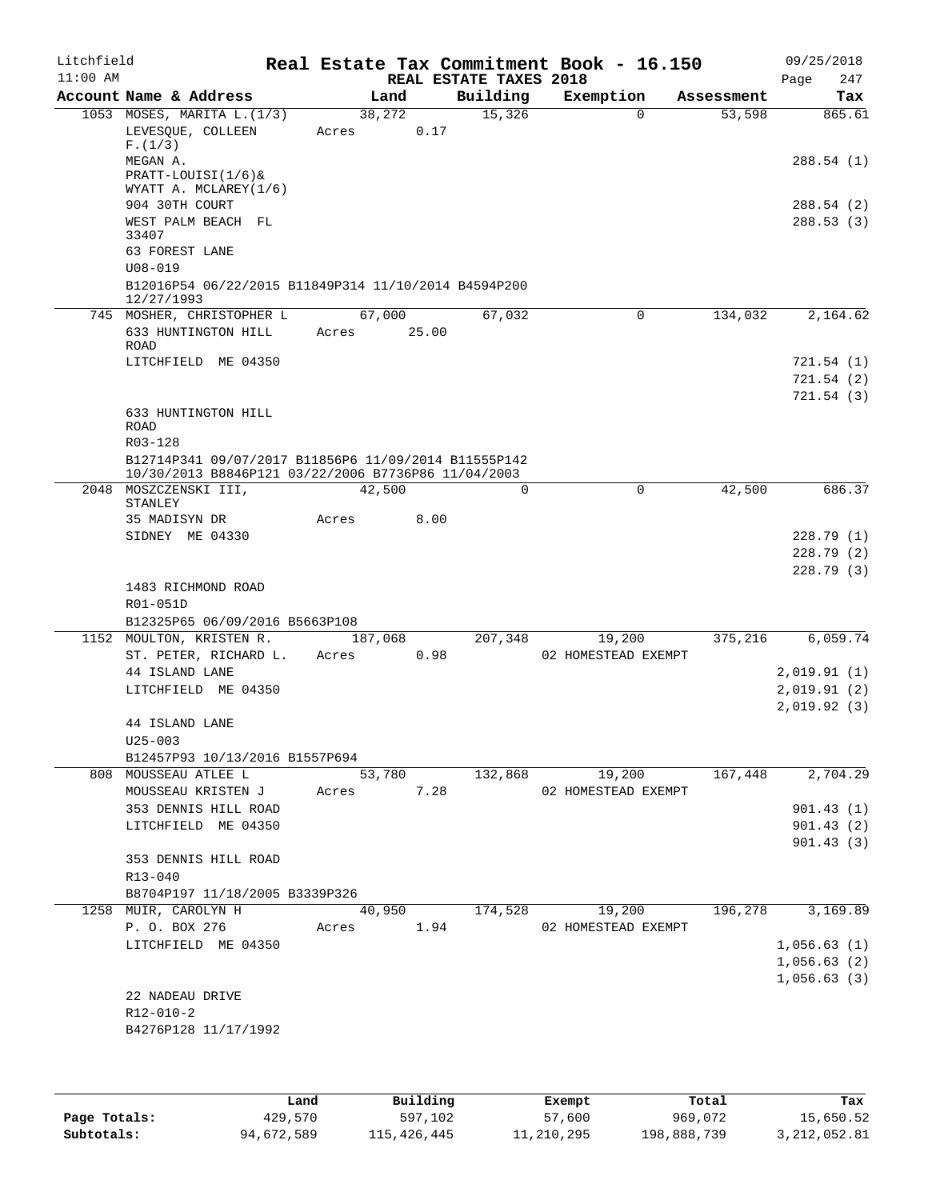| Litchfield<br>$11:00$ AM |                                                                              |         |       | REAL ESTATE TAXES 2018 | Real Estate Tax Commitment Book - 16.150 |            | 09/25/2018<br>247<br>Page |
|--------------------------|------------------------------------------------------------------------------|---------|-------|------------------------|------------------------------------------|------------|---------------------------|
|                          | Account Name & Address                                                       | Land    |       | Building               | Exemption                                | Assessment | Tax                       |
|                          | 1053 MOSES, MARITA L. (1/3)                                                  | 38,272  |       | 15,326                 | $\Omega$                                 | 53,598     | 865.61                    |
|                          | LEVESQUE, COLLEEN                                                            | Acres   | 0.17  |                        |                                          |            |                           |
|                          | F.(1/3)                                                                      |         |       |                        |                                          |            |                           |
|                          | MEGAN A.<br>PRATT-LOUISI(1/6)&                                               |         |       |                        |                                          |            | 288.54(1)                 |
|                          | WYATT A. MCLAREY(1/6)                                                        |         |       |                        |                                          |            |                           |
|                          | 904 30TH COURT                                                               |         |       |                        |                                          |            | 288.54 (2)                |
|                          | WEST PALM BEACH FL                                                           |         |       |                        |                                          |            | 288.53(3)                 |
|                          | 33407<br>63 FOREST LANE                                                      |         |       |                        |                                          |            |                           |
|                          | $U08 - 019$                                                                  |         |       |                        |                                          |            |                           |
|                          | B12016P54 06/22/2015 B11849P314 11/10/2014 B4594P200                         |         |       |                        |                                          |            |                           |
|                          | 12/27/1993                                                                   |         |       |                        |                                          |            |                           |
|                          | 745 MOSHER, CHRISTOPHER L                                                    | 67,000  |       | 67,032                 | $\Omega$                                 | 134,032    | 2,164.62                  |
|                          | 633 HUNTINGTON HILL                                                          | Acres   | 25.00 |                        |                                          |            |                           |
|                          | ROAD                                                                         |         |       |                        |                                          |            |                           |
|                          | LITCHFIELD ME 04350                                                          |         |       |                        |                                          |            | 721.54 (1)<br>721.54(2)   |
|                          |                                                                              |         |       |                        |                                          |            | 721.54(3)                 |
|                          | 633 HUNTINGTON HILL                                                          |         |       |                        |                                          |            |                           |
|                          | ROAD                                                                         |         |       |                        |                                          |            |                           |
|                          | R03-128                                                                      |         |       |                        |                                          |            |                           |
|                          | B12714P341 09/07/2017 B11856P6 11/09/2014 B11555P142                         |         |       |                        |                                          |            |                           |
|                          | 10/30/2013 B8846P121 03/22/2006 B7736P86 11/04/2003<br>2048 MOSZCZENSKI III, | 42,500  |       | 0                      | 0                                        | 42,500     | 686.37                    |
|                          | STANLEY                                                                      |         |       |                        |                                          |            |                           |
|                          | 35 MADISYN DR                                                                | Acres   | 8.00  |                        |                                          |            |                           |
|                          | SIDNEY ME 04330                                                              |         |       |                        |                                          |            | 228.79(1)                 |
|                          |                                                                              |         |       |                        |                                          |            | 228.79(2)                 |
|                          |                                                                              |         |       |                        |                                          |            | 228.79(3)                 |
|                          | 1483 RICHMOND ROAD                                                           |         |       |                        |                                          |            |                           |
|                          | R01-051D<br>B12325P65 06/09/2016 B5663P108                                   |         |       |                        |                                          |            |                           |
|                          | 1152 MOULTON, KRISTEN R.                                                     | 187,068 |       | 207,348                | 19,200                                   | 375,216    | 6,059.74                  |
|                          | ST. PETER, RICHARD L.                                                        | Acres   | 0.98  |                        | 02 HOMESTEAD EXEMPT                      |            |                           |
|                          | 44 ISLAND LANE                                                               |         |       |                        |                                          |            | 2,019.91(1)               |
|                          | LITCHFIELD ME 04350                                                          |         |       |                        |                                          |            | 2,019.91(2)               |
|                          |                                                                              |         |       |                        |                                          |            | 2,019.92(3)               |
|                          | 44 ISLAND LANE                                                               |         |       |                        |                                          |            |                           |
|                          | $U25 - 003$                                                                  |         |       |                        |                                          |            |                           |
|                          | B12457P93 10/13/2016 B1557P694                                               |         |       |                        |                                          |            |                           |
|                          | 808 MOUSSEAU ATLEE L                                                         | 53,780  |       | 132,868                | 19,200                                   | 167,448    | 2,704.29                  |
|                          | MOUSSEAU KRISTEN J<br>353 DENNIS HILL ROAD                                   | Acres   | 7.28  |                        | 02 HOMESTEAD EXEMPT                      |            | 901.43(1)                 |
|                          | LITCHFIELD ME 04350                                                          |         |       |                        |                                          |            | 901.43(2)                 |
|                          |                                                                              |         |       |                        |                                          |            | 901.43(3)                 |
|                          | 353 DENNIS HILL ROAD                                                         |         |       |                        |                                          |            |                           |
|                          | R13-040                                                                      |         |       |                        |                                          |            |                           |
|                          | B8704P197 11/18/2005 B3339P326                                               |         |       |                        |                                          |            |                           |
|                          | 1258 MUIR, CAROLYN H                                                         | 40,950  |       | 174,528                | 19,200                                   | 196,278    | 3,169.89                  |
|                          | P. O. BOX 276                                                                | Acres   | 1.94  |                        | 02 HOMESTEAD EXEMPT                      |            |                           |
|                          | LITCHFIELD ME 04350                                                          |         |       |                        |                                          |            | 1,056.63(1)               |
|                          |                                                                              |         |       |                        |                                          |            | 1,056.63(2)               |
|                          | 22 NADEAU DRIVE                                                              |         |       |                        |                                          |            | 1,056.63(3)               |
|                          | R12-010-2                                                                    |         |       |                        |                                          |            |                           |
|                          | B4276P128 11/17/1992                                                         |         |       |                        |                                          |            |                           |
|                          |                                                                              |         |       |                        |                                          |            |                           |
|                          |                                                                              |         |       |                        |                                          |            |                           |

|              | Land       | Building    | Exempt     | Total       | Tax          |
|--------------|------------|-------------|------------|-------------|--------------|
| Page Totals: | 429,570    | 597,102     | 57,600     | 969.072     | 15,650.52    |
| Subtotals:   | 94,672,589 | 115,426,445 | 11,210,295 | 198,888,739 | 3,212,052.81 |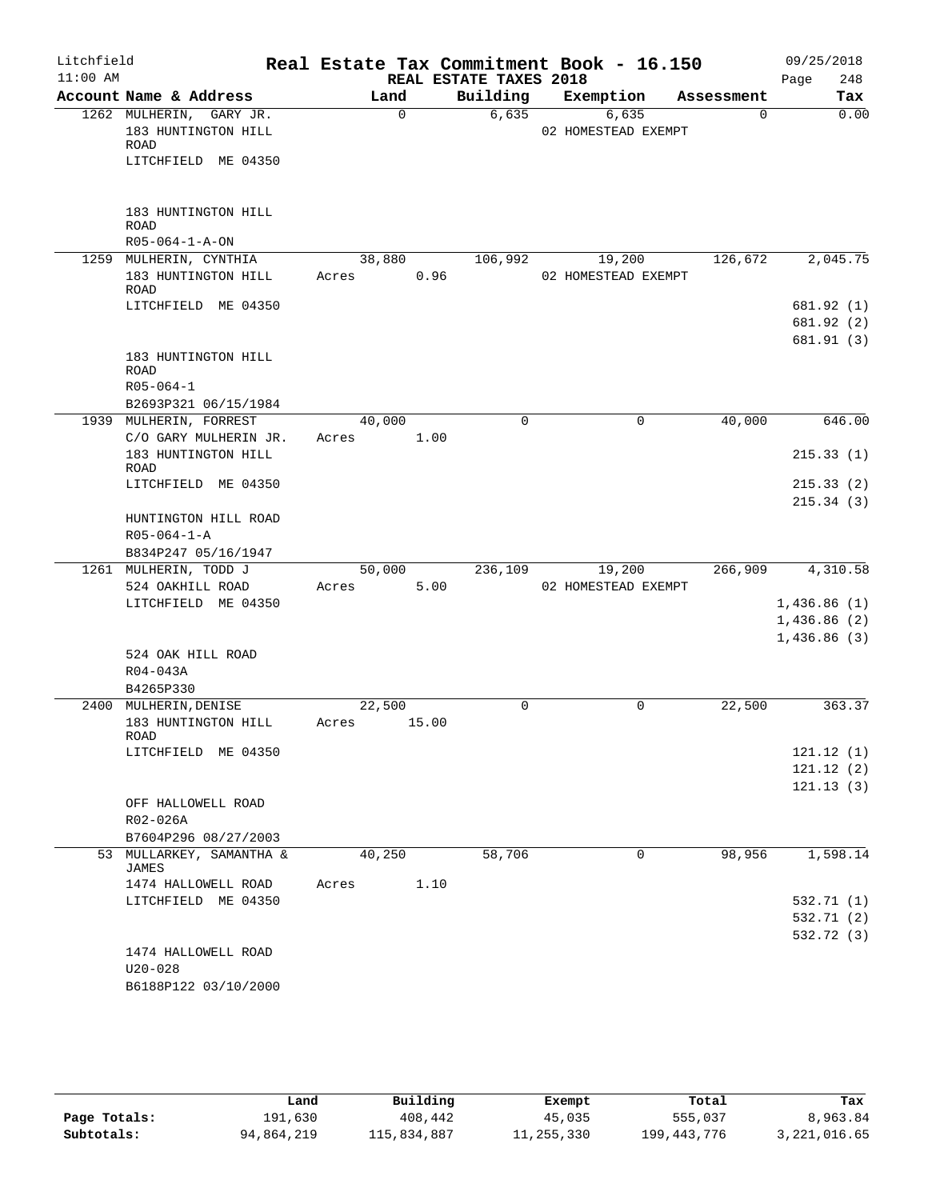| Litchfield |                                                                               |       |             |                        | Real Estate Tax Commitment Book - 16.150 |            | 09/25/2018                             |
|------------|-------------------------------------------------------------------------------|-------|-------------|------------------------|------------------------------------------|------------|----------------------------------------|
| $11:00$ AM |                                                                               |       |             | REAL ESTATE TAXES 2018 |                                          |            | 248<br>Page                            |
|            | Account Name & Address                                                        |       | Land        | Building               | Exemption                                | Assessment | Tax                                    |
|            | 1262 MULHERIN, GARY JR.<br>183 HUNTINGTON HILL<br>ROAD<br>LITCHFIELD ME 04350 |       | $\mathbf 0$ | 6,635                  | 6,635<br>02 HOMESTEAD EXEMPT             | $\Omega$   | 0.00                                   |
|            | 183 HUNTINGTON HILL<br><b>ROAD</b><br>$R05 - 064 - 1 - A - ON$                |       |             |                        |                                          |            |                                        |
|            | 1259 MULHERIN, CYNTHIA                                                        |       | 38,880      | 106,992                | 19,200                                   | 126,672    | 2,045.75                               |
|            | 183 HUNTINGTON HILL<br>ROAD                                                   | Acres | 0.96        |                        | 02 HOMESTEAD EXEMPT                      |            |                                        |
|            | LITCHFIELD ME 04350                                                           |       |             |                        |                                          |            | 681.92 (1)<br>681.92 (2)<br>681.91 (3) |
|            | 183 HUNTINGTON HILL<br><b>ROAD</b><br>$R05 - 064 - 1$                         |       |             |                        |                                          |            |                                        |
|            | B2693P321 06/15/1984                                                          |       |             |                        |                                          |            |                                        |
|            | 1939 MULHERIN, FORREST                                                        |       | 40,000      | $\mathbf 0$            | 0                                        | 40,000     | 646.00                                 |
|            | C/O GARY MULHERIN JR.<br>183 HUNTINGTON HILL                                  | Acres | 1.00        |                        |                                          |            | 215.33(1)                              |
|            | ROAD<br>LITCHFIELD ME 04350                                                   |       |             |                        |                                          |            | 215.33(2)<br>215.34(3)                 |
|            | HUNTINGTON HILL ROAD<br>$R05 - 064 - 1 - A$<br>B834P247 05/16/1947            |       |             |                        |                                          |            |                                        |
|            | 1261 MULHERIN, TODD J                                                         |       | 50,000      | 236,109                | 19,200                                   | 266,909    | 4,310.58                               |
|            | 524 OAKHILL ROAD                                                              | Acres | 5.00        |                        | 02 HOMESTEAD EXEMPT                      |            |                                        |
|            | LITCHFIELD ME 04350                                                           |       |             |                        |                                          |            | 1,436.86(1)                            |
|            |                                                                               |       |             |                        |                                          |            | 1,436.86(2)                            |
|            |                                                                               |       |             |                        |                                          |            | 1,436.86(3)                            |
|            | 524 OAK HILL ROAD                                                             |       |             |                        |                                          |            |                                        |
|            | R04-043A                                                                      |       |             |                        |                                          |            |                                        |
|            | B4265P330<br>2400 MULHERIN, DENISE                                            |       | 22,500      | 0                      | 0                                        | 22,500     | 363.37                                 |
|            | 183 HUNTINGTON HILL                                                           | Acres | 15.00       |                        |                                          |            |                                        |
|            | ROAD                                                                          |       |             |                        |                                          |            |                                        |
|            | LITCHFIELD ME 04350                                                           |       |             |                        |                                          |            | 121.12(1)                              |
|            |                                                                               |       |             |                        |                                          |            | 121.12(2)                              |
|            |                                                                               |       |             |                        |                                          |            | 121.13(3)                              |
|            | OFF HALLOWELL ROAD                                                            |       |             |                        |                                          |            |                                        |
|            | R02-026A                                                                      |       |             |                        |                                          |            |                                        |
|            | B7604P296 08/27/2003<br>53 MULLARKEY, SAMANTHA &                              |       | 40,250      | 58,706                 | 0                                        | 98,956     | 1,598.14                               |
|            | <b>JAMES</b><br>1474 HALLOWELL ROAD                                           | Acres | 1.10        |                        |                                          |            |                                        |
|            | LITCHFIELD ME 04350                                                           |       |             |                        |                                          |            | 532.71 (1)                             |
|            |                                                                               |       |             |                        |                                          |            | 532.71 (2)                             |
|            |                                                                               |       |             |                        |                                          |            | 532.72 (3)                             |
|            | 1474 HALLOWELL ROAD<br>$U20 - 028$                                            |       |             |                        |                                          |            |                                        |
|            | B6188P122 03/10/2000                                                          |       |             |                        |                                          |            |                                        |

|              | Land       | Building    | Exempt     | Total       | Tax            |
|--------------|------------|-------------|------------|-------------|----------------|
| Page Totals: | 191,630    | 408,442     | 45,035     | 555,037     | 8,963.84       |
| Subtotals:   | 94,864,219 | 115,834,887 | 11,255,330 | 199,443,776 | 3, 221, 016.65 |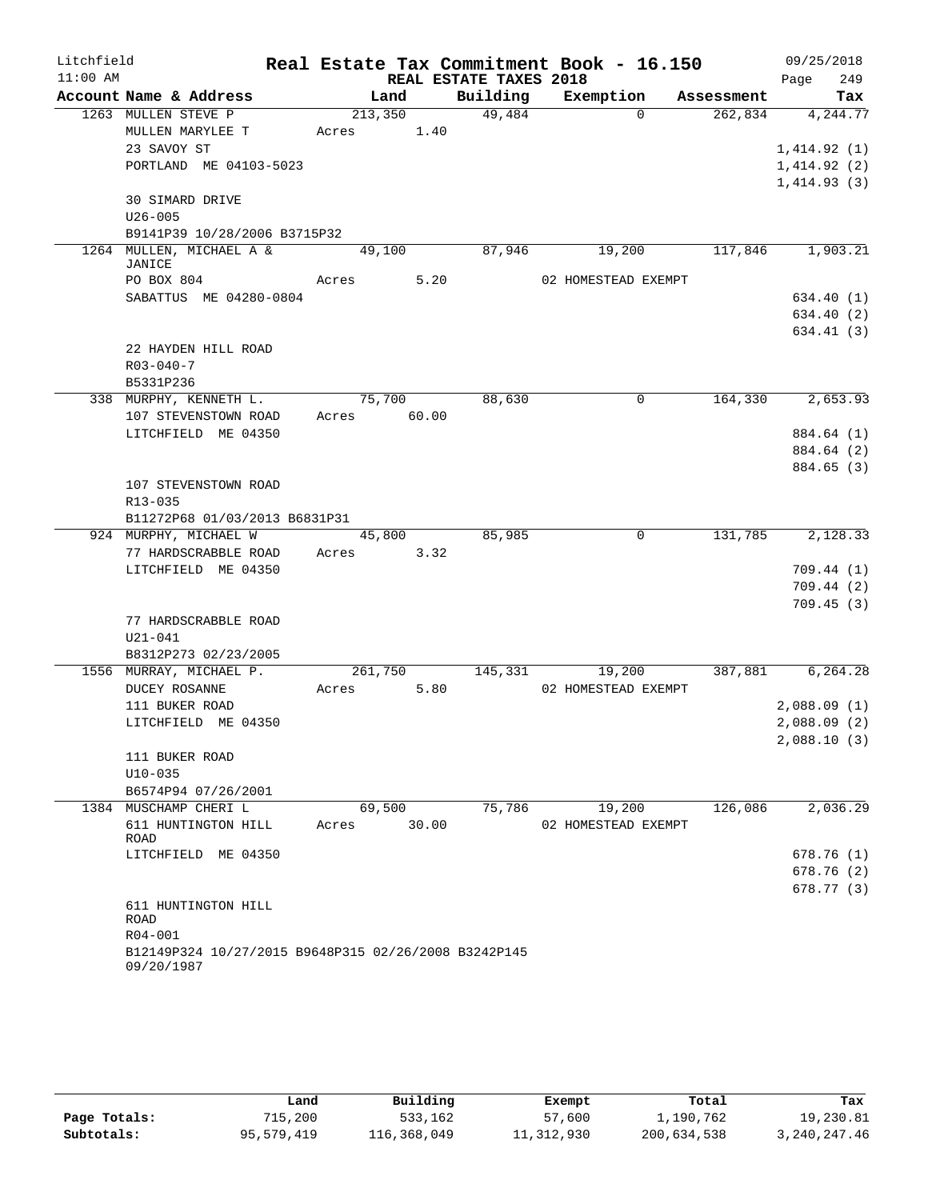| Litchfield |                                                                    |             |                 |                        | Real Estate Tax Commitment Book - 16.150 |            | 09/25/2018  |            |
|------------|--------------------------------------------------------------------|-------------|-----------------|------------------------|------------------------------------------|------------|-------------|------------|
| $11:00$ AM |                                                                    |             |                 | REAL ESTATE TAXES 2018 |                                          |            | Page        | 249        |
|            | Account Name & Address                                             |             | Land            | Building               | Exemption                                | Assessment |             | Tax        |
|            | 1263 MULLEN STEVE P                                                |             | 213,350         | 49,484                 | $\Omega$                                 | 262,834    |             | 4,244.77   |
|            | MULLEN MARYLEE T                                                   | Acres       | 1.40            |                        |                                          |            |             |            |
|            | 23 SAVOY ST                                                        |             |                 |                        |                                          |            | 1,414.92(1) |            |
|            | PORTLAND ME 04103-5023                                             |             |                 |                        |                                          |            | 1,414.92(2) |            |
|            |                                                                    |             |                 |                        |                                          |            | 1,414.93(3) |            |
|            | <b>30 SIMARD DRIVE</b>                                             |             |                 |                        |                                          |            |             |            |
|            | $U26 - 005$                                                        |             |                 |                        |                                          |            |             |            |
|            | B9141P39 10/28/2006 B3715P32                                       |             |                 |                        |                                          |            |             |            |
|            | 1264 MULLEN, MICHAEL A &<br><b>JANICE</b>                          |             | 49,100          | 87,946                 | 19,200                                   | 117,846    |             | 1,903.21   |
|            | PO BOX 804                                                         | Acres 5.20  |                 |                        | 02 HOMESTEAD EXEMPT                      |            |             |            |
|            | SABATTUS ME 04280-0804                                             |             |                 |                        |                                          |            |             | 634.40 (1) |
|            |                                                                    |             |                 |                        |                                          |            |             | 634.40 (2) |
|            |                                                                    |             |                 |                        |                                          |            |             | 634.41 (3) |
|            | 22 HAYDEN HILL ROAD                                                |             |                 |                        |                                          |            |             |            |
|            | $R03 - 040 - 7$                                                    |             |                 |                        |                                          |            |             |            |
|            | B5331P236                                                          |             |                 |                        |                                          |            |             |            |
|            | 338 MURPHY, KENNETH L.                                             |             | 75,700          | 88,630                 | 0                                        | 164,330    |             | 2,653.93   |
|            | 107 STEVENSTOWN ROAD                                               | Acres 60.00 |                 |                        |                                          |            |             |            |
|            | LITCHFIELD ME 04350                                                |             |                 |                        |                                          |            |             | 884.64 (1) |
|            |                                                                    |             |                 |                        |                                          |            |             | 884.64 (2) |
|            |                                                                    |             |                 |                        |                                          |            |             | 884.65 (3) |
|            | 107 STEVENSTOWN ROAD                                               |             |                 |                        |                                          |            |             |            |
|            | R13-035                                                            |             |                 |                        |                                          |            |             |            |
|            | B11272P68 01/03/2013 B6831P31                                      |             |                 |                        |                                          |            |             |            |
|            | 924 MURPHY, MICHAEL W                                              |             | 45,800          | 85,985                 | $\overline{0}$                           | 131,785    |             | 2,128.33   |
|            | 77 HARDSCRABBLE ROAD                                               | Acres       | 3.32            |                        |                                          |            |             |            |
|            | LITCHFIELD ME 04350                                                |             |                 |                        |                                          |            |             | 709.44(1)  |
|            |                                                                    |             |                 |                        |                                          |            |             | 709.44(2)  |
|            |                                                                    |             |                 |                        |                                          |            |             | 709.45(3)  |
|            | 77 HARDSCRABBLE ROAD                                               |             |                 |                        |                                          |            |             |            |
|            | $U21 - 041$                                                        |             |                 |                        |                                          |            |             |            |
|            | B8312P273 02/23/2005                                               |             |                 |                        |                                          |            |             |            |
|            | 1556 MURRAY, MICHAEL P.                                            | Acres       | 261,750<br>5.80 | 145,331                | 19,200                                   | 387,881    |             | 6,264.28   |
|            | DUCEY ROSANNE<br>111 BUKER ROAD                                    |             |                 |                        | 02 HOMESTEAD EXEMPT                      |            | 2,088.09(1) |            |
|            | LITCHFIELD ME 04350                                                |             |                 |                        |                                          |            | 2,088.09(2) |            |
|            |                                                                    |             |                 |                        |                                          |            | 2,088.10(3) |            |
|            | 111 BUKER ROAD                                                     |             |                 |                        |                                          |            |             |            |
|            | $U10 - 035$                                                        |             |                 |                        |                                          |            |             |            |
|            | B6574P94 07/26/2001                                                |             |                 |                        |                                          |            |             |            |
|            | 1384 MUSCHAMP CHERI L                                              |             | 69,500          | 75,786                 | 19,200                                   | 126,086    |             | 2,036.29   |
|            | 611 HUNTINGTON HILL                                                | Acres       | 30.00           |                        | 02 HOMESTEAD EXEMPT                      |            |             |            |
|            | ROAD                                                               |             |                 |                        |                                          |            |             |            |
|            | LITCHFIELD ME 04350                                                |             |                 |                        |                                          |            |             | 678.76 (1) |
|            |                                                                    |             |                 |                        |                                          |            |             | 678.76 (2) |
|            |                                                                    |             |                 |                        |                                          |            |             | 678.77(3)  |
|            | 611 HUNTINGTON HILL                                                |             |                 |                        |                                          |            |             |            |
|            | ROAD                                                               |             |                 |                        |                                          |            |             |            |
|            | R04-001                                                            |             |                 |                        |                                          |            |             |            |
|            | B12149P324 10/27/2015 B9648P315 02/26/2008 B3242P145<br>09/20/1987 |             |                 |                        |                                          |            |             |            |

|              | Land       | Building    | Exempt     | Total       | Tax          |
|--------------|------------|-------------|------------|-------------|--------------|
| Page Totals: | 715,200    | 533,162     | 57,600     | 1,190,762   | 19,230.81    |
| Subtotals:   | 95,579,419 | 116,368,049 | 11,312,930 | 200,634,538 | 3,240,247.46 |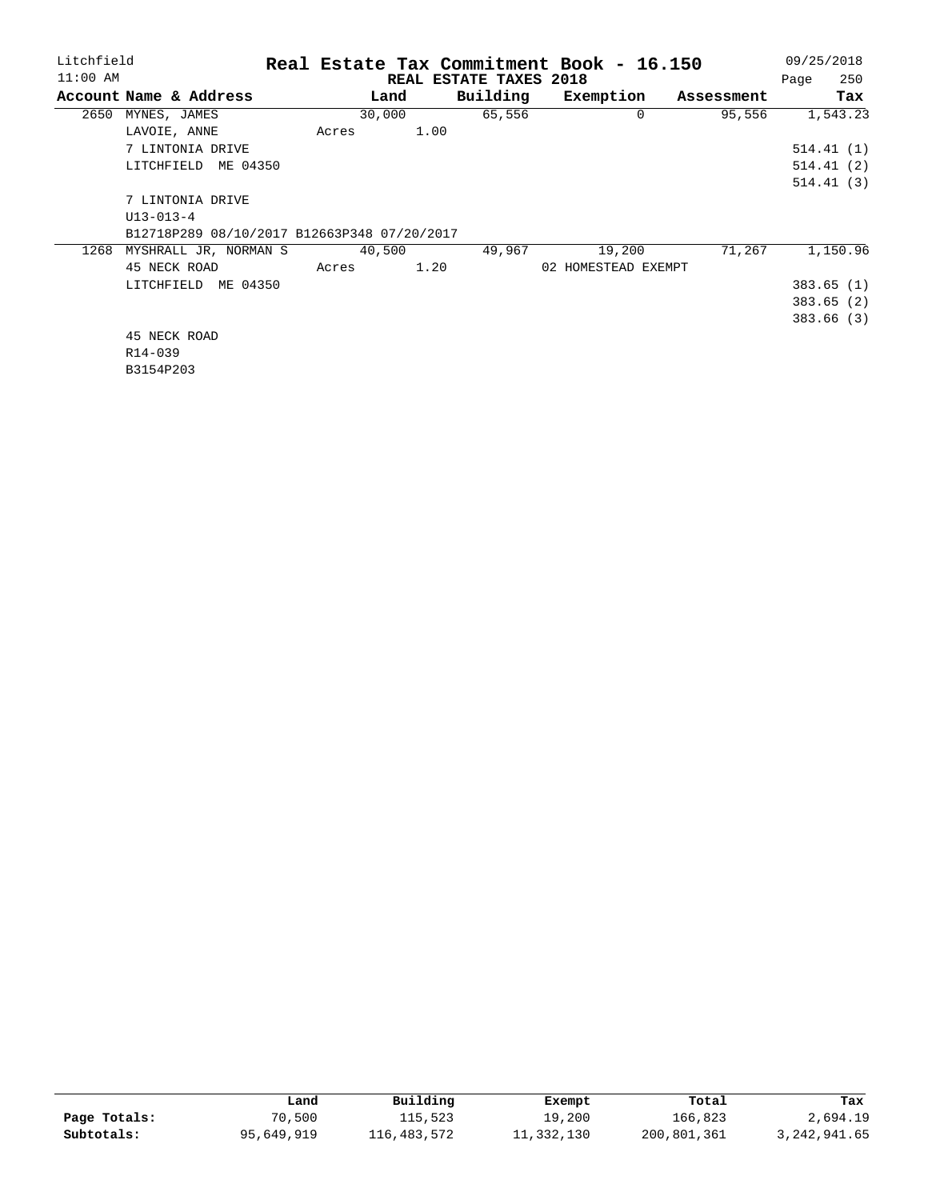| Litchfield |                                             |        |                        | Real Estate Tax Commitment Book - 16.150 |            |  | 09/25/2018 |
|------------|---------------------------------------------|--------|------------------------|------------------------------------------|------------|--|------------|
| $11:00$ AM |                                             |        | REAL ESTATE TAXES 2018 |                                          |            |  | 250        |
|            | Account Name & Address                      | Land   | Building               | Exemption                                | Assessment |  | Tax        |
| 2650       | MYNES, JAMES                                | 30,000 | 65,556                 | 0                                        | 95,556     |  | 1,543.23   |
|            | LAVOIE, ANNE                                | Acres  | 1.00                   |                                          |            |  |            |
|            | 7 LINTONIA DRIVE                            |        |                        |                                          |            |  | 514.41(1)  |
|            | LITCHFIELD<br>ME 04350                      |        |                        |                                          |            |  | 514.41(2)  |
|            |                                             |        |                        |                                          |            |  | 514.41(3)  |
|            | 7 LINTONIA DRIVE                            |        |                        |                                          |            |  |            |
|            | $U13 - 013 - 4$                             |        |                        |                                          |            |  |            |
|            | B12718P289 08/10/2017 B12663P348 07/20/2017 |        |                        |                                          |            |  |            |
| 1268       | MYSHRALL JR, NORMAN S                       | 40,500 | 49,967                 | 19,200                                   | 71,267     |  | 1,150.96   |
|            | 45 NECK ROAD                                | Acres  | 1.20                   | 02 HOMESTEAD EXEMPT                      |            |  |            |
|            | LITCHFIELD ME 04350                         |        |                        |                                          |            |  | 383.65(1)  |
|            |                                             |        |                        |                                          |            |  | 383.65(2)  |
|            |                                             |        |                        |                                          |            |  | 383.66 (3) |
|            | 45 NECK ROAD                                |        |                        |                                          |            |  |            |
|            | R14-039                                     |        |                        |                                          |            |  |            |
|            | B3154P203                                   |        |                        |                                          |            |  |            |

|              | Land       | Building    | Exempt     | Total       | Tax          |
|--------------|------------|-------------|------------|-------------|--------------|
| Page Totals: | 70,500     | 115,523     | 19,200     | 166.823     | 2,694.19     |
| Subtotals:   | 95,649,919 | 116,483,572 | 11,332,130 | 200,801,361 | 3,242,941.65 |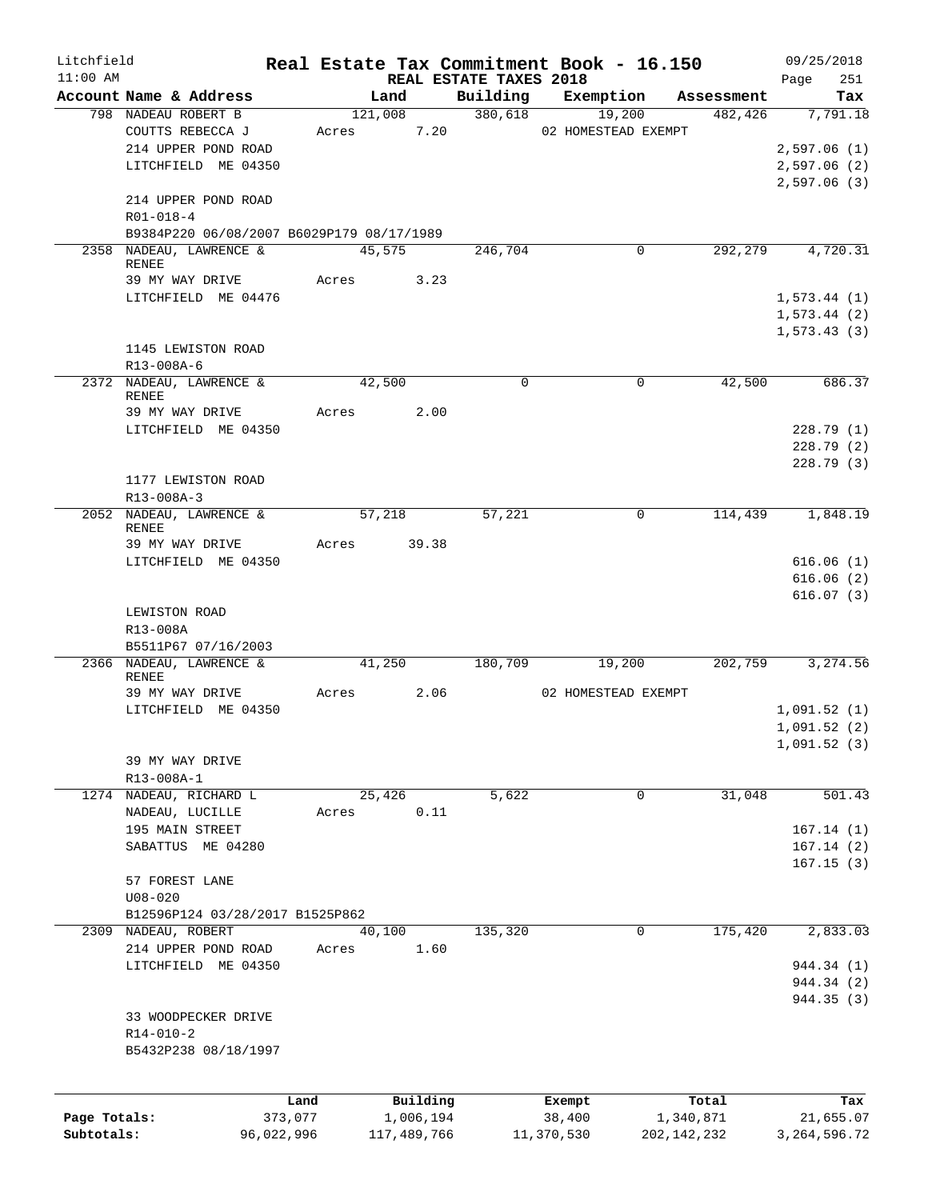| Litchfield   |                                           |            |       |             |                                    | Real Estate Tax Commitment Book - 16.150 |               |         | 09/25/2018         |
|--------------|-------------------------------------------|------------|-------|-------------|------------------------------------|------------------------------------------|---------------|---------|--------------------|
| $11:00$ AM   | Account Name & Address                    |            |       | Land        | REAL ESTATE TAXES 2018<br>Building | Exemption                                | Assessment    |         | 251<br>Page<br>Tax |
|              | 798 NADEAU ROBERT B                       |            |       | 121,008     | 380,618                            | 19,200                                   |               | 482,426 | 7,791.18           |
|              | COUTTS REBECCA J                          |            | Acres | 7.20        |                                    | 02 HOMESTEAD EXEMPT                      |               |         |                    |
|              | 214 UPPER POND ROAD                       |            |       |             |                                    |                                          |               |         | 2,597.06(1)        |
|              | LITCHFIELD ME 04350                       |            |       |             |                                    |                                          |               |         |                    |
|              |                                           |            |       |             |                                    |                                          |               |         | 2,597.06 (2)       |
|              | 214 UPPER POND ROAD                       |            |       |             |                                    |                                          |               |         | 2,597.06(3)        |
|              | $R01 - 018 - 4$                           |            |       |             |                                    |                                          |               |         |                    |
|              | B9384P220 06/08/2007 B6029P179 08/17/1989 |            |       |             |                                    |                                          |               |         |                    |
|              | 2358 NADEAU, LAWRENCE &                   |            |       | 45,575      | 246,704                            | 0                                        |               | 292,279 | 4,720.31           |
|              | RENEE                                     |            |       |             |                                    |                                          |               |         |                    |
|              | 39 MY WAY DRIVE                           |            |       | Acres 3.23  |                                    |                                          |               |         |                    |
|              | LITCHFIELD ME 04476                       |            |       |             |                                    |                                          |               |         | 1, 573.44 (1)      |
|              |                                           |            |       |             |                                    |                                          |               |         | 1, 573.44 (2)      |
|              |                                           |            |       |             |                                    |                                          |               |         | 1, 573.43(3)       |
|              | 1145 LEWISTON ROAD                        |            |       |             |                                    |                                          |               |         |                    |
|              | R13-008A-6                                |            |       |             |                                    |                                          |               |         |                    |
|              | 2372 NADEAU, LAWRENCE &                   |            |       | 42,500      | $\mathbf 0$                        | 0                                        |               | 42,500  | 686.37             |
|              | <b>RENEE</b>                              |            |       |             |                                    |                                          |               |         |                    |
|              | 39 MY WAY DRIVE                           |            | Acres | 2.00        |                                    |                                          |               |         |                    |
|              | LITCHFIELD ME 04350                       |            |       |             |                                    |                                          |               |         | 228.79(1)          |
|              |                                           |            |       |             |                                    |                                          |               |         | 228.79(2)          |
|              |                                           |            |       |             |                                    |                                          |               |         | 228.79(3)          |
|              | 1177 LEWISTON ROAD                        |            |       |             |                                    |                                          |               |         |                    |
|              | R13-008A-3                                |            |       |             |                                    |                                          |               |         |                    |
|              | 2052 NADEAU, LAWRENCE &                   |            |       | 57,218      | 57,221                             | 0                                        |               | 114,439 | 1,848.19           |
|              | <b>RENEE</b><br>39 MY WAY DRIVE           |            |       | Acres 39.38 |                                    |                                          |               |         |                    |
|              | LITCHFIELD ME 04350                       |            |       |             |                                    |                                          |               |         | 616.06(1)          |
|              |                                           |            |       |             |                                    |                                          |               |         | 616.06(2)          |
|              |                                           |            |       |             |                                    |                                          |               |         | 616.07(3)          |
|              | LEWISTON ROAD                             |            |       |             |                                    |                                          |               |         |                    |
|              | R13-008A                                  |            |       |             |                                    |                                          |               |         |                    |
|              | B5511P67 07/16/2003                       |            |       |             |                                    |                                          |               |         |                    |
|              | 2366 NADEAU, LAWRENCE &                   |            |       | 41,250      | 180,709                            | 19,200                                   |               | 202,759 | 3,274.56           |
|              | <b>RENEE</b>                              |            |       |             |                                    |                                          |               |         |                    |
|              | 39 MY WAY DRIVE                           |            | Acres | 2.06        |                                    | 02 HOMESTEAD EXEMPT                      |               |         |                    |
|              | LITCHFIELD ME 04350                       |            |       |             |                                    |                                          |               |         | 1,091.52(1)        |
|              |                                           |            |       |             |                                    |                                          |               |         | 1,091.52(2)        |
|              |                                           |            |       |             |                                    |                                          |               |         | 1,091.52(3)        |
|              | 39 MY WAY DRIVE                           |            |       |             |                                    |                                          |               |         |                    |
|              | R13-008A-1                                |            |       |             |                                    |                                          |               |         |                    |
| 1274         | NADEAU, RICHARD L                         |            |       | 25,426      | 5,622                              | $\mathbf 0$                              |               | 31,048  | 501.43             |
|              | NADEAU, LUCILLE                           |            | Acres | 0.11        |                                    |                                          |               |         |                    |
|              | 195 MAIN STREET                           |            |       |             |                                    |                                          |               |         | 167.14(1)          |
|              | SABATTUS ME 04280                         |            |       |             |                                    |                                          |               |         | 167.14(2)          |
|              |                                           |            |       |             |                                    |                                          |               |         | 167.15(3)          |
|              | 57 FOREST LANE                            |            |       |             |                                    |                                          |               |         |                    |
|              | $U08 - 020$                               |            |       |             |                                    |                                          |               |         |                    |
|              | B12596P124 03/28/2017 B1525P862           |            |       |             |                                    |                                          |               |         |                    |
| 2309         | NADEAU, ROBERT                            |            |       | 40,100      | 135,320                            | 0                                        |               | 175,420 | 2,833.03           |
|              | 214 UPPER POND ROAD                       |            | Acres | 1.60        |                                    |                                          |               |         |                    |
|              | LITCHFIELD ME 04350                       |            |       |             |                                    |                                          |               |         | 944.34 (1)         |
|              |                                           |            |       |             |                                    |                                          |               |         | 944.34 (2)         |
|              |                                           |            |       |             |                                    |                                          |               |         | 944.35 (3)         |
|              | 33 WOODPECKER DRIVE                       |            |       |             |                                    |                                          |               |         |                    |
|              | $R14 - 010 - 2$                           |            |       |             |                                    |                                          |               |         |                    |
|              | B5432P238 08/18/1997                      |            |       |             |                                    |                                          |               |         |                    |
|              |                                           |            |       |             |                                    |                                          |               |         |                    |
|              |                                           |            |       |             |                                    |                                          |               |         |                    |
|              |                                           | Land       |       | Building    |                                    | Exempt                                   | Total         |         | Tax                |
| Page Totals: |                                           | 373,077    |       | 1,006,194   |                                    | 38,400                                   | 1,340,871     |         | 21,655.07          |
| Subtotals:   |                                           | 96,022,996 |       | 117,489,766 |                                    | 11,370,530                               | 202, 142, 232 |         | 3, 264, 596. 72    |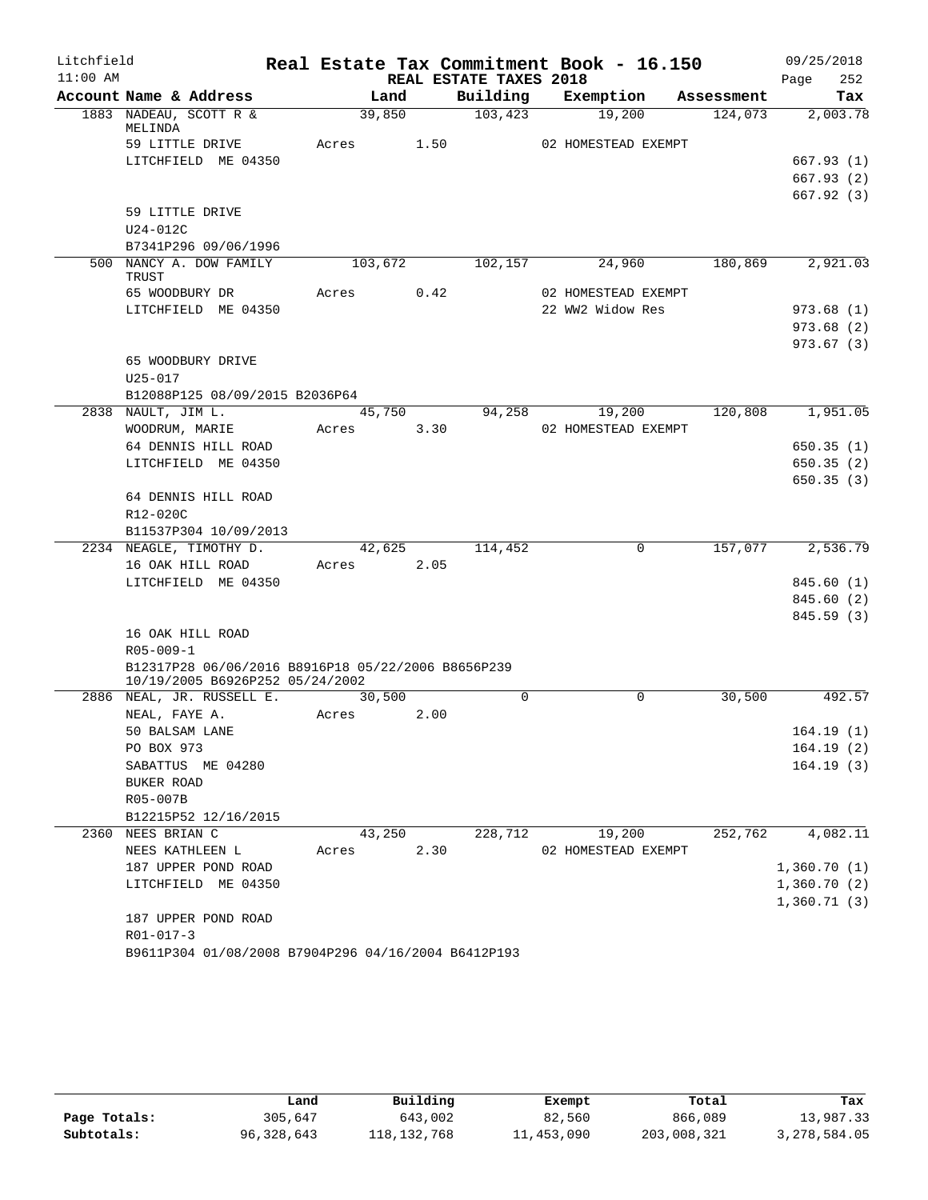| Litchfield |                                                     |            |      |                        | Real Estate Tax Commitment Book - 16.150 |                       | 09/25/2018      |
|------------|-----------------------------------------------------|------------|------|------------------------|------------------------------------------|-----------------------|-----------------|
| $11:00$ AM |                                                     |            |      | REAL ESTATE TAXES 2018 |                                          |                       | 252<br>Page     |
|            | Account Name & Address<br>1883 NADEAU, SCOTT R &    | 39,850     | Land | 103,423                | Building Exemption<br>19,200             | Assessment<br>124,073 | Tax<br>2,003.78 |
|            | MELINDA                                             |            |      |                        |                                          |                       |                 |
|            | 59 LITTLE DRIVE                                     | Acres      | 1.50 |                        | 02 HOMESTEAD EXEMPT                      |                       |                 |
|            | LITCHFIELD ME 04350                                 |            |      |                        |                                          |                       | 667.93(1)       |
|            |                                                     |            |      |                        |                                          |                       | 667.93(2)       |
|            |                                                     |            |      |                        |                                          |                       | 667.92(3)       |
|            | 59 LITTLE DRIVE                                     |            |      |                        |                                          |                       |                 |
|            | U24-012C                                            |            |      |                        |                                          |                       |                 |
|            | B7341P296 09/06/1996                                |            |      |                        |                                          |                       |                 |
|            | 500 NANCY A. DOW FAMILY<br>TRUST                    | 103,672    |      | 102,157                | 24,960                                   | 180,869               | 2,921.03        |
|            | 65 WOODBURY DR                                      | Acres      | 0.42 |                        | 02 HOMESTEAD EXEMPT                      |                       |                 |
|            | LITCHFIELD ME 04350                                 |            |      |                        | 22 WW2 Widow Res                         |                       | 973.68(1)       |
|            |                                                     |            |      |                        |                                          |                       | 973.68(2)       |
|            |                                                     |            |      |                        |                                          |                       | 973.67(3)       |
|            | 65 WOODBURY DRIVE                                   |            |      |                        |                                          |                       |                 |
|            | $U25 - 017$                                         |            |      |                        |                                          |                       |                 |
|            | B12088P125 08/09/2015 B2036P64                      |            |      |                        |                                          |                       |                 |
|            | 2838 NAULT, JIM L.                                  | 45,750     |      | 94,258                 | 19,200                                   | 120,808               | 1,951.05        |
|            | WOODRUM, MARIE                                      | Acres      | 3.30 |                        | 02 HOMESTEAD EXEMPT                      |                       |                 |
|            | 64 DENNIS HILL ROAD                                 |            |      |                        |                                          |                       | 650.35(1)       |
|            | LITCHFIELD ME 04350                                 |            |      |                        |                                          |                       | 650.35(2)       |
|            |                                                     |            |      |                        |                                          |                       | 650.35(3)       |
|            | 64 DENNIS HILL ROAD<br>R12-020C                     |            |      |                        |                                          |                       |                 |
|            | B11537P304 10/09/2013                               |            |      |                        |                                          |                       |                 |
|            | 2234 NEAGLE, TIMOTHY D.                             | 42,625     |      | 114,452                | 0                                        | 157,077               | 2,536.79        |
|            | 16 OAK HILL ROAD                                    | Acres 2.05 |      |                        |                                          |                       |                 |
|            | LITCHFIELD ME 04350                                 |            |      |                        |                                          |                       | 845.60 (1)      |
|            |                                                     |            |      |                        |                                          |                       | 845.60 (2)      |
|            |                                                     |            |      |                        |                                          |                       | 845.59 (3)      |
|            | 16 OAK HILL ROAD                                    |            |      |                        |                                          |                       |                 |
|            | $R05 - 009 - 1$                                     |            |      |                        |                                          |                       |                 |
|            | B12317P28 06/06/2016 B8916P18 05/22/2006 B8656P239  |            |      |                        |                                          |                       |                 |
|            | 10/19/2005 B6926P252 05/24/2002                     |            |      |                        |                                          |                       |                 |
|            | 2886 NEAL, JR. RUSSELL E.                           | 30,500     |      | $\Omega$               | $\Omega$                                 | 30,500                | 492.57          |
|            | NEAL, FAYE A.                                       | Acres      | 2.00 |                        |                                          |                       |                 |
|            | 50 BALSAM LANE                                      |            |      |                        |                                          |                       | 164.19(1)       |
|            | PO BOX 973                                          |            |      |                        |                                          |                       | 164.19(2)       |
|            | SABATTUS ME 04280                                   |            |      |                        |                                          |                       | 164.19(3)       |
|            | BUKER ROAD                                          |            |      |                        |                                          |                       |                 |
|            | R05-007B<br>B12215P52 12/16/2015                    |            |      |                        |                                          |                       |                 |
|            | 2360 NEES BRIAN C                                   | 43,250     |      | 228,712                | 19,200                                   | 252,762               | 4,082.11        |
|            | NEES KATHLEEN L                                     | Acres      | 2.30 |                        | 02 HOMESTEAD EXEMPT                      |                       |                 |
|            | 187 UPPER POND ROAD                                 |            |      |                        |                                          |                       | 1,360.70(1)     |
|            | LITCHFIELD ME 04350                                 |            |      |                        |                                          |                       | 1,360.70(2)     |
|            |                                                     |            |      |                        |                                          |                       | 1,360.71(3)     |
|            | 187 UPPER POND ROAD                                 |            |      |                        |                                          |                       |                 |
|            | $R01 - 017 - 3$                                     |            |      |                        |                                          |                       |                 |
|            | B9611P304 01/08/2008 B7904P296 04/16/2004 B6412P193 |            |      |                        |                                          |                       |                 |

|              | Land       | Building      | Exempt     | Total       | Tax          |
|--------------|------------|---------------|------------|-------------|--------------|
| Page Totals: | 305,647    | 643,002       | 82,560     | 866,089     | 13,987.33    |
| Subtotals:   | 96,328,643 | 118, 132, 768 | 11,453,090 | 203,008,321 | 3,278,584.05 |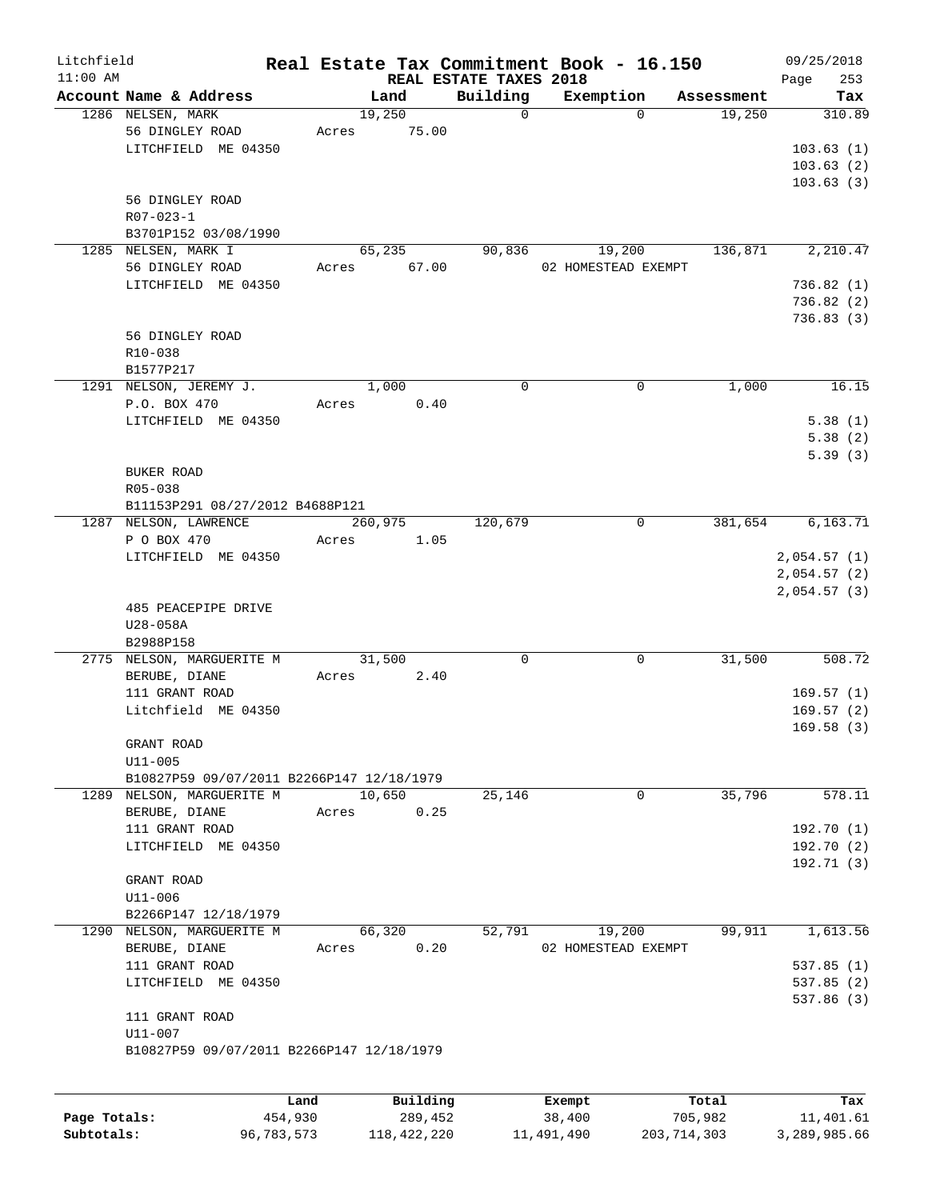| Litchfield   |                                           |         |          |                        | Real Estate Tax Commitment Book - 16.150 |            | 09/25/2018  |
|--------------|-------------------------------------------|---------|----------|------------------------|------------------------------------------|------------|-------------|
| $11:00$ AM   |                                           |         |          | REAL ESTATE TAXES 2018 |                                          |            | 253<br>Page |
|              | Account Name & Address                    | Land    |          | Building               | Exemption                                | Assessment | Tax         |
|              | 1286 NELSEN, MARK                         | 19,250  |          | $\mathbf 0$            | $\Omega$                                 | 19,250     | 310.89      |
|              | 56 DINGLEY ROAD                           | Acres   | 75.00    |                        |                                          |            |             |
|              | LITCHFIELD ME 04350                       |         |          |                        |                                          |            | 103.63(1)   |
|              |                                           |         |          |                        |                                          |            | 103.63(2)   |
|              |                                           |         |          |                        |                                          |            | 103.63(3)   |
|              | 56 DINGLEY ROAD                           |         |          |                        |                                          |            |             |
|              | $R07 - 023 - 1$                           |         |          |                        |                                          |            |             |
|              | B3701P152 03/08/1990                      |         |          |                        |                                          |            |             |
|              | 1285 NELSEN, MARK I                       | 65,235  |          | 90,836                 | 19,200                                   | 136,871    | 2,210.47    |
|              | 56 DINGLEY ROAD                           | Acres   | 67.00    |                        | 02 HOMESTEAD EXEMPT                      |            |             |
|              | LITCHFIELD ME 04350                       |         |          |                        |                                          |            | 736.82(1)   |
|              |                                           |         |          |                        |                                          |            | 736.82(2)   |
|              |                                           |         |          |                        |                                          |            | 736.83(3)   |
|              | 56 DINGLEY ROAD                           |         |          |                        |                                          |            |             |
|              | R10-038                                   |         |          |                        |                                          |            |             |
|              | B1577P217                                 |         |          |                        |                                          |            |             |
|              | 1291 NELSON, JEREMY J.                    | 1,000   |          | $\mathbf 0$            | 0                                        | 1,000      | 16.15       |
|              | P.O. BOX 470                              |         |          |                        |                                          |            |             |
|              |                                           | Acres   | 0.40     |                        |                                          |            |             |
|              | LITCHFIELD ME 04350                       |         |          |                        |                                          |            | 5.38(1)     |
|              |                                           |         |          |                        |                                          |            | 5.38(2)     |
|              |                                           |         |          |                        |                                          |            | 5.39(3)     |
|              | <b>BUKER ROAD</b>                         |         |          |                        |                                          |            |             |
|              | R05-038                                   |         |          |                        |                                          |            |             |
|              | B11153P291 08/27/2012 B4688P121           |         |          |                        |                                          |            |             |
|              | 1287 NELSON, LAWRENCE                     | 260,975 |          | 120,679                | 0                                        | 381,654    | 6,163.71    |
|              | P O BOX 470                               | Acres   | 1.05     |                        |                                          |            |             |
|              | LITCHFIELD ME 04350                       |         |          |                        |                                          |            | 2,054.57(1) |
|              |                                           |         |          |                        |                                          |            | 2,054.57(2) |
|              |                                           |         |          |                        |                                          |            | 2,054.57(3) |
|              | 485 PEACEPIPE DRIVE                       |         |          |                        |                                          |            |             |
|              | U28-058A                                  |         |          |                        |                                          |            |             |
|              | B2988P158                                 |         |          |                        |                                          |            |             |
|              | 2775 NELSON, MARGUERITE M                 | 31,500  |          | $\mathbf 0$            | 0                                        | 31,500     | 508.72      |
|              | BERUBE, DIANE                             | Acres   | 2.40     |                        |                                          |            |             |
|              | 111 GRANT ROAD                            |         |          |                        |                                          |            | 169.57(1)   |
|              | Litchfield ME 04350                       |         |          |                        |                                          |            | 169.57(2)   |
|              |                                           |         |          |                        |                                          |            | 169.58(3)   |
|              | GRANT ROAD                                |         |          |                        |                                          |            |             |
|              | $U11 - 005$                               |         |          |                        |                                          |            |             |
|              | B10827P59 09/07/2011 B2266P147 12/18/1979 |         |          |                        |                                          |            |             |
|              | 1289 NELSON, MARGUERITE M                 | 10,650  |          | 25,146                 | 0                                        | 35,796     | 578.11      |
|              |                                           |         |          |                        |                                          |            |             |
|              | BERUBE, DIANE                             | Acres   | 0.25     |                        |                                          |            |             |
|              | 111 GRANT ROAD                            |         |          |                        |                                          |            | 192.70 (1)  |
|              | LITCHFIELD ME 04350                       |         |          |                        |                                          |            | 192.70(2)   |
|              |                                           |         |          |                        |                                          |            | 192.71(3)   |
|              | GRANT ROAD                                |         |          |                        |                                          |            |             |
|              | $U11 - 006$                               |         |          |                        |                                          |            |             |
|              | B2266P147 12/18/1979                      |         |          |                        |                                          |            |             |
| 1290         | NELSON, MARGUERITE M                      | 66,320  |          | 52,791                 | 19,200                                   | 99,911     | 1,613.56    |
|              | BERUBE, DIANE                             | Acres   | 0.20     |                        | 02 HOMESTEAD EXEMPT                      |            |             |
|              | 111 GRANT ROAD                            |         |          |                        |                                          |            | 537.85(1)   |
|              | LITCHFIELD ME 04350                       |         |          |                        |                                          |            | 537.85(2)   |
|              |                                           |         |          |                        |                                          |            | 537.86 (3)  |
|              | 111 GRANT ROAD                            |         |          |                        |                                          |            |             |
|              | $U11 - 007$                               |         |          |                        |                                          |            |             |
|              | B10827P59 09/07/2011 B2266P147 12/18/1979 |         |          |                        |                                          |            |             |
|              |                                           |         |          |                        |                                          |            |             |
|              |                                           |         |          |                        |                                          |            |             |
|              |                                           | Land    | Building |                        | Exempt                                   | Total      | Tax         |
| Page Totals: | 454,930                                   |         | 289,452  |                        | 38,400                                   | 705,982    | 11,401.61   |

**Subtotals:** 96,783,573 118,422,220 11,491,490 203,714,303 3,289,985.66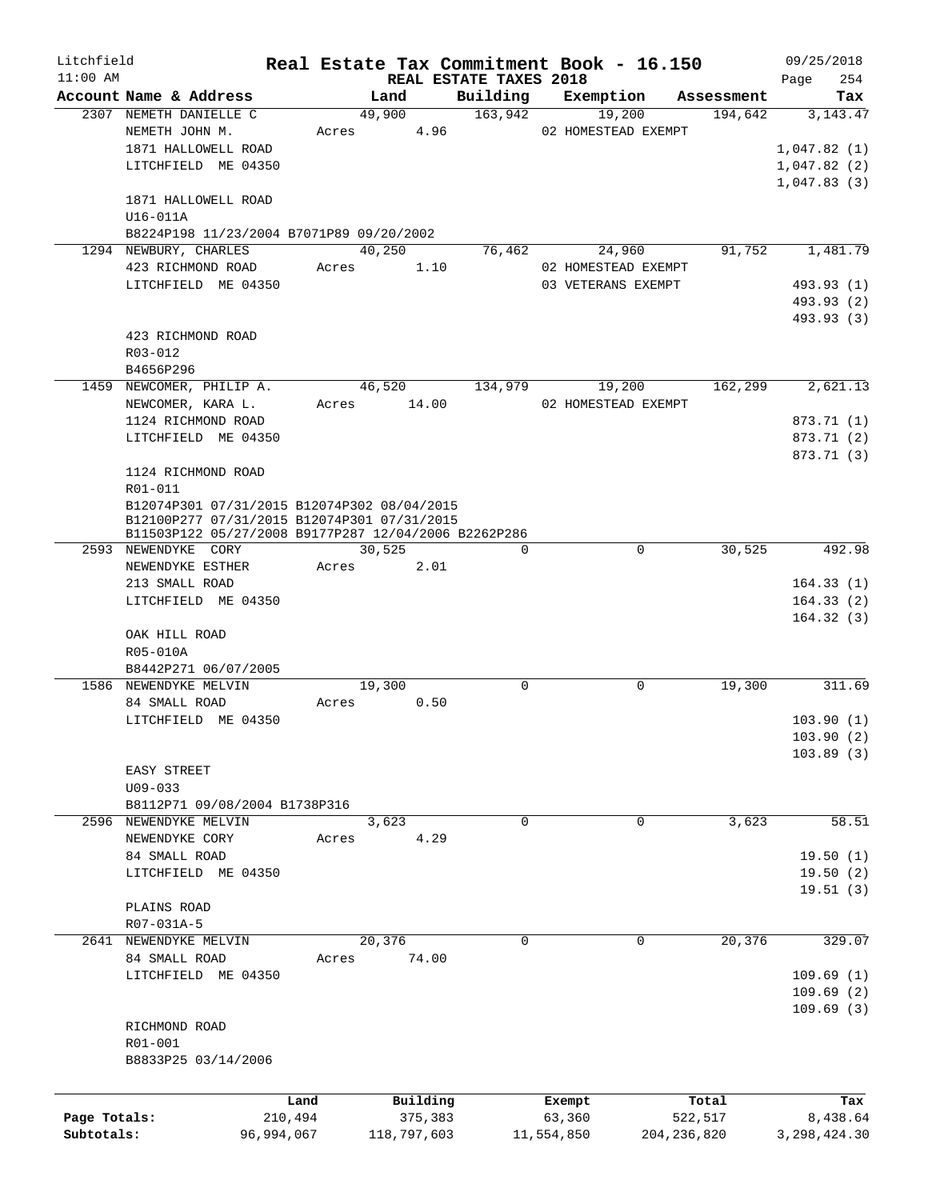| Litchfield   |                                                                                            |            |       |             |                                    |            | Real Estate Tax Commitment Book - 16.150 |                       | 09/25/2018     |        |
|--------------|--------------------------------------------------------------------------------------------|------------|-------|-------------|------------------------------------|------------|------------------------------------------|-----------------------|----------------|--------|
| $11:00$ AM   | Account Name & Address                                                                     |            |       | Land        | REAL ESTATE TAXES 2018<br>Building |            |                                          |                       | Page           | 254    |
|              | 2307 NEMETH DANIELLE C                                                                     |            |       | 49,900      | 163,942                            |            | Exemption<br>19,200                      | Assessment<br>194,642 | 3, 143. 47     | Tax    |
|              | NEMETH JOHN M.                                                                             |            | Acres | 4.96        |                                    |            | 02 HOMESTEAD EXEMPT                      |                       |                |        |
|              | 1871 HALLOWELL ROAD                                                                        |            |       |             |                                    |            |                                          |                       | 1,047.82(1)    |        |
|              | LITCHFIELD ME 04350                                                                        |            |       |             |                                    |            |                                          |                       | 1,047.82(2)    |        |
|              |                                                                                            |            |       |             |                                    |            |                                          |                       | 1,047.83(3)    |        |
|              | 1871 HALLOWELL ROAD                                                                        |            |       |             |                                    |            |                                          |                       |                |        |
|              | U16-011A                                                                                   |            |       |             |                                    |            |                                          |                       |                |        |
|              | B8224P198 11/23/2004 B7071P89 09/20/2002                                                   |            |       |             |                                    |            |                                          |                       |                |        |
|              | 1294 NEWBURY, CHARLES                                                                      |            |       | 40,250      | 76,462                             |            | 24,960                                   | 91,752                | 1,481.79       |        |
|              | 423 RICHMOND ROAD                                                                          |            | Acres | 1.10        |                                    |            | 02 HOMESTEAD EXEMPT                      |                       |                |        |
|              | LITCHFIELD ME 04350                                                                        |            |       |             |                                    |            | 03 VETERANS EXEMPT                       |                       | 493.93 (1)     |        |
|              |                                                                                            |            |       |             |                                    |            |                                          |                       | 493.93 (2)     |        |
|              |                                                                                            |            |       |             |                                    |            |                                          |                       | 493.93 (3)     |        |
|              | 423 RICHMOND ROAD                                                                          |            |       |             |                                    |            |                                          |                       |                |        |
|              | R03-012                                                                                    |            |       |             |                                    |            |                                          |                       |                |        |
|              | B4656P296                                                                                  |            |       |             |                                    |            |                                          |                       |                |        |
|              | 1459 NEWCOMER, PHILIP A.                                                                   |            |       | 46,520      | 134,979                            |            | 19,200                                   | 162,299               | 2,621.13       |        |
|              | NEWCOMER, KARA L.                                                                          |            | Acres | 14.00       |                                    |            | 02 HOMESTEAD EXEMPT                      |                       |                |        |
|              | 1124 RICHMOND ROAD                                                                         |            |       |             |                                    |            |                                          |                       | 873.71 (1)     |        |
|              | LITCHFIELD ME 04350                                                                        |            |       |             |                                    |            |                                          |                       | 873.71 (2)     |        |
|              |                                                                                            |            |       |             |                                    |            |                                          |                       | 873.71 (3)     |        |
|              | 1124 RICHMOND ROAD                                                                         |            |       |             |                                    |            |                                          |                       |                |        |
|              | R01-011                                                                                    |            |       |             |                                    |            |                                          |                       |                |        |
|              | B12074P301 07/31/2015 B12074P302 08/04/2015<br>B12100P277 07/31/2015 B12074P301 07/31/2015 |            |       |             |                                    |            |                                          |                       |                |        |
|              | B11503P122 05/27/2008 B9177P287 12/04/2006 B2262P286                                       |            |       |             |                                    |            |                                          |                       |                |        |
|              | 2593 NEWENDYKE CORY                                                                        |            |       | 30,525      | $\Omega$                           |            | 0                                        | 30,525                |                | 492.98 |
|              | NEWENDYKE ESTHER                                                                           |            | Acres | 2.01        |                                    |            |                                          |                       |                |        |
|              | 213 SMALL ROAD                                                                             |            |       |             |                                    |            |                                          |                       | 164.33(1)      |        |
|              | LITCHFIELD ME 04350                                                                        |            |       |             |                                    |            |                                          |                       | 164.33(2)      |        |
|              |                                                                                            |            |       |             |                                    |            |                                          |                       | 164.32(3)      |        |
|              | OAK HILL ROAD                                                                              |            |       |             |                                    |            |                                          |                       |                |        |
|              | R05-010A                                                                                   |            |       |             |                                    |            |                                          |                       |                |        |
|              | B8442P271 06/07/2005                                                                       |            |       |             |                                    |            |                                          |                       |                |        |
|              | 1586 NEWENDYKE MELVIN                                                                      |            |       | 19,300      | $\mathbf 0$                        |            | 0                                        | 19,300                |                | 311.69 |
|              | 84 SMALL ROAD                                                                              |            | Acres | 0.50        |                                    |            |                                          |                       |                |        |
|              | LITCHFIELD ME 04350                                                                        |            |       |             |                                    |            |                                          |                       | 103.90(1)      |        |
|              |                                                                                            |            |       |             |                                    |            |                                          |                       | 103.90(2)      |        |
|              |                                                                                            |            |       |             |                                    |            |                                          |                       | 103.89(3)      |        |
|              | EASY STREET                                                                                |            |       |             |                                    |            |                                          |                       |                |        |
|              | $U09 - 033$<br>B8112P71 09/08/2004 B1738P316                                               |            |       |             |                                    |            |                                          |                       |                |        |
|              | 2596 NEWENDYKE MELVIN                                                                      |            |       | 3,623       | $\mathbf 0$                        |            | 0                                        | 3,623                 |                | 58.51  |
|              | NEWENDYKE CORY                                                                             |            | Acres | 4.29        |                                    |            |                                          |                       |                |        |
|              | 84 SMALL ROAD                                                                              |            |       |             |                                    |            |                                          |                       | 19.50(1)       |        |
|              | LITCHFIELD ME 04350                                                                        |            |       |             |                                    |            |                                          |                       | 19.50(2)       |        |
|              |                                                                                            |            |       |             |                                    |            |                                          |                       | 19.51(3)       |        |
|              | PLAINS ROAD                                                                                |            |       |             |                                    |            |                                          |                       |                |        |
|              | R07-031A-5                                                                                 |            |       |             |                                    |            |                                          |                       |                |        |
|              | 2641 NEWENDYKE MELVIN                                                                      |            |       | 20,376      | $\mathbf 0$                        |            | 0                                        | 20,376                |                | 329.07 |
|              | 84 SMALL ROAD                                                                              |            | Acres | 74.00       |                                    |            |                                          |                       |                |        |
|              | LITCHFIELD ME 04350                                                                        |            |       |             |                                    |            |                                          |                       | 109.69(1)      |        |
|              |                                                                                            |            |       |             |                                    |            |                                          |                       | 109.69(2)      |        |
|              |                                                                                            |            |       |             |                                    |            |                                          |                       | 109.69(3)      |        |
|              | RICHMOND ROAD                                                                              |            |       |             |                                    |            |                                          |                       |                |        |
|              | R01-001                                                                                    |            |       |             |                                    |            |                                          |                       |                |        |
|              | B8833P25 03/14/2006                                                                        |            |       |             |                                    |            |                                          |                       |                |        |
|              |                                                                                            |            |       |             |                                    |            |                                          |                       |                |        |
|              |                                                                                            | Land       |       | Building    |                                    | Exempt     |                                          | Total                 |                | Tax    |
| Page Totals: |                                                                                            | 210,494    |       | 375,383     |                                    | 63,360     |                                          | 522,517               | 8,438.64       |        |
| Subtotals:   |                                                                                            | 96,994,067 |       | 118,797,603 |                                    | 11,554,850 |                                          | 204, 236, 820         | 3, 298, 424.30 |        |
|              |                                                                                            |            |       |             |                                    |            |                                          |                       |                |        |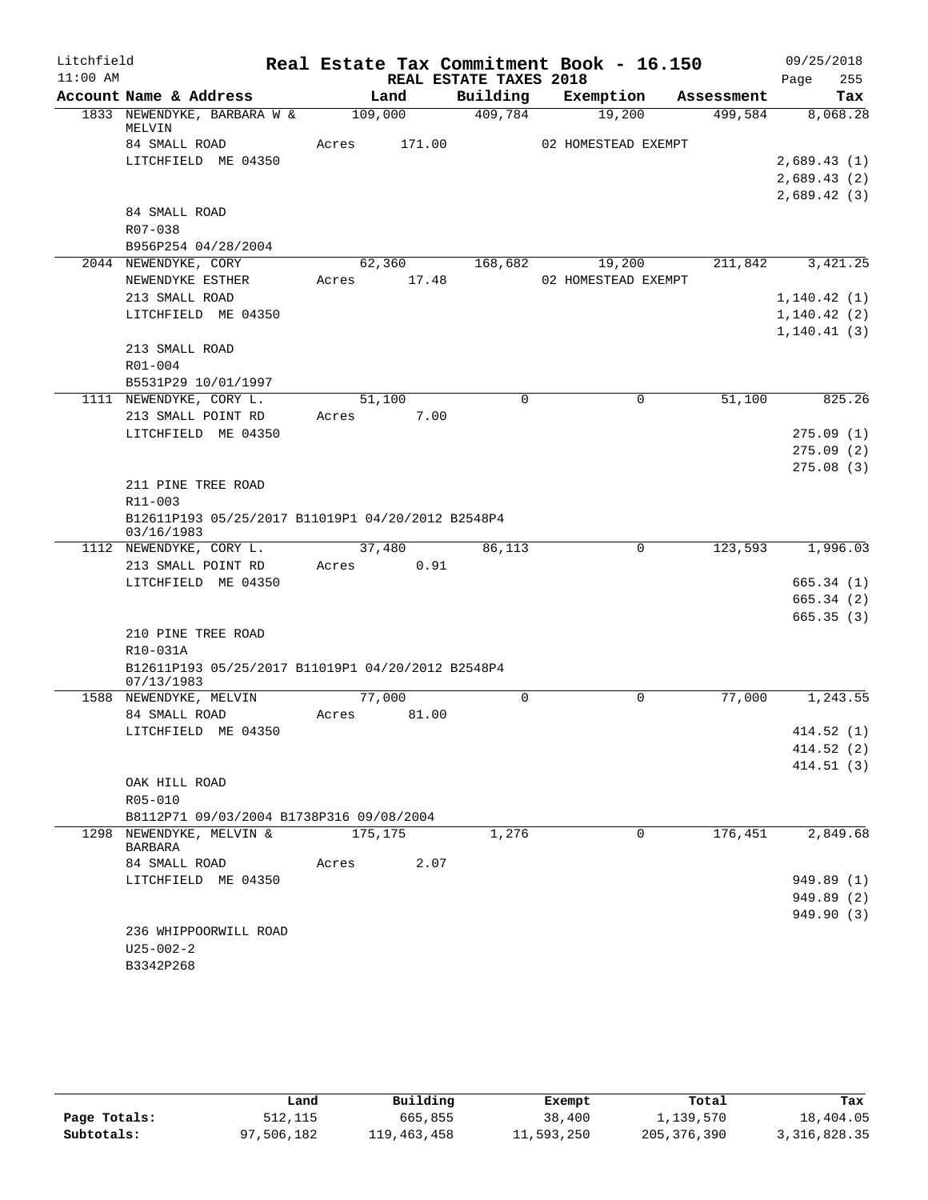| Litchfield |                                                                      |             |        |                        | Real Estate Tax Commitment Book - 16.150 |            | 09/25/2018   |
|------------|----------------------------------------------------------------------|-------------|--------|------------------------|------------------------------------------|------------|--------------|
| $11:00$ AM |                                                                      |             |        | REAL ESTATE TAXES 2018 |                                          |            | 255<br>Page  |
|            | Account Name & Address                                               |             | Land   | Building               | Exemption                                | Assessment | Tax          |
|            | 1833 NEWENDYKE, BARBARA W &<br>MELVIN                                | 109,000     |        | 409,784                | 19,200                                   | 499,584    | 8,068.28     |
|            | 84 SMALL ROAD                                                        | Acres       | 171.00 |                        | 02 HOMESTEAD EXEMPT                      |            |              |
|            | LITCHFIELD ME 04350                                                  |             |        |                        |                                          |            | 2,689.43(1)  |
|            |                                                                      |             |        |                        |                                          |            | 2,689.43(2)  |
|            |                                                                      |             |        |                        |                                          |            | 2,689.42(3)  |
|            | 84 SMALL ROAD                                                        |             |        |                        |                                          |            |              |
|            | R07-038                                                              |             |        |                        |                                          |            |              |
|            | B956P254 04/28/2004                                                  |             |        |                        |                                          |            |              |
|            | 2044 NEWENDYKE, CORY                                                 |             |        |                        | 62,360 168,682 19,200                    | 211,842    | 3,421.25     |
|            | NEWENDYKE ESTHER                                                     | Acres 17.48 |        |                        | 02 HOMESTEAD EXEMPT                      |            |              |
|            | 213 SMALL ROAD                                                       |             |        |                        |                                          |            | 1, 140.42(1) |
|            | LITCHFIELD ME 04350                                                  |             |        |                        |                                          |            | 1, 140.42(2) |
|            |                                                                      |             |        |                        |                                          |            | 1, 140.41(3) |
|            | 213 SMALL ROAD                                                       |             |        |                        |                                          |            |              |
|            | R01-004                                                              |             |        |                        |                                          |            |              |
|            | B5531P29 10/01/1997                                                  |             |        |                        |                                          |            |              |
|            | 1111 NEWENDYKE, CORY L.                                              | 51,100      |        | 0                      | 0                                        | 51,100     | 825.26       |
|            | 213 SMALL POINT RD                                                   | Acres       | 7.00   |                        |                                          |            |              |
|            | LITCHFIELD ME 04350                                                  |             |        |                        |                                          |            | 275.09(1)    |
|            |                                                                      |             |        |                        |                                          |            | 275.09(2)    |
|            |                                                                      |             |        |                        |                                          |            | 275.08(3)    |
|            | 211 PINE TREE ROAD<br>R11-003                                        |             |        |                        |                                          |            |              |
|            | B12611P193 05/25/2017 B11019P1 04/20/2012 B2548P4<br>03/16/1983      |             |        |                        |                                          |            |              |
|            | 1112 NEWENDYKE, CORY L.                                              |             | 37,480 | 86,113                 | $\mathbf 0$                              | 123,593    | 1,996.03     |
|            | 213 SMALL POINT RD                                                   | Acres       | 0.91   |                        |                                          |            |              |
|            | LITCHFIELD ME 04350                                                  |             |        |                        |                                          |            | 665.34(1)    |
|            |                                                                      |             |        |                        |                                          |            | 665.34(2)    |
|            |                                                                      |             |        |                        |                                          |            | 665.35(3)    |
|            | 210 PINE TREE ROAD                                                   |             |        |                        |                                          |            |              |
|            | R10-031A                                                             |             |        |                        |                                          |            |              |
|            | B12611P193 05/25/2017 B11019P1 04/20/2012 B2548P4<br>07/13/1983      |             |        |                        |                                          |            |              |
|            | 1588 NEWENDYKE, MELVIN                                               | 77,000      |        | $\Omega$               | $\Omega$                                 | 77,000     | 1,243.55     |
|            | 84 SMALL ROAD                                                        | Acres       | 81.00  |                        |                                          |            |              |
|            | LITCHFIELD ME 04350                                                  |             |        |                        |                                          |            | 414.52 (1)   |
|            |                                                                      |             |        |                        |                                          |            | 414.52 (2)   |
|            |                                                                      |             |        |                        |                                          |            | 414.51(3)    |
|            | OAK HILL ROAD                                                        |             |        |                        |                                          |            |              |
|            | R05-010                                                              |             |        |                        |                                          |            |              |
|            | B8112P71 09/03/2004 B1738P316 09/08/2004<br>1298 NEWENDYKE, MELVIN & | 175,175     |        | 1,276                  | $\Omega$                                 | 176,451    | 2,849.68     |
|            | BARBARA                                                              |             |        |                        |                                          |            |              |
|            | 84 SMALL ROAD                                                        | Acres       | 2.07   |                        |                                          |            |              |
|            | LITCHFIELD ME 04350                                                  |             |        |                        |                                          |            | 949.89 (1)   |
|            |                                                                      |             |        |                        |                                          |            | 949.89 (2)   |
|            |                                                                      |             |        |                        |                                          |            | 949.90 (3)   |
|            | 236 WHIPPOORWILL ROAD                                                |             |        |                        |                                          |            |              |
|            | $U25 - 002 - 2$                                                      |             |        |                        |                                          |            |              |
|            | B3342P268                                                            |             |        |                        |                                          |            |              |

|              | Land       | Building    | Exempt     | Total         | Tax            |
|--------------|------------|-------------|------------|---------------|----------------|
| Page Totals: | 512,115    | 665,855     | 38,400     | 1,139,570     | 18,404.05      |
| Subtotals:   | 97,506,182 | 119,463,458 | 11,593,250 | 205, 376, 390 | 3, 316, 828.35 |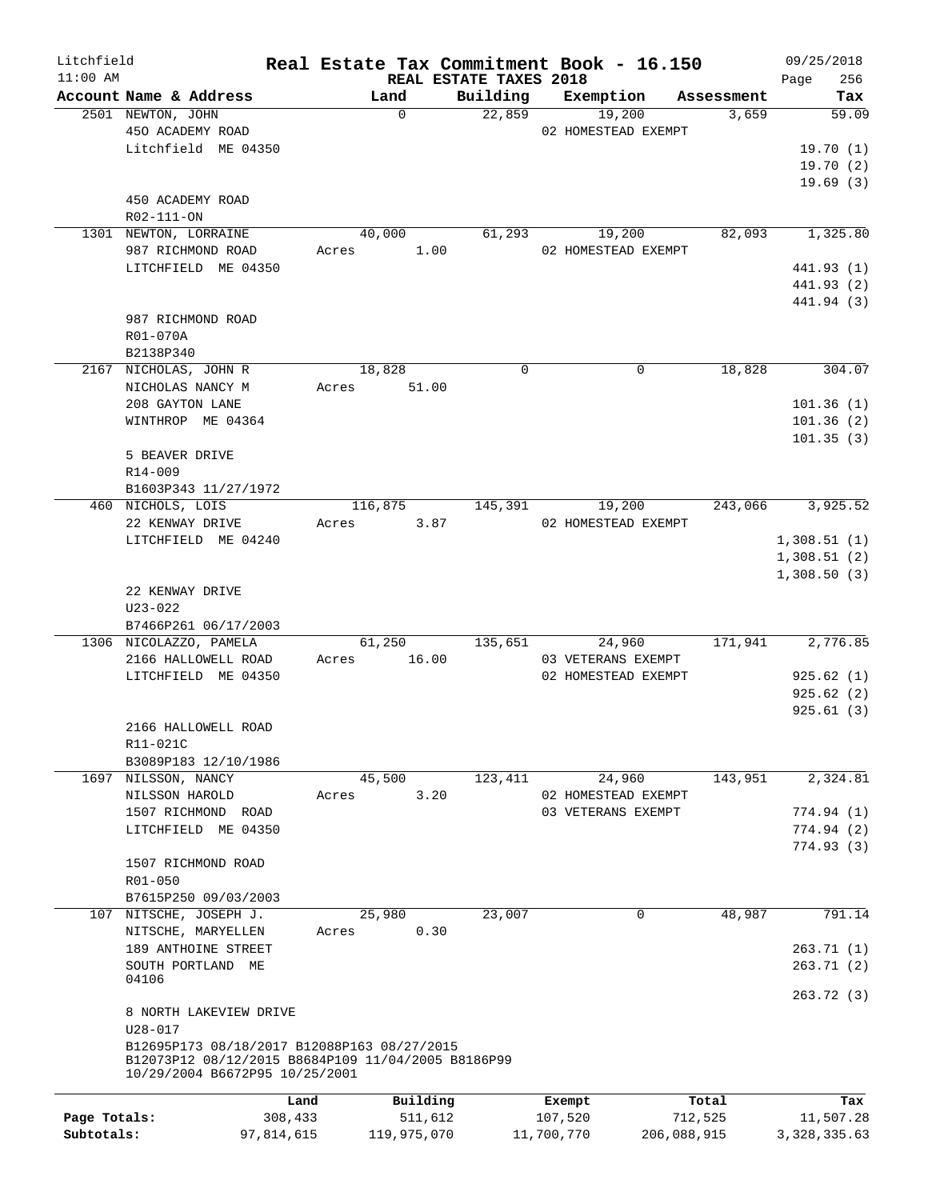| Litchfield                 |                                                                                      |                        |                        | Real Estate Tax Commitment Book - 16.150 |                        | 09/25/2018                  |
|----------------------------|--------------------------------------------------------------------------------------|------------------------|------------------------|------------------------------------------|------------------------|-----------------------------|
| $11:00$ AM                 |                                                                                      |                        | REAL ESTATE TAXES 2018 |                                          |                        | 256<br>Page                 |
|                            | Account Name & Address<br>2501 NEWTON, JOHN                                          | Land<br>$\Omega$       | 22,859                 | Building Exemption<br>19,200             | Assessment<br>3,659    | Tax<br>59.09                |
|                            | 450 ACADEMY ROAD                                                                     |                        |                        | 02 HOMESTEAD EXEMPT                      |                        |                             |
|                            | Litchfield ME 04350                                                                  |                        |                        |                                          |                        | 19.70(1)                    |
|                            |                                                                                      |                        |                        |                                          |                        | 19.70(2)                    |
|                            |                                                                                      |                        |                        |                                          |                        | 19.69(3)                    |
|                            | 450 ACADEMY ROAD                                                                     |                        |                        |                                          |                        |                             |
|                            | R02-111-ON                                                                           |                        |                        |                                          |                        |                             |
|                            | 1301 NEWTON, LORRAINE                                                                | 40,000                 | 61,293                 | 19,200                                   | 82,093                 | 1,325.80                    |
|                            | 987 RICHMOND ROAD                                                                    | Acres 1.00             |                        | 02 HOMESTEAD EXEMPT                      |                        |                             |
|                            | LITCHFIELD ME 04350                                                                  |                        |                        |                                          |                        | 441.93 (1)                  |
|                            |                                                                                      |                        |                        |                                          |                        | 441.93 (2)<br>441.94 (3)    |
|                            | 987 RICHMOND ROAD                                                                    |                        |                        |                                          |                        |                             |
|                            | R01-070A                                                                             |                        |                        |                                          |                        |                             |
|                            | B2138P340                                                                            |                        |                        |                                          |                        |                             |
|                            | 2167 NICHOLAS, JOHN R                                                                | 18,828                 | $\Omega$               | $\Omega$                                 | 18,828                 | 304.07                      |
|                            | NICHOLAS NANCY M                                                                     | Acres 51.00            |                        |                                          |                        |                             |
|                            | 208 GAYTON LANE                                                                      |                        |                        |                                          |                        | 101.36(1)                   |
|                            | WINTHROP ME 04364                                                                    |                        |                        |                                          |                        | 101.36(2)                   |
|                            |                                                                                      |                        |                        |                                          |                        | 101.35(3)                   |
|                            | 5 BEAVER DRIVE                                                                       |                        |                        |                                          |                        |                             |
|                            | R14-009                                                                              |                        |                        |                                          |                        |                             |
|                            | B1603P343 11/27/1972                                                                 |                        |                        |                                          |                        |                             |
|                            | 460 NICHOLS, LOIS                                                                    | 116,875                | 145,391                | 19,200                                   | 243,066                | 3,925.52                    |
|                            | 22 KENWAY DRIVE<br>LITCHFIELD ME 04240                                               | 3.87<br>Acres          |                        | 02 HOMESTEAD EXEMPT                      |                        | 1,308.51(1)                 |
|                            |                                                                                      |                        |                        |                                          |                        | 1,308.51(2)                 |
|                            |                                                                                      |                        |                        |                                          |                        | 1,308.50(3)                 |
|                            | 22 KENWAY DRIVE                                                                      |                        |                        |                                          |                        |                             |
|                            | $U23 - 022$                                                                          |                        |                        |                                          |                        |                             |
|                            | B7466P261 06/17/2003                                                                 |                        |                        |                                          |                        |                             |
|                            | 1306 NICOLAZZO, PAMELA                                                               | 61,250                 | 135,651                | 24,960                                   | 171,941                | 2,776.85                    |
|                            | 2166 HALLOWELL ROAD                                                                  | Acres 16.00            |                        | 03 VETERANS EXEMPT                       |                        |                             |
|                            | LITCHFIELD ME 04350                                                                  |                        |                        | 02 HOMESTEAD EXEMPT                      |                        | 925.62(1)                   |
|                            |                                                                                      |                        |                        |                                          |                        | 925.62(2)                   |
|                            |                                                                                      |                        |                        |                                          |                        | 925.61(3)                   |
|                            | 2166 HALLOWELL ROAD<br>R11-021C                                                      |                        |                        |                                          |                        |                             |
|                            | B3089P183 12/10/1986                                                                 |                        |                        |                                          |                        |                             |
|                            | 1697 NILSSON, NANCY                                                                  | 45,500                 | 123,411                | 24,960                                   | 143,951                | 2,324.81                    |
|                            | NILSSON HAROLD                                                                       | 3.20<br>Acres          |                        | 02 HOMESTEAD EXEMPT                      |                        |                             |
|                            | 1507 RICHMOND ROAD                                                                   |                        |                        | 03 VETERANS EXEMPT                       |                        | 774.94 (1)                  |
|                            | LITCHFIELD ME 04350                                                                  |                        |                        |                                          |                        | 774.94 (2)                  |
|                            |                                                                                      |                        |                        |                                          |                        | 774.93 (3)                  |
|                            | 1507 RICHMOND ROAD                                                                   |                        |                        |                                          |                        |                             |
|                            | R01-050                                                                              |                        |                        |                                          |                        |                             |
|                            | B7615P250 09/03/2003                                                                 |                        |                        |                                          |                        |                             |
| 107                        | NITSCHE, JOSEPH J.                                                                   | 25,980                 | 23,007                 | 0                                        | 48,987                 | 791.14                      |
|                            | NITSCHE, MARYELLEN                                                                   | 0.30<br>Acres          |                        |                                          |                        |                             |
|                            | 189 ANTHOINE STREET<br>SOUTH PORTLAND ME                                             |                        |                        |                                          |                        | 263.71(1)<br>263.71(2)      |
|                            | 04106                                                                                |                        |                        |                                          |                        |                             |
|                            |                                                                                      |                        |                        |                                          |                        | 263.72(3)                   |
|                            | 8 NORTH LAKEVIEW DRIVE                                                               |                        |                        |                                          |                        |                             |
|                            | $U28 - 017$                                                                          |                        |                        |                                          |                        |                             |
|                            | B12695P173 08/18/2017 B12088P163 08/27/2015                                          |                        |                        |                                          |                        |                             |
|                            | B12073P12 08/12/2015 B8684P109 11/04/2005 B8186P99<br>10/29/2004 B6672P95 10/25/2001 |                        |                        |                                          |                        |                             |
|                            |                                                                                      |                        |                        |                                          |                        |                             |
|                            | Land                                                                                 | Building               |                        | Exempt                                   | Total                  | Tax                         |
| Page Totals:<br>Subtotals: | 308,433<br>97,814,615                                                                | 511,612<br>119,975,070 |                        | 107,520<br>11,700,770                    | 712,525<br>206,088,915 | 11,507.28<br>3, 328, 335.63 |
|                            |                                                                                      |                        |                        |                                          |                        |                             |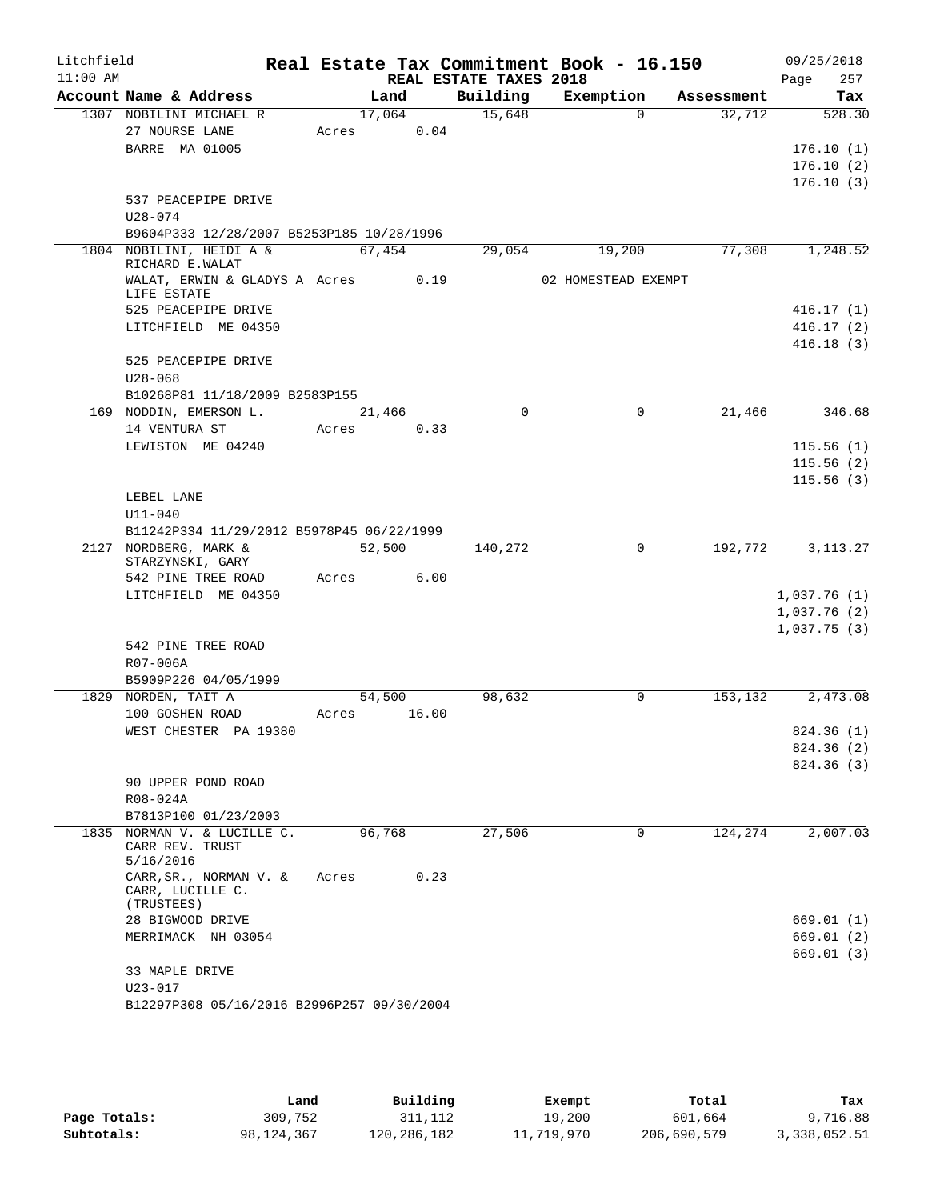| Litchfield<br>$11:00$ AM |                                                   |        |        |                                    | Real Estate Tax Commitment Book - 16.150 |            | 09/25/2018             |
|--------------------------|---------------------------------------------------|--------|--------|------------------------------------|------------------------------------------|------------|------------------------|
|                          | Account Name & Address                            |        | Land   | REAL ESTATE TAXES 2018<br>Building | Exemption                                | Assessment | 257<br>Page<br>Tax     |
|                          | 1307 NOBILINI MICHAEL R                           |        | 17,064 | 15,648                             | $\Omega$                                 | 32,712     | 528.30                 |
|                          | 27 NOURSE LANE                                    | Acres  | 0.04   |                                    |                                          |            |                        |
|                          | <b>BARRE MA 01005</b>                             |        |        |                                    |                                          |            | 176.10(1)              |
|                          |                                                   |        |        |                                    |                                          |            | 176.10(2)              |
|                          |                                                   |        |        |                                    |                                          |            | 176.10(3)              |
|                          | 537 PEACEPIPE DRIVE                               |        |        |                                    |                                          |            |                        |
|                          | $U28 - 074$                                       |        |        |                                    |                                          |            |                        |
|                          | B9604P333 12/28/2007 B5253P185 10/28/1996         |        |        |                                    |                                          |            |                        |
|                          | 1804 NOBILINI, HEIDI A &                          |        | 67,454 | 29,054                             | 19,200                                   | 77,308     | 1,248.52               |
|                          | RICHARD E.WALAT                                   |        |        |                                    |                                          |            |                        |
|                          | WALAT, ERWIN & GLADYS A Acres 0.19<br>LIFE ESTATE |        |        |                                    | 02 HOMESTEAD EXEMPT                      |            |                        |
|                          | 525 PEACEPIPE DRIVE                               |        |        |                                    |                                          |            | 416.17(1)              |
|                          | LITCHFIELD ME 04350                               |        |        |                                    |                                          |            | 416.17(2)              |
|                          |                                                   |        |        |                                    |                                          |            | 416.18(3)              |
|                          | 525 PEACEPIPE DRIVE                               |        |        |                                    |                                          |            |                        |
|                          | $U28 - 068$                                       |        |        |                                    |                                          |            |                        |
|                          | B10268P81 11/18/2009 B2583P155                    |        |        |                                    |                                          |            |                        |
|                          | 169 NODDIN, EMERSON L.                            |        | 21,466 | $\mathbf 0$                        | 0                                        | 21,466     | 346.68                 |
|                          | 14 VENTURA ST                                     | Acres  | 0.33   |                                    |                                          |            |                        |
|                          | LEWISTON ME 04240                                 |        |        |                                    |                                          |            | 115.56(1)              |
|                          |                                                   |        |        |                                    |                                          |            | 115.56(2)              |
|                          |                                                   |        |        |                                    |                                          |            | 115.56(3)              |
|                          | LEBEL LANE                                        |        |        |                                    |                                          |            |                        |
|                          | $U11 - 040$                                       |        |        |                                    |                                          |            |                        |
|                          | B11242P334 11/29/2012 B5978P45 06/22/1999         |        |        |                                    |                                          |            |                        |
|                          | 2127 NORDBERG, MARK &                             |        | 52,500 | 140,272                            | 0                                        | 192,772    | 3, 113. 27             |
|                          | STARZYNSKI, GARY                                  |        |        |                                    |                                          |            |                        |
|                          | 542 PINE TREE ROAD                                | Acres  | 6.00   |                                    |                                          |            |                        |
|                          | LITCHFIELD ME 04350                               |        |        |                                    |                                          |            | 1,037.76(1)            |
|                          |                                                   |        |        |                                    |                                          |            | 1,037.76(2)            |
|                          | 542 PINE TREE ROAD                                |        |        |                                    |                                          |            | 1,037.75(3)            |
|                          | R07-006A                                          |        |        |                                    |                                          |            |                        |
|                          | B5909P226 04/05/1999                              |        |        |                                    |                                          |            |                        |
|                          | 1829 NORDEN, TAIT A                               |        | 54,500 | 98,632                             | 0                                        | 153,132    | 2,473.08               |
|                          | 100 GOSHEN ROAD                                   | Acres  | 16.00  |                                    |                                          |            |                        |
|                          | WEST CHESTER PA 19380                             |        |        |                                    |                                          |            | 824.36 (1)             |
|                          |                                                   |        |        |                                    |                                          |            | 824.36 (2)             |
|                          |                                                   |        |        |                                    |                                          |            | 824.36 (3)             |
|                          | 90 UPPER POND ROAD                                |        |        |                                    |                                          |            |                        |
|                          | R08-024A                                          |        |        |                                    |                                          |            |                        |
|                          | B7813P100 01/23/2003                              |        |        |                                    |                                          |            |                        |
|                          | 1835 NORMAN V. & LUCILLE C.                       | 96,768 |        | 27,506                             | 0                                        | 124, 274   | 2,007.03               |
|                          | CARR REV. TRUST<br>5/16/2016                      |        |        |                                    |                                          |            |                        |
|                          | CARR, SR., NORMAN V. &                            | Acres  | 0.23   |                                    |                                          |            |                        |
|                          | CARR, LUCILLE C.                                  |        |        |                                    |                                          |            |                        |
|                          | (TRUSTEES)                                        |        |        |                                    |                                          |            |                        |
|                          | 28 BIGWOOD DRIVE<br>MERRIMACK NH 03054            |        |        |                                    |                                          |            | 669.01(1)<br>669.01(2) |
|                          |                                                   |        |        |                                    |                                          |            | 669.01(3)              |
|                          | 33 MAPLE DRIVE                                    |        |        |                                    |                                          |            |                        |
|                          | $U23 - 017$                                       |        |        |                                    |                                          |            |                        |
|                          | B12297P308 05/16/2016 B2996P257 09/30/2004        |        |        |                                    |                                          |            |                        |
|                          |                                                   |        |        |                                    |                                          |            |                        |

|              | Land         | Building    | Exempt     | Total       | Tax          |
|--------------|--------------|-------------|------------|-------------|--------------|
| Page Totals: | 309,752      | 311,112     | 19,200     | 601,664     | 9,716.88     |
| Subtotals:   | 98, 124, 367 | 120,286,182 | 11,719,970 | 206,690,579 | 3,338,052.51 |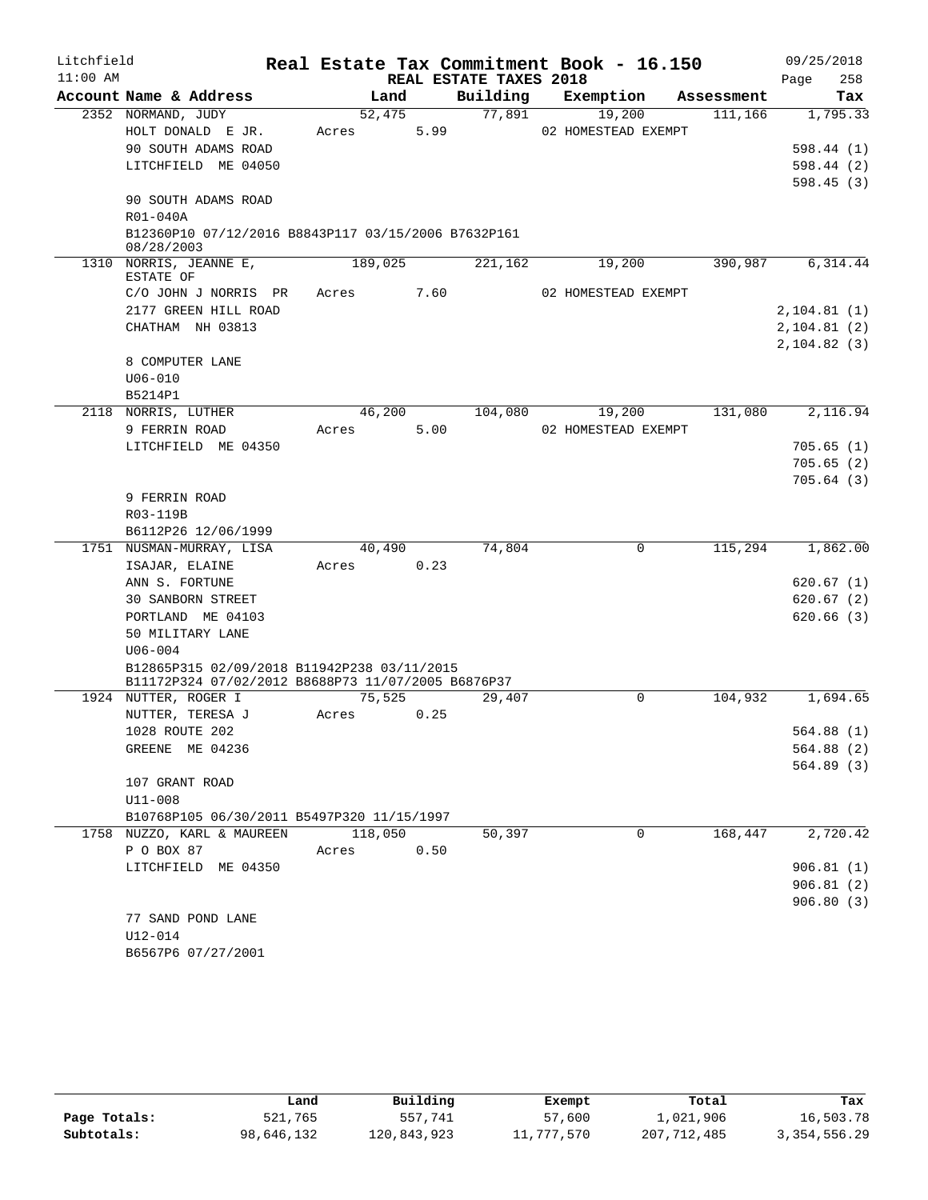| Litchfield |                                                                   |         |      |                        | Real Estate Tax Commitment Book - 16.150 |            | 09/25/2018             |
|------------|-------------------------------------------------------------------|---------|------|------------------------|------------------------------------------|------------|------------------------|
| $11:00$ AM |                                                                   |         |      | REAL ESTATE TAXES 2018 |                                          |            | 258<br>Page            |
|            | Account Name & Address                                            | Land    |      | Building               | Exemption                                | Assessment | Tax                    |
|            | 2352 NORMAND, JUDY                                                | 52,475  |      | 77,891                 | 19,200                                   | 111,166    | 1,795.33               |
|            | HOLT DONALD E JR.                                                 | Acres   | 5.99 |                        | 02 HOMESTEAD EXEMPT                      |            |                        |
|            | 90 SOUTH ADAMS ROAD                                               |         |      |                        |                                          |            | 598.44(1)              |
|            | LITCHFIELD ME 04050                                               |         |      |                        |                                          |            | 598.44(2)              |
|            | 90 SOUTH ADAMS ROAD                                               |         |      |                        |                                          |            | 598.45(3)              |
|            | R01-040A                                                          |         |      |                        |                                          |            |                        |
|            | B12360P10 07/12/2016 B8843P117 03/15/2006 B7632P161<br>08/28/2003 |         |      |                        |                                          |            |                        |
|            | 1310 NORRIS, JEANNE E,<br>ESTATE OF                               | 189,025 |      | 221,162                | 19,200                                   | 390,987    | 6,314.44               |
|            | C/O JOHN J NORRIS PR                                              | Acres   | 7.60 |                        | 02 HOMESTEAD EXEMPT                      |            |                        |
|            | 2177 GREEN HILL ROAD                                              |         |      |                        |                                          |            | 2,104.81(1)            |
|            | CHATHAM NH 03813                                                  |         |      |                        |                                          |            | 2, 104.81(2)           |
|            |                                                                   |         |      |                        |                                          |            | 2,104.82(3)            |
|            | 8 COMPUTER LANE                                                   |         |      |                        |                                          |            |                        |
|            | $U06 - 010$                                                       |         |      |                        |                                          |            |                        |
|            | B5214P1                                                           |         |      |                        |                                          |            |                        |
|            | 2118 NORRIS, LUTHER                                               | 46,200  |      | 104,080                | 19,200                                   | 131,080    | 2,116.94               |
|            | 9 FERRIN ROAD                                                     | Acres   | 5.00 |                        | 02 HOMESTEAD EXEMPT                      |            |                        |
|            | LITCHFIELD ME 04350                                               |         |      |                        |                                          |            | 705.65(1)              |
|            |                                                                   |         |      |                        |                                          |            | 705.65(2)              |
|            |                                                                   |         |      |                        |                                          |            | 705.64(3)              |
|            | 9 FERRIN ROAD                                                     |         |      |                        |                                          |            |                        |
|            | R03-119B                                                          |         |      |                        |                                          |            |                        |
|            | B6112P26 12/06/1999                                               |         |      |                        |                                          |            |                        |
|            | 1751 NUSMAN-MURRAY, LISA                                          | 40,490  |      | 74,804                 | 0                                        | 115,294    | 1,862.00               |
|            | ISAJAR, ELAINE                                                    | Acres   | 0.23 |                        |                                          |            |                        |
|            | ANN S. FORTUNE                                                    |         |      |                        |                                          |            | 620.67(1)              |
|            | 30 SANBORN STREET<br>PORTLAND ME 04103                            |         |      |                        |                                          |            | 620.67(2)<br>620.66(3) |
|            | 50 MILITARY LANE                                                  |         |      |                        |                                          |            |                        |
|            | $U06 - 004$                                                       |         |      |                        |                                          |            |                        |
|            | B12865P315 02/09/2018 B11942P238 03/11/2015                       |         |      |                        |                                          |            |                        |
|            | B11172P324 07/02/2012 B8688P73 11/07/2005 B6876P37                |         |      |                        |                                          |            |                        |
|            | 1924 NUTTER, ROGER I                                              | 75,525  |      | 29,407                 | $\Omega$                                 | 104,932    | 1,694.65               |
|            | NUTTER, TERESA J                                                  | Acres   | 0.25 |                        |                                          |            |                        |
|            | 1028 ROUTE 202                                                    |         |      |                        |                                          |            | 564.88 (1)             |
|            | GREENE ME 04236                                                   |         |      |                        |                                          |            | 564.88(2)              |
|            |                                                                   |         |      |                        |                                          |            | 564.89(3)              |
|            | 107 GRANT ROAD                                                    |         |      |                        |                                          |            |                        |
|            | U11-008                                                           |         |      |                        |                                          |            |                        |
|            | B10768P105 06/30/2011 B5497P320 11/15/1997                        |         |      |                        |                                          |            |                        |
|            | 1758 NUZZO, KARL & MAUREEN                                        | 118,050 |      | 50,397                 | 0                                        | 168,447    | 2,720.42               |
|            | P O BOX 87                                                        | Acres   | 0.50 |                        |                                          |            |                        |
|            | LITCHFIELD ME 04350                                               |         |      |                        |                                          |            | 906.81(1)              |
|            |                                                                   |         |      |                        |                                          |            | 906.81(2)              |
|            |                                                                   |         |      |                        |                                          |            | 906.80(3)              |
|            | 77 SAND POND LANE<br>U12-014                                      |         |      |                        |                                          |            |                        |
|            | B6567P6 07/27/2001                                                |         |      |                        |                                          |            |                        |
|            |                                                                   |         |      |                        |                                          |            |                        |

|              | Land       | Building    | Exempt     | Total       | Tax            |
|--------------|------------|-------------|------------|-------------|----------------|
| Page Totals: | 521,765    | 557,741     | 57,600     | 1,021,906   | 16,503.78      |
| Subtotals:   | 98,646,132 | 120,843,923 | 11,777,570 | 207,712,485 | 3, 354, 556.29 |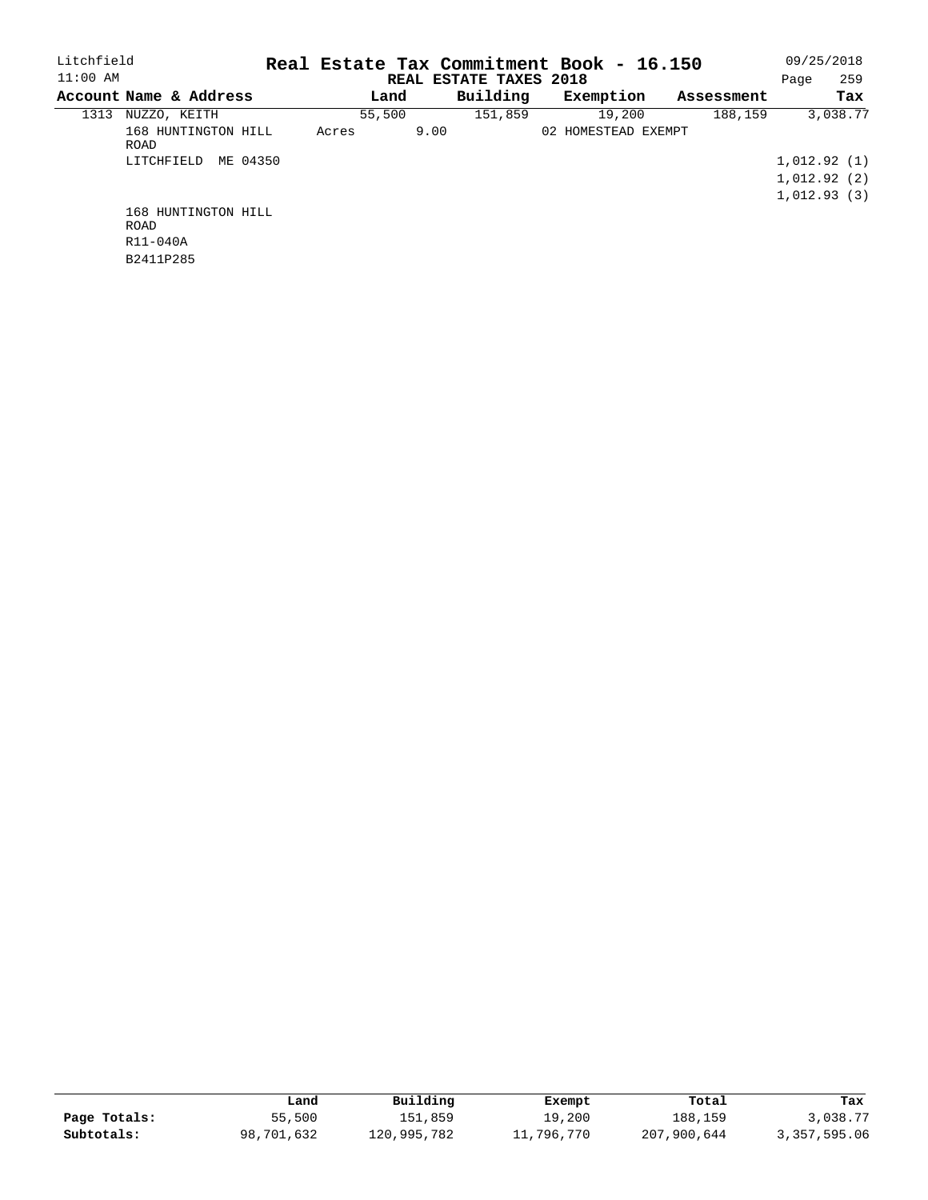| Litchfield                                  |          |                        |      |          | Real Estate Tax Commitment Book - 16.150 |  |            |      | 09/25/2018                 |
|---------------------------------------------|----------|------------------------|------|----------|------------------------------------------|--|------------|------|----------------------------|
| $11:00$ AM                                  |          | REAL ESTATE TAXES 2018 |      |          |                                          |  |            | Page | 259                        |
| Account Name & Address                      |          | Land                   |      | Building | Exemption                                |  | Assessment |      | Tax                        |
| NUZZO, KEITH<br>1313                        |          | 55,500                 |      | 151,859  | 19,200                                   |  | 188,159    |      | 3,038.77                   |
| 168 HUNTINGTON HILL<br>ROAD<br>LITCHFIELD   | ME 04350 | Acres                  | 9.00 |          | 02 HOMESTEAD EXEMPT                      |  |            |      | 1,012.92(1)                |
|                                             |          |                        |      |          |                                          |  |            |      | 1,012.92(2)<br>1.012.93(3) |
| 168 HUNTINGTON HILL<br>ROAD<br>$R11 - 040A$ |          |                        |      |          |                                          |  |            |      |                            |

B2411P285

|              | Land       | Building    | Exempt     | Total       | Tax          |
|--------------|------------|-------------|------------|-------------|--------------|
| Page Totals: | 55,500     | 151,859     | 19,200     | 188,159     | 3,038.77     |
| Subtotals:   | 98,701,632 | 120,995,782 | 11,796,770 | 207,900,644 | 3,357,595.06 |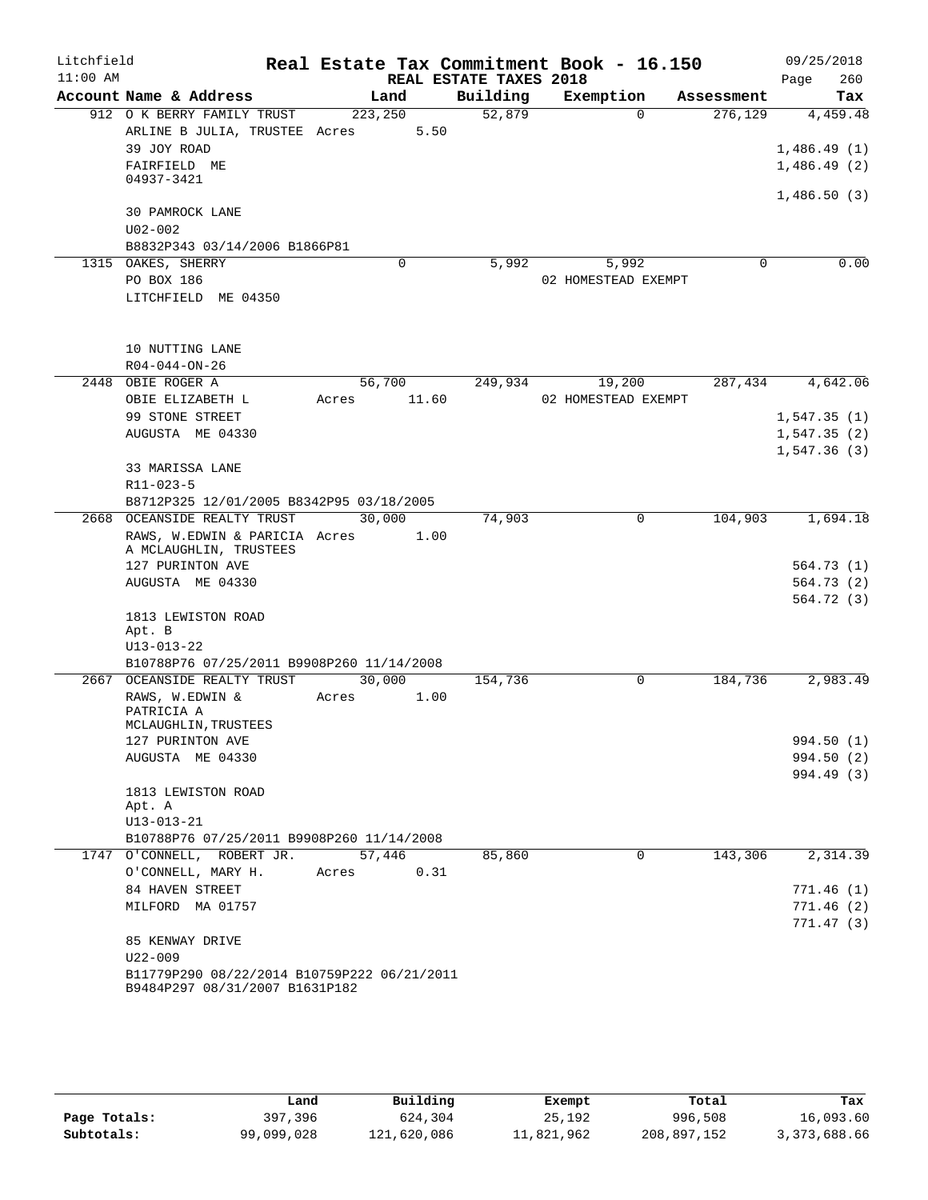| Litchfield<br>$11:00$ AM |                                                                               |         |        | REAL ESTATE TAXES 2018 | Real Estate Tax Commitment Book - 16.150 |            | 09/25/2018                 |
|--------------------------|-------------------------------------------------------------------------------|---------|--------|------------------------|------------------------------------------|------------|----------------------------|
|                          | Account Name & Address                                                        |         | Land   | Building               | Exemption                                | Assessment | Page<br>260<br>Tax         |
|                          | 912 O K BERRY FAMILY TRUST                                                    | 223,250 |        | 52,879                 | $\Omega$                                 | 276,129    | 4,459.48                   |
|                          | ARLINE B JULIA, TRUSTEE Acres                                                 |         | 5.50   |                        |                                          |            |                            |
|                          | 39 JOY ROAD                                                                   |         |        |                        |                                          |            | 1,486.49(1)                |
|                          | FAIRFIELD ME                                                                  |         |        |                        |                                          |            | 1,486.49(2)                |
|                          | 04937-3421                                                                    |         |        |                        |                                          |            |                            |
|                          |                                                                               |         |        |                        |                                          |            | 1,486.50(3)                |
|                          | 30 PAMROCK LANE                                                               |         |        |                        |                                          |            |                            |
|                          | $U02 - 002$                                                                   |         |        |                        |                                          |            |                            |
|                          | B8832P343 03/14/2006 B1866P81<br>1315 OAKES, SHERRY                           |         | 0      | 5,992                  | 5,992                                    | 0          | 0.00                       |
|                          | PO BOX 186                                                                    |         |        |                        | 02 HOMESTEAD EXEMPT                      |            |                            |
|                          | LITCHFIELD ME 04350                                                           |         |        |                        |                                          |            |                            |
|                          |                                                                               |         |        |                        |                                          |            |                            |
|                          |                                                                               |         |        |                        |                                          |            |                            |
|                          | 10 NUTTING LANE                                                               |         |        |                        |                                          |            |                            |
|                          | $R04 - 044 - ON - 26$                                                         |         |        |                        |                                          |            |                            |
|                          | 2448 OBIE ROGER A                                                             |         | 56,700 | 249,934                | 19,200                                   | 287,434    | 4,642.06                   |
|                          | OBIE ELIZABETH L                                                              | Acres   | 11.60  |                        | 02 HOMESTEAD EXEMPT                      |            |                            |
|                          | 99 STONE STREET                                                               |         |        |                        |                                          |            | 1,547.35(1)                |
|                          | AUGUSTA ME 04330                                                              |         |        |                        |                                          |            | 1,547.35(2)<br>1,547.36(3) |
|                          | 33 MARISSA LANE                                                               |         |        |                        |                                          |            |                            |
|                          | $R11 - 023 - 5$                                                               |         |        |                        |                                          |            |                            |
|                          | B8712P325 12/01/2005 B8342P95 03/18/2005                                      |         |        |                        |                                          |            |                            |
|                          | 2668 OCEANSIDE REALTY TRUST                                                   |         | 30,000 | 74,903                 | 0                                        | 104,903    | 1,694.18                   |
|                          | RAWS, W.EDWIN & PARICIA Acres                                                 |         | 1.00   |                        |                                          |            |                            |
|                          | A MCLAUGHLIN, TRUSTEES                                                        |         |        |                        |                                          |            |                            |
|                          | 127 PURINTON AVE<br>AUGUSTA ME 04330                                          |         |        |                        |                                          |            | 564.73(1)<br>564.73 (2)    |
|                          |                                                                               |         |        |                        |                                          |            | 564.72 (3)                 |
|                          | 1813 LEWISTON ROAD                                                            |         |        |                        |                                          |            |                            |
|                          | Apt. B                                                                        |         |        |                        |                                          |            |                            |
|                          | $U13 - 013 - 22$                                                              |         |        |                        |                                          |            |                            |
|                          | B10788P76 07/25/2011 B9908P260 11/14/2008                                     |         |        |                        |                                          |            |                            |
|                          | 2667 OCEANSIDE REALTY TRUST                                                   |         | 30,000 | 154,736                | 0                                        | 184,736    | 2,983.49                   |
|                          | RAWS, W.EDWIN &<br>PATRICIA A                                                 | Acres   | 1.00   |                        |                                          |            |                            |
|                          | MCLAUGHLIN, TRUSTEES                                                          |         |        |                        |                                          |            |                            |
|                          | 127 PURINTON AVE                                                              |         |        |                        |                                          |            | 994.50 (1)                 |
|                          | AUGUSTA ME 04330                                                              |         |        |                        |                                          |            | 994.50 (2)                 |
|                          |                                                                               |         |        |                        |                                          |            | 994.49 (3)                 |
|                          | 1813 LEWISTON ROAD<br>Apt. A                                                  |         |        |                        |                                          |            |                            |
|                          | $U13 - 013 - 21$                                                              |         |        |                        |                                          |            |                            |
|                          | B10788P76 07/25/2011 B9908P260 11/14/2008                                     |         |        |                        |                                          |            |                            |
|                          | 1747 O'CONNELL, ROBERT JR.                                                    |         | 57,446 | 85,860                 | 0                                        | 143,306    | 2,314.39                   |
|                          | O'CONNELL, MARY H.                                                            | Acres   | 0.31   |                        |                                          |            |                            |
|                          | 84 HAVEN STREET                                                               |         |        |                        |                                          |            | 771.46(1)                  |
|                          | MILFORD MA 01757                                                              |         |        |                        |                                          |            | 771.46(2)                  |
|                          |                                                                               |         |        |                        |                                          |            | 771.47(3)                  |
|                          | 85 KENWAY DRIVE                                                               |         |        |                        |                                          |            |                            |
|                          | $U22 - 009$                                                                   |         |        |                        |                                          |            |                            |
|                          | B11779P290 08/22/2014 B10759P222 06/21/2011<br>B9484P297 08/31/2007 B1631P182 |         |        |                        |                                          |            |                            |

|              | Land       | Building    | Exempt     | Total       | Tax          |
|--------------|------------|-------------|------------|-------------|--------------|
| Page Totals: | 397,396    | 624,304     | 25,192     | 996,508     | 16,093.60    |
| Subtotals:   | 99,099,028 | 121,620,086 | 11,821,962 | 208,897,152 | 3,373,688.66 |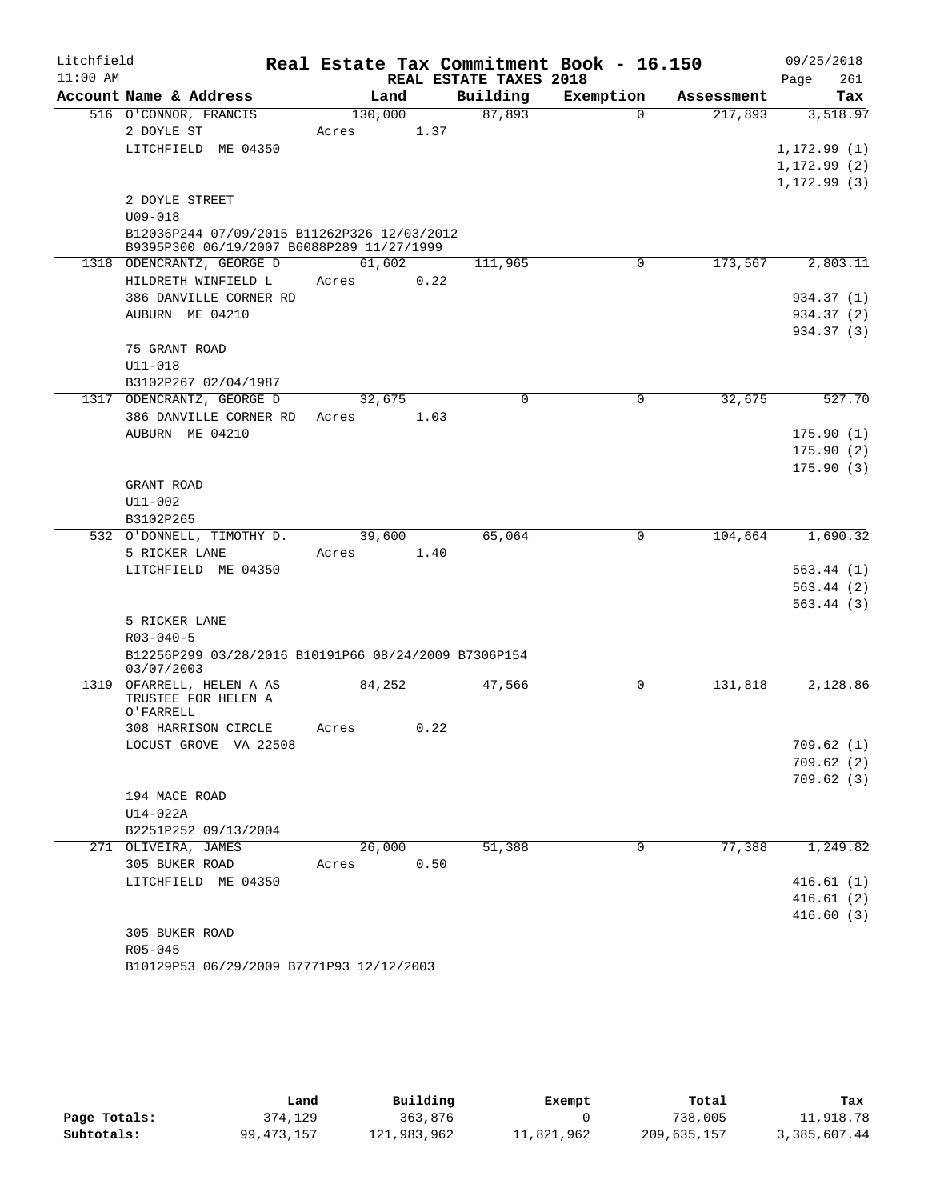| Litchfield |                                                      |         |      |                        | Real Estate Tax Commitment Book - 16.150 |            | 09/25/2018             |
|------------|------------------------------------------------------|---------|------|------------------------|------------------------------------------|------------|------------------------|
| $11:00$ AM |                                                      |         |      | REAL ESTATE TAXES 2018 |                                          |            | 261<br>Page            |
|            | Account Name & Address                               | Land    |      | Building               | Exemption                                | Assessment | Tax                    |
|            | 516 O'CONNOR, FRANCIS                                | 130,000 |      | 87,893                 | $\Omega$                                 | 217,893    | 3,518.97               |
|            | 2 DOYLE ST                                           | Acres   | 1.37 |                        |                                          |            |                        |
|            | LITCHFIELD ME 04350                                  |         |      |                        |                                          |            | 1, 172.99(1)           |
|            |                                                      |         |      |                        |                                          |            | 1, 172.99(2)           |
|            | 2 DOYLE STREET                                       |         |      |                        |                                          |            | 1,172.99 (3)           |
|            | $U09 - 018$                                          |         |      |                        |                                          |            |                        |
|            | B12036P244 07/09/2015 B11262P326 12/03/2012          |         |      |                        |                                          |            |                        |
|            | B9395P300 06/19/2007 B6088P289 11/27/1999            |         |      |                        |                                          |            |                        |
|            | 1318 ODENCRANTZ, GEORGE D                            | 61,602  |      | 111,965                | 0                                        | 173,567    | 2,803.11               |
|            | HILDRETH WINFIELD L                                  | Acres   | 0.22 |                        |                                          |            |                        |
|            | 386 DANVILLE CORNER RD                               |         |      |                        |                                          |            | 934.37 (1)             |
|            | AUBURN ME 04210                                      |         |      |                        |                                          |            | 934.37 (2)             |
|            |                                                      |         |      |                        |                                          |            | 934.37 (3)             |
|            | 75 GRANT ROAD                                        |         |      |                        |                                          |            |                        |
|            | $U11 - 018$<br>B3102P267 02/04/1987                  |         |      |                        |                                          |            |                        |
|            | 1317 ODENCRANTZ, GEORGE D                            | 32,675  |      | 0                      | 0                                        | 32,675     | 527.70                 |
|            | 386 DANVILLE CORNER RD                               | Acres   | 1.03 |                        |                                          |            |                        |
|            | AUBURN ME 04210                                      |         |      |                        |                                          |            | 175.90(1)              |
|            |                                                      |         |      |                        |                                          |            | 175.90(2)              |
|            |                                                      |         |      |                        |                                          |            | 175.90(3)              |
|            | GRANT ROAD                                           |         |      |                        |                                          |            |                        |
|            | U11-002                                              |         |      |                        |                                          |            |                        |
|            | B3102P265                                            |         |      |                        |                                          |            |                        |
|            | 532 O'DONNELL, TIMOTHY D.                            | 39,600  |      | 65,064                 | 0                                        | 104,664    | 1,690.32               |
|            | 5 RICKER LANE                                        | Acres   | 1.40 |                        |                                          |            |                        |
|            | LITCHFIELD ME 04350                                  |         |      |                        |                                          |            | 563.44(1)              |
|            |                                                      |         |      |                        |                                          |            | 563.44(2)<br>563.44(3) |
|            | 5 RICKER LANE                                        |         |      |                        |                                          |            |                        |
|            | $R03 - 040 - 5$                                      |         |      |                        |                                          |            |                        |
|            | B12256P299 03/28/2016 B10191P66 08/24/2009 B7306P154 |         |      |                        |                                          |            |                        |
|            | 03/07/2003                                           |         |      |                        |                                          |            |                        |
|            | 1319 OFARRELL, HELEN A AS                            | 84,252  |      | 47,566                 | 0                                        | 131,818    | 2,128.86               |
|            | TRUSTEE FOR HELEN A<br>O'FARRELL                     |         |      |                        |                                          |            |                        |
|            | 308 HARRISON CIRCLE                                  | Acres   | 0.22 |                        |                                          |            |                        |
|            | LOCUST GROVE VA 22508                                |         |      |                        |                                          |            | 709.62(1)              |
|            |                                                      |         |      |                        |                                          |            | 709.62(2)              |
|            |                                                      |         |      |                        |                                          |            | 709.62(3)              |
|            | 194 MACE ROAD                                        |         |      |                        |                                          |            |                        |
|            | U14-022A                                             |         |      |                        |                                          |            |                        |
|            | B2251P252 09/13/2004                                 |         |      |                        |                                          |            |                        |
|            | 271 OLIVEIRA, JAMES                                  | 26,000  |      | 51,388                 | 0                                        | 77,388     | 1,249.82               |
|            | 305 BUKER ROAD                                       | Acres   | 0.50 |                        |                                          |            |                        |
|            | LITCHFIELD ME 04350                                  |         |      |                        |                                          |            | 416.61(1)<br>416.61(2) |
|            |                                                      |         |      |                        |                                          |            | 416.60(3)              |
|            | 305 BUKER ROAD                                       |         |      |                        |                                          |            |                        |
|            | R05-045                                              |         |      |                        |                                          |            |                        |
|            | B10129P53 06/29/2009 B7771P93 12/12/2003             |         |      |                        |                                          |            |                        |

|              | Land         | Building    | Exempt     | Total       | Tax          |
|--------------|--------------|-------------|------------|-------------|--------------|
| Page Totals: | 374,129      | 363,876     |            | 738,005     | 11,918.78    |
| Subtotals:   | 99, 473, 157 | 121,983,962 | 11,821,962 | 209,635,157 | 3,385,607.44 |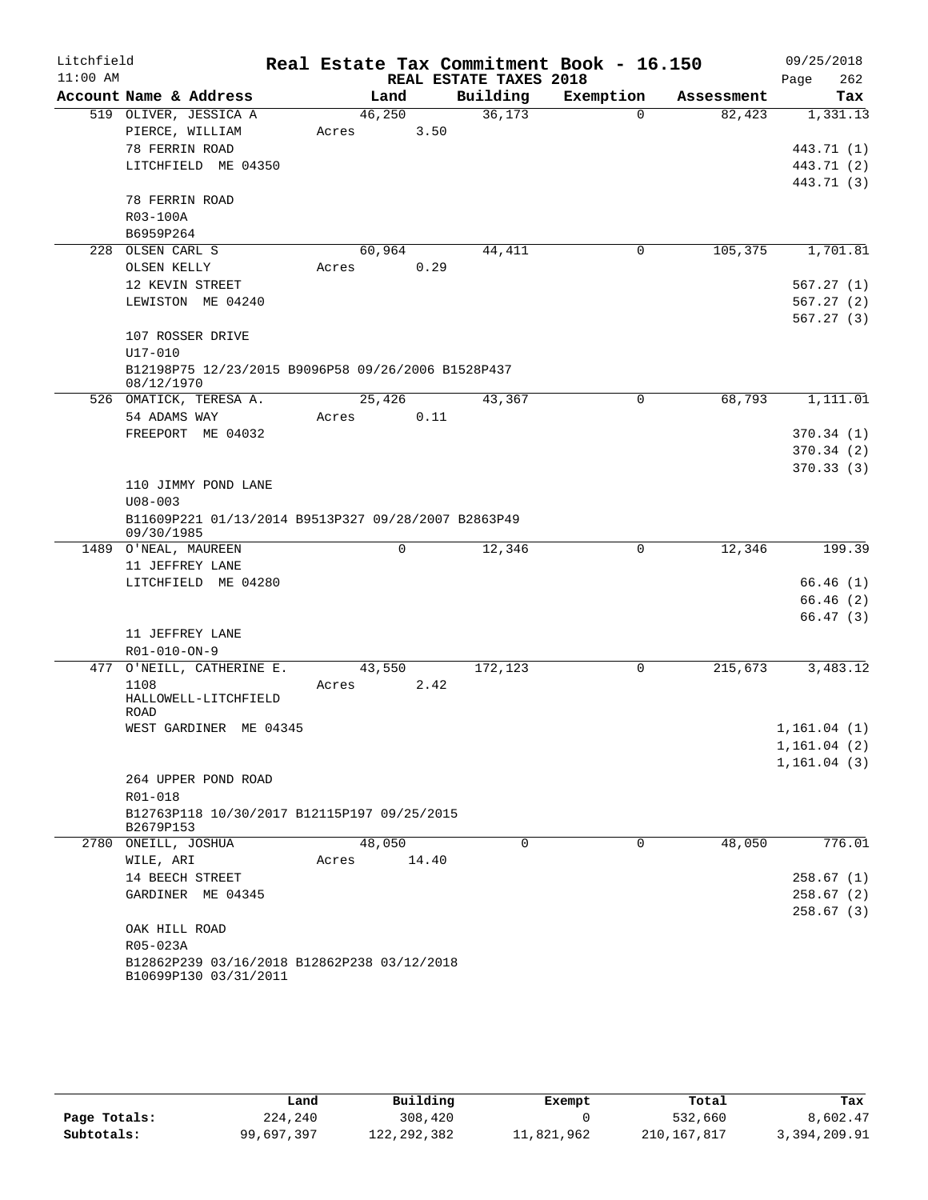| $11:00$ AM<br>REAL ESTATE TAXES 2018<br>262<br>Page<br>Building<br>Account Name & Address<br>Land<br>Exemption<br>Tax<br>Assessment<br>36,173<br>519 OLIVER, JESSICA A<br>46,250<br>82,423<br>1,331.13<br>$\Omega$<br>3.50<br>PIERCE, WILLIAM<br>Acres<br>78 FERRIN ROAD<br>443.71 (1)<br>443.71 (2)<br>LITCHFIELD ME 04350<br>443.71 (3)<br>78 FERRIN ROAD<br>R03-100A<br>B6959P264<br>44,411<br>105,375<br>1,701.81<br>228 OLSEN CARL S<br>60,964<br>0<br>0.29<br>OLSEN KELLY<br>Acres<br>12 KEVIN STREET<br>567.27(1)<br>LEWISTON ME 04240<br>567.27(2)<br>567.27(3)<br>107 ROSSER DRIVE<br>U17-010<br>B12198P75 12/23/2015 B9096P58 09/26/2006 B1528P437<br>08/12/1970<br>0<br>68,793<br>1,111.01<br>25,426<br>43,367<br>526 OMATICK, TERESA A.<br>0.11<br>54 ADAMS WAY<br>Acres<br>FREEPORT ME 04032<br>370.34(1)<br>370.34(2)<br>370.33(3)<br>110 JIMMY POND LANE<br>$U08 - 003$<br>B11609P221 01/13/2014 B9513P327 09/28/2007 B2863P49<br>09/30/1985<br>12,346<br>199.39<br>1489 O'NEAL, MAUREEN<br>0<br>12,346<br>0<br>11 JEFFREY LANE<br>LITCHFIELD ME 04280<br>66.46(1)<br>66.46(2)<br>66.47(3)<br>11 JEFFREY LANE<br>R01-010-ON-9<br>477 O'NEILL, CATHERINE E.<br>172,123<br>215,673<br>3,483.12<br>43,550<br>0<br>1108<br>2.42<br>Acres<br>HALLOWELL-LITCHFIELD<br><b>ROAD</b><br>WEST GARDINER ME 04345<br>1,161.04(1)<br>1, 161.04(2)<br>1, 161.04(3)<br>264 UPPER POND ROAD<br>R01-018<br>B12763P118 10/30/2017 B12115P197 09/25/2015<br>B2679P153<br>48,050<br>2780 ONEILL, JOSHUA<br>0<br>0<br>48,050<br>776.01<br>WILE, ARI<br>14.40<br>Acres<br>14 BEECH STREET<br>258.67(1)<br>GARDINER ME 04345<br>258.67(2)<br>258.67(3)<br>OAK HILL ROAD<br>R05-023A<br>B12862P239 03/16/2018 B12862P238 03/12/2018<br>B10699P130 03/31/2011 | Litchfield | Real Estate Tax Commitment Book - 16.150 |  | 09/25/2018 |
|-----------------------------------------------------------------------------------------------------------------------------------------------------------------------------------------------------------------------------------------------------------------------------------------------------------------------------------------------------------------------------------------------------------------------------------------------------------------------------------------------------------------------------------------------------------------------------------------------------------------------------------------------------------------------------------------------------------------------------------------------------------------------------------------------------------------------------------------------------------------------------------------------------------------------------------------------------------------------------------------------------------------------------------------------------------------------------------------------------------------------------------------------------------------------------------------------------------------------------------------------------------------------------------------------------------------------------------------------------------------------------------------------------------------------------------------------------------------------------------------------------------------------------------------------------------------------------------------------------------------------------------------------------------------------------------------------------------------------------------------------------|------------|------------------------------------------|--|------------|
|                                                                                                                                                                                                                                                                                                                                                                                                                                                                                                                                                                                                                                                                                                                                                                                                                                                                                                                                                                                                                                                                                                                                                                                                                                                                                                                                                                                                                                                                                                                                                                                                                                                                                                                                                     |            |                                          |  |            |
|                                                                                                                                                                                                                                                                                                                                                                                                                                                                                                                                                                                                                                                                                                                                                                                                                                                                                                                                                                                                                                                                                                                                                                                                                                                                                                                                                                                                                                                                                                                                                                                                                                                                                                                                                     |            |                                          |  |            |
|                                                                                                                                                                                                                                                                                                                                                                                                                                                                                                                                                                                                                                                                                                                                                                                                                                                                                                                                                                                                                                                                                                                                                                                                                                                                                                                                                                                                                                                                                                                                                                                                                                                                                                                                                     |            |                                          |  |            |
|                                                                                                                                                                                                                                                                                                                                                                                                                                                                                                                                                                                                                                                                                                                                                                                                                                                                                                                                                                                                                                                                                                                                                                                                                                                                                                                                                                                                                                                                                                                                                                                                                                                                                                                                                     |            |                                          |  |            |
|                                                                                                                                                                                                                                                                                                                                                                                                                                                                                                                                                                                                                                                                                                                                                                                                                                                                                                                                                                                                                                                                                                                                                                                                                                                                                                                                                                                                                                                                                                                                                                                                                                                                                                                                                     |            |                                          |  |            |
|                                                                                                                                                                                                                                                                                                                                                                                                                                                                                                                                                                                                                                                                                                                                                                                                                                                                                                                                                                                                                                                                                                                                                                                                                                                                                                                                                                                                                                                                                                                                                                                                                                                                                                                                                     |            |                                          |  |            |
|                                                                                                                                                                                                                                                                                                                                                                                                                                                                                                                                                                                                                                                                                                                                                                                                                                                                                                                                                                                                                                                                                                                                                                                                                                                                                                                                                                                                                                                                                                                                                                                                                                                                                                                                                     |            |                                          |  |            |
|                                                                                                                                                                                                                                                                                                                                                                                                                                                                                                                                                                                                                                                                                                                                                                                                                                                                                                                                                                                                                                                                                                                                                                                                                                                                                                                                                                                                                                                                                                                                                                                                                                                                                                                                                     |            |                                          |  |            |
|                                                                                                                                                                                                                                                                                                                                                                                                                                                                                                                                                                                                                                                                                                                                                                                                                                                                                                                                                                                                                                                                                                                                                                                                                                                                                                                                                                                                                                                                                                                                                                                                                                                                                                                                                     |            |                                          |  |            |
|                                                                                                                                                                                                                                                                                                                                                                                                                                                                                                                                                                                                                                                                                                                                                                                                                                                                                                                                                                                                                                                                                                                                                                                                                                                                                                                                                                                                                                                                                                                                                                                                                                                                                                                                                     |            |                                          |  |            |
|                                                                                                                                                                                                                                                                                                                                                                                                                                                                                                                                                                                                                                                                                                                                                                                                                                                                                                                                                                                                                                                                                                                                                                                                                                                                                                                                                                                                                                                                                                                                                                                                                                                                                                                                                     |            |                                          |  |            |
|                                                                                                                                                                                                                                                                                                                                                                                                                                                                                                                                                                                                                                                                                                                                                                                                                                                                                                                                                                                                                                                                                                                                                                                                                                                                                                                                                                                                                                                                                                                                                                                                                                                                                                                                                     |            |                                          |  |            |
|                                                                                                                                                                                                                                                                                                                                                                                                                                                                                                                                                                                                                                                                                                                                                                                                                                                                                                                                                                                                                                                                                                                                                                                                                                                                                                                                                                                                                                                                                                                                                                                                                                                                                                                                                     |            |                                          |  |            |
|                                                                                                                                                                                                                                                                                                                                                                                                                                                                                                                                                                                                                                                                                                                                                                                                                                                                                                                                                                                                                                                                                                                                                                                                                                                                                                                                                                                                                                                                                                                                                                                                                                                                                                                                                     |            |                                          |  |            |
|                                                                                                                                                                                                                                                                                                                                                                                                                                                                                                                                                                                                                                                                                                                                                                                                                                                                                                                                                                                                                                                                                                                                                                                                                                                                                                                                                                                                                                                                                                                                                                                                                                                                                                                                                     |            |                                          |  |            |
|                                                                                                                                                                                                                                                                                                                                                                                                                                                                                                                                                                                                                                                                                                                                                                                                                                                                                                                                                                                                                                                                                                                                                                                                                                                                                                                                                                                                                                                                                                                                                                                                                                                                                                                                                     |            |                                          |  |            |
|                                                                                                                                                                                                                                                                                                                                                                                                                                                                                                                                                                                                                                                                                                                                                                                                                                                                                                                                                                                                                                                                                                                                                                                                                                                                                                                                                                                                                                                                                                                                                                                                                                                                                                                                                     |            |                                          |  |            |
|                                                                                                                                                                                                                                                                                                                                                                                                                                                                                                                                                                                                                                                                                                                                                                                                                                                                                                                                                                                                                                                                                                                                                                                                                                                                                                                                                                                                                                                                                                                                                                                                                                                                                                                                                     |            |                                          |  |            |
|                                                                                                                                                                                                                                                                                                                                                                                                                                                                                                                                                                                                                                                                                                                                                                                                                                                                                                                                                                                                                                                                                                                                                                                                                                                                                                                                                                                                                                                                                                                                                                                                                                                                                                                                                     |            |                                          |  |            |
|                                                                                                                                                                                                                                                                                                                                                                                                                                                                                                                                                                                                                                                                                                                                                                                                                                                                                                                                                                                                                                                                                                                                                                                                                                                                                                                                                                                                                                                                                                                                                                                                                                                                                                                                                     |            |                                          |  |            |
|                                                                                                                                                                                                                                                                                                                                                                                                                                                                                                                                                                                                                                                                                                                                                                                                                                                                                                                                                                                                                                                                                                                                                                                                                                                                                                                                                                                                                                                                                                                                                                                                                                                                                                                                                     |            |                                          |  |            |
|                                                                                                                                                                                                                                                                                                                                                                                                                                                                                                                                                                                                                                                                                                                                                                                                                                                                                                                                                                                                                                                                                                                                                                                                                                                                                                                                                                                                                                                                                                                                                                                                                                                                                                                                                     |            |                                          |  |            |
|                                                                                                                                                                                                                                                                                                                                                                                                                                                                                                                                                                                                                                                                                                                                                                                                                                                                                                                                                                                                                                                                                                                                                                                                                                                                                                                                                                                                                                                                                                                                                                                                                                                                                                                                                     |            |                                          |  |            |
|                                                                                                                                                                                                                                                                                                                                                                                                                                                                                                                                                                                                                                                                                                                                                                                                                                                                                                                                                                                                                                                                                                                                                                                                                                                                                                                                                                                                                                                                                                                                                                                                                                                                                                                                                     |            |                                          |  |            |
|                                                                                                                                                                                                                                                                                                                                                                                                                                                                                                                                                                                                                                                                                                                                                                                                                                                                                                                                                                                                                                                                                                                                                                                                                                                                                                                                                                                                                                                                                                                                                                                                                                                                                                                                                     |            |                                          |  |            |
|                                                                                                                                                                                                                                                                                                                                                                                                                                                                                                                                                                                                                                                                                                                                                                                                                                                                                                                                                                                                                                                                                                                                                                                                                                                                                                                                                                                                                                                                                                                                                                                                                                                                                                                                                     |            |                                          |  |            |
|                                                                                                                                                                                                                                                                                                                                                                                                                                                                                                                                                                                                                                                                                                                                                                                                                                                                                                                                                                                                                                                                                                                                                                                                                                                                                                                                                                                                                                                                                                                                                                                                                                                                                                                                                     |            |                                          |  |            |
|                                                                                                                                                                                                                                                                                                                                                                                                                                                                                                                                                                                                                                                                                                                                                                                                                                                                                                                                                                                                                                                                                                                                                                                                                                                                                                                                                                                                                                                                                                                                                                                                                                                                                                                                                     |            |                                          |  |            |
|                                                                                                                                                                                                                                                                                                                                                                                                                                                                                                                                                                                                                                                                                                                                                                                                                                                                                                                                                                                                                                                                                                                                                                                                                                                                                                                                                                                                                                                                                                                                                                                                                                                                                                                                                     |            |                                          |  |            |
|                                                                                                                                                                                                                                                                                                                                                                                                                                                                                                                                                                                                                                                                                                                                                                                                                                                                                                                                                                                                                                                                                                                                                                                                                                                                                                                                                                                                                                                                                                                                                                                                                                                                                                                                                     |            |                                          |  |            |
|                                                                                                                                                                                                                                                                                                                                                                                                                                                                                                                                                                                                                                                                                                                                                                                                                                                                                                                                                                                                                                                                                                                                                                                                                                                                                                                                                                                                                                                                                                                                                                                                                                                                                                                                                     |            |                                          |  |            |
|                                                                                                                                                                                                                                                                                                                                                                                                                                                                                                                                                                                                                                                                                                                                                                                                                                                                                                                                                                                                                                                                                                                                                                                                                                                                                                                                                                                                                                                                                                                                                                                                                                                                                                                                                     |            |                                          |  |            |
|                                                                                                                                                                                                                                                                                                                                                                                                                                                                                                                                                                                                                                                                                                                                                                                                                                                                                                                                                                                                                                                                                                                                                                                                                                                                                                                                                                                                                                                                                                                                                                                                                                                                                                                                                     |            |                                          |  |            |
|                                                                                                                                                                                                                                                                                                                                                                                                                                                                                                                                                                                                                                                                                                                                                                                                                                                                                                                                                                                                                                                                                                                                                                                                                                                                                                                                                                                                                                                                                                                                                                                                                                                                                                                                                     |            |                                          |  |            |
|                                                                                                                                                                                                                                                                                                                                                                                                                                                                                                                                                                                                                                                                                                                                                                                                                                                                                                                                                                                                                                                                                                                                                                                                                                                                                                                                                                                                                                                                                                                                                                                                                                                                                                                                                     |            |                                          |  |            |
|                                                                                                                                                                                                                                                                                                                                                                                                                                                                                                                                                                                                                                                                                                                                                                                                                                                                                                                                                                                                                                                                                                                                                                                                                                                                                                                                                                                                                                                                                                                                                                                                                                                                                                                                                     |            |                                          |  |            |
|                                                                                                                                                                                                                                                                                                                                                                                                                                                                                                                                                                                                                                                                                                                                                                                                                                                                                                                                                                                                                                                                                                                                                                                                                                                                                                                                                                                                                                                                                                                                                                                                                                                                                                                                                     |            |                                          |  |            |
|                                                                                                                                                                                                                                                                                                                                                                                                                                                                                                                                                                                                                                                                                                                                                                                                                                                                                                                                                                                                                                                                                                                                                                                                                                                                                                                                                                                                                                                                                                                                                                                                                                                                                                                                                     |            |                                          |  |            |
|                                                                                                                                                                                                                                                                                                                                                                                                                                                                                                                                                                                                                                                                                                                                                                                                                                                                                                                                                                                                                                                                                                                                                                                                                                                                                                                                                                                                                                                                                                                                                                                                                                                                                                                                                     |            |                                          |  |            |
|                                                                                                                                                                                                                                                                                                                                                                                                                                                                                                                                                                                                                                                                                                                                                                                                                                                                                                                                                                                                                                                                                                                                                                                                                                                                                                                                                                                                                                                                                                                                                                                                                                                                                                                                                     |            |                                          |  |            |
|                                                                                                                                                                                                                                                                                                                                                                                                                                                                                                                                                                                                                                                                                                                                                                                                                                                                                                                                                                                                                                                                                                                                                                                                                                                                                                                                                                                                                                                                                                                                                                                                                                                                                                                                                     |            |                                          |  |            |
|                                                                                                                                                                                                                                                                                                                                                                                                                                                                                                                                                                                                                                                                                                                                                                                                                                                                                                                                                                                                                                                                                                                                                                                                                                                                                                                                                                                                                                                                                                                                                                                                                                                                                                                                                     |            |                                          |  |            |
|                                                                                                                                                                                                                                                                                                                                                                                                                                                                                                                                                                                                                                                                                                                                                                                                                                                                                                                                                                                                                                                                                                                                                                                                                                                                                                                                                                                                                                                                                                                                                                                                                                                                                                                                                     |            |                                          |  |            |
|                                                                                                                                                                                                                                                                                                                                                                                                                                                                                                                                                                                                                                                                                                                                                                                                                                                                                                                                                                                                                                                                                                                                                                                                                                                                                                                                                                                                                                                                                                                                                                                                                                                                                                                                                     |            |                                          |  |            |
|                                                                                                                                                                                                                                                                                                                                                                                                                                                                                                                                                                                                                                                                                                                                                                                                                                                                                                                                                                                                                                                                                                                                                                                                                                                                                                                                                                                                                                                                                                                                                                                                                                                                                                                                                     |            |                                          |  |            |
|                                                                                                                                                                                                                                                                                                                                                                                                                                                                                                                                                                                                                                                                                                                                                                                                                                                                                                                                                                                                                                                                                                                                                                                                                                                                                                                                                                                                                                                                                                                                                                                                                                                                                                                                                     |            |                                          |  |            |
|                                                                                                                                                                                                                                                                                                                                                                                                                                                                                                                                                                                                                                                                                                                                                                                                                                                                                                                                                                                                                                                                                                                                                                                                                                                                                                                                                                                                                                                                                                                                                                                                                                                                                                                                                     |            |                                          |  |            |
|                                                                                                                                                                                                                                                                                                                                                                                                                                                                                                                                                                                                                                                                                                                                                                                                                                                                                                                                                                                                                                                                                                                                                                                                                                                                                                                                                                                                                                                                                                                                                                                                                                                                                                                                                     |            |                                          |  |            |
|                                                                                                                                                                                                                                                                                                                                                                                                                                                                                                                                                                                                                                                                                                                                                                                                                                                                                                                                                                                                                                                                                                                                                                                                                                                                                                                                                                                                                                                                                                                                                                                                                                                                                                                                                     |            |                                          |  |            |
|                                                                                                                                                                                                                                                                                                                                                                                                                                                                                                                                                                                                                                                                                                                                                                                                                                                                                                                                                                                                                                                                                                                                                                                                                                                                                                                                                                                                                                                                                                                                                                                                                                                                                                                                                     |            |                                          |  |            |
|                                                                                                                                                                                                                                                                                                                                                                                                                                                                                                                                                                                                                                                                                                                                                                                                                                                                                                                                                                                                                                                                                                                                                                                                                                                                                                                                                                                                                                                                                                                                                                                                                                                                                                                                                     |            |                                          |  |            |

|              | Land       | Building    | Exempt     | Total       | Tax          |
|--------------|------------|-------------|------------|-------------|--------------|
| Page Totals: | 224,240    | 308,420     |            | 532,660     | 8,602.47     |
| Subtotals:   | 99,697,397 | 122,292,382 | 11,821,962 | 210,167,817 | 3,394,209.91 |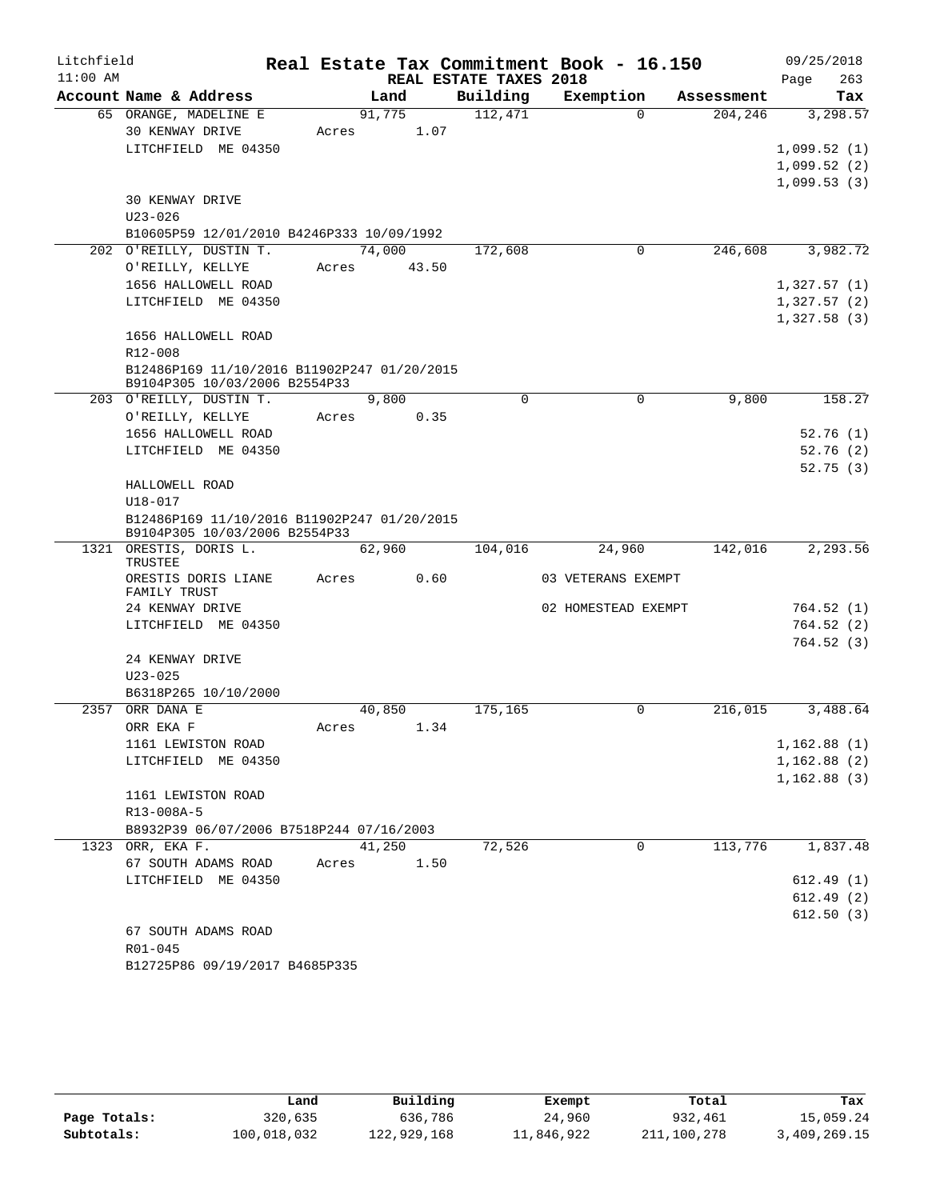| Litchfield |                                             |                |      |                        | Real Estate Tax Commitment Book - 16.150 |            | 09/25/2018                 |          |
|------------|---------------------------------------------|----------------|------|------------------------|------------------------------------------|------------|----------------------------|----------|
| $11:00$ AM |                                             |                |      | REAL ESTATE TAXES 2018 |                                          |            | Page                       | 263      |
|            | Account Name & Address                      | Land           |      | Building               | Exemption                                | Assessment |                            | Tax      |
|            | 65 ORANGE, MADELINE E                       | 91,775         |      | 112,471                | $\Omega$                                 | 204,246    |                            | 3,298.57 |
|            | 30 KENWAY DRIVE                             | Acres          | 1.07 |                        |                                          |            |                            |          |
|            | LITCHFIELD ME 04350                         |                |      |                        |                                          |            | 1,099.52(1)                |          |
|            |                                             |                |      |                        |                                          |            | 1,099.52(2)<br>1,099.53(3) |          |
|            | 30 KENWAY DRIVE                             |                |      |                        |                                          |            |                            |          |
|            | $U23 - 026$                                 |                |      |                        |                                          |            |                            |          |
|            | B10605P59 12/01/2010 B4246P333 10/09/1992   |                |      |                        |                                          |            |                            |          |
|            | 202 O'REILLY, DUSTIN T.                     | 74,000         |      | 172,608                | 0                                        | 246,608    |                            | 3,982.72 |
|            | O'REILLY, KELLYE                            | 43.50<br>Acres |      |                        |                                          |            |                            |          |
|            | 1656 HALLOWELL ROAD                         |                |      |                        |                                          |            | 1,327.57(1)                |          |
|            | LITCHFIELD ME 04350                         |                |      |                        |                                          |            | 1,327.57(2)                |          |
|            |                                             |                |      |                        |                                          |            | 1,327.58(3)                |          |
|            | 1656 HALLOWELL ROAD                         |                |      |                        |                                          |            |                            |          |
|            | R12-008                                     |                |      |                        |                                          |            |                            |          |
|            | B12486P169 11/10/2016 B11902P247 01/20/2015 |                |      |                        |                                          |            |                            |          |
|            | B9104P305 10/03/2006 B2554P33               |                |      |                        |                                          |            |                            |          |
|            | 203 O'REILLY, DUSTIN T.                     | 9,800          |      | $\mathbf 0$            | 0                                        | 9,800      |                            | 158.27   |
|            | O'REILLY, KELLYE                            | Acres          | 0.35 |                        |                                          |            |                            |          |
|            | 1656 HALLOWELL ROAD                         |                |      |                        |                                          |            | 52.76(1)                   |          |
|            | LITCHFIELD ME 04350                         |                |      |                        |                                          |            | 52.76(2)<br>52.75(3)       |          |
|            | HALLOWELL ROAD                              |                |      |                        |                                          |            |                            |          |
|            | $U18 - 017$                                 |                |      |                        |                                          |            |                            |          |
|            | B12486P169 11/10/2016 B11902P247 01/20/2015 |                |      |                        |                                          |            |                            |          |
|            | B9104P305 10/03/2006 B2554P33               |                |      |                        |                                          |            |                            |          |
|            | 1321 ORESTIS, DORIS L.                      | 62,960         |      | 104,016                | 24,960                                   | 142,016    |                            | 2,293.56 |
|            | TRUSTEE                                     |                | 0.60 |                        |                                          |            |                            |          |
|            | ORESTIS DORIS LIANE<br>FAMILY TRUST         | Acres          |      |                        | 03 VETERANS EXEMPT                       |            |                            |          |
|            | 24 KENWAY DRIVE                             |                |      |                        | 02 HOMESTEAD EXEMPT                      |            | 764.52(1)                  |          |
|            | LITCHFIELD ME 04350                         |                |      |                        |                                          |            | 764.52(2)                  |          |
|            |                                             |                |      |                        |                                          |            | 764.52(3)                  |          |
|            | 24 KENWAY DRIVE                             |                |      |                        |                                          |            |                            |          |
|            | $U23 - 025$                                 |                |      |                        |                                          |            |                            |          |
|            | B6318P265 10/10/2000                        |                |      |                        |                                          |            |                            |          |
| 2357       | ORR DANA E                                  | 40,850         |      | 175,165                | 0                                        | 216,015    |                            | 3,488.64 |
|            | ORR EKA F                                   | Acres          | 1.34 |                        |                                          |            |                            |          |
|            | 1161 LEWISTON ROAD                          |                |      |                        |                                          |            | 1,162.88(1)                |          |
|            | LITCHFIELD ME 04350                         |                |      |                        |                                          |            | 1,162.88(2)                |          |
|            |                                             |                |      |                        |                                          |            | 1,162.88(3)                |          |
|            | 1161 LEWISTON ROAD                          |                |      |                        |                                          |            |                            |          |
|            | R13-008A-5                                  |                |      |                        |                                          |            |                            |          |
|            | B8932P39 06/07/2006 B7518P244 07/16/2003    |                |      |                        |                                          |            |                            |          |
|            | 1323 ORR, EKA F.                            | 41,250         |      | 72,526                 | 0                                        | 113,776    |                            | 1,837.48 |
|            | 67 SOUTH ADAMS ROAD                         | Acres          | 1.50 |                        |                                          |            |                            |          |
|            | LITCHFIELD ME 04350                         |                |      |                        |                                          |            | 612.49(1)                  |          |
|            |                                             |                |      |                        |                                          |            | 612.49(2)<br>612.50(3)     |          |
|            | 67 SOUTH ADAMS ROAD                         |                |      |                        |                                          |            |                            |          |
|            | R01-045                                     |                |      |                        |                                          |            |                            |          |
|            | B12725P86 09/19/2017 B4685P335              |                |      |                        |                                          |            |                            |          |

|              | Land        | Building    | Exempt     | Total       | Tax          |
|--------------|-------------|-------------|------------|-------------|--------------|
| Page Totals: | 320,635     | 636,786     | 24,960     | 932,461     | 15,059.24    |
| Subtotals:   | 100,018,032 | 122,929,168 | 11,846,922 | 211,100,278 | 3,409,269.15 |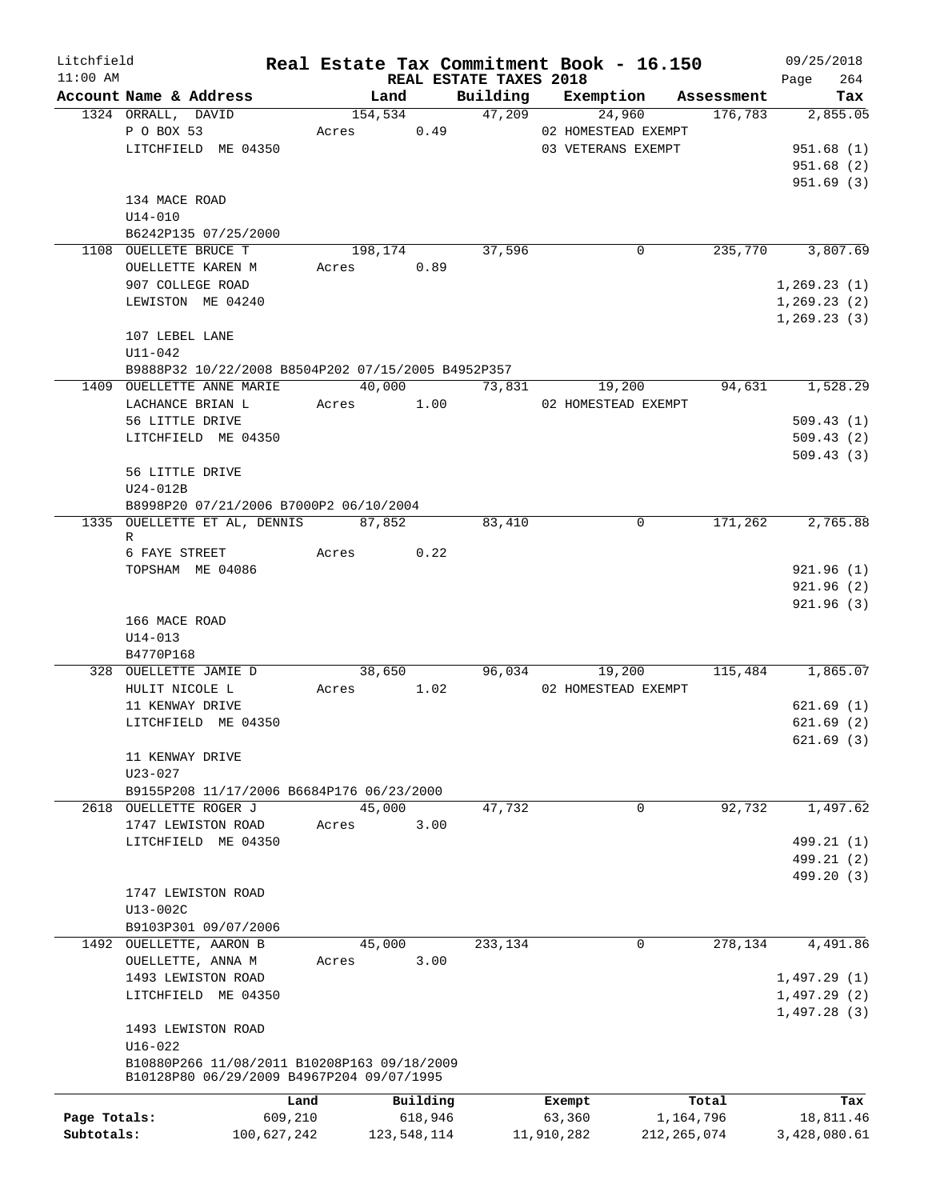| Litchfield   |                                                    |         |               |                        | Real Estate Tax Commitment Book - 16.150 |               | 09/25/2018       |
|--------------|----------------------------------------------------|---------|---------------|------------------------|------------------------------------------|---------------|------------------|
| $11:00$ AM   |                                                    |         |               | REAL ESTATE TAXES 2018 |                                          |               | 264<br>Page      |
|              | Account Name & Address                             |         | Land          | Building               | Exemption                                | Assessment    | Tax              |
|              | 1324 ORRALL, DAVID                                 |         | 154,534       |                        | 47,209<br>24,960                         | 176,783       | 2,855.05         |
|              | P O BOX 53                                         |         | Acres 0.49    |                        | 02 HOMESTEAD EXEMPT                      |               |                  |
|              | LITCHFIELD ME 04350                                |         |               |                        | 03 VETERANS EXEMPT                       |               | 951.68(1)        |
|              |                                                    |         |               |                        |                                          |               | 951.68(2)        |
|              |                                                    |         |               |                        |                                          |               | 951.69(3)        |
|              | 134 MACE ROAD                                      |         |               |                        |                                          |               |                  |
|              | $U14 - 010$                                        |         |               |                        |                                          |               |                  |
|              | B6242P135 07/25/2000                               |         |               |                        |                                          |               |                  |
|              | 1108 OUELLETE BRUCE T                              |         | 198,174       | 37,596                 | 0                                        | 235,770       | 3,807.69         |
|              | OUELLETTE KAREN M                                  | Acres   | 0.89          |                        |                                          |               |                  |
|              | 907 COLLEGE ROAD                                   |         |               |                        |                                          |               | 1, 269.23(1)     |
|              | LEWISTON ME 04240                                  |         |               |                        |                                          |               | 1,269.23(2)      |
|              |                                                    |         |               |                        |                                          |               | 1, 269.23(3)     |
|              | 107 LEBEL LANE                                     |         |               |                        |                                          |               |                  |
|              | U11-042                                            |         |               |                        |                                          |               |                  |
|              | B9888P32 10/22/2008 B8504P202 07/15/2005 B4952P357 |         |               |                        |                                          |               |                  |
|              | 1409 OUELLETTE ANNE MARIE                          |         |               | 40,000 73,831          | 19,200                                   | 94,631        | 1,528.29         |
|              | LACHANCE BRIAN L                                   |         | Acres 1.00    |                        | 02 HOMESTEAD EXEMPT                      |               |                  |
|              | 56 LITTLE DRIVE                                    |         |               |                        |                                          |               | 509.43(1)        |
|              | LITCHFIELD ME 04350                                |         |               |                        |                                          |               | 509.43(2)        |
|              |                                                    |         |               |                        |                                          |               | 509.43(3)        |
|              | 56 LITTLE DRIVE                                    |         |               |                        |                                          |               |                  |
|              | U24-012B                                           |         |               |                        |                                          |               |                  |
|              | B8998P20 07/21/2006 B7000P2 06/10/2004             |         |               |                        |                                          |               |                  |
|              | 1335 OUELLETTE ET AL, DENNIS 87,852                |         |               | 83,410                 | 0                                        | 171,262       | 2,765.88         |
|              | R                                                  |         |               |                        |                                          |               |                  |
|              | 6 FAYE STREET                                      |         | 0.22<br>Acres |                        |                                          |               |                  |
|              | TOPSHAM ME 04086                                   |         |               |                        |                                          |               | 921.96(1)        |
|              |                                                    |         |               |                        |                                          |               | 921.96(2)        |
|              |                                                    |         |               |                        |                                          |               | 921.96(3)        |
|              | 166 MACE ROAD                                      |         |               |                        |                                          |               |                  |
|              | $U14 - 013$                                        |         |               |                        |                                          |               |                  |
|              | B4770P168                                          |         |               |                        |                                          |               |                  |
|              | 328 OUELLETTE JAMIE D                              |         | 38,650        |                        | 96,034<br>19,200                         |               | 115,484 1,865.07 |
|              | HULIT NICOLE L                                     |         | Acres 1.02    |                        | 02 HOMESTEAD EXEMPT                      |               |                  |
|              | 11 KENWAY DRIVE                                    |         |               |                        |                                          |               | 621.69(1)        |
|              | LITCHFIELD ME 04350                                |         |               |                        |                                          |               | 621.69(2)        |
|              |                                                    |         |               |                        |                                          |               | 621.69(3)        |
|              | 11 KENWAY DRIVE                                    |         |               |                        |                                          |               |                  |
|              |                                                    |         |               |                        |                                          |               |                  |
|              | U23-027                                            |         |               |                        |                                          |               |                  |
|              | B9155P208 11/17/2006 B6684P176 06/23/2000          |         |               |                        |                                          |               |                  |
|              | 2618 OUELLETTE ROGER J                             |         | 45,000        | 47,732                 | 0                                        | 92,732        | 1,497.62         |
|              | 1747 LEWISTON ROAD                                 | Acres   | 3.00          |                        |                                          |               |                  |
|              | LITCHFIELD ME 04350                                |         |               |                        |                                          |               | 499.21 (1)       |
|              |                                                    |         |               |                        |                                          |               | 499.21 (2)       |
|              |                                                    |         |               |                        |                                          |               | 499.20 (3)       |
|              | 1747 LEWISTON ROAD                                 |         |               |                        |                                          |               |                  |
|              | U13-002C                                           |         |               |                        |                                          |               |                  |
|              | B9103P301 09/07/2006                               |         |               |                        |                                          |               |                  |
|              | 1492 OUELLETTE, AARON B                            |         | 45,000        | 233,134                | $\Omega$                                 | 278,134       | 4,491.86         |
|              | OUELLETTE, ANNA M                                  | Acres   | 3.00          |                        |                                          |               |                  |
|              | 1493 LEWISTON ROAD                                 |         |               |                        |                                          |               | 1,497.29(1)      |
|              | LITCHFIELD ME 04350                                |         |               |                        |                                          |               | 1,497.29(2)      |
|              |                                                    |         |               |                        |                                          |               | 1,497.28(3)      |
|              | 1493 LEWISTON ROAD                                 |         |               |                        |                                          |               |                  |
|              | $U16 - 022$                                        |         |               |                        |                                          |               |                  |
|              | B10880P266 11/08/2011 B10208P163 09/18/2009        |         |               |                        |                                          |               |                  |
|              | B10128P80 06/29/2009 B4967P204 09/07/1995          |         |               |                        |                                          |               |                  |
|              |                                                    | Land    | Building      |                        | Exempt                                   | Total         | Tax              |
| Page Totals: |                                                    | 609,210 | 618,946       |                        | 63,360                                   | 1,164,796     | 18,811.46        |
| Subtotals:   | 100,627,242                                        |         | 123,548,114   |                        | 11,910,282                               | 212, 265, 074 | 3,428,080.61     |
|              |                                                    |         |               |                        |                                          |               |                  |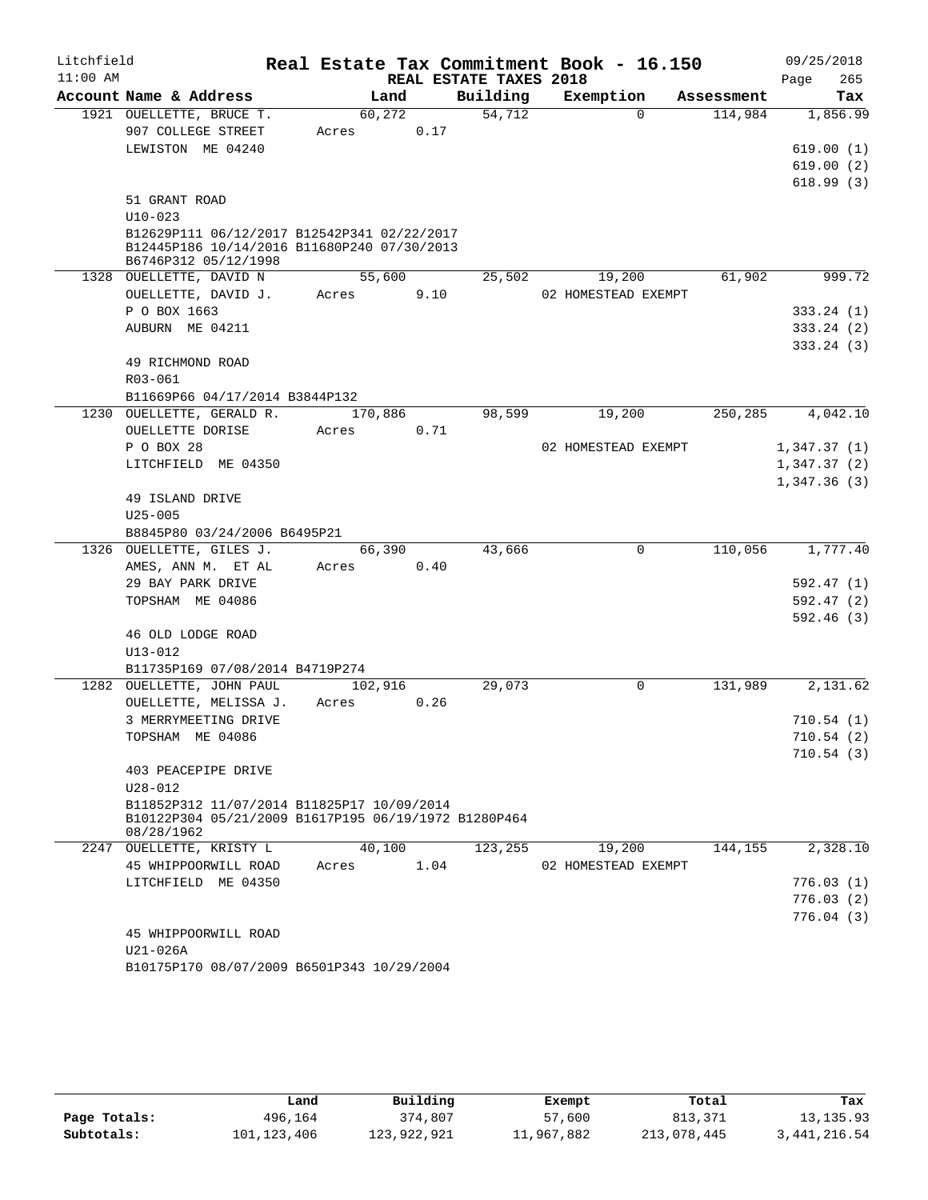| Litchfield |                                                            |         |        |      |                        | Real Estate Tax Commitment Book - 16.150 |            |      | 09/25/2018                 |
|------------|------------------------------------------------------------|---------|--------|------|------------------------|------------------------------------------|------------|------|----------------------------|
| $11:00$ AM |                                                            |         |        |      | REAL ESTATE TAXES 2018 |                                          |            | Page | 265                        |
|            | Account Name & Address                                     |         | Land   |      | Building               | Exemption                                | Assessment |      | Tax                        |
|            | 1921 OUELLETTE, BRUCE T.                                   |         | 60,272 |      | 54,712                 | $\Omega$                                 | 114,984    |      | 1,856.99                   |
|            | 907 COLLEGE STREET                                         | Acres   |        | 0.17 |                        |                                          |            |      |                            |
|            | LEWISTON ME 04240                                          |         |        |      |                        |                                          |            |      | 619.00(1)                  |
|            |                                                            |         |        |      |                        |                                          |            |      | 619.00(2)                  |
|            |                                                            |         |        |      |                        |                                          |            |      | 618.99(3)                  |
|            | 51 GRANT ROAD                                              |         |        |      |                        |                                          |            |      |                            |
|            | $U10 - 023$<br>B12629P111 06/12/2017 B12542P341 02/22/2017 |         |        |      |                        |                                          |            |      |                            |
|            | B12445P186 10/14/2016 B11680P240 07/30/2013                |         |        |      |                        |                                          |            |      |                            |
|            | B6746P312 05/12/1998                                       |         |        |      |                        |                                          |            |      |                            |
|            | 1328 OUELLETTE, DAVID N                                    |         | 55,600 |      | 25,502                 | 19,200                                   | 61,902     |      | 999.72                     |
|            | OUELLETTE, DAVID J.                                        | Acres   |        | 9.10 |                        | 02 HOMESTEAD EXEMPT                      |            |      |                            |
|            | P O BOX 1663                                               |         |        |      |                        |                                          |            |      | 333.24(1)                  |
|            | AUBURN ME 04211                                            |         |        |      |                        |                                          |            |      | 333.24(2)                  |
|            |                                                            |         |        |      |                        |                                          |            |      | 333.24(3)                  |
|            | 49 RICHMOND ROAD                                           |         |        |      |                        |                                          |            |      |                            |
|            | R03-061                                                    |         |        |      |                        |                                          |            |      |                            |
|            | B11669P66 04/17/2014 B3844P132                             |         |        |      |                        |                                          |            |      |                            |
|            | 1230 OUELLETTE, GERALD R.                                  | 170,886 |        |      | 98,599                 | 19,200                                   | 250, 285   |      | 4,042.10                   |
|            | OUELLETTE DORISE                                           | Acres   |        | 0.71 |                        |                                          |            |      |                            |
|            | P O BOX 28<br>LITCHFIELD ME 04350                          |         |        |      |                        | 02 HOMESTEAD EXEMPT                      |            |      | 1,347.37(1)                |
|            |                                                            |         |        |      |                        |                                          |            |      | 1,347.37(2)<br>1,347.36(3) |
|            | 49 ISLAND DRIVE                                            |         |        |      |                        |                                          |            |      |                            |
|            | $U25 - 005$                                                |         |        |      |                        |                                          |            |      |                            |
|            | B8845P80 03/24/2006 B6495P21                               |         |        |      |                        |                                          |            |      |                            |
|            | 1326 OUELLETTE, GILES J.                                   |         | 66,390 |      | 43,666                 | $\Omega$                                 | 110,056    |      | 1,777.40                   |
|            | AMES, ANN M. ET AL                                         | Acres   |        | 0.40 |                        |                                          |            |      |                            |
|            | 29 BAY PARK DRIVE                                          |         |        |      |                        |                                          |            |      | 592.47 (1)                 |
|            | TOPSHAM ME 04086                                           |         |        |      |                        |                                          |            |      | 592.47(2)                  |
|            |                                                            |         |        |      |                        |                                          |            |      | 592.46(3)                  |
|            | 46 OLD LODGE ROAD                                          |         |        |      |                        |                                          |            |      |                            |
|            | $U13 - 012$                                                |         |        |      |                        |                                          |            |      |                            |
|            | B11735P169 07/08/2014 B4719P274                            |         |        |      |                        |                                          |            |      |                            |
|            | 1282 OUELLETTE, JOHN PAUL                                  | 102,916 |        |      | 29,073                 | $\mathbf 0$                              | 131,989    |      | 2,131.62                   |
|            | OUELLETTE, MELISSA J.                                      | Acres   |        | 0.26 |                        |                                          |            |      |                            |
|            | 3 MERRYMEETING DRIVE                                       |         |        |      |                        |                                          |            |      | 710.54(1)                  |
|            | TOPSHAM ME 04086                                           |         |        |      |                        |                                          |            |      | 710.54 (2)<br>710.54(3)    |
|            | 403 PEACEPIPE DRIVE                                        |         |        |      |                        |                                          |            |      |                            |
|            | $U28 - 012$                                                |         |        |      |                        |                                          |            |      |                            |
|            | B11852P312 11/07/2014 B11825P17 10/09/2014                 |         |        |      |                        |                                          |            |      |                            |
|            | B10122P304 05/21/2009 B1617P195 06/19/1972 B1280P464       |         |        |      |                        |                                          |            |      |                            |
|            | 08/28/1962                                                 |         |        |      |                        |                                          |            |      |                            |
|            | 2247 OUELLETTE, KRISTY L                                   |         | 40,100 |      | 123,255                | 19,200                                   | 144,155    |      | 2,328.10                   |
|            | 45 WHIPPOORWILL ROAD                                       | Acres   |        | 1.04 |                        | 02 HOMESTEAD EXEMPT                      |            |      |                            |
|            | LITCHFIELD ME 04350                                        |         |        |      |                        |                                          |            |      | 776.03(1)                  |
|            |                                                            |         |        |      |                        |                                          |            |      | 776.03(2)                  |
|            | 45 WHIPPOORWILL ROAD                                       |         |        |      |                        |                                          |            |      | 776.04(3)                  |
|            | U21-026A                                                   |         |        |      |                        |                                          |            |      |                            |
|            | B10175P170 08/07/2009 B6501P343 10/29/2004                 |         |        |      |                        |                                          |            |      |                            |
|            |                                                            |         |        |      |                        |                                          |            |      |                            |

|              | Land        | Building    | Exempt     | Total       | Tax            |
|--------------|-------------|-------------|------------|-------------|----------------|
| Page Totals: | 496,164     | 374,807     | 57,600     | 813,371     | 13, 135.93     |
| Subtotals:   | 101,123,406 | 123,922,921 | 11,967,882 | 213,078,445 | 3, 441, 216.54 |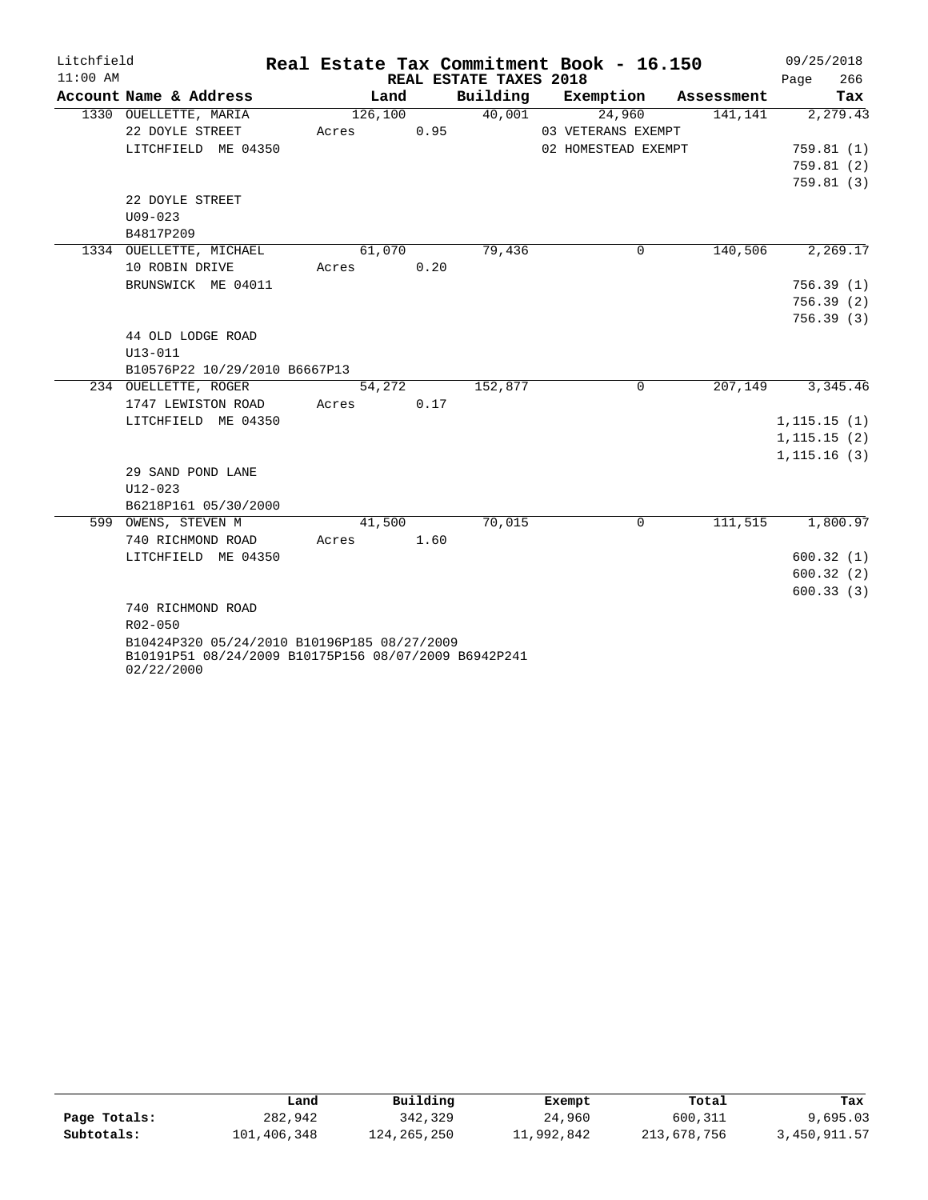| Litchfield |                                                      |         |      |                        | Real Estate Tax Commitment Book - 16.150 |            | 09/25/2018   |
|------------|------------------------------------------------------|---------|------|------------------------|------------------------------------------|------------|--------------|
| $11:00$ AM |                                                      |         |      | REAL ESTATE TAXES 2018 |                                          |            | 266<br>Page  |
|            | Account Name & Address                               | Land    |      | Building               | Exemption                                | Assessment | Tax          |
|            | 1330 OUELLETTE, MARIA                                | 126,100 |      | 40,001                 | 24,960                                   | 141,141    | 2,279.43     |
|            | 22 DOYLE STREET                                      | Acres   | 0.95 |                        | 03 VETERANS EXEMPT                       |            |              |
|            | LITCHFIELD ME 04350                                  |         |      |                        | 02 HOMESTEAD EXEMPT                      |            | 759.81(1)    |
|            |                                                      |         |      |                        |                                          |            | 759.81(2)    |
|            |                                                      |         |      |                        |                                          |            | 759.81(3)    |
|            | 22 DOYLE STREET                                      |         |      |                        |                                          |            |              |
|            | $U09 - 023$                                          |         |      |                        |                                          |            |              |
|            | B4817P209                                            |         |      |                        |                                          |            |              |
|            | 1334 OUELLETTE, MICHAEL                              | 61,070  |      | 79,436                 | $\Omega$                                 | 140,506    | 2,269.17     |
|            | 10 ROBIN DRIVE                                       | Acres   | 0.20 |                        |                                          |            |              |
|            | BRUNSWICK ME 04011                                   |         |      |                        |                                          |            | 756.39(1)    |
|            |                                                      |         |      |                        |                                          |            | 756.39(2)    |
|            |                                                      |         |      |                        |                                          |            | 756.39(3)    |
|            | 44 OLD LODGE ROAD                                    |         |      |                        |                                          |            |              |
|            | $U13 - 011$                                          |         |      |                        |                                          |            |              |
|            | B10576P22 10/29/2010 B6667P13                        |         |      |                        |                                          |            |              |
|            | 234 OUELLETTE, ROGER                                 | 54,272  |      | 152,877                | $\Omega$                                 | 207,149    | 3,345.46     |
|            | 1747 LEWISTON ROAD                                   | Acres   | 0.17 |                        |                                          |            |              |
|            | LITCHFIELD ME 04350                                  |         |      |                        |                                          |            | 1, 115.15(1) |
|            |                                                      |         |      |                        |                                          |            | 1, 115.15(2) |
|            |                                                      |         |      |                        |                                          |            | 1, 115.16(3) |
|            | 29 SAND POND LANE                                    |         |      |                        |                                          |            |              |
|            | $U12 - 023$                                          |         |      |                        |                                          |            |              |
|            | B6218P161 05/30/2000                                 |         |      |                        |                                          |            |              |
|            | 599 OWENS, STEVEN M                                  | 41,500  |      | 70,015                 | $\mathbf 0$                              | 111,515    | 1,800.97     |
|            | 740 RICHMOND ROAD                                    | Acres   | 1.60 |                        |                                          |            |              |
|            | LITCHFIELD ME 04350                                  |         |      |                        |                                          |            | 600.32(1)    |
|            |                                                      |         |      |                        |                                          |            | 600.32(2)    |
|            |                                                      |         |      |                        |                                          |            | 600.33(3)    |
|            | 740 RICHMOND ROAD                                    |         |      |                        |                                          |            |              |
|            | $R02 - 050$                                          |         |      |                        |                                          |            |              |
|            | B10424P320 05/24/2010 B10196P185 08/27/2009          |         |      |                        |                                          |            |              |
|            | B10191P51 08/24/2009 B10175P156 08/07/2009 B6942P241 |         |      |                        |                                          |            |              |
|            | 02/22/2000                                           |         |      |                        |                                          |            |              |

|              | Land        | Building    | Exempt     | Total       | Tax          |
|--------------|-------------|-------------|------------|-------------|--------------|
| Page Totals: | 282,942     | 342,329     | 24,960     | 600,311     | 9,695.03     |
| Subtotals:   | 101,406,348 | 124,265,250 | 11,992,842 | 213,678,756 | 3,450,911.57 |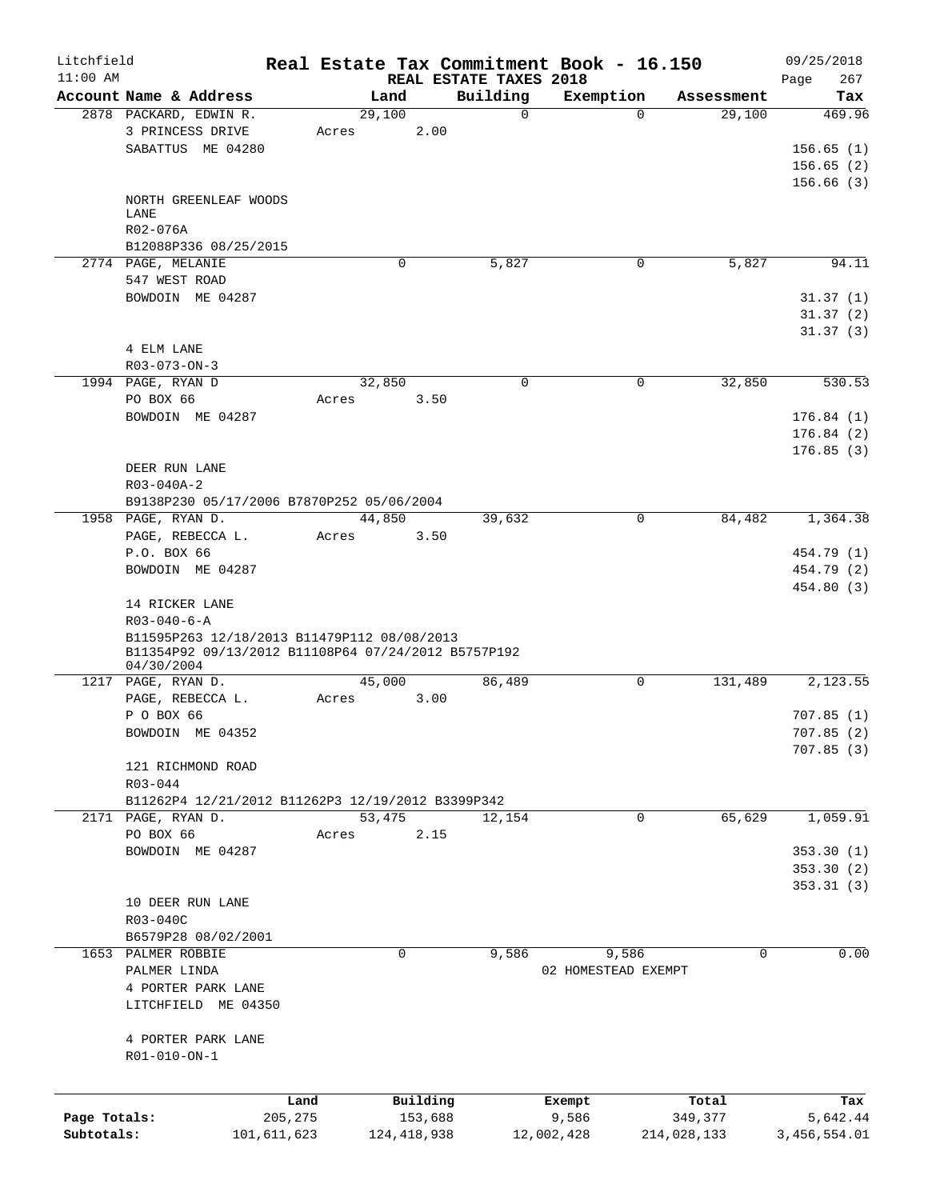| Litchfield   |                        |                                                     |          |               |                        | Real Estate Tax Commitment Book - 16.150 |             | 09/25/2018   |
|--------------|------------------------|-----------------------------------------------------|----------|---------------|------------------------|------------------------------------------|-------------|--------------|
| $11:00$ AM   |                        |                                                     |          |               | REAL ESTATE TAXES 2018 |                                          |             | 267<br>Page  |
|              | Account Name & Address |                                                     | Land     |               | Building               | Exemption                                | Assessment  | Tax          |
|              | 2878 PACKARD, EDWIN R. |                                                     | 29,100   |               | $\Omega$               | $\Omega$                                 | 29,100      | 469.96       |
|              | 3 PRINCESS DRIVE       | Acres                                               |          | 2.00          |                        |                                          |             |              |
|              | SABATTUS ME 04280      |                                                     |          |               |                        |                                          |             | 156.65(1)    |
|              |                        |                                                     |          |               |                        |                                          |             | 156.65(2)    |
|              |                        |                                                     |          |               |                        |                                          |             | 156.66(3)    |
|              | NORTH GREENLEAF WOODS  |                                                     |          |               |                        |                                          |             |              |
|              | LANE<br>R02-076A       |                                                     |          |               |                        |                                          |             |              |
|              |                        |                                                     |          |               |                        |                                          |             |              |
|              | B12088P336 08/25/2015  |                                                     |          |               |                        |                                          |             |              |
|              | 2774 PAGE, MELANIE     |                                                     | $\Omega$ |               | 5,827                  | 0                                        | 5,827       | 94.11        |
|              | 547 WEST ROAD          |                                                     |          |               |                        |                                          |             |              |
|              | BOWDOIN ME 04287       |                                                     |          |               |                        |                                          |             | 31.37(1)     |
|              |                        |                                                     |          |               |                        |                                          |             | 31.37(2)     |
|              |                        |                                                     |          |               |                        |                                          |             | 31.37(3)     |
|              | 4 ELM LANE             |                                                     |          |               |                        |                                          |             |              |
|              | $R03 - 073 - ON - 3$   |                                                     |          |               |                        |                                          |             |              |
|              | 1994 PAGE, RYAN D      |                                                     | 32,850   |               | $\mathbf 0$            | 0                                        | 32,850      | 530.53       |
|              | PO BOX 66              | Acres                                               |          | 3.50          |                        |                                          |             |              |
|              | BOWDOIN ME 04287       |                                                     |          |               |                        |                                          |             | 176.84(1)    |
|              |                        |                                                     |          |               |                        |                                          |             | 176.84(2)    |
|              |                        |                                                     |          |               |                        |                                          |             | 176.85(3)    |
|              | DEER RUN LANE          |                                                     |          |               |                        |                                          |             |              |
|              | $R03 - 040A - 2$       |                                                     |          |               |                        |                                          |             |              |
|              |                        | B9138P230 05/17/2006 B7870P252 05/06/2004           |          |               |                        |                                          |             |              |
|              | 1958 PAGE, RYAN D.     |                                                     | 44,850   |               | 39,632                 | $\mathbf 0$                              | 84,482      | 1,364.38     |
|              | PAGE, REBECCA L.       | Acres                                               |          | 3.50          |                        |                                          |             |              |
|              | P.O. BOX 66            |                                                     |          |               |                        |                                          |             | 454.79 (1)   |
|              | BOWDOIN ME 04287       |                                                     |          |               |                        |                                          |             | 454.79 (2)   |
|              |                        |                                                     |          |               |                        |                                          |             | 454.80 (3)   |
|              | 14 RICKER LANE         |                                                     |          |               |                        |                                          |             |              |
|              | $R03 - 040 - 6 - A$    |                                                     |          |               |                        |                                          |             |              |
|              |                        | B11595P263 12/18/2013 B11479P112 08/08/2013         |          |               |                        |                                          |             |              |
|              |                        | B11354P92 09/13/2012 B11108P64 07/24/2012 B5757P192 |          |               |                        |                                          |             |              |
|              | 04/30/2004             |                                                     |          |               |                        |                                          |             |              |
|              | 1217 PAGE, RYAN D.     |                                                     | 45,000   |               | 86,489                 | 0                                        | 131,489     | 2,123.55     |
|              | PAGE, REBECCA L.       | Acres                                               |          | 3.00          |                        |                                          |             |              |
|              | P O BOX 66             |                                                     |          |               |                        |                                          |             | 707.85(1)    |
|              | BOWDOIN ME 04352       |                                                     |          |               |                        |                                          |             | 707.85(2)    |
|              |                        |                                                     |          |               |                        |                                          |             | 707.85(3)    |
|              | 121 RICHMOND ROAD      |                                                     |          |               |                        |                                          |             |              |
|              | R03-044                |                                                     |          |               |                        |                                          |             |              |
|              |                        | B11262P4 12/21/2012 B11262P3 12/19/2012 B3399P342   |          |               |                        |                                          |             |              |
|              | 2171 PAGE, RYAN D.     |                                                     | 53,475   |               | 12,154                 | $\mathbf 0$                              | 65,629      | 1,059.91     |
|              | PO BOX 66              | Acres                                               |          | 2.15          |                        |                                          |             |              |
|              | BOWDOIN ME 04287       |                                                     |          |               |                        |                                          |             | 353.30(1)    |
|              |                        |                                                     |          |               |                        |                                          |             | 353.30(2)    |
|              |                        |                                                     |          |               |                        |                                          |             | 353.31(3)    |
|              | 10 DEER RUN LANE       |                                                     |          |               |                        |                                          |             |              |
|              | R03-040C               |                                                     |          |               |                        |                                          |             |              |
|              | B6579P28 08/02/2001    |                                                     |          |               |                        |                                          |             |              |
|              | 1653 PALMER ROBBIE     |                                                     | 0        |               | 9,586                  | 9,586                                    | 0           | 0.00         |
|              | PALMER LINDA           |                                                     |          |               |                        | 02 HOMESTEAD EXEMPT                      |             |              |
|              | 4 PORTER PARK LANE     |                                                     |          |               |                        |                                          |             |              |
|              | LITCHFIELD ME 04350    |                                                     |          |               |                        |                                          |             |              |
|              |                        |                                                     |          |               |                        |                                          |             |              |
|              | 4 PORTER PARK LANE     |                                                     |          |               |                        |                                          |             |              |
|              |                        |                                                     |          |               |                        |                                          |             |              |
|              | R01-010-ON-1           |                                                     |          |               |                        |                                          |             |              |
|              |                        |                                                     |          |               |                        |                                          |             |              |
|              |                        | Land                                                |          | Building      |                        | Exempt                                   | Total       | Tax          |
| Page Totals: |                        | 205,275                                             |          | 153,688       |                        | 9,586                                    | 349,377     | 5,642.44     |
| Subtotals:   |                        | 101,611,623                                         |          | 124, 418, 938 |                        | 12,002,428                               | 214,028,133 | 3,456,554.01 |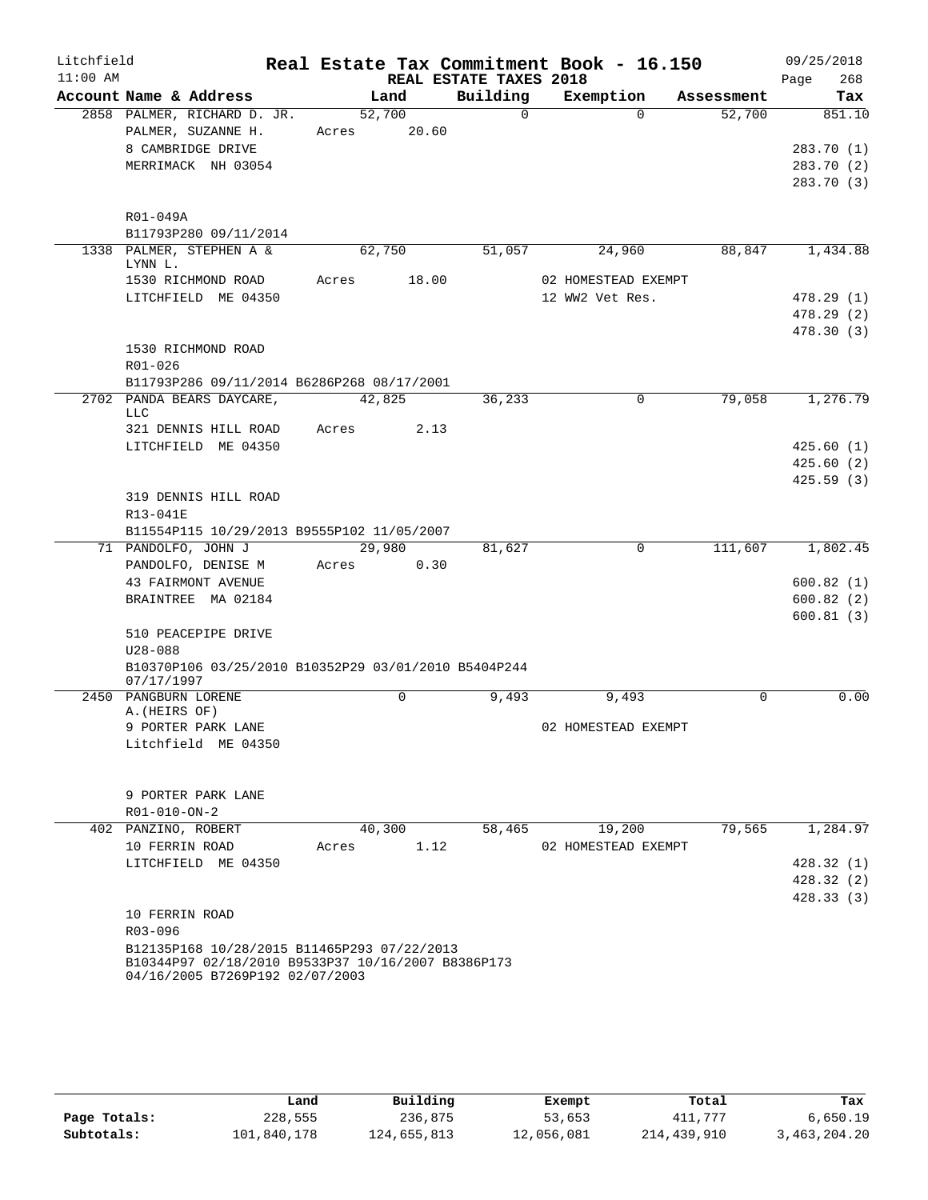| Account Name & Address<br>Building<br>Exemption<br>Land<br>2858 PALMER, RICHARD D. JR.<br>52,700<br>$\Omega$<br>$\Omega$<br>PALMER, SUZANNE H.<br>20.60<br>Acres<br>8 CAMBRIDGE DRIVE<br>MERRIMACK NH 03054<br>R01-049A<br>B11793P280 09/11/2014<br>1338 PALMER, STEPHEN A &<br>51,057<br>62,750<br>24,960<br>LYNN L.<br>18.00<br>02 HOMESTEAD EXEMPT<br>1530 RICHMOND ROAD<br>Acres<br>LITCHFIELD ME 04350<br>12 WW2 Vet Res.<br>1530 RICHMOND ROAD<br>R01-026<br>B11793P286 09/11/2014 B6286P268 08/17/2001<br>2702 PANDA BEARS DAYCARE,<br>36,233<br>$\mathbf 0$<br>42,825<br><b>LLC</b><br>321 DENNIS HILL ROAD<br>2.13<br>Acres<br>LITCHFIELD ME 04350<br>319 DENNIS HILL ROAD<br>R13-041E<br>B11554P115 10/29/2013 B9555P102 11/05/2007<br>71 PANDOLFO, JOHN J<br>29,980<br>$\mathbf 0$<br>111,607<br>81,627<br>PANDOLFO, DENISE M<br>0.30<br>Acres<br>43 FAIRMONT AVENUE<br>BRAINTREE MA 02184<br>510 PEACEPIPE DRIVE<br>$U28 - 088$<br>B10370P106 03/25/2010 B10352P29 03/01/2010 B5404P244<br>07/17/1997<br>2450 PANGBURN LORENE<br>0<br>9,493<br>9,493<br>A. (HEIRS OF)<br>9 PORTER PARK LANE<br>02 HOMESTEAD EXEMPT<br>Litchfield ME 04350<br>9 PORTER PARK LANE | Litchfield<br>$11:00$ AM |  | REAL ESTATE TAXES 2018 | Real Estate Tax Commitment Book - 16.150 |            | 09/25/2018<br>268<br>Page                        |
|-----------------------------------------------------------------------------------------------------------------------------------------------------------------------------------------------------------------------------------------------------------------------------------------------------------------------------------------------------------------------------------------------------------------------------------------------------------------------------------------------------------------------------------------------------------------------------------------------------------------------------------------------------------------------------------------------------------------------------------------------------------------------------------------------------------------------------------------------------------------------------------------------------------------------------------------------------------------------------------------------------------------------------------------------------------------------------------------------------------------------------------------------------------------------------|--------------------------|--|------------------------|------------------------------------------|------------|--------------------------------------------------|
|                                                                                                                                                                                                                                                                                                                                                                                                                                                                                                                                                                                                                                                                                                                                                                                                                                                                                                                                                                                                                                                                                                                                                                             |                          |  |                        |                                          | Assessment | Tax                                              |
|                                                                                                                                                                                                                                                                                                                                                                                                                                                                                                                                                                                                                                                                                                                                                                                                                                                                                                                                                                                                                                                                                                                                                                             |                          |  |                        |                                          | 52,700     | 851.10<br>283.70 (1)<br>283.70 (2)<br>283.70 (3) |
|                                                                                                                                                                                                                                                                                                                                                                                                                                                                                                                                                                                                                                                                                                                                                                                                                                                                                                                                                                                                                                                                                                                                                                             |                          |  |                        |                                          |            |                                                  |
|                                                                                                                                                                                                                                                                                                                                                                                                                                                                                                                                                                                                                                                                                                                                                                                                                                                                                                                                                                                                                                                                                                                                                                             |                          |  |                        |                                          | 88,847     | 1,434.88                                         |
|                                                                                                                                                                                                                                                                                                                                                                                                                                                                                                                                                                                                                                                                                                                                                                                                                                                                                                                                                                                                                                                                                                                                                                             |                          |  |                        |                                          |            |                                                  |
|                                                                                                                                                                                                                                                                                                                                                                                                                                                                                                                                                                                                                                                                                                                                                                                                                                                                                                                                                                                                                                                                                                                                                                             |                          |  |                        |                                          |            | 478.29 (1)                                       |
|                                                                                                                                                                                                                                                                                                                                                                                                                                                                                                                                                                                                                                                                                                                                                                                                                                                                                                                                                                                                                                                                                                                                                                             |                          |  |                        |                                          |            | 478.29 (2)                                       |
|                                                                                                                                                                                                                                                                                                                                                                                                                                                                                                                                                                                                                                                                                                                                                                                                                                                                                                                                                                                                                                                                                                                                                                             |                          |  |                        |                                          |            | 478.30 (3)                                       |
|                                                                                                                                                                                                                                                                                                                                                                                                                                                                                                                                                                                                                                                                                                                                                                                                                                                                                                                                                                                                                                                                                                                                                                             |                          |  |                        |                                          |            |                                                  |
|                                                                                                                                                                                                                                                                                                                                                                                                                                                                                                                                                                                                                                                                                                                                                                                                                                                                                                                                                                                                                                                                                                                                                                             |                          |  |                        |                                          | 79,058     | 1,276.79                                         |
|                                                                                                                                                                                                                                                                                                                                                                                                                                                                                                                                                                                                                                                                                                                                                                                                                                                                                                                                                                                                                                                                                                                                                                             |                          |  |                        |                                          |            | 425.60(1)                                        |
|                                                                                                                                                                                                                                                                                                                                                                                                                                                                                                                                                                                                                                                                                                                                                                                                                                                                                                                                                                                                                                                                                                                                                                             |                          |  |                        |                                          |            | 425.60(2)<br>425.59(3)                           |
|                                                                                                                                                                                                                                                                                                                                                                                                                                                                                                                                                                                                                                                                                                                                                                                                                                                                                                                                                                                                                                                                                                                                                                             |                          |  |                        |                                          |            |                                                  |
|                                                                                                                                                                                                                                                                                                                                                                                                                                                                                                                                                                                                                                                                                                                                                                                                                                                                                                                                                                                                                                                                                                                                                                             |                          |  |                        |                                          |            | 1,802.45                                         |
|                                                                                                                                                                                                                                                                                                                                                                                                                                                                                                                                                                                                                                                                                                                                                                                                                                                                                                                                                                                                                                                                                                                                                                             |                          |  |                        |                                          |            |                                                  |
|                                                                                                                                                                                                                                                                                                                                                                                                                                                                                                                                                                                                                                                                                                                                                                                                                                                                                                                                                                                                                                                                                                                                                                             |                          |  |                        |                                          |            | 600.82(1)                                        |
|                                                                                                                                                                                                                                                                                                                                                                                                                                                                                                                                                                                                                                                                                                                                                                                                                                                                                                                                                                                                                                                                                                                                                                             |                          |  |                        |                                          |            | 600.82(2)                                        |
|                                                                                                                                                                                                                                                                                                                                                                                                                                                                                                                                                                                                                                                                                                                                                                                                                                                                                                                                                                                                                                                                                                                                                                             |                          |  |                        |                                          |            | 600.81(3)                                        |
|                                                                                                                                                                                                                                                                                                                                                                                                                                                                                                                                                                                                                                                                                                                                                                                                                                                                                                                                                                                                                                                                                                                                                                             |                          |  |                        |                                          |            |                                                  |
|                                                                                                                                                                                                                                                                                                                                                                                                                                                                                                                                                                                                                                                                                                                                                                                                                                                                                                                                                                                                                                                                                                                                                                             |                          |  |                        |                                          |            |                                                  |
|                                                                                                                                                                                                                                                                                                                                                                                                                                                                                                                                                                                                                                                                                                                                                                                                                                                                                                                                                                                                                                                                                                                                                                             |                          |  |                        |                                          | $\Omega$   | 0.00                                             |
|                                                                                                                                                                                                                                                                                                                                                                                                                                                                                                                                                                                                                                                                                                                                                                                                                                                                                                                                                                                                                                                                                                                                                                             |                          |  |                        |                                          |            |                                                  |
|                                                                                                                                                                                                                                                                                                                                                                                                                                                                                                                                                                                                                                                                                                                                                                                                                                                                                                                                                                                                                                                                                                                                                                             |                          |  |                        |                                          |            |                                                  |
| R01-010-ON-2                                                                                                                                                                                                                                                                                                                                                                                                                                                                                                                                                                                                                                                                                                                                                                                                                                                                                                                                                                                                                                                                                                                                                                |                          |  |                        |                                          |            |                                                  |
| 40,300<br>402 PANZINO, ROBERT<br>58,465<br>19,200                                                                                                                                                                                                                                                                                                                                                                                                                                                                                                                                                                                                                                                                                                                                                                                                                                                                                                                                                                                                                                                                                                                           |                          |  |                        |                                          | 79,565     | 1,284.97                                         |
| 1.12<br>10 FERRIN ROAD<br>02 HOMESTEAD EXEMPT<br>Acres                                                                                                                                                                                                                                                                                                                                                                                                                                                                                                                                                                                                                                                                                                                                                                                                                                                                                                                                                                                                                                                                                                                      |                          |  |                        |                                          |            |                                                  |
| LITCHFIELD ME 04350                                                                                                                                                                                                                                                                                                                                                                                                                                                                                                                                                                                                                                                                                                                                                                                                                                                                                                                                                                                                                                                                                                                                                         |                          |  |                        |                                          |            | 428.32(1)<br>428.32 (2)                          |
|                                                                                                                                                                                                                                                                                                                                                                                                                                                                                                                                                                                                                                                                                                                                                                                                                                                                                                                                                                                                                                                                                                                                                                             |                          |  |                        |                                          |            | 428.33(3)                                        |
| 10 FERRIN ROAD                                                                                                                                                                                                                                                                                                                                                                                                                                                                                                                                                                                                                                                                                                                                                                                                                                                                                                                                                                                                                                                                                                                                                              |                          |  |                        |                                          |            |                                                  |
| R03-096                                                                                                                                                                                                                                                                                                                                                                                                                                                                                                                                                                                                                                                                                                                                                                                                                                                                                                                                                                                                                                                                                                                                                                     |                          |  |                        |                                          |            |                                                  |
| B12135P168 10/28/2015 B11465P293 07/22/2013<br>B10344P97 02/18/2010 B9533P37 10/16/2007 B8386P173<br>04/16/2005 B7269P192 02/07/2003                                                                                                                                                                                                                                                                                                                                                                                                                                                                                                                                                                                                                                                                                                                                                                                                                                                                                                                                                                                                                                        |                          |  |                        |                                          |            |                                                  |

|              | Land        | Building    | Exempt     | Total       | Tax          |
|--------------|-------------|-------------|------------|-------------|--------------|
| Page Totals: | 228,555     | 236,875     | 53,653     | 411,777     | 6.650.19     |
| Subtotals:   | 101,840,178 | 124,655,813 | 12,056,081 | 214,439,910 | 3,463,204.20 |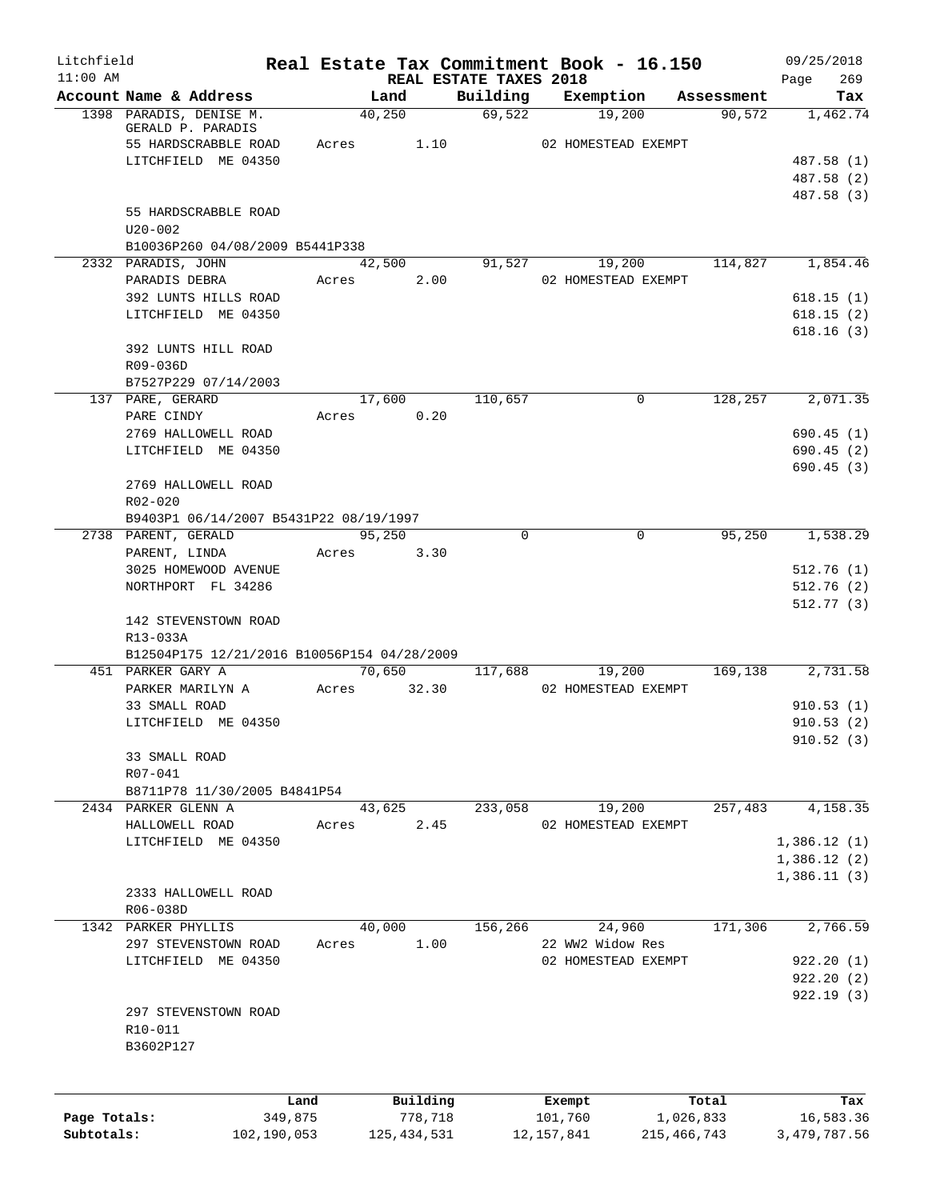| Litchfield                 |                                             |         | Real Estate Tax Commitment Book - 16.150 |                                    |                         |                            |            | 09/25/2018                  |
|----------------------------|---------------------------------------------|---------|------------------------------------------|------------------------------------|-------------------------|----------------------------|------------|-----------------------------|
| $11:00$ AM                 | Account Name & Address                      |         | Land                                     | REAL ESTATE TAXES 2018<br>Building | Exemption               |                            | Assessment | 269<br>Page<br>Tax          |
|                            | 1398 PARADIS, DENISE M.                     |         | 40,250                                   | 69,522                             | 19,200                  |                            | 90, 572    | 1,462.74                    |
|                            | GERALD P. PARADIS                           |         |                                          |                                    |                         |                            |            |                             |
|                            | 55 HARDSCRABBLE ROAD                        |         | 1.10<br>Acres                            |                                    | 02 HOMESTEAD EXEMPT     |                            |            |                             |
|                            | LITCHFIELD ME 04350                         |         |                                          |                                    |                         |                            |            | 487.58 (1)                  |
|                            |                                             |         |                                          |                                    |                         |                            |            | 487.58 (2)                  |
|                            | 55 HARDSCRABBLE ROAD                        |         |                                          |                                    |                         |                            |            | 487.58 (3)                  |
|                            | $U20 - 002$                                 |         |                                          |                                    |                         |                            |            |                             |
|                            | B10036P260 04/08/2009 B5441P338             |         |                                          |                                    |                         |                            |            |                             |
|                            | 2332 PARADIS, JOHN                          |         | 42,500                                   | 91,527                             | 19,200                  |                            | 114,827    | 1,854.46                    |
|                            | PARADIS DEBRA                               |         | 2.00<br>Acres                            |                                    | 02 HOMESTEAD EXEMPT     |                            |            |                             |
|                            | 392 LUNTS HILLS ROAD                        |         |                                          |                                    |                         |                            |            | 618.15(1)                   |
|                            | LITCHFIELD ME 04350                         |         |                                          |                                    |                         |                            |            | 618.15(2)                   |
|                            |                                             |         |                                          |                                    |                         |                            |            | 618.16(3)                   |
|                            | 392 LUNTS HILL ROAD                         |         |                                          |                                    |                         |                            |            |                             |
|                            | R09-036D<br>B7527P229 07/14/2003            |         |                                          |                                    |                         |                            |            |                             |
|                            | 137 PARE, GERARD                            |         | 17,600                                   | 110,657                            | 0                       |                            | 128,257    | 2,071.35                    |
|                            | PARE CINDY                                  |         | 0.20<br>Acres                            |                                    |                         |                            |            |                             |
|                            | 2769 HALLOWELL ROAD                         |         |                                          |                                    |                         |                            |            | 690.45(1)                   |
|                            | LITCHFIELD ME 04350                         |         |                                          |                                    |                         |                            |            | 690.45(2)                   |
|                            |                                             |         |                                          |                                    |                         |                            |            | 690.45(3)                   |
|                            | 2769 HALLOWELL ROAD                         |         |                                          |                                    |                         |                            |            |                             |
|                            | R02-020                                     |         |                                          |                                    |                         |                            |            |                             |
|                            | B9403P1 06/14/2007 B5431P22 08/19/1997      |         |                                          |                                    |                         |                            |            |                             |
|                            | 2738 PARENT, GERALD                         |         | 95,250                                   | $\Omega$                           | $\Omega$                |                            | 95,250     | 1,538.29                    |
|                            | PARENT, LINDA                               |         | 3.30<br>Acres                            |                                    |                         |                            |            |                             |
|                            | 3025 HOMEWOOD AVENUE                        |         |                                          |                                    |                         |                            |            | 512.76(1)                   |
|                            | NORTHPORT FL 34286                          |         |                                          |                                    |                         |                            |            | 512.76(2)<br>512.77(3)      |
|                            | 142 STEVENSTOWN ROAD                        |         |                                          |                                    |                         |                            |            |                             |
|                            | R13-033A                                    |         |                                          |                                    |                         |                            |            |                             |
|                            | B12504P175 12/21/2016 B10056P154 04/28/2009 |         |                                          |                                    |                         |                            |            |                             |
|                            | 451 PARKER GARY A                           |         | 70,650                                   | 117,688                            | 19,200                  |                            | 169,138    | 2,731.58                    |
|                            | PARKER MARILYN A                            |         | 32.30<br>Acres                           |                                    | 02 HOMESTEAD EXEMPT     |                            |            |                             |
|                            | 33 SMALL ROAD                               |         |                                          |                                    |                         |                            |            | 910.53(1)                   |
|                            | LITCHFIELD ME 04350                         |         |                                          |                                    |                         |                            |            | 910.53(2)                   |
|                            |                                             |         |                                          |                                    |                         |                            |            | 910.52(3)                   |
|                            | 33 SMALL ROAD                               |         |                                          |                                    |                         |                            |            |                             |
|                            | R07-041<br>B8711P78 11/30/2005 B4841P54     |         |                                          |                                    |                         |                            |            |                             |
|                            | 2434 PARKER GLENN A                         |         | 43,625                                   | 233,058                            | 19,200                  |                            | 257,483    | 4,158.35                    |
|                            | HALLOWELL ROAD                              |         | 2.45<br>Acres                            |                                    | 02 HOMESTEAD EXEMPT     |                            |            |                             |
|                            | LITCHFIELD ME 04350                         |         |                                          |                                    |                         |                            |            | 1,386.12(1)                 |
|                            |                                             |         |                                          |                                    |                         |                            |            | 1,386.12(2)                 |
|                            |                                             |         |                                          |                                    |                         |                            |            | 1,386.11(3)                 |
|                            | 2333 HALLOWELL ROAD                         |         |                                          |                                    |                         |                            |            |                             |
|                            | R06-038D                                    |         |                                          |                                    |                         |                            |            |                             |
|                            | 1342 PARKER PHYLLIS                         |         | 40,000                                   | 156,266                            | 24,960                  |                            | 171,306    | 2,766.59                    |
|                            | 297 STEVENSTOWN ROAD                        |         | 1.00<br>Acres                            |                                    | 22 WW2 Widow Res        |                            |            |                             |
|                            | LITCHFIELD ME 04350                         |         |                                          |                                    | 02 HOMESTEAD EXEMPT     |                            |            | 922.20(1)                   |
|                            |                                             |         |                                          |                                    |                         |                            |            | 922.20(2)                   |
|                            | 297 STEVENSTOWN ROAD                        |         |                                          |                                    |                         |                            |            | 922.19(3)                   |
|                            | R10-011                                     |         |                                          |                                    |                         |                            |            |                             |
|                            | B3602P127                                   |         |                                          |                                    |                         |                            |            |                             |
|                            |                                             |         |                                          |                                    |                         |                            |            |                             |
|                            |                                             |         |                                          |                                    |                         |                            |            |                             |
|                            |                                             | Land    | Building                                 |                                    | Exempt                  |                            | Total      | Tax                         |
| Page Totals:<br>Subtotals: | 102,190,053                                 | 349,875 | 778,718<br>125, 434, 531                 |                                    | 101,760<br>12, 157, 841 | 1,026,833<br>215, 466, 743 |            | 16,583.36<br>3, 479, 787.56 |
|                            |                                             |         |                                          |                                    |                         |                            |            |                             |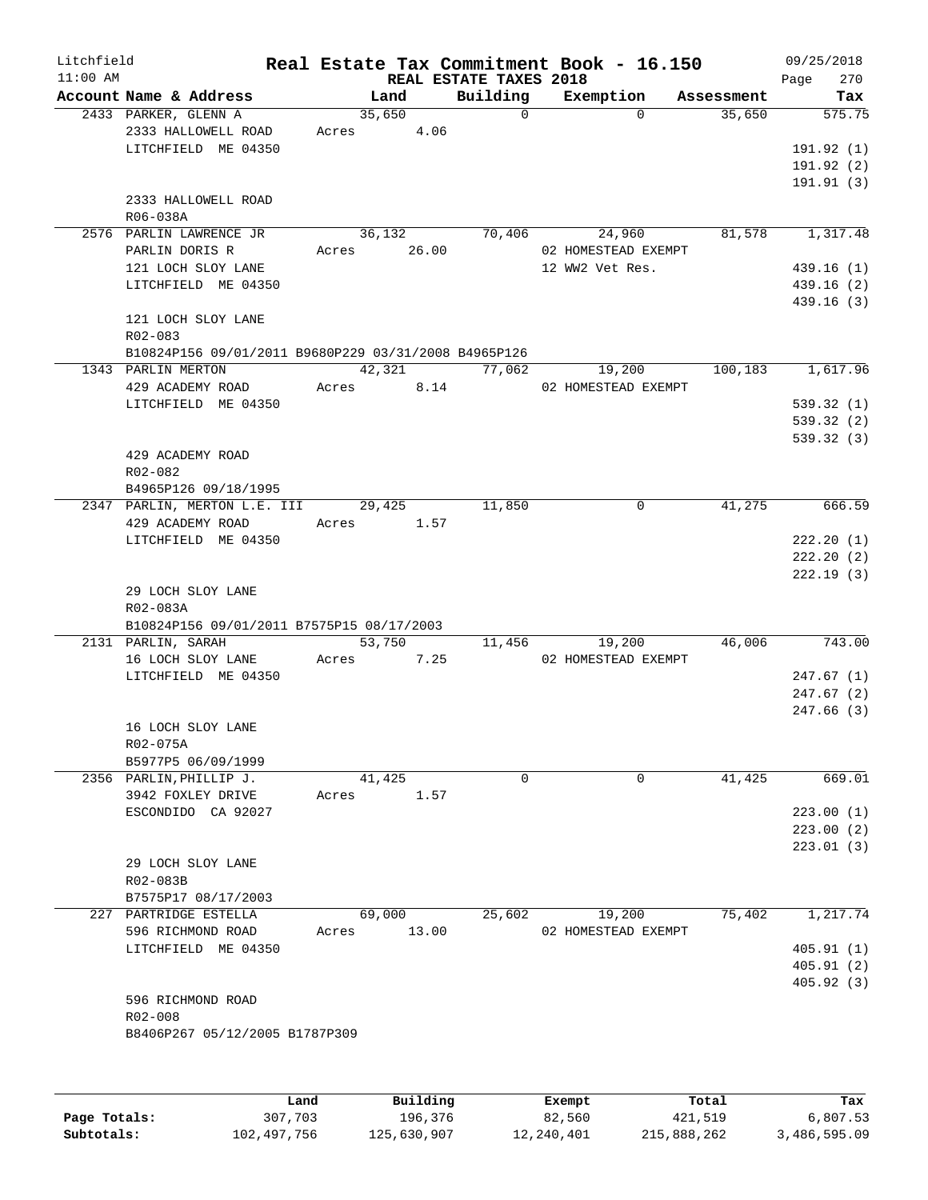| Litchfield<br>$11:00$ AM |                                                      |       |                | REAL ESTATE TAXES 2018 | Real Estate Tax Commitment Book - 16.150 |            | 09/25/2018<br>270<br>Page |
|--------------------------|------------------------------------------------------|-------|----------------|------------------------|------------------------------------------|------------|---------------------------|
|                          | Account Name & Address                               |       | Land           | Building               | Exemption                                | Assessment | Tax                       |
|                          | 2433 PARKER, GLENN A<br>2333 HALLOWELL ROAD          | Acres | 35,650<br>4.06 | $\Omega$               | $\Omega$                                 | 35,650     | 575.75                    |
|                          | LITCHFIELD ME 04350                                  |       |                |                        |                                          |            | 191.92(1)                 |
|                          |                                                      |       |                |                        |                                          |            | 191.92 (2)                |
|                          |                                                      |       |                |                        |                                          |            | 191.91(3)                 |
|                          | 2333 HALLOWELL ROAD                                  |       |                |                        |                                          |            |                           |
|                          | R06-038A                                             |       |                |                        |                                          |            |                           |
|                          | 2576 PARLIN LAWRENCE JR                              |       | 36,132         | 70,406                 | 24,960                                   | 81,578     | 1,317.48                  |
|                          | PARLIN DORIS R<br>121 LOCH SLOY LANE                 | Acres | 26.00          |                        | 02 HOMESTEAD EXEMPT<br>12 WW2 Vet Res.   |            | 439.16(1)                 |
|                          | LITCHFIELD ME 04350                                  |       |                |                        |                                          |            | 439.16 (2)                |
|                          |                                                      |       |                |                        |                                          |            | 439.16(3)                 |
|                          | 121 LOCH SLOY LANE<br>R02-083                        |       |                |                        |                                          |            |                           |
|                          | B10824P156 09/01/2011 B9680P229 03/31/2008 B4965P126 |       |                |                        |                                          |            |                           |
|                          | 1343 PARLIN MERTON                                   |       | 42,321         | 77,062                 | 19,200                                   | 100,183    | 1,617.96                  |
|                          | 429 ACADEMY ROAD                                     | Acres | 8.14           |                        | 02 HOMESTEAD EXEMPT                      |            |                           |
|                          | LITCHFIELD ME 04350                                  |       |                |                        |                                          |            | 539.32 (1)                |
|                          |                                                      |       |                |                        |                                          |            | 539.32(2)                 |
|                          |                                                      |       |                |                        |                                          |            | 539.32(3)                 |
|                          | 429 ACADEMY ROAD                                     |       |                |                        |                                          |            |                           |
|                          | R02-082                                              |       |                |                        |                                          |            |                           |
|                          | B4965P126 09/18/1995                                 |       |                | 11,850                 | 0                                        | 41,275     | 666.59                    |
|                          | 2347 PARLIN, MERTON L.E. III<br>429 ACADEMY ROAD     | Acres | 29,425<br>1.57 |                        |                                          |            |                           |
|                          | LITCHFIELD ME 04350                                  |       |                |                        |                                          |            | 222.20(1)                 |
|                          |                                                      |       |                |                        |                                          |            | 222.20(2)                 |
|                          |                                                      |       |                |                        |                                          |            | 222.19 (3)                |
|                          | 29 LOCH SLOY LANE                                    |       |                |                        |                                          |            |                           |
|                          | R02-083A                                             |       |                |                        |                                          |            |                           |
|                          | B10824P156 09/01/2011 B7575P15 08/17/2003            |       |                |                        |                                          |            |                           |
|                          | 2131 PARLIN, SARAH                                   |       | 53,750         | 11,456                 | 19,200                                   | 46,006     | 743.00                    |
|                          | 16 LOCH SLOY LANE                                    | Acres | 7.25           |                        | 02 HOMESTEAD EXEMPT                      |            |                           |
|                          | LITCHFIELD ME 04350                                  |       |                |                        |                                          |            | 247.67 (1)                |
|                          |                                                      |       |                |                        |                                          |            | 247.67(2)<br>247.66 (3)   |
|                          | 16 LOCH SLOY LANE                                    |       |                |                        |                                          |            |                           |
|                          | R02-075A                                             |       |                |                        |                                          |            |                           |
|                          | B5977P5 06/09/1999                                   |       |                |                        |                                          |            |                           |
|                          | 2356 PARLIN, PHILLIP J.                              |       | 41,425         | $\Omega$               | $\Omega$                                 | 41,425     | 669.01                    |
|                          | 3942 FOXLEY DRIVE                                    | Acres | 1.57           |                        |                                          |            |                           |
|                          | ESCONDIDO CA 92027                                   |       |                |                        |                                          |            | 223.00(1)                 |
|                          |                                                      |       |                |                        |                                          |            | 223.00(2)                 |
|                          |                                                      |       |                |                        |                                          |            | 223.01 (3)                |
|                          | 29 LOCH SLOY LANE                                    |       |                |                        |                                          |            |                           |
|                          | R02-083B                                             |       |                |                        |                                          |            |                           |
|                          | B7575P17 08/17/2003                                  |       | 69,000         |                        |                                          | 75,402     |                           |
|                          | 227 PARTRIDGE ESTELLA<br>596 RICHMOND ROAD           | Acres | 13.00          | 25,602                 | 19,200<br>02 HOMESTEAD EXEMPT            |            | 1,217.74                  |
|                          | LITCHFIELD ME 04350                                  |       |                |                        |                                          |            | 405.91(1)                 |
|                          |                                                      |       |                |                        |                                          |            | 405.91(2)                 |
|                          |                                                      |       |                |                        |                                          |            | 405.92 (3)                |
|                          | 596 RICHMOND ROAD                                    |       |                |                        |                                          |            |                           |
|                          | R02-008                                              |       |                |                        |                                          |            |                           |
|                          | B8406P267 05/12/2005 B1787P309                       |       |                |                        |                                          |            |                           |
|                          |                                                      |       |                |                        |                                          |            |                           |
|                          |                                                      |       |                |                        |                                          |            |                           |
|                          |                                                      |       |                |                        |                                          |            |                           |

|              | Land        | Building    | Exempt     | Total       | Tax          |
|--------------|-------------|-------------|------------|-------------|--------------|
| Page Totals: | 307,703     | 196,376     | 82,560     | 421,519     | 6,807.53     |
| Subtotals:   | 102,497,756 | 125,630,907 | 12,240,401 | 215,888,262 | 3,486,595.09 |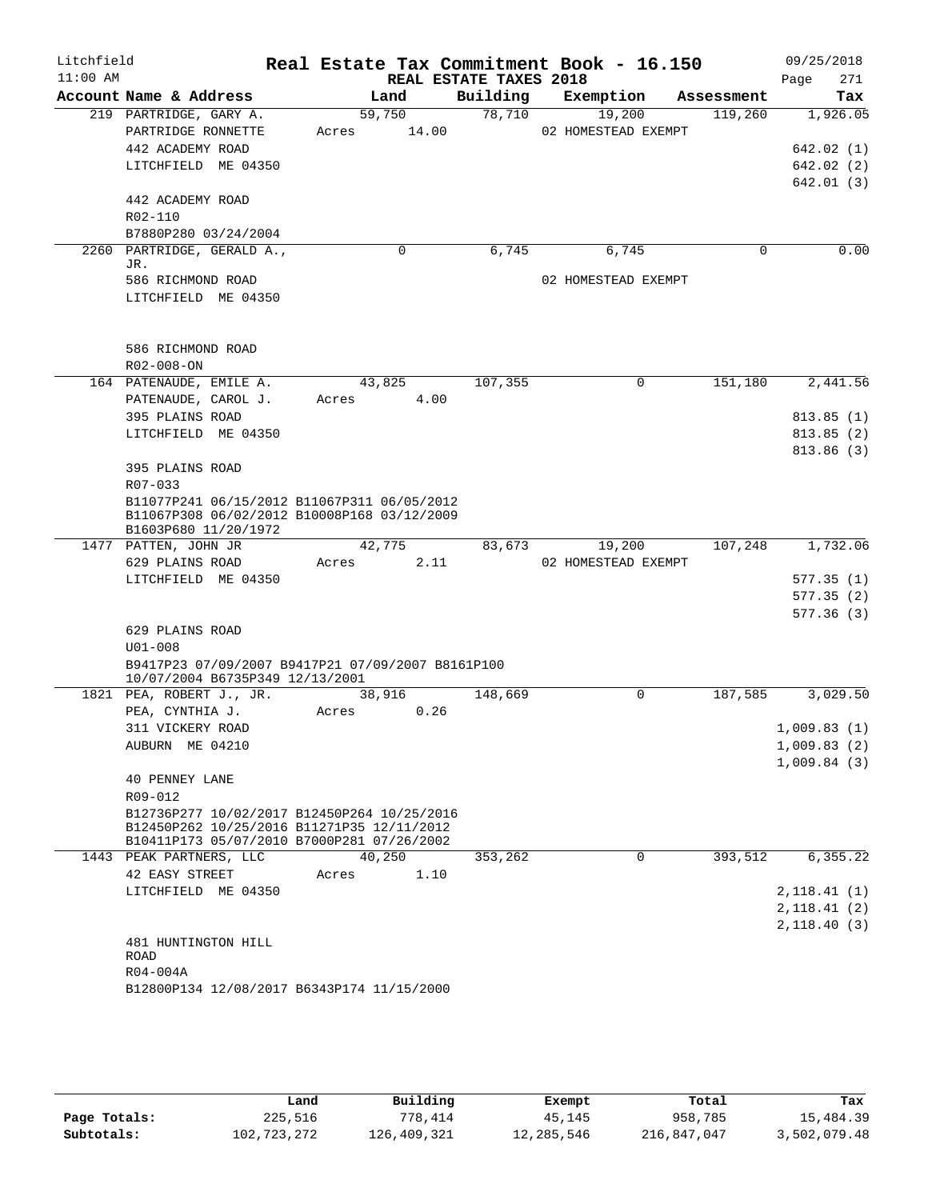| Litchfield<br>$11:00$ AM |                                                                                      |             | REAL ESTATE TAXES 2018 | Real Estate Tax Commitment Book - 16.150 |            | 09/25/2018<br>Page<br>271 |
|--------------------------|--------------------------------------------------------------------------------------|-------------|------------------------|------------------------------------------|------------|---------------------------|
|                          | Account Name & Address                                                               | Land        | Building               | Exemption                                | Assessment | Tax                       |
|                          | 219 PARTRIDGE, GARY A.                                                               | 59,750      | 78,710                 | 19,200                                   | 119,260    | 1,926.05                  |
|                          | PARTRIDGE RONNETTE                                                                   | Acres 14.00 |                        | 02 HOMESTEAD EXEMPT                      |            |                           |
|                          | 442 ACADEMY ROAD                                                                     |             |                        |                                          |            | 642.02(1)                 |
|                          | LITCHFIELD ME 04350                                                                  |             |                        |                                          |            | 642.02(2)                 |
|                          |                                                                                      |             |                        |                                          |            | 642.01 (3)                |
|                          | 442 ACADEMY ROAD                                                                     |             |                        |                                          |            |                           |
|                          | R02-110                                                                              |             |                        |                                          |            |                           |
|                          | B7880P280 03/24/2004                                                                 |             |                        |                                          |            |                           |
|                          | 2260 PARTRIDGE, GERALD A.,                                                           | $\Omega$    | 6,745                  | 6,745                                    | $\Omega$   | 0.00                      |
|                          | JR.                                                                                  |             |                        |                                          |            |                           |
|                          | 586 RICHMOND ROAD                                                                    |             |                        | 02 HOMESTEAD EXEMPT                      |            |                           |
|                          | LITCHFIELD ME 04350                                                                  |             |                        |                                          |            |                           |
|                          |                                                                                      |             |                        |                                          |            |                           |
|                          |                                                                                      |             |                        |                                          |            |                           |
|                          | 586 RICHMOND ROAD                                                                    |             |                        |                                          |            |                           |
|                          | R02-008-ON                                                                           |             |                        |                                          |            |                           |
|                          | 164 PATENAUDE, EMILE A.                                                              | 43,825      | 107,355                | 0                                        | 151,180    | 2,441.56                  |
|                          | PATENAUDE, CAROL J.                                                                  | Acres       | 4.00                   |                                          |            |                           |
|                          | 395 PLAINS ROAD                                                                      |             |                        |                                          |            | 813.85(1)                 |
|                          | LITCHFIELD ME 04350                                                                  |             |                        |                                          |            | 813.85(2)                 |
|                          |                                                                                      |             |                        |                                          |            | 813.86(3)                 |
|                          | 395 PLAINS ROAD                                                                      |             |                        |                                          |            |                           |
|                          | R07-033                                                                              |             |                        |                                          |            |                           |
|                          | B11077P241 06/15/2012 B11067P311 06/05/2012                                          |             |                        |                                          |            |                           |
|                          | B11067P308 06/02/2012 B10008P168 03/12/2009                                          |             |                        |                                          |            |                           |
|                          | B1603P680 11/20/1972                                                                 |             |                        |                                          |            |                           |
|                          | 1477 PATTEN, JOHN JR                                                                 | 42,775      | 83,673                 | 19,200                                   | 107,248    | 1,732.06                  |
|                          | 629 PLAINS ROAD                                                                      | Acres       | 2.11                   | 02 HOMESTEAD EXEMPT                      |            |                           |
|                          | LITCHFIELD ME 04350                                                                  |             |                        |                                          |            | 577.35(1)                 |
|                          |                                                                                      |             |                        |                                          |            | 577.35(2)                 |
|                          |                                                                                      |             |                        |                                          |            | 577.36(3)                 |
|                          | 629 PLAINS ROAD                                                                      |             |                        |                                          |            |                           |
|                          | $U01 - 008$                                                                          |             |                        |                                          |            |                           |
|                          | B9417P23 07/09/2007 B9417P21 07/09/2007 B8161P100<br>10/07/2004 B6735P349 12/13/2001 |             |                        |                                          |            |                           |
|                          | 1821 PEA, ROBERT J., JR.                                                             | 38,916      | 148,669                | $\mathbf 0$                              | 187,585    | 3,029.50                  |
|                          | PEA, CYNTHIA J.                                                                      | Acres       | 0.26                   |                                          |            |                           |
|                          | 311 VICKERY ROAD                                                                     |             |                        |                                          |            | 1,009.83(1)               |
|                          | AUBURN ME 04210                                                                      |             |                        |                                          |            | 1,009.83(2)               |
|                          |                                                                                      |             |                        |                                          |            | 1,009.84(3)               |
|                          | <b>40 PENNEY LANE</b>                                                                |             |                        |                                          |            |                           |
|                          | R09-012                                                                              |             |                        |                                          |            |                           |
|                          | B12736P277 10/02/2017 B12450P264 10/25/2016                                          |             |                        |                                          |            |                           |
|                          | B12450P262 10/25/2016 B11271P35 12/11/2012                                           |             |                        |                                          |            |                           |
|                          | B10411P173 05/07/2010 B7000P281 07/26/2002                                           |             |                        |                                          |            |                           |
|                          | 1443 PEAK PARTNERS, LLC                                                              | 40,250      | 353,262                | 0                                        | 393,512    | 6, 355.22                 |
|                          | 42 EASY STREET                                                                       | Acres       | 1.10                   |                                          |            |                           |
|                          | LITCHFIELD ME 04350                                                                  |             |                        |                                          |            | 2, 118.41(1)              |
|                          |                                                                                      |             |                        |                                          |            | 2,118.41(2)               |
|                          |                                                                                      |             |                        |                                          |            | 2,118.40(3)               |
|                          | 481 HUNTINGTON HILL                                                                  |             |                        |                                          |            |                           |
|                          | ROAD                                                                                 |             |                        |                                          |            |                           |
|                          | R04-004A                                                                             |             |                        |                                          |            |                           |
|                          | B12800P134 12/08/2017 B6343P174 11/15/2000                                           |             |                        |                                          |            |                           |

|              | Land        | Building    | Exempt     | Total       | Tax          |
|--------------|-------------|-------------|------------|-------------|--------------|
| Page Totals: | 225,516     | 778,414     | 45,145     | 958,785     | 15,484.39    |
| Subtotals:   | 102,723,272 | 126,409,321 | 12,285,546 | 216,847,047 | 3,502,079.48 |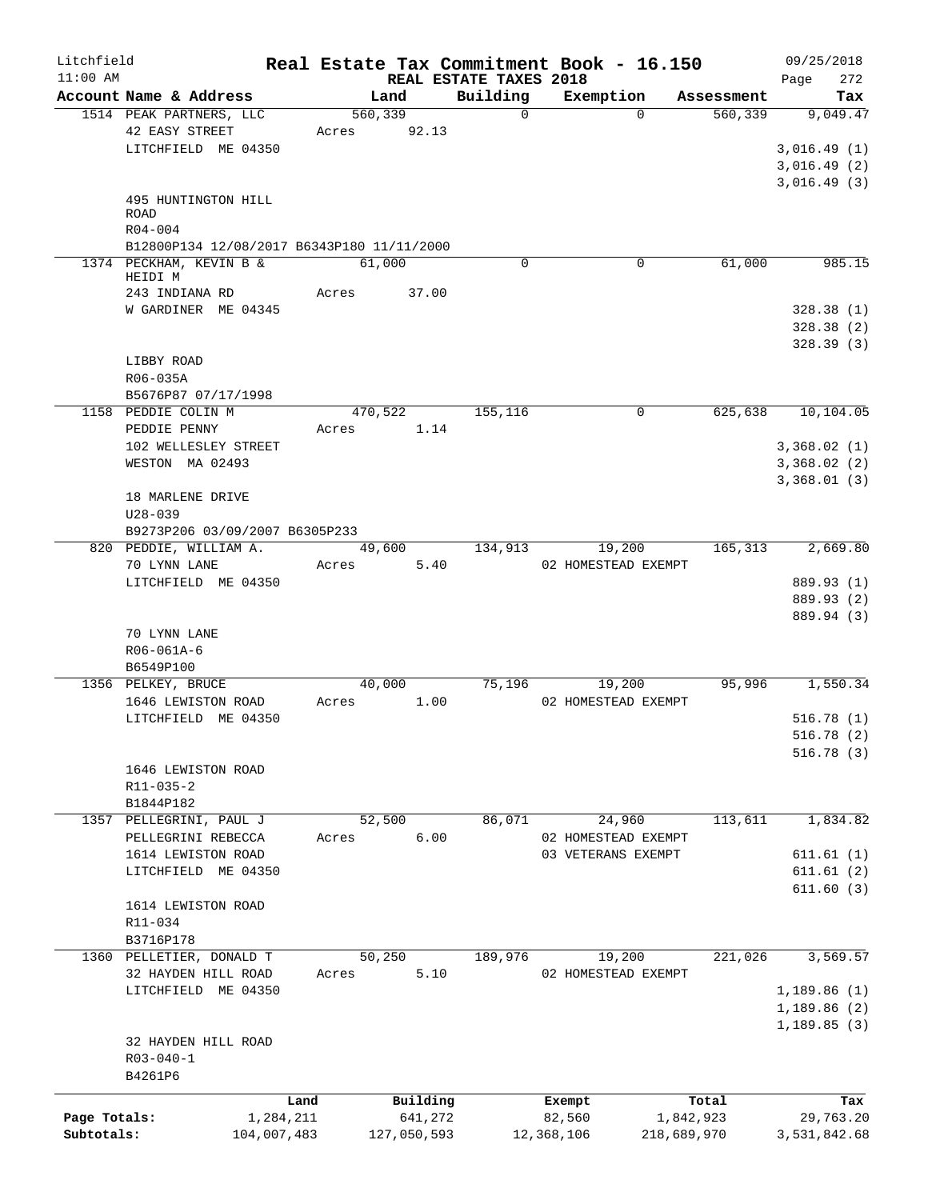| Litchfield   |                                            |           |             |                        | Real Estate Tax Commitment Book - 16.150 |                                     | 09/25/2018      |
|--------------|--------------------------------------------|-----------|-------------|------------------------|------------------------------------------|-------------------------------------|-----------------|
| $11:00$ AM   | Account Name & Address                     |           | Land        | REAL ESTATE TAXES 2018 |                                          |                                     | 272<br>Page     |
|              | 1514 PEAK PARTNERS, LLC                    |           | 560,339     | Building<br>$\Omega$   | Exemption<br>$\Omega$                    | Assessment<br>$\overline{560, 339}$ | Tax<br>9,049.47 |
|              | 42 EASY STREET                             | Acres     | 92.13       |                        |                                          |                                     |                 |
|              | LITCHFIELD ME 04350                        |           |             |                        |                                          |                                     | 3,016.49(1)     |
|              |                                            |           |             |                        |                                          |                                     | 3,016.49(2)     |
|              |                                            |           |             |                        |                                          |                                     | 3,016.49(3)     |
|              | 495 HUNTINGTON HILL                        |           |             |                        |                                          |                                     |                 |
|              | <b>ROAD</b>                                |           |             |                        |                                          |                                     |                 |
|              | $R04 - 004$                                |           |             |                        |                                          |                                     |                 |
|              | B12800P134 12/08/2017 B6343P180 11/11/2000 |           |             |                        |                                          |                                     |                 |
|              | 1374 PECKHAM, KEVIN B &                    |           | 61,000      | $\Omega$               | 0                                        | 61,000                              | 985.15          |
|              | HEIDI M                                    |           |             |                        |                                          |                                     |                 |
|              | 243 INDIANA RD                             | Acres     | 37.00       |                        |                                          |                                     |                 |
|              | W GARDINER ME 04345                        |           |             |                        |                                          |                                     | 328.38(1)       |
|              |                                            |           |             |                        |                                          |                                     | 328.38(2)       |
|              |                                            |           |             |                        |                                          |                                     | 328.39(3)       |
|              | LIBBY ROAD                                 |           |             |                        |                                          |                                     |                 |
|              | R06-035A                                   |           |             |                        |                                          |                                     |                 |
|              | B5676P87 07/17/1998                        |           |             |                        |                                          |                                     |                 |
|              | 1158 PEDDIE COLIN M                        |           | 470,522     | 155,116                | 0                                        | 625,638                             | 10,104.05       |
|              | PEDDIE PENNY                               | Acres     | 1.14        |                        |                                          |                                     |                 |
|              | 102 WELLESLEY STREET                       |           |             |                        |                                          |                                     | 3,368.02(1)     |
|              | WESTON MA 02493                            |           |             |                        |                                          |                                     | 3,368.02(2)     |
|              |                                            |           |             |                        |                                          |                                     | 3,368.01(3)     |
|              | 18 MARLENE DRIVE                           |           |             |                        |                                          |                                     |                 |
|              | $U28 - 039$                                |           |             |                        |                                          |                                     |                 |
|              | B9273P206 03/09/2007 B6305P233             |           |             |                        |                                          |                                     |                 |
|              | 820 PEDDIE, WILLIAM A.                     |           | 49,600      | 134,913                | 19,200                                   | 165,313                             | 2,669.80        |
|              | 70 LYNN LANE                               | Acres     | 5.40        |                        | 02 HOMESTEAD EXEMPT                      |                                     |                 |
|              | LITCHFIELD ME 04350                        |           |             |                        |                                          |                                     | 889.93 (1)      |
|              |                                            |           |             |                        |                                          |                                     | 889.93 (2)      |
|              |                                            |           |             |                        |                                          |                                     | 889.94 (3)      |
|              | 70 LYNN LANE                               |           |             |                        |                                          |                                     |                 |
|              | R06-061A-6                                 |           |             |                        |                                          |                                     |                 |
|              | B6549P100                                  |           |             |                        |                                          |                                     |                 |
|              | 1356 PELKEY, BRUCE                         |           | 40,000      | 75,196                 | 19,200                                   | 95,996                              | 1,550.34        |
|              | 1646 LEWISTON ROAD                         | Acres     | 1.00        |                        | 02 HOMESTEAD EXEMPT                      |                                     |                 |
|              |                                            |           |             |                        |                                          |                                     | 516.78(1)       |
|              | LITCHFIELD ME 04350                        |           |             |                        |                                          |                                     | 516.78(2)       |
|              |                                            |           |             |                        |                                          |                                     |                 |
|              |                                            |           |             |                        |                                          |                                     | 516.78(3)       |
|              | 1646 LEWISTON ROAD                         |           |             |                        |                                          |                                     |                 |
|              | R11-035-2                                  |           |             |                        |                                          |                                     |                 |
|              | B1844P182                                  |           |             |                        |                                          |                                     |                 |
|              | 1357 PELLEGRINI, PAUL J                    |           | 52,500      | 86,071                 | 24,960                                   | 113,611                             | 1,834.82        |
|              | PELLEGRINI REBECCA                         | Acres     | 6.00        |                        | 02 HOMESTEAD EXEMPT                      |                                     |                 |
|              | 1614 LEWISTON ROAD                         |           |             |                        | 03 VETERANS EXEMPT                       |                                     | 611.61(1)       |
|              | LITCHFIELD ME 04350                        |           |             |                        |                                          |                                     | 611.61(2)       |
|              |                                            |           |             |                        |                                          |                                     | 611.60(3)       |
|              | 1614 LEWISTON ROAD                         |           |             |                        |                                          |                                     |                 |
|              | R11-034                                    |           |             |                        |                                          |                                     |                 |
|              | B3716P178                                  |           |             |                        |                                          |                                     |                 |
|              | 1360 PELLETIER, DONALD T                   |           | 50,250      | 189,976                | 19,200                                   | 221,026                             | 3,569.57        |
|              | 32 HAYDEN HILL ROAD                        | Acres     | 5.10        |                        | 02 HOMESTEAD EXEMPT                      |                                     |                 |
|              | LITCHFIELD ME 04350                        |           |             |                        |                                          |                                     | 1,189.86(1)     |
|              |                                            |           |             |                        |                                          |                                     | 1,189.86 (2)    |
|              |                                            |           |             |                        |                                          |                                     | 1,189.85(3)     |
|              | 32 HAYDEN HILL ROAD                        |           |             |                        |                                          |                                     |                 |
|              | $R03 - 040 - 1$                            |           |             |                        |                                          |                                     |                 |
|              | B4261P6                                    |           |             |                        |                                          |                                     |                 |
|              |                                            | Land      | Building    |                        | Exempt                                   | Total                               | Tax             |
| Page Totals: |                                            | 1,284,211 | 641,272     |                        | 82,560                                   | 1,842,923                           | 29,763.20       |
| Subtotals:   | 104,007,483                                |           | 127,050,593 |                        | 12,368,106                               | 218,689,970                         | 3,531,842.68    |
|              |                                            |           |             |                        |                                          |                                     |                 |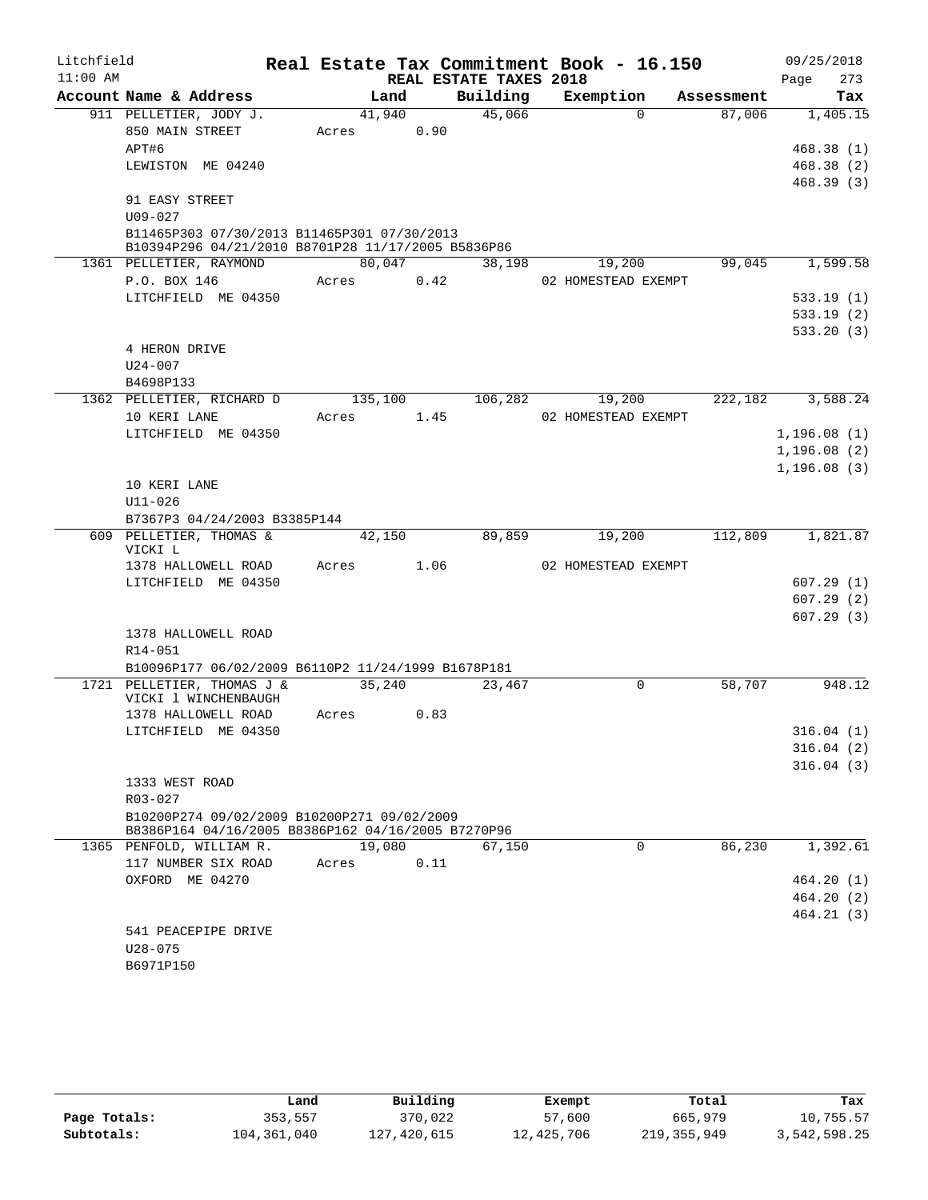| Litchfield |                                                                                                   |         |      | Real Estate Tax Commitment Book - 16.150 |                     |                     |            |              | 09/25/2018 |
|------------|---------------------------------------------------------------------------------------------------|---------|------|------------------------------------------|---------------------|---------------------|------------|--------------|------------|
| $11:00$ AM |                                                                                                   |         |      | REAL ESTATE TAXES 2018                   |                     |                     |            | Page         | 273        |
|            | Account Name & Address                                                                            | Land    |      | Building                                 | Exemption           |                     | Assessment |              | Tax        |
|            | 911 PELLETIER, JODY J.                                                                            | 41,940  |      | 45,066                                   |                     | $\Omega$            | 87,006     |              | 1,405.15   |
|            | 850 MAIN STREET                                                                                   | Acres   |      | 0.90                                     |                     |                     |            |              |            |
|            | APT#6                                                                                             |         |      |                                          |                     |                     |            |              | 468.38(1)  |
|            | LEWISTON ME 04240                                                                                 |         |      |                                          |                     |                     |            |              | 468.38(2)  |
|            |                                                                                                   |         |      |                                          |                     |                     |            |              | 468.39(3)  |
|            | 91 EASY STREET                                                                                    |         |      |                                          |                     |                     |            |              |            |
|            | $U09 - 027$                                                                                       |         |      |                                          |                     |                     |            |              |            |
|            | B11465P303 07/30/2013 B11465P301 07/30/2013<br>B10394P296 04/21/2010 B8701P28 11/17/2005 B5836P86 |         |      |                                          |                     |                     |            |              |            |
|            | 1361 PELLETIER, RAYMOND                                                                           | 80,047  |      | 38,198                                   |                     | 19,200              | 99,045     |              | 1,599.58   |
|            | P.O. BOX 146                                                                                      | Acres   |      | 0.42                                     |                     | 02 HOMESTEAD EXEMPT |            |              |            |
|            | LITCHFIELD ME 04350                                                                               |         |      |                                          |                     |                     |            |              | 533.19(1)  |
|            |                                                                                                   |         |      |                                          |                     |                     |            |              | 533.19(2)  |
|            |                                                                                                   |         |      |                                          |                     |                     |            |              | 533.20(3)  |
|            | 4 HERON DRIVE                                                                                     |         |      |                                          |                     |                     |            |              |            |
|            | $U24 - 007$                                                                                       |         |      |                                          |                     |                     |            |              |            |
|            | B4698P133                                                                                         |         |      |                                          |                     |                     |            |              |            |
|            | 1362 PELLETIER, RICHARD D                                                                         | 135,100 |      |                                          | 106,282             | 19,200              | 222,182    |              | 3,588.24   |
|            | 10 KERI LANE                                                                                      | Acres   | 1.45 |                                          | 02 HOMESTEAD EXEMPT |                     |            |              |            |
|            | LITCHFIELD ME 04350                                                                               |         |      |                                          |                     |                     |            | 1, 196.08(1) |            |
|            |                                                                                                   |         |      |                                          |                     |                     |            | 1, 196.08(2) |            |
|            |                                                                                                   |         |      |                                          |                     |                     |            | 1,196.08(3)  |            |
|            | 10 KERI LANE                                                                                      |         |      |                                          |                     |                     |            |              |            |
|            | $U11 - 026$                                                                                       |         |      |                                          |                     |                     |            |              |            |
|            | B7367P3 04/24/2003 B3385P144                                                                      |         |      |                                          |                     |                     |            |              |            |
|            | 609 PELLETIER, THOMAS &<br>VICKI L                                                                | 42,150  |      | 89,859                                   |                     | 19,200              | 112,809    |              | 1,821.87   |
|            | 1378 HALLOWELL ROAD                                                                               | Acres   |      | 1.06                                     |                     | 02 HOMESTEAD EXEMPT |            |              |            |
|            | LITCHFIELD ME 04350                                                                               |         |      |                                          |                     |                     |            |              | 607.29(1)  |
|            |                                                                                                   |         |      |                                          |                     |                     |            |              | 607.29(2)  |
|            |                                                                                                   |         |      |                                          |                     |                     |            |              | 607.29(3)  |
|            | 1378 HALLOWELL ROAD                                                                               |         |      |                                          |                     |                     |            |              |            |
|            | R14-051                                                                                           |         |      |                                          |                     |                     |            |              |            |
|            | B10096P177 06/02/2009 B6110P2 11/24/1999 B1678P181                                                |         |      |                                          |                     |                     |            |              |            |
|            | 1721 PELLETIER, THOMAS J &                                                                        | 35,240  |      | 23,467                                   |                     | $\mathbf 0$         | 58,707     |              | 948.12     |
|            | VICKI 1 WINCHENBAUGH                                                                              |         |      |                                          |                     |                     |            |              |            |
|            | 1378 HALLOWELL ROAD                                                                               | Acres   |      | 0.83                                     |                     |                     |            |              |            |
|            | LITCHFIELD ME 04350                                                                               |         |      |                                          |                     |                     |            |              | 316.04(1)  |
|            |                                                                                                   |         |      |                                          |                     |                     |            |              | 316.04(2)  |
|            |                                                                                                   |         |      |                                          |                     |                     |            |              | 316.04(3)  |
|            | 1333 WEST ROAD<br>R03-027                                                                         |         |      |                                          |                     |                     |            |              |            |
|            | B10200P274 09/02/2009 B10200P271 09/02/2009                                                       |         |      |                                          |                     |                     |            |              |            |
|            | B8386P164 04/16/2005 B8386P162 04/16/2005 B7270P96                                                |         |      |                                          |                     |                     |            |              |            |
|            | 1365 PENFOLD, WILLIAM R.                                                                          | 19,080  |      | 67,150                                   |                     | 0                   | 86,230     |              | 1,392.61   |
|            | 117 NUMBER SIX ROAD                                                                               | Acres   |      | 0.11                                     |                     |                     |            |              |            |
|            | OXFORD ME 04270                                                                                   |         |      |                                          |                     |                     |            |              | 464.20(1)  |
|            |                                                                                                   |         |      |                                          |                     |                     |            |              | 464.20(2)  |
|            |                                                                                                   |         |      |                                          |                     |                     |            |              | 464.21(3)  |
|            | 541 PEACEPIPE DRIVE                                                                               |         |      |                                          |                     |                     |            |              |            |
|            | $U28 - 075$                                                                                       |         |      |                                          |                     |                     |            |              |            |
|            | B6971P150                                                                                         |         |      |                                          |                     |                     |            |              |            |

|              | Land        | Building    | Exempt     | Total       | Tax          |
|--------------|-------------|-------------|------------|-------------|--------------|
| Page Totals: | 353,557     | 370,022     | 57,600     | 665,979     | 10,755.57    |
| Subtotals:   | 104,361,040 | 127,420,615 | 12,425,706 | 219,355,949 | 3,542,598.25 |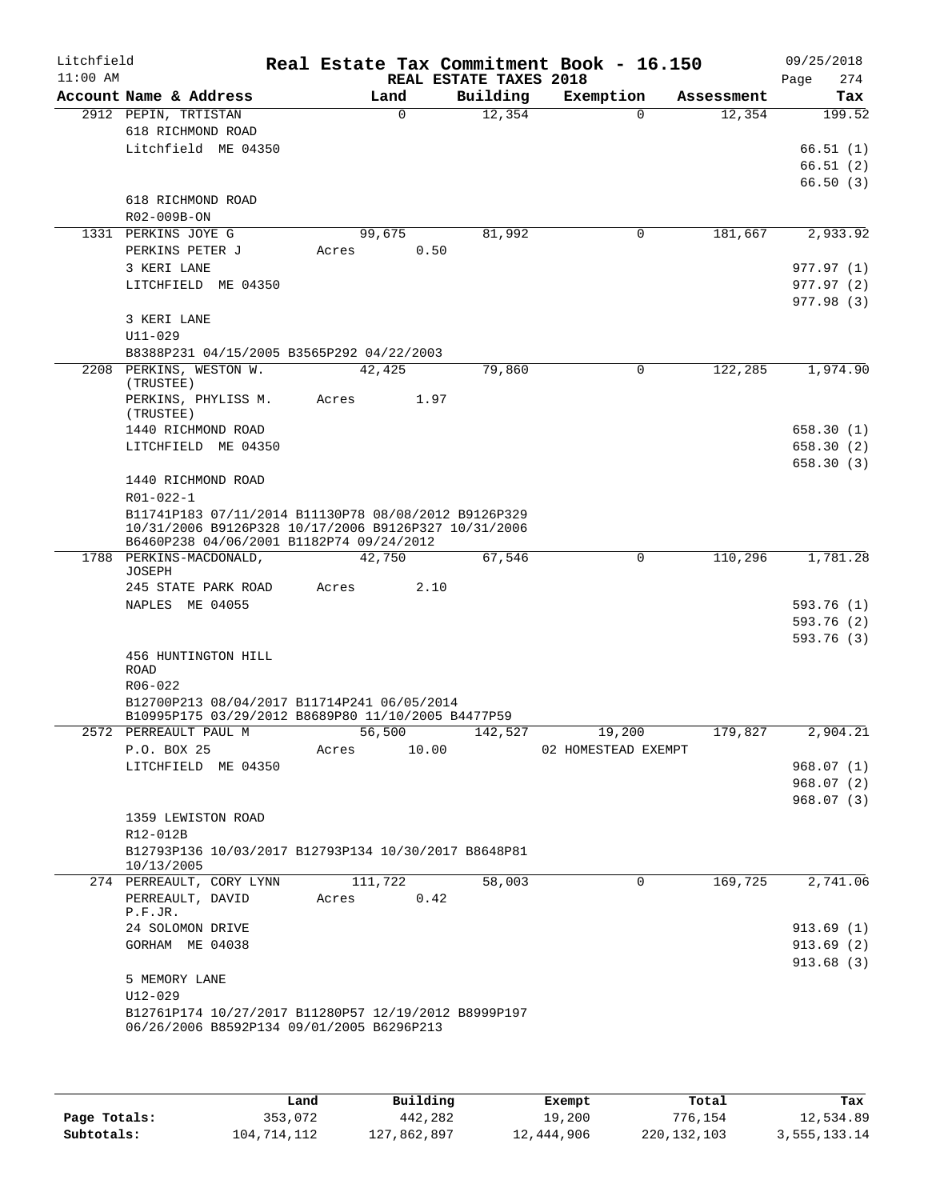| Litchfield<br>$11:00$ AM |                                                                                                              |          |       | REAL ESTATE TAXES 2018 | Real Estate Tax Commitment Book - 16.150 |            | 09/25/2018<br>274<br>Page |
|--------------------------|--------------------------------------------------------------------------------------------------------------|----------|-------|------------------------|------------------------------------------|------------|---------------------------|
|                          | Account Name & Address                                                                                       | Land     |       | Building               | Exemption                                | Assessment | Tax                       |
|                          | 2912 PEPIN, TRTISTAN                                                                                         | $\Omega$ |       | 12,354                 | $\Omega$                                 | 12,354     | 199.52                    |
|                          | 618 RICHMOND ROAD                                                                                            |          |       |                        |                                          |            |                           |
|                          | Litchfield ME 04350                                                                                          |          |       |                        |                                          |            | 66.51(1)                  |
|                          |                                                                                                              |          |       |                        |                                          |            | 66.51(2)                  |
|                          |                                                                                                              |          |       |                        |                                          |            | 66.50(3)                  |
|                          | 618 RICHMOND ROAD                                                                                            |          |       |                        |                                          |            |                           |
|                          | R02-009B-ON                                                                                                  |          |       |                        |                                          |            |                           |
|                          | 1331 PERKINS JOYE G                                                                                          | 99,675   |       | 81,992                 | 0                                        | 181,667    | 2,933.92                  |
|                          | PERKINS PETER J                                                                                              | Acres    | 0.50  |                        |                                          |            |                           |
|                          | 3 KERI LANE                                                                                                  |          |       |                        |                                          |            | 977.97 (1)                |
|                          | LITCHFIELD ME 04350                                                                                          |          |       |                        |                                          |            | 977.97(2)                 |
|                          |                                                                                                              |          |       |                        |                                          |            | 977.98(3)                 |
|                          | 3 KERI LANE<br>$U11 - 029$                                                                                   |          |       |                        |                                          |            |                           |
|                          | B8388P231 04/15/2005 B3565P292 04/22/2003                                                                    |          |       |                        |                                          |            |                           |
|                          | 2208 PERKINS, WESTON W.                                                                                      | 42,425   |       | 79,860                 | $\Omega$                                 | 122,285    | 1,974.90                  |
|                          | (TRUSTEE)                                                                                                    |          |       |                        |                                          |            |                           |
|                          | PERKINS, PHYLISS M.                                                                                          | Acres    | 1.97  |                        |                                          |            |                           |
|                          | (TRUSTEE)                                                                                                    |          |       |                        |                                          |            |                           |
|                          | 1440 RICHMOND ROAD                                                                                           |          |       |                        |                                          |            | 658.30(1)                 |
|                          | LITCHFIELD ME 04350                                                                                          |          |       |                        |                                          |            | 658.30(2)                 |
|                          |                                                                                                              |          |       |                        |                                          |            | 658.30(3)                 |
|                          | 1440 RICHMOND ROAD                                                                                           |          |       |                        |                                          |            |                           |
|                          | R01-022-1                                                                                                    |          |       |                        |                                          |            |                           |
|                          | B11741P183 07/11/2014 B11130P78 08/08/2012 B9126P329<br>10/31/2006 B9126P328 10/17/2006 B9126P327 10/31/2006 |          |       |                        |                                          |            |                           |
|                          | B6460P238 04/06/2001 B1182P74 09/24/2012                                                                     |          |       |                        |                                          |            |                           |
|                          | 1788 PERKINS-MACDONALD,                                                                                      | 42,750   |       | 67,546                 | $\mathbf 0$                              | 110,296    | 1,781.28                  |
|                          | JOSEPH                                                                                                       |          |       |                        |                                          |            |                           |
|                          | 245 STATE PARK ROAD                                                                                          | Acres    | 2.10  |                        |                                          |            |                           |
|                          | NAPLES ME 04055                                                                                              |          |       |                        |                                          |            | 593.76 (1)                |
|                          |                                                                                                              |          |       |                        |                                          |            | 593.76 (2)                |
|                          |                                                                                                              |          |       |                        |                                          |            | 593.76(3)                 |
|                          | 456 HUNTINGTON HILL<br>ROAD                                                                                  |          |       |                        |                                          |            |                           |
|                          | R06-022                                                                                                      |          |       |                        |                                          |            |                           |
|                          | B12700P213 08/04/2017 B11714P241 06/05/2014                                                                  |          |       |                        |                                          |            |                           |
|                          | B10995P175 03/29/2012 B8689P80 11/10/2005 B4477P59                                                           |          |       |                        |                                          |            |                           |
|                          | 2572 PERREAULT PAUL M 56,500                                                                                 |          |       | 142,527                | 19,200                                   | 179,827    | 2,904.21                  |
|                          | P.O. BOX 25                                                                                                  | Acres    | 10.00 |                        | 02 HOMESTEAD EXEMPT                      |            |                           |
|                          | LITCHFIELD ME 04350                                                                                          |          |       |                        |                                          |            | 968.07(1)                 |
|                          |                                                                                                              |          |       |                        |                                          |            | 968.07(2)                 |
|                          |                                                                                                              |          |       |                        |                                          |            | 968.07(3)                 |
|                          | 1359 LEWISTON ROAD                                                                                           |          |       |                        |                                          |            |                           |
|                          | R12-012B                                                                                                     |          |       |                        |                                          |            |                           |
|                          | B12793P136 10/03/2017 B12793P134 10/30/2017 B8648P81<br>10/13/2005                                           |          |       |                        |                                          |            |                           |
|                          | 274 PERREAULT, CORY LYNN                                                                                     | 111,722  |       | 58,003                 | $\mathbf 0$                              | 169,725    | 2,741.06                  |
|                          | PERREAULT, DAVID                                                                                             | Acres    | 0.42  |                        |                                          |            |                           |
|                          | P.F.JR.                                                                                                      |          |       |                        |                                          |            |                           |
|                          | 24 SOLOMON DRIVE                                                                                             |          |       |                        |                                          |            | 913.69(1)                 |
|                          | GORHAM ME 04038                                                                                              |          |       |                        |                                          |            | 913.69(2)                 |
|                          |                                                                                                              |          |       |                        |                                          |            | 913.68 (3)                |
|                          | 5 MEMORY LANE                                                                                                |          |       |                        |                                          |            |                           |
|                          | $U12 - 029$                                                                                                  |          |       |                        |                                          |            |                           |
|                          | B12761P174 10/27/2017 B11280P57 12/19/2012 B8999P197                                                         |          |       |                        |                                          |            |                           |
|                          | 06/26/2006 B8592P134 09/01/2005 B6296P213                                                                    |          |       |                        |                                          |            |                           |
|                          |                                                                                                              |          |       |                        |                                          |            |                           |

|              | Land        | Building    | Exempt     | Total       | Tax          |
|--------------|-------------|-------------|------------|-------------|--------------|
| Page Totals: | 353,072     | 442,282     | 19,200     | 776.154     | 12,534.89    |
| Subtotals:   | 104,714,112 | 127,862,897 | 12,444,906 | 220,132,103 | 3,555,133.14 |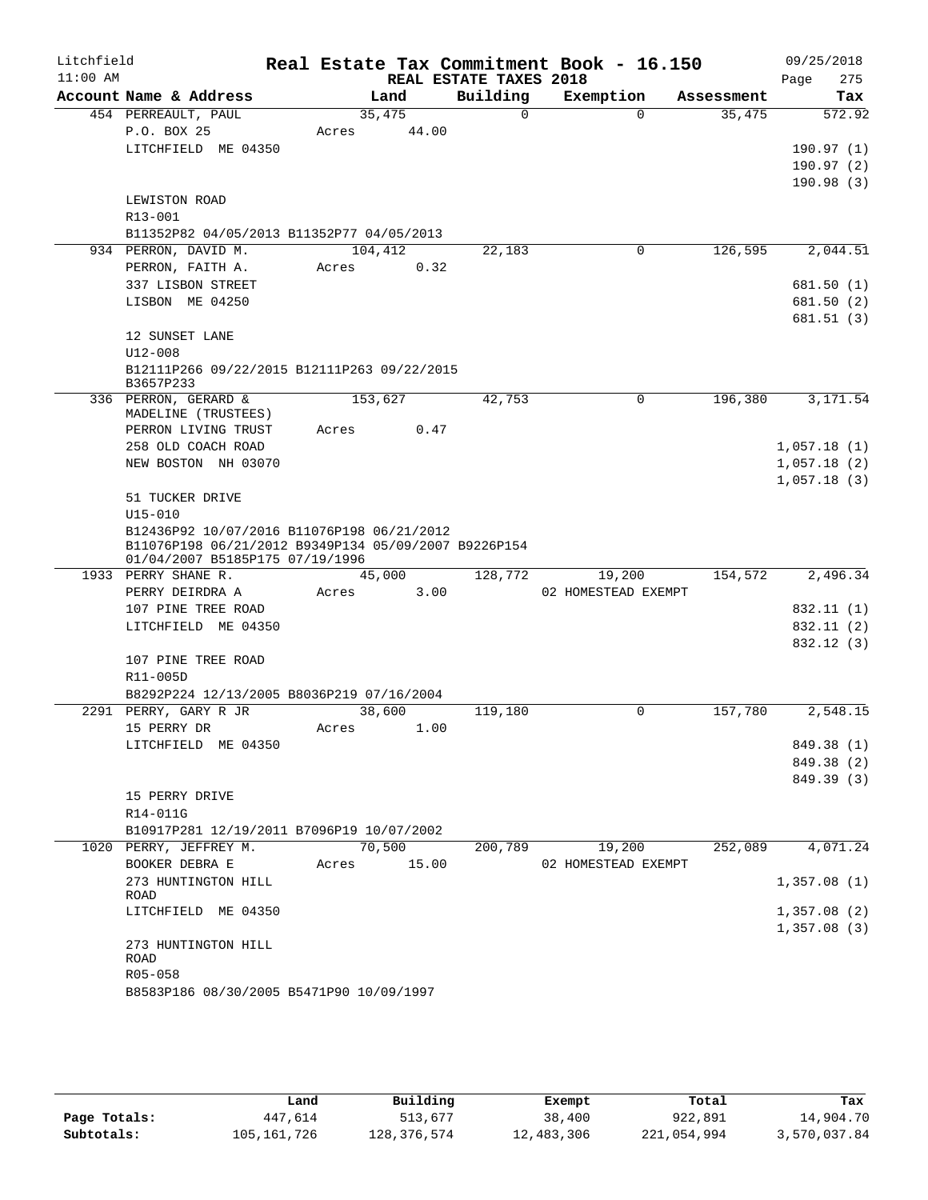| Litchfield<br>$11:00$ AM |                                                                                                                                       |                 |       | REAL ESTATE TAXES 2018 | Real Estate Tax Commitment Book - 16.150 |            | 09/25/2018<br>275<br>Page |
|--------------------------|---------------------------------------------------------------------------------------------------------------------------------------|-----------------|-------|------------------------|------------------------------------------|------------|---------------------------|
|                          | Account Name & Address                                                                                                                | Land            |       | Building               | Exemption                                | Assessment | Tax                       |
|                          | 454 PERREAULT, PAUL<br>P.O. BOX 25                                                                                                    | 35,475<br>Acres | 44.00 | $\Omega$               | $\Omega$                                 | 35,475     | 572.92                    |
|                          | LITCHFIELD ME 04350                                                                                                                   |                 |       |                        |                                          |            | 190.97(1)                 |
|                          |                                                                                                                                       |                 |       |                        |                                          |            | 190.97(2)                 |
|                          |                                                                                                                                       |                 |       |                        |                                          |            | 190.98(3)                 |
|                          | LEWISTON ROAD                                                                                                                         |                 |       |                        |                                          |            |                           |
|                          | R13-001                                                                                                                               |                 |       |                        |                                          |            |                           |
|                          | B11352P82 04/05/2013 B11352P77 04/05/2013                                                                                             |                 |       |                        |                                          |            |                           |
|                          | 934 PERRON, DAVID M.                                                                                                                  | 104,412         |       | 22,183                 | 0                                        | 126,595    | 2,044.51                  |
|                          | PERRON, FAITH A.<br>337 LISBON STREET                                                                                                 | Acres           | 0.32  |                        |                                          |            | 681.50 (1)                |
|                          | LISBON ME 04250                                                                                                                       |                 |       |                        |                                          |            | 681.50 (2)                |
|                          |                                                                                                                                       |                 |       |                        |                                          |            | 681.51 (3)                |
|                          | 12 SUNSET LANE                                                                                                                        |                 |       |                        |                                          |            |                           |
|                          | $U12 - 008$                                                                                                                           |                 |       |                        |                                          |            |                           |
|                          | B12111P266 09/22/2015 B12111P263 09/22/2015<br>B3657P233                                                                              |                 |       |                        |                                          |            |                           |
|                          | 336 PERRON, GERARD &<br>MADELINE (TRUSTEES)                                                                                           | 153,627         |       | 42,753                 | 0                                        | 196,380    | 3,171.54                  |
|                          | PERRON LIVING TRUST                                                                                                                   | Acres           | 0.47  |                        |                                          |            |                           |
|                          | 258 OLD COACH ROAD                                                                                                                    |                 |       |                        |                                          |            | 1,057.18(1)               |
|                          | NEW BOSTON NH 03070                                                                                                                   |                 |       |                        |                                          |            | 1,057.18(2)               |
|                          |                                                                                                                                       |                 |       |                        |                                          |            | 1,057.18(3)               |
|                          | 51 TUCKER DRIVE                                                                                                                       |                 |       |                        |                                          |            |                           |
|                          | $U15 - 010$                                                                                                                           |                 |       |                        |                                          |            |                           |
|                          | B12436P92 10/07/2016 B11076P198 06/21/2012<br>B11076P198 06/21/2012 B9349P134 05/09/2007 B9226P154<br>01/04/2007 B5185P175 07/19/1996 |                 |       |                        |                                          |            |                           |
|                          | 1933 PERRY SHANE R.                                                                                                                   | 45,000          |       | 128,772                | 19,200                                   | 154,572    | 2,496.34                  |
|                          | PERRY DEIRDRA A                                                                                                                       | Acres           | 3.00  |                        | 02 HOMESTEAD EXEMPT                      |            |                           |
|                          | 107 PINE TREE ROAD                                                                                                                    |                 |       |                        |                                          |            | 832.11 (1)                |
|                          | LITCHFIELD ME 04350                                                                                                                   |                 |       |                        |                                          |            | 832.11 (2)                |
|                          |                                                                                                                                       |                 |       |                        |                                          |            | 832.12 (3)                |
|                          | 107 PINE TREE ROAD                                                                                                                    |                 |       |                        |                                          |            |                           |
|                          | R11-005D                                                                                                                              |                 |       |                        |                                          |            |                           |
|                          | B8292P224 12/13/2005 B8036P219 07/16/2004<br>2291 PERRY, GARY R JR                                                                    | 38,600          |       | 119,180                | 0                                        | 157,780    | 2,548.15                  |
|                          | 15 PERRY DR                                                                                                                           | Acres           | 1.00  |                        |                                          |            |                           |
|                          | LITCHFIELD ME 04350                                                                                                                   |                 |       |                        |                                          |            | 849.38 (1)                |
|                          |                                                                                                                                       |                 |       |                        |                                          |            | 849.38 (2)                |
|                          |                                                                                                                                       |                 |       |                        |                                          |            | 849.39 (3)                |
|                          | 15 PERRY DRIVE                                                                                                                        |                 |       |                        |                                          |            |                           |
|                          | R14-011G                                                                                                                              |                 |       |                        |                                          |            |                           |
|                          | B10917P281 12/19/2011 B7096P19 10/07/2002                                                                                             |                 |       |                        |                                          |            |                           |
|                          | 1020 PERRY, JEFFREY M.                                                                                                                | 70,500          |       | 200,789                | 19,200                                   | 252,089    | 4,071.24                  |
|                          | BOOKER DEBRA E                                                                                                                        | Acres           | 15.00 |                        | 02 HOMESTEAD EXEMPT                      |            |                           |
|                          | 273 HUNTINGTON HILL<br>ROAD                                                                                                           |                 |       |                        |                                          |            | 1,357.08(1)               |
|                          | LITCHFIELD ME 04350                                                                                                                   |                 |       |                        |                                          |            | 1,357.08(2)               |
|                          |                                                                                                                                       |                 |       |                        |                                          |            | 1,357.08(3)               |
|                          | 273 HUNTINGTON HILL                                                                                                                   |                 |       |                        |                                          |            |                           |
|                          | ROAD                                                                                                                                  |                 |       |                        |                                          |            |                           |
|                          | R05-058                                                                                                                               |                 |       |                        |                                          |            |                           |
|                          | B8583P186 08/30/2005 B5471P90 10/09/1997                                                                                              |                 |       |                        |                                          |            |                           |

|              | Land          | Building    | Exempt     | Total       | Tax          |
|--------------|---------------|-------------|------------|-------------|--------------|
| Page Totals: | 447,614       | 513,677     | 38,400     | 922,891     | 14,904.70    |
| Subtotals:   | 105, 161, 726 | 128,376,574 | 12,483,306 | 221,054,994 | 3,570,037.84 |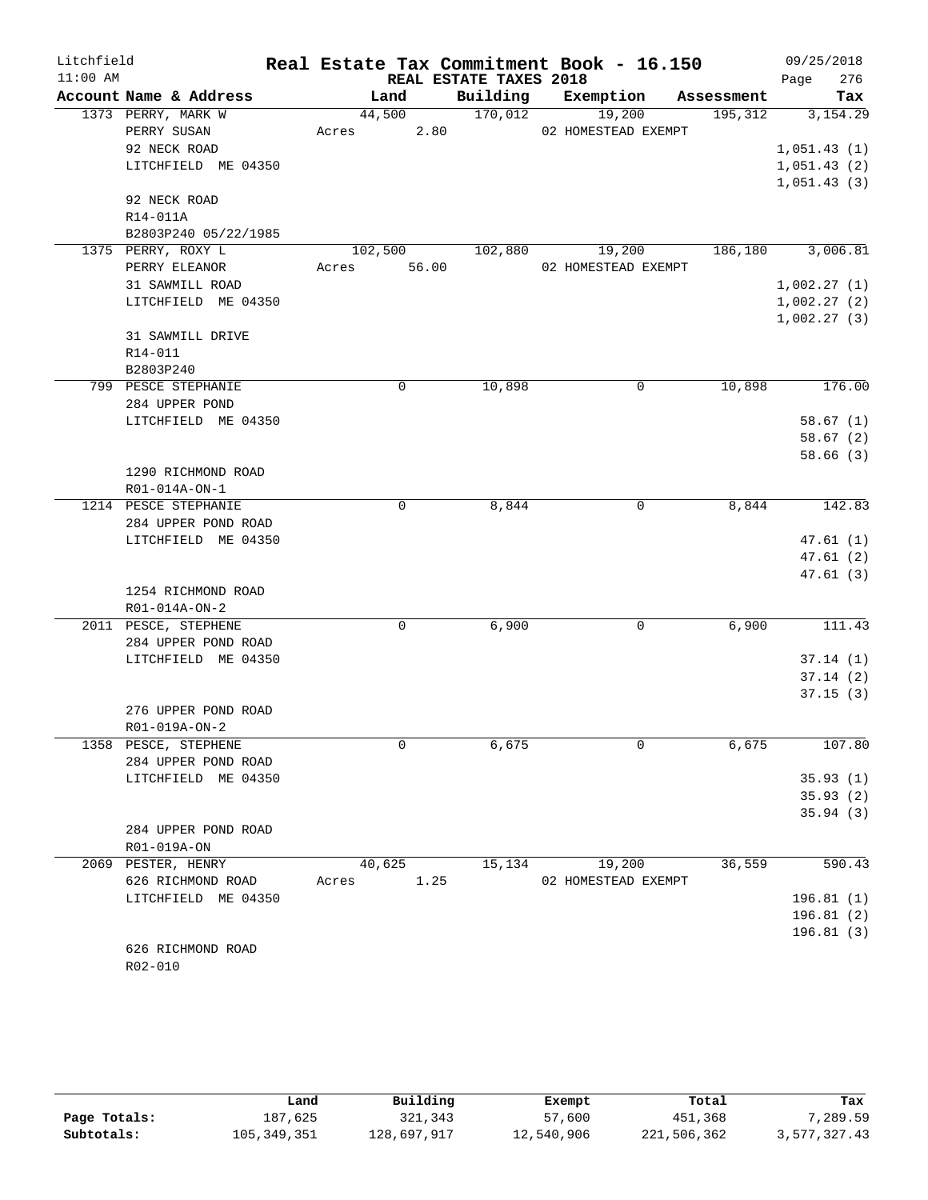| Litchfield |                                             |         |          |                        | Real Estate Tax Commitment Book - 16.150 |             |         |             | 09/25/2018 |
|------------|---------------------------------------------|---------|----------|------------------------|------------------------------------------|-------------|---------|-------------|------------|
| $11:00$ AM |                                             |         |          | REAL ESTATE TAXES 2018 |                                          |             |         | Page        | 276        |
|            | Account Name & Address                      | Land    |          | Building               | Exemption                                | Assessment  |         |             | Tax        |
|            | 1373 PERRY, MARK W                          | 44,500  |          | 170,012                | 19,200                                   |             | 195,312 |             | 3,154.29   |
|            | PERRY SUSAN                                 | Acres   | 2.80     |                        | 02 HOMESTEAD EXEMPT                      |             |         |             |            |
|            | 92 NECK ROAD                                |         |          |                        |                                          |             |         | 1,051.43(1) |            |
|            | LITCHFIELD ME 04350                         |         |          |                        |                                          |             |         | 1,051.43(2) |            |
|            |                                             |         |          |                        |                                          |             |         | 1,051.43(3) |            |
|            | 92 NECK ROAD                                |         |          |                        |                                          |             |         |             |            |
|            | R14-011A                                    |         |          |                        |                                          |             |         |             |            |
|            | B2803P240 05/22/1985                        |         |          |                        |                                          |             |         |             |            |
|            | 1375 PERRY, ROXY L                          | 102,500 |          | 102,880                | 19,200                                   |             | 186,180 |             | 3,006.81   |
|            | PERRY ELEANOR                               | Acres   | 56.00    |                        | 02 HOMESTEAD EXEMPT                      |             |         |             |            |
|            | 31 SAWMILL ROAD                             |         |          |                        |                                          |             |         | 1,002.27(1) |            |
|            | LITCHFIELD ME 04350                         |         |          |                        |                                          |             |         | 1,002.27(2) |            |
|            |                                             |         |          |                        |                                          |             |         | 1,002.27(3) |            |
|            | 31 SAWMILL DRIVE                            |         |          |                        |                                          |             |         |             |            |
|            | R14-011                                     |         |          |                        |                                          |             |         |             |            |
|            | B2803P240                                   |         |          |                        |                                          |             |         |             |            |
|            | 799 PESCE STEPHANIE                         |         | 0        | 10,898                 |                                          | $\mathbf 0$ | 10,898  |             | 176.00     |
|            | 284 UPPER POND                              |         |          |                        |                                          |             |         |             |            |
|            | LITCHFIELD ME 04350                         |         |          |                        |                                          |             |         |             | 58.67(1)   |
|            |                                             |         |          |                        |                                          |             |         |             | 58.67 (2)  |
|            |                                             |         |          |                        |                                          |             |         |             | 58.66(3)   |
|            | 1290 RICHMOND ROAD                          |         |          |                        |                                          |             |         |             |            |
|            | R01-014A-ON-1                               |         | 0        | 8,844                  |                                          | 0           | 8,844   |             | 142.83     |
|            | 1214 PESCE STEPHANIE<br>284 UPPER POND ROAD |         |          |                        |                                          |             |         |             |            |
|            | LITCHFIELD ME 04350                         |         |          |                        |                                          |             |         |             | 47.61(1)   |
|            |                                             |         |          |                        |                                          |             |         |             | 47.61 (2)  |
|            |                                             |         |          |                        |                                          |             |         |             | 47.61(3)   |
|            | 1254 RICHMOND ROAD                          |         |          |                        |                                          |             |         |             |            |
|            | R01-014A-ON-2                               |         |          |                        |                                          |             |         |             |            |
|            | 2011 PESCE, STEPHENE                        |         | $\Omega$ | 6,900                  |                                          | 0           | 6,900   |             | 111.43     |
|            | 284 UPPER POND ROAD                         |         |          |                        |                                          |             |         |             |            |
|            | LITCHFIELD ME 04350                         |         |          |                        |                                          |             |         |             | 37.14(1)   |
|            |                                             |         |          |                        |                                          |             |         |             | 37.14(2)   |
|            |                                             |         |          |                        |                                          |             |         |             | 37.15(3)   |
|            | 276 UPPER POND ROAD                         |         |          |                        |                                          |             |         |             |            |
|            | R01-019A-ON-2                               |         |          |                        |                                          |             |         |             |            |
|            | 1358 PESCE, STEPHENE                        |         | 0        | 6,675                  |                                          | 0           | 6,675   |             | 107.80     |
|            | 284 UPPER POND ROAD                         |         |          |                        |                                          |             |         |             |            |
|            | LITCHFIELD ME 04350                         |         |          |                        |                                          |             |         |             | 35.93(1)   |
|            |                                             |         |          |                        |                                          |             |         |             | 35.93(2)   |
|            |                                             |         |          |                        |                                          |             |         |             | 35.94(3)   |
|            | 284 UPPER POND ROAD                         |         |          |                        |                                          |             |         |             |            |
|            | R01-019A-ON                                 |         |          |                        |                                          |             |         |             |            |
|            | 2069 PESTER, HENRY                          | 40,625  |          | 15,134                 | 19,200                                   |             | 36,559  |             | 590.43     |
|            | 626 RICHMOND ROAD                           | Acres   | 1.25     |                        | 02 HOMESTEAD EXEMPT                      |             |         |             |            |
|            | LITCHFIELD ME 04350                         |         |          |                        |                                          |             |         |             | 196.81 (1) |
|            |                                             |         |          |                        |                                          |             |         |             | 196.81(2)  |
|            |                                             |         |          |                        |                                          |             |         |             | 196.81(3)  |
|            | 626 RICHMOND ROAD                           |         |          |                        |                                          |             |         |             |            |

R02-010

|              | Land        | Building    | Exempt     | Total       | Tax          |
|--------------|-------------|-------------|------------|-------------|--------------|
| Page Totals: | 187,625     | 321,343     | 57,600     | 451,368     | 7,289.59     |
| Subtotals:   | 105,349,351 | 128,697,917 | 12,540,906 | 221,506,362 | 3,577,327.43 |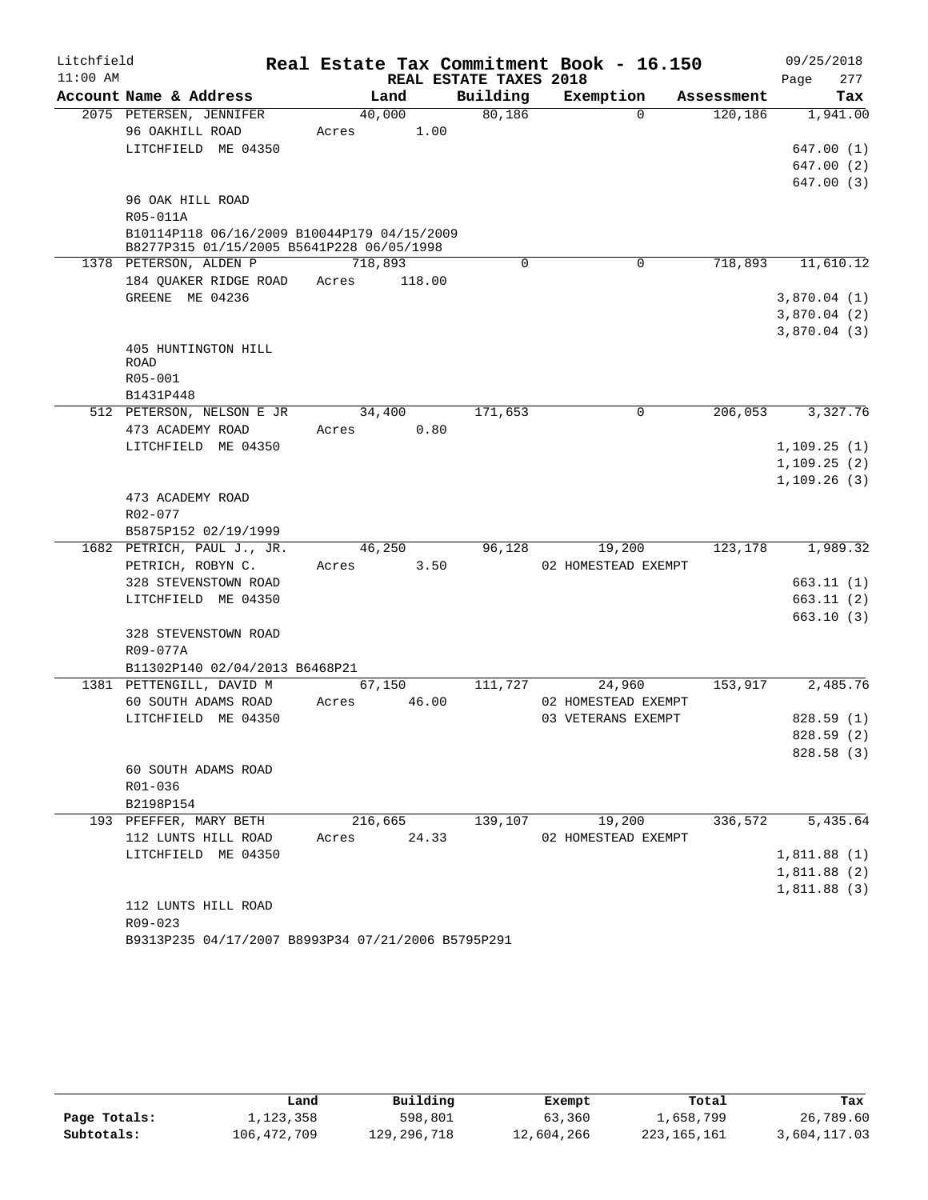| Litchfield |                                                                                          |       |         |                                    | Real Estate Tax Commitment Book - 16.150 |            | 09/25/2018                 |
|------------|------------------------------------------------------------------------------------------|-------|---------|------------------------------------|------------------------------------------|------------|----------------------------|
| $11:00$ AM | Account Name & Address                                                                   |       | Land    | REAL ESTATE TAXES 2018<br>Building | Exemption                                | Assessment | 277<br>Page<br>Tax         |
|            | 2075 PETERSEN, JENNIFER                                                                  |       | 40,000  | 80,186                             | $\Omega$                                 | 120, 186   | 1,941.00                   |
|            | 96 OAKHILL ROAD                                                                          | Acres |         | 1.00                               |                                          |            |                            |
|            | LITCHFIELD ME 04350                                                                      |       |         |                                    |                                          |            | 647.00 (1)                 |
|            |                                                                                          |       |         |                                    |                                          |            | 647.00 (2)                 |
|            |                                                                                          |       |         |                                    |                                          |            | 647.00 (3)                 |
|            | 96 OAK HILL ROAD                                                                         |       |         |                                    |                                          |            |                            |
|            | R05-011A                                                                                 |       |         |                                    |                                          |            |                            |
|            | B10114P118 06/16/2009 B10044P179 04/15/2009<br>B8277P315 01/15/2005 B5641P228 06/05/1998 |       |         |                                    |                                          |            |                            |
|            | 1378 PETERSON, ALDEN P                                                                   |       | 718,893 | 0                                  | 0                                        | 718,893    | 11,610.12                  |
|            | 184 QUAKER RIDGE ROAD                                                                    | Acres | 118.00  |                                    |                                          |            |                            |
|            | GREENE ME 04236                                                                          |       |         |                                    |                                          |            | 3,870.04(1)                |
|            |                                                                                          |       |         |                                    |                                          |            | 3,870.04(2)                |
|            |                                                                                          |       |         |                                    |                                          |            | 3,870.04(3)                |
|            | 405 HUNTINGTON HILL                                                                      |       |         |                                    |                                          |            |                            |
|            | ROAD                                                                                     |       |         |                                    |                                          |            |                            |
|            | R05-001                                                                                  |       |         |                                    |                                          |            |                            |
|            | B1431P448                                                                                |       |         |                                    |                                          |            |                            |
|            | 512 PETERSON, NELSON E JR                                                                |       | 34,400  | 171,653                            | 0                                        | 206,053    | 3,327.76                   |
|            | 473 ACADEMY ROAD                                                                         | Acres |         | 0.80                               |                                          |            |                            |
|            | LITCHFIELD ME 04350                                                                      |       |         |                                    |                                          |            | 1,109.25(1)                |
|            |                                                                                          |       |         |                                    |                                          |            | 1,109.25(2)<br>1,109.26(3) |
|            | 473 ACADEMY ROAD                                                                         |       |         |                                    |                                          |            |                            |
|            | R02-077                                                                                  |       |         |                                    |                                          |            |                            |
|            | B5875P152 02/19/1999                                                                     |       |         |                                    |                                          |            |                            |
|            | 1682 PETRICH, PAUL J., JR.                                                               |       | 46,250  | 96,128                             | 19,200                                   | 123,178    | 1,989.32                   |
|            | PETRICH, ROBYN C.                                                                        | Acres |         | 3.50                               | 02 HOMESTEAD EXEMPT                      |            |                            |
|            | 328 STEVENSTOWN ROAD                                                                     |       |         |                                    |                                          |            | 663.11(1)                  |
|            | LITCHFIELD ME 04350                                                                      |       |         |                                    |                                          |            | 663.11(2)                  |
|            |                                                                                          |       |         |                                    |                                          |            | 663.10(3)                  |
|            | 328 STEVENSTOWN ROAD                                                                     |       |         |                                    |                                          |            |                            |
|            | R09-077A                                                                                 |       |         |                                    |                                          |            |                            |
|            | B11302P140 02/04/2013 B6468P21                                                           |       |         |                                    |                                          |            |                            |
|            | 1381 PETTENGILL, DAVID M                                                                 |       | 67,150  | 111,727                            | 24,960                                   | 153,917    | 2,485.76                   |
|            | 60 SOUTH ADAMS ROAD                                                                      | Acres |         | 46.00                              | 02 HOMESTEAD EXEMPT                      |            |                            |
|            | LITCHFIELD ME 04350                                                                      |       |         |                                    | 03 VETERANS EXEMPT                       |            | 828.59(1)                  |
|            |                                                                                          |       |         |                                    |                                          |            | 828.59 (2)                 |
|            |                                                                                          |       |         |                                    |                                          |            | 828.58(3)                  |
|            | 60 SOUTH ADAMS ROAD                                                                      |       |         |                                    |                                          |            |                            |
|            | R01-036                                                                                  |       |         |                                    |                                          |            |                            |
|            | B2198P154                                                                                |       |         |                                    |                                          |            |                            |
|            | 193 PFEFFER, MARY BETH                                                                   |       | 216,665 | 139,107                            | 19,200                                   | 336,572    | 5,435.64                   |
|            | 112 LUNTS HILL ROAD                                                                      | Acres |         | 24.33                              | 02 HOMESTEAD EXEMPT                      |            |                            |
|            | LITCHFIELD ME 04350                                                                      |       |         |                                    |                                          |            | 1,811.88(1)                |
|            |                                                                                          |       |         |                                    |                                          |            | 1,811.88(2)                |
|            |                                                                                          |       |         |                                    |                                          |            | 1,811.88 (3)               |
|            | 112 LUNTS HILL ROAD<br>R09-023                                                           |       |         |                                    |                                          |            |                            |
|            | B9313P235 04/17/2007 B8993P34 07/21/2006 B5795P291                                       |       |         |                                    |                                          |            |                            |
|            |                                                                                          |       |         |                                    |                                          |            |                            |

|              | Land        | Building    | Exempt     | Total       | Tax          |
|--------------|-------------|-------------|------------|-------------|--------------|
| Page Totals: | 1,123,358   | 598,801     | 63,360     | 1,658,799   | 26,789.60    |
| Subtotals:   | 106,472,709 | 129,296,718 | 12,604,266 | 223,165,161 | 3,604,117.03 |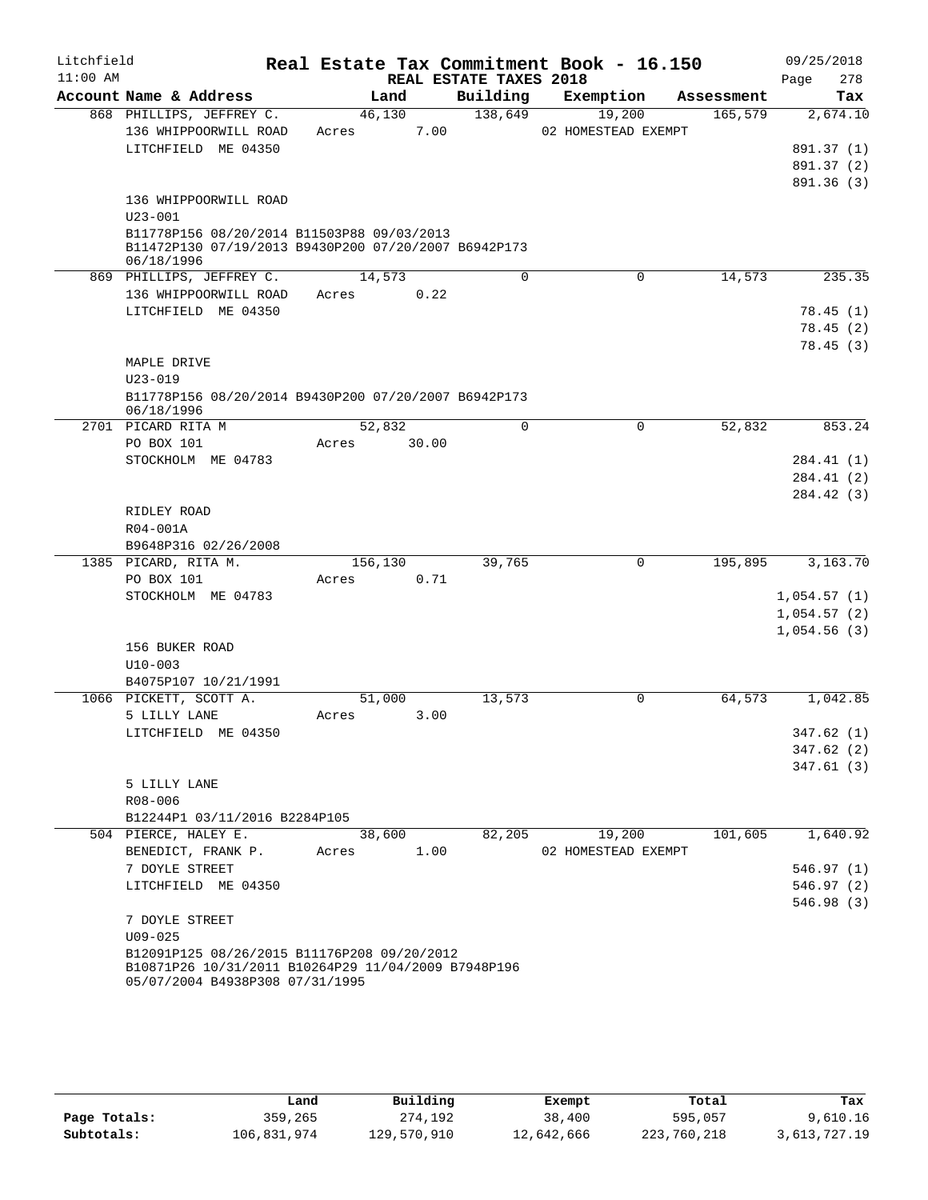| Litchfield |                                                      |       |         |                        | Real Estate Tax Commitment Book - 16.150 |            | 09/25/2018           |
|------------|------------------------------------------------------|-------|---------|------------------------|------------------------------------------|------------|----------------------|
| $11:00$ AM |                                                      |       |         | REAL ESTATE TAXES 2018 |                                          |            | 278<br>Page          |
|            | Account Name & Address                               |       | Land    | Building               | Exemption                                | Assessment | Tax                  |
|            | 868 PHILLIPS, JEFFREY C.                             |       | 46,130  | 138,649                | 19,200                                   | 165,579    | 2,674.10             |
|            | 136 WHIPPOORWILL ROAD<br>LITCHFIELD ME 04350         | Acres | 7.00    |                        | 02 HOMESTEAD EXEMPT                      |            | 891.37 (1)           |
|            |                                                      |       |         |                        |                                          |            | 891.37 (2)           |
|            |                                                      |       |         |                        |                                          |            | 891.36 (3)           |
|            | 136 WHIPPOORWILL ROAD                                |       |         |                        |                                          |            |                      |
|            | $U23 - 001$                                          |       |         |                        |                                          |            |                      |
|            | B11778P156 08/20/2014 B11503P88 09/03/2013           |       |         |                        |                                          |            |                      |
|            | B11472P130 07/19/2013 B9430P200 07/20/2007 B6942P173 |       |         |                        |                                          |            |                      |
|            | 06/18/1996                                           |       |         |                        |                                          |            |                      |
|            | 869 PHILLIPS, JEFFREY C.                             |       | 14,573  | $\Omega$               | $\Omega$                                 | 14,573     | 235.35               |
|            | 136 WHIPPOORWILL ROAD<br>LITCHFIELD ME 04350         | Acres | 0.22    |                        |                                          |            |                      |
|            |                                                      |       |         |                        |                                          |            | 78.45(1)<br>78.45(2) |
|            |                                                      |       |         |                        |                                          |            | 78.45(3)             |
|            | MAPLE DRIVE                                          |       |         |                        |                                          |            |                      |
|            | $U23 - 019$                                          |       |         |                        |                                          |            |                      |
|            | B11778P156 08/20/2014 B9430P200 07/20/2007 B6942P173 |       |         |                        |                                          |            |                      |
|            | 06/18/1996                                           |       |         |                        |                                          |            |                      |
|            | 2701 PICARD RITA M                                   |       | 52,832  | $\Omega$               | $\mathbf 0$                              | 52,832     | 853.24               |
|            | PO BOX 101                                           | Acres | 30.00   |                        |                                          |            |                      |
|            | STOCKHOLM ME 04783                                   |       |         |                        |                                          |            | 284.41 (1)           |
|            |                                                      |       |         |                        |                                          |            | 284.41 (2)           |
|            |                                                      |       |         |                        |                                          |            | 284.42 (3)           |
|            | RIDLEY ROAD                                          |       |         |                        |                                          |            |                      |
|            | R04-001A                                             |       |         |                        |                                          |            |                      |
|            | B9648P316 02/26/2008<br>1385 PICARD, RITA M.         |       | 156,130 | 39,765                 | $\mathbf 0$                              | 195,895    | 3,163.70             |
|            | PO BOX 101                                           | Acres | 0.71    |                        |                                          |            |                      |
|            | STOCKHOLM ME 04783                                   |       |         |                        |                                          |            | 1,054.57(1)          |
|            |                                                      |       |         |                        |                                          |            | 1,054.57(2)          |
|            |                                                      |       |         |                        |                                          |            | 1,054.56(3)          |
|            | 156 BUKER ROAD                                       |       |         |                        |                                          |            |                      |
|            | $U10 - 003$                                          |       |         |                        |                                          |            |                      |
|            | B4075P107 10/21/1991                                 |       |         |                        |                                          |            |                      |
|            | 1066 PICKETT, SCOTT A.                               |       | 51,000  | 13,573                 | 0                                        | 64,573     | 1,042.85             |
|            | 5 LILLY LANE                                         | Acres | 3.00    |                        |                                          |            |                      |
|            | LITCHFIELD ME 04350                                  |       |         |                        |                                          |            | 347.62(1)            |
|            |                                                      |       |         |                        |                                          |            | 347.62(2)            |
|            |                                                      |       |         |                        |                                          |            | 347.61(3)            |
|            | 5 LILLY LANE                                         |       |         |                        |                                          |            |                      |
|            | R08-006<br>B12244P1 03/11/2016 B2284P105             |       |         |                        |                                          |            |                      |
|            | 504 PIERCE, HALEY E.                                 |       | 38,600  | 82,205                 | 19,200                                   | 101,605    | 1,640.92             |
|            | BENEDICT, FRANK P.                                   | Acres | 1.00    |                        | 02 HOMESTEAD EXEMPT                      |            |                      |
|            | 7 DOYLE STREET                                       |       |         |                        |                                          |            | 546.97(1)            |
|            | LITCHFIELD ME 04350                                  |       |         |                        |                                          |            | 546.97(2)            |
|            |                                                      |       |         |                        |                                          |            | 546.98(3)            |
|            | 7 DOYLE STREET                                       |       |         |                        |                                          |            |                      |
|            | $U09 - 025$                                          |       |         |                        |                                          |            |                      |
|            | B12091P125 08/26/2015 B11176P208 09/20/2012          |       |         |                        |                                          |            |                      |
|            | B10871P26 10/31/2011 B10264P29 11/04/2009 B7948P196  |       |         |                        |                                          |            |                      |
|            | 05/07/2004 B4938P308 07/31/1995                      |       |         |                        |                                          |            |                      |

|              | Land        | Building    | Exempt     | Total       | Tax          |
|--------------|-------------|-------------|------------|-------------|--------------|
| Page Totals: | 359,265     | 274,192     | 38,400     | 595,057     | 9,610.16     |
| Subtotals:   | 106,831,974 | 129,570,910 | 12,642,666 | 223,760,218 | 3,613,727.19 |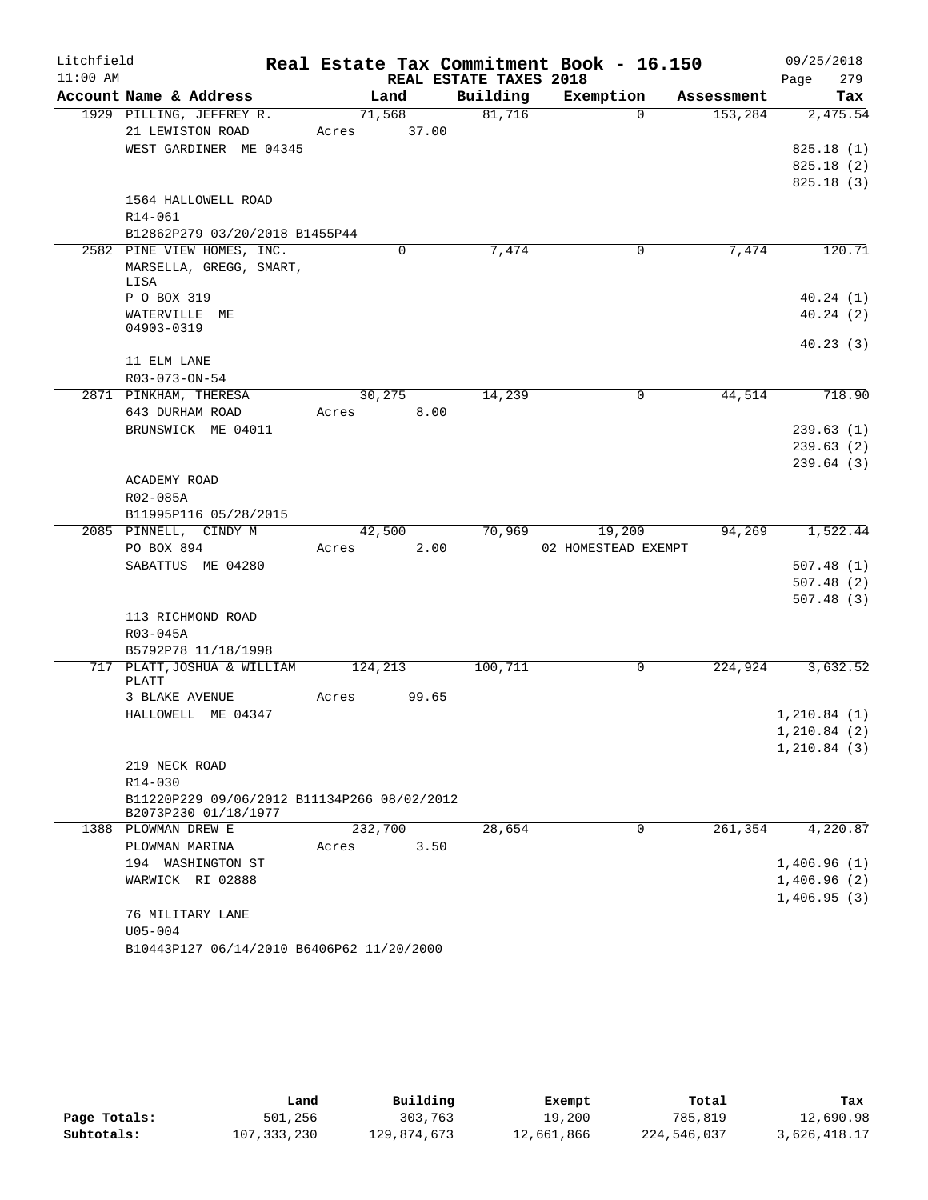| Litchfield |                                                                     |         |        |                        | Real Estate Tax Commitment Book - 16.150 |            | 09/25/2018   |
|------------|---------------------------------------------------------------------|---------|--------|------------------------|------------------------------------------|------------|--------------|
| $11:00$ AM |                                                                     |         |        | REAL ESTATE TAXES 2018 |                                          |            | 279<br>Page  |
|            | Account Name & Address                                              |         | Land   | Building               | Exemption                                | Assessment | Tax          |
|            | 1929 PILLING, JEFFREY R.                                            |         | 71,568 | 81,716                 | $\Omega$                                 | 153,284    | 2,475.54     |
|            | 21 LEWISTON ROAD                                                    | Acres   | 37.00  |                        |                                          |            |              |
|            | WEST GARDINER ME 04345                                              |         |        |                        |                                          |            | 825.18(1)    |
|            |                                                                     |         |        |                        |                                          |            | 825.18(2)    |
|            | 1564 HALLOWELL ROAD                                                 |         |        |                        |                                          |            | 825.18(3)    |
|            | R14-061                                                             |         |        |                        |                                          |            |              |
|            | B12862P279 03/20/2018 B1455P44                                      |         |        |                        |                                          |            |              |
|            | 2582 PINE VIEW HOMES, INC.                                          |         | 0      | 7,474                  | 0                                        | 7,474      | 120.71       |
|            | MARSELLA, GREGG, SMART,                                             |         |        |                        |                                          |            |              |
|            | LISA                                                                |         |        |                        |                                          |            |              |
|            | P O BOX 319                                                         |         |        |                        |                                          |            | 40.24(1)     |
|            | WATERVILLE ME                                                       |         |        |                        |                                          |            | 40.24(2)     |
|            | 04903-0319                                                          |         |        |                        |                                          |            |              |
|            | 11 ELM LANE                                                         |         |        |                        |                                          |            | 40.23(3)     |
|            | $R03 - 073 - ON - 54$                                               |         |        |                        |                                          |            |              |
|            | 2871 PINKHAM, THERESA                                               |         | 30,275 | 14,239                 | 0                                        | 44,514     | 718.90       |
|            | 643 DURHAM ROAD                                                     | Acres   | 8.00   |                        |                                          |            |              |
|            | BRUNSWICK ME 04011                                                  |         |        |                        |                                          |            | 239.63(1)    |
|            |                                                                     |         |        |                        |                                          |            | 239.63(2)    |
|            |                                                                     |         |        |                        |                                          |            | 239.64(3)    |
|            | ACADEMY ROAD                                                        |         |        |                        |                                          |            |              |
|            | R02-085A                                                            |         |        |                        |                                          |            |              |
|            | B11995P116 05/28/2015                                               |         |        |                        |                                          |            |              |
|            | 2085 PINNELL, CINDY M                                               |         | 42,500 | 70,969                 | 19,200                                   | 94,269     | 1,522.44     |
|            | PO BOX 894                                                          | Acres   | 2.00   |                        | 02 HOMESTEAD EXEMPT                      |            |              |
|            | SABATTUS ME 04280                                                   |         |        |                        |                                          |            | 507.48(1)    |
|            |                                                                     |         |        |                        |                                          |            | 507.48(2)    |
|            |                                                                     |         |        |                        |                                          |            | 507.48(3)    |
|            | 113 RICHMOND ROAD<br>R03-045A                                       |         |        |                        |                                          |            |              |
|            | B5792P78 11/18/1998                                                 |         |        |                        |                                          |            |              |
|            | 717 PLATT, JOSHUA & WILLIAM                                         | 124,213 |        | 100,711                | 0                                        | 224,924    | 3,632.52     |
|            | PLATT                                                               |         |        |                        |                                          |            |              |
|            | 3 BLAKE AVENUE                                                      | Acres   | 99.65  |                        |                                          |            |              |
|            | HALLOWELL ME 04347                                                  |         |        |                        |                                          |            | 1, 210.84(1) |
|            |                                                                     |         |        |                        |                                          |            | 1, 210.84(2) |
|            |                                                                     |         |        |                        |                                          |            | 1,210.84(3)  |
|            | 219 NECK ROAD                                                       |         |        |                        |                                          |            |              |
|            | R14-030                                                             |         |        |                        |                                          |            |              |
|            | B11220P229 09/06/2012 B11134P266 08/02/2012<br>B2073P230 01/18/1977 |         |        |                        |                                          |            |              |
|            | 1388 PLOWMAN DREW E                                                 | 232,700 |        | 28,654                 | 0                                        | 261,354    | 4,220.87     |
|            | PLOWMAN MARINA                                                      | Acres   | 3.50   |                        |                                          |            |              |
|            | 194 WASHINGTON ST                                                   |         |        |                        |                                          |            | 1,406.96(1)  |
|            | WARWICK RI 02888                                                    |         |        |                        |                                          |            | 1,406.96(2)  |
|            |                                                                     |         |        |                        |                                          |            | 1,406.95(3)  |
|            | 76 MILITARY LANE                                                    |         |        |                        |                                          |            |              |
|            | $U05 - 004$                                                         |         |        |                        |                                          |            |              |
|            | B10443P127 06/14/2010 B6406P62 11/20/2000                           |         |        |                        |                                          |            |              |

|              | Land          | Building    | Exempt     | Total       | Tax          |
|--------------|---------------|-------------|------------|-------------|--------------|
| Page Totals: | 501,256       | 303,763     | 19,200     | 785,819     | 12,690.98    |
| Subtotals:   | 107, 333, 230 | 129,874,673 | 12,661,866 | 224,546,037 | 3,626,418.17 |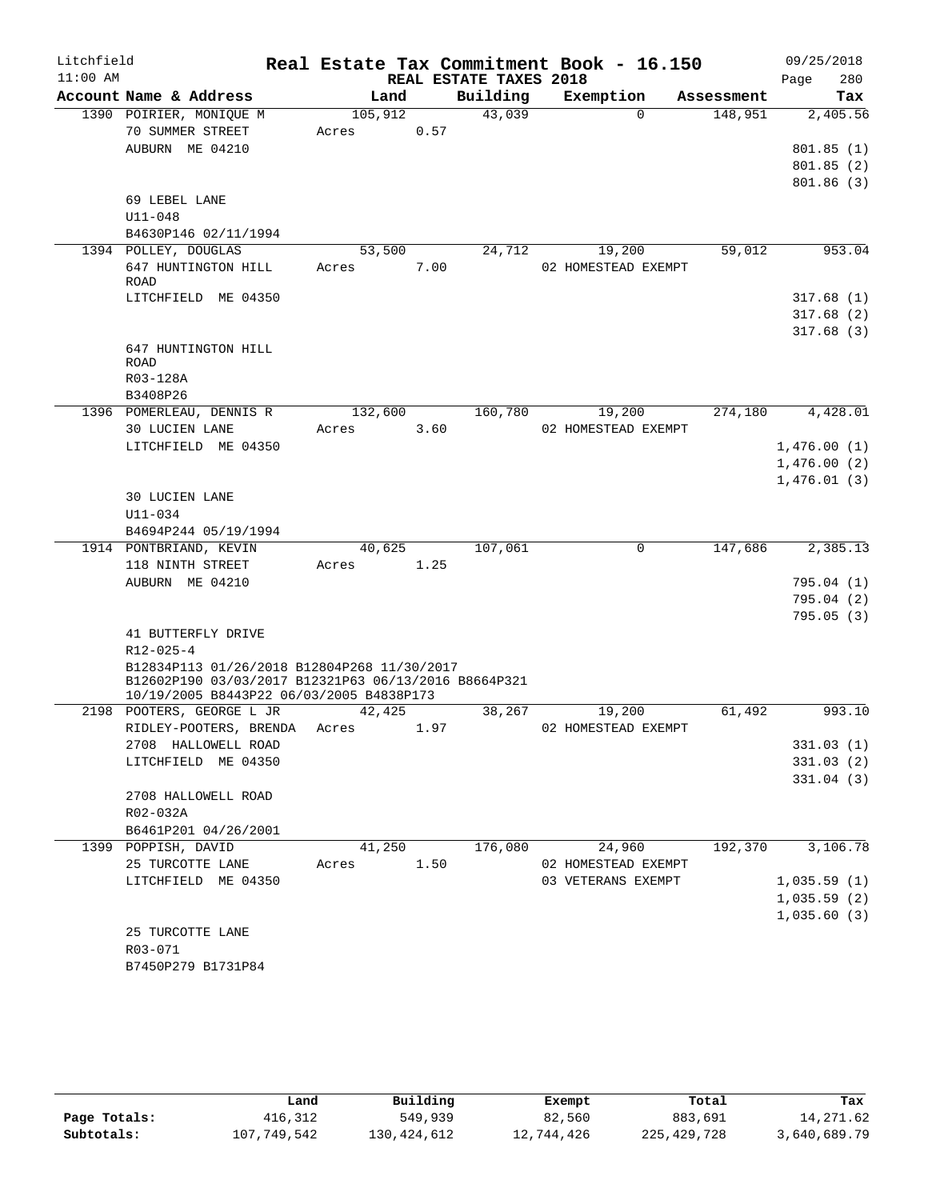| Litchfield |                                                                                                     |         |      |                        |         | Real Estate Tax Commitment Book - 16.150 |          |            |      | 09/25/2018  |
|------------|-----------------------------------------------------------------------------------------------------|---------|------|------------------------|---------|------------------------------------------|----------|------------|------|-------------|
| $11:00$ AM |                                                                                                     |         |      | REAL ESTATE TAXES 2018 |         |                                          |          |            | Page | 280         |
|            | Account Name & Address                                                                              |         | Land | Building               |         | Exemption                                |          | Assessment |      | Tax         |
|            | 1390 POIRIER, MONIQUE M                                                                             | 105,912 |      |                        | 43,039  |                                          | $\Omega$ | 148,951    |      | 2,405.56    |
|            | 70 SUMMER STREET                                                                                    | Acres   |      | 0.57                   |         |                                          |          |            |      |             |
|            | AUBURN ME 04210                                                                                     |         |      |                        |         |                                          |          |            |      | 801.85(1)   |
|            |                                                                                                     |         |      |                        |         |                                          |          |            |      | 801.85(2)   |
|            | 69 LEBEL LANE                                                                                       |         |      |                        |         |                                          |          |            |      | 801.86(3)   |
|            | $U11 - 048$                                                                                         |         |      |                        |         |                                          |          |            |      |             |
|            | B4630P146 02/11/1994                                                                                |         |      |                        |         |                                          |          |            |      |             |
|            | 1394 POLLEY, DOUGLAS                                                                                | 53,500  |      |                        | 24,712  | 19,200                                   |          | 59,012     |      | 953.04      |
|            | 647 HUNTINGTON HILL                                                                                 | Acres   |      | 7.00                   |         | 02 HOMESTEAD EXEMPT                      |          |            |      |             |
|            | ROAD                                                                                                |         |      |                        |         |                                          |          |            |      |             |
|            | LITCHFIELD ME 04350                                                                                 |         |      |                        |         |                                          |          |            |      | 317.68(1)   |
|            |                                                                                                     |         |      |                        |         |                                          |          |            |      | 317.68(2)   |
|            |                                                                                                     |         |      |                        |         |                                          |          |            |      | 317.68(3)   |
|            | 647 HUNTINGTON HILL                                                                                 |         |      |                        |         |                                          |          |            |      |             |
|            | ROAD                                                                                                |         |      |                        |         |                                          |          |            |      |             |
|            | R03-128A<br>B3408P26                                                                                |         |      |                        |         |                                          |          |            |      |             |
|            | 1396 POMERLEAU, DENNIS R                                                                            | 132,600 |      |                        | 160,780 | 19,200                                   |          | 274,180    |      | 4,428.01    |
|            | 30 LUCIEN LANE                                                                                      | Acres   |      | 3.60                   |         | 02 HOMESTEAD EXEMPT                      |          |            |      |             |
|            | LITCHFIELD ME 04350                                                                                 |         |      |                        |         |                                          |          |            |      | 1,476.00(1) |
|            |                                                                                                     |         |      |                        |         |                                          |          |            |      | 1,476.00(2) |
|            |                                                                                                     |         |      |                        |         |                                          |          |            |      | 1,476.01(3) |
|            | 30 LUCIEN LANE                                                                                      |         |      |                        |         |                                          |          |            |      |             |
|            | $U11 - 034$                                                                                         |         |      |                        |         |                                          |          |            |      |             |
|            | B4694P244 05/19/1994                                                                                |         |      |                        |         |                                          |          |            |      |             |
|            | 1914 PONTBRIAND, KEVIN                                                                              | 40,625  |      |                        | 107,061 |                                          | 0        | 147,686    |      | 2,385.13    |
|            | 118 NINTH STREET                                                                                    | Acres   | 1.25 |                        |         |                                          |          |            |      |             |
|            | AUBURN ME 04210                                                                                     |         |      |                        |         |                                          |          |            |      | 795.04 (1)  |
|            |                                                                                                     |         |      |                        |         |                                          |          |            |      | 795.04(2)   |
|            |                                                                                                     |         |      |                        |         |                                          |          |            |      | 795.05(3)   |
|            | 41 BUTTERFLY DRIVE                                                                                  |         |      |                        |         |                                          |          |            |      |             |
|            | $R12 - 025 - 4$                                                                                     |         |      |                        |         |                                          |          |            |      |             |
|            | B12834P113 01/26/2018 B12804P268 11/30/2017<br>B12602P190 03/03/2017 B12321P63 06/13/2016 B8664P321 |         |      |                        |         |                                          |          |            |      |             |
|            | 10/19/2005 B8443P22 06/03/2005 B4838P173                                                            |         |      |                        |         |                                          |          |            |      |             |
|            | 2198 POOTERS, GEORGE L JR                                                                           | 42,425  |      |                        | 38,267  | 19,200                                   |          | 61,492     |      | 993.10      |
|            | RIDLEY-POOTERS, BRENDA                                                                              | Acres   |      | 1.97                   |         | 02 HOMESTEAD EXEMPT                      |          |            |      |             |
|            | 2708 HALLOWELL ROAD                                                                                 |         |      |                        |         |                                          |          |            |      | 331.03(1)   |
|            | LITCHFIELD ME 04350                                                                                 |         |      |                        |         |                                          |          |            |      | 331.03(2)   |
|            |                                                                                                     |         |      |                        |         |                                          |          |            |      | 331.04(3)   |
|            | 2708 HALLOWELL ROAD                                                                                 |         |      |                        |         |                                          |          |            |      |             |
|            | R02-032A<br>B6461P201 04/26/2001                                                                    |         |      |                        |         |                                          |          |            |      |             |
|            | 1399 POPPISH, DAVID                                                                                 | 41,250  |      |                        | 176,080 | 24,960                                   |          | 192,370    |      | 3,106.78    |
|            | 25 TURCOTTE LANE                                                                                    | Acres   |      | 1.50                   |         | 02 HOMESTEAD EXEMPT                      |          |            |      |             |
|            | LITCHFIELD ME 04350                                                                                 |         |      |                        |         | 03 VETERANS EXEMPT                       |          |            |      | 1,035.59(1) |
|            |                                                                                                     |         |      |                        |         |                                          |          |            |      | 1,035.59(2) |
|            |                                                                                                     |         |      |                        |         |                                          |          |            |      | 1,035.60(3) |
|            | 25 TURCOTTE LANE                                                                                    |         |      |                        |         |                                          |          |            |      |             |
|            | R03-071                                                                                             |         |      |                        |         |                                          |          |            |      |             |
|            | B7450P279 B1731P84                                                                                  |         |      |                        |         |                                          |          |            |      |             |
|            |                                                                                                     |         |      |                        |         |                                          |          |            |      |             |

|              | Land        | Building    | Exempt     | Total       | Tax          |
|--------------|-------------|-------------|------------|-------------|--------------|
| Page Totals: | 416,312     | 549,939     | 82,560     | 883,691     | 14,271.62    |
| Subtotals:   | 107,749,542 | 130,424,612 | 12,744,426 | 225,429,728 | 3,640,689.79 |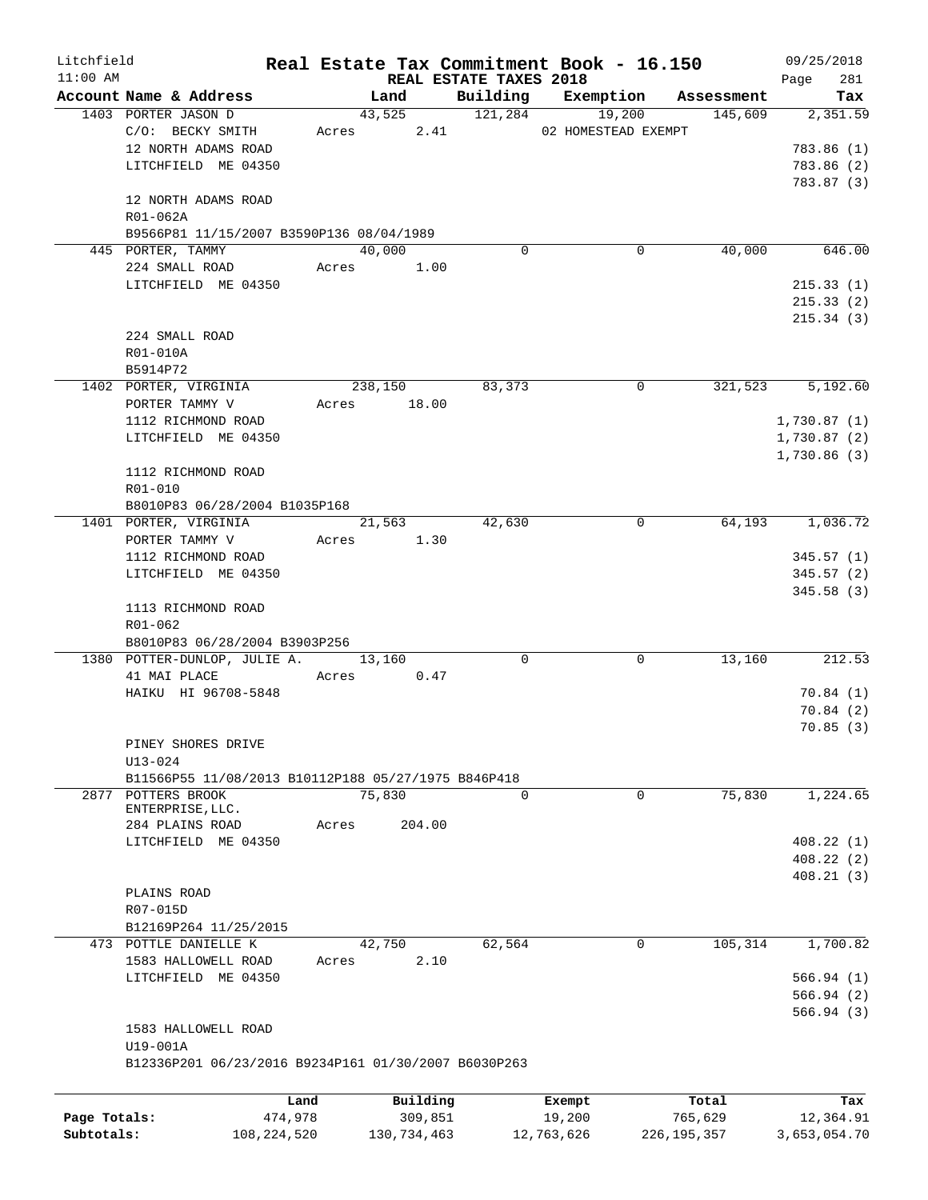| Litchfield   |                                                      |             |       |                     |                        | Real Estate Tax Commitment Book - 16.150 |                       | 09/25/2018      |
|--------------|------------------------------------------------------|-------------|-------|---------------------|------------------------|------------------------------------------|-----------------------|-----------------|
| $11:00$ AM   |                                                      |             |       | Land                | REAL ESTATE TAXES 2018 | Building Exemption                       |                       | 281<br>Page     |
|              | Account Name & Address<br>1403 PORTER JASON D        |             |       |                     |                        | 43,525 121,284 19,200                    | Assessment<br>145,609 | Tax<br>2,351.59 |
|              | C/O: BECKY SMITH                                     |             |       |                     |                        | Acres 2.41 02 HOMESTEAD EXEMPT           |                       |                 |
|              | 12 NORTH ADAMS ROAD                                  |             |       |                     |                        |                                          |                       | 783.86 (1)      |
|              | LITCHFIELD ME 04350                                  |             |       |                     |                        |                                          |                       | 783.86 (2)      |
|              |                                                      |             |       |                     |                        |                                          |                       | 783.87 (3)      |
|              | 12 NORTH ADAMS ROAD<br>R01-062A                      |             |       |                     |                        |                                          |                       |                 |
|              | B9566P81 11/15/2007 B3590P136 08/04/1989             |             |       |                     |                        |                                          |                       |                 |
|              | 445 PORTER, TAMMY                                    |             |       | 40,000              | 0                      | 0                                        | 40,000                | 646.00          |
|              | 224 SMALL ROAD                                       |             |       | Acres 1.00          |                        |                                          |                       |                 |
|              | LITCHFIELD ME 04350                                  |             |       |                     |                        |                                          |                       | 215.33(1)       |
|              |                                                      |             |       |                     |                        |                                          |                       | 215.33(2)       |
|              |                                                      |             |       |                     |                        |                                          |                       | 215.34(3)       |
|              | 224 SMALL ROAD                                       |             |       |                     |                        |                                          |                       |                 |
|              | R01-010A                                             |             |       |                     |                        |                                          |                       |                 |
|              | B5914P72                                             |             |       |                     |                        |                                          |                       |                 |
|              | 1402 PORTER, VIRGINIA                                |             |       | 238,150             | 83,373                 | 0                                        | 321,523               | 5,192.60        |
|              | PORTER TAMMY V                                       |             | Acres | 18.00               |                        |                                          |                       |                 |
|              | 1112 RICHMOND ROAD                                   |             |       |                     |                        |                                          |                       | 1,730.87(1)     |
|              | LITCHFIELD ME 04350                                  |             |       |                     |                        |                                          |                       | 1,730.87(2)     |
|              |                                                      |             |       |                     |                        |                                          |                       | 1,730.86(3)     |
|              | 1112 RICHMOND ROAD                                   |             |       |                     |                        |                                          |                       |                 |
|              | R01-010                                              |             |       |                     |                        |                                          |                       |                 |
|              | B8010P83 06/28/2004 B1035P168                        |             |       |                     |                        |                                          |                       |                 |
|              | 1401 PORTER, VIRGINIA                                |             |       | $\overline{21,563}$ | 42,630                 | $\mathbf 0$                              | 64,193                | 1,036.72        |
|              | PORTER TAMMY V                                       |             |       | Acres 1.30          |                        |                                          |                       |                 |
|              | 1112 RICHMOND ROAD                                   |             |       |                     |                        |                                          |                       | 345.57(1)       |
|              | LITCHFIELD ME 04350                                  |             |       |                     |                        |                                          |                       | 345.57(2)       |
|              |                                                      |             |       |                     |                        |                                          |                       | 345.58(3)       |
|              | 1113 RICHMOND ROAD                                   |             |       |                     |                        |                                          |                       |                 |
|              | R01-062<br>B8010P83 06/28/2004 B3903P256             |             |       |                     |                        |                                          |                       |                 |
|              | 1380 POTTER-DUNLOP, JULIE A.                         |             |       | 13,160              | $\Omega$               | $\mathbf 0$                              | 13,160                | 212.53          |
|              | 41 MAI PLACE                                         |             |       | Acres 0.47          |                        |                                          |                       |                 |
|              | HAIKU HI 96708-5848                                  |             |       |                     |                        |                                          |                       | 70.84(1)        |
|              |                                                      |             |       |                     |                        |                                          |                       | 70.84(2)        |
|              |                                                      |             |       |                     |                        |                                          |                       | 70.85(3)        |
|              | PINEY SHORES DRIVE                                   |             |       |                     |                        |                                          |                       |                 |
|              | $U13 - 024$                                          |             |       |                     |                        |                                          |                       |                 |
|              | B11566P55 11/08/2013 B10112P188 05/27/1975 B846P418  |             |       |                     |                        |                                          |                       |                 |
| 2877         | POTTERS BROOK                                        |             |       | 75,830              | $\Omega$               | $\mathbf 0$                              | 75,830                | 1,224.65        |
|              | ENTERPRISE, LLC.                                     |             |       |                     |                        |                                          |                       |                 |
|              | 284 PLAINS ROAD                                      |             | Acres | 204.00              |                        |                                          |                       |                 |
|              | LITCHFIELD ME 04350                                  |             |       |                     |                        |                                          |                       | 408.22(1)       |
|              |                                                      |             |       |                     |                        |                                          |                       | 408.22(2)       |
|              |                                                      |             |       |                     |                        |                                          |                       | 408.21(3)       |
|              | PLAINS ROAD                                          |             |       |                     |                        |                                          |                       |                 |
|              | R07-015D                                             |             |       |                     |                        |                                          |                       |                 |
|              | B12169P264 11/25/2015                                |             |       |                     |                        |                                          |                       |                 |
|              | 473 POTTLE DANIELLE K                                |             |       | 42,750              | 62,564                 | 0                                        | 105,314               | 1,700.82        |
|              | 1583 HALLOWELL ROAD                                  |             | Acres | 2.10                |                        |                                          |                       |                 |
|              | LITCHFIELD ME 04350                                  |             |       |                     |                        |                                          |                       | 566.94(1)       |
|              |                                                      |             |       |                     |                        |                                          |                       | 566.94(2)       |
|              |                                                      |             |       |                     |                        |                                          |                       | 566.94(3)       |
|              | 1583 HALLOWELL ROAD                                  |             |       |                     |                        |                                          |                       |                 |
|              | U19-001A                                             |             |       |                     |                        |                                          |                       |                 |
|              | B12336P201 06/23/2016 B9234P161 01/30/2007 B6030P263 |             |       |                     |                        |                                          |                       |                 |
|              |                                                      | Land        |       | Building            |                        | Exempt                                   | Total                 | Tax             |
| Page Totals: |                                                      | 474,978     |       | 309,851             |                        | 19,200                                   | 765,629               | 12,364.91       |
| Subtotals:   |                                                      | 108,224,520 |       | 130,734,463         |                        | 12,763,626                               | 226, 195, 357         | 3,653,054.70    |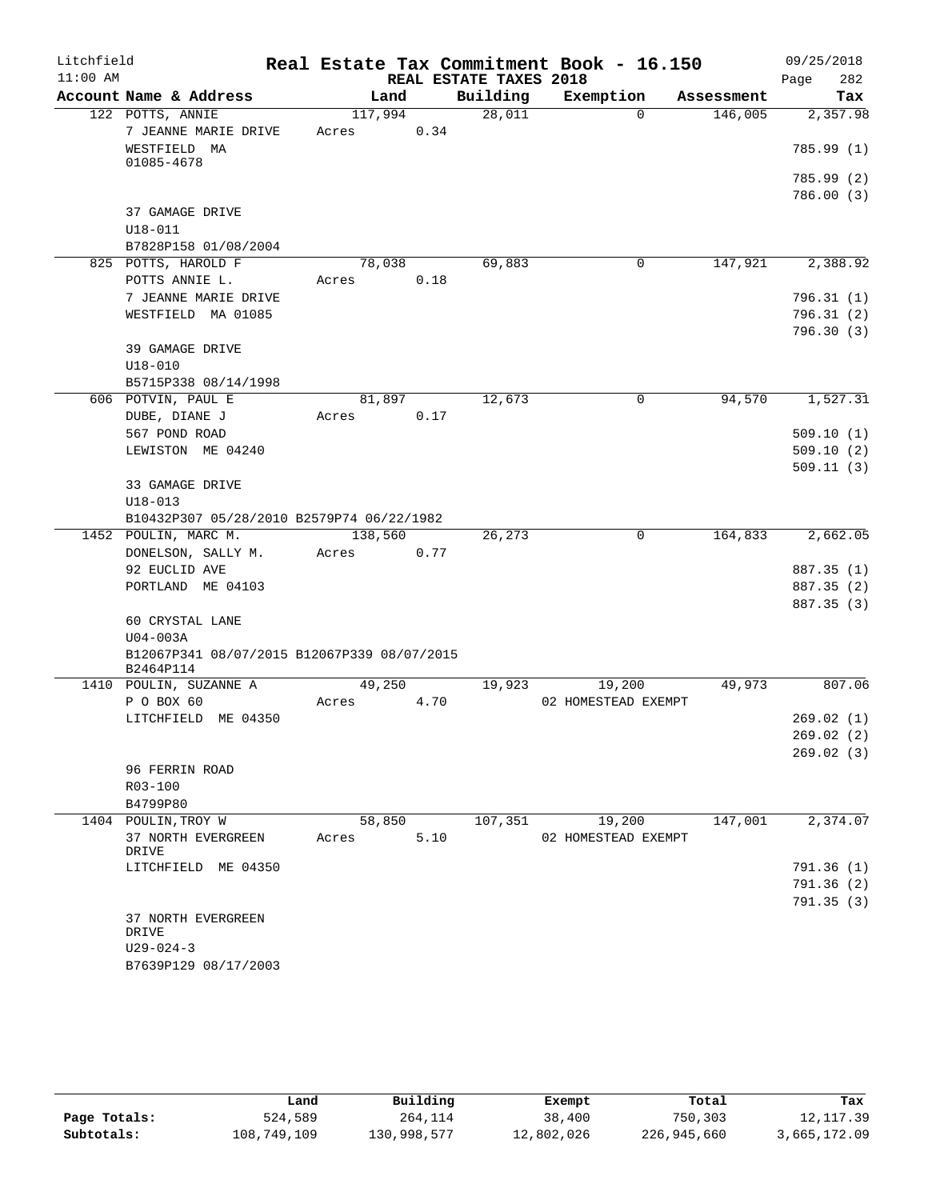| Litchfield |                                             |         |      |                        | Real Estate Tax Commitment Book - 16.150 |            | 09/25/2018               |
|------------|---------------------------------------------|---------|------|------------------------|------------------------------------------|------------|--------------------------|
| $11:00$ AM |                                             |         |      | REAL ESTATE TAXES 2018 |                                          |            | 282<br>Page              |
|            | Account Name & Address                      | Land    |      | Building               | Exemption                                | Assessment | Tax                      |
|            | 122 POTTS, ANNIE                            | 117,994 |      | 28,011                 | $\Omega$                                 | 146,005    | 2,357.98                 |
|            | 7 JEANNE MARIE DRIVE                        | Acres   | 0.34 |                        |                                          |            |                          |
|            | WESTFIELD MA                                |         |      |                        |                                          |            | 785.99(1)                |
|            | 01085-4678                                  |         |      |                        |                                          |            | 785.99 (2)               |
|            |                                             |         |      |                        |                                          |            | 786.00(3)                |
|            | 37 GAMAGE DRIVE                             |         |      |                        |                                          |            |                          |
|            | $U18 - 011$                                 |         |      |                        |                                          |            |                          |
|            | B7828P158 01/08/2004                        |         |      |                        |                                          |            |                          |
|            | 825 POTTS, HAROLD F                         | 78,038  |      | 69,883                 | 0                                        | 147,921    | 2,388.92                 |
|            | POTTS ANNIE L.                              | Acres   | 0.18 |                        |                                          |            |                          |
|            | 7 JEANNE MARIE DRIVE                        |         |      |                        |                                          |            | 796.31(1)                |
|            | WESTFIELD MA 01085                          |         |      |                        |                                          |            | 796.31(2)                |
|            |                                             |         |      |                        |                                          |            | 796.30(3)                |
|            | 39 GAMAGE DRIVE                             |         |      |                        |                                          |            |                          |
|            | $U18 - 010$                                 |         |      |                        |                                          |            |                          |
|            | B5715P338 08/14/1998                        |         |      |                        |                                          |            |                          |
|            | 606 POTVIN, PAUL E                          | 81,897  |      | 12,673                 | 0                                        | 94,570     | 1,527.31                 |
|            | DUBE, DIANE J                               | Acres   | 0.17 |                        |                                          |            |                          |
|            | 567 POND ROAD                               |         |      |                        |                                          |            | 509.10(1)                |
|            | LEWISTON ME 04240                           |         |      |                        |                                          |            | 509.10(2)                |
|            |                                             |         |      |                        |                                          |            | 509.11(3)                |
|            | 33 GAMAGE DRIVE                             |         |      |                        |                                          |            |                          |
|            | $U18 - 013$                                 |         |      |                        |                                          |            |                          |
|            | B10432P307 05/28/2010 B2579P74 06/22/1982   |         |      |                        |                                          |            |                          |
|            | 1452 POULIN, MARC M.                        | 138,560 |      | 26,273                 | $\overline{0}$                           | 164,833    | 2,662.05                 |
|            | DONELSON, SALLY M.                          | Acres   | 0.77 |                        |                                          |            |                          |
|            | 92 EUCLID AVE<br>PORTLAND ME 04103          |         |      |                        |                                          |            | 887.35 (1)<br>887.35 (2) |
|            |                                             |         |      |                        |                                          |            | 887.35 (3)               |
|            | 60 CRYSTAL LANE                             |         |      |                        |                                          |            |                          |
|            | $U04-003A$                                  |         |      |                        |                                          |            |                          |
|            | B12067P341 08/07/2015 B12067P339 08/07/2015 |         |      |                        |                                          |            |                          |
|            | B2464P114                                   |         |      |                        |                                          |            |                          |
|            | 1410 POULIN, SUZANNE A                      | 49,250  |      | 19,923                 | 19,200                                   | 49,973     | 807.06                   |
|            | P O BOX 60                                  | Acres   | 4.70 |                        | 02 HOMESTEAD EXEMPT                      |            |                          |
|            | LITCHFIELD ME 04350                         |         |      |                        |                                          |            | 269.02(1)                |
|            |                                             |         |      |                        |                                          |            | 269.02 (2)               |
|            |                                             |         |      |                        |                                          |            | 269.02(3)                |
|            | 96 FERRIN ROAD                              |         |      |                        |                                          |            |                          |
|            | R03-100                                     |         |      |                        |                                          |            |                          |
|            | B4799P80<br>1404 POULIN, TROY W             | 58,850  |      | 107,351                | 19,200                                   | 147,001    | 2,374.07                 |
|            | 37 NORTH EVERGREEN                          | Acres   | 5.10 |                        | 02 HOMESTEAD EXEMPT                      |            |                          |
|            | DRIVE                                       |         |      |                        |                                          |            |                          |
|            | LITCHFIELD ME 04350                         |         |      |                        |                                          |            | 791.36(1)                |
|            |                                             |         |      |                        |                                          |            | 791.36(2)                |
|            |                                             |         |      |                        |                                          |            | 791.35(3)                |
|            | 37 NORTH EVERGREEN                          |         |      |                        |                                          |            |                          |
|            | DRIVE                                       |         |      |                        |                                          |            |                          |
|            | $U29 - 024 - 3$                             |         |      |                        |                                          |            |                          |
|            | B7639P129 08/17/2003                        |         |      |                        |                                          |            |                          |

|              | Land        | Building    | Exempt     | Total       | Tax          |
|--------------|-------------|-------------|------------|-------------|--------------|
| Page Totals: | 524,589     | 264,114     | 38,400     | 750,303     | 12, 117.39   |
| Subtotals:   | 108,749,109 | 130,998,577 | 12,802,026 | 226,945,660 | 3,665,172.09 |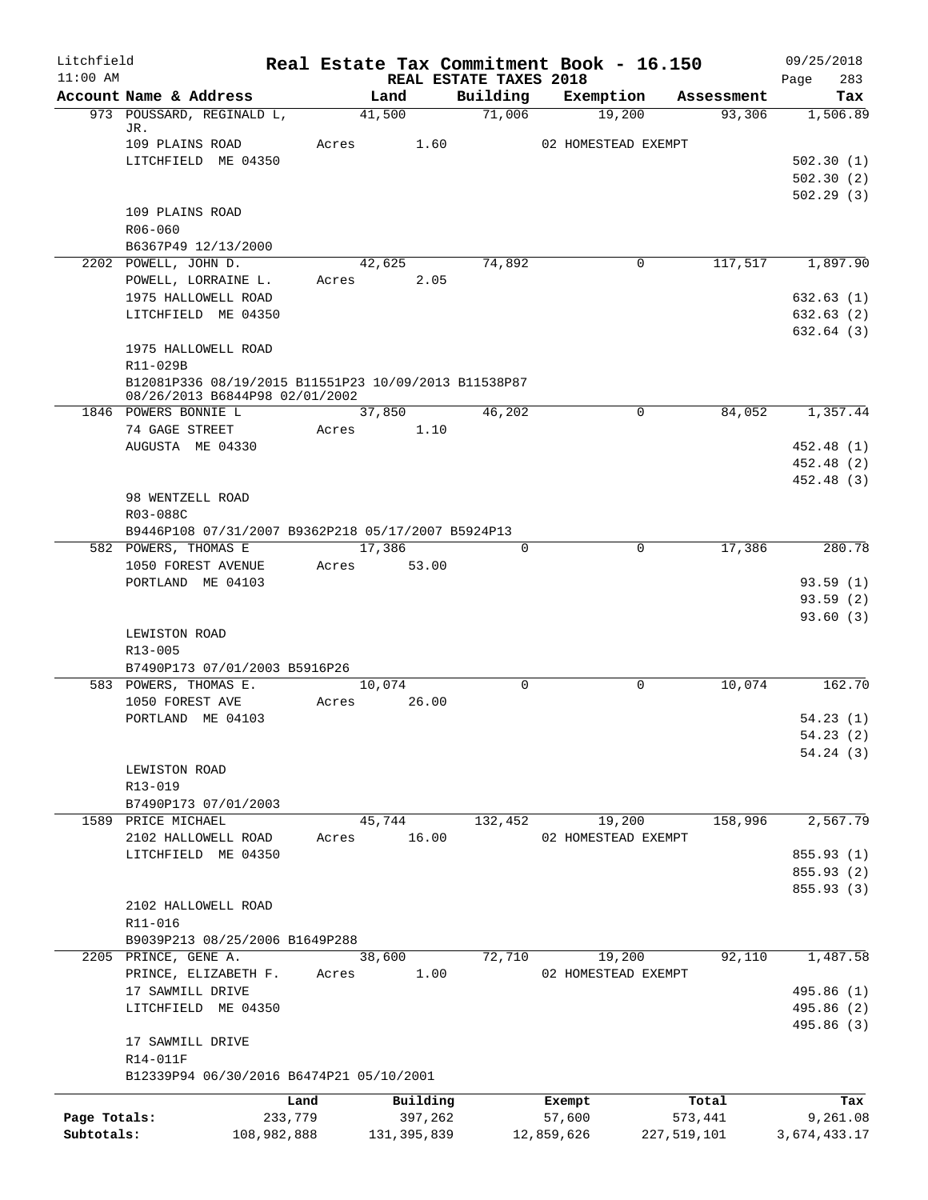| Litchfield<br>$11:00$ AM |                                                                                        |       |                |                                    | Real Estate Tax Commitment Book - 16.150 |             | 09/25/2018            |
|--------------------------|----------------------------------------------------------------------------------------|-------|----------------|------------------------------------|------------------------------------------|-------------|-----------------------|
|                          | Account Name & Address                                                                 |       | Land           | REAL ESTATE TAXES 2018<br>Building | Exemption                                | Assessment  | 283<br>Page<br>Tax    |
|                          | 973 POUSSARD, REGINALD L,                                                              |       | 41,500         | 71,006                             | 19,200                                   | 93,306      | 1,506.89              |
|                          | JR.                                                                                    |       |                |                                    |                                          |             |                       |
|                          | 109 PLAINS ROAD<br>LITCHFIELD ME 04350                                                 | Acres | 1.60           |                                    | 02 HOMESTEAD EXEMPT                      |             | 502.30(1)             |
|                          |                                                                                        |       |                |                                    |                                          |             | 502.30(2)             |
|                          |                                                                                        |       |                |                                    |                                          |             | 502.29(3)             |
|                          | 109 PLAINS ROAD                                                                        |       |                |                                    |                                          |             |                       |
|                          | R06-060                                                                                |       |                |                                    |                                          |             |                       |
|                          | B6367P49 12/13/2000                                                                    |       |                |                                    |                                          |             |                       |
|                          | 2202 POWELL, JOHN D.<br>POWELL, LORRAINE L.                                            | Acres | 42,625<br>2.05 | 74,892                             | 0                                        | 117,517     | 1,897.90              |
|                          | 1975 HALLOWELL ROAD                                                                    |       |                |                                    |                                          |             | 632.63(1)             |
|                          | LITCHFIELD ME 04350                                                                    |       |                |                                    |                                          |             | 632.63(2)             |
|                          |                                                                                        |       |                |                                    |                                          |             | 632.64(3)             |
|                          | 1975 HALLOWELL ROAD                                                                    |       |                |                                    |                                          |             |                       |
|                          | R11-029B                                                                               |       |                |                                    |                                          |             |                       |
|                          | B12081P336 08/19/2015 B11551P23 10/09/2013 B11538P87<br>08/26/2013 B6844P98 02/01/2002 |       |                |                                    |                                          |             |                       |
|                          | 1846 POWERS BONNIE L                                                                   |       | 37,850         | 46,202                             | 0                                        | 84,052      | 1,357.44              |
|                          | 74 GAGE STREET                                                                         | Acres | 1.10           |                                    |                                          |             |                       |
|                          | AUGUSTA ME 04330                                                                       |       |                |                                    |                                          |             | 452.48 (1)            |
|                          |                                                                                        |       |                |                                    |                                          |             | 452.48 (2)            |
|                          | 98 WENTZELL ROAD                                                                       |       |                |                                    |                                          |             | 452.48 (3)            |
|                          | R03-088C                                                                               |       |                |                                    |                                          |             |                       |
|                          | B9446P108 07/31/2007 B9362P218 05/17/2007 B5924P13                                     |       |                |                                    |                                          |             |                       |
|                          | 582 POWERS, THOMAS E                                                                   |       | 17,386         | 0                                  | $\mathbf 0$                              | 17,386      | 280.78                |
|                          | 1050 FOREST AVENUE                                                                     | Acres | 53.00          |                                    |                                          |             |                       |
|                          | PORTLAND ME 04103                                                                      |       |                |                                    |                                          |             | 93.59(1)              |
|                          |                                                                                        |       |                |                                    |                                          |             | 93.59(2)              |
|                          | LEWISTON ROAD                                                                          |       |                |                                    |                                          |             | 93.60(3)              |
|                          | $R13 - 005$                                                                            |       |                |                                    |                                          |             |                       |
|                          | B7490P173 07/01/2003 B5916P26                                                          |       |                |                                    |                                          |             |                       |
|                          | 583 POWERS, THOMAS E.                                                                  |       | 10,074         | $\Omega$                           | $\mathbf 0$                              | 10,074      | 162.70                |
|                          | 1050 FOREST AVE                                                                        | Acres | 26.00          |                                    |                                          |             |                       |
|                          | PORTLAND ME 04103                                                                      |       |                |                                    |                                          |             | 54.23(1)<br>54.23 (2) |
|                          |                                                                                        |       |                |                                    |                                          |             | 54.24(3)              |
|                          | LEWISTON ROAD                                                                          |       |                |                                    |                                          |             |                       |
|                          | R13-019                                                                                |       |                |                                    |                                          |             |                       |
|                          | B7490P173 07/01/2003                                                                   |       |                |                                    |                                          |             |                       |
|                          | 1589 PRICE MICHAEL                                                                     |       | 45,744         | 132,452                            | 19,200                                   | 158,996     | 2,567.79              |
|                          | 2102 HALLOWELL ROAD<br>LITCHFIELD ME 04350                                             | Acres | 16.00          |                                    | 02 HOMESTEAD EXEMPT                      |             | 855.93 (1)            |
|                          |                                                                                        |       |                |                                    |                                          |             | 855.93 (2)            |
|                          |                                                                                        |       |                |                                    |                                          |             | 855.93(3)             |
|                          | 2102 HALLOWELL ROAD                                                                    |       |                |                                    |                                          |             |                       |
|                          | R11-016                                                                                |       |                |                                    |                                          |             |                       |
|                          | B9039P213 08/25/2006 B1649P288                                                         |       |                |                                    |                                          |             |                       |
|                          | 2205 PRINCE, GENE A.<br>PRINCE, ELIZABETH F.                                           | Acres | 38,600<br>1.00 | 72,710                             | 19,200                                   | 92,110      | 1,487.58              |
|                          | 17 SAWMILL DRIVE                                                                       |       |                |                                    | 02 HOMESTEAD EXEMPT                      |             | 495.86 (1)            |
|                          | LITCHFIELD ME 04350                                                                    |       |                |                                    |                                          |             | 495.86 (2)            |
|                          |                                                                                        |       |                |                                    |                                          |             | 495.86 (3)            |
|                          | 17 SAWMILL DRIVE                                                                       |       |                |                                    |                                          |             |                       |
|                          | R14-011F                                                                               |       |                |                                    |                                          |             |                       |
|                          | B12339P94 06/30/2016 B6474P21 05/10/2001                                               |       |                |                                    |                                          |             |                       |
|                          |                                                                                        | Land  | Building       |                                    | Exempt                                   | Total       | Tax                   |
| Page Totals:             | 233,779                                                                                |       | 397,262        |                                    | 57,600                                   | 573,441     | 9,261.08              |
| Subtotals:               | 108,982,888                                                                            |       | 131, 395, 839  |                                    | 12,859,626                               | 227,519,101 | 3,674,433.17          |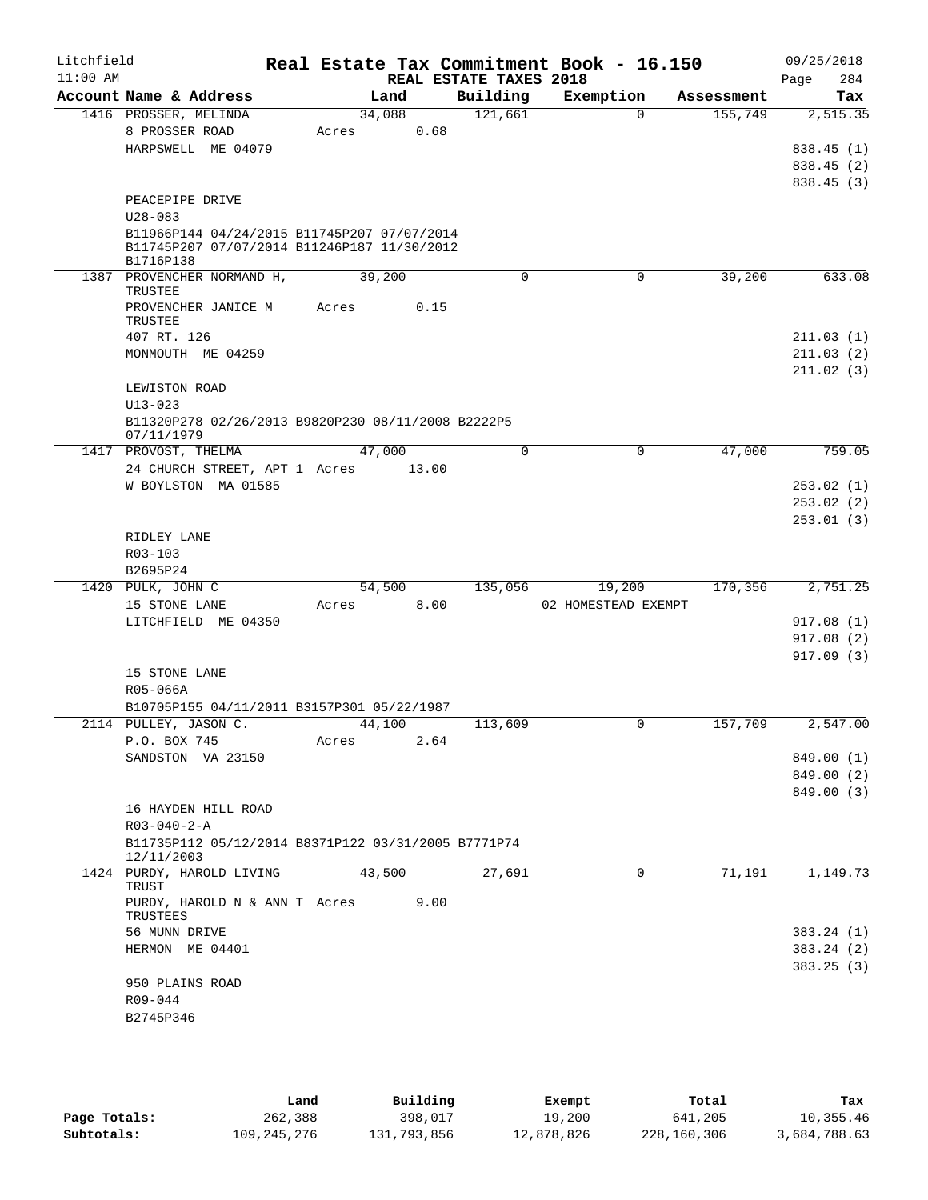| Litchfield<br>$11:00$ AM |                                                                                                         |        |      | REAL ESTATE TAXES 2018 | Real Estate Tax Commitment Book - 16.150 |            | 09/25/2018<br>284<br>Page              |
|--------------------------|---------------------------------------------------------------------------------------------------------|--------|------|------------------------|------------------------------------------|------------|----------------------------------------|
|                          | Account Name & Address                                                                                  | Land   |      | Building               | Exemption                                | Assessment | Tax                                    |
|                          | 1416 PROSSER, MELINDA                                                                                   | 34,088 |      | 121,661                | $\Omega$                                 | 155,749    | 2,515.35                               |
|                          | 8 PROSSER ROAD<br>HARPSWELL ME 04079                                                                    | Acres  | 0.68 |                        |                                          |            | 838.45 (1)<br>838.45 (2)<br>838.45 (3) |
|                          | PEACEPIPE DRIVE<br>$U28 - 083$                                                                          |        |      |                        |                                          |            |                                        |
|                          | B11966P144 04/24/2015 B11745P207 07/07/2014<br>B11745P207 07/07/2014 B11246P187 11/30/2012<br>B1716P138 |        |      |                        |                                          |            |                                        |
|                          | 1387 PROVENCHER NORMAND H,<br>TRUSTEE                                                                   | 39,200 |      | 0                      | $\mathbf 0$                              | 39,200     | 633.08                                 |
|                          | PROVENCHER JANICE M<br>TRUSTEE                                                                          | Acres  | 0.15 |                        |                                          |            |                                        |
|                          | 407 RT. 126                                                                                             |        |      |                        |                                          |            | 211.03(1)                              |
|                          | MONMOUTH ME 04259                                                                                       |        |      |                        |                                          |            | 211.03(2)<br>211.02(3)                 |
|                          | LEWISTON ROAD                                                                                           |        |      |                        |                                          |            |                                        |
|                          | $U13 - 023$                                                                                             |        |      |                        |                                          |            |                                        |
|                          | B11320P278 02/26/2013 B9820P230 08/11/2008 B2222P5<br>07/11/1979                                        |        |      |                        |                                          |            |                                        |
|                          | 1417 PROVOST, THELMA                                                                                    | 47,000 |      | $\mathbf 0$            | 0                                        | 47,000     | 759.05                                 |
|                          | 24 CHURCH STREET, APT 1 Acres 13.00<br>W BOYLSTON MA 01585                                              |        |      |                        |                                          |            |                                        |
|                          |                                                                                                         |        |      |                        |                                          |            | 253.02(1)<br>253.02(2)                 |
|                          |                                                                                                         |        |      |                        |                                          |            | 253.01(3)                              |
|                          | RIDLEY LANE                                                                                             |        |      |                        |                                          |            |                                        |
|                          | R03-103                                                                                                 |        |      |                        |                                          |            |                                        |
|                          | B2695P24                                                                                                |        |      |                        |                                          |            |                                        |
|                          | 1420 PULK, JOHN C                                                                                       | 54,500 |      | 135,056                | 19,200                                   | 170,356    | 2,751.25                               |
|                          | 15 STONE LANE                                                                                           | Acres  | 8.00 |                        | 02 HOMESTEAD EXEMPT                      |            |                                        |
|                          | LITCHFIELD ME 04350                                                                                     |        |      |                        |                                          |            | 917.08(1)                              |
|                          |                                                                                                         |        |      |                        |                                          |            | 917.08(2)                              |
|                          |                                                                                                         |        |      |                        |                                          |            | 917.09(3)                              |
|                          | 15 STONE LANE                                                                                           |        |      |                        |                                          |            |                                        |
|                          | R05-066A                                                                                                |        |      |                        |                                          |            |                                        |
|                          | B10705P155 04/11/2011 B3157P301 05/22/1987                                                              |        |      |                        |                                          |            |                                        |
|                          | 2114 PULLEY, JASON C.                                                                                   | 44,100 |      | 113,609                | 0                                        | 157,709    | 2,547.00                               |
|                          | P.O. BOX 745                                                                                            | Acres  | 2.64 |                        |                                          |            |                                        |
|                          | SANDSTON VA 23150                                                                                       |        |      |                        |                                          |            | 849.00 (1)                             |
|                          |                                                                                                         |        |      |                        |                                          |            | 849.00 (2)<br>849.00 (3)               |
|                          | 16 HAYDEN HILL ROAD                                                                                     |        |      |                        |                                          |            |                                        |
|                          | $R03 - 040 - 2 - A$                                                                                     |        |      |                        |                                          |            |                                        |
|                          | B11735P112 05/12/2014 B8371P122 03/31/2005 B7771P74<br>12/11/2003                                       |        |      |                        |                                          |            |                                        |
|                          | 1424 PURDY, HAROLD LIVING                                                                               | 43,500 |      | 27,691                 | $\Omega$                                 | 71,191     | 1,149.73                               |
|                          | TRUST<br>PURDY, HAROLD N & ANN T Acres<br>TRUSTEES                                                      |        | 9.00 |                        |                                          |            |                                        |
|                          | 56 MUNN DRIVE                                                                                           |        |      |                        |                                          |            | 383.24(1)                              |
|                          | HERMON ME 04401                                                                                         |        |      |                        |                                          |            | 383.24(2)                              |
|                          |                                                                                                         |        |      |                        |                                          |            | 383.25(3)                              |
|                          | 950 PLAINS ROAD                                                                                         |        |      |                        |                                          |            |                                        |
|                          | R09-044                                                                                                 |        |      |                        |                                          |            |                                        |
|                          | B2745P346                                                                                               |        |      |                        |                                          |            |                                        |

|              | Land        | Building    | Exempt     | Total       | Tax          |
|--------------|-------------|-------------|------------|-------------|--------------|
| Page Totals: | 262,388     | 398,017     | 19,200     | 641,205     | 10,355.46    |
| Subtotals:   | 109,245,276 | 131,793,856 | 12,878,826 | 228,160,306 | 3,684,788.63 |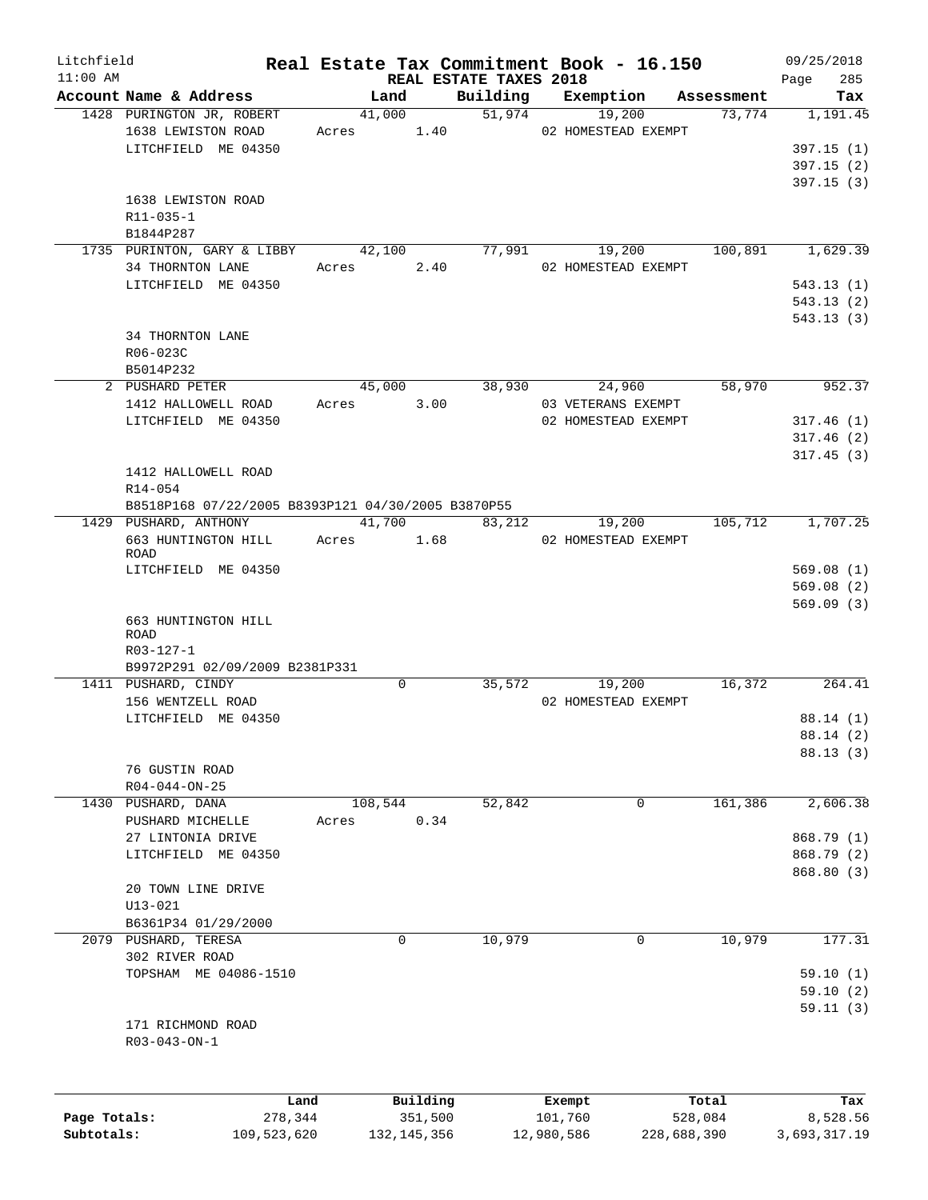| Litchfield<br>$11:00$ AM |                                                    |         |             |          |                                    |         | Real Estate Tax Commitment Book - 16.150 |          | 09/25/2018         |
|--------------------------|----------------------------------------------------|---------|-------------|----------|------------------------------------|---------|------------------------------------------|----------|--------------------|
|                          | Account Name & Address                             |         | Land        |          | REAL ESTATE TAXES 2018<br>Building |         | Exemption Assessment                     |          | 285<br>Page<br>Tax |
|                          | 1428 PURINGTON JR, ROBERT                          |         | 41,000      |          | 51,974                             |         | 19,200                                   | 73,774   | 1,191.45           |
|                          | 1638 LEWISTON ROAD                                 |         | Acres 1.40  |          |                                    |         | 02 HOMESTEAD EXEMPT                      |          |                    |
|                          | LITCHFIELD ME 04350                                |         |             |          |                                    |         |                                          |          | 397.15(1)          |
|                          |                                                    |         |             |          |                                    |         |                                          |          | 397.15(2)          |
|                          |                                                    |         |             |          |                                    |         |                                          |          | 397.15(3)          |
|                          | 1638 LEWISTON ROAD                                 |         |             |          |                                    |         |                                          |          |                    |
|                          | R11-035-1                                          |         |             |          |                                    |         |                                          |          |                    |
|                          | B1844P287                                          |         |             |          |                                    |         |                                          |          |                    |
|                          | 1735 PURINTON, GARY & LIBBY                        |         | 42,100      |          | 77,991                             |         | 19,200                                   | 100,891  | 1,629.39           |
|                          | 34 THORNTON LANE                                   |         | Acres       | 2.40     |                                    |         | 02 HOMESTEAD EXEMPT                      |          |                    |
|                          | LITCHFIELD ME 04350                                |         |             |          |                                    |         |                                          |          | 543.13(1)          |
|                          |                                                    |         |             |          |                                    |         |                                          |          | 543.13(2)          |
|                          |                                                    |         |             |          |                                    |         |                                          |          | 543.13(3)          |
|                          | 34 THORNTON LANE                                   |         |             |          |                                    |         |                                          |          |                    |
|                          | R06-023C                                           |         |             |          |                                    |         |                                          |          |                    |
|                          | B5014P232                                          |         |             |          |                                    |         |                                          |          |                    |
|                          | 2 PUSHARD PETER                                    |         | 45,000      |          | 38,930                             |         | 24,960                                   | 58,970   | 952.37             |
|                          | 1412 HALLOWELL ROAD                                |         | Acres       | 3.00     |                                    |         | 03 VETERANS EXEMPT                       |          |                    |
|                          | LITCHFIELD ME 04350                                |         |             |          |                                    |         | 02 HOMESTEAD EXEMPT                      |          | 317.46(1)          |
|                          |                                                    |         |             |          |                                    |         |                                          |          | 317.46(2)          |
|                          |                                                    |         |             |          |                                    |         |                                          |          | 317.45(3)          |
|                          | 1412 HALLOWELL ROAD                                |         |             |          |                                    |         |                                          |          |                    |
|                          |                                                    |         |             |          |                                    |         |                                          |          |                    |
|                          | R14-054                                            |         |             |          |                                    |         |                                          |          |                    |
|                          | B8518P168 07/22/2005 B8393P121 04/30/2005 B3870P55 |         |             |          |                                    |         |                                          |          |                    |
|                          | 1429 PUSHARD, ANTHONY                              |         | 41,700      |          | 83,212                             |         | 19,200                                   | 105, 712 | 1,707.25           |
|                          | 663 HUNTINGTON HILL Acres 1.68<br>ROAD             |         |             |          |                                    |         | 02 HOMESTEAD EXEMPT                      |          |                    |
|                          | LITCHFIELD ME 04350                                |         |             |          |                                    |         |                                          |          | 569.08(1)          |
|                          |                                                    |         |             |          |                                    |         |                                          |          | 569.08(2)          |
|                          |                                                    |         |             |          |                                    |         |                                          |          |                    |
|                          |                                                    |         |             |          |                                    |         |                                          |          | 569.09(3)          |
|                          | 663 HUNTINGTON HILL<br>ROAD                        |         |             |          |                                    |         |                                          |          |                    |
|                          | R03-127-1                                          |         |             |          |                                    |         |                                          |          |                    |
|                          | B9972P291 02/09/2009 B2381P331                     |         |             |          |                                    |         |                                          |          |                    |
|                          | 1411 PUSHARD, CINDY                                |         | $\mathbf 0$ |          | 35,572                             |         | 19,200                                   | 16,372   | 264.41             |
|                          | 156 WENTZELL ROAD                                  |         |             |          |                                    |         | 02 HOMESTEAD EXEMPT                      |          |                    |
|                          | LITCHFIELD ME 04350                                |         |             |          |                                    |         |                                          |          | 88.14 (1)          |
|                          |                                                    |         |             |          |                                    |         |                                          |          | 88.14(2)           |
|                          |                                                    |         |             |          |                                    |         |                                          |          |                    |
|                          | 76 GUSTIN ROAD                                     |         |             |          |                                    |         |                                          |          | 88.13 (3)          |
|                          |                                                    |         |             |          |                                    |         |                                          |          |                    |
|                          | $R04 - 044 - ON - 25$                              |         |             |          |                                    |         |                                          |          |                    |
| 1430                     | PUSHARD, DANA                                      |         | 108,544     |          | 52,842                             |         | 0                                        | 161,386  | 2,606.38           |
|                          | PUSHARD MICHELLE                                   | Acres   |             | 0.34     |                                    |         |                                          |          |                    |
|                          | 27 LINTONIA DRIVE                                  |         |             |          |                                    |         |                                          |          | 868.79 (1)         |
|                          | LITCHFIELD ME 04350                                |         |             |          |                                    |         |                                          |          | 868.79 (2)         |
|                          |                                                    |         |             |          |                                    |         |                                          |          | 868.80 (3)         |
|                          | 20 TOWN LINE DRIVE                                 |         |             |          |                                    |         |                                          |          |                    |
|                          | $U13 - 021$                                        |         |             |          |                                    |         |                                          |          |                    |
|                          | B6361P34 01/29/2000                                |         |             |          |                                    |         |                                          |          |                    |
|                          | 2079 PUSHARD, TERESA                               |         | 0           |          | 10,979                             |         | 0                                        | 10,979   | 177.31             |
|                          | 302 RIVER ROAD                                     |         |             |          |                                    |         |                                          |          |                    |
|                          | TOPSHAM ME 04086-1510                              |         |             |          |                                    |         |                                          |          | 59.10(1)           |
|                          |                                                    |         |             |          |                                    |         |                                          |          | 59.10(2)           |
|                          |                                                    |         |             |          |                                    |         |                                          |          | 59.11(3)           |
|                          | 171 RICHMOND ROAD                                  |         |             |          |                                    |         |                                          |          |                    |
|                          | R03-043-ON-1                                       |         |             |          |                                    |         |                                          |          |                    |
|                          |                                                    |         |             |          |                                    |         |                                          |          |                    |
|                          |                                                    |         |             |          |                                    |         |                                          |          |                    |
|                          |                                                    | Land    |             | Building |                                    | Exempt  |                                          | Total    | Tax                |
| Page Totals:             |                                                    | 278,344 |             | 351,500  |                                    | 101,760 |                                          | 528,084  | 8,528.56           |
|                          |                                                    |         |             |          |                                    |         |                                          |          |                    |

**Subtotals:** 109,523,620 132,145,356 12,980,586 228,688,390 3,693,317.19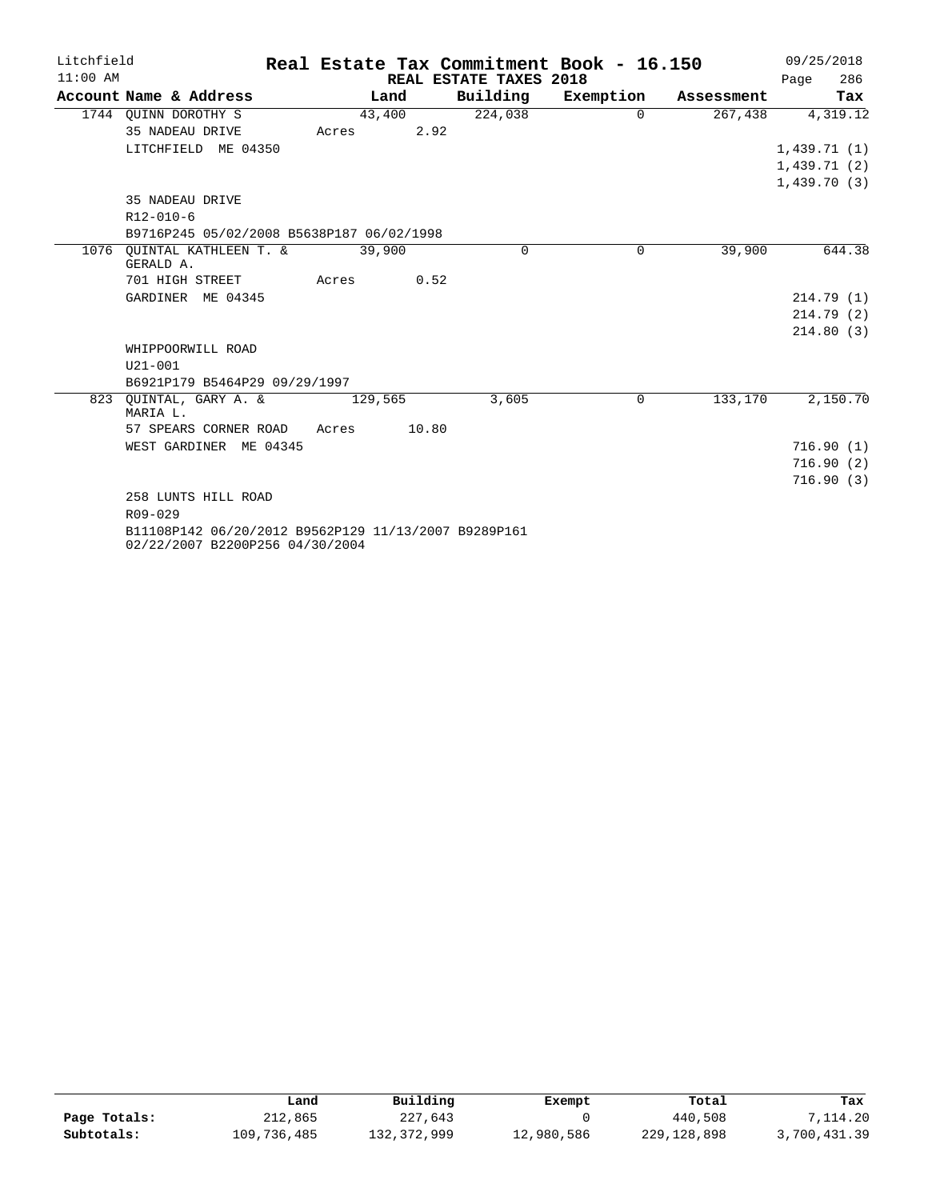| Litchfield |                                                                                         | Real Estate Tax Commitment Book - 16.150 |       |         |       |                        |           |            | 09/25/2018 |             |
|------------|-----------------------------------------------------------------------------------------|------------------------------------------|-------|---------|-------|------------------------|-----------|------------|------------|-------------|
| $11:00$ AM |                                                                                         |                                          |       |         |       | REAL ESTATE TAXES 2018 |           |            | Page       | 286         |
|            | Account Name & Address                                                                  |                                          |       | Land    |       | Building               | Exemption | Assessment |            | Tax         |
|            | 1744 OUINN DOROTHY S                                                                    |                                          |       | 43,400  |       | 224,038                | $\Omega$  | 267,438    |            | 4,319.12    |
|            | 35 NADEAU DRIVE                                                                         |                                          | Acres |         | 2.92  |                        |           |            |            |             |
|            | LITCHFIELD ME 04350                                                                     |                                          |       |         |       |                        |           |            |            | 1,439.71(1) |
|            |                                                                                         |                                          |       |         |       |                        |           |            |            | 1,439.71(2) |
|            |                                                                                         |                                          |       |         |       |                        |           |            |            | 1,439.70(3) |
|            | 35 NADEAU DRIVE                                                                         |                                          |       |         |       |                        |           |            |            |             |
|            | $R12 - 010 - 6$                                                                         |                                          |       |         |       |                        |           |            |            |             |
|            | B9716P245 05/02/2008 B5638P187 06/02/1998                                               |                                          |       |         |       |                        |           |            |            |             |
| 1076       | OUINTAL KATHLEEN T. &<br>GERALD A.                                                      |                                          |       | 39,900  |       | 0                      | $\Omega$  | 39,900     |            | 644.38      |
|            | 701 HIGH STREET                                                                         |                                          | Acres |         | 0.52  |                        |           |            |            |             |
|            | GARDINER ME 04345                                                                       |                                          |       |         |       |                        |           |            |            | 214.79(1)   |
|            |                                                                                         |                                          |       |         |       |                        |           |            |            | 214.79(2)   |
|            |                                                                                         |                                          |       |         |       |                        |           |            |            | 214.80(3)   |
|            | WHIPPOORWILL ROAD                                                                       |                                          |       |         |       |                        |           |            |            |             |
|            | $U21 - 001$                                                                             |                                          |       |         |       |                        |           |            |            |             |
|            | B6921P179 B5464P29 09/29/1997                                                           |                                          |       |         |       |                        |           |            |            |             |
|            | 823 OUINTAL, GARY A. &<br>MARIA L.                                                      |                                          |       | 129,565 |       | 3,605                  | 0         | 133,170    |            | 2,150.70    |
|            | 57 SPEARS CORNER ROAD                                                                   |                                          | Acres |         | 10.80 |                        |           |            |            |             |
|            | WEST GARDINER ME 04345                                                                  |                                          |       |         |       |                        |           |            |            | 716.90(1)   |
|            |                                                                                         |                                          |       |         |       |                        |           |            |            | 716.90(2)   |
|            |                                                                                         |                                          |       |         |       |                        |           |            |            | 716.90(3)   |
|            | 258 LUNTS HILL ROAD                                                                     |                                          |       |         |       |                        |           |            |            |             |
|            | $R09 - 029$                                                                             |                                          |       |         |       |                        |           |            |            |             |
|            | B11108P142 06/20/2012 B9562P129 11/13/2007 B9289P161<br>02/22/2007 B2200P256 04/30/2004 |                                          |       |         |       |                        |           |            |            |             |

|              | Land        | Building    | Exempt     | Total       | Tax          |
|--------------|-------------|-------------|------------|-------------|--------------|
| Page Totals: | 212,865     | 227,643     |            | 440,508     | 7,114.20     |
| Subtotals:   | 109,736,485 | 132,372,999 | 12,980,586 | 229,128,898 | 3,700,431.39 |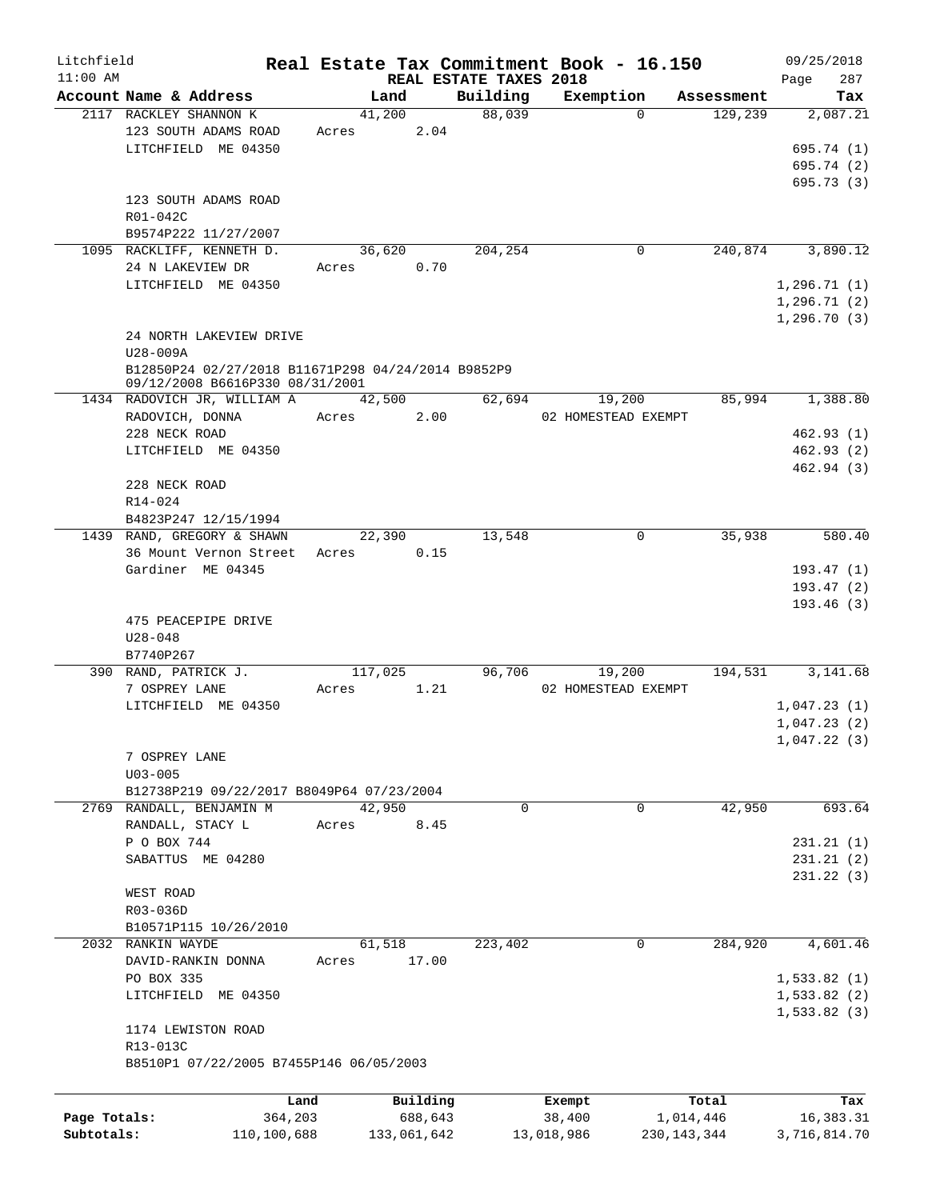| Litchfield   |                                                      |       |             |                                    | Real Estate Tax Commitment Book - 16.150 |                |            | 09/25/2018         |
|--------------|------------------------------------------------------|-------|-------------|------------------------------------|------------------------------------------|----------------|------------|--------------------|
| $11:00$ AM   | Account Name & Address                               |       | Land        | REAL ESTATE TAXES 2018<br>Building | Exemption                                |                | Assessment | 287<br>Page<br>Tax |
|              | 2117 RACKLEY SHANNON K                               |       | 41,200      | 88,039                             |                                          | $\Omega$       | 129,239    | 2,087.21           |
|              | 123 SOUTH ADAMS ROAD                                 | Acres | 2.04        |                                    |                                          |                |            |                    |
|              | LITCHFIELD ME 04350                                  |       |             |                                    |                                          |                |            | 695.74 (1)         |
|              |                                                      |       |             |                                    |                                          |                |            | 695.74 (2)         |
|              |                                                      |       |             |                                    |                                          |                |            | 695.73(3)          |
|              | 123 SOUTH ADAMS ROAD                                 |       |             |                                    |                                          |                |            |                    |
|              | R01-042C                                             |       |             |                                    |                                          |                |            |                    |
|              | B9574P222 11/27/2007                                 |       |             |                                    |                                          |                |            |                    |
|              | 1095 RACKLIFF, KENNETH D.                            |       | 36,620      | 204,254                            |                                          | 0              | 240,874    | 3,890.12           |
|              | 24 N LAKEVIEW DR                                     | Acres | 0.70        |                                    |                                          |                |            |                    |
|              | LITCHFIELD ME 04350                                  |       |             |                                    |                                          |                |            | 1,296.71(1)        |
|              |                                                      |       |             |                                    |                                          |                |            | 1, 296.71(2)       |
|              |                                                      |       |             |                                    |                                          |                |            | 1,296.70(3)        |
|              | 24 NORTH LAKEVIEW DRIVE                              |       |             |                                    |                                          |                |            |                    |
|              | U28-009A                                             |       |             |                                    |                                          |                |            |                    |
|              | B12850P24 02/27/2018 B11671P298 04/24/2014 B9852P9   |       |             |                                    |                                          |                |            |                    |
|              | 09/12/2008 B6616P330 08/31/2001                      |       |             |                                    |                                          |                |            |                    |
|              | 1434 RADOVICH JR, WILLIAM A                          |       | 42,500      | 62,694                             | 19,200                                   |                | 85,994     | 1,388.80           |
|              | RADOVICH, DONNA                                      | Acres | 2.00        |                                    | 02 HOMESTEAD EXEMPT                      |                |            |                    |
|              | 228 NECK ROAD                                        |       |             |                                    |                                          |                |            | 462.93(1)          |
|              | LITCHFIELD ME 04350                                  |       |             |                                    |                                          |                |            | 462.93(2)          |
|              |                                                      |       |             |                                    |                                          |                |            | 462.94(3)          |
|              | 228 NECK ROAD                                        |       |             |                                    |                                          |                |            |                    |
|              | R14-024                                              |       |             |                                    |                                          |                |            |                    |
|              | B4823P247 12/15/1994                                 |       | 22,390      | 13,548                             |                                          | $\overline{0}$ | 35,938     | 580.40             |
|              | 1439 RAND, GREGORY & SHAWN<br>36 Mount Vernon Street | Acres | 0.15        |                                    |                                          |                |            |                    |
|              | Gardiner ME 04345                                    |       |             |                                    |                                          |                |            | 193.47(1)          |
|              |                                                      |       |             |                                    |                                          |                |            | 193.47(2)          |
|              |                                                      |       |             |                                    |                                          |                |            | 193.46(3)          |
|              | 475 PEACEPIPE DRIVE                                  |       |             |                                    |                                          |                |            |                    |
|              | $U28 - 048$                                          |       |             |                                    |                                          |                |            |                    |
|              | B7740P267                                            |       |             |                                    |                                          |                |            |                    |
|              | 390 RAND, PATRICK J.                                 |       | 117,025     | 96,706                             | 19,200                                   |                | 194,531    | 3,141.68           |
|              | 7 OSPREY LANE                                        | Acres | 1.21        |                                    | 02 HOMESTEAD EXEMPT                      |                |            |                    |
|              | LITCHFIELD ME 04350                                  |       |             |                                    |                                          |                |            | 1,047.23(1)        |
|              |                                                      |       |             |                                    |                                          |                |            | 1,047.23(2)        |
|              |                                                      |       |             |                                    |                                          |                |            | 1,047.22(3)        |
|              | 7 OSPREY LANE                                        |       |             |                                    |                                          |                |            |                    |
|              | $U03 - 005$                                          |       |             |                                    |                                          |                |            |                    |
|              | B12738P219 09/22/2017 B8049P64 07/23/2004            |       |             |                                    |                                          |                |            |                    |
|              | 2769 RANDALL, BENJAMIN M                             |       | 42,950      | 0                                  |                                          | 0              | 42,950     | 693.64             |
|              | RANDALL, STACY L                                     | Acres | 8.45        |                                    |                                          |                |            |                    |
|              | P O BOX 744                                          |       |             |                                    |                                          |                |            | 231.21(1)          |
|              | SABATTUS ME 04280                                    |       |             |                                    |                                          |                |            | 231.21 (2)         |
|              |                                                      |       |             |                                    |                                          |                |            | 231.22 (3)         |
|              | WEST ROAD                                            |       |             |                                    |                                          |                |            |                    |
|              | R03-036D                                             |       |             |                                    |                                          |                |            |                    |
|              | B10571P115 10/26/2010                                |       |             |                                    |                                          |                |            |                    |
|              | 2032 RANKIN WAYDE                                    |       | 61,518      | 223,402                            |                                          | $\mathbf 0$    | 284,920    | 4,601.46           |
|              | DAVID-RANKIN DONNA                                   | Acres | 17.00       |                                    |                                          |                |            |                    |
|              | PO BOX 335                                           |       |             |                                    |                                          |                |            | 1,533.82(1)        |
|              | LITCHFIELD ME 04350                                  |       |             |                                    |                                          |                |            | 1,533.82(2)        |
|              |                                                      |       |             |                                    |                                          |                |            | 1,533.82(3)        |
|              | 1174 LEWISTON ROAD                                   |       |             |                                    |                                          |                |            |                    |
|              | R13-013C                                             |       |             |                                    |                                          |                |            |                    |
|              | B8510P1 07/22/2005 B7455P146 06/05/2003              |       |             |                                    |                                          |                |            |                    |
|              |                                                      | Land  | Building    |                                    | Exempt                                   |                | Total      | Tax                |
| Page Totals: | 364,203                                              |       | 688,643     |                                    | 38,400                                   |                | 1,014,446  | 16,383.31          |
| Subtotals:   | 110,100,688                                          |       | 133,061,642 |                                    | 13,018,986                               | 230,143,344    |            | 3,716,814.70       |
|              |                                                      |       |             |                                    |                                          |                |            |                    |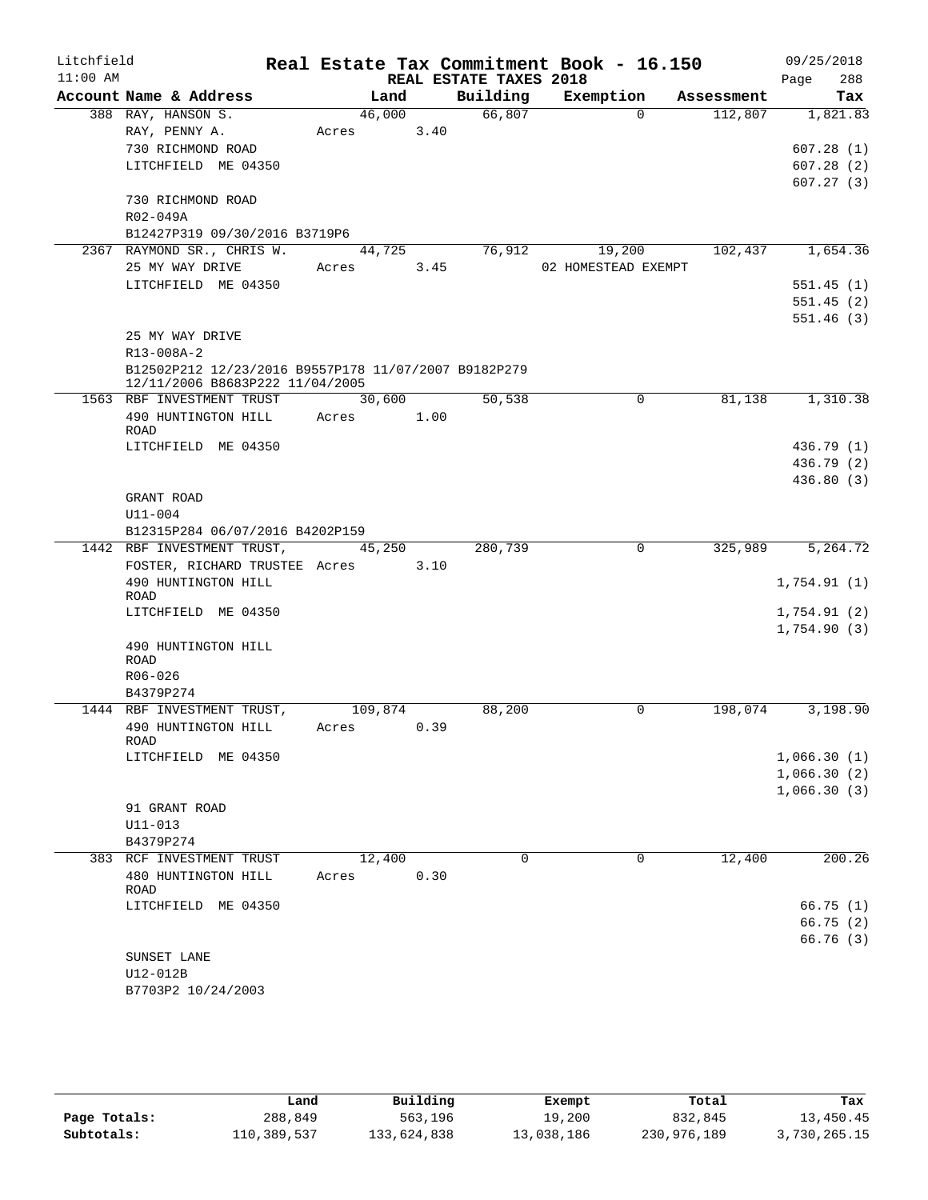| Litchfield |                                                      |            |      |                        | Real Estate Tax Commitment Book - 16.150 |            | 09/25/2018  |
|------------|------------------------------------------------------|------------|------|------------------------|------------------------------------------|------------|-------------|
| $11:00$ AM |                                                      |            |      | REAL ESTATE TAXES 2018 |                                          |            | 288<br>Page |
|            | Account Name & Address                               | Land       |      | Building               | Exemption                                | Assessment | Tax         |
|            | 388 RAY, HANSON S.                                   | 46,000     |      | 66,807                 | $\Omega$                                 | 112,807    | 1,821.83    |
|            | RAY, PENNY A.                                        | Acres      | 3.40 |                        |                                          |            |             |
|            | 730 RICHMOND ROAD                                    |            |      |                        |                                          |            | 607.28(1)   |
|            | LITCHFIELD ME 04350                                  |            |      |                        |                                          |            | 607.28(2)   |
|            |                                                      |            |      |                        |                                          |            | 607.27(3)   |
|            | 730 RICHMOND ROAD<br>R02-049A                        |            |      |                        |                                          |            |             |
|            | B12427P319 09/30/2016 B3719P6                        |            |      |                        |                                          |            |             |
|            | 2367 RAYMOND SR., CHRIS W.                           | 44,725     |      | 76,912                 | 19,200                                   | 102,437    | 1,654.36    |
|            | 25 MY WAY DRIVE                                      | Acres 3.45 |      |                        | 02 HOMESTEAD EXEMPT                      |            |             |
|            | LITCHFIELD ME 04350                                  |            |      |                        |                                          |            | 551.45(1)   |
|            |                                                      |            |      |                        |                                          |            | 551.45(2)   |
|            |                                                      |            |      |                        |                                          |            | 551.46(3)   |
|            | 25 MY WAY DRIVE                                      |            |      |                        |                                          |            |             |
|            | R13-008A-2                                           |            |      |                        |                                          |            |             |
|            | B12502P212 12/23/2016 B9557P178 11/07/2007 B9182P279 |            |      |                        |                                          |            |             |
|            | 12/11/2006 B8683P222 11/04/2005                      |            |      |                        |                                          |            |             |
|            | 1563 RBF INVESTMENT TRUST                            | 30,600     |      | 50,538                 | 0                                        | 81,138     | 1,310.38    |
|            | 490 HUNTINGTON HILL                                  | Acres 1.00 |      |                        |                                          |            |             |
|            | ROAD                                                 |            |      |                        |                                          |            |             |
|            | LITCHFIELD ME 04350                                  |            |      |                        |                                          |            | 436.79 (1)  |
|            |                                                      |            |      |                        |                                          |            | 436.79 (2)  |
|            |                                                      |            |      |                        |                                          |            | 436.80(3)   |
|            | GRANT ROAD                                           |            |      |                        |                                          |            |             |
|            | $U11 - 004$                                          |            |      |                        |                                          |            |             |
|            | B12315P284 06/07/2016 B4202P159                      |            |      |                        |                                          |            |             |
|            | 1442 RBF INVESTMENT TRUST,                           | 45,250     |      | 280,739                | $\mathbf 0$                              | 325,989    | 5,264.72    |
|            | FOSTER, RICHARD TRUSTEE Acres 3.10                   |            |      |                        |                                          |            |             |
|            | 490 HUNTINGTON HILL<br>ROAD                          |            |      |                        |                                          |            | 1,754.91(1) |
|            | LITCHFIELD ME 04350                                  |            |      |                        |                                          |            | 1,754.91(2) |
|            |                                                      |            |      |                        |                                          |            | 1,754.90(3) |
|            | 490 HUNTINGTON HILL                                  |            |      |                        |                                          |            |             |
|            | <b>ROAD</b>                                          |            |      |                        |                                          |            |             |
|            | R06-026                                              |            |      |                        |                                          |            |             |
|            | B4379P274                                            |            |      |                        |                                          |            |             |
|            | 1444 RBF INVESTMENT TRUST,                           | 109,874    |      | 88,200                 | 0                                        | 198,074    | 3,198.90    |
|            | 490 HUNTINGTON HILL                                  | Acres      | 0.39 |                        |                                          |            |             |
|            | ROAD<br>LITCHFIELD ME 04350                          |            |      |                        |                                          |            | 1,066.30(1) |
|            |                                                      |            |      |                        |                                          |            | 1,066.30(2) |
|            |                                                      |            |      |                        |                                          |            | 1,066.30(3) |
|            | 91 GRANT ROAD                                        |            |      |                        |                                          |            |             |
|            | $U11 - 013$                                          |            |      |                        |                                          |            |             |
|            | B4379P274                                            |            |      |                        |                                          |            |             |
|            | 383 RCF INVESTMENT TRUST                             | 12,400     |      | 0                      | 0                                        | 12,400     | 200.26      |
|            | 480 HUNTINGTON HILL                                  | Acres      | 0.30 |                        |                                          |            |             |
|            | ROAD                                                 |            |      |                        |                                          |            |             |
|            | LITCHFIELD ME 04350                                  |            |      |                        |                                          |            | 66.75(1)    |
|            |                                                      |            |      |                        |                                          |            | 66.75(2)    |
|            |                                                      |            |      |                        |                                          |            | 66.76(3)    |
|            | SUNSET LANE                                          |            |      |                        |                                          |            |             |
|            | U12-012B                                             |            |      |                        |                                          |            |             |
|            | B7703P2 10/24/2003                                   |            |      |                        |                                          |            |             |

|              | Land        | Building    | Exempt     | Total       | Tax          |
|--------------|-------------|-------------|------------|-------------|--------------|
| Page Totals: | 288,849     | 563,196     | 19,200     | 832,845     | 13,450.45    |
| Subtotals:   | 110,389,537 | 133,624,838 | 13,038,186 | 230,976,189 | 3,730,265.15 |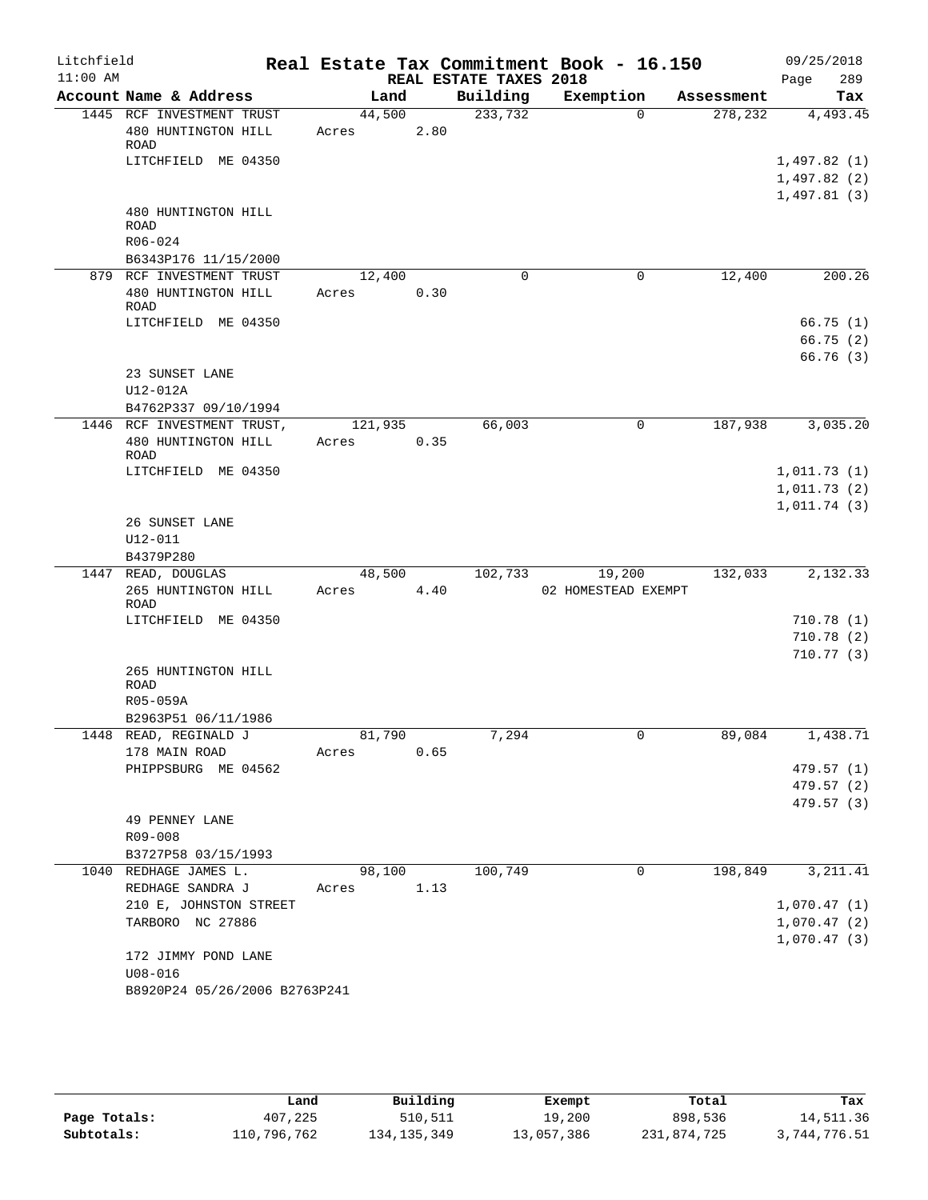| Litchfield |                                                                                        |                 |      |                        | Real Estate Tax Commitment Book - 16.150 |            | 09/25/2018                                |
|------------|----------------------------------------------------------------------------------------|-----------------|------|------------------------|------------------------------------------|------------|-------------------------------------------|
| $11:00$ AM |                                                                                        |                 |      | REAL ESTATE TAXES 2018 |                                          |            | 289<br>Page                               |
|            | Account Name & Address                                                                 | Land            |      | Building               | Exemption                                | Assessment | Tax                                       |
|            | 1445 RCF INVESTMENT TRUST<br>480 HUNTINGTON HILL<br><b>ROAD</b><br>LITCHFIELD ME 04350 | 44,500<br>Acres | 2.80 | 233,732                | $\Omega$                                 | 278,232    | 4,493.45<br>1,497.82(1)<br>1,497.82(2)    |
|            | 480 HUNTINGTON HILL<br>ROAD<br>R06-024<br>B6343P176 11/15/2000                         |                 |      |                        |                                          |            | 1,497.81(3)                               |
|            | 879 RCF INVESTMENT TRUST                                                               | 12,400          |      | $\mathbf 0$            | 0                                        | 12,400     | 200.26                                    |
|            | 480 HUNTINGTON HILL<br>ROAD                                                            | Acres           | 0.30 |                        |                                          |            |                                           |
|            | LITCHFIELD ME 04350                                                                    |                 |      |                        |                                          |            | 66.75(1)<br>66.75(2)<br>66.76 (3)         |
|            | 23 SUNSET LANE<br>U12-012A<br>B4762P337 09/10/1994                                     |                 |      |                        |                                          |            |                                           |
|            | 1446 RCF INVESTMENT TRUST,                                                             | 121,935         |      | 66,003                 | 0                                        | 187,938    | 3,035.20                                  |
|            | 480 HUNTINGTON HILL<br>ROAD                                                            | Acres           | 0.35 |                        |                                          |            |                                           |
|            | LITCHFIELD ME 04350                                                                    |                 |      |                        |                                          |            | 1,011.73(1)<br>1,011.73(2)                |
|            | 26 SUNSET LANE<br>$U12 - 011$<br>B4379P280                                             |                 |      |                        |                                          |            | 1,011.74(3)                               |
|            | 1447 READ, DOUGLAS                                                                     | 48,500          |      | 102,733                | 19,200                                   | 132,033    | 2,132.33                                  |
|            | 265 HUNTINGTON HILL<br><b>ROAD</b>                                                     | Acres           | 4.40 |                        | 02 HOMESTEAD EXEMPT                      |            |                                           |
|            | LITCHFIELD ME 04350                                                                    |                 |      |                        |                                          |            | 710.78(1)<br>710.78(2)<br>710.77(3)       |
|            | 265 HUNTINGTON HILL<br>ROAD<br>R05-059A                                                |                 |      |                        |                                          |            |                                           |
|            | B2963P51 06/11/1986                                                                    |                 |      |                        |                                          |            |                                           |
|            | 1448 READ, REGINALD J                                                                  | 81,790          |      | 7,294                  | $\overline{0}$                           | 89,084     | 1,438.71                                  |
|            | 178 MAIN ROAD<br>PHIPPSBURG ME 04562                                                   | Acres           | 0.65 |                        |                                          |            | 479.57 (1)<br>479.57 (2)<br>479.57 (3)    |
|            | 49 PENNEY LANE<br>R09-008                                                              |                 |      |                        |                                          |            |                                           |
|            | B3727P58 03/15/1993                                                                    |                 |      |                        |                                          |            |                                           |
|            | 1040 REDHAGE JAMES L.<br>REDHAGE SANDRA J                                              | 98,100<br>Acres | 1.13 | 100,749                | 0                                        | 198,849    | 3, 211.41                                 |
|            | 210 E, JOHNSTON STREET<br>TARBORO NC 27886                                             |                 |      |                        |                                          |            | 1,070.47(1)<br>1,070.47(2)<br>1,070.47(3) |
|            | 172 JIMMY POND LANE<br>$U08 - 016$<br>B8920P24 05/26/2006 B2763P241                    |                 |      |                        |                                          |            |                                           |
|            |                                                                                        |                 |      |                        |                                          |            |                                           |

|              | Land        | Building      | Exempt     | Total       | Tax          |
|--------------|-------------|---------------|------------|-------------|--------------|
| Page Totals: | 407,225     | 510,511       | 19,200     | 898,536     | 14,511.36    |
| Subtotals:   | 110,796,762 | 134, 135, 349 | 13,057,386 | 231,874,725 | 3,744,776.51 |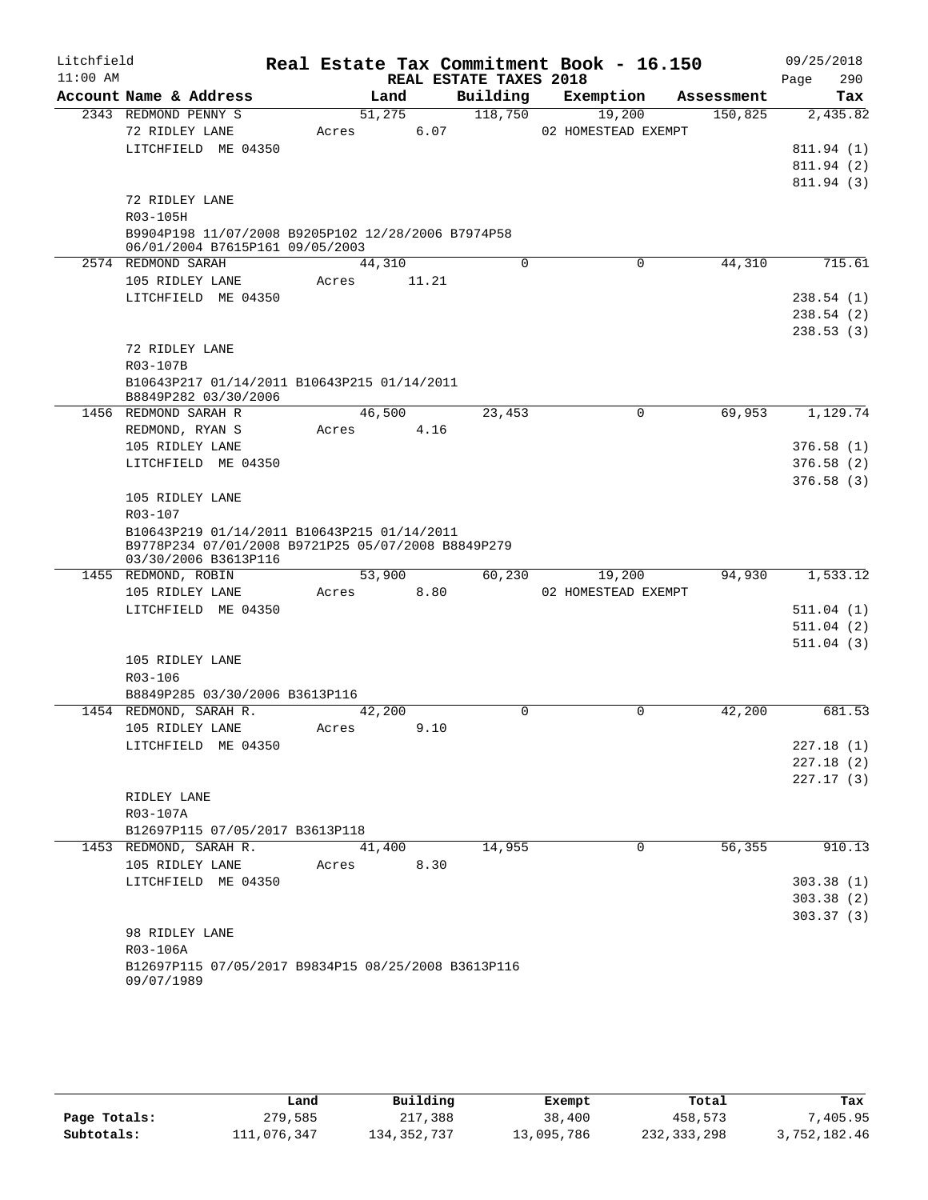| Litchfield |                                                                                                                           |                 |       |                        | Real Estate Tax Commitment Book - 16.150 |            | 09/25/2018  |
|------------|---------------------------------------------------------------------------------------------------------------------------|-----------------|-------|------------------------|------------------------------------------|------------|-------------|
| $11:00$ AM |                                                                                                                           |                 |       | REAL ESTATE TAXES 2018 |                                          |            | 290<br>Page |
|            | Account Name & Address                                                                                                    |                 | Land  | Building               | Exemption                                | Assessment | Tax         |
|            | 2343 REDMOND PENNY S                                                                                                      | 51,275          |       | 118,750                | 19,200                                   | 150,825    | 2,435.82    |
|            | 72 RIDLEY LANE                                                                                                            | Acres           | 6.07  |                        | 02 HOMESTEAD EXEMPT                      |            |             |
|            | LITCHFIELD ME 04350                                                                                                       |                 |       |                        |                                          |            | 811.94 (1)  |
|            |                                                                                                                           |                 |       |                        |                                          |            | 811.94 (2)  |
|            |                                                                                                                           |                 |       |                        |                                          |            | 811.94 (3)  |
|            | 72 RIDLEY LANE                                                                                                            |                 |       |                        |                                          |            |             |
|            | R03-105H                                                                                                                  |                 |       |                        |                                          |            |             |
|            | B9904P198 11/07/2008 B9205P102 12/28/2006 B7974P58<br>06/01/2004 B7615P161 09/05/2003                                     |                 |       |                        |                                          |            |             |
|            | 2574 REDMOND SARAH                                                                                                        | 44,310          |       | $\Omega$               | 0                                        | 44,310     | 715.61      |
|            | 105 RIDLEY LANE                                                                                                           | Acres           | 11.21 |                        |                                          |            |             |
|            | LITCHFIELD ME 04350                                                                                                       |                 |       |                        |                                          |            | 238.54(1)   |
|            |                                                                                                                           |                 |       |                        |                                          |            | 238.54(2)   |
|            |                                                                                                                           |                 |       |                        |                                          |            | 238.53(3)   |
|            | 72 RIDLEY LANE                                                                                                            |                 |       |                        |                                          |            |             |
|            | R03-107B                                                                                                                  |                 |       |                        |                                          |            |             |
|            | B10643P217 01/14/2011 B10643P215 01/14/2011<br>B8849P282 03/30/2006                                                       |                 |       |                        |                                          |            |             |
|            | 1456 REDMOND SARAH R                                                                                                      | 46,500          |       | 23,453                 | 0                                        | 69,953     | 1,129.74    |
|            | REDMOND, RYAN S                                                                                                           | Acres           | 4.16  |                        |                                          |            |             |
|            | 105 RIDLEY LANE                                                                                                           |                 |       |                        |                                          |            | 376.58(1)   |
|            | LITCHFIELD ME 04350                                                                                                       |                 |       |                        |                                          |            | 376.58(2)   |
|            |                                                                                                                           |                 |       |                        |                                          |            | 376.58(3)   |
|            | 105 RIDLEY LANE                                                                                                           |                 |       |                        |                                          |            |             |
|            | R03-107                                                                                                                   |                 |       |                        |                                          |            |             |
|            | B10643P219 01/14/2011 B10643P215 01/14/2011<br>B9778P234 07/01/2008 B9721P25 05/07/2008 B8849P279<br>03/30/2006 B3613P116 |                 |       |                        |                                          |            |             |
|            | 1455 REDMOND, ROBIN                                                                                                       | 53,900          |       | 60,230                 | 19,200                                   | 94,930     | 1,533.12    |
|            | 105 RIDLEY LANE                                                                                                           | Acres           | 8.80  |                        | 02 HOMESTEAD EXEMPT                      |            |             |
|            | LITCHFIELD ME 04350                                                                                                       |                 |       |                        |                                          |            | 511.04(1)   |
|            |                                                                                                                           |                 |       |                        |                                          |            | 511.04(2)   |
|            |                                                                                                                           |                 |       |                        |                                          |            | 511.04(3)   |
|            | 105 RIDLEY LANE                                                                                                           |                 |       |                        |                                          |            |             |
|            | R03-106                                                                                                                   |                 |       |                        |                                          |            |             |
|            | B8849P285 03/30/2006 B3613P116                                                                                            |                 |       |                        |                                          |            |             |
|            | 1454 REDMOND, SARAH R.                                                                                                    | 42,200          |       | $\Omega$               | $\Omega$                                 | 42,200     | 681.53      |
|            | 105 RIDLEY LANE                                                                                                           | Acres           | 9.10  |                        |                                          |            |             |
|            | LITCHFIELD ME 04350                                                                                                       |                 |       |                        |                                          |            | 227.18(1)   |
|            |                                                                                                                           |                 |       |                        |                                          |            | 227.18(2)   |
|            |                                                                                                                           |                 |       |                        |                                          |            | 227.17(3)   |
|            | RIDLEY LANE                                                                                                               |                 |       |                        |                                          |            |             |
|            | R03-107A                                                                                                                  |                 |       |                        |                                          |            |             |
|            | B12697P115 07/05/2017 B3613P118<br>1453 REDMOND, SARAH R.                                                                 |                 |       | 14,955                 | 0                                        | 56, 355    | 910.13      |
|            | 105 RIDLEY LANE                                                                                                           | 41,400<br>Acres | 8.30  |                        |                                          |            |             |
|            | LITCHFIELD ME 04350                                                                                                       |                 |       |                        |                                          |            | 303.38(1)   |
|            |                                                                                                                           |                 |       |                        |                                          |            | 303.38(2)   |
|            |                                                                                                                           |                 |       |                        |                                          |            | 303.37(3)   |
|            | 98 RIDLEY LANE                                                                                                            |                 |       |                        |                                          |            |             |
|            | R03-106A                                                                                                                  |                 |       |                        |                                          |            |             |
|            | B12697P115 07/05/2017 B9834P15 08/25/2008 B3613P116<br>09/07/1989                                                         |                 |       |                        |                                          |            |             |

|              | Land        | Building      | Exempt     | Total       | Tax          |
|--------------|-------------|---------------|------------|-------------|--------------|
| Page Totals: | 279,585     | 217,388       | 38,400     | 458,573     | .405.95      |
| Subtotals:   | 111,076,347 | 134, 352, 737 | 13,095,786 | 232,333,298 | 3,752,182.46 |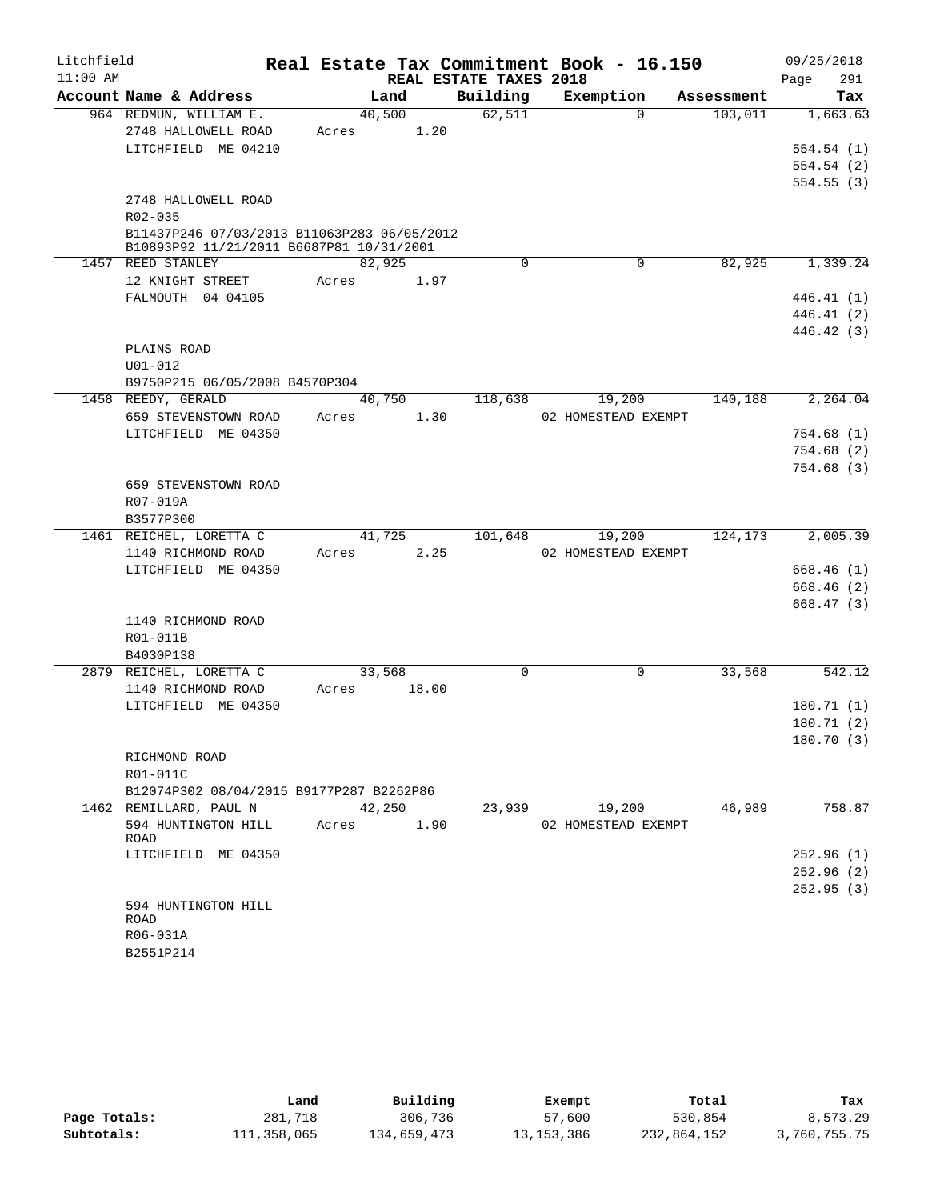| $11:00$ AM<br>REAL ESTATE TAXES 2018<br>291<br>Page<br>Account Name & Address<br>Building<br>Exemption<br>Land<br>Tax<br>Assessment<br>964 REDMUN, WILLIAM E.<br>40,500<br>62,511<br>$\Omega$<br>103,011<br>1,663.63<br>2748 HALLOWELL ROAD<br>1.20<br>Acres<br>LITCHFIELD ME 04210<br>554.54(1)<br>554.54(2)<br>554.55(3)<br>2748 HALLOWELL ROAD<br>R02-035<br>B11437P246 07/03/2013 B11063P283 06/05/2012<br>B10893P92 11/21/2011 B6687P81 10/31/2001<br>1457 REED STANLEY<br>82,925<br>82,925<br>1,339.24<br>$\Omega$<br>0<br>12 KNIGHT STREET<br>Acres<br>1.97<br>FALMOUTH 04 04105<br>446.41(1)<br>446.41(2)<br>446.42 (3)<br>PLAINS ROAD<br>$U01 - 012$<br>B9750P215 06/05/2008 B4570P304<br>40,750<br>118,638<br>19,200<br>140,188<br>2, 264.04<br>1458 REEDY, GERALD<br>659 STEVENSTOWN ROAD<br>1.30<br>Acres<br>02 HOMESTEAD EXEMPT<br>LITCHFIELD ME 04350<br>754.68(1)<br>754.68(2)<br>754.68(3)<br>659 STEVENSTOWN ROAD<br>R07-019A<br>B3577P300<br>41,725<br>101,648<br>19,200<br>124,173<br>2,005.39<br>1461 REICHEL, LORETTA C<br>1140 RICHMOND ROAD<br>2.25<br>Acres<br>02 HOMESTEAD EXEMPT<br>LITCHFIELD ME 04350<br>668.46(1)<br>668.46(2)<br>668.47(3)<br>1140 RICHMOND ROAD<br>R01-011B<br>B4030P138<br>0<br>33,568<br>2879 REICHEL, LORETTA C<br>33,568<br>0<br>542.12<br>1140 RICHMOND ROAD<br>18.00<br>Acres<br>LITCHFIELD ME 04350<br>180.71(1)<br>180.71(2)<br>180.70 (3)<br>RICHMOND ROAD<br>R01-011C<br>B12074P302 08/04/2015 B9177P287 B2262P86<br>19,200<br>1462 REMILLARD, PAUL N<br>42,250<br>23,939<br>46,989<br>594 HUNTINGTON HILL<br>1.90<br>02 HOMESTEAD EXEMPT<br>Acres<br>ROAD<br>LITCHFIELD ME 04350<br>594 HUNTINGTON HILL<br><b>ROAD</b><br>R06-031A | Litchfield |           |  | Real Estate Tax Commitment Book - 16.150 | 09/25/2018 |
|----------------------------------------------------------------------------------------------------------------------------------------------------------------------------------------------------------------------------------------------------------------------------------------------------------------------------------------------------------------------------------------------------------------------------------------------------------------------------------------------------------------------------------------------------------------------------------------------------------------------------------------------------------------------------------------------------------------------------------------------------------------------------------------------------------------------------------------------------------------------------------------------------------------------------------------------------------------------------------------------------------------------------------------------------------------------------------------------------------------------------------------------------------------------------------------------------------------------------------------------------------------------------------------------------------------------------------------------------------------------------------------------------------------------------------------------------------------------------------------------------------------------------------------------------------------------------------------------------------------------------------------------------------------------------------------------|------------|-----------|--|------------------------------------------|------------|
|                                                                                                                                                                                                                                                                                                                                                                                                                                                                                                                                                                                                                                                                                                                                                                                                                                                                                                                                                                                                                                                                                                                                                                                                                                                                                                                                                                                                                                                                                                                                                                                                                                                                                              |            |           |  |                                          |            |
|                                                                                                                                                                                                                                                                                                                                                                                                                                                                                                                                                                                                                                                                                                                                                                                                                                                                                                                                                                                                                                                                                                                                                                                                                                                                                                                                                                                                                                                                                                                                                                                                                                                                                              |            |           |  |                                          |            |
|                                                                                                                                                                                                                                                                                                                                                                                                                                                                                                                                                                                                                                                                                                                                                                                                                                                                                                                                                                                                                                                                                                                                                                                                                                                                                                                                                                                                                                                                                                                                                                                                                                                                                              |            |           |  |                                          |            |
|                                                                                                                                                                                                                                                                                                                                                                                                                                                                                                                                                                                                                                                                                                                                                                                                                                                                                                                                                                                                                                                                                                                                                                                                                                                                                                                                                                                                                                                                                                                                                                                                                                                                                              |            |           |  |                                          |            |
|                                                                                                                                                                                                                                                                                                                                                                                                                                                                                                                                                                                                                                                                                                                                                                                                                                                                                                                                                                                                                                                                                                                                                                                                                                                                                                                                                                                                                                                                                                                                                                                                                                                                                              |            |           |  |                                          |            |
|                                                                                                                                                                                                                                                                                                                                                                                                                                                                                                                                                                                                                                                                                                                                                                                                                                                                                                                                                                                                                                                                                                                                                                                                                                                                                                                                                                                                                                                                                                                                                                                                                                                                                              |            |           |  |                                          |            |
|                                                                                                                                                                                                                                                                                                                                                                                                                                                                                                                                                                                                                                                                                                                                                                                                                                                                                                                                                                                                                                                                                                                                                                                                                                                                                                                                                                                                                                                                                                                                                                                                                                                                                              |            |           |  |                                          |            |
|                                                                                                                                                                                                                                                                                                                                                                                                                                                                                                                                                                                                                                                                                                                                                                                                                                                                                                                                                                                                                                                                                                                                                                                                                                                                                                                                                                                                                                                                                                                                                                                                                                                                                              |            |           |  |                                          |            |
|                                                                                                                                                                                                                                                                                                                                                                                                                                                                                                                                                                                                                                                                                                                                                                                                                                                                                                                                                                                                                                                                                                                                                                                                                                                                                                                                                                                                                                                                                                                                                                                                                                                                                              |            |           |  |                                          |            |
|                                                                                                                                                                                                                                                                                                                                                                                                                                                                                                                                                                                                                                                                                                                                                                                                                                                                                                                                                                                                                                                                                                                                                                                                                                                                                                                                                                                                                                                                                                                                                                                                                                                                                              |            |           |  |                                          |            |
|                                                                                                                                                                                                                                                                                                                                                                                                                                                                                                                                                                                                                                                                                                                                                                                                                                                                                                                                                                                                                                                                                                                                                                                                                                                                                                                                                                                                                                                                                                                                                                                                                                                                                              |            |           |  |                                          |            |
|                                                                                                                                                                                                                                                                                                                                                                                                                                                                                                                                                                                                                                                                                                                                                                                                                                                                                                                                                                                                                                                                                                                                                                                                                                                                                                                                                                                                                                                                                                                                                                                                                                                                                              |            |           |  |                                          |            |
|                                                                                                                                                                                                                                                                                                                                                                                                                                                                                                                                                                                                                                                                                                                                                                                                                                                                                                                                                                                                                                                                                                                                                                                                                                                                                                                                                                                                                                                                                                                                                                                                                                                                                              |            |           |  |                                          |            |
|                                                                                                                                                                                                                                                                                                                                                                                                                                                                                                                                                                                                                                                                                                                                                                                                                                                                                                                                                                                                                                                                                                                                                                                                                                                                                                                                                                                                                                                                                                                                                                                                                                                                                              |            |           |  |                                          |            |
|                                                                                                                                                                                                                                                                                                                                                                                                                                                                                                                                                                                                                                                                                                                                                                                                                                                                                                                                                                                                                                                                                                                                                                                                                                                                                                                                                                                                                                                                                                                                                                                                                                                                                              |            |           |  |                                          |            |
|                                                                                                                                                                                                                                                                                                                                                                                                                                                                                                                                                                                                                                                                                                                                                                                                                                                                                                                                                                                                                                                                                                                                                                                                                                                                                                                                                                                                                                                                                                                                                                                                                                                                                              |            |           |  |                                          |            |
|                                                                                                                                                                                                                                                                                                                                                                                                                                                                                                                                                                                                                                                                                                                                                                                                                                                                                                                                                                                                                                                                                                                                                                                                                                                                                                                                                                                                                                                                                                                                                                                                                                                                                              |            |           |  |                                          |            |
|                                                                                                                                                                                                                                                                                                                                                                                                                                                                                                                                                                                                                                                                                                                                                                                                                                                                                                                                                                                                                                                                                                                                                                                                                                                                                                                                                                                                                                                                                                                                                                                                                                                                                              |            |           |  |                                          |            |
|                                                                                                                                                                                                                                                                                                                                                                                                                                                                                                                                                                                                                                                                                                                                                                                                                                                                                                                                                                                                                                                                                                                                                                                                                                                                                                                                                                                                                                                                                                                                                                                                                                                                                              |            |           |  |                                          |            |
|                                                                                                                                                                                                                                                                                                                                                                                                                                                                                                                                                                                                                                                                                                                                                                                                                                                                                                                                                                                                                                                                                                                                                                                                                                                                                                                                                                                                                                                                                                                                                                                                                                                                                              |            |           |  |                                          |            |
|                                                                                                                                                                                                                                                                                                                                                                                                                                                                                                                                                                                                                                                                                                                                                                                                                                                                                                                                                                                                                                                                                                                                                                                                                                                                                                                                                                                                                                                                                                                                                                                                                                                                                              |            |           |  |                                          |            |
|                                                                                                                                                                                                                                                                                                                                                                                                                                                                                                                                                                                                                                                                                                                                                                                                                                                                                                                                                                                                                                                                                                                                                                                                                                                                                                                                                                                                                                                                                                                                                                                                                                                                                              |            |           |  |                                          |            |
|                                                                                                                                                                                                                                                                                                                                                                                                                                                                                                                                                                                                                                                                                                                                                                                                                                                                                                                                                                                                                                                                                                                                                                                                                                                                                                                                                                                                                                                                                                                                                                                                                                                                                              |            |           |  |                                          |            |
|                                                                                                                                                                                                                                                                                                                                                                                                                                                                                                                                                                                                                                                                                                                                                                                                                                                                                                                                                                                                                                                                                                                                                                                                                                                                                                                                                                                                                                                                                                                                                                                                                                                                                              |            |           |  |                                          |            |
|                                                                                                                                                                                                                                                                                                                                                                                                                                                                                                                                                                                                                                                                                                                                                                                                                                                                                                                                                                                                                                                                                                                                                                                                                                                                                                                                                                                                                                                                                                                                                                                                                                                                                              |            |           |  |                                          |            |
|                                                                                                                                                                                                                                                                                                                                                                                                                                                                                                                                                                                                                                                                                                                                                                                                                                                                                                                                                                                                                                                                                                                                                                                                                                                                                                                                                                                                                                                                                                                                                                                                                                                                                              |            |           |  |                                          |            |
|                                                                                                                                                                                                                                                                                                                                                                                                                                                                                                                                                                                                                                                                                                                                                                                                                                                                                                                                                                                                                                                                                                                                                                                                                                                                                                                                                                                                                                                                                                                                                                                                                                                                                              |            |           |  |                                          |            |
|                                                                                                                                                                                                                                                                                                                                                                                                                                                                                                                                                                                                                                                                                                                                                                                                                                                                                                                                                                                                                                                                                                                                                                                                                                                                                                                                                                                                                                                                                                                                                                                                                                                                                              |            |           |  |                                          |            |
|                                                                                                                                                                                                                                                                                                                                                                                                                                                                                                                                                                                                                                                                                                                                                                                                                                                                                                                                                                                                                                                                                                                                                                                                                                                                                                                                                                                                                                                                                                                                                                                                                                                                                              |            |           |  |                                          |            |
|                                                                                                                                                                                                                                                                                                                                                                                                                                                                                                                                                                                                                                                                                                                                                                                                                                                                                                                                                                                                                                                                                                                                                                                                                                                                                                                                                                                                                                                                                                                                                                                                                                                                                              |            |           |  |                                          |            |
|                                                                                                                                                                                                                                                                                                                                                                                                                                                                                                                                                                                                                                                                                                                                                                                                                                                                                                                                                                                                                                                                                                                                                                                                                                                                                                                                                                                                                                                                                                                                                                                                                                                                                              |            |           |  |                                          |            |
|                                                                                                                                                                                                                                                                                                                                                                                                                                                                                                                                                                                                                                                                                                                                                                                                                                                                                                                                                                                                                                                                                                                                                                                                                                                                                                                                                                                                                                                                                                                                                                                                                                                                                              |            |           |  |                                          |            |
|                                                                                                                                                                                                                                                                                                                                                                                                                                                                                                                                                                                                                                                                                                                                                                                                                                                                                                                                                                                                                                                                                                                                                                                                                                                                                                                                                                                                                                                                                                                                                                                                                                                                                              |            |           |  |                                          |            |
|                                                                                                                                                                                                                                                                                                                                                                                                                                                                                                                                                                                                                                                                                                                                                                                                                                                                                                                                                                                                                                                                                                                                                                                                                                                                                                                                                                                                                                                                                                                                                                                                                                                                                              |            |           |  |                                          |            |
|                                                                                                                                                                                                                                                                                                                                                                                                                                                                                                                                                                                                                                                                                                                                                                                                                                                                                                                                                                                                                                                                                                                                                                                                                                                                                                                                                                                                                                                                                                                                                                                                                                                                                              |            |           |  |                                          |            |
|                                                                                                                                                                                                                                                                                                                                                                                                                                                                                                                                                                                                                                                                                                                                                                                                                                                                                                                                                                                                                                                                                                                                                                                                                                                                                                                                                                                                                                                                                                                                                                                                                                                                                              |            |           |  |                                          |            |
|                                                                                                                                                                                                                                                                                                                                                                                                                                                                                                                                                                                                                                                                                                                                                                                                                                                                                                                                                                                                                                                                                                                                                                                                                                                                                                                                                                                                                                                                                                                                                                                                                                                                                              |            |           |  |                                          |            |
| 758.87<br>252.96(1)<br>252.96(2)<br>252.95(3)                                                                                                                                                                                                                                                                                                                                                                                                                                                                                                                                                                                                                                                                                                                                                                                                                                                                                                                                                                                                                                                                                                                                                                                                                                                                                                                                                                                                                                                                                                                                                                                                                                                |            |           |  |                                          |            |
|                                                                                                                                                                                                                                                                                                                                                                                                                                                                                                                                                                                                                                                                                                                                                                                                                                                                                                                                                                                                                                                                                                                                                                                                                                                                                                                                                                                                                                                                                                                                                                                                                                                                                              |            |           |  |                                          |            |
|                                                                                                                                                                                                                                                                                                                                                                                                                                                                                                                                                                                                                                                                                                                                                                                                                                                                                                                                                                                                                                                                                                                                                                                                                                                                                                                                                                                                                                                                                                                                                                                                                                                                                              |            |           |  |                                          |            |
|                                                                                                                                                                                                                                                                                                                                                                                                                                                                                                                                                                                                                                                                                                                                                                                                                                                                                                                                                                                                                                                                                                                                                                                                                                                                                                                                                                                                                                                                                                                                                                                                                                                                                              |            |           |  |                                          |            |
|                                                                                                                                                                                                                                                                                                                                                                                                                                                                                                                                                                                                                                                                                                                                                                                                                                                                                                                                                                                                                                                                                                                                                                                                                                                                                                                                                                                                                                                                                                                                                                                                                                                                                              |            |           |  |                                          |            |
|                                                                                                                                                                                                                                                                                                                                                                                                                                                                                                                                                                                                                                                                                                                                                                                                                                                                                                                                                                                                                                                                                                                                                                                                                                                                                                                                                                                                                                                                                                                                                                                                                                                                                              |            |           |  |                                          |            |
|                                                                                                                                                                                                                                                                                                                                                                                                                                                                                                                                                                                                                                                                                                                                                                                                                                                                                                                                                                                                                                                                                                                                                                                                                                                                                                                                                                                                                                                                                                                                                                                                                                                                                              |            |           |  |                                          |            |
|                                                                                                                                                                                                                                                                                                                                                                                                                                                                                                                                                                                                                                                                                                                                                                                                                                                                                                                                                                                                                                                                                                                                                                                                                                                                                                                                                                                                                                                                                                                                                                                                                                                                                              |            |           |  |                                          |            |
|                                                                                                                                                                                                                                                                                                                                                                                                                                                                                                                                                                                                                                                                                                                                                                                                                                                                                                                                                                                                                                                                                                                                                                                                                                                                                                                                                                                                                                                                                                                                                                                                                                                                                              |            |           |  |                                          |            |
|                                                                                                                                                                                                                                                                                                                                                                                                                                                                                                                                                                                                                                                                                                                                                                                                                                                                                                                                                                                                                                                                                                                                                                                                                                                                                                                                                                                                                                                                                                                                                                                                                                                                                              |            | B2551P214 |  |                                          |            |

|              | Land        | Building    | Exempt       | Total       | Tax          |
|--------------|-------------|-------------|--------------|-------------|--------------|
| Page Totals: | 281,718     | 306,736     | 57,600       | 530,854     | 8,573.29     |
| Subtotals:   | 111,358,065 | 134,659,473 | 13, 153, 386 | 232,864,152 | 3,760,755.75 |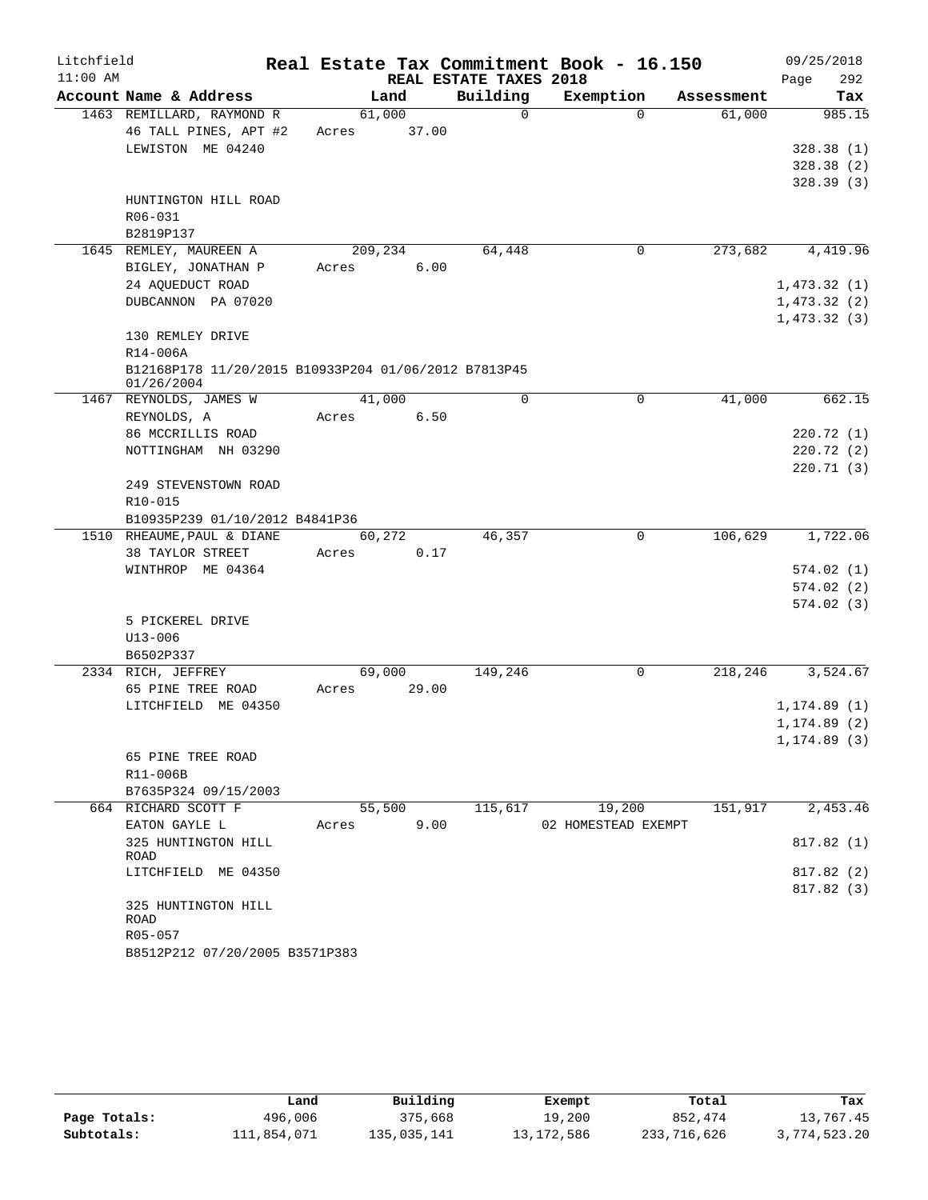| Litchfield |                                                      |         |        |                        | Real Estate Tax Commitment Book - 16.150 |            | 09/25/2018             |
|------------|------------------------------------------------------|---------|--------|------------------------|------------------------------------------|------------|------------------------|
| $11:00$ AM |                                                      |         |        | REAL ESTATE TAXES 2018 |                                          |            | 292<br>Page            |
|            | Account Name & Address                               |         | Land   | Building               | Exemption                                | Assessment | Tax                    |
|            | 1463 REMILLARD, RAYMOND R                            |         | 61,000 | $\mathbf 0$            | $\Omega$                                 | 61,000     | 985.15                 |
|            | 46 TALL PINES, APT #2<br>LEWISTON ME 04240           | Acres   | 37.00  |                        |                                          |            |                        |
|            |                                                      |         |        |                        |                                          |            | 328.38(1)              |
|            |                                                      |         |        |                        |                                          |            | 328.38(2)<br>328.39(3) |
|            | HUNTINGTON HILL ROAD                                 |         |        |                        |                                          |            |                        |
|            | R06-031                                              |         |        |                        |                                          |            |                        |
|            | B2819P137                                            |         |        |                        |                                          |            |                        |
|            | 1645 REMLEY, MAUREEN A                               | 209,234 |        | 64,448                 | 0                                        | 273,682    | 4,419.96               |
|            | BIGLEY, JONATHAN P                                   | Acres   | 6.00   |                        |                                          |            |                        |
|            | 24 AQUEDUCT ROAD                                     |         |        |                        |                                          |            | 1,473.32(1)            |
|            | DUBCANNON PA 07020                                   |         |        |                        |                                          |            | 1,473.32(2)            |
|            |                                                      |         |        |                        |                                          |            | 1,473.32(3)            |
|            | 130 REMLEY DRIVE                                     |         |        |                        |                                          |            |                        |
|            | R14-006A                                             |         |        |                        |                                          |            |                        |
|            | B12168P178 11/20/2015 B10933P204 01/06/2012 B7813P45 |         |        |                        |                                          |            |                        |
|            | 01/26/2004                                           |         |        |                        |                                          |            |                        |
|            | 1467 REYNOLDS, JAMES W                               |         | 41,000 | 0                      | 0                                        | 41,000     | 662.15                 |
|            | REYNOLDS, A                                          | Acres   | 6.50   |                        |                                          |            |                        |
|            | 86 MCCRILLIS ROAD                                    |         |        |                        |                                          |            | 220.72(1)              |
|            | NOTTINGHAM NH 03290                                  |         |        |                        |                                          |            | 220.72(2)              |
|            |                                                      |         |        |                        |                                          |            | 220.71(3)              |
|            | 249 STEVENSTOWN ROAD                                 |         |        |                        |                                          |            |                        |
|            | R10-015                                              |         |        |                        |                                          |            |                        |
|            | B10935P239 01/10/2012 B4841P36                       |         |        |                        |                                          |            |                        |
|            | 1510 RHEAUME, PAUL & DIANE                           |         | 60,272 | 46,357                 | 0                                        | 106,629    | 1,722.06               |
|            | 38 TAYLOR STREET                                     | Acres   | 0.17   |                        |                                          |            |                        |
|            | WINTHROP ME 04364                                    |         |        |                        |                                          |            | 574.02(1)              |
|            |                                                      |         |        |                        |                                          |            | 574.02(2)              |
|            |                                                      |         |        |                        |                                          |            | 574.02(3)              |
|            | 5 PICKEREL DRIVE                                     |         |        |                        |                                          |            |                        |
|            | $U13 - 006$                                          |         |        |                        |                                          |            |                        |
|            | B6502P337                                            |         |        |                        |                                          |            |                        |
|            | 2334 RICH, JEFFREY                                   |         | 69,000 | 149,246                | 0                                        | 218,246    | 3,524.67               |
|            | 65 PINE TREE ROAD                                    | Acres   | 29.00  |                        |                                          |            |                        |
|            | LITCHFIELD ME 04350                                  |         |        |                        |                                          |            | 1, 174.89(1)           |
|            |                                                      |         |        |                        |                                          |            | 1, 174.89(2)           |
|            |                                                      |         |        |                        |                                          |            | 1, 174.89(3)           |
|            | 65 PINE TREE ROAD                                    |         |        |                        |                                          |            |                        |
|            | R11-006B<br>B7635P324 09/15/2003                     |         |        |                        |                                          |            |                        |
|            | 664 RICHARD SCOTT F                                  |         | 55,500 | 115,617                | 19,200                                   | 151,917    | 2,453.46               |
|            | EATON GAYLE L                                        | Acres   | 9.00   |                        | 02 HOMESTEAD EXEMPT                      |            |                        |
|            | 325 HUNTINGTON HILL                                  |         |        |                        |                                          |            | 817.82(1)              |
|            | ROAD                                                 |         |        |                        |                                          |            |                        |
|            | LITCHFIELD ME 04350                                  |         |        |                        |                                          |            | 817.82 (2)             |
|            |                                                      |         |        |                        |                                          |            | 817.82 (3)             |
|            | 325 HUNTINGTON HILL                                  |         |        |                        |                                          |            |                        |
|            | ROAD                                                 |         |        |                        |                                          |            |                        |
|            | R05-057                                              |         |        |                        |                                          |            |                        |
|            | B8512P212 07/20/2005 B3571P383                       |         |        |                        |                                          |            |                        |

|              | Land        | Building    | Exempt       | Total       | Tax          |
|--------------|-------------|-------------|--------------|-------------|--------------|
| Page Totals: | 496,006     | 375,668     | 19,200       | 852,474     | 13,767.45    |
| Subtotals:   | 111,854,071 | 135,035,141 | 13, 172, 586 | 233,716,626 | 3,774,523.20 |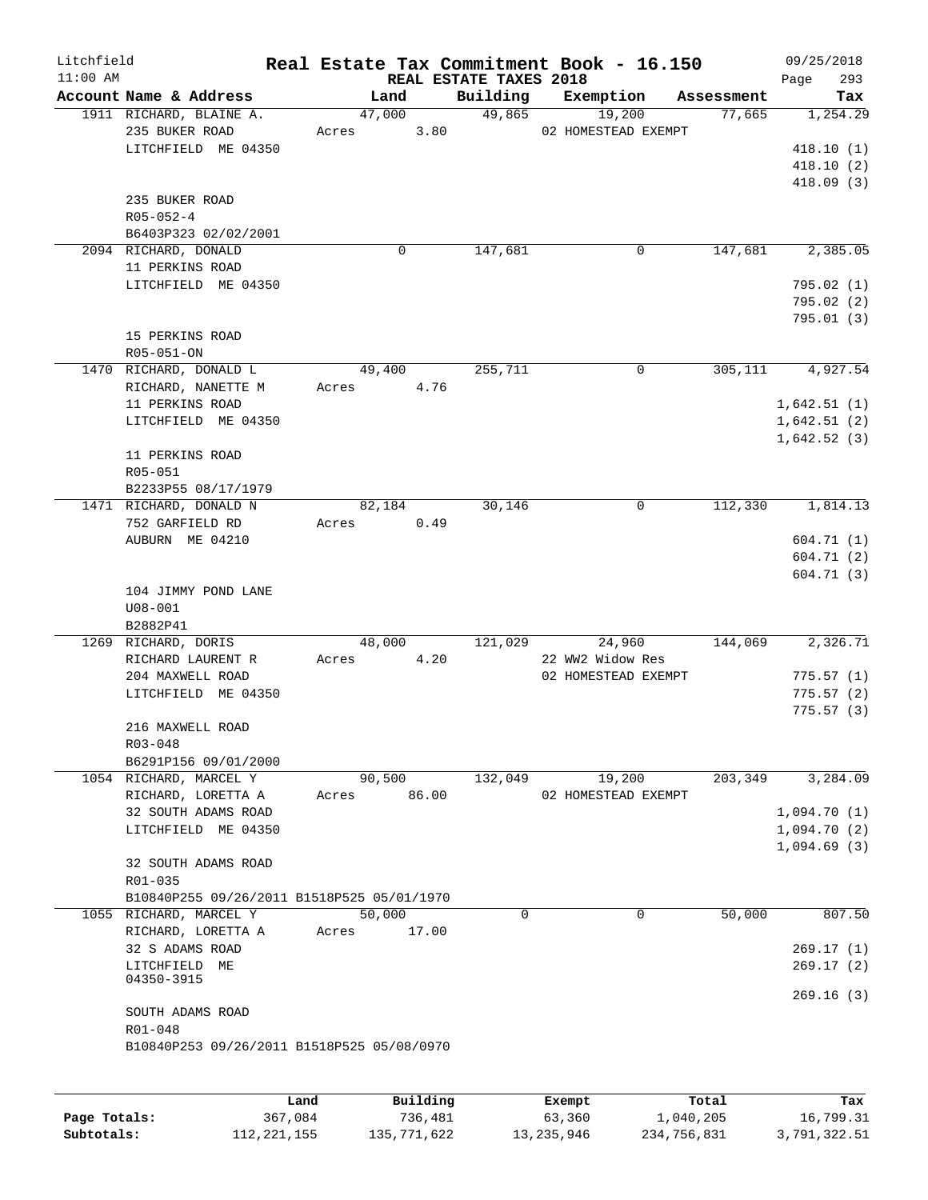| Litchfield<br>$11:00$ AM |                                                       |            |          |                        | Real Estate Tax Commitment Book - 16.150 |            | 09/25/2018             |
|--------------------------|-------------------------------------------------------|------------|----------|------------------------|------------------------------------------|------------|------------------------|
|                          | Account Name & Address                                |            | Land     | REAL ESTATE TAXES 2018 | Building Exemption                       | Assessment | 293<br>Page<br>Tax     |
|                          | 1911 RICHARD, BLAINE A.                               |            | 47,000   | 49,865                 | 19,200                                   | 77,665     | 1,254.29               |
|                          | 235 BUKER ROAD                                        | Acres 3.80 |          |                        | 02 HOMESTEAD EXEMPT                      |            |                        |
|                          | LITCHFIELD ME 04350                                   |            |          |                        |                                          |            | 418.10(1)              |
|                          |                                                       |            |          |                        |                                          |            | 418.10(2)              |
|                          |                                                       |            |          |                        |                                          |            | 418.09(3)              |
|                          | 235 BUKER ROAD                                        |            |          |                        |                                          |            |                        |
|                          | $R05 - 052 - 4$                                       |            |          |                        |                                          |            |                        |
|                          | B6403P323 02/02/2001                                  |            |          |                        |                                          |            |                        |
|                          | 2094 RICHARD, DONALD                                  |            | 0        | 147,681                | 0                                        | 147,681    | 2,385.05               |
|                          | 11 PERKINS ROAD                                       |            |          |                        |                                          |            |                        |
|                          | LITCHFIELD ME 04350                                   |            |          |                        |                                          |            | 795.02(1)              |
|                          |                                                       |            |          |                        |                                          |            | 795.02(2)<br>795.01(3) |
|                          | 15 PERKINS ROAD                                       |            |          |                        |                                          |            |                        |
|                          | R05-051-ON                                            |            |          |                        |                                          |            |                        |
|                          | 1470 RICHARD, DONALD L                                |            | 49,400   | 255,711                | 0                                        | 305,111    | 4,927.54               |
|                          | RICHARD, NANETTE M                                    | Acres      | 4.76     |                        |                                          |            |                        |
|                          | 11 PERKINS ROAD                                       |            |          |                        |                                          |            | 1,642.51(1)            |
|                          | LITCHFIELD ME 04350                                   |            |          |                        |                                          |            | 1,642.51(2)            |
|                          |                                                       |            |          |                        |                                          |            | 1,642.52(3)            |
|                          | 11 PERKINS ROAD                                       |            |          |                        |                                          |            |                        |
|                          | R05-051                                               |            |          |                        |                                          |            |                        |
|                          | B2233P55 08/17/1979                                   |            |          |                        |                                          |            |                        |
|                          | 1471 RICHARD, DONALD N                                |            | 82,184   | 30,146                 | 0                                        | 112,330    | 1,814.13               |
|                          | 752 GARFIELD RD                                       | Acres      | 0.49     |                        |                                          |            |                        |
|                          | AUBURN ME 04210                                       |            |          |                        |                                          |            | 604.71(1)              |
|                          |                                                       |            |          |                        |                                          |            | 604.71(2)              |
|                          |                                                       |            |          |                        |                                          |            | 604.71 (3)             |
|                          | 104 JIMMY POND LANE                                   |            |          |                        |                                          |            |                        |
|                          | $U08 - 001$<br>B2882P41                               |            |          |                        |                                          |            |                        |
|                          | 1269 RICHARD, DORIS                                   |            | 48,000   | 121,029                | 24,960                                   | 144,069    | 2,326.71               |
|                          | RICHARD LAURENT R                                     | Acres      | 4.20     |                        | 22 WW2 Widow Res                         |            |                        |
|                          | 204 MAXWELL ROAD                                      |            |          |                        | 02 HOMESTEAD EXEMPT                      |            | 775.57(1)              |
|                          | LITCHFIELD ME 04350                                   |            |          |                        |                                          |            | 775.57(2)              |
|                          |                                                       |            |          |                        |                                          |            | 775.57(3)              |
|                          | 216 MAXWELL ROAD                                      |            |          |                        |                                          |            |                        |
|                          | R03-048                                               |            |          |                        |                                          |            |                        |
|                          | B6291P156 09/01/2000                                  |            |          |                        |                                          |            |                        |
|                          | 1054 RICHARD, MARCEL Y                                |            | 90,500   | 132,049                | 19,200                                   | 203,349    | 3,284.09               |
|                          | RICHARD, LORETTA A                                    | Acres      | 86.00    |                        | 02 HOMESTEAD EXEMPT                      |            |                        |
|                          | 32 SOUTH ADAMS ROAD                                   |            |          |                        |                                          |            | 1,094.70(1)            |
|                          | LITCHFIELD ME 04350                                   |            |          |                        |                                          |            | 1,094.70(2)            |
|                          |                                                       |            |          |                        |                                          |            | 1,094.69(3)            |
|                          | 32 SOUTH ADAMS ROAD                                   |            |          |                        |                                          |            |                        |
|                          | R01-035<br>B10840P255 09/26/2011 B1518P525 05/01/1970 |            |          |                        |                                          |            |                        |
|                          | 1055 RICHARD, MARCEL Y                                |            | 50,000   |                        | 0<br>0                                   | 50,000     | 807.50                 |
|                          | RICHARD, LORETTA A                                    | Acres      | 17.00    |                        |                                          |            |                        |
|                          | 32 S ADAMS ROAD                                       |            |          |                        |                                          |            | 269.17(1)              |
|                          | LITCHFIELD ME                                         |            |          |                        |                                          |            | 269.17(2)              |
|                          | 04350-3915                                            |            |          |                        |                                          |            |                        |
|                          |                                                       |            |          |                        |                                          |            | 269.16(3)              |
|                          | SOUTH ADAMS ROAD                                      |            |          |                        |                                          |            |                        |
|                          | R01-048                                               |            |          |                        |                                          |            |                        |
|                          | B10840P253 09/26/2011 B1518P525 05/08/0970            |            |          |                        |                                          |            |                        |
|                          |                                                       |            |          |                        |                                          |            |                        |
|                          |                                                       |            |          |                        |                                          |            |                        |
|                          | Land                                                  |            | Building |                        | Exempt                                   | Total      | Tax                    |

|              | Land          | Building    | Exempt       | Total       | Tax          |
|--------------|---------------|-------------|--------------|-------------|--------------|
| Page Totals: | 367,084       | 736,481     | 63,360       | 1,040,205   | 16,799.31    |
| Subtotals:   | 112, 221, 155 | 135,771,622 | 13, 235, 946 | 234,756,831 | 3,791,322.51 |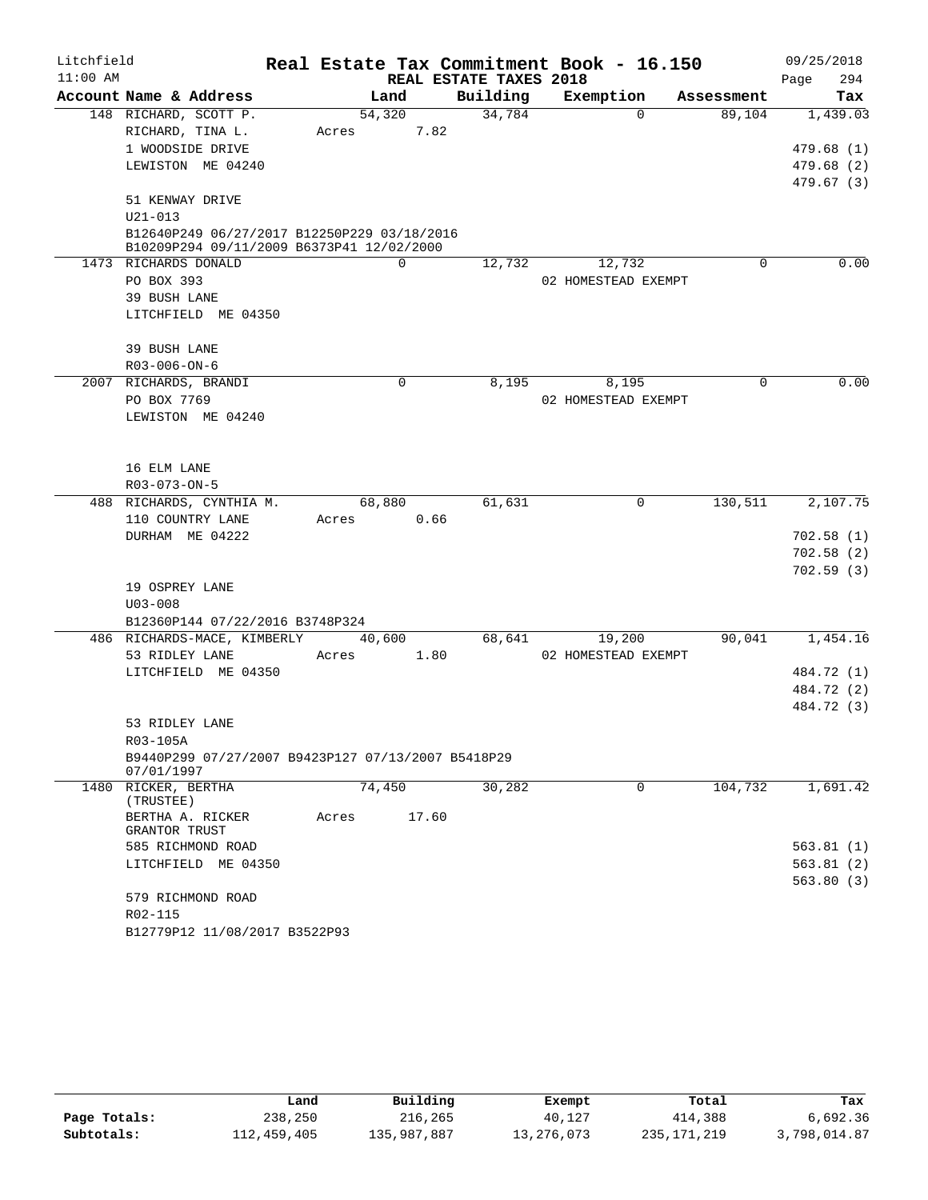| Litchfield |                      |                                                                                          |       |          |                        | Real Estate Tax Commitment Book - 16.150 |            | 09/25/2018  |
|------------|----------------------|------------------------------------------------------------------------------------------|-------|----------|------------------------|------------------------------------------|------------|-------------|
| $11:00$ AM |                      |                                                                                          |       |          | REAL ESTATE TAXES 2018 |                                          |            | 294<br>Page |
|            |                      | Account Name & Address                                                                   |       | Land     | Building               | Exemption                                | Assessment | Tax         |
|            |                      | 148 RICHARD, SCOTT P.                                                                    |       | 54,320   | 34,784                 | $\Omega$                                 | 89,104     | 1,439.03    |
|            |                      | RICHARD, TINA L.                                                                         | Acres | 7.82     |                        |                                          |            |             |
|            |                      | 1 WOODSIDE DRIVE                                                                         |       |          |                        |                                          |            | 479.68(1)   |
|            |                      | LEWISTON ME 04240                                                                        |       |          |                        |                                          |            | 479.68(2)   |
|            |                      |                                                                                          |       |          |                        |                                          |            | 479.67 (3)  |
|            | 51 KENWAY DRIVE      |                                                                                          |       |          |                        |                                          |            |             |
|            | $U21 - 013$          |                                                                                          |       |          |                        |                                          |            |             |
|            |                      | B12640P249 06/27/2017 B12250P229 03/18/2016<br>B10209P294 09/11/2009 B6373P41 12/02/2000 |       |          |                        |                                          |            |             |
|            | 1473 RICHARDS DONALD |                                                                                          |       | $\Omega$ | 12,732                 | 12,732                                   | 0          | 0.00        |
|            | PO BOX 393           |                                                                                          |       |          |                        | 02 HOMESTEAD EXEMPT                      |            |             |
|            | 39 BUSH LANE         |                                                                                          |       |          |                        |                                          |            |             |
|            |                      | LITCHFIELD ME 04350                                                                      |       |          |                        |                                          |            |             |
|            |                      |                                                                                          |       |          |                        |                                          |            |             |
|            | 39 BUSH LANE         |                                                                                          |       |          |                        |                                          |            |             |
|            | R03-006-ON-6         |                                                                                          |       |          |                        |                                          |            |             |
|            |                      | 2007 RICHARDS, BRANDI                                                                    |       | 0        | 8,195                  | 8,195                                    | 0          | 0.00        |
|            | PO BOX 7769          |                                                                                          |       |          |                        | 02 HOMESTEAD EXEMPT                      |            |             |
|            |                      | LEWISTON ME 04240                                                                        |       |          |                        |                                          |            |             |
|            |                      |                                                                                          |       |          |                        |                                          |            |             |
|            |                      |                                                                                          |       |          |                        |                                          |            |             |
|            | 16 ELM LANE          |                                                                                          |       |          |                        |                                          |            |             |
|            | R03-073-ON-5         |                                                                                          |       |          |                        |                                          |            |             |
|            |                      | 488 RICHARDS, CYNTHIA M.                                                                 |       | 68,880   | 61,631                 | 0                                        | 130, 511   | 2,107.75    |
|            |                      | 110 COUNTRY LANE                                                                         | Acres | 0.66     |                        |                                          |            |             |
|            |                      | DURHAM ME 04222                                                                          |       |          |                        |                                          |            | 702.58(1)   |
|            |                      |                                                                                          |       |          |                        |                                          |            | 702.58(2)   |
|            |                      |                                                                                          |       |          |                        |                                          |            | 702.59(3)   |
|            | 19 OSPREY LANE       |                                                                                          |       |          |                        |                                          |            |             |
|            | $U03 - 008$          |                                                                                          |       |          |                        |                                          |            |             |
|            |                      | B12360P144 07/22/2016 B3748P324                                                          |       |          |                        |                                          |            |             |
|            |                      | 486 RICHARDS-MACE, KIMBERLY                                                              |       | 40,600   | 68,641                 | 19,200                                   | 90,041     | 1,454.16    |
|            | 53 RIDLEY LANE       |                                                                                          | Acres | 1.80     |                        | 02 HOMESTEAD EXEMPT                      |            |             |
|            |                      | LITCHFIELD ME 04350                                                                      |       |          |                        |                                          |            | 484.72 (1)  |
|            |                      |                                                                                          |       |          |                        |                                          |            | 484.72 (2)  |
|            |                      |                                                                                          |       |          |                        |                                          |            | 484.72 (3)  |
|            | 53 RIDLEY LANE       |                                                                                          |       |          |                        |                                          |            |             |
|            | R03-105A             | B9440P299 07/27/2007 B9423P127 07/13/2007 B5418P29                                       |       |          |                        |                                          |            |             |
|            | 07/01/1997           |                                                                                          |       |          |                        |                                          |            |             |
|            | 1480 RICKER, BERTHA  |                                                                                          |       | 74,450   | 30,282                 | 0                                        | 104,732    | 1,691.42    |
|            | (TRUSTEE)            |                                                                                          |       |          |                        |                                          |            |             |
|            |                      | BERTHA A. RICKER                                                                         | Acres | 17.60    |                        |                                          |            |             |
|            | GRANTOR TRUST        |                                                                                          |       |          |                        |                                          |            |             |
|            |                      | 585 RICHMOND ROAD                                                                        |       |          |                        |                                          |            | 563.81(1)   |
|            |                      | LITCHFIELD ME 04350                                                                      |       |          |                        |                                          |            | 563.81(2)   |
|            |                      |                                                                                          |       |          |                        |                                          |            | 563.80(3)   |
|            | R02-115              | 579 RICHMOND ROAD                                                                        |       |          |                        |                                          |            |             |
|            |                      | B12779P12 11/08/2017 B3522P93                                                            |       |          |                        |                                          |            |             |
|            |                      |                                                                                          |       |          |                        |                                          |            |             |

|              | Land        | Building    | Exempt     | Total       | Tax          |
|--------------|-------------|-------------|------------|-------------|--------------|
| Page Totals: | 238,250     | 216,265     | 40,127     | 414,388     | 6,692.36     |
| Subtotals:   | 112,459,405 | 135,987,887 | 13,276,073 | 235,171,219 | 3,798,014.87 |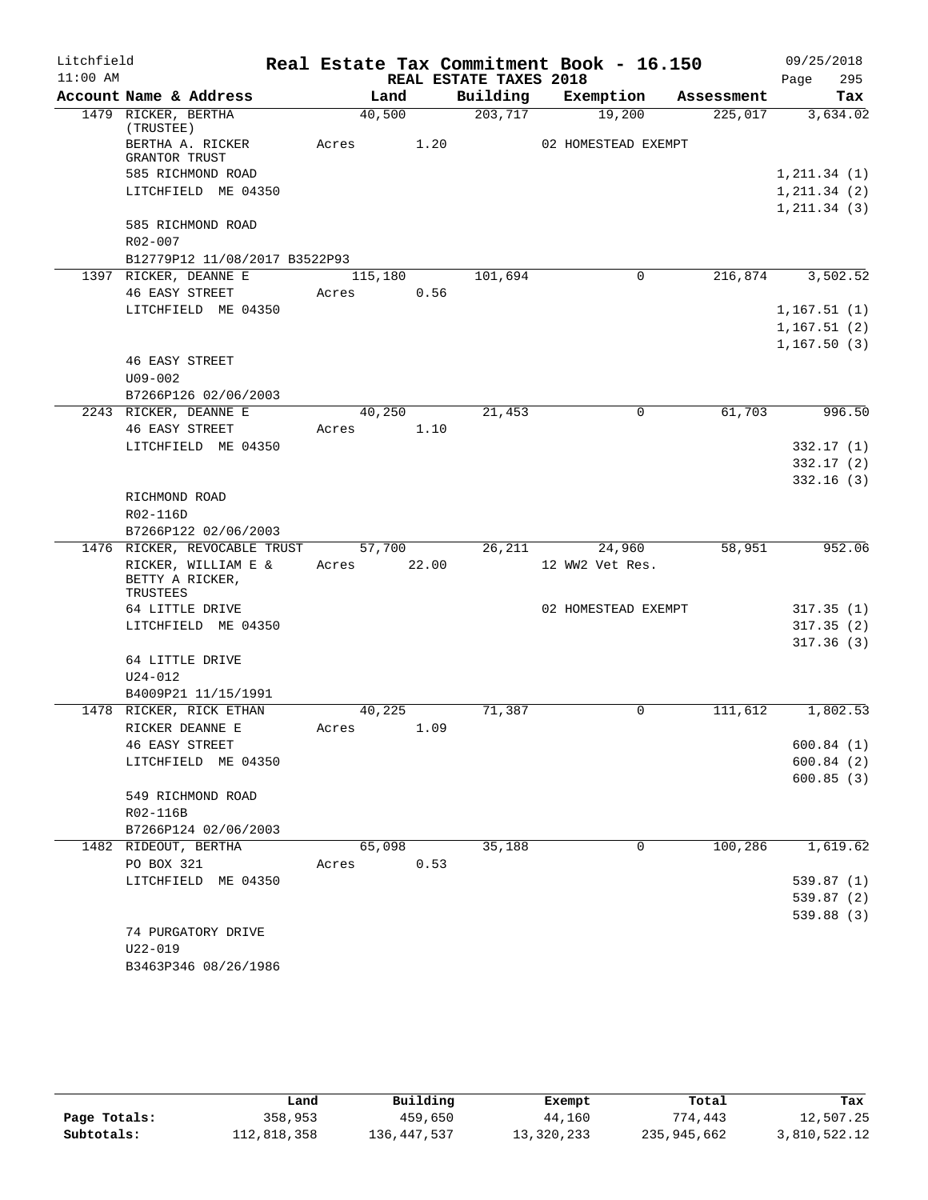| Litchfield |                                                    |         |        |                        | Real Estate Tax Commitment Book - 16.150 |            | 09/25/2018   |
|------------|----------------------------------------------------|---------|--------|------------------------|------------------------------------------|------------|--------------|
| $11:00$ AM |                                                    |         |        | REAL ESTATE TAXES 2018 |                                          |            | 295<br>Page  |
|            | Account Name & Address                             |         | Land   | Building               | Exemption                                | Assessment | Tax          |
|            | 1479 RICKER, BERTHA<br>(TRUSTEE)                   |         | 40,500 | 203,717                | 19,200                                   | 225,017    | 3,634.02     |
|            | BERTHA A. RICKER<br><b>GRANTOR TRUST</b>           | Acres   | 1.20   |                        | 02 HOMESTEAD EXEMPT                      |            |              |
|            | 585 RICHMOND ROAD                                  |         |        |                        |                                          |            | 1, 211.34(1) |
|            | LITCHFIELD ME 04350                                |         |        |                        |                                          |            | 1, 211.34(2) |
|            |                                                    |         |        |                        |                                          |            | 1, 211.34(3) |
|            | 585 RICHMOND ROAD<br>R02-007                       |         |        |                        |                                          |            |              |
|            | B12779P12 11/08/2017 B3522P93                      |         |        |                        |                                          |            |              |
|            | 1397 RICKER, DEANNE E                              | 115,180 |        | 101,694                | $\mathbf 0$                              | 216,874    | 3,502.52     |
|            | <b>46 EASY STREET</b>                              | Acres   | 0.56   |                        |                                          |            |              |
|            | LITCHFIELD ME 04350                                |         |        |                        |                                          |            | 1,167.51(1)  |
|            |                                                    |         |        |                        |                                          |            | 1,167.51(2)  |
|            |                                                    |         |        |                        |                                          |            | 1, 167.50(3) |
|            | <b>46 EASY STREET</b>                              |         |        |                        |                                          |            |              |
|            | $U09 - 002$                                        |         |        |                        |                                          |            |              |
|            | B7266P126 02/06/2003                               |         |        |                        |                                          |            |              |
|            | 2243 RICKER, DEANNE E                              |         | 40,250 | 21,453                 | $\mathbf 0$                              | 61,703     | 996.50       |
|            | <b>46 EASY STREET</b>                              | Acres   | 1.10   |                        |                                          |            |              |
|            | LITCHFIELD ME 04350                                |         |        |                        |                                          |            | 332.17(1)    |
|            |                                                    |         |        |                        |                                          |            | 332.17(2)    |
|            |                                                    |         |        |                        |                                          |            | 332.16(3)    |
|            | RICHMOND ROAD                                      |         |        |                        |                                          |            |              |
|            | R02-116D                                           |         |        |                        |                                          |            |              |
|            | B7266P122 02/06/2003                               |         |        |                        |                                          |            |              |
|            | 1476 RICKER, REVOCABLE TRUST                       |         | 57,700 | 26,211                 | 24,960                                   | 58,951     | 952.06       |
|            | RICKER, WILLIAM E &<br>BETTY A RICKER,<br>TRUSTEES | Acres   | 22.00  |                        | 12 WW2 Vet Res.                          |            |              |
|            | 64 LITTLE DRIVE                                    |         |        |                        | 02 HOMESTEAD EXEMPT                      |            | 317.35(1)    |
|            | LITCHFIELD ME 04350                                |         |        |                        |                                          |            | 317.35(2)    |
|            |                                                    |         |        |                        |                                          |            | 317.36(3)    |
|            | 64 LITTLE DRIVE                                    |         |        |                        |                                          |            |              |
|            | $U24 - 012$                                        |         |        |                        |                                          |            |              |
|            | B4009P21 11/15/1991                                |         |        |                        |                                          |            |              |
|            | 1478 RICKER, RICK ETHAN                            | 40,225  |        | 71,387                 | 0                                        | 111,612    | 1,802.53     |
|            | RICKER DEANNE E                                    | Acres   | 1.09   |                        |                                          |            |              |
|            | <b>46 EASY STREET</b>                              |         |        |                        |                                          |            | 600.84(1)    |
|            | LITCHFIELD ME 04350                                |         |        |                        |                                          |            | 600.84(2)    |
|            |                                                    |         |        |                        |                                          |            | 600.85(3)    |
|            | 549 RICHMOND ROAD                                  |         |        |                        |                                          |            |              |
|            | R02-116B                                           |         |        |                        |                                          |            |              |
|            | B7266P124 02/06/2003                               |         |        |                        |                                          |            |              |
|            | 1482 RIDEOUT, BERTHA                               |         | 65,098 | 35,188                 | 0                                        | 100,286    | 1,619.62     |
|            | PO BOX 321                                         | Acres   | 0.53   |                        |                                          |            |              |
|            | LITCHFIELD ME 04350                                |         |        |                        |                                          |            | 539.87(1)    |
|            |                                                    |         |        |                        |                                          |            | 539.87 (2)   |
|            |                                                    |         |        |                        |                                          |            | 539.88(3)    |
|            | 74 PURGATORY DRIVE                                 |         |        |                        |                                          |            |              |
|            | $U22 - 019$                                        |         |        |                        |                                          |            |              |
|            | B3463P346 08/26/1986                               |         |        |                        |                                          |            |              |

|              | Land        | Building      | Exempt     | Total       | Tax          |
|--------------|-------------|---------------|------------|-------------|--------------|
| Page Totals: | 358,953     | 459,650       | 44,160     | 774,443     | 12,507.25    |
| Subtotals:   | 112,818,358 | 136, 447, 537 | 13,320,233 | 235,945,662 | 3,810,522.12 |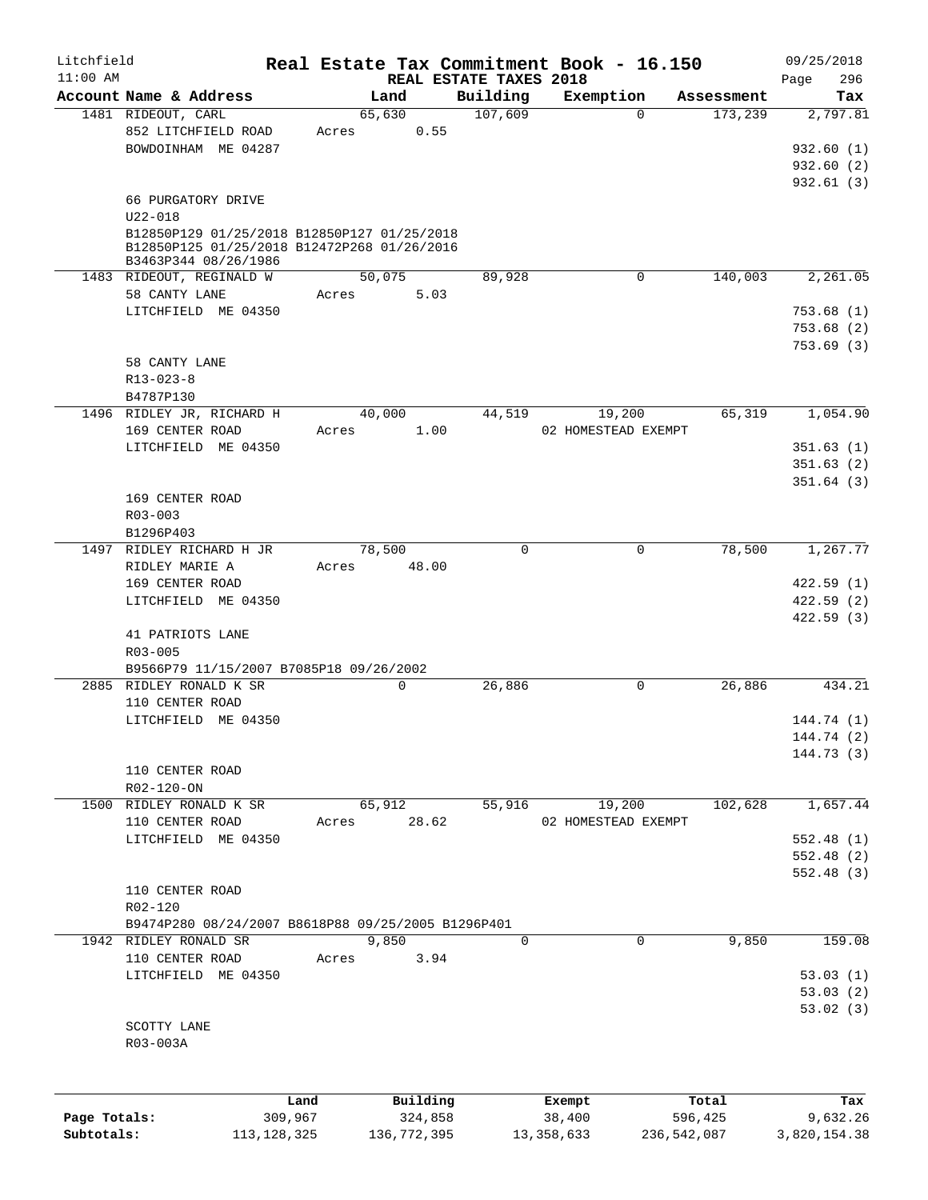| Litchfield   |                                                                     |               |             |                                    | Real Estate Tax Commitment Book - 16.150 |               | 09/25/2018         |
|--------------|---------------------------------------------------------------------|---------------|-------------|------------------------------------|------------------------------------------|---------------|--------------------|
| $11:00$ AM   | Account Name & Address                                              |               | Land        | REAL ESTATE TAXES 2018<br>Building | Exemption                                | Assessment    | 296<br>Page<br>Tax |
|              | 1481 RIDEOUT, CARL                                                  |               | 65,630      | 107,609                            | $\Omega$                                 | 173,239       | 2,797.81           |
|              | 852 LITCHFIELD ROAD                                                 | Acres         | 0.55        |                                    |                                          |               |                    |
|              | BOWDOINHAM ME 04287                                                 |               |             |                                    |                                          |               | 932.60(1)          |
|              |                                                                     |               |             |                                    |                                          |               | 932.60(2)          |
|              |                                                                     |               |             |                                    |                                          |               | 932.61(3)          |
|              | 66 PURGATORY DRIVE<br>$U22 - 018$                                   |               |             |                                    |                                          |               |                    |
|              | B12850P129 01/25/2018 B12850P127 01/25/2018                         |               |             |                                    |                                          |               |                    |
|              | B12850P125 01/25/2018 B12472P268 01/26/2016<br>B3463P344 08/26/1986 |               |             |                                    |                                          |               |                    |
|              | 1483 RIDEOUT, REGINALD W                                            |               | 50,075      | 89,928                             | 0                                        | 140,003       | 2,261.05           |
|              | 58 CANTY LANE                                                       | Acres         | 5.03        |                                    |                                          |               |                    |
|              | LITCHFIELD ME 04350                                                 |               |             |                                    |                                          |               | 753.68(1)          |
|              |                                                                     |               |             |                                    |                                          |               | 753.68(2)          |
|              |                                                                     |               |             |                                    |                                          |               | 753.69(3)          |
|              | 58 CANTY LANE                                                       |               |             |                                    |                                          |               |                    |
|              | $R13 - 023 - 8$                                                     |               |             |                                    |                                          |               |                    |
|              | B4787P130                                                           |               |             |                                    |                                          |               |                    |
|              | 1496 RIDLEY JR, RICHARD H                                           |               | 40,000      | 44,519                             | 19,200                                   | 65,319        | 1,054.90           |
|              | 169 CENTER ROAD                                                     | Acres         | 1.00        |                                    | 02 HOMESTEAD EXEMPT                      |               |                    |
|              | LITCHFIELD ME 04350                                                 |               |             |                                    |                                          |               | 351.63(1)          |
|              |                                                                     |               |             |                                    |                                          |               | 351.63(2)          |
|              |                                                                     |               |             |                                    |                                          |               | 351.64(3)          |
|              | 169 CENTER ROAD                                                     |               |             |                                    |                                          |               |                    |
|              | R03-003                                                             |               |             |                                    |                                          |               |                    |
|              | B1296P403                                                           |               |             |                                    |                                          |               |                    |
|              | 1497 RIDLEY RICHARD H JR                                            |               | 78,500      | 0                                  | $\mathbf 0$                              | 78,500        | 1,267.77           |
|              | RIDLEY MARIE A                                                      | Acres         | 48.00       |                                    |                                          |               |                    |
|              | 169 CENTER ROAD                                                     |               |             |                                    |                                          |               | 422.59(1)          |
|              | LITCHFIELD ME 04350                                                 |               |             |                                    |                                          |               | 422.59(2)          |
|              |                                                                     |               |             |                                    |                                          |               | 422.59(3)          |
|              | 41 PATRIOTS LANE                                                    |               |             |                                    |                                          |               |                    |
|              | R03-005                                                             |               |             |                                    |                                          |               |                    |
|              | B9566P79 11/15/2007 B7085P18 09/26/2002                             |               |             |                                    |                                          |               |                    |
|              | 2885 RIDLEY RONALD K SR                                             |               | $\mathbf 0$ | 26,886                             | 0                                        | 26,886        | 434.21             |
|              | 110 CENTER ROAD                                                     |               |             |                                    |                                          |               |                    |
|              | LITCHFIELD ME 04350                                                 |               |             |                                    |                                          |               | 144.74 (1)         |
|              |                                                                     |               |             |                                    |                                          |               | 144.74 (2)         |
|              |                                                                     |               |             |                                    |                                          |               | 144.73 (3)         |
|              | 110 CENTER ROAD                                                     |               |             |                                    |                                          |               |                    |
|              | R02-120-ON                                                          |               |             |                                    |                                          |               |                    |
| 1500         | RIDLEY RONALD K SR                                                  |               | 65,912      | 55,916                             | 19,200                                   | 102,628       | 1,657.44           |
|              | 110 CENTER ROAD                                                     | Acres         | 28.62       |                                    | 02 HOMESTEAD EXEMPT                      |               |                    |
|              | LITCHFIELD ME 04350                                                 |               |             |                                    |                                          |               | 552.48(1)          |
|              |                                                                     |               |             |                                    |                                          |               | 552.48(2)          |
|              |                                                                     |               |             |                                    |                                          |               | 552.48(3)          |
|              | 110 CENTER ROAD                                                     |               |             |                                    |                                          |               |                    |
|              | R02-120                                                             |               |             |                                    |                                          |               |                    |
|              | B9474P280 08/24/2007 B8618P88 09/25/2005 B1296P401                  |               |             |                                    |                                          |               |                    |
|              | 1942 RIDLEY RONALD SR                                               |               | 9,850       | $\mathbf 0$                        | $\mathbf 0$                              | 9,850         | 159.08             |
|              | 110 CENTER ROAD                                                     | Acres         | 3.94        |                                    |                                          |               |                    |
|              | LITCHFIELD ME 04350                                                 |               |             |                                    |                                          |               | 53.03(1)           |
|              |                                                                     |               |             |                                    |                                          |               | 53.03(2)           |
|              |                                                                     |               |             |                                    |                                          |               | 53.02(3)           |
|              | SCOTTY LANE                                                         |               |             |                                    |                                          |               |                    |
|              | R03-003A                                                            |               |             |                                    |                                          |               |                    |
|              |                                                                     |               |             |                                    |                                          |               |                    |
|              |                                                                     | Land          | Building    |                                    | Exempt                                   | Total         | Tax                |
| Page Totals: |                                                                     | 309,967       | 324,858     |                                    | 38,400                                   | 596,425       | 9,632.26           |
| Subtotals:   |                                                                     | 113, 128, 325 | 136,772,395 |                                    | 13, 358, 633                             | 236, 542, 087 | 3,820,154.38       |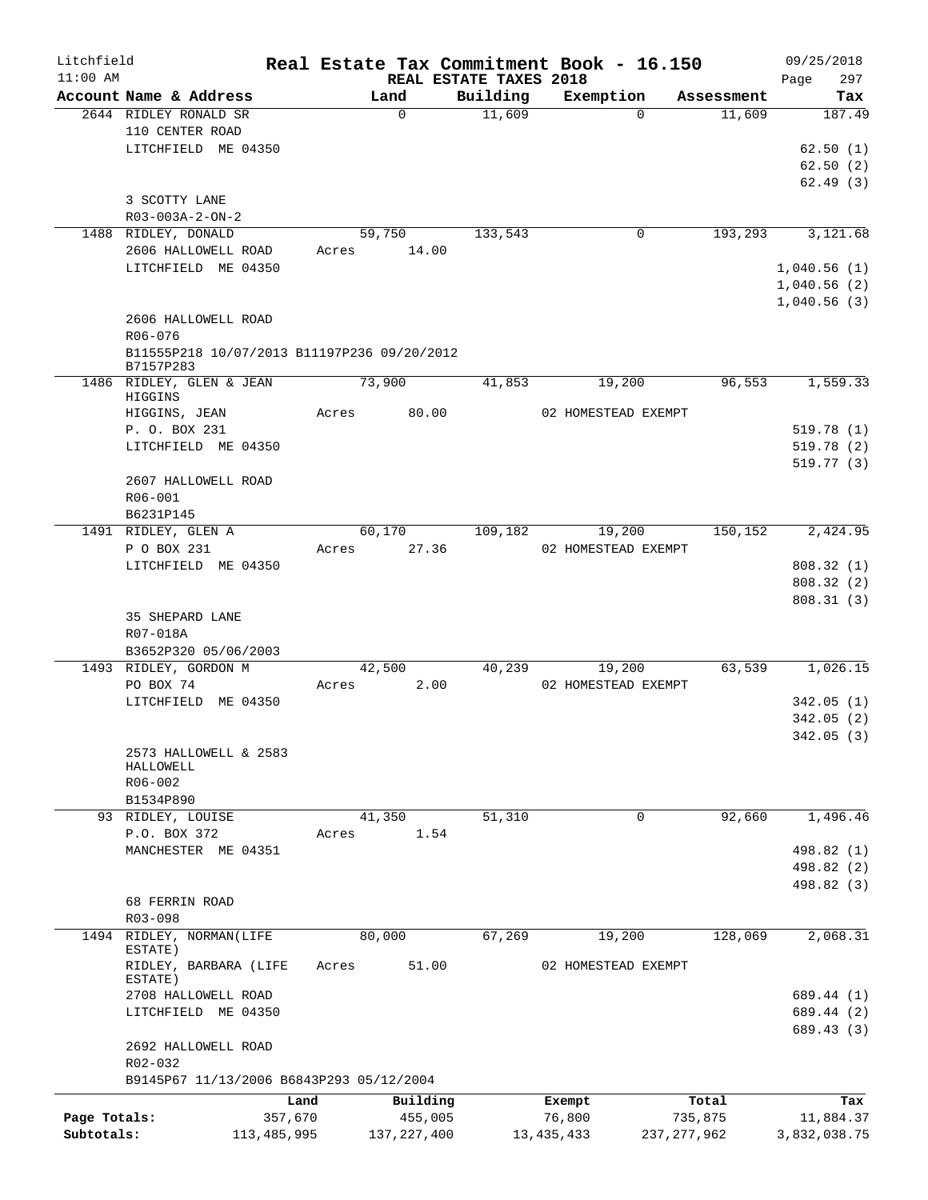| Litchfield<br>$11:00$ AM |                                                          |                          | REAL ESTATE TAXES 2018 | Real Estate Tax Commitment Book - 16.150 |            | 09/25/2018<br>297                |
|--------------------------|----------------------------------------------------------|--------------------------|------------------------|------------------------------------------|------------|----------------------------------|
|                          | Account Name & Address                                   | Land                     | Building               | Exemption                                | Assessment | Page<br>Tax                      |
|                          | 2644 RIDLEY RONALD SR<br>110 CENTER ROAD                 | $\Omega$                 | 11,609                 | $\Omega$                                 | 11,609     | 187.49                           |
|                          | LITCHFIELD ME 04350                                      |                          |                        |                                          |            | 62.50(1)<br>62.50(2)<br>62.49(3) |
|                          | 3 SCOTTY LANE<br>$R03 - 003A - 2 - ON - 2$               |                          |                        |                                          |            |                                  |
|                          | 1488 RIDLEY, DONALD<br>2606 HALLOWELL ROAD               | 59,750<br>14.00<br>Acres | 133,543                | 0                                        | 193, 293   | 3,121.68                         |
|                          | LITCHFIELD ME 04350                                      |                          |                        |                                          |            | 1,040.56(1)<br>1,040.56(2)       |
|                          | 2606 HALLOWELL ROAD<br>R06-076                           |                          |                        |                                          |            | 1,040.56(3)                      |
|                          | B11555P218 10/07/2013 B11197P236 09/20/2012<br>B7157P283 |                          |                        |                                          |            |                                  |
|                          | 1486 RIDLEY, GLEN & JEAN<br>HIGGINS                      | 73,900                   | 41,853                 | 19,200                                   | 96,553     | 1,559.33                         |
|                          | HIGGINS, JEAN<br>P. O. BOX 231                           | Acres 80.00              |                        | 02 HOMESTEAD EXEMPT                      |            | 519.78(1)                        |
|                          | LITCHFIELD ME 04350                                      |                          |                        |                                          |            | 519.78(2)<br>519.77(3)           |
|                          | 2607 HALLOWELL ROAD<br>R06-001<br>B6231P145              |                          |                        |                                          |            |                                  |
|                          | 1491 RIDLEY, GLEN A<br>P O BOX 231                       | 60,170<br>27.36<br>Acres | 109,182                | 19,200<br>02 HOMESTEAD EXEMPT            | 150,152    | 2,424.95                         |
|                          | LITCHFIELD ME 04350                                      |                          |                        |                                          |            | 808.32(1)                        |
|                          |                                                          |                          |                        |                                          |            | 808.32(2)<br>808.31(3)           |
|                          | 35 SHEPARD LANE<br>R07-018A<br>B3652P320 05/06/2003      |                          |                        |                                          |            |                                  |
|                          | 1493 RIDLEY, GORDON M<br>PO BOX 74                       | 42,500<br>2.00<br>Acres  | 40,239                 | 19,200<br>02 HOMESTEAD EXEMPT            | 63,539     | 1,026.15                         |
|                          | LITCHFIELD ME 04350                                      |                          |                        |                                          |            | 342.05(1)                        |
|                          |                                                          |                          |                        |                                          |            | 342.05(2)                        |
|                          | 2573 HALLOWELL & 2583<br>HALLOWELL<br>$R06 - 002$        |                          |                        |                                          |            | 342.05(3)                        |
|                          | B1534P890                                                |                          |                        |                                          |            |                                  |
|                          | 93 RIDLEY, LOUISE                                        | 41,350                   | 51,310                 | $\mathbf 0$                              | 92,660     | 1,496.46                         |
|                          | P.O. BOX 372<br>MANCHESTER ME 04351                      | 1.54<br>Acres            |                        |                                          |            | 498.82 (1)                       |
|                          |                                                          |                          |                        |                                          |            | 498.82 (2)                       |
|                          |                                                          |                          |                        |                                          |            | 498.82 (3)                       |
|                          | 68 FERRIN ROAD<br>R03-098                                |                          |                        |                                          |            |                                  |
| 1494                     | RIDLEY, NORMAN(LIFE<br>ESTATE)                           | 80,000                   | 67,269                 | 19,200                                   | 128,069    | 2,068.31                         |
|                          | RIDLEY, BARBARA (LIFE<br>ESTATE)                         | 51.00<br>Acres           |                        | 02 HOMESTEAD EXEMPT                      |            |                                  |
|                          | 2708 HALLOWELL ROAD<br>LITCHFIELD ME 04350               |                          |                        |                                          |            | 689.44 (1)<br>689.44 (2)         |
|                          | 2692 HALLOWELL ROAD                                      |                          |                        |                                          |            | 689.43 (3)                       |
|                          | R02-032<br>B9145P67 11/13/2006 B6843P293 05/12/2004      |                          |                        |                                          |            |                                  |
|                          | Land                                                     | Building                 |                        | Exempt                                   | Total      | Tax                              |
| Page Totals:             | 357,670                                                  | 455,005                  |                        | 76,800                                   | 735,875    | 11,884.37                        |
| Subtotals:               | 113, 485, 995                                            | 137, 227, 400            |                        | 13, 435, 433<br>237, 277, 962            |            | 3,832,038.75                     |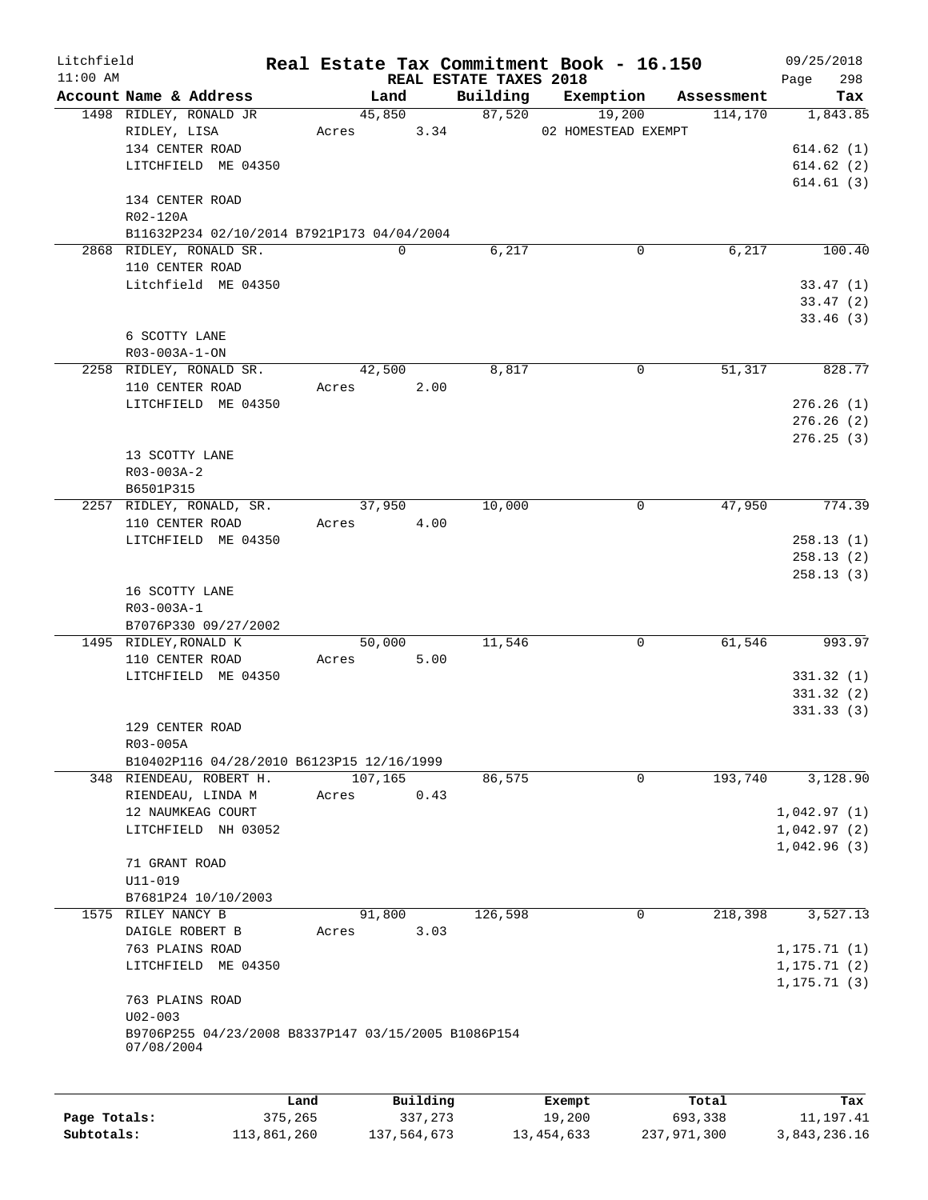| Litchfield   |                                                                   |             |             |                                    | Real Estate Tax Commitment Book - 16.150 |             | 09/25/2018         |
|--------------|-------------------------------------------------------------------|-------------|-------------|------------------------------------|------------------------------------------|-------------|--------------------|
| $11:00$ AM   | Account Name & Address                                            |             | Land        | REAL ESTATE TAXES 2018<br>Building | Exemption                                | Assessment  | 298<br>Page<br>Tax |
|              | 1498 RIDLEY, RONALD JR                                            |             | 45,850      | 87,520                             | 19,200                                   | 114, 170    | 1,843.85           |
|              | RIDLEY, LISA                                                      | Acres       | 3.34        |                                    | 02 HOMESTEAD EXEMPT                      |             |                    |
|              | 134 CENTER ROAD                                                   |             |             |                                    |                                          |             | 614.62(1)          |
|              | LITCHFIELD ME 04350                                               |             |             |                                    |                                          |             | 614.62(2)          |
|              |                                                                   |             |             |                                    |                                          |             | 614.61(3)          |
|              | 134 CENTER ROAD                                                   |             |             |                                    |                                          |             |                    |
|              | R02-120A                                                          |             |             |                                    |                                          |             |                    |
|              | B11632P234 02/10/2014 B7921P173 04/04/2004                        |             |             |                                    |                                          |             |                    |
|              | 2868 RIDLEY, RONALD SR.                                           |             | $\Omega$    | 6,217                              | $\mathbf 0$                              | 6,217       | 100.40             |
|              | 110 CENTER ROAD                                                   |             |             |                                    |                                          |             |                    |
|              | Litchfield ME 04350                                               |             |             |                                    |                                          |             | 33.47(1)           |
|              |                                                                   |             |             |                                    |                                          |             | 33.47(2)           |
|              |                                                                   |             |             |                                    |                                          |             | 33.46(3)           |
|              | 6 SCOTTY LANE                                                     |             |             |                                    |                                          |             |                    |
|              | R03-003A-1-ON                                                     |             |             |                                    |                                          |             |                    |
|              | 2258 RIDLEY, RONALD SR.                                           |             | 42,500      | 8,817                              | 0                                        | 51,317      | 828.77             |
|              | 110 CENTER ROAD                                                   | Acres       | 2.00        |                                    |                                          |             |                    |
|              | LITCHFIELD ME 04350                                               |             |             |                                    |                                          |             | 276.26(1)          |
|              |                                                                   |             |             |                                    |                                          |             | 276.26(2)          |
|              |                                                                   |             |             |                                    |                                          |             | 276.25(3)          |
|              | 13 SCOTTY LANE                                                    |             |             |                                    |                                          |             |                    |
|              | R03-003A-2<br>B6501P315                                           |             |             |                                    |                                          |             |                    |
|              | 2257 RIDLEY, RONALD, SR.                                          |             | 37,950      | 10,000                             | $\mathbf 0$                              | 47,950      | 774.39             |
|              | 110 CENTER ROAD                                                   | Acres       | 4.00        |                                    |                                          |             |                    |
|              | LITCHFIELD ME 04350                                               |             |             |                                    |                                          |             | 258.13(1)          |
|              |                                                                   |             |             |                                    |                                          |             | 258.13(2)          |
|              |                                                                   |             |             |                                    |                                          |             | 258.13(3)          |
|              | 16 SCOTTY LANE                                                    |             |             |                                    |                                          |             |                    |
|              | R03-003A-1                                                        |             |             |                                    |                                          |             |                    |
|              | B7076P330 09/27/2002                                              |             |             |                                    |                                          |             |                    |
|              | 1495 RIDLEY, RONALD K                                             |             | 50,000      | 11,546                             | $\mathbf 0$                              | 61,546      | 993.97             |
|              | 110 CENTER ROAD                                                   | Acres       | 5.00        |                                    |                                          |             |                    |
|              | LITCHFIELD ME 04350                                               |             |             |                                    |                                          |             | 331.32(1)          |
|              |                                                                   |             |             |                                    |                                          |             | 331.32(2)          |
|              |                                                                   |             |             |                                    |                                          |             | 331.33(3)          |
|              | 129 CENTER ROAD                                                   |             |             |                                    |                                          |             |                    |
|              | R03-005A                                                          |             |             |                                    |                                          |             |                    |
|              | B10402P116 04/28/2010 B6123P15 12/16/1999                         |             |             |                                    |                                          |             |                    |
|              | 348 RIENDEAU, ROBERT H.                                           |             | 107,165     | 86,575                             | $\mathbf 0$                              | 193,740     | 3,128.90           |
|              | RIENDEAU, LINDA M                                                 | Acres       | 0.43        |                                    |                                          |             |                    |
|              | 12 NAUMKEAG COURT                                                 |             |             |                                    |                                          |             | 1,042.97(1)        |
|              | LITCHFIELD NH 03052                                               |             |             |                                    |                                          |             | 1,042.97(2)        |
|              |                                                                   |             |             |                                    |                                          |             | 1,042.96(3)        |
|              | 71 GRANT ROAD                                                     |             |             |                                    |                                          |             |                    |
|              | U11-019                                                           |             |             |                                    |                                          |             |                    |
| 1575         | B7681P24 10/10/2003<br>RILEY NANCY B                              |             | 91,800      | 126,598                            | 0                                        | 218,398     | 3,527.13           |
|              | DAIGLE ROBERT B                                                   | Acres       | 3.03        |                                    |                                          |             |                    |
|              | 763 PLAINS ROAD                                                   |             |             |                                    |                                          |             | 1, 175.71(1)       |
|              | LITCHFIELD ME 04350                                               |             |             |                                    |                                          |             | 1, 175.71(2)       |
|              |                                                                   |             |             |                                    |                                          |             | 1, 175.71(3)       |
|              | 763 PLAINS ROAD                                                   |             |             |                                    |                                          |             |                    |
|              | $U02 - 003$                                                       |             |             |                                    |                                          |             |                    |
|              | B9706P255 04/23/2008 B8337P147 03/15/2005 B1086P154<br>07/08/2004 |             |             |                                    |                                          |             |                    |
|              |                                                                   |             |             |                                    |                                          |             |                    |
|              |                                                                   | Land        | Building    |                                    | Exempt                                   | Total       | Tax                |
| Page Totals: |                                                                   | 375,265     | 337,273     |                                    | 19,200                                   | 693,338     | 11, 197.41         |
| Subtotals:   |                                                                   | 113,861,260 | 137,564,673 |                                    | 13, 454, 633                             | 237,971,300 | 3,843,236.16       |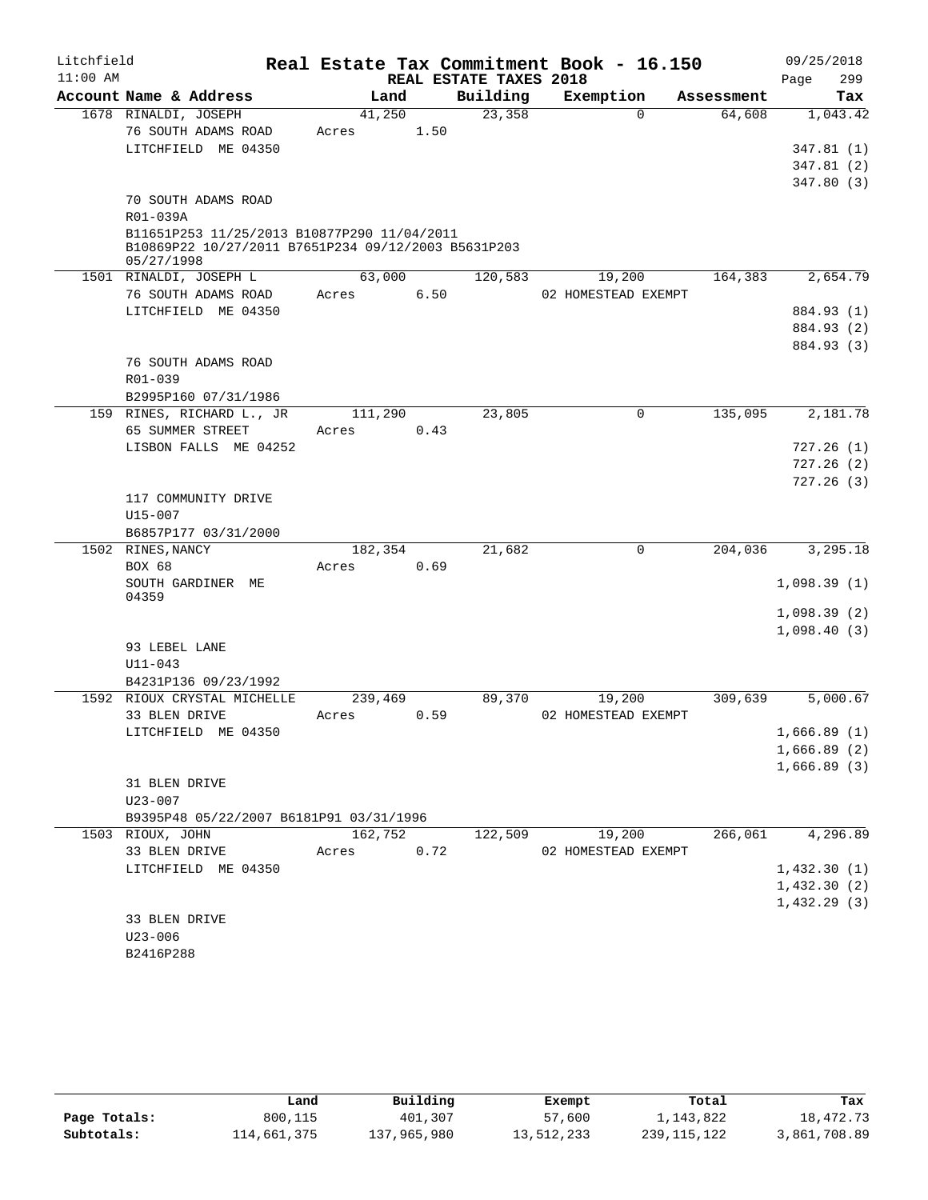| Litchfield |                                                     |         |      |                        | Real Estate Tax Commitment Book - 16.150 |            | 09/25/2018  |
|------------|-----------------------------------------------------|---------|------|------------------------|------------------------------------------|------------|-------------|
| $11:00$ AM |                                                     |         |      | REAL ESTATE TAXES 2018 |                                          |            | 299<br>Page |
|            | Account Name & Address                              | Land    |      | Building               | Exemption                                | Assessment | Tax         |
|            | 1678 RINALDI, JOSEPH                                | 41,250  |      | 23,358                 | $\Omega$                                 | 64,608     | 1,043.42    |
|            | 76 SOUTH ADAMS ROAD                                 | Acres   | 1.50 |                        |                                          |            |             |
|            | LITCHFIELD ME 04350                                 |         |      |                        |                                          |            | 347.81(1)   |
|            |                                                     |         |      |                        |                                          |            | 347.81(2)   |
|            | 70 SOUTH ADAMS ROAD                                 |         |      |                        |                                          |            | 347.80(3)   |
|            | R01-039A                                            |         |      |                        |                                          |            |             |
|            | B11651P253 11/25/2013 B10877P290 11/04/2011         |         |      |                        |                                          |            |             |
|            | B10869P22 10/27/2011 B7651P234 09/12/2003 B5631P203 |         |      |                        |                                          |            |             |
|            | 05/27/1998                                          |         |      |                        |                                          |            |             |
|            | 1501 RINALDI, JOSEPH L                              | 63,000  |      | 120,583                | 19,200                                   | 164,383    | 2,654.79    |
|            | 76 SOUTH ADAMS ROAD                                 | Acres   | 6.50 |                        | 02 HOMESTEAD EXEMPT                      |            |             |
|            | LITCHFIELD ME 04350                                 |         |      |                        |                                          |            | 884.93 (1)  |
|            |                                                     |         |      |                        |                                          |            | 884.93 (2)  |
|            |                                                     |         |      |                        |                                          |            | 884.93 (3)  |
|            | 76 SOUTH ADAMS ROAD                                 |         |      |                        |                                          |            |             |
|            | $R01 - 039$                                         |         |      |                        |                                          |            |             |
|            | B2995P160 07/31/1986                                |         |      |                        |                                          |            |             |
| 159        | RINES, RICHARD L., JR                               | 111,290 |      | 23,805                 | 0                                        | 135,095    | 2,181.78    |
|            | 65 SUMMER STREET                                    | Acres   | 0.43 |                        |                                          |            |             |
|            | LISBON FALLS ME 04252                               |         |      |                        |                                          |            | 727.26(1)   |
|            |                                                     |         |      |                        |                                          |            | 727.26(2)   |
|            |                                                     |         |      |                        |                                          |            | 727.26(3)   |
|            | 117 COMMUNITY DRIVE                                 |         |      |                        |                                          |            |             |
|            | $U15 - 007$                                         |         |      |                        |                                          |            |             |
|            | B6857P177 03/31/2000                                |         |      |                        |                                          |            |             |
|            | 1502 RINES, NANCY                                   | 182,354 |      | 21,682                 | 0                                        | 204,036    | 3,295.18    |
|            | BOX 68                                              | Acres   | 0.69 |                        |                                          |            |             |
|            | SOUTH GARDINER ME<br>04359                          |         |      |                        |                                          |            | 1,098.39(1) |
|            |                                                     |         |      |                        |                                          |            | 1,098.39(2) |
|            |                                                     |         |      |                        |                                          |            | 1,098.40(3) |
|            | 93 LEBEL LANE                                       |         |      |                        |                                          |            |             |
|            | $U11 - 043$                                         |         |      |                        |                                          |            |             |
|            | B4231P136 09/23/1992                                |         |      |                        |                                          |            |             |
|            | 1592 RIOUX CRYSTAL MICHELLE                         | 239,469 |      | 89,370                 | 19,200                                   | 309,639    | 5,000.67    |
|            | 33 BLEN DRIVE                                       | Acres   | 0.59 |                        | 02 HOMESTEAD EXEMPT                      |            |             |
|            | LITCHFIELD ME 04350                                 |         |      |                        |                                          |            | 1,666.89(1) |
|            |                                                     |         |      |                        |                                          |            | 1,666.89(2) |
|            |                                                     |         |      |                        |                                          |            | 1,666.89(3) |
|            | 31 BLEN DRIVE                                       |         |      |                        |                                          |            |             |
|            | $U23 - 007$                                         |         |      |                        |                                          |            |             |
|            | B9395P48 05/22/2007 B6181P91 03/31/1996             |         |      |                        |                                          |            |             |
|            | 1503 RIOUX, JOHN                                    | 162,752 |      | 122,509                | 19,200                                   | 266,061    | 4,296.89    |
|            | 33 BLEN DRIVE                                       | Acres   | 0.72 |                        | 02 HOMESTEAD EXEMPT                      |            |             |
|            | LITCHFIELD ME 04350                                 |         |      |                        |                                          |            | 1,432.30(1) |
|            |                                                     |         |      |                        |                                          |            | 1,432.30(2) |
|            |                                                     |         |      |                        |                                          |            | 1,432.29(3) |
|            | 33 BLEN DRIVE                                       |         |      |                        |                                          |            |             |
|            | $U23 - 006$                                         |         |      |                        |                                          |            |             |
|            | B2416P288                                           |         |      |                        |                                          |            |             |

|              | Land        | Building    | Exempt     | Total         | Tax          |
|--------------|-------------|-------------|------------|---------------|--------------|
| Page Totals: | 800,115     | 401,307     | 57,600     | 1,143,822     | 18,472.73    |
| Subtotals:   | 114,661,375 | 137,965,980 | 13,512,233 | 239, 115, 122 | 3,861,708.89 |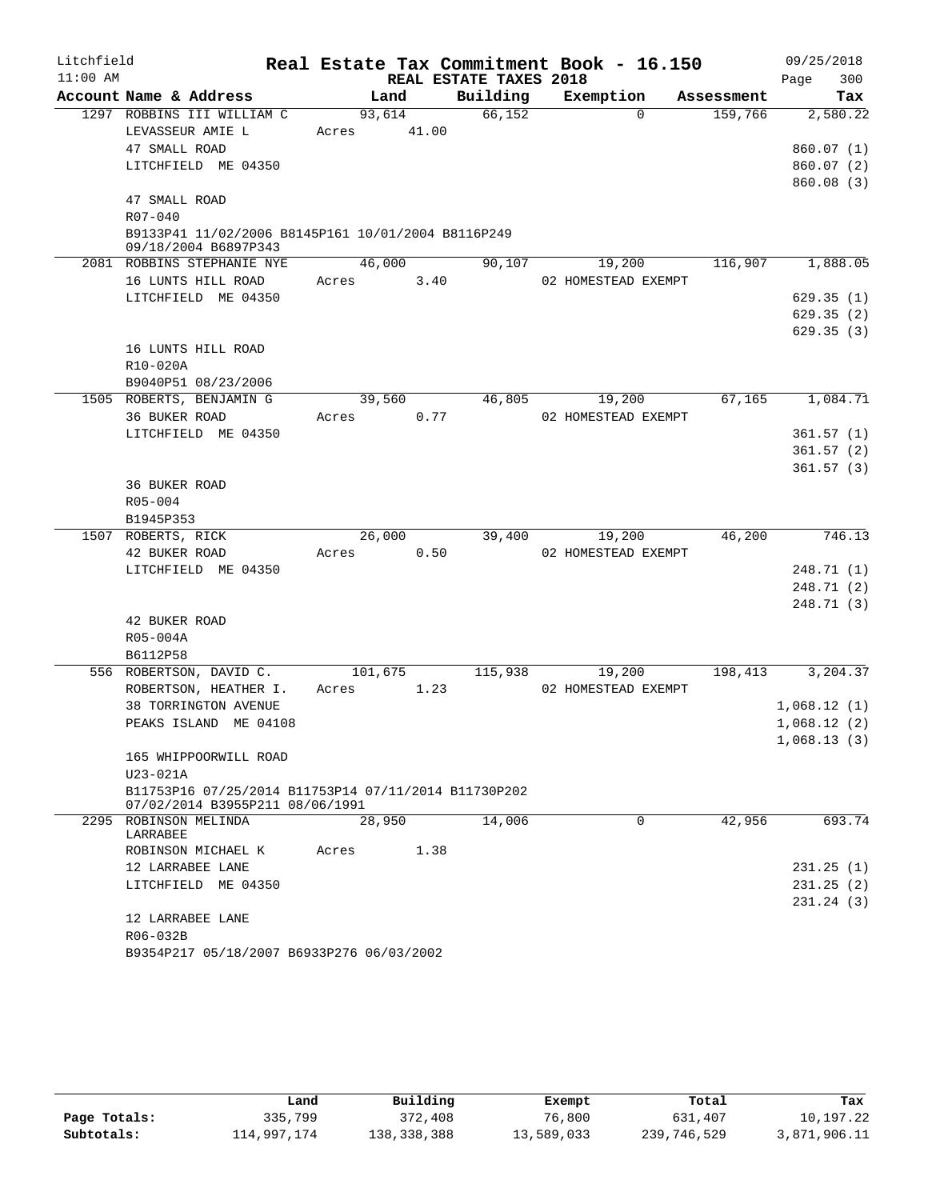| Litchfield |                                                               |       |                |                        | Real Estate Tax Commitment Book - 16.150 |            | 09/25/2018  |
|------------|---------------------------------------------------------------|-------|----------------|------------------------|------------------------------------------|------------|-------------|
| $11:00$ AM |                                                               |       |                | REAL ESTATE TAXES 2018 |                                          |            | 300<br>Page |
|            | Account Name & Address                                        |       | Land           | Building               | Exemption                                | Assessment | Tax         |
|            | 1297 ROBBINS III WILLIAM C                                    |       | 93,614         | 66,152                 | $\Omega$                                 | 159,766    | 2,580.22    |
|            | LEVASSEUR AMIE L                                              | Acres | 41.00          |                        |                                          |            |             |
|            | 47 SMALL ROAD                                                 |       |                |                        |                                          |            | 860.07(1)   |
|            | LITCHFIELD ME 04350                                           |       |                |                        |                                          |            | 860.07(2)   |
|            |                                                               |       |                |                        |                                          |            | 860.08(3)   |
|            | 47 SMALL ROAD                                                 |       |                |                        |                                          |            |             |
|            | R07-040<br>B9133P41 11/02/2006 B8145P161 10/01/2004 B8116P249 |       |                |                        |                                          |            |             |
|            | 09/18/2004 B6897P343                                          |       |                |                        |                                          |            |             |
|            | 2081 ROBBINS STEPHANIE NYE                                    |       | 46,000         | 90,107                 | 19,200                                   | 116,907    | 1,888.05    |
|            | 16 LUNTS HILL ROAD                                            | Acres | 3.40           |                        | 02 HOMESTEAD EXEMPT                      |            |             |
|            | LITCHFIELD ME 04350                                           |       |                |                        |                                          |            | 629.35(1)   |
|            |                                                               |       |                |                        |                                          |            | 629.35(2)   |
|            |                                                               |       |                |                        |                                          |            | 629.35(3)   |
|            | 16 LUNTS HILL ROAD                                            |       |                |                        |                                          |            |             |
|            | R10-020A                                                      |       |                |                        |                                          |            |             |
|            | B9040P51 08/23/2006                                           |       |                |                        |                                          |            |             |
|            | 1505 ROBERTS, BENJAMIN G                                      |       | 39,560         | 46,805                 | 19,200                                   | 67,165     | 1,084.71    |
|            | 36 BUKER ROAD                                                 | Acres | 0.77           |                        | 02 HOMESTEAD EXEMPT                      |            |             |
|            | LITCHFIELD ME 04350                                           |       |                |                        |                                          |            | 361.57(1)   |
|            |                                                               |       |                |                        |                                          |            | 361.57(2)   |
|            |                                                               |       |                |                        |                                          |            | 361.57(3)   |
|            | 36 BUKER ROAD                                                 |       |                |                        |                                          |            |             |
|            | R05-004                                                       |       |                |                        |                                          |            |             |
|            | B1945P353                                                     |       |                |                        |                                          |            |             |
|            | 1507 ROBERTS, RICK<br>42 BUKER ROAD                           |       | 26,000<br>0.50 | 39,400                 | 19,200<br>02 HOMESTEAD EXEMPT            | 46,200     | 746.13      |
|            | LITCHFIELD ME 04350                                           | Acres |                |                        |                                          |            | 248.71 (1)  |
|            |                                                               |       |                |                        |                                          |            | 248.71(2)   |
|            |                                                               |       |                |                        |                                          |            | 248.71 (3)  |
|            | 42 BUKER ROAD                                                 |       |                |                        |                                          |            |             |
|            | R05-004A                                                      |       |                |                        |                                          |            |             |
|            | B6112P58                                                      |       |                |                        |                                          |            |             |
|            | 556 ROBERTSON, DAVID C.                                       |       | 101,675        | 115,938                | 19,200                                   | 198,413    | 3,204.37    |
|            | ROBERTSON, HEATHER I.                                         | Acres | 1.23           |                        | 02 HOMESTEAD EXEMPT                      |            |             |
|            | 38 TORRINGTON AVENUE                                          |       |                |                        |                                          |            | 1,068.12(1) |
|            | PEAKS ISLAND ME 04108                                         |       |                |                        |                                          |            | 1,068.12(2) |
|            |                                                               |       |                |                        |                                          |            | 1,068.13(3) |
|            | 165 WHIPPOORWILL ROAD                                         |       |                |                        |                                          |            |             |
|            | U23-021A                                                      |       |                |                        |                                          |            |             |
|            | B11753P16 07/25/2014 B11753P14 07/11/2014 B11730P202          |       |                |                        |                                          |            |             |
|            | 07/02/2014 B3955P211 08/06/1991                               |       |                |                        |                                          |            |             |
|            | 2295 ROBINSON MELINDA<br>LARRABEE                             |       | 28,950         | 14,006                 | $\Omega$                                 | 42,956     | 693.74      |
|            | ROBINSON MICHAEL K                                            | Acres | 1.38           |                        |                                          |            |             |
|            | 12 LARRABEE LANE                                              |       |                |                        |                                          |            | 231.25(1)   |
|            | LITCHFIELD ME 04350                                           |       |                |                        |                                          |            | 231.25(2)   |
|            |                                                               |       |                |                        |                                          |            | 231.24(3)   |
|            | 12 LARRABEE LANE                                              |       |                |                        |                                          |            |             |
|            | R06-032B                                                      |       |                |                        |                                          |            |             |
|            | B9354P217 05/18/2007 B6933P276 06/03/2002                     |       |                |                        |                                          |            |             |

|              | Land        | Building    | Exempt     | Total       | Tax          |
|--------------|-------------|-------------|------------|-------------|--------------|
| Page Totals: | 335,799     | 372,408     | 76,800     | 631,407     | 10,197.22    |
| Subtotals:   | 114,997,174 | 138,338,388 | 13,589,033 | 239,746,529 | 3,871,906.11 |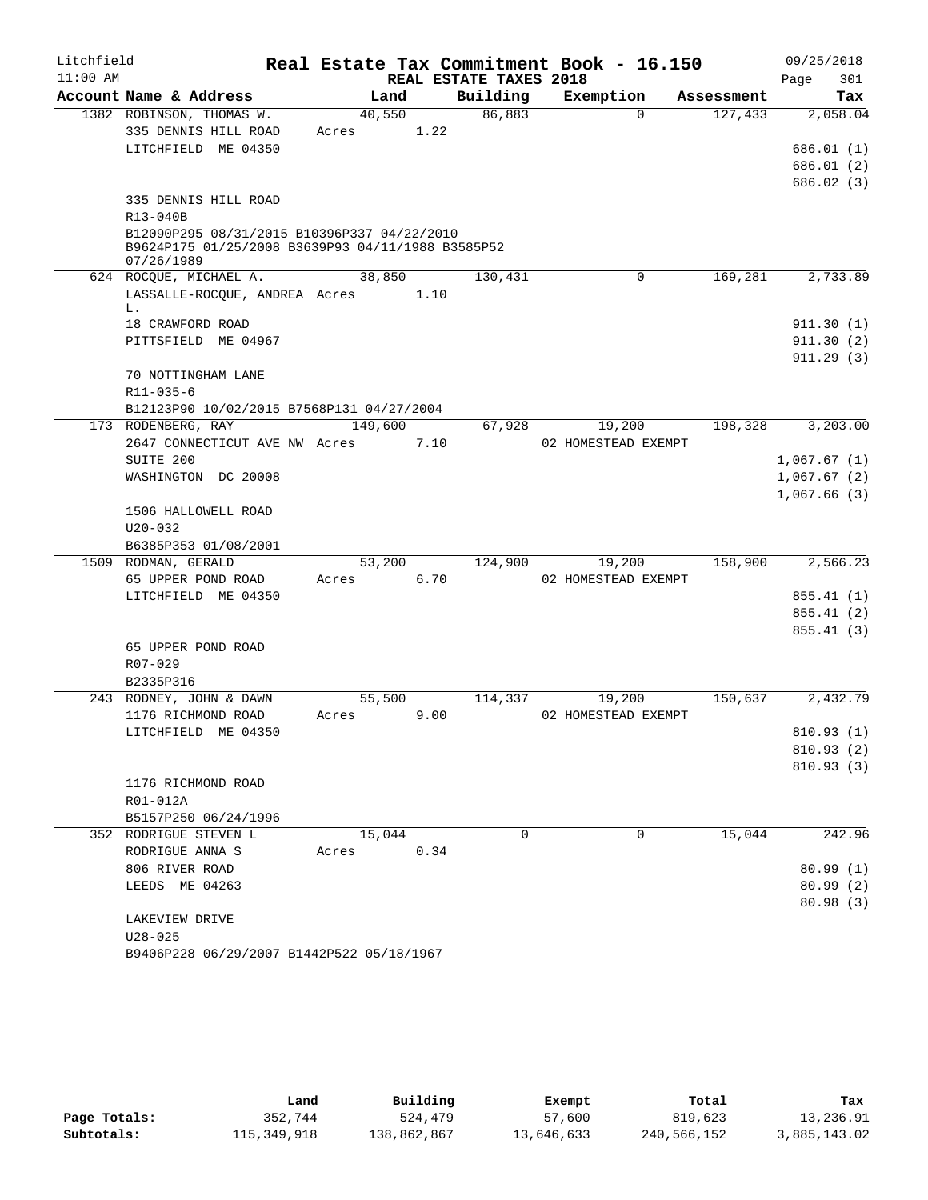| Litchfield |                                                                                                  |         |      |                        | Real Estate Tax Commitment Book - 16.150 |             |            |                            | 09/25/2018 |
|------------|--------------------------------------------------------------------------------------------------|---------|------|------------------------|------------------------------------------|-------------|------------|----------------------------|------------|
| $11:00$ AM |                                                                                                  |         |      | REAL ESTATE TAXES 2018 |                                          |             |            | Page                       | 301        |
|            | Account Name & Address                                                                           | Land    |      | Building               | Exemption                                |             | Assessment |                            | Tax        |
|            | 1382 ROBINSON, THOMAS W.                                                                         | 40,550  |      | 86,883                 |                                          | $\Omega$    | 127,433    |                            | 2,058.04   |
|            | 335 DENNIS HILL ROAD                                                                             | Acres   | 1.22 |                        |                                          |             |            |                            |            |
|            | LITCHFIELD ME 04350                                                                              |         |      |                        |                                          |             |            |                            | 686.01 (1) |
|            |                                                                                                  |         |      |                        |                                          |             |            |                            | 686.01 (2) |
|            |                                                                                                  |         |      |                        |                                          |             |            |                            | 686.02 (3) |
|            | 335 DENNIS HILL ROAD                                                                             |         |      |                        |                                          |             |            |                            |            |
|            | R13-040B                                                                                         |         |      |                        |                                          |             |            |                            |            |
|            | B12090P295 08/31/2015 B10396P337 04/22/2010<br>B9624P175 01/25/2008 B3639P93 04/11/1988 B3585P52 |         |      |                        |                                          |             |            |                            |            |
|            | 07/26/1989                                                                                       |         |      |                        |                                          |             |            |                            |            |
|            | 624 ROCQUE, MICHAEL A.                                                                           | 38,850  |      | 130,431                |                                          | $\mathbf 0$ | 169,281    |                            | 2,733.89   |
|            | LASSALLE-ROCQUE, ANDREA Acres 1.10                                                               |         |      |                        |                                          |             |            |                            |            |
|            | L.                                                                                               |         |      |                        |                                          |             |            |                            |            |
|            | 18 CRAWFORD ROAD                                                                                 |         |      |                        |                                          |             |            |                            | 911.30(1)  |
|            | PITTSFIELD ME 04967                                                                              |         |      |                        |                                          |             |            |                            | 911.30(2)  |
|            |                                                                                                  |         |      |                        |                                          |             |            |                            | 911.29(3)  |
|            | 70 NOTTINGHAM LANE                                                                               |         |      |                        |                                          |             |            |                            |            |
|            | $R11 - 035 - 6$                                                                                  |         |      |                        |                                          |             |            |                            |            |
|            | B12123P90 10/02/2015 B7568P131 04/27/2004                                                        |         |      |                        |                                          |             |            |                            |            |
|            | 173 RODENBERG, RAY                                                                               | 149,600 |      | 67,928                 | 19,200                                   |             | 198,328    |                            | 3,203.00   |
|            | 2647 CONNECTICUT AVE NW Acres                                                                    |         | 7.10 |                        | 02 HOMESTEAD EXEMPT                      |             |            |                            |            |
|            | SUITE 200                                                                                        |         |      |                        |                                          |             |            | 1,067.67(1)                |            |
|            | WASHINGTON DC 20008                                                                              |         |      |                        |                                          |             |            | 1,067.67(2)<br>1,067.66(3) |            |
|            | 1506 HALLOWELL ROAD                                                                              |         |      |                        |                                          |             |            |                            |            |
|            | $U20 - 032$                                                                                      |         |      |                        |                                          |             |            |                            |            |
|            | B6385P353 01/08/2001                                                                             |         |      |                        |                                          |             |            |                            |            |
|            | 1509 RODMAN, GERALD                                                                              | 53,200  |      |                        | 124,900<br>19,200                        |             | 158,900    |                            | 2,566.23   |
|            | 65 UPPER POND ROAD                                                                               | Acres   | 6.70 |                        | 02 HOMESTEAD EXEMPT                      |             |            |                            |            |
|            | LITCHFIELD ME 04350                                                                              |         |      |                        |                                          |             |            |                            | 855.41 (1) |
|            |                                                                                                  |         |      |                        |                                          |             |            |                            | 855.41(2)  |
|            |                                                                                                  |         |      |                        |                                          |             |            |                            | 855.41(3)  |
|            | 65 UPPER POND ROAD                                                                               |         |      |                        |                                          |             |            |                            |            |
|            | R07-029                                                                                          |         |      |                        |                                          |             |            |                            |            |
|            | B2335P316                                                                                        |         |      |                        |                                          |             |            |                            |            |
|            | 243 RODNEY, JOHN & DAWN                                                                          | 55,500  |      | 114,337                | 19,200                                   |             | 150,637    |                            | 2,432.79   |
|            | 1176 RICHMOND ROAD                                                                               | Acres   | 9.00 |                        | 02 HOMESTEAD EXEMPT                      |             |            |                            |            |
|            | LITCHFIELD ME 04350                                                                              |         |      |                        |                                          |             |            |                            | 810.93 (1) |
|            |                                                                                                  |         |      |                        |                                          |             |            |                            | 810.93 (2) |
|            |                                                                                                  |         |      |                        |                                          |             |            |                            | 810.93(3)  |
|            | 1176 RICHMOND ROAD                                                                               |         |      |                        |                                          |             |            |                            |            |
|            | R01-012A                                                                                         |         |      |                        |                                          |             |            |                            |            |
|            | B5157P250 06/24/1996                                                                             |         |      |                        |                                          |             |            |                            |            |
|            | 352 RODRIGUE STEVEN L                                                                            | 15,044  |      | $\Omega$               |                                          | $\Omega$    | 15,044     |                            | 242.96     |
|            | RODRIGUE ANNA S                                                                                  | Acres   | 0.34 |                        |                                          |             |            |                            |            |
|            | 806 RIVER ROAD                                                                                   |         |      |                        |                                          |             |            |                            | 80.99(1)   |
|            | LEEDS ME 04263                                                                                   |         |      |                        |                                          |             |            |                            | 80.99(2)   |
|            |                                                                                                  |         |      |                        |                                          |             |            |                            | 80.98(3)   |
|            | LAKEVIEW DRIVE                                                                                   |         |      |                        |                                          |             |            |                            |            |
|            | $U28 - 025$                                                                                      |         |      |                        |                                          |             |            |                            |            |
|            | B9406P228 06/29/2007 B1442P522 05/18/1967                                                        |         |      |                        |                                          |             |            |                            |            |

|              | Land        | Building    | Exempt     | Total       | Tax          |
|--------------|-------------|-------------|------------|-------------|--------------|
| Page Totals: | 352,744     | 524,479     | 57,600     | 819,623     | 13,236.91    |
| Subtotals:   | 115,349,918 | 138,862,867 | 13,646,633 | 240,566,152 | 3,885,143.02 |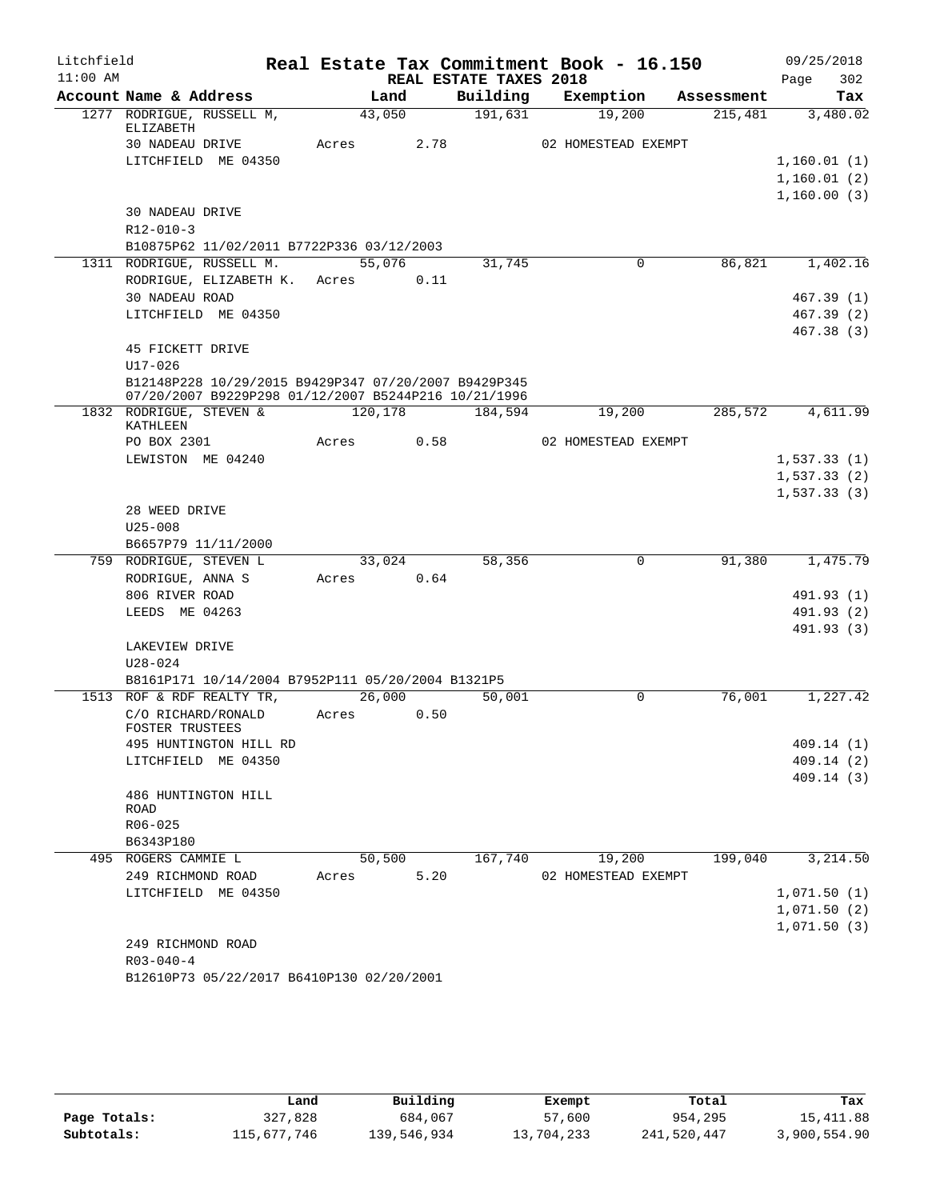| Litchfield |                                                      |         |        |                        | Real Estate Tax Commitment Book - 16.150 |            | 09/25/2018  |
|------------|------------------------------------------------------|---------|--------|------------------------|------------------------------------------|------------|-------------|
| $11:00$ AM |                                                      |         |        | REAL ESTATE TAXES 2018 |                                          |            | 302<br>Page |
|            | Account Name & Address                               |         | Land   | Building               | Exemption                                | Assessment | Tax         |
|            | 1277 RODRIGUE, RUSSELL M,<br>ELIZABETH               |         | 43,050 | 191,631                | 19,200                                   | 215,481    | 3,480.02    |
|            | 30 NADEAU DRIVE                                      | Acres   | 2.78   |                        | 02 HOMESTEAD EXEMPT                      |            |             |
|            | LITCHFIELD ME 04350                                  |         |        |                        |                                          |            | 1,160.01(1) |
|            |                                                      |         |        |                        |                                          |            | 1,160.01(2) |
|            |                                                      |         |        |                        |                                          |            | 1,160.00(3) |
|            | 30 NADEAU DRIVE                                      |         |        |                        |                                          |            |             |
|            | $R12 - 010 - 3$                                      |         |        |                        |                                          |            |             |
|            | B10875P62 11/02/2011 B7722P336 03/12/2003            |         |        |                        |                                          |            |             |
|            | 1311 RODRIGUE, RUSSELL M.                            |         | 55,076 | 31,745                 | $\mathbf 0$                              | 86,821     | 1,402.16    |
|            | RODRIGUE, ELIZABETH K. Acres                         |         | 0.11   |                        |                                          |            |             |
|            | 30 NADEAU ROAD                                       |         |        |                        |                                          |            | 467.39(1)   |
|            | LITCHFIELD ME 04350                                  |         |        |                        |                                          |            | 467.39 (2)  |
|            | 45 FICKETT DRIVE                                     |         |        |                        |                                          |            | 467.38 (3)  |
|            | $U17 - 026$                                          |         |        |                        |                                          |            |             |
|            | B12148P228 10/29/2015 B9429P347 07/20/2007 B9429P345 |         |        |                        |                                          |            |             |
|            | 07/20/2007 B9229P298 01/12/2007 B5244P216 10/21/1996 |         |        |                        |                                          |            |             |
|            | 1832 RODRIGUE, STEVEN &                              | 120,178 |        | 184,594                | 19,200                                   | 285,572    | 4,611.99    |
|            | KATHLEEN<br>PO BOX 2301                              | Acres   | 0.58   |                        | 02 HOMESTEAD EXEMPT                      |            |             |
|            | LEWISTON ME 04240                                    |         |        |                        |                                          |            | 1,537.33(1) |
|            |                                                      |         |        |                        |                                          |            | 1,537.33(2) |
|            |                                                      |         |        |                        |                                          |            | 1,537.33(3) |
|            | 28 WEED DRIVE                                        |         |        |                        |                                          |            |             |
|            | $U25 - 008$                                          |         |        |                        |                                          |            |             |
|            | B6657P79 11/11/2000                                  |         |        |                        |                                          |            |             |
|            | 759 RODRIGUE, STEVEN L                               |         | 33,024 | 58,356                 | 0                                        | 91,380     | 1,475.79    |
|            | RODRIGUE, ANNA S                                     | Acres   | 0.64   |                        |                                          |            |             |
|            | 806 RIVER ROAD                                       |         |        |                        |                                          |            | 491.93 (1)  |
|            | LEEDS ME 04263                                       |         |        |                        |                                          |            | 491.93 (2)  |
|            | LAKEVIEW DRIVE                                       |         |        |                        |                                          |            | 491.93 (3)  |
|            | $U28 - 024$                                          |         |        |                        |                                          |            |             |
|            | B8161P171 10/14/2004 B7952P111 05/20/2004 B1321P5    |         |        |                        |                                          |            |             |
|            | 1513 ROF & RDF REALTY TR,                            |         | 26,000 | 50,001                 | $\Omega$                                 | 76,001     | 1,227.42    |
|            | C/O RICHARD/RONALD                                   | Acres   | 0.50   |                        |                                          |            |             |
|            | FOSTER TRUSTEES                                      |         |        |                        |                                          |            |             |
|            | 495 HUNTINGTON HILL RD                               |         |        |                        |                                          |            | 409.14 (1)  |
|            | LITCHFIELD ME 04350                                  |         |        |                        |                                          |            | 409.14 (2)  |
|            |                                                      |         |        |                        |                                          |            | 409.14(3)   |
|            | 486 HUNTINGTON HILL<br>ROAD                          |         |        |                        |                                          |            |             |
|            | R06-025                                              |         |        |                        |                                          |            |             |
|            | B6343P180                                            |         |        |                        |                                          |            |             |
|            | 495 ROGERS CAMMIE L                                  |         | 50,500 | 167,740                | 19,200                                   | 199,040    | 3,214.50    |
|            | 249 RICHMOND ROAD                                    | Acres   | 5.20   |                        | 02 HOMESTEAD EXEMPT                      |            |             |
|            | LITCHFIELD ME 04350                                  |         |        |                        |                                          |            | 1,071.50(1) |
|            |                                                      |         |        |                        |                                          |            | 1,071.50(2) |
|            |                                                      |         |        |                        |                                          |            | 1,071.50(3) |
|            | 249 RICHMOND ROAD<br>$R03 - 040 - 4$                 |         |        |                        |                                          |            |             |
|            | B12610P73 05/22/2017 B6410P130 02/20/2001            |         |        |                        |                                          |            |             |
|            |                                                      |         |        |                        |                                          |            |             |

|              | Land        | Building    | Exempt     | Total       | Tax          |
|--------------|-------------|-------------|------------|-------------|--------------|
| Page Totals: | 327,828     | 684,067     | 57,600     | 954,295     | 15,411.88    |
| Subtotals:   | 115,677,746 | 139,546,934 | 13,704,233 | 241,520,447 | 3,900,554.90 |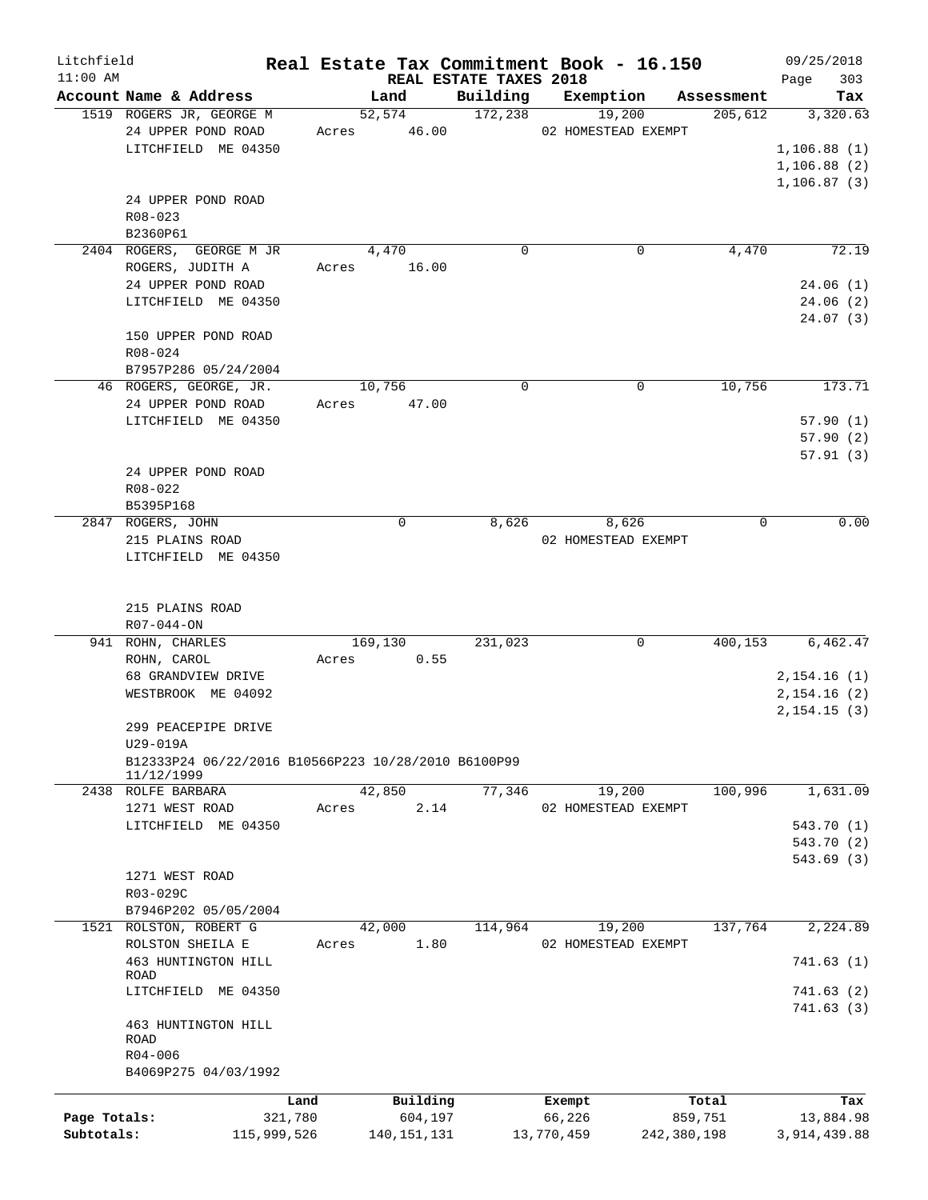| Litchfield   |                                                     |             |               |                                    | Real Estate Tax Commitment Book - 16.150 |             | 09/25/2018         |
|--------------|-----------------------------------------------------|-------------|---------------|------------------------------------|------------------------------------------|-------------|--------------------|
| $11:00$ AM   | Account Name & Address                              |             | Land          | REAL ESTATE TAXES 2018<br>Building | Exemption                                | Assessment  | Page<br>303<br>Tax |
|              | 1519 ROGERS JR, GEORGE M                            |             | 52,574        | 172,238                            | 19,200                                   | 205,612     | 3,320.63           |
|              | 24 UPPER POND ROAD                                  | Acres       | 46.00         |                                    | 02 HOMESTEAD EXEMPT                      |             |                    |
|              | LITCHFIELD ME 04350                                 |             |               |                                    |                                          |             | 1,106.88(1)        |
|              |                                                     |             |               |                                    |                                          |             | 1,106.88(2)        |
|              |                                                     |             |               |                                    |                                          |             | 1,106.87(3)        |
|              | 24 UPPER POND ROAD                                  |             |               |                                    |                                          |             |                    |
|              |                                                     |             |               |                                    |                                          |             |                    |
|              | R08-023                                             |             |               |                                    |                                          |             |                    |
|              | B2360P61                                            |             |               |                                    |                                          |             | 72.19              |
|              | 2404 ROGERS, GEORGE M JR                            |             | 4,470         | 0                                  | 0                                        | 4,470       |                    |
|              | ROGERS, JUDITH A                                    | Acres       | 16.00         |                                    |                                          |             |                    |
|              | 24 UPPER POND ROAD                                  |             |               |                                    |                                          |             | 24.06(1)           |
|              | LITCHFIELD ME 04350                                 |             |               |                                    |                                          |             | 24.06(2)           |
|              |                                                     |             |               |                                    |                                          |             | 24.07(3)           |
|              | 150 UPPER POND ROAD                                 |             |               |                                    |                                          |             |                    |
|              | R08-024                                             |             |               |                                    |                                          |             |                    |
|              | B7957P286 05/24/2004                                |             |               |                                    |                                          |             |                    |
|              | 46 ROGERS, GEORGE, JR.                              |             | 10,756        | 0                                  | 0                                        | 10,756      | 173.71             |
|              | 24 UPPER POND ROAD                                  | Acres       | 47.00         |                                    |                                          |             |                    |
|              | LITCHFIELD ME 04350                                 |             |               |                                    |                                          |             | 57.90(1)           |
|              |                                                     |             |               |                                    |                                          |             | 57.90(2)           |
|              |                                                     |             |               |                                    |                                          |             | 57.91(3)           |
|              | 24 UPPER POND ROAD                                  |             |               |                                    |                                          |             |                    |
|              | R08-022                                             |             |               |                                    |                                          |             |                    |
|              | B5395P168                                           |             |               |                                    |                                          |             |                    |
|              | 2847 ROGERS, JOHN                                   |             | 0             | 8,626                              | 8,626                                    | 0           | 0.00               |
|              | 215 PLAINS ROAD                                     |             |               |                                    | 02 HOMESTEAD EXEMPT                      |             |                    |
|              | LITCHFIELD ME 04350                                 |             |               |                                    |                                          |             |                    |
|              |                                                     |             |               |                                    |                                          |             |                    |
|              |                                                     |             |               |                                    |                                          |             |                    |
|              | 215 PLAINS ROAD                                     |             |               |                                    |                                          |             |                    |
|              | $R07 - 044 - ON$                                    |             |               |                                    |                                          |             |                    |
|              | 941 ROHN, CHARLES                                   |             | 169,130       | 231,023                            | 0                                        | 400,153     | 6,462.47           |
|              | ROHN, CAROL                                         | Acres       | 0.55          |                                    |                                          |             |                    |
|              | 68 GRANDVIEW DRIVE                                  |             |               |                                    |                                          |             | 2,154.16(1)        |
|              | WESTBROOK ME 04092                                  |             |               |                                    |                                          |             | 2,154.16(2)        |
|              | 299 PEACEPIPE DRIVE                                 |             |               |                                    |                                          |             | 2,154.15(3)        |
|              | U29-019A                                            |             |               |                                    |                                          |             |                    |
|              | B12333P24 06/22/2016 B10566P223 10/28/2010 B6100P99 |             |               |                                    |                                          |             |                    |
|              | 11/12/1999                                          |             |               |                                    |                                          |             |                    |
|              | 2438 ROLFE BARBARA                                  |             | 42,850        | 77,346                             | 19,200                                   | 100,996     | 1,631.09           |
|              | 1271 WEST ROAD                                      | Acres       | 2.14          |                                    | 02 HOMESTEAD EXEMPT                      |             |                    |
|              | LITCHFIELD ME 04350                                 |             |               |                                    |                                          |             | 543.70 (1)         |
|              |                                                     |             |               |                                    |                                          |             | 543.70 (2)         |
|              |                                                     |             |               |                                    |                                          |             | 543.69(3)          |
|              | 1271 WEST ROAD                                      |             |               |                                    |                                          |             |                    |
|              | R03-029C                                            |             |               |                                    |                                          |             |                    |
|              | B7946P202 05/05/2004                                |             |               |                                    |                                          |             |                    |
|              | 1521 ROLSTON, ROBERT G                              |             | 42,000        | 114,964                            | 19,200                                   | 137,764     | 2,224.89           |
|              | ROLSTON SHEILA E                                    | Acres       | 1.80          |                                    | 02 HOMESTEAD EXEMPT                      |             |                    |
|              | 463 HUNTINGTON HILL                                 |             |               |                                    |                                          |             | 741.63(1)          |
|              | ROAD                                                |             |               |                                    |                                          |             |                    |
|              | LITCHFIELD ME 04350                                 |             |               |                                    |                                          |             | 741.63(2)          |
|              |                                                     |             |               |                                    |                                          |             | 741.63(3)          |
|              | 463 HUNTINGTON HILL                                 |             |               |                                    |                                          |             |                    |
|              | ROAD                                                |             |               |                                    |                                          |             |                    |
|              | $R04 - 006$                                         |             |               |                                    |                                          |             |                    |
|              | B4069P275 04/03/1992                                |             |               |                                    |                                          |             |                    |
|              |                                                     | Land        | Building      |                                    | Exempt                                   | Total       | Tax                |
| Page Totals: |                                                     | 321,780     | 604,197       |                                    | 66,226                                   | 859,751     | 13,884.98          |
| Subtotals:   |                                                     | 115,999,526 | 140, 151, 131 |                                    | 13,770,459                               | 242,380,198 | 3,914,439.88       |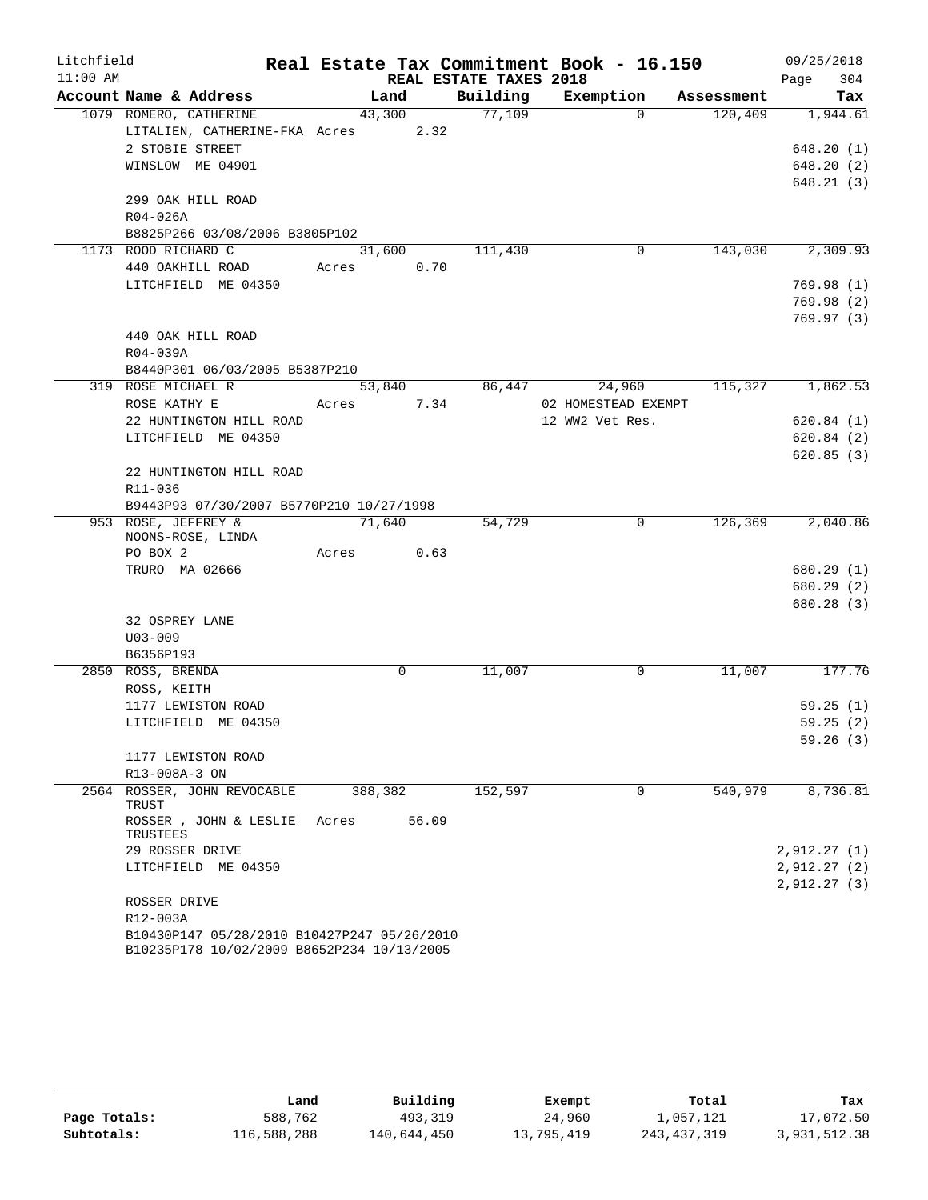| Litchfield |                                                                                           |                |                        | Real Estate Tax Commitment Book - 16.150 |            | 09/25/2018  |
|------------|-------------------------------------------------------------------------------------------|----------------|------------------------|------------------------------------------|------------|-------------|
| $11:00$ AM |                                                                                           |                | REAL ESTATE TAXES 2018 |                                          |            | 304<br>Page |
|            | Account Name & Address                                                                    | Land           | Building               | Exemption                                | Assessment | Tax         |
|            | 1079 ROMERO, CATHERINE                                                                    | 43,300         | 77,109                 | $\Omega$                                 | 120,409    | 1,944.61    |
|            | LITALIEN, CATHERINE-FKA Acres                                                             | 2.32           |                        |                                          |            |             |
|            | 2 STOBIE STREET                                                                           |                |                        |                                          |            | 648.20(1)   |
|            | WINSLOW ME 04901                                                                          |                |                        |                                          |            | 648.20(2)   |
|            |                                                                                           |                |                        |                                          |            | 648.21(3)   |
|            | 299 OAK HILL ROAD                                                                         |                |                        |                                          |            |             |
|            | R04-026A                                                                                  |                |                        |                                          |            |             |
|            | B8825P266 03/08/2006 B3805P102                                                            |                |                        |                                          |            |             |
|            | 1173 ROOD RICHARD C                                                                       | 31,600         | 111,430                | 0                                        | 143,030    | 2,309.93    |
|            | 440 OAKHILL ROAD                                                                          | 0.70<br>Acres  |                        |                                          |            |             |
|            | LITCHFIELD ME 04350                                                                       |                |                        |                                          |            | 769.98(1)   |
|            |                                                                                           |                |                        |                                          |            | 769.98(2)   |
|            |                                                                                           |                |                        |                                          |            | 769.97(3)   |
|            | 440 OAK HILL ROAD                                                                         |                |                        |                                          |            |             |
|            | R04-039A                                                                                  |                |                        |                                          |            |             |
|            | B8440P301 06/03/2005 B5387P210<br>319 ROSE MICHAEL R                                      |                |                        |                                          | 115,327    | 1,862.53    |
|            |                                                                                           | 53,840         | 86,447                 | 24,960<br>02 HOMESTEAD EXEMPT            |            |             |
|            | ROSE KATHY E<br>22 HUNTINGTON HILL ROAD                                                   | 7.34<br>Acres  |                        | 12 WW2 Vet Res.                          |            | 620.84(1)   |
|            | LITCHFIELD ME 04350                                                                       |                |                        |                                          |            | 620.84(2)   |
|            |                                                                                           |                |                        |                                          |            | 620.85(3)   |
|            | 22 HUNTINGTON HILL ROAD                                                                   |                |                        |                                          |            |             |
|            | R11-036                                                                                   |                |                        |                                          |            |             |
|            | B9443P93 07/30/2007 B5770P210 10/27/1998                                                  |                |                        |                                          |            |             |
|            | 953 ROSE, JEFFREY &                                                                       | 71,640         | 54,729                 | 0                                        | 126,369    | 2,040.86    |
|            | NOONS-ROSE, LINDA                                                                         |                |                        |                                          |            |             |
|            | PO BOX 2                                                                                  | 0.63<br>Acres  |                        |                                          |            |             |
|            | TRURO MA 02666                                                                            |                |                        |                                          |            | 680.29(1)   |
|            |                                                                                           |                |                        |                                          |            | 680.29(2)   |
|            |                                                                                           |                |                        |                                          |            | 680.28(3)   |
|            | 32 OSPREY LANE                                                                            |                |                        |                                          |            |             |
|            | $U03 - 009$                                                                               |                |                        |                                          |            |             |
|            | B6356P193                                                                                 |                |                        |                                          |            |             |
|            | 2850 ROSS, BRENDA                                                                         | $\mathbf 0$    | 11,007                 | 0                                        | 11,007     | 177.76      |
|            | ROSS, KEITH                                                                               |                |                        |                                          |            |             |
|            | 1177 LEWISTON ROAD                                                                        |                |                        |                                          |            | 59.25(1)    |
|            | LITCHFIELD ME 04350                                                                       |                |                        |                                          |            | 59.25(2)    |
|            |                                                                                           |                |                        |                                          |            | 59.26(3)    |
|            | 1177 LEWISTON ROAD                                                                        |                |                        |                                          |            |             |
|            | R13-008A-3 ON<br>2564 ROSSER, JOHN REVOCABLE                                              | 388,382        | 152,597                | 0                                        | 540,979    | 8,736.81    |
|            | TRUST                                                                                     |                |                        |                                          |            |             |
|            | ROSSER, JOHN & LESLIE                                                                     | 56.09<br>Acres |                        |                                          |            |             |
|            | TRUSTEES                                                                                  |                |                        |                                          |            |             |
|            | 29 ROSSER DRIVE                                                                           |                |                        |                                          |            | 2,912.27(1) |
|            | LITCHFIELD ME 04350                                                                       |                |                        |                                          |            | 2,912.27(2) |
|            |                                                                                           |                |                        |                                          |            | 2,912.27(3) |
|            | ROSSER DRIVE                                                                              |                |                        |                                          |            |             |
|            | R12-003A                                                                                  |                |                        |                                          |            |             |
|            | B10430P147 05/28/2010 B10427P247 05/26/2010<br>B10235P178 10/02/2009 B8652P234 10/13/2005 |                |                        |                                          |            |             |

|              | Land        | Building    | Exempt     | Total       | Tax          |
|--------------|-------------|-------------|------------|-------------|--------------|
| Page Totals: | 588,762     | 493,319     | 24,960     | 1,057,121   | 17,072.50    |
| Subtotals:   | 116,588,288 | 140,644,450 | 13,795,419 | 243,437,319 | 3,931,512.38 |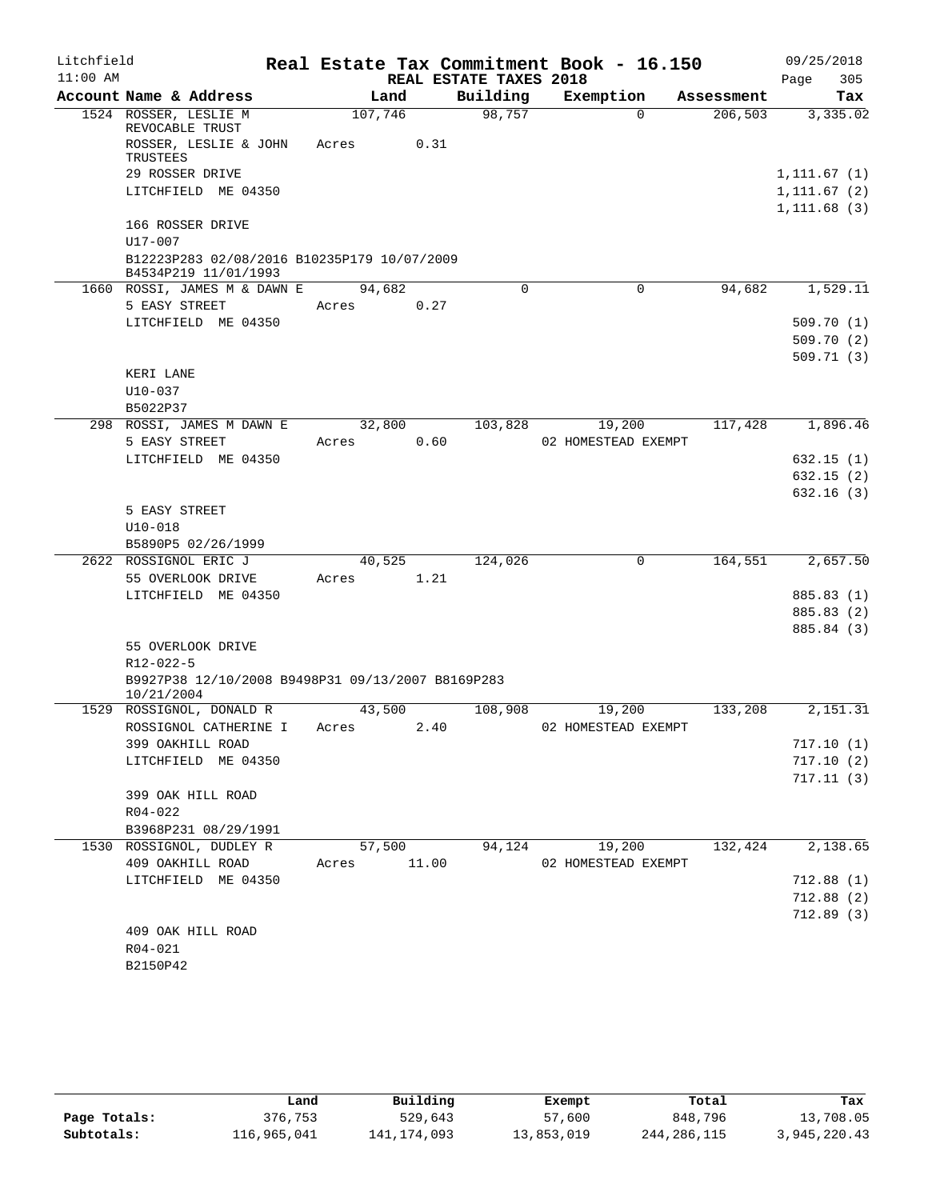| Litchfield |                                                                     |         |                        | Real Estate Tax Commitment Book - 16.150 |            | 09/25/2018                   |
|------------|---------------------------------------------------------------------|---------|------------------------|------------------------------------------|------------|------------------------------|
| $11:00$ AM |                                                                     |         | REAL ESTATE TAXES 2018 |                                          |            | 305<br>Page                  |
|            | Account Name & Address                                              | Land    | Building               | Exemption                                | Assessment | Tax                          |
|            | 1524 ROSSER, LESLIE M<br>REVOCABLE TRUST                            | 107,746 | 98,757                 | $\Omega$                                 | 206,503    | 3,335.02                     |
|            | ROSSER, LESLIE & JOHN                                               | Acres   | 0.31                   |                                          |            |                              |
|            | TRUSTEES                                                            |         |                        |                                          |            |                              |
|            | 29 ROSSER DRIVE                                                     |         |                        |                                          |            | 1, 111.67(1)                 |
|            | LITCHFIELD ME 04350                                                 |         |                        |                                          |            | 1, 111.67(2)<br>1, 111.68(3) |
|            | 166 ROSSER DRIVE                                                    |         |                        |                                          |            |                              |
|            | $U17 - 007$                                                         |         |                        |                                          |            |                              |
|            | B12223P283 02/08/2016 B10235P179 10/07/2009<br>B4534P219 11/01/1993 |         |                        |                                          |            |                              |
|            | 1660 ROSSI, JAMES M & DAWN E                                        | 94,682  | $\mathbf 0$            | 0                                        | 94,682     | 1,529.11                     |
|            | 5 EASY STREET                                                       | Acres   | 0.27                   |                                          |            |                              |
|            | LITCHFIELD ME 04350                                                 |         |                        |                                          |            | 509.70(1)                    |
|            |                                                                     |         |                        |                                          |            | 509.70(2)                    |
|            |                                                                     |         |                        |                                          |            | 509.71(3)                    |
|            | KERI LANE                                                           |         |                        |                                          |            |                              |
|            | $U10-037$<br>B5022P37                                               |         |                        |                                          |            |                              |
|            | 298 ROSSI, JAMES M DAWN E                                           | 32,800  | 103,828                | 19,200                                   | 117,428    | 1,896.46                     |
|            | 5 EASY STREET                                                       | Acres   | 0.60                   | 02 HOMESTEAD EXEMPT                      |            |                              |
|            | LITCHFIELD ME 04350                                                 |         |                        |                                          |            | 632.15(1)                    |
|            |                                                                     |         |                        |                                          |            | 632.15(2)                    |
|            |                                                                     |         |                        |                                          |            | 632.16(3)                    |
|            | 5 EASY STREET                                                       |         |                        |                                          |            |                              |
|            | $U10 - 018$                                                         |         |                        |                                          |            |                              |
|            | B5890P5 02/26/1999                                                  |         |                        |                                          |            |                              |
|            | 2622 ROSSIGNOL ERIC J                                               | 40,525  | 124,026                | 0                                        | 164,551    | 2,657.50                     |
|            | 55 OVERLOOK DRIVE<br>LITCHFIELD ME 04350                            | Acres   | 1.21                   |                                          |            | 885.83 (1)                   |
|            |                                                                     |         |                        |                                          |            | 885.83 (2)                   |
|            |                                                                     |         |                        |                                          |            | 885.84 (3)                   |
|            | 55 OVERLOOK DRIVE                                                   |         |                        |                                          |            |                              |
|            | $R12 - 022 - 5$                                                     |         |                        |                                          |            |                              |
|            | B9927P38 12/10/2008 B9498P31 09/13/2007 B8169P283                   |         |                        |                                          |            |                              |
|            | 10/21/2004                                                          |         |                        |                                          |            |                              |
|            | 1529 ROSSIGNOL, DONALD R                                            | 43,500  | 108,908                | 19,200                                   | 133,208    | 2,151.31                     |
|            | ROSSIGNOL CATHERINE I                                               | Acres   | 2.40                   | 02 HOMESTEAD EXEMPT                      |            |                              |
|            | 399 OAKHILL ROAD<br>LITCHFIELD ME 04350                             |         |                        |                                          |            | 717.10(1)<br>717.10(2)       |
|            |                                                                     |         |                        |                                          |            | 717.11(3)                    |
|            | 399 OAK HILL ROAD                                                   |         |                        |                                          |            |                              |
|            | R04-022                                                             |         |                        |                                          |            |                              |
|            | B3968P231 08/29/1991                                                |         |                        |                                          |            |                              |
|            | 1530 ROSSIGNOL, DUDLEY R                                            | 57,500  | 94,124                 | 19,200                                   | 132,424    | 2,138.65                     |
|            | 409 OAKHILL ROAD                                                    | Acres   | 11.00                  | 02 HOMESTEAD EXEMPT                      |            |                              |
|            | LITCHFIELD ME 04350                                                 |         |                        |                                          |            | 712.88(1)                    |
|            |                                                                     |         |                        |                                          |            | 712.88(2)                    |
|            |                                                                     |         |                        |                                          |            | 712.89(3)                    |
|            | 409 OAK HILL ROAD                                                   |         |                        |                                          |            |                              |
|            | R04-021                                                             |         |                        |                                          |            |                              |
|            | B2150P42                                                            |         |                        |                                          |            |                              |

|              | Land        | Building      | Exempt     | Total       | Tax          |
|--------------|-------------|---------------|------------|-------------|--------------|
| Page Totals: | 376,753     | 529,643       | 57,600     | 848,796     | 13,708.05    |
| Subtotals:   | 116,965,041 | 141, 174, 093 | 13,853,019 | 244,286,115 | 3,945,220.43 |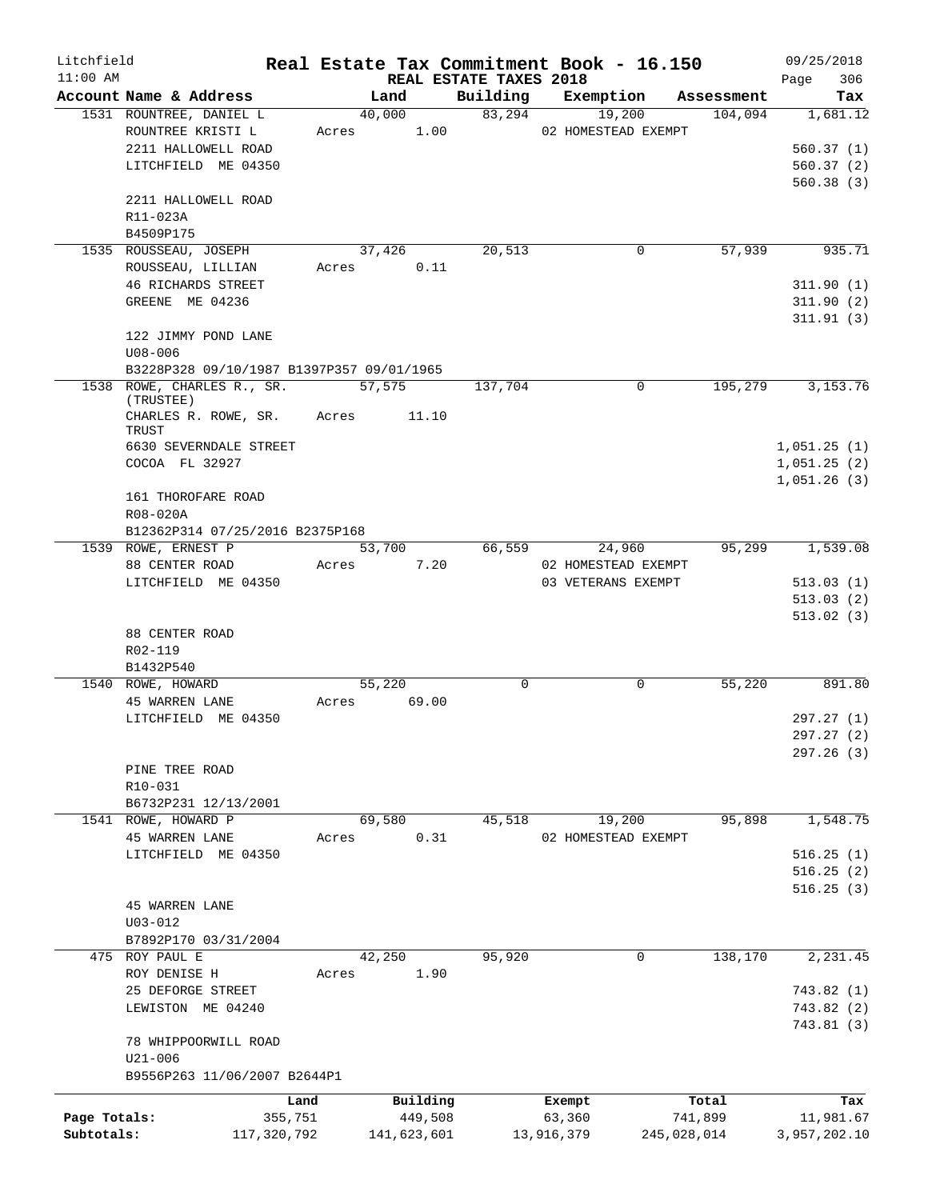| Litchfield   |                                                |       |             |                        |             | Real Estate Tax Commitment Book - 16.150 |                               | 09/25/2018             |
|--------------|------------------------------------------------|-------|-------------|------------------------|-------------|------------------------------------------|-------------------------------|------------------------|
| $11:00$ AM   | Account Name & Address                         |       | Land        | REAL ESTATE TAXES 2018 |             |                                          | Building Exemption Assessment | 306<br>Page<br>Tax     |
|              | 1531 ROUNTREE, DANIEL L                        |       | 40,000      |                        | 83,294      | 19,200                                   | 104,094                       | 1,681.12               |
|              | ROUNTREE KRISTI L                              |       | Acres 1.00  |                        |             | 02 HOMESTEAD EXEMPT                      |                               |                        |
|              | 2211 HALLOWELL ROAD                            |       |             |                        |             |                                          |                               | 560.37(1)              |
|              | LITCHFIELD ME 04350                            |       |             |                        |             |                                          |                               | 560.37(2)              |
|              |                                                |       |             |                        |             |                                          |                               | 560.38(3)              |
|              | 2211 HALLOWELL ROAD                            |       |             |                        |             |                                          |                               |                        |
|              | R11-023A                                       |       |             |                        |             |                                          |                               |                        |
|              | B4509P175                                      |       |             |                        |             |                                          |                               |                        |
|              | 1535 ROUSSEAU, JOSEPH                          |       | 37,426      |                        | 20,513      | 0                                        | 57,939                        | 935.71                 |
|              | ROUSSEAU, LILLIAN                              |       | Acres 0.11  |                        |             |                                          |                               |                        |
|              | <b>46 RICHARDS STREET</b>                      |       |             |                        |             |                                          |                               | 311.90(1)              |
|              | GREENE ME 04236                                |       |             |                        |             |                                          |                               | 311.90(2)              |
|              |                                                |       |             |                        |             |                                          |                               | 311.91(3)              |
|              | 122 JIMMY POND LANE                            |       |             |                        |             |                                          |                               |                        |
|              | $U08 - 006$                                    |       |             |                        |             |                                          |                               |                        |
|              | B3228P328 09/10/1987 B1397P357 09/01/1965      |       |             |                        |             |                                          |                               |                        |
|              | 1538 ROWE, CHARLES R., SR. 57,575<br>(TRUSTEE) |       |             |                        | 137,704     | $\Omega$                                 | 195,279                       | 3, 153. 76             |
|              | CHARLES R. ROWE, SR. Acres 11.10               |       |             |                        |             |                                          |                               |                        |
|              | TRUST                                          |       |             |                        |             |                                          |                               |                        |
|              | 6630 SEVERNDALE STREET                         |       |             |                        |             |                                          |                               | 1,051.25(1)            |
|              | COCOA FL 32927                                 |       |             |                        |             |                                          |                               | 1,051.25(2)            |
|              |                                                |       |             |                        |             |                                          |                               | 1,051.26(3)            |
|              | 161 THOROFARE ROAD                             |       |             |                        |             |                                          |                               |                        |
|              | R08-020A                                       |       |             |                        |             |                                          |                               |                        |
|              | B12362P314 07/25/2016 B2375P168                |       |             |                        |             |                                          |                               |                        |
|              | 1539 ROWE, ERNEST P                            |       | 53,700      |                        | 66,559      | 24,960                                   | 95,299                        | 1,539.08               |
|              | 88 CENTER ROAD                                 | Acres |             | 7.20                   |             | 02 HOMESTEAD EXEMPT                      |                               |                        |
|              | LITCHFIELD ME 04350                            |       |             |                        |             | 03 VETERANS EXEMPT                       |                               | 513.03(1)              |
|              |                                                |       |             |                        |             |                                          |                               | 513.03(2)              |
|              | 88 CENTER ROAD                                 |       |             |                        |             |                                          |                               | 513.02(3)              |
|              | R02-119                                        |       |             |                        |             |                                          |                               |                        |
|              | B1432P540                                      |       |             |                        |             |                                          |                               |                        |
|              | 1540 ROWE, HOWARD                              |       | 55,220      |                        | $\mathbf 0$ | 0                                        | 55,220                        | 891.80                 |
|              | <b>45 WARREN LANE</b>                          |       | Acres 69.00 |                        |             |                                          |                               |                        |
|              | LITCHFIELD ME 04350                            |       |             |                        |             |                                          |                               | 297.27 (1)             |
|              |                                                |       |             |                        |             |                                          |                               | 297.27 (2)             |
|              |                                                |       |             |                        |             |                                          |                               | 297.26 (3)             |
|              | PINE TREE ROAD                                 |       |             |                        |             |                                          |                               |                        |
|              | R10-031                                        |       |             |                        |             |                                          |                               |                        |
|              | B6732P231 12/13/2001                           |       |             |                        |             |                                          |                               |                        |
|              | 1541 ROWE, HOWARD P                            |       | 69,580      |                        | 45,518      | 19,200                                   | 95,898                        | 1,548.75               |
|              | <b>45 WARREN LANE</b>                          | Acres |             | 0.31                   |             | 02 HOMESTEAD EXEMPT                      |                               |                        |
|              | LITCHFIELD ME 04350                            |       |             |                        |             |                                          |                               | 516.25(1)              |
|              |                                                |       |             |                        |             |                                          |                               | 516.25(2)              |
|              |                                                |       |             |                        |             |                                          |                               | 516.25(3)              |
|              | <b>45 WARREN LANE</b>                          |       |             |                        |             |                                          |                               |                        |
|              | $U03 - 012$                                    |       |             |                        |             |                                          |                               |                        |
|              | B7892P170 03/31/2004                           |       |             |                        |             |                                          |                               |                        |
|              | 475 ROY PAUL E                                 |       | 42,250      |                        | 95,920      | $\mathbf 0$                              | 138,170                       | 2,231.45               |
|              | ROY DENISE H<br>25 DEFORGE STREET              | Acres |             | 1.90                   |             |                                          |                               |                        |
|              | LEWISTON ME 04240                              |       |             |                        |             |                                          |                               | 743.82(1)<br>743.82(2) |
|              |                                                |       |             |                        |             |                                          |                               | 743.81 (3)             |
|              | 78 WHIPPOORWILL ROAD                           |       |             |                        |             |                                          |                               |                        |
|              | $U21 - 006$                                    |       |             |                        |             |                                          |                               |                        |
|              | B9556P263 11/06/2007 B2644P1                   |       |             |                        |             |                                          |                               |                        |
|              |                                                |       |             |                        |             |                                          |                               |                        |
|              |                                                | Land  | Building    |                        |             | Exempt                                   | Total                         | Tax                    |
| Page Totals: | 355,751                                        |       | 449,508     |                        |             | 63,360                                   | 741,899                       | 11,981.67              |
| Subtotals:   | 117,320,792                                    |       | 141,623,601 |                        |             | 13,916,379                               | 245,028,014                   | 3,957,202.10           |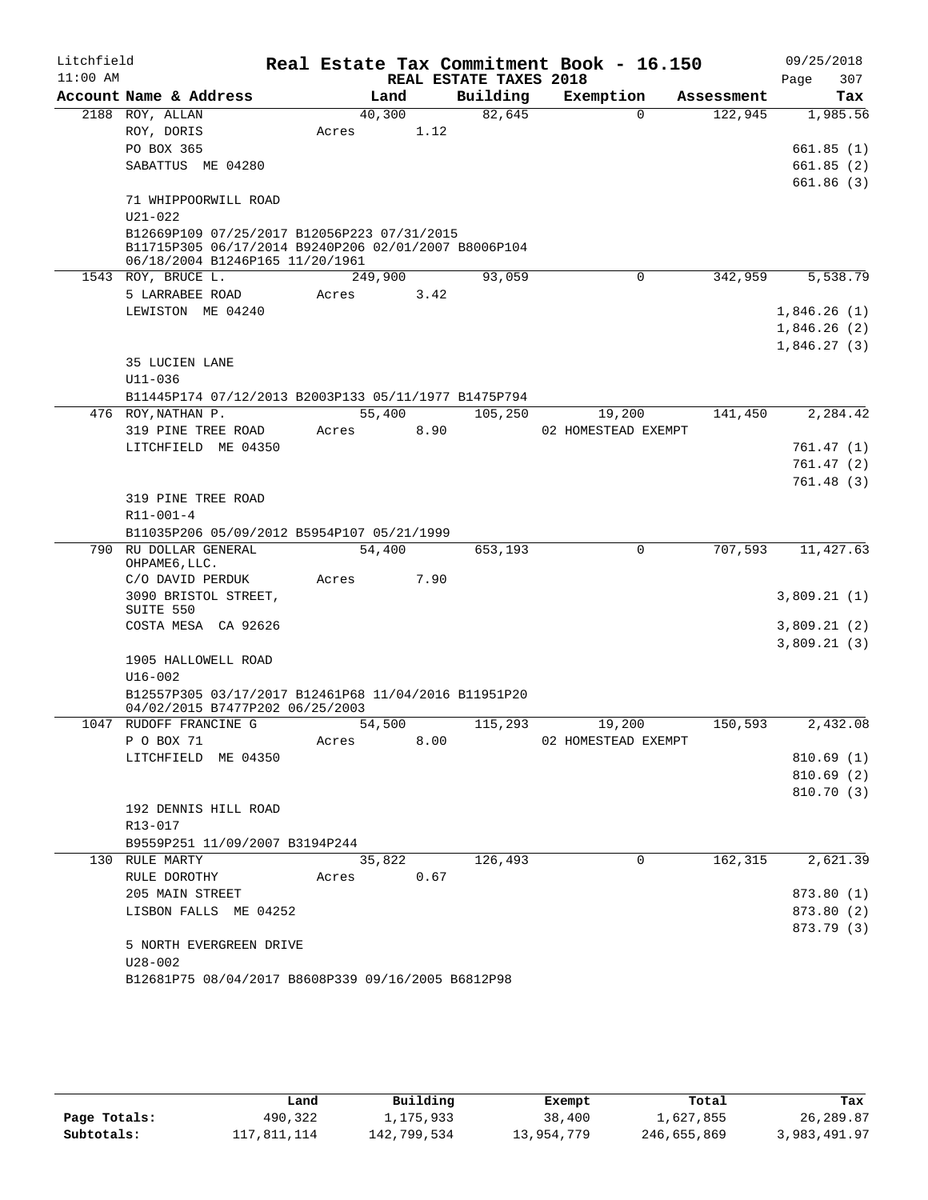| Litchfield<br>$11:00$ AM |                                                                                                                                        |                 |        | REAL ESTATE TAXES 2018 | Real Estate Tax Commitment Book - 16.150 |            | 09/25/2018<br>307<br>Page |
|--------------------------|----------------------------------------------------------------------------------------------------------------------------------------|-----------------|--------|------------------------|------------------------------------------|------------|---------------------------|
|                          | Account Name & Address                                                                                                                 |                 | Land   | Building               | Exemption                                | Assessment | Tax                       |
|                          | 2188 ROY, ALLAN                                                                                                                        | 40,300          |        | 82,645                 | $\Omega$                                 | 122,945    | 1,985.56                  |
|                          | ROY, DORIS                                                                                                                             | Acres           | 1.12   |                        |                                          |            |                           |
|                          | PO BOX 365                                                                                                                             |                 |        |                        |                                          |            | 661.85(1)                 |
|                          | SABATTUS ME 04280                                                                                                                      |                 |        |                        |                                          |            | 661.85(2)                 |
|                          | 71 WHIPPOORWILL ROAD                                                                                                                   |                 |        |                        |                                          |            | 661.86 (3)                |
|                          | $U21 - 022$                                                                                                                            |                 |        |                        |                                          |            |                           |
|                          | B12669P109 07/25/2017 B12056P223 07/31/2015<br>B11715P305 06/17/2014 B9240P206 02/01/2007 B8006P104<br>06/18/2004 B1246P165 11/20/1961 |                 |        |                        |                                          |            |                           |
|                          | 1543 ROY, BRUCE L.                                                                                                                     | 249,900         |        | 93,059                 | $\mathbf 0$                              | 342,959    | 5,538.79                  |
|                          | 5 LARRABEE ROAD                                                                                                                        | Acres           | 3.42   |                        |                                          |            |                           |
|                          | LEWISTON ME 04240                                                                                                                      |                 |        |                        |                                          |            | 1,846.26(1)               |
|                          |                                                                                                                                        |                 |        |                        |                                          |            | 1,846.26(2)               |
|                          |                                                                                                                                        |                 |        |                        |                                          |            | 1,846.27(3)               |
|                          | 35 LUCIEN LANE                                                                                                                         |                 |        |                        |                                          |            |                           |
|                          | $U11 - 036$                                                                                                                            |                 |        |                        |                                          |            |                           |
|                          | B11445P174 07/12/2013 B2003P133 05/11/1977 B1475P794                                                                                   |                 |        |                        |                                          |            |                           |
| 476                      | ROY, NATHAN P.<br>319 PINE TREE ROAD                                                                                                   | 55,400<br>Acres | 8.90   | 105,250                | 19,200<br>02 HOMESTEAD EXEMPT            | 141,450    | 2,284.42                  |
|                          | LITCHFIELD ME 04350                                                                                                                    |                 |        |                        |                                          |            | 761.47 (1)                |
|                          |                                                                                                                                        |                 |        |                        |                                          |            | 761.47(2)                 |
|                          |                                                                                                                                        |                 |        |                        |                                          |            | 761.48 (3)                |
|                          | 319 PINE TREE ROAD                                                                                                                     |                 |        |                        |                                          |            |                           |
|                          | R11-001-4                                                                                                                              |                 |        |                        |                                          |            |                           |
|                          | B11035P206 05/09/2012 B5954P107 05/21/1999                                                                                             |                 |        |                        |                                          |            |                           |
| 790                      | RU DOLLAR GENERAL                                                                                                                      | 54,400          |        | 653,193                | 0                                        | 707,593    | 11,427.63                 |
|                          | OHPAME6, LLC.                                                                                                                          |                 |        |                        |                                          |            |                           |
|                          | C/O DAVID PERDUK<br>3090 BRISTOL STREET,                                                                                               | Acres           | 7.90   |                        |                                          |            |                           |
|                          | SUITE 550                                                                                                                              |                 |        |                        |                                          |            | 3,809.21(1)               |
|                          | COSTA MESA CA 92626                                                                                                                    |                 |        |                        |                                          |            | 3,809.21(2)               |
|                          |                                                                                                                                        |                 |        |                        |                                          |            | 3,809.21(3)               |
|                          | 1905 HALLOWELL ROAD                                                                                                                    |                 |        |                        |                                          |            |                           |
|                          | $U16 - 002$                                                                                                                            |                 |        |                        |                                          |            |                           |
|                          | B12557P305 03/17/2017 B12461P68 11/04/2016 B11951P20<br>04/02/2015 B7477P202 06/25/2003                                                |                 |        |                        |                                          |            |                           |
| 1047                     | RUDOFF FRANCINE G                                                                                                                      | 54,500          |        | 115,293                | 19,200                                   | 150,593    | 2,432.08                  |
|                          | P O BOX 71                                                                                                                             | Acres           | 8.00   |                        | 02 HOMESTEAD EXEMPT                      |            |                           |
|                          | LITCHFIELD ME 04350                                                                                                                    |                 |        |                        |                                          |            | 810.69(1)                 |
|                          |                                                                                                                                        |                 |        |                        |                                          |            | 810.69(2)                 |
|                          |                                                                                                                                        |                 |        |                        |                                          |            | 810.70 (3)                |
|                          | 192 DENNIS HILL ROAD<br>R13-017                                                                                                        |                 |        |                        |                                          |            |                           |
|                          | B9559P251 11/09/2007 B3194P244                                                                                                         |                 |        |                        |                                          |            |                           |
|                          | 130 RULE MARTY                                                                                                                         |                 | 35,822 | 126,493                | 0                                        | 162,315    | 2,621.39                  |
|                          | RULE DOROTHY                                                                                                                           | Acres           | 0.67   |                        |                                          |            |                           |
|                          | 205 MAIN STREET                                                                                                                        |                 |        |                        |                                          |            | 873.80 (1)                |
|                          | LISBON FALLS ME 04252                                                                                                                  |                 |        |                        |                                          |            | 873.80 (2)                |
|                          |                                                                                                                                        |                 |        |                        |                                          |            | 873.79 (3)                |
|                          | 5 NORTH EVERGREEN DRIVE                                                                                                                |                 |        |                        |                                          |            |                           |
|                          | $U28 - 002$                                                                                                                            |                 |        |                        |                                          |            |                           |
|                          | B12681P75 08/04/2017 B8608P339 09/16/2005 B6812P98                                                                                     |                 |        |                        |                                          |            |                           |

|              | Land        | Building    | Exempt     | Total       | Tax          |
|--------------|-------------|-------------|------------|-------------|--------------|
| Page Totals: | 490,322     | 1,175,933   | 38,400     | 1,627,855   | 26,289.87    |
| Subtotals:   | 117,811,114 | 142,799,534 | 13,954,779 | 246,655,869 | 3,983,491.97 |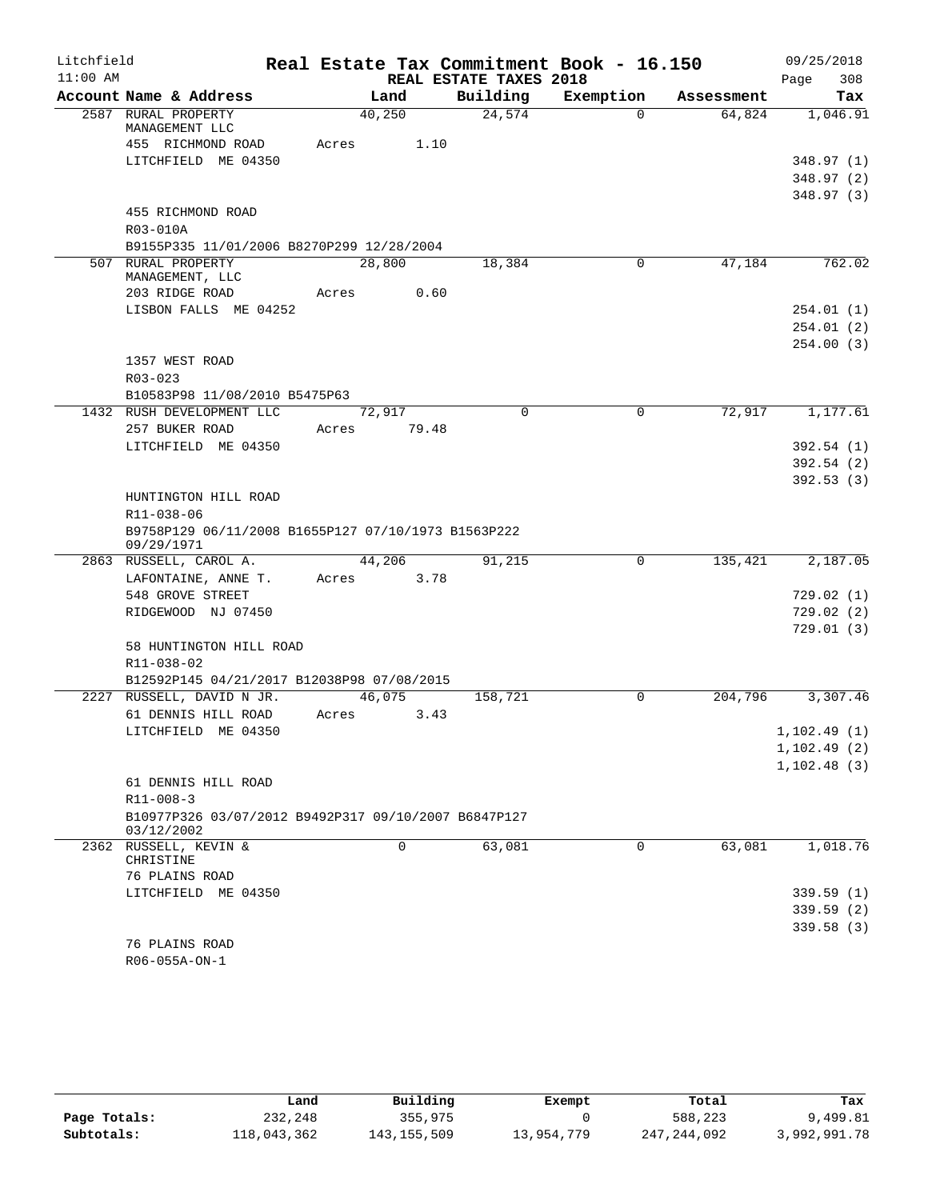| Litchfield |                                                                   |             |       |                        | Real Estate Tax Commitment Book - 16.150 |            | 09/25/2018   |
|------------|-------------------------------------------------------------------|-------------|-------|------------------------|------------------------------------------|------------|--------------|
| $11:00$ AM |                                                                   |             |       | REAL ESTATE TAXES 2018 |                                          |            | 308<br>Page  |
|            | Account Name & Address                                            | Land        |       | Building               | Exemption                                | Assessment | Tax          |
|            | 2587 RURAL PROPERTY<br>MANAGEMENT LLC                             | 40,250      |       | 24,574                 | $\Omega$                                 | 64,824     | 1,046.91     |
|            | 455 RICHMOND ROAD                                                 | Acres       | 1.10  |                        |                                          |            |              |
|            | LITCHFIELD ME 04350                                               |             |       |                        |                                          |            | 348.97 (1)   |
|            |                                                                   |             |       |                        |                                          |            | 348.97 (2)   |
|            |                                                                   |             |       |                        |                                          |            | 348.97 (3)   |
|            | 455 RICHMOND ROAD                                                 |             |       |                        |                                          |            |              |
|            | R03-010A                                                          |             |       |                        |                                          |            |              |
|            | B9155P335 11/01/2006 B8270P299 12/28/2004                         |             |       |                        |                                          |            |              |
|            | 507 RURAL PROPERTY                                                | 28,800      |       | 18,384                 | 0                                        | 47,184     | 762.02       |
|            | MANAGEMENT, LLC<br>203 RIDGE ROAD                                 | Acres       | 0.60  |                        |                                          |            |              |
|            | LISBON FALLS ME 04252                                             |             |       |                        |                                          |            | 254.01 (1)   |
|            |                                                                   |             |       |                        |                                          |            | 254.01 (2)   |
|            |                                                                   |             |       |                        |                                          |            | 254.00(3)    |
|            | 1357 WEST ROAD                                                    |             |       |                        |                                          |            |              |
|            | $R03 - 023$                                                       |             |       |                        |                                          |            |              |
|            | B10583P98 11/08/2010 B5475P63                                     |             |       |                        |                                          |            |              |
|            | 1432 RUSH DEVELOPMENT LLC                                         | 72,917      |       | $\Omega$               | 0                                        | 72,917     | 1,177.61     |
|            | 257 BUKER ROAD                                                    | Acres       | 79.48 |                        |                                          |            |              |
|            | LITCHFIELD ME 04350                                               |             |       |                        |                                          |            | 392.54(1)    |
|            |                                                                   |             |       |                        |                                          |            | 392.54(2)    |
|            |                                                                   |             |       |                        |                                          |            | 392.53(3)    |
|            | HUNTINGTON HILL ROAD                                              |             |       |                        |                                          |            |              |
|            | R11-038-06                                                        |             |       |                        |                                          |            |              |
|            | B9758P129 06/11/2008 B1655P127 07/10/1973 B1563P222<br>09/29/1971 |             |       |                        |                                          |            |              |
|            | 2863 RUSSELL, CAROL A.                                            | 44,206      |       | 91,215                 | 0                                        | 135,421    | 2,187.05     |
|            | LAFONTAINE, ANNE T.                                               | Acres       | 3.78  |                        |                                          |            |              |
|            | 548 GROVE STREET                                                  |             |       |                        |                                          |            | 729.02(1)    |
|            | RIDGEWOOD NJ 07450                                                |             |       |                        |                                          |            | 729.02(2)    |
|            |                                                                   |             |       |                        |                                          |            | 729.01(3)    |
|            | 58 HUNTINGTON HILL ROAD                                           |             |       |                        |                                          |            |              |
|            | R11-038-02                                                        |             |       |                        |                                          |            |              |
|            | B12592P145 04/21/2017 B12038P98 07/08/2015                        |             |       |                        |                                          |            |              |
|            | 2227 RUSSELL, DAVID N JR.<br>61 DENNIS HILL ROAD                  | 46,075      | 3.43  | 158,721                | $\Omega$                                 | 204,796    | 3,307.46     |
|            | LITCHFIELD ME 04350                                               | Acres       |       |                        |                                          |            | 1, 102.49(1) |
|            |                                                                   |             |       |                        |                                          |            | 1, 102.49(2) |
|            |                                                                   |             |       |                        |                                          |            | 1, 102.48(3) |
|            | 61 DENNIS HILL ROAD                                               |             |       |                        |                                          |            |              |
|            | R11-008-3                                                         |             |       |                        |                                          |            |              |
|            | B10977P326 03/07/2012 B9492P317 09/10/2007 B6847P127              |             |       |                        |                                          |            |              |
|            | 03/12/2002                                                        |             |       |                        |                                          |            |              |
|            | 2362 RUSSELL, KEVIN &                                             | $\mathbf 0$ |       | 63,081                 | 0                                        | 63,081     | 1,018.76     |
|            | CHRISTINE<br>76 PLAINS ROAD                                       |             |       |                        |                                          |            |              |
|            | LITCHFIELD ME 04350                                               |             |       |                        |                                          |            | 339.59(1)    |
|            |                                                                   |             |       |                        |                                          |            | 339.59(2)    |
|            |                                                                   |             |       |                        |                                          |            | 339.58(3)    |
|            | 76 PLAINS ROAD                                                    |             |       |                        |                                          |            |              |
|            | R06-055A-ON-1                                                     |             |       |                        |                                          |            |              |

|              | Land        | Building      | Exempt     | Total       | Tax          |
|--------------|-------------|---------------|------------|-------------|--------------|
| Page Totals: | 232,248     | 355,975       |            | 588,223     | 9,499.81     |
| Subtotals:   | 118,043,362 | 143, 155, 509 | 13,954,779 | 247,244,092 | 3,992,991.78 |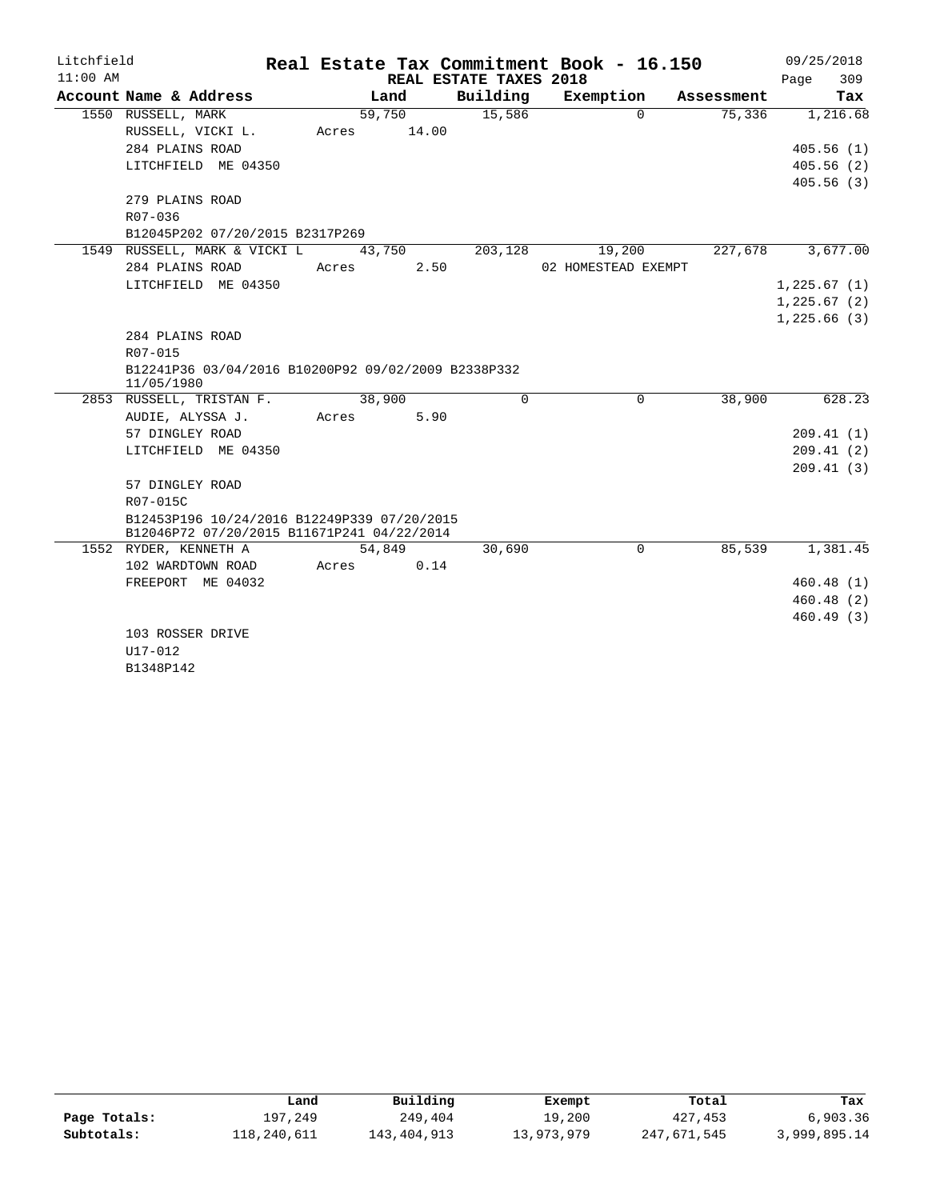| Litchfield |                                                                                           |       |        |                        | Real Estate Tax Commitment Book - 16.150 |            | 09/25/2018  |
|------------|-------------------------------------------------------------------------------------------|-------|--------|------------------------|------------------------------------------|------------|-------------|
| $11:00$ AM |                                                                                           |       |        | REAL ESTATE TAXES 2018 |                                          |            | 309<br>Page |
|            | Account Name & Address                                                                    |       | Land   | Building               | Exemption                                | Assessment | Tax         |
|            | 1550 RUSSELL, MARK                                                                        |       | 59,750 | 15,586                 | $\Omega$                                 | 75,336     | 1,216.68    |
|            | RUSSELL, VICKI L.                                                                         | Acres | 14.00  |                        |                                          |            |             |
|            | 284 PLAINS ROAD                                                                           |       |        |                        |                                          |            | 405.56(1)   |
|            | LITCHFIELD ME 04350                                                                       |       |        |                        |                                          |            | 405.56(2)   |
|            |                                                                                           |       |        |                        |                                          |            | 405.56(3)   |
|            | 279 PLAINS ROAD                                                                           |       |        |                        |                                          |            |             |
|            | R07-036                                                                                   |       |        |                        |                                          |            |             |
|            | B12045P202 07/20/2015 B2317P269                                                           |       |        |                        |                                          |            |             |
|            | 1549 RUSSELL, MARK & VICKI L                                                              |       | 43,750 | 203,128                | 19,200                                   | 227,678    | 3,677.00    |
|            | 284 PLAINS ROAD                                                                           | Acres | 2.50   |                        | 02 HOMESTEAD EXEMPT                      |            |             |
|            | LITCHFIELD ME 04350                                                                       |       |        |                        |                                          |            | 1,225.67(1) |
|            |                                                                                           |       |        |                        |                                          |            | 1,225.67(2) |
|            |                                                                                           |       |        |                        |                                          |            | 1,225.66(3) |
|            | 284 PLAINS ROAD                                                                           |       |        |                        |                                          |            |             |
|            | R07-015                                                                                   |       |        |                        |                                          |            |             |
|            | B12241P36 03/04/2016 B10200P92 09/02/2009 B2338P332<br>11/05/1980                         |       |        |                        |                                          |            |             |
|            | 2853 RUSSELL, TRISTAN F.                                                                  |       | 38,900 | $\Omega$               | $\Omega$                                 | 38,900     | 628.23      |
|            | AUDIE, ALYSSA J.                                                                          | Acres | 5.90   |                        |                                          |            |             |
|            | 57 DINGLEY ROAD                                                                           |       |        |                        |                                          |            | 209.41(1)   |
|            | LITCHFIELD ME 04350                                                                       |       |        |                        |                                          |            | 209.41(2)   |
|            |                                                                                           |       |        |                        |                                          |            | 209.41(3)   |
|            | 57 DINGLEY ROAD                                                                           |       |        |                        |                                          |            |             |
|            | R07-015C                                                                                  |       |        |                        |                                          |            |             |
|            | B12453P196 10/24/2016 B12249P339 07/20/2015<br>B12046P72 07/20/2015 B11671P241 04/22/2014 |       |        |                        |                                          |            |             |
|            | 1552 RYDER, KENNETH A                                                                     |       | 54,849 | 30,690                 | $\mathbf 0$                              | 85,539     | 1,381.45    |
|            | 102 WARDTOWN ROAD                                                                         | Acres | 0.14   |                        |                                          |            |             |
|            | FREEPORT ME 04032                                                                         |       |        |                        |                                          |            | 460.48(1)   |
|            |                                                                                           |       |        |                        |                                          |            | 460.48(2)   |
|            |                                                                                           |       |        |                        |                                          |            | 460.49(3)   |
|            | 103 ROSSER DRIVE                                                                          |       |        |                        |                                          |            |             |
|            | U17-012                                                                                   |       |        |                        |                                          |            |             |
|            | B1348P142                                                                                 |       |        |                        |                                          |            |             |

|              | Land        | Building    | Exempt     | Total       | Tax          |
|--------------|-------------|-------------|------------|-------------|--------------|
| Page Totals: | 197,249     | 249,404     | 19,200     | 427, 453    | 6,903.36     |
| Subtotals:   | 118,240,611 | 143,404,913 | 13,973,979 | 247,671,545 | 3,999,895.14 |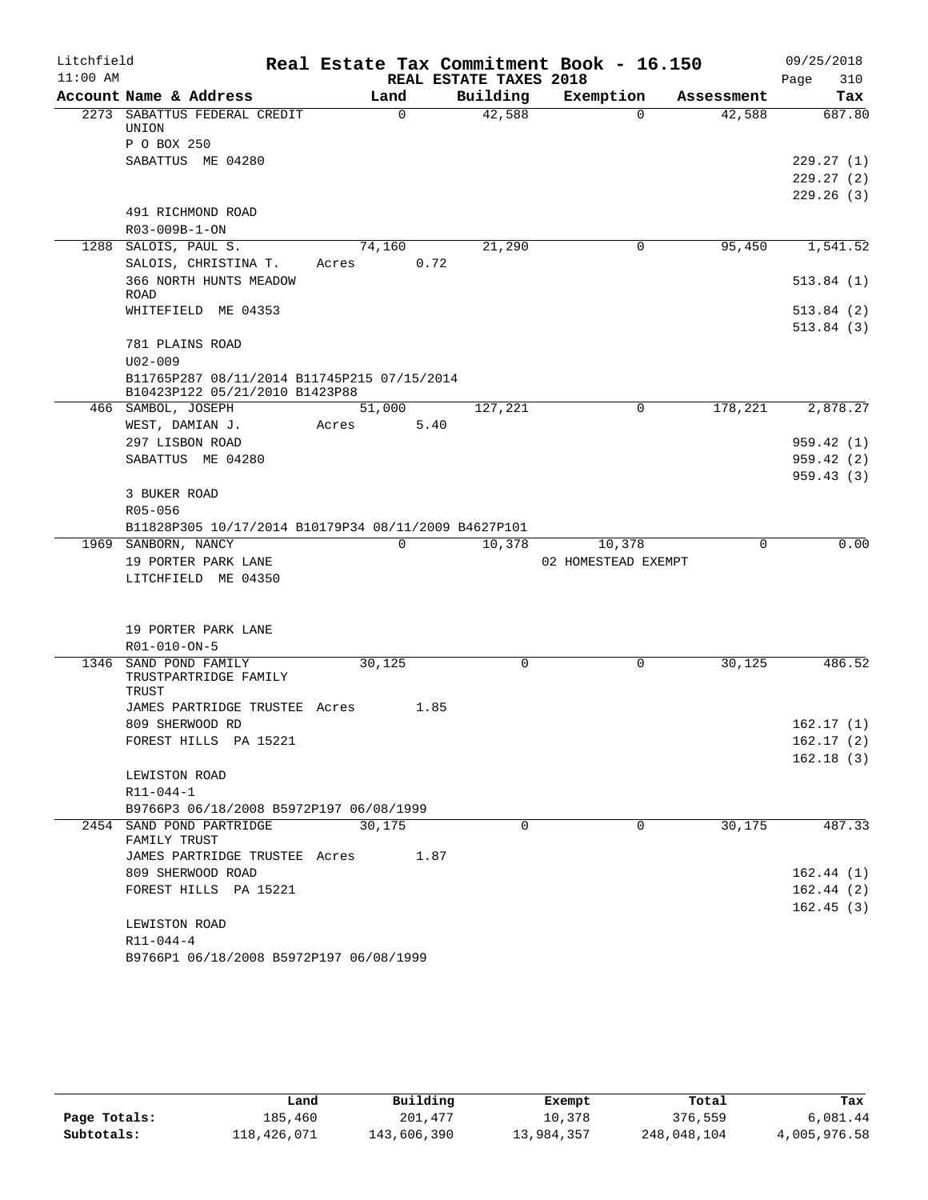| Litchfield |                                                                               |             |                        | Real Estate Tax Commitment Book - 16.150 |             | 09/25/2018  |
|------------|-------------------------------------------------------------------------------|-------------|------------------------|------------------------------------------|-------------|-------------|
| $11:00$ AM |                                                                               |             | REAL ESTATE TAXES 2018 |                                          |             | 310<br>Page |
|            | Account Name & Address                                                        | Land        | Building               | Exemption                                | Assessment  | Tax         |
|            | 2273 SABATTUS FEDERAL CREDIT<br>UNION                                         | $\mathbf 0$ | 42,588                 | $\Omega$                                 | 42,588      | 687.80      |
|            | P O BOX 250                                                                   |             |                        |                                          |             |             |
|            | SABATTUS ME 04280                                                             |             |                        |                                          |             | 229.27(1)   |
|            |                                                                               |             |                        |                                          |             | 229.27(2)   |
|            |                                                                               |             |                        |                                          |             | 229.26(3)   |
|            | 491 RICHMOND ROAD                                                             |             |                        |                                          |             |             |
|            | R03-009B-1-ON                                                                 |             |                        |                                          |             |             |
| 1288       | SALOIS, PAUL S.                                                               | 74,160      | 21,290                 | 0                                        | 95,450      | 1,541.52    |
|            | SALOIS, CHRISTINA T.                                                          | Acres       | 0.72                   |                                          |             |             |
|            | 366 NORTH HUNTS MEADOW<br><b>ROAD</b>                                         |             |                        |                                          |             | 513.84(1)   |
|            | WHITEFIELD ME 04353                                                           |             |                        |                                          |             | 513.84(2)   |
|            |                                                                               |             |                        |                                          |             | 513.84(3)   |
|            | 781 PLAINS ROAD                                                               |             |                        |                                          |             |             |
|            | $U02 - 009$                                                                   |             |                        |                                          |             |             |
|            | B11765P287 08/11/2014 B11745P215 07/15/2014<br>B10423P122 05/21/2010 B1423P88 |             |                        |                                          |             |             |
|            | 466 SAMBOL, JOSEPH                                                            | 51,000      | 127,221                | 0                                        | 178,221     | 2,878.27    |
|            | WEST, DAMIAN J.                                                               | Acres       | 5.40                   |                                          |             |             |
|            | 297 LISBON ROAD                                                               |             |                        |                                          |             | 959.42(1)   |
|            | SABATTUS ME 04280                                                             |             |                        |                                          |             | 959.42(2)   |
|            |                                                                               |             |                        |                                          |             | 959.43(3)   |
|            | 3 BUKER ROAD                                                                  |             |                        |                                          |             |             |
|            | R05-056                                                                       |             |                        |                                          |             |             |
|            | B11828P305 10/17/2014 B10179P34 08/11/2009 B4627P101                          |             |                        |                                          |             |             |
|            | 1969 SANBORN, NANCY                                                           | $\mathbf 0$ | 10,378                 | 10,378                                   | $\mathbf 0$ | 0.00        |
|            | 19 PORTER PARK LANE                                                           |             |                        | 02 HOMESTEAD EXEMPT                      |             |             |
|            | LITCHFIELD ME 04350                                                           |             |                        |                                          |             |             |
|            | 19 PORTER PARK LANE                                                           |             |                        |                                          |             |             |
|            | R01-010-ON-5                                                                  |             |                        |                                          |             |             |
|            | 1346 SAND POND FAMILY                                                         | 30,125      | $\Omega$               | $\Omega$                                 | 30,125      | 486.52      |
|            | TRUSTPARTRIDGE FAMILY                                                         |             |                        |                                          |             |             |
|            | TRUST                                                                         |             |                        |                                          |             |             |
|            | JAMES PARTRIDGE TRUSTEE Acres                                                 |             | 1.85                   |                                          |             |             |
|            | 809 SHERWOOD RD                                                               |             |                        |                                          |             | 162.17(1)   |
|            | FOREST HILLS PA 15221                                                         |             |                        |                                          |             | 162.17(2)   |
|            | LEWISTON ROAD                                                                 |             |                        |                                          |             | 162.18(3)   |
|            | $R11 - 044 - 1$                                                               |             |                        |                                          |             |             |
|            | B9766P3 06/18/2008 B5972P197 06/08/1999                                       |             |                        |                                          |             |             |
|            | 2454 SAND POND PARTRIDGE<br>FAMILY TRUST                                      | 30,175      | 0                      | 0                                        | 30,175      | 487.33      |
|            | JAMES PARTRIDGE TRUSTEE Acres                                                 |             | 1.87                   |                                          |             |             |
|            | 809 SHERWOOD ROAD                                                             |             |                        |                                          |             | 162.44(1)   |
|            | FOREST HILLS PA 15221                                                         |             |                        |                                          |             | 162.44(2)   |
|            |                                                                               |             |                        |                                          |             | 162.45(3)   |
|            | LEWISTON ROAD                                                                 |             |                        |                                          |             |             |
|            | R11-044-4                                                                     |             |                        |                                          |             |             |
|            | B9766P1 06/18/2008 B5972P197 06/08/1999                                       |             |                        |                                          |             |             |

|              | Land        | Building    | Exempt     | Total       | Tax          |
|--------------|-------------|-------------|------------|-------------|--------------|
| Page Totals: | 185,460     | 201,477     | 10,378     | 376,559     | 6,081.44     |
| Subtotals:   | 118,426,071 | 143,606,390 | 13,984,357 | 248,048,104 | 4,005,976.58 |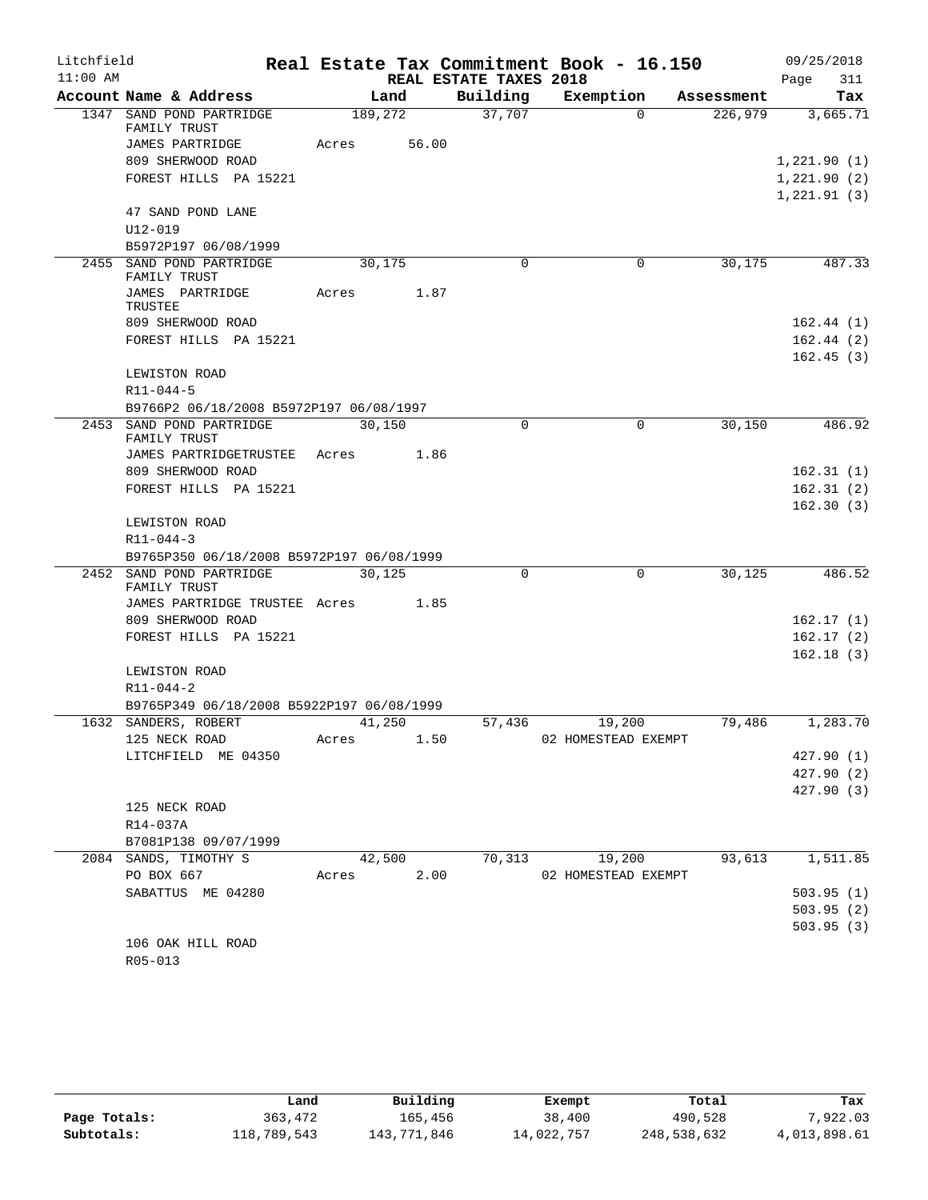| Litchfield |                                           |       |         |                        | Real Estate Tax Commitment Book - 16.150 |            | 09/25/2018             |
|------------|-------------------------------------------|-------|---------|------------------------|------------------------------------------|------------|------------------------|
| $11:00$ AM |                                           |       |         | REAL ESTATE TAXES 2018 |                                          |            | 311<br>Page            |
|            | Account Name & Address                    |       | Land    | Building               | Exemption                                | Assessment | Tax                    |
|            | 1347 SAND POND PARTRIDGE<br>FAMILY TRUST  |       | 189,272 | 37,707                 | $\Omega$                                 | 226,979    | 3,665.71               |
|            | JAMES PARTRIDGE                           | Acres | 56.00   |                        |                                          |            |                        |
|            | 809 SHERWOOD ROAD                         |       |         |                        |                                          |            | 1,221.90(1)            |
|            | FOREST HILLS PA 15221                     |       |         |                        |                                          |            | 1,221.90(2)            |
|            |                                           |       |         |                        |                                          |            | 1, 221.91(3)           |
|            | 47 SAND POND LANE                         |       |         |                        |                                          |            |                        |
|            | $U12 - 019$                               |       |         |                        |                                          |            |                        |
|            | B5972P197 06/08/1999                      |       |         |                        |                                          |            |                        |
|            | 2455 SAND POND PARTRIDGE<br>FAMILY TRUST  |       | 30,175  | 0                      | $\mathbf 0$                              | 30,175     | 487.33                 |
|            | JAMES PARTRIDGE                           | Acres | 1.87    |                        |                                          |            |                        |
|            | TRUSTEE                                   |       |         |                        |                                          |            |                        |
|            | 809 SHERWOOD ROAD                         |       |         |                        |                                          |            | 162.44(1)              |
|            | FOREST HILLS PA 15221                     |       |         |                        |                                          |            | 162.44(2)<br>162.45(3) |
|            | LEWISTON ROAD                             |       |         |                        |                                          |            |                        |
|            | $R11 - 044 - 5$                           |       |         |                        |                                          |            |                        |
|            | B9766P2 06/18/2008 B5972P197 06/08/1997   |       |         |                        |                                          |            |                        |
|            | 2453 SAND POND PARTRIDGE                  |       | 30,150  | $\Omega$               | $\Omega$                                 | 30,150     | 486.92                 |
|            | FAMILY TRUST                              |       |         |                        |                                          |            |                        |
|            | JAMES PARTRIDGETRUSTEE                    | Acres | 1.86    |                        |                                          |            |                        |
|            | 809 SHERWOOD ROAD                         |       |         |                        |                                          |            | 162.31(1)              |
|            | FOREST HILLS PA 15221                     |       |         |                        |                                          |            | 162.31(2)              |
|            |                                           |       |         |                        |                                          |            | 162.30(3)              |
|            | LEWISTON ROAD                             |       |         |                        |                                          |            |                        |
|            | $R11 - 044 - 3$                           |       |         |                        |                                          |            |                        |
|            | B9765P350 06/18/2008 B5972P197 06/08/1999 |       |         |                        |                                          |            |                        |
|            | 2452 SAND POND PARTRIDGE                  |       | 30.125  | $\Omega$               | 0                                        | 30,125     | 486.52                 |
|            | FAMILY TRUST                              |       |         |                        |                                          |            |                        |
|            | JAMES PARTRIDGE TRUSTEE Acres             |       | 1.85    |                        |                                          |            |                        |
|            | 809 SHERWOOD ROAD                         |       |         |                        |                                          |            | 162.17(1)              |
|            | FOREST HILLS PA 15221                     |       |         |                        |                                          |            | 162.17(2)              |
|            | LEWISTON ROAD                             |       |         |                        |                                          |            | 162.18(3)              |
|            | $R11 - 044 - 2$                           |       |         |                        |                                          |            |                        |
|            | B9765P349 06/18/2008 B5922P197 06/08/1999 |       |         |                        |                                          |            |                        |
|            | 1632 SANDERS, ROBERT                      |       | 41,250  | 57,436                 | 19,200                                   | 79,486     | 1,283.70               |
|            | 125 NECK ROAD                             | Acres | 1.50    |                        | 02 HOMESTEAD EXEMPT                      |            |                        |
|            | LITCHFIELD ME 04350                       |       |         |                        |                                          |            | 427.90 (1)             |
|            |                                           |       |         |                        |                                          |            | 427.90 (2)             |
|            |                                           |       |         |                        |                                          |            | 427.90 (3)             |
|            | 125 NECK ROAD                             |       |         |                        |                                          |            |                        |
|            | R14-037A                                  |       |         |                        |                                          |            |                        |
|            | B7081P138 09/07/1999                      |       |         |                        |                                          |            |                        |
|            | 2084 SANDS, TIMOTHY S                     |       | 42,500  | 70,313                 | 19,200                                   | 93,613     | 1,511.85               |
|            | PO BOX 667                                | Acres | 2.00    |                        | 02 HOMESTEAD EXEMPT                      |            |                        |
|            | SABATTUS ME 04280                         |       |         |                        |                                          |            | 503.95(1)              |
|            |                                           |       |         |                        |                                          |            | 503.95(2)              |
|            |                                           |       |         |                        |                                          |            | 503.95(3)              |
|            | 106 OAK HILL ROAD                         |       |         |                        |                                          |            |                        |
|            | $R05 - 013$                               |       |         |                        |                                          |            |                        |

|              | Land        | Building    | Exempt     | Total       | Tax          |
|--------------|-------------|-------------|------------|-------------|--------------|
| Page Totals: | 363,472     | 165,456     | 38,400     | 490,528     | 7,922.03     |
| Subtotals:   | 118,789,543 | 143,771,846 | 14,022,757 | 248,538,632 | 4,013,898.61 |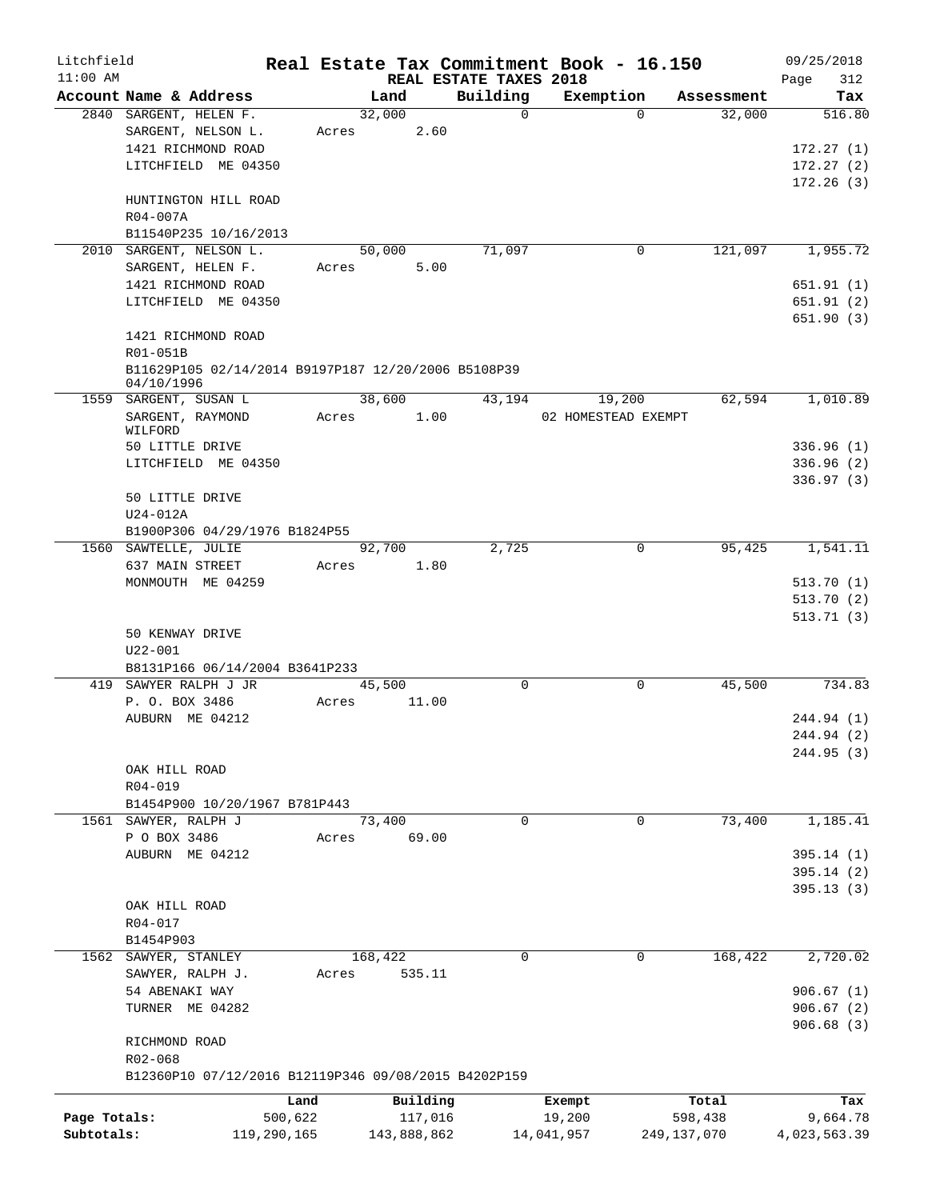| Litchfield   |                                                      |             |             |         |                        | Real Estate Tax Commitment Book - 16.150 |             |            | 09/25/2018             |
|--------------|------------------------------------------------------|-------------|-------------|---------|------------------------|------------------------------------------|-------------|------------|------------------------|
| $11:00$ AM   |                                                      |             |             |         | REAL ESTATE TAXES 2018 |                                          |             |            | 312<br>Page            |
|              | Account Name & Address                               |             | Land        |         | Building               | Exemption                                |             | Assessment | Tax                    |
|              | 2840 SARGENT, HELEN F.                               |             | 32,000      |         | $\mathbf 0$            | $\Omega$                                 |             | 32,000     | 516.80                 |
|              | SARGENT, NELSON L.                                   | Acres       |             | 2.60    |                        |                                          |             |            |                        |
|              | 1421 RICHMOND ROAD                                   |             |             |         |                        |                                          |             |            | 172.27(1)              |
|              | LITCHFIELD ME 04350                                  |             |             |         |                        |                                          |             |            | 172.27(2)              |
|              | HUNTINGTON HILL ROAD                                 |             |             |         |                        |                                          |             |            | 172.26(3)              |
|              | R04-007A                                             |             |             |         |                        |                                          |             |            |                        |
|              | B11540P235 10/16/2013                                |             |             |         |                        |                                          |             |            |                        |
| 2010         | SARGENT, NELSON L.                                   |             | 50,000      |         | 71,097                 | 0                                        |             | 121,097    | 1,955.72               |
|              | SARGENT, HELEN F.                                    | Acres       |             | 5.00    |                        |                                          |             |            |                        |
|              | 1421 RICHMOND ROAD                                   |             |             |         |                        |                                          |             |            | 651.91(1)              |
|              | LITCHFIELD ME 04350                                  |             |             |         |                        |                                          |             |            | 651.91(2)              |
|              |                                                      |             |             |         |                        |                                          |             |            | 651.90(3)              |
|              | 1421 RICHMOND ROAD                                   |             |             |         |                        |                                          |             |            |                        |
|              | R01-051B                                             |             |             |         |                        |                                          |             |            |                        |
|              | B11629P105 02/14/2014 B9197P187 12/20/2006 B5108P39  |             |             |         |                        |                                          |             |            |                        |
|              | 04/10/1996                                           |             |             |         |                        |                                          |             |            |                        |
|              | 1559 SARGENT, SUSAN L                                |             | 38,600      |         | 43,194                 | 19,200                                   |             | 62,594     | 1,010.89               |
|              | SARGENT, RAYMOND                                     | Acres       |             | 1.00    |                        | 02 HOMESTEAD EXEMPT                      |             |            |                        |
|              | WILFORD                                              |             |             |         |                        |                                          |             |            |                        |
|              | 50 LITTLE DRIVE                                      |             |             |         |                        |                                          |             |            | 336.96(1)              |
|              | LITCHFIELD ME 04350                                  |             |             |         |                        |                                          |             |            | 336.96(2)              |
|              |                                                      |             |             |         |                        |                                          |             |            | 336.97(3)              |
|              | 50 LITTLE DRIVE                                      |             |             |         |                        |                                          |             |            |                        |
|              | $U24-012A$                                           |             |             |         |                        |                                          |             |            |                        |
|              | B1900P306 04/29/1976 B1824P55                        |             | 92,700      |         | 2,725                  | 0                                        |             |            |                        |
|              | 1560 SAWTELLE, JULIE<br>637 MAIN STREET              | Acres       |             | 1.80    |                        |                                          |             | 95,425     | 1,541.11               |
|              | MONMOUTH ME 04259                                    |             |             |         |                        |                                          |             |            | 513.70(1)              |
|              |                                                      |             |             |         |                        |                                          |             |            | 513.70(2)              |
|              |                                                      |             |             |         |                        |                                          |             |            | 513.71(3)              |
|              | 50 KENWAY DRIVE                                      |             |             |         |                        |                                          |             |            |                        |
|              | $U22 - 001$                                          |             |             |         |                        |                                          |             |            |                        |
|              | B8131P166 06/14/2004 B3641P233                       |             |             |         |                        |                                          |             |            |                        |
|              | 419 SAWYER RALPH J JR                                |             | 45,500      |         | $\Omega$               | 0                                        |             | 45,500     | 734.83                 |
|              | P. O. BOX 3486                                       | Acres       |             | 11.00   |                        |                                          |             |            |                        |
|              | AUBURN ME 04212                                      |             |             |         |                        |                                          |             |            | 244.94 (1)             |
|              |                                                      |             |             |         |                        |                                          |             |            | 244.94 (2)             |
|              |                                                      |             |             |         |                        |                                          |             |            | 244.95 (3)             |
|              | OAK HILL ROAD                                        |             |             |         |                        |                                          |             |            |                        |
|              | R04-019                                              |             |             |         |                        |                                          |             |            |                        |
|              | B1454P900 10/20/1967 B781P443                        |             |             |         |                        |                                          |             |            |                        |
|              | 1561 SAWYER, RALPH J                                 |             | 73,400      |         | 0                      | 0                                        |             | 73,400     | 1,185.41               |
|              | P O BOX 3486                                         | Acres       |             | 69.00   |                        |                                          |             |            |                        |
|              | AUBURN ME 04212                                      |             |             |         |                        |                                          |             |            | 395.14(1)              |
|              |                                                      |             |             |         |                        |                                          |             |            | 395.14(2)              |
|              |                                                      |             |             |         |                        |                                          |             |            | 395.13 (3)             |
|              | OAK HILL ROAD                                        |             |             |         |                        |                                          |             |            |                        |
|              | R04-017                                              |             |             |         |                        |                                          |             |            |                        |
|              | B1454P903                                            |             |             |         |                        |                                          |             |            |                        |
|              | 1562 SAWYER, STANLEY                                 |             | 168,422     |         | 0                      | 0                                        |             | 168,422    | 2,720.02               |
|              | SAWYER, RALPH J.<br>54 ABENAKI WAY                   | Acres       | 535.11      |         |                        |                                          |             |            | 906.67(1)              |
|              |                                                      |             |             |         |                        |                                          |             |            |                        |
|              | TURNER ME 04282                                      |             |             |         |                        |                                          |             |            | 906.67(2)<br>906.68(3) |
|              | RICHMOND ROAD                                        |             |             |         |                        |                                          |             |            |                        |
|              | R02-068                                              |             |             |         |                        |                                          |             |            |                        |
|              | B12360P10 07/12/2016 B12119P346 09/08/2015 B4202P159 |             |             |         |                        |                                          |             |            |                        |
|              |                                                      |             |             |         |                        |                                          |             |            |                        |
|              |                                                      | Land        | Building    |         |                        | Exempt                                   | Total       |            | Tax                    |
| Page Totals: |                                                      | 500,622     |             | 117,016 |                        | 19,200                                   | 598,438     |            | 9,664.78               |
| Subtotals:   |                                                      | 119,290,165 | 143,888,862 |         |                        | 14,041,957                               | 249,137,070 |            | 4,023,563.39           |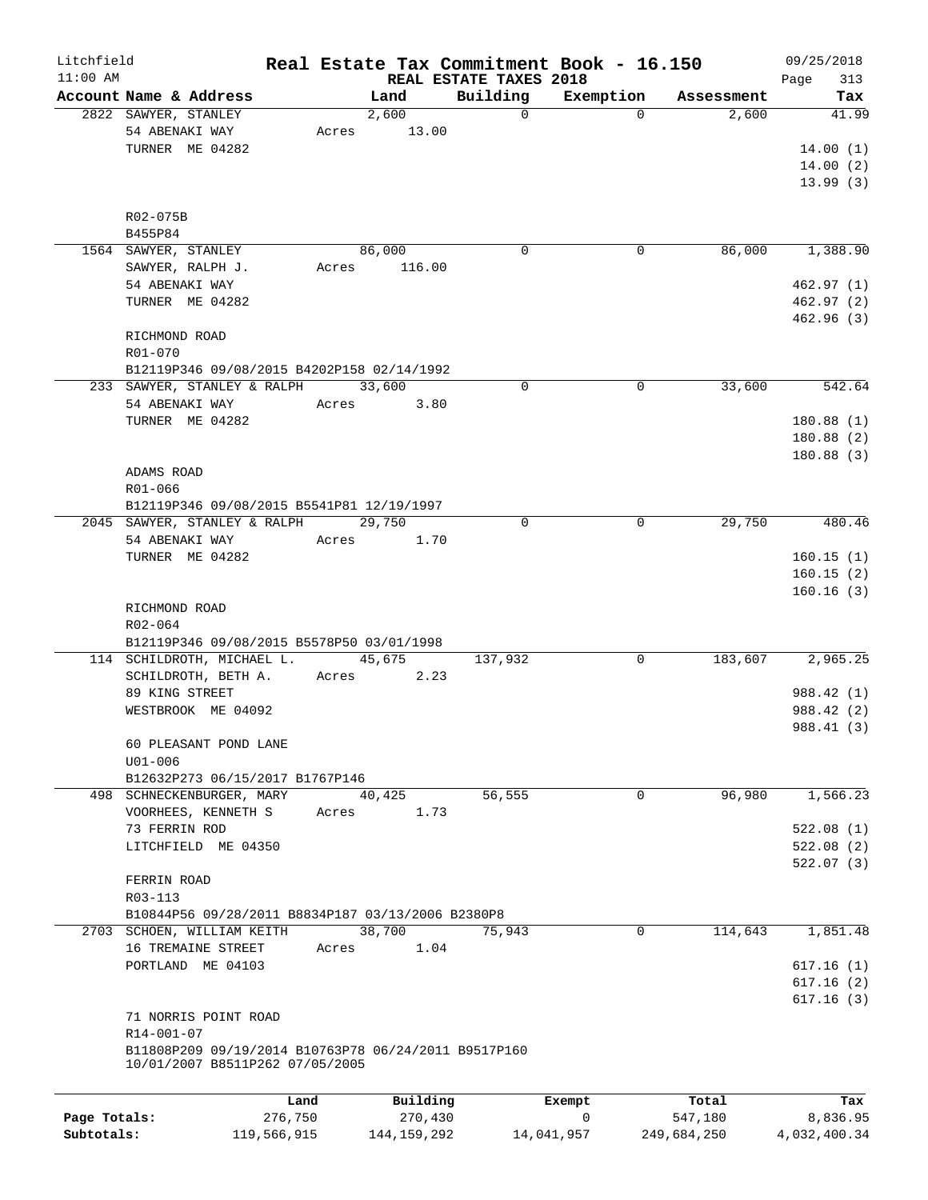| Litchfield   |                                                      |               |          |                         | Real Estate Tax Commitment Book - 16.150 |                     | 09/25/2018   |
|--------------|------------------------------------------------------|---------------|----------|-------------------------|------------------------------------------|---------------------|--------------|
| $11:00$ AM   |                                                      |               |          | REAL ESTATE TAXES 2018  |                                          |                     | 313<br>Page  |
|              | Account Name & Address<br>2822 SAWYER, STANLEY       | Land<br>2,600 |          | Building<br>$\mathbf 0$ | Exemption<br>$\Omega$                    | Assessment<br>2,600 | Tax<br>41.99 |
|              | 54 ABENAKI WAY                                       | Acres         | 13.00    |                         |                                          |                     |              |
|              | TURNER ME 04282                                      |               |          |                         |                                          |                     | 14.00(1)     |
|              |                                                      |               |          |                         |                                          |                     |              |
|              |                                                      |               |          |                         |                                          |                     | 14.00(2)     |
|              |                                                      |               |          |                         |                                          |                     | 13.99(3)     |
|              | R02-075B                                             |               |          |                         |                                          |                     |              |
|              | B455P84                                              |               |          |                         |                                          |                     |              |
|              | 1564 SAWYER, STANLEY                                 | 86,000        |          | $\mathbf 0$             | 0                                        | 86,000              | 1,388.90     |
|              | SAWYER, RALPH J.                                     | Acres         | 116.00   |                         |                                          |                     |              |
|              | 54 ABENAKI WAY                                       |               |          |                         |                                          |                     | 462.97(1)    |
|              |                                                      |               |          |                         |                                          |                     |              |
|              | TURNER ME 04282                                      |               |          |                         |                                          |                     | 462.97(2)    |
|              |                                                      |               |          |                         |                                          |                     | 462.96(3)    |
|              | RICHMOND ROAD                                        |               |          |                         |                                          |                     |              |
|              | R01-070                                              |               |          |                         |                                          |                     |              |
|              | B12119P346 09/08/2015 B4202P158 02/14/1992           |               |          |                         |                                          |                     |              |
|              | 233 SAWYER, STANLEY & RALPH                          | 33,600        |          | $\mathbf 0$             | $\mathbf 0$                              | 33,600              | 542.64       |
|              | 54 ABENAKI WAY                                       | Acres         | 3.80     |                         |                                          |                     |              |
|              | TURNER ME 04282                                      |               |          |                         |                                          |                     | 180.88(1)    |
|              |                                                      |               |          |                         |                                          |                     | 180.88(2)    |
|              |                                                      |               |          |                         |                                          |                     | 180.88(3)    |
|              | ADAMS ROAD                                           |               |          |                         |                                          |                     |              |
|              | R01-066                                              |               |          |                         |                                          |                     |              |
|              | B12119P346 09/08/2015 B5541P81 12/19/1997            |               |          |                         |                                          |                     |              |
|              | 2045 SAWYER, STANLEY & RALPH                         | 29,750        |          | $\mathbf 0$             | 0                                        | 29,750              | 480.46       |
|              | 54 ABENAKI WAY                                       | Acres         | 1.70     |                         |                                          |                     |              |
|              | TURNER ME 04282                                      |               |          |                         |                                          |                     | 160.15(1)    |
|              |                                                      |               |          |                         |                                          |                     | 160.15(2)    |
|              |                                                      |               |          |                         |                                          |                     | 160.16(3)    |
|              | RICHMOND ROAD                                        |               |          |                         |                                          |                     |              |
|              | R02-064                                              |               |          |                         |                                          |                     |              |
|              | B12119P346 09/08/2015 B5578P50 03/01/1998            |               |          |                         |                                          |                     |              |
|              | 114 SCHILDROTH, MICHAEL L.                           | 45,675        |          | 137,932                 | 0                                        | 183,607             | 2,965.25     |
|              | SCHILDROTH, BETH A.                                  | Acres         | 2.23     |                         |                                          |                     |              |
|              | 89 KING STREET                                       |               |          |                         |                                          |                     | 988.42 (1)   |
|              | WESTBROOK ME 04092                                   |               |          |                         |                                          |                     | 988.42 (2)   |
|              |                                                      |               |          |                         |                                          |                     | 988.41 (3)   |
|              | 60 PLEASANT POND LANE                                |               |          |                         |                                          |                     |              |
|              | $U01 - 006$                                          |               |          |                         |                                          |                     |              |
|              | B12632P273 06/15/2017 B1767P146                      |               |          |                         |                                          |                     |              |
|              | 498 SCHNECKENBURGER, MARY                            | 40,425        |          | 56,555                  | $\mathbf 0$                              | 96,980              | 1,566.23     |
|              | VOORHEES, KENNETH S                                  | Acres         | 1.73     |                         |                                          |                     |              |
|              | 73 FERRIN ROD                                        |               |          |                         |                                          |                     | 522.08(1)    |
|              | LITCHFIELD ME 04350                                  |               |          |                         |                                          |                     | 522.08(2)    |
|              |                                                      |               |          |                         |                                          |                     | 522.07(3)    |
|              | FERRIN ROAD                                          |               |          |                         |                                          |                     |              |
|              | R03-113                                              |               |          |                         |                                          |                     |              |
|              | B10844P56 09/28/2011 B8834P187 03/13/2006 B2380P8    |               |          |                         |                                          |                     |              |
|              | 2703 SCHOEN, WILLIAM KEITH                           | 38,700        |          | 75,943                  | 0                                        | 114,643             | 1,851.48     |
|              | 16 TREMAINE STREET                                   | Acres         | 1.04     |                         |                                          |                     |              |
|              | PORTLAND ME 04103                                    |               |          |                         |                                          |                     | 617.16(1)    |
|              |                                                      |               |          |                         |                                          |                     | 617.16(2)    |
|              |                                                      |               |          |                         |                                          |                     | 617.16(3)    |
|              | 71 NORRIS POINT ROAD                                 |               |          |                         |                                          |                     |              |
|              | R14-001-07                                           |               |          |                         |                                          |                     |              |
|              | B11808P209 09/19/2014 B10763P78 06/24/2011 B9517P160 |               |          |                         |                                          |                     |              |
|              | 10/01/2007 B8511P262 07/05/2005                      |               |          |                         |                                          |                     |              |
|              |                                                      |               |          |                         |                                          |                     |              |
|              |                                                      | Land          | Building |                         | Exempt                                   | Total               | Tax          |
| Page Totals: | 276,750                                              |               | 270,430  |                         | 0                                        | 547,180             | 8,836.95     |

**Subtotals:** 119,566,915 144,159,292 14,041,957 249,684,250 4,032,400.34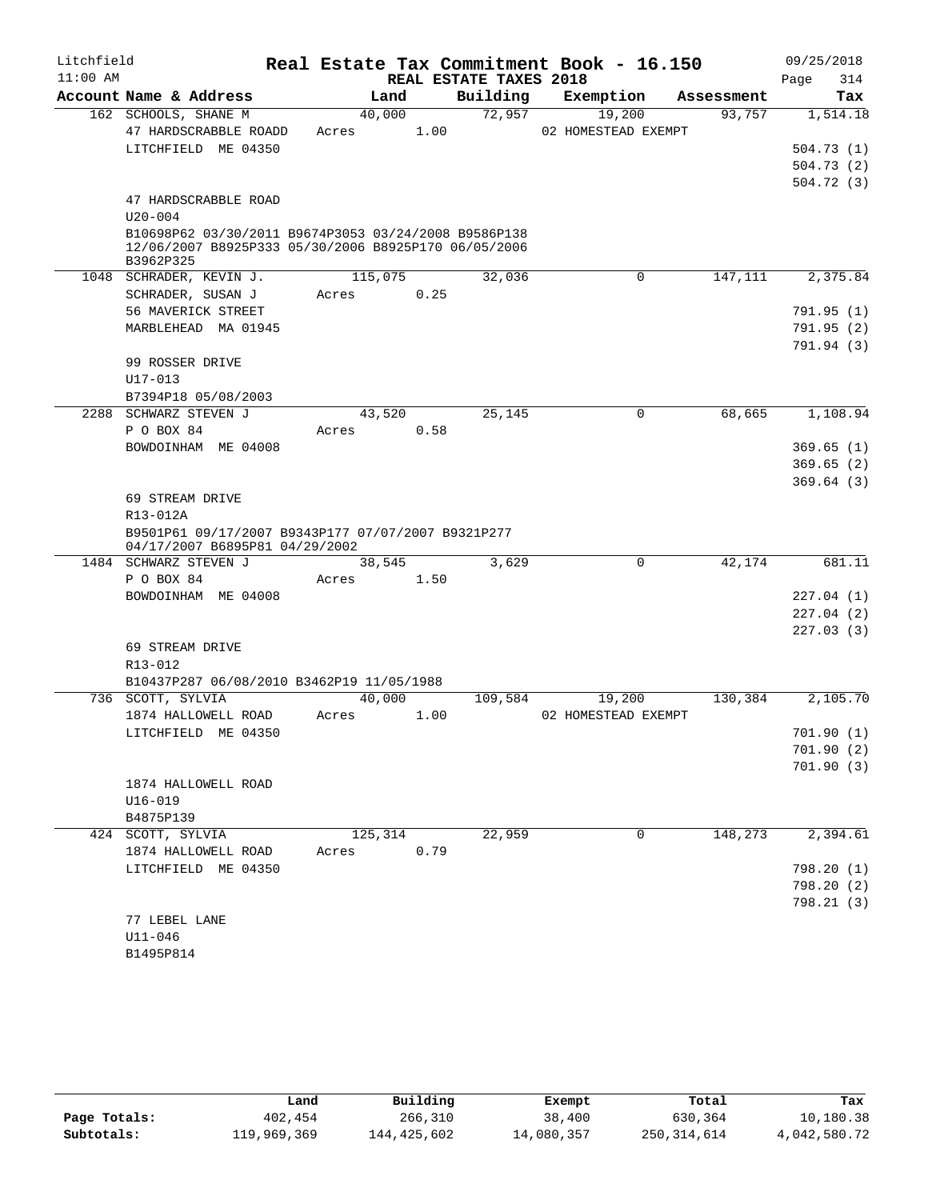| Litchfield |                                                      |         |      |                        | Real Estate Tax Commitment Book - 16.150 |            | 09/25/2018  |
|------------|------------------------------------------------------|---------|------|------------------------|------------------------------------------|------------|-------------|
| $11:00$ AM |                                                      |         |      | REAL ESTATE TAXES 2018 |                                          |            | 314<br>Page |
|            | Account Name & Address                               | Land    |      | Building               | Exemption                                | Assessment | Tax         |
|            | 162 SCHOOLS, SHANE M                                 | 40,000  |      | 72,957                 | 19,200                                   | 93,757     | 1,514.18    |
|            | 47 HARDSCRABBLE ROADD                                | Acres   | 1.00 |                        | 02 HOMESTEAD EXEMPT                      |            |             |
|            | LITCHFIELD ME 04350                                  |         |      |                        |                                          |            | 504.73(1)   |
|            |                                                      |         |      |                        |                                          |            | 504.73(2)   |
|            |                                                      |         |      |                        |                                          |            | 504.72(3)   |
|            | 47 HARDSCRABBLE ROAD<br>$U20 - 004$                  |         |      |                        |                                          |            |             |
|            | B10698P62 03/30/2011 B9674P3053 03/24/2008 B9586P138 |         |      |                        |                                          |            |             |
|            | 12/06/2007 B8925P333 05/30/2006 B8925P170 06/05/2006 |         |      |                        |                                          |            |             |
|            | B3962P325                                            |         |      |                        |                                          |            |             |
|            | 1048 SCHRADER, KEVIN J.                              | 115,075 |      | 32,036                 | $\mathbf 0$                              | 147,111    | 2,375.84    |
|            | SCHRADER, SUSAN J                                    | Acres   | 0.25 |                        |                                          |            |             |
|            | 56 MAVERICK STREET                                   |         |      |                        |                                          |            | 791.95(1)   |
|            | MARBLEHEAD MA 01945                                  |         |      |                        |                                          |            | 791.95(2)   |
|            |                                                      |         |      |                        |                                          |            | 791.94 (3)  |
|            | 99 ROSSER DRIVE                                      |         |      |                        |                                          |            |             |
|            | $U17 - 013$                                          |         |      |                        |                                          |            |             |
|            | B7394P18 05/08/2003                                  |         |      |                        |                                          |            |             |
| 2288       | SCHWARZ STEVEN J                                     | 43,520  |      | 25,145                 | 0                                        | 68,665     | 1,108.94    |
|            | P O BOX 84                                           | Acres   | 0.58 |                        |                                          |            |             |
|            | BOWDOINHAM ME 04008                                  |         |      |                        |                                          |            | 369.65(1)   |
|            |                                                      |         |      |                        |                                          |            | 369.65(2)   |
|            |                                                      |         |      |                        |                                          |            | 369.64(3)   |
|            | 69 STREAM DRIVE<br>R13-012A                          |         |      |                        |                                          |            |             |
|            | B9501P61 09/17/2007 B9343P177 07/07/2007 B9321P277   |         |      |                        |                                          |            |             |
|            | 04/17/2007 B6895P81 04/29/2002                       |         |      |                        |                                          |            |             |
|            | 1484 SCHWARZ STEVEN J                                | 38,545  |      | 3,629                  | $\mathbf 0$                              | 42,174     | 681.11      |
|            | P O BOX 84                                           | Acres   | 1.50 |                        |                                          |            |             |
|            | BOWDOINHAM ME 04008                                  |         |      |                        |                                          |            | 227.04(1)   |
|            |                                                      |         |      |                        |                                          |            | 227.04(2)   |
|            |                                                      |         |      |                        |                                          |            | 227.03(3)   |
|            | 69 STREAM DRIVE                                      |         |      |                        |                                          |            |             |
|            | R13-012                                              |         |      |                        |                                          |            |             |
|            | B10437P287 06/08/2010 B3462P19 11/05/1988            |         |      |                        |                                          |            |             |
|            | 736 SCOTT, SYLVIA                                    | 40,000  |      | 109,584                | 19,200                                   | 130,384    | 2,105.70    |
|            | 1874 HALLOWELL ROAD                                  | Acres   | 1.00 |                        | 02 HOMESTEAD EXEMPT                      |            |             |
|            | LITCHFIELD ME 04350                                  |         |      |                        |                                          |            | 701.90(1)   |
|            |                                                      |         |      |                        |                                          |            | 701.90 (2)  |
|            |                                                      |         |      |                        |                                          |            | 701.90(3)   |
|            | 1874 HALLOWELL ROAD                                  |         |      |                        |                                          |            |             |
|            | $U16 - 019$                                          |         |      |                        |                                          |            |             |
|            | B4875P139<br>424 SCOTT, SYLVIA                       |         |      |                        | $\mathbf 0$                              | 148,273    | 2,394.61    |
|            | 1874 HALLOWELL ROAD                                  | 125,314 | 0.79 | 22,959                 |                                          |            |             |
|            | LITCHFIELD ME 04350                                  | Acres   |      |                        |                                          |            | 798.20 (1)  |
|            |                                                      |         |      |                        |                                          |            | 798.20(2)   |
|            |                                                      |         |      |                        |                                          |            | 798.21(3)   |
|            | 77 LEBEL LANE                                        |         |      |                        |                                          |            |             |
|            | $U11 - 046$                                          |         |      |                        |                                          |            |             |
|            | B1495P814                                            |         |      |                        |                                          |            |             |

|              | Land        | Building    | Exempt     | Total       | Tax          |
|--------------|-------------|-------------|------------|-------------|--------------|
| Page Totals: | 402,454     | 266,310     | 38,400     | 630,364     | 10,180.38    |
| Subtotals:   | 119,969,369 | 144,425,602 | 14,080,357 | 250,314,614 | 4,042,580.72 |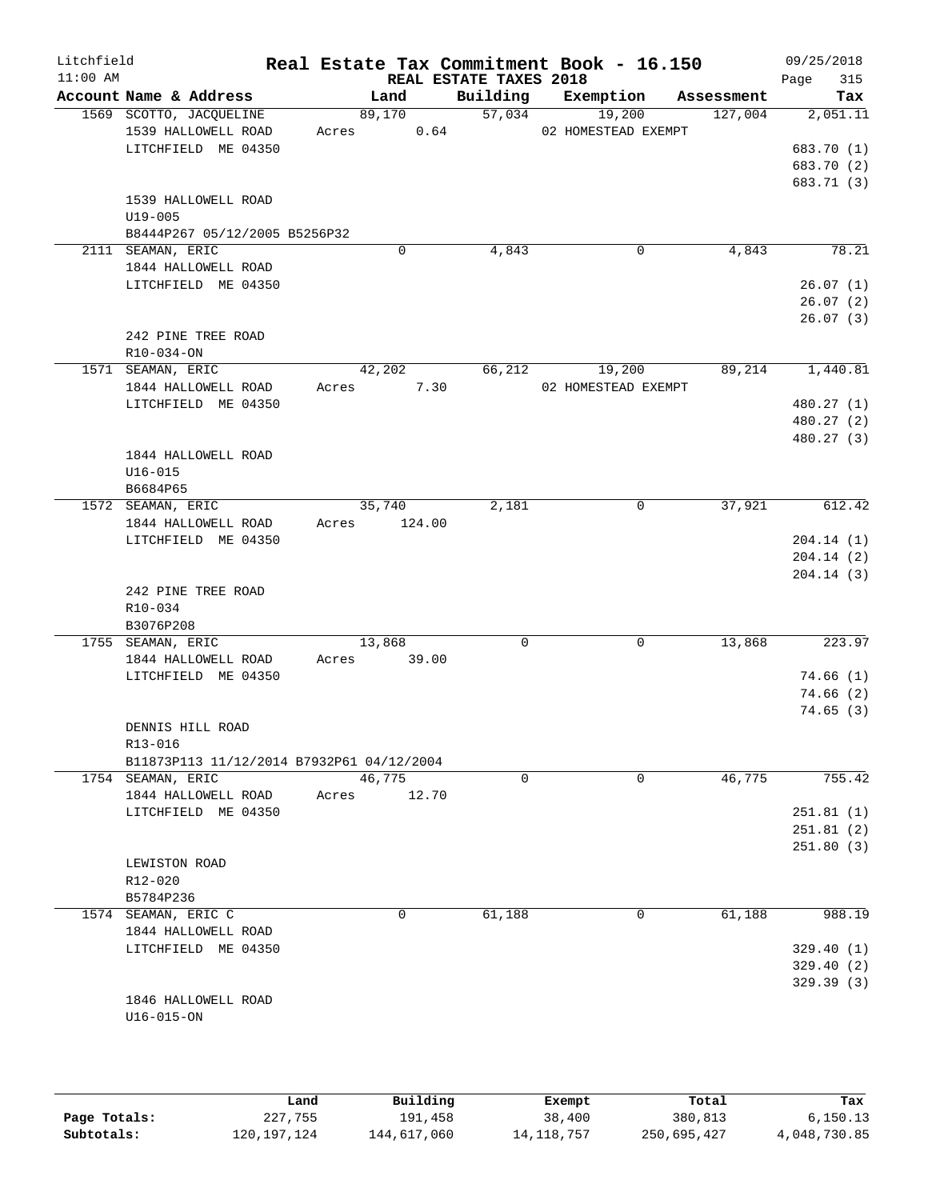| Litchfield<br>$11:00$ AM |                                                                                                              |       |                  | REAL ESTATE TAXES 2018 | Real Estate Tax Commitment Book - 16.150 |                    | 09/25/2018<br>315<br>Page                      |
|--------------------------|--------------------------------------------------------------------------------------------------------------|-------|------------------|------------------------|------------------------------------------|--------------------|------------------------------------------------|
|                          | Account Name & Address                                                                                       |       | Land             | Building               | Exemption                                | Assessment         | Tax                                            |
|                          | 1569 SCOTTO, JACQUELINE<br>1539 HALLOWELL ROAD<br>LITCHFIELD ME 04350                                        | Acres | 89,170<br>0.64   | 57,034                 | 19,200<br>02 HOMESTEAD EXEMPT            | 127,004            | 2,051.11<br>683.70 (1)<br>683.70 (2)           |
|                          | 1539 HALLOWELL ROAD<br>$U19 - 005$<br>B8444P267 05/12/2005 B5256P32                                          |       |                  |                        |                                          |                    | 683.71 (3)                                     |
|                          | 2111 SEAMAN, ERIC                                                                                            |       | $\mathbf 0$      | 4,843                  |                                          | 4,843<br>0         | 78.21                                          |
|                          | 1844 HALLOWELL ROAD<br>LITCHFIELD ME 04350                                                                   |       |                  |                        |                                          |                    | 26.07(1)<br>26.07(2)<br>26.07(3)               |
|                          | 242 PINE TREE ROAD<br>R10-034-ON                                                                             |       |                  |                        |                                          |                    |                                                |
|                          | 1571 SEAMAN, ERIC                                                                                            |       | 42,202           | 66,212                 | 19,200                                   | 89,214             | 1,440.81                                       |
|                          | 1844 HALLOWELL ROAD<br>LITCHFIELD ME 04350                                                                   | Acres | 7.30             |                        | 02 HOMESTEAD EXEMPT                      |                    | 480.27 (1)<br>480.27 (2)<br>480.27 (3)         |
|                          | 1844 HALLOWELL ROAD<br>$U16 - 015$<br>B6684P65                                                               |       |                  |                        |                                          |                    |                                                |
|                          | 1572 SEAMAN, ERIC<br>1844 HALLOWELL ROAD<br>LITCHFIELD ME 04350                                              | Acres | 35,740<br>124.00 | 2,181                  |                                          | 0<br>37,921        | 612.42<br>204.14(1)<br>204.14(2)               |
|                          | 242 PINE TREE ROAD<br>R10-034<br>B3076P208                                                                   |       |                  |                        |                                          |                    | 204.14(3)                                      |
|                          | 1755 SEAMAN, ERIC<br>1844 HALLOWELL ROAD<br>LITCHFIELD ME 04350                                              | Acres | 13,868<br>39.00  | 0                      |                                          | 0<br>13,868        | 223.97<br>74.66(1)<br>74.66(2)<br>74.65 (3)    |
|                          | DENNIS HILL ROAD<br>R13-016                                                                                  |       |                  |                        |                                          |                    |                                                |
|                          | B11873P113 11/12/2014 B7932P61 04/12/2004<br>1754 SEAMAN, ERIC<br>1844 HALLOWELL ROAD<br>LITCHFIELD ME 04350 | Acres | 46,775<br>12.70  | $\mathbf 0$            |                                          | $\Omega$<br>46,775 | 755.42<br>251.81(1)<br>251.81(2)               |
|                          | LEWISTON ROAD<br>R12-020<br>B5784P236                                                                        |       |                  |                        |                                          |                    | 251.80(3)                                      |
|                          | 1574 SEAMAN, ERIC C<br>1844 HALLOWELL ROAD<br>LITCHFIELD ME 04350                                            |       | 0                | 61,188                 |                                          | 61,188<br>0        | 988.19<br>329.40(1)<br>329.40(2)<br>329.39 (3) |
|                          | 1846 HALLOWELL ROAD<br>$U16 - 015 - ON$                                                                      |       |                  |                        |                                          |                    |                                                |
|                          |                                                                                                              |       |                  |                        |                                          |                    |                                                |

|              | Land          | Building    | Exempt     | Total       | Tax          |
|--------------|---------------|-------------|------------|-------------|--------------|
| Page Totals: | 227,755       | 191,458     | 38,400     | 380,813     | 6,150.13     |
| Subtotals:   | 120, 197, 124 | 144,617,060 | 14,118,757 | 250,695,427 | 4,048,730.85 |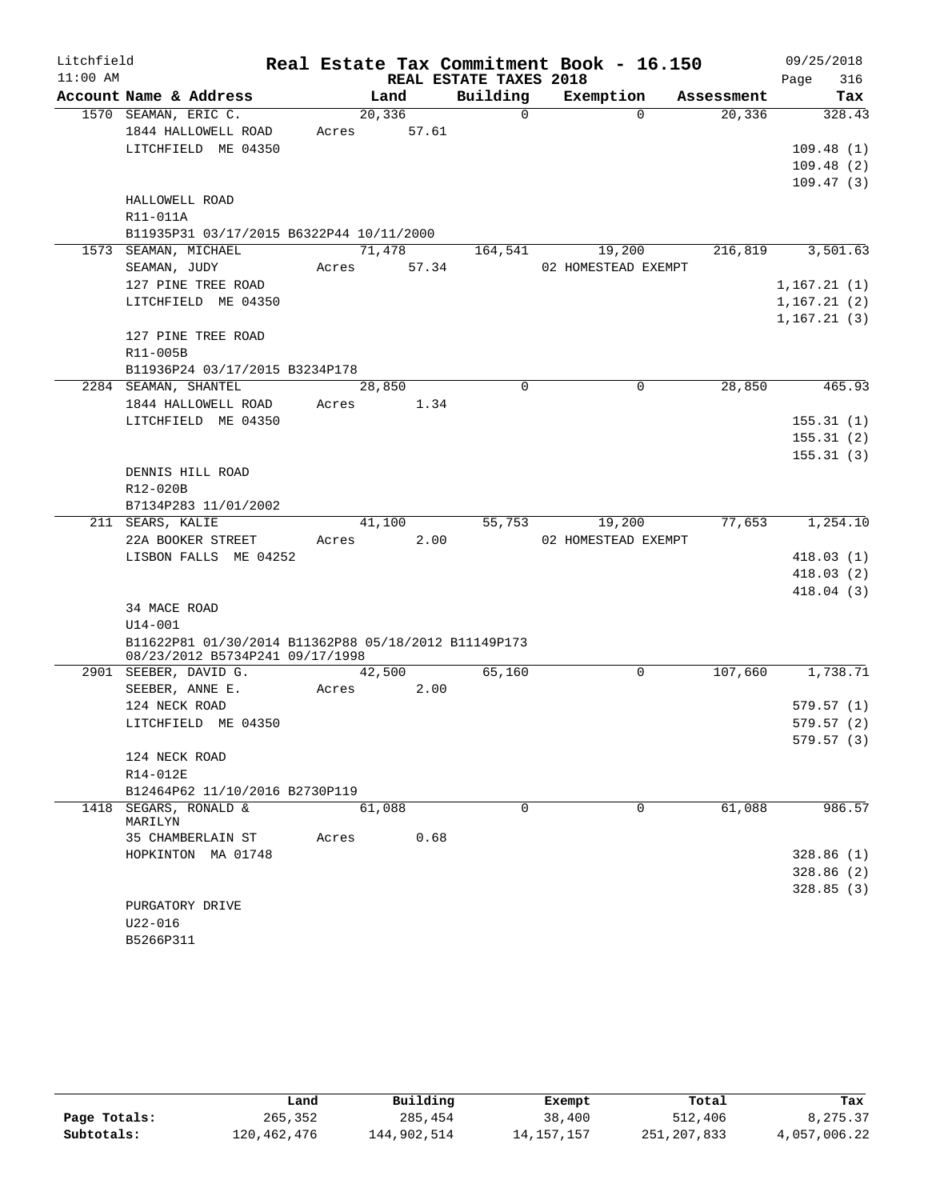| Litchfield |                                                      |       |         |                        | Real Estate Tax Commitment Book - 16.150 |            | 09/25/2018   |
|------------|------------------------------------------------------|-------|---------|------------------------|------------------------------------------|------------|--------------|
| $11:00$ AM |                                                      |       |         | REAL ESTATE TAXES 2018 |                                          |            | 316<br>Page  |
|            | Account Name & Address                               |       | Land    | Building               | Exemption                                | Assessment | Tax          |
|            | 1570 SEAMAN, ERIC C.                                 |       | 20, 336 | $\Omega$               | $\Omega$                                 | 20,336     | 328.43       |
|            | 1844 HALLOWELL ROAD                                  | Acres | 57.61   |                        |                                          |            |              |
|            | LITCHFIELD ME 04350                                  |       |         |                        |                                          |            | 109.48(1)    |
|            |                                                      |       |         |                        |                                          |            | 109.48(2)    |
|            |                                                      |       |         |                        |                                          |            | 109.47(3)    |
|            | HALLOWELL ROAD                                       |       |         |                        |                                          |            |              |
|            | R11-011A                                             |       |         |                        |                                          |            |              |
|            | B11935P31 03/17/2015 B6322P44 10/11/2000             |       |         |                        |                                          |            |              |
|            | 1573 SEAMAN, MICHAEL                                 |       | 71,478  | 164,541                | 19,200<br>02 HOMESTEAD EXEMPT            | 216,819    | 3,501.63     |
|            | SEAMAN, JUDY                                         | Acres | 57.34   |                        |                                          |            |              |
|            | 127 PINE TREE ROAD                                   |       |         |                        |                                          |            | 1, 167.21(1) |
|            | LITCHFIELD ME 04350                                  |       |         |                        |                                          |            | 1, 167.21(2) |
|            | 127 PINE TREE ROAD                                   |       |         |                        |                                          |            | 1, 167.21(3) |
|            | R11-005B                                             |       |         |                        |                                          |            |              |
|            | B11936P24 03/17/2015 B3234P178                       |       |         |                        |                                          |            |              |
|            | 2284 SEAMAN, SHANTEL                                 |       | 28,850  | $\Omega$               | $\Omega$                                 | 28,850     | 465.93       |
|            | 1844 HALLOWELL ROAD                                  | Acres | 1.34    |                        |                                          |            |              |
|            | LITCHFIELD ME 04350                                  |       |         |                        |                                          |            | 155.31(1)    |
|            |                                                      |       |         |                        |                                          |            | 155.31(2)    |
|            |                                                      |       |         |                        |                                          |            | 155.31(3)    |
|            | DENNIS HILL ROAD                                     |       |         |                        |                                          |            |              |
|            | R12-020B                                             |       |         |                        |                                          |            |              |
|            | B7134P283 11/01/2002                                 |       |         |                        |                                          |            |              |
|            | 211 SEARS, KALIE                                     |       | 41,100  | 55,753                 | 19,200                                   | 77,653     | 1,254.10     |
|            | 22A BOOKER STREET                                    | Acres | 2.00    |                        | 02 HOMESTEAD EXEMPT                      |            |              |
|            | LISBON FALLS ME 04252                                |       |         |                        |                                          |            | 418.03(1)    |
|            |                                                      |       |         |                        |                                          |            | 418.03(2)    |
|            |                                                      |       |         |                        |                                          |            | 418.04(3)    |
|            | 34 MACE ROAD                                         |       |         |                        |                                          |            |              |
|            | $U14 - 001$                                          |       |         |                        |                                          |            |              |
|            | B11622P81 01/30/2014 B11362P88 05/18/2012 B11149P173 |       |         |                        |                                          |            |              |
|            | 08/23/2012 B5734P241 09/17/1998                      |       |         |                        |                                          |            |              |
|            | 2901 SEEBER, DAVID G.                                |       | 42,500  | 65,160                 | 0                                        | 107,660    | 1,738.71     |
|            | SEEBER, ANNE E.                                      | Acres | 2.00    |                        |                                          |            |              |
|            | 124 NECK ROAD                                        |       |         |                        |                                          |            | 579.57(1)    |
|            | LITCHFIELD ME 04350                                  |       |         |                        |                                          |            | 579.57(2)    |
|            |                                                      |       |         |                        |                                          |            | 579.57(3)    |
|            | 124 NECK ROAD                                        |       |         |                        |                                          |            |              |
|            | R14-012E                                             |       |         |                        |                                          |            |              |
|            | B12464P62 11/10/2016 B2730P119                       |       |         |                        |                                          |            |              |
|            | 1418 SEGARS, RONALD &<br>MARILYN                     |       | 61,088  | 0                      | 0                                        | 61,088     | 986.57       |
|            | 35 CHAMBERLAIN ST                                    | Acres | 0.68    |                        |                                          |            |              |
|            | HOPKINTON MA 01748                                   |       |         |                        |                                          |            | 328.86(1)    |
|            |                                                      |       |         |                        |                                          |            | 328.86(2)    |
|            |                                                      |       |         |                        |                                          |            | 328.85(3)    |
|            | PURGATORY DRIVE                                      |       |         |                        |                                          |            |              |
|            | $U22 - 016$                                          |       |         |                        |                                          |            |              |
|            | B5266P311                                            |       |         |                        |                                          |            |              |

|              | Land        | Building    | Exempt       | Total       | Tax          |
|--------------|-------------|-------------|--------------|-------------|--------------|
| Page Totals: | 265,352     | 285,454     | 38,400       | 512,406     | 8,275.37     |
| Subtotals:   | 120,462,476 | 144,902,514 | 14, 157, 157 | 251,207,833 | 4,057,006.22 |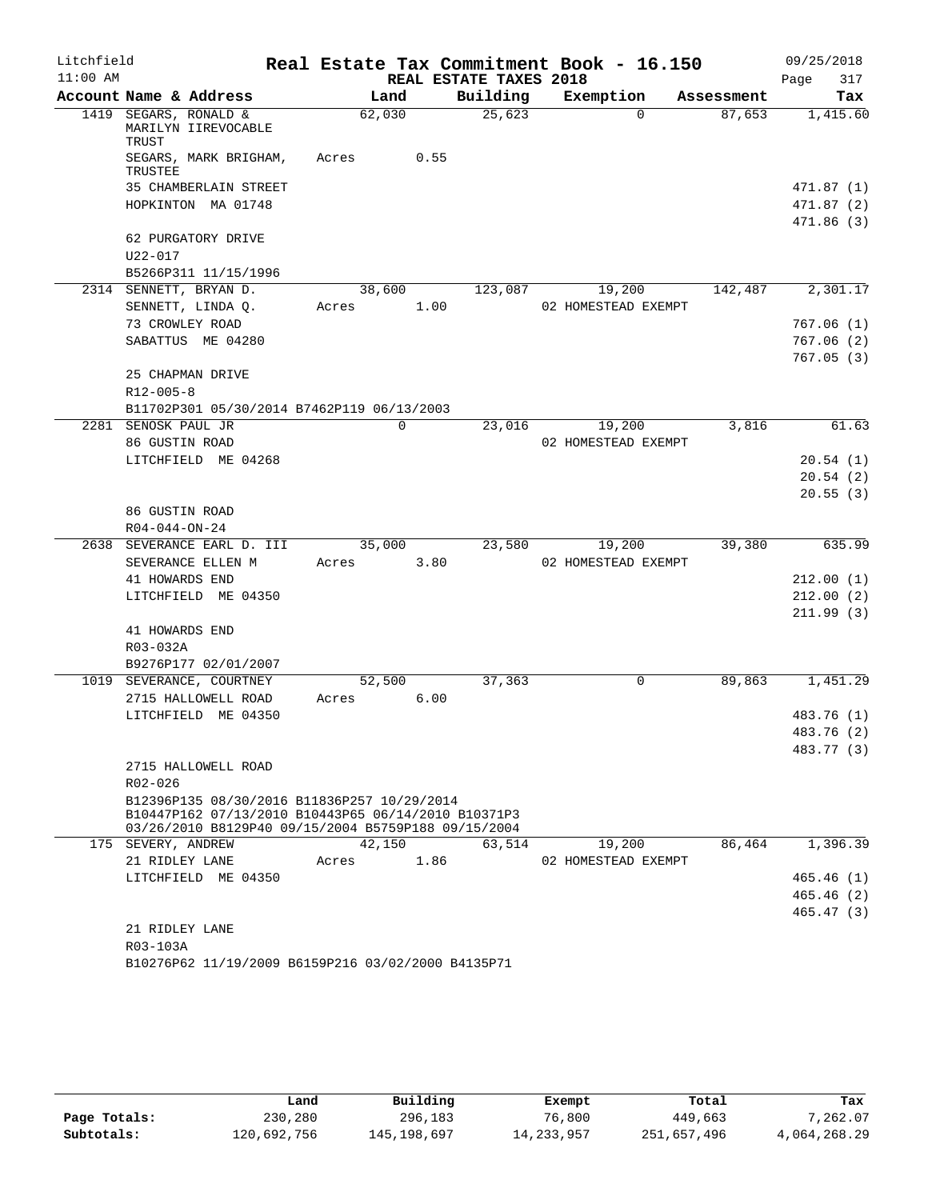| Litchfield |                                                                                                            |        |          |                        | Real Estate Tax Commitment Book - 16.150 |            | 09/25/2018             |
|------------|------------------------------------------------------------------------------------------------------------|--------|----------|------------------------|------------------------------------------|------------|------------------------|
| $11:00$ AM |                                                                                                            |        |          | REAL ESTATE TAXES 2018 |                                          |            | Page<br>317            |
|            | Account Name & Address                                                                                     | Land   |          | Building               | Exemption                                | Assessment | Tax                    |
|            | 1419 SEGARS, RONALD &<br>MARILYN IIREVOCABLE<br>TRUST                                                      | 62,030 |          | 25,623                 | $\Omega$                                 | 87,653     | 1,415.60               |
|            | SEGARS, MARK BRIGHAM,<br>TRUSTEE                                                                           | Acres  | 0.55     |                        |                                          |            |                        |
|            | 35 CHAMBERLAIN STREET                                                                                      |        |          |                        |                                          |            | 471.87 (1)             |
|            | HOPKINTON MA 01748                                                                                         |        |          |                        |                                          |            | 471.87 (2)             |
|            | 62 PURGATORY DRIVE                                                                                         |        |          |                        |                                          |            | 471.86(3)              |
|            | U22-017                                                                                                    |        |          |                        |                                          |            |                        |
|            | B5266P311 11/15/1996                                                                                       |        |          |                        |                                          |            |                        |
|            | 2314 SENNETT, BRYAN D.                                                                                     | 38,600 |          | 123,087                | 19,200                                   | 142,487    | 2,301.17               |
|            | SENNETT, LINDA Q.                                                                                          | Acres  | 1.00     |                        | 02 HOMESTEAD EXEMPT                      |            |                        |
|            | 73 CROWLEY ROAD                                                                                            |        |          |                        |                                          |            | 767.06(1)              |
|            | SABATTUS ME 04280                                                                                          |        |          |                        |                                          |            | 767.06(2)              |
|            |                                                                                                            |        |          |                        |                                          |            | 767.05(3)              |
|            | 25 CHAPMAN DRIVE                                                                                           |        |          |                        |                                          |            |                        |
|            | $R12 - 005 - 8$                                                                                            |        |          |                        |                                          |            |                        |
|            | B11702P301 05/30/2014 B7462P119 06/13/2003                                                                 |        |          |                        |                                          |            |                        |
|            | 2281 SENOSK PAUL JR                                                                                        |        | $\Omega$ | 23,016                 | 19,200                                   | 3,816      | 61.63                  |
|            | 86 GUSTIN ROAD                                                                                             |        |          |                        | 02 HOMESTEAD EXEMPT                      |            |                        |
|            | LITCHFIELD ME 04268                                                                                        |        |          |                        |                                          |            | 20.54(1)               |
|            |                                                                                                            |        |          |                        |                                          |            | 20.54(2)               |
|            |                                                                                                            |        |          |                        |                                          |            | 20.55(3)               |
|            | 86 GUSTIN ROAD                                                                                             |        |          |                        |                                          |            |                        |
|            | $R04 - 044 - ON - 24$                                                                                      |        |          |                        |                                          |            |                        |
|            | 2638 SEVERANCE EARL D. III                                                                                 | 35,000 |          | 23,580                 | 19,200                                   | 39,380     | 635.99                 |
|            | SEVERANCE ELLEN M                                                                                          | Acres  | 3.80     |                        | 02 HOMESTEAD EXEMPT                      |            |                        |
|            | 41 HOWARDS END<br>LITCHFIELD ME 04350                                                                      |        |          |                        |                                          |            | 212.00(1)              |
|            |                                                                                                            |        |          |                        |                                          |            | 212.00(2)<br>211.99(3) |
|            | 41 HOWARDS END                                                                                             |        |          |                        |                                          |            |                        |
|            | R03-032A                                                                                                   |        |          |                        |                                          |            |                        |
|            | B9276P177 02/01/2007                                                                                       |        |          |                        |                                          |            |                        |
|            | 1019 SEVERANCE, COURTNEY                                                                                   | 52,500 |          | 37,363                 | 0                                        | 89,863     | 1,451.29               |
|            | 2715 HALLOWELL ROAD                                                                                        | Acres  | 6.00     |                        |                                          |            |                        |
|            | LITCHFIELD ME 04350                                                                                        |        |          |                        |                                          |            | 483.76 (1)             |
|            |                                                                                                            |        |          |                        |                                          |            | 483.76 (2)             |
|            |                                                                                                            |        |          |                        |                                          |            | 483.77 (3)             |
|            | 2715 HALLOWELL ROAD<br>$R02 - 026$                                                                         |        |          |                        |                                          |            |                        |
|            | B12396P135 08/30/2016 B11836P257 10/29/2014                                                                |        |          |                        |                                          |            |                        |
|            | B10447P162 07/13/2010 B10443P65 06/14/2010 B10371P3<br>03/26/2010 B8129P40 09/15/2004 B5759P188 09/15/2004 |        |          |                        |                                          |            |                        |
|            | 175 SEVERY, ANDREW                                                                                         | 42,150 |          | 63,514                 | 19,200                                   | 86,464     | 1,396.39               |
|            | 21 RIDLEY LANE                                                                                             | Acres  | 1.86     |                        | 02 HOMESTEAD EXEMPT                      |            |                        |
|            | LITCHFIELD ME 04350                                                                                        |        |          |                        |                                          |            | 465.46(1)              |
|            |                                                                                                            |        |          |                        |                                          |            | 465.46(2)              |
|            |                                                                                                            |        |          |                        |                                          |            | 465.47(3)              |
|            | 21 RIDLEY LANE                                                                                             |        |          |                        |                                          |            |                        |
|            | R03-103A                                                                                                   |        |          |                        |                                          |            |                        |
|            | B10276P62 11/19/2009 B6159P216 03/02/2000 B4135P71                                                         |        |          |                        |                                          |            |                        |

|              | Land        | Building    | Exempt       | Total       | Tax          |
|--------------|-------------|-------------|--------------|-------------|--------------|
| Page Totals: | 230,280     | 296,183     | 76,800       | 449,663     | 7,262.07     |
| Subtotals:   | 120,692,756 | 145,198,697 | 14, 233, 957 | 251,657,496 | 4,064,268.29 |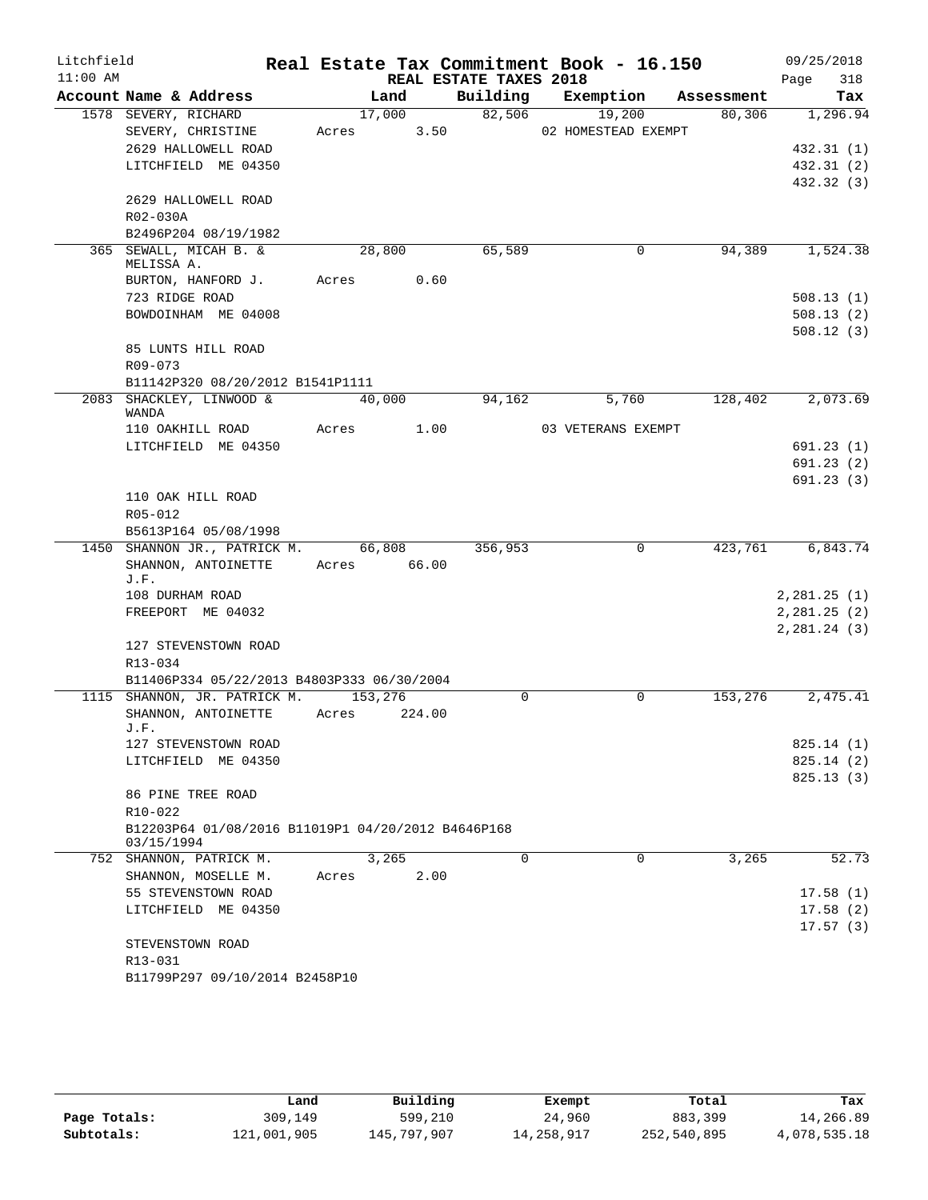| Litchfield |                                                              |             |         |        |                        | Real Estate Tax Commitment Book - 16.150 |             |            |              | 09/25/2018             |
|------------|--------------------------------------------------------------|-------------|---------|--------|------------------------|------------------------------------------|-------------|------------|--------------|------------------------|
| $11:00$ AM |                                                              |             |         |        | REAL ESTATE TAXES 2018 |                                          |             |            | Page         | 318                    |
|            | Account Name & Address                                       |             | Land    |        | Building               | Exemption                                |             | Assessment |              | Tax                    |
|            | 1578 SEVERY, RICHARD                                         |             | 17,000  |        | 82,506                 | 19,200                                   |             | 80,306     |              | 1,296.94               |
|            | SEVERY, CHRISTINE                                            | Acres       |         | 3.50   |                        | 02 HOMESTEAD EXEMPT                      |             |            |              |                        |
|            | 2629 HALLOWELL ROAD                                          |             |         |        |                        |                                          |             |            |              | 432.31(1)              |
|            | LITCHFIELD ME 04350                                          |             |         |        |                        |                                          |             |            |              | 432.31 (2)             |
|            | 2629 HALLOWELL ROAD                                          |             |         |        |                        |                                          |             |            |              | 432.32 (3)             |
|            | R02-030A                                                     |             |         |        |                        |                                          |             |            |              |                        |
|            | B2496P204 08/19/1982                                         |             |         |        |                        |                                          |             |            |              |                        |
|            | 365 SEWALL, MICAH B. &                                       |             | 28,800  |        | 65,589                 |                                          | $\mathbf 0$ | 94,389     |              | 1,524.38               |
|            | MELISSA A.                                                   |             |         |        |                        |                                          |             |            |              |                        |
|            | BURTON, HANFORD J.                                           | Acres       |         | 0.60   |                        |                                          |             |            |              |                        |
|            | 723 RIDGE ROAD                                               |             |         |        |                        |                                          |             |            |              | 508.13(1)              |
|            | BOWDOINHAM ME 04008                                          |             |         |        |                        |                                          |             |            |              | 508.13(2)              |
|            |                                                              |             |         |        |                        |                                          |             |            |              | 508.12(3)              |
|            | 85 LUNTS HILL ROAD                                           |             |         |        |                        |                                          |             |            |              |                        |
|            | R09-073                                                      |             |         |        |                        |                                          |             |            |              |                        |
|            | B11142P320 08/20/2012 B1541P1111<br>2083 SHACKLEY, LINWOOD & |             | 40,000  |        | 94,162                 | 5,760                                    |             | 128,402    |              | 2,073.69               |
|            | <b>WANDA</b>                                                 |             |         |        |                        |                                          |             |            |              |                        |
|            | 110 OAKHILL ROAD                                             | Acres       |         | 1.00   |                        | 03 VETERANS EXEMPT                       |             |            |              |                        |
|            | LITCHFIELD ME 04350                                          |             |         |        |                        |                                          |             |            |              | 691.23(1)              |
|            |                                                              |             |         |        |                        |                                          |             |            |              | 691.23(2)              |
|            |                                                              |             |         |        |                        |                                          |             |            |              | 691.23(3)              |
|            | 110 OAK HILL ROAD                                            |             |         |        |                        |                                          |             |            |              |                        |
|            | R05-012                                                      |             |         |        |                        |                                          |             |            |              |                        |
|            | B5613P164 05/08/1998                                         |             |         |        |                        |                                          |             |            |              |                        |
|            | 1450 SHANNON JR., PATRICK M.                                 |             | 66,808  |        | 356,953                |                                          | 0           | 423,761    |              | 6,843.74               |
|            | SHANNON, ANTOINETTE<br>J.F.                                  | Acres 66.00 |         |        |                        |                                          |             |            |              |                        |
|            | 108 DURHAM ROAD                                              |             |         |        |                        |                                          |             |            | 2,281.25(1)  |                        |
|            | FREEPORT ME 04032                                            |             |         |        |                        |                                          |             |            | 2,281.25(2)  |                        |
|            |                                                              |             |         |        |                        |                                          |             |            | 2, 281.24(3) |                        |
|            | 127 STEVENSTOWN ROAD                                         |             |         |        |                        |                                          |             |            |              |                        |
|            | $R13 - 034$                                                  |             |         |        |                        |                                          |             |            |              |                        |
|            | B11406P334 05/22/2013 B4803P333 06/30/2004                   |             |         |        |                        |                                          |             |            |              |                        |
|            | 1115 SHANNON, JR. PATRICK M.                                 |             | 153,276 |        | $\Omega$               |                                          | $\Omega$    | 153,276    |              | 2,475.41               |
|            | SHANNON, ANTOINETTE                                          | Acres       |         | 224.00 |                        |                                          |             |            |              |                        |
|            | J.F.                                                         |             |         |        |                        |                                          |             |            |              |                        |
|            | 127 STEVENSTOWN ROAD<br>LITCHFIELD ME 04350                  |             |         |        |                        |                                          |             |            |              | 825.14(1)<br>825.14(2) |
|            |                                                              |             |         |        |                        |                                          |             |            |              | 825.13(3)              |
|            | 86 PINE TREE ROAD                                            |             |         |        |                        |                                          |             |            |              |                        |
|            | $R10 - 022$                                                  |             |         |        |                        |                                          |             |            |              |                        |
|            | B12203P64 01/08/2016 B11019P1 04/20/2012 B4646P168           |             |         |        |                        |                                          |             |            |              |                        |
|            | 03/15/1994                                                   |             |         |        |                        |                                          |             |            |              |                        |
|            | 752 SHANNON, PATRICK M.                                      |             | 3,265   |        | $\Omega$               |                                          | 0           | 3,265      |              | 52.73                  |
|            | SHANNON, MOSELLE M.                                          | Acres       |         | 2.00   |                        |                                          |             |            |              |                        |
|            | 55 STEVENSTOWN ROAD                                          |             |         |        |                        |                                          |             |            |              | 17.58(1)               |
|            | LITCHFIELD ME 04350                                          |             |         |        |                        |                                          |             |            |              | 17.58(2)               |
|            |                                                              |             |         |        |                        |                                          |             |            |              | 17.57(3)               |
|            | STEVENSTOWN ROAD                                             |             |         |        |                        |                                          |             |            |              |                        |
|            | R13-031<br>B11799P297 09/10/2014 B2458P10                    |             |         |        |                        |                                          |             |            |              |                        |
|            |                                                              |             |         |        |                        |                                          |             |            |              |                        |

|              | Land        | Building    | Exempt     | Total       | Tax          |
|--------------|-------------|-------------|------------|-------------|--------------|
| Page Totals: | 309,149     | 599,210     | 24,960     | 883,399     | 14,266.89    |
| Subtotals:   | 121,001,905 | 145,797,907 | 14,258,917 | 252,540,895 | 4,078,535.18 |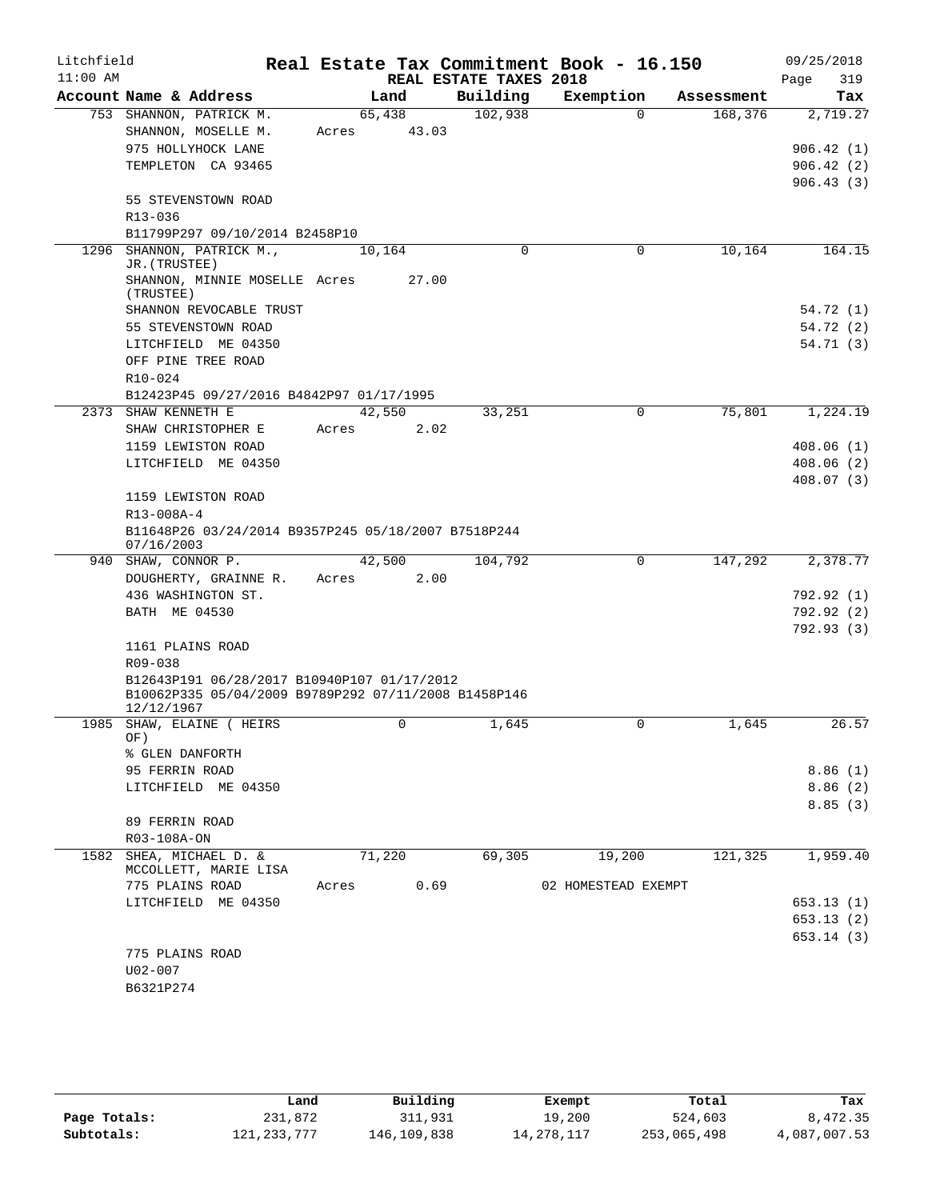| Litchfield<br>$11:00$ AM |                                                                        |       |                 | REAL ESTATE TAXES 2018 | Real Estate Tax Commitment Book - 16.150 |            | 09/25/2018<br>Page<br>319 |
|--------------------------|------------------------------------------------------------------------|-------|-----------------|------------------------|------------------------------------------|------------|---------------------------|
|                          | Account Name & Address                                                 |       | Land            | Building               | Exemption                                | Assessment | Tax                       |
|                          | 753 SHANNON, PATRICK M.<br>SHANNON, MOSELLE M.<br>975 HOLLYHOCK LANE   | Acres | 65,438<br>43.03 | 102,938                | $\Omega$                                 | 168,376    | 2,719.27<br>906.42(1)     |
|                          | TEMPLETON CA 93465                                                     |       |                 |                        |                                          |            | 906.42(2)<br>906.43(3)    |
|                          | 55 STEVENSTOWN ROAD<br>R13-036                                         |       |                 |                        |                                          |            |                           |
|                          | B11799P297 09/10/2014 B2458P10                                         |       |                 |                        |                                          |            |                           |
| 1296                     | SHANNON, PATRICK M.,<br>JR. (TRUSTEE)<br>SHANNON, MINNIE MOSELLE Acres |       | 10,164<br>27.00 | $\Omega$               | $\mathbf 0$                              | 10,164     | 164.15                    |
|                          | (TRUSTEE)<br>SHANNON REVOCABLE TRUST                                   |       |                 |                        |                                          |            | 54.72 (1)                 |
|                          | 55 STEVENSTOWN ROAD                                                    |       |                 |                        |                                          |            | 54.72 (2)                 |
|                          | LITCHFIELD ME 04350                                                    |       |                 |                        |                                          |            | 54.71(3)                  |
|                          | OFF PINE TREE ROAD                                                     |       |                 |                        |                                          |            |                           |
|                          | R10-024                                                                |       |                 |                        |                                          |            |                           |
|                          | B12423P45 09/27/2016 B4842P97 01/17/1995                               |       |                 |                        |                                          |            |                           |
| 2373                     | SHAW KENNETH E                                                         |       | 42,550          | 33,251                 | 0                                        | 75,801     | 1,224.19                  |
|                          | SHAW CHRISTOPHER E                                                     | Acres | 2.02            |                        |                                          |            |                           |
|                          | 1159 LEWISTON ROAD                                                     |       |                 |                        |                                          |            | 408.06(1)                 |
|                          | LITCHFIELD ME 04350                                                    |       |                 |                        |                                          |            | 408.06(2)                 |
|                          |                                                                        |       |                 |                        |                                          |            | 408.07(3)                 |
|                          | 1159 LEWISTON ROAD<br>R13-008A-4                                       |       |                 |                        |                                          |            |                           |
|                          | B11648P26 03/24/2014 B9357P245 05/18/2007 B7518P244<br>07/16/2003      |       |                 |                        |                                          |            |                           |
|                          | 940 SHAW, CONNOR P.                                                    |       | 42,500          | 104,792                | 0                                        | 147,292    | 2,378.77                  |
|                          | DOUGHERTY, GRAINNE R.                                                  | Acres | 2.00            |                        |                                          |            |                           |
|                          | 436 WASHINGTON ST.                                                     |       |                 |                        |                                          |            | 792.92 (1)                |
|                          | BATH ME 04530                                                          |       |                 |                        |                                          |            | 792.92 (2)<br>792.93(3)   |
|                          | 1161 PLAINS ROAD<br>R09-038                                            |       |                 |                        |                                          |            |                           |
|                          | B12643P191 06/28/2017 B10940P107 01/17/2012                            |       |                 |                        |                                          |            |                           |
|                          | B10062P335 05/04/2009 B9789P292 07/11/2008 B1458P146<br>12/12/1967     |       |                 |                        |                                          |            |                           |
|                          | 1985 SHAW, ELAINE ( HEIRS<br>OF)                                       |       | 0               | 1,645                  | 0                                        | 1,645      | 26.57                     |
|                          | % GLEN DANFORTH                                                        |       |                 |                        |                                          |            |                           |
|                          | 95 FERRIN ROAD                                                         |       |                 |                        |                                          |            | 8.86(1)                   |
|                          | LITCHFIELD ME 04350                                                    |       |                 |                        |                                          |            | 8.86(2)<br>8.85(3)        |
|                          | 89 FERRIN ROAD                                                         |       |                 |                        |                                          |            |                           |
|                          | R03-108A-ON                                                            |       |                 |                        |                                          |            |                           |
|                          | 1582 SHEA, MICHAEL D. &                                                |       | 71,220          | 69,305                 | 19,200                                   | 121,325    | 1,959.40                  |
|                          | MCCOLLETT, MARIE LISA<br>775 PLAINS ROAD                               | Acres | 0.69            |                        | 02 HOMESTEAD EXEMPT                      |            |                           |
|                          | LITCHFIELD ME 04350                                                    |       |                 |                        |                                          |            | 653.13(1)                 |
|                          |                                                                        |       |                 |                        |                                          |            | 653.13(2)                 |
|                          |                                                                        |       |                 |                        |                                          |            | 653.14(3)                 |
|                          | 775 PLAINS ROAD                                                        |       |                 |                        |                                          |            |                           |
|                          | $U02 - 007$                                                            |       |                 |                        |                                          |            |                           |
|                          | B6321P274                                                              |       |                 |                        |                                          |            |                           |

|              | Land          | Building    | Exempt       | Total       | Tax          |
|--------------|---------------|-------------|--------------|-------------|--------------|
| Page Totals: | 231,872       | 311,931     | 19,200       | 524,603     | 8,472.35     |
| Subtotals:   | 121, 233, 777 | 146,109,838 | 14, 278, 117 | 253,065,498 | 4,087,007.53 |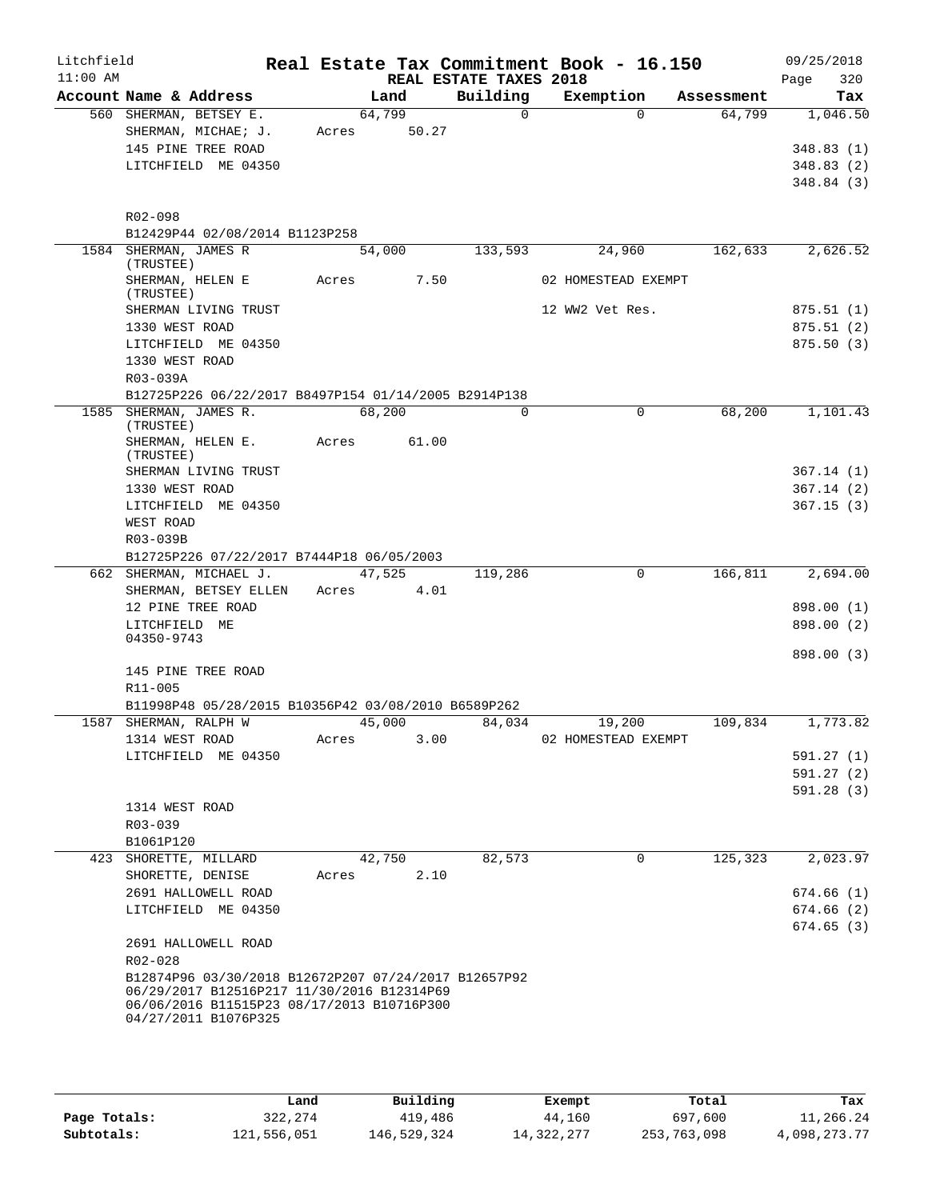| Litchfield<br>$11:00$ AM |                                                                    |       |        | REAL ESTATE TAXES 2018 | Real Estate Tax Commitment Book - 16.150 |            | 09/25/2018<br>320<br>Page |
|--------------------------|--------------------------------------------------------------------|-------|--------|------------------------|------------------------------------------|------------|---------------------------|
|                          | Account Name & Address                                             |       | Land   | Building               | Exemption                                | Assessment | Tax                       |
|                          | 560 SHERMAN, BETSEY E.                                             |       | 64,799 | $\mathbf 0$            | $\Omega$                                 | 64,799     | 1,046.50                  |
|                          | SHERMAN, MICHAE; J.                                                | Acres | 50.27  |                        |                                          |            |                           |
|                          | 145 PINE TREE ROAD                                                 |       |        |                        |                                          |            | 348.83(1)                 |
|                          | LITCHFIELD ME 04350                                                |       |        |                        |                                          |            | 348.83(2)                 |
|                          |                                                                    |       |        |                        |                                          |            | 348.84(3)                 |
|                          |                                                                    |       |        |                        |                                          |            |                           |
|                          | R02-098                                                            |       |        |                        |                                          |            |                           |
|                          | B12429P44 02/08/2014 B1123P258                                     |       |        |                        |                                          |            |                           |
|                          | 1584 SHERMAN, JAMES R<br>(TRUSTEE)                                 |       | 54,000 | 133,593                | 24,960                                   | 162,633    | 2,626.52                  |
|                          | SHERMAN, HELEN E                                                   | Acres | 7.50   |                        | 02 HOMESTEAD EXEMPT                      |            |                           |
|                          | (TRUSTEE)                                                          |       |        |                        |                                          |            |                           |
|                          | SHERMAN LIVING TRUST                                               |       |        |                        | 12 WW2 Vet Res.                          |            | 875.51(1)                 |
|                          | 1330 WEST ROAD                                                     |       |        |                        |                                          |            | 875.51(2)                 |
|                          | LITCHFIELD ME 04350                                                |       |        |                        |                                          |            | 875.50(3)                 |
|                          | 1330 WEST ROAD                                                     |       |        |                        |                                          |            |                           |
|                          | R03-039A                                                           |       |        |                        |                                          |            |                           |
|                          | B12725P226 06/22/2017 B8497P154 01/14/2005 B2914P138               |       | 68,200 | $\Omega$               | $\Omega$                                 | 68,200     |                           |
|                          | 1585 SHERMAN, JAMES R.<br>(TRUSTEE)                                |       |        |                        |                                          |            | 1,101.43                  |
|                          | SHERMAN, HELEN E.                                                  | Acres | 61.00  |                        |                                          |            |                           |
|                          | (TRUSTEE)                                                          |       |        |                        |                                          |            |                           |
|                          | SHERMAN LIVING TRUST                                               |       |        |                        |                                          |            | 367.14(1)                 |
|                          | 1330 WEST ROAD                                                     |       |        |                        |                                          |            | 367.14(2)                 |
|                          | LITCHFIELD ME 04350                                                |       |        |                        |                                          |            | 367.15(3)                 |
|                          | WEST ROAD<br>R03-039B                                              |       |        |                        |                                          |            |                           |
|                          | B12725P226 07/22/2017 B7444P18 06/05/2003                          |       |        |                        |                                          |            |                           |
|                          | 662 SHERMAN, MICHAEL J.                                            |       | 47,525 | 119,286                | $\Omega$                                 | 166, 811   | 2,694.00                  |
|                          | SHERMAN, BETSEY ELLEN                                              | Acres | 4.01   |                        |                                          |            |                           |
|                          | 12 PINE TREE ROAD                                                  |       |        |                        |                                          |            | 898.00 (1)                |
|                          | LITCHFIELD ME                                                      |       |        |                        |                                          |            | 898.00 (2)                |
|                          | 04350-9743                                                         |       |        |                        |                                          |            |                           |
|                          |                                                                    |       |        |                        |                                          |            | 898.00 (3)                |
|                          | 145 PINE TREE ROAD<br>R11-005                                      |       |        |                        |                                          |            |                           |
|                          | B11998P48 05/28/2015 B10356P42 03/08/2010 B6589P262                |       |        |                        |                                          |            |                           |
|                          | 1587 SHERMAN, RALPH W                                              |       | 45,000 | 84,034                 | 19,200                                   | 109,834    | 1,773.82                  |
|                          | 1314 WEST ROAD                                                     | Acres | 3.00   |                        | 02 HOMESTEAD EXEMPT                      |            |                           |
|                          | LITCHFIELD ME 04350                                                |       |        |                        |                                          |            | 591.27 (1)                |
|                          |                                                                    |       |        |                        |                                          |            | 591.27(2)                 |
|                          |                                                                    |       |        |                        |                                          |            | 591.28(3)                 |
|                          | 1314 WEST ROAD                                                     |       |        |                        |                                          |            |                           |
|                          | R03-039                                                            |       |        |                        |                                          |            |                           |
|                          | B1061P120                                                          |       |        |                        |                                          |            |                           |
| 423                      | SHORETTE, MILLARD                                                  |       | 42,750 | 82,573                 | $\mathbf 0$                              | 125,323    | 2,023.97                  |
|                          | SHORETTE, DENISE                                                   | Acres | 2.10   |                        |                                          |            |                           |
|                          | 2691 HALLOWELL ROAD<br>LITCHFIELD ME 04350                         |       |        |                        |                                          |            | 674.66(1)<br>674.66(2)    |
|                          |                                                                    |       |        |                        |                                          |            | 674.65(3)                 |
|                          | 2691 HALLOWELL ROAD                                                |       |        |                        |                                          |            |                           |
|                          | R02-028                                                            |       |        |                        |                                          |            |                           |
|                          | B12874P96 03/30/2018 B12672P207 07/24/2017 B12657P92               |       |        |                        |                                          |            |                           |
|                          | 06/29/2017 B12516P217 11/30/2016 B12314P69                         |       |        |                        |                                          |            |                           |
|                          | 06/06/2016 B11515P23 08/17/2013 B10716P300<br>04/27/2011 B1076P325 |       |        |                        |                                          |            |                           |
|                          |                                                                    |       |        |                        |                                          |            |                           |
|                          |                                                                    |       |        |                        |                                          |            |                           |

|              | Land        | Building    | Exempt     | Total       | Tax          |
|--------------|-------------|-------------|------------|-------------|--------------|
| Page Totals: | 322,274     | 419,486     | 44,160     | 697,600     | 11,266.24    |
| Subtotals:   | 121,556,051 | 146,529,324 | 14,322,277 | 253,763,098 | 4,098,273.77 |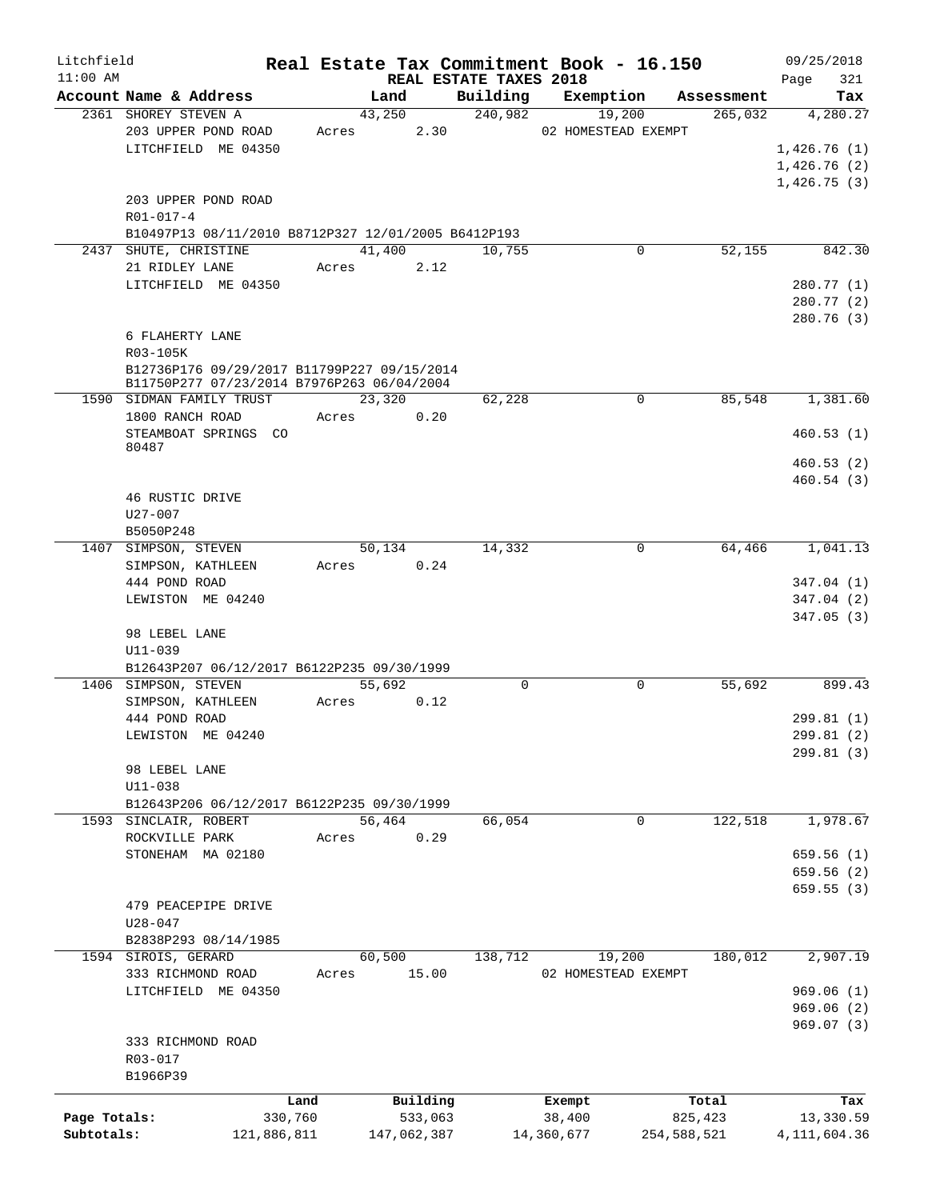| Litchfield   |                                                                                           |             |                      |             |                                    | Real Estate Tax Commitment Book - 16.150 |             |            | 09/25/2018     |            |
|--------------|-------------------------------------------------------------------------------------------|-------------|----------------------|-------------|------------------------------------|------------------------------------------|-------------|------------|----------------|------------|
| $11:00$ AM   | Account Name & Address                                                                    |             |                      | Land        | REAL ESTATE TAXES 2018<br>Building | Exemption                                |             | Assessment | Page           | 321<br>Tax |
|              | 2361 SHOREY STEVEN A                                                                      |             | 43,250               |             | 240,982                            | 19,200                                   |             | 265,032    | 4,280.27       |            |
|              | 203 UPPER POND ROAD                                                                       |             | Acres                | 2.30        |                                    | 02 HOMESTEAD EXEMPT                      |             |            |                |            |
|              | LITCHFIELD ME 04350                                                                       |             |                      |             |                                    |                                          |             |            | 1,426.76(1)    |            |
|              |                                                                                           |             |                      |             |                                    |                                          |             |            | 1,426.76(2)    |            |
|              |                                                                                           |             |                      |             |                                    |                                          |             |            | 1,426.75(3)    |            |
|              | 203 UPPER POND ROAD                                                                       |             |                      |             |                                    |                                          |             |            |                |            |
|              | R01-017-4                                                                                 |             |                      |             |                                    |                                          |             |            |                |            |
|              | B10497P13 08/11/2010 B8712P327 12/01/2005 B6412P193                                       |             |                      |             |                                    |                                          |             |            |                |            |
|              | 2437 SHUTE, CHRISTINE                                                                     |             | 41,400               |             | 10,755                             |                                          | 0           | 52,155     |                | 842.30     |
|              | 21 RIDLEY LANE                                                                            |             | Acres 2.12           |             |                                    |                                          |             |            |                |            |
|              | LITCHFIELD ME 04350                                                                       |             |                      |             |                                    |                                          |             |            | 280.77 (1)     |            |
|              |                                                                                           |             |                      |             |                                    |                                          |             |            | 280.77 (2)     |            |
|              |                                                                                           |             |                      |             |                                    |                                          |             |            | 280.76 (3)     |            |
|              | 6 FLAHERTY LANE                                                                           |             |                      |             |                                    |                                          |             |            |                |            |
|              | R03-105K                                                                                  |             |                      |             |                                    |                                          |             |            |                |            |
|              | B12736P176 09/29/2017 B11799P227 09/15/2014<br>B11750P277 07/23/2014 B7976P263 06/04/2004 |             |                      |             |                                    |                                          |             |            |                |            |
|              | 1590 SIDMAN FAMILY TRUST                                                                  |             | 23,320               |             | 62,228                             |                                          | 0           | 85,548     | 1,381.60       |            |
|              | 1800 RANCH ROAD                                                                           |             | Acres                | 0.20        |                                    |                                          |             |            |                |            |
|              | STEAMBOAT SPRINGS CO                                                                      |             |                      |             |                                    |                                          |             |            | 460.53(1)      |            |
|              | 80487                                                                                     |             |                      |             |                                    |                                          |             |            |                |            |
|              |                                                                                           |             |                      |             |                                    |                                          |             |            | 460.53(2)      |            |
|              |                                                                                           |             |                      |             |                                    |                                          |             |            | 460.54(3)      |            |
|              | 46 RUSTIC DRIVE                                                                           |             |                      |             |                                    |                                          |             |            |                |            |
|              | U27-007                                                                                   |             |                      |             |                                    |                                          |             |            |                |            |
|              | B5050P248                                                                                 |             |                      |             |                                    |                                          | 0           |            |                |            |
|              | 1407 SIMPSON, STEVEN<br>SIMPSON, KATHLEEN                                                 |             | 50,134<br>Acres 0.24 |             | 14,332                             |                                          |             | 64,466     | 1,041.13       |            |
|              | 444 POND ROAD                                                                             |             |                      |             |                                    |                                          |             |            | 347.04 (1)     |            |
|              | LEWISTON ME 04240                                                                         |             |                      |             |                                    |                                          |             |            | 347.04 (2)     |            |
|              |                                                                                           |             |                      |             |                                    |                                          |             |            | 347.05(3)      |            |
|              | 98 LEBEL LANE                                                                             |             |                      |             |                                    |                                          |             |            |                |            |
|              | U11-039                                                                                   |             |                      |             |                                    |                                          |             |            |                |            |
|              | B12643P207 06/12/2017 B6122P235 09/30/1999                                                |             |                      |             |                                    |                                          |             |            |                |            |
|              | 1406 SIMPSON, STEVEN                                                                      |             | 55,692               |             | $\mathbf 0$                        |                                          | $\mathbf 0$ | 55,692     |                | 899.43     |
|              | SIMPSON, KATHLEEN                                                                         |             | Acres                | 0.12        |                                    |                                          |             |            |                |            |
|              | 444 POND ROAD                                                                             |             |                      |             |                                    |                                          |             |            | 299.81 (1)     |            |
|              | LEWISTON ME 04240                                                                         |             |                      |             |                                    |                                          |             |            | 299.81 (2)     |            |
|              |                                                                                           |             |                      |             |                                    |                                          |             |            | 299.81 (3)     |            |
|              | 98 LEBEL LANE                                                                             |             |                      |             |                                    |                                          |             |            |                |            |
|              | $U11 - 038$                                                                               |             |                      |             |                                    |                                          |             |            |                |            |
|              | B12643P206 06/12/2017 B6122P235 09/30/1999<br>1593 SINCLAIR, ROBERT                       |             | 56,464               |             | 66,054                             |                                          | 0           | 122,518    | 1,978.67       |            |
|              | ROCKVILLE PARK                                                                            |             | Acres                | 0.29        |                                    |                                          |             |            |                |            |
|              | STONEHAM MA 02180                                                                         |             |                      |             |                                    |                                          |             |            | 659.56(1)      |            |
|              |                                                                                           |             |                      |             |                                    |                                          |             |            | 659.56(2)      |            |
|              |                                                                                           |             |                      |             |                                    |                                          |             |            | 659.55(3)      |            |
|              | 479 PEACEPIPE DRIVE                                                                       |             |                      |             |                                    |                                          |             |            |                |            |
|              | $U28 - 047$                                                                               |             |                      |             |                                    |                                          |             |            |                |            |
|              | B2838P293 08/14/1985                                                                      |             |                      |             |                                    |                                          |             |            |                |            |
|              | 1594 SIROIS, GERARD                                                                       |             | 60,500               |             | 138,712                            | 19,200                                   |             | 180,012    | 2,907.19       |            |
|              | 333 RICHMOND ROAD                                                                         |             | Acres                | 15.00       |                                    | 02 HOMESTEAD EXEMPT                      |             |            |                |            |
|              | LITCHFIELD ME 04350                                                                       |             |                      |             |                                    |                                          |             |            | 969.06(1)      |            |
|              |                                                                                           |             |                      |             |                                    |                                          |             |            | 969.06(2)      |            |
|              |                                                                                           |             |                      |             |                                    |                                          |             |            | 969.07(3)      |            |
|              | 333 RICHMOND ROAD                                                                         |             |                      |             |                                    |                                          |             |            |                |            |
|              | R03-017                                                                                   |             |                      |             |                                    |                                          |             |            |                |            |
|              | B1966P39                                                                                  |             |                      |             |                                    |                                          |             |            |                |            |
|              |                                                                                           | Land        |                      | Building    |                                    | Exempt                                   | Total       |            |                | Tax        |
| Page Totals: |                                                                                           | 330,760     |                      | 533,063     |                                    | 38,400                                   | 825,423     |            | 13,330.59      |            |
| Subtotals:   |                                                                                           | 121,886,811 |                      | 147,062,387 |                                    | 14,360,677                               | 254,588,521 |            | 4, 111, 604.36 |            |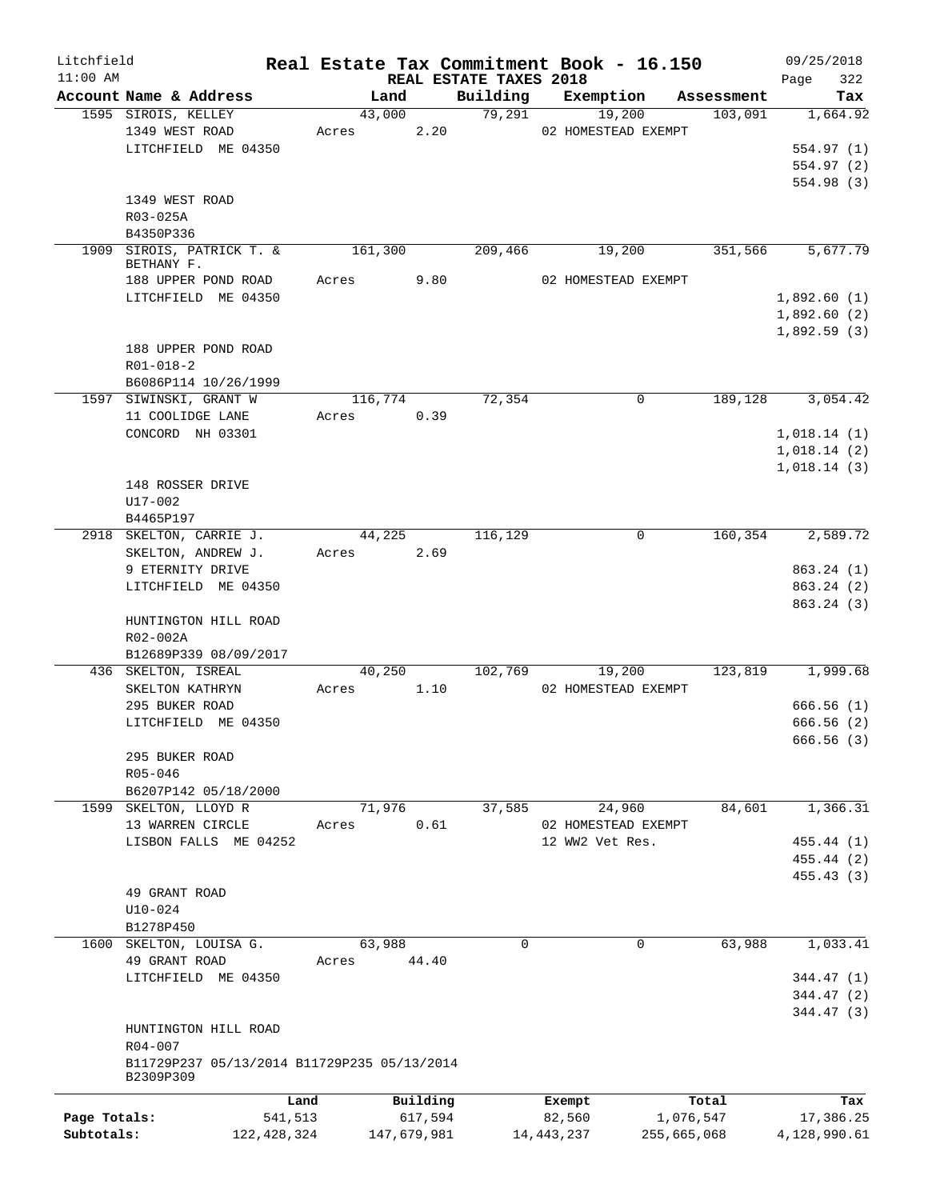| Litchfield   |                                               |               |                |             |                        | Real Estate Tax Commitment Book - 16.150 |                       | 09/25/2018              |
|--------------|-----------------------------------------------|---------------|----------------|-------------|------------------------|------------------------------------------|-----------------------|-------------------------|
| $11:00$ AM   |                                               |               |                |             | REAL ESTATE TAXES 2018 |                                          |                       | 322<br>Page             |
|              | Account Name & Address<br>1595 SIROIS, KELLEY |               | Land<br>43,000 |             | Building<br>79,291     | Exemption<br>19,200                      | Assessment<br>103,091 | Tax<br>1,664.92         |
|              | 1349 WEST ROAD                                |               | Acres          | 2.20        |                        | 02 HOMESTEAD EXEMPT                      |                       |                         |
|              | LITCHFIELD ME 04350                           |               |                |             |                        |                                          |                       | 554.97(1)               |
|              |                                               |               |                |             |                        |                                          |                       | 554.97(2)               |
|              |                                               |               |                |             |                        |                                          |                       | 554.98 (3)              |
|              | 1349 WEST ROAD                                |               |                |             |                        |                                          |                       |                         |
|              | R03-025A                                      |               |                |             |                        |                                          |                       |                         |
|              | B4350P336                                     |               |                |             |                        |                                          |                       |                         |
| 1909         | SIROIS, PATRICK T. &                          |               | 161,300        |             | 209,466                | 19,200                                   | 351,566               | 5,677.79                |
|              | BETHANY F.<br>188 UPPER POND ROAD             |               | Acres          | 9.80        |                        | 02 HOMESTEAD EXEMPT                      |                       |                         |
|              | LITCHFIELD ME 04350                           |               |                |             |                        |                                          |                       | 1,892.60(1)             |
|              |                                               |               |                |             |                        |                                          |                       | 1,892.60(2)             |
|              |                                               |               |                |             |                        |                                          |                       | 1,892.59(3)             |
|              | 188 UPPER POND ROAD                           |               |                |             |                        |                                          |                       |                         |
|              | $R01 - 018 - 2$                               |               |                |             |                        |                                          |                       |                         |
|              | B6086P114 10/26/1999                          |               |                |             |                        |                                          |                       |                         |
|              | 1597 SIWINSKI, GRANT W                        |               | 116,774        |             | 72,354                 | 0                                        | 189,128               | 3,054.42                |
|              | 11 COOLIDGE LANE                              |               | Acres          | 0.39        |                        |                                          |                       |                         |
|              | CONCORD NH 03301                              |               |                |             |                        |                                          |                       | 1,018.14(1)             |
|              |                                               |               |                |             |                        |                                          |                       | 1,018.14(2)             |
|              |                                               |               |                |             |                        |                                          |                       | 1,018.14(3)             |
|              | 148 ROSSER DRIVE                              |               |                |             |                        |                                          |                       |                         |
|              | U17-002                                       |               |                |             |                        |                                          |                       |                         |
|              | B4465P197                                     |               |                |             |                        |                                          |                       |                         |
|              | 2918 SKELTON, CARRIE J.                       |               | 44,225         |             | 116,129                | 0                                        | 160,354               | 2,589.72                |
|              | SKELTON, ANDREW J.                            |               | Acres          | 2.69        |                        |                                          |                       |                         |
|              | 9 ETERNITY DRIVE                              |               |                |             |                        |                                          |                       | 863.24(1)               |
|              | LITCHFIELD ME 04350                           |               |                |             |                        |                                          |                       | 863.24 (2)              |
|              |                                               |               |                |             |                        |                                          |                       | 863.24 (3)              |
|              | HUNTINGTON HILL ROAD                          |               |                |             |                        |                                          |                       |                         |
|              | R02-002A                                      |               |                |             |                        |                                          |                       |                         |
|              | B12689P339 08/09/2017                         |               |                |             |                        |                                          |                       |                         |
|              | 436 SKELTON, ISREAL                           |               | 40,250         |             | 102,769                | 19,200                                   | 123,819               | 1,999.68                |
|              | SKELTON KATHRYN                               |               | Acres          | 1.10        |                        | 02 HOMESTEAD EXEMPT                      |                       |                         |
|              | 295 BUKER ROAD                                |               |                |             |                        |                                          |                       | 666.56(1)               |
|              | LITCHFIELD ME 04350                           |               |                |             |                        |                                          |                       | 666.56(2)<br>666.56 (3) |
|              | 295 BUKER ROAD                                |               |                |             |                        |                                          |                       |                         |
|              | R05-046                                       |               |                |             |                        |                                          |                       |                         |
|              | B6207P142 05/18/2000                          |               |                |             |                        |                                          |                       |                         |
|              | 1599 SKELTON, LLOYD R                         |               | 71,976         |             | 37,585                 | 24,960                                   | 84,601                | 1,366.31                |
|              | 13 WARREN CIRCLE                              |               | Acres          | 0.61        |                        | 02 HOMESTEAD EXEMPT                      |                       |                         |
|              | LISBON FALLS ME 04252                         |               |                |             |                        | 12 WW2 Vet Res.                          |                       | 455.44 (1)              |
|              |                                               |               |                |             |                        |                                          |                       | 455.44 (2)              |
|              |                                               |               |                |             |                        |                                          |                       | 455.43 (3)              |
|              | 49 GRANT ROAD                                 |               |                |             |                        |                                          |                       |                         |
|              | $U10 - 024$                                   |               |                |             |                        |                                          |                       |                         |
|              | B1278P450                                     |               |                |             |                        |                                          |                       |                         |
|              | 1600 SKELTON, LOUISA G.                       |               | 63,988         |             | $\Omega$               | 0                                        | 63,988                | 1,033.41                |
|              | 49 GRANT ROAD                                 |               | Acres          | 44.40       |                        |                                          |                       |                         |
|              | LITCHFIELD ME 04350                           |               |                |             |                        |                                          |                       | 344.47 (1)              |
|              |                                               |               |                |             |                        |                                          |                       | 344.47 (2)              |
|              |                                               |               |                |             |                        |                                          |                       | 344.47 (3)              |
|              | HUNTINGTON HILL ROAD                          |               |                |             |                        |                                          |                       |                         |
|              | R04-007                                       |               |                |             |                        |                                          |                       |                         |
|              | B11729P237 05/13/2014 B11729P235 05/13/2014   |               |                |             |                        |                                          |                       |                         |
|              | B2309P309                                     |               |                |             |                        |                                          |                       |                         |
|              |                                               | Land          |                | Building    |                        | Exempt                                   | Total                 | Tax                     |
| Page Totals: |                                               | 541,513       |                | 617,594     |                        | 82,560                                   | 1,076,547             | 17,386.25               |
| Subtotals:   |                                               | 122, 428, 324 |                | 147,679,981 |                        | 14, 443, 237                             | 255,665,068           | 4,128,990.61            |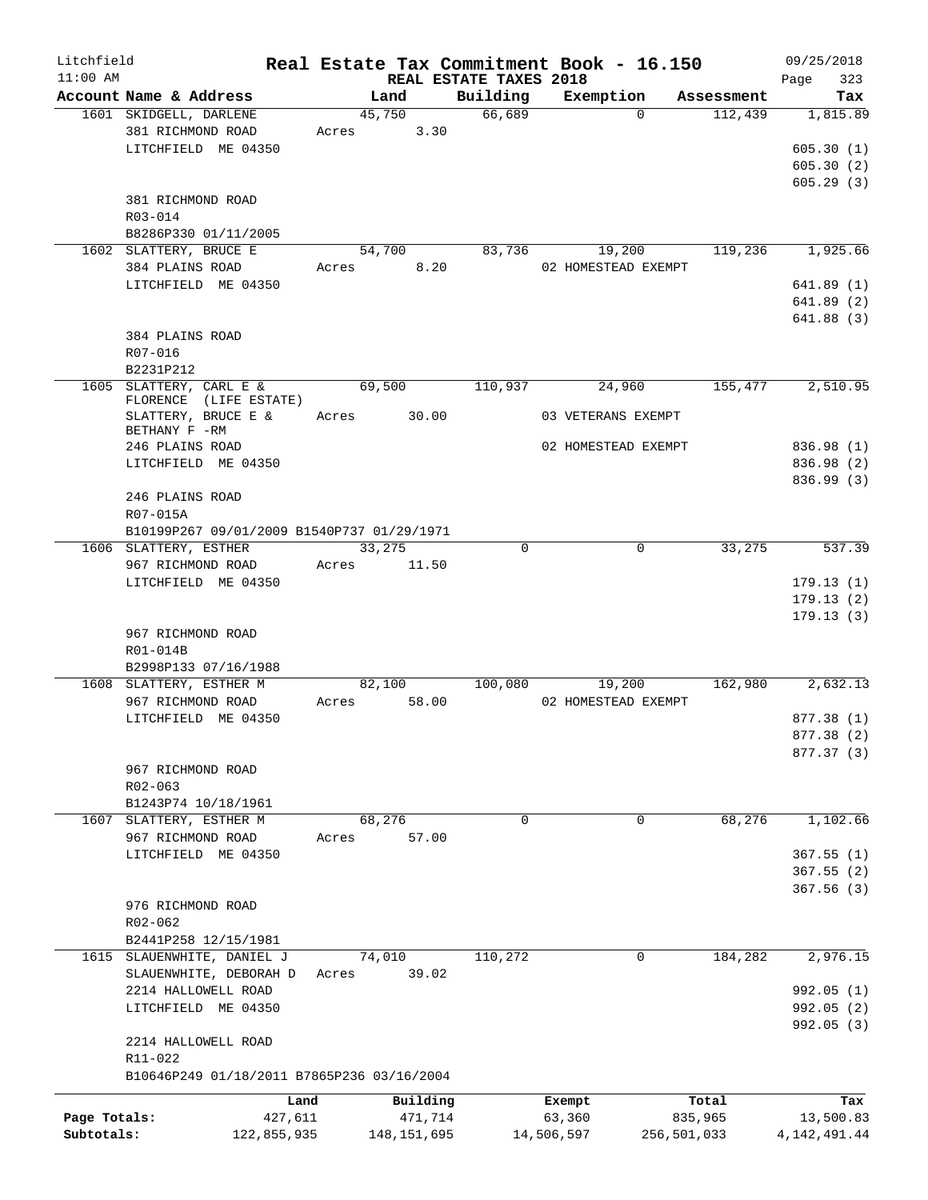| Litchfield<br>$11:00$ AM |                                                                    |                          | REAL ESTATE TAXES 2018 | Real Estate Tax Commitment Book - 16.150 |                  | 09/25/2018<br>323<br>Page |
|--------------------------|--------------------------------------------------------------------|--------------------------|------------------------|------------------------------------------|------------------|---------------------------|
|                          | Account Name & Address                                             | Land                     | Building               | Exemption                                | Assessment       | Tax                       |
|                          | 1601 SKIDGELL, DARLENE<br>381 RICHMOND ROAD<br>LITCHFIELD ME 04350 | 45,750<br>3.30<br>Acres  | 66,689                 | $\Omega$                                 | 112,439          | 1,815.89<br>605.30(1)     |
|                          |                                                                    |                          |                        |                                          |                  | 605.30(2)<br>605.29(3)    |
|                          | 381 RICHMOND ROAD<br>$R03 - 014$                                   |                          |                        |                                          |                  |                           |
|                          | B8286P330 01/11/2005                                               |                          |                        |                                          |                  |                           |
|                          | 1602 SLATTERY, BRUCE E<br>384 PLAINS ROAD                          | 54,700<br>8.20<br>Acres  | 83,736                 | 19,200<br>02 HOMESTEAD EXEMPT            | 119,236          | 1,925.66                  |
|                          | LITCHFIELD ME 04350                                                |                          |                        |                                          |                  | 641.89(1)                 |
|                          |                                                                    |                          |                        |                                          |                  | 641.89(2)<br>641.88(3)    |
|                          | 384 PLAINS ROAD                                                    |                          |                        |                                          |                  |                           |
|                          | R07-016                                                            |                          |                        |                                          |                  |                           |
|                          | B2231P212<br>1605 SLATTERY, CARL E &                               | 69,500                   | 110,937                | 24,960                                   | 155,477          | 2,510.95                  |
|                          | FLORENCE (LIFE ESTATE)<br>SLATTERY, BRUCE E &                      | 30.00<br>Acres           |                        | 03 VETERANS EXEMPT                       |                  |                           |
|                          | BETHANY F -RM<br>246 PLAINS ROAD                                   |                          |                        | 02 HOMESTEAD EXEMPT                      |                  | 836.98 (1)                |
|                          | LITCHFIELD ME 04350                                                |                          |                        |                                          |                  | 836.98 (2)                |
|                          |                                                                    |                          |                        |                                          |                  | 836.99 (3)                |
|                          | 246 PLAINS ROAD<br>R07-015A                                        |                          |                        |                                          |                  |                           |
|                          | B10199P267 09/01/2009 B1540P737 01/29/1971                         |                          |                        |                                          |                  |                           |
|                          | 1606 SLATTERY, ESTHER<br>967 RICHMOND ROAD                         | 33,275<br>Acres<br>11.50 | $\mathbf 0$            | $\mathbf 0$                              | 33,275           | 537.39                    |
|                          | LITCHFIELD ME 04350                                                |                          |                        |                                          |                  | 179.13(1)                 |
|                          |                                                                    |                          |                        |                                          |                  | 179.13(2)                 |
|                          | 967 RICHMOND ROAD                                                  |                          |                        |                                          |                  | 179.13(3)                 |
|                          | R01-014B                                                           |                          |                        |                                          |                  |                           |
|                          | B2998P133 07/16/1988                                               |                          |                        |                                          |                  |                           |
|                          | 1608 SLATTERY, ESTHER M                                            | 82,100                   | 100,080                | 19,200                                   | 162,980          | 2,632.13                  |
|                          | 967 RICHMOND ROAD                                                  | 58.00<br>Acres           |                        | 02 HOMESTEAD EXEMPT                      |                  |                           |
|                          | LITCHFIELD ME 04350                                                |                          |                        |                                          |                  | 877.38 (1)<br>877.38 (2)  |
|                          |                                                                    |                          |                        |                                          |                  | 877.37 (3)                |
|                          | 967 RICHMOND ROAD                                                  |                          |                        |                                          |                  |                           |
|                          | R02-063                                                            |                          |                        |                                          |                  |                           |
|                          | B1243P74 10/18/1961                                                |                          |                        |                                          |                  |                           |
| 1607                     | SLATTERY, ESTHER M                                                 | 68,276                   | $\mathbf 0$            | 0                                        | 68,276           | 1,102.66                  |
|                          | 967 RICHMOND ROAD<br>LITCHFIELD ME 04350                           | 57.00<br>Acres           |                        |                                          |                  | 367.55(1)                 |
|                          |                                                                    |                          |                        |                                          |                  | 367.55(2)                 |
|                          |                                                                    |                          |                        |                                          |                  | 367.56(3)                 |
|                          | 976 RICHMOND ROAD                                                  |                          |                        |                                          |                  |                           |
|                          | R02-062                                                            |                          |                        |                                          |                  |                           |
|                          | B2441P258 12/15/1981                                               |                          |                        |                                          |                  |                           |
|                          | 1615 SLAUENWHITE, DANIEL J<br>SLAUENWHITE, DEBORAH D               | 74,010<br>39.02<br>Acres | 110,272                | 0                                        | 184,282          | 2,976.15                  |
|                          | 2214 HALLOWELL ROAD                                                |                          |                        |                                          |                  | 992.05 (1)                |
|                          | LITCHFIELD ME 04350                                                |                          |                        |                                          |                  | 992.05(2)                 |
|                          |                                                                    |                          |                        |                                          |                  | 992.05 (3)                |
|                          | 2214 HALLOWELL ROAD                                                |                          |                        |                                          |                  |                           |
|                          | R11-022<br>B10646P249 01/18/2011 B7865P236 03/16/2004              |                          |                        |                                          |                  |                           |
|                          |                                                                    | Building                 |                        |                                          |                  |                           |
| Page Totals:             | Land<br>427,611                                                    | 471,714                  |                        | Exempt<br>63,360                         | Total<br>835,965 | Tax<br>13,500.83          |
| Subtotals:               | 122,855,935                                                        | 148, 151, 695            |                        | 14,506,597<br>256,501,033                |                  | 4, 142, 491.44            |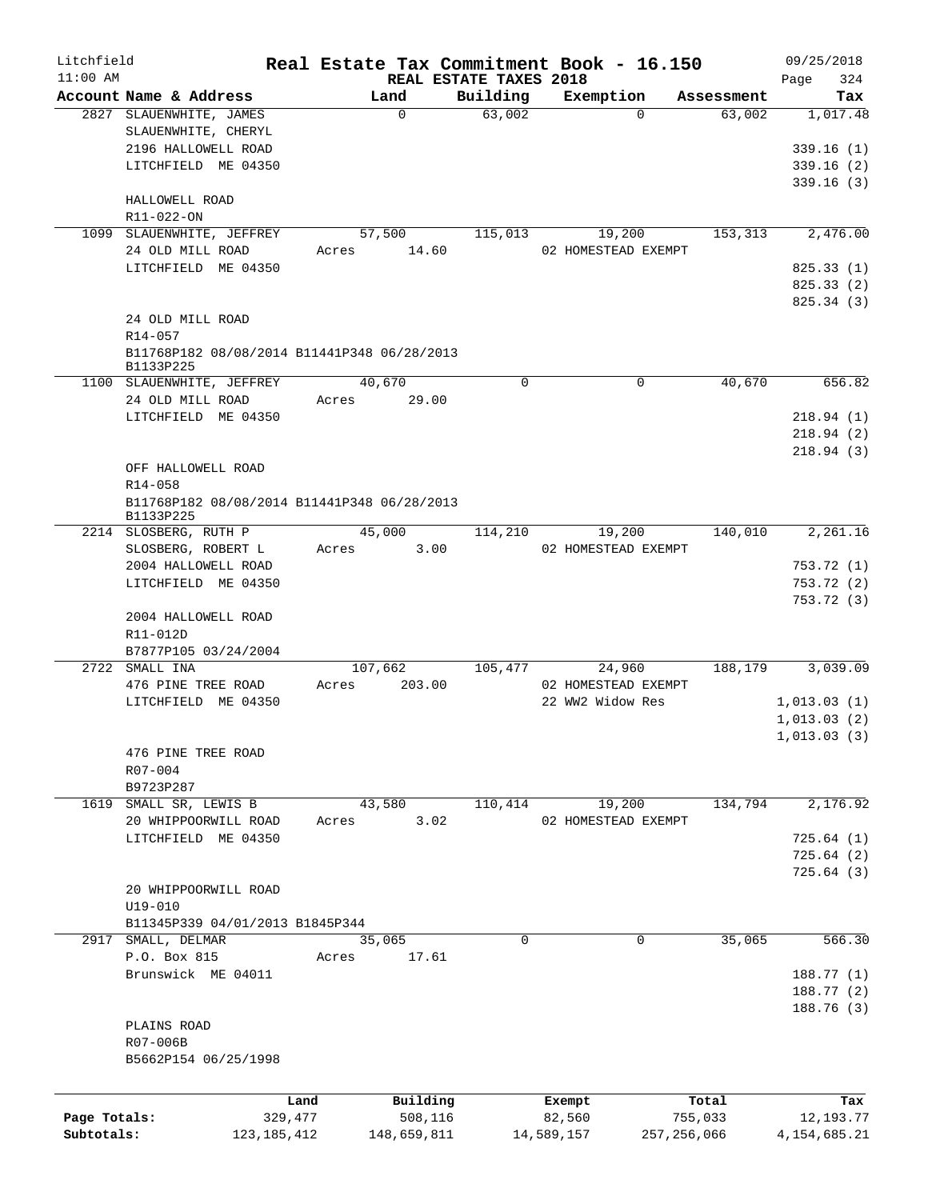| Litchfield   |                                             |         |             |                                    | Real Estate Tax Commitment Book - 16.150 |                      | 09/25/2018         |
|--------------|---------------------------------------------|---------|-------------|------------------------------------|------------------------------------------|----------------------|--------------------|
| $11:00$ AM   | Account Name & Address                      |         | Land        | REAL ESTATE TAXES 2018<br>Building | Exemption                                |                      | 324<br>Page<br>Tax |
|              | 2827 SLAUENWHITE, JAMES                     |         | $\Omega$    | 63,002                             | $\Omega$                                 | Assessment<br>63,002 | 1,017.48           |
|              | SLAUENWHITE, CHERYL                         |         |             |                                    |                                          |                      |                    |
|              | 2196 HALLOWELL ROAD                         |         |             |                                    |                                          |                      | 339.16(1)          |
|              | LITCHFIELD ME 04350                         |         |             |                                    |                                          |                      | 339.16(2)          |
|              |                                             |         |             |                                    |                                          |                      | 339.16(3)          |
|              | HALLOWELL ROAD                              |         |             |                                    |                                          |                      |                    |
|              | R11-022-ON                                  |         |             |                                    |                                          |                      |                    |
|              | 1099 SLAUENWHITE, JEFFREY                   |         | 57,500      | 115,013                            | 19,200                                   | 153,313              | 2,476.00           |
|              | 24 OLD MILL ROAD                            |         | Acres 14.60 |                                    | 02 HOMESTEAD EXEMPT                      |                      |                    |
|              | LITCHFIELD ME 04350                         |         |             |                                    |                                          |                      | 825.33(1)          |
|              |                                             |         |             |                                    |                                          |                      | 825.33(2)          |
|              |                                             |         |             |                                    |                                          |                      | 825.34 (3)         |
|              | 24 OLD MILL ROAD                            |         |             |                                    |                                          |                      |                    |
|              | R14-057                                     |         |             |                                    |                                          |                      |                    |
|              | B11768P182 08/08/2014 B11441P348 06/28/2013 |         |             |                                    |                                          |                      |                    |
|              | B1133P225                                   |         |             |                                    |                                          |                      |                    |
|              | 1100 SLAUENWHITE, JEFFREY                   |         | 40,670      | 0                                  | 0                                        | 40,670               | 656.82             |
|              | 24 OLD MILL ROAD                            | Acres   | 29.00       |                                    |                                          |                      |                    |
|              | LITCHFIELD ME 04350                         |         |             |                                    |                                          |                      | 218.94(1)          |
|              |                                             |         |             |                                    |                                          |                      | 218.94(2)          |
|              |                                             |         |             |                                    |                                          |                      | 218.94(3)          |
|              | OFF HALLOWELL ROAD                          |         |             |                                    |                                          |                      |                    |
|              | $R14 - 058$                                 |         |             |                                    |                                          |                      |                    |
|              | B11768P182 08/08/2014 B11441P348 06/28/2013 |         |             |                                    |                                          |                      |                    |
|              | B1133P225                                   |         |             |                                    |                                          |                      |                    |
|              | 2214 SLOSBERG, RUTH P                       |         | 45,000      | 114,210                            | 19,200                                   | 140,010              | 2,261.16           |
|              | SLOSBERG, ROBERT L                          | Acres   | 3.00        |                                    | 02 HOMESTEAD EXEMPT                      |                      |                    |
|              | 2004 HALLOWELL ROAD                         |         |             |                                    |                                          |                      | 753.72(1)          |
|              | LITCHFIELD ME 04350                         |         |             |                                    |                                          |                      | 753.72(2)          |
|              |                                             |         |             |                                    |                                          |                      | 753.72(3)          |
|              | 2004 HALLOWELL ROAD                         |         |             |                                    |                                          |                      |                    |
|              | R11-012D                                    |         |             |                                    |                                          |                      |                    |
|              | B7877P105 03/24/2004                        |         |             |                                    |                                          |                      |                    |
|              | 2722 SMALL INA                              |         | 107,662     | 105,477                            | 24,960                                   | 188,179              | 3,039.09           |
|              | 476 PINE TREE ROAD                          | Acres   | 203.00      |                                    | 02 HOMESTEAD EXEMPT                      |                      |                    |
|              | LITCHFIELD ME 04350                         |         |             |                                    | 22 WW2 Widow Res                         |                      | 1,013.03(1)        |
|              |                                             |         |             |                                    |                                          |                      | 1,013.03(2)        |
|              |                                             |         |             |                                    |                                          |                      | 1,013.03(3)        |
|              | 476 PINE TREE ROAD                          |         |             |                                    |                                          |                      |                    |
|              | R07-004                                     |         |             |                                    |                                          |                      |                    |
|              | B9723P287                                   |         |             |                                    |                                          |                      |                    |
| 1619         | SMALL SR, LEWIS B                           |         | 43,580      | 110,414                            | 19,200                                   | 134,794              | 2,176.92           |
|              | 20 WHIPPOORWILL ROAD                        | Acres   | 3.02        |                                    | 02 HOMESTEAD EXEMPT                      |                      |                    |
|              | LITCHFIELD ME 04350                         |         |             |                                    |                                          |                      | 725.64(1)          |
|              |                                             |         |             |                                    |                                          |                      | 725.64(2)          |
|              |                                             |         |             |                                    |                                          |                      | 725.64(3)          |
|              | 20 WHIPPOORWILL ROAD                        |         |             |                                    |                                          |                      |                    |
|              | $U19 - 010$                                 |         |             |                                    |                                          |                      |                    |
|              | B11345P339 04/01/2013 B1845P344             |         |             |                                    |                                          |                      |                    |
|              | 2917 SMALL, DELMAR                          |         | 35,065      | 0                                  | $\mathbf 0$                              | 35,065               | 566.30             |
|              | P.O. Box 815                                | Acres   | 17.61       |                                    |                                          |                      |                    |
|              | Brunswick ME 04011                          |         |             |                                    |                                          |                      | 188.77(1)          |
|              |                                             |         |             |                                    |                                          |                      | 188.77(2)          |
|              |                                             |         |             |                                    |                                          |                      | 188.76(3)          |
|              | PLAINS ROAD                                 |         |             |                                    |                                          |                      |                    |
|              | R07-006B                                    |         |             |                                    |                                          |                      |                    |
|              | B5662P154 06/25/1998                        |         |             |                                    |                                          |                      |                    |
|              |                                             |         |             |                                    |                                          |                      |                    |
|              |                                             | Land    | Building    |                                    | Exempt                                   | Total                | Tax                |
| Page Totals: |                                             | 329,477 | 508,116     |                                    | 82,560                                   | 755,033              | 12, 193. 77        |
| Subtotals:   | 123, 185, 412                               |         | 148,659,811 |                                    | 14,589,157                               | 257, 256, 066        | 4, 154, 685. 21    |
|              |                                             |         |             |                                    |                                          |                      |                    |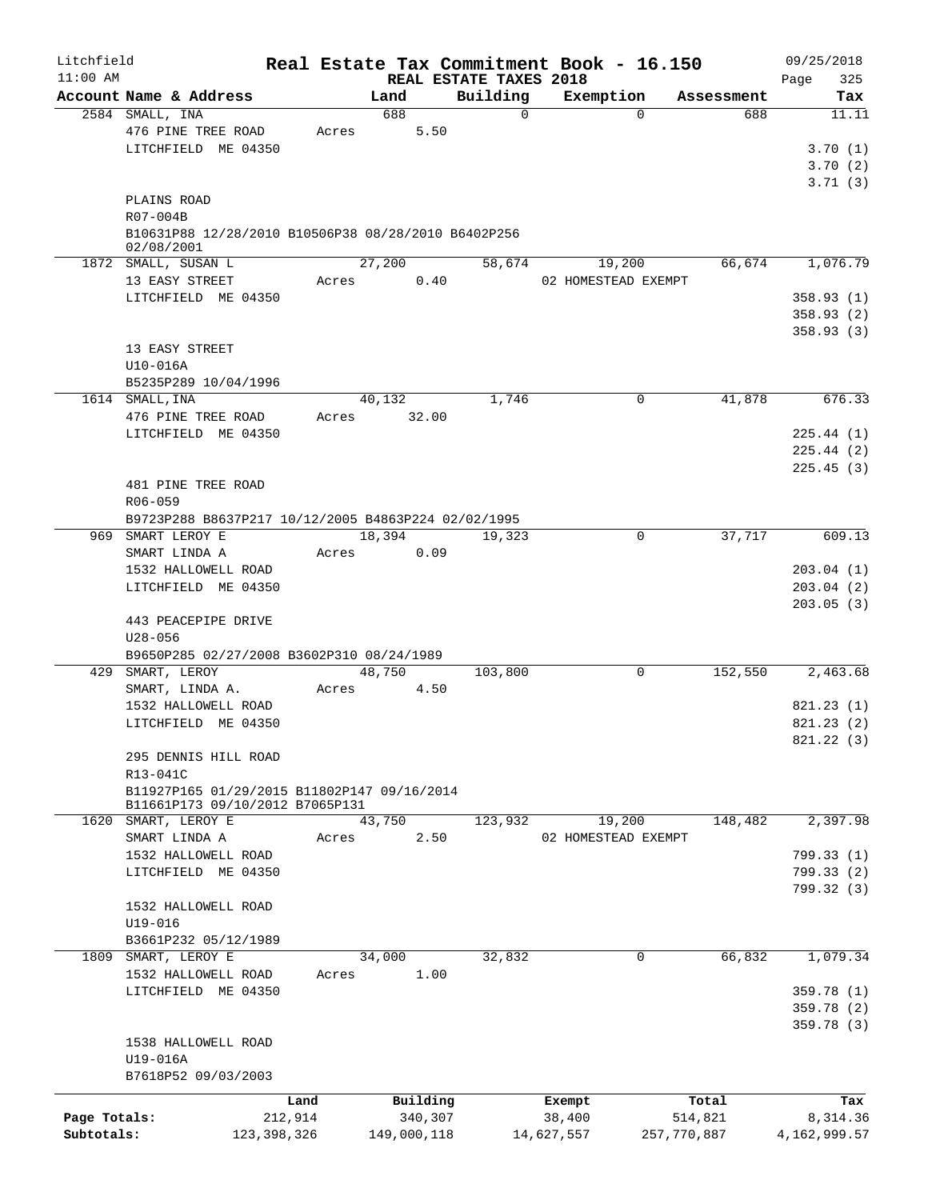| Litchfield   |                                                                   |        |             |                                    | Real Estate Tax Commitment Book - 16.150 |             |            | 09/25/2018         |
|--------------|-------------------------------------------------------------------|--------|-------------|------------------------------------|------------------------------------------|-------------|------------|--------------------|
| $11:00$ AM   | Account Name & Address                                            |        | Land        | REAL ESTATE TAXES 2018<br>Building | Exemption                                |             | Assessment | 325<br>Page<br>Tax |
|              | 2584 SMALL, INA                                                   |        | 688         | $\mathbf 0$                        |                                          | $\Omega$    | 688        | 11.11              |
|              | 476 PINE TREE ROAD                                                | Acres  | 5.50        |                                    |                                          |             |            |                    |
|              | LITCHFIELD ME 04350                                               |        |             |                                    |                                          |             |            | 3.70(1)            |
|              |                                                                   |        |             |                                    |                                          |             |            | 3.70(2)            |
|              |                                                                   |        |             |                                    |                                          |             |            | 3.71(3)            |
|              | PLAINS ROAD                                                       |        |             |                                    |                                          |             |            |                    |
|              | R07-004B                                                          |        |             |                                    |                                          |             |            |                    |
|              | B10631P88 12/28/2010 B10506P38 08/28/2010 B6402P256<br>02/08/2001 |        |             |                                    |                                          |             |            |                    |
|              | 1872 SMALL, SUSAN L                                               |        | 27,200      | 58,674                             | 19,200                                   |             | 66,674     | 1,076.79           |
|              | 13 EASY STREET                                                    | Acres  | 0.40        |                                    | 02 HOMESTEAD EXEMPT                      |             |            |                    |
|              | LITCHFIELD ME 04350                                               |        |             |                                    |                                          |             |            | 358.93(1)          |
|              |                                                                   |        |             |                                    |                                          |             |            | 358.93(2)          |
|              |                                                                   |        |             |                                    |                                          |             |            | 358.93(3)          |
|              | 13 EASY STREET                                                    |        |             |                                    |                                          |             |            |                    |
|              | U10-016A                                                          |        |             |                                    |                                          |             |            |                    |
|              | B5235P289 10/04/1996                                              |        |             |                                    |                                          |             |            |                    |
|              | 1614 SMALL, INA                                                   |        | 40,132      | 1,746                              |                                          | 0           | 41,878     | 676.33             |
|              | 476 PINE TREE ROAD                                                | Acres  | 32.00       |                                    |                                          |             |            |                    |
|              | LITCHFIELD ME 04350                                               |        |             |                                    |                                          |             |            | 225.44 (1)         |
|              |                                                                   |        |             |                                    |                                          |             |            | 225.44(2)          |
|              |                                                                   |        |             |                                    |                                          |             |            | 225.45(3)          |
|              | 481 PINE TREE ROAD                                                |        |             |                                    |                                          |             |            |                    |
|              | R06-059                                                           |        |             |                                    |                                          |             |            |                    |
|              | B9723P288 B8637P217 10/12/2005 B4863P224 02/02/1995               |        |             |                                    |                                          |             |            |                    |
|              | 969 SMART LEROY E                                                 | 18,394 |             | 19,323                             |                                          | 0           | 37,717     | 609.13             |
|              | SMART LINDA A                                                     | Acres  | 0.09        |                                    |                                          |             |            |                    |
|              | 1532 HALLOWELL ROAD                                               |        |             |                                    |                                          |             |            | 203.04(1)          |
|              | LITCHFIELD ME 04350                                               |        |             |                                    |                                          |             |            | 203.04(2)          |
|              |                                                                   |        |             |                                    |                                          |             |            | 203.05(3)          |
|              | 443 PEACEPIPE DRIVE                                               |        |             |                                    |                                          |             |            |                    |
|              | $U28 - 056$                                                       |        |             |                                    |                                          |             |            |                    |
|              | B9650P285 02/27/2008 B3602P310 08/24/1989                         |        |             |                                    |                                          |             |            |                    |
|              | 429 SMART, LEROY                                                  |        | 48,750      | 103,800                            |                                          | 0           | 152,550    | 2,463.68           |
|              | SMART, LINDA A.                                                   | Acres  | 4.50        |                                    |                                          |             |            |                    |
|              | 1532 HALLOWELL ROAD                                               |        |             |                                    |                                          |             |            | 821.23(1)          |
|              | LITCHFIELD ME 04350                                               |        |             |                                    |                                          |             |            | 821.23(2)          |
|              |                                                                   |        |             |                                    |                                          |             |            | 821.22 (3)         |
|              | 295 DENNIS HILL ROAD                                              |        |             |                                    |                                          |             |            |                    |
|              | R13-041C                                                          |        |             |                                    |                                          |             |            |                    |
|              | B11927P165 01/29/2015 B11802P147 09/16/2014                       |        |             |                                    |                                          |             |            |                    |
|              | B11661P173 09/10/2012 B7065P131                                   |        |             |                                    |                                          |             |            |                    |
| 1620         | SMART, LEROY E                                                    | 43,750 |             | 123,932                            | 19,200                                   |             | 148,482    | 2,397.98           |
|              | SMART LINDA A                                                     | Acres  | 2.50        |                                    | 02 HOMESTEAD EXEMPT                      |             |            |                    |
|              | 1532 HALLOWELL ROAD                                               |        |             |                                    |                                          |             |            | 799.33 (1)         |
|              | LITCHFIELD ME 04350                                               |        |             |                                    |                                          |             |            | 799.33 (2)         |
|              |                                                                   |        |             |                                    |                                          |             |            | 799.32 (3)         |
|              | 1532 HALLOWELL ROAD                                               |        |             |                                    |                                          |             |            |                    |
|              | $U19 - 016$                                                       |        |             |                                    |                                          |             |            |                    |
|              | B3661P232 05/12/1989                                              |        |             |                                    |                                          |             |            |                    |
| 1809         | SMART, LEROY E                                                    | 34,000 |             | 32,832                             |                                          | 0           | 66,832     | 1,079.34           |
|              | 1532 HALLOWELL ROAD                                               | Acres  | 1.00        |                                    |                                          |             |            |                    |
|              | LITCHFIELD ME 04350                                               |        |             |                                    |                                          |             |            | 359.78 (1)         |
|              |                                                                   |        |             |                                    |                                          |             |            | 359.78 (2)         |
|              |                                                                   |        |             |                                    |                                          |             |            | 359.78 (3)         |
|              | 1538 HALLOWELL ROAD                                               |        |             |                                    |                                          |             |            |                    |
|              | U19-016A                                                          |        |             |                                    |                                          |             |            |                    |
|              | B7618P52 09/03/2003                                               |        |             |                                    |                                          |             |            |                    |
|              | Land                                                              |        | Building    |                                    | Exempt                                   |             | Total      | Tax                |
| Page Totals: | 212,914                                                           |        | 340,307     |                                    | 38,400                                   |             | 514,821    | 8,314.36           |
| Subtotals:   | 123, 398, 326                                                     |        | 149,000,118 |                                    | 14,627,557                               | 257,770,887 |            | 4, 162, 999.57     |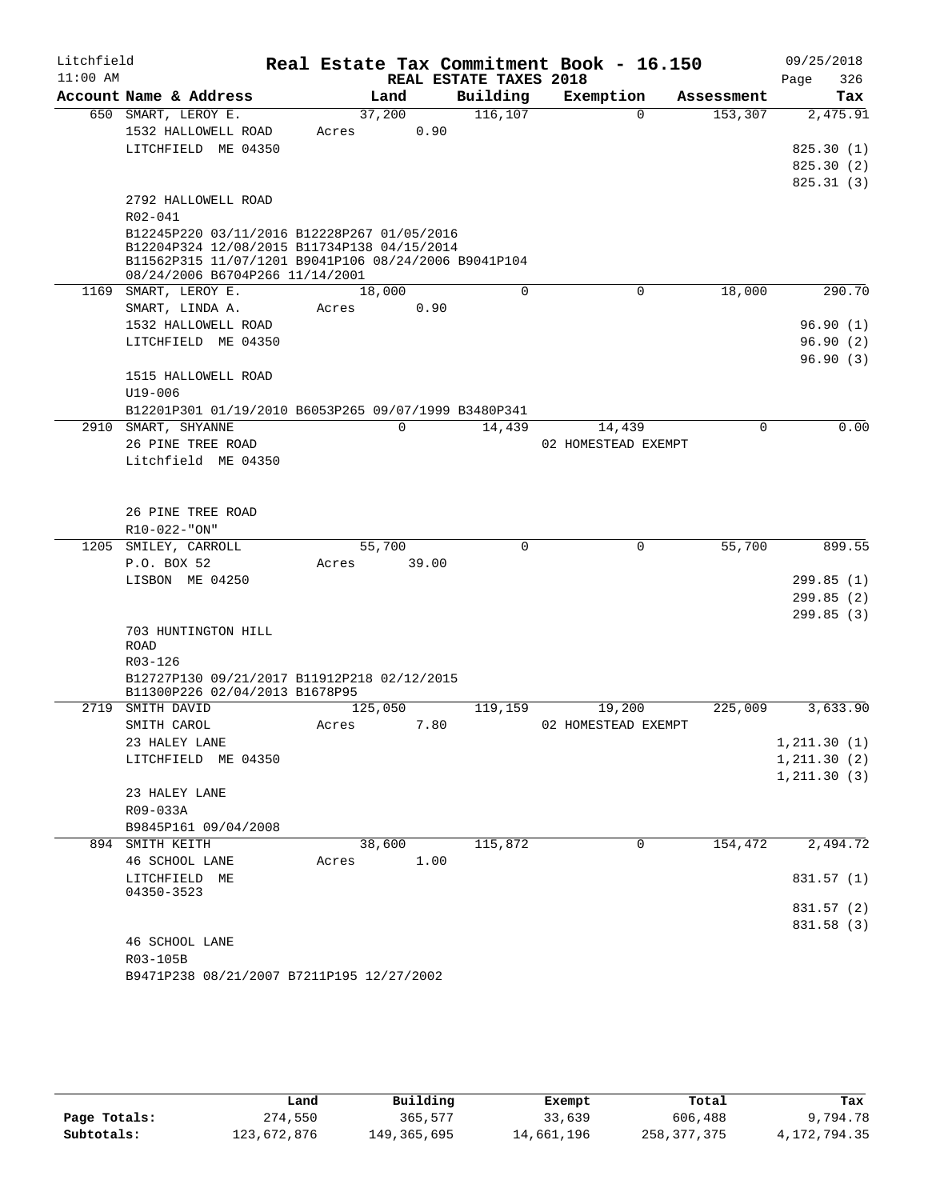| Litchfield |                                                      |         |                |                        | Real Estate Tax Commitment Book - 16.150 |            | 09/25/2018               |
|------------|------------------------------------------------------|---------|----------------|------------------------|------------------------------------------|------------|--------------------------|
| $11:00$ AM |                                                      |         |                | REAL ESTATE TAXES 2018 |                                          |            | 326<br>Page              |
|            | Account Name & Address                               |         | Land           | Building               | Exemption                                | Assessment | Tax                      |
|            | 650 SMART, LEROY E.                                  |         | 37,200         | 116,107                | $\Omega$                                 | 153,307    | 2,475.91                 |
|            | 1532 HALLOWELL ROAD                                  | Acres   | 0.90           |                        |                                          |            |                          |
|            | LITCHFIELD ME 04350                                  |         |                |                        |                                          |            | 825.30(1)                |
|            |                                                      |         |                |                        |                                          |            | 825.30(2)                |
|            | 2792 HALLOWELL ROAD                                  |         |                |                        |                                          |            | 825.31(3)                |
|            | R02-041                                              |         |                |                        |                                          |            |                          |
|            | B12245P220 03/11/2016 B12228P267 01/05/2016          |         |                |                        |                                          |            |                          |
|            | B12204P324 12/08/2015 B11734P138 04/15/2014          |         |                |                        |                                          |            |                          |
|            | B11562P315 11/07/1201 B9041P106 08/24/2006 B9041P104 |         |                |                        |                                          |            |                          |
|            | 08/24/2006 B6704P266 11/14/2001                      |         |                |                        |                                          |            |                          |
|            | 1169 SMART, LEROY E.                                 |         | 18,000<br>0.90 | 0                      | 0                                        | 18,000     | 290.70                   |
|            | SMART, LINDA A.<br>1532 HALLOWELL ROAD               | Acres   |                |                        |                                          |            | 96.90(1)                 |
|            | LITCHFIELD ME 04350                                  |         |                |                        |                                          |            | 96.90(2)                 |
|            |                                                      |         |                |                        |                                          |            | 96.90(3)                 |
|            | 1515 HALLOWELL ROAD                                  |         |                |                        |                                          |            |                          |
|            | U19-006                                              |         |                |                        |                                          |            |                          |
|            | B12201P301 01/19/2010 B6053P265 09/07/1999 B3480P341 |         |                |                        |                                          |            |                          |
|            | 2910 SMART, SHYANNE                                  |         | $\mathbf 0$    | 14,439                 | 14,439                                   | 0          | 0.00                     |
|            | 26 PINE TREE ROAD                                    |         |                |                        | 02 HOMESTEAD EXEMPT                      |            |                          |
|            | Litchfield ME 04350                                  |         |                |                        |                                          |            |                          |
|            |                                                      |         |                |                        |                                          |            |                          |
|            |                                                      |         |                |                        |                                          |            |                          |
|            | 26 PINE TREE ROAD                                    |         |                |                        |                                          |            |                          |
|            | R10-022-"ON"                                         |         |                |                        |                                          |            |                          |
|            | 1205 SMILEY, CARROLL                                 |         | 55,700         | 0                      | $\mathbf 0$                              | 55,700     | 899.55                   |
|            | P.O. BOX 52                                          | Acres   | 39.00          |                        |                                          |            |                          |
|            | LISBON ME 04250                                      |         |                |                        |                                          |            | 299.85(1)<br>299.85(2)   |
|            |                                                      |         |                |                        |                                          |            | 299.85(3)                |
|            | 703 HUNTINGTON HILL                                  |         |                |                        |                                          |            |                          |
|            | ROAD                                                 |         |                |                        |                                          |            |                          |
|            | R03-126                                              |         |                |                        |                                          |            |                          |
|            | B12727P130 09/21/2017 B11912P218 02/12/2015          |         |                |                        |                                          |            |                          |
|            | B11300P226 02/04/2013 B1678P95                       |         |                |                        |                                          |            |                          |
|            | 2719 SMITH DAVID                                     | 125,050 |                | 119,159                | 19,200                                   | 225,009    | 3,633.90                 |
|            | SMITH CAROL<br>23 HALEY LANE                         | Acres   | 7.80           |                        | 02 HOMESTEAD EXEMPT                      |            | 1, 211.30(1)             |
|            | LITCHFIELD ME 04350                                  |         |                |                        |                                          |            | 1, 211.30(2)             |
|            |                                                      |         |                |                        |                                          |            | 1, 211.30(3)             |
|            | 23 HALEY LANE                                        |         |                |                        |                                          |            |                          |
|            | R09-033A                                             |         |                |                        |                                          |            |                          |
|            | B9845P161 09/04/2008                                 |         |                |                        |                                          |            |                          |
|            | 894 SMITH KEITH                                      |         | 38,600         | 115,872                | $\mathbf 0$                              | 154,472    | 2,494.72                 |
|            | 46 SCHOOL LANE                                       | Acres   | 1.00           |                        |                                          |            |                          |
|            | LITCHFIELD ME                                        |         |                |                        |                                          |            | 831.57 (1)               |
|            | 04350-3523                                           |         |                |                        |                                          |            |                          |
|            |                                                      |         |                |                        |                                          |            | 831.57 (2)<br>831.58 (3) |
|            | 46 SCHOOL LANE                                       |         |                |                        |                                          |            |                          |
|            | R03-105B                                             |         |                |                        |                                          |            |                          |
|            | B9471P238 08/21/2007 B7211P195 12/27/2002            |         |                |                        |                                          |            |                          |
|            |                                                      |         |                |                        |                                          |            |                          |

|              | Land        | Building    | Exempt     | Total       | Tax          |
|--------------|-------------|-------------|------------|-------------|--------------|
| Page Totals: | 274,550     | 365,577     | 33,639     | 606,488     | 9,794.78     |
| Subtotals:   | 123,672,876 | 149,365,695 | 14,661,196 | 258,377,375 | 4,172,794.35 |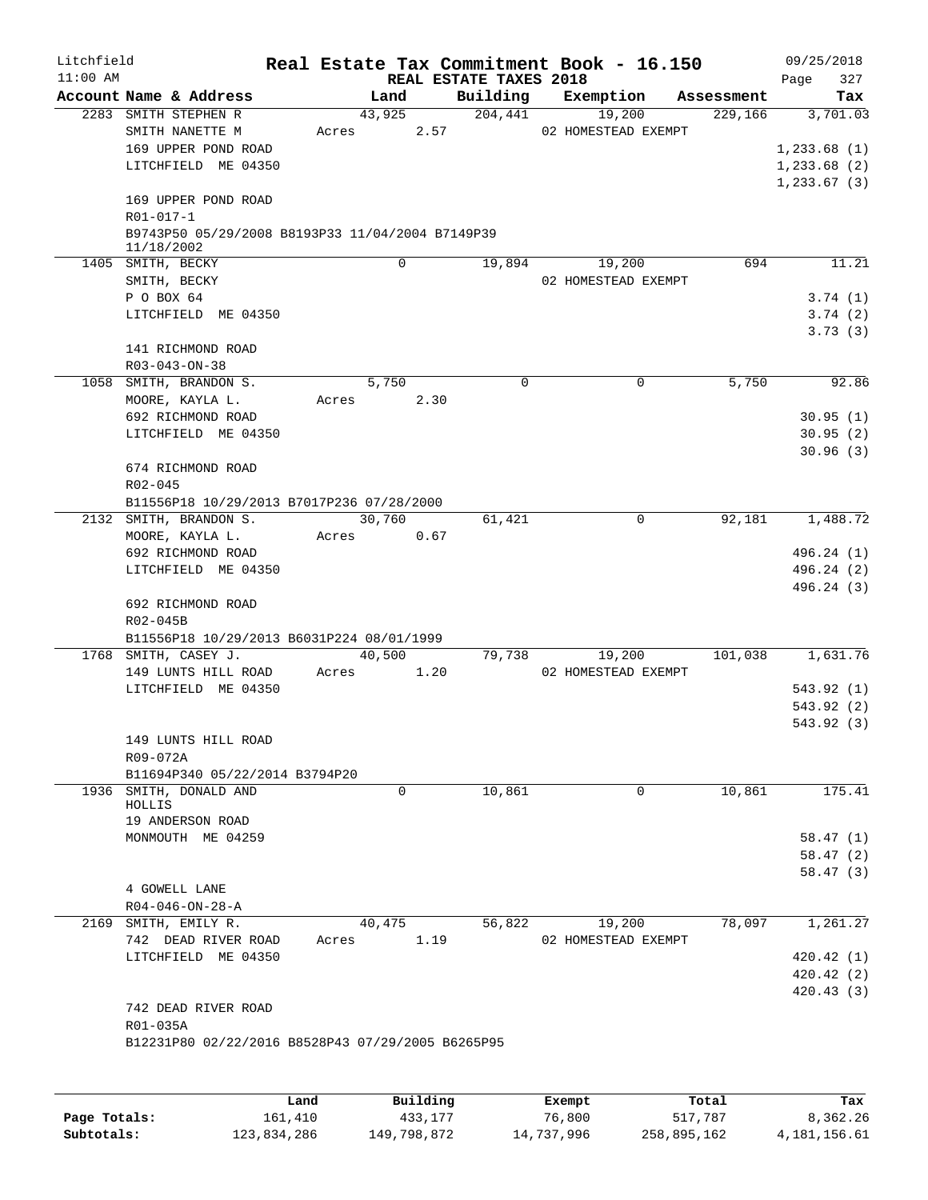| Litchfield<br>$11:00$ AM |            |                                                          |       |          |      | REAL ESTATE TAXES 2018 | Real Estate Tax Commitment Book - 16.150 |            | 09/25/2018<br>327<br>Page |
|--------------------------|------------|----------------------------------------------------------|-------|----------|------|------------------------|------------------------------------------|------------|---------------------------|
|                          |            | Account Name & Address                                   |       | Land     |      | Building               | Exemption                                | Assessment | Tax                       |
|                          |            | 2283 SMITH STEPHEN R                                     |       | 43,925   |      | 204,441                | 19,200                                   | 229,166    | 3,701.03                  |
|                          |            | SMITH NANETTE M                                          | Acres |          | 2.57 |                        | 02 HOMESTEAD EXEMPT                      |            |                           |
|                          |            | 169 UPPER POND ROAD                                      |       |          |      |                        |                                          |            | 1,233.68(1)               |
|                          |            | LITCHFIELD ME 04350                                      |       |          |      |                        |                                          |            | $1, 233.68$ (2)           |
|                          |            |                                                          |       |          |      |                        |                                          |            | $1, 233.67$ (3)           |
|                          |            | 169 UPPER POND ROAD                                      |       |          |      |                        |                                          |            |                           |
|                          | R01-017-1  |                                                          |       |          |      |                        |                                          |            |                           |
|                          |            | B9743P50 05/29/2008 B8193P33 11/04/2004 B7149P39         |       |          |      |                        |                                          |            |                           |
|                          | 11/18/2002 | 1405 SMITH, BECKY                                        |       | $\Omega$ |      | 19,894                 | 19,200                                   | 694        | 11.21                     |
|                          |            | SMITH, BECKY                                             |       |          |      |                        | 02 HOMESTEAD EXEMPT                      |            |                           |
|                          | P O BOX 64 |                                                          |       |          |      |                        |                                          |            | 3.74(1)                   |
|                          |            | LITCHFIELD ME 04350                                      |       |          |      |                        |                                          |            | 3.74(2)                   |
|                          |            |                                                          |       |          |      |                        |                                          |            | 3.73(3)                   |
|                          |            | 141 RICHMOND ROAD                                        |       |          |      |                        |                                          |            |                           |
|                          |            | $R03 - 043 - ON - 38$                                    |       |          |      |                        |                                          |            |                           |
|                          |            | 1058 SMITH, BRANDON S.                                   |       | 5,750    |      | 0                      | 0                                        | 5,750      | 92.86                     |
|                          |            | MOORE, KAYLA L.                                          | Acres |          | 2.30 |                        |                                          |            |                           |
|                          |            | 692 RICHMOND ROAD                                        |       |          |      |                        |                                          |            | 30.95(1)                  |
|                          |            | LITCHFIELD ME 04350                                      |       |          |      |                        |                                          |            | 30.95(2)                  |
|                          |            |                                                          |       |          |      |                        |                                          |            | 30.96(3)                  |
|                          |            | 674 RICHMOND ROAD                                        |       |          |      |                        |                                          |            |                           |
|                          | R02-045    |                                                          |       |          |      |                        |                                          |            |                           |
|                          |            | B11556P18 10/29/2013 B7017P236 07/28/2000                |       |          |      |                        |                                          |            |                           |
|                          |            | 2132 SMITH, BRANDON S.                                   |       | 30,760   |      | 61,421                 | 0                                        | 92,181     | 1,488.72                  |
|                          |            | MOORE, KAYLA L.                                          | Acres |          | 0.67 |                        |                                          |            |                           |
|                          |            | 692 RICHMOND ROAD                                        |       |          |      |                        |                                          |            | 496.24 (1)                |
|                          |            | LITCHFIELD ME 04350                                      |       |          |      |                        |                                          |            | 496.24 (2)                |
|                          |            |                                                          |       |          |      |                        |                                          |            | 496.24 (3)                |
|                          |            | 692 RICHMOND ROAD                                        |       |          |      |                        |                                          |            |                           |
|                          | R02-045B   |                                                          |       |          |      |                        |                                          |            |                           |
|                          |            | B11556P18 10/29/2013 B6031P224 08/01/1999                |       |          |      |                        |                                          |            |                           |
|                          |            | 1768 SMITH, CASEY J.                                     |       | 40,500   |      | 79,738                 | 19,200                                   | 101,038    | 1,631.76                  |
|                          |            | 149 LUNTS HILL ROAD                                      | Acres |          | 1.20 |                        | 02 HOMESTEAD EXEMPT                      |            |                           |
|                          |            | LITCHFIELD ME 04350                                      |       |          |      |                        |                                          |            | 543.92 (1)                |
|                          |            |                                                          |       |          |      |                        |                                          |            | 543.92(2)                 |
|                          |            |                                                          |       |          |      |                        |                                          |            | 543.92 (3)                |
|                          |            | 149 LUNTS HILL ROAD                                      |       |          |      |                        |                                          |            |                           |
|                          | R09-072A   |                                                          |       |          |      |                        |                                          |            |                           |
|                          |            | B11694P340 05/22/2014 B3794P20<br>1936 SMITH, DONALD AND |       | 0        |      | 10,861                 | 0                                        | 10,861     | 175.41                    |
|                          | HOLLIS     |                                                          |       |          |      |                        |                                          |            |                           |
|                          |            | 19 ANDERSON ROAD                                         |       |          |      |                        |                                          |            |                           |
|                          |            | MONMOUTH ME 04259                                        |       |          |      |                        |                                          |            | 58.47(1)                  |
|                          |            |                                                          |       |          |      |                        |                                          |            | 58.47(2)                  |
|                          |            |                                                          |       |          |      |                        |                                          |            | 58.47(3)                  |
|                          |            | 4 GOWELL LANE                                            |       |          |      |                        |                                          |            |                           |
|                          |            | $R04 - 046 - ON - 28 - A$                                |       |          |      |                        |                                          |            |                           |
|                          |            | 2169 SMITH, EMILY R.                                     |       | 40,475   |      | 56,822                 | 19,200                                   | 78,097     | 1,261.27                  |
|                          |            | 742 DEAD RIVER ROAD                                      | Acres |          | 1.19 |                        | 02 HOMESTEAD EXEMPT                      |            |                           |
|                          |            | LITCHFIELD ME 04350                                      |       |          |      |                        |                                          |            | 420.42(1)                 |
|                          |            |                                                          |       |          |      |                        |                                          |            | 420.42 (2)                |
|                          |            |                                                          |       |          |      |                        |                                          |            | 420.43(3)                 |
|                          |            | 742 DEAD RIVER ROAD                                      |       |          |      |                        |                                          |            |                           |
|                          | R01-035A   |                                                          |       |          |      |                        |                                          |            |                           |
|                          |            | B12231P80 02/22/2016 B8528P43 07/29/2005 B6265P95        |       |          |      |                        |                                          |            |                           |
|                          |            |                                                          |       |          |      |                        |                                          |            |                           |
|                          |            |                                                          |       |          |      |                        |                                          |            |                           |

|              | Land        | Building    | Exempt     | Total       | Tax          |
|--------------|-------------|-------------|------------|-------------|--------------|
| Page Totals: | 161.410     | 433,177     | 76,800     | 517,787     | 8,362.26     |
| Subtotals:   | 123,834,286 | 149,798,872 | 14,737,996 | 258,895,162 | 4,181,156.61 |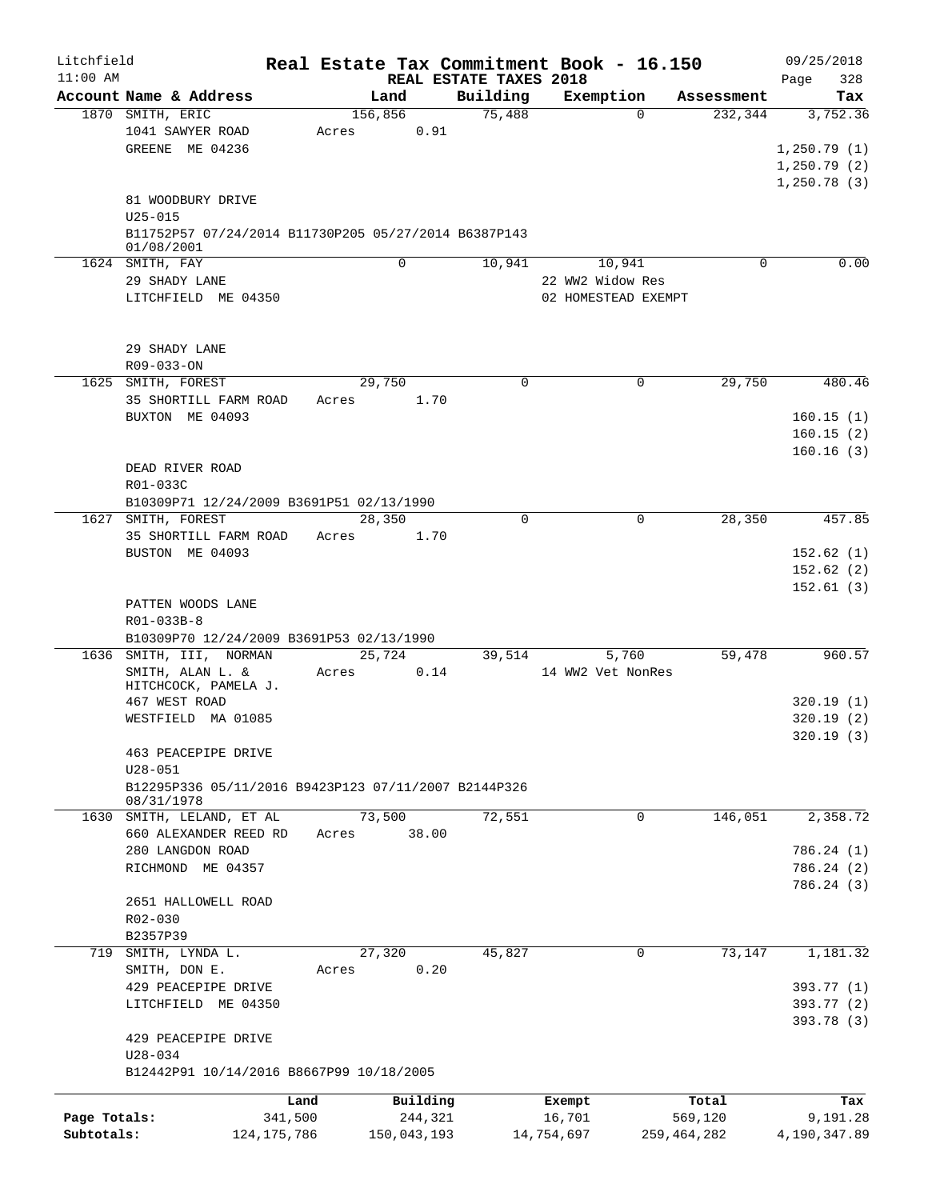| Litchfield<br>$11:00$ AM |                                                      |               |         |             | REAL ESTATE TAXES 2018 | Real Estate Tax Commitment Book - 16.150 |             |             | 09/25/2018<br>328<br>Page |
|--------------------------|------------------------------------------------------|---------------|---------|-------------|------------------------|------------------------------------------|-------------|-------------|---------------------------|
|                          | Account Name & Address                               |               |         | Land        | Building               | Exemption                                |             | Assessment  | Tax                       |
|                          | 1870 SMITH, ERIC                                     |               | 156,856 |             | 75,488                 |                                          | $\Omega$    | 232,344     | 3,752.36                  |
|                          | 1041 SAWYER ROAD                                     |               | Acres   | 0.91        |                        |                                          |             |             |                           |
|                          | GREENE ME 04236                                      |               |         |             |                        |                                          |             |             | 1,250.79(1)               |
|                          |                                                      |               |         |             |                        |                                          |             |             | 1,250.79(2)               |
|                          |                                                      |               |         |             |                        |                                          |             |             | 1,250.78(3)               |
|                          | 81 WOODBURY DRIVE                                    |               |         |             |                        |                                          |             |             |                           |
|                          | $U25 - 015$                                          |               |         |             |                        |                                          |             |             |                           |
|                          | B11752P57 07/24/2014 B11730P205 05/27/2014 B6387P143 |               |         |             |                        |                                          |             |             |                           |
|                          | 01/08/2001                                           |               |         |             |                        |                                          |             |             |                           |
|                          | 1624 SMITH, FAY                                      |               |         | 0           | 10,941                 |                                          | 10,941      | $\Omega$    | 0.00                      |
|                          | 29 SHADY LANE                                        |               |         |             |                        | 22 WW2 Widow Res                         |             |             |                           |
|                          | LITCHFIELD ME 04350                                  |               |         |             |                        | 02 HOMESTEAD EXEMPT                      |             |             |                           |
|                          |                                                      |               |         |             |                        |                                          |             |             |                           |
|                          | 29 SHADY LANE                                        |               |         |             |                        |                                          |             |             |                           |
|                          | R09-033-ON                                           |               |         |             |                        |                                          |             |             |                           |
|                          | 1625 SMITH, FOREST                                   |               |         | 29,750      | 0                      |                                          | 0           | 29,750      | 480.46                    |
|                          | 35 SHORTILL FARM ROAD                                |               | Acres   | 1.70        |                        |                                          |             |             |                           |
|                          | BUXTON ME 04093                                      |               |         |             |                        |                                          |             |             | 160.15(1)                 |
|                          |                                                      |               |         |             |                        |                                          |             |             | 160.15(2)                 |
|                          |                                                      |               |         |             |                        |                                          |             |             | 160.16(3)                 |
|                          | DEAD RIVER ROAD                                      |               |         |             |                        |                                          |             |             |                           |
|                          | R01-033C                                             |               |         |             |                        |                                          |             |             |                           |
|                          | B10309P71 12/24/2009 B3691P51 02/13/1990             |               |         |             |                        |                                          |             |             |                           |
|                          | 1627 SMITH, FOREST                                   |               |         | 28,350      | $\Omega$               |                                          | 0           | 28,350      | 457.85                    |
|                          | 35 SHORTILL FARM ROAD                                |               | Acres   | 1.70        |                        |                                          |             |             |                           |
|                          | BUSTON ME 04093                                      |               |         |             |                        |                                          |             |             | 152.62(1)                 |
|                          |                                                      |               |         |             |                        |                                          |             |             | 152.62(2)                 |
|                          |                                                      |               |         |             |                        |                                          |             |             | 152.61(3)                 |
|                          | PATTEN WOODS LANE                                    |               |         |             |                        |                                          |             |             |                           |
|                          | R01-033B-8                                           |               |         |             |                        |                                          |             |             |                           |
|                          | B10309P70 12/24/2009 B3691P53 02/13/1990             |               |         |             |                        |                                          |             |             |                           |
|                          | 1636 SMITH, III, NORMAN                              |               |         | 25,724      | 39,514                 |                                          | 5,760       | 59,478      | 960.57                    |
|                          | SMITH, ALAN L. &                                     |               | Acres   | 0.14        |                        | 14 WW2 Vet NonRes                        |             |             |                           |
|                          | HITCHCOCK, PAMELA J.                                 |               |         |             |                        |                                          |             |             |                           |
|                          | 467 WEST ROAD                                        |               |         |             |                        |                                          |             |             | 320.19(1)                 |
|                          | WESTFIELD MA 01085                                   |               |         |             |                        |                                          |             |             | 320.19(2)                 |
|                          |                                                      |               |         |             |                        |                                          |             |             | 320.19(3)                 |
|                          | 463 PEACEPIPE DRIVE                                  |               |         |             |                        |                                          |             |             |                           |
|                          | $U28 - 051$                                          |               |         |             |                        |                                          |             |             |                           |
|                          | B12295P336 05/11/2016 B9423P123 07/11/2007 B2144P326 |               |         |             |                        |                                          |             |             |                           |
|                          | 08/31/1978<br>1630 SMITH, LELAND, ET AL              |               |         | 73,500      | 72,551                 |                                          | $\mathbf 0$ | 146,051     | 2,358.72                  |
|                          | 660 ALEXANDER REED RD                                |               | Acres   | 38.00       |                        |                                          |             |             |                           |
|                          | 280 LANGDON ROAD                                     |               |         |             |                        |                                          |             |             | 786.24 (1)                |
|                          | RICHMOND ME 04357                                    |               |         |             |                        |                                          |             |             | 786.24 (2)                |
|                          |                                                      |               |         |             |                        |                                          |             |             | 786.24 (3)                |
|                          | 2651 HALLOWELL ROAD                                  |               |         |             |                        |                                          |             |             |                           |
|                          | R02-030                                              |               |         |             |                        |                                          |             |             |                           |
|                          | B2357P39                                             |               |         |             |                        |                                          |             |             |                           |
|                          | 719 SMITH, LYNDA L.                                  |               |         | 27,320      | 45,827                 |                                          | 0           | 73,147      | 1,181.32                  |
|                          | SMITH, DON E.                                        |               | Acres   | 0.20        |                        |                                          |             |             |                           |
|                          | 429 PEACEPIPE DRIVE                                  |               |         |             |                        |                                          |             |             | 393.77 (1)                |
|                          | LITCHFIELD ME 04350                                  |               |         |             |                        |                                          |             |             | 393.77 (2)                |
|                          |                                                      |               |         |             |                        |                                          |             |             | 393.78 (3)                |
|                          | 429 PEACEPIPE DRIVE                                  |               |         |             |                        |                                          |             |             |                           |
|                          | U28-034                                              |               |         |             |                        |                                          |             |             |                           |
|                          | B12442P91 10/14/2016 B8667P99 10/18/2005             |               |         |             |                        |                                          |             |             |                           |
|                          |                                                      |               |         |             |                        |                                          |             |             |                           |
|                          |                                                      | Land          |         | Building    |                        | Exempt                                   |             | Total       | Tax                       |
| Page Totals:             |                                                      | 341,500       |         | 244,321     |                        | 16,701                                   |             | 569,120     | 9,191.28                  |
| Subtotals:               |                                                      | 124, 175, 786 |         | 150,043,193 |                        | 14,754,697                               |             | 259,464,282 | 4,190,347.89              |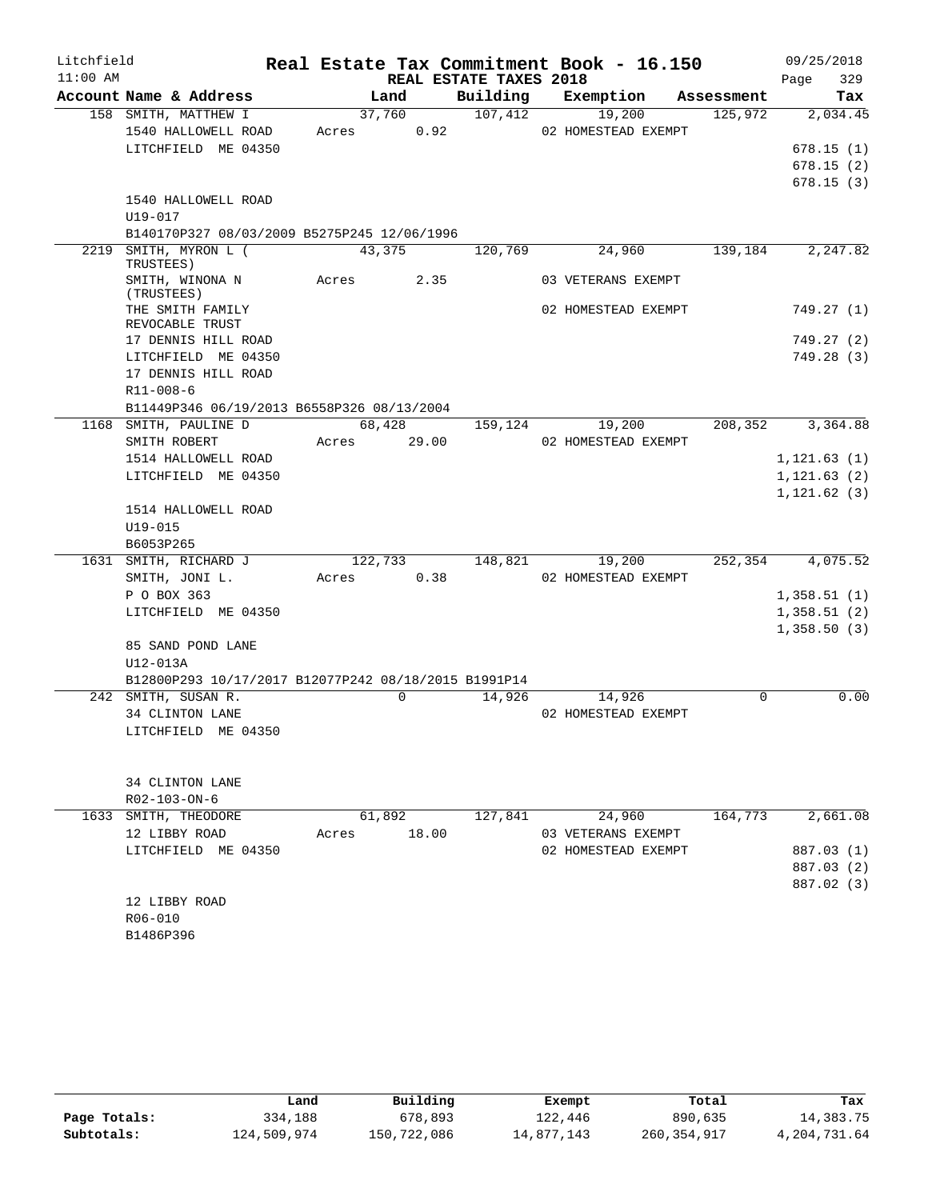| Litchfield |                                                                 |               |                        | Real Estate Tax Commitment Book - 16.150 |            | 09/25/2018   |
|------------|-----------------------------------------------------------------|---------------|------------------------|------------------------------------------|------------|--------------|
| $11:00$ AM |                                                                 |               | REAL ESTATE TAXES 2018 |                                          |            | 329<br>Page  |
|            | Account Name & Address                                          | Land          | Building               | Exemption                                | Assessment | Tax          |
|            | 158 SMITH, MATTHEW I                                            | 37,760        | 107,412                | 19,200                                   | 125,972    | 2,034.45     |
|            | 1540 HALLOWELL ROAD                                             | Acres 0.92    |                        | 02 HOMESTEAD EXEMPT                      |            |              |
|            | LITCHFIELD ME 04350                                             |               |                        |                                          |            | 678.15(1)    |
|            |                                                                 |               |                        |                                          |            | 678.15(2)    |
|            |                                                                 |               |                        |                                          |            | 678.15(3)    |
|            | 1540 HALLOWELL ROAD                                             |               |                        |                                          |            |              |
|            | U19-017                                                         |               |                        |                                          |            |              |
| 2219       | B140170P327 08/03/2009 B5275P245 12/06/1996<br>SMITH, MYRON L ( | 43,375        | 120,769                | 24,960                                   | 139,184    | 2,247.82     |
|            | TRUSTEES)                                                       |               |                        |                                          |            |              |
|            | SMITH, WINONA N<br>(TRUSTEES)                                   | Acres 2.35    |                        | 03 VETERANS EXEMPT                       |            |              |
|            | THE SMITH FAMILY<br>REVOCABLE TRUST                             |               |                        | 02 HOMESTEAD EXEMPT                      |            | 749.27 (1)   |
|            | 17 DENNIS HILL ROAD                                             |               |                        |                                          |            | 749.27(2)    |
|            | LITCHFIELD ME 04350                                             |               |                        |                                          |            | 749.28 (3)   |
|            | 17 DENNIS HILL ROAD                                             |               |                        |                                          |            |              |
|            | $R11 - 008 - 6$                                                 |               |                        |                                          |            |              |
|            | B11449P346 06/19/2013 B6558P326 08/13/2004                      |               |                        |                                          |            |              |
|            | 1168 SMITH, PAULINE D                                           | 68,428        | 159,124                | 19,200                                   | 208,352    | 3,364.88     |
|            | SMITH ROBERT                                                    | Acres         | 29.00                  | 02 HOMESTEAD EXEMPT                      |            |              |
|            | 1514 HALLOWELL ROAD                                             |               |                        |                                          |            | 1, 121.63(1) |
|            | LITCHFIELD ME 04350                                             |               |                        |                                          |            | 1, 121.63(2) |
|            |                                                                 |               |                        |                                          |            | 1, 121.62(3) |
|            | 1514 HALLOWELL ROAD                                             |               |                        |                                          |            |              |
|            | $U19 - 015$<br>B6053P265                                        |               |                        |                                          |            |              |
|            | 1631 SMITH, RICHARD J                                           | 122,733       | 148,821                | 19,200                                   | 252,354    | 4,075.52     |
|            | SMITH, JONI L.                                                  | 0.38<br>Acres |                        | 02 HOMESTEAD EXEMPT                      |            |              |
|            | P O BOX 363                                                     |               |                        |                                          |            | 1,358.51(1)  |
|            | LITCHFIELD ME 04350                                             |               |                        |                                          |            | 1,358.51(2)  |
|            |                                                                 |               |                        |                                          |            | 1,358.50(3)  |
|            | 85 SAND POND LANE                                               |               |                        |                                          |            |              |
|            | U12-013A                                                        |               |                        |                                          |            |              |
|            | B12800P293 10/17/2017 B12077P242 08/18/2015 B1991P14            |               |                        |                                          |            |              |
|            | 242 SMITH, SUSAN R.                                             | $\Omega$      | 14,926                 | 14,926                                   | $\Omega$   | 0.00         |
|            | 34 CLINTON LANE                                                 |               |                        | 02 HOMESTEAD EXEMPT                      |            |              |
|            | LITCHFIELD ME 04350                                             |               |                        |                                          |            |              |
|            | 34 CLINTON LANE                                                 |               |                        |                                          |            |              |
|            | R02-103-ON-6                                                    |               |                        |                                          |            |              |
|            | 1633 SMITH, THEODORE                                            | 61,892        | 127,841                | 24,960                                   | 164,773    | 2,661.08     |
|            | 12 LIBBY ROAD                                                   | Acres         | 18.00                  | 03 VETERANS EXEMPT                       |            |              |
|            | LITCHFIELD ME 04350                                             |               |                        | 02 HOMESTEAD EXEMPT                      |            | 887.03 (1)   |
|            |                                                                 |               |                        |                                          |            | 887.03 (2)   |
|            |                                                                 |               |                        |                                          |            | 887.02 (3)   |
|            | 12 LIBBY ROAD                                                   |               |                        |                                          |            |              |
|            | R06-010                                                         |               |                        |                                          |            |              |
|            | B1486P396                                                       |               |                        |                                          |            |              |

|              | Land        | Building    | Exempt     | Total       | Tax          |
|--------------|-------------|-------------|------------|-------------|--------------|
| Page Totals: | 334,188     | 678,893     | 122,446    | 890,635     | 14,383.75    |
| Subtotals:   | 124,509,974 | 150,722,086 | 14,877,143 | 260,354,917 | 4,204,731.64 |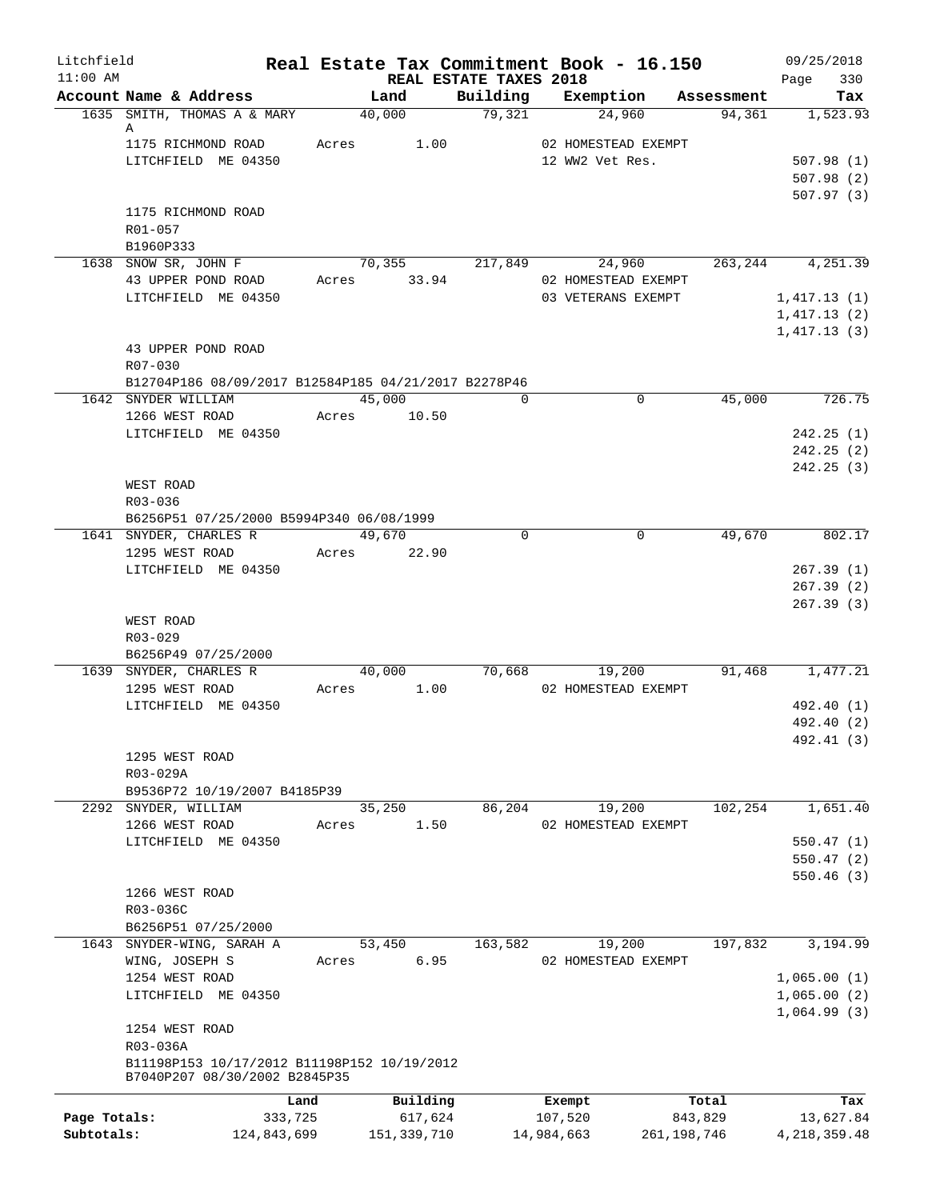| Litchfield   |                                                      |       |                       |                                    | Real Estate Tax Commitment Book - 16.150 |               | 09/25/2018         |
|--------------|------------------------------------------------------|-------|-----------------------|------------------------------------|------------------------------------------|---------------|--------------------|
| $11:00$ AM   | Account Name & Address                               |       | Land                  | REAL ESTATE TAXES 2018<br>Building | Exemption                                | Assessment    | 330<br>Page<br>Tax |
|              | 1635 SMITH, THOMAS A & MARY                          |       | 40,000                | 79,321                             | 24,960                                   | 94,361        | 1,523.93           |
|              | A                                                    |       |                       |                                    |                                          |               |                    |
|              | 1175 RICHMOND ROAD                                   | Acres | 1.00                  |                                    | 02 HOMESTEAD EXEMPT                      |               |                    |
|              | LITCHFIELD ME 04350                                  |       |                       |                                    | 12 WW2 Vet Res.                          |               | 507.98(1)          |
|              |                                                      |       |                       |                                    |                                          |               | 507.98(2)          |
|              | 1175 RICHMOND ROAD                                   |       |                       |                                    |                                          |               | 507.97(3)          |
|              | R01-057                                              |       |                       |                                    |                                          |               |                    |
|              | B1960P333                                            |       |                       |                                    |                                          |               |                    |
|              | 1638 SNOW SR, JOHN F                                 |       | 70,355                | 217,849                            | 24,960                                   | 263,244       | 4,251.39           |
|              | 43 UPPER POND ROAD                                   |       | Acres 33.94           |                                    | 02 HOMESTEAD EXEMPT                      |               |                    |
|              | LITCHFIELD ME 04350                                  |       |                       |                                    | 03 VETERANS EXEMPT                       |               | 1,417.13(1)        |
|              |                                                      |       |                       |                                    |                                          |               | 1,417.13(2)        |
|              |                                                      |       |                       |                                    |                                          |               | 1,417.13(3)        |
|              | 43 UPPER POND ROAD                                   |       |                       |                                    |                                          |               |                    |
|              | R07-030                                              |       |                       |                                    |                                          |               |                    |
|              | B12704P186 08/09/2017 B12584P185 04/21/2017 B2278P46 |       |                       | $\Omega$                           | $\mathbf 0$                              | 45,000        |                    |
|              | 1642 SNYDER WILLIAM<br>1266 WEST ROAD                |       | 45,000<br>Acres 10.50 |                                    |                                          |               | 726.75             |
|              | LITCHFIELD ME 04350                                  |       |                       |                                    |                                          |               | 242.25(1)          |
|              |                                                      |       |                       |                                    |                                          |               | 242.25(2)          |
|              |                                                      |       |                       |                                    |                                          |               | 242.25(3)          |
|              | WEST ROAD                                            |       |                       |                                    |                                          |               |                    |
|              | R03-036                                              |       |                       |                                    |                                          |               |                    |
|              | B6256P51 07/25/2000 B5994P340 06/08/1999             |       |                       |                                    |                                          |               |                    |
|              | 1641 SNYDER, CHARLES R                               |       | 49,670                | $\Omega$                           | $\Omega$                                 | 49,670        | 802.17             |
|              | 1295 WEST ROAD                                       |       | Acres 22.90           |                                    |                                          |               |                    |
|              | LITCHFIELD ME 04350                                  |       |                       |                                    |                                          |               | 267.39(1)          |
|              |                                                      |       |                       |                                    |                                          |               | 267.39(2)          |
|              | WEST ROAD                                            |       |                       |                                    |                                          |               | 267.39(3)          |
|              | $R03 - 029$                                          |       |                       |                                    |                                          |               |                    |
|              | B6256P49 07/25/2000                                  |       |                       |                                    |                                          |               |                    |
|              | 1639 SNYDER, CHARLES R                               |       | 40,000                | 70,668                             | 19,200                                   | 91,468        | 1,477.21           |
|              | 1295 WEST ROAD                                       | Acres | 1.00                  |                                    | 02 HOMESTEAD EXEMPT                      |               |                    |
|              | LITCHFIELD ME 04350                                  |       |                       |                                    |                                          |               | 492.40 (1)         |
|              |                                                      |       |                       |                                    |                                          |               | 492.40 (2)         |
|              |                                                      |       |                       |                                    |                                          |               | 492.41 (3)         |
|              | 1295 WEST ROAD                                       |       |                       |                                    |                                          |               |                    |
|              | R03-029A                                             |       |                       |                                    |                                          |               |                    |
|              | B9536P72 10/19/2007 B4185P39<br>2292 SNYDER, WILLIAM |       | 35,250                | 86,204                             | 19,200                                   | 102,254       |                    |
|              | 1266 WEST ROAD                                       | Acres | 1.50                  |                                    | 02 HOMESTEAD EXEMPT                      |               | 1,651.40           |
|              | LITCHFIELD ME 04350                                  |       |                       |                                    |                                          |               | 550.47(1)          |
|              |                                                      |       |                       |                                    |                                          |               | 550.47(2)          |
|              |                                                      |       |                       |                                    |                                          |               | 550.46(3)          |
|              | 1266 WEST ROAD                                       |       |                       |                                    |                                          |               |                    |
|              | R03-036C                                             |       |                       |                                    |                                          |               |                    |
|              | B6256P51 07/25/2000                                  |       |                       |                                    |                                          |               |                    |
|              | 1643 SNYDER-WING, SARAH A                            |       | 53,450                | 163,582                            | 19,200                                   | 197,832       | 3,194.99           |
|              | WING, JOSEPH S                                       | Acres | 6.95                  |                                    | 02 HOMESTEAD EXEMPT                      |               |                    |
|              | 1254 WEST ROAD                                       |       |                       |                                    |                                          |               | 1,065.00(1)        |
|              | LITCHFIELD ME 04350                                  |       |                       |                                    |                                          |               | 1,065.00(2)        |
|              | 1254 WEST ROAD                                       |       |                       |                                    |                                          |               | 1,064.99(3)        |
|              | R03-036A                                             |       |                       |                                    |                                          |               |                    |
|              | B11198P153 10/17/2012 B11198P152 10/19/2012          |       |                       |                                    |                                          |               |                    |
|              | B7040P207 08/30/2002 B2845P35                        |       |                       |                                    |                                          |               |                    |
|              | Land                                                 |       | Building              |                                    | Exempt                                   | Total         | Tax                |
| Page Totals: | 333,725                                              |       | 617,624               |                                    | 107,520                                  | 843,829       | 13,627.84          |
| Subtotals:   | 124,843,699                                          |       | 151,339,710           |                                    | 14,984,663                               | 261, 198, 746 | 4, 218, 359. 48    |
|              |                                                      |       |                       |                                    |                                          |               |                    |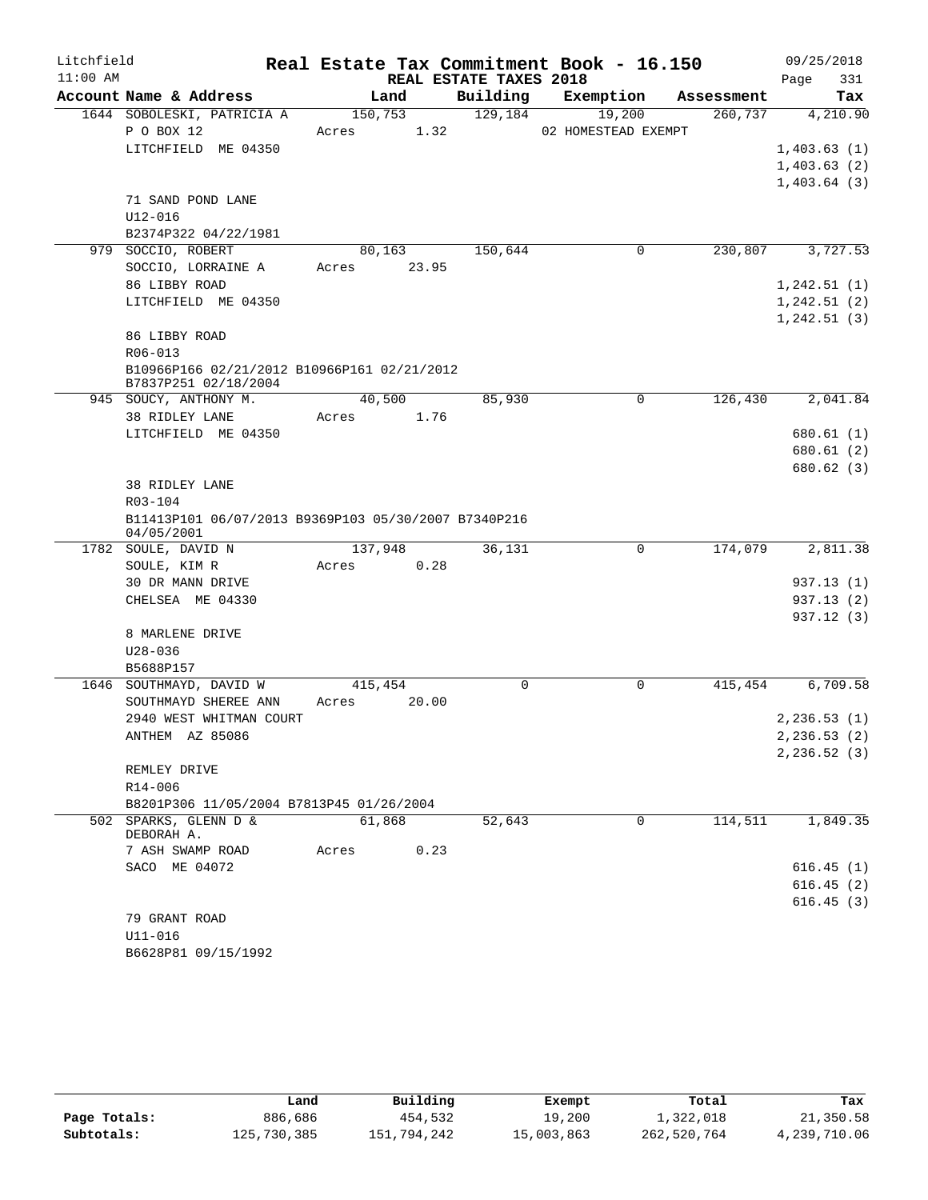| Litchfield |                                                                     |                  |       |                        | Real Estate Tax Commitment Book - 16.150 |                       | 09/25/2018      |
|------------|---------------------------------------------------------------------|------------------|-------|------------------------|------------------------------------------|-----------------------|-----------------|
| $11:00$ AM | Account Name & Address                                              |                  |       | REAL ESTATE TAXES 2018 |                                          |                       | 331<br>Page     |
|            | 1644 SOBOLESKI, PATRICIA A                                          | Land<br>150, 753 |       | Building<br>129, 184   | Exemption<br>19,200                      | Assessment<br>260,737 | Tax<br>4,210.90 |
|            | P O BOX 12                                                          | Acres            | 1.32  |                        | 02 HOMESTEAD EXEMPT                      |                       |                 |
|            | LITCHFIELD ME 04350                                                 |                  |       |                        |                                          |                       | 1,403.63(1)     |
|            |                                                                     |                  |       |                        |                                          |                       | 1,403.63(2)     |
|            |                                                                     |                  |       |                        |                                          |                       | 1,403.64(3)     |
|            | 71 SAND POND LANE                                                   |                  |       |                        |                                          |                       |                 |
|            | $U12 - 016$                                                         |                  |       |                        |                                          |                       |                 |
|            | B2374P322 04/22/1981                                                |                  |       |                        |                                          |                       |                 |
|            | 979 SOCCIO, ROBERT                                                  | 80,163           |       | 150,644                | 0                                        | 230,807               | 3,727.53        |
|            | SOCCIO, LORRAINE A                                                  | Acres 23.95      |       |                        |                                          |                       |                 |
|            | 86 LIBBY ROAD                                                       |                  |       |                        |                                          |                       | 1, 242.51(1)    |
|            | LITCHFIELD ME 04350                                                 |                  |       |                        |                                          |                       | 1, 242.51(2)    |
|            |                                                                     |                  |       |                        |                                          |                       | 1, 242.51(3)    |
|            | 86 LIBBY ROAD                                                       |                  |       |                        |                                          |                       |                 |
|            | $R06 - 013$                                                         |                  |       |                        |                                          |                       |                 |
|            | B10966P166 02/21/2012 B10966P161 02/21/2012<br>B7837P251 02/18/2004 |                  |       |                        |                                          |                       |                 |
|            | 945 SOUCY, ANTHONY M.                                               | 40,500           |       | 85,930                 | 0                                        | 126,430               | 2,041.84        |
|            | 38 RIDLEY LANE                                                      | Acres 1.76       |       |                        |                                          |                       |                 |
|            | LITCHFIELD ME 04350                                                 |                  |       |                        |                                          |                       | 680.61(1)       |
|            |                                                                     |                  |       |                        |                                          |                       | 680.61(2)       |
|            |                                                                     |                  |       |                        |                                          |                       | 680.62(3)       |
|            | <b>38 RIDLEY LANE</b>                                               |                  |       |                        |                                          |                       |                 |
|            | R03-104                                                             |                  |       |                        |                                          |                       |                 |
|            | B11413P101 06/07/2013 B9369P103 05/30/2007 B7340P216<br>04/05/2001  |                  |       |                        |                                          |                       |                 |
|            | 1782 SOULE, DAVID N                                                 | 137,948          |       | 36,131                 | $\Omega$                                 | 174,079               | 2,811.38        |
|            | SOULE, KIM R                                                        | Acres            | 0.28  |                        |                                          |                       |                 |
|            | 30 DR MANN DRIVE                                                    |                  |       |                        |                                          |                       | 937.13(1)       |
|            | CHELSEA ME 04330                                                    |                  |       |                        |                                          |                       | 937.13(2)       |
|            |                                                                     |                  |       |                        |                                          |                       | 937.12(3)       |
|            | 8 MARLENE DRIVE                                                     |                  |       |                        |                                          |                       |                 |
|            | $U28 - 036$                                                         |                  |       |                        |                                          |                       |                 |
|            | B5688P157                                                           |                  |       |                        |                                          |                       |                 |
|            | 1646 SOUTHMAYD, DAVID W                                             | 415,454          |       | 0                      | $\mathbf 0$                              | 415,454               | 6,709.58        |
|            | SOUTHMAYD SHEREE ANN                                                | Acres            | 20.00 |                        |                                          |                       |                 |
|            | 2940 WEST WHITMAN COURT                                             |                  |       |                        |                                          |                       | 2, 236.53(1)    |
|            | ANTHEM AZ 85086                                                     |                  |       |                        |                                          |                       | 2,236.53 (2)    |
|            |                                                                     |                  |       |                        |                                          |                       | 2, 236.52(3)    |
|            | REMLEY DRIVE                                                        |                  |       |                        |                                          |                       |                 |
|            | $R14 - 006$                                                         |                  |       |                        |                                          |                       |                 |
|            | B8201P306 11/05/2004 B7813P45 01/26/2004<br>502 SPARKS, GLENN D &   | 61,868           |       | 52,643                 | 0                                        | 114,511               | 1,849.35        |
|            | DEBORAH A.                                                          |                  |       |                        |                                          |                       |                 |
|            | 7 ASH SWAMP ROAD                                                    | Acres            | 0.23  |                        |                                          |                       |                 |
|            | SACO ME 04072                                                       |                  |       |                        |                                          |                       | 616.45(1)       |
|            |                                                                     |                  |       |                        |                                          |                       | 616.45(2)       |
|            |                                                                     |                  |       |                        |                                          |                       | 616.45(3)       |
|            | 79 GRANT ROAD                                                       |                  |       |                        |                                          |                       |                 |
|            | $U11 - 016$                                                         |                  |       |                        |                                          |                       |                 |
|            | B6628P81 09/15/1992                                                 |                  |       |                        |                                          |                       |                 |

|              | Land        | Building    | Exempt     | Total       | Tax          |
|--------------|-------------|-------------|------------|-------------|--------------|
| Page Totals: | 886,686     | 454,532     | 19,200     | 1,322,018   | 21,350.58    |
| Subtotals:   | 125,730,385 | 151,794,242 | 15,003,863 | 262,520,764 | 4,239,710.06 |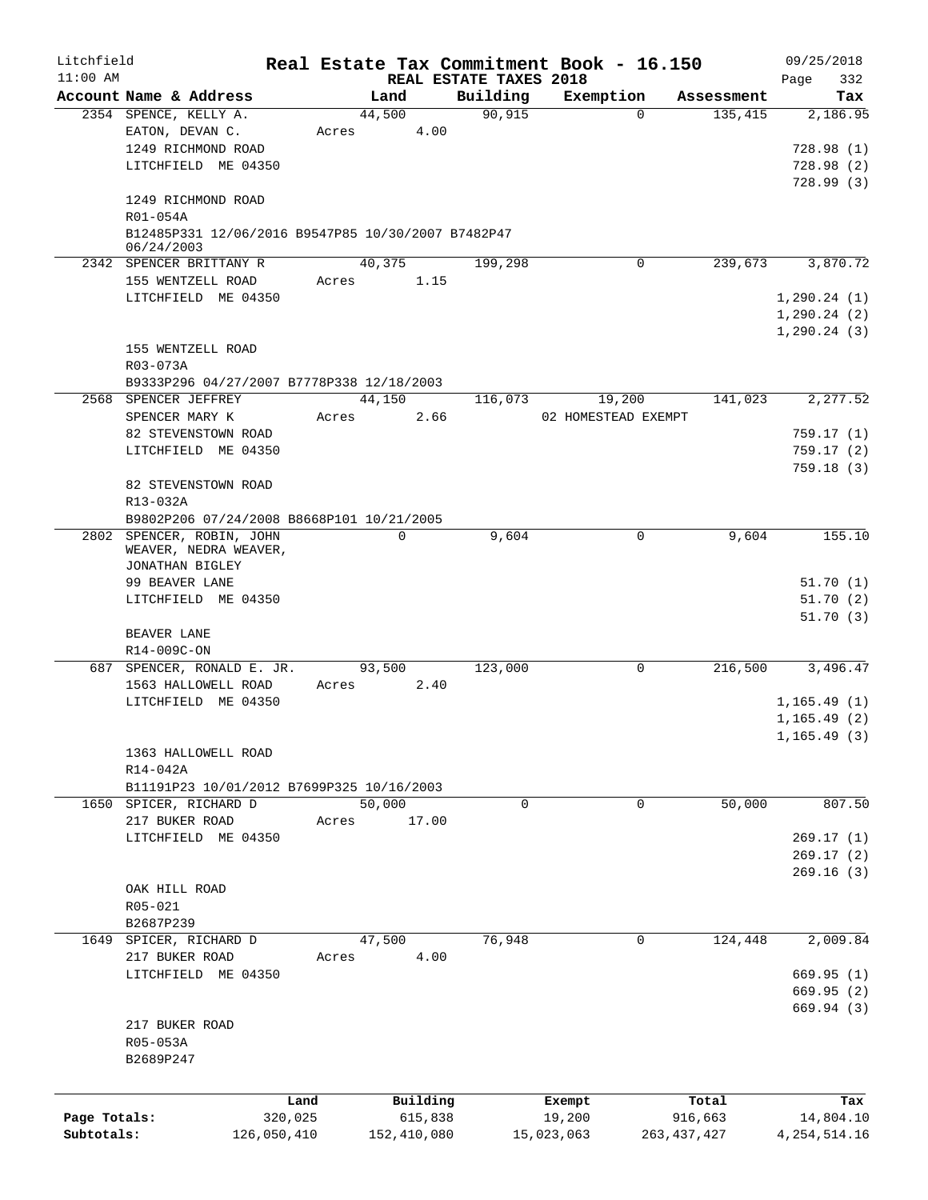| Litchfield   |                                                                  |             |             |                        | Real Estate Tax Commitment Book - 16.150 |                       | 09/25/2018      |
|--------------|------------------------------------------------------------------|-------------|-------------|------------------------|------------------------------------------|-----------------------|-----------------|
| $11:00$ AM   | Account Name & Address                                           |             | Land        | REAL ESTATE TAXES 2018 |                                          |                       | Page<br>332     |
|              | 2354 SPENCE, KELLY A.                                            |             | 44,500      | Building<br>90,915     | Exemption<br>$\Omega$                    | Assessment<br>135,415 | Tax<br>2,186.95 |
|              | EATON, DEVAN C.                                                  | Acres       | 4.00        |                        |                                          |                       |                 |
|              | 1249 RICHMOND ROAD                                               |             |             |                        |                                          |                       | 728.98(1)       |
|              | LITCHFIELD ME 04350                                              |             |             |                        |                                          |                       | 728.98(2)       |
|              |                                                                  |             |             |                        |                                          |                       | 728.99(3)       |
|              | 1249 RICHMOND ROAD                                               |             |             |                        |                                          |                       |                 |
|              | R01-054A                                                         |             |             |                        |                                          |                       |                 |
|              | B12485P331 12/06/2016 B9547P85 10/30/2007 B7482P47<br>06/24/2003 |             |             |                        |                                          |                       |                 |
|              | 2342 SPENCER BRITTANY R                                          |             | 40,375      | 199,298                | 0                                        | 239,673               | 3,870.72        |
|              | 155 WENTZELL ROAD                                                | Acres       | 1.15        |                        |                                          |                       |                 |
|              | LITCHFIELD ME 04350                                              |             |             |                        |                                          |                       | 1, 290.24(1)    |
|              |                                                                  |             |             |                        |                                          |                       | 1, 290.24(2)    |
|              |                                                                  |             |             |                        |                                          |                       | 1, 290.24(3)    |
|              | 155 WENTZELL ROAD                                                |             |             |                        |                                          |                       |                 |
|              | R03-073A                                                         |             |             |                        |                                          |                       |                 |
|              | B9333P296 04/27/2007 B7778P338 12/18/2003                        |             |             |                        |                                          |                       |                 |
|              | 2568 SPENCER JEFFREY                                             |             | 44,150      | 116,073                | 19,200                                   | 141,023               | 2,277.52        |
|              | SPENCER MARY K                                                   | Acres       | 2.66        |                        | 02 HOMESTEAD EXEMPT                      |                       |                 |
|              | 82 STEVENSTOWN ROAD                                              |             |             |                        |                                          |                       | 759.17(1)       |
|              | LITCHFIELD ME 04350                                              |             |             |                        |                                          |                       | 759.17(2)       |
|              |                                                                  |             |             |                        |                                          |                       | 759.18(3)       |
|              | 82 STEVENSTOWN ROAD                                              |             |             |                        |                                          |                       |                 |
|              | R13-032A                                                         |             |             |                        |                                          |                       |                 |
|              | B9802P206 07/24/2008 B8668P101 10/21/2005                        |             |             |                        |                                          |                       |                 |
|              | 2802 SPENCER, ROBIN, JOHN                                        |             | $\Omega$    | 9,604                  | $\Omega$                                 | 9,604                 | 155.10          |
|              | WEAVER, NEDRA WEAVER,                                            |             |             |                        |                                          |                       |                 |
|              | JONATHAN BIGLEY<br>99 BEAVER LANE                                |             |             |                        |                                          |                       | 51.70(1)        |
|              | LITCHFIELD ME 04350                                              |             |             |                        |                                          |                       | 51.70(2)        |
|              |                                                                  |             |             |                        |                                          |                       | 51.70(3)        |
|              | BEAVER LANE                                                      |             |             |                        |                                          |                       |                 |
|              | R14-009C-ON                                                      |             |             |                        |                                          |                       |                 |
|              | 687 SPENCER, RONALD E. JR.                                       |             | 93,500      | 123,000                | $\mathbf 0$                              | 216,500               | 3,496.47        |
|              | 1563 HALLOWELL ROAD                                              | Acres       | 2.40        |                        |                                          |                       |                 |
|              | LITCHFIELD ME 04350                                              |             |             |                        |                                          |                       | 1,165.49(1)     |
|              |                                                                  |             |             |                        |                                          |                       | 1, 165.49(2)    |
|              |                                                                  |             |             |                        |                                          |                       | 1, 165.49(3)    |
|              | 1363 HALLOWELL ROAD                                              |             |             |                        |                                          |                       |                 |
|              | R14-042A                                                         |             |             |                        |                                          |                       |                 |
|              | B11191P23 10/01/2012 B7699P325 10/16/2003                        |             |             |                        |                                          |                       |                 |
| 1650         | SPICER, RICHARD D                                                |             | 50,000      | 0                      | 0                                        | 50,000                | 807.50          |
|              | 217 BUKER ROAD                                                   | Acres       | 17.00       |                        |                                          |                       |                 |
|              | LITCHFIELD ME 04350                                              |             |             |                        |                                          |                       | 269.17(1)       |
|              |                                                                  |             |             |                        |                                          |                       | 269.17(2)       |
|              |                                                                  |             |             |                        |                                          |                       | 269.16(3)       |
|              | OAK HILL ROAD                                                    |             |             |                        |                                          |                       |                 |
|              | R05-021                                                          |             |             |                        |                                          |                       |                 |
|              | B2687P239                                                        |             |             |                        |                                          |                       |                 |
| 1649         | SPICER, RICHARD D                                                |             | 47,500      | 76,948                 | 0                                        | 124,448               | 2,009.84        |
|              | 217 BUKER ROAD                                                   | Acres       | 4.00        |                        |                                          |                       |                 |
|              | LITCHFIELD ME 04350                                              |             |             |                        |                                          |                       | 669.95(1)       |
|              |                                                                  |             |             |                        |                                          |                       | 669.95(2)       |
|              |                                                                  |             |             |                        |                                          |                       | 669.94(3)       |
|              | 217 BUKER ROAD                                                   |             |             |                        |                                          |                       |                 |
|              | R05-053A                                                         |             |             |                        |                                          |                       |                 |
|              | B2689P247                                                        |             |             |                        |                                          |                       |                 |
|              |                                                                  |             |             |                        |                                          |                       |                 |
|              |                                                                  | Land        | Building    |                        | Exempt                                   | Total                 | Tax             |
| Page Totals: |                                                                  | 320,025     | 615,838     |                        | 19,200                                   | 916,663               | 14,804.10       |
| Subtotals:   |                                                                  | 126,050,410 | 152,410,080 |                        | 15,023,063                               | 263, 437, 427         | 4, 254, 514. 16 |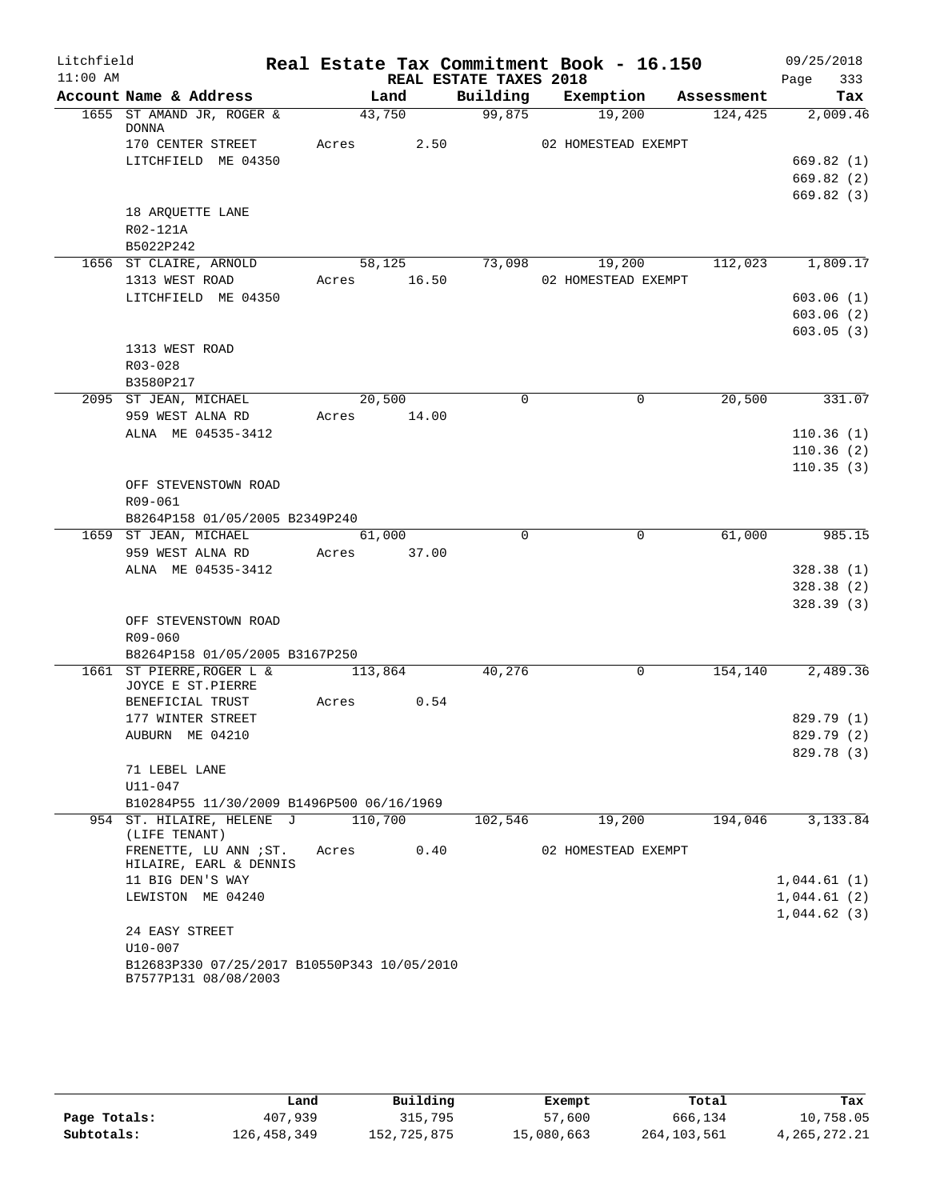| $11:00$ AM<br>REAL ESTATE TAXES 2018<br>333<br>Page<br>Account Name & Address<br>Building Exemption<br>Land<br>Assessment<br>1655 ST AMAND JR, ROGER &<br>43,750<br>99,875<br>19,200<br>124,425<br><b>DONNA</b><br>Acres 2.50<br>170 CENTER STREET<br>02 HOMESTEAD EXEMPT<br>LITCHFIELD ME 04350<br>18 ARQUETTE LANE<br>R02-121A<br>B5022P242<br>58, 125<br>73,098<br>19,200<br>1656 ST CLAIRE, ARNOLD<br>1313 WEST ROAD<br>Acres 16.50<br>02 HOMESTEAD EXEMPT<br>LITCHFIELD ME 04350<br>1313 WEST ROAD<br>R03-028<br>B3580P217<br>20,500<br>20,500<br>$\mathbf 0$<br>$\mathbf 0$<br>2095 ST JEAN, MICHAEL<br>959 WEST ALNA RD<br>Acres 14.00<br>ALNA ME 04535-3412<br>OFF STEVENSTOWN ROAD<br>R09-061<br>B8264P158 01/05/2005 B2349P240<br>$\Omega$<br>$\mathbf{0}$<br>61,000<br>1659 ST JEAN, MICHAEL<br>61,000<br>959 WEST ALNA RD<br>Acres 37.00<br>ALNA ME 04535-3412<br>OFF STEVENSTOWN ROAD<br>R09-060<br>B8264P158 01/05/2005 B3167P250<br>40,276<br>0<br>154,140<br>1661 ST PIERRE, ROGER L &<br>113,864<br>JOYCE E ST.PIERRE<br>0.54<br>BENEFICIAL TRUST<br>Acres<br>177 WINTER STREET<br>AUBURN ME 04210<br>71 LEBEL LANE<br>$U11 - 047$<br>B10284P55 11/30/2009 B1496P500 06/16/1969 | Litchfield |  |  | Real Estate Tax Commitment Book - 16.150 | 09/25/2018 |
|--------------------------------------------------------------------------------------------------------------------------------------------------------------------------------------------------------------------------------------------------------------------------------------------------------------------------------------------------------------------------------------------------------------------------------------------------------------------------------------------------------------------------------------------------------------------------------------------------------------------------------------------------------------------------------------------------------------------------------------------------------------------------------------------------------------------------------------------------------------------------------------------------------------------------------------------------------------------------------------------------------------------------------------------------------------------------------------------------------------------------------------------------------------------------------------------------|------------|--|--|------------------------------------------|------------|
| Tax<br>2,009.46<br>669.82(1)<br>669.82(2)<br>669.82(3)<br>112,023 1,809.17<br>603.06(1)<br>603.06(2)<br>603.05(3)<br>331.07<br>110.36(1)<br>110.36(2)<br>110.35(3)<br>985.15<br>328.38(1)<br>328.38(2)<br>328.39(3)<br>2,489.36<br>829.79 (1)<br>829.79 (2)<br>829.78 (3)                                                                                                                                                                                                                                                                                                                                                                                                                                                                                                                                                                                                                                                                                                                                                                                                                                                                                                                        |            |  |  |                                          |            |
|                                                                                                                                                                                                                                                                                                                                                                                                                                                                                                                                                                                                                                                                                                                                                                                                                                                                                                                                                                                                                                                                                                                                                                                                  |            |  |  |                                          |            |
|                                                                                                                                                                                                                                                                                                                                                                                                                                                                                                                                                                                                                                                                                                                                                                                                                                                                                                                                                                                                                                                                                                                                                                                                  |            |  |  |                                          |            |
|                                                                                                                                                                                                                                                                                                                                                                                                                                                                                                                                                                                                                                                                                                                                                                                                                                                                                                                                                                                                                                                                                                                                                                                                  |            |  |  |                                          |            |
|                                                                                                                                                                                                                                                                                                                                                                                                                                                                                                                                                                                                                                                                                                                                                                                                                                                                                                                                                                                                                                                                                                                                                                                                  |            |  |  |                                          |            |
|                                                                                                                                                                                                                                                                                                                                                                                                                                                                                                                                                                                                                                                                                                                                                                                                                                                                                                                                                                                                                                                                                                                                                                                                  |            |  |  |                                          |            |
|                                                                                                                                                                                                                                                                                                                                                                                                                                                                                                                                                                                                                                                                                                                                                                                                                                                                                                                                                                                                                                                                                                                                                                                                  |            |  |  |                                          |            |
|                                                                                                                                                                                                                                                                                                                                                                                                                                                                                                                                                                                                                                                                                                                                                                                                                                                                                                                                                                                                                                                                                                                                                                                                  |            |  |  |                                          |            |
|                                                                                                                                                                                                                                                                                                                                                                                                                                                                                                                                                                                                                                                                                                                                                                                                                                                                                                                                                                                                                                                                                                                                                                                                  |            |  |  |                                          |            |
|                                                                                                                                                                                                                                                                                                                                                                                                                                                                                                                                                                                                                                                                                                                                                                                                                                                                                                                                                                                                                                                                                                                                                                                                  |            |  |  |                                          |            |
|                                                                                                                                                                                                                                                                                                                                                                                                                                                                                                                                                                                                                                                                                                                                                                                                                                                                                                                                                                                                                                                                                                                                                                                                  |            |  |  |                                          |            |
|                                                                                                                                                                                                                                                                                                                                                                                                                                                                                                                                                                                                                                                                                                                                                                                                                                                                                                                                                                                                                                                                                                                                                                                                  |            |  |  |                                          |            |
|                                                                                                                                                                                                                                                                                                                                                                                                                                                                                                                                                                                                                                                                                                                                                                                                                                                                                                                                                                                                                                                                                                                                                                                                  |            |  |  |                                          |            |
|                                                                                                                                                                                                                                                                                                                                                                                                                                                                                                                                                                                                                                                                                                                                                                                                                                                                                                                                                                                                                                                                                                                                                                                                  |            |  |  |                                          |            |
|                                                                                                                                                                                                                                                                                                                                                                                                                                                                                                                                                                                                                                                                                                                                                                                                                                                                                                                                                                                                                                                                                                                                                                                                  |            |  |  |                                          |            |
|                                                                                                                                                                                                                                                                                                                                                                                                                                                                                                                                                                                                                                                                                                                                                                                                                                                                                                                                                                                                                                                                                                                                                                                                  |            |  |  |                                          |            |
|                                                                                                                                                                                                                                                                                                                                                                                                                                                                                                                                                                                                                                                                                                                                                                                                                                                                                                                                                                                                                                                                                                                                                                                                  |            |  |  |                                          |            |
|                                                                                                                                                                                                                                                                                                                                                                                                                                                                                                                                                                                                                                                                                                                                                                                                                                                                                                                                                                                                                                                                                                                                                                                                  |            |  |  |                                          |            |
|                                                                                                                                                                                                                                                                                                                                                                                                                                                                                                                                                                                                                                                                                                                                                                                                                                                                                                                                                                                                                                                                                                                                                                                                  |            |  |  |                                          |            |
|                                                                                                                                                                                                                                                                                                                                                                                                                                                                                                                                                                                                                                                                                                                                                                                                                                                                                                                                                                                                                                                                                                                                                                                                  |            |  |  |                                          |            |
|                                                                                                                                                                                                                                                                                                                                                                                                                                                                                                                                                                                                                                                                                                                                                                                                                                                                                                                                                                                                                                                                                                                                                                                                  |            |  |  |                                          |            |
|                                                                                                                                                                                                                                                                                                                                                                                                                                                                                                                                                                                                                                                                                                                                                                                                                                                                                                                                                                                                                                                                                                                                                                                                  |            |  |  |                                          |            |
|                                                                                                                                                                                                                                                                                                                                                                                                                                                                                                                                                                                                                                                                                                                                                                                                                                                                                                                                                                                                                                                                                                                                                                                                  |            |  |  |                                          |            |
|                                                                                                                                                                                                                                                                                                                                                                                                                                                                                                                                                                                                                                                                                                                                                                                                                                                                                                                                                                                                                                                                                                                                                                                                  |            |  |  |                                          |            |
|                                                                                                                                                                                                                                                                                                                                                                                                                                                                                                                                                                                                                                                                                                                                                                                                                                                                                                                                                                                                                                                                                                                                                                                                  |            |  |  |                                          |            |
|                                                                                                                                                                                                                                                                                                                                                                                                                                                                                                                                                                                                                                                                                                                                                                                                                                                                                                                                                                                                                                                                                                                                                                                                  |            |  |  |                                          |            |
|                                                                                                                                                                                                                                                                                                                                                                                                                                                                                                                                                                                                                                                                                                                                                                                                                                                                                                                                                                                                                                                                                                                                                                                                  |            |  |  |                                          |            |
|                                                                                                                                                                                                                                                                                                                                                                                                                                                                                                                                                                                                                                                                                                                                                                                                                                                                                                                                                                                                                                                                                                                                                                                                  |            |  |  |                                          |            |
|                                                                                                                                                                                                                                                                                                                                                                                                                                                                                                                                                                                                                                                                                                                                                                                                                                                                                                                                                                                                                                                                                                                                                                                                  |            |  |  |                                          |            |
|                                                                                                                                                                                                                                                                                                                                                                                                                                                                                                                                                                                                                                                                                                                                                                                                                                                                                                                                                                                                                                                                                                                                                                                                  |            |  |  |                                          |            |
|                                                                                                                                                                                                                                                                                                                                                                                                                                                                                                                                                                                                                                                                                                                                                                                                                                                                                                                                                                                                                                                                                                                                                                                                  |            |  |  |                                          |            |
|                                                                                                                                                                                                                                                                                                                                                                                                                                                                                                                                                                                                                                                                                                                                                                                                                                                                                                                                                                                                                                                                                                                                                                                                  |            |  |  |                                          |            |
|                                                                                                                                                                                                                                                                                                                                                                                                                                                                                                                                                                                                                                                                                                                                                                                                                                                                                                                                                                                                                                                                                                                                                                                                  |            |  |  |                                          |            |
|                                                                                                                                                                                                                                                                                                                                                                                                                                                                                                                                                                                                                                                                                                                                                                                                                                                                                                                                                                                                                                                                                                                                                                                                  |            |  |  |                                          |            |
|                                                                                                                                                                                                                                                                                                                                                                                                                                                                                                                                                                                                                                                                                                                                                                                                                                                                                                                                                                                                                                                                                                                                                                                                  |            |  |  |                                          |            |
|                                                                                                                                                                                                                                                                                                                                                                                                                                                                                                                                                                                                                                                                                                                                                                                                                                                                                                                                                                                                                                                                                                                                                                                                  |            |  |  |                                          |            |
|                                                                                                                                                                                                                                                                                                                                                                                                                                                                                                                                                                                                                                                                                                                                                                                                                                                                                                                                                                                                                                                                                                                                                                                                  |            |  |  |                                          |            |
|                                                                                                                                                                                                                                                                                                                                                                                                                                                                                                                                                                                                                                                                                                                                                                                                                                                                                                                                                                                                                                                                                                                                                                                                  |            |  |  |                                          |            |
|                                                                                                                                                                                                                                                                                                                                                                                                                                                                                                                                                                                                                                                                                                                                                                                                                                                                                                                                                                                                                                                                                                                                                                                                  |            |  |  |                                          |            |
|                                                                                                                                                                                                                                                                                                                                                                                                                                                                                                                                                                                                                                                                                                                                                                                                                                                                                                                                                                                                                                                                                                                                                                                                  |            |  |  |                                          |            |
|                                                                                                                                                                                                                                                                                                                                                                                                                                                                                                                                                                                                                                                                                                                                                                                                                                                                                                                                                                                                                                                                                                                                                                                                  |            |  |  |                                          |            |
|                                                                                                                                                                                                                                                                                                                                                                                                                                                                                                                                                                                                                                                                                                                                                                                                                                                                                                                                                                                                                                                                                                                                                                                                  |            |  |  |                                          |            |
| 110,700<br>194,046<br>954 ST. HILAIRE, HELENE J<br>102,546<br>19,200<br>3,133.84<br>(LIFE TENANT)                                                                                                                                                                                                                                                                                                                                                                                                                                                                                                                                                                                                                                                                                                                                                                                                                                                                                                                                                                                                                                                                                                |            |  |  |                                          |            |
| FRENETTE, LU ANN ; ST.<br>0.40<br>02 HOMESTEAD EXEMPT<br>Acres<br>HILAIRE, EARL & DENNIS                                                                                                                                                                                                                                                                                                                                                                                                                                                                                                                                                                                                                                                                                                                                                                                                                                                                                                                                                                                                                                                                                                         |            |  |  |                                          |            |
| 11 BIG DEN'S WAY<br>1,044.61(1)                                                                                                                                                                                                                                                                                                                                                                                                                                                                                                                                                                                                                                                                                                                                                                                                                                                                                                                                                                                                                                                                                                                                                                  |            |  |  |                                          |            |
| LEWISTON ME 04240<br>1,044.61(2)                                                                                                                                                                                                                                                                                                                                                                                                                                                                                                                                                                                                                                                                                                                                                                                                                                                                                                                                                                                                                                                                                                                                                                 |            |  |  |                                          |            |
| 1,044.62(3)                                                                                                                                                                                                                                                                                                                                                                                                                                                                                                                                                                                                                                                                                                                                                                                                                                                                                                                                                                                                                                                                                                                                                                                      |            |  |  |                                          |            |
| 24 EASY STREET                                                                                                                                                                                                                                                                                                                                                                                                                                                                                                                                                                                                                                                                                                                                                                                                                                                                                                                                                                                                                                                                                                                                                                                   |            |  |  |                                          |            |
| $U10 - 007$                                                                                                                                                                                                                                                                                                                                                                                                                                                                                                                                                                                                                                                                                                                                                                                                                                                                                                                                                                                                                                                                                                                                                                                      |            |  |  |                                          |            |
| B12683P330 07/25/2017 B10550P343 10/05/2010<br>B7577P131 08/08/2003                                                                                                                                                                                                                                                                                                                                                                                                                                                                                                                                                                                                                                                                                                                                                                                                                                                                                                                                                                                                                                                                                                                              |            |  |  |                                          |            |

|              | Land        | Building    | Exempt     | Total       | Tax             |
|--------------|-------------|-------------|------------|-------------|-----------------|
| Page Totals: | 407,939     | 315,795     | 57,600     | 666,134     | 10,758.05       |
| Subtotals:   | 126,458,349 | 152,725,875 | 15,080,663 | 264,103,561 | 4, 265, 272. 21 |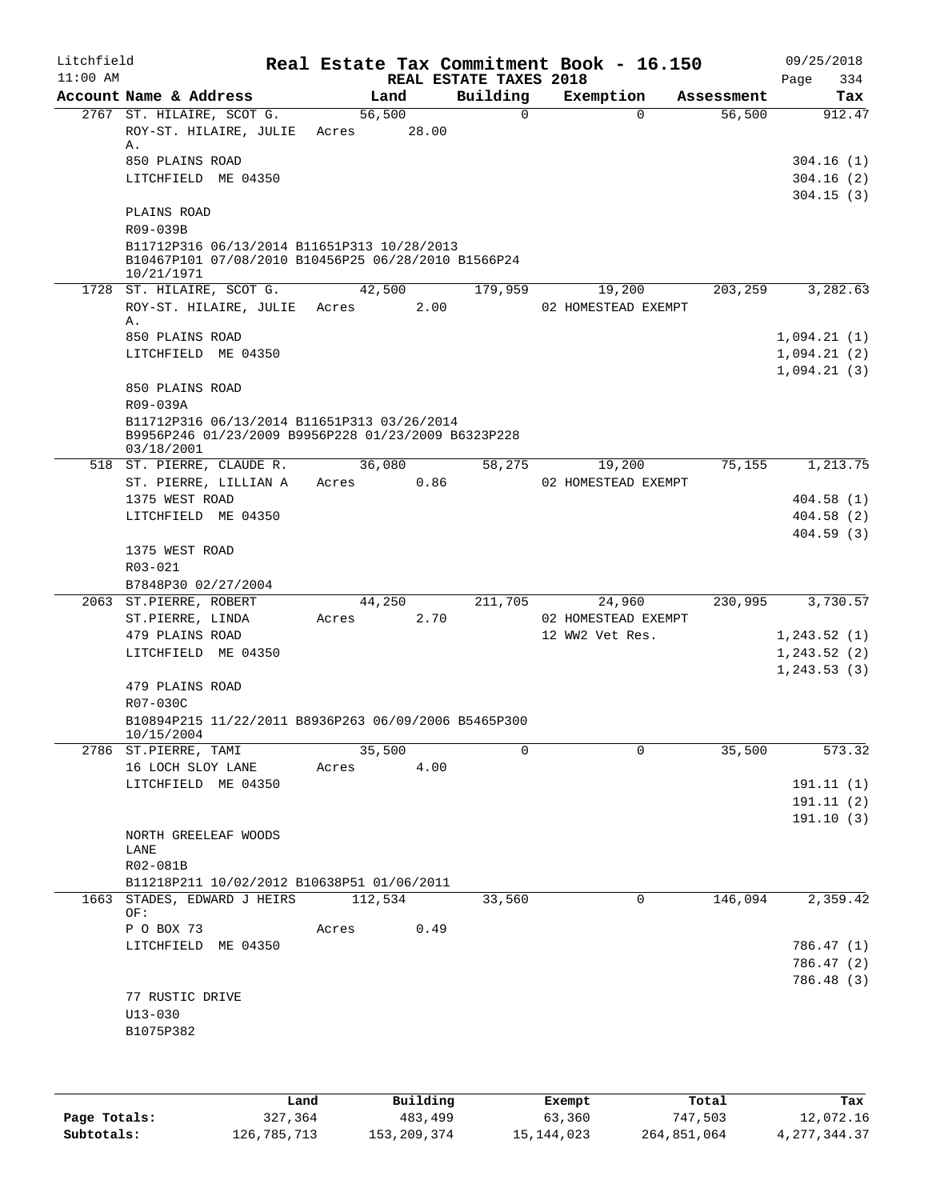| Litchfield<br>$11:00$ AM |                                                                                                                  |                 |       |      | REAL ESTATE TAXES 2018 | Real Estate Tax Commitment Book - 16.150 |            | 09/25/2018<br>Page<br>334  |
|--------------------------|------------------------------------------------------------------------------------------------------------------|-----------------|-------|------|------------------------|------------------------------------------|------------|----------------------------|
|                          | Account Name & Address                                                                                           |                 | Land  |      | Building               | Exemption                                | Assessment | Tax                        |
|                          | 2767 ST. HILAIRE, SCOT G.<br>ROY-ST. HILAIRE, JULIE<br>Α.                                                        | 56,500<br>Acres | 28.00 |      | $\Omega$               | $\Omega$                                 | 56,500     | 912.47                     |
|                          | 850 PLAINS ROAD<br>LITCHFIELD ME 04350                                                                           |                 |       |      |                        |                                          |            | 304.16(1)<br>304.16(2)     |
|                          | PLAINS ROAD<br>R09-039B                                                                                          |                 |       |      |                        |                                          |            | 304.15(3)                  |
|                          | B11712P316 06/13/2014 B11651P313 10/28/2013<br>B10467P101 07/08/2010 B10456P25 06/28/2010 B1566P24<br>10/21/1971 |                 |       |      |                        |                                          |            |                            |
|                          | 1728 ST. HILAIRE, SCOT G.                                                                                        | 42,500          |       |      | 179,959                | 19,200                                   | 203,259    | 3,282.63                   |
|                          | ROY-ST. HILAIRE, JULIE Acres<br>Α.                                                                               |                 |       | 2.00 |                        | 02 HOMESTEAD EXEMPT                      |            |                            |
|                          | 850 PLAINS ROAD                                                                                                  |                 |       |      |                        |                                          |            | 1,094.21(1)                |
|                          | LITCHFIELD ME 04350                                                                                              |                 |       |      |                        |                                          |            | 1,094.21(2)<br>1,094.21(3) |
|                          | 850 PLAINS ROAD<br>R09-039A                                                                                      |                 |       |      |                        |                                          |            |                            |
|                          | B11712P316 06/13/2014 B11651P313 03/26/2014<br>B9956P246 01/23/2009 B9956P228 01/23/2009 B6323P228<br>03/18/2001 |                 |       |      |                        |                                          |            |                            |
|                          | 518 ST. PIERRE, CLAUDE R.                                                                                        | 36,080          |       |      | 58,275                 | 19,200                                   | 75,155     | 1,213.75                   |
|                          | ST. PIERRE, LILLIAN A                                                                                            | Acres           |       | 0.86 |                        | 02 HOMESTEAD EXEMPT                      |            |                            |
|                          | 1375 WEST ROAD<br>LITCHFIELD ME 04350                                                                            |                 |       |      |                        |                                          |            | 404.58(1)<br>404.58(2)     |
|                          |                                                                                                                  |                 |       |      |                        |                                          |            | 404.59(3)                  |
|                          | 1375 WEST ROAD                                                                                                   |                 |       |      |                        |                                          |            |                            |
|                          | R03-021                                                                                                          |                 |       |      |                        |                                          |            |                            |
|                          | B7848P30 02/27/2004                                                                                              |                 |       |      |                        |                                          |            |                            |
|                          | 2063 ST.PIERRE, ROBERT                                                                                           | 44,250          |       |      | 211,705                | 24,960                                   | 230,995    | 3,730.57                   |
|                          | ST.PIERRE, LINDA                                                                                                 | Acres           |       | 2.70 |                        | 02 HOMESTEAD EXEMPT                      |            |                            |
|                          | 479 PLAINS ROAD<br>LITCHFIELD ME 04350                                                                           |                 |       |      |                        | 12 WW2 Vet Res.                          |            | 1,243.52(1)<br>1,243.52(2) |
|                          |                                                                                                                  |                 |       |      |                        |                                          |            | 1, 243.53(3)               |
|                          | 479 PLAINS ROAD                                                                                                  |                 |       |      |                        |                                          |            |                            |
|                          | R07-030C<br>B10894P215 11/22/2011 B8936P263 06/09/2006 B5465P300                                                 |                 |       |      |                        |                                          |            |                            |
|                          | 10/15/2004                                                                                                       |                 |       |      |                        |                                          |            |                            |
|                          | 2786 ST.PIERRE, TAMI                                                                                             | 35,500          |       |      | 0                      | $\Omega$                                 | 35,500     | 573.32                     |
|                          | 16 LOCH SLOY LANE                                                                                                | Acres           |       | 4.00 |                        |                                          |            |                            |
|                          | LITCHFIELD ME 04350                                                                                              |                 |       |      |                        |                                          |            | 191.11(1)                  |
|                          |                                                                                                                  |                 |       |      |                        |                                          |            | 191.11 (2)                 |
|                          | NORTH GREELEAF WOODS                                                                                             |                 |       |      |                        |                                          |            | 191.10(3)                  |
|                          | LANE                                                                                                             |                 |       |      |                        |                                          |            |                            |
|                          | R02-081B                                                                                                         |                 |       |      |                        |                                          |            |                            |
|                          | B11218P211 10/02/2012 B10638P51 01/06/2011                                                                       |                 |       |      |                        |                                          |            |                            |
|                          | 1663 STADES, EDWARD J HEIRS<br>OF:                                                                               | 112,534         |       |      | 33,560                 | 0                                        | 146,094    | 2,359.42                   |
|                          | P O BOX 73                                                                                                       | Acres           |       | 0.49 |                        |                                          |            |                            |
|                          | LITCHFIELD ME 04350                                                                                              |                 |       |      |                        |                                          |            | 786.47 (1)<br>786.47 (2)   |
|                          |                                                                                                                  |                 |       |      |                        |                                          |            | 786.48 (3)                 |
|                          | 77 RUSTIC DRIVE                                                                                                  |                 |       |      |                        |                                          |            |                            |
|                          | $U13 - 030$                                                                                                      |                 |       |      |                        |                                          |            |                            |
|                          | B1075P382                                                                                                        |                 |       |      |                        |                                          |            |                            |
|                          |                                                                                                                  |                 |       |      |                        |                                          |            |                            |
|                          |                                                                                                                  |                 |       |      |                        |                                          |            |                            |

|              | Land        | Building    | Exempt       | Total       | Tax            |
|--------------|-------------|-------------|--------------|-------------|----------------|
| Page Totals: | 327,364     | 483,499     | 63,360       | 747,503     | 12,072.16      |
| Subtotals:   | 126,785,713 | 153,209,374 | 15, 144, 023 | 264,851,064 | 4, 277, 344.37 |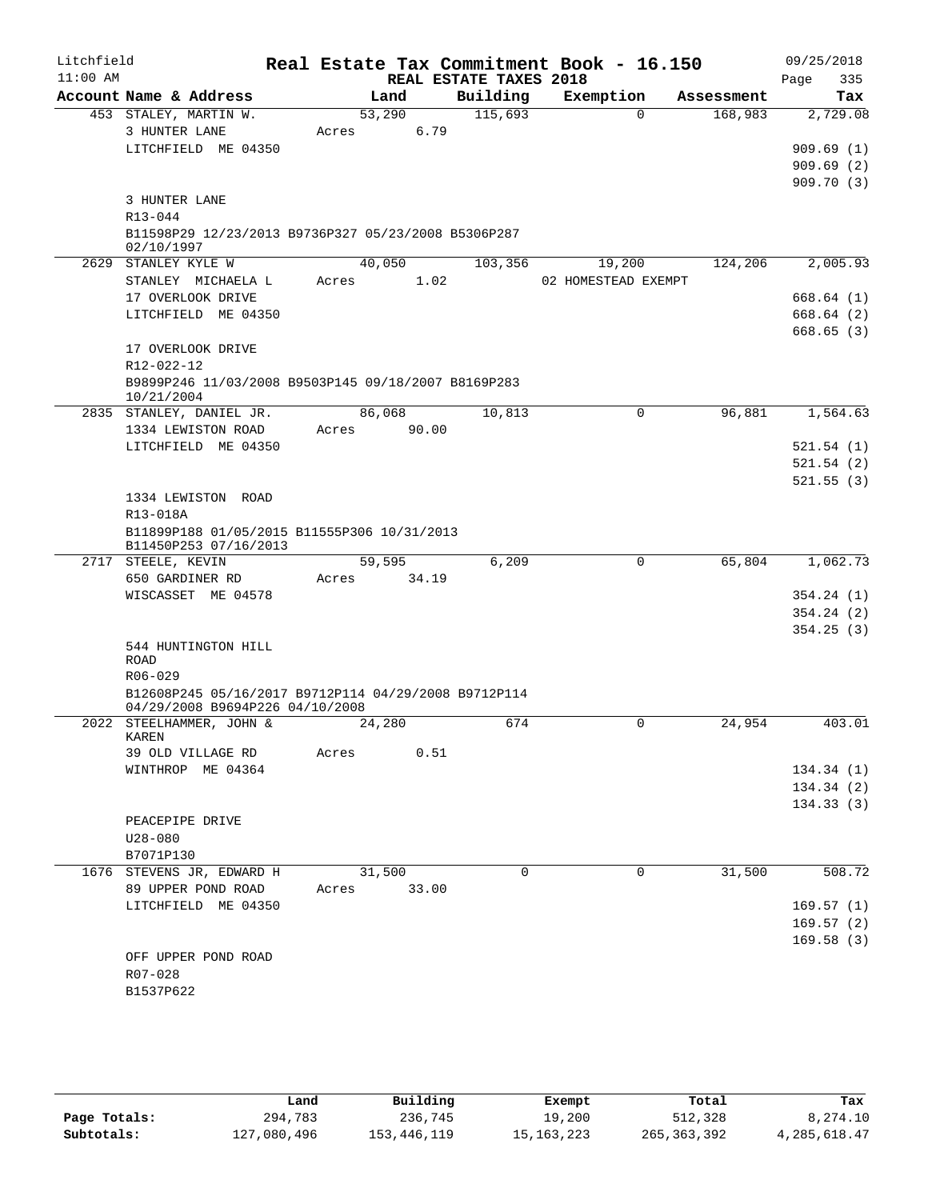| Litchfield |                                                                                         | Real Estate Tax Commitment Book - 16.150 |                        |                     |            | 09/25/2018  |
|------------|-----------------------------------------------------------------------------------------|------------------------------------------|------------------------|---------------------|------------|-------------|
| $11:00$ AM |                                                                                         |                                          | REAL ESTATE TAXES 2018 |                     |            | 335<br>Page |
|            | Account Name & Address                                                                  | Land                                     | Building               | Exemption           | Assessment | Tax         |
|            | 453 STALEY, MARTIN W.<br>3 HUNTER LANE                                                  | 53,290                                   | 115,693                | $\Omega$            | 168,983    | 2,729.08    |
|            | LITCHFIELD ME 04350                                                                     | 6.79<br>Acres                            |                        |                     |            | 909.69(1)   |
|            |                                                                                         |                                          |                        |                     |            | 909.69(2)   |
|            |                                                                                         |                                          |                        |                     |            | 909.70(3)   |
|            | 3 HUNTER LANE                                                                           |                                          |                        |                     |            |             |
|            | R13-044                                                                                 |                                          |                        |                     |            |             |
|            | B11598P29 12/23/2013 B9736P327 05/23/2008 B5306P287                                     |                                          |                        |                     |            |             |
|            | 02/10/1997                                                                              |                                          |                        |                     |            |             |
|            | 2629 STANLEY KYLE W                                                                     | 40,050                                   | 103,356                | 19,200              | 124,206    | 2,005.93    |
|            | STANLEY MICHAELA L                                                                      | 1.02<br>Acres                            |                        | 02 HOMESTEAD EXEMPT |            |             |
|            | 17 OVERLOOK DRIVE                                                                       |                                          |                        |                     |            | 668.64(1)   |
|            | LITCHFIELD ME 04350                                                                     |                                          |                        |                     |            | 668.64 (2)  |
|            |                                                                                         |                                          |                        |                     |            | 668.65(3)   |
|            | 17 OVERLOOK DRIVE                                                                       |                                          |                        |                     |            |             |
|            | R12-022-12                                                                              |                                          |                        |                     |            |             |
|            | B9899P246 11/03/2008 B9503P145 09/18/2007 B8169P283                                     |                                          |                        |                     |            |             |
|            | 10/21/2004                                                                              |                                          |                        |                     |            |             |
|            | 2835 STANLEY, DANIEL JR.                                                                | 86,068                                   | 10,813                 | $\mathbf 0$         | 96,881     | 1,564.63    |
|            | 1334 LEWISTON ROAD                                                                      | 90.00<br>Acres                           |                        |                     |            |             |
|            | LITCHFIELD ME 04350                                                                     |                                          |                        |                     |            | 521.54(1)   |
|            |                                                                                         |                                          |                        |                     |            | 521.54(2)   |
|            |                                                                                         |                                          |                        |                     |            | 521.55(3)   |
|            | 1334 LEWISTON ROAD                                                                      |                                          |                        |                     |            |             |
|            | R13-018A<br>B11899P188 01/05/2015 B11555P306 10/31/2013                                 |                                          |                        |                     |            |             |
|            | B11450P253 07/16/2013                                                                   |                                          |                        |                     |            |             |
|            | 2717 STEELE, KEVIN                                                                      | 59,595                                   | 6,209                  | $\mathbf 0$         | 65,804     | 1,062.73    |
|            | 650 GARDINER RD                                                                         | 34.19<br>Acres                           |                        |                     |            |             |
|            | WISCASSET ME 04578                                                                      |                                          |                        |                     |            | 354.24(1)   |
|            |                                                                                         |                                          |                        |                     |            | 354.24(2)   |
|            |                                                                                         |                                          |                        |                     |            | 354.25(3)   |
|            | 544 HUNTINGTON HILL                                                                     |                                          |                        |                     |            |             |
|            | <b>ROAD</b>                                                                             |                                          |                        |                     |            |             |
|            | $R06 - 029$                                                                             |                                          |                        |                     |            |             |
|            | B12608P245 05/16/2017 B9712P114 04/29/2008 B9712P114<br>04/29/2008 B9694P226 04/10/2008 |                                          |                        |                     |            |             |
|            | 2022 STEELHAMMER, JOHN &                                                                | 24,280                                   | 674                    | $\mathbf 0$         | 24,954     | 403.01      |
|            | KAREN                                                                                   |                                          |                        |                     |            |             |
|            | 39 OLD VILLAGE RD                                                                       | 0.51<br>Acres                            |                        |                     |            |             |
|            | WINTHROP ME 04364                                                                       |                                          |                        |                     |            | 134.34 (1)  |
|            |                                                                                         |                                          |                        |                     |            | 134.34(2)   |
|            |                                                                                         |                                          |                        |                     |            | 134.33(3)   |
|            | PEACEPIPE DRIVE                                                                         |                                          |                        |                     |            |             |
|            | $U28 - 080$                                                                             |                                          |                        |                     |            |             |
|            | B7071P130                                                                               |                                          |                        |                     |            |             |
|            | 1676 STEVENS JR, EDWARD H                                                               | 31,500                                   | $\Omega$               | $\Omega$            | 31,500     | 508.72      |
|            | 89 UPPER POND ROAD                                                                      | 33.00<br>Acres                           |                        |                     |            |             |
|            | LITCHFIELD ME 04350                                                                     |                                          |                        |                     |            | 169.57(1)   |
|            |                                                                                         |                                          |                        |                     |            | 169.57(2)   |
|            |                                                                                         |                                          |                        |                     |            | 169.58(3)   |
|            | OFF UPPER POND ROAD                                                                     |                                          |                        |                     |            |             |
|            | R07-028                                                                                 |                                          |                        |                     |            |             |
|            | B1537P622                                                                               |                                          |                        |                     |            |             |
|            |                                                                                         |                                          |                        |                     |            |             |

|              | Land        | Building    | Exempt       | Total       | Tax             |
|--------------|-------------|-------------|--------------|-------------|-----------------|
| Page Totals: | 294,783     | 236,745     | 19,200       | 512,328     | 8,274.10        |
| Subtotals:   | 127,080,496 | 153,446,119 | 15, 163, 223 | 265,363,392 | 4, 285, 618, 47 |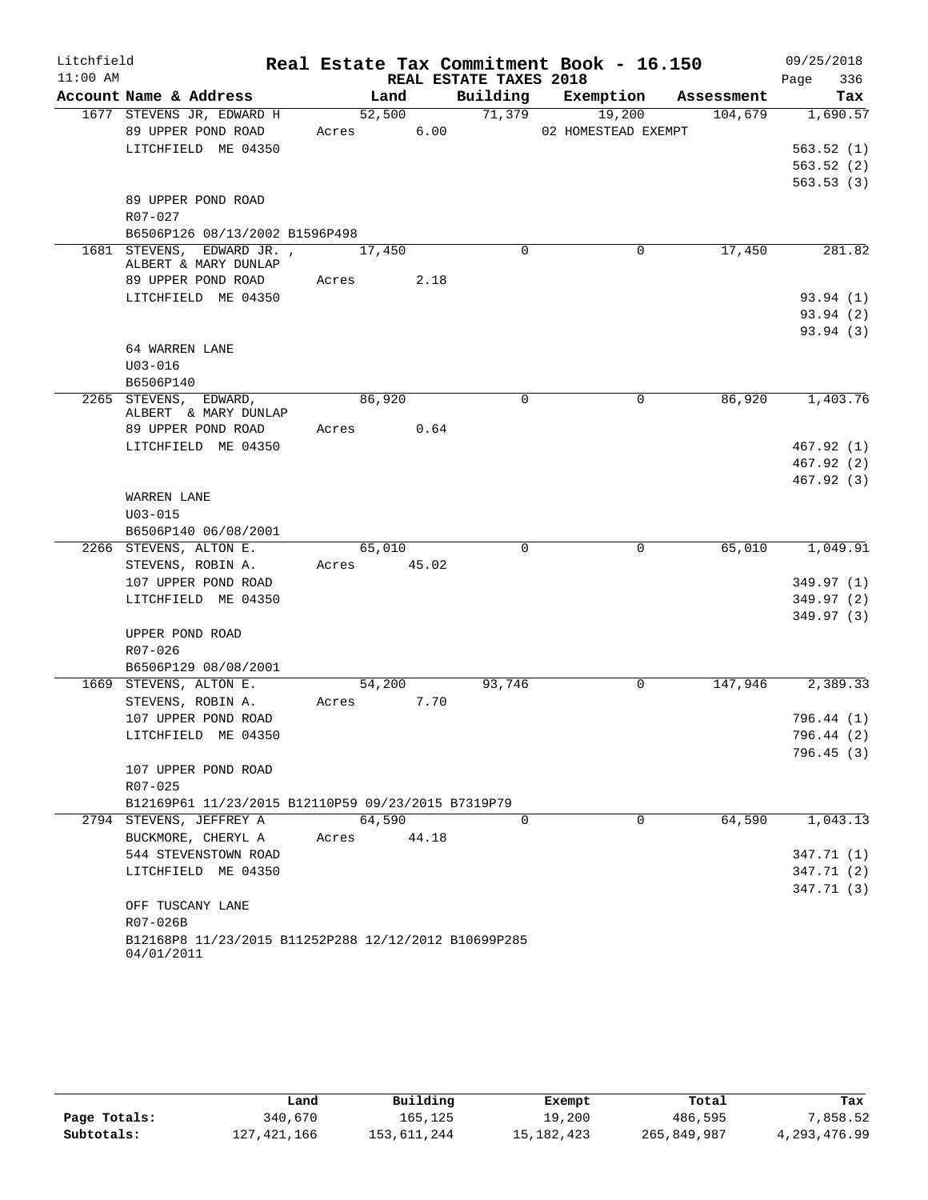| Litchfield |                                                      |             |        |                        | Real Estate Tax Commitment Book - 16.150 |         | 09/25/2018               |
|------------|------------------------------------------------------|-------------|--------|------------------------|------------------------------------------|---------|--------------------------|
| $11:00$ AM |                                                      |             |        | REAL ESTATE TAXES 2018 |                                          |         | 336<br>Page              |
|            | Account Name & Address                               |             | Land   |                        | Building Exemption Assessment            |         | Tax                      |
|            | 1677 STEVENS JR, EDWARD H                            |             | 52,500 | 71,379                 | 19,200                                   | 104,679 | 1,690.57                 |
|            | 89 UPPER POND ROAD                                   | Acres 6.00  |        |                        | 02 HOMESTEAD EXEMPT                      |         |                          |
|            | LITCHFIELD ME 04350                                  |             |        |                        |                                          |         | 563.52(1)                |
|            |                                                      |             |        |                        |                                          |         | 563.52(2)<br>563.53(3)   |
|            | 89 UPPER POND ROAD                                   |             |        |                        |                                          |         |                          |
|            | R07-027                                              |             |        |                        |                                          |         |                          |
|            | B6506P126 08/13/2002 B1596P498                       |             |        |                        |                                          |         |                          |
|            | 1681 STEVENS, EDWARD JR., 17,450                     |             |        | $\Omega$               | $\Omega$                                 | 17,450  | 281.82                   |
|            | ALBERT & MARY DUNLAP                                 |             |        |                        |                                          |         |                          |
|            | 89 UPPER POND ROAD Acres 2.18                        |             |        |                        |                                          |         |                          |
|            | LITCHFIELD ME 04350                                  |             |        |                        |                                          |         | 93.94(1)                 |
|            |                                                      |             |        |                        |                                          |         | 93.94(2)<br>93.94(3)     |
|            | 64 WARREN LANE                                       |             |        |                        |                                          |         |                          |
|            | $U03 - 016$                                          |             |        |                        |                                          |         |                          |
|            | B6506P140                                            |             |        |                        |                                          |         |                          |
|            | 2265 STEVENS, EDWARD,                                | 86,920      |        | $\mathbf 0$            | 0                                        | 86,920  | 1,403.76                 |
|            | ALBERT & MARY DUNLAP                                 |             |        |                        |                                          |         |                          |
|            | 89 UPPER POND ROAD                                   | Acres 0.64  |        |                        |                                          |         |                          |
|            | LITCHFIELD ME 04350                                  |             |        |                        |                                          |         | 467.92(1)                |
|            |                                                      |             |        |                        |                                          |         | 467.92 (2)<br>467.92 (3) |
|            | WARREN LANE                                          |             |        |                        |                                          |         |                          |
|            | $U03 - 015$                                          |             |        |                        |                                          |         |                          |
|            | B6506P140 06/08/2001                                 |             |        |                        |                                          |         |                          |
|            | 2266 STEVENS, ALTON E.                               |             | 65,010 | $\Omega$               | 0                                        | 65,010  | 1,049.91                 |
|            | STEVENS, ROBIN A.                                    | Acres 45.02 |        |                        |                                          |         |                          |
|            | 107 UPPER POND ROAD                                  |             |        |                        |                                          |         | 349.97 (1)               |
|            | LITCHFIELD ME 04350                                  |             |        |                        |                                          |         | 349.97(2)                |
|            |                                                      |             |        |                        |                                          |         | 349.97(3)                |
|            | UPPER POND ROAD<br>$R07 - 026$                       |             |        |                        |                                          |         |                          |
|            | B6506P129 08/08/2001                                 |             |        |                        |                                          |         |                          |
|            | 1669 STEVENS, ALTON E.                               |             | 54,200 | 93,746                 | $\mathbf 0$                              | 147,946 | 2,389.33                 |
|            | STEVENS, ROBIN A.                                    | Acres 7.70  |        |                        |                                          |         |                          |
|            | 107 UPPER POND ROAD                                  |             |        |                        |                                          |         | 796.44 (1)               |
|            | LITCHFIELD ME 04350                                  |             |        |                        |                                          |         | 796.44 (2)               |
|            |                                                      |             |        |                        |                                          |         | 796.45(3)                |
|            | 107 UPPER POND ROAD                                  |             |        |                        |                                          |         |                          |
|            | $R07 - 025$                                          |             |        |                        |                                          |         |                          |
|            | B12169P61 11/23/2015 B12110P59 09/23/2015 B7319P79   |             |        |                        |                                          |         |                          |
|            | 2794 STEVENS, JEFFREY A<br>BUCKMORE, CHERYL A        | 64,590      | 44.18  | $\Omega$               | $\Omega$                                 | 64,590  | 1,043.13                 |
|            | 544 STEVENSTOWN ROAD                                 | Acres       |        |                        |                                          |         | 347.71 (1)               |
|            | LITCHFIELD ME 04350                                  |             |        |                        |                                          |         | 347.71 (2)               |
|            |                                                      |             |        |                        |                                          |         | 347.71 (3)               |
|            | OFF TUSCANY LANE                                     |             |        |                        |                                          |         |                          |
|            | R07-026B                                             |             |        |                        |                                          |         |                          |
|            | B12168P8 11/23/2015 B11252P288 12/12/2012 B10699P285 |             |        |                        |                                          |         |                          |
|            | 04/01/2011                                           |             |        |                        |                                          |         |                          |

|              | Land        | Building    | Exempt       | Total       | Tax          |
|--------------|-------------|-------------|--------------|-------------|--------------|
| Page Totals: | 340,670     | 165.125     | 19,200       | 486,595     | 7,858.52     |
| Subtotals:   | 127,421,166 | 153,611,244 | 15, 182, 423 | 265,849,987 | 4,293,476.99 |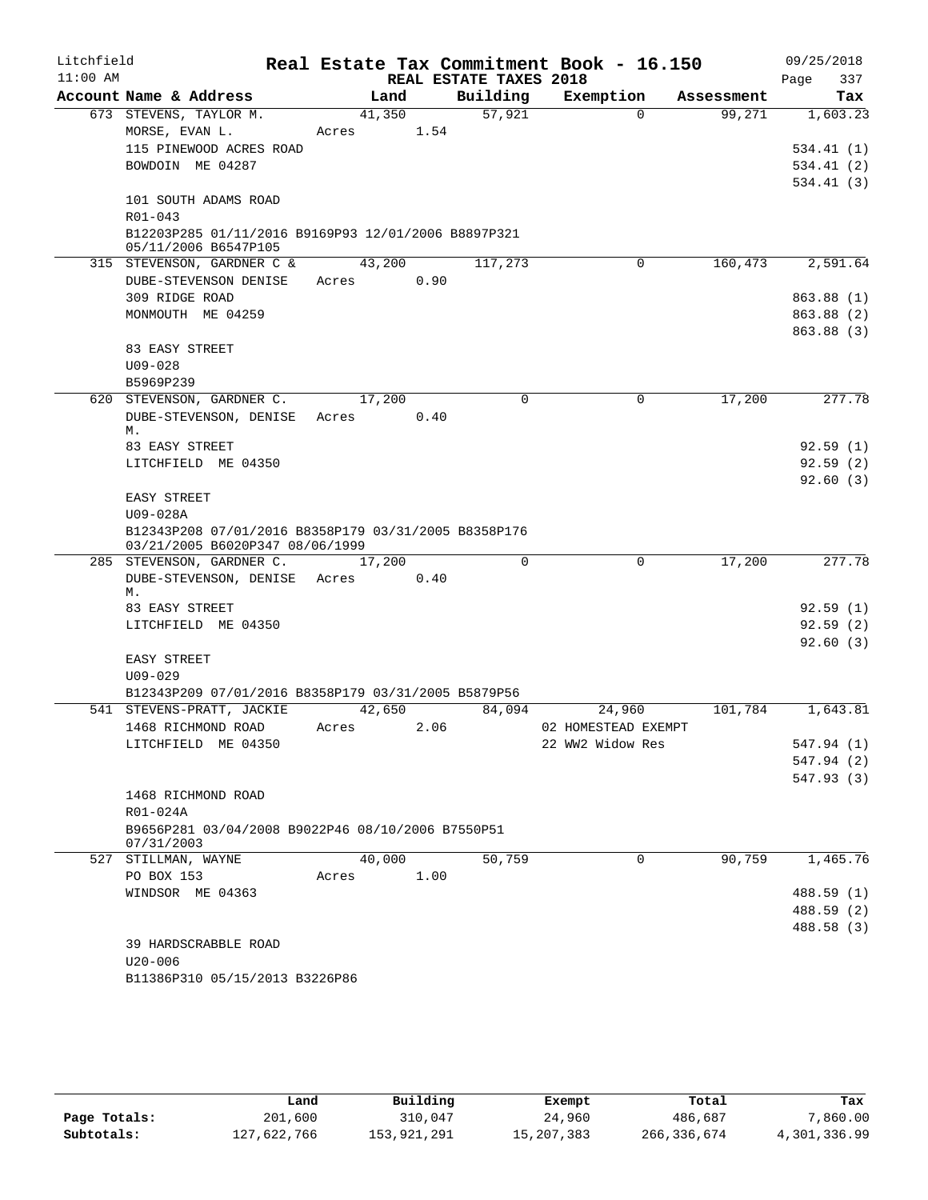| Litchfield |                                                                                         |                 |      |                        | Real Estate Tax Commitment Book - 16.150 |            | 09/25/2018  |
|------------|-----------------------------------------------------------------------------------------|-----------------|------|------------------------|------------------------------------------|------------|-------------|
| $11:00$ AM |                                                                                         |                 |      | REAL ESTATE TAXES 2018 |                                          |            | 337<br>Page |
|            | Account Name & Address                                                                  | Land            |      | Building               | Exemption                                | Assessment | Tax         |
|            | 673 STEVENS, TAYLOR M.                                                                  | 41,350          |      | 57,921                 | $\Omega$                                 | 99,271     | 1,603.23    |
|            | MORSE, EVAN L.                                                                          | Acres           | 1.54 |                        |                                          |            |             |
|            | 115 PINEWOOD ACRES ROAD                                                                 |                 |      |                        |                                          |            | 534.41(1)   |
|            | BOWDOIN ME 04287                                                                        |                 |      |                        |                                          |            | 534.41(2)   |
|            |                                                                                         |                 |      |                        |                                          |            | 534.41(3)   |
|            | 101 SOUTH ADAMS ROAD<br>$R01 - 043$                                                     |                 |      |                        |                                          |            |             |
|            | B12203P285 01/11/2016 B9169P93 12/01/2006 B8897P321                                     |                 |      |                        |                                          |            |             |
|            | 05/11/2006 B6547P105                                                                    |                 |      |                        |                                          |            |             |
|            | 315 STEVENSON, GARDNER C &                                                              | 43,200          |      | 117,273                | 0                                        | 160,473    | 2,591.64    |
|            | DUBE-STEVENSON DENISE                                                                   | Acres           | 0.90 |                        |                                          |            |             |
|            | 309 RIDGE ROAD                                                                          |                 |      |                        |                                          |            | 863.88 (1)  |
|            | MONMOUTH ME 04259                                                                       |                 |      |                        |                                          |            | 863.88 (2)  |
|            |                                                                                         |                 |      |                        |                                          |            | 863.88 (3)  |
|            | 83 EASY STREET                                                                          |                 |      |                        |                                          |            |             |
|            | $U09 - 028$                                                                             |                 |      |                        |                                          |            |             |
|            | B5969P239                                                                               |                 |      |                        |                                          |            |             |
|            | 620 STEVENSON, GARDNER C.                                                               | 17,200          |      | 0                      | $\mathbf 0$                              | 17,200     | 277.78      |
|            | DUBE-STEVENSON, DENISE Acres<br>М.                                                      |                 | 0.40 |                        |                                          |            |             |
|            | 83 EASY STREET                                                                          |                 |      |                        |                                          |            | 92.59(1)    |
|            | LITCHFIELD ME 04350                                                                     |                 |      |                        |                                          |            | 92.59(2)    |
|            |                                                                                         |                 |      |                        |                                          |            | 92.60(3)    |
|            | EASY STREET                                                                             |                 |      |                        |                                          |            |             |
|            | U09-028A                                                                                |                 |      |                        |                                          |            |             |
|            | B12343P208 07/01/2016 B8358P179 03/31/2005 B8358P176<br>03/21/2005 B6020P347 08/06/1999 |                 |      |                        |                                          |            |             |
|            | 285 STEVENSON, GARDNER C.                                                               | 17,200          |      | $\Omega$               | $\mathbf 0$                              | 17,200     | 277.78      |
|            | DUBE-STEVENSON, DENISE Acres<br>М.                                                      |                 | 0.40 |                        |                                          |            |             |
|            | 83 EASY STREET                                                                          |                 |      |                        |                                          |            | 92.59(1)    |
|            | LITCHFIELD ME 04350                                                                     |                 |      |                        |                                          |            | 92.59(2)    |
|            |                                                                                         |                 |      |                        |                                          |            | 92.60(3)    |
|            | EASY STREET                                                                             |                 |      |                        |                                          |            |             |
|            | $U09 - 029$                                                                             |                 |      |                        |                                          |            |             |
|            | B12343P209 07/01/2016 B8358P179 03/31/2005 B5879P56                                     |                 |      |                        |                                          |            |             |
|            | 541 STEVENS-PRATT, JACKIE<br>1468 RICHMOND ROAD                                         | 42,650<br>Acres | 2.06 | 84,094                 | 24,960<br>02 HOMESTEAD EXEMPT            | 101,784    | 1,643.81    |
|            | LITCHFIELD ME 04350                                                                     |                 |      |                        | 22 WW2 Widow Res                         |            | 547.94 (1)  |
|            |                                                                                         |                 |      |                        |                                          |            | 547.94 (2)  |
|            |                                                                                         |                 |      |                        |                                          |            | 547.93(3)   |
|            | 1468 RICHMOND ROAD                                                                      |                 |      |                        |                                          |            |             |
|            | R01-024A                                                                                |                 |      |                        |                                          |            |             |
|            | B9656P281 03/04/2008 B9022P46 08/10/2006 B7550P51                                       |                 |      |                        |                                          |            |             |
|            | 07/31/2003                                                                              |                 |      |                        |                                          |            |             |
|            | 527 STILLMAN, WAYNE                                                                     | 40,000          |      | 50,759                 | 0                                        | 90,759     | 1,465.76    |
|            | PO BOX 153                                                                              | Acres           | 1.00 |                        |                                          |            |             |
|            | WINDSOR ME 04363                                                                        |                 |      |                        |                                          |            | 488.59 (1)  |
|            |                                                                                         |                 |      |                        |                                          |            | 488.59 (2)  |
|            | 39 HARDSCRABBLE ROAD                                                                    |                 |      |                        |                                          |            | 488.58 (3)  |
|            | $U20 - 006$                                                                             |                 |      |                        |                                          |            |             |
|            | B11386P310 05/15/2013 B3226P86                                                          |                 |      |                        |                                          |            |             |
|            |                                                                                         |                 |      |                        |                                          |            |             |

|              | Land        | Building    | Exempt     | Total       | Tax          |
|--------------|-------------|-------------|------------|-------------|--------------|
| Page Totals: | 201,600     | 310,047     | 24,960     | 486,687     | 7,860.00     |
| Subtotals:   | 127,622,766 | 153,921,291 | 15,207,383 | 266,336,674 | 4,301,336.99 |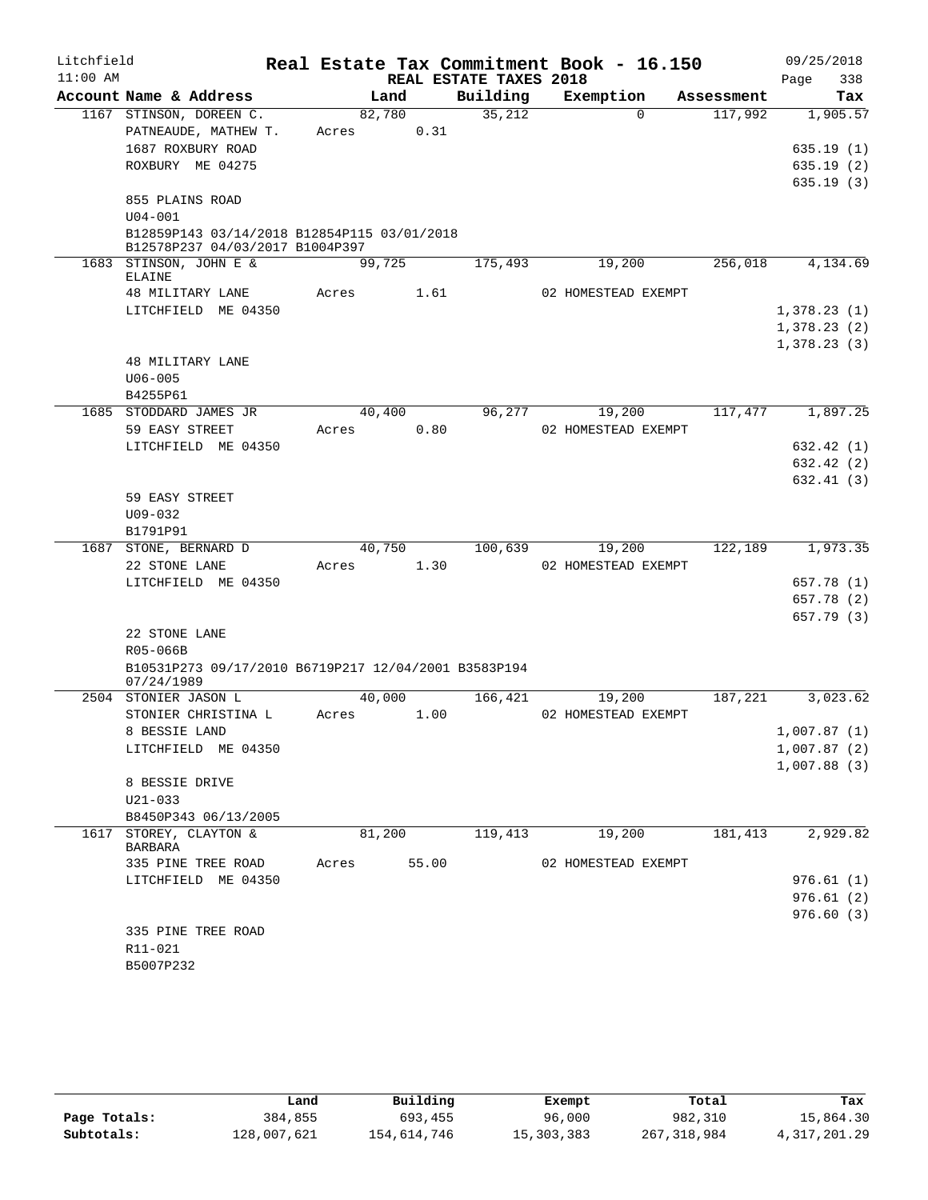| Litchfield |                                                                    |       |        |                        | Real Estate Tax Commitment Book - 16.150 |            |             | 09/25/2018 |
|------------|--------------------------------------------------------------------|-------|--------|------------------------|------------------------------------------|------------|-------------|------------|
| $11:00$ AM |                                                                    |       |        | REAL ESTATE TAXES 2018 |                                          |            | Page        | 338        |
|            | Account Name & Address                                             |       | Land   | Building               | Exemption                                | Assessment |             | Tax        |
|            | 1167 STINSON, DOREEN C.                                            |       | 82,780 | 35,212                 | $\Omega$                                 | 117,992    |             | 1,905.57   |
|            | PATNEAUDE, MATHEW T.                                               | Acres | 0.31   |                        |                                          |            |             |            |
|            | 1687 ROXBURY ROAD                                                  |       |        |                        |                                          |            |             | 635.19(1)  |
|            | ROXBURY ME 04275                                                   |       |        |                        |                                          |            |             | 635.19(2)  |
|            |                                                                    |       |        |                        |                                          |            |             | 635.19(3)  |
|            | 855 PLAINS ROAD<br>$U04 - 001$                                     |       |        |                        |                                          |            |             |            |
|            | B12859P143 03/14/2018 B12854P115 03/01/2018                        |       |        |                        |                                          |            |             |            |
|            | B12578P237 04/03/2017 B1004P397                                    |       |        |                        |                                          |            |             |            |
|            | 1683 STINSON, JOHN E &<br>ELAINE                                   |       | 99,725 | 175,493                | 19,200                                   | 256,018    |             | 4,134.69   |
|            | 48 MILITARY LANE                                                   | Acres | 1.61   |                        | 02 HOMESTEAD EXEMPT                      |            |             |            |
|            | LITCHFIELD ME 04350                                                |       |        |                        |                                          |            | 1,378.23(1) |            |
|            |                                                                    |       |        |                        |                                          |            | 1,378.23(2) |            |
|            |                                                                    |       |        |                        |                                          |            | 1,378.23(3) |            |
|            | 48 MILITARY LANE                                                   |       |        |                        |                                          |            |             |            |
|            | $U06 - 005$                                                        |       |        |                        |                                          |            |             |            |
|            | B4255P61                                                           |       |        |                        |                                          |            |             |            |
|            | 1685 STODDARD JAMES JR                                             |       | 40,400 | 96, 277                | 19,200                                   | 117,477    |             | 1,897.25   |
|            | 59 EASY STREET                                                     | Acres | 0.80   |                        | 02 HOMESTEAD EXEMPT                      |            |             |            |
|            | LITCHFIELD ME 04350                                                |       |        |                        |                                          |            |             | 632.42 (1) |
|            |                                                                    |       |        |                        |                                          |            |             | 632.42 (2) |
|            |                                                                    |       |        |                        |                                          |            |             | 632.41(3)  |
|            | 59 EASY STREET                                                     |       |        |                        |                                          |            |             |            |
|            | $U09 - 032$                                                        |       |        |                        |                                          |            |             |            |
|            | B1791P91<br>1687 STONE, BERNARD D                                  |       | 40,750 | 100,639                | 19,200                                   | 122,189    |             | 1,973.35   |
|            | 22 STONE LANE                                                      | Acres | 1.30   |                        | 02 HOMESTEAD EXEMPT                      |            |             |            |
|            | LITCHFIELD ME 04350                                                |       |        |                        |                                          |            |             | 657.78 (1) |
|            |                                                                    |       |        |                        |                                          |            |             | 657.78 (2) |
|            |                                                                    |       |        |                        |                                          |            |             | 657.79 (3) |
|            | 22 STONE LANE                                                      |       |        |                        |                                          |            |             |            |
|            | R05-066B                                                           |       |        |                        |                                          |            |             |            |
|            | B10531P273 09/17/2010 B6719P217 12/04/2001 B3583P194<br>07/24/1989 |       |        |                        |                                          |            |             |            |
|            | 2504 STONIER JASON L                                               |       | 40,000 | 166,421                | 19,200                                   | 187,221    |             | 3,023.62   |
|            | STONIER CHRISTINA L                                                | Acres | 1.00   |                        | 02 HOMESTEAD EXEMPT                      |            |             |            |
|            | 8 BESSIE LAND                                                      |       |        |                        |                                          |            | 1,007.87(1) |            |
|            | LITCHFIELD ME 04350                                                |       |        |                        |                                          |            | 1,007.87(2) |            |
|            | 8 BESSIE DRIVE                                                     |       |        |                        |                                          |            | 1,007.88(3) |            |
|            | $U21 - 033$                                                        |       |        |                        |                                          |            |             |            |
|            | B8450P343 06/13/2005                                               |       |        |                        |                                          |            |             |            |
|            | 1617 STOREY, CLAYTON &                                             |       | 81,200 | 119,413                | 19,200                                   | 181,413    |             | 2,929.82   |
|            | BARBARA                                                            |       |        |                        |                                          |            |             |            |
|            | 335 PINE TREE ROAD                                                 | Acres | 55.00  |                        | 02 HOMESTEAD EXEMPT                      |            |             |            |
|            | LITCHFIELD ME 04350                                                |       |        |                        |                                          |            |             | 976.61(1)  |
|            |                                                                    |       |        |                        |                                          |            |             | 976.61(2)  |
|            |                                                                    |       |        |                        |                                          |            |             | 976.60(3)  |
|            | 335 PINE TREE ROAD                                                 |       |        |                        |                                          |            |             |            |
|            | R11-021                                                            |       |        |                        |                                          |            |             |            |
|            | B5007P232                                                          |       |        |                        |                                          |            |             |            |

|              | Land        | Building    | Exempt       | Total         | Tax          |
|--------------|-------------|-------------|--------------|---------------|--------------|
| Page Totals: | 384,855     | 693,455     | 96,000       | 982,310       | 15,864.30    |
| Subtotals:   | 128,007,621 | 154,614,746 | 15, 303, 383 | 267, 318, 984 | 4,317,201.29 |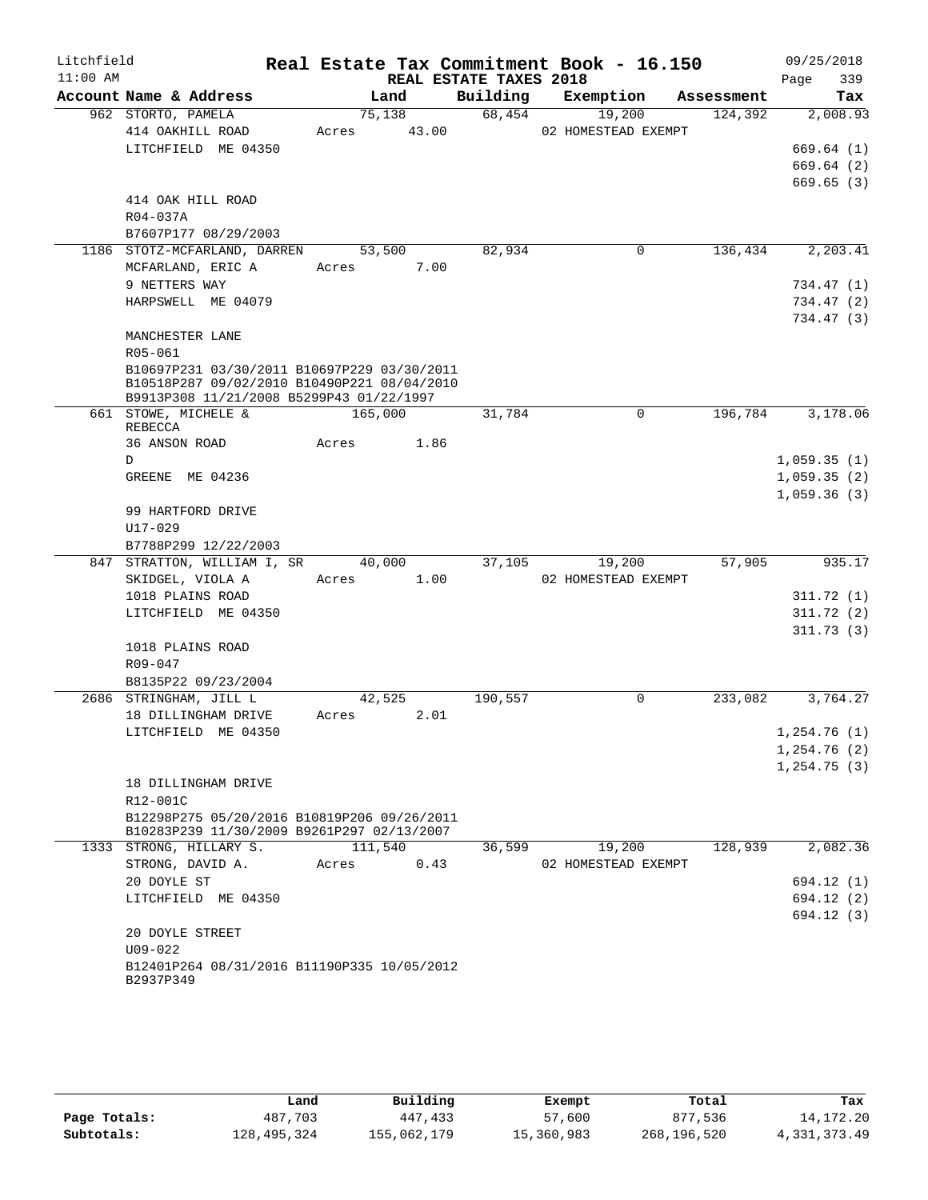| Litchfield |                                                                                           |         |        |                        | Real Estate Tax Commitment Book - 16.150 |            | 09/25/2018   |
|------------|-------------------------------------------------------------------------------------------|---------|--------|------------------------|------------------------------------------|------------|--------------|
| $11:00$ AM |                                                                                           |         |        | REAL ESTATE TAXES 2018 |                                          |            | 339<br>Page  |
|            | Account Name & Address                                                                    |         | Land   | Building               | Exemption                                | Assessment | Tax          |
|            | 962 STORTO, PAMELA                                                                        |         | 75,138 | 68,454                 | 19,200                                   | 124,392    | 2,008.93     |
|            | 414 OAKHILL ROAD                                                                          | Acres   | 43.00  |                        | 02 HOMESTEAD EXEMPT                      |            |              |
|            | LITCHFIELD ME 04350                                                                       |         |        |                        |                                          |            | 669.64(1)    |
|            |                                                                                           |         |        |                        |                                          |            | 669.64(2)    |
|            |                                                                                           |         |        |                        |                                          |            | 669.65(3)    |
|            | 414 OAK HILL ROAD                                                                         |         |        |                        |                                          |            |              |
|            | R04-037A                                                                                  |         |        |                        |                                          |            |              |
|            | B7607P177 08/29/2003                                                                      |         |        |                        |                                          |            |              |
|            | 1186 STOTZ-MCFARLAND, DARREN                                                              |         | 53,500 | 82,934                 | 0                                        | 136,434    | 2,203.41     |
|            | MCFARLAND, ERIC A                                                                         | Acres   | 7.00   |                        |                                          |            |              |
|            | 9 NETTERS WAY<br>HARPSWELL ME 04079                                                       |         |        |                        |                                          |            | 734.47 (1)   |
|            |                                                                                           |         |        |                        |                                          |            | 734.47 (2)   |
|            | MANCHESTER LANE                                                                           |         |        |                        |                                          |            | 734.47 (3)   |
|            | R05-061                                                                                   |         |        |                        |                                          |            |              |
|            | B10697P231 03/30/2011 B10697P229 03/30/2011                                               |         |        |                        |                                          |            |              |
|            | B10518P287 09/02/2010 B10490P221 08/04/2010                                               |         |        |                        |                                          |            |              |
|            | B9913P308 11/21/2008 B5299P43 01/22/1997                                                  |         |        |                        |                                          |            |              |
|            | 661 STOWE, MICHELE &<br>REBECCA                                                           | 165,000 |        | 31,784                 | 0                                        | 196,784    | 3,178.06     |
|            | 36 ANSON ROAD                                                                             | Acres   | 1.86   |                        |                                          |            |              |
|            | D                                                                                         |         |        |                        |                                          |            | 1,059.35(1)  |
|            | GREENE ME 04236                                                                           |         |        |                        |                                          |            | 1,059.35(2)  |
|            |                                                                                           |         |        |                        |                                          |            | 1,059.36(3)  |
|            | 99 HARTFORD DRIVE                                                                         |         |        |                        |                                          |            |              |
|            | $U17 - 029$                                                                               |         |        |                        |                                          |            |              |
|            | B7788P299 12/22/2003                                                                      |         |        |                        |                                          |            |              |
|            | 847 STRATTON, WILLIAM I, SR                                                               |         | 40,000 | 37,105                 | 19,200                                   | 57,905     | 935.17       |
|            | SKIDGEL, VIOLA A                                                                          | Acres   | 1.00   |                        | 02 HOMESTEAD EXEMPT                      |            |              |
|            | 1018 PLAINS ROAD                                                                          |         |        |                        |                                          |            | 311.72(1)    |
|            | LITCHFIELD ME 04350                                                                       |         |        |                        |                                          |            | 311.72(2)    |
|            |                                                                                           |         |        |                        |                                          |            | 311.73(3)    |
|            | 1018 PLAINS ROAD                                                                          |         |        |                        |                                          |            |              |
|            | R09-047                                                                                   |         |        |                        |                                          |            |              |
|            | B8135P22 09/23/2004                                                                       |         |        |                        |                                          |            |              |
|            | 2686 STRINGHAM, JILL L                                                                    |         | 42,525 | 190,557                | 0                                        | 233,082    | 3,764.27     |
|            | 18 DILLINGHAM DRIVE                                                                       | Acres   | 2.01   |                        |                                          |            |              |
|            | LITCHFIELD ME 04350                                                                       |         |        |                        |                                          |            | 1,254.76(1)  |
|            |                                                                                           |         |        |                        |                                          |            | 1,254.76(2)  |
|            |                                                                                           |         |        |                        |                                          |            | 1, 254.75(3) |
|            | 18 DILLINGHAM DRIVE                                                                       |         |        |                        |                                          |            |              |
|            | R12-001C                                                                                  |         |        |                        |                                          |            |              |
|            | B12298P275 05/20/2016 B10819P206 09/26/2011<br>B10283P239 11/30/2009 B9261P297 02/13/2007 |         |        |                        |                                          |            |              |
|            | 1333 STRONG, HILLARY S.                                                                   | 111,540 |        | 36,599                 | 19,200                                   | 128,939    | 2,082.36     |
|            | STRONG, DAVID A.                                                                          | Acres   | 0.43   |                        | 02 HOMESTEAD EXEMPT                      |            |              |
|            | 20 DOYLE ST                                                                               |         |        |                        |                                          |            | 694.12 (1)   |
|            | LITCHFIELD ME 04350                                                                       |         |        |                        |                                          |            | 694.12 (2)   |
|            |                                                                                           |         |        |                        |                                          |            | 694.12 (3)   |
|            | 20 DOYLE STREET                                                                           |         |        |                        |                                          |            |              |
|            | $U09 - 022$                                                                               |         |        |                        |                                          |            |              |
|            | B12401P264 08/31/2016 B11190P335 10/05/2012                                               |         |        |                        |                                          |            |              |
|            | B2937P349                                                                                 |         |        |                        |                                          |            |              |
|            |                                                                                           |         |        |                        |                                          |            |              |

|              | Land        | Building    | Exempt     | Total       | Tax          |
|--------------|-------------|-------------|------------|-------------|--------------|
| Page Totals: | 487,703     | 447,433     | 57,600     | 877,536     | 14,172.20    |
| Subtotals:   | 128,495,324 | 155,062,179 | 15,360,983 | 268,196,520 | 4,331,373.49 |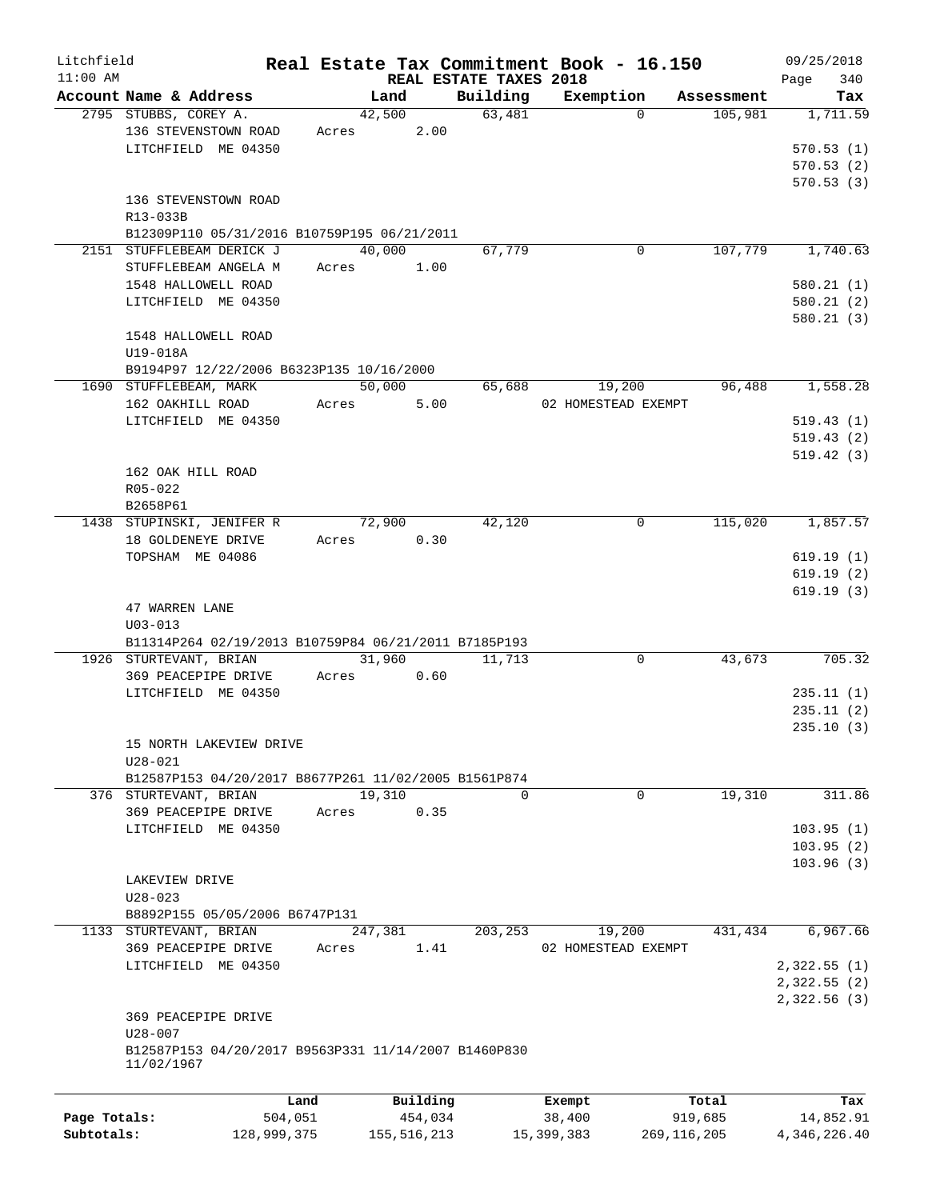| Litchfield<br>$11:00$ AM |                                                          |       |          | REAL ESTATE TAXES 2018 | Real Estate Tax Commitment Book - 16.150 |            | 09/25/2018<br>340<br>Page |
|--------------------------|----------------------------------------------------------|-------|----------|------------------------|------------------------------------------|------------|---------------------------|
|                          | Account Name & Address                                   |       | Land     | Building               | Exemption                                | Assessment | Tax                       |
|                          | 2795 STUBBS, COREY A.                                    |       | 42,500   | 63,481                 | $\Omega$                                 | 105,981    | 1,711.59                  |
|                          | 136 STEVENSTOWN ROAD                                     | Acres | 2.00     |                        |                                          |            |                           |
|                          | LITCHFIELD ME 04350                                      |       |          |                        |                                          |            | 570.53(1)                 |
|                          |                                                          |       |          |                        |                                          |            | 570.53(2)                 |
|                          |                                                          |       |          |                        |                                          |            | 570.53(3)                 |
|                          | 136 STEVENSTOWN ROAD                                     |       |          |                        |                                          |            |                           |
|                          | R13-033B                                                 |       |          |                        |                                          |            |                           |
|                          | B12309P110 05/31/2016 B10759P195 06/21/2011              |       |          |                        |                                          |            |                           |
|                          | 2151 STUFFLEBEAM DERICK J                                |       | 40,000   | 67,779                 | 0                                        | 107,779    | 1,740.63                  |
|                          | STUFFLEBEAM ANGELA M                                     | Acres | 1.00     |                        |                                          |            |                           |
|                          | 1548 HALLOWELL ROAD                                      |       |          |                        |                                          |            | 580.21(1)                 |
|                          | LITCHFIELD ME 04350                                      |       |          |                        |                                          |            | 580.21(2)                 |
|                          |                                                          |       |          |                        |                                          |            | 580.21(3)                 |
|                          | 1548 HALLOWELL ROAD                                      |       |          |                        |                                          |            |                           |
|                          | U19-018A                                                 |       |          |                        |                                          |            |                           |
|                          | B9194P97 12/22/2006 B6323P135 10/16/2000                 |       |          |                        |                                          |            |                           |
|                          | 1690 STUFFLEBEAM, MARK                                   |       | 50,000   | 65,688                 | 19,200                                   | 96,488     | 1,558.28                  |
|                          | 162 OAKHILL ROAD                                         | Acres | 5.00     |                        | 02 HOMESTEAD EXEMPT                      |            |                           |
|                          | LITCHFIELD ME 04350                                      |       |          |                        |                                          |            | 519.43(1)                 |
|                          |                                                          |       |          |                        |                                          |            | 519.43(2)                 |
|                          | 162 OAK HILL ROAD                                        |       |          |                        |                                          |            | 519.42(3)                 |
|                          | R05-022                                                  |       |          |                        |                                          |            |                           |
|                          | B2658P61                                                 |       |          |                        |                                          |            |                           |
|                          | 1438 STUPINSKI, JENIFER R                                |       | 72,900   | 42,120                 | 0                                        | 115,020    | 1,857.57                  |
|                          | 18 GOLDENEYE DRIVE                                       | Acres | 0.30     |                        |                                          |            |                           |
|                          | TOPSHAM ME 04086                                         |       |          |                        |                                          |            | 619.19(1)                 |
|                          |                                                          |       |          |                        |                                          |            | 619.19(2)                 |
|                          |                                                          |       |          |                        |                                          |            | 619.19(3)                 |
|                          | 47 WARREN LANE                                           |       |          |                        |                                          |            |                           |
|                          | $U03 - 013$                                              |       |          |                        |                                          |            |                           |
|                          | B11314P264 02/19/2013 B10759P84 06/21/2011 B7185P193     |       |          |                        |                                          |            |                           |
|                          | 1926 STURTEVANT, BRIAN                                   |       | 31,960   | 11,713                 | 0                                        | 43,673     | 705.32                    |
|                          | 369 PEACEPIPE DRIVE                                      | Acres | 0.60     |                        |                                          |            |                           |
|                          | LITCHFIELD ME 04350                                      |       |          |                        |                                          |            | 235.11(1)                 |
|                          |                                                          |       |          |                        |                                          |            | 235.11(2)                 |
|                          |                                                          |       |          |                        |                                          |            | 235.10(3)                 |
|                          | 15 NORTH LAKEVIEW DRIVE                                  |       |          |                        |                                          |            |                           |
|                          | $U28 - 021$                                              |       |          |                        |                                          |            |                           |
|                          | B12587P153 04/20/2017 B8677P261 11/02/2005 B1561P874     |       |          |                        |                                          |            |                           |
|                          | 376 STURTEVANT, BRIAN                                    |       | 19,310   | $\Omega$               | 0                                        | 19,310     | 311.86                    |
|                          | 369 PEACEPIPE DRIVE                                      | Acres | 0.35     |                        |                                          |            |                           |
|                          | LITCHFIELD ME 04350                                      |       |          |                        |                                          |            | 103.95(1)                 |
|                          |                                                          |       |          |                        |                                          |            | 103.95(2)                 |
|                          |                                                          |       |          |                        |                                          |            | 103.96(3)                 |
|                          | LAKEVIEW DRIVE<br>$U28 - 023$                            |       |          |                        |                                          |            |                           |
|                          |                                                          |       |          |                        |                                          |            |                           |
|                          | B8892P155 05/05/2006 B6747P131<br>1133 STURTEVANT, BRIAN |       | 247,381  | 203,253                | 19,200                                   | 431,434    | 6,967.66                  |
|                          | 369 PEACEPIPE DRIVE                                      | Acres | 1.41     |                        | 02 HOMESTEAD EXEMPT                      |            |                           |
|                          | LITCHFIELD ME 04350                                      |       |          |                        |                                          |            | 2,322.55(1)               |
|                          |                                                          |       |          |                        |                                          |            | 2,322.55(2)               |
|                          |                                                          |       |          |                        |                                          |            | 2,322.56 (3)              |
|                          | 369 PEACEPIPE DRIVE                                      |       |          |                        |                                          |            |                           |
|                          | $U28 - 007$                                              |       |          |                        |                                          |            |                           |
|                          | B12587P153 04/20/2017 B9563P331 11/14/2007 B1460P830     |       |          |                        |                                          |            |                           |
|                          | 11/02/1967                                               |       |          |                        |                                          |            |                           |
|                          |                                                          |       |          |                        |                                          |            |                           |
|                          | Land                                                     |       | Building |                        | Exempt                                   | Total      | Tax                       |
| Page Totals:             | 504,051                                                  |       | 454,034  |                        | 38,400                                   | 919,685    | 14,852.91                 |

**Subtotals:** 128,999,375 155,516,213 15,399,383 269,116,205 4,346,226.40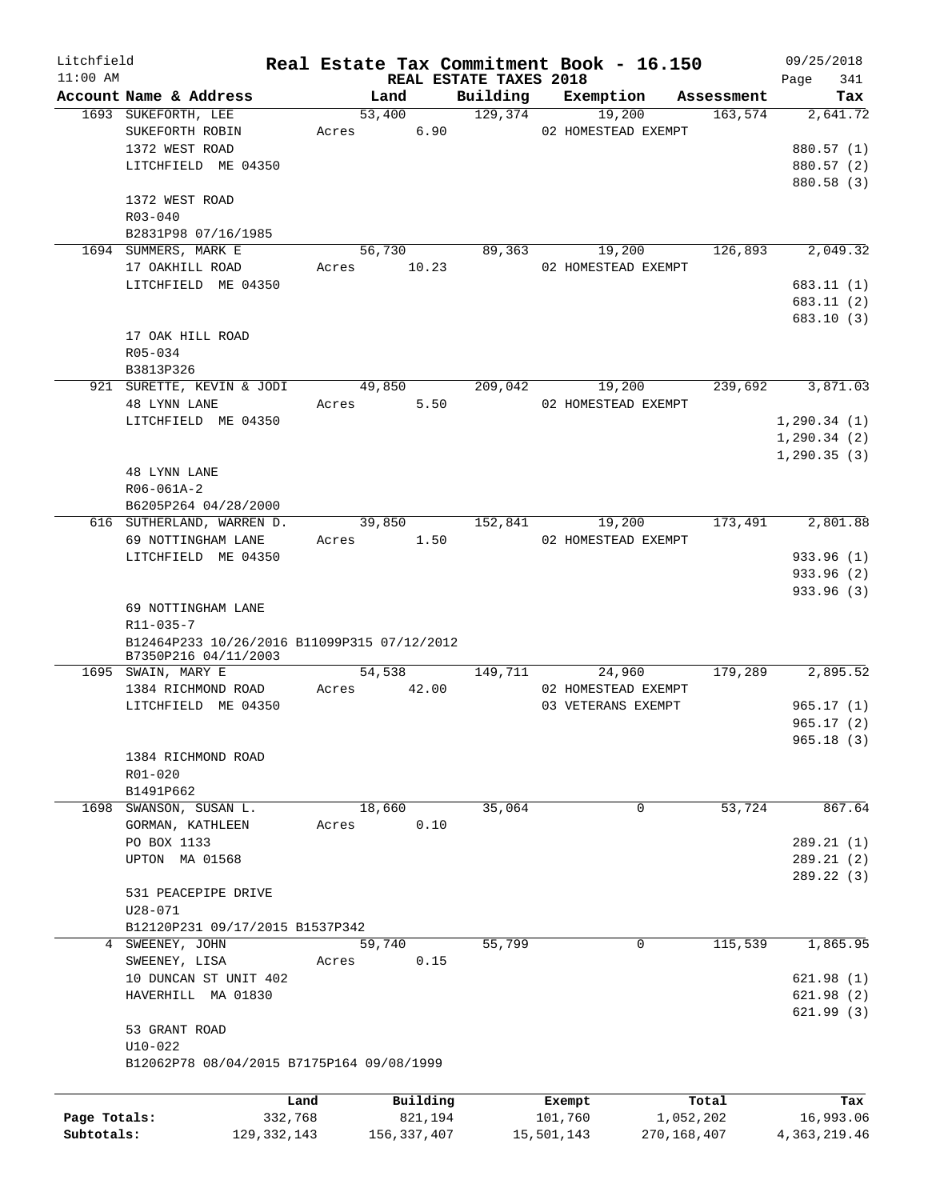| Litchfield   |                                                                     |       |               |                        | Real Estate Tax Commitment Book - 16.150 |             |            | 09/25/2018     |           |
|--------------|---------------------------------------------------------------------|-------|---------------|------------------------|------------------------------------------|-------------|------------|----------------|-----------|
| $11:00$ AM   |                                                                     |       |               | REAL ESTATE TAXES 2018 |                                          |             |            | Page           | 341       |
|              | Account Name & Address                                              |       | Land          | Building               | Exemption                                |             | Assessment |                | Tax       |
|              | 1693 SUKEFORTH, LEE                                                 |       | 53,400        | 129,374                | 19,200                                   |             | 163,574    |                | 2,641.72  |
|              | SUKEFORTH ROBIN                                                     | Acres | 6.90          |                        | 02 HOMESTEAD EXEMPT                      |             |            |                |           |
|              | 1372 WEST ROAD                                                      |       |               |                        |                                          |             |            | 880.57 (1)     |           |
|              | LITCHFIELD ME 04350                                                 |       |               |                        |                                          |             |            | 880.57 (2)     |           |
|              |                                                                     |       |               |                        |                                          |             |            | 880.58 (3)     |           |
|              | 1372 WEST ROAD                                                      |       |               |                        |                                          |             |            |                |           |
|              | $R03 - 040$                                                         |       |               |                        |                                          |             |            |                |           |
|              | B2831P98 07/16/1985                                                 |       |               |                        |                                          |             |            |                |           |
|              | 1694 SUMMERS, MARK E                                                |       | 56,730        | 89,363                 | 19,200                                   |             | 126,893    |                | 2,049.32  |
|              | 17 OAKHILL ROAD                                                     | Acres | 10.23         |                        | 02 HOMESTEAD EXEMPT                      |             |            |                |           |
|              | LITCHFIELD ME 04350                                                 |       |               |                        |                                          |             |            | 683.11 (1)     |           |
|              |                                                                     |       |               |                        |                                          |             |            | 683.11(2)      |           |
|              |                                                                     |       |               |                        |                                          |             |            | 683.10(3)      |           |
|              | 17 OAK HILL ROAD                                                    |       |               |                        |                                          |             |            |                |           |
|              | R05-034                                                             |       |               |                        |                                          |             |            |                |           |
|              | B3813P326                                                           |       |               |                        |                                          |             |            |                |           |
|              | 921 SURETTE, KEVIN & JODI                                           |       | 49,850        | 209,042                | 19,200                                   |             | 239,692    |                | 3,871.03  |
|              | 48 LYNN LANE                                                        | Acres | 5.50          |                        | 02 HOMESTEAD EXEMPT                      |             |            |                |           |
|              | LITCHFIELD ME 04350                                                 |       |               |                        |                                          |             |            | 1, 290.34(1)   |           |
|              |                                                                     |       |               |                        |                                          |             |            | 1, 290.34(2)   |           |
|              |                                                                     |       |               |                        |                                          |             |            | 1, 290.35(3)   |           |
|              | 48 LYNN LANE                                                        |       |               |                        |                                          |             |            |                |           |
|              | R06-061A-2                                                          |       |               |                        |                                          |             |            |                |           |
|              | B6205P264 04/28/2000                                                |       |               |                        |                                          |             |            |                |           |
|              | 616 SUTHERLAND, WARREN D.                                           |       | 39,850        | 152,841                | 19,200                                   |             | 173,491    |                | 2,801.88  |
|              | 69 NOTTINGHAM LANE                                                  | Acres | 1.50          |                        | 02 HOMESTEAD EXEMPT                      |             |            |                |           |
|              | LITCHFIELD ME 04350                                                 |       |               |                        |                                          |             |            | 933.96 (1)     |           |
|              |                                                                     |       |               |                        |                                          |             |            |                |           |
|              |                                                                     |       |               |                        |                                          |             |            | 933.96 (2)     |           |
|              |                                                                     |       |               |                        |                                          |             |            | 933.96 (3)     |           |
|              | 69 NOTTINGHAM LANE                                                  |       |               |                        |                                          |             |            |                |           |
|              | $R11 - 035 - 7$                                                     |       |               |                        |                                          |             |            |                |           |
|              | B12464P233 10/26/2016 B11099P315 07/12/2012<br>B7350P216 04/11/2003 |       |               |                        |                                          |             |            |                |           |
|              | 1695 SWAIN, MARY E                                                  |       | 54,538        | 149,711                | 24,960                                   |             | 179,289    |                | 2,895.52  |
|              | 1384 RICHMOND ROAD                                                  | Acres | 42.00         |                        | 02 HOMESTEAD EXEMPT                      |             |            |                |           |
|              | LITCHFIELD ME 04350                                                 |       |               |                        | 03 VETERANS EXEMPT                       |             |            | 965.17 (1)     |           |
|              |                                                                     |       |               |                        |                                          |             |            | 965.17(2)      |           |
|              |                                                                     |       |               |                        |                                          |             |            | 965.18(3)      |           |
|              | 1384 RICHMOND ROAD                                                  |       |               |                        |                                          |             |            |                |           |
|              |                                                                     |       |               |                        |                                          |             |            |                |           |
|              | R01-020                                                             |       |               |                        |                                          |             |            |                |           |
|              | B1491P662                                                           |       |               |                        |                                          |             |            |                |           |
|              | 1698 SWANSON, SUSAN L.                                              |       | 18,660        | 35,064                 |                                          | 0           | 53,724     |                | 867.64    |
|              | GORMAN, KATHLEEN                                                    | Acres | 0.10          |                        |                                          |             |            |                |           |
|              | PO BOX 1133                                                         |       |               |                        |                                          |             |            | 289.21(1)      |           |
|              | UPTON MA 01568                                                      |       |               |                        |                                          |             |            | 289.21(2)      |           |
|              |                                                                     |       |               |                        |                                          |             |            | 289.22(3)      |           |
|              | 531 PEACEPIPE DRIVE                                                 |       |               |                        |                                          |             |            |                |           |
|              | $U28 - 071$                                                         |       |               |                        |                                          |             |            |                |           |
|              | B12120P231 09/17/2015 B1537P342                                     |       |               |                        |                                          |             |            |                |           |
|              | 4 SWEENEY, JOHN                                                     |       | 59,740        | 55,799                 |                                          | $\mathbf 0$ | 115,539    |                | 1,865.95  |
|              | SWEENEY, LISA                                                       | Acres | 0.15          |                        |                                          |             |            |                |           |
|              | 10 DUNCAN ST UNIT 402                                               |       |               |                        |                                          |             |            | 621.98(1)      |           |
|              | HAVERHILL MA 01830                                                  |       |               |                        |                                          |             |            | 621.98(2)      |           |
|              |                                                                     |       |               |                        |                                          |             |            | 621.99(3)      |           |
|              | 53 GRANT ROAD                                                       |       |               |                        |                                          |             |            |                |           |
|              | $U10-022$                                                           |       |               |                        |                                          |             |            |                |           |
|              | B12062P78 08/04/2015 B7175P164 09/08/1999                           |       |               |                        |                                          |             |            |                |           |
|              |                                                                     |       |               |                        |                                          |             |            |                |           |
|              | Land                                                                |       | Building      |                        | Exempt                                   |             | Total      |                | Tax       |
| Page Totals: | 332,768                                                             |       | 821,194       |                        | 101,760                                  | 1,052,202   |            |                | 16,993.06 |
| Subtotals:   | 129, 332, 143                                                       |       | 156, 337, 407 |                        | 15,501,143                               | 270,168,407 |            | 4, 363, 219.46 |           |
|              |                                                                     |       |               |                        |                                          |             |            |                |           |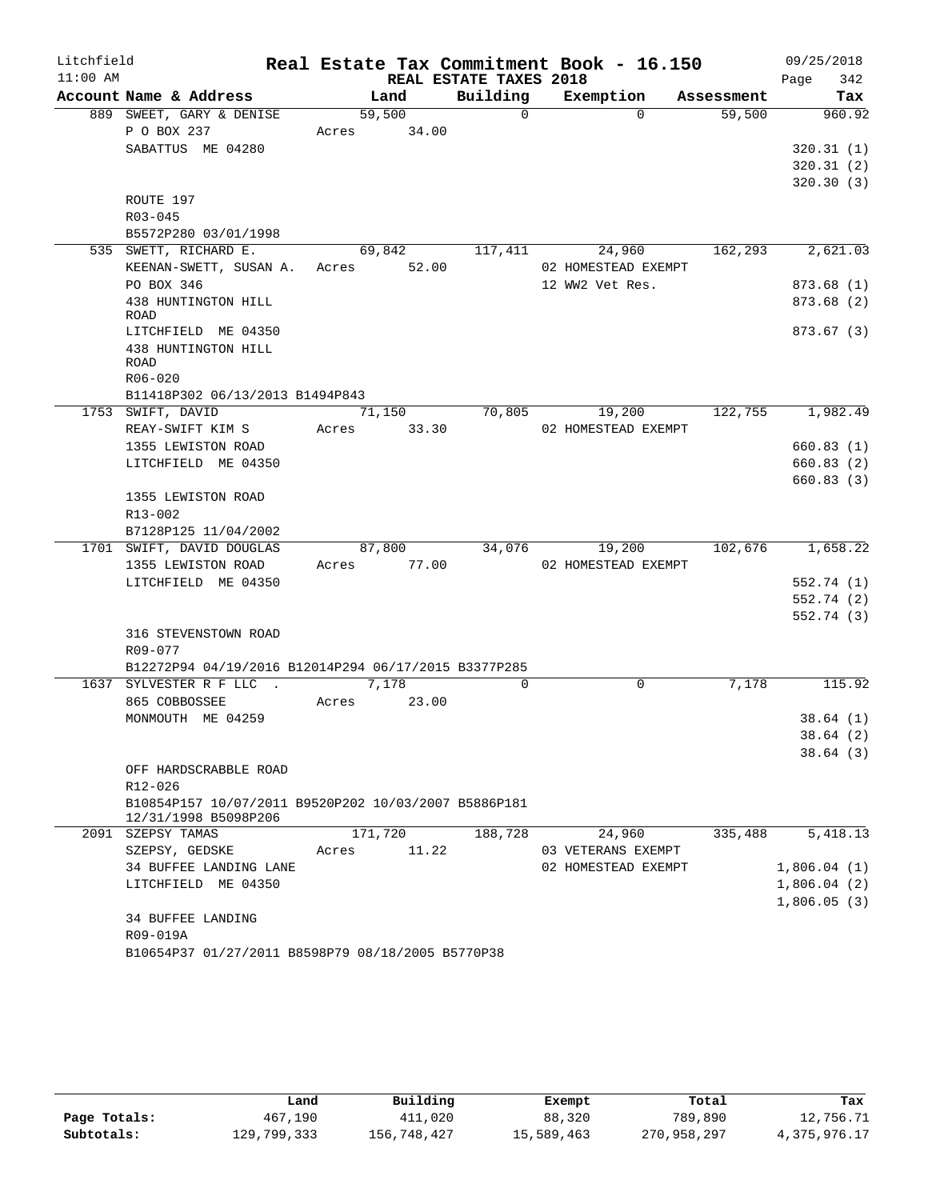| Litchfield |                                                                 |                          |                        | Real Estate Tax Commitment Book - 16.150 |            | 09/25/2018  |
|------------|-----------------------------------------------------------------|--------------------------|------------------------|------------------------------------------|------------|-------------|
| $11:00$ AM |                                                                 |                          | REAL ESTATE TAXES 2018 |                                          |            | 342<br>Page |
|            | Account Name & Address                                          | Land                     | Building               | Exemption                                | Assessment | Tax         |
|            | 889 SWEET, GARY & DENISE                                        | 59,500                   | $\Omega$               | $\Omega$                                 | 59,500     | 960.92      |
|            | P O BOX 237                                                     | Acres                    | 34.00                  |                                          |            |             |
|            | SABATTUS ME 04280                                               |                          |                        |                                          |            | 320.31(1)   |
|            |                                                                 |                          |                        |                                          |            | 320.31(2)   |
|            | ROUTE 197                                                       |                          |                        |                                          |            | 320.30(3)   |
|            | R03-045                                                         |                          |                        |                                          |            |             |
|            | B5572P280 03/01/1998                                            |                          |                        |                                          |            |             |
|            | 535 SWETT, RICHARD E.                                           | 69,842                   | 117,411                | 24,960                                   | 162,293    | 2,621.03    |
|            | KEENAN-SWETT, SUSAN A. Acres                                    |                          | 52.00                  | 02 HOMESTEAD EXEMPT                      |            |             |
|            | PO BOX 346                                                      |                          |                        | 12 WW2 Vet Res.                          |            | 873.68(1)   |
|            | 438 HUNTINGTON HILL                                             |                          |                        |                                          |            | 873.68(2)   |
|            | ROAD                                                            |                          |                        |                                          |            |             |
|            | LITCHFIELD ME 04350                                             |                          |                        |                                          |            | 873.67(3)   |
|            | 438 HUNTINGTON HILL<br>ROAD                                     |                          |                        |                                          |            |             |
|            | R06-020                                                         |                          |                        |                                          |            |             |
|            | B11418P302 06/13/2013 B1494P843                                 |                          |                        |                                          |            |             |
|            | 1753 SWIFT, DAVID                                               | 71,150                   | 70,805                 | 19,200                                   | 122,755    | 1,982.49    |
|            | REAY-SWIFT KIM S                                                | Acres                    | 33.30                  | 02 HOMESTEAD EXEMPT                      |            |             |
|            | 1355 LEWISTON ROAD                                              |                          |                        |                                          |            | 660.83(1)   |
|            | LITCHFIELD ME 04350                                             |                          |                        |                                          |            | 660.83(2)   |
|            |                                                                 |                          |                        |                                          |            | 660.83(3)   |
|            | 1355 LEWISTON ROAD                                              |                          |                        |                                          |            |             |
|            | R13-002                                                         |                          |                        |                                          |            |             |
|            | B7128P125 11/04/2002                                            |                          |                        |                                          |            |             |
|            | 1701 SWIFT, DAVID DOUGLAS<br>1355 LEWISTON ROAD                 | 87,800<br>77.00<br>Acres | 34,076                 | 19,200<br>02 HOMESTEAD EXEMPT            | 102,676    | 1,658.22    |
|            | LITCHFIELD ME 04350                                             |                          |                        |                                          |            | 552.74 (1)  |
|            |                                                                 |                          |                        |                                          |            | 552.74 (2)  |
|            |                                                                 |                          |                        |                                          |            | 552.74 (3)  |
|            | 316 STEVENSTOWN ROAD                                            |                          |                        |                                          |            |             |
|            | R09-077                                                         |                          |                        |                                          |            |             |
|            | B12272P94 04/19/2016 B12014P294 06/17/2015 B3377P285            |                          |                        |                                          |            |             |
|            | 1637 SYLVESTER R F LLC .                                        | 7,178                    | $\Omega$               | $\mathbf 0$                              | 7,178      | 115.92      |
|            | 865 COBBOSSEE                                                   | Acres                    | 23.00                  |                                          |            |             |
|            | MONMOUTH ME 04259                                               |                          |                        |                                          |            | 38.64(1)    |
|            |                                                                 |                          |                        |                                          |            | 38.64(2)    |
|            |                                                                 |                          |                        |                                          |            | 38.64(3)    |
|            | OFF HARDSCRABBLE ROAD                                           |                          |                        |                                          |            |             |
|            | R12-026<br>B10854P157 10/07/2011 B9520P202 10/03/2007 B5886P181 |                          |                        |                                          |            |             |
|            | 12/31/1998 B5098P206                                            |                          |                        |                                          |            |             |
|            | 2091 SZEPSY TAMAS                                               | 171,720                  | 188,728                | 24,960                                   | 335,488    | 5,418.13    |
|            | SZEPSY, GEDSKE                                                  | Acres                    | 11.22                  | 03 VETERANS EXEMPT                       |            |             |
|            | 34 BUFFEE LANDING LANE                                          |                          |                        | 02 HOMESTEAD EXEMPT                      |            | 1,806.04(1) |
|            | LITCHFIELD ME 04350                                             |                          |                        |                                          |            | 1,806.04(2) |
|            |                                                                 |                          |                        |                                          |            | 1,806.05(3) |
|            | 34 BUFFEE LANDING                                               |                          |                        |                                          |            |             |
|            | R09-019A                                                        |                          |                        |                                          |            |             |
|            | B10654P37 01/27/2011 B8598P79 08/18/2005 B5770P38               |                          |                        |                                          |            |             |

|              | Land        | Building    | Exempt     | Total       | Tax          |
|--------------|-------------|-------------|------------|-------------|--------------|
| Page Totals: | 467,190     | 411,020     | 88,320     | 789,890     | 12,756.71    |
| Subtotals:   | 129,799,333 | 156,748,427 | 15,589,463 | 270,958,297 | 4,375,976.17 |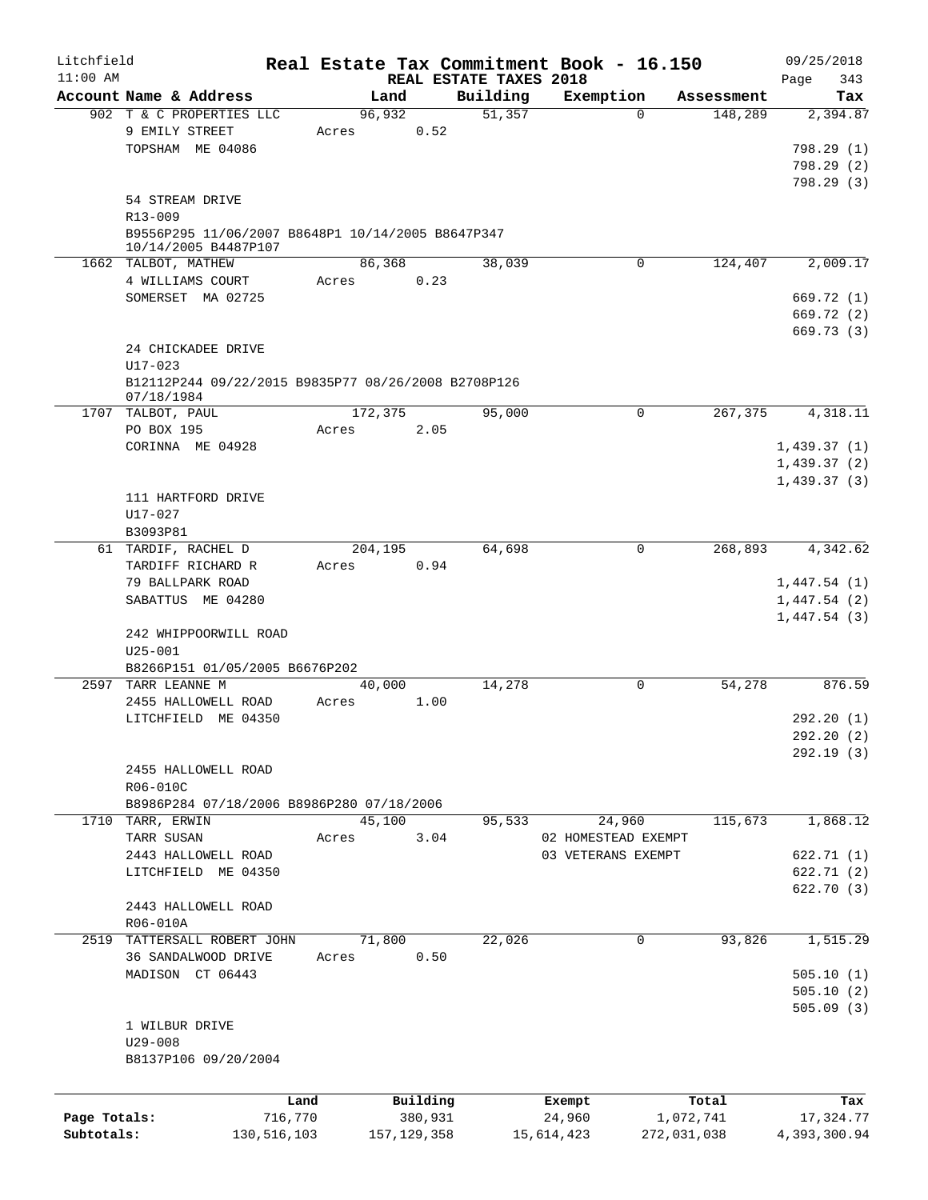| Litchfield   |                                                                           |                 |                  |                     |                                    |        | Real Estate Tax Commitment Book - 16.150 |          |                    |                            | 09/25/2018               |
|--------------|---------------------------------------------------------------------------|-----------------|------------------|---------------------|------------------------------------|--------|------------------------------------------|----------|--------------------|----------------------------|--------------------------|
| $11:00$ AM   | Account Name & Address                                                    |                 | Land             |                     | REAL ESTATE TAXES 2018<br>Building |        | Exemption                                |          | Assessment         | Page                       | 343<br>Tax               |
|              | 902 T & C PROPERTIES LLC<br>9 EMILY STREET                                |                 | 96,932<br>Acres  | 0.52                |                                    | 51,357 |                                          | $\Omega$ | 148,289            |                            | 2,394.87                 |
|              | TOPSHAM ME 04086                                                          |                 |                  |                     |                                    |        |                                          |          |                    |                            | 798.29 (1)<br>798.29(2)  |
|              | 54 STREAM DRIVE<br>R13-009                                                |                 |                  |                     |                                    |        |                                          |          |                    |                            | 798.29(3)                |
|              | B9556P295 11/06/2007 B8648P1 10/14/2005 B8647P347<br>10/14/2005 B4487P107 |                 |                  |                     |                                    |        |                                          |          |                    |                            |                          |
|              | 1662 TALBOT, MATHEW<br>4 WILLIAMS COURT                                   |                 | 86,368<br>Acres  | 0.23                |                                    | 38,039 |                                          | 0        | 124,407            |                            | 2,009.17                 |
|              | SOMERSET MA 02725                                                         |                 |                  |                     |                                    |        |                                          |          |                    |                            | 669.72 (1)               |
|              |                                                                           |                 |                  |                     |                                    |        |                                          |          |                    |                            | 669.72 (2)<br>669.73(3)  |
|              | 24 CHICKADEE DRIVE<br>$U17 - 023$                                         |                 |                  |                     |                                    |        |                                          |          |                    |                            |                          |
|              | B12112P244 09/22/2015 B9835P77 08/26/2008 B2708P126<br>07/18/1984         |                 |                  |                     |                                    |        |                                          |          |                    |                            |                          |
| 1707         | TALBOT, PAUL<br>PO BOX 195                                                |                 | 172,375<br>Acres | 2.05                |                                    | 95,000 |                                          | 0        | 267,375            |                            | 4,318.11                 |
|              | CORINNA ME 04928                                                          |                 |                  |                     |                                    |        |                                          |          |                    | 1,439.37(1)                |                          |
|              |                                                                           |                 |                  |                     |                                    |        |                                          |          |                    | 1,439.37(2)<br>1,439.37(3) |                          |
|              | 111 HARTFORD DRIVE<br>U17-027                                             |                 |                  |                     |                                    |        |                                          |          |                    |                            |                          |
|              | B3093P81<br>61 TARDIF, RACHEL D                                           |                 | 204,195          |                     |                                    | 64,698 |                                          | 0        | 268,893            |                            | 4,342.62                 |
|              | TARDIFF RICHARD R                                                         |                 | Acres            | 0.94                |                                    |        |                                          |          |                    |                            |                          |
|              | 79 BALLPARK ROAD<br>SABATTUS ME 04280                                     |                 |                  |                     |                                    |        |                                          |          |                    | 1,447.54(1)<br>1,447.54(2) |                          |
|              |                                                                           |                 |                  |                     |                                    |        |                                          |          |                    | 1,447.54(3)                |                          |
|              | 242 WHIPPOORWILL ROAD<br>$U25 - 001$<br>B8266P151 01/05/2005 B6676P202    |                 |                  |                     |                                    |        |                                          |          |                    |                            |                          |
| 2597         | TARR LEANNE M                                                             |                 | 40,000           |                     |                                    | 14,278 |                                          | 0        | 54,278             |                            | 876.59                   |
|              | 2455 HALLOWELL ROAD                                                       |                 | Acres            | 1.00                |                                    |        |                                          |          |                    |                            |                          |
|              | LITCHFIELD ME 04350                                                       |                 |                  |                     |                                    |        |                                          |          |                    |                            | 292.20 (1)<br>292.20 (2) |
|              | 2455 HALLOWELL ROAD                                                       |                 |                  |                     |                                    |        |                                          |          |                    |                            | 292.19(3)                |
|              | R06-010C                                                                  |                 |                  |                     |                                    |        |                                          |          |                    |                            |                          |
|              | B8986P284 07/18/2006 B8986P280 07/18/2006                                 |                 |                  |                     |                                    |        |                                          |          |                    |                            |                          |
| 1710         | TARR, ERWIN<br>TARR SUSAN                                                 |                 | 45,100<br>Acres  | 3.04                |                                    | 95,533 | 24,960<br>02 HOMESTEAD EXEMPT            |          | 115,673            |                            | 1,868.12                 |
|              | 2443 HALLOWELL ROAD                                                       |                 |                  |                     |                                    |        | 03 VETERANS EXEMPT                       |          |                    |                            | 622.71(1)                |
|              | LITCHFIELD ME 04350                                                       |                 |                  |                     |                                    |        |                                          |          |                    |                            | 622.71 (2)<br>622.70 (3) |
|              | 2443 HALLOWELL ROAD<br>R06-010A                                           |                 |                  |                     |                                    |        |                                          |          |                    |                            |                          |
| 2519         | TATTERSALL ROBERT JOHN<br>36 SANDALWOOD DRIVE                             |                 | 71,800<br>Acres  | 0.50                |                                    | 22,026 |                                          | 0        | 93,826             |                            | 1, 515.29                |
|              | MADISON CT 06443                                                          |                 |                  |                     |                                    |        |                                          |          |                    |                            | 505.10(1)                |
|              |                                                                           |                 |                  |                     |                                    |        |                                          |          |                    |                            | 505.10(2)<br>505.09(3)   |
|              | 1 WILBUR DRIVE                                                            |                 |                  |                     |                                    |        |                                          |          |                    |                            |                          |
|              | $U29 - 008$<br>B8137P106 09/20/2004                                       |                 |                  |                     |                                    |        |                                          |          |                    |                            |                          |
|              |                                                                           |                 |                  |                     |                                    |        |                                          |          |                    |                            |                          |
| Page Totals: |                                                                           | Land<br>716,770 |                  | Building<br>380,931 |                                    |        | Exempt<br>24,960                         |          | Total<br>1,072,741 |                            | Tax<br>17,324.77         |
| Subtotals:   |                                                                           | 130, 516, 103   |                  | 157, 129, 358       |                                    |        | 15,614,423                               |          | 272,031,038        | 4,393,300.94               |                          |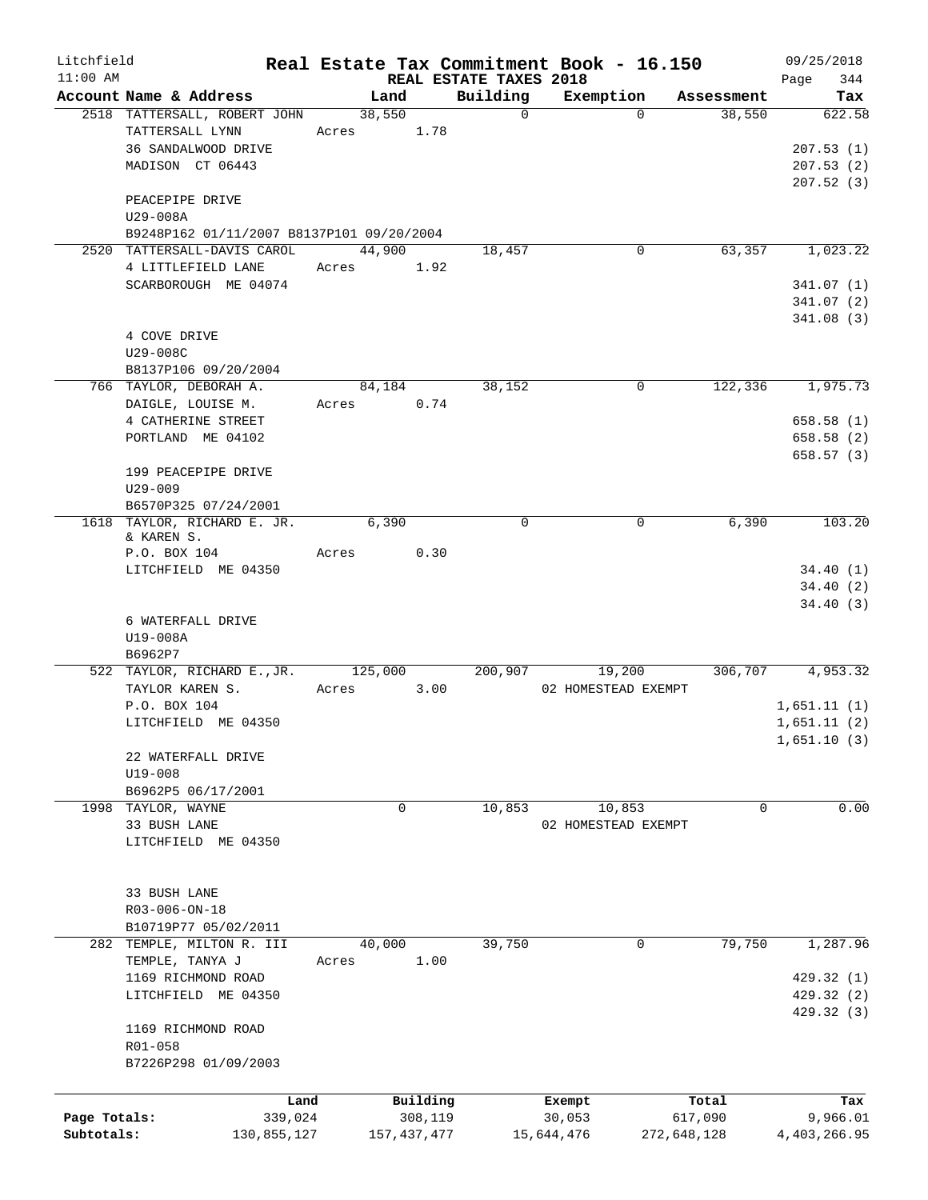| Litchfield   |                                           |       |             |          |                        | Real Estate Tax Commitment Book - 16.150 |             | 09/25/2018   |
|--------------|-------------------------------------------|-------|-------------|----------|------------------------|------------------------------------------|-------------|--------------|
| $11:00$ AM   |                                           |       |             |          | REAL ESTATE TAXES 2018 |                                          |             | 344<br>Page  |
|              | Account Name & Address                    |       | Land        |          | Building               | Exemption                                | Assessment  | Tax          |
|              | 2518 TATTERSALL, ROBERT JOHN              |       | 38,550      |          | $\mathsf{O}$           | $\Omega$                                 | 38,550      | 622.58       |
|              | TATTERSALL LYNN                           | Acres |             | 1.78     |                        |                                          |             |              |
|              | 36 SANDALWOOD DRIVE                       |       |             |          |                        |                                          |             | 207.53(1)    |
|              | MADISON CT 06443                          |       |             |          |                        |                                          |             | 207.53(2)    |
|              |                                           |       |             |          |                        |                                          |             | 207.52(3)    |
|              | PEACEPIPE DRIVE                           |       |             |          |                        |                                          |             |              |
|              | U29-008A                                  |       |             |          |                        |                                          |             |              |
|              | B9248P162 01/11/2007 B8137P101 09/20/2004 |       |             |          |                        |                                          |             |              |
|              | 2520 TATTERSALL-DAVIS CAROL               |       | 44,900      |          | 18,457                 | 0                                        | 63,357      | 1,023.22     |
|              | 4 LITTLEFIELD LANE                        | Acres |             | 1.92     |                        |                                          |             |              |
|              | SCARBOROUGH ME 04074                      |       |             |          |                        |                                          |             | 341.07(1)    |
|              |                                           |       |             |          |                        |                                          |             | 341.07(2)    |
|              |                                           |       |             |          |                        |                                          |             | 341.08(3)    |
|              | 4 COVE DRIVE                              |       |             |          |                        |                                          |             |              |
|              | U29-008C                                  |       |             |          |                        |                                          |             |              |
|              | B8137P106 09/20/2004                      |       |             |          |                        |                                          |             |              |
|              | 766 TAYLOR, DEBORAH A.                    |       | 84,184      |          | 38,152                 | 0                                        | 122,336     | 1,975.73     |
|              | DAIGLE, LOUISE M.                         | Acres |             | 0.74     |                        |                                          |             |              |
|              | 4 CATHERINE STREET                        |       |             |          |                        |                                          |             | 658.58(1)    |
|              | PORTLAND ME 04102                         |       |             |          |                        |                                          |             | 658.58 (2)   |
|              |                                           |       |             |          |                        |                                          |             | 658.57(3)    |
|              | 199 PEACEPIPE DRIVE                       |       |             |          |                        |                                          |             |              |
|              | $U29 - 009$                               |       |             |          |                        |                                          |             |              |
|              | B6570P325 07/24/2001                      |       |             |          |                        |                                          |             |              |
|              | 1618 TAYLOR, RICHARD E. JR.               |       | 6,390       |          | $\mathbf 0$            | 0                                        | 6,390       | 103.20       |
|              | & KAREN S.                                |       |             |          |                        |                                          |             |              |
|              | P.O. BOX 104                              | Acres |             | 0.30     |                        |                                          |             |              |
|              | LITCHFIELD ME 04350                       |       |             |          |                        |                                          |             | 34.40(1)     |
|              |                                           |       |             |          |                        |                                          |             | 34.40(2)     |
|              |                                           |       |             |          |                        |                                          |             | 34.40(3)     |
|              | 6 WATERFALL DRIVE                         |       |             |          |                        |                                          |             |              |
|              |                                           |       |             |          |                        |                                          |             |              |
|              | U19-008A<br>B6962P7                       |       |             |          |                        |                                          |             |              |
|              |                                           |       |             |          |                        |                                          |             |              |
|              | 522 TAYLOR, RICHARD E., JR.               |       | 125,000     |          | 200,907                | 19,200                                   | 306,707     | 4,953.32     |
|              | TAYLOR KAREN S.                           | Acres |             | 3.00     |                        | 02 HOMESTEAD EXEMPT                      |             |              |
|              | P.O. BOX 104                              |       |             |          |                        |                                          |             | 1,651.11(1)  |
|              | LITCHFIELD ME 04350                       |       |             |          |                        |                                          |             | 1,651.11(2)  |
|              |                                           |       |             |          |                        |                                          |             | 1,651.10(3)  |
|              | 22 WATERFALL DRIVE                        |       |             |          |                        |                                          |             |              |
|              | $U19 - 008$                               |       |             |          |                        |                                          |             |              |
|              | B6962P5 06/17/2001                        |       |             |          |                        |                                          |             |              |
|              | 1998 TAYLOR, WAYNE                        |       | 0           |          | 10,853                 | 10,853                                   |             | 0.00<br>0    |
|              | 33 BUSH LANE                              |       |             |          |                        | 02 HOMESTEAD EXEMPT                      |             |              |
|              | LITCHFIELD ME 04350                       |       |             |          |                        |                                          |             |              |
|              |                                           |       |             |          |                        |                                          |             |              |
|              |                                           |       |             |          |                        |                                          |             |              |
|              | 33 BUSH LANE                              |       |             |          |                        |                                          |             |              |
|              | R03-006-ON-18                             |       |             |          |                        |                                          |             |              |
|              | B10719P77 05/02/2011                      |       |             |          |                        |                                          |             |              |
|              | 282 TEMPLE, MILTON R. III                 |       | 40,000      |          | 39,750                 | 0                                        | 79,750      | 1,287.96     |
|              | TEMPLE, TANYA J                           | Acres |             | 1.00     |                        |                                          |             |              |
|              | 1169 RICHMOND ROAD                        |       |             |          |                        |                                          |             | 429.32 (1)   |
|              | LITCHFIELD ME 04350                       |       |             |          |                        |                                          |             | 429.32 (2)   |
|              |                                           |       |             |          |                        |                                          |             | 429.32 (3)   |
|              | 1169 RICHMOND ROAD                        |       |             |          |                        |                                          |             |              |
|              | R01-058                                   |       |             |          |                        |                                          |             |              |
|              | B7226P298 01/09/2003                      |       |             |          |                        |                                          |             |              |
|              |                                           |       |             |          |                        |                                          |             |              |
|              |                                           |       |             |          |                        |                                          |             |              |
|              | Land                                      |       |             | Building |                        | Exempt                                   | Total       | Tax          |
| Page Totals: | 339,024                                   |       |             | 308,119  |                        | 30,053                                   | 617,090     | 9,966.01     |
| Subtotals:   | 130,855,127                               |       | 157,437,477 |          |                        | 15,644,476                               | 272,648,128 | 4,403,266.95 |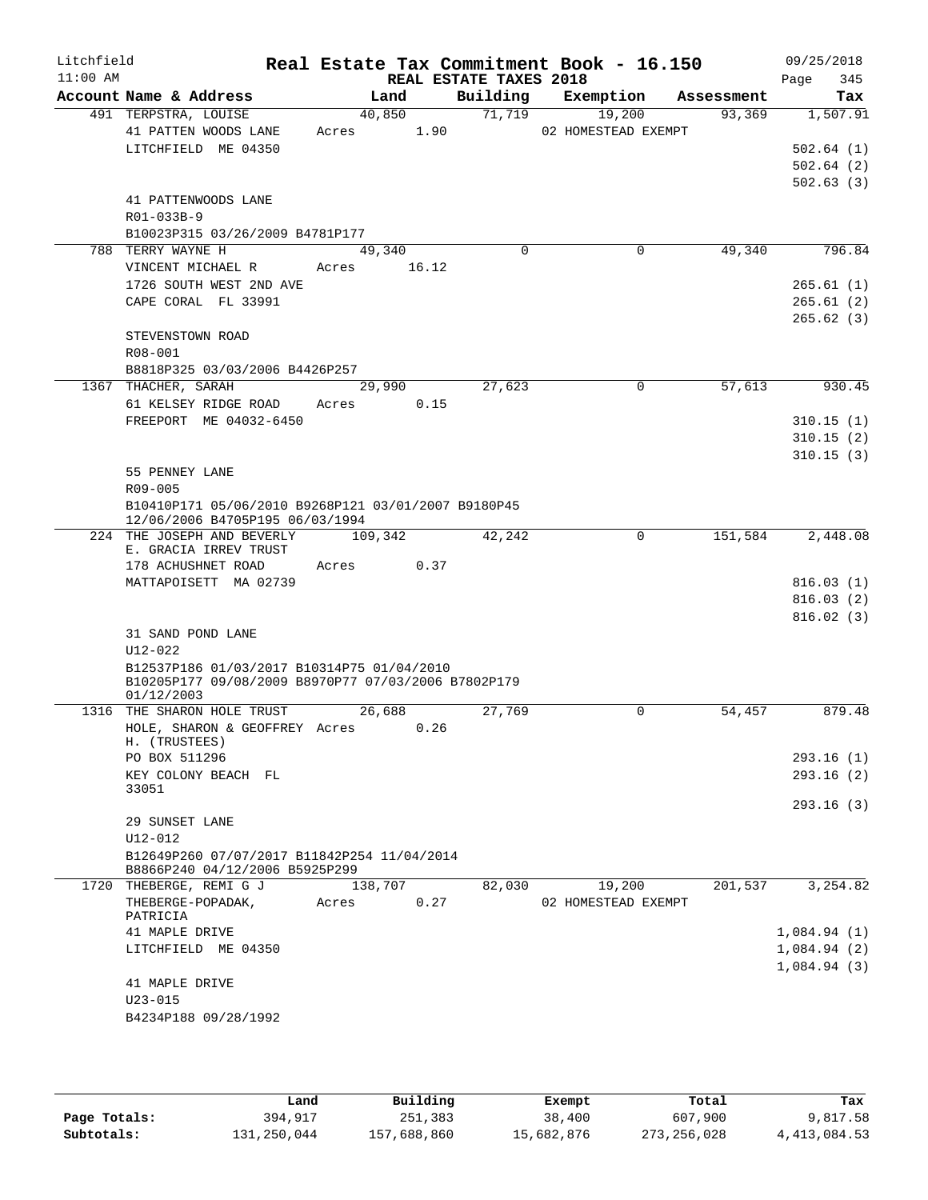| Litchfield<br>$11:00$ AM |                                                                                                   |                | REAL ESTATE TAXES 2018 | Real Estate Tax Commitment Book - 16.150 |            | 09/25/2018<br>345<br>Page |
|--------------------------|---------------------------------------------------------------------------------------------------|----------------|------------------------|------------------------------------------|------------|---------------------------|
|                          | Account Name & Address                                                                            | Land           | Building               | Exemption                                | Assessment | Tax                       |
|                          | 491 TERPSTRA, LOUISE                                                                              | 40,850         | 71,719                 | 19,200                                   | 93,369     | 1,507.91                  |
|                          | 41 PATTEN WOODS LANE                                                                              | 1.90<br>Acres  |                        | 02 HOMESTEAD EXEMPT                      |            |                           |
|                          | LITCHFIELD ME 04350                                                                               |                |                        |                                          |            | 502.64(1)                 |
|                          |                                                                                                   |                |                        |                                          |            | 502.64(2)                 |
|                          |                                                                                                   |                |                        |                                          |            | 502.63(3)                 |
|                          | 41 PATTENWOODS LANE                                                                               |                |                        |                                          |            |                           |
|                          | R01-033B-9                                                                                        |                |                        |                                          |            |                           |
|                          | B10023P315 03/26/2009 B4781P177                                                                   |                |                        |                                          |            |                           |
|                          | 788 TERRY WAYNE H                                                                                 | 49,340         | $\Omega$               | $\mathbf 0$                              | 49,340     | 796.84                    |
|                          | VINCENT MICHAEL R                                                                                 | 16.12<br>Acres |                        |                                          |            |                           |
|                          | 1726 SOUTH WEST 2ND AVE                                                                           |                |                        |                                          |            | 265.61(1)                 |
|                          | CAPE CORAL FL 33991                                                                               |                |                        |                                          |            | 265.61(2)                 |
|                          |                                                                                                   |                |                        |                                          |            | 265.62(3)                 |
|                          | STEVENSTOWN ROAD                                                                                  |                |                        |                                          |            |                           |
|                          | R08-001                                                                                           |                |                        |                                          |            |                           |
|                          | B8818P325 03/03/2006 B4426P257                                                                    |                |                        |                                          |            |                           |
|                          | 1367 THACHER, SARAH                                                                               | 29,990         | 27,623                 | $\mathbf 0$                              | 57,613     | 930.45                    |
|                          | 61 KELSEY RIDGE ROAD                                                                              | 0.15<br>Acres  |                        |                                          |            |                           |
|                          | FREEPORT ME 04032-6450                                                                            |                |                        |                                          |            | 310.15(1)                 |
|                          |                                                                                                   |                |                        |                                          |            | 310.15(2)                 |
|                          |                                                                                                   |                |                        |                                          |            | 310.15(3)                 |
|                          | 55 PENNEY LANE                                                                                    |                |                        |                                          |            |                           |
|                          | R09-005                                                                                           |                |                        |                                          |            |                           |
|                          | B10410P171 05/06/2010 B9268P121 03/01/2007 B9180P45<br>12/06/2006 B4705P195 06/03/1994            |                |                        |                                          |            |                           |
|                          | 224 THE JOSEPH AND BEVERLY                                                                        | 109,342        | 42,242                 | 0                                        | 151,584    | 2,448.08                  |
|                          | E. GRACIA IRREV TRUST                                                                             |                |                        |                                          |            |                           |
|                          | 178 ACHUSHNET ROAD                                                                                | 0.37<br>Acres  |                        |                                          |            |                           |
|                          | MATTAPOISETT MA 02739                                                                             |                |                        |                                          |            | 816.03(1)                 |
|                          |                                                                                                   |                |                        |                                          |            | 816.03(2)                 |
|                          |                                                                                                   |                |                        |                                          |            | 816.02(3)                 |
|                          | 31 SAND POND LANE                                                                                 |                |                        |                                          |            |                           |
|                          | U12-022                                                                                           |                |                        |                                          |            |                           |
|                          | B12537P186 01/03/2017 B10314P75 01/04/2010<br>B10205P177 09/08/2009 B8970P77 07/03/2006 B7802P179 |                |                        |                                          |            |                           |
|                          | 01/12/2003                                                                                        |                |                        |                                          |            |                           |
|                          | 1316 THE SHARON HOLE TRUST                                                                        | 26,688         | 27,769                 | 0                                        | 54,457     | 879.48                    |
|                          | HOLE, SHARON & GEOFFREY Acres                                                                     | 0.26           |                        |                                          |            |                           |
|                          | H. (TRUSTEES)                                                                                     |                |                        |                                          |            |                           |
|                          | PO BOX 511296                                                                                     |                |                        |                                          |            | 293.16 (1)                |
|                          | KEY COLONY BEACH FL                                                                               |                |                        |                                          |            | 293.16(2)                 |
|                          | 33051                                                                                             |                |                        |                                          |            |                           |
|                          |                                                                                                   |                |                        |                                          |            | 293.16(3)                 |
|                          | 29 SUNSET LANE                                                                                    |                |                        |                                          |            |                           |
|                          | U12-012                                                                                           |                |                        |                                          |            |                           |
|                          | B12649P260 07/07/2017 B11842P254 11/04/2014<br>B8866P240 04/12/2006 B5925P299                     |                |                        |                                          |            |                           |
|                          | 1720 THEBERGE, REMI G J                                                                           | 138,707        | 82,030                 | 19,200                                   | 201,537    | 3,254.82                  |
|                          | THEBERGE-POPADAK,<br>PATRICIA                                                                     | 0.27<br>Acres  |                        | 02 HOMESTEAD EXEMPT                      |            |                           |
|                          | 41 MAPLE DRIVE                                                                                    |                |                        |                                          |            | 1,084.94(1)               |
|                          | LITCHFIELD ME 04350                                                                               |                |                        |                                          |            | 1,084.94(2)               |
|                          |                                                                                                   |                |                        |                                          |            | 1,084.94(3)               |
|                          | 41 MAPLE DRIVE                                                                                    |                |                        |                                          |            |                           |
|                          | $U23 - 015$                                                                                       |                |                        |                                          |            |                           |
|                          | B4234P188 09/28/1992                                                                              |                |                        |                                          |            |                           |
|                          |                                                                                                   |                |                        |                                          |            |                           |

|              | Land        | Building    | Exempt     | Total         | Tax            |
|--------------|-------------|-------------|------------|---------------|----------------|
| Page Totals: | 394,917     | 251,383     | 38,400     | 607,900       | 9,817.58       |
| Subtotals:   | 131,250,044 | 157,688,860 | 15,682,876 | 273, 256, 028 | 4, 413, 084.53 |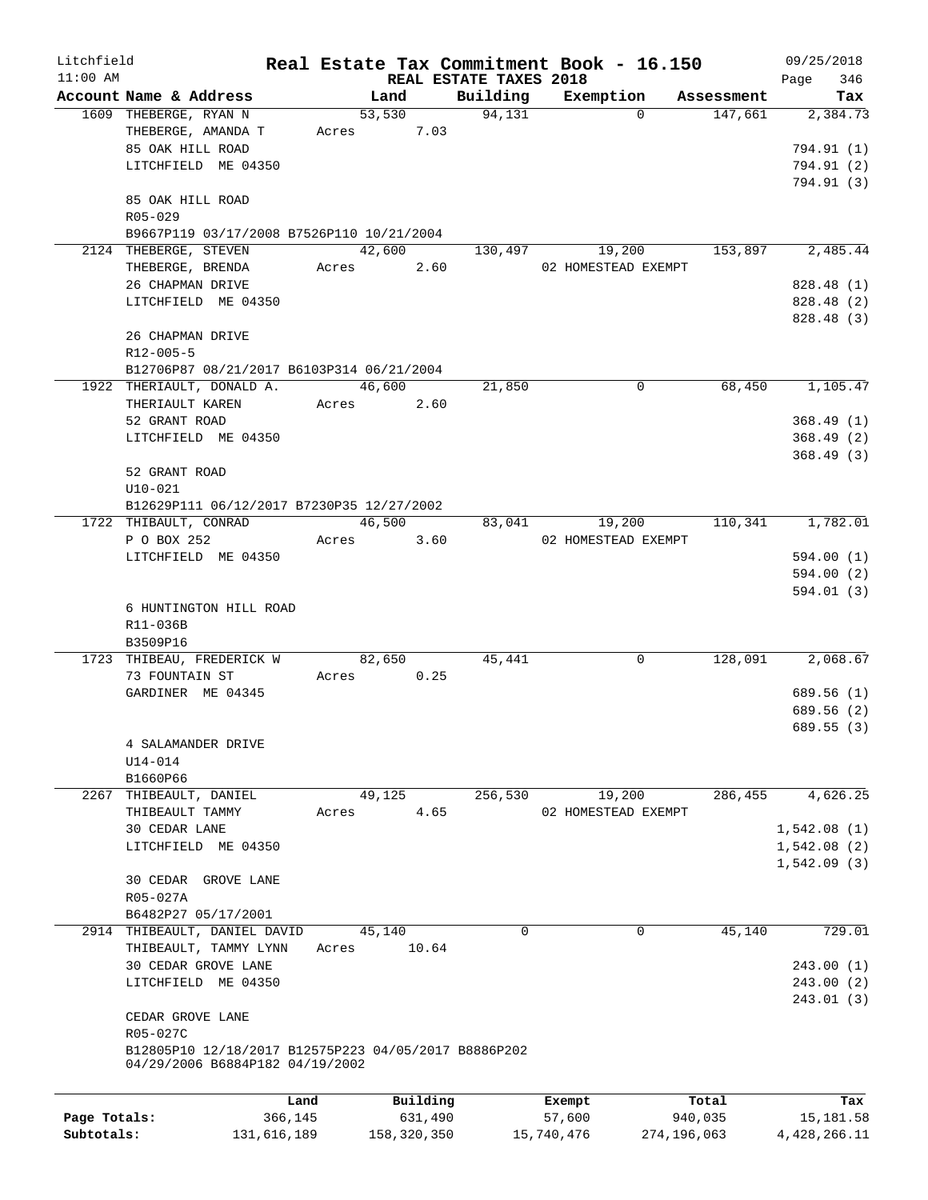| Litchfield   |                                                      |             |       |               |                        | Real Estate Tax Commitment Book - 16.150 |             | 09/25/2018   |
|--------------|------------------------------------------------------|-------------|-------|---------------|------------------------|------------------------------------------|-------------|--------------|
| $11:00$ AM   |                                                      |             |       |               | REAL ESTATE TAXES 2018 |                                          |             | 346<br>Page  |
|              | Account Name & Address                               |             |       | Land          | Building               | Exemption                                | Assessment  | Tax          |
|              | 1609 THEBERGE, RYAN N                                |             |       | 53,530        | 94,131                 | $\Omega$                                 | 147,661     | 2,384.73     |
|              | THEBERGE, AMANDA T                                   |             |       | 7.03<br>Acres |                        |                                          |             |              |
|              | 85 OAK HILL ROAD                                     |             |       |               |                        |                                          |             | 794.91 (1)   |
|              | LITCHFIELD ME 04350                                  |             |       |               |                        |                                          |             | 794.91 (2)   |
|              |                                                      |             |       |               |                        |                                          |             | 794.91 (3)   |
|              | 85 OAK HILL ROAD                                     |             |       |               |                        |                                          |             |              |
|              | R05-029                                              |             |       |               |                        |                                          |             |              |
|              | B9667P119 03/17/2008 B7526P110 10/21/2004            |             |       |               |                        |                                          |             |              |
|              | 2124 THEBERGE, STEVEN                                |             |       | 42,600        | 130,497                | 19,200                                   | 153,897     | 2,485.44     |
|              | THEBERGE, BRENDA                                     |             |       | 2.60<br>Acres |                        | 02 HOMESTEAD EXEMPT                      |             |              |
|              | 26 CHAPMAN DRIVE                                     |             |       |               |                        |                                          |             | 828.48 (1)   |
|              | LITCHFIELD ME 04350                                  |             |       |               |                        |                                          |             | 828.48 (2)   |
|              |                                                      |             |       |               |                        |                                          |             | 828.48 (3)   |
|              | 26 CHAPMAN DRIVE                                     |             |       |               |                        |                                          |             |              |
|              | $R12 - 005 - 5$                                      |             |       |               |                        |                                          |             |              |
|              | B12706P87 08/21/2017 B6103P314 06/21/2004            |             |       |               |                        |                                          |             |              |
|              | 1922 THERIAULT, DONALD A.                            |             |       | 46,600        | 21,850                 | 0                                        | 68,450      | 1,105.47     |
|              | THERIAULT KAREN                                      |             |       | 2.60<br>Acres |                        |                                          |             |              |
|              | 52 GRANT ROAD                                        |             |       |               |                        |                                          |             | 368.49(1)    |
|              | LITCHFIELD ME 04350                                  |             |       |               |                        |                                          |             | 368.49(2)    |
|              |                                                      |             |       |               |                        |                                          |             | 368.49(3)    |
|              | 52 GRANT ROAD                                        |             |       |               |                        |                                          |             |              |
|              | $U10-021$                                            |             |       |               |                        |                                          |             |              |
|              | B12629P111 06/12/2017 B7230P35 12/27/2002            |             |       |               |                        |                                          |             |              |
|              | 1722 THIBAULT, CONRAD                                |             |       | 46,500        | 83,041                 | 19,200                                   | 110,341     | 1,782.01     |
|              | P O BOX 252                                          |             |       | 3.60<br>Acres |                        | 02 HOMESTEAD EXEMPT                      |             |              |
|              | LITCHFIELD ME 04350                                  |             |       |               |                        |                                          |             | 594.00 (1)   |
|              |                                                      |             |       |               |                        |                                          |             | 594.00 (2)   |
|              |                                                      |             |       |               |                        |                                          |             |              |
|              |                                                      |             |       |               |                        |                                          |             | 594.01 (3)   |
|              | 6 HUNTINGTON HILL ROAD                               |             |       |               |                        |                                          |             |              |
|              | R11-036B                                             |             |       |               |                        |                                          |             |              |
|              | B3509P16                                             |             |       |               |                        |                                          |             | 2,068.67     |
|              | 1723 THIBEAU, FREDERICK W                            |             |       | 82,650        | 45,441                 | 0                                        | 128,091     |              |
|              | 73 FOUNTAIN ST                                       |             | Acres | 0.25          |                        |                                          |             |              |
|              | GARDINER ME 04345                                    |             |       |               |                        |                                          |             | 689.56 (1)   |
|              |                                                      |             |       |               |                        |                                          |             | 689.56 (2)   |
|              |                                                      |             |       |               |                        |                                          |             | 689.55(3)    |
|              | 4 SALAMANDER DRIVE                                   |             |       |               |                        |                                          |             |              |
|              | $U14-014$                                            |             |       |               |                        |                                          |             |              |
|              | B1660P66                                             |             |       |               |                        |                                          |             |              |
| 2267         | THIBEAULT, DANIEL                                    |             |       | 49,125        | 256,530                | 19,200                                   | 286,455     | 4,626.25     |
|              | THIBEAULT TAMMY                                      |             | Acres | 4.65          |                        | 02 HOMESTEAD EXEMPT                      |             |              |
|              | 30 CEDAR LANE                                        |             |       |               |                        |                                          |             | 1,542.08(1)  |
|              | LITCHFIELD ME 04350                                  |             |       |               |                        |                                          |             | 1,542.08(2)  |
|              |                                                      |             |       |               |                        |                                          |             | 1,542.09(3)  |
|              | 30 CEDAR GROVE LANE                                  |             |       |               |                        |                                          |             |              |
|              | R05-027A                                             |             |       |               |                        |                                          |             |              |
|              | B6482P27 05/17/2001                                  |             |       |               |                        |                                          |             |              |
|              | 2914 THIBEAULT, DANIEL DAVID                         |             |       | 45,140        | $\mathbf 0$            | 0                                        | 45,140      | 729.01       |
|              | THIBEAULT, TAMMY LYNN                                |             | Acres | 10.64         |                        |                                          |             |              |
|              | 30 CEDAR GROVE LANE                                  |             |       |               |                        |                                          |             | 243.00 (1)   |
|              | LITCHFIELD ME 04350                                  |             |       |               |                        |                                          |             | 243.00(2)    |
|              |                                                      |             |       |               |                        |                                          |             | 243.01 (3)   |
|              | CEDAR GROVE LANE                                     |             |       |               |                        |                                          |             |              |
|              | R05-027C                                             |             |       |               |                        |                                          |             |              |
|              | B12805P10 12/18/2017 B12575P223 04/05/2017 B8886P202 |             |       |               |                        |                                          |             |              |
|              | 04/29/2006 B6884P182 04/19/2002                      |             |       |               |                        |                                          |             |              |
|              |                                                      |             |       |               |                        |                                          |             |              |
|              |                                                      | Land        |       | Building      |                        | Exempt                                   | Total       | Tax          |
| Page Totals: |                                                      | 366,145     |       | 631,490       |                        | 57,600                                   | 940,035     | 15,181.58    |
| Subtotals:   |                                                      | 131,616,189 |       | 158,320,350   |                        | 15,740,476                               | 274,196,063 | 4,428,266.11 |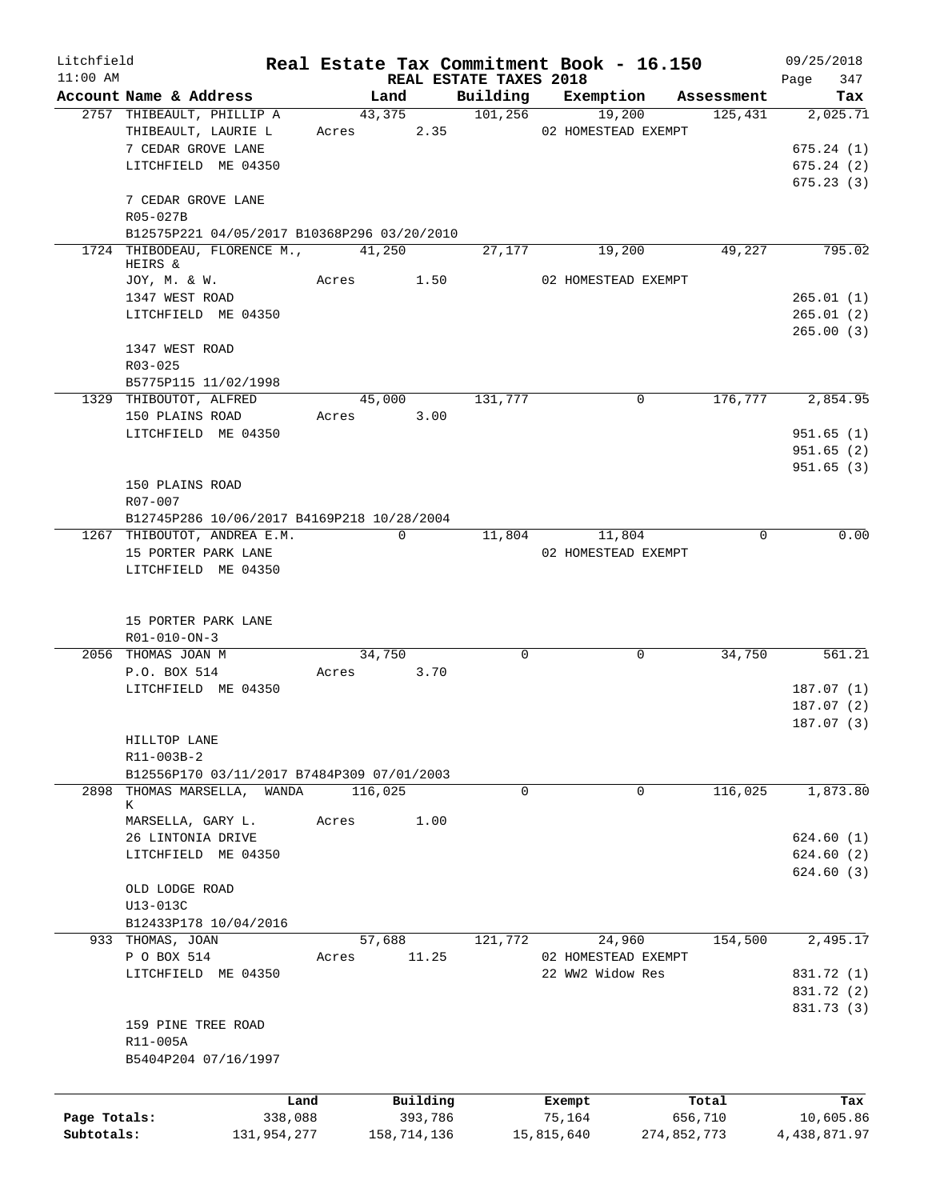| Litchfield<br>$11:00$ AM |                                             |       |             | REAL ESTATE TAXES 2018 | Real Estate Tax Commitment Book - 16.150 |             | 09/25/2018<br>347 |
|--------------------------|---------------------------------------------|-------|-------------|------------------------|------------------------------------------|-------------|-------------------|
|                          | Account Name & Address                      |       | Land        |                        | Building Exemption                       | Assessment  | Page<br>Tax       |
|                          | 2757 THIBEAULT, PHILLIP A                   |       | 43,375      | $\overline{101,256}$   | 19,200                                   | 125,431     | 2,025.71          |
|                          | THIBEAULT, LAURIE L                         |       | Acres 2.35  |                        | 02 HOMESTEAD EXEMPT                      |             |                   |
|                          | 7 CEDAR GROVE LANE                          |       |             |                        |                                          |             | 675.24(1)         |
|                          | LITCHFIELD ME 04350                         |       |             |                        |                                          |             | 675.24(2)         |
|                          |                                             |       |             |                        |                                          |             | 675.23(3)         |
|                          | 7 CEDAR GROVE LANE                          |       |             |                        |                                          |             |                   |
|                          | R05-027B                                    |       |             |                        |                                          |             |                   |
|                          | B12575P221 04/05/2017 B10368P296 03/20/2010 |       |             |                        |                                          |             |                   |
|                          | 1724 THIBODEAU, FLORENCE M., 41,250         |       |             | 27,177                 | 19,200                                   | 49,227      | 795.02            |
|                          | HEIRS &                                     |       |             |                        |                                          |             |                   |
|                          | JOY, M. & W.                                |       | Acres 1.50  |                        | 02 HOMESTEAD EXEMPT                      |             |                   |
|                          | 1347 WEST ROAD                              |       |             |                        |                                          |             | 265.01(1)         |
|                          | LITCHFIELD ME 04350                         |       |             |                        |                                          |             | 265.01(2)         |
|                          |                                             |       |             |                        |                                          |             | 265.00(3)         |
|                          | 1347 WEST ROAD                              |       |             |                        |                                          |             |                   |
|                          | R03-025                                     |       |             |                        |                                          |             |                   |
|                          | B5775P115 11/02/1998                        |       |             |                        |                                          |             |                   |
|                          | 1329 THIBOUTOT, ALFRED                      |       | 45,000      | 131,777                | 0                                        | 176,777     | 2,854.95          |
|                          | 150 PLAINS ROAD                             |       | Acres 3.00  |                        |                                          |             |                   |
|                          | LITCHFIELD ME 04350                         |       |             |                        |                                          |             | 951.65(1)         |
|                          |                                             |       |             |                        |                                          |             | 951.65(2)         |
|                          |                                             |       |             |                        |                                          |             | 951.65(3)         |
|                          | 150 PLAINS ROAD                             |       |             |                        |                                          |             |                   |
|                          | R07-007                                     |       |             |                        |                                          |             |                   |
|                          | B12745P286 10/06/2017 B4169P218 10/28/2004  |       |             |                        |                                          |             |                   |
|                          | 1267 THIBOUTOT, ANDREA E.M.                 |       | $\Omega$    | 11,804                 | 11,804                                   | $\Omega$    | 0.00              |
|                          | 15 PORTER PARK LANE                         |       |             |                        | 02 HOMESTEAD EXEMPT                      |             |                   |
|                          | LITCHFIELD ME 04350                         |       |             |                        |                                          |             |                   |
|                          | 15 PORTER PARK LANE                         |       |             |                        |                                          |             |                   |
|                          | R01-010-ON-3                                |       |             |                        |                                          |             |                   |
|                          | 2056 THOMAS JOAN M                          |       | 34,750      | 0                      | 0                                        | 34,750      | 561.21            |
|                          | P.O. BOX 514                                |       | Acres 3.70  |                        |                                          |             |                   |
|                          | LITCHFIELD ME 04350                         |       |             |                        |                                          |             | 187.07(1)         |
|                          |                                             |       |             |                        |                                          |             | 187.07 (2)        |
|                          |                                             |       |             |                        |                                          |             | 187.07(3)         |
|                          | HILLTOP LANE                                |       |             |                        |                                          |             |                   |
|                          | R11-003B-2                                  |       |             |                        |                                          |             |                   |
|                          | B12556P170 03/11/2017 B7484P309 07/01/2003  |       |             |                        |                                          |             |                   |
| 2898                     | THOMAS MARSELLA,<br>WANDA                   |       | 116,025     | 0                      | 0                                        | 116,025     | 1,873.80          |
|                          | К                                           |       |             |                        |                                          |             |                   |
|                          | MARSELLA, GARY L.                           | Acres | 1.00        |                        |                                          |             |                   |
|                          | 26 LINTONIA DRIVE                           |       |             |                        |                                          |             | 624.60(1)         |
|                          | LITCHFIELD ME 04350                         |       |             |                        |                                          |             | 624.60(2)         |
|                          |                                             |       |             |                        |                                          |             | 624.60(3)         |
|                          | OLD LODGE ROAD                              |       |             |                        |                                          |             |                   |
|                          | U13-013C                                    |       |             |                        |                                          |             |                   |
|                          | B12433P178 10/04/2016                       |       |             |                        |                                          |             |                   |
|                          | 933 THOMAS, JOAN                            |       | 57,688      | 121,772                | 24,960                                   | 154,500     | 2,495.17          |
|                          | P O BOX 514                                 | Acres | 11.25       |                        | 02 HOMESTEAD EXEMPT                      |             |                   |
|                          | LITCHFIELD ME 04350                         |       |             |                        | 22 WW2 Widow Res                         |             | 831.72 (1)        |
|                          |                                             |       |             |                        |                                          |             | 831.72 (2)        |
|                          |                                             |       |             |                        |                                          |             | 831.73 (3)        |
|                          | 159 PINE TREE ROAD                          |       |             |                        |                                          |             |                   |
|                          | R11-005A                                    |       |             |                        |                                          |             |                   |
|                          | B5404P204 07/16/1997                        |       |             |                        |                                          |             |                   |
|                          |                                             |       |             |                        |                                          |             |                   |
|                          |                                             | Land  | Building    |                        | Exempt                                   | Total       | Tax               |
| Page Totals:             | 338,088                                     |       | 393,786     |                        | 75,164                                   | 656,710     | 10,605.86         |
| Subtotals:               | 131,954,277                                 |       | 158,714,136 |                        | 15,815,640                               | 274,852,773 | 4,438,871.97      |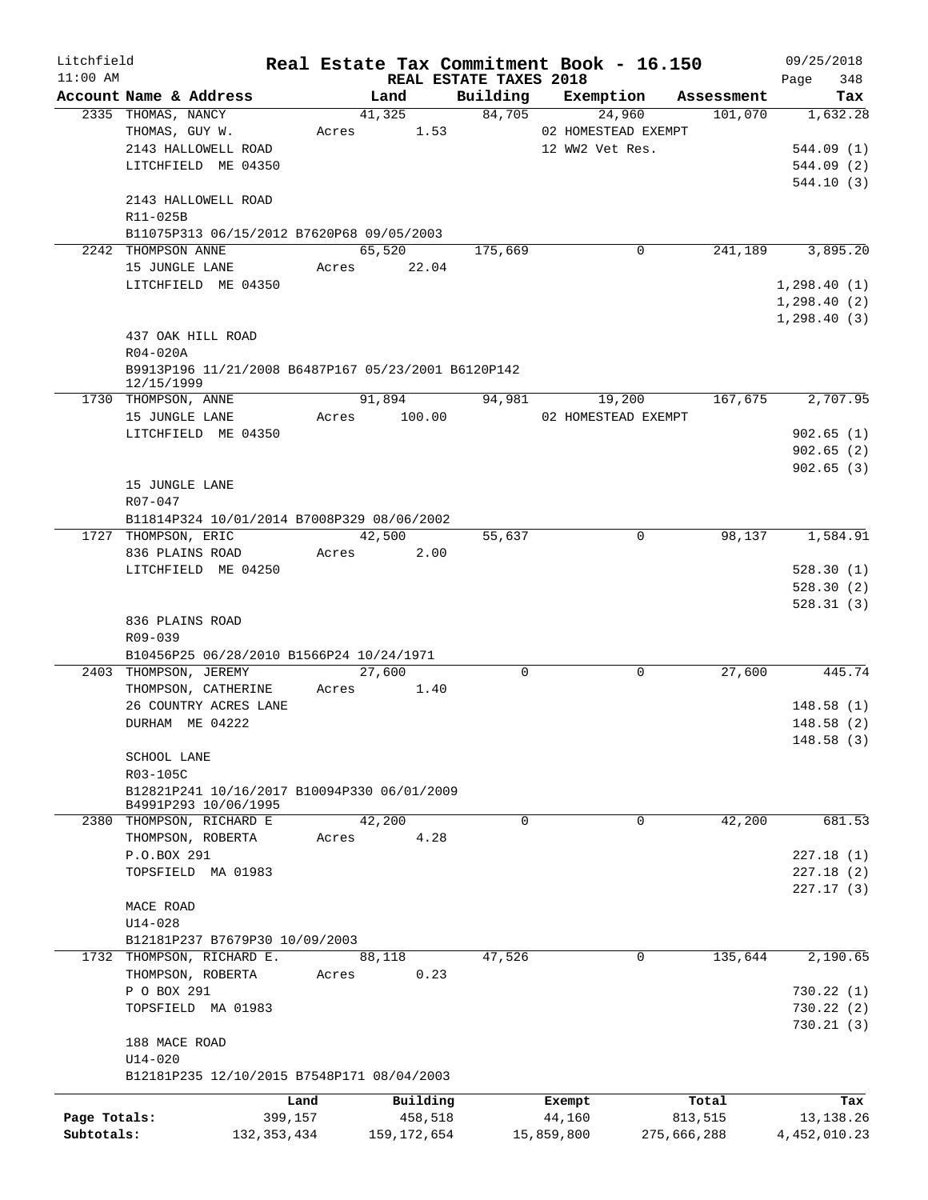| Litchfield   |                                                                   |               |       |               |                        |            | Real Estate Tax Commitment Book - 16.150 |         | 09/25/2018         |
|--------------|-------------------------------------------------------------------|---------------|-------|---------------|------------------------|------------|------------------------------------------|---------|--------------------|
| $11:00$ AM   | Account Name & Address                                            |               |       | Land          | REAL ESTATE TAXES 2018 |            | Building Exemption Assessment            |         | 348<br>Page<br>Tax |
|              | 2335 THOMAS, NANCY                                                |               |       | 41,325        | 84,705                 |            | 24,960                                   | 101,070 | 1,632.28           |
|              | THOMAS, GUY W.                                                    |               | Acres | 1.53          |                        |            | 02 HOMESTEAD EXEMPT                      |         |                    |
|              | 2143 HALLOWELL ROAD                                               |               |       |               |                        |            | 12 WW2 Vet Res.                          |         | 544.09(1)          |
|              | LITCHFIELD ME 04350                                               |               |       |               |                        |            |                                          |         | 544.09(2)          |
|              |                                                                   |               |       |               |                        |            |                                          |         | 544.10 (3)         |
|              | 2143 HALLOWELL ROAD                                               |               |       |               |                        |            |                                          |         |                    |
|              | R11-025B                                                          |               |       |               |                        |            |                                          |         |                    |
|              | B11075P313 06/15/2012 B7620P68 09/05/2003                         |               |       |               |                        |            |                                          |         |                    |
|              | 2242 THOMPSON ANNE                                                |               |       | 65,520        | 175,669                |            | 0                                        | 241,189 | 3,895.20           |
|              | 15 JUNGLE LANE                                                    |               |       | Acres 22.04   |                        |            |                                          |         |                    |
|              | LITCHFIELD ME 04350                                               |               |       |               |                        |            |                                          |         | 1, 298.40(1)       |
|              |                                                                   |               |       |               |                        |            |                                          |         | 1,298.40(2)        |
|              |                                                                   |               |       |               |                        |            |                                          |         | 1, 298.40(3)       |
|              | 437 OAK HILL ROAD                                                 |               |       |               |                        |            |                                          |         |                    |
|              | $R04-020A$                                                        |               |       |               |                        |            |                                          |         |                    |
|              | B9913P196 11/21/2008 B6487P167 05/23/2001 B6120P142<br>12/15/1999 |               |       |               |                        |            |                                          |         |                    |
|              | 1730 THOMPSON, ANNE                                               |               |       | 91,894        | 94,981                 |            | 19,200                                   | 167,675 | 2,707.95           |
|              | 15 JUNGLE LANE                                                    |               |       | Acres 100.00  |                        |            | 02 HOMESTEAD EXEMPT                      |         |                    |
|              | LITCHFIELD ME 04350                                               |               |       |               |                        |            |                                          |         | 902.65(1)          |
|              |                                                                   |               |       |               |                        |            |                                          |         | 902.65(2)          |
|              |                                                                   |               |       |               |                        |            |                                          |         | 902.65(3)          |
|              | 15 JUNGLE LANE                                                    |               |       |               |                        |            |                                          |         |                    |
|              | R07-047                                                           |               |       |               |                        |            |                                          |         |                    |
|              | B11814P324 10/01/2014 B7008P329 08/06/2002                        |               |       |               |                        |            |                                          |         |                    |
|              | 1727 THOMPSON, ERIC                                               |               |       | 42,500        | 55,637                 |            | 0                                        | 98,137  | 1,584.91           |
|              | 836 PLAINS ROAD                                                   |               | Acres | 2.00          |                        |            |                                          |         |                    |
|              | LITCHFIELD ME 04250                                               |               |       |               |                        |            |                                          |         | 528.30(1)          |
|              |                                                                   |               |       |               |                        |            |                                          |         | 528.30(2)          |
|              |                                                                   |               |       |               |                        |            |                                          |         | 528.31(3)          |
|              | 836 PLAINS ROAD                                                   |               |       |               |                        |            |                                          |         |                    |
|              | R09-039                                                           |               |       |               |                        |            |                                          |         |                    |
|              | B10456P25 06/28/2010 B1566P24 10/24/1971                          |               |       | 27,600        |                        |            |                                          |         |                    |
|              | 2403 THOMPSON, JEREMY<br>THOMPSON, CATHERINE                      |               |       |               | $\mathbf 0$            |            | $\mathbf 0$                              | 27,600  | 445.74             |
|              | 26 COUNTRY ACRES LANE                                             |               | Acres | 1.40          |                        |            |                                          |         | 148.58(1)          |
|              | DURHAM ME 04222                                                   |               |       |               |                        |            |                                          |         | 148.58(2)          |
|              |                                                                   |               |       |               |                        |            |                                          |         | 148.58(3)          |
|              | SCHOOL LANE                                                       |               |       |               |                        |            |                                          |         |                    |
|              | R03-105C                                                          |               |       |               |                        |            |                                          |         |                    |
|              | B12821P241 10/16/2017 B10094P330 06/01/2009                       |               |       |               |                        |            |                                          |         |                    |
|              | B4991P293 10/06/1995                                              |               |       |               |                        |            |                                          |         |                    |
| 2380         | THOMPSON, RICHARD E                                               |               |       | 42,200        | $\mathbf 0$            |            | 0                                        | 42,200  | 681.53             |
|              | THOMPSON, ROBERTA                                                 |               | Acres | 4.28          |                        |            |                                          |         |                    |
|              | P.O.BOX 291                                                       |               |       |               |                        |            |                                          |         | 227.18(1)          |
|              | TOPSFIELD MA 01983                                                |               |       |               |                        |            |                                          |         | 227.18(2)          |
|              |                                                                   |               |       |               |                        |            |                                          |         | 227.17 (3)         |
|              | MACE ROAD                                                         |               |       |               |                        |            |                                          |         |                    |
|              | $U14 - 028$                                                       |               |       |               |                        |            |                                          |         |                    |
|              | B12181P237 B7679P30 10/09/2003                                    |               |       |               |                        |            |                                          |         |                    |
| 1732         | THOMPSON, RICHARD E.                                              |               |       | 88,118        | 47,526                 |            | 0                                        | 135,644 | 2,190.65           |
|              | THOMPSON, ROBERTA                                                 |               | Acres | 0.23          |                        |            |                                          |         |                    |
|              | P O BOX 291                                                       |               |       |               |                        |            |                                          |         | 730.22(1)          |
|              | TOPSFIELD MA 01983                                                |               |       |               |                        |            |                                          |         | 730.22(2)          |
|              |                                                                   |               |       |               |                        |            |                                          |         | 730.21(3)          |
|              | 188 MACE ROAD                                                     |               |       |               |                        |            |                                          |         |                    |
|              | U14-020                                                           |               |       |               |                        |            |                                          |         |                    |
|              | B12181P235 12/10/2015 B7548P171 08/04/2003                        |               |       |               |                        |            |                                          |         |                    |
|              |                                                                   | Land          |       | Building      |                        | Exempt     |                                          | Total   | Tax                |
| Page Totals: |                                                                   | 399,157       |       | 458,518       |                        | 44,160     |                                          | 813,515 | 13,138.26          |
| Subtotals:   |                                                                   | 132, 353, 434 |       | 159, 172, 654 |                        | 15,859,800 | 275,666,288                              |         | 4,452,010.23       |
|              |                                                                   |               |       |               |                        |            |                                          |         |                    |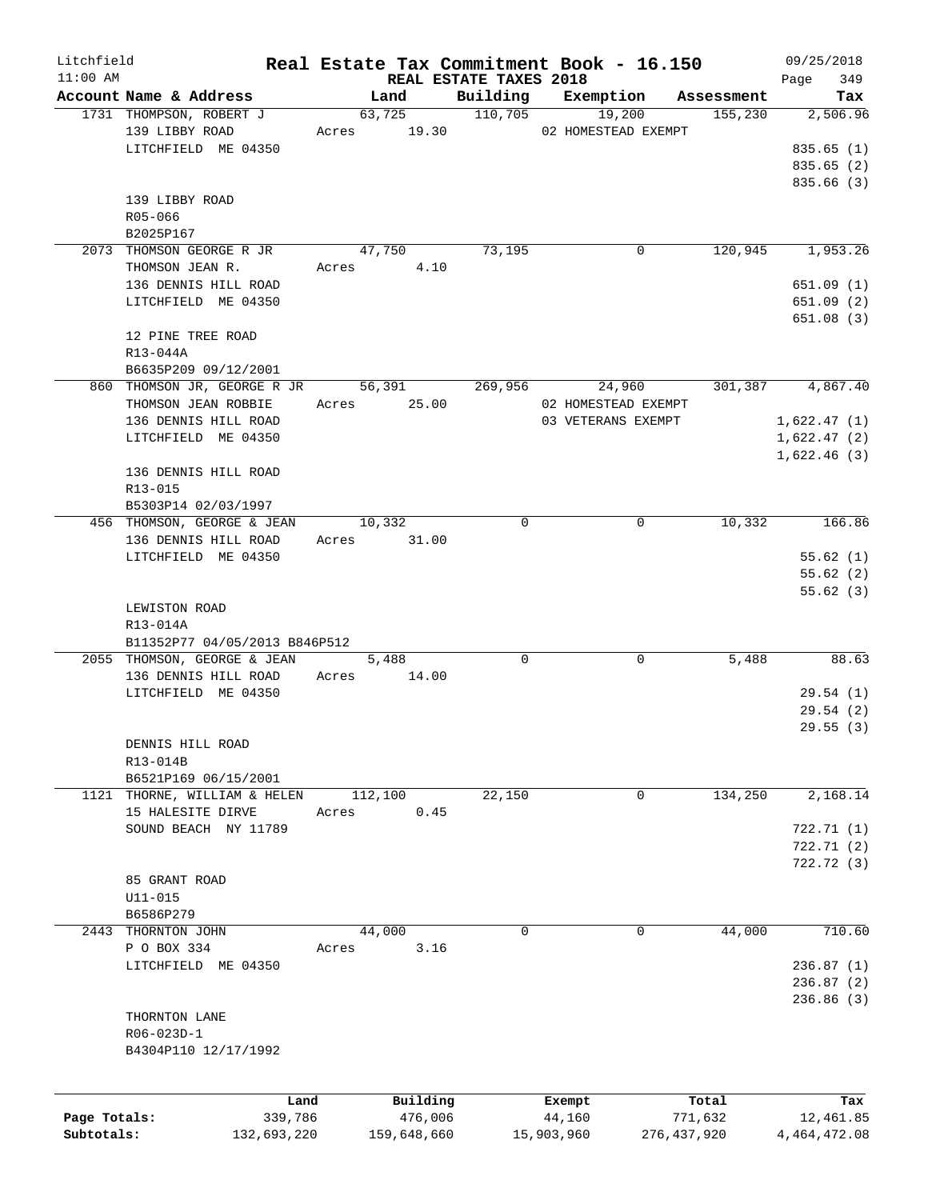| Litchfield   |                               |       |                |                        | Real Estate Tax Commitment Book - 16.150 |               | 09/25/2018   |
|--------------|-------------------------------|-------|----------------|------------------------|------------------------------------------|---------------|--------------|
| $11:00$ AM   |                               |       |                | REAL ESTATE TAXES 2018 |                                          |               | 349<br>Page  |
|              | Account Name & Address        |       | Land           | Building               | Exemption                                | Assessment    | Tax          |
|              | 1731 THOMPSON, ROBERT J       |       | 63,725         | 110,705                | 19,200                                   | 155,230       | 2,506.96     |
|              | 139 LIBBY ROAD                |       | Acres 19.30    |                        | 02 HOMESTEAD EXEMPT                      |               |              |
|              | LITCHFIELD ME 04350           |       |                |                        |                                          |               | 835.65(1)    |
|              |                               |       |                |                        |                                          |               | 835.65 (2)   |
|              |                               |       |                |                        |                                          |               | 835.66 (3)   |
|              | 139 LIBBY ROAD                |       |                |                        |                                          |               |              |
|              | R05-066                       |       |                |                        |                                          |               |              |
|              | B2025P167                     |       |                |                        |                                          |               |              |
|              | 2073 THOMSON GEORGE R JR      |       | 47,750         | 73,195                 | 0                                        | 120,945       | 1,953.26     |
|              | THOMSON JEAN R.               | Acres | 4.10           |                        |                                          |               |              |
|              | 136 DENNIS HILL ROAD          |       |                |                        |                                          |               | 651.09(1)    |
|              | LITCHFIELD ME 04350           |       |                |                        |                                          |               | 651.09(2)    |
|              |                               |       |                |                        |                                          |               | 651.08(3)    |
|              | 12 PINE TREE ROAD             |       |                |                        |                                          |               |              |
|              | R13-044A                      |       |                |                        |                                          |               |              |
|              | B6635P209 09/12/2001          |       |                |                        |                                          |               |              |
|              | 860 THOMSON JR, GEORGE R JR   |       | 56,391         | 269,956                | 24,960                                   | 301,387       | 4,867.40     |
|              | THOMSON JEAN ROBBIE           |       | Acres 25.00    |                        | 02 HOMESTEAD EXEMPT                      |               |              |
|              | 136 DENNIS HILL ROAD          |       |                |                        | 03 VETERANS EXEMPT                       |               | 1,622.47(1)  |
|              | LITCHFIELD ME 04350           |       |                |                        |                                          |               | 1,622.47(2)  |
|              |                               |       |                |                        |                                          |               | 1,622.46(3)  |
|              | 136 DENNIS HILL ROAD          |       |                |                        |                                          |               |              |
|              | R13-015                       |       |                |                        |                                          |               |              |
|              | B5303P14 02/03/1997           |       |                |                        |                                          |               |              |
|              | 456 THOMSON, GEORGE & JEAN    |       | 10,332         | $\Omega$               | 0                                        | 10,332        | 166.86       |
|              | 136 DENNIS HILL ROAD          |       | Acres 31.00    |                        |                                          |               |              |
|              | LITCHFIELD ME 04350           |       |                |                        |                                          |               | 55.62(1)     |
|              |                               |       |                |                        |                                          |               | 55.62(2)     |
|              |                               |       |                |                        |                                          |               | 55.62(3)     |
|              | LEWISTON ROAD                 |       |                |                        |                                          |               |              |
|              |                               |       |                |                        |                                          |               |              |
|              | R13-014A                      |       |                |                        |                                          |               |              |
|              | B11352P77 04/05/2013 B846P512 |       |                | 0                      | 0                                        |               | 88.63        |
|              | 2055 THOMSON, GEORGE & JEAN   |       | 5,488<br>14.00 |                        |                                          | 5,488         |              |
|              | 136 DENNIS HILL ROAD          | Acres |                |                        |                                          |               |              |
|              | LITCHFIELD ME 04350           |       |                |                        |                                          |               | 29.54(1)     |
|              |                               |       |                |                        |                                          |               | 29.54(2)     |
|              |                               |       |                |                        |                                          |               | 29.55(3)     |
|              | DENNIS HILL ROAD              |       |                |                        |                                          |               |              |
|              | R13-014B                      |       |                |                        |                                          |               |              |
|              | B6521P169 06/15/2001          |       |                |                        |                                          |               |              |
| 1121         | THORNE, WILLIAM & HELEN       |       | 112,100        | 22,150                 | 0                                        | 134,250       | 2,168.14     |
|              | 15 HALESITE DIRVE             | Acres | 0.45           |                        |                                          |               |              |
|              | SOUND BEACH NY 11789          |       |                |                        |                                          |               | 722.71(1)    |
|              |                               |       |                |                        |                                          |               | 722.71(2)    |
|              |                               |       |                |                        |                                          |               | 722.72(3)    |
|              | 85 GRANT ROAD                 |       |                |                        |                                          |               |              |
|              | $U11 - 015$                   |       |                |                        |                                          |               |              |
|              | B6586P279                     |       |                |                        |                                          |               |              |
| 2443         | THORNTON JOHN                 |       | 44,000         | 0                      | 0                                        | 44,000        | 710.60       |
|              | P O BOX 334                   | Acres | 3.16           |                        |                                          |               |              |
|              | LITCHFIELD ME 04350           |       |                |                        |                                          |               | 236.87(1)    |
|              |                               |       |                |                        |                                          |               | 236.87(2)    |
|              |                               |       |                |                        |                                          |               | 236.86(3)    |
|              | THORNTON LANE                 |       |                |                        |                                          |               |              |
|              | R06-023D-1                    |       |                |                        |                                          |               |              |
|              | B4304P110 12/17/1992          |       |                |                        |                                          |               |              |
|              |                               |       |                |                        |                                          |               |              |
|              |                               |       |                |                        |                                          |               |              |
|              | Land                          |       | Building       |                        | Exempt                                   | Total         | Tax          |
| Page Totals: | 339,786                       |       | 476,006        |                        | 44,160                                   | 771,632       | 12,461.85    |
| Subtotals:   | 132,693,220                   |       | 159,648,660    |                        | 15,903,960                               | 276, 437, 920 | 4,464,472.08 |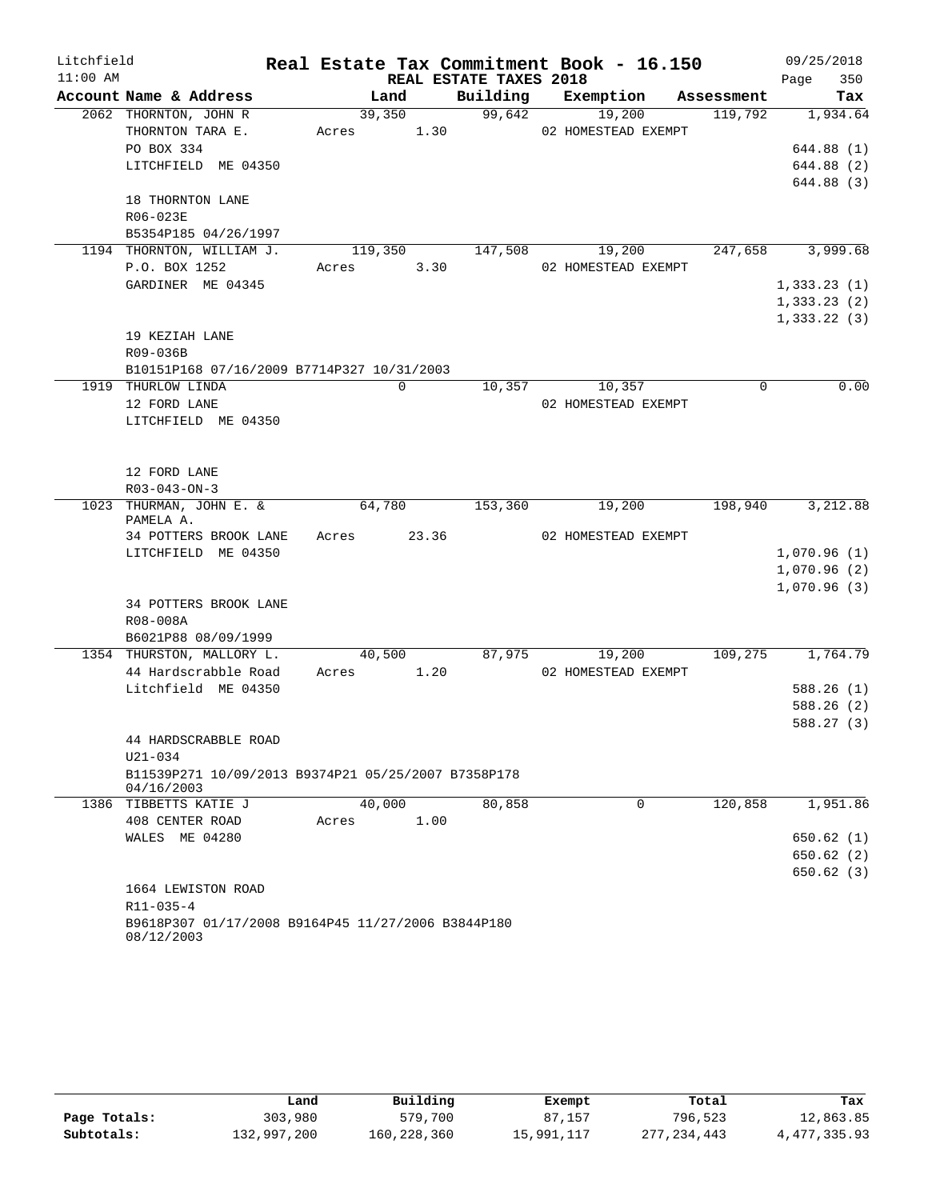| Litchfield |                                                                   |         |       |                        | Real Estate Tax Commitment Book - 16.150 |            | 09/25/2018                 |
|------------|-------------------------------------------------------------------|---------|-------|------------------------|------------------------------------------|------------|----------------------------|
| $11:00$ AM |                                                                   |         |       | REAL ESTATE TAXES 2018 |                                          |            | 350<br>Page                |
|            | Account Name & Address                                            | Land    |       | Building               | Exemption                                | Assessment | Tax                        |
|            | 2062 THORNTON, JOHN R                                             | 39,350  |       | 99,642                 | 19,200                                   | 119,792    | 1,934.64                   |
|            | THORNTON TARA E.                                                  | Acres   | 1.30  |                        | 02 HOMESTEAD EXEMPT                      |            |                            |
|            | PO BOX 334                                                        |         |       |                        |                                          |            | 644.88 (1)                 |
|            | LITCHFIELD ME 04350                                               |         |       |                        |                                          |            | 644.88 (2)                 |
|            | 18 THORNTON LANE                                                  |         |       |                        |                                          |            | 644.88 (3)                 |
|            | R06-023E                                                          |         |       |                        |                                          |            |                            |
|            | B5354P185 04/26/1997                                              |         |       |                        |                                          |            |                            |
|            | 1194 THORNTON, WILLIAM J.                                         | 119,350 |       | 147,508                | 19,200                                   | 247,658    | 3,999.68                   |
|            | P.O. BOX 1252                                                     | Acres   | 3.30  |                        | 02 HOMESTEAD EXEMPT                      |            |                            |
|            | GARDINER ME 04345                                                 |         |       |                        |                                          |            | 1,333.23(1)                |
|            |                                                                   |         |       |                        |                                          |            | 1,333.23(2)                |
|            |                                                                   |         |       |                        |                                          |            | 1,333.22(3)                |
|            | 19 KEZIAH LANE                                                    |         |       |                        |                                          |            |                            |
|            | R09-036B                                                          |         |       |                        |                                          |            |                            |
|            | B10151P168 07/16/2009 B7714P327 10/31/2003                        |         |       |                        |                                          |            |                            |
|            | 1919 THURLOW LINDA                                                | 0       |       | 10,357                 | 10,357                                   | $\Omega$   | 0.00                       |
|            | 12 FORD LANE                                                      |         |       |                        | 02 HOMESTEAD EXEMPT                      |            |                            |
|            | LITCHFIELD ME 04350                                               |         |       |                        |                                          |            |                            |
|            |                                                                   |         |       |                        |                                          |            |                            |
|            | 12 FORD LANE                                                      |         |       |                        |                                          |            |                            |
|            | $R03 - 043 - ON - 3$                                              |         |       |                        |                                          |            |                            |
|            | 1023 THURMAN, JOHN E. &                                           | 64,780  |       | 153,360                | 19,200                                   | 198,940    | 3,212.88                   |
|            | PAMELA A.                                                         |         |       |                        |                                          |            |                            |
|            | 34 POTTERS BROOK LANE                                             | Acres   | 23.36 |                        | 02 HOMESTEAD EXEMPT                      |            |                            |
|            | LITCHFIELD ME 04350                                               |         |       |                        |                                          |            | 1,070.96(1)                |
|            |                                                                   |         |       |                        |                                          |            | 1,070.96(2)<br>1,070.96(3) |
|            | 34 POTTERS BROOK LANE                                             |         |       |                        |                                          |            |                            |
|            | R08-008A                                                          |         |       |                        |                                          |            |                            |
|            | B6021P88 08/09/1999                                               |         |       |                        |                                          |            |                            |
|            | 1354 THURSTON, MALLORY L.                                         | 40,500  |       | 87,975                 | 19,200                                   | 109,275    | 1,764.79                   |
|            | 44 Hardscrabble Road                                              | Acres   | 1.20  |                        | 02 HOMESTEAD EXEMPT                      |            |                            |
|            | Litchfield ME 04350                                               |         |       |                        |                                          |            | 588.26(1)                  |
|            |                                                                   |         |       |                        |                                          |            | 588.26 (2)                 |
|            |                                                                   |         |       |                        |                                          |            | 588.27 (3)                 |
|            | 44 HARDSCRABBLE ROAD                                              |         |       |                        |                                          |            |                            |
|            | $U21 - 034$                                                       |         |       |                        |                                          |            |                            |
|            | B11539P271 10/09/2013 B9374P21 05/25/2007 B7358P178<br>04/16/2003 |         |       |                        |                                          |            |                            |
| 1386       | TIBBETTS KATIE J                                                  | 40,000  |       | 80,858                 | 0                                        | 120,858    | 1,951.86                   |
|            | 408 CENTER ROAD                                                   | Acres   | 1.00  |                        |                                          |            |                            |
|            | WALES ME 04280                                                    |         |       |                        |                                          |            | 650.62(1)                  |
|            |                                                                   |         |       |                        |                                          |            | 650.62(2)                  |
|            |                                                                   |         |       |                        |                                          |            | 650.62(3)                  |
|            | 1664 LEWISTON ROAD                                                |         |       |                        |                                          |            |                            |
|            | $R11 - 035 - 4$                                                   |         |       |                        |                                          |            |                            |
|            | B9618P307 01/17/2008 B9164P45 11/27/2006 B3844P180                |         |       |                        |                                          |            |                            |
|            | 08/12/2003                                                        |         |       |                        |                                          |            |                            |

|              | Land        | Building    | Exempt     | Total         | Tax            |
|--------------|-------------|-------------|------------|---------------|----------------|
| Page Totals: | 303,980     | 579,700     | 87,157     | 796,523       | 12,863.85      |
| Subtotals:   | 132,997,200 | 160,228,360 | 15,991,117 | 277, 234, 443 | 4, 477, 335.93 |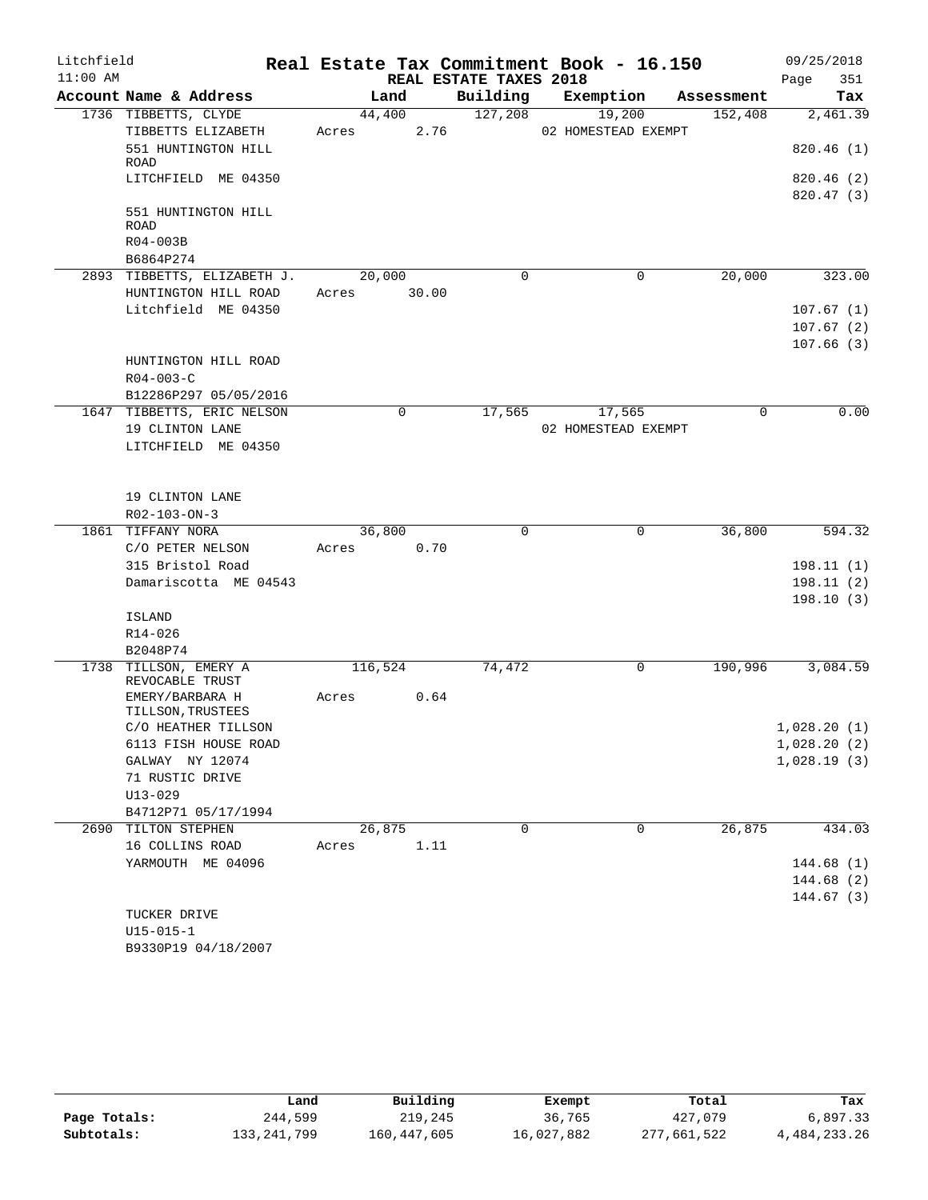| Litchfield |                                          |         |       |                        | Real Estate Tax Commitment Book - 16.150 |             | 09/25/2018             |
|------------|------------------------------------------|---------|-------|------------------------|------------------------------------------|-------------|------------------------|
| $11:00$ AM |                                          |         |       | REAL ESTATE TAXES 2018 |                                          |             | 351<br>Page            |
|            | Account Name & Address                   | Land    |       | Building               | Exemption                                | Assessment  | Tax                    |
|            | 1736 TIBBETTS, CLYDE                     | 44,400  |       | 127,208                | 19,200                                   | 152,408     | 2,461.39               |
|            | TIBBETTS ELIZABETH                       | Acres   | 2.76  |                        | 02 HOMESTEAD EXEMPT                      |             |                        |
|            | 551 HUNTINGTON HILL<br>ROAD              |         |       |                        |                                          |             | 820.46(1)              |
|            | LITCHFIELD ME 04350                      |         |       |                        |                                          |             | 820.46(2)<br>820.47(3) |
|            | 551 HUNTINGTON HILL<br>ROAD              |         |       |                        |                                          |             |                        |
|            | R04-003B                                 |         |       |                        |                                          |             |                        |
|            | B6864P274                                |         |       |                        |                                          |             |                        |
|            | 2893 TIBBETTS, ELIZABETH J.              | 20,000  |       | $\mathbf 0$            | 0                                        | 20,000      | 323.00                 |
|            | HUNTINGTON HILL ROAD                     | Acres   | 30.00 |                        |                                          |             |                        |
|            | Litchfield ME 04350                      |         |       |                        |                                          |             | 107.67(1)              |
|            |                                          |         |       |                        |                                          |             | 107.67(2)              |
|            |                                          |         |       |                        |                                          |             | 107.66(3)              |
|            | HUNTINGTON HILL ROAD                     |         |       |                        |                                          |             |                        |
|            | $R04 - 003 - C$                          |         |       |                        |                                          |             |                        |
|            | B12286P297 05/05/2016                    |         |       |                        |                                          |             |                        |
|            | 1647 TIBBETTS, ERIC NELSON               |         | 0     | 17,565                 | 17,565                                   | $\mathbf 0$ | 0.00                   |
|            | 19 CLINTON LANE                          |         |       |                        | 02 HOMESTEAD EXEMPT                      |             |                        |
|            | LITCHFIELD ME 04350                      |         |       |                        |                                          |             |                        |
|            | 19 CLINTON LANE                          |         |       |                        |                                          |             |                        |
|            | R02-103-ON-3                             |         |       |                        |                                          |             |                        |
|            | 1861 TIFFANY NORA                        | 36,800  |       | $\mathbf 0$            | $\mathbf 0$                              | 36,800      | 594.32                 |
|            | C/O PETER NELSON                         | Acres   | 0.70  |                        |                                          |             |                        |
|            | 315 Bristol Road                         |         |       |                        |                                          |             | 198.11(1)              |
|            | Damariscotta ME 04543                    |         |       |                        |                                          |             | 198.11(2)              |
|            | ISLAND                                   |         |       |                        |                                          |             | 198.10(3)              |
|            | R14-026                                  |         |       |                        |                                          |             |                        |
|            | B2048P74                                 |         |       |                        |                                          |             |                        |
| 1738       | TILLSON, EMERY A<br>REVOCABLE TRUST      | 116,524 |       | 74,472                 | 0                                        | 190,996     | 3,084.59               |
|            | EMERY/BARBARA H                          | Acres   | 0.64  |                        |                                          |             |                        |
|            | TILLSON, TRUSTEES<br>C/O HEATHER TILLSON |         |       |                        |                                          |             | 1,028.20(1)            |
|            | 6113 FISH HOUSE ROAD                     |         |       |                        |                                          |             | 1,028.20(2)            |
|            | GALWAY NY 12074                          |         |       |                        |                                          |             | 1,028.19(3)            |
|            | 71 RUSTIC DRIVE                          |         |       |                        |                                          |             |                        |
|            | $U13 - 029$                              |         |       |                        |                                          |             |                        |
|            | B4712P71 05/17/1994                      |         |       |                        |                                          |             |                        |
|            | 2690 TILTON STEPHEN                      | 26,875  |       | 0                      | 0                                        | 26,875      | 434.03                 |
|            | 16 COLLINS ROAD                          | Acres   | 1.11  |                        |                                          |             |                        |
|            | YARMOUTH ME 04096                        |         |       |                        |                                          |             | 144.68(1)              |
|            |                                          |         |       |                        |                                          |             | 144.68 (2)             |
|            |                                          |         |       |                        |                                          |             | 144.67(3)              |
|            | TUCKER DRIVE                             |         |       |                        |                                          |             |                        |
|            | $U15 - 015 - 1$                          |         |       |                        |                                          |             |                        |
|            | B9330P19 04/18/2007                      |         |       |                        |                                          |             |                        |

|              | Land          | Building    | Exempt     | Total       | Tax          |
|--------------|---------------|-------------|------------|-------------|--------------|
| Page Totals: | 244,599       | 219,245     | 36,765     | 427,079     | 6,897.33     |
| Subtotals:   | 133, 241, 799 | 160,447,605 | 16,027,882 | 277,661,522 | 4,484,233.26 |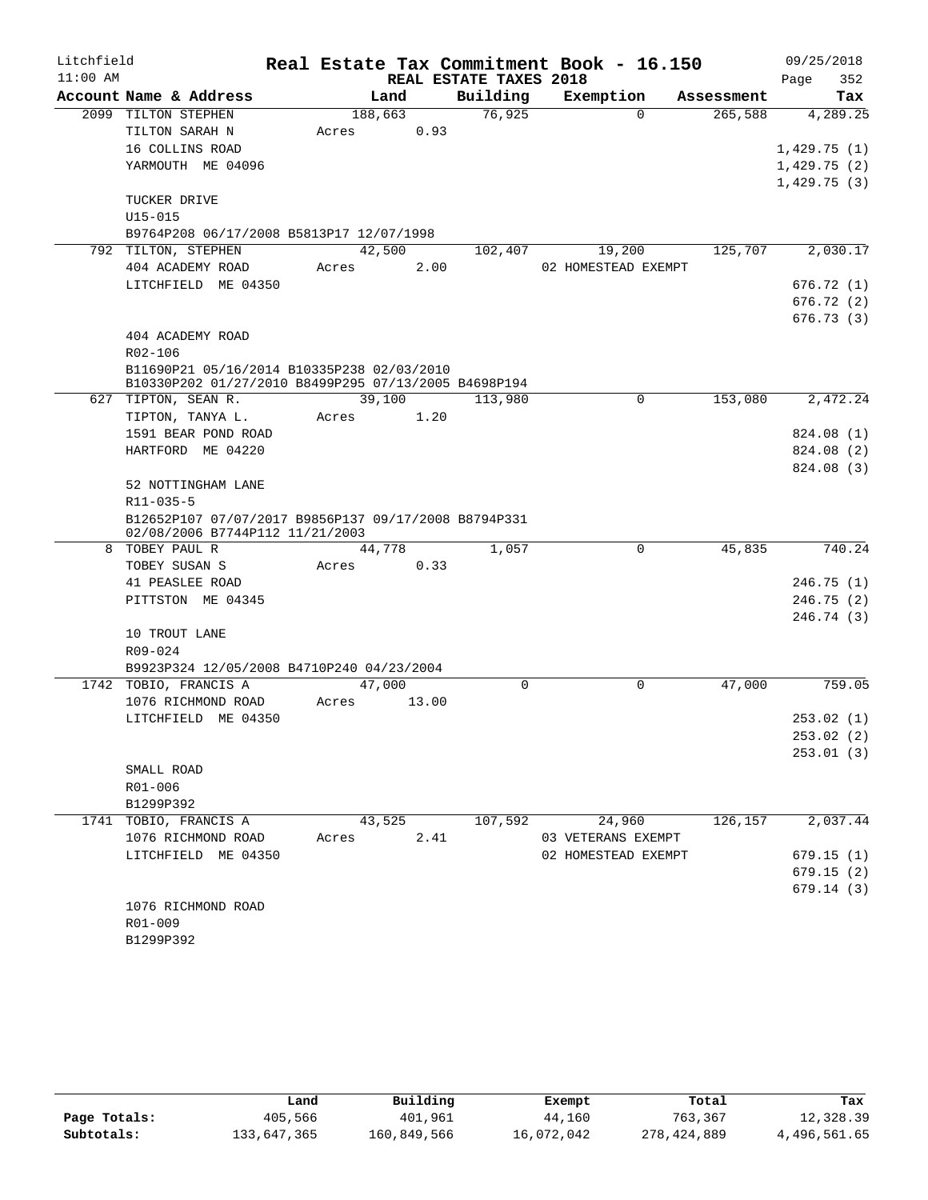| Litchfield |                                                                             |       |         |       |                        | Real Estate Tax Commitment Book - 16.150 |            |             | 09/25/2018  |
|------------|-----------------------------------------------------------------------------|-------|---------|-------|------------------------|------------------------------------------|------------|-------------|-------------|
| $11:00$ AM |                                                                             |       |         |       | REAL ESTATE TAXES 2018 |                                          |            | Page        | 352         |
|            | Account Name & Address                                                      |       | Land    |       | Building               | Exemption                                | Assessment |             | Tax         |
|            | 2099 TILTON STEPHEN                                                         |       | 188,663 |       | 76,925                 | $\Omega$                                 | 265,588    |             | 4,289.25    |
|            | TILTON SARAH N                                                              | Acres |         | 0.93  |                        |                                          |            |             |             |
|            | 16 COLLINS ROAD                                                             |       |         |       |                        |                                          |            |             | 1,429.75(1) |
|            | YARMOUTH ME 04096                                                           |       |         |       |                        |                                          |            | 1,429.75(2) |             |
|            |                                                                             |       |         |       |                        |                                          |            | 1,429.75(3) |             |
|            | TUCKER DRIVE                                                                |       |         |       |                        |                                          |            |             |             |
|            | $U15 - 015$                                                                 |       |         |       |                        |                                          |            |             |             |
|            | B9764P208 06/17/2008 B5813P17 12/07/1998                                    |       |         |       |                        |                                          |            |             |             |
|            | 792 TILTON, STEPHEN                                                         |       | 42,500  |       | 102,407                | 19,200                                   | 125,707    |             | 2,030.17    |
|            | 404 ACADEMY ROAD                                                            | Acres |         | 2.00  |                        | 02 HOMESTEAD EXEMPT                      |            |             |             |
|            | LITCHFIELD ME 04350                                                         |       |         |       |                        |                                          |            |             | 676.72(1)   |
|            |                                                                             |       |         |       |                        |                                          |            |             | 676.72(2)   |
|            |                                                                             |       |         |       |                        |                                          |            |             | 676.73(3)   |
|            | 404 ACADEMY ROAD                                                            |       |         |       |                        |                                          |            |             |             |
|            | R02-106                                                                     |       |         |       |                        |                                          |            |             |             |
|            | B11690P21 05/16/2014 B10335P238 02/03/2010                                  |       |         |       |                        |                                          |            |             |             |
|            | B10330P202 01/27/2010 B8499P295 07/13/2005 B4698P194<br>627 TIPTON, SEAN R. |       | 39,100  |       | 113,980                | $\mathbf 0$                              | 153,080    |             | 2,472.24    |
|            | TIPTON, TANYA L.                                                            | Acres |         | 1.20  |                        |                                          |            |             |             |
|            | 1591 BEAR POND ROAD                                                         |       |         |       |                        |                                          |            |             | 824.08 (1)  |
|            | HARTFORD ME 04220                                                           |       |         |       |                        |                                          |            |             | 824.08 (2)  |
|            |                                                                             |       |         |       |                        |                                          |            |             | 824.08 (3)  |
|            | 52 NOTTINGHAM LANE                                                          |       |         |       |                        |                                          |            |             |             |
|            | R11-035-5                                                                   |       |         |       |                        |                                          |            |             |             |
|            | B12652P107 07/07/2017 B9856P137 09/17/2008 B8794P331                        |       |         |       |                        |                                          |            |             |             |
|            | 02/08/2006 B7744P112 11/21/2003                                             |       |         |       |                        |                                          |            |             |             |
| 8          | TOBEY PAUL R                                                                |       | 44,778  |       | 1,057                  | 0                                        | 45,835     |             | 740.24      |
|            | TOBEY SUSAN S                                                               | Acres |         | 0.33  |                        |                                          |            |             |             |
|            | 41 PEASLEE ROAD                                                             |       |         |       |                        |                                          |            |             | 246.75(1)   |
|            | PITTSTON ME 04345                                                           |       |         |       |                        |                                          |            |             | 246.75(2)   |
|            |                                                                             |       |         |       |                        |                                          |            |             | 246.74(3)   |
|            | 10 TROUT LANE                                                               |       |         |       |                        |                                          |            |             |             |
|            | R09-024                                                                     |       |         |       |                        |                                          |            |             |             |
|            | B9923P324 12/05/2008 B4710P240 04/23/2004                                   |       |         |       |                        |                                          |            |             |             |
|            | 1742 TOBIO, FRANCIS A                                                       |       | 47,000  |       | 0                      | $\mathbf 0$                              | 47,000     |             | 759.05      |
|            | 1076 RICHMOND ROAD                                                          | Acres |         | 13.00 |                        |                                          |            |             |             |
|            | LITCHFIELD ME 04350                                                         |       |         |       |                        |                                          |            |             | 253.02(1)   |
|            |                                                                             |       |         |       |                        |                                          |            |             | 253.02 (2)  |
|            |                                                                             |       |         |       |                        |                                          |            |             | 253.01(3)   |
|            | SMALL ROAD                                                                  |       |         |       |                        |                                          |            |             |             |
|            | R01-006                                                                     |       |         |       |                        |                                          |            |             |             |
|            | B1299P392                                                                   |       |         |       |                        |                                          |            |             |             |
|            | 1741 TOBIO, FRANCIS A                                                       |       | 43,525  |       | 107,592                | 24,960                                   | 126,157    |             | 2,037.44    |
|            | 1076 RICHMOND ROAD                                                          | Acres |         | 2.41  |                        | 03 VETERANS EXEMPT                       |            |             |             |
|            | LITCHFIELD ME 04350                                                         |       |         |       |                        | 02 HOMESTEAD EXEMPT                      |            |             | 679.15(1)   |
|            |                                                                             |       |         |       |                        |                                          |            |             | 679.15(2)   |
|            |                                                                             |       |         |       |                        |                                          |            |             | 679.14(3)   |
|            | 1076 RICHMOND ROAD                                                          |       |         |       |                        |                                          |            |             |             |
|            | R01-009                                                                     |       |         |       |                        |                                          |            |             |             |
|            | B1299P392                                                                   |       |         |       |                        |                                          |            |             |             |

|              | Land        | Building    | Exempt     | Total       | Tax          |
|--------------|-------------|-------------|------------|-------------|--------------|
| Page Totals: | 405,566     | 401,961     | 44,160     | 763,367     | 12,328.39    |
| Subtotals:   | 133,647,365 | 160,849,566 | 16,072,042 | 278,424,889 | 4,496,561.65 |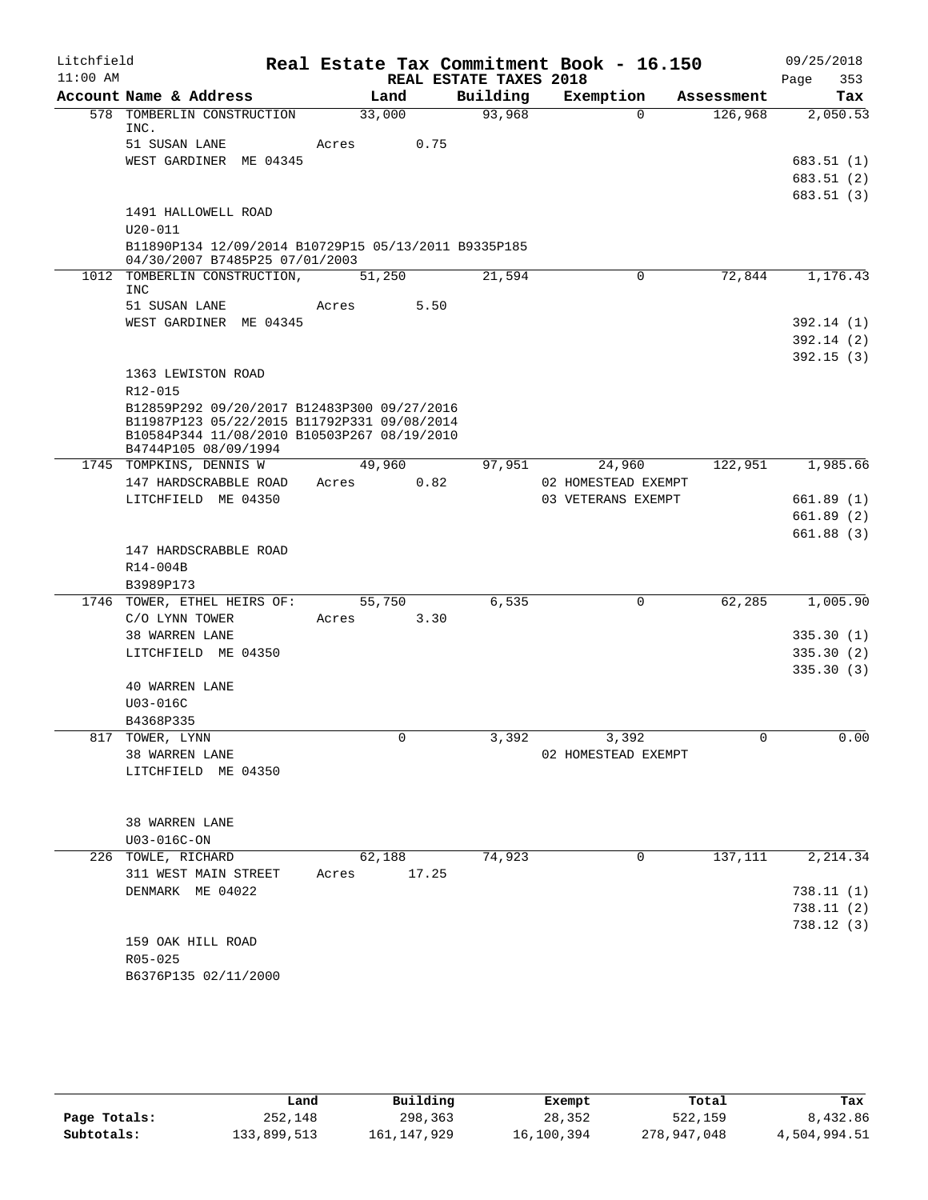| Litchfield<br>$11:00$ AM |                                                                                            |                          |                                    | Real Estate Tax Commitment Book - 16.150 |             | 09/25/2018               |
|--------------------------|--------------------------------------------------------------------------------------------|--------------------------|------------------------------------|------------------------------------------|-------------|--------------------------|
|                          | Account Name & Address                                                                     | Land                     | REAL ESTATE TAXES 2018<br>Building | Exemption                                | Assessment  | 353<br>Page<br>Tax       |
|                          | 578 TOMBERLIN CONSTRUCTION                                                                 | 33,000                   | 93,968                             | $\Omega$                                 | 126,968     | 2,050.53                 |
|                          | INC.                                                                                       |                          |                                    |                                          |             |                          |
|                          | 51 SUSAN LANE                                                                              | 0.75<br>Acres            |                                    |                                          |             |                          |
|                          | WEST GARDINER ME 04345                                                                     |                          |                                    |                                          |             | 683.51 (1)<br>683.51 (2) |
|                          |                                                                                            |                          |                                    |                                          |             | 683.51(3)                |
|                          | 1491 HALLOWELL ROAD                                                                        |                          |                                    |                                          |             |                          |
|                          | $U20 - 011$                                                                                |                          |                                    |                                          |             |                          |
|                          | B11890P134 12/09/2014 B10729P15 05/13/2011 B9335P185<br>04/30/2007 B7485P25 07/01/2003     |                          |                                    |                                          |             |                          |
|                          | 1012 TOMBERLIN CONSTRUCTION,<br>INC                                                        | 51,250                   | 21,594                             | $\mathbf 0$                              | 72,844      | 1,176.43                 |
|                          | 51 SUSAN LANE                                                                              | 5.50<br>Acres            |                                    |                                          |             |                          |
|                          | WEST GARDINER ME 04345                                                                     |                          |                                    |                                          |             | 392.14(1)                |
|                          |                                                                                            |                          |                                    |                                          |             | 392.14(2)                |
|                          |                                                                                            |                          |                                    |                                          |             | 392.15(3)                |
|                          | 1363 LEWISTON ROAD                                                                         |                          |                                    |                                          |             |                          |
|                          | $R12 - 015$                                                                                |                          |                                    |                                          |             |                          |
|                          | B12859P292 09/20/2017 B12483P300 09/27/2016<br>B11987P123 05/22/2015 B11792P331 09/08/2014 |                          |                                    |                                          |             |                          |
|                          | B10584P344 11/08/2010 B10503P267 08/19/2010                                                |                          |                                    |                                          |             |                          |
|                          | B4744P105 08/09/1994                                                                       |                          |                                    |                                          |             |                          |
|                          | 1745 TOMPKINS, DENNIS W                                                                    | 49,960                   | 97,951                             | 24,960                                   | 122,951     | 1,985.66                 |
|                          | 147 HARDSCRABBLE ROAD                                                                      | 0.82<br>Acres            |                                    | 02 HOMESTEAD EXEMPT                      |             |                          |
|                          | LITCHFIELD ME 04350                                                                        |                          |                                    | 03 VETERANS EXEMPT                       |             | 661.89(1)<br>661.89(2)   |
|                          |                                                                                            |                          |                                    |                                          |             | 661.88(3)                |
|                          | 147 HARDSCRABBLE ROAD                                                                      |                          |                                    |                                          |             |                          |
|                          | R14-004B                                                                                   |                          |                                    |                                          |             |                          |
|                          | B3989P173                                                                                  |                          |                                    |                                          |             |                          |
|                          | 1746 TOWER, ETHEL HEIRS OF:                                                                | 55,750                   | 6,535                              | 0                                        | 62,285      | 1,005.90                 |
|                          | C/O LYNN TOWER                                                                             | 3.30<br>Acres            |                                    |                                          |             |                          |
|                          | 38 WARREN LANE                                                                             |                          |                                    |                                          |             | 335.30(1)                |
|                          | LITCHFIELD ME 04350                                                                        |                          |                                    |                                          |             | 335.30(2)                |
|                          |                                                                                            |                          |                                    |                                          |             | 335.30(3)                |
|                          | <b>40 WARREN LANE</b><br>U03-016C                                                          |                          |                                    |                                          |             |                          |
|                          | B4368P335                                                                                  |                          |                                    |                                          |             |                          |
|                          | 817 TOWER, LYNN                                                                            | $\mathbf 0$              | 3,392                              | 3,392                                    | $\mathbf 0$ | 0.00                     |
|                          | 38 WARREN LANE                                                                             |                          |                                    | 02 HOMESTEAD EXEMPT                      |             |                          |
|                          | LITCHFIELD ME 04350                                                                        |                          |                                    |                                          |             |                          |
|                          |                                                                                            |                          |                                    |                                          |             |                          |
|                          |                                                                                            |                          |                                    |                                          |             |                          |
|                          | 38 WARREN LANE                                                                             |                          |                                    |                                          |             |                          |
|                          | U03-016C-ON<br>226 TOWLE, RICHARD                                                          |                          | 74,923                             | $\mathbf 0$                              | 137,111     | 2,214.34                 |
|                          | 311 WEST MAIN STREET                                                                       | 62,188<br>17.25<br>Acres |                                    |                                          |             |                          |
|                          | DENMARK ME 04022                                                                           |                          |                                    |                                          |             | 738.11(1)                |
|                          |                                                                                            |                          |                                    |                                          |             | 738.11(2)                |
|                          |                                                                                            |                          |                                    |                                          |             | 738.12(3)                |
|                          | 159 OAK HILL ROAD                                                                          |                          |                                    |                                          |             |                          |
|                          | R05-025                                                                                    |                          |                                    |                                          |             |                          |
|                          | B6376P135 02/11/2000                                                                       |                          |                                    |                                          |             |                          |
|                          |                                                                                            |                          |                                    |                                          |             |                          |

|              | Land        | Building      | Exempt     | Total       | Tax          |
|--------------|-------------|---------------|------------|-------------|--------------|
| Page Totals: | 252,148     | 298,363       | 28,352     | 522,159     | 8,432.86     |
| Subtotals:   | 133,899,513 | 161, 147, 929 | 16,100,394 | 278,947,048 | 4,504,994.51 |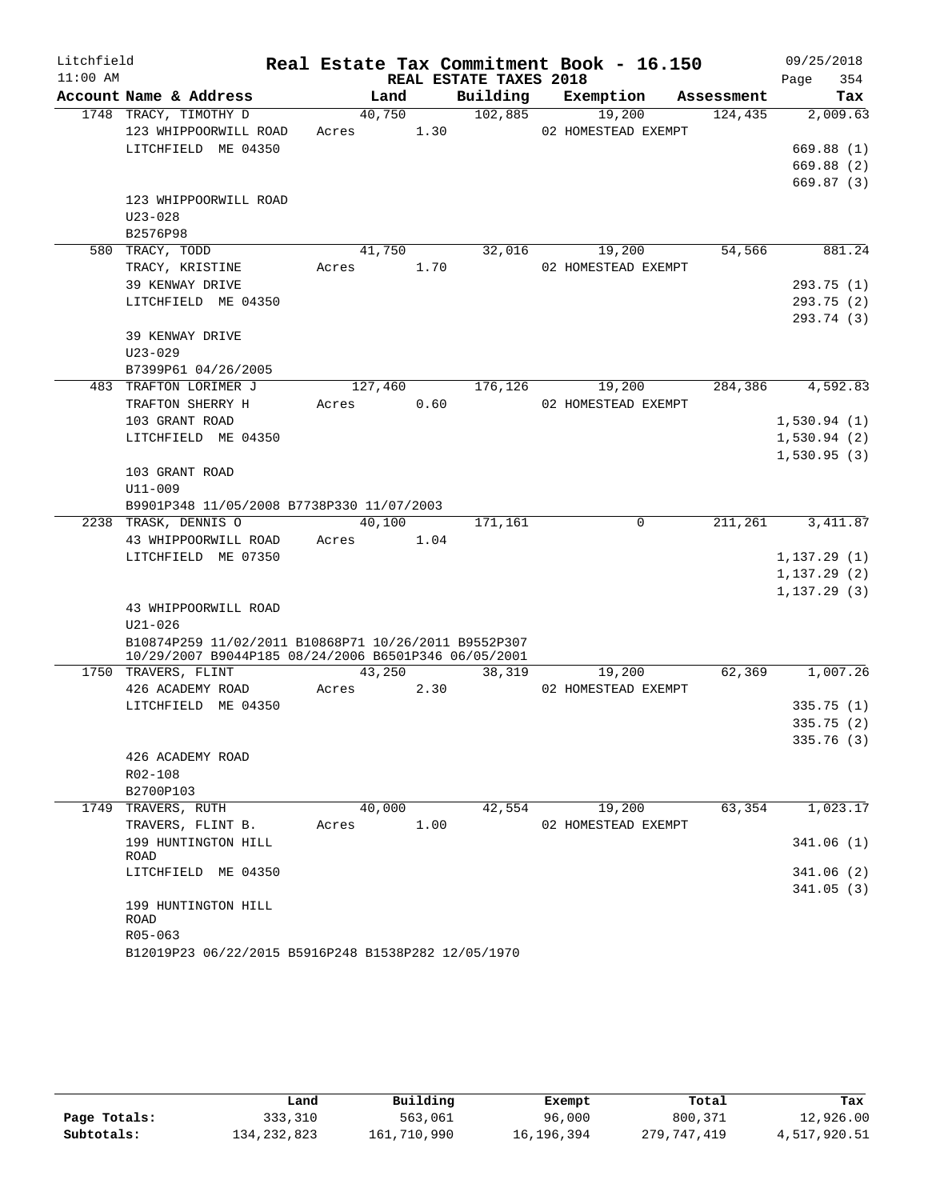| Litchfield |                                                                                                              |            |      |                        | Real Estate Tax Commitment Book - 16.150 |            | 09/25/2018   |
|------------|--------------------------------------------------------------------------------------------------------------|------------|------|------------------------|------------------------------------------|------------|--------------|
| $11:00$ AM |                                                                                                              |            |      | REAL ESTATE TAXES 2018 |                                          |            | 354<br>Page  |
|            | Account Name & Address                                                                                       | Land       |      | Building               | Exemption                                | Assessment | Tax          |
|            | 1748 TRACY, TIMOTHY D                                                                                        | 40,750     |      | 102,885                | 19,200                                   | 124,435    | 2,009.63     |
|            | 123 WHIPPOORWILL ROAD                                                                                        | Acres      | 1.30 |                        | 02 HOMESTEAD EXEMPT                      |            |              |
|            | LITCHFIELD ME 04350                                                                                          |            |      |                        |                                          |            | 669.88(1)    |
|            |                                                                                                              |            |      |                        |                                          |            | 669.88 (2)   |
|            |                                                                                                              |            |      |                        |                                          |            | 669.87(3)    |
|            | 123 WHIPPOORWILL ROAD                                                                                        |            |      |                        |                                          |            |              |
|            | $U23 - 028$                                                                                                  |            |      |                        |                                          |            |              |
|            | B2576P98                                                                                                     |            |      |                        |                                          |            |              |
|            | 580 TRACY, TODD                                                                                              | 41,750     |      | 32,016                 | 19,200                                   | 54,566     | 881.24       |
|            | TRACY, KRISTINE                                                                                              | Acres      | 1.70 |                        | 02 HOMESTEAD EXEMPT                      |            |              |
|            | 39 KENWAY DRIVE                                                                                              |            |      |                        |                                          |            | 293.75(1)    |
|            | LITCHFIELD ME 04350                                                                                          |            |      |                        |                                          |            | 293.75(2)    |
|            |                                                                                                              |            |      |                        |                                          |            | 293.74 (3)   |
|            | 39 KENWAY DRIVE                                                                                              |            |      |                        |                                          |            |              |
|            | $U23 - 029$                                                                                                  |            |      |                        |                                          |            |              |
|            | B7399P61 04/26/2005                                                                                          |            |      |                        |                                          |            |              |
|            | 483 TRAFTON LORIMER J                                                                                        | 127,460    |      | 176,126                | 19,200                                   | 284,386    | 4,592.83     |
|            | TRAFTON SHERRY H                                                                                             | Acres      | 0.60 |                        | 02 HOMESTEAD EXEMPT                      |            |              |
|            | 103 GRANT ROAD                                                                                               |            |      |                        |                                          |            | 1,530.94(1)  |
|            | LITCHFIELD ME 04350                                                                                          |            |      |                        |                                          |            | 1,530.94(2)  |
|            |                                                                                                              |            |      |                        |                                          |            | 1,530.95(3)  |
|            | 103 GRANT ROAD                                                                                               |            |      |                        |                                          |            |              |
|            | U11-009                                                                                                      |            |      |                        |                                          |            |              |
|            | B9901P348 11/05/2008 B7738P330 11/07/2003                                                                    |            |      |                        |                                          |            |              |
|            | 2238 TRASK, DENNIS O                                                                                         | 40,100     |      | 171,161                | $\mathbf 0$                              | 211,261    | 3, 411.87    |
|            | 43 WHIPPOORWILL ROAD                                                                                         | Acres 1.04 |      |                        |                                          |            |              |
|            | LITCHFIELD ME 07350                                                                                          |            |      |                        |                                          |            | 1, 137.29(1) |
|            |                                                                                                              |            |      |                        |                                          |            | 1, 137.29(2) |
|            |                                                                                                              |            |      |                        |                                          |            | 1, 137.29(3) |
|            | 43 WHIPPOORWILL ROAD                                                                                         |            |      |                        |                                          |            |              |
|            | $U21 - 026$                                                                                                  |            |      |                        |                                          |            |              |
|            | B10874P259 11/02/2011 B10868P71 10/26/2011 B9552P307<br>10/29/2007 B9044P185 08/24/2006 B6501P346 06/05/2001 |            |      |                        |                                          |            |              |
|            | 1750 TRAVERS, FLINT                                                                                          | 43,250     |      | 38,319                 | 19,200                                   | 62,369     | 1,007.26     |
|            | 426 ACADEMY ROAD                                                                                             | Acres      | 2.30 |                        | 02 HOMESTEAD EXEMPT                      |            |              |
|            | LITCHFIELD ME 04350                                                                                          |            |      |                        |                                          |            | 335.75(1)    |
|            |                                                                                                              |            |      |                        |                                          |            | 335.75(2)    |
|            |                                                                                                              |            |      |                        |                                          |            | 335.76(3)    |
|            | 426 ACADEMY ROAD                                                                                             |            |      |                        |                                          |            |              |
|            | R02-108                                                                                                      |            |      |                        |                                          |            |              |
|            | B2700P103                                                                                                    |            |      |                        |                                          |            |              |
|            | 1749 TRAVERS, RUTH                                                                                           | 40,000     |      | 42,554                 | 19,200                                   | 63,354     | 1,023.17     |
|            | TRAVERS, FLINT B.                                                                                            | Acres      | 1.00 |                        | 02 HOMESTEAD EXEMPT                      |            |              |
|            | 199 HUNTINGTON HILL                                                                                          |            |      |                        |                                          |            | 341.06(1)    |
|            | <b>ROAD</b>                                                                                                  |            |      |                        |                                          |            |              |
|            | LITCHFIELD ME 04350                                                                                          |            |      |                        |                                          |            | 341.06 (2)   |
|            |                                                                                                              |            |      |                        |                                          |            | 341.05(3)    |
|            | 199 HUNTINGTON HILL                                                                                          |            |      |                        |                                          |            |              |
|            | ROAD                                                                                                         |            |      |                        |                                          |            |              |
|            | R05-063                                                                                                      |            |      |                        |                                          |            |              |
|            | B12019P23 06/22/2015 B5916P248 B1538P282 12/05/1970                                                          |            |      |                        |                                          |            |              |

|              | Land          | Building    | Exempt     | Total       | Tax          |
|--------------|---------------|-------------|------------|-------------|--------------|
| Page Totals: | 333,310       | 563,061     | 96,000     | 800,371     | 12,926.00    |
| Subtotals:   | 134, 232, 823 | 161,710,990 | 16,196,394 | 279,747,419 | 4,517,920.51 |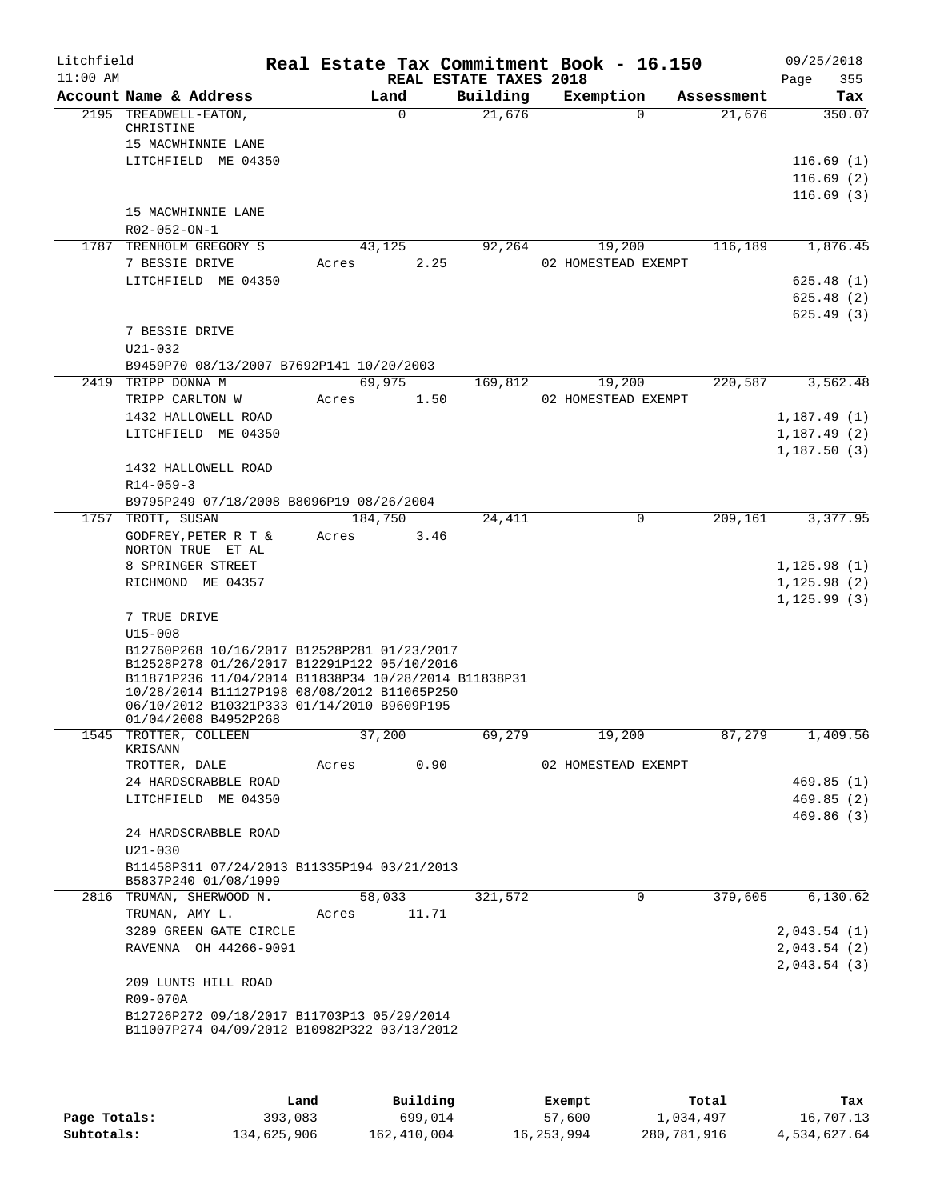| Litchfield<br>$11:00$ AM |                                                                                                                                                                                                                                                                         |       |                 | REAL ESTATE TAXES 2018 | Real Estate Tax Commitment Book - 16.150 |            | 09/25/2018<br>355<br>Page    |
|--------------------------|-------------------------------------------------------------------------------------------------------------------------------------------------------------------------------------------------------------------------------------------------------------------------|-------|-----------------|------------------------|------------------------------------------|------------|------------------------------|
|                          | Account Name & Address                                                                                                                                                                                                                                                  |       | Land            | Building               | Exemption                                | Assessment | Tax                          |
|                          | 2195 TREADWELL-EATON,<br>CHRISTINE<br>15 MACWHINNIE LANE                                                                                                                                                                                                                |       | $\Omega$        | 21,676                 | $\Omega$                                 | 21,676     | 350.07                       |
|                          | LITCHFIELD ME 04350                                                                                                                                                                                                                                                     |       |                 |                        |                                          |            | 116.69(1)<br>116.69(2)       |
|                          | 15 MACWHINNIE LANE<br>R02-052-ON-1                                                                                                                                                                                                                                      |       |                 |                        |                                          |            | 116.69(3)                    |
|                          | 1787 TRENHOLM GREGORY S                                                                                                                                                                                                                                                 |       | 43,125          | 92,264                 | 19,200                                   | 116,189    | 1,876.45                     |
|                          | 7 BESSIE DRIVE                                                                                                                                                                                                                                                          | Acres | 2.25            |                        | 02 HOMESTEAD EXEMPT                      |            |                              |
|                          | LITCHFIELD ME 04350                                                                                                                                                                                                                                                     |       |                 |                        |                                          |            | 625.48(1)                    |
|                          |                                                                                                                                                                                                                                                                         |       |                 |                        |                                          |            | 625.48(2)<br>625.49(3)       |
|                          | 7 BESSIE DRIVE<br>$U21 - 032$                                                                                                                                                                                                                                           |       |                 |                        |                                          |            |                              |
|                          | B9459P70 08/13/2007 B7692P141 10/20/2003                                                                                                                                                                                                                                |       |                 |                        |                                          |            |                              |
|                          | 2419 TRIPP DONNA M                                                                                                                                                                                                                                                      |       | 69,975          | 169,812                | 19,200                                   | 220,587    | 3,562.48                     |
|                          | TRIPP CARLTON W                                                                                                                                                                                                                                                         | Acres | 1.50            |                        | 02 HOMESTEAD EXEMPT                      |            |                              |
|                          | 1432 HALLOWELL ROAD<br>LITCHFIELD ME 04350                                                                                                                                                                                                                              |       |                 |                        |                                          |            | 1,187.49(1)                  |
|                          |                                                                                                                                                                                                                                                                         |       |                 |                        |                                          |            | 1,187.49(2)<br>1,187.50(3)   |
|                          | 1432 HALLOWELL ROAD<br>$R14 - 059 - 3$                                                                                                                                                                                                                                  |       |                 |                        |                                          |            |                              |
|                          | B9795P249 07/18/2008 B8096P19 08/26/2004                                                                                                                                                                                                                                |       |                 |                        |                                          |            |                              |
|                          | 1757 TROTT, SUSAN<br>GODFREY, PETER R T &<br>NORTON TRUE ET AL                                                                                                                                                                                                          | Acres | 184,750<br>3.46 | 24,411                 | $\mathbf 0$                              | 209,161    | 3,377.95                     |
|                          | 8 SPRINGER STREET                                                                                                                                                                                                                                                       |       |                 |                        |                                          |            | 1, 125.98(1)                 |
|                          | RICHMOND ME 04357                                                                                                                                                                                                                                                       |       |                 |                        |                                          |            | 1, 125.98(2)<br>1, 125.99(3) |
|                          | 7 TRUE DRIVE<br>$U15 - 008$                                                                                                                                                                                                                                             |       |                 |                        |                                          |            |                              |
|                          | B12760P268 10/16/2017 B12528P281 01/23/2017<br>B12528P278 01/26/2017 B12291P122 05/10/2016<br>B11871P236 11/04/2014 B11838P34 10/28/2014 B11838P31<br>10/28/2014 B11127P198 08/08/2012 B11065P250<br>06/10/2012 B10321P333 01/14/2010 B9609P195<br>01/04/2008 B4952P268 |       |                 |                        |                                          |            |                              |
| 1545                     | TROTTER, COLLEEN                                                                                                                                                                                                                                                        |       | 37,200          | 69,279                 | 19,200                                   | 87,279     | 1,409.56                     |
|                          | KRISANN                                                                                                                                                                                                                                                                 |       | Acres 0.90      |                        | 02 HOMESTEAD EXEMPT                      |            |                              |
|                          | TROTTER, DALE<br>24 HARDSCRABBLE ROAD                                                                                                                                                                                                                                   |       |                 |                        |                                          |            | 469.85(1)                    |
|                          | LITCHFIELD ME 04350                                                                                                                                                                                                                                                     |       |                 |                        |                                          |            | 469.85(2)                    |
|                          |                                                                                                                                                                                                                                                                         |       |                 |                        |                                          |            | 469.86(3)                    |
|                          | 24 HARDSCRABBLE ROAD<br>$U21 - 030$                                                                                                                                                                                                                                     |       |                 |                        |                                          |            |                              |
|                          | B11458P311 07/24/2013 B11335P194 03/21/2013<br>B5837P240 01/08/1999                                                                                                                                                                                                     |       |                 |                        |                                          |            |                              |
|                          | 2816 TRUMAN, SHERWOOD N.                                                                                                                                                                                                                                                |       | 58,033          | 321,572                | 0                                        | 379,605    | 6,130.62                     |
|                          | TRUMAN, AMY L.                                                                                                                                                                                                                                                          | Acres | 11.71           |                        |                                          |            |                              |
|                          | 3289 GREEN GATE CIRCLE<br>RAVENNA OH 44266-9091                                                                                                                                                                                                                         |       |                 |                        |                                          |            | 2,043.54(1)<br>2,043.54(2)   |
|                          |                                                                                                                                                                                                                                                                         |       |                 |                        |                                          |            | 2,043.54(3)                  |
|                          | 209 LUNTS HILL ROAD<br>R09-070A                                                                                                                                                                                                                                         |       |                 |                        |                                          |            |                              |
|                          | B12726P272 09/18/2017 B11703P13 05/29/2014                                                                                                                                                                                                                              |       |                 |                        |                                          |            |                              |
|                          | B11007P274 04/09/2012 B10982P322 03/13/2012                                                                                                                                                                                                                             |       |                 |                        |                                          |            |                              |
|                          |                                                                                                                                                                                                                                                                         |       |                 |                        |                                          |            |                              |
|                          |                                                                                                                                                                                                                                                                         |       |                 |                        |                                          |            |                              |

|              | Land        | Building    | Exempt     | Total       | Tax          |
|--------------|-------------|-------------|------------|-------------|--------------|
| Page Totals: | 393,083     | 699,014     | 57,600     | 1,034,497   | 16,707.13    |
| Subtotals:   | 134,625,906 | 162,410,004 | 16,253,994 | 280,781,916 | 4,534,627.64 |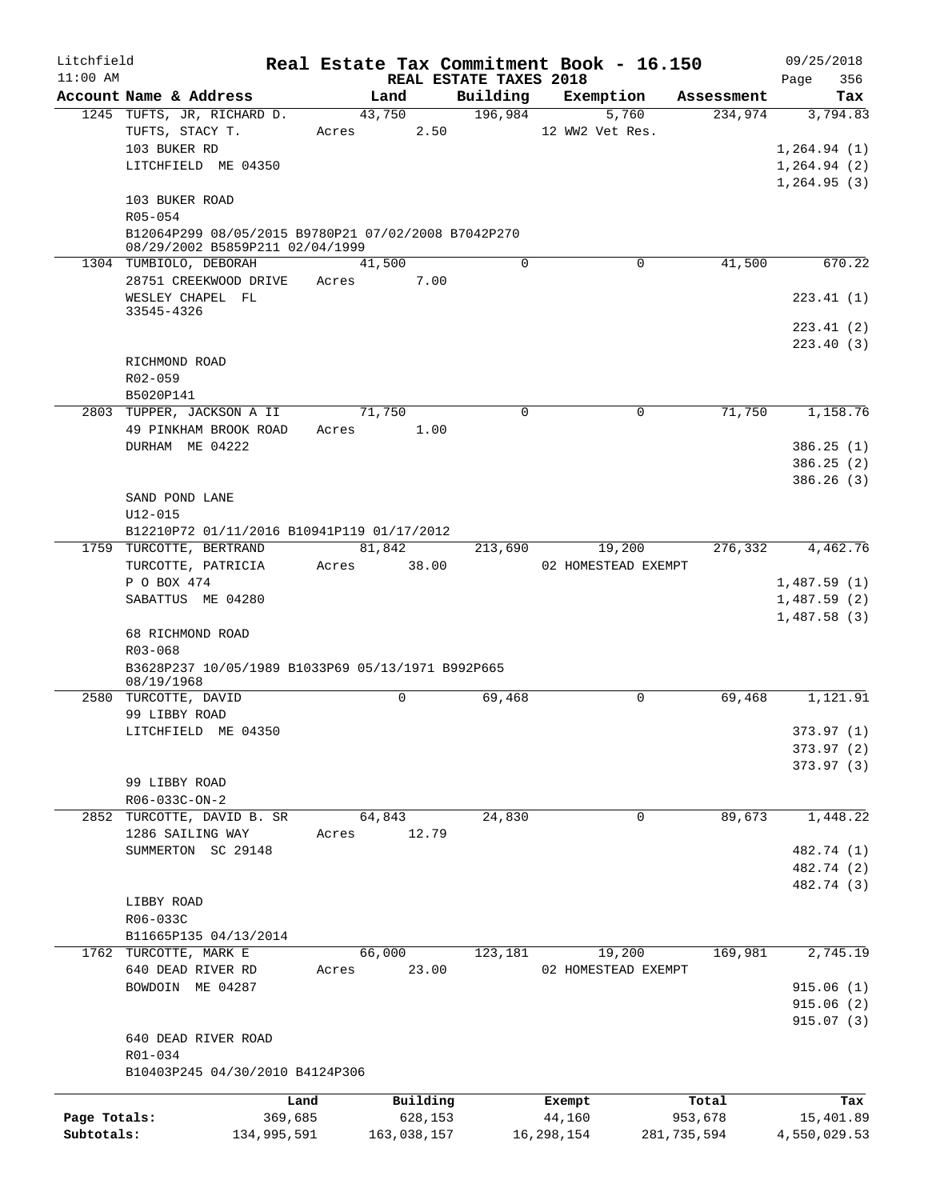| Litchfield   |                                                                                        |             |             |          |                                    | Real Estate Tax Commitment Book - 16.150 |             |         | 09/25/2018               |            |
|--------------|----------------------------------------------------------------------------------------|-------------|-------------|----------|------------------------------------|------------------------------------------|-------------|---------|--------------------------|------------|
| $11:00$ AM   | Account Name & Address                                                                 |             | Land        |          | REAL ESTATE TAXES 2018<br>Building | Exemption                                | Assessment  |         | Page                     | 356<br>Tax |
|              | 1245 TUFTS, JR, RICHARD D.                                                             |             | 43,750      |          | 196,984                            | 5,760                                    |             | 234,974 | 3,794.83                 |            |
|              | TUFTS, STACY T.                                                                        | Acres       |             | 2.50     |                                    | 12 WW2 Vet Res.                          |             |         |                          |            |
|              | 103 BUKER RD                                                                           |             |             |          |                                    |                                          |             |         | 1,264.94(1)              |            |
|              | LITCHFIELD ME 04350                                                                    |             |             |          |                                    |                                          |             |         | 1,264.94(2)              |            |
|              |                                                                                        |             |             |          |                                    |                                          |             |         | 1,264.95(3)              |            |
|              | 103 BUKER ROAD                                                                         |             |             |          |                                    |                                          |             |         |                          |            |
|              | R05-054                                                                                |             |             |          |                                    |                                          |             |         |                          |            |
|              | B12064P299 08/05/2015 B9780P21 07/02/2008 B7042P270<br>08/29/2002 B5859P211 02/04/1999 |             |             |          |                                    |                                          |             |         |                          |            |
|              | 1304 TUMBIOLO, DEBORAH                                                                 |             | 41,500      |          | $\Omega$                           |                                          | 0           | 41,500  |                          | 670.22     |
|              | 28751 CREEKWOOD DRIVE                                                                  | Acres       |             | 7.00     |                                    |                                          |             |         |                          |            |
|              | WESLEY CHAPEL FL                                                                       |             |             |          |                                    |                                          |             |         | 223.41(1)                |            |
|              | 33545-4326                                                                             |             |             |          |                                    |                                          |             |         |                          |            |
|              |                                                                                        |             |             |          |                                    |                                          |             |         | 223.41(2)                |            |
|              |                                                                                        |             |             |          |                                    |                                          |             |         | 223.40(3)                |            |
|              | RICHMOND ROAD<br>R02-059                                                               |             |             |          |                                    |                                          |             |         |                          |            |
|              | B5020P141                                                                              |             |             |          |                                    |                                          |             |         |                          |            |
|              | 2803 TUPPER, JACKSON A II                                                              |             | 71,750      |          | $\Omega$                           |                                          | 0           | 71,750  | 1,158.76                 |            |
|              | 49 PINKHAM BROOK ROAD                                                                  | Acres       |             | 1.00     |                                    |                                          |             |         |                          |            |
|              | DURHAM ME 04222                                                                        |             |             |          |                                    |                                          |             |         | 386.25(1)                |            |
|              |                                                                                        |             |             |          |                                    |                                          |             |         | 386.25(2)                |            |
|              |                                                                                        |             |             |          |                                    |                                          |             |         | 386.26(3)                |            |
|              | SAND POND LANE                                                                         |             |             |          |                                    |                                          |             |         |                          |            |
|              | $U12 - 015$                                                                            |             |             |          |                                    |                                          |             |         |                          |            |
|              | B12210P72 01/11/2016 B10941P119 01/17/2012                                             |             |             |          |                                    |                                          |             |         |                          |            |
|              | 1759 TURCOTTE, BERTRAND                                                                |             | 81,842      |          | 213,690                            | 19,200                                   |             | 276,332 | 4,462.76                 |            |
|              | TURCOTTE, PATRICIA<br>P O BOX 474                                                      | Acres       |             | 38.00    |                                    | 02 HOMESTEAD EXEMPT                      |             |         | 1,487.59(1)              |            |
|              | SABATTUS ME 04280                                                                      |             |             |          |                                    |                                          |             |         | 1,487.59(2)              |            |
|              |                                                                                        |             |             |          |                                    |                                          |             |         | 1,487.58(3)              |            |
|              | 68 RICHMOND ROAD                                                                       |             |             |          |                                    |                                          |             |         |                          |            |
|              | R03-068                                                                                |             |             |          |                                    |                                          |             |         |                          |            |
|              | B3628P237 10/05/1989 B1033P69 05/13/1971 B992P665                                      |             |             |          |                                    |                                          |             |         |                          |            |
|              | 08/19/1968<br>2580 TURCOTTE, DAVID                                                     |             | $\mathbf 0$ |          | 69,468                             |                                          | $\Omega$    | 69,468  | 1,121.91                 |            |
|              | 99 LIBBY ROAD                                                                          |             |             |          |                                    |                                          |             |         |                          |            |
|              | LITCHFIELD ME 04350                                                                    |             |             |          |                                    |                                          |             |         | 373.97 (1)               |            |
|              |                                                                                        |             |             |          |                                    |                                          |             |         | 373.97 (2)               |            |
|              |                                                                                        |             |             |          |                                    |                                          |             |         | 373.97(3)                |            |
|              | 99 LIBBY ROAD                                                                          |             |             |          |                                    |                                          |             |         |                          |            |
|              | R06-033C-ON-2                                                                          |             |             |          |                                    |                                          |             |         |                          |            |
|              | 2852 TURCOTTE, DAVID B. SR                                                             |             | 64,843      |          | 24,830                             |                                          | 0           | 89,673  | 1,448.22                 |            |
|              | 1286 SAILING WAY                                                                       | Acres       |             | 12.79    |                                    |                                          |             |         |                          |            |
|              | SUMMERTON SC 29148                                                                     |             |             |          |                                    |                                          |             |         | 482.74 (1)               |            |
|              |                                                                                        |             |             |          |                                    |                                          |             |         | 482.74 (2)<br>482.74 (3) |            |
|              | LIBBY ROAD                                                                             |             |             |          |                                    |                                          |             |         |                          |            |
|              | R06-033C                                                                               |             |             |          |                                    |                                          |             |         |                          |            |
|              | B11665P135 04/13/2014                                                                  |             |             |          |                                    |                                          |             |         |                          |            |
|              | 1762 TURCOTTE, MARK E                                                                  |             | 66,000      |          | 123,181                            | 19,200                                   |             | 169,981 | 2,745.19                 |            |
|              | 640 DEAD RIVER RD                                                                      | Acres       |             | 23.00    |                                    | 02 HOMESTEAD EXEMPT                      |             |         |                          |            |
|              | BOWDOIN ME 04287                                                                       |             |             |          |                                    |                                          |             |         | 915.06(1)                |            |
|              |                                                                                        |             |             |          |                                    |                                          |             |         | 915.06(2)                |            |
|              |                                                                                        |             |             |          |                                    |                                          |             |         | 915.07(3)                |            |
|              | 640 DEAD RIVER ROAD                                                                    |             |             |          |                                    |                                          |             |         |                          |            |
|              | R01-034<br>B10403P245 04/30/2010 B4124P306                                             |             |             |          |                                    |                                          |             |         |                          |            |
|              |                                                                                        |             |             |          |                                    |                                          |             |         |                          |            |
|              |                                                                                        | Land        |             | Building |                                    | Exempt                                   | Total       |         |                          | Tax        |
| Page Totals: |                                                                                        | 369,685     |             | 628,153  |                                    | 44,160                                   | 953,678     |         | 15,401.89                |            |
| Subtotals:   |                                                                                        | 134,995,591 | 163,038,157 |          |                                    | 16,298,154                               | 281,735,594 |         | 4,550,029.53             |            |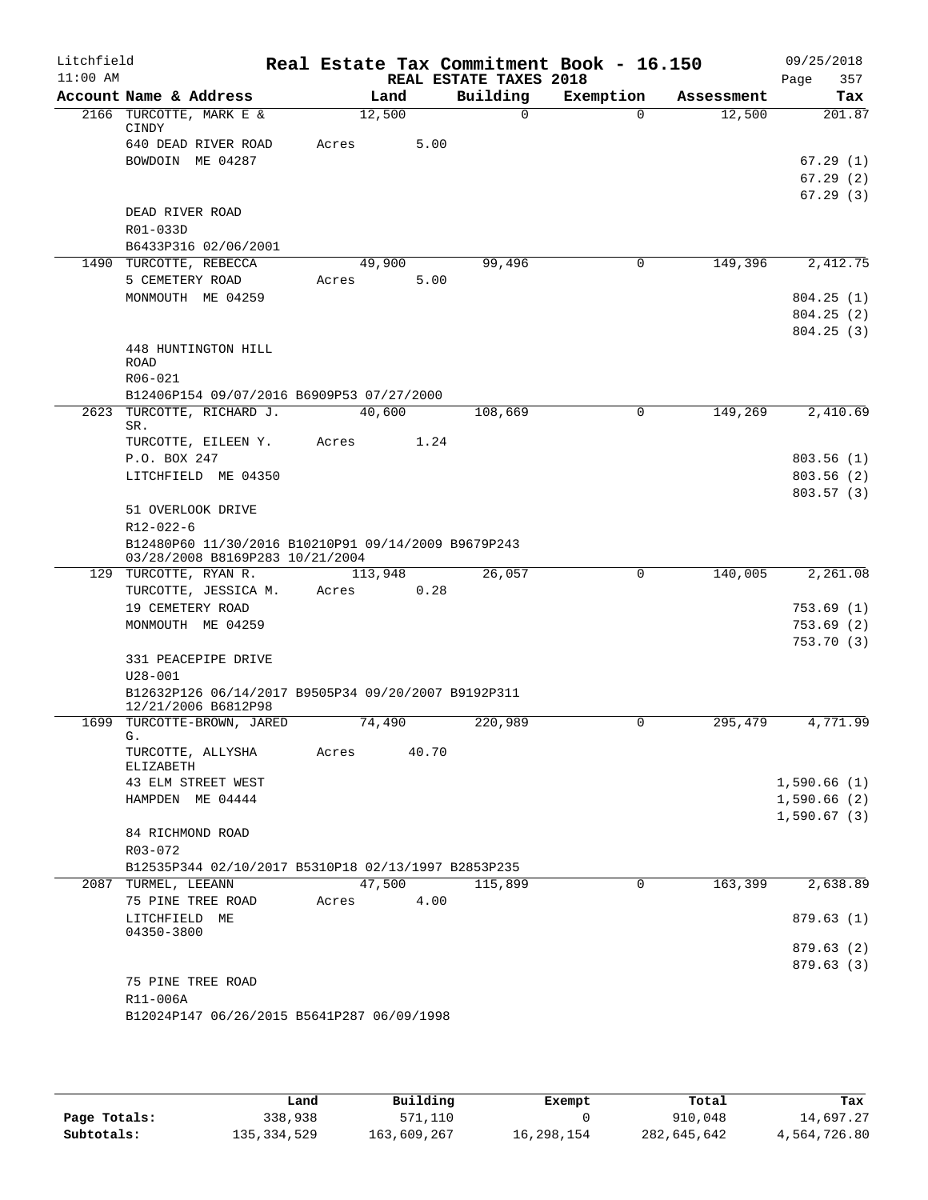| Litchfield |                                                                                        |       |         |                        | Real Estate Tax Commitment Book - 16.150 |            | 09/25/2018  |
|------------|----------------------------------------------------------------------------------------|-------|---------|------------------------|------------------------------------------|------------|-------------|
| $11:00$ AM |                                                                                        |       |         | REAL ESTATE TAXES 2018 |                                          |            | 357<br>Page |
|            | Account Name & Address                                                                 |       | Land    | Building               | Exemption                                | Assessment | Tax         |
|            | 2166 TURCOTTE, MARK E &<br>CINDY                                                       |       | 12,500  | $\Omega$               | $\Omega$                                 | 12,500     | 201.87      |
|            | 640 DEAD RIVER ROAD                                                                    | Acres | 5.00    |                        |                                          |            |             |
|            | BOWDOIN ME 04287                                                                       |       |         |                        |                                          |            | 67.29(1)    |
|            |                                                                                        |       |         |                        |                                          |            | 67.29(2)    |
|            |                                                                                        |       |         |                        |                                          |            | 67.29(3)    |
|            | DEAD RIVER ROAD                                                                        |       |         |                        |                                          |            |             |
|            | R01-033D                                                                               |       |         |                        |                                          |            |             |
|            | B6433P316 02/06/2001                                                                   |       |         |                        |                                          |            |             |
|            | 1490 TURCOTTE, REBECCA                                                                 |       | 49,900  | 99,496                 | 0                                        | 149,396    | 2,412.75    |
|            | 5 CEMETERY ROAD                                                                        | Acres | 5.00    |                        |                                          |            |             |
|            | MONMOUTH ME 04259                                                                      |       |         |                        |                                          |            | 804.25(1)   |
|            |                                                                                        |       |         |                        |                                          |            | 804.25(2)   |
|            |                                                                                        |       |         |                        |                                          |            | 804.25(3)   |
|            | 448 HUNTINGTON HILL                                                                    |       |         |                        |                                          |            |             |
|            | <b>ROAD</b><br>R06-021                                                                 |       |         |                        |                                          |            |             |
|            | B12406P154 09/07/2016 B6909P53 07/27/2000                                              |       |         |                        |                                          |            |             |
| 2623       | TURCOTTE, RICHARD J.                                                                   |       | 40,600  | 108,669                | 0                                        | 149,269    | 2,410.69    |
|            | SR.                                                                                    |       |         |                        |                                          |            |             |
|            | TURCOTTE, EILEEN Y.                                                                    | Acres | 1.24    |                        |                                          |            |             |
|            | P.O. BOX 247                                                                           |       |         |                        |                                          |            | 803.56(1)   |
|            | LITCHFIELD ME 04350                                                                    |       |         |                        |                                          |            | 803.56(2)   |
|            |                                                                                        |       |         |                        |                                          |            | 803.57(3)   |
|            | 51 OVERLOOK DRIVE                                                                      |       |         |                        |                                          |            |             |
|            | R12-022-6                                                                              |       |         |                        |                                          |            |             |
|            | B12480P60 11/30/2016 B10210P91 09/14/2009 B9679P243<br>03/28/2008 B8169P283 10/21/2004 |       |         |                        |                                          |            |             |
|            | 129 TURCOTTE, RYAN R.                                                                  |       | 113,948 | 26,057                 | 0                                        | 140,005    | 2,261.08    |
|            | TURCOTTE, JESSICA M.                                                                   | Acres | 0.28    |                        |                                          |            |             |
|            | 19 CEMETERY ROAD                                                                       |       |         |                        |                                          |            | 753.69 (1)  |
|            | MONMOUTH ME 04259                                                                      |       |         |                        |                                          |            | 753.69(2)   |
|            |                                                                                        |       |         |                        |                                          |            | 753.70(3)   |
|            | 331 PEACEPIPE DRIVE                                                                    |       |         |                        |                                          |            |             |
|            | $U28 - 001$                                                                            |       |         |                        |                                          |            |             |
|            | B12632P126 06/14/2017 B9505P34 09/20/2007 B9192P311<br>12/21/2006 B6812P98             |       |         |                        |                                          |            |             |
|            | 1699 TURCOTTE-BROWN, JARED                                                             |       | 74,490  | 220,989                | $\mathbf 0$                              | 295,479    | 4,771.99    |
|            | G.<br>TURCOTTE, ALLYSHA<br>ELIZABETH                                                   | Acres | 40.70   |                        |                                          |            |             |
|            | 43 ELM STREET WEST                                                                     |       |         |                        |                                          |            | 1,590.66(1) |
|            | HAMPDEN ME 04444                                                                       |       |         |                        |                                          |            | 1,590.66(2) |
|            |                                                                                        |       |         |                        |                                          |            | 1,590.67(3) |
|            | 84 RICHMOND ROAD<br>R03-072                                                            |       |         |                        |                                          |            |             |
|            | B12535P344 02/10/2017 B5310P18 02/13/1997 B2853P235                                    |       |         |                        |                                          |            |             |
|            | 2087 TURMEL, LEEANN                                                                    |       | 47,500  | 115,899                | 0                                        | 163,399    | 2,638.89    |
|            | 75 PINE TREE ROAD                                                                      | Acres | 4.00    |                        |                                          |            |             |
|            | LITCHFIELD ME                                                                          |       |         |                        |                                          |            | 879.63(1)   |
|            | 04350-3800                                                                             |       |         |                        |                                          |            |             |
|            |                                                                                        |       |         |                        |                                          |            | 879.63 (2)  |
|            |                                                                                        |       |         |                        |                                          |            | 879.63(3)   |
|            | 75 PINE TREE ROAD                                                                      |       |         |                        |                                          |            |             |
|            | R11-006A                                                                               |       |         |                        |                                          |            |             |
|            | B12024P147 06/26/2015 B5641P287 06/09/1998                                             |       |         |                        |                                          |            |             |

|              | Land          | Building    | Exempt     | Total       | Tax          |
|--------------|---------------|-------------|------------|-------------|--------------|
| Page Totals: | 338,938       | 571,110     |            | 910,048     | 14,697.27    |
| Subtotals:   | 135, 334, 529 | 163,609,267 | 16,298,154 | 282,645,642 | 4,564,726.80 |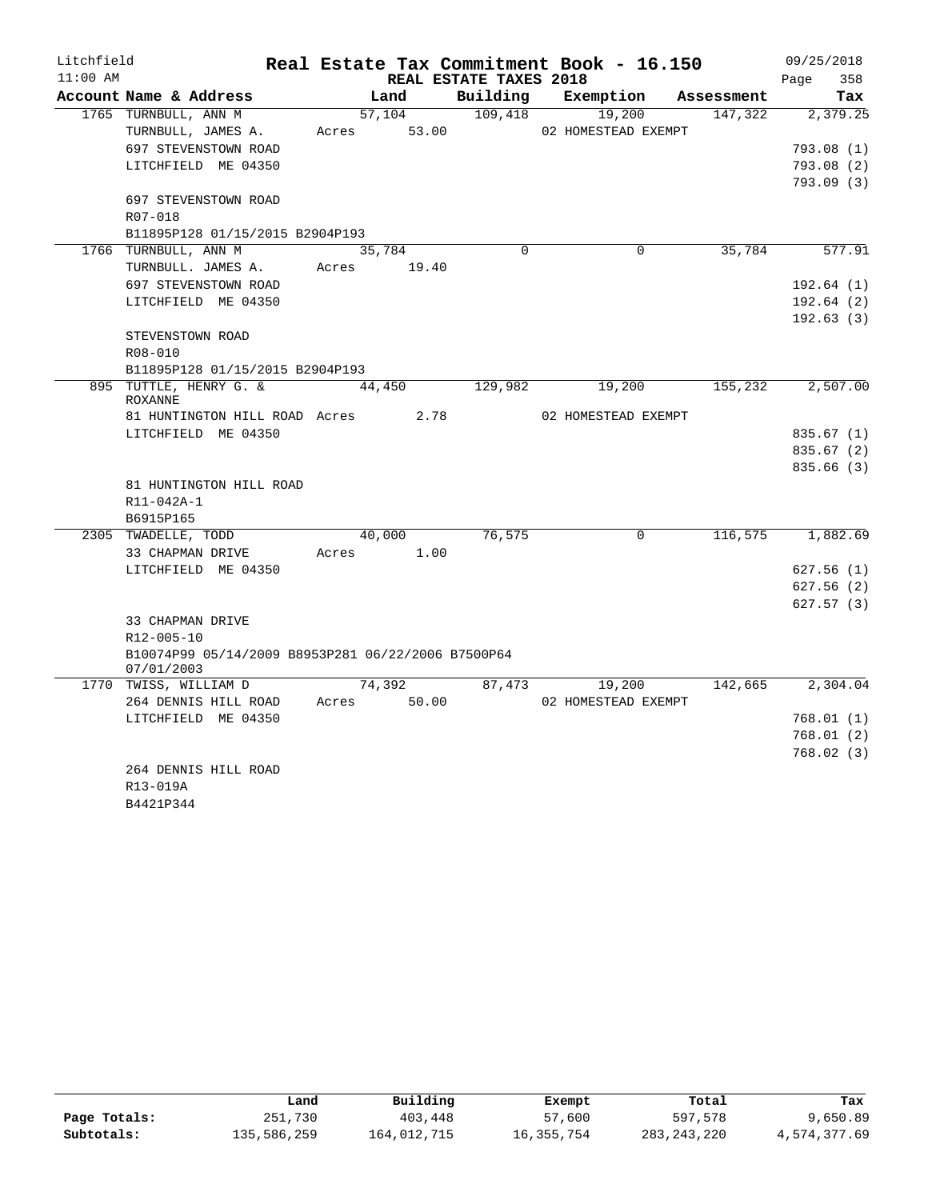| Litchfield |                                                    |       |             |                        | Real Estate Tax Commitment Book - 16.150 |            | 09/25/2018  |
|------------|----------------------------------------------------|-------|-------------|------------------------|------------------------------------------|------------|-------------|
| $11:00$ AM |                                                    |       |             | REAL ESTATE TAXES 2018 |                                          |            | Page<br>358 |
|            | Account Name & Address                             |       | Land        | Building               | Exemption                                | Assessment | Tax         |
|            | 1765 TURNBULL, ANN M                               |       | 57,104      | 109,418                | 19,200                                   | 147,322    | 2,379.25    |
|            | TURNBULL, JAMES A.                                 |       | Acres 53.00 |                        | 02 HOMESTEAD EXEMPT                      |            |             |
|            | 697 STEVENSTOWN ROAD                               |       |             |                        |                                          |            | 793.08(1)   |
|            | LITCHFIELD ME 04350                                |       |             |                        |                                          |            | 793.08(2)   |
|            |                                                    |       |             |                        |                                          |            | 793.09(3)   |
|            | 697 STEVENSTOWN ROAD                               |       |             |                        |                                          |            |             |
|            | R07-018                                            |       |             |                        |                                          |            |             |
|            | B11895P128 01/15/2015 B2904P193                    |       |             |                        |                                          |            |             |
|            | 1766 TURNBULL, ANN M                               |       | 35,784      | $\Omega$               | $\Omega$                                 | 35,784     | 577.91      |
|            | TURNBULL. JAMES A.                                 |       | Acres 19.40 |                        |                                          |            |             |
|            | 697 STEVENSTOWN ROAD                               |       |             |                        |                                          |            | 192.64(1)   |
|            | LITCHFIELD ME 04350                                |       |             |                        |                                          |            | 192.64(2)   |
|            |                                                    |       |             |                        |                                          |            | 192.63(3)   |
|            | STEVENSTOWN ROAD                                   |       |             |                        |                                          |            |             |
|            | R08-010                                            |       |             |                        |                                          |            |             |
|            | B11895P128 01/15/2015 B2904P193                    |       |             |                        |                                          |            |             |
|            | 895 TUTTLE, HENRY G. &                             |       | 44,450      | 129,982                | 19,200                                   | 155,232    | 2,507.00    |
|            | <b>ROXANNE</b>                                     |       |             |                        |                                          |            |             |
|            | 81 HUNTINGTON HILL ROAD Acres                      |       | 2.78        |                        | 02 HOMESTEAD EXEMPT                      |            |             |
|            | LITCHFIELD ME 04350                                |       |             |                        |                                          |            | 835.67(1)   |
|            |                                                    |       |             |                        |                                          |            | 835.67(2)   |
|            |                                                    |       |             |                        |                                          |            | 835.66(3)   |
|            | 81 HUNTINGTON HILL ROAD                            |       |             |                        |                                          |            |             |
|            | R11-042A-1<br>B6915P165                            |       |             |                        |                                          |            |             |
|            | 2305 TWADELLE, TODD                                |       | 40,000      | 76,575                 | $\Omega$                                 | 116,575    | 1,882.69    |
|            | 33 CHAPMAN DRIVE                                   | Acres | 1.00        |                        |                                          |            |             |
|            | LITCHFIELD ME 04350                                |       |             |                        |                                          |            | 627.56(1)   |
|            |                                                    |       |             |                        |                                          |            | 627.56(2)   |
|            |                                                    |       |             |                        |                                          |            | 627.57(3)   |
|            | 33 CHAPMAN DRIVE                                   |       |             |                        |                                          |            |             |
|            | R12-005-10                                         |       |             |                        |                                          |            |             |
|            | B10074P99 05/14/2009 B8953P281 06/22/2006 B7500P64 |       |             |                        |                                          |            |             |
|            | 07/01/2003                                         |       |             |                        |                                          |            |             |
|            | 1770 TWISS, WILLIAM D                              |       | 74,392      | 87,473                 | 19,200                                   | 142,665    | 2,304.04    |
|            | 264 DENNIS HILL ROAD                               | Acres | 50.00       |                        | 02 HOMESTEAD EXEMPT                      |            |             |
|            | LITCHFIELD ME 04350                                |       |             |                        |                                          |            | 768.01(1)   |
|            |                                                    |       |             |                        |                                          |            | 768.01(2)   |
|            |                                                    |       |             |                        |                                          |            | 768.02(3)   |
|            | 264 DENNIS HILL ROAD                               |       |             |                        |                                          |            |             |
|            | R13-019A                                           |       |             |                        |                                          |            |             |

B4421P344

|              | Land        | Building    | Exempt     | Total       | Tax          |
|--------------|-------------|-------------|------------|-------------|--------------|
| Page Totals: | 251,730     | 403,448     | 57,600     | 597,578     | 9,650.89     |
| Subtotals:   | 135,586,259 | 164,012,715 | 16,355,754 | 283,243,220 | 4,574,377.69 |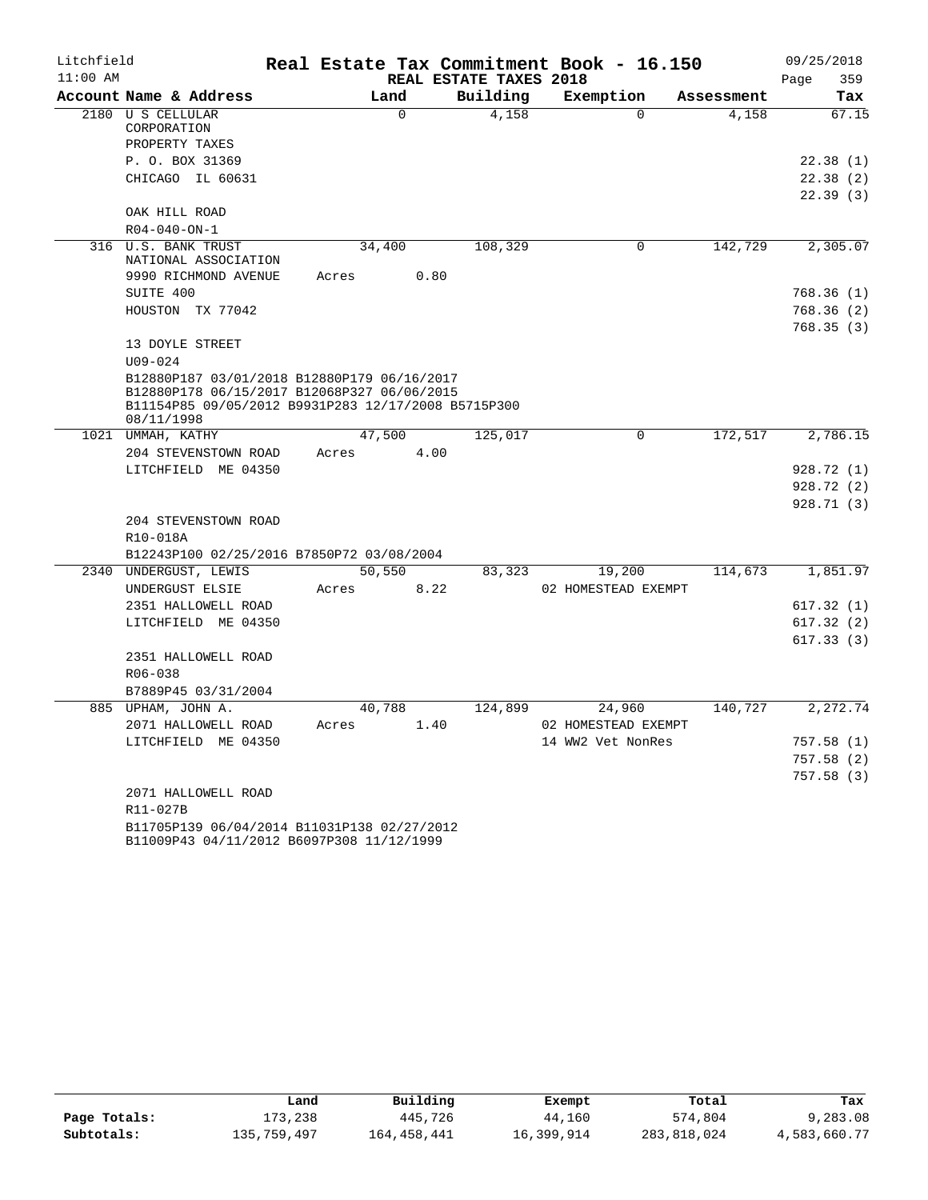| Litchfield |                                                                                          |        |          |                        | Real Estate Tax Commitment Book - 16.150 |            | 09/25/2018  |
|------------|------------------------------------------------------------------------------------------|--------|----------|------------------------|------------------------------------------|------------|-------------|
| $11:00$ AM |                                                                                          |        |          | REAL ESTATE TAXES 2018 |                                          |            | Page<br>359 |
|            | Account Name & Address                                                                   |        | Land     | Building               | Exemption                                | Assessment | Tax         |
|            | 2180 U S CELLULAR                                                                        |        | $\Omega$ | 4,158                  | $\Omega$                                 | 4,158      | 67.15       |
|            | CORPORATION<br>PROPERTY TAXES                                                            |        |          |                        |                                          |            |             |
|            | P. O. BOX 31369                                                                          |        |          |                        |                                          |            | 22.38(1)    |
|            | CHICAGO IL 60631                                                                         |        |          |                        |                                          |            | 22.38(2)    |
|            |                                                                                          |        |          |                        |                                          |            | 22.39(3)    |
|            | OAK HILL ROAD                                                                            |        |          |                        |                                          |            |             |
|            | $R04 - 040 - ON - 1$                                                                     |        |          |                        |                                          |            |             |
| 316        | U.S. BANK TRUST                                                                          | 34,400 |          | 108,329                | $\mathbf 0$                              | 142,729    | 2,305.07    |
|            | NATIONAL ASSOCIATION                                                                     |        |          |                        |                                          |            |             |
|            | 9990 RICHMOND AVENUE                                                                     | Acres  | 0.80     |                        |                                          |            |             |
|            | SUITE 400                                                                                |        |          |                        |                                          |            | 768.36 (1)  |
|            | HOUSTON TX 77042                                                                         |        |          |                        |                                          |            | 768.36 (2)  |
|            |                                                                                          |        |          |                        |                                          |            | 768.35(3)   |
|            | 13 DOYLE STREET                                                                          |        |          |                        |                                          |            |             |
|            | $U09 - 024$                                                                              |        |          |                        |                                          |            |             |
|            | B12880P187 03/01/2018 B12880P179 06/16/2017                                              |        |          |                        |                                          |            |             |
|            | B12880P178 06/15/2017 B12068P327 06/06/2015                                              |        |          |                        |                                          |            |             |
|            | B11154P85 09/05/2012 B9931P283 12/17/2008 B5715P300<br>08/11/1998                        |        |          |                        |                                          |            |             |
|            | 1021 UMMAH, KATHY                                                                        | 47,500 |          | 125,017                | 0                                        | 172,517    | 2,786.15    |
|            | 204 STEVENSTOWN ROAD                                                                     | Acres  | 4.00     |                        |                                          |            |             |
|            | LITCHFIELD ME 04350                                                                      |        |          |                        |                                          |            | 928.72 (1)  |
|            |                                                                                          |        |          |                        |                                          |            | 928.72 (2)  |
|            |                                                                                          |        |          |                        |                                          |            | 928.71 (3)  |
|            | 204 STEVENSTOWN ROAD                                                                     |        |          |                        |                                          |            |             |
|            | R10-018A                                                                                 |        |          |                        |                                          |            |             |
|            | B12243P100 02/25/2016 B7850P72 03/08/2004                                                |        |          |                        |                                          |            |             |
|            | 2340 UNDERGUST, LEWIS                                                                    | 50,550 |          | 83,323                 | 19,200                                   | 114,673    | 1,851.97    |
|            | UNDERGUST ELSIE                                                                          | Acres  | 8.22     |                        | 02 HOMESTEAD EXEMPT                      |            |             |
|            | 2351 HALLOWELL ROAD                                                                      |        |          |                        |                                          |            | 617.32(1)   |
|            | LITCHFIELD ME 04350                                                                      |        |          |                        |                                          |            | 617.32 (2)  |
|            |                                                                                          |        |          |                        |                                          |            | 617.33(3)   |
|            | 2351 HALLOWELL ROAD                                                                      |        |          |                        |                                          |            |             |
|            | R06-038                                                                                  |        |          |                        |                                          |            |             |
|            | B7889P45 03/31/2004                                                                      |        |          |                        |                                          |            |             |
|            | 885 UPHAM, JOHN A.                                                                       | 40,788 |          | 124,899                | 24,960                                   | 140,727    | 2,272.74    |
|            | 2071 HALLOWELL ROAD                                                                      | Acres  | 1.40     |                        | 02 HOMESTEAD EXEMPT                      |            |             |
|            | LITCHFIELD ME 04350                                                                      |        |          |                        | 14 WW2 Vet NonRes                        |            | 757.58(1)   |
|            |                                                                                          |        |          |                        |                                          |            | 757.58(2)   |
|            |                                                                                          |        |          |                        |                                          |            | 757.58(3)   |
|            | 2071 HALLOWELL ROAD                                                                      |        |          |                        |                                          |            |             |
|            | R11-027B                                                                                 |        |          |                        |                                          |            |             |
|            | B11705P139 06/04/2014 B11031P138 02/27/2012<br>B11009P43 04/11/2012 B6097P308 11/12/1999 |        |          |                        |                                          |            |             |

|              | Land        | Building    | Exempt     | Total       | Tax          |
|--------------|-------------|-------------|------------|-------------|--------------|
| Page Totals: | 173,238     | 445,726     | 44,160     | 574,804     | 9,283.08     |
| Subtotals:   | 135,759,497 | 164,458,441 | 16,399,914 | 283,818,024 | 4,583,660.77 |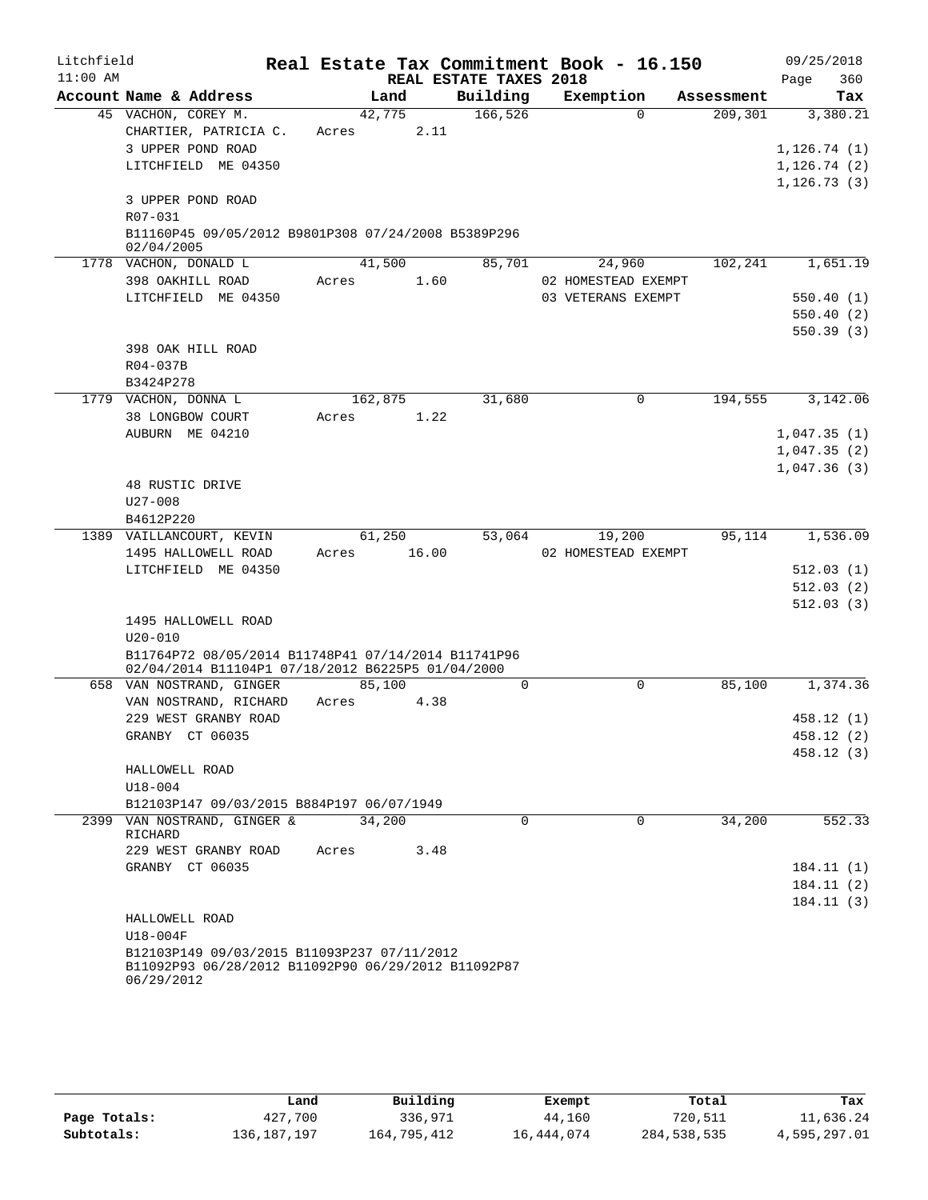| Litchfield |                                                                                                                  |         |        |                        | Real Estate Tax Commitment Book - 16.150 |            |      | 09/25/2018   |
|------------|------------------------------------------------------------------------------------------------------------------|---------|--------|------------------------|------------------------------------------|------------|------|--------------|
| $11:00$ AM |                                                                                                                  |         |        | REAL ESTATE TAXES 2018 |                                          |            | Page | 360          |
|            | Account Name & Address                                                                                           |         | Land   | Building               | Exemption                                | Assessment |      | Tax          |
|            | 45 VACHON, COREY M.                                                                                              | 42,775  |        | 166, 526               | $\Omega$                                 | 209,301    |      | 3,380.21     |
|            | CHARTIER, PATRICIA C.                                                                                            | Acres   | 2.11   |                        |                                          |            |      |              |
|            | 3 UPPER POND ROAD                                                                                                |         |        |                        |                                          |            |      | 1, 126.74(1) |
|            | LITCHFIELD ME 04350                                                                                              |         |        |                        |                                          |            |      | 1, 126.74(2) |
|            |                                                                                                                  |         |        |                        |                                          |            |      | 1, 126.73(3) |
|            | 3 UPPER POND ROAD                                                                                                |         |        |                        |                                          |            |      |              |
|            | R07-031                                                                                                          |         |        |                        |                                          |            |      |              |
|            | B11160P45 09/05/2012 B9801P308 07/24/2008 B5389P296                                                              |         |        |                        |                                          |            |      |              |
|            | 02/04/2005<br>1778 VACHON, DONALD L                                                                              |         | 41,500 | 85,701                 | 24,960                                   | 102,241    |      | 1,651.19     |
|            | 398 OAKHILL ROAD                                                                                                 | Acres   | 1.60   |                        | 02 HOMESTEAD EXEMPT                      |            |      |              |
|            | LITCHFIELD ME 04350                                                                                              |         |        |                        | 03 VETERANS EXEMPT                       |            |      | 550.40(1)    |
|            |                                                                                                                  |         |        |                        |                                          |            |      | 550.40(2)    |
|            |                                                                                                                  |         |        |                        |                                          |            |      | 550.39(3)    |
|            | 398 OAK HILL ROAD                                                                                                |         |        |                        |                                          |            |      |              |
|            | $R04 - 037B$                                                                                                     |         |        |                        |                                          |            |      |              |
|            | B3424P278                                                                                                        |         |        |                        |                                          |            |      |              |
|            | 1779 VACHON, DONNA L                                                                                             | 162,875 |        | 31,680                 | $\mathbf 0$                              | 194,555    |      | 3,142.06     |
|            | 38 LONGBOW COURT                                                                                                 | Acres   | 1.22   |                        |                                          |            |      |              |
|            | AUBURN ME 04210                                                                                                  |         |        |                        |                                          |            |      | 1,047.35(1)  |
|            |                                                                                                                  |         |        |                        |                                          |            |      | 1,047.35(2)  |
|            |                                                                                                                  |         |        |                        |                                          |            |      | 1,047.36(3)  |
|            | 48 RUSTIC DRIVE                                                                                                  |         |        |                        |                                          |            |      |              |
|            | $U27 - 008$                                                                                                      |         |        |                        |                                          |            |      |              |
|            | B4612P220                                                                                                        |         |        |                        |                                          |            |      |              |
|            | 1389 VAILLANCOURT, KEVIN                                                                                         |         | 61,250 | 53,064                 | 19,200                                   | 95,114     |      | 1,536.09     |
|            | 1495 HALLOWELL ROAD                                                                                              | Acres   | 16.00  |                        | 02 HOMESTEAD EXEMPT                      |            |      |              |
|            | LITCHFIELD ME 04350                                                                                              |         |        |                        |                                          |            |      | 512.03(1)    |
|            |                                                                                                                  |         |        |                        |                                          |            |      | 512.03(2)    |
|            |                                                                                                                  |         |        |                        |                                          |            |      | 512.03(3)    |
|            | 1495 HALLOWELL ROAD                                                                                              |         |        |                        |                                          |            |      |              |
|            | $U20 - 010$                                                                                                      |         |        |                        |                                          |            |      |              |
|            | B11764P72 08/05/2014 B11748P41 07/14/2014 B11741P96                                                              |         |        |                        |                                          |            |      |              |
|            | 02/04/2014 B11104P1 07/18/2012 B6225P5 01/04/2000                                                                |         |        |                        |                                          |            |      |              |
|            | 658 VAN NOSTRAND, GINGER                                                                                         | 85,100  |        | $\mathbf 0$            | $\mathbf 0$                              | 85,100     |      | 1,374.36     |
|            | VAN NOSTRAND, RICHARD                                                                                            | Acres   | 4.38   |                        |                                          |            |      |              |
|            | 229 WEST GRANBY ROAD                                                                                             |         |        |                        |                                          |            |      | 458.12 (1)   |
|            | GRANBY CT 06035                                                                                                  |         |        |                        |                                          |            |      | 458.12 (2)   |
|            |                                                                                                                  |         |        |                        |                                          |            |      | 458.12 (3)   |
|            | HALLOWELL ROAD                                                                                                   |         |        |                        |                                          |            |      |              |
|            | $U18 - 004$                                                                                                      |         |        |                        |                                          |            |      |              |
|            | B12103P147 09/03/2015 B884P197 06/07/1949                                                                        |         |        |                        |                                          |            |      |              |
|            | 2399 VAN NOSTRAND, GINGER &                                                                                      | 34,200  |        | $\Omega$               | $\Omega$                                 | 34,200     |      | 552.33       |
|            | RICHARD                                                                                                          |         |        |                        |                                          |            |      |              |
|            | 229 WEST GRANBY ROAD<br>GRANBY CT 06035                                                                          | Acres   | 3.48   |                        |                                          |            |      |              |
|            |                                                                                                                  |         |        |                        |                                          |            |      | 184.11 (1)   |
|            |                                                                                                                  |         |        |                        |                                          |            |      | 184.11 (2)   |
|            |                                                                                                                  |         |        |                        |                                          |            |      | 184.11 (3)   |
|            | HALLOWELL ROAD                                                                                                   |         |        |                        |                                          |            |      |              |
|            | U18-004F                                                                                                         |         |        |                        |                                          |            |      |              |
|            | B12103P149 09/03/2015 B11093P237 07/11/2012<br>B11092P93 06/28/2012 B11092P90 06/29/2012 B11092P87<br>06/29/2012 |         |        |                        |                                          |            |      |              |

|              | Land          | Building    | Exempt     | Total       | Tax          |
|--------------|---------------|-------------|------------|-------------|--------------|
| Page Totals: | 427,700       | 336,971     | 44,160     | 720,511     | 11,636.24    |
| Subtotals:   | 136, 187, 197 | 164,795,412 | 16,444,074 | 284,538,535 | 4,595,297.01 |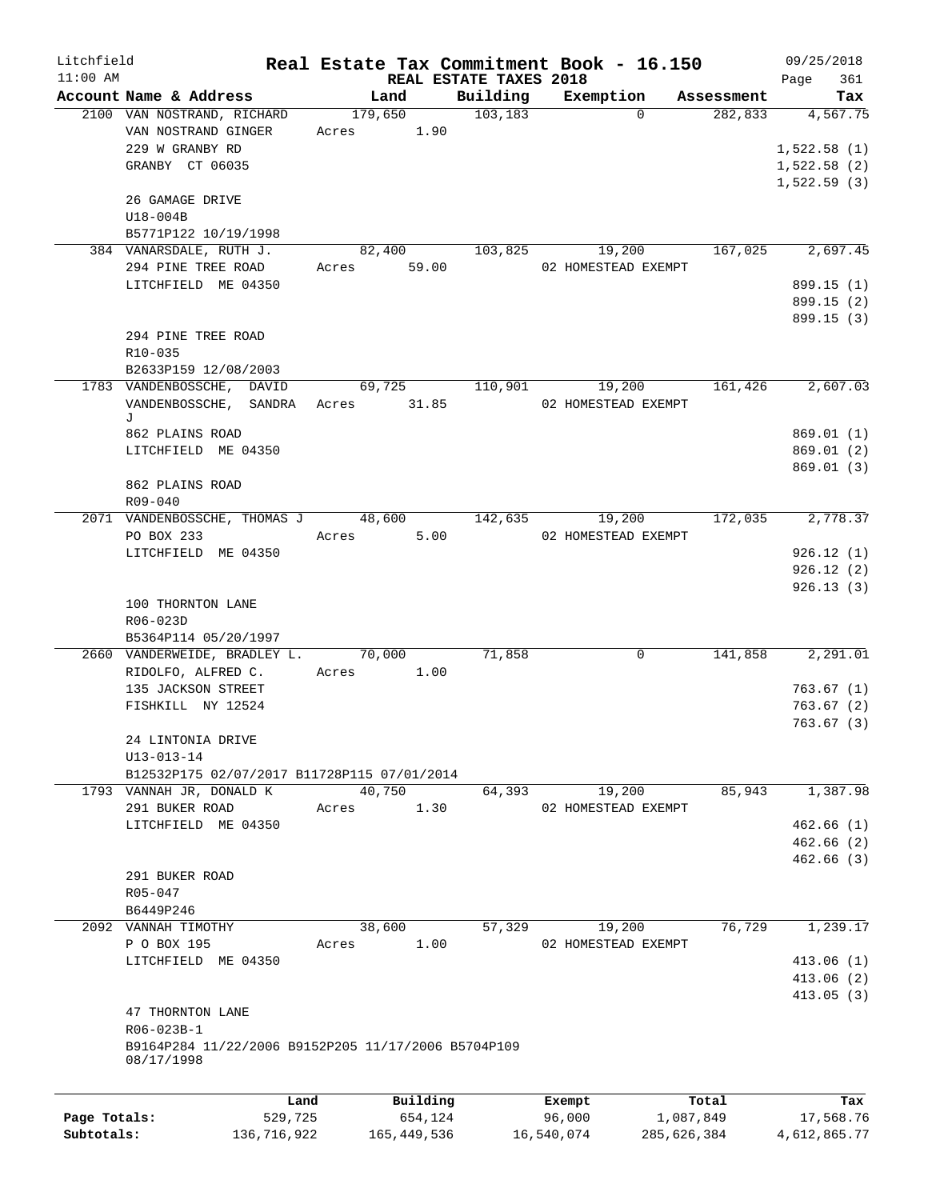| Litchfield   |                                                     |       |                        |          | Real Estate Tax Commitment Book - 16.150 |            | 09/25/2018  |
|--------------|-----------------------------------------------------|-------|------------------------|----------|------------------------------------------|------------|-------------|
| $11:00$ AM   |                                                     |       | REAL ESTATE TAXES 2018 |          |                                          |            | 361<br>Page |
|              | Account Name & Address                              |       | Land                   | Building | Exemption                                | Assessment | Tax         |
|              | 2100 VAN NOSTRAND, RICHARD                          |       | 179,650                | 103, 183 | $\Omega$                                 | 282,833    | 4,567.75    |
|              | VAN NOSTRAND GINGER                                 | Acres | 1.90                   |          |                                          |            |             |
|              | 229 W GRANBY RD                                     |       |                        |          |                                          |            | 1,522.58(1) |
|              | GRANBY CT 06035                                     |       |                        |          |                                          |            | 1,522.58(2) |
|              |                                                     |       |                        |          |                                          |            | 1,522.59(3) |
|              | 26 GAMAGE DRIVE                                     |       |                        |          |                                          |            |             |
|              | $U18-004B$                                          |       |                        |          |                                          |            |             |
|              | B5771P122 10/19/1998                                |       |                        |          |                                          |            |             |
|              | 384 VANARSDALE, RUTH J.                             |       | 82,400                 | 103,825  | 19,200                                   | 167,025    | 2,697.45    |
|              | 294 PINE TREE ROAD                                  |       | Acres 59.00            |          | 02 HOMESTEAD EXEMPT                      |            |             |
|              | LITCHFIELD ME 04350                                 |       |                        |          |                                          |            | 899.15 (1)  |
|              |                                                     |       |                        |          |                                          |            | 899.15 (2)  |
|              |                                                     |       |                        |          |                                          |            | 899.15 (3)  |
|              | 294 PINE TREE ROAD                                  |       |                        |          |                                          |            |             |
|              | R10-035                                             |       |                        |          |                                          |            |             |
|              | B2633P159 12/08/2003                                |       |                        |          |                                          |            |             |
|              | 1783 VANDENBOSSCHE, DAVID                           |       | 69,725                 | 110,901  | 19,200                                   | 161,426    | 2,607.03    |
|              | VANDENBOSSCHE, SANDRA<br>J                          |       | Acres 31.85            |          | 02 HOMESTEAD EXEMPT                      |            |             |
|              | 862 PLAINS ROAD                                     |       |                        |          |                                          |            | 869.01 (1)  |
|              | LITCHFIELD ME 04350                                 |       |                        |          |                                          |            | 869.01(2)   |
|              |                                                     |       |                        |          |                                          |            | 869.01(3)   |
|              | 862 PLAINS ROAD                                     |       |                        |          |                                          |            |             |
|              | R09-040                                             |       |                        |          |                                          |            |             |
|              | 2071 VANDENBOSSCHE, THOMAS J 48,600                 |       |                        | 142,635  | 19,200                                   | 172,035    | 2,778.37    |
|              | PO BOX 233                                          | Acres | 5.00                   |          | 02 HOMESTEAD EXEMPT                      |            |             |
|              | LITCHFIELD ME 04350                                 |       |                        |          |                                          |            | 926.12(1)   |
|              |                                                     |       |                        |          |                                          |            | 926.12(2)   |
|              |                                                     |       |                        |          |                                          |            | 926.13(3)   |
|              | 100 THORNTON LANE                                   |       |                        |          |                                          |            |             |
|              | R06-023D                                            |       |                        |          |                                          |            |             |
|              | B5364P114 05/20/1997                                |       |                        |          |                                          |            |             |
|              | 2660 VANDERWEIDE, BRADLEY L. 70,000                 |       |                        | 71,858   | 0                                        | 141,858    | 2,291.01    |
|              | RIDOLFO, ALFRED C.                                  |       | Acres 1.00             |          |                                          |            |             |
|              | 135 JACKSON STREET                                  |       |                        |          |                                          |            | 763.67(1)   |
|              | FISHKILL NY 12524                                   |       |                        |          |                                          |            | 763.67(2)   |
|              |                                                     |       |                        |          |                                          |            | 763.67(3)   |
|              | 24 LINTONIA DRIVE                                   |       |                        |          |                                          |            |             |
|              | $U13 - 013 - 14$                                    |       |                        |          |                                          |            |             |
|              | B12532P175 02/07/2017 B11728P115 07/01/2014         |       |                        |          |                                          |            |             |
|              | 1793 VANNAH JR, DONALD K                            |       | 40,750                 | 64,393   | 19,200                                   | 85,943     | 1,387.98    |
|              | 291 BUKER ROAD                                      | Acres | 1.30                   |          | 02 HOMESTEAD EXEMPT                      |            |             |
|              | LITCHFIELD ME 04350                                 |       |                        |          |                                          |            | 462.66(1)   |
|              |                                                     |       |                        |          |                                          |            | 462.66(2)   |
|              |                                                     |       |                        |          |                                          |            | 462.66(3)   |
|              | 291 BUKER ROAD                                      |       |                        |          |                                          |            |             |
|              | R05-047                                             |       |                        |          |                                          |            |             |
|              | B6449P246                                           |       |                        |          |                                          |            |             |
|              | 2092 VANNAH TIMOTHY                                 |       | 38,600                 | 57,329   | 19,200                                   | 76,729     | 1,239.17    |
|              | P O BOX 195                                         | Acres | 1.00                   |          | 02 HOMESTEAD EXEMPT                      |            |             |
|              | LITCHFIELD ME 04350                                 |       |                        |          |                                          |            | 413.06(1)   |
|              |                                                     |       |                        |          |                                          |            | 413.06(2)   |
|              |                                                     |       |                        |          |                                          |            | 413.05 (3)  |
|              | 47 THORNTON LANE                                    |       |                        |          |                                          |            |             |
|              | R06-023B-1                                          |       |                        |          |                                          |            |             |
|              | B9164P284 11/22/2006 B9152P205 11/17/2006 B5704P109 |       |                        |          |                                          |            |             |
|              | 08/17/1998                                          |       |                        |          |                                          |            |             |
|              |                                                     |       |                        |          |                                          |            |             |
|              |                                                     |       |                        |          |                                          |            |             |
|              |                                                     | Land  | Building               |          | Exempt                                   | Total      | Tax         |
| Page Totals: | 529,725                                             |       | 654,124                |          | 96,000                                   | 1,087,849  | 17,568.76   |

**Subtotals:** 136,716,922 165,449,536 16,540,074 285,626,384 4,612,865.77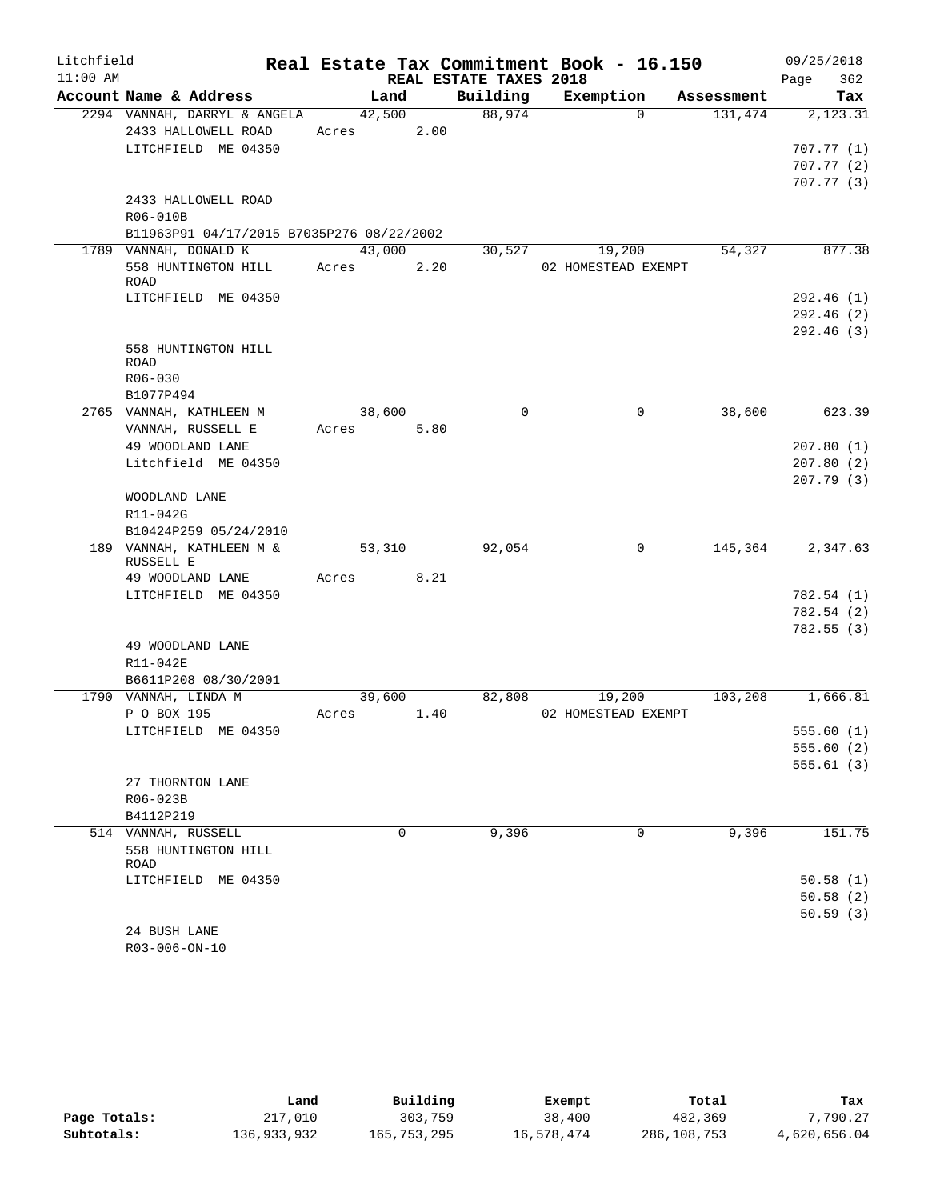| Litchfield |                                           |        |      |                        | Real Estate Tax Commitment Book - 16.150 |            | 09/25/2018  |
|------------|-------------------------------------------|--------|------|------------------------|------------------------------------------|------------|-------------|
| $11:00$ AM |                                           |        |      | REAL ESTATE TAXES 2018 |                                          |            | 362<br>Page |
|            | Account Name & Address                    | Land   |      | Building               | Exemption                                | Assessment | Tax         |
|            | 2294 VANNAH, DARRYL & ANGELA              | 42,500 |      | 88,974                 | $\Omega$                                 | 131,474    | 2,123.31    |
|            | 2433 HALLOWELL ROAD                       | Acres  | 2.00 |                        |                                          |            |             |
|            | LITCHFIELD ME 04350                       |        |      |                        |                                          |            | 707.77(1)   |
|            |                                           |        |      |                        |                                          |            | 707.77(2)   |
|            |                                           |        |      |                        |                                          |            | 707.77(3)   |
|            | 2433 HALLOWELL ROAD                       |        |      |                        |                                          |            |             |
|            | R06-010B                                  |        |      |                        |                                          |            |             |
|            | B11963P91 04/17/2015 B7035P276 08/22/2002 |        |      |                        |                                          |            |             |
|            | 1789 VANNAH, DONALD K                     | 43,000 |      | 30,527                 | 19,200                                   | 54,327     | 877.38      |
|            | 558 HUNTINGTON HILL<br>ROAD               | Acres  | 2.20 |                        | 02 HOMESTEAD EXEMPT                      |            |             |
|            | LITCHFIELD ME 04350                       |        |      |                        |                                          |            | 292.46(1)   |
|            |                                           |        |      |                        |                                          |            | 292.46(2)   |
|            |                                           |        |      |                        |                                          |            | 292.46(3)   |
|            | 558 HUNTINGTON HILL                       |        |      |                        |                                          |            |             |
|            | ROAD                                      |        |      |                        |                                          |            |             |
|            | R06-030                                   |        |      |                        |                                          |            |             |
|            | B1077P494                                 |        |      |                        |                                          |            |             |
|            | 2765 VANNAH, KATHLEEN M                   | 38,600 |      | $\mathbf 0$            | $\mathbf 0$                              | 38,600     | 623.39      |
|            | VANNAH, RUSSELL E                         | Acres  | 5.80 |                        |                                          |            |             |
|            | 49 WOODLAND LANE                          |        |      |                        |                                          |            | 207.80(1)   |
|            | Litchfield ME 04350                       |        |      |                        |                                          |            | 207.80(2)   |
|            |                                           |        |      |                        |                                          |            | 207.79(3)   |
|            | WOODLAND LANE                             |        |      |                        |                                          |            |             |
|            | R11-042G                                  |        |      |                        |                                          |            |             |
|            | B10424P259 05/24/2010                     |        |      |                        |                                          |            |             |
|            | 189 VANNAH, KATHLEEN M &<br>RUSSELL E     | 53,310 |      | 92,054                 | $\mathbf 0$                              | 145,364    | 2,347.63    |
|            | 49 WOODLAND LANE                          | Acres  | 8.21 |                        |                                          |            |             |
|            | LITCHFIELD ME 04350                       |        |      |                        |                                          |            | 782.54(1)   |
|            |                                           |        |      |                        |                                          |            | 782.54 (2)  |
|            |                                           |        |      |                        |                                          |            | 782.55(3)   |
|            | 49 WOODLAND LANE                          |        |      |                        |                                          |            |             |
|            | R11-042E                                  |        |      |                        |                                          |            |             |
|            | B6611P208 08/30/2001                      |        |      |                        |                                          |            |             |
|            | 1790 VANNAH, LINDA M                      | 39,600 |      | 82,808                 | 19,200                                   | 103,208    | 1,666.81    |
|            | P O BOX 195                               | Acres  | 1.40 |                        | 02 HOMESTEAD EXEMPT                      |            |             |
|            | LITCHFIELD ME 04350                       |        |      |                        |                                          |            | 555.60 (1)  |
|            |                                           |        |      |                        |                                          |            | 555.60(2)   |
|            |                                           |        |      |                        |                                          |            | 555.61(3)   |
|            | 27 THORNTON LANE                          |        |      |                        |                                          |            |             |
|            | R06-023B                                  |        |      |                        |                                          |            |             |
|            | B4112P219                                 |        |      |                        |                                          |            |             |
|            | 514 VANNAH, RUSSELL                       |        | 0    | 9,396                  | 0                                        | 9,396      | 151.75      |
|            | 558 HUNTINGTON HILL                       |        |      |                        |                                          |            |             |
|            | ROAD                                      |        |      |                        |                                          |            |             |
|            | LITCHFIELD ME 04350                       |        |      |                        |                                          |            | 50.58(1)    |
|            |                                           |        |      |                        |                                          |            | 50.58(2)    |
|            |                                           |        |      |                        |                                          |            | 50.59(3)    |
|            | 24 BUSH LANE                              |        |      |                        |                                          |            |             |
|            | R03-006-ON-10                             |        |      |                        |                                          |            |             |

|              | Land        | Building    | Exempt     | Total       | Tax          |
|--------------|-------------|-------------|------------|-------------|--------------|
| Page Totals: | 217,010     | 303,759     | 38,400     | 482,369     | 7,790.27     |
| Subtotals:   | 136,933,932 | 165,753,295 | 16,578,474 | 286,108,753 | 4,620,656.04 |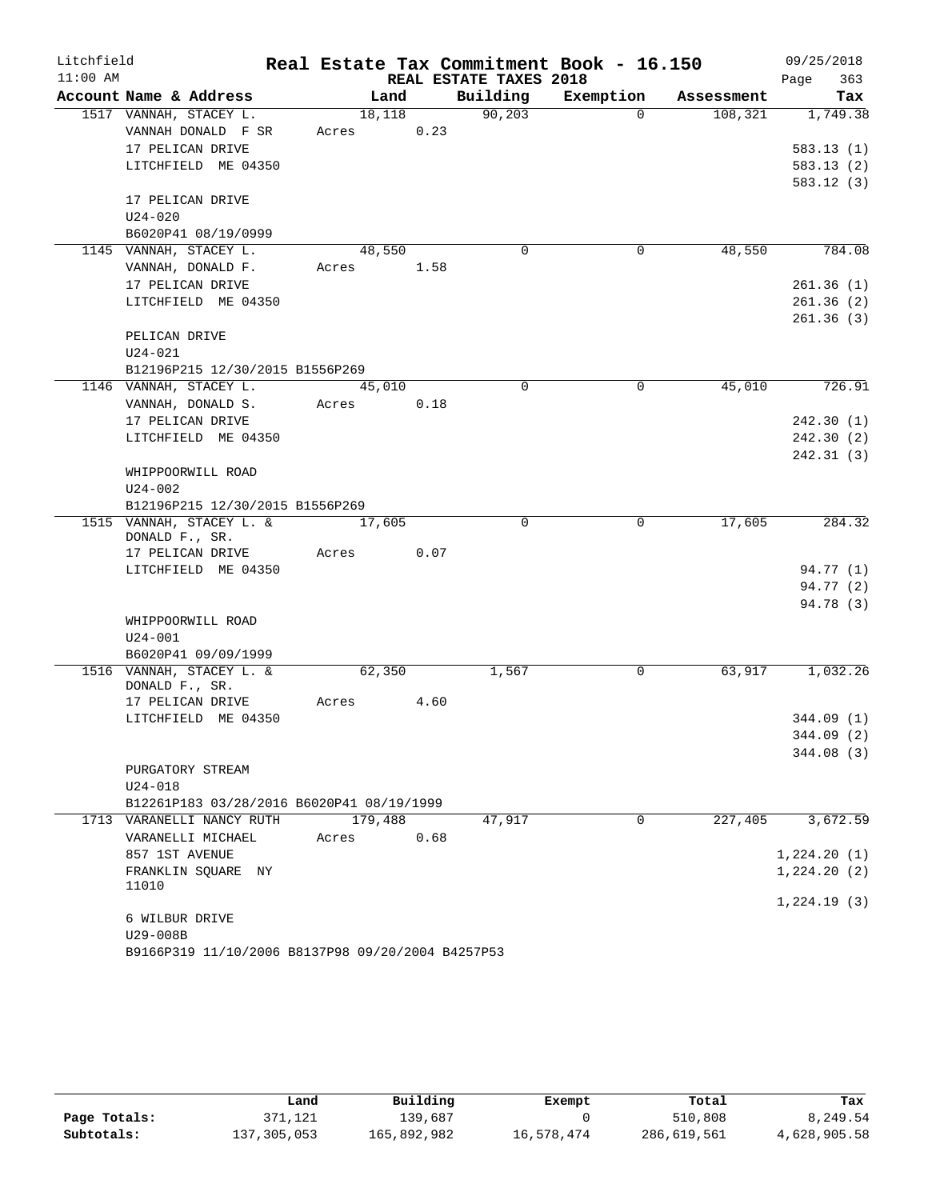| Litchfield |                                                             |         |      |                        | Real Estate Tax Commitment Book - 16.150 |            | 09/25/2018  |
|------------|-------------------------------------------------------------|---------|------|------------------------|------------------------------------------|------------|-------------|
| $11:00$ AM |                                                             |         |      | REAL ESTATE TAXES 2018 |                                          |            | 363<br>Page |
|            | Account Name & Address                                      | Land    |      | Building               | Exemption                                | Assessment | Tax         |
|            | 1517 VANNAH, STACEY L.                                      | 18,118  |      | 90, 203                | $\Omega$                                 | 108,321    | 1,749.38    |
|            | VANNAH DONALD F SR                                          | Acres   | 0.23 |                        |                                          |            |             |
|            | 17 PELICAN DRIVE                                            |         |      |                        |                                          |            | 583.13(1)   |
|            | LITCHFIELD ME 04350                                         |         |      |                        |                                          |            | 583.13(2)   |
|            |                                                             |         |      |                        |                                          |            | 583.12(3)   |
|            | 17 PELICAN DRIVE                                            |         |      |                        |                                          |            |             |
|            | $U24 - 020$<br>B6020P41 08/19/0999                          |         |      |                        |                                          |            |             |
|            | 1145 VANNAH, STACEY L.                                      | 48,550  |      | $\mathbf 0$            | $\mathbf 0$                              | 48,550     | 784.08      |
|            | VANNAH, DONALD F.                                           | Acres   | 1.58 |                        |                                          |            |             |
|            | 17 PELICAN DRIVE                                            |         |      |                        |                                          |            | 261.36(1)   |
|            | LITCHFIELD ME 04350                                         |         |      |                        |                                          |            | 261.36(2)   |
|            |                                                             |         |      |                        |                                          |            | 261.36(3)   |
|            | PELICAN DRIVE                                               |         |      |                        |                                          |            |             |
|            | $U24 - 021$                                                 |         |      |                        |                                          |            |             |
|            | B12196P215 12/30/2015 B1556P269                             |         |      |                        |                                          |            |             |
|            | 1146 VANNAH, STACEY L.                                      | 45,010  |      | $\Omega$               | $\Omega$                                 | 45,010     | 726.91      |
|            | VANNAH, DONALD S.                                           | Acres   | 0.18 |                        |                                          |            |             |
|            | 17 PELICAN DRIVE                                            |         |      |                        |                                          |            | 242.30(1)   |
|            | LITCHFIELD ME 04350                                         |         |      |                        |                                          |            | 242.30(2)   |
|            |                                                             |         |      |                        |                                          |            | 242.31(3)   |
|            | WHIPPOORWILL ROAD                                           |         |      |                        |                                          |            |             |
|            | $U24 - 002$                                                 |         |      |                        |                                          |            |             |
|            | B12196P215 12/30/2015 B1556P269<br>1515 VANNAH, STACEY L. & |         |      | 0                      | 0                                        | 17,605     | 284.32      |
|            | DONALD F., SR.                                              | 17,605  |      |                        |                                          |            |             |
|            | 17 PELICAN DRIVE                                            | Acres   | 0.07 |                        |                                          |            |             |
|            | LITCHFIELD ME 04350                                         |         |      |                        |                                          |            | 94.77 (1)   |
|            |                                                             |         |      |                        |                                          |            | 94.77 (2)   |
|            |                                                             |         |      |                        |                                          |            | 94.78 (3)   |
|            | WHIPPOORWILL ROAD                                           |         |      |                        |                                          |            |             |
|            | $U24 - 001$                                                 |         |      |                        |                                          |            |             |
|            | B6020P41 09/09/1999                                         |         |      |                        |                                          |            |             |
|            | 1516 VANNAH, STACEY L. &<br>DONALD F., SR.                  | 62,350  |      | 1,567                  | 0                                        | 63,917     | 1,032.26    |
|            | 17 PELICAN DRIVE                                            | Acres   | 4.60 |                        |                                          |            |             |
|            | LITCHFIELD ME 04350                                         |         |      |                        |                                          |            | 344.09(1)   |
|            |                                                             |         |      |                        |                                          |            | 344.09 (2)  |
|            |                                                             |         |      |                        |                                          |            | 344.08(3)   |
|            | PURGATORY STREAM                                            |         |      |                        |                                          |            |             |
|            | $U24 - 018$                                                 |         |      |                        |                                          |            |             |
|            | B12261P183 03/28/2016 B6020P41 08/19/1999                   |         |      |                        |                                          |            |             |
|            | 1713 VARANELLI NANCY RUTH                                   | 179,488 |      | 47,917                 | $\Omega$                                 | 227,405    | 3,672.59    |
|            | VARANELLI MICHAEL                                           | Acres   | 0.68 |                        |                                          |            |             |
|            | 857 1ST AVENUE                                              |         |      |                        |                                          |            | 1,224.20(1) |
|            | FRANKLIN SQUARE NY<br>11010                                 |         |      |                        |                                          |            | 1,224.20(2) |
|            |                                                             |         |      |                        |                                          |            | 1,224.19(3) |
|            | 6 WILBUR DRIVE                                              |         |      |                        |                                          |            |             |
|            | U29-008B                                                    |         |      |                        |                                          |            |             |
|            | B9166P319 11/10/2006 B8137P98 09/20/2004 B4257P53           |         |      |                        |                                          |            |             |

|              | Land        | Building    | Exempt     | Total       | Tax          |
|--------------|-------------|-------------|------------|-------------|--------------|
| Page Totals: | 371,121     | 139,687     |            | 510,808     | 8,249.54     |
| Subtotals:   | 137,305,053 | 165,892,982 | 16,578,474 | 286,619,561 | 4,628,905.58 |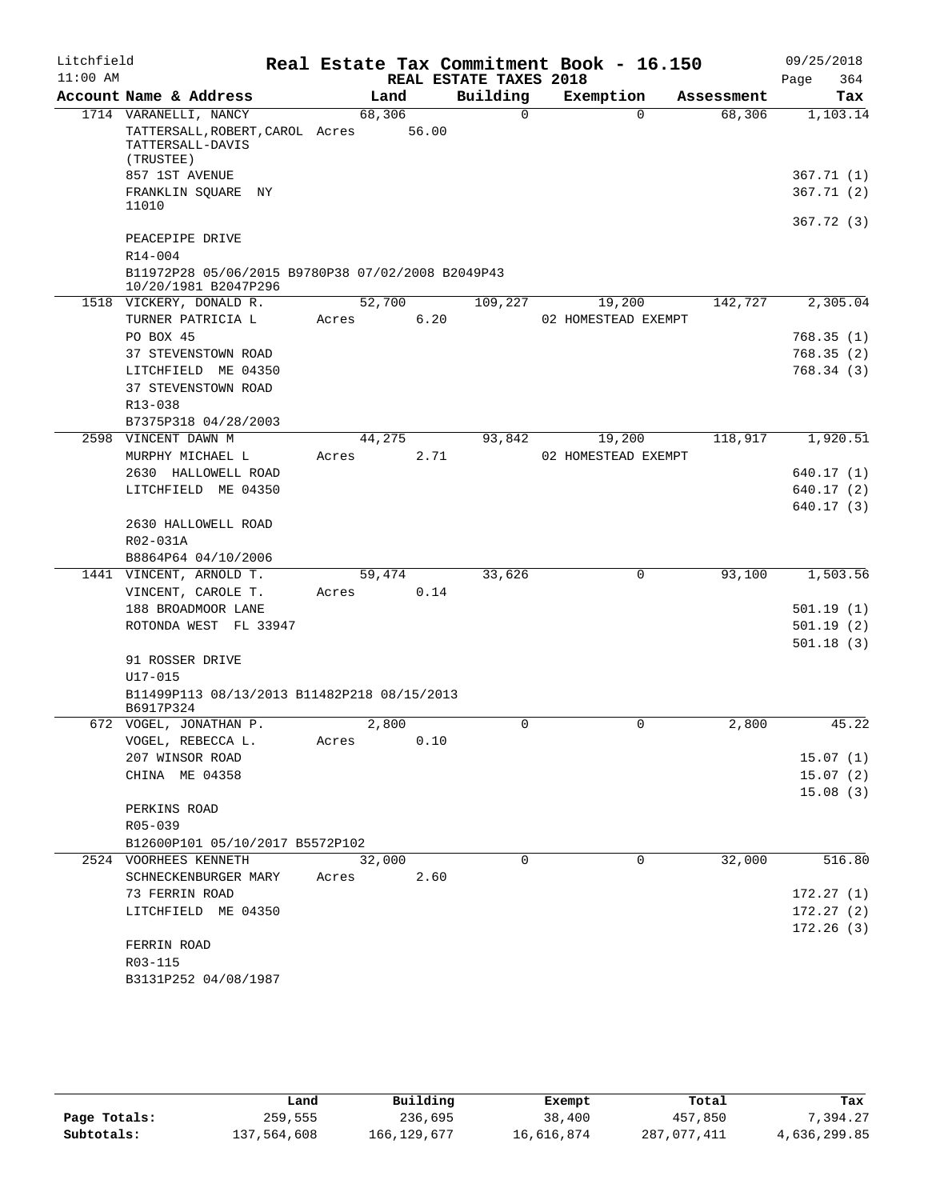| Litchfield |                                                                                           |        |       |                        | Real Estate Tax Commitment Book - 16.150 |            | 09/25/2018              |
|------------|-------------------------------------------------------------------------------------------|--------|-------|------------------------|------------------------------------------|------------|-------------------------|
| $11:00$ AM |                                                                                           |        |       | REAL ESTATE TAXES 2018 |                                          |            | Page<br>364             |
|            | Account Name & Address                                                                    |        | Land  | Building               | Exemption                                | Assessment | Tax                     |
|            | 1714 VARANELLI, NANCY<br>TATTERSALL, ROBERT, CAROL Acres<br>TATTERSALL-DAVIS<br>(TRUSTEE) | 68,306 | 56.00 | $\Omega$               | $\Omega$                                 | 68,306     | 1,103.14                |
|            | 857 1ST AVENUE<br>FRANKLIN SQUARE NY                                                      |        |       |                        |                                          |            | 367.71 (1)<br>367.71(2) |
|            | 11010                                                                                     |        |       |                        |                                          |            | 367.72(3)               |
|            | PEACEPIPE DRIVE<br>$R14 - 004$                                                            |        |       |                        |                                          |            |                         |
|            | B11972P28 05/06/2015 B9780P38 07/02/2008 B2049P43<br>10/20/1981 B2047P296                 |        |       |                        |                                          |            |                         |
|            | 1518 VICKERY, DONALD R.                                                                   | 52,700 |       | 109,227                | 19,200                                   | 142,727    | 2,305.04                |
|            | TURNER PATRICIA L                                                                         | Acres  | 6.20  |                        | 02 HOMESTEAD EXEMPT                      |            |                         |
|            | PO BOX 45                                                                                 |        |       |                        |                                          |            | 768.35 (1)              |
|            | 37 STEVENSTOWN ROAD                                                                       |        |       |                        |                                          |            | 768.35(2)               |
|            | LITCHFIELD ME 04350<br>37 STEVENSTOWN ROAD<br>$R13 - 038$                                 |        |       |                        |                                          |            | 768.34(3)               |
|            | B7375P318 04/28/2003                                                                      |        |       |                        |                                          |            |                         |
| 2598       | VINCENT DAWN M<br>MURPHY MICHAEL L                                                        | 44,275 |       | 93,842                 | 19,200                                   | 118,917    | 1,920.51                |
|            | 2630 HALLOWELL ROAD                                                                       | Acres  | 2.71  |                        | 02 HOMESTEAD EXEMPT                      |            | 640.17 (1)              |
|            | LITCHFIELD ME 04350                                                                       |        |       |                        |                                          |            | 640.17(2)               |
|            |                                                                                           |        |       |                        |                                          |            | 640.17(3)               |
|            | 2630 HALLOWELL ROAD<br>R02-031A<br>B8864P64 04/10/2006                                    |        |       |                        |                                          |            |                         |
|            | 1441 VINCENT, ARNOLD T.                                                                   | 59,474 |       | 33,626                 | $\mathsf{O}$                             | 93,100     | 1,503.56                |
|            | VINCENT, CAROLE T.                                                                        | Acres  | 0.14  |                        |                                          |            |                         |
|            | 188 BROADMOOR LANE                                                                        |        |       |                        |                                          |            | 501.19(1)               |
|            | ROTONDA WEST FL 33947                                                                     |        |       |                        |                                          |            | 501.19(2)<br>501.18(3)  |
|            | 91 ROSSER DRIVE<br>$U17 - 015$                                                            |        |       |                        |                                          |            |                         |
|            | B11499P113 08/13/2013 B11482P218 08/15/2013<br>B6917P324                                  |        |       |                        |                                          |            |                         |
|            | 672 VOGEL, JONATHAN P.                                                                    |        | 2,800 | $\Omega$               | 0                                        | 2,800      | 45.22                   |
|            | VOGEL, REBECCA L.                                                                         | Acres  | 0.10  |                        |                                          |            |                         |
|            | 207 WINSOR ROAD<br>CHINA ME 04358                                                         |        |       |                        |                                          |            | 15.07(1)<br>15.07(2)    |
|            |                                                                                           |        |       |                        |                                          |            | 15.08(3)                |
|            | PERKINS ROAD                                                                              |        |       |                        |                                          |            |                         |
|            | R05-039                                                                                   |        |       |                        |                                          |            |                         |
|            | B12600P101 05/10/2017 B5572P102                                                           |        |       |                        |                                          |            |                         |
|            | 2524 VOORHEES KENNETH                                                                     | 32,000 |       | 0                      | 0                                        | 32,000     | 516.80                  |
|            | SCHNECKENBURGER MARY                                                                      | Acres  | 2.60  |                        |                                          |            |                         |
|            | 73 FERRIN ROAD                                                                            |        |       |                        |                                          |            | 172.27(1)               |
|            | LITCHFIELD ME 04350                                                                       |        |       |                        |                                          |            | 172.27(2)               |
|            | FERRIN ROAD                                                                               |        |       |                        |                                          |            | 172.26(3)               |
|            | R03-115                                                                                   |        |       |                        |                                          |            |                         |
|            | B3131P252 04/08/1987                                                                      |        |       |                        |                                          |            |                         |

|              | Land        | Building      | Exempt     | Total       | Tax          |
|--------------|-------------|---------------|------------|-------------|--------------|
| Page Totals: | 259,555     | 236,695       | 38,400     | 457,850     | .394.27      |
| Subtotals:   | 137,564,608 | 166, 129, 677 | 16,616,874 | 287,077,411 | 4,636,299.85 |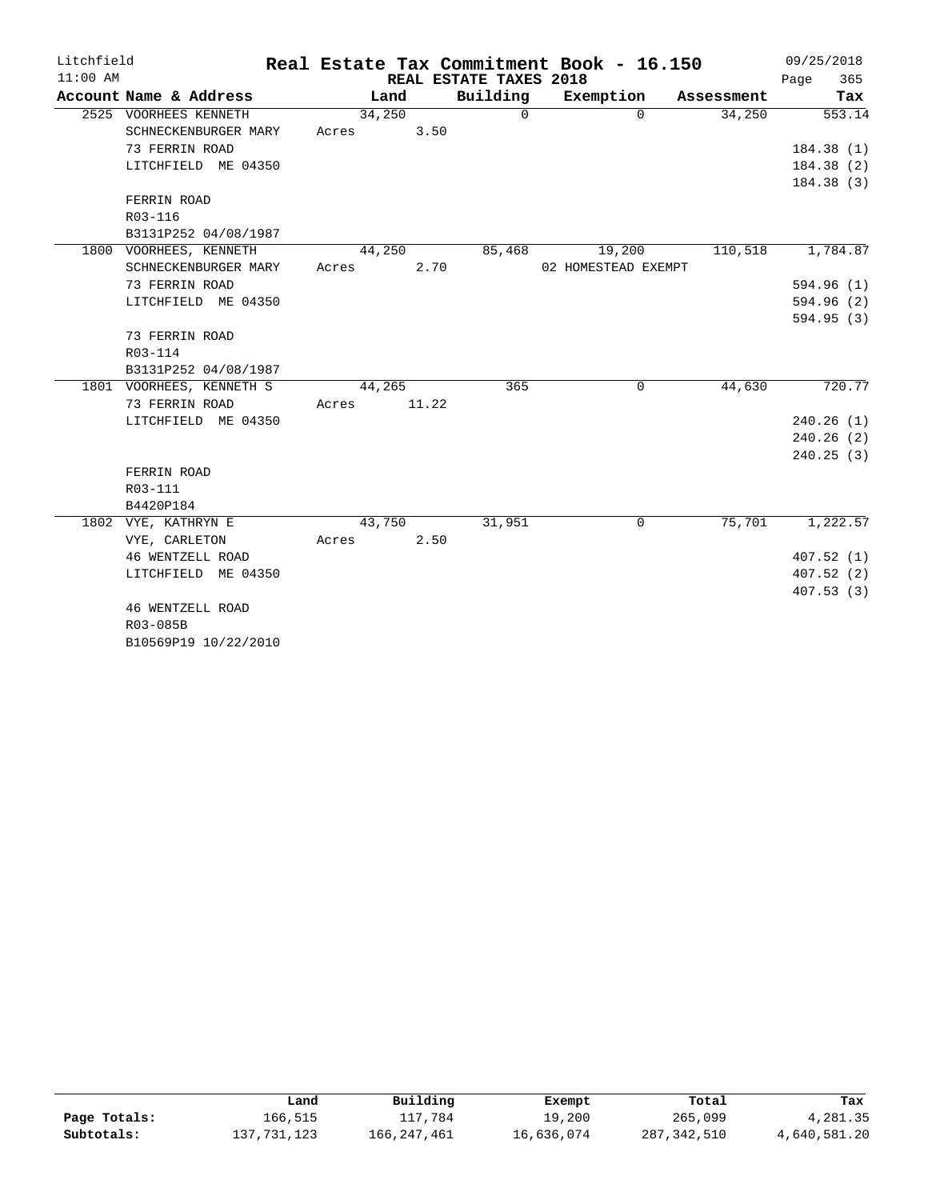| Litchfield |                          |       |        |       |                        | Real Estate Tax Commitment Book - 16.150 |            |      | 09/25/2018 |
|------------|--------------------------|-------|--------|-------|------------------------|------------------------------------------|------------|------|------------|
| $11:00$ AM |                          |       |        |       | REAL ESTATE TAXES 2018 |                                          |            | Page | 365        |
|            | Account Name & Address   |       | Land   |       | Building               | Exemption                                | Assessment |      | Tax        |
|            | 2525 VOORHEES KENNETH    |       | 34,250 |       | $\Omega$               | $\Omega$                                 | 34,250     |      | 553.14     |
|            | SCHNECKENBURGER MARY     | Acres |        | 3.50  |                        |                                          |            |      |            |
|            | 73 FERRIN ROAD           |       |        |       |                        |                                          |            |      | 184.38 (1) |
|            | LITCHFIELD ME 04350      |       |        |       |                        |                                          |            |      | 184.38(2)  |
|            |                          |       |        |       |                        |                                          |            |      | 184.38(3)  |
|            | FERRIN ROAD              |       |        |       |                        |                                          |            |      |            |
|            | R03-116                  |       |        |       |                        |                                          |            |      |            |
|            | B3131P252 04/08/1987     |       |        |       |                        |                                          |            |      |            |
|            | 1800 VOORHEES, KENNETH   |       | 44,250 |       | 85,468                 | 19,200                                   | 110,518    |      | 1,784.87   |
|            | SCHNECKENBURGER MARY     | Acres |        | 2.70  |                        | 02 HOMESTEAD EXEMPT                      |            |      |            |
|            | 73 FERRIN ROAD           |       |        |       |                        |                                          |            |      | 594.96 (1) |
|            | LITCHFIELD ME 04350      |       |        |       |                        |                                          |            |      | 594.96 (2) |
|            |                          |       |        |       |                        |                                          |            |      | 594.95 (3) |
|            | 73 FERRIN ROAD           |       |        |       |                        |                                          |            |      |            |
|            | R03-114                  |       |        |       |                        |                                          |            |      |            |
|            | B3131P252 04/08/1987     |       |        |       |                        |                                          |            |      |            |
|            | 1801 VOORHEES, KENNETH S |       | 44,265 |       | 365                    | 0                                        | 44,630     |      | 720.77     |
|            | 73 FERRIN ROAD           | Acres |        | 11.22 |                        |                                          |            |      |            |
|            | LITCHFIELD ME 04350      |       |        |       |                        |                                          |            |      | 240.26(1)  |
|            |                          |       |        |       |                        |                                          |            |      | 240.26(2)  |
|            |                          |       |        |       |                        |                                          |            |      | 240.25(3)  |
|            | FERRIN ROAD              |       |        |       |                        |                                          |            |      |            |
|            | R03-111                  |       |        |       |                        |                                          |            |      |            |
|            | B4420P184                |       |        |       |                        |                                          |            |      |            |
|            | 1802 VYE, KATHRYN E      |       | 43,750 |       | 31,951                 | 0                                        | 75,701     |      | 1,222.57   |
|            | VYE, CARLETON            | Acres |        | 2.50  |                        |                                          |            |      |            |
|            | 46 WENTZELL ROAD         |       |        |       |                        |                                          |            |      | 407.52(1)  |
|            | LITCHFIELD ME 04350      |       |        |       |                        |                                          |            |      | 407.52(2)  |
|            |                          |       |        |       |                        |                                          |            |      | 407.53 (3) |
|            | 46 WENTZELL ROAD         |       |        |       |                        |                                          |            |      |            |
|            | R03-085B                 |       |        |       |                        |                                          |            |      |            |
|            | B10569P19 10/22/2010     |       |        |       |                        |                                          |            |      |            |

|              | ⊥and        | Building    | Exempt     | Total         | Tax          |
|--------------|-------------|-------------|------------|---------------|--------------|
| Page Totals: | 166,515     | 117,784     | 19,200     | 265,099       | 4,281.35     |
| Subtotals:   | 137,731,123 | 166,247,461 | 16,636,074 | 287, 342, 510 | 4,640,581.20 |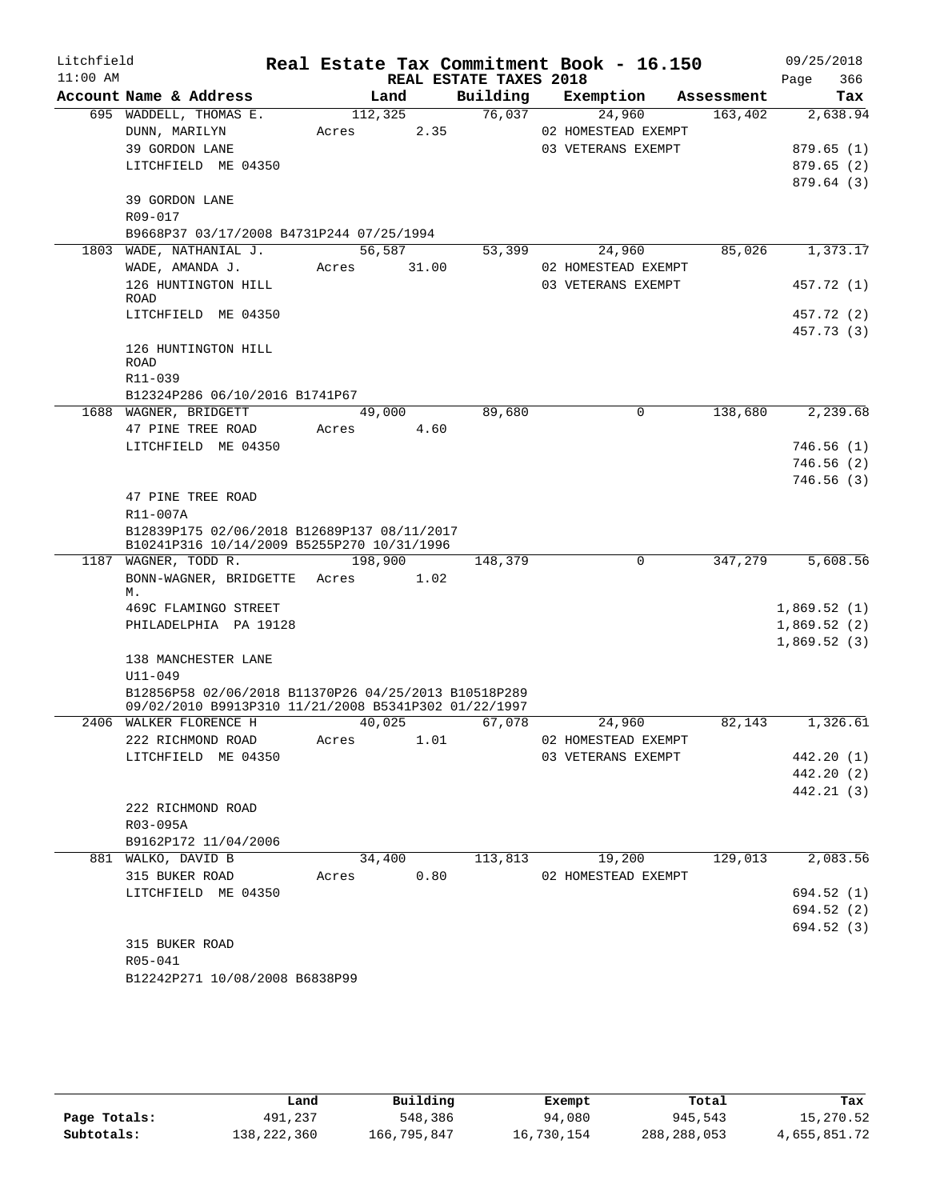| Litchfield<br>$11:00$ AM |                                                                                                              |             |         | Real Estate Tax Commitment Book - 16.150<br>REAL ESTATE TAXES 2018 |                     |                      | 09/25/2018<br>Page<br>366 |
|--------------------------|--------------------------------------------------------------------------------------------------------------|-------------|---------|--------------------------------------------------------------------|---------------------|----------------------|---------------------------|
|                          | Account Name & Address                                                                                       |             | Land    | Building                                                           |                     | Exemption Assessment | Tax                       |
|                          | 695 WADDELL, THOMAS E.                                                                                       |             | 112,325 | 76,037                                                             | 24,960              | 163,402              | 2,638.94                  |
|                          | DUNN, MARILYN                                                                                                | Acres       | 2.35    |                                                                    | 02 HOMESTEAD EXEMPT |                      |                           |
|                          | 39 GORDON LANE                                                                                               |             |         |                                                                    | 03 VETERANS EXEMPT  |                      | 879.65(1)                 |
|                          | LITCHFIELD ME 04350                                                                                          |             |         |                                                                    |                     |                      | 879.65(2)                 |
|                          |                                                                                                              |             |         |                                                                    |                     |                      | 879.64(3)                 |
|                          | 39 GORDON LANE                                                                                               |             |         |                                                                    |                     |                      |                           |
|                          | R09-017                                                                                                      |             |         |                                                                    |                     |                      |                           |
|                          | B9668P37 03/17/2008 B4731P244 07/25/1994                                                                     |             |         |                                                                    |                     |                      |                           |
|                          | 1803 WADE, NATHANIAL J.                                                                                      |             | 56,587  | 53,399                                                             | 24,960              | 85,026               | 1,373.17                  |
|                          | WADE, AMANDA J.                                                                                              | Acres 31.00 |         |                                                                    | 02 HOMESTEAD EXEMPT |                      |                           |
|                          | 126 HUNTINGTON HILL<br>ROAD                                                                                  |             |         |                                                                    | 03 VETERANS EXEMPT  |                      | 457.72 (1)                |
|                          | LITCHFIELD ME 04350                                                                                          |             |         |                                                                    |                     |                      | 457.72 (2)                |
|                          |                                                                                                              |             |         |                                                                    |                     |                      | 457.73 (3)                |
|                          | 126 HUNTINGTON HILL                                                                                          |             |         |                                                                    |                     |                      |                           |
|                          | ROAD                                                                                                         |             |         |                                                                    |                     |                      |                           |
|                          | R11-039                                                                                                      |             |         |                                                                    |                     |                      |                           |
|                          | B12324P286 06/10/2016 B1741P67                                                                               |             |         |                                                                    |                     |                      |                           |
|                          | 1688 WAGNER, BRIDGETT                                                                                        |             | 49,000  | 89,680                                                             | $\mathbf 0$         | 138,680              | 2,239.68                  |
|                          | 47 PINE TREE ROAD                                                                                            | Acres       | 4.60    |                                                                    |                     |                      |                           |
|                          | LITCHFIELD ME 04350                                                                                          |             |         |                                                                    |                     |                      | 746.56 (1)                |
|                          |                                                                                                              |             |         |                                                                    |                     |                      | 746.56 (2)                |
|                          |                                                                                                              |             |         |                                                                    |                     |                      | 746.56(3)                 |
|                          | 47 PINE TREE ROAD                                                                                            |             |         |                                                                    |                     |                      |                           |
|                          | R11-007A                                                                                                     |             |         |                                                                    |                     |                      |                           |
|                          | B12839P175 02/06/2018 B12689P137 08/11/2017<br>B10241P316 10/14/2009 B5255P270 10/31/1996                    |             |         |                                                                    |                     |                      |                           |
|                          | 1187 WAGNER, TODD R. 198,900                                                                                 |             |         | 148,379                                                            | $\mathsf{O}$        | 347,279              | 5,608.56                  |
|                          | BONN-WAGNER, BRIDGETTE Acres 1.02                                                                            |             |         |                                                                    |                     |                      |                           |
|                          | М.                                                                                                           |             |         |                                                                    |                     |                      |                           |
|                          | 469C FLAMINGO STREET                                                                                         |             |         |                                                                    |                     |                      | 1,869.52(1)               |
|                          | PHILADELPHIA PA 19128                                                                                        |             |         |                                                                    |                     |                      | 1,869.52(2)               |
|                          |                                                                                                              |             |         |                                                                    |                     |                      | 1,869.52(3)               |
|                          | 138 MANCHESTER LANE                                                                                          |             |         |                                                                    |                     |                      |                           |
|                          | $U11 - 049$                                                                                                  |             |         |                                                                    |                     |                      |                           |
|                          | B12856P58 02/06/2018 B11370P26 04/25/2013 B10518P289<br>09/02/2010 B9913P310 11/21/2008 B5341P302 01/22/1997 |             |         |                                                                    |                     |                      |                           |
|                          | 2406 WALKER FLORENCE H                                                                                       | 40,025      |         | 67,078                                                             | 24,960              | 82,143               | 1,326.61                  |
|                          | 222 RICHMOND ROAD                                                                                            | Acres       | 1.01    |                                                                    | 02 HOMESTEAD EXEMPT |                      |                           |
|                          | LITCHFIELD ME 04350                                                                                          |             |         |                                                                    | 03 VETERANS EXEMPT  |                      | 442.20 (1)                |
|                          |                                                                                                              |             |         |                                                                    |                     |                      | 442.20 (2)                |
|                          |                                                                                                              |             |         |                                                                    |                     |                      | 442.21 (3)                |
|                          | 222 RICHMOND ROAD                                                                                            |             |         |                                                                    |                     |                      |                           |
|                          | R03-095A                                                                                                     |             |         |                                                                    |                     |                      |                           |
|                          | B9162P172 11/04/2006                                                                                         |             |         |                                                                    |                     |                      |                           |
|                          | 881 WALKO, DAVID B                                                                                           |             | 34,400  | 113,813                                                            | 19,200              | 129,013              | 2,083.56                  |
|                          | 315 BUKER ROAD                                                                                               | Acres       | 0.80    |                                                                    | 02 HOMESTEAD EXEMPT |                      |                           |
|                          | LITCHFIELD ME 04350                                                                                          |             |         |                                                                    |                     |                      | 694.52 (1)                |
|                          |                                                                                                              |             |         |                                                                    |                     |                      | 694.52 (2)                |
|                          |                                                                                                              |             |         |                                                                    |                     |                      | 694.52 (3)                |
|                          | 315 BUKER ROAD                                                                                               |             |         |                                                                    |                     |                      |                           |
|                          | R05-041                                                                                                      |             |         |                                                                    |                     |                      |                           |
|                          | B12242P271 10/08/2008 B6838P99                                                                               |             |         |                                                                    |                     |                      |                           |
|                          |                                                                                                              |             |         |                                                                    |                     |                      |                           |

|              | Land        | Building    | Exempt     | Total       | Tax          |
|--------------|-------------|-------------|------------|-------------|--------------|
| Page Totals: | 491,237     | 548,386     | 94,080     | 945,543     | 15,270.52    |
| Subtotals:   | 138,222,360 | 166,795,847 | 16,730,154 | 288,288,053 | 4,655,851.72 |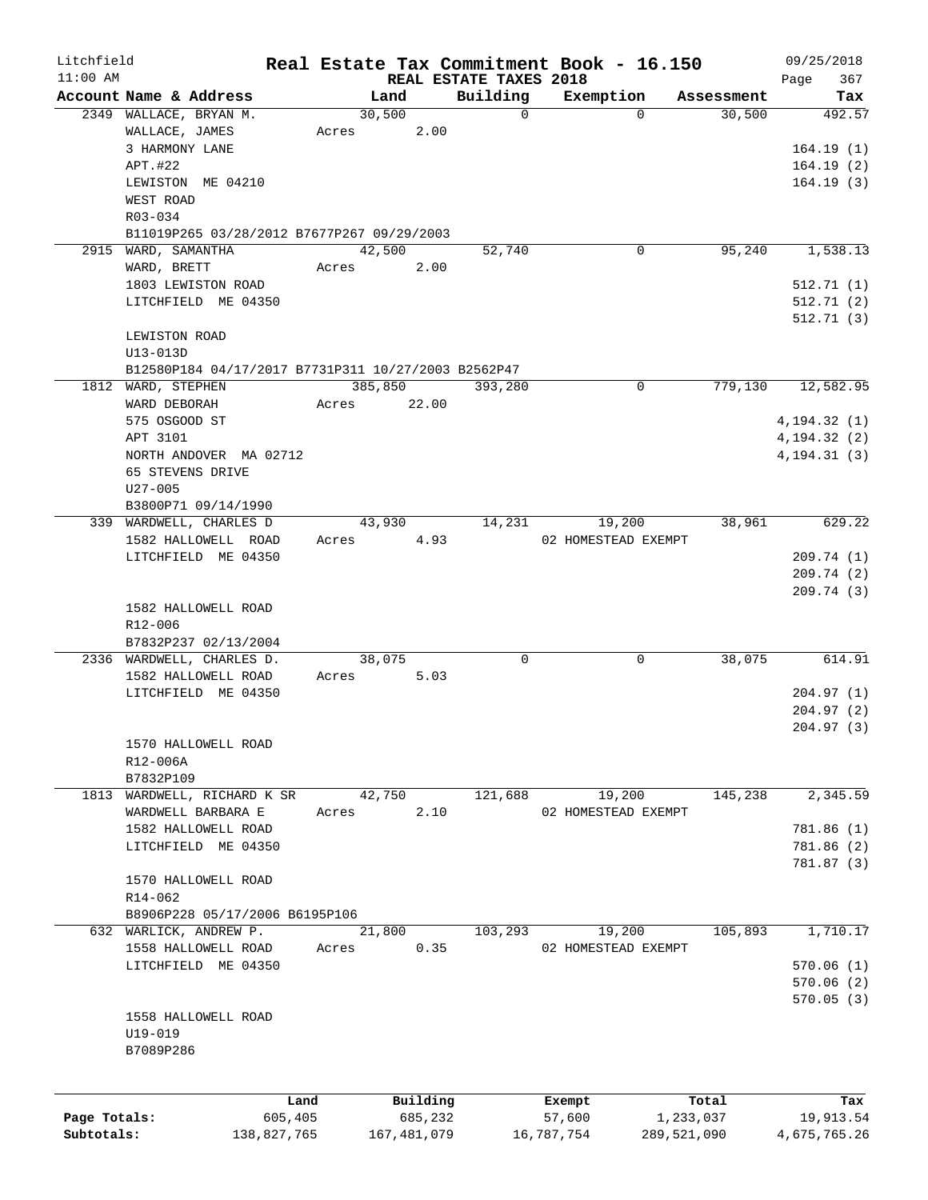| Litchfield   |                                                     |             |                |                        | Real Estate Tax Commitment Book - 16.150 |                      | 09/25/2018    |
|--------------|-----------------------------------------------------|-------------|----------------|------------------------|------------------------------------------|----------------------|---------------|
| $11:00$ AM   |                                                     |             |                | REAL ESTATE TAXES 2018 |                                          |                      | 367<br>Page   |
|              | Account Name & Address<br>2349 WALLACE, BRYAN M.    |             | Land<br>30,500 | Building<br>$\Omega$   | Exemption<br>$\Omega$                    | Assessment<br>30,500 | Tax<br>492.57 |
|              | WALLACE, JAMES                                      | Acres       | 2.00           |                        |                                          |                      |               |
|              | 3 HARMONY LANE                                      |             |                |                        |                                          |                      |               |
|              |                                                     |             |                |                        |                                          |                      | 164.19(1)     |
|              | APT.#22                                             |             |                |                        |                                          |                      | 164.19(2)     |
|              | LEWISTON ME 04210                                   |             |                |                        |                                          |                      | 164.19(3)     |
|              | WEST ROAD                                           |             |                |                        |                                          |                      |               |
|              | R03-034                                             |             |                |                        |                                          |                      |               |
|              | B11019P265 03/28/2012 B7677P267 09/29/2003          |             |                |                        |                                          |                      |               |
|              | 2915 WARD, SAMANTHA                                 |             | 42,500         | 52,740                 | 0                                        | 95,240               | 1,538.13      |
|              | WARD, BRETT                                         | Acres       | 2.00           |                        |                                          |                      |               |
|              | 1803 LEWISTON ROAD                                  |             |                |                        |                                          |                      | 512.71(1)     |
|              | LITCHFIELD ME 04350                                 |             |                |                        |                                          |                      | 512.71(2)     |
|              |                                                     |             |                |                        |                                          |                      | 512.71 (3)    |
|              | LEWISTON ROAD                                       |             |                |                        |                                          |                      |               |
|              | U13-013D                                            |             |                |                        |                                          |                      |               |
|              | B12580P184 04/17/2017 B7731P311 10/27/2003 B2562P47 |             |                |                        |                                          |                      |               |
|              | 1812 WARD, STEPHEN                                  |             | 385,850        | 393,280                | 0                                        | 779,130              | 12,582.95     |
|              | WARD DEBORAH                                        | Acres       | 22.00          |                        |                                          |                      |               |
|              | 575 OSGOOD ST                                       |             |                |                        |                                          |                      | 4, 194.32(1)  |
|              | APT 3101                                            |             |                |                        |                                          |                      | 4, 194.32(2)  |
|              | NORTH ANDOVER MA 02712                              |             |                |                        |                                          |                      | 4, 194.31(3)  |
|              | 65 STEVENS DRIVE                                    |             |                |                        |                                          |                      |               |
|              |                                                     |             |                |                        |                                          |                      |               |
|              | $U27 - 005$                                         |             |                |                        |                                          |                      |               |
|              | B3800P71 09/14/1990                                 |             |                |                        |                                          |                      |               |
|              | 339 WARDWELL, CHARLES D                             |             | 43,930         | 14,231                 | 19,200                                   | 38,961               | 629.22        |
|              | 1582 HALLOWELL ROAD                                 | Acres       | 4.93           |                        | 02 HOMESTEAD EXEMPT                      |                      |               |
|              | LITCHFIELD ME 04350                                 |             |                |                        |                                          |                      | 209.74(1)     |
|              |                                                     |             |                |                        |                                          |                      | 209.74 (2)    |
|              |                                                     |             |                |                        |                                          |                      | 209.74 (3)    |
|              | 1582 HALLOWELL ROAD                                 |             |                |                        |                                          |                      |               |
|              | R12-006                                             |             |                |                        |                                          |                      |               |
|              | B7832P237 02/13/2004                                |             |                |                        |                                          |                      |               |
|              | 2336 WARDWELL, CHARLES D.                           |             | 38,075         | 0                      | 0                                        | 38,075               | 614.91        |
|              | 1582 HALLOWELL ROAD                                 | Acres       | 5.03           |                        |                                          |                      |               |
|              | LITCHFIELD ME 04350                                 |             |                |                        |                                          |                      | 204.97(1)     |
|              |                                                     |             |                |                        |                                          |                      | 204.97(2)     |
|              |                                                     |             |                |                        |                                          |                      | 204.97(3)     |
|              | 1570 HALLOWELL ROAD                                 |             |                |                        |                                          |                      |               |
|              | R12-006A                                            |             |                |                        |                                          |                      |               |
|              | B7832P109                                           |             |                |                        |                                          |                      |               |
|              | 1813 WARDWELL, RICHARD K SR                         |             | 42,750         | 121,688                | 19,200                                   | 145,238              | 2,345.59      |
|              | WARDWELL BARBARA E                                  |             | 2.10           |                        |                                          |                      |               |
|              |                                                     | Acres       |                |                        | 02 HOMESTEAD EXEMPT                      |                      |               |
|              | 1582 HALLOWELL ROAD                                 |             |                |                        |                                          |                      | 781.86(1)     |
|              | LITCHFIELD ME 04350                                 |             |                |                        |                                          |                      | 781.86 (2)    |
|              |                                                     |             |                |                        |                                          |                      | 781.87 (3)    |
|              | 1570 HALLOWELL ROAD                                 |             |                |                        |                                          |                      |               |
|              | R14-062                                             |             |                |                        |                                          |                      |               |
|              | B8906P228 05/17/2006 B6195P106                      |             |                |                        |                                          |                      |               |
|              | 632 WARLICK, ANDREW P.                              |             | 21,800         | 103,293                | 19,200                                   | 105,893              | 1,710.17      |
|              | 1558 HALLOWELL ROAD                                 | Acres       | 0.35           |                        | 02 HOMESTEAD EXEMPT                      |                      |               |
|              | LITCHFIELD ME 04350                                 |             |                |                        |                                          |                      | 570.06(1)     |
|              |                                                     |             |                |                        |                                          |                      | 570.06(2)     |
|              |                                                     |             |                |                        |                                          |                      | 570.05(3)     |
|              | 1558 HALLOWELL ROAD                                 |             |                |                        |                                          |                      |               |
|              | U19-019                                             |             |                |                        |                                          |                      |               |
|              | B7089P286                                           |             |                |                        |                                          |                      |               |
|              |                                                     |             |                |                        |                                          |                      |               |
|              |                                                     |             |                |                        |                                          |                      |               |
|              |                                                     | Land        | Building       |                        | Exempt                                   | Total                | Tax           |
| Page Totals: |                                                     | 605,405     | 685,232        |                        | 57,600                                   | 1,233,037            | 19,913.54     |
| Subtotals:   |                                                     | 138,827,765 | 167,481,079    |                        | 16,787,754                               | 289,521,090          | 4,675,765.26  |
|              |                                                     |             |                |                        |                                          |                      |               |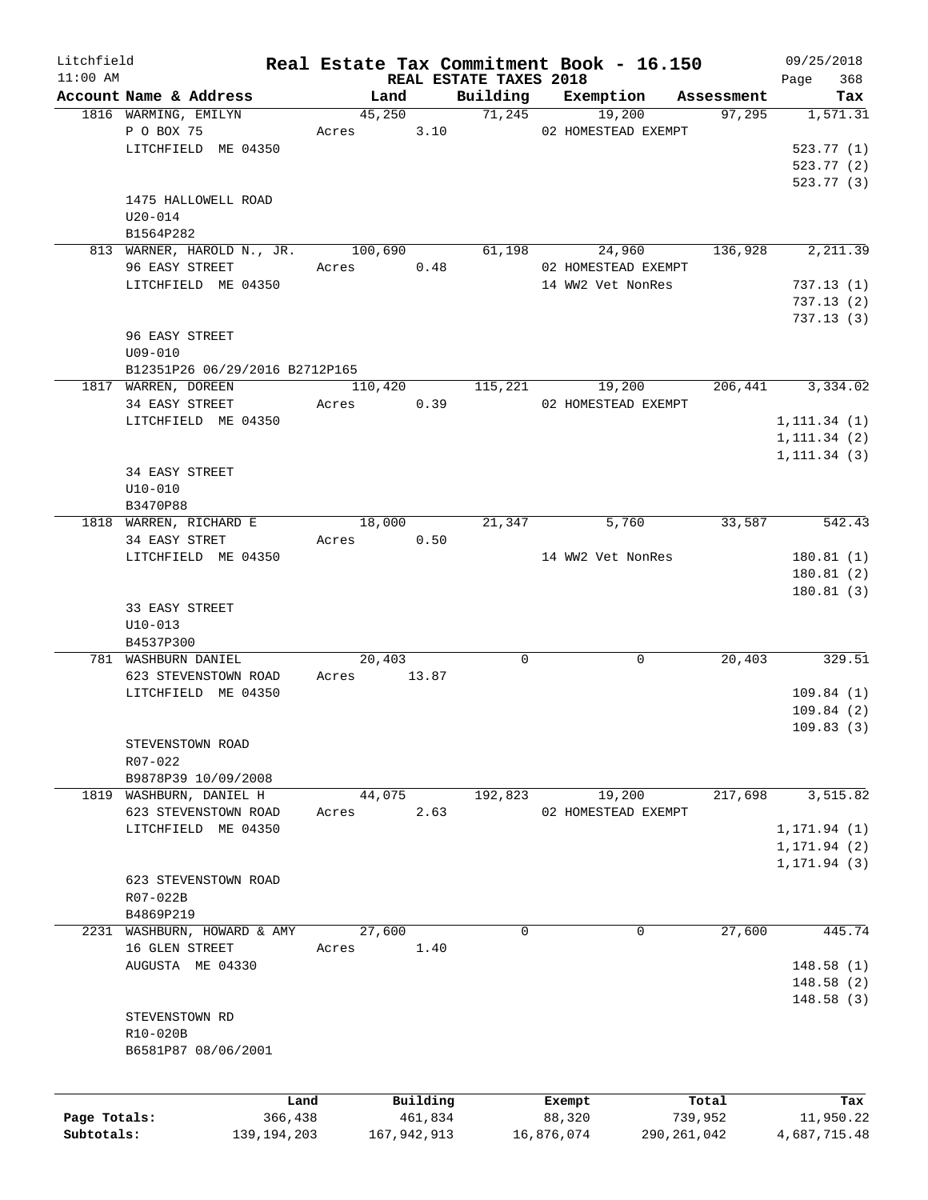| Litchfield   |                                |         |               |                                    | Real Estate Tax Commitment Book - 16.150 |             | 09/25/2018         |
|--------------|--------------------------------|---------|---------------|------------------------------------|------------------------------------------|-------------|--------------------|
| $11:00$ AM   | Account Name & Address         | Land    |               | REAL ESTATE TAXES 2018<br>Building | Exemption                                | Assessment  | 368<br>Page<br>Tax |
|              | 1816 WARMING, EMILYN           | 45,250  |               |                                    | 71,245<br>19,200                         | 97,295      | 1,571.31           |
|              | P O BOX 75                     | Acres   | 3.10          |                                    | 02 HOMESTEAD EXEMPT                      |             |                    |
|              |                                |         |               |                                    |                                          |             |                    |
|              | LITCHFIELD ME 04350            |         |               |                                    |                                          |             | 523.77(1)          |
|              |                                |         |               |                                    |                                          |             | 523.77(2)          |
|              |                                |         |               |                                    |                                          |             | 523.77 (3)         |
|              | 1475 HALLOWELL ROAD            |         |               |                                    |                                          |             |                    |
|              | $U20 - 014$                    |         |               |                                    |                                          |             |                    |
|              | B1564P282                      |         |               |                                    |                                          |             |                    |
|              | 813 WARNER, HAROLD N., JR.     | 100,690 |               | 61,198                             | 24,960                                   | 136,928     | 2,211.39           |
|              | 96 EASY STREET                 | Acres   | 0.48          |                                    | 02 HOMESTEAD EXEMPT                      |             |                    |
|              | LITCHFIELD ME 04350            |         |               |                                    | 14 WW2 Vet NonRes                        |             | 737.13(1)          |
|              |                                |         |               |                                    |                                          |             | 737.13(2)          |
|              |                                |         |               |                                    |                                          |             | 737.13(3)          |
|              | 96 EASY STREET                 |         |               |                                    |                                          |             |                    |
|              | $U09 - 010$                    |         |               |                                    |                                          |             |                    |
|              | B12351P26 06/29/2016 B2712P165 |         |               |                                    |                                          |             |                    |
|              | 1817 WARREN, DOREEN            | 110,420 |               | 115,221                            | 19,200                                   | 206,441     | 3,334.02           |
|              | 34 EASY STREET                 | Acres   | 0.39          |                                    | 02 HOMESTEAD EXEMPT                      |             |                    |
|              | LITCHFIELD ME 04350            |         |               |                                    |                                          |             | 1, 111.34(1)       |
|              |                                |         |               |                                    |                                          |             | 1, 111.34(2)       |
|              |                                |         |               |                                    |                                          |             | 1, 111.34(3)       |
|              | 34 EASY STREET                 |         |               |                                    |                                          |             |                    |
|              | $U10 - 010$                    |         |               |                                    |                                          |             |                    |
|              | B3470P88                       |         |               |                                    |                                          |             |                    |
|              | 1818 WARREN, RICHARD E         | 18,000  |               | 21,347                             | 5,760                                    | 33,587      | 542.43             |
|              | 34 EASY STRET                  | Acres   | 0.50          |                                    |                                          |             |                    |
|              |                                |         |               |                                    |                                          |             |                    |
|              | LITCHFIELD ME 04350            |         |               |                                    | 14 WW2 Vet NonRes                        |             | 180.81(1)          |
|              |                                |         |               |                                    |                                          |             | 180.81(2)          |
|              |                                |         |               |                                    |                                          |             | 180.81(3)          |
|              | 33 EASY STREET                 |         |               |                                    |                                          |             |                    |
|              | $U10-013$                      |         |               |                                    |                                          |             |                    |
|              | B4537P300                      |         |               |                                    |                                          |             |                    |
|              | 781 WASHBURN DANIEL            | 20,403  |               | $\Omega$                           | 0                                        | 20,403      | 329.51             |
|              | 623 STEVENSTOWN ROAD           | Acres   | 13.87         |                                    |                                          |             |                    |
|              | LITCHFIELD ME 04350            |         |               |                                    |                                          |             | 109.84(1)          |
|              |                                |         |               |                                    |                                          |             | 109.84(2)          |
|              |                                |         |               |                                    |                                          |             | 109.83(3)          |
|              | STEVENSTOWN ROAD               |         |               |                                    |                                          |             |                    |
|              | R07-022                        |         |               |                                    |                                          |             |                    |
|              | B9878P39 10/09/2008            |         |               |                                    |                                          |             |                    |
| 1819         | WASHBURN, DANIEL H             | 44,075  |               | 192,823                            | 19,200                                   | 217,698     | 3,515.82           |
|              | 623 STEVENSTOWN ROAD           | Acres   | 2.63          |                                    | 02 HOMESTEAD EXEMPT                      |             |                    |
|              | LITCHFIELD ME 04350            |         |               |                                    |                                          |             | 1, 171.94 (1)      |
|              |                                |         |               |                                    |                                          |             | 1, 171.94(2)       |
|              |                                |         |               |                                    |                                          |             | 1, 171.94(3)       |
|              | 623 STEVENSTOWN ROAD           |         |               |                                    |                                          |             |                    |
|              | R07-022B                       |         |               |                                    |                                          |             |                    |
|              | B4869P219                      |         |               |                                    |                                          |             |                    |
| 2231         | WASHBURN, HOWARD & AMY         | 27,600  |               | $\mathbf 0$                        | $\mathbf 0$                              | 27,600      | 445.74             |
|              | 16 GLEN STREET                 | Acres   | 1.40          |                                    |                                          |             |                    |
|              | AUGUSTA ME 04330               |         |               |                                    |                                          |             | 148.58(1)          |
|              |                                |         |               |                                    |                                          |             | 148.58(2)          |
|              |                                |         |               |                                    |                                          |             | 148.58(3)          |
|              | STEVENSTOWN RD                 |         |               |                                    |                                          |             |                    |
|              |                                |         |               |                                    |                                          |             |                    |
|              | R10-020B                       |         |               |                                    |                                          |             |                    |
|              | B6581P87 08/06/2001            |         |               |                                    |                                          |             |                    |
|              |                                |         |               |                                    |                                          |             |                    |
|              |                                |         |               |                                    |                                          |             |                    |
|              | Land                           |         | Building      |                                    | Exempt                                   | Total       | Tax                |
| Page Totals: | 366,438                        |         | 461,834       |                                    | 88,320                                   | 739,952     | 11,950.22          |
| Subtotals:   | 139, 194, 203                  |         | 167, 942, 913 |                                    | 16,876,074                               | 290,261,042 | 4,687,715.48       |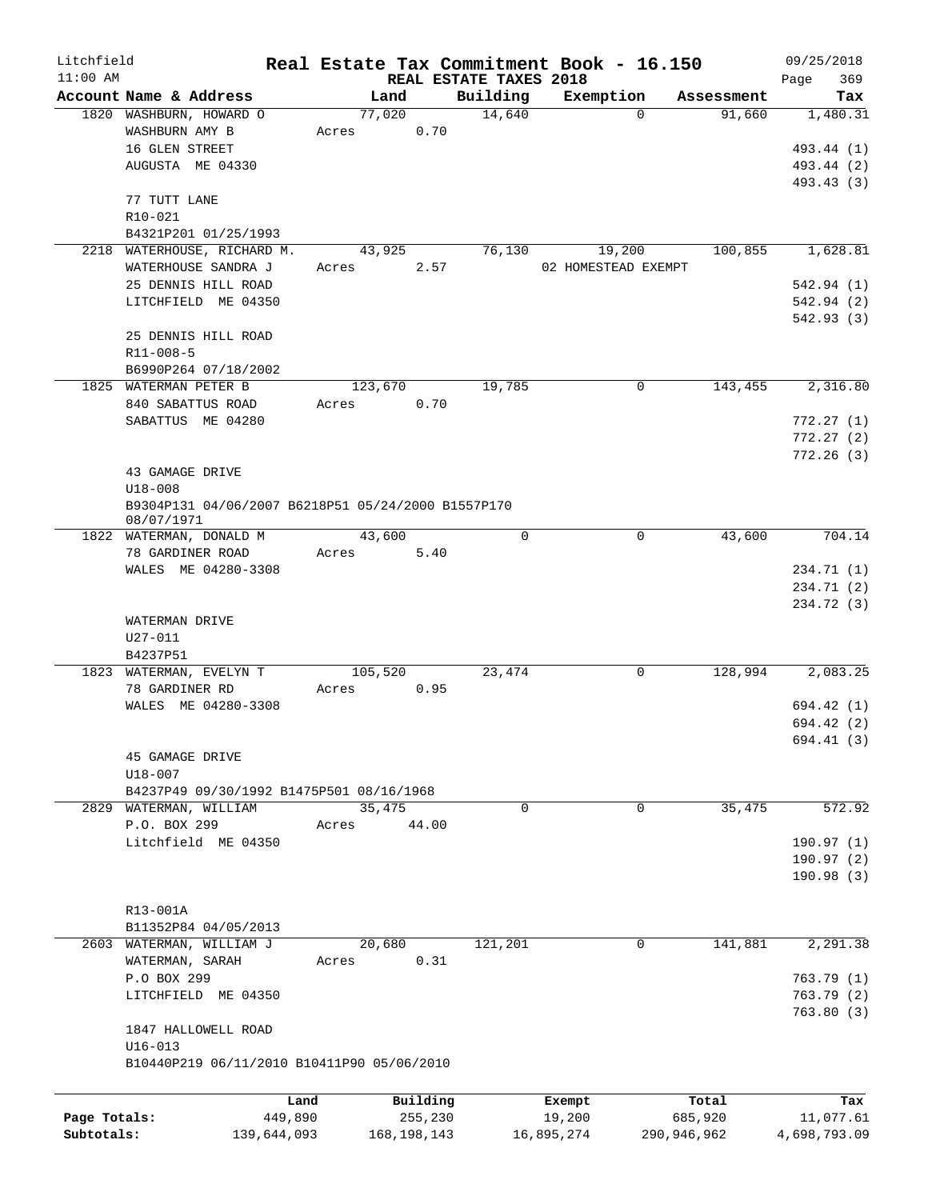| Litchfield   |                                                                  | Real Estate Tax Commitment Book - 16.150 |                        |                       |                      | 09/25/2018      |
|--------------|------------------------------------------------------------------|------------------------------------------|------------------------|-----------------------|----------------------|-----------------|
| $11:00$ AM   |                                                                  |                                          | REAL ESTATE TAXES 2018 |                       |                      | 369<br>Page     |
|              | Account Name & Address<br>1820 WASHBURN, HOWARD O                | Land<br>77,020                           | Building<br>14,640     | Exemption<br>$\Omega$ | Assessment<br>91,660 | Tax<br>1,480.31 |
|              | WASHBURN AMY B                                                   | 0.70<br>Acres                            |                        |                       |                      |                 |
|              | 16 GLEN STREET                                                   |                                          |                        |                       |                      | 493.44 (1)      |
|              | AUGUSTA ME 04330                                                 |                                          |                        |                       |                      | 493.44 (2)      |
|              |                                                                  |                                          |                        |                       |                      | 493.43 (3)      |
|              | 77 TUTT LANE                                                     |                                          |                        |                       |                      |                 |
|              | R10-021                                                          |                                          |                        |                       |                      |                 |
|              | B4321P201 01/25/1993                                             |                                          |                        |                       |                      |                 |
|              | 2218 WATERHOUSE, RICHARD M.                                      | 43,925                                   | 76,130                 | 19,200                | 100,855              | 1,628.81        |
|              | WATERHOUSE SANDRA J                                              | 2.57<br>Acres                            |                        | 02 HOMESTEAD EXEMPT   |                      |                 |
|              | 25 DENNIS HILL ROAD                                              |                                          |                        |                       |                      | 542.94 (1)      |
|              | LITCHFIELD ME 04350                                              |                                          |                        |                       |                      | 542.94(2)       |
|              |                                                                  |                                          |                        |                       |                      | 542.93(3)       |
|              | 25 DENNIS HILL ROAD                                              |                                          |                        |                       |                      |                 |
|              | $R11 - 008 - 5$                                                  |                                          |                        |                       |                      |                 |
|              | B6990P264 07/18/2002                                             |                                          |                        |                       |                      |                 |
|              | 1825 WATERMAN PETER B                                            | 123,670                                  | 19,785                 | 0                     | 143,455              | 2,316.80        |
|              | 840 SABATTUS ROAD                                                | 0.70<br>Acres                            |                        |                       |                      |                 |
|              | SABATTUS ME 04280                                                |                                          |                        |                       |                      | 772.27(1)       |
|              |                                                                  |                                          |                        |                       |                      |                 |
|              |                                                                  |                                          |                        |                       |                      | 772.27(2)       |
|              |                                                                  |                                          |                        |                       |                      | 772.26(3)       |
|              | 43 GAMAGE DRIVE                                                  |                                          |                        |                       |                      |                 |
|              | $U18 - 008$                                                      |                                          |                        |                       |                      |                 |
|              | B9304P131 04/06/2007 B6218P51 05/24/2000 B1557P170<br>08/07/1971 |                                          |                        |                       |                      |                 |
|              | 1822 WATERMAN, DONALD M                                          | 43,600                                   | $\Omega$               | $\mathbf 0$           | 43,600               | 704.14          |
|              | 78 GARDINER ROAD                                                 | 5.40<br>Acres                            |                        |                       |                      |                 |
|              | WALES ME 04280-3308                                              |                                          |                        |                       |                      | 234.71 (1)      |
|              |                                                                  |                                          |                        |                       |                      | 234.71 (2)      |
|              |                                                                  |                                          |                        |                       |                      | 234.72 (3)      |
|              |                                                                  |                                          |                        |                       |                      |                 |
|              | WATERMAN DRIVE<br>U27-011                                        |                                          |                        |                       |                      |                 |
|              | B4237P51                                                         |                                          |                        |                       |                      |                 |
|              | 1823 WATERMAN, EVELYN T                                          | 105,520                                  | 23,474                 | 0                     | 128,994              | 2,083.25        |
|              | 78 GARDINER RD                                                   | 0.95<br>Acres                            |                        |                       |                      |                 |
|              | WALES ME 04280-3308                                              |                                          |                        |                       |                      | 694.42 (1)      |
|              |                                                                  |                                          |                        |                       |                      | 694.42 (2)      |
|              |                                                                  |                                          |                        |                       |                      | 694.41 (3)      |
|              | 45 GAMAGE DRIVE                                                  |                                          |                        |                       |                      |                 |
|              | U18-007                                                          |                                          |                        |                       |                      |                 |
|              | B4237P49 09/30/1992 B1475P501 08/16/1968                         |                                          |                        |                       |                      |                 |
|              | 2829 WATERMAN, WILLIAM                                           | 35,475                                   | $\mathbf 0$            | 0                     | 35,475               | 572.92          |
|              | P.O. BOX 299                                                     | 44.00<br>Acres                           |                        |                       |                      |                 |
|              |                                                                  |                                          |                        |                       |                      |                 |
|              | Litchfield ME 04350                                              |                                          |                        |                       |                      | 190.97(1)       |
|              |                                                                  |                                          |                        |                       |                      | 190.97(2)       |
|              |                                                                  |                                          |                        |                       |                      | 190.98(3)       |
|              |                                                                  |                                          |                        |                       |                      |                 |
|              | R13-001A                                                         |                                          |                        |                       |                      |                 |
|              | B11352P84 04/05/2013                                             |                                          |                        | $\overline{0}$        |                      |                 |
|              | 2603 WATERMAN, WILLIAM J<br>WATERMAN, SARAH                      | 20,680                                   | 121,201                |                       | 141,881              | 2,291.38        |
|              |                                                                  | 0.31<br>Acres                            |                        |                       |                      |                 |
|              | P.O BOX 299                                                      |                                          |                        |                       |                      | 763.79(1)       |
|              | LITCHFIELD ME 04350                                              |                                          |                        |                       |                      | 763.79(2)       |
|              |                                                                  |                                          |                        |                       |                      | 763.80(3)       |
|              | 1847 HALLOWELL ROAD                                              |                                          |                        |                       |                      |                 |
|              | $U16 - 013$                                                      |                                          |                        |                       |                      |                 |
|              | B10440P219 06/11/2010 B10411P90 05/06/2010                       |                                          |                        |                       |                      |                 |
|              |                                                                  |                                          |                        |                       |                      |                 |
|              |                                                                  | Building<br>Land                         |                        | Exempt                | Total                | Tax             |
| Page Totals: | 449,890                                                          | 255,230                                  |                        | 19,200                | 685,920              | 11,077.61       |
| Subtotals:   | 139,644,093                                                      | 168, 198, 143                            |                        | 16,895,274            | 290,946,962          | 4,698,793.09    |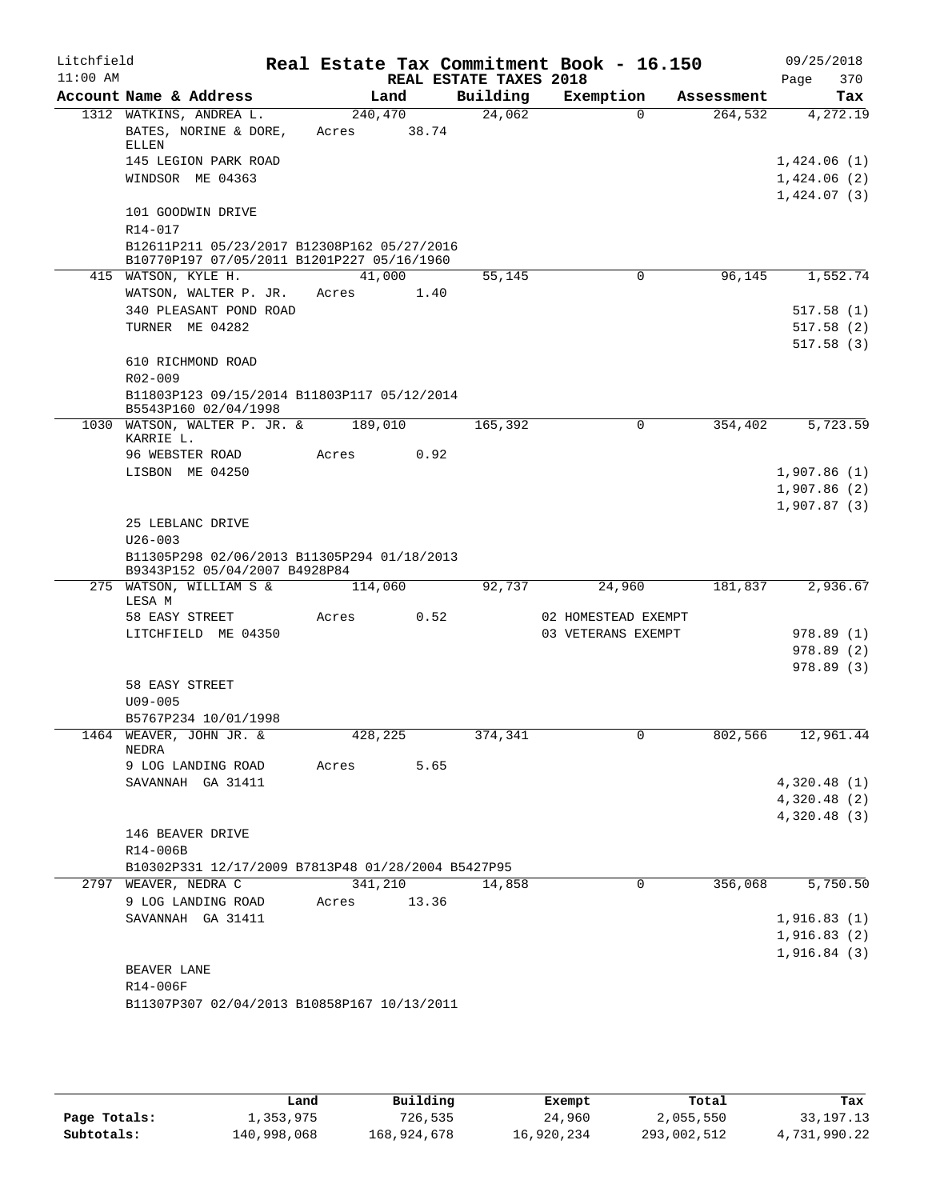| Litchfield<br>$11:00$ AM |                                                                                           |         |       | REAL ESTATE TAXES 2018 | Real Estate Tax Commitment Book - 16.150 |            | 09/25/2018<br>370<br>Page |  |
|--------------------------|-------------------------------------------------------------------------------------------|---------|-------|------------------------|------------------------------------------|------------|---------------------------|--|
|                          | Account Name & Address                                                                    |         | Land  | Building               | Exemption                                | Assessment | Tax                       |  |
|                          | 1312 WATKINS, ANDREA L.                                                                   | 240,470 |       | 24,062                 | $\Omega$                                 | 264,532    | 4,272.19                  |  |
|                          | BATES, NORINE & DORE,<br>ELLEN                                                            | Acres   | 38.74 |                        |                                          |            |                           |  |
|                          | 145 LEGION PARK ROAD                                                                      |         |       |                        |                                          |            | 1,424.06(1)               |  |
|                          | WINDSOR ME 04363                                                                          |         |       |                        |                                          |            | 1,424.06(2)               |  |
|                          |                                                                                           |         |       |                        |                                          |            | 1,424.07(3)               |  |
|                          | 101 GOODWIN DRIVE                                                                         |         |       |                        |                                          |            |                           |  |
|                          | R14-017                                                                                   |         |       |                        |                                          |            |                           |  |
|                          | B12611P211 05/23/2017 B12308P162 05/27/2016<br>B10770P197 07/05/2011 B1201P227 05/16/1960 |         |       |                        |                                          |            |                           |  |
|                          | 415 WATSON, KYLE H.                                                                       | 41,000  |       | 55,145                 | 0                                        | 96,145     | 1,552.74                  |  |
|                          | WATSON, WALTER P. JR.                                                                     | Acres   | 1.40  |                        |                                          |            |                           |  |
|                          | 340 PLEASANT POND ROAD                                                                    |         |       |                        |                                          |            | 517.58(1)                 |  |
|                          | TURNER ME 04282                                                                           |         |       |                        |                                          |            | 517.58(2)                 |  |
|                          |                                                                                           |         |       |                        |                                          |            | 517.58(3)                 |  |
|                          | 610 RICHMOND ROAD                                                                         |         |       |                        |                                          |            |                           |  |
|                          | $R02 - 009$                                                                               |         |       |                        |                                          |            |                           |  |
|                          | B11803P123 09/15/2014 B11803P117 05/12/2014<br>B5543P160 02/04/1998                       |         |       |                        |                                          |            |                           |  |
|                          | 1030 WATSON, WALTER P. JR. &<br>KARRIE L.                                                 | 189,010 |       | 165,392                | $\Omega$                                 | 354,402    | 5,723.59                  |  |
|                          | 96 WEBSTER ROAD                                                                           | Acres   | 0.92  |                        |                                          |            |                           |  |
|                          | LISBON ME 04250                                                                           |         |       |                        |                                          |            | 1,907.86(1)               |  |
|                          |                                                                                           |         |       |                        |                                          |            | 1,907.86(2)               |  |
|                          |                                                                                           |         |       |                        |                                          |            | 1,907.87(3)               |  |
|                          | 25 LEBLANC DRIVE                                                                          |         |       |                        |                                          |            |                           |  |
|                          | $U26 - 003$                                                                               |         |       |                        |                                          |            |                           |  |
|                          | B11305P298 02/06/2013 B11305P294 01/18/2013<br>B9343P152 05/04/2007 B4928P84              |         |       |                        |                                          |            |                           |  |
|                          | 275 WATSON, WILLIAM S &                                                                   | 114,060 |       | 92,737                 | 24,960                                   | 181,837    | 2,936.67                  |  |
|                          | LESA M<br>58 EASY STREET                                                                  | Acres   | 0.52  |                        | 02 HOMESTEAD EXEMPT                      |            |                           |  |
|                          | LITCHFIELD ME 04350                                                                       |         |       |                        | 03 VETERANS EXEMPT                       |            | 978.89(1)                 |  |
|                          |                                                                                           |         |       |                        |                                          |            | 978.89(2)                 |  |
|                          |                                                                                           |         |       |                        |                                          |            | 978.89(3)                 |  |
|                          | 58 EASY STREET                                                                            |         |       |                        |                                          |            |                           |  |
|                          | $U09 - 005$                                                                               |         |       |                        |                                          |            |                           |  |
|                          | B5767P234 10/01/1998                                                                      |         |       |                        |                                          |            |                           |  |
|                          | 1464 WEAVER, JOHN JR. &<br>NEDRA                                                          | 428,225 |       | 374,341                |                                          | 802,566    | 12,961.44                 |  |
|                          | 9 LOG LANDING ROAD                                                                        | Acres   | 5.65  |                        |                                          |            |                           |  |
|                          | SAVANNAH GA 31411                                                                         |         |       |                        |                                          |            | 4,320.48(1)               |  |
|                          |                                                                                           |         |       |                        |                                          |            | 4,320.48(2)               |  |
|                          |                                                                                           |         |       |                        |                                          |            | 4,320.48(3)               |  |
|                          | 146 BEAVER DRIVE                                                                          |         |       |                        |                                          |            |                           |  |
|                          | R14-006B<br>B10302P331 12/17/2009 B7813P48 01/28/2004 B5427P95                            |         |       |                        |                                          |            |                           |  |
|                          | 2797 WEAVER, NEDRA C                                                                      | 341,210 |       | 14,858                 | 0                                        | 356,068    | 5,750.50                  |  |
|                          | 9 LOG LANDING ROAD                                                                        | Acres   | 13.36 |                        |                                          |            |                           |  |
|                          | SAVANNAH GA 31411                                                                         |         |       |                        |                                          |            | 1,916.83(1)               |  |
|                          |                                                                                           |         |       |                        |                                          |            | 1,916.83(2)               |  |
|                          |                                                                                           |         |       |                        |                                          |            | 1,916.84(3)               |  |
|                          | BEAVER LANE                                                                               |         |       |                        |                                          |            |                           |  |
|                          | R14-006F                                                                                  |         |       |                        |                                          |            |                           |  |
|                          | B11307P307 02/04/2013 B10858P167 10/13/2011                                               |         |       |                        |                                          |            |                           |  |

|              | Land        | Building    | Exempt     | Total       | Tax          |
|--------------|-------------|-------------|------------|-------------|--------------|
| Page Totals: | 1,353,975   | 726,535     | 24,960     | 2,055,550   | 33, 197. 13  |
| Subtotals:   | 140,998,068 | 168,924,678 | 16,920,234 | 293,002,512 | 4,731,990.22 |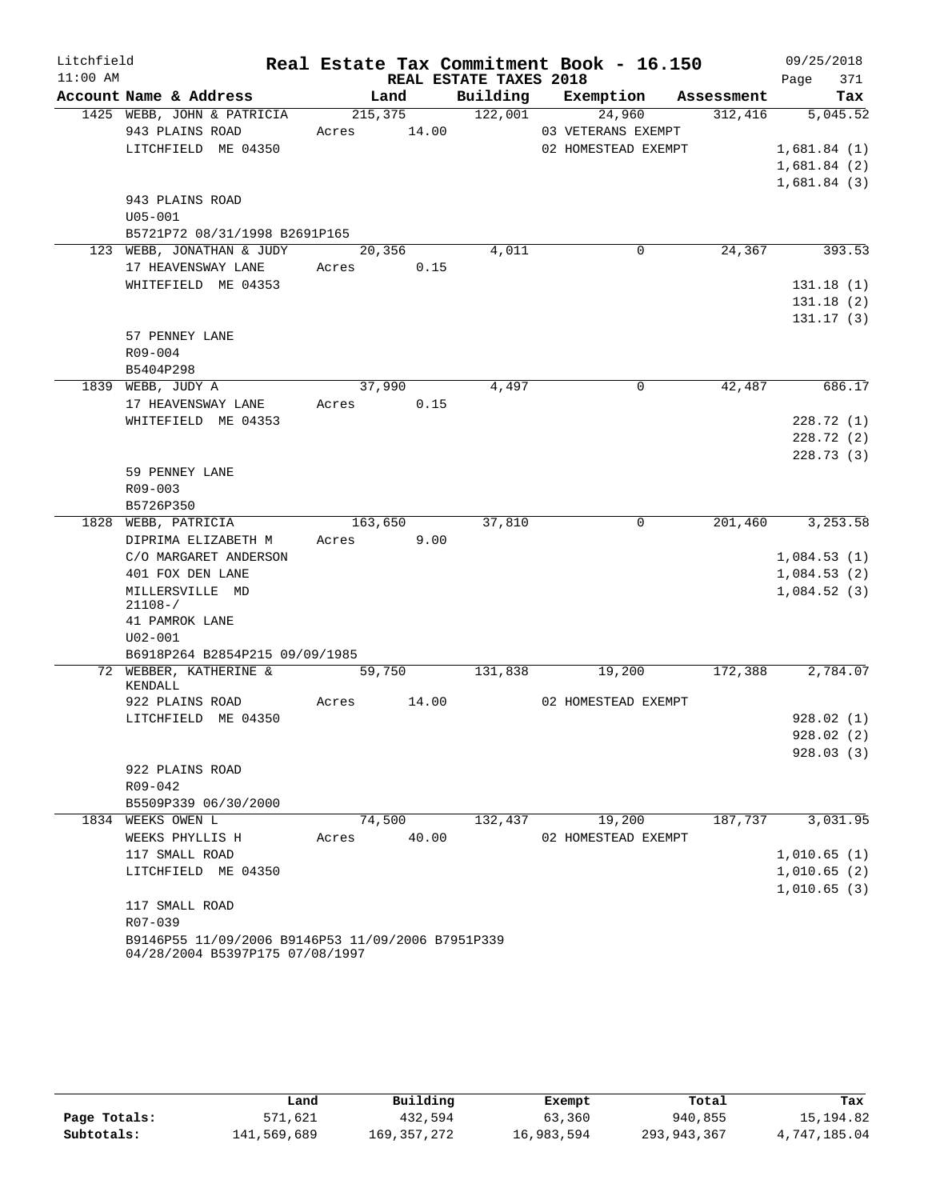| Litchfield |                                                   |         |         |                        | Real Estate Tax Commitment Book - 16.150 |            | 09/25/2018  |
|------------|---------------------------------------------------|---------|---------|------------------------|------------------------------------------|------------|-------------|
| $11:00$ AM |                                                   |         |         | REAL ESTATE TAXES 2018 |                                          |            | 371<br>Page |
|            | Account Name & Address                            |         | Land    | Building               | Exemption                                | Assessment | Tax         |
|            | 1425 WEBB, JOHN & PATRICIA                        |         | 215,375 | 122,001                | 24,960                                   | 312,416    | 5,045.52    |
|            | 943 PLAINS ROAD                                   | Acres   | 14.00   |                        | 03 VETERANS EXEMPT                       |            |             |
|            | LITCHFIELD ME 04350                               |         |         |                        | 02 HOMESTEAD EXEMPT                      |            | 1,681.84(1) |
|            |                                                   |         |         |                        |                                          |            | 1,681.84(2) |
|            |                                                   |         |         |                        |                                          |            | 1,681.84(3) |
|            | 943 PLAINS ROAD                                   |         |         |                        |                                          |            |             |
|            | $U05 - 001$                                       |         |         |                        |                                          |            |             |
|            | B5721P72 08/31/1998 B2691P165                     |         |         |                        |                                          |            |             |
|            | 123 WEBB, JONATHAN & JUDY                         |         | 20,356  | 4,011                  | 0                                        | 24,367     | 393.53      |
|            | 17 HEAVENSWAY LANE                                | Acres   | 0.15    |                        |                                          |            |             |
|            | WHITEFIELD ME 04353                               |         |         |                        |                                          |            | 131.18(1)   |
|            |                                                   |         |         |                        |                                          |            | 131.18(2)   |
|            |                                                   |         |         |                        |                                          |            | 131.17(3)   |
|            | 57 PENNEY LANE                                    |         |         |                        |                                          |            |             |
|            | $R09 - 004$                                       |         |         |                        |                                          |            |             |
|            | B5404P298                                         |         |         |                        |                                          | 42,487     |             |
|            | 1839 WEBB, JUDY A                                 |         | 37,990  | 4,497                  | 0                                        |            | 686.17      |
|            | 17 HEAVENSWAY LANE                                | Acres   | 0.15    |                        |                                          |            |             |
|            | WHITEFIELD ME 04353                               |         |         |                        |                                          |            | 228.72 (1)  |
|            |                                                   |         |         |                        |                                          |            | 228.72(2)   |
|            |                                                   |         |         |                        |                                          |            | 228.73(3)   |
|            | 59 PENNEY LANE<br>$R09 - 003$                     |         |         |                        |                                          |            |             |
|            | B5726P350                                         |         |         |                        |                                          |            |             |
|            | 1828 WEBB, PATRICIA                               | 163,650 |         | 37,810                 | $\mathbf 0$                              | 201,460    | 3,253.58    |
|            | DIPRIMA ELIZABETH M                               | Acres   | 9.00    |                        |                                          |            |             |
|            | C/O MARGARET ANDERSON                             |         |         |                        |                                          |            | 1,084.53(1) |
|            | 401 FOX DEN LANE                                  |         |         |                        |                                          |            | 1,084.53(2) |
|            | MILLERSVILLE MD                                   |         |         |                        |                                          |            | 1,084.52(3) |
|            | $21108 - /$                                       |         |         |                        |                                          |            |             |
|            | 41 PAMROK LANE                                    |         |         |                        |                                          |            |             |
|            | $U02 - 001$                                       |         |         |                        |                                          |            |             |
|            | B6918P264 B2854P215 09/09/1985                    |         |         |                        |                                          |            |             |
|            | 72 WEBBER, KATHERINE &                            |         | 59,750  | 131,838                | 19,200                                   | 172,388    | 2,784.07    |
|            | KENDALL                                           |         |         |                        |                                          |            |             |
|            | 922 PLAINS ROAD                                   | Acres   | 14.00   |                        | 02 HOMESTEAD EXEMPT                      |            |             |
|            | LITCHFIELD ME 04350                               |         |         |                        |                                          |            | 928.02(1)   |
|            |                                                   |         |         |                        |                                          |            | 928.02 (2)  |
|            | 922 PLAINS ROAD                                   |         |         |                        |                                          |            | 928.03(3)   |
|            | R09-042                                           |         |         |                        |                                          |            |             |
|            | B5509P339 06/30/2000                              |         |         |                        |                                          |            |             |
|            | 1834 WEEKS OWEN L                                 |         | 74,500  | 132,437                | 19,200                                   | 187,737    | 3,031.95    |
|            | WEEKS PHYLLIS H                                   | Acres   | 40.00   |                        | 02 HOMESTEAD EXEMPT                      |            |             |
|            | 117 SMALL ROAD                                    |         |         |                        |                                          |            | 1,010.65(1) |
|            | LITCHFIELD ME 04350                               |         |         |                        |                                          |            | 1,010.65(2) |
|            |                                                   |         |         |                        |                                          |            | 1,010.65(3) |
|            | 117 SMALL ROAD                                    |         |         |                        |                                          |            |             |
|            | R07-039                                           |         |         |                        |                                          |            |             |
|            | B9146P55 11/09/2006 B9146P53 11/09/2006 B7951P339 |         |         |                        |                                          |            |             |
|            | 04/28/2004 B5397P175 07/08/1997                   |         |         |                        |                                          |            |             |

|              | Land        | Building    | Exempt     | Total       | Tax          |
|--------------|-------------|-------------|------------|-------------|--------------|
| Page Totals: | 571,621     | 432,594     | 63,360     | 940,855     | 15,194.82    |
| Subtotals:   | 141,569,689 | 169,357,272 | 16,983,594 | 293,943,367 | 4,747,185.04 |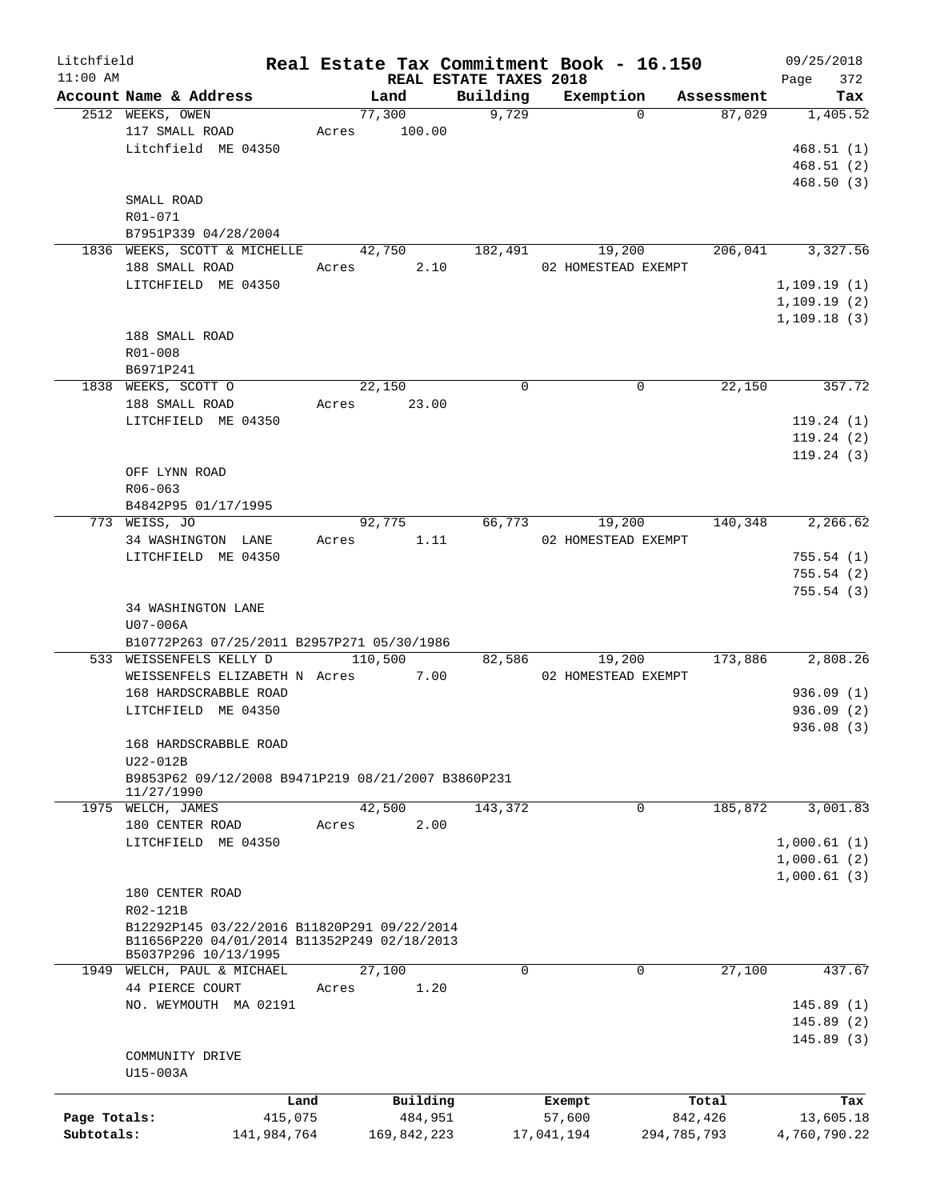| Litchfield   |                                                    |       |             |                        | Real Estate Tax Commitment Book - 16.150 |             | 09/25/2018   |
|--------------|----------------------------------------------------|-------|-------------|------------------------|------------------------------------------|-------------|--------------|
| $11:00$ AM   |                                                    |       |             | REAL ESTATE TAXES 2018 |                                          |             | 372<br>Page  |
|              | Account Name & Address                             |       | Land        | Building               | Exemption                                | Assessment  | Tax          |
|              | 2512 WEEKS, OWEN                                   |       | 77,300      | 9,729                  | $\Omega$                                 | 87,029      | 1,405.52     |
|              | 117 SMALL ROAD                                     | Acres | 100.00      |                        |                                          |             |              |
|              | Litchfield ME 04350                                |       |             |                        |                                          |             | 468.51(1)    |
|              |                                                    |       |             |                        |                                          |             | 468.51(2)    |
|              |                                                    |       |             |                        |                                          |             | 468.50(3)    |
|              | SMALL ROAD                                         |       |             |                        |                                          |             |              |
|              | R01-071                                            |       |             |                        |                                          |             |              |
|              | B7951P339 04/28/2004                               |       |             |                        |                                          |             |              |
|              | 1836 WEEKS, SCOTT & MICHELLE                       |       | 42,750      | 182,491                | 19,200                                   | 206,041     | 3,327.56     |
|              | 188 SMALL ROAD                                     | Acres | 2.10        |                        | 02 HOMESTEAD EXEMPT                      |             |              |
|              | LITCHFIELD ME 04350                                |       |             |                        |                                          |             | 1,109.19(1)  |
|              |                                                    |       |             |                        |                                          |             | 1,109.19(2)  |
|              |                                                    |       |             |                        |                                          |             | 1,109.18(3)  |
|              | 188 SMALL ROAD                                     |       |             |                        |                                          |             |              |
|              | R01-008                                            |       |             |                        |                                          |             |              |
|              | B6971P241                                          |       |             |                        |                                          |             |              |
|              | 1838 WEEKS, SCOTT O                                |       | 22,150      | $\Omega$               | 0                                        | 22,150      | 357.72       |
|              | 188 SMALL ROAD                                     | Acres | 23.00       |                        |                                          |             |              |
|              | LITCHFIELD ME 04350                                |       |             |                        |                                          |             | 119.24(1)    |
|              |                                                    |       |             |                        |                                          |             | 119.24(2)    |
|              |                                                    |       |             |                        |                                          |             | 119.24(3)    |
|              | OFF LYNN ROAD                                      |       |             |                        |                                          |             |              |
|              |                                                    |       |             |                        |                                          |             |              |
|              | R06-063                                            |       |             |                        |                                          |             |              |
|              | B4842P95 01/17/1995                                |       |             |                        |                                          |             |              |
|              | 773 WEISS, JO                                      |       | 92,775      | 66,773                 | 19,200                                   | 140,348     | 2, 266.62    |
|              | 34 WASHINGTON LANE                                 | Acres | 1.11        |                        | 02 HOMESTEAD EXEMPT                      |             |              |
|              | LITCHFIELD ME 04350                                |       |             |                        |                                          |             | 755.54(1)    |
|              |                                                    |       |             |                        |                                          |             | 755.54(2)    |
|              |                                                    |       |             |                        |                                          |             | 755.54(3)    |
|              | 34 WASHINGTON LANE                                 |       |             |                        |                                          |             |              |
|              | $U07-006A$                                         |       |             |                        |                                          |             |              |
|              | B10772P263 07/25/2011 B2957P271 05/30/1986         |       |             |                        |                                          |             |              |
|              | 533 WEISSENFELS KELLY D                            |       | 110,500     | 82,586                 | 19,200                                   | 173,886     | 2,808.26     |
|              | WEISSENFELS ELIZABETH N Acres                      |       | 7.00        |                        | 02 HOMESTEAD EXEMPT                      |             |              |
|              | 168 HARDSCRABBLE ROAD                              |       |             |                        |                                          |             | 936.09(1)    |
|              | LITCHFIELD ME 04350                                |       |             |                        |                                          |             | 936.09(2)    |
|              |                                                    |       |             |                        |                                          |             | 936.08(3)    |
|              | 168 HARDSCRABBLE ROAD                              |       |             |                        |                                          |             |              |
|              | U22-012B                                           |       |             |                        |                                          |             |              |
|              | B9853P62 09/12/2008 B9471P219 08/21/2007 B3860P231 |       |             |                        |                                          |             |              |
|              | 11/27/1990                                         |       |             |                        |                                          |             |              |
|              | 1975 WELCH, JAMES                                  |       | 42,500      | 143,372                | 0                                        | 185,872     | 3,001.83     |
|              | 180 CENTER ROAD                                    | Acres | 2.00        |                        |                                          |             |              |
|              | LITCHFIELD ME 04350                                |       |             |                        |                                          |             | 1,000.61(1)  |
|              |                                                    |       |             |                        |                                          |             | 1,000.61(2)  |
|              |                                                    |       |             |                        |                                          |             | 1,000.61(3)  |
|              | 180 CENTER ROAD                                    |       |             |                        |                                          |             |              |
|              | R02-121B                                           |       |             |                        |                                          |             |              |
|              | B12292P145 03/22/2016 B11820P291 09/22/2014        |       |             |                        |                                          |             |              |
|              | B11656P220 04/01/2014 B11352P249 02/18/2013        |       |             |                        |                                          |             |              |
|              | B5037P296 10/13/1995                               |       |             |                        |                                          |             |              |
|              | 1949 WELCH, PAUL & MICHAEL                         |       | 27,100      | $\mathbf 0$            | 0                                        | 27,100      | 437.67       |
|              | 44 PIERCE COURT                                    | Acres | 1.20        |                        |                                          |             |              |
|              | NO. WEYMOUTH MA 02191                              |       |             |                        |                                          |             | 145.89(1)    |
|              |                                                    |       |             |                        |                                          |             | 145.89(2)    |
|              |                                                    |       |             |                        |                                          |             | 145.89(3)    |
|              | COMMUNITY DRIVE                                    |       |             |                        |                                          |             |              |
|              | U15-003A                                           |       |             |                        |                                          |             |              |
|              |                                                    |       |             |                        |                                          |             |              |
|              | Land                                               |       | Building    |                        | Exempt                                   | Total       | Tax          |
| Page Totals: | 415,075                                            |       | 484,951     |                        | 57,600                                   | 842,426     | 13,605.18    |
| Subtotals:   | 141,984,764                                        |       | 169,842,223 |                        | 17,041,194                               | 294,785,793 | 4,760,790.22 |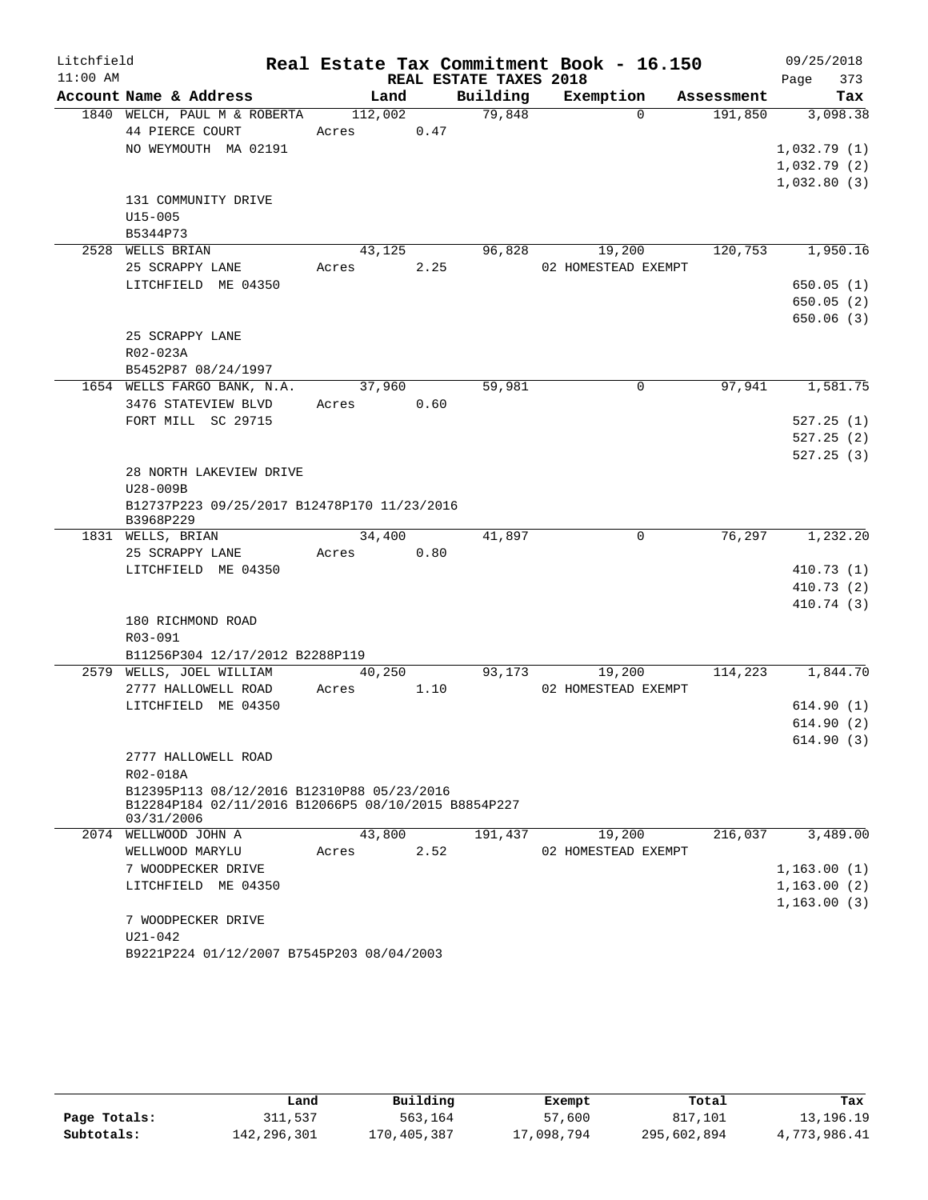| Litchfield<br>$11:00$ AM |                                                                                                   |         |      | REAL ESTATE TAXES 2018 | Real Estate Tax Commitment Book - 16.150 |            | 09/25/2018         |  |
|--------------------------|---------------------------------------------------------------------------------------------------|---------|------|------------------------|------------------------------------------|------------|--------------------|--|
|                          | Account Name & Address                                                                            | Land    |      | Building               | Exemption                                | Assessment | Page<br>373<br>Tax |  |
|                          | 1840 WELCH, PAUL M & ROBERTA                                                                      | 112,002 |      | 79,848                 | $\Omega$                                 | 191,850    | 3,098.38           |  |
|                          | 44 PIERCE COURT                                                                                   | Acres   | 0.47 |                        |                                          |            |                    |  |
|                          | NO WEYMOUTH MA 02191                                                                              |         |      |                        |                                          |            | 1,032.79(1)        |  |
|                          |                                                                                                   |         |      |                        |                                          |            | 1,032.79(2)        |  |
|                          |                                                                                                   |         |      |                        |                                          |            | 1,032.80(3)        |  |
|                          | 131 COMMUNITY DRIVE                                                                               |         |      |                        |                                          |            |                    |  |
|                          | $U15 - 005$                                                                                       |         |      |                        |                                          |            |                    |  |
|                          | B5344P73                                                                                          |         |      |                        |                                          |            |                    |  |
|                          | 2528 WELLS BRIAN                                                                                  | 43,125  |      | 96,828                 | 19,200                                   | 120,753    | 1,950.16           |  |
|                          | 25 SCRAPPY LANE                                                                                   | Acres   | 2.25 |                        | 02 HOMESTEAD EXEMPT                      |            |                    |  |
|                          | LITCHFIELD ME 04350                                                                               |         |      |                        |                                          |            | 650.05(1)          |  |
|                          |                                                                                                   |         |      |                        |                                          |            | 650.05(2)          |  |
|                          |                                                                                                   |         |      |                        |                                          |            | 650.06(3)          |  |
|                          | 25 SCRAPPY LANE                                                                                   |         |      |                        |                                          |            |                    |  |
|                          | R02-023A                                                                                          |         |      |                        |                                          |            |                    |  |
|                          | B5452P87 08/24/1997                                                                               |         |      |                        |                                          |            |                    |  |
|                          | 1654 WELLS FARGO BANK, N.A.                                                                       | 37,960  |      | 59,981                 | $\Omega$                                 | 97,941     | 1,581.75           |  |
|                          | 3476 STATEVIEW BLVD                                                                               | Acres   | 0.60 |                        |                                          |            |                    |  |
|                          | FORT MILL SC 29715                                                                                |         |      |                        |                                          |            | 527.25(1)          |  |
|                          |                                                                                                   |         |      |                        |                                          |            | 527.25(2)          |  |
|                          |                                                                                                   |         |      |                        |                                          |            | 527.25(3)          |  |
|                          | 28 NORTH LAKEVIEW DRIVE                                                                           |         |      |                        |                                          |            |                    |  |
|                          | $U28-009B$<br>B12737P223 09/25/2017 B12478P170 11/23/2016                                         |         |      |                        |                                          |            |                    |  |
|                          | B3968P229                                                                                         |         |      |                        |                                          |            |                    |  |
|                          | 1831 WELLS, BRIAN                                                                                 | 34,400  |      | 41,897                 | 0                                        | 76,297     | 1,232.20           |  |
|                          | 25 SCRAPPY LANE                                                                                   | Acres   | 0.80 |                        |                                          |            |                    |  |
|                          | LITCHFIELD ME 04350                                                                               |         |      |                        |                                          |            | 410.73(1)          |  |
|                          |                                                                                                   |         |      |                        |                                          |            | 410.73(2)          |  |
|                          |                                                                                                   |         |      |                        |                                          |            | 410.74 (3)         |  |
|                          | 180 RICHMOND ROAD                                                                                 |         |      |                        |                                          |            |                    |  |
|                          | R03-091                                                                                           |         |      |                        |                                          |            |                    |  |
|                          | B11256P304 12/17/2012 B2288P119                                                                   |         |      |                        |                                          |            |                    |  |
|                          | 2579 WELLS, JOEL WILLIAM                                                                          | 40,250  |      | 93,173                 | 19,200                                   | 114,223    | 1,844.70           |  |
|                          | 2777 HALLOWELL ROAD                                                                               | Acres   | 1.10 |                        | 02 HOMESTEAD EXEMPT                      |            |                    |  |
|                          | LITCHFIELD ME 04350                                                                               |         |      |                        |                                          |            | 614.90(1)          |  |
|                          |                                                                                                   |         |      |                        |                                          |            | 614.90(2)          |  |
|                          |                                                                                                   |         |      |                        |                                          |            | 614.90(3)          |  |
|                          | 2777 HALLOWELL ROAD                                                                               |         |      |                        |                                          |            |                    |  |
|                          | R02-018A                                                                                          |         |      |                        |                                          |            |                    |  |
|                          | B12395P113 08/12/2016 B12310P88 05/23/2016<br>B12284P184 02/11/2016 B12066P5 08/10/2015 B8854P227 |         |      |                        |                                          |            |                    |  |
|                          | 03/31/2006                                                                                        |         |      |                        |                                          |            |                    |  |
|                          | 2074 WELLWOOD JOHN A                                                                              | 43,800  |      | 191,437                | 19,200                                   | 216,037    | 3,489.00           |  |
|                          | WELLWOOD MARYLU                                                                                   | Acres   | 2.52 |                        | 02 HOMESTEAD EXEMPT                      |            |                    |  |
|                          | 7 WOODPECKER DRIVE                                                                                |         |      |                        |                                          |            | 1,163.00(1)        |  |
|                          | LITCHFIELD ME 04350                                                                               |         |      |                        |                                          |            | 1,163.00(2)        |  |
|                          |                                                                                                   |         |      |                        |                                          |            | 1, 163.00(3)       |  |
|                          | 7 WOODPECKER DRIVE                                                                                |         |      |                        |                                          |            |                    |  |
|                          | $U21 - 042$                                                                                       |         |      |                        |                                          |            |                    |  |
|                          | B9221P224 01/12/2007 B7545P203 08/04/2003                                                         |         |      |                        |                                          |            |                    |  |

|              | Land        | Building    | Exempt     | Total       | Tax          |
|--------------|-------------|-------------|------------|-------------|--------------|
| Page Totals: | 311,537     | 563,164     | 57,600     | 817,101     | 13,196.19    |
| Subtotals:   | 142,296,301 | 170,405,387 | 17,098,794 | 295,602,894 | 4,773,986.41 |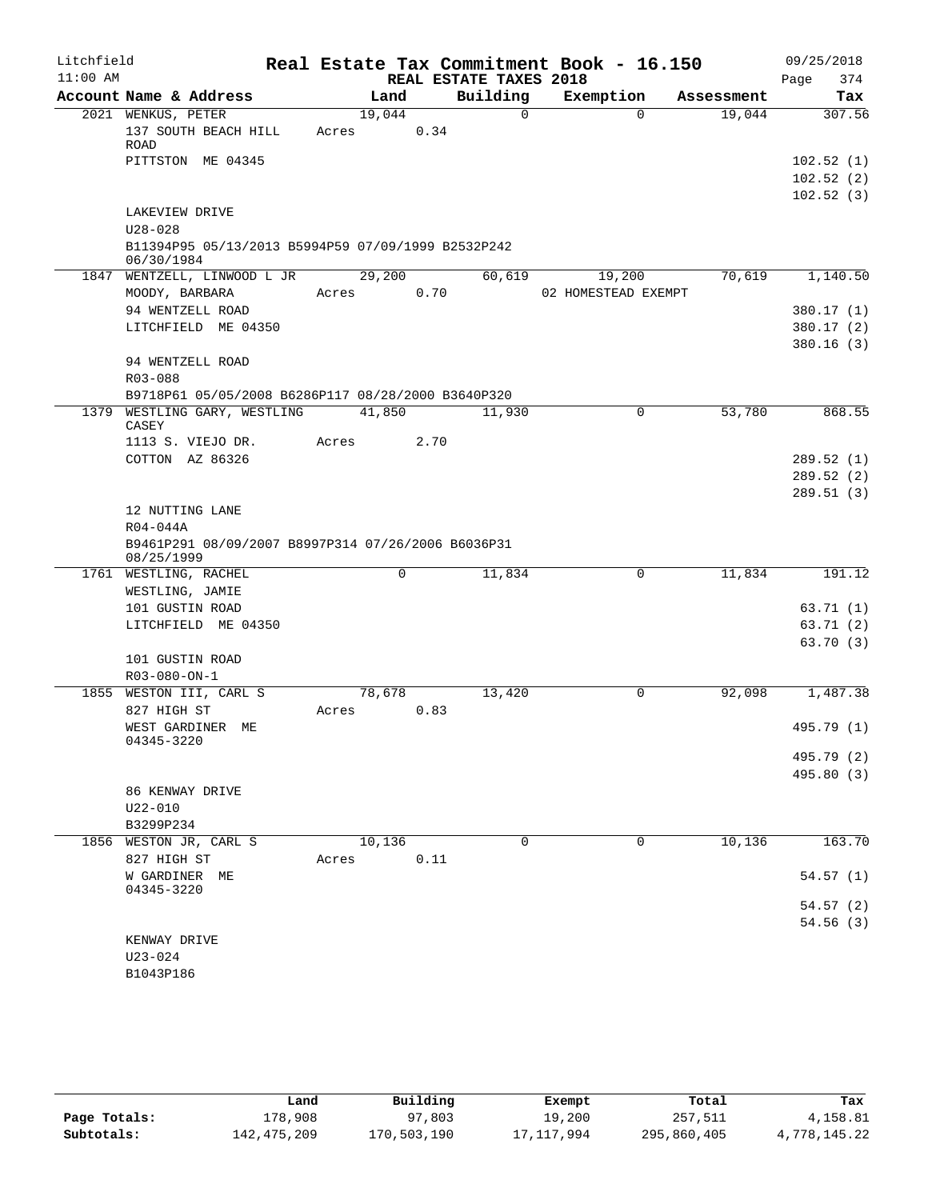| Litchfield |                                                                  |                 |      |                        | Real Estate Tax Commitment Book - 16.150 |            | 09/25/2018                          |
|------------|------------------------------------------------------------------|-----------------|------|------------------------|------------------------------------------|------------|-------------------------------------|
| $11:00$ AM |                                                                  |                 |      | REAL ESTATE TAXES 2018 |                                          |            | 374<br>Page                         |
|            | Account Name & Address                                           | Land            |      | Building               | Exemption                                | Assessment | Tax                                 |
|            | 2021 WENKUS, PETER<br>137 SOUTH BEACH HILL<br>ROAD               | 19,044<br>Acres | 0.34 | $\Omega$               | $\Omega$                                 | 19,044     | 307.56                              |
|            | PITTSTON ME 04345                                                |                 |      |                        |                                          |            | 102.52(1)<br>102.52(2)<br>102.52(3) |
|            | LAKEVIEW DRIVE                                                   |                 |      |                        |                                          |            |                                     |
|            | $U28 - 028$                                                      |                 |      |                        |                                          |            |                                     |
|            | B11394P95 05/13/2013 B5994P59 07/09/1999 B2532P242<br>06/30/1984 |                 |      |                        |                                          |            |                                     |
|            | 1847 WENTZELL, LINWOOD L JR                                      | 29,200          |      | 60,619                 | 19,200                                   | 70,619     | 1,140.50                            |
|            | MOODY, BARBARA                                                   | Acres           | 0.70 |                        | 02 HOMESTEAD EXEMPT                      |            |                                     |
|            | 94 WENTZELL ROAD                                                 |                 |      |                        |                                          |            | 380.17 (1)                          |
|            | LITCHFIELD ME 04350                                              |                 |      |                        |                                          |            | 380.17(2)                           |
|            | 94 WENTZELL ROAD                                                 |                 |      |                        |                                          |            | 380.16(3)                           |
|            | R03-088                                                          |                 |      |                        |                                          |            |                                     |
|            | B9718P61 05/05/2008 B6286P117 08/28/2000 B3640P320               |                 |      |                        |                                          |            |                                     |
| 1379       | WESTLING GARY, WESTLING<br>CASEY                                 | 41,850          |      | 11,930                 | 0                                        | 53,780     | 868.55                              |
|            | 1113 S. VIEJO DR.                                                | Acres           | 2.70 |                        |                                          |            |                                     |
|            | COTTON AZ 86326                                                  |                 |      |                        |                                          |            | 289.52(1)                           |
|            |                                                                  |                 |      |                        |                                          |            | 289.52(2)                           |
|            |                                                                  |                 |      |                        |                                          |            | 289.51 (3)                          |
|            | 12 NUTTING LANE                                                  |                 |      |                        |                                          |            |                                     |
|            | R04-044A                                                         |                 |      |                        |                                          |            |                                     |
|            | B9461P291 08/09/2007 B8997P314 07/26/2006 B6036P31<br>08/25/1999 |                 |      |                        |                                          |            |                                     |
|            | 1761 WESTLING, RACHEL                                            |                 | 0    | 11,834                 | 0                                        | 11,834     | 191.12                              |
|            | WESTLING, JAMIE                                                  |                 |      |                        |                                          |            |                                     |
|            | 101 GUSTIN ROAD                                                  |                 |      |                        |                                          |            | 63.71(1)                            |
|            | LITCHFIELD ME 04350                                              |                 |      |                        |                                          |            | 63.71(2)<br>63.70(3)                |
|            | 101 GUSTIN ROAD                                                  |                 |      |                        |                                          |            |                                     |
|            | R03-080-ON-1                                                     |                 |      |                        |                                          |            |                                     |
|            | 1855 WESTON III, CARL S                                          | 78,678          |      | 13,420                 | 0                                        | 92,098     | 1,487.38                            |
|            | 827 HIGH ST                                                      | Acres           | 0.83 |                        |                                          |            |                                     |
|            | WEST GARDINER ME                                                 |                 |      |                        |                                          |            | 495.79 (1)                          |
|            | 04345-3220                                                       |                 |      |                        |                                          |            | 495.79 (2)                          |
|            |                                                                  |                 |      |                        |                                          |            | 495.80 (3)                          |
|            | 86 KENWAY DRIVE                                                  |                 |      |                        |                                          |            |                                     |
|            | $U22 - 010$                                                      |                 |      |                        |                                          |            |                                     |
|            | B3299P234                                                        |                 |      |                        |                                          |            |                                     |
|            | 1856 WESTON JR, CARL S                                           | 10,136          |      | $\Omega$               | $\mathbf 0$                              | 10, 136    | 163.70                              |
|            | 827 HIGH ST                                                      | Acres           | 0.11 |                        |                                          |            |                                     |
|            | W GARDINER ME<br>04345-3220                                      |                 |      |                        |                                          |            | 54.57(1)                            |
|            |                                                                  |                 |      |                        |                                          |            | 54.57 (2)                           |
|            |                                                                  |                 |      |                        |                                          |            | 54.56(3)                            |
|            | KENWAY DRIVE                                                     |                 |      |                        |                                          |            |                                     |
|            | $U23 - 024$                                                      |                 |      |                        |                                          |            |                                     |
|            | B1043P186                                                        |                 |      |                        |                                          |            |                                     |

|              | Land        | Building    | Exempt     | Total       | Tax          |
|--------------|-------------|-------------|------------|-------------|--------------|
| Page Totals: | 178,908     | 97,803      | 19,200     | 257,511     | 4,158.81     |
| Subtotals:   | 142,475,209 | 170,503,190 | 17,117,994 | 295,860,405 | 4,778,145.22 |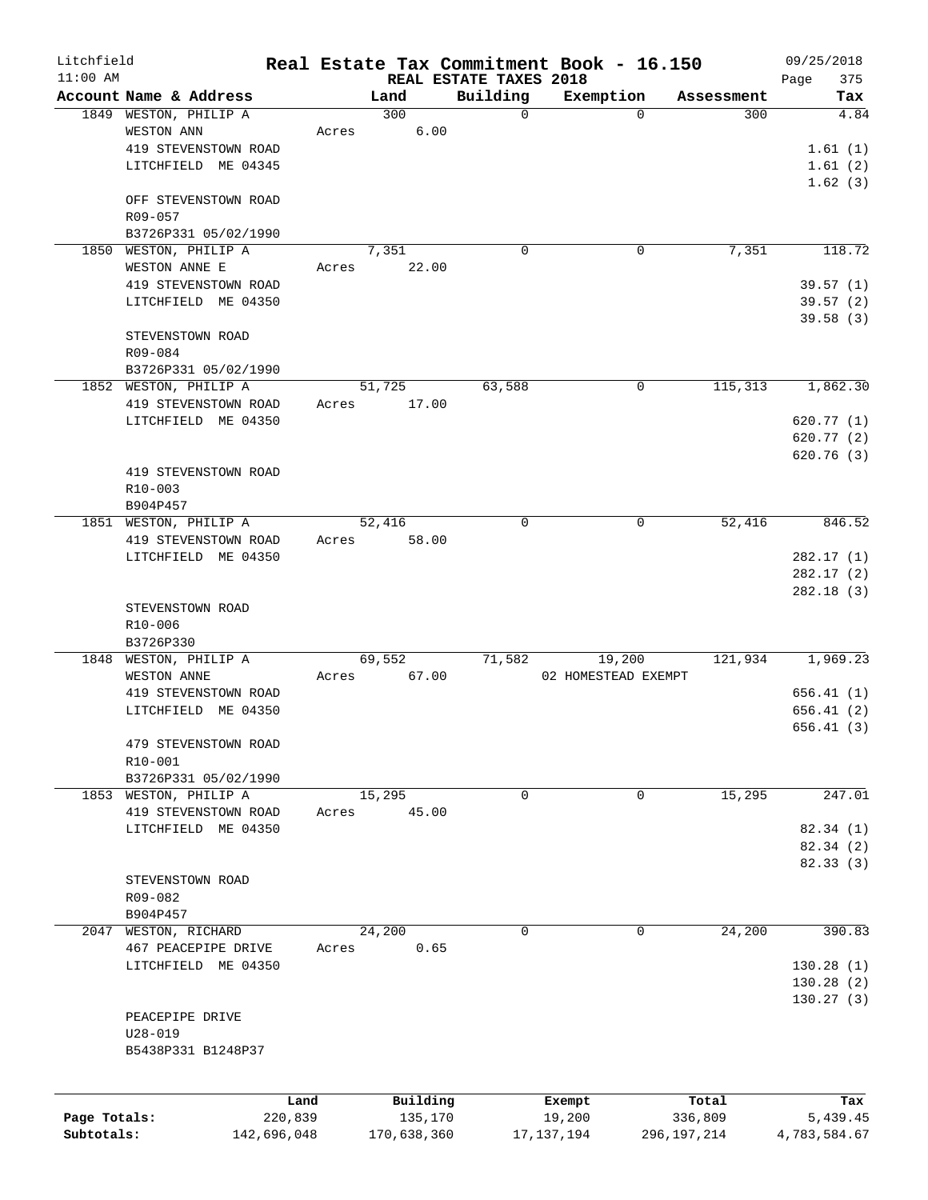| Litchfield   |                        |             |       |             |                                    | Real Estate Tax Commitment Book - 16.150 |                    | 09/25/2018         |
|--------------|------------------------|-------------|-------|-------------|------------------------------------|------------------------------------------|--------------------|--------------------|
| $11:00$ AM   | Account Name & Address |             |       | Land        | REAL ESTATE TAXES 2018<br>Building | Exemption                                | Assessment         | 375<br>Page<br>Tax |
|              | 1849 WESTON, PHILIP A  |             |       | 300         | $\mathbf 0$                        |                                          | 300<br>$\mathbf 0$ | 4.84               |
|              | WESTON ANN             |             | Acres | 6.00        |                                    |                                          |                    |                    |
|              | 419 STEVENSTOWN ROAD   |             |       |             |                                    |                                          |                    | 1.61(1)            |
|              | LITCHFIELD ME 04345    |             |       |             |                                    |                                          |                    | 1.61(2)            |
|              |                        |             |       |             |                                    |                                          |                    | 1.62(3)            |
|              |                        |             |       |             |                                    |                                          |                    |                    |
|              | OFF STEVENSTOWN ROAD   |             |       |             |                                    |                                          |                    |                    |
|              | R09-057                |             |       |             |                                    |                                          |                    |                    |
|              | B3726P331 05/02/1990   |             |       |             |                                    |                                          |                    |                    |
|              | 1850 WESTON, PHILIP A  |             |       | 7,351       | $\Omega$                           |                                          | 7,351<br>0         | 118.72             |
|              | WESTON ANNE E          |             | Acres | 22.00       |                                    |                                          |                    |                    |
|              | 419 STEVENSTOWN ROAD   |             |       |             |                                    |                                          |                    | 39.57(1)           |
|              | LITCHFIELD ME 04350    |             |       |             |                                    |                                          |                    | 39.57(2)           |
|              |                        |             |       |             |                                    |                                          |                    | 39.58 (3)          |
|              | STEVENSTOWN ROAD       |             |       |             |                                    |                                          |                    |                    |
|              | R09-084                |             |       |             |                                    |                                          |                    |                    |
|              | B3726P331 05/02/1990   |             |       |             |                                    |                                          |                    |                    |
|              | 1852 WESTON, PHILIP A  |             |       | 51,725      | 63,588                             |                                          | 115,313<br>0       | 1,862.30           |
|              | 419 STEVENSTOWN ROAD   |             | Acres | 17.00       |                                    |                                          |                    |                    |
|              | LITCHFIELD ME 04350    |             |       |             |                                    |                                          |                    | 620.77(1)          |
|              |                        |             |       |             |                                    |                                          |                    | 620.77(2)          |
|              |                        |             |       |             |                                    |                                          |                    | 620.76(3)          |
|              | 419 STEVENSTOWN ROAD   |             |       |             |                                    |                                          |                    |                    |
|              | R10-003                |             |       |             |                                    |                                          |                    |                    |
|              | B904P457               |             |       |             |                                    |                                          |                    |                    |
|              | 1851 WESTON, PHILIP A  |             |       | 52,416      | $\mathbf 0$                        |                                          | 52,416<br>0        | 846.52             |
|              | 419 STEVENSTOWN ROAD   |             | Acres | 58.00       |                                    |                                          |                    |                    |
|              | LITCHFIELD ME 04350    |             |       |             |                                    |                                          |                    | 282.17(1)          |
|              |                        |             |       |             |                                    |                                          |                    | 282.17(2)          |
|              |                        |             |       |             |                                    |                                          |                    | 282.18(3)          |
|              | STEVENSTOWN ROAD       |             |       |             |                                    |                                          |                    |                    |
|              | R10-006                |             |       |             |                                    |                                          |                    |                    |
|              | B3726P330              |             |       |             |                                    |                                          |                    |                    |
|              | 1848 WESTON, PHILIP A  |             |       | 69,552      | 71,582                             | 19,200                                   | 121,934            | 1,969.23           |
|              | WESTON ANNE            |             | Acres | 67.00       |                                    | 02 HOMESTEAD EXEMPT                      |                    |                    |
|              | 419 STEVENSTOWN ROAD   |             |       |             |                                    |                                          |                    | 656.41(1)          |
|              | LITCHFIELD<br>ME 04350 |             |       |             |                                    |                                          |                    |                    |
|              |                        |             |       |             |                                    |                                          |                    | 656.41(2)          |
|              |                        |             |       |             |                                    |                                          |                    | 656.41(3)          |
|              | 479 STEVENSTOWN ROAD   |             |       |             |                                    |                                          |                    |                    |
|              | R10-001                |             |       |             |                                    |                                          |                    |                    |
|              | B3726P331 05/02/1990   |             |       |             |                                    |                                          |                    |                    |
|              | 1853 WESTON, PHILIP A  |             |       | 15,295      | 0                                  |                                          | 15,295<br>0        | 247.01             |
|              | 419 STEVENSTOWN ROAD   |             | Acres | 45.00       |                                    |                                          |                    |                    |
|              | LITCHFIELD ME 04350    |             |       |             |                                    |                                          |                    | 82.34 (1)          |
|              |                        |             |       |             |                                    |                                          |                    | 82.34 (2)          |
|              |                        |             |       |             |                                    |                                          |                    | 82.33 (3)          |
|              | STEVENSTOWN ROAD       |             |       |             |                                    |                                          |                    |                    |
|              | R09-082                |             |       |             |                                    |                                          |                    |                    |
|              | B904P457               |             |       |             |                                    |                                          |                    |                    |
| 2047         | WESTON, RICHARD        |             |       | 24,200      | 0                                  |                                          | 0<br>24,200        | 390.83             |
|              | 467 PEACEPIPE DRIVE    |             | Acres | 0.65        |                                    |                                          |                    |                    |
|              | LITCHFIELD ME 04350    |             |       |             |                                    |                                          |                    | 130.28(1)          |
|              |                        |             |       |             |                                    |                                          |                    | 130.28(2)          |
|              |                        |             |       |             |                                    |                                          |                    | 130.27(3)          |
|              | PEACEPIPE DRIVE        |             |       |             |                                    |                                          |                    |                    |
|              | $U28 - 019$            |             |       |             |                                    |                                          |                    |                    |
|              | B5438P331 B1248P37     |             |       |             |                                    |                                          |                    |                    |
|              |                        |             |       |             |                                    |                                          |                    |                    |
|              |                        |             |       |             |                                    |                                          |                    |                    |
|              |                        | Land        |       | Building    |                                    | Exempt                                   | Total              | Tax                |
| Page Totals: |                        | 220,839     |       | 135,170     |                                    | 19,200                                   | 336,809            | 5,439.45           |
| Subtotals:   |                        | 142,696,048 |       | 170,638,360 |                                    | 17,137,194                               | 296,197,214        | 4,783,584.67       |
|              |                        |             |       |             |                                    |                                          |                    |                    |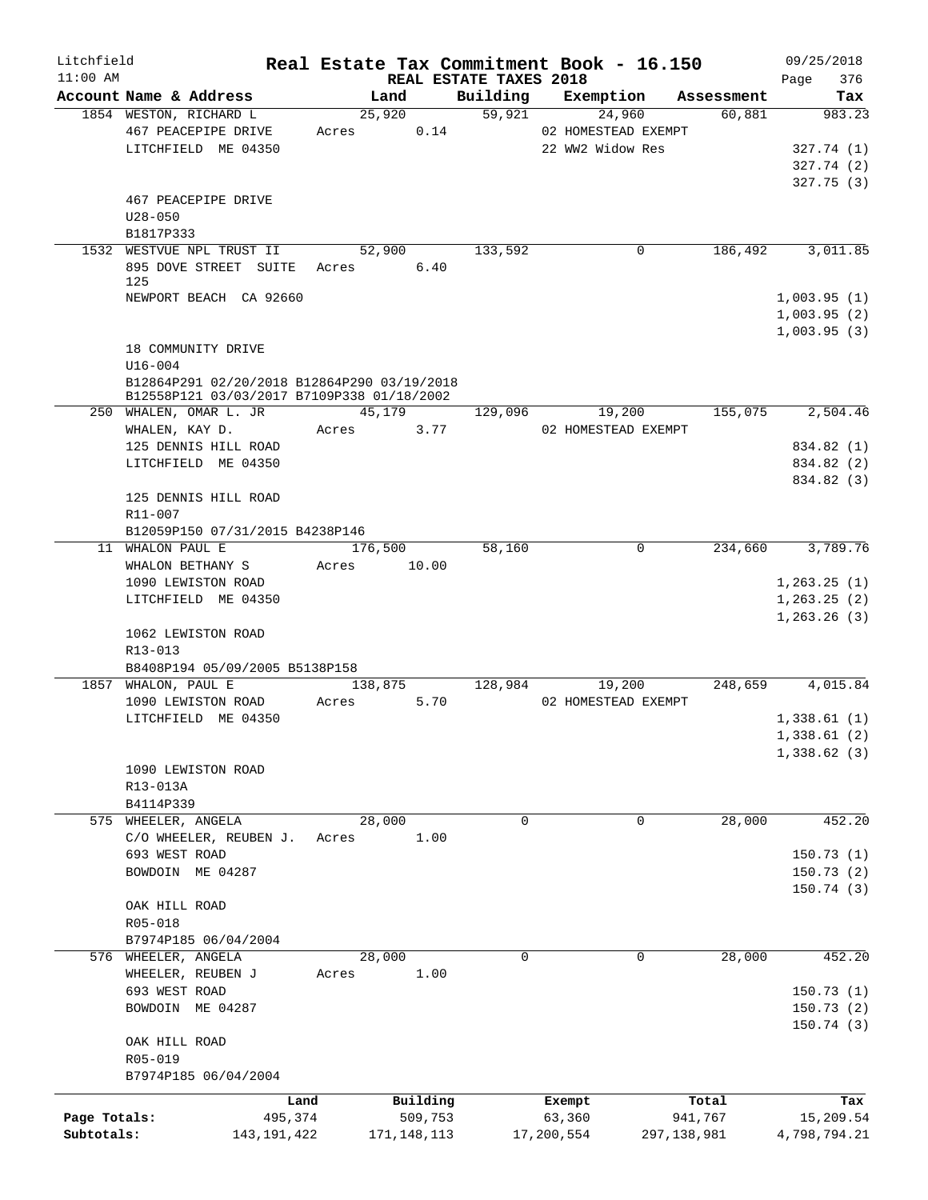| Litchfield   |                                                                                           |                 |                     |                                    | Real Estate Tax Commitment Book - 16.150 |               |                  | 09/25/2018         |
|--------------|-------------------------------------------------------------------------------------------|-----------------|---------------------|------------------------------------|------------------------------------------|---------------|------------------|--------------------|
| $11:00$ AM   | Account Name & Address                                                                    |                 | Land                | REAL ESTATE TAXES 2018<br>Building | Exemption                                |               | Assessment       | 376<br>Page<br>Tax |
|              | 1854 WESTON, RICHARD L                                                                    |                 | 25,920              | 59,921                             | 24,960                                   |               | 60,881           | 983.23             |
|              | 467 PEACEPIPE DRIVE                                                                       | Acres           | 0.14                |                                    | 02 HOMESTEAD EXEMPT                      |               |                  |                    |
|              | LITCHFIELD ME 04350                                                                       |                 |                     |                                    | 22 WW2 Widow Res                         |               |                  | 327.74(1)          |
|              |                                                                                           |                 |                     |                                    |                                          |               |                  | 327.74 (2)         |
|              |                                                                                           |                 |                     |                                    |                                          |               |                  | 327.75(3)          |
|              | 467 PEACEPIPE DRIVE                                                                       |                 |                     |                                    |                                          |               |                  |                    |
|              | $U28 - 050$                                                                               |                 |                     |                                    |                                          |               |                  |                    |
|              | B1817P333                                                                                 |                 |                     |                                    |                                          |               |                  |                    |
|              | 1532 WESTVUE NPL TRUST II                                                                 |                 | 52,900              | 133,592                            |                                          | 0             | 186,492          | 3,011.85           |
|              | 895 DOVE STREET SUITE                                                                     | Acres           | 6.40                |                                    |                                          |               |                  |                    |
|              | 125                                                                                       |                 |                     |                                    |                                          |               |                  |                    |
|              | NEWPORT BEACH CA 92660                                                                    |                 |                     |                                    |                                          |               |                  | 1,003.95(1)        |
|              |                                                                                           |                 |                     |                                    |                                          |               |                  | 1,003.95(2)        |
|              |                                                                                           |                 |                     |                                    |                                          |               |                  | 1,003.95(3)        |
|              | 18 COMMUNITY DRIVE                                                                        |                 |                     |                                    |                                          |               |                  |                    |
|              | $U16 - 004$                                                                               |                 |                     |                                    |                                          |               |                  |                    |
|              | B12864P291 02/20/2018 B12864P290 03/19/2018<br>B12558P121 03/03/2017 B7109P338 01/18/2002 |                 |                     |                                    |                                          |               |                  |                    |
|              | 250 WHALEN, OMAR L. JR                                                                    |                 | 45,179              | 129,096                            | 19,200                                   |               | 155,075          | 2,504.46           |
|              | WHALEN, KAY D.                                                                            | Acres           | 3.77                |                                    | 02 HOMESTEAD EXEMPT                      |               |                  |                    |
|              | 125 DENNIS HILL ROAD                                                                      |                 |                     |                                    |                                          |               |                  | 834.82 (1)         |
|              | LITCHFIELD ME 04350                                                                       |                 |                     |                                    |                                          |               |                  | 834.82 (2)         |
|              |                                                                                           |                 |                     |                                    |                                          |               |                  | 834.82 (3)         |
|              | 125 DENNIS HILL ROAD                                                                      |                 |                     |                                    |                                          |               |                  |                    |
|              | R11-007                                                                                   |                 |                     |                                    |                                          |               |                  |                    |
|              | B12059P150 07/31/2015 B4238P146                                                           |                 |                     |                                    |                                          |               |                  |                    |
| 11           | WHALON PAUL E                                                                             |                 | 176,500             | 58,160                             |                                          | 0             | 234,660          | 3,789.76           |
|              | WHALON BETHANY S                                                                          | Acres           | 10.00               |                                    |                                          |               |                  |                    |
|              | 1090 LEWISTON ROAD                                                                        |                 |                     |                                    |                                          |               |                  | 1, 263.25(1)       |
|              | LITCHFIELD ME 04350                                                                       |                 |                     |                                    |                                          |               |                  | 1, 263.25(2)       |
|              |                                                                                           |                 |                     |                                    |                                          |               |                  | 1, 263.26(3)       |
|              | 1062 LEWISTON ROAD                                                                        |                 |                     |                                    |                                          |               |                  |                    |
|              | R13-013                                                                                   |                 |                     |                                    |                                          |               |                  |                    |
|              | B8408P194 05/09/2005 B5138P158                                                            |                 |                     |                                    |                                          |               |                  |                    |
| 1857         | WHALON, PAUL E                                                                            |                 | 138,875             | 128,984                            | 19,200                                   |               | 248,659          | 4,015.84           |
|              | 1090 LEWISTON ROAD                                                                        | Acres           | 5.70                |                                    | 02 HOMESTEAD EXEMPT                      |               |                  |                    |
|              | LITCHFIELD ME 04350                                                                       |                 |                     |                                    |                                          |               |                  | 1,338.61(1)        |
|              |                                                                                           |                 |                     |                                    |                                          |               |                  | 1,338.61(2)        |
|              |                                                                                           |                 |                     |                                    |                                          |               |                  | 1,338.62(3)        |
|              | 1090 LEWISTON ROAD                                                                        |                 |                     |                                    |                                          |               |                  |                    |
|              | R13-013A                                                                                  |                 |                     |                                    |                                          |               |                  |                    |
| 575          | B4114P339<br>WHEELER, ANGELA                                                              |                 | 28,000              | 0                                  |                                          | 0             | 28,000           | 452.20             |
|              | C/O WHEELER, REUBEN J.                                                                    | Acres           | 1.00                |                                    |                                          |               |                  |                    |
|              | 693 WEST ROAD                                                                             |                 |                     |                                    |                                          |               |                  | 150.73(1)          |
|              | BOWDOIN ME 04287                                                                          |                 |                     |                                    |                                          |               |                  | 150.73(2)          |
|              |                                                                                           |                 |                     |                                    |                                          |               |                  | 150.74(3)          |
|              | OAK HILL ROAD                                                                             |                 |                     |                                    |                                          |               |                  |                    |
|              | R05-018                                                                                   |                 |                     |                                    |                                          |               |                  |                    |
|              | B7974P185 06/04/2004                                                                      |                 |                     |                                    |                                          |               |                  |                    |
|              | 576 WHEELER, ANGELA                                                                       |                 | 28,000              | 0                                  |                                          | 0             | 28,000           | 452.20             |
|              | WHEELER, REUBEN J                                                                         | Acres           | 1.00                |                                    |                                          |               |                  |                    |
|              | 693 WEST ROAD                                                                             |                 |                     |                                    |                                          |               |                  | 150.73(1)          |
|              | BOWDOIN ME 04287                                                                          |                 |                     |                                    |                                          |               |                  | 150.73(2)          |
|              |                                                                                           |                 |                     |                                    |                                          |               |                  | 150.74(3)          |
|              | OAK HILL ROAD                                                                             |                 |                     |                                    |                                          |               |                  |                    |
|              | R05-019                                                                                   |                 |                     |                                    |                                          |               |                  |                    |
|              | B7974P185 06/04/2004                                                                      |                 |                     |                                    |                                          |               |                  |                    |
|              |                                                                                           |                 |                     |                                    |                                          |               |                  |                    |
| Page Totals: |                                                                                           | Land<br>495,374 | Building<br>509,753 |                                    | Exempt<br>63,360                         |               | Total<br>941,767 | Tax<br>15,209.54   |
| Subtotals:   | 143, 191, 422                                                                             |                 | 171, 148, 113       |                                    | 17,200,554                               | 297, 138, 981 |                  | 4,798,794.21       |
|              |                                                                                           |                 |                     |                                    |                                          |               |                  |                    |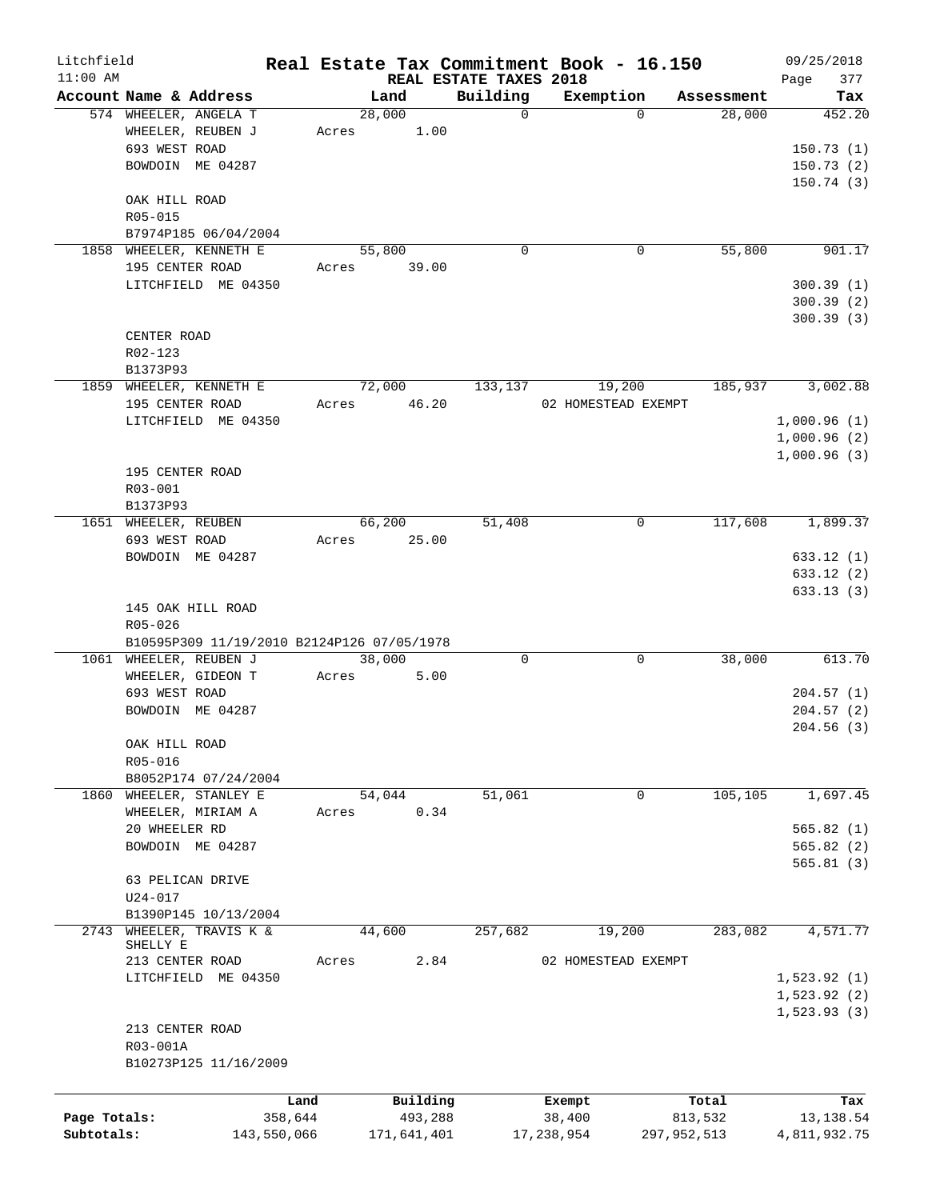| Litchfield   |                         |                                            |       |        |             |                        | Real Estate Tax Commitment Book - 16.150 |             |            |      | 09/25/2018   |
|--------------|-------------------------|--------------------------------------------|-------|--------|-------------|------------------------|------------------------------------------|-------------|------------|------|--------------|
| $11:00$ AM   |                         |                                            |       |        |             | REAL ESTATE TAXES 2018 |                                          |             |            | Page | 377          |
|              | Account Name & Address  |                                            |       | Land   |             | Building               | Exemption                                |             | Assessment |      | Tax          |
|              | 574 WHEELER, ANGELA T   |                                            |       | 28,000 |             | $\mathbf 0$            |                                          | $\Omega$    | 28,000     |      | 452.20       |
|              | WHEELER, REUBEN J       |                                            | Acres |        | 1.00        |                        |                                          |             |            |      |              |
|              | 693 WEST ROAD           |                                            |       |        |             |                        |                                          |             |            |      | 150.73(1)    |
|              | BOWDOIN ME 04287        |                                            |       |        |             |                        |                                          |             |            |      | 150.73(2)    |
|              |                         |                                            |       |        |             |                        |                                          |             |            |      | 150.74(3)    |
|              | OAK HILL ROAD           |                                            |       |        |             |                        |                                          |             |            |      |              |
|              | R05-015                 |                                            |       |        |             |                        |                                          |             |            |      |              |
|              |                         | B7974P185 06/04/2004                       |       |        |             |                        |                                          |             |            |      |              |
|              | 1858 WHEELER, KENNETH E |                                            |       | 55,800 |             | $\mathbf 0$            |                                          | 0           | 55,800     |      | 901.17       |
|              | 195 CENTER ROAD         |                                            | Acres |        | 39.00       |                        |                                          |             |            |      |              |
|              |                         | LITCHFIELD ME 04350                        |       |        |             |                        |                                          |             |            |      | 300.39(1)    |
|              |                         |                                            |       |        |             |                        |                                          |             |            |      | 300.39(2)    |
|              |                         |                                            |       |        |             |                        |                                          |             |            |      | 300.39(3)    |
|              | CENTER ROAD             |                                            |       |        |             |                        |                                          |             |            |      |              |
|              | R02-123                 |                                            |       |        |             |                        |                                          |             |            |      |              |
|              | B1373P93                |                                            |       |        |             |                        |                                          |             |            |      |              |
|              | 1859 WHEELER, KENNETH E |                                            |       | 72,000 |             | 133,137                | 19,200                                   |             | 185,937    |      | 3,002.88     |
|              | 195 CENTER ROAD         |                                            | Acres | 46.20  |             |                        | 02 HOMESTEAD EXEMPT                      |             |            |      |              |
|              |                         | LITCHFIELD ME 04350                        |       |        |             |                        |                                          |             |            |      | 1,000.96(1)  |
|              |                         |                                            |       |        |             |                        |                                          |             |            |      | 1,000.96(2)  |
|              |                         |                                            |       |        |             |                        |                                          |             |            |      | 1,000.96(3)  |
|              | 195 CENTER ROAD         |                                            |       |        |             |                        |                                          |             |            |      |              |
|              |                         |                                            |       |        |             |                        |                                          |             |            |      |              |
|              | R03-001                 |                                            |       |        |             |                        |                                          |             |            |      |              |
|              | B1373P93                |                                            |       |        |             |                        |                                          |             |            |      |              |
|              | 1651 WHEELER, REUBEN    |                                            |       | 66,200 |             | 51,408                 |                                          | 0           | 117,608    |      | 1,899.37     |
|              | 693 WEST ROAD           |                                            | Acres |        | 25.00       |                        |                                          |             |            |      |              |
|              | BOWDOIN ME 04287        |                                            |       |        |             |                        |                                          |             |            |      | 633.12(1)    |
|              |                         |                                            |       |        |             |                        |                                          |             |            |      | 633.12(2)    |
|              |                         |                                            |       |        |             |                        |                                          |             |            |      | 633.13(3)    |
|              | 145 OAK HILL ROAD       |                                            |       |        |             |                        |                                          |             |            |      |              |
|              | R05-026                 |                                            |       |        |             |                        |                                          |             |            |      |              |
|              |                         | B10595P309 11/19/2010 B2124P126 07/05/1978 |       |        |             |                        |                                          |             |            |      |              |
|              | 1061 WHEELER, REUBEN J  |                                            |       | 38,000 |             | 0                      |                                          | 0           | 38,000     |      | 613.70       |
|              | WHEELER, GIDEON T       |                                            | Acres |        | 5.00        |                        |                                          |             |            |      |              |
|              | 693 WEST ROAD           |                                            |       |        |             |                        |                                          |             |            |      | 204.57(1)    |
|              | BOWDOIN ME 04287        |                                            |       |        |             |                        |                                          |             |            |      | 204.57(2)    |
|              |                         |                                            |       |        |             |                        |                                          |             |            |      | 204.56(3)    |
|              | OAK HILL ROAD           |                                            |       |        |             |                        |                                          |             |            |      |              |
|              | R05-016                 |                                            |       |        |             |                        |                                          |             |            |      |              |
|              |                         | B8052P174 07/24/2004                       |       |        |             |                        |                                          |             |            |      |              |
| 1860         | WHEELER, STANLEY E      |                                            |       | 54,044 |             | 51,061                 |                                          | 0           | 105,105    |      | 1,697.45     |
|              | WHEELER, MIRIAM A       |                                            | Acres |        | 0.34        |                        |                                          |             |            |      |              |
|              | 20 WHEELER RD           |                                            |       |        |             |                        |                                          |             |            |      | 565.82(1)    |
|              | BOWDOIN ME 04287        |                                            |       |        |             |                        |                                          |             |            |      | 565.82(2)    |
|              |                         |                                            |       |        |             |                        |                                          |             |            |      | 565.81(3)    |
|              | 63 PELICAN DRIVE        |                                            |       |        |             |                        |                                          |             |            |      |              |
|              | $U24 - 017$             |                                            |       |        |             |                        |                                          |             |            |      |              |
|              |                         | B1390P145 10/13/2004                       |       |        |             |                        |                                          |             |            |      |              |
| 2743         | WHEELER, TRAVIS K &     |                                            |       | 44,600 |             | 257,682                | 19,200                                   |             | 283,082    |      | 4,571.77     |
|              | SHELLY E                |                                            |       |        |             |                        |                                          |             |            |      |              |
|              | 213 CENTER ROAD         |                                            | Acres |        | 2.84        |                        | 02 HOMESTEAD EXEMPT                      |             |            |      |              |
|              |                         | LITCHFIELD ME 04350                        |       |        |             |                        |                                          |             |            |      | 1,523.92(1)  |
|              |                         |                                            |       |        |             |                        |                                          |             |            |      | 1,523.92(2)  |
|              |                         |                                            |       |        |             |                        |                                          |             |            |      | 1,523.93(3)  |
|              | 213 CENTER ROAD         |                                            |       |        |             |                        |                                          |             |            |      |              |
|              | R03-001A                |                                            |       |        |             |                        |                                          |             |            |      |              |
|              |                         | B10273P125 11/16/2009                      |       |        |             |                        |                                          |             |            |      |              |
|              |                         |                                            |       |        |             |                        |                                          |             |            |      |              |
|              |                         | Land                                       |       |        | Building    |                        | Exempt                                   |             | Total      |      | Tax          |
| Page Totals: |                         | 358,644                                    |       |        | 493,288     |                        | 38,400                                   |             | 813,532    |      | 13,138.54    |
| Subtotals:   |                         | 143,550,066                                |       |        | 171,641,401 |                        | 17,238,954                               | 297,952,513 |            |      | 4,811,932.75 |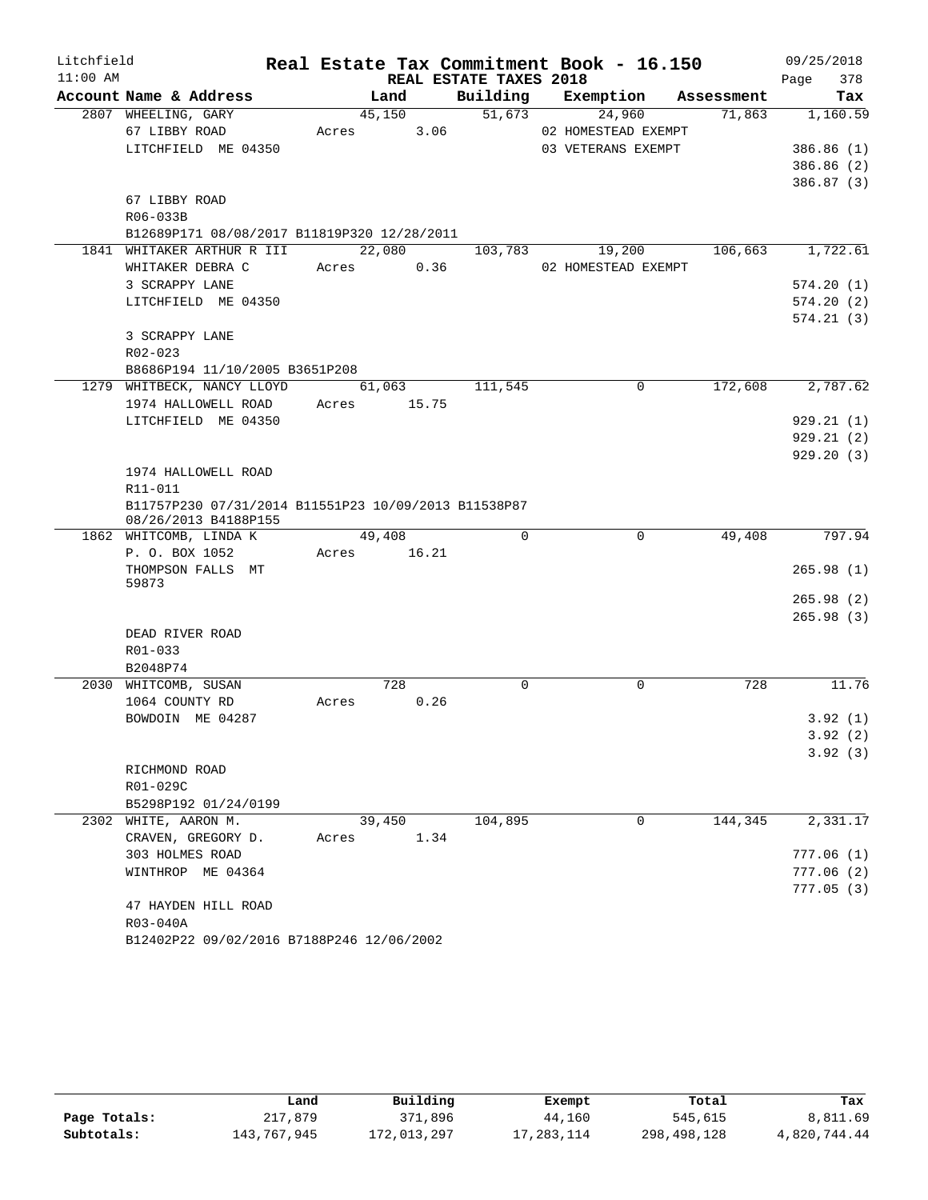| Litchfield |                                                         | Real Estate Tax Commitment Book - 16.150 |      |                        |                     |             |            | 09/25/2018 |            |
|------------|---------------------------------------------------------|------------------------------------------|------|------------------------|---------------------|-------------|------------|------------|------------|
| $11:00$ AM |                                                         |                                          |      | REAL ESTATE TAXES 2018 |                     |             |            | Page       | 378        |
|            | Account Name & Address                                  | Land                                     |      |                        | Building Exemption  |             | Assessment |            | Tax        |
|            | 2807 WHEELING, GARY                                     | 45,150                                   |      | 51,673                 | 24,960              |             | 71,863     |            | 1,160.59   |
|            | 67 LIBBY ROAD                                           | Acres                                    | 3.06 |                        | 02 HOMESTEAD EXEMPT |             |            |            |            |
|            | LITCHFIELD ME 04350                                     |                                          |      |                        | 03 VETERANS EXEMPT  |             |            |            | 386.86 (1) |
|            |                                                         |                                          |      |                        |                     |             |            |            | 386.86 (2) |
|            |                                                         |                                          |      |                        |                     |             |            |            | 386.87 (3) |
|            | 67 LIBBY ROAD                                           |                                          |      |                        |                     |             |            |            |            |
|            | R06-033B<br>B12689P171 08/08/2017 B11819P320 12/28/2011 |                                          |      |                        |                     |             |            |            |            |
|            | 1841 WHITAKER ARTHUR R III                              | 22,080                                   |      | 103,783                | 19,200              |             | 106,663    |            | 1,722.61   |
|            | WHITAKER DEBRA C                                        | Acres                                    | 0.36 |                        | 02 HOMESTEAD EXEMPT |             |            |            |            |
|            | 3 SCRAPPY LANE                                          |                                          |      |                        |                     |             |            |            | 574.20(1)  |
|            | LITCHFIELD ME 04350                                     |                                          |      |                        |                     |             |            |            | 574.20(2)  |
|            |                                                         |                                          |      |                        |                     |             |            |            | 574.21(3)  |
|            | 3 SCRAPPY LANE                                          |                                          |      |                        |                     |             |            |            |            |
|            | R02-023                                                 |                                          |      |                        |                     |             |            |            |            |
|            | B8686P194 11/10/2005 B3651P208                          |                                          |      |                        |                     |             |            |            |            |
|            | 1279 WHITBECK, NANCY LLOYD                              | 61,063                                   |      | 111,545                |                     | $\Omega$    | 172,608    |            | 2,787.62   |
|            | 1974 HALLOWELL ROAD                                     | 15.75<br>Acres                           |      |                        |                     |             |            |            |            |
|            | LITCHFIELD ME 04350                                     |                                          |      |                        |                     |             |            |            | 929.21(1)  |
|            |                                                         |                                          |      |                        |                     |             |            |            | 929.21(2)  |
|            |                                                         |                                          |      |                        |                     |             |            |            | 929.20(3)  |
|            | 1974 HALLOWELL ROAD                                     |                                          |      |                        |                     |             |            |            |            |
|            | R11-011                                                 |                                          |      |                        |                     |             |            |            |            |
|            | B11757P230 07/31/2014 B11551P23 10/09/2013 B11538P87    |                                          |      |                        |                     |             |            |            |            |
|            | 08/26/2013 B4188P155<br>1862 WHITCOMB, LINDA K          | 49,408                                   |      | $\Omega$               |                     | 0           | 49,408     |            | 797.94     |
|            | P. O. BOX 1052                                          | Acres 16.21                              |      |                        |                     |             |            |            |            |
|            | THOMPSON FALLS MT                                       |                                          |      |                        |                     |             |            |            | 265.98(1)  |
|            | 59873                                                   |                                          |      |                        |                     |             |            |            |            |
|            |                                                         |                                          |      |                        |                     |             |            |            | 265.98(2)  |
|            |                                                         |                                          |      |                        |                     |             |            |            | 265.98(3)  |
|            | DEAD RIVER ROAD                                         |                                          |      |                        |                     |             |            |            |            |
|            | R01-033                                                 |                                          |      |                        |                     |             |            |            |            |
|            | B2048P74                                                |                                          |      |                        |                     |             |            |            |            |
|            | 2030 WHITCOMB, SUSAN                                    | 728                                      |      | $\mathbf 0$            |                     | $\mathbf 0$ | 728        |            | 11.76      |
|            | 1064 COUNTY RD                                          | Acres                                    | 0.26 |                        |                     |             |            |            |            |
|            | BOWDOIN ME 04287                                        |                                          |      |                        |                     |             |            |            | 3.92(1)    |
|            |                                                         |                                          |      |                        |                     |             |            |            | 3.92(2)    |
|            |                                                         |                                          |      |                        |                     |             |            |            | 3.92(3)    |
|            | RICHMOND ROAD<br>R01-029C                               |                                          |      |                        |                     |             |            |            |            |
|            | B5298P192 01/24/0199                                    |                                          |      |                        |                     |             |            |            |            |
|            | 2302 WHITE, AARON M.                                    | 39,450                                   |      | 104,895                |                     | 0           | 144,345    |            | 2,331.17   |
|            | CRAVEN, GREGORY D.                                      | Acres                                    | 1.34 |                        |                     |             |            |            |            |
|            | 303 HOLMES ROAD                                         |                                          |      |                        |                     |             |            | 777.06(1)  |            |
|            | WINTHROP ME 04364                                       |                                          |      |                        |                     |             |            |            | 777.06(2)  |
|            |                                                         |                                          |      |                        |                     |             |            |            | 777.05(3)  |
|            | 47 HAYDEN HILL ROAD                                     |                                          |      |                        |                     |             |            |            |            |
|            | R03-040A                                                |                                          |      |                        |                     |             |            |            |            |
|            | B12402P22 09/02/2016 B7188P246 12/06/2002               |                                          |      |                        |                     |             |            |            |            |

|              | Land        | Building    | Exempt     | Total       | Tax          |
|--------------|-------------|-------------|------------|-------------|--------------|
| Page Totals: | 217,879     | 371,896     | 44,160     | 545,615     | 8,811.69     |
| Subtotals:   | 143,767,945 | 172,013,297 | 17,283,114 | 298,498,128 | 4,820,744.44 |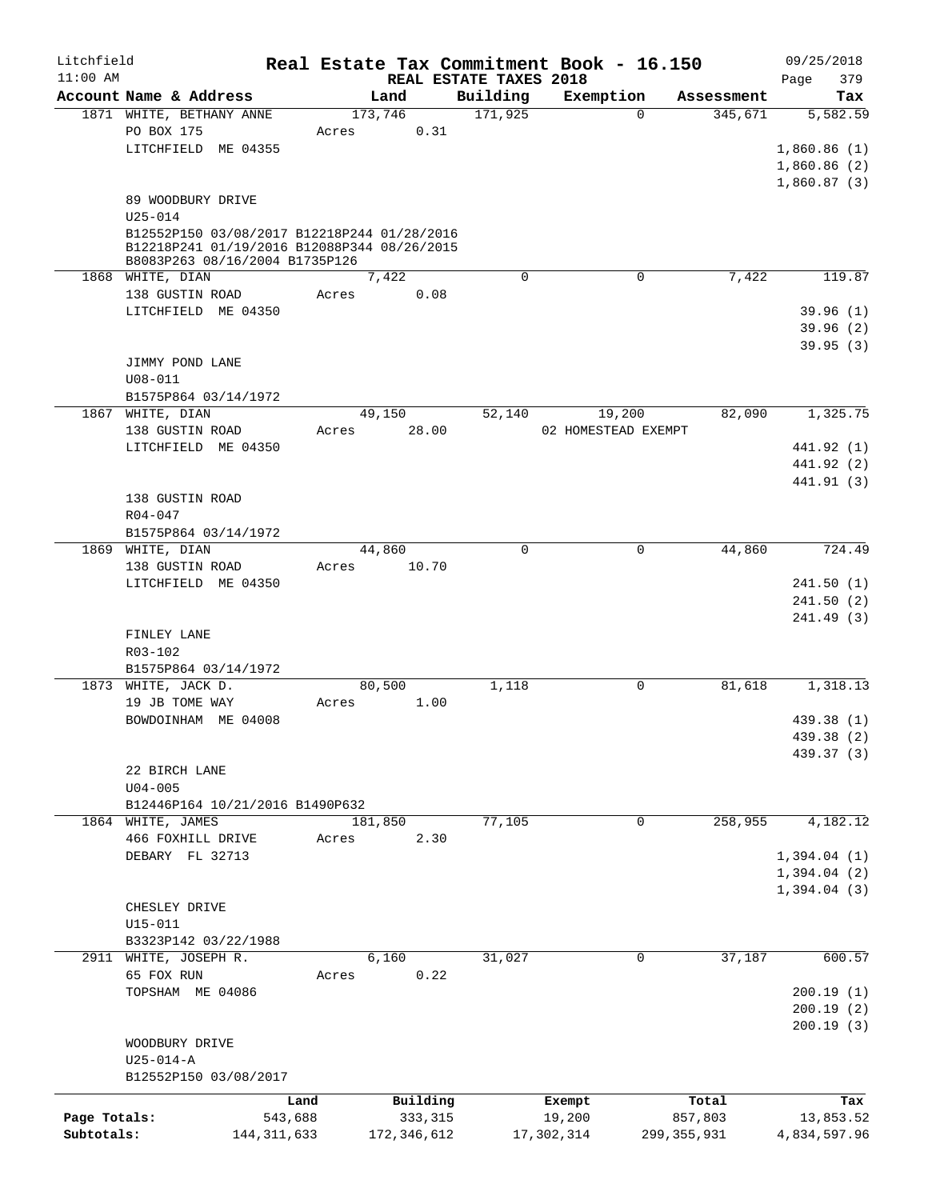| Litchfield   |                                                                                            |               |               |                        | Real Estate Tax Commitment Book - 16.150 |               | 09/25/2018   |
|--------------|--------------------------------------------------------------------------------------------|---------------|---------------|------------------------|------------------------------------------|---------------|--------------|
| $11:00$ AM   |                                                                                            |               |               | REAL ESTATE TAXES 2018 |                                          |               | 379<br>Page  |
|              | Account Name & Address                                                                     |               | Land          | Building               | Exemption                                | Assessment    | Tax          |
|              | 1871 WHITE, BETHANY ANNE                                                                   |               | 173,746       | 171,925                | $\Omega$                                 | 345,671       | 5,582.59     |
|              | PO BOX 175                                                                                 | Acres         | 0.31          |                        |                                          |               |              |
|              | LITCHFIELD ME 04355                                                                        |               |               |                        |                                          |               | 1,860.86(1)  |
|              |                                                                                            |               |               |                        |                                          |               | 1,860.86 (2) |
|              |                                                                                            |               |               |                        |                                          |               | 1,860.87(3)  |
|              | 89 WOODBURY DRIVE                                                                          |               |               |                        |                                          |               |              |
|              | $U25 - 014$                                                                                |               |               |                        |                                          |               |              |
|              | B12552P150 03/08/2017 B12218P244 01/28/2016<br>B12218P241 01/19/2016 B12088P344 08/26/2015 |               |               |                        |                                          |               |              |
|              | B8083P263 08/16/2004 B1735P126                                                             |               |               |                        |                                          |               |              |
|              | 1868 WHITE, DIAN                                                                           |               | 7,422         | $\mathbf 0$            | $\mathbf 0$                              | 7,422         | 119.87       |
|              | 138 GUSTIN ROAD                                                                            | Acres         | 0.08          |                        |                                          |               |              |
|              | LITCHFIELD ME 04350                                                                        |               |               |                        |                                          |               | 39.96(1)     |
|              |                                                                                            |               |               |                        |                                          |               | 39.96(2)     |
|              |                                                                                            |               |               |                        |                                          |               | 39.95(3)     |
|              | JIMMY POND LANE                                                                            |               |               |                        |                                          |               |              |
|              | $U08 - 011$                                                                                |               |               |                        |                                          |               |              |
|              | B1575P864 03/14/1972                                                                       |               |               |                        |                                          |               |              |
| 1867         | WHITE, DIAN                                                                                |               | 49,150        | 52,140                 | 19,200                                   | 82,090        | 1,325.75     |
|              | 138 GUSTIN ROAD                                                                            | Acres         | 28.00         |                        | 02 HOMESTEAD EXEMPT                      |               |              |
|              | LITCHFIELD ME 04350                                                                        |               |               |                        |                                          |               | 441.92 (1)   |
|              |                                                                                            |               |               |                        |                                          |               | 441.92 (2)   |
|              |                                                                                            |               |               |                        |                                          |               | 441.91 (3)   |
|              | 138 GUSTIN ROAD                                                                            |               |               |                        |                                          |               |              |
|              | $R04 - 047$                                                                                |               |               |                        |                                          |               |              |
|              | B1575P864 03/14/1972                                                                       |               |               |                        |                                          |               |              |
|              | 1869 WHITE, DIAN                                                                           |               | 44,860        | $\mathbf 0$            | 0                                        | 44,860        | 724.49       |
|              | 138 GUSTIN ROAD                                                                            | Acres         | 10.70         |                        |                                          |               |              |
|              | LITCHFIELD ME 04350                                                                        |               |               |                        |                                          |               | 241.50 (1)   |
|              |                                                                                            |               |               |                        |                                          |               | 241.50(2)    |
|              |                                                                                            |               |               |                        |                                          |               | 241.49 (3)   |
|              | FINLEY LANE                                                                                |               |               |                        |                                          |               |              |
|              | R03-102                                                                                    |               |               |                        |                                          |               |              |
|              | B1575P864 03/14/1972                                                                       |               |               |                        |                                          | 81,618        |              |
|              | 1873 WHITE, JACK D.                                                                        |               | 80,500        | 1,118                  | 0                                        |               | 1,318.13     |
|              | 19 JB TOME WAY<br>BOWDOINHAM ME 04008                                                      | Acres         | 1.00          |                        |                                          |               | 439.38 (1)   |
|              |                                                                                            |               |               |                        |                                          |               | 439.38 (2)   |
|              |                                                                                            |               |               |                        |                                          |               | 439.37 (3)   |
|              | 22 BIRCH LANE                                                                              |               |               |                        |                                          |               |              |
|              | $U04 - 005$                                                                                |               |               |                        |                                          |               |              |
|              | B12446P164 10/21/2016 B1490P632                                                            |               |               |                        |                                          |               |              |
|              | 1864 WHITE, JAMES                                                                          |               | 181,850       | 77,105                 | 0                                        | 258,955       | 4,182.12     |
|              | 466 FOXHILL DRIVE                                                                          | Acres         | 2.30          |                        |                                          |               |              |
|              | DEBARY FL 32713                                                                            |               |               |                        |                                          |               | 1,394.04(1)  |
|              |                                                                                            |               |               |                        |                                          |               | 1,394.04 (2) |
|              |                                                                                            |               |               |                        |                                          |               | 1,394.04(3)  |
|              | CHESLEY DRIVE                                                                              |               |               |                        |                                          |               |              |
|              | $U15 - 011$                                                                                |               |               |                        |                                          |               |              |
|              | B3323P142 03/22/1988                                                                       |               |               |                        |                                          |               |              |
|              | 2911 WHITE, JOSEPH R.                                                                      |               | 6,160         | 31,027                 | 0                                        | 37,187        | 600.57       |
|              | 65 FOX RUN                                                                                 | Acres         | 0.22          |                        |                                          |               |              |
|              | TOPSHAM ME 04086                                                                           |               |               |                        |                                          |               | 200.19(1)    |
|              |                                                                                            |               |               |                        |                                          |               | 200.19(2)    |
|              |                                                                                            |               |               |                        |                                          |               | 200.19(3)    |
|              | WOODBURY DRIVE                                                                             |               |               |                        |                                          |               |              |
|              | $U25 - 014 - A$                                                                            |               |               |                        |                                          |               |              |
|              | B12552P150 03/08/2017                                                                      |               |               |                        |                                          |               |              |
|              |                                                                                            | Land          | Building      |                        | Exempt                                   | Total         | Tax          |
| Page Totals: |                                                                                            | 543,688       | 333,315       |                        | 19,200                                   | 857,803       | 13,853.52    |
| Subtotals:   |                                                                                            | 144, 311, 633 | 172, 346, 612 |                        | 17,302,314                               | 299, 355, 931 | 4,834,597.96 |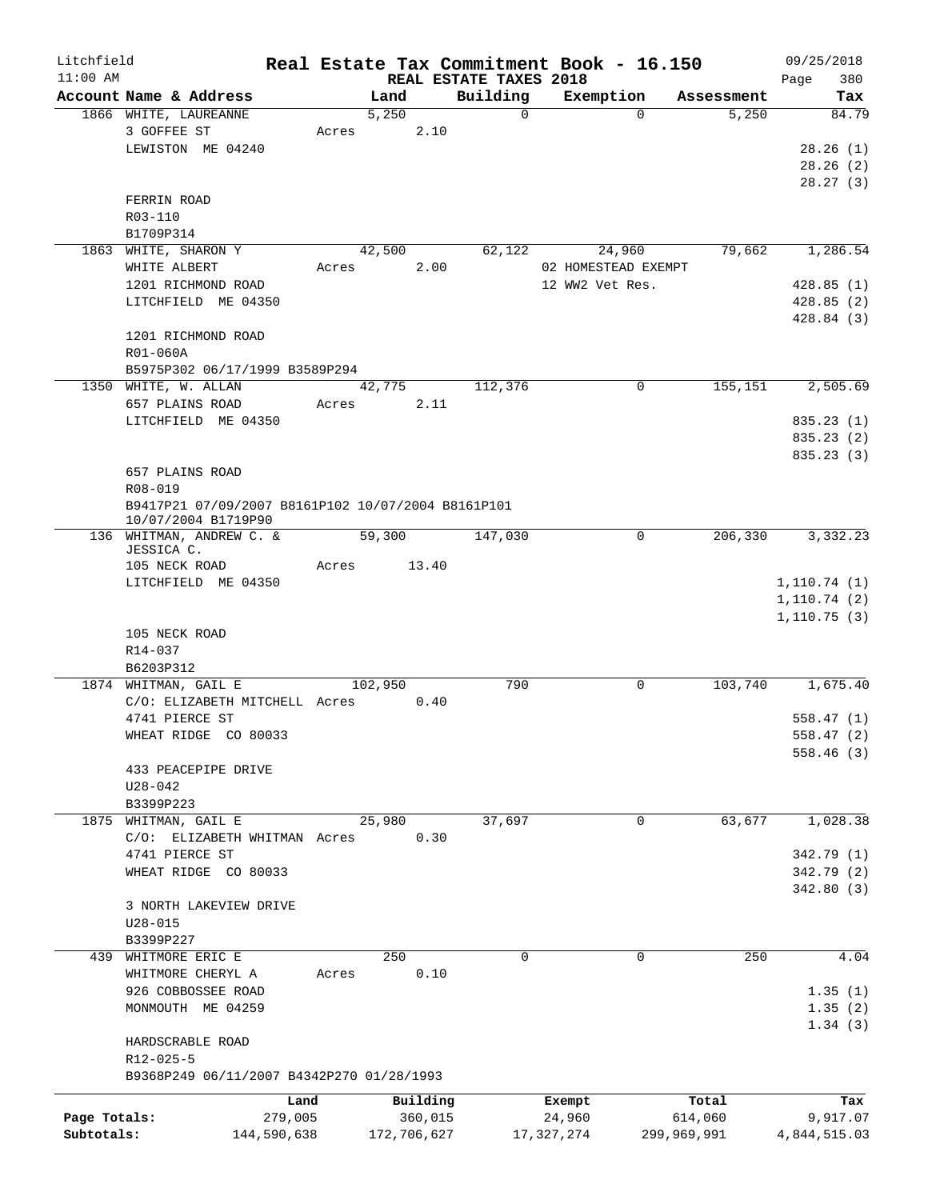| Litchfield   |                                                    |       |             |                                    |              | Real Estate Tax Commitment Book - 16.150 |             | 09/25/2018         |
|--------------|----------------------------------------------------|-------|-------------|------------------------------------|--------------|------------------------------------------|-------------|--------------------|
| $11:00$ AM   | Account Name & Address                             |       | Land        | REAL ESTATE TAXES 2018<br>Building |              | Exemption                                | Assessment  | 380<br>Page<br>Tax |
|              | 1866 WHITE, LAUREANNE                              |       | 5,250       |                                    | $\Omega$     | $\Omega$                                 | 5,250       | 84.79              |
|              | 3 GOFFEE ST                                        | Acres | 2.10        |                                    |              |                                          |             |                    |
|              | LEWISTON ME 04240                                  |       |             |                                    |              |                                          |             | 28.26(1)           |
|              |                                                    |       |             |                                    |              |                                          |             | 28.26(2)           |
|              |                                                    |       |             |                                    |              |                                          |             | 28.27(3)           |
|              | FERRIN ROAD                                        |       |             |                                    |              |                                          |             |                    |
|              | R03-110                                            |       |             |                                    |              |                                          |             |                    |
|              | B1709P314                                          |       |             |                                    |              |                                          |             |                    |
|              | 1863 WHITE, SHARON Y                               |       | 42,500      | 62,122                             |              | 24,960                                   | 79,662      | 1,286.54           |
|              | WHITE ALBERT                                       | Acres | 2.00        |                                    |              | 02 HOMESTEAD EXEMPT                      |             |                    |
|              | 1201 RICHMOND ROAD                                 |       |             |                                    |              | 12 WW2 Vet Res.                          |             | 428.85(1)          |
|              | LITCHFIELD ME 04350                                |       |             |                                    |              |                                          |             | 428.85(2)          |
|              |                                                    |       |             |                                    |              |                                          |             | 428.84(3)          |
|              | 1201 RICHMOND ROAD                                 |       |             |                                    |              |                                          |             |                    |
|              | R01-060A                                           |       |             |                                    |              |                                          |             |                    |
|              | B5975P302 06/17/1999 B3589P294                     |       |             |                                    |              |                                          |             |                    |
|              | 1350 WHITE, W. ALLAN                               |       | 42,775      | 112,376                            |              | $\Omega$                                 | 155,151     | 2,505.69           |
|              | 657 PLAINS ROAD                                    | Acres | 2.11        |                                    |              |                                          |             |                    |
|              | LITCHFIELD ME 04350                                |       |             |                                    |              |                                          |             | 835.23(1)          |
|              |                                                    |       |             |                                    |              |                                          |             | 835.23 (2)         |
|              |                                                    |       |             |                                    |              |                                          |             | 835.23 (3)         |
|              | 657 PLAINS ROAD                                    |       |             |                                    |              |                                          |             |                    |
|              | R08-019                                            |       |             |                                    |              |                                          |             |                    |
|              | B9417P21 07/09/2007 B8161P102 10/07/2004 B8161P101 |       |             |                                    |              |                                          |             |                    |
|              | 10/07/2004 B1719P90                                |       |             |                                    |              |                                          |             |                    |
|              | 136 WHITMAN, ANDREW C. &<br>JESSICA C.             |       | 59,300      | 147,030                            |              | 0                                        | 206,330     | 3,332.23           |
|              | 105 NECK ROAD                                      | Acres | 13.40       |                                    |              |                                          |             |                    |
|              | LITCHFIELD ME 04350                                |       |             |                                    |              |                                          |             | 1, 110.74(1)       |
|              |                                                    |       |             |                                    |              |                                          |             | 1,110.74(2)        |
|              |                                                    |       |             |                                    |              |                                          |             | 1,110.75(3)        |
|              | 105 NECK ROAD                                      |       |             |                                    |              |                                          |             |                    |
|              | $R14 - 037$                                        |       |             |                                    |              |                                          |             |                    |
|              | B6203P312                                          |       |             |                                    |              |                                          |             |                    |
|              | 1874 WHITMAN, GAIL E                               |       | 102,950     |                                    | 790          | $\mathbf 0$                              | 103,740     | 1,675.40           |
|              | C/O: ELIZABETH MITCHELL Acres                      |       | 0.40        |                                    |              |                                          |             |                    |
|              | 4741 PIERCE ST                                     |       |             |                                    |              |                                          |             | 558.47(1)          |
|              | WHEAT RIDGE CO 80033                               |       |             |                                    |              |                                          |             | 558.47 (2)         |
|              |                                                    |       |             |                                    |              |                                          |             | 558.46(3)          |
|              | 433 PEACEPIPE DRIVE                                |       |             |                                    |              |                                          |             |                    |
|              | $U28 - 042$                                        |       |             |                                    |              |                                          |             |                    |
|              | B3399P223                                          |       |             |                                    |              |                                          |             |                    |
| 1875         | WHITMAN, GAIL E                                    |       | 25,980      | 37,697                             |              | $\mathbf 0$                              | 63,677      | 1,028.38           |
|              | C/O: ELIZABETH WHITMAN Acres                       |       | 0.30        |                                    |              |                                          |             |                    |
|              | 4741 PIERCE ST                                     |       |             |                                    |              |                                          |             | 342.79 (1)         |
|              | WHEAT RIDGE CO 80033                               |       |             |                                    |              |                                          |             | 342.79 (2)         |
|              |                                                    |       |             |                                    |              |                                          |             | 342.80(3)          |
|              | 3 NORTH LAKEVIEW DRIVE                             |       |             |                                    |              |                                          |             |                    |
|              | $U28 - 015$                                        |       |             |                                    |              |                                          |             |                    |
|              | B3399P227                                          |       |             |                                    |              |                                          |             |                    |
| 439          | WHITMORE ERIC E                                    |       | 250         |                                    | $\mathbf 0$  | $\mathbf 0$                              | 250         | 4.04               |
|              | WHITMORE CHERYL A                                  | Acres | 0.10        |                                    |              |                                          |             |                    |
|              | 926 COBBOSSEE ROAD                                 |       |             |                                    |              |                                          |             | 1.35(1)            |
|              | MONMOUTH ME 04259                                  |       |             |                                    |              |                                          |             | 1.35(2)            |
|              |                                                    |       |             |                                    |              |                                          |             | 1.34(3)            |
|              | HARDSCRABLE ROAD                                   |       |             |                                    |              |                                          |             |                    |
|              | R12-025-5                                          |       |             |                                    |              |                                          |             |                    |
|              | B9368P249 06/11/2007 B4342P270 01/28/1993          |       |             |                                    |              |                                          |             |                    |
|              |                                                    | Land  | Building    |                                    | Exempt       |                                          | Total       | Tax                |
| Page Totals: | 279,005                                            |       | 360,015     |                                    | 24,960       |                                          | 614,060     | 9,917.07           |
| Subtotals:   | 144,590,638                                        |       | 172,706,627 |                                    | 17, 327, 274 |                                          | 299,969,991 | 4,844,515.03       |
|              |                                                    |       |             |                                    |              |                                          |             |                    |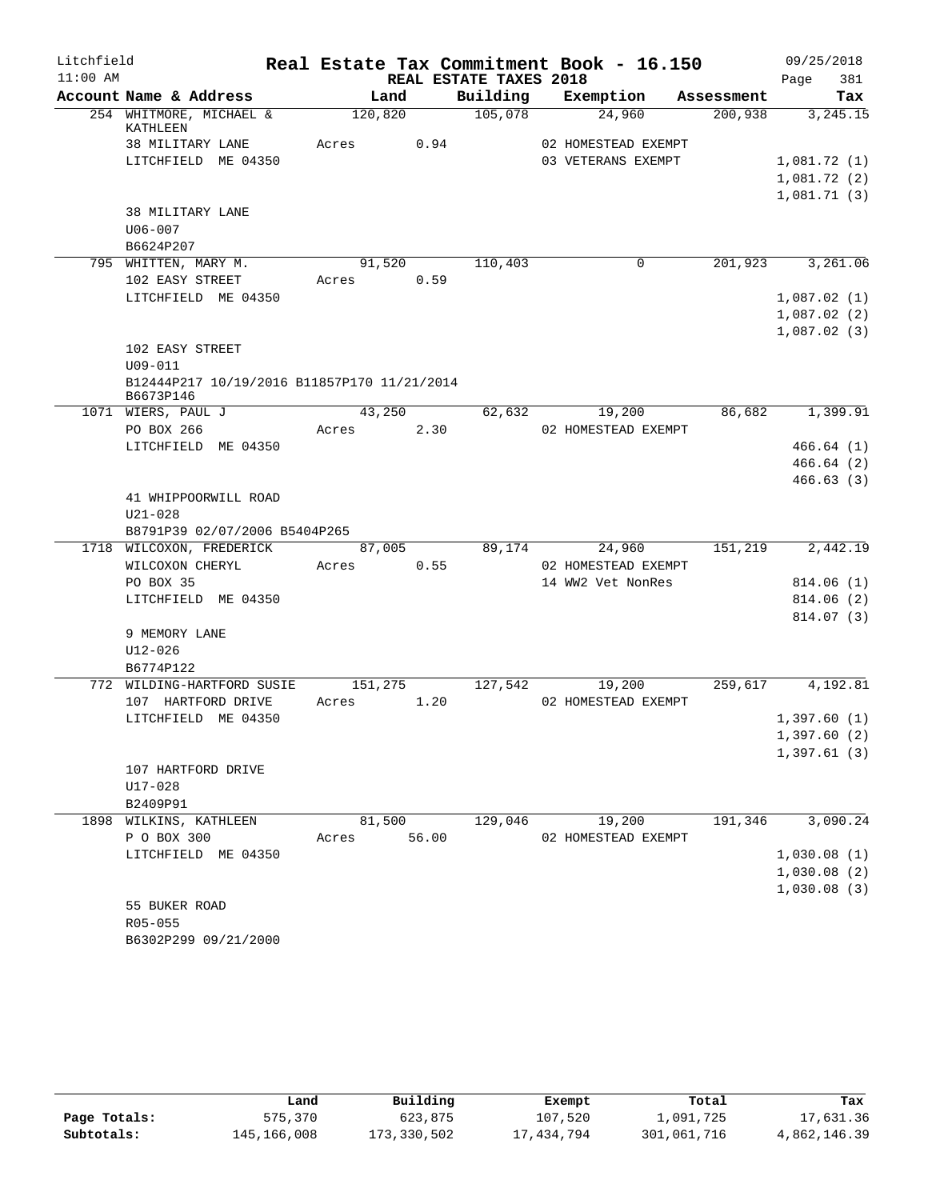| Litchfield |                                                          |             |      |                        | Real Estate Tax Commitment Book - 16.150 |            | 09/25/2018  |
|------------|----------------------------------------------------------|-------------|------|------------------------|------------------------------------------|------------|-------------|
| $11:00$ AM |                                                          |             |      | REAL ESTATE TAXES 2018 |                                          |            | 381<br>Page |
|            | Account Name & Address                                   | Land        |      | Building               | Exemption                                | Assessment | Tax         |
|            | 254 WHITMORE, MICHAEL &<br>KATHLEEN                      | 120,820     |      | 105,078                | 24,960                                   | 200,938    | 3,245.15    |
|            | 38 MILITARY LANE                                         | Acres       | 0.94 |                        | 02 HOMESTEAD EXEMPT                      |            |             |
|            | LITCHFIELD ME 04350                                      |             |      |                        | 03 VETERANS EXEMPT                       |            | 1,081.72(1) |
|            |                                                          |             |      |                        |                                          |            | 1,081.72(2) |
|            |                                                          |             |      |                        |                                          |            | 1,081.71(3) |
|            | 38 MILITARY LANE                                         |             |      |                        |                                          |            |             |
|            | $U06 - 007$                                              |             |      |                        |                                          |            |             |
|            | B6624P207                                                |             |      |                        |                                          |            |             |
|            | 795 WHITTEN, MARY M.                                     | 91,520      |      | 110,403                | 0                                        | 201,923    | 3,261.06    |
|            | 102 EASY STREET                                          | Acres       | 0.59 |                        |                                          |            |             |
|            | LITCHFIELD ME 04350                                      |             |      |                        |                                          |            | 1,087.02(1) |
|            |                                                          |             |      |                        |                                          |            | 1,087.02(2) |
|            |                                                          |             |      |                        |                                          |            | 1,087.02(3) |
|            | 102 EASY STREET                                          |             |      |                        |                                          |            |             |
|            | $U09 - 011$                                              |             |      |                        |                                          |            |             |
|            | B12444P217 10/19/2016 B11857P170 11/21/2014<br>B6673P146 |             |      |                        |                                          |            |             |
|            | 1071 WIERS, PAUL J                                       | 43,250      |      | 62,632                 | 19,200                                   | 86,682     | 1,399.91    |
|            | PO BOX 266                                               | Acres       | 2.30 |                        | 02 HOMESTEAD EXEMPT                      |            |             |
|            | LITCHFIELD ME 04350                                      |             |      |                        |                                          |            | 466.64(1)   |
|            |                                                          |             |      |                        |                                          |            | 466.64(2)   |
|            |                                                          |             |      |                        |                                          |            | 466.63(3)   |
|            | 41 WHIPPOORWILL ROAD                                     |             |      |                        |                                          |            |             |
|            | $U21 - 028$                                              |             |      |                        |                                          |            |             |
|            | B8791P39 02/07/2006 B5404P265                            |             |      |                        |                                          |            |             |
|            | 1718 WILCOXON, FREDERICK                                 | 87,005      |      | 89,174                 | 24,960                                   | 151,219    | 2,442.19    |
|            | WILCOXON CHERYL                                          | Acres       | 0.55 |                        | 02 HOMESTEAD EXEMPT                      |            |             |
|            | PO BOX 35                                                |             |      |                        | 14 WW2 Vet NonRes                        |            | 814.06(1)   |
|            | LITCHFIELD ME 04350                                      |             |      |                        |                                          |            | 814.06(2)   |
|            | 9 MEMORY LANE                                            |             |      |                        |                                          |            | 814.07 (3)  |
|            | $U12 - 026$                                              |             |      |                        |                                          |            |             |
|            | B6774P122                                                |             |      |                        |                                          |            |             |
|            | 772 WILDING-HARTFORD SUSIE                               | 151,275     |      | 127,542                | 19,200                                   | 259,617    | 4,192.81    |
|            | 107 HARTFORD DRIVE                                       | Acres       | 1.20 |                        | 02 HOMESTEAD EXEMPT                      |            |             |
|            | LITCHFIELD ME 04350                                      |             |      |                        |                                          |            | 1,397.60(1) |
|            |                                                          |             |      |                        |                                          |            | 1,397.60(2) |
|            |                                                          |             |      |                        |                                          |            | 1,397.61(3) |
|            | 107 HARTFORD DRIVE                                       |             |      |                        |                                          |            |             |
|            | U17-028                                                  |             |      |                        |                                          |            |             |
|            | B2409P91                                                 |             |      |                        |                                          |            |             |
|            | 1898 WILKINS, KATHLEEN                                   | 81,500      |      | 129,046                | 19,200                                   | 191,346    | 3,090.24    |
|            | P O BOX 300                                              | Acres 56.00 |      |                        | 02 HOMESTEAD EXEMPT                      |            |             |
|            | LITCHFIELD ME 04350                                      |             |      |                        |                                          |            | 1,030.08(1) |
|            |                                                          |             |      |                        |                                          |            | 1,030.08(2) |
|            |                                                          |             |      |                        |                                          |            | 1,030.08(3) |
|            | 55 BUKER ROAD                                            |             |      |                        |                                          |            |             |
|            | R05-055                                                  |             |      |                        |                                          |            |             |
|            | B6302P299 09/21/2000                                     |             |      |                        |                                          |            |             |

|              | Land        | Building    | Exempt     | Total       | Tax          |
|--------------|-------------|-------------|------------|-------------|--------------|
| Page Totals: | 575,370     | 623,875     | 107,520    | 1,091,725   | 17,631.36    |
| Subtotals:   | 145,166,008 | 173,330,502 | 17,434,794 | 301,061,716 | 4,862,146.39 |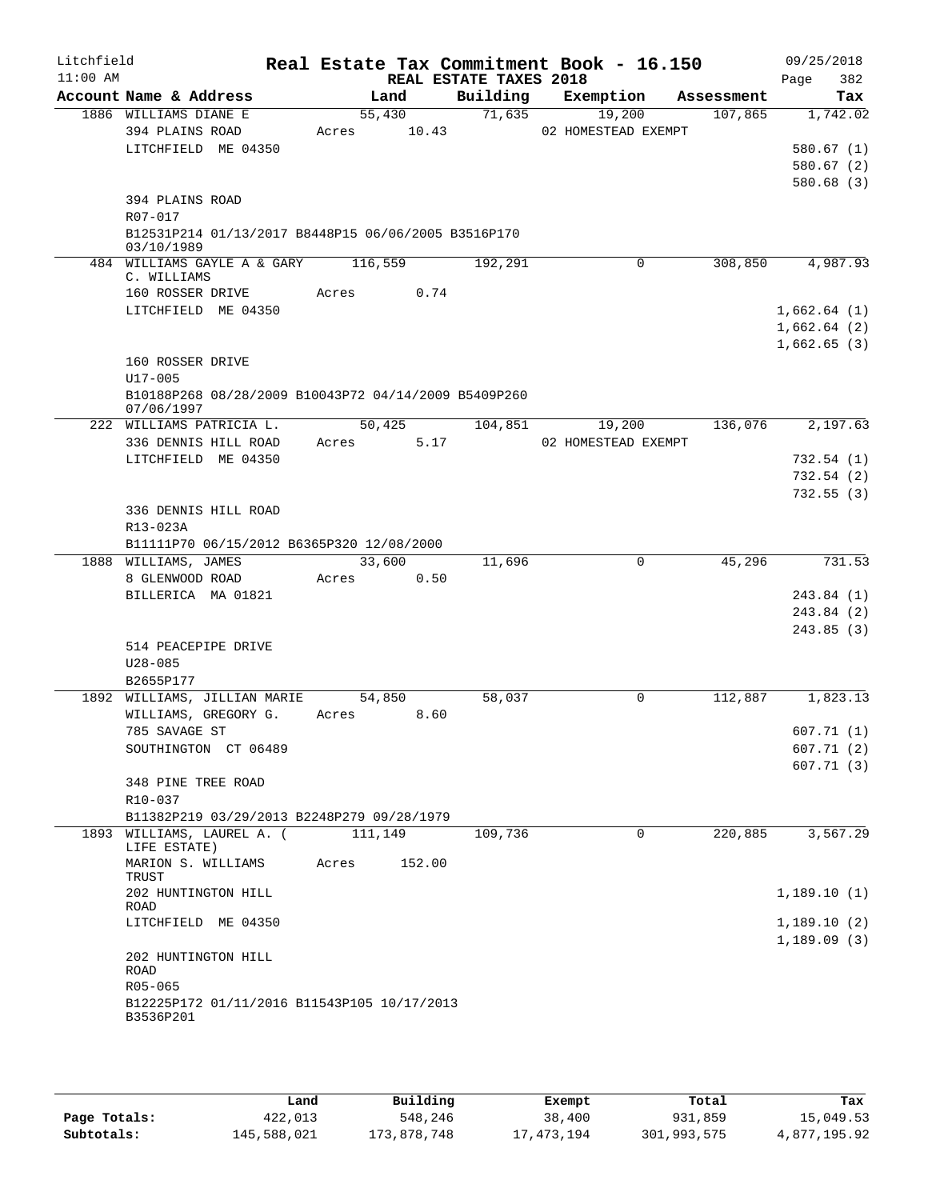| Litchfield<br>$11:00$ AM |                                                                   |         |        | REAL ESTATE TAXES 2018 | Real Estate Tax Commitment Book - 16.150 |            | 09/25/2018<br>382<br>Page  |
|--------------------------|-------------------------------------------------------------------|---------|--------|------------------------|------------------------------------------|------------|----------------------------|
|                          | Account Name & Address                                            |         | Land   | Building               | Exemption                                | Assessment | Tax                        |
|                          | 1886 WILLIAMS DIANE E                                             |         | 55,430 | 71,635                 | 19,200                                   | 107,865    | 1,742.02                   |
|                          | 394 PLAINS ROAD                                                   | Acres   | 10.43  |                        | 02 HOMESTEAD EXEMPT                      |            |                            |
|                          | LITCHFIELD ME 04350                                               |         |        |                        |                                          |            | 580.67(1)                  |
|                          |                                                                   |         |        |                        |                                          |            | 580.67(2)                  |
|                          | 394 PLAINS ROAD                                                   |         |        |                        |                                          |            | 580.68(3)                  |
|                          | R07-017                                                           |         |        |                        |                                          |            |                            |
|                          | B12531P214 01/13/2017 B8448P15 06/06/2005 B3516P170<br>03/10/1989 |         |        |                        |                                          |            |                            |
|                          | 484 WILLIAMS GAYLE A & GARY<br>C. WILLIAMS                        | 116,559 |        | 192,291                | 0                                        | 308,850    | 4,987.93                   |
|                          | 160 ROSSER DRIVE                                                  | Acres   | 0.74   |                        |                                          |            |                            |
|                          | LITCHFIELD ME 04350                                               |         |        |                        |                                          |            | 1,662.64(1)                |
|                          |                                                                   |         |        |                        |                                          |            | 1,662.64(2)                |
|                          |                                                                   |         |        |                        |                                          |            | 1,662.65(3)                |
|                          | 160 ROSSER DRIVE<br>U17-005                                       |         |        |                        |                                          |            |                            |
|                          | B10188P268 08/28/2009 B10043P72 04/14/2009 B5409P260              |         |        |                        |                                          |            |                            |
|                          | 07/06/1997                                                        |         |        |                        |                                          |            |                            |
|                          | 222 WILLIAMS PATRICIA L.                                          |         | 50,425 | 104,851                | 19,200                                   | 136,076    | 2,197.63                   |
|                          | 336 DENNIS HILL ROAD                                              | Acres   | 5.17   |                        | 02 HOMESTEAD EXEMPT                      |            |                            |
|                          | LITCHFIELD ME 04350                                               |         |        |                        |                                          |            | 732.54(1)                  |
|                          |                                                                   |         |        |                        |                                          |            | 732.54(2)                  |
|                          | 336 DENNIS HILL ROAD                                              |         |        |                        |                                          |            | 732.55(3)                  |
|                          | R13-023A                                                          |         |        |                        |                                          |            |                            |
|                          | B11111P70 06/15/2012 B6365P320 12/08/2000                         |         |        |                        |                                          |            |                            |
|                          | 1888 WILLIAMS, JAMES                                              |         | 33,600 | 11,696                 | 0                                        | 45,296     | 731.53                     |
|                          | 8 GLENWOOD ROAD                                                   | Acres   | 0.50   |                        |                                          |            |                            |
|                          | BILLERICA MA 01821                                                |         |        |                        |                                          |            | 243.84 (1)                 |
|                          |                                                                   |         |        |                        |                                          |            | 243.84 (2)                 |
|                          |                                                                   |         |        |                        |                                          |            | 243.85(3)                  |
|                          | 514 PEACEPIPE DRIVE                                               |         |        |                        |                                          |            |                            |
|                          | $U28 - 085$                                                       |         |        |                        |                                          |            |                            |
|                          | B2655P177<br>1892 WILLIAMS, JILLIAN MARIE                         |         | 54,850 | 58,037                 | $\Omega$                                 | 112,887    | 1,823.13                   |
|                          | WILLIAMS, GREGORY G.                                              | Acres   | 8.60   |                        |                                          |            |                            |
|                          | 785 SAVAGE ST                                                     |         |        |                        |                                          |            | 607.71(1)                  |
|                          | SOUTHINGTON CT 06489                                              |         |        |                        |                                          |            | 607.71(2)                  |
|                          |                                                                   |         |        |                        |                                          |            | 607.71(3)                  |
|                          | 348 PINE TREE ROAD                                                |         |        |                        |                                          |            |                            |
|                          | R10-037                                                           |         |        |                        |                                          |            |                            |
|                          | B11382P219 03/29/2013 B2248P279 09/28/1979                        |         |        |                        |                                          |            |                            |
|                          | 1893 WILLIAMS, LAUREL A. (111,149<br>LIFE ESTATE)                 |         |        | 109,736                | $\Omega$                                 | 220,885    | 3,567.29                   |
|                          | MARION S. WILLIAMS<br>TRUST<br>202 HUNTINGTON HILL                | Acres   | 152.00 |                        |                                          |            | 1,189.10(1)                |
|                          | ROAD                                                              |         |        |                        |                                          |            |                            |
|                          | LITCHFIELD ME 04350                                               |         |        |                        |                                          |            | 1,189.10(2)<br>1,189.09(3) |
|                          | 202 HUNTINGTON HILL<br><b>ROAD</b>                                |         |        |                        |                                          |            |                            |
|                          | $R05 - 065$                                                       |         |        |                        |                                          |            |                            |
|                          | B12225P172 01/11/2016 B11543P105 10/17/2013<br>B3536P201          |         |        |                        |                                          |            |                            |
|                          |                                                                   |         |        |                        |                                          |            |                            |

|              | Land        | Building    | Exempt     | Total       | Tax          |
|--------------|-------------|-------------|------------|-------------|--------------|
| Page Totals: | 422,013     | 548,246     | 38,400     | 931,859     | 15,049.53    |
| Subtotals:   | 145,588,021 | 173,878,748 | 17,473,194 | 301,993,575 | 4,877,195.92 |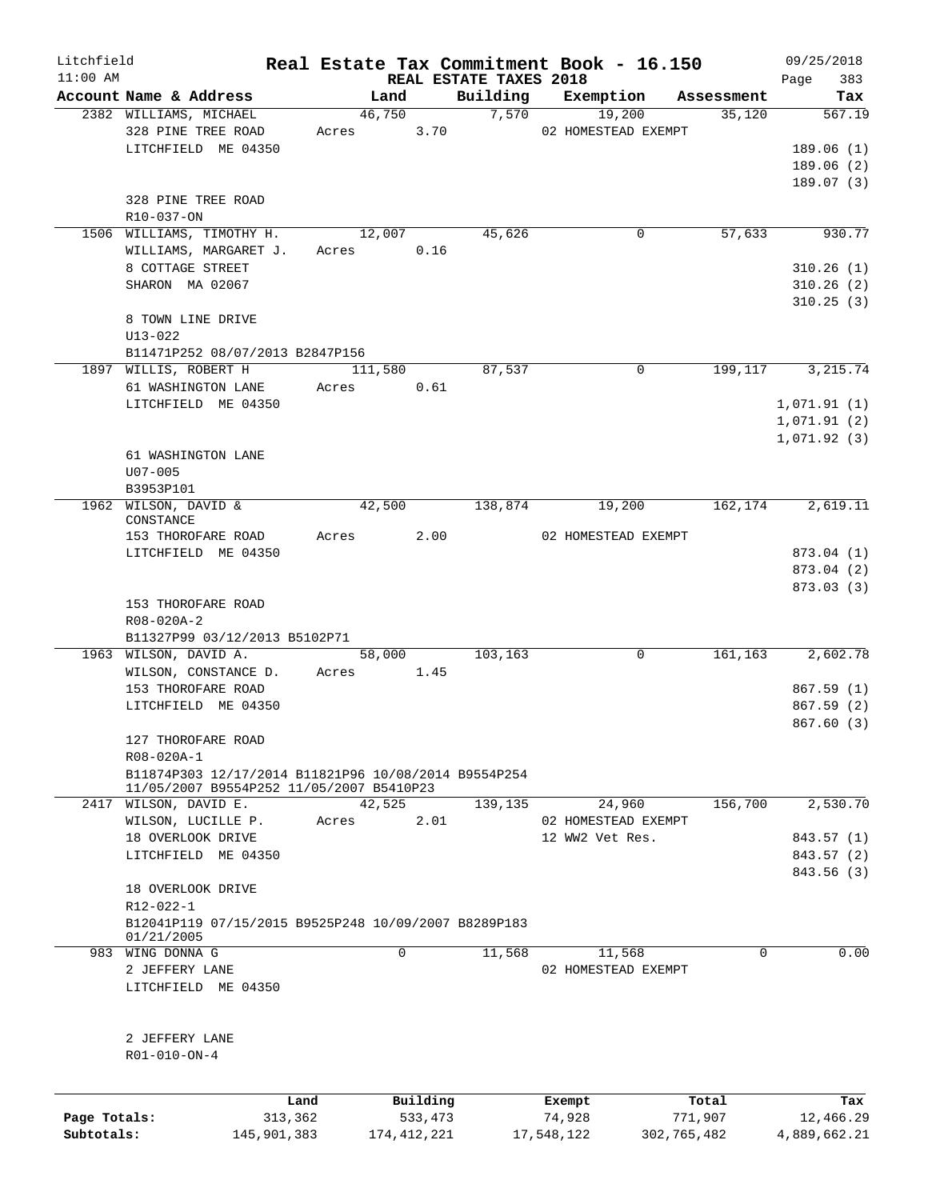| Litchfield   |                                                                                                  |         |                |                        | Real Estate Tax Commitment Book - 16.150 |                      | 09/25/2018   |               |
|--------------|--------------------------------------------------------------------------------------------------|---------|----------------|------------------------|------------------------------------------|----------------------|--------------|---------------|
| $11:00$ AM   |                                                                                                  |         |                | REAL ESTATE TAXES 2018 |                                          |                      | Page         | 383           |
|              | Account Name & Address<br>2382 WILLIAMS, MICHAEL                                                 |         | Land<br>46,750 | Building<br>7,570      | Exemption<br>19,200                      | Assessment<br>35,120 |              | Tax<br>567.19 |
|              | 328 PINE TREE ROAD                                                                               | Acres   | 3.70           |                        | 02 HOMESTEAD EXEMPT                      |                      |              |               |
|              | LITCHFIELD ME 04350                                                                              |         |                |                        |                                          |                      | 189.06(1)    |               |
|              |                                                                                                  |         |                |                        |                                          |                      | 189.06(2)    |               |
|              |                                                                                                  |         |                |                        |                                          |                      | 189.07(3)    |               |
|              | 328 PINE TREE ROAD                                                                               |         |                |                        |                                          |                      |              |               |
|              | R10-037-ON                                                                                       |         |                |                        |                                          |                      |              |               |
|              | 1506 WILLIAMS, TIMOTHY H.                                                                        |         | 12,007         | 45,626                 | 0                                        | 57,633               |              | 930.77        |
|              | WILLIAMS, MARGARET J.                                                                            | Acres   | 0.16           |                        |                                          |                      |              |               |
|              | 8 COTTAGE STREET                                                                                 |         |                |                        |                                          |                      | 310.26(1)    |               |
|              | SHARON MA 02067                                                                                  |         |                |                        |                                          |                      | 310.26(2)    |               |
|              |                                                                                                  |         |                |                        |                                          |                      | 310.25(3)    |               |
|              | 8 TOWN LINE DRIVE                                                                                |         |                |                        |                                          |                      |              |               |
|              | $U13 - 022$                                                                                      |         |                |                        |                                          |                      |              |               |
|              | B11471P252 08/07/2013 B2847P156                                                                  |         |                |                        |                                          |                      |              |               |
|              |                                                                                                  |         |                |                        | $\Omega$                                 |                      |              |               |
|              | 1897 WILLIS, ROBERT H                                                                            |         | 111,580        | 87,537                 |                                          | 199,117              | 3,215.74     |               |
|              | 61 WASHINGTON LANE                                                                               | Acres   | 0.61           |                        |                                          |                      |              |               |
|              | LITCHFIELD ME 04350                                                                              |         |                |                        |                                          |                      | 1,071.91(1)  |               |
|              |                                                                                                  |         |                |                        |                                          |                      | 1,071.91(2)  |               |
|              |                                                                                                  |         |                |                        |                                          |                      | 1,071.92(3)  |               |
|              | 61 WASHINGTON LANE                                                                               |         |                |                        |                                          |                      |              |               |
|              | $U07 - 005$                                                                                      |         |                |                        |                                          |                      |              |               |
|              | B3953P101                                                                                        |         |                |                        |                                          |                      |              |               |
|              | 1962 WILSON, DAVID &                                                                             |         | 42,500         | 138,874                | 19,200                                   | 162,174              | 2,619.11     |               |
|              | CONSTANCE<br>153 THOROFARE ROAD                                                                  | Acres   | 2.00           |                        | 02 HOMESTEAD EXEMPT                      |                      |              |               |
|              | LITCHFIELD ME 04350                                                                              |         |                |                        |                                          |                      | 873.04 (1)   |               |
|              |                                                                                                  |         |                |                        |                                          |                      |              |               |
|              |                                                                                                  |         |                |                        |                                          |                      | 873.04 (2)   |               |
|              |                                                                                                  |         |                |                        |                                          |                      | 873.03 (3)   |               |
|              | 153 THOROFARE ROAD                                                                               |         |                |                        |                                          |                      |              |               |
|              | R08-020A-2                                                                                       |         |                |                        |                                          |                      |              |               |
|              | B11327P99 03/12/2013 B5102P71<br>1963 WILSON, DAVID A.                                           |         | 58,000         | 103,163                | 0                                        | 161, 163             | 2,602.78     |               |
|              |                                                                                                  |         |                |                        |                                          |                      |              |               |
|              | WILSON, CONSTANCE D.<br>153 THOROFARE ROAD                                                       | Acres   | 1.45           |                        |                                          |                      | 867.59 (1)   |               |
|              | LITCHFIELD ME 04350                                                                              |         |                |                        |                                          |                      | 867.59 (2)   |               |
|              |                                                                                                  |         |                |                        |                                          |                      |              |               |
|              |                                                                                                  |         |                |                        |                                          |                      | 867.60 (3)   |               |
|              | 127 THOROFARE ROAD                                                                               |         |                |                        |                                          |                      |              |               |
|              | R08-020A-1                                                                                       |         |                |                        |                                          |                      |              |               |
|              | B11874P303 12/17/2014 B11821P96 10/08/2014 B9554P254<br>11/05/2007 B9554P252 11/05/2007 B5410P23 |         |                |                        |                                          |                      |              |               |
| 2417         | WILSON, DAVID E.                                                                                 |         | 42,525         | 139,135                | 24,960                                   | 156,700              | 2,530.70     |               |
|              | WILSON, LUCILLE P.                                                                               | Acres   | 2.01           |                        | 02 HOMESTEAD EXEMPT                      |                      |              |               |
|              | 18 OVERLOOK DRIVE                                                                                |         |                |                        | 12 WW2 Vet Res.                          |                      | 843.57 (1)   |               |
|              | LITCHFIELD ME 04350                                                                              |         |                |                        |                                          |                      | 843.57 (2)   |               |
|              |                                                                                                  |         |                |                        |                                          |                      | 843.56 (3)   |               |
|              | 18 OVERLOOK DRIVE                                                                                |         |                |                        |                                          |                      |              |               |
|              | R12-022-1                                                                                        |         |                |                        |                                          |                      |              |               |
|              | B12041P119 07/15/2015 B9525P248 10/09/2007 B8289P183                                             |         |                |                        |                                          |                      |              |               |
|              | 01/21/2005                                                                                       |         |                |                        |                                          |                      |              |               |
|              | 983 WING DONNA G                                                                                 |         | $\mathbf 0$    | 11,568                 | 11,568                                   | 0                    |              | 0.00          |
|              | 2 JEFFERY LANE                                                                                   |         |                |                        | 02 HOMESTEAD EXEMPT                      |                      |              |               |
|              | LITCHFIELD ME 04350                                                                              |         |                |                        |                                          |                      |              |               |
|              |                                                                                                  |         |                |                        |                                          |                      |              |               |
|              | 2 JEFFERY LANE                                                                                   |         |                |                        |                                          |                      |              |               |
|              | $R01 - 010 - ON - 4$                                                                             |         |                |                        |                                          |                      |              |               |
|              |                                                                                                  |         |                |                        |                                          |                      |              |               |
|              |                                                                                                  | Land    | Building       |                        | Exempt                                   | Total                |              | Tax           |
| Page Totals: |                                                                                                  | 313,362 | 533,473        |                        | 74,928                                   | 771,907              | 12,466.29    |               |
| Subtotals:   | 145,901,383                                                                                      |         | 174, 412, 221  |                        | 17,548,122                               | 302,765,482          | 4,889,662.21 |               |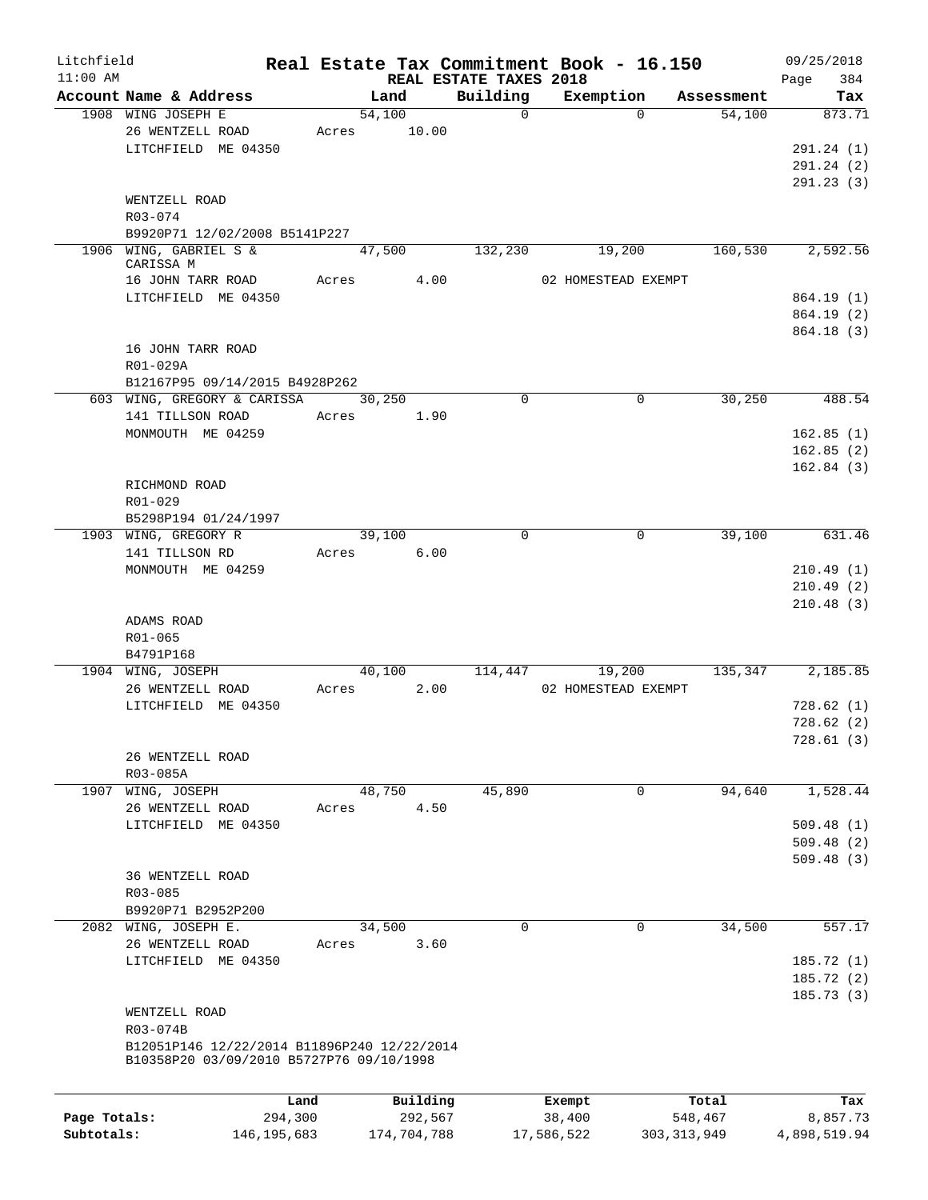| Litchfield   |                                             |       |             |         |                                    | Real Estate Tax Commitment Book - 16.150 |               |            | 09/25/2018         |
|--------------|---------------------------------------------|-------|-------------|---------|------------------------------------|------------------------------------------|---------------|------------|--------------------|
| $11:00$ AM   | Account Name & Address                      |       | Land        |         | REAL ESTATE TAXES 2018<br>Building | Exemption                                |               | Assessment | Page<br>384<br>Tax |
|              | 1908 WING JOSEPH E                          |       | 54,100      |         | $\Omega$                           |                                          | $\Omega$      | 54,100     | 873.71             |
|              | 26 WENTZELL ROAD                            | Acres |             | 10.00   |                                    |                                          |               |            |                    |
|              | LITCHFIELD ME 04350                         |       |             |         |                                    |                                          |               |            | 291.24 (1)         |
|              |                                             |       |             |         |                                    |                                          |               |            | 291.24 (2)         |
|              |                                             |       |             |         |                                    |                                          |               |            |                    |
|              |                                             |       |             |         |                                    |                                          |               |            | 291.23(3)          |
|              | WENTZELL ROAD                               |       |             |         |                                    |                                          |               |            |                    |
|              | R03-074                                     |       |             |         |                                    |                                          |               |            |                    |
|              | B9920P71 12/02/2008 B5141P227               |       |             |         |                                    |                                          |               |            |                    |
|              | 1906 WING, GABRIEL S &<br>CARISSA M         |       | 47,500      |         | 132,230                            | 19,200                                   |               | 160,530    | 2,592.56           |
|              | 16 JOHN TARR ROAD                           | Acres |             | 4.00    |                                    | 02 HOMESTEAD EXEMPT                      |               |            |                    |
|              | LITCHFIELD ME 04350                         |       |             |         |                                    |                                          |               |            | 864.19 (1)         |
|              |                                             |       |             |         |                                    |                                          |               |            | 864.19 (2)         |
|              |                                             |       |             |         |                                    |                                          |               |            | 864.18(3)          |
|              |                                             |       |             |         |                                    |                                          |               |            |                    |
|              | 16 JOHN TARR ROAD                           |       |             |         |                                    |                                          |               |            |                    |
|              | R01-029A                                    |       |             |         |                                    |                                          |               |            |                    |
|              | B12167P95 09/14/2015 B4928P262              |       |             |         |                                    |                                          |               |            |                    |
|              | 603 WING, GREGORY & CARISSA                 |       | 30,250      |         | $\Omega$                           |                                          | $\mathbf 0$   | 30,250     | 488.54             |
|              | 141 TILLSON ROAD                            | Acres |             | 1.90    |                                    |                                          |               |            |                    |
|              | MONMOUTH ME 04259                           |       |             |         |                                    |                                          |               |            | 162.85(1)          |
|              |                                             |       |             |         |                                    |                                          |               |            | 162.85(2)          |
|              |                                             |       |             |         |                                    |                                          |               |            | 162.84(3)          |
|              | RICHMOND ROAD                               |       |             |         |                                    |                                          |               |            |                    |
|              | R01-029                                     |       |             |         |                                    |                                          |               |            |                    |
|              | B5298P194 01/24/1997                        |       |             |         |                                    |                                          |               |            |                    |
|              | 1903 WING, GREGORY R                        |       | 39,100      |         | $\Omega$                           |                                          | $\mathbf 0$   | 39,100     | 631.46             |
|              | 141 TILLSON RD                              | Acres |             | 6.00    |                                    |                                          |               |            |                    |
|              | MONMOUTH ME 04259                           |       |             |         |                                    |                                          |               |            | 210.49(1)          |
|              |                                             |       |             |         |                                    |                                          |               |            | 210.49(2)          |
|              |                                             |       |             |         |                                    |                                          |               |            | 210.48(3)          |
|              | ADAMS ROAD                                  |       |             |         |                                    |                                          |               |            |                    |
|              | R01-065                                     |       |             |         |                                    |                                          |               |            |                    |
|              | B4791P168                                   |       |             |         |                                    |                                          |               |            |                    |
|              | 1904 WING, JOSEPH                           |       | 40,100      |         | 114,447                            | 19,200                                   |               | 135,347    | 2,185.85           |
|              | 26 WENTZELL ROAD                            | Acres |             | 2.00    |                                    | 02 HOMESTEAD EXEMPT                      |               |            |                    |
|              | LITCHFIELD ME 04350                         |       |             |         |                                    |                                          |               |            | 728.62(1)          |
|              |                                             |       |             |         |                                    |                                          |               |            | 728.62(2)          |
|              |                                             |       |             |         |                                    |                                          |               |            | 728.61 (3)         |
|              | 26 WENTZELL ROAD                            |       |             |         |                                    |                                          |               |            |                    |
|              | R03-085A                                    |       |             |         |                                    |                                          |               |            |                    |
|              | 1907 WING, JOSEPH                           |       | 48,750      |         | 45,890                             |                                          | $\mathbf 0$   | 94,640     | 1,528.44           |
|              |                                             |       |             |         |                                    |                                          |               |            |                    |
|              | 26 WENTZELL ROAD                            | Acres |             | 4.50    |                                    |                                          |               |            |                    |
|              | LITCHFIELD ME 04350                         |       |             |         |                                    |                                          |               |            | 509.48(1)          |
|              |                                             |       |             |         |                                    |                                          |               |            | 509.48(2)          |
|              |                                             |       |             |         |                                    |                                          |               |            | 509.48(3)          |
|              | 36 WENTZELL ROAD                            |       |             |         |                                    |                                          |               |            |                    |
|              | $R03 - 085$                                 |       |             |         |                                    |                                          |               |            |                    |
|              | B9920P71 B2952P200                          |       |             |         |                                    |                                          |               |            |                    |
|              | 2082 WING, JOSEPH E.                        |       | 34,500      |         | $\Omega$                           |                                          | $\Omega$      | 34,500     | 557.17             |
|              | 26 WENTZELL ROAD                            | Acres |             | 3.60    |                                    |                                          |               |            |                    |
|              | LITCHFIELD ME 04350                         |       |             |         |                                    |                                          |               |            | 185.72 (1)         |
|              |                                             |       |             |         |                                    |                                          |               |            | 185.72(2)          |
|              |                                             |       |             |         |                                    |                                          |               |            | 185.73(3)          |
|              | WENTZELL ROAD                               |       |             |         |                                    |                                          |               |            |                    |
|              | R03-074B                                    |       |             |         |                                    |                                          |               |            |                    |
|              | B12051P146 12/22/2014 B11896P240 12/22/2014 |       |             |         |                                    |                                          |               |            |                    |
|              | B10358P20 03/09/2010 B5727P76 09/10/1998    |       |             |         |                                    |                                          |               |            |                    |
|              |                                             |       |             |         |                                    |                                          |               |            |                    |
|              |                                             | Land  | Building    |         |                                    | Exempt                                   |               | Total      | Tax                |
| Page Totals: | 294,300                                     |       |             | 292,567 |                                    | 38,400                                   |               | 548,467    | 8,857.73           |
| Subtotals:   | 146, 195, 683                               |       | 174,704,788 |         |                                    | 17,586,522                               | 303, 313, 949 |            | 4,898,519.94       |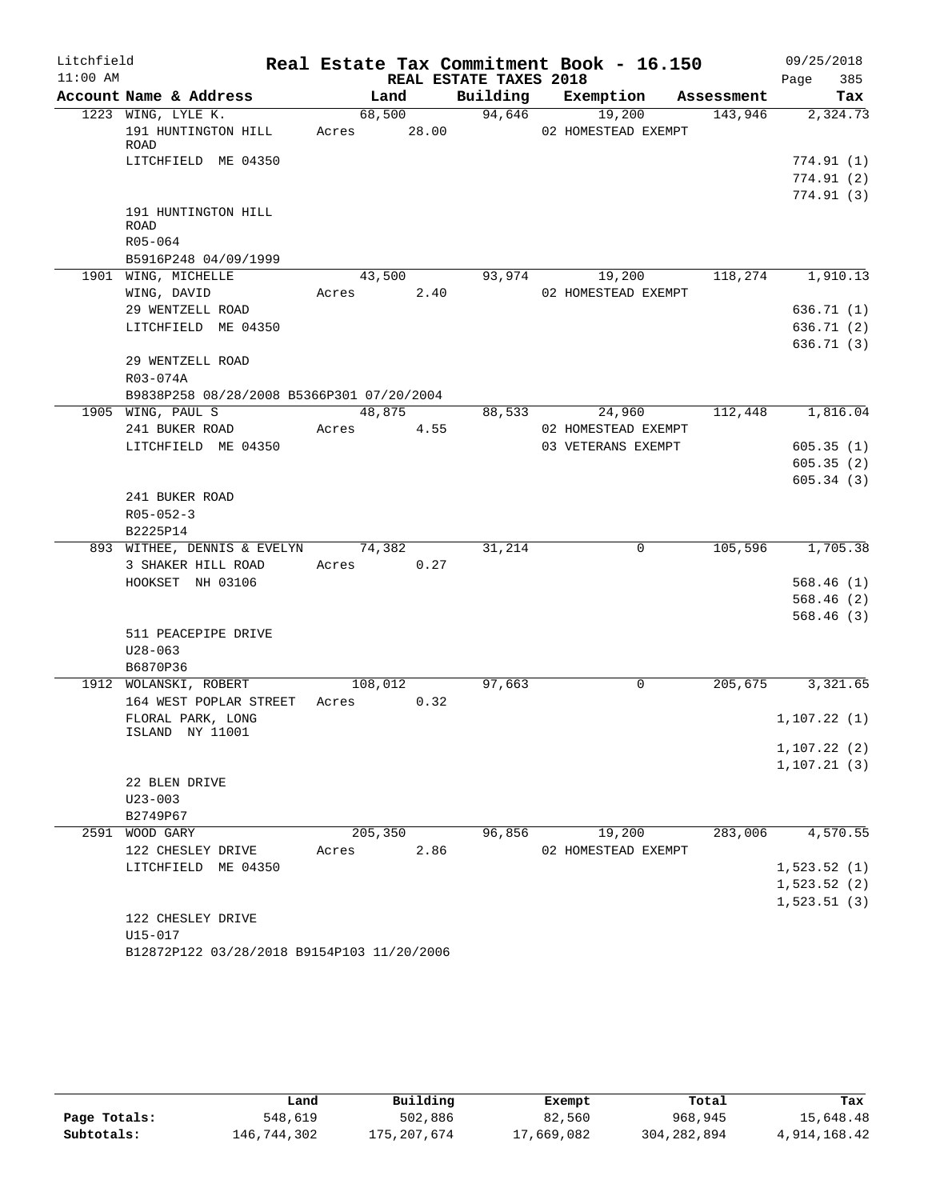| Litchfield |                                                   |                 |       |                        | Real Estate Tax Commitment Book - 16.150 |            | 09/25/2018             |
|------------|---------------------------------------------------|-----------------|-------|------------------------|------------------------------------------|------------|------------------------|
| $11:00$ AM |                                                   |                 |       | REAL ESTATE TAXES 2018 |                                          |            | 385<br>Page            |
|            | Account Name & Address                            | Land            |       | Building               | Exemption                                | Assessment | Tax                    |
|            | 1223 WING, LYLE K.<br>191 HUNTINGTON HILL<br>ROAD | 68,500<br>Acres | 28.00 | 94,646                 | 19,200<br>02 HOMESTEAD EXEMPT            | 143,946    | 2,324.73               |
|            | LITCHFIELD ME 04350                               |                 |       |                        |                                          |            | 774.91 (1)             |
|            |                                                   |                 |       |                        |                                          |            | 774.91(2)              |
|            |                                                   |                 |       |                        |                                          |            | 774.91(3)              |
|            | 191 HUNTINGTON HILL<br><b>ROAD</b>                |                 |       |                        |                                          |            |                        |
|            | R05-064                                           |                 |       |                        |                                          |            |                        |
|            | B5916P248 04/09/1999<br>1901 WING, MICHELLE       | 43,500          |       | 93,974                 | 19,200                                   | 118,274    | 1,910.13               |
|            | WING, DAVID                                       | Acres           | 2.40  |                        | 02 HOMESTEAD EXEMPT                      |            |                        |
|            | 29 WENTZELL ROAD                                  |                 |       |                        |                                          |            | 636.71(1)              |
|            | LITCHFIELD ME 04350                               |                 |       |                        |                                          |            | 636.71 (2)             |
|            |                                                   |                 |       |                        |                                          |            | 636.71(3)              |
|            | 29 WENTZELL ROAD                                  |                 |       |                        |                                          |            |                        |
|            | R03-074A                                          |                 |       |                        |                                          |            |                        |
|            | B9838P258 08/28/2008 B5366P301 07/20/2004         |                 |       |                        |                                          |            |                        |
|            | 1905 WING, PAUL S                                 | 48,875          |       | 88,533                 | 24,960                                   | 112,448    | 1,816.04               |
|            | 241 BUKER ROAD                                    | Acres           | 4.55  |                        | 02 HOMESTEAD EXEMPT                      |            |                        |
|            | LITCHFIELD ME 04350                               |                 |       |                        | 03 VETERANS EXEMPT                       |            | 605.35(1)              |
|            |                                                   |                 |       |                        |                                          |            | 605.35(2)              |
|            |                                                   |                 |       |                        |                                          |            | 605.34(3)              |
|            | 241 BUKER ROAD                                    |                 |       |                        |                                          |            |                        |
|            | $R05 - 052 - 3$                                   |                 |       |                        |                                          |            |                        |
|            | B2225P14                                          |                 |       |                        |                                          |            |                        |
|            | 893 WITHEE, DENNIS & EVELYN                       | 74,382          |       | 31,214                 | 0                                        | 105,596    | 1,705.38               |
|            | 3 SHAKER HILL ROAD                                | Acres           | 0.27  |                        |                                          |            |                        |
|            | HOOKSET NH 03106                                  |                 |       |                        |                                          |            | 568.46(1)              |
|            |                                                   |                 |       |                        |                                          |            | 568.46(2)<br>568.46(3) |
|            | 511 PEACEPIPE DRIVE                               |                 |       |                        |                                          |            |                        |
|            | $U28 - 063$                                       |                 |       |                        |                                          |            |                        |
|            | B6870P36                                          |                 |       |                        |                                          |            |                        |
|            | 1912 WOLANSKI, ROBERT                             | 108,012         |       | 97,663                 | $\mathbf 0$                              | 205,675    | 3,321.65               |
|            | 164 WEST POPLAR STREET                            | Acres           | 0.32  |                        |                                          |            |                        |
|            | FLORAL PARK, LONG                                 |                 |       |                        |                                          |            | 1, 107.22(1)           |
|            | ISLAND NY 11001                                   |                 |       |                        |                                          |            |                        |
|            |                                                   |                 |       |                        |                                          |            | 1, 107.22(2)           |
|            |                                                   |                 |       |                        |                                          |            | 1, 107.21(3)           |
|            | 22 BLEN DRIVE                                     |                 |       |                        |                                          |            |                        |
|            | $U23 - 003$                                       |                 |       |                        |                                          |            |                        |
|            | B2749P67                                          |                 |       |                        |                                          |            |                        |
|            | 2591 WOOD GARY                                    | 205,350         |       | 96,856                 | 19,200                                   | 283,006    | 4,570.55               |
|            | 122 CHESLEY DRIVE<br>LITCHFIELD ME 04350          | Acres           | 2.86  |                        | 02 HOMESTEAD EXEMPT                      |            | 1,523.52(1)            |
|            |                                                   |                 |       |                        |                                          |            | 1,523.52(2)            |
|            |                                                   |                 |       |                        |                                          |            | 1,523.51(3)            |
|            | 122 CHESLEY DRIVE                                 |                 |       |                        |                                          |            |                        |
|            | U15-017                                           |                 |       |                        |                                          |            |                        |
|            | B12872P122 03/28/2018 B9154P103 11/20/2006        |                 |       |                        |                                          |            |                        |

|              | Land        | Building    | Exempt     | Total       | Tax          |
|--------------|-------------|-------------|------------|-------------|--------------|
| Page Totals: | 548,619     | 502,886     | 82,560     | 968,945     | 15,648.48    |
| Subtotals:   | 146,744,302 | 175,207,674 | 17,669,082 | 304,282,894 | 4,914,168.42 |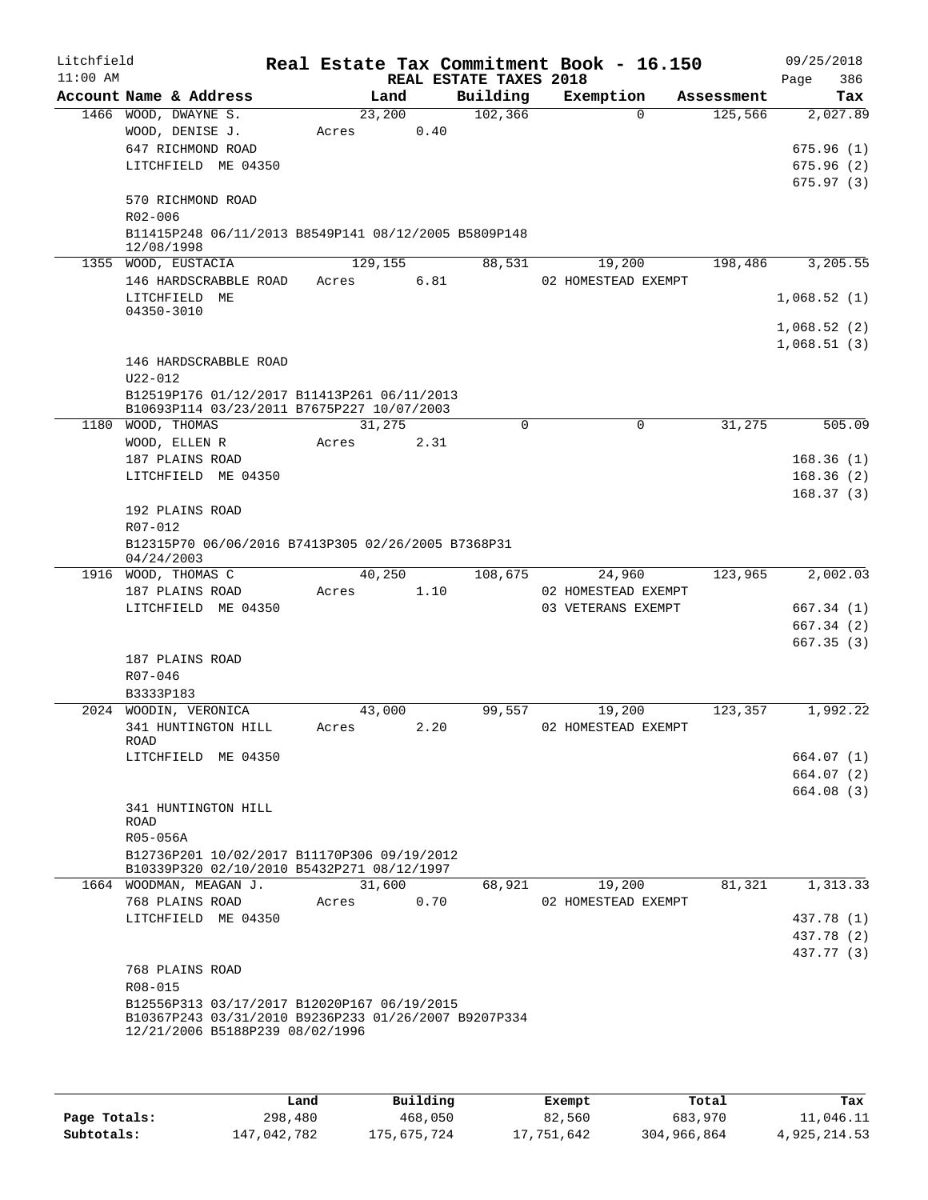| Litchfield<br>$11:00$ AM |                         |                                                                                                     |       |         |      | REAL ESTATE TAXES 2018 | Real Estate Tax Commitment Book - 16.150 |            | Page | 09/25/2018<br>386 |
|--------------------------|-------------------------|-----------------------------------------------------------------------------------------------------|-------|---------|------|------------------------|------------------------------------------|------------|------|-------------------|
|                          | Account Name & Address  |                                                                                                     |       | Land    |      | Building               | Exemption                                | Assessment |      | Tax               |
|                          | 1466 WOOD, DWAYNE S.    |                                                                                                     |       | 23,200  |      | 102,366                | $\Omega$                                 | 125,566    |      | 2,027.89          |
|                          | WOOD, DENISE J.         |                                                                                                     | Acres |         | 0.40 |                        |                                          |            |      |                   |
|                          | 647 RICHMOND ROAD       |                                                                                                     |       |         |      |                        |                                          |            |      | 675.96(1)         |
|                          |                         | LITCHFIELD ME 04350                                                                                 |       |         |      |                        |                                          |            |      | 675.96(2)         |
|                          |                         |                                                                                                     |       |         |      |                        |                                          |            |      | 675.97(3)         |
|                          | 570 RICHMOND ROAD       |                                                                                                     |       |         |      |                        |                                          |            |      |                   |
|                          | R02-006                 |                                                                                                     |       |         |      |                        |                                          |            |      |                   |
|                          | 12/08/1998              | B11415P248 06/11/2013 B8549P141 08/12/2005 B5809P148                                                |       |         |      |                        |                                          |            |      |                   |
|                          | 1355 WOOD, EUSTACIA     |                                                                                                     |       | 129,155 |      | 88,531                 | 19,200                                   | 198,486    |      | 3,205.55          |
|                          |                         | 146 HARDSCRABBLE ROAD                                                                               | Acres |         | 6.81 |                        | 02 HOMESTEAD EXEMPT                      |            |      |                   |
|                          | LITCHFIELD ME           |                                                                                                     |       |         |      |                        |                                          |            |      | 1,068.52(1)       |
|                          | 04350-3010              |                                                                                                     |       |         |      |                        |                                          |            |      |                   |
|                          |                         |                                                                                                     |       |         |      |                        |                                          |            |      | 1,068.52(2)       |
|                          |                         |                                                                                                     |       |         |      |                        |                                          |            |      | 1,068.51(3)       |
|                          |                         | 146 HARDSCRABBLE ROAD                                                                               |       |         |      |                        |                                          |            |      |                   |
|                          | $U22 - 012$             |                                                                                                     |       |         |      |                        |                                          |            |      |                   |
|                          |                         | B12519P176 01/12/2017 B11413P261 06/11/2013                                                         |       |         |      |                        |                                          |            |      |                   |
|                          | 1180 WOOD, THOMAS       | B10693P114 03/23/2011 B7675P227 10/07/2003                                                          |       | 31,275  |      | $\Omega$               | $\Omega$                                 | 31,275     |      | 505.09            |
|                          | WOOD, ELLEN R           |                                                                                                     | Acres |         | 2.31 |                        |                                          |            |      |                   |
|                          | 187 PLAINS ROAD         |                                                                                                     |       |         |      |                        |                                          |            |      | 168.36(1)         |
|                          |                         | LITCHFIELD ME 04350                                                                                 |       |         |      |                        |                                          |            |      | 168.36(2)         |
|                          |                         |                                                                                                     |       |         |      |                        |                                          |            |      | 168.37(3)         |
|                          | 192 PLAINS ROAD         |                                                                                                     |       |         |      |                        |                                          |            |      |                   |
|                          | R07-012                 |                                                                                                     |       |         |      |                        |                                          |            |      |                   |
|                          |                         | B12315P70 06/06/2016 B7413P305 02/26/2005 B7368P31                                                  |       |         |      |                        |                                          |            |      |                   |
|                          | 04/24/2003              |                                                                                                     |       |         |      |                        |                                          |            |      |                   |
|                          | 1916 WOOD, THOMAS C     |                                                                                                     |       | 40,250  |      | 108,675                | 24,960                                   | 123,965    |      | 2,002.03          |
|                          | 187 PLAINS ROAD         |                                                                                                     | Acres |         | 1.10 |                        | 02 HOMESTEAD EXEMPT                      |            |      |                   |
|                          |                         | LITCHFIELD ME 04350                                                                                 |       |         |      |                        | 03 VETERANS EXEMPT                       |            |      | 667.34 (1)        |
|                          |                         |                                                                                                     |       |         |      |                        |                                          |            |      | 667.34 (2)        |
|                          |                         |                                                                                                     |       |         |      |                        |                                          |            |      | 667.35(3)         |
|                          | 187 PLAINS ROAD         |                                                                                                     |       |         |      |                        |                                          |            |      |                   |
|                          | $R07 - 046$             |                                                                                                     |       |         |      |                        |                                          |            |      |                   |
|                          | B3333P183               |                                                                                                     |       |         |      |                        |                                          |            |      |                   |
|                          | 2024 WOODIN, VERONICA   |                                                                                                     |       | 43,000  |      | 99,557                 | 19,200                                   | 123,357    |      | 1,992.22          |
|                          | 341 HUNTINGTON HILL     |                                                                                                     | Acres |         | 2.20 |                        | 02 HOMESTEAD EXEMPT                      |            |      |                   |
|                          | ROAD                    | LITCHFIELD ME 04350                                                                                 |       |         |      |                        |                                          |            |      | 664.07 (1)        |
|                          |                         |                                                                                                     |       |         |      |                        |                                          |            |      | 664.07 (2)        |
|                          |                         |                                                                                                     |       |         |      |                        |                                          |            |      | 664.08(3)         |
|                          | 341 HUNTINGTON HILL     |                                                                                                     |       |         |      |                        |                                          |            |      |                   |
|                          | ROAD                    |                                                                                                     |       |         |      |                        |                                          |            |      |                   |
|                          | R05-056A                |                                                                                                     |       |         |      |                        |                                          |            |      |                   |
|                          |                         | B12736P201 10/02/2017 B11170P306 09/19/2012                                                         |       |         |      |                        |                                          |            |      |                   |
|                          |                         | B10339P320 02/10/2010 B5432P271 08/12/1997                                                          |       |         |      |                        |                                          |            |      |                   |
|                          | 1664 WOODMAN, MEAGAN J. |                                                                                                     |       | 31,600  |      | 68,921                 | 19,200                                   | 81,321     |      | 1,313.33          |
|                          | 768 PLAINS ROAD         |                                                                                                     | Acres |         | 0.70 |                        | 02 HOMESTEAD EXEMPT                      |            |      |                   |
|                          |                         | LITCHFIELD ME 04350                                                                                 |       |         |      |                        |                                          |            |      | 437.78 (1)        |
|                          |                         |                                                                                                     |       |         |      |                        |                                          |            |      | 437.78 (2)        |
|                          |                         |                                                                                                     |       |         |      |                        |                                          |            |      | 437.77 (3)        |
|                          | 768 PLAINS ROAD         |                                                                                                     |       |         |      |                        |                                          |            |      |                   |
|                          | R08-015                 |                                                                                                     |       |         |      |                        |                                          |            |      |                   |
|                          |                         | B12556P313 03/17/2017 B12020P167 06/19/2015<br>B10367P243 03/31/2010 B9236P233 01/26/2007 B9207P334 |       |         |      |                        |                                          |            |      |                   |
|                          |                         | 12/21/2006 B5188P239 08/02/1996                                                                     |       |         |      |                        |                                          |            |      |                   |
|                          |                         |                                                                                                     |       |         |      |                        |                                          |            |      |                   |
|                          |                         |                                                                                                     |       |         |      |                        |                                          |            |      |                   |

|              | Land        | Building    | Exempt     | Total       | Tax          |
|--------------|-------------|-------------|------------|-------------|--------------|
| Page Totals: | 298,480     | 468,050     | 82,560     | 683,970     | 11,046.11    |
| Subtotals:   | 147,042,782 | 175,675,724 | 17,751,642 | 304,966,864 | 4,925,214.53 |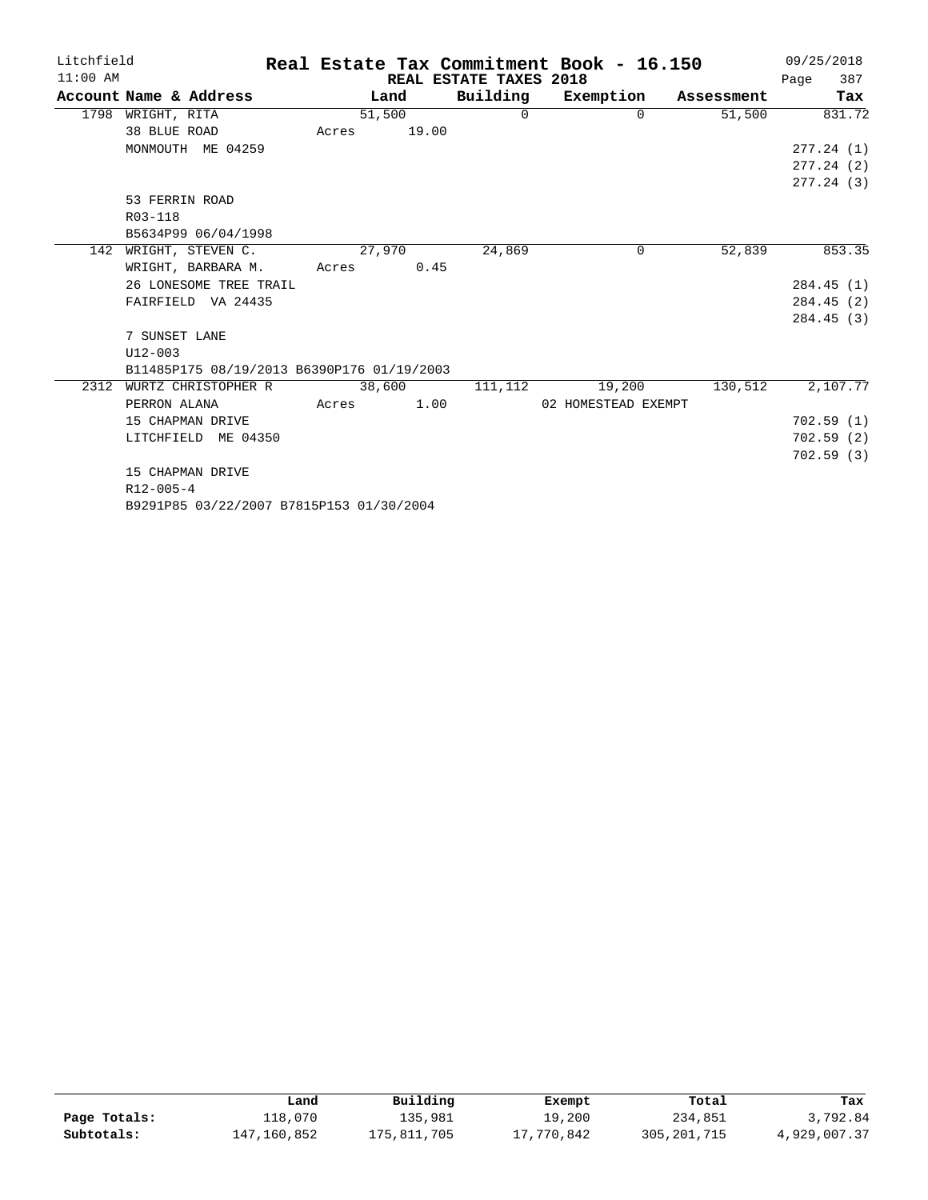| Litchfield |                                            |        |        |                        | Real Estate Tax Commitment Book - 16.150 |            |      | 09/25/2018 |
|------------|--------------------------------------------|--------|--------|------------------------|------------------------------------------|------------|------|------------|
| $11:00$ AM |                                            |        |        | REAL ESTATE TAXES 2018 |                                          |            | Page | 387        |
|            | Account Name & Address                     | Land   |        |                        | Building Exemption                       | Assessment |      | Tax        |
| 1798       | WRIGHT, RITA                               | 51,500 |        | $\Omega$               | $\Omega$                                 | 51,500     |      | 831.72     |
|            | 38 BLUE ROAD                               | Acres  | 19.00  |                        |                                          |            |      |            |
|            | MONMOUTH ME 04259                          |        |        |                        |                                          |            |      | 277.24(1)  |
|            |                                            |        |        |                        |                                          |            |      | 277.24(2)  |
|            |                                            |        |        |                        |                                          |            |      | 277.24(3)  |
|            | 53 FERRIN ROAD                             |        |        |                        |                                          |            |      |            |
|            | R03-118                                    |        |        |                        |                                          |            |      |            |
|            | B5634P99 06/04/1998                        |        |        |                        |                                          |            |      |            |
| 142        | WRIGHT, STEVEN C.                          | 27,970 |        | 24,869                 | $\Omega$                                 | 52,839     |      | 853.35     |
|            | WRIGHT, BARBARA M.                         | Acres  | 0.45   |                        |                                          |            |      |            |
|            | 26 LONESOME TREE TRAIL                     |        |        |                        |                                          |            |      | 284.45(1)  |
|            | FAIRFIELD VA 24435                         |        |        |                        |                                          |            |      | 284.45(2)  |
|            |                                            |        |        |                        |                                          |            |      | 284.45(3)  |
|            | 7 SUNSET LANE                              |        |        |                        |                                          |            |      |            |
|            | $U12 - 003$                                |        |        |                        |                                          |            |      |            |
|            | B11485P175 08/19/2013 B6390P176 01/19/2003 |        |        |                        |                                          |            |      |            |
| 2312       | WURTZ CHRISTOPHER R                        |        | 38,600 | 111,112                | 19,200                                   | 130,512    |      | 2,107.77   |
|            | PERRON ALANA                               | Acres  | 1.00   |                        | 02 HOMESTEAD EXEMPT                      |            |      |            |
|            | 15 CHAPMAN DRIVE                           |        |        |                        |                                          |            |      | 702.59(1)  |
|            | LITCHFIELD<br>ME 04350                     |        |        |                        |                                          |            |      | 702.59(2)  |
|            |                                            |        |        |                        |                                          |            |      | 702.59(3)  |
|            | 15 CHAPMAN DRIVE                           |        |        |                        |                                          |            |      |            |
|            | $R12 - 005 - 4$                            |        |        |                        |                                          |            |      |            |
|            | B9291P85 03/22/2007 B7815P153 01/30/2004   |        |        |                        |                                          |            |      |            |

|              | Land        | Building    | Exempt     | Total         | Tax          |
|--------------|-------------|-------------|------------|---------------|--------------|
| Page Totals: | 118,070     | 135,981     | 19,200     | 234,851       | 3,792.84     |
| Subtotals:   | 147,160,852 | 175,811,705 | 17,770,842 | 305, 201, 715 | 4,929,007.37 |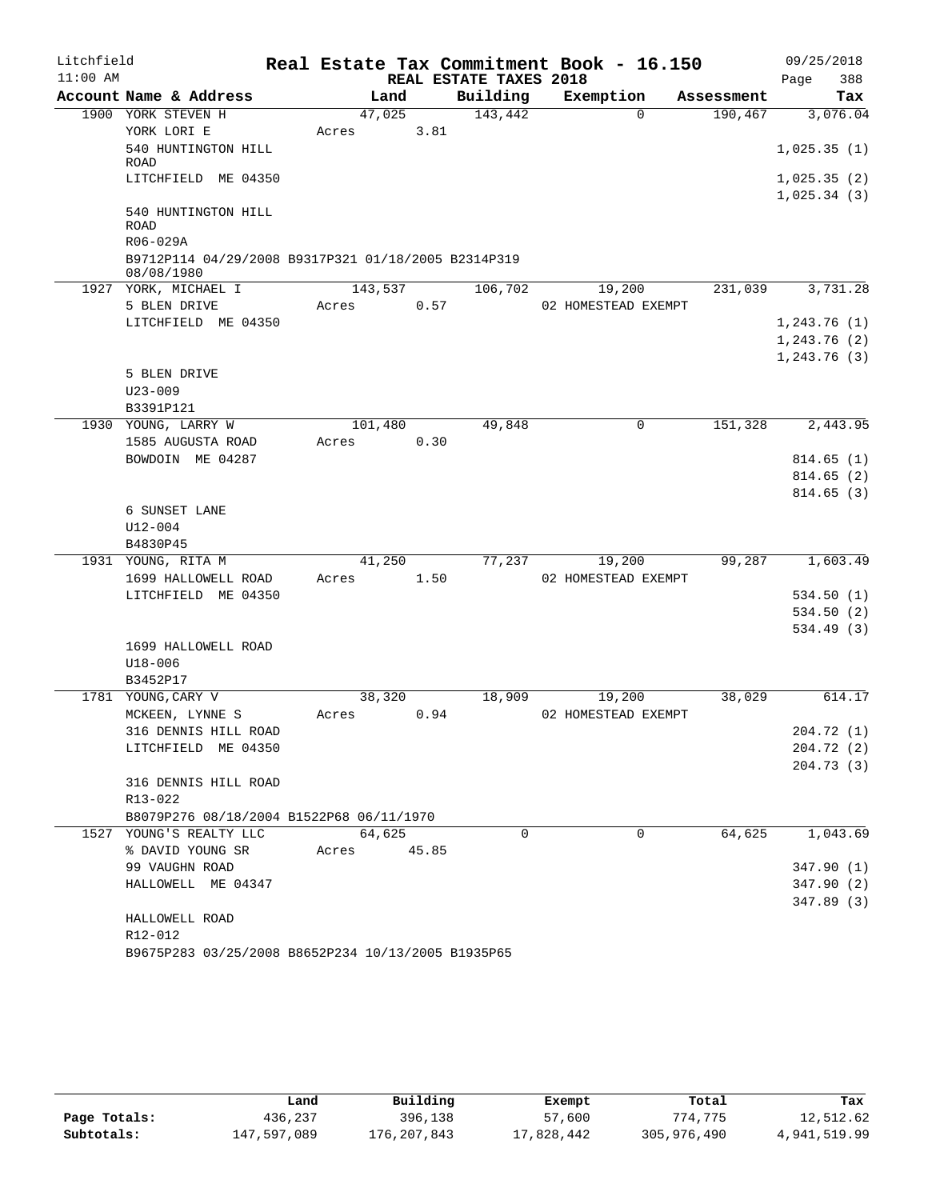| Litchfield |                                                                   |         |       |                        | Real Estate Tax Commitment Book - 16.150 |            | 09/25/2018    |
|------------|-------------------------------------------------------------------|---------|-------|------------------------|------------------------------------------|------------|---------------|
| $11:00$ AM |                                                                   |         |       | REAL ESTATE TAXES 2018 |                                          |            | 388<br>Page   |
|            | Account Name & Address                                            | Land    |       | Building               | Exemption                                | Assessment | Tax           |
|            | 1900 YORK STEVEN H                                                | 47,025  |       | 143,442                | $\Omega$                                 | 190,467    | 3,076.04      |
|            | YORK LORI E                                                       | Acres   | 3.81  |                        |                                          |            |               |
|            | 540 HUNTINGTON HILL<br>ROAD                                       |         |       |                        |                                          |            | 1,025.35(1)   |
|            | LITCHFIELD ME 04350                                               |         |       |                        |                                          |            | 1,025.35(2)   |
|            |                                                                   |         |       |                        |                                          |            | 1,025.34(3)   |
|            | 540 HUNTINGTON HILL                                               |         |       |                        |                                          |            |               |
|            | <b>ROAD</b>                                                       |         |       |                        |                                          |            |               |
|            | R06-029A                                                          |         |       |                        |                                          |            |               |
|            | B9712P114 04/29/2008 B9317P321 01/18/2005 B2314P319<br>08/08/1980 |         |       |                        |                                          |            |               |
|            | 1927 YORK, MICHAEL I                                              | 143,537 |       | 106,702                | 19,200                                   | 231,039    | 3,731.28      |
|            | 5 BLEN DRIVE                                                      | Acres   | 0.57  |                        | 02 HOMESTEAD EXEMPT                      |            |               |
|            | LITCHFIELD ME 04350                                               |         |       |                        |                                          |            | 1, 243.76(1)  |
|            |                                                                   |         |       |                        |                                          |            | 1, 243.76 (2) |
|            |                                                                   |         |       |                        |                                          |            | 1,243.76(3)   |
|            | 5 BLEN DRIVE                                                      |         |       |                        |                                          |            |               |
|            | $U23 - 009$                                                       |         |       |                        |                                          |            |               |
|            | B3391P121                                                         |         |       |                        |                                          |            |               |
|            | 1930 YOUNG, LARRY W                                               | 101,480 |       | 49,848                 | 0                                        | 151,328    | 2,443.95      |
|            | 1585 AUGUSTA ROAD                                                 | Acres   | 0.30  |                        |                                          |            |               |
|            | BOWDOIN ME 04287                                                  |         |       |                        |                                          |            | 814.65(1)     |
|            |                                                                   |         |       |                        |                                          |            | 814.65(2)     |
|            | 6 SUNSET LANE                                                     |         |       |                        |                                          |            | 814.65(3)     |
|            | U12-004                                                           |         |       |                        |                                          |            |               |
|            | B4830P45                                                          |         |       |                        |                                          |            |               |
|            | 1931 YOUNG, RITA M                                                | 41,250  |       | 77,237                 | 19,200                                   | 99,287     | 1,603.49      |
|            | 1699 HALLOWELL ROAD                                               | Acres   | 1.50  |                        | 02 HOMESTEAD EXEMPT                      |            |               |
|            | LITCHFIELD ME 04350                                               |         |       |                        |                                          |            | 534.50(1)     |
|            |                                                                   |         |       |                        |                                          |            | 534.50(2)     |
|            |                                                                   |         |       |                        |                                          |            | 534.49(3)     |
|            | 1699 HALLOWELL ROAD                                               |         |       |                        |                                          |            |               |
|            | $U18 - 006$                                                       |         |       |                        |                                          |            |               |
|            | B3452P17                                                          |         |       |                        |                                          |            |               |
|            | 1781 YOUNG, CARY V                                                | 38,320  |       | 18,909                 | 19,200                                   | 38,029     | 614.17        |
|            | MCKEEN, LYNNE S                                                   | Acres   | 0.94  |                        | 02 HOMESTEAD EXEMPT                      |            |               |
|            | 316 DENNIS HILL ROAD                                              |         |       |                        |                                          |            | 204.72 (1)    |
|            | LITCHFIELD ME 04350                                               |         |       |                        |                                          |            | 204.72 (2)    |
|            |                                                                   |         |       |                        |                                          |            | 204.73(3)     |
|            | 316 DENNIS HILL ROAD<br>R13-022                                   |         |       |                        |                                          |            |               |
|            | B8079P276 08/18/2004 B1522P68 06/11/1970                          |         |       |                        |                                          |            |               |
|            | 1527 YOUNG'S REALTY LLC                                           | 64,625  |       | $\Omega$               | $\Omega$                                 | 64,625     | 1,043.69      |
|            | % DAVID YOUNG SR                                                  | Acres   | 45.85 |                        |                                          |            |               |
|            | 99 VAUGHN ROAD                                                    |         |       |                        |                                          |            | 347.90(1)     |
|            | HALLOWELL ME 04347                                                |         |       |                        |                                          |            | 347.90(2)     |
|            |                                                                   |         |       |                        |                                          |            | 347.89 (3)    |
|            | HALLOWELL ROAD                                                    |         |       |                        |                                          |            |               |
|            | R12-012                                                           |         |       |                        |                                          |            |               |
|            | B9675P283 03/25/2008 B8652P234 10/13/2005 B1935P65                |         |       |                        |                                          |            |               |

|              | Land        | Building    | Exempt     | Total       | Tax          |
|--------------|-------------|-------------|------------|-------------|--------------|
| Page Totals: | 436,237     | 396,138     | 57,600     | 774,775     | 12,512.62    |
| Subtotals:   | 147,597,089 | 176,207,843 | 17,828,442 | 305,976,490 | 4,941,519.99 |